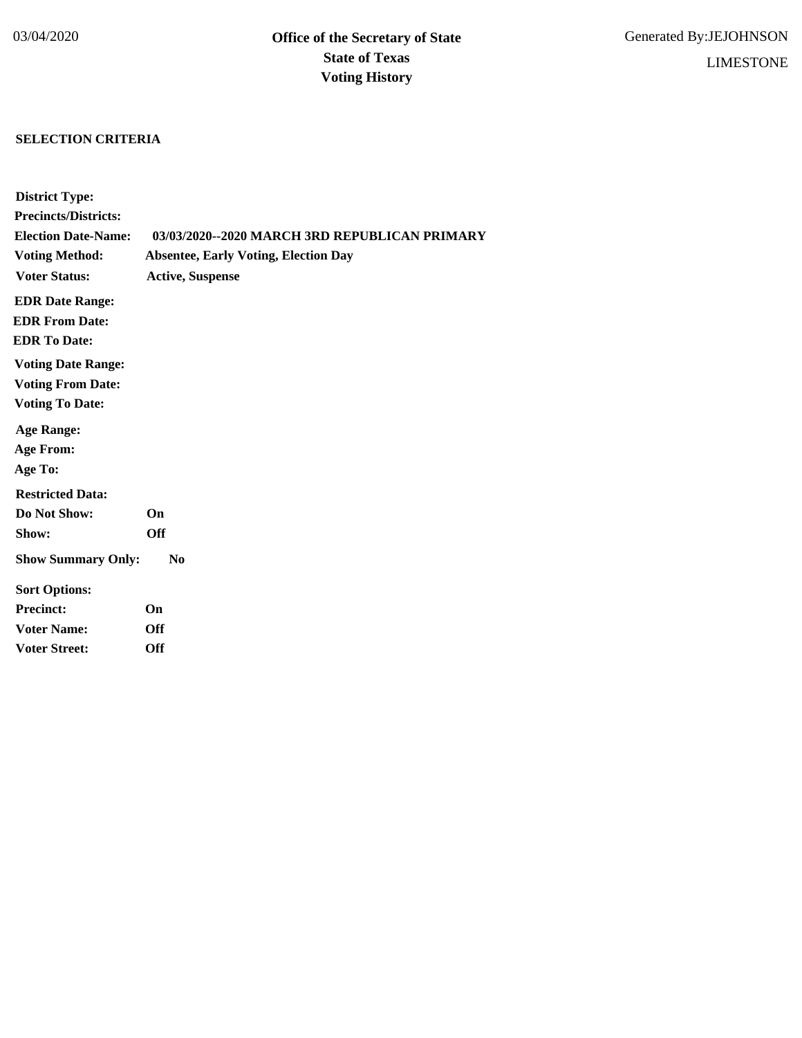# **SELECTION CRITERIA**

| <b>District Type:</b>       |                                               |
|-----------------------------|-----------------------------------------------|
| <b>Precincts/Districts:</b> |                                               |
| <b>Election Date-Name:</b>  | 03/03/2020--2020 MARCH 3RD REPUBLICAN PRIMARY |
| <b>Voting Method:</b>       | <b>Absentee, Early Voting, Election Day</b>   |
| <b>Voter Status:</b>        | <b>Active, Suspense</b>                       |
| <b>EDR Date Range:</b>      |                                               |
| <b>EDR From Date:</b>       |                                               |
| <b>EDR To Date:</b>         |                                               |
| <b>Voting Date Range:</b>   |                                               |
| <b>Voting From Date:</b>    |                                               |
| <b>Voting To Date:</b>      |                                               |
| <b>Age Range:</b>           |                                               |
| <b>Age From:</b>            |                                               |
| Age To:                     |                                               |
| <b>Restricted Data:</b>     |                                               |
| Do Not Show:                | On                                            |
| Show:                       | <b>Off</b>                                    |
| <b>Show Summary Only:</b>   | $\bf No$                                      |
| <b>Sort Options:</b>        |                                               |
| <b>Precinct:</b>            | On                                            |
| <b>Voter Name:</b>          | <b>Off</b>                                    |
| <b>Voter Street:</b>        | <b>Off</b>                                    |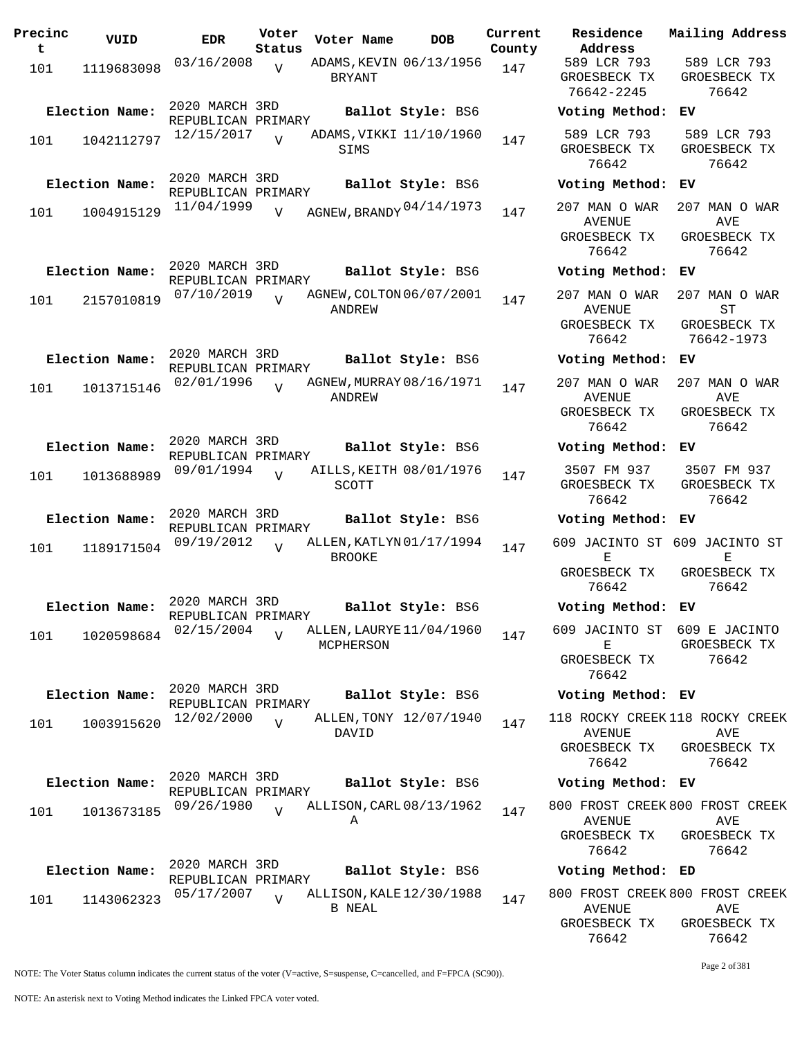| Precinc<br>t | VUID           | EDR.                                 | Voter<br>Status | Voter Name    | <b>DOB</b>               | Current<br>County | Residence<br>Address                                    |
|--------------|----------------|--------------------------------------|-----------------|---------------|--------------------------|-------------------|---------------------------------------------------------|
| 101          | 1119683098     | 03/16/2008                           | V               | BRYANT        | ADAMS, KEVIN 06/13/1956  | 147               | 589 LCR 793<br>GROESBECK TX<br>76642-2245               |
|              | Election Name: | 2020 MARCH 3RD<br>REPUBLICAN PRIMARY |                 |               | Ballot Style: BS6        |                   | Voting Method                                           |
| 101          | 1042112797     | 12/15/2017                           |                 | SIMS          | ADAMS, VIKKI 11/10/1960  | 147               | 589 LCR 793<br>GROESBECK TX<br>76642                    |
|              | Election Name: | 2020 MARCH 3RD<br>REPUBLICAN PRIMARY |                 |               | Ballot Style: BS6        |                   | Voting Method                                           |
| 101          | 1004915129     | 11/04/1999                           | $\overline{V}$  |               | AGNEW, BRANDY 04/14/1973 | 147               | 207 MAN O WAR<br>AVENUE<br>GROESBECK TX<br>76642        |
|              | Election Name: | 2020 MARCH 3RD                       |                 |               | Ballot Style: BS6        |                   | Voting Method                                           |
| 101          | 2157010819     | REPUBLICAN PRIMARY<br>07/10/2019     | $\overline{U}$  | ANDREW        | AGNEW, COLTON 06/07/2001 | 147               | 207 MAN O WAR<br><b>AVENUE</b><br>GROESBECK TX<br>76642 |
|              | Election Name: | 2020 MARCH 3RD<br>REPUBLICAN PRIMARY |                 |               | Ballot Style: BS6        |                   | Voting Method                                           |
| 101          | 1013715146     | 02/01/1996                           | $\overline{V}$  | ANDREW        | AGNEW, MURRAY 08/16/1971 | 147               | 207 MAN O WAR<br>AVENUE<br>GROESBECK TX<br>76642        |
|              | Election Name: | 2020 MARCH 3RD                       |                 |               | Ballot Style: BS6        |                   | Voting Method                                           |
| 101          | 1013688989     | REPUBLICAN PRIMARY<br>09/01/1994     | $\overline{U}$  | <b>SCOTT</b>  | AILLS, KEITH 08/01/1976  | 147               | 3507 FM 937<br>GROESBECK TX<br>76642                    |
|              | Election Name: | 2020 MARCH 3RD                       |                 |               | Ballot Style: BS6        |                   | Voting Method                                           |
| 101          | 1189171504     | REPUBLICAN PRIMARY<br>09/19/2012     | $\overline{z}$  | <b>BROOKE</b> | ALLEN, KATLYN 01/17/1994 | 147               | 609 JACINTO ST<br>Е<br>GROESBECK TX<br>76642            |
|              | Election Name: | 2020 MARCH 3RD                       |                 |               | Ballot Style: BS6        |                   | Voting Method                                           |
| 101          | 1020598684     | REPUBLICAN PRIMARY<br>02/15/2004     | $\overline{V}$  | MCPHERSON     | ALLEN, LAURYE 11/04/1960 | 147               | 609 JACINTO ST<br>Е<br>GROESBECK TX<br>76642            |
|              | Election Name: | 2020 MARCH 3RD                       |                 |               | Ballot Style: BS6        |                   | Voting Method                                           |
| 101          | 1003915620     | REPUBLICAN PRIMARY<br>12/02/2000     | $\overline{U}$  |               | ALLEN, TONY 12/07/1940   | 147               | 118 ROCKY CREE                                          |
|              |                |                                      |                 | DAVID         |                          |                   | <b>AVENUE</b><br>GROESBECK TX<br>76642                  |
|              | Election Name: | 2020 MARCH 3RD<br>REPUBLICAN PRIMARY |                 |               | Ballot Style: BS6        |                   | Voting Method                                           |
| 101          | 1013673185     | 09/26/1980                           | $\overline{U}$  | Α             | ALLISON, CARL 08/13/1962 | 147               | 800 FROST CREE<br>AVENUE<br>GROESBECK TX<br>76642       |
|              | Election Name: | 2020 MARCH 3RD<br>REPUBLICAN PRIMARY |                 |               | Ballot Style: BS6        |                   | Voting Method                                           |
| 101          | 1143062323     | 05/17/2007                           | $\overline{U}$  | <b>B NEAL</b> | ALLISON, KALE 12/30/1988 | 147               | 800 FROST CREE<br>AVENUE                                |

**Voter Name DOB Residence Address Current Mailing Address** 589 LCR 793 GROESBECK TX 76642-2245 589 LCR 793 GROESBECK TX 76642 **Election Name: Ballot Style:** BS6 **Voting Method: EV** 589 LCR 793 GROESBECK TX 76642 589 LCR 793 GROESBECK TX 76642 **Election Name: Ballot Style:** BS6 **Voting Method: EV** AVENUE GROESBECK TX 76642 207 MAN O WAR AVE GROESBECK TX 76642 **Election Name: Ballot Style:** BS6 **Voting Method: EV** 207 MAN O WAR AVENUE GROESBECK TX 76642 207 MAN O WAR ST GROESBECK TX 76642-1973 **Election Name: Ballot Style:** BS6 **Voting Method: EV** 207 MAN O WAR AVENUE GROESBECK TX 76642 207 MAN O WAR AVE GROESBECK TX 76642 **Election Name: Ballot Style:** BS6 **Voting Method: EV** 3507 FM 937 GROESBECK TX 76642 3507 FM 937 GROESBECK TX 76642 **Election Name: Ballot Style:** BS6 **Voting Method: EV** 609 JACINTO ST 609 JACINTO ST E GROESBECK TX 76642 E GROESBECK TX 76642 **Election Name: Ballot Style:** BS6 **Voting Method: EV** 609 JACINTO ST 609 E JACINTO E GROESBECK TX 76642 GROESBECK TX 76642 **Election Name: Ballot Style:** BS6 **Voting Method: EV** 118 ROCKY CREEK 118 ROCKY CREEK AVENUE GROESBECK TX 76642 AVE GROESBECK TX 76642 **Election Name: Ballot Style:** BS6 **Voting Method: EV** 800 FROST CREEK 800 FROST CREEK AVENUE GROESBECK TX 76642 AVE GROESBECK TX 76642 **Election Name: Ballot Style:** BS6 **Voting Method: ED** 800 FROST CREEK 800 FROST CREEK AVENUE GROESBECK TX AVE GROESBECK TX

NOTE: The Voter Status column indicates the current status of the voter (V=active, S=suspense, C=cancelled, and F=FPCA (SC90)).

Page 2 of 381

76642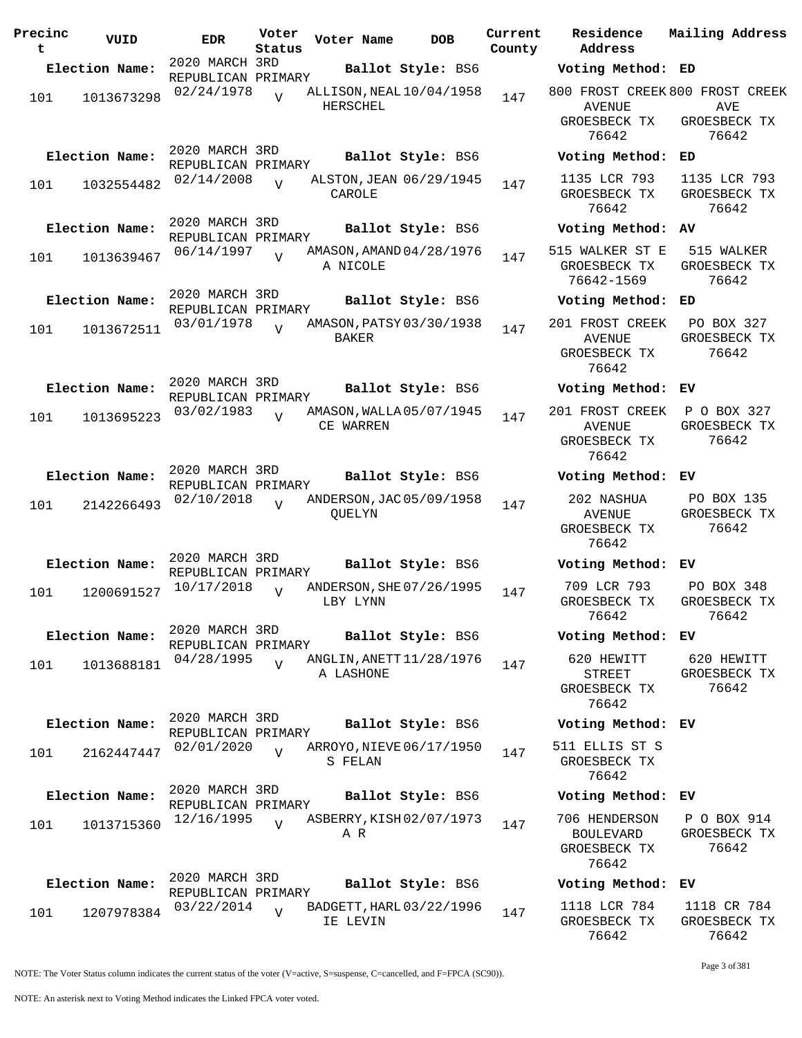| Precinc<br>t | VUID           | <b>EDR</b>                           | Voter<br>Status | Voter Name    | <b>DOB</b>                 | Current<br>County | Residence<br>Address                                             | Mailing Address                       |
|--------------|----------------|--------------------------------------|-----------------|---------------|----------------------------|-------------------|------------------------------------------------------------------|---------------------------------------|
|              | Election Name: | 2020 MARCH 3RD                       |                 |               | Ballot Style: BS6          |                   | Voting Method: ED                                                |                                       |
| 101          | 1013673298     | REPUBLICAN PRIMARY<br>02/24/1978     | $\overline{V}$  | HERSCHEL      | ALLISON, NEAL $10/04/1958$ | 147               | 800 FROST CREEK 800 FROST CREEK<br><b>AVENUE</b><br>GROESBECK TX | AVE<br>GROESBECK TX                   |
|              | Election Name: | 2020 MARCH 3RD                       |                 |               |                            |                   | 76642                                                            | 76642<br>ED                           |
|              |                | REPUBLICAN PRIMARY                   |                 |               | Ballot Style: BS6          |                   | Voting Method:                                                   |                                       |
| 101          | 1032554482     | 02/14/2008                           | $\overline{V}$  | CAROLE        | ALSTON, JEAN 06/29/1945    | 147               | 1135 LCR 793<br>GROESBECK TX<br>76642                            | 1135 LCR 793<br>GROESBECK TX<br>76642 |
|              | Election Name: | 2020 MARCH 3RD<br>REPUBLICAN PRIMARY |                 |               | Ballot Style: BS6          |                   | Voting Method: AV                                                |                                       |
| 101          | 1013639467     | 06/14/1997                           | $\overline{U}$  | A NICOLE      | AMASON, AMAND 04/28/1976   | 147               | 515 WALKER ST E<br>GROESBECK TX<br>76642-1569                    | 515 WALKER<br>GROESBECK TX<br>76642   |
|              | Election Name: | 2020 MARCH 3RD<br>REPUBLICAN PRIMARY |                 |               | Ballot Style: BS6          |                   | Voting Method: ED                                                |                                       |
| 101          | 1013672511     | 03/01/1978                           | $\overline{U}$  | BAKER         | AMASON, PATSY 03/30/1938   | 147               | 201 FROST CREEK<br><b>AVENUE</b><br>GROESBECK TX<br>76642        | PO BOX 327<br>GROESBECK TX<br>76642   |
|              | Election Name: | 2020 MARCH 3RD<br>REPUBLICAN PRIMARY |                 |               | Ballot Style: BS6          |                   | Voting Method: EV                                                |                                       |
| 101          | 1013695223     | 03/02/1983                           | $\overline{U}$  | CE WARREN     | AMASON, WALLA 05/07/1945   | 147               | 201 FROST CREEK<br><b>AVENUE</b><br>GROESBECK TX<br>76642        | P O BOX 327<br>GROESBECK TX<br>76642  |
|              | Election Name: | 2020 MARCH 3RD<br>REPUBLICAN PRIMARY |                 |               | Ballot Style: BS6          |                   | Voting Method: EV                                                |                                       |
| 101          | 2142266493     | 02/10/2018                           | $\overline{U}$  | <b>QUELYN</b> | ANDERSON, JAC 05/09/1958   | 147               | 202 NASHUA<br><b>AVENUE</b><br>GROESBECK TX<br>76642             | PO BOX 135<br>GROESBECK TX<br>76642   |
|              | Election Name: | 2020 MARCH 3RD<br>REPUBLICAN PRIMARY |                 |               | Ballot Style: BS6          |                   | Voting Method: EV                                                |                                       |
| 101          | 1200691527     | 10/17/2018                           | $\overline{V}$  | LBY LYNN      | ANDERSON, SHE 07/26/1995   | 147               | 709 LCR 793<br>GROESBECK TX<br>76642                             | PO BOX 348<br>GROESBECK TX<br>76642   |
|              | Election Name: | 2020 MARCH 3RD<br>REPUBLICAN PRIMARY |                 |               | Ballot Style: BS6          |                   | Voting Method: EV                                                |                                       |
| 101          | 1013688181     | 04/28/1995                           | $\overline{U}$  | A LASHONE     | ANGLIN, ANETT 11/28/1976   | 147               | 620 HEWITT<br>STREET<br>GROESBECK TX<br>76642                    | 620 HEWITT<br>GROESBECK TX<br>76642   |
|              | Election Name: | 2020 MARCH 3RD<br>REPUBLICAN PRIMARY |                 |               | Ballot Style: BS6          |                   | Voting Method: EV                                                |                                       |
| 101          | 2162447447     | 02/01/2020                           | $\overline{V}$  | S FELAN       | ARROYO, NIEVE 06/17/1950   | 147               | 511 ELLIS ST S<br>GROESBECK TX<br>76642                          |                                       |
|              | Election Name: | 2020 MARCH 3RD<br>REPUBLICAN PRIMARY |                 |               | Ballot Style: BS6          |                   | Voting Method: EV                                                |                                       |
| 101          | 1013715360     | 12/16/1995                           | $\overline{U}$  | A R           | ASBERRY, KISH 02/07/1973   | 147               | 706 HENDERSON<br><b>BOULEVARD</b><br>GROESBECK TX<br>76642       | P O BOX 914<br>GROESBECK TX<br>76642  |
|              | Election Name: | 2020 MARCH 3RD                       |                 |               | Ballot Style: BS6          |                   | Voting Method: EV                                                |                                       |
| 101          | 1207978384     | REPUBLICAN PRIMARY<br>03/22/2014     | $\overline{U}$  | IE LEVIN      | BADGETT, HARL 03/22/1996   | 147               | 1118 LCR 784<br>GROESBECK TX<br>76612                            | 1118 CR 784<br>GROESBECK TX<br>76612  |

784 GROESBECK TX 76642 1118 CR 784 GROESBECK TX 76642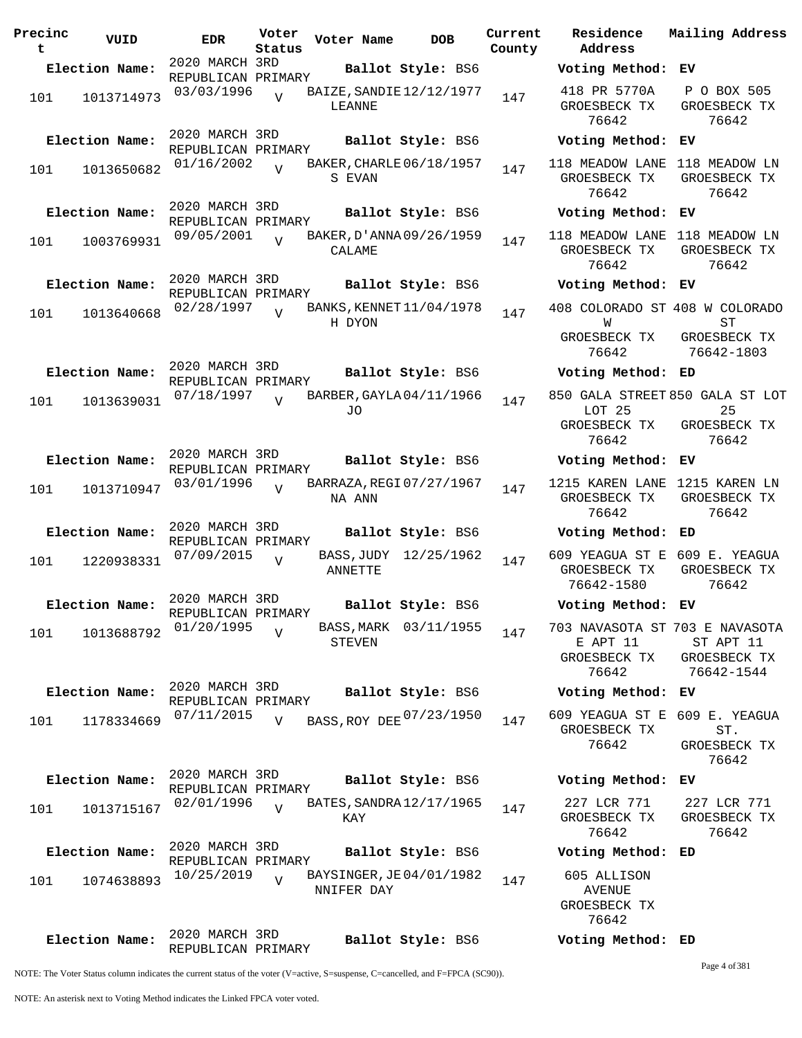| Precinc<br>t | VUID           | <b>EDR</b>                           | Voter<br>Status | Voter Name |        | <b>DOB</b>               | Current<br>County | Residence<br>Address                                  | Mailing Addres                                                            |
|--------------|----------------|--------------------------------------|-----------------|------------|--------|--------------------------|-------------------|-------------------------------------------------------|---------------------------------------------------------------------------|
|              | Election Name: | 2020 MARCH 3RD<br>REPUBLICAN PRIMARY |                 |            |        | Ballot Style: BS6        |                   | Voting Method: EV                                     |                                                                           |
| 101          | 1013714973     | 03/03/1996                           | $\overline{U}$  | LEANNE     |        | BAIZE, SANDIE 12/12/1977 | 147               | 418 PR 5770A<br>GROESBECK TX<br>76642                 | P O BOX 505<br>GROESBECK TX<br>76642                                      |
|              | Election Name: | 2020 MARCH 3RD<br>REPUBLICAN PRIMARY |                 |            |        | Ballot Style: BS6        |                   | Voting Method: EV                                     |                                                                           |
| 101          | 1013650682     | 01/16/2002                           | $\overline{V}$  |            | S EVAN | BAKER, CHARLE 06/18/1957 | 147               | GROESBECK TX<br>76642                                 | 118 MEADOW LANE 118 MEADOW LN<br>GROESBECK TX<br>76642                    |
|              | Election Name: | 2020 MARCH 3RD<br>REPUBLICAN PRIMARY |                 |            |        | Ballot Style: BS6        |                   | Voting Method: EV                                     |                                                                           |
| 101          | 1003769931     | 09/05/2001                           | $\overline{V}$  | CALAME     |        | BAKER, D'ANNA 09/26/1959 | 147               | GROESBECK TX<br>76642                                 | 118 MEADOW LANE 118 MEADOW LN<br>GROESBECK TX<br>76642                    |
|              | Election Name: | 2020 MARCH 3RD<br>REPUBLICAN PRIMARY |                 |            |        | Ballot Style: BS6        |                   | Voting Method: EV                                     |                                                                           |
| 101          | 1013640668     | 02/28/1997                           | $\overline{V}$  | H DYON     |        | BANKS, KENNET 11/04/1978 | 147               | W                                                     | 408 COLORADO ST 408 W COLORADO<br>SТ                                      |
|              |                |                                      |                 |            |        |                          |                   | GROESBECK TX<br>76642                                 | GROESBECK TX<br>76642-1803                                                |
|              | Election Name: | 2020 MARCH 3RD<br>REPUBLICAN PRIMARY |                 |            |        | Ballot Style: BS6        |                   | Voting Method: ED                                     |                                                                           |
| 101          | 1013639031     | 07/18/1997                           | $\overline{17}$ | JO         |        | BARBER, GAYLA 04/11/1966 | 147               | LOT <sub>25</sub><br>GROESBECK TX                     | 850 GALA STREET 850 GALA ST LO<br>25<br>GROESBECK TX                      |
|              |                |                                      |                 |            |        |                          |                   | 76642                                                 | 76642                                                                     |
|              | Election Name: | 2020 MARCH 3RD<br>REPUBLICAN PRIMARY |                 |            |        | Ballot Style: BS6        |                   | Voting Method: EV                                     |                                                                           |
| 101          | 1013710947     | 03/01/1996                           |                 | NA ANN     |        | BARRAZA, REGI 07/27/1967 | 147               | GROESBECK TX<br>76642                                 | 1215 KAREN LANE 1215 KAREN LN<br>GROESBECK TX<br>76642                    |
|              | Election Name: | 2020 MARCH 3RD<br>REPUBLICAN PRIMARY |                 |            |        | Ballot Style: BS6        |                   | Voting Method: ED                                     |                                                                           |
| 101          | 1220938331     | 07/09/2015                           | $\overline{U}$  | ANNETTE    |        | BASS, JUDY 12/25/1962    | 147               | GROESBECK TX<br>76642-1580                            | 609 YEAGUA ST E 609 E. YEAGUA<br>GROESBECK TX<br>76642                    |
|              | Election Name: | 2020 MARCH 3RD<br>REPUBLICAN PRIMARY |                 |            |        | Ballot Style: BS6        |                   | Voting Method: EV                                     |                                                                           |
| 101          | 1013688792     | 01/20/1995                           | $\overline{V}$  |            | STEVEN | BASS, MARK 03/11/1955    | 147               | E APT 11<br>GROESBECK TX<br>76642                     | 703 NAVASOTA ST 703 E NAVASOTA<br>ST APT 11<br>GROESBECK TX<br>76642-1544 |
|              | Election Name: | 2020 MARCH 3RD<br>REPUBLICAN PRIMARY |                 |            |        | Ballot Style: BS6        |                   | Voting Method: EV                                     |                                                                           |
| 101          | 1178334669     | 07/11/2015                           | V               |            |        | BASS, ROY DEE 07/23/1950 | 147               | GROESBECK TX                                          | 609 YEAGUA ST E 609 E. YEAGUA                                             |
|              |                |                                      |                 |            |        |                          |                   | 76642                                                 | ST.<br>GROESBECK TX<br>76642                                              |
|              | Election Name: | 2020 MARCH 3RD<br>REPUBLICAN PRIMARY |                 |            |        | Ballot Style: BS6        |                   | Voting Method: EV                                     |                                                                           |
| 101          | 1013715167     | 02/01/1996                           | $\overline{v}$  | KAY        |        | BATES, SANDRA 12/17/1965 | 147               | 227 LCR 771<br>GROESBECK TX<br>76642                  | 227 LCR 771<br>GROESBECK TX<br>76642                                      |
|              | Election Name: | 2020 MARCH 3RD<br>REPUBLICAN PRIMARY |                 |            |        | Ballot Style: BS6        |                   | Voting Method: ED                                     |                                                                           |
| 101          | 1074638893     | 10/25/2019                           | $\overline{V}$  | NNIFER DAY |        | BAYSINGER, JE04/01/1982  | 147               | 605 ALLISON<br><b>AVENUE</b><br>GROESBECK TX<br>76642 |                                                                           |
|              | Election Name: | 2020 MARCH 3RD<br>REPUBLICAN PRIMARY |                 |            |        | Ballot Style: BS6        |                   | Voting Method: ED                                     |                                                                           |

**Address Election Name: Ballot Style:** BS6 **Voting Method: EV** 418 PR 5770A GROESBECK TX 76642 P O BOX 505 GROESBECK TX 76642 **Election Name: Ballot Style:** BS6 **Voting Method: EV** 118 MEADOW LANE 118 MEADOW LN GROESBECK TX 76642 GROESBECK TX 76642 **Election Name: Ballot Style:** BS6 **Voting Method: EV** 118 MEADOW LANE 118 MEADOW LN GROESBECK TX 76642 GROESBECK TX 76642 **Election Name: Ballot Style:** BS6 **Voting Method: EV** 408 COLORADO ST 408 W COLORADO W GROESBECK TX 76642 ST GROESBECK TX 76642-1803 **Election Name: Ballot Style:** BS6 **Voting Method: ED** 850 GALA STREET 850 GALA ST LOT LOT 25 GROESBECK TX 76642 25 GROESBECK TX 76642 **Election Name: Ballot Style:** BS6 **Voting Method: EV** 1215 KAREN LANE 1215 KAREN LN GROESBECK TX 76642 GROESBECK TX 76642 **Election Name: Ballot Style:** BS6 **Voting Method: ED** 609 YEAGUA ST E 609 E. YEAGUA GROESBECK TX GROESBECK TX 76642-1580 76642 **Election Name: Ballot Style:** BS6 **Voting Method: EV** 703 NAVASOTA ST 703 E NAVASOTA E APT 11 GROESBECK TX 76642 ST APT 11 GROESBECK TX 76642-1544 **Election Name: Ballot Style:** BS6 **Voting Method: EV** GROESBECK TX 76642 ST. GROESBECK TX 76642 **Election Name: Ballot Style:** BS6 **Voting Method: EV** 227 LCR 771 GROESBECK TX 76642 227 LCR 771 GROESBECK TX 76642 **Election Name: Ballot Style:** BS6 **Voting Method: ED** 605 ALLISON AVENUE GROESBECK TX 76642 **Election Name: Ballot Style:** BS6 **Voting Method: ED**

Page 4 of 381

**Current Mailing Address**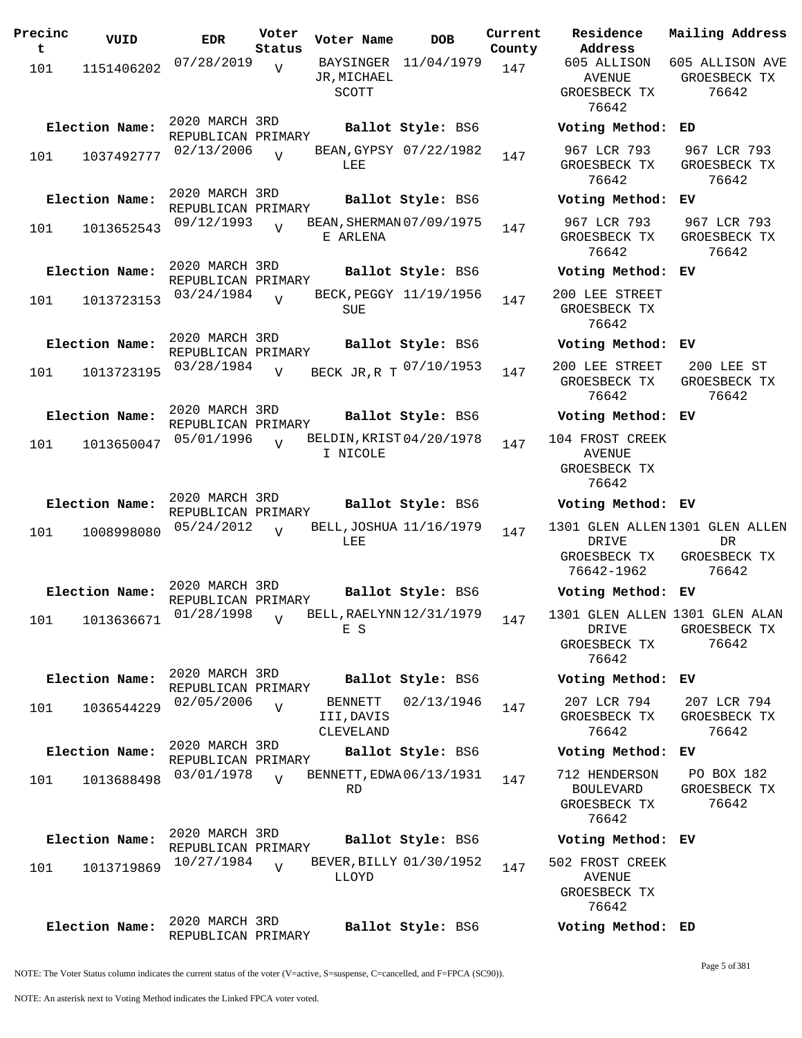| Precinc<br>t | VUID           | <b>EDR</b>                           | Voter<br>Status | Voter Name                                | <b>DOB</b>             | Current<br>County | Residence<br>Address                                      | Mailing Address                                                |
|--------------|----------------|--------------------------------------|-----------------|-------------------------------------------|------------------------|-------------------|-----------------------------------------------------------|----------------------------------------------------------------|
| 101          | 1151406202     | 07/28/2019                           | $\overline{U}$  | JR, MICHAEL<br>SCOTT                      | BAYSINGER 11/04/1979   | 147               | 605 ALLISON<br>AVENUE<br>GROESBECK TX<br>76642            | 605 ALLISON AVE<br>GROESBECK TX<br>76642                       |
|              | Election Name: | 2020 MARCH 3RD<br>REPUBLICAN PRIMARY |                 |                                           | Ballot Style: BS6      |                   | Voting Method: ED                                         |                                                                |
| 101          | 1037492777     | 02/13/2006                           | $\overline{V}$  | LEE                                       | BEAN, GYPSY 07/22/1982 | 147               | 967 LCR 793<br>GROESBECK TX<br>76642                      | 967 LCR 793<br>GROESBECK TX<br>76642                           |
|              | Election Name: | 2020 MARCH 3RD<br>REPUBLICAN PRIMARY |                 |                                           | Ballot Style: BS6      |                   | Voting Method: EV                                         |                                                                |
| 101          | 1013652543     | 09/12/1993                           | $\overline{U}$  | BEAN, SHERMAN 07/09/1975<br>E ARLENA      |                        | 147               | 967 LCR 793<br>GROESBECK TX<br>76642                      | 967 LCR 793<br>GROESBECK TX<br>76642                           |
|              | Election Name: | 2020 MARCH 3RD<br>REPUBLICAN PRIMARY |                 |                                           | Ballot Style: BS6      |                   | Voting Method: EV                                         |                                                                |
| 101          | 1013723153     | 03/24/1984                           | $\overline{U}$  | SUE                                       | BECK, PEGGY 11/19/1956 | 147               | 200 LEE STREET<br>GROESBECK TX<br>76642                   |                                                                |
|              | Election Name: | 2020 MARCH 3RD<br>REPUBLICAN PRIMARY |                 |                                           | Ballot Style: BS6      |                   | Voting Method: EV                                         |                                                                |
| 101          | 1013723195     | 03/28/1984                           | $\overline{V}$  | BECK JR, R T 07/10/1953                   |                        | 147               | 200 LEE STREET<br>GROESBECK TX<br>76642                   | 200 LEE ST<br>GROESBECK TX<br>76642                            |
|              | Election Name: | 2020 MARCH 3RD<br>REPUBLICAN PRIMARY |                 |                                           | Ballot Style: BS6      |                   | Voting Method: EV                                         |                                                                |
| 101          | 1013650047     | 05/01/1996                           | $\overline{U}$  | BELDIN, KRIST 04/20/1978<br>I NICOLE      |                        | 147               | 104 FROST CREEK<br><b>AVENUE</b><br>GROESBECK TX<br>76642 |                                                                |
|              | Election Name: | 2020 MARCH 3RD<br>REPUBLICAN PRIMARY |                 |                                           | Ballot Style: BS6      |                   | Voting Method: EV                                         |                                                                |
| 101          | 1008998080     | 05/24/2012                           | $\overline{V}$  | BELL, JOSHUA 11/16/1979<br>LEE            |                        | 147               | DRIVE<br>GROESBECK TX<br>76642-1962                       | 1301 GLEN ALLEN 1301 GLEN ALLEN<br>DR<br>GROESBECK TX<br>76642 |
|              | Election Name: | 2020 MARCH 3RD<br>REPUBLICAN PRIMARY |                 |                                           | Ballot Style: BS6      |                   | Voting Method: EV                                         |                                                                |
| 101          | 1013636671     | 01/28/1998                           | V               | BELL, RAELYNN 12/31/1979<br>E S           |                        | 147               | DRIVE<br>GROESBECK TX<br>76642                            | 1301 GLEN ALLEN 1301 GLEN ALAN<br>GROESBECK TX<br>76642        |
|              | Election Name: | 2020 MARCH 3RD<br>REPUBLICAN PRIMARY |                 |                                           | Ballot Style: BS6      |                   | Voting Method: EV                                         |                                                                |
| 101          | 1036544229     | 02/05/2006                           | $\overline{V}$  | <b>BENNETT</b><br>III, DAVIS<br>CLEVELAND | 02/13/1946             | 147               | 207 LCR 794<br>GROESBECK TX<br>76642                      | 207 LCR 794<br>GROESBECK TX<br>76642                           |
|              | Election Name: | 2020 MARCH 3RD<br>REPUBLICAN PRIMARY |                 |                                           | Ballot Style: BS6      |                   | Voting Method: EV                                         |                                                                |
| 101          | 1013688498     | 03/01/1978                           | $\overline{17}$ | BENNETT, EDWA 06/13/1931<br>RD            |                        | 147               | 712 HENDERSON<br>BOULEVARD<br>GROESBECK TX<br>76642       | PO BOX 182<br>GROESBECK TX<br>76642                            |
|              | Election Name: | 2020 MARCH 3RD<br>REPUBLICAN PRIMARY |                 |                                           | Ballot Style: BS6      |                   | Voting Method: EV                                         |                                                                |
| 101          | 1013719869     | 10/27/1984                           | $\overline{U}$  | BEVER, BILLY 01/30/1952<br>LLOYD          |                        | 147               | 502 FROST CREEK<br><b>AVENUE</b><br>GROESBECK TX<br>76642 |                                                                |
|              | Election Name: | 2020 MARCH 3RD<br>REPUBLICAN PRIMARY |                 |                                           | Ballot Style: BS6      |                   | Voting Method: ED                                         |                                                                |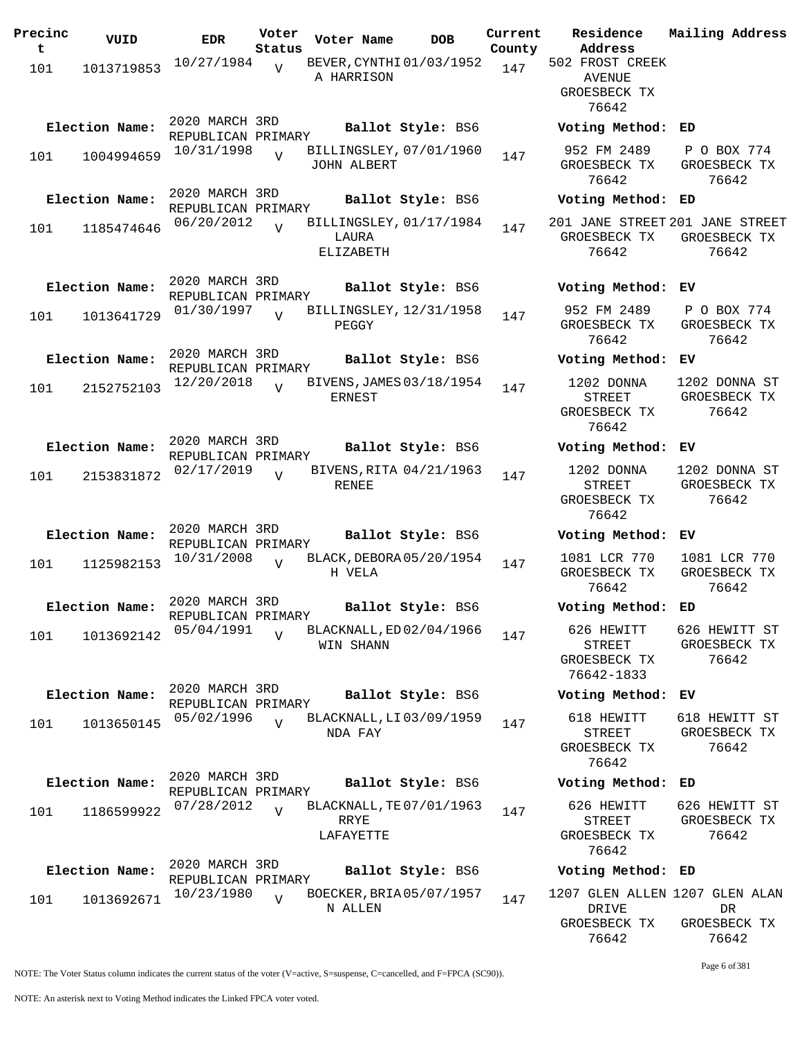| Precinc  | VUID           | <b>EDR</b>                           | Voter                    | Voter Name                                    | <b>DOB</b>        | Current       | Residence                                                        | Mailing Address                        |
|----------|----------------|--------------------------------------|--------------------------|-----------------------------------------------|-------------------|---------------|------------------------------------------------------------------|----------------------------------------|
| t<br>101 | 1013719853     | 10/27/1984                           | Status<br>$\overline{U}$ | BEVER, CYNTHI 01/03/1952<br>A HARRISON        |                   | County<br>147 | Address<br>502 FROST CREEK<br>AVENUE<br>GROESBECK TX<br>76642    |                                        |
|          | Election Name: | 2020 MARCH 3RD<br>REPUBLICAN PRIMARY |                          |                                               | Ballot Style: BS6 |               | Voting Method:                                                   | ED                                     |
| 101      | 1004994659     | 10/31/1998                           | $\overline{U}$           | BILLINGSLEY, 07/01/1960<br><b>JOHN ALBERT</b> |                   | 147           | 952 FM 2489<br>GROESBECK TX<br>76642                             | P O BOX 774<br>GROESBECK TX<br>76642   |
|          | Election Name: | 2020 MARCH 3RD<br>REPUBLICAN PRIMARY |                          |                                               | Ballot Style: BS6 |               | Voting Method: ED                                                |                                        |
| 101      | 1185474646     | 06/20/2012                           | $\overline{U}$           | BILLINGSLEY, 01/17/1984<br>LAURA<br>ELIZABETH |                   | 147           | 201 JANE STREET 201 JANE STREET<br>GROESBECK TX<br>76642         | GROESBECK TX<br>76642                  |
|          | Election Name: | 2020 MARCH 3RD<br>REPUBLICAN PRIMARY |                          |                                               | Ballot Style: BS6 |               | Voting Method: EV                                                |                                        |
| 101      | 1013641729     | 01/30/1997                           | $\overline{V}$           | BILLINGSLEY, 12/31/1958<br>PEGGY              |                   | 147           | 952 FM 2489<br>GROESBECK TX<br>76642                             | P O BOX 774<br>GROESBECK TX<br>76642   |
|          | Election Name: | 2020 MARCH 3RD<br>REPUBLICAN PRIMARY |                          |                                               | Ballot Style: BS6 |               | Voting Method:                                                   | ЕV                                     |
| 101      | 2152752103     | 12/20/2018                           | $\overline{U}$           | BIVENS, JAMES 03/18/1954<br><b>ERNEST</b>     |                   | 147           | 1202 DONNA<br>STREET<br>GROESBECK TX<br>76642                    | 1202 DONNA ST<br>GROESBECK TX<br>76642 |
|          | Election Name: | 2020 MARCH 3RD<br>REPUBLICAN PRIMARY |                          |                                               | Ballot Style: BS6 |               | Voting Method: EV                                                |                                        |
| 101      | 2153831872     | 02/17/2019                           | $\overline{U}$           | BIVENS, RITA 04/21/1963<br>RENEE              |                   | 147           | 1202 DONNA<br>STREET<br>GROESBECK TX<br>76642                    | 1202 DONNA ST<br>GROESBECK TX<br>76642 |
|          | Election Name: | 2020 MARCH 3RD<br>REPUBLICAN PRIMARY |                          |                                               | Ballot Style: BS6 |               | Voting Method: EV                                                |                                        |
| 101      | 1125982153     | 10/31/2008                           | $\overline{V}$           | BLACK, DEBORA 05/20/1954<br>H VELA            |                   | 147           | 1081 LCR 770<br>GROESBECK TX<br>76642                            | 1081 LCR 770<br>GROESBECK TX<br>76642  |
|          | Election Name: | 2020 MARCH 3RD<br>REPUBLICAN PRIMARY |                          |                                               | Ballot Style: BS6 |               | Voting Method:                                                   | ED                                     |
| 101      | 1013692142     | 05/04/1991                           | $\overline{v}$           | BLACKNALL, ED 02/04/1966<br>WIN SHANN         |                   | 147           | 626 HEWITT<br>STREET<br>GROESBECK TX<br>76642-1833               | 626 HEWITT ST<br>GROESBECK TX<br>76642 |
|          | Election Name: | 2020 MARCH 3RD<br>REPUBLICAN PRIMARY |                          |                                               | Ballot Style: BS6 |               | Voting Method: EV                                                |                                        |
| 101      | 1013650145     | 05/02/1996                           | $\overline{U}$           | BLACKNALL, LI 03/09/1959<br>NDA FAY           |                   | 147           | 618 HEWITT<br>STREET<br>GROESBECK TX<br>76642                    | 618 HEWITT ST<br>GROESBECK TX<br>76642 |
|          | Election Name: | 2020 MARCH 3RD<br>REPUBLICAN PRIMARY |                          |                                               | Ballot Style: BS6 |               | Voting Method: ED                                                |                                        |
| 101      | 1186599922     | 07/28/2012                           | $\overline{V}$           | BLACKNALL, TE 07/01/1963<br>RRYE<br>LAFAYETTE |                   | 147           | 626 HEWITT<br>STREET<br>GROESBECK TX<br>76642                    | 626 HEWITT ST<br>GROESBECK TX<br>76642 |
|          | Election Name: | 2020 MARCH 3RD<br>REPUBLICAN PRIMARY |                          |                                               | Ballot Style: BS6 |               | Voting Method: ED                                                |                                        |
| 101      | 1013692671     | 10/23/1980                           | $\overline{U}$           | BOECKER, BRIA 05/07/1957<br>N ALLEN           |                   | 147           | 1207 GLEN ALLEN 1207 GLEN ALAN<br>DRIVE<br>GROESBECK TX<br>76642 | DR<br>GROESBECK TX<br>76642            |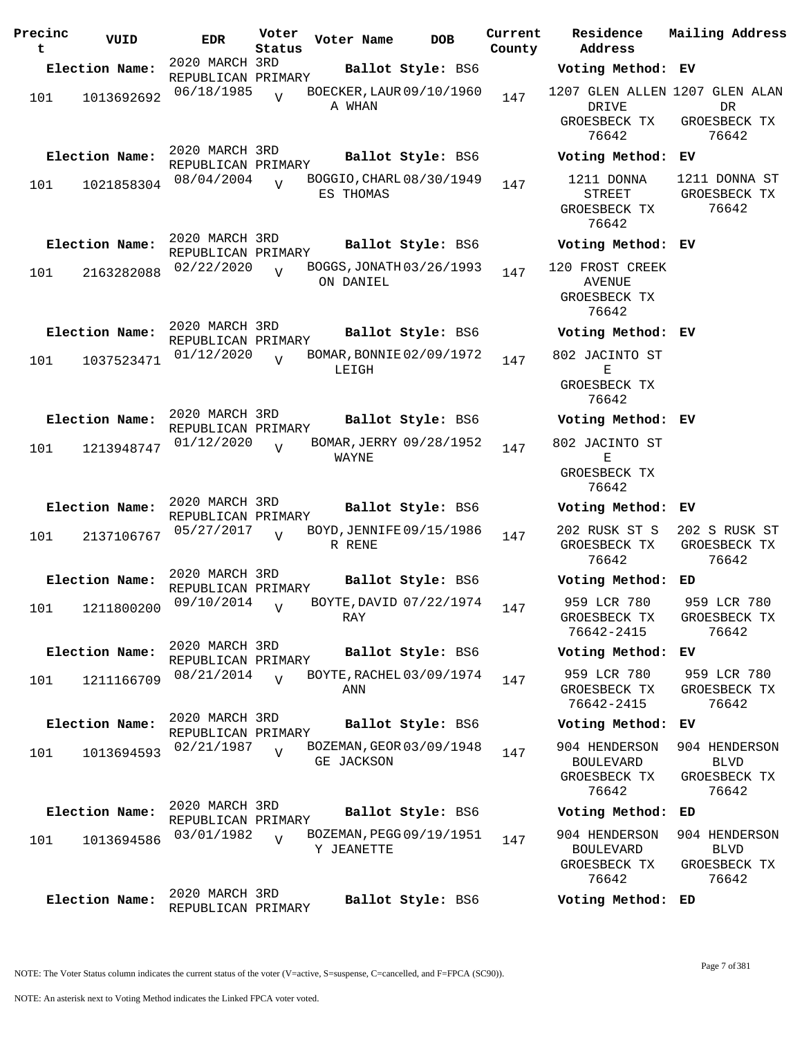| Precinc<br>t | VUID            | <b>EDR</b>                           | Voter<br>Status | Voter Name | <b>DOB</b>               | Current<br>County | Address | <b>Residence</b>                                           | Mailing Address                                                |
|--------------|-----------------|--------------------------------------|-----------------|------------|--------------------------|-------------------|---------|------------------------------------------------------------|----------------------------------------------------------------|
|              | Election Name:  | 2020 MARCH 3RD<br>REPUBLICAN PRIMARY |                 |            | Ballot Style: BS6        |                   |         | Voting Method: EV                                          |                                                                |
| 101          | 1013692692      | 06/18/1985                           | $\overline{V}$  | A WHAN     | BOECKER, LAUR 09/10/1960 | 147               |         | DRIVE<br>GROESBECK TX<br>76642                             | 1207 GLEN ALLEN 1207 GLEN ALAN<br>DR.<br>GROESBECK TX<br>76642 |
|              | Election Name:  | 2020 MARCH 3RD<br>REPUBLICAN PRIMARY |                 |            | Ballot Style: BS6        |                   |         | Voting Method: EV                                          |                                                                |
| 101          | 1021858304      | 08/04/2004                           | $\overline{U}$  | ES THOMAS  | BOGGIO, CHARL 08/30/1949 | 147               |         | 1211 DONNA<br>STREET<br>GROESBECK TX<br>76642              | 1211 DONNA ST<br>GROESBECK TX<br>76642                         |
|              | Election Name:  | 2020 MARCH 3RD<br>REPUBLICAN PRIMARY |                 |            | Ballot Style: BS6        |                   |         | Voting Method: EV                                          |                                                                |
| 101          | 2163282088      | 02/22/2020                           | $\overline{U}$  | ON DANIEL  | BOGGS, JONATH 03/26/1993 | 147               |         | 120 FROST CREEK<br>AVENUE<br>GROESBECK TX<br>76642         |                                                                |
|              | Election Name:  | 2020 MARCH 3RD<br>REPUBLICAN PRIMARY |                 |            | Ballot Style: BS6        |                   |         | Voting Method: EV                                          |                                                                |
| 101          | 1037523471      | 01/12/2020                           | $\overline{V}$  | LEIGH      | BOMAR, BONNIE 02/09/1972 | 147               |         | 802 JACINTO ST<br>Е<br>GROESBECK TX<br>76642               |                                                                |
|              | Election Name:  | 2020 MARCH 3RD                       |                 |            | Ballot Style: BS6        |                   |         | Voting Method: EV                                          |                                                                |
| 101          | 1213948747      | REPUBLICAN PRIMARY<br>01/12/2020     | $\overline{U}$  | WAYNE      | BOMAR, JERRY 09/28/1952  | 147               |         | 802 JACINTO ST<br>Е<br>GROESBECK TX                        |                                                                |
|              | Election Name:  | 2020 MARCH 3RD                       |                 |            | Ballot Style: BS6        |                   |         | 76642<br>Voting Method: EV                                 |                                                                |
| 101          | 2137106767      | REPUBLICAN PRIMARY<br>05/27/2017     | $\overline{U}$  | R RENE     | BOYD, JENNIFE 09/15/1986 | 147               |         | 202 RUSK ST S<br>GROESBECK TX<br>76642                     | 202 S RUSK ST<br>GROESBECK TX<br>76642                         |
|              | Election Name:  | 2020 MARCH 3RD<br>REPUBLICAN PRIMARY |                 |            | Ballot Style: BS6        |                   |         | Voting Method: ED                                          |                                                                |
|              | 101  1211800200 | 09/10/2014                           | $\mathbf{V}$    | RAY        | BOYTE, DAVID 07/22/1974  | 147               |         | 959 LCR 780<br>GROESBECK TX<br>76642-2415                  | 959 LCR 780<br>GROESBECK TX<br>76642                           |
|              | Election Name:  | 2020 MARCH 3RD<br>REPUBLICAN PRIMARY |                 |            | Ballot Style: BS6        |                   |         | Voting Method: EV                                          |                                                                |
| 101          | 1211166709      | 08/21/2014                           | $\overline{U}$  | ANN        | BOYTE, RACHEL 03/09/1974 | 147               |         | 959 LCR 780<br>GROESBECK TX<br>76642-2415                  | 959 LCR 780<br>GROESBECK TX<br>76642                           |
|              | Election Name:  | 2020 MARCH 3RD<br>REPUBLICAN PRIMARY |                 |            | Ballot Style: BS6        |                   |         | Voting Method: EV                                          |                                                                |
| 101          | 1013694593      | 02/21/1987                           | $\overline{U}$  | GE JACKSON | BOZEMAN, GEOR 03/09/1948 | 147               |         | 904 HENDERSON<br><b>BOULEVARD</b><br>GROESBECK TX<br>76642 | 904 HENDERSON<br><b>BLVD</b><br>GROESBECK TX<br>76642          |
|              | Election Name:  | 2020 MARCH 3RD<br>REPUBLICAN PRIMARY |                 |            | Ballot Style: BS6        |                   |         | Voting Method: ED                                          |                                                                |
| 101          | 1013694586      | 03/01/1982                           | $\overline{V}$  | Y JEANETTE | BOZEMAN, PEGG 09/19/1951 | 147               |         | 904 HENDERSON<br><b>BOULEVARD</b><br>GROESBECK TX<br>76642 | 904 HENDERSON<br><b>BLVD</b><br>GROESBECK TX<br>76642          |
|              | Election Name:  | 2020 MARCH 3RD<br>REPUBLICAN PRIMARY |                 |            | Ballot Style: BS6        |                   |         | Voting Method: ED                                          |                                                                |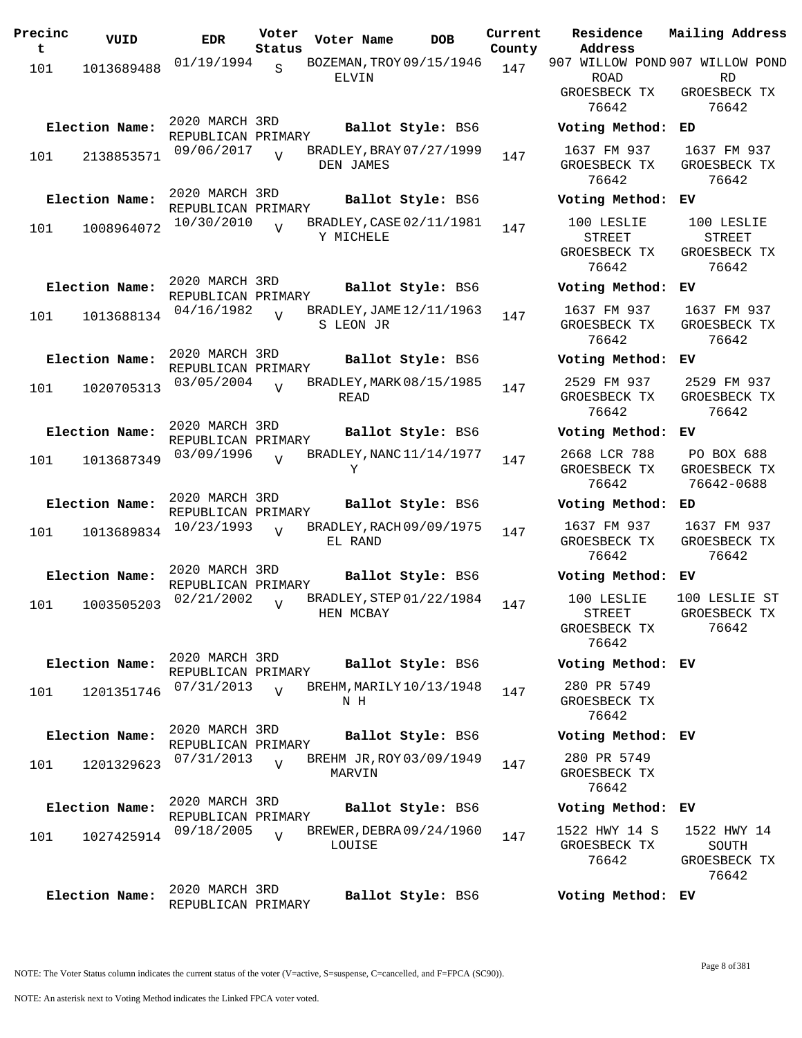| Precinc<br>t | VUID           | <b>EDR</b>                           | Voter<br>Status | Voter Name                            | <b>DOB</b>        | Current<br>County | Residence<br>Address            | Mailing Address             |
|--------------|----------------|--------------------------------------|-----------------|---------------------------------------|-------------------|-------------------|---------------------------------|-----------------------------|
| 101          | 1013689488     | 01/19/1994                           | S               | BOZEMAN, TROY 09/15/1946              |                   | 147               | 907 WILLOW POND 907 WILLOW POND |                             |
|              |                |                                      |                 | ELVIN                                 |                   |                   | ROAD<br>GROESBECK TX            | RD<br>GROESBECK TX          |
|              |                |                                      |                 |                                       |                   |                   | 76642                           | 76642                       |
|              | Election Name: | 2020 MARCH 3RD<br>REPUBLICAN PRIMARY |                 |                                       | Ballot Style: BS6 |                   | Voting Method:                  | ED                          |
| 101          | 2138853571     | 09/06/2017                           | $\overline{U}$  | BRADLEY, BRAY 07/27/1999              |                   | 147               | 1637 FM 937                     | 1637 FM 937                 |
|              |                |                                      |                 | DEN JAMES                             |                   |                   | GROESBECK TX<br>76642           | GROESBECK TX<br>76642       |
|              | Election Name: | 2020 MARCH 3RD<br>REPUBLICAN PRIMARY |                 |                                       | Ballot Style: BS6 |                   | Voting Method:                  | ЕV                          |
| 101          | 1008964072     | 10/30/2010                           |                 | BRADLEY, CASE 02/11/1981              |                   | 147               | 100 LESLIE                      | 100 LESLIE                  |
|              |                |                                      |                 | Y MICHELE                             |                   |                   | <b>STREET</b>                   | <b>STREET</b>               |
|              |                |                                      |                 |                                       |                   |                   | GROESBECK TX<br>76642           | GROESBECK TX<br>76642       |
|              |                | 2020 MARCH 3RD                       |                 |                                       |                   |                   |                                 |                             |
|              | Election Name: | REPUBLICAN PRIMARY                   |                 |                                       | Ballot Style: BS6 |                   | Voting Method:                  | ЕV                          |
| 101          | 1013688134     | 04/16/1982                           | $\overline{U}$  | BRADLEY, JAME 12/11/1963<br>S LEON JR |                   | 147               | 1637 FM 937<br>GROESBECK TX     | 1637 FM 937<br>GROESBECK TX |
|              |                |                                      |                 |                                       |                   |                   | 76642                           | 76642                       |
|              | Election Name: | 2020 MARCH 3RD                       |                 |                                       | Ballot Style: BS6 |                   | Voting Method:                  | ЕV                          |
|              |                | REPUBLICAN PRIMARY<br>03/05/2004     |                 | BRADLEY, MARK 08/15/1985              |                   |                   | 2529 FM 937                     | 2529 FM 937                 |
| 101          | 1020705313     |                                      | $\overline{U}$  | READ                                  |                   | 147               | GROESBECK TX                    | GROESBECK TX                |
|              |                |                                      |                 |                                       |                   |                   | 76642                           | 76642                       |
|              | Election Name: | 2020 MARCH 3RD<br>REPUBLICAN PRIMARY |                 |                                       | Ballot Style: BS6 |                   | Voting Method:                  | ЕV                          |
| 101          | 1013687349     | 03/09/1996                           | $\overline{V}$  | BRADLEY, NANC 11/14/1977              |                   | 147               | 2668 LCR 788                    | PO BOX 688                  |
|              |                |                                      |                 | Υ                                     |                   |                   | GROESBECK TX                    | GROESBECK TX                |
|              |                | 2020 MARCH 3RD                       |                 |                                       |                   |                   | 76642                           | 76642-0688                  |
|              | Election Name: | REPUBLICAN PRIMARY                   |                 |                                       | Ballot Style: BS6 |                   | Voting Method: ED               |                             |
| 101          | 1013689834     | 10/23/1993                           | $\overline{v}$  | BRADLEY, RACH 09/09/1975              |                   | 147               | 1637 FM 937                     | 1637 FM 937<br>GROESBECK TX |
|              |                |                                      |                 | EL RAND                               |                   |                   | GROESBECK TX<br>76642           | 76642                       |
|              | Election Name: | 2020 MARCH 3RD                       |                 |                                       | Ballot Style: BS6 |                   | Voting Method:                  | ЕV                          |
|              |                | REPUBLICAN PRIMARY<br>02/21/2002     |                 | BRADLEY, STEP 01/22/1984              |                   |                   | 100 LESLIE                      | 100 LESLIE ST               |
| 101          | 1003505203     |                                      | $\overline{U}$  | HEN MCBAY                             |                   | 147               | <b>STREET</b>                   | GROESBECK TX                |
|              |                |                                      |                 |                                       |                   |                   | GROESBECK TX                    | 76642                       |
|              |                |                                      |                 |                                       |                   |                   | 76642                           |                             |
|              | Election Name: | 2020 MARCH 3RD<br>REPUBLICAN PRIMARY |                 |                                       | Ballot Style: BS6 |                   | Voting Method: EV               |                             |
| 101          | 1201351746     | 07/31/2013                           | $\overline{V}$  | BREHM, MARILY 10/13/1948              |                   | 147               | 280 PR 5749                     |                             |
|              |                |                                      |                 | N H                                   |                   |                   | GROESBECK TX<br>76642           |                             |
|              | Election Name: | 2020 MARCH 3RD                       |                 |                                       |                   |                   |                                 |                             |
|              |                | REPUBLICAN PRIMARY                   |                 |                                       | Ballot Style: BS6 |                   | Voting Method: EV               |                             |
| 101          | 1201329623     | 07/31/2013                           | $\overline{U}$  | BREHM JR, ROY 03/09/1949<br>MARVIN    |                   | 147               | 280 PR 5749<br>GROESBECK TX     |                             |
|              |                |                                      |                 |                                       |                   |                   | 76642                           |                             |
|              | Election Name: | 2020 MARCH 3RD                       |                 |                                       | Ballot Style: BS6 |                   | Voting Method: EV               |                             |
|              |                | REPUBLICAN PRIMARY<br>09/18/2005     | $\overline{v}$  | BREWER, DEBRA 09/24/1960              |                   |                   | 1522 HWY 14 S                   | 1522 HWY 14                 |
| 101          | 1027425914     |                                      |                 | LOUISE                                |                   | 147               | GROESBECK TX                    | SOUTH                       |
|              |                |                                      |                 |                                       |                   |                   | 76642                           | GROESBECK TX                |
|              |                | 2020 MARCH 3RD                       |                 |                                       |                   |                   |                                 | 76642                       |
|              | Election Name: | REPUBLICAN PRIMARY                   |                 |                                       | Ballot Style: BS6 |                   | Voting Method: EV               |                             |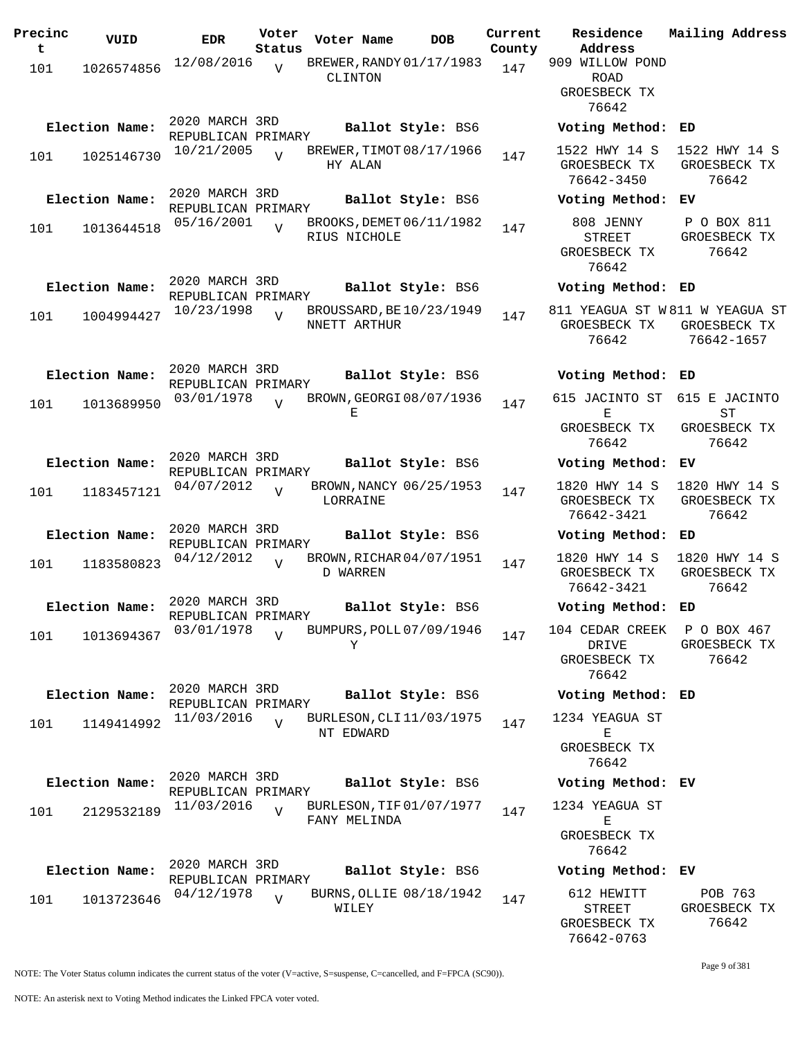| Precinc | VUID           | <b>EDR</b>                           | Voter          | Voter Name   |              | <b>DOB</b>               | Current | Residence                                               | Mailing Address                        |
|---------|----------------|--------------------------------------|----------------|--------------|--------------|--------------------------|---------|---------------------------------------------------------|----------------------------------------|
| t       |                |                                      | Status         |              |              |                          | County  | Address                                                 |                                        |
| 101     | 1026574856     | 12/08/2016                           | V              |              | CLINTON      | BREWER, RANDY 01/17/1983 | 147     | 909 WILLOW POND<br>ROAD<br>GROESBECK TX                 |                                        |
|         |                |                                      |                |              |              |                          |         | 76642                                                   |                                        |
|         | Election Name: | 2020 MARCH 3RD<br>REPUBLICAN PRIMARY |                |              |              | Ballot Style: BS6        |         | Voting Method:                                          | ED                                     |
| 101     | 1025146730     | 10/21/2005                           | $\overline{v}$ |              | HY ALAN      | BREWER, TIMOT 08/17/1966 | 147     | 1522 HWY 14 S<br>GROESBECK TX<br>76642-3450             | 1522 HWY 14 S<br>GROESBECK TX<br>76642 |
|         | Election Name: | 2020 MARCH 3RD<br>REPUBLICAN PRIMARY |                |              |              | Ballot Style: BS6        |         | Voting Method: EV                                       |                                        |
| 101     | 1013644518     | 05/16/2001                           | $\overline{U}$ | RIUS NICHOLE |              | BROOKS, DEMET 06/11/1982 | 147     | 808 JENNY<br>STREET<br>GROESBECK TX<br>76642            | P O BOX 811<br>GROESBECK TX<br>76642   |
|         | Election Name: | 2020 MARCH 3RD<br>REPUBLICAN PRIMARY |                |              |              | Ballot Style: BS6        |         | Voting Method: ED                                       |                                        |
| 101     | 1004994427     | 10/23/1998                           | $\overline{U}$ | NNETT ARTHUR |              | BROUSSARD, BE10/23/1949  | 147     | 811 YEAGUA ST W811 W YEAGUA ST<br>GROESBECK TX<br>76642 | GROESBECK TX<br>76642-1657             |
|         | Election Name: | 2020 MARCH 3RD<br>REPUBLICAN PRIMARY |                |              |              | Ballot Style: BS6        |         | Voting Method:                                          | ED                                     |
| 101     | 1013689950     | 03/01/1978                           | $\overline{U}$ |              | Е            | BROWN, GEORGI 08/07/1936 | 147     | 615 JACINTO ST<br>Е                                     | 615 E JACINTO<br>ST                    |
|         |                |                                      |                |              |              |                          |         | GROESBECK TX<br>76642                                   | GROESBECK TX<br>76642                  |
|         | Election Name: | 2020 MARCH 3RD<br>REPUBLICAN PRIMARY |                |              |              | Ballot Style: BS6        |         | Voting Method: EV                                       |                                        |
| 101     | 1183457121     | 04/07/2012                           | $\overline{V}$ | LORRAINE     |              | BROWN, NANCY 06/25/1953  | 147     | 1820 HWY 14 S<br>GROESBECK TX<br>76642-3421             | 1820 HWY 14 S<br>GROESBECK TX<br>76642 |
|         | Election Name: | 2020 MARCH 3RD<br>REPUBLICAN PRIMARY |                |              |              | Ballot Style: BS6        |         | Voting Method: ED                                       |                                        |
| 101     | 1183580823     | 04/12/2012                           | $\overline{V}$ |              | D WARREN     | BROWN, RICHAR 04/07/1951 | 147     | 1820 HWY 14 S<br>GROESBECK TX<br>76642-3421             | 1820 HWY 14 S<br>GROESBECK TX<br>76642 |
|         | Election Name: | 2020 MARCH 3RD<br>REPUBLICAN PRIMARY |                |              |              | Ballot Style: BS6        |         | Voting Method:                                          | ED                                     |
| 101     | 1013694367     | 03/01/1978                           | $\overline{V}$ |              | Υ            | BUMPURS, POLL 07/09/1946 | 147     | 104 CEDAR CREEK<br>DRIVE<br>GROESBECK TX<br>76642       | P O BOX 467<br>GROESBECK TX<br>76642   |
|         | Election Name: | 2020 MARCH 3RD<br>REPUBLICAN PRIMARY |                |              |              | Ballot Style: BS6        |         | Voting Method: ED                                       |                                        |
| 101     | 1149414992     | 11/03/2016                           | $\overline{U}$ | NT EDWARD    |              | BURLESON, CLI 11/03/1975 | 147     | 1234 YEAGUA ST<br>Ε                                     |                                        |
|         |                |                                      |                |              |              |                          |         | GROESBECK TX<br>76642                                   |                                        |
|         | Election Name: | 2020 MARCH 3RD<br>REPUBLICAN PRIMARY |                |              |              | Ballot Style: BS6        |         | Voting Method: EV                                       |                                        |
| 101     | 2129532189     | 11/03/2016                           | $\overline{U}$ |              | FANY MELINDA | BURLESON, TIF 01/07/1977 | 147     | 1234 YEAGUA ST<br>Е<br>GROESBECK TX<br>76642            |                                        |
|         | Election Name: | 2020 MARCH 3RD<br>REPUBLICAN PRIMARY |                |              |              | Ballot Style: BS6        |         | Voting Method: EV                                       |                                        |
| 101     | 1013723646     | 04/12/1978                           | $\overline{V}$ | WILEY        |              | BURNS, OLLIE 08/18/1942  | 147     | 612 HEWITT<br>STREET<br>GROESBECK TX<br>76642-0763      | POB 763<br>GROESBECK TX<br>76642       |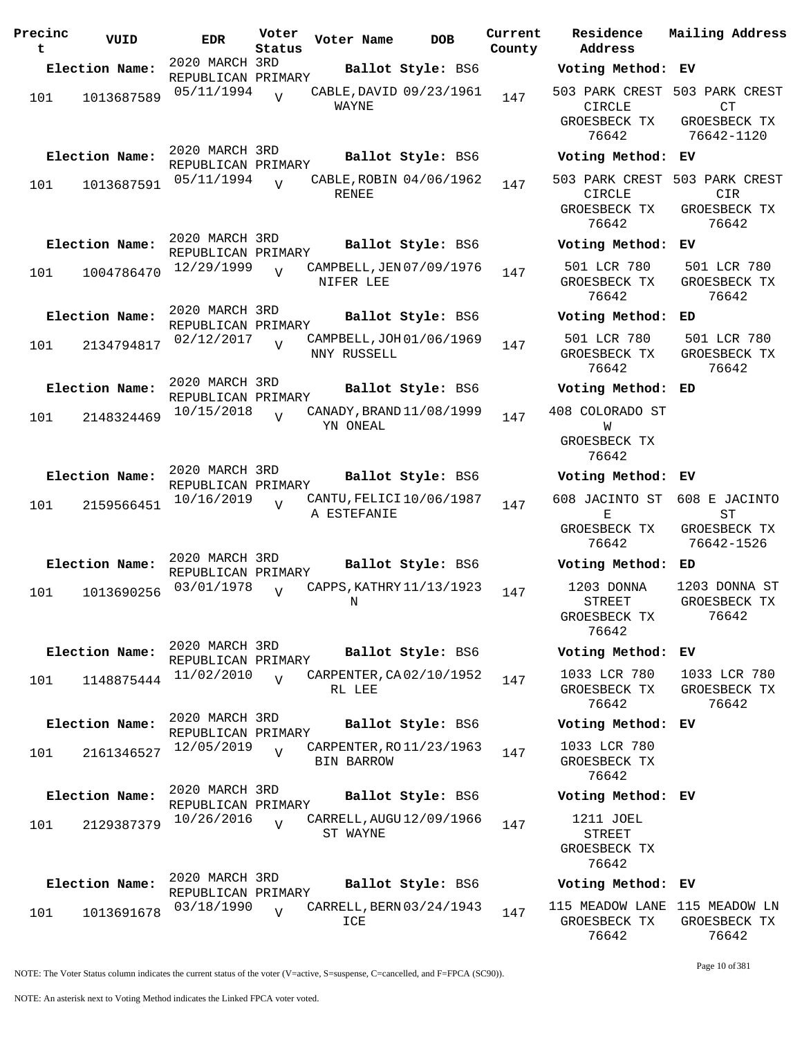| Precinc<br>t | VUID           | <b>EDR</b>                           | Voter<br>Status | Voter Name                                   | <b>DOB</b>        | Current<br>County | Residence<br>Address                                  |
|--------------|----------------|--------------------------------------|-----------------|----------------------------------------------|-------------------|-------------------|-------------------------------------------------------|
|              | Election Name: | 2020 MARCH 3RD<br>REPUBLICAN PRIMARY |                 |                                              | Ballot Style: BS6 |                   | Voting Meth                                           |
| 101          | 1013687589     | 05/11/1994                           | $\overline{V}$  | CABLE, DAVID 09/23/1961<br>WAYNE             |                   | 147               | 503 PARK CRI<br>CIRCLE<br>GROESBECK T<br>76642        |
|              | Election Name: | 2020 MARCH 3RD                       |                 |                                              | Ballot Style: BS6 |                   | Voting Meth                                           |
| 101          | 1013687591     | REPUBLICAN PRIMARY<br>05/11/1994     | $\overline{U}$  | CABLE, ROBIN 04/06/1962<br><b>RENEE</b>      |                   | 147               | 503 PARK CRI<br><b>CIRCLE</b><br>GROESBECK T<br>76642 |
|              | Election Name: | 2020 MARCH 3RD<br>REPUBLICAN PRIMARY |                 |                                              | Ballot Style: BS6 |                   | Voting Meth                                           |
| 101          | 1004786470     | 12/29/1999                           | $\overline{U}$  | CAMPBELL, JEN 07/09/1976<br>NIFER LEE        |                   | 147               | 501 LCR 78<br>GROESBECK :<br>76642                    |
|              | Election Name: | 2020 MARCH 3RD<br>REPUBLICAN PRIMARY |                 |                                              | Ballot Style: BS6 |                   | Voting Meth                                           |
| 101          | 2134794817     | 02/12/2017                           | $\overline{V}$  | CAMPBELL, JOH 01/06/1969<br>NNY RUSSELL      |                   | 147               | 501 LCR 78<br>GROESBECK T<br>76642                    |
|              | Election Name: | 2020 MARCH 3RD<br>REPUBLICAN PRIMARY |                 |                                              | Ballot Style: BS6 |                   | Voting Meth                                           |
| 101          | 2148324469     | 10/15/2018                           | $\overline{U}$  | CANADY, BRAND 11/08/1999<br>YN ONEAL         |                   | 147               | 408 COLORADO<br>W<br>GROESBECK T<br>76642             |
|              | Election Name: | 2020 MARCH 3RD                       |                 |                                              | Ballot Style: BS6 |                   | Voting Meth                                           |
| 101          | 2159566451     | REPUBLICAN PRIMARY<br>10/16/2019     | $\overline{U}$  | CANTU, FELICI 10/06/1987<br>A ESTEFANIE      |                   | 147               | 608 JACINTO<br>Е<br>GROESBECK T<br>76642              |
|              | Election Name: | 2020 MARCH 3RD                       |                 |                                              | Ballot Style: BS6 |                   | Voting Meth                                           |
| 101          | 1013690256     | REPUBLICAN PRIMARY<br>03/01/1978     | $\overline{V}$  | CAPPS, KATHRY 11/13/1923<br>Ν                |                   | 147               | 1203 DONN<br><b>STREET</b><br>GROESBECK T<br>76642    |
|              | Election Name: | 2020 MARCH 3RD<br>REPUBLICAN PRIMARY |                 |                                              | Ballot Style: BS6 |                   | Voting Meth                                           |
| 101          | 1148875444     | 11/02/2010                           | $\overline{U}$  | CARPENTER, CA02/10/1952<br>RL LEE            |                   | 147               | 1033 LCR 78<br>GROESBECK T<br>76642                   |
|              | Election Name: | 2020 MARCH 3RD<br>REPUBLICAN PRIMARY |                 |                                              | Ballot Style: BS6 |                   | Voting Meth                                           |
| 101          | 2161346527     | 12/05/2019                           | $\overline{V}$  | CARPENTER, RO11/23/1963<br><b>BIN BARROW</b> |                   | 147               | 1033 LCR 78<br>GROESBECK T<br>76642                   |
|              | Election Name: | 2020 MARCH 3RD                       |                 |                                              | Ballot Style: BS6 |                   | Voting Meth                                           |
| 101          | 2129387379     | REPUBLICAN PRIMARY<br>10/26/2016     | $\overline{V}$  | CARRELL, AUGU 12/09/1966<br>ST WAYNE         |                   | 147               | 1211 JOEL<br>STREET<br>GROESBECK T<br>76642           |
|              | Election Name: | 2020 MARCH 3RD<br>REPUBLICAN PRIMARY |                 |                                              | Ballot Style: BS6 |                   | Voting Meth                                           |
| 101          | 1013691678     | 03/18/1990                           | $\overline{U}$  | CARRELL, BERN 03/24/1943<br>ICE              |                   | 147               | 115 MEADOW L<br>GROESBECK T                           |

**Address Current Mailing Address Election Name: Ballot Style:** BS6 **Voting Method: EV** 503 PARK CREST 503 PARK CREST CIRCLE SBECK TX 76642 CT GROESBECK TX 76642-1120 **Election Name: Ballot Style:** BS6 **Voting Method: EV** 503 PARK CREST 503 PARK CREST CIRCLE SBECK TX 76642 CIR GROESBECK TX 76642 **Election Name: Ballot Style:** BS6 **Voting Method: EV** LCR 780 SBECK TX 76642 501 LCR 780 GROESBECK TX 76642 **Election Name: Ballot Style:** BS6 **Voting Method: ED** LCR 780 SBECK TX 76642 501 LCR 780 GROESBECK TX 76642 **Election Name: Ballot Style:** BS6 **Voting Method: ED** LORADO ST W SBECK TX 76642 **Election Name: Ballot Style:** BS6 **Voting Method: EV** 608 JACINTO ST 608 E JACINTO  $E$ SBECK TX 76642 ST GROESBECK TX 76642-1526 **Election Name: Ballot Style:** BS6 **Voting Method: ED** 3 DONNA TREET SBECK TX 76642 1203 DONNA ST GROESBECK TX 76642 **Election Name: Ballot Style:** BS6 **Voting Method: EV** LCR 780 SBECK TX 76642 1033 LCR 780 GROESBECK TX 76642 **Election Name: Ballot Style:** BS6 **Voting Method: EV** LCR 780 SBECK TX 76642 **Election Name: Ballot Style:** BS6 **Voting Method: EV** 1211 JOEL STREET SBECK TX 76642 **Election Name: Ballot Style:** BS6 **Voting Method: EV**

115 MEADOW LANE 115 MEADOW LN GROESBECK TX 76642 GROESBECK TX 76642

NOTE: The Voter Status column indicates the current status of the voter (V=active, S=suspense, C=cancelled, and F=FPCA (SC90)).

Page 10 of 381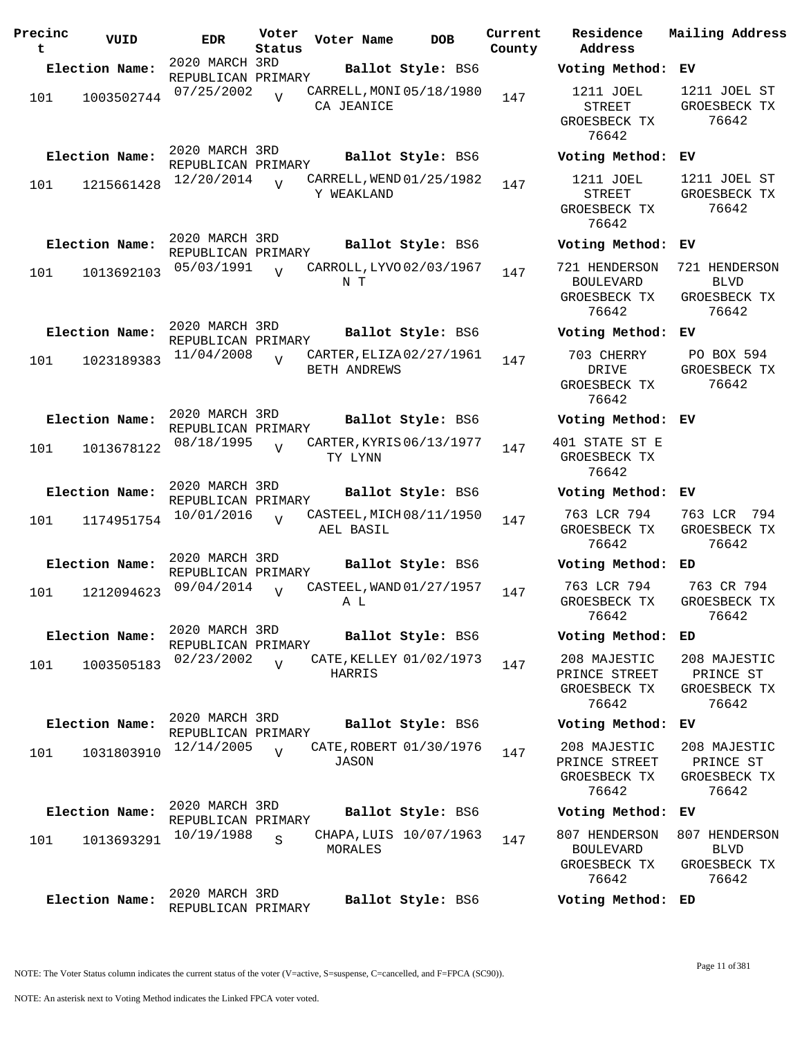| Precinc<br>t | VUID           | <b>EDR</b>                           | Voter<br>Status | Voter Name   | <b>DOB</b>               | Current<br>County | Address | Residence                                                  | Mailing Address                                       |
|--------------|----------------|--------------------------------------|-----------------|--------------|--------------------------|-------------------|---------|------------------------------------------------------------|-------------------------------------------------------|
|              | Election Name: | 2020 MARCH 3RD<br>REPUBLICAN PRIMARY |                 |              | Ballot Style: BS6        |                   |         | Voting Method:                                             | ЕV                                                    |
| 101          | 1003502744     | 07/25/2002                           | $\overline{U}$  | CA JEANICE   | CARRELL, MONI 05/18/1980 | 147               |         | 1211 JOEL<br><b>STREET</b><br>GROESBECK TX<br>76642        | 1211 JOEL ST<br>GROESBECK TX<br>76642                 |
|              | Election Name: | 2020 MARCH 3RD<br>REPUBLICAN PRIMARY |                 |              | Ballot Style: BS6        |                   |         | Voting Method:                                             | ЕV                                                    |
| 101          | 1215661428     | 12/20/2014                           | $\overline{U}$  | Y WEAKLAND   | CARRELL, WEND 01/25/1982 | 147               |         | 1211 JOEL<br><b>STREET</b><br>GROESBECK TX<br>76642        | 1211 JOEL ST<br>GROESBECK TX<br>76642                 |
|              | Election Name: | 2020 MARCH 3RD<br>REPUBLICAN PRIMARY |                 |              | Ballot Style: BS6        |                   |         | Voting Method: EV                                          |                                                       |
| 101          | 1013692103     | 05/03/1991                           | $\overline{U}$  | N T          | CARROLL, LYVO 02/03/1967 | 147               |         | 721 HENDERSON<br><b>BOULEVARD</b><br>GROESBECK TX<br>76642 | 721 HENDERSON<br><b>BLVD</b><br>GROESBECK TX<br>76642 |
|              | Election Name: | 2020 MARCH 3RD<br>REPUBLICAN PRIMARY |                 |              | Ballot Style: BS6        |                   |         | Voting Method: EV                                          |                                                       |
| 101          | 1023189383     | 11/04/2008                           | $\overline{U}$  | BETH ANDREWS | CARTER, ELIZA 02/27/1961 | 147               | DRIVE   | 703 CHERRY<br>GROESBECK TX<br>76642                        | PO BOX 594<br>GROESBECK TX<br>76642                   |
|              | Election Name: | 2020 MARCH 3RD<br>REPUBLICAN PRIMARY |                 |              | Ballot Style: BS6        |                   |         | Voting Method:                                             | ЕV                                                    |
| 101          | 1013678122     | 08/18/1995                           | $\overline{U}$  | TY LYNN      | CARTER, KYRIS 06/13/1977 | 147               |         | 401 STATE ST E<br>GROESBECK TX<br>76642                    |                                                       |
|              | Election Name: | 2020 MARCH 3RD<br>REPUBLICAN PRIMARY |                 |              | Ballot Style: BS6        |                   |         | Voting Method: EV                                          |                                                       |
| 101          | 1174951754     | 10/01/2016                           | $\overline{U}$  | AEL BASIL    | CASTEEL, MICH 08/11/1950 | 147               |         | 763 LCR 794<br>GROESBECK TX<br>76642                       | 763 LCR<br>794<br>GROESBECK TX<br>76642               |
|              | Election Name: | 2020 MARCH 3RD<br>REPUBLICAN PRIMARY |                 |              | Ballot Style: BS6        |                   |         | Voting Method:                                             | ED                                                    |
| 101          | 1212094623     | 09/04/2014                           | $\overline{U}$  | A L          | CASTEEL, WAND 01/27/1957 | 147               |         | 763 LCR 794<br>GROESBECK TX<br>76642                       | 763 CR 794<br>GROESBECK TX<br>76642                   |
|              | Election Name: | 2020 MARCH 3RD<br>REPUBLICAN PRIMARY |                 |              | Ballot Style: BS6        |                   |         | Voting Method:                                             | ED                                                    |
| 101          | 1003505183     | 02/23/2002                           | $\overline{V}$  | HARRIS       | CATE, KELLEY 01/02/1973  | 147               |         | 208 MAJESTIC<br>PRINCE STREET<br>GROESBECK TX<br>76642     | 208 MAJESTIC<br>PRINCE ST<br>GROESBECK TX<br>76642    |
|              | Election Name: | 2020 MARCH 3RD<br>REPUBLICAN PRIMARY |                 |              | Ballot Style: BS6        |                   |         | Voting Method: EV                                          |                                                       |
| 101          | 1031803910     | 12/14/2005                           | $\overline{V}$  | JASON        | CATE, ROBERT 01/30/1976  | 147               |         | 208 MAJESTIC<br>PRINCE STREET<br>GROESBECK TX<br>76642     | 208 MAJESTIC<br>PRINCE ST<br>GROESBECK TX<br>76642    |
|              | Election Name: | 2020 MARCH 3RD<br>REPUBLICAN PRIMARY |                 |              | Ballot Style: BS6        |                   |         | Voting Method: EV                                          |                                                       |
| 101          | 1013693291     | 10/19/1988                           | S               | MORALES      | CHAPA, LUIS 10/07/1963   | 147               |         | 807 HENDERSON<br><b>BOULEVARD</b><br>GROESBECK TX<br>76642 | 807 HENDERSON<br><b>BLVD</b><br>GROESBECK TX<br>76642 |
|              | Election Name: | 2020 MARCH 3RD<br>REPUBLICAN PRIMARY |                 |              | Ballot Style: BS6        |                   |         | Voting Method:                                             | ED                                                    |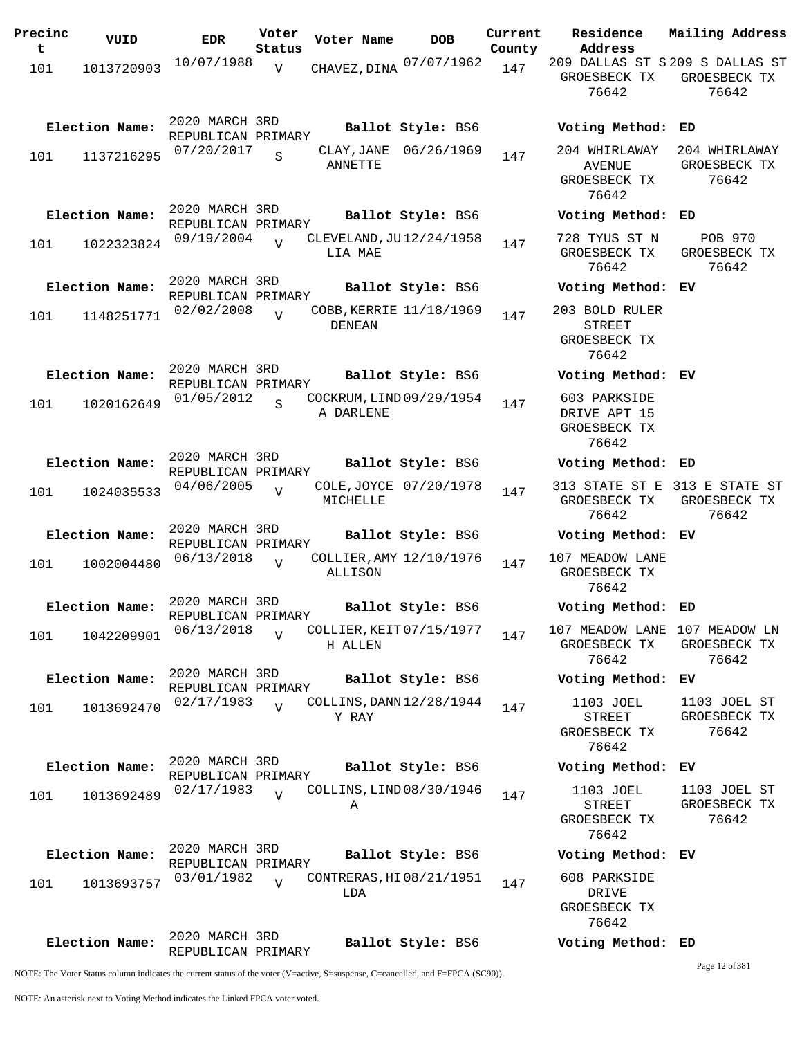| Precinc<br>t | VUID           | <b>EDR</b>                           | Voter<br>Status | Voter Name                               | <b>DOB</b>            | Current<br>County | Residence<br>Address                                     | Mailing Address                         |
|--------------|----------------|--------------------------------------|-----------------|------------------------------------------|-----------------------|-------------------|----------------------------------------------------------|-----------------------------------------|
| 101          | 1013720903     | 10/07/1988                           | $\overline{V}$  | CHAVEZ, DINA 07/07/1962                  |                       | 147               | 209 DALLAS ST S 209 S DALLAS ST<br>GROESBECK TX<br>76642 | GROESBECK TX<br>76642                   |
|              | Election Name: | 2020 MARCH 3RD<br>REPUBLICAN PRIMARY |                 |                                          | Ballot Style: BS6     |                   | Voting Method: ED                                        |                                         |
| 101          | 1137216295     | 07/20/2017                           | S               | ANNETTE                                  | CLAY, JANE 06/26/1969 | 147               | 204 WHIRLAWAY<br><b>AVENUE</b><br>GROESBECK TX<br>76642  | 204 WHIRLAWAY<br>GROESBECK TX<br>76642  |
|              | Election Name: | 2020 MARCH 3RD<br>REPUBLICAN PRIMARY |                 |                                          | Ballot Style: BS6     |                   | Voting Method: ED                                        |                                         |
| 101          | 1022323824     | 09/19/2004                           | $\overline{V}$  | CLEVELAND, JU12/24/1958<br>LIA MAE       |                       | 147               | 728 TYUS ST N<br>GROESBECK TX<br>76642                   | <b>POB 970</b><br>GROESBECK TX<br>76642 |
|              | Election Name: | 2020 MARCH 3RD<br>REPUBLICAN PRIMARY |                 |                                          | Ballot Style: BS6     |                   | Voting Method: EV                                        |                                         |
| 101          | 1148251771     | 02/02/2008                           | $\overline{U}$  | COBB, KERRIE 11/18/1969<br><b>DENEAN</b> |                       | 147               | 203 BOLD RULER<br><b>STREET</b><br>GROESBECK TX<br>76642 |                                         |
|              | Election Name: | 2020 MARCH 3RD<br>REPUBLICAN PRIMARY |                 |                                          | Ballot Style: BS6     |                   | Voting Method: EV                                        |                                         |
| 101          | 1020162649     | 01/05/2012                           | S               | COCKRUM, LIND 09/29/1954<br>A DARLENE    |                       | 147               | 603 PARKSIDE<br>DRIVE APT 15<br>GROESBECK TX<br>76642    |                                         |
|              | Election Name: | 2020 MARCH 3RD<br>REPUBLICAN PRIMARY |                 |                                          | Ballot Style: BS6     |                   | Voting Method: ED                                        |                                         |
| 101          | 1024035533     | 04/06/2005                           | $\overline{V}$  | COLE, JOYCE 07/20/1978<br>MICHELLE       |                       | 147               | 313 STATE ST E 313 E STATE ST<br>GROESBECK TX<br>76642   | GROESBECK TX<br>76642                   |
|              | Election Name: | 2020 MARCH 3RD<br>REPUBLICAN PRIMARY |                 |                                          | Ballot Style: BS6     |                   | Voting Method: EV                                        |                                         |
| 101          | 1002004480     | 06/13/2018                           | $\overline{V}$  | COLLIER, AMY 12/10/1976<br>ALLISON       |                       | 147               | 107 MEADOW LANE<br>GROESBECK TX<br>76642                 |                                         |
|              | Election Name: | 2020 MARCH 3RD<br>REPUBLICAN PRIMARY |                 |                                          | Ballot Style: BS6     |                   | Voting Method: ED                                        |                                         |
| 101          | 1042209901     | 06/13/2018                           | $\overline{U}$  | COLLIER, KEIT 07/15/1977<br>H ALLEN      |                       | 147               | 107 MEADOW LANE 107 MEADOW LN<br>GROESBECK TX<br>76642   | GROESBECK TX<br>76642                   |
|              | Election Name: | 2020 MARCH 3RD<br>REPUBLICAN PRIMARY |                 |                                          | Ballot Style: BS6     |                   | Voting Method: EV                                        |                                         |
| 101          | 1013692470     | 02/17/1983                           | $\overline{V}$  | COLLINS, DANN 12/28/1944<br>Y RAY        |                       | 147               | 1103 JOEL<br><b>STREET</b><br>GROESBECK TX<br>76642      | 1103 JOEL ST<br>GROESBECK TX<br>76642   |
|              | Election Name: | 2020 MARCH 3RD<br>REPUBLICAN PRIMARY |                 |                                          | Ballot Style: BS6     |                   | Voting Method: EV                                        |                                         |
| 101          | 1013692489     | 02/17/1983                           | $\overline{U}$  | COLLINS, LIND 08/30/1946<br>Α            |                       | 147               | 1103 JOEL<br><b>STREET</b><br>GROESBECK TX<br>76642      | 1103 JOEL ST<br>GROESBECK TX<br>76642   |
|              | Election Name: | 2020 MARCH 3RD<br>REPUBLICAN PRIMARY |                 |                                          | Ballot Style: BS6     |                   | Voting Method: EV                                        |                                         |
| 101          | 1013693757     | 03/01/1982                           | $\overline{U}$  | CONTRERAS, HI 08/21/1951<br>LDA          |                       | 147               | 608 PARKSIDE<br>DRIVE<br>GROESBECK TX<br>76642           |                                         |
|              | Election Name: | 2020 MARCH 3RD<br>REPUBLICAN PRIMARY |                 |                                          | Ballot Style: BS6     |                   | Voting Method: ED                                        |                                         |
|              |                |                                      |                 |                                          |                       |                   |                                                          | Page 12 of 381                          |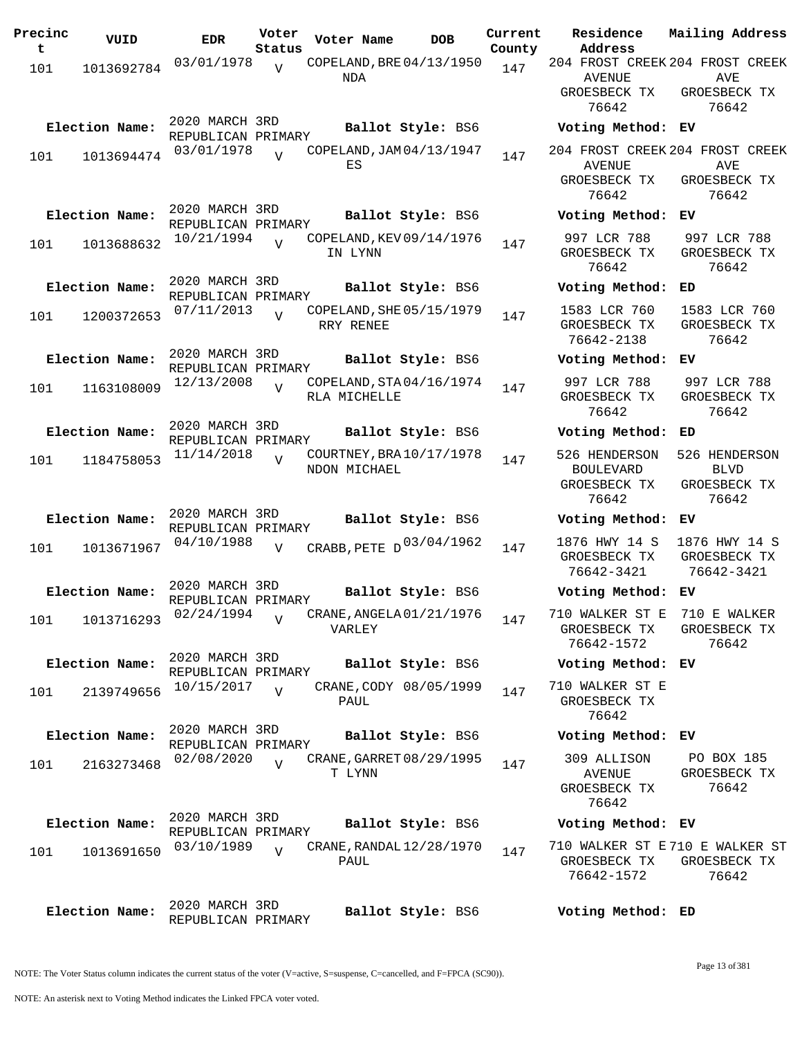| Precinc<br>t | VUID           | <b>EDR</b>                           | Voter<br>Status | Voter Name                               | <b>DOB</b>        | Current<br>County | Residence<br>Address                                          | Mailing Address                       |
|--------------|----------------|--------------------------------------|-----------------|------------------------------------------|-------------------|-------------------|---------------------------------------------------------------|---------------------------------------|
| 101          | 1013692784     | 03/01/1978                           | $\overline{v}$  | COPELAND, BRE 04/13/1950                 |                   | 147               | 204 FROST CREEK 204 FROST CREEK                               |                                       |
|              |                |                                      |                 | NDA                                      |                   |                   | AVENUE<br>GROESBECK TX                                        | AVE<br>GROESBECK TX                   |
|              |                |                                      |                 |                                          |                   |                   | 76642                                                         | 76642                                 |
|              | Election Name: | 2020 MARCH 3RD<br>REPUBLICAN PRIMARY |                 |                                          | Ballot Style: BS6 |                   | Voting Method: EV                                             |                                       |
| 101          | 1013694474     | 03/01/1978                           | $\overline{U}$  | COPELAND, JAM 04/13/1947<br>ES           |                   | 147               | 204 FROST CREEK 204 FROST CREEK<br><b>AVENUE</b>              | AVE                                   |
|              |                |                                      |                 |                                          |                   |                   | GROESBECK TX<br>76642                                         | GROESBECK TX<br>76642                 |
|              | Election Name: | 2020 MARCH 3RD<br>REPUBLICAN PRIMARY |                 |                                          | Ballot Style: BS6 |                   | Voting Method: EV                                             |                                       |
| 101          | 1013688632     | 10/21/1994                           |                 | COPELAND, KEV 09/14/1976                 |                   | 147               | 997 LCR 788                                                   | 997 LCR 788                           |
|              |                |                                      |                 | IN LYNN                                  |                   |                   | GROESBECK TX<br>76642                                         | GROESBECK TX<br>76642                 |
|              | Election Name: | 2020 MARCH 3RD<br>REPUBLICAN PRIMARY |                 |                                          | Ballot Style: BS6 |                   | Voting Method:                                                | ED                                    |
| 101          | 1200372653     | 07/11/2013                           | $\overline{U}$  | COPELAND, SHE 05/15/1979<br>RRY RENEE    |                   | 147               | 1583 LCR 760<br>GROESBECK TX<br>76642-2138                    | 1583 LCR 760<br>GROESBECK TX<br>76642 |
|              | Election Name: | 2020 MARCH 3RD<br>REPUBLICAN PRIMARY |                 |                                          | Ballot Style: BS6 |                   | Voting Method:                                                | ЕV                                    |
| 101          | 1163108009     | 12/13/2008                           | $\overline{U}$  | COPELAND, STA04/16/1974<br>RLA MICHELLE  |                   | 147               | 997 LCR 788<br>GROESBECK TX                                   | 997 LCR 788<br>GROESBECK TX           |
|              |                |                                      |                 |                                          |                   |                   | 76642                                                         | 76642                                 |
|              | Election Name: | 2020 MARCH 3RD<br>REPUBLICAN PRIMARY |                 |                                          | Ballot Style: BS6 |                   | Voting Method:                                                | ED                                    |
| 101          | 1184758053     | 11/14/2018                           | $\overline{V}$  | COURTNEY, BRA 10/17/1978<br>NDON MICHAEL |                   | 147               | 526 HENDERSON<br><b>BOULEVARD</b>                             | 526 HENDERSON<br><b>BLVD</b>          |
|              |                |                                      |                 |                                          |                   |                   | GROESBECK TX<br>76642                                         | GROESBECK TX<br>76642                 |
|              | Election Name: | 2020 MARCH 3RD<br>REPUBLICAN PRIMARY |                 |                                          | Ballot Style: BS6 |                   | Voting Method: EV                                             |                                       |
| 101          | 1013671967     | 04/10/1988                           | $\overline{V}$  | CRABB, PETE D03/04/1962                  |                   | 147               | 1876 HWY 14 S                                                 | 1876 HWY 14 S                         |
|              |                |                                      |                 |                                          |                   |                   | GROESBECK TX<br>76642-3421                                    | GROESBECK TX<br>76642-3421            |
|              | Election Name: | 2020 MARCH 3RD<br>REPUBLICAN PRIMARY |                 |                                          | Ballot Style: BS6 |                   | Voting Method: EV                                             |                                       |
| 101          | 1013716293     | 02/24/1994                           | $\overline{V}$  | CRANE, ANGELA 01/21/1976<br>VARLEY       |                   | 147               | 710 WALKER ST E 710 E WALKER<br>GROESBECK TX<br>76642-1572    | GROESBECK TX<br>76642                 |
|              | Election Name: | 2020 MARCH 3RD<br>REPUBLICAN PRIMARY |                 |                                          | Ballot Style: BS6 |                   | Voting Method: EV                                             |                                       |
| 101          | 2139749656     | 10/15/2017                           | $\overline{U}$  | CRANE, CODY 08/05/1999                   |                   | 147               | 710 WALKER ST E                                               |                                       |
|              |                |                                      |                 | PAUL                                     |                   |                   | GROESBECK TX<br>76642                                         |                                       |
|              | Election Name: | 2020 MARCH 3RD<br>REPUBLICAN PRIMARY |                 |                                          | Ballot Style: BS6 |                   | Voting Method: EV                                             |                                       |
| 101          | 2163273468     | 02/08/2020                           | $\overline{U}$  | CRANE, GARRET 08/29/1995                 |                   | 147               | 309 ALLISON                                                   | PO BOX 185                            |
|              |                |                                      |                 | T LYNN                                   |                   |                   | AVENUE<br>GROESBECK TX<br>76642                               | GROESBECK TX<br>76642                 |
|              | Election Name: | 2020 MARCH 3RD<br>REPUBLICAN PRIMARY |                 |                                          | Ballot Style: BS6 |                   | Voting Method: EV                                             |                                       |
| 101          | 1013691650     | 03/10/1989                           | $\overline{U}$  | CRANE, RANDAL 12/28/1970<br>PAUL         |                   | 147               | 710 WALKER ST E 710 E WALKER ST<br>GROESBECK TX<br>76642-1572 | GROESBECK TX<br>76642                 |
|              | Election Name: | 2020 MARCH 3RD<br>REPUBLICAN PRIMARY |                 |                                          | Ballot Style: BS6 |                   | Voting Method: ED                                             |                                       |

NOTE: An asterisk next to Voting Method indicates the Linked FPCA voter voted.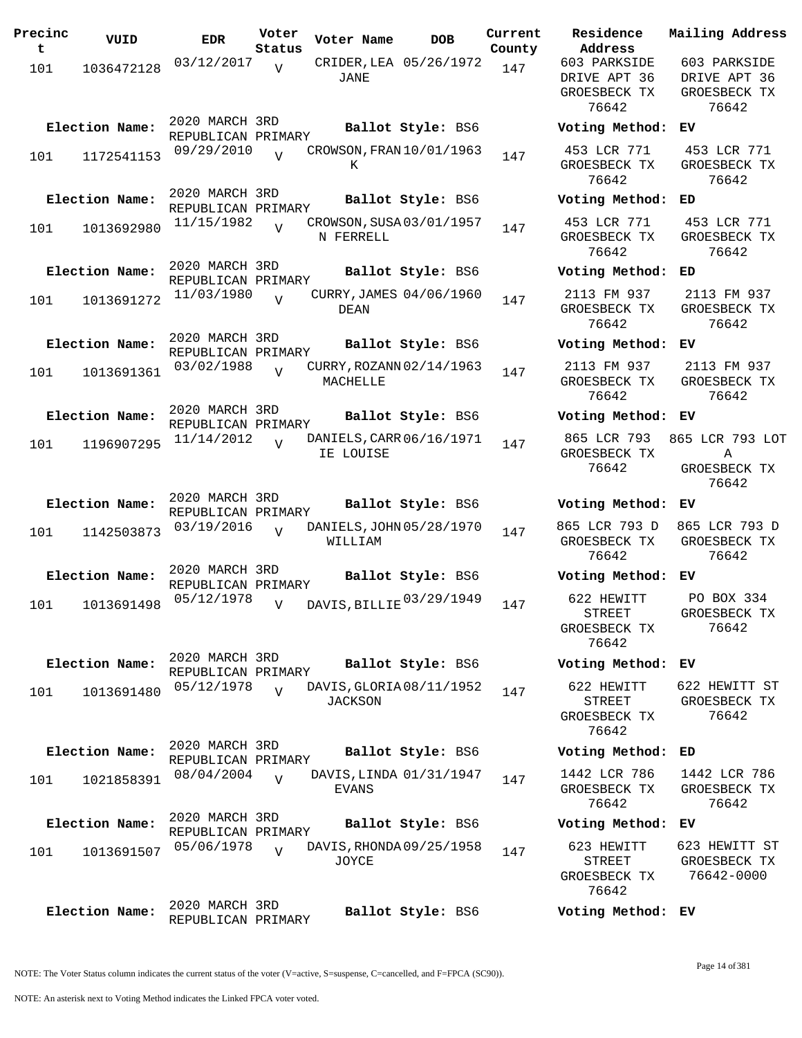| Precinc<br>t | VUID           | <b>EDR</b>                           | Voter<br>Status | Voter Name                                 | <b>DOB</b>             | Current<br>County | Residence<br>Address                                  | Mail                 |
|--------------|----------------|--------------------------------------|-----------------|--------------------------------------------|------------------------|-------------------|-------------------------------------------------------|----------------------|
| 101          | 1036472128     | 03/12/2017                           | $\overline{U}$  | JANE                                       | CRIDER, LEA 05/26/1972 | 147               | 603 PARKSIDE<br>DRIVE APT 36<br>GROESBECK TX<br>76642 | 60<br>DR<br>GR       |
|              | Election Name: | 2020 MARCH 3RD<br>REPUBLICAN PRIMARY |                 |                                            | Ballot Style: BS6      |                   | Voting Method:                                        | EV                   |
| 101          | 1172541153     | 09/29/2010                           | $\overline{U}$  | CROWSON, FRAN 10/01/1963<br>K              |                        | 147               | 453 LCR 771<br>GROESBECK TX<br>76642                  | 4 <sup>1</sup><br>GR |
|              | Election Name: | 2020 MARCH 3RD<br>REPUBLICAN PRIMARY |                 |                                            | Ballot Style: BS6      |                   | Voting Method:                                        | ED                   |
| 101          | 1013692980     | 11/15/1982                           | $\overline{U}$  | CROWSON, SUSA 03/01/1957<br>N FERRELL      |                        | 147               | 453 LCR 771<br>GROESBECK TX<br>76642                  | 4 <sup>1</sup><br>GR |
|              | Election Name: | 2020 MARCH 3RD<br>REPUBLICAN PRIMARY |                 |                                            | Ballot Style: BS6      |                   | Voting Method:                                        | ED                   |
| 101          | 1013691272     | 11/03/1980                           | $\overline{U}$  | CURRY, JAMES 04/06/1960<br><b>DEAN</b>     |                        | 147               | 2113 FM 937<br>GROESBECK TX<br>76642                  | 21<br>GR             |
|              | Election Name: | 2020 MARCH 3RD<br>REPUBLICAN PRIMARY |                 |                                            | Ballot Style: BS6      |                   | Voting Method:                                        | EV                   |
| 101          | 1013691361     | 03/02/1988                           | $\overline{U}$  | CURRY, ROZANN 02/14/1963<br>MACHELLE       |                        | 147               | 2113 FM 937<br>GROESBECK TX<br>76642                  | 21<br>GR             |
|              | Election Name: | 2020 MARCH 3RD<br>REPUBLICAN PRIMARY |                 |                                            | Ballot Style: BS6      |                   | Voting Method:                                        | EV                   |
| 101          | 1196907295     | 11/14/2012                           | $\overline{V}$  | DANIELS, CARR 06/16/1971<br>IE LOUISE      |                        | 147               | 865 LCR 793<br>GROESBECK TX<br>76642                  | 865<br>GR            |
|              | Election Name: | 2020 MARCH 3RD<br>REPUBLICAN PRIMARY |                 |                                            | Ballot Style: BS6      |                   | Voting Method:                                        | EV                   |
| 101          | 1142503873     | 03/19/2016                           | $\overline{V}$  | DANIELS, JOHN 05/28/1970<br>WILLIAM        |                        | 147               | 865 LCR 793 D<br>GROESBECK TX<br>76642                | 865<br>GR            |
|              | Election Name: | 2020 MARCH 3RD<br>REPUBLICAN PRIMARY |                 |                                            | Ballot Style: BS6      |                   | Voting Method:                                        | EV                   |
| 101          | 1013691498     | 05/12/1978                           | $\overline{V}$  | DAVIS, BILLIE 03/29/1949                   |                        | 147               | 622 HEWITT<br>STREET<br>GROESBECK TX<br>76642         | $\, {\bf P}$<br>GR   |
|              | Election Name: | 2020 MARCH 3RD<br>REPUBLICAN PRIMARY |                 |                                            | Ballot Style: BS6      |                   | Voting Method: EV                                     |                      |
| 101          | 1013691480     | 05/12/1978                           | $\overline{V}$  | DAVIS, GLORIA 08/11/1952<br><b>JACKSON</b> |                        | 147               | 622 HEWITT<br>STREET<br>GROESBECK TX<br>76642         | 622<br>GR            |
|              | Election Name: | 2020 MARCH 3RD<br>REPUBLICAN PRIMARY |                 |                                            | Ballot Style: BS6      |                   | Voting Method:                                        | ED                   |
| 101          | 1021858391     | 08/04/2004                           | $\overline{U}$  | DAVIS, LINDA 01/31/1947<br>EVANS           |                        | 147               | 1442 LCR 786<br>GROESBECK TX<br>76642                 | 14<br>GR             |
|              | Election Name: | 2020 MARCH 3RD<br>REPUBLICAN PRIMARY |                 |                                            | Ballot Style: BS6      |                   | Voting Method:                                        | EV                   |
| 101          | 1013691507     | 05/06/1978                           | $\overline{U}$  | DAVIS, RHONDA 09/25/1958<br>JOYCE          |                        | 147               | 623 HEWITT<br><b>STREET</b><br>GROESBECK TX<br>76642  | 623<br>GR<br>7       |
|              | Election Name: | 2020 MARCH 3RD<br>REPUBLICAN PRIMARY |                 |                                            | Ballot Style: BS6      |                   | Voting Method: EV                                     |                      |

**Voter Name DOB Residence Address Current Mailing Address County** 603 PARKSIDE DRIVE APT 36 GROESBECK TX 76642 603 PARKSIDE DRIVE APT 36 GROESBECK TX 76642 **Election Name: Ballot Style:** BS6 **Voting Method: EV** 453 LCR 771 GROESBECK TX 76642 453 LCR 771 GROESBECK TX 76642 **Election Name: Ballot Style:** BS6 **Voting Method: ED** 453 LCR 771 GROESBECK TX 76642 453 LCR 771 GROESBECK TX 76642 **Election Name: Ballot Style:** BS6 **Voting Method: ED** 2113 FM 937 GROESBECK TX 76642 2113 FM 937 GROESBECK TX 76642 **Election Name: Ballot Style:** BS6 **Voting Method: EV** 2113 FM 937 GROESBECK TX 76642 2113 FM 937 GROESBECK TX 76642 **Election Name: Ballot Style:** BS6 **Voting Method: EV** 865 LCR 793 GROESBECK TX 76642 865 LCR 793 LOT **A** GROESBECK TX 76642 **Election Name: Ballot Style:** BS6 **Voting Method: EV** 865 LCR 793 D GROESBECK TX 76642 865 LCR 793 D GROESBECK TX 76642 **Election Name: Ballot Style:** BS6 **Voting Method: EV** STREET GROESBECK TX 76642 PO BOX 334 GROESBECK TX 76642 **Election Name: Ballot Style:** BS6 **Voting Method: EV** 622 HEWITT STREET GROESBECK TX 76642 622 HEWITT ST GROESBECK TX 76642 **Election Name: Ballot Style:** BS6 **Voting Method: ED** 1442 LCR 786 GROESBECK TX 76642 1442 LCR 786 GROESBECK TX 76642 **Election Name: Ballot Style:** BS6 **Voting Method: EV** 623 HEWITT STREET GROESBECK TX 76642 623 HEWITT ST GROESBECK TX 76642-0000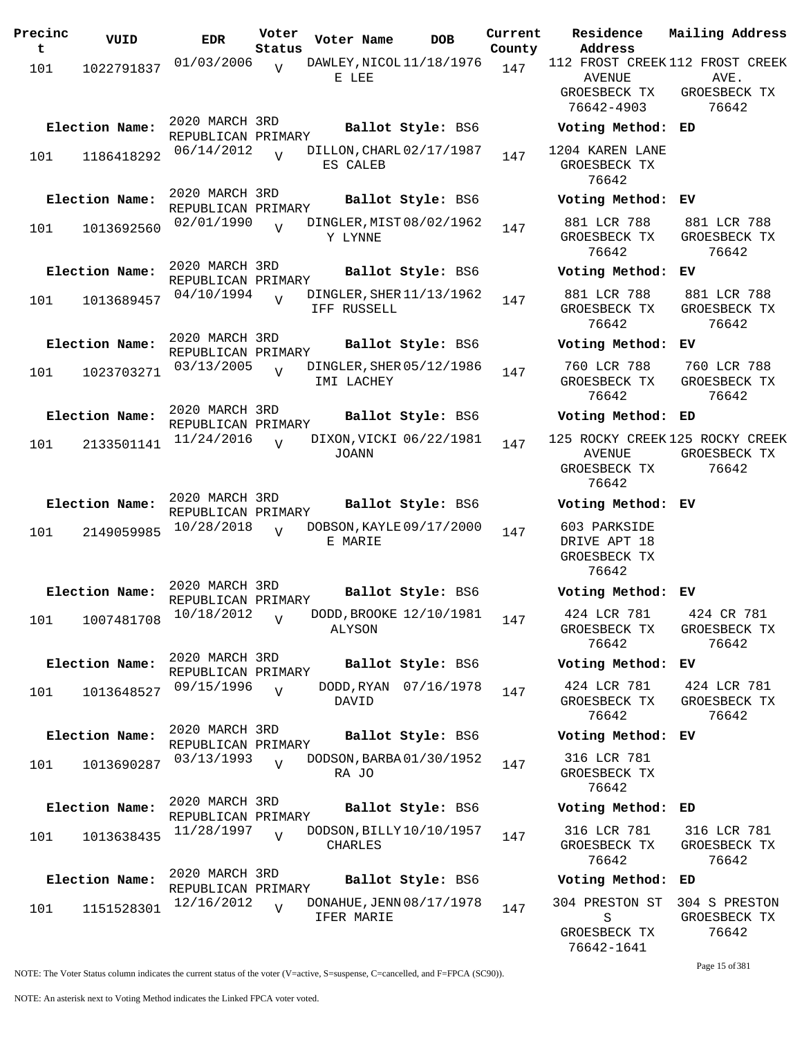| 01/03/2006<br>112 FROST CREEK 112 FROST CREEK<br>DAWLEY, NICOL 11/18/1976<br>$\overline{V}$<br>147<br>101<br>1022791837<br>E LEE<br><b>AVENUE</b><br>AVE.<br>GROESBECK TX<br>GROESBECK TX<br>76642-4903<br>76642<br>2020 MARCH 3RD<br>Election Name:<br>Ballot Style: BS6<br>Voting Method: ED<br>REPUBLICAN PRIMARY<br>1204 KAREN LANE<br>DILLON, CHARL 02/17/1987<br>06/14/2012<br>$\bar{x}$<br>147<br>1186418292<br>101<br>GROESBECK TX<br>ES CALEB<br>76642<br>2020 MARCH 3RD<br>Election Name:<br>Ballot Style: BS6<br>Voting Method: EV<br>REPUBLICAN PRIMARY<br>881 LCR 788<br>881 LCR 788<br>02/01/1990<br>DINGLER, MIST 08/02/1962<br>1013692560<br>147<br>101<br>GROESBECK TX<br>GROESBECK TX<br>Y LYNNE<br>76642<br>76642<br>2020 MARCH 3RD<br>Election Name:<br>Ballot Style: BS6<br>Voting Method: EV<br>REPUBLICAN PRIMARY<br>881 LCR 788<br>04/10/1994<br>DINGLER, SHER 11/13/1962<br>881 LCR 788<br>$\overline{U}$<br>1013689457<br>147<br>101<br>GROESBECK TX<br>GROESBECK TX<br>IFF RUSSELL<br>76642<br>76642<br>2020 MARCH 3RD<br>Election Name:<br>Ballot Style: BS6<br>Voting Method: EV<br>REPUBLICAN PRIMARY<br>760 LCR 788<br>760 LCR 788<br>03/13/2005<br>DINGLER, SHER 05/12/1986<br>$\overline{U}$<br>1023703271<br>147<br>101<br>IMI LACHEY<br>GROESBECK TX<br>GROESBECK TX<br>76642<br>76642<br>2020 MARCH 3RD<br>Election Name:<br>Ballot Style: BS6<br>Voting Method: ED<br>REPUBLICAN PRIMARY<br>11/24/2016<br>DIXON, VICKI 06/22/1981<br>125 ROCKY CREEK 125 ROCKY CREEK<br>$\overline{U}$<br>147<br>2133501141<br>101<br>JOANN<br><b>AVENUE</b><br>GROESBECK TX<br>76642<br>GROESBECK TX<br>76642<br>2020 MARCH 3RD<br>Election Name:<br>Ballot Style: BS6<br>Voting Method: EV<br>REPUBLICAN PRIMARY<br>603 PARKSIDE<br>10/28/2018<br>DOBSON, KAYLE 09/17/2000<br>$\overline{U}$<br>2149059985<br>147<br>101<br>E MARIE<br>DRIVE APT 18<br>GROESBECK TX<br>76642<br>2020 MARCH 3RD<br>Election Name:<br>Ballot Style: BS6<br>Voting Method: EV<br>REPUBLICAN PRIMARY<br>424 LCR 781 424 CR 781<br>DODD, BROOKE 12/10/1981<br>$10/18/2012$ V<br>101<br>1007481708<br>147<br>GROESBECK TX<br>GROESBECK TX<br>ALYSON<br>76642<br>76642<br>2020 MARCH 3RD<br>Election Name:<br>Ballot Style: BS6<br>Voting Method: EV<br>REPUBLICAN PRIMARY<br>DODD, RYAN 07/16/1978<br>424 LCR 781<br>424 LCR 781<br>09/15/1996<br>$\overline{U}$<br>147<br>1013648527<br>101<br>GROESBECK TX<br>GROESBECK TX<br>DAVID<br>76642<br>76642<br>2020 MARCH 3RD<br>Election Name:<br>Ballot Style: BS6<br>Voting Method: EV<br>REPUBLICAN PRIMARY<br>03/13/1993<br>DODSON, BARBA 01/30/1952<br>316 LCR 781<br>$\overline{V}$<br>147<br>1013690287<br>101<br>GROESBECK TX<br>RA JO | Precinc<br>t | VUID | <b>EDR</b> | Voter<br>Status | Voter Name | <b>DOB</b> | Current<br>County | Residence<br>Address | Mailing Address |
|----------------------------------------------------------------------------------------------------------------------------------------------------------------------------------------------------------------------------------------------------------------------------------------------------------------------------------------------------------------------------------------------------------------------------------------------------------------------------------------------------------------------------------------------------------------------------------------------------------------------------------------------------------------------------------------------------------------------------------------------------------------------------------------------------------------------------------------------------------------------------------------------------------------------------------------------------------------------------------------------------------------------------------------------------------------------------------------------------------------------------------------------------------------------------------------------------------------------------------------------------------------------------------------------------------------------------------------------------------------------------------------------------------------------------------------------------------------------------------------------------------------------------------------------------------------------------------------------------------------------------------------------------------------------------------------------------------------------------------------------------------------------------------------------------------------------------------------------------------------------------------------------------------------------------------------------------------------------------------------------------------------------------------------------------------------------------------------------------------------------------------------------------------------------------------------------------------------------------------------------------------------------------------------------------------------------------------------------------------------------------------------------------------------------------------------------------------------------------------------------------------------------------------------------------------------------------------------------------------------------------------------------------------------------------------------------|--------------|------|------------|-----------------|------------|------------|-------------------|----------------------|-----------------|
|                                                                                                                                                                                                                                                                                                                                                                                                                                                                                                                                                                                                                                                                                                                                                                                                                                                                                                                                                                                                                                                                                                                                                                                                                                                                                                                                                                                                                                                                                                                                                                                                                                                                                                                                                                                                                                                                                                                                                                                                                                                                                                                                                                                                                                                                                                                                                                                                                                                                                                                                                                                                                                                                                              |              |      |            |                 |            |            |                   |                      |                 |
|                                                                                                                                                                                                                                                                                                                                                                                                                                                                                                                                                                                                                                                                                                                                                                                                                                                                                                                                                                                                                                                                                                                                                                                                                                                                                                                                                                                                                                                                                                                                                                                                                                                                                                                                                                                                                                                                                                                                                                                                                                                                                                                                                                                                                                                                                                                                                                                                                                                                                                                                                                                                                                                                                              |              |      |            |                 |            |            |                   |                      |                 |
|                                                                                                                                                                                                                                                                                                                                                                                                                                                                                                                                                                                                                                                                                                                                                                                                                                                                                                                                                                                                                                                                                                                                                                                                                                                                                                                                                                                                                                                                                                                                                                                                                                                                                                                                                                                                                                                                                                                                                                                                                                                                                                                                                                                                                                                                                                                                                                                                                                                                                                                                                                                                                                                                                              |              |      |            |                 |            |            |                   |                      |                 |
|                                                                                                                                                                                                                                                                                                                                                                                                                                                                                                                                                                                                                                                                                                                                                                                                                                                                                                                                                                                                                                                                                                                                                                                                                                                                                                                                                                                                                                                                                                                                                                                                                                                                                                                                                                                                                                                                                                                                                                                                                                                                                                                                                                                                                                                                                                                                                                                                                                                                                                                                                                                                                                                                                              |              |      |            |                 |            |            |                   |                      |                 |
|                                                                                                                                                                                                                                                                                                                                                                                                                                                                                                                                                                                                                                                                                                                                                                                                                                                                                                                                                                                                                                                                                                                                                                                                                                                                                                                                                                                                                                                                                                                                                                                                                                                                                                                                                                                                                                                                                                                                                                                                                                                                                                                                                                                                                                                                                                                                                                                                                                                                                                                                                                                                                                                                                              |              |      |            |                 |            |            |                   |                      |                 |
|                                                                                                                                                                                                                                                                                                                                                                                                                                                                                                                                                                                                                                                                                                                                                                                                                                                                                                                                                                                                                                                                                                                                                                                                                                                                                                                                                                                                                                                                                                                                                                                                                                                                                                                                                                                                                                                                                                                                                                                                                                                                                                                                                                                                                                                                                                                                                                                                                                                                                                                                                                                                                                                                                              |              |      |            |                 |            |            |                   |                      |                 |
|                                                                                                                                                                                                                                                                                                                                                                                                                                                                                                                                                                                                                                                                                                                                                                                                                                                                                                                                                                                                                                                                                                                                                                                                                                                                                                                                                                                                                                                                                                                                                                                                                                                                                                                                                                                                                                                                                                                                                                                                                                                                                                                                                                                                                                                                                                                                                                                                                                                                                                                                                                                                                                                                                              |              |      |            |                 |            |            |                   |                      |                 |
|                                                                                                                                                                                                                                                                                                                                                                                                                                                                                                                                                                                                                                                                                                                                                                                                                                                                                                                                                                                                                                                                                                                                                                                                                                                                                                                                                                                                                                                                                                                                                                                                                                                                                                                                                                                                                                                                                                                                                                                                                                                                                                                                                                                                                                                                                                                                                                                                                                                                                                                                                                                                                                                                                              |              |      |            |                 |            |            |                   |                      |                 |
|                                                                                                                                                                                                                                                                                                                                                                                                                                                                                                                                                                                                                                                                                                                                                                                                                                                                                                                                                                                                                                                                                                                                                                                                                                                                                                                                                                                                                                                                                                                                                                                                                                                                                                                                                                                                                                                                                                                                                                                                                                                                                                                                                                                                                                                                                                                                                                                                                                                                                                                                                                                                                                                                                              |              |      |            |                 |            |            |                   |                      |                 |
|                                                                                                                                                                                                                                                                                                                                                                                                                                                                                                                                                                                                                                                                                                                                                                                                                                                                                                                                                                                                                                                                                                                                                                                                                                                                                                                                                                                                                                                                                                                                                                                                                                                                                                                                                                                                                                                                                                                                                                                                                                                                                                                                                                                                                                                                                                                                                                                                                                                                                                                                                                                                                                                                                              |              |      |            |                 |            |            |                   |                      |                 |
|                                                                                                                                                                                                                                                                                                                                                                                                                                                                                                                                                                                                                                                                                                                                                                                                                                                                                                                                                                                                                                                                                                                                                                                                                                                                                                                                                                                                                                                                                                                                                                                                                                                                                                                                                                                                                                                                                                                                                                                                                                                                                                                                                                                                                                                                                                                                                                                                                                                                                                                                                                                                                                                                                              |              |      |            |                 |            |            |                   |                      |                 |
|                                                                                                                                                                                                                                                                                                                                                                                                                                                                                                                                                                                                                                                                                                                                                                                                                                                                                                                                                                                                                                                                                                                                                                                                                                                                                                                                                                                                                                                                                                                                                                                                                                                                                                                                                                                                                                                                                                                                                                                                                                                                                                                                                                                                                                                                                                                                                                                                                                                                                                                                                                                                                                                                                              |              |      |            |                 |            |            |                   |                      |                 |
|                                                                                                                                                                                                                                                                                                                                                                                                                                                                                                                                                                                                                                                                                                                                                                                                                                                                                                                                                                                                                                                                                                                                                                                                                                                                                                                                                                                                                                                                                                                                                                                                                                                                                                                                                                                                                                                                                                                                                                                                                                                                                                                                                                                                                                                                                                                                                                                                                                                                                                                                                                                                                                                                                              |              |      |            |                 |            |            |                   |                      |                 |
|                                                                                                                                                                                                                                                                                                                                                                                                                                                                                                                                                                                                                                                                                                                                                                                                                                                                                                                                                                                                                                                                                                                                                                                                                                                                                                                                                                                                                                                                                                                                                                                                                                                                                                                                                                                                                                                                                                                                                                                                                                                                                                                                                                                                                                                                                                                                                                                                                                                                                                                                                                                                                                                                                              |              |      |            |                 |            |            |                   |                      |                 |
|                                                                                                                                                                                                                                                                                                                                                                                                                                                                                                                                                                                                                                                                                                                                                                                                                                                                                                                                                                                                                                                                                                                                                                                                                                                                                                                                                                                                                                                                                                                                                                                                                                                                                                                                                                                                                                                                                                                                                                                                                                                                                                                                                                                                                                                                                                                                                                                                                                                                                                                                                                                                                                                                                              |              |      |            |                 |            |            |                   |                      |                 |
|                                                                                                                                                                                                                                                                                                                                                                                                                                                                                                                                                                                                                                                                                                                                                                                                                                                                                                                                                                                                                                                                                                                                                                                                                                                                                                                                                                                                                                                                                                                                                                                                                                                                                                                                                                                                                                                                                                                                                                                                                                                                                                                                                                                                                                                                                                                                                                                                                                                                                                                                                                                                                                                                                              |              |      |            |                 |            |            |                   |                      |                 |
|                                                                                                                                                                                                                                                                                                                                                                                                                                                                                                                                                                                                                                                                                                                                                                                                                                                                                                                                                                                                                                                                                                                                                                                                                                                                                                                                                                                                                                                                                                                                                                                                                                                                                                                                                                                                                                                                                                                                                                                                                                                                                                                                                                                                                                                                                                                                                                                                                                                                                                                                                                                                                                                                                              |              |      |            |                 |            |            |                   |                      |                 |
|                                                                                                                                                                                                                                                                                                                                                                                                                                                                                                                                                                                                                                                                                                                                                                                                                                                                                                                                                                                                                                                                                                                                                                                                                                                                                                                                                                                                                                                                                                                                                                                                                                                                                                                                                                                                                                                                                                                                                                                                                                                                                                                                                                                                                                                                                                                                                                                                                                                                                                                                                                                                                                                                                              |              |      |            |                 |            |            |                   |                      |                 |
|                                                                                                                                                                                                                                                                                                                                                                                                                                                                                                                                                                                                                                                                                                                                                                                                                                                                                                                                                                                                                                                                                                                                                                                                                                                                                                                                                                                                                                                                                                                                                                                                                                                                                                                                                                                                                                                                                                                                                                                                                                                                                                                                                                                                                                                                                                                                                                                                                                                                                                                                                                                                                                                                                              |              |      |            |                 |            |            |                   |                      |                 |
|                                                                                                                                                                                                                                                                                                                                                                                                                                                                                                                                                                                                                                                                                                                                                                                                                                                                                                                                                                                                                                                                                                                                                                                                                                                                                                                                                                                                                                                                                                                                                                                                                                                                                                                                                                                                                                                                                                                                                                                                                                                                                                                                                                                                                                                                                                                                                                                                                                                                                                                                                                                                                                                                                              |              |      |            |                 |            |            |                   |                      |                 |
|                                                                                                                                                                                                                                                                                                                                                                                                                                                                                                                                                                                                                                                                                                                                                                                                                                                                                                                                                                                                                                                                                                                                                                                                                                                                                                                                                                                                                                                                                                                                                                                                                                                                                                                                                                                                                                                                                                                                                                                                                                                                                                                                                                                                                                                                                                                                                                                                                                                                                                                                                                                                                                                                                              |              |      |            |                 |            |            |                   |                      |                 |
|                                                                                                                                                                                                                                                                                                                                                                                                                                                                                                                                                                                                                                                                                                                                                                                                                                                                                                                                                                                                                                                                                                                                                                                                                                                                                                                                                                                                                                                                                                                                                                                                                                                                                                                                                                                                                                                                                                                                                                                                                                                                                                                                                                                                                                                                                                                                                                                                                                                                                                                                                                                                                                                                                              |              |      |            |                 |            |            |                   |                      |                 |
|                                                                                                                                                                                                                                                                                                                                                                                                                                                                                                                                                                                                                                                                                                                                                                                                                                                                                                                                                                                                                                                                                                                                                                                                                                                                                                                                                                                                                                                                                                                                                                                                                                                                                                                                                                                                                                                                                                                                                                                                                                                                                                                                                                                                                                                                                                                                                                                                                                                                                                                                                                                                                                                                                              |              |      |            |                 |            |            |                   |                      |                 |
|                                                                                                                                                                                                                                                                                                                                                                                                                                                                                                                                                                                                                                                                                                                                                                                                                                                                                                                                                                                                                                                                                                                                                                                                                                                                                                                                                                                                                                                                                                                                                                                                                                                                                                                                                                                                                                                                                                                                                                                                                                                                                                                                                                                                                                                                                                                                                                                                                                                                                                                                                                                                                                                                                              |              |      |            |                 |            |            |                   |                      |                 |
|                                                                                                                                                                                                                                                                                                                                                                                                                                                                                                                                                                                                                                                                                                                                                                                                                                                                                                                                                                                                                                                                                                                                                                                                                                                                                                                                                                                                                                                                                                                                                                                                                                                                                                                                                                                                                                                                                                                                                                                                                                                                                                                                                                                                                                                                                                                                                                                                                                                                                                                                                                                                                                                                                              |              |      |            |                 |            |            |                   |                      |                 |
|                                                                                                                                                                                                                                                                                                                                                                                                                                                                                                                                                                                                                                                                                                                                                                                                                                                                                                                                                                                                                                                                                                                                                                                                                                                                                                                                                                                                                                                                                                                                                                                                                                                                                                                                                                                                                                                                                                                                                                                                                                                                                                                                                                                                                                                                                                                                                                                                                                                                                                                                                                                                                                                                                              |              |      |            |                 |            |            |                   |                      |                 |
|                                                                                                                                                                                                                                                                                                                                                                                                                                                                                                                                                                                                                                                                                                                                                                                                                                                                                                                                                                                                                                                                                                                                                                                                                                                                                                                                                                                                                                                                                                                                                                                                                                                                                                                                                                                                                                                                                                                                                                                                                                                                                                                                                                                                                                                                                                                                                                                                                                                                                                                                                                                                                                                                                              |              |      |            |                 |            |            |                   |                      |                 |
|                                                                                                                                                                                                                                                                                                                                                                                                                                                                                                                                                                                                                                                                                                                                                                                                                                                                                                                                                                                                                                                                                                                                                                                                                                                                                                                                                                                                                                                                                                                                                                                                                                                                                                                                                                                                                                                                                                                                                                                                                                                                                                                                                                                                                                                                                                                                                                                                                                                                                                                                                                                                                                                                                              |              |      |            |                 |            |            |                   |                      |                 |
|                                                                                                                                                                                                                                                                                                                                                                                                                                                                                                                                                                                                                                                                                                                                                                                                                                                                                                                                                                                                                                                                                                                                                                                                                                                                                                                                                                                                                                                                                                                                                                                                                                                                                                                                                                                                                                                                                                                                                                                                                                                                                                                                                                                                                                                                                                                                                                                                                                                                                                                                                                                                                                                                                              |              |      |            |                 |            |            |                   |                      |                 |
|                                                                                                                                                                                                                                                                                                                                                                                                                                                                                                                                                                                                                                                                                                                                                                                                                                                                                                                                                                                                                                                                                                                                                                                                                                                                                                                                                                                                                                                                                                                                                                                                                                                                                                                                                                                                                                                                                                                                                                                                                                                                                                                                                                                                                                                                                                                                                                                                                                                                                                                                                                                                                                                                                              |              |      |            |                 |            |            |                   |                      |                 |
|                                                                                                                                                                                                                                                                                                                                                                                                                                                                                                                                                                                                                                                                                                                                                                                                                                                                                                                                                                                                                                                                                                                                                                                                                                                                                                                                                                                                                                                                                                                                                                                                                                                                                                                                                                                                                                                                                                                                                                                                                                                                                                                                                                                                                                                                                                                                                                                                                                                                                                                                                                                                                                                                                              |              |      |            |                 |            |            |                   |                      |                 |
|                                                                                                                                                                                                                                                                                                                                                                                                                                                                                                                                                                                                                                                                                                                                                                                                                                                                                                                                                                                                                                                                                                                                                                                                                                                                                                                                                                                                                                                                                                                                                                                                                                                                                                                                                                                                                                                                                                                                                                                                                                                                                                                                                                                                                                                                                                                                                                                                                                                                                                                                                                                                                                                                                              |              |      |            |                 |            |            |                   |                      |                 |
| 76642                                                                                                                                                                                                                                                                                                                                                                                                                                                                                                                                                                                                                                                                                                                                                                                                                                                                                                                                                                                                                                                                                                                                                                                                                                                                                                                                                                                                                                                                                                                                                                                                                                                                                                                                                                                                                                                                                                                                                                                                                                                                                                                                                                                                                                                                                                                                                                                                                                                                                                                                                                                                                                                                                        |              |      |            |                 |            |            |                   |                      |                 |
| 2020 MARCH 3RD<br>Election Name:<br>Ballot Style: BS6<br>Voting Method: ED                                                                                                                                                                                                                                                                                                                                                                                                                                                                                                                                                                                                                                                                                                                                                                                                                                                                                                                                                                                                                                                                                                                                                                                                                                                                                                                                                                                                                                                                                                                                                                                                                                                                                                                                                                                                                                                                                                                                                                                                                                                                                                                                                                                                                                                                                                                                                                                                                                                                                                                                                                                                                   |              |      |            |                 |            |            |                   |                      |                 |
| REPUBLICAN PRIMARY<br>316 LCR 781<br>316 LCR 781<br>11/28/1997<br>DODSON, BILLY 10/10/1957<br>$\overline{U}$                                                                                                                                                                                                                                                                                                                                                                                                                                                                                                                                                                                                                                                                                                                                                                                                                                                                                                                                                                                                                                                                                                                                                                                                                                                                                                                                                                                                                                                                                                                                                                                                                                                                                                                                                                                                                                                                                                                                                                                                                                                                                                                                                                                                                                                                                                                                                                                                                                                                                                                                                                                 |              |      |            |                 |            |            |                   |                      |                 |
| 147<br>1013638435<br>101<br><b>CHARLES</b><br>GROESBECK TX<br>GROESBECK TX<br>76642<br>76642                                                                                                                                                                                                                                                                                                                                                                                                                                                                                                                                                                                                                                                                                                                                                                                                                                                                                                                                                                                                                                                                                                                                                                                                                                                                                                                                                                                                                                                                                                                                                                                                                                                                                                                                                                                                                                                                                                                                                                                                                                                                                                                                                                                                                                                                                                                                                                                                                                                                                                                                                                                                 |              |      |            |                 |            |            |                   |                      |                 |
| 2020 MARCH 3RD<br>Election Name:<br>Ballot Style: BS6<br>Voting Method: ED<br>REPUBLICAN PRIMARY                                                                                                                                                                                                                                                                                                                                                                                                                                                                                                                                                                                                                                                                                                                                                                                                                                                                                                                                                                                                                                                                                                                                                                                                                                                                                                                                                                                                                                                                                                                                                                                                                                                                                                                                                                                                                                                                                                                                                                                                                                                                                                                                                                                                                                                                                                                                                                                                                                                                                                                                                                                             |              |      |            |                 |            |            |                   |                      |                 |
| 12/16/2012<br>DONAHUE, JENN 08/17/1978<br>304 PRESTON ST<br>304 S PRESTON<br>$\overline{V}$<br>147<br>1151528301<br>101                                                                                                                                                                                                                                                                                                                                                                                                                                                                                                                                                                                                                                                                                                                                                                                                                                                                                                                                                                                                                                                                                                                                                                                                                                                                                                                                                                                                                                                                                                                                                                                                                                                                                                                                                                                                                                                                                                                                                                                                                                                                                                                                                                                                                                                                                                                                                                                                                                                                                                                                                                      |              |      |            |                 |            |            |                   |                      |                 |
| IFER MARIE<br>GROESBECK TX<br>S<br>76642<br>GROESBECK TX                                                                                                                                                                                                                                                                                                                                                                                                                                                                                                                                                                                                                                                                                                                                                                                                                                                                                                                                                                                                                                                                                                                                                                                                                                                                                                                                                                                                                                                                                                                                                                                                                                                                                                                                                                                                                                                                                                                                                                                                                                                                                                                                                                                                                                                                                                                                                                                                                                                                                                                                                                                                                                     |              |      |            |                 |            |            |                   |                      |                 |

Page 15 of 381

76642-1641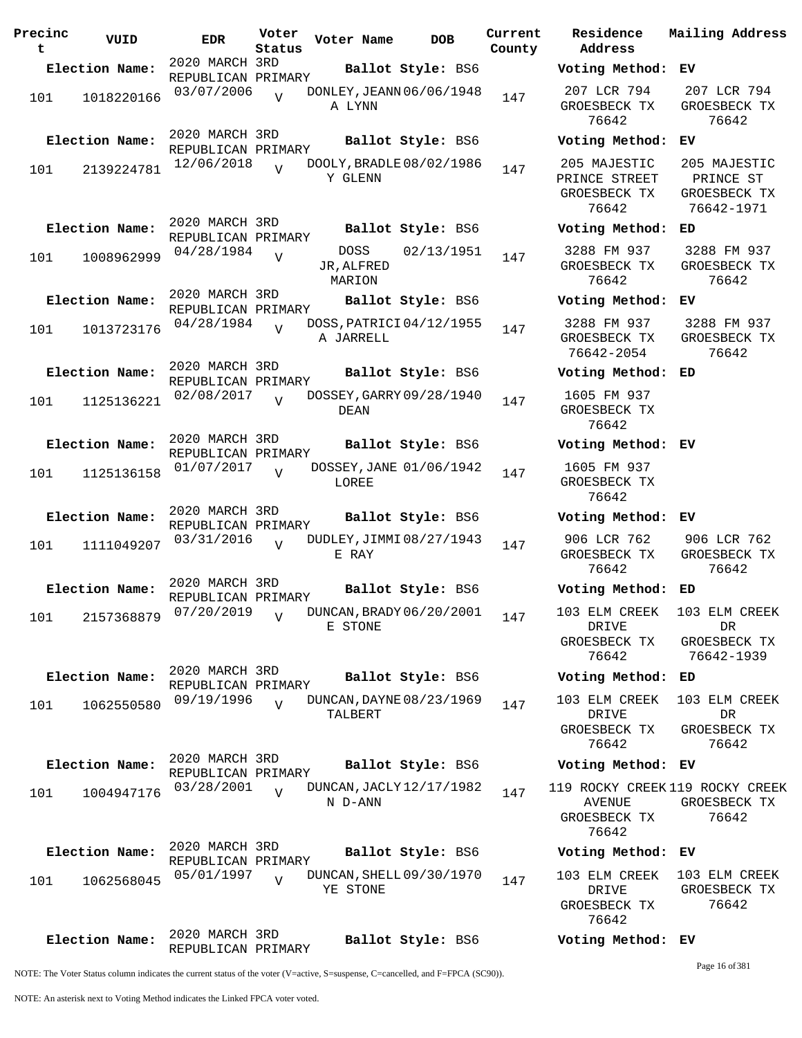| Precinc<br>t | VUID                      | <b>EDR</b>                           | Voter<br>Status | Voter Name                                   | <b>DOB</b>        | Current<br>County | Residence<br>Address                                |
|--------------|---------------------------|--------------------------------------|-----------------|----------------------------------------------|-------------------|-------------------|-----------------------------------------------------|
|              | Election Name:            | 2020 MARCH 3RD                       |                 |                                              | Ballot Style: BS6 |                   | Voting Meth                                         |
| 101          | 1018220166                | REPUBLICAN PRIMARY<br>03/07/2006     | $\overline{V}$  | DONLEY, JEANN 06/06/1948<br>A LYNN           |                   | 147               | 207 LCR 79<br>GROESBECK T<br>76642                  |
|              | Election Name:            | 2020 MARCH 3RD<br>REPUBLICAN PRIMARY |                 |                                              | Ballot Style: BS6 |                   | Voting Meth                                         |
| 101          | 2139224781                | 12/06/2018                           | $\overline{V}$  | DOOLY, BRADLE 08/02/1986<br>Y GLENN          |                   | 147               | 205 MAJESTI<br>PRINCE STREI<br>GROESBECK T<br>76642 |
|              | Election Name:            | 2020 MARCH 3RD                       |                 |                                              | Ballot Style: BS6 |                   | Voting Meth                                         |
| 101          | 1008962999                | REPUBLICAN PRIMARY<br>04/28/1984     | V               | DOSS<br>JR, ALFRED<br>MARION                 | 02/13/1951        | 147               | 3288 FM 93<br>GROESBECK T<br>76642                  |
|              | Election Name:            | 2020 MARCH 3RD                       |                 |                                              | Ballot Style: BS6 |                   | Voting Meth                                         |
| 101          | 1013723176                | REPUBLICAN PRIMARY<br>04/28/1984     | $\overline{V}$  | DOSS, PATRICI 04/12/1955<br>A JARRELL        |                   | 147               | 3288 FM 93<br>GROESBECK T<br>76642-2054             |
|              | Election Name:            | 2020 MARCH 3RD                       |                 |                                              | Ballot Style: BS6 |                   | Voting Meth                                         |
| 101          | 1125136221                | REPUBLICAN PRIMARY<br>02/08/2017     | $\overline{V}$  | DOSSEY, GARRY 09/28/1940<br>DEAN             |                   | 147               | 1605 FM 93<br>GROESBECK T<br>76642                  |
|              | Election Name:            | 2020 MARCH 3RD<br>REPUBLICAN PRIMARY |                 |                                              | Ballot Style: BS6 |                   | Voting Meth                                         |
| 101          | 1125136158                | 01/07/2017                           | $\overline{V}$  | DOSSEY, JANE 01/06/1942<br>LOREE             |                   | 147               | 1605 FM 93<br>GROESBECK T<br>76642                  |
|              | Election Name:            | 2020 MARCH 3RD<br>REPUBLICAN PRIMARY |                 |                                              | Ballot Style: BS6 |                   | Voting Meth                                         |
| 101          | 1111049207                | 03/31/2016                           | $\overline{V}$  | DUDLEY, JIMMI 08/27/1943<br>E RAY            |                   | 147               | 906 LCR 762<br>GROESBECK T<br>76642                 |
|              | Election Name:            | 2020 MARCH 3RD<br>REPUBLICAN PRIMARY |                 |                                              | Ballot Style: BS6 |                   | Voting Meth                                         |
|              | 101 2157368879 07/20/2019 |                                      | V               | -<br>DUNCAN, BRADY 06/20/2001 147<br>E STONE |                   |                   | 103 ELM CREI<br>DRIVE<br>GROESBECK T<br>76642       |
|              | Election Name:            | 2020 MARCH 3RD                       |                 |                                              | Ballot Style: BS6 |                   | Voting Meth                                         |
| 101          | 1062550580                | REPUBLICAN PRIMARY<br>09/19/1996     | $\overline{V}$  | DUNCAN, DAYNE 08/23/1969<br>TALBERT          |                   | 147               | 103 ELM CREI<br>DRIVE<br>GROESBECK T<br>76642       |
|              | Election Name:            | 2020 MARCH 3RD<br>REPUBLICAN PRIMARY |                 |                                              | Ballot Style: BS6 |                   | Voting Meth                                         |
| 101          | 1004947176                | 03/28/2001                           | $\overline{U}$  | DUNCAN, JACLY 12/17/1982<br>N D-ANN          |                   | 147               | 119 ROCKY CRI<br>AVENUE<br>GROESBECK T<br>76642     |
|              | Election Name:            | 2020 MARCH 3RD<br>REPUBLICAN PRIMARY |                 |                                              | Ballot Style: BS6 |                   | Voting Meth                                         |
| 101          | 1062568045                | 05/01/1997                           | $\overline{V}$  | DUNCAN, SHELL 09/30/1970<br>YE STONE         |                   | 147               | 103 ELM CREI<br>DRIVE<br>GROESBECK T<br>76642       |
|              | Election Name:            | 2020 MARCH 3RD<br>REPUBLICAN PRIMARY |                 |                                              | Ballot Style: BS6 |                   | Voting Meth                                         |

**Address Election Name: Ballot Style:** BS6 **Voting Method: EV** 207 LCR 794 GROESBECK TX 76642 207 LCR 794 GROESBECK TX 76642 **Election Name: Ballot Style:** BS6 **Voting Method: EV** 205 MAJESTIC PRINCE STREET GROESBECK TX 76642 205 MAJESTIC PRINCE ST GROESBECK TX 76642-1971 **Election Name: Ballot Style:** BS6 **Voting Method: ED** 3288 FM 937 GROESBECK TX 76642 3288 FM 937 GROESBECK TX 76642 **Election Name: Ballot Style:** BS6 **Voting Method: EV** 3288 FM 937 GROESBECK TX 76642-2054 3288 FM 937 GROESBECK TX 76642 **Election Name: Ballot Style:** BS6 **Voting Method: ED** 1605 FM 937 GROESBECK TX 76642 **Election Name: Ballot Style:** BS6 **Voting Method: EV** 1605 FM 937 GROESBECK TX 76642 **Election Name: Ballot Style:** BS6 **Voting Method: EV** 906 LCR 762 GROESBECK TX 76642 906 LCR 762 GROESBECK TX 76642 **Election Name: Ballot Style:** BS6 **Voting Method: ED** 103 ELM CREEK DRIVE GROESBECK TX 76642 103 ELM CREEK DR GROESBECK TX 76642-1939 **Election Name: Ballot Style:** BS6 **Voting Method: ED** 103 ELM CREEK DRIVE GROESBECK TX 76642 103 ELM CREEK DR GROESBECK TX 76642 **Election Name: Ballot Style:** BS6 **Voting Method: EV** 119 ROCKY CREEK 119 ROCKY CREEK AVENUE GROESBECK TX 76642 GROESBECK TX 76642 **Election Name: Ballot Style:** BS6 **Voting Method: EV** 103 ELM CREEK DRIVE GROESBECK TX 76642 103 ELM CREEK GROESBECK TX 76642 **Election Name: Ballot Style:** BS6 **Voting Method: EV** Page 16 of 381

**Current Mailing Address**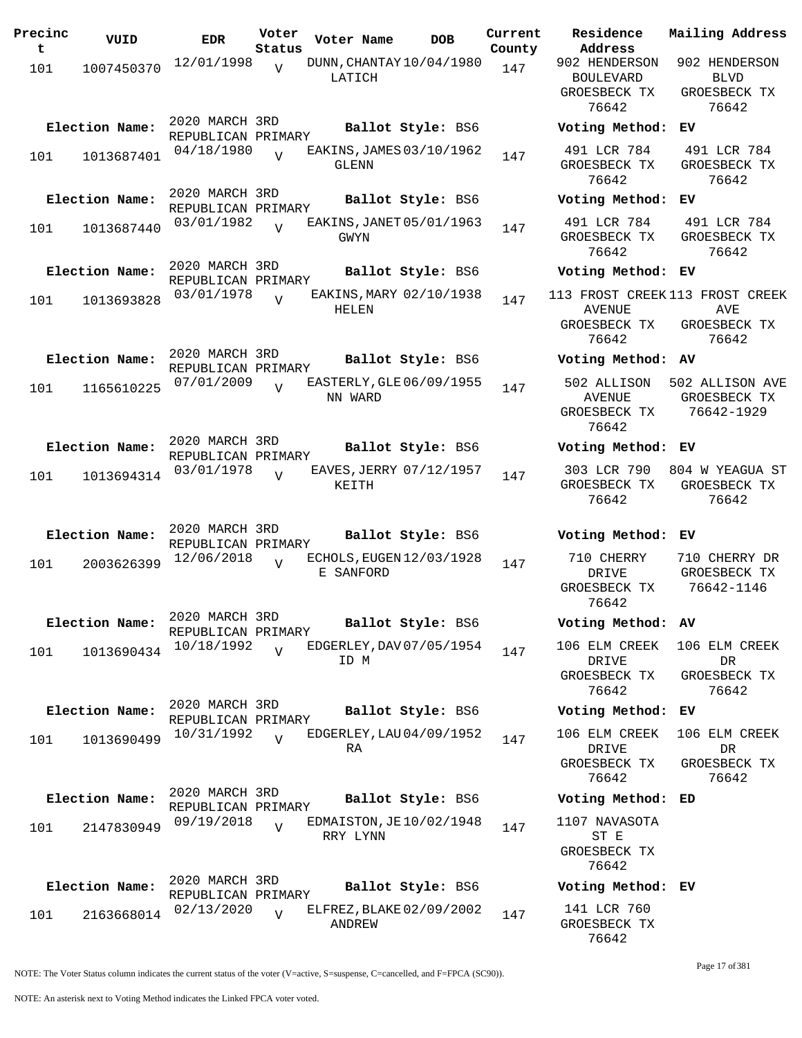| Precinc<br>t. | VUID           | <b>EDR</b>                           | Voter<br>Status | Voter Name                            | DOB               | Current<br>County |
|---------------|----------------|--------------------------------------|-----------------|---------------------------------------|-------------------|-------------------|
| 101           | 1007450370     | 12/01/1998                           | $\overline{V}$  | DUNN, CHANTAY 10/04/1980<br>LATICH    |                   | 147               |
|               | Election Name: | 2020 MARCH 3RD<br>REPUBLICAN PRIMARY |                 |                                       | Ballot Style: BS6 |                   |
| 101           | 1013687401     | 04/18/1980                           | $\overline{U}$  | EAKINS, JAMES 03/10/1962<br>GLENN     |                   | 147               |
|               | Election Name: | 2020 MARCH 3RD<br>REPUBLICAN PRIMARY |                 |                                       | Ballot Style: BS6 |                   |
| 101           | 1013687440     | 03/01/1982                           | ٦T              | EAKINS, JANET 05/01/1963<br>GWYN      |                   | 147               |
|               | Election Name: | 2020 MARCH 3RD<br>REPUBLICAN PRIMARY |                 |                                       | Ballot Style: BS6 |                   |
| 101           | 1013693828     | 03/01/1978                           | V               | EAKINS, MARY 02/10/1938<br>HELEN      |                   | 147               |
|               | Election Name: | 2020 MARCH 3RD<br>REPUBLICAN PRIMARY |                 |                                       | Ballot Style: BS6 |                   |
| 101           | 1165610225     | 07/01/2009                           | $\overline{V}$  | EASTERLY, GLE 06/09/1955<br>NN WARD   |                   | 147               |
|               | Election Name: | 2020 MARCH 3RD<br>REPUBLICAN PRIMARY |                 |                                       | Ballot Style: BS6 |                   |
| 101           | 1013694314     | 03/01/1978                           | $\overline{V}$  | EAVES, JERRY 07/12/1957<br>KEITH      |                   | 147               |
|               | Election Name: | 2020 MARCH 3RD<br>REPUBLICAN PRIMARY |                 |                                       | Ballot Style: BS6 |                   |
| 101           | 2003626399     | 12/06/2018                           | V               | ECHOLS, EUGEN 12/03/1928<br>E SANFORD |                   | 147               |
|               | Election Name: | 2020 MARCH 3RD<br>REPUBLICAN PRIMARY |                 |                                       | Ballot Style: BS6 |                   |
| 101           | 1013690434     | 10/18/1992                           | $\overline{U}$  | EDGERLEY, DAV 07/05/1954<br>ID M      |                   | 147               |
|               | Election Name: | 2020 MARCH 3RD<br>REPUBLICAN PRIMARY |                 |                                       | Ballot Style: BS6 |                   |
| 101           | 1013690499     | 10/31/1992                           | $\overline{V}$  | EDGERLEY, LAU 04/09/1952<br>RA        |                   | 147               |
|               | Election Name: | 2020 MARCH 3RD<br>REPUBLICAN PRIMARY |                 |                                       | Ballot Style: BS6 |                   |
| 101           | 2147830949     | 09/19/2018                           | $\overline{V}$  | EDMAISTON, JE10/02/1948<br>RRY LYNN   |                   | 147               |
|               | Election Name: | 2020 MARCH 3RD<br>REPUBLICAN PRIMARY |                 |                                       | Ballot Style: BS6 |                   |
| 101           | 2163668014     | 02/13/2020                           | $\overline{V}$  | ELFREZ, BLAKE 02/09/2002<br>ANDREW    |                   | 147               |

**Voter Name DOB Residence Address Current Mailing Address** 902 HENDERSON BOULEVARD GROESBECK TX 76642 902 HENDERSON BLVD GROESBECK TX 76642 **Election Name: Ballot Style:** BS6 **Voting Method: EV** 491 LCR 784 GROESBECK TX 76642 491 LCR 784 GROESBECK TX 76642 **Election Name: Ballot Style:** BS6 **Voting Method: EV** 491 LCR 784 GROESBECK TX 76642 491 LCR 784 GROESBECK TX 76642 **Election Name: Ballot Style:** BS6 **Voting Method: EV** 113 FROST CREEK 113 FROST CREEK AVENUE GROESBECK TX 76642 AVE GROESBECK TX 76642 **Election Name: Ballot Style:** BS6 **Voting Method: AV** 502 ALLISON 502 ALLISON AVE AVENUE GROESBECK TX 76642 GROESBECK TX 76642-1929 **Election Name: Ballot Style:** BS6 **Voting Method: EV** 303 LCR 790 804 W YEAGUA ST GROESBECK TX 76642 GROESBECK TX 76642 **Election Name: Ballot Style:** BS6 **Voting Method: EV** 710 CHERRY DRIVE GROESBECK TX 76642 710 CHERRY DR GROESBECK TX 76642-1146 **Election Name: Ballot Style:** BS6 **Voting Method: AV** 106 ELM CREEK 106 ELM CREEK DRIVE GROESBECK TX 76642 DR GROESBECK TX 76642 **Election Name: Ballot Style:** BS6 **Voting Method: EV** 106 ELM CREEK DRIVE GROESBECK TX 76642 106 ELM CREEK DR GROESBECK TX 76642 **Election Name: Ballot Style:** BS6 **Voting Method: ED** 1107 NAVASOTA ST E GROESBECK TX 76642 **Election Name: Ballot Style:** BS6 **Voting Method: EV** 141 LCR 760

NOTE: The Voter Status column indicates the current status of the voter (V=active, S=suspense, C=cancelled, and F=FPCA (SC90)).

Page 17 of 381

GROESBECK TX 76642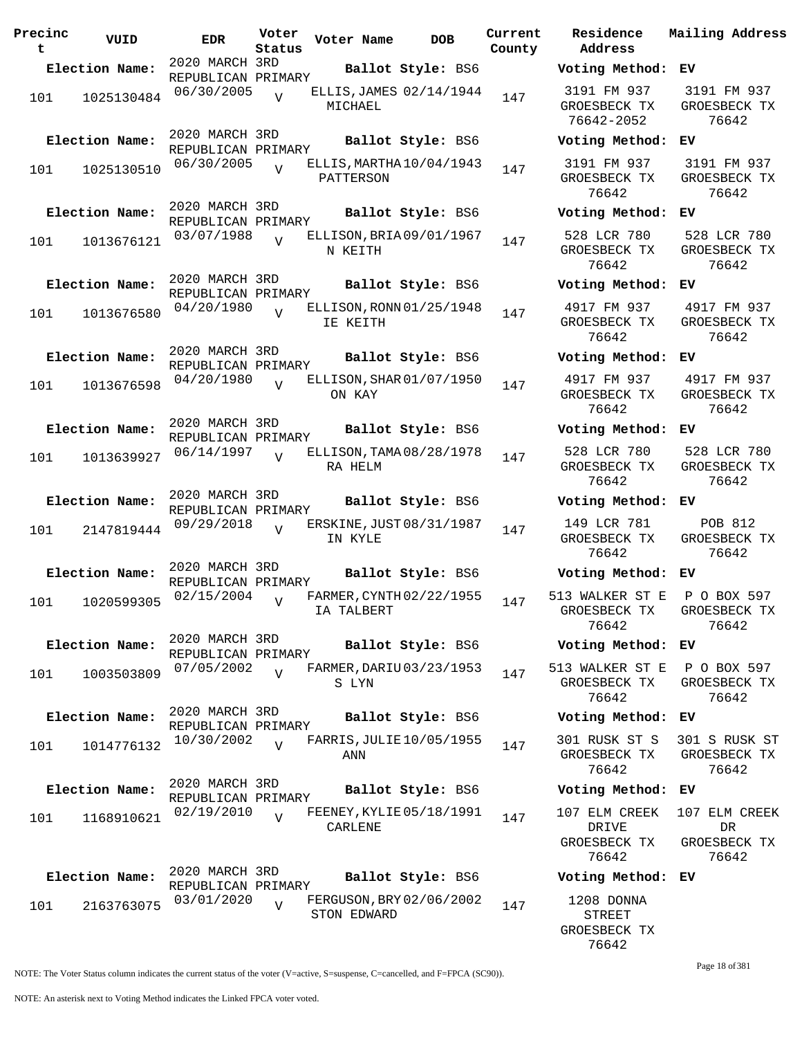| Precinc<br>t | VUID           | EDR                                  | Voter<br>Status | Voter Name                              | <b>DOB</b>        | Curre<br>Count |
|--------------|----------------|--------------------------------------|-----------------|-----------------------------------------|-------------------|----------------|
|              | Election Name: | 2020 MARCH 3RD                       |                 |                                         | Ballot Style: BS6 |                |
|              |                | REPUBLICAN PRIMARY                   |                 |                                         |                   |                |
| 101          | 1025130484     | 06/30/2005                           | $\overline{V}$  | ELLIS, JAMES 02/14/1944<br>MICHAEL      |                   | 147            |
|              | Election Name: | 2020 MARCH 3RD<br>REPUBLICAN PRIMARY |                 |                                         | Ballot Style: BS6 |                |
| 101          | 1025130510     | 06/30/2005                           | $\overline{V}$  | ELLIS, MARTHA 10/04/1943<br>PATTERSON   |                   | 147            |
|              | Election Name: | 2020 MARCH 3RD<br>REPUBLICAN PRIMARY |                 |                                         | Ballot Style: BS6 |                |
| 101          | 1013676121     | 03/07/1988                           | $\overline{V}$  | ELLISON, BRIA 09/01/1967<br>N KEITH     |                   | 147            |
|              | Election Name: | 2020 MARCH 3RD<br>REPUBLICAN PRIMARY |                 |                                         | Ballot Style: BS6 |                |
| 101          | 1013676580     | 04/20/1980                           | $\overline{U}$  | ELLISON, RONN 01/25/1948<br>IE KEITH    |                   | 147            |
|              | Election Name: | 2020 MARCH 3RD<br>REPUBLICAN PRIMARY |                 |                                         | Ballot Style: BS6 |                |
| 101          | 1013676598     | 04/20/1980                           | $\overline{V}$  | ELLISON, SHAR 01/07/1950<br>ON KAY      |                   | 147            |
|              | Election Name: | 2020 MARCH 3RD<br>REPUBLICAN PRIMARY |                 |                                         | Ballot Style: BS6 |                |
| 101          | 1013639927     | 06/14/1997                           | $\overline{V}$  | ELLISON, TAMA 08/28/1978<br>RA HELM     |                   | 147            |
|              | Election Name: | 2020 MARCH 3RD<br>REPUBLICAN PRIMARY |                 |                                         | Ballot Style: BS6 |                |
| 101          | 2147819444     | 09/29/2018                           | $\overline{V}$  | ERSKINE, JUST 08/31/1987<br>IN KYLE     |                   | 147            |
|              | Election Name: | 2020 MARCH 3RD<br>REPUBLICAN PRIMARY |                 |                                         | Ballot Style: BS6 |                |
| 101          | 1020599305     | 02/15/2004                           | $\overline{V}$  | FARMER, CYNTH 02/22/1955<br>IA TALBERT  |                   | 147            |
|              | Election Name: | 2020 MARCH 3RD<br>REPUBLICAN PRIMARY |                 |                                         | Ballot Style: BS6 |                |
| 101          | 1003503809     | 07/05/2002                           | $\overline{U}$  | FARMER, DARIU 03/23/1953<br>S LYN       |                   | 147            |
|              | Election Name: | 2020 MARCH 3RD<br>REPUBLICAN PRIMARY |                 |                                         | Ballot Style: BS6 |                |
| 101          | 1014776132     | 10/30/2002                           | $\overline{U}$  | FARRIS, JULIE 10/05/1955<br>ANN         |                   | 147            |
|              | Election Name: | 2020 MARCH 3RD<br>REPUBLICAN PRIMARY |                 |                                         | Ballot Style: BS6 |                |
| 101          | 1168910621     | 02/19/2010                           | $\overline{V}$  | FEENEY, KYLIE 05/18/1991<br>CARLENE     |                   | 147            |
|              | Election Name: | 2020 MARCH 3RD                       |                 |                                         | Ballot Style: BS6 |                |
|              |                | REPUBLICAN PRIMARY                   |                 |                                         |                   |                |
| 101          | 2163763075     | 03/01/2020                           | $\overline{V}$  | FERGUSON, BRY 02/06/2002<br>STON EDWARD |                   | 147            |

**Parame Residence Address Current Mailing Address** nty **Election Name: Ballot Style:** BS6 **Voting Method: EV** 3191 FM 937 GROESBECK TX 76642-2052 3191 FM 937 GROESBECK TX 76642 **Election Name: Ballot Style:** BS6 **Voting Method: EV** 3191 FM 937 GROESBECK TX 76642 3191 FM 937 GROESBECK TX 76642 **Election Name: Ballot Style:** BS6 **Voting Method: EV** 528 LCR 780 GROESBECK TX 76642 528 LCR 780 GROESBECK TX 76642 **Election Name: Ballot Style:** BS6 **Voting Method: EV** 4917 FM 937 GROESBECK TX 76642 4917 FM 937 GROESBECK TX 76642 **Election Name: Ballot Style:** BS6 **Voting Method: EV** 4917 FM 937 GROESBECK TX 76642 4917 FM 937 GROESBECK TX 76642 **Election Name: Ballot Style:** BS6 **Voting Method: EV** 528 LCR 780 GROESBECK TX 76642 528 LCR 780 GROESBECK TX 76642 **Election Name: Ballot Style:** BS6 **Voting Method: EV** 149 LCR 781 GROESBECK TX 76642 POB 812 GROESBECK TX 76642 **Election Name: Ballot Style:** BS6 **Voting Method: EV** 513 WALKER ST E GROESBECK TX 76642 P O BOX 597 GROESBECK TX 76642 **Election Name: Ballot Style:** BS6 **Voting Method: EV** 513 WALKER ST E GROESBECK TX 76642 P O BOX 597 GROESBECK TX 76642 **Election Name: Ballot Style:** BS6 **Voting Method: EV** 301 RUSK ST S GROESBECK TX 76642 301 S RUSK ST GROESBECK TX 76642 **Election Name: Ballot Style:** BS6 **Voting Method: EV** 107 ELM CREEK DRIVE GROESBECK TX 76642 107 ELM CREEK DR GROESBECK TX 76642 **Election Name: Ballot Style:** BS6 **Voting Method: EV** 1208 DONNA STREET GROESBECK TX 76642

Page 18 of 381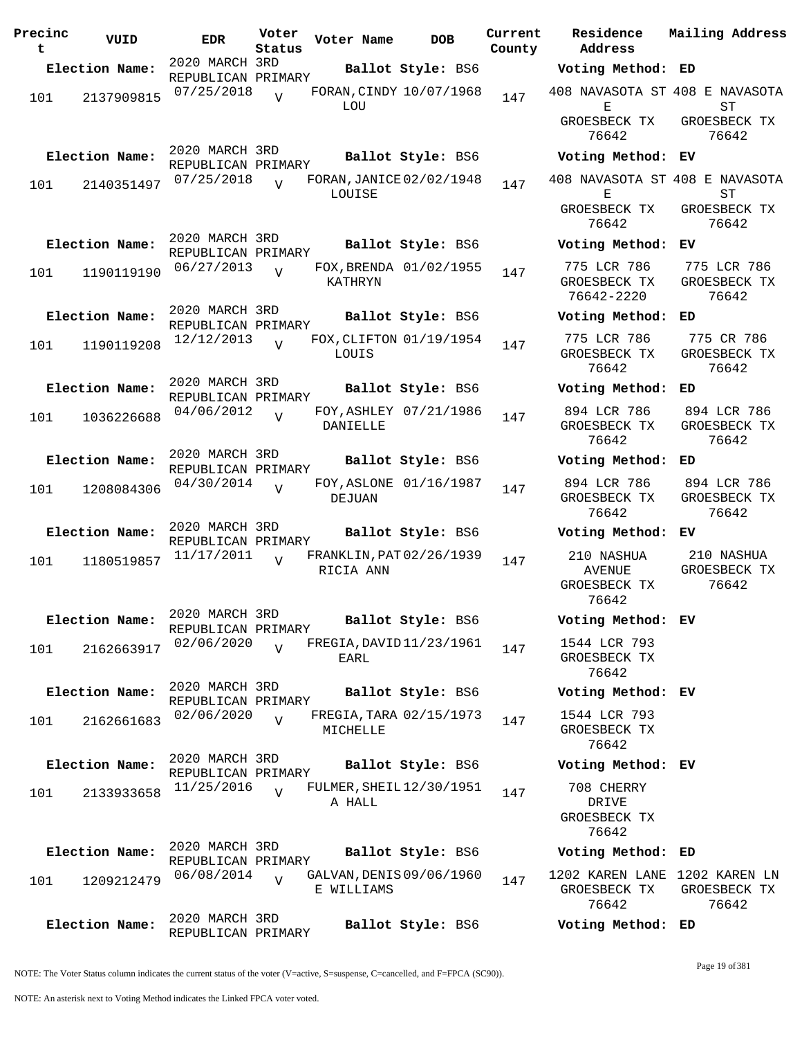| Precinc<br>t | VUID           | <b>EDR</b>                           | Voter<br>Status | Voter Name                             | <b>DOB</b>             | Current<br>County | Residence<br>Address                                   | Mailing Address                      |
|--------------|----------------|--------------------------------------|-----------------|----------------------------------------|------------------------|-------------------|--------------------------------------------------------|--------------------------------------|
|              | Election Name: | 2020 MARCH 3RD                       |                 |                                        | Ballot Style: BS6      |                   | Voting Method: ED                                      |                                      |
| 101          | 2137909815     | REPUBLICAN PRIMARY<br>07/25/2018     | $\overline{U}$  | FORAN, CINDY 10/07/1968<br>LOU         |                        | 147               | 408 NAVASOTA ST 408 E NAVASOTA<br>Е<br>GROESBECK TX    | SТ<br>GROESBECK TX                   |
|              |                | 2020 MARCH 3RD                       |                 |                                        |                        |                   | 76642                                                  | 76642                                |
|              | Election Name: | REPUBLICAN PRIMARY                   |                 |                                        | Ballot Style: BS6      |                   | Voting Method: EV                                      |                                      |
| 101          | 2140351497     | 07/25/2018                           | $\overline{V}$  | FORAN, JANICE 02/02/1948<br>LOUISE     |                        | 147               | 408 NAVASOTA ST 408 E NAVASOTA<br>Е                    | ST                                   |
|              |                |                                      |                 |                                        |                        |                   | GROESBECK TX<br>76642                                  | GROESBECK TX<br>76642                |
|              | Election Name: | 2020 MARCH 3RD<br>REPUBLICAN PRIMARY |                 |                                        | Ballot Style: BS6      |                   | Voting Method: EV                                      |                                      |
| 101          | 1190119190     | 06/27/2013                           | $\overline{V}$  | KATHRYN                                | FOX, BRENDA 01/02/1955 | 147               | 775 LCR 786<br>GROESBECK TX<br>76642-2220              | 775 LCR 786<br>GROESBECK TX<br>76642 |
|              | Election Name: | 2020 MARCH 3RD                       |                 |                                        | Ballot Style: BS6      |                   | Voting Method: ED                                      |                                      |
| 101          | 1190119208     | REPUBLICAN PRIMARY<br>12/12/2013     | $\overline{17}$ | FOX, CLIFTON 01/19/1954<br>LOUIS       |                        | 147               | 775 LCR 786<br>GROESBECK TX<br>76642                   | 775 CR 786<br>GROESBECK TX<br>76642  |
|              | Election Name: | 2020 MARCH 3RD                       |                 |                                        | Ballot Style: BS6      |                   | Voting Method: ED                                      |                                      |
| 101          | 1036226688     | REPUBLICAN PRIMARY<br>04/06/2012     | $\overline{U}$  | DANIELLE                               | FOY, ASHLEY 07/21/1986 | 147               | 894 LCR 786<br>GROESBECK TX<br>76642                   | 894 LCR 786<br>GROESBECK TX<br>76642 |
|              | Election Name: | 2020 MARCH 3RD                       |                 |                                        | Ballot Style: BS6      |                   | Voting Method: ED                                      |                                      |
|              |                | REPUBLICAN PRIMARY<br>04/30/2014     |                 |                                        | FOY, ASLONE 01/16/1987 |                   | 894 LCR 786                                            | 894 LCR 786                          |
| 101          | 1208084306     |                                      | $\overline{U}$  | DEJUAN                                 |                        | 147               | GROESBECK TX<br>76642                                  | GROESBECK TX<br>76642                |
|              | Election Name: | 2020 MARCH 3RD<br>REPUBLICAN PRIMARY |                 |                                        | Ballot Style: BS6      |                   | Voting Method: EV                                      |                                      |
| 101          | 1180519857     | 11/17/2011                           | $\overline{U}$  | FRANKLIN, PAT 02/26/1939<br>RICIA ANN  |                        | 147               | 210 NASHUA<br><b>AVENUE</b><br>GROESBECK TX<br>76642   | 210 NASHUA<br>GROESBECK TX<br>76642  |
|              | Election Name: | 2020 MARCH 3RD<br>REPUBLICAN PRIMARY |                 |                                        | Ballot Style: BS6      |                   | Voting Method: EV                                      |                                      |
| 101          | 2162663917     | 02/06/2020                           | $\overline{V}$  | FREGIA, DAVID 11/23/1961<br>EARL       |                        | 147               | 1544 LCR 793<br>GROESBECK TX<br>76642                  |                                      |
|              | Election Name: | 2020 MARCH 3RD                       |                 |                                        | Ballot Style: BS6      |                   | Voting Method: EV                                      |                                      |
| 101          | 2162661683     | REPUBLICAN PRIMARY<br>02/06/2020     | $\overline{v}$  | FREGIA, TARA 02/15/1973<br>MICHELLE    |                        | 147               | 1544 LCR 793<br>GROESBECK TX<br>76642                  |                                      |
|              | Election Name: | 2020 MARCH 3RD                       |                 |                                        | Ballot Style: BS6      |                   | Voting Method: EV                                      |                                      |
|              |                | REPUBLICAN PRIMARY<br>11/25/2016     |                 | FULMER, SHEIL 12/30/1951               |                        |                   | 708 CHERRY                                             |                                      |
| 101          | 2133933658     |                                      | $\overline{U}$  | A HALL                                 |                        | 147               | DRIVE<br>GROESBECK TX<br>76642                         |                                      |
|              | Election Name: | 2020 MARCH 3RD<br>REPUBLICAN PRIMARY |                 |                                        | Ballot Style: BS6      |                   | Voting Method: ED                                      |                                      |
| 101          | 1209212479     | 06/08/2014                           | $\overline{U}$  | GALVAN, DENIS 09/06/1960<br>E WILLIAMS |                        | 147               | 1202 KAREN LANE 1202 KAREN LN<br>GROESBECK TX<br>76642 | GROESBECK TX<br>76642                |
|              | Election Name: | 2020 MARCH 3RD<br>REPUBLICAN PRIMARY |                 |                                        | Ballot Style: BS6      |                   | Voting Method: ED                                      |                                      |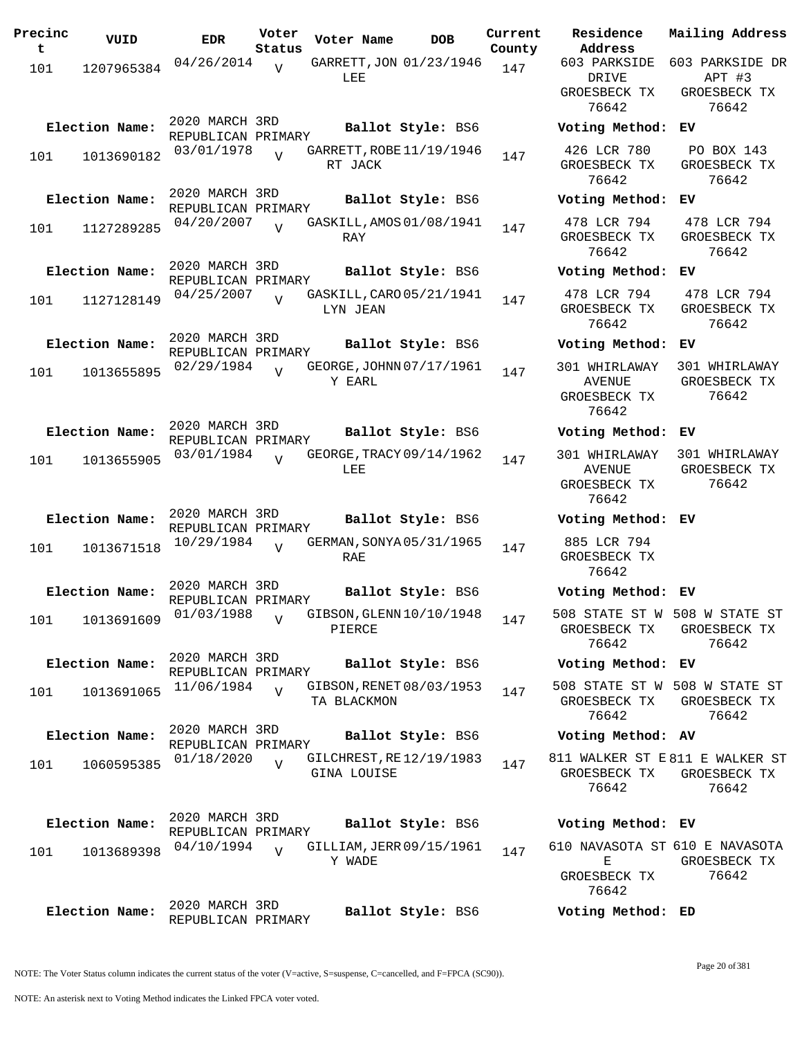| Precinc<br>t | VUID           | <b>EDR</b>                           | Voter<br>Status | Voter Name                              | <b>DOB</b>        | Current<br>County | Residence<br>Address                              | Mai.              |
|--------------|----------------|--------------------------------------|-----------------|-----------------------------------------|-------------------|-------------------|---------------------------------------------------|-------------------|
| 101          | 1207965384     | 04/26/2014                           | $\overline{V}$  | GARRETT, JON 01/23/1946<br>LEE          |                   | 147               | 603 PARKSIDE<br>DRIVE                             | 603               |
|              |                |                                      |                 |                                         |                   |                   | GROESBECK TX<br>76642                             | GR                |
|              | Election Name: | 2020 MARCH 3RD<br>REPUBLICAN PRIMARY |                 |                                         | Ballot Style: BS6 |                   | Voting Method:                                    | ΕV                |
| 101          | 1013690182     | 03/01/1978                           | $\overline{U}$  | GARRETT, ROBE 11/19/1946<br>RT JACK     |                   | 147               | 426 LCR 780<br>GROESBECK TX<br>76642              | F<br>GR           |
|              | Election Name: | 2020 MARCH 3RD<br>REPUBLICAN PRIMARY |                 |                                         | Ballot Style: BS6 |                   | Voting Method:                                    | ΕV                |
| 101          | 1127289285     | 04/20/2007                           | $\overline{U}$  | GASKILL, AMOS 01/08/1941<br>RAY         |                   | 147               | 478 LCR 794<br>GROESBECK TX<br>76642              | $4^{\circ}$<br>GR |
|              | Election Name: | 2020 MARCH 3RD<br>REPUBLICAN PRIMARY |                 |                                         | Ballot Style: BS6 |                   | Voting Method:                                    | EV                |
| 101          | 1127128149     | 04/25/2007                           | $\overline{U}$  | GASKILL, CARO 05/21/1941<br>LYN JEAN    |                   | 147               | 478 LCR 794<br>GROESBECK TX<br>76642              | $4^{\circ}$<br>GR |
|              | Election Name: | 2020 MARCH 3RD                       |                 |                                         | Ballot Style: BS6 |                   | Voting Method:                                    | ΕV                |
| 101          | 1013655895     | REPUBLICAN PRIMARY<br>02/29/1984     | $\overline{17}$ | GEORGE, JOHNN 07/17/1961<br>Y EARL      |                   | 147               | 301 WHIRLAWAY<br>AVENUE<br>GROESBECK TX           | 30<br>GR          |
|              | Election Name: | 2020 MARCH 3RD                       |                 |                                         | Ballot Style: BS6 |                   | 76642<br>Voting Method:                           | EV                |
|              |                | REPUBLICAN PRIMARY<br>03/01/1984     |                 | GEORGE, TRACY 09/14/1962                |                   |                   | 301 WHIRLAWAY                                     | 30                |
| 101          | 1013655905     |                                      | $\overline{U}$  | LEE                                     |                   | 147               | <b>AVENUE</b><br>GROESBECK TX<br>76642            | GR                |
|              | Election Name: | 2020 MARCH 3RD<br>REPUBLICAN PRIMARY |                 |                                         | Ballot Style: BS6 |                   | Voting Method: EV                                 |                   |
| 101          | 1013671518     | 10/29/1984                           | $\overline{U}$  | GERMAN, SONYA 05/31/1965<br>RAE         |                   | 147               | 885 LCR 794<br>GROESBECK TX<br>76642              |                   |
|              | Election Name: | 2020 MARCH 3RD<br>REPUBLICAN PRIMARY |                 |                                         | Ballot Style: BS6 |                   | Voting Method: EV                                 |                   |
| 101          | 1013691609     | 01/03/1988                           | $\overline{V}$  | GIBSON, GLENN 10/10/1948<br>PIERCE      |                   | 147               | 508 STATE ST W 508<br>GROESBECK TX<br>76642       | GR                |
|              | Election Name: | 2020 MARCH 3RD<br>REPUBLICAN PRIMARY |                 |                                         | Ballot Style: BS6 |                   | Voting Method: EV                                 |                   |
| 101          | 1013691065     | 11/06/1984                           | $\overline{z}$  | GIBSON, RENET 08/03/1953<br>TA BLACKMON |                   | 147               | 508 STATE ST W 508<br>GROESBECK TX<br>76642       | GR                |
|              | Election Name: | 2020 MARCH 3RD<br>REPUBLICAN PRIMARY |                 |                                         | Ballot Style: BS6 |                   | Voting Method: AV                                 |                   |
| 101          | 1060595385     | 01/18/2020                           | $\overline{U}$  | GILCHREST, RE12/19/1983<br>GINA LOUISE  |                   | 147               | 811 WALKER ST E811<br>GROESBECK TX<br>76642       | GR                |
|              | Election Name: | 2020 MARCH 3RD<br>REPUBLICAN PRIMARY |                 |                                         | Ballot Style: BS6 |                   | Voting Method: EV                                 |                   |
| 101          | 1013689398     | 04/10/1994                           | $\overline{U}$  | GILLIAM, JERR 09/15/1961<br>Y WADE      |                   | 147               | 610 NAVASOTA ST 610<br>Е<br>GROESBECK TX<br>76642 | GR                |
|              | Election Name: | 2020 MARCH 3RD<br>REPUBLICAN PRIMARY |                 |                                         | Ballot Style: BS6 |                   | Voting Method: ED                                 |                   |

GROESBECK TX 76642 GROESBECK TX 76642 **Election Name: Ballot Style:** BS6 **Voting Method: EV** 478 LCR 794 GROESBECK TX 76642 478 LCR 794 GROESBECK TX 76642 **Election Name: Ballot Style:** BS6 **Voting Method: EV** 478 LCR 794 GROESBECK TX 76642 478 LCR 794 GROESBECK TX 76642 **Election Name: Ballot Style:** BS6 **Voting Method: EV** 301 WHIRLAWAY AVENUE GROESBECK TX 76642 301 WHIRLAWAY GROESBECK TX 76642 **Election Name: Ballot Style:** BS6 **Voting Method: EV** 301 WHIRLAWAY 301 WHIRLAWAY AVENUE GROESBECK TX 76642 GROESBECK TX 76642 **Election Name: Ballot Style:** BS6 **Voting Method: EV** 885 LCR 794 GROESBECK TX 76642 **Election Name: Ballot Style:** BS6 **Voting Method: EV** 508 STATE ST W 508 W STATE ST GROESBECK TX 76642 GROESBECK TX 76642 **Election Name: Ballot Style:** BS6 **Voting Method: EV** 508 STATE ST W 508 W STATE ST GROESBECK TX GROESBECK TX 76642 76642 **Election Name: Ballot Style:** BS6 **Voting Method: AV**

**Current Mailing Address**

APT #3 GROESBECK TX 76642

PO BOX 143

603 PARKSIDE 603 PARKSIDE DR

811 WALKER ST E 811 E WALKER ST GROESBECK TX GROESBECK TX 76642 76642

### **Election Name: Ballot Style:** BS6 **Voting Method: EV** 610 NAVASOTA ST 610 E NAVASOTA E GROESBECK TX

GROESBECK TX 76642 76642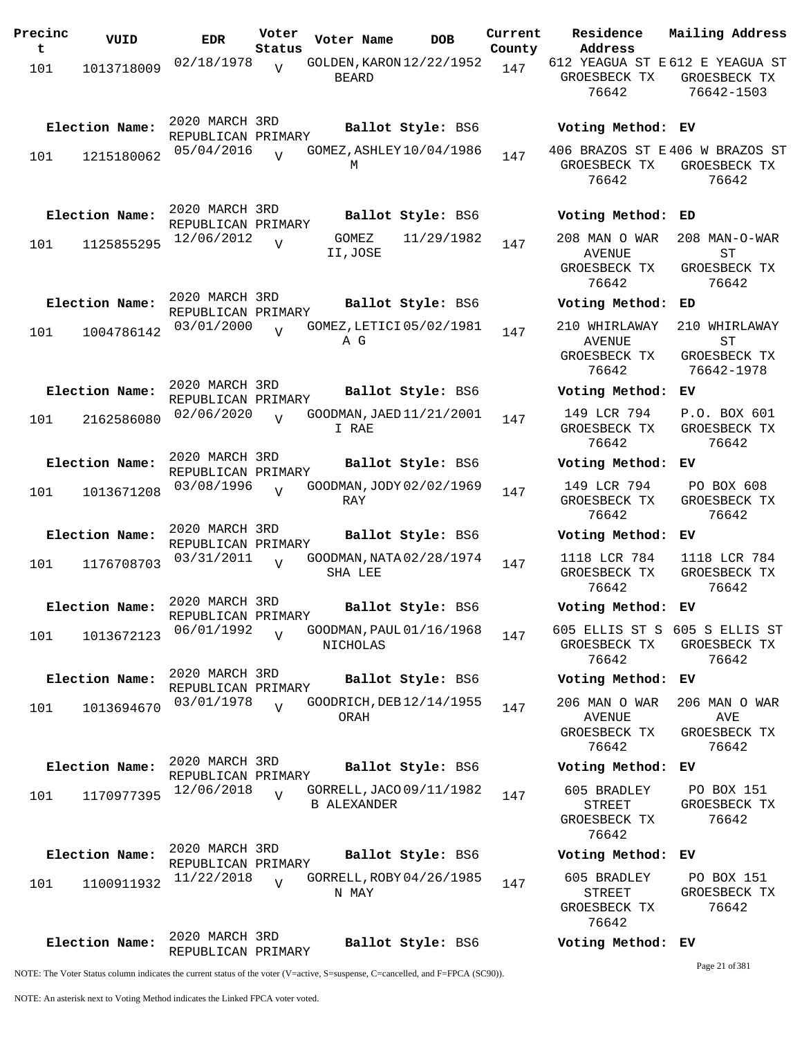| Precinc<br>t | VUID           | <b>EDR</b>                           | Voter<br>Status | Voter Name                                     | <b>DOB</b>        | Current<br>County | Residence<br>Address                                     | Mailing Address                                   |
|--------------|----------------|--------------------------------------|-----------------|------------------------------------------------|-------------------|-------------------|----------------------------------------------------------|---------------------------------------------------|
| 101          | 1013718009     | 02/18/1978                           | $\overline{V}$  | GOLDEN, KARON 12/22/1952<br><b>BEARD</b>       |                   | 147               | 612 YEAGUA ST E 612 E YEAGUA ST<br>GROESBECK TX<br>76642 | GROESBECK TX<br>76642-1503                        |
|              | Election Name: | 2020 MARCH 3RD<br>REPUBLICAN PRIMARY |                 |                                                | Ballot Style: BS6 |                   | Voting Method: EV                                        |                                                   |
| 101          | 1215180062     | 05/04/2016                           | $\overline{U}$  | GOMEZ, ASHLEY 10/04/1986<br>M                  |                   | 147               | 406 BRAZOS ST E 406 W BRAZOS ST<br>GROESBECK TX<br>76642 | GROESBECK TX<br>76642                             |
|              | Election Name: | 2020 MARCH 3RD<br>REPUBLICAN PRIMARY |                 |                                                | Ballot Style: BS6 |                   | Voting Method:                                           | ED                                                |
| 101          | 1125855295     | 12/06/2012                           | $\overline{V}$  | GOMEZ<br>II,JOSE                               | 11/29/1982        | 147               | 208 MAN O WAR<br>AVENUE<br>GROESBECK TX<br>76642         | 208 MAN-O-WAR<br>SТ<br>GROESBECK TX<br>76642      |
|              | Election Name: | 2020 MARCH 3RD<br>REPUBLICAN PRIMARY |                 |                                                | Ballot Style: BS6 |                   | Voting Method:                                           | ED                                                |
| 101          | 1004786142     | 03/01/2000                           | $\overline{z}$  | GOMEZ, LETICI 05/02/1981<br>A G                |                   | 147               | 210 WHIRLAWAY<br><b>AVENUE</b><br>GROESBECK TX<br>76642  | 210 WHIRLAWAY<br>ST<br>GROESBECK TX<br>76642-1978 |
|              | Election Name: | 2020 MARCH 3RD<br>REPUBLICAN PRIMARY |                 |                                                | Ballot Style: BS6 |                   | Voting Method: EV                                        |                                                   |
| 101          | 2162586080     | 02/06/2020                           | $\overline{U}$  | GOODMAN, JAED 11/21/2001<br>I RAE              |                   | 147               | 149 LCR 794<br>GROESBECK TX<br>76642                     | P.O. BOX 601<br>GROESBECK TX<br>76642             |
|              | Election Name: | 2020 MARCH 3RD<br>REPUBLICAN PRIMARY |                 |                                                | Ballot Style: BS6 |                   | Voting Method:                                           | ЕV                                                |
| 101          | 1013671208     | 03/08/1996                           | $\overline{U}$  | GOODMAN, JODY 02/02/1969<br>RAY                |                   | 147               | 149 LCR 794<br>GROESBECK TX<br>76642                     | PO BOX 608<br>GROESBECK TX<br>76642               |
|              | Election Name: | 2020 MARCH 3RD<br>REPUBLICAN PRIMARY |                 |                                                | Ballot Style: BS6 |                   | Voting Method: EV                                        |                                                   |
| 101          | 1176708703     | 03/31/2011                           | $\overline{V}$  | GOODMAN, NATA 02/28/1974<br>SHA LEE            |                   | 147               | 1118 LCR 784<br>GROESBECK TX<br>76642                    | 1118 LCR 784<br>GROESBECK TX<br>76642             |
|              | Election Name: | 2020 MARCH 3RD<br>REPUBLICAN PRIMARY |                 |                                                | Ballot Style: BS6 |                   | Voting Method: EV                                        |                                                   |
| 101          | 1013672123     | 06/01/1992                           | $\overline{V}$  | GOODMAN, PAUL 01/16/1968<br>NICHOLAS           |                   | 147               | 605 ELLIS ST S 605 S ELLIS ST<br>GROESBECK TX<br>76642   | GROESBECK TX<br>76642                             |
|              | Election Name: | 2020 MARCH 3RD<br>REPUBLICAN PRIMARY |                 |                                                | Ballot Style: BS6 |                   | Voting Method: EV                                        |                                                   |
| 101          | 1013694670     | 03/01/1978                           | $\overline{U}$  | GOODRICH, DEB 12/14/1955<br>ORAH               |                   | 147               | 206 MAN O WAR<br>AVENUE<br>GROESBECK TX<br>76642         | 206 MAN O WAR<br>AVE<br>GROESBECK TX<br>76642     |
|              | Election Name: | 2020 MARCH 3RD<br>REPUBLICAN PRIMARY |                 |                                                | Ballot Style: BS6 |                   | Voting Method: EV                                        |                                                   |
| 101          | 1170977395     | 12/06/2018                           | $\overline{V}$  | GORRELL, JACO 09/11/1982<br><b>B ALEXANDER</b> |                   | 147               | 605 BRADLEY<br>STREET<br>GROESBECK TX<br>76642           | PO BOX 151<br>GROESBECK TX<br>76642               |
|              | Election Name: | 2020 MARCH 3RD<br>REPUBLICAN PRIMARY |                 |                                                | Ballot Style: BS6 |                   | Voting Method: EV                                        |                                                   |
| 101          | 1100911932     | 11/22/2018                           |                 | GORRELL, ROBY 04/26/1985<br>N MAY              |                   | 147               | 605 BRADLEY<br>STREET<br>GROESBECK TX<br>76642           | PO BOX 151<br>GROESBECK TX<br>76642               |
|              | Election Name: | 2020 MARCH 3RD<br>REPUBLICAN PRIMARY |                 |                                                | Ballot Style: BS6 |                   | Voting Method: EV                                        |                                                   |

Page 21 of 381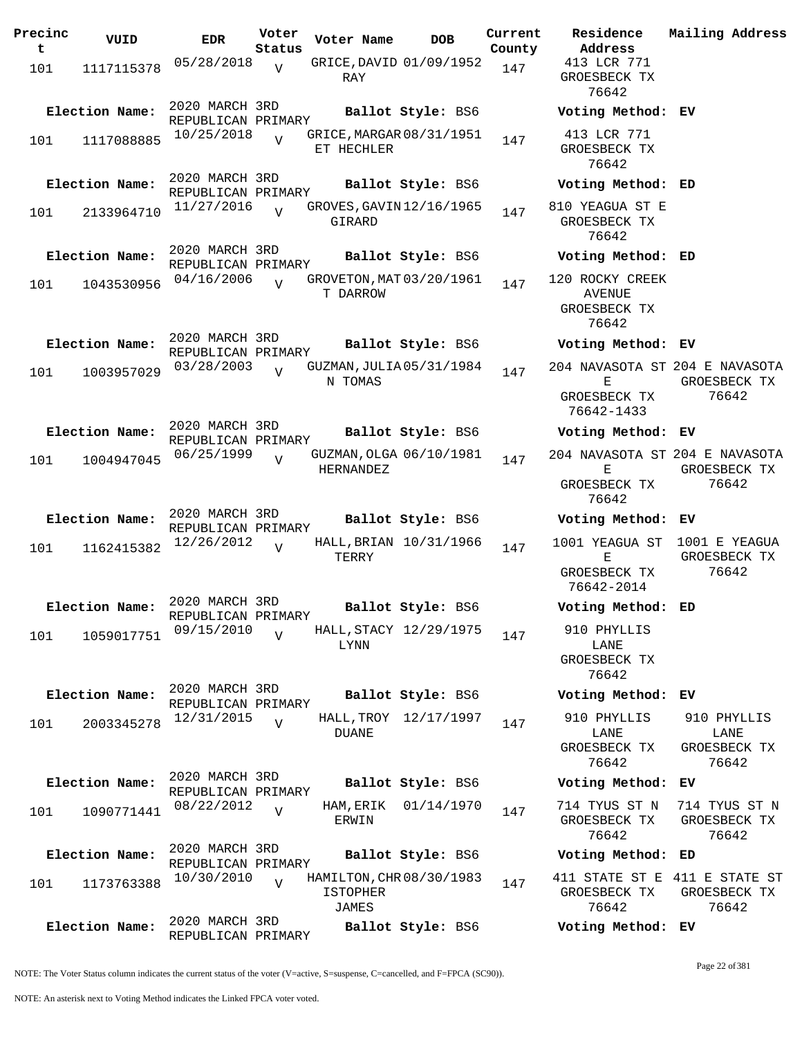| Precinc<br>t | VUID           | <b>EDR</b>                           | Voter<br>Status | Voter Name                                           | <b>DOB</b>            | Current<br>County | Residence<br>Address                         | Mail                  |
|--------------|----------------|--------------------------------------|-----------------|------------------------------------------------------|-----------------------|-------------------|----------------------------------------------|-----------------------|
| 101          | 1117115378     | 05/28/2018                           | $\overline{V}$  | GRICE, DAVID 01/09/1952<br>RAY                       |                       | 147               | 413 LCR 771<br>GROESBECK TX<br>76642         |                       |
|              | Election Name: | 2020 MARCH 3RD<br>REPUBLICAN PRIMARY |                 |                                                      | Ballot Style: BS6     |                   | Voting Method:                               | EV                    |
| 101          | 1117088885     | 10/25/2018                           |                 | GRICE, MARGAR 08/31/1951<br>ET HECHLER               |                       | 147               | 413 LCR 771<br>GROESBECK TX<br>76642         |                       |
|              | Election Name: | 2020 MARCH 3RD                       |                 |                                                      | Ballot Style: BS6     |                   | Voting Method:                               | ED                    |
| 101          | 2133964710     | REPUBLICAN PRIMARY<br>11/27/2016     | $\overline{U}$  | GROVES, GAVIN 12/16/1965<br>GIRARD                   |                       | 147               | 810 YEAGUA ST E<br>GROESBECK TX<br>76642     |                       |
|              | Election Name: | 2020 MARCH 3RD<br>REPUBLICAN PRIMARY |                 |                                                      | Ballot Style: BS6     |                   | Voting Method: ED                            |                       |
| 101          | 1043530956     | 04/16/2006                           | $\overline{U}$  | GROVETON, MAT 03/20/1961<br>T DARROW                 |                       | 147               | 120 ROCKY CREEK<br>AVENUE<br>GROESBECK TX    |                       |
|              |                |                                      |                 |                                                      |                       |                   | 76642                                        |                       |
|              | Election Name: | 2020 MARCH 3RD<br>REPUBLICAN PRIMARY |                 |                                                      | Ballot Style: BS6     |                   | Voting Method:                               | ЕV                    |
| 101          | 1003957029     | 03/28/2003                           | $\overline{V}$  | GUZMAN, JULIA 05/31/1984<br>N TOMAS                  |                       | 147               | 204 NAVASOTA ST 204<br>Е<br>GROESBECK TX     | GR                    |
|              | Election Name: | 2020 MARCH 3RD                       |                 |                                                      | Ballot Style: BS6     |                   | 76642-1433<br>Voting Method:                 | ЕV                    |
| 101          | 1004947045     | REPUBLICAN PRIMARY<br>06/25/1999     | $\overline{V}$  | GUZMAN, OLGA 06/10/1981                              |                       | 147               | 204 NAVASOTA ST 204                          |                       |
|              |                |                                      |                 | <b>HERNANDEZ</b>                                     |                       |                   | Е<br>GROESBECK TX<br>76642                   | GR                    |
|              | Election Name: | 2020 MARCH 3RD<br>REPUBLICAN PRIMARY |                 |                                                      | Ballot Style: BS6     |                   | Voting Method:                               | EV                    |
| 101          | 1162415382     | 12/26/2012                           | $\overline{U}$  | HALL, BRIAN 10/31/1966<br>TERRY                      |                       | 147               | 1001 YEAGUA ST<br>Ε                          | 10 <sub>0</sub><br>GR |
|              |                |                                      |                 |                                                      |                       |                   | GROESBECK TX<br>76642-2014                   |                       |
|              | Election Name: | 2020 MARCH 3RD<br>REPUBLICAN PRIMARY |                 |                                                      | Ballot Style: BS6     |                   | Voting Method:                               | ED                    |
| 101          | 1059017751     | 09/15/2010                           | $\overline{U}$  | HALL, STACY 12/29/1975<br>LYNN                       |                       | 147               | 910 PHYLLIS<br>LANE<br>GROESBECK TX<br>76642 |                       |
|              | Election Name: | 2020 MARCH 3RD                       |                 |                                                      | Ballot Style: BS6     |                   | Voting Method:                               | ЕV                    |
| 101          | 2003345278     | REPUBLICAN PRIMARY<br>12/31/2015     | $\overline{V}$  | <b>DUANE</b>                                         | HALL, TROY 12/17/1997 | 147               | 910 PHYLLIS<br>LANE                          | 91                    |
|              |                |                                      |                 |                                                      |                       |                   | GROESBECK TX<br>76642                        | GR                    |
|              | Election Name: | 2020 MARCH 3RD<br>REPUBLICAN PRIMARY |                 |                                                      | Ballot Style: BS6     |                   | Voting Method:                               | ЕV                    |
| 101          | 1090771441     | 08/22/2012                           | $\overline{V}$  | HAM, ERIK<br>ERWIN                                   | 01/14/1970            | 147               | 714 TYUS ST N<br>GROESBECK TX<br>76642       | 714<br>GR             |
|              | Election Name: | 2020 MARCH 3RD                       |                 |                                                      | Ballot Style: BS6     |                   | Voting Method:                               | ED                    |
| 101          | 1173763388     | REPUBLICAN PRIMARY<br>10/30/2010     | $\overline{V}$  | HAMILTON, CHR 08/30/1983<br><b>ISTOPHER</b><br>JAMES |                       | 147               | 411 STATE ST E<br>GROESBECK TX<br>76642      | 411<br>GR             |
|              | Election Name: | 2020 MARCH 3RD<br>REPUBLICAN PRIMARY |                 |                                                      | Ballot Style: BS6     |                   | Voting Method: EV                            |                       |

**Address** 413 LCR 771 GROESBECK TX 76642 **Election Name: Ballot Style:** BS6 **Voting Method: EV** 413 LCR 771 GROESBECK TX 76642 **Election Name: Ballot Style:** BS6 **Voting Method: ED** 810 YEAGUA ST E GROESBECK TX 76642 **Election Name: Ballot Style:** BS6 **Voting Method: ED** 120 ROCKY CREEK AVENUE GROESBECK TX 76642 **Election Name: Ballot Style:** BS6 **Voting Method: EV** 204 NAVASOTA ST 204 E NAVASOTA E GROESBECK TX 76642-1433 GROESBECK TX 76642 **Election Name: Ballot Style:** BS6 **Voting Method: EV** 204 NAVASOTA ST 204 E NAVASOTA E GROESBECK TX 76642 GROESBECK TX 76642 **Election Name: Ballot Style:** BS6 **Voting Method: EV** 1001 YEAGUA ST 1001 E YEAGUA  $E$ GROESBECK TX 76642-2014 GROESBECK TX 76642 **Election Name: Ballot Style:** BS6 **Voting Method: ED** 910 PHYLLIS LANE GROESBECK TX 76642 **Election Name: Ballot Style:** BS6 **Voting Method: EV** 910 PHYLLIS LANE GROESBECK TX 76642 910 PHYLLIS LANE GROESBECK TX 76642 **Election Name: Ballot Style:** BS6 **Voting Method: EV** 714 TYUS ST N 714 TYUS ST N GROESBECK TX 76642 GROESBECK TX 76642 **Election Name: Ballot Style:** BS6 **Voting Method: ED** 411 STATE ST E 411 E STATE ST GROESBECK TX GROESBECK TX 76642 76642

**Current Mailing Address**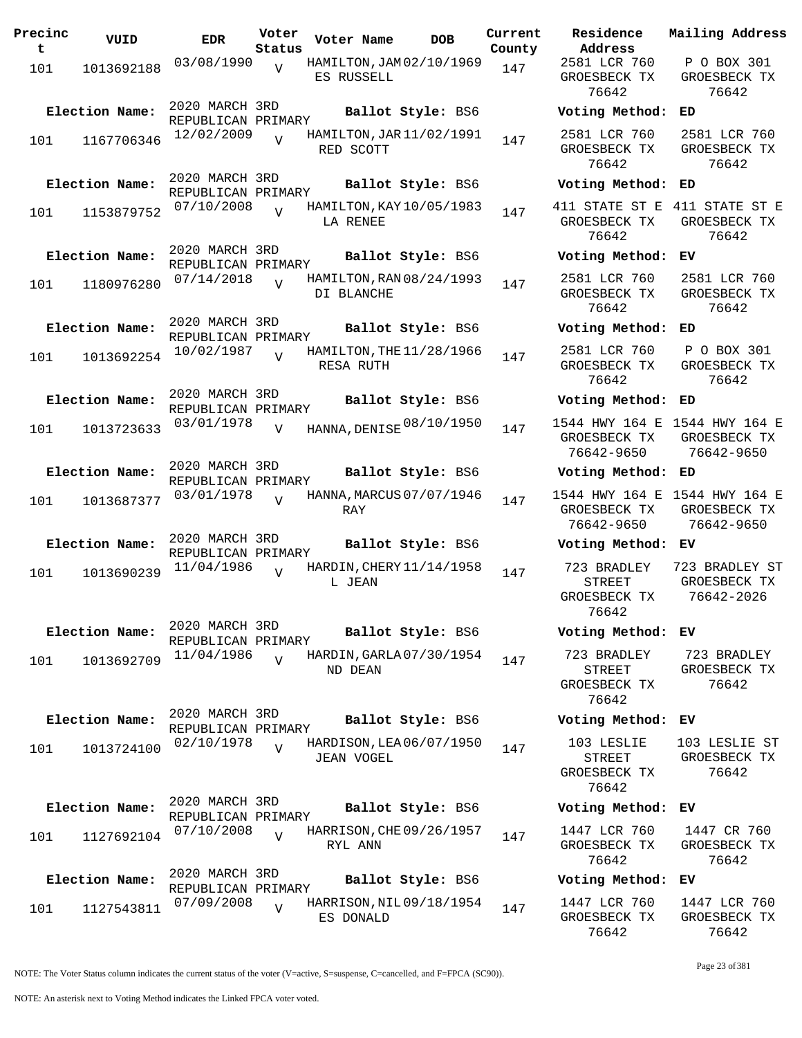| Precinc<br>t | VUID           | <b>EDR</b>                           | Voter<br>Status | Voter Name                             | <b>DOB</b>        | Current<br>County | Residence<br>Address                                  |
|--------------|----------------|--------------------------------------|-----------------|----------------------------------------|-------------------|-------------------|-------------------------------------------------------|
| 101          | 1013692188     | 03/08/1990                           | $\overline{V}$  | HAMILTON, JAM02/10/1969<br>ES RUSSELL  |                   | 147               | 2581 LCR 760<br>GROESBECK TX<br>76642                 |
|              | Election Name: | 2020 MARCH 3RD<br>REPUBLICAN PRIMARY |                 |                                        | Ballot Style: BS6 |                   | Voting Method                                         |
| 101          | 1167706346     | 12/02/2009                           |                 | HAMILTON, JAR 11/02/1991<br>RED SCOTT  |                   | 147               | 2581 LCR 760<br>GROESBECK TX<br>76642                 |
|              | Election Name: | 2020 MARCH 3RD<br>REPUBLICAN PRIMARY |                 |                                        | Ballot Style: BS6 |                   | Voting Method                                         |
| 101          | 1153879752     | 07/10/2008                           | $\overline{U}$  | HAMILTON, KAY 10/05/1983<br>LA RENEE   |                   | 147               | 411 STATE ST E<br>GROESBECK TX<br>76642               |
|              | Election Name: | 2020 MARCH 3RD<br>REPUBLICAN PRIMARY |                 |                                        | Ballot Style: BS6 |                   | Voting Method                                         |
| 101          | 1180976280     | 07/14/2018                           | $\overline{U}$  | HAMILTON, RAN 08/24/1993<br>DI BLANCHE |                   | 147               | 2581 LCR 760<br>GROESBECK TX<br>76642                 |
|              | Election Name: | 2020 MARCH 3RD<br>REPUBLICAN PRIMARY |                 |                                        | Ballot Style: BS6 |                   | Voting Method                                         |
| 101          | 1013692254     | 10/02/1987                           | $\overline{V}$  | HAMILTON, THE 11/28/1966<br>RESA RUTH  |                   | 147               | 2581 LCR 760<br>GROESBECK TX<br>76642                 |
|              | Election Name: | 2020 MARCH 3RD<br>REPUBLICAN PRIMARY |                 |                                        | Ballot Style: BS6 |                   | Voting Method                                         |
| 101          | 1013723633     | 03/01/1978                           | $\overline{V}$  | HANNA, DENISE 08/10/1950               |                   | 147               | 1544 HWY 164 E<br>GROESBECK TX<br>76642-9650          |
|              | Election Name: | 2020 MARCH 3RD<br>REPUBLICAN PRIMARY |                 |                                        | Ballot Style: BS6 |                   | Voting Method                                         |
| 101          | 1013687377     | 03/01/1978                           | $\overline{z}$  | HANNA, MARCUS 07/07/1946<br>RAY        |                   | 147               | 1544 HWY 164 E<br>GROESBECK TX<br>76642-9650          |
|              | Election Name: | 2020 MARCH 3RD<br>REPUBLICAN PRIMARY |                 |                                        | Ballot Style: BS6 |                   | Voting Method                                         |
| 101          | 1013690239     | 11/04/1986                           | $\overline{V}$  | HARDIN, CHERY 11/14/1958<br>L JEAN     |                   | 147               | 723 BRADLEY<br><b>STREET</b><br>GROESBECK TX<br>76642 |
|              | Election Name: | 2020 MARCH 3RD<br>REPUBLICAN PRIMARY |                 |                                        | Ballot Style: BS6 |                   | Voting Method                                         |
| 101          | 1013692709     | 11/04/1986                           | $\overline{U}$  | HARDIN, GARLA 07/30/1954<br>ND DEAN    |                   | 147               | 723 BRADLEY<br><b>STREET</b><br>GROESBECK TX<br>76642 |
|              | Election Name: | 2020 MARCH 3RD<br>REPUBLICAN PRIMARY |                 |                                        | Ballot Style: BS6 |                   | Voting Method                                         |
| 101          | 1013724100     | 02/10/1978                           | $\overline{U}$  | HARDISON, LEA 06/07/1950<br>JEAN VOGEL |                   | 147               | 103 LESLIE<br><b>STREET</b><br>GROESBECK TX<br>76642  |
|              | Election Name: | 2020 MARCH 3RD                       |                 |                                        | Ballot Style: BS6 |                   | Voting Method                                         |
| 101          | 1127692104     | REPUBLICAN PRIMARY<br>07/10/2008     | $\overline{V}$  | HARRISON, CHE 09/26/1957<br>RYL ANN    |                   | 147               | 1447 LCR 760<br>GROESBECK TX<br>76642                 |
|              | Election Name: | 2020 MARCH 3RD<br>REPUBLICAN PRIMARY |                 |                                        | Ballot Style: BS6 |                   | Voting Method                                         |
| 101          | 1127543811     | 07/09/2008                           | $\overline{V}$  | HARRISON, NIL 09/18/1954<br>ES DONALD  |                   | 147               | 1447 LCR 760<br>GROESBECK TX                          |

**Voter Name DOB Residence Address Current Mailing Address** 2581 LCR 760 GROESBECK TX 76642 P O BOX 301 GROESBECK TX 76642 **Election Name: Ballot Style:** BS6 **Voting Method: ED** 2581 LCR 760 GROESBECK TX 76642 2581 LCR 760 GROESBECK TX 76642 **Election Name: Ballot Style:** BS6 **Voting Method: ED** 411 STATE ST E 411 STATE ST E GROESBECK TX 76642 GROESBECK TX 76642 **Election Name: Ballot Style:** BS6 **Voting Method: EV** 2581 LCR 760 GROESBECK TX 76642 2581 LCR 760 GROESBECK TX 76642 **Election Name: Ballot Style:** BS6 **Voting Method: ED** 2581 LCR 760 GROESBECK TX 76642 P O BOX 301 GROESBECK TX 76642 **Election Name: Ballot Style:** BS6 **Voting Method: ED** GROESBECK TX 76642-9650 1544 HWY 164 E GROESBECK TX 76642-9650 **Election Name: Ballot Style:** BS6 **Voting Method: ED** 1544 HWY 164 E 1544 HWY 164 E GROESBECK TX 76642-9650 GROESBECK TX 76642-9650 **Election Name: Ballot Style:** BS6 **Voting Method: EV** 723 BRADLEY STREET GROESBECK TX 76642 723 BRADLEY ST GROESBECK TX 76642-2026 **Election Name: Ballot Style:** BS6 **Voting Method: EV** 723 BRADLEY STREET GROESBECK TX 76642 723 BRADLEY GROESBECK TX 76642 **Election Name: Ballot Style:** BS6 **Voting Method: EV** 103 LESLIE STREET GROESBECK TX 76642 103 LESLIE ST GROESBECK TX 76642 **Election Name: Ballot Style:** BS6 **Voting Method: EV** 1447 LCR 760 GROESBECK TX 76642 1447 CR 760 GROESBECK TX 76642 **Election Name: Ballot Style:** BS6 **Voting Method: EV** 1447 LCR 760 GROESBECK TX 1447 LCR 760 GROESBECK TX

NOTE: The Voter Status column indicates the current status of the voter (V=active, S=suspense, C=cancelled, and F=FPCA (SC90)).

76642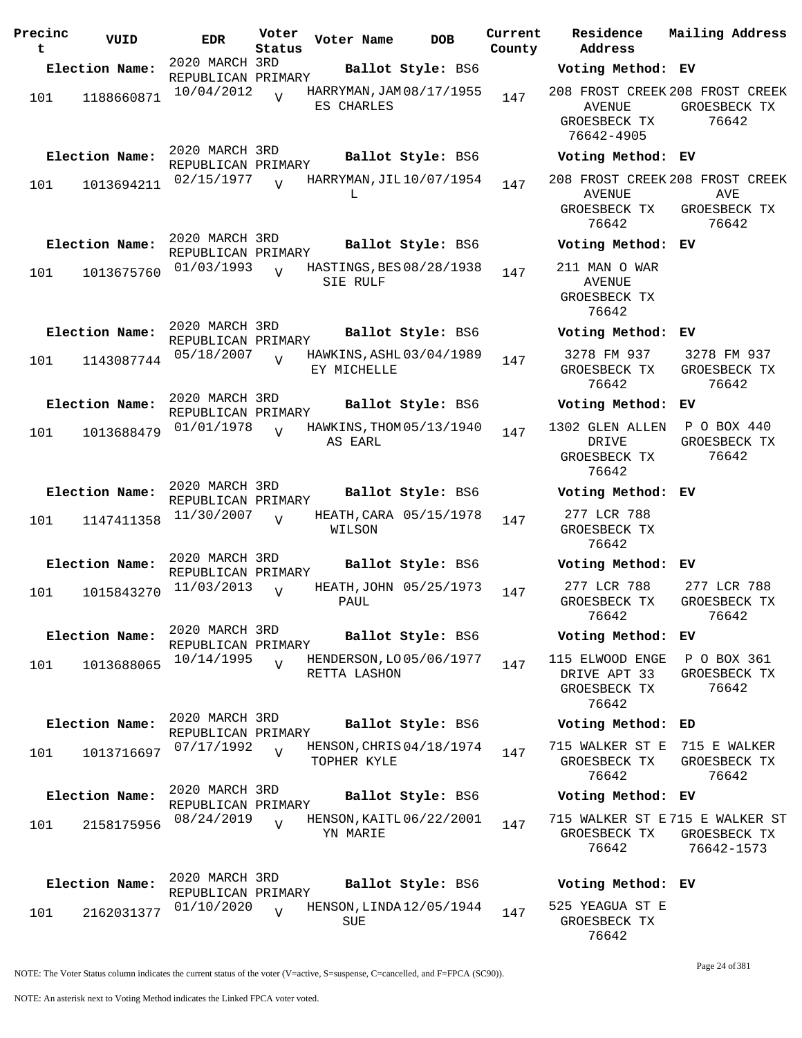| Precinc<br>t. | VUID           | <b>EDR</b>                           | Voter<br>Status | Voter Name                               | <b>DOB</b>        | Current | Residence<br>County Address                                             | Mailing Address                      |
|---------------|----------------|--------------------------------------|-----------------|------------------------------------------|-------------------|---------|-------------------------------------------------------------------------|--------------------------------------|
|               | Election Name: | 2020 MARCH 3RD<br>REPUBLICAN PRIMARY |                 |                                          | Ballot Style: BS6 |         | Voting Method: EV                                                       |                                      |
| 101           | 1188660871     | 10/04/2012                           | $\overline{V}$  | HARRYMAN, JAM 08/17/1955<br>ES CHARLES   |                   | 147     | 208 FROST CREEK 208 FROST CREEK<br>AVENUE<br>GROESBECK TX<br>76642-4905 | GROESBECK TX<br>76642                |
|               | Election Name: | 2020 MARCH 3RD                       |                 |                                          | Ballot Style: BS6 |         | Voting Method: EV                                                       |                                      |
| 101           | 1013694211     | REPUBLICAN PRIMARY<br>02/15/1977     | $\overline{U}$  | HARRYMAN, JIL 10/07/1954<br>L            |                   | 147     | 208 FROST CREEK 208 FROST CREEK<br>AVENUE<br>GROESBECK TX<br>76642      | AVE<br>GROESBECK TX<br>76642         |
|               | Election Name: | 2020 MARCH 3RD<br>REPUBLICAN PRIMARY |                 |                                          | Ballot Style: BS6 |         | Voting Method: EV                                                       |                                      |
| 101           | 1013675760     | 01/03/1993                           | $\overline{U}$  | HASTINGS, BES 08/28/1938<br>SIE RULF     |                   | 147     | 211 MAN O WAR<br>AVENUE<br>GROESBECK TX<br>76642                        |                                      |
|               | Election Name: | 2020 MARCH 3RD<br>REPUBLICAN PRIMARY |                 |                                          | Ballot Style: BS6 |         | Voting Method: EV                                                       |                                      |
| 101           | 1143087744     | 05/18/2007                           | $\overline{V}$  | HAWKINS, ASHL 03/04/1989<br>EY MICHELLE  |                   | 147     | 3278 FM 937<br>GROESBECK TX<br>76642                                    | 3278 FM 937<br>GROESBECK TX<br>76642 |
|               | Election Name: | 2020 MARCH 3RD<br>REPUBLICAN PRIMARY |                 |                                          | Ballot Style: BS6 |         | Voting Method: EV                                                       |                                      |
| 101           | 1013688479     | 01/01/1978                           | $\overline{V}$  | HAWKINS, THOM 05/13/1940<br>AS EARL      |                   | 147     | 1302 GLEN ALLEN<br>DRIVE<br>GROESBECK TX<br>76642                       | P O BOX 440<br>GROESBECK TX<br>76642 |
|               | Election Name: | 2020 MARCH 3RD<br>REPUBLICAN PRIMARY |                 |                                          | Ballot Style: BS6 |         | Voting Method: EV                                                       |                                      |
| 101           | 1147411358     | 11/30/2007                           | $\overline{V}$  | HEATH, CARA 05/15/1978<br>WILSON         |                   | 147     | 277 LCR 788<br>GROESBECK TX<br>76642                                    |                                      |
|               | Election Name: | 2020 MARCH 3RD<br>REPUBLICAN PRIMARY |                 |                                          | Ballot Style: BS6 |         | Voting Method: EV                                                       |                                      |
| 101           | 1015843270     | 11/03/2013                           | $\overline{V}$  | HEATH, JOHN 05/25/1973<br>PAUL           |                   | 147     | 277 LCR 788<br>GROESBECK TX<br>76642                                    | 277 LCR 788<br>GROESBECK TX<br>76642 |
|               | Election Name: | 2020 MARCH 3RD<br>REPUBLICAN PRIMARY |                 |                                          | Ballot Style: BS6 |         | Voting Method: EV                                                       |                                      |
| 101           | 1013688065     | 10/14/1995                           | $\overline{V}$  | HENDERSON, LO 05/06/1977<br>RETTA LASHON |                   | 147     | 115 ELWOOD ENGE<br>DRIVE APT 33<br>GROESBECK TX<br>76642                | P O BOX 361<br>GROESBECK TX<br>76642 |
|               | Election Name: | 2020 MARCH 3RD<br>REPUBLICAN PRIMARY |                 |                                          | Ballot Style: BS6 |         | Voting Method: ED                                                       |                                      |
| 101           | 1013716697     | 07/17/1992                           | $\overline{U}$  | HENSON, CHRIS 04/18/1974<br>TOPHER KYLE  |                   | 147     | 715 WALKER ST E 715 E WALKER<br>GROESBECK TX<br>76642                   | GROESBECK TX<br>76642                |
|               | Election Name: | 2020 MARCH 3RD<br>REPUBLICAN PRIMARY |                 |                                          | Ballot Style: BS6 |         | Voting Method: EV                                                       |                                      |
| 101           | 2158175956     | 08/24/2019                           | $\overline{V}$  | HENSON, KAITL 06/22/2001<br>YN MARIE     |                   | 147     | 715 WALKER ST E715 E WALKER ST<br>GROESBECK TX<br>76642                 | GROESBECK TX<br>76642-1573           |
|               | Election Name: | 2020 MARCH 3RD                       |                 |                                          | Ballot Style: BS6 |         | Voting Method: EV                                                       |                                      |
| 101           | 2162031377     | REPUBLICAN PRIMARY<br>01/10/2020     | V               | HENSON, LINDA 12/05/1944<br><b>SUE</b>   |                   | 147     | 525 YEAGUA ST E<br>GROESBECK TX<br>76642                                |                                      |

Page 24 of 381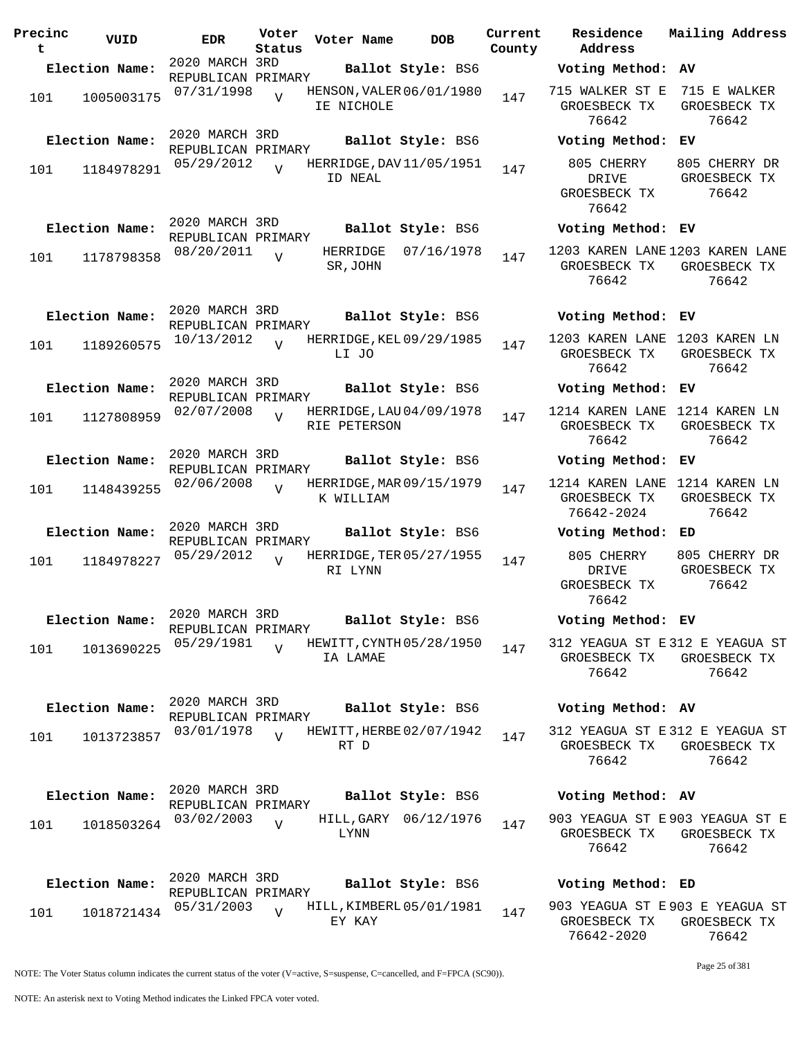| Precinc<br>t | VUID           | <b>EDR</b>                           | Voter<br>Status | Voter Name           | <b>DOB</b>               | Current<br>County | Residence<br>Address                                     | Mailing Address                        |
|--------------|----------------|--------------------------------------|-----------------|----------------------|--------------------------|-------------------|----------------------------------------------------------|----------------------------------------|
|              | Election Name: | 2020 MARCH 3RD                       |                 |                      | Ballot Style: BS6        |                   | Voting Method: AV                                        |                                        |
| 101          | 1005003175     | REPUBLICAN PRIMARY<br>07/31/1998     |                 | IE NICHOLE           | HENSON, VALER 06/01/1980 | 147               | 715 WALKER ST E<br>GROESBECK TX<br>76642                 | 715 E WALKER<br>GROESBECK TX<br>76642  |
|              | Election Name: | 2020 MARCH 3RD<br>REPUBLICAN PRIMARY |                 |                      | Ballot Style: BS6        |                   | Voting Method: EV                                        |                                        |
| 101          | 1184978291     | 05/29/2012                           | $\overline{V}$  | ID NEAL              | HERRIDGE, DAV11/05/1951  | 147               | 805 CHERRY<br>DRIVE<br>GROESBECK TX<br>76642             | 805 CHERRY DR<br>GROESBECK TX<br>76642 |
|              | Election Name: | 2020 MARCH 3RD<br>REPUBLICAN PRIMARY |                 |                      | Ballot Style: BS6        |                   | Voting Method: EV                                        |                                        |
| 101          | 1178798358     | 08/20/2011                           | $\overline{U}$  | HERRIDGE<br>SR, JOHN | 07/16/1978               | 147               | 1203 KAREN LANE 1203 KAREN LANE<br>GROESBECK TX<br>76642 | GROESBECK TX<br>76642                  |
|              | Election Name: | 2020 MARCH 3RD<br>REPUBLICAN PRIMARY |                 |                      | Ballot Style: BS6        |                   | Voting Method: EV                                        |                                        |
| 101          | 1189260575     | 10/13/2012                           | $\overline{U}$  | LI JO                | HERRIDGE, KEL 09/29/1985 | 147               | 1203 KAREN LANE 1203 KAREN LN<br>GROESBECK TX<br>76642   | GROESBECK TX<br>76642                  |
|              | Election Name: | 2020 MARCH 3RD<br>REPUBLICAN PRIMARY |                 |                      | Ballot Style: BS6        |                   | Voting Method: EV                                        |                                        |
| 101          | 1127808959     | 02/07/2008                           | $\overline{V}$  | RIE PETERSON         | HERRIDGE, LAU 04/09/1978 | 147               | 1214 KAREN LANE 1214 KAREN LN<br>GROESBECK TX<br>76642   | GROESBECK TX<br>76642                  |
|              | Election Name: | 2020 MARCH 3RD<br>REPUBLICAN PRIMARY |                 |                      | Ballot Style: BS6        |                   | Voting Method: EV                                        |                                        |
| 101          | 1148439255     | 02/06/2008                           | $\overline{U}$  | K WILLIAM            | HERRIDGE, MAR 09/15/1979 | 147               | 1214 KAREN LANE<br>GROESBECK TX<br>76642-2024            | 1214 KAREN LN<br>GROESBECK TX<br>76642 |
|              | Election Name: | 2020 MARCH 3RD<br>REPUBLICAN PRIMARY |                 |                      | Ballot Style: BS6        |                   | Voting Method:                                           | ED                                     |
| 101          | 1184978227     | 05/29/2012                           | $\overline{V}$  | RI LYNN              | HERRIDGE, TER 05/27/1955 | 147               | 805 CHERRY<br>DRIVE<br>GROESBECK TX<br>76642             | 805 CHERRY DR<br>GROESBECK TX<br>76642 |
|              | Election Name: | 2020 MARCH 3RD<br>REPUBLICAN PRIMARY |                 |                      | Ballot Style: BS6        |                   | Voting Method: EV                                        |                                        |
| 101          | 1013690225     | 05/29/1981                           | $\overline{V}$  | IA LAMAE             | HEWITT, CYNTH 05/28/1950 | 147               | 312 YEAGUA ST E 312 E YEAGUA ST<br>GROESBECK TX<br>76642 | GROESBECK TX<br>76642                  |
|              | Election Name: | 2020 MARCH 3RD                       |                 |                      | Ballot Style: BS6        |                   | Voting Method: AV                                        |                                        |
| 101          | 1013723857     | REPUBLICAN PRIMARY<br>03/01/1978     | $\overline{V}$  | RT D                 | HEWITT, HERBE 02/07/1942 | 147               | 312 YEAGUA ST E 312 E YEAGUA ST<br>GROESBECK TX<br>76642 | GROESBECK TX<br>76642                  |
|              | Election Name: | 2020 MARCH 3RD                       |                 |                      | Ballot Style: BS6        |                   | Voting Method: AV                                        |                                        |
| 101          | 1018503264     | REPUBLICAN PRIMARY<br>03/02/2003     | $\overline{V}$  | LYNN                 | HILL, GARY 06/12/1976    | 147               | 903 YEAGUA ST E 903 YEAGUA ST E<br>GROESBECK TX<br>76642 | GROESBECK TX<br>76642                  |
|              | Election Name: | 2020 MARCH 3RD<br>REPUBLICAN PRIMARY |                 |                      | Ballot Style: BS6        |                   | Voting Method: ED                                        |                                        |
| 101          | 1018721434     | 05/31/2003                           | $\overline{V}$  | EY KAY               | HILL, KIMBERL 05/01/1981 | 147               | 903 YEAGUA ST E 903 E YEAGUA ST<br>GROESBECK TX          | GROESBECK TX                           |

76642-2020

NOTE: An asterisk next to Voting Method indicates the Linked FPCA voter voted.

Page 25 of 381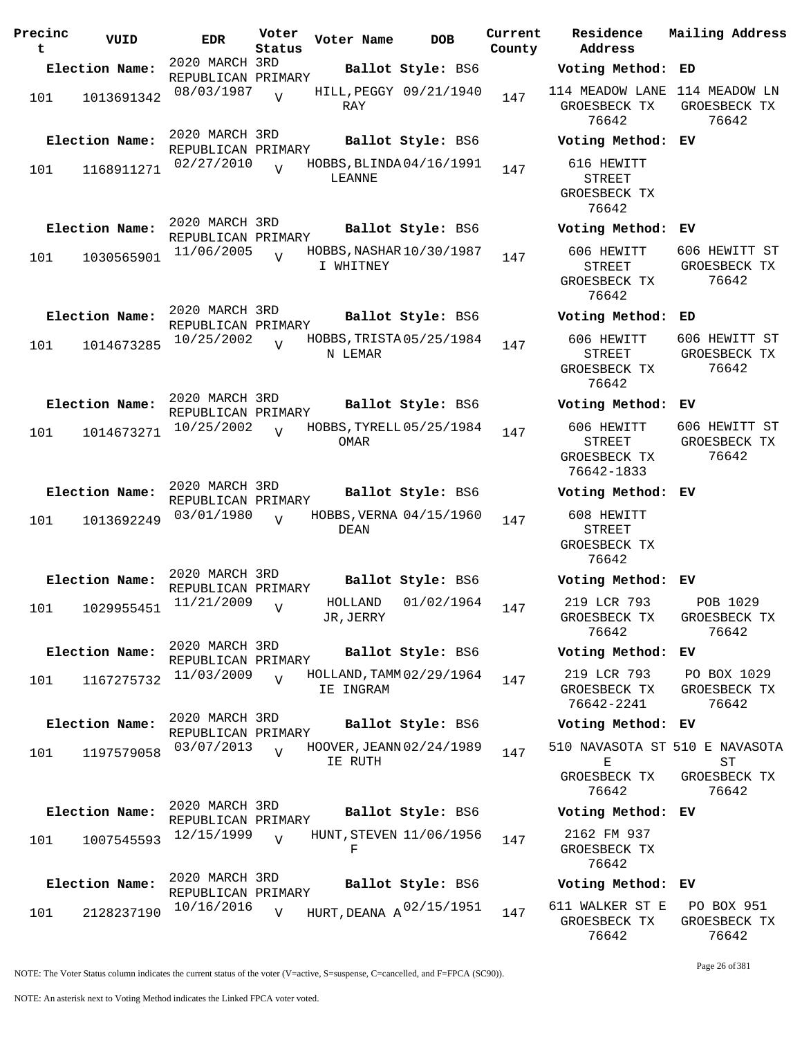| Precinc<br>t | VUID           | <b>EDR</b>                           | Voter<br>Status | Voter Name           | <b>DOB</b>                   | Current<br>County | Residence<br>Address                                         | Mailing Address                        |
|--------------|----------------|--------------------------------------|-----------------|----------------------|------------------------------|-------------------|--------------------------------------------------------------|----------------------------------------|
|              | Election Name: | 2020 MARCH 3RD                       |                 |                      | Ballot Style: BS6            |                   | Voting Method: ED                                            |                                        |
| 101          | 1013691342     | REPUBLICAN PRIMARY<br>08/03/1987     | $\overline{U}$  | RAY                  | HILL, PEGGY 09/21/1940       | 147               | 114 MEADOW LANE 114 MEADOW LN<br>GROESBECK TX<br>76642       | GROESBECK TX<br>76642                  |
|              | Election Name: | 2020 MARCH 3RD<br>REPUBLICAN PRIMARY |                 |                      | Ballot Style: BS6            |                   | Voting Method: EV                                            |                                        |
| 101          | 1168911271     | 02/27/2010                           | $\overline{V}$  | LEANNE               | HOBBS, BLINDA04/16/1991      | 147               | 616 HEWITT<br><b>STREET</b><br>GROESBECK TX<br>76642         |                                        |
|              | Election Name: | 2020 MARCH 3RD<br>REPUBLICAN PRIMARY |                 |                      | Ballot Style: BS6            |                   | Voting Method: EV                                            |                                        |
| 101          | 1030565901     | 11/06/2005                           | $\overline{V}$  | I WHITNEY            | HOBBS, NASHAR 10/30/1987     | 147               | 606 HEWITT<br><b>STREET</b><br>GROESBECK TX<br>76642         | 606 HEWITT ST<br>GROESBECK TX<br>76642 |
|              | Election Name: | 2020 MARCH 3RD<br>REPUBLICAN PRIMARY |                 |                      | Ballot Style: BS6            |                   | Voting Method: ED                                            |                                        |
| 101          | 1014673285     | 10/25/2002                           | $\overline{U}$  | N LEMAR              | HOBBS, TRISTA 05/25/1984     | 147               | 606 HEWITT<br><b>STREET</b><br>GROESBECK TX<br>76642         | 606 HEWITT ST<br>GROESBECK TX<br>76642 |
|              | Election Name: | 2020 MARCH 3RD<br>REPUBLICAN PRIMARY |                 |                      | Ballot Style: BS6            |                   | Voting Method: EV                                            |                                        |
| 101          | 1014673271     | 10/25/2002                           | $\overline{U}$  | OMAR                 | HOBBS, TYRELL 05/25/1984     | 147               | 606 HEWITT<br><b>STREET</b><br>GROESBECK TX<br>76642-1833    | 606 HEWITT ST<br>GROESBECK TX<br>76642 |
|              | Election Name: | 2020 MARCH 3RD                       |                 |                      | Ballot Style: BS6            |                   | Voting Method: EV                                            |                                        |
| 101          | 1013692249     | REPUBLICAN PRIMARY<br>03/01/1980     | $\overline{U}$  | DEAN                 | HOBBS, VERNA 04/15/1960      | 147               | 608 HEWITT<br><b>STREET</b><br>GROESBECK TX<br>76642         |                                        |
|              | Election Name: | 2020 MARCH 3RD<br>REPUBLICAN PRIMARY |                 |                      | Ballot Style: BS6            |                   | Voting Method: EV                                            |                                        |
| 101          | 1029955451     | 11/21/2009                           | $\overline{V}$  | HOLLAND<br>JR, JERRY | 01/02/1964                   | 147               | 219 LCR 793<br>GROESBECK TX<br>76642                         | POB 1029<br>GROESBECK TX<br>76642      |
|              | Election Name: | 2020 MARCH 3RD<br>REPUBLICAN PRIMARY |                 |                      | Ballot Style: BS6            |                   | Voting Method: EV                                            |                                        |
| 101          | 1167275732     | 11/03/2009                           | $\overline{V}$  | IE INGRAM            | HOLLAND, TAMM 02/29/1964     | 147               | 219 LCR 793<br>GROESBECK TX<br>76642-2241                    | PO BOX 1029<br>GROESBECK TX<br>76642   |
|              | Election Name: | 2020 MARCH 3RD<br>REPUBLICAN PRIMARY |                 |                      | Ballot Style: BS6            |                   | Voting Method: EV                                            |                                        |
| 101          | 1197579058     | 03/07/2013                           | $\overline{v}$  | IE RUTH              | HOOVER, JEANN 02/24/1989     | 147               | 510 NAVASOTA ST 510 E NAVASOTA<br>Е<br>GROESBECK TX<br>76642 | SТ<br>GROESBECK TX                     |
|              | Election Name: | 2020 MARCH 3RD                       |                 |                      | Ballot Style: BS6            |                   | Voting Method: EV                                            | 76642                                  |
| 101          | 1007545593     | REPUBLICAN PRIMARY<br>12/15/1999     | $\overline{U}$  | F                    | HUNT, STEVEN 11/06/1956      | 147               | 2162 FM 937<br>GROESBECK TX<br>76642                         |                                        |
|              | Election Name: | 2020 MARCH 3RD<br>REPUBLICAN PRIMARY |                 |                      | Ballot Style: BS6            |                   | Voting Method: EV                                            |                                        |
| 101          | 2128237190     | 10/16/2016                           | $\overline{V}$  |                      | HURT, DEANA $A^{02/15/1951}$ | 147               | 611 WALKER ST E<br>GROESBECK TX                              | PO BOX 951<br>GROESBECK TX             |

Page 26 of 381

76642

76642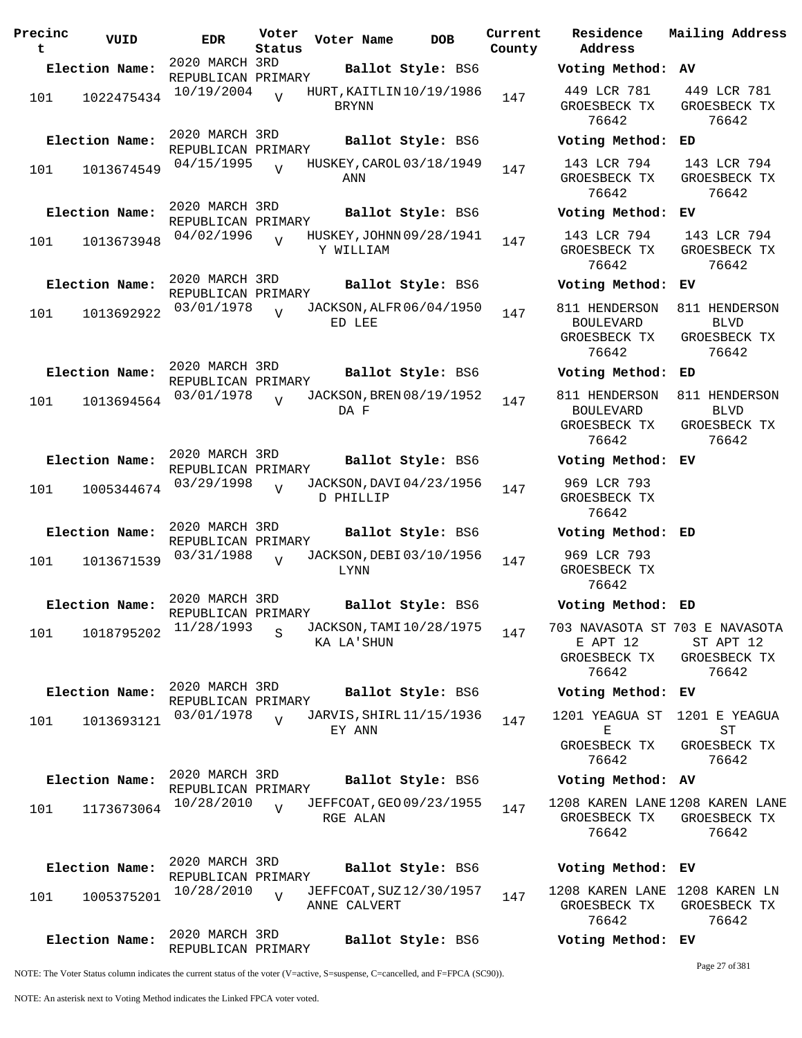| Precinc<br>t | VUID           | <b>EDR</b>                           | Voter<br>Status | Voter Name   | <b>DOB</b>               | Current<br>County | Residence<br>Address                                                                                             | Mailing Address                                       |
|--------------|----------------|--------------------------------------|-----------------|--------------|--------------------------|-------------------|------------------------------------------------------------------------------------------------------------------|-------------------------------------------------------|
|              | Election Name: | 2020 MARCH 3RD                       |                 |              | Ballot Style: BS6        |                   | Voting Method: AV                                                                                                |                                                       |
| 101          | 1022475434     | REPUBLICAN PRIMARY<br>10/19/2004     | $\overline{V}$  | <b>BRYNN</b> | HURT, KAITLIN 10/19/1986 | 147               | 449 LCR 781<br>GROESBECK TX<br>76642                                                                             | 449 LCR 781<br>GROESBECK TX<br>76642                  |
|              | Election Name: | 2020 MARCH 3RD<br>REPUBLICAN PRIMARY |                 |              | Ballot Style: BS6        |                   | Voting Method: ED                                                                                                |                                                       |
| 101          | 1013674549     | 04/15/1995                           | $\overline{U}$  | ANN          | HUSKEY, CAROL 03/18/1949 | 147               | 143 LCR 794<br>GROESBECK TX<br>76642                                                                             | 143 LCR 794<br>GROESBECK TX<br>76642                  |
|              | Election Name: | 2020 MARCH 3RD<br>REPUBLICAN PRIMARY |                 |              | Ballot Style: BS6        |                   | Voting Method: EV                                                                                                |                                                       |
| 101          | 1013673948     | 04/02/1996                           | $\overline{U}$  | Y WILLIAM    | HUSKEY, JOHNN 09/28/1941 | 147               | 143 LCR 794<br>GROESBECK TX<br>76642                                                                             | 143 LCR 794<br>GROESBECK TX<br>76642                  |
|              | Election Name: | 2020 MARCH 3RD<br>REPUBLICAN PRIMARY |                 |              | Ballot Style: BS6        |                   | Voting Method: EV                                                                                                |                                                       |
| 101          | 1013692922     | 03/01/1978                           | $\overline{U}$  | ED LEE       | JACKSON, ALFR 06/04/1950 | 147               | 811 HENDERSON<br><b>BOULEVARD</b><br>GROESBECK TX<br>76642                                                       | 811 HENDERSON<br><b>BLVD</b><br>GROESBECK TX<br>76642 |
|              | Election Name: | 2020 MARCH 3RD<br>REPUBLICAN PRIMARY |                 |              | Ballot Style: BS6        |                   | Voting Method:                                                                                                   | ED                                                    |
| 101          | 1013694564     | 03/01/1978                           | $\overline{V}$  | DA F         | JACKSON, BREN 08/19/1952 | 147               | 811 HENDERSON<br><b>BOULEVARD</b><br>GROESBECK TX<br>76642                                                       | 811 HENDERSON<br><b>BLVD</b><br>GROESBECK TX<br>76642 |
|              | Election Name: | 2020 MARCH 3RD<br>REPUBLICAN PRIMARY |                 |              | Ballot Style: BS6        |                   | Voting Method: EV                                                                                                |                                                       |
| 101          | 1005344674     | 03/29/1998                           | $\overline{U}$  | D PHILLIP    | JACKSON, DAVI 04/23/1956 | 147               | 969 LCR 793<br>GROESBECK TX<br>76642                                                                             |                                                       |
|              | Election Name: | 2020 MARCH 3RD<br>REPUBLICAN PRIMARY |                 |              | Ballot Style: BS6        |                   | Voting Method: ED                                                                                                |                                                       |
| 101          | 1013671539     | 03/31/1988                           | $\overline{V}$  | LYNN         | JACKSON, DEBI 03/10/1956 | 147               | 969 LCR 793<br>GROESBECK TX<br>76642                                                                             |                                                       |
|              | Election Name: | 2020 MARCH 3RD<br>REPUBLICAN PRIMARY |                 |              | Ballot Style: BS6        |                   | Voting Method: ED                                                                                                |                                                       |
| 101          | 1018795202     | 11/28/1993                           |                 | KA LA'SHUN   | JACKSON, TAMI 10/28/1975 | 147               | 703 NAVASOTA ST 703 E NAVASOTA<br>E APT 12<br>GROESBECK TX<br>76642                                              | ST APT 12<br>GROESBECK TX<br>76642                    |
|              | Election Name: | 2020 MARCH 3RD<br>REPUBLICAN PRIMARY |                 |              | Ballot Style: BS6        |                   | Voting Method: EV                                                                                                |                                                       |
| 101          | 1013693121     | 03/01/1978                           | $\overline{U}$  | EY ANN       | JARVIS, SHIRL 11/15/1936 | 147               | 1201 YEAGUA ST<br>$\mathbf{E}% _{t}\left  \mathbf{1}\right\rangle =\mathbf{1}_{t}\left  \mathbf{1}\right\rangle$ | 1201 E YEAGUA<br>$\operatorname{ST}$                  |
|              |                |                                      |                 |              |                          |                   | GROESBECK TX<br>76642                                                                                            | GROESBECK TX<br>76642                                 |
|              | Election Name: | 2020 MARCH 3RD<br>REPUBLICAN PRIMARY |                 |              | Ballot Style: BS6        |                   | Voting Method: AV                                                                                                |                                                       |
| 101          | 1173673064     | 10/28/2010                           | $\overline{U}$  | RGE ALAN     | JEFFCOAT, GEO 09/23/1955 | 147               | 1208 KAREN LANE 1208 KAREN LANE<br>GROESBECK TX<br>76642                                                         | GROESBECK TX<br>76642                                 |
|              | Election Name: | 2020 MARCH 3RD<br>REPUBLICAN PRIMARY |                 |              | Ballot Style: BS6        |                   | Voting Method: EV                                                                                                |                                                       |
| 101          | 1005375201     | 10/28/2010                           | $\overline{V}$  | ANNE CALVERT | JEFFCOAT, SUZ 12/30/1957 | 147               | 1208 KAREN LANE 1208 KAREN LN<br>GROESBECK TX<br>76642                                                           | GROESBECK TX<br>76642                                 |
|              | Election Name: | 2020 MARCH 3RD<br>REPUBLICAN PRIMARY |                 |              | Ballot Style: BS6        |                   | Voting Method: EV                                                                                                |                                                       |

Page 27 of 381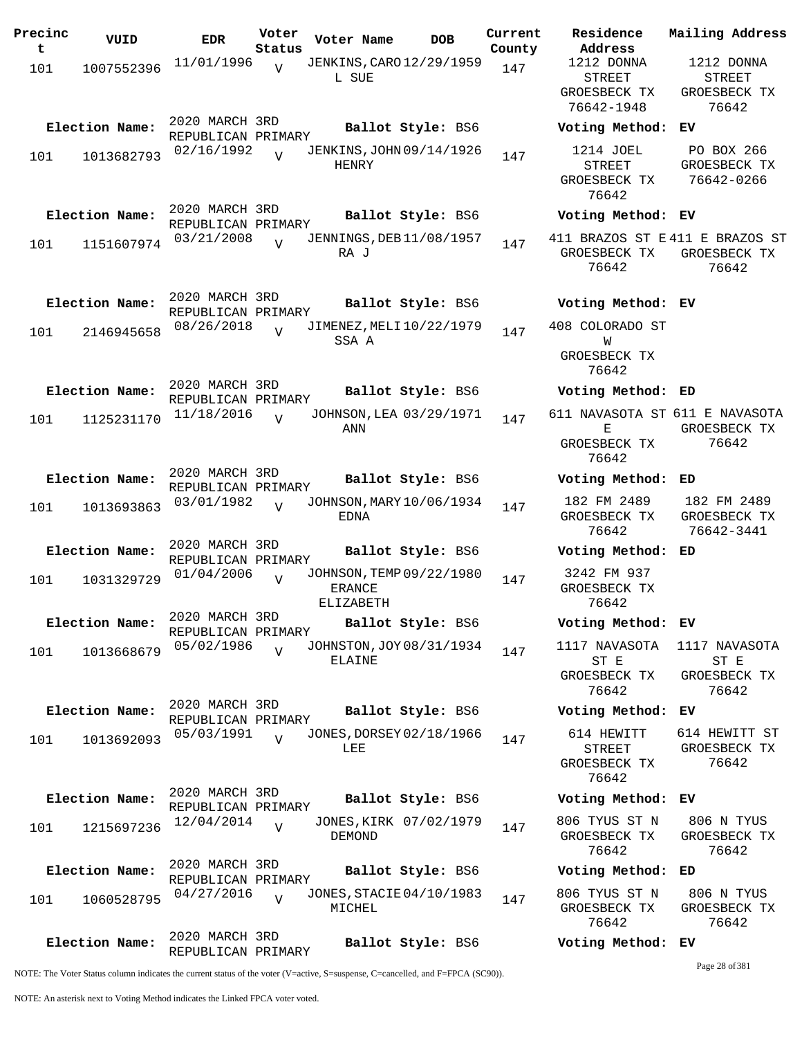| Precinc<br>t | VUID           | <b>EDR</b>                           | Voter<br>Status | Voter Name                                             | <b>DOB</b>        | Current<br>County | Residence<br>Address                                     |
|--------------|----------------|--------------------------------------|-----------------|--------------------------------------------------------|-------------------|-------------------|----------------------------------------------------------|
| 101          | 1007552396     | 11/01/1996                           | $\overline{U}$  | JENKINS, CARO 12/29/1959<br>L SUE                      |                   | 147               | 1212 DONNA<br><b>STREET</b><br>GROESBECK T<br>76642-1948 |
|              | Election Name: | 2020 MARCH 3RD<br>REPUBLICAN PRIMARY |                 |                                                        | Ballot Style: BS6 |                   | Voting Metho                                             |
| 101          | 1013682793     | 02/16/1992                           | $\overline{U}$  | JENKINS, JOHN 09/14/1926<br>HENRY                      |                   | 147               | 1214 JOEL<br><b>STREET</b><br>GROESBECK T<br>76642       |
|              | Election Name: | 2020 MARCH 3RD<br>REPUBLICAN PRIMARY |                 |                                                        | Ballot Style: BS6 |                   | Voting Metho                                             |
| 101          | 1151607974     | 03/21/2008                           | $\overline{z}$  | <b>JENNINGS, DEB11/08/1957</b><br>RA J                 |                   | 147               | 411 BRAZOS ST<br>GROESBECK T<br>76642                    |
|              | Election Name: | 2020 MARCH 3RD                       |                 |                                                        | Ballot Style: BS6 |                   | Voting Metho                                             |
| 101          | 2146945658     | REPUBLICAN PRIMARY<br>08/26/2018     | $\overline{U}$  | JIMENEZ, MELI 10/22/1979<br>SSA A                      |                   | 147               | 408 COLORADO<br>W<br>GROESBECK T                         |
|              |                |                                      |                 |                                                        |                   |                   | 76642                                                    |
|              | Election Name: | 2020 MARCH 3RD<br>REPUBLICAN PRIMARY |                 |                                                        | Ballot Style: BS6 |                   | Voting Metho                                             |
| 101          | 1125231170     | 11/18/2016                           | $\overline{U}$  | JOHNSON, LEA 03/29/1971<br>ANN                         |                   | 147               | 611 NAVASOTA<br>Е<br>GROESBECK T<br>76642                |
|              | Election Name: | 2020 MARCH 3RD<br>REPUBLICAN PRIMARY |                 |                                                        | Ballot Style: BS6 |                   | Voting Metho                                             |
| 101          | 1013693863     | 03/01/1982                           | $\overline{U}$  | JOHNSON, MARY 10/06/1934<br>EDNA                       |                   | 147               | 182 FM 2489<br>GROESBECK T<br>76642                      |
|              | Election Name: | 2020 MARCH 3RD<br>REPUBLICAN PRIMARY |                 |                                                        | Ballot Style: BS6 |                   | Voting Metho                                             |
| 101          | 1031329729     | 01/04/2006                           | $\overline{U}$  | JOHNSON, TEMP 09/22/1980<br><b>ERANCE</b><br>ELIZABETH |                   | 147               | 3242 FM 937<br>GROESBECK T<br>76642                      |
|              | Election Name: | 2020 MARCH 3RD<br>REPUBLICAN PRIMARY |                 |                                                        | Ballot Style: BS6 |                   | Voting Metho                                             |
| 101          | 1013668679     | 05/02/1986                           | $\overline{U}$  | JOHNSTON, JOY 08/31/1934<br>ELAINE                     |                   | 147               | 1117 NAVASOT<br>ST E<br>GROESBECK T<br>76642             |
|              | Election Name: | 2020 MARCH 3RD<br>REPUBLICAN PRIMARY |                 |                                                        | Ballot Style: BS6 |                   | Voting Metho                                             |
| 101          | 1013692093     | 05/03/1991                           | $\overline{17}$ | JONES, DORSEY 02/18/1966<br>LEE                        |                   | 147               | 614 HEWITT<br>STREET<br>GROESBECK T<br>76642             |
|              | Election Name: | 2020 MARCH 3RD<br>REPUBLICAN PRIMARY |                 |                                                        | Ballot Style: BS6 |                   | Voting Metho                                             |
| 101          | 1215697236     | 12/04/2014                           | $\overline{V}$  | JONES, KIRK 07/02/1979<br><b>DEMOND</b>                |                   | 147               | 806 TYUS ST<br>GROESBECK T<br>76642                      |
|              | Election Name: | 2020 MARCH 3RD<br>REPUBLICAN PRIMARY |                 |                                                        | Ballot Style: BS6 |                   | Voting Metho                                             |
| 101          | 1060528795     | 04/27/2016                           | $\overline{U}$  | JONES, STACIE 04/10/1983<br>MICHEL                     |                   | 147               | 806 TYUS ST<br>GROESBECK T<br>76642                      |
|              | Election Name: | 2020 MARCH 3RD<br>REPUBLICAN PRIMARY |                 |                                                        | Ballot Style: BS6 |                   | Voting Metho                                             |

GROESBECK TX 76642-1948 GROESBECK TX 76642 **Election Name: Ballot Style:** BS6 **Voting Method: EV** 1214 JOEL STREET GROESBECK TX 76642 PO BOX 266 GROESBECK TX 76642-0266 **Election Name: Ballot Style:** BS6 **Voting Method: EV** 411 BRAZOS ST E 411 E BRAZOS ST GROESBECK TX GROESBECK TX 76642 76642 **Election Name: Ballot Style:** BS6 **Voting Method: EV** 408 COLORADO ST W GROESBECK TX 76642 **Election Name: Ballot Style:** BS6 **Voting Method: ED** 611 NAVASOTA ST 611 E NAVASOTA E GROESBECK TX 76642 GROESBECK TX 76642 **Election Name: Ballot Style:** BS6 **Voting Method: ED** 182 FM 2489 GROESBECK TX 76642 182 FM 2489 GROESBECK TX 76642-3441 **Election Name: Ballot Style:** BS6 **Voting Method: ED** 3242 FM 937 GROESBECK TX 76642 **Election Name: Ballot Style:** BS6 **Voting Method: EV** 1117 NAVASOTA 1117 NAVASOTA ST E GROESBECK TX 76642 ST E GROESBECK TX 76642 **Election Name: Ballot Style:** BS6 **Voting Method: EV** 614 HEWITT STREET GROESBECK TX 76642 614 HEWITT ST GROESBECK TX 76642 **Election Name: Ballot Style:** BS6 **Voting Method: EV** 806 TYUS ST N GROESBECK TX 806 N TYUS GROESBECK TX

**Current Mailing Address**

1212 DONNA STREET

**Election Name: Ballot Style:** BS6 **Voting Method: ED**

806 TYUS ST N GROESBECK TX 76642 806 N TYUS GROESBECK TX 76642

## **Election Name: Ballot Style:** BS6 **Voting Method: EV**

NOTE: The Voter Status column indicates the current status of the voter (V=active, S=suspense, C=cancelled, and F=FPCA (SC90)).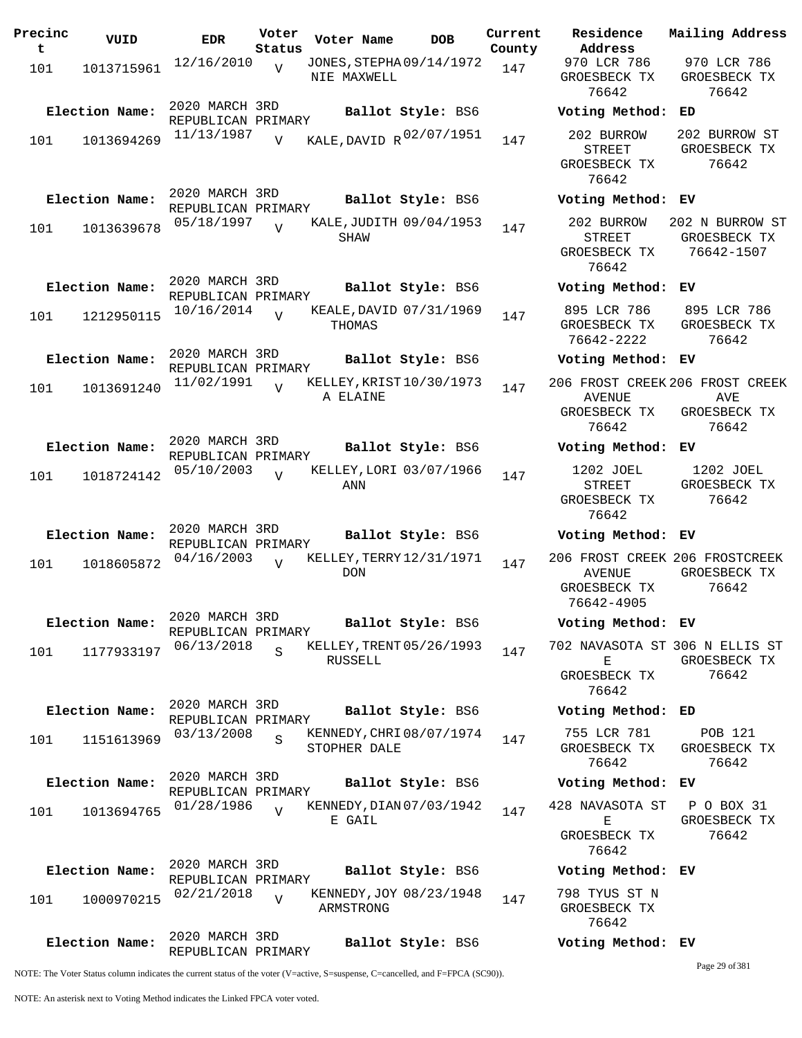| Precinc<br>$\mathbf t$ | VUID           | <b>EDR</b>                           | Voter<br>Status | Voter Name                               | <b>DOB</b>        | Current<br>County | Residence<br>Address                                        |
|------------------------|----------------|--------------------------------------|-----------------|------------------------------------------|-------------------|-------------------|-------------------------------------------------------------|
| 101                    | 1013715961     | 12/16/2010                           | $\overline{V}$  | JONES, STEPHA09/14/1972<br>NIE MAXWELL   |                   | 147               | 970 LCR 786<br>GROESBECK T<br>76642                         |
|                        | Election Name: | 2020 MARCH 3RD<br>REPUBLICAN PRIMARY |                 |                                          | Ballot Style: BS6 |                   | Voting Meth                                                 |
| 101                    | 1013694269     | 11/13/1987                           | $\overline{V}$  | KALE, DAVID R 02/07/1951                 |                   | 147               | 202 BURROW<br><b>STREET</b><br>GROESBECK T<br>76642         |
|                        | Election Name: | 2020 MARCH 3RD<br>REPUBLICAN PRIMARY |                 |                                          | Ballot Style: BS6 |                   | Voting Meth                                                 |
| 101                    | 1013639678     | 05/18/1997                           | $\overline{U}$  | KALE, JUDITH 09/04/1953<br>SHAW          |                   | 147               | 202 BURROW<br><b>STREET</b><br>GROESBECK T<br>76642         |
|                        | Election Name: | 2020 MARCH 3RD                       |                 |                                          | Ballot Style: BS6 |                   | Voting Meth                                                 |
| 101                    | 1212950115     | REPUBLICAN PRIMARY<br>10/16/2014     | $\overline{U}$  | KEALE, DAVID 07/31/1969<br>THOMAS        |                   | 147               | 895 LCR 786<br>GROESBECK T<br>76642-2222                    |
|                        | Election Name: | 2020 MARCH 3RD                       |                 |                                          | Ballot Style: BS6 |                   | Voting Meth                                                 |
| 101                    | 1013691240     | REPUBLICAN PRIMARY<br>11/02/1991     | $\overline{U}$  | KELLEY, KRIST10/30/1973<br>A ELAINE      |                   | 147               | 206 FROST CRI<br>AVENUE<br>GROESBECK T<br>76642             |
|                        | Election Name: | 2020 MARCH 3RD<br>REPUBLICAN PRIMARY |                 |                                          | Ballot Style: BS6 |                   | Voting Meth                                                 |
| 101                    | 1018724142     | 05/10/2003                           | $\overline{V}$  | KELLEY, LORI 03/07/1966<br>ANN           |                   | 147               | 1202 JOEL<br>STREET<br>GROESBECK T<br>76642                 |
|                        | Election Name: | 2020 MARCH 3RD                       |                 |                                          | Ballot Style: BS6 |                   | Voting Meth                                                 |
| 101                    | 1018605872     | REPUBLICAN PRIMARY<br>04/16/2003     | $\overline{V}$  | KELLEY, TERRY 12/31/1971<br><b>DON</b>   |                   | 147               | 206 FROST CRI<br><b>AVENUE</b><br>GROESBECK T<br>76642-4905 |
|                        | Election Name: | 2020 MARCH 3RD                       |                 |                                          | Ballot Style: BS6 |                   | Voting Meth                                                 |
| 101                    | 1177933197     | REPUBLICAN PRIMARY<br>06/13/2018     | $\overline{S}$  | KELLEY, TRENT 05/26/1993<br>RUSSELL      |                   | 147               | 702 NAVASOTA<br>Е<br>GROESBECK T<br>76642                   |
|                        | Election Name: | 2020 MARCH 3RD                       |                 |                                          | Ballot Style: BS6 |                   | Voting Meth                                                 |
| 101                    | 1151613969     | REPUBLICAN PRIMARY<br>03/13/2008     | S               | KENNEDY, CHRI 08/07/1974<br>STOPHER DALE |                   | 147               | 755 LCR 781<br>GROESBECK T<br>76642                         |
|                        | Election Name: | 2020 MARCH 3RD                       |                 |                                          | Ballot Style: BS6 |                   | Voting Meth                                                 |
| 101                    | 1013694765     | REPUBLICAN PRIMARY<br>01/28/1986     | $\overline{U}$  | KENNEDY, DIAN 07/03/1942                 |                   | 147               | 428 NAVASOTA                                                |
|                        |                |                                      |                 | E GAIL                                   |                   |                   | Е<br>GROESBECK T<br>76642                                   |
|                        | Election Name: | 2020 MARCH 3RD<br>REPUBLICAN PRIMARY |                 |                                          | Ballot Style: BS6 |                   | Voting Meth                                                 |
| 101                    | 1000970215     | 02/21/2018                           | $\overline{V}$  | KENNEDY, JOY 08/23/1948<br>ARMSTRONG     |                   | 147               | 798 TYUS ST<br>GROESBECK T<br>76642                         |
|                        | Election Name: | 2020 MARCH 3RD<br>REPUBLICAN PRIMARY |                 |                                          | Ballot Style: BS6 |                   | Voting Meth                                                 |

**Election Name: Ballot Style:** BS6 **Voting Method: ED** STREET GROESBECK TX 76642 202 BURROW ST GROESBECK TX 76642 **Election Name: Ballot Style:** BS6 **Voting Method: EV** 202 BURROW STREET GROESBECK TX 76642 202 N BURROW ST GROESBECK TX 76642-1507 **Election Name: Ballot Style:** BS6 **Voting Method: EV** 895 LCR 786 GROESBECK TX 76642-2222 895 LCR 786 GROESBECK TX 76642 **Election Name: Ballot Style:** BS6 **Voting Method: EV** 206 FROST CREEK 206 FROST CREEK AVENUE GROESBECK TX 76642 AVE GROESBECK TX 76642 **Election Name: Ballot Style:** BS6 **Voting Method: EV** 1202 JOEL STREET GROESBECK TX 76642 1202 JOEL GROESBECK TX 76642 **Election Name: Ballot Style:** BS6 **Voting Method: EV** 206 FROST CREEK 206 FROSTCREEK AVENUE GROESBECK TX 76642-4905 GROESBECK TX 76642 **Election Name: Ballot Style:** BS6 **Voting Method: EV** 702 NAVASOTA ST 306 N ELLIS ST E GROESBECK TX 76642 GROESBECK TX 76642 **Election Name: Ballot Style:** BS6 **Voting Method: ED** 755 LCR 781 GROESBECK TX 76642 POB 121 GROESBECK TX 76642 **Election Name: Ballot Style:** BS6 **Voting Method: EV** 428 NAVASOTA ST  $\mathbf{E}$ GROESBECK TX 76642 P O BOX 31 GROESBECK TX 76642 **Election Name: Ballot Style:** BS6 **Voting Method: EV**

970 LCR 786 GROESBECK TX 76642

**Current Mailing Address**

970 LCR 786 GROESBECK TX 76642

798 TYUS ST N GROESBECK TX 76642

## **Election Name: Ballot Style:** BS6 **Voting Method: EV**

Page 29 of 381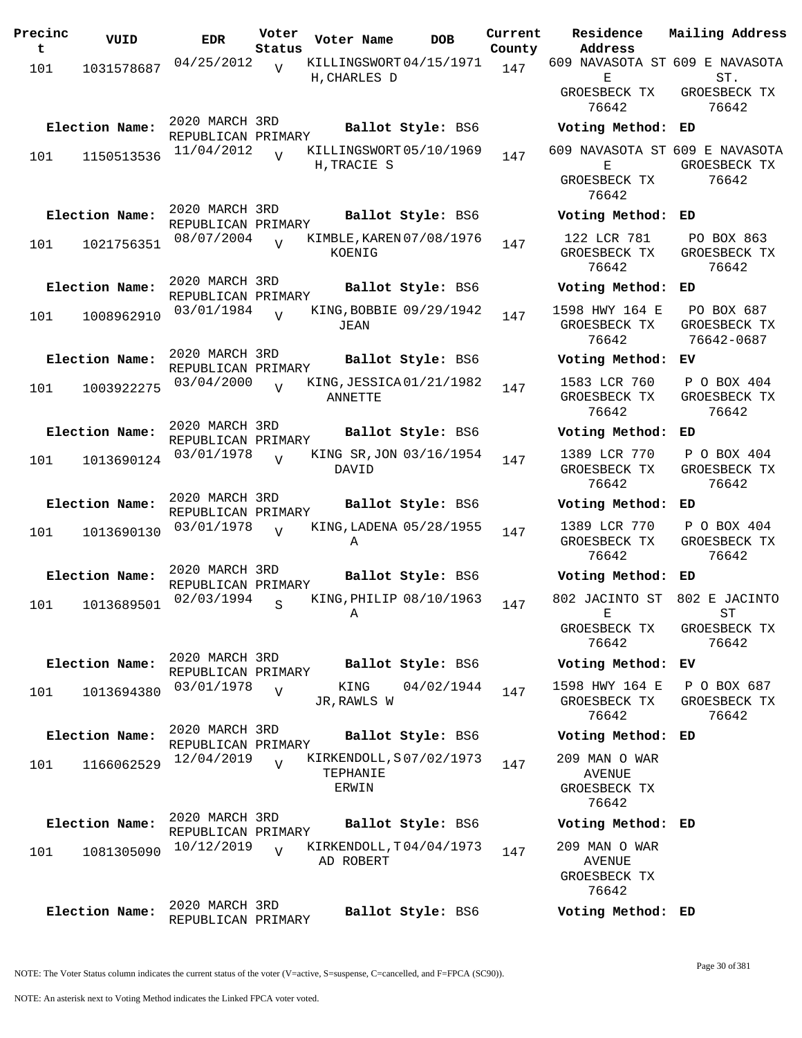| Precinc<br>t | VUID           | <b>EDR</b>                           | Voter          | Voter Name                             | <b>DOB</b>        | Current | Residence<br>Address                | Mailing Address             |
|--------------|----------------|--------------------------------------|----------------|----------------------------------------|-------------------|---------|-------------------------------------|-----------------------------|
|              |                | 04/25/2012                           | Status         | KILLINGSWORT04/15/1971                 |                   | County  | 609 NAVASOTA ST 609 E NAVASOTA      |                             |
| 101          | 1031578687     |                                      | $\overline{V}$ | H, CHARLES D                           |                   | 147     | Е                                   | ST.                         |
|              |                |                                      |                |                                        |                   |         | GROESBECK TX                        | GROESBECK TX                |
|              |                |                                      |                |                                        |                   |         | 76642                               | 76642                       |
|              | Election Name: | 2020 MARCH 3RD                       |                |                                        | Ballot Style: BS6 |         | Voting Method: ED                   |                             |
|              |                | REPUBLICAN PRIMARY                   |                |                                        |                   |         |                                     |                             |
| 101          | 1150513536     | 11/04/2012                           | $\overline{U}$ | KILLINGSWORT 05/10/1969<br>H, TRACIE S |                   | 147     | 609 NAVASOTA ST 609 E NAVASOTA<br>Е | GROESBECK TX                |
|              |                |                                      |                |                                        |                   |         | GROESBECK TX                        | 76642                       |
|              |                |                                      |                |                                        |                   |         | 76642                               |                             |
|              | Election Name: | 2020 MARCH 3RD                       |                |                                        | Ballot Style: BS6 |         | Voting Method: ED                   |                             |
|              |                | REPUBLICAN PRIMARY                   |                |                                        |                   |         |                                     |                             |
| 101          | 1021756351     | 08/07/2004                           |                | KIMBLE, KAREN 07/08/1976               |                   | 147     | 122 LCR 781                         | PO BOX 863                  |
|              |                |                                      |                | KOENIG                                 |                   |         | GROESBECK TX<br>76642               | GROESBECK TX<br>76642       |
|              |                | 2020 MARCH 3RD                       |                |                                        |                   |         |                                     |                             |
|              | Election Name: | REPUBLICAN PRIMARY                   |                |                                        | Ballot Style: BS6 |         | Voting Method:                      | ED                          |
| 101          | 1008962910     | 03/01/1984                           | $\overline{U}$ | KING, BOBBIE 09/29/1942                |                   | 147     | 1598 HWY 164 E                      | PO BOX 687                  |
|              |                |                                      |                | JEAN                                   |                   |         | GROESBECK TX                        | GROESBECK TX                |
|              |                |                                      |                |                                        |                   |         | 76642                               | 76642-0687                  |
|              | Election Name: | 2020 MARCH 3RD<br>REPUBLICAN PRIMARY |                |                                        | Ballot Style: BS6 |         | Voting Method:                      | ЕV                          |
|              | 1003922275     | 03/04/2000                           | $\overline{U}$ | KING, JESSICA 01/21/1982               |                   | 147     | 1583 LCR 760                        | P O BOX 404                 |
| 101          |                |                                      |                | <b>ANNETTE</b>                         |                   |         | GROESBECK TX                        | GROESBECK TX                |
|              |                |                                      |                |                                        |                   |         | 76642                               | 76642                       |
|              | Election Name: | 2020 MARCH 3RD                       |                |                                        | Ballot Style: BS6 |         | Voting Method:                      | ED                          |
|              |                | REPUBLICAN PRIMARY<br>03/01/1978     |                | KING SR, JON 03/16/1954                |                   |         | 1389 LCR 770                        | P O BOX 404                 |
| 101          | 1013690124     |                                      | V              | DAVID                                  |                   | 147     | GROESBECK TX                        | GROESBECK TX                |
|              |                |                                      |                |                                        |                   |         | 76642                               | 76642                       |
|              | Election Name: | 2020 MARCH 3RD                       |                |                                        | Ballot Style: BS6 |         | Voting Method: ED                   |                             |
|              |                | REPUBLICAN PRIMARY                   |                |                                        |                   |         |                                     |                             |
| 101          | 1013690130     | 03/01/1978                           | $\overline{V}$ | KING, LADENA 05/28/1955<br>Α           |                   | 147     | 1389 LCR 770<br>GROESBECK TX        | P O BOX 404<br>GROESBECK TX |
|              |                |                                      |                |                                        |                   |         | 76642                               | 76642                       |
|              | Election Name: | 2020 MARCH 3RD                       |                |                                        | Ballot Style: BS6 |         | Voting Method:                      | ED                          |
|              |                | REPUBLICAN PRIMARY                   |                |                                        |                   |         |                                     |                             |
| 101          | 1013689501     | 02/03/1994                           | S              | KING, PHILIP 08/10/1963                |                   | 147     | 802 JACINTO ST 802 E JACINTO        |                             |
|              |                |                                      |                | A                                      |                   |         | - F.                                | ST                          |
|              |                |                                      |                |                                        |                   |         | GROESBECK TX<br>76642               | GROESBECK TX<br>76642       |
|              |                | 2020 MARCH 3RD                       |                |                                        |                   |         |                                     |                             |
|              | Election Name: | REPUBLICAN PRIMARY                   |                |                                        | Ballot Style: BS6 |         | Voting Method: EV                   |                             |
| 101          | 1013694380     | 03/01/1978                           | $\overline{V}$ | KING                                   | 04/02/1944        | 147     | 1598 HWY 164 E P O BOX 687          |                             |
|              |                |                                      |                | JR, RAWLS W                            |                   |         | GROESBECK TX                        | GROESBECK TX                |
|              |                | 2020 MARCH 3RD                       |                |                                        |                   |         | 76642                               | 76642                       |
|              | Election Name: | REPUBLICAN PRIMARY                   |                |                                        | Ballot Style: BS6 |         | Voting Method: ED                   |                             |
| 101          | 1166062529     | 12/04/2019                           | $\overline{V}$ | KIRKENDOLL, S07/02/1973                |                   | 147     | 209 MAN O WAR                       |                             |
|              |                |                                      |                | TEPHANIE                               |                   |         | AVENUE                              |                             |
|              |                |                                      |                | ERWIN                                  |                   |         | GROESBECK TX                        |                             |
|              |                |                                      |                |                                        |                   |         | 76642                               |                             |
|              | Election Name: | 2020 MARCH 3RD<br>REPUBLICAN PRIMARY |                |                                        | Ballot Style: BS6 |         | Voting Method: ED                   |                             |
|              |                | 10/12/2019                           | $\overline{U}$ | KIRKENDOLL, T04/04/1973                |                   |         | 209 MAN O WAR                       |                             |
| 101          | 1081305090     |                                      |                | AD ROBERT                              |                   | 147     | <b>AVENUE</b>                       |                             |
|              |                |                                      |                |                                        |                   |         | GROESBECK TX                        |                             |
|              |                |                                      |                |                                        |                   |         | 76642                               |                             |
|              | Election Name: | 2020 MARCH 3RD                       |                |                                        | Ballot Style: BS6 |         | Voting Method: ED                   |                             |
|              |                | REPUBLICAN PRIMARY                   |                |                                        |                   |         |                                     |                             |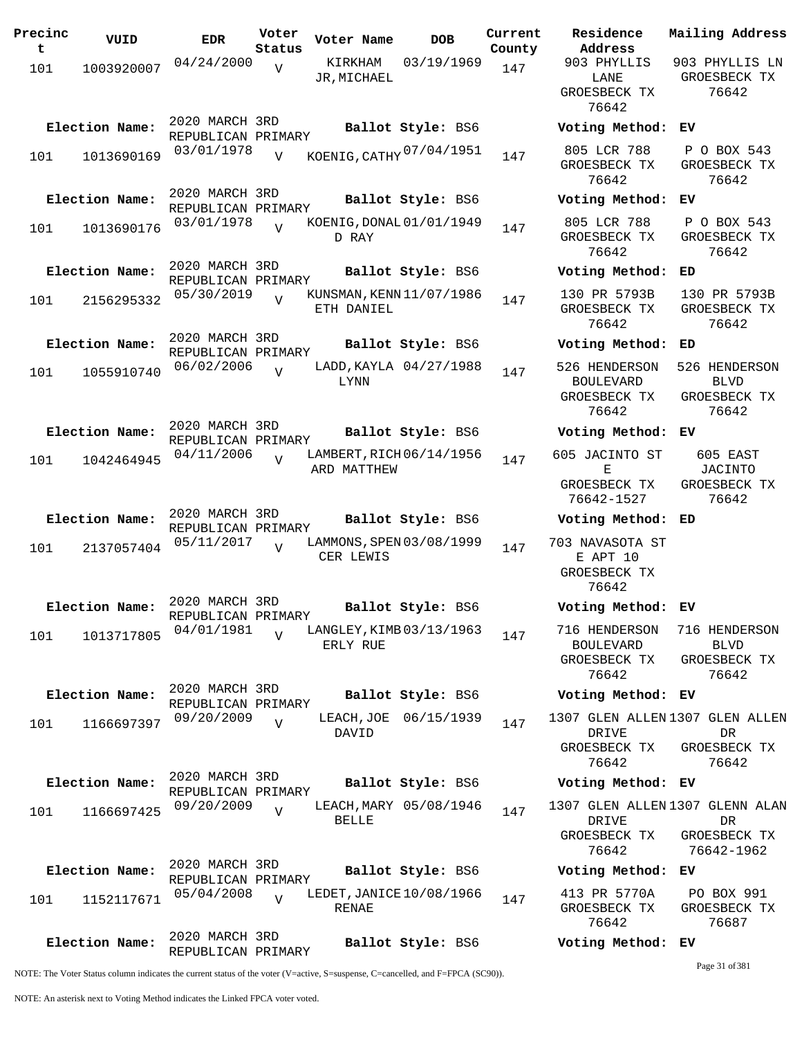| Precinc<br>t | VUID           | <b>EDR</b>                           | Voter<br>Status | Voter Name                               | <b>DOB</b>             | Current<br>County | Residence<br>Address                                       | Mailing Address                                                     |
|--------------|----------------|--------------------------------------|-----------------|------------------------------------------|------------------------|-------------------|------------------------------------------------------------|---------------------------------------------------------------------|
| 101          | 1003920007     | 04/24/2000                           | V               | KIRKHAM<br>JR, MICHAEL                   | 03/19/1969             | 147               | 903 PHYLLIS<br>LANE                                        | 903 PHYLLIS LN<br>GROESBECK TX                                      |
|              |                |                                      |                 |                                          |                        |                   | GROESBECK TX<br>76642                                      | 76642                                                               |
|              | Election Name: | 2020 MARCH 3RD<br>REPUBLICAN PRIMARY |                 |                                          | Ballot Style: BS6      |                   | Voting Method: EV                                          |                                                                     |
| 101          | 1013690169     | 03/01/1978                           | $\overline{U}$  | KOENIG, CATHY 07/04/1951                 |                        | 147               | 805 LCR 788<br>GROESBECK TX<br>76642                       | P O BOX 543<br>GROESBECK TX<br>76642                                |
|              | Election Name: | 2020 MARCH 3RD<br>REPUBLICAN PRIMARY |                 |                                          | Ballot Style: BS6      |                   | Voting Method: EV                                          |                                                                     |
| 101          | 1013690176     | 03/01/1978                           |                 | KOENIG, DONAL 01/01/1949<br>D RAY        |                        | 147               | 805 LCR 788<br>GROESBECK TX<br>76642                       | P O BOX 543<br>GROESBECK TX<br>76642                                |
|              | Election Name: | 2020 MARCH 3RD<br>REPUBLICAN PRIMARY |                 |                                          | Ballot Style: BS6      |                   | Voting Method:                                             | ED                                                                  |
| 101          | 2156295332     | 05/30/2019                           | $\overline{U}$  | KUNSMAN, KENN 11/07/1986<br>ETH DANIEL   |                        | 147               | 130 PR 5793B<br>GROESBECK TX<br>76642                      | 130 PR 5793B<br>GROESBECK TX<br>76642                               |
|              | Election Name: | 2020 MARCH 3RD<br>REPUBLICAN PRIMARY |                 |                                          | Ballot Style: BS6      |                   | Voting Method:                                             | ED                                                                  |
| 101          | 1055910740     | 06/02/2006                           | $\overline{U}$  | <b>LYNN</b>                              | LADD, KAYLA 04/27/1988 | 147               | 526 HENDERSON<br><b>BOULEVARD</b><br>GROESBECK TX<br>76642 | 526 HENDERSON<br><b>BLVD</b><br>GROESBECK TX<br>76642               |
|              | Election Name: | 2020 MARCH 3RD<br>REPUBLICAN PRIMARY |                 |                                          | Ballot Style: BS6      |                   | Voting Method: EV                                          |                                                                     |
| 101          | 1042464945     | 04/11/2006                           | $\overline{V}$  | LAMBERT, RICH 06/14/1956<br>ARD MATTHEW  |                        | 147               | 605 JACINTO ST<br>Е<br>GROESBECK TX<br>76642-1527          | 605 EAST<br>JACINTO<br>GROESBECK TX<br>76642                        |
|              | Election Name: | 2020 MARCH 3RD                       |                 |                                          | Ballot Style: BS6      |                   | Voting Method: ED                                          |                                                                     |
| 101          | 2137057404     | REPUBLICAN PRIMARY<br>05/11/2017     | $\overline{U}$  | LAMMONS, SPEN 03/08/1999<br>CER LEWIS    |                        | 147               | 703 NAVASOTA ST<br>E APT 10<br>GROESBECK TX<br>76642       |                                                                     |
|              | Election Name: | 2020 MARCH 3RD<br>REPUBLICAN PRIMARY |                 |                                          | Ballot Style: BS6      |                   | Voting Method: EV                                          |                                                                     |
| 101          | 1013717805     | 04/01/1981                           | $\overline{z}$  | LANGLEY, KIMB 03/13/1963<br>ERLY RUE     |                        | 147               | 716 HENDERSON<br><b>BOULEVARD</b><br>GROESBECK TX<br>76642 | 716 HENDERSON<br><b>BLVD</b><br>GROESBECK TX<br>76642               |
|              | Election Name: | 2020 MARCH 3RD<br>REPUBLICAN PRIMARY |                 |                                          | Ballot Style: BS6      |                   | Voting Method: EV                                          |                                                                     |
| 101          | 1166697397     | 09/20/2009                           | $\overline{V}$  | DAVID                                    | LEACH, JOE 06/15/1939  | 147               | <b>DRIVE</b><br>GROESBECK TX<br>76642                      | 1307 GLEN ALLEN 1307 GLEN ALLEN<br>DR<br>GROESBECK TX<br>76642      |
|              | Election Name: | 2020 MARCH 3RD<br>REPUBLICAN PRIMARY |                 |                                          | Ballot Style: BS6      |                   | Voting Method: EV                                          |                                                                     |
| 101          | 1166697425     | 09/20/2009                           | $\overline{U}$  | <b>BELLE</b>                             | LEACH, MARY 05/08/1946 | 147               | DRIVE<br>GROESBECK TX<br>76642                             | 1307 GLEN ALLEN 1307 GLENN ALAN<br>DR<br>GROESBECK TX<br>76642-1962 |
|              | Election Name: | 2020 MARCH 3RD<br>REPUBLICAN PRIMARY |                 |                                          | Ballot Style: BS6      |                   | Voting Method: EV                                          |                                                                     |
| 101          | 1152117671     | 05/04/2008                           | $\overline{U}$  | LEDET, JANICE 10/08/1966<br><b>RENAE</b> |                        | 147               | 413 PR 5770A<br>GROESBECK TX<br>76642                      | PO BOX 991<br>GROESBECK TX<br>76687                                 |
|              | Election Name: | 2020 MARCH 3RD<br>REPUBLICAN PRIMARY |                 |                                          | Ballot Style: BS6      |                   | Voting Method: EV                                          |                                                                     |

Page 31 of 381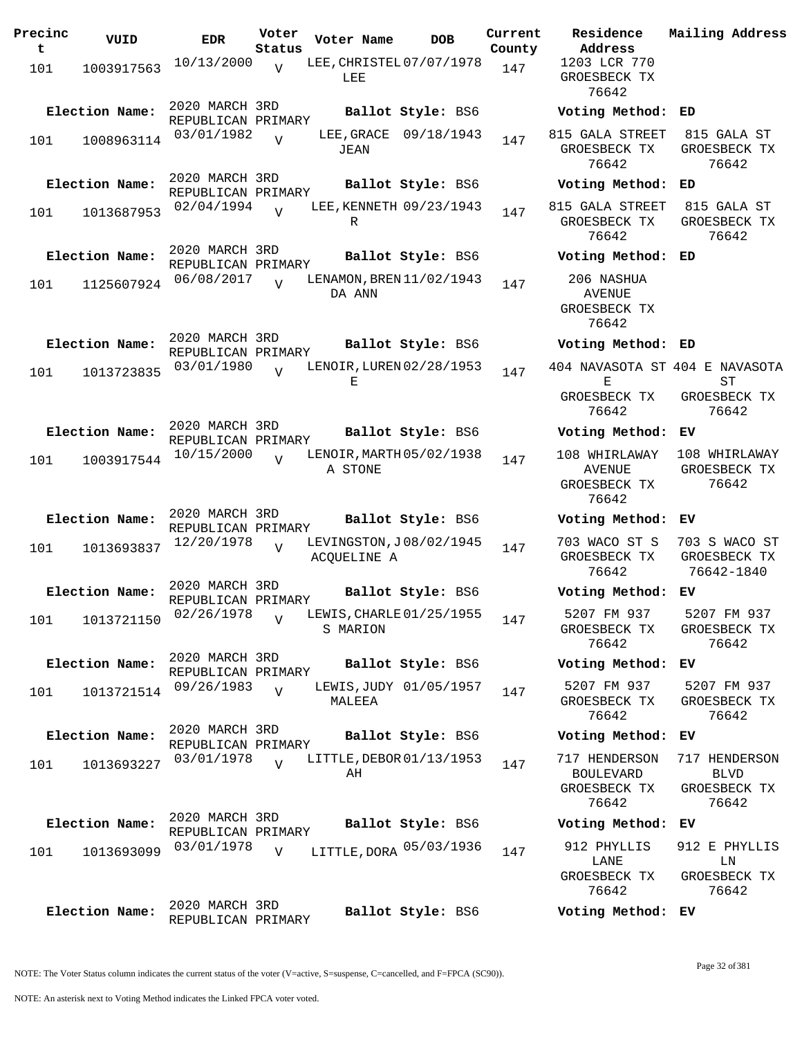| Precinc<br>t | VUID           | <b>EDR</b>                           | Voter<br>Status | Voter Name                             | <b>DOB</b>        | Current<br>County | Residence<br>Address                                    | Mail            |
|--------------|----------------|--------------------------------------|-----------------|----------------------------------------|-------------------|-------------------|---------------------------------------------------------|-----------------|
| 101          | 1003917563     | 10/13/2000                           | $\overline{V}$  | LEE, CHRISTEL 07/07/1978<br>LEE        |                   | 147               | 1203 LCR 770<br>GROESBECK TX<br>76642                   |                 |
|              | Election Name: | 2020 MARCH 3RD<br>REPUBLICAN PRIMARY |                 |                                        | Ballot Style: BS6 |                   | Voting Method:                                          | ED              |
| 101          | 1008963114     | 03/01/1982                           | $\overline{U}$  | LEE, GRACE 09/18/1943<br>JEAN          |                   | 147               | 815 GALA STREET<br>GROESBECK TX<br>76642                | 81<br>GR        |
|              | Election Name: | 2020 MARCH 3RD<br>REPUBLICAN PRIMARY |                 |                                        | Ballot Style: BS6 |                   | Voting Method:                                          | ED              |
| 101          | 1013687953     | 02/04/1994                           | $\overline{V}$  | LEE, KENNETH 09/23/1943<br>R           |                   | 147               | 815 GALA STREET<br>GROESBECK TX<br>76642                | 81<br><b>GR</b> |
|              | Election Name: | 2020 MARCH 3RD<br>REPUBLICAN PRIMARY |                 |                                        | Ballot Style: BS6 |                   | Voting Method:                                          | ED              |
| 101          | 1125607924     | 06/08/2017                           | $\overline{17}$ | LENAMON, BREN 11/02/1943<br>DA ANN     |                   | 147               | 206 NASHUA<br><b>AVENUE</b><br>GROESBECK TX<br>76642    |                 |
|              | Election Name: | 2020 MARCH 3RD<br>REPUBLICAN PRIMARY |                 |                                        | Ballot Style: BS6 |                   | Voting Method:                                          | ED              |
| 101          | 1013723835     | 03/01/1980                           | $\overline{U}$  | LENOIR, LUREN 02/28/1953<br>Е          |                   | 147               | 404 NAVASOTA ST 404<br>Е<br>GROESBECK TX                | GR              |
|              |                | 2020 MARCH 3RD                       |                 |                                        |                   |                   | 76642                                                   |                 |
|              | Election Name: | REPUBLICAN PRIMARY                   |                 |                                        | Ballot Style: BS6 |                   | Voting Method:                                          | ЕV              |
| 101          | 1003917544     | 10/15/2000                           |                 | LENOIR, MARTH 05/02/1938<br>A STONE    |                   | 147               | 108 WHIRLAWAY<br><b>AVENUE</b><br>GROESBECK TX<br>76642 | 108<br>GR       |
|              | Election Name: | 2020 MARCH 3RD<br>REPUBLICAN PRIMARY |                 |                                        | Ballot Style: BS6 |                   | Voting Method:                                          | ЕV              |
| 101          | 1013693837     | 12/20/1978                           | $\overline{U}$  | LEVINGSTON, J08/02/1945<br>ACQUELINE A |                   | 147               | 703 WACO ST S<br>GROESBECK TX<br>76642                  | 703<br>GR<br>7  |
|              | Election Name: | 2020 MARCH 3RD<br>REPUBLICAN PRIMARY |                 |                                        | Ballot Style: BS6 |                   | Voting Method: EV                                       |                 |
| 101          | 1013721150     | 02/26/1978                           | $\overline{V}$  | LEWIS, CHARLE 01/25/1955<br>S MARION   |                   | 147               | 5207 FM 937<br>GROESBECK TX<br>76642                    | 52<br>GR        |
|              | Election Name: | 2020 MARCH 3RD<br>REPUBLICAN PRIMARY |                 |                                        | Ballot Style: BS6 |                   | Voting Method:                                          | EV              |
| 101          | 1013721514     | 09/26/1983                           | $\overline{V}$  | LEWIS, JUDY 01/05/1957<br>MALEEA       |                   | 147               | 5207 FM 937<br>GROESBECK TX<br>76642                    | 52<br>GR.       |
|              | Election Name: | 2020 MARCH 3RD<br>REPUBLICAN PRIMARY |                 |                                        | Ballot Style: BS6 |                   | Voting Method:                                          | EV              |
| 101          | 1013693227     | 03/01/1978                           | $\overline{U}$  | LITTLE, DEBOR 01/13/1953<br>AН         |                   | 147               | 717 HENDERSON<br><b>BOULEVARD</b>                       | 717             |
|              |                |                                      |                 |                                        |                   |                   | GROESBECK TX<br>76642                                   | GR              |
|              | Election Name: | 2020 MARCH 3RD<br>REPUBLICAN PRIMARY |                 |                                        | Ballot Style: BS6 |                   | Voting Method:                                          | EV              |
| 101          | 1013693099     | 03/01/1978                           | $\overline{V}$  | LITTLE, DORA 05/03/1936                |                   | 147               | 912 PHYLLIS                                             | 912             |
|              |                |                                      |                 |                                        |                   |                   | LANE<br>GROESBECK TX<br>76642                           | GR              |
|              | Election Name: | 2020 MARCH 3RD                       |                 |                                        | Ballot Style: BS6 |                   | Voting Method: EV                                       |                 |

1203 LCR 770 GROESBECK TX 76642 **Election Name: Ballot Style:** BS6 **Voting Method: ED** 815 GALA STREET GROESBECK TX 76642 815 GALA ST GROESBECK TX 76642 **Election Name: Ballot Style:** BS6 **Voting Method: ED** 815 GALA STREET 815 GALA ST GROESBECK TX 76642 GROESBECK TX 76642 **Election Name: Ballot Style:** BS6 **Voting Method: ED** 206 NASHUA AVENUE GROESBECK TX 76642 **Election Name: Ballot Style:** BS6 **Voting Method: ED** 404 NAVASOTA ST 404 E NAVASOTA E GROESBECK TX 76642 ST GROESBECK TX 76642 **Election Name: Ballot Style:** BS6 **Voting Method: EV** 108 WHIRLAWAY 108 WHIRLAWAY AVENUE GROESBECK TX 76642 GROESBECK TX 76642 **Election Name: Ballot Style:** BS6 **Voting Method: EV** 703 WACO ST S 703 S WACO ST GROESBECK TX 76642 GROESBECK TX 76642-1840 **Election Name: Ballot Style:** BS6 **Voting Method: EV** 5207 FM 937 GROESBECK TX 76642 5207 FM 937 GROESBECK TX 76642 **Election Name: Ballot Style:** BS6 **Voting Method: EV** 5207 FM 937 GROESBECK TX 76642 5207 FM 937 GROESBECK TX 76642 **Election Name: Ballot Style:** BS6 **Voting Method: EV** 717 HENDERSON 717 HENDERSON BOULEVARD GROESBECK TX 76642 BLVD GROESBECK TX 76642 **Election Name: Ballot Style:** BS6 **Voting Method: EV** LANE GROESBECK TX 912 E PHYLLIS LN GROESBECK TX

**Current Mailing Address**

NOTE: The Voter Status column indicates the current status of the voter (V=active, S=suspense, C=cancelled, and F=FPCA (SC90)).

REPUBLICAN PRIMARY

76642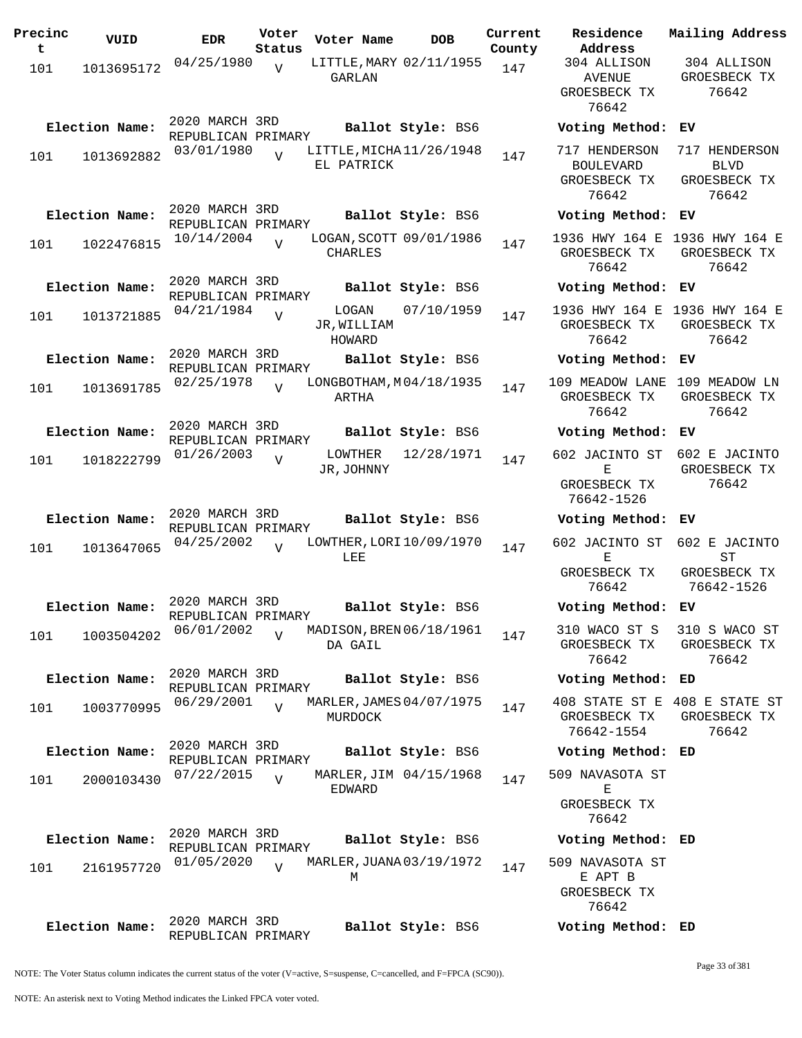| Precinc<br>t | VUID           | <b>EDR</b>                           | Voter<br>Status | Voter Name                             | <b>DOB</b>             | Current<br>County |
|--------------|----------------|--------------------------------------|-----------------|----------------------------------------|------------------------|-------------------|
| 101          | 1013695172     | 04/25/1980                           | $\overline{V}$  | LITTLE, MARY 02/11/1955<br>GARLAN      |                        | 147               |
|              | Election Name: | 2020 MARCH 3RD<br>REPUBLICAN PRIMARY |                 |                                        | Ballot Style: BS6      |                   |
| 101          | 1013692882     | 03/01/1980                           | $\overline{U}$  | LITTLE, MICHA 11/26/1948<br>EL PATRICK |                        | 147               |
|              | Election Name: | 2020 MARCH 3RD<br>REPUBLICAN PRIMARY |                 |                                        | Ballot Style: BS6      |                   |
| 101          | 1022476815     | 10/14/2004                           | ٦Z              | LOGAN, SCOTT 09/01/1986<br>CHARLES     |                        | 147               |
|              | Election Name: | 2020 MARCH 3RD<br>REPUBLICAN PRIMARY |                 |                                        | Ballot Style: BS6      |                   |
| 101          | 1013721885     | 04/21/1984                           | V               | LOGAN<br>JR, WILLIAM<br>HOWARD         | 07/10/1959             | 147               |
|              | Election Name: | 2020 MARCH 3RD<br>REPUBLICAN PRIMARY |                 |                                        | Ballot Style: BS6      |                   |
| 101          | 1013691785     | 02/25/1978                           | $\overline{V}$  | LONGBOTHAM, M04/18/1935<br>ARTHA       |                        | 147               |
|              | Election Name: | 2020 MARCH 3RD<br>REPUBLICAN PRIMARY |                 |                                        | Ballot Style: BS6      |                   |
| 101          | 1018222799     | 01/26/2003                           | V               | LOWTHER<br>JR, JOHNNY                  | 12/28/1971             | 147               |
|              | Election Name: | 2020 MARCH 3RD<br>REPUBLICAN PRIMARY |                 |                                        | Ballot Style: BS6      |                   |
| 101          | 1013647065     | 04/25/2002                           | $\overline{U}$  | LOWTHER, LORI 10/09/1970<br>LEE        |                        | 147               |
|              | Election Name: | 2020 MARCH 3RD                       |                 |                                        | Ballot Style: BS6      |                   |
| 101          | 1003504202     | REPUBLICAN PRIMARY<br>06/01/2002     | $\overline{V}$  | MADISON, BREN 06/18/1961<br>DA GAIL    |                        | 147               |
|              | Election Name: | 2020 MARCH 3RD<br>REPUBLICAN PRIMARY |                 |                                        | Ballot Style: BS6      |                   |
| 101          | 1003770995     | 06/29/2001                           |                 | MARLER, JAMES 04/07/1975<br>MURDOCK    |                        | 147               |
|              | Election Name: | 2020 MARCH 3RD<br>REPUBLICAN PRIMARY |                 |                                        | Ballot Style: BS6      |                   |
| 101          | 2000103430     | 07/22/2015                           | $\overline{V}$  | EDWARD                                 | MARLER, JIM 04/15/1968 | 147               |
|              | Election Name: | 2020 MARCH 3RD<br>REPUBLICAN PRIMARY |                 |                                        | Ballot Style: BS6      |                   |
| 101          | 2161957720     | 01/05/2020                           | $\overline{V}$  | MARLER, JUANA 03/19/1972<br>М          |                        | 147               |
|              | Election Name: | 2020 MARCH 3RD<br>REPUBLICAN PRIMARY |                 |                                        | Ballot Style: BS6      |                   |

**Voter Name DOB Residence Address Current Mailing Address** 304 ALLISON AVENUE GROESBECK TX 76642 304 ALLISON GROESBECK TX 76642 **Election Name: Ballot Style:** BS6 **Voting Method: EV** 717 HENDERSON 717 HENDERSON BOULEVARD GROESBECK TX 76642 BLVD GROESBECK TX 76642 **Election Name: Ballot Style:** BS6 **Voting Method: EV** 1936 HWY 164 E 1936 HWY 164 E GROESBECK TX 76642 GROESBECK TX 76642 **Election Name: Ballot Style:** BS6 **Voting Method: EV** 1936 HWY 164 E 1936 HWY 164 E GROESBECK TX 76642 GROESBECK TX 76642 **Election Name: Ballot Style:** BS6 **Voting Method: EV** 109 MEADOW LANE 109 MEADOW LN GROESBECK TX 76642 GROESBECK TX 76642 **Election Name: Ballot Style:** BS6 **Voting Method: EV** 602 JACINTO ST 602 E JACINTO E GROESBECK TX 76642-1526 GROESBECK TX 76642 **Election Name: Ballot Style:** BS6 **Voting Method: EV** 602 JACINTO ST 602 E JACINTO E GROESBECK TX 76642 ST GROESBECK TX 76642-1526 **Election Name: Ballot Style:** BS6 **Voting Method: EV** 310 WACO ST S GROESBECK TX 76642 310 S WACO ST GROESBECK TX 76642 **Election Name: Ballot Style:** BS6 **Voting Method: ED** 408 STATE ST E 408 E STATE ST GROESBECK TX 76642-1554 GROESBECK TX 76642 **Election Name: Ballot Style:** BS6 **Voting Method: ED** 509 NAVASOTA ST E GROESBECK TX 76642 **Election Name: Ballot Style:** BS6 **Voting Method: ED** 509 NAVASOTA ST E APT B GROESBECK TX 76642

NOTE: The Voter Status column indicates the current status of the voter (V=active, S=suspense, C=cancelled, and F=FPCA (SC90)).

**Election Name: Ballot Style:** BS6 **Voting Method: ED**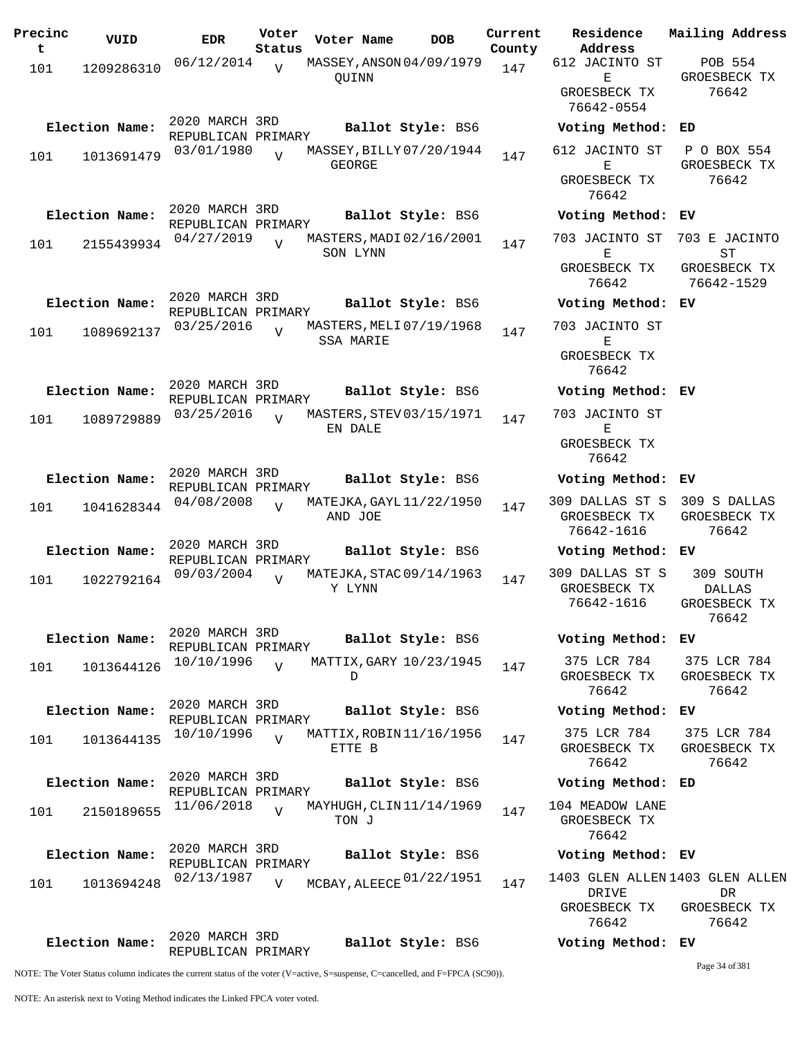| Precinc | VUID           | <b>EDR</b>                           | Voter          | Voter Name       | <b>DOB</b>               | Current | Residence                       | Mailing Address             |
|---------|----------------|--------------------------------------|----------------|------------------|--------------------------|---------|---------------------------------|-----------------------------|
| t       |                |                                      | Status         |                  |                          | County  | Address                         |                             |
| 101     | 1209286310     | 06/12/2014                           | $\overline{V}$ |                  | MASSEY, ANSON 04/09/1979 | 147     | 612 JACINTO ST                  | POB 554<br>GROESBECK TX     |
|         |                |                                      |                | OUINN            |                          |         | Е<br>GROESBECK TX               | 76642                       |
|         |                |                                      |                |                  |                          |         | 76642-0554                      |                             |
|         |                | 2020 MARCH 3RD                       |                |                  |                          |         |                                 |                             |
|         | Election Name: | REPUBLICAN PRIMARY                   |                |                  | Ballot Style: BS6        |         | Voting Method: ED               |                             |
| 101     | 1013691479     | 03/01/1980                           | $\overline{U}$ |                  | MASSEY, BILLY 07/20/1944 | 147     | 612 JACINTO ST                  | P O BOX 554                 |
|         |                |                                      |                | <b>GEORGE</b>    |                          |         | Е                               | GROESBECK TX                |
|         |                |                                      |                |                  |                          |         | GROESBECK TX                    | 76642                       |
|         |                |                                      |                |                  |                          |         | 76642                           |                             |
|         | Election Name: | 2020 MARCH 3RD<br>REPUBLICAN PRIMARY |                |                  | Ballot Style: BS6        |         | Voting Method: EV               |                             |
|         |                | 04/27/2019                           |                |                  | MASTERS, MADI 02/16/2001 |         | 703 JACINTO ST                  | 703 E JACINTO               |
| 101     | 2155439934     |                                      |                | SON LYNN         |                          | 147     | Е                               | ST                          |
|         |                |                                      |                |                  |                          |         | GROESBECK TX                    | GROESBECK TX                |
|         |                |                                      |                |                  |                          |         | 76642                           | 76642-1529                  |
|         | Election Name: | 2020 MARCH 3RD                       |                |                  | Ballot Style: BS6        |         | Voting Method: EV               |                             |
|         |                | REPUBLICAN PRIMARY                   |                |                  | MASTERS, MELI 07/19/1968 |         | 703 JACINTO ST                  |                             |
| 101     | 1089692137     | 03/25/2016                           | $\overline{U}$ | <b>SSA MARIE</b> |                          | 147     | Е                               |                             |
|         |                |                                      |                |                  |                          |         | GROESBECK TX                    |                             |
|         |                |                                      |                |                  |                          |         | 76642                           |                             |
|         | Election Name: | 2020 MARCH 3RD                       |                |                  | Ballot Style: BS6        |         | Voting Method: EV               |                             |
|         |                | REPUBLICAN PRIMARY                   |                |                  |                          |         |                                 |                             |
| 101     | 1089729889     | 03/25/2016                           | $\overline{U}$ |                  | MASTERS, STEV 03/15/1971 | 147     | 703 JACINTO ST                  |                             |
|         |                |                                      |                | EN DALE          |                          |         | Е                               |                             |
|         |                |                                      |                |                  |                          |         | GROESBECK TX<br>76642           |                             |
|         |                | 2020 MARCH 3RD                       |                |                  |                          |         |                                 |                             |
|         | Election Name: | REPUBLICAN PRIMARY                   |                |                  | Ballot Style: BS6        |         | Voting Method: EV               |                             |
| 101     | 1041628344     | 04/08/2008                           | $\overline{V}$ |                  | MATEJKA, GAYL 11/22/1950 | 147     | 309 DALLAS ST S                 | 309 S DALLAS                |
|         |                |                                      |                | AND JOE          |                          |         | GROESBECK TX                    | GROESBECK TX                |
|         |                |                                      |                |                  |                          |         | 76642-1616                      | 76642                       |
|         | Election Name: | 2020 MARCH 3RD<br>REPUBLICAN PRIMARY |                |                  | Ballot Style: BS6        |         | Voting Method: EV               |                             |
|         |                | 09/03/2004                           | $\overline{V}$ |                  | MATEJKA, STAC 09/14/1963 |         | 309 DALLAS ST S                 | 309 SOUTH                   |
| 101     | 1022792164     |                                      |                | Y LYNN           |                          | 147     | GROESBECK TX                    | DALLAS                      |
|         |                |                                      |                |                  |                          |         | 76642-1616                      | GROESBECK TX                |
|         |                |                                      |                |                  |                          |         |                                 | 76642                       |
|         | Election Name: | 2020 MARCH 3RD                       |                |                  | Ballot Style: BS6        |         | Voting Method: EV               |                             |
|         |                | REPUBLICAN PRIMARY                   |                |                  |                          |         |                                 |                             |
| 101     | 1013644126     | 10/10/1996                           | $\overline{U}$ | D                | MATTIX, GARY 10/23/1945  | 147     | 375 LCR 784<br>GROESBECK TX     | 375 LCR 784<br>GROESBECK TX |
|         |                |                                      |                |                  |                          |         | 76642                           | 76642                       |
|         | Election Name: | 2020 MARCH 3RD                       |                |                  | Ballot Style: BS6        |         | Voting Method: EV               |                             |
|         |                | REPUBLICAN PRIMARY                   |                |                  |                          |         |                                 |                             |
| 101     | 1013644135     | 10/10/1996                           | $\overline{V}$ |                  | MATTIX, ROBIN 11/16/1956 | 147     | 375 LCR 784                     | 375 LCR 784                 |
|         |                |                                      |                | ETTE B           |                          |         | GROESBECK TX                    | GROESBECK TX                |
|         |                | 2020 MARCH 3RD                       |                |                  |                          |         | 76642                           | 76642                       |
|         | Election Name: | REPUBLICAN PRIMARY                   |                |                  | Ballot Style: BS6        |         | Voting Method: ED               |                             |
| 101     | 2150189655     | 11/06/2018                           | $\overline{U}$ |                  | MAYHUGH, CLIN 11/14/1969 | 147     | 104 MEADOW LANE                 |                             |
|         |                |                                      |                | TON J            |                          |         | GROESBECK TX                    |                             |
|         |                |                                      |                |                  |                          |         | 76642                           |                             |
|         | Election Name: | 2020 MARCH 3RD                       |                |                  | Ballot Style: BS6        |         | Voting Method: EV               |                             |
|         |                | REPUBLICAN PRIMARY<br>02/13/1987     |                |                  |                          |         | 1403 GLEN ALLEN 1403 GLEN ALLEN |                             |
| 101     | 1013694248     |                                      | $\overline{V}$ |                  | MCBAY, ALEECE 01/22/1951 | 147     | DRIVE                           | DR                          |
|         |                |                                      |                |                  |                          |         | GROESBECK TX                    | GROESBECK TX                |
|         |                |                                      |                |                  |                          |         | 76642                           | 76642                       |
|         | Election Name: | 2020 MARCH 3RD                       |                |                  | Ballot Style: BS6        |         | Voting Method: EV               |                             |
|         |                | REPUBLICAN PRIMARY                   |                |                  |                          |         |                                 |                             |

Page 34 of 381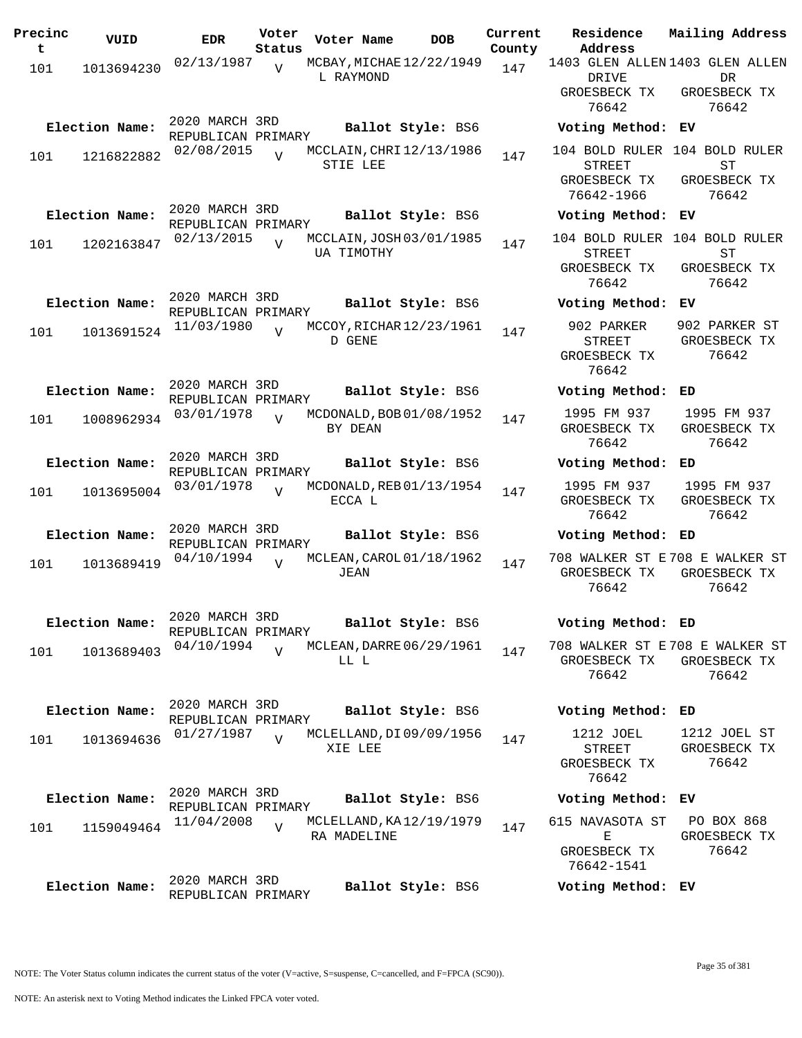| Precinc<br>t | VUID           | <b>EDR</b>                           | Voter<br>Status | Voter Name                              | <b>DOB</b> | Current<br>County | Residence<br>Address                                                         | Mailing Address                        |
|--------------|----------------|--------------------------------------|-----------------|-----------------------------------------|------------|-------------------|------------------------------------------------------------------------------|----------------------------------------|
| 101          | 1013694230     | 02/13/1987                           | $\overline{V}$  | MCBAY, MICHAE 12/22/1949<br>L RAYMOND   |            | 147               | 1403 GLEN ALLEN 1403 GLEN ALLEN<br>DRIVE<br>GROESBECK TX<br>76642            | <b>DR</b><br>GROESBECK TX<br>76642     |
|              | Election Name: | 2020 MARCH 3RD<br>REPUBLICAN PRIMARY |                 | Ballot Style: BS6                       |            |                   | Voting Method: EV                                                            |                                        |
| 101          | 1216822882     | 02/08/2015                           | $\overline{U}$  | MCCLAIN, CHRI 12/13/1986<br>STIE LEE    |            | 147               | 104 BOLD RULER 104 BOLD RULER<br><b>STREET</b><br>GROESBECK TX<br>76642-1966 | ST<br>GROESBECK TX<br>76642            |
|              | Election Name: | 2020 MARCH 3RD<br>REPUBLICAN PRIMARY |                 | Ballot Style: BS6                       |            |                   | Voting Method: EV                                                            |                                        |
| 101          | 1202163847     | 02/13/2015                           |                 | MCCLAIN, JOSH 03/01/1985<br>UA TIMOTHY  |            | 147               | 104 BOLD RULER 104 BOLD RULER<br><b>STREET</b><br>GROESBECK TX<br>76642      | ST<br>GROESBECK TX<br>76642            |
|              | Election Name: | 2020 MARCH 3RD<br>REPUBLICAN PRIMARY |                 | Ballot Style: BS6                       |            |                   | Voting Method: EV                                                            |                                        |
| 101          | 1013691524     | 11/03/1980                           | $\overline{U}$  | MCCOY, RICHAR 12/23/1961<br>D GENE      |            | 147               | 902 PARKER<br><b>STREET</b><br>GROESBECK TX<br>76642                         | 902 PARKER ST<br>GROESBECK TX<br>76642 |
|              | Election Name: | 2020 MARCH 3RD<br>REPUBLICAN PRIMARY |                 | Ballot Style: BS6                       |            |                   | Voting Method: ED                                                            |                                        |
| 101          | 1008962934     | 03/01/1978                           | $\overline{U}$  | MCDONALD, BOB 01/08/1952<br>BY DEAN     |            | 147               | 1995 FM 937<br>GROESBECK TX<br>76642                                         | 1995 FM 937<br>GROESBECK TX<br>76642   |
|              | Election Name: | 2020 MARCH 3RD<br>REPUBLICAN PRIMARY |                 | Ballot Style: BS6                       |            |                   | Voting Method:                                                               | ED                                     |
| 101          | 1013695004     | 03/01/1978                           | $\overline{V}$  | MCDONALD, REB 01/13/1954<br>ECCA L      |            | 147               | 1995 FM 937<br>GROESBECK TX<br>76642                                         | 1995 FM 937<br>GROESBECK TX<br>76642   |
|              | Election Name: | 2020 MARCH 3RD<br>REPUBLICAN PRIMARY |                 | Ballot Style: BS6                       |            |                   | Voting Method:                                                               | ED                                     |
| 101          | 1013689419     | 04/10/1994                           | V               | MCLEAN, CAROL 01/18/1962<br><b>JEAN</b> |            | 147               | 708 WALKER ST E708 E WALKER ST<br>GROESBECK TX<br>76642                      | GROESBECK TX<br>76642                  |
|              | Election Name: | 2020 MARCH 3RD<br>REPUBLICAN PRIMARY |                 | Ballot Style: BS6                       |            |                   | Voting Method: ED                                                            |                                        |
| 101          | 1013689403     | 04/10/1994                           | $\overline{V}$  | MCLEAN, DARRE 06/29/1961<br>LL L        |            | 147               | 708 WALKER ST E708 E WALKER ST<br>GROESBECK TX<br>76642                      | GROESBECK TX<br>76642                  |
|              | Election Name: | 2020 MARCH 3RD<br>REPUBLICAN PRIMARY |                 | Ballot Style: BS6                       |            |                   | Voting Method: ED                                                            |                                        |
| 101          | 1013694636     | 01/27/1987                           |                 | MCLELLAND, DI 09/09/1956<br>XIE LEE     |            | 147               | 1212 JOEL<br>STREET<br>GROESBECK TX<br>76642                                 | 1212 JOEL ST<br>GROESBECK TX<br>76642  |
|              | Election Name: | 2020 MARCH 3RD<br>REPUBLICAN PRIMARY |                 | Ballot Style: BS6                       |            |                   | Voting Method: EV                                                            |                                        |
| 101          | 1159049464     | 11/04/2008                           | $\overline{V}$  | MCLELLAND, KA 12/19/1979<br>RA MADELINE |            | 147               | 615 NAVASOTA ST<br>Е<br>GROESBECK TX<br>76642-1541                           | PO BOX 868<br>GROESBECK TX<br>76642    |
|              | Election Name: | 2020 MARCH 3RD<br>REPUBLICAN PRIMARY |                 | Ballot Style: BS6                       |            |                   | Voting Method: EV                                                            |                                        |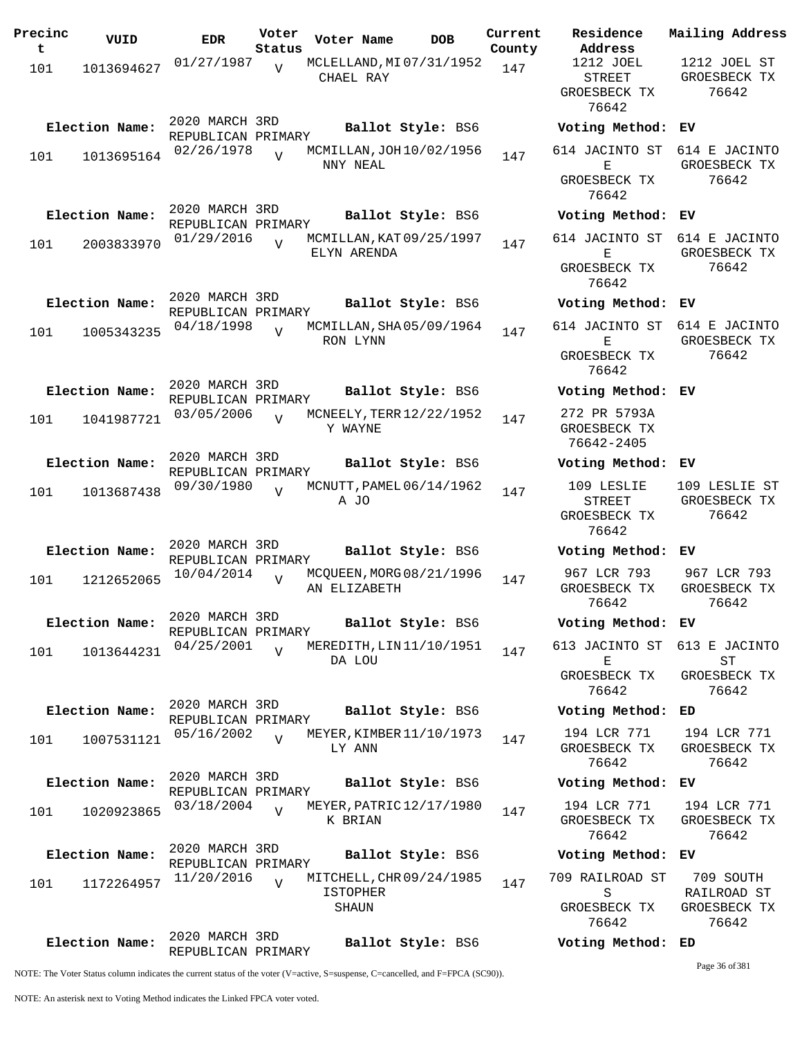| Precinc<br>t | VUID           | <b>EDR</b>                           | Voter<br>Status | Voter Name                                           | <b>DOB</b>        | Current<br>County | Residence<br>Address                                 | Mailing Address                                   |
|--------------|----------------|--------------------------------------|-----------------|------------------------------------------------------|-------------------|-------------------|------------------------------------------------------|---------------------------------------------------|
| 101          | 1013694627     | 01/27/1987                           | V               | MCLELLAND, MI 07/31/1952<br>CHAEL RAY                |                   | 147               | 1212 JOEL<br><b>STREET</b><br>GROESBECK TX           | 1212 JOEL ST<br>GROESBECK TX<br>76642             |
|              | Election Name: | 2020 MARCH 3RD                       |                 |                                                      | Ballot Style: BS6 |                   | 76642<br>Voting Method: EV                           |                                                   |
| 101          | 1013695164     | REPUBLICAN PRIMARY<br>02/26/1978     | $\overline{U}$  | MCMILLAN, JOH 10/02/1956<br>NNY NEAL                 |                   | 147               | 614 JACINTO ST<br>Ε<br>GROESBECK TX<br>76642         | 614 E JACINTO<br>GROESBECK TX<br>76642            |
|              | Election Name: | 2020 MARCH 3RD<br>REPUBLICAN PRIMARY |                 |                                                      | Ballot Style: BS6 |                   | Voting Method: EV                                    |                                                   |
| 101          | 2003833970     | 01/29/2016                           |                 | MCMILLAN, KAT 09/25/1997<br>ELYN ARENDA              |                   | 147               | 614 JACINTO ST<br>Е<br>GROESBECK TX<br>76642         | 614 E JACINTO<br>GROESBECK TX<br>76642            |
|              | Election Name: | 2020 MARCH 3RD<br>REPUBLICAN PRIMARY |                 |                                                      | Ballot Style: BS6 |                   | Voting Method:                                       | EV                                                |
| 101          | 1005343235     | 04/18/1998                           | $\overline{V}$  | MCMILLAN, SHA05/09/1964<br>RON LYNN                  |                   | 147               | 614 JACINTO ST<br>Е<br>GROESBECK TX<br>76642         | 614 E JACINTO<br>GROESBECK TX<br>76642            |
|              | Election Name: | 2020 MARCH 3RD<br>REPUBLICAN PRIMARY |                 |                                                      | Ballot Style: BS6 |                   | Voting Method:                                       | EV.                                               |
| 101          | 1041987721     | 03/05/2006                           | $\overline{U}$  | MCNEELY, TERR 12/22/1952<br>Y WAYNE                  |                   | 147               | 272 PR 5793A<br>GROESBECK TX<br>76642-2405           |                                                   |
|              | Election Name: | 2020 MARCH 3RD<br>REPUBLICAN PRIMARY |                 |                                                      | Ballot Style: BS6 |                   | Voting Method: EV                                    |                                                   |
| 101          | 1013687438     | 09/30/1980                           | $\overline{V}$  | MCNUTT, PAMEL 06/14/1962<br>A JO                     |                   | 147               | 109 LESLIE<br><b>STREET</b><br>GROESBECK TX<br>76642 | 109 LESLIE ST<br>GROESBECK TX<br>76642            |
|              | Election Name: | 2020 MARCH 3RD<br>REPUBLICAN PRIMARY |                 |                                                      | Ballot Style: BS6 |                   | Voting Method: EV                                    |                                                   |
| 101          | 1212652065     | 10/04/2014                           | $\overline{U}$  | MCQUEEN, MORG 08/21/1996<br>AN ELIZABETH             |                   | 147               | 967 LCR 793<br>GROESBECK TX<br>76642                 | 967 LCR 793<br>GROESBECK TX<br>76642              |
|              | Election Name: | 2020 MARCH 3RD<br>REPUBLICAN PRIMARY |                 |                                                      | Ballot Style: BS6 |                   | Voting Method: EV                                    |                                                   |
| 101          | 1013644231     | 04/25/2001                           | $\overline{U}$  | MEREDITH, LIN11/10/1951<br>DA LOU                    |                   | 147               | 613 JACINTO ST<br>Е<br>GROESBECK TX<br>76642         | 613 E JACINTO<br>ST<br>GROESBECK TX<br>76642      |
|              | Election Name: | 2020 MARCH 3RD<br>REPUBLICAN PRIMARY |                 |                                                      | Ballot Style: BS6 |                   | Voting Method: ED                                    |                                                   |
| 101          | 1007531121     | 05/16/2002                           | $\overline{U}$  | MEYER, KIMBER 11/10/1973<br>LY ANN                   |                   | 147               | 194 LCR 771<br>GROESBECK TX<br>76642                 | 194 LCR 771<br>GROESBECK TX<br>76642              |
|              | Election Name: | 2020 MARCH 3RD<br>REPUBLICAN PRIMARY |                 |                                                      | Ballot Style: BS6 |                   | Voting Method: EV                                    |                                                   |
| 101          | 1020923865     | 03/18/2004                           | $\overline{U}$  | MEYER, PATRIC 12/17/1980<br>K BRIAN                  |                   | 147               | 194 LCR 771<br>GROESBECK TX<br>76642                 | 194 LCR 771<br>GROESBECK TX<br>76642              |
|              | Election Name: | 2020 MARCH 3RD<br>REPUBLICAN PRIMARY |                 |                                                      | Ballot Style: BS6 |                   | Voting Method: EV                                    |                                                   |
| 101          | 1172264957     | 11/20/2016                           | $\overline{U}$  | MITCHELL, CHR 09/24/1985<br><b>ISTOPHER</b><br>SHAUN |                   | 147               | 709 RAILROAD ST<br>S<br>GROESBECK TX<br>76642        | 709 SOUTH<br>RAILROAD ST<br>GROESBECK TX<br>76642 |
|              | Election Name: | 2020 MARCH 3RD<br>REPUBLICAN PRIMARY |                 |                                                      | Ballot Style: BS6 |                   | Voting Method: ED                                    |                                                   |

Page 36 of 381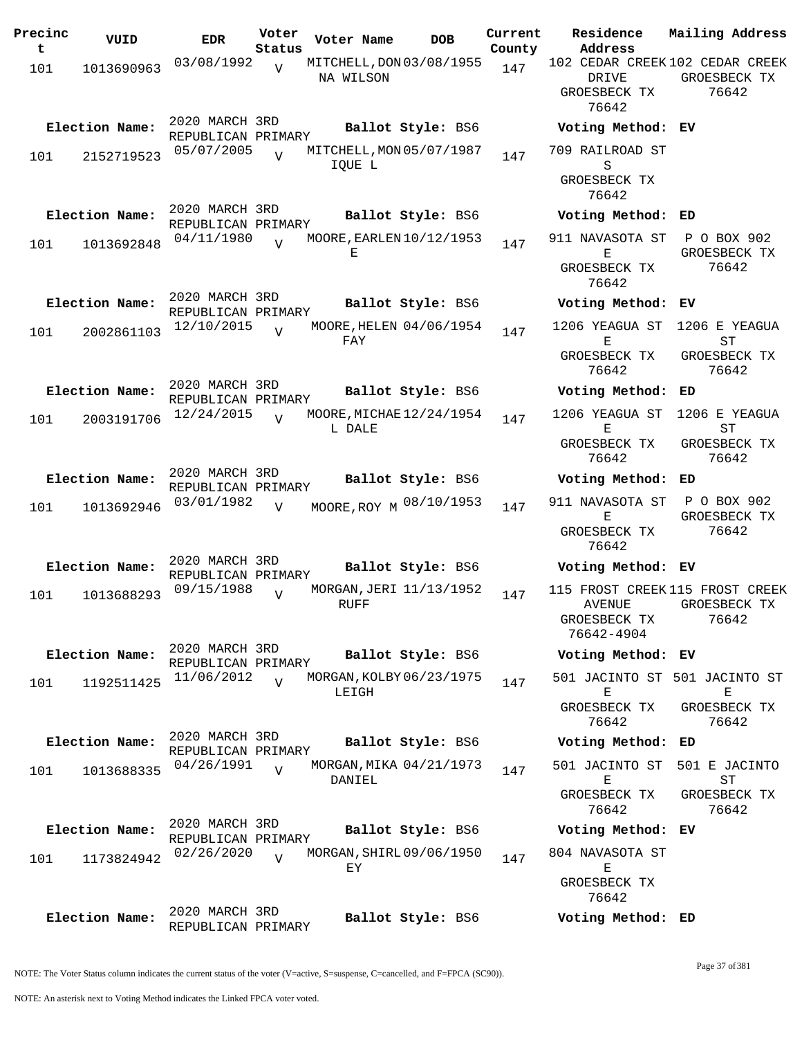| Precinc<br>t | VUID           | <b>EDR</b>                           | Voter<br>Status | Voter Name                             | <b>DOB</b>        | Current<br>County | Residence<br>Address                           | Mailing Address                                          |
|--------------|----------------|--------------------------------------|-----------------|----------------------------------------|-------------------|-------------------|------------------------------------------------|----------------------------------------------------------|
| 101          | 1013690963     | 03/08/1992                           | $\overline{V}$  | MITCHELL, DON 03/08/1955               |                   | 147               |                                                | 102 CEDAR CREEK 102 CEDAR CREEK                          |
|              |                |                                      |                 | NA WILSON                              |                   |                   | DRIVE<br>GROESBECK TX<br>76642                 | GROESBECK TX<br>76642                                    |
|              | Election Name: | 2020 MARCH 3RD                       |                 |                                        | Ballot Style: BS6 |                   | Voting Method: EV                              |                                                          |
| 101          | 2152719523     | REPUBLICAN PRIMARY<br>05/07/2005     | $\overline{U}$  | MITCHELL, MON 05/07/1987<br>IQUE L     |                   | 147               | 709 RAILROAD ST<br>S                           |                                                          |
|              |                |                                      |                 |                                        |                   |                   | GROESBECK TX<br>76642                          |                                                          |
|              | Election Name: | 2020 MARCH 3RD<br>REPUBLICAN PRIMARY |                 |                                        | Ballot Style: BS6 |                   | Voting Method: ED                              |                                                          |
| 101          | 1013692848     | 04/11/1980                           |                 | MOORE, EARLEN 10/12/1953<br>Е          |                   | 147               | 911 NAVASOTA ST<br>Е                           | P O BOX 902<br>GROESBECK TX                              |
|              |                |                                      |                 |                                        |                   |                   | GROESBECK TX<br>76642                          | 76642                                                    |
|              | Election Name: | 2020 MARCH 3RD<br>REPUBLICAN PRIMARY |                 |                                        | Ballot Style: BS6 |                   | Voting Method: EV                              |                                                          |
| 101          | 2002861103     | 12/10/2015                           | $\overline{U}$  | MOORE, HELEN 04/06/1954<br>FAY         |                   | 147               | 1206 YEAGUA ST<br>Ε<br>GROESBECK TX<br>76642   | 1206 E YEAGUA<br>ST<br>GROESBECK TX<br>76642             |
|              | Election Name: | 2020 MARCH 3RD<br>REPUBLICAN PRIMARY |                 |                                        | Ballot Style: BS6 |                   | Voting Method:                                 | ED                                                       |
| 101          | 2003191706     | 12/24/2015                           | $\overline{U}$  | MOORE, MICHAE 12/24/1954<br>L DALE     |                   | 147               | 1206 YEAGUA ST<br>Е                            | 1206 E YEAGUA<br>ST                                      |
|              |                |                                      |                 |                                        |                   |                   | GROESBECK TX<br>76642                          | GROESBECK TX<br>76642                                    |
|              | Election Name: | 2020 MARCH 3RD<br>REPUBLICAN PRIMARY |                 |                                        | Ballot Style: BS6 |                   | Voting Method: ED                              |                                                          |
| 101          | 1013692946     | 03/01/1982                           | $\overline{V}$  | MOORE, ROY M 08/10/1953                |                   | 147               | 911 NAVASOTA ST<br>Ε                           | P O BOX 902<br>GROESBECK TX                              |
|              |                |                                      |                 |                                        |                   |                   | GROESBECK TX<br>76642                          | 76642                                                    |
|              | Election Name: | 2020 MARCH 3RD<br>REPUBLICAN PRIMARY |                 |                                        | Ballot Style: BS6 |                   | Voting Method: EV                              |                                                          |
| 101          | 1013688293     | 09/15/1988                           | $\overline{U}$  | MORGAN, JERI 11/13/1952<br><b>RUFF</b> |                   | 147               | <b>AVENUE</b><br>GROESBECK TX<br>76642-4904    | 115 FROST CREEK 115 FROST CREEK<br>GROESBECK TX<br>76642 |
|              | Election Name: | 2020 MARCH 3RD<br>REPUBLICAN PRIMARY |                 |                                        | Ballot Style: BS6 |                   | Voting Method: EV                              |                                                          |
| 101          | 1192511425     | 11/06/2012                           | $\overline{z}$  | MORGAN, KOLBY 06/23/1975<br>LEIGH      |                   | 147               | Ε                                              | 501 JACINTO ST 501 JACINTO ST<br>Е                       |
|              |                |                                      |                 |                                        |                   |                   | GROESBECK TX<br>76642                          | GROESBECK TX<br>76642                                    |
|              | Election Name: | 2020 MARCH 3RD<br>REPUBLICAN PRIMARY |                 |                                        | Ballot Style: BS6 |                   | Voting Method: ED                              |                                                          |
| 101          | 1013688335     | 04/26/1991                           | $\overline{U}$  | MORGAN, MIKA 04/21/1973<br>DANIEL      |                   | 147               | 501 JACINTO ST<br>Е                            | 501 E JACINTO<br>ST                                      |
|              |                |                                      |                 |                                        |                   |                   | GROESBECK TX<br>76642                          | GROESBECK TX<br>76642                                    |
|              | Election Name: | 2020 MARCH 3RD<br>REPUBLICAN PRIMARY |                 |                                        | Ballot Style: BS6 |                   | Voting Method: EV                              |                                                          |
| 101          | 1173824942     | 02/26/2020                           | $\overline{U}$  | MORGAN, SHIRL 09/06/1950<br>ЕY         |                   | 147               | 804 NAVASOTA ST<br>$\mathbf E$<br>GROESBECK TX |                                                          |
|              |                |                                      |                 |                                        |                   |                   | 76642                                          |                                                          |
|              | Election Name: | 2020 MARCH 3RD<br>REPUBLICAN PRIMARY |                 |                                        | Ballot Style: BS6 |                   | Voting Method: ED                              |                                                          |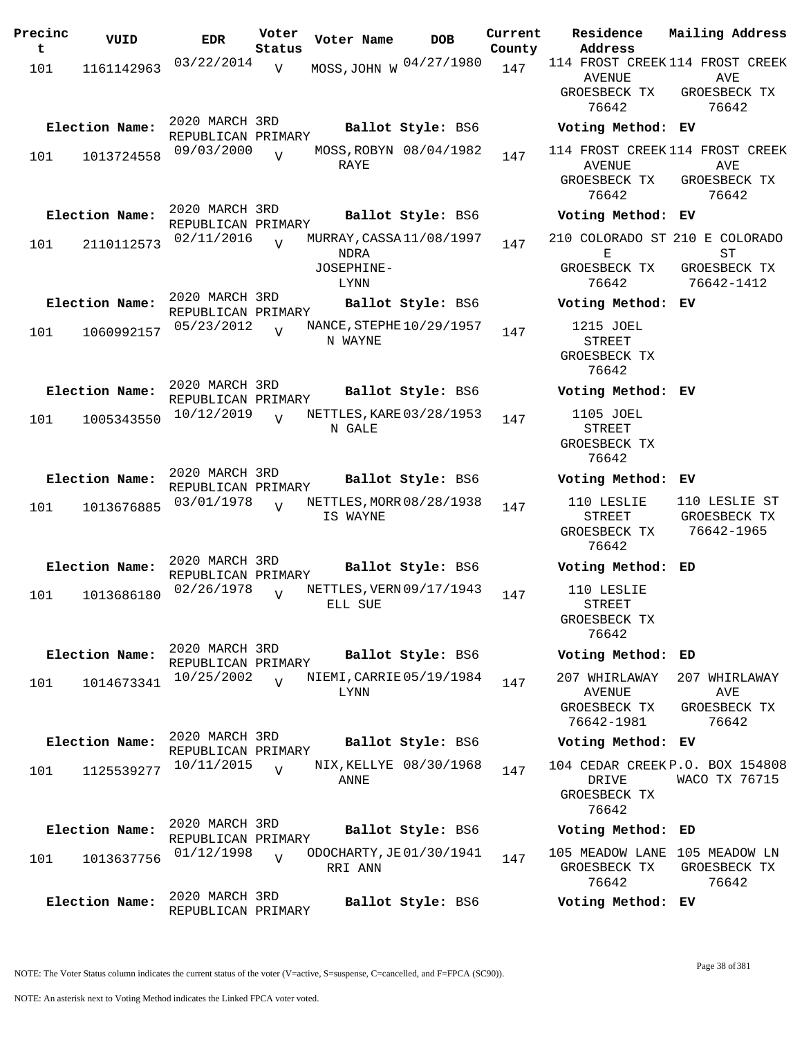| Precinc<br>t | VUID           | <b>EDR</b>                           | Voter<br>Status | Voter Name                              | <b>DOB</b>             | Current<br>County | Residence<br>Address                                                      | Mailing Address                             |
|--------------|----------------|--------------------------------------|-----------------|-----------------------------------------|------------------------|-------------------|---------------------------------------------------------------------------|---------------------------------------------|
| 101          | 1161142963     | 03/22/2014                           | $\overline{V}$  | MOSS, JOHN W 04/27/1980                 |                        | 147               | 114 FROST CREEK 114 FROST CREEK<br>AVENUE                                 | AVE                                         |
|              |                | 2020 MARCH 3RD                       |                 |                                         |                        |                   | GROESBECK TX<br>76642                                                     | GROESBECK TX<br>76642                       |
|              | Election Name: | REPUBLICAN PRIMARY                   |                 |                                         | Ballot Style: BS6      |                   | Voting Method: EV                                                         |                                             |
| 101          | 1013724558     | 09/03/2000                           | $\overline{U}$  | RAYE                                    | MOSS, ROBYN 08/04/1982 | 147               | 114 FROST CREEK 114 FROST CREEK<br><b>AVENUE</b><br>GROESBECK TX<br>76642 | AVE<br>GROESBECK TX<br>76642                |
|              | Election Name: | 2020 MARCH 3RD<br>REPUBLICAN PRIMARY |                 |                                         | Ballot Style: BS6      |                   | Voting Method: EV                                                         |                                             |
| 101          | 2110112573     | 02/11/2016                           |                 | MURRAY, CASSA 11/08/1997<br><b>NDRA</b> |                        | 147               | 210 COLORADO ST 210 E COLORADO<br>Е                                       | ST                                          |
|              |                |                                      |                 | JOSEPHINE-<br>LYNN                      |                        |                   | GROESBECK TX<br>76642                                                     | GROESBECK TX<br>76642-1412                  |
|              | Election Name: | 2020 MARCH 3RD<br>REPUBLICAN PRIMARY |                 |                                         | Ballot Style: BS6      |                   | Voting Method: EV                                                         |                                             |
| 101          | 1060992157     | 05/23/2012                           | $\overline{U}$  | NANCE, STEPHE 10/29/1957<br>N WAYNE     |                        | 147               | 1215 JOEL<br>STREET<br>GROESBECK TX<br>76642                              |                                             |
|              | Election Name: | 2020 MARCH 3RD<br>REPUBLICAN PRIMARY |                 |                                         | Ballot Style: BS6      |                   | Voting Method: EV                                                         |                                             |
| 101          | 1005343550     | 10/12/2019                           | $\overline{U}$  | NETTLES, KARE 03/28/1953<br>N GALE      |                        | 147               | 1105 JOEL<br><b>STREET</b><br>GROESBECK TX<br>76642                       |                                             |
|              | Election Name: | 2020 MARCH 3RD<br>REPUBLICAN PRIMARY |                 |                                         | Ballot Style: BS6      |                   | Voting Method: EV                                                         |                                             |
| 101          | 1013676885     | 03/01/1978                           | $\overline{V}$  | NETTLES, MORR 08/28/1938<br>IS WAYNE    |                        | 147               | 110 LESLIE<br><b>STREET</b><br>GROESBECK TX<br>76642                      | 110 LESLIE ST<br>GROESBECK TX<br>76642-1965 |
|              | Election Name: | 2020 MARCH 3RD<br>REPUBLICAN PRIMARY |                 |                                         | Ballot Style: BS6      |                   | Voting Method: ED                                                         |                                             |
| 101          | 1013686180     | 02/26/1978                           | $\overline{U}$  | NETTLES, VERN 09/17/1943<br>ELL SUE     |                        | 147               | 110 LESLIE<br><b>STREET</b><br>GROESBECK TX<br>76642                      |                                             |
|              | Election Name: | 2020 MARCH 3RD<br>REPUBLICAN PRIMARY |                 |                                         | Ballot Style: BS6      |                   | Voting Method: ED                                                         |                                             |
| 101          | 1014673341     | 10/25/2002                           | $\overline{17}$ | NIEMI, CARRIE 05/19/1984<br>LYNN        |                        | 147               | 207 WHIRLAWAY<br>AVENUE                                                   | 207 WHIRLAWAY<br>AVE                        |
|              |                |                                      |                 |                                         |                        |                   | GROESBECK TX<br>76642-1981                                                | GROESBECK TX<br>76642                       |
|              | Election Name: | 2020 MARCH 3RD<br>REPUBLICAN PRIMARY |                 |                                         | Ballot Style: BS6      |                   | Voting Method: EV                                                         |                                             |
| 101          | 1125539277     | 10/11/2015                           | $\overline{V}$  | ANNE                                    | NIX, KELLYE 08/30/1968 | 147               | 104 CEDAR CREEK P.O. BOX 154808<br>DRIVE<br>GROESBECK TX<br>76642         | WACO TX 76715                               |
|              | Election Name: | 2020 MARCH 3RD<br>REPUBLICAN PRIMARY |                 |                                         | Ballot Style: BS6      |                   | Voting Method: ED                                                         |                                             |
| 101          | 1013637756     | 01/12/1998                           | $\overline{U}$  | ODOCHARTY, JE 01/30/1941<br>RRI ANN     |                        | 147               | 105 MEADOW LANE 105 MEADOW LN<br>GROESBECK TX<br>76642                    | GROESBECK TX<br>76642                       |
|              | Election Name: | 2020 MARCH 3RD<br>REPUBLICAN PRIMARY |                 |                                         | Ballot Style: BS6      |                   | Voting Method: EV                                                         |                                             |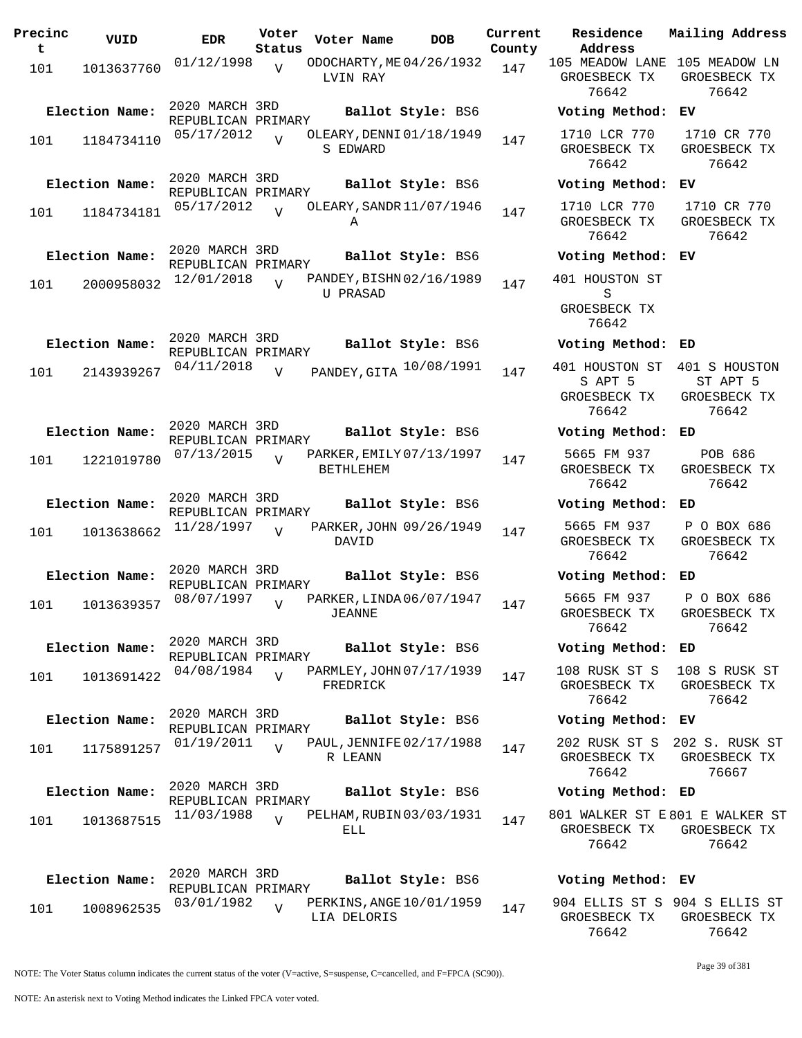| Precinc<br>t | VUID           | <b>EDR</b>                           | Voter<br>Status | Voter Name                                   | <b>DOB</b>        | Current<br>County | Residence<br>Address                                   | Mailing Addres                                        |
|--------------|----------------|--------------------------------------|-----------------|----------------------------------------------|-------------------|-------------------|--------------------------------------------------------|-------------------------------------------------------|
| 101          | 1013637760     | 01/12/1998                           | $\overline{V}$  | ODOCHARTY, ME 04/26/1932<br>LVIN RAY         |                   | 147               | 105 MEADOW LANE 105 MEADOW LN<br>GROESBECK TX<br>76642 | GROESBECK TX<br>76642                                 |
|              | Election Name: | 2020 MARCH 3RD<br>REPUBLICAN PRIMARY |                 |                                              | Ballot Style: BS6 |                   | Voting Method: EV                                      |                                                       |
| 101          | 1184734110     | 05/17/2012                           |                 | OLEARY, DENNI 01/18/1949<br>S EDWARD         |                   | 147               | 1710 LCR 770<br>GROESBECK TX<br>76642                  | 1710 CR 770<br>GROESBECK TX<br>76642                  |
|              | Election Name: | 2020 MARCH 3RD<br>REPUBLICAN PRIMARY |                 |                                              | Ballot Style: BS6 |                   | Voting Method: EV                                      |                                                       |
| 101          | 1184734181     | 05/17/2012                           | $\overline{U}$  | OLEARY, SANDR 11/07/1946<br>Α                |                   | 147               | 1710 LCR 770<br>GROESBECK TX<br>76642                  | 1710 CR 770<br>GROESBECK TX<br>76642                  |
|              | Election Name: | 2020 MARCH 3RD<br>REPUBLICAN PRIMARY |                 |                                              | Ballot Style: BS6 |                   | Voting Method: EV                                      |                                                       |
| 101          | 2000958032     | 12/01/2018                           | $\overline{V}$  | PANDEY, BISHN 02/16/1989<br><b>U PRASAD</b>  |                   | 147               | 401 HOUSTON ST<br>S<br>GROESBECK TX<br>76642           |                                                       |
|              | Election Name: | 2020 MARCH 3RD                       |                 |                                              | Ballot Style: BS6 |                   | Voting Method: ED                                      |                                                       |
| 101          | 2143939267     | REPUBLICAN PRIMARY<br>04/11/2018     | V               | PANDEY, GITA 10/08/1991                      |                   | 147               | 401 HOUSTON ST<br>S APT 5<br>GROESBECK TX<br>76642     | 401 S HOUSTON<br>ST APT 5<br>GROESBECK TX<br>76642    |
|              | Election Name: | 2020 MARCH 3RD                       |                 |                                              | Ballot Style: BS6 |                   | Voting Method: ED                                      |                                                       |
| 101          | 1221019780     | REPUBLICAN PRIMARY<br>07/13/2015     | $\overline{V}$  | PARKER, EMILY 07/13/1997<br><b>BETHLEHEM</b> |                   | 147               | 5665 FM 937<br>GROESBECK TX                            | POB 686<br>GROESBECK TX                               |
|              | Election Name: | 2020 MARCH 3RD                       |                 |                                              | Ballot Style: BS6 |                   | 76642<br>Voting Method: ED                             | 76642                                                 |
| 101          | 1013638662     | REPUBLICAN PRIMARY<br>11/28/1997     | $\overline{V}$  | PARKER, JOHN 09/26/1949<br>DAVID             |                   | 147               | 5665 FM 937<br>GROESBECK TX<br>76642                   | P O BOX 686<br>GROESBECK TX<br>76642                  |
|              | Election Name: | 2020 MARCH 3RD<br>REPUBLICAN PRIMARY |                 |                                              | Ballot Style: BS6 |                   | Voting Method: ED                                      |                                                       |
| 101          | 1013639357     | 08/07/1997                           |                 | PARKER, LINDA 06/07/1947<br>JEANNE           |                   | 147               | 5665 FM 937<br>GROESBECK TX<br>76642                   | P O BOX 686<br>GROESBECK TX<br>76642                  |
|              | Election Name: | 2020 MARCH 3RD<br>REPUBLICAN PRIMARY |                 |                                              | Ballot Style: BS6 |                   | Voting Method: ED                                      |                                                       |
| 101          | 1013691422     | 04/08/1984                           | $\overline{V}$  | PARMLEY, JOHN 07/17/1939<br>FREDRICK         |                   | 147               | GROESBECK TX<br>76642                                  | 108 RUSK ST S 108 S RUSK ST<br>GROESBECK TX<br>76642  |
|              | Election Name: | 2020 MARCH 3RD<br>REPUBLICAN PRIMARY |                 |                                              | Ballot Style: BS6 |                   | Voting Method: EV                                      |                                                       |
| 101          | 1175891257     | 01/19/2011                           | $\overline{V}$  | PAUL, JENNIFE 02/17/1988<br>R LEANN          |                   | 147               | GROESBECK TX<br>76642                                  | 202 RUSK ST S 202 S. RUSK ST<br>GROESBECK TX<br>76667 |
|              | Election Name: | 2020 MARCH 3RD                       |                 |                                              | Ballot Style: BS6 |                   | Voting Method: ED                                      |                                                       |
| 101          | 1013687515     | REPUBLICAN PRIMARY<br>11/03/1988     | $\overline{V}$  | PELHAM, RUBIN 03/03/1931<br>ELL              |                   | 147               | 801 WALKER ST E801 E WALKER S<br>GROESBECK TX<br>76642 | GROESBECK TX<br>76642                                 |
|              | Election Name: | 2020 MARCH 3RD<br>REPUBLICAN PRIMARY |                 |                                              | Ballot Style: BS6 |                   | Voting Method: EV                                      |                                                       |
| 101          | 1008962535     | 03/01/1982                           | V               | PERKINS, ANGE 10/01/1959<br>LIA DELORIS      |                   | 147               | 904 ELLIS ST S 904 S ELLIS ST                          | GROESBECK TX GROESBECK TX                             |

**Voter Name DOB Residence Address Current Mailing Address** 105 MEADOW LANE 105 MEADOW LN GROESBECK TX 76642 GROESBECK TX 76642 **Election Name: Ballot Style:** BS6 **Voting Method: EV** 1710 LCR 770 GROESBECK TX 76642 1710 CR 770 GROESBECK TX 76642 **Election Name: Ballot Style:** BS6 **Voting Method: EV** 1710 LCR 770 GROESBECK TX 76642 1710 CR 770 GROESBECK TX 76642 **Election Name: Ballot Style:** BS6 **Voting Method: EV** 401 HOUSTON ST S GROESBECK TX 76642 **Election Name: Ballot Style:** BS6 **Voting Method: ED** S APT 5 GROESBECK TX 76642 ST APT 5 GROESBECK TX 76642 **Election Name: Ballot Style:** BS6 **Voting Method: ED** 5665 FM 937 GROESBECK TX 76642 POB 686 GROESBECK TX 76642 **Election Name: Ballot Style:** BS6 **Voting Method: ED** 5665 FM 937 GROESBECK TX 76642 P O BOX 686 GROESBECK TX 76642 **Election Name: Ballot Style:** BS6 **Voting Method: ED** 5665 FM 937 GROESBECK TX 76642 P O BOX 686 GROESBECK TX 76642 **Election Name: Ballot Style:** BS6 **Voting Method: ED** 108 RUSK ST S GROESBECK TX 76642 108 S RUSK ST GROESBECK TX 76642 **Election Name: Ballot Style:** BS6 **Voting Method: EV** 202 RUSK ST S 202 S. RUSK ST GROESBECK TX 76642 GROESBECK TX 76667 **Election Name: Ballot Style:** BS6 **Voting Method: ED** 801 WALKER ST E 801 E WALKER ST GROESBECK TX GROESBECK TX 76642 76642

904 ELLIS ST S 904 S ELLIS ST GROESBECK TX 76642 GROESBECK TX 76642

NOTE: The Voter Status column indicates the current status of the voter (V=active, S=suspense, C=cancelled, and F=FPCA (SC90)).

Page 39 of 381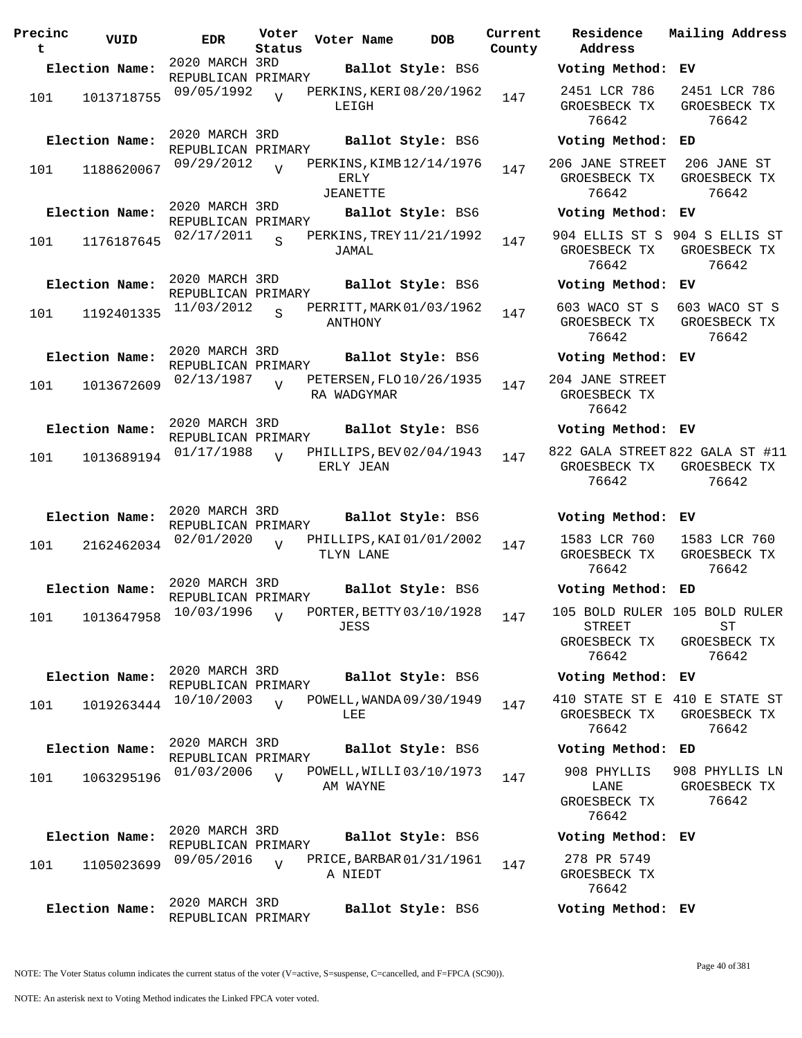| Precinc<br>t | VUID           | <b>EDR</b>                                         | Voter<br>Status | Voter Name                              | DOB               | Current<br>County |
|--------------|----------------|----------------------------------------------------|-----------------|-----------------------------------------|-------------------|-------------------|
|              | Election Name: | 2020 MARCH 3RD                                     |                 |                                         | Ballot Style: BS6 |                   |
| 101          | 1013718755     | REPUBLICAN PRIMARY<br>09/05/1992                   | $\overline{U}$  | PERKINS, KERI 08/20/1962<br>LEIGH       |                   | 147               |
|              | Election Name: | 2020 MARCH 3RD<br>REPUBLICAN PRIMARY<br>09/29/2012 |                 | PERKINS, KIMB 12/14/1976                | Ballot Style: BS6 |                   |
| 101          | 1188620067     |                                                    | $\overline{V}$  | ERLY<br>JEANETTE                        |                   | 147               |
|              | Election Name: | 2020 MARCH 3RD<br>REPUBLICAN PRIMARY               |                 |                                         | Ballot Style: BS6 |                   |
| 101          | 1176187645     | 02/17/2011                                         | $\mathbf S$     | PERKINS, TREY 11/21/1992<br>JAMAL       |                   | 147               |
|              | Election Name: | 2020 MARCH 3RD<br>REPUBLICAN PRIMARY               |                 |                                         | Ballot Style: BS6 |                   |
| 101          | 1192401335     | 11/03/2012                                         | $\overline{S}$  | PERRITT, MARK 01/03/1962<br>ANTHONY     |                   | 147               |
|              | Election Name: | 2020 MARCH 3RD<br>REPUBLICAN PRIMARY               |                 |                                         | Ballot Style: BS6 |                   |
| 101          | 1013672609     | 02/13/1987                                         | ٦T              | PETERSEN, FLO 10/26/1935<br>RA WADGYMAR |                   | 147               |
|              | Election Name: | 2020 MARCH 3RD<br>REPUBLICAN PRIMARY               |                 |                                         | Ballot Style: BS6 |                   |
| 101          | 1013689194     | 01/17/1988                                         | $\overline{V}$  | PHILLIPS, BEV 02/04/1943<br>ERLY JEAN   |                   | 147               |
|              | Election Name: | 2020 MARCH 3RD                                     |                 |                                         | Ballot Style: BS6 |                   |
| 101          | 2162462034     | REPUBLICAN PRIMARY<br>02/01/2020                   | $\overline{V}$  | PHILLIPS, KAI 01/01/2002<br>TLYN LANE   |                   | 147               |
|              | Election Name: | 2020 MARCH 3RD<br>REPUBLICAN PRIMARY               |                 |                                         | Ballot Style: BS6 |                   |
|              | 101 1013647958 | 10/03/1996                                         | $\mathbf{V}$    | PORTER, BETTY 03/10/1928<br>JESS        |                   | 147               |
|              | Election Name: | 2020 MARCH 3RD<br>REPUBLICAN PRIMARY               |                 |                                         | Ballot Style: BS6 |                   |
| 101          | 1019263444     | 10/10/2003                                         | $\overline{U}$  | POWELL, WANDA 09/30/1949<br>LEE         |                   | 147               |
|              | Election Name: | 2020 MARCH 3RD<br>REPUBLICAN PRIMARY               |                 |                                         | Ballot Style: BS6 |                   |
| 101          | 1063295196     | 01/03/2006                                         | $\overline{U}$  | POWELL, WILLI 03/10/1973<br>AM WAYNE    |                   | 147               |
|              | Election Name: | 2020 MARCH 3RD                                     |                 |                                         | Ballot Style: BS6 |                   |
| 101          | 1105023699     | REPUBLICAN PRIMARY<br>09/05/2016                   |                 | PRICE, BARBAR 01/31/1961<br>A NIEDT     |                   | 147               |
|              | Election Name: | 2020 MARCH 3RD<br>REPUBLICAN PRIMARY               |                 |                                         | Ballot Style: BS6 |                   |

**Voter Name DOB Residence Address Current Mailing Address Election Name: Ballot Style:** BS6 **Voting Method: EV** 2451 LCR 786 GROESBECK TX 76642 2451 LCR 786 GROESBECK TX 76642 **Election Name: Ballot Style:** BS6 **Voting Method: ED** 206 JANE STREET GROESBECK TX 76642 206 JANE ST GROESBECK TX 76642 **Election Name: Ballot Style:** BS6 **Voting Method: EV** 904 ELLIS ST S 904 S ELLIS ST GROESBECK TX GROESBECK TX 76642 76642 **Election Name: Ballot Style:** BS6 **Voting Method: EV** 603 WACO ST S GROESBECK TX 76642 603 WACO ST S GROESBECK TX 76642 **Election Name: Ballot Style:** BS6 **Voting Method: EV** 204 JANE STREET GROESBECK TX 76642 **Election Name: Ballot Style:** BS6 **Voting Method: EV** 822 GALA STREET 822 GALA ST #11 GROESBECK TX 76642 GROESBECK TX 76642 **Election Name: Ballot Style:** BS6 **Voting Method: EV** 1583 LCR 760 GROESBECK TX 76642 1583 LCR 760 GROESBECK TX 76642 **Election Name: Ballot Style:** BS6 **Voting Method: ED** 105 BOLD RULER 105 BOLD RULER STREET GROESBECK TX 76642 ST GROESBECK TX 76642 **Election Name: Ballot Style:** BS6 **Voting Method: EV** 410 STATE ST E 410 E STATE ST GROESBECK TX 76642 GROESBECK TX 76642 **Election Name: Ballot Style:** BS6 **Voting Method: ED** 908 PHYLLIS LANE GROESBECK TX 76642 908 PHYLLIS LN GROESBECK TX 76642 **Election Name: Ballot Style:** BS6 **Voting Method: EV** 278 PR 5749 GROESBECK TX 76642 **Election Name: Ballot Style:** BS6 **Voting Method: EV**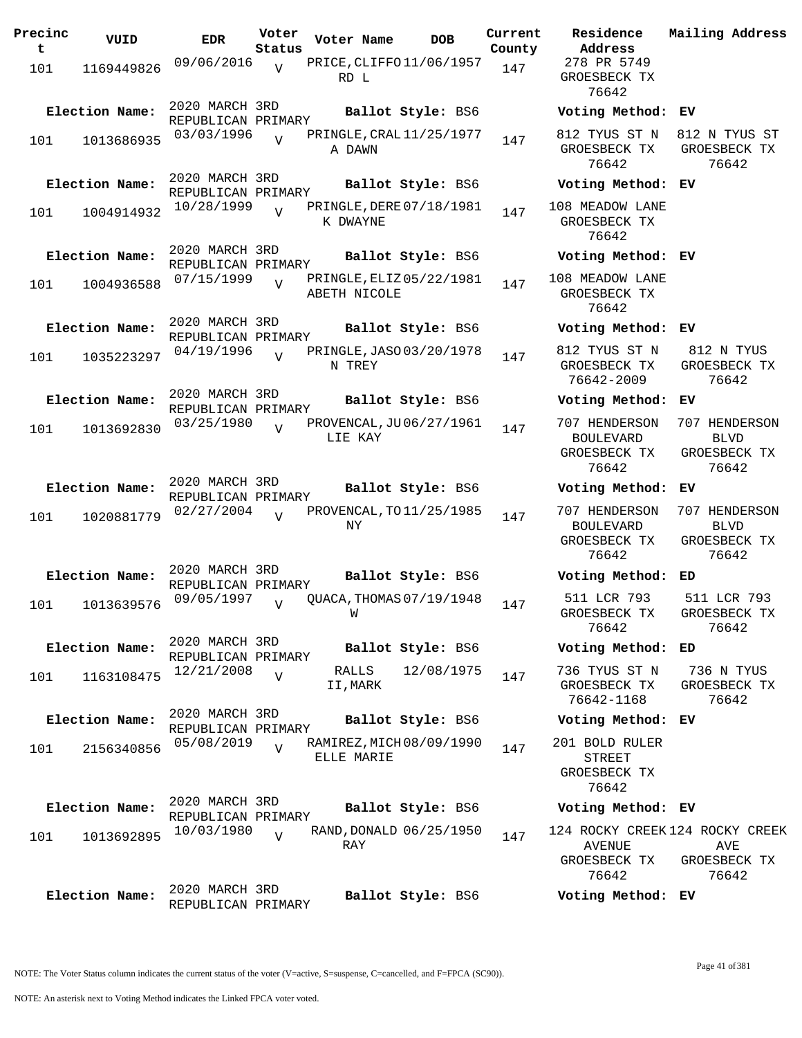| Precinc<br>t | VUID           | <b>EDR</b>                           | Voter<br>Status | Voter Name                               | <b>DOB</b> | Current<br>County | Residence<br>Address                                       | Mai.                 |
|--------------|----------------|--------------------------------------|-----------------|------------------------------------------|------------|-------------------|------------------------------------------------------------|----------------------|
| 101          | 1169449826     | 09/06/2016                           | $\overline{V}$  | PRICE, CLIFFO 11/06/1957<br>RD L         |            | 147               | 278 PR 5749<br>GROESBECK TX<br>76642                       |                      |
|              | Election Name: | 2020 MARCH 3RD<br>REPUBLICAN PRIMARY |                 | Ballot Style: BS6                        |            |                   | Voting Method:                                             | EV                   |
| 101          | 1013686935     | 03/03/1996                           | $\overline{U}$  | PRINGLE, CRAL 11/25/1977<br>A DAWN       |            | 147               | 812 TYUS ST N<br>GROESBECK TX<br>76642                     | 81<br>GR             |
|              | Election Name: | 2020 MARCH 3RD<br>REPUBLICAN PRIMARY |                 | Ballot Style: BS6                        |            |                   | Voting Method: EV                                          |                      |
| 101          | 1004914932     | 10/28/1999                           | $\overline{U}$  | PRINGLE, DERE 07/18/1981<br>K DWAYNE     |            | 147               | 108 MEADOW LANE<br>GROESBECK TX<br>76642                   |                      |
|              | Election Name: | 2020 MARCH 3RD<br>REPUBLICAN PRIMARY |                 | Ballot Style: BS6                        |            |                   | Voting Method: EV                                          |                      |
| 101          | 1004936588     | 07/15/1999                           | $\overline{U}$  | PRINGLE, ELIZ 05/22/1981<br>ABETH NICOLE |            | 147               | 108 MEADOW LANE<br>GROESBECK TX<br>76642                   |                      |
|              | Election Name: | 2020 MARCH 3RD<br>REPUBLICAN PRIMARY |                 | Ballot Style: BS6                        |            |                   | Voting Method:                                             | ΕV                   |
| 101          | 1035223297     | 04/19/1996                           | $\overline{V}$  | PRINGLE, JASO 03/20/1978<br>N TREY       |            | 147               | 812 TYUS ST N<br>GROESBECK TX<br>76642-2009                | 8<br>GR              |
|              | Election Name: | 2020 MARCH 3RD<br>REPUBLICAN PRIMARY |                 | Ballot Style: BS6                        |            |                   | Voting Method:                                             | ΕV                   |
| 101          | 1013692830     | 03/25/1980                           | $\overline{U}$  | PROVENCAL, JU06/27/1961<br>LIE KAY       |            | 147               | 707 HENDERSON<br><b>BOULEVARD</b><br>GROESBECK TX          | 70'<br>GR            |
|              |                | 2020 MARCH 3RD                       |                 |                                          |            |                   | 76642                                                      |                      |
|              | Election Name: | REPUBLICAN PRIMARY                   |                 | Ballot Style: BS6                        |            |                   | Voting Method:                                             | EV<br>70'            |
| 101          | 1020881779     | 02/27/2004                           | $\overline{U}$  | PROVENCAL, TO 11/25/1985<br>ΝY           |            | 147               | 707 HENDERSON<br><b>BOULEVARD</b><br>GROESBECK TX<br>76642 | GR                   |
|              | Election Name: | 2020 MARCH 3RD<br>REPUBLICAN PRIMARY |                 | Ballot Style: BS6                        |            |                   | Voting Method:                                             | ED                   |
| 101          | 1013639576     | 09/05/1997                           | $\overline{U}$  | QUACA, THOMAS 07/19/1948<br>W            |            | 147               | 511 LCR 793<br>GROESBECK TX<br>76642                       | 5 <sup>2</sup><br>GR |
|              | Election Name: | 2020 MARCH 3RD<br>REPUBLICAN PRIMARY |                 | Ballot Style: BS6                        |            |                   | Voting Method: ED                                          |                      |
| 101          | 1163108475     | 12/21/2008                           | $\overline{V}$  | RALLS<br>II,MARK                         | 12/08/1975 | 147               | 736 TYUS ST N<br>GROESBECK TX<br>76642-1168                | 7<br>GR              |
|              | Election Name: | 2020 MARCH 3RD<br>REPUBLICAN PRIMARY |                 | Ballot Style: BS6                        |            |                   | Voting Method: EV                                          |                      |
| 101          | 2156340856     | 05/08/2019                           | $\overline{U}$  | RAMIREZ, MICH 08/09/1990<br>ELLE MARIE   |            | 147               | 201 BOLD RULER<br><b>STREET</b><br>GROESBECK TX<br>76642   |                      |
|              | Election Name: | 2020 MARCH 3RD<br>REPUBLICAN PRIMARY |                 | Ballot Style: BS6                        |            |                   | Voting Method: EV                                          |                      |
| 101          | 1013692895     | 10/03/1980                           | $\overline{V}$  | RAND, DONALD 06/25/1950<br>RAY           |            | 147               | 124 ROCKY CREEK 124<br><b>AVENUE</b><br>GROESBECK TX       | GR                   |
|              |                |                                      |                 |                                          |            |                   | 76642                                                      |                      |
|              | Election Name: | 2020 MARCH 3RD<br>REPUBLICAN PRIMARY |                 | Ballot Style: BS6                        |            |                   | Voting Method: EV                                          |                      |

**Address** 278 PR 5749 GROESBECK TX 76642 **Election Name: Ballot Style:** BS6 **Voting Method: EV** 812 TYUS ST N GROESBECK TX 76642 812 N TYUS ST GROESBECK TX 76642 **Election Name: Ballot Style:** BS6 **Voting Method: EV** 108 MEADOW LANE GROESBECK TX 76642 **Election Name: Ballot Style:** BS6 **Voting Method: EV** 108 MEADOW LANE GROESBECK TX 76642 **Election Name: Ballot Style:** BS6 **Voting Method: EV** 812 TYUS ST N GROESBECK TX 76642-2009 812 N TYUS GROESBECK TX 76642 **Election Name: Ballot Style:** BS6 **Voting Method: EV** 707 HENDERSON BOULEVARD GROESBECK TX 76642 707 HENDERSON BLVD GROESBECK TX 76642 **Election Name: Ballot Style:** BS6 **Voting Method: EV** 707 HENDERSON 707 HENDERSON BOULEVARD GROESBECK TX 76642 BLVD GROESBECK TX 76642 **Election Name: Ballot Style:** BS6 **Voting Method: ED** 511 LCR 793 GROESBECK TX 76642 511 LCR 793 GROESBECK TX 76642 **Election Name: Ballot Style:** BS6 **Voting Method: ED** 736 TYUS ST N GROESBECK TX 76642-1168 736 N TYUS GROESBECK TX 76642 **Election Name: Ballot Style:** BS6 **Voting Method: EV** 201 BOLD RULER STREET GROESBECK TX 76642 **Election Name: Ballot Style:** BS6 **Voting Method: EV**

**Current Mailing Address**

124 ROCKY CREEK 124 ROCKY CREEK AVENUE GROESBECK TX 76642 AVE GROESBECK TX 76642

NOTE: An asterisk next to Voting Method indicates the Linked FPCA voter voted.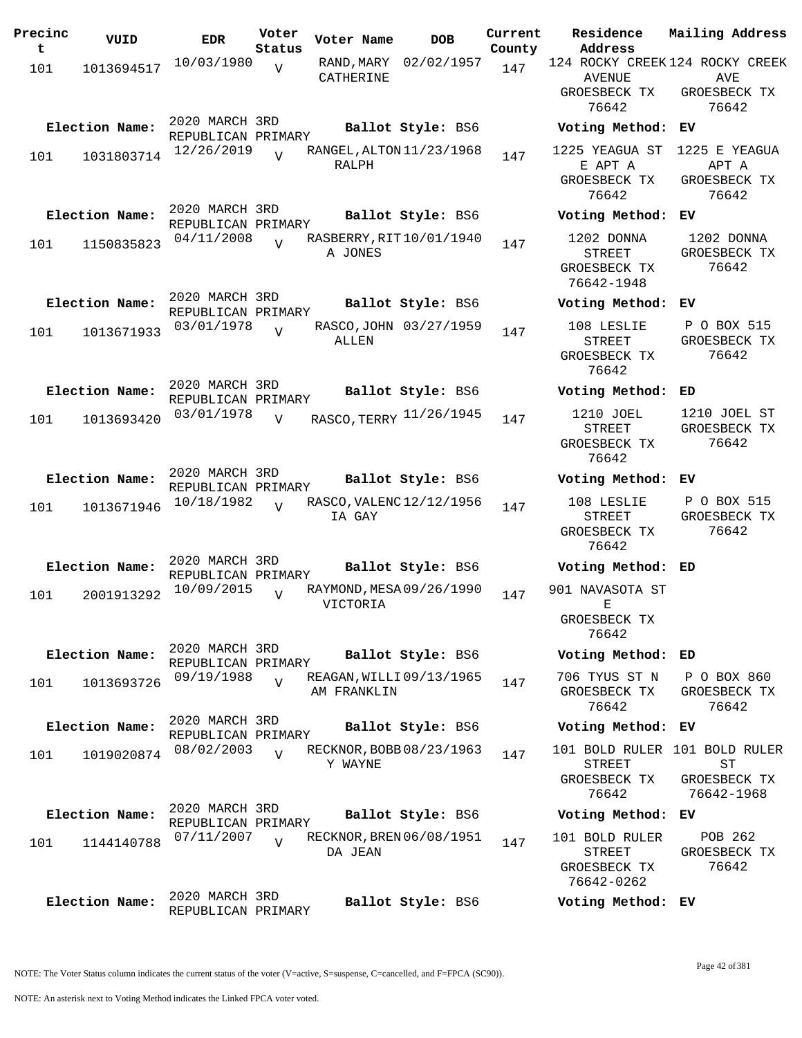| Precinc<br>t | VUID           | <b>EDR</b>                           | Voter<br>Status | Voter Name               | <b>DOB</b>               | Current<br>County | Residence<br>Address                                      | Mailing Address                                     |
|--------------|----------------|--------------------------------------|-----------------|--------------------------|--------------------------|-------------------|-----------------------------------------------------------|-----------------------------------------------------|
| 101          | 1013694517     | 10/03/1980                           | $\overline{V}$  | RAND , MARY<br>CATHERINE | 02/02/1957               | 147               | 124 ROCKY CREEK 124 ROCKY CREEK<br>AVENUE                 | AVE                                                 |
|              |                |                                      |                 |                          |                          |                   | GROESBECK TX<br>76642                                     | GROESBECK TX<br>76642                               |
|              | Election Name: | 2020 MARCH 3RD<br>REPUBLICAN PRIMARY |                 |                          | Ballot Style: BS6        |                   | Voting Method: EV                                         |                                                     |
| 101          | 1031803714     | 12/26/2019                           | $\overline{U}$  | RALPH                    | RANGEL, ALTON 11/23/1968 | 147               | 1225 YEAGUA ST<br>E APT A<br>GROESBECK TX<br>76642        | 1225 E YEAGUA<br>APT A<br>GROESBECK TX<br>76642     |
|              | Election Name: | 2020 MARCH 3RD<br>REPUBLICAN PRIMARY |                 |                          | Ballot Style: BS6        |                   | Voting Method: EV                                         |                                                     |
| 101          | 1150835823     | 04/11/2008                           |                 | A JONES                  | RASBERRY, RIT10/01/1940  | 147               | 1202 DONNA<br><b>STREET</b><br>GROESBECK TX<br>76642-1948 | 1202 DONNA<br>GROESBECK TX<br>76642                 |
|              | Election Name: | 2020 MARCH 3RD<br>REPUBLICAN PRIMARY |                 |                          | Ballot Style: BS6        |                   | Voting Method:                                            | EV                                                  |
| 101          | 1013671933     | 03/01/1978                           | $\overline{U}$  | ALLEN                    | RASCO, JOHN 03/27/1959   | 147               | 108 LESLIE<br>STREET<br>GROESBECK TX<br>76642             | P O BOX 515<br>GROESBECK TX<br>76642                |
|              | Election Name: | 2020 MARCH 3RD<br>REPUBLICAN PRIMARY |                 |                          | Ballot Style: BS6        |                   | Voting Method:                                            | ED                                                  |
| 101          | 1013693420     | 03/01/1978                           | $\overline{U}$  |                          | RASCO, TERRY 11/26/1945  | 147               | 1210 JOEL<br>STREET<br>GROESBECK TX<br>76642              | 1210 JOEL ST<br>GROESBECK TX<br>76642               |
|              | Election Name: | 2020 MARCH 3RD<br>REPUBLICAN PRIMARY |                 |                          | Ballot Style: BS6        |                   | Voting Method:                                            | ЕV                                                  |
| 101          | 1013671946     | 10/18/1982                           | $\overline{V}$  | IA GAY                   | RASCO, VALENC 12/12/1956 | 147               | 108 LESLIE<br><b>STREET</b><br>GROESBECK TX<br>76642      | P O BOX 515<br>GROESBECK TX<br>76642                |
|              | Election Name: | 2020 MARCH 3RD<br>REPUBLICAN PRIMARY |                 |                          | Ballot Style: BS6        |                   | Voting Method: ED                                         |                                                     |
| 101          | 2001913292     | 10/09/2015                           | $\overline{U}$  | VICTORIA                 | RAYMOND, MESA 09/26/1990 | 147               | 901 NAVASOTA ST<br>Е<br>GROESBECK TX                      |                                                     |
|              | Election Name: | 2020 MARCH 3RD                       |                 |                          | Ballot Style: BS6        |                   | 76642<br>Voting Method: ED                                |                                                     |
|              |                | REPUBLICAN PRIMARY<br>09/19/1988     | $\overline{17}$ |                          | REAGAN, WILLI09/13/1965  | 147               | 706 TYUS ST N                                             | P O BOX 860                                         |
| 101          | 1013693726     |                                      |                 | AM FRANKLIN              |                          |                   | GROESBECK TX<br>76642                                     | GROESBECK TX<br>76642                               |
|              | Election Name: | 2020 MARCH 3RD<br>REPUBLICAN PRIMARY |                 |                          | Ballot Style: BS6        |                   | Voting Method: EV                                         |                                                     |
| 101          | 1019020874     | 08/02/2003                           | $\overline{V}$  | Y WAYNE                  | RECKNOR, BOBB 08/23/1963 | 147               | <b>STREET</b><br>GROESBECK TX                             | 101 BOLD RULER 101 BOLD RULER<br>ST<br>GROESBECK TX |
|              | Election Name: | 2020 MARCH 3RD                       |                 |                          | Ballot Style: BS6        |                   | 76642<br>Voting Method: EV                                | 76642-1968                                          |
|              |                | REPUBLICAN PRIMARY<br>07/11/2007     | $\overline{U}$  |                          | RECKNOR, BREN 06/08/1951 |                   | 101 BOLD RULER                                            | POB 262                                             |
| 101          | 1144140788     |                                      |                 | DA JEAN                  |                          | 147               | STREET<br>GROESBECK TX<br>76642-0262                      | GROESBECK TX<br>76642                               |
|              | Election Name: | 2020 MARCH 3RD<br>REPUBLICAN PRIMARY |                 |                          | Ballot Style: BS6        |                   | Voting Method: EV                                         |                                                     |

NOTE: An asterisk next to Voting Method indicates the Linked FPCA voter voted.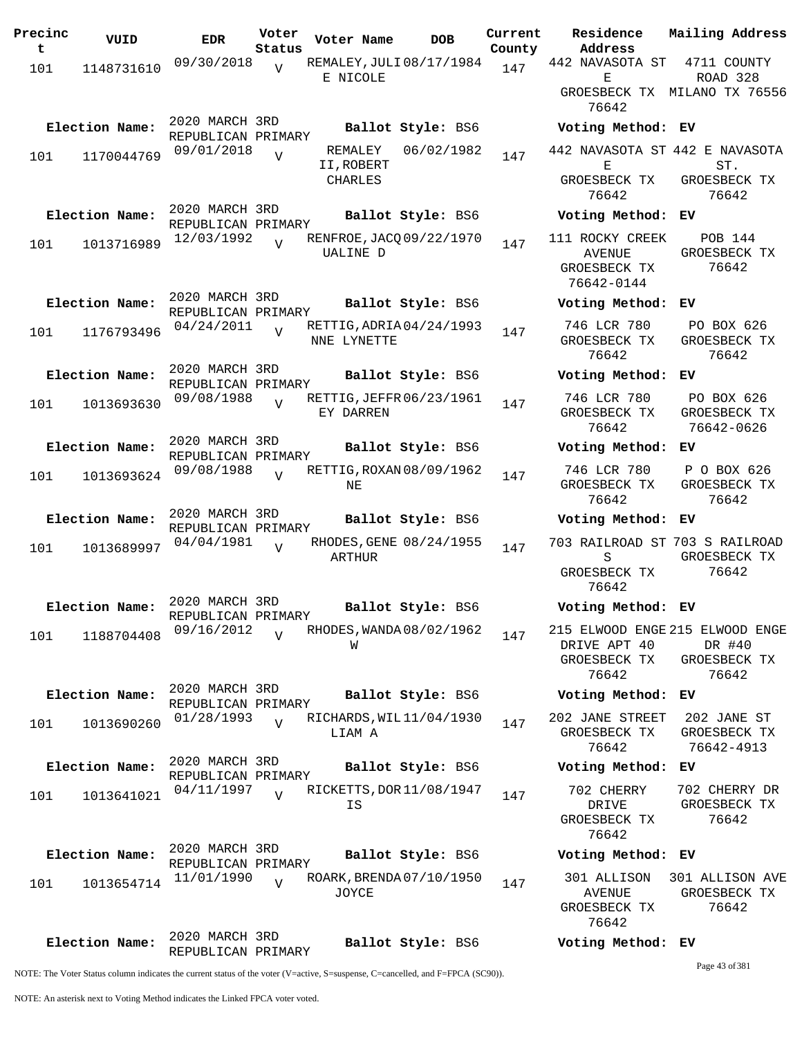| Precinc | VUID           | <b>EDR</b>                           | Voter           | Voter Name                              | <b>DOB</b>        | Current | Residence                                                      | Mailing Address                                                    |
|---------|----------------|--------------------------------------|-----------------|-----------------------------------------|-------------------|---------|----------------------------------------------------------------|--------------------------------------------------------------------|
| t       |                |                                      | Status          |                                         |                   | County  | Address                                                        |                                                                    |
| 101     | 1148731610     | 09/30/2018                           | $\overline{V}$  | REMALEY, JULI 08/17/1984<br>E NICOLE    |                   | 147     | 442 NAVASOTA ST<br>Е                                           | 4711 COUNTY<br>ROAD 328                                            |
|         |                |                                      |                 |                                         |                   |         | 76642                                                          | GROESBECK TX MILANO TX 76556                                       |
|         | Election Name: | 2020 MARCH 3RD<br>REPUBLICAN PRIMARY |                 |                                         | Ballot Style: BS6 |         | Voting Method: EV                                              |                                                                    |
| 101     | 1170044769     | 09/01/2018                           | $\overline{V}$  | REMALEY<br>II, ROBERT                   | 06/02/1982        | 147     | Е                                                              | 442 NAVASOTA ST 442 E NAVASOTA<br>ST.                              |
|         |                |                                      |                 | CHARLES                                 |                   |         | GROESBECK TX<br>76642                                          | GROESBECK TX<br>76642                                              |
|         | Election Name: | 2020 MARCH 3RD<br>REPUBLICAN PRIMARY |                 |                                         | Ballot Style: BS6 |         | Voting Method: EV                                              |                                                                    |
| 101     | 1013716989     | 12/03/1992                           |                 | RENFROE, JACQ 09/22/1970<br>UALINE D    |                   | 147     | 111 ROCKY CREEK<br><b>AVENUE</b><br>GROESBECK TX<br>76642-0144 | <b>POB 144</b><br>GROESBECK TX<br>76642                            |
|         | Election Name: | 2020 MARCH 3RD<br>REPUBLICAN PRIMARY |                 |                                         | Ballot Style: BS6 |         | Voting Method:                                                 | ЕV                                                                 |
| 101     | 1176793496     | 04/24/2011                           | $\overline{U}$  | RETTIG, ADRIA 04/24/1993<br>NNE LYNETTE |                   | 147     | 746 LCR 780<br>GROESBECK TX<br>76642                           | PO BOX 626<br>GROESBECK TX<br>76642                                |
|         | Election Name: | 2020 MARCH 3RD<br>REPUBLICAN PRIMARY |                 |                                         | Ballot Style: BS6 |         | Voting Method:                                                 | ЕV                                                                 |
| 101     | 1013693630     | 09/08/1988                           | $\overline{U}$  | RETTIG, JEFFR 06/23/1961<br>EY DARREN   |                   | 147     | 746 LCR 780<br>GROESBECK TX<br>76642                           | PO BOX 626<br>GROESBECK TX<br>76642-0626                           |
|         | Election Name: | 2020 MARCH 3RD<br>REPUBLICAN PRIMARY |                 |                                         | Ballot Style: BS6 |         | Voting Method: EV                                              |                                                                    |
| 101     | 1013693624     | 09/08/1988                           | $\overline{V}$  | RETTIG, ROXAN 08/09/1962<br>NE          |                   | 147     | 746 LCR 780<br>GROESBECK TX<br>76642                           | P O BOX 626<br>GROESBECK TX<br>76642                               |
|         | Election Name: | 2020 MARCH 3RD<br>REPUBLICAN PRIMARY |                 |                                         | Ballot Style: BS6 |         | Voting Method: EV                                              |                                                                    |
| 101     | 1013689997     | 04/04/1981                           | $\overline{U}$  | RHODES, GENE 08/24/1955<br>ARTHUR       |                   | 147     | S                                                              | 703 RAILROAD ST 703 S RAILROAD<br>GROESBECK TX                     |
|         |                |                                      |                 |                                         |                   |         | GROESBECK TX<br>76642                                          | 76642                                                              |
|         | Election Name: | 2020 MARCH 3RD<br>REPUBLICAN PRIMARY |                 |                                         | Ballot Style: BS6 |         | Voting Method: EV                                              |                                                                    |
| 101     | 1188704408     | 09/16/2012                           | $\overline{17}$ | RHODES, WANDA 08/02/1962<br>W           |                   | 147     | DRIVE APT 40<br>GROESBECK TX<br>76642                          | 215 ELWOOD ENGE 215 ELWOOD ENGE<br>DR #40<br>GROESBECK TX<br>76642 |
|         | Election Name: | 2020 MARCH 3RD<br>REPUBLICAN PRIMARY |                 |                                         | Ballot Style: BS6 |         | Voting Method: EV                                              |                                                                    |
| 101     | 1013690260     | 01/28/1993                           | $\overline{V}$  | RICHARDS, WIL 11/04/1930<br>LIAM A      |                   | 147     | 202 JANE STREET<br>GROESBECK TX<br>76642                       | 202 JANE ST<br>GROESBECK TX<br>76642-4913                          |
|         | Election Name: | 2020 MARCH 3RD<br>REPUBLICAN PRIMARY |                 |                                         | Ballot Style: BS6 |         | Voting Method: EV                                              |                                                                    |
| 101     | 1013641021     | 04/11/1997                           | $\overline{U}$  | RICKETTS, DOR 11/08/1947<br>IS          |                   | 147     | 702 CHERRY<br>DRIVE<br>GROESBECK TX<br>76642                   | 702 CHERRY DR<br>GROESBECK TX<br>76642                             |
|         | Election Name: | 2020 MARCH 3RD<br>REPUBLICAN PRIMARY |                 |                                         | Ballot Style: BS6 |         | Voting Method: EV                                              |                                                                    |
| 101     | 1013654714     | 11/01/1990                           | $\overline{U}$  | ROARK, BRENDA 07/10/1950<br>JOYCE       |                   | 147     | 301 ALLISON<br>AVENUE<br>GROESBECK TX<br>76642                 | 301 ALLISON AVE<br>GROESBECK TX<br>76642                           |
|         | Election Name: | 2020 MARCH 3RD<br>REPUBLICAN PRIMARY |                 |                                         | Ballot Style: BS6 |         | Voting Method: EV                                              |                                                                    |
|         |                |                                      |                 |                                         |                   |         |                                                                | Page 43 of 381                                                     |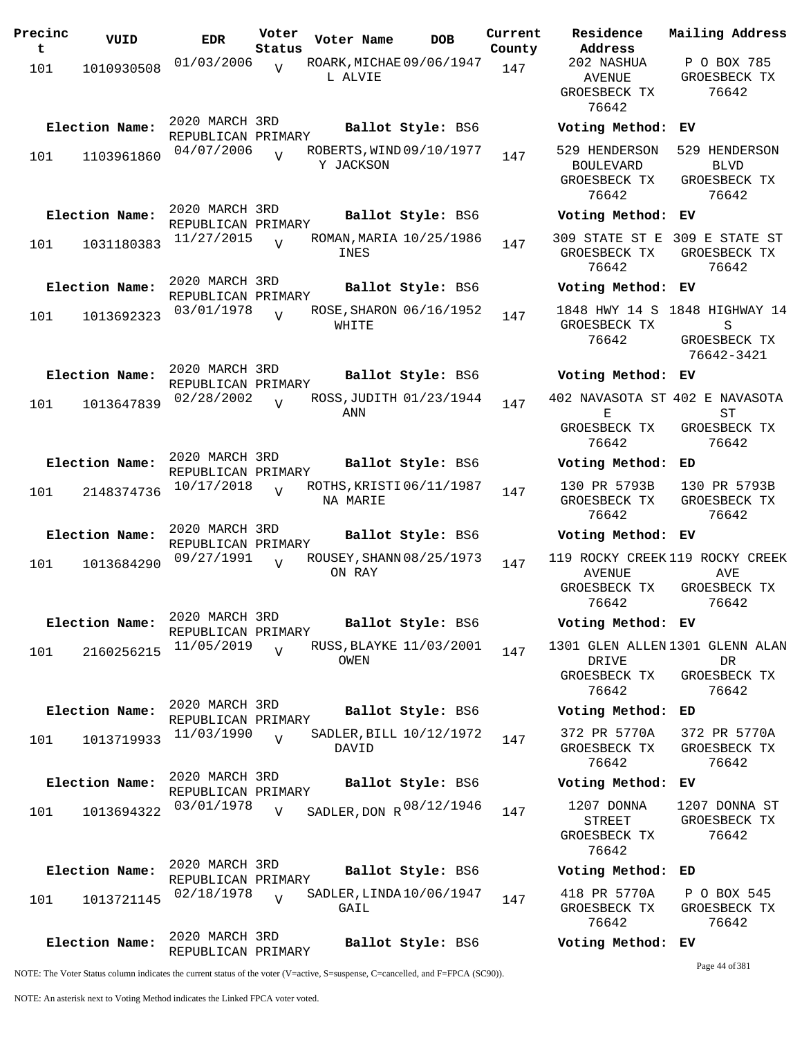| Precinc<br>t | VUID           | <b>EDR</b>                           | Voter<br>Status | Voter Name                            | <b>DOB</b>        | Current<br>County | Residence<br>Address                                   |
|--------------|----------------|--------------------------------------|-----------------|---------------------------------------|-------------------|-------------------|--------------------------------------------------------|
| 101          | 1010930508     | 01/03/2006                           | $\overline{U}$  | ROARK, MICHAE 09/06/1947<br>L ALVIE   |                   | 147               | 202 NASHUA<br><b>AVENUE</b><br>GROESBECK TI<br>76642   |
|              | Election Name: | 2020 MARCH 3RD<br>REPUBLICAN PRIMARY |                 |                                       | Ballot Style: BS6 |                   | Voting Metho                                           |
| 101          | 1103961860     | 04/07/2006                           | $\overline{z}$  | ROBERTS, WIND 09/10/1977<br>Y JACKSON |                   | 147               | 529 HENDERSC<br>BOULEVARD<br>GROESBECK TI<br>76642     |
|              | Election Name: | 2020 MARCH 3RD<br>REPUBLICAN PRIMARY |                 |                                       | Ballot Style: BS6 |                   | Voting Metho                                           |
| 101          | 1031180383     | 11/27/2015                           | $\overline{U}$  | ROMAN, MARIA 10/25/1986<br>INES       |                   | 147               | 309 STATE ST<br>GROESBECK TI<br>76642                  |
|              | Election Name: | 2020 MARCH 3RD<br>REPUBLICAN PRIMARY |                 |                                       | Ballot Style: BS6 |                   | Voting Metho                                           |
| 101          | 1013692323     | 03/01/1978                           | $\overline{U}$  | ROSE, SHARON 06/16/1952<br>WHITE      |                   | 147               | 1848 HWY 14<br>GROESBECK TI<br>76642                   |
|              | Election Name: | 2020 MARCH 3RD<br>REPUBLICAN PRIMARY |                 |                                       | Ballot Style: BS6 |                   | Voting Metho                                           |
| 101          | 1013647839     | 02/28/2002                           | $\overline{U}$  | ROSS, JUDITH 01/23/1944<br>ANN        |                   | 147               | 402 NAVASOTA<br>Е                                      |
|              |                |                                      |                 |                                       |                   |                   | GROESBECK TI<br>76642                                  |
|              | Election Name: | 2020 MARCH 3RD<br>REPUBLICAN PRIMARY |                 |                                       | Ballot Style: BS6 |                   | Voting Metho                                           |
| 101          | 2148374736     | 10/17/2018                           | $\overline{V}$  | ROTHS, KRISTI 06/11/1987<br>NA MARIE  |                   | 147               | 130 PR 57931<br>GROESBECK T<br>76642                   |
|              | Election Name: | 2020 MARCH 3RD<br>REPUBLICAN PRIMARY |                 |                                       | Ballot Style: BS6 |                   | Voting Metho                                           |
| 101          | 1013684290     | 09/27/1991                           | $\overline{U}$  | ROUSEY, SHANN 08/25/1973<br>ON RAY    |                   | 147               | 119 ROCKY CRE<br><b>AVENUE</b><br>GROESBECK T<br>76642 |
|              | Election Name: | 2020 MARCH 3RD<br>REPUBLICAN PRIMARY |                 |                                       | Ballot Style: BS6 |                   | Voting Metho                                           |
| 101          | 2160256215     | 11/05/2019                           | $\overline{V}$  | RUSS, BLAYKE 11/03/2001<br>OWEN       |                   | 147               | 1301 GLEN ALL<br>DRIVE<br>GROESBECK T<br>76642         |
|              | Election Name: | 2020 MARCH 3RD<br>REPUBLICAN PRIMARY |                 |                                       | Ballot Style: BS6 |                   | Voting Metho                                           |
| 101          | 1013719933     | 11/03/1990                           | $\overline{V}$  | SADLER, BILL $10/12/1972$<br>DAVID    |                   | 147               | 372 PR 5770<br>GROESBECK T<br>76642                    |
|              | Election Name: | 2020 MARCH 3RD<br>REPUBLICAN PRIMARY |                 |                                       | Ballot Style: BS6 |                   | Voting Metho                                           |
| 101          | 1013694322     | 03/01/1978                           | V               | SADLER, DON R 08/12/1946              |                   | 147               | 1207 DONNA<br>STREET<br>GROESBECK T<br>76642           |
|              | Election Name: | 2020 MARCH 3RD<br>REPUBLICAN PRIMARY |                 |                                       | Ballot Style: BS6 |                   | Voting Metho                                           |
| 101          | 1013721145     | 02/18/1978                           | $\overline{17}$ | SADLER, LINDA 10/06/1947<br>GAIL      |                   | 147               | 418 PR 5770<br>GROESBECK T<br>76642                    |
|              | Election Name: | 2020 MARCH 3RD<br>REPUBLICAN PRIMARY |                 |                                       | Ballot Style: BS6 |                   | Voting Metho                                           |

AVENUE GROESBECK TX 76642 GROESBECK TX 76642 **Election Name: Ballot Style:** BS6 **Voting Method: EV** 529 HENDERSON 529 HENDERSON BOULEVARD GROESBECK TX 76642 BLVD GROESBECK TX 76642 **Election Name: Ballot Style:** BS6 **Voting Method: EV** 309 STATE ST E 309 E STATE ST GROESBECK TX 76642 GROESBECK TX 76642 **Election Name: Ballot Style:** BS6 **Voting Method: EV** 1848 HWY 14 S 1848 HIGHWAY 14 GROESBECK TX 76642 S GROESBECK TX 76642-3421 **Election Name: Ballot Style:** BS6 **Voting Method: EV** 402 NAVASOTA ST 402 E NAVASOTA E GROESBECK TX 76642 ST GROESBECK TX 76642 **Election Name: Ballot Style:** BS6 **Voting Method: ED** 130 PR 5793B GROESBECK TX 76642 130 PR 5793B GROESBECK TX 76642 **Election Name: Ballot Style:** BS6 **Voting Method: EV** 119 ROCKY CREEK 119 ROCKY CREEK AVENUE GROESBECK TX 76642 AV<sub>E</sub> GROESBECK TX 76642 **Election Name: Ballot Style:** BS6 **Voting Method: EV** 1301 GLEN ALLEN 1301 GLENN ALAN DRIVE GROESBECK TX 76642 DR GROESBECK TX 76642 **Election Name: Ballot Style:** BS6 **Voting Method: ED** 372 PR 5770A GROESBECK TX 76642 372 PR 5770A GROESBECK TX 76642 **Election Name: Ballot Style:** BS6 **Voting Method: EV** STREET GROESBECK TX 76642 1207 DONNA ST GROESBECK TX 76642 **Election Name: Ballot Style:** BS6 **Voting Method: ED** 418 PR 5770A GROESBECK TX 76642 P O BOX 545 GROESBECK TX 76642 **Election Name: Ballot Style:** BS6 **Voting Method: EV**

**Current Mailing Address**

P O BOX 785

NOTE: The Voter Status column indicates the current status of the voter (V=active, S=suspense, C=cancelled, and F=FPCA (SC90)).

Page 44 of 381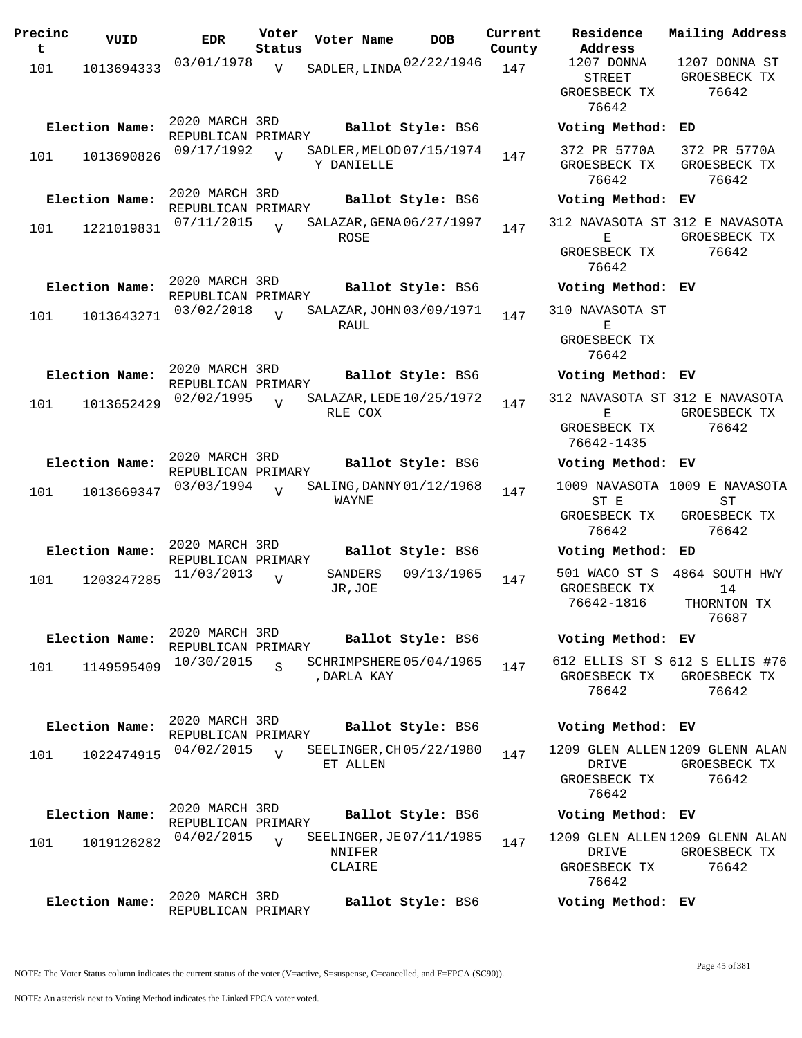| Precinc<br>t | VUID           | <b>EDR</b>                           | Voter<br>Status | Voter Name                                  | <b>DOB</b>        | Current<br>County | Residence<br>Address                                   | Mail      |
|--------------|----------------|--------------------------------------|-----------------|---------------------------------------------|-------------------|-------------------|--------------------------------------------------------|-----------|
| 101          | 1013694333     | 03/01/1978                           | $\overline{V}$  | SADLER, LINDA 02/22/1946                    |                   | 147               | 1207 DONNA<br><b>STREET</b><br>GROESBECK TX<br>76642   | 120<br>GR |
|              | Election Name: | 2020 MARCH 3RD<br>REPUBLICAN PRIMARY |                 |                                             | Ballot Style: BS6 |                   | Voting Method:                                         | ED        |
| 101          | 1013690826     | 09/17/1992                           |                 | SADLER, MELOD 07/15/1974<br>Y DANIELLE      |                   | 147               | 372 PR 5770A<br>GROESBECK TX<br>76642                  | 37<br>GR  |
|              | Election Name: | 2020 MARCH 3RD<br>REPUBLICAN PRIMARY |                 |                                             | Ballot Style: BS6 |                   | Voting Method:                                         | ЕV        |
| 101          | 1221019831     | 07/11/2015                           | $\overline{U}$  | SALAZAR, GENA 06/27/1997<br>ROSE            |                   | 147               | 312 NAVASOTA ST 312<br>Ε<br>GROESBECK TX<br>76642      | GR        |
|              | Election Name: | 2020 MARCH 3RD                       |                 |                                             | Ballot Style: BS6 |                   | Voting Method: EV                                      |           |
| 101          | 1013643271     | REPUBLICAN PRIMARY<br>03/02/2018     | $\overline{U}$  | SALAZAR, JOHN 03/09/1971                    |                   | 147               | 310 NAVASOTA ST                                        |           |
|              |                |                                      |                 | RAUL                                        |                   |                   | Е<br>GROESBECK TX<br>76642                             |           |
|              | Election Name: | 2020 MARCH 3RD<br>REPUBLICAN PRIMARY |                 |                                             | Ballot Style: BS6 |                   | Voting Method:                                         | ЕV        |
| 101          | 1013652429     | 02/02/1995                           | $\overline{V}$  | SALAZAR, LEDE 10/25/1972<br>RLE COX         |                   | 147               | 312 NAVASOTA ST 312<br>Ε<br>GROESBECK TX               | GR        |
|              | Election Name: | 2020 MARCH 3RD                       |                 |                                             | Ballot Style: BS6 |                   | 76642-1435<br>Voting Method:                           | EV        |
|              |                | REPUBLICAN PRIMARY<br>03/03/1994     |                 | SALING, DANNY 01/12/1968                    |                   |                   | 1009 NAVASOTA 1009                                     |           |
| 101          | 1013669347     |                                      | $\overline{U}$  | WAYNE                                       |                   | 147               | ST E<br>GROESBECK TX<br>76642                          | GR        |
|              | Election Name: | 2020 MARCH 3RD<br>REPUBLICAN PRIMARY |                 |                                             | Ballot Style: BS6 |                   | Voting Method:                                         | ED        |
| 101          | 1203247285     | 11/03/2013                           | $\overline{V}$  | SANDERS<br>JR, JOE                          | 09/13/1965        | 147               | 501 WACO ST S<br>GROESBECK TX<br>76642-1816            | 486<br>Тŀ |
|              | Election Name: | 2020 MARCH 3RD                       |                 |                                             | Ballot Style: BS6 |                   | Voting Method: EV                                      |           |
| 101          | 1149595409     | REPUBLICAN PRIMARY<br>10/30/2015     | Ś               | SCHRIMPSHERE 05/04/1965<br>, DARLA KAY      |                   | 147               | 612 ELLIS ST S 612<br>GROESBECK TX<br>76642            | GR        |
|              | Election Name: | 2020 MARCH 3RD<br>REPUBLICAN PRIMARY |                 |                                             | Ballot Style: BS6 |                   | Voting Method: EV                                      |           |
| 101          | 1022474915     | 04/02/2015                           | $\overline{U}$  | SEELINGER, CH 05/22/1980<br>ET ALLEN        |                   | 147               | 1209 GLEN ALLEN 1209<br>DRIVE<br>GROESBECK TX<br>76642 | GR        |
|              | Election Name: | 2020 MARCH 3RD<br>REPUBLICAN PRIMARY |                 |                                             | Ballot Style: BS6 |                   | Voting Method: EV                                      |           |
| 101          | 1019126282     | 04/02/2015                           | $\overline{U}$  | SEELINGER, JE07/11/1985<br>NNIFER<br>CLAIRE |                   | 147               | 1209 GLEN ALLEN 1209<br>DRIVE<br>GROESBECK TX<br>76642 | GR        |
|              | Election Name: | 2020 MARCH 3RD<br>REPUBLICAN PRIMARY |                 |                                             | Ballot Style: BS6 |                   | Voting Method: EV                                      |           |

STREET ESBECK TX 76642 1207 DONNA ST GROESBECK TX 76642 **Election Name: Ballot Style:** BS6 **Voting Method: ED** PR 5770A ESBECK TX 76642 372 PR 5770A GROESBECK TX 76642 **Election Name: Ballot Style:** BS6 **Voting Method: EV** 312 NAVASOTA ST 312 E NAVASOTA E ESBECK TX 76642 GROESBECK TX 76642 **Election Name: Ballot Style:** BS6 **Voting Method: EV** 310 NAVASOTA ST E ESBECK TX 76642 **Election Name: Ballot Style:** BS6 **Voting Method: EV** 312 NAVASOTA ST 312 E NAVASOTA E ESBECK TX 76642-1435 GROESBECK TX 76642 **Election Name: Ballot Style:** BS6 **Voting Method: EV** 1009 NAVASOTA 1009 E NAVASOTA ST E ESBECK TX 76642 ST GROESBECK TX 76642 **Election Name: Ballot Style:** BS6 **Voting Method: ED** 501 WACO ST S 4864 SOUTH HWY ESBECK TX 76642-1816 14 THORNTON TX 76687 **Election Name: Ballot Style:** BS6 **Voting Method: EV** 612 ELLIS ST S 612 S ELLIS #76 GROESBECK TX GROESBECK TX 76642 76642 **Election Name: Ballot Style:** BS6 **Voting Method: EV**

**Current Mailing Address**

1209 GLEN ALLEN 1209 GLENN ALAN DRIVE ESBECK TX 76642 GROESBECK TX 76642

## **Election Name: Ballot Style:** BS6 **Voting Method: EV**

1209 GLEN ALLEN 1209 GLENN ALAN DRIVE ESBECK TX 76642 GROESBECK TX 76642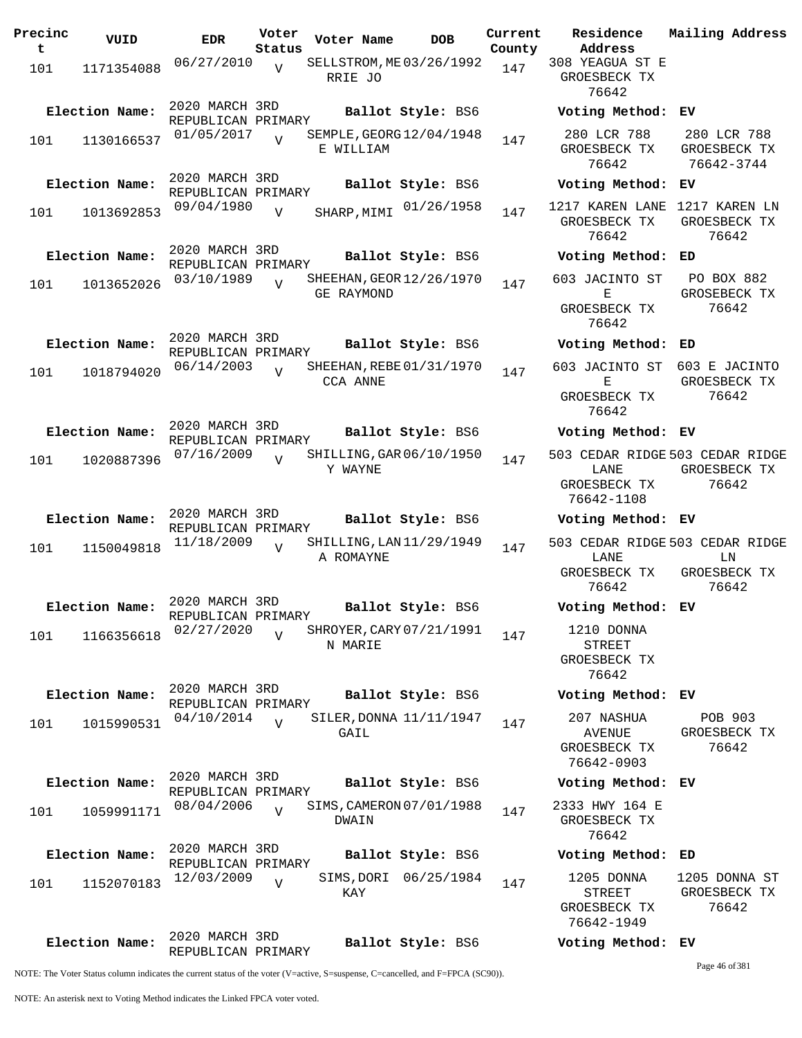| Precinc  | VUID           | <b>EDR</b>                           | Voter                    | Voter Name                             | <b>DOB</b>             | Current       | Residence                                                 | Mailing Address                                                |
|----------|----------------|--------------------------------------|--------------------------|----------------------------------------|------------------------|---------------|-----------------------------------------------------------|----------------------------------------------------------------|
| t<br>101 | 1171354088     | 06/27/2010                           | Status<br>$\overline{V}$ | SELLSTROM, ME 03/26/1992<br>RRIE JO    |                        | County<br>147 | Address<br>308 YEAGUA ST E<br>GROESBECK TX<br>76642       |                                                                |
|          | Election Name: | 2020 MARCH 3RD                       |                          |                                        | Ballot Style: BS6      |               | Voting Method: EV                                         |                                                                |
| 101      | 1130166537     | REPUBLICAN PRIMARY<br>01/05/2017     | $\overline{V}$           | SEMPLE, GEORG 12/04/1948<br>E WILLIAM  |                        | 147           | 280 LCR 788<br>GROESBECK TX<br>76642                      | 280 LCR 788<br>GROESBECK TX<br>76642-3744                      |
|          | Election Name: | 2020 MARCH 3RD<br>REPUBLICAN PRIMARY |                          |                                        | Ballot Style: BS6      |               | Voting Method: EV                                         |                                                                |
| 101      | 1013692853     | 09/04/1980                           | $\overline{V}$           |                                        | SHARP, MIMI 01/26/1958 | 147           | 1217 KAREN LANE 1217 KAREN LN<br>GROESBECK TX<br>76642    | GROESBECK TX<br>76642                                          |
|          | Election Name: | 2020 MARCH 3RD<br>REPUBLICAN PRIMARY |                          |                                        | Ballot Style: BS6      |               | Voting Method: ED                                         |                                                                |
| 101      | 1013652026     | 03/10/1989                           | $\overline{U}$           | SHEEHAN, GEOR 12/26/1970<br>GE RAYMOND |                        | 147           | 603 JACINTO ST<br>Е<br>GROESBECK TX<br>76642              | PO BOX 882<br>GROSEBECK TX<br>76642                            |
|          | Election Name: | 2020 MARCH 3RD                       |                          |                                        | Ballot Style: BS6      |               | Voting Method: ED                                         |                                                                |
| 101      | 1018794020     | REPUBLICAN PRIMARY<br>06/14/2003     | $\overline{V}$           | SHEEHAN, REBE 01/31/1970<br>CCA ANNE   |                        | 147           | 603 JACINTO ST<br>Е<br>GROESBECK TX<br>76642              | 603 E JACINTO<br>GROESBECK TX<br>76642                         |
|          | Election Name: | 2020 MARCH 3RD<br>REPUBLICAN PRIMARY |                          |                                        | Ballot Style: BS6      |               | Voting Method: EV                                         |                                                                |
| 101      | 1020887396     | 07/16/2009                           | V                        | SHILLING, GAR 06/10/1950<br>Y WAYNE    |                        | 147           | LANE<br>GROESBECK TX<br>76642-1108                        | 503 CEDAR RIDGE 503 CEDAR RIDGE<br>GROESBECK TX<br>76642       |
|          | Election Name: | 2020 MARCH 3RD                       |                          |                                        | Ballot Style: BS6      |               | Voting Method: EV                                         |                                                                |
| 101      | 1150049818     | REPUBLICAN PRIMARY<br>11/18/2009     | $\overline{U}$           | SHILLING, LAN 11/29/1949<br>A ROMAYNE  |                        | 147           | LANE<br>GROESBECK TX<br>76642                             | 503 CEDAR RIDGE 503 CEDAR RIDGE<br>ΓW<br>GROESBECK TX<br>76642 |
|          | Election Name: | 2020 MARCH 3RD<br>REPUBLICAN PRIMARY |                          |                                        | Ballot Style: BS6      |               | Voting Method: EV                                         |                                                                |
| 101      | 1166356618     | 02/27/2020                           | $\overline{z}$           | SHROYER, CARY 07/21/1991<br>N MARIE    |                        | 147           | 1210 DONNA<br><b>STREET</b><br>GROESBECK TX<br>76642      |                                                                |
|          | Election Name: | 2020 MARCH 3RD<br>REPUBLICAN PRIMARY |                          |                                        | Ballot Style: BS6      |               | Voting Method: EV                                         |                                                                |
| 101      | 1015990531     | 04/10/2014                           | $\overline{U}$           | SILER, DONNA 11/11/1947<br>GAIL        |                        | 147           | 207 NASHUA<br><b>AVENUE</b><br>GROESBECK TX<br>76642-0903 | POB 903<br>GROESBECK TX<br>76642                               |
|          | Election Name: | 2020 MARCH 3RD<br>REPUBLICAN PRIMARY |                          |                                        | Ballot Style: BS6      |               | Voting Method: EV                                         |                                                                |
| 101      | 1059991171     | 08/04/2006                           | $\overline{U}$           | SIMS, CAMERON 07/01/1988<br>DWAIN      |                        | 147           | 2333 HWY 164 E<br>GROESBECK TX<br>76642                   |                                                                |
|          | Election Name: | 2020 MARCH 3RD<br>REPUBLICAN PRIMARY |                          |                                        | Ballot Style: BS6      |               | Voting Method: ED                                         |                                                                |
| 101      | 1152070183     | 12/03/2009                           | $\overline{V}$           | KAY                                    | SIMS, DORI 06/25/1984  | 147           | 1205 DONNA<br>STREET<br>GROESBECK TX<br>76642-1949        | 1205 DONNA ST<br>GROESBECK TX<br>76642                         |
|          | Election Name: | 2020 MARCH 3RD<br>REPUBLICAN PRIMARY |                          |                                        | Ballot Style: BS6      |               | Voting Method: EV                                         |                                                                |

NOTE: The Voter Status column indicates the current status of the voter (V=active, S=suspense, C=cancelled, and F=FPCA (SC90)).

Page 46 of 381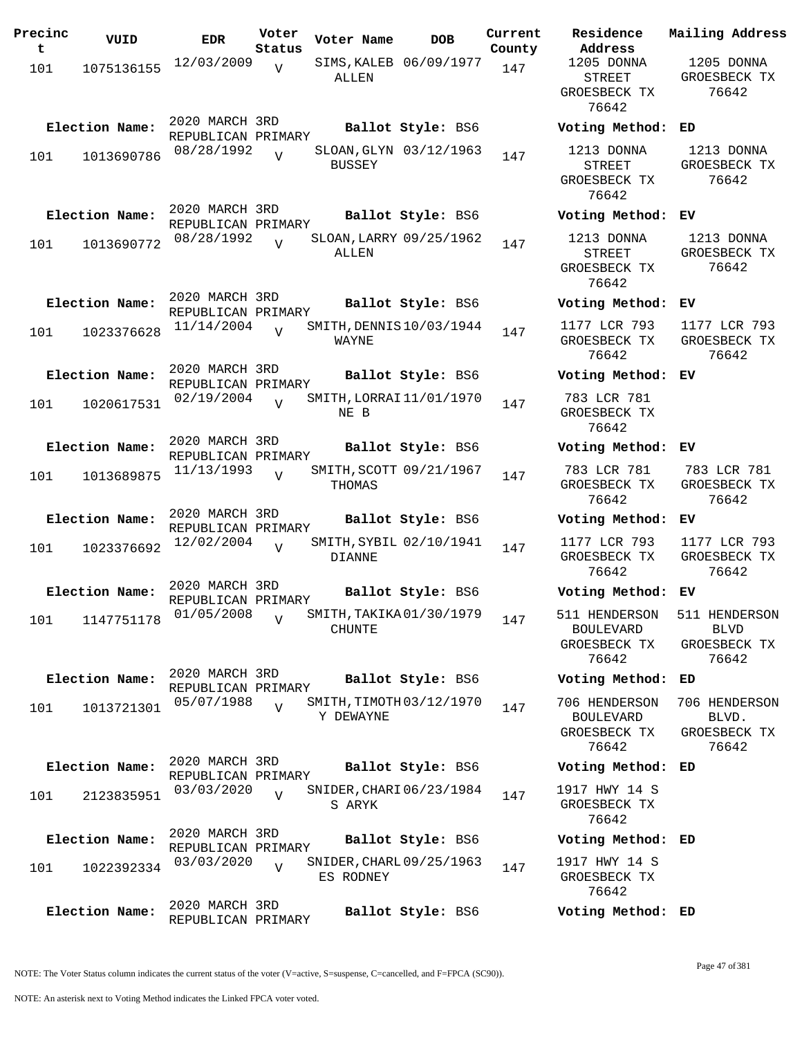| Precinc<br>t | VUID           | <b>EDR</b>                           | Voter<br>Status | Voter Name    | DOB                      | Current<br>County |
|--------------|----------------|--------------------------------------|-----------------|---------------|--------------------------|-------------------|
| 101          | 1075136155     | 12/03/2009                           | V               | ALLEN         | SIMS, KALEB 06/09/1977   | 147               |
|              | Election Name: | 2020 MARCH 3RD<br>REPUBLICAN PRIMARY |                 |               | Ballot Style: BS6        |                   |
| 101          | 1013690786     | 08/28/1992                           | $\overline{U}$  | <b>BUSSEY</b> | SLOAN, GLYN 03/12/1963   | 147               |
|              | Election Name: | 2020 MARCH 3RD<br>REPUBLICAN PRIMARY |                 |               | Ballot Style: BS6        |                   |
| 101          | 1013690772     | 08/28/1992                           | $\overline{V}$  | ALLEN         | SLOAN, LARRY 09/25/1962  | 147               |
|              | Election Name: | 2020 MARCH 3RD<br>REPUBLICAN PRIMARY |                 |               | Ballot Style: BS6        |                   |
| 101          | 1023376628     | 11/14/2004                           | $\overline{U}$  | WAYNE         | SMITH, DENNIS 10/03/1944 | 147               |
|              | Election Name: | 2020 MARCH 3RD<br>REPUBLICAN PRIMARY |                 |               | Ballot Style: BS6        |                   |
| 101          | 1020617531     | 02/19/2004                           | $\overline{U}$  | NE B          | SMITH, LORRAI 11/01/1970 | 147               |
|              | Election Name: | 2020 MARCH 3RD                       |                 |               | Ballot Style: BS6        |                   |
| 101          | 1013689875     | REPUBLICAN PRIMARY<br>11/13/1993     | V               | THOMAS        | SMITH, SCOTT 09/21/1967  | 147               |
|              | Election Name: | 2020 MARCH 3RD                       |                 |               | Ballot Style: BS6        |                   |
| 101          | 1023376692     | REPUBLICAN PRIMARY<br>12/02/2004     | $\overline{I}$  | DIANNE        | SMITH, SYBIL 02/10/1941  | 147               |
|              | Election Name: | 2020 MARCH 3RD                       |                 |               | Ballot Style: BS6        |                   |
| 101          | 1147751178     | REPUBLICAN PRIMARY<br>$01/05/2008$ V |                 | CHUNTE        | SMITH, TAKIKA 01/30/1979 | 147               |
|              | Election Name: | 2020 MARCH 3RD<br>REPUBLICAN PRIMARY |                 |               | Ballot Style: BS6        |                   |
| 101          | 1013721301     | 05/07/1988                           | $\overline{V}$  | Y DEWAYNE     | SMITH, TIMOTH 03/12/1970 | 147               |
|              | Election Name: | 2020 MARCH 3RD<br>REPUBLICAN PRIMARY |                 |               | Ballot Style: BS6        |                   |
| 101          | 2123835951     | 03/03/2020                           | $\overline{U}$  | S ARYK        | SNIDER, CHARI 06/23/1984 | 147               |
|              | Election Name: | 2020 MARCH 3RD                       |                 |               | Ballot Style: BS6        |                   |
| 101          | 1022392334     | REPUBLICAN PRIMARY<br>03/03/2020     | $\overline{V}$  | ES RODNEY     | SNIDER, CHARL 09/25/1963 | 147               |
|              | Election Name: | 2020 MARCH 3RD<br>REPUBLICAN PRIMARY |                 |               | Ballot Style: BS6        |                   |

**Voter Name DOB Residence Address Current Mailing Address** 1205 DONNA STREET GROESBECK TX 76642 1205 DONNA GROESBECK TX 76642 **Election Name: Ballot Style:** BS6 **Voting Method: ED** 1213 DONNA STREET GROESBECK TX 76642 1213 DONNA GROESBECK TX 76642 **Election Name: Ballot Style:** BS6 **Voting Method: EV** 1213 DONNA STREET GROESBECK TX 76642 1213 DONNA GROESBECK TX 76642 **Election Name: Ballot Style:** BS6 **Voting Method: EV** 1177 LCR 793 GROESBECK TX 76642 1177 LCR 793 GROESBECK TX 76642 **Election Name: Ballot Style:** BS6 **Voting Method: EV** 783 LCR 781 GROESBECK TX 76642 **Election Name: Ballot Style:** BS6 **Voting Method: EV** 783 LCR 781 GROESBECK TX 76642 783 LCR 781 GROESBECK TX 76642 **Election Name: Ballot Style:** BS6 **Voting Method: EV** 1177 LCR 793 GROESBECK TX 76642 1177 LCR 793 GROESBECK TX 76642 **Election Name: Ballot Style:** BS6 **Voting Method: EV** 511 HENDERSON BOULEVARD GROESBECK TX 76642 511 HENDERSON BLVD GROESBECK TX 76642 **Election Name: Ballot Style:** BS6 **Voting Method: ED** 706 HENDERSON 706 HENDERSON BOULEVARD GROESBECK TX 76642 BLVD. GROESBECK TX 76642 **Election Name: Ballot Style:** BS6 **Voting Method: ED** 1917 HWY 14 S GROESBECK TX 76642 **Election Name: Ballot Style:** BS6 **Voting Method: ED** 1917 HWY 14 S GROESBECK TX 76642

NOTE: The Voter Status column indicates the current status of the voter (V=active, S=suspense, C=cancelled, and F=FPCA (SC90)).

**Election Name: Ballot Style:** BS6 **Voting Method: ED**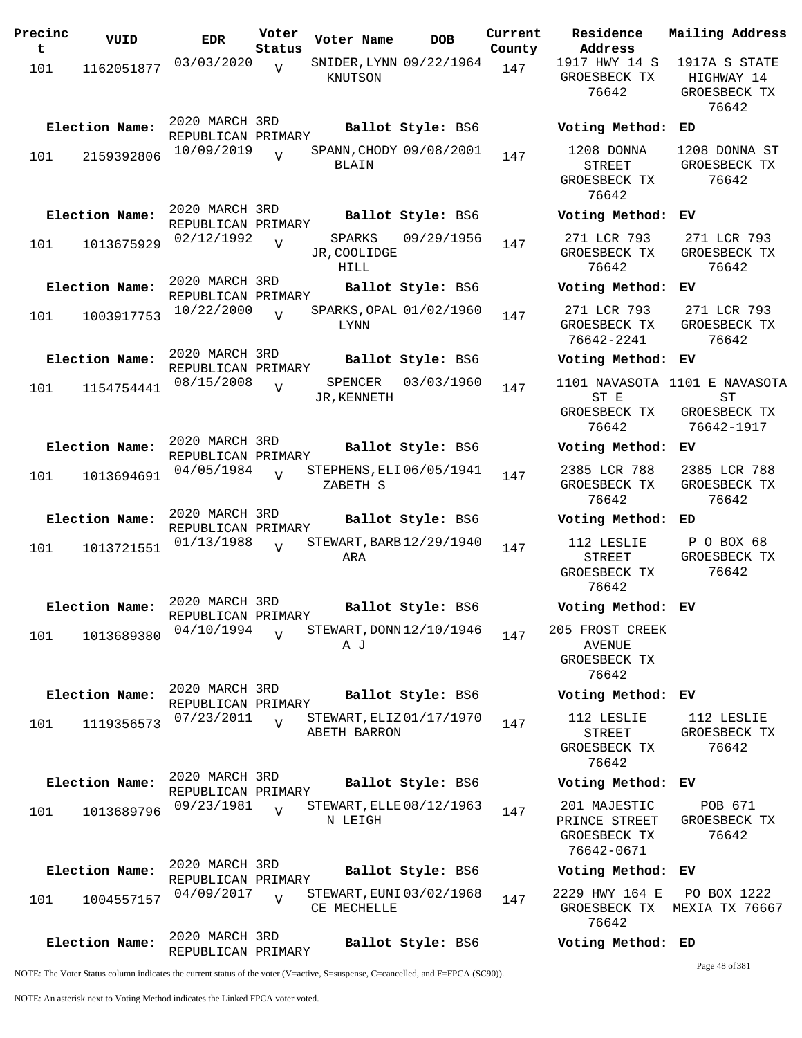| Precinc<br>t | VUID           | <b>EDR</b>                           | Voter<br>Status | Voter Name                               | <b>DOB</b>        | Current<br>County | Residence<br>Address                                     |
|--------------|----------------|--------------------------------------|-----------------|------------------------------------------|-------------------|-------------------|----------------------------------------------------------|
| 101          | 1162051877     | 03/03/2020                           | V               | SNIDER, LYNN 09/22/1964<br>KNUTSON       |                   | 147               | 1917 HWY 14<br>GROESBECK T<br>76642                      |
|              | Election Name: | 2020 MARCH 3RD<br>REPUBLICAN PRIMARY |                 |                                          | Ballot Style: BS6 |                   | Voting Metho                                             |
| 101          | 2159392806     | 10/09/2019                           | $\overline{U}$  | SPANN, CHODY 09/08/2001<br>BLAIN         |                   | 147               | 1208 DONNA<br>STREET<br>GROESBECK T<br>76642             |
|              | Election Name: | 2020 MARCH 3RD<br>REPUBLICAN PRIMARY |                 |                                          | Ballot Style: BS6 |                   | Voting Metho                                             |
| 101          | 1013675929     | 02/12/1992                           | $\overline{V}$  | SPARKS<br>JR, COOLIDGE<br>HILL           | 09/29/1956        | 147               | 271 LCR 793<br>GROESBECK T<br>76642                      |
|              | Election Name: | 2020 MARCH 3RD<br>REPUBLICAN PRIMARY |                 |                                          | Ballot Style: BS6 |                   | Voting Metho                                             |
| 101          | 1003917753     | 10/22/2000                           | $\overline{U}$  | SPARKS, OPAL 01/02/1960<br><b>LYNN</b>   |                   | 147               | 271 LCR 793<br>GROESBECK T<br>76642-2241                 |
|              | Election Name: | 2020 MARCH 3RD<br>REPUBLICAN PRIMARY |                 |                                          | Ballot Style: BS6 |                   | Voting Metho                                             |
| 101          | 1154754441     | 08/15/2008                           | $\overline{V}$  | SPENCER<br>JR, KENNETH                   | 03/03/1960        | 147               | 1101 NAVASOT<br>ST E<br>GROESBECK T<br>76642             |
|              | Election Name: | 2020 MARCH 3RD<br>REPUBLICAN PRIMARY |                 |                                          | Ballot Style: BS6 |                   | Voting Metho                                             |
| 101          | 1013694691     | 04/05/1984                           | $\overline{V}$  | STEPHENS, ELI 06/05/1941<br>ZABETH S     |                   | 147               | 2385 LCR 78<br>GROESBECK T<br>76642                      |
|              | Election Name: | 2020 MARCH 3RD<br>REPUBLICAN PRIMARY |                 |                                          | Ballot Style: BS6 |                   | Voting Metho                                             |
| 101          | 1013721551     | 01/13/1988                           | $\overline{U}$  | STEWART, BARB 12/29/1940<br>ARA          |                   | 147               | 112 LESLIE<br><b>STREET</b><br>GROESBECK T<br>76642      |
|              | Election Name: | 2020 MARCH 3RD<br>REPUBLICAN PRIMARY |                 |                                          | Ballot Style: BS6 |                   | Voting Metho                                             |
| 101          | 1013689380     | 04/10/1994                           | $\overline{U}$  | STEWART, DONN 12/10/1946<br>ΑJ           |                   | 147               | 205 FROST CRE<br><b>AVENUE</b><br>GROESBECK T<br>76642   |
|              | Election Name: | 2020 MARCH 3RD<br>REPUBLICAN PRIMARY |                 |                                          | Ballot Style: BS6 |                   | Voting Metho                                             |
| 101          | 1119356573     | 07/23/2011                           | $\overline{V}$  | STEWART, ELIZ 01/17/1970<br>ABETH BARRON |                   | 147               | 112 LESLIE<br>STREET<br>GROESBECK T<br>76642             |
|              | Election Name: | 2020 MARCH 3RD<br>REPUBLICAN PRIMARY |                 |                                          | Ballot Style: BS6 |                   | Voting Metho                                             |
| 101          | 1013689796     | 09/23/1981                           | $\overline{U}$  | STEWART, ELLE 08/12/1963<br>N LEIGH      |                   | 147               | 201 MAJESTI<br>PRINCE STREE<br>GROESBECK T<br>76642-0671 |
|              | Election Name: | 2020 MARCH 3RD<br>REPUBLICAN PRIMARY |                 |                                          | Ballot Style: BS6 |                   | Voting Metho                                             |
| 101          | 1004557157     | 04/09/2017                           | $\overline{U}$  | STEWART, EUNI 03/02/1968<br>CE MECHELLE  |                   | 147               | 2229 HWY 164<br>GROESBECK T<br>76642                     |
|              | Election Name: | 2020 MARCH 3RD<br>REPUBLICAN PRIMARY |                 |                                          | Ballot Style: BS6 |                   | Voting Metho                                             |

1917 HWY 14 S GROESBECK TX 76642 1917A S STATE HIGHWAY 14 GROESBECK TX 76642 **Election Name: Ballot Style:** BS6 **Voting Method: ED** 1208 DONNA STREET GROESBECK TX 76642 1208 DONNA ST GROESBECK TX 76642 **Election Name: Ballot Style:** BS6 **Voting Method: EV** 271 LCR 793 GROESBECK TX 76642 271 LCR 793 GROESBECK TX 76642 **Election Name: Ballot Style:** BS6 **Voting Method: EV** 271 LCR 793 GROESBECK TX 76642-2241 271 LCR 793 GROESBECK TX 76642 **Election Name: Ballot Style:** BS6 **Voting Method: EV** 1101 NAVASOTA 1101 E NAVASOTA ST E GROESBECK TX 76642 ST GROESBECK TX 76642-1917 **Election Name: Ballot Style:** BS6 **Voting Method: EV** 2385 LCR 788 GROESBECK TX 76642 2385 LCR 788 GROESBECK TX 76642 **Election Name: Ballot Style:** BS6 **Voting Method: ED** 112 LESLIE STREET GROESBECK TX 76642 P O BOX 68 GROESBECK TX 76642 **Election Name: Ballot Style:** BS6 **Voting Method: EV** 205 FROST CREEK AVENUE GROESBECK TX 76642 **Election Name: Ballot Style:** BS6 **Voting Method: EV** 112 LESLIE STREET GROESBECK TX 76642 112 LESLIE GROESBECK TX 76642 **Election Name: Ballot Style:** BS6 **Voting Method: EV** 201 MAJESTIC PRINCE STREET GROESBECK TX 76642-0671 POB 671 GROESBECK TX 76642 **Election Name: Ballot Style:** BS6 **Voting Method: EV** 2229 HWY 164 E GROESBECK TX MEXIA TX 76667 76642 PO BOX 1222

**Current Mailing Address**

## **Election Name: Ballot Style:** BS6 **Voting Method: ED**

Page 48 of 381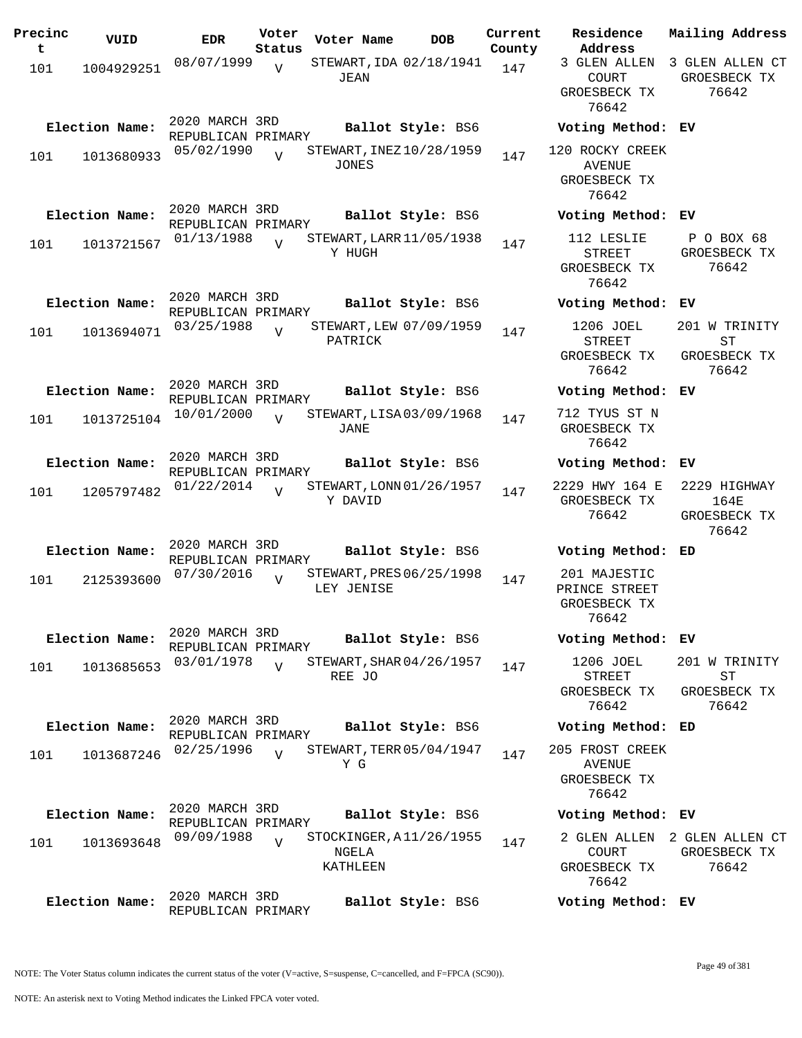| Precinc<br>t | VUID           | <b>EDR</b>                           | Voter<br>Status | Voter Name                                   | <b>DOB</b>        | Current<br>County | Residence<br>Address                                      | Mai.       |
|--------------|----------------|--------------------------------------|-----------------|----------------------------------------------|-------------------|-------------------|-----------------------------------------------------------|------------|
| 101          | 1004929251     | 08/07/1999                           | $\overline{V}$  | STEWART, IDA 02/18/1941<br>JEAN              |                   | 147               | 3 GLEN ALLEN<br><b>COURT</b><br>GROESBECK TX<br>76642     | 3 G.<br>GR |
|              | Election Name: | 2020 MARCH 3RD<br>REPUBLICAN PRIMARY |                 |                                              | Ballot Style: BS6 |                   | Voting Method: EV                                         |            |
| 101          | 1013680933     | 05/02/1990                           | $\overline{U}$  | STEWART, INEZ 10/28/1959<br><b>JONES</b>     |                   | 147               | 120 ROCKY CREEK<br><b>AVENUE</b><br>GROESBECK TX<br>76642 |            |
|              | Election Name: | 2020 MARCH 3RD<br>REPUBLICAN PRIMARY |                 |                                              | Ballot Style: BS6 |                   | Voting Method: EV                                         |            |
| 101          | 1013721567     | 01/13/1988                           | $\overline{U}$  | STEWART, LARR 11/05/1938<br>Y HUGH           |                   | 147               | 112 LESLIE<br><b>STREET</b><br>GROESBECK TX<br>76642      | F<br>GR    |
|              | Election Name: | 2020 MARCH 3RD<br>REPUBLICAN PRIMARY |                 |                                              | Ballot Style: BS6 |                   | Voting Method:                                            | ЕV         |
| 101          | 1013694071     | 03/25/1988                           | $\overline{U}$  | STEWART, LEW 07/09/1959<br>PATRICK           |                   | 147               | 1206 JOEL<br><b>STREET</b><br>GROESBECK TX<br>76642       | 20<br>GR   |
|              | Election Name: | 2020 MARCH 3RD<br>REPUBLICAN PRIMARY |                 |                                              | Ballot Style: BS6 |                   | Voting Method:                                            | ЕV         |
| 101          | 1013725104     | 10/01/2000                           | $\overline{U}$  | STEWART, LISA 03/09/1968<br>JANE             |                   | 147               | 712 TYUS ST N<br>GROESBECK TX<br>76642                    |            |
|              | Election Name: | 2020 MARCH 3RD<br>REPUBLICAN PRIMARY |                 |                                              | Ballot Style: BS6 |                   | Voting Method:                                            | ΕV         |
| 101          | 1205797482     | 01/22/2014                           | $\overline{V}$  | STEWART, LONN 01/26/1957<br>Y DAVID          |                   | 147               | 2229 HWY 164 E<br>GROESBECK TX<br>76642                   | 22<br>GR   |
|              | Election Name: | 2020 MARCH 3RD                       |                 |                                              | Ballot Style: BS6 |                   | Voting Method:                                            | ED         |
| 101          | 2125393600     | REPUBLICAN PRIMARY<br>07/30/2016     | $\overline{V}$  | STEWART, PRES 06/25/1998<br>LEY JENISE       |                   | 147               | 201 MAJESTIC<br>PRINCE STREET<br>GROESBECK TX<br>76642    |            |
|              | Election Name: | 2020 MARCH 3RD<br>REPUBLICAN PRIMARY |                 |                                              | Ballot Style: BS6 |                   | Voting Method: EV                                         |            |
| 101          | 1013685653     | 03/01/1978                           | $\overline{U}$  | STEWART, SHAR 04/26/1957<br>REE JO           |                   | 147               | 1206 JOEL<br><b>STREET</b><br>GROESBECK TX<br>76642       | 20<br>GR   |
|              | Election Name: | 2020 MARCH 3RD                       |                 |                                              | Ballot Style: BS6 |                   | Voting Method: ED                                         |            |
| 101          | 1013687246     | REPUBLICAN PRIMARY<br>02/25/1996     | $\overline{17}$ | STEWART, TERR 05/04/1947<br>Y G              |                   | 147               | 205 FROST CREEK<br><b>AVENUE</b><br>GROESBECK TX<br>76642 |            |
|              | Election Name: | 2020 MARCH 3RD<br>REPUBLICAN PRIMARY |                 |                                              | Ballot Style: BS6 |                   | Voting Method: EV                                         |            |
| 101          | 1013693648     | 09/09/1988                           | $\overline{U}$  | STOCKINGER, A11/26/1955<br>NGELA<br>KATHLEEN |                   | 147               | 2 GLEN ALLEN<br><b>COURT</b><br>GROESBECK TX<br>76642     | 2 G.<br>GR |
|              | Election Name: | 2020 MARCH 3RD<br>REPUBLICAN PRIMARY |                 |                                              | Ballot Style: BS6 |                   | Voting Method: EV                                         |            |

**Voter Name DOB Residence Address Current Mailing Address** 3 GLEN ALLEN 3 GLEN ALLEN CT COURT GROESBECK TX 76642 GROESBECK TX 76642 **Election Name: Ballot Style:** BS6 **Voting Method: EV** ROCKY CREEK AVENUE GROESBECK TX 76642 **Election Name: Ballot Style:** BS6 **Voting Method: EV** 112 LESLIE STREET GROESBECK TX 76642 P O BOX 68 GROESBECK TX 76642 **Election Name: Ballot Style:** BS6 **Voting Method: EV** 1206 JOEL STREET GROESBECK TX 76642 201 W TRINITY ST GROESBECK TX 76642 **Election Name: Ballot Style:** BS6 **Voting Method: EV** 2 TYUS ST N GROESBECK TX 76642 **Election Name: Ballot Style:** BS6 **Voting Method: EV** 2229 HWY 164 E 2229 HIGHWAY GROESBECK TX 76642 164E GROESBECK TX 76642 **Election Name: Ballot Style:** BS6 **Voting Method: ED** 1 MAJESTIC PRINCE STREET GROESBECK TX 76642 **Election Name: Ballot Style:** BS6 **Voting Method: EV** 1206 JOEL STREET GROESBECK TX 76642 201 W TRINITY ST GROESBECK TX 76642 **Election Name: Ballot Style:** BS6 **Voting Method: ED**

## **Election Name: Ballot Style:** BS6 **Voting Method: EV**

2 GLEN ALLEN 2 GLEN ALLEN CT COURT GROESBECK TX 76642 GROESBECK TX 76642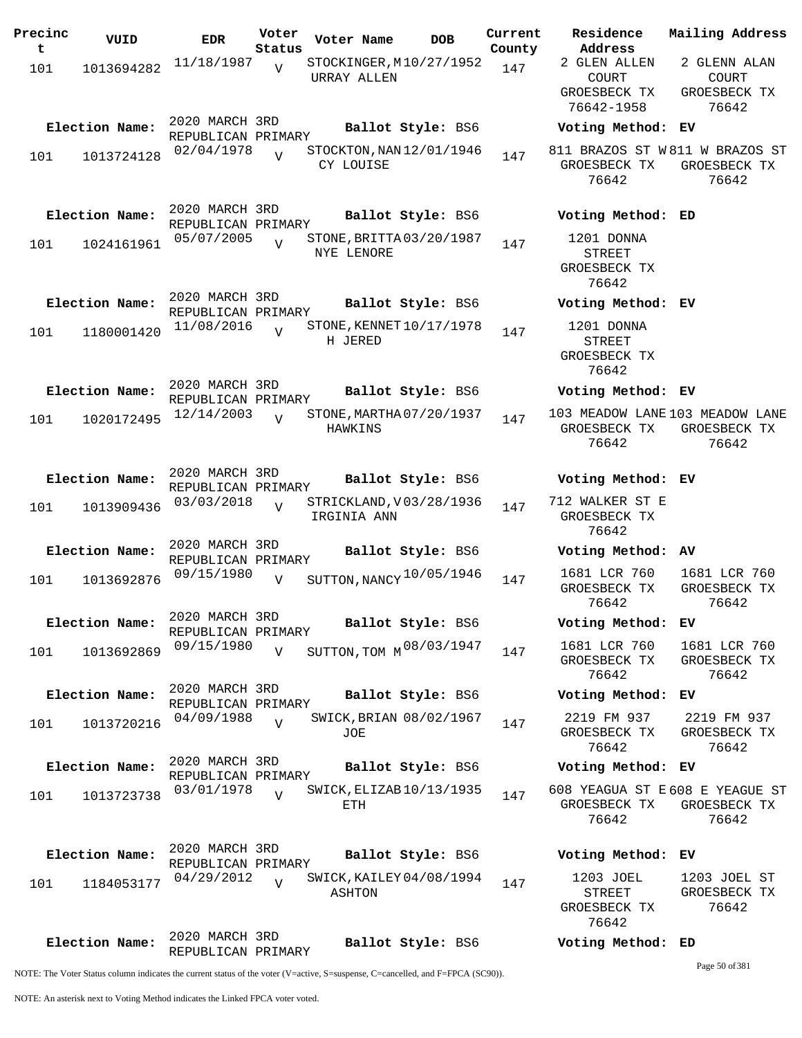| Precinc<br>t | VUID           | <b>EDR</b>                           | Voter<br>Status | Voter Name                             | <b>DOB</b>        | Current<br>County | Residence<br>Address                                 |
|--------------|----------------|--------------------------------------|-----------------|----------------------------------------|-------------------|-------------------|------------------------------------------------------|
| 101          | 1013694282     | 11/18/1987                           | $\overline{V}$  | STOCKINGER, M10/27/1952<br>URRAY ALLEN |                   | 147               | 2 GLEN ALLEN<br>COURT<br>GROESBECK TX<br>76642-1958  |
|              | Election Name: | 2020 MARCH 3RD<br>REPUBLICAN PRIMARY |                 |                                        | Ballot Style: BS6 |                   | Voting Metho                                         |
| 101          | 1013724128     | 02/04/1978                           | $\overline{V}$  | STOCKTON, NAN 12/01/1946<br>CY LOUISE  |                   | 147               | 811 BRAZOS ST<br>GROESBECK TX<br>76642               |
|              | Election Name: | 2020 MARCH 3RD<br>REPUBLICAN PRIMARY |                 |                                        | Ballot Style: BS6 |                   | Voting Metho                                         |
| 101          | 1024161961     | 05/07/2005                           | $\overline{V}$  | STONE, BRITTA 03/20/1987<br>NYE LENORE |                   | 147               | 1201 DONNA<br><b>STREET</b><br>GROESBECK TX<br>76642 |
|              | Election Name: | 2020 MARCH 3RD<br>REPUBLICAN PRIMARY |                 |                                        | Ballot Style: BS6 |                   | Voting Metho                                         |
| 101          | 1180001420     | 11/08/2016                           | $\overline{U}$  | STONE, KENNET 10/17/1978<br>H JERED    |                   | 147               | 1201 DONNA<br><b>STREET</b><br>GROESBECK TX<br>76642 |
|              | Election Name: | 2020 MARCH 3RD<br>REPUBLICAN PRIMARY |                 |                                        | Ballot Style: BS6 |                   | Voting Metho                                         |
| 101          | 1020172495     | 12/14/2003                           | $\overline{U}$  | STONE, MARTHA 07/20/1937<br>HAWKINS    |                   | 147               | 103 MEADOW LAN<br>GROESBECK TX<br>76642              |
|              | Election Name: | 2020 MARCH 3RD<br>REPUBLICAN PRIMARY |                 |                                        | Ballot Style: BS6 |                   | Voting Metho                                         |
| 101          | 1013909436     | 03/03/2018                           | $\overline{V}$  | STRICKLAND, V03/28/1936<br>IRGINIA ANN |                   | 147               | 712 WALKER ST<br>GROESBECK TX<br>76642               |
|              | Election Name: | 2020 MARCH 3RD<br>REPUBLICAN PRIMARY |                 |                                        | Ballot Style: BS6 |                   | Voting Metho                                         |
| 101          | 1013692876     | 09/15/1980                           | $\overline{V}$  | SUTTON, NANCY 10/05/1946               |                   | 147               | 1681 LCR 760<br>GROESBECK TX<br>76642                |
|              | Election Name: | 2020 MARCH 3RD<br>REPUBLICAN PRIMARY |                 |                                        | Ballot Style: BS6 |                   | Voting Metho                                         |
| 101          | 1013692869     | 09/15/1980                           | $\overline{V}$  | SUTTON, TOM M 08/03/1947               |                   | 147               | 1681 LCR 760<br>GROESBECK TX<br>76642                |
|              | Election Name: | 2020 MARCH 3RD<br>REPUBLICAN PRIMARY |                 |                                        | Ballot Style: BS6 |                   | Voting Metho                                         |
| 101          | 1013720216     | 04/09/1988                           | $\overline{V}$  | SWICK, BRIAN 08/02/1967<br>JOE         |                   | 147               | 2219 FM 937<br>GROESBECK TX<br>76642                 |
|              | Election Name: | 2020 MARCH 3RD<br>REPUBLICAN PRIMARY |                 |                                        | Ballot Style: BS6 |                   | Voting Metho                                         |
| 101          | 1013723738     | 03/01/1978                           | $\overline{v}$  | SWICK, ELIZAB 10/13/1935<br>ETH        |                   | 147               | 608 YEAGUA ST<br>GROESBECK TX<br>76642               |
|              | Election Name: | 2020 MARCH 3RD<br>REPUBLICAN PRIMARY |                 |                                        | Ballot Style: BS6 |                   | Voting Metho                                         |
| 101          | 1184053177     | 04/29/2012                           | $\overline{z}$  | SWICK, KAILEY 04/08/1994<br>ASHTON     |                   | 147               | 1203 JOEL<br>STREET<br>GROESBECK TX<br>76642         |
|              | Election Name: | 2020 MARCH 3RD<br>REPUBLICAN PRIMARY |                 |                                        | Ballot Style: BS6 |                   | Voting Metho                                         |

811 BRAZOS ST W 811 W BRAZOS ST GROESBECK TX 76642 GROESBECK TX 76642 **Election Name: Ballot Style:** BS6 **Voting Method: ED** 1201 DONNA STREET GROESBECK TX 76642 **Election Name: Ballot Style:** BS6 **Voting Method: EV** 1201 DONNA STREET GROESBECK TX 76642 **Election Name: Ballot Style:** BS6 **Voting Method: EV** 103 MEADOW LANE 103 MEADOW LANE GROESBECK TX GROESBECK TX 76642 76642 **Election Name: Ballot Style:** BS6 **Voting Method: EV** 712 WALKER ST E GROESBECK TX 76642 **Election Name: Ballot Style:** BS6 **Voting Method: AV** 1681 LCR 760

**Election Name: Ballot Style:** BS6 **Voting Method: EV**

**Current Mailing Address**

2 GLENN ALAN COURT GROESBECK TX 76642

GROESBECK TX 76642 GROESBECK TX 76642 **Election Name: Ballot Style:** BS6 **Voting Method: EV**

GROESBECK TX 76642 1681 LCR 760 GROESBECK TX 76642

**Election Name: Ballot Style:** BS6 **Voting Method: EV**

2219 FM 937 GROESBECK TX 76642 2219 FM 937 GROESBECK TX 76642

## **Election Name: Ballot Style:** BS6 **Voting Method: EV**

608 YEAGUA ST E 608 E YEAGUE ST GROESBECK TX GROESBECK TX 76642 76642

**Election Name: Ballot Style:** BS6 **Voting Method: EV** 1203 JOEL STREET GROESBECK TX 76642 1203 JOEL ST GROESBECK TX 76642

**Election Name: Ballot Style:** BS6 **Voting Method: ED**

Page 50 of 381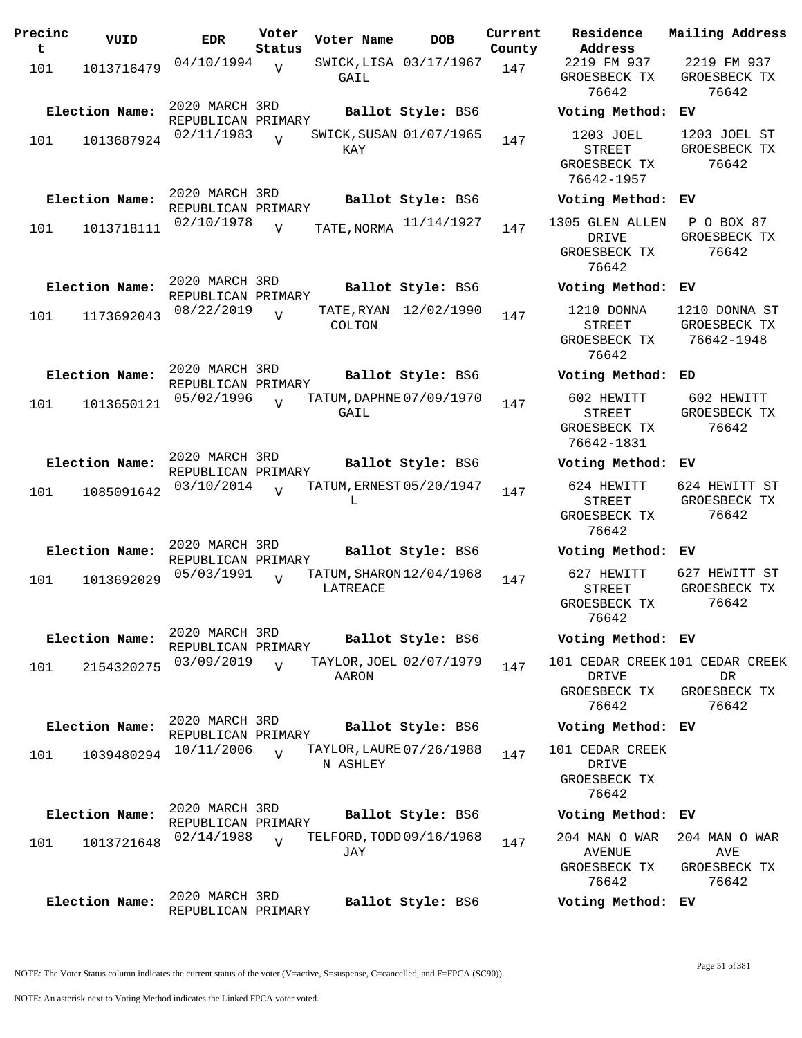| Precinc<br>t | VUID           | <b>EDR</b>                           | Voter<br>Status |          | Voter Name  | <b>DOB</b>               | Current<br>County | Residence<br>Address                                      | Mailing Addre                               |
|--------------|----------------|--------------------------------------|-----------------|----------|-------------|--------------------------|-------------------|-----------------------------------------------------------|---------------------------------------------|
| 101          | 1013716479     | 04/10/1994                           | $\overline{V}$  | GAIL     |             | SWICK, LISA 03/17/1967   | 147               | 2219 FM 937<br>GROESBECK TX<br>76642                      | 2219 FM 93<br>GROESBECK T<br>76642          |
|              | Election Name: | 2020 MARCH 3RD<br>REPUBLICAN PRIMARY |                 |          |             | Ballot Style: BS6        |                   | Voting Method: EV                                         |                                             |
| 101          | 1013687924     | 02/11/1983                           |                 |          | KAY         | SWICK, SUSAN 01/07/1965  | 147               | 1203 JOEL<br><b>STREET</b><br>GROESBECK TX<br>76642-1957  | 1203 JOEL S<br>GROESBECK T<br>76642         |
|              | Election Name: | 2020 MARCH 3RD<br>REPUBLICAN PRIMARY |                 |          |             | Ballot Style: BS6        |                   | Voting Method: EV                                         |                                             |
| 101          | 1013718111     | 02/10/1978                           | $\overline{V}$  |          | TATE, NORMA | 11/14/1927               | 147               | 1305 GLEN ALLEN<br>DRIVE<br>GROESBECK TX<br>76642         | P O BOX 87<br>GROESBECK T<br>76642          |
|              | Election Name: | 2020 MARCH 3RD<br>REPUBLICAN PRIMARY |                 |          |             | Ballot Style: BS6        |                   | Voting Method: EV                                         |                                             |
| 101          | 1173692043     | 08/22/2019                           | $\overline{U}$  |          | COLTON      | TATE, RYAN 12/02/1990    | 147               | 1210 DONNA<br><b>STREET</b><br>GROESBECK TX<br>76642      | 1210 DONNA S<br>GROESBECK T<br>76642-1948   |
|              | Election Name: | 2020 MARCH 3RD<br>REPUBLICAN PRIMARY |                 |          |             | Ballot Style: BS6        |                   | Voting Method: ED                                         |                                             |
| 101          | 1013650121     | 05/02/1996                           | $\overline{V}$  |          | GAIL        | TATUM, DAPHNE 07/09/1970 | 147               | 602 HEWITT<br><b>STREET</b><br>GROESBECK TX<br>76642-1831 | 602 HEWITT<br>GROESBECK T<br>76642          |
|              | Election Name: | 2020 MARCH 3RD<br>REPUBLICAN PRIMARY |                 |          |             | Ballot Style: BS6        |                   | Voting Method: EV                                         |                                             |
| 101          | 1085091642     | 03/10/2014                           | $\overline{V}$  |          | L           | TATUM, ERNEST 05/20/1947 | 147               | 624 HEWITT<br><b>STREET</b><br>GROESBECK TX<br>76642      | 624 HEWITT S<br>GROESBECK T<br>76642        |
|              | Election Name: | 2020 MARCH 3RD<br>REPUBLICAN PRIMARY |                 |          |             | Ballot Style: BS6        |                   | Voting Method: EV                                         |                                             |
| 101          | 1013692029     | 05/03/1991                           | $\overline{V}$  | LATREACE |             | TATUM, SHARON 12/04/1968 | 147               | 627 HEWITT<br>STREET<br>GROESBECK TX<br>76642             | 627 HEWITT S<br>GROESBECK T<br>76642        |
|              | Election Name: | 2020 MARCH 3RD                       |                 |          |             | Ballot Style: BS6        |                   | Voting Method: EV                                         |                                             |
| 101          | 2154320275     | REPUBLICAN PRIMARY<br>03/09/2019     | $\overline{V}$  |          | AARON       | TAYLOR, JOEL 02/07/1979  | 147               | 101 CEDAR CREEK 101 CEDAR CRI<br>DRIVE<br>GROESBECK TX    | DR<br>GROESBECK T                           |
|              | Election Name: | 2020 MARCH 3RD                       |                 |          |             | Ballot Style: BS6        |                   | 76642<br>Voting Method: EV                                | 76642                                       |
| 101          | 1039480294     | REPUBLICAN PRIMARY<br>10/11/2006     | $\overline{V}$  |          |             | TAYLOR, LAURE 07/26/1988 | 147               | 101 CEDAR CREEK                                           |                                             |
|              |                |                                      |                 |          | N ASHLEY    |                          |                   | DRIVE<br>GROESBECK TX<br>76642                            |                                             |
|              | Election Name: | 2020 MARCH 3RD<br>REPUBLICAN PRIMARY |                 |          |             | Ballot Style: BS6        |                   | Voting Method: EV                                         |                                             |
| 101          | 1013721648     | 02/14/1988                           | $\overline{V}$  |          | JAY         | TELFORD, TODD 09/16/1968 | 147               | 204 MAN O WAR<br>AVENUE<br>GROESBECK TX<br>76642          | 204 MAN O WA<br>AVE<br>GROESBECK T<br>76642 |
|              | Election Name: | 2020 MARCH 3RD<br>REPUBLICAN PRIMARY |                 |          |             | Ballot Style: BS6        |                   | Voting Method: EV                                         |                                             |

**Voter Name DOB Residence Address Current Mailing Address** 2219 FM 937 GROESBECK TX 76642 2219 FM 937 GROESBECK TX 76642 **Election Name: Ballot Style:** BS6 **Voting Method: EV** 1203 JOEL STREET GROESBECK TX 76642-1957 1203 JOEL ST GROESBECK TX 76642 **Election Name: Ballot Style:** BS6 **Voting Method: EV** DRIVE GROESBECK TX 76642 GROESBECK TX 76642 **Election Name: Ballot Style:** BS6 **Voting Method: EV** 1210 DONNA STREET GROESBECK TX 76642 1210 DONNA ST GROESBECK TX 76642-1948 **Election Name: Ballot Style:** BS6 **Voting Method: ED** 602 HEWITT STREET GROESBECK TX 76642-1831 602 HEWITT GROESBECK TX 76642 **Election Name: Ballot Style:** BS6 **Voting Method: EV** 624 HEWITT STREET GROESBECK TX 76642 624 HEWITT ST GROESBECK TX 76642 **Election Name: Ballot Style:** BS6 **Voting Method: EV** 627 HEWITT STREET GROESBECK TX 76642 627 HEWITT ST GROESBECK TX 76642 **Election Name: Ballot Style:** BS6 **Voting Method: EV** 101 CEDAR CREEK 101 CEDAR CREEK DRIVE GROESBECK TX 76642 DR GROESBECK TX 76642 **Election Name: Ballot Style:** BS6 **Voting Method: EV** 101 CEDAR CREEK DRIVE GROESBECK TX 76642 **Election Name: Ballot Style:** BS6 **Voting Method: EV** 204 MAN O WAR AVENUE GROESBECK TX 76642 204 MAN O WAR AVE GROESBECK TX 76642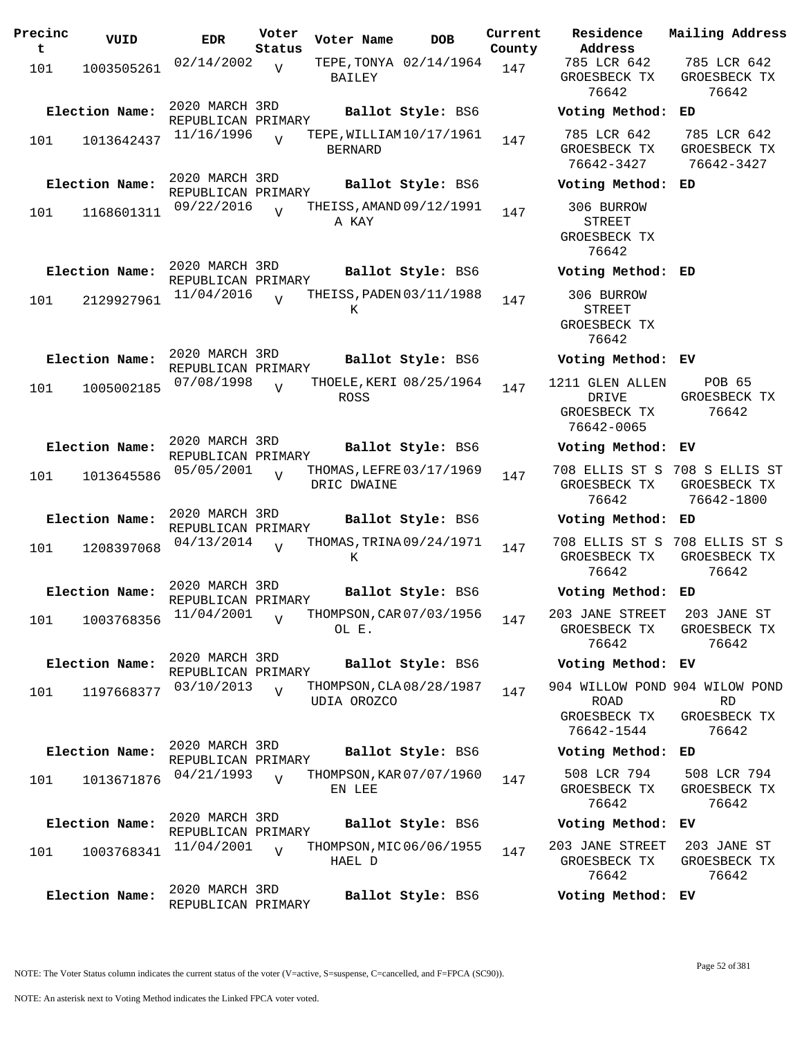| Precinc<br>t | VUID           | EDR                                  | Voter<br>Status | Voter Name     | <b>DOB</b>               | Current<br>County | Residence<br>Address                                      | Mai.                 |
|--------------|----------------|--------------------------------------|-----------------|----------------|--------------------------|-------------------|-----------------------------------------------------------|----------------------|
| 101          | 1003505261     | 02/14/2002                           | $\overline{V}$  | BAILEY         | TEPE, TONYA 02/14/1964   | 147               | 785 LCR 642<br>GROESBECK TX<br>76642                      | 7<br>GR              |
|              | Election Name: | 2020 MARCH 3RD<br>REPUBLICAN PRIMARY |                 |                | Ballot Style: BS6        |                   | Voting Method:                                            | ED                   |
| 101          | 1013642437     | 11/16/1996                           | $\overline{U}$  | <b>BERNARD</b> | TEPE, WILLIAM 10/17/1961 | 147               | 785 LCR 642<br>GROESBECK TX<br>76642-3427                 | 7<br>GR<br>7         |
|              | Election Name: | 2020 MARCH 3RD<br>REPUBLICAN PRIMARY |                 |                | Ballot Style: BS6        |                   | Voting Method:                                            | ED                   |
| 101          | 1168601311     | 09/22/2016                           | $\overline{U}$  | A KAY          | THEISS, AMAND 09/12/1991 | 147               | 306 BURROW<br><b>STREET</b><br>GROESBECK TX<br>76642      |                      |
|              | Election Name: | 2020 MARCH 3RD<br>REPUBLICAN PRIMARY |                 |                | Ballot Style: BS6        |                   | Voting Method: ED                                         |                      |
| 101          | 2129927961     | 11/04/2016                           | $\overline{U}$  | K              | THEISS, PADEN 03/11/1988 | 147               | 306 BURROW<br><b>STREET</b><br>GROESBECK TX<br>76642      |                      |
|              | Election Name: | 2020 MARCH 3RD<br>REPUBLICAN PRIMARY |                 |                | Ballot Style: BS6        |                   | Voting Method: EV                                         |                      |
| 101          | 1005002185     | 07/08/1998                           | $\overline{U}$  | ROSS           | THOELE, KERI 08/25/1964  | 147               | 1211 GLEN ALLEN<br>DRIVE<br>GROESBECK TX<br>76642-0065    | GR                   |
|              | Election Name: | 2020 MARCH 3RD<br>REPUBLICAN PRIMARY |                 |                | Ballot Style: BS6        |                   | Voting Method:                                            | EV                   |
| 101          | 1013645586     | 05/05/2001                           | $\overline{V}$  | DRIC DWAINE    | THOMAS, LEFRE 03/17/1969 | 147               | 708 ELLIS ST S<br>GROESBECK TX<br>76642                   | 708<br>GR<br>7       |
|              | Election Name: | 2020 MARCH 3RD<br>REPUBLICAN PRIMARY |                 |                | Ballot Style: BS6        |                   | Voting Method: ED                                         |                      |
| 101          | 1208397068     | 04/13/2014                           | $\overline{V}$  | K              | THOMAS, TRINA 09/24/1971 | 147               | 708 ELLIS ST S<br>GROESBECK TX<br>76642                   | 708<br>GR            |
|              | Election Name: | 2020 MARCH 3RD<br>REPUBLICAN PRIMARY |                 |                | Ballot Style: BS6        |                   | Voting Method: ED                                         |                      |
| 101          | 1003768356     | 11/04/2001                           | $\overline{V}$  | OL E.          | THOMPSON, CAR 07/03/1956 | 147               | 203 JANE STREET 2<br>GROESBECK TX<br>76642                | GR                   |
|              | Election Name: | 2020 MARCH 3RD<br>REPUBLICAN PRIMARY |                 |                | Ballot Style: BS6        |                   | Voting Method: EV                                         |                      |
| 101          | 1197668377     | 03/10/2013                           | $\overline{V}$  | UDIA OROZCO    | THOMPSON, CLA08/28/1987  | 147               | 904 WILLOW POND 904<br>ROAD<br>GROESBECK TX<br>76642-1544 | GR                   |
|              | Election Name: | 2020 MARCH 3RD<br>REPUBLICAN PRIMARY |                 |                | Ballot Style: BS6        |                   | Voting Method: ED                                         |                      |
| 101          | 1013671876     | 04/21/1993                           | $\overline{V}$  | EN LEE         | THOMPSON, KAR 07/07/1960 | 147               | 508 LCR 794<br>GROESBECK TX<br>76642                      | 5 <sub>1</sub><br>GR |
|              | Election Name: | 2020 MARCH 3RD<br>REPUBLICAN PRIMARY |                 |                | Ballot Style: BS6        |                   | Voting Method:                                            | ЕV                   |
| 101          | 1003768341     | 11/04/2001                           | $\overline{V}$  | HAEL D         | THOMPSON, MIC 06/06/1955 | 147               | 203 JANE STREET<br>GROESBECK TX<br>76642                  | $\overline{2}$<br>GR |
|              | Election Name: | 2020 MARCH 3RD<br>REPUBLICAN PRIMARY |                 |                | Ballot Style: BS6        |                   | Voting Method: EV                                         |                      |

**U**cter Residence<br>Voter address **Address Current Mailing Address** 785 LCR 642 GROESBECK TX 76642 785 LCR 642 GROESBECK TX 76642 **Election Name: Ballot Style:** BS6 **Voting Method: ED** 785 LCR 642 GROESBECK TX 76642-3427 785 LCR 642 GROESBECK TX 76642-3427 **Election Name: Ballot Style:** BS6 **Voting Method: ED** 306 BURROW STREET GROESBECK TX 76642 **Election Name: Ballot Style:** BS6 **Voting Method: ED** 306 BURROW STREET GROESBECK TX 76642 **Election Name: Ballot Style:** BS6 **Voting Method: EV** 1211 GLEN ALLEN DRIVE GROESBECK TX 76642-0065 POB 65 GROESBECK TX 76642 **Election Name: Ballot Style:** BS6 **Voting Method: EV** 708 ELLIS ST S 708 S ELLIS ST GROESBECK TX GROESBECK TX 76642 76642-1800 **Election Name: Ballot Style:** BS6 **Voting Method: ED** 708 ELLIS ST S 708 ELLIS ST S GROESBECK TX GROESBECK TX 76642 76642 **Election Name: Ballot Style:** BS6 **Voting Method: ED** 203 JANE STREET 203 JANE ST GROESBECK TX 76642 GROESBECK TX 76642 **Election Name: Ballot Style:** BS6 **Voting Method: EV** 904 WILLOW POND 904 WILOW POND ROAD GROESBECK TX 76642-1544 RD GROESBECK TX 76642 **Election Name: Ballot Style:** BS6 **Voting Method: ED** 508 LCR 794 GROESBECK TX 76642 508 LCR 794 GROESBECK TX 76642 **Election Name: Ballot Style:** BS6 **Voting Method: EV** 203 JANE STREET GROESBECK TX 76642 203 JANE ST GROESBECK TX 76642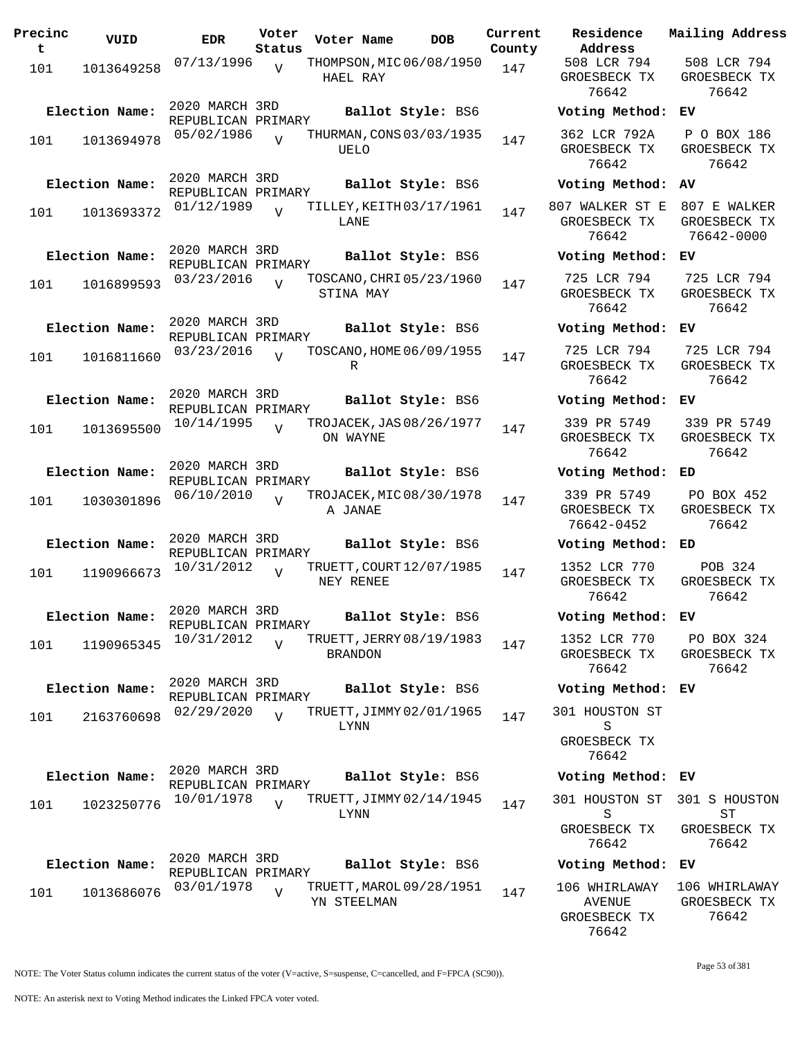| 101<br>1013649258<br>Election Name:<br>101<br>1013694978 | 07/13/1996<br>2020 MARCH 3RD<br>REPUBLICAN PRIMARY<br>05/02/1986<br>2020 MARCH 3RD<br>REPUBLICAN PRIMARY<br>01/12/1989 | $\overline{V}$<br>$\overline{U}$ | THOMPSON, MIC 06/08/1950<br>HAEL RAY<br>THURMAN, CONS 03/03/1935<br>UELO | Ballot Style: BS6 | 147 |
|----------------------------------------------------------|------------------------------------------------------------------------------------------------------------------------|----------------------------------|--------------------------------------------------------------------------|-------------------|-----|
|                                                          |                                                                                                                        |                                  |                                                                          |                   |     |
|                                                          |                                                                                                                        |                                  |                                                                          |                   | 147 |
| Election Name:                                           |                                                                                                                        |                                  |                                                                          | Ballot Style: BS6 |     |
| 101<br>1013693372                                        |                                                                                                                        | $\overline{V}$                   | TILLEY, KEITH 03/17/1961<br>LANE                                         |                   | 147 |
| Election Name:<br>101<br>1016899593                      | 2020 MARCH 3RD<br>REPUBLICAN PRIMARY<br>03/23/2016                                                                     | $\overline{U}$                   | TOSCANO, CHRI 05/23/1960<br>STINA MAY                                    | Ballot Style: BS6 | 147 |
| Election Name:<br>101<br>1016811660                      | 2020 MARCH 3RD<br>REPUBLICAN PRIMARY<br>03/23/2016                                                                     | $\overline{U}$                   | TOSCANO, HOME 06/09/1955<br>R                                            | Ballot Style: BS6 | 147 |
| Election Name:<br>101<br>1013695500                      | 2020 MARCH 3RD<br>REPUBLICAN PRIMARY<br>10/14/1995                                                                     |                                  | TROJACEK, JAS 08/26/1977<br>ON WAYNE                                     | Ballot Style: BS6 | 147 |
| Election Name:<br>101<br>1030301896                      | 2020 MARCH 3RD<br>REPUBLICAN PRIMARY<br>06/10/2010                                                                     | $\overline{V}$                   | TROJACEK, MIC 08/30/1978<br>A JANAE                                      | Ballot Style: BS6 | 147 |
| Election Name:<br>101<br>1190966673                      | 2020 MARCH 3RD<br>REPUBLICAN PRIMARY<br>10/31/2012                                                                     | $\overline{V}$                   | TRUETT, COURT 12/07/1985<br>NEY RENEE                                    | Ballot Style: BS6 | 147 |
| Election Name:<br>101<br>1190965345                      | 2020 MARCH 3RD<br>REPUBLICAN PRIMARY<br>10/31/2012                                                                     | $\overline{V}$                   | TRUETT, JERRY 08/19/1983<br>BRANDON                                      | Ballot Style: BS6 | 147 |
| Election Name:<br>101<br>2163760698                      | 2020 MARCH 3RD<br>REPUBLICAN PRIMARY<br>02/29/2020                                                                     | $\overline{U}$                   | TRUETT, JIMMY 02/01/1965<br>LYNN                                         | Ballot Style: BS6 | 147 |
| Election Name:<br>101<br>1023250776                      | 2020 MARCH 3RD<br>REPUBLICAN PRIMARY<br>10/01/1978                                                                     | $\overline{U}$                   | TRUETT, JIMMY 02/14/1945<br>LYNN                                         | Ballot Style: BS6 | 147 |
| Election Name:<br>101<br>1013686076                      | 2020 MARCH 3RD<br>REPUBLICAN PRIMARY<br>03/01/1978                                                                     | $\overline{V}$                   | TRUETT, MAROL 09/28/1951<br>YN STEELMAN                                  | Ballot Style: BS6 | 147 |

**Parame Residence Address Current Mailing Address** 508 LCR 794 GROESBECK TX 76642 508 LCR 794 GROESBECK TX 76642 **Election Name: Ballot Style:** BS6 **Voting Method: EV** 362 LCR 792A GROESBECK TX 76642 P O BOX 186 GROESBECK TX 76642 **Election Name: Ballot Style:** BS6 **Voting Method: AV** 807 WALKER ST E 807 E WALKER GROESBECK TX 76642 GROESBECK TX 76642-0000 **Election Name: Ballot Style:** BS6 **Voting Method: EV** 725 LCR 794 GROESBECK TX 76642 725 LCR 794 GROESBECK TX 76642 **Election Name: Ballot Style:** BS6 **Voting Method: EV** 725 LCR 794 GROESBECK TX 76642 725 LCR 794 GROESBECK TX 76642 **Election Name: Ballot Style:** BS6 **Voting Method: EV** 339 PR 5749 GROESBECK TX 76642 339 PR 5749 GROESBECK TX 76642 **Election Name: Ballot Style:** BS6 **Voting Method: ED** 339 PR 5749 GROESBECK TX 76642-0452 PO BOX 452 GROESBECK TX 76642 **Election Name: Ballot Style:** BS6 **Voting Method: ED** 1352 LCR 770 GROESBECK TX 76642 POB 324 GROESBECK TX 76642 **Election Name: Ballot Style:** BS6 **Voting Method: EV** 1352 LCR 770 GROESBECK TX 76642 PO BOX 324 GROESBECK TX 76642 **Election Name: Ballot Style:** BS6 **Voting Method: EV** 301 HOUSTON ST S GROESBECK TX 76642 **Election Name: Ballot Style:** BS6 **Voting Method: EV** 301 HOUSTON ST S GROESBECK TX 76642 301 S HOUSTON ST GROESBECK TX 76642 **Election Name: Ballot Style:** BS6 **Voting Method: EV** 106 WHIRLAWAY AVENUE GROESBECK TX 76642 106 WHIRLAWAY GROESBECK TX 76642

NOTE: The Voter Status column indicates the current status of the voter (V=active, S=suspense, C=cancelled, and F=FPCA (SC90)).

Page 53 of 381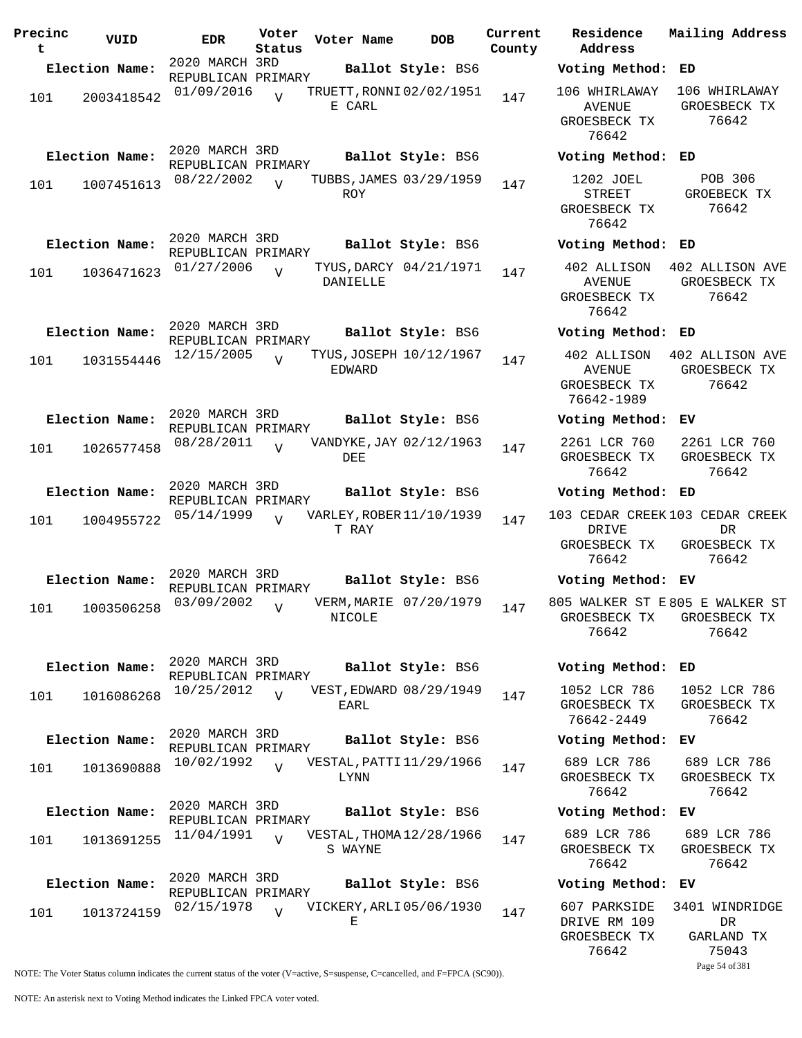| Precinc<br>t | VUID           | <b>EDR</b>                           | Voter<br>Status | Voter Name | <b>DOB</b>               | Current<br>County |
|--------------|----------------|--------------------------------------|-----------------|------------|--------------------------|-------------------|
|              | Election Name: | 2020 MARCH 3RD                       |                 |            | Ballot Style: BS6        |                   |
|              |                | REPUBLICAN PRIMARY                   |                 |            |                          |                   |
| 101          | 2003418542     | 01/09/2016                           | $\overline{U}$  | E CARL     | TRUETT, RONNI 02/02/1951 | 147               |
|              | Election Name: | 2020 MARCH 3RD                       |                 |            | Ballot Style: BS6        |                   |
|              |                | REPUBLICAN PRIMARY                   |                 |            |                          |                   |
| 101          | 1007451613     | 08/22/2002                           | $\overline{V}$  | <b>ROY</b> | TUBBS, JAMES 03/29/1959  | 147               |
|              | Election Name: | 2020 MARCH 3RD                       |                 |            | Ballot Style: BS6        |                   |
|              |                | REPUBLICAN PRIMARY<br>01/27/2006     |                 |            | TYUS, DARCY 04/21/1971   |                   |
| 101          | 1036471623     |                                      | V               | DANIELLE   |                          | 147               |
|              | Election Name: | 2020 MARCH 3RD                       |                 |            | Ballot Style: BS6        |                   |
|              |                | REPUBLICAN PRIMARY                   |                 |            |                          |                   |
| 101          | 1031554446     | 12/15/2005                           | ٦Z              | EDWARD     | TYUS, JOSEPH 10/12/1967  | 147               |
|              | Election Name: | 2020 MARCH 3RD                       |                 |            | Ballot Style: BS6        |                   |
|              |                | REPUBLICAN PRIMARY<br>08/28/2011     |                 |            | VANDYKE, JAY 02/12/1963  |                   |
| 101          | 1026577458     |                                      | $\overline{V}$  | DEE        |                          | 147               |
|              | Election Name: | 2020 MARCH 3RD<br>REPUBLICAN PRIMARY |                 |            | Ballot Style: BS6        |                   |
| 101          | 1004955722     | 05/14/1999                           | $\overline{V}$  |            | VARLEY, ROBER 11/10/1939 | 147               |
|              |                |                                      |                 | T RAY      |                          |                   |
|              |                | 2020 MARCH 3RD                       |                 |            |                          |                   |
|              | Election Name: | REPUBLICAN PRIMARY                   |                 |            | Ballot Style: BS6        |                   |
| 101          | 1003506258     | 03/09/2002                           | V               | NICOLE     | VERM, MARIE 07/20/1979   | 147               |
|              | Election Name: | 2020 MARCH 3RD                       |                 |            | Ballot Style: BS6        |                   |
|              |                | REPUBLICAN PRIMARY                   |                 |            |                          |                   |
| 101          | 1016086268     | 10/25/2012                           | $\overline{V}$  | EARL       | VEST, EDWARD 08/29/1949  | 147               |
|              | Election Name: | 2020 MARCH 3RD<br>REPUBLICAN PRIMARY |                 |            | Ballot Style: BS6        |                   |
| 101          | 1013690888     | 10/02/1992                           | $\overline{U}$  | LYNN       | VESTAL, PATTI 11/29/1966 | 147               |
|              | Election Name: | 2020 MARCH 3RD                       |                 |            | Ballot Style: BS6        |                   |
|              |                | REPUBLICAN PRIMARY<br>11/04/1991     |                 |            | VESTAL, THOMA 12/28/1966 |                   |
| 101          | 1013691255     |                                      | $\overline{z}$  | S WAYNE    |                          | 147               |
|              | Election Name: | 2020 MARCH 3RD<br>REPUBLICAN PRIMARY |                 |            | Ballot Style: BS6        |                   |
|              |                | 02/15/1978                           |                 |            | VICKERY, ARLI 05/06/1930 |                   |
| 101          | 1013724159     |                                      | $\overline{V}$  | Е          |                          | 147               |

**Voter Name DOB Residence Address Current Mailing Address Election Name: Ballot Style:** BS6 **Voting Method: ED** 106 WHIRLAWAY 106 WHIRLAWAY AVENUE GROESBECK TX 76642 GROESBECK TX 76642 **Election Name: Ballot Style:** BS6 **Voting Method: ED** 1202 JOEL STREET GROESBECK TX 76642 POB 306 GROEBECK TX 76642 **Election Name: Ballot Style:** BS6 **Voting Method: ED** 402 ALLISON 402 ALLISON AVE AVENUE GROESBECK TX 76642 GROESBECK TX 76642 **Election Name: Ballot Style:** BS6 **Voting Method: ED** 402 ALLISON 402 ALLISON AVE AVENUE GROESBECK TX 76642-1989 GROESBECK TX 76642 **Election Name: Ballot Style:** BS6 **Voting Method: EV** 2261 LCR 760 GROESBECK TX 76642 2261 LCR 760 GROESBECK TX 76642 **Election Name: Ballot Style:** BS6 **Voting Method: ED** 103 CEDAR CREEK 103 CEDAR CREEK DRIVE GROESBECK TX 76642 DR GROESBECK TX 76642 **Election Name: Ballot Style:** BS6 **Voting Method: EV** 805 WALKER ST E 805 E WALKER ST GROESBECK TX GROESBECK TX 76642 76642 **Election Name: Ballot Style:** BS6 **Voting Method: ED** 1052 LCR 786 GROESBECK TX 76642-2449 1052 LCR 786 GROESBECK TX 76642 **Election Name: Ballot Style:** BS6 **Voting Method: EV** 689 LCR 786 GROESBECK TX 76642 689 LCR 786 GROESBECK TX 76642 **Election Name: Ballot Style:** BS6 **Voting Method: EV** 689 LCR 786 GROESBECK TX 76642 689 LCR 786 GROESBECK TX 76642 **Election Name: Ballot Style:** BS6 **Voting Method: EV** 607 PARKSIDE 3401 WINDRIDGE

DRIVE RM 109 GROESBECK TX 76642

DR GARLAND TX 75043

Page 54 of 381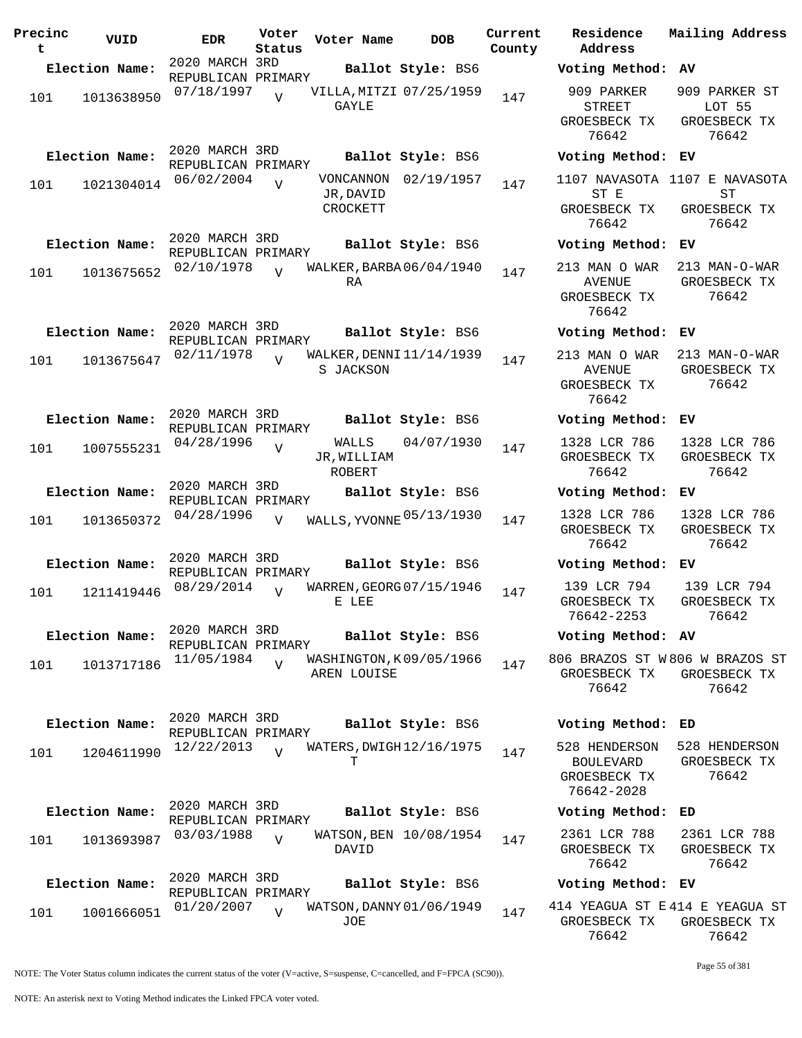| Precinc<br>t | VUID           | <b>EDR</b>                           | Voter<br>Status | Voter Name                             | <b>DOB</b>             | Current<br>County | Residence<br>Address                                     |
|--------------|----------------|--------------------------------------|-----------------|----------------------------------------|------------------------|-------------------|----------------------------------------------------------|
|              | Election Name: | 2020 MARCH 3RD<br>REPUBLICAN PRIMARY |                 |                                        | Ballot Style: BS6      |                   | Voting Metho                                             |
| 101          | 1013638950     | 07/18/1997                           | $\overline{V}$  | VILLA, MITZI 07/25/1959<br>GAYLE       |                        | 147               | 909 PARKER<br>STREET<br>GROESBECK TX                     |
|              |                |                                      |                 |                                        |                        |                   | 76642                                                    |
|              | Election Name: | 2020 MARCH 3RD<br>REPUBLICAN PRIMARY |                 |                                        | Ballot Style: BS6      |                   | Voting Metho                                             |
| 101          | 1021304014     | 06/02/2004                           | $\overline{V}$  | JR, DAVID<br>CROCKETT                  | VONCANNON 02/19/1957   | 147               | 1107 NAVASOTA<br>ST E<br>GROESBECK TX<br>76642           |
|              | Election Name: | 2020 MARCH 3RD<br>REPUBLICAN PRIMARY |                 |                                        | Ballot Style: BS6      |                   | Voting Metho                                             |
| 101          | 1013675652     | 02/10/1978                           | $\overline{V}$  | WALKER, BARBA 06/04/1940<br>RA         |                        | 147               | 213 MAN O WAP<br>AVENUE<br>GROESBECK TX<br>76642         |
|              | Election Name: | 2020 MARCH 3RD                       |                 |                                        | Ballot Style: BS6      |                   | Voting Metho                                             |
| 101          | 1013675647     | REPUBLICAN PRIMARY<br>02/11/1978     |                 | WALKER, DENNI 11/14/1939<br>S JACKSON  |                        | 147               | 213 MAN O WAP<br><b>AVENUE</b><br>GROESBECK TX           |
|              |                | 2020 MARCH 3RD                       |                 |                                        |                        |                   | 76642                                                    |
|              | Election Name: | REPUBLICAN PRIMARY                   |                 |                                        | Ballot Style: BS6      |                   | Voting Metho                                             |
| 101          | 1007555231     | 04/28/1996                           | $\overline{V}$  | JR, WILLIAM<br>ROBERT                  | WALLS 04/07/1930       | 147               | 1328 LCR 786<br>GROESBECK TX<br>76642                    |
|              | Election Name: | 2020 MARCH 3RD<br>REPUBLICAN PRIMARY |                 |                                        | Ballot Style: BS6      |                   | Voting Metho                                             |
| 101          | 1013650372     | 04/28/1996                           | V               | WALLS, YVONNE 05/13/1930               |                        | 147               | 1328 LCR 786<br>GROESBECK TX<br>76642                    |
|              | Election Name: | 2020 MARCH 3RD                       |                 |                                        | Ballot Style: BS6      |                   | Voting Metho                                             |
| 101          | 1211419446     | REPUBLICAN PRIMARY<br>08/29/2014     | $\overline{z}$  | WARREN, GEORG 07/15/1946<br>E LEE      |                        | 147               | 139 LCR 794<br>GROESBECK TX<br>76642-2253                |
|              | Election Name: | 2020 MARCH 3RD<br>REPUBLICAN PRIMARY |                 |                                        | Ballot Style: BS6      |                   | Voting Metho                                             |
| 101          | 1013717186     | 11/05/1984                           | $\overline{V}$  | WASHINGTON, K09/05/1966<br>AREN LOUISE |                        | 147               | 806 BRAZOS ST<br>GROESBECK TX<br>76642                   |
|              | Election Name: | 2020 MARCH 3RD<br>REPUBLICAN PRIMARY |                 |                                        | Ballot Style: BS6      |                   | Voting Metho                                             |
| 101          | 1204611990     | 12/22/2013                           | $\overline{U}$  | WATERS, DWIGH 12/16/1975<br>т          |                        | 147               | 528 HENDERSOI<br>BOULEVARD<br>GROESBECK TX<br>76642-2028 |
|              | Election Name: | 2020 MARCH 3RD                       |                 |                                        | Ballot Style: BS6      |                   | Voting Metho                                             |
| 101          | 1013693987     | REPUBLICAN PRIMARY<br>03/03/1988     | $\overline{V}$  | DAVID                                  | WATSON, BEN 10/08/1954 | 147               | 2361 LCR 788<br>GROESBECK TX<br>76642                    |
|              | Election Name: | 2020 MARCH 3RD<br>REPUBLICAN PRIMARY |                 |                                        | Ballot Style: BS6      |                   | Voting Metho                                             |
| 101          | 1001666051     | 01/20/2007                           | $\overline{U}$  | WATSON, DANNY 01/06/1949<br>JOE        |                        | 147               | 414 YEAGUA ST<br>GROESBECK TX                            |

**Voter Name DOB Residence Current Mailing Address Address Election Name: Ballot Style:** BS6 **Voting Method: AV** 909 PARKER STREET GROESBECK TX 76642 909 PARKER ST LOT 55 GROESBECK TX 76642 **Election Name: Ballot Style:** BS6 **Voting Method: EV** 1107 NAVASOTA 1107 E NAVASOTA ST E GROESBECK TX 76642 ST GROESBECK TX 76642 **Election Name: Ballot Style:** BS6 **Voting Method: EV** 213 MAN O WAR AVENUE GROESBECK TX 76642 213 MAN-O-WAR GROESBECK TX 76642 **Election Name: Ballot Style:** BS6 **Voting Method: EV** 213 MAN O WAR AVENUE GROESBECK TX 76642 213 MAN-O-WAR GROESBECK TX 76642 **Election Name: Ballot Style:** BS6 **Voting Method: EV** 1328 LCR 786 GROESBECK TX 76642 1328 LCR 786 GROESBECK TX 76642 **Election Name: Ballot Style:** BS6 **Voting Method: EV** GROESBECK TX 76642 1328 LCR 786 GROESBECK TX 76642 **Election Name: Ballot Style:** BS6 **Voting Method: EV** 139 LCR 794 GROESBECK TX 76642-2253 139 LCR 794 GROESBECK TX 76642 **Election Name: Ballot Style:** BS6 **Voting Method: AV** 806 BRAZOS ST W 806 W BRAZOS ST GROESBECK TX GROESBECK TX 76642 76642 **Election Name: Ballot Style:** BS6 **Voting Method: ED** 528 HENDERSON 528 HENDERSON BOULEVARD GROESBECK TX 76642-2028 GROESBECK TX 76642 **Election Name: Ballot Style:** BS6 **Voting Method: ED** 2361 LCR 788 GROESBECK TX 76642 2361 LCR 788 GROESBECK TX 76642 **Election Name: Ballot Style:** BS6 **Voting Method: EV** 414 YEAGUA ST E 414 E YEAGUA ST GROESBECK TX GROESBECK TX 76642 76642

Page 55 of 381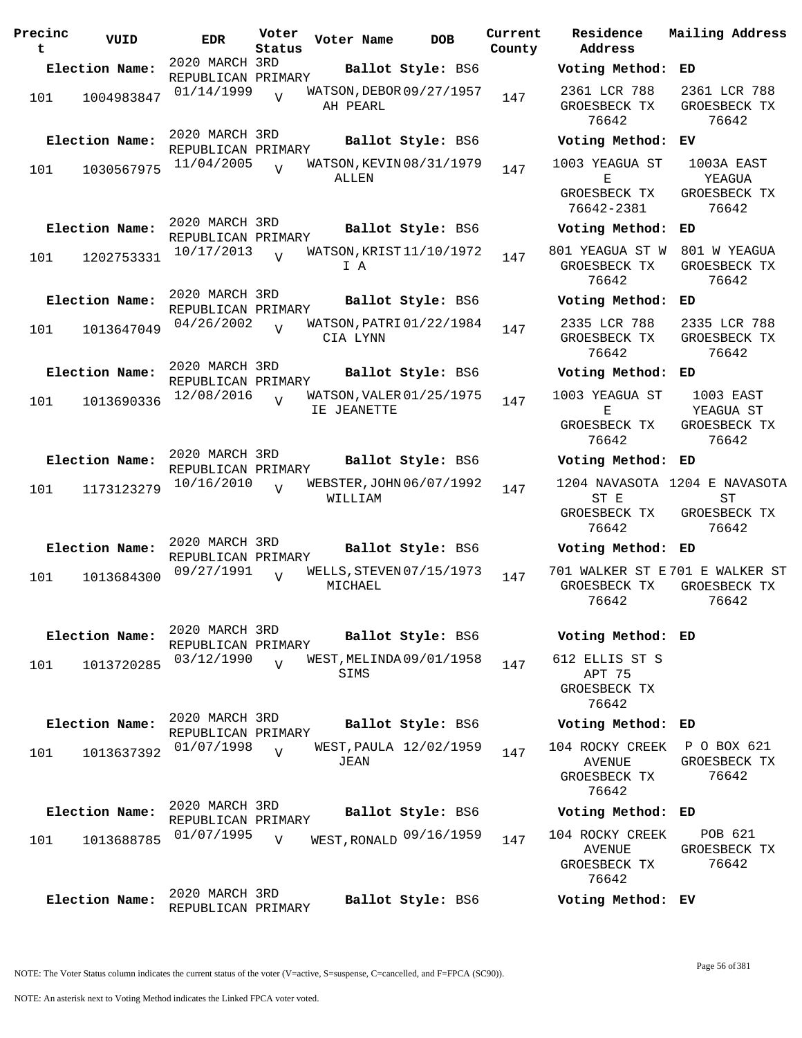| Precinc<br>t | VUID           | <b>EDR</b>                           | Voter<br>Status | Voter Name  | <b>DOB</b>               | Current<br>County | Residence<br>Address                               | Mailing Address                                              |
|--------------|----------------|--------------------------------------|-----------------|-------------|--------------------------|-------------------|----------------------------------------------------|--------------------------------------------------------------|
|              | Election Name: | 2020 MARCH 3RD<br>REPUBLICAN PRIMARY |                 |             | Ballot Style: BS6        |                   | Voting Method: ED                                  |                                                              |
| 101          | 1004983847     | 01/14/1999                           | $\overline{V}$  | AH PEARL    | WATSON, DEBOR 09/27/1957 | 147               | 2361 LCR 788<br>GROESBECK TX<br>76642              | 2361 LCR 788<br>GROESBECK TX<br>76642                        |
|              | Election Name: | 2020 MARCH 3RD<br>REPUBLICAN PRIMARY |                 |             | Ballot Style: BS6        |                   | Voting Method: EV                                  |                                                              |
| 101          | 1030567975     | 11/04/2005                           | $\overline{U}$  | ALLEN       | WATSON, KEVIN 08/31/1979 | 147               | 1003 YEAGUA ST<br>Е<br>GROESBECK TX                | 1003A EAST<br>YEAGUA<br>GROESBECK TX                         |
|              |                |                                      |                 |             |                          |                   | 76642-2381                                         | 76642                                                        |
|              | Election Name: | 2020 MARCH 3RD<br>REPUBLICAN PRIMARY |                 |             | Ballot Style: BS6        |                   | Voting Method:                                     | ED                                                           |
| 101          | 1202753331     | 10/17/2013                           | $\overline{U}$  | I A         | WATSON, KRIST 11/10/1972 | 147               | 801 YEAGUA ST W<br>GROESBECK TX<br>76642           | 801 W YEAGUA<br>GROESBECK TX<br>76642                        |
|              | Election Name: | 2020 MARCH 3RD<br>REPUBLICAN PRIMARY |                 |             | Ballot Style: BS6        |                   | Voting Method: ED                                  |                                                              |
| 101          | 1013647049     | 04/26/2002                           | $\overline{V}$  | CIA LYNN    | WATSON, PATRI 01/22/1984 | 147               | 2335 LCR 788<br>GROESBECK TX<br>76642              | 2335 LCR 788<br>GROESBECK TX<br>76642                        |
|              | Election Name: | 2020 MARCH 3RD<br>REPUBLICAN PRIMARY |                 |             | Ballot Style: BS6        |                   | Voting Method: ED                                  |                                                              |
| 101          | 1013690336     | 12/08/2016                           | $\overline{17}$ | IE JEANETTE | WATSON, VALER 01/25/1975 | 147               | 1003 YEAGUA ST<br>Е                                | 1003 EAST<br>YEAGUA ST                                       |
|              |                |                                      |                 |             |                          |                   | GROESBECK TX<br>76642                              | GROESBECK TX<br>76642                                        |
|              | Election Name: | 2020 MARCH 3RD<br>REPUBLICAN PRIMARY |                 |             | Ballot Style: BS6        |                   | Voting Method: ED                                  |                                                              |
| 101          | 1173123279     | 10/16/2010                           | $\overline{U}$  | WILLIAM     | WEBSTER, JOHN 06/07/1992 | 147               | ST E<br>GROESBECK TX<br>76642                      | 1204 NAVASOTA 1204 E NAVASOTA<br>ST<br>GROESBECK TX<br>76642 |
|              | Election Name: | 2020 MARCH 3RD                       |                 |             | Ballot Style: BS6        |                   | Voting Method: ED                                  |                                                              |
| 101          | 1013684300     | REPUBLICAN PRIMARY<br>09/27/1991     | V               | MICHAEL     | WELLS, STEVEN 07/15/1973 | 147               | GROESBECK TX<br>76642                              | 701 WALKER ST E701 E WALKER ST<br>GROESBECK TX<br>76642      |
|              | Election Name: | 2020 MARCH 3RD<br>REPUBLICAN PRIMARY |                 |             | Ballot Style: BS6        |                   | Voting Method: ED                                  |                                                              |
| 101          | 1013720285     | 03/12/1990                           | $\overline{U}$  | SIMS        | WEST, MELINDA 09/01/1958 | 147               | 612 ELLIS ST S<br>APT 75<br>GROESBECK TX<br>76642  |                                                              |
|              | Election Name: | 2020 MARCH 3RD                       |                 |             | Ballot Style: BS6        |                   | Voting Method: ED                                  |                                                              |
| 101          | 1013637392     | REPUBLICAN PRIMARY<br>01/07/1998     | $\overline{U}$  | JEAN        | WEST, PAULA 12/02/1959   | 147               | 104 ROCKY CREEK<br><b>AVENUE</b><br>GROESBECK TX   | P O BOX 621<br>GROESBECK TX<br>76642                         |
|              |                | 2020 MARCH 3RD                       |                 |             |                          |                   | 76642                                              |                                                              |
|              | Election Name: | REPUBLICAN PRIMARY                   |                 |             | Ballot Style: BS6        |                   | Voting Method: ED                                  |                                                              |
| 101          | 1013688785     | 01/07/1995                           | V               |             | WEST, RONALD 09/16/1959  | 147               | 104 ROCKY CREEK<br>AVENUE<br>GROESBECK TX<br>76642 | POB 621<br>GROESBECK TX<br>76642                             |
|              | Election Name: | 2020 MARCH 3RD<br>REPUBLICAN PRIMARY |                 |             | Ballot Style: BS6        |                   | Voting Method: EV                                  |                                                              |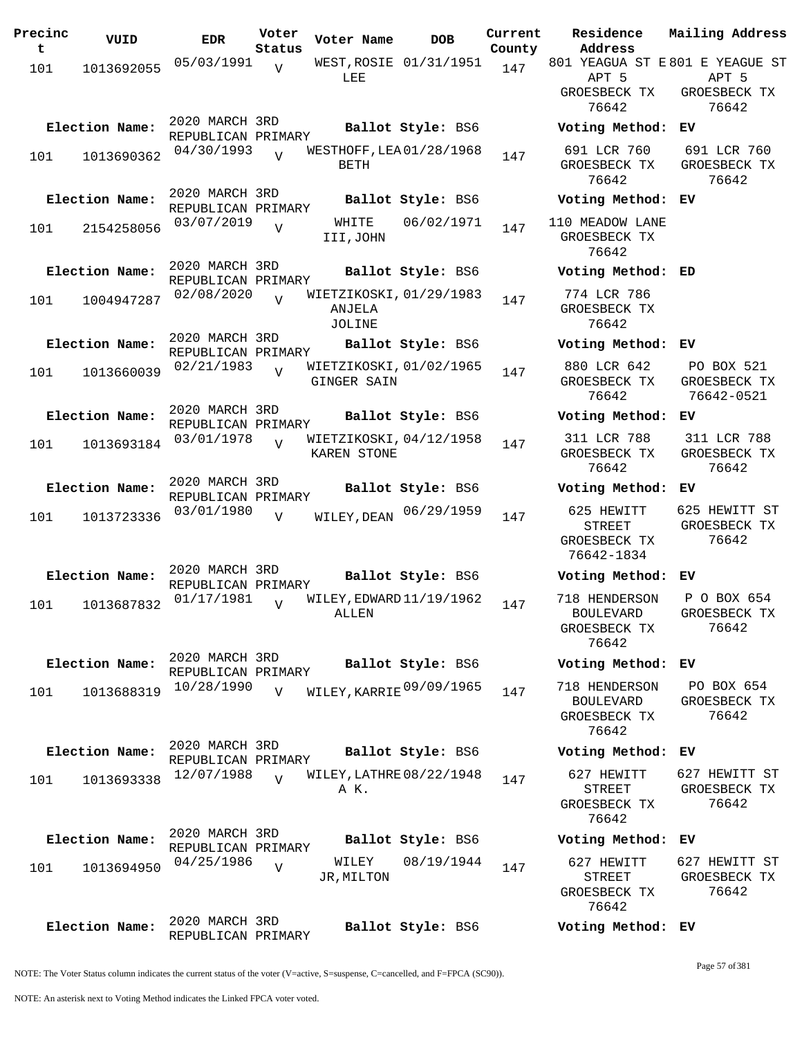| Precinc<br>t | VUID           | <b>EDR</b>                           | Voter<br>Status | Voter Name                                    | <b>DOB</b>             | Current<br>County | Residence<br>Address                                       | Mailing Address                          |
|--------------|----------------|--------------------------------------|-----------------|-----------------------------------------------|------------------------|-------------------|------------------------------------------------------------|------------------------------------------|
| 101          | 1013692055     | 05/03/1991                           | $\overline{V}$  |                                               | WEST, ROSIE 01/31/1951 | 147               |                                                            | 801 YEAGUA ST E 801 E YEAGUE ST          |
|              |                |                                      |                 | LEE                                           |                        |                   | APT 5<br>GROESBECK TX<br>76642                             | APT 5<br>GROESBECK TX<br>76642           |
|              | Election Name: | 2020 MARCH 3RD                       |                 |                                               | Ballot Style: BS6      |                   | Voting Method: EV                                          |                                          |
| 101          | 1013690362     | REPUBLICAN PRIMARY<br>04/30/1993     | $\overline{v}$  | WESTHOFF, LEA 01/28/1968<br>BETH              |                        | 147               | 691 LCR 760<br>GROESBECK TX<br>76642                       | 691 LCR 760<br>GROESBECK TX<br>76642     |
|              | Election Name: | 2020 MARCH 3RD                       |                 |                                               | Ballot Style: BS6      |                   | Voting Method:                                             | ЕV                                       |
| 101          | 2154258056     | REPUBLICAN PRIMARY<br>03/07/2019     | $\overline{V}$  | WHITE<br>III, JOHN                            | 06/02/1971             | 147               | 110 MEADOW LANE<br>GROESBECK TX<br>76642                   |                                          |
|              | Election Name: | 2020 MARCH 3RD<br>REPUBLICAN PRIMARY |                 |                                               | Ballot Style: BS6      |                   | Voting Method: ED                                          |                                          |
| 101          | 1004947287     | 02/08/2020                           | $\overline{U}$  | WIETZIKOSKI, 01/29/1983<br>ANJELA<br>JOLINE   |                        | 147               | 774 LCR 786<br>GROESBECK TX<br>76642                       |                                          |
|              | Election Name: | 2020 MARCH 3RD<br>REPUBLICAN PRIMARY |                 |                                               | Ballot Style: BS6      |                   | Voting Method: EV                                          |                                          |
| 101          | 1013660039     | 02/21/1983                           | $\overline{U}$  | WIETZIKOSKI, 01/02/1965<br><b>GINGER SAIN</b> |                        | 147               | 880 LCR 642<br>GROESBECK TX<br>76642                       | PO BOX 521<br>GROESBECK TX<br>76642-0521 |
|              | Election Name: | 2020 MARCH 3RD<br>REPUBLICAN PRIMARY |                 |                                               | Ballot Style: BS6      |                   | Voting Method: EV                                          |                                          |
| 101          | 1013693184     | 03/01/1978                           | $\overline{V}$  | WIETZIKOSKI, 04/12/1958<br>KAREN STONE        |                        | 147               | 311 LCR 788<br>GROESBECK TX<br>76642                       | 311 LCR 788<br>GROESBECK TX<br>76642     |
|              | Election Name: | 2020 MARCH 3RD<br>REPUBLICAN PRIMARY |                 |                                               | Ballot Style: BS6      |                   | Voting Method: EV                                          |                                          |
| 101          | 1013723336     | 03/01/1980                           | $\overline{V}$  | WILEY, DEAN                                   | 06/29/1959             | 147               | 625 HEWITT<br><b>STREET</b><br>GROESBECK TX<br>76642-1834  | 625 HEWITT ST<br>GROESBECK TX<br>76642   |
|              | Election Name: | 2020 MARCH 3RD<br>REPUBLICAN PRIMARY |                 |                                               | Ballot Style: BS6      |                   | Voting Method: EV                                          |                                          |
| 101          | 1013687832     | 01/17/1981                           | $\overline{U}$  | WILEY, EDWARD 11/19/1962<br>ALLEN             |                        | 147               | 718 HENDERSON<br><b>BOULEVARD</b><br>GROESBECK TX<br>76642 | P O BOX 654<br>GROESBECK TX<br>76642     |
|              | Election Name: | 2020 MARCH 3RD<br>REPUBLICAN PRIMARY |                 |                                               | Ballot Style: BS6      |                   | Voting Method: EV                                          |                                          |
| 101          | 1013688319     | 10/28/1990                           | V               | WILEY, KARRIE 09/09/1965                      |                        | 147               | 718 HENDERSON<br>BOULEVARD<br>GROESBECK TX<br>76642        | PO BOX 654<br>GROESBECK TX<br>76642      |
|              | Election Name: | 2020 MARCH 3RD<br>REPUBLICAN PRIMARY |                 |                                               | Ballot Style: BS6      |                   | Voting Method: EV                                          |                                          |
| 101          | 1013693338     | 12/07/1988                           | $\overline{U}$  | WILEY, LATHRE 08/22/1948<br>A K.              |                        | 147               | 627 HEWITT<br>STREET<br>GROESBECK TX<br>76642              | 627 HEWITT ST<br>GROESBECK TX<br>76642   |
|              | Election Name: | 2020 MARCH 3RD<br>REPUBLICAN PRIMARY |                 |                                               | Ballot Style: BS6      |                   | Voting Method: EV                                          |                                          |
| 101          | 1013694950     | 04/25/1986                           | $\overline{U}$  | WILEY<br>JR, MILTON                           | 08/19/1944             | 147               | 627 HEWITT<br>STREET<br>GROESBECK TX<br>76642              | 627 HEWITT ST<br>GROESBECK TX<br>76642   |
|              | Election Name: | 2020 MARCH 3RD<br>REPUBLICAN PRIMARY |                 |                                               | Ballot Style: BS6      |                   | Voting Method: EV                                          |                                          |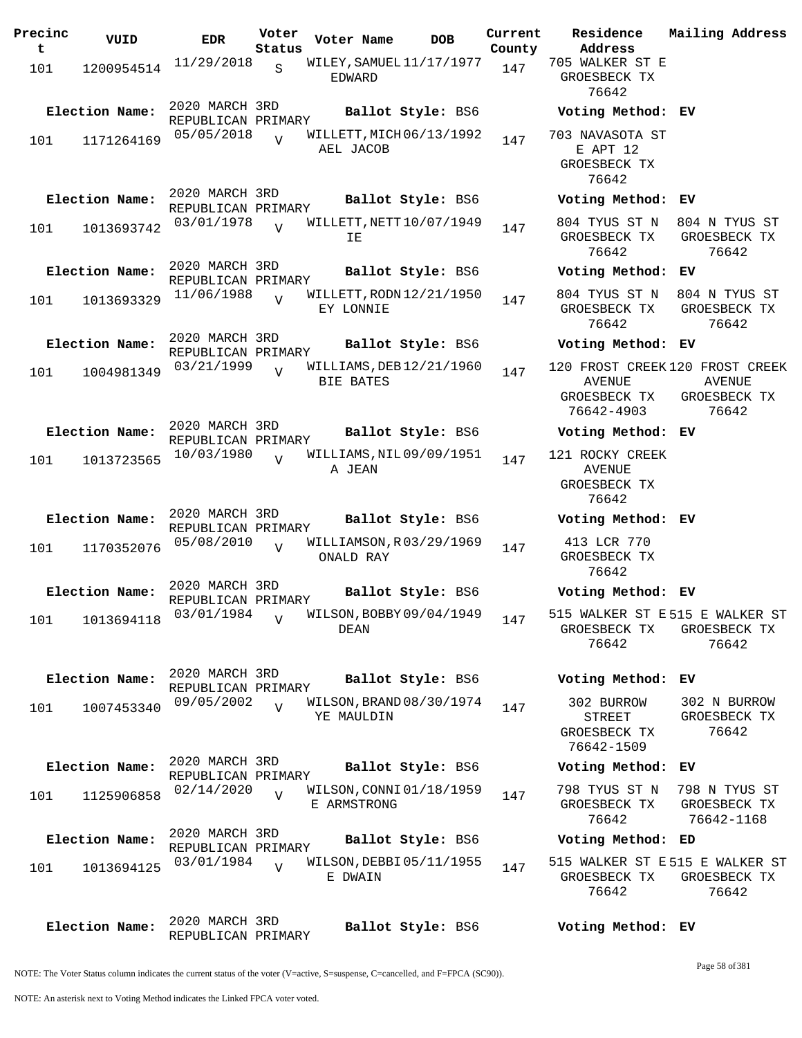| Precinc<br>t | VUID           | <b>EDR</b>                           | Voter<br>Status | Voter Name       | <b>DOB</b>               | Current<br>County | Residence<br>Address                                 | Mailing Address                                                    |
|--------------|----------------|--------------------------------------|-----------------|------------------|--------------------------|-------------------|------------------------------------------------------|--------------------------------------------------------------------|
| 101          | 1200954514     | 11/29/2018                           | S               | EDWARD           | WILEY, SAMUEL 11/17/1977 | 147               | 705 WALKER ST E<br>GROESBECK TX<br>76642             |                                                                    |
|              | Election Name: | 2020 MARCH 3RD<br>REPUBLICAN PRIMARY |                 |                  | Ballot Style: BS6        |                   | Voting Method: EV                                    |                                                                    |
| 101          | 1171264169     | 05/05/2018                           | $\overline{V}$  | AEL JACOB        | WILLETT, MICH 06/13/1992 | 147               | 703 NAVASOTA ST<br>E APT 12<br>GROESBECK TX<br>76642 |                                                                    |
|              | Election Name: | 2020 MARCH 3RD<br>REPUBLICAN PRIMARY |                 |                  | Ballot Style: BS6        |                   | Voting Method: EV                                    |                                                                    |
| 101          | 1013693742     | 03/01/1978                           | $\overline{U}$  | ΙE               | WILLETT, NETT 10/07/1949 | 147               | 804 TYUS ST N<br>GROESBECK TX<br>76642               | 804 N TYUS ST<br>GROESBECK TX<br>76642                             |
|              | Election Name: | 2020 MARCH 3RD<br>REPUBLICAN PRIMARY |                 |                  | Ballot Style: BS6        |                   | Voting Method: EV                                    |                                                                    |
| 101          | 1013693329     | 11/06/1988                           | $\overline{U}$  | EY LONNIE        | WILLETT, RODN 12/21/1950 | 147               | 804 TYUS ST N<br>GROESBECK TX<br>76642               | 804 N TYUS ST<br>GROESBECK TX<br>76642                             |
|              | Election Name: | 2020 MARCH 3RD<br>REPUBLICAN PRIMARY |                 |                  | Ballot Style: BS6        |                   | Voting Method: EV                                    |                                                                    |
| 101          | 1004981349     | 03/21/1999                           | $\overline{U}$  | <b>BIE BATES</b> | WILLIAMS, DEB 12/21/1960 | 147               | <b>AVENUE</b><br>GROESBECK TX<br>76642-4903          | 120 FROST CREEK 120 FROST CREEK<br>AVENUE<br>GROESBECK TX<br>76642 |
|              | Election Name: | 2020 MARCH 3RD                       |                 |                  | Ballot Style: BS6        |                   | Voting Method: EV                                    |                                                                    |
| 101          | 1013723565     | REPUBLICAN PRIMARY<br>10/03/1980     | $\overline{U}$  | A JEAN           | WILLIAMS, NIL 09/09/1951 | 147               | 121 ROCKY CREEK<br>AVENUE<br>GROESBECK TX<br>76642   |                                                                    |
|              | Election Name: | 2020 MARCH 3RD<br>REPUBLICAN PRIMARY |                 |                  | Ballot Style: BS6        |                   | Voting Method: EV                                    |                                                                    |
| 101          | 1170352076     | 05/08/2010                           | $\overline{V}$  | ONALD RAY        | WILLIAMSON, R03/29/1969  | 147               | 413 LCR 770<br>GROESBECK TX<br>76642                 |                                                                    |
|              | Election Name: | 2020 MARCH 3RD<br>REPUBLICAN PRIMARY |                 |                  | <b>Ballot Style: BS6</b> |                   | Voting Method: EV                                    |                                                                    |
| 101          | 1013694118     | 03/01/1984                           | $\overline{V}$  | DEAN             | WILSON, BOBBY 09/04/1949 | 147               | GROESBECK TX<br>76642                                | 515 WALKER ST E515 E WALKER ST<br>GROESBECK TX<br>76642            |
|              | Election Name: | 2020 MARCH 3RD<br>REPUBLICAN PRIMARY |                 |                  | Ballot Style: BS6        |                   | Voting Method: EV                                    |                                                                    |
| 101          | 1007453340     | 09/05/2002                           | $\overline{U}$  | YE MAULDIN       | WILSON, BRAND 08/30/1974 | 147               | 302 BURROW<br>STREET<br>GROESBECK TX<br>76642-1509   | 302 N BURROW<br>GROESBECK TX<br>76642                              |
|              | Election Name: | 2020 MARCH 3RD<br>REPUBLICAN PRIMARY |                 |                  | Ballot Style: BS6        |                   | Voting Method: EV                                    |                                                                    |
| 101          | 1125906858     | 02/14/2020                           | $\overline{U}$  | E ARMSTRONG      | WILSON, CONNI 01/18/1959 | 147               | 798 TYUS ST N<br>GROESBECK TX<br>76642               | 798 N TYUS ST<br>GROESBECK TX<br>76642-1168                        |
|              | Election Name: | 2020 MARCH 3RD<br>REPUBLICAN PRIMARY |                 |                  | Ballot Style: BS6        |                   | Voting Method: ED                                    |                                                                    |
| 101          | 1013694125     | 03/01/1984                           | $\overline{U}$  | E DWAIN          | WILSON, DEBBI05/11/1955  | 147               | GROESBECK TX<br>76642                                | 515 WALKER ST E 515 E WALKER ST<br>GROESBECK TX<br>76642           |
|              | Election Name: | 2020 MARCH 3RD<br>REPUBLICAN PRIMARY |                 |                  | Ballot Style: BS6        |                   | Voting Method: EV                                    |                                                                    |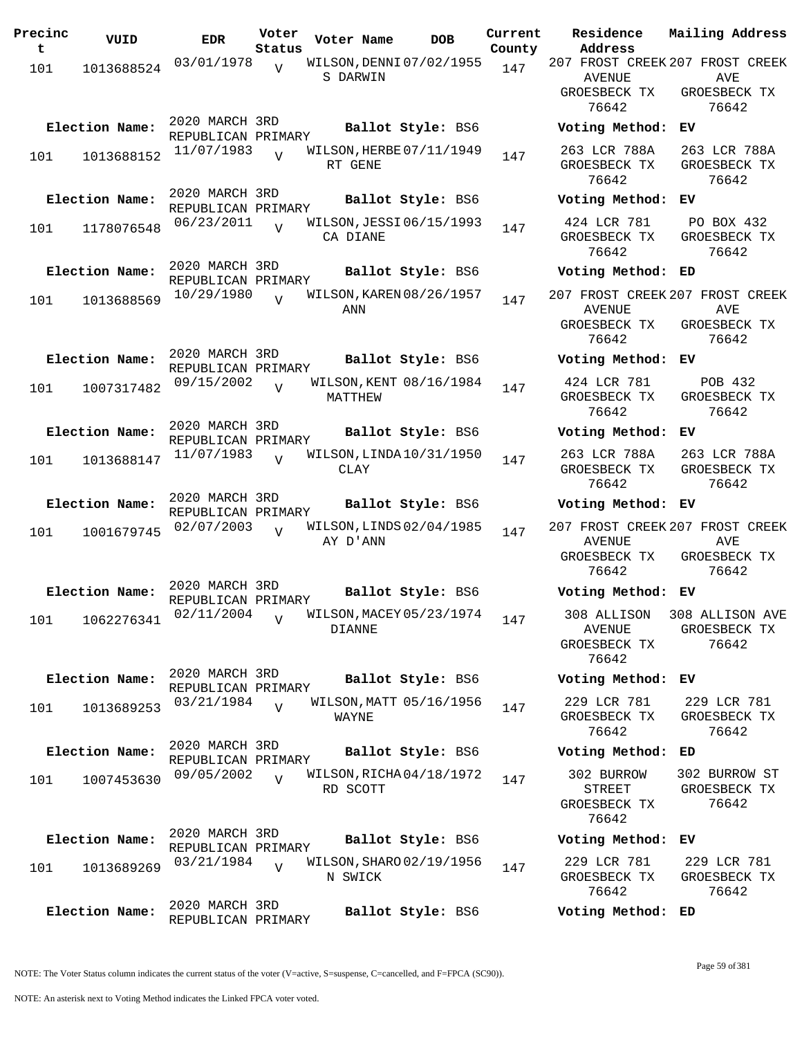| Precinc<br>t | VUID           | <b>EDR</b>                           | Voter<br>Status | Voter Name | DOB                      | Current<br>County |
|--------------|----------------|--------------------------------------|-----------------|------------|--------------------------|-------------------|
| 101          | 1013688524     | 03/01/1978                           | $\overline{V}$  | S DARWIN   | WILSON, DENNI 07/02/1955 | 147               |
|              | Election Name: | 2020 MARCH 3RD<br>REPUBLICAN PRIMARY |                 |            | Ballot Style: BS6        |                   |
| 101          | 1013688152     | 11/07/1983                           | $\overline{U}$  | RT GENE    | WILSON, HERBE 07/11/1949 | 147               |
|              | Election Name: | 2020 MARCH 3RD<br>REPUBLICAN PRIMARY |                 |            | Ballot Style: BS6        |                   |
| 101          | 1178076548     | 06/23/2011                           | V               | CA DIANE   | WILSON, JESSI 06/15/1993 | 147               |
|              | Election Name: | 2020 MARCH 3RD<br>REPUBLICAN PRIMARY |                 |            | Ballot Style: BS6        |                   |
| 101          | 1013688569     | 10/29/1980                           | $\overline{V}$  | ANN        | WILSON, KAREN 08/26/1957 | 147               |
|              | Election Name: | 2020 MARCH 3RD<br>REPUBLICAN PRIMARY |                 |            | Ballot Style: BS6        |                   |
| 101          | 1007317482     | 09/15/2002                           | $\overline{V}$  | MATTHEW    | WILSON, KENT 08/16/1984  | 147               |
|              | Election Name: | 2020 MARCH 3RD<br>REPUBLICAN PRIMARY |                 |            | Ballot Style: BS6        |                   |
| 101          | 1013688147     | 11/07/1983                           | $\overline{V}$  | CLAY       | WILSON, LINDA 10/31/1950 | 147               |
|              | Election Name: | 2020 MARCH 3RD<br>REPUBLICAN PRIMARY |                 |            | Ballot Style: BS6        |                   |
| 101          | 1001679745     | 02/07/2003                           | V               | AY D'ANN   | WILSON, LINDS 02/04/1985 | 147               |
|              | Election Name: | 2020 MARCH 3RD                       |                 |            | Ballot Style: BS6        |                   |
| 101          | 1062276341     | REPUBLICAN PRIMARY<br>02/11/2004     | V               | DIANNE     | WILSON, MACEY 05/23/1974 | 147               |
|              | Election Name: | 2020 MARCH 3RD<br>REPUBLICAN PRIMARY |                 |            | Ballot Style: BS6        |                   |
| 101          | 1013689253     | 03/21/1984                           | $\overline{V}$  | WAYNE      | WILSON, MATT 05/16/1956  | 147               |
|              | Election Name: | 2020 MARCH 3RD<br>REPUBLICAN PRIMARY |                 |            | Ballot Style: BS6        |                   |
| 101          | 1007453630     | 09/05/2002                           | $\overline{V}$  | RD SCOTT   | WILSON, RICHA04/18/1972  | 147               |
|              | Election Name: | 2020 MARCH 3RD<br>REPUBLICAN PRIMARY |                 |            | Ballot Style: BS6        |                   |
| 101          | 1013689269     | 03/21/1984                           | $\overline{V}$  | N SWICK    | WILSON, SHARO 02/19/1956 | 147               |
|              | Election Name: | 2020 MARCH 3RD<br>REPUBLICAN PRIMARY |                 |            | Ballot Style: BS6        |                   |

**Voter Name DOB Residence Address Current Mailing Address** 207 FROST CREEK 207 FROST CREEK AVENUE GROESBECK TX 76642 AVE GROESBECK TX 76642 **Election Name: Ballot Style:** BS6 **Voting Method: EV** 263 LCR 788A GROESBECK TX 76642 263 LCR 788A GROESBECK TX 76642 **Election Name: Ballot Style:** BS6 **Voting Method: EV** 424 LCR 781 GROESBECK TX 76642 PO BOX 432 GROESBECK TX 76642 **Election Name: Ballot Style:** BS6 **Voting Method: ED** 207 FROST CREEK 207 FROST CREEK AVENUE GROESBECK TX 76642 AVE GROESBECK TX 76642 **Election Name: Ballot Style:** BS6 **Voting Method: EV** 424 LCR 781 GROESBECK TX 76642 POB 432 GROESBECK TX 76642 **Election Name: Ballot Style:** BS6 **Voting Method: EV** 263 LCR 788A GROESBECK TX 76642 263 LCR 788A GROESBECK TX 76642 **Election Name: Ballot Style:** BS6 **Voting Method: EV** 207 FROST CREEK 207 FROST CREEK AVENUE GROESBECK TX 76642 AVE GROESBECK TX 76642 **Election Name: Ballot Style:** BS6 **Voting Method: EV** 308 ALLISON 308 ALLISON AVE AVENUE GROESBECK TX 76642 GROESBECK TX 76642 **Election Name: Ballot Style:** BS6 **Voting Method: EV** 229 LCR 781 GROESBECK TX 76642 229 LCR 781 GROESBECK TX 76642 **Election Name: Ballot Style:** BS6 **Voting Method: ED** 302 BURROW STREET GROESBECK TX 76642 302 BURROW ST GROESBECK TX 76642 **Election Name: Ballot Style:** BS6 **Voting Method: EV** 229 LCR 781 GROESBECK TX 76642 229 LCR 781 GROESBECK TX 76642 **Election Name: Ballot Style:** BS6 **Voting Method: ED**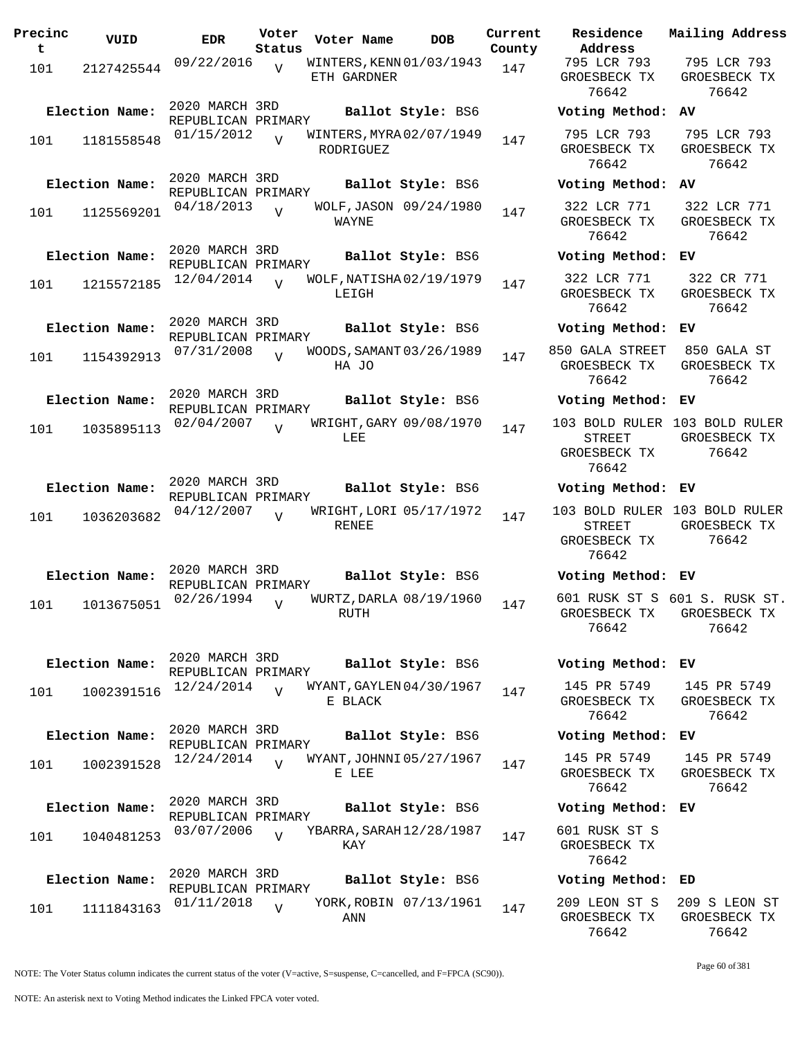| Precinc<br>t | VUID                         | <b>EDR</b>                                         | Voter<br>Status | Voter Name                              | DOB                                          | Current<br>County |
|--------------|------------------------------|----------------------------------------------------|-----------------|-----------------------------------------|----------------------------------------------|-------------------|
| 101          | 2127425544                   | 09/22/2016                                         | $\overline{V}$  | WINTERS, KENN 01/03/1943<br>ETH GARDNER |                                              | 147               |
| 101          | Election Name:<br>1181558548 | 2020 MARCH 3RD<br>REPUBLICAN PRIMARY<br>01/15/2012 | $\overline{U}$  | WINTERS, MYRA 02/07/1949                | Ballot Style: BS6                            | 147               |
| 101          | Election Name:<br>1125569201 | 2020 MARCH 3RD<br>REPUBLICAN PRIMARY<br>04/18/2013 | V               | RODRIGUEZ                               | Ballot Style: BS6<br>WOLF, JASON 09/24/1980  | 147               |
|              | Election Name:               | 2020 MARCH 3RD<br>REPUBLICAN PRIMARY               |                 | WAYNE                                   | Ballot Style: BS6                            |                   |
| 101          | 1215572185                   | 12/04/2014                                         | $\overline{U}$  | WOLF, NATISHA 02/19/1979<br>LEIGH       |                                              | 147               |
| 101          | Election Name:<br>1154392913 | 2020 MARCH 3RD<br>REPUBLICAN PRIMARY<br>07/31/2008 | $\overline{U}$  | WOODS, SAMANT 03/26/1989<br>HA JO       | Ballot Style: BS6                            | 147               |
| 101          | Election Name:<br>1035895113 | 2020 MARCH 3RD<br>REPUBLICAN PRIMARY<br>02/04/2007 | V               | WRIGHT, GARY 09/08/1970<br>LEE          | Ballot Style: BS6                            | 147               |
| 101          | Election Name:<br>1036203682 | 2020 MARCH 3RD<br>REPUBLICAN PRIMARY<br>04/12/2007 | ٦T              | RENEE                                   | Ballot Style: BS6<br>WRIGHT, LORI 05/17/1972 | 147               |
| 101          | Election Name:<br>1013675051 | 2020 MARCH 3RD<br>REPUBLICAN PRIMARY<br>02/26/1994 | $\overline{V}$  | WURTZ, DARLA 08/19/1960<br>RUTH         | Ballot Style: BS6                            | 147               |
| 101          | Election Name:<br>1002391516 | 2020 MARCH 3RD<br>REPUBLICAN PRIMARY<br>12/24/2014 | $\overline{V}$  | WYANT, GAYLEN 04/30/1967<br>E BLACK     | Ballot Style: BS6                            | 147               |
|              | Election Name:               | 2020 MARCH 3RD<br>REPUBLICAN PRIMARY               |                 |                                         | Ballot Style: BS6                            |                   |
| 101          | 1002391528                   | 12/24/2014                                         | $\overline{U}$  | WYANT, JOHNNI 05/27/1967<br>E LEE       |                                              | 147               |
| 101          | Election Name:<br>1040481253 | 2020 MARCH 3RD<br>REPUBLICAN PRIMARY<br>03/07/2006 | $\overline{V}$  | YBARRA, SARAH 12/28/1987<br>KAY         | Ballot Style: BS6                            | 147               |
|              | Election Name:               | 2020 MARCH 3RD<br>REPUBLICAN PRIMARY               |                 |                                         | Ballot Style: BS6                            |                   |
| 101          | 1111843163                   | 01/11/2018                                         | V               | ANN                                     | YORK, ROBIN 07/13/1961                       | 147               |

**Voter Name DOB Residence Address Current Mailing Address** 795 LCR 793 GROESBECK TX 76642 795 LCR 793 GROESBECK TX 76642 **Election Name: Ballot Style:** BS6 **Voting Method: AV** 795 LCR 793 GROESBECK TX 76642 795 LCR 793 GROESBECK TX 76642 **Election Name: Ballot Style:** BS6 **Voting Method: AV** 322 LCR 771 GROESBECK TX 76642 322 LCR 771 GROESBECK TX 76642 **Election Name: Ballot Style:** BS6 **Voting Method: EV** 322 LCR 771 GROESBECK TX 76642 322 CR 771 GROESBECK TX 76642 **Election Name: Ballot Style:** BS6 **Voting Method: EV** 850 GALA STREET GROESBECK TX 76642 850 GALA ST GROESBECK TX 76642 **Election Name: Ballot Style:** BS6 **Voting Method: EV** 103 BOLD RULER 103 BOLD RULER STREET GROESBECK TX 76642 GROESBECK TX 76642 **Election Name: Ballot Style:** BS6 **Voting Method: EV** 103 BOLD RULER 103 BOLD RULER STREET GROESBECK TX 76642 GROESBECK TX 76642 **Election Name: Ballot Style:** BS6 **Voting Method: EV** 601 RUSK ST S 601 S. RUSK ST. GROESBECK TX 76642 GROESBECK TX 76642 **Election Name: Ballot Style:** BS6 **Voting Method: EV** 145 PR 5749 GROESBECK TX 76642 145 PR 5749 GROESBECK TX 76642 **Election Name: Ballot Style:** BS6 **Voting Method: EV** 145 PR 5749 GROESBECK TX 76642 145 PR 5749 GROESBECK TX 76642 **Election Name: Ballot Style:** BS6 **Voting Method: EV** 601 RUSK ST S GROESBECK TX 76642 **Election Name: Ballot Style:** BS6 **Voting Method: ED**

> 209 LEON ST S GROESBECK TX 76642 209 S LEON ST GROESBECK TX 76642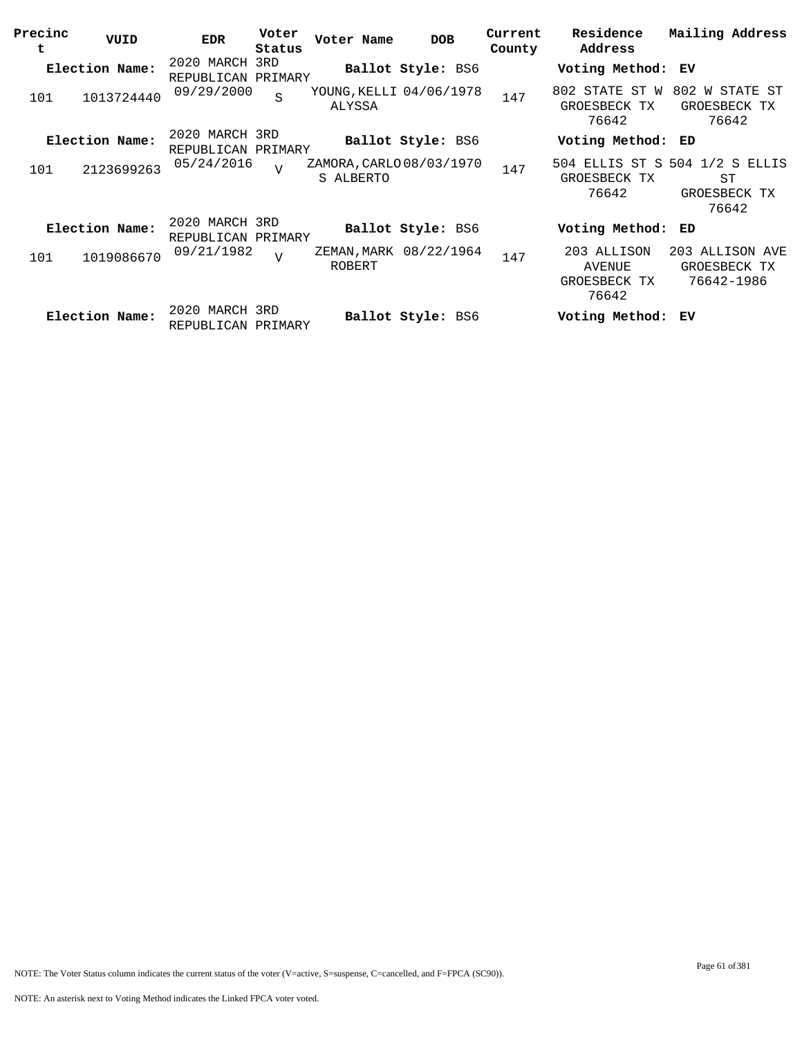| Precinc<br>t | VUID           | <b>EDR</b>                           | Voter<br>Status | Voter Name                            | <b>DOB</b>               | Current<br>County | Residence<br>Address                           | Mailing Address                                               |
|--------------|----------------|--------------------------------------|-----------------|---------------------------------------|--------------------------|-------------------|------------------------------------------------|---------------------------------------------------------------|
|              | Election Name: | 2020 MARCH 3RD<br>REPUBLICAN PRIMARY |                 |                                       | Ballot Style: BS6        |                   | Voting Method: EV                              |                                                               |
| 101          | 1013724440     | 09/29/2000                           | S               | YOUNG, KELLI 04/06/1978<br>ALYSSA     |                          | 147               | 802 STATE ST W<br>GROESBECK TX<br>76642        | 802 W STATE ST<br>GROESBECK TX<br>76642                       |
|              | Election Name: | 2020 MARCH 3RD<br>REPUBLICAN PRIMARY |                 |                                       | Ballot Style: BS6        |                   | Voting Method:                                 | ED                                                            |
| 101          | 2123699263     | 05/24/2016                           | $\overline{U}$  | ZAMORA, CARLO 08/03/1970<br>S ALBERTO |                          | 147               | GROESBECK TX<br>76642                          | 504 ELLIS ST S 504 1/2 S ELLIS<br>ST<br>GROESBECK TX<br>76642 |
|              | Election Name: | 2020 MARCH 3RD<br>REPUBLICAN PRIMARY |                 |                                       | <b>Ballot Style: BS6</b> |                   | Voting Method:                                 | ED                                                            |
| 101          | 1019086670     | 09/21/1982                           | $\overline{z}$  | <b>ROBERT</b>                         | ZEMAN, MARK 08/22/1964   | 147               | 203 ALLISON<br>AVENUE<br>GROESBECK TX<br>76642 | 203 ALLISON AVE<br>GROESBECK TX<br>76642-1986                 |
|              | Election Name: | 2020 MARCH 3RD<br>REPUBLICAN PRIMARY |                 |                                       | Ballot Style: BS6        |                   | Voting Method:                                 | EV                                                            |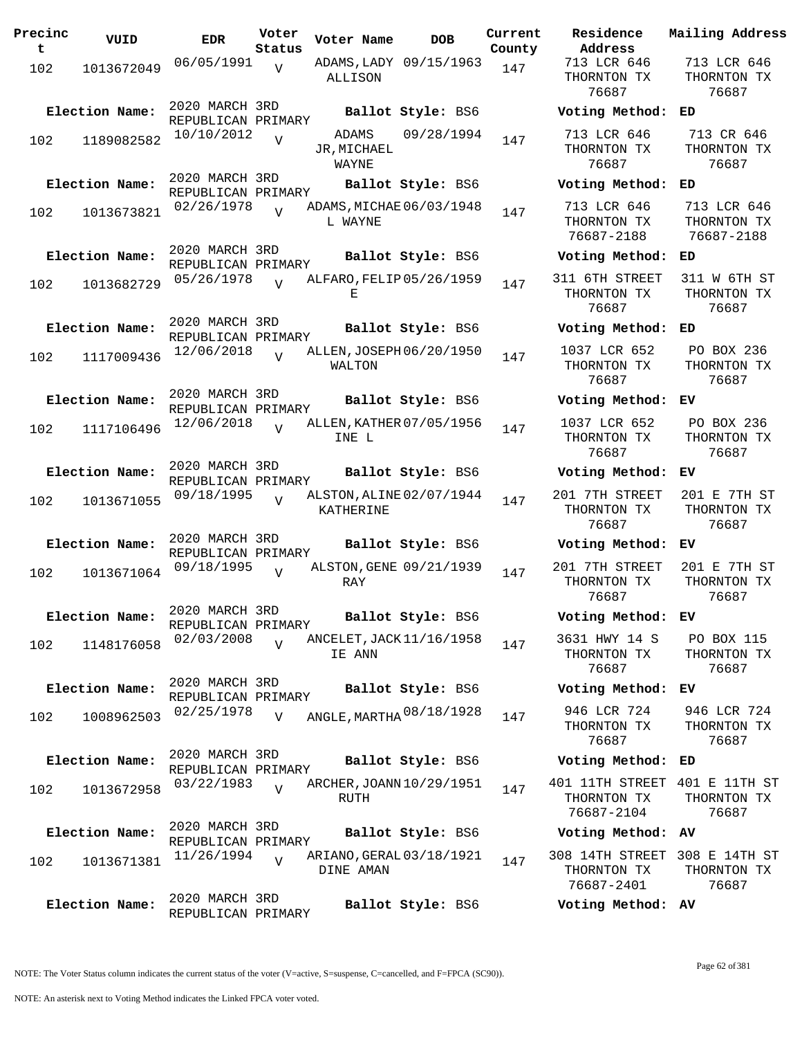| Precinc<br>t | VUID           | <b>EDR</b>                           | Voter<br>Status | Voter Name                    | <b>DOB</b>               | Current<br>County | Residence<br>Address                       |
|--------------|----------------|--------------------------------------|-----------------|-------------------------------|--------------------------|-------------------|--------------------------------------------|
| 102          | 1013672049     | 06/05/1991                           | V               | ALLISON                       | ADAMS, LADY 09/15/1963   | 147               | 713 LCR 646<br>THORNTON TX<br>76687        |
|              | Election Name: | 2020 MARCH 3RD<br>REPUBLICAN PRIMARY |                 |                               | Ballot Style: BS6        |                   | Voting Metho                               |
| 102          | 1189082582     | 10/10/2012                           | $\overline{V}$  | ADAMS<br>JR, MICHAEL<br>WAYNE | 09/28/1994               | 147               | 713 LCR 646<br>THORNTON TX<br>76687        |
|              | Election Name: | 2020 MARCH 3RD<br>REPUBLICAN PRIMARY |                 |                               | Ballot Style: BS6        |                   | Voting Metho                               |
| 102          | 1013673821     | 02/26/1978                           | $\overline{U}$  | L WAYNE                       | ADAMS, MICHAE 06/03/1948 | 147               | 713 LCR 646<br>THORNTON TX<br>76687-2188   |
|              | Election Name: | 2020 MARCH 3RD<br>REPUBLICAN PRIMARY |                 |                               | Ballot Style: BS6        |                   | Voting Metho                               |
| 102          | 1013682729     | 05/26/1978                           | $\overline{U}$  | Ε                             | ALFARO, FELIP 05/26/1959 | 147               | 311 6TH STREI<br>THORNTON TX<br>76687      |
|              | Election Name: | 2020 MARCH 3RD<br>REPUBLICAN PRIMARY |                 |                               | Ballot Style: BS6        |                   | Voting Metho                               |
| 102          | 1117009436     | 12/06/2018                           | $\overline{v}$  | WALTON                        | ALLEN, JOSEPH 06/20/1950 | 147               | 1037 LCR 652<br>THORNTON TX<br>76687       |
|              | Election Name: | 2020 MARCH 3RD<br>REPUBLICAN PRIMARY |                 |                               | Ballot Style: BS6        |                   | Voting Metho                               |
| 102          | 1117106496     | 12/06/2018                           | $\overline{U}$  | INE L                         | ALLEN, KATHER 07/05/1956 | 147               | 1037 LCR 652<br>THORNTON TX<br>76687       |
|              | Election Name: | 2020 MARCH 3RD<br>REPUBLICAN PRIMARY |                 |                               | Ballot Style: BS6        |                   | Voting Metho                               |
| 102          | 1013671055     | 09/18/1995                           | $\overline{U}$  | KATHERINE                     | ALSTON, ALINE 02/07/1944 | 147               | 201 7TH STREI<br>THORNTON TX<br>76687      |
|              | Election Name: | 2020 MARCH 3RD<br>REPUBLICAN PRIMARY |                 |                               | Ballot Style: BS6        |                   | Voting Metho                               |
| 102          | 1013671064     | 09/18/1995                           | $\overline{U}$  | RAY                           | ALSTON, GENE 09/21/1939  | 147               | 201 7TH STREI<br>THORNTON TX<br>76687      |
|              | Election Name: | 2020 MARCH 3RD<br>REPUBLICAN PRIMARY |                 |                               | Ballot Style: BS6        |                   | Voting Metho                               |
| 102          | 1148176058     | 02/03/2008                           | $\overline{U}$  | IE ANN                        | ANCELET, JACK 11/16/1958 | 147               | 3631 HWY 14<br>THORNTON TX<br>76687        |
|              | Election Name: | 2020 MARCH 3RD<br>REPUBLICAN PRIMARY |                 |                               | Ballot Style: BS6        |                   | Voting Metho                               |
| 102          | 1008962503     | 02/25/1978                           | V               |                               | ANGLE, MARTHA 08/18/1928 | 147               | 946 LCR 724<br>THORNTON TX<br>76687        |
|              | Election Name: | 2020 MARCH 3RD<br>REPUBLICAN PRIMARY |                 |                               | Ballot Style: BS6        |                   | Voting Metho                               |
| 102          | 1013672958     | 03/22/1983                           | $\overline{V}$  | RUTH                          | ARCHER, JOANN 10/29/1951 | 147               | 401 11TH STRE<br>THORNTON TX<br>76687-2104 |
|              | Election Name: | 2020 MARCH 3RD<br>REPUBLICAN PRIMARY |                 |                               | Ballot Style: BS6        |                   | Voting Metho                               |
| 102          | 1013671381     | 11/26/1994                           | $\overline{U}$  | DINE AMAN                     | ARIANO, GERAL 03/18/1921 | 147               | 308 14TH STRE<br>THORNTON TX<br>76687-2401 |
|              | Election Name: | 2020 MARCH 3RD<br>REPUBLICAN PRIMARY |                 |                               | Ballot Style: BS6        |                   | Voting Metho                               |
|              |                |                                      |                 |                               |                          |                   |                                            |

**Voter Name DOB Residence Address Current Mailing Address** 713 LCR 646 THORNTON TX 76687 713 LCR 646 THORNTON TX 76687 **Election Name: Ballot Style:** BS6 **Voting Method: ED** 713 LCR 646 THORNTON TX 76687 713 CR 646 THORNTON TX 76687 **Election Name: Ballot Style:** BS6 **Voting Method: ED** 713 LCR 646 THORNTON TX 76687-2188 713 LCR 646 THORNTON TX 76687-2188 **Election Name: Ballot Style:** BS6 **Voting Method: ED** 311 6TH STREET THORNTON TX 76687 311 W 6TH ST THORNTON TX 76687 **Election Name: Ballot Style:** BS6 **Voting Method: ED** 1037 LCR 652 THORNTON TX 76687 PO BOX 236 THORNTON TX 76687 **Election Name: Ballot Style:** BS6 **Voting Method: EV** 1037 LCR 652 THORNTON TX 76687 PO BOX 236 THORNTON TX 76687 **Election Name: Ballot Style:** BS6 **Voting Method: EV** 201 7TH STREET THORNTON TX 76687 201 E 7TH ST THORNTON TX 76687 **Election Name: Ballot Style:** BS6 **Voting Method: EV** 201 7TH STREET THORNTON TX 76687 201 E 7TH ST THORNTON TX 76687 **Election Name: Ballot Style:** BS6 **Voting Method: EV** 3631 HWY 14 S THORNTON TX 76687 PO BOX 115 THORNTON TX 76687 **Election Name: Ballot Style:** BS6 **Voting Method: EV** THORNTON TX 76687 946 LCR 724 THORNTON TX 76687 **Election Name: Ballot Style:** BS6 **Voting Method: ED** 401 11TH STREET 401 E 11TH ST THORNTON TX 76687-2104 THORNTON TX 76687 **Election Name: Ballot Style:** BS6 **Voting Method: AV** 308 14TH STREET 308 E 14TH ST THORNTON TX 76687-2401 THORNTON TX 76687 **Election Name: Ballot Style:** BS6 **Voting Method: AV**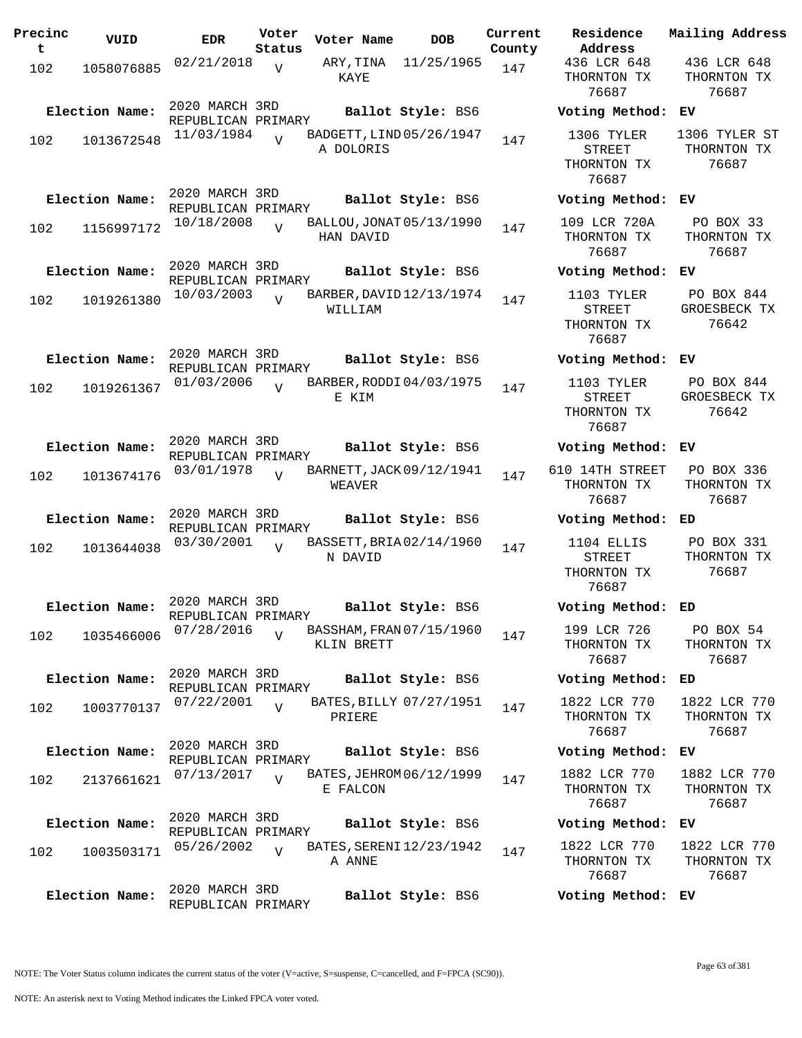| Precinc<br>t | VUID                         | EDR                                                | Voter<br>Status | Voter Name                             | DOB                                          | Current<br>County |
|--------------|------------------------------|----------------------------------------------------|-----------------|----------------------------------------|----------------------------------------------|-------------------|
| 102          | 1058076885                   | 02/21/2018                                         | V               | ARY,TINA<br>KAYE                       | 11/25/1965                                   | 147               |
| 102          | Election Name:<br>1013672548 | 2020 MARCH 3RD<br>REPUBLICAN PRIMARY<br>11/03/1984 | $\overline{U}$  | BADGETT, LIND 05/26/1947<br>A DOLORIS  | Ballot Style: BS6                            | 147               |
| 102          | Election Name:<br>1156997172 | 2020 MARCH 3RD<br>REPUBLICAN PRIMARY<br>10/18/2008 | V               | BALLOU, JONAT 05/13/1990<br>HAN DAVID  | Ballot Style: BS6                            | 147               |
| 102          | Election Name:<br>1019261380 | 2020 MARCH 3RD<br>REPUBLICAN PRIMARY<br>10/03/2003 | $\overline{U}$  | BARBER, DAVID 12/13/1974<br>WILLIAM    | Ballot Style: BS6                            | 147               |
| 102          | Election Name:<br>1019261367 | 2020 MARCH 3RD<br>REPUBLICAN PRIMARY<br>01/03/2006 | $\overline{U}$  | BARBER, RODDI 04/03/1975<br>E KIM      | Ballot Style: BS6                            | 147               |
| 102          | Election Name:<br>1013674176 | 2020 MARCH 3RD<br>REPUBLICAN PRIMARY<br>03/01/1978 | $\overline{V}$  | BARNETT, JACK 09/12/1941<br>WEAVER     | Ballot Style: BS6                            | 147               |
| 102          | Election Name:<br>1013644038 | 2020 MARCH 3RD<br>REPUBLICAN PRIMARY<br>03/30/2001 | $\overline{U}$  | BASSETT, BRIA 02/14/1960<br>N DAVID    | Ballot Style: BS6                            | 147               |
| 102          | Election Name:<br>1035466006 | 2020 MARCH 3RD<br>REPUBLICAN PRIMARY<br>07/28/2016 | $\overline{U}$  | BASSHAM, FRAN 07/15/1960<br>KLIN BRETT | Ballot Style: BS6                            | 147               |
| 102          | Election Name:<br>1003770137 | 2020 MARCH 3RD<br>REPUBLICAN PRIMARY<br>07/22/2001 | $\overline{V}$  | PRIERE                                 | Ballot Style: BS6<br>BATES, BILLY 07/27/1951 | 147               |
| 102          | Election Name:<br>2137661621 | 2020 MARCH 3RD<br>REPUBLICAN PRIMARY<br>07/13/2017 | $\overline{U}$  | BATES, JEHROM 06/12/1999<br>E FALCON   | Ballot Style: BS6                            | 147               |
| 102          | Election Name:<br>1003503171 | 2020 MARCH 3RD<br>REPUBLICAN PRIMARY<br>05/26/2002 | $\overline{U}$  | BATES, SERENI 12/23/1942<br>A ANNE     | Ballot Style: BS6                            | 147               |
|              | Election Name:               | 2020 MARCH 3RD<br>REPUBLICAN PRIMARY               |                 |                                        | Ballot Style: BS6                            |                   |

**Voter Name DOB Residence Address Current Mailing Address** 436 LCR 648 THORNTON TX 76687 436 LCR 648 THORNTON TX 76687 **Election Name: Ballot Style:** BS6 **Voting Method: EV** 1306 TYLER STREET THORNTON TX 76687 1306 TYLER ST THORNTON TX 76687 **Election Name: Ballot Style:** BS6 **Voting Method: EV** 109 LCR 720A THORNTON TX 76687 PO BOX 33 THORNTON TX 76687 **Election Name: Ballot Style:** BS6 **Voting Method: EV** 1103 TYLER STREET THORNTON TX 76687 PO BOX 844 GROESBECK TX 76642 **Election Name: Ballot Style:** BS6 **Voting Method: EV** 1103 TYLER STREET THORNTON TX 76687 PO BOX 844 GROESBECK TX 76642 **Election Name: Ballot Style:** BS6 **Voting Method: EV** 610 14TH STREET THORNTON TX 76687 PO BOX 336 THORNTON TX 76687 **Election Name: Ballot Style:** BS6 **Voting Method: ED** 1104 ELLIS STREET THORNTON TX 76687 PO BOX 331 THORNTON TX 76687 **Election Name: Ballot Style:** BS6 **Voting Method: ED** 199 LCR 726 THORNTON TX 76687 PO BOX 54 THORNTON TX 76687 **Election Name: Ballot Style:** BS6 **Voting Method: ED** 1822 LCR 770 THORNTON TX 76687 1822 LCR 770 THORNTON TX 76687 **Election Name: Ballot Style:** BS6 **Voting Method: EV** 1882 LCR 770 THORNTON TX 76687 1882 LCR 770 THORNTON TX 76687 **Election Name: Ballot Style:** BS6 **Voting Method: EV** 1822 LCR 770 THORNTON TX 76687 1822 LCR 770 THORNTON TX 76687

**Election Name: Ballot Style:** BS6 **Voting Method: EV**

NOTE: An asterisk next to Voting Method indicates the Linked FPCA voter voted.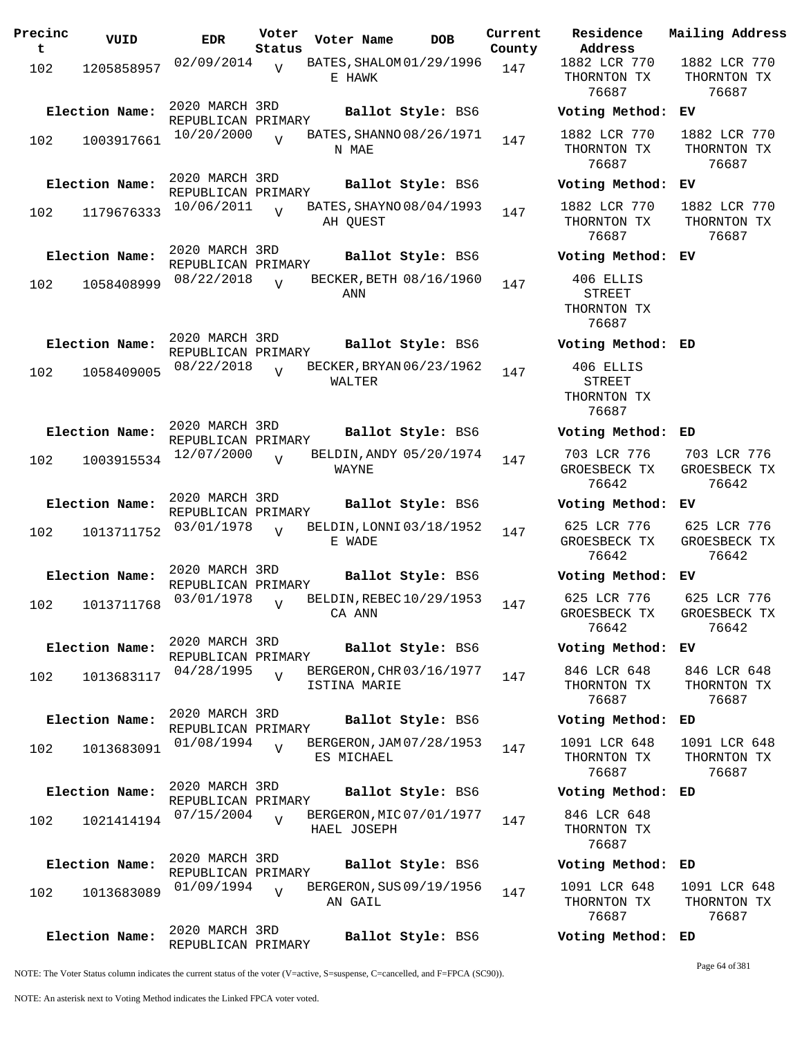| Precinc<br>t | VUID                         | <b>EDR</b>                                         | Voter<br>Status | Voter Name   | DOB                                           | Current<br>County |
|--------------|------------------------------|----------------------------------------------------|-----------------|--------------|-----------------------------------------------|-------------------|
| 102          | 1205858957                   | 02/09/2014                                         | $\overline{V}$  | E HAWK       | BATES, SHALOM 01/29/1996                      | 147               |
| 102          | Election Name:<br>1003917661 | 2020 MARCH 3RD<br>REPUBLICAN PRIMARY<br>10/20/2000 | $\overline{U}$  | N MAE        | Ballot Style: BS6<br>BATES, SHANNO 08/26/1971 | 147               |
| 102          | Election Name:<br>1179676333 | 2020 MARCH 3RD<br>REPUBLICAN PRIMARY<br>10/06/2011 | $\overline{V}$  | AH QUEST     | Ballot Style: BS6<br>BATES, SHAYNO 08/04/1993 | 147               |
| 102          | Election Name:<br>1058408999 | 2020 MARCH 3RD<br>REPUBLICAN PRIMARY<br>08/22/2018 | $\overline{U}$  | ANN          | Ballot Style: BS6<br>BECKER, BETH 08/16/1960  | 147               |
| 102          | Election Name:<br>1058409005 | 2020 MARCH 3RD<br>REPUBLICAN PRIMARY<br>08/22/2018 | $\overline{U}$  | WALTER       | Ballot Style: BS6<br>BECKER, BRYAN 06/23/1962 | 147               |
| 102          | Election Name:<br>1003915534 | 2020 MARCH 3RD<br>REPUBLICAN PRIMARY<br>12/07/2000 | V               | WAYNE        | Ballot Style: BS6<br>BELDIN, ANDY 05/20/1974  | 147               |
| 102          | Election Name:<br>1013711752 | 2020 MARCH 3RD<br>REPUBLICAN PRIMARY<br>03/01/1978 | V               | E WADE       | Ballot Style: BS6<br>BELDIN, LONNI 03/18/1952 | 147               |
| 102          | Election Name:<br>1013711768 | 2020 MARCH 3RD<br>REPUBLICAN PRIMARY<br>03/01/1978 | V               | CA ANN       | Ballot Style: BS6<br>BELDIN, REBEC 10/29/1953 | 147               |
| 102          | Election Name:<br>1013683117 | 2020 MARCH 3RD<br>REPUBLICAN PRIMARY<br>04/28/1995 | $\overline{V}$  | ISTINA MARIE | Ballot Style: BS6<br>BERGERON, CHR 03/16/1977 | 147               |
| 102          | Election Name:<br>1013683091 | 2020 MARCH 3RD<br>REPUBLICAN PRIMARY<br>01/08/1994 | $\overline{U}$  | ES MICHAEL   | Ballot Style: BS6<br>BERGERON, JAM 07/28/1953 | 147               |
| 102          | Election Name:<br>1021414194 | 2020 MARCH 3RD<br>REPUBLICAN PRIMARY<br>07/15/2004 | $\overline{V}$  | HAEL JOSEPH  | Ballot Style: BS6<br>BERGERON, MIC 07/01/1977 | 147               |
| 102          | Election Name:<br>1013683089 | 2020 MARCH 3RD<br>REPUBLICAN PRIMARY<br>01/09/1994 | $\overline{V}$  | AN GAIL      | Ballot Style: BS6<br>BERGERON, SUS 09/19/1956 | 147               |
|              | Election Name:               | 2020 MARCH 3RD<br>REPUBLICAN PRIMARY               |                 |              | Ballot Style: BS6                             |                   |

**Voter Name DOB Residence Address Current Mailing Address** 1882 LCR 770 THORNTON TX 76687 1882 LCR 770 THORNTON TX 76687 **Election Name: Ballot Style:** BS6 **Voting Method: EV** 1882 LCR 770 THORNTON TX 76687 1882 LCR 770 THORNTON TX 76687 **Election Name: Ballot Style:** BS6 **Voting Method: EV** 1882 LCR 770 THORNTON TX 76687 1882 LCR 770 THORNTON TX 76687 **Election Name: Ballot Style:** BS6 **Voting Method: EV** 406 ELLIS STREET THORNTON TX 76687 **Election Name: Ballot Style:** BS6 **Voting Method: ED** 406 ELLIS STREET THORNTON TX 76687 **Election Name: Ballot Style:** BS6 **Voting Method: ED** 703 LCR 776 GROESBECK TX 76642 703 LCR 776 GROESBECK TX 76642 **Election Name: Ballot Style:** BS6 **Voting Method: EV** 625 LCR 776 GROESBECK TX 76642 625 LCR 776 GROESBECK TX 76642 **Election Name: Ballot Style:** BS6 **Voting Method: EV** 625 LCR 776 GROESBECK TX 76642 625 LCR 776 GROESBECK TX 76642 **Election Name: Ballot Style:** BS6 **Voting Method: EV** 846 LCR 648 THORNTON TX 76687 846 LCR 648 THORNTON TX 76687 **Election Name: Ballot Style:** BS6 **Voting Method: ED** 1091 LCR 648 THORNTON TX 76687 1091 LCR 648 THORNTON TX 76687 **Election Name: Ballot Style:** BS6 **Voting Method: ED** 846 LCR 648 THORNTON TX 76687 **Election Name: Ballot Style:** BS6 **Voting Method: ED** 1091 LCR 648 1091 LCR 648

THORNTON TX 76687 THORNTON TX 76687 **Election Name: Ballot Style:** BS6 **Voting Method: ED**

NOTE: The Voter Status column indicates the current status of the voter (V=active, S=suspense, C=cancelled, and F=FPCA (SC90)).

Page 64 of 381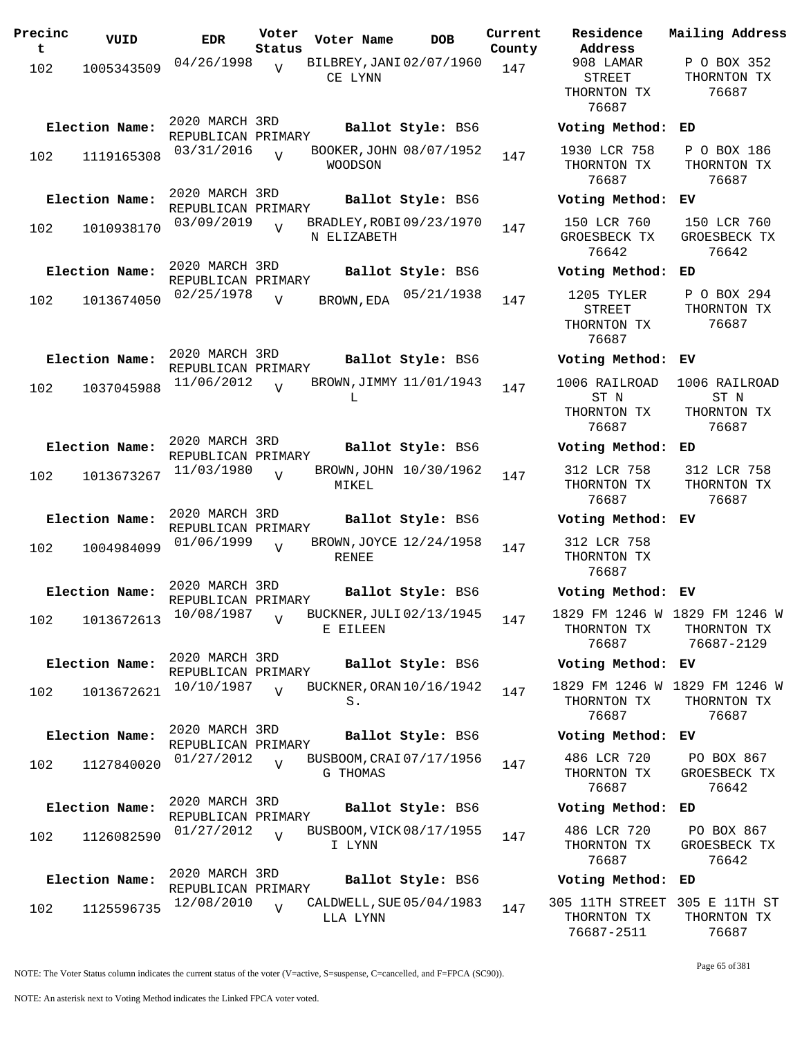| Precinc<br>t | VUID           | <b>EDR</b>                           | Voter<br>Status | Voter Name                              | DOB                      | Current<br>County | Residence<br>Address                               |
|--------------|----------------|--------------------------------------|-----------------|-----------------------------------------|--------------------------|-------------------|----------------------------------------------------|
| 102          | 1005343509     | 04/26/1998                           | V               | BILBREY, JANI 02/07/1960<br>CE LYNN     |                          | 147               | 908 LAMAR<br><b>STREET</b><br>THORNTON TI<br>76687 |
|              | Election Name: | 2020 MARCH 3RD<br>REPUBLICAN PRIMARY |                 |                                         | Ballot Style: BS6        |                   | Voting Meth                                        |
| 102          | 1119165308     | 03/31/2016                           | $\overline{U}$  | BOOKER, JOHN 08/07/1952<br>WOODSON      |                          | 147               | 1930 LCR 75<br>THORNTON TI<br>76687                |
|              | Election Name: | 2020 MARCH 3RD<br>REPUBLICAN PRIMARY |                 |                                         | Ballot Style: BS6        |                   | Voting Meth                                        |
| 102          | 1010938170     | 03/09/2019                           | $\overline{U}$  | BRADLEY, ROBI 09/23/1970<br>N ELIZABETH |                          | 147               | 150 LCR 760<br>GROESBECK T<br>76642                |
|              | Election Name: | 2020 MARCH 3RD<br>REPUBLICAN PRIMARY |                 |                                         | Ballot Style: BS6        |                   | Voting Meth                                        |
| 102          | 1013674050     | 02/25/1978                           | $\overline{V}$  | BROWN, EDA                              | 05/21/1938               | 147               | 1205 TYLER<br>STREET<br>THORNTON TI<br>76687       |
|              | Election Name: | 2020 MARCH 3RD<br>REPUBLICAN PRIMARY |                 |                                         | Ballot Style: BS6        |                   | Voting Meth                                        |
| 102          | 1037045988     | 11/06/2012                           | $\overline{V}$  | BROWN, JIMMY 11/01/1943<br>L            |                          | 147               | 1006 RAILRO<br>ST N<br>THORNTON TI                 |
|              |                | 2020 MARCH 3RD                       |                 |                                         |                          |                   | 76687                                              |
|              | Election Name: | REPUBLICAN PRIMARY                   |                 |                                         | Ballot Style: BS6        |                   | Voting Meth                                        |
| 102          | 1013673267     | 11/03/1980                           | $\overline{V}$  | MIKEL                                   | BROWN, JOHN 10/30/1962   | 147               | 312 LCR 758<br>THORNTON TI<br>76687                |
|              | Election Name: | 2020 MARCH 3RD<br>REPUBLICAN PRIMARY |                 |                                         | Ballot Style: BS6        |                   | Voting Meth                                        |
| 102          | 1004984099     | 01/06/1999                           | $\overline{V}$  | BROWN, JOYCE 12/24/1958<br>RENEE        |                          | 147               | 312 LCR 758<br>THORNTON TI<br>76687                |
|              | Election Name: | 2020 MARCH 3RD<br>REPUBLICAN PRIMARY |                 |                                         | <b>Ballot Style: BS6</b> |                   | Voting Meth                                        |
| 102          | 1013672613     | 10/08/1987                           | $\overline{V}$  | BUCKNER, JULI 02/13/1945<br>E EILEEN    |                          | 147               | 1829 FM 1246<br>THORNTON TI<br>76687               |
|              | Election Name: | 2020 MARCH 3RD<br>REPUBLICAN PRIMARY |                 |                                         | Ballot Style: BS6        |                   | Voting Meth                                        |
| 102          | 1013672621     | 10/10/1987                           | $\overline{V}$  | BUCKNER, ORAN 10/16/1942<br>S.          |                          | 147               | 1829 FM 1246<br>THORNTON TI<br>76687               |
|              | Election Name: | 2020 MARCH 3RD<br>REPUBLICAN PRIMARY |                 |                                         | Ballot Style: BS6        |                   | Voting Meth                                        |
| 102          | 1127840020     | 01/27/2012                           | $\overline{V}$  | BUSBOOM, CRAI 07/17/1956<br>G THOMAS    |                          | 147               | 486 LCR 720<br>THORNTON TI<br>76687                |
|              | Election Name: | 2020 MARCH 3RD                       |                 |                                         | Ballot Style: BS6        |                   | Voting Meth                                        |
| 102          | 1126082590     | REPUBLICAN PRIMARY<br>01/27/2012     | $\overline{V}$  | BUSBOOM, VICK 08/17/1955<br>I LYNN      |                          | 147               | 486 LCR 720<br>THORNTON TI<br>76687                |
|              | Election Name: | 2020 MARCH 3RD<br>REPUBLICAN PRIMARY |                 |                                         | Ballot Style: BS6        |                   | Voting Meth                                        |
| 102          | 1125596735     | 12/08/2010                           | $\overline{V}$  | CALDWELL, SUE 05/04/1983<br>LLA LYNN    |                          | 147               | 305 11TH STRI<br>THORNTON TI                       |

**Voter Name DOB Residence Address Current Mailing Address** 908 LAMAR STREET THORNTON TX 76687 P O BOX 352 THORNTON TX 76687 **Election Name: Ballot Style:** BS6 **Voting Method: ED** 1930 LCR 758 THORNTON TX 76687 P O BOX 186 THORNTON TX 76687 **Election Name: Ballot Style:** BS6 **Voting Method: EV** 150 LCR 760 GROESBECK TX 76642 150 LCR 760 GROESBECK TX 76642 **Election Name: Ballot Style:** BS6 **Voting Method: ED** STREET THORNTON TX 76687 P O BOX 294 THORNTON TX 76687 **Election Name: Ballot Style:** BS6 **Voting Method: EV** 1006 RAILROAD ST N THORNTON TX 76687 1006 RAILROAD ST N THORNTON TX 76687 **Election Name: Ballot Style:** BS6 **Voting Method: ED** 312 LCR 758 THORNTON TX 76687 312 LCR 758 THORNTON TX 76687 **Election Name: Ballot Style:** BS6 **Voting Method: EV** 312 LCR 758 THORNTON TX 76687 **Election Name: Ballot Style:** BS6 **Voting Method: EV** 1829 FM 1246 W 1829 FM 1246 W THORNTON TX 76687 THORNTON TX 76687-2129 **Election Name: Ballot Style:** BS6 **Voting Method: EV** 1829 FM 1246 W 1829 FM 1246 W THORNTON TX 76687 THORNTON TX 76687 **Election Name: Ballot Style:** BS6 **Voting Method: EV** 486 LCR 720 THORNTON TX 76687 PO BOX 867 GROESBECK TX 76642 **Election Name: Ballot Style:** BS6 **Voting Method: ED** 486 LCR 720 THORNTON TX 76687 PO BOX 867 GROESBECK TX 76642 **Election Name: Ballot Style:** BS6 **Voting Method: ED** 305 11TH STREET 305 E 11TH ST THORNTON TX THORNTON TX

NOTE: The Voter Status column indicates the current status of the voter (V=active, S=suspense, C=cancelled, and F=FPCA (SC90)).

76687

76687-2511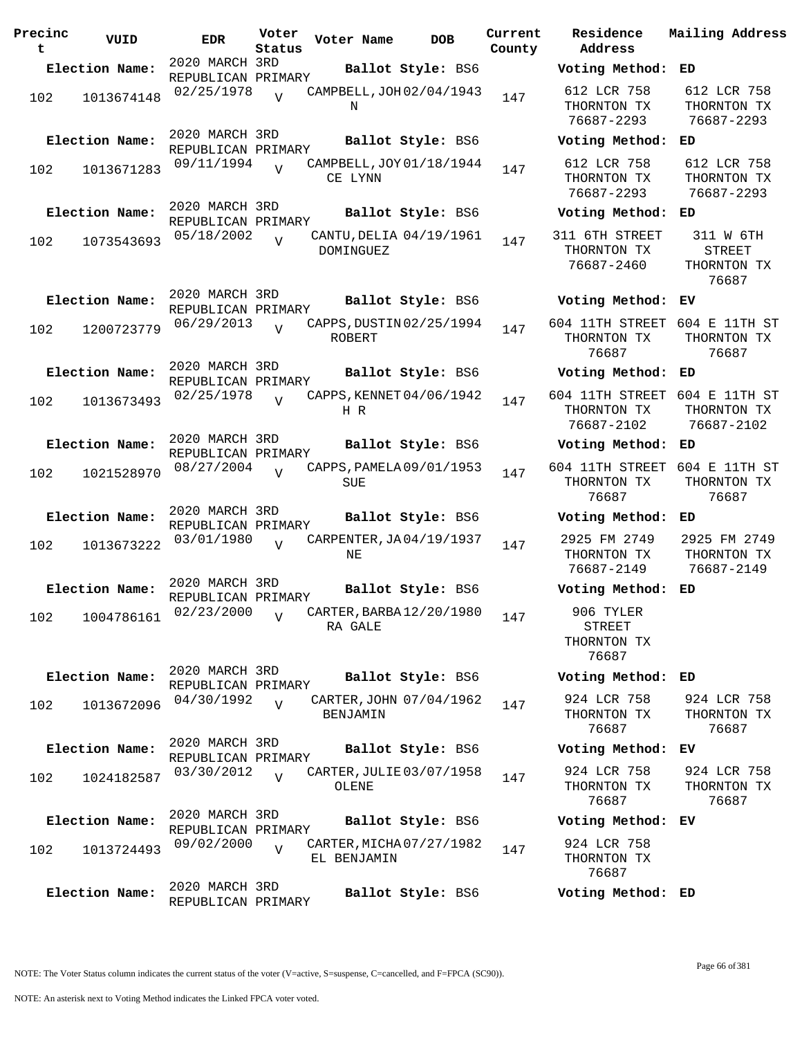| Precinc<br>t | VUID           | <b>EDR</b>                                         | Voter<br>Status | Voter Name  | <b>DOB</b>                                    | Current<br>County |                           |
|--------------|----------------|----------------------------------------------------|-----------------|-------------|-----------------------------------------------|-------------------|---------------------------|
|              | Election Name: | 2020 MARCH 3RD                                     |                 |             | Ballot Style: BS6                             |                   | V                         |
| 102          | 1013674148     | REPUBLICAN PRIMARY<br>02/25/1978                   | $\overline{U}$  | Ν           | CAMPBELL, JOH 02/04/1943                      | 147               | Е<br>Ί                    |
|              | Election Name: | 2020 MARCH 3RD<br>REPUBLICAN PRIMARY<br>09/11/1994 | $\overline{V}$  |             | Ballot Style: BS6<br>CAMPBELL, JOY 01/18/1944 |                   | V<br>Е                    |
| 102          | 1013671283     |                                                    |                 | CE LYNN     |                                               | 147               | Ί                         |
|              | Election Name: | 2020 MARCH 3RD<br>REPUBLICAN PRIMARY               |                 |             | Ballot Style: BS6                             |                   | Vo                        |
| 102          | 1073543693     | 05/18/2002                                         | $\overline{U}$  | DOMINGUEZ   | CANTU, DELIA 04/19/1961                       | 147               | 31<br>I                   |
|              | Election Name: | 2020 MARCH 3RD<br>REPUBLICAN PRIMARY               |                 |             | Ballot Style: BS6                             |                   | Vo                        |
| 102          | 1200723779     | 06/29/2013                                         | $\overline{17}$ | ROBERT      | CAPPS, DUSTIN 02/25/1994                      | 147               | 604<br>Ί                  |
|              | Election Name: | 2020 MARCH 3RD<br>REPUBLICAN PRIMARY               |                 |             | Ballot Style: BS6                             |                   | Vo                        |
| 102          | 1013673493     | 02/25/1978                                         |                 | H R         | CAPPS, KENNET 04/06/1942                      | 147               | 604<br>Ί                  |
|              | Election Name: | 2020 MARCH 3RD<br>REPUBLICAN PRIMARY               |                 |             | Ballot Style: BS6                             |                   | Vo                        |
| 102          | 1021528970     | 08/27/2004                                         | $\overline{U}$  | SUE         | CAPPS, PAMELA 09/01/1953                      | 147               | 604<br>I                  |
|              | Election Name: | 2020 MARCH 3RD<br>REPUBLICAN PRIMARY               |                 |             | Ballot Style: BS6                             |                   | V                         |
| 102          | 1013673222     | 03/01/1980                                         | $\overline{I}$  | ΝE          | CARPENTER, JA04/19/1937                       | 147               | 2<br>Ί                    |
|              | Election Name: | 2020 MARCH 3RD<br>REPUBLICAN PRIMARY               |                 |             | Ballot Style: BS6                             |                   | Vo                        |
| 102          |                | 1004786161 02/23/2000                              | V               | RA GALE     | -<br>CARTER, BARBA 12/20/1980 147             |                   | Ί                         |
|              | Election Name: | 2020 MARCH 3RD                                     |                 |             | Ballot Style: BS6                             |                   | Vo                        |
| 102          | 1013672096     | REPUBLICAN PRIMARY<br>04/30/1992                   | $\overline{U}$  | BENJAMIN    | CARTER, JOHN 07/04/1962                       | 147               | $\epsilon$<br>I           |
|              | Election Name: | 2020 MARCH 3RD<br>REPUBLICAN PRIMARY               |                 |             | Ballot Style: BS6                             |                   | V                         |
| 102          | 1024182587     | 03/30/2012                                         | $\overline{U}$  | OLENE       | CARTER, JULIE 03/07/1958                      | 147               | $\tilde{c}$<br>T          |
|              | Election Name: | 2020 MARCH 3RD<br>REPUBLICAN PRIMARY               |                 |             | Ballot Style: BS6                             |                   | V                         |
| 102          | 1013724493     | 09/02/2000                                         | $\overline{U}$  | EL BENJAMIN | CARTER, MICHA 07/27/1982                      | 147               | $\tilde{\mathbf{c}}$<br>Ί |
|              | Election Name: | 2020 MARCH 3RD<br>REPUBLICAN PRIMARY               |                 |             | Ballot Style: BS6                             |                   | Vo                        |

**Voter Name DOB Residence Address Current Mailing Address Election Name: Ballot Style:** BS6 **Voting Method: ED** 612 LCR 758 THORNTON TX 76687-2293 612 LCR 758 THORNTON TX 76687-2293 **Election Name: Ballot Style:** BS6 **Voting Method: ED** 612 LCR 758 THORNTON TX 76687-2293 612 LCR 758 THORNTON TX 76687-2293 **Election Name: Ballot Style:** BS6 **Voting Method: ED** 1 6TH STREET THORNTON TX 76687-2460 311 W 6TH STREET THORNTON TX 76687 **Election Name: Ballot Style:** BS6 **Voting Method: EV** 604 11TH STREET 604 E 11TH ST THORNTON TX 76687 THORNTON TX 76687 **Election Name: Ballot Style:** BS6 **Voting Method: ED** 604 11TH STREET 604 E 11TH ST THORNTON TX 76687-2102 THORNTON TX 76687-2102 **Election Name: Ballot Style:** BS6 **Voting Method: ED** 604 11TH STREET 604 E 11TH ST THORNTON TX 76687 THORNTON TX 76687 **Election Name: Ballot Style:** BS6 **Voting Method: ED** 2925 FM 2749 THORNTON TX 76687-2149 2925 FM 2749 THORNTON TX 76687-2149 **Election Name: Ballot Style:** BS6 **Voting Method: ED** 906 TYLER STREET THORNTON TX 76687 **Election Name: Ballot Style:** BS6 **Voting Method: ED** 924 LCR 758 THORNTON TX 76687 924 LCR 758 THORNTON TX 76687 **Election Name: Ballot Style:** BS6 **Voting Method: EV** 924 LCR 758 THORNTON TX 76687 924 LCR 758 THORNTON TX 76687 **Election Name: Ballot Style:** BS6 **Voting Method: EV** 924 LCR 758 THORNTON TX 76687 **Election Name: Ballot Style:** BS6 **Voting Method: ED**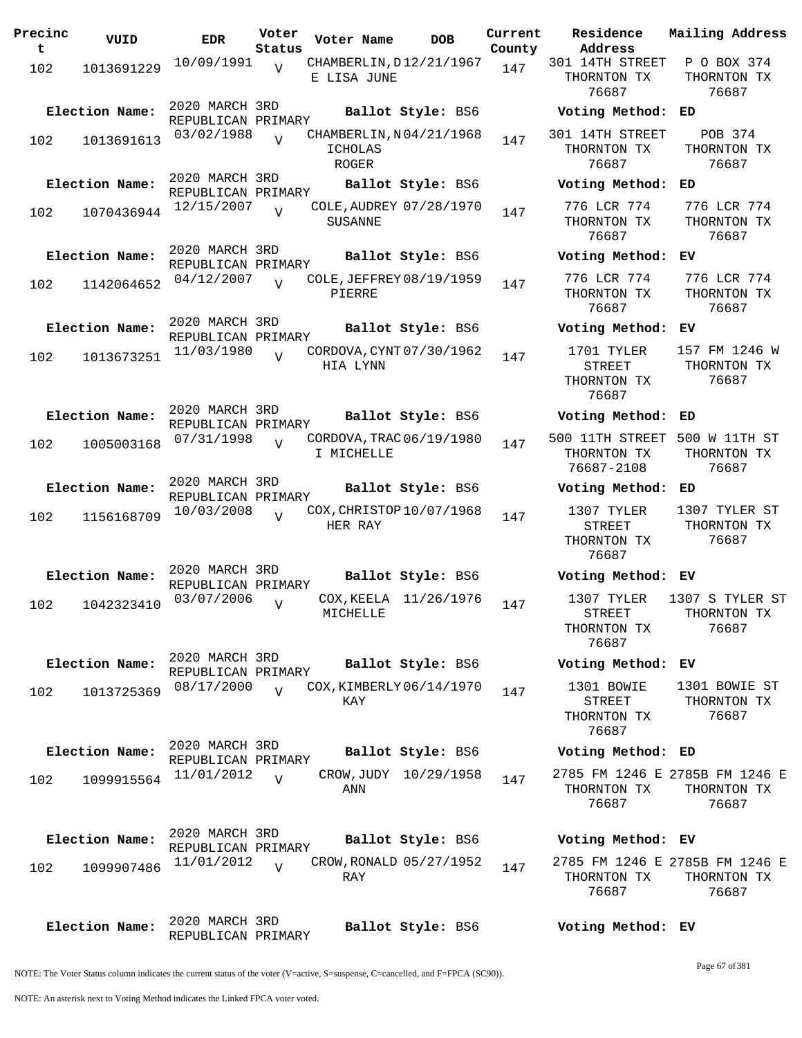| Precinc<br>t | VUID           | <b>EDR</b>                           | Voter<br>Status | Voter Name                                                | <b>DOB</b>        | Current<br>County | Residence<br>Address                                | Mai:                  |
|--------------|----------------|--------------------------------------|-----------------|-----------------------------------------------------------|-------------------|-------------------|-----------------------------------------------------|-----------------------|
| 102          | 1013691229     | 10/09/1991                           | $\overline{V}$  | CHAMBERLIN, D12/21/1967<br>E LISA JUNE                    |                   | 147               | 301 14TH STREET<br>THORNTON TX<br>76687             | Ρ<br>TI               |
|              | Election Name: | 2020 MARCH 3RD<br>REPUBLICAN PRIMARY |                 |                                                           | Ballot Style: BS6 |                   | Voting Method:                                      | ED                    |
| 102          | 1013691613     | 03/02/1988                           | $\overline{V}$  | CHAMBERLIN, N04/21/1968<br><b>ICHOLAS</b><br><b>ROGER</b> |                   | 147               | 301 14TH STREET<br>THORNTON TX<br>76687             | TI                    |
|              | Election Name: | 2020 MARCH 3RD<br>REPUBLICAN PRIMARY |                 |                                                           | Ballot Style: BS6 |                   | Voting Method:                                      | ED                    |
| 102          | 1070436944     | 12/15/2007                           | $\overline{V}$  | COLE, AUDREY 07/28/1970<br><b>SUSANNE</b>                 |                   | 147               | 776 LCR 774<br>THORNTON TX<br>76687                 | 7'<br>TI              |
|              | Election Name: | 2020 MARCH 3RD<br>REPUBLICAN PRIMARY |                 |                                                           | Ballot Style: BS6 |                   | Voting Method:                                      | ЕV                    |
| 102          | 1142064652     | 04/12/2007                           | $\overline{U}$  | COLE, JEFFREY 08/19/1959<br>PIERRE                        |                   | 147               | 776 LCR 774<br>THORNTON TX<br>76687                 | 7<br>TI               |
|              | Election Name: | 2020 MARCH 3RD<br>REPUBLICAN PRIMARY |                 |                                                           | Ballot Style: BS6 |                   | Voting Method:                                      | ЕV                    |
| 102          | 1013673251     | 11/03/1980                           | $\overline{U}$  | CORDOVA, CYNT 07/30/1962<br>HIA LYNN                      |                   | 147               | 1701 TYLER<br><b>STREET</b><br>THORNTON TX<br>76687 | 15 <sup>′</sup><br>TI |
|              | Election Name: | 2020 MARCH 3RD<br>REPUBLICAN PRIMARY |                 |                                                           | Ballot Style: BS6 |                   | Voting Method:                                      | ED                    |
| 102          | 1005003168     | 07/31/1998                           | $\overline{V}$  | CORDOVA, TRAC 06/19/1980<br>I MICHELLE                    |                   | 147               | 500 11TH STREET<br>THORNTON TX<br>76687-2108        | 500<br>TI             |
|              | Election Name: | 2020 MARCH 3RD<br>REPUBLICAN PRIMARY |                 |                                                           | Ballot Style: BS6 |                   | Voting Method:                                      | ED                    |
| 102          | 1156168709     | 10/03/2008                           | $\overline{V}$  | COX, CHRISTOP 10/07/1968<br>HER RAY                       |                   | 147               | 1307 TYLER<br><b>STREET</b><br>THORNTON TX<br>76687 | 13(<br>TI             |
|              | Election Name: | 2020 MARCH 3RD<br>REPUBLICAN PRIMARY |                 |                                                           | Ballot Style: BS6 |                   | Voting Method: EV                                   |                       |
| 102          | 1042323410     | 03/07/2006                           | $\overline{V}$  | COX, KEELA 11/26/1976<br>MICHELLE                         |                   | 147               | 1307 TYLER<br>STREET<br>THORNTON TX<br>76687        | 130<br>TI             |
|              | Election Name: | 2020 MARCH 3RD<br>REPUBLICAN PRIMARY |                 |                                                           | Ballot Style: BS6 |                   | Voting Method: EV                                   |                       |
| 102          | 1013725369     | 08/17/2000                           | $\overline{V}$  | COX, KIMBERLY 06/14/1970<br>KAY                           |                   | 147               | 1301 BOWIE<br>STREET<br>THORNTON TX<br>76687        | 13(<br>TI             |
|              | Election Name: | 2020 MARCH 3RD<br>REPUBLICAN PRIMARY |                 |                                                           | Ballot Style: BS6 |                   | Voting Method: ED                                   |                       |
| 102          | 1099915564     | 11/01/2012                           | $\overline{U}$  | CROW, JUDY 10/29/1958<br>ANN                              |                   | 147               | 2785 FM 1246 E 278!<br>THORNTON TX<br>76687         | TI                    |
|              | Election Name: | 2020 MARCH 3RD<br>REPUBLICAN PRIMARY |                 |                                                           | Ballot Style: BS6 |                   | Voting Method: EV                                   |                       |
| 102          | 1099907486     | 11/01/2012                           | $\overline{17}$ | CROW, RONALD 05/27/1952<br>RAY                            |                   | 147               | 2785 FM 1246 E 278!<br>THORNTON TX<br>76687         | TI                    |
|              | Election Name: | 2020 MARCH 3RD                       |                 |                                                           | Ballot Style: BS6 |                   | Voting Method: EV                                   |                       |

**Voter Name DOB Residence Address Current Mailing Address** 301 14TH STREET P O BOX 374 THORNTON TX 76687 THORNTON TX 76687 **Election Name: Ballot Style:** BS6 **Voting Method: ED** 301 14TH STREET THORNTON TX 76687 POB 374 THORNTON TX 76687 **Election Name: Ballot Style:** BS6 **Voting Method: ED** 776 LCR 774 THORNTON TX 76687 776 LCR 774 THORNTON TX 76687 **Election Name: Ballot Style:** BS6 **Voting Method: EV** 776 LCR 774 THORNTON TX 76687 776 LCR 774 THORNTON TX 76687 **Election Name: Ballot Style:** BS6 **Voting Method: EV** 1701 TYLER STREET THORNTON TX 76687 157 FM 1246 W THORNTON TX 76687 **Election Name: Ballot Style:** BS6 **Voting Method: ED** 500 11TH STREET 500 W 11TH ST THORNTON TX 76687-2108 THORNTON TX 76687 **Election Name: Ballot Style:** BS6 **Voting Method: ED** 1307 TYLER STREET THORNTON TX 76687 1307 TYLER ST THORNTON TX 76687 **Election Name: Ballot Style:** BS6 **Voting Method: EV** 1307 TYLER STREET THORNTON TX 76687 1307 S TYLER ST THORNTON TX 76687 **Election Name: Ballot Style:** BS6 **Voting Method: EV** 1301 BOWIE STREET THORNTON TX 76687 1301 BOWIE ST THORNTON TX 76687 **Election Name: Ballot Style:** BS6 **Voting Method: ED** 2785 FM 1246 E 2785B FM 1246 E THORNTON TX THORNTON TX 76687 76687 **Election Name: Ballot Style:** BS6 **Voting Method: EV** 2785 FM 1246 E 2785B FM 1246 E THORNTON TX THORNTON TX

NOTE: The Voter Status column indicates the current status of the voter (V=active, S=suspense, C=cancelled, and F=FPCA (SC90)).

REPUBLICAN PRIMARY

76687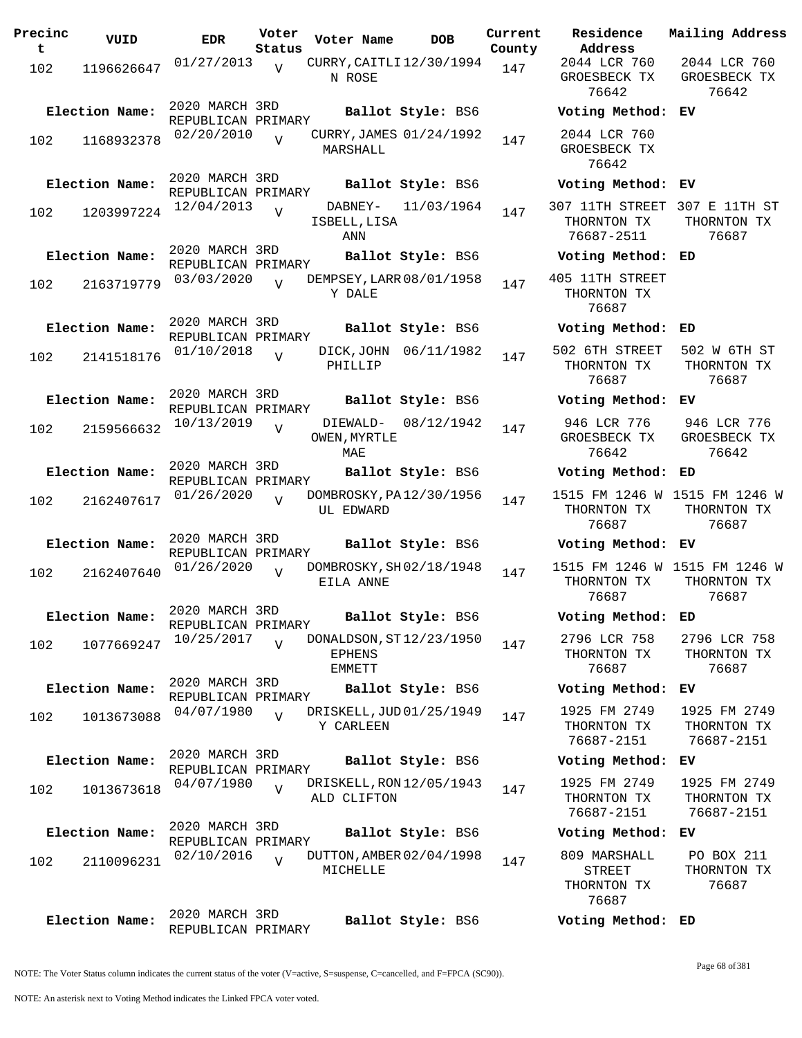**Precinc t VUID EDR Voter Status Voter Name bob Current Residence County**  $102$  1196626647 01/27/2013 N ROSE  $\overline{V}$ CURRY, CAITLI 12/30/1994 147 2020 MARCH 3RD REPUBLICAN PRIMARY **Election Name: Ballot Style:** BS6 **Voting Method: EV** 102 1168932378 02/20/2010 MARSHALL  $\overline{V}$ CURRY, JAMES 01/24/1992 147 2020 MARCH 3RD REPUBLICAN PRIMARY **Election Name: Ballot Style:** BS6 **Voting Method: EV** 102 1203997224 <sup>12/04/2013</sup> V DABNEY- 11/03/1964 147 ISBELL,LISA ANN  $\bar{v}$ 2020 MARCH 3RD REPUBLICAN PRIMARY **Election Name: Ballot Style:** BS6 **Voting Method: ED** 102 2163719779 03/03/2020 Y DALE  $\overline{V}$ DEMPSEY, LARR 08/01/1958 147 2020 MARCH 3RD REPUBLICAN PRIMARY **Election Name: Ballot Style:** BS6 **Voting Method: ED** 102 2141518176 01/10/2018 PHILLIP  $\overline{V}$ DICK, JOHN 06/11/1982 147 2020 MARCH 3RD REPUBLICAN PRIMARY **Election Name: Ballot Style:** BS6 **Voting Method: EV**  $102$  2159566632  $10/13/2019$ OWEN, MYRTLE MAE  $V$ DIEWALD- 08/12/1942 147 2020 MARCH 3RD REPUBLICAN PRIMARY **Election Name: Ballot Style:** BS6 **Voting Method: ED** 102 2162407617 <sup>01/26</sup>/2020 v DOMBROSKY, PA12/30/1956 <sub>147</sub> UL EDWARD  $\overline{v}$ 2020 MARCH 3RD REPUBLICAN PRIMARY **Election Name: Ballot Style:** BS6 **Voting Method: EV** 102 2162407640 <sup>01/26/2020</sup> V DOMBROSKY, SH02/18/1948 147 EILA ANNE  $\overline{V}$ 2020 MARCH 3RD REPUBLICAN PRIMARY **Election Name: Ballot Style:** BS6 **Voting Method: ED** 102 1077669247 10/25/2017 EPHENS EMMETT  $\overline{V}$ DONALDSON, ST12/23/1950 147 2020 MARCH 3RD REPUBLICAN PRIMARY **Election Name: Ballot Style:** BS6 **Voting Method: EV** 102 1013673088 <sup>04/07/1980</sup> v DRISKELL,JUD01/25/1949 <sub>147</sub> Y CARLEEN V 2020 MARCH 3RD REPUBLICAN PRIMARY **Election Name: Ballot Style:** BS6 **Voting Method: EV**  $102$   $1013673618$   $04/07/1980$ ALD CLIFTON  $V$ DRISKELL, RON 12/05/1943 147 2020 MARCH 3RD REPUBLICAN PRIMARY **Election Name: Ballot Style:** BS6 **Voting Method: EV**  $102$   $2110096231$   $02/10/2016$ MICHELLE  $\overline{v}$ DUTTON, AMBER 02/04/1998 147 2020 MARCH 3RD REPUBLICAN PRIMARY **Election Name: Ballot Style:** BS6 **Voting Method: ED**

**Address Current Mailing Address** 2044 LCR 760 GROESBECK TX 76642 2044 LCR 760 GROESBECK TX 76642 2044 LCR 760 GROESBECK TX 76642 307 11TH STREET 307 E 11TH ST THORNTON TX 76687-2511 THORNTON TX 76687 405 11TH STREET THORNTON TX 76687 502 6TH STREET THORNTON TX 76687 502 W 6TH ST THORNTON TX 76687 946 LCR 776 GROESBECK TX 76642 946 LCR 776 GROESBECK TX 76642 1515 FM 1246 W 1515 FM 1246 W THORNTON TX 76687 THORNTON TX 76687 1515 FM 1246 W 1515 FM 1246 W THORNTON TX 76687 THORNTON TX 76687 2796 LCR 758 THORNTON TX 76687 2796 LCR 758 THORNTON TX 76687 1925 FM 2749 THORNTON TX 76687-2151 1925 FM 2749 THORNTON TX 76687-2151 1925 FM 2749 THORNTON TX 76687-2151 1925 FM 2749 THORNTON TX 76687-2151 809 MARSHALL STREET THORNTON TX PO BOX 211 THORNTON TX 76687

NOTE: The Voter Status column indicates the current status of the voter (V=active, S=suspense, C=cancelled, and F=FPCA (SC90)).

76687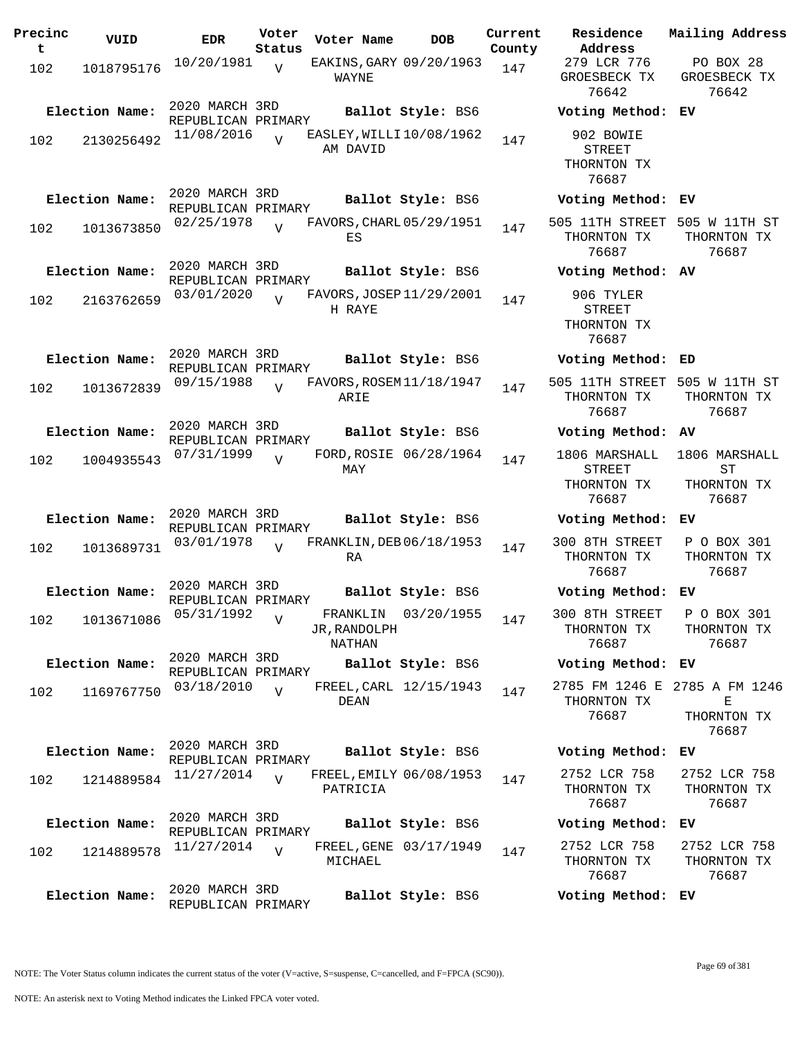| Precinc<br>t. | VUID           | <b>EDR</b>                           | Voter<br>Status | Voter Name                          | <b>DOB</b>             | Current<br>County | Residence<br>Address                                   | Mailing Address                                            |
|---------------|----------------|--------------------------------------|-----------------|-------------------------------------|------------------------|-------------------|--------------------------------------------------------|------------------------------------------------------------|
| 102           | 1018795176     | 10/20/1981                           | $\overline{V}$  | EAKINS, GARY 09/20/1963<br>WAYNE    |                        | 147               | 279 LCR 776<br>GROESBECK TX<br>76642                   | PO BOX 28<br>GROESBECK TX<br>76642                         |
|               | Election Name: | 2020 MARCH 3RD<br>REPUBLICAN PRIMARY |                 |                                     | Ballot Style: BS6      |                   | Voting Method: EV                                      |                                                            |
| 102           | 2130256492     | 11/08/2016                           | $\overline{U}$  | EASLEY, WILLI10/08/1962<br>AM DAVID |                        | 147               | 902 BOWIE<br><b>STREET</b><br>THORNTON TX<br>76687     |                                                            |
|               | Election Name: | 2020 MARCH 3RD<br>REPUBLICAN PRIMARY |                 |                                     | Ballot Style: BS6      |                   | Voting Method: EV                                      |                                                            |
| 102           | 1013673850     | 02/25/1978                           | $\overline{U}$  | FAVORS, CHARL 05/29/1951<br>ES      |                        | 147               | 505 11TH STREET 505 W 11TH ST<br>THORNTON TX<br>76687  | THORNTON TX<br>76687                                       |
|               | Election Name: | 2020 MARCH 3RD<br>REPUBLICAN PRIMARY |                 |                                     | Ballot Style: BS6      |                   | Voting Method: AV                                      |                                                            |
| 102           | 2163762659     | 03/01/2020                           | $\overline{U}$  | FAVORS, JOSEP 11/29/2001<br>H RAYE  |                        | 147               | 906 TYLER<br><b>STREET</b><br>THORNTON TX<br>76687     |                                                            |
|               | Election Name: | 2020 MARCH 3RD<br>REPUBLICAN PRIMARY |                 |                                     | Ballot Style: BS6      |                   | Voting Method: ED                                      |                                                            |
| 102           | 1013672839     | 09/15/1988                           | $\overline{U}$  | FAVORS, ROSEM 11/18/1947<br>ARIE    |                        | 147               | 505 11TH STREET 505 W 11TH ST<br>THORNTON TX<br>76687  | THORNTON TX<br>76687                                       |
|               | Election Name: | 2020 MARCH 3RD<br>REPUBLICAN PRIMARY |                 |                                     | Ballot Style: BS6      |                   | Voting Method: AV                                      |                                                            |
| 102           | 1004935543     | 07/31/1999                           | $\overline{U}$  | MAY                                 | FORD, ROSIE 06/28/1964 | 147               | 1806 MARSHALL<br><b>STREET</b><br>THORNTON TX<br>76687 | 1806 MARSHALL<br>ST<br>THORNTON TX<br>76687                |
|               | Election Name: | 2020 MARCH 3RD<br>REPUBLICAN PRIMARY |                 |                                     | Ballot Style: BS6      |                   | Voting Method: EV                                      |                                                            |
| 102           | 1013689731     | 03/01/1978                           | $\overline{U}$  | FRANKLIN, DEB 06/18/1953<br>RA      |                        | 147               | 300 8TH STREET<br>THORNTON TX<br>76687                 | P O BOX 301<br>THORNTON TX<br>76687                        |
|               | Election Name: | 2020 MARCH 3RD<br>REPUBLICAN PRIMARY |                 |                                     | Ballot Style: BS6      |                   | Voting Method: EV                                      |                                                            |
| 102           | 1013671086     | 05/31/1992                           | $\overline{V}$  | JR, RANDOLPH<br>NATHAN              | FRANKLIN 03/20/1955    | 147               | 300 8TH STREET P O BOX 301<br>THORNTON TX<br>76687     | THORNTON TX<br>76687                                       |
|               | Election Name: | 2020 MARCH 3RD<br>REPUBLICAN PRIMARY |                 |                                     | Ballot Style: BS6      |                   | Voting Method: EV                                      |                                                            |
| 102           | 1169767750     | 03/18/2010                           | $\overline{V}$  | DEAN                                | FREEL, CARL 12/15/1943 | 147               | THORNTON TX<br>76687                                   | 2785 FM 1246 E 2785 A FM 1246<br>Е<br>THORNTON TX<br>76687 |
|               | Election Name: | 2020 MARCH 3RD<br>REPUBLICAN PRIMARY |                 |                                     | Ballot Style: BS6      |                   | Voting Method: EV                                      |                                                            |
| 102           | 1214889584     | 11/27/2014                           | $\overline{V}$  | FREEL, EMILY 06/08/1953<br>PATRICIA |                        | 147               | 2752 LCR 758<br>THORNTON TX<br>76687                   | 2752 LCR 758<br>THORNTON TX<br>76687                       |
|               | Election Name: | 2020 MARCH 3RD<br>REPUBLICAN PRIMARY |                 |                                     | Ballot Style: BS6      |                   | Voting Method: EV                                      |                                                            |
| 102           | 1214889578     | 11/27/2014                           | $\overline{V}$  | MICHAEL                             | FREEL, GENE 03/17/1949 | 147               | 2752 LCR 758<br>THORNTON TX<br>76687                   | 2752 LCR 758<br>THORNTON TX<br>76687                       |
|               | Election Name: | 2020 MARCH 3RD<br>REPUBLICAN PRIMARY |                 |                                     | Ballot Style: BS6      |                   | Voting Method: EV                                      |                                                            |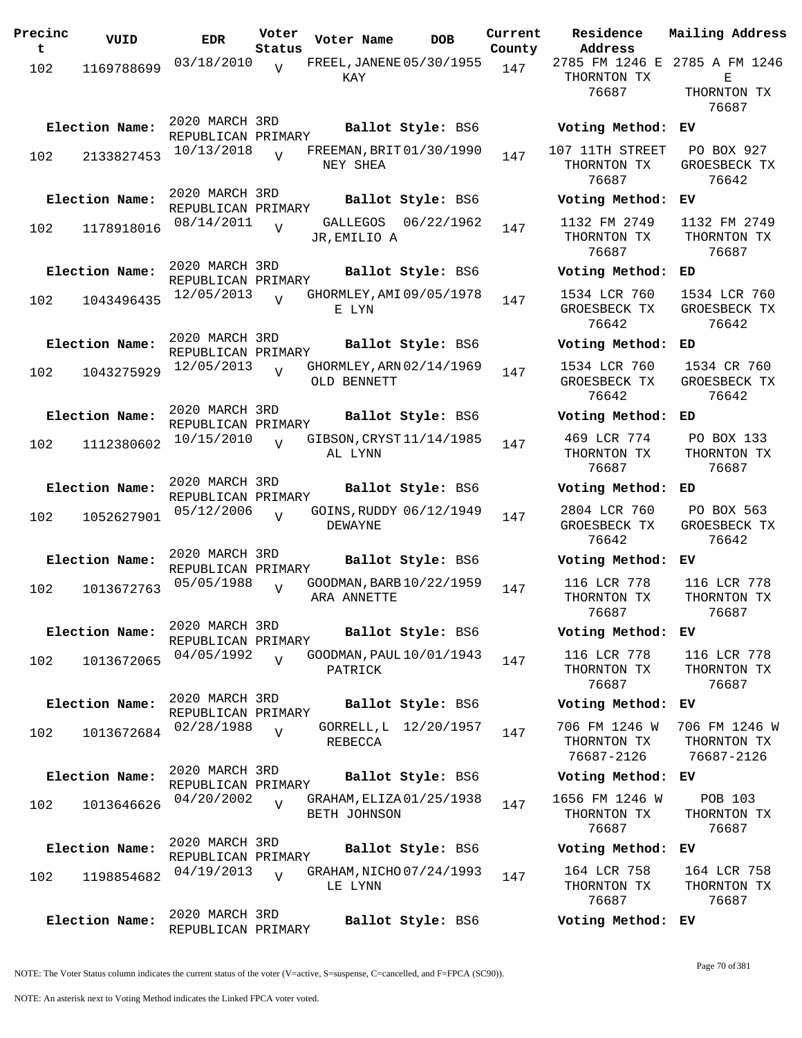| Precinc<br>t | VUID           | <b>EDR</b>                           | Voter<br>Status | Voter Name                               | <b>DOB</b>            | Current<br>County | Residence<br>Address                       | Mailing Address                                   |
|--------------|----------------|--------------------------------------|-----------------|------------------------------------------|-----------------------|-------------------|--------------------------------------------|---------------------------------------------------|
| 102          | 1169788699     | 03/18/2010                           | $\overline{v}$  | FREEL, JANENE 05/30/1955<br>KAY          |                       | 147               | THORNTON TX<br>76687                       | 2785 FM 1246 E 2785 A FM 1246<br>Е<br>THORNTON TX |
|              | Election Name: | 2020 MARCH 3RD                       |                 |                                          | Ballot Style: BS6     |                   | Voting Method: EV                          | 76687                                             |
| 102          | 2133827453     | REPUBLICAN PRIMARY<br>10/13/2018     | $\overline{t}$  | FREEMAN, BRIT 01/30/1990<br>NEY SHEA     |                       | 147               | 107 11TH STREET<br>THORNTON TX<br>76687    | PO BOX 927<br>GROESBECK TX<br>76642               |
|              | Election Name: | 2020 MARCH 3RD                       |                 |                                          | Ballot Style: BS6     |                   | Voting Method:                             | ЕV                                                |
| 102          | 1178918016     | REPUBLICAN PRIMARY<br>08/14/2011     | $\overline{U}$  | GALLEGOS<br>JR, EMILIO A                 | 06/22/1962            | 147               | 1132 FM 2749<br>THORNTON TX<br>76687       | 1132 FM 2749<br>THORNTON TX<br>76687              |
|              | Election Name: | 2020 MARCH 3RD                       |                 |                                          | Ballot Style: BS6     |                   | Voting Method:                             | ED                                                |
| 102          | 1043496435     | REPUBLICAN PRIMARY<br>12/05/2013     | $\overline{U}$  | GHORMLEY, AMI 09/05/1978<br>E LYN        |                       | 147               | 1534 LCR 760<br>GROESBECK TX<br>76642      | 1534 LCR 760<br>GROESBECK TX<br>76642             |
|              | Election Name: | 2020 MARCH 3RD<br>REPUBLICAN PRIMARY |                 |                                          | Ballot Style: BS6     |                   | Voting Method:                             | ED                                                |
| 102          | 1043275929     | 12/05/2013                           | $\overline{z}$  | GHORMLEY, ARN 02/14/1969<br>OLD BENNETT  |                       | 147               | 1534 LCR 760<br>GROESBECK TX<br>76642      | 1534 CR 760<br>GROESBECK TX<br>76642              |
|              | Election Name: | 2020 MARCH 3RD<br>REPUBLICAN PRIMARY |                 |                                          | Ballot Style: BS6     |                   | Voting Method:                             | ED                                                |
| 102          | 1112380602     | 10/15/2010                           | $\overline{V}$  | GIBSON, CRYST11/14/1985<br>AL LYNN       |                       | 147               | 469 LCR 774<br>THORNTON TX<br>76687        | PO BOX 133<br>THORNTON TX<br>76687                |
|              | Election Name: | 2020 MARCH 3RD<br>REPUBLICAN PRIMARY |                 |                                          | Ballot Style: BS6     |                   | Voting Method:                             | ED                                                |
| 102          | 1052627901     | 05/12/2006                           | $\overline{v}$  | GOINS, RUDDY 06/12/1949<br>DEWAYNE       |                       | 147               | 2804 LCR 760<br>GROESBECK TX<br>76642      | PO BOX 563<br>GROESBECK TX<br>76642               |
|              | Election Name: | 2020 MARCH 3RD<br>REPUBLICAN PRIMARY |                 |                                          | Ballot Style: BS6     |                   | Voting Method:                             | ЕV                                                |
| 102          | 1013672763     | 05/05/1988                           | $\overline{z}$  | GOODMAN, BARB 10/22/1959<br>ARA ANNETTE  |                       | 147               | 116 LCR 778<br>THORNTON TX<br>76687        | 116 LCR 778<br>THORNTON TX<br>76687               |
|              | Election Name: | 2020 MARCH 3RD<br>REPUBLICAN PRIMARY |                 |                                          | Ballot Style: BS6     |                   | Voting Method: EV                          |                                                   |
| 102          | 1013672065     | 04/05/1992                           | $\overline{V}$  | GOODMAN, PAUL 10/01/1943<br>PATRICK      |                       | 147               | 116 LCR 778<br>THORNTON TX<br>76687        | 116 LCR 778<br>THORNTON TX<br>76687               |
|              | Election Name: | 2020 MARCH 3RD<br>REPUBLICAN PRIMARY |                 |                                          | Ballot Style: BS6     |                   | Voting Method: EV                          |                                                   |
| 102          | 1013672684     | 02/28/1988                           | $\overline{V}$  | REBECCA                                  | GORRELL, L 12/20/1957 | 147               | 706 FM 1246 W<br>THORNTON TX<br>76687-2126 | 706 FM 1246 W<br>THORNTON TX<br>76687-2126        |
|              | Election Name: | 2020 MARCH 3RD<br>REPUBLICAN PRIMARY |                 |                                          | Ballot Style: BS6     |                   | Voting Method: EV                          |                                                   |
| 102          | 1013646626     | 04/20/2002                           | $\overline{U}$  | GRAHAM, ELIZA 01/25/1938<br>BETH JOHNSON |                       | 147               | 1656 FM 1246 W<br>THORNTON TX<br>76687     | POB 103<br>THORNTON TX<br>76687                   |
|              | Election Name: | 2020 MARCH 3RD<br>REPUBLICAN PRIMARY |                 |                                          | Ballot Style: BS6     |                   | Voting Method: EV                          |                                                   |
| 102          | 1198854682     | 04/19/2013                           | $\overline{V}$  | GRAHAM, NICHO 07/24/1993<br>LE LYNN      |                       | 147               | 164 LCR 758<br>THORNTON TX<br>76687        | 164 LCR 758<br>THORNTON TX<br>76687               |
|              | Election Name: | 2020 MARCH 3RD<br>REPUBLICAN PRIMARY |                 |                                          | Ballot Style: BS6     |                   | Voting Method: EV                          |                                                   |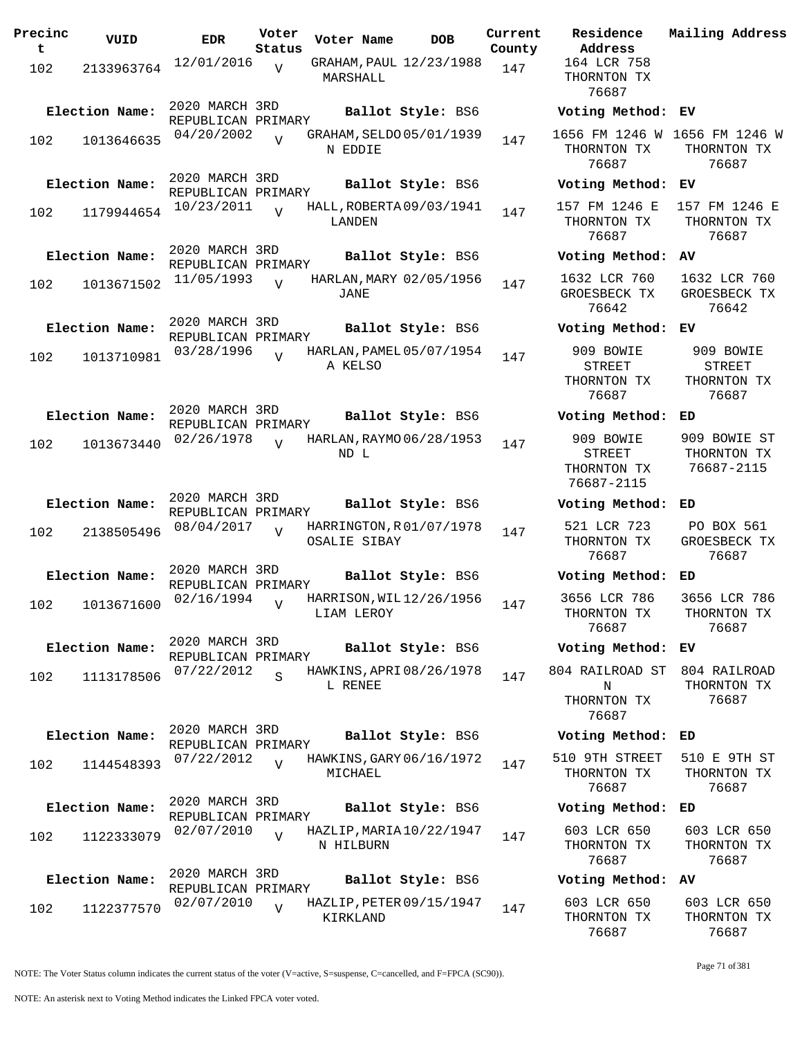| Precinc<br>t | VUID           | <b>EDR</b>                           | Voter<br>Status         | Voter Name   | DOB                      | Current<br>County |
|--------------|----------------|--------------------------------------|-------------------------|--------------|--------------------------|-------------------|
| 102          | 2133963764     | 12/01/2016                           | V                       | MARSHALL     | GRAHAM, PAUL 12/23/1988  | 147               |
|              | Election Name: | 2020 MARCH 3RD                       |                         |              | Ballot Style: BS6        |                   |
| 102          | 1013646635     | REPUBLICAN PRIMARY<br>04/20/2002     | $\overline{U}$          | N EDDIE      | GRAHAM, SELDO 05/01/1939 | 147               |
|              | Election Name: | 2020 MARCH 3RD                       |                         |              | Ballot Style: BS6        |                   |
| 102          | 1179944654     | REPUBLICAN PRIMARY<br>10/23/2011     | $\overline{U}$          | LANDEN       | HALL, ROBERTA 09/03/1941 | 147               |
|              | Election Name: | 2020 MARCH 3RD<br>REPUBLICAN PRIMARY |                         |              | Ballot Style: BS6        |                   |
| 102          | 1013671502     | 11/05/1993                           | $\overline{V}$          | JANE         | HARLAN, MARY 02/05/1956  | 147               |
|              | Election Name: | 2020 MARCH 3RD<br>REPUBLICAN PRIMARY |                         |              | Ballot Style: BS6        |                   |
| 102          | 1013710981     | 03/28/1996                           | $\overline{U}$          | A KELSO      | HARLAN, PAMEL 05/07/1954 | 147               |
|              | Election Name: | 2020 MARCH 3RD<br>REPUBLICAN PRIMARY |                         |              | Ballot Style: BS6        |                   |
| 102          | 1013673440     | 02/26/1978                           | V                       | ND L         | HARLAN, RAYMO 06/28/1953 | 147               |
|              | Election Name: | 2020 MARCH 3RD<br>REPUBLICAN PRIMARY |                         |              | Ballot Style: BS6        |                   |
| 102          | 2138505496     | 08/04/2017                           | ٦T                      | OSALIE SIBAY | HARRINGTON, R01/07/1978  | 147               |
|              | Election Name: | 2020 MARCH 3RD<br>REPUBLICAN PRIMARY |                         |              | Ballot Style: BS6        |                   |
| 102          | 1013671600     | 02/16/1994                           | $\overline{V}$          | LIAM LEROY   | HARRISON, WIL12/26/1956  | 147               |
|              | Election Name: | 2020 MARCH 3RD<br>REPUBLICAN PRIMARY |                         |              | Ballot Style: BS6        |                   |
| 102          | 1113178506     | 07/22/2012                           | $\overline{\mathbf{S}}$ | L RENEE      | HAWKINS, APRI 08/26/1978 | 147               |
|              | Election Name: | 2020 MARCH 3RD                       |                         |              | Ballot Style: BS6        |                   |
| 102          | 1144548393     | REPUBLICAN PRIMARY<br>07/22/2012     | $\overline{V}$          | MICHAEL      | HAWKINS, GARY 06/16/1972 | 147               |
|              | Election Name: | 2020 MARCH 3RD<br>REPUBLICAN PRIMARY |                         |              | Ballot Style: BS6        |                   |
| 102          | 1122333079     | 02/07/2010                           | $\overline{V}$          | N HILBURN    | HAZLIP, MARIA 10/22/1947 | 147               |
|              | Election Name: | 2020 MARCH 3RD<br>REPUBLICAN PRIMARY |                         |              | Ballot Style: BS6        |                   |
| 102          | 1122377570     | 02/07/2010                           | V                       | KIRKLAND     | HAZLIP, PETER 09/15/1947 | 147               |

**Voter Name DOB Residence Address Current Mailing Address** 164 LCR 758 THORNTON TX 76687 **Election Name: Ballot Style:** BS6 **Voting Method: EV** 1656 FM 1246 W 1656 FM 1246 W THORNTON TX 76687 THORNTON TX 76687 **Election Name: Ballot Style:** BS6 **Voting Method: EV** 157 FM 1246 E THORNTON TX 76687 157 FM 1246 E THORNTON TX 76687 **Election Name: Ballot Style:** BS6 **Voting Method: AV** 1632 LCR 760 GROESBECK TX 76642 1632 LCR 760 GROESBECK TX 76642 **Election Name: Ballot Style:** BS6 **Voting Method: EV** 909 BOWIE STREET THORNTON TX 76687 909 BOWIE STREET THORNTON TX 76687 **Election Name: Ballot Style:** BS6 **Voting Method: ED** 909 BOWIE STREET THORNTON TX 76687-2115 909 BOWIE ST THORNTON TX 76687-2115 **Election Name: Ballot Style:** BS6 **Voting Method: ED** 521 LCR 723 THORNTON TX 76687 PO BOX 561 GROESBECK TX 76687 **Election Name: Ballot Style:** BS6 **Voting Method: ED** 3656 LCR 786 THORNTON TX 76687 3656 LCR 786 THORNTON TX 76687 **Election Name: Ballot Style:** BS6 **Voting Method: EV** 804 RAILROAD ST N THORNTON TX 76687 804 RAILROAD THORNTON TX 76687 **Election Name: Ballot Style:** BS6 **Voting Method: ED** 510 9TH STREET THORNTON TX 76687 510 E 9TH ST THORNTON TX 76687 **Election Name: Ballot Style:** BS6 **Voting Method: ED** 603 LCR 650 THORNTON TX 76687 603 LCR 650 THORNTON TX 76687 **Election Name: Ballot Style:** BS6 **Voting Method: AV**

603 LCR 650 THORNTON TX 76687 603 LCR 650 THORNTON TX 76687

NOTE: The Voter Status column indicates the current status of the voter (V=active, S=suspense, C=cancelled, and F=FPCA (SC90)).

Page 71 of 381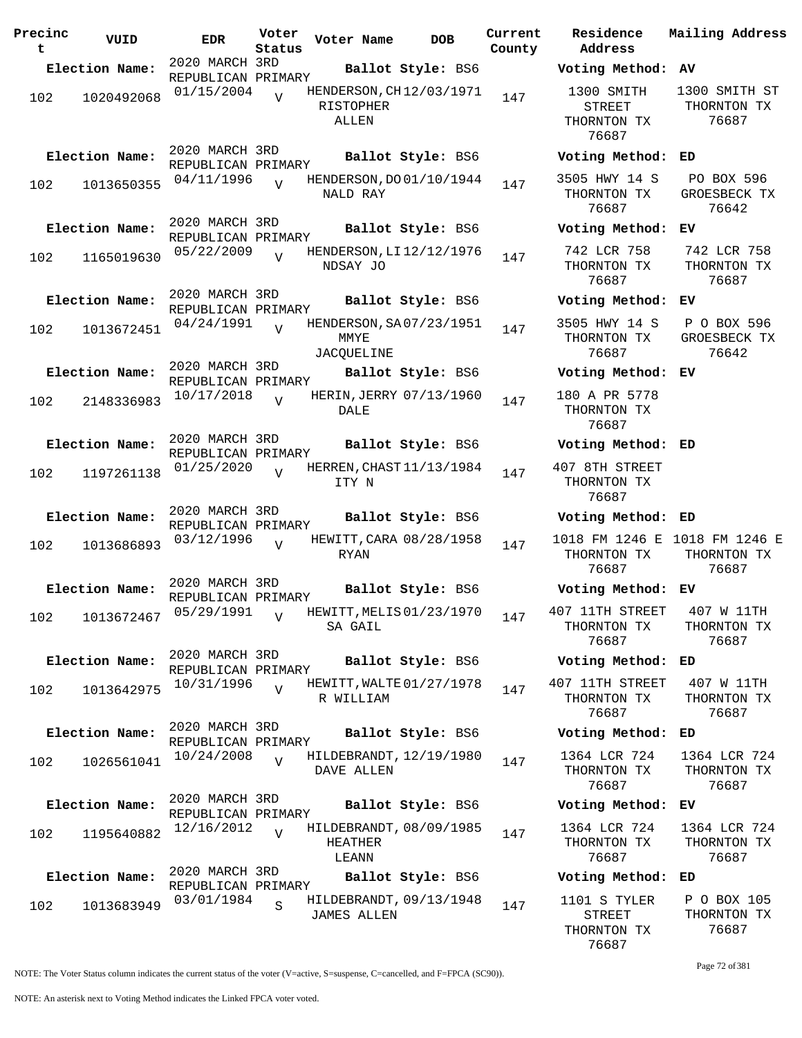| Precinc<br>t | VUID                      | <b>EDR</b>                           | Voter<br>Status | Voter Name                                    | <b>DOB</b>        | Current<br>County | Residence<br>Address                         |
|--------------|---------------------------|--------------------------------------|-----------------|-----------------------------------------------|-------------------|-------------------|----------------------------------------------|
|              | Election Name:            | 2020 MARCH 3RD<br>REPUBLICAN PRIMARY |                 |                                               | Ballot Style: BS6 |                   | Voting Metho                                 |
| 102          | 1020492068                | 01/15/2004                           | $\overline{V}$  | HENDERSON, CH12/03/1971<br>RISTOPHER<br>ALLEN |                   | 147               | 1300 SMITH<br>STREET<br>THORNTON TX<br>76687 |
|              | Election Name:            | 2020 MARCH 3RD<br>REPUBLICAN PRIMARY |                 |                                               | Ballot Style: BS6 |                   | Voting Metho                                 |
| 102          | 1013650355                | 04/11/1996                           | $\overline{V}$  | HENDERSON, DO 01/10/1944<br>NALD RAY          |                   | 147               | 3505 HWY 14<br>THORNTON TX<br>76687          |
|              | Election Name:            | 2020 MARCH 3RD<br>REPUBLICAN PRIMARY |                 |                                               | Ballot Style: BS6 |                   | Voting Metho                                 |
| 102          | 1165019630                | 05/22/2009                           | $\overline{V}$  | HENDERSON, LI 12/12/1976<br>NDSAY JO          |                   | 147               | 742 LCR 758<br>THORNTON TX<br>76687          |
|              | Election Name:            | 2020 MARCH 3RD<br>REPUBLICAN PRIMARY |                 |                                               | Ballot Style: BS6 |                   | Voting Metho                                 |
| 102          | 1013672451                | 04/24/1991                           | $\overline{z}$  | HENDERSON, SA07/23/1951<br>MMYE<br>JACQUELINE |                   | 147               | 3505 HWY 14<br>THORNTON TX<br>76687          |
|              | Election Name:            | 2020 MARCH 3RD<br>REPUBLICAN PRIMARY |                 |                                               | Ballot Style: BS6 |                   | Voting Metho                                 |
| 102          | 2148336983                | 10/17/2018                           | $\overline{V}$  | HERIN, JERRY 07/13/1960<br>DALE               |                   | 147               | 180 A PR 577<br>THORNTON TX<br>76687         |
|              | Election Name:            | 2020 MARCH 3RD<br>REPUBLICAN PRIMARY |                 |                                               | Ballot Style: BS6 |                   | Voting Metho                                 |
| 102          | 1197261138                | 01/25/2020                           | $\overline{V}$  | HERREN, CHAST 11/13/1984<br>ITY N             |                   | 147               | 407 8TH STREE<br>THORNTON TX<br>76687        |
|              | Election Name:            | 2020 MARCH 3RD<br>REPUBLICAN PRIMARY |                 |                                               | Ballot Style: BS6 |                   | Voting Metho                                 |
| 102          | 1013686893                | 03/12/1996                           | $\overline{z}$  | HEWITT, CARA 08/28/1958<br>RYAN               |                   | 147               | 1018 FM 1246<br>THORNTON TX<br>76687         |
|              | Election Name:            | 2020 MARCH 3RD<br>REPUBLICAN PRIMARY |                 |                                               | Ballot Style: BS6 |                   | <b>Voting Metho</b>                          |
|              | 102 1013672467 05/29/1991 |                                      | V               | HEWITT, MELIS 01/23/1970<br>SA GAIL           |                   | 147               | 407 11TH STRE<br>THORNTON TX<br>76687        |
|              | Election Name:            | 2020 MARCH 3RD<br>REPUBLICAN PRIMARY |                 |                                               | Ballot Style: BS6 |                   | Voting Metho                                 |
| 102          | 1013642975                | 10/31/1996                           | $\overline{V}$  | HEWITT, WALTE 01/27/1978<br>R WILLIAM         |                   | 147               | 407 11TH STRE<br>THORNTON TX<br>76687        |
|              | Election Name:            | 2020 MARCH 3RD<br>REPUBLICAN PRIMARY |                 |                                               | Ballot Style: BS6 |                   | Voting Metho                                 |
| 102          | 1026561041                | 10/24/2008                           | $\overline{17}$ | HILDEBRANDT, 12/19/1980<br>DAVE ALLEN         |                   | 147               | 1364 LCR 724<br>THORNTON TX<br>76687         |
|              | Election Name:            | 2020 MARCH 3RD<br>REPUBLICAN PRIMARY |                 |                                               | Ballot Style: BS6 |                   | Voting Metho                                 |
| 102          | 1195640882                | 12/16/2012                           | $\overline{U}$  | HILDEBRANDT, 08/09/1985<br>HEATHER<br>LEANN   |                   | 147               | 1364 LCR 724<br>THORNTON TX<br>76687         |
|              | Election Name:            | 2020 MARCH 3RD<br>REPUBLICAN PRIMARY |                 |                                               | Ballot Style: BS6 |                   | Voting Metho                                 |
| 102          | 1013683949                | 03/01/1984                           | S               | HILDEBRANDT, 09/13/1948<br><b>JAMES ALLEN</b> |                   | 147               | 1101 S TYLER<br>STREET<br>THORNTON TX        |

**Residence Address Current Mailing Address Election Name: Ballot Style:** BS6 **Voting Method: AV** 1300 SMITH STREET HORNTON TX 76687 1300 SMITH ST THORNTON TX 76687 **Election Name: Ballot Style:** BS6 **Voting Method: ED** 05 HWY 14 S HORNTON TX 76687 PO BOX 596 GROESBECK TX 76642 **Election Name: Ballot Style:** BS6 **Voting Method: EV** 42 LCR 758 HORNTON TX 76687 742 LCR 758 THORNTON TX 76687 **Election Name: Ballot Style:** BS6 **Voting Method: EV** 05 HWY 14 S HORNTON TX 76687 P O BOX 596 GROESBECK TX 76642 **Election Name: Ballot Style:** BS6 **Voting Method: EV** 0 A PR 5778 HORNTON TX 76687 **Election Name: Ballot Style:** BS6 **Voting Method: ED** 8TH STREET HORNTON TX 76687 **Election Name: Ballot Style:** BS6 **Voting Method: ED** 1018 FM 1246 E 1018 FM 1246 E HORNTON TX 76687 THORNTON TX 76687 **Election Name: Ballot Style:** BS6 **Voting Method: EV** 11TH STREET HORNTON TX 76687 407 W 11TH THORNTON TX 76687 **Election Name: Ballot Style:** BS6 **Voting Method: ED** 11TH STREET HORNTON TX 76687 407 W 11TH THORNTON TX 76687 **Election Name: Ballot Style:** BS6 **Voting Method: ED** 64 LCR 724 HORNTON TX 76687 1364 LCR 724 THORNTON TX 76687 **Election Name: Ballot Style:** BS6 **Voting Method: EV** 64 LCR 724 HORNTON TX 76687 1364 LCR 724 THORNTON TX 76687 **Election Name: Ballot Style:** BS6 **Voting Method: ED** 01 S TYLER STREET P O BOX 105 THORNTON TX

76687

76687

Page 72 of 381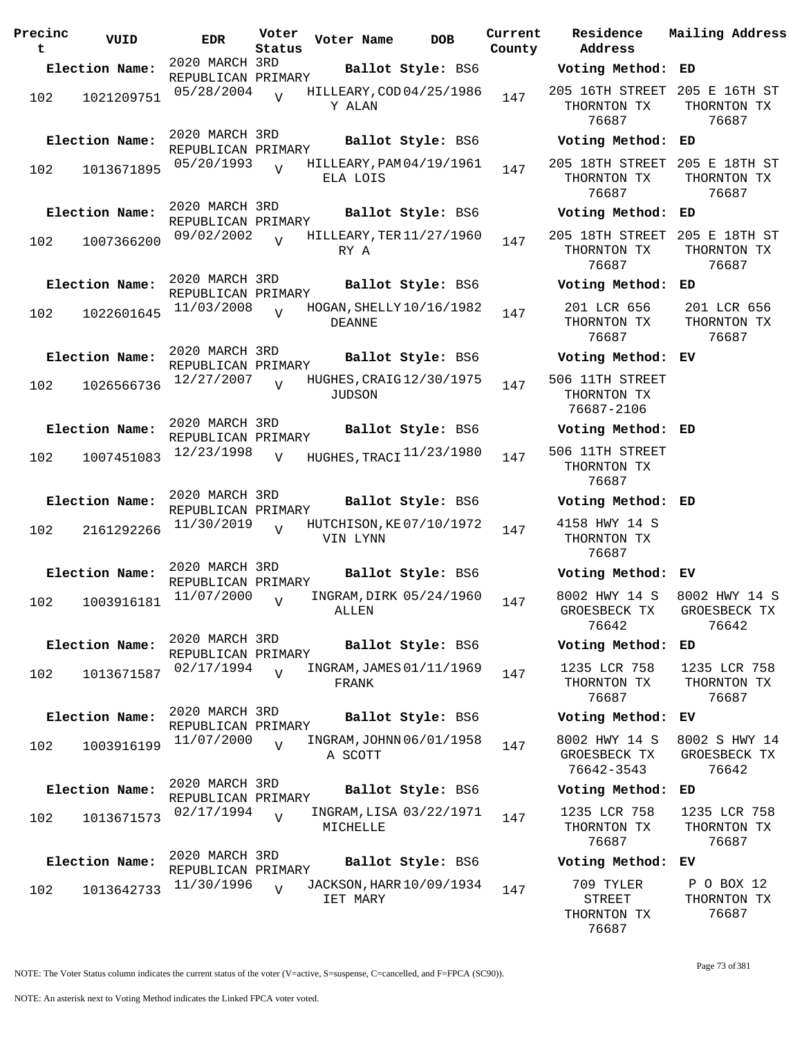| Precinc<br>t | VUID                         | EDR                                                | Voter<br>Status | Voter Name | <b>DOB</b>                                    | Current<br>County |
|--------------|------------------------------|----------------------------------------------------|-----------------|------------|-----------------------------------------------|-------------------|
|              | Election Name:               | 2020 MARCH 3RD                                     |                 |            | Ballot Style: BS6                             |                   |
| 102          | 1021209751                   | REPUBLICAN PRIMARY<br>05/28/2004                   | $\overline{U}$  | Y ALAN     | HILLEARY, COD 04/25/1986                      | 147               |
| 102          | Election Name:<br>1013671895 | 2020 MARCH 3RD<br>REPUBLICAN PRIMARY<br>05/20/1993 | $\overline{V}$  | ELA LOIS   | Ballot Style: BS6<br>HILLEARY, PAM 04/19/1961 | 147               |
| 102          | Election Name:<br>1007366200 | 2020 MARCH 3RD<br>REPUBLICAN PRIMARY<br>09/02/2002 | $\overline{U}$  | RY A       | Ballot Style: BS6<br>HILLEARY, TER 11/27/1960 | 147               |
| 102          | Election Name:<br>1022601645 | 2020 MARCH 3RD<br>REPUBLICAN PRIMARY<br>11/03/2008 | ٦Z              | DEANNE     | Ballot Style: BS6<br>HOGAN, SHELLY 10/16/1982 | 147               |
| 102          | Election Name:<br>1026566736 | 2020 MARCH 3RD<br>REPUBLICAN PRIMARY<br>12/27/2007 | $\overline{U}$  | JUDSON     | Ballot Style: BS6<br>HUGHES, CRAIG 12/30/1975 | 147               |
| 102          | Election Name:<br>1007451083 | 2020 MARCH 3RD<br>REPUBLICAN PRIMARY<br>12/23/1998 | $\overline{V}$  |            | Ballot Style: BS6<br>HUGHES, TRACI 11/23/1980 | 147               |
| 102          | Election Name:<br>2161292266 | 2020 MARCH 3RD<br>REPUBLICAN PRIMARY<br>11/30/2019 | $\overline{U}$  | VIN LYNN   | Ballot Style: BS6<br>HUTCHISON, KE07/10/1972  | 147               |
| 102          | Election Name:<br>1003916181 | 2020 MARCH 3RD<br>REPUBLICAN PRIMARY<br>11/07/2000 | V               | ALLEN      | Ballot Style: BS6<br>INGRAM, DIRK 05/24/1960  | 147               |
| 102          | Election Name:<br>1013671587 | 2020 MARCH 3RD<br>REPUBLICAN PRIMARY<br>02/17/1994 | $\overline{U}$  | FRANK      | Ballot Style: BS6<br>INGRAM, JAMES 01/11/1969 | 147               |
| 102          | Election Name:<br>1003916199 | 2020 MARCH 3RD<br>REPUBLICAN PRIMARY<br>11/07/2000 | $\overline{U}$  | A SCOTT    | Ballot Style: BS6<br>INGRAM, JOHNN 06/01/1958 | 147               |
| 102          | Election Name:<br>1013671573 | 2020 MARCH 3RD<br>REPUBLICAN PRIMARY<br>02/17/1994 | $\overline{V}$  | MICHELLE   | Ballot Style: BS6<br>INGRAM, LISA 03/22/1971  | 147               |
| 102          | Election Name:<br>1013642733 | 2020 MARCH 3RD<br>REPUBLICAN PRIMARY<br>11/30/1996 | ٦T              | IET MARY   | Ballot Style: BS6<br>JACKSON, HARR 10/09/1934 | 147               |

**Voter Name DOB Residence Address Current Mailing Address Election Name: Ballot Style:** BS6 **Voting Method: ED** 205 16TH STREET 205 E 16TH ST THORNTON TX 76687 THORNTON TX 76687 **Election Name: Ballot Style:** BS6 **Voting Method: ED** 205 18TH STREET 205 E 18TH ST THORNTON TX 76687 THORNTON TX 76687 **Election Name: Ballot Style:** BS6 **Voting Method: ED** 205 18TH STREET 205 E 18TH ST THORNTON TX 76687 THORNTON TX 76687 **Election Name: Ballot Style:** BS6 **Voting Method: ED** 201 LCR 656 THORNTON TX 76687 201 LCR 656 THORNTON TX 76687 **Election Name: Ballot Style:** BS6 **Voting Method: EV** 506 11TH STREET THORNTON TX 76687-2106 **Election Name: Ballot Style:** BS6 **Voting Method: ED** 506 11TH STREET THORNTON TX 76687 **Election Name: Ballot Style:** BS6 **Voting Method: ED** 4158 HWY 14 S THORNTON TX 76687 **Election Name: Ballot Style:** BS6 **Voting Method: EV** 8002 HWY 14 S GROESBECK TX 76642 8002 HWY 14 S GROESBECK TX 76642 **Election Name: Ballot Style:** BS6 **Voting Method: ED** 1235 LCR 758 THORNTON TX 76687 1235 LCR 758 THORNTON TX 76687 **Election Name: Ballot Style:** BS6 **Voting Method: EV** 8002 HWY 14 S GROESBECK TX 76642-3543 8002 S HWY 14 GROESBECK TX 76642 **Election Name: Ballot Style:** BS6 **Voting Method: ED** 1235 LCR 758 THORNTON TX 76687 1235 LCR 758 THORNTON TX 76687 **Election Name: Ballot Style:** BS6 **Voting Method: EV** 709 TYLER P O BOX 12

NOTE: The Voter Status column indicates the current status of the voter (V=active, S=suspense, C=cancelled, and F=FPCA (SC90)).

Page 73 of 381

THORNTON TX 76687

STREET THORNTON TX 76687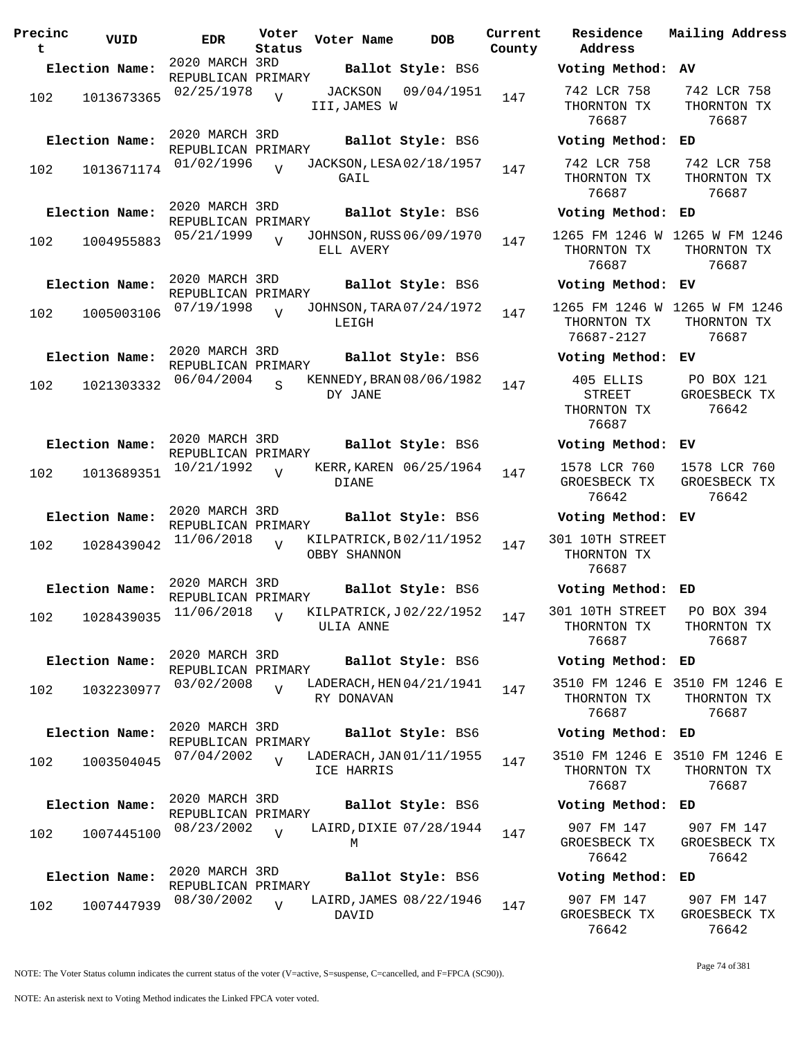| Precinc<br>t | VUID           | <b>EDR</b>                                         | Voter<br>Status | Voter Name                             |  | <b>DOB</b>                                    | Current<br>County |
|--------------|----------------|----------------------------------------------------|-----------------|----------------------------------------|--|-----------------------------------------------|-------------------|
|              | Election Name: | 2020 MARCH 3RD                                     |                 |                                        |  | Ballot Style: BS6                             |                   |
| 102          | 1013673365     | REPUBLICAN PRIMARY<br>02/25/1978                   | V               | JACKSON<br>III,JAMES W                 |  | 09/04/1951                                    | 147               |
|              | Election Name: | 2020 MARCH 3RD<br>REPUBLICAN PRIMARY<br>01/02/1996 |                 |                                        |  | Ballot Style: BS6<br>JACKSON, LESA 02/18/1957 |                   |
| 102          | 1013671174     |                                                    | $\overline{V}$  | GAIL                                   |  |                                               | 147               |
|              | Election Name: | 2020 MARCH 3RD<br>REPUBLICAN PRIMARY               |                 |                                        |  | Ballot Style: BS6                             |                   |
| 102          | 1004955883     | 05/21/1999                                         | $\overline{U}$  | ELL AVERY                              |  | JOHNSON, RUSS 06/09/1970                      | 147               |
|              | Election Name: | 2020 MARCH 3RD<br>REPUBLICAN PRIMARY               |                 |                                        |  | Ballot Style: BS6                             |                   |
| 102          | 1005003106     | 07/19/1998                                         | $\overline{z}$  | LEIGH                                  |  | JOHNSON, TARA 07/24/1972                      | 147               |
|              | Election Name: | 2020 MARCH 3RD<br>REPUBLICAN PRIMARY               |                 |                                        |  | Ballot Style: BS6                             |                   |
| 102          | 1021303332     | 06/04/2004                                         | S               | DY JANE                                |  | KENNEDY, BRAN 08/06/1982                      | 147               |
|              | Election Name: | 2020 MARCH 3RD<br>REPUBLICAN PRIMARY               |                 |                                        |  | Ballot Style: BS6                             |                   |
| 102          | 1013689351     | 10/21/1992                                         | V               | KERR, KAREN 06/25/1964<br><b>DIANE</b> |  |                                               |                   |
|              | Election Name: | 2020 MARCH 3RD<br>REPUBLICAN PRIMARY               |                 |                                        |  | Ballot Style: BS6                             |                   |
| 102          | 1028439042     | 11/06/2018                                         | V               | OBBY SHANNON                           |  | KILPATRICK, B02/11/1952                       | 147               |
|              | Election Name: | 2020 MARCH 3RD                                     |                 |                                        |  | Ballot Style: BS6                             |                   |
|              | 102 1028439035 | REPUBLICAN PRIMARY<br>$11/06/2018$ V               |                 |                                        |  | KILPATRICK, J02/22/1952                       | 147               |
|              |                |                                                    |                 | ULIA ANNE                              |  |                                               |                   |
|              | Election Name: | 2020 MARCH 3RD<br>REPUBLICAN PRIMARY               |                 |                                        |  | Ballot Style: BS6                             |                   |
| 102          | 1032230977     | 03/02/2008                                         | $\overline{U}$  | RY DONAVAN                             |  | LADERACH, HEN 04/21/1941                      | 147               |
|              | Election Name: | 2020 MARCH 3RD<br>REPUBLICAN PRIMARY               |                 |                                        |  | Ballot Style: BS6                             |                   |
| 102          | 1003504045     | 07/04/2002                                         | $\overline{V}$  | ICE HARRIS                             |  | LADERACH, JAN 01/11/1955                      | 147               |
|              | Election Name: | 2020 MARCH 3RD<br>REPUBLICAN PRIMARY               |                 |                                        |  | Ballot Style: BS6                             |                   |
| 102          | 1007445100     | 08/23/2002                                         | $\overline{V}$  |                                        |  | LAIRD, DIXIE 07/28/1944                       | 147               |
|              |                |                                                    |                 | М                                      |  |                                               |                   |
|              | Election Name: | 2020 MARCH 3RD<br>REPUBLICAN PRIMARY               |                 |                                        |  | Ballot Style: BS6                             |                   |
| 102          | 1007447939     | 08/30/2002                                         | V               | DAVID                                  |  | LAIRD, JAMES 08/22/1946                       | 147               |

**Voter Name DOB Residence Address Current Mailing Address Election Name: Ballot Style:** BS6 **Voting Method: AV** 742 LCR 758 THORNTON TX 76687 742 LCR 758 THORNTON TX 76687 **Election Name: Ballot Style:** BS6 **Voting Method: ED** 742 LCR 758 THORNTON TX 76687 742 LCR 758 THORNTON TX 76687 **Election Name: Ballot Style:** BS6 **Voting Method: ED** 1265 FM 1246 W 1265 W FM 1246 THORNTON TX 76687 THORNTON TX 76687 **Election Name: Ballot Style:** BS6 **Voting Method: EV** 1265 FM 1246 W 1265 W FM 1246 THORNTON TX 76687-2127 THORNTON TX 76687 **Election Name: Ballot Style:** BS6 **Voting Method: EV** 405 ELLIS STREET THORNTON TX 76687 PO BOX 121 GROESBECK TX 76642 **Election Name: Ballot Style:** BS6 **Voting Method: EV** 1578 LCR 760 GROESBECK TX 76642 1578 LCR 760 GROESBECK TX 76642 **Election Name: Ballot Style:** BS6 **Voting Method: EV** 301 10TH STREET THORNTON TX 76687 **Election Name: Ballot Style:** BS6 **Voting Method: ED** 301 10TH STREET THORNTON TX 76687 PO BOX 394 THORNTON TX 76687 **Election Name: Ballot Style:** BS6 **Voting Method: ED** 3510 FM 1246 E 3510 FM 1246 E THORNTON TX 76687 THORNTON TX 76687 **Election Name: Ballot Style:** BS6 **Voting Method: ED** 3510 FM 1246 E 3510 FM 1246 E THORNTON TX 76687 THORNTON TX 76687 **Election Name: Ballot Style:** BS6 **Voting Method: ED** 907 FM 147 GROESBECK TX 76642 907 FM 147 GROESBECK TX 76642 **Election Name: Ballot Style:** BS6 **Voting Method: ED** 907 FM 147 907 FM 147

NOTE: The Voter Status column indicates the current status of the voter (V=active, S=suspense, C=cancelled, and F=FPCA (SC90)).

GROESBECK TX 76642

GROESBECK TX 76642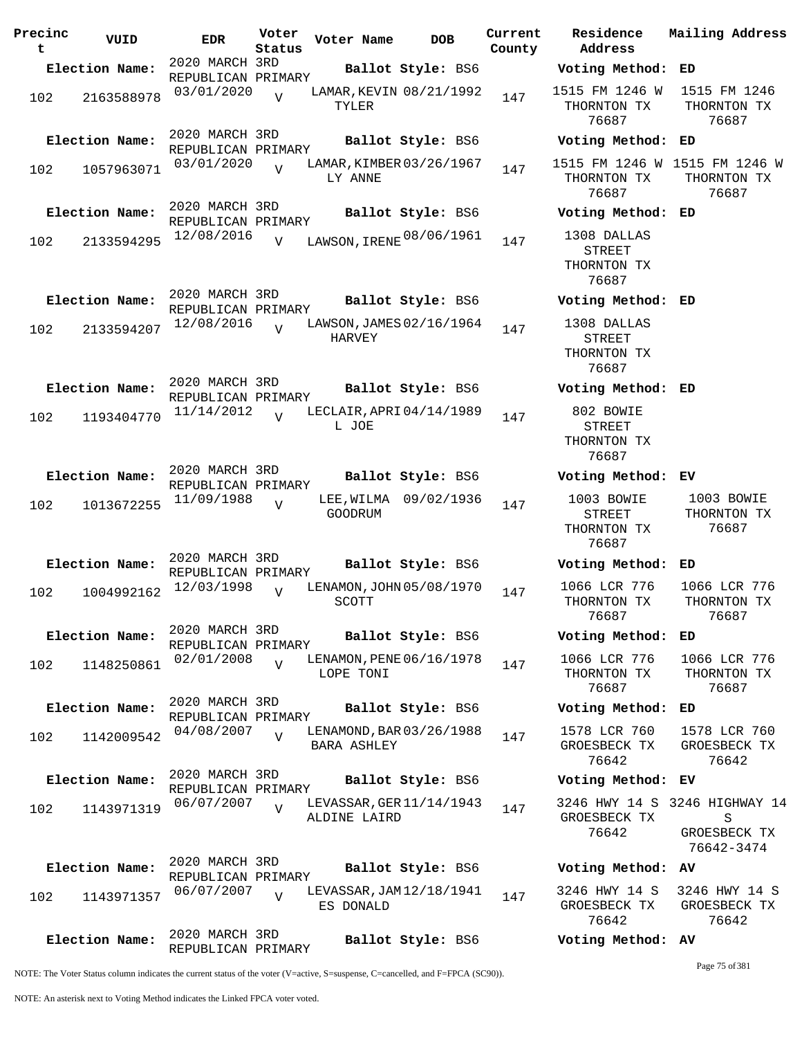| Precinc<br>t | VUID           | <b>EDR</b>                           | Voter<br>Status | Voter Name   | <b>DOB</b>               | Current<br>County | Residence<br>Address                                 | Mailing Address                                                  |
|--------------|----------------|--------------------------------------|-----------------|--------------|--------------------------|-------------------|------------------------------------------------------|------------------------------------------------------------------|
|              | Election Name: | 2020 MARCH 3RD<br>REPUBLICAN PRIMARY |                 |              | Ballot Style: BS6        |                   | Voting Method: ED                                    |                                                                  |
| 102          | 2163588978     | 03/01/2020                           | $\overline{U}$  | TYLER        | LAMAR, KEVIN 08/21/1992  | 147               | 1515 FM 1246 W<br>THORNTON TX<br>76687               | 1515 FM 1246<br>THORNTON TX<br>76687                             |
|              | Election Name: | 2020 MARCH 3RD<br>REPUBLICAN PRIMARY |                 |              | Ballot Style: BS6        |                   | Voting Method: ED                                    |                                                                  |
| 102          | 1057963071     | 03/01/2020                           | $\overline{U}$  | LY ANNE      | LAMAR, KIMBER 03/26/1967 | 147               | THORNTON TX<br>76687                                 | 1515 FM 1246 W 1515 FM 1246 W<br>THORNTON TX<br>76687            |
|              | Election Name: | 2020 MARCH 3RD<br>REPUBLICAN PRIMARY |                 |              | Ballot Style: BS6        |                   | Voting Method: ED                                    |                                                                  |
| 102          | 2133594295     | 12/08/2016                           | $\overline{V}$  |              | LAWSON, IRENE 08/06/1961 | 147               | 1308 DALLAS<br>STREET<br>THORNTON TX<br>76687        |                                                                  |
|              | Election Name: | 2020 MARCH 3RD<br>REPUBLICAN PRIMARY |                 |              | Ballot Style: BS6        |                   | Voting Method: ED                                    |                                                                  |
| 102          | 2133594207     | 12/08/2016                           | $\overline{v}$  | HARVEY       | LAWSON, JAMES 02/16/1964 | 147               | 1308 DALLAS<br><b>STREET</b><br>THORNTON TX<br>76687 |                                                                  |
|              | Election Name: | 2020 MARCH 3RD<br>REPUBLICAN PRIMARY |                 |              | Ballot Style: BS6        |                   | Voting Method: ED                                    |                                                                  |
| 102          | 1193404770     | 11/14/2012                           | $\overline{U}$  | L JOE        | LECLAIR, APRI 04/14/1989 | 147               | 802 BOWIE<br>STREET<br>THORNTON TX<br>76687          |                                                                  |
|              | Election Name: | 2020 MARCH 3RD<br>REPUBLICAN PRIMARY |                 |              | Ballot Style: BS6        |                   | Voting Method: EV                                    |                                                                  |
| 102          | 1013672255     | 11/09/1988                           | $\overline{U}$  | GOODRUM      | LEE, WILMA 09/02/1936    | 147               | 1003 BOWIE<br>STREET<br>THORNTON TX<br>76687         | 1003 BOWIE<br>THORNTON TX<br>76687                               |
|              | Election Name: | 2020 MARCH 3RD<br>REPUBLICAN PRIMARY |                 |              | Ballot Style: BS6        |                   | Voting Method: ED                                    |                                                                  |
| 102          | 1004992162     | 12/03/1998                           | $\overline{U}$  | SCOTT        | LENAMON, JOHN 05/08/1970 | 147               | 1066 LCR 776<br>THORNTON TX<br>76687                 | 1066 LCR 776<br>THORNTON TX<br>76687                             |
|              | Election Name: | 2020 MARCH 3RD<br>REPUBLICAN PRIMARY |                 |              | Ballot Style: BS6        |                   | Voting Method: ED                                    |                                                                  |
| 102          | 1148250861     | 02/01/2008                           | $\overline{V}$  | LOPE TONI    | LENAMON, PENE 06/16/1978 | 147               | 1066 LCR 776<br>THORNTON TX<br>76687                 | 1066 LCR 776<br>THORNTON TX<br>76687                             |
|              | Election Name: | 2020 MARCH 3RD<br>REPUBLICAN PRIMARY |                 |              | Ballot Style: BS6        |                   | Voting Method: ED                                    |                                                                  |
| 102          | 1142009542     | 04/08/2007                           | $\overline{V}$  | BARA ASHLEY  | LENAMOND, BAR 03/26/1988 | 147               | 1578 LCR 760<br>GROESBECK TX<br>76642                | 1578 LCR 760<br>GROESBECK TX<br>76642                            |
|              | Election Name: | 2020 MARCH 3RD<br>REPUBLICAN PRIMARY |                 |              | Ballot Style: BS6        |                   | Voting Method: EV                                    |                                                                  |
| 102          | 1143971319     | 06/07/2007                           | $\overline{U}$  | ALDINE LAIRD | LEVASSAR, GER 11/14/1943 | 147               | GROESBECK TX<br>76642                                | 3246 HWY 14 S 3246 HIGHWAY 14<br>S<br>GROESBECK TX<br>76642-3474 |
|              | Election Name: | 2020 MARCH 3RD<br>REPUBLICAN PRIMARY |                 |              | Ballot Style: BS6        |                   | Voting Method: AV                                    |                                                                  |
| 102          | 1143971357     | 06/07/2007                           | $\overline{V}$  | ES DONALD    | LEVASSAR, JAM 12/18/1941 | 147               | 3246 HWY 14 S<br>GROESBECK TX<br>76642               | 3246 HWY 14 S<br>GROESBECK TX<br>76642                           |
|              | Election Name: | 2020 MARCH 3RD<br>REPUBLICAN PRIMARY |                 |              | Ballot Style: BS6        |                   | Voting Method: AV                                    |                                                                  |

Page 75 of 381

NOTE: The Voter Status column indicates the current status of the voter (V=active, S=suspense, C=cancelled, and F=FPCA (SC90)).

NOTE: An asterisk next to Voting Method indicates the Linked FPCA voter voted.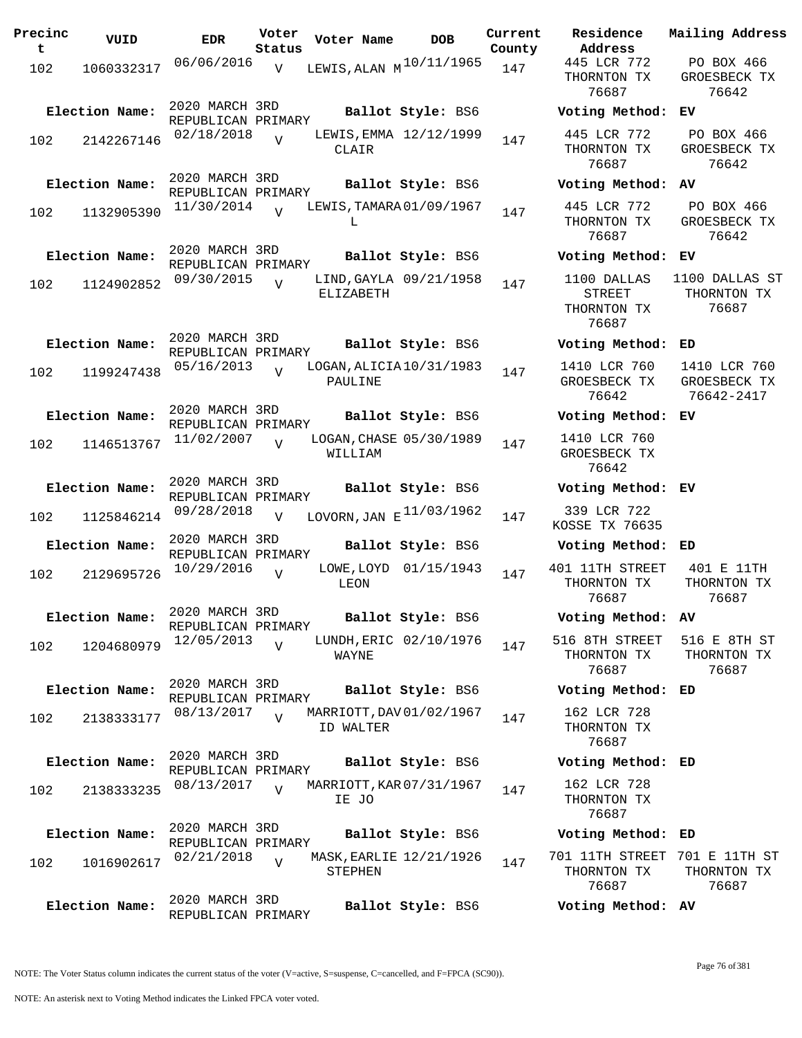| Precinc<br>t. | VUID           | <b>EDR</b>                           | Voter<br>Status | Voter Name                            | <b>DOB</b>             | Current<br>County | Residence<br>Address                          |
|---------------|----------------|--------------------------------------|-----------------|---------------------------------------|------------------------|-------------------|-----------------------------------------------|
| 102           | 1060332317     | 06/06/2016                           | V               | LEWIS, ALAN $M^{10/11/1965}$ 147      |                        |                   | 445 LCR 772<br>THORNTON TX<br>76687           |
|               | Election Name: | 2020 MARCH 3RD<br>REPUBLICAN PRIMARY |                 |                                       | Ballot Style: BS6      |                   | Voting Metho                                  |
| 102           | 2142267146     | $02/18/2018$ V                       |                 | CLAIR                                 | LEWIS, EMMA 12/12/1999 | 147               | 445 LCR 772<br>THORNTON TX<br>76687           |
|               | Election Name: | 2020 MARCH 3RD<br>REPUBLICAN PRIMARY |                 |                                       | Ballot Style: BS6      |                   | Voting Metho                                  |
| 102           | 1132905390     | 11/30/2014                           | $\overline{V}$  | LEWIS, TAMARA 01/09/1967<br>L         |                        | 147               | 445 LCR 772<br>THORNTON TX<br>76687           |
|               | Election Name: | 2020 MARCH 3RD<br>REPUBLICAN PRIMARY |                 |                                       | Ballot Style: BS6      |                   | Voting Metho                                  |
| 102           | 1124902852     | 09/30/2015                           | $\overline{U}$  | ELIZABETH                             | LIND, GAYLA 09/21/1958 | 147               | 1100 DALLAS<br>STREET<br>THORNTON TX<br>76687 |
|               | Election Name: | 2020 MARCH 3RD                       |                 |                                       | Ballot Style: BS6      |                   | Voting Metho                                  |
| 102           | 1199247438     | REPUBLICAN PRIMARY<br>05/16/2013     | $\overline{V}$  | LOGAN, ALICIA 10/31/1983<br>PAULINE   |                        | 147               | 1410 LCR 760<br>GROESBECK TI<br>76642         |
|               | Election Name: | 2020 MARCH 3RD                       |                 |                                       | Ballot Style: BS6      |                   | Voting Metho                                  |
|               | 102 1146513767 | REPUBLICAN PRIMARY<br>11/02/2007     | $\overline{V}$  | LOGAN, CHASE 05/30/1989<br>WILLIAM    |                        | 147               | 1410 LCR 760<br>GROESBECK TI<br>76642         |
|               | Election Name: | 2020 MARCH 3RD<br>REPUBLICAN PRIMARY |                 |                                       | Ballot Style: BS6      |                   | Voting Metho                                  |
| 102           | 1125846214     | 09/28/2018                           | $\overline{V}$  | LOVORN, JAN $E$ <sup>11/03/1962</sup> |                        | 147               | 339 LCR 722<br>KOSSE TX 7663                  |
|               | Election Name: | 2020 MARCH 3RD<br>REPUBLICAN PRIMARY |                 |                                       | Ballot Style: BS6      |                   | Voting Metho                                  |
| 102           | 2129695726     | 10/29/2016                           | $\overline{U}$  | LEON                                  | LOWE, LOYD 01/15/1943  | 147               | 401 11TH STRE<br>THORNTON TX<br>76687         |
|               | Election Name: | 2020 MARCH 3RD<br>REPUBLICAN PRIMARY |                 |                                       | Ballot Style: BS6      |                   | Voting Metho                                  |
| 102           | 1204680979     | 12/05/2013                           | $\overline{U}$  | WAYNE                                 | LUNDH, ERIC 02/10/1976 | 147               | 516 8TH STREI<br>THORNTON TX<br>76687         |
|               | Election Name: | 2020 MARCH 3RD<br>REPUBLICAN PRIMARY |                 |                                       | Ballot Style: BS6      |                   | Voting Metho                                  |
| 102           | 2138333177     | 08/13/2017                           | $\overline{V}$  | MARRIOTT, DAV 01/02/1967<br>ID WALTER |                        | 147               | 162 LCR 728<br>THORNTON TX<br>76687           |
|               | Election Name: | 2020 MARCH 3RD<br>REPUBLICAN PRIMARY |                 |                                       | Ballot Style: BS6      |                   | Voting Metho                                  |
| 102           | 2138333235     | 08/13/2017                           | $\overline{U}$  | MARRIOTT, KAR 07/31/1967<br>IE JO     |                        | 147               | 162 LCR 728<br>THORNTON TX<br>76687           |
|               | Election Name: | 2020 MARCH 3RD<br>REPUBLICAN PRIMARY |                 |                                       | Ballot Style: BS6      |                   | Voting Metho                                  |
| 102           | 1016902617     | 02/21/2018                           | $\overline{U}$  | MASK, EARLIE 12/21/1926<br>STEPHEN    |                        | 147               | 701 11TH STRE<br>THORNTON TX<br>76687         |
|               | Election Name: | 2020 MARCH 3RD<br>REPUBLICAN PRIMARY |                 |                                       | Ballot Style: BS6      |                   | Voting Metho                                  |
|               |                |                                      |                 |                                       |                        |                   |                                               |

**Voter Name DOB Residence Address Current Mailing Address** THORNTON TX 76687 PO BOX 466 GROESBECK TX 76642 **Election Name: Ballot Style:** BS6 **Voting Method: EV** 445 LCR 772 THORNTON TX 76687 PO BOX 466 GROESBECK TX 76642 **Election Name: Ballot Style:** BS6 **Voting Method: AV** 445 LCR 772 THORNTON TX 76687 PO BOX 466 GROESBECK TX 76642 **Election Name: Ballot Style:** BS6 **Voting Method: EV** 1100 DALLAS STREET THORNTON TX 76687 1100 DALLAS ST THORNTON TX 76687 **Election Name: Ballot Style:** BS6 **Voting Method: ED** 1410 LCR 760 GROESBECK TX 76642 1410 LCR 760 GROESBECK TX 76642-2417 **Election Name: Ballot Style:** BS6 **Voting Method: EV** 1410 LCR 760 GROESBECK TX 76642 **Election Name: Ballot Style:** BS6 **Voting Method: EV** KOSSE TX 76635 **Election Name: Ballot Style:** BS6 **Voting Method: ED** 401 11TH STREET THORNTON TX 76687 401 E 11TH THORNTON TX 76687 **Election Name: Ballot Style:** BS6 **Voting Method: AV** 516 8TH STREET THORNTON TX 76687 516 E 8TH ST THORNTON TX 76687 **Election Name: Ballot Style:** BS6 **Voting Method: ED** 162 LCR 728 THORNTON TX 76687 **Election Name: Ballot Style:** BS6 **Voting Method: ED** 162 LCR 728 THORNTON TX 76687 **Election Name: Ballot Style:** BS6 **Voting Method: ED** 701 11TH STREET 701 E 11TH ST THORNTON TX 76687 THORNTON TX 76687 **Election Name: Ballot Style:** BS6 **Voting Method: AV**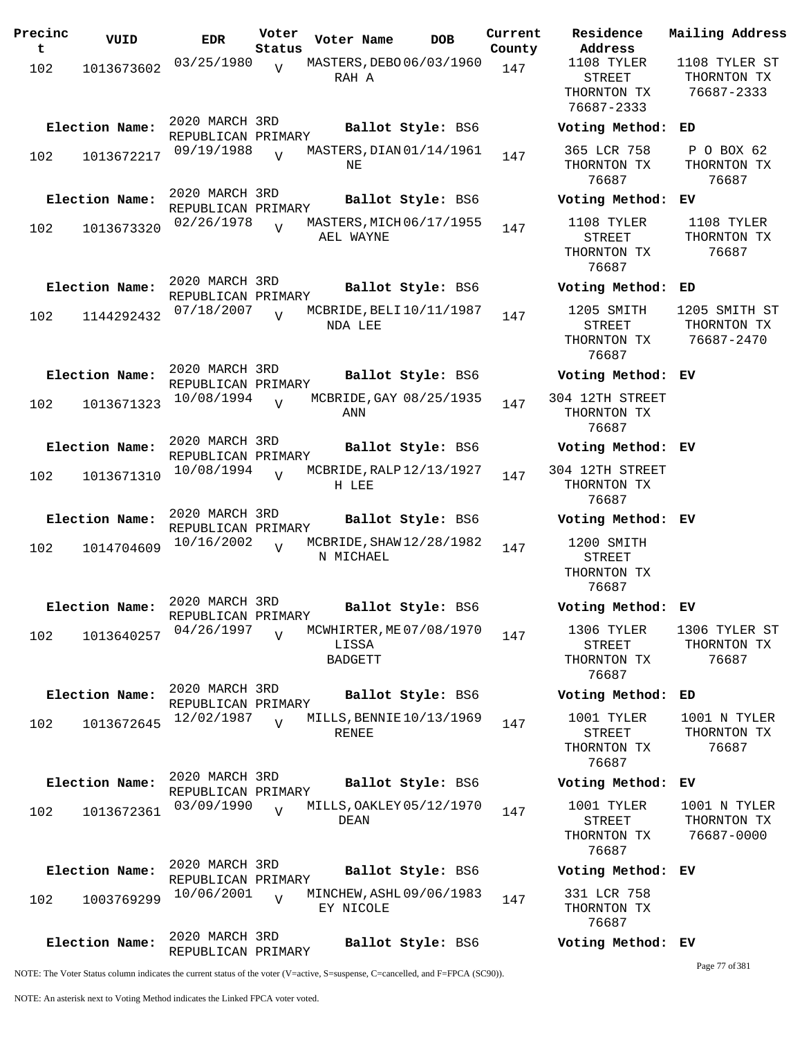| Precinc<br>t | VUID           | <b>EDR</b>                           | Voter<br>Status | Voter Name                                          | <b>DOB</b>        | Current<br>County |
|--------------|----------------|--------------------------------------|-----------------|-----------------------------------------------------|-------------------|-------------------|
| 102          | 1013673602     | 03/25/1980                           | $\overline{V}$  | MASTERS, DEBO 06/03/1960<br>RAH A                   |                   | 147               |
|              | Election Name: | 2020 MARCH 3RD<br>REPUBLICAN PRIMARY |                 |                                                     | Ballot Style: BS6 |                   |
| 102          | 1013672217     | 09/19/1988                           | $\overline{U}$  | MASTERS, DIAN 01/14/1961<br>ΝE                      |                   | 147               |
|              | Election Name: | 2020 MARCH 3RD<br>REPUBLICAN PRIMARY |                 |                                                     | Ballot Style: BS6 |                   |
| 102          | 1013673320     | 02/26/1978                           | $\overline{V}$  | MASTERS, MICH 06/17/1955<br>AEL WAYNE               |                   | 147               |
|              | Election Name: | 2020 MARCH 3RD<br>REPUBLICAN PRIMARY |                 |                                                     | Ballot Style: BS6 |                   |
| 102          | 1144292432     | 07/18/2007                           | $\overline{U}$  | MCBRIDE, BELI 10/11/1987<br>NDA LEE                 |                   | 147               |
|              | Election Name: | 2020 MARCH 3RD<br>REPUBLICAN PRIMARY |                 |                                                     | Ballot Style: BS6 |                   |
| 102          | 1013671323     | 10/08/1994                           | $\overline{V}$  | MCBRIDE, GAY 08/25/1935<br>ANN                      |                   | 147               |
|              | Election Name: | 2020 MARCH 3RD<br>REPUBLICAN PRIMARY |                 |                                                     | Ballot Style: BS6 |                   |
| 102          | 1013671310     | 10/08/1994                           | $\overline{V}$  | MCBRIDE, RALP 12/13/1927<br>H LEE                   |                   | 147               |
|              | Election Name: | 2020 MARCH 3RD<br>REPUBLICAN PRIMARY |                 |                                                     | Ballot Style: BS6 |                   |
| 102          | 1014704609     | 10/16/2002                           | $\overline{U}$  | MCBRIDE, SHAW 12/28/1982<br>N MICHAEL               |                   | 147               |
|              | Election Name: | 2020 MARCH 3RD<br>REPUBLICAN PRIMARY |                 |                                                     | Ballot Style: BS6 |                   |
| 102          | 1013640257     | 04/26/1997                           | $\overline{V}$  | MCWHIRTER, ME 07/08/1970<br>LISSA<br><b>BADGETT</b> |                   | 147               |
|              | Election Name: | 2020 MARCH 3RD<br>REPUBLICAN PRIMARY |                 |                                                     | Ballot Style: BS6 |                   |
| 102          | 1013672645     | 12/02/1987                           | $\overline{U}$  | MILLS, BENNIE 10/13/1969<br><b>RENEE</b>            |                   | 147               |
|              | Election Name: | 2020 MARCH 3RD<br>REPUBLICAN PRIMARY |                 |                                                     | Ballot Style: BS6 |                   |
| 102          | 1013672361     | 03/09/1990                           | $\overline{U}$  | MILLS, OAKLEY 05/12/1970<br>DEAN                    |                   | 147               |
|              | Election Name: | 2020 MARCH 3RD<br>REPUBLICAN PRIMARY |                 |                                                     | Ballot Style: BS6 |                   |
| 102          | 1003769299     | 10/06/2001                           | $\overline{V}$  | MINCHEW, ASHL 09/06/1983<br>EY NICOLE               |                   | 147               |
|              | Election Name: | 2020 MARCH 3RD<br>REPUBLICAN PRIMARY |                 |                                                     | Ballot Style: BS6 |                   |

**Voter Name DOB Residence Address Current Mailing Address** 1108 TYLER STREET THORNTON TX 76687-2333 1108 TYLER ST THORNTON TX 76687-2333 **Election Name: Ballot Style:** BS6 **Voting Method: ED** 365 LCR 758 THORNTON TX 76687 P O BOX 62 THORNTON TX 76687 **Election Name: Ballot Style:** BS6 **Voting Method: EV** 1108 TYLER STREET THORNTON TX 76687 1108 TYLER THORNTON TX 76687 **Election Name: Ballot Style:** BS6 **Voting Method: ED** 1205 SMITH STREET THORNTON TX 76687 1205 SMITH ST THORNTON TX 76687-2470 **Election Name: Ballot Style:** BS6 **Voting Method: EV** 304 12TH STREET THORNTON TX 76687 **Election Name: Ballot Style:** BS6 **Voting Method: EV** 304 12TH STREET THORNTON TX 76687 **Election Name: Ballot Style:** BS6 **Voting Method: EV** 1200 SMITH STREET THORNTON TX 76687 **Election Name: Ballot Style:** BS6 **Voting Method: EV** 1306 TYLER STREET THORNTON TX 76687 1306 TYLER ST THORNTON TX 76687 **Election Name: Ballot Style:** BS6 **Voting Method: ED** 1001 TYLER STREET THORNTON TX 76687 1001 N TYLER THORNTON TX 76687 **Election Name: Ballot Style:** BS6 **Voting Method: EV** 1001 TYLER STREET THORNTON TX 1001 N TYLER THORNTON TX 76687-0000

**Election Name: Ballot Style:** BS6 **Voting Method: EV**

331 LCR 758 THORNTON TX 76687

76687

**Election Name: Ballot Style:** BS6 **Voting Method: EV**

Page 77 of 381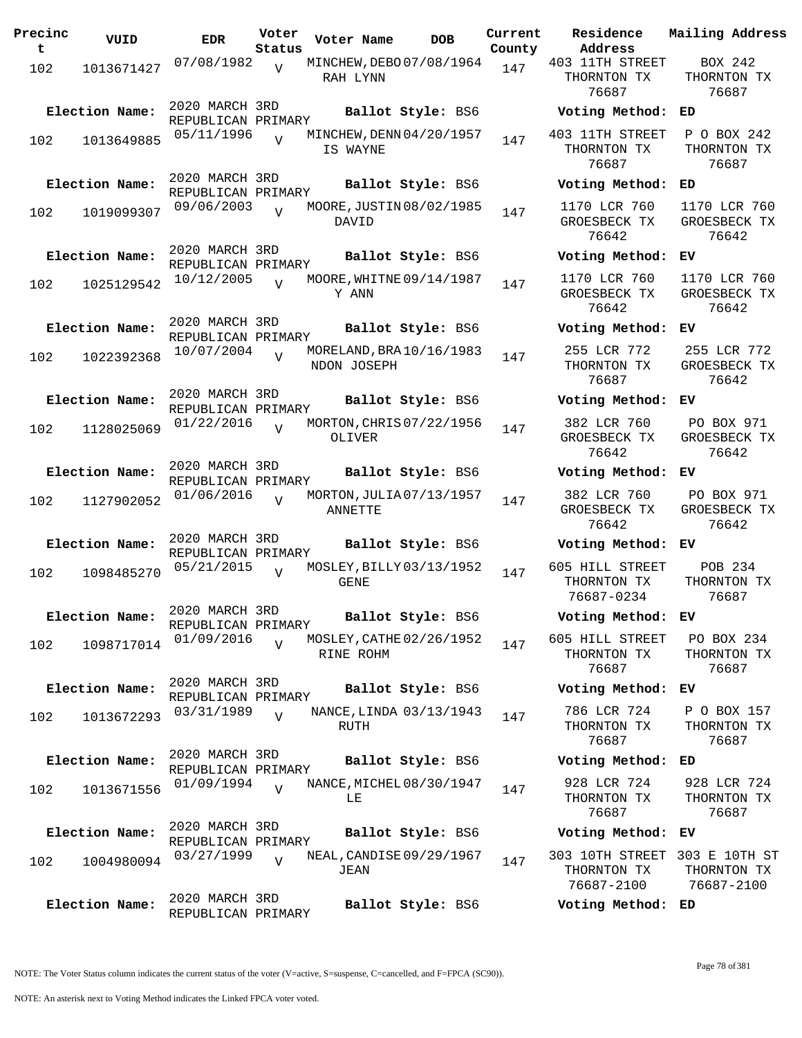| Precinc<br>t. | VUID           | <b>EDR</b>                           | Voter<br>Status | Voter Name                              | DOB               | Current<br>County |
|---------------|----------------|--------------------------------------|-----------------|-----------------------------------------|-------------------|-------------------|
| 102           | 1013671427     | 07/08/1982                           | $\overline{V}$  | MINCHEW, DEBO 07/08/1964<br>RAH LYNN    |                   | 147               |
|               | Election Name: | 2020 MARCH 3RD<br>REPUBLICAN PRIMARY |                 |                                         | Ballot Style: BS6 |                   |
| 102           | 1013649885     | 05/11/1996                           | V               | MINCHEW, DENN 04/20/1957<br>IS WAYNE    |                   | 147               |
|               | Election Name: | 2020 MARCH 3RD<br>REPUBLICAN PRIMARY |                 |                                         | Ballot Style: BS6 |                   |
| 102           | 1019099307     | 09/06/2003                           | $\overline{V}$  | MOORE, JUSTIN 08/02/1985<br>DAVID       |                   | 147               |
|               | Election Name: | 2020 MARCH 3RD<br>REPUBLICAN PRIMARY |                 |                                         | Ballot Style: BS6 |                   |
| 102           | 1025129542     | 10/12/2005                           | $\overline{V}$  | MOORE, WHITNE 09/14/1987<br>Y ANN       |                   | 147               |
|               | Election Name: | 2020 MARCH 3RD<br>REPUBLICAN PRIMARY |                 |                                         | Ballot Style: BS6 |                   |
| 102           | 1022392368     | 10/07/2004                           | $\overline{V}$  | MORELAND, BRA 10/16/1983<br>NDON JOSEPH |                   | 147               |
|               | Election Name: | 2020 MARCH 3RD<br>REPUBLICAN PRIMARY |                 |                                         | Ballot Style: BS6 |                   |
| 102           | 1128025069     | 01/22/2016                           | $\overline{V}$  | MORTON, CHRIS 07/22/1956<br>OLIVER      |                   | 147               |
|               | Election Name: | 2020 MARCH 3RD<br>REPUBLICAN PRIMARY |                 |                                         | Ballot Style: BS6 |                   |
| 102           | 1127902052     | 01/06/2016                           | $\overline{U}$  | MORTON, JULIA 07/13/1957<br>ANNETTE     |                   | 147               |
|               | Election Name: | 2020 MARCH 3RD<br>REPUBLICAN PRIMARY |                 |                                         | Ballot Style: BS6 |                   |
| 102           | 1098485270     | 05/21/2015                           | V               | MOSLEY, BILLY 03/13/1952<br>GENE        |                   | 147               |
|               | Election Name: | 2020 MARCH 3RD<br>REPUBLICAN PRIMARY |                 |                                         | Ballot Style: BS6 |                   |
| 102           | 1098717014     | 01/09/2016                           | V               | MOSLEY, CATHE 02/26/1952<br>RINE ROHM   |                   | 147               |
|               | Election Name: | 2020 MARCH 3RD<br>REPUBLICAN PRIMARY |                 |                                         | Ballot Style: BS6 |                   |
| 102           | 1013672293     | 03/31/1989                           | $\overline{V}$  | NANCE, LINDA 03/13/1943<br>RUTH         |                   | 147               |
|               | Election Name: | 2020 MARCH 3RD<br>REPUBLICAN PRIMARY |                 |                                         | Ballot Style: BS6 |                   |
| 102           | 1013671556     | 01/09/1994                           | $\overline{V}$  | NANCE, MICHEL 08/30/1947<br>LE          |                   | 147               |
|               | Election Name: | 2020 MARCH 3RD<br>REPUBLICAN PRIMARY |                 |                                         | Ballot Style: BS6 |                   |
| 102           | 1004980094     | 03/27/1999                           | $\overline{V}$  | NEAL, CANDISE 09/29/1967<br>JEAN        |                   | 147               |
|               | Election Name: | 2020 MARCH 3RD<br>REPUBLICAN PRIMARY |                 |                                         | Ballot Style: BS6 |                   |

**Voter Name DOB Residence Address Current Mailing Address** 403 11TH STREET THORNTON TX 76687 BOX 242 THORNTON TX 76687 **Election Name: Ballot Style:** BS6 **Voting Method: ED** 403 11TH STREET THORNTON TX 76687 P O BOX 242 THORNTON TX 76687 **Election Name: Ballot Style:** BS6 **Voting Method: ED** 1170 LCR 760 GROESBECK TX 76642 1170 LCR 760 GROESBECK TX 76642 **Election Name: Ballot Style:** BS6 **Voting Method: EV** 1170 LCR 760 GROESBECK TX 76642 1170 LCR 760 GROESBECK TX 76642 **Election Name: Ballot Style:** BS6 **Voting Method: EV** 255 LCR 772 THORNTON TX 76687 255 LCR 772 GROESBECK TX 76642 **Election Name: Ballot Style:** BS6 **Voting Method: EV** 382 LCR 760 GROESBECK TX 76642 PO BOX 971 GROESBECK TX 76642 **Election Name: Ballot Style:** BS6 **Voting Method: EV** 382 LCR 760 GROESBECK TX 76642 PO BOX 971 GROESBECK TX 76642 **Election Name: Ballot Style:** BS6 **Voting Method: EV** 605 HILL STREET THORNTON TX 76687-0234 POB 234 THORNTON TX 76687 **Election Name: Ballot Style:** BS6 **Voting Method: EV** 605 HILL STREET THORNTON TX 76687 PO BOX 234 THORNTON TX 76687 **Election Name: Ballot Style:** BS6 **Voting Method: EV** 786 LCR 724 THORNTON TX 76687 P O BOX 157 THORNTON TX 76687 **Election Name: Ballot Style:** BS6 **Voting Method: ED** 928 LCR 724 THORNTON TX 76687 928 LCR 724 THORNTON TX 76687 **Election Name: Ballot Style:** BS6 **Voting Method: EV** 303 10TH STREET 303 E 10TH ST THORNTON TX 76687-2100 THORNTON TX 76687-2100

**Election Name: Ballot Style:** BS6 **Voting Method: ED**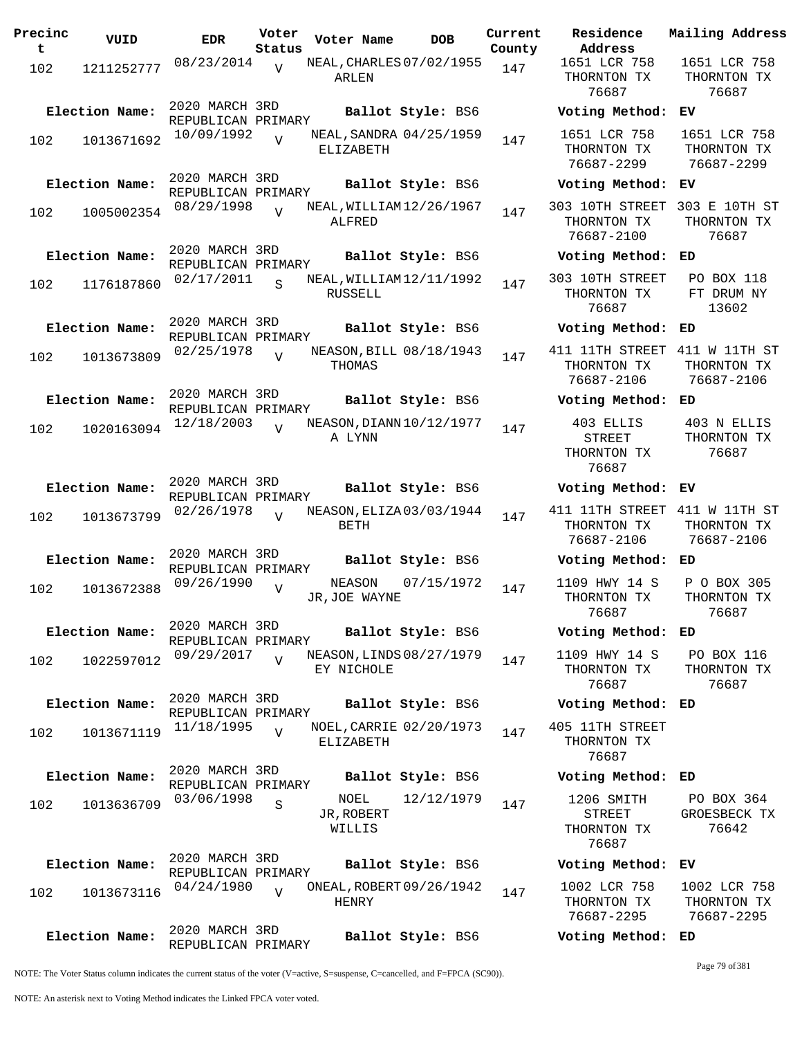| Precinc<br>t | VUID           | <b>EDR</b>                           | Voter<br>Status | Voter Name                              | <b>DOB</b>        | Current<br>County | Residence<br>Address                         |
|--------------|----------------|--------------------------------------|-----------------|-----------------------------------------|-------------------|-------------------|----------------------------------------------|
| 102          | 1211252777     | 08/23/2014                           | $\overline{V}$  | NEAL, CHARLES 07/02/1955<br>ARLEN       |                   | 147               | 1651 LCR 75<br>THORNTON TI<br>76687          |
|              | Election Name: | 2020 MARCH 3RD<br>REPUBLICAN PRIMARY |                 |                                         | Ballot Style: BS6 |                   | Voting Meth                                  |
| 102          | 1013671692     | 10/09/1992                           | $\overline{V}$  | NEAL, SANDRA 04/25/1959<br>ELIZABETH    |                   | 147               | 1651 LCR 75<br>THORNTON TI<br>76687-2299     |
|              | Election Name: | 2020 MARCH 3RD                       |                 |                                         | Ballot Style: BS6 |                   | Voting Meth                                  |
| 102          | 1005002354     | REPUBLICAN PRIMARY<br>08/29/1998     | $\overline{U}$  | NEAL, WILLIAM 12/26/1967<br>ALFRED      |                   | 147               | 303 10TH STRI<br>THORNTON TI<br>76687-2100   |
|              | Election Name: | 2020 MARCH 3RD<br>REPUBLICAN PRIMARY |                 |                                         | Ballot Style: BS6 |                   | Voting Meth                                  |
| 102          | 1176187860     | 02/17/2011                           | S               | NEAL, WILLIAM 12/11/1992<br>RUSSELL     |                   | 147               | 303 10TH STRI<br>THORNTON TI<br>76687        |
|              | Election Name: | 2020 MARCH 3RD<br>REPUBLICAN PRIMARY |                 |                                         | Ballot Style: BS6 |                   | Voting Meth                                  |
| 102          | 1013673809     | 02/25/1978                           | $\overline{V}$  | NEASON, BILL 08/18/1943<br>THOMAS       |                   | 147               | 411 11TH STRI<br>THORNTON TI<br>76687-2106   |
|              | Election Name: | 2020 MARCH 3RD<br>REPUBLICAN PRIMARY |                 |                                         | Ballot Style: BS6 |                   | Voting Meth                                  |
| 102          | 1020163094     | 12/18/2003                           | V               | NEASON, DIANN 10/12/1977<br>A LYNN      |                   | 147               | 403 ELLIS<br>STREET<br>THORNTON TI<br>76687  |
|              | Election Name: | 2020 MARCH 3RD<br>REPUBLICAN PRIMARY |                 |                                         | Ballot Style: BS6 |                   | Voting Meth                                  |
| 102          | 1013673799     | 02/26/1978                           | $\overline{U}$  | NEASON, ELIZA 03/03/1944<br><b>BETH</b> |                   | 147               | 411 11TH STRI<br>THORNTON TI<br>76687-2106   |
|              | Election Name: | 2020 MARCH 3RD<br>REPUBLICAN PRIMARY |                 |                                         | Ballot Style: BS6 |                   | Voting Meth                                  |
| 102          | 1013672388     | 09/26/1990                           | $\overline{V}$  | NEASON<br>JR, JOE WAYNE                 | 07/15/1972        | 147               | 1109 HWY 14<br>THORNTON TI<br>76687          |
|              | Election Name: | 2020 MARCH 3RD<br>REPUBLICAN PRIMARY |                 |                                         | Ballot Style: BS6 |                   | Voting Meth                                  |
| 102          | 1022597012     | 09/29/2017                           | $\overline{V}$  | NEASON, LINDS 08/27/1979<br>EY NICHOLE  |                   | 147               | 1109 HWY 14<br>THORNTON TI<br>76687          |
|              | Election Name: | 2020 MARCH 3RD<br>REPUBLICAN PRIMARY |                 |                                         | Ballot Style: BS6 |                   | Voting Meth                                  |
| 102          | 1013671119     | 11/18/1995                           | $\overline{V}$  | NOEL, CARRIE 02/20/1973<br>ELIZABETH    |                   | 147               | 405 11TH STRI<br>THORNTON TI<br>76687        |
|              | Election Name: | 2020 MARCH 3RD<br>REPUBLICAN PRIMARY |                 |                                         | Ballot Style: BS6 |                   | Voting Meth                                  |
| 102          | 1013636709     | 03/06/1998                           | S               | NOEL<br>JR, ROBERT<br>WILLIS            | 12/12/1979        | 147               | 1206 SMITH<br>STREET<br>THORNTON TI<br>76687 |
|              | Election Name: | 2020 MARCH 3RD                       |                 |                                         | Ballot Style: BS6 |                   | Voting Meth                                  |
| 102          | 1013673116     | REPUBLICAN PRIMARY<br>04/24/1980     | $\overline{V}$  | ONEAL, ROBERT 09/26/1942<br>HENRY       |                   | 147               | 1002 LCR 75<br>THORNTON TI<br>76687-2295     |
|              | Election Name: | 2020 MARCH 3RD<br>REPUBLICAN PRIMARY |                 |                                         | Ballot Style: BS6 |                   | Voting Meth                                  |

76687 76687 **Election Name: Ballot Style:** BS6 **Voting Method: EV** 1651 LCR 758 THORNTON TX 76687-2299 1651 LCR 758 THORNTON TX 76687-2299 **Election Name: Ballot Style:** BS6 **Voting Method: EV** 303 10TH STREET 303 E 10TH ST THORNTON TX 76687-2100 THORNTON TX 76687 **Election Name: Ballot Style:** BS6 **Voting Method: ED** 303 10TH STREET THORNTON TX 76687 PO BOX 118 FT DRUM NY 13602 **Election Name: Ballot Style:** BS6 **Voting Method: ED** 411 11TH STREET 411 W 11TH ST THORNTON TX 76687-2106 THORNTON TX 76687-2106 **Election Name: Ballot Style:** BS6 **Voting Method: ED** 403 ELLIS STREET THORNTON TX 76687 403 N ELLIS THORNTON TX 76687 **Election Name: Ballot Style:** BS6 **Voting Method: EV** 411 11TH STREET 411 W 11TH ST THORNTON TX 76687-2106 THORNTON TX 76687-2106 **Election Name: Ballot Style:** BS6 **Voting Method: ED** 1109 HWY 14 S THORNTON TX 76687 P O BOX 305 THORNTON TX 76687 **Election Name: Ballot Style:** BS6 **Voting Method: ED** 1109 HWY 14 S THORNTON TX 76687 PO BOX 116 THORNTON TX 76687 **Election Name: Ballot Style:** BS6 **Voting Method: ED** 405 11TH STREET THORNTON TX 76687 **Election Name: Ballot Style:** BS6 **Voting Method: ED** 1206 SMITH STREET THORNTON TX 76687 PO BOX 364 GROESBECK TX 76642 **Election Name: Ballot Style:** BS6 **Voting Method: EV** 1002 LCR 758 THORNTON TX 76687-2295 1002 LCR 758 THORNTON TX 76687-2295

1651 LCR 758 THORNTON TX

**Current Mailing Address**

1651 LCR 758 THORNTON TX

NOTE: The Voter Status column indicates the current status of the voter (V=active, S=suspense, C=cancelled, and F=FPCA (SC90)).

Page 79 of 381

**Election Name: Ballot Style:** BS6 **Voting Method: ED**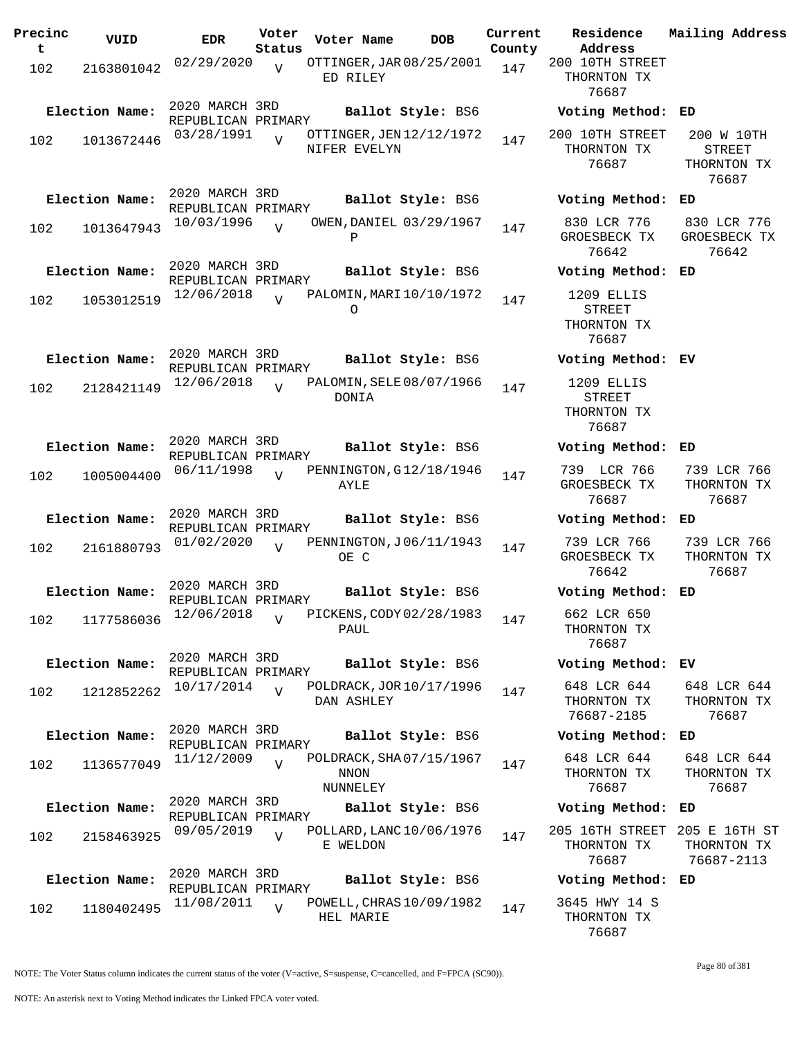| Precinc<br>t | VUID           | <b>EDR</b>                           | Voter<br>Status | Voter Name                                         | <b>DOB</b>               | Current<br>County | Residence<br>Address                                  | Mailing Address                              |
|--------------|----------------|--------------------------------------|-----------------|----------------------------------------------------|--------------------------|-------------------|-------------------------------------------------------|----------------------------------------------|
| 102          | 2163801042     | 02/29/2020                           | $\overline{V}$  | OTTINGER, JAR 08/25/2001<br>ED RILEY               |                          | 147               | 200 10TH STREET<br>THORNTON TX<br>76687               |                                              |
|              | Election Name: | 2020 MARCH 3RD<br>REPUBLICAN PRIMARY |                 |                                                    | Ballot Style: BS6        |                   | Voting Method: ED                                     |                                              |
| 102          | 1013672446     | 03/28/1991                           | $\overline{17}$ | OTTINGER, JEN 12/12/1972<br>NIFER EVELYN           |                          | 147               | 200 10TH STREET<br>THORNTON TX<br>76687               | 200 W 10TH<br>STREET<br>THORNTON TX<br>76687 |
|              | Election Name: | 2020 MARCH 3RD<br>REPUBLICAN PRIMARY |                 |                                                    | Ballot Style: BS6        |                   | Voting Method:                                        | ED                                           |
| 102          | 1013647943     | 10/03/1996                           | $\overline{U}$  | OWEN, DANIEL 03/29/1967<br>Ρ                       |                          | 147               | 830 LCR 776<br>GROESBECK TX<br>76642                  | 830 LCR 776<br>GROESBECK TX<br>76642         |
|              | Election Name: | 2020 MARCH 3RD<br>REPUBLICAN PRIMARY |                 |                                                    | Ballot Style: BS6        |                   | Voting Method:                                        | ED                                           |
| 102          | 1053012519     | 12/06/2018                           | $\overline{U}$  | PALOMIN, MARI 10/10/1972<br>0                      |                          | 147               | 1209 ELLIS<br><b>STREET</b><br>THORNTON TX<br>76687   |                                              |
|              | Election Name: | 2020 MARCH 3RD<br>REPUBLICAN PRIMARY |                 |                                                    | Ballot Style: BS6        |                   | Voting Method: EV                                     |                                              |
| 102          | 2128421149     | 12/06/2018                           | $\overline{U}$  | PALOMIN, SELE 08/07/1966<br>DONIA                  |                          | 147               | 1209 ELLIS<br><b>STREET</b><br>THORNTON TX<br>76687   |                                              |
|              | Election Name: | 2020 MARCH 3RD<br>REPUBLICAN PRIMARY |                 |                                                    | Ballot Style: BS6        |                   | Voting Method:                                        | ED                                           |
| 102          | 1005004400     | 06/11/1998                           | $\overline{U}$  | PENNINGTON, G12/18/1946<br>AYLE                    |                          | 147               | 739 LCR 766<br>GROESBECK TX<br>76687                  | 739 LCR 766<br>THORNTON TX<br>76687          |
|              | Election Name: | 2020 MARCH 3RD<br>REPUBLICAN PRIMARY |                 |                                                    | Ballot Style: BS6        |                   | Voting Method:                                        | ED                                           |
| 102          | 2161880793     | 01/02/2020                           | $\overline{z}$  | PENNINGTON, J06/11/1943<br>OE C                    |                          | 147               | 739 LCR 766<br>GROESBECK TX<br>76642                  | 739 LCR 766<br>THORNTON TX<br>76687          |
|              | Election Name: | 2020 MARCH 3RD<br>REPUBLICAN PRIMARY |                 |                                                    | Ballot Style: BS6        |                   | Voting Method:                                        | ED                                           |
| 102          | 1177586036     | 12/06/2018                           | $\overline{V}$  | PICKENS, CODY 02/28/1983<br>PAUL                   |                          | 147               | 662 LCR 650<br>THORNTON TX<br>76687                   |                                              |
|              | Election Name: | 2020 MARCH 3RD<br>REPUBLICAN PRIMARY |                 |                                                    | Ballot Style: BS6        |                   | Voting Method: EV                                     |                                              |
| 102          | 1212852262     | 10/17/2014                           | $\overline{V}$  | POLDRACK, JOR 10/17/1996<br>DAN ASHLEY             |                          | 147               | 648 LCR 644<br>THORNTON TX<br>76687-2185              | 648 LCR 644<br>THORNTON TX<br>76687          |
|              | Election Name: | 2020 MARCH 3RD<br>REPUBLICAN PRIMARY |                 |                                                    | Ballot Style: BS6        |                   | Voting Method: ED                                     |                                              |
| 102          | 1136577049     | 11/12/2009                           | $\overline{V}$  | POLDRACK, SHA07/15/1967<br><b>NNON</b><br>NUNNELEY |                          | 147               | 648 LCR 644<br>THORNTON TX<br>76687                   | 648 LCR 644<br>THORNTON TX<br>76687          |
|              | Election Name: | 2020 MARCH 3RD<br>REPUBLICAN PRIMARY |                 |                                                    | <b>Ballot Style: BS6</b> |                   | Voting Method:                                        | ED                                           |
| 102          | 2158463925     | 09/05/2019                           | $\overline{U}$  | POLLARD, LANC 10/06/1976<br>E WELDON               |                          | 147               | 205 16TH STREET 205 E 16TH ST<br>THORNTON TX<br>76687 | THORNTON TX<br>76687-2113                    |
|              | Election Name: | 2020 MARCH 3RD<br>REPUBLICAN PRIMARY |                 |                                                    | Ballot Style: BS6        |                   | Voting Method: ED                                     |                                              |
| 102          | 1180402495     | 11/08/2011                           | $\overline{V}$  | POWELL, CHRAS 10/09/1982<br>HEL MARIE              |                          | 147               | 3645 HWY 14 S<br>THORNTON TX<br>76687                 |                                              |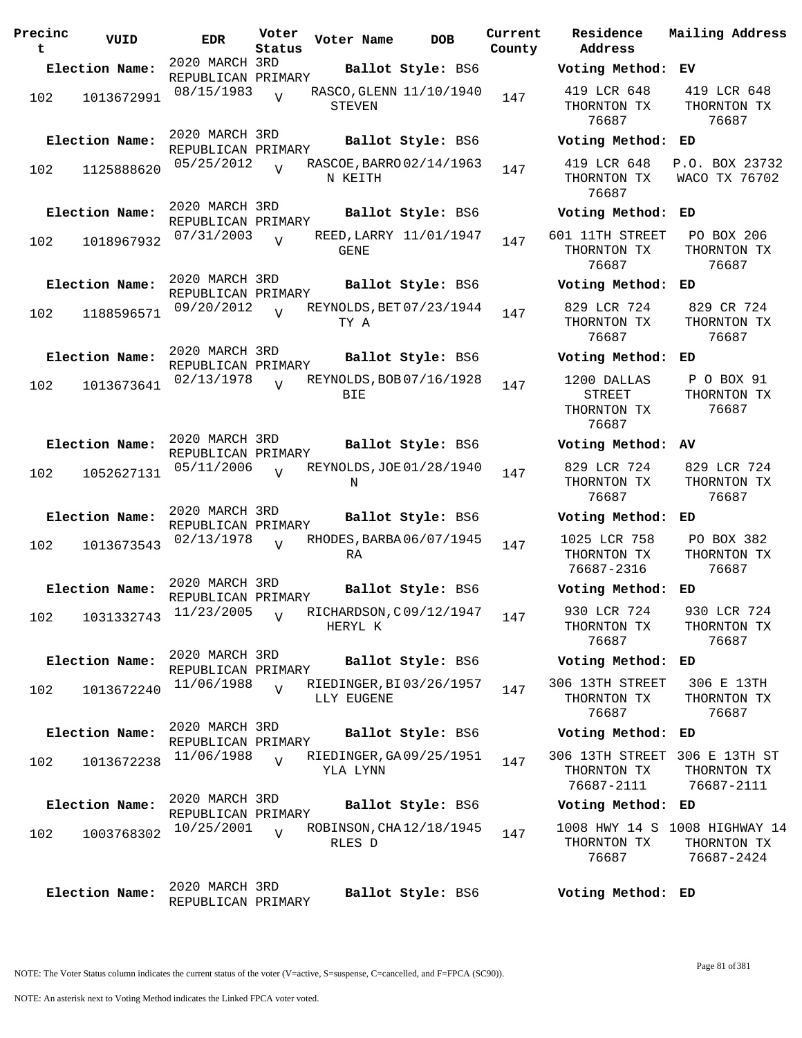| Precinc<br>t | VUID                      | <b>EDR</b>                           | Voter<br>Status | Voter Name                            | <b>DOB</b>        | Current<br>County | Residence<br>Address                                 | Mai.                       |
|--------------|---------------------------|--------------------------------------|-----------------|---------------------------------------|-------------------|-------------------|------------------------------------------------------|----------------------------|
|              | Election Name:            | 2020 MARCH 3RD                       |                 |                                       | Ballot Style: BS6 |                   | Voting Method:                                       | EV                         |
| 102          | 1013672991                | REPUBLICAN PRIMARY<br>08/15/1983     | $\overline{V}$  | RASCO, GLENN 11/10/1940<br>STEVEN     |                   | 147               | 419 LCR 648<br>THORNTON TX<br>76687                  | $\overline{4}$<br>T)       |
|              | Election Name:            | 2020 MARCH 3RD<br>REPUBLICAN PRIMARY |                 |                                       | Ballot Style: BS6 |                   | Voting Method: ED                                    |                            |
| 102          | 1125888620                | 05/25/2012                           | $\overline{V}$  | RASCOE, BARRO 02/14/1963<br>N KEITH   |                   | 147               | 419 LCR 648<br>THORNTON TX<br>76687                  | P.C<br>WA                  |
|              | Election Name:            | 2020 MARCH 3RD                       |                 |                                       | Ballot Style: BS6 |                   | Voting Method:                                       | ED                         |
| 102          | 1018967932                | REPUBLICAN PRIMARY<br>07/31/2003     | $\overline{V}$  | REED, LARRY 11/01/1947<br><b>GENE</b> |                   | 147               | 601 11TH STREET<br>THORNTON TX<br>76687              | F<br>T)                    |
|              | Election Name:            | 2020 MARCH 3RD<br>REPUBLICAN PRIMARY |                 |                                       | Ballot Style: BS6 |                   | Voting Method:                                       | ED                         |
| 102          | 1188596571                | 09/20/2012                           | $\overline{17}$ | REYNOLDS, BET 07/23/1944<br>TY A      |                   | 147               | 829 LCR 724<br>THORNTON TX<br>76687                  | 8<br>TI                    |
|              | Election Name:            | 2020 MARCH 3RD<br>REPUBLICAN PRIMARY |                 |                                       | Ballot Style: BS6 |                   | Voting Method: ED                                    |                            |
| 102          | 1013673641                | 02/13/1978                           | $\overline{V}$  | REYNOLDS, BOB 07/16/1928<br>BIE       |                   | 147               | 1200 DALLAS<br><b>STREET</b><br>THORNTON TX<br>76687 | F<br>TI                    |
|              | Election Name:            | 2020 MARCH 3RD<br>REPUBLICAN PRIMARY |                 |                                       | Ballot Style: BS6 |                   | Voting Method: AV                                    |                            |
| 102          | 1052627131                | 05/11/2006                           | $\overline{U}$  | REYNOLDS, JOE 01/28/1940<br>Ν         |                   | 147               | 829 LCR 724<br>THORNTON TX<br>76687                  | 8 <sup>1</sup><br>T)       |
|              | Election Name:            | 2020 MARCH 3RD<br>REPUBLICAN PRIMARY |                 |                                       | Ballot Style: BS6 |                   | Voting Method:                                       | ED                         |
| 102          | 1013673543                | 02/13/1978                           | $\overline{17}$ | RHODES, BARBA 06/07/1945<br>RA        |                   | 147               | 1025 LCR 758<br>THORNTON TX<br>76687-2316            | $\mathbf F$<br>TI          |
|              | Election Name:            | 2020 MARCH 3RD<br>REPUBLICAN PRIMARY |                 |                                       | Ballot Style: BS6 |                   | Voting Method:                                       | ED                         |
|              | 102 1031332743 11/23/2005 |                                      | V               | RICHARDSON, C09/12/1947<br>HERYL K    |                   | 147               | 930 LCR 724<br>THORNTON TX<br>76687                  | 9<br>TI                    |
|              | Election Name:            | 2020 MARCH 3RD<br>REPUBLICAN PRIMARY |                 |                                       | Ballot Style: BS6 |                   | Voting Method: ED                                    |                            |
| 102          | 1013672240                | 11/06/1988                           | $\overline{V}$  | RIEDINGER, BI03/26/1957<br>LLY EUGENE |                   | 147               | 306 13TH STREET<br>THORNTON TX<br>76687              | 3<br>TI                    |
|              | Election Name:            | 2020 MARCH 3RD<br>REPUBLICAN PRIMARY |                 |                                       | Ballot Style: BS6 |                   | Voting Method: ED                                    |                            |
| 102          | 1013672238                | 11/06/1988                           | $\overline{V}$  | RIEDINGER, GA09/25/1951<br>YLA LYNN   |                   | 147               | 306 13TH STREET<br>THORNTON TX<br>76687-2111         | 30 <sub>1</sub><br>T)<br>7 |
|              | Election Name:            | 2020 MARCH 3RD<br>REPUBLICAN PRIMARY |                 |                                       | Ballot Style: BS6 |                   | Voting Method: ED                                    |                            |
| 102          | 1003768302                | 10/25/2001                           | $\overline{U}$  | ROBINSON, CHA 12/18/1945<br>RLES D    |                   | 147               | 1008 HWY 14 S 100<br>THORNTON TX<br>76687            | TI<br>7                    |
|              | Election Name:            | 2020 MARCH 3RD<br>REPUBLICAN PRIMARY |                 |                                       | Ballot Style: BS6 |                   | Voting Method: ED                                    |                            |

**Address County Election Name: Ballot Style:** BS6 **Voting Method: EV** 419 LCR 648 THORNTON TX 76687 419 LCR 648 THORNTON TX 76687 **Election Name: Ballot Style:** BS6 **Voting Method: ED** 419 LCR 648 THORNTON TX 76687 P.O. BOX 23732 WACO TX 76702 **Election Name: Ballot Style:** BS6 **Voting Method: ED** 601 11TH STREET THORNTON TX 76687 PO BOX 206 THORNTON TX 76687 **Election Name: Ballot Style:** BS6 **Voting Method: ED** 829 LCR 724 THORNTON TX 76687 829 CR 724 THORNTON TX 76687 **Election Name: Ballot Style:** BS6 **Voting Method: ED** 1200 DALLAS STREET THORNTON TX 76687 P O BOX 91 THORNTON TX 76687 **Election Name: Ballot Style:** BS6 **Voting Method: AV** 829 LCR 724 THORNTON TX 76687 829 LCR 724 THORNTON TX 76687 **Election Name: Ballot Style:** BS6 **Voting Method: ED** 1025 LCR 758 THORNTON TX 76687-2316 PO BOX 382 THORNTON TX 76687 **Election Name: Ballot Style:** BS6 **Voting Method: ED** 930 LCR 724 THORNTON TX 76687 930 LCR 724 THORNTON TX 76687 **Election Name: Ballot Style:** BS6 **Voting Method: ED** 306 13TH STREET THORNTON TX 76687 306 E 13TH THORNTON TX 76687 **Election Name: Ballot Style:** BS6 **Voting Method: ED** 306 13TH STREET 306 E 13TH ST THORNTON TX 76687-2111 THORNTON TX 76687-2111 **Election Name: Ballot Style:** BS6 **Voting Method: ED** 1008 HWY 14 S 1008 HIGHWAY 14 THORNTON TX 76687 THORNTON TX 76687-2424

**Current Mailing Address**

NOTE: An asterisk next to Voting Method indicates the Linked FPCA voter voted.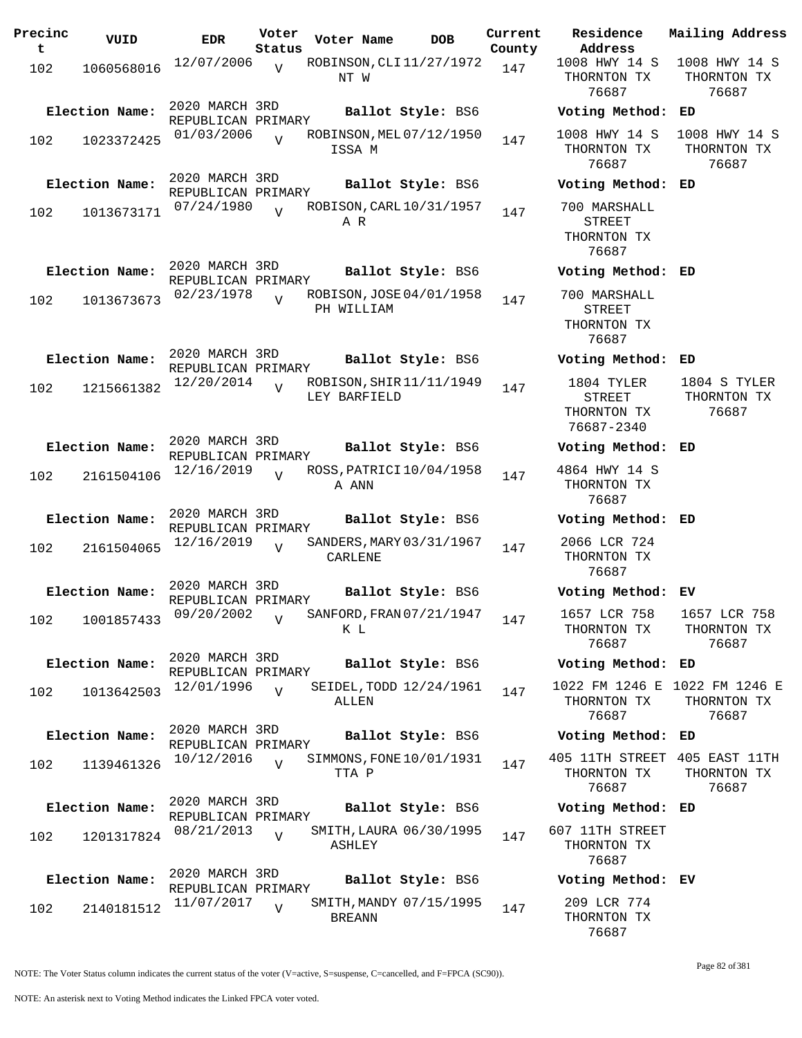| Precinc<br>t | VUID           | EDR                                  | Voter<br>Status | Voter Name                          |  | DOB                      | Current<br>County |
|--------------|----------------|--------------------------------------|-----------------|-------------------------------------|--|--------------------------|-------------------|
| 102          | 1060568016     | 12/07/2006                           | $\overline{V}$  | NT W                                |  | ROBINSON, CLI 11/27/1972 | 147               |
|              | Election Name: | 2020 MARCH 3RD<br>REPUBLICAN PRIMARY |                 |                                     |  | Ballot Style: BS6        |                   |
| 102          | 1023372425     | 01/03/2006                           | $\overline{U}$  | ISSA M                              |  | ROBINSON, MEL 07/12/1950 | 147               |
|              | Election Name: | 2020 MARCH 3RD<br>REPUBLICAN PRIMARY |                 |                                     |  | Ballot Style: BS6        |                   |
| 102          | 1013673171     | 07/24/1980                           | $\overline{V}$  | A R                                 |  | ROBISON, CARL 10/31/1957 | 147               |
|              | Election Name: | 2020 MARCH 3RD<br>REPUBLICAN PRIMARY |                 |                                     |  | Ballot Style: BS6        |                   |
| 102          | 1013673673     | 02/23/1978                           | $\overline{V}$  | PH WILLIAM                          |  | ROBISON, JOSE 04/01/1958 | 147               |
|              | Election Name: | 2020 MARCH 3RD<br>REPUBLICAN PRIMARY |                 |                                     |  | Ballot Style: BS6        |                   |
| 102          | 1215661382     | 12/20/2014                           | $\overline{U}$  | LEY BARFIELD                        |  | ROBISON, SHIR 11/11/1949 | 147               |
|              | Election Name: | 2020 MARCH 3RD<br>REPUBLICAN PRIMARY |                 |                                     |  | Ballot Style: BS6        |                   |
| 102          | 2161504106     | 12/16/2019                           | $\overline{U}$  | A ANN                               |  | ROSS, PATRICI 10/04/1958 | 147               |
|              | Election Name: | 2020 MARCH 3RD<br>REPUBLICAN PRIMARY |                 |                                     |  | Ballot Style: BS6        |                   |
| 102          | 2161504065     | 12/16/2019                           | $\overline{V}$  | SANDERS, MARY 03/31/1967<br>CARLENE |  |                          | 147               |
|              | Election Name: | 2020 MARCH 3RD<br>REPUBLICAN PRIMARY |                 |                                     |  | Ballot Style: BS6        |                   |
| 102          | 1001857433     | 09/20/2002                           | V               | K L                                 |  | SANFORD, FRAN 07/21/1947 | 147               |
|              | Election Name: | 2020 MARCH 3RD<br>REPUBLICAN PRIMARY |                 |                                     |  | Ballot Style: BS6        |                   |
| 102          | 1013642503     | 12/01/1996                           | $\overline{V}$  | ALLEN                               |  | SEIDEL, TODD 12/24/1961  | 147               |
|              | Election Name: | 2020 MARCH 3RD<br>REPUBLICAN PRIMARY |                 |                                     |  | Ballot Style: BS6        |                   |
| 102          | 1139461326     | 10/12/2016                           | $\overline{V}$  | TTA P                               |  | SIMMONS, FONE 10/01/1931 | 147               |
|              | Election Name: | 2020 MARCH 3RD<br>REPUBLICAN PRIMARY |                 |                                     |  | Ballot Style: BS6        |                   |
| 102          | 1201317824     | 08/21/2013                           | $\overline{V}$  | ASHLEY                              |  | SMITH, LAURA 06/30/1995  | 147               |
|              | Election Name: | 2020 MARCH 3RD<br>REPUBLICAN PRIMARY |                 |                                     |  | Ballot Style: BS6        |                   |
| 102          | 2140181512     | 11/07/2017                           | V               | BREANN                              |  | SMITH, MANDY 07/15/1995  | 147               |

**Voter Name DOB Residence Address Current Mailing Address** 1008 HWY 14 S 1008 HWY 14 S THORNTON TX 76687 THORNTON TX 76687 **Election Name: Ballot Style:** BS6 **Voting Method: ED** 1008 HWY 14 S THORNTON TX 76687 1008 HWY 14 S THORNTON TX 76687 **Election Name: Ballot Style:** BS6 **Voting Method: ED** 700 MARSHALL STREET THORNTON TX 76687 **Election Name: Ballot Style:** BS6 **Voting Method: ED** 700 MARSHALL STREET THORNTON TX 76687 **Election Name: Ballot Style:** BS6 **Voting Method: ED** 1804 TYLER STREET THORNTON TX 76687-2340 1804 S TYLER THORNTON TX 76687 **Election Name: Ballot Style:** BS6 **Voting Method: ED** 4864 HWY 14 S THORNTON TX 76687 **Election Name: Ballot Style:** BS6 **Voting Method: ED** 2066 LCR 724 THORNTON TX 76687 **Election Name: Ballot Style:** BS6 **Voting Method: EV** 1657 LCR 758 THORNTON TX 76687 1657 LCR 758 THORNTON TX 76687 **Election Name: Ballot Style:** BS6 **Voting Method: ED** 1022 FM 1246 E 1022 FM 1246 E THORNTON TX 76687 THORNTON TX 76687 **Election Name: Ballot Style:** BS6 **Voting Method: ED** 405 11TH STREET 405 EAST 11TH THORNTON TX 76687 THORNTON TX 76687 **Election Name: Ballot Style:** BS6 **Voting Method: ED** 607 11TH STREET THORNTON TX 76687

**Election Name: Ballot Style:** BS6 **Voting Method: EV** 209 LCR 774 THORNTON TX 76687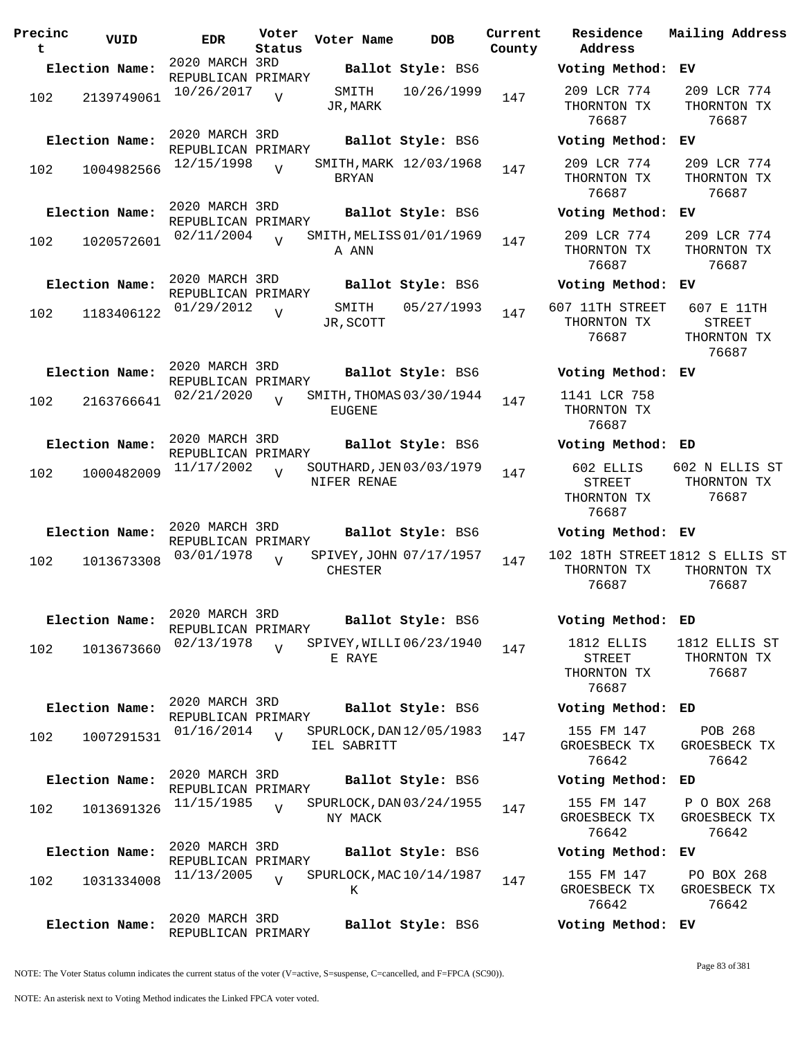| Precinc<br>t | VUID           | <b>EDR</b>                                         | Voter<br>Status | Voter Name         | <b>DOB</b>               | Current<br>County     |
|--------------|----------------|----------------------------------------------------|-----------------|--------------------|--------------------------|-----------------------|
|              | Election Name: | 2020 MARCH 3RD<br>REPUBLICAN PRIMARY               |                 |                    | Ballot Style: BS6        |                       |
| 102          | 2139749061     | 10/26/2017                                         | $\overline{V}$  | SMITH<br>JR,MARK   | 10/26/1999               | 147                   |
|              | Election Name: | 2020 MARCH 3RD<br>REPUBLICAN PRIMARY               |                 |                    | Ballot Style: BS6        |                       |
| 102          | 1004982566     | 12/15/1998                                         | $\overline{V}$  | BRYAN              | SMITH, MARK 12/03/1968   | 147                   |
|              | Election Name: | 2020 MARCH 3RD<br>REPUBLICAN PRIMARY<br>02/11/2004 |                 |                    | Ballot Style: BS6        |                       |
| 102          | 1020572601     |                                                    | $\overline{V}$  | A ANN              | SMITH, MELISS 01/01/1969 | 147                   |
|              | Election Name: | 2020 MARCH 3RD<br>REPUBLICAN PRIMARY               |                 |                    | Ballot Style: BS6        |                       |
| 102          | 1183406122     | 01/29/2012                                         | $\overline{V}$  | SMITH<br>JR, SCOTT | 05/27/1993               | 6 <sup>1</sup><br>147 |
|              | Election Name: | 2020 MARCH 3RD<br>REPUBLICAN PRIMARY               |                 |                    | Ballot Style: BS6        |                       |
| 102          | 2163766641     | 02/21/2020                                         | $\overline{V}$  | <b>EUGENE</b>      | SMITH, THOMAS 03/30/1944 | 147                   |
|              | Election Name: | 2020 MARCH 3RD<br>REPUBLICAN PRIMARY               |                 |                    | Ballot Style: BS6        |                       |
| 102          | 1000482009     | 11/17/2002                                         | $\overline{V}$  | NIFER RENAE        | SOUTHARD, JEN 03/03/1979 | 147                   |
|              | Election Name: | 2020 MARCH 3RD<br>REPUBLICAN PRIMARY               |                 |                    | Ballot Style: BS6        |                       |
| 102          | 1013673308     | 03/01/1978                                         | $\overline{V}$  | CHESTER            | SPIVEY, JOHN 07/17/1957  | 1<br>147              |
|              | Election Name: | 2020 MARCH 3RD<br>REPUBLICAN PRIMARY               |                 |                    | Ballot Style: BS6        |                       |
| 102          | 1013673660     | 02/13/1978                                         | $\overline{V}$  | E RAYE             | SPIVEY, WILLI 06/23/1940 | 147                   |
|              | Election Name: | 2020 MARCH 3RD<br>REPUBLICAN PRIMARY               |                 |                    | Ballot Style: BS6        |                       |
| 102          | 1007291531     | 01/16/2014                                         | $\overline{V}$  | IEL SABRITT        | SPURLOCK, DAN 12/05/1983 | 147                   |
|              | Election Name: | 2020 MARCH 3RD<br>REPUBLICAN PRIMARY               |                 |                    | Ballot Style: BS6        |                       |
| 102          | 1013691326     | 11/15/1985                                         | $\overline{U}$  | NY MACK            | SPURLOCK, DAN 03/24/1955 | 147                   |
|              | Election Name: | 2020 MARCH 3RD<br>REPUBLICAN PRIMARY               |                 |                    | Ballot Style: BS6        |                       |
| 102          | 1031334008     | 11/13/2005                                         | $\overline{V}$  | K                  | SPURLOCK, MAC 10/14/1987 | 147                   |
|              | Election Name: | 2020 MARCH 3RD<br>REPUBLICAN PRIMARY               |                 |                    | Ballot Style: BS6        |                       |

**Voter Name DOB Residence Address Current Mailing Address Election Name: Ballot Style:** BS6 **Voting Method: EV** 209 LCR 774 THORNTON TX 76687 209 LCR 774 THORNTON TX 76687 **Election Name: Ballot Style:** BS6 **Voting Method: EV** 209 LCR 774 THORNTON TX 76687 209 LCR 774 THORNTON TX 76687 **Election Name: Ballot Style:** BS6 **Voting Method: EV** 209 LCR 774 THORNTON TX 76687 209 LCR 774 THORNTON TX 76687 **Election Name: Ballot Style:** BS6 **Voting Method: EV** 607 11TH STREET THORNTON TX 76687 607 E 11TH STREET THORNTON TX 76687 **Election Name: Ballot Style:** BS6 **Voting Method: EV** 1141 LCR 758 THORNTON TX 76687 **Election Name: Ballot Style:** BS6 **Voting Method: ED** 602 ELLIS STREET THORNTON TX 76687 602 N ELLIS ST THORNTON TX 76687 **Election Name: Ballot Style:** BS6 **Voting Method: EV** 102 18TH STREET 1812 S ELLIS ST THORNTON TX 76687 THORNTON TX 76687 **Election Name: Ballot Style:** BS6 **Voting Method: ED** 1812 ELLIS STREET THORNTON TX 76687 1812 ELLIS ST THORNTON TX 76687 **Election Name: Ballot Style:** BS6 **Voting Method: ED** 155 FM 147 GROESBECK TX 76642 POB 268 GROESBECK TX 76642 **Election Name: Ballot Style:** BS6 **Voting Method: ED** 155 FM 147 GROESBECK TX 76642 P O BOX 268 GROESBECK TX 76642 **Election Name: Ballot Style:** BS6 **Voting Method: EV** 155 FM 147 GROESBECK TX PO BOX 268

GROESBECK TX 76642

**Election Name: Ballot Style:** BS6 **Voting Method: EV**

76642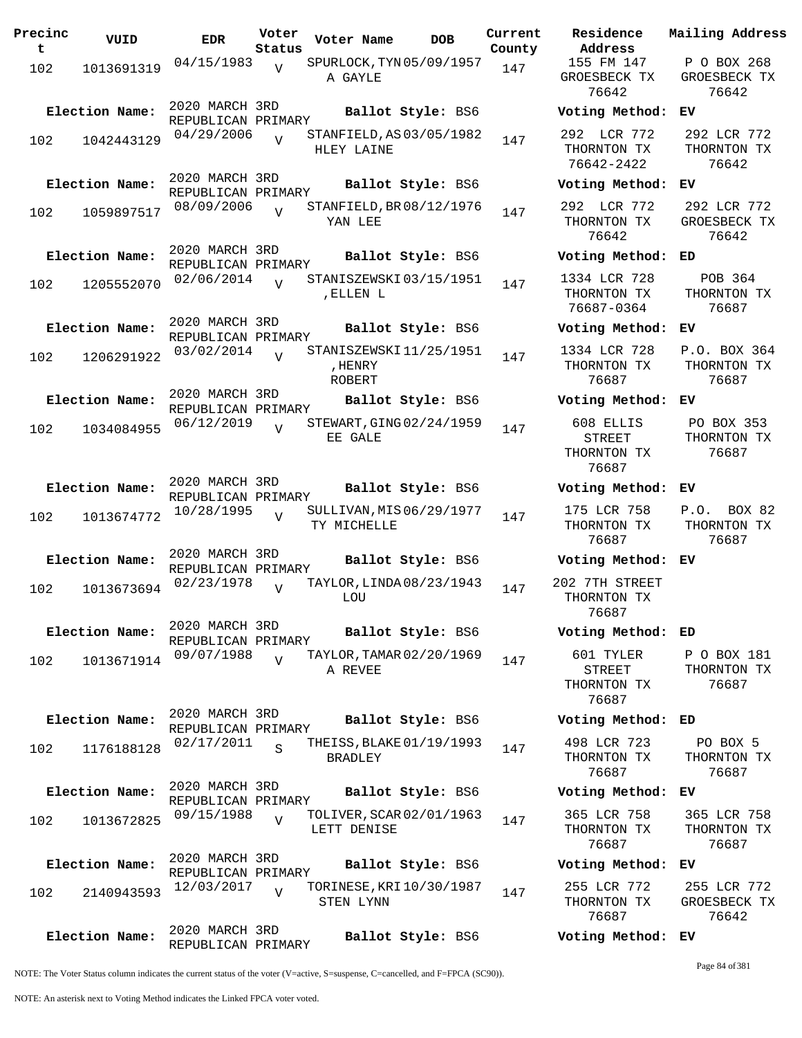| Precinc<br>t. | VUID           | EDR                                  | Voter<br>Status | Voter Name                                         | <b>DOB</b>        | Current<br>County | Residence<br>Address                               |
|---------------|----------------|--------------------------------------|-----------------|----------------------------------------------------|-------------------|-------------------|----------------------------------------------------|
| 102           | 1013691319     | 04/15/1983                           | V               | SPURLOCK, TYN 05/09/1957<br>A GAYLE                |                   | 147               | 155 FM 147<br>GROESBECK T<br>76642                 |
|               | Election Name: | 2020 MARCH 3RD<br>REPUBLICAN PRIMARY |                 |                                                    | Ballot Style: BS6 |                   | Voting Meth                                        |
| 102           | 1042443129     | 04/29/2006                           | $\overline{U}$  | STANFIELD, AS 03/05/1982<br>HLEY LAINE             |                   | 147               | 292 LCR 77<br>THORNTON TI<br>76642-2422            |
|               | Election Name: | 2020 MARCH 3RD<br>REPUBLICAN PRIMARY |                 |                                                    | Ballot Style: BS6 |                   | Voting Meth                                        |
| 102           | 1059897517     | 08/09/2006                           | $\overline{V}$  | STANFIELD, BR 08/12/1976<br>YAN LEE                |                   | 147               | 292 LCR 77<br>THORNTON TI<br>76642                 |
|               | Election Name: | 2020 MARCH 3RD<br>REPUBLICAN PRIMARY |                 |                                                    | Ballot Style: BS6 |                   | Voting Meth                                        |
| 102           | 1205552070     | 02/06/2014                           | $\overline{U}$  | STANISZEWSKI03/15/1951<br>, ELLEN L                |                   | 147               | 1334 LCR 72<br>THORNTON TY<br>76687-0364           |
|               | Election Name: | 2020 MARCH 3RD<br>REPUBLICAN PRIMARY |                 |                                                    | Ballot Style: BS6 |                   | Voting Meth                                        |
| 102           | 1206291922     | 03/02/2014                           | $\overline{V}$  | STANISZEWSKI11/25/1951<br>, HENRY<br><b>ROBERT</b> |                   | 147               | 1334 LCR 72<br>THORNTON TI<br>76687                |
|               | Election Name: | 2020 MARCH 3RD<br>REPUBLICAN PRIMARY |                 |                                                    | Ballot Style: BS6 |                   | Voting Meth                                        |
| 102           | 1034084955     | 06/12/2019                           | $\overline{V}$  | STEWART, GING 02/24/1959<br>EE GALE                |                   | 147               | 608 ELLIS<br><b>STREET</b><br>THORNTON TY<br>76687 |
|               | Election Name: | 2020 MARCH 3RD<br>REPUBLICAN PRIMARY |                 |                                                    | Ballot Style: BS6 |                   | Voting Meth                                        |
| 102           | 1013674772     | 10/28/1995                           | $\overline{V}$  | SULLIVAN, MIS 06/29/1977<br>TY MICHELLE            |                   | 147               | 175 LCR 758<br>THORNTON TY<br>76687                |
|               | Election Name: | 2020 MARCH 3RD<br>REPUBLICAN PRIMARY |                 |                                                    | Ballot Style: BS6 |                   | Voting Meth                                        |
| 102           | 1013673694     | 02/23/1978                           | $\overline{V}$  | TAYLOR, LINDA 08/23/1943<br>LOU                    |                   | 147               | 202 7TH STRE<br>THORNTON TI<br>76687               |
|               | Election Name: | 2020 MARCH 3RD<br>REPUBLICAN PRIMARY |                 |                                                    | Ballot Style: BS6 |                   | Voting Meth                                        |
| 102           | 1013671914     | 09/07/1988                           | $\overline{V}$  | TAYLOR, TAMAR 02/20/1969<br>A REVEE                |                   | 147               | 601 TYLER<br>STREET<br>THORNTON TI<br>76687        |
|               | Election Name: | 2020 MARCH 3RD<br>REPUBLICAN PRIMARY |                 |                                                    | Ballot Style: BS6 |                   | Voting Metho                                       |
| 102           | 1176188128     | 02/17/2011                           | $\mathbf S$     | THEISS, BLAKE 01/19/1993<br><b>BRADLEY</b>         |                   | 147               | 498 LCR 723<br>THORNTON TY<br>76687                |
|               | Election Name: | 2020 MARCH 3RD<br>REPUBLICAN PRIMARY |                 |                                                    | Ballot Style: BS6 |                   | Voting Meth                                        |
| 102           | 1013672825     | 09/15/1988                           | $\overline{V}$  | TOLIVER, SCAR 02/01/1963<br>LETT DENISE            |                   | 147               | 365 LCR 758<br>THORNTON TI<br>76687                |
|               | Election Name: | 2020 MARCH 3RD<br>REPUBLICAN PRIMARY |                 |                                                    | Ballot Style: BS6 |                   | Voting Meth                                        |
| 102           | 2140943593     | 12/03/2017                           | $\overline{V}$  | TORINESE, KRI 10/30/1987<br>STEN LYNN              |                   | 147               | 255 LCR 772<br>THORNTON TI<br>76687                |
|               | Election Name: | 2020 MARCH 3RD<br>REPUBLICAN PRIMARY |                 |                                                    | Ballot Style: BS6 |                   | Voting Meth                                        |

76642 76642 **Election Name: Ballot Style:** BS6 **Voting Method: EV** 292 LCR 772 THORNTON TX 76642-2422 292 LCR 772 THORNTON TX 76642 **Election Name: Ballot Style:** BS6 **Voting Method: EV** 292 LCR 772 THORNTON TX 76642 292 LCR 772 GROESBECK TX 76642 **Election Name: Ballot Style:** BS6 **Voting Method: ED** 1334 LCR 728 THORNTON TX 76687-0364 POB 364 THORNTON TX 76687 **Election Name: Ballot Style:** BS6 **Voting Method: EV** 1334 LCR 728 THORNTON TX 76687 P.O. BOX 364 THORNTON TX 76687 **Election Name: Ballot Style:** BS6 **Voting Method: EV** 608 ELLIS STREET THORNTON TX 76687 PO BOX 353 THORNTON TX 76687 **Election Name: Ballot Style:** BS6 **Voting Method: EV** 175 LCR 758 THORNTON TX 76687 P.O. BOX 82 THORNTON TX 76687 **Election Name: Ballot Style:** BS6 **Voting Method: EV** 202 7TH STREET THORNTON TX 76687 **Election Name: Ballot Style:** BS6 **Voting Method: ED** 601 TYLER STREET THORNTON TX 76687 P O BOX 181 THORNTON TX 76687 **Election Name: Ballot Style:** BS6 **Voting Method: ED** 498 LCR 723 THORNTON TX 76687 PO BOX 5 THORNTON TX 76687 **Election Name: Ballot Style:** BS6 **Voting Method: EV** 365 LCR 758 THORNTON TX 76687 365 LCR 758 THORNTON TX 76687 **Election Name: Ballot Style:** BS6 **Voting Method: EV** 255 LCR 772 THORNTON TX 76687 255 LCR 772 GROESBECK TX 76642

155 FM 147 GROESBECK TX **Current Mailing Address**

P O BOX 268 GROESBECK TX

NOTE: The Voter Status column indicates the current status of the voter (V=active, S=suspense, C=cancelled, and F=FPCA (SC90)).

Page 84 of 381

**Election Name: Ballot Style:** BS6 **Voting Method: EV**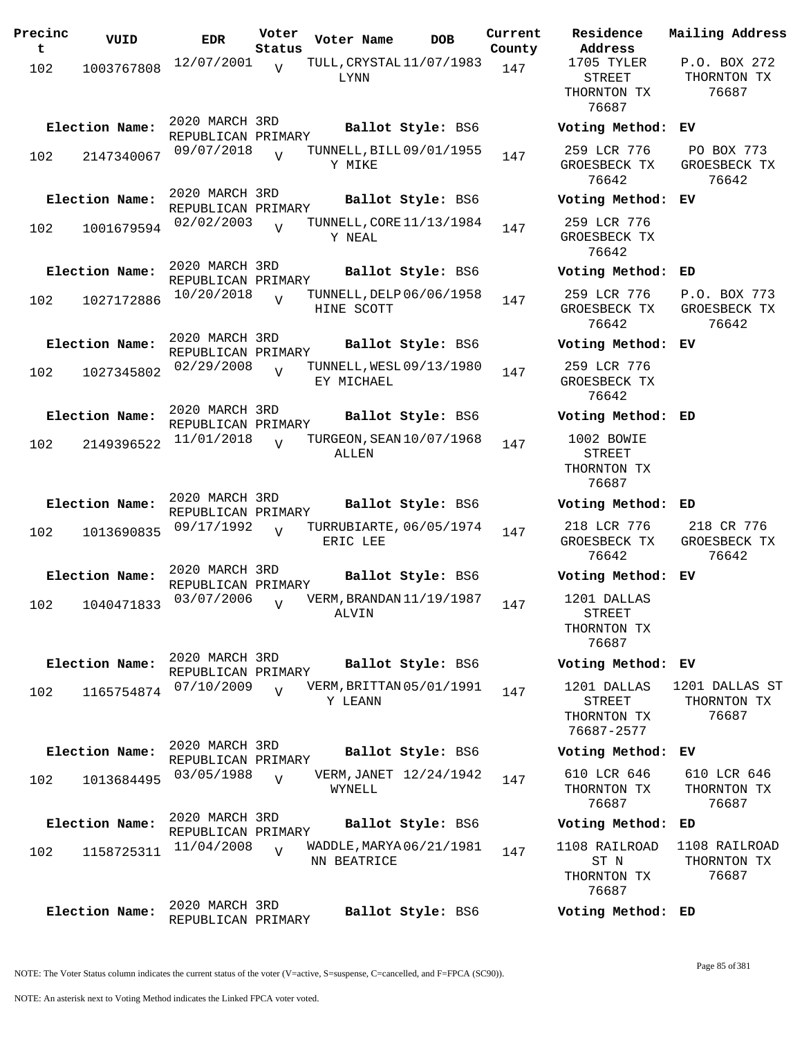| Precinc<br>t | VUID           | EDR                                  | Voter<br>Status | Voter Name                              | <b>DOB</b>        | Current<br>County | Residence<br>Address                                 | Mailing Address                        |
|--------------|----------------|--------------------------------------|-----------------|-----------------------------------------|-------------------|-------------------|------------------------------------------------------|----------------------------------------|
| 102          | 1003767808     | 12/07/2001                           | $\overline{V}$  | TULL, CRYSTAL 11/07/1983<br>LYNN        |                   | 147               | 1705 TYLER<br>STREET<br>THORNTON TX<br>76687         | P.O. BOX 272<br>THORNTON TX<br>76687   |
|              | Election Name: | 2020 MARCH 3RD<br>REPUBLICAN PRIMARY |                 |                                         | Ballot Style: BS6 |                   | Voting Method: EV                                    |                                        |
| 102          | 2147340067     | 09/07/2018                           | $\overline{U}$  | TUNNELL, BILL 09/01/1955<br>Y MIKE      |                   | 147               | 259 LCR 776<br>GROESBECK TX<br>76642                 | PO BOX 773<br>GROESBECK TX<br>76642    |
|              | Election Name: | 2020 MARCH 3RD<br>REPUBLICAN PRIMARY |                 |                                         | Ballot Style: BS6 |                   | Voting Method: EV                                    |                                        |
| 102          | 1001679594     | 02/02/2003                           | $\overline{U}$  | TUNNELL, CORE 11/13/1984<br>Y NEAL      |                   | 147               | 259 LCR 776<br>GROESBECK TX<br>76642                 |                                        |
|              | Election Name: | 2020 MARCH 3RD<br>REPUBLICAN PRIMARY |                 |                                         | Ballot Style: BS6 |                   | Voting Method: ED                                    |                                        |
| 102          | 1027172886     | 10/20/2018                           | $\overline{U}$  | TUNNELL, DELP 06/06/1958<br>HINE SCOTT  |                   | 147               | 259 LCR 776<br>GROESBECK TX<br>76642                 | P.O. BOX 773<br>GROESBECK TX<br>76642  |
|              | Election Name: | 2020 MARCH 3RD<br>REPUBLICAN PRIMARY |                 |                                         | Ballot Style: BS6 |                   | Voting Method:                                       | EV                                     |
| 102          | 1027345802     | 02/29/2008                           | $\overline{U}$  | TUNNELL, WESL 09/13/1980<br>EY MICHAEL  |                   | 147               | 259 LCR 776<br>GROESBECK TX<br>76642                 |                                        |
|              | Election Name: | 2020 MARCH 3RD<br>REPUBLICAN PRIMARY |                 |                                         | Ballot Style: BS6 |                   | Voting Method: ED                                    |                                        |
| 102          | 2149396522     | 11/01/2018                           | $\overline{V}$  | TURGEON, SEAN 10/07/1968<br>ALLEN       |                   | 147               | 1002 BOWIE<br>STREET<br>THORNTON TX<br>76687         |                                        |
|              | Election Name: | 2020 MARCH 3RD<br>REPUBLICAN PRIMARY |                 |                                         | Ballot Style: BS6 |                   | Voting Method: ED                                    |                                        |
| 102          | 1013690835     | 09/17/1992                           | $\overline{U}$  | TURRUBIARTE, 06/05/1974<br>ERIC LEE     |                   | 147               | 218 LCR 776<br>GROESBECK TX<br>76642                 | 218 CR 776<br>GROESBECK TX<br>76642    |
|              | Election Name: | 2020 MARCH 3RD<br>REPUBLICAN PRIMARY |                 |                                         | Ballot Style: BS6 |                   | Voting Method:                                       | EV                                     |
| 102          | 1040471833     | 03/07/2006                           | $\overline{U}$  | VERM, BRANDAN 11/19/1987<br>ALVIN       |                   | 147               | 1201 DALLAS<br><b>STREET</b><br>THORNTON TX<br>76687 |                                        |
|              | Election Name: | 2020 MARCH 3RD<br>REPUBLICAN PRIMARY |                 |                                         | Ballot Style: BS6 |                   | Voting Method: EV                                    |                                        |
| 102          | 1165754874     | 07/10/2009                           | $\overline{V}$  | VERM, BRITTAN 05/01/1991<br>Y LEANN     |                   | 147               | 1201 DALLAS<br>STREET<br>THORNTON TX<br>76687-2577   | 1201 DALLAS ST<br>THORNTON TX<br>76687 |
|              | Election Name: | 2020 MARCH 3RD<br>REPUBLICAN PRIMARY |                 |                                         | Ballot Style: BS6 |                   | Voting Method: EV                                    |                                        |
| 102          | 1013684495     | 03/05/1988                           | $\overline{V}$  | VERM, JANET 12/24/1942<br>WYNELL        |                   | 147               | 610 LCR 646<br>THORNTON TX<br>76687                  | 610 LCR 646<br>THORNTON TX<br>76687    |
|              | Election Name: | 2020 MARCH 3RD<br>REPUBLICAN PRIMARY |                 |                                         | Ballot Style: BS6 |                   | Voting Method: ED                                    |                                        |
| 102          | 1158725311     | 11/04/2008                           | $\overline{U}$  | WADDLE, MARYA 06/21/1981<br>NN BEATRICE |                   | 147               | 1108 RAILROAD<br>ST N<br>THORNTON TX<br>76687        | 1108 RAILROAD<br>THORNTON TX<br>76687  |
|              | Election Name: | 2020 MARCH 3RD<br>REPUBLICAN PRIMARY |                 |                                         | Ballot Style: BS6 |                   | Voting Method: ED                                    |                                        |

NOTE: The Voter Status column indicates the current status of the voter (V=active, S=suspense, C=cancelled, and F=FPCA (SC90)).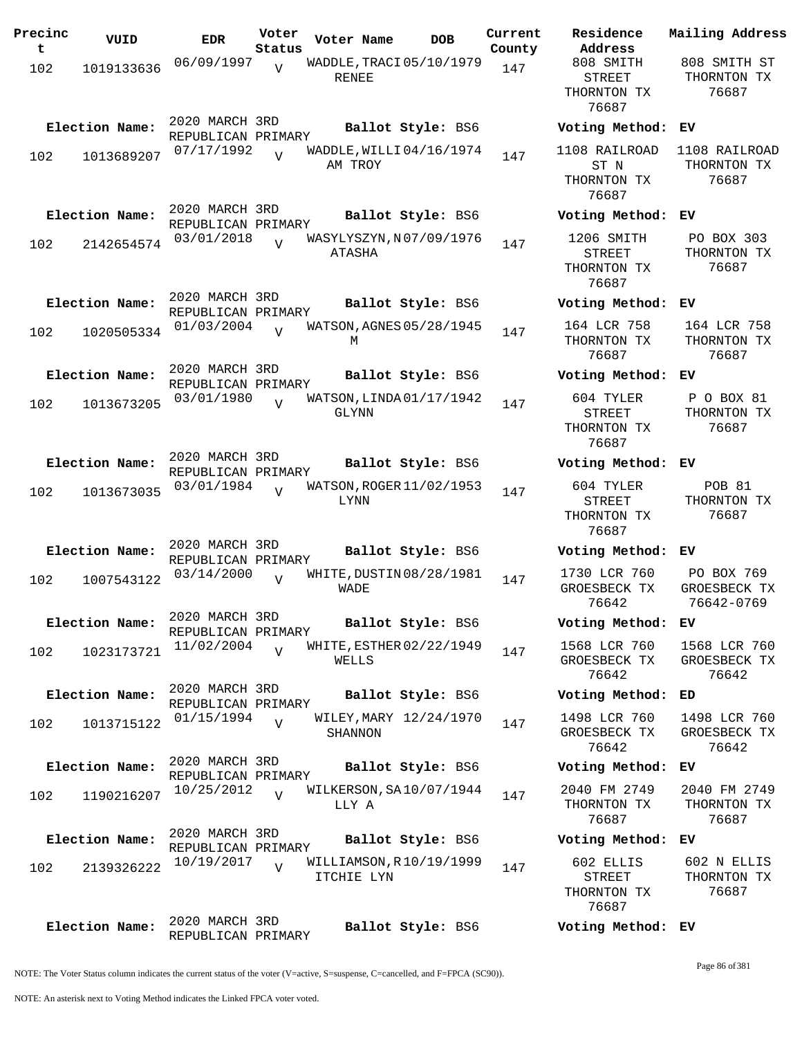| Precinc<br>t | VUID           | <b>EDR</b>                           | Voter<br>Status | Voter Name                            | <b>DOB</b>        | Current<br>County | Residence<br>Address                                | Mai:              |
|--------------|----------------|--------------------------------------|-----------------|---------------------------------------|-------------------|-------------------|-----------------------------------------------------|-------------------|
| 102          | 1019133636     | 06/09/1997                           | $\overline{U}$  | WADDLE, TRACI 05/10/1979              |                   | 147               | 808 SMITH                                           | 80<br>TI          |
|              |                |                                      |                 | RENEE                                 |                   |                   | STREET<br>THORNTON TX<br>76687                      |                   |
|              | Election Name: | 2020 MARCH 3RD<br>REPUBLICAN PRIMARY |                 |                                       | Ballot Style: BS6 |                   | Voting Method:                                      | EV                |
| 102          | 1013689207     | 07/17/1992                           | $\overline{U}$  | WADDLE, WILLI 04/16/1974<br>AM TROY   |                   | 147               | 1108 RAILROAD<br>ST N<br>THORNTON TX<br>76687       | 11(<br>TI         |
|              | Election Name: | 2020 MARCH 3RD<br>REPUBLICAN PRIMARY |                 |                                       | Ballot Style: BS6 |                   | Voting Method:                                      | EV                |
| 102          | 2142654574     | 03/01/2018                           |                 | WASYLYSZYN, N07/09/1976<br>ATASHA     |                   | 147               | 1206 SMITH<br><b>STREET</b><br>THORNTON TX<br>76687 | $\mathbf P$<br>TI |
|              | Election Name: | 2020 MARCH 3RD<br>REPUBLICAN PRIMARY |                 |                                       | Ballot Style: BS6 |                   | Voting Method:                                      | EV                |
| 102          | 1020505334     | 01/03/2004                           | $\overline{U}$  | WATSON, AGNES 05/28/1945<br>М         |                   | 147               | 164 LCR 758<br>THORNTON TX<br>76687                 | 1(<br>TI          |
|              | Election Name: | 2020 MARCH 3RD<br>REPUBLICAN PRIMARY |                 |                                       | Ballot Style: BS6 |                   | Voting Method:                                      | ЕV                |
| 102          | 1013673205     | 03/01/1980                           | $\overline{U}$  | WATSON, LINDA 01/17/1942<br>GLYNN     |                   | 147               | 604 TYLER<br><b>STREET</b><br>THORNTON TX<br>76687  | Ρ<br>TI           |
|              | Election Name: | 2020 MARCH 3RD<br>REPUBLICAN PRIMARY |                 |                                       | Ballot Style: BS6 |                   | Voting Method:                                      | EV                |
| 102          | 1013673035     | 03/01/1984                           | $\overline{V}$  | WATSON, ROGER 11/02/1953<br>LYNN      |                   | 147               | 604 TYLER<br><b>STREET</b><br>THORNTON TX<br>76687  | TI                |
|              | Election Name: | 2020 MARCH 3RD<br>REPUBLICAN PRIMARY |                 |                                       | Ballot Style: BS6 |                   | Voting Method:                                      | EV                |
| 102          | 1007543122     | 03/14/2000                           | $\overline{U}$  | WHITE, DUSTIN 08/28/1981<br>WADE      |                   | 147               | 1730 LCR 760<br>GROESBECK TX<br>76642               | Ρ<br>GR<br>7      |
|              | Election Name: | 2020 MARCH 3RD<br>REPUBLICAN PRIMARY |                 |                                       | Ballot Style: BS6 |                   | Voting Method:                                      | ЕV                |
| 102          | 1023173721     | 11/02/2004                           | $\overline{V}$  | WHITE, ESTHER 02/22/1949<br>WELLS     |                   | 147               | 1568 LCR 760<br>GROESBECK TX<br>76642               | 15<br>GR          |
|              | Election Name: | 2020 MARCH 3RD<br>REPUBLICAN PRIMARY |                 |                                       | Ballot Style: BS6 |                   | Voting Method:                                      | ED                |
| 102          | 1013715122     | 01/15/1994                           | $\overline{V}$  | WILEY, MARY 12/24/1970<br>SHANNON     |                   | 147               | 1498 LCR 760<br>GROESBECK TX<br>76642               | 14<br>GR          |
|              | Election Name: | 2020 MARCH 3RD<br>REPUBLICAN PRIMARY |                 |                                       | Ballot Style: BS6 |                   | Voting Method:                                      | ЕV                |
| 102          | 1190216207     | 10/25/2012                           | $\overline{V}$  | WILKERSON, SA10/07/1944<br>LLY A      |                   | 147               | 2040 FM 2749<br>THORNTON TX<br>76687                | 20<br>TI          |
|              | Election Name: | 2020 MARCH 3RD<br>REPUBLICAN PRIMARY |                 |                                       | Ballot Style: BS6 |                   | Voting Method:                                      | ЕV                |
| 102          | 2139326222     | 10/19/2017                           | $\overline{V}$  | WILLIAMSON, R10/19/1999<br>ITCHIE LYN |                   | 147               | 602 ELLIS<br>STREET<br>THORNTON TX<br>76687         | 6(<br>TI          |
|              | Election Name: | 2020 MARCH 3RD<br>REPUBLICAN PRIMARY |                 |                                       | Ballot Style: BS6 |                   | Voting Method: EV                                   |                   |

**Voter Name DOB Residence Address Current Mailing Address** 808 SMITH STREET THORNTON TX 76687 808 SMITH ST THORNTON TX 76687 **Election Name: Ballot Style:** BS6 **Voting Method: EV** 1108 RAILROAD 1108 RAILROAD ST N THORNTON TX 76687 THORNTON TX 76687 **Election Name: Ballot Style:** BS6 **Voting Method: EV** 1206 SMITH STREET THORNTON TX 76687 PO BOX 303 THORNTON TX 76687 **Election Name: Ballot Style:** BS6 **Voting Method: EV** 164 LCR 758 THORNTON TX 76687 164 LCR 758 THORNTON TX 76687 **Election Name: Ballot Style:** BS6 **Voting Method: EV** 604 TYLER STREET THORNTON TX 76687 P O BOX 81 THORNTON TX 76687 **Election Name: Ballot Style:** BS6 **Voting Method: EV** 604 TYLER STREET THORNTON TX 76687 POB 81 THORNTON TX 76687 **Election Name: Ballot Style:** BS6 **Voting Method: EV** 1730 LCR 760 GROESBECK TX 76642 PO BOX 769 GROESBECK TX 76642-0769 **Election Name: Ballot Style:** BS6 **Voting Method: EV** 1568 LCR 760 GROESBECK TX 76642 1568 LCR 760 GROESBECK TX 76642 **Election Name: Ballot Style:** BS6 **Voting Method: ED** 1498 LCR 760 GROESBECK TX 76642 1498 LCR 760 GROESBECK TX 76642 **Election Name: Ballot Style:** BS6 **Voting Method: EV** 2040 FM 2749 THORNTON TX 76687 2040 FM 2749 THORNTON TX 76687 **Election Name: Ballot Style:** BS6 **Voting Method: EV** 602 ELLIS STREET THORNTON TX 76687 602 N ELLIS THORNTON TX 76687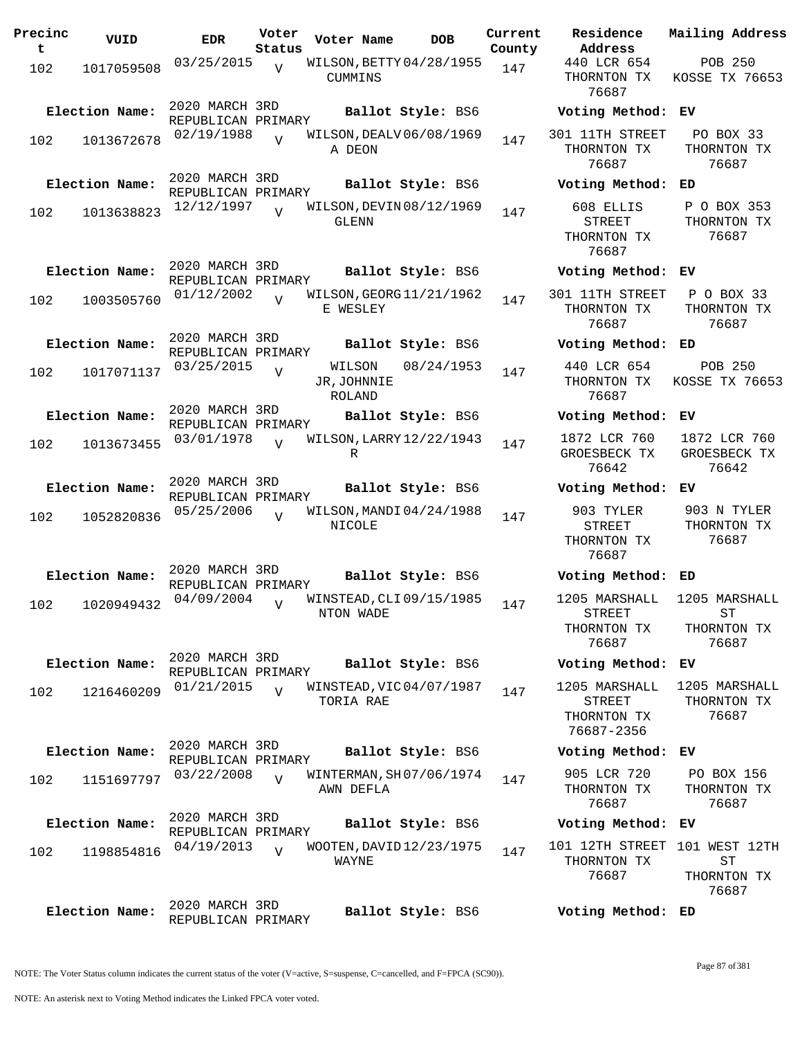| Precinc<br>t | VUID           | <b>EDR</b>                           | Voter<br>Status | Voter Name                              | <b>DOB</b>        | Current<br>County | Residence<br>Address                                        | Mail              |
|--------------|----------------|--------------------------------------|-----------------|-----------------------------------------|-------------------|-------------------|-------------------------------------------------------------|-------------------|
| 102          | 1017059508     | 03/25/2015                           | $\overline{V}$  | WILSON, BETTY 04/28/1955<br>CUMMINS     |                   | 147               | 440 LCR 654<br>THORNTON TX<br>76687                         | KOS               |
|              | Election Name: | 2020 MARCH 3RD<br>REPUBLICAN PRIMARY |                 |                                         | Ballot Style: BS6 |                   | Voting Method:                                              | EV                |
| 102          | 1013672678     | 02/19/1988                           | $\overline{U}$  | WILSON, DEALV 06/08/1969<br>A DEON      |                   | 147               | 301 11TH STREET<br>THORNTON TX<br>76687                     | I<br>Тŀ           |
|              | Election Name: | 2020 MARCH 3RD<br>REPUBLICAN PRIMARY |                 |                                         | Ballot Style: BS6 |                   | Voting Method:                                              | ED                |
| 102          | 1013638823     | 12/12/1997                           | $\overline{V}$  | WILSON, DEVIN 08/12/1969<br>GLENN       |                   | 147               | 608 ELLIS<br>STREET<br>THORNTON TX<br>76687                 | $\mathbf P$<br>TH |
|              | Election Name: | 2020 MARCH 3RD<br>REPUBLICAN PRIMARY |                 |                                         | Ballot Style: BS6 |                   | Voting Method:                                              | EV                |
| 102          | 1003505760     | 01/12/2002                           | $\overline{U}$  | WILSON, GEORG 11/21/1962<br>E WESLEY    |                   | 147               | 301 11TH STREET<br>THORNTON TX<br>76687                     | $\mathbf P$<br>TH |
|              | Election Name: | 2020 MARCH 3RD<br>REPUBLICAN PRIMARY |                 |                                         | Ballot Style: BS6 |                   | Voting Method:                                              | ED                |
| 102          | 1017071137     | 03/25/2015                           | $\overline{V}$  | WILSON<br>JR, JOHNNIE<br>ROLAND         | 08/24/1953        | 147               | 440 LCR 654<br>THORNTON TX<br>76687                         | KOS               |
|              | Election Name: | 2020 MARCH 3RD<br>REPUBLICAN PRIMARY |                 |                                         | Ballot Style: BS6 |                   | Voting Method:                                              | EV                |
| 102          | 1013673455     | 03/01/1978                           |                 | WILSON, LARRY 12/22/1943<br>R           |                   | 147               | 1872 LCR 760<br>GROESBECK TX<br>76642                       | 18<br>GR          |
|              | Election Name: | 2020 MARCH 3RD<br>REPUBLICAN PRIMARY |                 |                                         | Ballot Style: BS6 |                   | Voting Method:                                              | EV                |
| 102          | 1052820836     | 05/25/2006                           | $\overline{U}$  | WILSON, MANDI 04/24/1988<br>NICOLE      |                   | 147               | 903 TYLER<br><b>STREET</b><br>THORNTON TX<br>76687          | 9(<br>Tŀ          |
|              | Election Name: | 2020 MARCH 3RD<br>REPUBLICAN PRIMARY |                 |                                         | Ballot Style: BS6 |                   | Voting Method:                                              | ED                |
| 102          | 1020949432     | 04/09/2004                           | $\overline{V}$  | WINSTEAD, CLI 09/15/1985<br>N.I.ON MADE |                   | 147               | 1205 MARSHALL<br><b>STREET</b><br>THORNTON TX<br>76687      | 12(<br>Тŀ         |
|              | Election Name: | 2020 MARCH 3RD<br>REPUBLICAN PRIMARY |                 |                                         | Ballot Style: BS6 |                   | Voting Method:                                              | EV                |
| 102          | 1216460209     | 01/21/2015                           | $\overline{V}$  | WINSTEAD, VIC 04/07/1987<br>TORIA RAE   |                   | 147               | 1205 MARSHALL<br><b>STREET</b><br>THORNTON TX<br>76687-2356 | 12(<br>Tŀ         |
|              | Election Name: | 2020 MARCH 3RD<br>REPUBLICAN PRIMARY |                 |                                         | Ballot Style: BS6 |                   | Voting Method:                                              | EV                |
| 102          | 1151697797     | 03/22/2008                           | $\overline{U}$  | WINTERMAN, SH07/06/1974<br>AWN DEFLA    |                   | 147               | 905 LCR 720<br>THORNTON TX<br>76687                         | Ρ<br>TI           |
|              | Election Name: | 2020 MARCH 3RD<br>REPUBLICAN PRIMARY |                 |                                         | Ballot Style: BS6 |                   | Voting Method:                                              | EV                |
| 102          | 1198854816     | 04/19/2013                           | $\overline{U}$  | WOOTEN, DAVID 12/23/1975<br>WAYNE       |                   | 147               | 101 12TH STREET<br>THORNTON TX<br>76687                     | 101<br>Тŀ         |
|              | Election Name: | 2020 MARCH 3RD                       |                 |                                         | Ballot Style: BS6 |                   | Voting Method: ED                                           |                   |

**Voter Name DOB Residence Address Current Mailing Address**  $E$ 440 LCR 654 THORNTON TX 76687 POB 250 KOSSE TX 76653 **Election Name: Ballot Style:** BS6 **Voting Method: EV** 301 11TH STREET THORNTON TX 76687 PO BOX 33 THORNTON TX 76687 **Election Name: Ballot Style:** BS6 **Voting Method: ED** 608 ELLIS STREET THORNTON TX 76687 P O BOX 353 THORNTON TX 76687 **Election Name: Ballot Style:** BS6 **Voting Method: EV** 301 11TH STREET THORNTON TX 76687 P O BOX 33 THORNTON TX 76687 **Election Name: Ballot Style:** BS6 **Voting Method: ED** 440 LCR 654 THORNTON TX 76687 POB 250 KOSSE TX 76653 **Election Name: Ballot Style:** BS6 **Voting Method: EV** 1872 LCR 760 GROESBECK TX 76642 1872 LCR 760 GROESBECK TX 76642 **Election Name: Ballot Style:** BS6 **Voting Method: EV** 903 TYLER STREET THORNTON TX 76687 903 N TYLER THORNTON TX 76687 **Election Name: Ballot Style:** BS6 **Voting Method: ED** 1205 MARSHALL STREET THORNTON TX 76687 1205 MARSHALL ST THORNTON TX 76687 **Election Name: Ballot Style:** BS6 **Voting Method: EV** 1205 MARSHALL STREET THORNTON TX 76687-2356 1205 MARSHALL THORNTON TX 76687 **Election Name: Ballot Style:** BS6 **Voting Method: EV** 905 LCR 720 THORNTON TX 76687 PO BOX 156 THORNTON TX 76687 **Election Name: Ballot Style:** BS6 **Voting Method: EV** 101 12TH STREET 101 WEST 12TH THORNTON TX 76687 ST THORNTON TX 76687

NOTE: The Voter Status column indicates the current status of the voter (V=active, S=suspense, C=cancelled, and F=FPCA (SC90)).

REPUBLICAN PRIMARY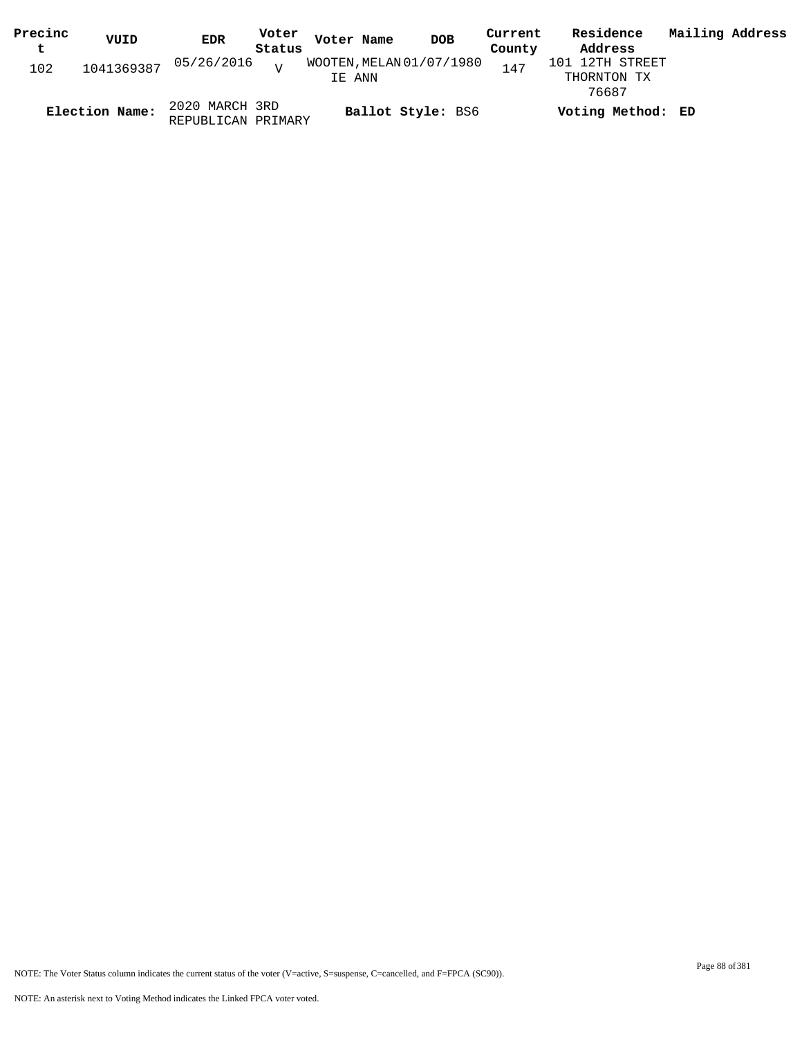| Precinc | VUID           | <b>EDR</b>                           | Voter  | Voter Name | <b>DOB</b>               | Current | Residence                               | Mailing Address |  |
|---------|----------------|--------------------------------------|--------|------------|--------------------------|---------|-----------------------------------------|-----------------|--|
| t       |                |                                      | Status |            |                          | County  | Address                                 |                 |  |
| 102     |                | 1041369387 05/26/2016 <sub>V</sub>   |        | IE ANN     | WOOTEN, MELAN 01/07/1980 | 147     | 101 12TH STREET<br>THORNTON TX<br>76687 |                 |  |
|         | Election Name: | 2020 MARCH 3RD<br>REPUBLICAN PRIMARY |        |            | Ballot Style: BS6        |         | Voting Method: ED                       |                 |  |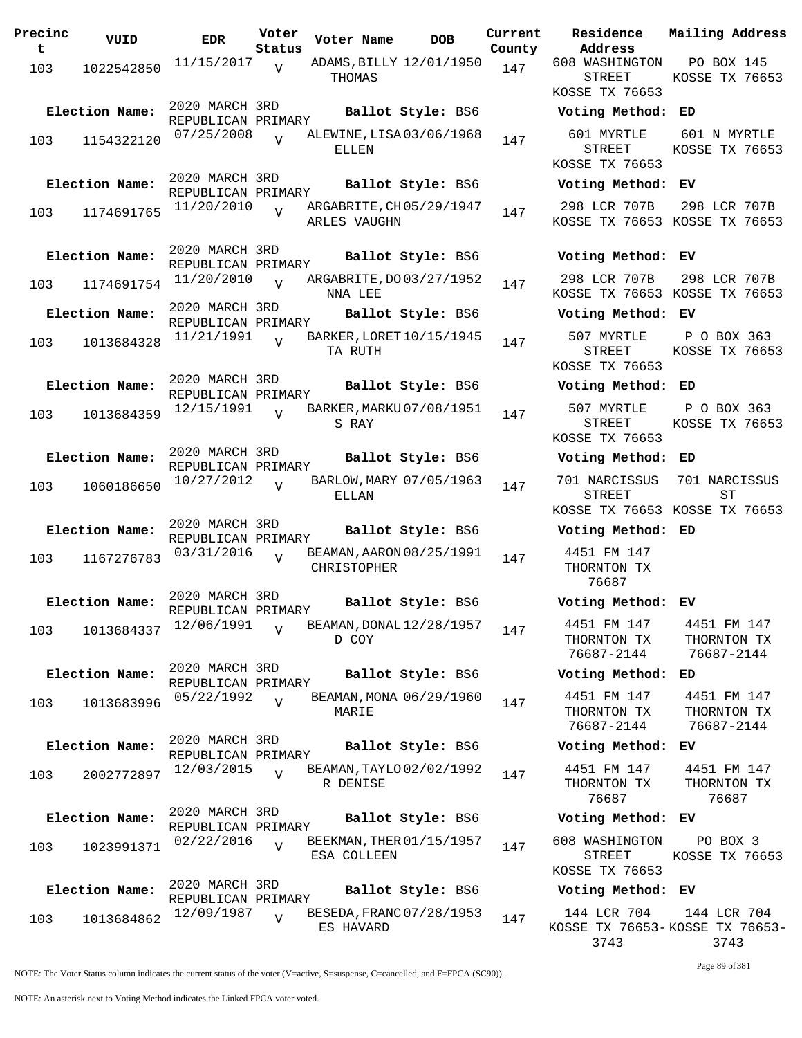| Precinc<br>t | VUID           | <b>EDR</b>                                         | Voter<br>Status | Voter Name   | <b>DOB</b>                                    | Curre<br>Count |
|--------------|----------------|----------------------------------------------------|-----------------|--------------|-----------------------------------------------|----------------|
| 103          | 1022542850     | 11/15/2017                                         | $\overline{V}$  | THOMAS       | ADAMS, BILLY 12/01/1950                       | 147            |
|              | Election Name: | 2020 MARCH 3RD<br>REPUBLICAN PRIMARY<br>07/25/2008 |                 |              | Ballot Style: BS6<br>ALEWINE, LISA 03/06/1968 |                |
| 103          | 1154322120     |                                                    | $\overline{U}$  | ELLEN        |                                               | 147            |
|              | Election Name: | 2020 MARCH 3RD<br>REPUBLICAN PRIMARY               |                 |              | Ballot Style: BS6                             |                |
| 103          | 1174691765     | 11/20/2010                                         | $\overline{V}$  | ARLES VAUGHN | ARGABRITE, CH 05/29/1947                      | 147            |
|              | Election Name: | 2020 MARCH 3RD<br>REPUBLICAN PRIMARY               |                 |              | Ballot Style: BS6                             |                |
| 103          | 1174691754     | 11/20/2010                                         | $\overline{U}$  | NNA LEE      | ARGABRITE, DO 03/27/1952                      | 147            |
|              | Election Name: | 2020 MARCH 3RD<br>REPUBLICAN PRIMARY               |                 |              | Ballot Style: BS6                             |                |
| 103          | 1013684328     | 11/21/1991                                         | $\overline{V}$  | TA RUTH      | BARKER, LORET 10/15/1945                      | 147            |
|              | Election Name: | 2020 MARCH 3RD<br>REPUBLICAN PRIMARY               |                 |              | Ballot Style: BS6                             |                |
| 103          | 1013684359     | 12/15/1991                                         | $\overline{U}$  | S RAY        | BARKER, MARKU 07/08/1951                      | 147            |
|              | Election Name: | 2020 MARCH 3RD<br>REPUBLICAN PRIMARY               |                 |              | Ballot Style: BS6                             |                |
| 103          | 1060186650     | 10/27/2012                                         | $\overline{U}$  | ELLAN        | BARLOW, MARY 07/05/1963                       | 147            |
|              | Election Name: | 2020 MARCH 3RD<br>REPUBLICAN PRIMARY               |                 |              | Ballot Style: BS6                             |                |
| 103          | 1167276783     | 03/31/2016                                         | V               | CHRISTOPHER  | BEAMAN, AARON 08/25/1991                      | 147            |
|              | Election Name: | 2020 MARCH 3RD                                     |                 |              | Ballot Style: BS6                             |                |
| 103          | 1013684337     | REPUBLICAN PRIMARY<br>12/06/1991                   | $\overline{V}$  | D COY        | BEAMAN, DONAL 12/28/1957                      | 147            |
|              | Election Name: | 2020 MARCH 3RD<br>REPUBLICAN PRIMARY               |                 |              | Ballot Style: BS6                             |                |
| 103          | 1013683996     | 05/22/1992                                         | $\overline{V}$  | MARIE        | BEAMAN, MONA 06/29/1960                       | 147            |
|              | Election Name: | 2020 MARCH 3RD<br>REPUBLICAN PRIMARY               |                 |              | Ballot Style: BS6                             |                |
| 103          | 2002772897     | 12/03/2015                                         | $\overline{V}$  | R DENISE     | BEAMAN, TAYLO 02/02/1992                      | 147            |
|              | Election Name: | 2020 MARCH 3RD<br>REPUBLICAN PRIMARY               |                 |              | Ballot Style: BS6                             |                |
| 103          | 1023991371     | 02/22/2016                                         | $\overline{V}$  | ESA COLLEEN  | BEEKMAN, THER 01/15/1957                      | 147            |
|              | Election Name: | 2020 MARCH 3RD<br>REPUBLICAN PRIMARY               |                 |              | Ballot Style: BS6                             |                |
| 103          | 1013684862     | 12/09/1987                                         | $\overline{V}$  | ES HAVARD    | BESEDA, FRANC 07/28/1953                      | 147            |

**Voter Name DOB Residence Address Current Mailing Address County** 608 WASHINGTON STREET KOSSE TX 76653 PO BOX 145 KOSSE TX 76653 **Election Name: Ballot Style:** BS6 **Voting Method: ED** 601 MYRTLE STREET KOSSE TX 76653 601 N MYRTLE KOSSE TX 76653 **Election Name: Ballot Style:** BS6 **Voting Method: EV** 298 LCR 707B KOSSE TX 76653 KOSSE TX 76653 298 LCR 707B **Election Name: Ballot Style:** BS6 **Voting Method: EV** 298 LCR 707B KOSSE TX 76653 KOSSE TX 76653 298 LCR 707B **Election Name: Ballot Style:** BS6 **Voting Method: EV** 507 MYRTLE STREET KOSSE TX 76653 P O BOX 363 KOSSE TX 76653 **Election Name: Ballot Style:** BS6 **Voting Method: ED** 507 MYRTLE STREET KOSSE TX 76653 P O BOX 363 KOSSE TX 76653 **Election Name: Ballot Style:** BS6 **Voting Method: ED** 701 NARCISSUS STREET KOSSE TX 76653 KOSSE TX 76653 701 NARCISSUS ST **Election Name: Ballot Style:** BS6 **Voting Method: ED** 4451 FM 147 THORNTON TX 76687 **Election Name: Ballot Style:** BS6 **Voting Method: EV** 4451 FM 147 THORNTON TX 76687-2144 4451 FM 147 THORNTON TX 76687-2144 **Election Name: Ballot Style:** BS6 **Voting Method: ED** 4451 FM 147 THORNTON TX 76687-2144 4451 FM 147 THORNTON TX 76687-2144 **Election Name: Ballot Style:** BS6 **Voting Method: EV** 4451 FM 147 THORNTON TX 76687 4451 FM 147 THORNTON TX 76687 **Election Name: Ballot Style:** BS6 **Voting Method: EV** 608 WASHINGTON STREET KOSSE TX 76653 PO BOX 3 KOSSE TX 76653 **Election Name: Ballot Style:** BS6 **Voting Method: EV** 144 LCR 704 144 LCR 704

NOTE: The Voter Status column indicates the current status of the voter (V=active, S=suspense, C=cancelled, and F=FPCA (SC90)).

Page 89 of 381

3743

KOSSE TX 76653- KOSSE TX 76653-

3743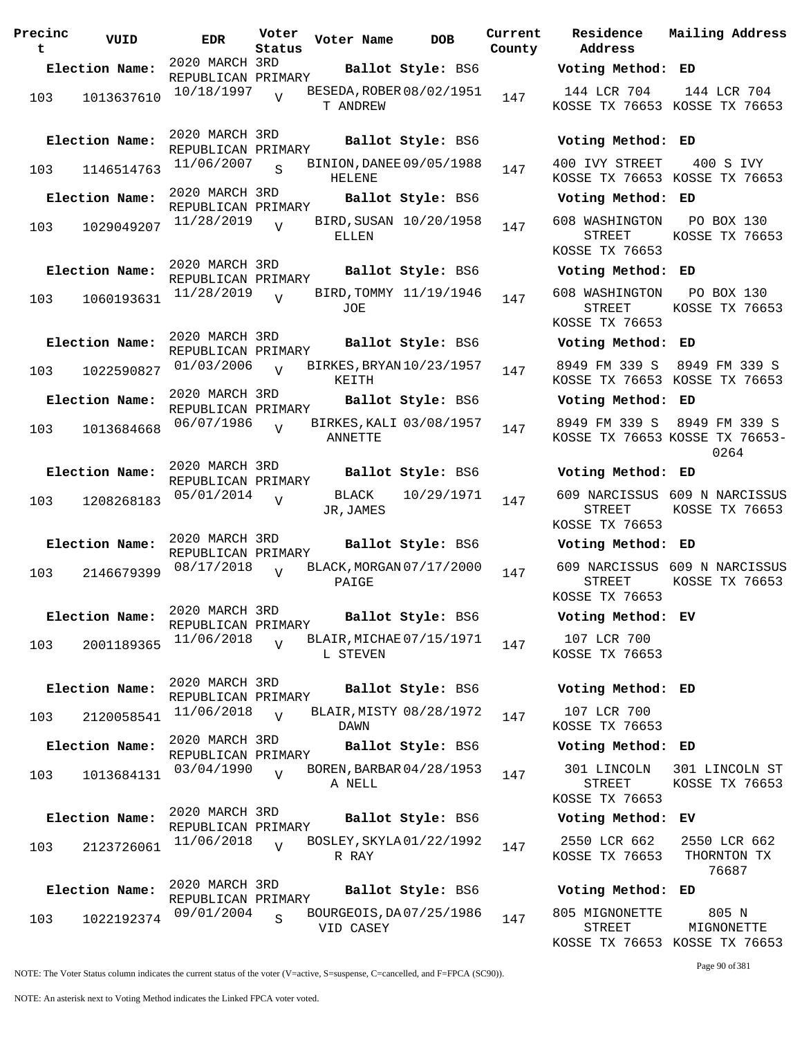| Precinc<br>t | VUID           | <b>EDR</b>                           | Voter<br>Status | Voter Name                                | <b>DOB</b>              | Curre<br>Count |
|--------------|----------------|--------------------------------------|-----------------|-------------------------------------------|-------------------------|----------------|
|              | Election Name: | 2020 MARCH 3RD                       |                 |                                           | Ballot Style: BS6       |                |
|              |                | REPUBLICAN PRIMARY                   |                 |                                           |                         |                |
| 103          | 1013637610     | 10/18/1997                           | $\overline{V}$  | BESEDA, ROBER 08/02/1951<br>T ANDREW      |                         | 147            |
|              | Election Name: | 2020 MARCH 3RD<br>REPUBLICAN PRIMARY |                 |                                           | Ballot Style: BS6       |                |
| 103          | 1146514763     | 11/06/2007                           | S               | BINION, DANEE 09/05/1988<br><b>HELENE</b> |                         | 147            |
|              | Election Name: | 2020 MARCH 3RD<br>REPUBLICAN PRIMARY |                 |                                           | Ballot Style: BS6       |                |
| 103          | 1029049207     | 11/28/2019                           | $\overline{V}$  | ELLEN                                     | BIRD, SUSAN 10/20/1958  | 147            |
|              | Election Name: | 2020 MARCH 3RD<br>REPUBLICAN PRIMARY |                 |                                           | Ballot Style: BS6       |                |
| 103          | 1060193631     | 11/28/2019                           | $\overline{V}$  | JOE                                       | BIRD, TOMMY 11/19/1946  | 147            |
|              | Election Name: | 2020 MARCH 3RD<br>REPUBLICAN PRIMARY |                 |                                           | Ballot Style: BS6       |                |
| 103          | 1022590827     | 01/03/2006                           | $\overline{V}$  | BIRKES, BRYAN 10/23/1957<br>KEITH         |                         | 147            |
|              | Election Name: | 2020 MARCH 3RD<br>REPUBLICAN PRIMARY |                 |                                           | Ballot Style: BS6       |                |
| 103          | 1013684668     | 06/07/1986                           | $\overline{V}$  | ANNETTE                                   | BIRKES, KALI 03/08/1957 | 147            |
|              | Election Name: | 2020 MARCH 3RD<br>REPUBLICAN PRIMARY |                 |                                           | Ballot Style: BS6       |                |
| 103          | 1208268183     | 05/01/2014                           | $\overline{V}$  | BLACK<br>JR, JAMES                        | 10/29/1971              | 147            |
|              | Election Name: | 2020 MARCH 3RD<br>REPUBLICAN PRIMARY |                 |                                           | Ballot Style: BS6       |                |
| 103          | 2146679399     | 08/17/2018                           | $\overline{U}$  | BLACK, MORGAN 07/17/2000<br>PAIGE         |                         | 147            |
|              | Election Name: | 2020 MARCH 3RD<br>REPUBLICAN PRIMARY |                 |                                           | Ballot Style: BS6       |                |
| 103          | 2001189365     | 11/06/2018                           | $\overline{U}$  | BLAIR, MICHAE 07/15/1971<br>L STEVEN      |                         | 147            |
|              | Election Name: | 2020 MARCH 3RD<br>REPUBLICAN PRIMARY |                 |                                           | Ballot Style: BS6       |                |
| 103          | 2120058541     | 11/06/2018                           | $\overline{V}$  | DAWN                                      | BLAIR, MISTY 08/28/1972 | 147            |
|              | Election Name: | 2020 MARCH 3RD<br>REPUBLICAN PRIMARY |                 |                                           | Ballot Style: BS6       |                |
| 103          | 1013684131     | 03/04/1990                           | $\overline{U}$  | BOREN, BARBAR 04/28/1953<br>A NELL        |                         | 147            |
|              | Election Name: | 2020 MARCH 3RD<br>REPUBLICAN PRIMARY |                 |                                           | Ballot Style: BS6       |                |
| 103          | 2123726061     | 11/06/2018                           | $\overline{U}$  | BOSLEY, SKYLA 01/22/1992<br>R RAY         |                         | 147            |
|              | Election Name: | 2020 MARCH 3RD<br>REPUBLICAN PRIMARY |                 |                                           | Ballot Style: BS6       |                |
| 103          | 1022192374     | 09/01/2004                           | S               | BOURGEOIS, DA07/25/1986<br>VID CASEY      |                         | 147            |

**Voter Name DOB Residence Address Current Mailing Address** lty **Election Name: Ballot Style:** BS6 **Voting Method: ED** 144 LCR 704 KOSSE TX 76653 KOSSE TX 76653 144 LCR 704 **Election Name: Ballot Style:** BS6 **Voting Method: ED** 400 IVY STREET KOSSE TX 76653 KOSSE TX 76653 400 S IVY **Election Name: Ballot Style:** BS6 **Voting Method: ED** 608 WASHINGTON STREET KOSSE TX 76653 PO BOX 130 KOSSE TX 76653 **Election Name: Ballot Style:** BS6 **Voting Method: ED** 608 WASHINGTON STREET KOSSE TX 76653 PO BOX 130 KOSSE TX 76653 **Election Name: Ballot Style:** BS6 **Voting Method: ED** 8949 FM 339 S 8949 FM 339 S KOSSE TX 76653 KOSSE TX 76653 **Election Name: Ballot Style:** BS6 **Voting Method: ED** 8949 FM 339 S 8949 FM 339 S KOSSE TX 76653 KOSSE TX 76653- 0264 **Election Name: Ballot Style:** BS6 **Voting Method: ED** 609 NARCISSUS 609 N NARCISSUS STREET KOSSE TX 76653 KOSSE TX 76653 **Election Name: Ballot Style:** BS6 **Voting Method: ED** 609 NARCISSUS 609 N NARCISSUS STREET KOSSE TX 76653 KOSSE TX 76653 **Election Name: Ballot Style:** BS6 **Voting Method: EV** 107 LCR 700 KOSSE TX 76653 **Election Name: Ballot Style:** BS6 **Voting Method: ED** 107 LCR 700 KOSSE TX 76653 **Election Name: Ballot Style:** BS6 **Voting Method: ED** 301 LINCOLN STREET KOSSE TX 76653 301 LINCOLN ST KOSSE TX 76653 **Election Name: Ballot Style:** BS6 **Voting Method: EV** 2550 LCR 662 KOSSE TX 76653 2550 LCR 662 THORNTON TX 76687 **Election Name: Ballot Style:** BS6 **Voting Method: ED** 805 MIGNONETTE 805 N

NOTE: The Voter Status column indicates the current status of the voter (V=active, S=suspense, C=cancelled, and F=FPCA (SC90)).

Page 90 of 381

MIGNONETTE

KOSSE TX 76653 KOSSE TX 76653

STREET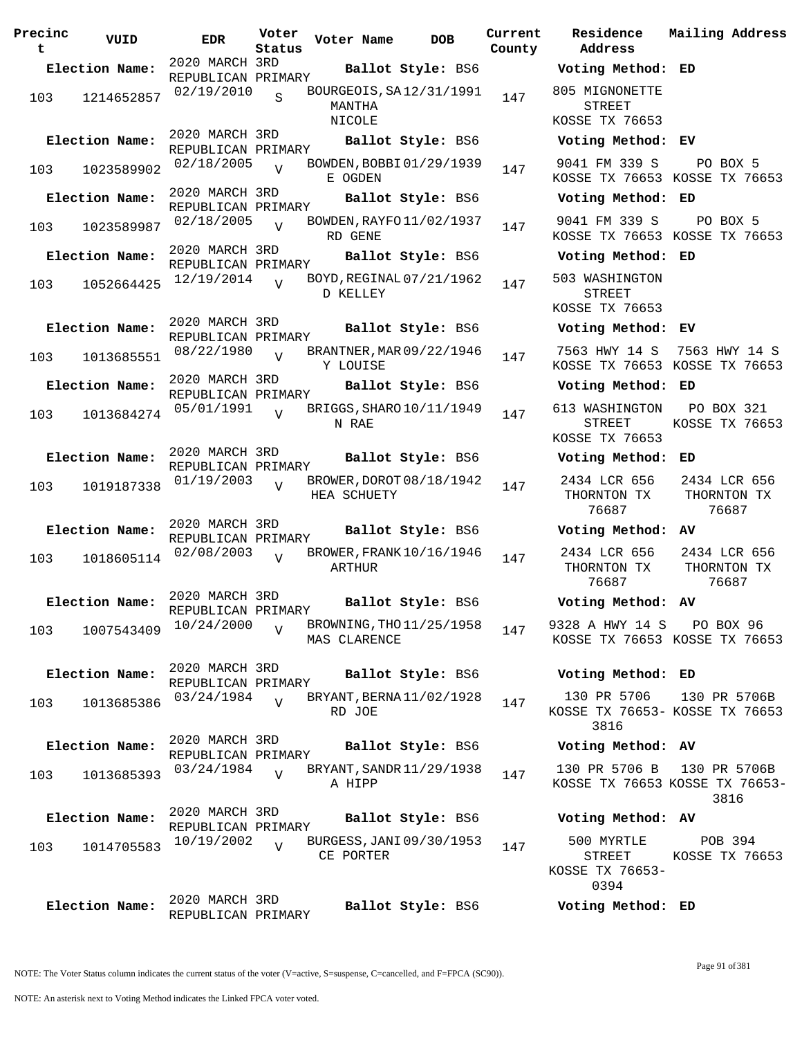| Precinc<br>t | VUID           | <b>EDR</b>                           | Voter<br>Status | Voter Name                                         | <b>DOB</b>               | Current<br>County | Residence<br>Address                              | Mail                |
|--------------|----------------|--------------------------------------|-----------------|----------------------------------------------------|--------------------------|-------------------|---------------------------------------------------|---------------------|
|              | Election Name: | 2020 MARCH 3RD                       |                 |                                                    | Ballot Style: BS6        |                   | Voting Method: ED                                 |                     |
| 103          | 1214652857     | REPUBLICAN PRIMARY<br>02/19/2010     | S               | BOURGEOIS, SA12/31/1991<br>MANTHA<br><b>NICOLE</b> |                          | 147               | 805 MIGNONETTE<br><b>STREET</b><br>KOSSE TX 76653 |                     |
|              | Election Name: | 2020 MARCH 3RD<br>REPUBLICAN PRIMARY |                 |                                                    | Ballot Style: BS6        |                   | Voting Method: EV                                 |                     |
| 103          | 1023589902     | 02/18/2005                           | $\overline{U}$  | BOWDEN, BOBBI01/29/1939<br>E OGDEN                 |                          | 147               | 9041 FM 339 S<br>KOSSE TX 76653 KOS               |                     |
|              | Election Name: | 2020 MARCH 3RD<br>REPUBLICAN PRIMARY |                 |                                                    | Ballot Style: BS6        |                   | Voting Method:                                    | ED                  |
| 103          | 1023589987     | 02/18/2005                           | $\overline{U}$  | BOWDEN, RAYFO 11/02/1937<br>RD GENE                |                          | 147               | 9041 FM 339 S<br>KOSSE TX 76653 KOS               |                     |
|              | Election Name: | 2020 MARCH 3RD<br>REPUBLICAN PRIMARY |                 |                                                    | Ballot Style: BS6        |                   | Voting Method: ED                                 |                     |
| 103          | 1052664425     | 12/19/2014                           |                 | BOYD, REGINAL 07/21/1962<br>D KELLEY               |                          | 147               | 503 WASHINGTON<br><b>STREET</b><br>KOSSE TX 76653 |                     |
|              | Election Name: | 2020 MARCH 3RD<br>REPUBLICAN PRIMARY |                 |                                                    | Ballot Style: BS6        |                   | Voting Method:                                    | ЕV                  |
| 103          | 1013685551     | 08/22/1980                           | $\overline{U}$  | BRANTNER, MAR 09/22/1946<br>Y LOUISE               |                          | 147               | 7563 HWY 14 S<br>KOSSE TX 76653                   | 756<br>KOS          |
|              | Election Name: | 2020 MARCH 3RD<br>REPUBLICAN PRIMARY |                 |                                                    | <b>Ballot Style: BS6</b> |                   | Voting Method:                                    | ED                  |
| 103          | 1013684274     | 05/01/1991                           | $\overline{V}$  | BRIGGS, SHARO 10/11/1949<br>N RAE                  |                          | 147               | 613 WASHINGTON<br><b>STREET</b><br>KOSSE TX 76653 | $\mathbf{P}$<br>KOS |
|              | Election Name: | 2020 MARCH 3RD<br>REPUBLICAN PRIMARY |                 |                                                    | Ballot Style: BS6        |                   | Voting Method:                                    | ED                  |
| 103          | 1019187338     | 01/19/2003                           | $\overline{U}$  | BROWER, DOROT 08/18/1942<br>HEA SCHUETY            |                          | 147               | 2434 LCR 656<br>THORNTON TX<br>76687              | 24<br>Tŀ            |
|              | Election Name: | 2020 MARCH 3RD<br>REPUBLICAN PRIMARY |                 |                                                    | Ballot Style: BS6        |                   | Voting Method:                                    | AV                  |
| 103          | 1018605114     | 02/08/2003                           | $\overline{U}$  | BROWER, FRANK 10/16/1946<br>ARTHUR                 |                          | 147               | 2434 LCR 656<br>THORNTON TX<br>76687              | 24<br>Тŀ            |
|              | Election Name: | 2020 MARCH 3RD<br>REPUBLICAN PRIMARY |                 |                                                    | Ballot Style: BS6        |                   | Voting Method: AV                                 |                     |
| 103          | 1007543409     | 10/24/2000                           | $\overline{V}$  | BROWNING, THO 11/25/1958<br>MAS CLARENCE           |                          | 147               | 9328 A HWY 14 S I<br>KOSSE TX 76653 KOS           |                     |
|              | Election Name: | 2020 MARCH 3RD<br>REPUBLICAN PRIMARY |                 |                                                    | Ballot Style: BS6        |                   | Voting Method: ED                                 |                     |
| 103          | 1013685386     | 03/24/1984                           | $\overline{U}$  | BRYANT, BERNA 11/02/1928<br>RD JOE                 |                          | 147               | 130 PR 5706<br>KOSSE TX 76653- KOS<br>3816        | 13                  |
|              | Election Name: | 2020 MARCH 3RD<br>REPUBLICAN PRIMARY |                 |                                                    | Ballot Style: BS6        |                   | Voting Method: AV                                 |                     |
| 103          | 1013685393     | 03/24/1984                           | $\overline{U}$  | BRYANT, SANDR 11/29/1938<br>A HIPP                 |                          | 147               | 130 PR 5706 B<br>KOSSE TX 76653 KOSS              | 13                  |
|              | Election Name: | 2020 MARCH 3RD<br>REPUBLICAN PRIMARY |                 |                                                    | Ballot Style: BS6        |                   | Voting Method: AV                                 |                     |
| 103          | 1014705583     | 10/19/2002                           | $\overline{V}$  | BURGESS, JANI 09/30/1953<br>CE PORTER              |                          | 147               | 500 MYRTLE<br>STREET<br>KOSSE TX 76653-<br>0394   | KOS                 |
|              | Election Name: | 2020 MARCH 3RD                       |                 |                                                    | Ballot Style: BS6        |                   | Voting Method: ED                                 |                     |

**Voter Name DOB Residence Address Current Mailing Address Election Name: Ballot Style:** BS6 **Voting Method: ED** 805 MIGNONETTE STREET KOSSE TX 76653 **Election Name: Ballot Style:** BS6 **Voting Method: EV** 9041 FM 339 S KOSSE TX 76653 KOSSE TX 76653 PO BOX 5 **Election Name: Ballot Style:** BS6 **Voting Method: ED** 9041 FM 339 S KOSSE TX 76653 KOSSE TX 76653 PO BOX 5 **Election Name: Ballot Style:** BS6 **Voting Method: ED** 503 WASHINGTON STREET KOSSE TX 76653 **Election Name: Ballot Style:** BS6 **Voting Method: EV** 7563 HWY 14 S 7563 HWY 14 S KOSSE TX 76653 KOSSE TX 76653 **Election Name: Ballot Style:** BS6 **Voting Method: ED** 613 WASHINGTON STREET KOSSE TX 76653 PO BOX 321 KOSSE TX 76653 **Election Name: Ballot Style:** BS6 **Voting Method: ED** 2434 LCR 656 THORNTON TX 76687 2434 LCR 656 THORNTON TX 76687 **Election Name: Ballot Style:** BS6 **Voting Method: AV** 2434 LCR 656 THORNTON TX 76687 2434 LCR 656 THORNTON TX 76687 **Election Name: Ballot Style:** BS6 **Voting Method: AV** 9328 A HWY 14 S KOSSE TX 76653 KOSSE TX 76653 PO BOX 96 **Election Name: Ballot Style:** BS6 **Voting Method: ED** 130 PR 5706 KOSSE TX 76653- KOSSE TX 76653 3816 130 PR 5706B **Election Name: Ballot Style:** BS6 **Voting Method: AV** 130 PR 5706 B KOSSE TX 76653 KOSSE TX 76653- 130 PR 5706B 3816 **Election Name: Ballot Style:** BS6 **Voting Method: AV** 500 MYRTLE STREET KOSSE TX 76653- POB 394 KOSSE TX 76653

REPUBLICAN PRIMARY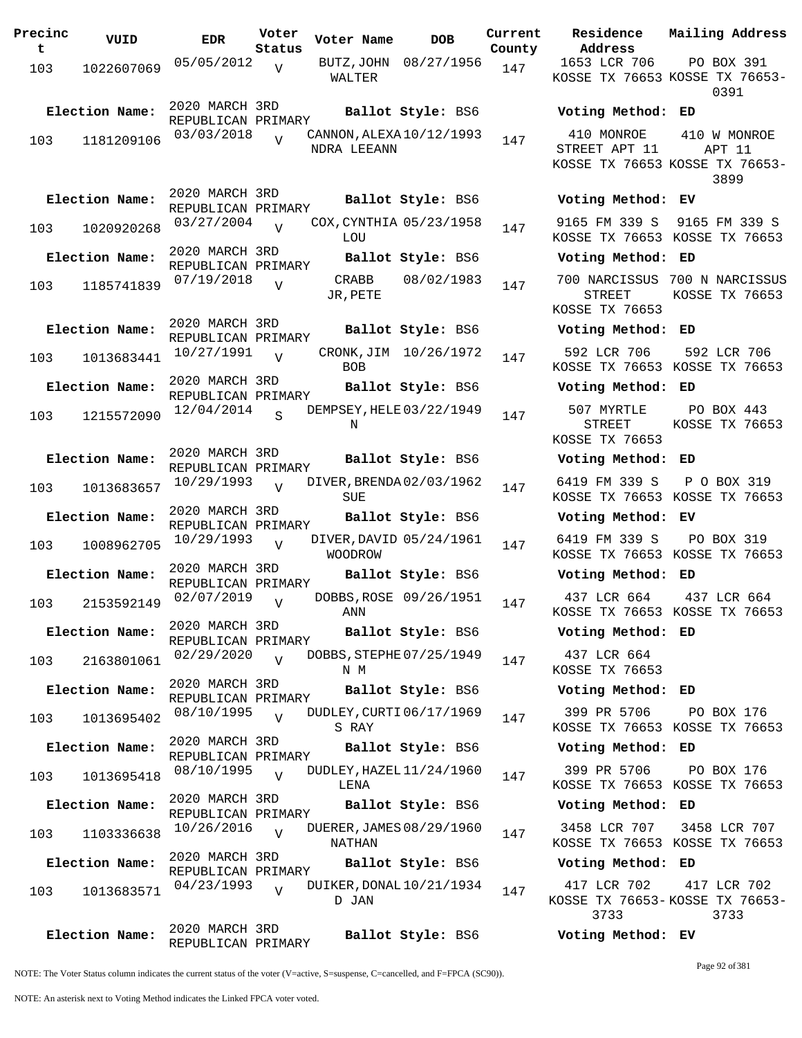| Precinc<br>t | VUID           | <b>EDR</b>                           | Voter<br>Status | Voter Name                              | <b>DOB</b>             | Current<br>County | Residence<br>Address                          | Mail               |
|--------------|----------------|--------------------------------------|-----------------|-----------------------------------------|------------------------|-------------------|-----------------------------------------------|--------------------|
| 103          | 1022607069     | 05/05/2012                           | $\overline{U}$  | BUTZ, JOHN<br>WALTER                    | 08/27/1956             | 147               | 1653 LCR 706<br>KOSSE TX 76653 KOSS           | $\mathbf P$        |
|              | Election Name: | 2020 MARCH 3RD<br>REPUBLICAN PRIMARY |                 |                                         | Ballot Style: BS6      |                   | Voting Method:                                | ED                 |
| 103          | 1181209106     | 03/03/2018                           | $\overline{V}$  | CANNON, ALEXA 10/12/1993<br>NDRA LEEANN |                        | 147               | 410 MONROE<br>STREET APT 11                   | 41                 |
|              |                |                                      |                 |                                         |                        |                   | KOSSE TX 76653 KOSS                           |                    |
|              | Election Name: | 2020 MARCH 3RD<br>REPUBLICAN PRIMARY |                 |                                         | Ballot Style: BS6      |                   | Voting Method: EV                             |                    |
| 103          | 1020920268     | 03/27/2004                           | $\overline{V}$  | COX, CYNTHIA 05/23/1958<br>LOU          |                        | 147               | 9165 FM 339 S<br>KOSSE TX 76653 KOS           | 916                |
|              | Election Name: | 2020 MARCH 3RD<br>REPUBLICAN PRIMARY |                 |                                         | Ballot Style: BS6      |                   | Voting Method:                                | ED                 |
| 103          | 1185741839     | 07/19/2018                           | $\overline{V}$  | CRABB<br>JR, PETE                       | 08/02/1983             | 147               | 700 NARCISSUS<br><b>STREET</b>                | 700<br>KOS         |
|              |                | 2020 MARCH 3RD                       |                 |                                         |                        |                   | KOSSE TX 76653                                |                    |
|              | Election Name: | REPUBLICAN PRIMARY                   |                 |                                         | Ballot Style: BS6      |                   | Voting Method:                                | ED                 |
| 103          | 1013683441     | 10/27/1991                           | $\overline{V}$  | <b>BOB</b>                              | CRONK, JIM 10/26/1972  | 147               | 592 LCR 706<br>KOSSE TX 76653 KOS             | 59                 |
|              | Election Name: | 2020 MARCH 3RD<br>REPUBLICAN PRIMARY |                 |                                         | Ballot Style: BS6      |                   | Voting Method:                                | ED                 |
| 103          | 1215572090     | 12/04/2014                           | $\mathbf S$     | DEMPSEY, HELE 03/22/1949<br>Ν           |                        | 147               | 507 MYRTLE<br><b>STREET</b><br>KOSSE TX 76653 | $\mathbf P$<br>KOS |
|              | Election Name: | 2020 MARCH 3RD                       |                 |                                         | Ballot Style: BS6      |                   | Voting Method:                                | ED                 |
| 103          | 1013683657     | REPUBLICAN PRIMARY<br>10/29/1993     | $\overline{U}$  | DIVER, BRENDA02/03/1962                 |                        | 147               | 6419 FM 339 S                                 | Ρ                  |
|              | Election Name: | 2020 MARCH 3RD                       |                 | SUE                                     | Ballot Style: BS6      |                   | KOSSE TX 76653<br>Voting Method:              | KOS<br>ЕV          |
| 103          | 1008962705     | REPUBLICAN PRIMARY<br>10/29/1993     | $\overline{U}$  | DIVER, DAVID 05/24/1961                 |                        | 147               | 6419 FM 339 S                                 | $\mathbf{P}$       |
|              | Election Name: | 2020 MARCH 3RD                       |                 | <b>WOODROW</b>                          | Ballot Style: BS6      |                   | KOSSE TX 76653 KOS<br>Voting Method:          | ED                 |
| 103          | 2153592149     | REPUBLICAN PRIMARY<br>02/07/2019     | $\overline{V}$  |                                         | DOBBS, ROSE 09/26/1951 | 147               | 437 LCR 664                                   | 4 <sup>3</sup>     |
|              | Election Name: | 2020 MARCH 3RD                       |                 | ANN                                     | Ballot Style: BS6      |                   | KOSSE TX 76653 KOS<br>Voting Method: ED       |                    |
|              |                | REPUBLICAN PRIMARY<br>02/29/2020     | $\overline{V}$  | DOBBS, STEPHE 07/25/1949                |                        |                   | 437 LCR 664                                   |                    |
| 103          | 2163801061     | 2020 MARCH 3RD                       |                 | N M                                     |                        | 147               | KOSSE TX 76653                                |                    |
|              | Election Name: | REPUBLICAN PRIMARY                   |                 |                                         | Ballot Style: BS6      |                   | Voting Method: ED                             |                    |
| 103          | 1013695402     | 08/10/1995                           | $\overline{U}$  | DUDLEY, CURTI 06/17/1969<br>S RAY       |                        | 147               | 399 PR 5706<br>KOSSE TX 76653 KOS             | $\mathbf P$        |
|              | Election Name: | 2020 MARCH 3RD<br>REPUBLICAN PRIMARY |                 |                                         | Ballot Style: BS6      |                   | Voting Method: ED                             |                    |
| 103          | 1013695418     | 08/10/1995                           | $\overline{v}$  | DUDLEY, HAZEL $11/24/1960$<br>LENA      |                        | 147               | 399 PR 5706<br>KOSSE TX 76653 KOS             | P                  |
|              | Election Name: | 2020 MARCH 3RD<br>REPUBLICAN PRIMARY |                 |                                         | Ballot Style: BS6      |                   | Voting Method: ED                             |                    |
| 103          | 1103336638     | 10/26/2016                           | $\overline{V}$  | DUERER, JAMES 08/29/1960<br>NATHAN      |                        | 147               | 3458 LCR 707<br>KOSSE TX 76653 KOS            | 34                 |
|              | Election Name: | 2020 MARCH 3RD<br>REPUBLICAN PRIMARY |                 |                                         | Ballot Style: BS6      |                   | Voting Method: ED                             |                    |
| 103          | 1013683571     | 04/23/1993                           | $\overline{U}$  | DUIKER, DONAL 10/21/1934<br>D JAN       |                        | 147               | 417 LCR 702<br>KOSSE TX 76653-KOSS<br>3733    | 41                 |
|              | Election Name: | 2020 MARCH 3RD                       |                 |                                         | Ballot Style: BS6      |                   | Voting Method: EV                             |                    |

**Voter Name DOB Residence Address Current Mailing Address County** 1653 LCR 706 KOSSE TX 76653 KOSSE TX 76653- PO BOX 391 0391 **Election Name: Ballot Style:** BS6 **Voting Method: ED** 410 MONROE STREET APT 11 KOSSE TX 76653 KOSSE TX 76653- 410 W MONROE APT 11 3899 **Election Name: Ballot Style:** BS6 **Voting Method: EV** 9165 FM 339 S 9165 FM 339 S KOSSE TX 76653 KOSSE TX 76653 **Election Name: Ballot Style:** BS6 **Voting Method: ED** 700 NARCISSUS 700 N NARCISSUS STREET KOSSE TX 76653 KOSSE TX 76653 **Election Name: Ballot Style:** BS6 **Voting Method: ED** 592 LCR 706 KOSSE TX 76653 KOSSE TX 76653 592 LCR 706 **Election Name: Ballot Style:** BS6 **Voting Method: ED** 507 MYRTLE STREET KOSSE TX 76653 PO BOX 443 KOSSE TX 76653 **Election Name: Ballot Style:** BS6 **Voting Method: ED** 6419 FM 339 S KOSSE TX 76653 KOSSE TX 76653 P O BOX 319 **Election Name: Ballot Style:** BS6 **Voting Method: EV** 6419 FM 339 S KOSSE TX 76653 KOSSE TX 76653 PO BOX 319 **Election Name: Ballot Style:** BS6 **Voting Method: ED** 437 LCR 664 KOSSE TX 76653 KOSSE TX 76653 437 LCR 664 **Election Name: Ballot Style:** BS6 **Voting Method: ED** 437 LCR 664 KOSSE TX 76653 **Election Name: Ballot Style:** BS6 **Voting Method: ED** 399 PR 5706 KOSSE TX 76653 KOSSE TX 76653 PO BOX 176 **Election Name: Ballot Style:** BS6 **Voting Method: ED** 399 PR 5706 KOSSE TX 76653 KOSSE TX 76653 PO BOX 176 **Election Name: Ballot Style:** BS6 **Voting Method: ED** 3458 LCR 707 KOSSE TX 76653 KOSSE TX 76653 3458 LCR 707 **Election Name: Ballot Style:** BS6 **Voting Method: ED** 417 LCR 702 KOSSE TX 76653- KOSSE TX 76653- 3733 417 LCR 702 3733

NOTE: The Voter Status column indicates the current status of the voter (V=active, S=suspense, C=cancelled, and F=FPCA (SC90)).

REPUBLICAN PRIMARY

Page 92 of 381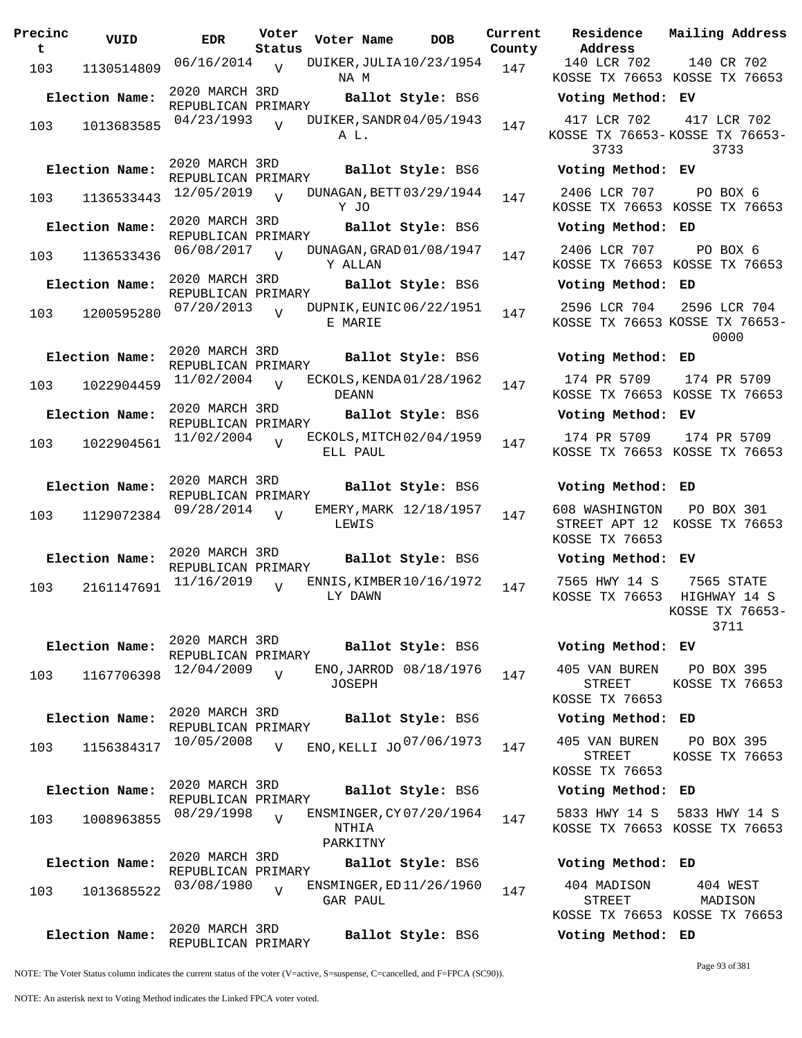| Precinc<br>t | VUID           | <b>EDR</b>                           | Voter<br>Status | Voter Name        | <b>DOB</b>               |     | Current Residence<br>County Address               |
|--------------|----------------|--------------------------------------|-----------------|-------------------|--------------------------|-----|---------------------------------------------------|
| 103          | 1130514809     | $06/16/2014$ V                       |                 | NA M              | DUIKER, JULIA 10/23/1954 | 147 | 140 LCR 702<br>KOSSE TX 76653                     |
|              | Election Name: | 2020 MARCH 3RD<br>REPUBLICAN PRIMARY |                 |                   | Ballot Style: BS6        |     | Voting Method                                     |
| 103          | 1013683585     | 04/23/1993                           | $\overline{V}$  | A L.              | DUIKER, SANDR 04/05/1943 | 147 | 417 LCR 702<br>KOSSE TX 76653<br>3733             |
|              | Election Name: | 2020 MARCH 3RD<br>REPUBLICAN PRIMARY |                 |                   | Ballot Style: BS6        |     | Voting Method                                     |
| 103          | 1136533443     | 12/05/2019                           | $\overline{v}$  | Y JO              | DUNAGAN, BETT 03/29/1944 | 147 | 2406 LCR 707<br>KOSSE TX 76653                    |
|              | Election Name: | 2020 MARCH 3RD<br>REPUBLICAN PRIMARY |                 |                   | Ballot Style: BS6        |     | Voting Method                                     |
| 103          | 1136533436     | 06/08/2017                           | V               | Y ALLAN           | DUNAGAN, GRAD 01/08/1947 | 147 | 2406 LCR 707<br>KOSSE TX 76653                    |
|              | Election Name: | 2020 MARCH 3RD<br>REPUBLICAN PRIMARY |                 |                   | Ballot Style: BS6        |     | Voting Method                                     |
| 103          | 1200595280     | 07/20/2013                           | $\overline{U}$  | E MARIE           | DUPNIK, EUNIC 06/22/1951 | 147 | 2596 LCR 704<br>KOSSE TX 76653                    |
|              | Election Name: | 2020 MARCH 3RD                       |                 |                   | Ballot Style: BS6        |     | Voting Method                                     |
| 103          | 1022904459     | REPUBLICAN PRIMARY<br>11/02/2004     | $\overline{v}$  | DEANN             | ECKOLS, KENDA01/28/1962  | 147 | 174 PR 5709<br>KOSSE TX 76653                     |
|              | Election Name: | 2020 MARCH 3RD                       |                 |                   | Ballot Style: BS6        |     | Voting Method                                     |
| 103          | 1022904561     | REPUBLICAN PRIMARY<br>11/02/2004     | $\overline{U}$  | ELL PAUL          | ECKOLS, MITCH 02/04/1959 | 147 | 174 PR 5709<br>KOSSE TX 76653                     |
|              | Election Name: | 2020 MARCH 3RD<br>REPUBLICAN PRIMARY |                 |                   | Ballot Style: BS6        |     | Voting Method                                     |
| 103          | 1129072384     | 09/28/2014                           | $\overline{V}$  | LEWIS             | EMERY, MARK 12/18/1957   | 147 | 608 WASHINGTON<br>STREET APT 12<br>KOSSE TX 76653 |
|              | Election Name: | 2020 MARCH 3RD<br>REPUBLICAN PRIMARY |                 |                   | Ballot Style: BS6        |     | Voting Method                                     |
| 103          | 2161147691     | 11/16/2019                           | $\overline{U}$  | LY DAWN           | ENNIS, KIMBER 10/16/1972 | 147 | 7565 HWY 14 S<br>KOSSE TX 76653                   |
|              | Election Name: | 2020 MARCH 3RD<br>REPUBLICAN PRIMARY |                 |                   | Ballot Style: BS6        |     | Voting Method                                     |
| 103          | 1167706398     | 12/04/2009                           | $\overline{V}$  | <b>JOSEPH</b>     | ENO, JARROD 08/18/1976   | 147 | 405 VAN BUREN<br>STREET                           |
|              | Election Name: | 2020 MARCH 3RD                       |                 |                   | Ballot Style: BS6        |     | KOSSE TX 76653<br>Voting Method                   |
| 103          | 1156384317     | REPUBLICAN PRIMARY<br>10/05/2008     | V               |                   | ENO, KELLI JO 07/06/1973 | 147 | 405 VAN BUREN                                     |
|              |                |                                      |                 |                   |                          |     | STREET<br>KOSSE TX 76653                          |
|              | Election Name: | 2020 MARCH 3RD<br>REPUBLICAN PRIMARY |                 |                   | Ballot Style: BS6        |     | Voting Method                                     |
| 103          | 1008963855     | 08/29/1998                           | $\overline{U}$  | NTHIA<br>PARKITNY | ENSMINGER, CY 07/20/1964 | 147 | 5833 HWY 14 S<br>KOSSE TX 76653                   |
|              | Election Name: | 2020 MARCH 3RD                       |                 |                   | Ballot Style: BS6        |     | Voting Method                                     |
| 103          | 1013685522     | REPUBLICAN PRIMARY<br>03/08/1980     | $\overline{V}$  | GAR PAUL          | ENSMINGER, ED 11/26/1960 | 147 | 404 MADISON<br>STREET                             |
|              | Election Name: | 2020 MARCH 3RD<br>REPUBLICAN PRIMARY |                 |                   | Ballot Style: BS6        |     | KOSSE TX 76653<br>Voting Method                   |

**Voter Name DOB Residence Address Current Mailing Address** 140 LCR 702 KOSSE TX 76653 KOSSE TX 76653 140 CR 702 **Election Name: Ballot Style:** BS6 **Voting Method: EV** 417 LCR 702 KOSSE TX 76653- KOSSE TX 76653- 3733 417 LCR 702 3733 **Election Name: Ballot Style:** BS6 **Voting Method: EV** 2406 LCR 707 KOSSE TX 76653 KOSSE TX 76653 PO BOX 6 **Election Name: Ballot Style:** BS6 **Voting Method: ED** 2406 LCR 707 KOSSE TX 76653 KOSSE TX 76653 PO BOX 6 **Election Name: Ballot Style:** BS6 **Voting Method: ED** 2596 LCR 704 KOSSE TX 76653 KOSSE TX 76653- 2596 LCR 704 0000 **Election Name: Ballot Style:** BS6 **Voting Method: ED** 174 PR 5709 KOSSE TX 76653 KOSSE TX 76653 174 PR 5709 **Election Name: Ballot Style:** BS6 **Voting Method: EV** 174 PR 5709 KOSSE TX 76653 KOSSE TX 76653 174 PR 5709 **Election Name: Ballot Style:** BS6 **Voting Method: ED** 608 WASHINGTON STREET APT 12 KOSSE TX 76653 KOSSE TX 76653 PO BOX 301 **Election Name: Ballot Style:** BS6 **Voting Method: EV** 7565 HWY 14 S KOSSE TX 76653 HIGHWAY 14 S 7565 STATE KOSSE TX 76653- 3711 **Election Name: Ballot Style:** BS6 **Voting Method: EV** 405 VAN BUREN STREET KOSSE TX 76653 PO BOX 395 KOSSE TX 76653 **Election Name: Ballot Style:** BS6 **Voting Method: ED** STREET KOSSE TX 76653 PO BOX 395 KOSSE TX 76653 **Election Name: Ballot Style:** BS6 **Voting Method: ED** 5833 HWY 14 S 5833 HWY 14 S KOSSE TX 76653 KOSSE TX 76653 **Election Name: Ballot Style:** BS6 **Voting Method: ED** 404 MADISON STREET 404 WEST MADISON

NOTE: The Voter Status column indicates the current status of the voter (V=active, S=suspense, C=cancelled, and F=FPCA (SC90)).

Page 93 of 381

KOSSE TX 76653 KOSSE TX 76653

**Election Name: Ballot Style:** BS6 **Voting Method: ED**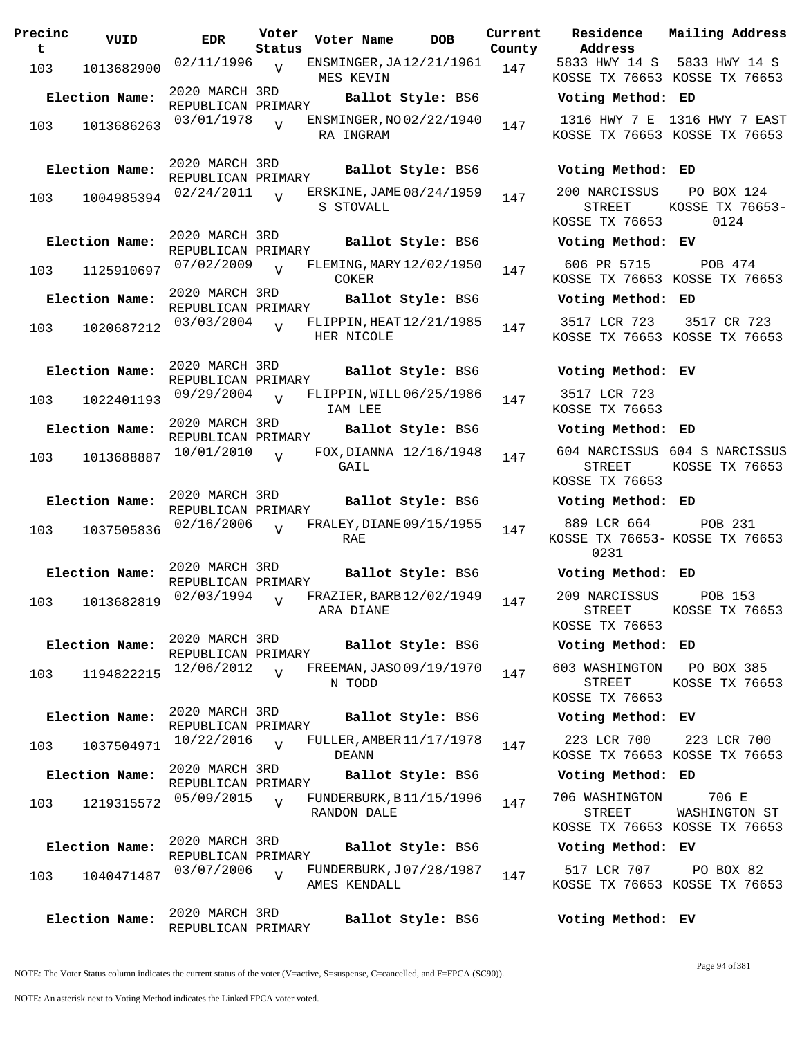| Precinc<br>t | VUID           | <b>EDR</b>                           | Voter<br>Status | Voter Name                               | <b>DOB</b>        | Current<br>County | Residence<br>Address                             | Mai.              |
|--------------|----------------|--------------------------------------|-----------------|------------------------------------------|-------------------|-------------------|--------------------------------------------------|-------------------|
| 103          | 1013682900     | 02/11/1996                           | $\overline{V}$  | ENSMINGER, JA12/21/1961<br>MES KEVIN     |                   | 147               | 5833 HWY 14 S<br>KOSSE TX 76653 KOS              | 58                |
|              | Election Name: | 2020 MARCH 3RD<br>REPUBLICAN PRIMARY |                 |                                          | Ballot Style: BS6 |                   | Voting Method: ED                                |                   |
| 103          | 1013686263     | 03/01/1978                           | $\overline{U}$  | ENSMINGER, NO 02/22/1940<br>RA INGRAM    |                   | 147               | 1316 HWY 7 E<br>KOSSE TX 76653 KOS               | 131               |
|              | Election Name: | 2020 MARCH 3RD<br>REPUBLICAN PRIMARY |                 |                                          | Ballot Style: BS6 |                   | Voting Method: ED                                |                   |
| 103          | 1004985394     | 02/24/2011                           | $\overline{V}$  | ERSKINE, JAME 08/24/1959<br>S STOVALL    |                   | 147               | 200 NARCISSUS<br><b>STREET</b><br>KOSSE TX 76653 | F<br>KOS.         |
|              | Election Name: | 2020 MARCH 3RD<br>REPUBLICAN PRIMARY |                 |                                          | Ballot Style: BS6 |                   | Voting Method: EV                                |                   |
| 103          | 1125910697     | 07/02/2009                           | $\overline{U}$  | FLEMING, MARY 12/02/1950<br>COKER        |                   | 147               | 606 PR 5715<br>KOSSE TX 76653 KOS                |                   |
|              | Election Name: | 2020 MARCH 3RD                       |                 |                                          | Ballot Style: BS6 |                   | Voting Method: ED                                |                   |
| 103          | 1020687212     | REPUBLICAN PRIMARY<br>03/03/2004     | $\overline{U}$  | FLIPPIN, HEAT 12/21/1985<br>HER NICOLE   |                   | 147               | 3517 LCR 723<br>KOSSE TX 76653 KOS               | $\overline{3}$    |
|              | Election Name: | 2020 MARCH 3RD<br>REPUBLICAN PRIMARY |                 |                                          | Ballot Style: BS6 |                   | Voting Method: EV                                |                   |
| 103          | 1022401193     | 09/29/2004                           | $\overline{U}$  | FLIPPIN, WILL 06/25/1986<br>IAM LEE      |                   | 147               | 3517 LCR 723<br>KOSSE TX 76653                   |                   |
|              | Election Name: | 2020 MARCH 3RD<br>REPUBLICAN PRIMARY |                 |                                          | Ballot Style: BS6 |                   | Voting Method: ED                                |                   |
| 103          | 1013688887     | 10/01/2010                           | $\overline{U}$  | FOX, DIANNA 12/16/1948<br>GAIL           |                   | 147               | 604 NARCISSUS<br>STREET<br>KOSSE TX 76653        | 604<br><b>KOS</b> |
|              | Election Name: | 2020 MARCH 3RD                       |                 |                                          | Ballot Style: BS6 |                   | Voting Method: ED                                |                   |
| 103          | 1037505836     | REPUBLICAN PRIMARY<br>02/16/2006     | $\overline{V}$  | FRALEY, DIANE 09/15/1955<br><b>RAE</b>   |                   | 147               | 889 LCR 664<br>KOSSE TX 76653- KOS<br>0231       |                   |
|              | Election Name: | 2020 MARCH 3RD                       |                 |                                          | Ballot Style: BS6 |                   | Voting Method: ED                                |                   |
|              |                | REPUBLICAN PRIMARY<br>02/03/1994     | $\overline{U}$  | FRAZIER, BARB 12/02/1949                 |                   |                   | 209 NARCISSUS                                    |                   |
| 103          | 1013682819     |                                      |                 | ARA DIANE                                |                   | 147               | STREET<br>KOSSE TX 76653                         | KOS               |
|              | Election Name: | 2020 MARCH 3RD<br>REPUBLICAN PRIMARY |                 |                                          | Ballot Style: BS6 |                   | Voting Method: ED                                |                   |
| 103          | 1194822215     | 12/06/2012                           | $\overline{v}$  | FREEMAN, JASO 09/19/1970<br>N TODD       |                   | 147               | 603 WASHINGTON<br>STREET<br>KOSSE TX 76653       | – F<br>KOS        |
|              | Election Name: | 2020 MARCH 3RD<br>REPUBLICAN PRIMARY |                 |                                          | Ballot Style: BS6 |                   | Voting Method: EV                                |                   |
| 103          | 1037504971     | 10/22/2016                           | $\overline{U}$  | FULLER, AMBER 11/17/1978<br><b>DEANN</b> |                   | 147               | 223 LCR 700<br>KOSSE TX 76653 KOS                | $\overline{2}$    |
|              | Election Name: | 2020 MARCH 3RD<br>REPUBLICAN PRIMARY |                 |                                          | Ballot Style: BS6 |                   | Voting Method: ED                                |                   |
| 103          | 1219315572     | 05/09/2015                           | $\overline{V}$  | FUNDERBURK, B11/15/1996<br>RANDON DALE   |                   | 147               | 706 WASHINGTON<br>STREET<br>KOSSE TX 76653 KOS   | WA.               |
|              | Election Name: | 2020 MARCH 3RD                       |                 |                                          | Ballot Style: BS6 |                   | Voting Method: EV                                |                   |
| 103          | 1040471487     | REPUBLICAN PRIMARY<br>03/07/2006     | $\overline{V}$  | FUNDERBURK, J07/28/1987<br>AMES KENDALL  |                   | 147               | 517 LCR 707<br>KOSSE TX 76653 KOS                |                   |
|              | Election Name: | 2020 MARCH 3RD<br>REPUBLICAN PRIMARY |                 |                                          | Ballot Style: BS6 |                   | Voting Method: EV                                |                   |

**Voter Name DOB Residence Current Mailing Address Address County** 5833 HWY 14 S 5833 HWY 14 S KOSSE TX 76653 KOSSE TX 76653 **Election Name: Ballot Style:** BS6 **Voting Method: ED** 1316 HWY 7 E 1316 HWY 7 EAST KOSSE TX 76653 KOSSE TX 76653 **Election Name: Ballot Style:** BS6 **Voting Method: ED** 200 NARCISSUS STREET KOSSE TX 76653 PO BOX 124 KOSSE TX 76653- 0124 **Election Name: Ballot Style:** BS6 **Voting Method: EV** 606 PR 5715 KOSSE TX 76653 KOSSE TX 76653 POB 474 **Election Name: Ballot Style:** BS6 **Voting Method: ED** 3517 LCR 723 KOSSE TX 76653 KOSSE TX 76653 3517 CR 723

### **Election Name: Ballot Style:** BS6 **Voting Method: EV**

#### **Election Name: Ballot Style:** BS6 **Voting Method: ED**

604 NARCISSUS 604 S NARCISSUS STREET KOSSE TX 76653 KOSSE TX 76653

#### **Election Name: Ballot Style:** BS6 **Voting Method: ED**

889 LCR 664 KOSSE TX 76653- KOSSE TX 76653 0231 POB 231

#### **Election Name: Ballot Style:** BS6 **Voting Method: ED**

209 NARCISSUS STREET KOSSE TX 76653 POB 153 KOSSE TX 76653

#### **Election Name: Ballot Style:** BS6 **Voting Method: ED**

603 WASHINGTON PO BOX 385 STREET KOSSE TX 76653 KOSSE TX 76653

## **Election Name: Ballot Style:** BS6 **Voting Method: EV**

223 LCR 700 KOSSE TX 76653 KOSSE TX 76653 223 LCR 700

#### **Election Name: Ballot Style:** BS6 **Voting Method: ED**

706 WASHINGTON STREET KOSSE TX 76653 KOSSE TX 76653 706 E WASHINGTON ST

## **Election Name: Ballot Style:** BS6 **Voting Method: EV**

517 LCR 707 KOSSE TX 76653 KOSSE TX 76653 PO BOX 82

NOTE: The Voter Status column indicates the current status of the voter (V=active, S=suspense, C=cancelled, and F=FPCA (SC90)).

Page 94 of 381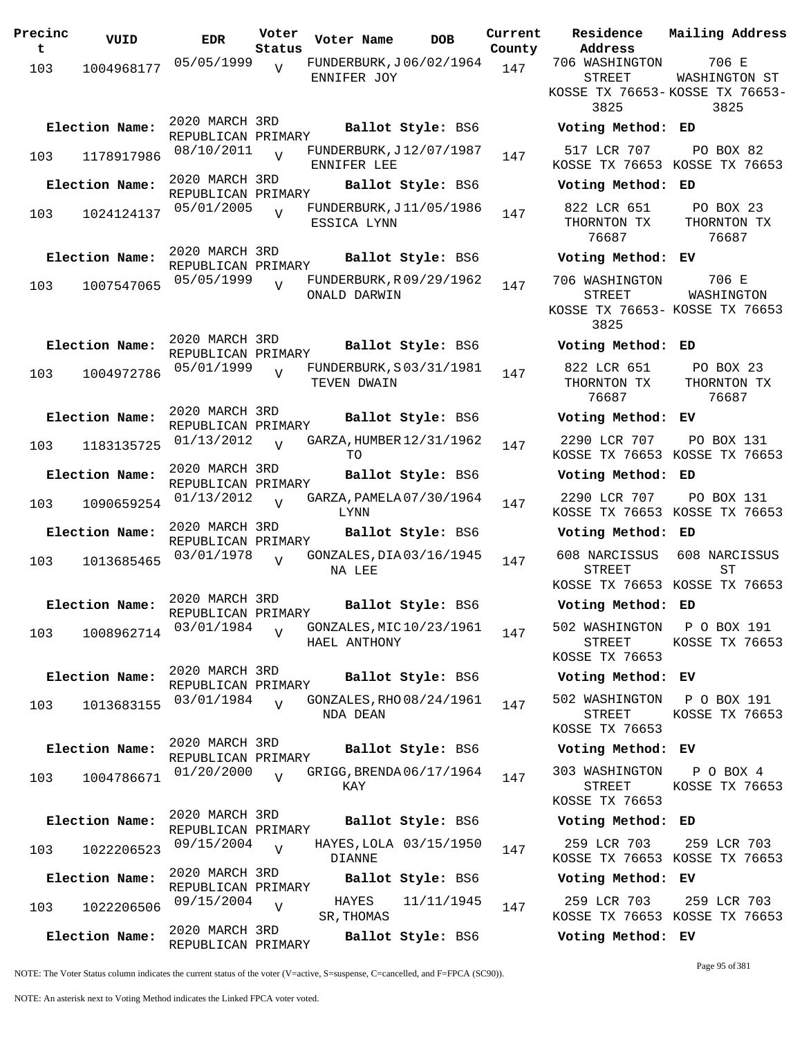| Precinc<br>t | VUID           | <b>EDR</b>                           | Voter<br>Status | Voter Name                              | DOB                    | Curre<br>Count |
|--------------|----------------|--------------------------------------|-----------------|-----------------------------------------|------------------------|----------------|
| 103          | 1004968177     | 05/05/1999                           | $\overline{V}$  | FUNDERBURK, J06/02/1964<br>ENNIFER JOY  |                        | 147            |
|              | Election Name: | 2020 MARCH 3RD<br>REPUBLICAN PRIMARY |                 |                                         | Ballot Style: BS6      |                |
| 103          | 1178917986     | 08/10/2011                           | $\overline{U}$  | FUNDERBURK, J12/07/1987<br>ENNIFER LEE  |                        | 147            |
|              | Election Name: | 2020 MARCH 3RD<br>REPUBLICAN PRIMARY |                 |                                         | Ballot Style: BS6      |                |
| 103          | 1024124137     | 05/01/2005                           | $\overline{V}$  | FUNDERBURK, J11/05/1986<br>ESSICA LYNN  |                        | 147            |
|              | Election Name: | 2020 MARCH 3RD<br>REPUBLICAN PRIMARY |                 |                                         | Ballot Style: BS6      |                |
| 103          | 1007547065     | 05/05/1999                           | $\overline{V}$  | FUNDERBURK, R09/29/1962<br>ONALD DARWIN |                        | 147            |
|              | Election Name: | 2020 MARCH 3RD<br>REPUBLICAN PRIMARY |                 |                                         | Ballot Style: BS6      |                |
| 103          | 1004972786     | 05/01/1999                           | $\overline{V}$  | FUNDERBURK, S03/31/1981<br>TEVEN DWAIN  |                        | 147            |
|              | Election Name: | 2020 MARCH 3RD<br>REPUBLICAN PRIMARY |                 |                                         | Ballot Style: BS6      |                |
| 103          | 1183135725     | 01/13/2012                           | $\overline{U}$  | GARZA, HUMBER 12/31/1962<br>TО          |                        | 147            |
|              | Election Name: | 2020 MARCH 3RD<br>REPUBLICAN PRIMARY |                 |                                         | Ballot Style: BS6      |                |
| 103          | 1090659254     | 01/13/2012                           | $\overline{V}$  | GARZA, PAMELA 07/30/1964<br>LYNN        |                        | 147            |
|              | Election Name: | 2020 MARCH 3RD<br>REPUBLICAN PRIMARY |                 |                                         | Ballot Style: BS6      |                |
| 103          | 1013685465     | 03/01/1978                           | $\overline{V}$  | GONZALES, DIA 03/16/1945<br>NA LEE      |                        | 147            |
|              | Election Name: | 2020 MARCH 3RD<br>REPUBLICAN PRIMARY |                 |                                         | Ballot Style: BS6      |                |
| 103          | 1008962714     | 03/01/1984                           | V               | GONZALES, MIC10/23/1961<br>HAEL ANTHONY |                        | 147            |
|              | Election Name: | 2020 MARCH 3RD<br>REPUBLICAN PRIMARY |                 |                                         | Ballot Style: BS6      |                |
| 103          | 1013683155     | 03/01/1984                           | $\overline{U}$  | GONZALES, RHO 08/24/1961<br>NDA DEAN    |                        | 147            |
|              | Election Name: | 2020 MARCH 3RD<br>REPUBLICAN PRIMARY |                 |                                         | Ballot Style: BS6      |                |
| 103          | 1004786671     | 01/20/2000                           | $\overline{U}$  | GRIGG, BRENDA06/17/1964<br>KAY          |                        | 147            |
|              | Election Name: | 2020 MARCH 3RD<br>REPUBLICAN PRIMARY |                 |                                         | Ballot Style: BS6      |                |
| 103          | 1022206523     | 09/15/2004                           | $\overline{V}$  | DIANNE                                  | HAYES, LOLA 03/15/1950 | 147            |
|              | Election Name: | 2020 MARCH 3RD<br>REPUBLICAN PRIMARY |                 |                                         | Ballot Style: BS6      |                |
| 103          | 1022206506     | 09/15/2004                           | $\overline{V}$  | HAYES<br>SR, THOMAS                     | 11/11/1945             | 147            |
|              | Election Name: | 2020 MARCH 3RD<br>REPUBLICAN PRIMARY |                 |                                         | Ballot Style: BS6      |                |

**Voter Name DOB Residence Address Current Mailing Address County** 706 WASHINGTON STREET KOSSE TX 76653- KOSSE TX 76653- 3825 706 E WASHINGTON ST 3825 **Election Name: Ballot Style:** BS6 **Voting Method: ED** 517 LCR 707 KOSSE TX 76653 KOSSE TX 76653 PO BOX 82 **Election Name: Ballot Style:** BS6 **Voting Method: ED** 822 LCR 651 THORNTON TX 76687 PO BOX 23 THORNTON TX 76687 **Election Name: Ballot Style:** BS6 **Voting Method: EV** 706 WASHINGTON STREET KOSSE TX 76653- KOSSE TX 76653 3825 706 E WASHINGTON **Election Name: Ballot Style:** BS6 **Voting Method: ED** 822 LCR 651 THORNTON TX 76687 PO BOX 23 THORNTON TX 76687 **Election Name: Ballot Style:** BS6 **Voting Method: EV** 2290 LCR 707 KOSSE TX 76653 KOSSE TX 76653 PO BOX 131 **Election Name: Ballot Style:** BS6 **Voting Method: ED** 2290 LCR 707 KOSSE TX 76653 KOSSE TX 76653 PO BOX 131 **Election Name: Ballot Style:** BS6 **Voting Method: ED** 608 NARCISSUS 608 NARCISSUS STREET KOSSE TX 76653 KOSSE TX 76653 ST **Election Name: Ballot Style:** BS6 **Voting Method: ED** 502 WASHINGTON STREET KOSSE TX 76653 P O BOX 191 KOSSE TX 76653 **Election Name: Ballot Style:** BS6 **Voting Method: EV** 502 WASHINGTON STREET KOSSE TX 76653 P O BOX 191 KOSSE TX 76653 **Election Name: Ballot Style:** BS6 **Voting Method: EV** 303 WASHINGTON STREET KOSSE TX 76653 P O BOX 4 KOSSE TX 76653 **Election Name: Ballot Style:** BS6 **Voting Method: ED** 259 LCR 703 KOSSE TX 76653 KOSSE TX 76653 259 LCR 703 **Election Name: Ballot Style:** BS6 **Voting Method: EV** 259 LCR 703 KOSSE TX 76653 KOSSE TX 76653 259 LCR 703

NOTE: The Voter Status column indicates the current status of the voter (V=active, S=suspense, C=cancelled, and F=FPCA (SC90)).

Page 95 of 381

**Election Name: Ballot Style:** BS6 **Voting Method: EV**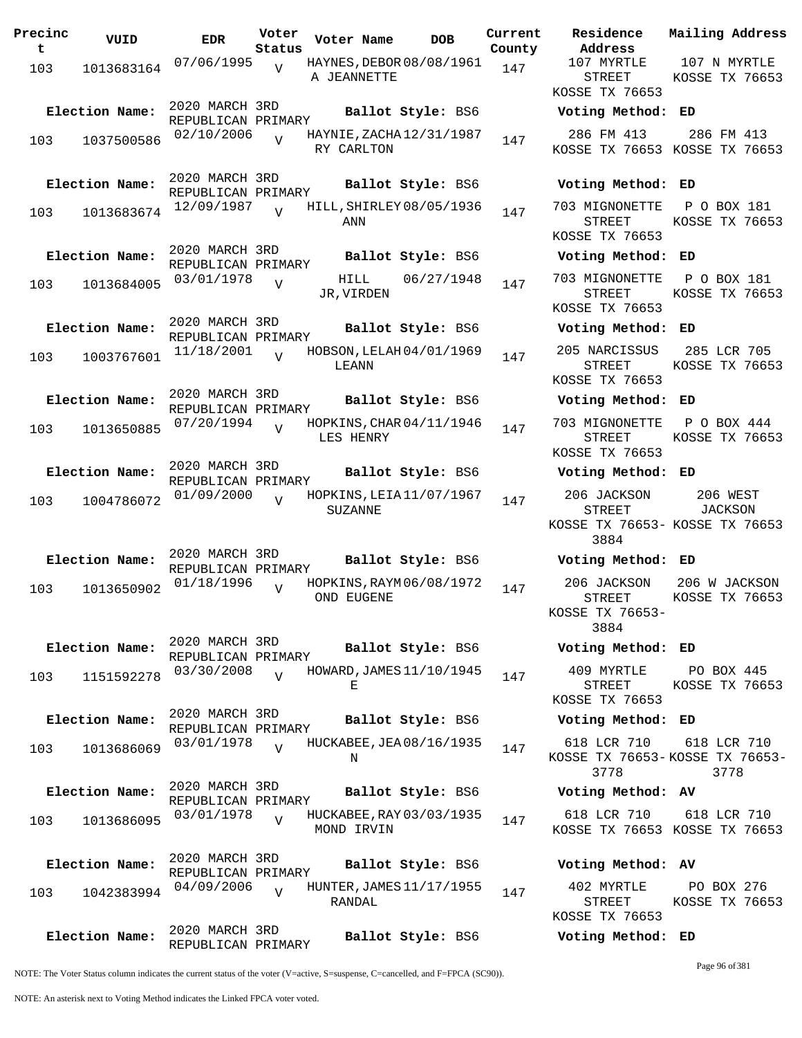| Precinc<br>t | VUID           | <b>EDR</b>                                  | Voter<br>Status | Voter Name                                 | <b>DOB</b>        | Current<br>County | Residence<br>Address                                        | Mai:                |
|--------------|----------------|---------------------------------------------|-----------------|--------------------------------------------|-------------------|-------------------|-------------------------------------------------------------|---------------------|
| 103          | 1013683164     | 07/06/1995                                  | $\overline{V}$  | HAYNES, DEBOR 08/08/1961<br>A JEANNETTE    |                   | 147               | 107 MYRTLE<br><b>STREET</b><br>KOSSE TX 76653               | 10<br>KOS           |
|              | Election Name: | 2020 MARCH 3RD<br>REPUBLICAN PRIMARY        |                 |                                            | Ballot Style: BS6 |                   | Voting Method:                                              | ED                  |
| 103          | 1037500586     | 02/10/2006                                  | $\overline{U}$  | HAYNIE, ZACHA 12/31/1987<br>RY CARLTON     |                   | 147               | 286 FM 413<br>KOSSE TX 76653 KOS                            | $\overline{2}$      |
|              | Election Name: | 2020 MARCH 3RD<br>REPUBLICAN PRIMARY        |                 |                                            | Ballot Style: BS6 |                   | Voting Method:                                              | ED                  |
| 103          | 1013683674     | 12/09/1987                                  |                 | HILL, SHIRLEY 08/05/1936<br>ANN            |                   | 147               | 703 MIGNONETTE<br>STREET<br>KOSSE TX 76653                  | $\mathbf P$<br>KOS  |
|              | Election Name: | 2020 MARCH 3RD<br>REPUBLICAN PRIMARY        |                 |                                            | Ballot Style: BS6 |                   | Voting Method:                                              | ED                  |
| 103          | 1013684005     | 03/01/1978                                  | $\overline{V}$  | HILL<br>JR, VIRDEN                         | 06/27/1948        | 147               | 703 MIGNONETTE<br><b>STREET</b><br>KOSSE TX 76653           | $\, {\bf P}$<br>KOS |
|              | Election Name: | 2020 MARCH 3RD<br>REPUBLICAN PRIMARY        |                 |                                            | Ballot Style: BS6 |                   | Voting Method:                                              | ED                  |
| 103          | 1003767601     | 11/18/2001                                  | $\overline{z}$  | HOBSON, LELAH 04/01/1969<br>LEANN          |                   | 147               | 205 NARCISSUS<br>STREET<br>KOSSE TX 76653                   | 28<br>KOS           |
|              | Election Name: | 2020 MARCH 3RD<br>REPUBLICAN PRIMARY        |                 |                                            | Ballot Style: BS6 |                   | Voting Method:                                              | ED                  |
| 103          | 1013650885     | 07/20/1994                                  | $\overline{V}$  | HOPKINS, CHAR 04/11/1946<br>LES HENRY      |                   | 147               | 703 MIGNONETTE<br>STREET<br>KOSSE TX 76653                  | P<br>KOS            |
|              | Election Name: | 2020 MARCH 3RD<br>REPUBLICAN PRIMARY        |                 |                                            | Ballot Style: BS6 |                   | Voting Method:                                              | ED                  |
| 103          | 1004786072     | 01/09/2000                                  | $\overline{z}$  | HOPKINS, LEIA 11/07/1967<br><b>SUZANNE</b> |                   | 147               | 206 JACKSON<br><b>STREET</b><br>KOSSE TX 76653- KOS<br>3884 |                     |
|              | Election Name: | 2020 MARCH 3RD<br>REPUBLICAN PRIMARY        |                 |                                            | Ballot Style: BS6 |                   | Voting Method: ED                                           |                     |
| 103          | 1013650902     | 01/18/1996                                  | $\overline{U}$  | HOPKINS, RAYM 06/08/1972<br>OND EUGENE     |                   | 147               | 206 JACKSON<br><b>STREET</b><br>KOSSE TX 76653-<br>3884     | 206<br>KOS          |
|              | Election Name: | 2020 MARCH 3RD<br>REPUBLICAN PRIMARY        |                 |                                            | Ballot Style: BS6 |                   | Voting Method: ED                                           |                     |
| 103          | 1151592278     | 03/30/2008                                  | $\overline{z}$  | HOWARD, JAMES 11/10/1945<br>Е              |                   | 147               | 409 MYRTLE<br>STREET<br>KOSSE TX 76653                      | $\mathbf P$<br>KOS  |
|              | Election Name: | 2020 MARCH 3RD<br>REPUBLICAN PRIMARY        |                 |                                            | Ballot Style: BS6 |                   | Voting Method: ED                                           |                     |
| 103          | 1013686069     | 03/01/1978                                  |                 | HUCKABEE, JEA 08/16/1935<br>Ν              |                   | 147               | 618 LCR 710<br>KOSSE TX 76653-KOSS<br>3778                  | 6 <sup>2</sup>      |
|              | Election Name: | 2020 MARCH 3RD<br>REPUBLICAN PRIMARY        |                 |                                            | Ballot Style: BS6 |                   | Voting Method: AV                                           |                     |
| 103          | 1013686095     | 03/01/1978                                  | $\overline{U}$  | HUCKABEE, RAY 03/03/1935<br>MOND IRVIN     |                   | 147               | 618 LCR 710<br>KOSSE TX 76653 KOS                           | - 61                |
|              | Election Name: | 2020 MARCH 3RD<br>REPUBLICAN PRIMARY        |                 |                                            | Ballot Style: BS6 |                   | Voting Method: AV                                           |                     |
| 103          | 1042383994     | 04/09/2006                                  | $\overline{V}$  | HUNTER, JAMES 11/17/1955<br>RANDAL         |                   | 147               | 402 MYRTLE<br>STREET<br>KOSSE TX 76653                      | P<br>KOS            |
|              | Election Name: | 2020 MARCH 3RD<br>עת גאוד תם נוגמד זהוות הם |                 |                                            | Ballot Style: BS6 |                   | Voting Method: ED                                           |                     |

**Voter Name DOB Residence Address Current Mailing Address** 107 MYRTLE STREET KOSSE TX 76653 107 N MYRTLE KOSSE TX 76653 **Election Name: Ballot Style:** BS6 **Voting Method: ED** 286 FM 413 KOSSE TX 76653 KOSSE TX 76653 286 FM 413 **Election Name: Ballot Style:** BS6 **Voting Method: ED** 703 MIGNONETTE P O BOX 181 STREET KOSSE TX 76653 KOSSE TX 76653 **Election Name: Ballot Style:** BS6 **Voting Method: ED** 703 MIGNONETTE P O BOX 181 STREET KOSSE TX 76653 KOSSE TX 76653 **Election Name: Ballot Style:** BS6 **Voting Method: ED** 205 NARCISSUS STREET KOSSE TX 76653 285 LCR 705 KOSSE TX 76653 **Election Name: Ballot Style:** BS6 **Voting Method: ED** 703 MIGNONETTE P O BOX 444 STREET KOSSE TX 76653 KOSSE TX 76653 **Election Name: Ballot Style:** BS6 **Voting Method: ED** 206 JACKSON STREET KOSSE TX 76653- KOSSE TX 76653 3884 206 WEST JACKSON **Election Name: Ballot Style:** BS6 **Voting Method: ED** 206 JACKSON STREET KOSSE TX 76653- 3884 206 W JACKSON KOSSE TX 76653 **Election Name: Ballot Style:** BS6 **Voting Method: ED** 409 MYRTLE STREET KOSSE TX 76653 PO BOX 445 KOSSE TX 76653 **Election Name: Ballot Style:** BS6 **Voting Method: ED** 618 LCR 710 KOSSE TX 76653- KOSSE TX 76653- 3778 618 LCR 710 3778 **Election Name: Ballot Style:** BS6 **Voting Method: AV** 618 LCR 710 KOSSE TX 76653 KOSSE TX 76653 618 LCR 710

| Voting Method: AV |                |  |
|-------------------|----------------|--|
| 402 MYRTLE        | PO BOX 276     |  |
| STREET            | KOSSE TX 76653 |  |
| KOSSE TX 76653    |                |  |

NOTE: The Voter Status column indicates the current status of the voter (V=active, S=suspense, C=cancelled, and F=FPCA (SC90)).

REPUBLICAN PRIMARY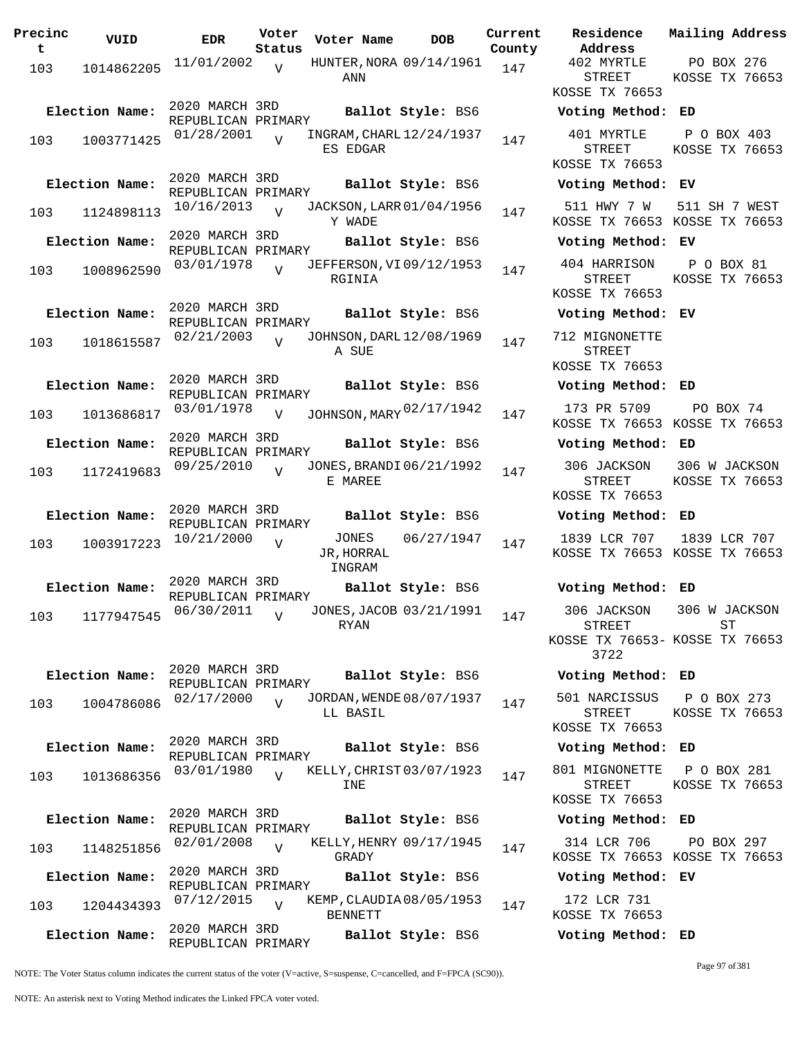**Precinc t VUID EDR Voter Status Voter Name bob Current Residence County** 103 1014862205 11/01/2002 **ANN**  $\overline{v}$ HUNTER, NORA 09/14/1961 147 2020 MARCH 3RD REPUBLICAN PRIMARY<br>01/28/2001 1 **Election Name: Ballot Style:** BS6 **Voting Method: ED** 103 1003771425  $01/28/2001$  UNGRAM, CHARL 12/24/1937 147 ES EDGAR  $\overline{V}$ 2020 MARCH 3RD REPUBLICAN PRIMARY **Election Name: Ballot Style:** BS6 **Voting Method: EV** 103 1124898113 <sup>10/16/2013</sup> v JACKSON, LARR 01/04/1956 147 Y WADE  $\overline{v}$ 2020 MARCH 3RD REPUBLICAN PRIMARY **Election Name: Ballot Style:** BS6 **Voting Method: EV** <sup>103</sup> JEFFERSON,VI 03/01/1978 <sup>1008962590</sup> <sup>147</sup> 09/12/1953 RGINIA  $\overline{V}$ 2020 MARCH 3RD REPUBLICAN PRIMARY **Election Name: Ballot Style:** BS6 **Voting Method: EV** 103 1018615587 <sup>02/21/2003</sup> v JOHNSON, DARL 12/08/1969 147 A SUE  $\overline{V}$ 2020 MARCH 3RD REPUBLICAN PRIMARY **Election Name: Ballot Style:** BS6 **Voting Method: ED** 103 1013686817 <sup>03/01/1978</sup> v JOHNSON,MARY <sup>02/17/1942</sup> 147 173 PR 5709  $\overline{v}$ 2020 MARCH 3RD REPUBLICAN PRIMARY **Election Name: Ballot Style:** BS6 **Voting Method: ED** 103 1172419683 <sup>09/25/2010</sup> v JONES, BRANDI 06/21/1992 147 E MAREE V 2020 MARCH 3RD REPUBLICAN PRIMARY **Election Name: Ballot Style:** BS6 **Voting Method: ED**  $103 \t 1003917223 \t 10/21/2000 \t V \t JONES \t 06/27/1947 \t 147$ JR,HORRAL INGRAM V 2020 MARCH 3RD REPUBLICAN PRIMARY **Election Name: Ballot Style:** BS6 **Voting Method: ED** 103 1177947545 06/30/2011 RYAN  $\overline{V}$ JONES, JACOB 03/21/1991 147 2020 MARCH 3RD REPUBLICAN PRIMARY **Election Name: Ballot Style:** BS6 **Voting Method: ED** 103 1004786086 <sup>02/17/2000</sup> v JORDAN, WENDE 08/07/1937 147 LL BASIL  $\overline{v}$ 2020 MARCH 3RD REPUBLICAN PRIMARY **Election Name: Ballot Style:** BS6 **Voting Method: ED** <sup>103</sup> KELLY,CHRIST 03/01/1980 <sup>1013686356</sup> <sup>147</sup> 03/07/1923 INE  $\overline{V}$ 2020 MARCH 3RD REPUBLICAN PRIMARY **Election Name: Ballot Style:** BS6 **Voting Method: ED** 103 1148251856 02/01/2008 GRADY  $\overline{V}$ KELLY, HENRY 09/17/1945 147 2020 MARCH 3RD REPUBLICAN PRIMARY **Election Name: Ballot Style:** BS6 **Voting Method: EV** <sup>103</sup> KEMP,CLAUDIA 07/12/2015 <sup>1204434393</sup> <sup>147</sup> 08/05/1953 BENNETT  $\overline{V}$ 2020 MARCH 3RD REPUBLICAN PRIMARY **Election Name: Ballot Style:** BS6 **Voting Method: ED**

**Address Current Mailing Address** 402 MYRTLE STREET KOSSE TX 76653 PO BOX 276 KOSSE TX 76653 401 MYRTLE STREET KOSSE TX 76653 P O BOX 403 KOSSE TX 76653 511 HWY 7 W KOSSE TX 76653 KOSSE TX 76653 511 SH 7 WEST 404 HARRISON STREET KOSSE TX 76653 P O BOX 81 KOSSE TX 76653 712 MIGNONETTE STREET KOSSE TX 76653 KOSSE TX 76653 KOSSE TX 76653 PO BOX 74 306 JACKSON STREET KOSSE TX 76653 306 W JACKSON KOSSE TX 76653 1839 LCR 707 KOSSE TX 76653 KOSSE TX 76653 1839 LCR 707 306 JACKSON STREET KOSSE TX 76653- KOSSE TX 76653 3722 306 W JACKSON ST 501 NARCISSUS STREET KOSSE TX 76653 P O BOX 273 KOSSE TX 76653 801 MIGNONETTE STREET KOSSE TX 76653 P O BOX 281 KOSSE TX 76653 314 LCR 706 KOSSE TX 76653 KOSSE TX 76653 PO BOX 297

172 LCR 731 KOSSE TX 76653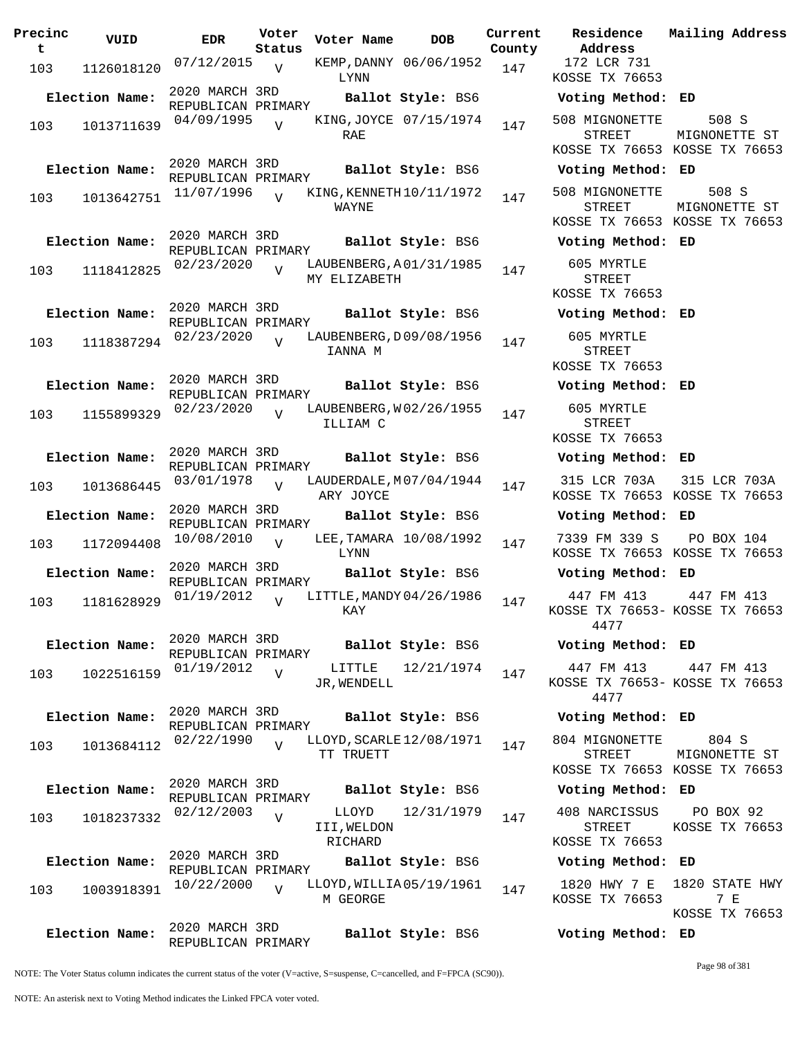| Precinc<br>t | VUID           | <b>EDR</b>                           | Voter<br>Status | Voter Name                              | <b>DOB</b>             | Current<br>County | Residence<br>Address                          |
|--------------|----------------|--------------------------------------|-----------------|-----------------------------------------|------------------------|-------------------|-----------------------------------------------|
| 103          | 1126018120     | $07/12/2015$ V                       |                 | LYNN                                    | KEMP, DANNY 06/06/1952 | 147               | 172 LCR 731<br>KOSSE TX 766                   |
|              | Election Name: | 2020 MARCH 3RD<br>REPUBLICAN PRIMARY |                 |                                         | Ballot Style: BS6      |                   | Voting Metho                                  |
| 103          | 1013711639     | 04/09/1995                           | $\overline{U}$  | RAE                                     | KING, JOYCE 07/15/1974 | 147               | 508 MIGNONET<br>STREET<br>KOSSE TX 766        |
|              | Election Name: | 2020 MARCH 3RD<br>REPUBLICAN PRIMARY |                 |                                         | Ballot Style: BS6      |                   | Voting Metho                                  |
| 103          | 1013642751     | 11/07/1996                           | $\overline{V}$  | KING, KENNETH 10/11/1972<br>WAYNE       |                        | 147               | 508 MIGNONET<br><b>STREET</b><br>KOSSE TX 766 |
|              | Election Name: | 2020 MARCH 3RD<br>REPUBLICAN PRIMARY |                 |                                         | Ballot Style: BS6      |                   | Voting Metho                                  |
| 103          | 1118412825     | 02/23/2020                           | $\overline{V}$  | LAUBENBERG, A01/31/1985<br>MY ELIZABETH |                        | 147               | 605 MYRTLE<br>STREET<br>KOSSE TX 766          |
|              | Election Name: | 2020 MARCH 3RD<br>REPUBLICAN PRIMARY |                 |                                         | Ballot Style: BS6      |                   | Voting Metho                                  |
| 103          | 1118387294     | 02/23/2020                           | $\overline{V}$  | LAUBENBERG, D09/08/1956<br>IANNA M      |                        | 147               | 605 MYRTLE<br><b>STREET</b><br>KOSSE TX 766   |
|              | Election Name: | 2020 MARCH 3RD<br>REPUBLICAN PRIMARY |                 |                                         | Ballot Style: BS6      |                   | Voting Metho                                  |
| 103          | 1155899329     | 02/23/2020                           | $\overline{U}$  | LAUBENBERG, W02/26/1955<br>ILLIAM C     |                        | 147               | 605 MYRTLE<br>STREET<br>KOSSE TX 766          |
|              | Election Name: | 2020 MARCH 3RD<br>REPUBLICAN PRIMARY |                 |                                         | Ballot Style: BS6      |                   | Voting Metho                                  |
| 103          | 1013686445     | 03/01/1978                           | $\overline{U}$  | LAUDERDALE, M07/04/1944<br>ARY JOYCE    |                        | 147               | 315 LCR 703.<br>KOSSE TX 766                  |
|              | Election Name: | 2020 MARCH 3RD<br>REPUBLICAN PRIMARY |                 |                                         | Ballot Style: BS6      |                   | Voting Metho                                  |
| 103          | 1172094408     | 10/08/2010                           | $\overline{V}$  | LYNN                                    | LEE, TAMARA 10/08/1992 | 147               | 7339 FM 339<br>KOSSE TX 766                   |
|              | Election Name: | 2020 MARCH 3RD<br>REPUBLICAN PRIMARY |                 |                                         | Ballot Style: BS6      |                   | Voting Metho                                  |
| 103          | 1181628929     | 01/19/2012                           | $\overline{V}$  | LITTLE, MANDY 04/26/1986<br>KAY         |                        | 147               | 447 FM 413<br>KOSSE TX 7665<br>4477           |
|              | Election Name: | 2020 MARCH 3RD<br>REPUBLICAN PRIMARY |                 |                                         | Ballot Style: BS6      |                   | Voting Metho                                  |
| 103          | 1022516159     | 01/19/2012                           | V               | LITTLE<br>JR, WENDELL                   | 12/21/1974             | 147               | 447 FM 413<br>KOSSE TX 7665<br>4477           |
|              | Election Name: | 2020 MARCH 3RD<br>REPUBLICAN PRIMARY |                 |                                         | Ballot Style: BS6      |                   | Voting Metho                                  |
| 103          | 1013684112     | 02/22/1990                           | $\overline{V}$  | LLOYD, SCARLE 12/08/1971<br>TT TRUETT   |                        | 147               | 804 MIGNONET<br>STREET                        |
|              | Election Name: | 2020 MARCH 3RD                       |                 |                                         | Ballot Style: BS6      |                   | KOSSE TX 766<br>Voting Metho                  |
| 103          | 1018237332     | REPUBLICAN PRIMARY<br>02/12/2003     | $\overline{V}$  | LLOYD<br>III, WELDON                    | 12/31/1979             | 147               | 408 NARCISSU<br>STREET                        |
|              |                | 2020 MARCH 3RD                       |                 | RICHARD                                 |                        |                   | KOSSE TX 766                                  |
|              | Election Name: | REPUBLICAN PRIMARY                   |                 |                                         | Ballot Style: BS6      |                   | Voting Metho                                  |
| 103          | 1003918391     | 10/22/2000                           | $\overline{V}$  | LLOYD, WILLIA05/19/1961<br>M GEORGE     |                        | 147               | 1820 HWY 7<br>KOSSE TX 766                    |
|              | Election Name: | 2020 MARCH 3RD<br>REPUBLICAN PRIMARY |                 |                                         | Ballot Style: BS6      |                   | Voting Metho                                  |

172 LCR 731 KOSSE TX 76653 **Election Name: Ballot Style:** BS6 **Voting Method: ED** 508 MIGNONETTE STREET KOSSE TX 76653 KOSSE TX 76653 508 S MIGNONETTE ST **Election Name: Ballot Style:** BS6 **Voting Method: ED** 508 MIGNONETTE STREET KOSSE TX 76653 KOSSE TX 76653 508 S MIGNONETTE ST **Election Name: Ballot Style:** BS6 **Voting Method: ED** 605 MYRTLE STREET KOSSE TX 76653 **Election Name: Ballot Style:** BS6 **Voting Method: ED** 605 MYRTLE STREET KOSSE TX 76653 **Election Name: Ballot Style:** BS6 **Voting Method: ED** 605 MYRTLE STREET KOSSE TX 76653 **Election Name: Ballot Style:** BS6 **Voting Method: ED** 315 LCR 703A KOSSE TX 76653 KOSSE TX 76653 315 LCR 703A **Election Name: Ballot Style:** BS6 **Voting Method: ED** 7339 FM 339 S KOSSE TX 76653 KOSSE TX 76653 PO BOX 104 **Election Name: Ballot Style:** BS6 **Voting Method: ED** 447 FM 413 KOSSE TX 76653- KOSSE TX 76653 4477 447 FM 413 **Election Name: Ballot Style:** BS6 **Voting Method: ED** 447 FM 413 KOSSE TX 76653- KOSSE TX 76653 4477 447 FM 413 **Election Name: Ballot Style:** BS6 **Voting Method: ED** 804 MIGNONETTE STREET KOSSE TX 76653 KOSSE TX 76653 804 S MIGNONETTE ST **Election Name: Ballot Style:** BS6 **Voting Method: ED** 408 NARCISSUS STREET KOSSE TX 76653 PO BOX 92 KOSSE TX 76653 **Election Name: Ballot Style:** BS6 **Voting Method: ED** 1820 HWY 7 E 1820 STATE HWY KOSSE TX 76653 7 E KOSSE TX 76653 **Election Name: Ballot Style:** BS6 **Voting Method: ED**

**Current Mailing Address**

NOTE: The Voter Status column indicates the current status of the voter (V=active, S=suspense, C=cancelled, and F=FPCA (SC90)).

Page 98 of 381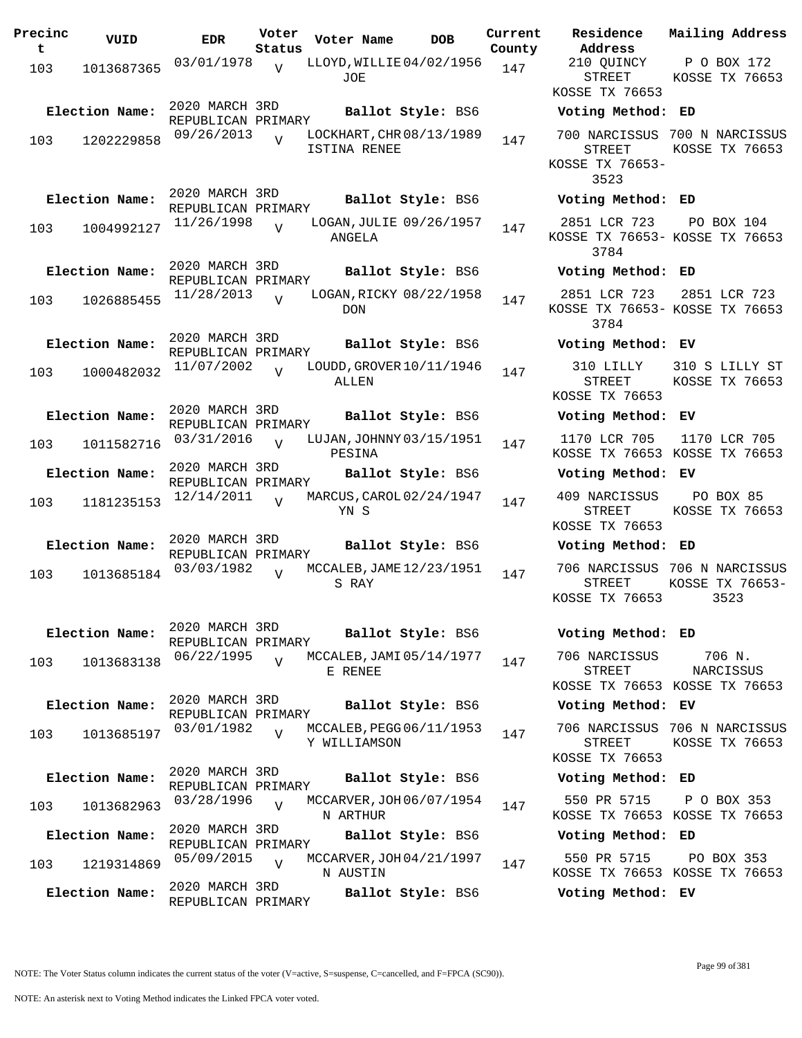| Precinc<br>t. | VUID           | <b>EDR</b>                           | Voter<br>Status | Voter Name                               | <b>DOB</b>        | Current<br>County |
|---------------|----------------|--------------------------------------|-----------------|------------------------------------------|-------------------|-------------------|
| 103           | 1013687365     | 03/01/1978                           | ٦T              | LLOYD, WILLIE 04/02/1956<br>JOE          |                   | 147               |
|               | Election Name: | 2020 MARCH 3RD<br>REPUBLICAN PRIMARY |                 |                                          | Ballot Style: BS6 |                   |
| 103           | 1202229858     | 09/26/2013                           | ٦T              | LOCKHART, CHR 08/13/1989<br>ISTINA RENEE |                   | 147               |
|               | Election Name: | 2020 MARCH 3RD<br>REPUBLICAN PRIMARY |                 |                                          | Ballot Style: BS6 |                   |
| 103           | 1004992127     | 11/26/1998                           | ٦T              | LOGAN, JULIE 09/26/1957<br>ANGELA        |                   | 147               |
|               | Election Name: | 2020 MARCH 3RD<br>REPUBLICAN PRIMARY |                 |                                          | Ballot Style: BS6 |                   |
| 103           | 1026885455     | 11/28/2013                           | ٦T              | LOGAN, RICKY 08/22/1958<br><b>DON</b>    |                   | 147               |
|               | Election Name: | 2020 MARCH 3RD<br>REPUBLICAN PRIMARY |                 |                                          | Ballot Style: BS6 |                   |
| 103           | 1000482032     | 11/07/2002                           | $\overline{U}$  | LOUDD, GROVER 10/11/1946<br>ALLEN        |                   | 147               |
|               | Election Name: | 2020 MARCH 3RD<br>REPUBLICAN PRIMARY |                 |                                          | Ballot Style: BS6 |                   |
| 103           | 1011582716     | 03/31/2016                           | $\overline{V}$  | LUJAN, JOHNNY 03/15/1951<br>PESINA       |                   | 147               |
|               | Election Name: | 2020 MARCH 3RD<br>REPUBLICAN PRIMARY |                 |                                          | Ballot Style: BS6 |                   |
| 103           | 1181235153     | 12/14/2011                           | $\overline{U}$  | MARCUS, CAROL 02/24/1947<br>YN S         |                   | 147               |
|               | Election Name: | 2020 MARCH 3RD<br>REPUBLICAN PRIMARY |                 |                                          | Ballot Style: BS6 |                   |
| 103           | 1013685184     | 03/03/1982                           |                 | MCCALEB, JAME 12/23/1951<br>S RAY        |                   | 147               |
|               | Election Name: | 2020 MARCH 3RD                       |                 |                                          | Ballot Style: BS6 |                   |
| 103           | 1013683138     | REPUBLICAN PRIMARY<br>06/22/1995     | $\overline{V}$  | MCCALEB, JAMI 05/14/1977<br>E RENEE      |                   | 147               |
|               | Election Name: | 2020 MARCH 3RD<br>REPUBLICAN PRIMARY |                 |                                          | Ballot Style: BS6 |                   |
| 103           | 1013685197     | 03/01/1982                           | $\overline{V}$  | MCCALEB, PEGG 06/11/1953<br>Y WILLIAMSON |                   | 147               |
|               | Election Name: | 2020 MARCH 3RD<br>REPUBLICAN PRIMARY |                 |                                          | Ballot Style: BS6 |                   |
| 103           | 1013682963     | 03/28/1996                           | $\overline{V}$  | MCCARVER, JOH 06/07/1954<br>N ARTHUR     |                   | 147               |
|               | Election Name: | 2020 MARCH 3RD<br>REPUBLICAN PRIMARY |                 |                                          | Ballot Style: BS6 |                   |
| 103           | 1219314869     | 05/09/2015                           | $\overline{V}$  | MCCARVER, JOH 04/21/1997<br>N AUSTIN     |                   | 147               |
|               | Election Name: | 2020 MARCH 3RD<br>REPUBLICAN PRIMARY |                 |                                          | Ballot Style: BS6 |                   |

**Voter Name DOB Residence Address Current Mailing Address** 210 QUINCY STREET KOSSE TX 76653 P O BOX 172 KOSSE TX 76653 **Election Name: Ballot Style:** BS6 **Voting Method: ED** 700 NARCISSUS 700 N NARCISSUS STREET KOSSE TX 76653- 3523 KOSSE TX 76653 **Election Name: Ballot Style:** BS6 **Voting Method: ED** 2851 LCR 723 KOSSE TX 76653- KOSSE TX 76653 3784 PO BOX 104 **Election Name: Ballot Style:** BS6 **Voting Method: ED** 2851 LCR 723 KOSSE TX 76653- KOSSE TX 76653 3784 2851 LCR 723 **Election Name: Ballot Style:** BS6 **Voting Method: EV** 310 LILLY STREET KOSSE TX 76653 310 S LILLY ST KOSSE TX 76653 **Election Name: Ballot Style:** BS6 **Voting Method: EV** 1170 LCR 705 KOSSE TX 76653 KOSSE TX 76653 1170 LCR 705 **Election Name: Ballot Style:** BS6 **Voting Method: EV** 409 NARCISSUS STREET KOSSE TX 76653 PO BOX 85 KOSSE TX 76653 **Election Name: Ballot Style:** BS6 **Voting Method: ED** 706 NARCISSUS 706 N NARCISSUS STREET KOSSE TX 76653 KOSSE TX 76653- 3523 **Election Name: Ballot Style:** BS6 **Voting Method: ED** 706 NARCISSUS STREET KOSSE TX 76653 KOSSE TX 76653 706 N. NARCISSUS **Election Name: Ballot Style:** BS6 **Voting Method: EV** 706 NARCISSUS 706 N NARCISSUS STREET KOSSE TX 76653 KOSSE TX 76653 **Election Name: Ballot Style:** BS6 **Voting Method: ED** 550 PR 5715 KOSSE TX 76653 KOSSE TX 76653 P O BOX 353 **Election Name: Ballot Style:** BS6 **Voting Method: ED**

550 PR 5715 KOSSE TX 76653 KOSSE TX 76653 PO BOX 353

**Election Name: Ballot Style:** BS6 **Voting Method: EV**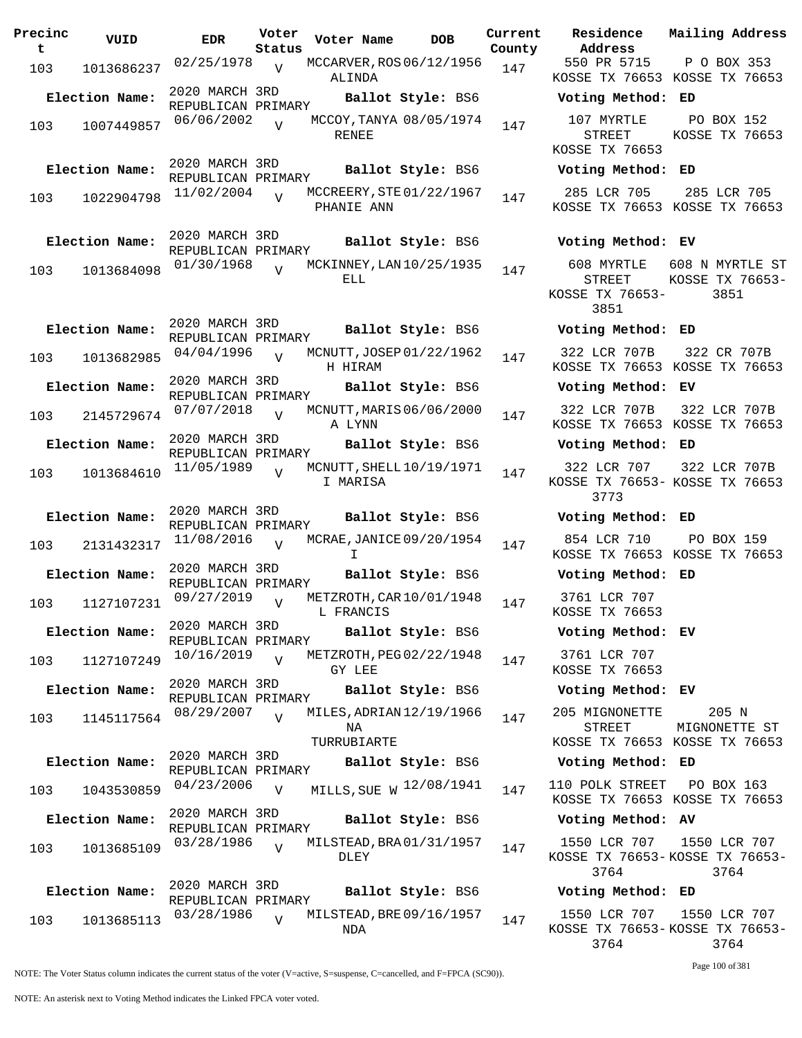| Precinc<br>t. | VUID           | <b>EDR</b>                           | Voter<br>Status | Voter Name                                    | <b>DOB</b>        | Current<br>County | Residence<br>Address                                | Mailing Addre                         |
|---------------|----------------|--------------------------------------|-----------------|-----------------------------------------------|-------------------|-------------------|-----------------------------------------------------|---------------------------------------|
| 103           | 1013686237     | 02/25/1978                           | $\overline{V}$  | MCCARVER, ROS 06/12/1956<br>ALINDA            |                   | 147               | 550 PR 5715<br>KOSSE TX 76653 KOSSE TX 766          | P O BOX 353                           |
|               | Election Name: | 2020 MARCH 3RD<br>REPUBLICAN PRIMARY |                 |                                               | Ballot Style: BS6 |                   | Voting Method: ED                                   |                                       |
| 103           | 1007449857     | 06/06/2002                           | $\overline{V}$  | MCCOY, TANYA 08/05/1974<br>RENEE              |                   | 147               | 107 MYRTLE<br><b>STREET</b><br>KOSSE TX 76653       | PO BOX 152<br>KOSSE TX 766            |
|               | Election Name: | 2020 MARCH 3RD<br>REPUBLICAN PRIMARY |                 |                                               | Ballot Style: BS6 |                   | Voting Method: ED                                   |                                       |
| 103           | 1022904798     | 11/02/2004                           | $\overline{V}$  | MCCREERY, STE 01/22/1967<br>PHANIE ANN        |                   | 147               | 285 LCR 705<br>KOSSE TX 76653 KOSSE TX 766          | 285 LCR 705                           |
|               | Election Name: | 2020 MARCH 3RD                       |                 |                                               | Ballot Style: BS6 |                   | Voting Method: EV                                   |                                       |
| 103           | 1013684098     | REPUBLICAN PRIMARY<br>01/30/1968     | $\overline{U}$  | MCKINNEY, LAN 10/25/1935<br>ELL               |                   | 147               | 608 MYRTLE<br><b>STREET</b><br>KOSSE TX 76653-      | 608 N MYRTLE<br>KOSSE TX 7665<br>3851 |
|               | Election Name: | 2020 MARCH 3RD<br>REPUBLICAN PRIMARY |                 |                                               | Ballot Style: BS6 |                   | 3851<br>Voting Method: ED                           |                                       |
| 103           | 1013682985     | 04/04/1996                           | $\overline{U}$  | MCNUTT, JOSEP 01/22/1962<br>H HIRAM           |                   | 147               | 322 LCR 707B<br>KOSSE TX 76653 KOSSE TX 766         | 322 CR 707E                           |
|               | Election Name: | 2020 MARCH 3RD<br>REPUBLICAN PRIMARY |                 |                                               | Ballot Style: BS6 |                   | Voting Method: EV                                   |                                       |
| 103           | 2145729674     | 07/07/2018                           | $\overline{V}$  | MCNUTT, MARIS 06/06/2000<br>A LYNN            |                   | 147               | 322 LCR 707B<br>KOSSE TX 76653 KOSSE TX 766         | 322 LCR 707                           |
|               | Election Name: | 2020 MARCH 3RD<br>REPUBLICAN PRIMARY |                 |                                               | Ballot Style: BS6 |                   | Voting Method: ED                                   |                                       |
| 103           | 1013684610     | 11/05/1989                           |                 | MCNUTT, SHELL $10/19/1971$<br>I MARISA        |                   | 147               | 322 LCR 707<br>KOSSE TX 76653- KOSSE TX 766<br>3773 | 322 LCR 707                           |
|               | Election Name: | 2020 MARCH 3RD<br>REPUBLICAN PRIMARY |                 |                                               | Ballot Style: BS6 |                   | Voting Method: ED                                   |                                       |
| 103           | 2131432317     | 11/08/2016                           | $\overline{v}$  | MCRAE, JANICE 09/20/1954<br>T.                |                   | 147               | 854 LCR 710<br>KOSSE TX 76653 KOSSE TX 766          | PO BOX 159                            |
|               | Election Name: | 2020 MARCH 3RD<br>REPUBLICAN PRIMARY |                 |                                               | Ballot Style: BS6 |                   | Voting Method: ED                                   |                                       |
| 103           | 1127107231     | 09/27/2019                           | $\overline{V}$  | METZROTH, CAR 10/01/1948<br>L FRANCIS         |                   | 147               | 3761 LCR 707<br>KOSSE TX 76653                      |                                       |
|               | Election Name: | 2020 MARCH 3RD<br>REPUBLICAN PRIMARY |                 |                                               | Ballot Style: BS6 |                   | Voting Method: EV                                   |                                       |
| 103           | 1127107249     | 10/16/2019                           | V               | METZROTH, PEG 02/22/1948<br>GY LEE            |                   | 147               | 3761 LCR 707<br>KOSSE TX 76653                      |                                       |
|               | Election Name: | 2020 MARCH 3RD<br>REPUBLICAN PRIMARY |                 |                                               | Ballot Style: BS6 |                   | Voting Method: EV                                   |                                       |
| 103           | 1145117564     | 08/29/2007                           | $\overline{V}$  | MILES, ADRIAN 12/19/1966<br>NA<br>TURRUBIARTE |                   | 147               | 205 MIGNONETTE<br><b>STREET</b>                     | 205 N<br>MIGNONETTE S                 |
|               | Election Name: | 2020 MARCH 3RD                       |                 |                                               | Ballot Style: BS6 |                   | KOSSE TX 76653 KOSSE TX 766<br>Voting Method: ED    |                                       |
| 103           | 1043530859     | REPUBLICAN PRIMARY<br>04/23/2006     | $\overline{V}$  | MILLS, SUE W 12/08/1941                       |                   | 147               | 110 POLK STREET PO BOX 163                          |                                       |
|               | Election Name: | 2020 MARCH 3RD                       |                 |                                               | Ballot Style: BS6 |                   | KOSSE TX 76653 KOSSE TX 766<br>Voting Method: AV    |                                       |
|               |                | REPUBLICAN PRIMARY<br>03/28/1986     | V               | MILSTEAD, BRA 01/31/1957                      |                   |                   | 1550 LCR 707                                        | 1550 LCR 70                           |
| 103           | 1013685109     |                                      |                 | DLEY                                          |                   | 147               | KOSSE TX 76653-KOSSE TX 7665<br>3764                | 3764                                  |
|               | Election Name: | 2020 MARCH 3RD<br>REPUBLICAN PRIMARY |                 |                                               | Ballot Style: BS6 |                   | Voting Method: ED                                   |                                       |
| 103           | 1013685113     | 03/28/1986                           | $\overline{U}$  | MILSTEAD, BRE 09/16/1957<br>NDA               |                   | 147               | 1550 LCR 707<br>KOSSE TX 76653-KOSSE TX 766!        | 1550 LCR 70                           |

**Voter Name DOB Residence Address Current Mailing Address County** 550 PR 5715 KOSSE TX 76653 KOSSE TX 76653 P O BOX 353 **Election Name: Ballot Style:** BS6 **Voting Method: ED** 107 MYRTLE STREET KOSSE TX 76653 PO BOX 152 KOSSE TX 76653 **Election Name: Ballot Style:** BS6 **Voting Method: ED** 285 LCR 705 KOSSE TX 76653 KOSSE TX 76653 285 LCR 705 **Election Name: Ballot Style:** BS6 **Voting Method: EV** 608 MYRTLE 608 N MYRTLE ST STREET KOSSE TX 76653- 3851 KOSSE TX 76653- 3851 **Election Name: Ballot Style:** BS6 **Voting Method: ED** 322 LCR 707B KOSSE TX 76653 KOSSE TX 76653 322 CR 707B **Election Name: Ballot Style:** BS6 **Voting Method: EV** 322 LCR 707B KOSSE TX 76653 KOSSE TX 76653 322 LCR 707B **Election Name: Ballot Style:** BS6 **Voting Method: ED** 322 LCR 707 KOSSE TX 76653- KOSSE TX 76653 3773 322 LCR 707B **Election Name: Ballot Style:** BS6 **Voting Method: ED** 854 LCR 710 KOSSE TX 76653 KOSSE TX 76653 PO BOX 159 **Election Name: Ballot Style:** BS6 **Voting Method: ED** 3761 LCR 707 KOSSE TX 76653 **Election Name: Ballot Style:** BS6 **Voting Method: EV** 3761 LCR 707 KOSSE TX 76653 **Election Name: Ballot Style:** BS6 **Voting Method: EV** 205 MIGNONETTE STREET KOSSE TX 76653 KOSSE TX 76653 205 N MIGNONETTE ST **Election Name: Ballot Style:** BS6 **Voting Method: ED** KOSSE TX 76653 KOSSE TX 76653 **Election Name: Ballot Style:** BS6 **Voting Method: AV**

1550 LCR 707 KOSSE TX 76653- KOSSE TX 76653- 3764 1550 LCR 707 3764

## **Election Name: Ballot Style:** BS6 **Voting Method: ED**

1550 LCR 707 KOSSE TX 76653- KOSSE TX 76653- 3764 1550 LCR 707 3764

Page 100 of 381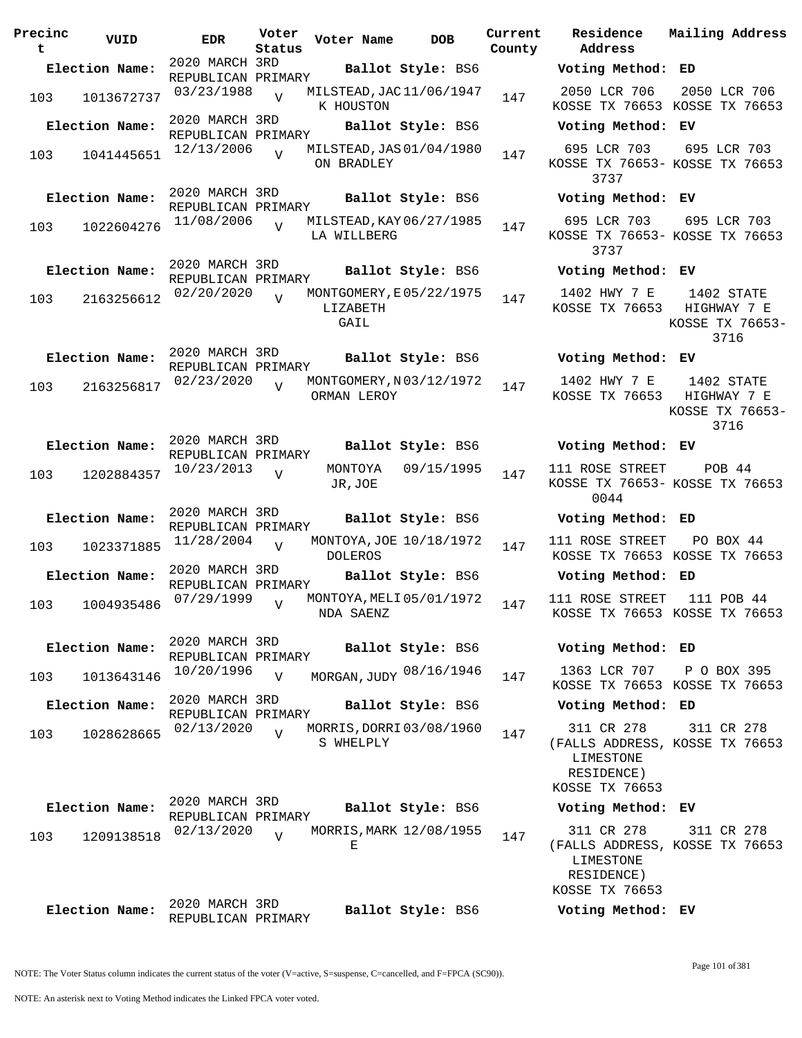| Precinc<br>t | VUID           | <b>EDR</b>                           | Voter<br>Status | Voter Name                                  | <b>DOB</b>        | Current<br>County | Residence<br>Address                                                     |
|--------------|----------------|--------------------------------------|-----------------|---------------------------------------------|-------------------|-------------------|--------------------------------------------------------------------------|
|              | Election Name: | 2020 MARCH 3RD<br>REPUBLICAN PRIMARY |                 |                                             | Ballot Style: BS6 |                   | Voting Metho                                                             |
| 103          | 1013672737     | 03/23/1988                           | $\overline{V}$  | MILSTEAD, JAC 11/06/1947<br>K HOUSTON       |                   | 147               | 2050 LCR 706<br>KOSSE TX 7665                                            |
|              | Election Name: | 2020 MARCH 3RD                       |                 |                                             | Ballot Style: BS6 |                   | Voting Metho                                                             |
| 103          | 1041445651     | REPUBLICAN PRIMARY<br>12/13/2006     | $\overline{V}$  | MILSTEAD, JAS 01/04/1980<br>ON BRADLEY      |                   | 147               | 695 LCR 703<br>KOSSE TX 76653<br>3737                                    |
|              | Election Name: | 2020 MARCH 3RD                       |                 |                                             | Ballot Style: BS6 |                   | Voting Metho                                                             |
| 103          | 1022604276     | REPUBLICAN PRIMARY<br>11/08/2006     | $\overline{V}$  | MILSTEAD, KAY 06/27/1985<br>LA WILLBERG     |                   | 147               | 695 LCR 703<br>KOSSE TX 76653                                            |
|              |                | 2020 MARCH 3RD                       |                 |                                             |                   |                   | 3737                                                                     |
|              | Election Name: | REPUBLICAN PRIMARY                   |                 |                                             | Ballot Style: BS6 |                   | Voting Metho                                                             |
| 103          | 2163256612     | 02/20/2020                           | $\overline{U}$  | MONTGOMERY, E05/22/1975<br>LIZABETH<br>GAIL |                   | 147               | 1402 HWY 7 E<br>KOSSE TX 7665                                            |
|              | Election Name: | 2020 MARCH 3RD<br>REPUBLICAN PRIMARY |                 |                                             | Ballot Style: BS6 |                   | Voting Metho                                                             |
| 103          | 2163256817     | 02/23/2020                           | $\overline{V}$  | MONTGOMERY, N03/12/1972<br>ORMAN LEROY      |                   | 147               | 1402 HWY 7 E<br>KOSSE TX 7665                                            |
|              | Election Name: | 2020 MARCH 3RD<br>REPUBLICAN PRIMARY |                 |                                             | Ballot Style: BS6 |                   | Voting Metho                                                             |
| 103          | 1202884357     | 10/23/2013                           | V               | MONTOYA<br>JR, JOE                          | 09/15/1995        | 147               | 111 ROSE STREI<br>KOSSE TX 76653<br>0044                                 |
|              | Election Name: | 2020 MARCH 3RD                       |                 |                                             | Ballot Style: BS6 |                   | Voting Metho                                                             |
| 103          | 1023371885     | REPUBLICAN PRIMARY<br>11/28/2004     | $\overline{U}$  | MONTOYA, JOE 10/18/1972<br><b>DOLEROS</b>   |                   | 147               | 111 ROSE STREI<br>KOSSE TX 7665                                          |
|              | Election Name: | 2020 MARCH 3RD<br>REPUBLICAN PRIMARY |                 |                                             | Ballot Style: BS6 |                   | Voting Metho                                                             |
| 103          | 1004935486     | 07/29/1999                           | $\overline{V}$  | MONTOYA, MELI 05/01/1972<br>NDA SAENZ       |                   | 147               | 111 ROSE STREI<br>KOSSE TX 7665                                          |
|              | Election Name: | 2020 MARCH 3RD                       |                 |                                             | Ballot Style: BS6 |                   | Voting Metho                                                             |
|              |                | REPUBLICAN PRIMARY<br>10/20/1996     |                 |                                             |                   |                   | 1363 LCR 707                                                             |
| 103          | 1013643146     |                                      | $\overline{V}$  | MORGAN, JUDY 08/16/1946                     |                   | 147               | KOSSE TX 7665                                                            |
|              | Election Name: | 2020 MARCH 3RD<br>REPUBLICAN PRIMARY |                 |                                             | Ballot Style: BS6 |                   | Voting Metho                                                             |
| 103          | 1028628665     | 02/13/2020                           | $\overline{V}$  | MORRIS, DORRI 03/08/1960<br>S WHELPLY       |                   | 147               | 311 CR 278<br>(FALLS ADDRESS<br>LIMESTONE<br>RESIDENCE)<br>KOSSE TX 7665 |
|              | Election Name: | 2020 MARCH 3RD<br>REPUBLICAN PRIMARY |                 |                                             | Ballot Style: BS6 |                   | Voting Metho                                                             |
| 103          | 1209138518     | 02/13/2020                           | $\overline{V}$  | MORRIS, MARK 12/08/1955<br>Е                |                   | 147               | 311 CR 278<br>(FALLS ADDRESS<br>LIMESTONE<br>RESIDENCE)<br>KOSSE TX 7665 |
|              | Election Name: | 2020 MARCH 3RD<br>REPUBLICAN PRIMARY |                 |                                             | Ballot Style: BS6 |                   | Voting Metho                                                             |

**Election Name: Ballot Style:** BS6 **Voting Method: EV** 695 LCR 703 KOSSE TX 76653- KOSSE TX 76653 3737 695 LCR 703 **Election Name: Ballot Style:** BS6 **Voting Method: EV** 695 LCR 703 KOSSE TX 76653- KOSSE TX 76653 3737 695 LCR 703 **Election Name: Ballot Style:** BS6 **Voting Method: EV** 1402 HWY 7 E KOSSE TX 76653 HIGHWAY 7 E 1402 STATE KOSSE TX 76653- 3716 **Election Name: Ballot Style:** BS6 **Voting Method: EV** 1402 HWY 7 E KOSSE TX 76653 1402 STATE HIGHWAY 7 E KOSSE TX 76653- 3716 **Election Name: Ballot Style:** BS6 **Voting Method: EV** 111 ROSE STREET KOSSE TX 76653- KOSSE TX 76653 0044 POB 44 **Election Name: Ballot Style:** BS6 **Voting Method: ED** 111 ROSE STREET KOSSE TX 76653 KOSSE TX 76653 PO BOX 44 **Election Name: Ballot Style:** BS6 **Voting Method: ED** 111 ROSE STREET 111 POB 44 KOSSE TX 76653 KOSSE TX 76653 **Election Name: Ballot Style:** BS6 **Voting Method: ED** KOSSE TX 76653 KOSSE TX 76653 P O BOX 395 **Election Name: Ballot Style:** BS6 **Voting Method: ED** 311 CR 278 (FALLS ADDRESS, KOSSE TX 76653 LIMESTONE RESIDENCE) KOSSE TX 76653 311 CR 278 **Election Name: Ballot Style:** BS6 **Voting Method: EV** 311 CR 278 (FALLS ADDRESS, KOSSE TX 76653 LIMESTONE RESIDENCE) KOSSE TX 76653 311 CR 278

2050 LCR 706

**Election Name: Ballot Style:** BS6 **Voting Method: ED**

KOSSE TX 76653 KOSSE TX 76653

**Current Mailing Address**

2050 LCR 706

**Election Name: Ballot Style:** BS6 **Voting Method: EV**

NOTE: An asterisk next to Voting Method indicates the Linked FPCA voter voted.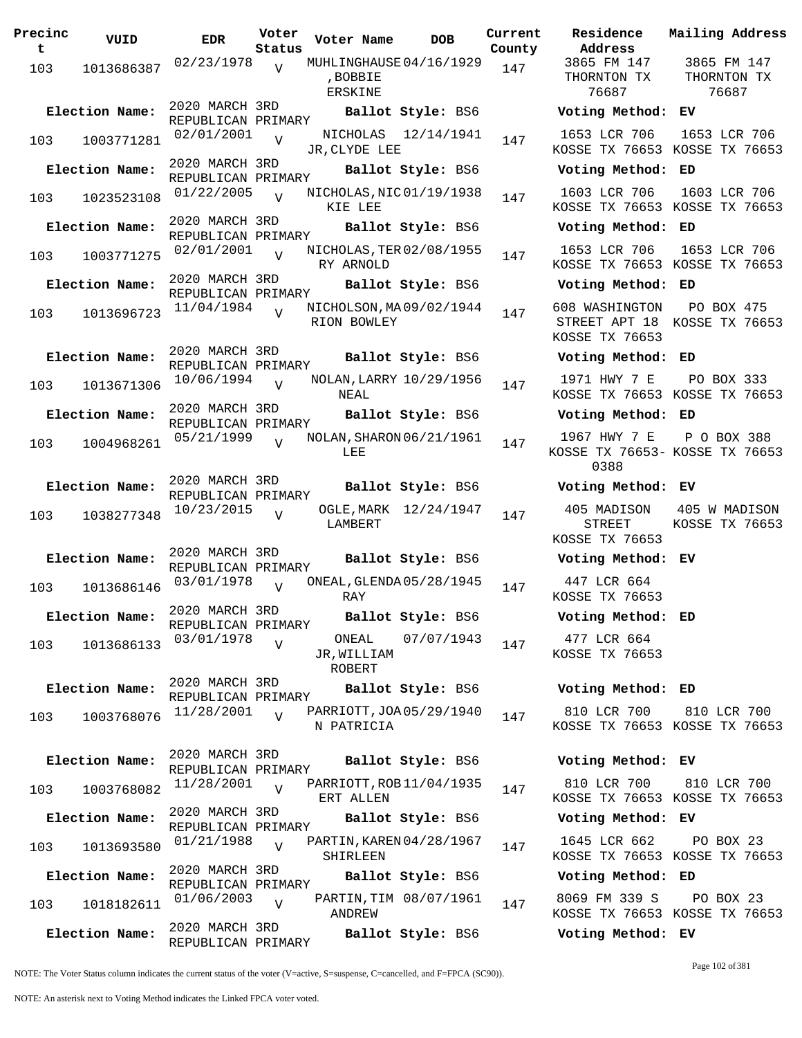| Precinc<br>t | VUID           | <b>EDR</b>                           | Voter<br>Status | Voter Name                                     | <b>DOB</b>             | Curre<br>Count |
|--------------|----------------|--------------------------------------|-----------------|------------------------------------------------|------------------------|----------------|
| 103          | 1013686387     | 02/23/1978                           | $\overline{V}$  | MUHLINGHAUSE 04/16/1929<br>, BOBBIE<br>ERSKINE |                        | 147            |
|              | Election Name: | 2020 MARCH 3RD                       |                 |                                                | Ballot Style: BS6      |                |
| 103          | 1003771281     | REPUBLICAN PRIMARY<br>02/01/2001     | $\overline{V}$  | NICHOLAS<br>JR, CLYDE LEE                      | 12/14/1941             | 147            |
|              | Election Name: | 2020 MARCH 3RD                       |                 |                                                | Ballot Style: BS6      |                |
|              |                | REPUBLICAN PRIMARY                   |                 |                                                |                        |                |
| 103          | 1023523108     | 01/22/2005                           | $\overline{V}$  | NICHOLAS, NIC 01/19/1938<br>KIE LEE            |                        | 147            |
|              | Election Name: | 2020 MARCH 3RD<br>REPUBLICAN PRIMARY |                 |                                                | Ballot Style: BS6      |                |
| 103          | 1003771275     | 02/01/2001                           | $\overline{V}$  | NICHOLAS, TER 02/08/1955<br>RY ARNOLD          |                        | 147            |
|              | Election Name: | 2020 MARCH 3RD                       |                 |                                                | Ballot Style: BS6      |                |
|              |                | REPUBLICAN PRIMARY                   |                 |                                                |                        |                |
| 103          | 1013696723     | 11/04/1984                           | $\overline{U}$  | NICHOLSON, MA09/02/1944<br>RION BOWLEY         |                        | 147            |
|              | Election Name: | 2020 MARCH 3RD                       |                 |                                                | Ballot Style: BS6      |                |
|              |                | REPUBLICAN PRIMARY                   |                 |                                                |                        |                |
| 103          | 1013671306     | 10/06/1994                           | $\overline{V}$  | NOLAN, LARRY 10/29/1956<br>NEAL                |                        | 147            |
|              | Election Name: | 2020 MARCH 3RD<br>REPUBLICAN PRIMARY |                 |                                                | Ballot Style: BS6      |                |
| 103          | 1004968261     | 05/21/1999                           | $\overline{V}$  | NOLAN, SHARON 06/21/1961<br>LEE                |                        | 147            |
|              | Election Name: | 2020 MARCH 3RD<br>REPUBLICAN PRIMARY |                 |                                                | Ballot Style: BS6      |                |
| 103          | 1038277348     | 10/23/2015                           | $\overline{V}$  | OGLE, MARK<br>LAMBERT                          | 12/24/1947             | 147            |
|              | Election Name: | 2020 MARCH 3RD<br>REPUBLICAN PRIMARY |                 |                                                | Ballot Style: BS6      |                |
| 103          | 1013686146     | 03/01/1978                           | $\overline{U}$  | ONEAL, GLENDA 05/28/1945<br>RAY                |                        | 147            |
|              | Election Name: | 2020 MARCH 3RD<br>REPUBLICAN PRIMARY |                 |                                                | Ballot Style: BS6      |                |
| 103          | 1013686133     | 03/01/1978                           | $\overline{V}$  | ONEAL<br>JR, WILLIAM<br>ROBERT                 | 07/07/1943             | 147            |
|              | Election Name: | 2020 MARCH 3RD                       |                 |                                                | Ballot Style: BS6      |                |
| 103          | 1003768076     | REPUBLICAN PRIMARY<br>11/28/2001     | $\overline{U}$  | PARRIOTT, JOA 05/29/1940<br>N PATRICIA         |                        | 147            |
|              | Election Name: | 2020 MARCH 3RD<br>REPUBLICAN PRIMARY |                 |                                                | Ballot Style: BS6      |                |
| 103          | 1003768082     | 11/28/2001                           | $\overline{V}$  | PARRIOTT, ROB 11/04/1935<br>ERT ALLEN          |                        | 147            |
|              | Election Name: | 2020 MARCH 3RD<br>REPUBLICAN PRIMARY |                 |                                                | Ballot Style: BS6      |                |
| 103          | 1013693580     | 01/21/1988                           | $\overline{U}$  | PARTIN, KAREN 04/28/1967<br>SHIRLEEN           |                        | 147            |
|              | Election Name: | 2020 MARCH 3RD                       |                 |                                                | Ballot Style: BS6      |                |
| 103          | 1018182611     | REPUBLICAN PRIMARY<br>01/06/2003     | $\overline{V}$  | ANDREW                                         | PARTIN, TIM 08/07/1961 | 147            |
|              | Election Name: | 2020 MARCH 3RD<br>REPUBLICAN PRIMARY |                 |                                                | Ballot Style: BS6      |                |

**Parame Residence Address Current Mailing Address** nty 3865 FM 147 THORNTON TX 76687 3865 FM 147 THORNTON TX 76687 **Election Name: Ballot Style:** BS6 **Voting Method: EV** 1653 LCR 706 KOSSE TX 76653 KOSSE TX 76653 1653 LCR 706 **Election Name: Ballot Style:** BS6 **Voting Method: ED** 1603 LCR 706 KOSSE TX 76653 KOSSE TX 76653 1603 LCR 706 **Election Name: Ballot Style:** BS6 **Voting Method: ED** 1653 LCR 706 KOSSE TX 76653 KOSSE TX 76653 1653 LCR 706 **Election Name: Ballot Style:** BS6 **Voting Method: ED** 608 WASHINGTON STREET APT 18 KOSSE TX 76653 KOSSE TX 76653 PO BOX 475 **Election Name: Ballot Style:** BS6 **Voting Method: ED** 1971 HWY 7 E KOSSE TX 76653 KOSSE TX 76653 PO BOX 333 **Election Name: Ballot Style:** BS6 **Voting Method: ED** 1967 HWY 7 E KOSSE TX 76653- KOSSE TX 76653 0388 P O BOX 388 **Election Name: Ballot Style:** BS6 **Voting Method: EV** 405 MADISON STREET KOSSE TX 76653 405 W MADISON KOSSE TX 76653 **Election Name: Ballot Style:** BS6 **Voting Method: EV** 447 LCR 664 KOSSE TX 76653 **Election Name: Ballot Style:** BS6 **Voting Method: ED** 477 LCR 664 KOSSE TX 76653 **Election Name: Ballot Style:** BS6 **Voting Method: ED** 810 LCR 700 KOSSE TX 76653 KOSSE TX 76653 810 LCR 700 **Election Name: Ballot Style:** BS6 **Voting Method: EV** 810 LCR 700 KOSSE TX 76653 KOSSE TX 76653 810 LCR 700 **Election Name: Ballot Style:** BS6 **Voting Method: EV** 1645 LCR 662 KOSSE TX 76653 KOSSE TX 76653 PO BOX 23 **Election Name: Ballot Style:** BS6 **Voting Method: ED** 8069 FM 339 S PO BOX 23

NOTE: The Voter Status column indicates the current status of the voter (V=active, S=suspense, C=cancelled, and F=FPCA (SC90)).

Page 102 of 381

KOSSE TX 76653 KOSSE TX 76653

**Election Name: Ballot Style:** BS6 **Voting Method: EV**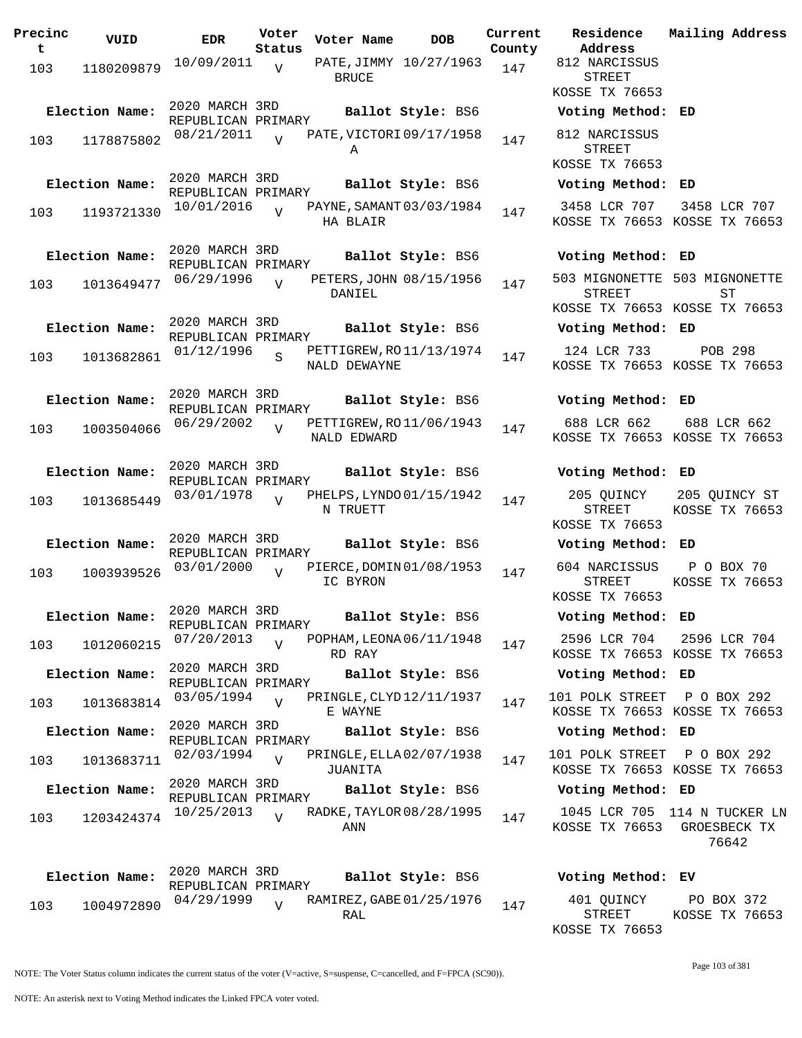| Precinc<br>t | VUID           | EDR                                  | Voter<br>Status | Voter Name                          | DOB                      | Current<br>County |
|--------------|----------------|--------------------------------------|-----------------|-------------------------------------|--------------------------|-------------------|
| 103          | 1180209879     | 10/09/2011                           | V               | <b>BRUCE</b>                        | PATE, JIMMY 10/27/1963   | 147               |
|              | Election Name: | 2020 MARCH 3RD<br>REPUBLICAN PRIMARY |                 |                                     | Ballot Style: BS6        |                   |
| 103          | 1178875802     | 08/21/2011                           |                 | Α                                   | PATE, VICTORI 09/17/1958 | 147               |
|              | Election Name: | 2020 MARCH 3RD<br>REPUBLICAN PRIMARY |                 |                                     | Ballot Style: BS6        |                   |
| 103          | 1193721330     | 10/01/2016                           | ٦T              | HA BLAIR                            | PAYNE, SAMANT 03/03/1984 | 147               |
|              | Election Name: | 2020 MARCH 3RD<br>REPUBLICAN PRIMARY |                 |                                     | Ballot Style: BS6        |                   |
| 103          | 1013649477     | 06/29/1996                           | ٦T              | DANIEL                              | PETERS, JOHN 08/15/1956  | 147               |
|              | Election Name: | 2020 MARCH 3RD<br>REPUBLICAN PRIMARY |                 |                                     | Ballot Style: BS6        |                   |
| 103          | 1013682861     | 01/12/1996                           | S               | NALD DEWAYNE                        | PETTIGREW, RO11/13/1974  | 147               |
|              | Election Name: | 2020 MARCH 3RD<br>REPUBLICAN PRIMARY |                 |                                     | Ballot Style: BS6        |                   |
| 103          | 1003504066     | 06/29/2002                           | V               | NALD EDWARD                         | PETTIGREW, RO 11/06/1943 | 147               |
|              | Election Name: | 2020 MARCH 3RD<br>REPUBLICAN PRIMARY |                 |                                     | Ballot Style: BS6        |                   |
| 103          | 1013685449     | 03/01/1978                           | ٦T              | N TRUETT                            | PHELPS, LYNDO 01/15/1942 | 147               |
|              | Election Name: | 2020 MARCH 3RD<br>REPUBLICAN PRIMARY |                 |                                     | Ballot Style: BS6        |                   |
| 103          | 1003939526     | 03/01/2000                           | ٦T              | IC BYRON                            | PIERCE, DOMIN 01/08/1953 | 147               |
|              | Election Name: | 2020 MARCH 3RD<br>REPUBLICAN PRIMARY |                 |                                     | Ballot Style: BS6        |                   |
| 103          | 1012060215     | 07/20/2013                           | V               | RD RAY                              | POPHAM, LEONA 06/11/1948 | 147               |
|              | Election Name: | 2020 MARCH 3RD<br>REPUBLICAN PRIMARY |                 |                                     | Ballot Style: BS6        |                   |
| 103          | 1013683814     | 03/05/1994                           | $\overline{U}$  | E WAYNE                             | PRINGLE, CLYD 12/11/1937 | 147               |
|              | Election Name: | 2020 MARCH 3RD<br>REPUBLICAN PRIMARY |                 |                                     | Ballot Style: BS6        |                   |
| 103          | 1013683711     | 02/03/1994                           | $\overline{V}$  | PRINGLE, ELLA 02/07/1938<br>JUANITA |                          | 147               |
|              | Election Name: | 2020 MARCH 3RD<br>REPUBLICAN PRIMARY |                 |                                     | Ballot Style: BS6        |                   |
| 103          | 1203424374     | 10/25/2013                           | $\overline{V}$  | RADKE, TAYLOR 08/28/1995<br>ANN     |                          | 147               |
|              |                | חס? שמתגש מפמפ                       |                 |                                     |                          |                   |

| Election Name: 2020 PIRICH SRD |  |                    | <b>Ballot Style: BS6</b>                                       |     |
|--------------------------------|--|--------------------|----------------------------------------------------------------|-----|
|                                |  | REPUBLICAN PRIMARY |                                                                |     |
| 103                            |  |                    | $1004972890$ $04/29/1999$ $V$ RAMIREZ, GABE 01/25/1976<br>RAL. | 147 |

**Voter Name DOB Residence Address Current Mailing Address** 812 NARCISSUS STREET KOSSE TX 76653 **Election Name: Ballot Style:** BS6 **Voting Method: ED** 812 NARCISSUS STREET KOSSE TX 76653 **Election Name: Ballot Style:** BS6 **Voting Method: ED** 3458 LCR 707 KOSSE TX 76653 KOSSE TX 76653 3458 LCR 707 **Election Name: Ballot Style:** BS6 **Voting Method: ED** 503 MIGNONETTE 503 MIGNONETTE STREET KOSSE TX 76653 KOSSE TX 76653 ST **Election Name: Ballot Style:** BS6 **Voting Method: ED** 124 LCR 733 KOSSE TX 76653 KOSSE TX 76653 POB 298 **Election Name: Ballot Style:** BS6 **Voting Method: ED** 688 LCR 662 KOSSE TX 76653 KOSSE TX 76653 688 LCR 662 **Election Name: Ballot Style:** BS6 **Voting Method: ED** 205 QUINCY STREET KOSSE TX 76653 205 QUINCY ST KOSSE TX 76653 **Election Name: Ballot Style:** BS6 **Voting Method: ED** 604 NARCISSUS STREET KOSSE TX 76653 P O BOX 70 KOSSE TX 76653 **Election Name: Ballot Style:** BS6 **Voting Method: ED** 2596 LCR 704 KOSSE TX 76653 KOSSE TX 76653 2596 LCR 704 **Election Name: Ballot Style:** BS6 **Voting Method: ED** 101 POLK STREET P O BOX 292 KOSSE TX 76653 KOSSE TX 76653

**Election Name: Ballot Style:** BS6 **Voting Method: ED**

101 POLK STREET P O BOX 292 KOSSE TX 76653 KOSSE TX 76653

# **Election Name: Ballot Style:** BS6 **Voting Method: ED**

1045 LCR 705 114 N TUCKER LN KOSSE TX 76653 GROESBECK TX 76642

| Voting Method: EV |                |  |
|-------------------|----------------|--|
| 401 OUINCY        | PO BOX 372     |  |
| STREET            | KOSSE TX 76653 |  |
| KOSSE TX 76653    |                |  |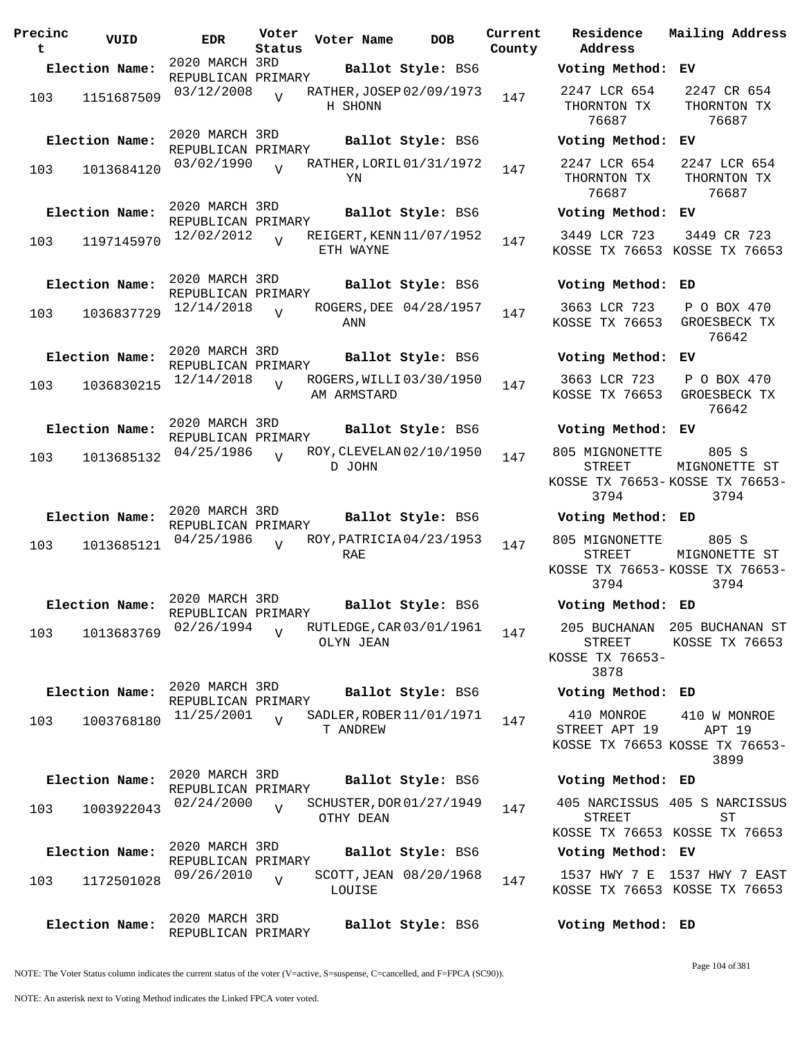| Precinc<br>t | VUID           | <b>EDR</b>                           | Voter<br>Status | Voter Name  | DOB                      | Current<br>County |
|--------------|----------------|--------------------------------------|-----------------|-------------|--------------------------|-------------------|
|              | Election Name: | 2020 MARCH 3RD<br>REPUBLICAN PRIMARY |                 |             | Ballot Style: BS6        |                   |
| 103          | 1151687509     | 03/12/2008                           | V               | H SHONN     | RATHER, JOSEP 02/09/1973 | 147               |
|              | Election Name: | 2020 MARCH 3RD<br>REPUBLICAN PRIMARY |                 |             | Ballot Style: BS6        |                   |
| 103          | 1013684120     | 03/02/1990                           | $\overline{V}$  | YN          | RATHER, LORIL 01/31/1972 | 147               |
|              | Election Name: | 2020 MARCH 3RD<br>REPUBLICAN PRIMARY |                 |             | Ballot Style: BS6        |                   |
| 103          | 1197145970     | 12/02/2012                           | $\overline{V}$  | ETH WAYNE   | REIGERT, KENN 11/07/1952 | 147               |
|              | Election Name: | 2020 MARCH 3RD<br>REPUBLICAN PRIMARY |                 |             | Ballot Style: BS6        |                   |
| 103          | 1036837729     | 12/14/2018                           | ٦T              | ANN         | ROGERS, DEE 04/28/1957   | 147               |
|              | Election Name: | 2020 MARCH 3RD<br>REPUBLICAN PRIMARY |                 |             | Ballot Style: BS6        |                   |
| 103          | 1036830215     | 12/14/2018                           | ٦T              | AM ARMSTARD | ROGERS, WILLI 03/30/1950 | 147               |
|              | Election Name: | 2020 MARCH 3RD<br>REPUBLICAN PRIMARY |                 |             | Ballot Style: BS6        |                   |
| 103          | 1013685132     | 04/25/1986                           | V               | D JOHN      | ROY, CLEVELAN 02/10/1950 | 147               |
|              | Election Name: | 2020 MARCH 3RD<br>REPUBLICAN PRIMARY |                 |             | Ballot Style: BS6        |                   |
| 103          | 1013685121     | 04/25/1986                           | ٦T              | RAE         | ROY, PATRICIA 04/23/1953 | 147               |
|              | Election Name: | 2020 MARCH 3RD<br>REPUBLICAN PRIMARY |                 |             | Ballot Style: BS6        |                   |
| 103          | 1013683769     | 02/26/1994                           | $\overline{V}$  | OLYN JEAN   | RUTLEDGE, CAR 03/01/1961 | 147               |
|              | Election Name: | 2020 MARCH 3RD<br>REPUBLICAN PRIMARY |                 |             | Ballot Style: BS6        |                   |
| 103          | 1003768180     | 11/25/2001                           | $\overline{V}$  | T ANDREW    | SADLER, ROBER 11/01/1971 | 147               |
|              | Election Name: | 2020 MARCH 3RD                       |                 |             | Ballot Style: BS6        |                   |
| 103          | 1003922043     | REPUBLICAN PRIMARY<br>02/24/2000     | $\overline{V}$  | OTHY DEAN   | SCHUSTER, DOR 01/27/1949 | 147               |
|              | Election Name: | 2020 MARCH 3RD                       |                 |             | Ballot Style: BS6        |                   |
| 103          | 1172501028     | REPUBLICAN PRIMARY<br>09/26/2010     | $\overline{V}$  | LOUISE      | SCOTT, JEAN 08/20/1968   | 147               |
|              | Election Name: | 2020 MARCH 3RD<br>REPUBLICAN PRIMARY |                 |             | Ballot Style: BS6        |                   |

**Voter Name DOB Residence Address Current Mailing Address Election Name: Ballot Style:** BS6 **Voting Method: EV** 2247 LCR 654 THORNTON TX 76687 2247 CR 654 THORNTON TX 76687 **Election Name: Ballot Style:** BS6 **Voting Method: EV** 2247 LCR 654 THORNTON TX 76687 2247 LCR 654 THORNTON TX 76687 **Election Name: Ballot Style:** BS6 **Voting Method: EV** 3449 LCR 723 KOSSE TX 76653 KOSSE TX 76653 3449 CR 723 **Election Name: Ballot Style:** BS6 **Voting Method: ED** 3663 LCR 723 KOSSE TX 76653 GROESBECK TX P O BOX 470 76642 **Election Name: Ballot Style:** BS6 **Voting Method: EV** 3663 LCR 723 KOSSE TX 76653 GROESBECK TX P O BOX 470 76642 **Election Name: Ballot Style:** BS6 **Voting Method: EV** 805 MIGNONETTE STREET KOSSE TX 76653- KOSSE TX 76653- 3794 805 S MIGNONETTE ST 3794 **Election Name: Ballot Style:** BS6 **Voting Method: ED** 805 MIGNONETTE STREET KOSSE TX 76653- KOSSE TX 76653- 3794 805 S MIGNONETTE ST 3794 **Election Name: Ballot Style:** BS6 **Voting Method: ED** 205 BUCHANAN 205 BUCHANAN ST STREET KOSSE TX 76653- 3878 KOSSE TX 76653 **Election Name: Ballot Style:** BS6 **Voting Method: ED** 410 MONROE STREET APT 19 KOSSE TX 76653 KOSSE TX 76653- 410 W MONROE APT 19 3899 **Election Name: Ballot Style:** BS6 **Voting Method: ED** 405 NARCISSUS 405 S NARCISSUS STREET KOSSE TX 76653 KOSSE TX 76653 ST **Election Name: Ballot Style:** BS6 **Voting Method: EV** 1537 HWY 7 E 1537 HWY 7 EAST

**Election Name: Ballot Style:** BS6 **Voting Method: ED**

KOSSE TX 76653 KOSSE TX 76653

NOTE: The Voter Status column indicates the current status of the voter (V=active, S=suspense, C=cancelled, and F=FPCA (SC90)).

Page 104 of 381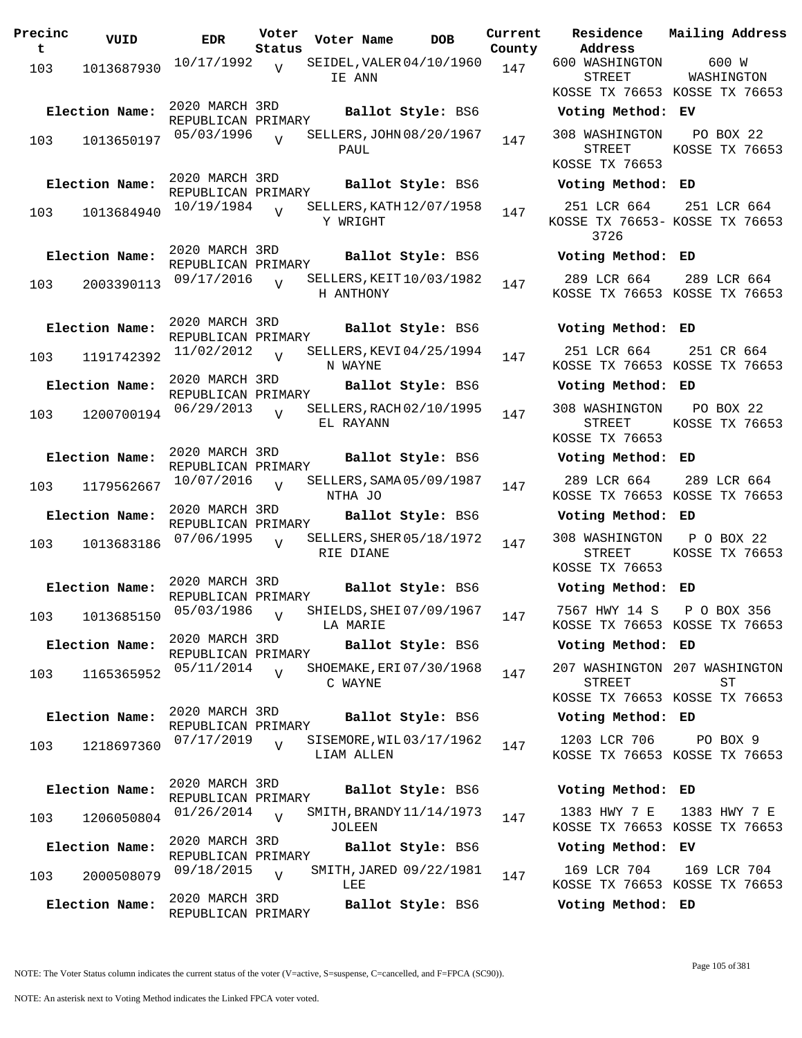| Precinc<br>t | VUID           | <b>EDR</b>                           | Voter<br>Status | Voter Name | <b>DOB</b>                 | Curre<br>Count |
|--------------|----------------|--------------------------------------|-----------------|------------|----------------------------|----------------|
| 103          | 1013687930     | 10/17/1992                           | $\overline{V}$  | IE ANN     | SEIDEL, VALER 04/10/1960   | 147            |
|              | Election Name: | 2020 MARCH 3RD<br>REPUBLICAN PRIMARY |                 |            | Ballot Style: BS6          |                |
| 103          | 1013650197     | 05/03/1996                           | $\overline{U}$  | PAUL       | SELLERS, JOHN 08/20/1967   | 147            |
|              | Election Name: | 2020 MARCH 3RD<br>REPUBLICAN PRIMARY |                 |            | Ballot Style: BS6          |                |
| 103          | 1013684940     | 10/19/1984                           | $\overline{V}$  | Y WRIGHT   | SELLERS, KATH $12/07/1958$ | 147            |
|              | Election Name: | 2020 MARCH 3RD                       |                 |            | Ballot Style: BS6          |                |
| 103          | 2003390113     | REPUBLICAN PRIMARY<br>09/17/2016     | $\overline{V}$  | H ANTHONY  | SELLERS, KEIT 10/03/1982   | 147            |
|              | Election Name: | 2020 MARCH 3RD<br>REPUBLICAN PRIMARY |                 |            | Ballot Style: BS6          |                |
| 103          | 1191742392     | 11/02/2012                           | $\overline{V}$  | N WAYNE    | SELLERS, KEVI 04/25/1994   | 147            |
|              | Election Name: | 2020 MARCH 3RD<br>REPUBLICAN PRIMARY |                 |            | Ballot Style: BS6          |                |
| 103          | 1200700194     | 06/29/2013                           | $\overline{V}$  | EL RAYANN  | SELLERS, RACH 02/10/1995   | 147            |
|              | Election Name: | 2020 MARCH 3RD<br>REPUBLICAN PRIMARY |                 |            | Ballot Style: BS6          |                |
| 103          | 1179562667     | 10/07/2016                           | $\overline{U}$  | NTHA JO    | SELLERS, SAMA 05/09/1987   | 147            |
|              | Election Name: | 2020 MARCH 3RD<br>REPUBLICAN PRIMARY |                 |            | Ballot Style: BS6          |                |
| 103          | 1013683186     | 07/06/1995                           | V               | RIE DIANE  | SELLERS, SHER 05/18/1972   | 147            |
|              | Election Name: | 2020 MARCH 3RD<br>REPUBLICAN PRIMARY |                 |            | Ballot Style: BS6          |                |
|              | 103 1013685150 | 05/03/1986                           | $\overline{V}$  | LA MARIE   | SHIELDS, SHEI 07/09/1967   | 147            |
|              | Election Name: | 2020 MARCH 3RD<br>REPUBLICAN PRIMARY |                 |            | Ballot Style: BS6          |                |
| 103          | 1165365952     | 05/11/2014                           | $\overline{U}$  | C WAYNE    | SHOEMAKE, ERI 07/30/1968   | 147            |
|              | Election Name: | 2020 MARCH 3RD<br>REPUBLICAN PRIMARY |                 |            | Ballot Style: BS6          |                |
| 103          | 1218697360     | 07/17/2019                           | $\overline{U}$  | LIAM ALLEN | SISEMORE, WIL03/17/1962    | 147            |
|              | Election Name: | 2020 MARCH 3RD<br>REPUBLICAN PRIMARY |                 |            | Ballot Style: BS6          |                |
| 103          | 1206050804     | 01/26/2014                           | $\overline{U}$  | JOLEEN     | SMITH, BRANDY 11/14/1973   | 147            |
|              | Election Name: | 2020 MARCH 3RD<br>REPUBLICAN PRIMARY |                 |            | Ballot Style: BS6          |                |
| 103          | 2000508079     | 09/18/2015                           | $\overline{V}$  | LEE        | SMITH, JARED 09/22/1981    | 147            |
|              | Election Name: | 2020 MARCH 3RD<br>REPUBLICAN PRIMARY |                 |            | Ballot Style: BS6          |                |

**Voter Name DOB Residence Current Mailing Address Address** nty 600 WASHINGTON STREET KOSSE TX 76653 KOSSE TX 76653 600 W WASHINGTON **Election Name: Ballot Style:** BS6 **Voting Method: EV** 308 WASHINGTON STREET KOSSE TX 76653 PO BOX 22 KOSSE TX 76653 **Election Name: Ballot Style:** BS6 **Voting Method: ED** 251 LCR 664 KOSSE TX 76653- KOSSE TX 76653 3726 251 LCR 664 **Election Name: Ballot Style:** BS6 **Voting Method: ED** 289 LCR 664 KOSSE TX 76653 KOSSE TX 76653 289 LCR 664 **Election Name: Ballot Style:** BS6 **Voting Method: ED** 251 LCR 664 KOSSE TX 76653 KOSSE TX 76653 251 CR 664 **Election Name: Ballot Style:** BS6 **Voting Method: ED** 308 WASHINGTON STREET KOSSE TX 76653 PO BOX 22 KOSSE TX 76653 **Election Name: Ballot Style:** BS6 **Voting Method: ED** 289 LCR 664 KOSSE TX 76653 KOSSE TX 76653 289 LCR 664 **Election Name: Ballot Style:** BS6 **Voting Method: ED** 308 WASHINGTON P O BOX 22 STREET KOSSE TX 76653 KOSSE TX 76653 **Election Name: Ballot Style:** BS6 **Voting Method: ED** 7567 HWY 14 S P O BOX 356 KOSSE TX 76653 KOSSE TX 76653 **Election Name: Ballot Style:** BS6 **Voting Method: ED** 207 WASHINGTON 207 WASHINGTON STREET KOSSE TX 76653 KOSSE TX 76653  $ST$ **Election Name: Ballot Style:** BS6 **Voting Method: ED** 1203 LCR 706 KOSSE TX 76653 KOSSE TX 76653 PO BOX 9 **Election Name: Ballot Style:** BS6 **Voting Method: ED** 1383 HWY 7 E KOSSE TX 76653 KOSSE TX 76653 1383 HWY 7 E **Election Name: Ballot Style:** BS6 **Voting Method: EV**

169 LCR 704 KOSSE TX 76653 KOSSE TX 76653 169 LCR 704

**Election Name: Ballot Style:** BS6 **Voting Method: ED**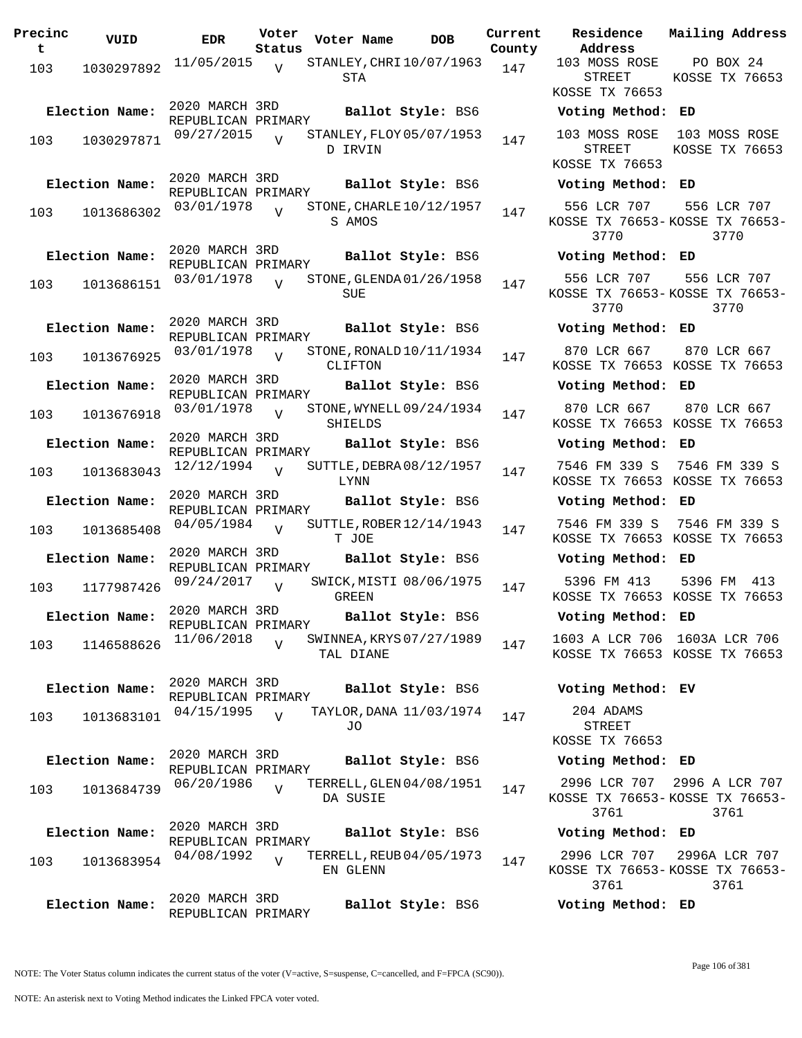| Precinc<br>t | VUID           | EDR                                  | Voter<br>Status | Voter Name                            | <b>DOB</b>               | Curre<br>Count |
|--------------|----------------|--------------------------------------|-----------------|---------------------------------------|--------------------------|----------------|
| 103          | 1030297892     | 11/05/2015                           | $\overline{V}$  | STANLEY, CHRI 10/07/1963<br>STA       |                          | 147            |
|              | Election Name: | 2020 MARCH 3RD<br>REPUBLICAN PRIMARY |                 |                                       | Ballot Style: BS6        |                |
| 103          | 1030297871     | 09/27/2015                           | $\overline{z}$  | STANLEY, FLOY 05/07/1953<br>D IRVIN   |                          | 147            |
|              | Election Name: | 2020 MARCH 3RD<br>REPUBLICAN PRIMARY |                 |                                       | Ballot Style: BS6        |                |
| 103          | 1013686302     | 03/01/1978                           | $\overline{V}$  | S AMOS                                | STONE, CHARLE 10/12/1957 | 147            |
|              | Election Name: | 2020 MARCH 3RD<br>REPUBLICAN PRIMARY |                 |                                       | Ballot Style: BS6        |                |
| 103          | 1013686151     | 03/01/1978                           | $\overline{U}$  | SUE                                   | STONE, GLENDA 01/26/1958 | 147            |
|              | Election Name: | 2020 MARCH 3RD<br>REPUBLICAN PRIMARY |                 |                                       | Ballot Style: BS6        |                |
| 103          | 1013676925     | 03/01/1978                           | $\overline{V}$  | STONE, RONALD 10/11/1934<br>CLIFTON   |                          | 147            |
|              | Election Name: | 2020 MARCH 3RD                       |                 |                                       | Ballot Style: BS6        |                |
| 103          | 1013676918     | REPUBLICAN PRIMARY<br>03/01/1978     | $\overline{U}$  | SHIELDS                               | STONE, WYNELL 09/24/1934 | 147            |
|              | Election Name: | 2020 MARCH 3RD                       |                 |                                       | Ballot Style: BS6        |                |
| 103          | 1013683043     | REPUBLICAN PRIMARY<br>12/12/1994     | $\overline{V}$  | LYNN                                  | SUTTLE, DEBRA 08/12/1957 | 147            |
|              | Election Name: | 2020 MARCH 3RD<br>REPUBLICAN PRIMARY |                 |                                       | Ballot Style: BS6        |                |
| 103          | 1013685408     | 04/05/1984                           | $\overline{U}$  | T JOE                                 | SUTTLE, ROBER 12/14/1943 | 147            |
|              | Election Name: | 2020 MARCH 3RD<br>REPUBLICAN PRIMARY |                 |                                       | Ballot Style: BS6        |                |
| 103          | 1177987426     | 09/24/2017                           | $\overline{V}$  | GREEN                                 | SWICK, MISTI 08/06/1975  | 147            |
|              | Election Name: | 2020 MARCH 3RD<br>REPUBLICAN PRIMARY |                 |                                       | Ballot Style: BS6        |                |
| 103          | 1146588626     | 11/06/2018                           | $\overline{V}$  | SWINNEA, KRYS 07/27/1989<br>TAL DIANE |                          | 147            |
|              | Election Name: | 2020 MARCH 3RD<br>REPUBLICAN PRIMARY |                 |                                       | Ballot Style: BS6        |                |
| 103          | 1013683101     | 04/15/1995                           | $\overline{V}$  | JO                                    | TAYLOR, DANA 11/03/1974  | 147            |
|              | Election Name: | 2020 MARCH 3RD<br>REPUBLICAN PRIMARY |                 |                                       | Ballot Style: BS6        |                |
| 103          | 1013684739     | 06/20/1986                           | $\overline{V}$  | DA SUSIE                              | TERRELL,GLEN04/08/1951   | 147            |
|              | Election Name: | 2020 MARCH 3RD<br>REPUBLICAN PRIMARY |                 |                                       | Ballot Style: BS6        |                |
| 103          | 1013683954     | 04/08/1992                           | $\overline{V}$  | TERRELL, REUB 04/05/1973<br>EN GLENN  |                          | 147            |
|              | Election Name: | 2020 MARCH 3RD<br>REPUBLICAN PRIMARY |                 |                                       | Ballot Style: BS6        |                |

**Current** Residence **Address Current Mailing Address County** 103 MOSS ROSE STREET KOSSE TX 76653 PO BOX 24 KOSSE TX 76653 **Election Name: Ballot Style:** BS6 **Voting Method: ED** 103 MOSS ROSE 103 MOSS ROSE STREET KOSSE TX 76653 KOSSE TX 76653 **Election Name: Ballot Style:** BS6 **Voting Method: ED** 556 LCR 707 KOSSE TX 76653- KOSSE TX 76653- 3770 556 LCR 707 3770 **Election Name: Ballot Style:** BS6 **Voting Method: ED** 556 LCR 707 KOSSE TX 76653- KOSSE TX 76653- 3770 556 LCR 707 3770 **Election Name: Ballot Style:** BS6 **Voting Method: ED** 870 LCR 667 KOSSE TX 76653 KOSSE TX 76653 870 LCR 667 **Election Name: Ballot Style:** BS6 **Voting Method: ED** 870 LCR 667 KOSSE TX 76653 KOSSE TX 76653 870 LCR 667 **Election Name: Ballot Style:** BS6 **Voting Method: ED** 7546 FM 339 S 7546 FM 339 S KOSSE TX 76653 KOSSE TX 76653 **Election Name: Ballot Style:** BS6 **Voting Method: ED** 7546 FM 339 S 7546 FM 339 S KOSSE TX 76653 KOSSE TX 76653 **Election Name: Ballot Style:** BS6 **Voting Method: ED** 5396 FM 413 KOSSE TX 76653 KOSSE TX 76653 5396 FM 413 **Election Name: Ballot Style:** BS6 **Voting Method: ED** 1603 A LCR 706 1603A LCR 706 KOSSE TX 76653 KOSSE TX 76653 **Election Name: Ballot Style:** BS6 **Voting Method: EV** 204 ADAMS STREET KOSSE TX 76653 **Election Name: Ballot Style:** BS6 **Voting Method: ED** 2996 LCR 707 2996 A LCR 707 KOSSE TX 76653- KOSSE TX 76653- 3761 3761 **Election Name: Ballot Style:** BS6 **Voting Method: ED** 2996 LCR 707 KOSSE TX 76653- KOSSE TX 76653- 3761 2996A LCR 707 3761

**Election Name: Ballot Style:** BS6 **Voting Method: ED**

NOTE: The Voter Status column indicates the current status of the voter (V=active, S=suspense, C=cancelled, and F=FPCA (SC90)).

Page 106 of 381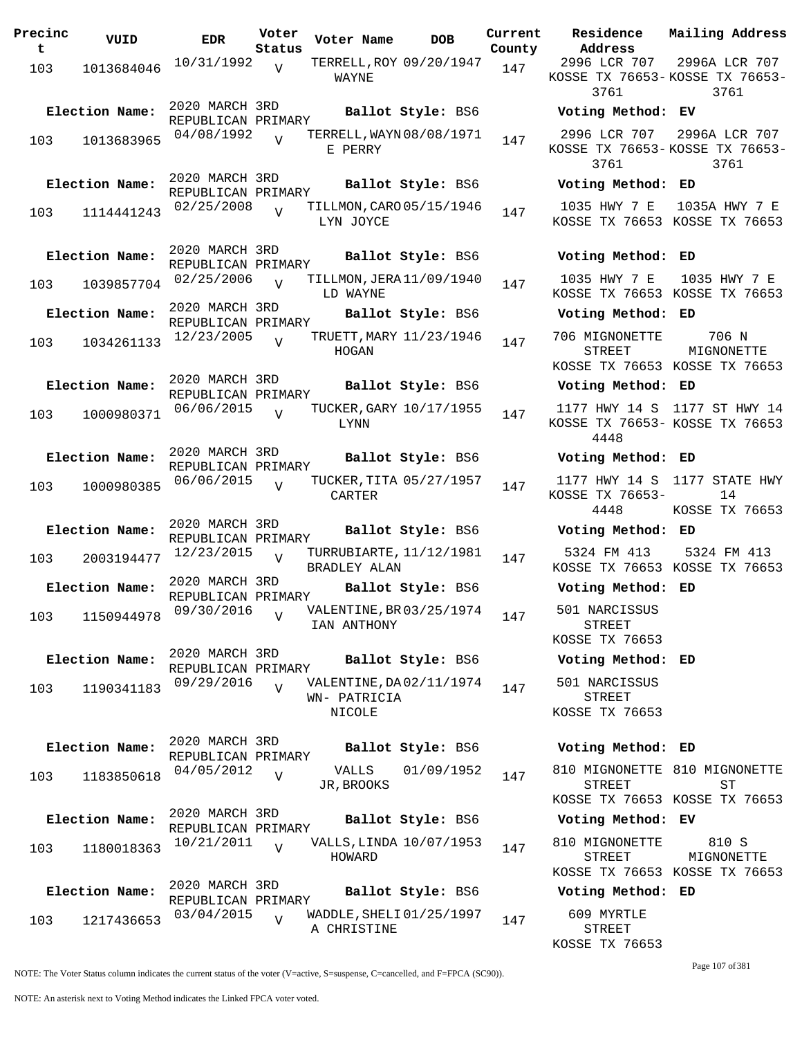| Precinc<br>t   | VUID                         | <b>EDR</b>                                         | Voter<br>Status | Voter Name                    | <b>DOB</b>                                    | Current<br>County |
|----------------|------------------------------|----------------------------------------------------|-----------------|-------------------------------|-----------------------------------------------|-------------------|
| 103            | 1013684046                   | 10/31/1992                                         | $\overline{V}$  | WAYNE                         | TERRELL, ROY 09/20/1947                       | 147               |
| 103            | Election Name:<br>1013683965 | 2020 MARCH 3RD<br>REPUBLICAN PRIMARY<br>04/08/1992 | $\overline{U}$  |                               | Ballot Style: BS6<br>TERRELL, WAYN 08/08/1971 | 147               |
|                | Election Name:               | 2020 MARCH 3RD                                     |                 | E PERRY                       | Ballot Style: BS6                             |                   |
| 103            | 1114441243                   | REPUBLICAN PRIMARY<br>02/25/2008                   | $\overline{V}$  | LYN JOYCE                     | TILLMON, CARO 05/15/1946                      | 147               |
|                | Election Name:               | 2020 MARCH 3RD<br>REPUBLICAN PRIMARY               |                 |                               | Ballot Style: BS6                             |                   |
| 103            | 1039857704                   | 02/25/2006                                         | $\overline{V}$  | LD WAYNE                      | TILLMON, JERA 11/09/1940                      | 147               |
|                | Election Name:               | 2020 MARCH 3RD<br>REPUBLICAN PRIMARY               |                 |                               | Ballot Style: BS6                             |                   |
| 103            | 1034261133                   | 12/23/2005                                         | $\overline{V}$  | HOGAN                         | TRUETT, MARY 11/23/1946                       | 147               |
|                | Election Name:               | 2020 MARCH 3RD<br>REPUBLICAN PRIMARY               |                 |                               | Ballot Style: BS6                             |                   |
| 103            | 1000980371                   | 06/06/2015                                         | $\overline{V}$  | LYNN                          | TUCKER, GARY 10/17/1955                       | 147               |
|                | Election Name:               | 2020 MARCH 3RD<br>REPUBLICAN PRIMARY               |                 |                               | Ballot Style: BS6                             |                   |
| 103            | 1000980385                   | 06/06/2015                                         | $\overline{U}$  | CARTER                        | TUCKER, TITA 05/27/1957                       | 147               |
|                | Election Name:               | 2020 MARCH 3RD<br>REPUBLICAN PRIMARY               |                 |                               | Ballot Style: BS6                             |                   |
| 103            | 2003194477                   | 12/23/2015                                         | $\overline{V}$  | BRADLEY ALAN                  | TURRUBIARTE, 11/12/1981                       | 147               |
|                | Election Name:               | 2020 MARCH 3RD<br>REPUBLICAN PRIMARY               |                 |                               | Ballot Style: BS6                             |                   |
|                | 103 1150944978               | 09/30/2016                                         | V               | IAN ANTHONY                   | VALENTINE, BR 03/25/1974                      | 147               |
|                | Election Name:               | 2020 MARCH 3RD<br>REPUBLICAN PRIMARY               |                 |                               | Ballot Style: BS6                             |                   |
| 103            | 1190341183                   | 09/29/2016                                         | $\overline{V}$  | WN- PATRICIA<br><b>NICOLE</b> | VALENTINE, DA 02/11/1974                      | 147               |
|                | Election Name:               | 2020 MARCH 3RD<br>REPUBLICAN PRIMARY               |                 |                               | Ballot Style: BS6                             |                   |
| 103            | 1183850618                   | 04/05/2012                                         | $\overline{V}$  | VALLS<br>JR, BROOKS           | 01/09/1952                                    | 147               |
| Election Name: |                              | 2020 MARCH 3RD<br>REPUBLICAN PRIMARY               |                 |                               | Ballot Style: BS6                             |                   |
| 103            | 1180018363                   | 10/21/2011                                         | $\overline{V}$  | HOWARD                        | VALLS, LINDA 10/07/1953                       | 147               |
| Election Name: |                              | 2020 MARCH 3RD<br>REPUBLICAN PRIMARY               |                 |                               | Ballot Style: BS6                             |                   |
| 103            | 1217436653                   | 03/04/2015                                         | $\overline{V}$  | A CHRISTINE                   | WADDLE, SHELI 01/25/1997                      | 147               |

**Voter Name DOB Residence Address Current Mailing Address** 2996 LCR 707 KOSSE TX 76653- KOSSE TX 76653- 3761 2996A LCR 707 3761 **Election Name: Ballot Style:** BS6 **Voting Method: EV** 2996 LCR 707 KOSSE TX 76653- KOSSE TX 76653- 3761 2996A LCR 707 3761 **Election Name: Ballot Style:** BS6 **Voting Method: ED** 1035 HWY 7 E 1035A HWY 7 E KOSSE TX 76653 KOSSE TX 76653 **Election Name: Ballot Style:** BS6 **Voting Method: ED** 1035 HWY 7 E KOSSE TX 76653 KOSSE TX 76653 1035 HWY 7 E **Election Name: Ballot Style:** BS6 **Voting Method: ED** 706 MIGNONETTE STREET KOSSE TX 76653 KOSSE TX 76653 706 N MIGNONETTE **Election Name: Ballot Style:** BS6 **Voting Method: ED** 1177 HWY 14 S 1177 ST HWY 14 KOSSE TX 76653- KOSSE TX 76653 4448 **Election Name: Ballot Style:** BS6 **Voting Method: ED** 1177 HWY 14 S 1177 STATE HWY KOSSE TX 76653- 4448 14 KOSSE TX 76653 **Election Name: Ballot Style:** BS6 **Voting Method: ED** 5324 FM 413 KOSSE TX 76653 KOSSE TX 76653 5324 FM 413 **Election Name: Ballot Style:** BS6 **Voting Method: ED** 501 NARCISSUS STREET KOSSE TX 76653 **Election Name: Ballot Style:** BS6 **Voting Method: ED** 501 NARCISSUS STREET KOSSE TX 76653 **Election Name: Ballot Style:** BS6 **Voting Method: ED** 810 MIGNONETTE 810 MIGNONETTE STREET KOSSE TX 76653 KOSSE TX 76653 ST **Election Name: Ballot Style:** BS6 **Voting Method: EV** 810 MIGNONETTE STREET KOSSE TX 76653 KOSSE TX 76653 810 S MIGNONETTE **Election Name: Ballot Style:** BS6 **Voting Method: ED**

> 609 MYRTLE STREET KOSSE TX 76653

> > Page 107 of 381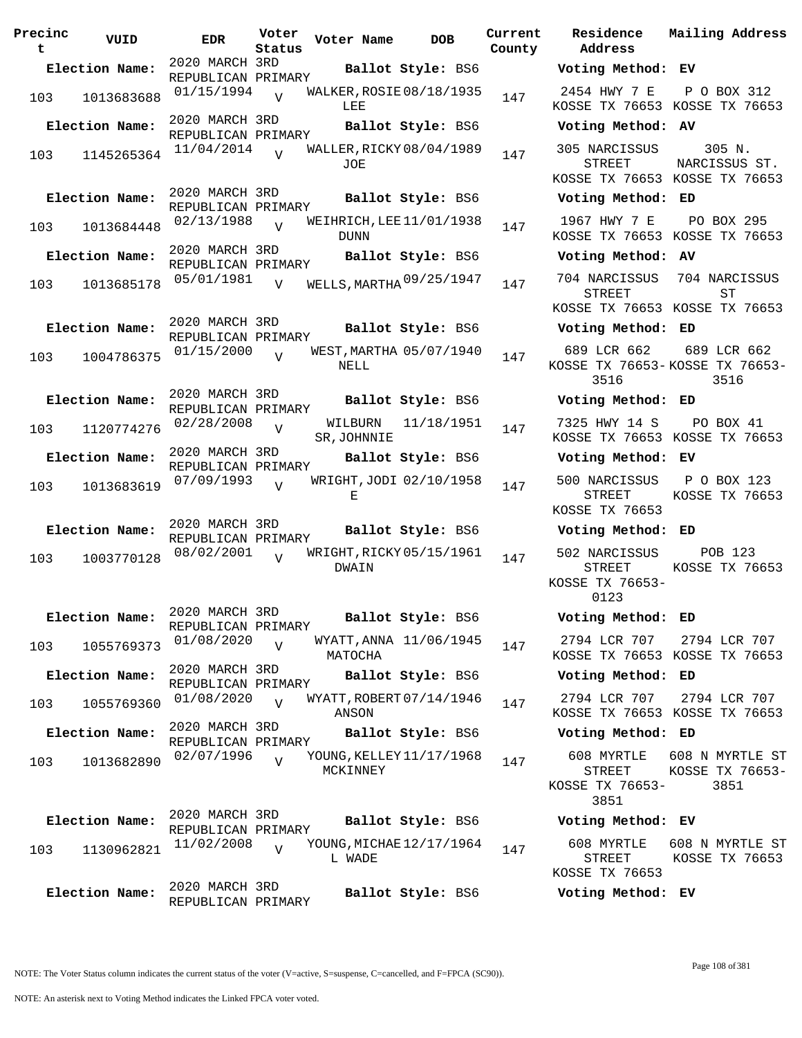| Precinc<br>t | VUID           | EDR.                                 | Voter<br>Status | Voter Name                           | <b>DOB</b>         | Current<br>County | Residence<br>Address                                     |
|--------------|----------------|--------------------------------------|-----------------|--------------------------------------|--------------------|-------------------|----------------------------------------------------------|
|              | Election Name: | 2020 MARCH 3RD                       |                 |                                      | Ballot Style: BS6  |                   | Voting Method                                            |
| 103          | 1013683688     | REPUBLICAN PRIMARY<br>01/15/1994     | $\overline{V}$  | WALKER, ROSIE 08/18/1935<br>LEE      |                    | 147               | 2454 HWY 7 E<br>KOSSE TX 76653                           |
|              | Election Name: | 2020 MARCH 3RD<br>REPUBLICAN PRIMARY |                 |                                      | Ballot Style: BS6  |                   | Voting Method                                            |
| 103          | 1145265364     | 11/04/2014                           | $\overline{t}$  | WALLER, RICKY 08/04/1989<br>JOE      |                    | 147               | 305 NARCISSUS<br>STREET<br>KOSSE TX 76653                |
|              | Election Name: | 2020 MARCH 3RD<br>REPUBLICAN PRIMARY |                 |                                      | Ballot Style: BS6  |                   | Voting Method                                            |
| 103          | 1013684448     | 02/13/1988                           | $\overline{V}$  | WEIHRICH, LEE 11/01/1938<br>DUNN     |                    | 147               | 1967 HWY 7 E<br>KOSSE TX 76653                           |
|              | Election Name: | 2020 MARCH 3RD<br>REPUBLICAN PRIMARY |                 |                                      | Ballot Style: BS6  |                   | Voting Method                                            |
| 103          | 1013685178     | 05/01/1981                           | $\overline{V}$  | WELLS, MARTHA 09/25/1947             |                    | 147               | 704 NARCISSUS<br>STREET<br>KOSSE TX 76653                |
|              | Election Name: | 2020 MARCH 3RD                       |                 |                                      | Ballot Style: BS6  |                   | Voting Method                                            |
| 103          | 1004786375     | REPUBLICAN PRIMARY<br>01/15/2000     | $\overline{v}$  | WEST, MARTHA 05/07/1940<br>NELL      |                    | 147               | 689 LCR 662<br>KOSSE TX 76653<br>3516                    |
|              | Election Name: | 2020 MARCH 3RD<br>REPUBLICAN PRIMARY |                 |                                      | Ballot Style: BS6  |                   | Voting Method                                            |
| 103          | 1120774276     | 02/28/2008                           | $\overline{V}$  | SR, JOHNNIE                          | WILBURN 11/18/1951 | 147               | 7325 HWY 14 S<br>KOSSE TX 76653                          |
|              | Election Name: | 2020 MARCH 3RD<br>REPUBLICAN PRIMARY |                 |                                      | Ballot Style: BS6  |                   | Voting Method                                            |
| 103          | 1013683619     | 07/09/1993                           | $\overline{U}$  | WRIGHT, JODI 02/10/1958<br>Е         |                    | 147               | 500 NARCISSUS<br>STREET<br>KOSSE TX 76653                |
|              | Election Name: | 2020 MARCH 3RD<br>REPUBLICAN PRIMARY |                 |                                      | Ballot Style: BS6  |                   | Voting Method                                            |
| 103          | 1003770128     | 08/02/2001                           | $\overline{U}$  | WRIGHT, RICKY 05/15/1961<br>DWAIN    |                    | 147               | 502 NARCISSUS<br><b>STREET</b><br>KOSSE TX 76653<br>0123 |
|              | Election Name: | 2020 MARCH 3RD                       |                 |                                      | Ballot Style: BS6  |                   | Voting Method                                            |
| 103          | 1055769373     | REPUBLICAN PRIMARY<br>01/08/2020     | $\overline{V}$  | WYATT, ANNA 11/06/1945<br>MATOCHA    |                    | 147               | 2794 LCR 707<br>KOSSE TX 76653                           |
|              | Election Name: | 2020 MARCH 3RD<br>REPUBLICAN PRIMARY |                 |                                      | Ballot Style: BS6  |                   | Voting Method                                            |
| 103          | 1055769360     | 01/08/2020                           | $\overline{V}$  | WYATT, ROBERT 07/14/1946<br>ANSON    |                    | 147               | 2794 LCR 707<br>KOSSE TX 76653                           |
|              | Election Name: | 2020 MARCH 3RD<br>REPUBLICAN PRIMARY |                 |                                      | Ballot Style: BS6  |                   | Voting Method                                            |
| 103          | 1013682890     | 02/07/1996                           |                 | YOUNG, KELLEY 11/17/1968<br>MCKINNEY |                    | 147               | 608 MYRTLE<br>STREET<br>KOSSE TX 76653<br>3851           |
|              | Election Name: | 2020 MARCH 3RD<br>REPUBLICAN PRIMARY |                 |                                      | Ballot Style: BS6  |                   | Voting Method                                            |
| 103          | 1130962821     | 11/02/2008                           | $\overline{V}$  | YOUNG, MICHAE 12/17/1964<br>L WADE   |                    | 147               | 608 MYRTLE<br><b>STREET</b>                              |
|              | Election Name: | 2020 MARCH 3RD<br>REPUBLICAN PRIMARY |                 |                                      | Ballot Style: BS6  |                   | KOSSE TX 76653<br>Voting Method                          |

**Voter Name DOB Residence Address Current Mailing Address Election Name: Ballot Style:** BS6 **Voting Method: EV** 2454 HWY 7 E KOSSE TX 76653 KOSSE TX 76653 P O BOX 312 **Election Name: Ballot Style:** BS6 **Voting Method: AV** 305 NARCISSUS STREET KOSSE TX 76653 KOSSE TX 76653 305 N. NARCISSUS ST. **Election Name: Ballot Style:** BS6 **Voting Method: ED** 1967 HWY 7 E KOSSE TX 76653 KOSSE TX 76653 PO BOX 295 **Election Name: Ballot Style:** BS6 **Voting Method: AV** STREET KOSSE TX 76653 KOSSE TX 76653 704 NARCISSUS ST **Election Name: Ballot Style:** BS6 **Voting Method: ED** 689 LCR 662 KOSSE TX 76653- KOSSE TX 76653- 3516 689 LCR 662 3516 **Election Name: Ballot Style:** BS6 **Voting Method: ED** 7325 HWY 14 S KOSSE TX 76653 KOSSE TX 76653 PO BOX 41 **Election Name: Ballot Style:** BS6 **Voting Method: EV** 500 NARCISSUS P O BOX 123 STREET KOSSE TX 76653 KOSSE TX 76653 **Election Name: Ballot Style:** BS6 **Voting Method: ED** 502 NARCISSUS STREET KOSSE TX 76653- 0123 POB 123 KOSSE TX 76653 **Election Name: Ballot Style:** BS6 **Voting Method: ED** 2794 LCR 707 KOSSE TX 76653 KOSSE TX 76653 2794 LCR 707 **Election Name: Ballot Style:** BS6 **Voting Method: ED** 2794 LCR 707 KOSSE TX 76653 KOSSE TX 76653 2794 LCR 707 **Election Name: Ballot Style:** BS6 **Voting Method: ED** 608 MYRTLE 608 N MYRTLE ST STREET KOSSE TX 76653- 3851 KOSSE TX 76653- 3851 **Election Name: Ballot Style:** BS6 **Voting Method: EV**

608 MYRTLE 608 N MYRTLE ST STREET KOSSE TX 76653 KOSSE TX 76653

**Election Name: Ballot Style:** BS6 **Voting Method: EV**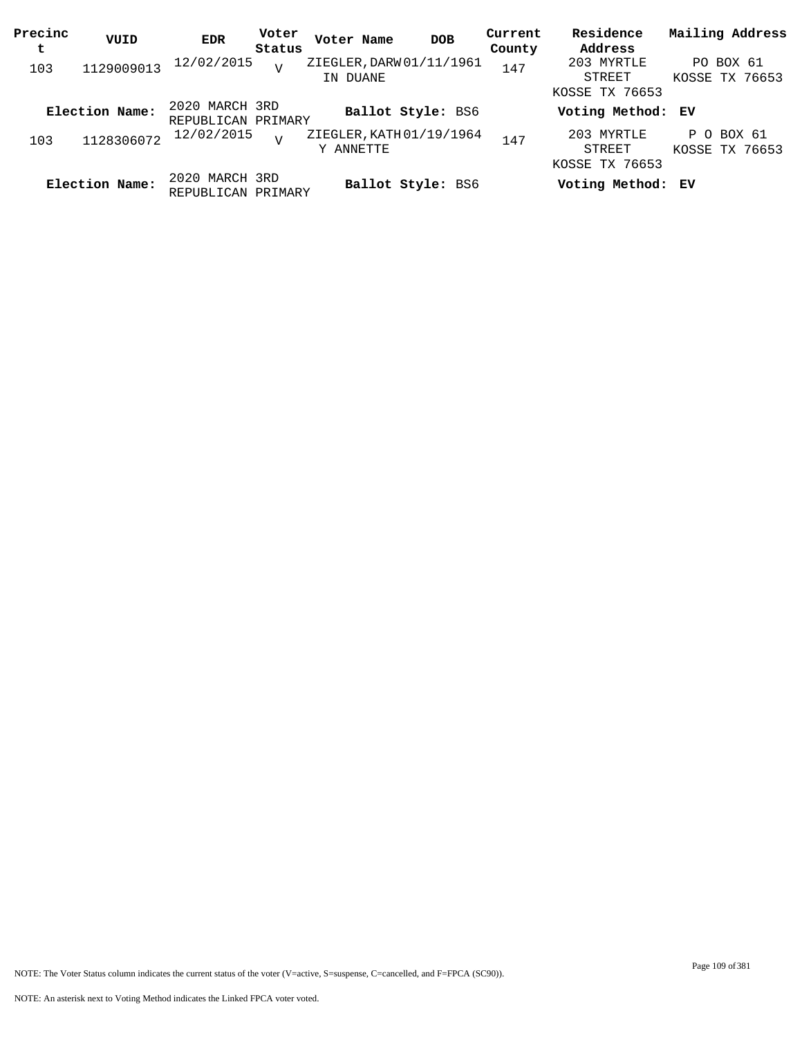| Precinc<br>t | VUID           | <b>EDR</b>                           | Voter<br>Status | Voter Name                            | <b>DOB</b>               | Current<br>County | Residence<br>Address                   | Mailing Address              |
|--------------|----------------|--------------------------------------|-----------------|---------------------------------------|--------------------------|-------------------|----------------------------------------|------------------------------|
| 103          | 1129009013     | 12/02/2015                           | $\overline{U}$  | ZIEGLER, DARW 01/11/1961<br>IN DUANE  |                          | 147               | 203 MYRTLE<br>STREET<br>KOSSE TX 76653 | PO BOX 61<br>KOSSE TX 76653  |
|              | Election Name: | 2020 MARCH 3RD<br>REPUBLICAN PRIMARY |                 |                                       | <b>Ballot Style: BS6</b> |                   | Voting Method: EV                      |                              |
| 103          | 1128306072     | 12/02/2015                           | $\overline{V}$  | ZIEGLER, KATH 01/19/1964<br>Y ANNETTE |                          | 147               | 203 MYRTLE<br>STREET<br>KOSSE TX 76653 | P O BOX 61<br>KOSSE TX 76653 |
|              | Election Name: | 2020 MARCH 3RD<br>REPUBLICAN PRIMARY |                 |                                       | Ballot Style: BS6        |                   | Voting Method: EV                      |                              |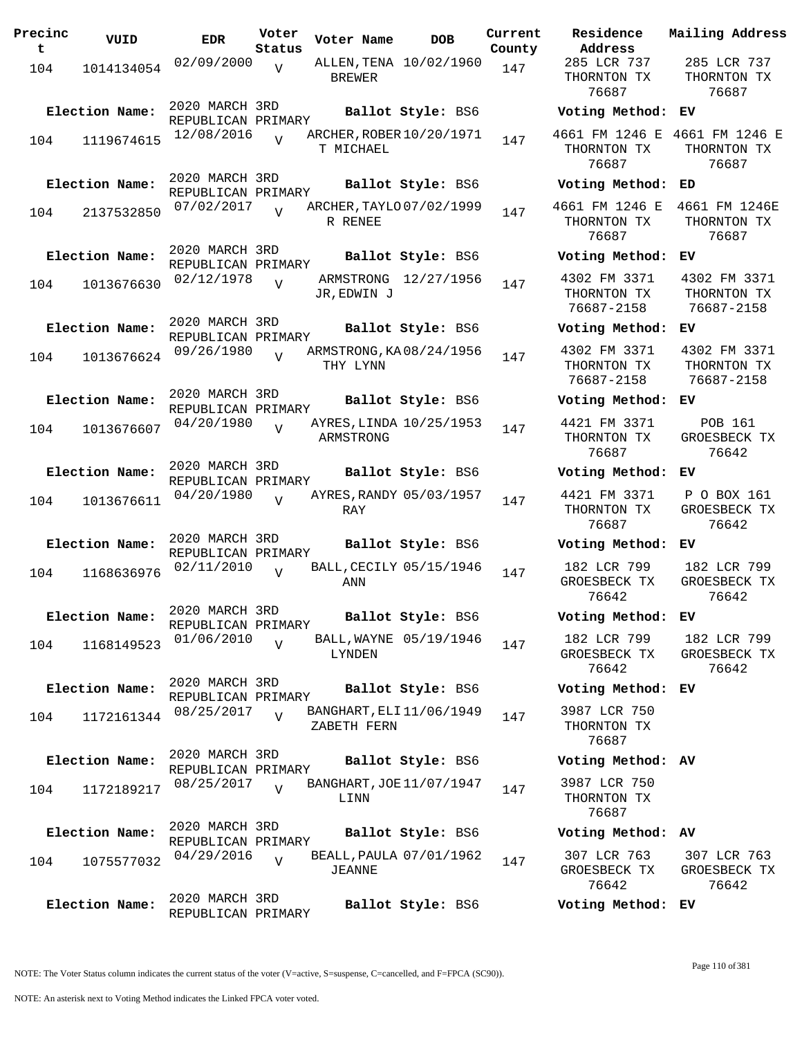| Precinc<br>t. | VUID                         | <b>EDR</b>                                         | Voter<br>Status | Voter Name               | DOB                                           | Current<br>County |
|---------------|------------------------------|----------------------------------------------------|-----------------|--------------------------|-----------------------------------------------|-------------------|
| 104           | 1014134054                   | 02/09/2000                                         | V               | <b>BREWER</b>            | ALLEN, TENA 10/02/1960                        | 147               |
| 104           | Election Name:<br>1119674615 | 2020 MARCH 3RD<br>REPUBLICAN PRIMARY<br>12/08/2016 |                 | T MICHAEL                | Ballot Style: BS6<br>ARCHER, ROBER 10/20/1971 | 147               |
| 104           | Election Name:<br>2137532850 | 2020 MARCH 3RD<br>REPUBLICAN PRIMARY<br>07/02/2017 | V               | R RENEE                  | Ballot Style: BS6<br>ARCHER, TAYLO 07/02/1999 | 147               |
| 104           | Election Name:<br>1013676630 | 2020 MARCH 3RD<br>REPUBLICAN PRIMARY<br>02/12/1978 | $\overline{V}$  | ARMSTRONG<br>JR, EDWIN J | Ballot Style: BS6<br>12/27/1956               | 147               |
| 104           | Election Name:<br>1013676624 | 2020 MARCH 3RD<br>REPUBLICAN PRIMARY<br>09/26/1980 | $\overline{U}$  | THY LYNN                 | Ballot Style: BS6<br>ARMSTRONG, KA08/24/1956  | 147               |
| 104           | Election Name:<br>1013676607 | 2020 MARCH 3RD<br>REPUBLICAN PRIMARY<br>04/20/1980 | $\overline{V}$  | ARMSTRONG                | Ballot Style: BS6<br>AYRES, LINDA 10/25/1953  | 147               |
| 104           | Election Name:<br>1013676611 | 2020 MARCH 3RD<br>REPUBLICAN PRIMARY<br>04/20/1980 | ٦T              | RAY                      | Ballot Style: BS6<br>AYRES, RANDY 05/03/1957  | 147               |
| 104           | Election Name:<br>1168636976 | 2020 MARCH 3RD<br>REPUBLICAN PRIMARY<br>02/11/2010 | V               | ANN                      | Ballot Style: BS6<br>BALL, CECILY 05/15/1946  | 147               |
| 104           | Election Name:<br>1168149523 | 2020 MARCH 3RD<br>REPUBLICAN PRIMARY<br>01/06/2010 | $\overline{V}$  | LYNDEN                   | Ballot Style: BS6<br>BALL, WAYNE 05/19/1946   | 147               |
| 104           | Election Name:<br>1172161344 | 2020 MARCH 3RD<br>REPUBLICAN PRIMARY<br>08/25/2017 | $\overline{U}$  | ZABETH FERN              | Ballot Style: BS6<br>BANGHART, ELI 11/06/1949 | 147               |
| 104           | Election Name:<br>1172189217 | 2020 MARCH 3RD<br>REPUBLICAN PRIMARY<br>08/25/2017 | $\overline{V}$  | LINN                     | Ballot Style: BS6<br>BANGHART, JOE 11/07/1947 | 147               |
| 104           | Election Name:<br>1075577032 | 2020 MARCH 3RD<br>REPUBLICAN PRIMARY<br>04/29/2016 | $\overline{V}$  | JEANNE                   | Ballot Style: BS6<br>BEALL, PAULA 07/01/1962  | 147               |
|               | Election Name:               | 2020 MARCH 3RD<br>REPUBLICAN PRIMARY               |                 |                          | Ballot Style: BS6                             |                   |

**Voter Name DOB Residence Address Current Mailing Address** 285 LCR 737 THORNTON TX 76687 285 LCR 737 THORNTON TX 76687 **Election Name: Ballot Style:** BS6 **Voting Method: EV** 4661 FM 1246 E 4661 FM 1246 E THORNTON TX 76687 THORNTON TX 76687 **Election Name: Ballot Style:** BS6 **Voting Method: ED** 4661 FM 1246 E 4661 FM 1246E THORNTON TX 76687 THORNTON TX 76687 **Election Name: Ballot Style:** BS6 **Voting Method: EV** 4302 FM 3371 THORNTON TX 76687-2158 4302 FM 3371 THORNTON TX 76687-2158 **Election Name: Ballot Style:** BS6 **Voting Method: EV** 4302 FM 3371 THORNTON TX 76687-2158 4302 FM 3371 THORNTON TX 76687-2158 **Election Name: Ballot Style:** BS6 **Voting Method: EV** 4421 FM 3371 THORNTON TX 76687 POB 161 GROESBECK TX 76642 **Election Name: Ballot Style:** BS6 **Voting Method: EV** 4421 FM 3371 THORNTON TX 76687 P O BOX 161 GROESBECK TX 76642 **Election Name: Ballot Style:** BS6 **Voting Method: EV** 182 LCR 799 GROESBECK TX 76642 182 LCR 799 GROESBECK TX 76642 **Election Name: Ballot Style:** BS6 **Voting Method: EV** 182 LCR 799 GROESBECK TX 76642 182 LCR 799 GROESBECK TX 76642 **Election Name: Ballot Style:** BS6 **Voting Method: EV** 3987 LCR 750 THORNTON TX 76687 **Election Name: Ballot Style:** BS6 **Voting Method: AV** 3987 LCR 750 THORNTON TX 76687 **Election Name: Ballot Style:** BS6 **Voting Method: AV** 307 LCR 763 GROESBECK TX 307 LCR 763 GROESBECK TX

NOTE: The Voter Status column indicates the current status of the voter (V=active, S=suspense, C=cancelled, and F=FPCA (SC90)).

76642

76642

**Election Name: Ballot Style:** BS6 **Voting Method: EV**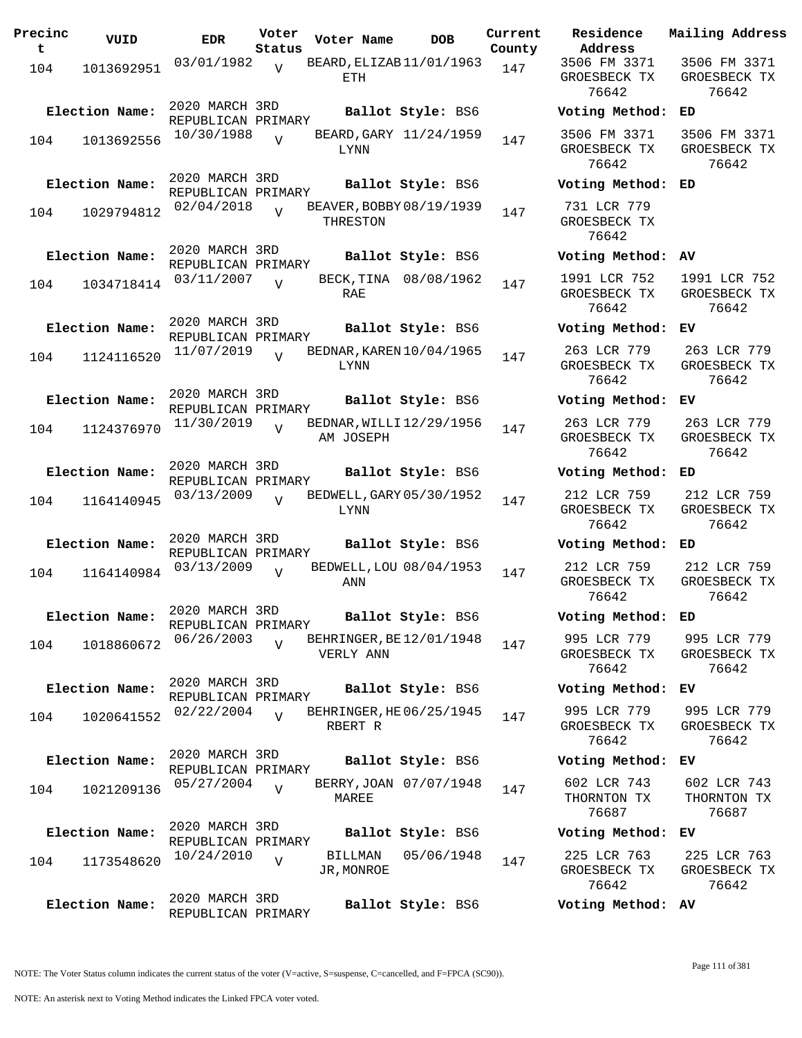| Precinc<br>t. | VUID                         | <b>EDR</b>                                         | Voter<br>Status | Voter Name                           | DOB                                         | Current<br>County |
|---------------|------------------------------|----------------------------------------------------|-----------------|--------------------------------------|---------------------------------------------|-------------------|
| 104           | 1013692951                   | 03/01/1982                                         | ٦T              | BEARD, ELIZAB 11/01/1963<br>ETH      |                                             | 147               |
| 104           | Election Name:<br>1013692556 | 2020 MARCH 3RD<br>REPUBLICAN PRIMARY<br>10/30/1988 | $\overline{U}$  |                                      | Ballot Style: BS6<br>BEARD, GARY 11/24/1959 | 147               |
|               | Election Name:               | 2020 MARCH 3RD                                     |                 | LYNN                                 | Ballot Style: BS6                           |                   |
| 104           | 1029794812                   | REPUBLICAN PRIMARY<br>02/04/2018                   | V               | BEAVER, BOBBY 08/19/1939<br>THRESTON |                                             | 147               |
| 104           | Election Name:<br>1034718414 | 2020 MARCH 3RD<br>REPUBLICAN PRIMARY<br>03/11/2007 | $\overline{V}$  |                                      | Ballot Style: BS6<br>BECK, TINA 08/08/1962  | 147               |
|               | Election Name:               | 2020 MARCH 3RD<br>REPUBLICAN PRIMARY<br>11/07/2019 |                 | RAE<br>BEDNAR, KAREN 10/04/1965      | Ballot Style: BS6                           |                   |
| 104           | 1124116520<br>Election Name: | 2020 MARCH 3RD                                     | $\overline{U}$  | LYNN                                 | Ballot Style: BS6                           | 147               |
| 104           | 1124376970                   | REPUBLICAN PRIMARY<br>11/30/2019                   | $\overline{V}$  | BEDNAR, WILLI12/29/1956<br>AM JOSEPH |                                             | 147               |
|               | Election Name:               | 2020 MARCH 3RD<br>REPUBLICAN PRIMARY<br>03/13/2009 |                 | BEDWELL, GARY 05/30/1952             | Ballot Style: BS6                           |                   |
| 104           | 1164140945                   | 2020 MARCH 3RD                                     | $\overline{I}$  | LYNN                                 |                                             | 147               |
|               | Election Name:               | REPUBLICAN PRIMARY                                 |                 |                                      | Ballot Style: BS6                           |                   |
| 104           | 1164140984                   | 03/13/2009                                         | $\overline{V}$  | BEDWELL, LOU 08/04/1953<br>ANN       |                                             | 147               |
|               | Election Name:               | 2020 MARCH 3RD<br>REPUBLICAN PRIMARY<br>06/26/2003 |                 | BEHRINGER, BE 12/01/1948             | Ballot Style: BS6                           |                   |
| 104           | 1018860672                   |                                                    | V               | VERLY ANN                            |                                             | 147               |
| 104           | Election Name:<br>1020641552 | 2020 MARCH 3RD<br>REPUBLICAN PRIMARY<br>02/22/2004 | $\overline{U}$  | BEHRINGER, HE 06/25/1945             | Ballot Style: BS6                           | 147               |
|               | Election Name:               | 2020 MARCH 3RD                                     |                 | RBERT R                              | Ballot Style: BS6                           |                   |
| 104           | 1021209136                   | REPUBLICAN PRIMARY<br>05/27/2004                   | $\overline{V}$  | MAREE                                | BERRY, JOAN 07/07/1948                      | 147               |
|               | Election Name:               | 2020 MARCH 3RD<br>REPUBLICAN PRIMARY               |                 |                                      | Ballot Style: BS6                           |                   |
| 104           | 1173548620                   | 10/24/2010                                         | V               | BILLMAN<br>JR,MONROE                 | 05/06/1948                                  | 147               |
|               | Election Name:               | 2020 MARCH 3RD<br>REPUBLICAN PRIMARY               |                 |                                      | Ballot Style: BS6                           |                   |

**Voter Name DOB Residence Address Current Mailing Address** 3506 FM 3371 GROESBECK TX 76642 3506 FM 3371 GROESBECK TX 76642 **Election Name: Ballot Style:** BS6 **Voting Method: ED** 3506 FM 3371 GROESBECK TX 76642 3506 FM 3371 GROESBECK TX 76642 **Election Name: Ballot Style:** BS6 **Voting Method: ED** 731 LCR 779 GROESBECK TX 76642 **Election Name: Ballot Style:** BS6 **Voting Method: AV** 1991 LCR 752 GROESBECK TX 76642 1991 LCR 752 GROESBECK TX 76642 **Election Name: Ballot Style:** BS6 **Voting Method: EV** 263 LCR 779 GROESBECK TX 76642 263 LCR 779 GROESBECK TX 76642 **Election Name: Ballot Style:** BS6 **Voting Method: EV** 263 LCR 779 GROESBECK TX 76642 263 LCR 779 GROESBECK TX 76642 **Election Name: Ballot Style:** BS6 **Voting Method: ED** 212 LCR 759 GROESBECK TX 76642 212 LCR 759 GROESBECK TX 76642 **Election Name: Ballot Style:** BS6 **Voting Method: ED** 212 LCR 759 GROESBECK TX 76642 212 LCR 759 GROESBECK TX 76642 **Election Name: Ballot Style:** BS6 **Voting Method: ED** 995 LCR 779 GROESBECK TX 76642 995 LCR 779 GROESBECK TX 76642 **Election Name: Ballot Style:** BS6 **Voting Method: EV** 995 LCR 779 GROESBECK TX 76642 995 LCR 779 GROESBECK TX 76642 **Election Name: Ballot Style:** BS6 **Voting Method: EV** 602 LCR 743 THORNTON TX 76687 602 LCR 743 THORNTON TX 76687 **Election Name: Ballot Style:** BS6 **Voting Method: EV** 225 LCR 763 225 LCR 763

GROESBECK TX 76642 GROESBECK TX **Election Name: Ballot Style:** BS6 **Voting Method: AV**

Page 111 of 381

76642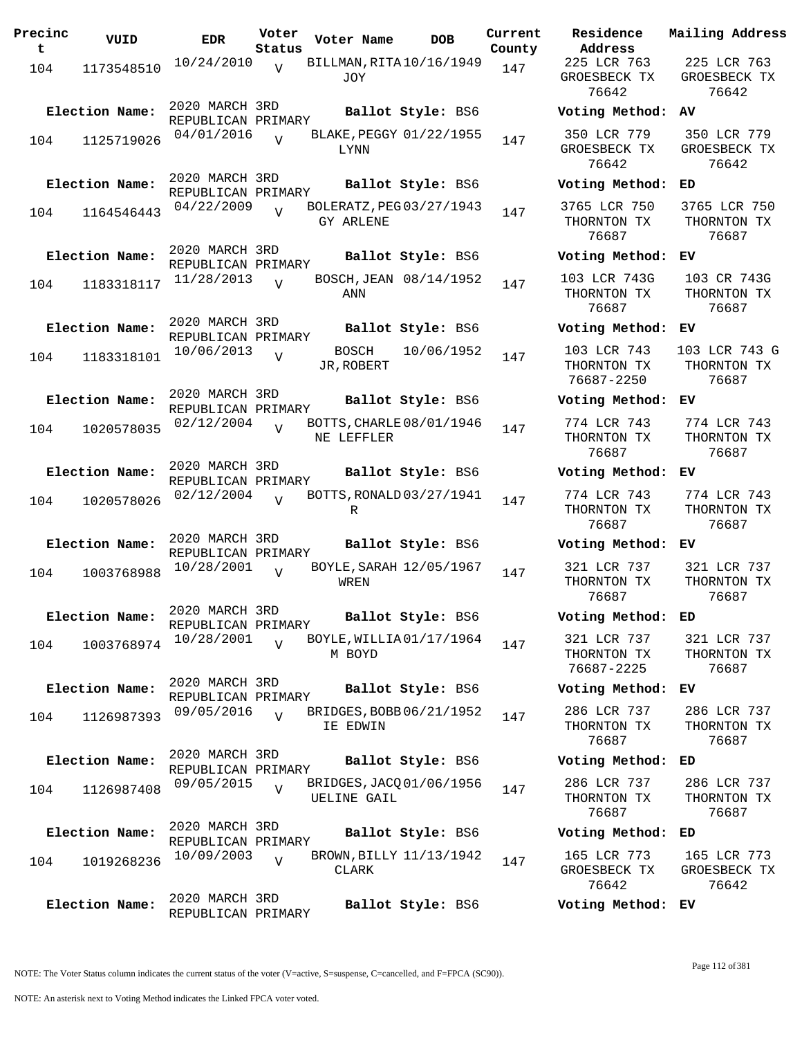| Precinc<br>t. | VUID           | <b>EDR</b>                           | Voter<br>Status | Voter Name          | DOB                      | Current<br>County |
|---------------|----------------|--------------------------------------|-----------------|---------------------|--------------------------|-------------------|
| 104           | 1173548510     | 10/24/2010                           | $\overline{V}$  | JOY                 | BILLMAN, RITA 10/16/1949 | 147               |
|               | Election Name: | 2020 MARCH 3RD<br>REPUBLICAN PRIMARY |                 |                     | Ballot Style: BS6        |                   |
| 104           | 1125719026     | 04/01/2016                           | $\overline{z}$  | LYNN                | BLAKE, PEGGY 01/22/1955  | 147               |
|               | Election Name: | 2020 MARCH 3RD<br>REPUBLICAN PRIMARY |                 |                     | Ballot Style: BS6        |                   |
| 104           | 1164546443     | 04/22/2009                           | $\overline{V}$  | GY ARLENE           | BOLERATZ, PEG 03/27/1943 | 147               |
|               | Election Name: | 2020 MARCH 3RD<br>REPUBLICAN PRIMARY |                 |                     | Ballot Style: BS6        |                   |
| 104           | 1183318117     | 11/28/2013                           | $\overline{V}$  | ANN                 | BOSCH, JEAN 08/14/1952   | 147               |
|               | Election Name: | 2020 MARCH 3RD<br>REPUBLICAN PRIMARY |                 |                     | Ballot Style: BS6        |                   |
| 104           | 1183318101     | 10/06/2013                           | V               | BOSCH<br>JR, ROBERT | 10/06/1952               | 147               |
|               | Election Name: | 2020 MARCH 3RD<br>REPUBLICAN PRIMARY |                 |                     | Ballot Style: BS6        |                   |
| 104           | 1020578035     | 02/12/2004                           | $\overline{V}$  | NE LEFFLER          | BOTTS, CHARLE 08/01/1946 | 147               |
|               | Election Name: | 2020 MARCH 3RD<br>REPUBLICAN PRIMARY |                 |                     | Ballot Style: BS6        |                   |
| 104           | 1020578026     | 02/12/2004                           | $\overline{U}$  | R                   | BOTTS, RONALD 03/27/1941 | 147               |
|               | Election Name: | 2020 MARCH 3RD<br>REPUBLICAN PRIMARY |                 |                     | Ballot Style: BS6        |                   |
| 104           | 1003768988     | 10/28/2001                           | $\overline{U}$  | WREN                | BOYLE, SARAH 12/05/1967  | 147               |
|               | Election Name: | 2020 MARCH 3RD<br>REPUBLICAN PRIMARY |                 |                     | Ballot Style: BS6        |                   |
| 104           | 1003768974     | 10/28/2001                           | $\overline{U}$  | M BOYD              | BOYLE, WILLIA01/17/1964  | 147               |
|               | Election Name: | 2020 MARCH 3RD<br>REPUBLICAN PRIMARY |                 |                     | Ballot Style: BS6        |                   |
| 104           | 1126987393     | 09/05/2016                           | V               | IE EDWIN            | BRIDGES, BOBB 06/21/1952 | 147               |
|               | Election Name: | 2020 MARCH 3RD                       |                 |                     | Ballot Style: BS6        |                   |
| 104           | 1126987408     | REPUBLICAN PRIMARY<br>09/05/2015     | $\overline{V}$  | UELINE GAIL         | BRIDGES, JACQ 01/06/1956 | 147               |
|               | Election Name: | 2020 MARCH 3RD                       |                 |                     | Ballot Style: BS6        |                   |
| 104           | 1019268236     | REPUBLICAN PRIMARY<br>10/09/2003     | V               | CLARK               | BROWN, BILLY 11/13/1942  | 147               |
|               | Election Name: | 2020 MARCH 3RD<br>REPUBLICAN PRIMARY |                 |                     | Ballot Style: BS6        |                   |

**Voter Name DOB Residence Address Current Mailing Address** 225 LCR 763 GROESBECK TX 76642 225 LCR 763 GROESBECK TX 76642 **Election Name: Ballot Style:** BS6 **Voting Method: AV** 350 LCR 779 GROESBECK TX 76642 350 LCR 779 GROESBECK TX 76642 **Election Name: Ballot Style:** BS6 **Voting Method: ED** 3765 LCR 750 THORNTON TX 76687 3765 LCR 750 THORNTON TX 76687 **Election Name: Ballot Style:** BS6 **Voting Method: EV** 103 LCR 743G THORNTON TX 76687 103 CR 743G THORNTON TX 76687 **Election Name: Ballot Style:** BS6 **Voting Method: EV** 103 LCR 743 THORNTON TX 76687-2250 103 LCR 743 G THORNTON TX 76687 **Election Name: Ballot Style:** BS6 **Voting Method: EV** 774 LCR 743 THORNTON TX 76687 774 LCR 743 THORNTON TX 76687 **Election Name: Ballot Style:** BS6 **Voting Method: EV** 774 LCR 743 THORNTON TX 76687 774 LCR 743 THORNTON TX 76687 **Election Name: Ballot Style:** BS6 **Voting Method: EV** 321 LCR 737 THORNTON TX 76687 321 LCR 737 THORNTON TX 76687 **Election Name: Ballot Style:** BS6 **Voting Method: ED** 321 LCR 737 THORNTON TX 76687-2225 321 LCR 737 THORNTON TX 76687 **Election Name: Ballot Style:** BS6 **Voting Method: EV** 286 LCR 737 THORNTON TX 76687 286 LCR 737 THORNTON TX 76687 **Election Name: Ballot Style:** BS6 **Voting Method: ED** 286 LCR 737 THORNTON TX 76687 286 LCR 737 THORNTON TX 76687 **Election Name: Ballot Style:** BS6 **Voting Method: ED** 165 LCR 773 GROESBECK TX 76642 165 LCR 773 GROESBECK TX 76642 **Election Name: Ballot Style:** BS6 **Voting Method: EV**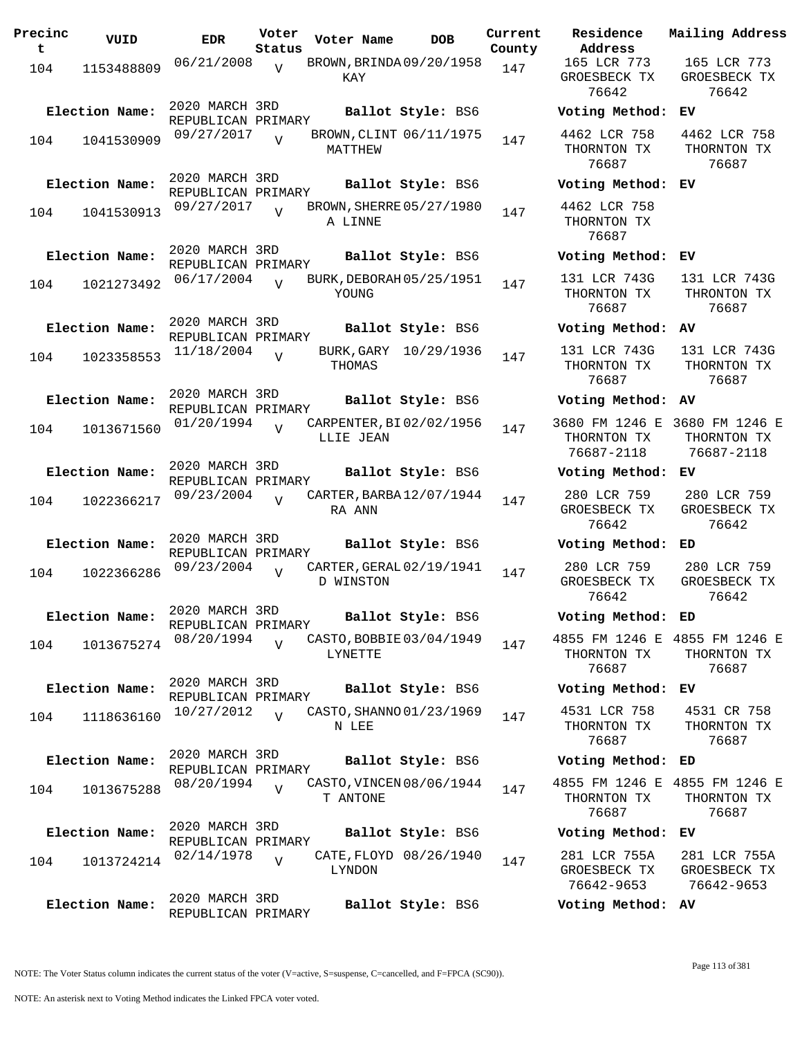| Precinc<br>t | VUID           | <b>EDR</b>                           | Voter<br>Status | Voter Name                            | DOB                    | Current<br>County |
|--------------|----------------|--------------------------------------|-----------------|---------------------------------------|------------------------|-------------------|
| 104          | 1153488809     | 06/21/2008                           | $\overline{V}$  | BROWN, BRINDA 09/20/1958<br>KAY       |                        | 147               |
|              | Election Name: | 2020 MARCH 3RD<br>REPUBLICAN PRIMARY |                 |                                       | Ballot Style: BS6      |                   |
| 104          | 1041530909     | 09/27/2017                           |                 | BROWN, CLINT 06/11/1975<br>MATTHEW    |                        | 147               |
|              | Election Name: | 2020 MARCH 3RD<br>REPUBLICAN PRIMARY |                 |                                       | Ballot Style: BS6      |                   |
| 104          | 1041530913     | 09/27/2017                           | V               | BROWN, SHERRE 05/27/1980<br>A LINNE   |                        | 147               |
|              | Election Name: | 2020 MARCH 3RD<br>REPUBLICAN PRIMARY |                 |                                       | Ballot Style: BS6      |                   |
| 104          | 1021273492     | 06/17/2004                           | $\overline{U}$  | BURK, DEBORAH 05/25/1951<br>YOUNG     |                        | 147               |
|              | Election Name: | 2020 MARCH 3RD                       |                 |                                       | Ballot Style: BS6      |                   |
| 104          | 1023358553     | REPUBLICAN PRIMARY<br>11/18/2004     | V               | BURK, GARY<br>THOMAS                  | 10/29/1936             | 147               |
|              | Election Name: | 2020 MARCH 3RD<br>REPUBLICAN PRIMARY |                 |                                       | Ballot Style: BS6      |                   |
| 104          | 1013671560     | 01/20/1994                           | V               | CARPENTER, BI02/02/1956<br>LLIE JEAN  |                        | 147               |
|              | Election Name: | 2020 MARCH 3RD<br>REPUBLICAN PRIMARY |                 |                                       | Ballot Style: BS6      |                   |
| 104          | 1022366217     | 09/23/2004                           | $\overline{I}$  | CARTER, BARBA 12/07/1944<br>RA ANN    |                        | 147               |
|              | Election Name: | 2020 MARCH 3RD<br>REPUBLICAN PRIMARY |                 |                                       | Ballot Style: BS6      |                   |
| 104          | 1022366286     | 09/23/2004                           |                 | CARTER, GERAL 02/19/1941<br>D WINSTON |                        | 147               |
|              | Election Name: | 2020 MARCH 3RD<br>REPUBLICAN PRIMARY |                 |                                       | Ballot Style: BS6      |                   |
| 104          | 1013675274     | 08/20/1994                           | V               | CASTO, BOBBIE 03/04/1949<br>LYNETTE   |                        | 147               |
|              | Election Name: | 2020 MARCH 3RD<br>REPUBLICAN PRIMARY |                 |                                       | Ballot Style: BS6      |                   |
| 104          | 1118636160     | 10/27/2012                           | $\overline{U}$  | CASTO, SHANNO 01/23/1969<br>N LEE     |                        | 147               |
|              | Election Name: | 2020 MARCH 3RD                       |                 |                                       | Ballot Style: BS6      |                   |
| 104          | 1013675288     | REPUBLICAN PRIMARY<br>08/20/1994     | $\overline{V}$  | CASTO, VINCEN 08/06/1944<br>T ANTONE  |                        | 147               |
|              | Election Name: | 2020 MARCH 3RD                       |                 |                                       | Ballot Style: BS6      |                   |
| 104          | 1013724214     | REPUBLICAN PRIMARY<br>02/14/1978     | V               | LYNDON                                | CATE, FLOYD 08/26/1940 | 147               |
|              | Election Name: | 2020 MARCH 3RD<br>REPUBLICAN PRIMARY |                 |                                       | Ballot Style: BS6      |                   |

**Voter Name DOB Residence Address Current Mailing Address** 165 LCR 773 GROESBECK TX 76642 165 LCR 773 GROESBECK TX 76642 **Election Name: Ballot Style:** BS6 **Voting Method: EV** 4462 LCR 758 THORNTON TX 76687 4462 LCR 758 THORNTON TX 76687 **Election Name: Ballot Style:** BS6 **Voting Method: EV** 4462 LCR 758 THORNTON TX 76687 **Election Name: Ballot Style:** BS6 **Voting Method: EV** 131 LCR 743G THORNTON TX 76687 131 LCR 743G THRONTON TX 76687 **Election Name: Ballot Style:** BS6 **Voting Method: AV** 131 LCR 743G THORNTON TX 76687 131 LCR 743G THORNTON TX 76687 **Election Name: Ballot Style:** BS6 **Voting Method: AV** 3680 FM 1246 E 3680 FM 1246 E THORNTON TX 76687-2118 THORNTON TX 76687-2118 **Election Name: Ballot Style:** BS6 **Voting Method: EV** 280 LCR 759 GROESBECK TX 76642 280 LCR 759 GROESBECK TX 76642 **Election Name: Ballot Style:** BS6 **Voting Method: ED** 280 LCR 759 GROESBECK TX 76642 280 LCR 759 GROESBECK TX 76642 **Election Name: Ballot Style:** BS6 **Voting Method: ED** 4855 FM 1246 E 4855 FM 1246 E THORNTON TX 76687 THORNTON TX 76687 **Election Name: Ballot Style:** BS6 **Voting Method: EV** 4531 LCR 758 THORNTON TX 76687 4531 CR 758 THORNTON TX 76687 **Election Name: Ballot Style:** BS6 **Voting Method: ED** 4855 FM 1246 E 4855 FM 1246 E THORNTON TX 76687 THORNTON TX 76687 **Election Name: Ballot Style:** BS6 **Voting Method: EV** 281 LCR 755A GROESBECK TX 76642-9653 281 LCR 755A GROESBECK TX 76642-9653 **Election Name: Ballot Style:** BS6 **Voting Method: AV**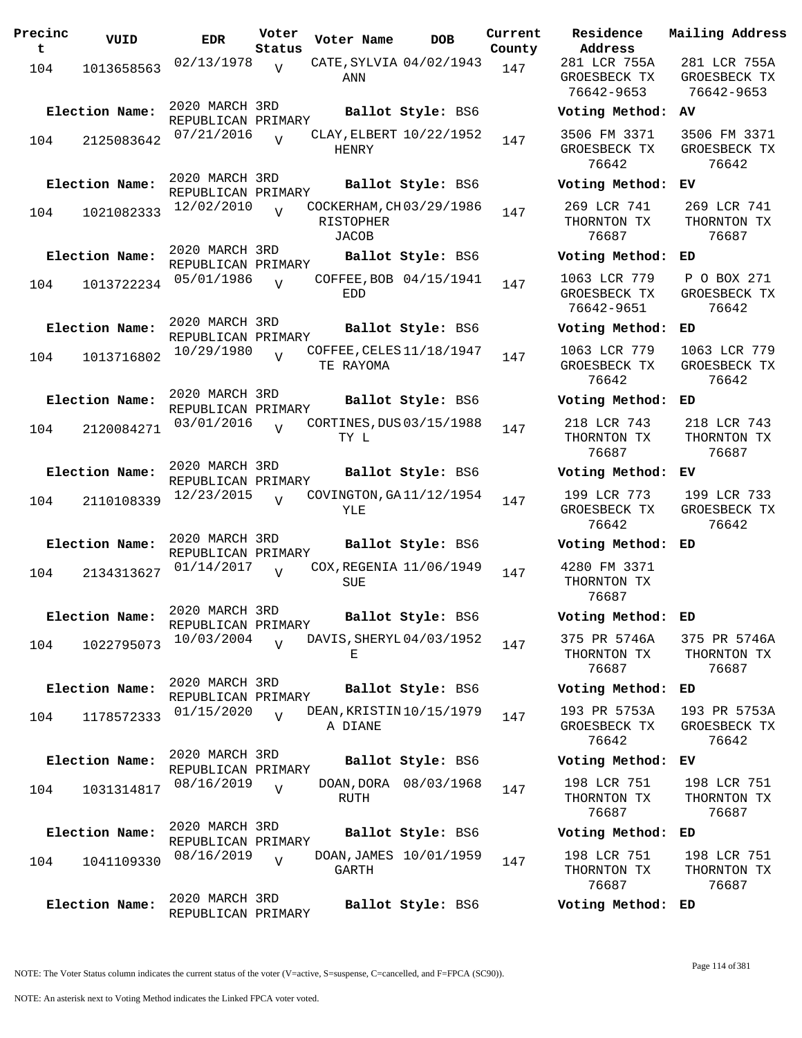| Precinc<br>t. | VUID           | <b>EDR</b>                                         | Voter<br>Status | Voter Name                                           | DOB                    | Current<br>County |
|---------------|----------------|----------------------------------------------------|-----------------|------------------------------------------------------|------------------------|-------------------|
| 104           | 1013658563     | 02/13/1978                                         | $\overline{V}$  | CATE, SYLVIA 04/02/1943<br>ANN                       |                        | 147               |
|               | Election Name: | 2020 MARCH 3RD<br>REPUBLICAN PRIMARY<br>07/21/2016 | $\overline{U}$  | CLAY, ELBERT 10/22/1952                              | Ballot Style: BS6      |                   |
| 104           | 2125083642     | 2020 MARCH 3RD                                     |                 | HENRY                                                |                        | 147               |
|               | Election Name: | REPUBLICAN PRIMARY                                 |                 |                                                      | Ballot Style: BS6      |                   |
| 104           | 1021082333     | 12/02/2010                                         | V               | COCKERHAM, CH03/29/1986<br>RISTOPHER<br><b>JACOB</b> |                        | 147               |
|               | Election Name: | 2020 MARCH 3RD<br>REPUBLICAN PRIMARY               |                 |                                                      | Ballot Style: BS6      |                   |
| 104           | 1013722234     | 05/01/1986                                         | $\overline{U}$  | <b>EDD</b>                                           | COFFEE, BOB 04/15/1941 | 147               |
|               | Election Name: | 2020 MARCH 3RD<br>REPUBLICAN PRIMARY               |                 |                                                      | Ballot Style: BS6      |                   |
| 104           | 1013716802     | 10/29/1980                                         | $\overline{U}$  | COFFEE, CELES 11/18/1947<br>TE RAYOMA                |                        | 147               |
|               | Election Name: | 2020 MARCH 3RD<br>REPUBLICAN PRIMARY               |                 |                                                      | Ballot Style: BS6      |                   |
| 104           | 2120084271     | 03/01/2016                                         | ٦T              | CORTINES, DUS 03/15/1988<br>TY L                     |                        | 147               |
|               | Election Name: | 2020 MARCH 3RD<br>REPUBLICAN PRIMARY               |                 |                                                      | Ballot Style: BS6      |                   |
| 104           | 2110108339     | 12/23/2015                                         | $\overline{I}$  | COVINGTON, GA 11/12/1954<br>YLE                      |                        | 147               |
|               | Election Name: | 2020 MARCH 3RD<br>REPUBLICAN PRIMARY               |                 |                                                      | Ballot Style: BS6      |                   |
| 104           | 2134313627     | 01/14/2017                                         | ٦T              | COX, REGENIA 11/06/1949<br>SUE                       |                        | 147               |
|               | Election Name: | 2020 MARCH 3RD<br>REPUBLICAN PRIMARY               |                 |                                                      | Ballot Style: BS6      |                   |
| 104           | 1022795073     | 10/03/2004                                         | $\overline{U}$  | DAVIS, SHERYL 04/03/1952<br>Е                        |                        | 147               |
|               | Election Name: | 2020 MARCH 3RD<br>REPUBLICAN PRIMARY               |                 |                                                      | Ballot Style: BS6      |                   |
| 104           | 1178572333     | 01/15/2020                                         | $\overline{U}$  | DEAN, KRISTIN 10/15/1979<br>A DIANE                  |                        | 147               |
|               | Election Name: | 2020 MARCH 3RD<br>REPUBLICAN PRIMARY               |                 |                                                      | Ballot Style: BS6      |                   |
| 104           | 1031314817     | 08/16/2019                                         | $\overline{V}$  | RUTH                                                 | DOAN, DORA 08/03/1968  | 147               |
|               | Election Name: | 2020 MARCH 3RD<br>REPUBLICAN PRIMARY               |                 |                                                      | Ballot Style: BS6      |                   |
| 104           | 1041109330     | 08/16/2019                                         | V               | DOAN, JAMES 10/01/1959<br>GARTH                      |                        | 147               |
|               | Election Name: | 2020 MARCH 3RD<br>REPUBLICAN PRIMARY               |                 |                                                      | Ballot Style: BS6      |                   |

**Voter Name DOB Residence Address Current Mailing Address** 281 LCR 755A GROESBECK TX 76642-9653 281 LCR 755A GROESBECK TX 76642-9653 **Election Name: Ballot Style:** BS6 **Voting Method: AV** 3506 FM 3371 GROESBECK TX 76642 3506 FM 3371 GROESBECK TX 76642 **Election Name: Ballot Style:** BS6 **Voting Method: EV** 269 LCR 741 THORNTON TX 76687 269 LCR 741 THORNTON TX 76687 **Election Name: Ballot Style:** BS6 **Voting Method: ED** 1063 LCR 779 GROESBECK TX 76642-9651 P O BOX 271 GROESBECK TX 76642 **Election Name: Ballot Style:** BS6 **Voting Method: ED** 1063 LCR 779 GROESBECK TX 76642 1063 LCR 779 GROESBECK TX 76642 **Election Name: Ballot Style:** BS6 **Voting Method: ED** 218 LCR 743 THORNTON TX 76687 218 LCR 743 THORNTON TX 76687 **Election Name: Ballot Style:** BS6 **Voting Method: EV** 199 LCR 773 GROESBECK TX 76642 199 LCR 733 GROESBECK TX 76642 **Election Name: Ballot Style:** BS6 **Voting Method: ED** 4280 FM 3371 THORNTON TX 76687 **Election Name: Ballot Style:** BS6 **Voting Method: ED** 375 PR 5746A THORNTON TX 76687 375 PR 5746A THORNTON TX 76687 **Election Name: Ballot Style:** BS6 **Voting Method: ED** 193 PR 5753A GROESBECK TX 76642 193 PR 5753A GROESBECK TX 76642 **Election Name: Ballot Style:** BS6 **Voting Method: EV** 198 LCR 751 THORNTON TX 76687 198 LCR 751 THORNTON TX 76687 **Election Name: Ballot Style:** BS6 **Voting Method: ED** 198 LCR 751 THORNTON TX 76687 198 LCR 751 THORNTON TX 76687

**Election Name: Ballot Style:** BS6 **Voting Method: ED**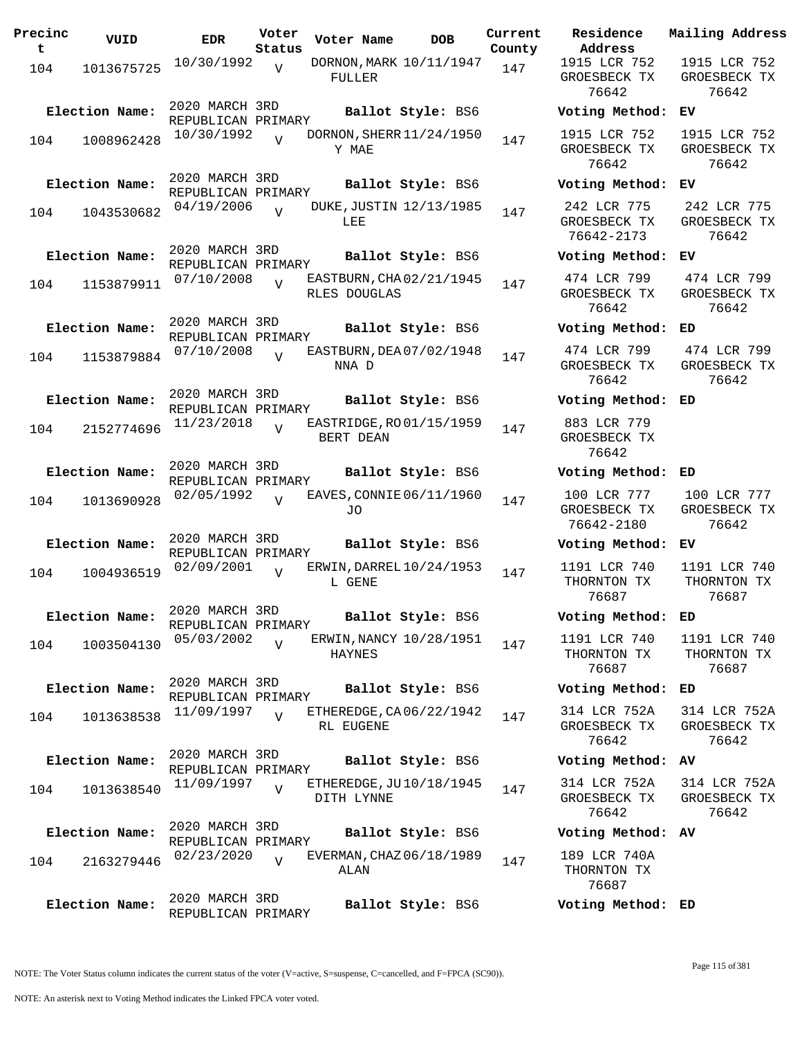| Precinc<br>t | VUID                         | <b>EDR</b>                                         | Voter<br>Status | Voter Name    | DOB                                           | Current<br>County |
|--------------|------------------------------|----------------------------------------------------|-----------------|---------------|-----------------------------------------------|-------------------|
| 104          | 1013675725                   | 10/30/1992                                         | $\overline{V}$  | FULLER        | DORNON, MARK 10/11/1947                       | 147               |
| 104          | Election Name:<br>1008962428 | 2020 MARCH 3RD<br>REPUBLICAN PRIMARY<br>10/30/1992 | ٦T              | Y MAE         | Ballot Style: BS6<br>DORNON, SHERR 11/24/1950 | 147               |
| 104          | Election Name:<br>1043530682 | 2020 MARCH 3RD<br>REPUBLICAN PRIMARY<br>04/19/2006 | $\overline{V}$  | LEE           | Ballot Style: BS6<br>DUKE, JUSTIN 12/13/1985  | 147               |
| 104          | Election Name:<br>1153879911 | 2020 MARCH 3RD<br>REPUBLICAN PRIMARY<br>07/10/2008 | $\overline{U}$  | RLES DOUGLAS  | Ballot Style: BS6<br>EASTBURN, CHA02/21/1945  | 147               |
| 104          | Election Name:<br>1153879884 | 2020 MARCH 3RD<br>REPUBLICAN PRIMARY<br>07/10/2008 | $\overline{U}$  | NNA D         | Ballot Style: BS6<br>EASTBURN, DEA 07/02/1948 | 147               |
| 104          | Election Name:<br>2152774696 | 2020 MARCH 3RD<br>REPUBLICAN PRIMARY<br>11/23/2018 | V               | BERT DEAN     | Ballot Style: BS6<br>EASTRIDGE, RO 01/15/1959 | 147               |
| 104          | Election Name:<br>1013690928 | 2020 MARCH 3RD<br>REPUBLICAN PRIMARY<br>02/05/1992 | $\overline{I}$  | JO            | Ballot Style: BS6<br>EAVES, CONNIE 06/11/1960 | 147               |
| 104          | Election Name:<br>1004936519 | 2020 MARCH 3RD<br>REPUBLICAN PRIMARY<br>02/09/2001 | ٦T              | L GENE        | Ballot Style: BS6<br>ERWIN, DARREL 10/24/1953 | 147               |
| 104          | Election Name:<br>1003504130 | 2020 MARCH 3RD<br>REPUBLICAN PRIMARY<br>05/03/2002 | $\overline{V}$  | <b>HAYNES</b> | Ballot Style: BS6<br>ERWIN, NANCY 10/28/1951  | 147               |
| 104          | Election Name:<br>1013638538 | 2020 MARCH 3RD<br>REPUBLICAN PRIMARY<br>11/09/1997 | $\overline{V}$  | RL EUGENE     | Ballot Style: BS6<br>ETHEREDGE, CA06/22/1942  | 147               |
| 104          | Election Name:<br>1013638540 | 2020 MARCH 3RD<br>REPUBLICAN PRIMARY<br>11/09/1997 | $\overline{V}$  | DITH LYNNE    | Ballot Style: BS6<br>ETHEREDGE, JU10/18/1945  | 147               |
| 104          | Election Name:<br>2163279446 | 2020 MARCH 3RD<br>REPUBLICAN PRIMARY<br>02/23/2020 | V               | ALAN          | Ballot Style: BS6<br>EVERMAN, CHAZ 06/18/1989 | 147               |
|              | Election Name:               | 2020 MARCH 3RD<br>REPUBLICAN PRIMARY               |                 |               | Ballot Style: BS6                             |                   |

**Voter Name DOB Residence Address Current Mailing Address** 1915 LCR 752 GROESBECK TX 76642 1915 LCR 752 GROESBECK TX 76642 **Election Name: Ballot Style:** BS6 **Voting Method: EV** 1915 LCR 752 GROESBECK TX 76642 1915 LCR 752 GROESBECK TX 76642 **Election Name: Ballot Style:** BS6 **Voting Method: EV** 242 LCR 775 GROESBECK TX 76642-2173 242 LCR 775 GROESBECK TX 76642 **Election Name: Ballot Style:** BS6 **Voting Method: EV** 474 LCR 799 GROESBECK TX 76642 474 LCR 799 GROESBECK TX 76642 **Election Name: Ballot Style:** BS6 **Voting Method: ED** 474 LCR 799 GROESBECK TX 76642 474 LCR 799 GROESBECK TX 76642 **Election Name: Ballot Style:** BS6 **Voting Method: ED** 883 LCR 779 GROESBECK TX 76642 **Election Name: Ballot Style:** BS6 **Voting Method: ED** 100 LCR 777 GROESBECK TX 76642-2180 100 LCR 777 GROESBECK TX 76642 **Election Name: Ballot Style:** BS6 **Voting Method: EV** 1191 LCR 740 THORNTON TX 76687 1191 LCR 740 THORNTON TX 76687 **Election Name: Ballot Style:** BS6 **Voting Method: ED** 1191 LCR 740 THORNTON TX 76687 1191 LCR 740 THORNTON TX 76687 **Election Name: Ballot Style:** BS6 **Voting Method: ED** 314 LCR 752A GROESBECK TX 76642 314 LCR 752A GROESBECK TX 76642 **Election Name: Ballot Style:** BS6 **Voting Method: AV** 314 LCR 752A GROESBECK TX 76642 314 LCR 752A GROESBECK TX 76642 **Election Name: Ballot Style:** BS6 **Voting Method: AV** 189 LCR 740A THORNTON TX 76687

NOTE: The Voter Status column indicates the current status of the voter (V=active, S=suspense, C=cancelled, and F=FPCA (SC90)).

**Election Name: Ballot Style:** BS6 **Voting Method: ED**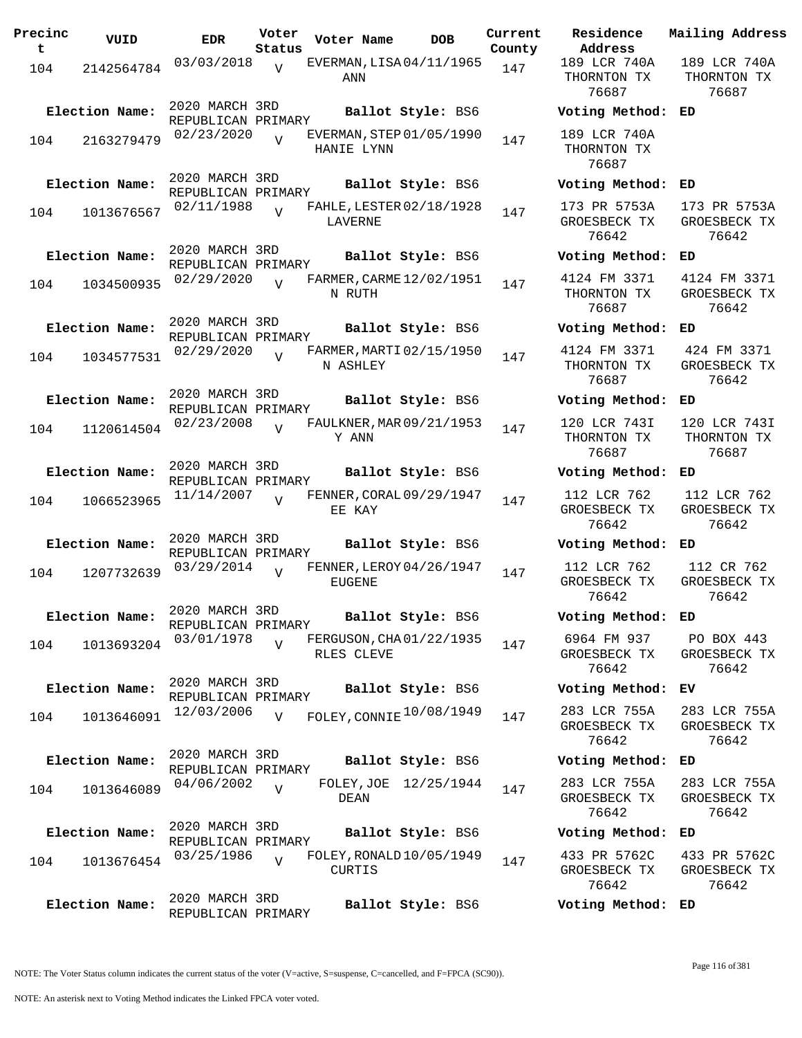| Precinc<br>t | VUID           | <b>EDR</b>                           | Voter<br>Status | Voter Name                                | <b>DOB</b>            | Current<br>County | Residence<br>Address                  |
|--------------|----------------|--------------------------------------|-----------------|-------------------------------------------|-----------------------|-------------------|---------------------------------------|
| 104          | 2142564784     | 03/03/2018                           | V               | EVERMAN, LISA 04/11/1965<br>ANN           |                       | 147               | 189 LCR 740A<br>THORNTON TX<br>76687  |
|              | Election Name: | 2020 MARCH 3RD<br>REPUBLICAN PRIMARY |                 |                                           | Ballot Style: BS6     |                   | Voting Metho                          |
| 104          | 2163279479     | 02/23/2020                           | $\overline{U}$  | EVERMAN, STEP 01/05/1990<br>HANIE LYNN    |                       | 147               | 189 LCR 740A<br>THORNTON TX<br>76687  |
|              | Election Name: | 2020 MARCH 3RD<br>REPUBLICAN PRIMARY |                 |                                           | Ballot Style: BS6     |                   | Voting Metho                          |
| 104          | 1013676567     | 02/11/1988                           |                 | FAHLE, LESTER 02/18/1928<br>LAVERNE       |                       | 147               | 173 PR 5753A<br>GROESBECK TX<br>76642 |
|              | Election Name: | 2020 MARCH 3RD<br>REPUBLICAN PRIMARY |                 |                                           | Ballot Style: BS6     |                   | Voting Metho                          |
| 104          | 1034500935     | 02/29/2020                           | $\overline{V}$  | FARMER, CARME 12/02/1951<br>N RUTH        |                       | 147               | 4124 FM 3371<br>THORNTON TX<br>76687  |
|              | Election Name: | 2020 MARCH 3RD                       |                 |                                           | Ballot Style: BS6     |                   | Voting Metho                          |
| 104          | 1034577531     | REPUBLICAN PRIMARY<br>02/29/2020     | $\overline{U}$  | FARMER, MARTI 02/15/1950<br>N ASHLEY      |                       | 147               | 4124 FM 3371<br>THORNTON TX<br>76687  |
|              | Election Name: | 2020 MARCH 3RD                       |                 |                                           | Ballot Style: BS6     |                   | Voting Metho                          |
| 104          | 1120614504     | REPUBLICAN PRIMARY<br>02/23/2008     | $\overline{V}$  | FAULKNER, MAR 09/21/1953<br>Y ANN         |                       | 147               | 120 LCR 743I<br>THORNTON TX<br>76687  |
|              | Election Name: | 2020 MARCH 3RD<br>REPUBLICAN PRIMARY |                 |                                           | Ballot Style: BS6     |                   | Voting Metho                          |
| 104          | 1066523965     | 11/14/2007                           | $\overline{v}$  | FENNER, CORAL 09/29/1947<br>EE KAY        |                       | 147               | 112 LCR 762<br>GROESBECK TX<br>76642  |
|              | Election Name: | 2020 MARCH 3RD<br>REPUBLICAN PRIMARY |                 |                                           | Ballot Style: BS6     |                   | Voting Metho                          |
| 104          | 1207732639     | 03/29/2014                           | $\overline{V}$  | FENNER, LEROY 04/26/1947<br>EUGENE        |                       | 147               | 112 LCR 762<br>GROESBECK TX<br>76642  |
|              | Election Name: | 2020 MARCH 3RD<br>REPUBLICAN PRIMARY |                 |                                           | Ballot Style: BS6     |                   | Voting Metho                          |
| 104          | 1013693204     | 03/01/1978                           | $\overline{V}$  | FERGUSON, CHA01/22/1935<br>RLES CLEVE     |                       | 147               | 6964 FM 937<br>GROESBECK TX<br>76642  |
|              | Election Name: | 2020 MARCH 3RD<br>REPUBLICAN PRIMARY |                 |                                           | Ballot Style: BS6     |                   | Voting Metho                          |
| 104          | 1013646091     | 12/03/2006                           | V               | FOLEY, CONNIE 10/08/1949                  |                       | 147               | 283 LCR 755A<br>GROESBECK TX<br>76642 |
|              | Election Name: | 2020 MARCH 3RD<br>REPUBLICAN PRIMARY |                 |                                           | Ballot Style: BS6     |                   | Voting Metho                          |
| 104          | 1013646089     | 04/06/2002                           | $\overline{V}$  | DEAN                                      | FOLEY, JOE 12/25/1944 | 147               | 283 LCR 755A<br>GROESBECK TX<br>76642 |
|              | Election Name: | 2020 MARCH 3RD<br>REPUBLICAN PRIMARY |                 |                                           | Ballot Style: BS6     |                   | Voting Metho                          |
| 104          | 1013676454     | 03/25/1986                           | $\overline{V}$  | FOLEY, RONALD 10/05/1949<br><b>CURTIS</b> |                       | 147               | 433 PR 5762C<br>GROESBECK TX<br>76642 |
|              | Election Name: | 2020 MARCH 3RD<br>REPUBLICAN PRIMARY |                 |                                           | Ballot Style: BS6     |                   | Voting Metho                          |

**Voter Name DOB Residence Address Current Mailing Address** 189 LCR 740A THORNTON TX 76687 189 LCR 740A THORNTON TX 76687 **Election Name: Ballot Style:** BS6 **Voting Method: ED** 189 LCR 740A THORNTON TX 76687 **Election Name: Ballot Style:** BS6 **Voting Method: ED** 173 PR 5753A GROESBECK TX 76642 173 PR 5753A GROESBECK TX 76642 **Election Name: Ballot Style:** BS6 **Voting Method: ED** 4124 FM 3371 THORNTON TX 76687 4124 FM 3371 GROESBECK TX 76642 **Election Name: Ballot Style:** BS6 **Voting Method: ED** 4124 FM 3371 THORNTON TX 76687 424 FM 3371 GROESBECK TX 76642 **Election Name: Ballot Style:** BS6 **Voting Method: ED** 120 LCR 743I THORNTON TX 76687 120 LCR 743I THORNTON TX 76687 **Election Name: Ballot Style:** BS6 **Voting Method: ED** 112 LCR 762 GROESBECK TX 76642 112 LCR 762 GROESBECK TX 76642 **Election Name: Ballot Style:** BS6 **Voting Method: ED** 112 LCR 762 GROESBECK TX 76642 112 CR 762 GROESBECK TX 76642 **Election Name: Ballot Style:** BS6 **Voting Method: ED** 6964 FM 937 GROESBECK TX 76642 PO BOX 443 GROESBECK TX 76642 **Election Name: Ballot Style:** BS6 **Voting Method: EV** GROESBECK TX 76642 283 LCR 755A GROESBECK TX 76642 **Election Name: Ballot Style:** BS6 **Voting Method: ED** 283 LCR 755A GROESBECK TX 76642 283 LCR 755A GROESBECK TX 76642 **Election Name: Ballot Style:** BS6 **Voting Method: ED** 433 PR 5762C GROESBECK TX 433 PR 5762C GROESBECK TX

76642 76642 **Election Name: Ballot Style:** BS6 **Voting Method: ED**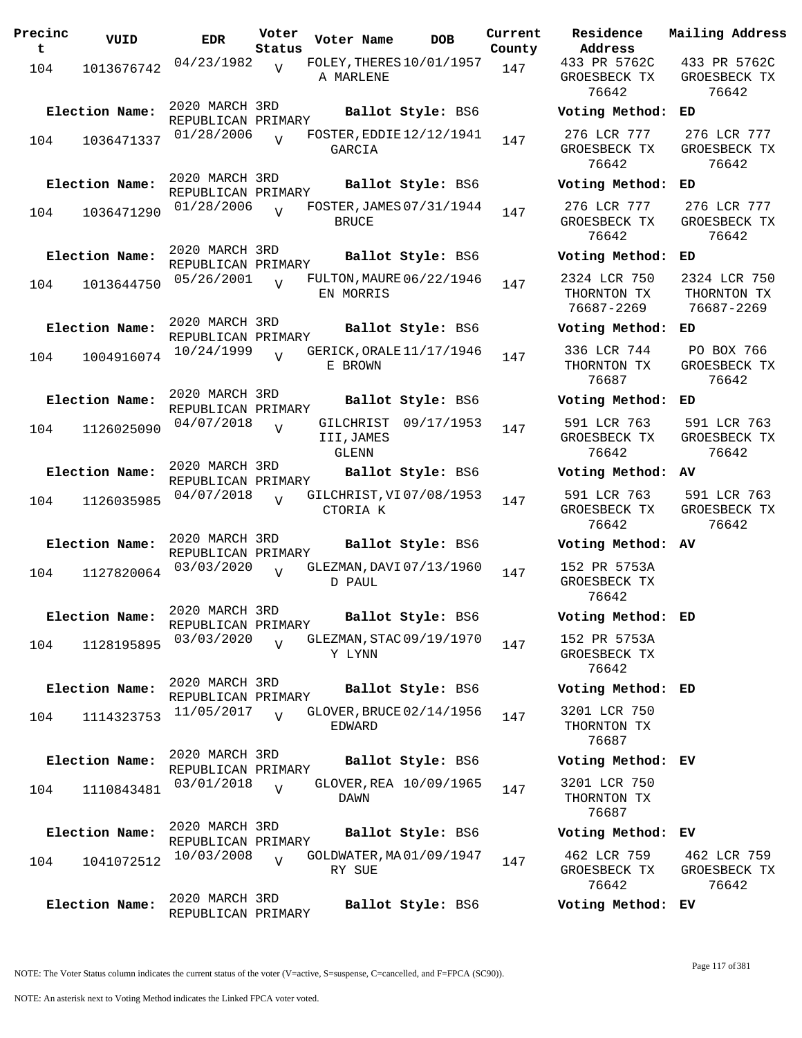| Precinc<br>t | VUID           | <b>EDR</b>                           | Voter<br>Status | Voter Name                      | <b>DOB</b>                      | Current<br>County |
|--------------|----------------|--------------------------------------|-----------------|---------------------------------|---------------------------------|-------------------|
| 104          | 1013676742     | 04/23/1982                           | $\overline{V}$  | A MARLENE                       | FOLEY, THERES $10/01/1957$      | 147               |
|              | Election Name: | 2020 MARCH 3RD<br>REPUBLICAN PRIMARY |                 |                                 | Ballot Style: BS6               |                   |
| 104          | 1036471337     | 01/28/2006                           | $\overline{U}$  | GARCIA                          | FOSTER, EDDIE 12/12/1941        | 147               |
|              | Election Name: | 2020 MARCH 3RD<br>REPUBLICAN PRIMARY |                 |                                 | Ballot Style: BS6               |                   |
| 104          | 1036471290     | 01/28/2006                           |                 | <b>BRUCE</b>                    | FOSTER, JAMES 07/31/1944        | 147               |
|              | Election Name: | 2020 MARCH 3RD<br>REPUBLICAN PRIMARY |                 |                                 | Ballot Style: BS6               |                   |
| 104          | 1013644750     | 05/26/2001                           | ٦T              | EN MORRIS                       | <b>FULTON, MAURE 06/22/1946</b> | 147               |
|              | Election Name: | 2020 MARCH 3RD<br>REPUBLICAN PRIMARY |                 |                                 | Ballot Style: BS6               |                   |
| 104          | 1004916074     | 10/24/1999                           | V               | E BROWN                         | GERICK, ORALE 11/17/1946        | 147               |
|              | Election Name: | 2020 MARCH 3RD<br>REPUBLICAN PRIMARY |                 |                                 | Ballot Style: BS6               |                   |
| 104          | 1126025090     | 04/07/2018                           | V               | GILCHRIST<br>III,JAMES<br>GLENN | 09/17/1953                      | 147               |
|              | Election Name: | 2020 MARCH 3RD<br>REPUBLICAN PRIMARY |                 |                                 | Ballot Style: BS6               |                   |
| 104          | 1126035985     | 04/07/2018                           | ٦T              | CTORIA K                        | GILCHRIST, VI07/08/1953         | 147               |
|              | Election Name: | 2020 MARCH 3RD<br>REPUBLICAN PRIMARY |                 |                                 | Ballot Style: BS6               |                   |
| 104          | 1127820064     | 03/03/2020                           | $\overline{V}$  | D PAUL                          | GLEZMAN, DAVI 07/13/1960        | 147               |
|              | Election Name: | 2020 MARCH 3RD<br>REPUBLICAN PRIMARY |                 |                                 | Ballot Style: BS6               |                   |
| 104          | 1128195895     | 03/03/2020                           |                 | Y LYNN                          | GLEZMAN, STAC 09/19/1970        | 147               |
|              | Election Name: | 2020 MARCH 3RD<br>REPUBLICAN PRIMARY |                 |                                 | Ballot Style: BS6               |                   |
| 104          | 1114323753     | 11/05/2017                           | $\overline{U}$  | EDWARD                          | GLOVER, BRUCE 02/14/1956        | 147               |
|              | Election Name: | 2020 MARCH 3RD<br>REPUBLICAN PRIMARY |                 |                                 | Ballot Style: BS6               |                   |
| 104          | 1110843481     | 03/01/2018                           | $\overline{V}$  | DAWN                            | GLOVER, REA 10/09/1965          | 147               |
|              | Election Name: | 2020 MARCH 3RD<br>REPUBLICAN PRIMARY |                 |                                 | Ballot Style: BS6               |                   |
| 104          | 1041072512     | 10/03/2008                           | $\overline{V}$  | RY SUE                          | GOLDWATER, MA01/09/1947         | 147               |
|              | Election Name: | 2020 MARCH 3RD<br>REPUBLICAN PRIMARY |                 |                                 | Ballot Style: BS6               |                   |

**Voter Name DOB Residence Address Current Mailing Address** 433 PR 5762C GROESBECK TX 76642 433 PR 5762C GROESBECK TX 76642 **Election Name: Ballot Style:** BS6 **Voting Method: ED** 276 LCR 777 GROESBECK TX 76642 276 LCR 777 GROESBECK TX 76642 **Election Name: Ballot Style:** BS6 **Voting Method: ED** 276 LCR 777 GROESBECK TX 76642 276 LCR 777 GROESBECK TX 76642 **Election Name: Ballot Style:** BS6 **Voting Method: ED** 2324 LCR 750 THORNTON TX 76687-2269 2324 LCR 750 THORNTON TX 76687-2269 **Election Name: Ballot Style:** BS6 **Voting Method: ED** 336 LCR 744 THORNTON TX 76687 PO BOX 766 GROESBECK TX 76642 **Election Name: Ballot Style:** BS6 **Voting Method: ED** 591 LCR 763 GROESBECK TX 76642 591 LCR 763 GROESBECK TX 76642 **Election Name: Ballot Style:** BS6 **Voting Method: AV** 591 LCR 763 GROESBECK TX 76642 591 LCR 763 GROESBECK TX 76642 **Election Name: Ballot Style:** BS6 **Voting Method: AV** 152 PR 5753A GROESBECK TX 76642 **Election Name: Ballot Style:** BS6 **Voting Method: ED** 152 PR 5753A GROESBECK TX 76642 **Election Name: Ballot Style:** BS6 **Voting Method: ED** 3201 LCR 750 THORNTON TX 76687 **Election Name: Ballot Style:** BS6 **Voting Method: EV** 3201 LCR 750 THORNTON TX 76687 **Election Name: Ballot Style:** BS6 **Voting Method: EV**

## 462 LCR 759 GROESBECK TX 76642 462 LCR 759 GROESBECK TX 76642

**Election Name: Ballot Style:** BS6 **Voting Method: EV**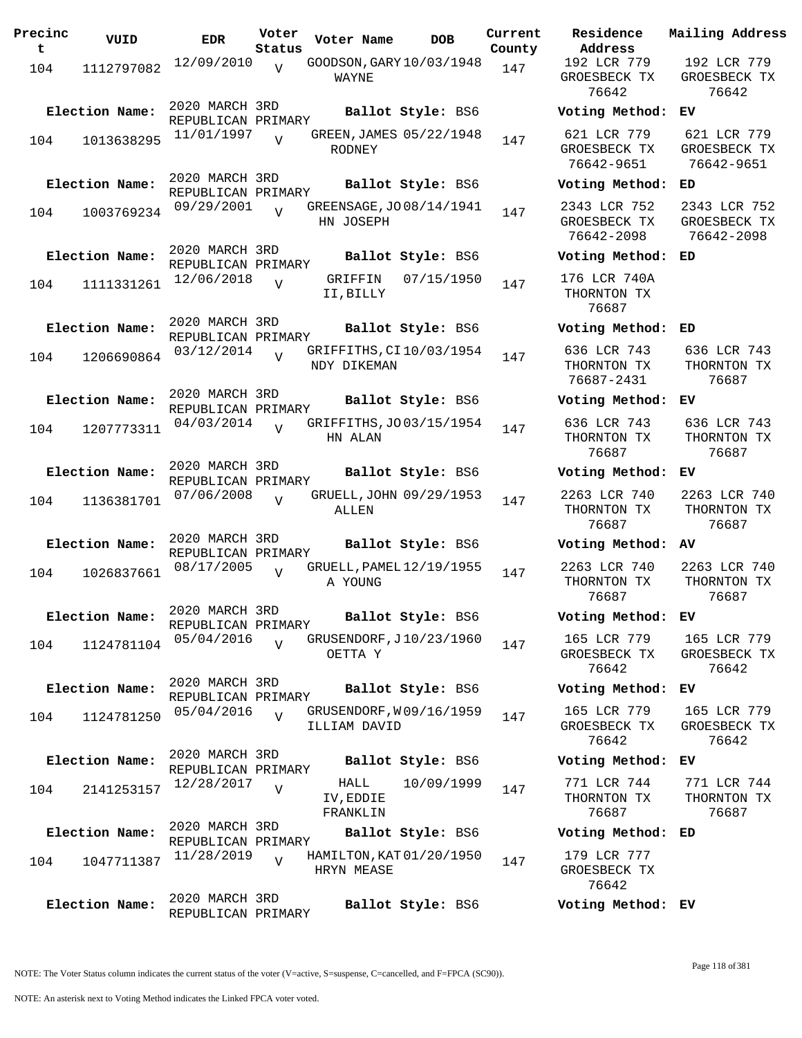| Precinc<br>t. | VUID                         | <b>EDR</b>                                         | Voter<br>Status | Voter Name             | DOB                                           | Current<br>County |
|---------------|------------------------------|----------------------------------------------------|-----------------|------------------------|-----------------------------------------------|-------------------|
| 104           | 1112797082                   | 12/09/2010                                         | $\overline{V}$  | WAYNE                  | GOODSON, GARY 10/03/1948                      | 147               |
| 104           | Election Name:<br>1013638295 | 2020 MARCH 3RD<br>REPUBLICAN PRIMARY<br>11/01/1997 |                 | RODNEY                 | Ballot Style: BS6<br>GREEN, JAMES 05/22/1948  | 147               |
|               | Election Name:               | 2020 MARCH 3RD<br>REPUBLICAN PRIMARY<br>09/29/2001 |                 |                        | Ballot Style: BS6<br>GREENSAGE, JO 08/14/1941 |                   |
| 104           | 1003769234                   |                                                    | ٦T              | HN JOSEPH              |                                               | 147               |
| 104           | Election Name:<br>1111331261 | 2020 MARCH 3RD<br>REPUBLICAN PRIMARY<br>12/06/2018 | $\overline{V}$  | GRIFFIN<br>II, BILLY   | Ballot Style: BS6<br>07/15/1950               | 147               |
| 104           | Election Name:<br>1206690864 | 2020 MARCH 3RD<br>REPUBLICAN PRIMARY<br>03/12/2014 | V               | NDY DIKEMAN            | Ballot Style: BS6<br>GRIFFITHS, CI10/03/1954  | 147               |
| 104           | Election Name:<br>1207773311 | 2020 MARCH 3RD<br>REPUBLICAN PRIMARY<br>04/03/2014 | $\overline{V}$  | HN ALAN                | Ballot Style: BS6<br>GRIFFITHS, JO 03/15/1954 | 147               |
| 104           | Election Name:<br>1136381701 | 2020 MARCH 3RD<br>REPUBLICAN PRIMARY<br>07/06/2008 | $\overline{U}$  | ALLEN                  | Ballot Style: BS6<br>GRUELL, JOHN 09/29/1953  | 147               |
| 104           | Election Name:<br>1026837661 | 2020 MARCH 3RD<br>REPUBLICAN PRIMARY<br>08/17/2005 |                 |                        | Ballot Style: BS6<br>GRUELL, PAMEL 12/19/1955 | 147               |
| 104           | Election Name:<br>1124781104 | 2020 MARCH 3RD<br>REPUBLICAN PRIMARY<br>05/04/2016 | $\overline{U}$  | A YOUNG<br>OETTA Y     | Ballot Style: BS6<br>GRUSENDORF, J10/23/1960  | 147               |
| 104           | Election Name:<br>1124781250 | 2020 MARCH 3RD<br>REPUBLICAN PRIMARY<br>05/04/2016 | $\overline{U}$  | ILLIAM DAVID           | Ballot Style: BS6<br>GRUSENDORF, W09/16/1959  | 147               |
| 104           | Election Name:<br>2141253157 | 2020 MARCH 3RD<br>REPUBLICAN PRIMARY<br>12/28/2017 | $\overline{V}$  | HALL<br>IV, EDDIE      | Ballot Style: BS6<br>10/09/1999               | 147               |
| 104           | Election Name:<br>1047711387 | 2020 MARCH 3RD<br>REPUBLICAN PRIMARY<br>11/28/2019 | $\overline{V}$  | FRANKLIN<br>HRYN MEASE | Ballot Style: BS6<br>HAMILTON, KAT 01/20/1950 | 147               |
|               | Election Name:               | 2020 MARCH 3RD<br>REPUBLICAN PRIMARY               |                 |                        | Ballot Style: BS6                             |                   |

**Voter Name DOB Residence Address Current Mailing Address** 192 LCR 779 GROESBECK TX 76642 192 LCR 779 GROESBECK TX 76642 **Election Name: Ballot Style:** BS6 **Voting Method: EV** 621 LCR 779 GROESBECK TX 76642-9651 621 LCR 779 GROESBECK TX 76642-9651 **Election Name: Ballot Style:** BS6 **Voting Method: ED** 2343 LCR 752 GROESBECK TX 76642-2098 2343 LCR 752 GROESBECK TX 76642-2098 **Election Name: Ballot Style:** BS6 **Voting Method: ED** 176 LCR 740A THORNTON TX 76687 **Election Name: Ballot Style:** BS6 **Voting Method: ED** 636 LCR 743 THORNTON TX 76687-2431 636 LCR 743 THORNTON TX 76687 **Election Name: Ballot Style:** BS6 **Voting Method: EV** 636 LCR 743 THORNTON TX 76687 636 LCR 743 THORNTON TX 76687 **Election Name: Ballot Style:** BS6 **Voting Method: EV** 2263 LCR 740 THORNTON TX 76687 2263 LCR 740 THORNTON TX 76687 **Election Name: Ballot Style:** BS6 **Voting Method: AV** 2263 LCR 740 THORNTON TX 76687 2263 LCR 740 THORNTON TX 76687 **Election Name: Ballot Style:** BS6 **Voting Method: EV** 165 LCR 779 GROESBECK TX 76642 165 LCR 779 GROESBECK TX 76642 **Election Name: Ballot Style:** BS6 **Voting Method: EV** 165 LCR 779 GROESBECK TX 76642 165 LCR 779 GROESBECK TX 76642 **Election Name: Ballot Style:** BS6 **Voting Method: EV** 771 LCR 744 THORNTON TX 76687 771 LCR 744 THORNTON TX 76687 **Election Name: Ballot Style:** BS6 **Voting Method: ED** 179 LCR 777 GROESBECK TX 76642

**Election Name: Ballot Style:** BS6 **Voting Method: EV**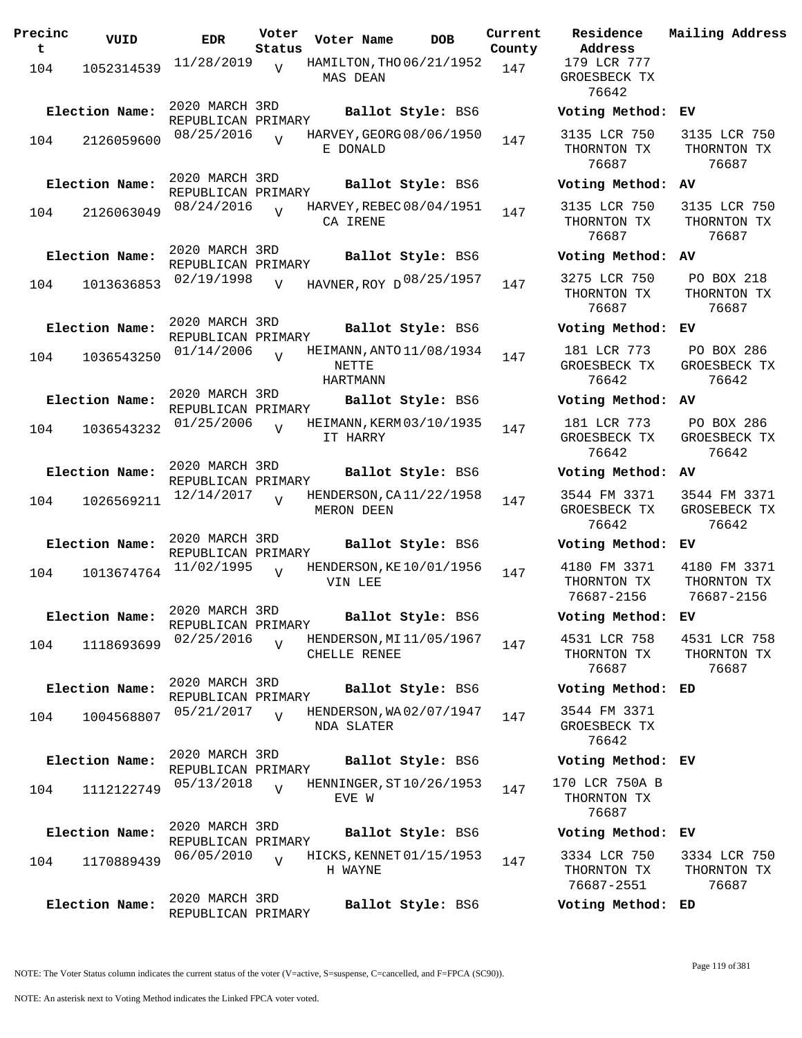| Precinc<br>t. | VUID           | <b>EDR</b>                           | Voter<br>Status | Voter Name        | <b>DOB</b>               | Current<br>County | Residence<br>Address                      |
|---------------|----------------|--------------------------------------|-----------------|-------------------|--------------------------|-------------------|-------------------------------------------|
| 104           | 1052314539     | 11/28/2019                           | V               | MAS DEAN          | HAMILTON, THO 06/21/1952 | 147               | 179 LCR 777<br>GROESBECK TX<br>76642      |
|               | Election Name: | 2020 MARCH 3RD<br>REPUBLICAN PRIMARY |                 |                   | Ballot Style: BS6        |                   | Voting Metho                              |
| 104           | 2126059600     | 08/25/2016                           |                 | E DONALD          | HARVEY, GEORG 08/06/1950 | 147               | 3135 LCR 750<br>THORNTON TX<br>76687      |
|               | Election Name: | 2020 MARCH 3RD<br>REPUBLICAN PRIMARY |                 |                   | Ballot Style: BS6        |                   | Voting Metho                              |
| 104           | 2126063049     | 08/24/2016                           | $\overline{V}$  | CA IRENE          | HARVEY, REBEC 08/04/1951 | 147               | 3135 LCR 750<br>THORNTON TX<br>76687      |
|               | Election Name: | 2020 MARCH 3RD<br>REPUBLICAN PRIMARY |                 |                   | Ballot Style: BS6        |                   | Voting Metho                              |
| 104           | 1013636853     | 02/19/1998                           | V               |                   | HAVNER, ROY D 08/25/1957 | 147               | 3275 LCR 750<br>THORNTON TX<br>76687      |
|               | Election Name: | 2020 MARCH 3RD<br>REPUBLICAN PRIMARY |                 |                   | Ballot Style: BS6        |                   | Voting Metho                              |
| 104           | 1036543250     | 01/14/2006                           | $\overline{v}$  | NETTE<br>HARTMANN | HEIMANN, ANTO 11/08/1934 | 147               | 181 LCR 773<br>GROESBECK TX<br>76642      |
|               | Election Name: | 2020 MARCH 3RD                       |                 |                   | Ballot Style: BS6        |                   | Voting Metho                              |
| 104           | 1036543232     | REPUBLICAN PRIMARY<br>01/25/2006     | $\overline{V}$  | IT HARRY          | HEIMANN, KERM 03/10/1935 | 147               | 181 LCR 773<br>GROESBECK TX<br>76642      |
|               | Election Name: | 2020 MARCH 3RD                       |                 |                   | Ballot Style: BS6        |                   | Voting Metho                              |
| 104           | 1026569211     | REPUBLICAN PRIMARY<br>12/14/2017     | $\overline{V}$  | MERON DEEN        | HENDERSON, CA11/22/1958  | 147               | 3544 FM 3371<br>GROESBECK TX<br>76642     |
|               | Election Name: | 2020 MARCH 3RD<br>REPUBLICAN PRIMARY |                 |                   | Ballot Style: BS6        |                   | Voting Metho                              |
| 104           | 1013674764     | 11/02/1995                           | $\overline{V}$  | VIN LEE           | HENDERSON, KE 10/01/1956 | 147               | 4180 FM 3371<br>THORNTON TX<br>76687-2156 |
|               | Election Name: | 2020 MARCH 3RD<br>REPUBLICAN PRIMARY |                 |                   | Ballot Style: BS6        |                   | Voting Metho                              |
| 104           | 1118693699     | 02/25/2016                           | $\overline{V}$  | CHELLE RENEE      | HENDERSON, MI11/05/1967  | 147               | 4531 LCR 758<br>THORNTON TX<br>76687      |
|               | Election Name: | 2020 MARCH 3RD<br>REPUBLICAN PRIMARY |                 |                   | Ballot Style: BS6        |                   | Voting Metho                              |
| 104           | 1004568807     | 05/21/2017                           | $\overline{V}$  | NDA SLATER        | HENDERSON, WA02/07/1947  | 147               | 3544 FM 3371<br>GROESBECK TX<br>76642     |
|               | Election Name: | 2020 MARCH 3RD<br>REPUBLICAN PRIMARY |                 |                   | Ballot Style: BS6        |                   | Voting Metho                              |
| 104           | 1112122749     | 05/13/2018                           | $\overline{V}$  | EVE W             | HENNINGER, ST10/26/1953  | 147               | 170 LCR 750A<br>THORNTON TX<br>76687      |
|               | Election Name: | 2020 MARCH 3RD<br>REPUBLICAN PRIMARY |                 |                   | Ballot Style: BS6        |                   | Voting Metho                              |
| 104           | 1170889439     | 06/05/2010                           | $\overline{V}$  | H WAYNE           | HICKS, KENNET 01/15/1953 | 147               | 3334 LCR 750<br>THORNTON TX<br>76687-2551 |
|               | Election Name: | 2020 MARCH 3RD<br>REPUBLICAN PRIMARY |                 |                   | Ballot Style: BS6        |                   | Voting Metho                              |

**Voter Name DOB Residence Address Current Mailing Address** 179 LCR 777 GROESBECK TX 76642 **Election Name: Ballot Style:** BS6 **Voting Method: EV** 3135 LCR 750 THORNTON TX 76687 3135 LCR 750 THORNTON TX 76687 **Election Name: Ballot Style:** BS6 **Voting Method: AV** 3135 LCR 750 THORNTON TX 76687 3135 LCR 750 THORNTON TX 76687 **Election Name: Ballot Style:** BS6 **Voting Method: AV** THORNTON TX 76687 PO BOX 218 THORNTON TX 76687 **Election Name: Ballot Style:** BS6 **Voting Method: EV** 181 LCR 773 GROESBECK TX 76642 PO BOX 286 GROESBECK TX 76642 **Election Name: Ballot Style:** BS6 **Voting Method: AV** 181 LCR 773 GROESBECK TX 76642 PO BOX 286 GROESBECK TX 76642 **Election Name: Ballot Style:** BS6 **Voting Method: AV** 3544 FM 3371 GROESBECK TX 76642 3544 FM 3371 GROSEBECK TX 76642 **Election Name: Ballot Style:** BS6 **Voting Method: EV** 4180 FM 3371 THORNTON TX 76687-2156 4180 FM 3371 THORNTON TX 76687-2156 **Election Name: Ballot Style:** BS6 **Voting Method: EV** 4531 LCR 758 THORNTON TX 76687 4531 LCR 758 THORNTON TX 76687 **Election Name: Ballot Style:** BS6 **Voting Method: ED** 3544 FM 3371 GROESBECK TX 76642 **Election Name: Ballot Style:** BS6 **Voting Method: EV** 170 LCR 750A B THORNTON TX 76687 **Election Name: Ballot Style:** BS6 **Voting Method: EV** 3334 LCR 750 THORNTON TX 76687-2551 3334 LCR 750 THORNTON TX 76687

**Election Name: Ballot Style:** BS6 **Voting Method: ED**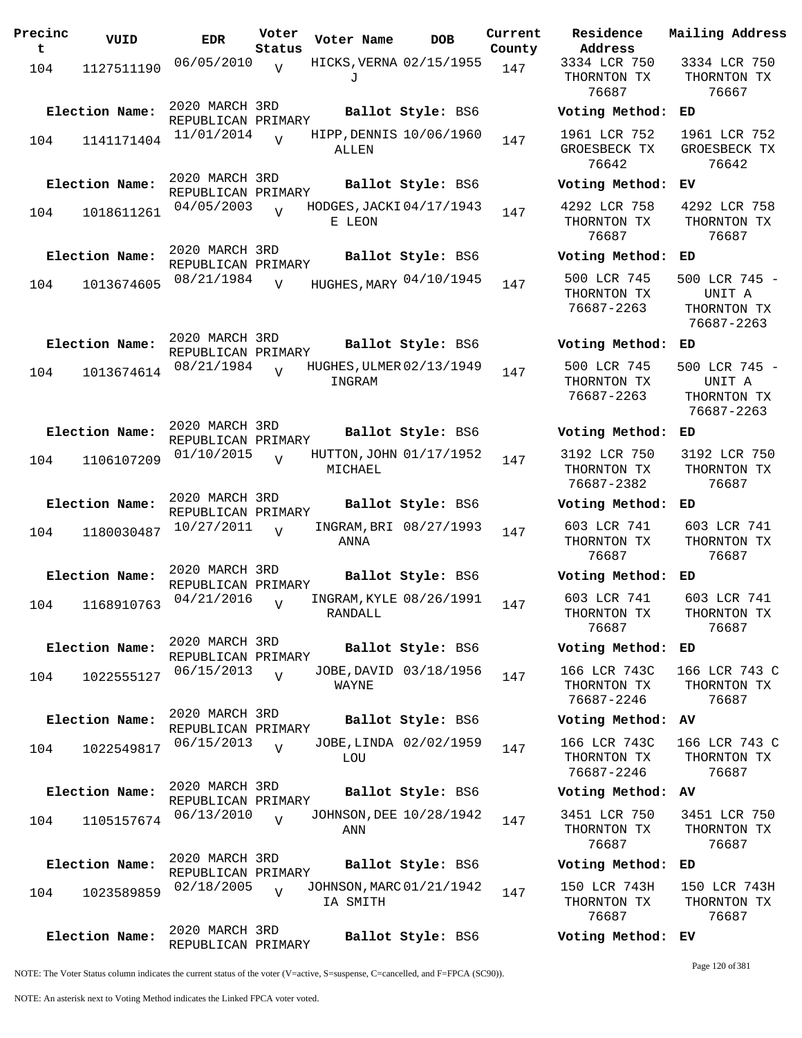| Precinc<br>t | VUID           | <b>EDR</b>                           | Voter<br>Status | Voter Name                           | <b>DOB</b>             | Current<br>County | Residence<br>Address                      |
|--------------|----------------|--------------------------------------|-----------------|--------------------------------------|------------------------|-------------------|-------------------------------------------|
| 104          | 1127511190     | 06/05/2010                           | $\overline{V}$  | HICKS, VERNA 02/15/1955<br>J         |                        | 147               | 3334 LCR 750<br>THORNTON TX<br>76687      |
|              | Election Name: | 2020 MARCH 3RD<br>REPUBLICAN PRIMARY |                 |                                      | Ballot Style: BS6      |                   | Voting Metho                              |
| 104          | 1141171404     | 11/01/2014                           | $\overline{U}$  | HIPP, DENNIS 10/06/1960<br>ALLEN     |                        | 147               | 1961 LCR 752<br>GROESBECK TI<br>76642     |
|              | Election Name: | 2020 MARCH 3RD<br>REPUBLICAN PRIMARY |                 |                                      | Ballot Style: BS6      |                   | Voting Metho                              |
| 104          | 1018611261     | 04/05/2003                           | $\overline{V}$  | HODGES, JACKI 04/17/1943<br>E LEON   |                        | 147               | 4292 LCR 758<br>THORNTON TX<br>76687      |
|              | Election Name: | 2020 MARCH 3RD<br>REPUBLICAN PRIMARY |                 |                                      | Ballot Style: BS6      |                   | Voting Metho                              |
| 104          | 1013674605     | 08/21/1984                           | $\overline{V}$  | HUGHES, MARY 04/10/1945              |                        | 147               | 500 LCR 745<br>THORNTON TX<br>76687-2263  |
|              | Election Name: | 2020 MARCH 3RD<br>REPUBLICAN PRIMARY |                 |                                      | Ballot Style: BS6      |                   | Voting Metho                              |
| 104          | 1013674614     | 08/21/1984                           | $\overline{z}$  | HUGHES, ULMER 02/13/1949<br>INGRAM   |                        | 147               | 500 LCR 745<br>THORNTON TX<br>76687-2263  |
|              | Election Name: | 2020 MARCH 3RD<br>REPUBLICAN PRIMARY |                 |                                      | Ballot Style: BS6      |                   | Voting Metho                              |
| 104          | 1106107209     | 01/10/2015                           | $\overline{V}$  | HUTTON, JOHN 01/17/1952<br>MICHAEL   |                        | 147               | 3192 LCR 750<br>THORNTON TX<br>76687-2382 |
|              | Election Name: | 2020 MARCH 3RD<br>REPUBLICAN PRIMARY |                 |                                      | Ballot Style: BS6      |                   | Voting Metho                              |
| 104          | 1180030487     | 10/27/2011                           | $\overline{U}$  | ANNA                                 | INGRAM, BRI 08/27/1993 | 147               | 603 LCR 741<br>THORNTON TX<br>76687       |
|              | Election Name: | 2020 MARCH 3RD<br>REPUBLICAN PRIMARY |                 |                                      | Ballot Style: BS6      |                   | Voting Metho                              |
| 104          | 1168910763     | 04/21/2016                           | $\overline{U}$  | INGRAM, KYLE 08/26/1991<br>RANDALL   |                        | 147               | 603 LCR 741<br>THORNTON TX<br>76687       |
|              | Election Name: | 2020 MARCH 3RD<br>REPUBLICAN PRIMARY |                 |                                      | Ballot Style: BS6      |                   | Voting Metho                              |
| 104          | 1022555127     | 06/15/2013                           | $\overline{V}$  | WAYNE                                | JOBE, DAVID 03/18/1956 | 147               | 166 LCR 7430<br>THORNTON TX<br>76687-2246 |
|              | Election Name: | 2020 MARCH 3RD<br>REPUBLICAN PRIMARY |                 |                                      | Ballot Style: BS6      |                   | Voting Metho                              |
| 104          | 1022549817     | 06/15/2013                           | $\overline{V}$  | LOU                                  | JOBE, LINDA 02/02/1959 | 147               | 166 LCR 7430<br>THORNTON TX<br>76687-2246 |
|              | Election Name: | 2020 MARCH 3RD<br>REPUBLICAN PRIMARY |                 |                                      | Ballot Style: BS6      |                   | Voting Metho                              |
| 104          | 1105157674     | 06/13/2010                           | $\overline{U}$  | JOHNSON, DEE 10/28/1942<br>ANN       |                        | 147               | 3451 LCR 750<br>THORNTON TX<br>76687      |
|              | Election Name: | 2020 MARCH 3RD<br>REPUBLICAN PRIMARY |                 |                                      | Ballot Style: BS6      |                   | Voting Metho                              |
| 104          | 1023589859     | 02/18/2005                           | $\overline{V}$  | JOHNSON, MARC 01/21/1942<br>IA SMITH |                        | 147               | 150 LCR 743F<br>THORNTON TX<br>76687      |
|              | Election Name: | 2020 MARCH 3RD<br>REPUBLICAN PRIMARY |                 |                                      | Ballot Style: BS6      |                   | Voting Metho                              |

**Voter Name DOB Residence Address Current Mailing Address** 3334 LCR 750 THORNTON TX 76687 3334 LCR 750 THORNTON TX 76667 **Election Name: Ballot Style:** BS6 **Voting Method: ED** 1961 LCR 752 GROESBECK TX 76642 1961 LCR 752 GROESBECK TX 76642 **Election Name: Ballot Style:** BS6 **Voting Method: EV** 4292 LCR 758 THORNTON TX 76687 4292 LCR 758 THORNTON TX 76687 **Election Name: Ballot Style:** BS6 **Voting Method: ED** THORNTON TX 76687-2263 500 LCR 745 - UNIT A THORNTON TX 76687-2263 **Election Name: Ballot Style:** BS6 **Voting Method: ED** 500 LCR 745 THORNTON TX 76687-2263 500 LCR 745 - UNIT A THORNTON TX 76687-2263 **Election Name: Ballot Style:** BS6 **Voting Method: ED** 3192 LCR 750 THORNTON TX 76687-2382 3192 LCR 750 THORNTON TX 76687 **Election Name: Ballot Style:** BS6 **Voting Method: ED** 603 LCR 741 THORNTON TX 76687 603 LCR 741 THORNTON TX 76687 **Election Name: Ballot Style:** BS6 **Voting Method: ED** 603 LCR 741 THORNTON TX 76687 603 LCR 741 THORNTON TX 76687 **Election Name: Ballot Style:** BS6 **Voting Method: ED** 166 LCR 743C THORNTON TX 76687-2246 166 LCR 743 C THORNTON TX 76687 **Election Name: Ballot Style:** BS6 **Voting Method: AV** 166 LCR 743C THORNTON TX 76687-2246 166 LCR 743 C THORNTON TX 76687 **Election Name: Ballot Style:** BS6 **Voting Method: AV** 3451 LCR 750 THORNTON TX 76687 3451 LCR 750 THORNTON TX 76687 **Election Name: Ballot Style:** BS6 **Voting Method: ED** 150 LCR 743H THORNTON TX 76687 150 LCR 743H THORNTON TX 76687 **Election Name: Ballot Style:** BS6 **Voting Method: EV**

NOTE: The Voter Status column indicates the current status of the voter (V=active, S=suspense, C=cancelled, and F=FPCA (SC90)).

Page 120 of 381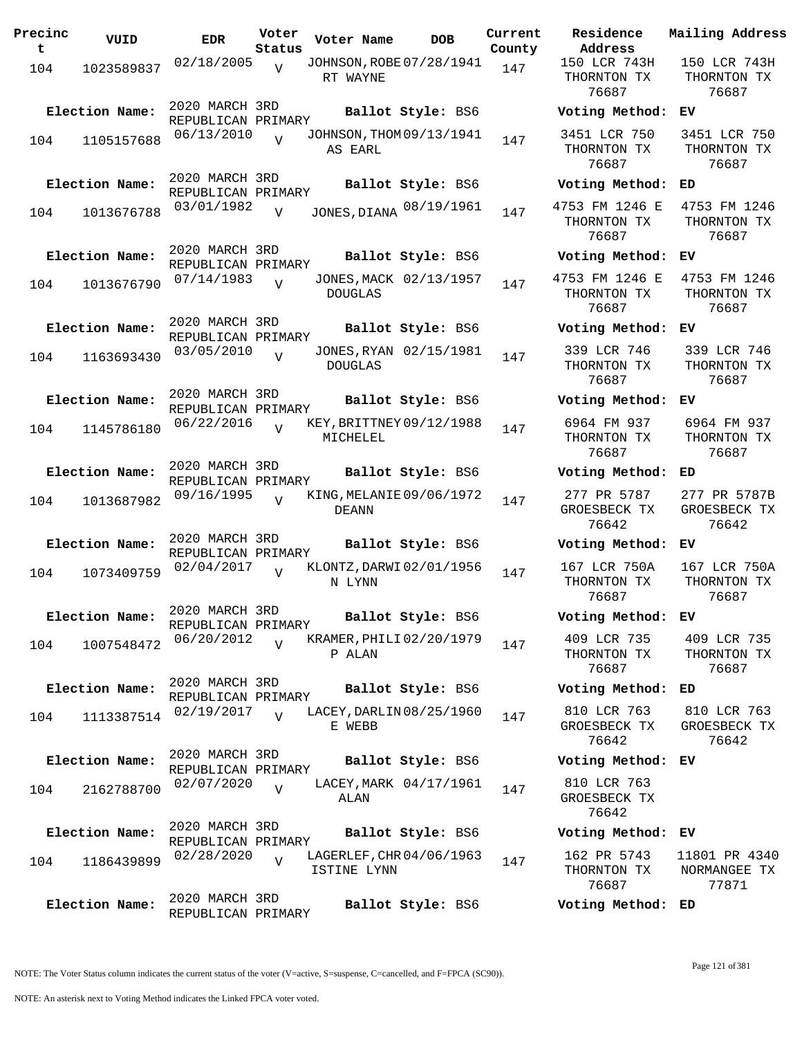| Precinc<br>t | VUID           | <b>EDR</b>                           | Voter<br>Status | Voter Name                               | <b>DOB</b>             | Current<br>County | Residence<br>Address                   |
|--------------|----------------|--------------------------------------|-----------------|------------------------------------------|------------------------|-------------------|----------------------------------------|
| 104          | 1023589837     | 02/18/2005                           | $\overline{V}$  | JOHNSON, ROBE 07/28/1941<br>RT WAYNE     |                        | 147               | 150 LCR 743H<br>THORNTON TX<br>76687   |
|              | Election Name: | 2020 MARCH 3RD<br>REPUBLICAN PRIMARY |                 |                                          | Ballot Style: BS6      |                   | Voting Method                          |
| 104          | 1105157688     | 06/13/2010                           | $\overline{17}$ | JOHNSON, THOM 09/13/1941<br>AS EARL      |                        | 147               | 3451 LCR 750<br>THORNTON TX<br>76687   |
|              | Election Name: | 2020 MARCH 3RD<br>REPUBLICAN PRIMARY |                 |                                          | Ballot Style: BS6      |                   | Voting Method                          |
| 104          | 1013676788     | 03/01/1982                           | $\overline{V}$  | JONES, DIANA 08/19/1961                  |                        | 147               | 4753 FM 1246 E<br>THORNTON TX<br>76687 |
|              | Election Name: | 2020 MARCH 3RD<br>REPUBLICAN PRIMARY |                 |                                          | Ballot Style: BS6      |                   | Voting Method                          |
| 104          | 1013676790     | 07/14/1983                           | $\overline{U}$  | <b>DOUGLAS</b>                           | JONES, MACK 02/13/1957 | 147               | 4753 FM 1246 E<br>THORNTON TX<br>76687 |
|              | Election Name: | 2020 MARCH 3RD<br>REPUBLICAN PRIMARY |                 |                                          | Ballot Style: BS6      |                   | Voting Method                          |
| 104          | 1163693430     | 03/05/2010                           | $\overline{17}$ | <b>DOUGLAS</b>                           | JONES, RYAN 02/15/1981 | 147               | 339 LCR 746<br>THORNTON TX<br>76687    |
|              | Election Name: | 2020 MARCH 3RD<br>REPUBLICAN PRIMARY |                 |                                          | Ballot Style: BS6      |                   | Voting Method                          |
| 104          | 1145786180     | 06/22/2016                           | $\overline{U}$  | KEY, BRITTNEY 09/12/1988<br>MICHELEL     |                        | 147               | 6964 FM 937<br>THORNTON TX<br>76687    |
|              | Election Name: | 2020 MARCH 3RD<br>REPUBLICAN PRIMARY |                 |                                          | Ballot Style: BS6      |                   | Voting Method                          |
| 104          | 1013687982     | 09/16/1995                           | $\overline{U}$  | KING, MELANIE 09/06/1972<br><b>DEANN</b> |                        | 147               | 277 PR 5787<br>GROESBECK TX<br>76642   |
|              | Election Name: | 2020 MARCH 3RD<br>REPUBLICAN PRIMARY |                 |                                          | Ballot Style: BS6      |                   | Voting Method                          |
| 104          | 1073409759     | 02/04/2017                           | $\overline{U}$  | KLONTZ, DARWI 02/01/1956<br>N LYNN       |                        | 147               | 167 LCR 750A<br>THORNTON TX<br>76687   |
|              | Election Name: | 2020 MARCH 3RD<br>REPUBLICAN PRIMARY |                 |                                          | Ballot Style: BS6      |                   | Voting Method                          |
| 104          | 1007548472     | 06/20/2012                           | $\overline{U}$  | KRAMER, PHILI 02/20/1979<br>P ALAN       |                        | 147               | 409 LCR 735<br>THORNTON TX<br>76687    |
|              | Election Name: | 2020 MARCH 3RD<br>REPUBLICAN PRIMARY |                 |                                          | Ballot Style: BS6      |                   | Voting Method                          |
| 104          | 1113387514     | 02/19/2017                           | $\overline{V}$  | LACEY, DARLIN 08/25/1960<br>E WEBB       |                        | 147               | 810 LCR 763<br>GROESBECK TX<br>76642   |
|              | Election Name: | 2020 MARCH 3RD<br>REPUBLICAN PRIMARY |                 |                                          | Ballot Style: BS6      |                   | Voting Method                          |
| 104          | 2162788700     | 02/07/2020                           | $\overline{V}$  | ALAN                                     | LACEY, MARK 04/17/1961 | 147               | 810 LCR 763<br>GROESBECK TX<br>76642   |
|              | Election Name: | 2020 MARCH 3RD<br>REPUBLICAN PRIMARY |                 |                                          | Ballot Style: BS6      |                   | Voting Method                          |
| 104          | 1186439899     | 02/28/2020                           | $\overline{V}$  | LAGERLEF, CHR 04/06/1963<br>ISTINE LYNN  |                        | 147               | 162 PR 5743<br>THORNTON TX<br>76687    |
|              | Election Name: | 2020 MARCH 3RD<br>REPUBLICAN PRIMARY |                 |                                          | Ballot Style: BS6      |                   | Voting Method                          |

**Voter Name DOB Residence Address Current Mailing Address** 150 LCR 743H THORNTON TX 76687 150 LCR 743H THORNTON TX 76687 **Election Name: Ballot Style:** BS6 **Voting Method: EV** 3451 LCR 750 THORNTON TX 76687 3451 LCR 750 THORNTON TX 76687 **Election Name: Ballot Style:** BS6 **Voting Method: ED** THORNTON TX 76687 4753 FM 1246 THORNTON TX 76687 **Election Name: Ballot Style:** BS6 **Voting Method: EV** 4753 FM 1246 E THORNTON TX 76687 4753 FM 1246 THORNTON TX 76687 **Election Name: Ballot Style:** BS6 **Voting Method: EV** 339 LCR 746 THORNTON TX 76687 339 LCR 746 THORNTON TX 76687 **Election Name: Ballot Style:** BS6 **Voting Method: EV** 6964 FM 937 THORNTON TX 76687 6964 FM 937 THORNTON TX 76687 **Election Name: Ballot Style:** BS6 **Voting Method: ED** 277 PR 5787 GROESBECK TX 76642 277 PR 5787B GROESBECK TX 76642 **Election Name: Ballot Style:** BS6 **Voting Method: EV** 167 LCR 750A THORNTON TX 76687 167 LCR 750A THORNTON TX 76687 **Election Name: Ballot Style:** BS6 **Voting Method: EV** 409 LCR 735 THORNTON TX 76687 409 LCR 735 THORNTON TX 76687 **Election Name: Ballot Style:** BS6 **Voting Method: ED** 810 LCR 763 GROESBECK TX 76642 810 LCR 763 GROESBECK TX 76642 **Election Name: Ballot Style:** BS6 **Voting Method: EV** 810 LCR 763 GROESBECK TX 76642 **Election Name: Ballot Style:** BS6 **Voting Method: EV** 162 PR 5743 THORNTON TX 76687 11801 PR 4340 NORMANGEE TX 77871 **Election Name: Ballot Style:** BS6 **Voting Method: ED**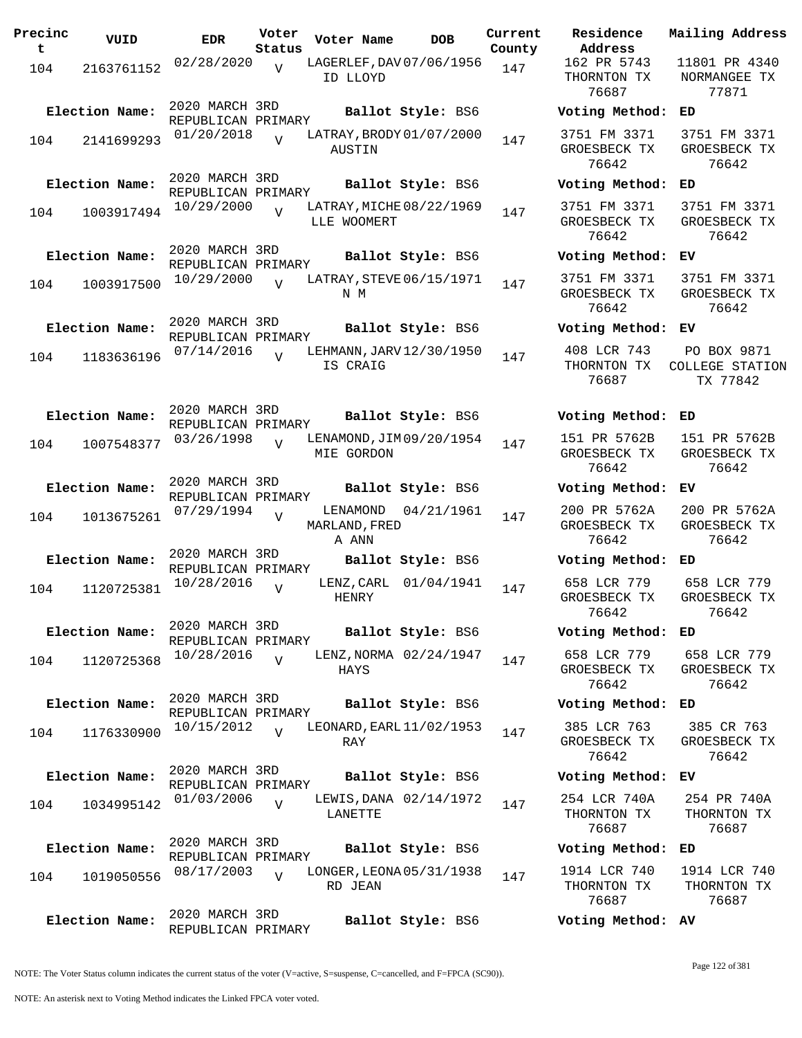| Precinc<br>t. | VUID                         | <b>EDR</b>                                         | Voter<br>Status | Voter Name                                  | DOB                                         | Current<br>County |
|---------------|------------------------------|----------------------------------------------------|-----------------|---------------------------------------------|---------------------------------------------|-------------------|
| 104           | 2163761152                   | 02/28/2020                                         | $\overline{V}$  | LAGERLEF, DAV 07/06/1956<br>ID LLOYD        |                                             | 147               |
| 104           | Election Name:<br>2141699293 | 2020 MARCH 3RD<br>REPUBLICAN PRIMARY<br>01/20/2018 | V               | LATRAY, BRODY 01/07/2000                    | Ballot Style: BS6                           | 147               |
| 104           | Election Name:<br>1003917494 | 2020 MARCH 3RD<br>REPUBLICAN PRIMARY<br>10/29/2000 | $\overline{V}$  | AUSTIN<br>LATRAY, MICHE 08/22/1969          | Ballot Style: BS6                           | 147               |
| 104           | Election Name:<br>1003917500 | 2020 MARCH 3RD<br>REPUBLICAN PRIMARY<br>10/29/2000 | $\overline{V}$  | LLE WOOMERT<br>LATRAY, STEVE 06/15/1971     | Ballot Style: BS6                           | 147               |
| 104           | Election Name:<br>1183636196 | 2020 MARCH 3RD<br>REPUBLICAN PRIMARY<br>07/14/2016 | $\overline{V}$  | N M<br>LEHMANN, JARV 12/30/1950<br>IS CRAIG | Ballot Style: BS6                           | 147               |
| 104           | Election Name:<br>1007548377 | 2020 MARCH 3RD<br>REPUBLICAN PRIMARY<br>03/26/1998 | $\overline{V}$  | LENAMOND, JIM 09/20/1954<br>MIE GORDON      | Ballot Style: BS6                           | 147               |
| 104           | Election Name:<br>1013675261 | 2020 MARCH 3RD<br>REPUBLICAN PRIMARY<br>07/29/1994 | V               | LENAMOND<br>MARLAND, FRED                   | Ballot Style: BS6<br>04/21/1961             | 147               |
| 104           | Election Name:<br>1120725381 | 2020 MARCH 3RD<br>REPUBLICAN PRIMARY<br>10/28/2016 | V               | A ANN<br>LENZ , CARL<br>HENRY               | Ballot Style: BS6<br>01/04/1941             | 147               |
| 104           | Election Name:<br>1120725368 | 2020 MARCH 3RD<br>REPUBLICAN PRIMARY<br>10/28/2016 | $\overline{V}$  | HAYS                                        | Ballot Style: BS6<br>LENZ, NORMA 02/24/1947 | 147               |
| 104           | Election Name:<br>1176330900 | 2020 MARCH 3RD<br>REPUBLICAN PRIMARY<br>10/15/2012 | $\overline{V}$  | LEONARD, EARL 11/02/1953<br>RAY             | Ballot Style: BS6                           | 147               |
| 104           | Election Name:<br>1034995142 | 2020 MARCH 3RD<br>REPUBLICAN PRIMARY<br>01/03/2006 | $\overline{V}$  | LANETTE                                     | Ballot Style: BS6<br>LEWIS, DANA 02/14/1972 | 147               |
| 104           | Election Name:<br>1019050556 | 2020 MARCH 3RD<br>REPUBLICAN PRIMARY<br>08/17/2003 | $\overline{V}$  | LONGER, LEONA 05/31/1938<br>RD JEAN         | Ballot Style: BS6                           | 147               |
|               | Election Name:               | 2020 MARCH 3RD<br>REPUBLICAN PRIMARY               |                 |                                             | Ballot Style: BS6                           |                   |

**U**ct Residence<br>**Pob** *Address* **Address Current Mailing Address** 162 PR 5743 THORNTON TX 76687 11801 PR 4340 NORMANGEE TX 77871 **Election Name: Ballot Style:** BS6 **Voting Method: ED** 3751 FM 3371 GROESBECK TX 76642 3751 FM 3371 GROESBECK TX 76642 **Election Name: Ballot Style:** BS6 **Voting Method: ED** 3751 FM 3371 GROESBECK TX 76642 3751 FM 3371 GROESBECK TX 76642 **Election Name: Ballot Style:** BS6 **Voting Method: EV** 3751 FM 3371 GROESBECK TX 76642 3751 FM 3371 GROESBECK TX 76642 **Election Name: Ballot Style:** BS6 **Voting Method: EV** 408 LCR 743 THORNTON TX 76687 PO BOX 9871 COLLEGE STATION TX 77842 **Election Name: Ballot Style:** BS6 **Voting Method: ED** 151 PR 5762B GROESBECK TX 76642 151 PR 5762B GROESBECK TX 76642 **Election Name: Ballot Style:** BS6 **Voting Method: EV** 200 PR 5762A GROESBECK TX 76642 200 PR 5762A GROESBECK TX 76642 **Election Name: Ballot Style:** BS6 **Voting Method: ED** 658 LCR 779 GROESBECK TX 76642 658 LCR 779 GROESBECK TX 76642 **Election Name: Ballot Style:** BS6 **Voting Method: ED** 658 LCR 779 GROESBECK TX 76642 658 LCR 779 GROESBECK TX 76642 **Election Name: Ballot Style:** BS6 **Voting Method: ED** 385 LCR 763 GROESBECK TX 76642 385 CR 763 GROESBECK TX 76642 **Election Name: Ballot Style:** BS6 **Voting Method: EV** 254 LCR 740A THORNTON TX 76687 254 PR 740A THORNTON TX 76687 **Election Name: Ballot Style:** BS6 **Voting Method: ED** 1914 LCR 740 THORNTON TX 76687 1914 LCR 740 THORNTON TX 76687

**Election Name: Ballot Style:** BS6 **Voting Method: AV**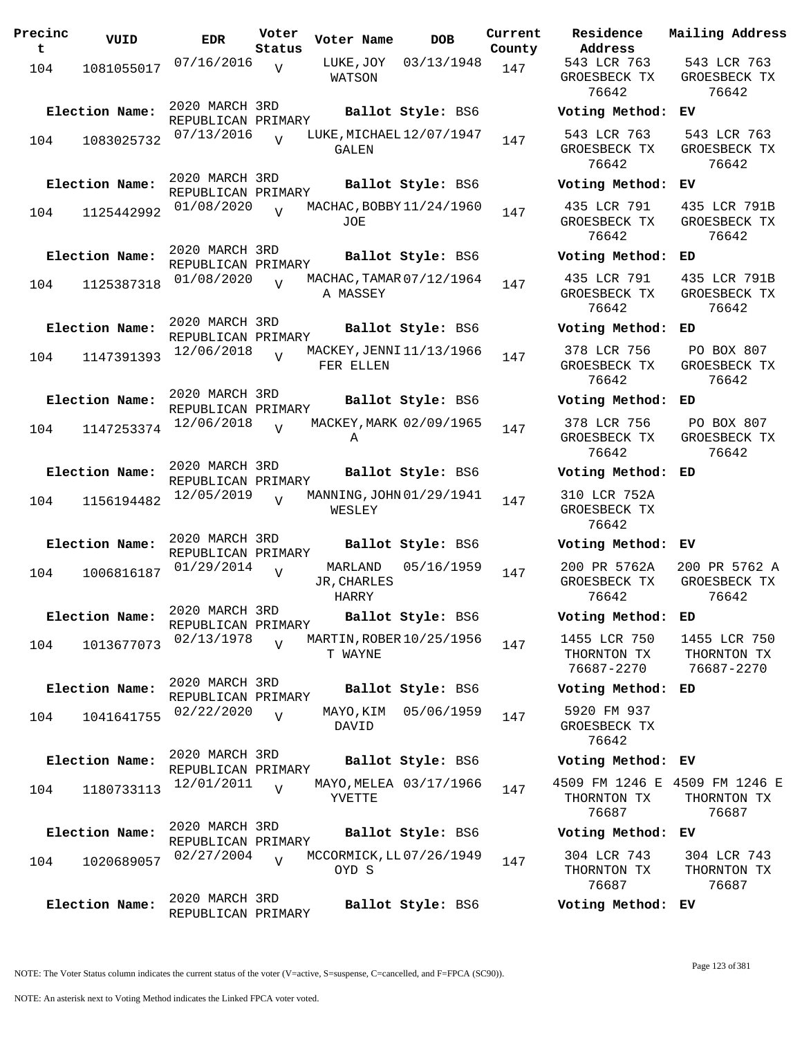| Precinc<br>t | VUID                         | <b>EDR</b>                                         | Voter<br>Status | Voter Name             | <b>DOB</b>                                    | Current<br>County |
|--------------|------------------------------|----------------------------------------------------|-----------------|------------------------|-----------------------------------------------|-------------------|
| 104          | 1081055017                   | 07/16/2016                                         | $\overline{V}$  | LUKE,JOY<br>WATSON     | 03/13/1948                                    | 147               |
| 104          | Election Name:<br>1083025732 | 2020 MARCH 3RD<br>REPUBLICAN PRIMARY<br>07/13/2016 |                 | GALEN                  | Ballot Style: BS6<br>LUKE, MICHAEL 12/07/1947 | 147               |
| 104          | Election Name:<br>1125442992 | 2020 MARCH 3RD<br>REPUBLICAN PRIMARY<br>01/08/2020 | ٦T              |                        | Ballot Style: BS6<br>MACHAC, BOBBY 11/24/1960 | 147               |
| 104          | Election Name:<br>1125387318 | 2020 MARCH 3RD<br>REPUBLICAN PRIMARY<br>01/08/2020 | $\overline{U}$  | JOE                    | Ballot Style: BS6<br>MACHAC, TAMAR 07/12/1964 | 147               |
| 104          | Election Name:<br>1147391393 | 2020 MARCH 3RD<br>REPUBLICAN PRIMARY<br>12/06/2018 | $\overline{U}$  | A MASSEY               | Ballot Style: BS6<br>MACKEY, JENNI 11/13/1966 | 147               |
| 104          | Election Name:<br>1147253374 | 2020 MARCH 3RD<br>REPUBLICAN PRIMARY<br>12/06/2018 | V               | FER ELLEN<br>Α         | Ballot Style: BS6<br>MACKEY, MARK 02/09/1965  | 147               |
| 104          | Election Name:<br>1156194482 | 2020 MARCH 3RD<br>REPUBLICAN PRIMARY<br>12/05/2019 | ٦T              | WESLEY                 | Ballot Style: BS6<br>MANNING, JOHN 01/29/1941 | 147               |
| 104          | Election Name:<br>1006816187 | 2020 MARCH 3RD<br>REPUBLICAN PRIMARY<br>01/29/2014 | V               | MARLAND<br>JR, CHARLES | Ballot Style: BS6<br>05/16/1959               | 147               |
| 104          | Election Name:<br>1013677073 | 2020 MARCH 3RD<br>REPUBLICAN PRIMARY<br>02/13/1978 | V               | HARRY<br>T WAYNE       | Ballot Style: BS6<br>MARTIN, ROBER 10/25/1956 | 147               |
| 104          | Election Name:<br>1041641755 | 2020 MARCH 3RD<br>REPUBLICAN PRIMARY<br>02/22/2020 | $\overline{V}$  | MAYO, KIM<br>DAVID     | Ballot Style: BS6<br>05/06/1959               | 147               |
| 104          | Election Name:<br>1180733113 | 2020 MARCH 3RD<br>REPUBLICAN PRIMARY<br>12/01/2011 | $\overline{V}$  | YVETTE                 | Ballot Style: BS6<br>MAYO, MELEA 03/17/1966   | 147               |
| 104          | Election Name:<br>1020689057 | 2020 MARCH 3RD<br>REPUBLICAN PRIMARY<br>02/27/2004 | $\overline{V}$  | OYD S                  | Ballot Style: BS6<br>MCCORMICK, LL07/26/1949  | 147               |
|              | Election Name:               | 2020 MARCH 3RD<br>REPUBLICAN PRIMARY               |                 |                        | Ballot Style: BS6                             |                   |

**Voter Name DOB Residence Address Current Mailing Address** 543 LCR 763 GROESBECK TX 76642 543 LCR 763 GROESBECK TX 76642 **Election Name: Ballot Style:** BS6 **Voting Method: EV** 543 LCR 763 GROESBECK TX 76642 543 LCR 763 GROESBECK TX 76642 **Election Name: Ballot Style:** BS6 **Voting Method: EV** 435 LCR 791 GROESBECK TX 76642 435 LCR 791B GROESBECK TX 76642 **Election Name: Ballot Style:** BS6 **Voting Method: ED** 435 LCR 791 GROESBECK TX 76642 435 LCR 791B GROESBECK TX 76642 **Election Name: Ballot Style:** BS6 **Voting Method: ED** 378 LCR 756 GROESBECK TX 76642 PO BOX 807 GROESBECK TX 76642 **Election Name: Ballot Style:** BS6 **Voting Method: ED** 378 LCR 756 GROESBECK TX 76642 PO BOX 807 GROESBECK TX 76642 **Election Name: Ballot Style:** BS6 **Voting Method: ED** 310 LCR 752A GROESBECK TX 76642 **Election Name: Ballot Style:** BS6 **Voting Method: EV** 200 PR 5762A GROESBECK TX 76642 200 PR 5762 A GROESBECK TX 76642 **Election Name: Ballot Style:** BS6 **Voting Method: ED** 1455 LCR 750 THORNTON TX 76687-2270 1455 LCR 750 THORNTON TX 76687-2270 **Election Name: Ballot Style:** BS6 **Voting Method: ED** 5920 FM 937 GROESBECK TX 76642 **Election Name: Ballot Style:** BS6 **Voting Method: EV** 4509 FM 1246 E 4509 FM 1246 E THORNTON TX 76687 THORNTON TX 76687 **Election Name: Ballot Style:** BS6 **Voting Method: EV** 304 LCR 743 THORNTON TX 76687 304 LCR 743 THORNTON TX 76687

**Election Name: Ballot Style:** BS6 **Voting Method: EV**

Page 123 of 381

NOTE: The Voter Status column indicates the current status of the voter (V=active, S=suspense, C=cancelled, and F=FPCA (SC90)).

NOTE: An asterisk next to Voting Method indicates the Linked FPCA voter voted.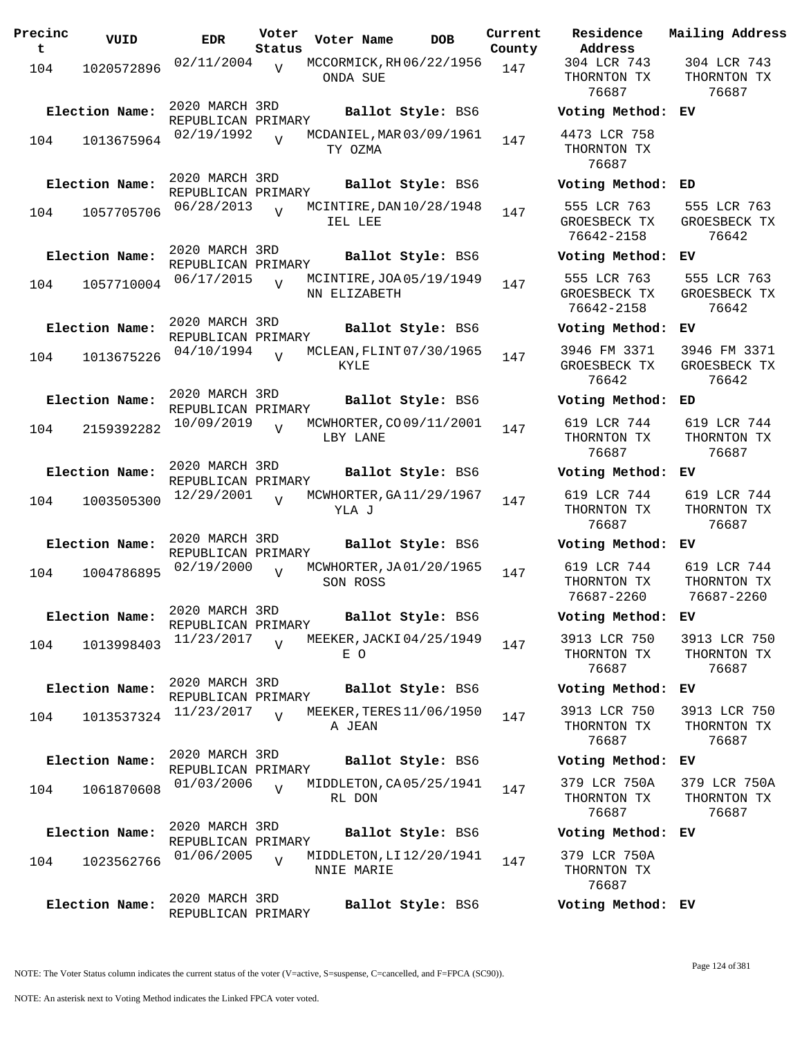| Precinc<br>t. | VUID           | <b>EDR</b>                           | Voter<br>Status | Voter Name                               | DOB               | Current<br>County |
|---------------|----------------|--------------------------------------|-----------------|------------------------------------------|-------------------|-------------------|
| 104           | 1020572896     | 02/11/2004                           | $\overline{V}$  | MCCORMICK, RH06/22/1956<br>ONDA SUE      |                   | 147               |
|               | Election Name: | 2020 MARCH 3RD<br>REPUBLICAN PRIMARY |                 |                                          | Ballot Style: BS6 |                   |
| 104           | 1013675964     | 02/19/1992                           | $\overline{U}$  | MCDANIEL, MAR 03/09/1961<br>TY OZMA      |                   | 147               |
|               | Election Name: | 2020 MARCH 3RD<br>REPUBLICAN PRIMARY |                 |                                          | Ballot Style: BS6 |                   |
| 104           | 1057705706     | 06/28/2013                           |                 | MCINTIRE, DAN 10/28/1948<br>IEL LEE      |                   | 147               |
|               | Election Name: | 2020 MARCH 3RD<br>REPUBLICAN PRIMARY |                 |                                          | Ballot Style: BS6 |                   |
| 104           | 1057710004     | 06/17/2015                           | $\overline{U}$  | MCINTIRE, JOA 05/19/1949<br>NN ELIZABETH |                   | 147               |
|               | Election Name: | 2020 MARCH 3RD<br>REPUBLICAN PRIMARY |                 |                                          | Ballot Style: BS6 |                   |
| 104           | 1013675226     | 04/10/1994                           | $\overline{U}$  | MCLEAN, FLINT 07/30/1965<br>KYLE.        |                   | 147               |
|               | Election Name: | 2020 MARCH 3RD                       |                 |                                          | Ballot Style: BS6 |                   |
| 104           | 2159392282     | REPUBLICAN PRIMARY<br>10/09/2019     | $\overline{V}$  | MCWHORTER, CO 09/11/2001<br>LBY LANE     |                   | 147               |
|               | Election Name: | 2020 MARCH 3RD<br>REPUBLICAN PRIMARY |                 |                                          | Ballot Style: BS6 |                   |
| 104           | 1003505300     | 12/29/2001                           | $\overline{I}$  | MCWHORTER, GA11/29/1967<br>YLA J         |                   | 147               |
|               | Election Name: | 2020 MARCH 3RD<br>REPUBLICAN PRIMARY |                 |                                          | Ballot Style: BS6 |                   |
| 104           | 1004786895     | 02/19/2000                           | $\overline{V}$  | MCWHORTER, JA01/20/1965<br>SON ROSS      |                   | 147               |
|               | Election Name: | 2020 MARCH 3RD<br>REPUBLICAN PRIMARY |                 |                                          | Ballot Style: BS6 |                   |
| 104           | 1013998403     | 11/23/2017                           |                 | MEEKER, JACKI 04/25/1949<br>E O          |                   | 147               |
|               | Election Name: | 2020 MARCH 3RD<br>REPUBLICAN PRIMARY |                 |                                          | Ballot Style: BS6 |                   |
| 104           | 1013537324     | 11/23/2017                           | $\overline{U}$  | MEEKER, TERES 11/06/1950<br>A JEAN       |                   | 147               |
|               | Election Name: | 2020 MARCH 3RD                       |                 |                                          | Ballot Style: BS6 |                   |
| 104           | 1061870608     | REPUBLICAN PRIMARY<br>01/03/2006     | $\overline{V}$  | MIDDLETON, CA05/25/1941<br>RL DON        |                   | 147               |
|               | Election Name: | 2020 MARCH 3RD                       |                 |                                          | Ballot Style: BS6 |                   |
| 104           | 1023562766     | REPUBLICAN PRIMARY<br>01/06/2005     | $\overline{V}$  | MIDDLETON, LI 12/20/1941<br>NNIE MARIE   |                   | 147               |
|               | Election Name: | 2020 MARCH 3RD<br>REPUBLICAN PRIMARY |                 |                                          | Ballot Style: BS6 |                   |

**Voter Name DOB Residence Address Current Mailing Address** 304 LCR 743 THORNTON TX 76687 304 LCR 743 THORNTON TX 76687 **Election Name: Ballot Style:** BS6 **Voting Method: EV** 4473 LCR 758 THORNTON TX 76687 **Election Name: Ballot Style:** BS6 **Voting Method: ED** 555 LCR 763 GROESBECK TX 76642-2158 555 LCR 763 GROESBECK TX 76642 **Election Name: Ballot Style:** BS6 **Voting Method: EV** 555 LCR 763 GROESBECK TX 76642-2158 555 LCR 763 GROESBECK TX 76642 **Election Name: Ballot Style:** BS6 **Voting Method: EV** 3946 FM 3371 GROESBECK TX 76642 3946 FM 3371 GROESBECK TX 76642 **Election Name: Ballot Style:** BS6 **Voting Method: ED** 619 LCR 744 THORNTON TX 76687 619 LCR 744 THORNTON TX 76687 **Election Name: Ballot Style:** BS6 **Voting Method: EV** 619 LCR 744 THORNTON TX 76687 619 LCR 744 THORNTON TX 76687 **Election Name: Ballot Style:** BS6 **Voting Method: EV** 619 LCR 744 THORNTON TX 76687-2260 619 LCR 744 THORNTON TX 76687-2260 **Election Name: Ballot Style:** BS6 **Voting Method: EV** 3913 LCR 750 THORNTON TX 76687 3913 LCR 750 THORNTON TX 76687 **Election Name: Ballot Style:** BS6 **Voting Method: EV** 3913 LCR 750 THORNTON TX 76687 3913 LCR 750 THORNTON TX 76687 **Election Name: Ballot Style:** BS6 **Voting Method: EV** 379 LCR 750A THORNTON TX 76687 379 LCR 750A THORNTON TX 76687 **Election Name: Ballot Style:** BS6 **Voting Method: EV** 379 LCR 750A THORNTON TX 76687 **Election Name: Ballot Style:** BS6 **Voting Method: EV**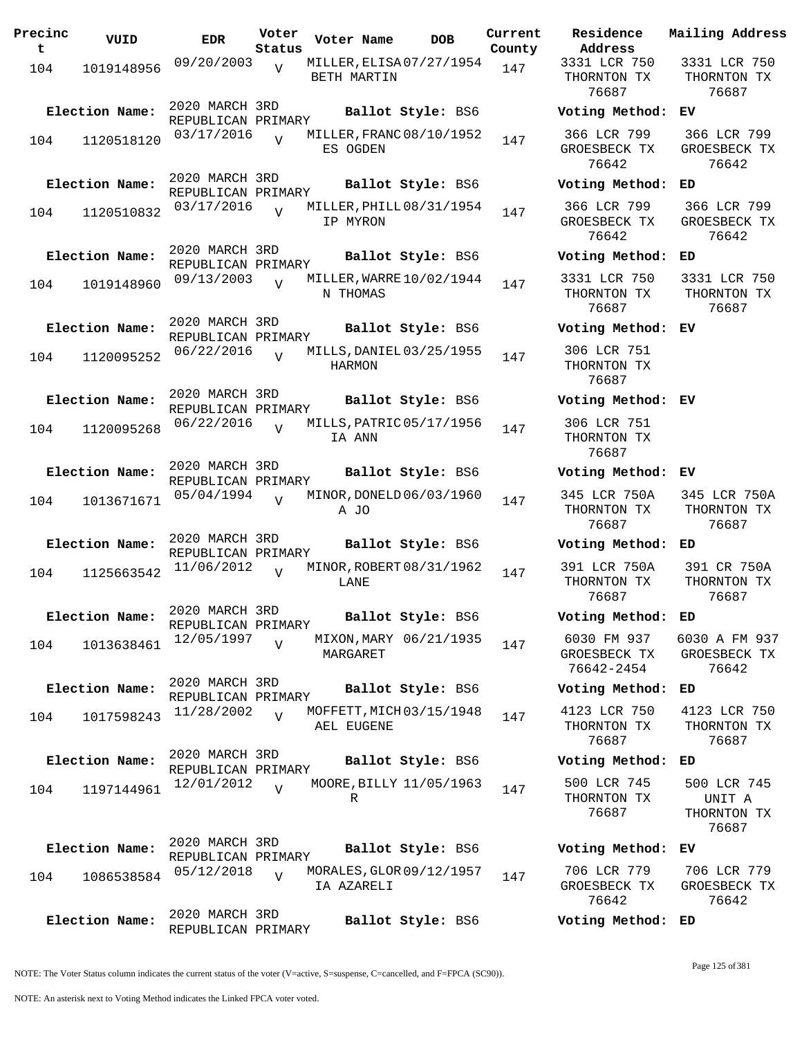| Precinc<br>t | VUID           | <b>EDR</b>                           | Voter<br>Status | Voter Name                              | <b>DOB</b>        | Current<br>County | Residence<br>Address                      | Mail                  |
|--------------|----------------|--------------------------------------|-----------------|-----------------------------------------|-------------------|-------------------|-------------------------------------------|-----------------------|
| 104          | 1019148956     | 09/20/2003                           | $\overline{V}$  | MILLER, ELISA 07/27/1954<br>BETH MARTIN |                   | 147               | 3331 LCR 750<br>THORNTON TX<br>76687      | 33<br>Тŀ              |
|              | Election Name: | 2020 MARCH 3RD<br>REPUBLICAN PRIMARY |                 |                                         | Ballot Style: BS6 |                   | Voting Method:                            | EV                    |
| 104          | 1120518120     | 03/17/2016                           |                 | MILLER, FRANC 08/10/1952<br>ES OGDEN    |                   | 147               | 366 LCR 799<br>GROESBECK TX<br>76642      | 36<br>GR              |
|              | Election Name: | 2020 MARCH 3RD<br>REPUBLICAN PRIMARY |                 |                                         | Ballot Style: BS6 |                   | Voting Method:                            | ED                    |
| 104          | 1120510832     | 03/17/2016                           | $\overline{U}$  | MILLER, PHILL 08/31/1954<br>IP MYRON    |                   | 147               | 366 LCR 799<br>GROESBECK TX<br>76642      | 36<br>GR              |
|              | Election Name: | 2020 MARCH 3RD<br>REPUBLICAN PRIMARY |                 |                                         | Ballot Style: BS6 |                   | Voting Method:                            | ED                    |
| 104          | 1019148960     | 09/13/2003                           | $\overline{U}$  | MILLER, WARRE $10/02/1944$<br>N THOMAS  |                   | 147               | 3331 LCR 750<br>THORNTON TX<br>76687      | 33<br>TH              |
|              | Election Name: | 2020 MARCH 3RD<br>REPUBLICAN PRIMARY |                 |                                         | Ballot Style: BS6 |                   | Voting Method:                            | EV                    |
| 104          | 1120095252     | 06/22/2016                           | $\overline{z}$  | MILLS, DANIEL 03/25/1955<br>HARMON      |                   | 147               | 306 LCR 751<br>THORNTON TX<br>76687       |                       |
|              | Election Name: | 2020 MARCH 3RD<br>REPUBLICAN PRIMARY |                 |                                         | Ballot Style: BS6 |                   | Voting Method: EV                         |                       |
| 104          | 1120095268     | 06/22/2016                           | $\overline{U}$  | MILLS, PATRIC 05/17/1956<br>IA ANN      |                   | 147               | 306 LCR 751<br>THORNTON TX<br>76687       |                       |
|              | Election Name: | 2020 MARCH 3RD<br>REPUBLICAN PRIMARY |                 |                                         | Ballot Style: BS6 |                   | Voting Method:                            | ЕV                    |
| 104          | 1013671671     | 05/04/1994                           | $\overline{U}$  | MINOR, DONELD 06/03/1960<br>A JO        |                   | 147               | 345 LCR 750A<br>THORNTON TX<br>76687      | 34<br>Tŀ              |
|              | Election Name: | 2020 MARCH 3RD<br>REPUBLICAN PRIMARY |                 |                                         | Ballot Style: BS6 |                   | Voting Method:                            | ED                    |
| 104          | 1125663542     | 11/06/2012                           | $\overline{U}$  | MINOR, ROBERT 08/31/1962<br>LANE        |                   | 147               | 391 LCR 750A<br>THORNTON TX<br>76687      | 3 <sup>0</sup><br>Tŀ  |
|              | Election Name: | 2020 MARCH 3RD<br>REPUBLICAN PRIMARY |                 |                                         | Ballot Style: BS6 |                   | Voting Method:                            | ED                    |
| 104          | 1013638461     | 12/05/1997                           | $\overline{V}$  | MIXON, MARY 06/21/1935<br>MARGARET      |                   | 147               | 6030 FM 937<br>GROESBECK TX<br>76642-2454 | 60 <sup>5</sup><br>GR |
|              | Election Name: | 2020 MARCH 3RD<br>REPUBLICAN PRIMARY |                 |                                         | Ballot Style: BS6 |                   | Voting Method:                            | ED                    |
| 104          | 1017598243     | 11/28/2002                           | $\overline{V}$  | MOFFETT, MICH 03/15/1948<br>AEL EUGENE  |                   | 147               | 4123 LCR 750<br>THORNTON TX<br>76687      | 41<br>TH              |
|              | Election Name: | 2020 MARCH 3RD<br>REPUBLICAN PRIMARY |                 |                                         | Ballot Style: BS6 |                   | Voting Method:                            | ED                    |
| 104          | 1197144961     | 12/01/2012                           | $\overline{v}$  | MOORE, BILLY 11/05/1963                 |                   | 147               | 500 LCR 745                               | 5 <sub>0</sub>        |
|              |                |                                      |                 | R                                       |                   |                   | THORNTON TX<br>76687                      | Tŀ                    |
|              | Election Name: | 2020 MARCH 3RD<br>REPUBLICAN PRIMARY |                 |                                         | Ballot Style: BS6 |                   | Voting Method:                            | EV                    |
| 104          | 1086538584     | 05/12/2018                           | $\overline{V}$  | MORALES, GLOR 09/12/1957<br>IA AZARELI  |                   | 147               | 706 LCR 779<br>GROESBECK TX<br>76642      | 70<br>GR              |
|              | Election Name: | 2020 MARCH 3RD<br>REPUBLICAN PRIMARY |                 |                                         | Ballot Style: BS6 |                   | Voting Method: ED                         |                       |

**Address** 3331 LCR 750 THORNTON TX 76687 3331 LCR 750 THORNTON TX 76687 **Election Name: Ballot Style:** BS6 **Voting Method: EV** 366 LCR 799 GROESBECK TX 76642 366 LCR 799 GROESBECK TX 76642 **Election Name: Ballot Style:** BS6 **Voting Method: ED** 366 LCR 799 GROESBECK TX 76642 366 LCR 799 GROESBECK TX 76642 **Election Name: Ballot Style:** BS6 **Voting Method: ED** 3331 LCR 750 THORNTON TX 76687 3331 LCR 750 THORNTON TX 76687 **Election Name: Ballot Style:** BS6 **Voting Method: EV** 306 LCR 751 THORNTON TX 76687 **Election Name: Ballot Style:** BS6 **Voting Method: EV** 306 LCR 751 THORNTON TX 76687 **Election Name: Ballot Style:** BS6 **Voting Method: EV** 345 LCR 750A THORNTON TX 76687 345 LCR 750A THORNTON TX 76687 **Election Name: Ballot Style:** BS6 **Voting Method: ED** 391 LCR 750A THORNTON TX 76687 391 CR 750A THORNTON TX 76687 **Election Name: Ballot Style:** BS6 **Voting Method: ED** 6030 FM 937 GROESBECK TX 76642-2454 6030 A FM 937 GROESBECK TX 76642 **Election Name: Ballot Style:** BS6 **Voting Method: ED** 4123 LCR 750 THORNTON TX 76687 4123 LCR 750 THORNTON TX 76687 **Election Name: Ballot Style:** BS6 **Voting Method: ED** 500 LCR 745 THORNTON TX 76687 500 LCR 745 UNIT A THORNTON TX 76687 **Election Name: Ballot Style:** BS6 **Voting Method: EV** 706 LCR 779 GROESBECK TX 706 LCR 779 GROESBECK TX

**Current Mailing Address**

NOTE: The Voter Status column indicates the current status of the voter (V=active, S=suspense, C=cancelled, and F=FPCA (SC90)).

76642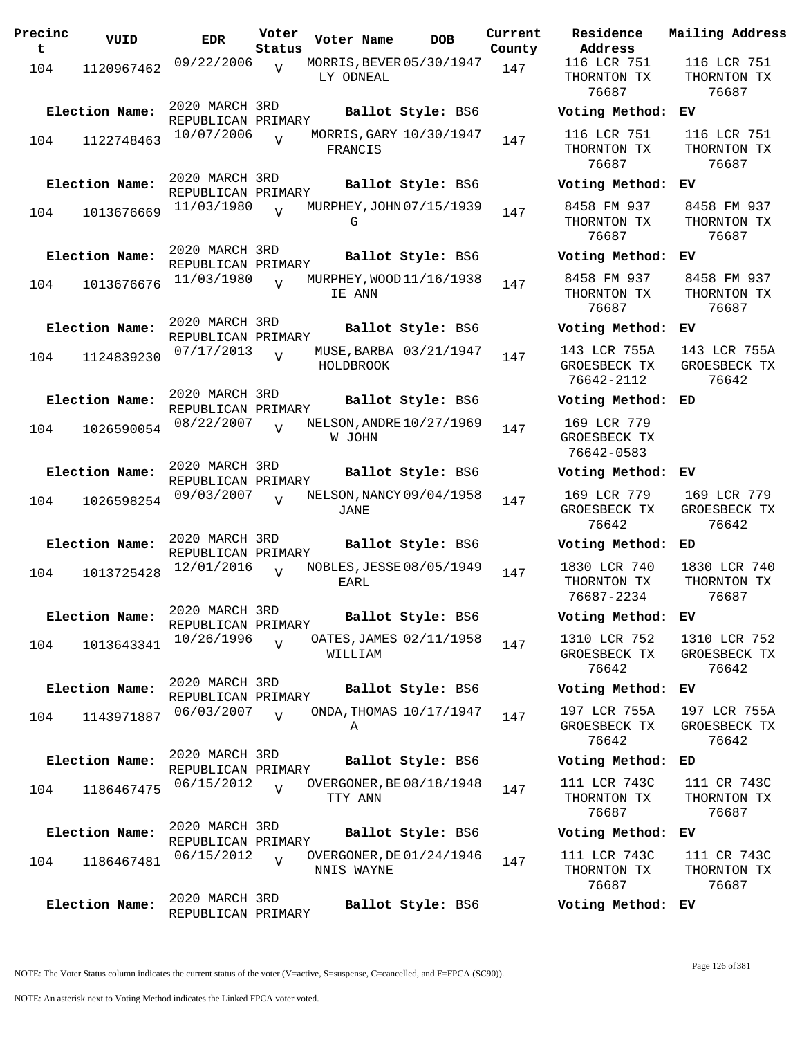| Precinc<br>t | VUID                         | EDR                                                | Voter<br>Status | Voter Name | DOB                                           | Current<br>County |
|--------------|------------------------------|----------------------------------------------------|-----------------|------------|-----------------------------------------------|-------------------|
| 104          | 1120967462                   | 09/22/2006                                         | $\overline{V}$  | LY ODNEAL  | MORRIS, BEVER 05/30/1947                      | 147               |
| 104          | Election Name:<br>1122748463 | 2020 MARCH 3RD<br>REPUBLICAN PRIMARY<br>10/07/2006 | $\overline{U}$  | FRANCIS    | Ballot Style: BS6<br>MORRIS, GARY 10/30/1947  | 147               |
| 104          | Election Name:<br>1013676669 | 2020 MARCH 3RD<br>REPUBLICAN PRIMARY<br>11/03/1980 | $\overline{V}$  | G          | Ballot Style: BS6<br>MURPHEY, JOHN 07/15/1939 | 147               |
| 104          | Election Name:<br>1013676676 | 2020 MARCH 3RD<br>REPUBLICAN PRIMARY<br>11/03/1980 | $\overline{U}$  | IE ANN     | Ballot Style: BS6<br>MURPHEY, WOOD 11/16/1938 | 147               |
| 104          | Election Name:<br>1124839230 | 2020 MARCH 3RD<br>REPUBLICAN PRIMARY<br>07/17/2013 | $\overline{U}$  | HOLDBROOK  | Ballot Style: BS6<br>MUSE, BARBA 03/21/1947   | 147               |
| 104          | Election Name:<br>1026590054 | 2020 MARCH 3RD<br>REPUBLICAN PRIMARY<br>08/22/2007 | $\overline{U}$  | W JOHN     | Ballot Style: BS6<br>NELSON, ANDRE 10/27/1969 | 147               |
| 104          | Election Name:<br>1026598254 | 2020 MARCH 3RD<br>REPUBLICAN PRIMARY<br>09/03/2007 | ٦T              | JANE       | Ballot Style: BS6<br>NELSON, NANCY 09/04/1958 | 147               |
| 104          | Election Name:<br>1013725428 | 2020 MARCH 3RD<br>REPUBLICAN PRIMARY<br>12/01/2016 | $\overline{V}$  | EARI.      | Ballot Style: BS6<br>NOBLES, JESSE 08/05/1949 | 147               |
| 104          | Election Name:<br>1013643341 | 2020 MARCH 3RD<br>REPUBLICAN PRIMARY<br>10/26/1996 | V               | WILLIAM    | Ballot Style: BS6<br>OATES, JAMES 02/11/1958  | 147               |
| 104          | Election Name:<br>1143971887 | 2020 MARCH 3RD<br>REPUBLICAN PRIMARY<br>06/03/2007 | $\overline{U}$  | Α          | Ballot Style: BS6<br>ONDA, THOMAS 10/17/1947  | 147               |
| 104          | Election Name:<br>1186467475 | 2020 MARCH 3RD<br>REPUBLICAN PRIMARY<br>06/15/2012 | $\overline{U}$  | TTY ANN    | Ballot Style: BS6<br>OVERGONER, BE 08/18/1948 | 147               |
| 104          | Election Name:<br>1186467481 | 2020 MARCH 3RD<br>REPUBLICAN PRIMARY<br>06/15/2012 | $\overline{V}$  | NNIS WAYNE | Ballot Style: BS6<br>OVERGONER, DE 01/24/1946 | 147               |
|              | Election Name:               | 2020 MARCH 3RD<br>REPUBLICAN PRIMARY               |                 |            | Ballot Style: BS6                             |                   |

**Voter Name DOB Residence Address Current Mailing Address** 116 LCR 751 THORNTON TX 76687 116 LCR 751 THORNTON TX 76687 **Election Name: Ballot Style:** BS6 **Voting Method: EV** 116 LCR 751 THORNTON TX 76687 116 LCR 751 THORNTON TX 76687 **Election Name: Ballot Style:** BS6 **Voting Method: EV** 8458 FM 937 THORNTON TX 76687 8458 FM 937 THORNTON TX 76687 **Election Name: Ballot Style:** BS6 **Voting Method: EV** 8458 FM 937 THORNTON TX 76687 8458 FM 937 THORNTON TX 76687 **Election Name: Ballot Style:** BS6 **Voting Method: EV** 143 LCR 755A GROESBECK TX 76642-2112 143 LCR 755A GROESBECK TX 76642 **Election Name: Ballot Style:** BS6 **Voting Method: ED** 169 LCR 779 GROESBECK TX 76642-0583 **Election Name: Ballot Style:** BS6 **Voting Method: EV** 169 LCR 779 GROESBECK TX 76642 169 LCR 779 GROESBECK TX 76642 **Election Name: Ballot Style:** BS6 **Voting Method: ED** 1830 LCR 740 THORNTON TX 76687-2234 1830 LCR 740 THORNTON TX 76687 **Election Name: Ballot Style:** BS6 **Voting Method: EV** 1310 LCR 752 GROESBECK TX 76642 1310 LCR 752 GROESBECK TX 76642 **Election Name: Ballot Style:** BS6 **Voting Method: EV** 197 LCR 755A GROESBECK TX 76642 197 LCR 755A GROESBECK TX 76642 **Election Name: Ballot Style:** BS6 **Voting Method: ED** 111 LCR 743C THORNTON TX 76687 111 CR 743C THORNTON TX 76687 **Election Name: Ballot Style:** BS6 **Voting Method: EV** 111 LCR 743C THORNTON TX 76687 111 CR 743C THORNTON TX 76687 **Election Name: Ballot Style:** BS6 **Voting Method: EV**

NOTE: An asterisk next to Voting Method indicates the Linked FPCA voter voted.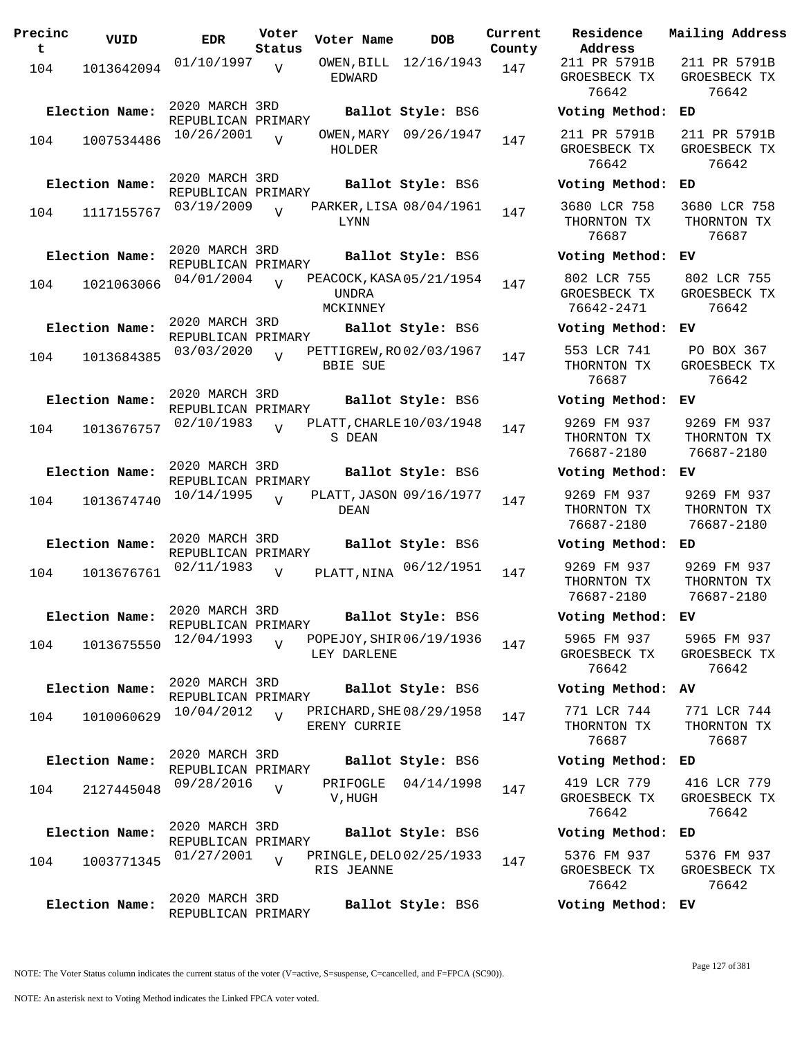| Precinc<br>t | VUID           | <b>EDR</b>                           | Voter<br>Status | Voter Name                                    | <b>DOB</b>            | Current<br>County | Residence<br>Address                      |
|--------------|----------------|--------------------------------------|-----------------|-----------------------------------------------|-----------------------|-------------------|-------------------------------------------|
| 104          | 1013642094     | 01/10/1997                           | V               | EDWARD                                        | OWEN, BILL 12/16/1943 | 147               | 211 PR 5791H<br>GROESBECK TI<br>76642     |
|              | Election Name: | 2020 MARCH 3RD<br>REPUBLICAN PRIMARY |                 |                                               | Ballot Style: BS6     |                   | Voting Metho                              |
| 104          | 1007534486     | 10/26/2001                           | $\overline{V}$  | HOLDER                                        | OWEN, MARY 09/26/1947 | 147               | 211 PR 5791H<br>GROESBECK T<br>76642      |
|              | Election Name: | 2020 MARCH 3RD<br>REPUBLICAN PRIMARY |                 |                                               | Ballot Style: BS6     |                   | Voting Metho                              |
| 104          | 1117155767     | 03/19/2009                           | $\overline{U}$  | PARKER, LISA 08/04/1961<br>LYNN               |                       | 147               | 3680 LCR 758<br>THORNTON TX<br>76687      |
|              | Election Name: | 2020 MARCH 3RD<br>REPUBLICAN PRIMARY |                 |                                               | Ballot Style: BS6     |                   | Voting Metho                              |
| 104          | 1021063066     | 04/01/2004                           | $\overline{U}$  | PEACOCK, KASA 05/21/1954<br>UNDRA<br>MCKINNEY |                       | 147               | 802 LCR 755<br>GROESBECK TI<br>76642-2471 |
|              | Election Name: | 2020 MARCH 3RD<br>REPUBLICAN PRIMARY |                 |                                               | Ballot Style: BS6     |                   | Voting Metho                              |
| 104          | 1013684385     | 03/03/2020                           | $\overline{V}$  | PETTIGREW, RO02/03/1967<br><b>BBIE SUE</b>    |                       | 147               | 553 LCR 741<br>THORNTON TX<br>76687       |
|              | Election Name: | 2020 MARCH 3RD<br>REPUBLICAN PRIMARY |                 |                                               | Ballot Style: BS6     |                   | Voting Metho                              |
| 104          | 1013676757     | 02/10/1983                           | $\overline{U}$  | PLATT, CHARLE $10/03/1948$<br>S DEAN          |                       | 147               | 9269 FM 937<br>THORNTON TX<br>76687-2180  |
|              | Election Name: | 2020 MARCH 3RD<br>REPUBLICAN PRIMARY |                 |                                               | Ballot Style: BS6     |                   | Voting Metho                              |
| 104          | 1013674740     | 10/14/1995                           | $\overline{U}$  | PLATT, JASON 09/16/1977<br>DEAN               |                       | 147               | 9269 FM 937<br>THORNTON TX<br>76687-2180  |
|              | Election Name: | 2020 MARCH 3RD<br>REPUBLICAN PRIMARY |                 |                                               | Ballot Style: BS6     |                   | Voting Metho                              |
| 104          | 1013676761     | 02/11/1983                           | $\overline{V}$  | PLATT, NINA                                   | 06/12/1951            | 147               | 9269 FM 937<br>THORNTON TX<br>76687-2180  |
|              | Election Name: | 2020 MARCH 3RD<br>REPUBLICAN PRIMARY |                 |                                               | Ballot Style: BS6     |                   | Voting Metho                              |
| 104          | 1013675550     | 12/04/1993                           | $\overline{V}$  | POPEJOY, SHIR 06/19/1936<br>LEY DARLENE       |                       | 147               | 5965 FM 937<br>GROESBECK TI<br>76642      |
|              | Election Name: | 2020 MARCH 3RD<br>REPUBLICAN PRIMARY |                 |                                               | Ballot Style: BS6     |                   | Voting Metho                              |
| 104          | 1010060629     | 10/04/2012                           | $\overline{U}$  | PRICHARD, SHE 08/29/1958<br>ERENY CURRIE      |                       | 147               | 771 LCR 744<br>THORNTON TX<br>76687       |
|              | Election Name: | 2020 MARCH 3RD<br>REPUBLICAN PRIMARY |                 |                                               | Ballot Style: BS6     |                   | Voting Metho                              |
| 104          | 2127445048     | 09/28/2016                           | $\overline{V}$  | PRIFOGLE<br>V,HUGH                            | 04/14/1998            | 147               | 419 LCR 779<br>GROESBECK T<br>76642       |
|              | Election Name: | 2020 MARCH 3RD<br>REPUBLICAN PRIMARY |                 |                                               | Ballot Style: BS6     |                   | Voting Metho                              |
| 104          | 1003771345     | 01/27/2001                           | $\overline{V}$  | PRINGLE, DELO 02/25/1933<br>RIS JEANNE        |                       | 147               | 5376 FM 937<br>GROESBECK TI<br>76642      |
|              | Election Name: | 2020 MARCH 3RD<br>REPUBLICAN PRIMARY |                 |                                               | Ballot Style: BS6     |                   | Voting Metho                              |

**Voter Name DOB Residence Address Current Mailing Address** 211 PR 5791B GROESBECK TX 76642 211 PR 5791B GROESBECK TX 76642 **Election Name: Ballot Style:** BS6 **Voting Method: ED** 211 PR 5791B GROESBECK TX 76642 211 PR 5791B GROESBECK TX 76642 **Election Name: Ballot Style:** BS6 **Voting Method: ED** 3680 LCR 758 THORNTON TX 76687 3680 LCR 758 THORNTON TX 76687 **Election Name: Ballot Style:** BS6 **Voting Method: EV** 802 LCR 755 GROESBECK TX 76642-2471 802 LCR 755 GROESBECK TX 76642 **Election Name: Ballot Style:** BS6 **Voting Method: EV** 553 LCR 741 THORNTON TX 76687 PO BOX 367 GROESBECK TX 76642 **Election Name: Ballot Style:** BS6 **Voting Method: EV** 9269 FM 937 THORNTON TX 76687-2180 9269 FM 937 THORNTON TX 76687-2180 **Election Name: Ballot Style:** BS6 **Voting Method: EV** 9269 FM 937 THORNTON TX 76687-2180 9269 FM 937 THORNTON TX 76687-2180 **Election Name: Ballot Style:** BS6 **Voting Method: ED** THORNTON TX 76687-2180 9269 FM 937 THORNTON TX 76687-2180 **Election Name: Ballot Style:** BS6 **Voting Method: EV** 5965 FM 937 GROESBECK TX 76642 5965 FM 937 GROESBECK TX 76642 **Election Name: Ballot Style:** BS6 **Voting Method: AV** 771 LCR 744 THORNTON TX 76687 771 LCR 744 THORNTON TX 76687 **Election Name: Ballot Style:** BS6 **Voting Method: ED** 419 LCR 779 GROESBECK TX 76642 416 LCR 779 GROESBECK TX 76642 **Election Name: Ballot Style:** BS6 **Voting Method: ED** 5376 FM 937 GROESBECK TX 76642 5376 FM 937 GROESBECK TX 76642 **Election Name: Ballot Style:** BS6 **Voting Method: EV**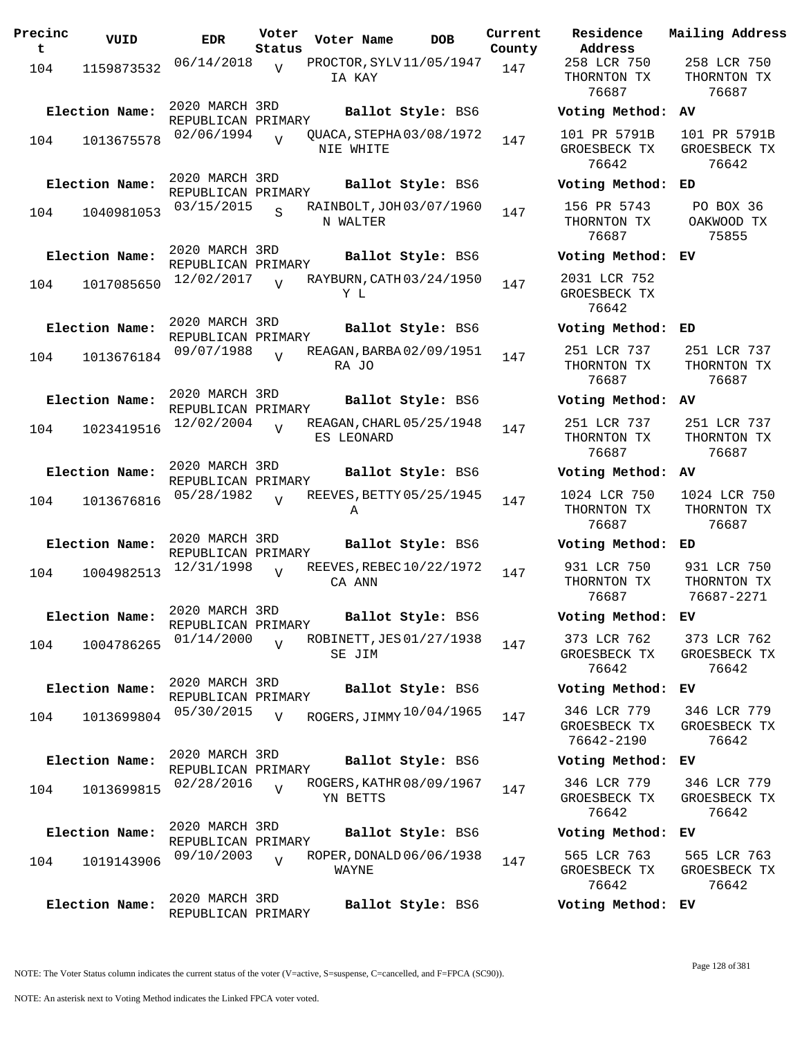| Precinc<br>t | VUID           | <b>EDR</b>                           | Voter<br>Status         | Voter Name                             | <b>DOB</b> | Current<br>County | Residence<br>Address                      |
|--------------|----------------|--------------------------------------|-------------------------|----------------------------------------|------------|-------------------|-------------------------------------------|
| 104          | 1159873532     | 06/14/2018                           | V                       | PROCTOR, SYLV11/05/1947<br>IA KAY      |            | 147               | 258 LCR 750<br>THORNTON TX<br>76687       |
|              | Election Name: | 2020 MARCH 3RD<br>REPUBLICAN PRIMARY |                         | Ballot Style: BS6                      |            |                   | Voting Metho                              |
| 104          | 1013675578     | 02/06/1994                           | $\overline{U}$          | QUACA, STEPHA03/08/1972<br>NIE WHITE   |            | 147               | 101 PR 5791H<br>GROESBECK TI<br>76642     |
|              | Election Name: | 2020 MARCH 3RD<br>REPUBLICAN PRIMARY |                         | Ballot Style: BS6                      |            |                   | Voting Metho                              |
| 104          | 1040981053     | 03/15/2015                           | $\overline{\mathbf{s}}$ | RAINBOLT, JOH 03/07/1960<br>N WALTER   |            | 147               | 156 PR 5743<br>THORNTON TX<br>76687       |
|              | Election Name: | 2020 MARCH 3RD<br>REPUBLICAN PRIMARY |                         | Ballot Style: BS6                      |            |                   | Voting Metho                              |
| 104          | 1017085650     | 12/02/2017                           | $\overline{U}$          | RAYBURN, CATH 03/24/1950<br>Y L        |            | 147               | 2031 LCR 752<br>GROESBECK TI<br>76642     |
|              | Election Name: | 2020 MARCH 3RD<br>REPUBLICAN PRIMARY |                         | Ballot Style: BS6                      |            |                   | Voting Metho                              |
| 104          | 1013676184     | 09/07/1988                           | $\overline{v}$          | REAGAN, BARBA 02/09/1951<br>RA JO      |            | 147               | 251 LCR 737<br>THORNTON TX<br>76687       |
|              | Election Name: | 2020 MARCH 3RD<br>REPUBLICAN PRIMARY |                         | Ballot Style: BS6                      |            |                   | Voting Metho                              |
| 104          | 1023419516     | 12/02/2004                           | $\overline{U}$          | REAGAN, CHARL 05/25/1948<br>ES LEONARD |            | 147               | 251 LCR 737<br>THORNTON TX<br>76687       |
|              | Election Name: | 2020 MARCH 3RD<br>REPUBLICAN PRIMARY |                         | Ballot Style: BS6                      |            |                   | Voting Metho                              |
| 104          | 1013676816     | 05/28/1982                           | $\overline{U}$          | REEVES, BETTY 05/25/1945<br>Α          |            | 147               | 1024 LCR 750<br>THORNTON TX<br>76687      |
|              | Election Name: | 2020 MARCH 3RD<br>REPUBLICAN PRIMARY |                         | Ballot Style: BS6                      |            |                   | Voting Metho                              |
| 104          | 1004982513     | 12/31/1998                           | $\overline{V}$          | REEVES, REBEC 10/22/1972<br>CA ANN     |            | 147               | 931 LCR 750<br>THORNTON TX<br>76687       |
|              | Election Name: | 2020 MARCH 3RD<br>REPUBLICAN PRIMARY |                         | Ballot Style: BS6                      |            |                   | Voting Metho                              |
| 104          | 1004786265     | 01/14/2000                           | $\overline{U}$          | ROBINETT, JES 01/27/1938<br>SE JIM     |            | 147               | 373 LCR 762<br>GROESBECK T<br>76642       |
|              | Election Name: | 2020 MARCH 3RD<br>REPUBLICAN PRIMARY |                         | Ballot Style: BS6                      |            |                   | Voting Metho                              |
| 104          | 1013699804     | 05/30/2015                           | V                       | ROGERS, JIMMY $10/04/1965$             |            | 147               | 346 LCR 779<br>GROESBECK TI<br>76642-2190 |
|              | Election Name: | 2020 MARCH 3RD<br>REPUBLICAN PRIMARY |                         | Ballot Style: BS6                      |            |                   | Voting Metho                              |
| 104          | 1013699815     | 02/28/2016                           | $\overline{V}$          | ROGERS, KATHR 08/09/1967<br>YN BETTS   |            | 147               | 346 LCR 779<br>GROESBECK T<br>76642       |
|              | Election Name: | 2020 MARCH 3RD<br>REPUBLICAN PRIMARY |                         | Ballot Style: BS6                      |            |                   | Voting Metho                              |
| 104          | 1019143906     | 09/10/2003                           | $\overline{V}$          | ROPER, DONALD 06/06/1938<br>WAYNE      |            | 147               | 565 LCR 763<br>GROESBECK TI<br>76642      |
|              | Election Name: | 2020 MARCH 3RD<br>REPUBLICAN PRIMARY |                         | Ballot Style: BS6                      |            |                   | Voting Metho                              |

**Voter Name DOB Residence Address Current Mailing Address** 258 LCR 750 THORNTON TX 76687 258 LCR 750 THORNTON TX 76687 **Election Name: Ballot Style:** BS6 **Voting Method: AV** 101 PR 5791B GROESBECK TX 76642 101 PR 5791B GROESBECK TX 76642 **Election Name: Ballot Style:** BS6 **Voting Method: ED** 156 PR 5743 THORNTON TX 76687 PO BOX 36 OAKWOOD TX 75855 **Election Name: Ballot Style:** BS6 **Voting Method: EV** 2031 LCR 752 GROESBECK TX 76642 **Election Name: Ballot Style:** BS6 **Voting Method: ED** 251 LCR 737 THORNTON TX 76687 251 LCR 737 THORNTON TX 76687 **Election Name: Ballot Style:** BS6 **Voting Method: AV** 251 LCR 737 THORNTON TX 76687 251 LCR 737 THORNTON TX 76687 **Election Name: Ballot Style:** BS6 **Voting Method: AV** 1024 LCR 750 THORNTON TX 76687 1024 LCR 750 THORNTON TX 76687 **Election Name: Ballot Style:** BS6 **Voting Method: ED** 931 LCR 750 THORNTON TX 76687 931 LCR 750 THORNTON TX 76687-2271 **Election Name: Ballot Style:** BS6 **Voting Method: EV** 373 LCR 762 GROESBECK TX 76642 373 LCR 762 GROESBECK TX 76642 **Election Name: Ballot Style:** BS6 **Voting Method: EV** GROESBECK TX 76642-2190 346 LCR 779 GROESBECK TX 76642 **Election Name: Ballot Style:** BS6 **Voting Method: EV** 346 LCR 779 GROESBECK TX 76642 346 LCR 779 GROESBECK TX 76642 **Election Name: Ballot Style:** BS6 **Voting Method: EV** 565 LCR 763 GROESBECK TX 76642 565 LCR 763 GROESBECK TX 76642 **Election Name: Ballot Style:** BS6 **Voting Method: EV**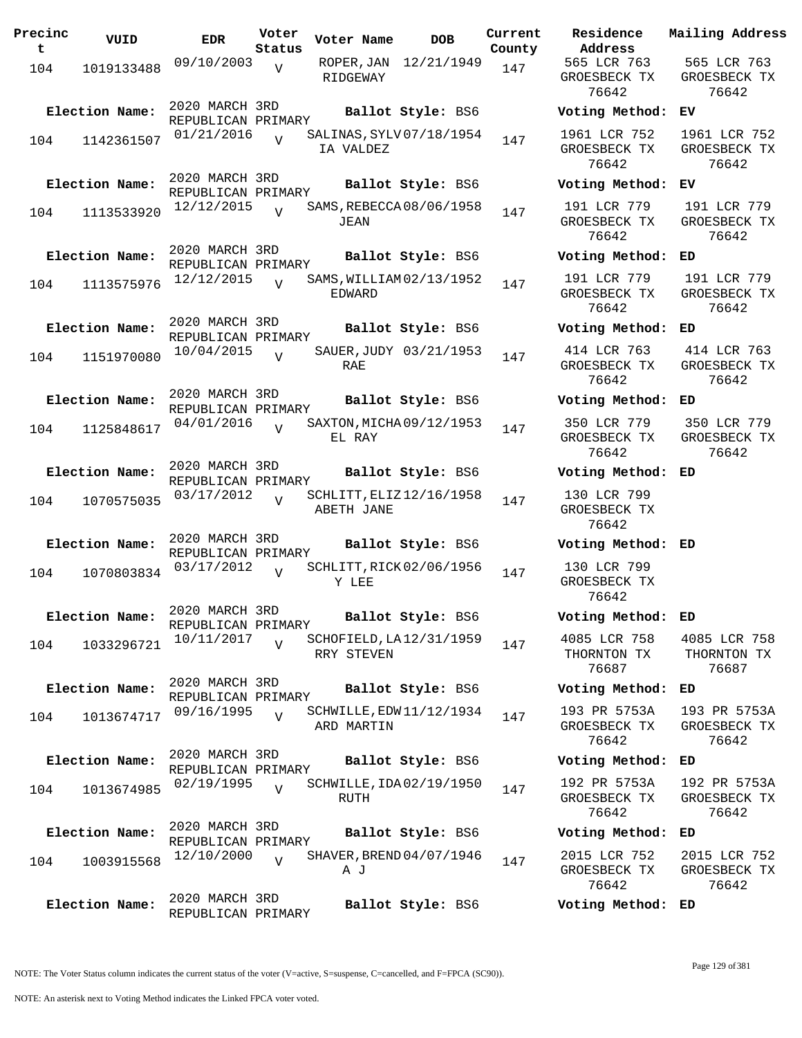| Precinc<br>t | VUID                         | EDR                                                | Voter<br>Status | Voter Name            | DOB                                           | Current<br>County |
|--------------|------------------------------|----------------------------------------------------|-----------------|-----------------------|-----------------------------------------------|-------------------|
| 104          | 1019133488                   | 09/10/2003                                         | V               | ROPER,JAN<br>RIDGEWAY | 12/21/1949                                    | 147               |
| 104          | Election Name:<br>1142361507 | 2020 MARCH 3RD<br>REPUBLICAN PRIMARY<br>01/21/2016 | ٦T              | IA VALDEZ             | Ballot Style: BS6<br>SALINAS, SYLV 07/18/1954 | 147               |
| 104          | Election Name:<br>1113533920 | 2020 MARCH 3RD<br>REPUBLICAN PRIMARY<br>12/12/2015 | $\overline{V}$  | JEAN                  | Ballot Style: BS6<br>SAMS, REBECCA 08/06/1958 | 147               |
| 104          | Election Name:<br>1113575976 | 2020 MARCH 3RD<br>REPUBLICAN PRIMARY<br>12/12/2015 | $\overline{U}$  | EDWARD                | Ballot Style: BS6<br>SAMS, WILLIAM 02/13/1952 | 147               |
| 104          | Election Name:<br>1151970080 | 2020 MARCH 3RD<br>REPUBLICAN PRIMARY<br>10/04/2015 | $\overline{U}$  | RAE                   | Ballot Style: BS6<br>SAUER, JUDY 03/21/1953   | 147               |
| 104          | Election Name:<br>1125848617 | 2020 MARCH 3RD<br>REPUBLICAN PRIMARY<br>04/01/2016 | $\overline{U}$  | EL RAY                | Ballot Style: BS6<br>SAXTON, MICHA 09/12/1953 | 147               |
| 104          | Election Name:<br>1070575035 | 2020 MARCH 3RD<br>REPUBLICAN PRIMARY<br>03/17/2012 | $\overline{U}$  | ABETH JANE            | Ballot Style: BS6<br>SCHLITT, ELIZ 12/16/1958 | 147               |
| 104          | Election Name:<br>1070803834 | 2020 MARCH 3RD<br>REPUBLICAN PRIMARY<br>03/17/2012 | $\overline{V}$  | Y LEE                 | Ballot Style: BS6<br>SCHLITT, RICK 02/06/1956 | 147               |
| 104          | Election Name:<br>1033296721 | 2020 MARCH 3RD<br>REPUBLICAN PRIMARY<br>10/11/2017 | V               | RRY STEVEN            | Ballot Style: BS6<br>SCHOFIELD, LA 12/31/1959 | 147               |
| 104          | Election Name:<br>1013674717 | 2020 MARCH 3RD<br>REPUBLICAN PRIMARY<br>09/16/1995 | $\overline{U}$  | ARD MARTIN            | Ballot Style: BS6<br>SCHWILLE, EDW 11/12/1934 | 147               |
| 104          | Election Name:<br>1013674985 | 2020 MARCH 3RD<br>REPUBLICAN PRIMARY<br>02/19/1995 | $\overline{U}$  | RUTH                  | Ballot Style: BS6<br>SCHWILLE, IDA02/19/1950  | 147               |
| 104          | Election Name:<br>1003915568 | 2020 MARCH 3RD<br>REPUBLICAN PRIMARY<br>12/10/2000 | $\overline{V}$  | A J                   | Ballot Style: BS6<br>SHAVER, BREND 04/07/1946 | 147               |
|              | Election Name:               | 2020 MARCH 3RD<br>REPUBLICAN PRIMARY               |                 |                       | Ballot Style: BS6                             |                   |

**Voter Name DOB Residence Address Current Mailing Address** 565 LCR 763 GROESBECK TX 76642 565 LCR 763 GROESBECK TX 76642 **Election Name: Ballot Style:** BS6 **Voting Method: EV** 1961 LCR 752 GROESBECK TX 76642 1961 LCR 752 GROESBECK TX 76642 **Election Name: Ballot Style:** BS6 **Voting Method: EV** 191 LCR 779 GROESBECK TX 76642 191 LCR 779 GROESBECK TX 76642 **Election Name: Ballot Style:** BS6 **Voting Method: ED** 191 LCR 779 GROESBECK TX 76642 191 LCR 779 GROESBECK TX 76642 **Election Name: Ballot Style:** BS6 **Voting Method: ED** 414 LCR 763 GROESBECK TX 76642 414 LCR 763 GROESBECK TX 76642 **Election Name: Ballot Style:** BS6 **Voting Method: ED** 350 LCR 779 GROESBECK TX 76642 350 LCR 779 GROESBECK TX 76642 **Election Name: Ballot Style:** BS6 **Voting Method: ED** 130 LCR 799 GROESBECK TX 76642 **Election Name: Ballot Style:** BS6 **Voting Method: ED** 130 LCR 799 GROESBECK TX 76642 **Election Name: Ballot Style:** BS6 **Voting Method: ED** 4085 LCR 758 THORNTON TX 76687 4085 LCR 758 THORNTON TX 76687 **Election Name: Ballot Style:** BS6 **Voting Method: ED** 193 PR 5753A GROESBECK TX 76642 193 PR 5753A GROESBECK TX 76642 **Election Name: Ballot Style:** BS6 **Voting Method: ED** 192 PR 5753A GROESBECK TX 76642 192 PR 5753A GROESBECK TX 76642 **Election Name: Ballot Style:** BS6 **Voting Method: ED** 2015 LCR 752 GROESBECK TX 2015 LCR 752 GROESBECK TX

NOTE: The Voter Status column indicates the current status of the voter (V=active, S=suspense, C=cancelled, and F=FPCA (SC90)).

76642

76642

**Election Name: Ballot Style:** BS6 **Voting Method: ED**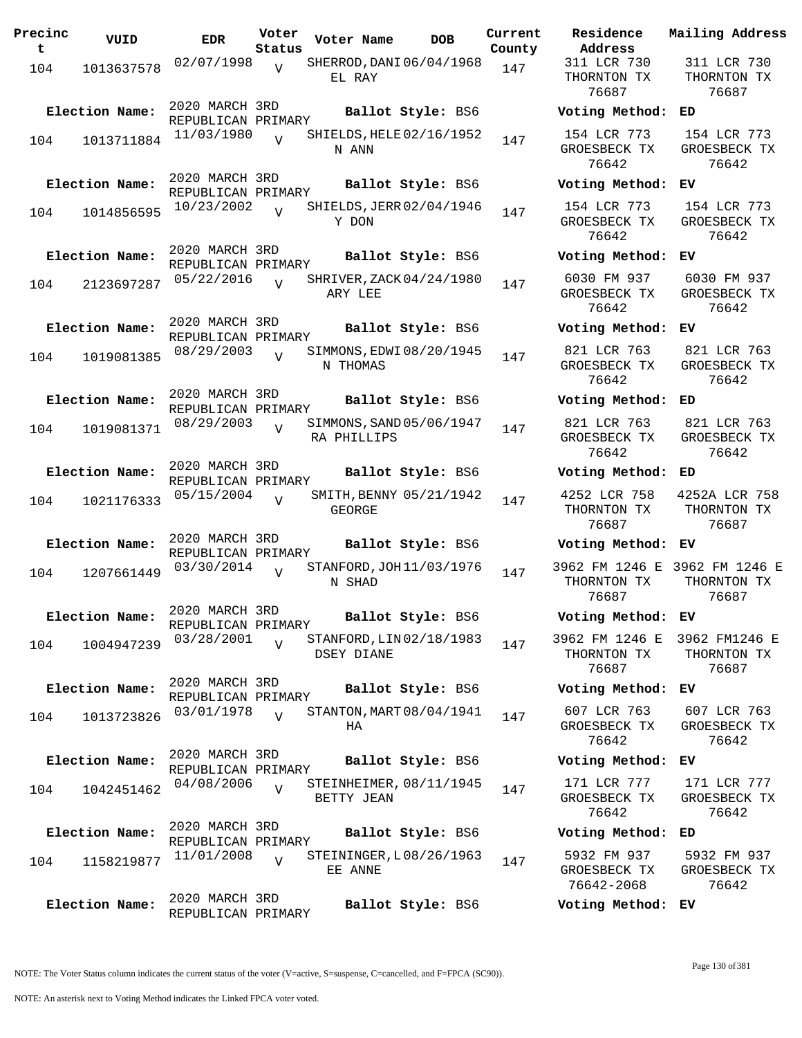| Precinc<br>t | VUID                         | EDR                                                | Voter<br>Status | Voter Name                             | DOB               | Current<br>County |
|--------------|------------------------------|----------------------------------------------------|-----------------|----------------------------------------|-------------------|-------------------|
| 104          | 1013637578                   | 02/07/1998                                         | $\overline{V}$  | SHERROD, DANI 06/04/1968<br>EL RAY     |                   | 147               |
| 104          | Election Name:<br>1013711884 | 2020 MARCH 3RD<br>REPUBLICAN PRIMARY<br>11/03/1980 | $\overline{U}$  | SHIELDS, HELE 02/16/1952               | Ballot Style: BS6 | 147               |
|              | Election Name:               | 2020 MARCH 3RD                                     |                 | N ANN                                  | Ballot Style: BS6 |                   |
| 104          | 1014856595                   | REPUBLICAN PRIMARY<br>10/23/2002                   | $\overline{V}$  | SHIELDS, JERR 02/04/1946<br>Y DON      |                   | 147               |
| 104          | Election Name:<br>2123697287 | 2020 MARCH 3RD<br>REPUBLICAN PRIMARY<br>05/22/2016 | $\overline{U}$  | SHRIVER, ZACK 04/24/1980<br>ARY LEE    | Ballot Style: BS6 | 147               |
| 104          | Election Name:<br>1019081385 | 2020 MARCH 3RD<br>REPUBLICAN PRIMARY<br>08/29/2003 | $\overline{U}$  | SIMMONS, EDWI08/20/1945                | Ballot Style: BS6 | 147               |
| 104          | Election Name:<br>1019081371 | 2020 MARCH 3RD<br>REPUBLICAN PRIMARY<br>08/29/2003 | $\overline{V}$  | N THOMAS<br>SIMMONS, SAND 05/06/1947   | Ballot Style: BS6 | 147               |
|              | Election Name:               | 2020 MARCH 3RD<br>REPUBLICAN PRIMARY<br>05/15/2004 |                 | RA PHILLIPS<br>SMITH, BENNY 05/21/1942 | Ballot Style: BS6 |                   |
| 104          | 1021176333<br>Election Name: | 2020 MARCH 3RD<br>REPUBLICAN PRIMARY               | ٦T              | GEORGE                                 | Ballot Style: BS6 | 147               |
| 104          | 1207661449                   | 03/30/2014                                         | $\overline{V}$  | STANFORD, JOH 11/03/1976<br>N SHAD     |                   | 147               |
| 104          | Election Name:<br>1004947239 | 2020 MARCH 3RD<br>REPUBLICAN PRIMARY<br>03/28/2001 | $\overline{V}$  | STANFORD, LIN 02/18/1983<br>DSEY DIANE | Ballot Style: BS6 | 147               |
| 104          | Election Name:<br>1013723826 | 2020 MARCH 3RD<br>REPUBLICAN PRIMARY<br>03/01/1978 | $\overline{U}$  | STANTON, MART 08/04/1941<br>HA         | Ballot Style: BS6 | 147               |
| 104          | Election Name:<br>1042451462 | 2020 MARCH 3RD<br>REPUBLICAN PRIMARY<br>04/08/2006 | $\overline{U}$  | STEINHEIMER, 08/11/1945<br>BETTY JEAN  | Ballot Style: BS6 | 147               |
| 104          | Election Name:<br>1158219877 | 2020 MARCH 3RD<br>REPUBLICAN PRIMARY<br>11/01/2008 | $\overline{V}$  | STEININGER, L08/26/1963<br>EE ANNE     | Ballot Style: BS6 | 147               |
|              | Election Name:               | 2020 MARCH 3RD<br>REPUBLICAN PRIMARY               |                 |                                        | Ballot Style: BS6 |                   |

**Voter Name DOB Residence Address Current Mailing Address** 311 LCR 730 THORNTON TX 76687 311 LCR 730 THORNTON TX 76687 **Election Name: Ballot Style:** BS6 **Voting Method: ED** 154 LCR 773 GROESBECK TX 76642 154 LCR 773 GROESBECK TX 76642 **Election Name: Ballot Style:** BS6 **Voting Method: EV** 154 LCR 773 GROESBECK TX 76642 154 LCR 773 GROESBECK TX 76642 **Election Name: Ballot Style:** BS6 **Voting Method: EV** 6030 FM 937 GROESBECK TX 76642 6030 FM 937 GROESBECK TX 76642 **Election Name: Ballot Style:** BS6 **Voting Method: EV** 821 LCR 763 GROESBECK TX 76642 821 LCR 763 GROESBECK TX 76642 **Election Name: Ballot Style:** BS6 **Voting Method: ED** 821 LCR 763 GROESBECK TX 76642 821 LCR 763 GROESBECK TX 76642 **Election Name: Ballot Style:** BS6 **Voting Method: ED** 4252 LCR 758 THORNTON TX 76687 4252A LCR 758 THORNTON TX 76687 **Election Name: Ballot Style:** BS6 **Voting Method: EV** 3962 FM 1246 E 3962 FM 1246 E THORNTON TX 76687 THORNTON TX 76687 **Election Name: Ballot Style:** BS6 **Voting Method: EV** 3962 FM 1246 E 3962 FM1246 E THORNTON TX 76687 THORNTON TX 76687 **Election Name: Ballot Style:** BS6 **Voting Method: EV** 607 LCR 763 GROESBECK TX 76642 607 LCR 763 GROESBECK TX 76642 **Election Name: Ballot Style:** BS6 **Voting Method: EV** 171 LCR 777 GROESBECK TX 76642 171 LCR 777 GROESBECK TX 76642 **Election Name: Ballot Style:** BS6 **Voting Method: ED** 5932 FM 937 GROESBECK TX 76642-2068 5932 FM 937 GROESBECK TX 76642 **Election Name: Ballot Style:** BS6 **Voting Method: EV**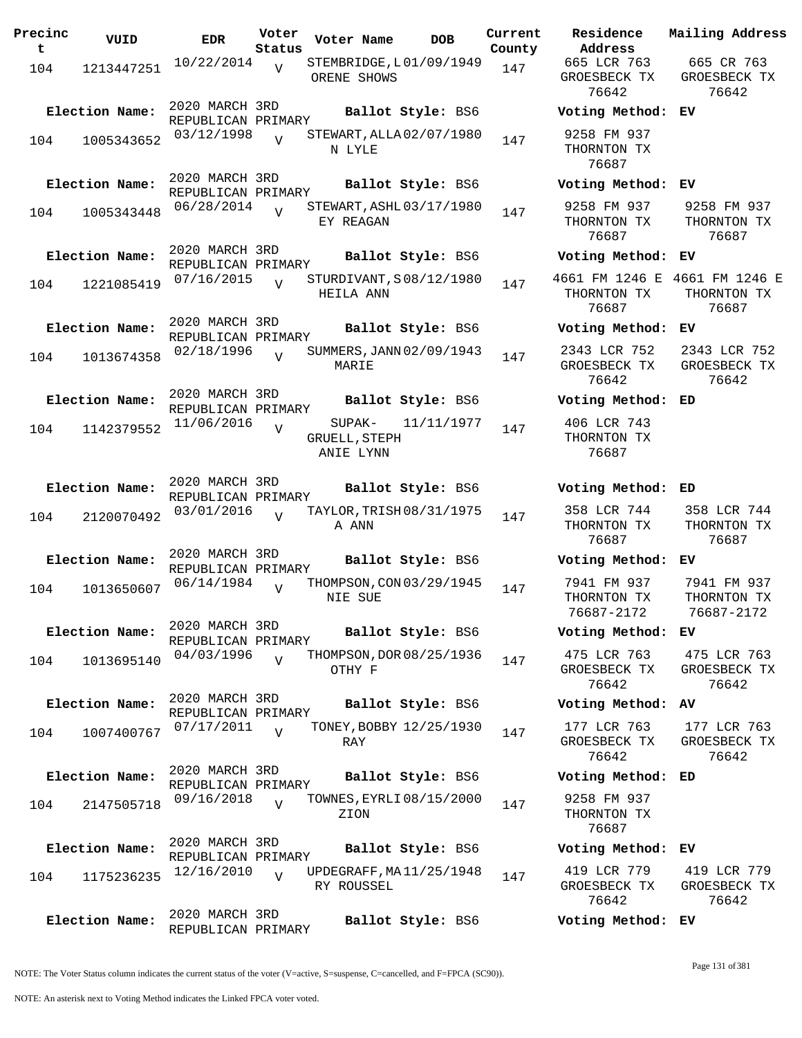| Precinc<br>t | VUID           | <b>EDR</b>                           | Voter<br>Status | Voter Name                             | <b>DOB</b> | Current<br>County | Residence<br>Address                     | Mail                 |
|--------------|----------------|--------------------------------------|-----------------|----------------------------------------|------------|-------------------|------------------------------------------|----------------------|
| 104          | 1213447251     | 10/22/2014                           | $\overline{U}$  | STEMBRIDGE, L01/09/1949<br>ORENE SHOWS |            | 147               | 665 LCR 763<br>GROESBECK TX<br>76642     | $\epsilon$<br>GR     |
|              | Election Name: | 2020 MARCH 3RD<br>REPUBLICAN PRIMARY |                 | Ballot Style: BS6                      |            |                   | Voting Method:                           | ЕV                   |
| 104          | 1005343652     | 03/12/1998                           | $\overline{V}$  | STEWART, ALLA 02/07/1980<br>N LYLE     |            | 147               | 9258 FM 937<br>THORNTON TX<br>76687      |                      |
|              | Election Name: | 2020 MARCH 3RD<br>REPUBLICAN PRIMARY |                 | Ballot Style: BS6                      |            |                   | Voting Method:                           | EV                   |
| 104          | 1005343448     | 06/28/2014                           |                 | STEWART, ASHL 03/17/1980<br>EY REAGAN  |            | 147               | 9258 FM 937<br>THORNTON TX<br>76687      | 92<br>TH             |
|              | Election Name: | 2020 MARCH 3RD<br>REPUBLICAN PRIMARY |                 | Ballot Style: BS6                      |            |                   | Voting Method:                           | ЕV                   |
| 104          | 1221085419     | 07/16/2015                           |                 | STURDIVANT, S08/12/1980<br>HEILA ANN   |            | 147               | 4661 FM 1246 E<br>THORNTON TX<br>76687   | 466<br>TH            |
|              | Election Name: | 2020 MARCH 3RD<br>REPUBLICAN PRIMARY |                 | Ballot Style: BS6                      |            |                   | Voting Method:                           | EV                   |
| 104          | 1013674358     | 02/18/1996                           | $\overline{U}$  | SUMMERS, JANN 02/09/1943<br>MARIE      |            | 147               | 2343 LCR 752<br>GROESBECK TX<br>76642    | 23<br>GR             |
|              | Election Name: | 2020 MARCH 3RD<br>REPUBLICAN PRIMARY |                 | Ballot Style: BS6                      |            |                   | Voting Method:                           | ED                   |
| 104          | 1142379552     | 11/06/2016                           | $\overline{V}$  | SUPAK-<br>GRUELL, STEPH<br>ANIE LYNN   | 11/11/1977 | 147               | 406 LCR 743<br>THORNTON TX<br>76687      |                      |
|              | Election Name: | 2020 MARCH 3RD                       |                 | Ballot Style: BS6                      |            |                   | Voting Method:                           | ED                   |
| 104          | 2120070492     | REPUBLICAN PRIMARY<br>03/01/2016     | $\overline{z}$  | TAYLOR, TRISH 08/31/1975<br>A ANN      |            | 147               | 358 LCR 744<br>THORNTON TX<br>76687      | 35<br>TH             |
|              | Election Name: | 2020 MARCH 3RD<br>REPUBLICAN PRIMARY |                 | Ballot Style: BS6                      |            |                   | Voting Method:                           | EV                   |
| 104          | 1013650607     | 06/14/1984                           | $\overline{V}$  | THOMPSON, CON 03/29/1945<br>NIE SUE    |            | 147               | 7941 FM 937<br>THORNTON TX<br>76687-2172 | 79<br>TH<br>7        |
|              | Election Name: | 2020 MARCH 3RD<br>REPUBLICAN PRIMARY |                 | Ballot Style: BS6                      |            |                   | Voting Method:                           | EV                   |
| 104          | 1013695140     | 04/03/1996                           | $\overline{U}$  | THOMPSON, DOR 08/25/1936<br>OTHY F     |            | 147               | 475 LCR 763<br>GROESBECK TX<br>76642     | 4 <sub>7</sub><br>GR |
|              | Election Name: | 2020 MARCH 3RD<br>REPUBLICAN PRIMARY |                 | Ballot Style: BS6                      |            |                   | Voting Method:                           | AV                   |
| 104          | 1007400767     | 07/17/2011                           | $\overline{V}$  | TONEY, BOBBY 12/25/1930<br>RAY         |            | 147               | 177 LCR 763<br>GROESBECK TX<br>76642     | 17<br>GR             |
|              | Election Name: | 2020 MARCH 3RD<br>REPUBLICAN PRIMARY |                 | Ballot Style: BS6                      |            |                   | Voting Method:                           | ED                   |
| 104          | 2147505718     | 09/16/2018                           | $\overline{V}$  | TOWNES, EYRLI 08/15/2000<br>ZION       |            | 147               | 9258 FM 937<br>THORNTON TX<br>76687      |                      |
|              | Election Name: | 2020 MARCH 3RD<br>REPUBLICAN PRIMARY |                 | Ballot Style: BS6                      |            |                   | Voting Method:                           | ЕV                   |
| 104          | 1175236235     | 12/16/2010                           | $\overline{V}$  | UPDEGRAFF, MA11/25/1948<br>RY ROUSSEL  |            | 147               | 419 LCR 779<br>GROESBECK TX<br>76642     | 41<br>GR             |
|              | Election Name: | 2020 MARCH 3RD<br>REPUBLICAN PRIMARY |                 | Ballot Style: BS6                      |            |                   | Voting Method: EV                        |                      |

**Voter Name DOB Residence Address Current Mailing Address** 665 LCR 763 GROESBECK TX 76642 665 CR 763 GROESBECK TX 76642 **Election Name: Ballot Style:** BS6 **Voting Method: EV** 9258 FM 937 THORNTON TX 76687 **Election Name: Ballot Style:** BS6 **Voting Method: EV** 9258 FM 937 THORNTON TX 76687 9258 FM 937 THORNTON TX 76687 **Election Name: Ballot Style:** BS6 **Voting Method: EV** 4661 FM 1246 E 4661 FM 1246 E THORNTON TX 76687 THORNTON TX 76687 **Election Name: Ballot Style:** BS6 **Voting Method: EV** 2343 LCR 752 GROESBECK TX 76642 2343 LCR 752 GROESBECK TX 76642 **Election Name: Ballot Style:** BS6 **Voting Method: ED** 406 LCR 743 THORNTON TX 76687 **Election Name: Ballot Style:** BS6 **Voting Method: ED** 358 LCR 744 THORNTON TX 76687 358 LCR 744 THORNTON TX 76687 **Election Name: Ballot Style:** BS6 **Voting Method: EV** 7941 FM 937 THORNTON TX 76687-2172 7941 FM 937 THORNTON TX 76687-2172 **Election Name: Ballot Style:** BS6 **Voting Method: EV** 475 LCR 763 GROESBECK TX 76642 475 LCR 763 GROESBECK TX 76642 **Election Name: Ballot Style:** BS6 **Voting Method: AV** 177 LCR 763 GROESBECK TX 76642 177 LCR 763 GROESBECK TX 76642 **Election Name: Ballot Style:** BS6 **Voting Method: ED** 9258 FM 937 THORNTON TX 76687 **Election Name: Ballot Style:** BS6 **Voting Method: EV** 419 LCR 779 GROESBECK TX 76642 419 LCR 779 GROESBECK TX 76642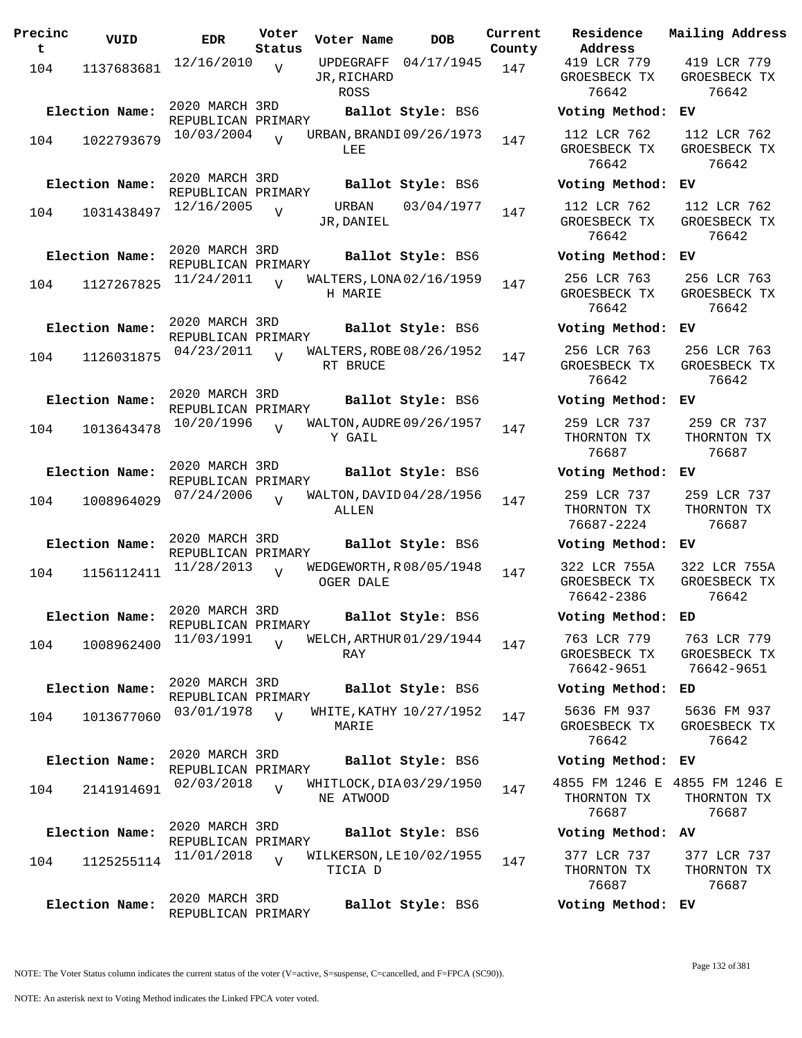| Precinc<br>t | VUID           | EDR                                  | Voter<br>Status | Voter Name                            | DOB                     | Current<br>County |
|--------------|----------------|--------------------------------------|-----------------|---------------------------------------|-------------------------|-------------------|
| 104          | 1137683681     | 12/16/2010                           | $\overline{V}$  | UPDEGRAFF<br>JR,RICHARD<br>ROSS       | 04/17/1945              | 147               |
|              | Election Name: | 2020 MARCH 3RD<br>REPUBLICAN PRIMARY |                 |                                       | Ballot Style: BS6       |                   |
| 104          | 1022793679     | 10/03/2004                           | $\overline{U}$  | URBAN, BRANDI 09/26/1973<br>LEE       |                         | 147               |
|              | Election Name: | 2020 MARCH 3RD<br>REPUBLICAN PRIMARY |                 |                                       | Ballot Style: BS6       |                   |
| 104          | 1031438497     | 12/16/2005                           | V               | URBAN<br>JR, DANIEL                   | 03/04/1977              | 147               |
|              | Election Name: | 2020 MARCH 3RD<br>REPUBLICAN PRIMARY |                 |                                       | Ballot Style: BS6       |                   |
| 104          | 1127267825     | 11/24/2011                           | $\overline{U}$  | WALTERS, LONA 02/16/1959<br>H MARIE   |                         | 147               |
|              | Election Name: | 2020 MARCH 3RD                       |                 |                                       | Ballot Style: BS6       |                   |
| 104          | 1126031875     | REPUBLICAN PRIMARY<br>04/23/2011     | $\overline{U}$  | WALTERS, ROBE 08/26/1952<br>RT BRUCE  |                         | 147               |
|              | Election Name: | 2020 MARCH 3RD<br>REPUBLICAN PRIMARY |                 |                                       | Ballot Style: BS6       |                   |
| 104          | 1013643478     | 10/20/1996                           | $\overline{V}$  | WALTON, AUDRE 09/26/1957<br>Y GAIL    |                         | 147               |
|              | Election Name: | 2020 MARCH 3RD<br>REPUBLICAN PRIMARY |                 |                                       | Ballot Style: BS6       |                   |
| 104          | 1008964029     | 07/24/2006                           | ٦T              | WALTON, DAVID 04/28/1956<br>ALLEN     |                         | 147               |
|              | Election Name: | 2020 MARCH 3RD<br>REPUBLICAN PRIMARY |                 |                                       | Ballot Style: BS6       |                   |
| 104          | 1156112411     | 11/28/2013                           | $\overline{V}$  | WEDGEWORTH, R08/05/1948<br>OGER DALE  |                         | 147               |
|              | Election Name: | 2020 MARCH 3RD<br>REPUBLICAN PRIMARY |                 |                                       | Ballot Style: BS6       |                   |
| 104          | 1008962400     | 11/03/1991                           | $\overline{V}$  | WELCH, ARTHUR 01/29/1944<br>RAY       |                         | 147               |
|              | Election Name: | 2020 MARCH 3RD<br>REPUBLICAN PRIMARY |                 |                                       | Ballot Style: BS6       |                   |
| 104          | 1013677060     | 03/01/1978                           | $\overline{U}$  | MARIE                                 | WHITE, KATHY 10/27/1952 | 147               |
|              | Election Name: | 2020 MARCH 3RD<br>REPUBLICAN PRIMARY |                 |                                       | Ballot Style: BS6       |                   |
| 104          | 2141914691     | 02/03/2018                           | $\overline{V}$  | WHITLOCK, DIA 03/29/1950<br>NE ATWOOD |                         | 147               |
|              | Election Name: | 2020 MARCH 3RD<br>REPUBLICAN PRIMARY |                 |                                       | Ballot Style: BS6       |                   |
| 104          | 1125255114     | 11/01/2018                           | $\overline{V}$  | WILKERSON, LE 10/02/1955<br>TICIA D   |                         | 147               |
|              | Election Name: | 2020 MARCH 3RD<br>REPUBLICAN PRIMARY |                 |                                       | Ballot Style: BS6       |                   |

**Voter Name DOB Residence Address Current Mailing Address** 419 LCR 779 GROESBECK TX 76642 419 LCR 779 GROESBECK TX 76642 **Election Name: Ballot Style:** BS6 **Voting Method: EV** 112 LCR 762 GROESBECK TX 76642 112 LCR 762 GROESBECK TX 76642 **Election Name: Ballot Style:** BS6 **Voting Method: EV** 112 LCR 762 GROESBECK TX 76642 112 LCR 762 GROESBECK TX 76642 **Election Name: Ballot Style:** BS6 **Voting Method: EV** 256 LCR 763 GROESBECK TX 76642 256 LCR 763 GROESBECK TX 76642 **Election Name: Ballot Style:** BS6 **Voting Method: EV** 256 LCR 763 GROESBECK TX 76642 256 LCR 763 GROESBECK TX 76642 **Election Name: Ballot Style:** BS6 **Voting Method: EV** 259 LCR 737 THORNTON TX 76687 259 CR 737 THORNTON TX 76687 **Election Name: Ballot Style:** BS6 **Voting Method: EV** 259 LCR 737 THORNTON TX 76687-2224 259 LCR 737 THORNTON TX 76687 **Election Name: Ballot Style:** BS6 **Voting Method: EV** 322 LCR 755A GROESBECK TX 76642-2386 322 LCR 755A GROESBECK TX 76642 **Election Name: Ballot Style:** BS6 **Voting Method: ED** 763 LCR 779 GROESBECK TX 76642-9651 763 LCR 779 GROESBECK TX 76642-9651 **Election Name: Ballot Style:** BS6 **Voting Method: ED** 5636 FM 937 GROESBECK TX 76642 5636 FM 937 GROESBECK TX 76642 **Election Name: Ballot Style:** BS6 **Voting Method: EV** 4855 FM 1246 E 4855 FM 1246 E THORNTON TX 76687 THORNTON TX 76687 **Election Name: Ballot Style:** BS6 **Voting Method: AV** 377 LCR 737 377 LCR 737

NOTE: The Voter Status column indicates the current status of the voter (V=active, S=suspense, C=cancelled, and F=FPCA (SC90)).

THORNTON TX 76687

THORNTON TX 76687

**Election Name: Ballot Style:** BS6 **Voting Method: EV**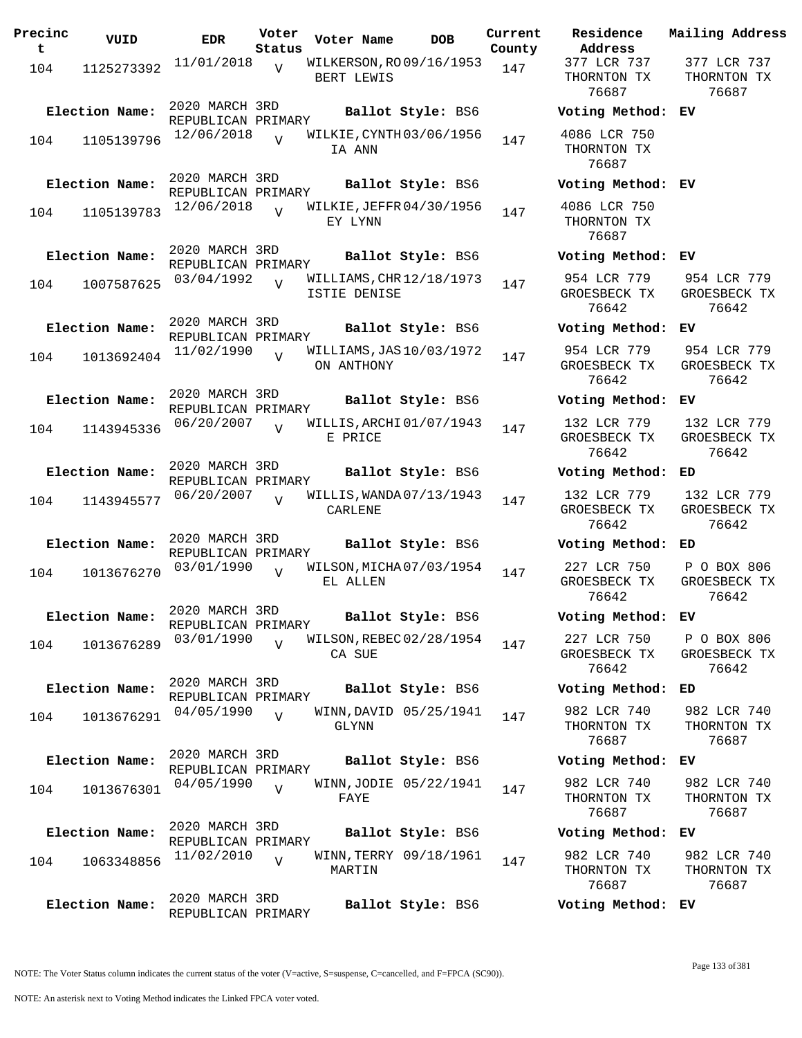| Precinc<br>t. | VUID           | <b>EDR</b>                           | Voter<br>Status | Voter Name   | <b>DOB</b>               | Current<br>County |
|---------------|----------------|--------------------------------------|-----------------|--------------|--------------------------|-------------------|
| 104           | 1125273392     | 11/01/2018                           | $\overline{V}$  | BERT LEWIS   | WILKERSON, RO 09/16/1953 | 147               |
|               | Election Name: | 2020 MARCH 3RD<br>REPUBLICAN PRIMARY |                 |              | Ballot Style: BS6        |                   |
| 104           | 1105139796     | 12/06/2018                           |                 | IA ANN       | WILKIE, CYNTH 03/06/1956 | 147               |
|               | Election Name: | 2020 MARCH 3RD<br>REPUBLICAN PRIMARY |                 |              | Ballot Style: BS6        |                   |
| 104           | 1105139783     | 12/06/2018                           | V               | EY LYNN      | WILKIE, JEFFR 04/30/1956 | 147               |
|               | Election Name: | 2020 MARCH 3RD<br>REPUBLICAN PRIMARY |                 |              | Ballot Style: BS6        |                   |
| 104           | 1007587625     | 03/04/1992                           | $\overline{U}$  | ISTIE DENISE | WILLIAMS, CHR 12/18/1973 | 147               |
|               | Election Name: | 2020 MARCH 3RD<br>REPUBLICAN PRIMARY |                 |              | Ballot Style: BS6        |                   |
| 104           | 1013692404     | 11/02/1990                           | $\overline{V}$  | ON ANTHONY   | WILLIAMS, JAS 10/03/1972 | 147               |
|               | Election Name: | 2020 MARCH 3RD<br>REPUBLICAN PRIMARY |                 |              | Ballot Style: BS6        |                   |
| 104           | 1143945336     | 06/20/2007                           | $\overline{V}$  | E PRICE      | WILLIS, ARCHI 01/07/1943 | 147               |
|               | Election Name: | 2020 MARCH 3RD<br>REPUBLICAN PRIMARY |                 |              | Ballot Style: BS6        |                   |
| 104           | 1143945577     | 06/20/2007                           | $\overline{U}$  | CARLENE      | WILLIS, WANDA 07/13/1943 | 147               |
|               | Election Name: | 2020 MARCH 3RD<br>REPUBLICAN PRIMARY |                 |              | Ballot Style: BS6        |                   |
| 104           | 1013676270     | 03/01/1990                           | V               | EL ALLEN     | WILSON, MICHA 07/03/1954 | 147               |
|               | Election Name: | 2020 MARCH 3RD<br>REPUBLICAN PRIMARY |                 |              | Ballot Style: BS6        |                   |
| 104           | 1013676289     | 03/01/1990                           | $\overline{U}$  | CA SUE       | WILSON, REBEC 02/28/1954 | 147               |
|               | Election Name: | 2020 MARCH 3RD<br>REPUBLICAN PRIMARY |                 |              | Ballot Style: BS6        |                   |
| 104           | 1013676291     | 04/05/1990                           | $\overline{V}$  | GLYNN        | WINN, DAVID 05/25/1941   | 147               |
|               | Election Name: | 2020 MARCH 3RD<br>REPUBLICAN PRIMARY |                 |              | Ballot Style: BS6        |                   |
| 104           | 1013676301     | 04/05/1990                           | $\overline{V}$  | FAYE         | WINN, JODIE 05/22/1941   | 147               |
|               | Election Name: | 2020 MARCH 3RD<br>REPUBLICAN PRIMARY |                 |              | Ballot Style: BS6        |                   |
| 104           | 1063348856     | 11/02/2010                           | V               | MARTIN       | WINN, TERRY 09/18/1961   | 147               |
|               | Election Name: | 2020 MARCH 3RD<br>REPUBLICAN PRIMARY |                 |              | Ballot Style: BS6        |                   |

**Voter Name DOB Residence Address Current Mailing Address** 377 LCR 737 THORNTON TX 76687 377 LCR 737 THORNTON TX 76687 **Election Name: Ballot Style:** BS6 **Voting Method: EV** 4086 LCR 750 THORNTON TX 76687 **Election Name: Ballot Style:** BS6 **Voting Method: EV** 4086 LCR 750 THORNTON TX 76687 **Election Name: Ballot Style:** BS6 **Voting Method: EV** 954 LCR 779 GROESBECK TX 76642 954 LCR 779 GROESBECK TX 76642 **Election Name: Ballot Style:** BS6 **Voting Method: EV** 954 LCR 779 GROESBECK TX 76642 954 LCR 779 GROESBECK TX 76642 **Election Name: Ballot Style:** BS6 **Voting Method: EV** 132 LCR 779 GROESBECK TX 76642 132 LCR 779 GROESBECK TX 76642 **Election Name: Ballot Style:** BS6 **Voting Method: ED** 132 LCR 779 GROESBECK TX 76642 132 LCR 779 GROESBECK TX 76642 **Election Name: Ballot Style:** BS6 **Voting Method: ED** 227 LCR 750 GROESBECK TX 76642 P O BOX 806 GROESBECK TX 76642 **Election Name: Ballot Style:** BS6 **Voting Method: EV** 227 LCR 750 GROESBECK TX 76642 P O BOX 806 GROESBECK TX 76642 **Election Name: Ballot Style:** BS6 **Voting Method: ED** 982 LCR 740 THORNTON TX 76687 982 LCR 740 THORNTON TX 76687 **Election Name: Ballot Style:** BS6 **Voting Method: EV** 982 LCR 740 THORNTON TX 76687 982 LCR 740 THORNTON TX 76687 **Election Name: Ballot Style:** BS6 **Voting Method: EV** 982 LCR 740 982 LCR 740 THORNTON TX

THORNTON TX 76687 76687

**Election Name: Ballot Style:** BS6 **Voting Method: EV**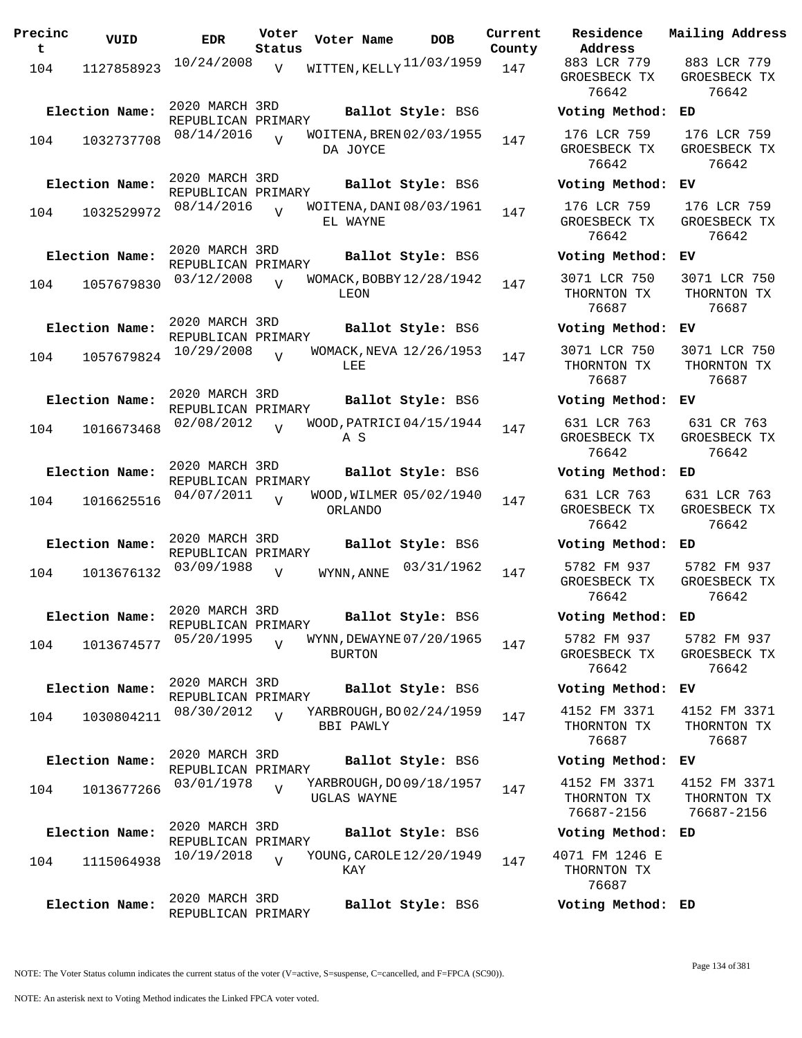| Precinc<br>$\mathbf{t}$ | VUID           | <b>EDR</b>                           | Voter<br>Status | Voter Name                                | <b>DOB</b>        | Current<br>County | Residence<br>Address                      |
|-------------------------|----------------|--------------------------------------|-----------------|-------------------------------------------|-------------------|-------------------|-------------------------------------------|
| 104                     | 1127858923     | 10/24/2008                           | $\overline{V}$  | WITTEN, KELLY 11/03/1959                  |                   | 147               | 883 LCR 779<br>GROESBECK TI<br>76642      |
|                         | Election Name: | 2020 MARCH 3RD<br>REPUBLICAN PRIMARY |                 |                                           | Ballot Style: BS6 |                   | Voting Metho                              |
| 104                     | 1032737708     | 08/14/2016                           | $\overline{U}$  | WOITENA, BREN 02/03/1955<br>DA JOYCE      |                   | 147               | 176 LCR 759<br>GROESBECK TI<br>76642      |
|                         | Election Name: | 2020 MARCH 3RD<br>REPUBLICAN PRIMARY |                 |                                           | Ballot Style: BS6 |                   | Voting Metho                              |
| 104                     | 1032529972     | 08/14/2016                           | $\overline{U}$  | WOITENA, DANI 08/03/1961<br>EL WAYNE      |                   | 147               | 176 LCR 759<br>GROESBECK TI<br>76642      |
|                         | Election Name: | 2020 MARCH 3RD<br>REPUBLICAN PRIMARY |                 |                                           | Ballot Style: BS6 |                   | Voting Metho                              |
| 104                     | 1057679830     | 03/12/2008                           | $\overline{U}$  | WOMACK, BOBBY 12/28/1942<br>LEON          |                   | 147               | 3071 LCR 750<br>THORNTON TX<br>76687      |
|                         | Election Name: | 2020 MARCH 3RD<br>REPUBLICAN PRIMARY |                 |                                           | Ballot Style: BS6 |                   | Voting Metho                              |
| 104                     | 1057679824     | 10/29/2008                           | $\overline{z}$  | WOMACK, NEVA 12/26/1953<br>LEE            |                   | 147               | 3071 LCR 750<br>THORNTON TX<br>76687      |
|                         | Election Name: | 2020 MARCH 3RD<br>REPUBLICAN PRIMARY |                 |                                           | Ballot Style: BS6 |                   | Voting Metho                              |
| 104                     | 1016673468     | 02/08/2012                           | $\overline{U}$  | WOOD, PATRICI 04/15/1944<br>A S           |                   | 147               | 631 LCR 763<br>GROESBECK TI<br>76642      |
|                         | Election Name: | 2020 MARCH 3RD<br>REPUBLICAN PRIMARY |                 |                                           | Ballot Style: BS6 |                   | Voting Metho                              |
| 104                     | 1016625516     | 04/07/2011                           | $\overline{U}$  | WOOD, WILMER 05/02/1940<br>ORLANDO        |                   | 147               | 631 LCR 763<br>GROESBECK TI<br>76642      |
|                         | Election Name: | 2020 MARCH 3RD<br>REPUBLICAN PRIMARY |                 |                                           | Ballot Style: BS6 |                   | Voting Metho                              |
| 104                     | 1013676132     | 03/09/1988                           | $\overline{V}$  | WYNN, ANNE                                | 03/31/1962        | 147               | 5782 FM 937<br>GROESBECK TI<br>76642      |
|                         | Election Name: | 2020 MARCH 3RD<br>REPUBLICAN PRIMARY |                 |                                           | Ballot Style: BS6 |                   | Voting Metho                              |
| 104                     | 1013674577     | 05/20/1995                           | $\overline{U}$  | WYNN, DEWAYNE 07/20/1965<br><b>BURTON</b> |                   | 147               | 5782 FM 937<br>GROESBECK TI<br>76642      |
|                         | Election Name: | 2020 MARCH 3RD<br>REPUBLICAN PRIMARY |                 |                                           | Ballot Style: BS6 |                   | Voting Metho                              |
| 104                     | 1030804211     | 08/30/2012                           | $\overline{U}$  | YARBROUGH, BO 02/24/1959<br>BBI PAWLY     |                   | 147               | 4152 FM 337<br>THORNTON TX<br>76687       |
|                         | Election Name: | 2020 MARCH 3RD<br>REPUBLICAN PRIMARY |                 |                                           | Ballot Style: BS6 |                   | Voting Metho                              |
| 104                     | 1013677266     | 03/01/1978                           | $\overline{V}$  | YARBROUGH, DO 09/18/1957<br>UGLAS WAYNE   |                   | 147               | 4152 FM 3373<br>THORNTON TX<br>76687-2156 |
|                         | Election Name: | 2020 MARCH 3RD<br>REPUBLICAN PRIMARY |                 |                                           | Ballot Style: BS6 |                   | Voting Metho                              |
| 104                     | 1115064938     | 10/19/2018                           | $\overline{U}$  | YOUNG, CAROLE 12/20/1949<br>KAY           |                   | 147               | 4071 FM 1246<br>THORNTON TX<br>76687      |
|                         | Election Name: | 2020 MARCH 3RD<br>REPUBLICAN PRIMARY |                 |                                           | Ballot Style: BS6 |                   | Voting Metho                              |

**Voter Name DOB Residence Address Current Mailing Address** GROESBECK TX 76642 883 LCR 779 GROESBECK TX 76642 **Election Name: Ballot Style:** BS6 **Voting Method: ED** 176 LCR 759 GROESBECK TX 76642 176 LCR 759 GROESBECK TX 76642 **Election Name: Ballot Style:** BS6 **Voting Method: EV** 176 LCR 759 GROESBECK TX 76642 176 LCR 759 GROESBECK TX 76642 **Election Name: Ballot Style:** BS6 **Voting Method: EV** 3071 LCR 750 THORNTON TX 76687 3071 LCR 750 THORNTON TX 76687 **Election Name: Ballot Style:** BS6 **Voting Method: EV** 3071 LCR 750 THORNTON TX 76687 3071 LCR 750 THORNTON TX 76687 **Election Name: Ballot Style:** BS6 **Voting Method: EV** 631 LCR 763 GROESBECK TX 76642 631 CR 763 GROESBECK TX 76642 **Election Name: Ballot Style:** BS6 **Voting Method: ED** 631 LCR 763 GROESBECK TX 76642 631 LCR 763 GROESBECK TX 76642 **Election Name: Ballot Style:** BS6 **Voting Method: ED** GROESBECK TX 76642 5782 FM 937 GROESBECK TX 76642 **Election Name: Ballot Style:** BS6 **Voting Method: ED** 5782 FM 937 GROESBECK TX 76642 5782 FM 937 GROESBECK TX 76642 **Election Name: Ballot Style:** BS6 **Voting Method: EV** 4152 FM 3371 THORNTON TX 76687 4152 FM 3371 THORNTON TX 76687 **Election Name: Ballot Style:** BS6 **Voting Method: EV** 4152 FM 3371 THORNTON TX 76687-2156 4152 FM 3371 THORNTON TX 76687-2156 **Election Name: Ballot Style:** BS6 **Voting Method: ED**

4071 FM 1246 E THORNTON TX 76687

**Election Name: Ballot Style:** BS6 **Voting Method: ED**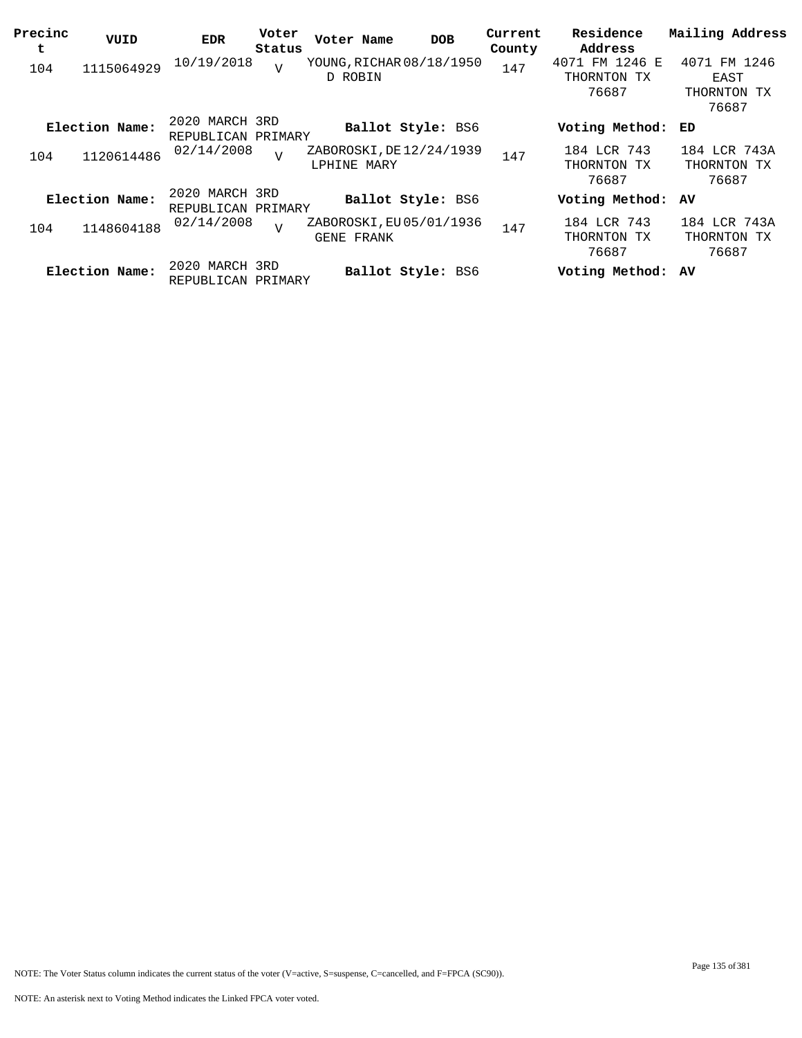| Precinc<br>t | VUID           | <b>EDR</b>                           | Voter<br>Status | Voter Name                              | <b>DOB</b> | Current<br>County | Residence<br>Address                   | Mailing Address                              |
|--------------|----------------|--------------------------------------|-----------------|-----------------------------------------|------------|-------------------|----------------------------------------|----------------------------------------------|
| 104          | 1115064929     | 10/19/2018                           | $\overline{V}$  | YOUNG, RICHAR 08/18/1950<br>D ROBIN     |            | 147               | 4071 FM 1246 E<br>THORNTON TX<br>76687 | 4071 FM 1246<br>EAST<br>THORNTON TX<br>76687 |
|              | Election Name: | 2020 MARCH 3RD<br>REPUBLICAN PRIMARY |                 | <b>Ballot Style: BS6</b>                |            |                   | Voting Method:                         | ED                                           |
| 104          | 1120614486     | 02/14/2008                           | $\overline{U}$  | ZABOROSKI, DE 12/24/1939<br>LPHINE MARY |            | 147               | 184 LCR 743<br>THORNTON TX<br>76687    | 184 LCR 743A<br>THORNTON TX<br>76687         |
|              | Election Name: | 2020 MARCH 3RD<br>REPUBLICAN PRIMARY |                 | <b>Ballot Style: BS6</b>                |            |                   | Voting Method:                         | AV                                           |
| 104          | 1148604188     | 02/14/2008                           | $\overline{V}$  | ZABOROSKI, EU 05/01/1936<br>GENE FRANK  |            | 147               | 184 LCR 743<br>THORNTON<br>TХ<br>76687 | 184 LCR 743A<br>THORNTON TX<br>76687         |
|              | Election Name: | 2020 MARCH 3RD<br>REPUBLICAN PRIMARY |                 | <b>Ballot Style: BS6</b>                |            |                   | Voting Method: AV                      |                                              |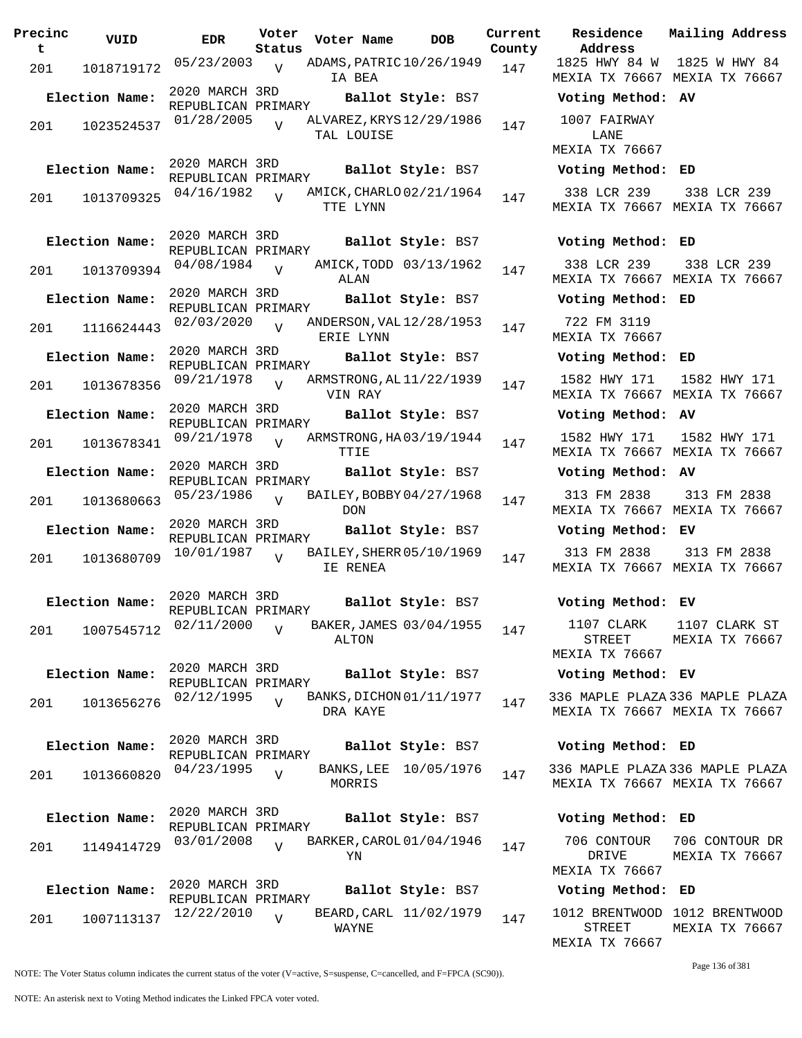| Precinc<br>t | VUID           | <b>EDR</b>                           | Voter<br>Status | Voter Name                             | <b>DOB</b>             | Current<br>County | Residence<br>Address                  |
|--------------|----------------|--------------------------------------|-----------------|----------------------------------------|------------------------|-------------------|---------------------------------------|
| 201          | 1018719172     | 05/23/2003 v                         |                 | ADAMS, PATRIC 10/26/1949<br>IA BEA     |                        | 147               | 1825 HWY 84<br>MEXIA TX 766           |
|              | Election Name: | 2020 MARCH 3RD<br>REPUBLICAN PRIMARY |                 |                                        | Ballot Style: BS7      |                   | Voting Metho                          |
| 201          | 1023524537     | 01/28/2005                           | $\overline{U}$  | ALVAREZ, KRYS 12/29/1986<br>TAL LOUISE |                        | 147               | 1007 FAIRWAY<br>LANE                  |
|              |                | 2020 MARCH 3RD                       |                 |                                        |                        |                   | MEXIA TX 766                          |
|              | Election Name: | REPUBLICAN PRIMARY                   |                 |                                        | Ballot Style: BS7      |                   | Voting Metho                          |
| 201          | 1013709325     | 04/16/1982                           | $\overline{U}$  | AMICK, CHARLO 02/21/1964<br>TTE LYNN   |                        | 147               | 338 LCR 239<br>MEXIA TX 7666          |
|              | Election Name: | 2020 MARCH 3RD<br>REPUBLICAN PRIMARY |                 |                                        | Ballot Style: BS7      |                   | Voting Metho                          |
| 201          | 1013709394     | 04/08/1984                           | $\overline{V}$  | ALAN                                   | AMICK, TODD 03/13/1962 | 147               | 338 LCR 239<br>MEXIA TX 766           |
|              | Election Name: | 2020 MARCH 3RD<br>REPUBLICAN PRIMARY |                 |                                        | Ballot Style: BS7      |                   | Voting Metho                          |
| 201          | 1116624443     | 02/03/2020                           | $\overline{U}$  | ANDERSON, VAL 12/28/1953<br>ERIE LYNN  |                        | 147               | 722 FM 3119<br><b>MEXIA TX 7660</b>   |
|              | Election Name: | 2020 MARCH 3RD<br>REPUBLICAN PRIMARY |                 |                                        | Ballot Style: BS7      |                   | Voting Metho                          |
| 201          | 1013678356     | 09/21/1978                           | $\overline{U}$  | ARMSTRONG, AL 11/22/1939<br>VIN RAY    |                        | 147               | 1582 HWY 173<br>MEXIA TX 766          |
|              | Election Name: | 2020 MARCH 3RD<br>REPUBLICAN PRIMARY |                 |                                        | Ballot Style: BS7      |                   | Voting Metho                          |
| 201          | 1013678341     | 09/21/1978                           | $\overline{V}$  | ARMSTRONG, HA03/19/1944<br>TTIE        |                        | 147               | 1582 HWY 173<br>MEXIA TX 766          |
|              | Election Name: | 2020 MARCH 3RD<br>REPUBLICAN PRIMARY |                 |                                        | Ballot Style: BS7      |                   | Voting Metho                          |
| 201          | 1013680663     | 05/23/1986                           | $\overline{U}$  | BAILEY, BOBBY 04/27/1968<br><b>DON</b> |                        | 147               | 313 FM 2838<br>MEXIA TX 766           |
|              | Election Name: | 2020 MARCH 3RD<br>REPUBLICAN PRIMARY |                 |                                        | Ballot Style: BS7      |                   | Voting Metho                          |
| 201          | 1013680709     | 10/01/1987                           | $\overline{U}$  | BAILEY, SHERR 05/10/1969<br>IE RENEA   |                        | 147               | 313 FM 2838<br>MEXIA TX 766           |
|              | Election Name: | 2020 MARCH 3RD                       |                 |                                        | Ballot Style: BS7      |                   | Voting Metho                          |
| 201          | 1007545712     | REPUBLICAN PRIMARY<br>02/11/2000     | $\overline{V}$  | BAKER, JAMES 03/04/1955<br>ALTON       |                        | 147               | 1107 CLARK<br>STREET<br>MEXIA TX 766  |
|              | Election Name: | 2020 MARCH 3RD                       |                 |                                        | Ballot Style: BS7      |                   | Voting Metho                          |
| 201          | 1013656276     | REPUBLICAN PRIMARY<br>02/12/1995     | $\overline{V}$  | BANKS, DICHON 01/11/1977<br>DRA KAYE   |                        | 147               | 336 MAPLE PLA<br>MEXIA TX 766         |
|              | Election Name: | 2020 MARCH 3RD<br>REPUBLICAN PRIMARY |                 |                                        | Ballot Style: BS7      |                   | Voting Metho                          |
| 201          | 1013660820     | 04/23/1995                           | $\overline{V}$  | MORRIS                                 | BANKS, LEE 10/05/1976  | 147               | 336 MAPLE PLA<br>MEXIA TX 7666        |
|              | Election Name: | 2020 MARCH 3RD<br>REPUBLICAN PRIMARY |                 |                                        | Ballot Style: BS7      |                   | Voting Metho                          |
| 201          | 1149414729     | 03/01/2008                           | $\overline{z}$  | BARKER, CAROL 01/04/1946<br>YN         |                        | 147               | 706 CONTOUR<br>DRIVE<br>MEXIA TX 7666 |
|              | Election Name: | 2020 MARCH 3RD<br>REPUBLICAN PRIMARY |                 |                                        | Ballot Style: BS7      |                   | Voting Metho                          |
| 201          | 1007113137     | 12/22/2010                           | $\overline{V}$  | WAYNE                                  | BEARD, CARL 11/02/1979 | 147               | 1012 BRENTWO<br>STREET                |

**Election Name: Ballot Style:** BS7 **Voting Method: AV** 1007 FAIRWAY LANE MEXIA TX 76667 **Election Name: Ballot Style:** BS7 **Voting Method: ED** 338 LCR 239 MEXIA TX 76667 MEXIA TX 76667 338 LCR 239 **Election Name: Ballot Style:** BS7 **Voting Method: ED** 338 LCR 239 MEXIA TX 76667 MEXIA TX 76667 338 LCR 239 **Election Name: Ballot Style:** BS7 **Voting Method: ED** 722 FM 3119 MEXIA TX 76667 **Election Name: Ballot Style:** BS7 **Voting Method: ED** 1582 HWY 171 MEXIA TX 76667 MEXIA TX 76667 1582 HWY 171 **Election Name: Ballot Style:** BS7 **Voting Method: AV** 1582 HWY 171 MEXIA TX 76667 MEXIA TX 76667 1582 HWY 171 **Election Name: Ballot Style:** BS7 **Voting Method: AV** 313 FM 2838 MEXIA TX 76667 MEXIA TX 76667 313 FM 2838 **Election Name: Ballot Style:** BS7 **Voting Method: EV** 313 FM 2838 MEXIA TX 76667 MEXIA TX 76667 313 FM 2838 **Election Name: Ballot Style:** BS7 **Voting Method: EV** 1107 CLARK STREET MEXIA TX 76667 1107 CLARK ST MEXIA TX 76667 **Election Name: Ballot Style:** BS7 **Voting Method: EV** 336 MAPLE PLAZA 336 MAPLE PLAZA MEXIA TX 76667 MEXIA TX 76667 **Election Name: Ballot Style:** BS7 **Voting Method: ED** 336 MAPLE PLAZA 336 MAPLE PLAZA MEXIA TX 76667 MEXIA TX 76667 **Election Name: Ballot Style:** BS7 **Voting Method: ED**

1825 HWY 84 W 1825 W HWY 84 MEXIA TX 76667 MEXIA TX 76667

**Current Mailing Address**

706 CONTOUR 706 CONTOUR DR DRIVE MEXIA TX 76667 MEXIA TX 76667

## **Election Name: Ballot Style:** BS7 **Voting Method: ED**

1012 BRENTWOOD 1012 BRENTWOOD STREET MEXIA TX 76667 MEXIA TX 76667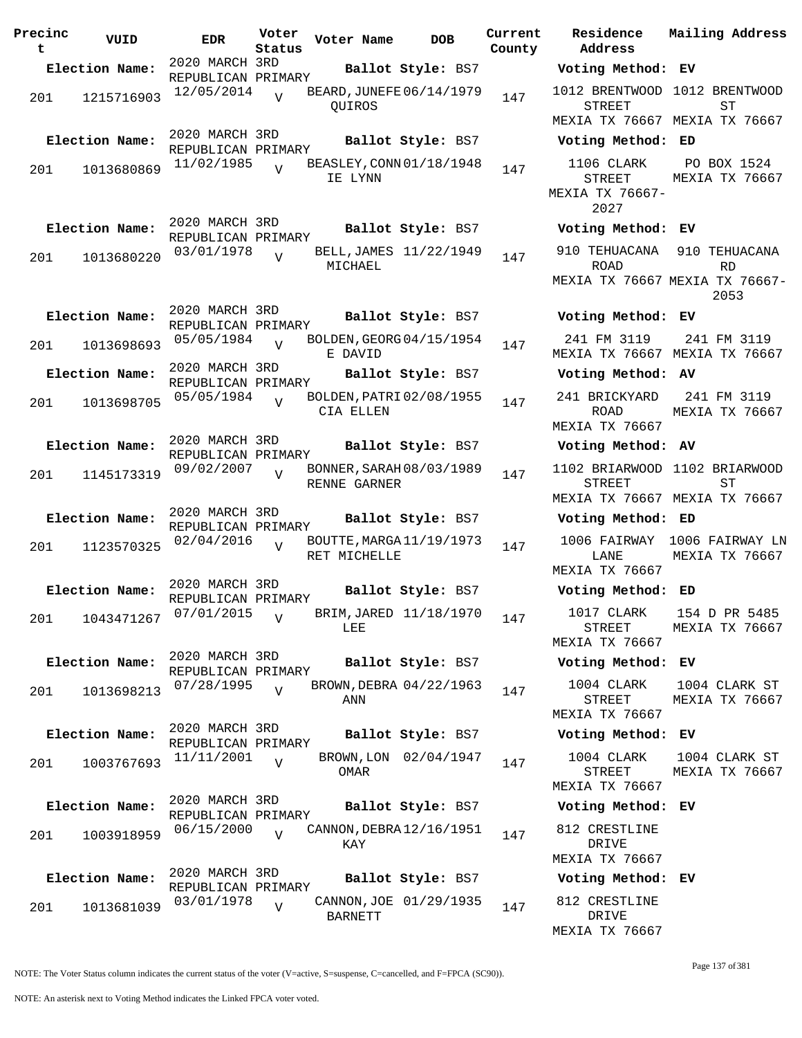| Precinc<br>t. | VUID           | EDR                                                | Voter<br>Status | Voter Name                               | DOB                    | Current<br>County |
|---------------|----------------|----------------------------------------------------|-----------------|------------------------------------------|------------------------|-------------------|
|               | Election Name: | 2020 MARCH 3RD                                     |                 |                                          | Ballot Style: BS7      |                   |
| 201           | 1215716903     | REPUBLICAN PRIMARY<br>12/05/2014                   | $\overline{U}$  | BEARD, JUNEFE 06/14/1979<br>OUIROS       |                        | 147               |
|               | Election Name: | 2020 MARCH 3RD<br>REPUBLICAN PRIMARY<br>11/02/1985 |                 | BEASLEY, CONN 01/18/1948                 | Ballot Style: BS7      |                   |
| 201           | 1013680869     |                                                    | $\overline{U}$  | IE LYNN                                  |                        | 147               |
|               | Election Name: | 2020 MARCH 3RD<br>REPUBLICAN PRIMARY               |                 |                                          | Ballot Style: BS7      |                   |
| 201           | 1013680220     | 03/01/1978                                         | $\overline{V}$  | MICHAEL                                  | BELL, JAMES 11/22/1949 | 147               |
|               | Election Name: | 2020 MARCH 3RD<br>REPUBLICAN PRIMARY               |                 |                                          | Ballot Style: BS7      |                   |
| 201           | 1013698693     | 05/05/1984                                         |                 | BOLDEN, GEORG 04/15/1954<br>E DAVID      |                        | 147               |
|               | Election Name: | 2020 MARCH 3RD<br>REPUBLICAN PRIMARY               |                 |                                          | Ballot Style: BS7      |                   |
| 201           | 1013698705     | 05/05/1984                                         | ٦T              | BOLDEN, PATRI 02/08/1955<br>CIA ELLEN    |                        | 147               |
|               | Election Name: | 2020 MARCH 3RD<br>REPUBLICAN PRIMARY               |                 |                                          | Ballot Style: BS7      |                   |
| 201           | 1145173319     | 09/02/2007                                         | $\overline{U}$  | BONNER, SARAH 08/03/1989<br>RENNE GARNER |                        | 147               |
|               | Election Name: | 2020 MARCH 3RD<br>REPUBLICAN PRIMARY               |                 |                                          | Ballot Style: BS7      |                   |
| 201           | 1123570325     | 02/04/2016                                         | $\overline{U}$  | BOUTTE, MARGA 11/19/1973<br>RET MICHELLE |                        | 147               |
|               | Election Name: | 2020 MARCH 3RD<br>REPUBLICAN PRIMARY               |                 |                                          | Ballot Style: BS7      |                   |
| 201           | 1043471267     | $07/01/2015$ $V$                                   |                 | LEE                                      | BRIM, JARED 11/18/1970 | 147               |
|               | Election Name: | 2020 MARCH 3RD<br>REPUBLICAN PRIMARY               |                 |                                          | Ballot Style: BS7      |                   |
| 201           | 1013698213     | 07/28/1995                                         | $\overline{U}$  | BROWN, DEBRA 04/22/1963<br>ANN           |                        | 147               |
|               | Election Name: | 2020 MARCH 3RD<br>REPUBLICAN PRIMARY               |                 |                                          | Ballot Style: BS7      |                   |
| 201           | 1003767693     | 11/11/2001                                         | $\overline{V}$  | OMAR                                     | BROWN, LON 02/04/1947  | 147               |
|               | Election Name: | 2020 MARCH 3RD<br>REPUBLICAN PRIMARY               |                 |                                          | Ballot Style: BS7      |                   |
| 201           | 1003918959     | 06/15/2000                                         | $\overline{U}$  | CANNON, DEBRA 12/16/1951<br>KAY          |                        | 147               |
|               | Election Name: | 2020 MARCH 3RD                                     |                 |                                          | Ballot Style: BS7      |                   |
| 201           | 1013681039     | REPUBLICAN PRIMARY<br>03/01/1978                   | $\overline{V}$  | <b>BARNETT</b>                           | CANNON, JOE 01/29/1935 | 147               |

**Voter Name DOB Residence Address Current Mailing Address Election Name: Ballot Style:** BS7 **Voting Method: EV** 1012 BRENTWOOD 1012 BRENTWOOD STREET MEXIA TX 76667 MEXIA TX 76667 ST **Election Name: Ballot Style:** BS7 **Voting Method: ED** 1106 CLARK STREET MEXIA TX 76667- 2027 PO BOX 1524 MEXIA TX 76667 **Election Name: Ballot Style:** BS7 **Voting Method: EV** 910 TEHUACANA 910 TEHUACANA ROAD MEXIA TX 76667 MEXIA TX 76667- RD 2053 **Election Name: Ballot Style:** BS7 **Voting Method: EV** 241 FM 3119 MEXIA TX 76667 MEXIA TX 76667 241 FM 3119 **Election Name: Ballot Style:** BS7 **Voting Method: AV** 241 BRICKYARD 241 FM 3119 ROAD MEXIA TX 76667 MEXIA TX 76667 **Election Name: Ballot Style:** BS7 **Voting Method: AV** 1102 BRIARWOOD 1102 BRIARWOOD STREET MEXIA TX 76667 MEXIA TX 76667 ST **Election Name: Ballot Style:** BS7 **Voting Method: ED** 1006 FAIRWAY 1006 FAIRWAY LN LANE MEXIA TX 76667 MEXIA TX 76667 **Election Name: Ballot Style:** BS7 **Voting Method: ED** 1017 CLARK STREET MEXIA TX 76667 154 D PR 5485 MEXIA TX 76667 **Election Name: Ballot Style:** BS7 **Voting Method: EV** 1004 CLARK STREET MEXIA TX 76667 1004 CLARK ST MEXIA TX 76667 **Election Name: Ballot Style:** BS7 **Voting Method: EV** 1004 CLARK STREET MEXIA TX 76667 1004 CLARK ST MEXIA TX 76667 **Election Name: Ballot Style:** BS7 **Voting Method: EV** 812 CRESTLINE DRIVE MEXIA TX 76667 **Election Name: Ballot Style:** BS7 **Voting Method: EV** 812 CRESTLINE DRIVE MEXIA TX 76667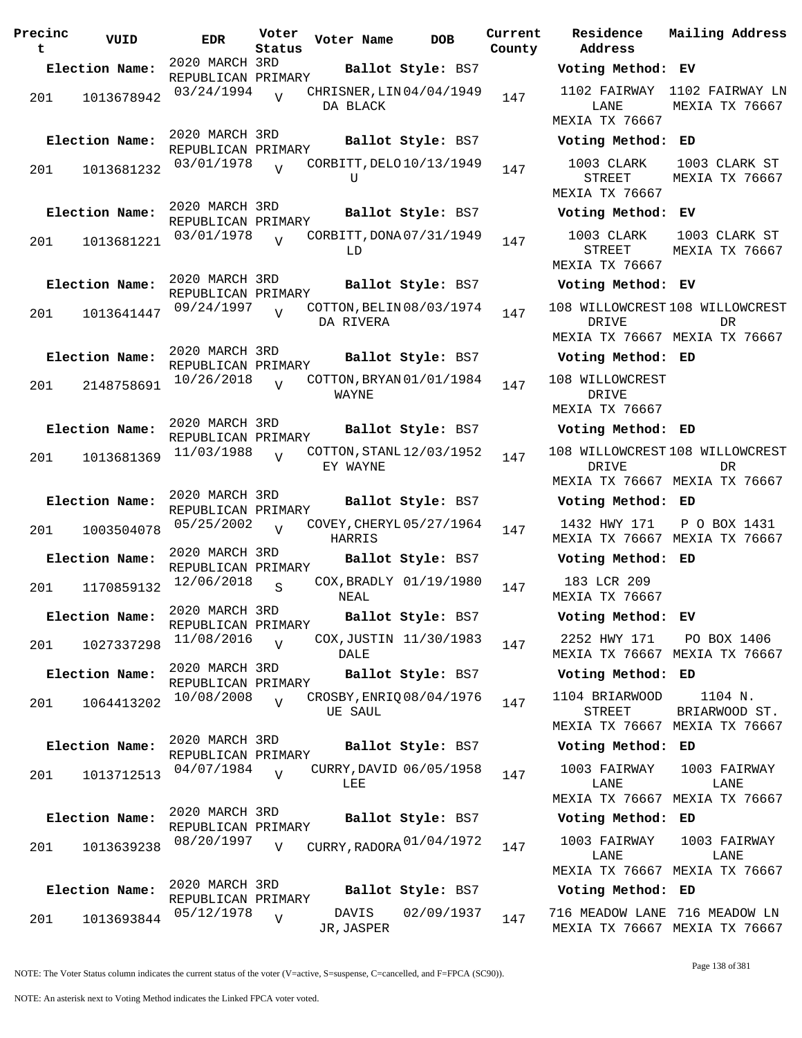| Precinc<br>t | VUID           | <b>EDR</b>                           | Voter<br>Status | Voter Name                            | <b>DOB</b>             | Current<br>County | Residence<br>Address                            |
|--------------|----------------|--------------------------------------|-----------------|---------------------------------------|------------------------|-------------------|-------------------------------------------------|
|              | Election Name: | 2020 MARCH 3RD<br>REPUBLICAN PRIMARY |                 |                                       | Ballot Style: BS7      |                   | Voting Metho                                    |
| 201          | 1013678942     | 03/24/1994                           | $\overline{U}$  | CHRISNER, LIN 04/04/1949<br>DA BLACK  |                        | 147               | 1102 FAIRWAY<br>LANE                            |
|              | Election Name: | 2020 MARCH 3RD                       |                 |                                       | Ballot Style: BS7      |                   | MEXIA TX 7666<br>Voting Metho                   |
|              |                | REPUBLICAN PRIMARY                   |                 |                                       |                        |                   |                                                 |
| 201          | 1013681232     | 03/01/1978                           | $\overline{v}$  | CORBITT, DELO 10/13/1949<br>U         |                        | 147               | 1003 CLARK<br>STREET<br>MEXIA TX 7666           |
|              | Election Name: | 2020 MARCH 3RD                       |                 |                                       | Ballot Style: BS7      |                   | Voting Metho                                    |
| 201          | 1013681221     | REPUBLICAN PRIMARY<br>03/01/1978     | $\overline{U}$  | CORBITT, DONA 07/31/1949<br>LD        |                        | 147               | 1003 CLARK<br>STREET<br>MEXIA TX 7666           |
|              | Election Name: | 2020 MARCH 3RD                       |                 |                                       | Ballot Style: BS7      |                   | Voting Metho                                    |
|              |                | REPUBLICAN PRIMARY                   |                 |                                       |                        |                   |                                                 |
| 201          | 1013641447     | 09/24/1997                           | $\overline{17}$ | COTTON, BELIN 08/03/1974<br>DA RIVERA |                        | 147               | 108 WILLOWCRES<br><b>DRIVE</b><br>MEXIA TX 7666 |
|              | Election Name: | 2020 MARCH 3RD                       |                 |                                       | Ballot Style: BS7      |                   | Voting Metho                                    |
| 201          | 2148758691     | REPUBLICAN PRIMARY<br>10/26/2018     | $\overline{V}$  | COTTON, BRYAN 01/01/1984<br>WAYNE     |                        | 147               | 108 WILLOWCRES<br><b>DRIVE</b><br>MEXIA TX 7666 |
|              | Election Name: | 2020 MARCH 3RD                       |                 |                                       | Ballot Style: BS7      |                   | Voting Metho                                    |
|              |                | REPUBLICAN PRIMARY<br>11/03/1988     |                 | COTTON, STANL 12/03/1952              |                        |                   | 108 WILLOWCRES                                  |
| 201          | 1013681369     |                                      | $\overline{U}$  | EY WAYNE                              |                        | 147               | DRIVE<br>MEXIA TX 7666                          |
|              | Election Name: | 2020 MARCH 3RD<br>REPUBLICAN PRIMARY |                 |                                       | Ballot Style: BS7      |                   | Voting Metho                                    |
| 201          | 1003504078     | 05/25/2002                           | $\overline{U}$  | COVEY, CHERYL 05/27/1964<br>HARRIS    |                        | 147               | 1432 HWY 171<br>MEXIA TX 7666                   |
|              | Election Name: | 2020 MARCH 3RD<br>REPUBLICAN PRIMARY |                 |                                       | Ballot Style: BS7      |                   | Voting Metho                                    |
| 201          | 1170859132     | 12/06/2018                           | S               | NEAL                                  | COX, BRADLY 01/19/1980 | 147               | 183 LCR 209<br>MEXIA TX 7666                    |
|              | Election Name: | 2020 MARCH 3RD                       |                 |                                       | Ballot Style: BS7      |                   | Voting Metho                                    |
| 201          | 1027337298     | REPUBLICAN PRIMARY<br>11/08/2016     | $\overline{V}$  | DALE                                  | COX, JUSTIN 11/30/1983 | 147               | 2252 HWY 171<br>MEXIA TX 7666                   |
|              | Election Name: | 2020 MARCH 3RD                       |                 |                                       | Ballot Style: BS7      |                   | Voting Metho                                    |
| 201          | 1064413202     | REPUBLICAN PRIMARY<br>10/08/2008     | $\overline{V}$  | CROSBY, ENRIO 08/04/1976<br>UE SAUL   |                        | 147               | 1104 BRIARWOO<br>STREET<br>MEXIA TX 7666        |
|              | Election Name: | 2020 MARCH 3RD                       |                 |                                       | Ballot Style: BS7      |                   | Voting Metho                                    |
|              |                | REPUBLICAN PRIMARY<br>04/07/1984     |                 | CURRY, DAVID 06/05/1958               |                        |                   | 1003 FAIRWAY                                    |
| 201          | 1013712513     |                                      | $\overline{V}$  | LEE                                   |                        | 147               | LANE<br>MEXIA TX 7666                           |
|              | Election Name: | 2020 MARCH 3RD<br>REPUBLICAN PRIMARY |                 |                                       | Ballot Style: BS7      |                   | Voting Metho                                    |
| 201          | 1013639238     | 08/20/1997                           | V               | CURRY, RADORA 01/04/1972              |                        | 147               | 1003 FAIRWAY<br>LANE                            |
|              |                | 2020 MARCH 3RD                       |                 |                                       |                        |                   | MEXIA TX 7666                                   |
|              | Election Name: | REPUBLICAN PRIMARY                   |                 |                                       | Ballot Style: BS7      |                   | Voting Metho                                    |
| 201          | 1013693844     | 05/12/1978                           | $\overline{V}$  | DAVIS<br>JR.JASPER                    | 02/09/1937             | 147               | 716 MEADOW LAN<br>MEXTA TX 7666                 |

**Voter Name DOB Residence Address Current Mailing Address Election Name: Ballot Style:** BS7 **Voting Method: EV** 1102 FAIRWAY 1102 FAIRWAY LN LANE MEXIA TX 76667 MEXIA TX 76667 **Election Name: Ballot Style:** BS7 **Voting Method: ED** 1003 CLARK STREET MEXIA TX 76667 1003 CLARK ST MEXIA TX 76667 **Election Name: Ballot Style:** BS7 **Voting Method: EV** 1003 CLARK STREET MEXIA TX 76667 1003 CLARK ST MEXIA TX 76667 **Election Name: Ballot Style:** BS7 **Voting Method: EV** 108 WILLOWCREST 108 WILLOWCREST DRIVE MEXIA TX 76667 MEXIA TX 76667 DR **Election Name: Ballot Style:** BS7 **Voting Method: ED** 108 WILLOWCREST DRIVE MEXIA TX 76667 **Election Name: Ballot Style:** BS7 **Voting Method: ED** 108 WILLOWCREST 108 WILLOWCREST DRIVE MEXIA TX 76667 MEXIA TX 76667 DR **Election Name: Ballot Style:** BS7 **Voting Method: ED** 1432 HWY 171 P O BOX 1431 MEXIA TX 76667 MEXIA TX 76667 **Election Name: Ballot Style:** BS7 **Voting Method: ED** 183 LCR 209 MEXIA TX 76667 **Election Name: Ballot Style:** BS7 **Voting Method: EV** 2252 HWY 171 MEXIA TX 76667 MEXIA TX 76667 PO BOX 1406 **Election Name: Ballot Style:** BS7 **Voting Method: ED** 1104 BRIARWOOD STREET MEXIA TX 76667 MEXIA TX 76667 1104 N. BRIARWOOD ST. **Election Name: Ballot Style:** BS7 **Voting Method: ED** 1003 FAIRWAY LANE MEXIA TX 76667 MEXIA TX 76667 1003 FAIRWAY LANE **Election Name: Ballot Style:** BS7 **Voting Method: ED** LANE MEXIA TX 76667 MEXIA TX 76667 1003 FAIRWAY LANE **Election Name: Ballot Style:** BS7 **Voting Method: ED**

> 716 MEADOW LANE 716 MEADOW LN MEXIA TX 76667 MEXIA TX 76667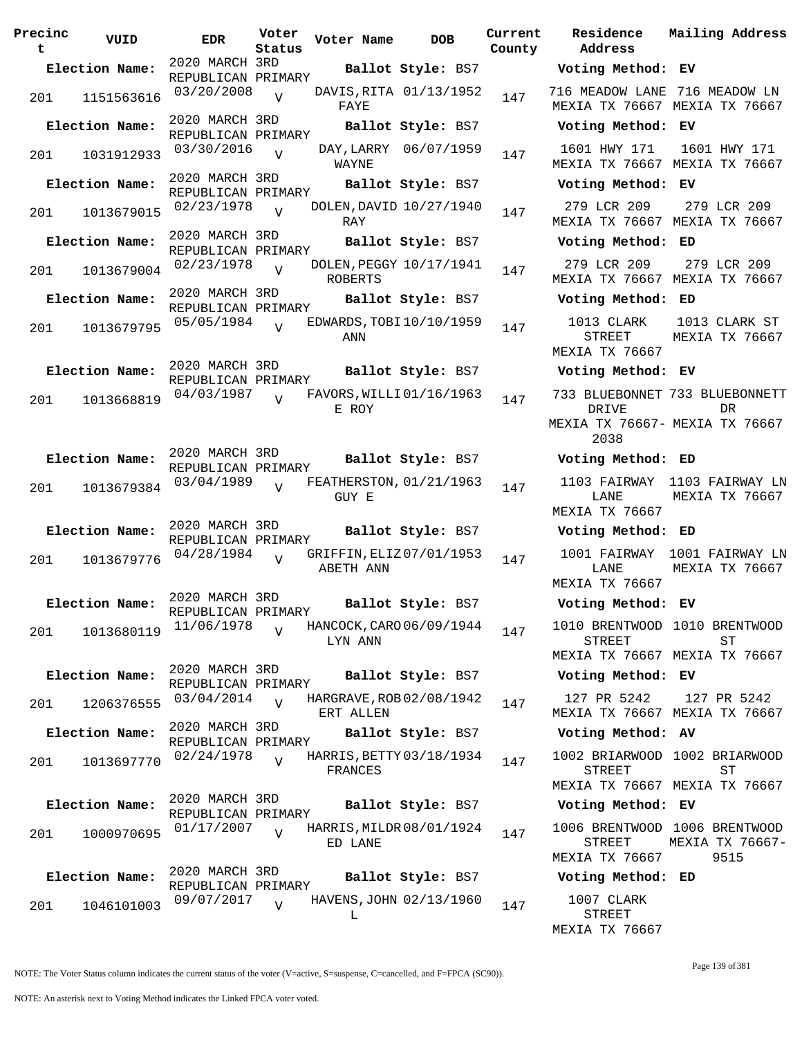| Precinc<br>t | VUID           | EDR                                  | Voter<br>Status | Voter Name | <b>DOB</b>               | Current<br>County |
|--------------|----------------|--------------------------------------|-----------------|------------|--------------------------|-------------------|
|              | Election Name: | 2020 MARCH 3RD                       |                 |            | Ballot Style: BS7        |                   |
| 201          | 1151563616     | REPUBLICAN PRIMARY<br>03/20/2008     | $\overline{V}$  | FAYE       | DAVIS, RITA 01/13/1952   | 147               |
|              | Election Name: | 2020 MARCH 3RD<br>REPUBLICAN PRIMARY |                 |            | Ballot Style: BS7        |                   |
| 201          | 1031912933     | 03/30/2016                           | $\overline{V}$  | WAYNE      | DAY, LARRY 06/07/1959    | 147               |
|              | Election Name: | 2020 MARCH 3RD<br>REPUBLICAN PRIMARY |                 |            | Ballot Style: BS7        |                   |
| 201          | 1013679015     | 02/23/1978                           | $\overline{V}$  | RAY        | DOLEN, DAVID 10/27/1940  | 147               |
|              | Election Name: | 2020 MARCH 3RD                       |                 |            | Ballot Style: BS7        |                   |
| 201          | 1013679004     | REPUBLICAN PRIMARY<br>02/23/1978     | $\overline{V}$  | ROBERTS    | DOLEN, PEGGY 10/17/1941  | 147               |
|              | Election Name: | 2020 MARCH 3RD<br>REPUBLICAN PRIMARY |                 |            | Ballot Style: BS7        |                   |
| 201          | 1013679795     | 05/05/1984                           | $\overline{U}$  | ANN        | EDWARDS, TOBI 10/10/1959 | 147               |
|              | Election Name: | 2020 MARCH 3RD<br>REPUBLICAN PRIMARY |                 |            | Ballot Style: BS7        |                   |
| 201          | 1013668819     | 04/03/1987                           | $\overline{V}$  | E ROY      | FAVORS, WILLI 01/16/1963 | 147               |
|              | Election Name: | 2020 MARCH 3RD<br>REPUBLICAN PRIMARY |                 |            | Ballot Style: BS7        |                   |
| 201          | 1013679384     | 03/04/1989                           | ٦T              | GUY E      | FEATHERSTON, 01/21/1963  | 147               |
|              | Election Name: | 2020 MARCH 3RD<br>REPUBLICAN PRIMARY |                 |            | Ballot Style: BS7        |                   |
| 201          | 1013679776     | 04/28/1984                           | $\overline{V}$  | ABETH ANN  | GRIFFIN, ELIZ 07/01/1953 | 147               |
|              | Election Name: | 2020 MARCH 3RD<br>REPUBLICAN PRIMARY |                 |            | Ballot Style: BS7        |                   |
| 201          | 1013680119     | 11/06/1978                           | $\overline{V}$  | LYN ANN    | HANCOCK, CARO 06/09/1944 | 147               |
|              | Election Name: | 2020 MARCH 3RD<br>REPUBLICAN PRIMARY |                 |            | Ballot Style: BS7        |                   |
| 201          | 1206376555     | 03/04/2014                           | ٦T              | ERT ALLEN  | HARGRAVE, ROB 02/08/1942 | 147               |
|              | Election Name: | 2020 MARCH 3RD<br>REPUBLICAN PRIMARY |                 |            | Ballot Style: BS7        |                   |
| 201          | 1013697770     | 02/24/1978                           | $\overline{V}$  | FRANCES    | HARRIS, BETTY 03/18/1934 | 147               |
|              | Election Name: | 2020 MARCH 3RD<br>REPUBLICAN PRIMARY |                 |            | Ballot Style: BS7        |                   |
| 201          | 1000970695     | 01/17/2007                           | V               | ED LANE    | HARRIS, MILDR 08/01/1924 | 147               |
|              | Election Name: | 2020 MARCH 3RD<br>REPUBLICAN PRIMARY |                 |            | Ballot Style: BS7        |                   |
| 201          | 1046101003     | 09/07/2017                           | $\overline{V}$  | L          | HAVENS, JOHN 02/13/1960  | 147               |

**Voter Name DOB Residence Address Current Mailing Address Election Name: Ballot Style:** BS7 **Voting Method: EV** 716 MEADOW LANE 716 MEADOW LN MEXIA TX 76667 MEXIA TX 76667 **Election Name: Ballot Style:** BS7 **Voting Method: EV** 1601 HWY 171 MEXIA TX 76667 MEXIA TX 76667 1601 HWY 171 **Election Name: Ballot Style:** BS7 **Voting Method: EV** 279 LCR 209 MEXIA TX 76667 MEXIA TX 76667 279 LCR 209 **Election Name: Ballot Style:** BS7 **Voting Method: ED** 279 LCR 209 MEXIA TX 76667 MEXIA TX 76667 279 LCR 209 **Election Name: Ballot Style:** BS7 **Voting Method: ED** 1013 CLARK STREET MEXIA TX 76667 1013 CLARK ST MEXIA TX 76667 **Election Name: Ballot Style:** BS7 **Voting Method: EV** 733 BLUEBONNET 733 BLUEBONNETT DRIVE MEXIA TX 76667- MEXIA TX 76667 2038 DR **Election Name: Ballot Style:** BS7 **Voting Method: ED** 1103 FAIRWAY 1103 FAIRWAY LN LANE MEXIA TX 76667 MEXIA TX 76667 **Election Name: Ballot Style:** BS7 **Voting Method: ED** 1001 FAIRWAY 1001 FAIRWAY LN LANE MEXIA TX 76667 MEXIA TX 76667 **Election Name: Ballot Style:** BS7 **Voting Method: EV** 1010 BRENTWOOD 1010 BRENTWOOD STREET MEXIA TX 76667 MEXIA TX 76667 ST **Election Name: Ballot Style:** BS7 **Voting Method: EV** 127 PR 5242 MEXIA TX 76667 MEXIA TX 76667 127 PR 5242 **Election Name: Ballot Style:** BS7 **Voting Method: AV** 1002 BRIARWOOD 1002 BRIARWOOD STREET MEXIA TX 76667 MEXIA TX 76667 ST **Election Name: Ballot Style:** BS7 **Voting Method: EV** 1006 BRENTWOOD 1006 BRENTWOOD STREET MEXIA TX 76667 MEXIA TX 76667- 9515 **Election Name: Ballot Style:** BS7 **Voting Method: ED** 1007 CLARK STREET MEXIA TX 76667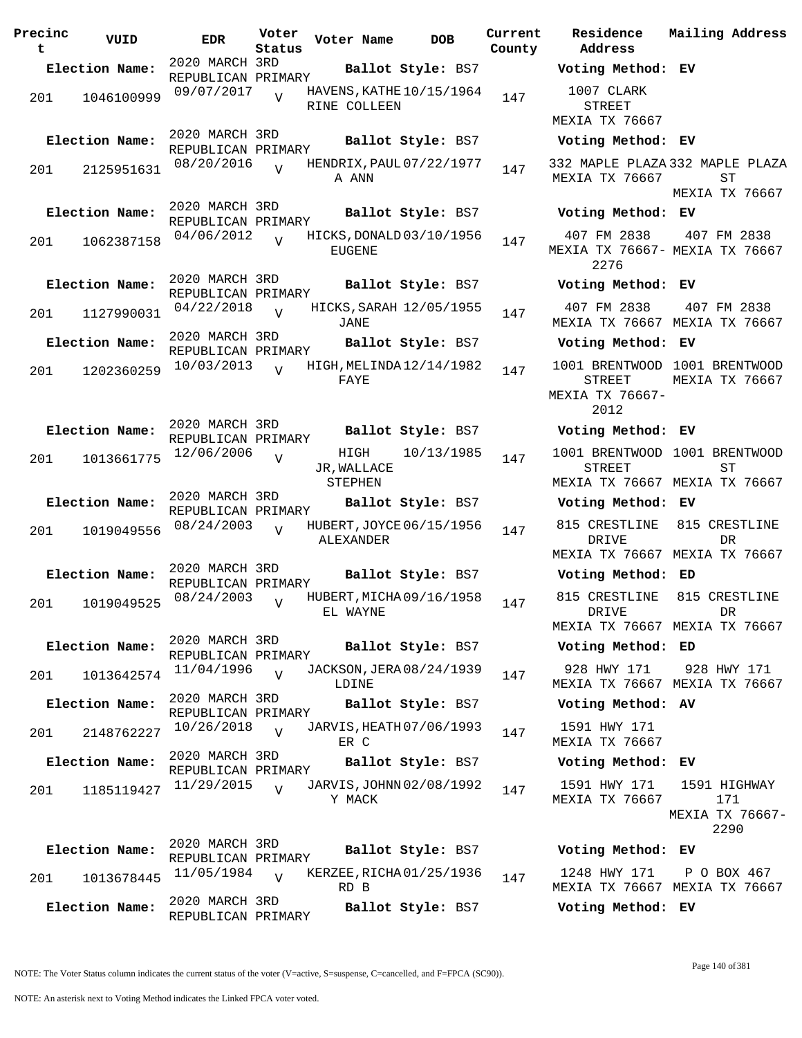| Precinc<br>t | VUID           | <b>EDR</b>                           | Voter<br>Status | Voter Name                     | <b>DOB</b>               | Current<br>County | Residence<br>Address                               | Mai.           |
|--------------|----------------|--------------------------------------|-----------------|--------------------------------|--------------------------|-------------------|----------------------------------------------------|----------------|
|              | Election Name: | 2020 MARCH 3RD                       |                 |                                | Ballot Style: BS7        |                   | Voting Method: EV                                  |                |
| 201          | 1046100999     | REPUBLICAN PRIMARY<br>09/07/2017     | $\overline{V}$  | RINE COLLEEN                   | HAVENS, KATHE 10/15/1964 | 147               | 1007 CLARK<br><b>STREET</b><br>MEXIA TX 76667      |                |
|              | Election Name: | 2020 MARCH 3RD                       |                 |                                | Ballot Style: BS7        |                   | Voting Method: EV                                  |                |
| 201          | 2125951631     | REPUBLICAN PRIMARY<br>08/20/2016     | $\overline{z}$  | A ANN                          | HENDRIX, PAUL 07/22/1977 | 147               | 332 MAPLE PLAZA 332<br>MEXIA TX 76667              |                |
|              | Election Name: | 2020 MARCH 3RD<br>REPUBLICAN PRIMARY |                 |                                | Ballot Style: BS7        |                   | Voting Method: EV                                  | MEX            |
| 201          | 1062387158     | 04/06/2012                           | $\overline{U}$  | <b>EUGENE</b>                  | HICKS, DONALD 03/10/1956 | 147               | 407 FM 2838<br>MEXIA TX 76667- MEX<br>2276         | $\overline{4}$ |
|              | Election Name: | 2020 MARCH 3RD<br>REPUBLICAN PRIMARY |                 |                                | Ballot Style: BS7        |                   | Voting Method: EV                                  |                |
| 201          | 1127990031     | 04/22/2018                           | $\overline{V}$  | <b>JANE</b>                    | HICKS, SARAH 12/05/1955  | 147               | 407 FM 2838<br>MEXIA TX 76667 MEX                  | $\overline{4}$ |
|              | Election Name: | 2020 MARCH 3RD<br>REPUBLICAN PRIMARY |                 |                                | Ballot Style: BS7        |                   | Voting Method: EV                                  |                |
| 201          | 1202360259     | 10/03/2013                           | $\overline{U}$  | FAYE                           | HIGH, MELINDA 12/14/1982 | 147               | 1001 BRENTWOOD<br>STREET<br>MEXIA TX 76667-        | 100<br>MEX     |
|              |                |                                      |                 |                                |                          |                   | 2012                                               |                |
|              | Election Name: | 2020 MARCH 3RD<br>REPUBLICAN PRIMARY |                 |                                | Ballot Style: BS7        |                   | Voting Method: EV                                  |                |
| 201          | 1013661775     | 12/06/2006                           | $\overline{V}$  | HIGH<br>JR, WALLACE<br>STEPHEN | 10/13/1985               | 147               | 1001 BRENTWOOD 100<br>STREET<br>MEXIA TX 76667 MEX |                |
|              | Election Name: | 2020 MARCH 3RD                       |                 |                                | Ballot Style: BS7        |                   | Voting Method: EV                                  |                |
| 201          | 1019049556     | REPUBLICAN PRIMARY<br>08/24/2003     | $\overline{V}$  | ALEXANDER                      | HUBERT, JOYCE 06/15/1956 | 147               | 815 CRESTLINE<br><b>DRIVE</b>                      | 81             |
|              |                |                                      |                 |                                |                          |                   | MEXIA TX 76667 MEX                                 |                |
|              | Election Name: | 2020 MARCH 3RD<br>REPUBLICAN PRIMARY |                 |                                | Ballot Style: BS7        |                   | Voting Method: ED                                  |                |
| 201          | 1019049525     | 08/24/2003                           | $\overline{U}$  | EL WAYNE                       | HUBERT, MICHA 09/16/1958 | 147               | 815 CRESTLINE<br>DRIVE                             | 81             |
|              | Election Name: | 2020 MARCH 3RD                       |                 |                                |                          |                   | MEXIA TX 76667 MEX                                 |                |
|              |                | REPUBLICAN PRIMARY                   |                 |                                | Ballot Style: BS7        |                   | Voting Method: ED                                  |                |
| 201          | 1013642574     | 11/04/1996                           | $\overline{V}$  | LDINE                          | JACKSON, JERA 08/24/1939 | 147               | 928 HWY 171<br>MEXIA TX 76667 MEX                  | 9 <sup>1</sup> |
|              | Election Name: | 2020 MARCH 3RD<br>REPUBLICAN PRIMARY |                 |                                | Ballot Style: BS7        |                   | Voting Method: AV                                  |                |
| 201          | 2148762227     | 10/26/2018                           | $\overline{U}$  | ER C                           | JARVIS, HEATH 07/06/1993 | 147               | 1591 HWY 171<br>MEXIA TX 76667                     |                |
|              | Election Name: | 2020 MARCH 3RD<br>REPUBLICAN PRIMARY |                 |                                | Ballot Style: BS7        |                   | Voting Method: EV                                  |                |
| 201          | 1185119427     | 11/29/2015                           | $\overline{v}$  | Y MACK                         | JARVIS, JOHNN 02/08/1992 | 147               | 1591 HWY 171<br>MEXIA TX 76667                     | 15             |
|              |                |                                      |                 |                                |                          |                   |                                                    | MEX.           |
|              | Election Name: | 2020 MARCH 3RD<br>REPUBLICAN PRIMARY |                 |                                | Ballot Style: BS7        |                   | Voting Method: EV                                  |                |
| 201          | 1013678445     | 11/05/1984                           | $\overline{U}$  | RD B                           | KERZEE, RICHA 01/25/1936 | 147               | 1248 HWY 171<br>MEXIA TX 76667 MEX                 | $\mathbf{P}$   |
|              | Election Name: | 2020 MARCH 3RD<br>REPUBLICAN PRIMARY |                 |                                | Ballot Style: BS7        |                   | Voting Method: EV                                  |                |

**Voter Name DOB Residence Address Current Mailing Address Election Name: Ballot Style:** BS7 **Voting Method: EV** 1007 CLARK STREET MEXIA TX 76667 **Election Name: Ballot Style:** BS7 **Voting Method: EV** 332 MAPLE PLAZA 332 MAPLE PLAZA MEXIA TX 76667 ST MEXIA TX 76667 **Election Name: Ballot Style:** BS7 **Voting Method: EV** 407 FM 2838 MEXIA TX 76667- MEXIA TX 76667 2276 407 FM 2838 **Election Name: Ballot Style:** BS7 **Voting Method: EV** 407 FM 2838 MEXIA TX 76667 MEXIA TX 76667 407 FM 2838 **Election Name: Ballot Style:** BS7 **Voting Method: EV** 1001 BRENTWOOD 1001 BRENTWOOD STREET MEXIA TX 76667- 2012 MEXIA TX 76667 **Election Name: Ballot Style:** BS7 **Voting Method: EV** 1001 BRENTWOOD 1001 BRENTWOOD STREET MEXIA TX 76667 MEXIA TX 76667 ST **Election Name: Ballot Style:** BS7 **Voting Method: EV** 815 CRESTLINE 815 CRESTLINE DRIVE MEXIA TX 76667 MEXIA TX 76667 DR **Election Name: Ballot Style:** BS7 **Voting Method: ED** 815 CRESTLINE 815 CRESTLINE DRIVE MEXIA TX 76667 MEXIA TX 76667 DR **Election Name: Ballot Style:** BS7 **Voting Method: ED** 928 HWY 171 MEXIA TX 76667 MEXIA TX 76667 928 HWY 171 **Election Name: Ballot Style:** BS7 **Voting Method: AV** 1591 HWY 171 MEXIA TX 76667 **Election Name: Ballot Style:** BS7 **Voting Method: EV** 1591 HWY 171 MEXIA TX 76667 1591 HIGHWAY 171 MEXIA TX 76667- 2290 **Election Name: Ballot Style:** BS7 **Voting Method: EV** 1248 HWY 171 MEXIA TX 76667 MEXIA TX 76667 P O BOX 467

NOTE: The Voter Status column indicates the current status of the voter (V=active, S=suspense, C=cancelled, and F=FPCA (SC90)).

Page 140 of 381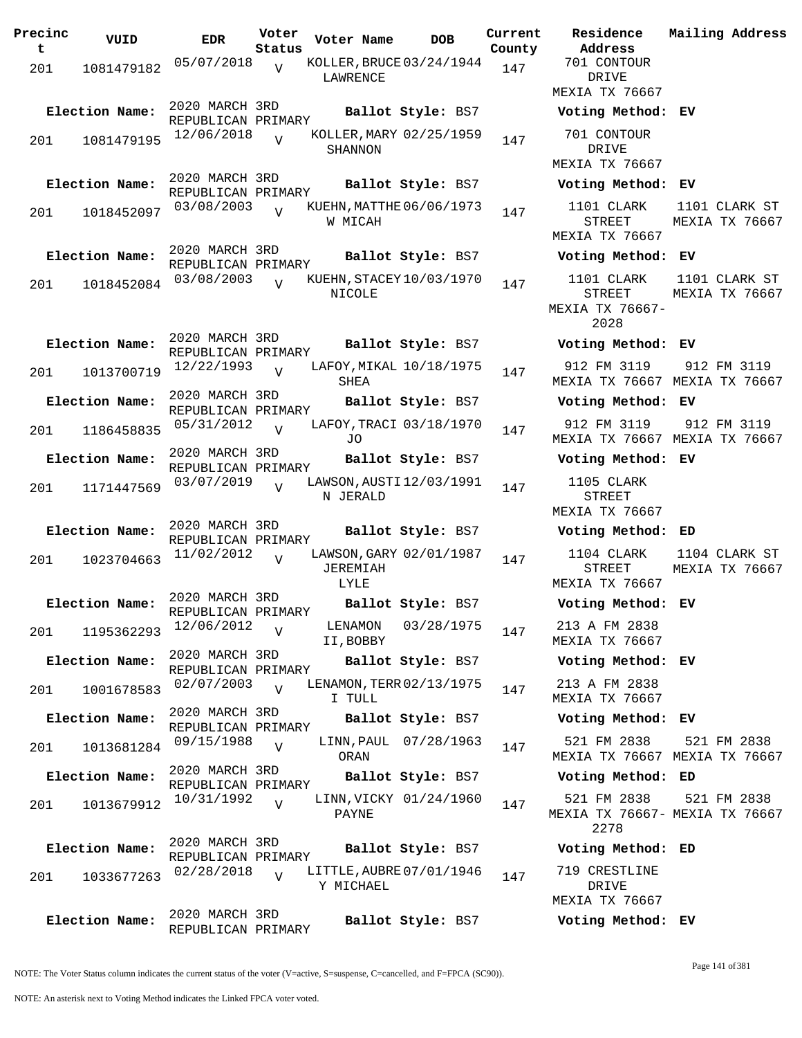| Precinc<br>t | VUID           | <b>EDR</b>                           | Voter<br>Status | Voter Name                                         | <b>DOB</b>             | Current<br>County | Residence<br>Address                          |
|--------------|----------------|--------------------------------------|-----------------|----------------------------------------------------|------------------------|-------------------|-----------------------------------------------|
| 201          | 1081479182     | 05/07/2018                           | $\overline{V}$  | KOLLER, BRUCE 03/24/1944<br>LAWRENCE               |                        | 147               | 701 CONTOUR<br>DRIVE<br>MEXIA TX 766          |
|              | Election Name: | 2020 MARCH 3RD                       |                 |                                                    | Ballot Style: BS7      |                   | Voting Metho                                  |
| 201          | 1081479195     | REPUBLICAN PRIMARY<br>12/06/2018     | $\overline{U}$  | KOLLER, MARY 02/25/1959<br>SHANNON                 |                        | 147               | 701 CONTOUR<br>DRIVE<br>MEXIA TX 766          |
|              | Election Name: | 2020 MARCH 3RD                       |                 |                                                    | Ballot Style: BS7      |                   | Voting Metho                                  |
| 201          | 1018452097     | REPUBLICAN PRIMARY<br>03/08/2003     | $\overline{V}$  | KUEHN, MATTHE 06/06/1973<br>W MICAH                |                        | 147               | 1101 CLARK<br>STREET<br>MEXIA TX 766          |
|              | Election Name: | 2020 MARCH 3RD                       |                 |                                                    | Ballot Style: BS7      |                   | Voting Metho                                  |
| 201          | 1018452084     | REPUBLICAN PRIMARY<br>03/08/2003     | $\overline{U}$  | KUEHN, STACEY 10/03/1970<br>NICOLE                 |                        | 147               | 1101 CLARK<br>STREET<br>MEXIA TX 7666<br>2028 |
|              | Election Name: | 2020 MARCH 3RD                       |                 |                                                    | Ballot Style: BS7      |                   | Voting Metho                                  |
| 201          | 1013700719     | REPUBLICAN PRIMARY<br>12/22/1993     | $\overline{17}$ | LAFOY, MIKAL 10/18/1975<br><b>SHEA</b>             |                        | 147               | 912 FM 3119<br>MEXIA TX 766                   |
|              | Election Name: | 2020 MARCH 3RD<br>REPUBLICAN PRIMARY |                 |                                                    | Ballot Style: BS7      |                   | Voting Metho                                  |
| 201          | 1186458835     | 05/31/2012                           | $\overline{V}$  | LAFOY, TRACI 03/18/1970<br>J0                      |                        | 147               | 912 FM 3119<br>MEXIA TX 766                   |
|              | Election Name: | 2020 MARCH 3RD<br>REPUBLICAN PRIMARY |                 |                                                    | Ballot Style: BS7      |                   | Voting Metho                                  |
| 201          | 1171447569     | 03/07/2019                           | $\overline{U}$  | LAWSON, AUSTI 12/03/1991<br>N JERALD               |                        | 147               | 1105 CLARK<br>STREET<br>MEXIA TX 766          |
|              | Election Name: | 2020 MARCH 3RD                       |                 |                                                    | Ballot Style: BS7      |                   | Voting Metho                                  |
| 201          | 1023704663     | REPUBLICAN PRIMARY<br>11/02/2012     | $\overline{U}$  | LAWSON, GARY 02/01/1987<br><b>JEREMIAH</b><br>LYLE |                        | 147               | 1104 CLARK<br>STREET<br>MEXIA TX 766          |
|              | Election Name: | 2020 MARCH 3RD<br>REPUBLICAN PRIMARY |                 |                                                    | Ballot Style: BS7      |                   | Voting Metho                                  |
| 201          | 1195362293     | 12/06/2012                           | $\overline{V}$  | LENAMON<br>II, BOBBY                               | 03/28/1975             | 147               | 213 A FM 283<br>MEXIA TX 766                  |
|              | Election Name: | 2020 MARCH 3RD<br>REPUBLICAN PRIMARY |                 |                                                    | Ballot Style: BS7      |                   | Voting Metho                                  |
| 201          | 1001678583     | 02/07/2003                           | $\overline{V}$  | LENAMON, TERR 02/13/1975<br>I TULL                 |                        | 147               | 213 A FM 283<br>MEXIA TX 766                  |
|              | Election Name: | 2020 MARCH 3RD<br>REPUBLICAN PRIMARY |                 |                                                    | Ballot Style: BS7      |                   | Voting Metho                                  |
| 201          | 1013681284     | 09/15/1988                           | $\overline{V}$  | ORAN                                               | LINN, PAUL 07/28/1963  | 147               | 521 FM 2838<br>MEXIA TX 7666                  |
|              | Election Name: | 2020 MARCH 3RD<br>REPUBLICAN PRIMARY |                 |                                                    | Ballot Style: BS7      |                   | Voting Metho                                  |
| 201          | 1013679912     | 10/31/1992                           | $\overline{V}$  | PAYNE                                              | LINN, VICKY 01/24/1960 | 147               | 521 FM 2838<br>MEXIA TX 7666<br>2278          |
|              | Election Name: | 2020 MARCH 3RD<br>REPUBLICAN PRIMARY |                 |                                                    | Ballot Style: BS7      |                   | Voting Metho                                  |
| 201          | 1033677263     | 02/28/2018                           | V               | LITTLE, AUBRE 07/01/1946<br>Y MICHAEL              |                        | 147               | 719 CRESTLIN<br>DRIVE<br>MEXIA TX 766         |
|              | Election Name: | 2020 MARCH 3RD                       |                 |                                                    | Ballot Style: BS7      |                   | Voting Metho                                  |
|              |                | REPUBLICAN PRIMARY                   |                 |                                                    |                        |                   |                                               |

**Address** 701 CONTOUR DRIVE MEXIA TX 76667 **Election Name: Ballot Style:** BS7 **Voting Method: EV** 701 CONTOUR DRIVE MEXIA TX 76667 **Election Name: Ballot Style:** BS7 **Voting Method: EV** 1101 CLARK STREET MEXIA TX 76667 1101 CLARK ST MEXIA TX 76667 **Election Name: Ballot Style:** BS7 **Voting Method: EV** 1101 CLARK STREET MEXIA TX 76667- 2028 1101 CLARK ST MEXIA TX 76667 **Election Name: Ballot Style:** BS7 **Voting Method: EV** 912 FM 3119 MEXIA TX 76667 MEXIA TX 76667 912 FM 3119 **Election Name: Ballot Style:** BS7 **Voting Method: EV** 912 FM 3119 MEXIA TX 76667 MEXIA TX 76667 912 FM 3119 **Election Name: Ballot Style:** BS7 **Voting Method: EV** 1105 CLARK STREET MEXIA TX 76667 **Election Name: Ballot Style:** BS7 **Voting Method: ED** 1104 CLARK STREET MEXIA TX 76667 1104 CLARK ST MEXIA TX 76667 **Election Name: Ballot Style:** BS7 **Voting Method: EV** 213 A FM 2838 MEXIA TX 76667 **Election Name: Ballot Style:** BS7 **Voting Method: EV** 213 A FM 2838 MEXIA TX 76667 **Election Name: Ballot Style:** BS7 **Voting Method: EV** 521 FM 2838 MEXIA TX 76667 MEXIA TX 76667 521 FM 2838 **Election Name: Ballot Style:** BS7 **Voting Method: ED** 521 FM 2838 MEXIA TX 76667- MEXIA TX 76667 2278 521 FM 2838 **Election Name: Ballot Style:** BS7 **Voting Method: ED** 719 CRESTLINE

**Current Mailing Address**

DRIVE MEXIA TX 76667 **Election Name: Ballot Style:** BS7 **Voting Method: EV**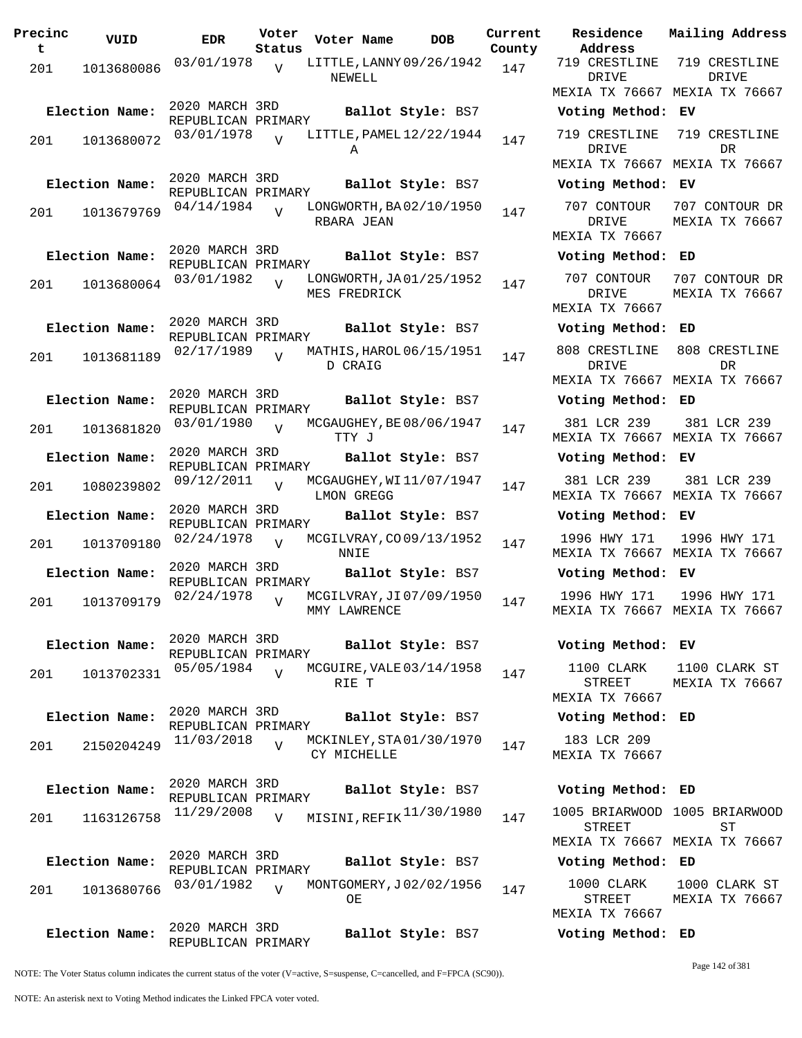| Precinc<br>t | VUID           | <b>EDR</b>                           | Voter<br>Status | Voter Name                              | <b>DOB</b>        | Current<br>County | Residence<br>Address                          |
|--------------|----------------|--------------------------------------|-----------------|-----------------------------------------|-------------------|-------------------|-----------------------------------------------|
| 201          | 1013680086     | 03/01/1978                           | $\overline{V}$  | LITTLE, LANNY 09/26/1942<br>NEWELL      |                   | 147               | 719 CRESTLINE<br>DRIVE<br>MEXIA TX 76667      |
|              | Election Name: | 2020 MARCH 3RD                       |                 |                                         | Ballot Style: BS7 |                   | Voting Method                                 |
| 201          | 1013680072     | REPUBLICAN PRIMARY<br>03/01/1978     | $\overline{U}$  | LITTLE, PAMEL 12/22/1944<br>Α           |                   | 147               | 719 CRESTLINE<br>DRIVE<br>MEXIA TX 76667      |
|              | Election Name: | 2020 MARCH 3RD                       |                 |                                         | Ballot Style: BS7 |                   | Voting Method                                 |
|              |                | REPUBLICAN PRIMARY<br>04/14/1984     |                 | LONGWORTH, BA02/10/1950                 |                   |                   | 707 CONTOUR                                   |
| 201          | 1013679769     |                                      | $\overline{U}$  | RBARA JEAN                              |                   | 147               | DRIVE<br>MEXIA TX 76667                       |
|              | Election Name: | 2020 MARCH 3RD<br>REPUBLICAN PRIMARY |                 |                                         | Ballot Style: BS7 |                   | Voting Method                                 |
| 201          | 1013680064     | 03/01/1982                           | $\overline{U}$  | LONGWORTH, JA01/25/1952<br>MES FREDRICK |                   | 147               | 707 CONTOUR<br>DRIVE                          |
|              |                | 2020 MARCH 3RD                       |                 |                                         |                   |                   | MEXIA TX 76667                                |
|              | Election Name: | REPUBLICAN PRIMARY                   |                 |                                         | Ballot Style: BS7 |                   | Voting Method                                 |
| 201          | 1013681189     | 02/17/1989                           | $\overline{U}$  | MATHIS, HAROL 06/15/1951<br>D CRAIG     |                   | 147               | 808 CRESTLINE<br>DRIVE<br>MEXIA TX 76667      |
|              | Election Name: | 2020 MARCH 3RD                       |                 |                                         | Ballot Style: BS7 |                   | Voting Method                                 |
| 201          | 1013681820     | REPUBLICAN PRIMARY<br>03/01/1980     | $\overline{U}$  | MCGAUGHEY, BE 08/06/1947<br>TTY J       |                   | 147               | 381 LCR 239<br>MEXIA TX 76667                 |
|              | Election Name: | 2020 MARCH 3RD                       |                 |                                         | Ballot Style: BS7 |                   | Voting Method                                 |
| 201          | 1080239802     | REPUBLICAN PRIMARY<br>09/12/2011     | $\overline{U}$  | MCGAUGHEY, WI11/07/1947<br>LMON GREGG   |                   | 147               | 381 LCR 239<br>MEXIA TX 76667                 |
|              | Election Name: | 2020 MARCH 3RD                       |                 |                                         | Ballot Style: BS7 |                   | Voting Method                                 |
| 201          | 1013709180     | REPUBLICAN PRIMARY<br>02/24/1978     | $\overline{U}$  | MCGILVRAY, CO09/13/1952<br>NNIE         |                   | 147               | 1996 HWY 171<br>MEXIA TX 76667                |
|              | Election Name: | 2020 MARCH 3RD                       |                 |                                         | Ballot Style: BS7 |                   | Voting Method                                 |
| 201          | 1013709179     | REPUBLICAN PRIMARY<br>02/24/1978     | $\overline{V}$  | MCGILVRAY, JI07/09/1950<br>MMY LAWRENCE |                   | 147               | 1996 HWY 171<br>MEXIA TX 76667                |
|              |                | 2020 MARCH 3RD                       |                 |                                         |                   |                   |                                               |
|              | Election Name: | REPUBLICAN PRIMARY                   |                 |                                         | Ballot Style: BS7 |                   | Voting Method                                 |
| 201          | 1013702331     | 05/05/1984                           | $\overline{V}$  | MCGUIRE, VALE 03/14/1958<br>RIE T       |                   | 147               | 1100 CLARK<br><b>STREET</b><br>MEXIA TX 76667 |
|              | Election Name: | 2020 MARCH 3RD                       |                 |                                         | Ballot Style: BS7 |                   | Voting Method                                 |
|              |                | REPUBLICAN PRIMARY<br>11/03/2018     | $\overline{V}$  | MCKINLEY, STA01/30/1970                 |                   |                   | 183 LCR 209                                   |
| 201          | 2150204249     |                                      |                 | CY MICHELLE                             |                   | 147               | MEXIA TX 76667                                |
|              | Election Name: | 2020 MARCH 3RD<br>REPUBLICAN PRIMARY |                 |                                         | Ballot Style: BS7 |                   | Voting Method                                 |
| 201          | 1163126758     | 11/29/2008                           | $\overline{V}$  | MISINI, REFIK <sup>11/30/1980</sup>     |                   | 147               | 1005 BRIARWOOD<br>STREET<br>MEXIA TX 76667    |
|              | Election Name: | 2020 MARCH 3RD                       |                 |                                         | Ballot Style: BS7 |                   | Voting Method                                 |
| 201          | 1013680766     | REPUBLICAN PRIMARY<br>03/01/1982     | $\overline{z}$  | MONTGOMERY, J02/02/1956<br>OЕ           |                   | 147               | 1000 CLARK<br><b>STREET</b>                   |
|              |                |                                      |                 |                                         |                   |                   | MEXIA TX 76667                                |
|              | Election Name: | 2020 MARCH 3RD<br>REPUBLICAN PRIMARY |                 |                                         | Ballot Style: BS7 |                   | Voting Method                                 |

**PORE Residence Address Current Mailing Address** 719 CRESTLINE DRIVE MEXIA TX 76667 MEXIA TX 76667 719 CRESTLINE DRIVE **Election Name: Ballot Style:** BS7 **Voting Method: EV** 719 CRESTLINE DRIVE MEXIA TX 76667 MEXIA TX 76667 719 CRESTLINE DR **Election Name: Ballot Style:** BS7 **Voting Method: EV** 707 CONTOUR DRIVE MEXIA TX 76667 707 CONTOUR DR MEXIA TX 76667 **Election Name: Ballot Style:** BS7 **Voting Method: ED** 707 CONTOUR DRIVE MEXIA TX 76667 707 CONTOUR DR MEXIA TX 76667 **Election Name: Ballot Style:** BS7 **Voting Method: ED** 808 CRESTLINE DRIVE MEXIA TX 76667 MEXIA TX 76667 808 CRESTLINE DR **Election Name: Ballot Style:** BS7 **Voting Method: ED** 381 LCR 239 MEXIA TX 76667 MEXIA TX 76667 381 LCR 239 **Election Name: Ballot Style:** BS7 **Voting Method: EV** 381 LCR 239 MEXIA TX 76667 MEXIA TX 76667 381 LCR 239 **Election Name: Ballot Style:** BS7 **Voting Method: EV** 1996 HWY 171 MEXIA TX 76667 MEXIA TX 76667 1996 HWY 171 **Election Name: Ballot Style:** BS7 **Voting Method: EV** 1996 HWY 171 MEXIA TX 76667 MEXIA TX 76667 1996 HWY 171 **Election Name: Ballot Style:** BS7 **Voting Method: EV** 1100 CLARK STREET MEXIA TX 76667 1100 CLARK ST MEXIA TX 76667 **Election Name: Ballot Style:** BS7 **Voting Method: ED** 183 LCR 209 MEXIA TX 76667 **Election Name: Ballot Style:** BS7 **Voting Method: ED** STREET MEXIA TX 76667 MEXIA TX 76667 1005 BRIARWOOD ST **Election Name: Ballot Style:** BS7 **Voting Method: ED** 1000 CLARK STREET MEXIA TX 76667 1000 CLARK ST MEXIA TX 76667

**Election Name: Ballot Style:** BS7 **Voting Method: ED**

NOTE: The Voter Status column indicates the current status of the voter (V=active, S=suspense, C=cancelled, and F=FPCA (SC90)).

Page 142 of 381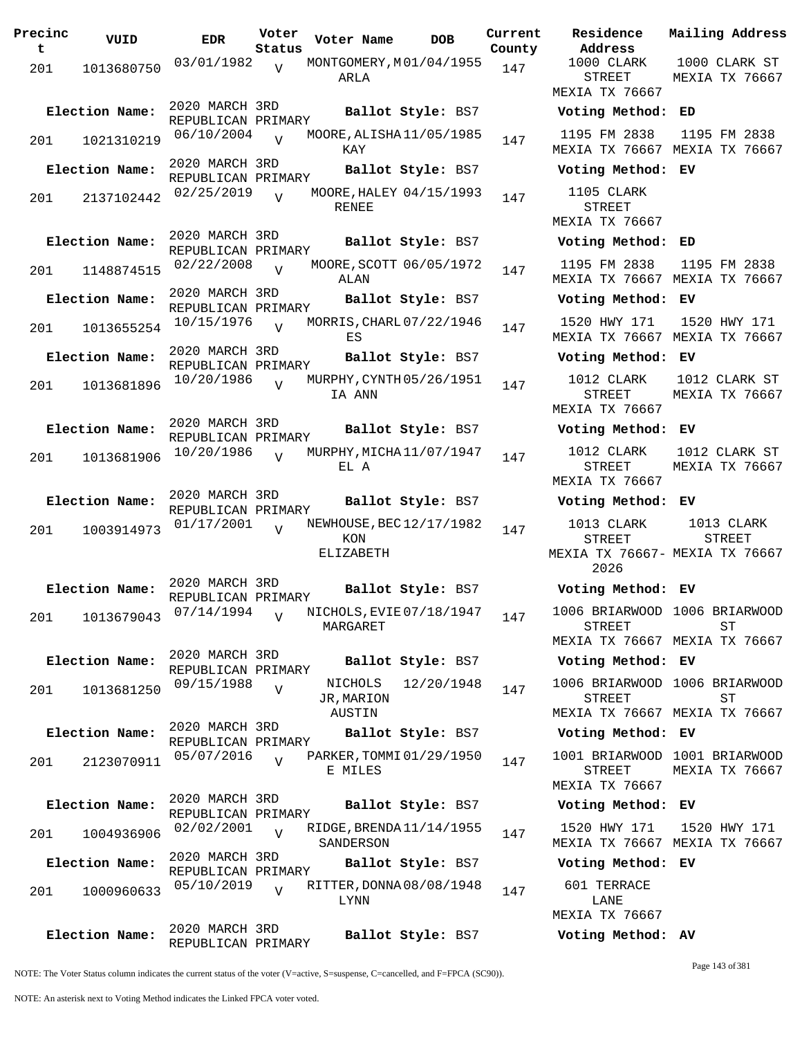| Precinc | VUID           | <b>EDR</b>                           | Voter          | Voter Name<br><b>DOB</b>                      | Current | Residence                                     | Mai.         |
|---------|----------------|--------------------------------------|----------------|-----------------------------------------------|---------|-----------------------------------------------|--------------|
| t.      |                |                                      | Status         |                                               | County  | Address<br>1000 CLARK                         | 10           |
| 201     | 1013680750     | 03/01/1982                           | $\overline{V}$ | MONTGOMERY, M01/04/1955<br>ARLA               | 147     | <b>STREET</b><br>MEXIA TX 76667               | MEX          |
|         | Election Name: | 2020 MARCH 3RD<br>REPUBLICAN PRIMARY |                | Ballot Style: BS7                             |         | Voting Method: ED                             |              |
| 201     | 1021310219     | 06/10/2004                           | $\overline{V}$ | MOORE, ALISHA 11/05/1985<br>KAY               | 147     | 1195 FM 2838<br>MEXIA TX 76667 MEX            | 11           |
|         | Election Name: | 2020 MARCH 3RD<br>REPUBLICAN PRIMARY |                | Ballot Style: BS7                             |         | Voting Method: EV                             |              |
| 201     | 2137102442     | 02/25/2019                           | $\overline{U}$ | MOORE, HALEY 04/15/1993<br><b>RENEE</b>       | 147     | 1105 CLARK<br><b>STREET</b>                   |              |
|         | Election Name: | 2020 MARCH 3RD                       |                | Ballot Style: BS7                             |         | MEXIA TX 76667<br>Voting Method: ED           |              |
| 201     | 1148874515     | REPUBLICAN PRIMARY<br>02/22/2008     | $\overline{V}$ | MOORE, SCOTT 06/05/1972                       | 147     | 1195 FM 2838                                  | 11           |
|         |                | 2020 MARCH 3RD                       |                | ALAN                                          |         | MEXIA TX 76667 MEX                            |              |
|         | Election Name: | REPUBLICAN PRIMARY                   |                | Ballot Style: BS7                             |         | Voting Method: EV                             |              |
| 201     | 1013655254     | 10/15/1976                           | $\overline{U}$ | MORRIS, CHARL 07/22/1946<br>ES                | 147     | 1520 HWY 171<br>MEXIA TX 76667 MEX            | 15           |
|         | Election Name: | 2020 MARCH 3RD<br>REPUBLICAN PRIMARY |                | Ballot Style: BS7                             |         | Voting Method: EV                             |              |
| 201     | 1013681896     | 10/20/1986                           | $\overline{U}$ | MURPHY, CYNTH 05/26/1951<br>IA ANN            | 147     | 1012 CLARK<br><b>STREET</b><br>MEXIA TX 76667 | 10<br>MEX    |
|         | Election Name: | 2020 MARCH 3RD<br>REPUBLICAN PRIMARY |                | Ballot Style: BS7                             |         | Voting Method:                                | EV           |
| 201     | 1013681906     | 10/20/1986                           | $\overline{U}$ | MURPHY, MICHA 11/07/1947<br>EL A              | 147     | 1012 CLARK<br>STREET<br>MEXIA TX 76667        | 10<br>MEX    |
|         | Election Name: | 2020 MARCH 3RD                       |                | Ballot Style: BS7                             |         | Voting Method: EV                             |              |
| 201     | 1003914973     | REPUBLICAN PRIMARY<br>01/17/2001     | $\overline{V}$ | NEWHOUSE, BEC 12/17/1982                      | 147     | 1013 CLARK                                    | $\mathbf{1}$ |
|         |                |                                      |                | KON<br>ELIZABETH                              |         | <b>STREET</b><br>MEXIA TX 76667- MEX<br>2026  |              |
|         | Election Name: | 2020 MARCH 3RD<br>REPUBLICAN PRIMARY |                | Ballot Style: BS7                             |         | Voting Method: EV                             |              |
| 201     |                | 1013679043 07/14/1994                | $\overline{V}$ | -<br>NICHOLS, EVIE 07/18/1947 147<br>MARGARET |         | 1006 BRIARWOOD 100<br><b>STREET</b>           |              |
|         | Election Name: | 2020 MARCH 3RD                       |                | Ballot Style: BS7                             |         | MEXIA TX 76667 MEX<br>Voting Method: EV       |              |
|         |                | REPUBLICAN PRIMARY<br>09/15/1988     |                | 12/20/1948<br>NICHOLS                         |         | 1006 BRIARWOOD 100                            |              |
| 201     | 1013681250     |                                      | $\overline{V}$ | JR, MARION<br>AUSTIN                          | 147     | <b>STREET</b><br>MEXIA TX 76667 MEX           |              |
|         | Election Name: | 2020 MARCH 3RD<br>REPUBLICAN PRIMARY |                | Ballot Style: BS7                             |         | Voting Method: EV                             |              |
| 201     | 2123070911     | 05/07/2016                           | $\overline{V}$ | PARKER, TOMMI 01/29/1950<br>E MILES           | 147     | 1001 BRIARWOOD 100<br><b>STREET</b>           | MEX          |
|         |                | 2020 MARCH 3RD                       |                |                                               |         | MEXIA TX 76667                                |              |
|         | Election Name: | REPUBLICAN PRIMARY                   |                | Ballot Style: BS7                             |         | Voting Method: EV                             |              |
| 201     | 1004936906     | 02/02/2001                           | $\overline{U}$ | RIDGE, BRENDA 11/14/1955<br>SANDERSON         | 147     | 1520 HWY 171<br>MEXIA TX 76667 MEX            | 15           |
|         | Election Name: | 2020 MARCH 3RD<br>REPUBLICAN PRIMARY |                | Ballot Style: BS7                             |         | Voting Method: EV                             |              |
| 201     | 1000960633     | 05/10/2019                           | $\overline{V}$ | RITTER, DONNA 08/08/1948<br>LYNN              | 147     | 601 TERRACE<br>LANE                           |              |
|         | Election Name: | 2020 MARCH 3RD<br>REPUBLICAN PRIMARY |                | Ballot Style: BS7                             |         | MEXIA TX 76667<br>Voting Method: AV           |              |

**Voter Name DOB Residence Address Current Mailing Address** 1000 CLARK STREET MEXIA TX 76667 1000 CLARK ST MEXIA TX 76667 **Election Name: Ballot Style:** BS7 **Voting Method: ED** 1195 FM 2838 MEXIA TX 76667 MEXIA TX 76667 1195 FM 2838 **Election Name: Ballot Style:** BS7 **Voting Method: EV** 1105 CLARK STREET MEXIA TX 76667 **Election Name: Ballot Style:** BS7 **Voting Method: ED** 1195 FM 2838 MEXIA TX 76667 MEXIA TX 76667 1195 FM 2838 **Election Name: Ballot Style:** BS7 **Voting Method: EV** 1520 HWY 171 MEXIA TX 76667 MEXIA TX 76667 1520 HWY 171 **Election Name: Ballot Style:** BS7 **Voting Method: EV** 1012 CLARK STREET MEXIA TX 76667 1012 CLARK ST MEXIA TX 76667 **Election Name: Ballot Style:** BS7 **Voting Method: EV** 1012 CLARK STREET MEXIA TX 76667 1012 CLARK ST MEXIA TX 76667 **Election Name: Ballot Style:** BS7 **Voting Method: EV** 1013 CLARK STREET MEXIA TX 76667- MEXIA TX 76667 2026 1013 CLARK STREET **Election Name: Ballot Style:** BS7 **Voting Method: EV** 1006 BRIARWOOD 1006 BRIARWOOD STREET MEXIA TX 76667 MEXIA TX 76667 ST **Election Name: Ballot Style:** BS7 **Voting Method: EV** 1006 BRIARWOOD 1006 BRIARWOOD STREET MEXIA TX 76667 MEXIA TX 76667 ST **Election Name: Ballot Style:** BS7 **Voting Method: EV** 1001 BRIARWOOD 1001 BRIARWOOD STREET MEXIA TX 76667 MEXIA TX 76667 **Election Name: Ballot Style:** BS7 **Voting Method: EV** 1520 HWY 171 MEXIA TX 76667 MEXIA TX 76667 1520 HWY 171 **Election Name: Ballot Style:** BS7 **Voting Method: EV** 601 TERRACE LANE MEXIA TX 76667

NOTE: The Voter Status column indicates the current status of the voter (V=active, S=suspense, C=cancelled, and F=FPCA (SC90)).

Page 143 of 381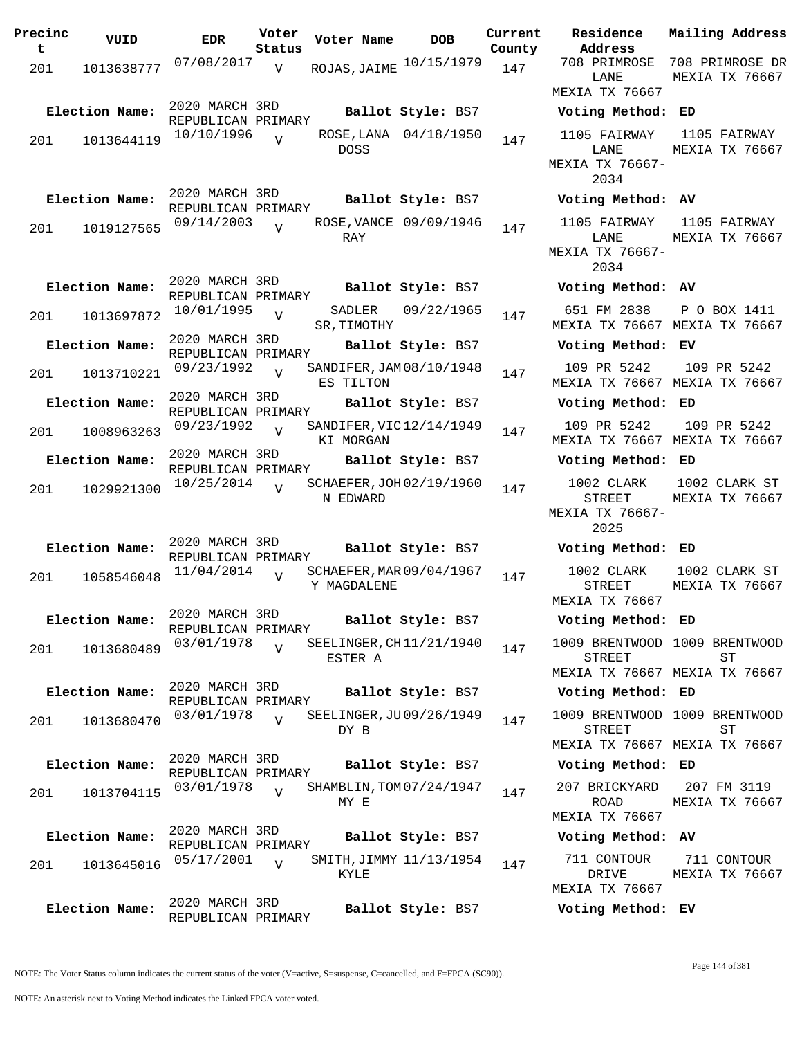| t<br>Status<br>County<br>07/08/2017<br>ROJAS, JAIME 10/15/1979<br>V<br>147<br>201<br>1013638777<br>2020 MARCH 3RD<br>Election Name:<br>Ballot Style: BS7<br>REPUBLICAN PRIMARY<br>10/10/1996<br>ROSE, LANA 04/18/1950<br>$\overline{U}$<br>147<br>1013644119<br>201<br><b>DOSS</b> | Address<br>708 PRIMROSE<br>LANE<br>MEXIA TX 7666<br>Voting Metho<br>1105 FAIRWAY<br>LANE<br>MEXIA TX 7666 |
|------------------------------------------------------------------------------------------------------------------------------------------------------------------------------------------------------------------------------------------------------------------------------------|-----------------------------------------------------------------------------------------------------------|
|                                                                                                                                                                                                                                                                                    |                                                                                                           |
|                                                                                                                                                                                                                                                                                    |                                                                                                           |
|                                                                                                                                                                                                                                                                                    |                                                                                                           |
|                                                                                                                                                                                                                                                                                    | 2034                                                                                                      |
| 2020 MARCH 3RD<br>Election Name:<br>Ballot Style: BS7<br>REPUBLICAN PRIMARY                                                                                                                                                                                                        | Voting Metho                                                                                              |
| 09/14/2003<br>ROSE, VANCE 09/09/1946<br>$\overline{V}$<br>147<br>1019127565<br>201<br>RAY                                                                                                                                                                                          | 1105 FAIRWAY<br>LANE<br>MEXIA TX 76667<br>2034                                                            |
| 2020 MARCH 3RD<br>Election Name:<br>Ballot Style: BS7<br>REPUBLICAN PRIMARY                                                                                                                                                                                                        | Voting Metho                                                                                              |
| 09/22/1965<br>10/01/1995<br>SADLER<br>$\overline{V}$<br>147<br>201<br>1013697872<br>SR, TIMOTHY                                                                                                                                                                                    | 651 FM 2838<br>MEXIA TX 7666                                                                              |
| 2020 MARCH 3RD<br>Election Name:<br>Ballot Style: BS7<br>REPUBLICAN PRIMARY                                                                                                                                                                                                        | Voting Metho                                                                                              |
| 09/23/1992<br>SANDIFER, JAM 08/10/1948<br>$\overline{V}$<br>147<br>201<br>1013710221<br>ES TILTON                                                                                                                                                                                  | 109 PR 5242<br>MEXIA TX 7666                                                                              |
| 2020 MARCH 3RD<br>Election Name:<br>Ballot Style: BS7<br>REPUBLICAN PRIMARY                                                                                                                                                                                                        | Voting Metho                                                                                              |
| 09/23/1992<br>SANDIFER, VIC 12/14/1949<br>V<br>147<br>201<br>1008963263<br>KI MORGAN                                                                                                                                                                                               | 109 PR 5242<br>MEXIA TX 7666                                                                              |
| 2020 MARCH 3RD<br>Election Name:<br>Ballot Style: BS7                                                                                                                                                                                                                              | Voting Metho                                                                                              |
| REPUBLICAN PRIMARY<br>10/25/2014<br>SCHAEFER, JOH 02/19/1960<br>$\overline{V}$<br>147<br>201<br>1029921300<br>N EDWARD                                                                                                                                                             | 1002 CLARK<br>STREET<br>MEXIA TX 7666<br>2025                                                             |
| 2020 MARCH 3RD<br>Election Name:<br>Ballot Style: BS7<br>REPUBLICAN PRIMARY                                                                                                                                                                                                        | Voting Metho                                                                                              |
| 11/04/2014<br>SCHAEFER, MAR 09/04/1967<br>$\overline{U}$<br>147<br>201<br>1058546048<br>Y MAGDALENE                                                                                                                                                                                | 1002 CLARK<br>STREET<br>MEXIA TX 7666                                                                     |
| 2020 MARCH 3RD<br>Election Name:<br>Ballot Style: BS7<br>REPUBLICAN PRIMARY                                                                                                                                                                                                        | Voting Metho                                                                                              |
| 03/01/1978<br>SEELINGER, CH11/21/1940<br>$\overline{V}$<br>147<br>201<br>1013680489<br>ESTER A                                                                                                                                                                                     | 1009 BRENTWOO<br>STREET<br>MEXIA TX 7666                                                                  |
| 2020 MARCH 3RD<br>Election Name:<br>Ballot Style: BS7<br>REPUBLICAN PRIMARY                                                                                                                                                                                                        | Voting Metho                                                                                              |
| 03/01/1978<br>SEELINGER, JU09/26/1949<br>$\overline{V}$<br>147<br>201<br>1013680470<br>DY B                                                                                                                                                                                        | 1009 BRENTWOO<br>STREET<br>MEXIA TX 7666                                                                  |
| 2020 MARCH 3RD<br>Election Name:<br>Ballot Style: BS7<br>REPUBLICAN PRIMARY                                                                                                                                                                                                        | Voting Metho                                                                                              |
| 03/01/1978<br>SHAMBLIN, TOM 07/24/1947<br>$\overline{U}$<br>147<br>201<br>1013704115<br>MY E                                                                                                                                                                                       | 207 BRICKYARI<br>ROAD<br>MEXIA TX 7666                                                                    |
| 2020 MARCH 3RD<br>Election Name:<br>Ballot Style: BS7                                                                                                                                                                                                                              | Voting Metho                                                                                              |
| REPUBLICAN PRIMARY<br>05/17/2001<br>SMITH, JIMMY 11/13/1954<br>$\overline{V}$<br>147<br>201<br>1013645016<br>KYLE                                                                                                                                                                  | 711 CONTOUR<br>DRIVE<br>MEXIA TX 7666                                                                     |
| 2020 MARCH 3RD<br>Election Name:<br>Ballot Style: BS7<br>REPUBLICAN PRIMARY                                                                                                                                                                                                        | Voting Metho                                                                                              |

**Voter Name DOB Residence Address Current Mailing Address** LANE MEXIA TX 76667 708 PRIMROSE DR MEXIA TX 76667 **Election Name: Ballot Style:** BS7 **Voting Method: ED** 1105 FAIRWAY T.ANE MEXIA TX 76667- 2034 1105 FAIRWAY MEXIA TX 76667 **Election Name: Ballot Style:** BS7 **Voting Method: AV** 1105 FAIRWAY LANE MEXIA TX 76667- 2034 1105 FAIRWAY MEXIA TX 76667 **Election Name: Ballot Style:** BS7 **Voting Method: AV** 651 FM 2838 MEXIA TX 76667 MEXIA TX 76667 P O BOX 1411 **Election Name: Ballot Style:** BS7 **Voting Method: EV** 109 PR 5242 MEXIA TX 76667 MEXIA TX 76667 109 PR 5242 **Election Name: Ballot Style:** BS7 **Voting Method: ED** 109 PR 5242 MEXIA TX 76667 MEXIA TX 76667 109 PR 5242 **Election Name: Ballot Style:** BS7 **Voting Method: ED** 1002 CLARK STREET MEXIA TX 76667- 2025 1002 CLARK ST MEXIA TX 76667 **Election Name: Ballot Style:** BS7 **Voting Method: ED** 1002 CLARK STREET MEXIA TX 76667 1002 CLARK ST MEXIA TX 76667 **Election Name: Ballot Style:** BS7 **Voting Method: ED** 1009 BRENTWOOD 1009 BRENTWOOD STREET MEXIA TX 76667 MEXIA TX 76667 ST **Election Name: Ballot Style:** BS7 **Voting Method: ED** 1009 BRENTWOOD 1009 BRENTWOOD STREET MEXIA TX 76667 MEXIA TX 76667 ST **Election Name: Ballot Style:** BS7 **Voting Method: ED** 207 BRICKYARD 207 FM 3119 ROAD MEXIA TX 76667 MEXIA TX 76667 **Election Name: Ballot Style:** BS7 **Voting Method: AV** 711 CONTOUR DRIVE MEXIA TX 76667 711 CONTOUR MEXIA TX 76667 **Election Name: Ballot Style:** BS7 **Voting Method: EV**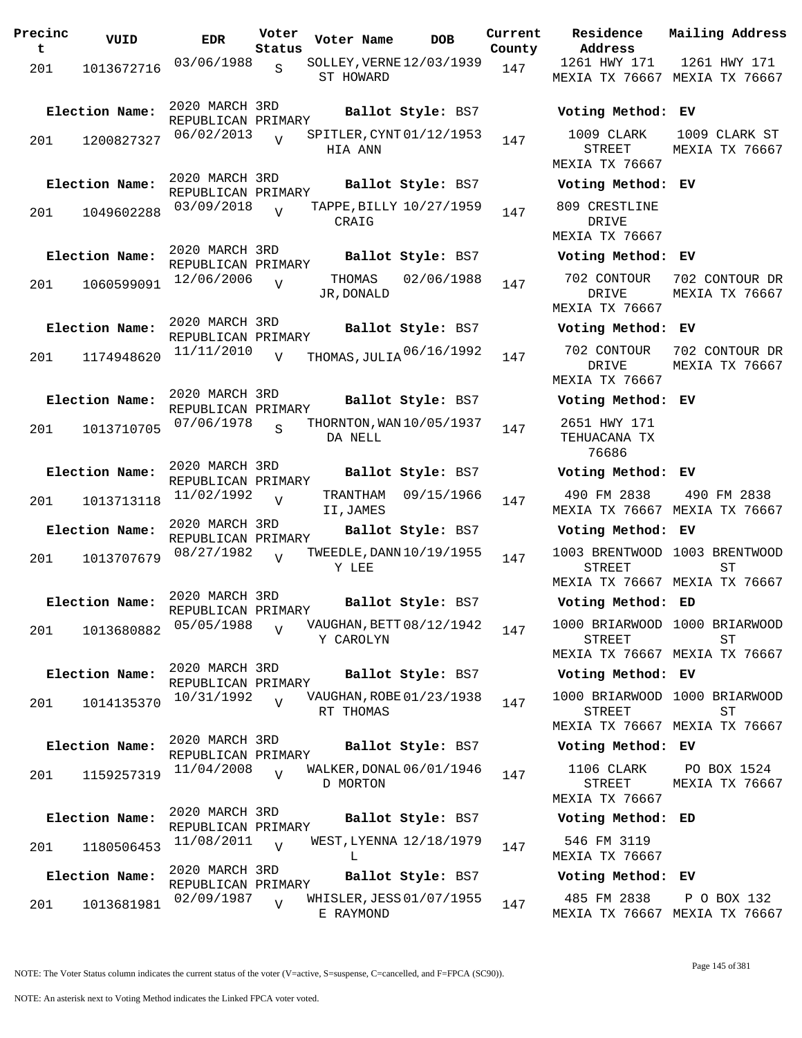| Precinc<br>t | VUID           | <b>EDR</b>                           | Voter<br>Status | Voter Name            | <b>DOB</b>                          | Current<br>County | Residence<br>Address                                |
|--------------|----------------|--------------------------------------|-----------------|-----------------------|-------------------------------------|-------------------|-----------------------------------------------------|
| 201          | 1013672716     | 03/06/1988                           | $\mathbf S$     | ST HOWARD             | SOLLEY, VERNE 12/03/1939            | 147               | 1261 HWY 171<br><b>MEXIA TX 7666</b>                |
|              | Election Name: | 2020 MARCH 3RD<br>REPUBLICAN PRIMARY |                 |                       | Ballot Style: BS7                   |                   | Voting Metho                                        |
| 201          | 1200827327     | 06/02/2013                           | $\overline{U}$  | HIA ANN               | SPITLER, CYNT 01/12/1953            | 147               | 1009 CLARK<br>STREET<br>MEXIA TX 7666               |
|              | Election Name: | 2020 MARCH 3RD<br>REPUBLICAN PRIMARY |                 |                       | Ballot Style: BS7                   |                   | Voting Metho                                        |
| 201          | 1049602288     | 03/09/2018                           | $\overline{U}$  | CRAIG                 | TAPPE, BILLY 10/27/1959             | 147               | 809 CRESTLIN<br>DRIVE<br><b>MEXIA TX 7666</b>       |
|              | Election Name: | 2020 MARCH 3RD                       |                 |                       | Ballot Style: BS7                   |                   | Voting Metho                                        |
| 201          | 1060599091     | REPUBLICAN PRIMARY<br>12/06/2006     | V               | THOMAS<br>JR, DONALD  | 02/06/1988                          | 147               | 702 CONTOUR<br>DRIVE<br><b>MEXIA TX 7666</b>        |
|              | Election Name: | 2020 MARCH 3RD                       |                 |                       | Ballot Style: BS7                   |                   | Voting Metho                                        |
| 201          | 1174948620     | REPUBLICAN PRIMARY<br>11/11/2010     | $\overline{V}$  |                       | THOMAS, JULIA <sup>06/16/1992</sup> | 147               | 702 CONTOUR<br>DRIVE                                |
|              | Election Name: | 2020 MARCH 3RD                       |                 |                       | Ballot Style: BS7                   |                   | <b>MEXIA TX 7666</b><br>Voting Metho                |
| 201          | 1013710705     | REPUBLICAN PRIMARY<br>07/06/1978     | $\mathbf S$     | DA NELL               | THORNTON, WAN 10/05/1937            | 147               | 2651 HWY 173<br>TEHUACANA TI<br>76686               |
|              | Election Name: | 2020 MARCH 3RD                       |                 |                       | Ballot Style: BS7                   |                   | Voting Metho                                        |
| 201          | 1013713118     | REPUBLICAN PRIMARY<br>11/02/1992     | $\overline{V}$  | TRANTHAM<br>II, JAMES | 09/15/1966                          | 147               | 490 FM 2838<br><b>MEXIA TX 7666</b>                 |
|              | Election Name: | 2020 MARCH 3RD                       |                 |                       | Ballot Style: BS7                   |                   | Voting Metho                                        |
| 201          | 1013707679     | REPUBLICAN PRIMARY<br>08/27/1982     | $\overline{U}$  | Y LEE                 | TWEEDLE, DANN 10/19/1955            | 147               | 1003 BRENTWOO<br>STREET                             |
|              | Election Name: | 2020 MARCH 3RD                       |                 |                       | Ballot Style: BS7                   |                   | <b>MEXIA TX 7666</b><br>Voting Metho                |
|              |                | REPUBLICAN PRIMARY<br>05/05/1988     |                 |                       | VAUGHAN, BETT 08/12/1942            |                   | 1000 BRIARWO                                        |
| 201          | 1013680882     |                                      | $\overline{V}$  | Y CAROLYN             |                                     | 147               | STREET<br>MEXIA TX 7666                             |
|              | Election Name: | 2020 MARCH 3RD<br>REPUBLICAN PRIMARY |                 |                       | Ballot Style: BS7                   |                   | Voting Metho                                        |
| 201          | 1014135370     | 10/31/1992                           | $\overline{V}$  | RT THOMAS             | VAUGHAN, ROBE 01/23/1938            | 147               | 1000 BRIARWO<br>STREET<br>MEXIA TX 7666             |
|              | Election Name: | 2020 MARCH 3RD                       |                 |                       | Ballot Style: BS7                   |                   | Voting Metho                                        |
| 201          | 1159257319     | REPUBLICAN PRIMARY<br>11/04/2008     | $\overline{V}$  | D MORTON              | WALKER, DONAL 06/01/1946            | 147               | 1106 CLARK<br><b>STREET</b><br><b>MEXIA TX 7666</b> |
|              | Election Name: | 2020 MARCH 3RD                       |                 |                       | Ballot Style: BS7                   |                   | Voting Metho                                        |
| 201          | 1180506453     | REPUBLICAN PRIMARY<br>11/08/2011     | $\overline{U}$  | L                     | WEST, LYENNA 12/18/1979             | 147               | 546 FM 3119<br>MEXIA TX 7666                        |
|              | Election Name: | 2020 MARCH 3RD<br>REPUBLICAN PRIMARY |                 |                       | Ballot Style: BS7                   |                   | Voting Metho                                        |
| 201          | 1013681981     | 02/09/1987                           | $\overline{V}$  | E RAYMOND             | WHISLER, JESS 01/07/1955            | 147               | 485 FM 2838<br>MEXIA TX 7666                        |

**PORE Residence Address Current Mailing Address** 1261 HWY 171 MEXIA TX 76667 MEXIA TX 76667 1261 HWY 171 **Election Name: Ballot Style:** BS7 **Voting Method: EV** 1009 CLARK STREET MEXIA TX 76667 1009 CLARK ST MEXIA TX 76667 **Election Name: Ballot Style:** BS7 **Voting Method: EV** 809 CRESTLINE DRIVE MEXIA TX 76667 **Election Name: Ballot Style:** BS7 **Voting Method: EV** 702 CONTOUR DRIVE MEXIA TX 76667 702 CONTOUR DR MEXIA TX 76667 **Election Name: Ballot Style:** BS7 **Voting Method: EV** DRIVE MEXIA TX 76667 702 CONTOUR DR MEXIA TX 76667 **Election Name: Ballot Style:** BS7 **Voting Method: EV** 2651 HWY 171 TEHUACANA TX 76686 **Election Name: Ballot Style:** BS7 **Voting Method: EV** 490 FM 2838 MEXIA TX 76667 MEXIA TX 76667 490 FM 2838 **Election Name: Ballot Style:** BS7 **Voting Method: EV** 1003 BRENTWOOD 1003 BRENTWOOD STREET MEXIA TX 76667 MEXIA TX 76667 ST **Election Name: Ballot Style:** BS7 **Voting Method: ED** 1000 BRIARWOOD 1000 BRIARWOOD STREET MEXIA TX 76667 MEXIA TX 76667 ST **Election Name: Ballot Style:** BS7 **Voting Method: EV** 1000 BRIARWOOD 1000 BRIARWOOD STREET MEXIA TX 76667 MEXIA TX 76667 ST **Election Name: Ballot Style:** BS7 **Voting Method: EV** 1106 CLARK STREET MEXIA TX 76667 PO BOX 1524 MEXIA TX 76667 **Election Name: Ballot Style:** BS7 **Voting Method: ED** 546 FM 3119 MEXIA TX 76667 **Election Name: Ballot Style:** BS7 **Voting Method: EV**

> 485 FM 2838 MEXIA TX 76667 MEXIA TX 76667 P O BOX 132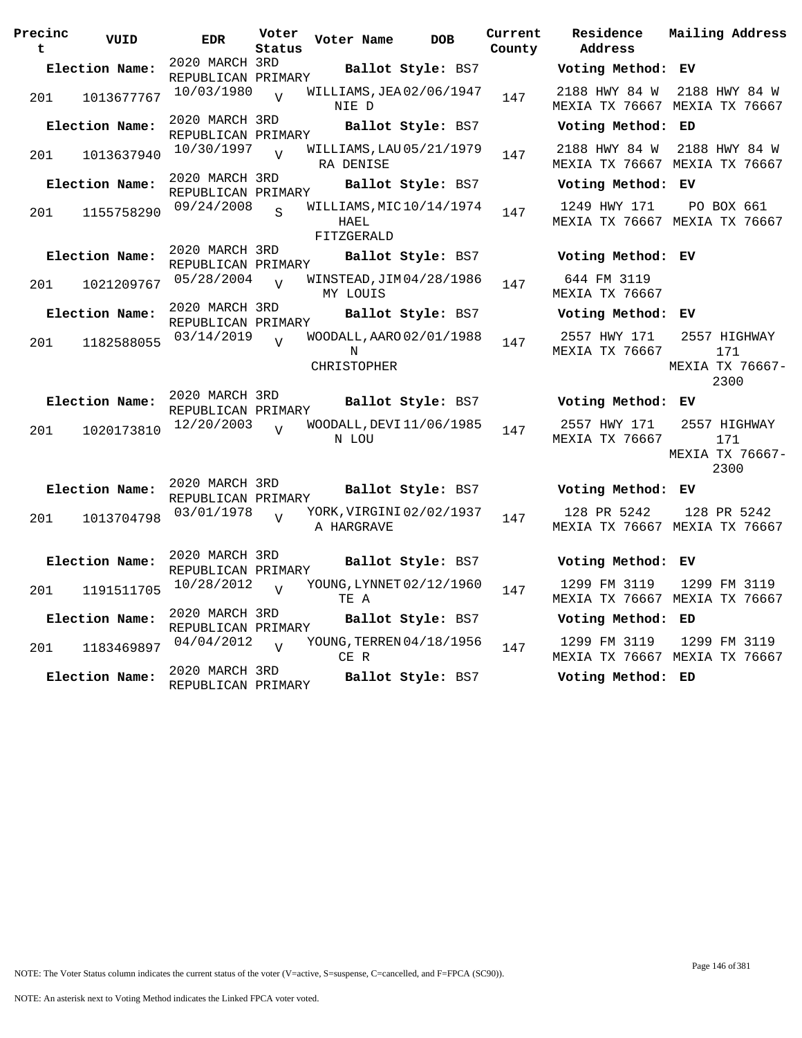| Precinc<br>t. | VUID           | <b>EDR</b>                           | Voter<br>Status | Voter Name                                    | <b>DOB</b>               | Current<br>County | Residence<br>Address                  | Mailing Address                                |
|---------------|----------------|--------------------------------------|-----------------|-----------------------------------------------|--------------------------|-------------------|---------------------------------------|------------------------------------------------|
|               | Election Name: | 2020 MARCH 3RD<br>REPUBLICAN PRIMARY |                 |                                               | Ballot Style: BS7        |                   | Voting Method: EV                     |                                                |
| 201           | 1013677767     | 10/03/1980                           | $\overline{U}$  | WILLIAMS, JEA 02/06/1947<br>NIE D             |                          | 147               | 2188 HWY 84 W                         | 2188 HWY 84 W<br>MEXIA TX 76667 MEXIA TX 76667 |
|               | Election Name: | 2020 MARCH 3RD<br>REPUBLICAN PRIMARY |                 |                                               | <b>Ballot Style: BS7</b> |                   | Voting Method: ED                     |                                                |
| 201           | 1013637940     | 10/30/1997                           | $\overline{v}$  | WILLIAMS, LAU 05/21/1979<br>RA DENISE         |                          | 147               | 2188 HWY 84 W                         | 2188 HWY 84 W<br>MEXIA TX 76667 MEXIA TX 76667 |
|               | Election Name: | 2020 MARCH 3RD<br>REPUBLICAN PRIMARY |                 |                                               | Ballot Style: BS7        |                   | Voting Method: EV                     |                                                |
| 201           | 1155758290     | 09/24/2008                           | $\mathbf{S}$    | WILLIAMS, MIC10/14/1974<br>HAEL<br>FITZGERALD |                          | 147               | 1249 HWY 171                          | PO BOX 661<br>MEXIA TX 76667 MEXIA TX 76667    |
|               | Election Name: | 2020 MARCH 3RD<br>REPUBLICAN PRIMARY |                 |                                               | Ballot Style: BS7        |                   | Voting Method: EV                     |                                                |
| 201           | 1021209767     | 05/28/2004                           | $\overline{U}$  | WINSTEAD, JIM 04/28/1986<br>MY LOUIS          |                          | 147               | 644 FM 3119<br>MEXIA TX 76667         |                                                |
|               | Election Name: | 2020 MARCH 3RD<br>REPUBLICAN PRIMARY |                 |                                               | Ballot Style: BS7        |                   | Voting Method: EV                     |                                                |
| 201           | 1182588055     | 03/14/2019                           | $\overline{U}$  | WOODALL, AARO 02/01/1988<br>N<br>CHRISTOPHER  |                          | 147               | 2557 HWY 171<br><b>MEXIA TX 76667</b> | 2557 HIGHWAY<br>171<br>MEXIA TX 76667-<br>2300 |
|               | Election Name: | 2020 MARCH 3RD<br>REPUBLICAN PRIMARY |                 |                                               | Ballot Style: BS7        |                   | Voting Method: EV                     |                                                |
| 201           | 1020173810     | 12/20/2003                           | $\overline{17}$ | WOODALL, DEVI 11/06/1985<br>N LOU             |                          | 147               | 2557 HWY 171<br><b>MEXIA TX 76667</b> | 2557 HIGHWAY<br>171<br>MEXIA TX 76667-<br>2300 |
|               | Election Name: | 2020 MARCH 3RD<br>REPUBLICAN PRIMARY |                 |                                               | Ballot Style: BS7        |                   | Voting Method: EV                     |                                                |
| 201           | 1013704798     | 03/01/1978                           | $\bar{z}$       | YORK, VIRGINI 02/02/1937<br>A HARGRAVE        |                          | 147               | 128 PR 5242                           | 128 PR 5242<br>MEXIA TX 76667 MEXIA TX 76667   |
|               | Election Name: | 2020 MARCH 3RD<br>REPUBLICAN PRIMARY |                 |                                               | Ballot Style: BS7        |                   | Voting Method: EV                     |                                                |
| 201           | 1191511705     | 10/28/2012                           | $\overline{U}$  | YOUNG, LYNNET 02/12/1960<br>TE A              |                          | 147               | 1299 FM 3119                          | 1299 FM 3119<br>MEXIA TX 76667 MEXIA TX 76667  |
|               | Election Name: | 2020 MARCH 3RD<br>REPUBLICAN PRIMARY |                 |                                               | Ballot Style: BS7        |                   | Voting Method: ED                     |                                                |
| 201           | 1183469897     | 04/04/2012                           | $\overline{U}$  | YOUNG, TERREN 04/18/1956<br>CE R              |                          | 147               | 1299 FM 3119                          | 1299 FM 3119<br>MEXIA TX 76667 MEXIA TX 76667  |
|               | Election Name: | 2020 MARCH 3RD<br>REPUBLICAN PRIMARY |                 |                                               | Ballot Style: BS7        |                   | Voting Method: ED                     |                                                |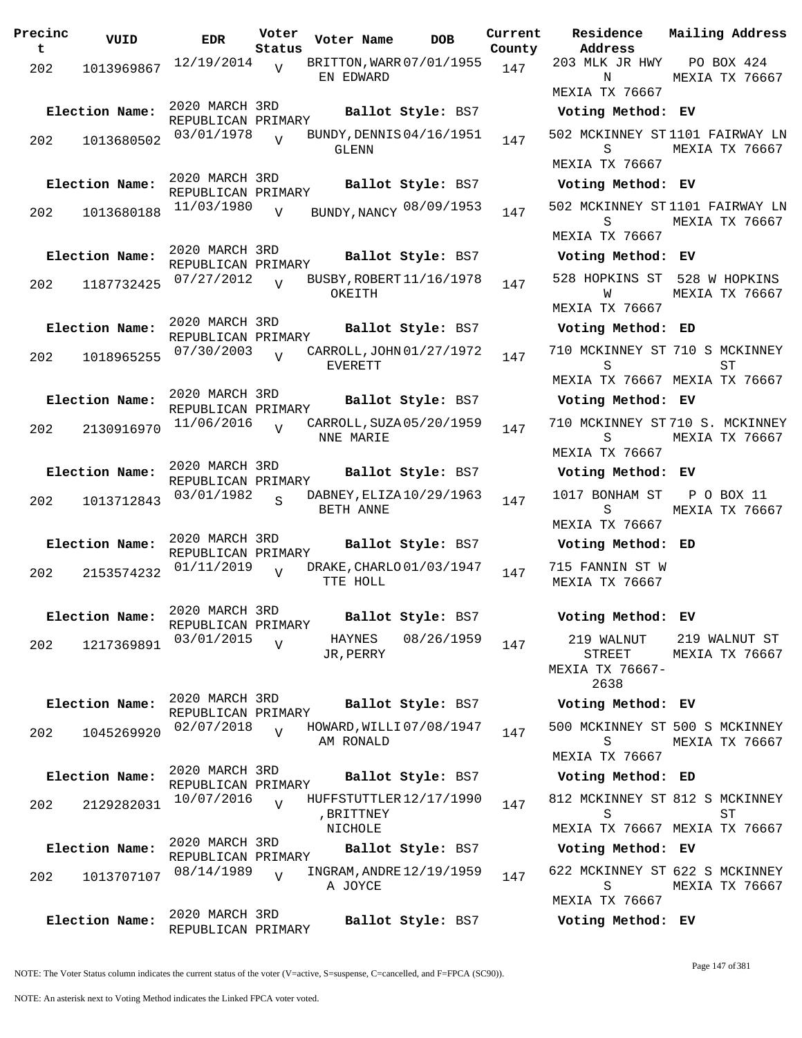| Precinc<br>t | VUID           | <b>EDR</b>                           | Voter<br>Status | Voter Name                                 | <b>DOB</b>        | Current<br>County | Residence<br>Address                            | Mailing Address                                  |
|--------------|----------------|--------------------------------------|-----------------|--------------------------------------------|-------------------|-------------------|-------------------------------------------------|--------------------------------------------------|
| 202          | 1013969867     | 12/19/2014                           | $\overline{v}$  | BRITTON, WARR 07/01/1955<br>EN EDWARD      |                   | 147               | 203 MLK JR HWY<br>N                             | PO BOX 424<br>MEXIA TX 76667                     |
|              |                | 2020 MARCH 3RD                       |                 |                                            |                   |                   | MEXIA TX 76667                                  |                                                  |
|              | Election Name: | REPUBLICAN PRIMARY                   |                 |                                            | Ballot Style: BS7 |                   | Voting Method: EV                               |                                                  |
| 202          | 1013680502     | 03/01/1978                           | $\overline{V}$  | BUNDY, DENNIS 04/16/1951<br>GLENN          |                   | 147               | S<br><b>MEXIA TX 76667</b>                      | 502 MCKINNEY ST1101 FAIRWAY LN<br>MEXIA TX 76667 |
|              | Election Name: | 2020 MARCH 3RD                       |                 |                                            | Ballot Style: BS7 |                   | Voting Method: EV                               |                                                  |
|              |                | REPUBLICAN PRIMARY<br>11/03/1980     |                 | BUNDY, NANCY 08/09/1953                    |                   |                   |                                                 | 502 MCKINNEY ST1101 FAIRWAY LN                   |
| 202          | 1013680188     |                                      | $\overline{V}$  |                                            |                   | 147               | S<br><b>MEXIA TX 76667</b>                      | MEXIA TX 76667                                   |
|              | Election Name: | 2020 MARCH 3RD<br>REPUBLICAN PRIMARY |                 |                                            | Ballot Style: BS7 |                   | Voting Method: EV                               |                                                  |
| 202          | 1187732425     | 07/27/2012                           | $\overline{V}$  | BUSBY, ROBERT 11/16/1978<br>OKEITH         |                   | 147               | W<br>MEXIA TX 76667                             | 528 HOPKINS ST 528 W HOPKINS<br>MEXIA TX 76667   |
|              | Election Name: | 2020 MARCH 3RD<br>REPUBLICAN PRIMARY |                 |                                            | Ballot Style: BS7 |                   | Voting Method: ED                               |                                                  |
| 202          | 1018965255     | 07/30/2003                           | $\overline{U}$  | CARROLL, JOHN 01/27/1972<br><b>EVERETT</b> |                   | 147               | S                                               | 710 MCKINNEY ST 710 S MCKINNEY<br>ST             |
|              |                |                                      |                 |                                            |                   |                   |                                                 | MEXIA TX 76667 MEXIA TX 76667                    |
|              | Election Name: | 2020 MARCH 3RD<br>REPUBLICAN PRIMARY |                 |                                            | Ballot Style: BS7 |                   | Voting Method: EV                               |                                                  |
| 202          | 2130916970     | 11/06/2016                           | $\overline{Y}$  | CARROLL, SUZA 05/20/1959<br>NNE MARIE      |                   | 147               | S                                               | 710 MCKINNEY ST710 S. MCKINNEY<br>MEXIA TX 76667 |
|              |                |                                      |                 |                                            |                   |                   | MEXIA TX 76667                                  |                                                  |
|              | Election Name: | 2020 MARCH 3RD<br>REPUBLICAN PRIMARY |                 |                                            | Ballot Style: BS7 |                   | Voting Method: EV                               |                                                  |
| 202          | 1013712843     | 03/01/1982                           | $\mathbf{S}$    | DABNEY, ELIZA 10/29/1963<br>BETH ANNE      |                   | 147               | 1017 BONHAM ST<br>S                             | P O BOX 11<br>MEXIA TX 76667                     |
|              |                | 2020 MARCH 3RD                       |                 |                                            |                   |                   | MEXIA TX 76667                                  |                                                  |
|              | Election Name: | REPUBLICAN PRIMARY                   |                 |                                            | Ballot Style: BS7 |                   | Voting Method: ED                               |                                                  |
| 202          | 2153574232     | 01/11/2019                           | $\overline{V}$  | DRAKE, CHARLO 01/03/1947<br>TTE HOLL       |                   | 147               | 715 FANNIN ST W<br>MEXIA TX 76667               |                                                  |
|              | Election Name: | 2020 MARCH 3RD<br>REPUBLICAN PRIMARY |                 |                                            | Ballot Style: BS7 |                   | Voting Method: EV                               |                                                  |
| 202          | 1217369891     | 03/01/2015                           | $\overline{V}$  | HAYNES<br>JR, PERRY                        | 08/26/1959        | 147               | 219 WALNUT<br>STREET<br>MEXIA TX 76667-<br>2638 | 219 WALNUT ST<br>MEXIA TX 76667                  |
|              | Election Name: | 2020 MARCH 3RD<br>REPUBLICAN PRIMARY |                 |                                            | Ballot Style: BS7 |                   | Voting Method: EV                               |                                                  |
| 202          | 1045269920     | 02/07/2018                           | $\overline{U}$  | HOWARD, WILLI 07/08/1947<br>AM RONALD      |                   | 147               | S                                               | 500 MCKINNEY ST 500 S MCKINNEY<br>MEXIA TX 76667 |
|              |                | 2020 MARCH 3RD                       |                 |                                            |                   |                   | MEXIA TX 76667                                  |                                                  |
|              | Election Name: | REPUBLICAN PRIMARY                   |                 |                                            | Ballot Style: BS7 |                   | Voting Method: ED                               |                                                  |
| 202          | 2129282031     | 10/07/2016                           | $\overline{U}$  | HUFFSTUTTLER 12/17/1990<br>, BRITTNEY      |                   | 147               | S                                               | 812 MCKINNEY ST 812 S MCKINNEY<br>ST             |
|              |                | 2020 MARCH 3RD                       |                 | NICHOLE                                    |                   |                   |                                                 | MEXIA TX 76667 MEXIA TX 76667                    |
|              | Election Name: | REPUBLICAN PRIMARY                   |                 |                                            | Ballot Style: BS7 |                   | Voting Method: EV                               |                                                  |
| 202          | 1013707107     | 08/14/1989                           | $\overline{V}$  | INGRAM, ANDRE 12/19/1959<br>A JOYCE        |                   | 147               | S<br>MEXIA TX 76667                             | 622 MCKINNEY ST 622 S MCKINNEY<br>MEXIA TX 76667 |
|              | Election Name: | 2020 MARCH 3RD                       |                 |                                            | Ballot Style: BS7 |                   | Voting Method: EV                               |                                                  |
|              |                | REPUBLICAN PRIMARY                   |                 |                                            |                   |                   |                                                 |                                                  |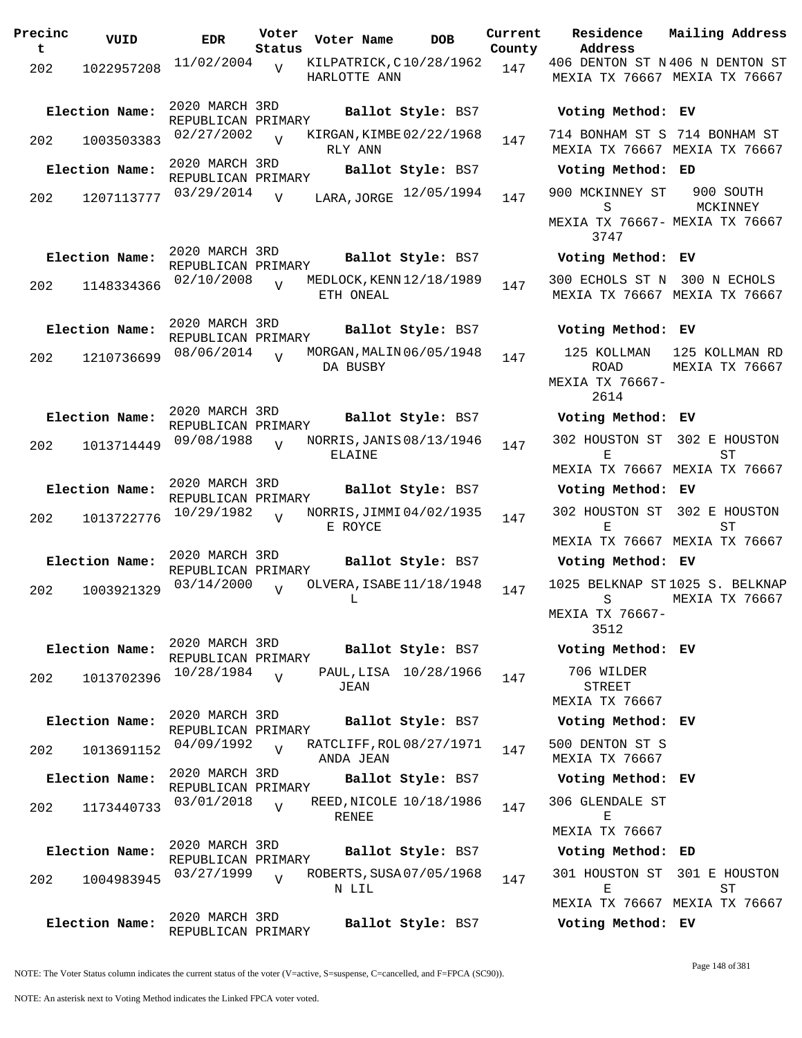| Precinc  | VUID           | <b>EDR</b>                           | Voter                    | Voter Name                              | <b>DOB</b>              | Current       | Residence<br>Address                                          | Mailing Address                                                 |
|----------|----------------|--------------------------------------|--------------------------|-----------------------------------------|-------------------------|---------------|---------------------------------------------------------------|-----------------------------------------------------------------|
| t<br>202 | 1022957208     | 11/02/2004                           | Status<br>$\overline{U}$ | KILPATRICK, C10/28/1962<br>HARLOTTE ANN |                         | County<br>147 |                                                               | 406 DENTON ST N406 N DENTON ST<br>MEXIA TX 76667 MEXIA TX 76667 |
|          | Election Name: | 2020 MARCH 3RD<br>REPUBLICAN PRIMARY |                          |                                         | Ballot Style: BS7       |               | Voting Method: EV                                             |                                                                 |
| 202      | 1003503383     | 02/27/2002                           | $\overline{V}$           | KIRGAN, KIMBE 02/22/1968<br>RLY ANN     |                         | 147           | 714 BONHAM ST S 714 BONHAM ST                                 | MEXIA TX 76667 MEXIA TX 76667                                   |
|          | Election Name: | 2020 MARCH 3RD<br>REPUBLICAN PRIMARY |                          |                                         | Ballot Style: BS7       |               | Voting Method: ED                                             |                                                                 |
| 202      | 1207113777     | 03/29/2014                           | $\overline{V}$           |                                         | LARA, JORGE 12/05/1994  | 147           | 900 MCKINNEY ST<br>S                                          | 900 SOUTH<br>MCKINNEY                                           |
|          |                |                                      |                          |                                         |                         |               | MEXIA TX 76667- MEXIA TX 76667<br>3747                        |                                                                 |
|          | Election Name: | 2020 MARCH 3RD<br>REPUBLICAN PRIMARY |                          |                                         | Ballot Style: BS7       |               | Voting Method: EV                                             |                                                                 |
| 202      | 1148334366     | 02/10/2008                           |                          | MEDLOCK, KENN 12/18/1989<br>ETH ONEAL   |                         | 147           | 300 ECHOLS ST N 300 N ECHOLS<br>MEXIA TX 76667 MEXIA TX 76667 |                                                                 |
|          | Election Name: | 2020 MARCH 3RD<br>REPUBLICAN PRIMARY |                          |                                         | Ballot Style: BS7       |               | Voting Method: EV                                             |                                                                 |
| 202      | 1210736699     | 08/06/2014                           | $\overline{U}$           | MORGAN, MALIN 06/05/1948<br>DA BUSBY    |                         | 147           | 125 KOLLMAN<br><b>ROAD</b><br>MEXIA TX 76667-<br>2614         | 125 KOLLMAN RD<br>MEXIA TX 76667                                |
|          | Election Name: | 2020 MARCH 3RD                       |                          |                                         | Ballot Style: BS7       |               | Voting Method: EV                                             |                                                                 |
| 202      | 1013714449     | REPUBLICAN PRIMARY<br>09/08/1988     | $\overline{U}$           | NORRIS, JANIS 08/13/1946<br>ELAINE      |                         | 147           | 302 HOUSTON ST 302 E HOUSTON<br>Е                             | ST                                                              |
|          |                |                                      |                          |                                         |                         |               |                                                               | MEXIA TX 76667 MEXIA TX 76667                                   |
|          | Election Name: | 2020 MARCH 3RD<br>REPUBLICAN PRIMARY |                          |                                         | Ballot Style: BS7       |               | Voting Method: EV                                             |                                                                 |
| 202      | 1013722776     | 10/29/1982                           | $\overline{V}$           | NORRIS, JIMMI 04/02/1935<br>E ROYCE     |                         | 147           | 302 HOUSTON ST<br>Е                                           | 302 E HOUSTON<br>ST<br>MEXIA TX 76667 MEXIA TX 76667            |
|          | Election Name: | 2020 MARCH 3RD<br>REPUBLICAN PRIMARY |                          |                                         | Ballot Style: BS7       |               | Voting Method: EV                                             |                                                                 |
| 202      | 1003921329     | 03/14/2000                           | $\overline{U}$           | OLVERA, ISABE 11/18/1948<br>L           |                         | 147           | S<br>MEXIA TX 76667-<br>3512                                  | 1025 BELKNAP ST1025 S. BELKNAP<br>MEXIA TX 76667                |
|          | Election Name: | 2020 MARCH 3RD<br>REPUBLICAN PRIMARY |                          |                                         | Ballot Style: BS7       |               | Voting Method: EV                                             |                                                                 |
| 202      | 1013702396     | 10/28/1984                           | $\overline{v}$           | JEAN                                    | PAUL, LISA 10/28/1966   | 147           | 706 WILDER<br>STREET<br>MEXIA TX 76667                        |                                                                 |
|          | Election Name: | 2020 MARCH 3RD<br>REPUBLICAN PRIMARY |                          |                                         | Ballot Style: BS7       |               | Voting Method: EV                                             |                                                                 |
| 202      | 1013691152     | 04/09/1992                           | $\overline{U}$           | RATCLIFF, ROL 08/27/1971<br>ANDA JEAN   |                         | 147           | 500 DENTON ST S<br>MEXIA TX 76667                             |                                                                 |
|          | Election Name: | 2020 MARCH 3RD<br>REPUBLICAN PRIMARY |                          |                                         | Ballot Style: BS7       |               | Voting Method: EV                                             |                                                                 |
| 202      | 1173440733     | 03/01/2018                           | $\overline{V}$           | RENEE                                   | REED, NICOLE 10/18/1986 | 147           | 306 GLENDALE ST<br>Е<br>MEXIA TX 76667                        |                                                                 |
|          | Election Name: | 2020 MARCH 3RD                       |                          |                                         | Ballot Style: BS7       |               | Voting Method: ED                                             |                                                                 |
| 202      | 1004983945     | REPUBLICAN PRIMARY<br>03/27/1999     | $\overline{v}$           | ROBERTS, SUSA 07/05/1968<br>N LIL       |                         | 147           | 301 HOUSTON ST 301 E HOUSTON<br>Е                             | SТ                                                              |
|          | Election Name: | 2020 MARCH 3RD<br>REPUBLICAN PRIMARY |                          |                                         | Ballot Style: BS7       |               | MEXIA TX 76667 MEXIA TX 76667<br>Voting Method: EV            |                                                                 |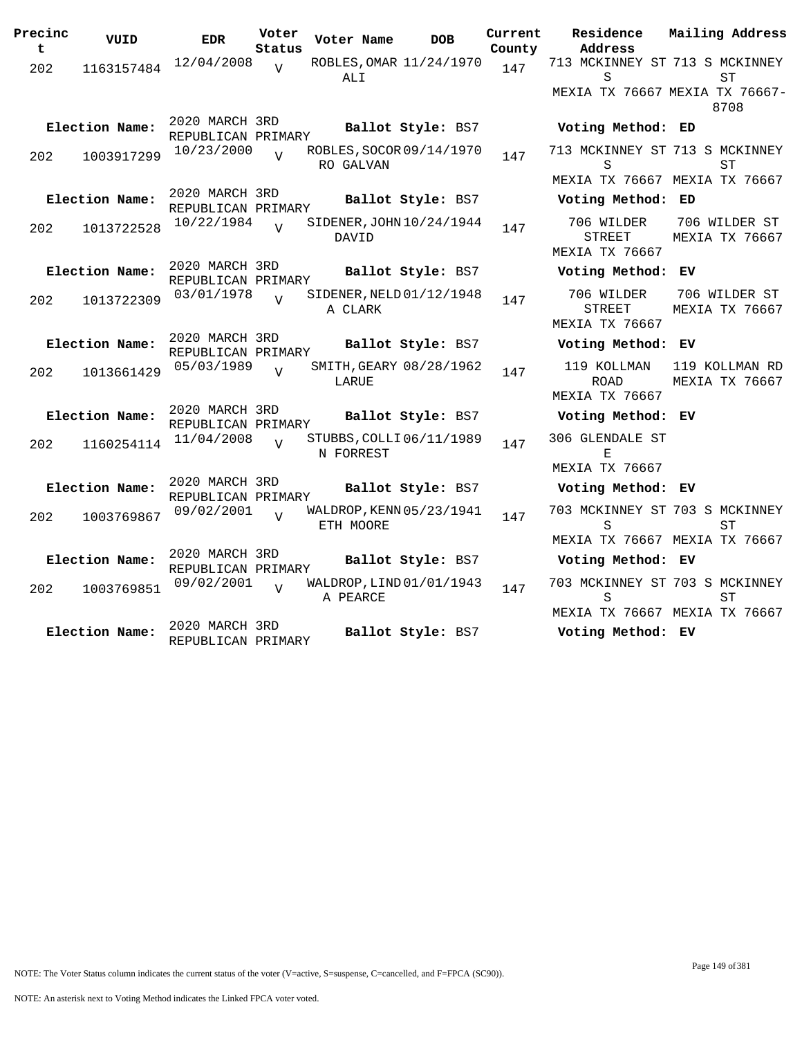| Precinc<br>t. | VUID           | <b>EDR</b>                           | Voter<br>Status | Voter Name                            | <b>DOB</b>               | Current<br>County | Residence<br>Address                                 | Mailing Address                        |
|---------------|----------------|--------------------------------------|-----------------|---------------------------------------|--------------------------|-------------------|------------------------------------------------------|----------------------------------------|
| 202           | 1163157484     | 12/04/2008                           | $\overline{U}$  | ALI                                   | ROBLES, OMAR 11/24/1970  | 147               | 713 MCKINNEY ST 713 S MCKINNEY<br>S                  | SТ                                     |
|               |                |                                      |                 |                                       |                          |                   |                                                      | MEXIA TX 76667 MEXIA TX 76667-<br>8708 |
|               | Election Name: | 2020 MARCH 3RD<br>REPUBLICAN PRIMARY |                 |                                       | Ballot Style: BS7        |                   | Voting Method: ED                                    |                                        |
| 202           | 1003917299     | 10/23/2000                           | $\overline{V}$  | RO GALVAN                             | ROBLES, SOCOR 09/14/1970 | 147               | 713 MCKINNEY ST 713 S MCKINNEY<br>S                  | ST                                     |
|               |                |                                      |                 |                                       |                          |                   | MEXIA TX 76667 MEXIA TX 76667                        |                                        |
|               | Election Name: | 2020 MARCH 3RD<br>REPUBLICAN PRIMARY |                 |                                       | Ballot Style: BS7        |                   | Voting Method: ED                                    |                                        |
| 202           | 1013722528     | 10/22/1984                           | $\overline{v}$  | DAVID                                 | SIDENER, JOHN 10/24/1944 | 147               | 706 WILDER<br><b>STREET</b><br><b>MEXIA TX 76667</b> | 706 WILDER ST<br>MEXIA TX 76667        |
|               | Election Name: | 2020 MARCH 3RD<br>REPUBLICAN PRIMARY |                 |                                       | Ballot Style: BS7        |                   | Voting Method: EV                                    |                                        |
| 202           | 1013722309     | 03/01/1978                           | $\overline{U}$  | SIDENER, NELD 01/12/1948<br>A CLARK   |                          | 147               | 706 WILDER<br>STREET<br>MEXIA TX 76667               | 706 WILDER ST<br>MEXIA TX 76667        |
|               | Election Name: | 2020 MARCH 3RD                       |                 |                                       | Ballot Style: BS7        |                   | Voting Method: EV                                    |                                        |
|               |                | REPUBLICAN PRIMARY                   |                 |                                       |                          |                   | 119 KOLLMAN                                          |                                        |
| 202           | 1013661429     | 05/03/1989                           | $\overline{U}$  | LARUE                                 | SMITH, GEARY 08/28/1962  | 147               | <b>ROAD</b><br><b>MEXIA TX 76667</b>                 | 119 KOLLMAN RD<br>MEXIA TX 76667       |
|               | Election Name: | 2020 MARCH 3RD<br>REPUBLICAN PRIMARY |                 |                                       | Ballot Style: BS7        |                   | Voting Method: EV                                    |                                        |
| 202           | 1160254114     | 11/04/2008                           | $\overline{17}$ | STUBBS, COLLI 06/11/1989<br>N FORREST |                          | 147               | 306 GLENDALE ST<br>F.                                |                                        |
|               |                |                                      |                 |                                       |                          |                   | <b>MEXIA TX 76667</b>                                |                                        |
|               | Election Name: | 2020 MARCH 3RD<br>REPUBLICAN PRIMARY |                 |                                       | Ballot Style: BS7        |                   | Voting Method: EV                                    |                                        |
| 202           | 1003769867     | 09/02/2001                           | $\overline{V}$  | WALDROP, KENN 05/23/1941<br>ETH MOORE |                          | 147               | 703 MCKINNEY ST 703 S MCKINNEY<br>S                  | SТ                                     |
|               |                | 2020 MARCH 3RD                       |                 |                                       |                          |                   | MEXIA TX 76667 MEXIA TX 76667                        |                                        |
|               | Election Name: | REPUBLICAN PRIMARY                   |                 |                                       | Ballot Style: BS7        |                   | Voting Method: EV                                    |                                        |
| 202           | 1003769851     | 09/02/2001                           | $\overline{U}$  | A PEARCE                              | WALDROP, LIND 01/01/1943 | 147               | 703 MCKINNEY ST 703 S MCKINNEY<br>S                  | ST                                     |
|               |                |                                      |                 |                                       |                          |                   | MEXIA TX 76667 MEXIA TX 76667                        |                                        |
|               | Election Name: | 2020 MARCH 3RD<br>REPUBLICAN PRIMARY |                 |                                       | Ballot Style: BS7        |                   | Voting Method: EV                                    |                                        |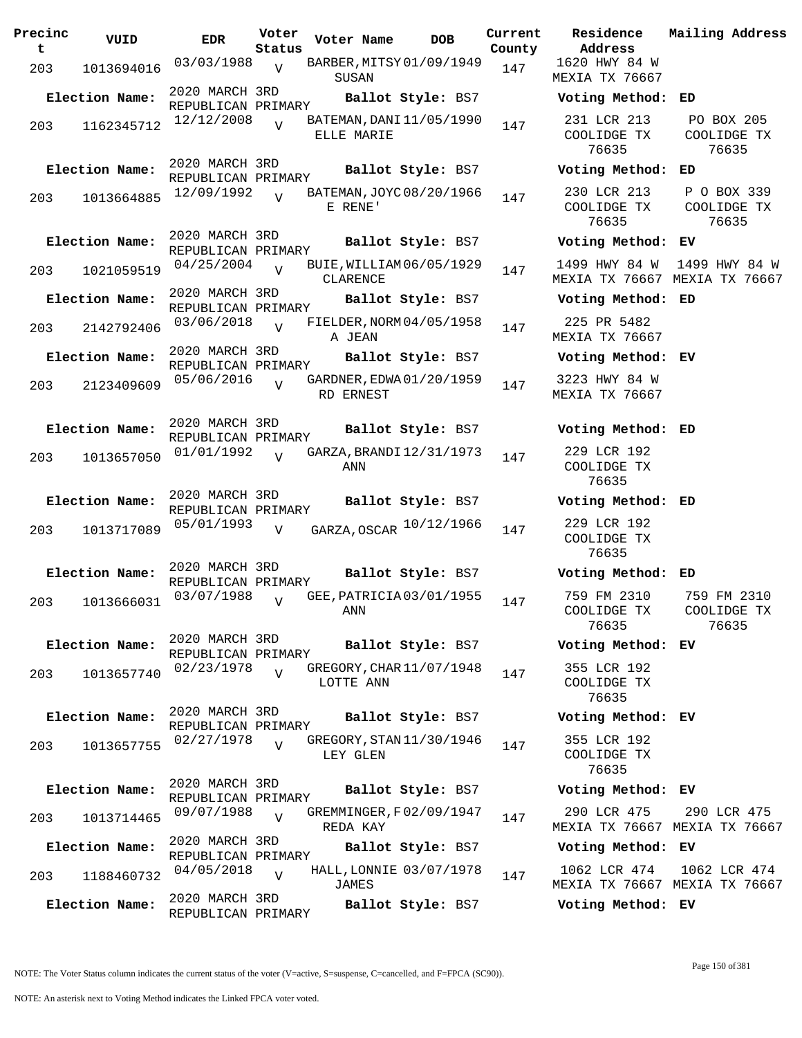| Precinc<br>t | VUID           | <b>EDR</b>                           | Voter<br>Status | Voter Name                             | <b>DOB</b>        | Current<br>County | Residence<br>Address                |
|--------------|----------------|--------------------------------------|-----------------|----------------------------------------|-------------------|-------------------|-------------------------------------|
| 203          | 1013694016     | 03/03/1988 <sub>V</sub>              |                 | BARBER, MITSY 01/09/1949<br>SUSAN      |                   | 147               | 1620 HWY 84<br><b>MEXIA TX 7666</b> |
|              | Election Name: | 2020 MARCH 3RD<br>REPUBLICAN PRIMARY |                 |                                        | Ballot Style: BS7 |                   | Voting Metho                        |
| 203          | 1162345712     | 12/12/2008                           | $\overline{U}$  | BATEMAN, DANI 11/05/1990<br>ELLE MARIE |                   | 147               | 231 LCR 213<br>COOLIDGE TX<br>76635 |
|              | Election Name: | 2020 MARCH 3RD<br>REPUBLICAN PRIMARY |                 |                                        | Ballot Style: BS7 |                   | Voting Metho                        |
| 203          | 1013664885     | 12/09/1992                           | $\overline{17}$ | BATEMAN, JOYC 08/20/1966<br>E RENE'    |                   | 147               | 230 LCR 213<br>COOLIDGE TX<br>76635 |
|              | Election Name: | 2020 MARCH 3RD<br>REPUBLICAN PRIMARY |                 |                                        | Ballot Style: BS7 |                   | Voting Metho                        |
| 203          | 1021059519     | 04/25/2004                           | $\overline{U}$  | BUIE, WILLIAM 06/05/1929<br>CLARENCE   |                   | 147               | 1499 HWY 84<br>MEXIA TX 7666        |
|              | Election Name: | 2020 MARCH 3RD<br>REPUBLICAN PRIMARY |                 |                                        | Ballot Style: BS7 |                   | Voting Metho                        |
| 203          | 2142792406     | 03/06/2018                           | $\overline{U}$  | FIELDER, NORM 04/05/1958<br>A JEAN     |                   | 147               | 225 PR 5482<br><b>MEXIA TX 7666</b> |
|              | Election Name: | 2020 MARCH 3RD<br>REPUBLICAN PRIMARY |                 |                                        | Ballot Style: BS7 |                   | Voting Metho                        |
| 203          | 2123409609     | 05/06/2016                           | $\overline{U}$  | GARDNER, EDWA 01/20/1959<br>RD ERNEST  |                   | 147               | 3223 HWY 84<br>MEXIA TX 7666        |
|              | Election Name: | 2020 MARCH 3RD<br>REPUBLICAN PRIMARY |                 |                                        | Ballot Style: BS7 |                   | Voting Metho                        |
| 203          | 1013657050     | 01/01/1992                           | $\overline{U}$  | GARZA, BRANDI 12/31/1973<br>ANN        |                   | 147               | 229 LCR 192<br>COOLIDGE TX<br>76635 |
|              | Election Name: | 2020 MARCH 3RD<br>REPUBLICAN PRIMARY |                 |                                        | Ballot Style: BS7 |                   | Voting Metho                        |
| 203          | 1013717089     | 05/01/1993                           | $\overline{V}$  | GARZA, OSCAR 10/12/1966                |                   | 147               | 229 LCR 192<br>COOLIDGE TX<br>76635 |
|              | Election Name: | 2020 MARCH 3RD<br>REPUBLICAN PRIMARY |                 |                                        | Ballot Style: BS7 |                   | Voting Metho                        |
| 203          | 1013666031     | 03/07/1988                           | $\overline{V}$  | GEE, PATRICIA 03/01/1955<br>ANN        |                   | 147               | 759 FM 2310<br>COOLIDGE TX<br>76635 |
|              | Election Name: | 2020 MARCH 3RD<br>REPUBLICAN PRIMARY |                 |                                        | Ballot Style: BS7 |                   | Voting Metho                        |
| 203          | 1013657740     | 02/23/1978                           | $\overline{U}$  | GREGORY, CHAR 11/07/1948<br>LOTTE ANN  |                   | 147               | 355 LCR 192<br>COOLIDGE TX<br>76635 |
|              | Election Name: | 2020 MARCH 3RD                       |                 |                                        | Ballot Style: BS7 |                   | Voting Metho                        |
| 203          | 1013657755     | REPUBLICAN PRIMARY<br>02/27/1978     | $\overline{U}$  | GREGORY, STAN 11/30/1946<br>LEY GLEN   |                   | 147               | 355 LCR 192<br>COOLIDGE TX          |
|              | Election Name: | 2020 MARCH 3RD                       |                 |                                        | Ballot Style: BS7 |                   | 76635<br>Voting Metho               |
| 203          | 1013714465     | REPUBLICAN PRIMARY<br>09/07/1988     | $\overline{U}$  | GREMMINGER, F02/09/1947<br>REDA KAY    |                   | 147               | 290 LCR 475<br>MEXIA TX 7666        |
|              | Election Name: | 2020 MARCH 3RD                       |                 |                                        | Ballot Style: BS7 |                   | Voting Metho                        |
| 203          | 1188460732     | REPUBLICAN PRIMARY<br>04/05/2018     | $\overline{U}$  | HALL, LONNIE 03/07/1978<br>JAMES       |                   | 147               | 1062 LCR 474<br>MEXIA TX 7666       |
|              | Election Name: | 2020 MARCH 3RD<br>REPUBLICAN PRIMARY |                 |                                        | Ballot Style: BS7 |                   | Voting Metho                        |

**Voter Name DOB Residence Address Current Mailing Address** 1620 HWY 84 W MEXIA TX 76667 **Election Name: Ballot Style:** BS7 **Voting Method: ED** 231 LCR 213 COOLIDGE TX 76635 PO BOX 205 COOLIDGE TX 76635 **Election Name: Ballot Style:** BS7 **Voting Method: ED** 230 LCR 213 COOLIDGE TX 76635 P O BOX 339 COOLIDGE TX 76635 **Election Name: Ballot Style:** BS7 **Voting Method: EV** 1499 HWY 84 W 1499 HWY 84 W MEXIA TX 76667 MEXIA TX 76667 **Election Name: Ballot Style:** BS7 **Voting Method: ED** 225 PR 5482 MEXIA TX 76667 **Election Name: Ballot Style:** BS7 **Voting Method: EV** 3223 HWY 84 W MEXIA TX 76667 **Election Name: Ballot Style:** BS7 **Voting Method: ED** 229 LCR 192 COOLIDGE TX 76635 **Election Name: Ballot Style:** BS7 **Voting Method: ED** COOLIDGE TX 76635 **Election Name: Ballot Style:** BS7 **Voting Method: ED** 759 FM 2310 COOLIDGE TX 76635 759 FM 2310 COOLIDGE TX 76635 **Election Name: Ballot Style:** BS7 **Voting Method: EV** 355 LCR 192 COOLIDGE TX 76635 **Election Name: Ballot Style:** BS7 **Voting Method: EV** 355 LCR 192 COOLIDGE TX 76635 **Election Name: Ballot Style:** BS7 **Voting Method: EV** 290 LCR 475 MEXIA TX 76667 MEXIA TX 76667 290 LCR 475 **Election Name: Ballot Style:** BS7 **Voting Method: EV** 1062 LCR 474 MEXIA TX 76667 MEXIA TX 76667 1062 LCR 474

**Election Name: Ballot Style:** BS7 **Voting Method: EV**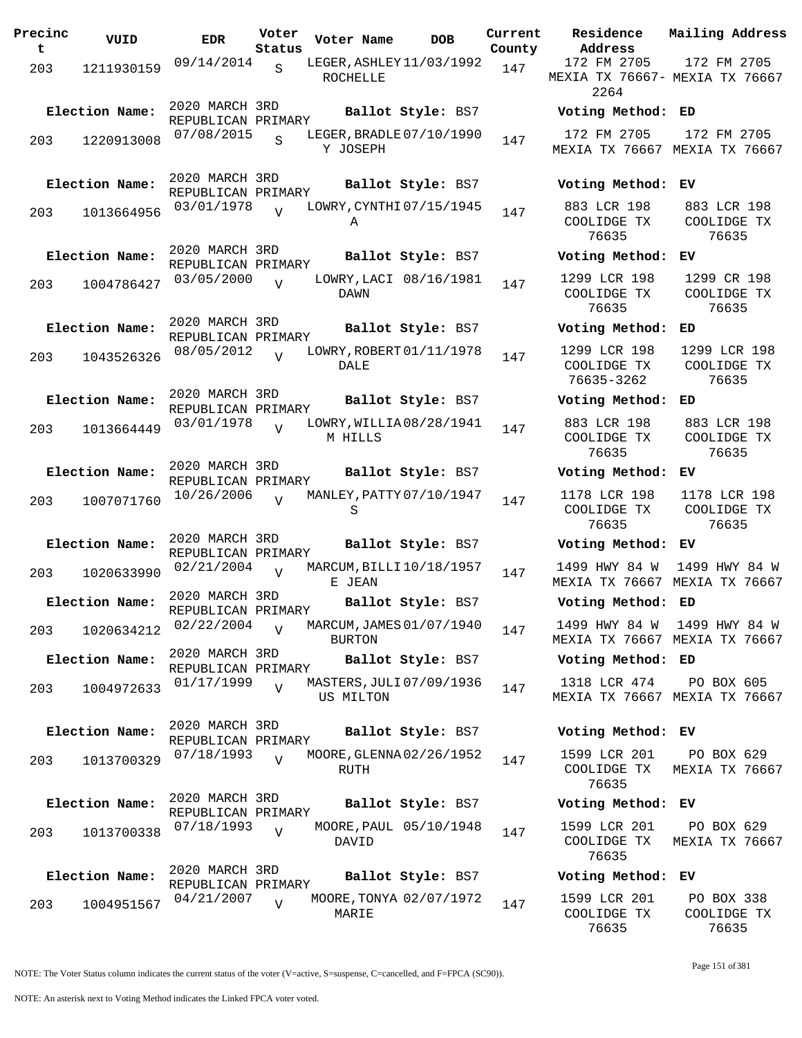| Precinc<br>t | VUID                         | EDR                                                | Voter<br>Status | Voter Name      | DOB                                           | Curre<br>Count |
|--------------|------------------------------|----------------------------------------------------|-----------------|-----------------|-----------------------------------------------|----------------|
| 203          | 1211930159                   | 09/14/2014                                         | $\mathcal{S}$   | <b>ROCHELLE</b> | LEGER, ASHLEY 11/03/1992                      | 147            |
| 203          | Election Name:<br>1220913008 | 2020 MARCH 3RD<br>REPUBLICAN PRIMARY<br>07/08/2015 | S               | Y JOSEPH        | Ballot Style: BS7<br>LEGER, BRADLE 07/10/1990 | 147            |
| 203          | Election Name:<br>1013664956 | 2020 MARCH 3RD<br>REPUBLICAN PRIMARY<br>03/01/1978 | ٦T              |                 | Ballot Style: BS7<br>LOWRY, CYNTHI 07/15/1945 | 147            |
| 203          | Election Name:<br>1004786427 | 2020 MARCH 3RD<br>REPUBLICAN PRIMARY<br>03/05/2000 | $\overline{V}$  | Α               | Ballot Style: BS7<br>LOWRY, LACI 08/16/1981   | 147            |
| 203          | Election Name:<br>1043526326 | 2020 MARCH 3RD<br>REPUBLICAN PRIMARY<br>08/05/2012 | $\overline{U}$  | DAWN<br>DALE    | Ballot Style: BS7<br>LOWRY, ROBERT 01/11/1978 | 147            |
| 203          | Election Name:<br>1013664449 | 2020 MARCH 3RD<br>REPUBLICAN PRIMARY<br>03/01/1978 | $\overline{V}$  | M HILLS         | Ballot Style: BS7<br>LOWRY, WILLIA08/28/1941  | 147            |
| 203          | Election Name:<br>1007071760 | 2020 MARCH 3RD<br>REPUBLICAN PRIMARY<br>10/26/2006 | $\overline{U}$  | S               | Ballot Style: BS7<br>MANLEY, PATTY 07/10/1947 | 147            |
| 203          | Election Name:<br>1020633990 | 2020 MARCH 3RD<br>REPUBLICAN PRIMARY<br>02/21/2004 | $\overline{U}$  |                 | Ballot Style: BS7<br>MARCUM, BILLI 10/18/1957 | 147            |
|              | Election Name:               | 2020 MARCH 3RD<br>REPUBLICAN PRIMARY<br>02/22/2004 |                 | E JEAN          | Ballot Style: BS7<br>MARCUM, JAMES 01/07/1940 |                |
| 203          | 1020634212<br>Election Name: | 2020 MARCH 3RD<br>REPUBLICAN PRIMARY<br>01/17/1999 | $\overline{V}$  | <b>BURTON</b>   | Ballot Style: BS7<br>MASTERS, JULI 07/09/1936 | 147            |
| 203          | 1004972633<br>Election Name: | 2020 MARCH 3RD<br>REPUBLICAN PRIMARY               | $\overline{V}$  | US MILTON       | Ballot Style: BS7                             | 147            |
| 203          | 1013700329                   | 07/18/1993                                         | $\overline{I}$  | RUTH            | MOORE, GLENNA 02/26/1952                      | 147            |
| 203          | Election Name:<br>1013700338 | 2020 MARCH 3RD<br>REPUBLICAN PRIMARY<br>07/18/1993 | $\overline{V}$  | DAVID           | Ballot Style: BS7<br>MOORE, PAUL 05/10/1948   | 147            |
|              | Election Name:               | 2020 MARCH 3RD<br>REPUBLICAN PRIMARY               |                 |                 | Ballot Style: BS7                             |                |
| 203          | 1004951567                   | 04/21/2007                                         | $\overline{V}$  | MARIE           | MOORE, TONYA 02/07/1972                       | 147            |

**Parame Residence Address Current Mailing Address** nty 172 FM 2705 MEXIA TX 76667- MEXIA TX 76667 2264 172 FM 2705 **Election Name: Ballot Style:** BS7 **Voting Method: ED** 172 FM 2705 MEXIA TX 76667 MEXIA TX 76667 172 FM 2705 **Election Name: Ballot Style:** BS7 **Voting Method: EV** 883 LCR 198 COOLIDGE TX 76635 883 LCR 198 COOLIDGE TX 76635 **Election Name: Ballot Style:** BS7 **Voting Method: EV** 1299 LCR 198 COOLIDGE TX 76635 1299 CR 198 COOLIDGE TX 76635 **Election Name: Ballot Style:** BS7 **Voting Method: ED** 1299 LCR 198 COOLIDGE TX 76635-3262 1299 LCR 198 COOLIDGE TX 76635 **Election Name: Ballot Style:** BS7 **Voting Method: ED** 883 LCR 198 COOLIDGE TX 76635 883 LCR 198 COOLIDGE TX 76635 **Election Name: Ballot Style:** BS7 **Voting Method: EV** 1178 LCR 198 COOLIDGE TX 76635 1178 LCR 198 COOLIDGE TX 76635 **Election Name: Ballot Style:** BS7 **Voting Method: EV** 1499 HWY 84 W 1499 HWY 84 W MEXIA TX 76667 MEXIA TX 76667 **Election Name: Ballot Style:** BS7 **Voting Method: ED** 1499 HWY 84 W 1499 HWY 84 W MEXIA TX 76667 MEXIA TX 76667 **Election Name: Ballot Style:** BS7 **Voting Method: ED** 1318 LCR 474 MEXIA TX 76667 MEXIA TX 76667 PO BOX 605 **Election Name: Ballot Style:** BS7 **Voting Method: EV** 1599 LCR 201 COOLIDGE TX 76635 PO BOX 629 MEXIA TX 76667 **Election Name: Ballot Style:** BS7 **Voting Method: EV** 1599 LCR 201 COOLIDGE TX 76635 PO BOX 629 MEXIA TX 76667 **Election Name: Ballot Style:** BS7 **Voting Method: EV** 1599 LCR 201 COOLIDGE TX 76635 PO BOX 338 COOLIDGE TX 76635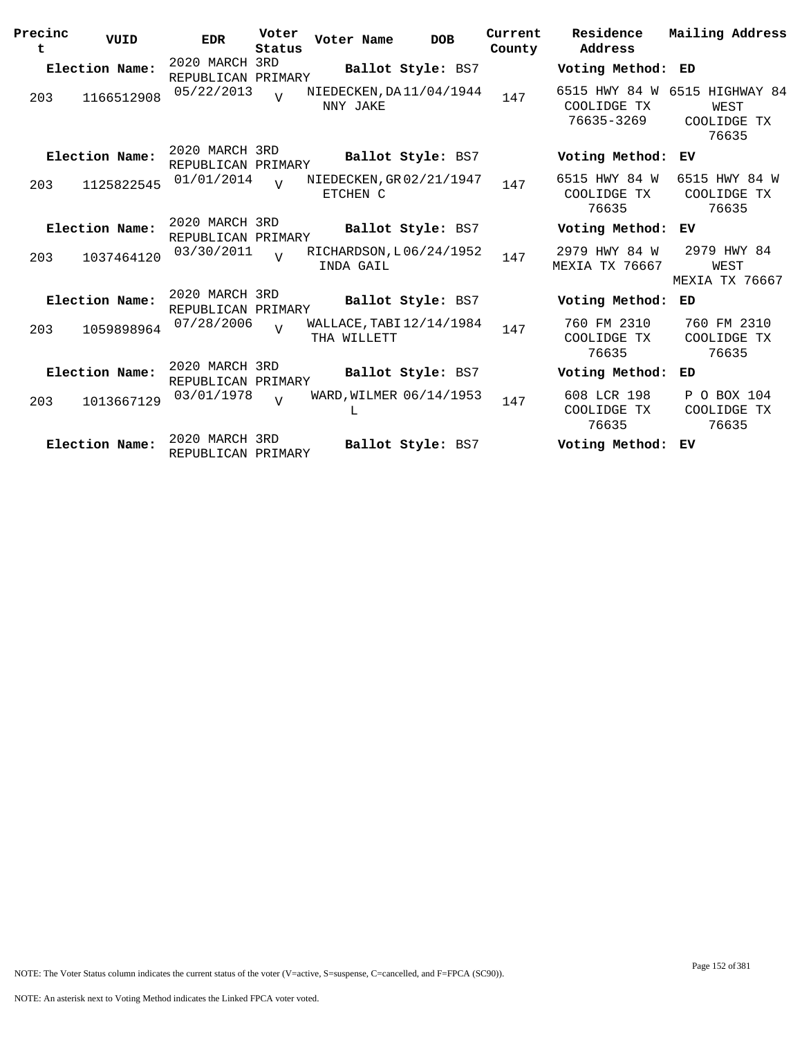| Precinc<br>t | VUID           | <b>EDR</b>                           | Voter<br>Status | Voter Name                              | <b>DOB</b>        | Current<br>County | Residence<br>Address                       | Mailing Address                                 |
|--------------|----------------|--------------------------------------|-----------------|-----------------------------------------|-------------------|-------------------|--------------------------------------------|-------------------------------------------------|
|              | Election Name: | 2020 MARCH 3RD<br>REPUBLICAN PRIMARY |                 |                                         | Ballot Style: BS7 |                   | Voting Method: ED                          |                                                 |
| 203          | 1166512908     | 05/22/2013                           | $\overline{U}$  | NIEDECKEN, DA11/04/1944<br>NNY JAKE     |                   | 147               | 6515 HWY 84 W<br>COOLIDGE TX<br>76635-3269 | 6515 HIGHWAY 84<br>WEST<br>COOLIDGE TX<br>76635 |
|              | Election Name: | 2020 MARCH 3RD<br>REPUBLICAN PRIMARY |                 |                                         | Ballot Style: BS7 |                   | Voting Method:                             | ЕV                                              |
| 203          | 1125822545     | 01/01/2014                           | $\overline{U}$  | NIEDECKEN, GR 02/21/1947<br>ETCHEN C    |                   | 147               | 6515 HWY 84 W<br>COOLIDGE TX<br>76635      | 6515 HWY 84 W<br>COOLIDGE TX<br>76635           |
|              | Election Name: | 2020 MARCH 3RD<br>REPUBLICAN PRIMARY |                 |                                         | Ballot Style: BS7 |                   | Voting Method:                             | ΕV                                              |
| 203          | 1037464120     | 03/30/2011                           | $\overline{z}$  | RICHARDSON, L06/24/1952<br>INDA GAIL    |                   | 147               | 2979 HWY 84 W<br><b>MEXIA TX 76667</b>     | 2979 HWY 84<br>WEST<br><b>MEXIA TX 76667</b>    |
|              | Election Name: | 2020 MARCH 3RD<br>REPUBLICAN PRIMARY |                 |                                         | Ballot Style: BS7 |                   | Voting Method:                             | ED                                              |
| 203          | 1059898964     | 07/28/2006                           | $\overline{U}$  | WALLACE, TABI 12/14/1984<br>THA WILLETT |                   | 147               | 760 FM 2310<br>COOLIDGE TX<br>76635        | 760 FM 2310<br>COOLIDGE TX<br>76635             |
|              | Election Name: | 2020 MARCH 3RD<br>REPUBLICAN PRIMARY |                 |                                         | Ballot Style: BS7 |                   | Voting Method:                             | ED                                              |
| 203          | 1013667129     | 03/01/1978                           | $\overline{V}$  | WARD, WILMER 06/14/1953<br>L            |                   | 147               | 608 LCR 198<br>COOLIDGE TX<br>76635        | P O BOX 104<br>COOLIDGE TX<br>76635             |
|              | Election Name: | 2020 MARCH 3RD<br>REPUBLICAN PRIMARY |                 |                                         | Ballot Style: BS7 |                   | Voting Method:                             | ЕV                                              |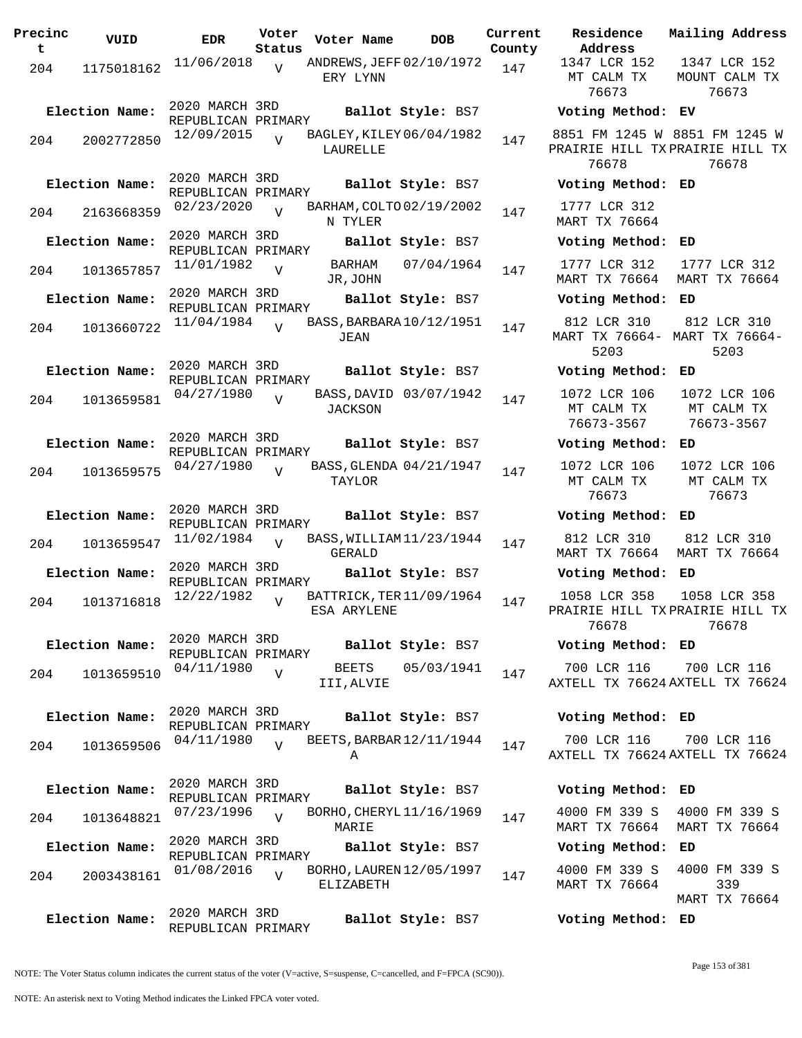| Precinc<br>t | VUID           | <b>EDR</b>                           | Voter<br>Status | Voter Name                              | <b>DOB</b>             | Current<br>County |
|--------------|----------------|--------------------------------------|-----------------|-----------------------------------------|------------------------|-------------------|
| 204          | 1175018162     | 11/06/2018                           | V               | ANDREWS, JEFF 02/10/1972<br>ERY LYNN    |                        | 147               |
|              | Election Name: | 2020 MARCH 3RD<br>REPUBLICAN PRIMARY |                 |                                         | Ballot Style: BS7      |                   |
| 204          | 2002772850     | 12/09/2015                           | $\overline{U}$  | BAGLEY, KILEY 06/04/1982<br>LAURELLE    |                        | 147               |
|              | Election Name: | 2020 MARCH 3RD<br>REPUBLICAN PRIMARY |                 |                                         | Ballot Style: BS7      |                   |
| 204          | 2163668359     | 02/23/2020                           | $\overline{U}$  | BARHAM, COLTO 02/19/2002<br>N TYLER     |                        | 147               |
|              | Election Name: | 2020 MARCH 3RD<br>REPUBLICAN PRIMARY |                 |                                         | Ballot Style: BS7      |                   |
| 204          | 1013657857     | 11/01/1982                           | $\overline{V}$  | BARHAM<br>JR,JOHN                       | 07/04/1964             | 147               |
|              | Election Name: | 2020 MARCH 3RD                       |                 |                                         | Ballot Style: BS7      |                   |
| 204          | 1013660722     | REPUBLICAN PRIMARY<br>11/04/1984     | $\overline{U}$  | BASS, BARBARA 10/12/1951<br>JEAN        |                        | 147               |
|              | Election Name: | 2020 MARCH 3RD<br>REPUBLICAN PRIMARY |                 |                                         | Ballot Style: BS7      |                   |
| 204          | 1013659581     | 04/27/1980                           | $\overline{V}$  | <b>JACKSON</b>                          | BASS, DAVID 03/07/1942 | 147               |
|              | Election Name: | 2020 MARCH 3RD<br>REPUBLICAN PRIMARY |                 |                                         | Ballot Style: BS7      |                   |
| 204          | 1013659575     | 04/27/1980                           | ٦T              | BASS, GLENDA 04/21/1947<br>TAYLOR       |                        | 147               |
|              | Election Name: | 2020 MARCH 3RD<br>REPUBLICAN PRIMARY |                 |                                         | Ballot Style: BS7      |                   |
| 204          | 1013659547     | 11/02/1984                           | $\overline{V}$  | BASS, WILLIAM 11/23/1944<br>GERALD      |                        | 147               |
|              | Election Name: | 2020 MARCH 3RD<br>REPUBLICAN PRIMARY |                 |                                         | Ballot Style: BS7      |                   |
| 204          | 1013716818     | 12/22/1982                           | V               | BATTRICK, TER 11/09/1964<br>ESA ARYLENE |                        | 147               |
|              | Election Name: | 2020 MARCH 3RD<br>REPUBLICAN PRIMARY |                 |                                         | Ballot Style: BS7      |                   |
| 204          | 1013659510     | 04/11/1980                           | $\overline{V}$  | <b>BEETS</b><br>III,ALVIE               | 05/03/1941             | 147               |
|              | Election Name: | 2020 MARCH 3RD<br>REPUBLICAN PRIMARY |                 |                                         | Ballot Style: BS7      |                   |
| 204          | 1013659506     | 04/11/1980                           | $\overline{U}$  | BEETS, BARBAR 12/11/1944<br>Α           |                        | 147               |
|              | Election Name: | 2020 MARCH 3RD<br>REPUBLICAN PRIMARY |                 |                                         | Ballot Style: BS7      |                   |
| 204          | 1013648821     | 07/23/1996                           | $\overline{U}$  | BORHO, CHERYL 11/16/1969<br>MARIE       |                        | 147               |
|              | Election Name: | 2020 MARCH 3RD                       |                 |                                         | Ballot Style: BS7      |                   |
| 204          | 2003438161     | REPUBLICAN PRIMARY<br>01/08/2016     | $\overline{U}$  | BORHO, LAUREN 12/05/1997<br>ELIZABETH   |                        | 147               |
|              | Election Name: | 2020 MARCH 3RD<br>REPUBLICAN PRIMARY |                 |                                         | Ballot Style: BS7      |                   |

**Voter Name DOB Residence Address Current Mailing Address** 1347 LCR 152 MT CALM TX 76673 1347 LCR 152 MOUNT CALM TX 76673 **Election Name: Ballot Style:** BS7 **Voting Method: EV** 8851 FM 1245 W 8851 FM 1245 W PRAIRIE HILL TX PRAIRIE HILL TX 76678 76678 **Election Name: Ballot Style:** BS7 **Voting Method: ED** 1777 LCR 312 MART TX 76664 **Election Name: Ballot Style:** BS7 **Voting Method: ED** 1777 LCR 312 MART TX 76664 MART TX 76664 1777 LCR 312 **Election Name: Ballot Style:** BS7 **Voting Method: ED** 812 LCR 310 MART TX 76664- MART TX 76664- 5203 812 LCR 310 5203 **Election Name: Ballot Style:** BS7 **Voting Method: ED** 1072 LCR 106 MT CALM TX 76673-3567 1072 LCR 106 MT CALM TX 76673-3567 **Election Name: Ballot Style:** BS7 **Voting Method: ED** 1072 LCR 106 MT CALM TX 76673 1072 LCR 106 MT CALM TX 76673 **Election Name: Ballot Style:** BS7 **Voting Method: ED** 812 LCR 310 MART TX 76664 MART TX 76664 812 LCR 310 **Election Name: Ballot Style:** BS7 **Voting Method: ED** 1058 LCR 358 PRAIRIE HILL TX PRAIRIE HILL TX 76678 1058 LCR 358 76678 **Election Name: Ballot Style:** BS7 **Voting Method: ED** 700 LCR 116 AXTELL TX 76624 AXTELL TX 76624 700 LCR 116 **Election Name: Ballot Style:** BS7 **Voting Method: ED** 700 LCR 116 AXTELL TX 76624 AXTELL TX 76624 700 LCR 116 **Election Name: Ballot Style:** BS7 **Voting Method: ED** 4000 FM 339 S MART TX 76664 MART TX 76664 4000 FM 339 S **Election Name: Ballot Style:** BS7 **Voting Method: ED**

4000 FM 339 S MART TX 76664 4000 FM 339 S 339 MART TX 76664 **Election Name: Ballot Style:** BS7 **Voting Method: ED**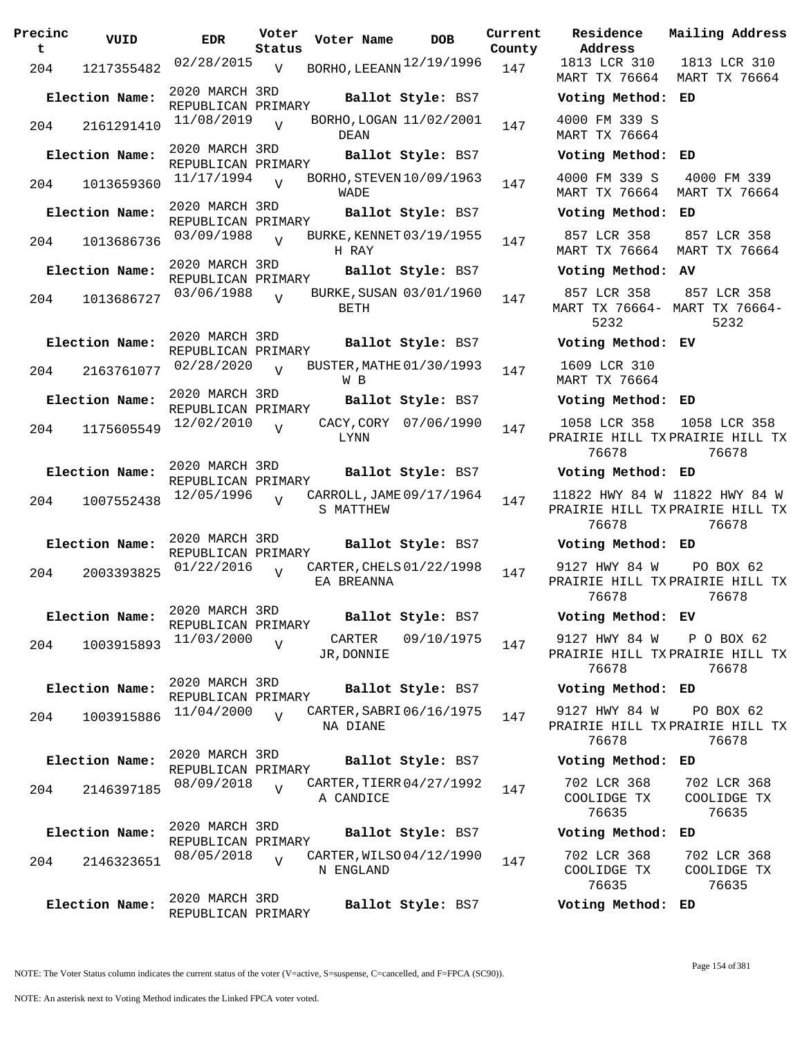| Precinc<br>t | VUID           | <b>EDR</b>                           | Voter<br>Status | Voter Name                              | <b>DOB</b>            | Current<br>County | Residence<br>Address                        |
|--------------|----------------|--------------------------------------|-----------------|-----------------------------------------|-----------------------|-------------------|---------------------------------------------|
| 204          | 1217355482     | 02/28/2015                           | V               | BORHO, LEEANN 12/19/1996                |                       | 147               | 1813 LCR 310<br>MART TX 76664               |
|              | Election Name: | 2020 MARCH 3RD<br>REPUBLICAN PRIMARY |                 |                                         | Ballot Style: BS7     |                   | Voting Metho                                |
| 204          | 2161291410     | 11/08/2019                           | $\overline{V}$  | BORHO, LOGAN 11/02/2001<br>DEAN         |                       | 147               | 4000 FM 339 S<br>MART TX 76664              |
|              | Election Name: | 2020 MARCH 3RD<br>REPUBLICAN PRIMARY |                 |                                         | Ballot Style: BS7     |                   | Voting Metho                                |
| 204          | 1013659360     | 11/17/1994                           | $\overline{V}$  | BORHO, STEVEN 10/09/1963<br><b>WADE</b> |                       | 147               | 4000 FM 339 S<br>MART TX 76664              |
|              | Election Name: | 2020 MARCH 3RD<br>REPUBLICAN PRIMARY |                 |                                         | Ballot Style: BS7     |                   | Voting Metho                                |
| 204          | 1013686736     | 03/09/1988                           | $\overline{V}$  | BURKE, KENNET 03/19/1955<br>H RAY       |                       | 147               | 857 LCR 358<br>MART TX 76664                |
|              | Election Name: | 2020 MARCH 3RD<br>REPUBLICAN PRIMARY |                 |                                         | Ballot Style: BS7     |                   | Voting Metho                                |
| 204          | 1013686727     | 03/06/1988                           | $\overline{V}$  | BURKE, SUSAN 03/01/1960<br>BETH         |                       | 147               | 857 LCR 358<br><b>MART TX 76664</b><br>5232 |
|              | Election Name: | 2020 MARCH 3RD<br>REPUBLICAN PRIMARY |                 |                                         | Ballot Style: BS7     |                   | Voting Metho                                |
| 204          | 2163761077     | 02/28/2020                           | $\overline{U}$  | BUSTER, MATHE 01/30/1993<br>W B         |                       | 147               | 1609 LCR 310<br>MART TX 76664               |
|              | Election Name: | 2020 MARCH 3RD<br>REPUBLICAN PRIMARY |                 |                                         | Ballot Style: BS7     |                   | Voting Metho                                |
| 204          | 1175605549     | 12/02/2010                           | $\overline{V}$  | LYNN                                    | CACY, CORY 07/06/1990 | 147               | 1058 LCR 358<br>PRAIRIE HILL T<br>76678     |
|              | Election Name: | 2020 MARCH 3RD<br>REPUBLICAN PRIMARY |                 |                                         | Ballot Style: BS7     |                   | Voting Metho                                |
| 204          | 1007552438     | 12/05/1996                           | $\overline{v}$  | CARROLL, JAME 09/17/1964<br>S MATTHEW   |                       | 147               | 11822 HWY 84<br>PRAIRIE HILL T<br>76678     |
|              | Election Name: | 2020 MARCH 3RD<br>REPUBLICAN PRIMARY |                 |                                         | Ballot Style: BS7     |                   | Voting Metho                                |
|              | 204 2003393825 | 01/22/2016                           | $\overline{V}$  | CARTER, CHELS 01/22/1998<br>EA BREANNA  |                       | 147               | 9127 HWY 84 N<br>PRAIRIE HILL T<br>76678    |
|              | Election Name: | 2020 MARCH 3RD<br>REPUBLICAN PRIMARY |                 |                                         | Ballot Style: BS7     |                   | Voting Metho                                |
| 204          | 1003915893     | 11/03/2000                           | $\overline{V}$  | CARTER<br>JR, DONNIE                    | 09/10/1975            | 147               | 9127 HWY 84 N<br>PRAIRIE HILL T<br>76678    |
|              | Election Name: | 2020 MARCH 3RD<br>REPUBLICAN PRIMARY |                 |                                         | Ballot Style: BS7     |                   | Voting Metho                                |
| 204          | 1003915886     | 11/04/2000                           | $\overline{17}$ | CARTER, SABRI 06/16/1975<br>NA DIANE    |                       | 147               | 9127 HWY 84 N<br>PRAIRIE HILL T<br>76678    |
|              | Election Name: | 2020 MARCH 3RD<br>REPUBLICAN PRIMARY |                 |                                         | Ballot Style: BS7     |                   | Voting Metho                                |
| 204          | 2146397185     | 08/09/2018                           | $\overline{V}$  | CARTER, TIERR 04/27/1992<br>A CANDICE   |                       | 147               | 702 LCR 368<br>COOLIDGE TX<br>76635         |
|              | Election Name: | 2020 MARCH 3RD<br>REPUBLICAN PRIMARY |                 |                                         | Ballot Style: BS7     |                   | Voting Metho                                |
| 204          | 2146323651     | 08/05/2018                           | $\overline{V}$  | CARTER, WILSO 04/12/1990<br>N ENGLAND   |                       | 147               | 702 LCR 368<br>COOLIDGE TX<br>76635         |
|              | Election Name: | 2020 MARCH 3RD<br>REPUBLICAN PRIMARY |                 |                                         | Ballot Style: BS7     |                   | Voting Metho                                |

**Voter Name DOB Residence Address Current Mailing Address County** MART TX 76664 MART TX 76664 1813 LCR 310 **Election Name: Ballot Style:** BS7 **Voting Method: ED** 4000 FM 339 S MART TX 76664 **Election Name: Ballot Style:** BS7 **Voting Method: ED** 4000 FM 339 S MART TX 76664 MART TX 76664 4000 FM 339 **Election Name: Ballot Style:** BS7 **Voting Method: ED** 857 LCR 358 MART TX 76664 MART TX 76664 857 LCR 358 **Election Name: Ballot Style:** BS7 **Voting Method: AV** 857 LCR 358 MART TX 76664- MART TX 76664- 5232 857 LCR 358 5232 **Election Name: Ballot Style:** BS7 **Voting Method: EV** 1609 LCR 310 MART TX 76664 **Election Name: Ballot Style:** BS7 **Voting Method: ED** 1058 LCR 358 PRAIRIE HILL TX PRAIRIE HILL TX 76678 1058 LCR 358 76678 **Election Name: Ballot Style:** BS7 **Voting Method: ED** 11822 HWY 84 W 11822 HWY 84 W PRAIRIE HILL TX PRAIRIE HILL TX 76678 76678 **Election Name: Ballot Style:** BS7 **Voting Method: ED** 9127 HWY 84 W PRAIRIE HILL TX PRAIRIE HILL TX 76678 PO BOX 62 76678 **Election Name: Ballot Style:** BS7 **Voting Method: EV** 9127 HWY 84 W PRAIRIE HILL TX PRAIRIE HILL TX 76678 P O BOX 62 76678 **Election Name: Ballot Style:** BS7 **Voting Method: ED** 9127 HWY 84 W PRAIRIE HILL TX PRAIRIE HILL TX 76678 PO BOX 62 76678 **Election Name: Ballot Style:** BS7 **Voting Method: ED** 702 LCR 368 COOLIDGE TX 76635 702 LCR 368 COOLIDGE TX 76635 **Election Name: Ballot Style:** BS7 **Voting Method: ED** 702 LCR 368 COOLIDGE TX 76635 702 LCR 368 COOLIDGE TX 76635

NOTE: The Voter Status column indicates the current status of the voter (V=active, S=suspense, C=cancelled, and F=FPCA (SC90)).

**Election Name: Ballot Style:** BS7 **Voting Method: ED**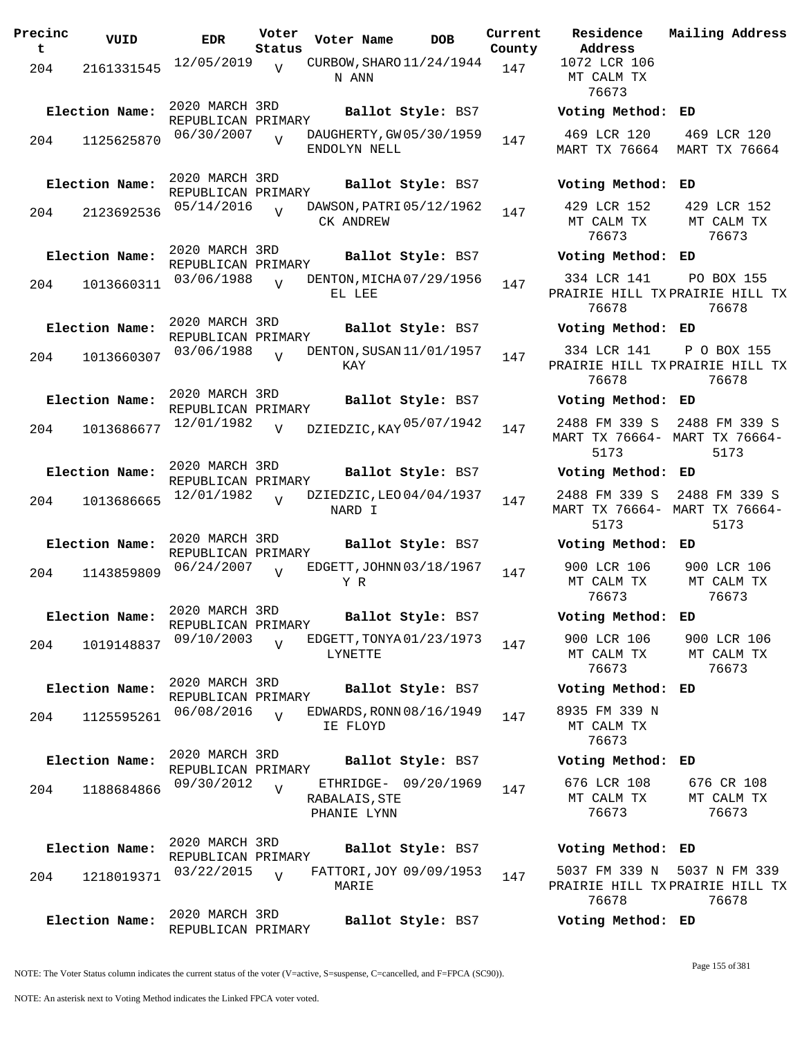| Precinc<br>$\mathbf t$ | VUID           | <b>EDR</b>                           | Voter<br>Status | Voter Name                                           | <b>DOB</b> | Current<br>County | Residence<br>Address                           | Mail         |
|------------------------|----------------|--------------------------------------|-----------------|------------------------------------------------------|------------|-------------------|------------------------------------------------|--------------|
| 204                    | 2161331545     | 12/05/2019                           | $\overline{U}$  | CURBOW, SHARO 11/24/1944<br>N ANN                    |            | 147               | 1072 LCR 106<br>MT CALM TX<br>76673            |              |
|                        | Election Name: | 2020 MARCH 3RD<br>REPUBLICAN PRIMARY |                 | Ballot Style: BS7                                    |            |                   | Voting Method:                                 | ED           |
| 204                    | 1125625870     | 06/30/2007                           |                 | DAUGHERTY, GW 05/30/1959<br>ENDOLYN NELL             |            | 147               | 469 LCR 120<br>MART TX 76664                   | 46<br>MAF    |
|                        | Election Name: | 2020 MARCH 3RD<br>REPUBLICAN PRIMARY |                 | Ballot Style: BS7                                    |            |                   | Voting Method:                                 | ED           |
| 204                    | 2123692536     | 05/14/2016                           |                 | DAWSON, PATRI 05/12/1962<br>CK ANDREW                |            | 147               | 429 LCR 152<br>MT CALM TX<br>76673             | 42<br>М      |
|                        | Election Name: | 2020 MARCH 3RD<br>REPUBLICAN PRIMARY |                 | Ballot Style: BS7                                    |            |                   | Voting Method:                                 | ED           |
| 204                    | 1013660311     | 03/06/1988                           | $\overline{U}$  | DENTON, MICHA 07/29/1956<br>EL LEE                   |            | 147               | 334 LCR 141<br>PRAIRIE HILL TX PRAI<br>76678   | $\mathbf P$  |
|                        | Election Name: | 2020 MARCH 3RD<br>REPUBLICAN PRIMARY |                 | Ballot Style: BS7                                    |            |                   | Voting Method: ED                              |              |
| 204                    | 1013660307     | 03/06/1988                           | $\overline{v}$  | DENTON, SUSAN 11/01/1957<br>KAY                      |            | 147               | 334 LCR 141<br>PRAIRIE HILL TX PRAI<br>76678   | $\mathbf{P}$ |
|                        | Election Name: | 2020 MARCH 3RD<br>REPUBLICAN PRIMARY |                 | Ballot Style: BS7                                    |            |                   | Voting Method: ED                              |              |
| 204                    | 1013686677     | 12/01/1982                           | $\overline{V}$  | DZIEDZIC, KAY 05/07/1942                             |            | 147               | 2488 FM 339 S<br>MART TX 76664- MAR<br>5173    | 248          |
|                        | Election Name: | 2020 MARCH 3RD<br>REPUBLICAN PRIMARY |                 | Ballot Style: BS7                                    |            |                   | Voting Method: ED                              |              |
| 204                    | 1013686665     | 12/01/1982                           | $\overline{V}$  | DZIEDZIC, LEO 04/04/1937<br>NARD I                   |            | 147               | 2488 FM 339 S<br>MART TX 76664- MAR<br>5173    | 248          |
|                        | Election Name: | 2020 MARCH 3RD<br>REPUBLICAN PRIMARY |                 | Ballot Style: BS7                                    |            |                   | Voting Method:                                 | ED           |
| 204                    | 1143859809     | 06/24/2007                           | $\overline{U}$  | EDGETT, JOHNN 03/18/1967<br>Y R                      |            | 147               | 900 LCR 106<br>MT CALM TX<br>76673             | 90<br>М      |
|                        | Election Name: | 2020 MARCH 3RD<br>REPUBLICAN PRIMARY |                 | Ballot Style: BS7                                    |            |                   | Voting Method: ED                              |              |
| 204                    | 1019148837     | 09/10/2003                           | $\overline{V}$  | EDGETT, TONYA01/23/1973<br>LYNETTE                   |            | 147               | 900 LCR 106<br>MT CALM TX<br>76673             | 90<br>М      |
|                        | Election Name: | 2020 MARCH 3RD<br>REPUBLICAN PRIMARY |                 | Ballot Style: BS7                                    |            |                   | Voting Method:                                 | ED           |
| 204                    | 1125595261     | 06/08/2016                           | $\overline{V}$  | EDWARDS, RONN 08/16/1949<br>IE FLOYD                 |            | 147               | 8935 FM 339 N<br>MT CALM TX<br>76673           |              |
|                        | Election Name: | 2020 MARCH 3RD<br>REPUBLICAN PRIMARY |                 | Ballot Style: BS7                                    |            |                   | Voting Method:                                 | ED           |
| 204                    | 1188684866     | 09/30/2012                           | $\overline{V}$  | ETHRIDGE- 09/20/1969<br>RABALAIS, STE<br>PHANIE LYNN |            | 147               | 676 LCR 108<br>MT CALM TX<br>76673             | 6<br>М       |
|                        | Election Name: | 2020 MARCH 3RD<br>REPUBLICAN PRIMARY |                 | Ballot Style: BS7                                    |            |                   | Voting Method: ED                              |              |
| 204                    | 1218019371     | 03/22/2015                           | $\overline{V}$  | FATTORI, JOY 09/09/1953<br>MARIE                     |            | 147               | 5037 FM 339 N<br>PRAIRIE HILL TX PRAI<br>76678 | 503          |
|                        | Election Name: | 2020 MARCH 3RD<br>REPUBLICAN PRIMARY |                 | Ballot Style: BS7                                    |            |                   | Voting Method: ED                              |              |

**Voter Name DOB Residence Address Current Mailing Address** 1072 LCR 106 MT CALM TX 76673 **Election Name: Ballot Style:** BS7 **Voting Method: ED** 469 LCR 120 MART TX 76664 MART TX 76664 469 LCR 120 **Election Name: Ballot Style:** BS7 **Voting Method: ED** 429 LCR 152 MT CALM TX 76673 429 LCR 152 MT CALM TX 76673 **Election Name: Ballot Style:** BS7 **Voting Method: ED** 334 LCR 141 PRAIRIE HILL TX PRAIRIE HILL TX 76678 PO BOX 155 76678 **Election Name: Ballot Style:** BS7 **Voting Method: ED** 334 LCR 141 PRAIRIE HILL TX PRAIRIE HILL TX 76678 P O BOX 155 76678 **Election Name: Ballot Style:** BS7 **Voting Method: ED** MART TX 76664- MART TX 76664- 5173 2488 FM 339 S 5173 **Election Name: Ballot Style:** BS7 **Voting Method: ED** 2488 FM 339 S 2488 FM 339 S MART TX 76664- MART TX 76664- 5173 5173 **Election Name: Ballot Style:** BS7 **Voting Method: ED** 900 LCR 106 MT CALM TX 76673 900 LCR 106 MT CALM TX 76673 **Election Name: Ballot Style:** BS7 **Voting Method: ED** 900 LCR 106 MT CALM TX 76673 900 LCR 106 MT CALM TX 76673 **Election Name: Ballot Style:** BS7 **Voting Method: ED** 8935 FM 339 N MT CALM TX 76673 **Election Name: Ballot Style:** BS7 **Voting Method: ED** 676 LCR 108 MT CALM TX 76673 676 CR 108 MT CALM TX 76673 **Election Name: Ballot Style:** BS7 **Voting Method: ED** 5037 FM 339 N 5037 N FM 339

PRAIRIE HILL TX PRAIRIE HILL TX 76678 76678

NOTE: The Voter Status column indicates the current status of the voter (V=active, S=suspense, C=cancelled, and F=FPCA (SC90)).

Page 155 of 381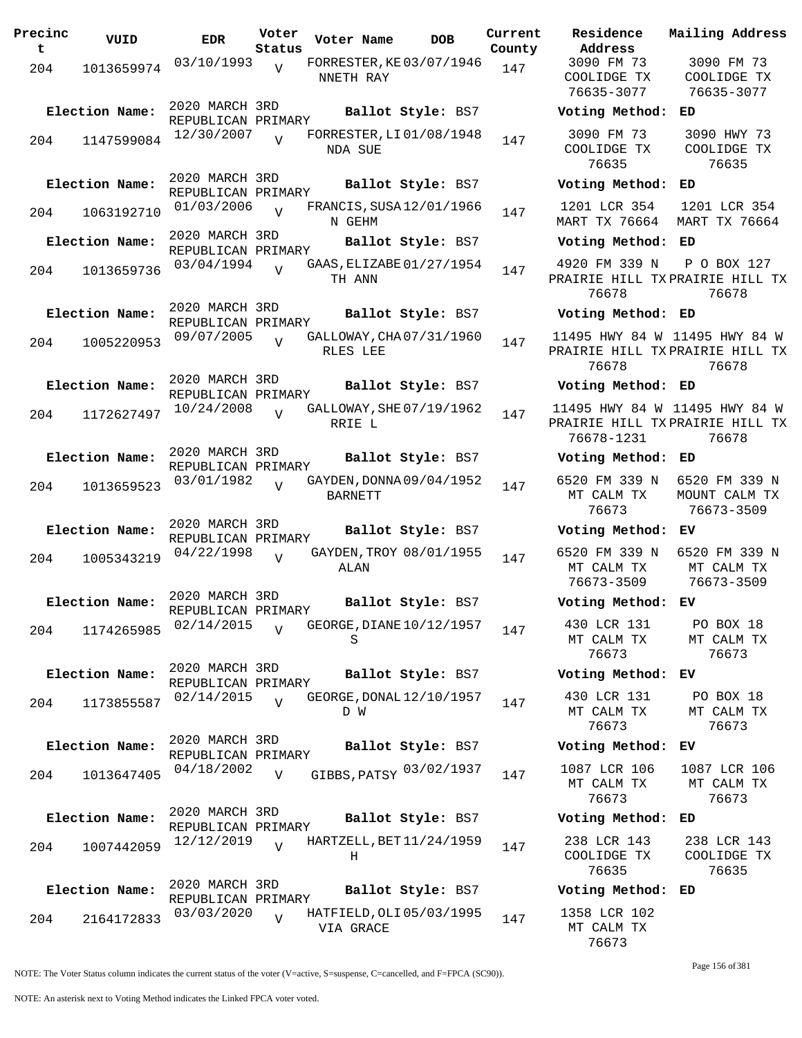| Precinc<br>t | VUID           | <b>EDR</b>                           | Voter<br>Status | Voter Name                                 | <b>DOB</b>        | Current<br>County | Residence<br>Address                         |
|--------------|----------------|--------------------------------------|-----------------|--------------------------------------------|-------------------|-------------------|----------------------------------------------|
| 204          | 1013659974     | 03/10/1993                           | V               | FORRESTER, KE03/07/1946<br>NNETH RAY       |                   | 147               | 3090 FM 73<br>COOLIDGE TX<br>76635-3077      |
|              | Election Name: | 2020 MARCH 3RD<br>REPUBLICAN PRIMARY |                 |                                            | Ballot Style: BS7 |                   | Voting Metho                                 |
| 204          | 1147599084     | 12/30/2007                           | $\overline{U}$  | FORRESTER, LI 01/08/1948<br>NDA SUE        |                   | 147               | 3090 FM 73<br>COOLIDGE TX<br>76635           |
|              | Election Name: | 2020 MARCH 3RD<br>REPUBLICAN PRIMARY |                 |                                            | Ballot Style: BS7 |                   | Voting Metho                                 |
| 204          | 1063192710     | 01/03/2006                           |                 | FRANCIS, SUSA 12/01/1966<br>N GEHM         |                   | 147               | 1201 LCR 354<br>MART TX 76664                |
|              | Election Name: | 2020 MARCH 3RD<br>REPUBLICAN PRIMARY |                 |                                            | Ballot Style: BS7 |                   | Voting Metho                                 |
| 204          | 1013659736     | 03/04/1994                           | $\overline{V}$  | GAAS, ELIZABE 01/27/1954<br>TH ANN         |                   | 147               | 4920 FM 339 I<br>PRAIRIE HILL T<br>76678     |
|              | Election Name: | 2020 MARCH 3RD                       |                 |                                            | Ballot Style: BS7 |                   | Voting Metho                                 |
| 204          | 1005220953     | REPUBLICAN PRIMARY<br>09/07/2005     | $\overline{V}$  | GALLOWAY, CHA 07/31/1960<br>RLES LEE       |                   | 147               | 11495 HWY 84<br>PRAIRIE HILL T<br>76678      |
|              | Election Name: | 2020 MARCH 3RD<br>REPUBLICAN PRIMARY |                 |                                            | Ballot Style: BS7 |                   | Voting Metho                                 |
| 204          | 1172627497     | 10/24/2008                           | $\overline{U}$  | GALLOWAY, SHE 07/19/1962<br>RRIE L         |                   | 147               | 11495 HWY 84<br>PRAIRIE HILL T<br>76678-1231 |
|              | Election Name: | 2020 MARCH 3RD                       |                 |                                            | Ballot Style: BS7 |                   | Voting Metho                                 |
| 204          | 1013659523     | REPUBLICAN PRIMARY<br>03/01/1982     | $\overline{U}$  | GAYDEN, DONNA 09/04/1952<br><b>BARNETT</b> |                   | 147               | 6520 FM 339 I<br>MT CALM TX<br>76673         |
|              | Election Name: | 2020 MARCH 3RD<br>REPUBLICAN PRIMARY |                 |                                            | Ballot Style: BS7 |                   | Voting Metho                                 |
| 204          | 1005343219     | 04/22/1998                           | $\overline{V}$  | GAYDEN, TROY 08/01/1955<br>ALAN            |                   | 147               | 6520 FM 339 I<br>MT CALM TX<br>76673-3509    |
|              | Election Name: | 2020 MARCH 3RD<br>REPUBLICAN PRIMARY |                 |                                            | Ballot Style: BS7 |                   | Voting Metho                                 |
| 204          | 1174265985     | 02/14/2015                           | $\overline{V}$  | GEORGE, DIANE 10/12/1957<br>S              |                   | 147               | 430 LCR 131<br>MT CALM TX<br>76673           |
|              | Election Name: | 2020 MARCH 3RD<br>REPUBLICAN PRIMARY |                 |                                            | Ballot Style: BS7 |                   | Voting Metho                                 |
| 204          | 1173855587     | 02/14/2015                           | $\overline{V}$  | GEORGE, DONAL 12/10/1957<br>D W            |                   | 147               | 430 LCR 131<br>MT CALM TX<br>76673           |
|              | Election Name: | 2020 MARCH 3RD<br>REPUBLICAN PRIMARY |                 |                                            | Ballot Style: BS7 |                   | Voting Metho                                 |
| 204          | 1013647405     | 04/18/2002                           | $\overline{V}$  | GIBBS, PATSY 03/02/1937                    |                   | 147               | 1087 LCR 106<br>MT CALM TX<br>76673          |
|              | Election Name: | 2020 MARCH 3RD                       |                 |                                            | Ballot Style: BS7 |                   | Voting Metho                                 |
| 204          | 1007442059     | REPUBLICAN PRIMARY<br>12/12/2019     | $\overline{U}$  | HARTZELL, BET 11/24/1959<br>н              |                   | 147               | 238 LCR 143<br>COOLIDGE TX<br>76635          |
|              | Election Name: | 2020 MARCH 3RD<br>REPUBLICAN PRIMARY |                 |                                            | Ballot Style: BS7 |                   | Voting Metho                                 |
| 204          | 2164172833     | 03/03/2020                           | $\overline{V}$  | HATFIELD, OLI 05/03/1995<br>VIA GRACE      |                   | 147               | 1358 LCR 102<br>MT CALM TX                   |

**Parame Residence Address Current Mailing Address** nty 3090 FM 73 COOLIDGE TX 76635-3077 3090 FM 73 COOLIDGE TX 76635-3077 **Election Name: Ballot Style:** BS7 **Voting Method: ED** 3090 FM 73 COOLIDGE TX 76635 3090 HWY 73 COOLIDGE TX 76635 **Election Name: Ballot Style:** BS7 **Voting Method: ED** 1201 LCR 354 MART TX 76664 1201 LCR 354 MART TX 76664 **Election Name: Ballot Style:** BS7 **Voting Method: ED** 4920 FM 339 N PRAIRIE HILL TX PRAIRIE HILL TX 76678 P O BOX 127 76678 **Election Name: Ballot Style:** BS7 **Voting Method: ED** 11495 HWY 84 W 11495 HWY 84 W PRAIRIE HILL TX PRAIRIE HILL TX 76678 76678 **Election Name: Ballot Style:** BS7 **Voting Method: ED** 11495 HWY 84 W 11495 HWY 84 W PRAIRIE HILL TX PRAIRIE HILL TX 76678-1231 76678 **Election Name: Ballot Style:** BS7 **Voting Method: ED** 6520 FM 339 N MT CALM TX 76673 6520 FM 339 N MOUNT CALM TX 76673-3509 **Election Name: Ballot Style:** BS7 **Voting Method: EV** 6520 FM 339 N MT CALM TX 76673-3509 6520 FM 339 N MT CALM TX 76673-3509 **Election Name: Ballot Style:** BS7 **Voting Method: EV** 430 LCR 131 MT CALM TX 76673 PO BOX 18 MT CALM TX 76673 **Election Name: Ballot Style:** BS7 **Voting Method: EV** 430 LCR 131 MT CALM TX 76673 PO BOX 18 MT CALM TX 76673 **Election Name: Ballot Style:** BS7 **Voting Method: EV** MT CALM TX 76673 1087 LCR 106 MT CALM TX 76673 **Election Name: Ballot Style:** BS7 **Voting Method: ED** 238 LCR 143 COOLIDGE TX 76635 238 LCR 143 COOLIDGE TX 76635 **Election Name: Ballot Style:** BS7 **Voting Method: ED** 1358 LCR 102 MT CALM TX

NOTE: The Voter Status column indicates the current status of the voter (V=active, S=suspense, C=cancelled, and F=FPCA (SC90)).

Page 156 of 381

76673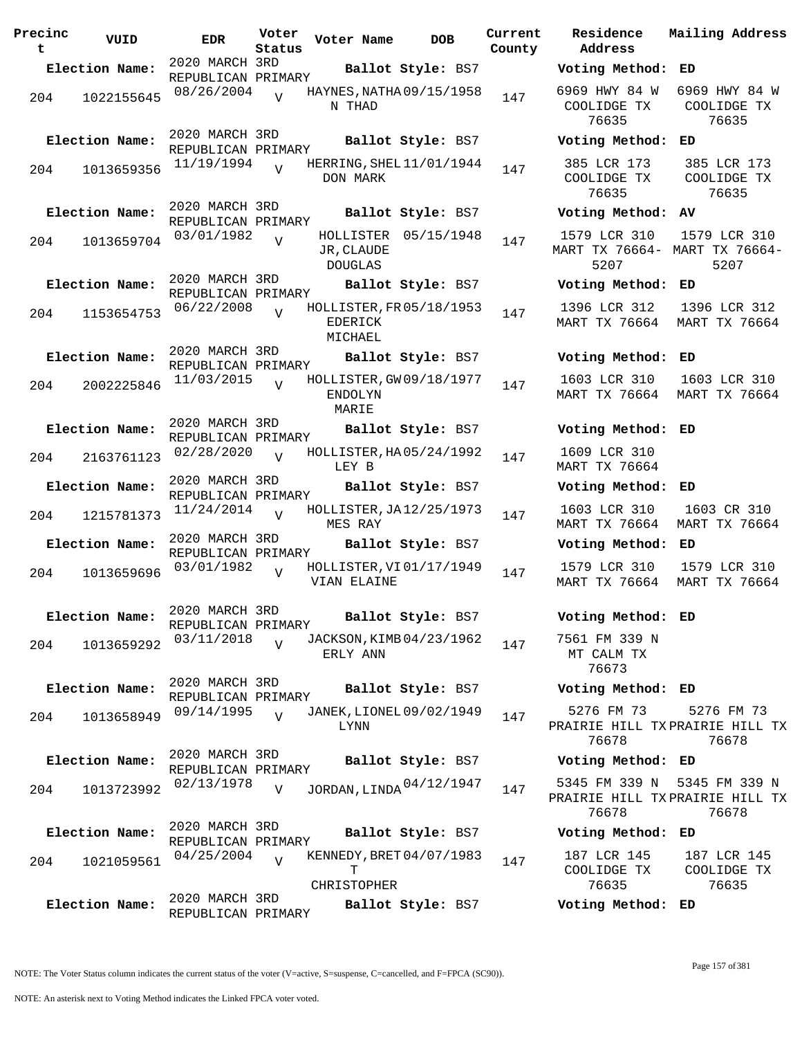| Precinc<br>t | VUID           | EDR.                                 | Voter<br>Status | Voter Name                                     | <b>DOB</b>           | Current<br>County | Residence<br>Address                     |
|--------------|----------------|--------------------------------------|-----------------|------------------------------------------------|----------------------|-------------------|------------------------------------------|
|              | Election Name: | 2020 MARCH 3RD<br>REPUBLICAN PRIMARY |                 |                                                | Ballot Style: BS7    |                   | Voting Method                            |
| 204          | 1022155645     | 08/26/2004                           | $\overline{U}$  | HAYNES, NATHA 09/15/1958<br>N THAD             |                      | 147               | 6969 HWY 84 W<br>COOLIDGE TX<br>76635    |
|              | Election Name: | 2020 MARCH 3RD<br>REPUBLICAN PRIMARY |                 |                                                | Ballot Style: BS7    |                   | Voting Method                            |
| 204          | 1013659356     | 11/19/1994                           | $\overline{V}$  | HERRING, SHEL 11/01/1944<br>DON MARK           |                      | 147               | 385 LCR 173<br>COOLIDGE TX<br>76635      |
|              | Election Name: | 2020 MARCH 3RD<br>REPUBLICAN PRIMARY |                 |                                                | Ballot Style: BS7    |                   | Voting Method                            |
| 204          | 1013659704     | 03/01/1982                           | $\overline{V}$  | JR, CLAUDE<br><b>DOUGLAS</b>                   | HOLLISTER 05/15/1948 | 147               | 1579 LCR 310<br>MART TX 76664-<br>5207   |
|              | Election Name: | 2020 MARCH 3RD<br>REPUBLICAN PRIMARY |                 |                                                | Ballot Style: BS7    |                   | Voting Method                            |
| 204          | 1153654753     | 06/22/2008                           | $\overline{z}$  | HOLLISTER, FR 05/18/1953<br>EDERICK<br>MICHAEL |                      | 147               | 1396 LCR 312<br><b>MART TX 76664</b>     |
|              | Election Name: | 2020 MARCH 3RD<br>REPUBLICAN PRIMARY |                 |                                                | Ballot Style: BS7    |                   | Voting Method                            |
| 204          | 2002225846     | 11/03/2015                           | $\overline{U}$  | HOLLISTER, GW 09/18/1977<br>ENDOLYN<br>MARIE   |                      | 147               | 1603 LCR 310<br><b>MART TX 76664</b>     |
|              | Election Name: | 2020 MARCH 3RD<br>REPUBLICAN PRIMARY |                 |                                                | Ballot Style: BS7    |                   | Voting Method                            |
| 204          | 2163761123     | 02/28/2020                           | $\overline{U}$  | HOLLISTER, HA05/24/1992<br>LEY B               |                      | 147               | 1609 LCR 310<br>MART TX 76664            |
|              | Election Name: | 2020 MARCH 3RD<br>REPUBLICAN PRIMARY |                 |                                                | Ballot Style: BS7    |                   | Voting Method                            |
| 204          | 1215781373     | 11/24/2014                           | $\overline{U}$  | HOLLISTER, JA12/25/1973<br>MES RAY             |                      | 147               | 1603 LCR 310<br><b>MART TX 76664</b>     |
|              | Election Name: | 2020 MARCH 3RD<br>REPUBLICAN PRIMARY |                 |                                                | Ballot Style: BS7    |                   | Voting Method                            |
| 204          | 1013659696     | 03/01/1982                           | $\overline{V}$  | HOLLISTER, VI 01/17/1949<br>VIAN ELAINE        |                      | 147               | 1579 LCR 310<br>MART TX 76664            |
|              | Election Name: | 2020 MARCH 3RD<br>REPUBLICAN PRIMARY |                 |                                                | Ballot Style: BS7    |                   | Voting Method                            |
| 204          | 1013659292     | 03/11/2018                           | $\overline{V}$  | JACKSON, KIMB 04/23/1962<br>ERLY ANN           |                      | 147               | 7561 FM 339 N<br>MT CALM TX<br>76673     |
|              | Election Name: | 2020 MARCH 3RD<br>REPUBLICAN PRIMARY |                 |                                                | Ballot Style: BS7    |                   | Voting Method                            |
| 204          | 1013658949     | 09/14/1995                           | $\overline{V}$  | JANEK, LIONEL 09/02/1949<br>LYNN               |                      | 147               | 5276 FM 73<br>PRAIRIE HILL T<br>76678    |
|              | Election Name: | 2020 MARCH 3RD<br>REPUBLICAN PRIMARY |                 |                                                | Ballot Style: BS7    |                   | Voting Method                            |
| 204          | 1013723992     | 02/13/1978                           | V               | JORDAN, LINDA 04/12/1947                       |                      | 147               | 5345 FM 339 N<br>PRAIRIE HILL T<br>76678 |
|              | Election Name: | 2020 MARCH 3RD<br>REPUBLICAN PRIMARY |                 |                                                | Ballot Style: BS7    |                   | Voting Method                            |
| 204          | 1021059561     | 04/25/2004                           | $\overline{V}$  | KENNEDY, BRET 04/07/1983<br>т<br>CHRISTOPHER   |                      | 147               | 187 LCR 145<br>COOLIDGE TX<br>76635      |
|              | Election Name: | 2020 MARCH 3RD                       |                 |                                                | Ballot Style: BS7    |                   | Voting Method                            |
|              |                | REPUBLICAN PRIMARY                   |                 |                                                |                      |                   |                                          |

**Voter Name DOB Residence Address Current Mailing Address Election Name: Ballot Style:** BS7 **Voting Method: ED** 6969 HWY 84 W 6969 HWY 84 W COOLIDGE TX 76635 COOLIDGE TX 76635 **Election Name: Ballot Style:** BS7 **Voting Method: ED** 385 LCR 173 COOLIDGE TX 76635 385 LCR 173 COOLIDGE TX 76635 **Election Name: Ballot Style:** BS7 **Voting Method: AV** 1579 LCR 310 MART TX 76664- MART TX 76664- 5207 1579 LCR 310 5207 **Election Name: Ballot Style:** BS7 **Voting Method: ED** 1396 LCR 312 MART TX 76664 MART TX 76664 1396 LCR 312 **Election Name: Ballot Style:** BS7 **Voting Method: ED** 1603 LCR 310 MART TX 76664 MART TX 76664 1603 LCR 310 **Election Name: Ballot Style:** BS7 **Voting Method: ED** 1609 LCR 310 MART TX 76664 **Election Name: Ballot Style:** BS7 **Voting Method: ED** 1603 LCR 310 MART TX 76664 MART TX 76664 1603 CR 310 **Election Name: Ballot Style:** BS7 **Voting Method: ED** 1579 LCR 310 MART TX 76664 MART TX 76664 1579 LCR 310 **Election Name: Ballot Style:** BS7 **Voting Method: ED** 7561 FM 339 N MT CALM TX 76673 **Election Name: Ballot Style:** BS7 **Voting Method: ED** 5276 FM 73 PRAIRIE HILL TX PRAIRIE HILL TX 76678 5276 FM 73 76678 **Election Name: Ballot Style:** BS7 **Voting Method: ED** PRAIRIE HILL TX PRAIRIE HILL TX 76678 5345 FM 339 N 76678 **Election Name: Ballot Style:** BS7 **Voting Method: ED** 187 LCR 145 COOLIDGE TX 76635 187 LCR 145 COOLIDGE TX 76635

**Election Name: Ballot Style:** BS7 **Voting Method: ED**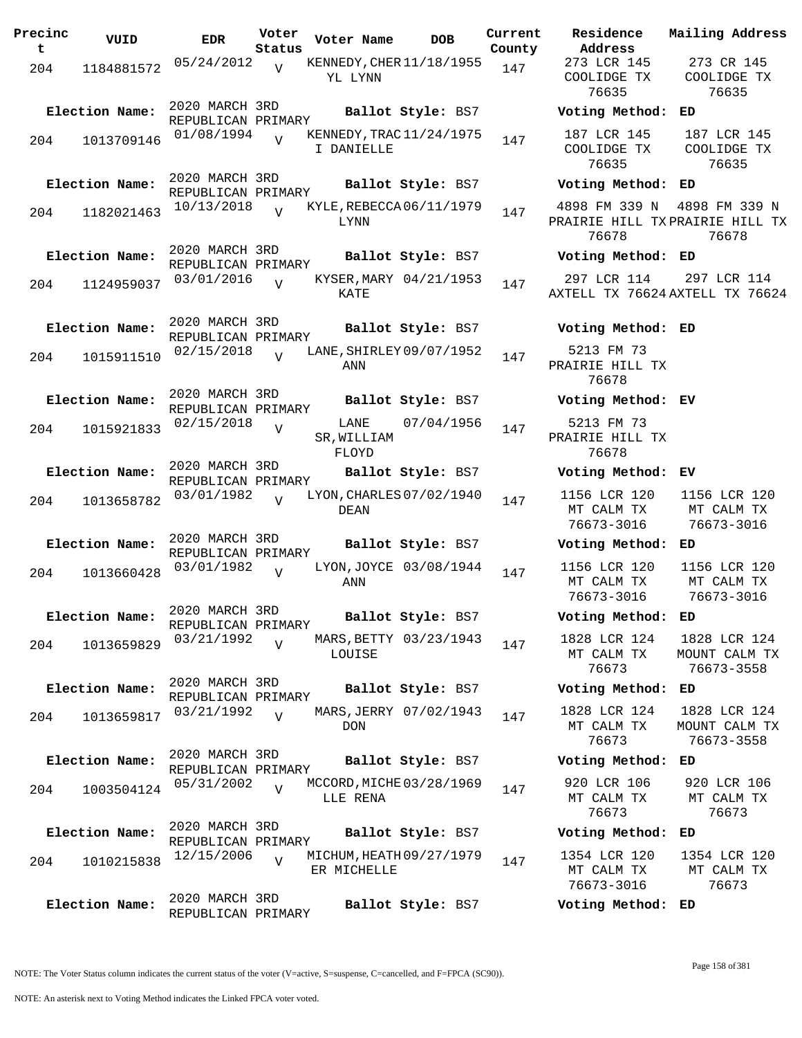| Precinc<br>t | VUID           | <b>EDR</b>                           | Voter<br>Status | Voter Name                              | <b>DOB</b>             | Current<br>County | Residence<br>Address                    |
|--------------|----------------|--------------------------------------|-----------------|-----------------------------------------|------------------------|-------------------|-----------------------------------------|
| 204          | 1184881572     | 05/24/2012                           | V               | KENNEDY, CHER 11/18/1955<br>YL LYNN     |                        | 147               | 273 LCR 14!<br>COOLIDGE T<br>76635      |
|              | Election Name: | 2020 MARCH 3RD<br>REPUBLICAN PRIMARY |                 |                                         | Ballot Style: BS7      |                   | Voting Meth                             |
| 204          | 1013709146     | 01/08/1994                           |                 | KENNEDY, TRAC 11/24/1975<br>I DANIELLE  |                        | 147               | 187 LCR 14!<br>COOLIDGE T<br>76635      |
|              | Election Name: | 2020 MARCH 3RD<br>REPUBLICAN PRIMARY |                 |                                         | Ballot Style: BS7      |                   | Voting Meth                             |
| 204          | 1182021463     | 10/13/2018                           | $\overline{V}$  | KYLE, REBECCA 06/11/1979<br>LYNN        |                        | 147               | 4898 FM 339<br>PRAIRIE HILL<br>76678    |
|              | Election Name: | 2020 MARCH 3RD<br>REPUBLICAN PRIMARY |                 |                                         | Ballot Style: BS7      |                   | Voting Meth                             |
| 204          | 1124959037     | 03/01/2016                           | $\overline{U}$  | KATE                                    | KYSER, MARY 04/21/1953 | 147               | 297 LCR 114<br>AXTELL TX 76             |
|              | Election Name: | 2020 MARCH 3RD                       |                 |                                         | Ballot Style: BS7      |                   | Voting Meth                             |
| 204          | 1015911510     | REPUBLICAN PRIMARY<br>02/15/2018     | $\overline{V}$  | LANE, SHIRLEY 09/07/1952<br>ANN         |                        | 147               | 5213 FM 73<br>PRAIRIE HILL<br>76678     |
|              | Election Name: | 2020 MARCH 3RD<br>REPUBLICAN PRIMARY |                 |                                         | Ballot Style: BS7      |                   | Voting Meth                             |
| 204          | 1015921833     | 02/15/2018                           | $\overline{V}$  | LANE<br>SR, WILLIAM<br>FLOYD            | 07/04/1956             | 147               | 5213 FM 73<br>PRAIRIE HILL<br>76678     |
|              | Election Name: | 2020 MARCH 3RD<br>REPUBLICAN PRIMARY |                 |                                         | Ballot Style: BS7      |                   | Voting Meth                             |
| 204          | 1013658782     | 03/01/1982                           | $\overline{V}$  | LYON, CHARLES 07/02/1940<br>DEAN        |                        | 147               | 1156 LCR 12<br>MT CALM TX<br>76673-3016 |
|              | Election Name: | 2020 MARCH 3RD<br>REPUBLICAN PRIMARY |                 |                                         | Ballot Style: BS7      |                   | Voting Meth                             |
| 204          | 1013660428     | 03/01/1982                           | V               | ANN                                     | LYON, JOYCE 03/08/1944 | 147               | 1156 LCR 12<br>MT CALM TX<br>76673-3016 |
|              | Election Name: | 2020 MARCH 3RD<br>REPUBLICAN PRIMARY |                 |                                         | Ballot Style: BS7      |                   | Voting Meth                             |
| 204          | 1013659829     | 03/21/1992                           | $\overline{V}$  | LOUISE                                  | MARS, BETTY 03/23/1943 | 147               | 1828 LCR 12<br>MT CALM TX<br>76673      |
|              | Election Name: | 2020 MARCH 3RD<br>REPUBLICAN PRIMARY |                 |                                         | Ballot Style: BS7      |                   | Voting Meth                             |
| 204          | 1013659817     | 03/21/1992                           | $\overline{V}$  | <b>DON</b>                              | MARS, JERRY 07/02/1943 | 147               | 1828 LCR 12<br>MT CALM TX<br>76673      |
|              | Election Name: | 2020 MARCH 3RD<br>REPUBLICAN PRIMARY |                 |                                         | Ballot Style: BS7      |                   | Voting Meth                             |
| 204          | 1003504124     | 05/31/2002                           | $\overline{V}$  | MCCORD, MICHE 03/28/1969<br>LLE RENA    |                        | 147               | 920 LCR 10<br>MT CALM TX<br>76673       |
|              | Election Name: | 2020 MARCH 3RD<br>REPUBLICAN PRIMARY |                 |                                         | Ballot Style: BS7      |                   | Voting Meth                             |
| 204          | 1010215838     | 12/15/2006                           | $\overline{V}$  | MICHUM, HEATH 09/27/1979<br>ER MICHELLE |                        | 147               | 1354 LCR 12<br>MT CALM TX<br>76673-3016 |
|              | Election Name: | 2020 MARCH 3RD<br>REPUBLICAN PRIMARY |                 |                                         | Ballot Style: BS7      |                   | Voting Meth                             |

**Address** 273 LCR 145 COOLIDGE TX 76635 273 CR 145 COOLIDGE TX 76635 **Election Name: Ballot Style:** BS7 **Voting Method: ED** 187 LCR 145 COOLIDGE TX 76635 187 LCR 145 COOLIDGE TX 76635 **Election Name: Ballot Style:** BS7 **Voting Method: ED** 4898 FM 339 N PRAIRIE HILL TX PRAIRIE HILL TX 76678 4898 FM 339 N 76678 **Election Name: Ballot Style:** BS7 **Voting Method: ED** 297 LCR 114 AXTELL TX 76624 AXTELL TX 76624 297 LCR 114 **Election Name: Ballot Style:** BS7 **Voting Method: ED** 5213 FM 73 PRAIRIE HILL TX 76678 **Election Name: Ballot Style:** BS7 **Voting Method: EV** 5213 FM 73 PRAIRIE HILL TX 76678 **Election Name: Ballot Style:** BS7 **Voting Method: EV** 1156 LCR 120 MT CALM TX 76673-3016 1156 LCR 120 MT CALM TX 76673-3016 **Election Name: Ballot Style:** BS7 **Voting Method: ED** 1156 LCR 120 MT CALM TX 76673-3016 1156 LCR 120 MT CALM TX 76673-3016 **Election Name: Ballot Style:** BS7 **Voting Method: ED** 1828 LCR 124 MT CALM TX 76673 1828 LCR 124 MOUNT CALM TX 76673-3558 **Election Name: Ballot Style:** BS7 **Voting Method: ED** 1828 LCR 124 MT CALM TX 76673 1828 LCR 124 MOUNT CALM TX 76673-3558 **Election Name: Ballot Style:** BS7 **Voting Method: ED** 920 LCR 106 MT CALM TX 76673 920 LCR 106 MT CALM TX 76673 **Election Name: Ballot Style:** BS7 **Voting Method: ED** 1354 LCR 120 MT CALM TX 76673-3016 1354 LCR 120 MT CALM TX 76673

**Current Mailing Address**

NOTE: The Voter Status column indicates the current status of the voter (V=active, S=suspense, C=cancelled, and F=FPCA (SC90)).

**Election Name: Ballot Style:** BS7 **Voting Method: ED**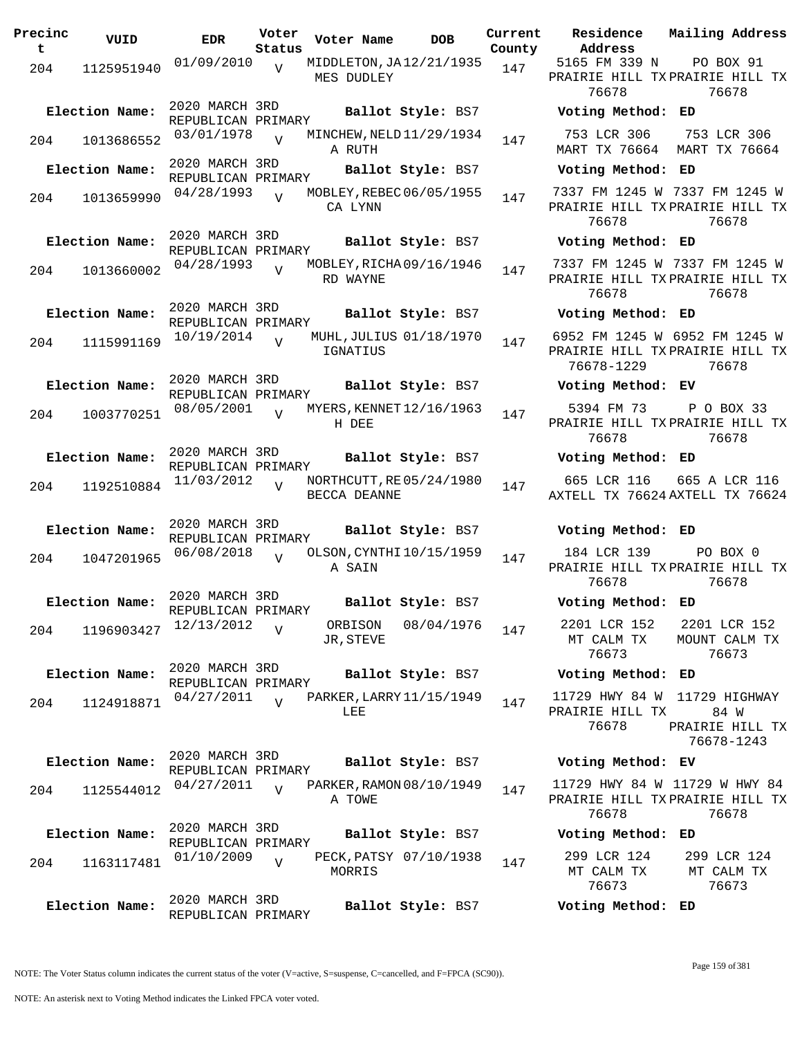| Precinc<br>t | VUID           | EDR                                  | Voter<br>Status | Voter Name                               | <b>DOB</b>              | Current | County Address                             | Residence Mailing Address                                                 |
|--------------|----------------|--------------------------------------|-----------------|------------------------------------------|-------------------------|---------|--------------------------------------------|---------------------------------------------------------------------------|
| 204          | 1125951940     | 01/09/2010                           | $\overline{V}$  | MIDDLETON, JA12/21/1935<br>MES DUDLEY    |                         | 147     | 5165 FM 339 N<br>76678                     | PO BOX 91<br>PRAIRIE HILL TXPRAIRIE HILL TX<br>76678                      |
|              | Election Name: | 2020 MARCH 3RD<br>REPUBLICAN PRIMARY |                 |                                          | Ballot Style: BS7       |         | Voting Method: ED                          |                                                                           |
| 204          | 1013686552     | 03/01/1978                           | $\overline{V}$  | MINCHEW, NELD 11/29/1934<br>A RUTH       |                         | 147     | 753 LCR 306                                | 753 LCR 306<br>MART TX 76664 MART TX 76664                                |
|              | Election Name: | 2020 MARCH 3RD<br>REPUBLICAN PRIMARY |                 |                                          | Ballot Style: BS7       |         | Voting Method: ED                          |                                                                           |
| 204          | 1013659990     | 04/28/1993                           | $\overline{U}$  | MOBLEY, REBEC 06/05/1955<br>CA LYNN      |                         | 147     | 76678                                      | 7337 FM 1245 W 7337 FM 1245 W<br>PRAIRIE HILL TX PRAIRIE HILL TX<br>76678 |
|              | Election Name: | 2020 MARCH 3RD<br>REPUBLICAN PRIMARY |                 |                                          | Ballot Style: BS7       |         | Voting Method: ED                          |                                                                           |
| 204          | 1013660002     | 04/28/1993                           | $\overline{U}$  | MOBLEY, RICHA 09/16/1946<br>RD WAYNE     |                         | 147     | 76678                                      | 7337 FM 1245 W 7337 FM 1245 W<br>PRAIRIE HILL TXPRAIRIE HILL TX<br>76678  |
|              | Election Name: | 2020 MARCH 3RD<br>REPUBLICAN PRIMARY |                 |                                          | Ballot Style: BS7       |         | Voting Method: ED                          |                                                                           |
| 204          | 1115991169     | 10/19/2014                           | $\overline{Y}$  | IGNATIUS                                 | MUHL, JULIUS 01/18/1970 | 147     | 76678-1229                                 | 6952 FM 1245 W 6952 FM 1245 W<br>PRAIRIE HILL TXPRAIRIE HILL TX<br>76678  |
|              | Election Name: | 2020 MARCH 3RD<br>REPUBLICAN PRIMARY |                 |                                          | Ballot Style: BS7       |         | Voting Method: EV                          |                                                                           |
| 204          | 1003770251     | 08/05/2001                           | $\overline{V}$  | MYERS, KENNET 12/16/1963<br>H DEE        |                         | 147     | 5394 FM 73<br>76678                        | P O BOX 33<br>PRAIRIE HILL TX PRAIRIE HILL TX<br>76678                    |
|              | Election Name: | 2020 MARCH 3RD<br>REPUBLICAN PRIMARY |                 |                                          | Ballot Style: BS7       |         | Voting Method: ED                          |                                                                           |
| 204          | 1192510884     | 11/03/2012                           | $\overline{V}$  | NORTHCUTT, RE 05/24/1980<br>BECCA DEANNE |                         | 147     | 665 LCR 116                                | 665 A LCR 116<br>AXTELL TX 76624 AXTELL TX 76624                          |
|              | Election Name: | 2020 MARCH 3RD<br>REPUBLICAN PRIMARY |                 |                                          | Ballot Style: BS7       |         | Voting Method: ED                          |                                                                           |
| 204          | 1047201965     | 06/08/2018                           | $\overline{v}$  | OLSON, CYNTHI 10/15/1959<br>A SAIN       |                         | 147     | 184 LCR 139<br>76678                       | PO BOX 0<br>PRAIRIE HILL TX PRAIRIE HILL TX<br>76678                      |
|              | Election Name: | 2020 MARCH 3RD<br>REPUBLICAN PRIMARY |                 |                                          | Ballot Style: BS7       |         | Voting Method: ED                          |                                                                           |
| 204          | 1196903427     | 12/13/2012                           | $\overline{V}$  | ORBISON<br>JR, STEVE                     | 08/04/1976              | 147     | 2201 LCR 152<br>MT CALM TX<br>76673        | 2201 LCR 152<br>MOUNT CALM TX<br>76673                                    |
|              | Election Name: | 2020 MARCH 3RD<br>REPUBLICAN PRIMARY |                 |                                          | Ballot Style: BS7       |         | Voting Method: ED                          |                                                                           |
| 204          | 1124918871     | 04/27/2011                           | $\overline{U}$  | PARKER, LARRY 11/15/1949<br>LEE          |                         | 147     | 11729 HWY 84 W<br>PRAIRIE HILL TX<br>76678 | 11729 HIGHWAY<br>84 W<br>PRAIRIE HILL TX<br>76678-1243                    |
|              | Election Name: | 2020 MARCH 3RD<br>REPUBLICAN PRIMARY |                 |                                          | Ballot Style: BS7       |         | Voting Method: EV                          |                                                                           |
| 204          | 1125544012     | 04/27/2011                           | $\overline{V}$  | PARKER, RAMON 08/10/1949<br>A TOWE       |                         | 147     | 76678                                      | 11729 HWY 84 W 11729 W HWY 84<br>PRAIRIE HILL TXPRAIRIE HILL TX<br>76678  |
|              | Election Name: | 2020 MARCH 3RD<br>REPUBLICAN PRIMARY |                 |                                          | Ballot Style: BS7       |         | Voting Method: ED                          |                                                                           |
| 204          | 1163117481     | 01/10/2009                           | $\overline{V}$  | MORRIS                                   | PECK, PATSY 07/10/1938  | 147     | 299 LCR 124<br>MT CALM TX<br>76673         | 299 LCR 124<br>MT CALM TX<br>76673                                        |
|              | Election Name: | 2020 MARCH 3RD<br>REPUBLICAN PRIMARY |                 |                                          | Ballot Style: BS7       |         | Voting Method: ED                          |                                                                           |

# **Election Name: Ballot Style:** BS7 **Voting Method: ED**

### **Election Name: Ballot Style:** BS7 **Voting Method: ED**

#### **Election Name: Ballot Style:** BS7 **Voting Method: EV**

### **Election Name: Ballot Style:** BS7 **Voting Method: ED**

## **Election Name: Ballot Style:** BS7 **Voting Method: ED**

### **Election Name: Ballot Style:** BS7 **Voting Method: ED**

#### **Election Name: Ballot Style:** BS7 **Voting Method: ED**

### **Election Name: Ballot Style:** BS7 **Voting Method: EV**

## **Election Name: Ballot Style:** BS7 **Voting Method: ED**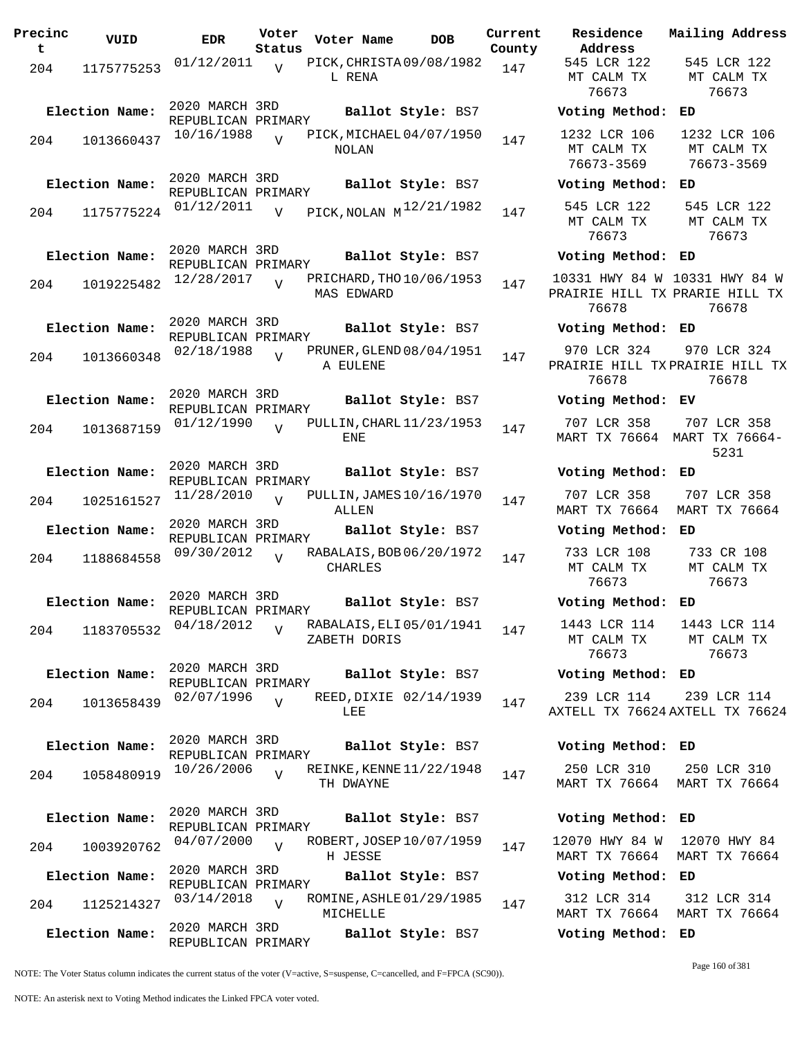| Precinc<br>t | VUID           | <b>EDR</b>                           | Voter<br>Status | Voter Name     | <b>DOB</b>                   | Current<br>County | Residence<br>Address                     |
|--------------|----------------|--------------------------------------|-----------------|----------------|------------------------------|-------------------|------------------------------------------|
| 204          | 1175775253     | $01/12/2011$ $V$                     |                 | L RENA         | PICK, CHRISTA 09/08/1982     | 147               | 545 LCR 122<br>MT CALM TX<br>76673       |
|              | Election Name: | 2020 MARCH 3RD<br>REPUBLICAN PRIMARY |                 |                | Ballot Style: BS7            |                   | Voting Metho                             |
| 204          | 1013660437     | 10/16/1988                           | $\overline{V}$  | NOLAN          | PICK, MICHAEL 04/07/1950     | 147               | 1232 LCR 106<br>MT CALM TX<br>76673-3569 |
|              | Election Name: | 2020 MARCH 3RD<br>REPUBLICAN PRIMARY |                 |                | Ballot Style: BS7            |                   | Voting Metho                             |
| 204          | 1175775224     | 01/12/2011                           | $\overline{V}$  |                | PICK, NOLAN $M^{12/21/1982}$ | 147               | 545 LCR 122<br>MT CALM TX<br>76673       |
|              | Election Name: | 2020 MARCH 3RD<br>REPUBLICAN PRIMARY |                 |                | Ballot Style: BS7            |                   | Voting Metho                             |
| 204          | 1019225482     | 12/28/2017                           | $\overline{U}$  | MAS EDWARD     | PRICHARD, THO 10/06/1953     | 147               | 10331 HWY 84<br>PRAIRIE HILL<br>76678    |
|              | Election Name: | 2020 MARCH 3RD<br>REPUBLICAN PRIMARY |                 |                |                              |                   | Ballot Style: BS7 Voting Metho           |
| 204          | 1013660348     | 02/18/1988                           | $\overline{V}$  | A EULENE       | PRUNER, GLEND 08/04/1951     | 147               | 970 LCR 324<br>PRAIRIE HILL<br>76678     |
|              | Election Name: | 2020 MARCH 3RD<br>REPUBLICAN PRIMARY |                 |                | Ballot Style: BS7            |                   | Voting Metho                             |
| 204          | 1013687159     | 01/12/1990                           | $\overline{U}$  | ENE            | PULLIN, CHARL 11/23/1953     | 147               | 707 LCR 358<br>MART TX 7666              |
|              | Election Name: | 2020 MARCH 3RD<br>REPUBLICAN PRIMARY |                 |                | Ballot Style: BS7            |                   | Voting Metho                             |
| 204          | 1025161527     | 11/28/2010                           | $\overline{17}$ | ALLEN          | PULLIN, JAMES 10/16/1970     | 147               | 707 LCR 358<br>MART TX 7666              |
|              | Election Name: | 2020 MARCH 3RD                       |                 |                | Ballot Style: BS7            |                   | Voting Metho                             |
| 204          | 1188684558     | REPUBLICAN PRIMARY<br>09/30/2012     | $\overline{V}$  | <b>CHARLES</b> | RABALAIS, BOB 06/20/1972     | 147               | 733 LCR 108<br>MT CALM TX<br>76673       |
|              | Election Name: | 2020 MARCH 3RD<br>REPUBLICAN PRIMARY |                 |                | Ballot Style: BS7            |                   | Voting Metho                             |
| 204          | 1183705532     | 04/18/2012                           | $\overline{V}$  | ZABETH DORIS   | RABALAIS, ELI 05/01/1941     | 147               | 1443 LCR 114<br>MT CALM TX<br>76673      |
|              | Election Name: | 2020 MARCH 3RD<br>REPUBLICAN PRIMARY |                 |                | Ballot Style: BS7            |                   | Voting Metho                             |
| 204          | 1013658439     | 02/07/1996                           | $\overline{V}$  | LEE            | REED, DIXIE 02/14/1939       | 147               | 239 LCR 114<br>AXTELL TX 766             |
|              | Election Name: | 2020 MARCH 3RD<br>REPUBLICAN PRIMARY |                 |                | Ballot Style: BS7            |                   | Voting Metho                             |
| 204          | 1058480919     | 10/26/2006                           | $\overline{V}$  | TH DWAYNE      | REINKE, KENNE 11/22/1948     | 147               | 250 LCR 310<br>MART TX 7666              |
|              | Election Name: | 2020 MARCH 3RD<br>REPUBLICAN PRIMARY |                 |                | Ballot Style: BS7            |                   | Voting Metho                             |
| 204          | 1003920762     | 04/07/2000                           | $\overline{U}$  | H JESSE        | ROBERT, JOSEP 10/07/1959     | 147               | 12070 HWY 84<br>MART TX 7666             |
|              | Election Name: | 2020 MARCH 3RD<br>REPUBLICAN PRIMARY |                 |                | Ballot Style: BS7            |                   | Voting Metho                             |
| 204          | 1125214327     | 03/14/2018                           | $\overline{V}$  | MICHELLE       | ROMINE, ASHLE 01/29/1985     | 147               | 312 LCR 314<br>MART TX 7666              |
|              | Election Name: | 2020 MARCH 3RD<br>REPUBLICAN PRIMARY |                 |                | Ballot Style: BS7            |                   | Voting Metho                             |

**Voter Name DOB Residence Address Current Mailing Address** 545 LCR 122 MT CALM TX 76673 545 LCR 122 MT CALM TX 76673 **Election Name: Ballot Style:** BS7 **Voting Method: ED** 1232 LCR 106 MT CALM TX 76673-3569 1232 LCR 106 MT CALM TX 76673-3569 **Election Name: Ballot Style:** BS7 **Voting Method: ED** MT CALM TX 76673 545 LCR 122 MT CALM TX 76673 **Election Name: Ballot Style:** BS7 **Voting Method: ED** 10331 HWY 84 W 10331 HWY 84 W PRAIRIE HILL TX PRARIE HILL TX 76678 76678 **Election Name: Ballot Style:** BS7 **Voting Method: ED** 970 LCR 324 PRAIRIE HILL TX PRAIRIE HILL TX 76678 970 LCR 324 76678 **Election Name: Ballot Style:** BS7 **Voting Method: EV** 707 LCR 358 MART TX 76664 MART TX 76664- 707 LCR 358 5231 **Election Name: Ballot Style:** BS7 **Voting Method: ED** 707 LCR 358 MART TX 76664 MART TX 76664 707 LCR 358 **Election Name: Ballot Style:** BS7 **Voting Method: ED** 733 LCR 108 MT CALM TX 76673 733 CR 108 MT CALM TX 76673 **Election Name: Ballot Style:** BS7 **Voting Method: ED** 1443 LCR 114 MT CALM TX 76673 1443 LCR 114 MT CALM TX 76673 **Election Name: Ballot Style:** BS7 **Voting Method: ED** 239 LCR 114 AXTELL TX 76624 AXTELL TX 76624 239 LCR 114 **Election Name: Ballot Style:** BS7 **Voting Method: ED** 250 LCR 310 MART TX 76664 250 LCR 310 MART TX 76664 **Election Name: Ballot Style:** BS7 **Voting Method: ED** 12070 HWY 84 W MART TX 76664 MART TX 76664 12070 HWY 84 **Election Name: Ballot Style:** BS7 **Voting Method: ED**

312 LCR 314 MART TX 76664 MART TX 76664 312 LCR 314 **Election Name: Ballot Style:** BS7 **Voting Method: ED**

NOTE: The Voter Status column indicates the current status of the voter (V=active, S=suspense, C=cancelled, and F=FPCA (SC90)).

Page 160 of 381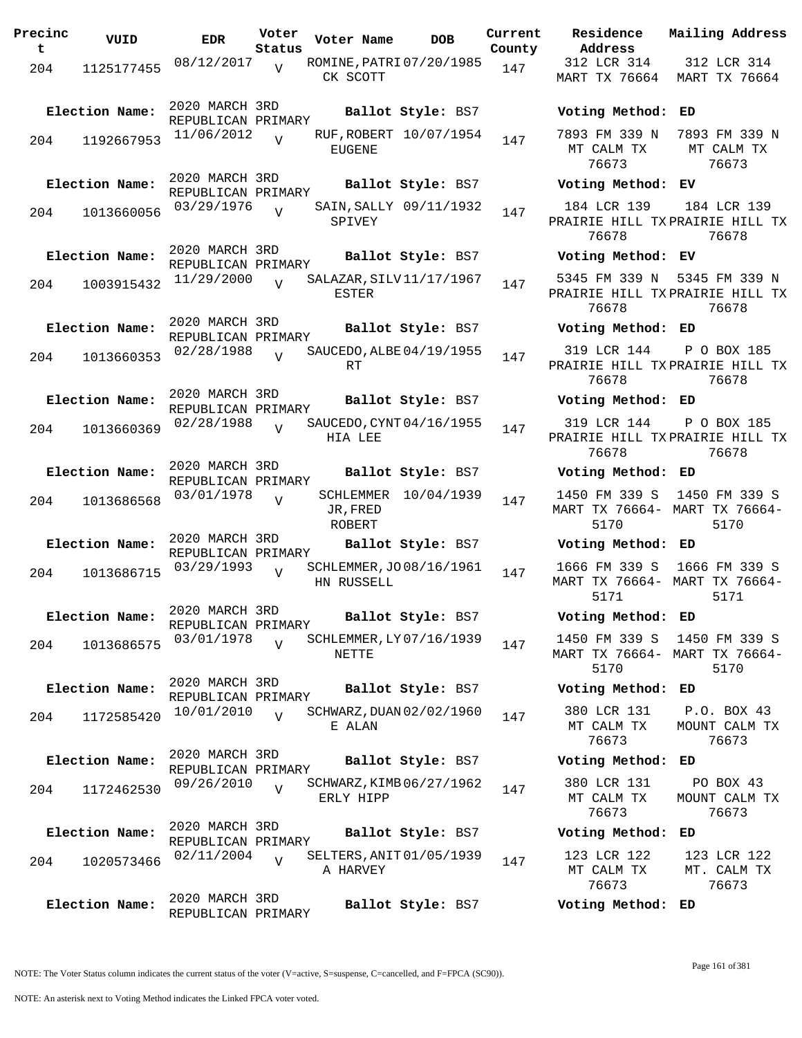| Precinc<br>t | VUID           | <b>EDR</b>                           | Voter<br>Status | Voter Name         | <b>DOB</b>               | Current<br>County | Residence<br>Address                 |
|--------------|----------------|--------------------------------------|-----------------|--------------------|--------------------------|-------------------|--------------------------------------|
| 204          | 1125177455     | 08/12/2017                           | V               | CK SCOTT           | ROMINE, PATRI 07/20/1985 | 147               | 312 LCR 31<br>MART TX 766            |
|              | Election Name: | 2020 MARCH 3RD<br>REPUBLICAN PRIMARY |                 |                    | Ballot Style: BS7        |                   | Voting Meth                          |
| 204          | 1192667953     | 11/06/2012                           | $\overline{U}$  | <b>EUGENE</b>      | RUF, ROBERT 10/07/1954   | 147               | 7893 FM 339<br>MT CALM TX<br>76673   |
|              | Election Name: | 2020 MARCH 3RD<br>REPUBLICAN PRIMARY |                 |                    | Ballot Style: BS7        |                   | Voting Meth                          |
| 204          | 1013660056     | 03/29/1976                           | V               | SPIVEY             | SAIN, SALLY 09/11/1932   | 147               | 184 LCR 13<br>PRAIRIE HILL<br>76678  |
|              | Election Name: | 2020 MARCH 3RD<br>REPUBLICAN PRIMARY |                 |                    | Ballot Style: BS7        |                   | Voting Meth                          |
| 204          | 1003915432     | 11/29/2000                           | $\overline{V}$  | ESTER              | SALAZAR, SILV11/17/1967  | 147               | 5345 FM 339<br>PRAIRIE HILL<br>76678 |
|              | Election Name: | 2020 MARCH 3RD<br>REPUBLICAN PRIMARY |                 |                    | Ballot Style: BS7        |                   | Voting Meth                          |
| 204          | 1013660353     | 02/28/1988                           | $\overline{U}$  | RT                 | SAUCEDO, ALBE 04/19/1955 | 147               | 319 LCR 14<br>PRAIRIE HILL<br>76678  |
|              | Election Name: | 2020 MARCH 3RD<br>REPUBLICAN PRIMARY |                 |                    | Ballot Style: BS7        |                   | Voting Meth                          |
| 204          | 1013660369     | 02/28/1988                           | $\overline{V}$  | HIA LEE            | SAUCEDO, CYNT 04/16/1955 | 147               | 319 LCR 14<br>PRAIRIE HILL<br>76678  |
|              | Election Name: | 2020 MARCH 3RD<br>REPUBLICAN PRIMARY |                 |                    | Ballot Style: BS7        |                   | Voting Meth                          |
| 204          | 1013686568     | 03/01/1978                           | $\overline{V}$  | JR, FRED<br>ROBERT | SCHLEMMER 10/04/1939     | 147               | 1450 FM 339<br>MART TX 7666<br>5170  |
|              | Election Name: | 2020 MARCH 3RD<br>REPUBLICAN PRIMARY |                 |                    | Ballot Style: BS7        |                   | Voting Meth                          |
| 204          | 1013686715     | 03/29/1993                           | $\overline{V}$  | HN RUSSELL         | SCHLEMMER, JO 08/16/1961 | 147               | 1666 FM 339<br>MART TX 7666<br>5171  |
|              | Election Name: | 2020 MARCH 3RD<br>REPUBLICAN PRIMARY |                 |                    | Ballot Style: BS7        |                   | Voting Meth                          |
| 204          | 1013686575     | 03/01/1978                           | $\overline{V}$  | NETTE              | SCHLEMMER, LY 07/16/1939 | 147               | 1450 FM 339<br>MART TX 7666<br>5170  |
|              | Election Name: | 2020 MARCH 3RD<br>REPUBLICAN PRIMARY |                 |                    | Ballot Style: BS7        |                   | Voting Meth                          |
| 204          | 1172585420     | 10/01/2010                           | $\overline{U}$  | E ALAN             | SCHWARZ, DUAN 02/02/1960 | 147               | 380 LCR 13:<br>MT CALM TX<br>76673   |
|              | Election Name: | 2020 MARCH 3RD<br>REPUBLICAN PRIMARY |                 |                    | Ballot Style: BS7        |                   | Voting Meth                          |
| 204          | 1172462530     | 09/26/2010                           | V               | ERLY HIPP          | SCHWARZ, KIMB 06/27/1962 | 147               | 380 LCR 133<br>MT CALM TX<br>76673   |
|              | Election Name: | 2020 MARCH 3RD<br>REPUBLICAN PRIMARY |                 |                    | Ballot Style: BS7        |                   | Voting Meth                          |
| 204          | 1020573466     | 02/11/2004                           | $\overline{V}$  | A HARVEY           | SELTERS, ANIT 01/05/1939 | 147               | 123 LCR 12:<br>MT CALM TX<br>76673   |
|              | Election Name: | 2020 MARCH 3RD<br>REPUBLICAN PRIMARY |                 |                    | Ballot Style: BS7        |                   | Voting Meth                          |

**Address Lty** 312 LCR 314 MART TX 76664 MART TX 76664 312 LCR 314 **Election Name: Ballot Style:** BS7 **Voting Method: ED** 7893 FM 339 N MT CALM TX 76673 7893 FM 339 N MT CALM TX 76673 **Election Name: Ballot Style:** BS7 **Voting Method: EV** 184 LCR 139 PRAIRIE HILL TX PRAIRIE HILL TX 76678 184 LCR 139 76678 **Election Name: Ballot Style:** BS7 **Voting Method: EV** 5345 FM 339 N 5345 FM 339 N PRAIRIE HILL TX PRAIRIE HILL TX 76678 76678 **Election Name: Ballot Style:** BS7 **Voting Method: ED** 319 LCR 144 PRAIRIE HILL TX PRAIRIE HILL TX 76678 P O BOX 185 76678 **Election Name: Ballot Style:** BS7 **Voting Method: ED** 319 LCR 144 PRAIRIE HILL TX PRAIRIE HILL TX 76678 P O BOX 185 76678 **Election Name: Ballot Style:** BS7 **Voting Method: ED** 1450 FM 339 S 1450 FM 339 S MART TX 76664- MART TX 76664- 5170 5170 **Election Name: Ballot Style:** BS7 **Voting Method: ED** 1666 FM 339 S 1666 FM 339 S MART TX 76664- MART TX 76664- 5171 5171 **Election Name: Ballot Style:** BS7 **Voting Method: ED** 1450 FM 339 S 1450 FM 339 S MART TX 76664- MART TX 76664- 5170 5170 **Election Name: Ballot Style:** BS7 **Voting Method: ED** 380 LCR 131 MT CALM TX 76673 P.O. BOX 43 MOUNT CALM TX 76673 **Election Name: Ballot Style:** BS7 **Voting Method: ED** 380 LCR 131 MT CALM TX 76673 PO BOX 43 MOUNT CALM TX 76673 **Election Name: Ballot Style:** BS7 **Voting Method: ED** 123 LCR 122 123 LCR 122

**Current Mailing Address**

MT CALM TX 76673 MT. CALM TX 76673 **Election Name: Ballot Style:** BS7 **Voting Method: ED**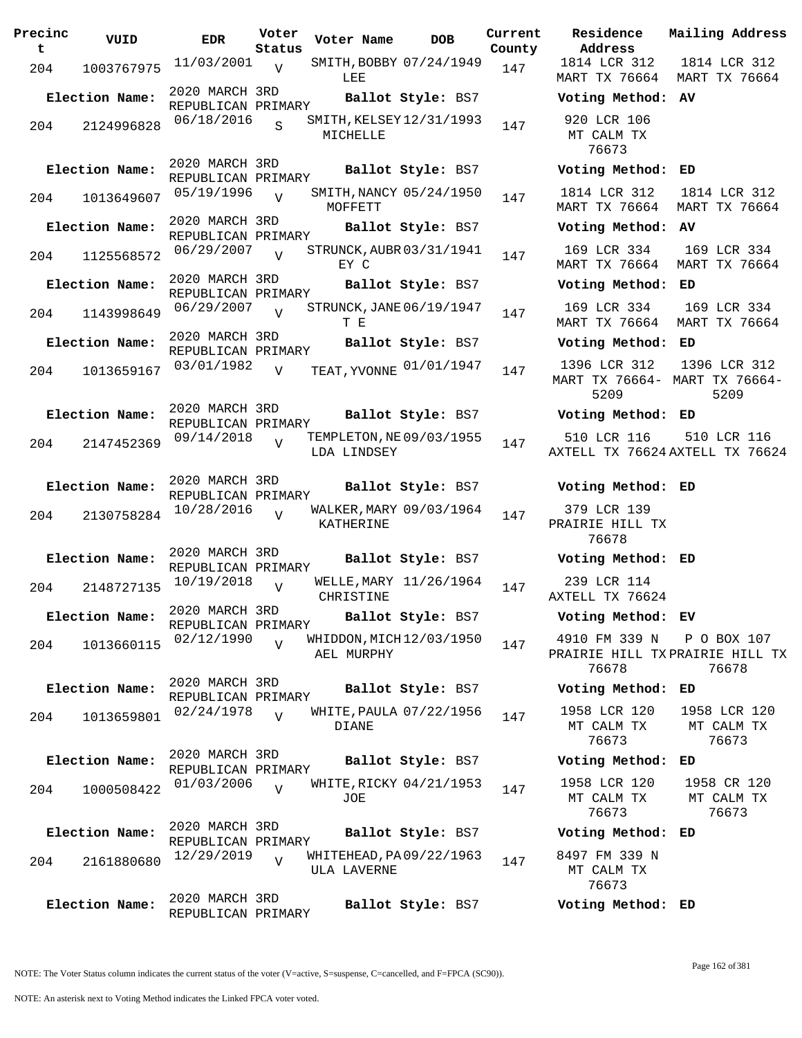| Precinc<br>t. | VUID           | <b>EDR</b>                           | Voter<br>Status | Voter Name                              | <b>DOB</b>        | Current<br>County | Residence<br>Address                         |
|---------------|----------------|--------------------------------------|-----------------|-----------------------------------------|-------------------|-------------------|----------------------------------------------|
| 204           | 1003767975     | $11/03/2001$ <sub>V</sub>            |                 | SMITH, BOBBY 07/24/1949<br>LEE          |                   | 147               | 1814 LCR 312<br>MART TX 76664                |
|               | Election Name: | 2020 MARCH 3RD<br>REPUBLICAN PRIMARY |                 |                                         | Ballot Style: BS7 |                   | Voting Metho                                 |
| 204           | 2124996828     | 06/18/2016                           | $\mathbf{s}$    | SMITH, KELSEY 12/31/1993<br>MICHELLE    |                   | 147               | 920 LCR 106<br>MT CALM TX<br>76673           |
|               | Election Name: | 2020 MARCH 3RD<br>REPUBLICAN PRIMARY |                 |                                         | Ballot Style: BS7 |                   | Voting Metho                                 |
| 204           | 1013649607     | 05/19/1996                           | $\overline{V}$  | SMITH, NANCY 05/24/1950<br>MOFFETT      |                   | 147               | 1814 LCR 312<br>MART TX 76664                |
|               | Election Name: | 2020 MARCH 3RD<br>REPUBLICAN PRIMARY |                 |                                         | Ballot Style: BS7 |                   | Voting Metho                                 |
| 204           | 1125568572     | 06/29/2007                           | V               | STRUNCK, AUBR 03/31/1941<br>EY C        |                   | 147               | 169 LCR 334<br>MART TX 76664                 |
|               | Election Name: | 2020 MARCH 3RD<br>REPUBLICAN PRIMARY |                 |                                         | Ballot Style: BS7 |                   | Voting Metho                                 |
| 204           | 1143998649     | 06/29/2007                           | $\overline{V}$  | STRUNCK, JANE 06/19/1947<br>T E         |                   | 147               | 169 LCR 334<br>MART TX 76664                 |
|               | Election Name: | 2020 MARCH 3RD<br>REPUBLICAN PRIMARY |                 |                                         | Ballot Style: BS7 |                   | Voting Metho                                 |
| 204           | 1013659167     | 03/01/1982                           | V               | TEAT, YVONNE 01/01/1947                 |                   | 147               | 1396 LCR 312<br><b>MART TX 76664</b><br>5209 |
|               | Election Name: | 2020 MARCH 3RD<br>REPUBLICAN PRIMARY |                 |                                         | Ballot Style: BS7 |                   | Voting Metho                                 |
| 204           | 2147452369     | 09/14/2018                           | $\overline{V}$  | TEMPLETON, NE 09/03/1955<br>LDA LINDSEY |                   | 147               | 510 LCR 116<br>AXTELL TX 7662                |
|               | Election Name: | 2020 MARCH 3RD<br>REPUBLICAN PRIMARY |                 |                                         | Ballot Style: BS7 |                   | Voting Metho                                 |
| 204           | 2130758284     | 10/28/2016                           | $\overline{V}$  | WALKER, MARY 09/03/1964<br>KATHERINE    |                   | 147               | 379 LCR 139<br>PRAIRIE HILL T<br>76678       |
|               | Election Name: | 2020 MARCH 3RD                       |                 |                                         | Ballot Style: BS7 |                   | Voting Metho                                 |
| 204           | 2148727135     | REPUBLICAN PRIMARY<br>10/19/2018     | V               | WELLE, MARY 11/26/1964<br>CHRISTINE     |                   | 147               | 239 LCR 114<br>AXTELL TX 7662                |
|               | Election Name: | 2020 MARCH 3RD                       |                 |                                         | Ballot Style: BS7 |                   | Voting Metho                                 |
| 204           | 1013660115     | REPUBLICAN PRIMARY<br>02/12/1990     | $\overline{V}$  | WHIDDON, MICH 12/03/1950<br>AEL MURPHY  |                   | 147               | 4910 FM 339 I<br>PRAIRIE HILL T<br>76678     |
|               | Election Name: | 2020 MARCH 3RD<br>REPUBLICAN PRIMARY |                 |                                         | Ballot Style: BS7 |                   | Voting Metho                                 |
| 204           | 1013659801     | 02/24/1978                           | $\overline{V}$  | WHITE, PAULA 07/22/1956<br><b>DIANE</b> |                   | 147               | 1958 LCR 120<br>MT CALM TX<br>76673          |
|               | Election Name: | 2020 MARCH 3RD                       |                 |                                         | Ballot Style: BS7 |                   | Voting Metho                                 |
| 204           | 1000508422     | REPUBLICAN PRIMARY<br>01/03/2006     | $\overline{V}$  | WHITE, RICKY 04/21/1953<br>JOE          |                   | 147               | 1958 LCR 120<br>MT CALM TX<br>76673          |
|               | Election Name: | 2020 MARCH 3RD<br>REPUBLICAN PRIMARY |                 |                                         | Ballot Style: BS7 |                   | Voting Metho                                 |
| 204           | 2161880680     | 12/29/2019                           | $\overline{V}$  | WHITEHEAD, PA09/22/1963<br>ULA LAVERNE  |                   | 147               | 8497 FM 339 I<br>MT CALM TX<br>76673         |
|               | Election Name: | 2020 MARCH 3RD<br>REPUBLICAN PRIMARY |                 |                                         | Ballot Style: BS7 |                   | Voting Metho                                 |

**Voter Name DOB Residence Address Current Mailing Address**  $\frac{1}{2}$ 1814 LCR 312 MART TX 76664 MART TX 76664 1814 LCR 312 **Election Name: Ballot Style:** BS7 **Voting Method: AV** 920 LCR 106 MT CALM TX 76673 **Election Name: Ballot Style:** BS7 **Voting Method: ED** 1814 LCR 312 MART TX 76664 MART TX 76664 1814 LCR 312 **Election Name: Ballot Style:** BS7 **Voting Method: AV** 169 LCR 334 MART TX 76664 MART TX 76664 169 LCR 334 **Election Name: Ballot Style:** BS7 **Voting Method: ED** 169 LCR 334 MART TX 76664 MART TX 76664 169 LCR 334 **Election Name: Ballot Style:** BS7 **Voting Method: ED** MART TX 76664- MART TX 76664- 5209 1396 LCR 312 5209 **Election Name: Ballot Style:** BS7 **Voting Method: ED** 510 LCR 116 AXTELL TX 76624 AXTELL TX 76624 510 LCR 116 **Election Name: Ballot Style:** BS7 **Voting Method: ED** 379 LCR 139 PRAIRIE HILL TX 76678 **Election Name: Ballot Style:** BS7 **Voting Method: ED** 239 LCR 114 AXTELL TX 76624 **Election Name: Ballot Style:** BS7 **Voting Method: EV** 4910 FM 339 N PRAIRIE HILL TX PRAIRIE HILL TX 76678 P O BOX 107 76678 **Election Name: Ballot Style:** BS7 **Voting Method: ED** 1958 LCR 120 MT CALM TX 76673 1958 LCR 120 MT CALM TX 76673 **Election Name: Ballot Style:** BS7 **Voting Method: ED** 1958 LCR 120 MT CALM TX 76673 1958 CR 120 MT CALM TX 76673 **Election Name: Ballot Style:** BS7 **Voting Method: ED** 8497 FM 339 N

MT CALM TX 76673

**Election Name: Ballot Style:** BS7 **Voting Method: ED**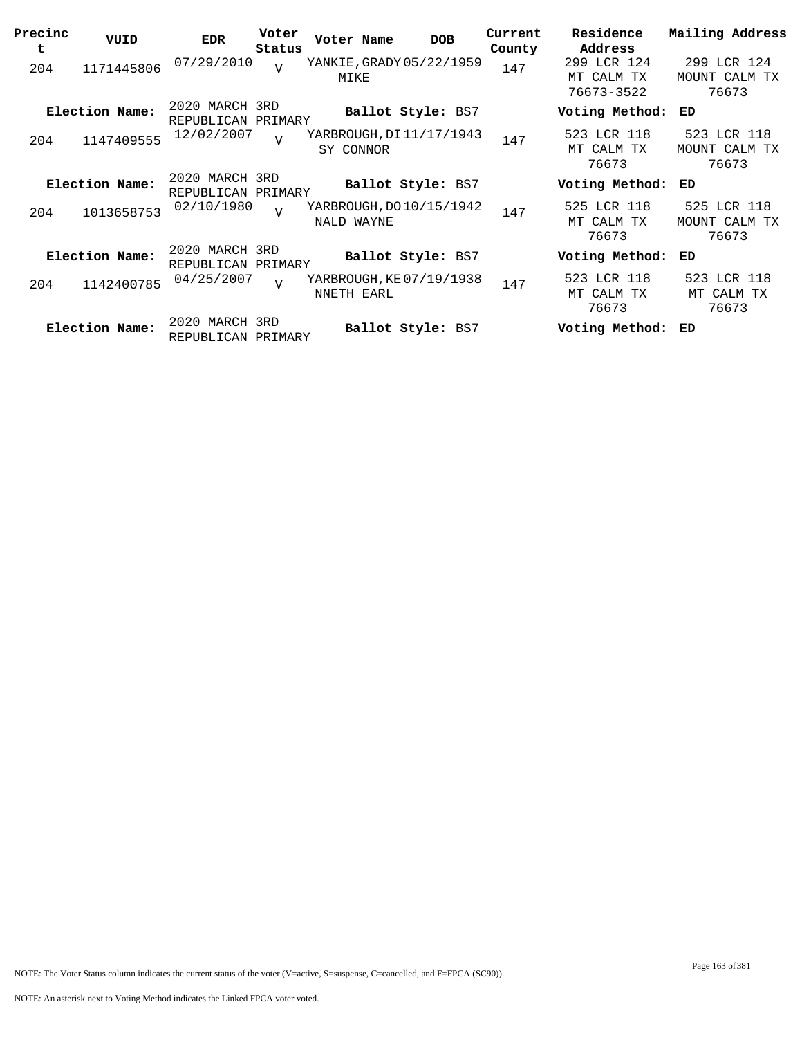| Precinc<br>t | VUID           | <b>EDR</b>                           | Voter<br>Status | Voter Name                             | <b>DOB</b>        | Current<br>County | Residence<br>Address                    | Mailing Address                       |
|--------------|----------------|--------------------------------------|-----------------|----------------------------------------|-------------------|-------------------|-----------------------------------------|---------------------------------------|
| 204          | 1171445806     | 07/29/2010                           | V               | YANKIE, GRADY 05/22/1959<br>MIKE       |                   | 147               | 299 LCR 124<br>MT CALM TX<br>76673-3522 | 299 LCR 124<br>MOUNT CALM TX<br>76673 |
|              | Election Name: | 2020 MARCH 3RD<br>REPUBLICAN PRIMARY |                 |                                        | Ballot Style: BS7 |                   | Voting Method:                          | ED                                    |
| 204          | 1147409555     | 12/02/2007                           | $\overline{U}$  | YARBROUGH, DI 11/17/1943<br>SY CONNOR  |                   | 147               | 523 LCR 118<br>MT CALM TX<br>76673      | 523 LCR 118<br>MOUNT CALM TX<br>76673 |
|              | Election Name: | 2020 MARCH 3RD<br>REPUBLICAN PRIMARY |                 |                                        | Ballot Style: BS7 |                   | Voting Method:                          | ED                                    |
| 204          | 1013658753     | 02/10/1980                           | T               | YARBROUGH, DO 10/15/1942<br>NALD WAYNE |                   | 147               | 525 LCR 118<br>MT CALM TX<br>76673      | 525 LCR 118<br>MOUNT CALM TX<br>76673 |
|              | Election Name: | 2020 MARCH 3RD<br>REPUBLICAN PRIMARY |                 |                                        | Ballot Style: BS7 |                   | Voting Method:                          | ED                                    |
| 204          | 1142400785     | 04/25/2007                           | $\overline{U}$  | YARBROUGH, KE07/19/1938<br>NNETH EARL  |                   | 147               | 523 LCR 118<br>MT CALM TX<br>76673      | 523 LCR 118<br>MT CALM TX<br>76673    |
|              | Election Name: | 2020 MARCH 3RD<br>REPUBLICAN PRIMARY |                 |                                        | Ballot Style: BS7 |                   | Voting Method:                          | ED                                    |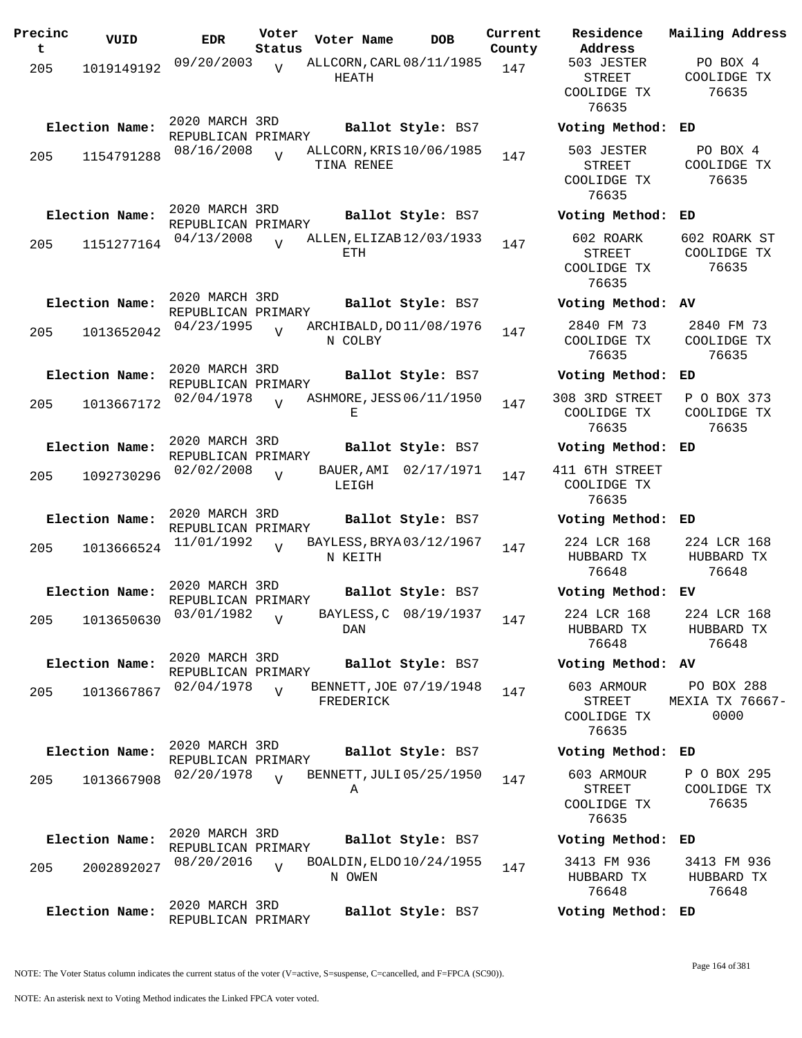| Precinc<br>t | VUID           | <b>EDR</b>                                         | Voter<br>Status | Voter Name                             | DOB                   | Current<br>County |
|--------------|----------------|----------------------------------------------------|-----------------|----------------------------------------|-----------------------|-------------------|
| 205          | 1019149192     | 09/20/2003                                         | $\overline{V}$  | ALLCORN, CARL 08/11/1985<br>HEATH      |                       | 147               |
|              | Election Name: | 2020 MARCH 3RD<br>REPUBLICAN PRIMARY               |                 |                                        | Ballot Style: BS7     |                   |
| 205          | 1154791288     | 08/16/2008                                         | $\overline{U}$  | ALLCORN, KRIS 10/06/1985<br>TINA RENEE |                       | 147               |
|              | Election Name: | 2020 MARCH 3RD<br>REPUBLICAN PRIMARY               |                 |                                        | Ballot Style: BS7     |                   |
| 205          | 1151277164     | 04/13/2008                                         | $\overline{U}$  | ALLEN, ELIZAB 12/03/1933<br>ETH.       |                       | 147               |
|              | Election Name: | 2020 MARCH 3RD<br>REPUBLICAN PRIMARY               |                 |                                        | Ballot Style: BS7     |                   |
| 205          | 1013652042     | 04/23/1995                                         | V               | ARCHIBALD, DO 11/08/1976<br>N COLBY    |                       | 147               |
|              | Election Name: | 2020 MARCH 3RD<br>REPUBLICAN PRIMARY<br>02/04/1978 |                 | ASHMORE, JESS 06/11/1950               | Ballot Style: BS7     |                   |
| 205          | 1013667172     |                                                    | $\overline{U}$  | Е                                      |                       | 147               |
|              | Election Name: | 2020 MARCH 3RD<br>REPUBLICAN PRIMARY               |                 |                                        | Ballot Style: BS7     |                   |
| 205          | 1092730296     | 02/02/2008                                         | V               | BAUER,AMI<br>LEIGH                     | 02/17/1971            | 147               |
|              | Election Name: | 2020 MARCH 3RD<br>REPUBLICAN PRIMARY               |                 |                                        | Ballot Style: BS7     |                   |
| 205          | 1013666524     | 11/01/1992                                         | $\overline{U}$  | BAYLESS, BRYA03/12/1967<br>N KEITH     |                       | 147               |
|              | Election Name: | 2020 MARCH 3RD<br>REPUBLICAN PRIMARY               |                 |                                        | Ballot Style: BS7     |                   |
| 205          | 1013650630     | 03/01/1982                                         | V               | DAN                                    | BAYLESS, C 08/19/1937 | 147               |
|              | Election Name: | 2020 MARCH 3RD<br>REPUBLICAN PRIMARY               |                 |                                        | Ballot Style: BS7     |                   |
| 205          | 1013667867     | 02/04/1978                                         | $\overline{V}$  | BENNETT, JOE 07/19/1948<br>FREDERICK   |                       | 147               |
|              | Election Name: | 2020 MARCH 3RD<br>REPUBLICAN PRIMARY               |                 |                                        | Ballot Style: BS7     |                   |
| 205          | 1013667908     | 02/20/1978                                         | $\overline{V}$  | BENNETT, JULI 05/25/1950<br>Α          |                       | 147               |
|              | Election Name: | 2020 MARCH 3RD                                     |                 |                                        | Ballot Style: BS7     |                   |
| 205          | 2002892027     | REPUBLICAN PRIMARY<br>08/20/2016                   | $\overline{U}$  | BOALDIN, ELDO 10/24/1955<br>N OWEN     |                       | 147               |
|              | Election Name: | 2020 MARCH 3RD<br>REPUBLICAN PRIMARY               |                 |                                        | Ballot Style: BS7     |                   |

**Voter Name DOB Residence Address Current Mailing Address** 503 JESTER STREET COOLIDGE TX 76635 PO BOX 4 COOLIDGE TX 76635 **Election Name: Ballot Style:** BS7 **Voting Method: ED** 503 JESTER STREET COOLIDGE TX 76635 PO BOX 4 COOLIDGE TX 76635 **Election Name: Ballot Style:** BS7 **Voting Method: ED** 602 ROARK STREET COOLIDGE TX 76635 602 ROARK ST COOLIDGE TX 76635 **Election Name: Ballot Style:** BS7 **Voting Method: AV** 2840 FM 73 COOLIDGE TX 76635 2840 FM 73 COOLIDGE TX 76635 **Election Name: Ballot Style:** BS7 **Voting Method: ED** 308 3RD STREET COOLIDGE TX 76635 P O BOX 373 COOLIDGE TX 76635 **Election Name: Ballot Style:** BS7 **Voting Method: ED** 411 6TH STREET COOLIDGE TX 76635 **Election Name: Ballot Style:** BS7 **Voting Method: ED** 224 LCR 168 HUBBARD TX 76648 224 LCR 168 HUBBARD TX 76648 **Election Name: Ballot Style:** BS7 **Voting Method: EV** 224 LCR 168 HUBBARD TX 76648 224 LCR 168 HUBBARD TX 76648 **Election Name: Ballot Style:** BS7 **Voting Method: AV** 603 ARMOUR STREET COOLIDGE TX 76635 PO BOX 288 MEXIA TX 76667- 0000 **Election Name: Ballot Style:** BS7 **Voting Method: ED** 603 ARMOUR STREET COOLIDGE TX 76635 P O BOX 295 COOLIDGE TX 76635 **Election Name: Ballot Style:** BS7 **Voting Method: ED** 3413 FM 936 HUBBARD TX 3413 FM 936 HUBBARD TX

NOTE: The Voter Status column indicates the current status of the voter (V=active, S=suspense, C=cancelled, and F=FPCA (SC90)).

76648

76648

**Election Name: Ballot Style:** BS7 **Voting Method: ED**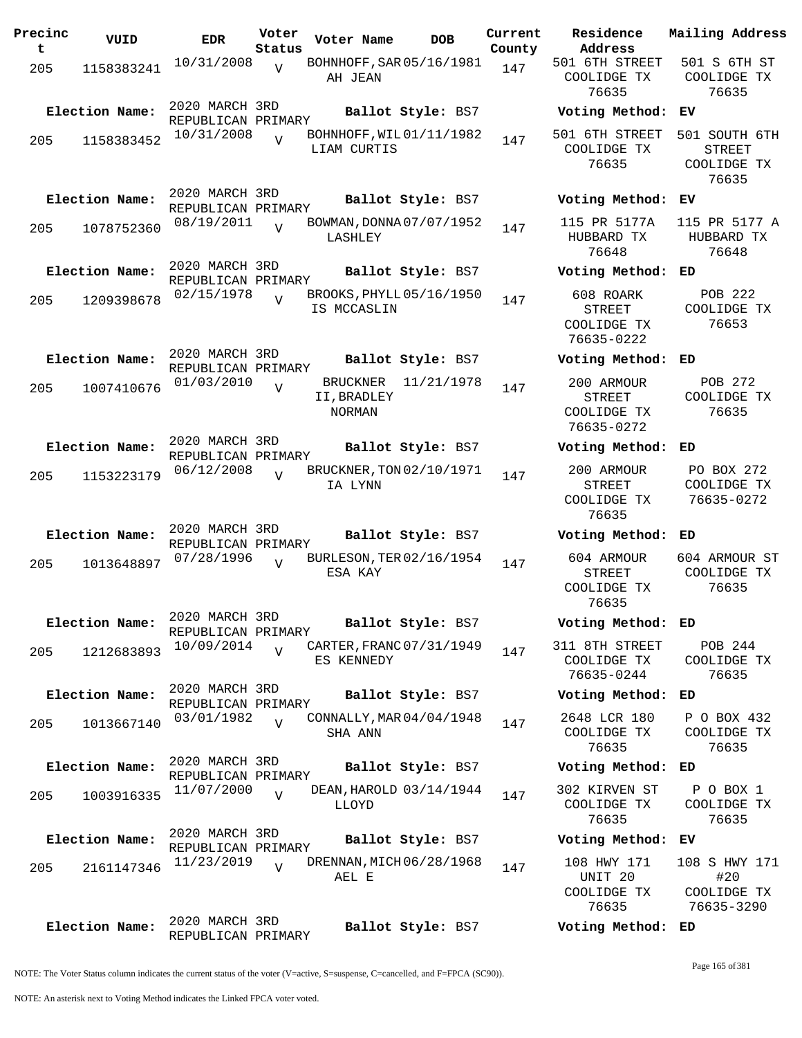| Precinc<br>t. | VUID                         | <b>EDR</b>                                         | Voter<br>Status | Voter Name                                      | DOB                             | Current<br>County |
|---------------|------------------------------|----------------------------------------------------|-----------------|-------------------------------------------------|---------------------------------|-------------------|
| 205           | 1158383241                   | 10/31/2008                                         | $\overline{V}$  | BOHNHOFF, SAR 05/16/1981<br>AH JEAN             |                                 | 147               |
| 205           | Election Name:<br>1158383452 | 2020 MARCH 3RD<br>REPUBLICAN PRIMARY<br>10/31/2008 | $\overline{V}$  | BOHNHOFF, WIL01/11/1982<br>LIAM CURTIS          | Ballot Style: BS7               | 147               |
| 205           | Election Name:<br>1078752360 | 2020 MARCH 3RD<br>REPUBLICAN PRIMARY<br>08/19/2011 | $\overline{V}$  | BOWMAN, DONNA 07/07/1952<br>LASHLEY             | Ballot Style: BS7               | 147               |
| 205           | Election Name:<br>1209398678 | 2020 MARCH 3RD<br>REPUBLICAN PRIMARY<br>02/15/1978 | $\overline{V}$  | BROOKS, PHYLL 05/16/1950<br>IS MCCASLIN         | Ballot Style: BS7               | 147               |
| 205           | Election Name:<br>1007410676 | 2020 MARCH 3RD<br>REPUBLICAN PRIMARY<br>01/03/2010 | V               | <b>BRUCKNER</b><br>II, BRADLEY<br><b>NORMAN</b> | Ballot Style: BS7<br>11/21/1978 | 147               |
| 205           | Election Name:<br>1153223179 | 2020 MARCH 3RD<br>REPUBLICAN PRIMARY<br>06/12/2008 | V               | BRUCKNER, TON 02/10/1971<br>IA LYNN             | Ballot Style: BS7               | 147               |
| 205           | Election Name:<br>1013648897 | 2020 MARCH 3RD<br>REPUBLICAN PRIMARY<br>07/28/1996 | ٦T              | BURLESON, TER 02/16/1954<br>ESA KAY             | Ballot Style: BS7               | 147               |
| 205           | Election Name:<br>1212683893 | 2020 MARCH 3RD<br>REPUBLICAN PRIMARY<br>10/09/2014 | $\overline{V}$  | CARTER, FRANC 07/31/1949<br>ES KENNEDY          | Ballot Style: BS7               | 147               |
| 205           | Election Name:<br>1013667140 | 2020 MARCH 3RD<br>REPUBLICAN PRIMARY<br>03/01/1982 | $\overline{V}$  | CONNALLY, MAR 04/04/1948<br>SHA ANN             | Ballot Style: BS7               | 147               |
| 205           | Election Name:<br>1003916335 | 2020 MARCH 3RD<br>REPUBLICAN PRIMARY<br>11/07/2000 | $\overline{V}$  | DEAN, HAROLD 03/14/1944<br>LLOYD                | Ballot Style: BS7               | 147               |
| 205           | Election Name:<br>2161147346 | 2020 MARCH 3RD<br>REPUBLICAN PRIMARY<br>11/23/2019 | $\overline{V}$  | DRENNAN, MICH 06/28/1968<br>AEL E               | Ballot Style: BS7               | 147               |
|               | Election Name:               | 2020 MARCH 3RD<br>REPUBLICAN PRIMARY               |                 |                                                 | Ballot Style: BS7               |                   |

**Voter Name DOB Residence Address Current Mailing Address** 501 6TH STREET COOLIDGE TX 76635 501 S 6TH ST COOLIDGE TX 76635 **Election Name: Ballot Style:** BS7 **Voting Method: EV** 501 6TH STREET COOLIDGE TX 76635 501 SOUTH 6TH STREET COOLIDGE TX 76635 **Election Name: Ballot Style:** BS7 **Voting Method: EV** 115 PR 5177A HUBBARD TX 76648 115 PR 5177 A HUBBARD TX 76648 **Election Name: Ballot Style:** BS7 **Voting Method: ED** 608 ROARK STREET COOLIDGE TX 76635-0222 POB 222 COOLIDGE TX 76653 **Election Name: Ballot Style:** BS7 **Voting Method: ED** 200 ARMOUR STREET COOLIDGE TX 76635-0272 POB 272 COOLIDGE TX 76635 **Election Name: Ballot Style:** BS7 **Voting Method: ED** 200 ARMOUR STREET COOLIDGE TX 76635 PO BOX 272 COOLIDGE TX 76635-0272 **Election Name: Ballot Style:** BS7 **Voting Method: ED** 604 ARMOUR STREET COOLIDGE TX 76635 604 ARMOUR ST COOLIDGE TX 76635 **Election Name: Ballot Style:** BS7 **Voting Method: ED** 311 8TH STREET COOLIDGE TX 76635-0244 POB 244 COOLIDGE TX 76635 **Election Name: Ballot Style:** BS7 **Voting Method: ED** 2648 LCR 180 COOLIDGE TX 76635 P O BOX 432 COOLIDGE TX 76635 **Election Name: Ballot Style:** BS7 **Voting Method: ED** 302 KIRVEN ST COOLIDGE TX 76635 P O BOX 1 COOLIDGE TX 76635 **Election Name: Ballot Style:** BS7 **Voting Method: EV** 108 HWY 171 UNIT 20 COOLIDGE TX 76635 108 S HWY 171 #20 COOLIDGE TX 76635-3290 **Election Name: Ballot Style:** BS7 **Voting Method: ED**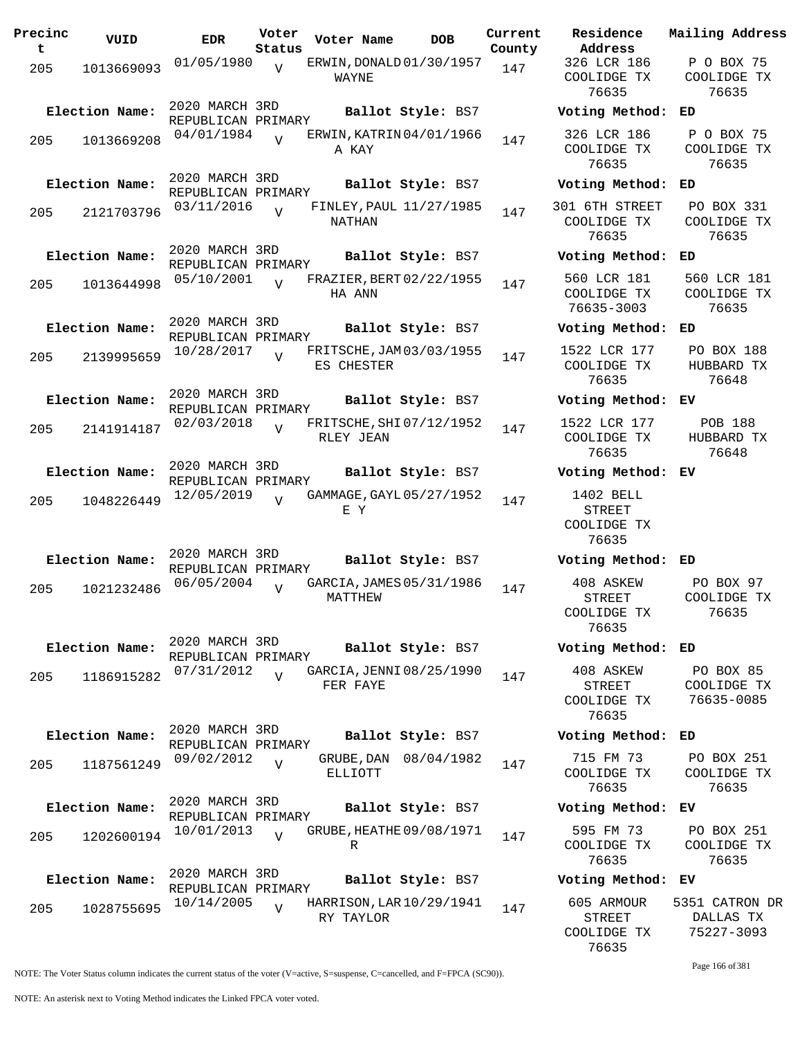| Precinc<br>t. | VUID           | <b>EDR</b>                           | Voter<br>Status | Voter Name |             | DOB                      | Current<br>County |
|---------------|----------------|--------------------------------------|-----------------|------------|-------------|--------------------------|-------------------|
| 205           | 1013669093     | 01/05/1980                           | $\overline{V}$  | WAYNE      |             | ERWIN, DONALD 01/30/1957 | 147               |
|               | Election Name: | 2020 MARCH 3RD                       |                 |            |             | Ballot Style: BS7        |                   |
| 205           | 1013669208     | REPUBLICAN PRIMARY<br>04/01/1984     | $\overline{z}$  | A KAY      |             | ERWIN, KATRIN 04/01/1966 | 147               |
|               | Election Name: | 2020 MARCH 3RD<br>REPUBLICAN PRIMARY |                 |            |             | Ballot Style: BS7        |                   |
| 205           | 2121703796     | 03/11/2016                           | $\overline{V}$  | NATHAN     |             | FINLEY, PAUL 11/27/1985  | 147               |
|               | Election Name: | 2020 MARCH 3RD<br>REPUBLICAN PRIMARY |                 |            |             | Ballot Style: BS7        |                   |
| 205           | 1013644998     | 05/10/2001                           | $\overline{U}$  | HA ANN     |             | FRAZIER, BERT 02/22/1955 | 147               |
|               | Election Name: | 2020 MARCH 3RD<br>REPUBLICAN PRIMARY |                 |            |             | Ballot Style: BS7        |                   |
| 205           | 2139995659     | 10/28/2017                           | $\overline{U}$  | ES CHESTER |             | FRITSCHE, JAM 03/03/1955 | 147               |
|               | Election Name: | 2020 MARCH 3RD<br>REPUBLICAN PRIMARY |                 |            |             | Ballot Style: BS7        |                   |
| 205           | 2141914187     | 02/03/2018                           | V               | RLEY JEAN  |             | FRITSCHE, SHI 07/12/1952 | 147               |
|               | Election Name: | 2020 MARCH 3RD<br>REPUBLICAN PRIMARY |                 |            |             | Ballot Style: BS7        |                   |
| 205           | 1048226449     | 12/05/2019                           | $\overline{U}$  | E Y        |             | GAMMAGE, GAYL 05/27/1952 | 147               |
|               | Election Name: | 2020 MARCH 3RD                       |                 |            |             | Ballot Style: BS7        |                   |
| 205           | 1021232486     | REPUBLICAN PRIMARY<br>06/05/2004     |                 | MATTHEW    |             | GARCIA, JAMES 05/31/1986 | 147               |
|               | Election Name: | 2020 MARCH 3RD<br>REPUBLICAN PRIMARY |                 |            |             | Ballot Style: BS7        |                   |
| 205           | 1186915282     | 07/31/2012                           | $\overline{U}$  | FER FAYE   |             | GARCIA, JENNI 08/25/1990 | 147               |
|               | Election Name: | 2020 MARCH 3RD<br>REPUBLICAN PRIMARY |                 |            |             | Ballot Style: BS7        |                   |
| 205           | 1187561249     | 09/02/2012                           | $\overline{V}$  | ELLIOTT    | GRUBE , DAN | 08/04/1982               | 147               |
|               | Election Name: | 2020 MARCH 3RD<br>REPUBLICAN PRIMARY |                 |            |             | Ballot Style: BS7        |                   |
| 205           | 1202600194     | 10/01/2013                           | $\overline{V}$  | R          |             | GRUBE, HEATHE 09/08/1971 | 147               |
|               | Election Name: | 2020 MARCH 3RD<br>REPUBLICAN PRIMARY |                 |            |             | Ballot Style: BS7        |                   |
| 205           | 1028755695     | 10/14/2005                           | V               | RY TAYLOR  |             | HARRISON, LAR 10/29/1941 | 147               |

**Voter Name DOB Residence Address Current Mailing Address** 326 LCR 186 COOLIDGE TX 76635 P O BOX 75 COOLIDGE TX 76635 **Election Name: Ballot Style:** BS7 **Voting Method: ED** 326 LCR 186 COOLIDGE TX 76635 P O BOX 75 COOLIDGE TX 76635 **Election Name: Ballot Style:** BS7 **Voting Method: ED** 301 6TH STREET COOLIDGE TX 76635 PO BOX 331 COOLIDGE TX 76635 **Election Name: Ballot Style:** BS7 **Voting Method: ED** 560 LCR 181 COOLIDGE TX 76635-3003 560 LCR 181 COOLIDGE TX 76635 **Election Name: Ballot Style:** BS7 **Voting Method: ED** 1522 LCR 177 COOLIDGE TX 76635 PO BOX 188 HUBBARD TX 76648 **Election Name: Ballot Style:** BS7 **Voting Method: EV** 1522 LCR 177 COOLIDGE TX 76635 POB 188 HUBBARD TX 76648 **Election Name: Ballot Style:** BS7 **Voting Method: EV** 1402 BELL STREET COOLIDGE TX 76635 **Election Name: Ballot Style:** BS7 **Voting Method: ED** 408 ASKEW STREET COOLIDGE TX 76635 PO BOX 97 COOLIDGE TX 76635 **Election Name: Ballot Style:** BS7 **Voting Method: ED** 408 ASKEW STREET COOLIDGE TX 76635 PO BOX 85 COOLIDGE TX 76635-0085 **Election Name: Ballot Style:** BS7 **Voting Method: ED** 715 FM 73 COOLIDGE TX 76635 PO BOX 251 COOLIDGE TX 76635 **Election Name: Ballot Style:** BS7 **Voting Method: EV** 595 FM 73 COOLIDGE TX 76635 PO BOX 251 COOLIDGE TX 76635 **Election Name: Ballot Style:** BS7 **Voting Method: EV** 605 ARMOUR 5351 CATRON DR

NOTE: The Voter Status column indicates the current status of the voter (V=active, S=suspense, C=cancelled, and F=FPCA (SC90)).

Page 166 of 381

DALLAS TX 75227-3093

STREET COOLIDGE TX 76635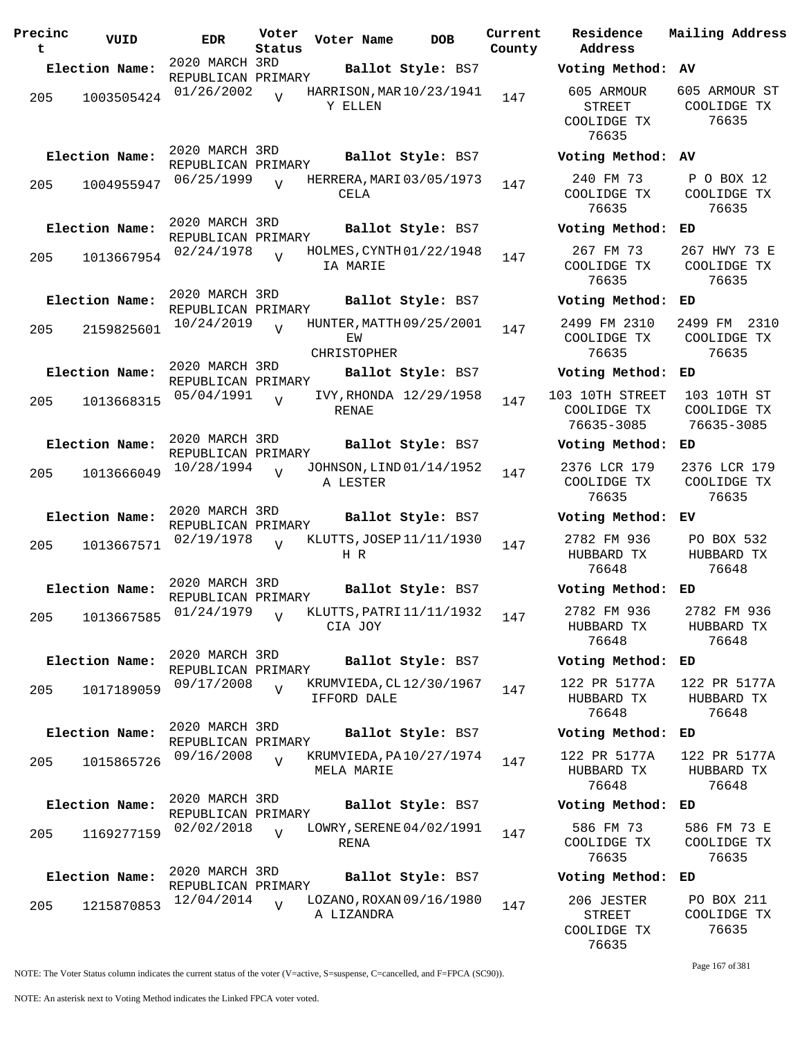| Precinc<br>t | VUID                         | <b>EDR</b>                                         | Voter<br>Status | Voter Name               | <b>DOB</b>                                    | Current<br>County |
|--------------|------------------------------|----------------------------------------------------|-----------------|--------------------------|-----------------------------------------------|-------------------|
|              | Election Name:               | 2020 MARCH 3RD                                     |                 |                          | Ballot Style: BS7                             |                   |
| 205          | 1003505424                   | REPUBLICAN PRIMARY<br>01/26/2002                   | ٦T              | Y ELLEN                  | HARRISON, MAR 10/23/1941                      | 147               |
| 205          | Election Name:<br>1004955947 | 2020 MARCH 3RD<br>REPUBLICAN PRIMARY<br>06/25/1999 | $\overline{U}$  |                          | Ballot Style: BS7<br>HERRERA, MARI 03/05/1973 | 147               |
|              | Election Name:               | 2020 MARCH 3RD<br>REPUBLICAN PRIMARY               |                 | CELA                     | Ballot Style: BS7                             |                   |
| 205          | 1013667954                   | 02/24/1978                                         | $\overline{U}$  | IA MARIE                 | HOLMES, CYNTH 01/22/1948                      | 147               |
|              | Election Name:               | 2020 MARCH 3RD<br>REPUBLICAN PRIMARY               |                 |                          | Ballot Style: BS7                             |                   |
| 205          | 2159825601                   | 10/24/2019                                         | $\overline{U}$  | ΕW<br><b>CHRISTOPHER</b> | HUNTER, MATTH 09/25/2001                      | 147               |
|              | Election Name:               | 2020 MARCH 3RD                                     |                 |                          | Ballot Style: BS7                             |                   |
| 205          | 1013668315                   | REPUBLICAN PRIMARY<br>05/04/1991                   | $\overline{U}$  | RENAE                    | IVY, RHONDA 12/29/1958                        | 147               |
|              | Election Name:               | 2020 MARCH 3RD<br>REPUBLICAN PRIMARY<br>10/28/1994 |                 |                          | Ballot Style: BS7<br>JOHNSON, LIND 01/14/1952 |                   |
| 205          | 1013666049                   |                                                    | $\overline{U}$  | A LESTER                 |                                               | 147               |
|              | Election Name:               | 2020 MARCH 3RD<br>REPUBLICAN PRIMARY               |                 |                          | Ballot Style: BS7                             |                   |
| 205          | 1013667571                   | 02/19/1978                                         | $\overline{V}$  | HR.                      | KLUTTS, JOSEP 11/11/1930                      | 147               |
|              | Election Name:               | 2020 MARCH 3RD<br>REPUBLICAN PRIMARY               |                 |                          | Ballot Style: BS7                             |                   |
|              | 205 1013667585               | 01/24/1979                                         | V               | CIA JOY                  | KLUTTS, PATRI 11/11/1932                      | 147               |
|              | Election Name:               | 2020 MARCH 3RD<br>REPUBLICAN PRIMARY               |                 |                          | Ballot Style: BS7                             |                   |
| 205          | 1017189059                   | 09/17/2008                                         | $\overline{V}$  | IFFORD DALE              | KRUMVIEDA, CL 12/30/1967                      | 147               |
|              | Election Name:               | 2020 MARCH 3RD<br>REPUBLICAN PRIMARY               |                 |                          | Ballot Style: BS7                             |                   |
| 205          | 1015865726                   | 09/16/2008                                         | $\overline{V}$  | MELA MARIE               | KRUMVIEDA, PA10/27/1974                       | 147               |
|              | Election Name:               | 2020 MARCH 3RD<br>REPUBLICAN PRIMARY               |                 |                          | Ballot Style: BS7                             |                   |
| 205          | 1169277159                   | 02/02/2018                                         | $\overline{U}$  | RENA                     | LOWRY, SERENE 04/02/1991                      | 147               |
|              | Election Name:               | 2020 MARCH 3RD<br>REPUBLICAN PRIMARY               |                 |                          | Ballot Style: BS7                             |                   |
| 205          | 1215870853                   | 12/04/2014                                         | $\overline{V}$  | A LIZANDRA               | LOZANO, ROXAN 09/16/1980                      | 147               |

**Voter Name DOB Residence Address Current Mailing Address Election Name: Ballot Style:** BS7 **Voting Method: AV** 605 ARMOUR STREET COOLIDGE TX 76635 605 ARMOUR ST COOLIDGE TX 76635 **Election Name: Ballot Style:** BS7 **Voting Method: AV** 240 FM 73 COOLIDGE TX 76635 P O BOX 12 COOLIDGE TX 76635 **Election Name: Ballot Style:** BS7 **Voting Method: ED** 267 FM 73 COOLIDGE TX 76635 267 HWY 73 E COOLIDGE TX 76635 **Election Name: Ballot Style:** BS7 **Voting Method: ED** 2499 FM 2310 COOLIDGE TX 76635 2499 FM 2310 COOLIDGE TX 76635 **Election Name: Ballot Style:** BS7 **Voting Method: ED** 103 10TH STREET COOLIDGE TX 76635-3085 103 10TH ST COOLIDGE TX 76635-3085 **Election Name: Ballot Style:** BS7 **Voting Method: ED** 2376 LCR 179 COOLIDGE TX 76635 2376 LCR 179 COOLIDGE TX 76635 **Election Name: Ballot Style:** BS7 **Voting Method: EV** 2782 FM 936 HUBBARD TX 76648 PO BOX 532 HUBBARD TX 76648 **Election Name: Ballot Style:** BS7 **Voting Method: ED** 2782 FM 936 HUBBARD TX 76648 2782 FM 936 HUBBARD TX 76648 **Election Name: Ballot Style:** BS7 **Voting Method: ED** 122 PR 5177A HUBBARD TX 76648 122 PR 5177A HUBBARD TX 76648 **Election Name: Ballot Style:** BS7 **Voting Method: ED** 122 PR 5177A HUBBARD TX 76648 122 PR 5177A HUBBARD TX 76648 **Election Name: Ballot Style:** BS7 **Voting Method: ED** 586 FM 73 COOLIDGE TX 76635 586 FM 73 E COOLIDGE TX 76635 **Election Name: Ballot Style:** BS7 **Voting Method: ED** 206 JESTER STREET COOLIDGE TX 76635 PO BOX 211 COOLIDGE TX 76635

Page 167 of 381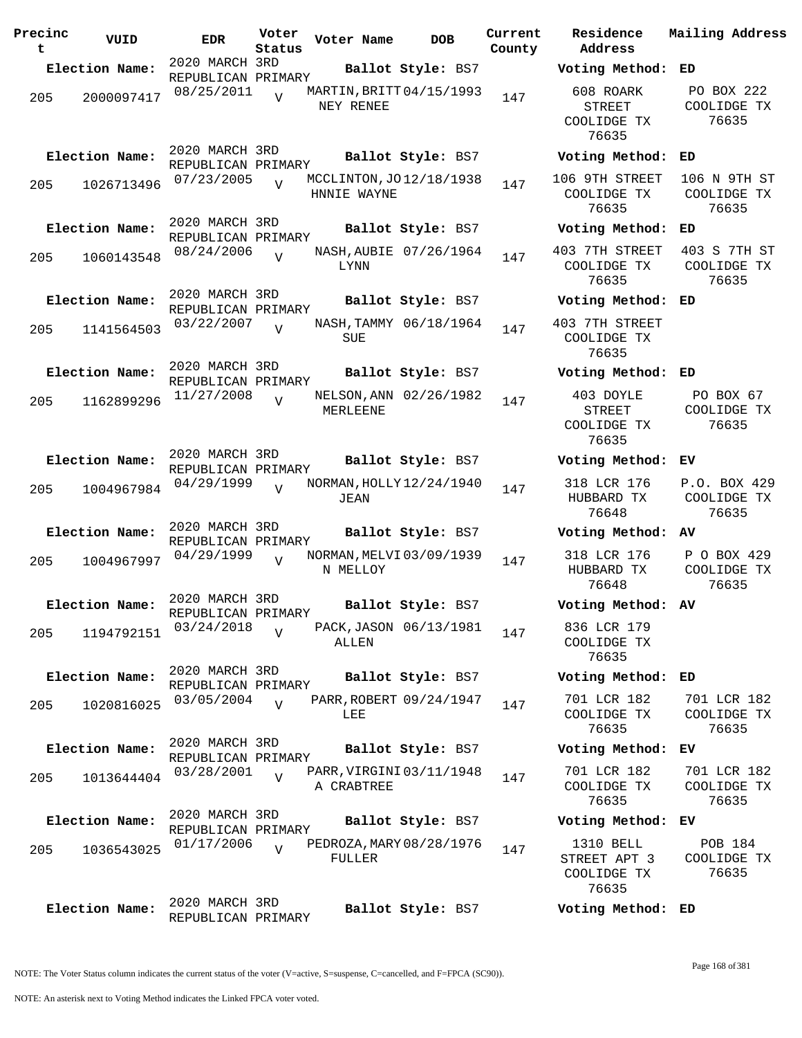| Precinc<br>t | VUID           | <b>EDR</b>                           | Voter<br>Status | Voter Name  | <b>DOB</b>               | Current<br>County | Address     | Residence                                          | Mailing Address                      |
|--------------|----------------|--------------------------------------|-----------------|-------------|--------------------------|-------------------|-------------|----------------------------------------------------|--------------------------------------|
|              | Election Name: | 2020 MARCH 3RD<br>REPUBLICAN PRIMARY |                 |             | Ballot Style: BS7        |                   |             | Voting Method: ED                                  |                                      |
| 205          | 2000097417     | 08/25/2011                           | $\overline{Y}$  | NEY RENEE   | MARTIN, BRITT 04/15/1993 | 147               |             | 608 ROARK<br><b>STREET</b><br>COOLIDGE TX<br>76635 | PO BOX 222<br>COOLIDGE TX<br>76635   |
|              | Election Name: | 2020 MARCH 3RD<br>REPUBLICAN PRIMARY |                 |             | Ballot Style: BS7        |                   |             | Voting Method: ED                                  |                                      |
| 205          | 1026713496     | 07/23/2005                           |                 | HNNIE WAYNE | MCCLINTON, JO12/18/1938  | 147               |             | 106 9TH STREET<br>COOLIDGE TX<br>76635             | 106 N 9TH ST<br>COOLIDGE TX<br>76635 |
|              | Election Name: | 2020 MARCH 3RD<br>REPUBLICAN PRIMARY |                 |             | Ballot Style: BS7        |                   |             | Voting Method:                                     | ED                                   |
| 205          | 1060143548     | 08/24/2006                           | $\overline{U}$  | LYNN        | NASH, AUBIE 07/26/1964   | 147               |             | 403 7TH STREET<br>COOLIDGE TX<br>76635             | 403 S 7TH ST<br>COOLIDGE TX<br>76635 |
|              | Election Name: | 2020 MARCH 3RD<br>REPUBLICAN PRIMARY |                 |             | Ballot Style: BS7        |                   |             | Voting Method:                                     | ED                                   |
| 205          | 1141564503     | 03/22/2007                           | $\overline{V}$  | SUE         | NASH, TAMMY 06/18/1964   | 147               |             | 403 7TH STREET<br>COOLIDGE TX<br>76635             |                                      |
|              | Election Name: | 2020 MARCH 3RD<br>REPUBLICAN PRIMARY |                 |             | Ballot Style: BS7        |                   |             | Voting Method: ED                                  |                                      |
| 205          | 1162899296     | 11/27/2008                           | $\overline{V}$  | MERLEENE    | NELSON, ANN 02/26/1982   | 147               |             | 403 DOYLE<br>STREET<br>COOLIDGE TX<br>76635        | PO BOX 67<br>COOLIDGE TX<br>76635    |
|              | Election Name: | 2020 MARCH 3RD<br>REPUBLICAN PRIMARY |                 |             | Ballot Style: BS7        |                   |             | Voting Method: EV                                  |                                      |
| 205          | 1004967984     | 04/29/1999                           | $\overline{v}$  | JEAN        | NORMAN, HOLLY 12/24/1940 | 147               |             | 318 LCR 176<br>HUBBARD TX<br>76648                 | P.O. BOX 429<br>COOLIDGE TX<br>76635 |
|              | Election Name: | 2020 MARCH 3RD<br>REPUBLICAN PRIMARY |                 |             | Ballot Style: BS7        |                   |             | Voting Method: AV                                  |                                      |
| 205          | 1004967997     | 04/29/1999                           | $\overline{U}$  | N MELLOY    | NORMAN, MELVI 03/09/1939 | 147               |             | 318 LCR 176<br>HUBBARD TX<br>76648                 | P O BOX 429<br>COOLIDGE TX<br>76635  |
|              | Election Name: | 2020 MARCH 3RD                       |                 |             | Ballot Style: BS7        |                   |             | Voting Method: AV                                  |                                      |
| 205          | 1194792151     | REPUBLICAN PRIMARY<br>03/24/2018     | $\overline{V}$  | ALLEN       | PACK, JASON 06/13/1981   | 147               | 836 LCR 179 | COOLIDGE TX<br>76635                               |                                      |
|              | Election Name: | 2020 MARCH 3RD<br>REPUBLICAN PRIMARY |                 |             | Ballot Style: BS7        |                   |             | Voting Method: ED                                  |                                      |
| 205          | 1020816025     | 03/05/2004                           | $\overline{V}$  | LEE         | PARR, ROBERT 09/24/1947  | 147               |             | 701 LCR 182<br>COOLIDGE TX<br>76635                | 701 LCR 182<br>COOLIDGE TX<br>76635  |
|              | Election Name: | 2020 MARCH 3RD<br>REPUBLICAN PRIMARY |                 |             | Ballot Style: BS7        |                   |             | Voting Method:                                     | ЕV                                   |
| 205          | 1013644404     | 03/28/2001                           | $\overline{U}$  | A CRABTREE  | PARR, VIRGINI 03/11/1948 | 147               |             | 701 LCR 182<br>COOLIDGE TX<br>76635                | 701 LCR 182<br>COOLIDGE TX<br>76635  |
|              | Election Name: | 2020 MARCH 3RD<br>REPUBLICAN PRIMARY |                 |             | Ballot Style: BS7        |                   |             | Voting Method:                                     | ЕV                                   |
| 205          | 1036543025     | 01/17/2006                           | $\overline{V}$  | FULLER      | PEDROZA, MARY 08/28/1976 | 147               |             | 1310 BELL<br>STREET APT 3<br>COOLIDGE TX<br>76635  | POB 184<br>COOLIDGE TX<br>76635      |
|              | Election Name: | 2020 MARCH 3RD<br>REPUBLICAN PRIMARY |                 |             | Ballot Style: BS7        |                   |             | Voting Method: ED                                  |                                      |

Page 168 of 381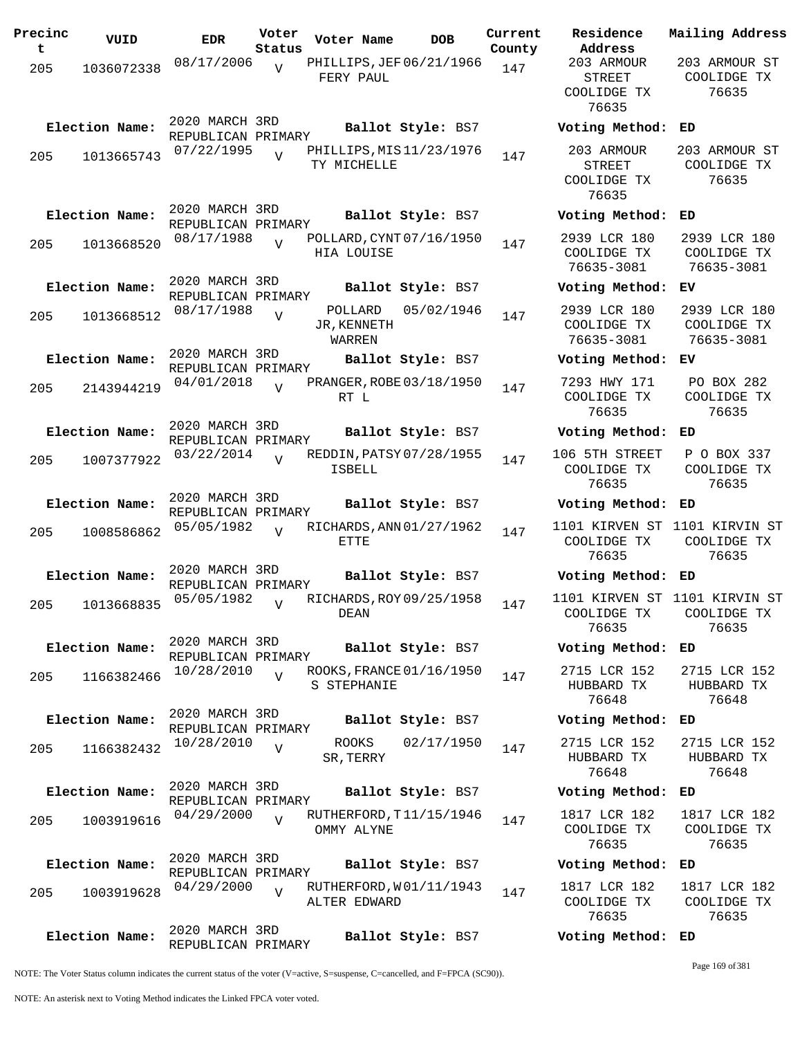| Precinc<br>t | VUID           | EDR                                  | Voter<br>Status | Voter Name                              | DOB               | Curre<br>Count |
|--------------|----------------|--------------------------------------|-----------------|-----------------------------------------|-------------------|----------------|
| 205          | 1036072338     | 08/17/2006                           | $\overline{V}$  | PHILLIPS, JEF 06/21/1966<br>FERY PAUL   |                   | 147            |
|              | Election Name: | 2020 MARCH 3RD<br>REPUBLICAN PRIMARY |                 |                                         | Ballot Style: BS7 |                |
| 205          | 1013665743     | 07/22/1995                           | $\overline{I}$  | PHILLIPS, MIS 11/23/1976<br>TY MICHELLE |                   | 147            |
|              | Election Name: | 2020 MARCH 3RD<br>REPUBLICAN PRIMARY |                 |                                         | Ballot Style: BS7 |                |
| 205          | 1013668520     | 08/17/1988                           | $\overline{V}$  | POLLARD, CYNT 07/16/1950<br>HIA LOUISE  |                   | 147            |
|              | Election Name: | 2020 MARCH 3RD<br>REPUBLICAN PRIMARY |                 |                                         | Ballot Style: BS7 |                |
| 205          | 1013668512     | 08/17/1988                           | $\overline{V}$  | POLLARD<br>JR, KENNETH<br>WARREN        | 05/02/1946        | 147            |
|              | Election Name: | 2020 MARCH 3RD<br>REPUBLICAN PRIMARY |                 |                                         | Ballot Style: BS7 |                |
| 205          | 2143944219     | 04/01/2018                           | $\overline{U}$  | PRANGER, ROBE 03/18/1950<br>RT L        |                   | 147            |
|              | Election Name: | 2020 MARCH 3RD<br>REPUBLICAN PRIMARY |                 |                                         | Ballot Style: BS7 |                |
| 205          | 1007377922     | 03/22/2014                           | $\overline{V}$  | REDDIN, PATSY 07/28/1955<br>ISBELL      |                   | 147            |
|              | Election Name: | 2020 MARCH 3RD<br>REPUBLICAN PRIMARY |                 |                                         | Ballot Style: BS7 |                |
| 205          | 1008586862     | 05/05/1982                           | $\overline{I}$  | RICHARDS, ANN 01/27/1962<br>ETTE        |                   | 147            |
|              | Election Name: | 2020 MARCH 3RD<br>REPUBLICAN PRIMARY |                 |                                         | Ballot Style: BS7 |                |
| 205          | 1013668835     | 05/05/1982                           | $\overline{U}$  | RICHARDS, ROY 09/25/1958<br>DEAN        |                   | 147            |
|              | Election Name: | 2020 MARCH 3RD<br>REPUBLICAN PRIMARY |                 |                                         | Ballot Style: BS7 |                |
| 205          | 1166382466     | 10/28/2010                           | $\overline{V}$  | ROOKS, FRANCE 01/16/1950<br>S STEPHANIE |                   | 147            |
|              | Election Name: | 2020 MARCH 3RD<br>REPUBLICAN PRIMARY |                 |                                         | Ballot Style: BS7 |                |
| 205          | 1166382432     | 10/28/2010                           | $\overline{V}$  | ROOKS<br>SR, TERRY                      | 02/17/1950        | 147            |
|              | Election Name: | 2020 MARCH 3RD<br>REPUBLICAN PRIMARY |                 |                                         | Ballot Style: BS7 |                |
| 205          | 1003919616     | 04/29/2000                           | $\overline{V}$  | RUTHERFORD, T11/15/1946<br>OMMY ALYNE   |                   | 147            |
|              | Election Name: | 2020 MARCH 3RD<br>REPUBLICAN PRIMARY |                 |                                         | Ballot Style: BS7 |                |
| 205          | 1003919628     | 04/29/2000                           | $\overline{V}$  | RUTHERFORD, W01/11/1943<br>ALTER EDWARD |                   | 147            |
|              | Election Name: | 2020 MARCH 3RD<br>REPUBLICAN PRIMARY |                 |                                         | Ballot Style: BS7 |                |

**Voter Name DOB Residence Address Current Mailing Address** 1ty 203 ARMOUR STREET COOLIDGE TX 76635 203 ARMOUR ST COOLIDGE TX 76635 **Election Name: Ballot Style:** BS7 **Voting Method: ED** 203 ARMOUR STREET COOLIDGE TX 76635 203 ARMOUR ST COOLIDGE TX 76635 **Election Name: Ballot Style:** BS7 **Voting Method: ED** 2939 LCR 180 COOLIDGE TX 76635-3081 2939 LCR 180 COOLIDGE TX 76635-3081 **Election Name: Ballot Style:** BS7 **Voting Method: EV** 2939 LCR 180 COOLIDGE TX 76635-3081 2939 LCR 180 COOLIDGE TX 76635-3081 **Election Name: Ballot Style:** BS7 **Voting Method: EV** 7293 HWY 171 COOLIDGE TX 76635 PO BOX 282 COOLIDGE TX 76635 **Election Name: Ballot Style:** BS7 **Voting Method: ED** 106 5TH STREET COOLIDGE TX 76635 P O BOX 337 COOLIDGE TX 76635 **Election Name: Ballot Style:** BS7 **Voting Method: ED** 1101 KIRVEN ST 1101 KIRVIN ST COOLIDGE TX 76635 COOLIDGE TX 76635 **Election Name: Ballot Style:** BS7 **Voting Method: ED** 1101 KIRVEN ST 1101 KIRVIN ST COOLIDGE TX 76635 COOLIDGE TX 76635 **Election Name: Ballot Style:** BS7 **Voting Method: ED** 2715 LCR 152 HUBBARD TX 76648 2715 LCR 152 HUBBARD TX 76648 **Election Name: Ballot Style:** BS7 **Voting Method: ED** 2715 LCR 152 HUBBARD TX 76648 2715 LCR 152 HUBBARD TX 76648 **Election Name: Ballot Style:** BS7 **Voting Method: ED** 1817 LCR 182 COOLIDGE TX 76635 1817 LCR 182 COOLIDGE TX 76635 **Election Name: Ballot Style:** BS7 **Voting Method: ED** 1817 LCR 182 COOLIDGE TX 76635 1817 LCR 182 COOLIDGE TX 76635 **Election Name: Ballot Style:** BS7 **Voting Method: ED**

NOTE: The Voter Status column indicates the current status of the voter (V=active, S=suspense, C=cancelled, and F=FPCA (SC90)).

Page 169 of 381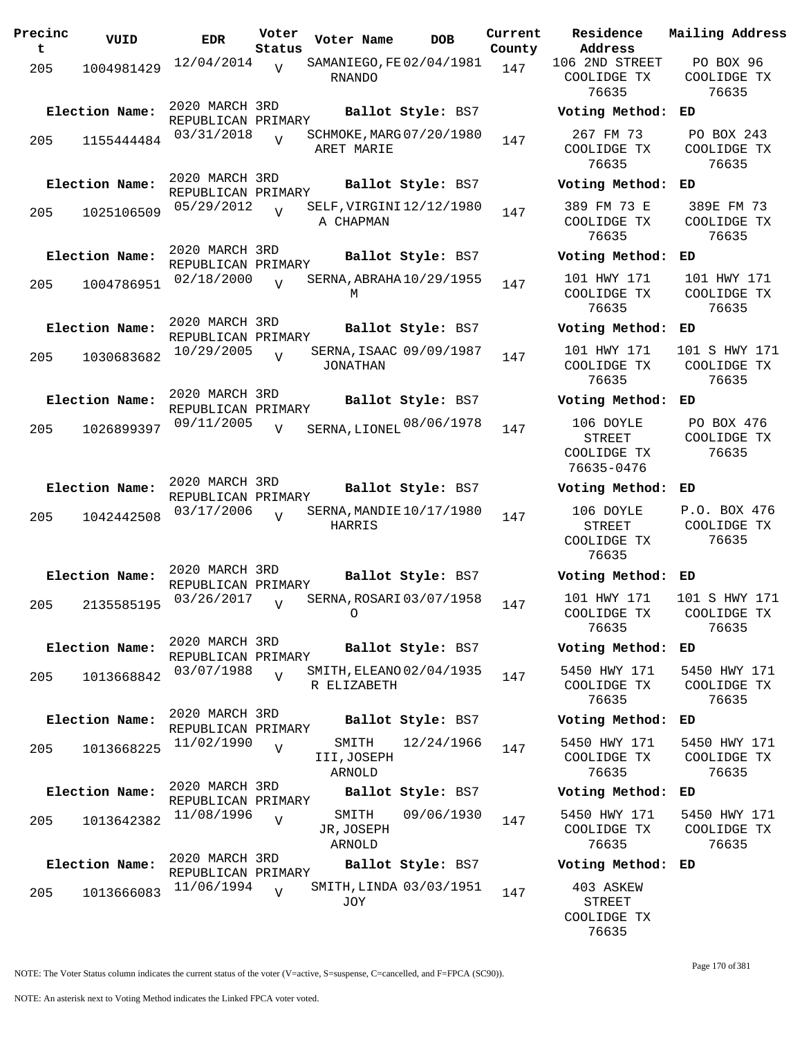| Precinc<br>t. | VUID           | <b>EDR</b>                           | Voter<br>Status | Voter Name                                 | <b>DOB</b>        | Current<br>County | Residence<br>Address                            |
|---------------|----------------|--------------------------------------|-----------------|--------------------------------------------|-------------------|-------------------|-------------------------------------------------|
| 205           | 1004981429     | 12/04/2014                           | V               | SAMANIEGO, FE 02/04/1981<br><b>RNANDO</b>  |                   | 147               | 106 2ND STRI<br>COOLIDGE T<br>76635             |
|               | Election Name: | 2020 MARCH 3RD<br>REPUBLICAN PRIMARY |                 |                                            | Ballot Style: BS7 |                   | Voting Meth                                     |
| 205           | 1155444484     | 03/31/2018                           | $\overline{V}$  | SCHMOKE, MARG 07/20/1980<br>ARET MARIE     |                   | 147               | 267 FM 73<br>COOLIDGE T<br>76635                |
|               | Election Name: | 2020 MARCH 3RD<br>REPUBLICAN PRIMARY |                 |                                            | Ballot Style: BS7 |                   | Voting Meth                                     |
| 205           | 1025106509     | 05/29/2012                           | $\overline{U}$  | SELF, VIRGINI 12/12/1980<br>A CHAPMAN      |                   | 147               | 389 FM 73<br>COOLIDGE T<br>76635                |
|               | Election Name: | 2020 MARCH 3RD<br>REPUBLICAN PRIMARY |                 |                                            | Ballot Style: BS7 |                   | Voting Meth                                     |
| 205           | 1004786951     | 02/18/2000                           | $\overline{V}$  | SERNA, ABRAHA 10/29/1955<br>М              |                   | 147               | 101 HWY 17<br>COOLIDGE T<br>76635               |
|               | Election Name: | 2020 MARCH 3RD<br>REPUBLICAN PRIMARY |                 |                                            | Ballot Style: BS7 |                   | Voting Meth                                     |
| 205           | 1030683682     | 10/29/2005                           | $\overline{V}$  | SERNA, ISAAC 09/09/1987<br><b>JONATHAN</b> |                   | 147               | 101 HWY 17<br>COOLIDGE T<br>76635               |
|               | Election Name: | 2020 MARCH 3RD<br>REPUBLICAN PRIMARY |                 |                                            | Ballot Style: BS7 |                   | Voting Meth                                     |
| 205           | 1026899397     | 09/11/2005                           | $\overline{V}$  | SERNA, LIONEL 08/06/1978                   |                   | 147               | 106 DOYLE<br>STREET<br>COOLIDGE T<br>76635-0476 |
|               | Election Name: | 2020 MARCH 3RD                       |                 |                                            | Ballot Style: BS7 |                   | Voting Meth                                     |
|               |                | REPUBLICAN PRIMARY<br>03/17/2006     | $\overline{V}$  | SERNA, MANDIE 10/17/1980                   |                   | 147               | 106 DOYLE                                       |
| 205           | 1042442508     |                                      |                 | HARRIS                                     |                   |                   | STREET<br>COOLIDGE T<br>76635                   |
|               | Election Name: | 2020 MARCH 3RD<br>REPUBLICAN PRIMARY |                 |                                            | Ballot Style: BS7 |                   | Voting Meth                                     |
| 205           | 2135585195     | 03/26/2017                           | $\overline{V}$  | SERNA, ROSARI 03/07/1958                   |                   | 147               | 101 HWY 17<br>COOLIDGE T<br>76635               |
|               | Election Name: | 2020 MARCH 3RD<br>REPUBLICAN PRIMARY |                 |                                            | Ballot Style: BS7 |                   | Voting Meth                                     |
| 205           | 1013668842     | 03/07/1988                           | $\overline{V}$  | SMITH, ELEANO 02/04/1935<br>R ELIZABETH    |                   | 147               | 5450 HWY 1'<br>COOLIDGE T<br>76635              |
|               | Election Name: | 2020 MARCH 3RD<br>REPUBLICAN PRIMARY |                 |                                            | Ballot Style: BS7 |                   | Voting Meth                                     |
| 205           | 1013668225     | 11/02/1990                           | $\overline{V}$  | SMITH<br>III, JOSEPH<br>ARNOLD             | 12/24/1966        | 147               | 5450 HWY 1'<br>COOLIDGE T<br>76635              |
|               | Election Name: | 2020 MARCH 3RD<br>REPUBLICAN PRIMARY |                 |                                            | Ballot Style: BS7 |                   | Voting Meth                                     |
| 205           | 1013642382     | 11/08/1996                           | $\overline{V}$  | SMITH<br>JR, JOSEPH<br>ARNOLD              | 09/06/1930        | 147               | 5450 HWY 1'<br>COOLIDGE T<br>76635              |
|               | Election Name: | 2020 MARCH 3RD<br>REPUBLICAN PRIMARY |                 |                                            | Ballot Style: BS7 |                   | Voting Meth                                     |
| 205           | 1013666083     | 11/06/1994                           | $\overline{V}$  | SMITH, LINDA 03/03/1951<br>JOY             |                   | 147               | 403 ASKEW<br>STREET                             |

**Voter Name DOB Residence Address Current Mailing Address** 106 2ND STREET COOLIDGE TX 76635 PO BOX 96 COOLIDGE TX 76635 **Election Name: Ballot Style:** BS7 **Voting Method: ED** 267 FM 73 COOLIDGE TX 76635 PO BOX 243 COOLIDGE TX 76635 **Election Name: Ballot Style:** BS7 **Voting Method: ED** 389 FM 73 E COOLIDGE TX 76635 389E FM 73 COOLIDGE TX 76635 **Election Name: Ballot Style:** BS7 **Voting Method: ED** 101 HWY 171 COOLIDGE TX 76635 101 HWY 171 COOLIDGE TX 76635 **Election Name: Ballot Style:** BS7 **Voting Method: ED** 101 HWY 171 COOLIDGE TX 76635 101 S HWY 171 COOLIDGE TX 76635 **Election Name: Ballot Style:** BS7 **Voting Method: ED** STREET COOLIDGE TX 76635-0476 PO BOX 476 COOLIDGE TX 76635 **Election Name: Ballot Style:** BS7 **Voting Method: ED** 106 DOYLE STREET COOLIDGE TX 76635 P.O. BOX 476 COOLIDGE TX 76635 **Election Name: Ballot Style:** BS7 **Voting Method: ED** 101 HWY 171 COOLIDGE TX 76635 101 S HWY 171 COOLIDGE TX 76635 **Election Name: Ballot Style:** BS7 **Voting Method: ED** 5450 HWY 171 COOLIDGE TX 76635 5450 HWY 171 COOLIDGE TX 76635 **Election Name: Ballot Style:** BS7 **Voting Method: ED** 5450 HWY 171 COOLIDGE TX 76635 5450 HWY 171 COOLIDGE TX 76635 **Election Name: Ballot Style:** BS7 **Voting Method: ED** 5450 HWY 171 COOLIDGE TX 76635 5450 HWY 171 COOLIDGE TX 76635 **Election Name: Ballot Style:** BS7 **Voting Method: ED** 403 ASKEW STREET COOLIDGE TX 76635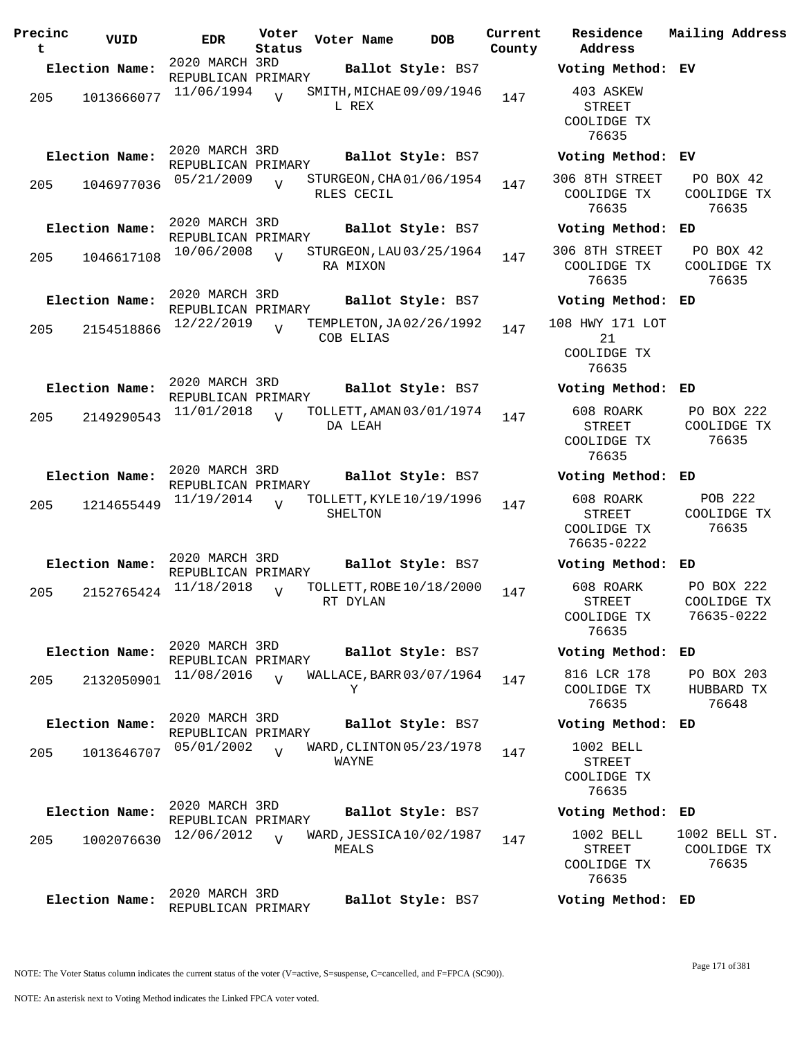| Precinc<br>t | VUID           | <b>EDR</b>                           | Voter<br>Status | Voter Name | DOB.                     | Current<br>County | Residence<br>Address                                    | Mailing Address                         |
|--------------|----------------|--------------------------------------|-----------------|------------|--------------------------|-------------------|---------------------------------------------------------|-----------------------------------------|
|              | Election Name: | 2020 MARCH 3RD<br>REPUBLICAN PRIMARY |                 |            | Ballot Style: BS7        |                   | Voting Method: EV                                       |                                         |
| 205          | 1013666077     | 11/06/1994                           | $\overline{V}$  | L REX      | SMITH, MICHAE 09/09/1946 | 147               | 403 ASKEW<br><b>STREET</b><br>COOLIDGE TX<br>76635      |                                         |
|              | Election Name: | 2020 MARCH 3RD<br>REPUBLICAN PRIMARY |                 |            | Ballot Style: BS7        |                   | Voting Method: EV                                       |                                         |
| 205          | 1046977036     | 05/21/2009                           | $\overline{V}$  | RLES CECIL | STURGEON, CHA01/06/1954  | 147               | 306 8TH STREET<br>COOLIDGE TX<br>76635                  | PO BOX 42<br>COOLIDGE TX<br>76635       |
|              | Election Name: | 2020 MARCH 3RD<br>REPUBLICAN PRIMARY |                 |            | Ballot Style: BS7        |                   | Voting Method: ED                                       |                                         |
| 205          | 1046617108     | 10/06/2008                           | $\overline{U}$  | RA MIXON   | STURGEON, LAU 03/25/1964 | 147               | 306 8TH STREET<br>COOLIDGE TX<br>76635                  | PO BOX 42<br>COOLIDGE TX<br>76635       |
|              | Election Name: | 2020 MARCH 3RD<br>REPUBLICAN PRIMARY |                 |            | Ballot Style: BS7        |                   | Voting Method:                                          | ED                                      |
| 205          | 2154518866     | 12/22/2019                           | $\overline{U}$  | COB ELIAS  | TEMPLETON, JA02/26/1992  | 147               | 108 HWY 171 LOT<br>21<br>COOLIDGE TX<br>76635           |                                         |
|              | Election Name: | 2020 MARCH 3RD<br>REPUBLICAN PRIMARY |                 |            | Ballot Style: BS7        |                   | Voting Method: ED                                       |                                         |
| 205          | 2149290543     | 11/01/2018                           | $\overline{V}$  | DA LEAH    | TOLLETT, AMAN 03/01/1974 | 147               | 608 ROARK<br>STREET<br>COOLIDGE TX<br>76635             | PO BOX 222<br>COOLIDGE TX<br>76635      |
|              | Election Name: | 2020 MARCH 3RD<br>REPUBLICAN PRIMARY |                 |            | Ballot Style: BS7        |                   | Voting Method:                                          | ED                                      |
| 205          | 1214655449     | 11/19/2014                           | $\overline{U}$  | SHELTON    | TOLLETT, KYLE 10/19/1996 | 147               | 608 ROARK<br><b>STREET</b><br>COOLIDGE TX<br>76635-0222 | POB 222<br>COOLIDGE TX<br>76635         |
|              | Election Name: | 2020 MARCH 3RD<br>REPUBLICAN PRIMARY |                 |            | Ballot Style: BS7        |                   | Voting Method:                                          | ED                                      |
| 205          | 2152765424     | 11/18/2018                           | $\overline{V}$  | RT DYLAN   | TOLLETT, ROBE 10/18/2000 | 147               | 608 ROARK<br><b>STREET</b><br>COOLIDGE TX<br>76635      | PO BOX 222<br>COOLIDGE TX<br>76635-0222 |
|              | Election Name: | 2020 MARCH 3RD<br>REPUBLICAN PRIMARY |                 |            | Ballot Style: BS7        |                   | Voting Method: ED                                       |                                         |
| 205          | 2132050901     | 11/08/2016                           | $\overline{U}$  | Υ          | WALLACE, BARR 03/07/1964 | 147               | 816 LCR 178<br>COOLIDGE TX<br>76635                     | PO BOX 203<br>HUBBARD TX<br>76648       |
|              | Election Name: | 2020 MARCH 3RD<br>REPUBLICAN PRIMARY |                 |            | Ballot Style: BS7        |                   | Voting Method: ED                                       |                                         |
| 205          | 1013646707     | 05/01/2002                           | $\overline{U}$  | WAYNE      | WARD, CLINTON 05/23/1978 | 147               | 1002 BELL<br><b>STREET</b><br>COOLIDGE TX<br>76635      |                                         |
|              | Election Name: | 2020 MARCH 3RD<br>REPUBLICAN PRIMARY |                 |            | Ballot Style: BS7        |                   | Voting Method: ED                                       |                                         |
| 205          | 1002076630     | 12/06/2012                           | $\overline{U}$  | MEALS      | WARD, JESSICA 10/02/1987 | 147               | 1002 BELL<br>STREET<br>COOLIDGE TX<br>76635             | 1002 BELL ST.<br>COOLIDGE TX<br>76635   |
|              | Election Name: | 2020 MARCH 3RD<br>REPUBLICAN PRIMARY |                 |            | Ballot Style: BS7        |                   | Voting Method: ED                                       |                                         |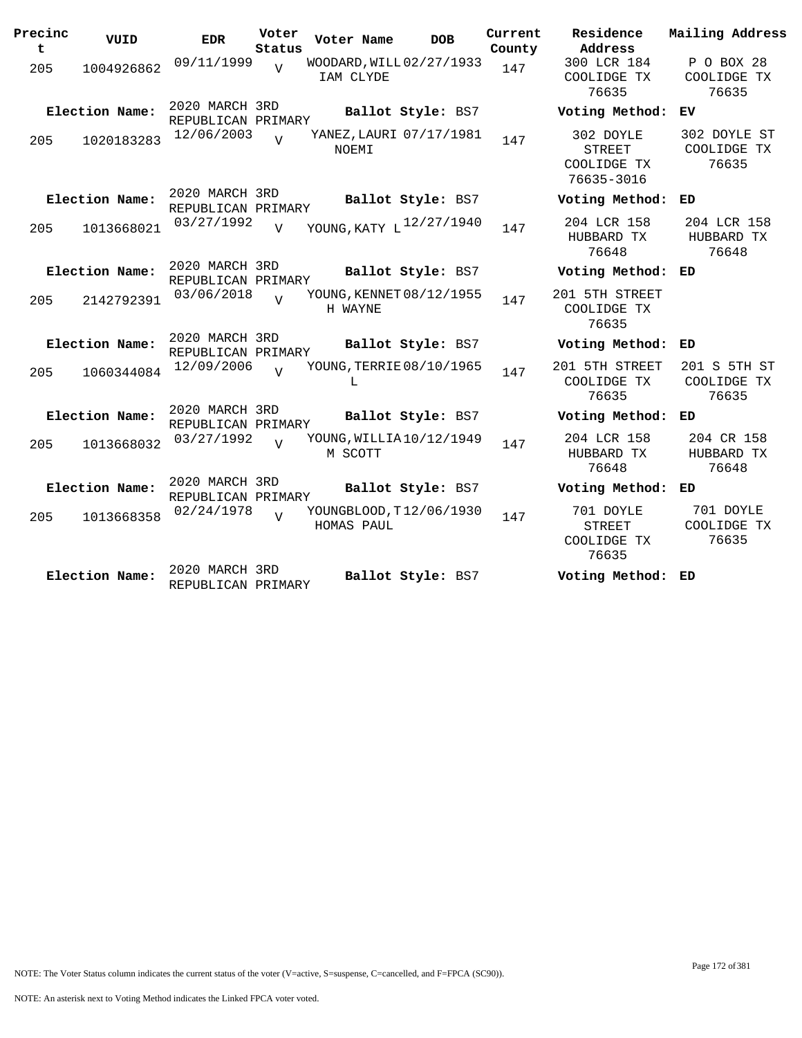| Precinc<br>t | VUID           | <b>EDR</b>                           | Voter<br>Status | Voter Name                            | <b>DOB</b>        | Current<br>County | Residence<br>Address                             | Mailing Address                      |
|--------------|----------------|--------------------------------------|-----------------|---------------------------------------|-------------------|-------------------|--------------------------------------------------|--------------------------------------|
| 205          | 1004926862     | 09/11/1999                           | $\overline{z}$  | WOODARD, WILL 02/27/1933<br>IAM CLYDE |                   | 147               | 300 LCR 184<br>COOLIDGE TX<br>76635              | P O BOX 28<br>COOLIDGE TX<br>76635   |
|              | Election Name: | 2020 MARCH 3RD<br>REPUBLICAN PRIMARY |                 |                                       | Ballot Style: BS7 |                   | Voting Method:                                   | ЕV                                   |
| 205          | 1020183283     | 12/06/2003                           | $\overline{17}$ | YANEZ, LAURI 07/17/1981<br>NOEMI      |                   | 147               | 302 DOYLE<br>STREET<br>COOLIDGE TX<br>76635-3016 | 302 DOYLE ST<br>COOLIDGE TX<br>76635 |
|              | Election Name: | 2020 MARCH 3RD<br>REPUBLICAN PRIMARY |                 |                                       | Ballot Style: BS7 |                   | Voting Method:                                   | ED                                   |
| 205          | 1013668021     | 03/27/1992                           | $\overline{V}$  | YOUNG, KATY L <sup>12/27/1940</sup>   |                   | 147               | 204 LCR 158<br>HUBBARD TX<br>76648               | 204 LCR 158<br>HUBBARD TX<br>76648   |
|              | Election Name: | 2020 MARCH 3RD<br>REPUBLICAN PRIMARY |                 |                                       | Ballot Style: BS7 |                   | Voting Method: ED                                |                                      |
| 205          | 2142792391     | 03/06/2018                           | $\overline{17}$ | YOUNG, KENNET 08/12/1955<br>H WAYNE   |                   | 147               | 201 5TH STREET<br>COOLIDGE TX<br>76635           |                                      |
|              | Election Name: | 2020 MARCH 3RD<br>REPUBLICAN PRIMARY |                 |                                       | Ballot Style: BS7 |                   | Voting Method:                                   | ED                                   |
| 205          | 1060344084     | 12/09/2006                           | $\overline{U}$  | YOUNG, TERRIE 08/10/1965<br>T.        |                   | 147               | 201 5TH STREET<br>COOLIDGE TX<br>76635           | 201 S 5TH ST<br>COOLIDGE TX<br>76635 |
|              | Election Name: | 2020 MARCH 3RD<br>REPUBLICAN PRIMARY |                 |                                       | Ballot Style: BS7 |                   | Voting Method: ED                                |                                      |
| 205          | 1013668032     | 03/27/1992                           | $\overline{z}$  | YOUNG, WILLIA10/12/1949<br>M SCOTT    |                   | 147               | 204 LCR 158<br>HUBBARD TX<br>76648               | 204 CR 158<br>HUBBARD TX<br>76648    |
|              | Election Name: | 2020 MARCH 3RD<br>REPUBLICAN PRIMARY |                 |                                       | Ballot Style: BS7 |                   | Voting Method:                                   | ED                                   |
| 205          | 1013668358     | 02/24/1978                           | $\overline{U}$  | YOUNGBLOOD, T12/06/1930<br>HOMAS PAUL |                   | 147               | 701 DOYLE<br>STREET<br>COOLIDGE TX<br>76635      | 701 DOYLE<br>COOLIDGE TX<br>76635    |
|              | Election Name: | 2020 MARCH 3RD<br>REPUBLICAN PRIMARY |                 |                                       | Ballot Style: BS7 |                   | Voting Method: ED                                |                                      |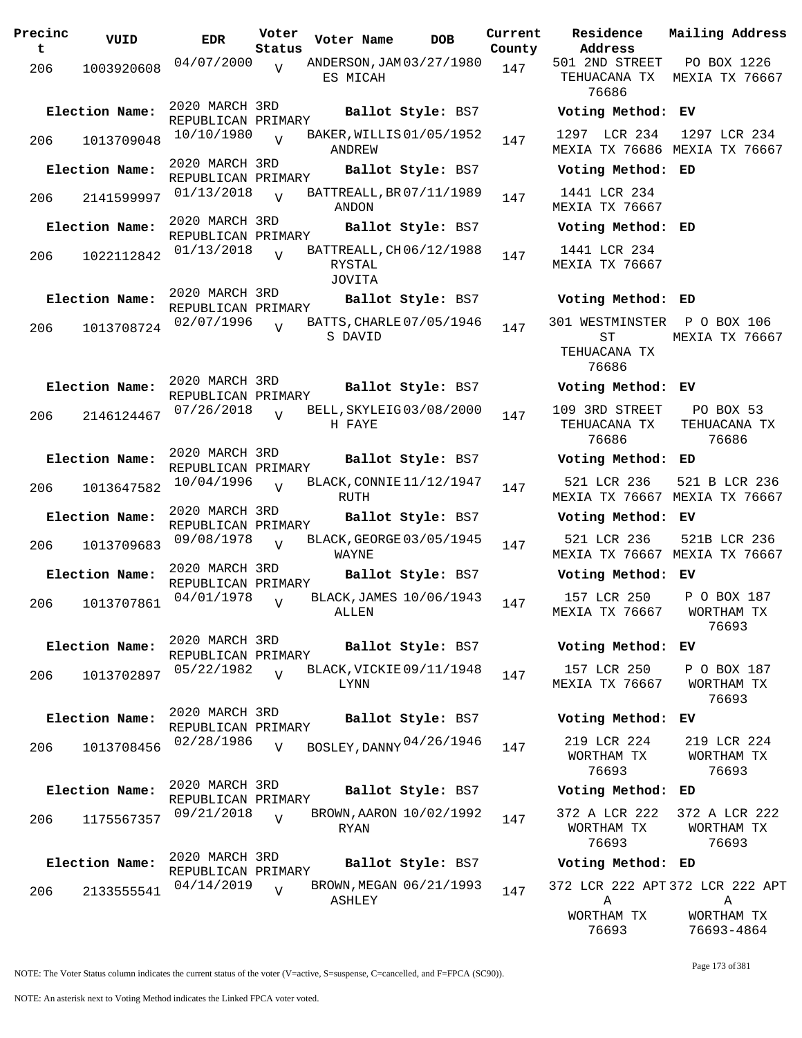| Precinc<br>$\mathbf t$ | VUID           | <b>EDR</b>                           | Voter<br>Status | Voter Name                                   | <b>DOB</b>        | Current<br>County | Residence<br>Address                         |
|------------------------|----------------|--------------------------------------|-----------------|----------------------------------------------|-------------------|-------------------|----------------------------------------------|
| 206                    | 1003920608     | 04/07/2000                           | V               | ANDERSON, JAM 03/27/1980<br>ES MICAH         |                   | 147               | 501 2ND STREI<br>TEHUACANA TI<br>76686       |
|                        | Election Name: | 2020 MARCH 3RD<br>REPUBLICAN PRIMARY |                 |                                              | Ballot Style: BS7 |                   | Voting Metho                                 |
| 206                    | 1013709048     | 10/10/1980                           | $\overline{U}$  | BAKER, WILLIS 01/05/1952<br>ANDREW           |                   | 147               | 1297 LCR 23<br>MEXIA TX 7668                 |
|                        | Election Name: | 2020 MARCH 3RD<br>REPUBLICAN PRIMARY |                 |                                              | Ballot Style: BS7 |                   | Voting Metho                                 |
| 206                    | 2141599997     | 01/13/2018                           | $\overline{U}$  | BATTREALL, BR 07/11/1989<br>ANDON            |                   | 147               | 1441 LCR 234<br>MEXIA TX 7666                |
|                        | Election Name: | 2020 MARCH 3RD<br>REPUBLICAN PRIMARY |                 |                                              | Ballot Style: BS7 |                   | Voting Metho                                 |
| 206                    | 1022112842     | 01/13/2018                           | $\overline{V}$  | BATTREALL, CH 06/12/1988<br>RYSTAL<br>JOVITA |                   | 147               | 1441 LCR 234<br><b>MEXIA TX 7666</b>         |
|                        | Election Name: | 2020 MARCH 3RD<br>REPUBLICAN PRIMARY |                 |                                              | Ballot Style: BS7 |                   | Voting Metho                                 |
| 206                    | 1013708724     | 02/07/1996                           | $\overline{U}$  | BATTS, CHARLE 07/05/1946<br>S DAVID          |                   | 147               | 301 WESTMINST<br>ST<br>TEHUACANA TI<br>76686 |
|                        | Election Name: | 2020 MARCH 3RD<br>REPUBLICAN PRIMARY |                 |                                              | Ballot Style: BS7 |                   | Voting Metho                                 |
| 206                    | 2146124467     | 07/26/2018                           | $\overline{U}$  | BELL, SKYLEIG 03/08/2000<br>H FAYE           |                   | 147               | 109 3RD STREI<br>TEHUACANA TI<br>76686       |
|                        | Election Name: | 2020 MARCH 3RD<br>REPUBLICAN PRIMARY |                 |                                              | Ballot Style: BS7 |                   | Voting Metho                                 |
| 206                    | 1013647582     | 10/04/1996                           | $\overline{U}$  | BLACK, CONNIE 11/12/1947<br>RUTH             |                   | 147               | 521 LCR 236<br>MEXIA TX 7666                 |
|                        | Election Name: | 2020 MARCH 3RD<br>REPUBLICAN PRIMARY |                 |                                              | Ballot Style: BS7 |                   | Voting Metho                                 |
| 206                    | 1013709683     | 09/08/1978                           | $\overline{U}$  | BLACK, GEORGE 03/05/1945<br>WAYNE            |                   | 147               | 521 LCR 236<br><b>MEXIA TX 7666</b>          |
|                        | Election Name: | 2020 MARCH 3RD<br>REPUBLICAN PRIMARY |                 |                                              | Ballot Style: BS7 |                   | Voting Metho                                 |
| 206                    | 1013707861     | 04/01/1978                           | $\overline{V}$  | BLACK, JAMES 10/06/1943<br>ALLEN             |                   | 147               | 157 LCR 250<br>MEXIA TX 7666                 |
|                        | Election Name: | 2020 MARCH 3RD<br>REPUBLICAN PRIMARY |                 |                                              | Ballot Style: BS7 |                   | Voting Metho                                 |
| 206                    | 1013702897     | $05/22/1982$ $V$                     |                 | BLACK, VICKIE 09/11/1948<br><b>LYNN</b>      |                   | 147               | 157 LCR 250<br>MEXIA TX 7666                 |
|                        | Election Name: | 2020 MARCH 3RD<br>REPUBLICAN PRIMARY |                 |                                              | Ballot Style: BS7 |                   | Voting Metho                                 |
| 206                    | 1013708456     | 02/28/1986                           | V               | BOSLEY, DANNY 04/26/1946                     |                   | 147               | 219 LCR 224<br>WORTHAM TX<br>76693           |
|                        | Election Name: | 2020 MARCH 3RD<br>REPUBLICAN PRIMARY |                 |                                              | Ballot Style: BS7 |                   | Voting Metho                                 |
| 206                    | 1175567357     | 09/21/2018                           | $\overline{U}$  | BROWN, AARON 10/02/1992<br>RYAN              |                   | 147               | 372 A LCR 22<br>WORTHAM TX<br>76693          |
|                        | Election Name: | 2020 MARCH 3RD<br>REPUBLICAN PRIMARY |                 |                                              | Ballot Style: BS7 |                   | Voting Metho                                 |
| 206                    | 2133555541     | 04/14/2019                           | $\overline{V}$  | BROWN, MEGAN 06/21/1993<br>ASHLEY            |                   | 147               | 372 LCR 222 A<br>Α<br>WORTHAM TX             |

**Voter Name DOB Residence Address Current Mailing Address** 1ty 501 2ND STREET TEHUACANA TX MEXIA TX 76667 76686 PO BOX 1226 **Election Name: Ballot Style:** BS7 **Voting Method: EV** 1297 LCR 234 MEXIA TX 76686 MEXIA TX 76667 1297 LCR 234 **Election Name: Ballot Style:** BS7 **Voting Method: ED** 1441 LCR 234 MEXIA TX 76667 **Election Name: Ballot Style:** BS7 **Voting Method: ED** 1441 LCR 234 MEXIA TX 76667 **Election Name: Ballot Style:** BS7 **Voting Method: ED** 301 WESTMINSTER P O BOX 106 ST TEHUACANA TX 76686 MEXIA TX 76667 **Election Name: Ballot Style:** BS7 **Voting Method: EV** 109 3RD STREET TEHUACANA TX 76686 PO BOX 53 TEHUACANA TX 76686 **Election Name: Ballot Style:** BS7 **Voting Method: ED** 521 LCR 236 MEXIA TX 76667 MEXIA TX 76667 521 B LCR 236 **Election Name: Ballot Style:** BS7 **Voting Method: EV** 521 LCR 236 MEXIA TX 76667 MEXIA TX 76667 521B LCR 236 **Election Name: Ballot Style:** BS7 **Voting Method: EV** 157 LCR 250 MEXIA TX 76667 P O BOX 187 WORTHAM TX 76693 **Election Name: Ballot Style:** BS7 **Voting Method: EV** 157 LCR 250 MEXIA TX 76667 P O BOX 187 WORTHAM TX 76693 **Election Name: Ballot Style:** BS7 **Voting Method: EV** WORTHAM TX 76693 219 LCR 224 WORTHAM TX 76693 **Election Name: Ballot Style:** BS7 **Voting Method: ED** 372 A LCR 222 WORTHAM TX 76693 372 A LCR 222 WORTHAM TX 76693 **Election Name: Ballot Style:** BS7 **Voting Method: ED** 372 LCR 222 APT 372 LCR 222 APT A WORTHAM TX 76693 A WORTHAM TX 76693-4864

NOTE: The Voter Status column indicates the current status of the voter (V=active, S=suspense, C=cancelled, and F=FPCA (SC90)).

Page 173 of 381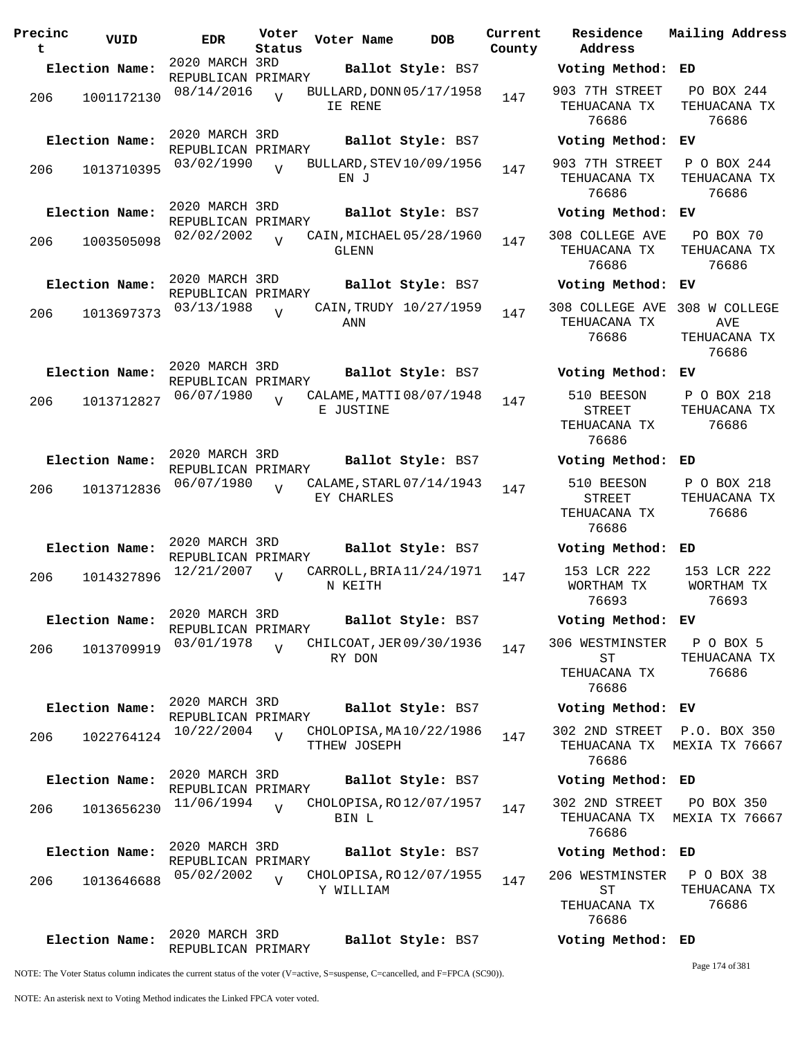| Precinc<br>t | VUID           | <b>EDR</b>                           | Voter<br>Status | Voter Name   | <b>DOB</b>               | Current<br>County | Residence<br>Address                                      | Mailing Address                      |
|--------------|----------------|--------------------------------------|-----------------|--------------|--------------------------|-------------------|-----------------------------------------------------------|--------------------------------------|
|              | Election Name: | 2020 MARCH 3RD<br>REPUBLICAN PRIMARY |                 |              | Ballot Style: BS7        |                   | Voting Method:                                            | ED                                   |
| 206          | 1001172130     | 08/14/2016                           | $\overline{U}$  | IE RENE      | BULLARD, DONN 05/17/1958 | 147               | 903 7TH STREET<br>TEHUACANA TX<br>76686                   | PO BOX 244<br>TEHUACANA TX<br>76686  |
|              | Election Name: | 2020 MARCH 3RD<br>REPUBLICAN PRIMARY |                 |              | Ballot Style: BS7        |                   | Voting Method:                                            | ЕV                                   |
| 206          | 1013710395     | 03/02/1990                           | $\overline{U}$  | EN J         | BULLARD, STEV 10/09/1956 | 147               | 903 7TH STREET<br>TEHUACANA TX<br>76686                   | P O BOX 244<br>TEHUACANA TX<br>76686 |
|              | Election Name: | 2020 MARCH 3RD<br>REPUBLICAN PRIMARY |                 |              | Ballot Style: BS7        |                   | Voting Method: EV                                         |                                      |
| 206          | 1003505098     | 02/02/2002                           | $\overline{V}$  | GLENN        | CAIN, MICHAEL 05/28/1960 | 147               | 308 COLLEGE AVE<br>TEHUACANA TX<br>76686                  | PO BOX 70<br>TEHUACANA TX<br>76686   |
|              | Election Name: | 2020 MARCH 3RD<br>REPUBLICAN PRIMARY |                 |              | Ballot Style: BS7        |                   | Voting Method:                                            | ЕV                                   |
| 206          | 1013697373     | 03/13/1988                           | $\overline{U}$  | ANN          | CAIN, TRUDY 10/27/1959   | 147               | 308 COLLEGE AVE 308 W COLLEGE<br>TEHUACANA TX<br>76686    | AVE<br>TEHUACANA TX<br>76686         |
|              | Election Name: | 2020 MARCH 3RD<br>REPUBLICAN PRIMARY |                 |              | Ballot Style: BS7        |                   | Voting Method: EV                                         |                                      |
| 206          | 1013712827     | 06/07/1980                           | $\overline{z}$  | E JUSTINE    | CALAME, MATTI 08/07/1948 | 147               | 510 BEESON<br><b>STREET</b><br>TEHUACANA TX<br>76686      | P O BOX 218<br>TEHUACANA TX<br>76686 |
|              | Election Name: | 2020 MARCH 3RD<br>REPUBLICAN PRIMARY |                 |              | Ballot Style: BS7        |                   | Voting Method: ED                                         |                                      |
| 206          | 1013712836     | 06/07/1980                           |                 | EY CHARLES   | CALAME, STARL 07/14/1943 | 147               | 510 BEESON<br><b>STREET</b><br>TEHUACANA TX<br>76686      | P O BOX 218<br>TEHUACANA TX<br>76686 |
|              | Election Name: | 2020 MARCH 3RD<br>REPUBLICAN PRIMARY |                 |              | Ballot Style: BS7        |                   | Voting Method: ED                                         |                                      |
| 206          | 1014327896     | 12/21/2007                           | $\overline{U}$  | N KEITH      | CARROLL, BRIA 11/24/1971 | 147               | 153 LCR 222<br>WORTHAM TX<br>76693                        | 153 LCR 222<br>WORTHAM TX<br>76693   |
|              | Election Name: | 2020 MARCH 3RD<br>REPUBLICAN PRIMARY |                 |              | Ballot Style: BS7        |                   | Voting Method: EV                                         |                                      |
| 206          | 1013709919     | 03/01/1978                           | $\overline{V}$  | RY DON       | CHILCOAT, JER 09/30/1936 | 147               | 306 WESTMINSTER<br>ST<br>TEHUACANA TX<br>76686            | P O BOX 5<br>TEHUACANA TX<br>76686   |
|              | Election Name: | 2020 MARCH 3RD<br>REPUBLICAN PRIMARY |                 |              | Ballot Style: BS7        |                   | Voting Method: EV                                         |                                      |
| 206          | 1022764124     | 10/22/2004                           | $\overline{V}$  | TTHEW JOSEPH | CHOLOPISA, MA 10/22/1986 | 147               | 302 2ND STREET<br>TEHUACANA TX<br>76686                   | P.O. BOX 350<br>MEXIA TX 76667       |
|              | Election Name: | 2020 MARCH 3RD<br>REPUBLICAN PRIMARY |                 |              | Ballot Style: BS7        |                   | Voting Method: ED                                         |                                      |
| 206          | 1013656230     | 11/06/1994                           | $\overline{U}$  | BIN L        | CHOLOPISA, RO 12/07/1957 | 147               | 302 2ND STREET<br>TEHUACANA TX<br>76686                   | PO BOX 350<br>MEXIA TX 76667         |
|              | Election Name: | 2020 MARCH 3RD<br>REPUBLICAN PRIMARY |                 |              | Ballot Style: BS7        |                   | Voting Method: ED                                         |                                      |
| 206          | 1013646688     | 05/02/2002                           | $\overline{V}$  | Y WILLIAM    | CHOLOPISA, RO 12/07/1955 | 147               | 206 WESTMINSTER P O BOX 38<br>ST<br>TEHUACANA TX<br>76686 | TEHUACANA TX<br>76686                |
|              | Election Name: | 2020 MARCH 3RD<br>REPUBLICAN PRIMARY |                 |              | Ballot Style: BS7        |                   | Voting Method: ED                                         |                                      |

Page 174 of 381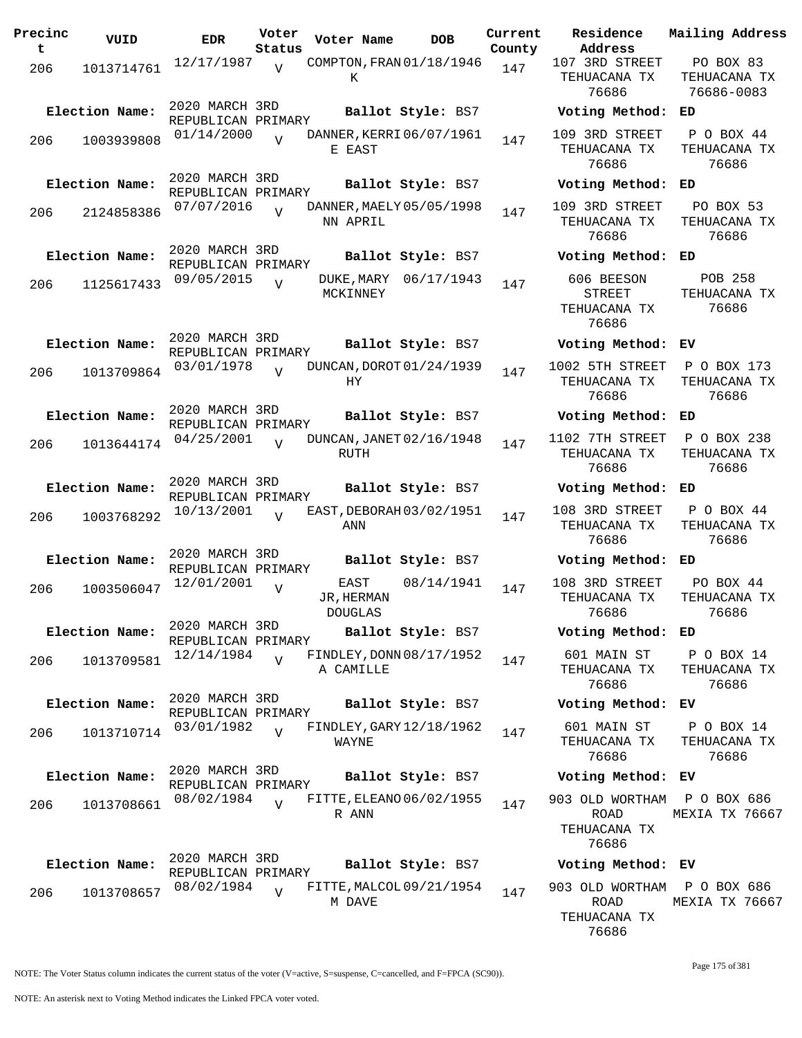| Precinc<br>t | VUID           | <b>EDR</b>                           | Voter<br>Status | Voter Name                            | DOB        | Current<br>County | Residence<br>Address                                 | Mai:                |
|--------------|----------------|--------------------------------------|-----------------|---------------------------------------|------------|-------------------|------------------------------------------------------|---------------------|
| 206          | 1013714761     | 12/17/1987                           | $\overline{U}$  | COMPTON, FRAN 01/18/1946<br>К         |            | 147               | 107 3RD STREET<br>TEHUACANA TX<br>76686              | J<br>ΤE<br>7        |
|              | Election Name: | 2020 MARCH 3RD<br>REPUBLICAN PRIMARY |                 | Ballot Style: BS7                     |            |                   | Voting Method:                                       | ED                  |
| 206          | 1003939808     | 01/14/2000                           |                 | DANNER, KERRI 06/07/1961<br>E EAST    |            | 147               | 109 3RD STREET<br>TEHUACANA TX<br>76686              | $\mathbf P$<br>TE   |
|              | Election Name: | 2020 MARCH 3RD<br>REPUBLICAN PRIMARY |                 | Ballot Style: BS7                     |            |                   | Voting Method:                                       | ED                  |
| 206          | 2124858386     | 07/07/2016                           | $\overline{U}$  | DANNER, MAELY 05/05/1998<br>NN APRIL  |            | 147               | 109 3RD STREET<br>TEHUACANA TX<br>76686              | J<br>TЕ             |
|              | Election Name: | 2020 MARCH 3RD<br>REPUBLICAN PRIMARY |                 | Ballot Style: BS7                     |            |                   | Voting Method:                                       | ED                  |
| 206          | 1125617433     | 09/05/2015                           | $\overline{U}$  | DUKE, MARY 06/17/1943<br>MCKINNEY     |            | 147               | 606 BEESON<br><b>STREET</b><br>TEHUACANA TX<br>76686 | TE                  |
|              | Election Name: | 2020 MARCH 3RD<br>REPUBLICAN PRIMARY |                 | Ballot Style: BS7                     |            |                   | Voting Method:                                       | ЕV                  |
| 206          | 1013709864     | 03/01/1978                           | $\overline{Y}$  | DUNCAN, DOROT 01/24/1939<br>НY        |            | 147               | 1002 5TH STREET<br>TEHUACANA TX<br>76686             | P<br>TЕ             |
|              | Election Name: | 2020 MARCH 3RD<br>REPUBLICAN PRIMARY |                 | Ballot Style: BS7                     |            |                   | Voting Method:                                       | ED                  |
| 206          | 1013644174     | 04/25/2001                           | $\overline{U}$  | DUNCAN, JANET 02/16/1948<br>RUTH      |            | 147               | 1102 7TH STREET<br>TEHUACANA TX<br>76686             | Ρ<br>TE             |
|              | Election Name: | 2020 MARCH 3RD<br>REPUBLICAN PRIMARY |                 | Ballot Style: BS7                     |            |                   | Voting Method:                                       | ED                  |
| 206          | 1003768292     | 10/13/2001                           | $\overline{U}$  | EAST, DEBORAH 03/02/1951<br>ANN       |            | 147               | 108 3RD STREET<br>TEHUACANA TX<br>76686              | $\mathbf P$<br>TE   |
|              | Election Name: | 2020 MARCH 3RD<br>REPUBLICAN PRIMARY |                 | Ballot Style: BS7                     |            |                   | Voting Method:                                       | ED                  |
| 206          | 1003506047     | 12/01/2001                           | $\overline{V}$  | EAST<br>JR, HERMAN<br><b>DOUGLAS</b>  | 08/14/1941 | 147               | 108 3RD STREET<br>TEHUACANA TX<br>76686              | J<br>TЕ             |
|              | Election Name: | 2020 MARCH 3RD<br>REPUBLICAN PRIMARY |                 | Ballot Style: BS7                     |            |                   | Voting Method: ED                                    |                     |
| 206          | 1013709581     | 12/14/1984                           | $\overline{U}$  | FINDLEY, DONN 08/17/1952<br>A CAMILLE |            | 147               | 601 MAIN ST<br>TEHUACANA TX<br>76686                 | $\mathbf P$<br>TЕ   |
|              | Election Name: | 2020 MARCH 3RD<br>REPUBLICAN PRIMARY |                 | Ballot Style: BS7                     |            |                   | Voting Method: EV                                    |                     |
| 206          | 1013710714     | 03/01/1982                           | $\overline{V}$  | FINDLEY, GARY 12/18/1962<br>WAYNE     |            | 147               | 601 MAIN ST<br>TEHUACANA TX<br>76686                 | P<br>ΤE             |
|              | Election Name: | 2020 MARCH 3RD<br>REPUBLICAN PRIMARY |                 | Ballot Style: BS7                     |            |                   | Voting Method: EV                                    |                     |
| 206          | 1013708661     | 08/02/1984                           | $\overline{V}$  | FITTE, ELEANO 06/02/1955<br>R ANN     |            | 147               | 903 OLD WORTHAM<br>ROAD<br>TEHUACANA TX<br>76686     | $\mathbf{P}$<br>MEX |
|              | Election Name: | 2020 MARCH 3RD<br>REPUBLICAN PRIMARY |                 | Ballot Style: BS7                     |            |                   | Voting Method: EV                                    |                     |
| 206          | 1013708657     | 08/02/1984                           | $\overline{U}$  | FITTE, MALCOL 09/21/1954<br>M DAVE    |            | 147               | 903 OLD WORTHAM<br>ROAD                              | $\mathbf{P}$<br>MEX |

**Address Current Mailing Address** RD STREET JACANA TX 76686 PO BOX 83 TEHUACANA TX 76686-0083 **Election Name: Ballot Style:** BS7 **Voting Method: ED** RD STREET ACANA TX 76686 P O BOX 44 TEHUACANA TX 76686 **Election Name: Ballot Style:** BS7 **Voting Method: ED** RD STREET JACANA TX 76686 PO BOX 53 TEHUACANA TX 76686 **Election Name: Ballot Style:** BS7 **Voting Method: ED** 606 BEESON STREET JACANA TX 76686 POB 258 TEHUACANA TX 76686 **Election Name: Ballot Style:** BS7 **Voting Method: EV** 5TH STREET ACANA TX 76686 P O BOX 173 TEHUACANA TX 76686 **Election Name: Ballot Style:** BS7 **Voting Method: ED** 7TH STREET ACANA TX 76686 P O BOX 238 TEHUACANA TX 76686 **Election Name: Ballot Style:** BS7 **Voting Method: ED** RD STREET JACANA TX 76686 P O BOX 44 TEHUACANA TX 76686 **Election Name: Ballot Style:** BS7 **Voting Method: ED** RD STREET ACANA TX 76686 PO BOX 44 TEHUACANA TX 76686 **Election Name: Ballot Style:** BS7 **Voting Method: ED** MAIN ST JACANA TX 76686 P O BOX 14 TEHUACANA TX 76686 **Election Name: Ballot Style:** BS7 **Voting Method: EV MAIN ST** ACANA TX 76686 P O BOX 14 TEHUACANA TX 76686 **Election Name: Ballot Style:** BS7 **Voting Method: EV** LD WORTHAM ROAD ACANA TX 76686 P O BOX 686 MEXIA TX 76667

903 OLD WORTHAM P O BOX 686 ROAD TEHUACANA TX 76686 MEXIA TX 76667

Page 175 of 381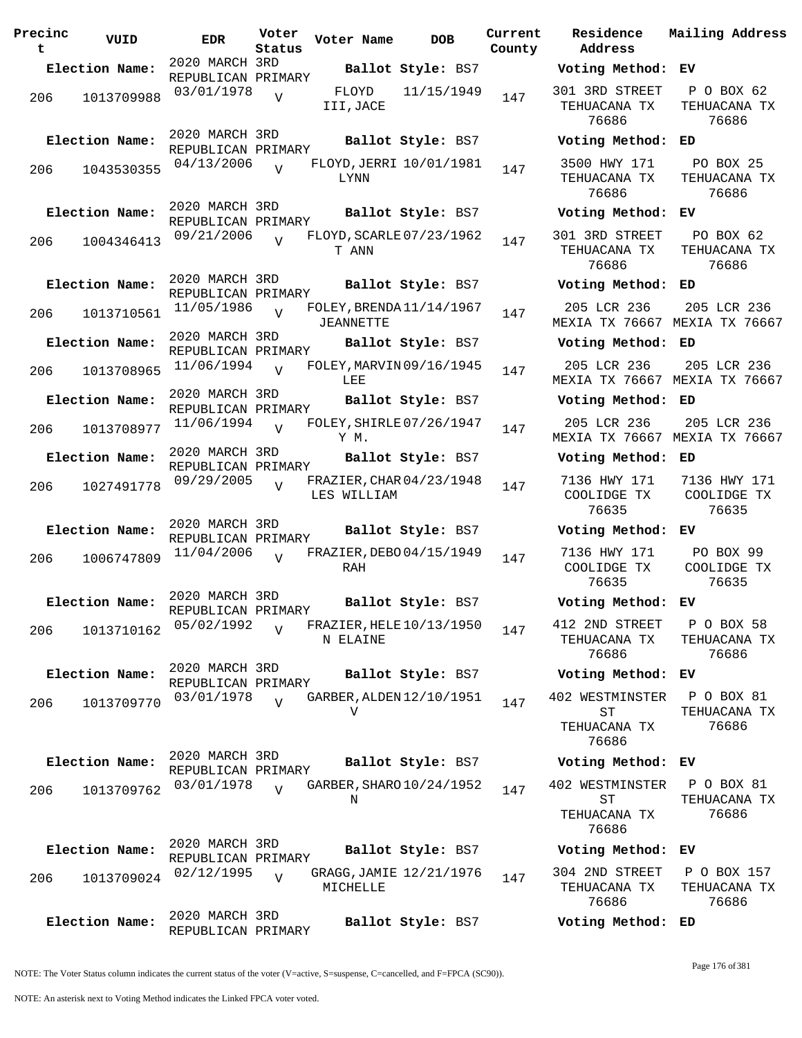| Precinc<br>t | VUID           | <b>EDR</b>                           | Voter<br>Status | Voter Name                              | <b>DOB</b>        | Current<br>County | Residence<br>Address                           | Mail                  |
|--------------|----------------|--------------------------------------|-----------------|-----------------------------------------|-------------------|-------------------|------------------------------------------------|-----------------------|
|              | Election Name: | 2020 MARCH 3RD<br>REPUBLICAN PRIMARY |                 |                                         | Ballot Style: BS7 |                   | Voting Method:                                 | ЕV                    |
| 206          | 1013709988     | 03/01/1978                           | $\overline{V}$  | FLOYD<br>III, JACE                      | 11/15/1949        | 147               | 301 3RD STREET<br>TEHUACANA TX<br>76686        | $\mathbf{P}$<br>TE.   |
|              | Election Name: | 2020 MARCH 3RD<br>REPUBLICAN PRIMARY |                 |                                         | Ballot Style: BS7 |                   | Voting Method:                                 | ED                    |
| 206          | 1043530355     | 04/13/2006                           | $\overline{V}$  | FLOYD, JERRI 10/01/1981<br><b>LYNN</b>  |                   | 147               | 3500 HWY 171<br>TEHUACANA TX<br>76686          | $\mathbf F$<br>TE.    |
|              | Election Name: | 2020 MARCH 3RD<br>REPUBLICAN PRIMARY |                 |                                         | Ballot Style: BS7 |                   | Voting Method:                                 | EV                    |
| 206          | 1004346413     | 09/21/2006                           | $\overline{U}$  | FLOYD, SCARLE 07/23/1962<br>T ANN       |                   | 147               | 301 3RD STREET<br>TEHUACANA TX<br>76686        | $\mathbf F$<br>TE.    |
|              | Election Name: | 2020 MARCH 3RD<br>REPUBLICAN PRIMARY |                 |                                         | Ballot Style: BS7 |                   | Voting Method: ED                              |                       |
| 206          | 1013710561     | 11/05/1986                           | $\overline{U}$  | FOLEY, BRENDA 11/14/1967<br>JEANNETTE   |                   | 147               | 205 LCR 236<br>MEXIA TX 76667 MEX              | 2 <sup>c</sup>        |
|              | Election Name: | 2020 MARCH 3RD<br>REPUBLICAN PRIMARY |                 |                                         | Ballot Style: BS7 |                   | Voting Method:                                 | ED                    |
| 206          | 1013708965     | 11/06/1994                           | $\overline{U}$  | FOLEY, MARVIN 09/16/1945<br>LEE         |                   | 147               | 205 LCR 236<br>MEXIA TX 76667                  | 2 <sup>c</sup><br>MEX |
|              | Election Name: | 2020 MARCH 3RD<br>REPUBLICAN PRIMARY |                 |                                         | Ballot Style: BS7 |                   | Voting Method:                                 | ED                    |
| 206          | 1013708977     | 11/06/1994                           | $\overline{V}$  | FOLEY, SHIRLE 07/26/1947<br>Y M.        |                   | 147               | 205 LCR 236<br>MEXIA TX 76667                  | 2 <sup>c</sup><br>MEX |
|              | Election Name: | 2020 MARCH 3RD<br>REPUBLICAN PRIMARY |                 |                                         | Ballot Style: BS7 |                   | Voting Method:                                 | ED                    |
| 206          | 1027491778     | 09/29/2005                           | $\overline{17}$ | FRAZIER, CHAR 04/23/1948<br>LES WILLIAM |                   | 147               | 7136 HWY 171<br>COOLIDGE TX<br>76635           | 71<br>CC              |
|              | Election Name: | 2020 MARCH 3RD<br>REPUBLICAN PRIMARY |                 |                                         | Ballot Style: BS7 |                   | Voting Method:                                 | ЕV                    |
| 206          | 1006747809     | 11/04/2006                           | $\overline{V}$  | FRAZIER, DEBO04/15/1949<br>RAH          |                   | 147               | 7136 HWY 171<br>COOLIDGE TX<br>76635           | E<br><b>CC</b>        |
|              | Election Name: | 2020 MARCH 3RD<br>REPUBLICAN PRIMARY |                 |                                         | Ballot Style: BS7 |                   | Voting Method: EV                              |                       |
| 206          | 1013710162     | 05/02/1992                           | $\overline{V}$  | FRAZIER, HELE $10/13/1950$<br>N ELAINE  |                   | 147               | 412 2ND STREET<br>TEHUACANA TX<br>76686        | Ρ<br>TE.              |
|              | Election Name: | 2020 MARCH 3RD<br>REPUBLICAN PRIMARY |                 |                                         | Ballot Style: BS7 |                   | Voting Method:                                 | ЕV                    |
| 206          | 1013709770     | 03/01/1978                           | $\overline{U}$  | GARBER, ALDEN 12/10/1951<br>V           |                   | 147               | 402 WESTMINSTER<br>SТ<br>TEHUACANA TX<br>76686 | Ρ<br>TE.              |
|              | Election Name: | 2020 MARCH 3RD<br>REPUBLICAN PRIMARY |                 |                                         | Ballot Style: BS7 |                   | Voting Method:                                 | ЕV                    |
| 206          | 1013709762     | 03/01/1978                           | $\overline{V}$  | GARBER, SHARO 10/24/1952<br>Ν           |                   | 147               | 402 WESTMINSTER<br>SТ<br>TEHUACANA TX<br>76686 | $\mathbf P$<br>TE.    |
|              | Election Name: | 2020 MARCH 3RD<br>REPUBLICAN PRIMARY |                 |                                         | Ballot Style: BS7 |                   | Voting Method:                                 | ЕV                    |
| 206          | 1013709024     | 02/12/1995                           | V               | GRAGG, JAMIE 12/21/1976<br>MICHELLE     |                   | 147               | 304 2ND STREET<br>TEHUACANA TX<br>76686        | Ρ<br>TE.              |
|              | Election Name: | 2020 MARCH 3RD<br>REPUBLICAN PRIMARY |                 |                                         | Ballot Style: BS7 |                   | Voting Method: ED                              |                       |

**Voter Name DOB Residence Address Current Mailing Address County Election Name: Ballot Style:** BS7 **Voting Method: EV** 301 3RD STREET TEHUACANA TX 76686 P O BOX 62 TEHUACANA TX 76686 **Election Name: Ballot Style:** BS7 **Voting Method: ED** 3500 HWY 171 TEHUACANA TX 76686 PO BOX 25 TEHUACANA TX 76686 **Election Name: Ballot Style:** BS7 **Voting Method: EV** 301 3RD STREET TEHUACANA TX 76686 PO BOX 62 TEHUACANA TX 76686 **Election Name: Ballot Style:** BS7 **Voting Method: ED** 205 LCR 236 MEXIA TX 76667 MEXIA TX 76667 205 LCR 236 **Election Name: Ballot Style:** BS7 **Voting Method: ED** 205 LCR 236 MEXIA TX 76667 MEXIA TX 76667 205 LCR 236 **Election Name: Ballot Style:** BS7 **Voting Method: ED** 205 LCR 236 MEXIA TX 76667 MEXIA TX 76667 205 LCR 236 **Election Name: Ballot Style:** BS7 **Voting Method: ED** 7136 HWY 171 COOLIDGE TX 76635 7136 HWY 171 COOLIDGE TX 76635 **Election Name: Ballot Style:** BS7 **Voting Method: EV** 7136 HWY 171 COOLIDGE TX 76635 PO BOX 99 COOLIDGE TX 76635 **Election Name: Ballot Style:** BS7 **Voting Method: EV** 412 2ND STREET TEHUACANA TX 76686 P O BOX 58 TEHUACANA TX 76686 **Election Name: Ballot Style:** BS7 **Voting Method: EV** 402 WESTMINSTER ST TEHUACANA TX 76686 P O BOX 81 TEHUACANA TX 76686 **Election Name: Ballot Style:** BS7 **Voting Method: EV** 402 WESTMINSTER ST TEHUACANA TX 76686 P O BOX 81 TEHUACANA TX 76686 **Election Name: Ballot Style:** BS7 **Voting Method: EV** 304 2ND STREET TEHUACANA TX 76686 P O BOX 157 TEHUACANA TX 76686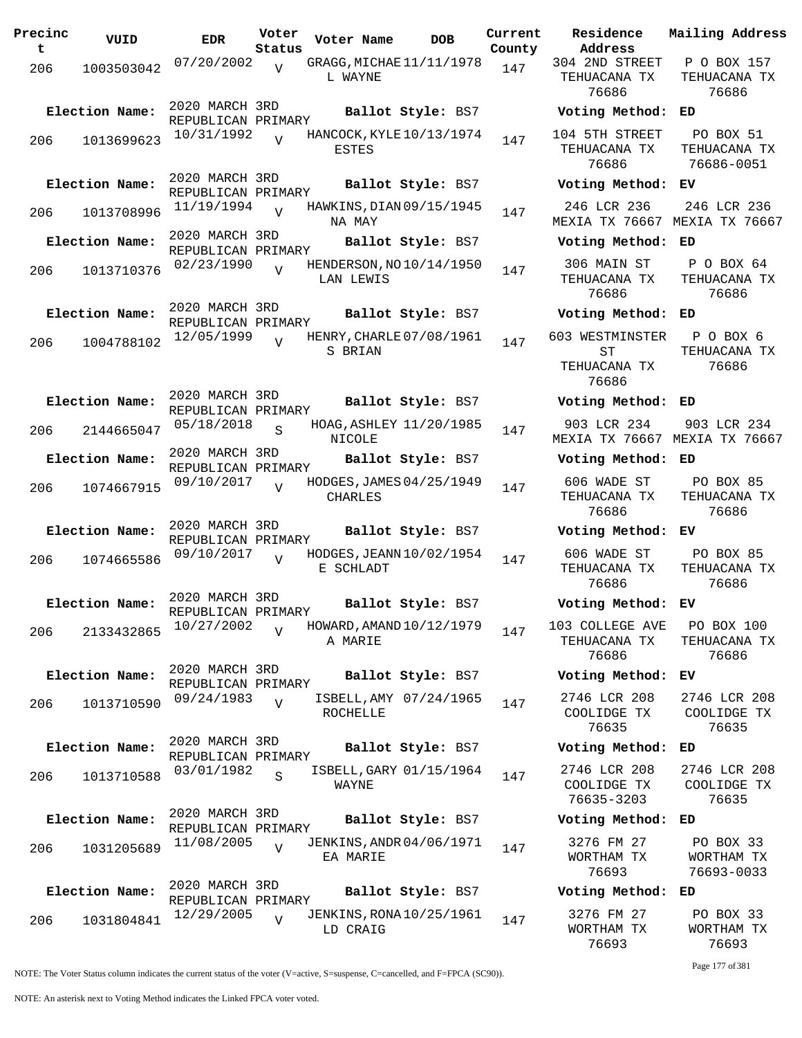| Precinc<br>t | VUID           | <b>EDR</b>                           | Voter<br>Status | Voter Name                                  | <b>DOB</b>        | Current<br>County |
|--------------|----------------|--------------------------------------|-----------------|---------------------------------------------|-------------------|-------------------|
| 206          | 1003503042     | 07/20/2002                           | V               | GRAGG, MICHAE 11/11/1978<br>L WAYNE         |                   | 147               |
|              | Election Name: | 2020 MARCH 3RD<br>REPUBLICAN PRIMARY |                 |                                             | Ballot Style: BS7 |                   |
| 206          | 1013699623     | 10/31/1992                           | $\overline{U}$  | HANCOCK, KYLE 10/13/1974<br>ESTES           |                   | 147               |
|              | Election Name: | 2020 MARCH 3RD                       |                 |                                             | Ballot Style: BS7 |                   |
| 206          | 1013708996     | REPUBLICAN PRIMARY<br>11/19/1994     | $\overline{V}$  | HAWKINS, DIAN 09/15/1945                    |                   | 147               |
|              | Election Name: | 2020 MARCH 3RD                       |                 | NA MAY                                      | Ballot Style: BS7 |                   |
| 206          | 1013710376     | REPUBLICAN PRIMARY<br>02/23/1990     | $\overline{V}$  | HENDERSON, NO 10/14/1950<br>LAN LEWIS       |                   | 147               |
|              | Election Name: | 2020 MARCH 3RD                       |                 |                                             | Ballot Style: BS7 |                   |
| 206          | 1004788102     | REPUBLICAN PRIMARY<br>12/05/1999     | $\overline{V}$  | HENRY, CHARLE 07/08/1961<br>S BRIAN         |                   | 147               |
|              | Election Name: | 2020 MARCH 3RD<br>REPUBLICAN PRIMARY |                 |                                             | Ballot Style: BS7 |                   |
| 206          | 2144665047     | 05/18/2018                           | S               | HOAG, ASHLEY 11/20/1985<br><b>NICOLE</b>    |                   | 147               |
|              | Election Name: | 2020 MARCH 3RD<br>REPUBLICAN PRIMARY |                 |                                             | Ballot Style: BS7 |                   |
| 206          | 1074667915     | 09/10/2017                           | ٦T              | HODGES, JAMES 04/25/1949<br>CHARLES         |                   | 147               |
|              | Election Name: | 2020 MARCH 3RD<br>REPUBLICAN PRIMARY |                 |                                             | Ballot Style: BS7 |                   |
| 206          | 1074665586     | 09/10/2017                           | $\overline{U}$  | HODGES, JEANN 10/02/1954<br>E SCHLADT       |                   | 147               |
|              | Election Name: | 2020 MARCH 3RD<br>REPUBLICAN PRIMARY |                 |                                             | Ballot Style: BS7 |                   |
| 206          | 2133432865     | 10/27/2002                           | V               | HOWARD, AMAND 10/12/1979<br>A MARIE         |                   | 147               |
|              | Election Name: | 2020 MARCH 3RD<br>REPUBLICAN PRIMARY |                 |                                             | Ballot Style: BS7 |                   |
| 206          | 1013710590     | 09/24/1983                           | V               | ISBELL, AMY 07/24/1965<br>ROCHELLE          |                   | 147               |
|              | Election Name: | 2020 MARCH 3RD<br>REPUBLICAN PRIMARY |                 |                                             | Ballot Style: BS7 |                   |
| 206          | 1013710588     | 03/01/1982                           | $\mathcal{S}$   | ISBELL, GARY 01/15/1964<br>WAYNE            |                   | 147               |
|              | Election Name: | 2020 MARCH 3RD<br>REPUBLICAN PRIMARY |                 |                                             | Ballot Style: BS7 |                   |
| 206          | 1031205689     | 11/08/2005                           | $\overline{V}$  | <b>JENKINS, ANDR 04/06/1971</b><br>EA MARIE |                   | 147               |
|              | Election Name: | 2020 MARCH 3RD                       |                 |                                             | Ballot Style: BS7 |                   |
| 206          | 1031804841     | REPUBLICAN PRIMARY<br>12/29/2005     | V               | <b>JENKINS, RONA 10/25/1961</b><br>LD CRAIG |                   | 147               |

**Voter Name DOB Residence Address Current Mailing Address** 304 2ND STREET TEHUACANA TX 76686 P O BOX 157 TEHUACANA TX 76686 **Election Name: Ballot Style:** BS7 **Voting Method: ED** 104 5TH STREET TEHUACANA TX 76686 PO BOX 51 TEHUACANA TX 76686-0051 **Election Name: Ballot Style:** BS7 **Voting Method: EV** 246 LCR 236 MEXIA TX 76667 MEXIA TX 76667 246 LCR 236 **Election Name: Ballot Style:** BS7 **Voting Method: ED** 306 MAIN ST TEHUACANA TX 76686 P O BOX 64 TEHUACANA TX 76686 **Election Name: Ballot Style:** BS7 **Voting Method: ED** 603 WESTMINSTER ST TEHUACANA TX 76686 P O BOX 6 TEHUACANA TX 76686 **Election Name: Ballot Style:** BS7 **Voting Method: ED** 903 LCR 234 MEXIA TX 76667 MEXIA TX 76667 903 LCR 234 **Election Name: Ballot Style:** BS7 **Voting Method: ED** 606 WADE ST TEHUACANA TX 76686 PO BOX 85 TEHUACANA TX 76686 **Election Name: Ballot Style:** BS7 **Voting Method: EV** 606 WADE ST TEHUACANA TX 76686 PO BOX 85 TEHUACANA TX 76686 **Election Name: Ballot Style:** BS7 **Voting Method: EV** 103 COLLEGE AVE TEHUACANA TX 76686 PO BOX 100 TEHUACANA TX 76686 **Election Name: Ballot Style:** BS7 **Voting Method: EV** 2746 LCR 208 COOLIDGE TX 76635 2746 LCR 208 COOLIDGE TX 76635 **Election Name: Ballot Style:** BS7 **Voting Method: ED** 2746 LCR 208 COOLIDGE TX 76635-3203 2746 LCR 208 COOLIDGE TX 76635 **Election Name: Ballot Style:** BS7 **Voting Method: ED** 3276 FM 27 WORTHAM TX 76693 PO BOX 33 WORTHAM TX 76693-0033 **Election Name: Ballot Style:** BS7 **Voting Method: ED** 3276 FM 27 WORTHAM TX 76693 PO BOX 33 WORTHAM TX 76693

Page 177 of 381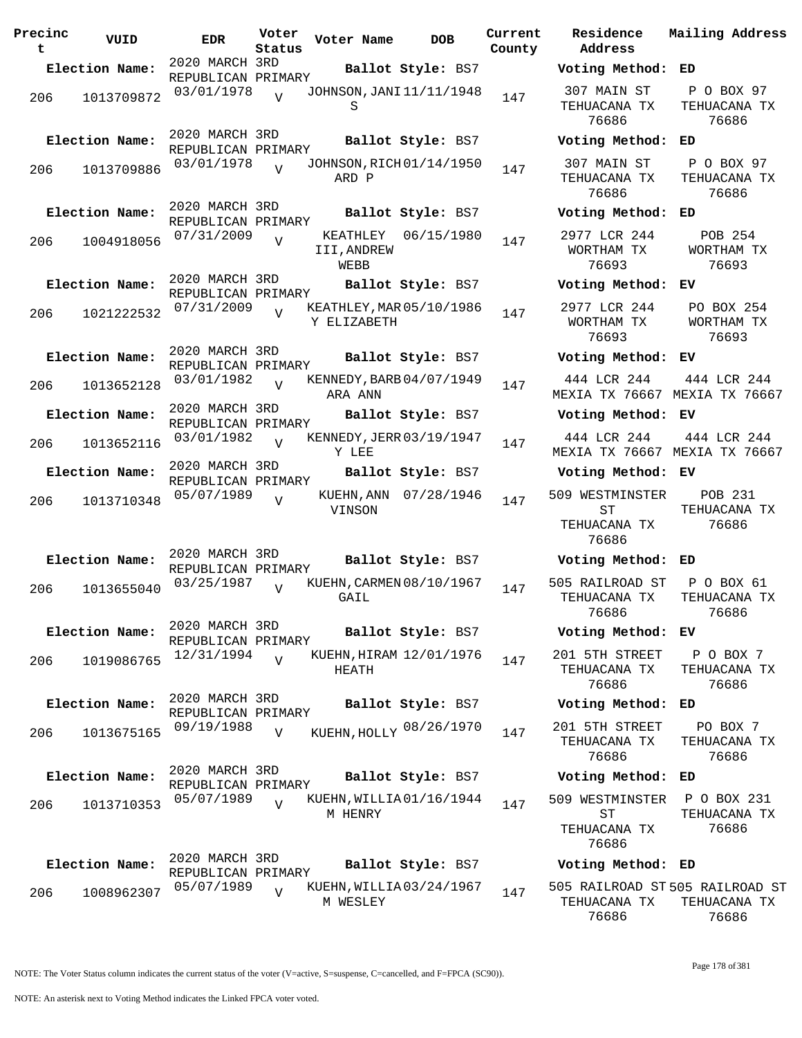| Precinc<br>t | VUID           | EDR.                                 | Voter<br>Status | Voter Name                              | <b>DOB</b>            | Current<br>County | Residence<br>Address                           |
|--------------|----------------|--------------------------------------|-----------------|-----------------------------------------|-----------------------|-------------------|------------------------------------------------|
|              | Election Name: | 2020 MARCH 3RD<br>REPUBLICAN PRIMARY |                 |                                         | Ballot Style: BS7     |                   | Voting Method                                  |
| 206          | 1013709872     | 03/01/1978                           | $\overline{V}$  | JOHNSON, JANI 11/11/1948<br>S           |                       | 147               | 307 MAIN ST<br>TEHUACANA TX<br>76686           |
|              | Election Name: | 2020 MARCH 3RD<br>REPUBLICAN PRIMARY |                 |                                         | Ballot Style: BS7     |                   | Voting Method                                  |
| 206          | 1013709886     | 03/01/1978                           | $\overline{Y}$  | JOHNSON, RICH 01/14/1950<br>ARD P       |                       | 147               | 307 MAIN ST<br>TEHUACANA TX<br>76686           |
|              | Election Name: | 2020 MARCH 3RD                       |                 |                                         | Ballot Style: BS7     |                   | Voting Method                                  |
| 206          | 1004918056     | REPUBLICAN PRIMARY<br>07/31/2009     | $\overline{V}$  | KEATHLEY<br>III, ANDREW<br>WEBB         | 06/15/1980            | 147               | 2977 LCR 244<br>WORTHAM TX<br>76693            |
|              | Election Name: | 2020 MARCH 3RD                       |                 |                                         | Ballot Style: BS7     |                   | Voting Method                                  |
| 206          | 1021222532     | REPUBLICAN PRIMARY<br>07/31/2009     |                 | KEATHLEY, MAR 05/10/1986<br>Y ELIZABETH |                       | 147               | 2977 LCR 244<br>WORTHAM TX<br>76693            |
|              | Election Name: | 2020 MARCH 3RD                       |                 |                                         | Ballot Style: BS7     |                   | Voting Method                                  |
| 206          | 1013652128     | REPUBLICAN PRIMARY<br>03/01/1982     | $\overline{U}$  | KENNEDY, BARB 04/07/1949<br>ARA ANN     |                       | 147               | 444 LCR 244<br>MEXIA TX 76667                  |
|              | Election Name: | 2020 MARCH 3RD<br>REPUBLICAN PRIMARY |                 |                                         | Ballot Style: BS7     |                   | Voting Method                                  |
| 206          | 1013652116     | 03/01/1982                           | $\overline{V}$  | KENNEDY, JERR 03/19/1947<br>Y LEE       |                       | 147               | 444 LCR 244<br>MEXIA TX 76667                  |
|              | Election Name: | 2020 MARCH 3RD<br>REPUBLICAN PRIMARY |                 |                                         | Ballot Style: BS7     |                   | Voting Method                                  |
| 206          | 1013710348     | 05/07/1989                           | $\overline{U}$  | VINSON                                  | KUEHN, ANN 07/28/1946 | 147               | 509 WESTMINSTEI<br>ST<br>TEHUACANA TX<br>76686 |
|              | Election Name: | 2020 MARCH 3RD<br>REPUBLICAN PRIMARY |                 |                                         | Ballot Style: BS7     |                   | Voting Method                                  |
| 206          | 1013655040     | 03/25/1987                           | $\overline{V}$  | KUEHN, CARMEN 08/10/1967<br>GAIL        |                       | 147               | 505 RAILROAD ST<br>TEHUACANA TX<br>76686       |
|              | Election Name: | 2020 MARCH 3RD                       |                 |                                         | Ballot Style: BS7     |                   | Voting Method                                  |
| 206          | 1019086765     | REPUBLICAN PRIMARY<br>12/31/1994     | $\overline{U}$  | KUEHN, HIRAM 12/01/1976<br>HEATH        |                       | 147               | 201 5TH STREET<br>TEHUACANA TX<br>76686        |
|              | Election Name: | 2020 MARCH 3RD<br>REPUBLICAN PRIMARY |                 |                                         | Ballot Style: BS7     |                   | Voting Method                                  |
| 206          | 1013675165     | 09/19/1988                           | $\overline{V}$  | KUEHN, HOLLY 08/26/1970                 |                       | 147               | 201 5TH STREET<br>TEHUACANA TX<br>76686        |
|              | Election Name: | 2020 MARCH 3RD                       |                 |                                         | Ballot Style: BS7     |                   | Voting Method                                  |
| 206          | 1013710353     | REPUBLICAN PRIMARY<br>05/07/1989     | $\overline{V}$  | KUEHN, WILLIA01/16/1944                 |                       | 147               | 509 WESTMINSTEI                                |
|              |                |                                      |                 | M HENRY                                 |                       |                   | SТ<br>TEHUACANA TX<br>76686                    |
|              | Election Name: | 2020 MARCH 3RD                       |                 |                                         | Ballot Style: BS7     |                   | Voting Method                                  |
| 206          | 1008962307     | REPUBLICAN PRIMARY<br>05/07/1989     | $\overline{V}$  | KUEHN, WILLIA03/24/1967<br>M WESLEY     |                       | 147               | 505 RAILROAD ST<br>TEHUACANA TX                |

**Voter Name DOB Residence Address Current Mailing Address Election Name: Ballot Style:** BS7 **Voting Method: ED** 307 MAIN ST TEHUACANA TX 76686 P O BOX 97 TEHUACANA TX 76686 **Election Name: Ballot Style:** BS7 **Voting Method: ED** 307 MAIN ST TEHUACANA TX 76686 P O BOX 97 TEHUACANA TX 76686 **Election Name: Ballot Style:** BS7 **Voting Method: ED** 2977 LCR 244 WORTHAM TX 76693 POB 254 WORTHAM TX 76693 **Election Name: Ballot Style:** BS7 **Voting Method: EV** 2977 LCR 244 WORTHAM TX 76693 PO BOX 254 WORTHAM TX 76693 **Election Name: Ballot Style:** BS7 **Voting Method: EV** 444 LCR 244 MEXIA TX 76667 MEXIA TX 76667 444 LCR 244 **Election Name: Ballot Style:** BS7 **Voting Method: EV** 444 LCR 244 MEXIA TX 76667 MEXIA TX 76667 444 LCR 244 **Election Name: Ballot Style:** BS7 **Voting Method: EV** 509 WESTMINSTER ST TEHUACANA TX 76686 POB 231 TEHUACANA TX 76686 **Election Name: Ballot Style:** BS7 **Voting Method: ED** 505 RAILROAD ST TEHUACANA TX 76686 P O BOX 61 TEHUACANA TX 76686 **Election Name: Ballot Style:** BS7 **Voting Method: EV** 201 5TH STREET TEHUACANA TX 76686 P O BOX 7 TEHUACANA TX 76686 **Election Name: Ballot Style:** BS7 **Voting Method: ED** TEHUACANA TX 76686 PO BOX 7 TEHUACANA TX 76686 **Election Name: Ballot Style:** BS7 **Voting Method: ED** 509 WESTMINSTER ST TEHUACANA TX 76686 P O BOX 231 TEHUACANA TX 76686 **Election Name: Ballot Style:** BS7 **Voting Method: ED**

505 RAILROAD ST 505 RAILROAD ST TEHUACANA TX 76686 TEHUACANA TX 76686

NOTE: An asterisk next to Voting Method indicates the Linked FPCA voter voted.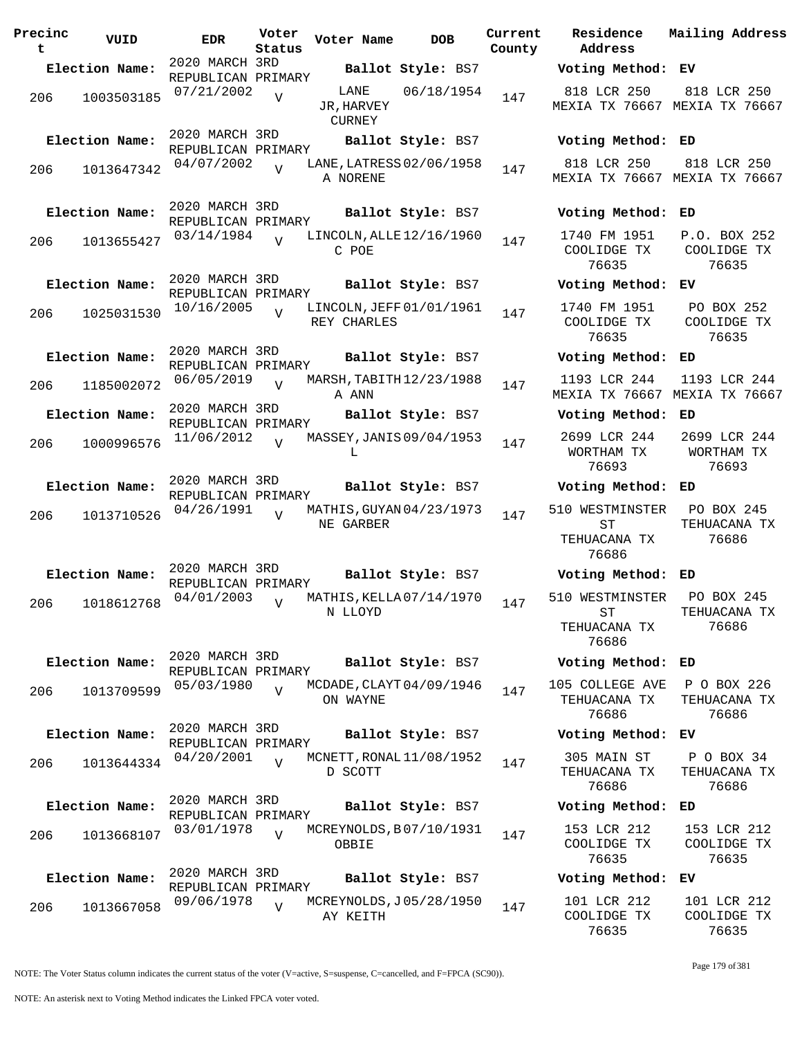| Precinc<br>t | VUID           | <b>EDR</b>                           | Voter<br>Status | Voter Name                   | <b>DOB</b>               | Current<br>County | Residence<br>Address                           | Mailing Address                      |
|--------------|----------------|--------------------------------------|-----------------|------------------------------|--------------------------|-------------------|------------------------------------------------|--------------------------------------|
|              | Election Name: | 2020 MARCH 3RD<br>REPUBLICAN PRIMARY |                 |                              | Ballot Style: BS7        |                   | Voting Method: EV                              |                                      |
| 206          | 1003503185     | 07/21/2002                           | $\overline{V}$  | LANE<br>JR, HARVEY<br>CURNEY | 06/18/1954               | 147               | 818 LCR 250<br>MEXIA TX 76667 MEXIA TX 76667   | 818 LCR 250                          |
|              | Election Name: | 2020 MARCH 3RD<br>REPUBLICAN PRIMARY |                 |                              | Ballot Style: BS7        |                   | Voting Method: ED                              |                                      |
| 206          | 1013647342     | 04/07/2002                           | $\overline{U}$  | A NORENE                     | LANE, LATRESS 02/06/1958 | 147               | 818 LCR 250<br>MEXIA TX 76667 MEXIA TX 76667   | 818 LCR 250                          |
|              | Election Name: | 2020 MARCH 3RD<br>REPUBLICAN PRIMARY |                 |                              | Ballot Style: BS7        |                   | Voting Method: ED                              |                                      |
| 206          | 1013655427     | 03/14/1984                           | $\overline{U}$  | C POE                        | LINCOLN, ALLE 12/16/1960 | 147               | 1740 FM 1951<br>COOLIDGE TX<br>76635           | P.O. BOX 252<br>COOLIDGE TX<br>76635 |
|              | Election Name: | 2020 MARCH 3RD<br>REPUBLICAN PRIMARY |                 |                              | Ballot Style: BS7        |                   | Voting Method: EV                              |                                      |
| 206          | 1025031530     | 10/16/2005                           | $\overline{v}$  | REY CHARLES                  | LINCOLN, JEFF 01/01/1961 | 147               | 1740 FM 1951<br>COOLIDGE TX<br>76635           | PO BOX 252<br>COOLIDGE TX<br>76635   |
|              | Election Name: | 2020 MARCH 3RD<br>REPUBLICAN PRIMARY |                 |                              | Ballot Style: BS7        |                   | Voting Method: ED                              |                                      |
| 206          | 1185002072     | 06/05/2019                           | V               | A ANN                        | MARSH, TABITH 12/23/1988 | 147               | 1193 LCR 244<br>MEXIA TX 76667 MEXIA TX 76667  | 1193 LCR 244                         |
|              | Election Name: | 2020 MARCH 3RD<br>REPUBLICAN PRIMARY |                 |                              | Ballot Style: BS7        |                   | Voting Method: ED                              |                                      |
| 206          | 1000996576     | 11/06/2012                           | $\overline{V}$  | L                            | MASSEY, JANIS 09/04/1953 | 147               | 2699 LCR 244<br>WORTHAM TX<br>76693            | 2699 LCR 244<br>WORTHAM TX<br>76693  |
|              | Election Name: | 2020 MARCH 3RD<br>REPUBLICAN PRIMARY |                 |                              | Ballot Style: BS7        |                   | Voting Method: ED                              |                                      |
| 206          | 1013710526     | 04/26/1991                           | $\overline{U}$  | NE GARBER                    | MATHIS, GUYAN 04/23/1973 | 147               | 510 WESTMINSTER<br>ST<br>TEHUACANA TX<br>76686 | PO BOX 245<br>TEHUACANA TX<br>76686  |
|              | Election Name: | 2020 MARCH 3RD<br>REPUBLICAN PRIMARY |                 |                              | Ballot Style: BS7        |                   | Voting Method: ED                              |                                      |
| 206          | 1018612768     | 04/01/2003                           | $\overline{V}$  | N LLOYD                      | MATHIS, KELLA 07/14/1970 | 147               | 510 WESTMINSTER<br>ST<br>TEHUACANA TX<br>76686 | PO BOX 245<br>TEHUACANA TX<br>76686  |
|              | Election Name: | 2020 MARCH 3RD<br>REPUBLICAN PRIMARY |                 |                              | Ballot Style: BS7        |                   | Voting Method: ED                              |                                      |
| 206          | 1013709599     | 05/03/1980                           | $\overline{U}$  | ON WAYNE                     | MCDADE, CLAYT 04/09/1946 | 147               | 105 COLLEGE AVE<br>TEHUACANA TX<br>76686       | P O BOX 226<br>TEHUACANA TX<br>76686 |
|              | Election Name: | 2020 MARCH 3RD<br>REPUBLICAN PRIMARY |                 |                              | Ballot Style: BS7        |                   | Voting Method: EV                              |                                      |
| 206          | 1013644334     | 04/20/2001                           | $\overline{V}$  | D SCOTT                      | MCNETT, RONAL 11/08/1952 | 147               | 305 MAIN ST<br>TEHUACANA TX<br>76686           | P O BOX 34<br>TEHUACANA TX<br>76686  |
|              | Election Name: | 2020 MARCH 3RD<br>REPUBLICAN PRIMARY |                 |                              | Ballot Style: BS7        |                   | Voting Method: ED                              |                                      |
| 206          | 1013668107     | 03/01/1978                           | $\overline{U}$  | OBBIE                        | MCREYNOLDS, B07/10/1931  | 147               | 153 LCR 212<br>COOLIDGE TX<br>76635            | 153 LCR 212<br>COOLIDGE TX<br>76635  |
|              | Election Name: | 2020 MARCH 3RD<br>REPUBLICAN PRIMARY |                 |                              | Ballot Style: BS7        |                   | Voting Method: EV                              |                                      |
| 206          | 1013667058     | 09/06/1978                           | $\overline{V}$  | AY KEITH                     | MCREYNOLDS, J05/28/1950  | 147               | 101 LCR 212<br>COOLIDGE TX                     | 101 LCR 212<br>COOLIDGE TX           |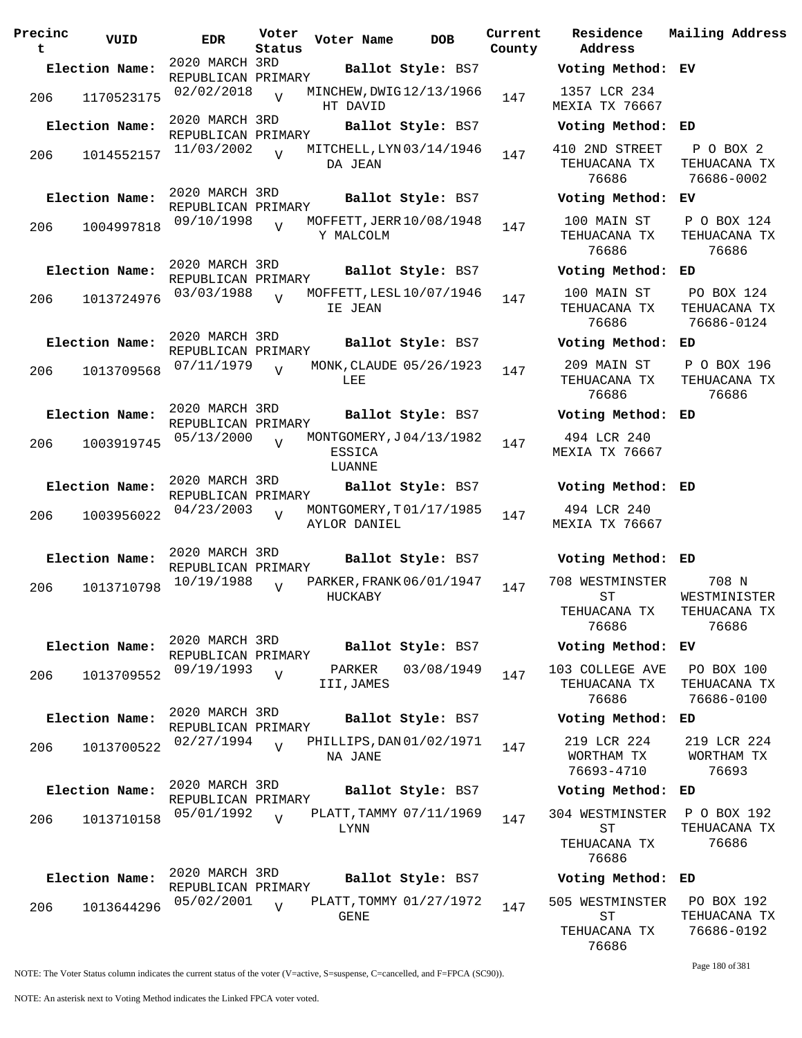| Precinc<br>t | VUID           | EDR                                  | Voter<br>Status | Voter Name     | <b>DOB</b>               | Curre<br>Count |
|--------------|----------------|--------------------------------------|-----------------|----------------|--------------------------|----------------|
|              | Election Name: | 2020 MARCH 3RD                       |                 |                | Ballot Style: BS7        |                |
|              |                | REPUBLICAN PRIMARY                   |                 |                |                          |                |
| 206          | 1170523175     | 02/02/2018                           | $\overline{U}$  | HT DAVID       | MINCHEW, DWIG12/13/1966  | 147            |
|              | Election Name: | 2020 MARCH 3RD                       |                 |                | Ballot Style: BS7        |                |
|              |                | REPUBLICAN PRIMARY                   |                 |                |                          |                |
| 206          | 1014552157     | 11/03/2002                           | $\overline{U}$  | DA JEAN        | MITCHELL, LYN 03/14/1946 | 147            |
|              |                | 2020 MARCH 3RD                       |                 |                |                          |                |
|              | Election Name: | REPUBLICAN PRIMARY                   |                 |                | Ballot Style: BS7        |                |
| 206          | 1004997818     | 09/10/1998                           | $\overline{U}$  | Y MALCOLM      | MOFFETT, JERR 10/08/1948 | 147            |
|              |                |                                      |                 |                |                          |                |
|              | Election Name: | 2020 MARCH 3RD<br>REPUBLICAN PRIMARY |                 |                | Ballot Style: BS7        |                |
|              |                | 03/03/1988                           |                 |                | MOFFETT, LESL 10/07/1946 |                |
| 206          | 1013724976     |                                      | ٦T              | IE JEAN        |                          | 147            |
|              | Election Name: | 2020 MARCH 3RD                       |                 |                | Ballot Style: BS7        |                |
|              |                | REPUBLICAN PRIMARY                   |                 |                |                          |                |
| 206          | 1013709568     | 07/11/1979                           | $\overline{V}$  | LEE            | MONK, CLAUDE 05/26/1923  | 147            |
|              |                | 2020 MARCH 3RD                       |                 |                |                          |                |
|              | Election Name: | REPUBLICAN PRIMARY                   |                 |                | Ballot Style: BS7        |                |
| 206          | 1003919745     | 05/13/2000                           | $\overline{V}$  | ESSICA         | MONTGOMERY, J04/13/1982  | 147            |
|              |                | 2020 MARCH 3RD                       |                 | LUANNE         |                          |                |
|              | Election Name: | REPUBLICAN PRIMARY                   |                 |                | Ballot Style: BS7        |                |
| 206          | 1003956022     | 04/23/2003                           | $\overline{V}$  | AYLOR DANIEL   | MONTGOMERY, T01/17/1985  | 147            |
|              |                |                                      |                 |                |                          |                |
|              | Election Name: | 2020 MARCH 3RD<br>REPUBLICAN PRIMARY |                 |                | Ballot Style: BS7        |                |
| 206          | 1013710798     | 10/19/1988                           | $\overline{V}$  | <b>HUCKABY</b> | PARKER, FRANK 06/01/1947 | 147            |
|              |                |                                      |                 |                |                          |                |
|              | Election Name: | 2020 MARCH 3RD<br>REPUBLICAN PRIMARY |                 |                | Ballot Style: BS7        |                |
|              |                | 09/19/1993                           |                 | PARKER         | 03/08/1949               |                |
| 206          | 1013709552     |                                      | $\overline{V}$  | III,JAMES      |                          | 147            |
|              | Election Name: | 2020 MARCH 3RD                       |                 |                | Ballot Style: BS7        |                |
|              |                | REPUBLICAN PRIMARY                   |                 |                |                          |                |
| 206          | 1013700522     | 02/27/1994                           | $\overline{V}$  | NA JANE        | PHILLIPS, DAN 01/02/1971 | 147            |
|              |                | 2020 MARCH 3RD                       |                 |                |                          |                |
|              | Election Name: | REPUBLICAN PRIMARY                   |                 |                | Ballot Style: BS7        |                |
| 206          | 1013710158     | 05/01/1992                           | $\overline{U}$  | LYNN           | PLATT, TAMMY 07/11/1969  | 147            |
|              |                |                                      |                 |                |                          |                |
|              | Election Name: | 2020 MARCH 3RD                       |                 |                | Ballot Style: BS7        |                |
|              |                | REPUBLICAN PRIMARY                   |                 |                |                          |                |
| 206          | 1013644296     | 05/02/2001                           | $\overline{V}$  | GENE           | PLATT, TOMMY 01/27/1972  | 147            |

**Voter Name DOB Residence Address Current Mailing Address County Election Name: Ballot Style:** BS7 **Voting Method: EV** 1357 LCR 234 MEXIA TX 76667 **Election Name: Ballot Style:** BS7 **Voting Method: ED** 410 2ND STREET TEHUACANA TX 76686 P O BOX 2 TEHUACANA TX 76686-0002 **Election Name: Ballot Style:** BS7 **Voting Method: EV** 100 MAIN ST TEHUACANA TX 76686 P O BOX 124 TEHUACANA TX 76686 **Election Name: Ballot Style:** BS7 **Voting Method: ED** 100 MAIN ST TEHUACANA TX 76686 PO BOX 124 TEHUACANA TX 76686-0124 **Election Name: Ballot Style:** BS7 **Voting Method: ED** 209 MAIN ST TEHUACANA TX 76686 P O BOX 196 TEHUACANA TX 76686 **Election Name: Ballot Style:** BS7 **Voting Method: ED** 494 LCR 240 MEXIA TX 76667 **Election Name: Ballot Style:** BS7 **Voting Method: ED** 494 LCR 240 MEXIA TX 76667 **Election Name: Ballot Style:** BS7 **Voting Method: ED** 708 WESTMINSTER ST TEHUACANA TX 76686 708 N WESTMINISTER TEHUACANA TX 76686 **Election Name: Ballot Style:** BS7 **Voting Method: EV** 103 COLLEGE AVE TEHUACANA TX 76686 PO BOX 100 TEHUACANA TX 76686-0100 **Election Name: Ballot Style:** BS7 **Voting Method: ED** 219 LCR 224 WORTHAM TX 76693-4710 219 LCR 224 WORTHAM TX 76693 **Election Name: Ballot Style:** BS7 **Voting Method: ED** 304 WESTMINSTER ST TEHUACANA TX 76686 P O BOX 192 TEHUACANA TX 76686 **Election Name: Ballot Style:** BS7 **Voting Method: ED** 505 WESTMINSTER ST TEHUACANA TX PO BOX 192 TEHUACANA TX 76686-0192

76686

Page 180 of 381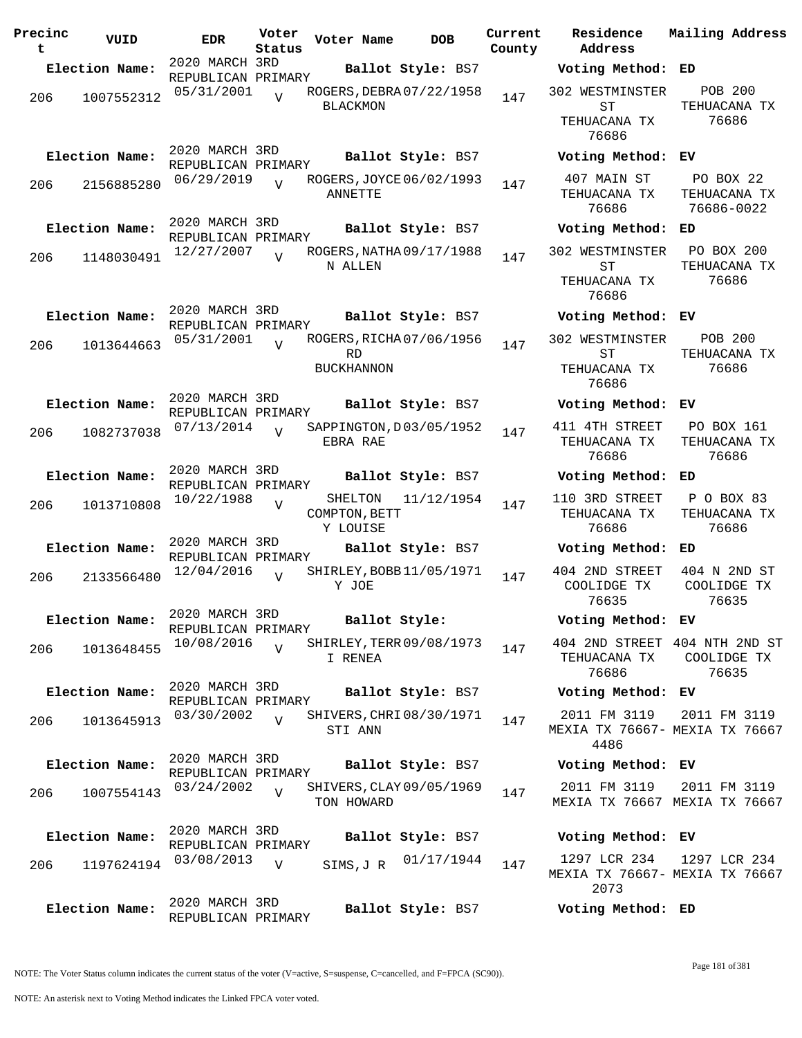| Precinc<br>t | VUID           | <b>EDR</b>                           | Voter<br>Status | Voter Name                           | <b>DOB</b>               | Current<br>County | Residence<br>Address                                      | Mailing Address                                       |
|--------------|----------------|--------------------------------------|-----------------|--------------------------------------|--------------------------|-------------------|-----------------------------------------------------------|-------------------------------------------------------|
|              | Election Name: | 2020 MARCH 3RD<br>REPUBLICAN PRIMARY |                 |                                      | Ballot Style: BS7        |                   | Voting Method: ED                                         |                                                       |
| 206          | 1007552312     | 05/31/2001                           | $\overline{z}$  | <b>BLACKMON</b>                      | ROGERS, DEBRA 07/22/1958 | 147               | 302 WESTMINSTER<br>ST<br>TEHUACANA TX<br>76686            | <b>POB 200</b><br>TEHUACANA TX<br>76686               |
|              | Election Name: | 2020 MARCH 3RD                       |                 |                                      | Ballot Style: BS7        |                   | Voting Method: EV                                         |                                                       |
| 206          | 2156885280     | REPUBLICAN PRIMARY<br>06/29/2019     |                 | ANNETTE                              | ROGERS, JOYCE 06/02/1993 | 147               | 407 MAIN ST<br>TEHUACANA TX<br>76686                      | PO BOX 22<br>TEHUACANA TX<br>76686-0022               |
|              | Election Name: | 2020 MARCH 3RD<br>REPUBLICAN PRIMARY |                 |                                      | Ballot Style: BS7        |                   | Voting Method: ED                                         |                                                       |
| 206          | 1148030491     | 12/27/2007                           |                 | N ALLEN                              | ROGERS, NATHA 09/17/1988 | 147               | 302 WESTMINSTER PO BOX 200<br>ST<br>TEHUACANA TX<br>76686 | TEHUACANA TX<br>76686                                 |
|              | Election Name: | 2020 MARCH 3RD<br>REPUBLICAN PRIMARY |                 |                                      | Ballot Style: BS7        |                   | Voting Method: EV                                         |                                                       |
| 206          | 1013644663     | 05/31/2001                           | $\overline{U}$  | RD<br><b>BUCKHANNON</b>              | ROGERS, RICHA 07/06/1956 | 147               | 302 WESTMINSTER<br>ST<br>TEHUACANA TX<br>76686            | <b>POB 200</b><br>TEHUACANA TX<br>76686               |
|              | Election Name: | 2020 MARCH 3RD                       |                 |                                      | Ballot Style: BS7        |                   | Voting Method: EV                                         |                                                       |
| 206          | 1082737038     | REPUBLICAN PRIMARY<br>07/13/2014     | $\overline{U}$  | EBRA RAE                             | SAPPINGTON, D03/05/1952  | 147               | 411 4TH STREET<br>TEHUACANA TX<br>76686                   | PO BOX 161<br>TEHUACANA TX<br>76686                   |
|              | Election Name: | 2020 MARCH 3RD<br>REPUBLICAN PRIMARY |                 |                                      | Ballot Style: BS7        |                   | Voting Method: ED                                         |                                                       |
| 206          | 1013710808     | 10/22/1988                           | $\overline{V}$  | SHELTON<br>COMPTON, BETT<br>Y LOUISE | 11/12/1954               | 147               | 110 3RD STREET<br>TEHUACANA TX<br>76686                   | P O BOX 83<br>TEHUACANA TX<br>76686                   |
|              | Election Name: | 2020 MARCH 3RD<br>REPUBLICAN PRIMARY |                 |                                      | Ballot Style: BS7        |                   | Voting Method: ED                                         |                                                       |
| 206          | 2133566480     | 12/04/2016                           | $\overline{U}$  | Y JOE                                | SHIRLEY, BOBB 11/05/1971 | 147               | 404 2ND STREET<br>COOLIDGE TX<br>76635                    | 404 N 2ND ST<br>COOLIDGE TX<br>76635                  |
|              | Election Name: | 2020 MARCH 3RD<br>REPUBLICAN PRIMARY |                 |                                      | Ballot Style:            |                   | Voting Method: EV                                         |                                                       |
| 206          | 1013648455     | 10/08/2016                           | $\overline{V}$  | I RENEA                              | SHIRLEY, TERR 09/08/1973 | 147               | TEHUACANA TX<br>76686                                     | 404 2ND STREET 404 NTH 2ND ST<br>COOLIDGE TX<br>76635 |
|              | Election Name: | 2020 MARCH 3RD<br>REPUBLICAN PRIMARY |                 |                                      | Ballot Style: BS7        |                   | Voting Method: EV                                         |                                                       |
| 206          | 1013645913     | 03/30/2002                           | $\overline{U}$  | STI ANN                              | SHIVERS, CHRI 08/30/1971 | 147               | 2011 FM 3119<br>4486                                      | 2011 FM 3119<br>MEXIA TX 76667- MEXIA TX 76667        |
|              | Election Name: | 2020 MARCH 3RD<br>REPUBLICAN PRIMARY |                 |                                      | Ballot Style: BS7        |                   | Voting Method: EV                                         |                                                       |
| 206          | 1007554143     | 03/24/2002                           | $\overline{V}$  | TON HOWARD                           | SHIVERS, CLAY 09/05/1969 | 147               | 2011 FM 3119                                              | 2011 FM 3119<br>MEXIA TX 76667 MEXIA TX 76667         |
|              | Election Name: | 2020 MARCH 3RD                       |                 |                                      | Ballot Style: BS7        |                   | Voting Method: EV                                         |                                                       |
| 206          | 1197624194     | REPUBLICAN PRIMARY<br>03/08/2013     | V               | SIMS, J R                            | 01/17/1944               | 147               | 1297 LCR 234<br>2073                                      | 1297 LCR 234<br>MEXIA TX 76667- MEXIA TX 76667        |
|              | Election Name: | 2020 MARCH 3RD<br>REPUBLICAN PRIMARY |                 |                                      | Ballot Style: BS7        |                   | Voting Method: ED                                         |                                                       |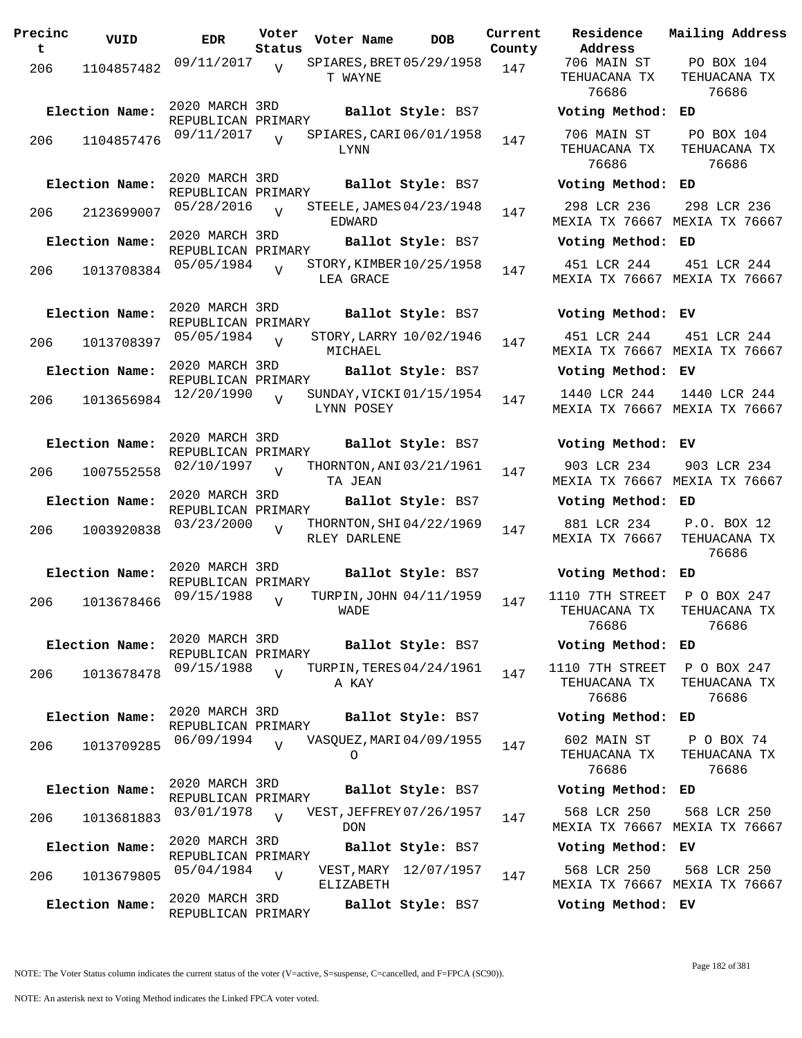**Precinc t VUID EDR Voter Status Voter Name bob Current Residence County** 206 1104857482 <sup>09/11/2017</sup> v SPIARES, BRET 05/29/1958 147 T WAYNE  $\overline{V}$ 2020 MARCH 3RD REPUBLICAN PRIMARY **Election Name: Ballot Style:** BS7 **Voting Method: ED** 206 1104857476 09/11/2017 y SPIARES, CARI 06/01/1958 147 LYNN  $\overline{V}$ 2020 MARCH 3RD REPUBLICAN PRIMARY **Election Name: Ballot Style:** BS7 **Voting Method: ED** 206 2123699007 05/28/2016 V STEELE, JAMES 04/23/1948 147 EDWARD  $\overline{v}$ 2020 MARCH 3RD REPUBLICAN PRIMARY **Election Name: Ballot Style:** BS7 **Voting Method: ED** 206 1013708384 <sup>05/05/1984</sup> V STORY, KIMBER 10/25/1958 147 LEA GRACE  $\overline{V}$ 2020 MARCH 3RD REPUBLICAN PRIMARY **Election Name: Ballot Style:** BS7 **Voting Method: EV** <sup>206</sup> STORY,LARRY 05/05/1984 <sup>1013708397</sup> <sup>147</sup> 10/02/1946 MICHAEL V 2020 MARCH 3RD REPUBLICAN PRIMARY **Election Name: Ballot Style:** BS7 **Voting Method: EV** 206 1013656984 <sup>12/20/1990</sup> v SUNDAY, VICKI 01/15/1954 147 LYNN POSEY  $\overline{V}$ 2020 MARCH 3RD REPUBLICAN PRIMARY **Election Name: Ballot Style:** BS7 **Voting Method: EV** 206 1007552558 02/10/1997 v THORNTON, ANI 03/21/1961 147 TA JEAN  $\overline{v}$ 2020 MARCH 3RD REPUBLICAN PRIMARY **Election Name: Ballot Style:** BS7 **Voting Method: ED** 206 1003920838 <sup>03/23/2000</sup> V THORNTON, SHI 04/22/1969 147 RLEY DARLENE V 2020 MARCH 3RD REPUBLICAN PRIMARY **Election Name: Ballot Style:** BS7 **Voting Method: ED** 206 1013678466 09/15/1988 WADE  $\overline{V}$ TURPIN, JOHN 04/11/1959 147 2020 MARCH 3RD REPUBLICAN PRIMARY **Election Name: Ballot Style:** BS7 **Voting Method: ED** 206 1013678478 09/15/1988 A KAY  $\overline{v}$ TURPIN, TERES 04/24/1961 147 2020 MARCH 3RD REPUBLICAN PRIMARY **Election Name: Ballot Style:** BS7 **Voting Method: ED** 206 1013709285 06/09/1994 VASQUEZ,MARI04/09/1955 147 O  $\bar{x}$ 2020 MARCH 3RD REPUBLICAN PRIMARY **Election Name: Ballot Style:** BS7 **Voting Method: ED** 206 1013681883 03/01/1978 VEST, JEFFREY 07/26/1957 147 DON  $\overline{V}$ 2020 MARCH 3RD REPUBLICAN PRIMARY **Election Name: Ballot Style:** BS7 **Voting Method: EV** 206 1013679805 05/04/1984 ELIZABETH  $\overline{V}$ VEST, MARY 12/07/1957 147 2020 MARCH 3RD REPUBLICAN PRIMARY **Election Name: Ballot Style:** BS7 **Voting Method: EV**

**Address Current Mailing Address** 706 MAIN ST TEHUACANA TX 76686 PO BOX 104 TEHUACANA TX 76686 706 MAIN ST TEHUACANA TX 76686 PO BOX 104 TEHUACANA TX 76686 298 LCR 236 MEXIA TX 76667 MEXIA TX 76667 298 LCR 236 451 LCR 244 MEXIA TX 76667 MEXIA TX 76667 451 LCR 244 451 LCR 244 MEXIA TX 76667 MEXIA TX 76667 451 LCR 244 1440 LCR 244 MEXIA TX 76667 MEXIA TX 76667 1440 LCR 244 903 LCR 234 MEXIA TX 76667 MEXIA TX 76667 903 LCR 234 881 LCR 234 MEXIA TX 76667 P.O. BOX 12 TEHUACANA TX 76686 1110 7TH STREET TEHUACANA TX 76686 P O BOX 247 TEHUACANA TX 76686 1110 7TH STREET TEHUACANA TX 76686 P O BOX 247 TEHUACANA TX 76686 602 MAIN ST TEHUACANA TX 76686 P O BOX 74 TEHUACANA TX 76686 568 LCR 250 MEXIA TX 76667 MEXIA TX 76667 568 LCR 250 568 LCR 250 MEXIA TX 76667 MEXIA TX 76667 568 LCR 250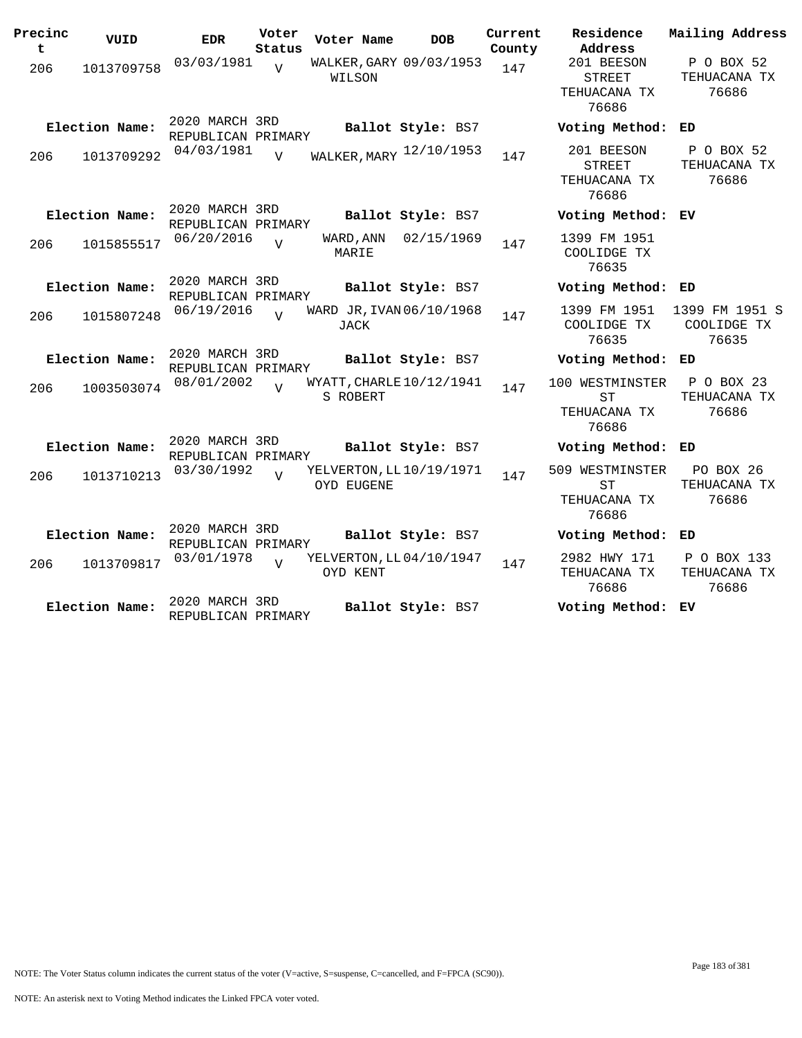| Precinc<br>t | VUID           | <b>EDR</b>                           | Voter<br>Status | Voter Name                             | <b>DOB</b>        | Current<br>County | Residence<br>Address                                  | Mailing Address                        |
|--------------|----------------|--------------------------------------|-----------------|----------------------------------------|-------------------|-------------------|-------------------------------------------------------|----------------------------------------|
| 206          | 1013709758     | 03/03/1981                           | $\overline{V}$  | WALKER, GARY 09/03/1953<br>WILSON      |                   | 147               | 201 BEESON<br><b>STREET</b><br>TEHUACANA TX<br>76686  | P O BOX 52<br>TEHUACANA TX<br>76686    |
|              | Election Name: | 2020 MARCH 3RD<br>REPUBLICAN PRIMARY |                 |                                        | Ballot Style: BS7 |                   | Voting Method:                                        | ED                                     |
| 206          | 1013709292     | 04/03/1981                           | $\overline{z}$  | WALKER, MARY 12/10/1953                |                   | 147               | 201 BEESON<br><b>STREET</b><br>TEHUACANA TX<br>76686  | P O BOX 52<br>TEHUACANA TX<br>76686    |
|              | Election Name: | 2020 MARCH 3RD<br>REPUBLICAN PRIMARY |                 |                                        | Ballot Style: BS7 |                   | Voting Method: EV                                     |                                        |
| 206          | 1015855517     | 06/20/2016                           | $\overline{U}$  | WARD, ANN<br>MARIE                     | 02/15/1969        | 147               | 1399 FM 1951<br>COOLIDGE TX<br>76635                  |                                        |
|              | Election Name: | 2020 MARCH 3RD<br>REPUBLICAN PRIMARY |                 |                                        | Ballot Style: BS7 |                   | Voting Method: ED                                     |                                        |
| 206          | 1015807248     | 06/19/2016                           | $\overline{U}$  | WARD JR, IVAN 06/10/1968<br>JACK       |                   | 147               | 1399 FM 1951<br>COOLIDGE TX<br>76635                  | 1399 FM 1951 S<br>COOLIDGE TX<br>76635 |
|              | Election Name: | 2020 MARCH 3RD<br>REPUBLICAN PRIMARY |                 |                                        | Ballot Style: BS7 |                   | Voting Method: ED                                     |                                        |
| 206          | 1003503074     | 08/01/2002                           | $\overline{U}$  | WYATT, CHARLE 10/12/1941<br>S ROBERT   |                   | 147               | 100 WESTMINSTER<br><b>ST</b><br>TEHUACANA TX<br>76686 | P O BOX 23<br>TEHUACANA TX<br>76686    |
|              | Election Name: | 2020 MARCH 3RD<br>REPUBLICAN PRIMARY |                 |                                        | Ballot Style: BS7 |                   | Voting Method: ED                                     |                                        |
| 206          | 1013710213     | 03/30/1992                           |                 | YELVERTON, LL 10/19/1971<br>OYD EUGENE |                   | 147               | 509 WESTMINSTER<br><b>ST</b><br>TEHUACANA TX<br>76686 | PO BOX 26<br>TEHUACANA TX<br>76686     |
|              | Election Name: | 2020 MARCH 3RD<br>REPUBLICAN PRIMARY |                 |                                        | Ballot Style: BS7 |                   | Voting Method: ED                                     |                                        |
| 206          | 1013709817     | 03/01/1978                           | $\overline{V}$  | YELVERTON, LL 04/10/1947<br>OYD KENT   |                   | 147               | 2982 HWY 171<br>TEHUACANA TX<br>76686                 | P O BOX 133<br>TEHUACANA TX<br>76686   |
|              | Election Name: | 2020 MARCH 3RD<br>REPUBLICAN PRIMARY |                 |                                        | Ballot Style: BS7 |                   | Voting Method: EV                                     |                                        |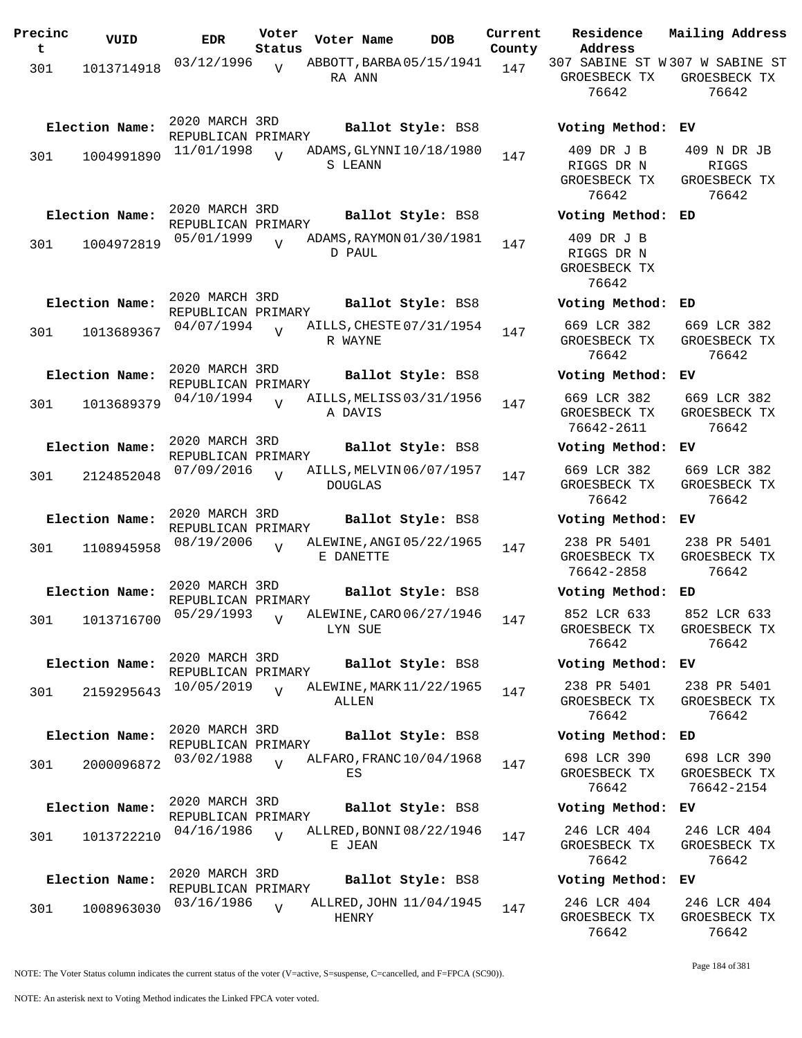| Precinc<br>t | VUID           | <b>EDR</b>                           | Voter<br>Status | Voter Name     | <b>DOB</b>               | Current<br>County | Residence<br>Address                              | Mailing Address                                  |
|--------------|----------------|--------------------------------------|-----------------|----------------|--------------------------|-------------------|---------------------------------------------------|--------------------------------------------------|
|              |                | 03/12/1996                           | $\overline{v}$  |                | ABBOTT, BARBA 05/15/1941 | 147               | 307 SABINE ST W307 W SABINE ST                    |                                                  |
| 301          | 1013714918     |                                      |                 | RA ANN         |                          |                   | GROESBECK TX<br>76642                             | GROESBECK TX<br>76642                            |
|              | Election Name: | 2020 MARCH 3RD<br>REPUBLICAN PRIMARY |                 |                | Ballot Style: BS8        |                   | Voting Method: EV                                 |                                                  |
| 301          | 1004991890     | 11/01/1998                           | $\overline{U}$  | S LEANN        | ADAMS, GLYNNI10/18/1980  | 147               | 409 DR J B<br>RIGGS DR N<br>GROESBECK TX<br>76642 | 409 N DR JB<br>RIGGS<br>GROESBECK TX<br>76642    |
|              | Election Name: | 2020 MARCH 3RD<br>REPUBLICAN PRIMARY |                 |                | Ballot Style: BS8        |                   | Voting Method: ED                                 |                                                  |
| 301          | 1004972819     | 05/01/1999                           |                 | D PAUL         | ADAMS, RAYMON 01/30/1981 | 147               | 409 DR J B<br>RIGGS DR N<br>GROESBECK TX<br>76642 |                                                  |
|              | Election Name: | 2020 MARCH 3RD<br>REPUBLICAN PRIMARY |                 |                | Ballot Style: BS8        |                   | Voting Method: ED                                 |                                                  |
| 301          | 1013689367     | 04/07/1994                           | $\overline{U}$  | R WAYNE        | AILLS, CHESTE 07/31/1954 | 147               | 669 LCR 382<br>GROESBECK TX<br>76642              | 669 LCR 382<br>GROESBECK TX<br>76642             |
|              | Election Name: | 2020 MARCH 3RD<br>REPUBLICAN PRIMARY |                 |                | Ballot Style: BS8        |                   | Voting Method:                                    | ЕV                                               |
| 301          | 1013689379     | 04/10/1994                           | $\overline{U}$  | A DAVIS        | AILLS, MELISS 03/31/1956 | 147               | 669 LCR 382<br>GROESBECK TX<br>76642-2611         | 669 LCR 382<br>GROESBECK TX<br>76642             |
|              | Election Name: | 2020 MARCH 3RD<br>REPUBLICAN PRIMARY |                 |                | Ballot Style: BS8        |                   | Voting Method: EV                                 |                                                  |
| 301          | 2124852048     | 07/09/2016                           | $\overline{V}$  | <b>DOUGLAS</b> | AILLS, MELVIN 06/07/1957 | 147               | 669 LCR 382<br>GROESBECK TX<br>76642              | 669 LCR 382<br>GROESBECK TX<br>76642             |
|              | Election Name: | 2020 MARCH 3RD<br>REPUBLICAN PRIMARY |                 |                | Ballot Style: BS8        |                   | Voting Method: EV                                 |                                                  |
| 301          | 1108945958     | 08/19/2006                           | $\overline{U}$  | E DANETTE      | ALEWINE, ANGI 05/22/1965 | 147               | 238 PR 5401<br>GROESBECK TX<br>76642-2858         | 238 PR 5401<br>GROESBECK TX<br>76642             |
|              | Election Name: | 2020 MARCH 3RD<br>REPUBLICAN PRIMARY |                 |                | Ballot Style: BS8        |                   | Voting Method:                                    | ED                                               |
| 301          | 1013716700     | 05/29/1993                           | $\overline{V}$  | LYN SUE        | ALEWINE, CARO 06/27/1946 | 147               | GROESBECK TX<br>76642                             | 852 LCR 633 852 LCR 633<br>GROESBECK TX<br>76642 |
|              | Election Name: | 2020 MARCH 3RD<br>REPUBLICAN PRIMARY |                 |                | Ballot Style: BS8        |                   | Voting Method: EV                                 |                                                  |
| 301          | 2159295643     | 10/05/2019                           |                 | ALLEN          | ALEWINE, MARK 11/22/1965 | 147               | 238 PR 5401<br>GROESBECK TX<br>76642              | 238 PR 5401<br>GROESBECK TX<br>76642             |
|              | Election Name: | 2020 MARCH 3RD<br>REPUBLICAN PRIMARY |                 |                | Ballot Style: BS8        |                   | Voting Method: ED                                 |                                                  |
| 301          | 2000096872     | 03/02/1988                           | $\overline{U}$  | ES             | ALFARO, FRANC 10/04/1968 | 147               | 698 LCR 390<br>GROESBECK TX<br>76642              | 698 LCR 390<br>GROESBECK TX<br>76642-2154        |
|              | Election Name: | 2020 MARCH 3RD<br>REPUBLICAN PRIMARY |                 |                | Ballot Style: BS8        |                   | Voting Method: EV                                 |                                                  |
| 301          | 1013722210     | 04/16/1986                           | $\overline{U}$  | E JEAN         | ALLRED, BONNI 08/22/1946 | 147               | 246 LCR 404<br>GROESBECK TX<br>76642              | 246 LCR 404<br>GROESBECK TX<br>76642             |
|              | Election Name: | 2020 MARCH 3RD<br>REPUBLICAN PRIMARY |                 |                | Ballot Style: BS8        |                   | Voting Method: EV                                 |                                                  |
| 301          | 1008963030     | 03/16/1986                           | $\overline{V}$  | HENRY          | ALLRED, JOHN 11/04/1945  | 147               | 246 LCR 404<br>GROESBECK TX<br>76642              | 246 LCR 404<br>GROESBECK TX<br>76642             |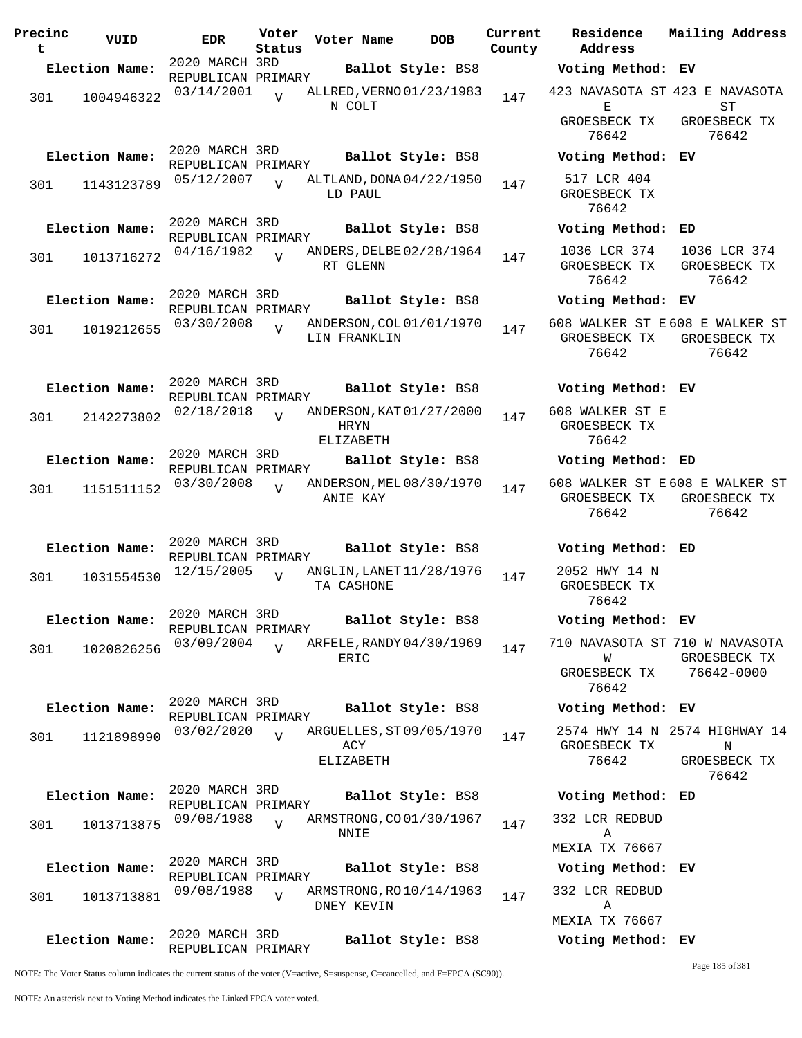| Precinc<br>t | VUID           | <b>EDR</b>                           | Voter<br>Status | Voter Name                                    | <b>DOB</b>        | Current | Residence<br>County Address                                  | Mailing Address                                             |
|--------------|----------------|--------------------------------------|-----------------|-----------------------------------------------|-------------------|---------|--------------------------------------------------------------|-------------------------------------------------------------|
|              | Election Name: | 2020 MARCH 3RD                       |                 |                                               | Ballot Style: BS8 |         | Voting Method: EV                                            |                                                             |
| 301          | 1004946322     | REPUBLICAN PRIMARY<br>03/14/2001     | $\overline{U}$  | ALLRED, VERNO 01/23/1983<br>N COLT            |                   | 147     | 423 NAVASOTA ST 423 E NAVASOTA<br>Е                          | SТ                                                          |
|              |                |                                      |                 |                                               |                   |         | GROESBECK TX<br>76642                                        | GROESBECK TX<br>76642                                       |
|              | Election Name: | 2020 MARCH 3RD<br>REPUBLICAN PRIMARY |                 |                                               | Ballot Style: BS8 |         | Voting Method: EV                                            |                                                             |
| 301          | 1143123789     | 05/12/2007                           | $\overline{v}$  | ALTLAND, DONA 04/22/1950<br>LD PAUL           |                   | 147     | 517 LCR 404<br>GROESBECK TX<br>76642                         |                                                             |
|              | Election Name: | 2020 MARCH 3RD<br>REPUBLICAN PRIMARY |                 |                                               | Ballot Style: BS8 |         | Voting Method: ED                                            |                                                             |
| 301          | 1013716272     | 04/16/1982                           |                 | ANDERS, DELBE 02/28/1964<br>RT GLENN          |                   | 147     | 1036 LCR 374 1036 LCR 374<br>GROESBECK TX<br>76642           | GROESBECK TX<br>76642                                       |
|              | Election Name: | 2020 MARCH 3RD<br>REPUBLICAN PRIMARY |                 |                                               | Ballot Style: BS8 |         | Voting Method: EV                                            |                                                             |
| 301          | 1019212655     | 03/30/2008                           | $\overline{v}$  | ANDERSON, COL 01/01/1970<br>LIN FRANKLIN      |                   | 147     | 608 WALKER ST E 608 E WALKER ST<br>GROESBECK TX<br>76642     | GROESBECK TX<br>76642                                       |
|              | Election Name: | 2020 MARCH 3RD<br>REPUBLICAN PRIMARY |                 |                                               | Ballot Style: BS8 |         | Voting Method: EV                                            |                                                             |
| 301          | 2142273802     | 02/18/2018                           | $\overline{U}$  | ANDERSON, KAT 01/27/2000<br>HRYN<br>ELIZABETH |                   | 147     | 608 WALKER ST E<br>GROESBECK TX<br>76642                     |                                                             |
|              | Election Name: | 2020 MARCH 3RD                       |                 |                                               | Ballot Style: BS8 |         | Voting Method: ED                                            |                                                             |
| 301          | 1151511152     | REPUBLICAN PRIMARY<br>03/30/2008     | $\overline{V}$  | ANDERSON, MEL 08/30/1970<br>ANIE KAY          |                   | 147     | 608 WALKER ST E 608 E WALKER ST<br>GROESBECK TX<br>76642     | GROESBECK TX<br>76642                                       |
|              | Election Name: | 2020 MARCH 3RD                       |                 |                                               | Ballot Style: BS8 |         | Voting Method: ED                                            |                                                             |
| 301          | 1031554530     | REPUBLICAN PRIMARY<br>12/15/2005     | $\overline{v}$  | ANGLIN, LANET 11/28/1976<br>TA CASHONE        |                   | 147     | 2052 HWY 14 N<br>GROESBECK TX<br>76642                       |                                                             |
|              | Election Name: | 2020 MARCH 3RD<br>REPUBLICAN PRIMARY |                 |                                               | Ballot Style: BS8 |         | Voting Method: EV                                            |                                                             |
| 301          | 1020826256     | 03/09/2004                           | $\overline{U}$  | ARFELE, RANDY 04/30/1969<br>ERIC              |                   | 147     | 710 NAVASOTA ST 710 W NAVASOTA<br>W<br>GROESBECK TX<br>76642 | GROESBECK TX<br>76642-0000                                  |
|              | Election Name: | 2020 MARCH 3RD                       |                 |                                               | Ballot Style: BS8 |         | Voting Method: EV                                            |                                                             |
| 301          | 1121898990     | REPUBLICAN PRIMARY<br>03/02/2020     | $\overline{U}$  | ARGUELLES, ST 09/05/1970<br>ACY<br>ELIZABETH  |                   | 147     | GROESBECK TX<br>76642                                        | 2574 HWY 14 N 2574 HIGHWAY 14<br>N<br>GROESBECK TX<br>76642 |
|              | Election Name: | 2020 MARCH 3RD                       |                 |                                               | Ballot Style: BS8 |         | Voting Method: ED                                            |                                                             |
| 301          | 1013713875     | REPUBLICAN PRIMARY<br>09/08/1988     | $\overline{U}$  | ARMSTRONG, CO01/30/1967<br>NNIE               |                   | 147     | 332 LCR REDBUD<br>Α                                          |                                                             |
|              | Election Name: | 2020 MARCH 3RD                       |                 |                                               | Ballot Style: BS8 |         | MEXIA TX 76667<br>Voting Method: EV                          |                                                             |
| 301          | 1013713881     | REPUBLICAN PRIMARY<br>09/08/1988     | $\overline{U}$  | ARMSTRONG, RO 10/14/1963<br>DNEY KEVIN        |                   | 147     | 332 LCR REDBUD<br>Α                                          |                                                             |
|              | Election Name: | 2020 MARCH 3RD<br>REPUBLICAN PRIMARY |                 |                                               | Ballot Style: BS8 |         | MEXIA TX 76667<br>Voting Method: EV                          |                                                             |

NOTE: The Voter Status column indicates the current status of the voter (V=active, S=suspense, C=cancelled, and F=FPCA (SC90)).

Page 185 of 381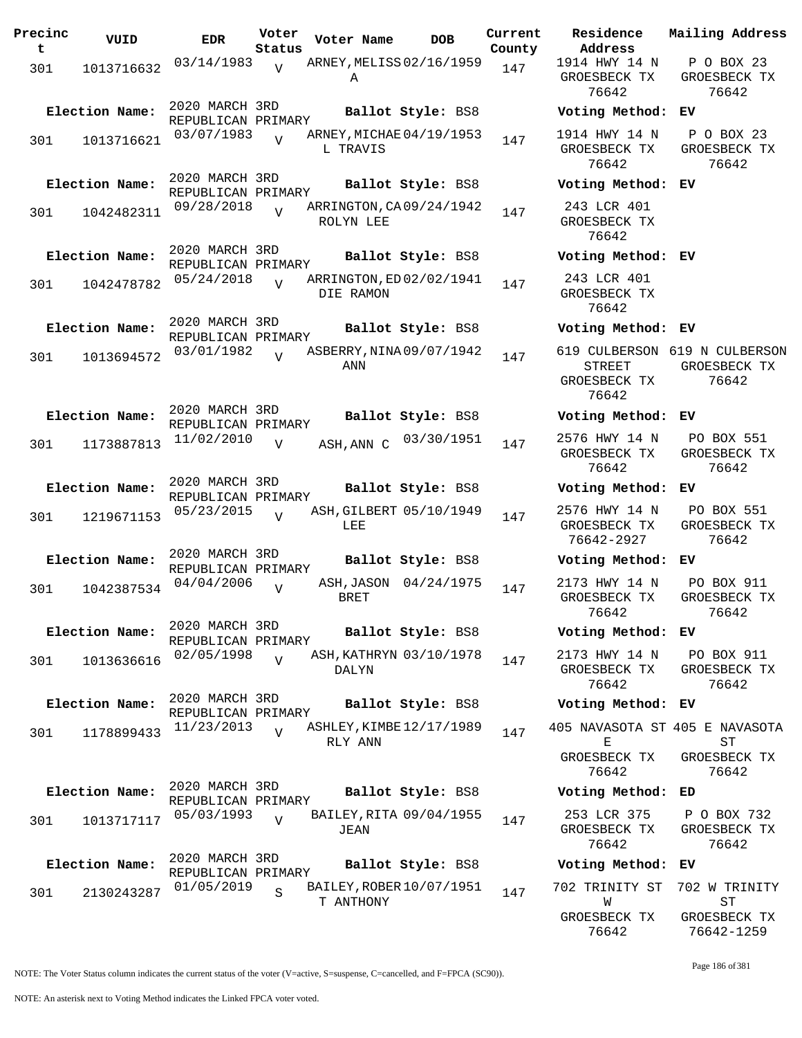| Precinc<br>t | VUID           | EDR.                                 | Voter<br>Status | Voter Name                            | <b>DOB</b>            | Current<br>County | Residence<br>Address                                    |
|--------------|----------------|--------------------------------------|-----------------|---------------------------------------|-----------------------|-------------------|---------------------------------------------------------|
| 301          | 1013716632     | 03/14/1983                           | V               | ARNEY, MELISS 02/16/1959<br>Α         |                       | 147               | 1914 HWY 14 N<br>GROESBECK TX<br>76642                  |
|              | Election Name: | 2020 MARCH 3RD<br>REPUBLICAN PRIMARY |                 |                                       | Ballot Style: BS8     |                   | Voting Method                                           |
| 301          | 1013716621     | 03/07/1983                           |                 | ARNEY, MICHAE 04/19/1953<br>L TRAVIS  |                       | 147               | 1914 HWY 14 N<br>GROESBECK TX<br>76642                  |
|              | Election Name: | 2020 MARCH 3RD<br>REPUBLICAN PRIMARY |                 |                                       | Ballot Style: BS8     |                   | Voting Method                                           |
| 301          | 1042482311     | 09/28/2018                           | $\overline{U}$  | ARRINGTON, CA 09/24/1942<br>ROLYN LEE |                       | 147               | 243 LCR 401<br>GROESBECK TX<br>76642                    |
|              | Election Name: | 2020 MARCH 3RD<br>REPUBLICAN PRIMARY |                 |                                       | Ballot Style: BS8     |                   | Voting Method                                           |
| 301          | 1042478782     | 05/24/2018                           | $\overline{17}$ | ARRINGTON, ED 02/02/1941<br>DIE RAMON |                       | 147               | 243 LCR 401<br>GROESBECK TX<br>76642                    |
|              | Election Name: | 2020 MARCH 3RD<br>REPUBLICAN PRIMARY |                 |                                       | Ballot Style: BS8     |                   | Voting Method                                           |
| 301          | 1013694572     | 03/01/1982                           | $\overline{V}$  | ASBERRY, NINA 09/07/1942<br>ANN       |                       | 147               | 619 CULBERSON<br><b>STREET</b><br>GROESBECK TX<br>76642 |
|              | Election Name: | 2020 MARCH 3RD                       |                 |                                       | Ballot Style: BS8     |                   | Voting Method                                           |
| 301          | 1173887813     | REPUBLICAN PRIMARY<br>11/02/2010     | $\overline{V}$  | ASH, ANN C                            | 03/30/1951            | 147               | 2576 HWY 14 N<br>GROESBECK TX<br>76642                  |
|              | Election Name: | 2020 MARCH 3RD                       |                 |                                       | Ballot Style: BS8     |                   | Voting Method                                           |
| 301          | 1219671153     | REPUBLICAN PRIMARY<br>05/23/2015     | $\overline{17}$ | ASH, GILBERT 05/10/1949<br>LEE        |                       | 147               | 2576 HWY 14 N<br>GROESBECK TX<br>76642-2927             |
|              | Election Name: | 2020 MARCH 3RD                       |                 |                                       | Ballot Style: BS8     |                   | Voting Method                                           |
| 301          | 1042387534     | REPUBLICAN PRIMARY<br>04/04/2006     | $\overline{V}$  | BRET                                  | ASH, JASON 04/24/1975 | 147               | 2173 HWY 14 N<br>GROESBECK TX<br>76642                  |
|              | Election Name: | 2020 MARCH 3RD                       |                 |                                       | Ballot Style: BS8     |                   | Voting Method                                           |
| 301          | 1013636616     | REPUBLICAN PRIMARY<br>02/05/1998     | $\overline{U}$  | ASH, KATHRYN 03/10/1978<br>DALYN      |                       | 147               | 2173 HWY 14 N<br>GROESBECK TX<br>76642                  |
|              | Election Name: | 2020 MARCH 3RD<br>REPUBLICAN PRIMARY |                 |                                       | Ballot Style: BS8     |                   | Voting Method                                           |
| 301          | 1178899433     | 11/23/2013                           | $\overline{17}$ | ASHLEY, KIMBE 12/17/1989<br>RLY ANN   |                       | 147               | 405 NAVASOTA S<br>Е<br>GROESBECK TX<br>76642            |
|              | Election Name: | 2020 MARCH 3RD                       |                 |                                       | Ballot Style: BS8     |                   | Voting Method                                           |
| 301          | 1013717117     | REPUBLICAN PRIMARY<br>05/03/1993     | $\overline{V}$  | BAILEY, RITA 09/04/1955<br>JEAN       |                       | 147               | 253 LCR 375<br>GROESBECK TX<br>76642                    |
|              | Election Name: | 2020 MARCH 3RD<br>REPUBLICAN PRIMARY |                 |                                       | Ballot Style: BS8     |                   | Voting Method                                           |
| 301          | 2130243287     | 01/05/2019                           | $\mathbf S$     | BAILEY, ROBER 10/07/1951<br>T ANTHONY |                       | 147               | 702 TRINITY ST<br>W                                     |
|              |                |                                      |                 |                                       |                       |                   |                                                         |

**Voter Name DOB Residence Address Current Mailing Address** 1914 HWY 14 N GROESBECK TX 76642 P O BOX 23 GROESBECK TX 76642 **Election Name: Ballot Style:** BS8 **Voting Method: EV** 1914 HWY 14 N GROESBECK TX 76642 P O BOX 23 GROESBECK TX 76642 **Election Name: Ballot Style:** BS8 **Voting Method: EV** 243 LCR 401 GROESBECK TX 76642 **Election Name: Ballot Style:** BS8 **Voting Method: EV** 243 LCR 401 GROESBECK TX 76642 **Election Name: Ballot Style:** BS8 **Voting Method: EV** 619 CULBERSON 619 N CULBERSON STREET GROESBECK TX 76642 GROESBECK TX 76642 **Election Name: Ballot Style:** BS8 **Voting Method: EV** GROESBECK TX 76642 PO BOX 551 GROESBECK TX 76642 **Election Name: Ballot Style:** BS8 **Voting Method: EV** 2576 HWY 14 N GROESBECK TX 76642-2927 PO BOX 551 GROESBECK TX 76642 **Election Name: Ballot Style:** BS8 **Voting Method: EV** 2173 HWY 14 N GROESBECK TX 76642 PO BOX 911 GROESBECK TX 76642 **Election Name: Ballot Style:** BS8 **Voting Method: EV** 2173 HWY 14 N GROESBECK TX 76642 PO BOX 911 GROESBECK TX 76642 **Election Name: Ballot Style:** BS8 **Voting Method: EV** 405 NAVASOTA ST 405 E NAVASOTA E GROESBECK TX 76642 ST GROESBECK TX 76642 **Election Name: Ballot Style:** BS8 **Voting Method: ED** 253 LCR 375 GROESBECK TX 76642 P O BOX 732 GROESBECK TX 76642 **Election Name: Ballot Style:** BS8 **Voting Method: EV** 702 TRINITY ST 702 W TRINITY W GROESBECK TX ST GROESBECK TX

NOTE: The Voter Status column indicates the current status of the voter (V=active, S=suspense, C=cancelled, and F=FPCA (SC90)).

Page 186 of 381

76642-1259

76642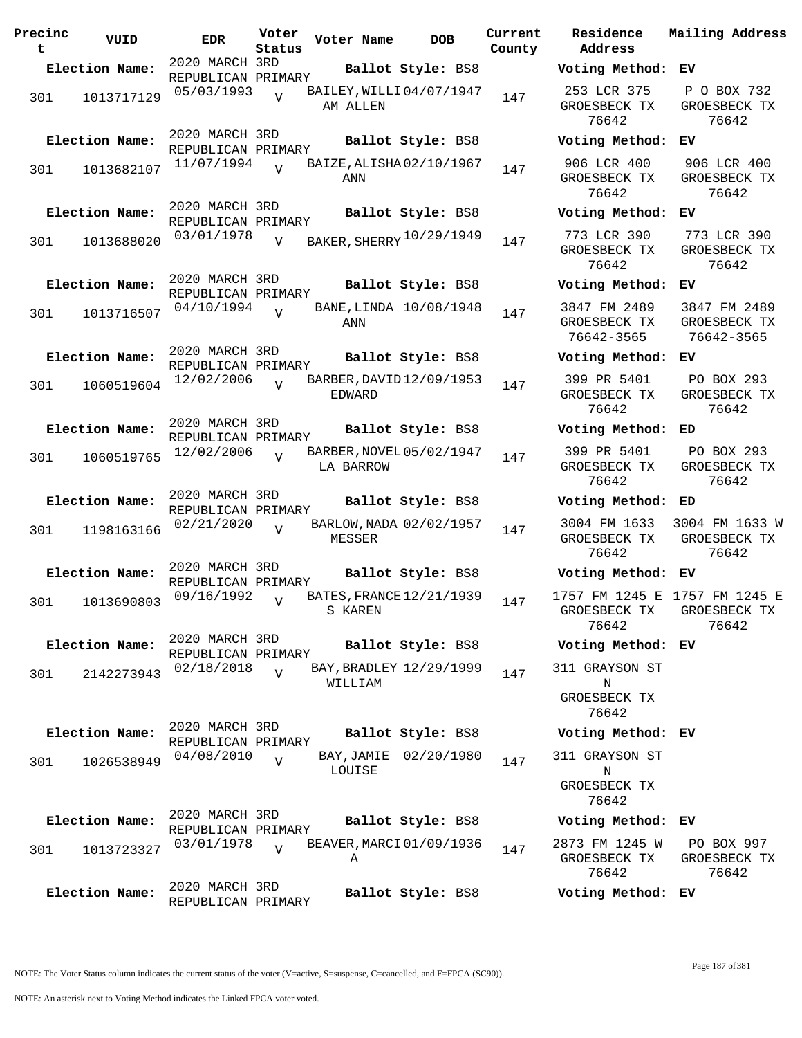| Precinc<br>t | VUID           | <b>EDR</b>                           | Voter<br>Status | Voter Name                            | <b>DOB</b>            | Current<br>County | Residence<br>Address                         | Mail                 |
|--------------|----------------|--------------------------------------|-----------------|---------------------------------------|-----------------------|-------------------|----------------------------------------------|----------------------|
|              | Election Name: | 2020 MARCH 3RD                       |                 |                                       | Ballot Style: BS8     |                   | Voting Method:                               | ЕV                   |
| 301          | 1013717129     | REPUBLICAN PRIMARY<br>05/03/1993     | $\overline{V}$  | BAILEY, WILLI 04/07/1947<br>AM ALLEN  |                       | 147               | 253 LCR 375<br>GROESBECK TX<br>76642         | $\mathbf{P}$<br>GR   |
|              | Election Name: | 2020 MARCH 3RD<br>REPUBLICAN PRIMARY |                 |                                       | Ballot Style: BS8     |                   | Voting Method:                               | EV                   |
| 301          | 1013682107     | 11/07/1994                           | $\overline{V}$  | BAIZE, ALISHA02/10/1967<br>ANN        |                       | 147               | 906 LCR 400<br>GROESBECK TX<br>76642         | 9 <sub>0</sub><br>GR |
|              | Election Name: | 2020 MARCH 3RD                       |                 |                                       | Ballot Style: BS8     |                   | Voting Method:                               | EV                   |
| 301          | 1013688020     | REPUBLICAN PRIMARY<br>03/01/1978     | $\overline{V}$  | BAKER, SHERRY 10/29/1949              |                       | 147               | 773 LCR 390<br>GROESBECK TX<br>76642         | 77<br>GR             |
|              | Election Name: | 2020 MARCH 3RD<br>REPUBLICAN PRIMARY |                 |                                       | Ballot Style: BS8     |                   | Voting Method:                               | ЕV                   |
| 301          | 1013716507     | 04/10/1994                           | $\overline{U}$  | BANE, LINDA 10/08/1948<br>ANN         |                       | 147               | 3847 FM 2489<br>GROESBECK TX<br>76642-3565   | 38<br><b>GR</b><br>7 |
|              | Election Name: | 2020 MARCH 3RD                       |                 |                                       | Ballot Style: BS8     |                   | Voting Method:                               | EV                   |
| 301          | 1060519604     | REPUBLICAN PRIMARY<br>12/02/2006     | $\overline{V}$  | BARBER, DAVID 12/09/1953<br>EDWARD    |                       | 147               | 399 PR 5401<br>GROESBECK TX<br>76642         | $\mathbf P$<br>GR    |
|              | Election Name: | 2020 MARCH 3RD<br>REPUBLICAN PRIMARY |                 |                                       | Ballot Style: BS8     |                   | Voting Method:                               | ED                   |
| 301          | 1060519765     | 12/02/2006                           | $\overline{U}$  | BARBER, NOVEL 05/02/1947<br>LA BARROW |                       | 147               | 399 PR 5401<br>GROESBECK TX<br>76642         | $\mathbf P$<br>GR    |
|              | Election Name: | 2020 MARCH 3RD<br>REPUBLICAN PRIMARY |                 |                                       | Ballot Style: BS8     |                   | Voting Method:                               | ED                   |
| 301          | 1198163166     | 02/21/2020                           | $\overline{U}$  | BARLOW, NADA 02/02/1957<br>MESSER     |                       | 147               | 3004 FM 1633<br>GROESBECK TX<br>76642        | 300<br>GR            |
|              | Election Name: | 2020 MARCH 3RD<br>REPUBLICAN PRIMARY |                 |                                       | Ballot Style: BS8     |                   | Voting Method:                               | EV                   |
| 301          | 1013690803     | 09/16/1992                           | $\overline{V}$  | BATES, FRANCE 12/21/1939<br>S KAREN   |                       | 147               | 1757 FM 1245 E<br>GROESBECK TX<br>76642      | 175<br>GR            |
|              | Election Name: | 2020 MARCH 3RD<br>REPUBLICAN PRIMARY |                 |                                       | Ballot Style: BS8     |                   | Voting Method: EV                            |                      |
| 301          | 2142273943     | 02/18/2018                           | $\overline{V}$  | BAY, BRADLEY 12/29/1999               |                       | 147               | 311 GRAYSON ST                               |                      |
|              |                |                                      |                 | WILLIAM                               |                       |                   | Ν<br>GROESBECK TX<br>76642                   |                      |
|              | Election Name: | 2020 MARCH 3RD<br>REPUBLICAN PRIMARY |                 |                                       | Ballot Style: BS8     |                   | Voting Method: EV                            |                      |
| 301          | 1026538949     | 04/08/2010                           | $\overline{V}$  | LOUISE                                | BAY, JAMIE 02/20/1980 | 147               | 311 GRAYSON ST<br>Ν<br>GROESBECK TX<br>76642 |                      |
|              | Election Name: | 2020 MARCH 3RD<br>REPUBLICAN PRIMARY |                 |                                       | Ballot Style: BS8     |                   | Voting Method:                               | ЕV                   |
| 301          | 1013723327     | 03/01/1978                           | $\overline{U}$  | BEAVER, MARCI 01/09/1936<br>Α         |                       | 147               | 2873 FM 1245 W<br>GROESBECK TX<br>76642      | Ρ<br>GR              |
|              | Election Name: | 2020 MARCH 3RD<br>REPUBLICAN PRIMARY |                 |                                       | Ballot Style: BS8     |                   | Voting Method: EV                            |                      |

**Voter Name DOB Residence Address Current Mailing Address Election Name: Ballot Style:** BS8 **Voting Method: EV** 253 LCR 375 GROESBECK TX 76642 P O BOX 732 GROESBECK TX 76642 **Election Name: Ballot Style:** BS8 **Voting Method: EV** 906 LCR 400 GROESBECK TX 76642 906 LCR 400 GROESBECK TX 76642 **Election Name: Ballot Style:** BS8 **Voting Method: EV** GROESBECK TX 76642 773 LCR 390 GROESBECK TX 76642 **Election Name: Ballot Style:** BS8 **Voting Method: EV** 3847 FM 2489 GROESBECK TX 76642-3565 3847 FM 2489 GROESBECK TX 76642-3565 **Election Name: Ballot Style:** BS8 **Voting Method: EV** 399 PR 5401 GROESBECK TX 76642 PO BOX 293 GROESBECK TX 76642 **Election Name: Ballot Style:** BS8 **Voting Method: ED** 399 PR 5401 GROESBECK TX 76642 PO BOX 293 GROESBECK TX 76642 **Election Name: Ballot Style:** BS8 **Voting Method: ED** 3004 FM 1633 GROESBECK TX 76642 3004 FM 1633 W GROESBECK TX 76642 **Election Name: Ballot Style:** BS8 **Voting Method: EV** 1757 FM 1245 E 1757 FM 1245 E GROESBECK TX 76642 GROESBECK TX 76642 **Election Name: Ballot Style:** BS8 **Voting Method: EV** 311 GRAYSON ST N GROESBECK TX 76642 **Election Name: Ballot Style:** BS8 **Voting Method: EV** 311 GRAYSON ST N GROESBECK TX 76642 **Election Name: Ballot Style:** BS8 **Voting Method: EV** 2873 FM 1245 W GROESBECK TX 76642 PO BOX 997 GROESBECK TX 76642

NOTE: An asterisk next to Voting Method indicates the Linked FPCA voter voted.

Page 187 of 381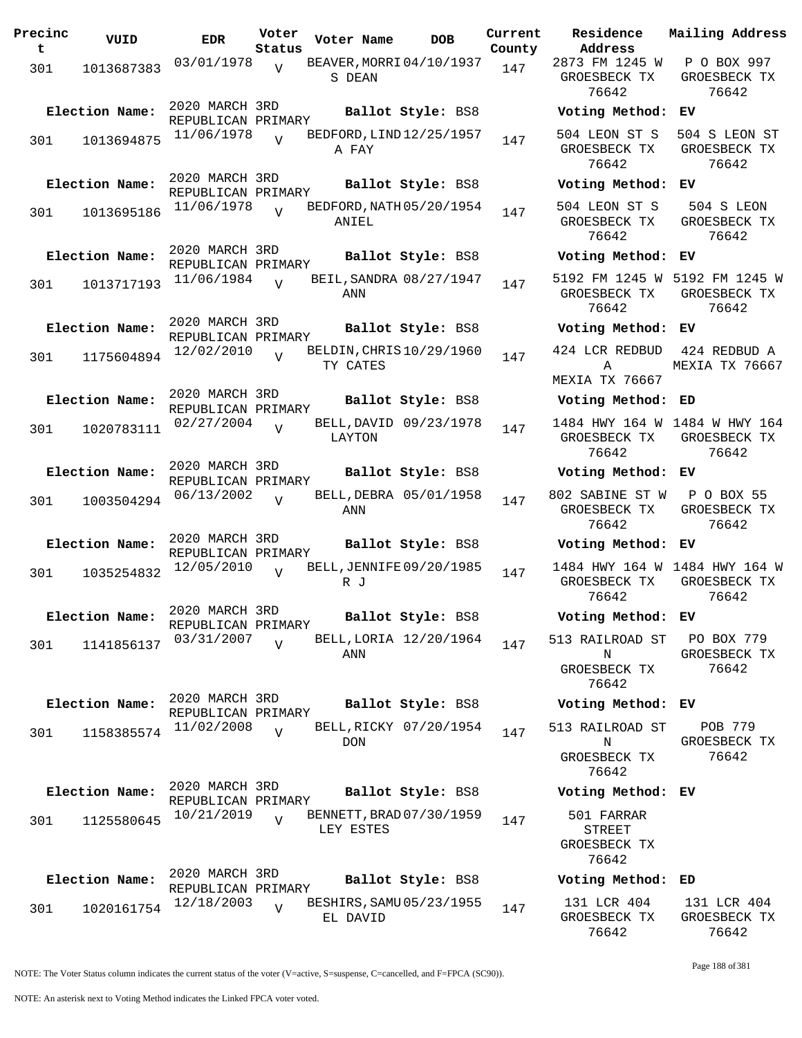| Precinc<br>t. | VUID                         | <b>EDR</b>                                         | Voter<br>Status | Voter Name | DOB                                           | Current<br>County |
|---------------|------------------------------|----------------------------------------------------|-----------------|------------|-----------------------------------------------|-------------------|
| 301           | 1013687383                   | 03/01/1978                                         | $\overline{V}$  | S DEAN     | BEAVER, MORRI 04/10/1937                      | 147               |
| 301           | Election Name:<br>1013694875 | 2020 MARCH 3RD<br>REPUBLICAN PRIMARY<br>11/06/1978 | $\overline{U}$  | A FAY      | Ballot Style: BS8<br>BEDFORD, LIND 12/25/1957 | 147               |
| 301           | Election Name:<br>1013695186 | 2020 MARCH 3RD<br>REPUBLICAN PRIMARY<br>11/06/1978 | V               | ANIEL      | Ballot Style: BS8<br>BEDFORD, NATH 05/20/1954 | 147               |
| 301           | Election Name:<br>1013717193 | 2020 MARCH 3RD<br>REPUBLICAN PRIMARY<br>11/06/1984 | $\overline{U}$  | ANN        | Ballot Style: BS8<br>BEIL, SANDRA 08/27/1947  | 147               |
| 301           | Election Name:<br>1175604894 | 2020 MARCH 3RD<br>REPUBLICAN PRIMARY<br>12/02/2010 | $\overline{U}$  | TY CATES   | Ballot Style: BS8<br>BELDIN, CHRIS 10/29/1960 | 147               |
| 301           | Election Name:<br>1020783111 | 2020 MARCH 3RD<br>REPUBLICAN PRIMARY<br>02/27/2004 | V               | LAYTON     | Ballot Style: BS8<br>BELL, DAVID 09/23/1978   | 147               |
| 301           | Election Name:<br>1003504294 | 2020 MARCH 3RD<br>REPUBLICAN PRIMARY<br>06/13/2002 | ٦T              | ANN        | Ballot Style: BS8<br>BELL, DEBRA 05/01/1958   | 147               |
| 301           | Election Name:<br>1035254832 | 2020 MARCH 3RD<br>REPUBLICAN PRIMARY<br>12/05/2010 | ٦T              | R J        | Ballot Style: BS8<br>BELL, JENNIFE 09/20/1985 | 147               |
| 301           | Election Name:<br>1141856137 | 2020 MARCH 3RD<br>REPUBLICAN PRIMARY<br>03/31/2007 | $\overline{V}$  | ANN        | Ballot Style: BS8<br>BELL, LORIA 12/20/1964   | 147               |
| 301           | Election Name:<br>1158385574 | 2020 MARCH 3RD<br>REPUBLICAN PRIMARY<br>11/02/2008 | $\overline{U}$  | <b>DON</b> | Ballot Style: BS8<br>BELL, RICKY 07/20/1954   | 147               |
| 301           | Election Name:<br>1125580645 | 2020 MARCH 3RD<br>REPUBLICAN PRIMARY<br>10/21/2019 | $\overline{V}$  | LEY ESTES  | Ballot Style: BS8<br>BENNETT, BRAD 07/30/1959 | 147               |
| 301           | Election Name:<br>1020161754 | 2020 MARCH 3RD<br>REPUBLICAN PRIMARY<br>12/18/2003 | V               |            | Ballot Style: BS8<br>BESHIRS, SAMU 05/23/1955 | 147               |
|               |                              |                                                    |                 | EL DAVID   |                                               |                   |

**Parame Residence Address Current Mailing Address** 2873 FM 1245 W GROESBECK TX 76642 P O BOX 997 GROESBECK TX 76642 **Election Name: Ballot Style:** BS8 **Voting Method: EV** 504 LEON ST S GROESBECK TX 76642 504 S LEON ST GROESBECK TX 76642 **Election Name: Ballot Style:** BS8 **Voting Method: EV** 504 LEON ST S GROESBECK TX 76642 504 S LEON GROESBECK TX 76642 **Election Name: Ballot Style:** BS8 **Voting Method: EV** 5192 FM 1245 W 5192 FM 1245 W GROESBECK TX 76642 GROESBECK TX 76642 **Election Name: Ballot Style:** BS8 **Voting Method: EV** 424 LCR REDBUD A MEXIA TX 76667 424 REDBUD A MEXIA TX 76667 **Election Name: Ballot Style:** BS8 **Voting Method: ED** 1484 HWY 164 W 1484 W HWY 164 GROESBECK TX 76642 GROESBECK TX 76642 **Election Name: Ballot Style:** BS8 **Voting Method: EV** 802 SABINE ST W GROESBECK TX 76642 P O BOX 55 GROESBECK TX 76642 **Election Name: Ballot Style:** BS8 **Voting Method: EV** 1484 HWY 164 W 1484 HWY 164 W GROESBECK TX 76642 GROESBECK TX 76642 **Election Name: Ballot Style:** BS8 **Voting Method: EV** 513 RAILROAD ST N GROESBECK TX 76642 PO BOX 779 GROESBECK TX 76642 **Election Name: Ballot Style:** BS8 **Voting Method: EV** 513 RAILROAD ST N GROESBECK TX 76642 POB 779 GROESBECK TX 76642 **Election Name: Ballot Style:** BS8 **Voting Method: EV** 501 FARRAR STREET GROESBECK TX 76642 **Election Name: Ballot Style:** BS8 **Voting Method: ED** 131 LCR 404 131 LCR 404

NOTE: The Voter Status column indicates the current status of the voter (V=active, S=suspense, C=cancelled, and F=FPCA (SC90)).

Page 188 of 381

GROESBECK TX 76642

GROESBECK TX 76642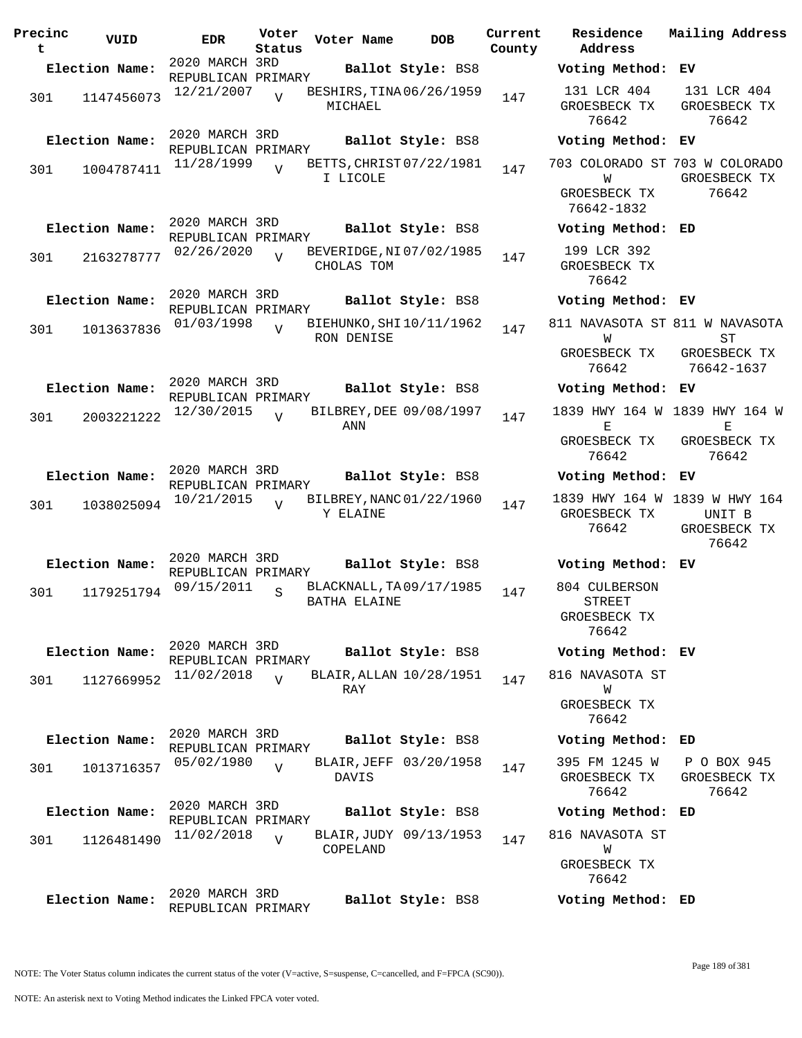| Precinc<br>t | VUID           | <b>EDR</b>                           | Voter<br>Status | Voter Name                               | <b>DOB</b>        | Current<br>County | Residence<br>Address                     | Mail      |
|--------------|----------------|--------------------------------------|-----------------|------------------------------------------|-------------------|-------------------|------------------------------------------|-----------|
|              | Election Name: | 2020 MARCH 3RD<br>REPUBLICAN PRIMARY |                 |                                          | Ballot Style: BS8 |                   | Voting Method: EV                        |           |
| 301          | 1147456073     | 12/21/2007                           | $\overline{U}$  | BESHIRS, TINA 06/26/1959<br>MICHAEL      |                   | 147               | 131 LCR 404<br>GROESBECK TX<br>76642     | 13<br>GR  |
|              | Election Name: | 2020 MARCH 3RD                       |                 |                                          | Ballot Style: BS8 |                   | Voting Method:                           | ЕV        |
| 301          | 1004787411     | REPUBLICAN PRIMARY<br>11/28/1999     | $\overline{z}$  | BETTS, CHRIST 07/22/1981<br>I LICOLE     |                   | 147               | 703 COLORADO ST 703<br>W<br>GROESBECK TX | GR        |
|              |                | 2020 MARCH 3RD                       |                 |                                          |                   |                   | 76642-1832                               |           |
|              | Election Name: | REPUBLICAN PRIMARY                   |                 |                                          | Ballot Style: BS8 |                   | Voting Method: ED                        |           |
| 301          | 2163278777     | 02/26/2020                           | $\overline{U}$  | BEVERIDGE, NI 07/02/1985<br>CHOLAS TOM   |                   | 147               | 199 LCR 392<br>GROESBECK TX<br>76642     |           |
|              | Election Name: | 2020 MARCH 3RD<br>REPUBLICAN PRIMARY |                 |                                          | Ballot Style: BS8 |                   | Voting Method: EV                        |           |
| 301          | 1013637836     | 01/03/1998                           | $\overline{U}$  | BIEHUNKO, SHI 10/11/1962<br>RON DENISE   |                   | 147               | 811 NAVASOTA ST 811<br>W                 |           |
|              |                |                                      |                 |                                          |                   |                   | GROESBECK TX<br>76642                    | GR<br>7   |
|              | Election Name: | 2020 MARCH 3RD                       |                 |                                          | Ballot Style: BS8 |                   | Voting Method:                           | EV        |
| 301          | 2003221222     | REPUBLICAN PRIMARY<br>12/30/2015     | $\overline{U}$  | BILBREY, DEE 09/08/1997<br>ANN           |                   | 147               | 1839 HWY 164 W 183<br>Е                  |           |
|              |                |                                      |                 |                                          |                   |                   | GROESBECK TX<br>76642                    | GR        |
|              | Election Name: | 2020 MARCH 3RD<br>REPUBLICAN PRIMARY |                 |                                          | Ballot Style: BS8 |                   | Voting Method:                           | ЕV        |
| 301          | 1038025094     | 10/21/2015                           | $\overline{V}$  | BILBREY, NANC 01/22/1960<br>Y ELAINE     |                   | 147               | 1839 HWY 164 W<br>GROESBECK TX<br>76642  | 183<br>GR |
|              | Election Name: | 2020 MARCH 3RD                       |                 |                                          | Ballot Style: BS8 |                   | Voting Method: EV                        |           |
| 301          | 1179251794     | REPUBLICAN PRIMARY<br>09/15/2011     | S               | BLACKNALL, TA 09/17/1985<br>BATHA ELAINE |                   | 147               | 804 CULBERSON<br><b>STREET</b>           |           |
|              |                |                                      |                 |                                          |                   |                   | GROESBECK TX<br>76642                    |           |
|              | Election Name: | 2020 MARCH 3RD<br>REPUBLICAN PRIMARY |                 |                                          | Ballot Style: BS8 |                   | Voting Method: EV                        |           |
| 301          | 1127669952     | 11/02/2018                           | $\overline{V}$  | BLAIR, ALLAN 10/28/1951                  |                   | 147               | 816 NAVASOTA ST                          |           |
|              |                |                                      |                 | RAY                                      |                   |                   | W<br>GROESBECK TX<br>76642               |           |
|              | Election Name: | 2020 MARCH 3RD<br>REPUBLICAN PRIMARY |                 |                                          | Ballot Style: BS8 |                   | Voting Method: ED                        |           |
| 301          | 1013716357     | 05/02/1980                           | $\overline{V}$  | BLAIR, JEFF 03/20/1958<br>DAVIS          |                   | 147               | 395 FM 1245 W<br>GROESBECK TX<br>76642   | P<br>GR   |
|              | Election Name: | 2020 MARCH 3RD                       |                 |                                          | Ballot Style: BS8 |                   | Voting Method: ED                        |           |
| 301          | 1126481490     | REPUBLICAN PRIMARY<br>11/02/2018     | $\overline{V}$  | BLAIR, JUDY 09/13/1953                   |                   | 147               | 816 NAVASOTA ST                          |           |
|              |                |                                      |                 | COPELAND                                 |                   |                   | W<br>GROESBECK TX<br>76642               |           |
|              | Election Name: | 2020 MARCH 3RD                       |                 |                                          | Ballot Style: BS8 |                   | Voting Method: ED                        |           |

**Voter Name DOB Residence Address Current Mailing Address Election Name: Ballot Style:** BS8 **Voting Method: EV** 131 LCR 404 GROESBECK TX 76642 131 LCR 404 GROESBECK TX 76642 **Election Name: Ballot Style:** BS8 **Voting Method: EV** 703 COLORADO ST 703 W COLORADO W GROESBECK TX 76642-1832 GROESBECK TX 76642 **Election Name: Ballot Style:** BS8 **Voting Method: ED** 199 LCR 392 GROESBECK TX 76642 **Election Name: Ballot Style:** BS8 **Voting Method: EV** 811 NAVASOTA ST 811 W NAVASOTA W GROESBECK TX 76642 ST GROESBECK TX 76642-1637 **Election Name: Ballot Style:** BS8 **Voting Method: EV** 1839 HWY 164 W 1839 HWY 164 W E GROESBECK TX 76642 E GROESBECK TX 76642 **Election Name: Ballot Style:** BS8 **Voting Method: EV** 1839 HWY 164 W 1839 W HWY 164 GROESBECK TX 76642 UNIT B GROESBECK TX 76642 **Election Name: Ballot Style:** BS8 **Voting Method: EV** 804 CULBERSON STREET GROESBECK TX 76642 **Election Name: Ballot Style:** BS8 **Voting Method: EV** 816 NAVASOTA ST W GROESBECK TX 76642 **Election Name: Ballot Style:** BS8 **Voting Method: ED** 395 FM 1245 W GROESBECK TX 76642 P O BOX 945 GROESBECK TX 76642 **Election Name: Ballot Style:** BS8 **Voting Method: ED** 816 NAVASOTA ST W GROESBECK TX 76642

REPUBLICAN PRIMARY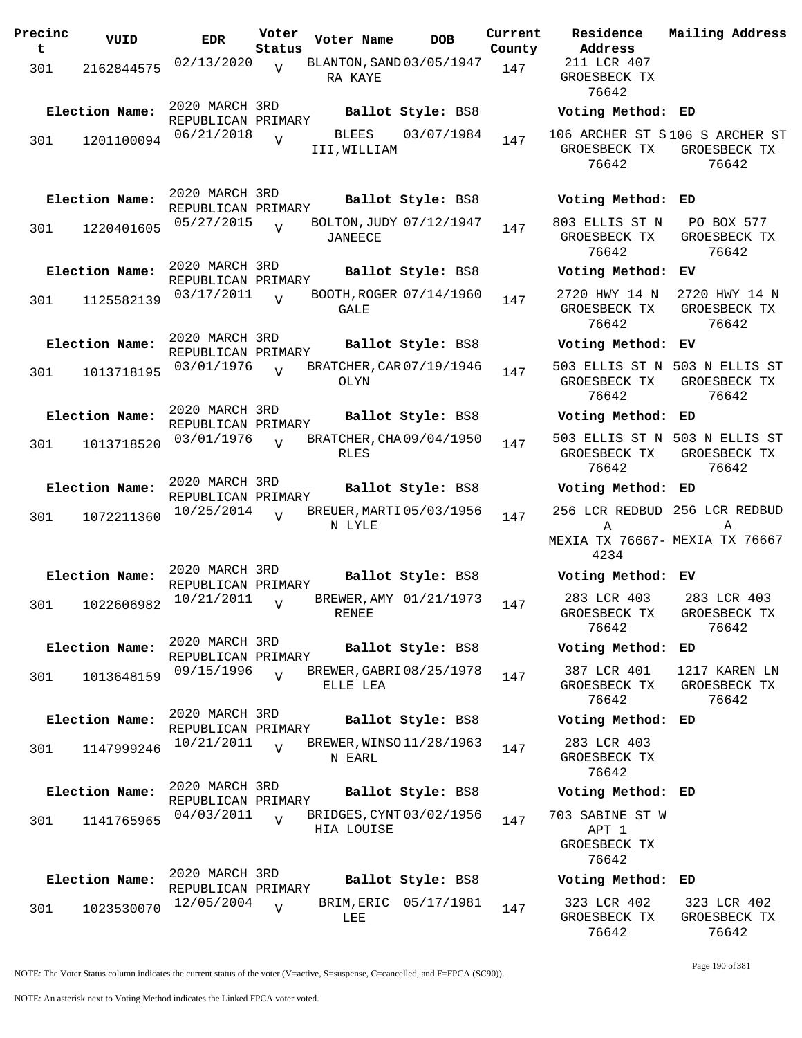| Precinc<br>t | VUID           | <b>EDR</b>                           | Voter<br>Status | Voter Name                                | <b>DOB</b>            | Current<br>County | Residence<br>Address                                                         | Mailing Address                                        |
|--------------|----------------|--------------------------------------|-----------------|-------------------------------------------|-----------------------|-------------------|------------------------------------------------------------------------------|--------------------------------------------------------|
| 301          | 2162844575     | 02/13/2020                           | V               | BLANTON, SAND 03/05/1947<br>RA KAYE       |                       | 147               | 211 LCR 407<br>GROESBECK TX<br>76642                                         |                                                        |
|              | Election Name: | 2020 MARCH 3RD<br>REPUBLICAN PRIMARY |                 |                                           | Ballot Style: BS8     |                   | Voting Method: ED                                                            |                                                        |
| 301          | 1201100094     | 06/21/2018                           | $\overline{U}$  | BLEES<br>III, WILLIAM                     | 03/07/1984            | 147               | 106 ARCHER ST S106 S ARCHER ST<br>GROESBECK TX<br>76642                      | GROESBECK TX<br>76642                                  |
|              | Election Name: | 2020 MARCH 3RD<br>REPUBLICAN PRIMARY |                 |                                           | Ballot Style: BS8     |                   | Voting Method: ED                                                            |                                                        |
| 301          | 1220401605     | 05/27/2015                           | $\overline{U}$  | BOLTON, JUDY 07/12/1947<br><b>JANEECE</b> |                       | 147               | 803 ELLIS ST N<br>GROESBECK TX<br>76642                                      | PO BOX 577<br>GROESBECK TX<br>76642                    |
|              | Election Name: | 2020 MARCH 3RD                       |                 |                                           | Ballot Style: BS8     |                   | Voting Method: EV                                                            |                                                        |
| 301          | 1125582139     | REPUBLICAN PRIMARY<br>03/17/2011     | $\overline{V}$  | BOOTH, ROGER 07/14/1960<br>GALE           |                       | 147               | 2720 HWY 14 N<br>GROESBECK TX<br>76642                                       | 2720 HWY 14 N<br>GROESBECK TX<br>76642                 |
|              | Election Name: | 2020 MARCH 3RD<br>REPUBLICAN PRIMARY |                 |                                           | Ballot Style: BS8     |                   | Voting Method: EV                                                            |                                                        |
| 301          | 1013718195     | 03/01/1976                           | $\overline{v}$  | BRATCHER, CAR 07/19/1946<br>OLYN          |                       | 147               | GROESBECK TX<br>76642                                                        | 503 ELLIS ST N 503 N ELLIS ST<br>GROESBECK TX<br>76642 |
|              | Election Name: | 2020 MARCH 3RD<br>REPUBLICAN PRIMARY |                 |                                           | Ballot Style: BS8     |                   | Voting Method: ED                                                            |                                                        |
| 301          | 1013718520     | 03/01/1976                           | $\overline{U}$  | BRATCHER, CHA09/04/1950<br>RLES           |                       | 147               | GROESBECK TX<br>76642                                                        | 503 ELLIS ST N 503 N ELLIS ST<br>GROESBECK TX<br>76642 |
|              | Election Name: | 2020 MARCH 3RD<br>REPUBLICAN PRIMARY |                 |                                           | Ballot Style: BS8     |                   | Voting Method: ED                                                            |                                                        |
| 301          | 1072211360     | 10/25/2014                           | $\overline{V}$  | BREUER, MARTI 05/03/1956<br>N LYLE        |                       | 147               | 256 LCR REDBUD 256 LCR REDBUD<br>Α<br>MEXIA TX 76667- MEXIA TX 76667<br>4234 | Α                                                      |
|              | Election Name: | 2020 MARCH 3RD                       |                 |                                           | Ballot Style: BS8     |                   | Voting Method: EV                                                            |                                                        |
| 301          | 1022606982     | REPUBLICAN PRIMARY<br>10/21/2011     | $\overline{V}$  | BREWER, AMY 01/21/1973<br>RENEE           |                       | 147               | 283 LCR 403<br>76642                                                         | 283 LCR 403<br>GROESBECK TX GROESBECK TX<br>76642      |
|              | Election Name: | 2020 MARCH 3RD<br>REPUBLICAN PRIMARY |                 |                                           | Ballot Style: BS8     |                   | Voting Method: ED                                                            |                                                        |
| 301          | 1013648159     | 09/15/1996                           | $\overline{V}$  | BREWER, GABRI 08/25/1978<br>ELLE LEA      |                       | 147               | 387 LCR 401<br>GROESBECK TX<br>76642                                         | 1217 KAREN LN<br>GROESBECK TX<br>76642                 |
|              | Election Name: | 2020 MARCH 3RD<br>REPUBLICAN PRIMARY |                 |                                           | Ballot Style: BS8     |                   | Voting Method: ED                                                            |                                                        |
| 301          | 1147999246     | 10/21/2011                           | $\overline{V}$  | BREWER, WINSO 11/28/1963<br>N EARL        |                       | 147               | 283 LCR 403<br>GROESBECK TX<br>76642                                         |                                                        |
|              | Election Name: | 2020 MARCH 3RD<br>REPUBLICAN PRIMARY |                 |                                           | Ballot Style: BS8     |                   | Voting Method: ED                                                            |                                                        |
| 301          | 1141765965     | 04/03/2011                           | $\overline{V}$  | BRIDGES, CYNT 03/02/1956<br>HIA LOUISE    |                       | 147               | 703 SABINE ST W<br>APT 1<br>GROESBECK TX<br>76642                            |                                                        |
|              | Election Name: | 2020 MARCH 3RD                       |                 |                                           | Ballot Style: BS8     |                   | Voting Method: ED                                                            |                                                        |
| 301          | 1023530070     | REPUBLICAN PRIMARY<br>12/05/2004     | V               | LEE                                       | BRIM, ERIC 05/17/1981 | 147               | 323 LCR 402<br>GROESBECK TX<br>76642                                         | 323 LCR 402<br>GROESBECK TX<br>76642                   |

NOTE: The Voter Status column indicates the current status of the voter (V=active, S=suspense, C=cancelled, and F=FPCA (SC90)).

Page 190 of 381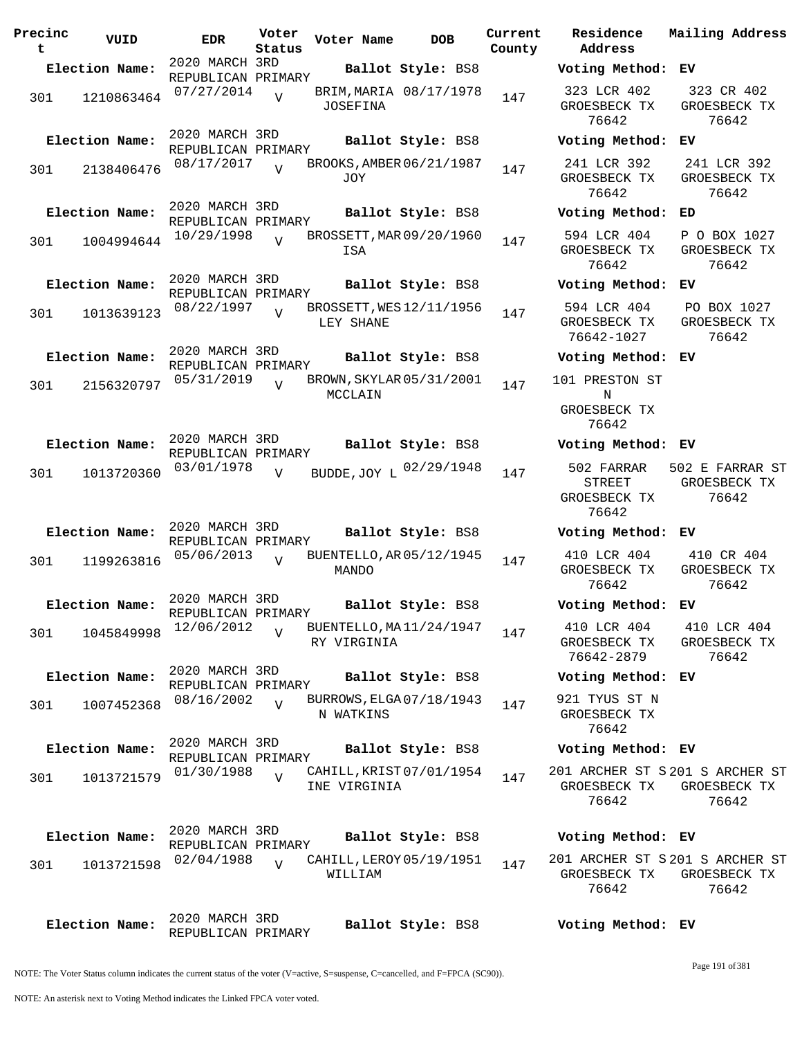| Precinc<br>t | VUID           | <b>EDR</b>                           | Voter<br>Status | Voter Name                               | <b>DOB</b>        | Current<br>County | Residence<br>Address                          | Mail                 |
|--------------|----------------|--------------------------------------|-----------------|------------------------------------------|-------------------|-------------------|-----------------------------------------------|----------------------|
|              | Election Name: | 2020 MARCH 3RD<br>REPUBLICAN PRIMARY |                 |                                          | Ballot Style: BS8 |                   | Voting Method:                                | EV                   |
| 301          | 1210863464     | 07/27/2014                           | $\overline{U}$  | BRIM, MARIA 08/17/1978<br>JOSEFINA       |                   | 147               | 323 LCR 402<br>GROESBECK TX<br>76642          | $\overline{3}$<br>GR |
|              | Election Name: | 2020 MARCH 3RD<br>REPUBLICAN PRIMARY |                 |                                          | Ballot Style: BS8 |                   | Voting Method:                                | EV                   |
| 301          | 2138406476     | 08/17/2017                           | $\overline{v}$  | BROOKS, AMBER 06/21/1987<br>JOY          |                   | 147               | 241 LCR 392<br>GROESBECK TX<br>76642          | 24<br>GR             |
|              | Election Name: | 2020 MARCH 3RD<br>REPUBLICAN PRIMARY |                 |                                          | Ballot Style: BS8 |                   | Voting Method:                                | ED                   |
| 301          | 1004994644     | 10/29/1998                           | $\overline{V}$  | BROSSETT, MAR 09/20/1960<br>ISA          |                   | 147               | 594 LCR 404<br>GROESBECK TX<br>76642          | $\mathbf{P}$<br>GR   |
|              | Election Name: | 2020 MARCH 3RD<br>REPUBLICAN PRIMARY |                 |                                          | Ballot Style: BS8 |                   | Voting Method:                                | ЕV                   |
| 301          | 1013639123     | 08/22/1997                           | $\overline{V}$  | BROSSETT, WES 12/11/1956<br>LEY SHANE    |                   | 147               | 594 LCR 404<br>GROESBECK TX<br>76642-1027     | P(<br>GR             |
|              | Election Name: | 2020 MARCH 3RD<br>REPUBLICAN PRIMARY |                 |                                          | Ballot Style: BS8 |                   | Voting Method: EV                             |                      |
| 301          | 2156320797     | 05/31/2019                           | $\overline{V}$  | BROWN, SKYLAR 05/31/2001<br>MCCLAIN      |                   | 147               | 101 PRESTON ST<br>N<br>GROESBECK TX           |                      |
|              | Election Name: | 2020 MARCH 3RD                       |                 |                                          | Ballot Style: BS8 |                   | 76642<br>Voting Method: EV                    |                      |
| 301          | 1013720360     | REPUBLICAN PRIMARY<br>03/01/1978     | $\overline{V}$  | BUDDE, JOY L 02/29/1948                  |                   | 147               | 502 FARRAR<br>STREET<br>GROESBECK TX<br>76642 | 502<br>GR            |
|              | Election Name: | 2020 MARCH 3RD<br>REPUBLICAN PRIMARY |                 |                                          | Ballot Style: BS8 |                   | Voting Method: EV                             |                      |
| 301          | 1199263816     | 05/06/2013                           | $\overline{U}$  | BUENTELLO, AR 05/12/1945<br>MANDO        |                   | 147               | 410 LCR 404<br>GROESBECK TX<br>76642          | $\overline{4}$<br>GR |
|              | Election Name: | 2020 MARCH 3RD<br>REPUBLICAN PRIMARY |                 |                                          | Ballot Style: BS8 |                   | Voting Method: EV                             |                      |
| 301          | 1045849998     | 12/06/2012                           | $\overline{V}$  | BUENTELLO, MA11/24/1947<br>RY VIRGINIA   |                   | 147               | 410 LCR 404<br>GROESBECK TX<br>76642-2879     | 4 <sup>1</sup><br>GR |
|              | Election Name: | 2020 MARCH 3RD<br>REPUBLICAN PRIMARY |                 |                                          | Ballot Style: BS8 |                   | Voting Method: EV                             |                      |
| 301          | 1007452368     | 08/16/2002                           | $\overline{V}$  | BURROWS, ELGA 07/18/1943<br>N WATKINS    |                   | 147               | 921 TYUS ST N<br>GROESBECK TX<br>76642        |                      |
|              | Election Name: | 2020 MARCH 3RD<br>REPUBLICAN PRIMARY |                 |                                          | Ballot Style: BS8 |                   | Voting Method: EV                             |                      |
| 301          | 1013721579     | 01/30/1988                           | $\overline{z}$  | CAHILL, KRIST 07/01/1954<br>INE VIRGINIA |                   | 147               | 201 ARCHER ST S 201<br>GROESBECK TX<br>76642  | GR                   |
|              | Election Name: | 2020 MARCH 3RD<br>REPUBLICAN PRIMARY |                 |                                          | Ballot Style: BS8 |                   | Voting Method: EV                             |                      |
| 301          | 1013721598     | 02/04/1988                           | $\overline{U}$  | CAHILL, LEROY 05/19/1951<br>WILLIAM      |                   | 147               | 201 ARCHER ST S 201<br>GROESBECK TX<br>76642  | GR                   |
|              | Election Name: | 2020 MARCH 3RD                       |                 |                                          | Ballot Style: BS8 |                   | Voting Method: EV                             |                      |

**Election Name: Ballot Style:** BS8 **Voting Method: EV** 323 LCR 402 GROESBECK TX 76642 323 CR 402 GROESBECK TX 76642 **Election Name: Ballot Style:** BS8 **Voting Method: EV** 241 LCR 392 GROESBECK TX 76642 241 LCR 392 GROESBECK TX 76642 **Election Name: Ballot Style:** BS8 **Voting Method: ED** 594 LCR 404 GROESBECK TX 76642 P O BOX 1027 GROESBECK TX 76642 **Election Name: Ballot Style:** BS8 **Voting Method: EV** 594 LCR 404 GROESBECK TX 76642-1027 PO BOX 1027 GROESBECK TX 76642 **Election Name: Ballot Style:** BS8 **Voting Method: EV** 101 PRESTON ST N GROESBECK TX 76642 **Election Name: Ballot Style:** BS8 **Voting Method: EV** STREET GROESBECK TX 76642 502 E FARRAR ST GROESBECK TX 76642 **Election Name: Ballot Style:** BS8 **Voting Method: EV** 410 LCR 404 GROESBECK TX 76642 410 CR 404 GROESBECK TX 76642 **Election Name: Ballot Style:** BS8 **Voting Method: EV** 410 LCR 404 GROESBECK TX 76642-2879 410 LCR 404 GROESBECK TX 76642 **Election Name: Ballot Style:** BS8 **Voting Method: EV** 921 TYUS ST N GROESBECK TX 76642 **Election Name: Ballot Style:** BS8 **Voting Method: EV** 201 ARCHER ST S 201 S ARCHER ST GROESBECK TX GROESBECK TX 76642 76642

**Current Mailing Address**

201 ARCHER ST S 201 S ARCHER ST GROESBECK TX GROESBECK TX 76642 76642

NOTE: The Voter Status column indicates the current status of the voter (V=active, S=suspense, C=cancelled, and F=FPCA (SC90)).

REPUBLICAN PRIMARY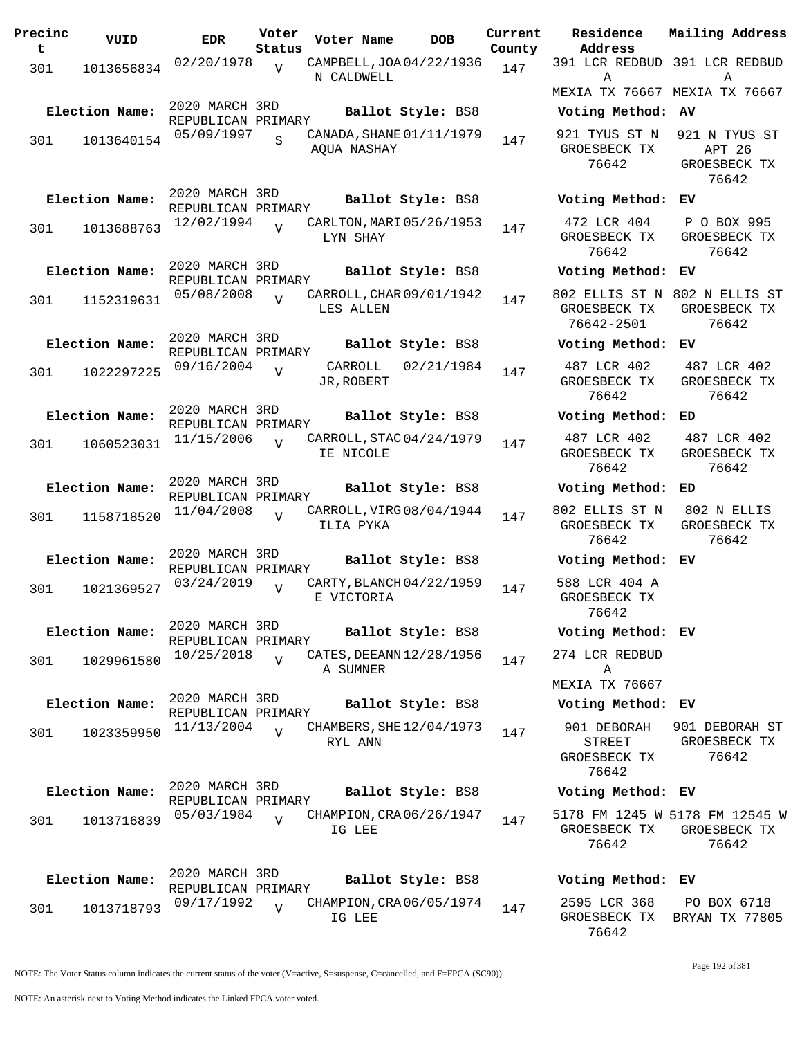| 02/20/1978<br>CAMPBELL, JOA 04/22/1936<br>$\overline{V}$<br>301<br>147<br>1013656834<br>N CALDWELL<br>2020 MARCH 3RD<br>Election Name:<br>Ballot Style: BS8<br>REPUBLICAN PRIMARY<br>05/09/1997<br>CANADA, SHANE 01/11/1979<br>S<br>301<br>1013640154<br>147<br>AQUA NASHAY<br>2020 MARCH 3RD<br>Election Name:<br>Ballot Style: BS8<br>REPUBLICAN PRIMARY<br>12/02/1994<br>CARLTON, MARI 05/26/1953<br>٦T<br>301<br>1013688763<br>147<br>LYN SHAY<br>2020 MARCH 3RD<br>Election Name:<br>Ballot Style: BS8<br>REPUBLICAN PRIMARY<br>05/08/2008<br>CARROLL, CHAR 09/01/1942<br>$\overline{U}$<br>301<br>1152319631<br>147<br>LES ALLEN<br>2020 MARCH 3RD<br>Election Name:<br>Ballot Style: BS8<br>REPUBLICAN PRIMARY<br>09/16/2004<br>CARROLL<br>02/21/1984<br>301<br>1022297225<br>V<br>147<br>JR, ROBERT<br>2020 MARCH 3RD<br>Election Name:<br>Ballot Style: BS8<br>REPUBLICAN PRIMARY<br>11/15/2006<br>CARROLL, STAC 04/24/1979<br>V<br>301<br>1060523031<br>147<br>IE NICOLE<br>2020 MARCH 3RD<br>Election Name:<br>Ballot Style: BS8<br>REPUBLICAN PRIMARY<br>11/04/2008<br>CARROLL, VIRG 08/04/1944<br>٦T<br>301<br>1158718520<br>147<br>ILIA PYKA<br>2020 MARCH 3RD<br>Election Name:<br>Ballot Style: BS8<br>REPUBLICAN PRIMARY<br>03/24/2019<br>CARTY, BLANCH 04/22/1959<br>301<br>1021369527<br>147<br>E VICTORIA |  |
|-------------------------------------------------------------------------------------------------------------------------------------------------------------------------------------------------------------------------------------------------------------------------------------------------------------------------------------------------------------------------------------------------------------------------------------------------------------------------------------------------------------------------------------------------------------------------------------------------------------------------------------------------------------------------------------------------------------------------------------------------------------------------------------------------------------------------------------------------------------------------------------------------------------------------------------------------------------------------------------------------------------------------------------------------------------------------------------------------------------------------------------------------------------------------------------------------------------------------------------------------------------------------------------------------------------------------------|--|
|                                                                                                                                                                                                                                                                                                                                                                                                                                                                                                                                                                                                                                                                                                                                                                                                                                                                                                                                                                                                                                                                                                                                                                                                                                                                                                                               |  |
|                                                                                                                                                                                                                                                                                                                                                                                                                                                                                                                                                                                                                                                                                                                                                                                                                                                                                                                                                                                                                                                                                                                                                                                                                                                                                                                               |  |
|                                                                                                                                                                                                                                                                                                                                                                                                                                                                                                                                                                                                                                                                                                                                                                                                                                                                                                                                                                                                                                                                                                                                                                                                                                                                                                                               |  |
|                                                                                                                                                                                                                                                                                                                                                                                                                                                                                                                                                                                                                                                                                                                                                                                                                                                                                                                                                                                                                                                                                                                                                                                                                                                                                                                               |  |
|                                                                                                                                                                                                                                                                                                                                                                                                                                                                                                                                                                                                                                                                                                                                                                                                                                                                                                                                                                                                                                                                                                                                                                                                                                                                                                                               |  |
|                                                                                                                                                                                                                                                                                                                                                                                                                                                                                                                                                                                                                                                                                                                                                                                                                                                                                                                                                                                                                                                                                                                                                                                                                                                                                                                               |  |
|                                                                                                                                                                                                                                                                                                                                                                                                                                                                                                                                                                                                                                                                                                                                                                                                                                                                                                                                                                                                                                                                                                                                                                                                                                                                                                                               |  |
|                                                                                                                                                                                                                                                                                                                                                                                                                                                                                                                                                                                                                                                                                                                                                                                                                                                                                                                                                                                                                                                                                                                                                                                                                                                                                                                               |  |
| 2020 MARCH 3RD<br>Election Name:<br>Ballot Style: BS8<br>REPUBLICAN PRIMARY<br>10/25/2018<br>CATES, DEEANN 12/28/1956<br>$\overline{U}$<br>301<br>1029961580<br>147<br>A SUMNER                                                                                                                                                                                                                                                                                                                                                                                                                                                                                                                                                                                                                                                                                                                                                                                                                                                                                                                                                                                                                                                                                                                                               |  |
| 2020 MARCH 3RD<br>Election Name:<br>Ballot Style: BS8<br>REPUBLICAN PRIMARY<br>11/13/2004<br>CHAMBERS, SHE 12/04/1973<br>$\overline{U}$<br>301<br>1023359950<br>147<br>RYL ANN                                                                                                                                                                                                                                                                                                                                                                                                                                                                                                                                                                                                                                                                                                                                                                                                                                                                                                                                                                                                                                                                                                                                                |  |
| 2020 MARCH 3RD<br>Election Name:<br>Ballot Style: BS8<br>REPUBLICAN PRIMARY<br>05/03/1984<br>CHAMPION, CRA06/26/1947<br>$\overline{V}$<br>301<br>1013716839<br>147<br>IG LEE                                                                                                                                                                                                                                                                                                                                                                                                                                                                                                                                                                                                                                                                                                                                                                                                                                                                                                                                                                                                                                                                                                                                                  |  |
| 2020 MARCH 3RD<br>Election Name:<br>Ballot Style: BS8<br>REPUBLICAN PRIMARY<br>09/17/1992<br>CHAMPION, CRA 06/05/1974<br>V<br>1013718793<br>147<br>301<br>IG LEE                                                                                                                                                                                                                                                                                                                                                                                                                                                                                                                                                                                                                                                                                                                                                                                                                                                                                                                                                                                                                                                                                                                                                              |  |

**Voter Name DOB Residence Address Current Mailing Address** 391 LCR REDBUD 391 LCR REDBUD A MEXIA TX 76667 MEXIA TX 76667 **A Election Name: Ballot Style:** BS8 **Voting Method: AV** 921 TYUS ST N GROESBECK TX 76642 921 N TYUS ST APT 26 GROESBECK TX 76642 **Election Name: Ballot Style:** BS8 **Voting Method: EV** 472 LCR 404 GROESBECK TX 76642 P O BOX 995 GROESBECK TX 76642 **Election Name: Ballot Style:** BS8 **Voting Method: EV** 802 ELLIS ST N 802 N ELLIS ST GROESBECK TX 76642-2501 GROESBECK TX 76642 **Election Name: Ballot Style:** BS8 **Voting Method: EV** 487 LCR 402 GROESBECK TX 76642 487 LCR 402 GROESBECK TX 76642 **Election Name: Ballot Style:** BS8 **Voting Method: ED** 487 LCR 402 GROESBECK TX 76642 487 LCR 402 GROESBECK TX 76642 **Election Name: Ballot Style:** BS8 **Voting Method: ED** 802 ELLIS ST N GROESBECK TX 76642 802 N ELLIS GROESBECK TX 76642 **Election Name: Ballot Style:** BS8 **Voting Method: EV** 588 LCR 404 A GROESBECK TX 76642 **Election Name: Ballot Style:** BS8 **Voting Method: EV** 274 LCR REDBUD A MEXIA TX 76667 **Election Name: Ballot Style:** BS8 **Voting Method: EV** 901 DEBORAH STREET GROESBECK TX 76642 901 DEBORAH ST GROESBECK TX 76642 **Election Name: Ballot Style:** BS8 **Voting Method: EV** 5178 FM 1245 W 5178 FM 12545 W GROESBECK TX 76642 GROESBECK TX 76642 **Election Name: Ballot Style:** BS8 **Voting Method: EV**

```
2595 LCR 368
GROESBECK TX
BRYAN TX 77805
   76642
               PO BOX 6718
```
NOTE: The Voter Status column indicates the current status of the voter (V=active, S=suspense, C=cancelled, and F=FPCA (SC90)).

Page 192 of 381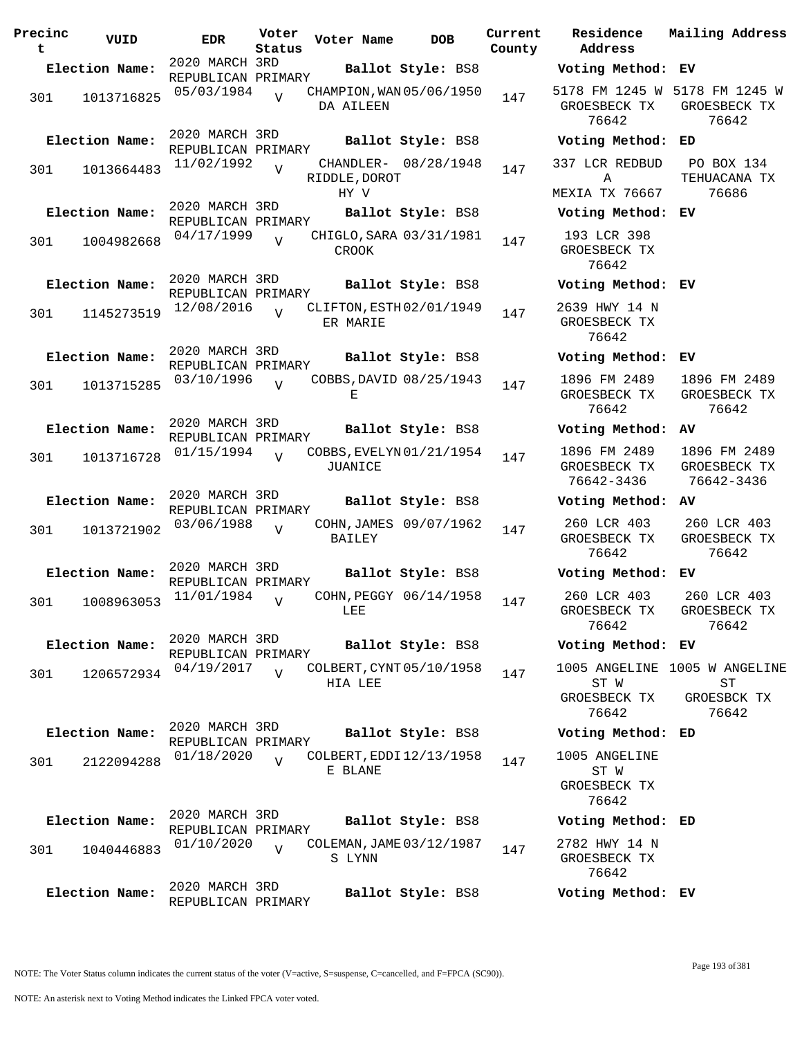| Precinc<br>t | VUID                         | <b>EDR</b>                                         | Voter<br>Status | Voter Name                                      | <b>DOB</b>                                  | Current<br>County |
|--------------|------------------------------|----------------------------------------------------|-----------------|-------------------------------------------------|---------------------------------------------|-------------------|
|              | Election Name:               | 2020 MARCH 3RD                                     |                 |                                                 | Ballot Style: BS8                           |                   |
| 301          | 1013716825                   | REPUBLICAN PRIMARY<br>05/03/1984                   | $\overline{V}$  | CHAMPION, WAN 05/06/1950<br>DA AILEEN           |                                             | 147               |
| 301          | Election Name:<br>1013664483 | 2020 MARCH 3RD<br>REPUBLICAN PRIMARY<br>11/02/1992 | V               | RIDDLE, DOROT                                   | Ballot Style: BS8<br>CHANDLER- 08/28/1948   | 147               |
| 301          | Election Name:<br>1004982668 | 2020 MARCH 3RD<br>REPUBLICAN PRIMARY<br>04/17/1999 | $\overline{V}$  | HY V<br>CHIGLO, SARA 03/31/1981<br><b>CROOK</b> | Ballot Style: BS8                           | 147               |
| 301          | Election Name:<br>1145273519 | 2020 MARCH 3RD<br>REPUBLICAN PRIMARY<br>12/08/2016 | ٦T              | CLIFTON, ESTH 02/01/1949<br>ER MARIE            | Ballot Style: BS8                           | 147               |
| 301          | Election Name:<br>1013715285 | 2020 MARCH 3RD<br>REPUBLICAN PRIMARY<br>03/10/1996 | ٦T              | COBBS, DAVID 08/25/1943<br>Е                    | Ballot Style: BS8                           | 147               |
| 301          | Election Name:<br>1013716728 | 2020 MARCH 3RD<br>REPUBLICAN PRIMARY<br>01/15/1994 | $\overline{U}$  | COBBS, EVELYN 01/21/1954<br>JUANICE             | Ballot Style: BS8                           | 147               |
| 301          | Election Name:<br>1013721902 | 2020 MARCH 3RD<br>REPUBLICAN PRIMARY<br>03/06/1988 | $\overline{V}$  | <b>BAILEY</b>                                   | Ballot Style: BS8<br>COHN, JAMES 09/07/1962 | 147               |
| 301          | Election Name:<br>1008963053 | 2020 MARCH 3RD<br>REPUBLICAN PRIMARY<br>11/01/1984 | V               | LEE                                             | Ballot Style: BS8<br>COHN, PEGGY 06/14/1958 | 147               |
| 301          | Election Name:<br>1206572934 | 2020 MARCH 3RD<br>REPUBLICAN PRIMARY<br>04/19/2017 | $\overline{U}$  | COLBERT, CYNT 05/10/1958<br>HIA LEE             | Ballot Style: BS8                           | 147               |
| 301          | Election Name:<br>2122094288 | 2020 MARCH 3RD<br>REPUBLICAN PRIMARY<br>01/18/2020 | $\overline{U}$  | COLBERT, EDDI 12/13/1958<br>E BLANE             | Ballot Style: BS8                           | 147               |
| 301          | Election Name:<br>1040446883 | 2020 MARCH 3RD<br>REPUBLICAN PRIMARY<br>01/10/2020 | $\overline{U}$  | COLEMAN, JAME 03/12/1987<br>S LYNN              | Ballot Style: BS8                           | 147               |
|              | Election Name:               | 2020 MARCH 3RD<br>REPUBLICAN PRIMARY               |                 |                                                 | Ballot Style: BS8                           |                   |

**Parame Residence Address Current Mailing Address Election Name: Ballot Style:** BS8 **Voting Method: EV** 5178 FM 1245 W 5178 FM 1245 W GROESBECK TX 76642 GROESBECK TX 76642 **Election Name: Ballot Style:** BS8 **Voting Method: ED** 337 LCR REDBUD A MEXIA TX 76667 PO BOX 134 TEHUACANA TX 76686 **Election Name: Ballot Style:** BS8 **Voting Method: EV** 193 LCR 398 GROESBECK TX 76642 **Election Name: Ballot Style:** BS8 **Voting Method: EV** 2639 HWY 14 N GROESBECK TX 76642 **Election Name: Ballot Style:** BS8 **Voting Method: EV** 1896 FM 2489 GROESBECK TX 76642 1896 FM 2489 GROESBECK TX 76642 **Election Name: Ballot Style:** BS8 **Voting Method: AV** 1896 FM 2489 GROESBECK TX 76642-3436 1896 FM 2489 GROESBECK TX 76642-3436 **Election Name: Ballot Style:** BS8 **Voting Method: AV** 260 LCR 403 GROESBECK TX 76642 260 LCR 403 GROESBECK TX 76642 **Election Name: Ballot Style:** BS8 **Voting Method: EV** 260 LCR 403 GROESBECK TX 76642 260 LCR 403 GROESBECK TX 76642 **Election Name: Ballot Style:** BS8 **Voting Method: EV** 1005 ANGELINE 1005 W ANGELINE ST W GROESBECK TX 76642  $ST$ GROESBCK TX 76642 **Election Name: Ballot Style:** BS8 **Voting Method: ED** 1005 ANGELINE ST W GROESBECK TX 76642 **Election Name: Ballot Style:** BS8 **Voting Method: ED** 2782 HWY 14 N GROESBECK TX

> 76642 **Election Name: Ballot Style:** BS8 **Voting Method: EV**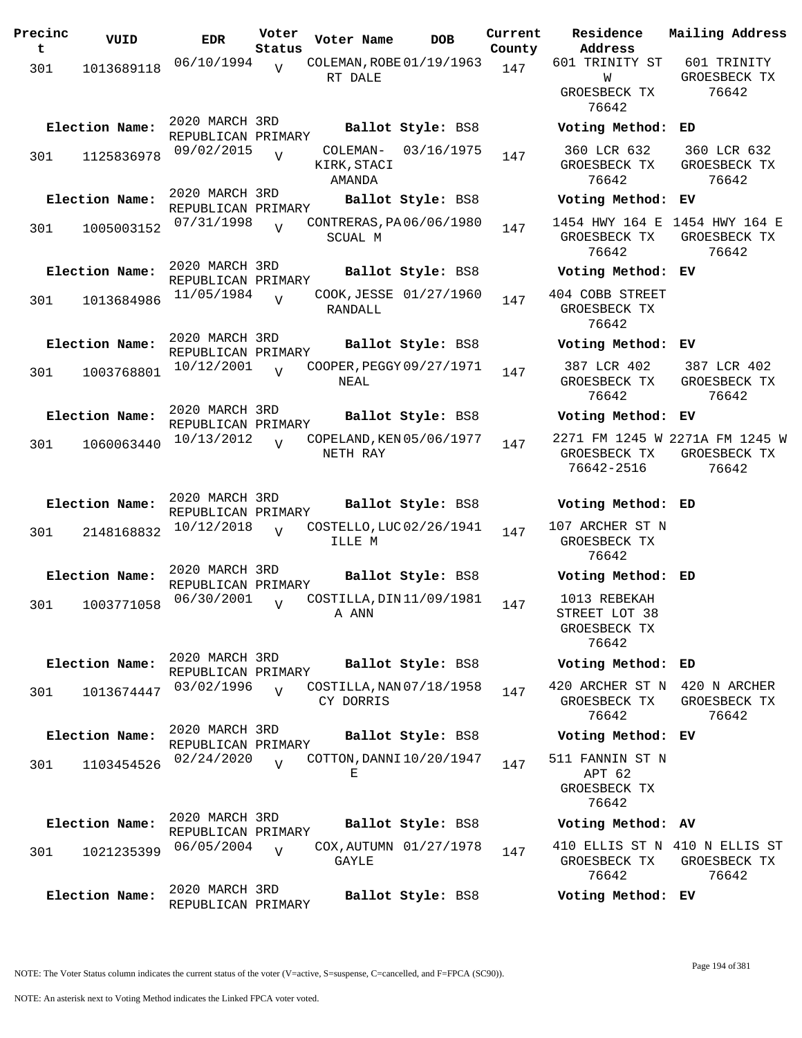| Precinc<br>t | VUID           | <b>EDR</b>                           | Voter<br>Status | Voter Name                            | <b>DOB</b>             | Current<br>County | Residence<br>Address                                   | Mailing Address                                         |
|--------------|----------------|--------------------------------------|-----------------|---------------------------------------|------------------------|-------------------|--------------------------------------------------------|---------------------------------------------------------|
| 301          | 1013689118     | 06/10/1994                           | V               | COLEMAN, ROBE 01/19/1963<br>RT DALE   |                        | 147               | 601 TRINITY ST<br>W<br>GROESBECK TX<br>76642           | 601 TRINITY<br>GROESBECK TX<br>76642                    |
|              | Election Name: | 2020 MARCH 3RD<br>REPUBLICAN PRIMARY |                 |                                       | Ballot Style: BS8      |                   | Voting Method: ED                                      |                                                         |
| 301          | 1125836978     | 09/02/2015                           | $\overline{V}$  | COLEMAN-<br>KIRK, STACI<br>AMANDA     | 03/16/1975             | 147               | 360 LCR 632<br>GROESBECK TX<br>76642                   | 360 LCR 632<br>GROESBECK TX<br>76642                    |
|              | Election Name: | 2020 MARCH 3RD<br>REPUBLICAN PRIMARY |                 |                                       | Ballot Style: BS8      |                   | Voting Method: EV                                      |                                                         |
| 301          | 1005003152     | 07/31/1998                           | $\overline{V}$  | CONTRERAS, PA06/06/1980<br>SCUAL M    |                        | 147               | 1454 HWY 164 E 1454 HWY 164 E<br>GROESBECK TX<br>76642 | GROESBECK TX<br>76642                                   |
|              | Election Name: | 2020 MARCH 3RD<br>REPUBLICAN PRIMARY |                 |                                       | Ballot Style: BS8      |                   | Voting Method: EV                                      |                                                         |
| 301          | 1013684986     | 11/05/1984                           | $\overline{V}$  | RANDALL                               | COOK, JESSE 01/27/1960 | 147               | 404 COBB STREET<br>GROESBECK TX<br>76642               |                                                         |
|              | Election Name: | 2020 MARCH 3RD<br>REPUBLICAN PRIMARY |                 |                                       | Ballot Style: BS8      |                   | Voting Method: EV                                      |                                                         |
| 301          | 1003768801     | 10/12/2001                           | $\overline{V}$  | COOPER, PEGGY 09/27/1971<br>NEAL      |                        | 147               | 387 LCR 402<br>GROESBECK TX<br>76642                   | 387 LCR 402<br>GROESBECK TX<br>76642                    |
|              | Election Name: | 2020 MARCH 3RD<br>REPUBLICAN PRIMARY |                 |                                       | Ballot Style: BS8      |                   | Voting Method: EV                                      |                                                         |
| 301          | 1060063440     | 10/13/2012                           | $\overline{V}$  | COPELAND, KEN 05/06/1977<br>NETH RAY  |                        | 147               | GROESBECK TX<br>76642-2516                             | 2271 FM 1245 W 2271A FM 1245 W<br>GROESBECK TX<br>76642 |
|              | Election Name: | 2020 MARCH 3RD<br>REPUBLICAN PRIMARY |                 |                                       | Ballot Style: BS8      |                   | Voting Method: ED                                      |                                                         |
| 301          | 2148168832     | 10/12/2018                           | $\overline{U}$  | COSTELLO, LUC 02/26/1941<br>ILLE M    |                        | 147               | 107 ARCHER ST N<br>GROESBECK TX<br>76642               |                                                         |
|              | Election Name: | 2020 MARCH 3RD<br>REPUBLICAN PRIMARY |                 |                                       | Ballot Style: BS8      |                   | Voting Method: ED                                      |                                                         |
| 301          | 1003771058     | 06/30/2001                           | $\overline{V}$  | COSTILLA, DIN11/09/1981<br>A ANN      |                        | 147               | 1013 REBEKAH<br>STREET LOT 38<br>GROESBECK TX<br>76642 |                                                         |
|              | Election Name: | 2020 MARCH 3RD<br>REPUBLICAN PRIMARY |                 |                                       | Ballot Style: BS8      |                   | Voting Method: ED                                      |                                                         |
| 301          | 1013674447     | 03/02/1996                           | $\overline{V}$  | COSTILLA, NAN 07/18/1958<br>CY DORRIS |                        | 147               | 420 ARCHER ST N 420 N ARCHER<br>GROESBECK TX<br>76642  | GROESBECK TX<br>76642                                   |
|              | Election Name: | 2020 MARCH 3RD<br>REPUBLICAN PRIMARY |                 |                                       | Ballot Style: BS8      |                   | Voting Method: EV                                      |                                                         |
| 301          | 1103454526     | 02/24/2020                           | $\overline{V}$  | COTTON, DANNI 10/20/1947<br>Е         |                        | 147               | 511 FANNIN ST N<br>APT 62<br>GROESBECK TX<br>76642     |                                                         |
|              | Election Name: | 2020 MARCH 3RD<br>REPUBLICAN PRIMARY |                 |                                       | Ballot Style: BS8      |                   | Voting Method: AV                                      |                                                         |
| 301          | 1021235399     | 06/05/2004                           | $\overline{V}$  | GAYLE                                 | COX, AUTUMN 01/27/1978 | 147               | 410 ELLIS ST N 410 N ELLIS ST<br>GROESBECK TX<br>76642 | GROESBECK TX<br>76642                                   |
|              | Election Name: | 2020 MARCH 3RD<br>REPUBLICAN PRIMARY |                 |                                       | Ballot Style: BS8      |                   | Voting Method: EV                                      |                                                         |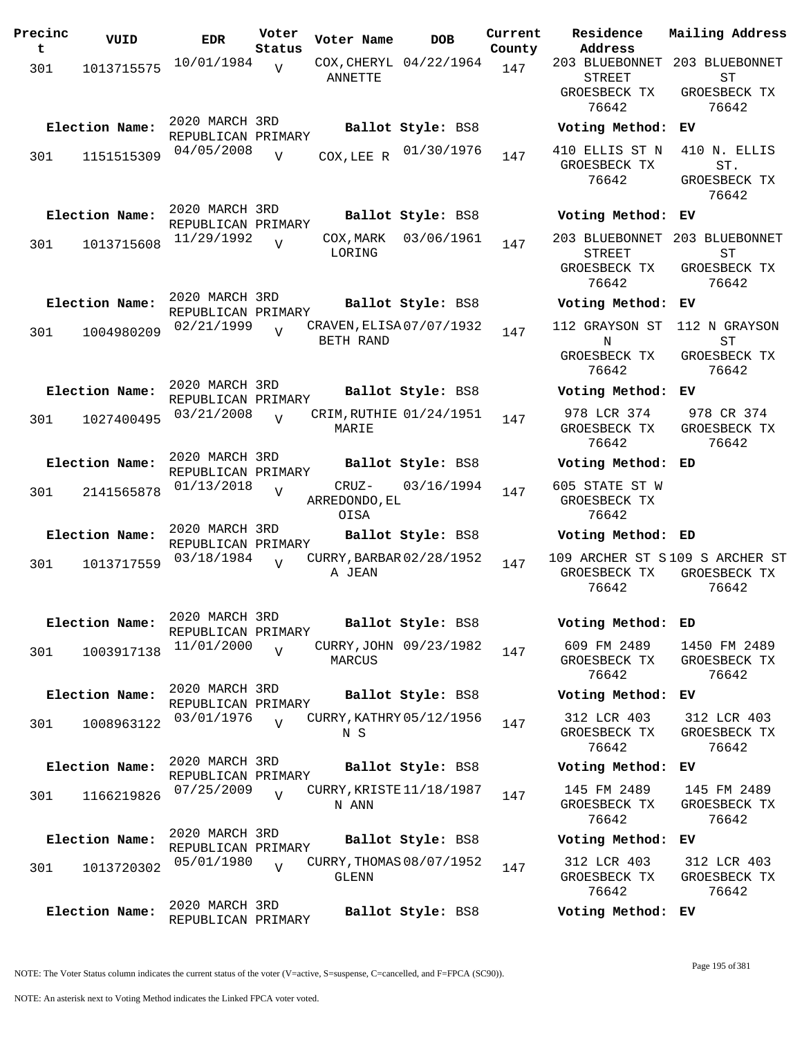| Precinc<br>t | VUID           | <b>EDR</b>                           | Voter<br>Status | Voter Name            | <b>DOB</b>               | Current<br>County | Residence<br>Address                                            | Mailing Addres                                 |
|--------------|----------------|--------------------------------------|-----------------|-----------------------|--------------------------|-------------------|-----------------------------------------------------------------|------------------------------------------------|
| 301          | 1013715575     | 10/01/1984                           | V               | ANNETTE               | COX, CHERYL 04/22/1964   | 147               | 203 BLUEBONNET 203 BLUEBONNE<br>STREET<br>GROESBECK TX<br>76642 | <b>ST</b><br>GROESBECK TX<br>76642             |
|              | Election Name: | 2020 MARCH 3RD                       |                 |                       | Ballot Style: BS8        |                   | Voting Method: EV                                               |                                                |
| 301          | 1151515309     | REPUBLICAN PRIMARY<br>04/05/2008     | $\overline{V}$  | COX, LEE R            | 01/30/1976               | 147               | 410 ELLIS ST N<br>GROESBECK TX<br>76642                         | 410 N. ELLIS<br>$\texttt{ST}.$<br>GROESBECK TX |
|              | Election Name: | 2020 MARCH 3RD                       |                 |                       | Ballot Style: BS8        |                   | Voting Method:                                                  | 76642<br>ЕV                                    |
|              |                | REPUBLICAN PRIMARY<br>11/29/1992     |                 | COX, MARK             | 03/06/1961               |                   | 203 BLUEBONNET                                                  | 203 BLUEBONNE                                  |
| 301          | 1013715608     |                                      | $\overline{U}$  | LORING                |                          | 147               | <b>STREET</b><br>GROESBECK TX<br>76642                          | ST<br>GROESBECK TX<br>76642                    |
|              | Election Name: | 2020 MARCH 3RD<br>REPUBLICAN PRIMARY |                 |                       | Ballot Style: BS8        |                   | Voting Method: EV                                               |                                                |
| 301          | 1004980209     | 02/21/1999                           | $\overline{V}$  | BETH RAND             | CRAVEN, ELISA 07/07/1932 | 147               | 112 GRAYSON ST<br>N                                             | 112 N GRAYSON<br>${\rm ST}$                    |
|              |                |                                      |                 |                       |                          |                   | GROESBECK TX<br>76642                                           | GROESBECK TX<br>76642                          |
|              | Election Name: | 2020 MARCH 3RD<br>REPUBLICAN PRIMARY |                 |                       | Ballot Style: BS8        |                   | Voting Method:                                                  | ЕV                                             |
| 301          | 1027400495     | 03/21/2008                           | $\overline{v}$  | MARIE                 | CRIM, RUTHIE 01/24/1951  | 147               | 978 LCR 374<br>GROESBECK TX<br>76642                            | 978 CR 374<br>GROESBECK TX<br>76642            |
|              | Election Name: | 2020 MARCH 3RD                       |                 |                       | Ballot Style: BS8        |                   | Voting Method: ED                                               |                                                |
| 301          | 2141565878     | REPUBLICAN PRIMARY<br>01/13/2018     | $\overline{V}$  | ARREDONDO, EL<br>OISA | CRUZ- 03/16/1994         | 147               | 605 STATE ST W<br>GROESBECK TX<br>76642                         |                                                |
|              | Election Name: | 2020 MARCH 3RD                       |                 |                       | Ballot Style: BS8        |                   | Voting Method: ED                                               |                                                |
| 301          | 1013717559     | REPUBLICAN PRIMARY<br>03/18/1984     | $\overline{V}$  | A JEAN                | CURRY, BARBAR 02/28/1952 | 147               | 109 ARCHER ST S109 S ARCHER S<br>GROESBECK TX<br>76642          | GROESBECK TX<br>76642                          |
|              | Election Name: | 2020 MARCH 3RD<br>REPUBLICAN PRIMARY |                 |                       | Ballot Style: BS8        |                   | Voting Method: ED                                               |                                                |
| 301          | 1003917138     | 11/01/2000                           | $\overline{U}$  | MARCUS                | CURRY, JOHN 09/23/1982   | 147               | 609 FM 2489<br>GROESBECK TX<br>76642                            | 1450 FM 2489<br>GROESBECK TX<br>76642          |
|              | Election Name: | 2020 MARCH 3RD<br>REPUBLICAN PRIMARY |                 |                       | Ballot Style: BS8        |                   | Voting Method:                                                  | ЕV                                             |
| 301          | 1008963122     | 03/01/1976                           | $\overline{U}$  | N S                   | CURRY, KATHRY 05/12/1956 | 147               | 312 LCR 403<br>GROESBECK TX<br>76642                            | 312 LCR 403<br>GROESBECK TX<br>76642           |
|              | Election Name: | 2020 MARCH 3RD<br>REPUBLICAN PRIMARY |                 |                       | Ballot Style: BS8        |                   | Voting Method:                                                  | ЕV                                             |
| 301          | 1166219826     | 07/25/2009                           | V               | N ANN                 | CURRY, KRISTE 11/18/1987 | 147               | 145 FM 2489<br>GROESBECK TX<br>76642                            | 145 FM 2489<br>GROESBECK TX<br>76642           |
|              | Election Name: | 2020 MARCH 3RD<br>REPUBLICAN PRIMARY |                 |                       | Ballot Style: BS8        |                   | Voting Method:                                                  | ЕV                                             |
| 301          | 1013720302     | 05/01/1980                           | $\overline{V}$  | GLENN                 | CURRY, THOMAS 08/07/1952 | 147               | 312 LCR 403<br>GROESBECK TX<br>76642                            | 312 LCR 403<br>GROESBECK TX<br>76642           |
|              | Election Name: | 2020 MARCH 3RD<br>REPUBLICAN PRIMARY |                 |                       | Ballot Style: BS8        |                   | Voting Method: EV                                               |                                                |

**Voter Name DOB Residence Address Current Mailing Address** 203 BLUEBONNET 203 BLUEBONNET STREET GROESBECK TX 76642 ST GROESBECK TX 76642 **Election Name: Ballot Style:** BS8 **Voting Method: EV** GROESBECK TX 76642 ST. GROESBECK TX 76642 **Election Name: Ballot Style:** BS8 **Voting Method: EV** 203 BLUEBONNET 203 BLUEBONNET STREET GROESBECK TX 76642 ST GROESBECK TX 76642 **Election Name: Ballot Style:** BS8 **Voting Method: EV** 112 GRAYSON ST 112 N GRAYSON N GROESBECK TX 76642 ST GROESBECK TX 76642 **Election Name: Ballot Style:** BS8 **Voting Method: EV** 978 LCR 374 GROESBECK TX 76642 978 CR 374 GROESBECK TX 76642 **Election Name: Ballot Style:** BS8 **Voting Method: ED** 605 STATE ST W GROESBECK TX 76642 **Election Name: Ballot Style:** BS8 **Voting Method: ED** 109 ARCHER ST S 109 S ARCHER ST GROESBECK TX GROESBECK TX 76642 76642 **Election Name: Ballot Style:** BS8 **Voting Method: ED** 609 FM 2489 GROESBECK TX 76642 1450 FM 2489 GROESBECK TX 76642 **Election Name: Ballot Style:** BS8 **Voting Method: EV** 312 LCR 403 GROESBECK TX 76642 312 LCR 403 GROESBECK TX 76642 **Election Name: Ballot Style:** BS8 **Voting Method: EV** 145 FM 2489 GROESBECK TX 76642 145 FM 2489 GROESBECK TX 76642 **Election Name: Ballot Style:** BS8 **Voting Method: EV** 312 LCR 403 GROESBECK TX 76642 312 LCR 403 GROESBECK TX 76642 **Election Name: Ballot Style:** BS8 **Voting Method: EV**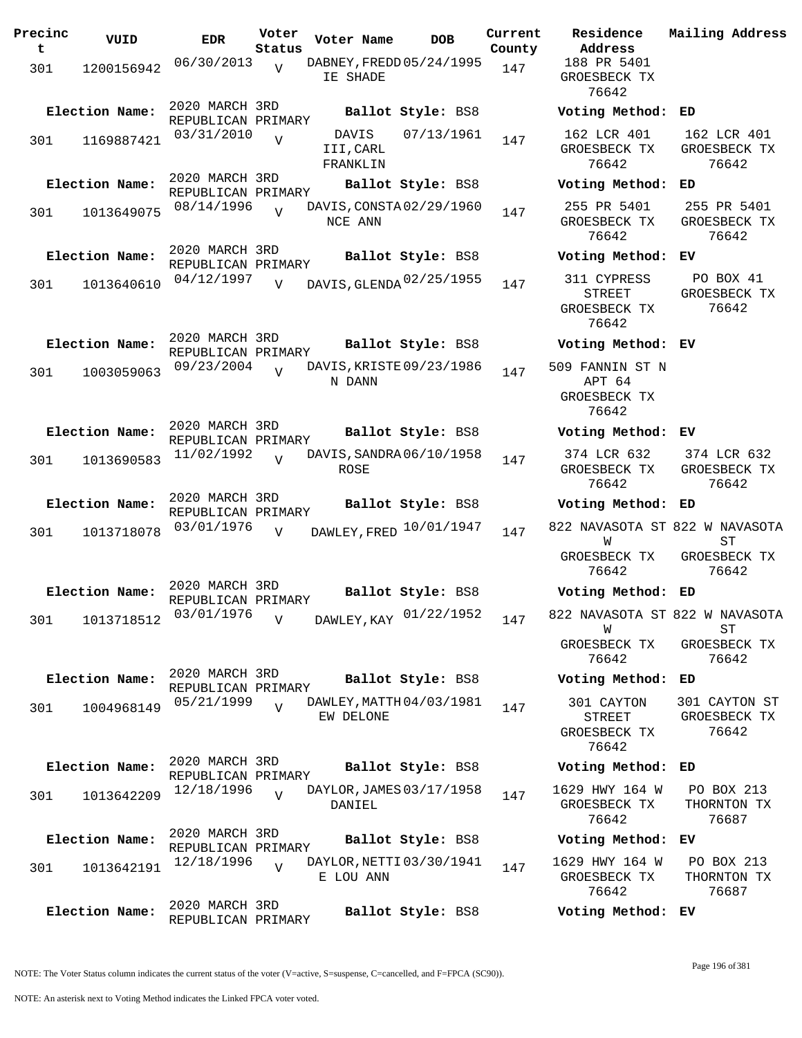| Precinc<br>t | VUID           | EDR                                  | Voter<br>Status | Voter Name                            | <b>DOB</b>        | Current<br>County | Residence<br>Address                                 | Mailing Address                        |
|--------------|----------------|--------------------------------------|-----------------|---------------------------------------|-------------------|-------------------|------------------------------------------------------|----------------------------------------|
| 301          | 1200156942     | 06/30/2013                           | $\overline{V}$  | DABNEY, FREDD 05/24/1995<br>IE SHADE  |                   | 147               | 188 PR 5401<br>GROESBECK TX<br>76642                 |                                        |
|              | Election Name: | 2020 MARCH 3RD<br>REPUBLICAN PRIMARY |                 |                                       | Ballot Style: BS8 |                   | Voting Method: ED                                    |                                        |
| 301          | 1169887421     | 03/31/2010                           | $\overline{V}$  | DAVIS<br>III, CARL<br>FRANKLIN        | 07/13/1961        | 147               | 162 LCR 401<br>GROESBECK TX<br>76642                 | 162 LCR 401<br>GROESBECK TX<br>76642   |
|              | Election Name: | 2020 MARCH 3RD<br>REPUBLICAN PRIMARY |                 |                                       | Ballot Style: BS8 |                   | Voting Method: ED                                    |                                        |
| 301          | 1013649075     | 08/14/1996                           |                 | DAVIS, CONSTA 02/29/1960<br>NCE ANN   |                   | 147               | 255 PR 5401<br>GROESBECK TX<br>76642                 | 255 PR 5401<br>GROESBECK TX<br>76642   |
|              | Election Name: | 2020 MARCH 3RD<br>REPUBLICAN PRIMARY |                 |                                       | Ballot Style: BS8 |                   | Voting Method: EV                                    |                                        |
| 301          | 1013640610     | 04/12/1997                           | V               | DAVIS, GLENDA 02/25/1955              |                   | 147               | 311 CYPRESS<br>STREET<br>GROESBECK TX<br>76642       | PO BOX 41<br>GROESBECK TX<br>76642     |
|              | Election Name: | 2020 MARCH 3RD<br>REPUBLICAN PRIMARY |                 |                                       | Ballot Style: BS8 |                   | Voting Method: EV                                    |                                        |
| 301          | 1003059063     | 09/23/2004                           | $\overline{U}$  | DAVIS, KRISTE 09/23/1986<br>N DANN    |                   | 147               | 509 FANNIN ST N<br>APT 64<br>GROESBECK TX<br>76642   |                                        |
|              | Election Name: | 2020 MARCH 3RD<br>REPUBLICAN PRIMARY |                 |                                       | Ballot Style: BS8 |                   | Voting Method: EV                                    |                                        |
| 301          | 1013690583     | 11/02/1992                           | $\overline{V}$  | DAVIS, SANDRA 06/10/1958<br>ROSE      |                   | 147               | 374 LCR 632<br>GROESBECK TX<br>76642                 | 374 LCR 632<br>GROESBECK TX<br>76642   |
|              | Election Name: | 2020 MARCH 3RD                       |                 |                                       | Ballot Style: BS8 |                   | Voting Method: ED                                    |                                        |
| 301          | 1013718078     | REPUBLICAN PRIMARY<br>03/01/1976     | $\overline{V}$  | DAWLEY, FRED 10/01/1947               |                   | 147               | 822 NAVASOTA ST 822 W NAVASOTA<br>W<br>GROESBECK TX  | <b>ST</b><br>GROESBECK TX              |
|              |                |                                      |                 |                                       |                   |                   | 76642                                                | 76642                                  |
|              | Election Name: | 2020 MARCH 3RD<br>REPUBLICAN PRIMARY |                 |                                       | Ballot Style: BS8 |                   | Voting Method: ED                                    |                                        |
| 301          | 1013718512     | 03/01/1976                           | $\overline{V}$  | DAWLEY, KAY 01/22/1952                |                   | 147               | 822 NAVASOTA ST 822 W NAVASOTA<br>W                  | <b>ST</b>                              |
|              |                |                                      |                 |                                       |                   |                   | GROESBECK TX<br>76642                                | GROESBECK TX<br>76642                  |
|              | Election Name: | 2020 MARCH 3RD<br>REPUBLICAN PRIMARY |                 |                                       | Ballot Style: BS8 |                   | Voting Method: ED                                    |                                        |
| 301          | 1004968149     | 05/21/1999                           | $\overline{V}$  | DAWLEY, MATTH 04/03/1981<br>EW DELONE |                   | 147               | 301 CAYTON<br><b>STREET</b><br>GROESBECK TX<br>76642 | 301 CAYTON ST<br>GROESBECK TX<br>76642 |
|              | Election Name: | 2020 MARCH 3RD                       |                 |                                       | Ballot Style: BS8 |                   | Voting Method: ED                                    |                                        |
|              |                | REPUBLICAN PRIMARY<br>12/18/1996     | $\overline{U}$  | DAYLOR, JAMES 03/17/1958              |                   |                   | 1629 HWY 164 W                                       | PO BOX 213                             |
| 301          | 1013642209     |                                      |                 | DANIEL                                |                   | 147               | GROESBECK TX<br>76642                                | THORNTON TX<br>76687                   |
|              | Election Name: | 2020 MARCH 3RD<br>REPUBLICAN PRIMARY |                 |                                       | Ballot Style: BS8 |                   | Voting Method: EV                                    |                                        |
| 301          | 1013642191     | 12/18/1996                           | $\overline{U}$  | DAYLOR, NETTI 03/30/1941<br>E LOU ANN |                   | 147               | 1629 HWY 164 W<br>GROESBECK TX<br>76642              | PO BOX 213<br>THORNTON TX<br>76687     |
|              | Election Name: | 2020 MARCH 3RD<br>REPUBLICAN PRIMARY |                 |                                       | Ballot Style: BS8 |                   | Voting Method: EV                                    |                                        |

NOTE: The Voter Status column indicates the current status of the voter (V=active, S=suspense, C=cancelled, and F=FPCA (SC90)).

Page 196 of 381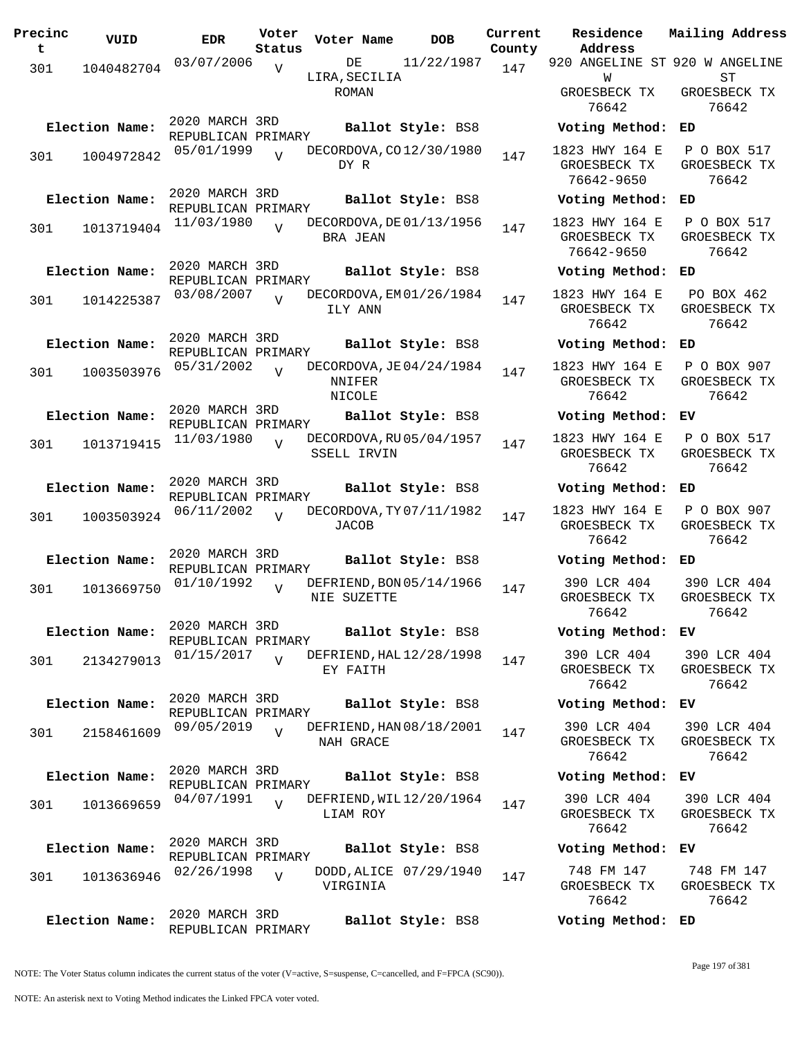| Precinc<br>t | VUID           | <b>EDR</b>                           | Voter<br>Status | Voter Name                                   | <b>DOB</b>             | Current<br>County | Residence<br>Address                         | Mailing Address                                  |
|--------------|----------------|--------------------------------------|-----------------|----------------------------------------------|------------------------|-------------------|----------------------------------------------|--------------------------------------------------|
| 301          | 1040482704     | 03/07/2006                           | $\overline{V}$  | DE                                           | 11/22/1987             | 147               | 920 ANGELINE ST 920 W ANGELINE               |                                                  |
|              |                |                                      |                 | LIRA, SECILIA<br>ROMAN                       |                        |                   | W<br>GROESBECK TX<br>76642                   | ST<br>GROESBECK TX<br>76642                      |
|              | Election Name: | 2020 MARCH 3RD                       |                 |                                              | Ballot Style: BS8      |                   | Voting Method:                               | ED                                               |
| 301          | 1004972842     | REPUBLICAN PRIMARY<br>05/01/1999     | $\overline{t}$  | DECORDOVA, CO 12/30/1980<br>DY R             |                        | 147               | 1823 HWY 164 E<br>GROESBECK TX<br>76642-9650 | P O BOX 517<br>GROESBECK TX<br>76642             |
|              | Election Name: | 2020 MARCH 3RD<br>REPUBLICAN PRIMARY |                 |                                              | Ballot Style: BS8      |                   | Voting Method:                               | ED                                               |
| 301          | 1013719404     | 11/03/1980                           |                 | DECORDOVA, DE 01/13/1956<br>BRA JEAN         |                        | 147               | 1823 HWY 164 E<br>GROESBECK TX<br>76642-9650 | P O BOX 517<br>GROESBECK TX<br>76642             |
|              | Election Name: | 2020 MARCH 3RD                       |                 |                                              | Ballot Style: BS8      |                   | Voting Method:                               | ED                                               |
| 301          | 1014225387     | REPUBLICAN PRIMARY<br>03/08/2007     | $\overline{U}$  | DECORDOVA, EM01/26/1984<br>ILY ANN           |                        | 147               | 1823 HWY 164 E<br>GROESBECK TX<br>76642      | PO BOX 462<br>GROESBECK TX<br>76642              |
|              | Election Name: | 2020 MARCH 3RD<br>REPUBLICAN PRIMARY |                 |                                              | Ballot Style: BS8      |                   | Voting Method:                               | ED                                               |
| 301          | 1003503976     | 05/31/2002                           | $\overline{U}$  | DECORDOVA, JE 04/24/1984<br>NNIFER<br>NICOLE |                        | 147               | 1823 HWY 164 E<br>GROESBECK TX<br>76642      | P O BOX 907<br>GROESBECK TX<br>76642             |
|              | Election Name: | 2020 MARCH 3RD<br>REPUBLICAN PRIMARY |                 |                                              | Ballot Style: BS8      |                   | Voting Method:                               | ЕV                                               |
| 301          | 1013719415     | 11/03/1980                           | $\overline{V}$  | DECORDOVA, RU 05/04/1957<br>SSELL IRVIN      |                        | 147               | 1823 HWY 164 E<br>GROESBECK TX<br>76642      | P O BOX 517<br>GROESBECK TX<br>76642             |
|              | Election Name: | 2020 MARCH 3RD<br>REPUBLICAN PRIMARY |                 |                                              | Ballot Style: BS8      |                   | Voting Method:                               | ED                                               |
| 301          | 1003503924     | 06/11/2002                           | $\overline{U}$  | DECORDOVA, TY 07/11/1982<br>JACOB            |                        | 147               | 1823 HWY 164 E<br>GROESBECK TX<br>76642      | P O BOX 907<br>GROESBECK TX<br>76642             |
|              | Election Name: | 2020 MARCH 3RD<br>REPUBLICAN PRIMARY |                 |                                              | Ballot Style: BS8      |                   | Voting Method:                               | ED                                               |
| 301          | 1013669750     | 01/10/1992                           | $\overline{U}$  | DEFRIEND, BON 05/14/1966<br>NIE SUZETTE      |                        | 147               | 390 LCR 404<br>GROESBECK TX<br>76642         | 390 LCR 404<br>GROESBECK TX<br>76642             |
|              | Election Name: | 2020 MARCH 3RD<br>REPUBLICAN PRIMARY |                 |                                              | Ballot Style: BS8      |                   | Voting Method: EV                            |                                                  |
| 301          | 2134279013     | $01/15/2017$ V                       |                 | DEFRIEND, HAL 12/28/1998<br>EY FAITH         |                        | 147               | GROESBECK TX<br>76642                        | 390 LCR 404 390 LCR 404<br>GROESBECK TX<br>76642 |
|              | Election Name: | 2020 MARCH 3RD<br>REPUBLICAN PRIMARY |                 |                                              | Ballot Style: BS8      |                   | Voting Method: EV                            |                                                  |
| 301          | 2158461609     | 09/05/2019                           | $\overline{U}$  | DEFRIEND, HAN 08/18/2001<br>NAH GRACE        |                        | 147               | 390 LCR 404<br>GROESBECK TX<br>76642         | 390 LCR 404<br>GROESBECK TX<br>76642             |
|              | Election Name: | 2020 MARCH 3RD<br>REPUBLICAN PRIMARY |                 |                                              | Ballot Style: BS8      |                   | Voting Method: EV                            |                                                  |
| 301          | 1013669659     | 04/07/1991                           | $\overline{U}$  | DEFRIEND, WIL 12/20/1964<br>LIAM ROY         |                        | 147               | 390 LCR 404<br>GROESBECK TX<br>76642         | 390 LCR 404<br>GROESBECK TX<br>76642             |
|              | Election Name: | 2020 MARCH 3RD<br>REPUBLICAN PRIMARY |                 |                                              | Ballot Style: BS8      |                   | Voting Method: EV                            |                                                  |
| 301          | 1013636946     | 02/26/1998                           | $\overline{V}$  | VIRGINIA                                     | DODD, ALICE 07/29/1940 | 147               | 748 FM 147<br>GROESBECK TX<br>76642          | 748 FM 147<br>GROESBECK TX<br>76642              |
|              | Election Name: | 2020 MARCH 3RD<br>REPUBLICAN PRIMARY |                 |                                              | Ballot Style: BS8      |                   | Voting Method: ED                            |                                                  |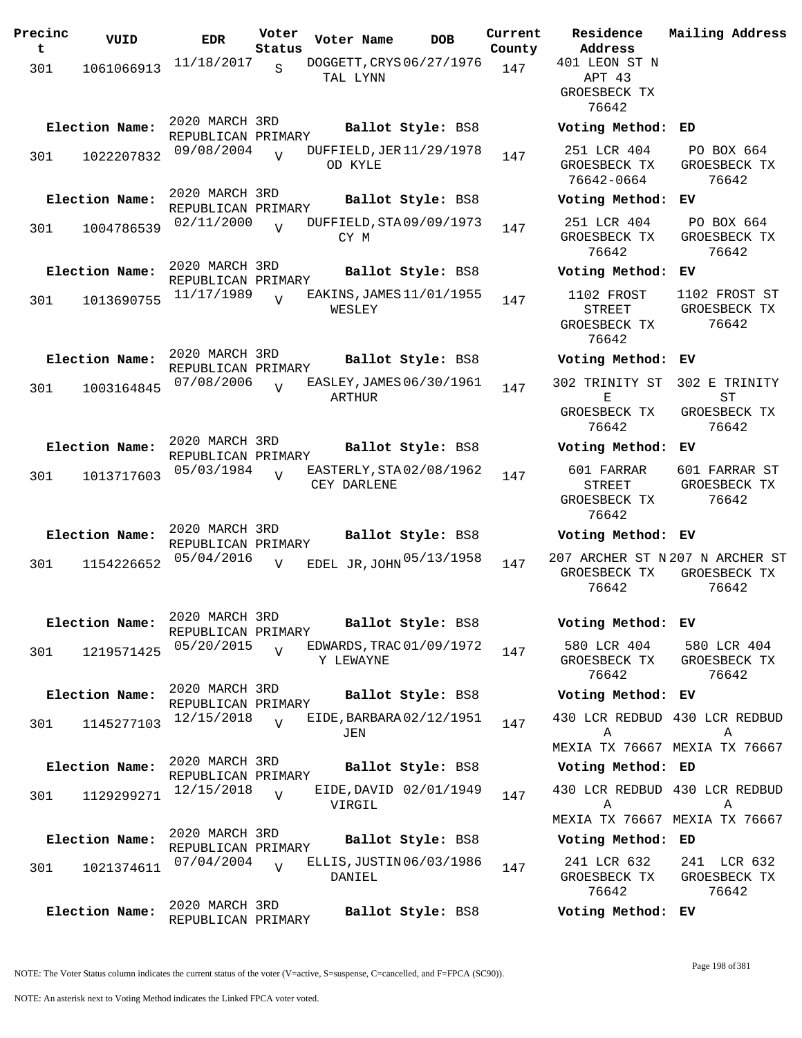| Precinc<br>t | VUID           | <b>EDR</b>                           | Voter<br>Status | Voter Name                             | <b>DOB</b>             | Current<br>County | Residence<br>Address                          |
|--------------|----------------|--------------------------------------|-----------------|----------------------------------------|------------------------|-------------------|-----------------------------------------------|
| 301          | 1061066913     | 11/18/2017                           | $\mathbf S$     | DOGGETT, CRYS 06/27/1976<br>TAL LYNN   |                        | 147               | 401 LEON ST N<br>APT 43<br>GROESBECK TX       |
|              | Election Name: | 2020 MARCH 3RD                       |                 |                                        | Ballot Style: BS8      |                   | 76642<br>Voting Method:                       |
| 301          | 1022207832     | REPUBLICAN PRIMARY<br>09/08/2004     | $\overline{V}$  | DUFFIELD, JER 11/29/1978<br>OD KYLE    |                        | 147               | 251 LCR 404<br>GROESBECK TX<br>76642-0664     |
|              | Election Name: | 2020 MARCH 3RD<br>REPUBLICAN PRIMARY |                 |                                        | Ballot Style: BS8      |                   | Voting Method:                                |
| 301          | 1004786539     | 02/11/2000                           | $\overline{V}$  | DUFFIELD, STA 09/09/1973<br>CY M       |                        | 147               | 251 LCR 404<br>GROESBECK TX<br>76642          |
|              | Election Name: | 2020 MARCH 3RD                       |                 |                                        | Ballot Style: BS8      |                   | Voting Method:                                |
| 301          | 1013690755     | REPUBLICAN PRIMARY<br>11/17/1989     | $\overline{V}$  | EAKINS, JAMES 11/01/1955<br>WESLEY     |                        | 147               | 1102 FROST<br>STREET<br>GROESBECK TX<br>76642 |
|              | Election Name: | 2020 MARCH 3RD<br>REPUBLICAN PRIMARY |                 |                                        | Ballot Style: BS8      |                   | Voting Method:                                |
| 301          | 1003164845     | 07/08/2006                           | $\overline{U}$  | EASLEY, JAMES 06/30/1961<br>ARTHUR     |                        | 147               | 302 TRINITY ST<br>Е                           |
|              |                |                                      |                 |                                        |                        |                   | GROESBECK TX<br>76642                         |
|              | Election Name: | 2020 MARCH 3RD<br>REPUBLICAN PRIMARY |                 |                                        | Ballot Style: BS8      |                   | Voting Method:                                |
| 301          | 1013717603     | 05/03/1984                           | $\overline{V}$  | EASTERLY, STA02/08/1962<br>CEY DARLENE |                        | 147               | 601 FARRAR<br>STREET<br>GROESBECK TX<br>76642 |
|              | Election Name: | 2020 MARCH 3RD<br>REPUBLICAN PRIMARY |                 |                                        | Ballot Style: BS8      |                   | Voting Method:                                |
| 301          | 1154226652     | 05/04/2016                           | $\overline{V}$  | EDEL JR, JOHN 05/13/1958               |                        | 147               | 207 ARCHER ST N<br>GROESBECK TX<br>76642      |
|              | Election Name: | 2020 MARCH 3RD<br>REPUBLICAN PRIMARY |                 |                                        | Ballot Style: BS8      |                   | Voting Method:                                |
| 301          | 1219571425     | 05/20/2015                           | V               | EDWARDS, TRAC 01/09/1972<br>Y LEWAYNE  |                        | 147               | 580 LCR 404<br>GROESBECK TX<br>76642          |
|              | Election Name: | 2020 MARCH 3RD<br>REPUBLICAN PRIMARY |                 |                                        | Ballot Style: BS8      |                   | Voting Method:                                |
| 301          | 1145277103     | 12/15/2018                           | $\overline{V}$  | EIDE, BARBARA 02/12/1951<br>JEN        |                        | 147               | 430 LCR REDBUD<br>Α<br>MEXIA TX 76667         |
|              | Election Name: | 2020 MARCH 3RD                       |                 |                                        | Ballot Style: BS8      |                   | Voting Method:                                |
|              |                | REPUBLICAN PRIMARY<br>12/15/2018     |                 |                                        | EIDE, DAVID 02/01/1949 |                   | 430 LCR REDBUD                                |
| 301          | 1129299271     |                                      | $\overline{V}$  | VIRGIL                                 |                        | 147               | Α<br>MEXIA TX 76667                           |
|              | Election Name: | 2020 MARCH 3RD<br>REPUBLICAN PRIMARY |                 |                                        | Ballot Style: BS8      |                   | Voting Method:                                |
| 301          | 1021374611     | 07/04/2004                           | $\overline{V}$  | ELLIS, JUSTIN 06/03/1986<br>DANIEL     |                        | 147               | 241 LCR 632<br>GROESBECK TX<br>76642          |
|              | Election Name: | 2020 MARCH 3RD<br>REPUBLICAN PRIMARY |                 |                                        | Ballot Style: BS8      |                   | Voting Method:                                |

**Address** 401 LEON ST N APT 43 GROESBECK TX 76642 **Election Name: Ballot Style:** BS8 **Voting Method: ED** 251 LCR 404 GROESBECK TX 76642-0664 PO BOX 664 GROESBECK TX 76642 **Election Name: Ballot Style:** BS8 **Voting Method: EV** 251 LCR 404 GROESBECK TX 76642 PO BOX 664 GROESBECK TX 76642 **Election Name: Ballot Style:** BS8 **Voting Method: EV** 1102 FROST STREET GROESBECK TX 76642 1102 FROST ST GROESBECK TX 76642 **Election Name: Ballot Style:** BS8 **Voting Method: EV** 302 TRINITY ST 302 E TRINITY E GROESBECK TX 76642 ST GROESBECK TX 76642 **Election Name: Ballot Style:** BS8 **Voting Method: EV** 601 FARRAR STREET GROESBECK TX 76642 601 FARRAR ST GROESBECK TX 76642 **Election Name: Ballot Style:** BS8 **Voting Method: EV** GROESBECK TX GROESBECK TX 76642 207 ARCHER ST N 207 N ARCHER ST 76642 **Election Name: Ballot Style:** BS8 **Voting Method: EV** 580 LCR 404 GROESBECK TX 76642 580 LCR 404 GROESBECK TX 76642 **Election Name: Ballot Style:** BS8 **Voting Method: EV** 430 LCR REDBUD 430 LCR REDBUD A MEXIA TX 76667 MEXIA TX 76667 A **Election Name: Ballot Style:** BS8 **Voting Method: ED** 430 LCR REDBUD 430 LCR REDBUD A MEXIA TX 76667 MEXIA TX 76667 A **Election Name: Ballot Style:** BS8 **Voting Method: ED** 241 LCR 632 GROESBECK TX 241 LCR 632 GROESBECK TX

**Current Mailing Address**

NOTE: The Voter Status column indicates the current status of the voter (V=active, S=suspense, C=cancelled, and F=FPCA (SC90)).

76642

**Election Name: Ballot Style:** BS8 **Voting Method: EV**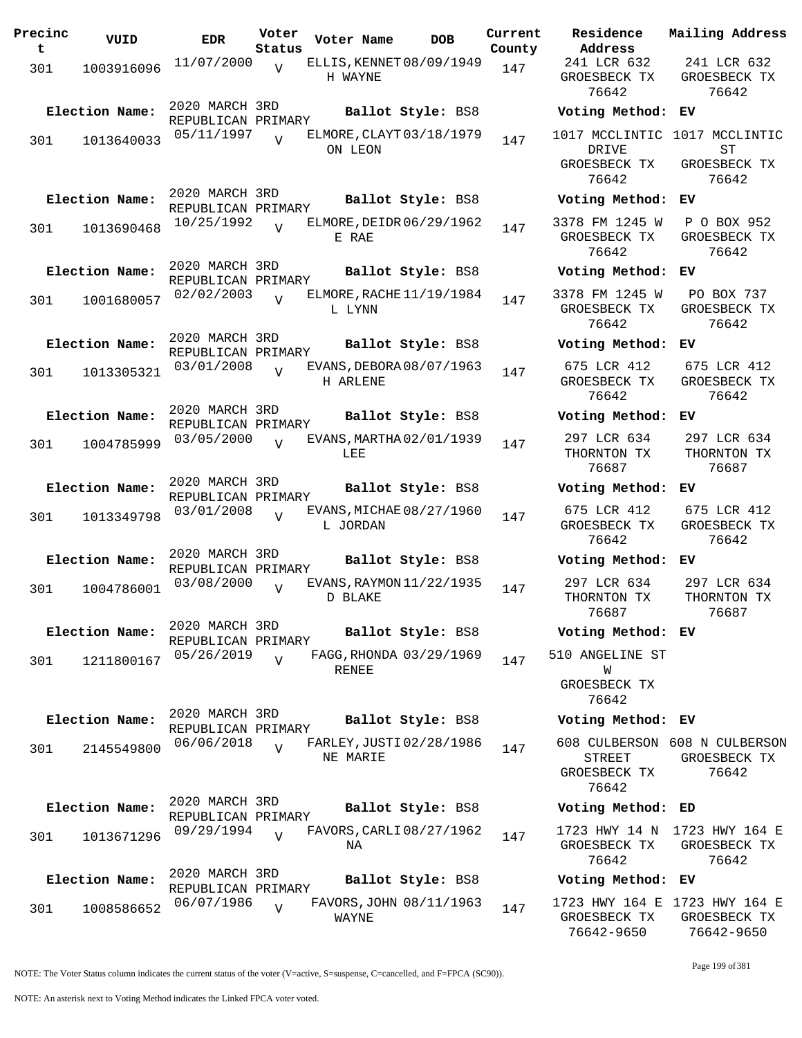| Precinc<br>t | VUID           | <b>EDR</b>                           | Voter<br>Status | Voter Name                           | <b>DOB</b>              | Current<br>County |
|--------------|----------------|--------------------------------------|-----------------|--------------------------------------|-------------------------|-------------------|
| 301          | 1003916096     | 11/07/2000                           | V               | ELLIS, KENNET 08/09/1949<br>H WAYNE  |                         | 147               |
|              | Election Name: | 2020 MARCH 3RD                       |                 |                                      | Ballot Style: BS8       |                   |
| 301          | 1013640033     | REPUBLICAN PRIMARY<br>05/11/1997     | ٦T              | ELMORE, CLAYT 03/18/1979<br>ON LEON  |                         | 147               |
|              | Election Name: | 2020 MARCH 3RD<br>REPUBLICAN PRIMARY |                 |                                      | Ballot Style: BS8       |                   |
| 301          | 1013690468     | 10/25/1992                           |                 | ELMORE, DEIDR 06/29/1962<br>E RAE    |                         | 147               |
|              | Election Name: | 2020 MARCH 3RD<br>REPUBLICAN PRIMARY |                 |                                      | Ballot Style: BS8       |                   |
| 301          | 1001680057     | 02/02/2003                           | ٦T              | ELMORE, RACHE 11/19/1984<br>L LYNN   |                         | 147               |
|              | Election Name: | 2020 MARCH 3RD<br>REPUBLICAN PRIMARY |                 |                                      | Ballot Style: BS8       |                   |
| 301          | 1013305321     | 03/01/2008                           | V               | EVANS, DEBORA 08/07/1963<br>H ARLENE |                         | 147               |
|              | Election Name: | 2020 MARCH 3RD<br>REPUBLICAN PRIMARY |                 |                                      | Ballot Style: BS8       |                   |
| 301          | 1004785999     | 03/05/2000                           | V               | EVANS, MARTHA 02/01/1939<br>LEE      |                         | 147               |
|              | Election Name: | 2020 MARCH 3RD<br>REPUBLICAN PRIMARY |                 |                                      | Ballot Style: BS8       |                   |
| 301          | 1013349798     | 03/01/2008                           | $\overline{U}$  | EVANS, MICHAE 08/27/1960<br>L JORDAN |                         | 147               |
|              | Election Name: | 2020 MARCH 3RD<br>REPUBLICAN PRIMARY |                 |                                      | Ballot Style: BS8       |                   |
| 301          | 1004786001     | 03/08/2000                           | V               | EVANS, RAYMON 11/22/1935<br>D BLAKE  |                         | 147               |
|              | Election Name: | 2020 MARCH 3RD<br>REPUBLICAN PRIMARY |                 |                                      | Ballot Style: BS8       |                   |
| 301          | 1211800167     | 05/26/2019                           | $\overline{V}$  | RENEE                                | FAGG, RHONDA 03/29/1969 | 147               |
|              | Election Name: | 2020 MARCH 3RD                       |                 |                                      | Ballot Style: BS8       |                   |
| 301          | 2145549800     | REPUBLICAN PRIMARY<br>06/06/2018     | $\overline{U}$  | FARLEY, JUSTI 02/28/1986<br>NE MARIE |                         | 147               |
|              |                |                                      |                 |                                      |                         |                   |
|              | Election Name: | 2020 MARCH 3RD<br>REPUBLICAN PRIMARY |                 |                                      | Ballot Style: BS8       |                   |
| 301          | 1013671296     | 09/29/1994                           | $\overline{V}$  | FAVORS, CARLI 08/27/1962<br>NA       |                         | 147               |
|              | Election Name: | 2020 MARCH 3RD<br>REPUBLICAN PRIMARY |                 |                                      | Ballot Style: BS8       |                   |
| 301          | 1008586652     | 06/07/1986                           | V               | WAYNE                                | FAVORS, JOHN 08/11/1963 | 147               |

**Voter Name DOB Residence Address Current Mailing Address** 241 LCR 632 GROESBECK TX 76642 241 LCR 632 GROESBECK TX 76642 **Election Name: Ballot Style:** BS8 **Voting Method: EV** 1017 MCCLINTIC 1017 MCCLINTIC DRIVE GROESBECK TX 76642 ST GROESBECK TX 76642 **Election Name: Ballot Style:** BS8 **Voting Method: EV** 3378 FM 1245 W GROESBECK TX 76642 P O BOX 952 GROESBECK TX 76642 **Election Name: Ballot Style:** BS8 **Voting Method: EV** 3378 FM 1245 W GROESBECK TX 76642 PO BOX 737 GROESBECK TX 76642 **Election Name: Ballot Style:** BS8 **Voting Method: EV** 675 LCR 412 GROESBECK TX 76642 675 LCR 412 GROESBECK TX 76642 **Election Name: Ballot Style:** BS8 **Voting Method: EV** 297 LCR 634 THORNTON TX 76687 297 LCR 634 THORNTON TX 76687 **Election Name: Ballot Style:** BS8 **Voting Method: EV** 675 LCR 412 GROESBECK TX 76642 675 LCR 412 GROESBECK TX 76642 **Election Name: Ballot Style:** BS8 **Voting Method: EV** 297 LCR 634 THORNTON TX 76687 297 LCR 634 THORNTON TX 76687 **Election Name: Ballot Style:** BS8 **Voting Method: EV** 510 ANGELINE ST W GROESBECK TX 76642 **Election Name: Ballot Style:** BS8 **Voting Method: EV** 608 CULBERSON 608 N CULBERSON STREET GROESBECK TX 76642 GROESBECK TX 76642 **Election Name: Ballot Style:** BS8 **Voting Method: ED** 1723 HWY 14 N 1723 HWY 164 E GROESBECK TX 76642 GROESBECK TX 76642 **Election Name: Ballot Style:** BS8 **Voting Method: EV** 1723 HWY 164 E 1723 HWY 164 E GROESBECK TX GROESBECK TX

NOTE: The Voter Status column indicates the current status of the voter (V=active, S=suspense, C=cancelled, and F=FPCA (SC90)).

76642-9650

76642-9650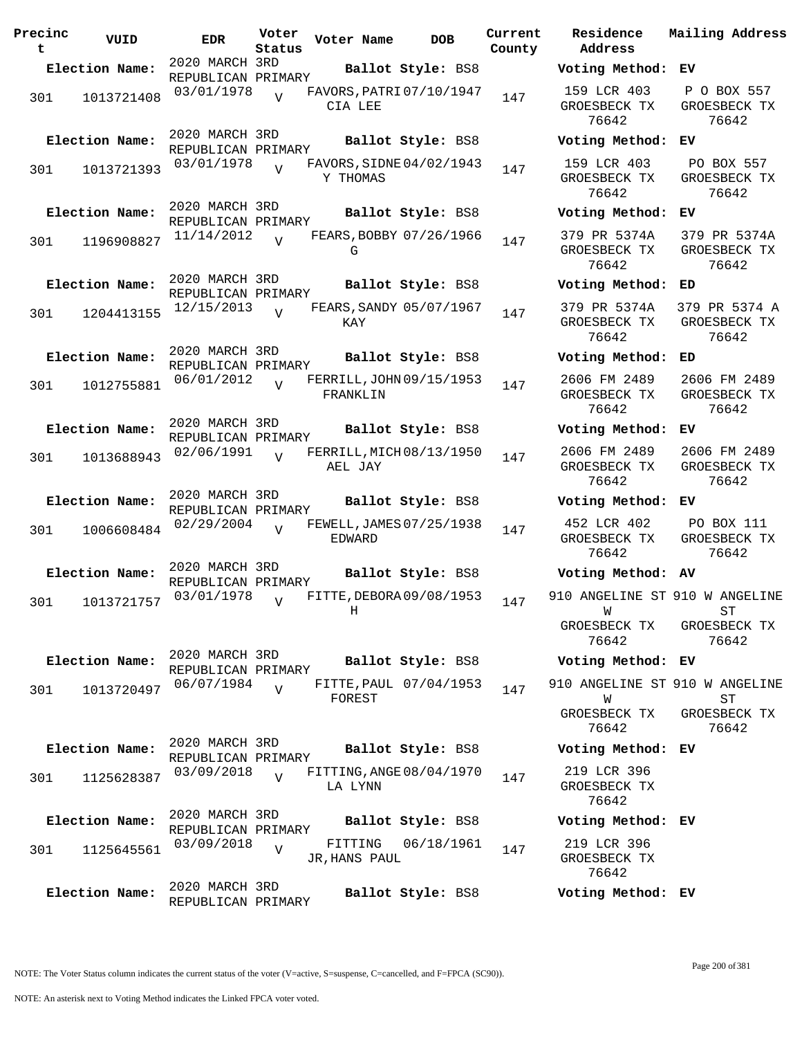| Precinc<br>t | VUID                         | <b>EDR</b>                                         | Voter<br>Status | Voter Name                           | <b>DOB</b>                                  | Current<br>County |
|--------------|------------------------------|----------------------------------------------------|-----------------|--------------------------------------|---------------------------------------------|-------------------|
|              | Election Name:               | 2020 MARCH 3RD                                     |                 |                                      | Ballot Style: BS8                           |                   |
| 301          | 1013721408                   | REPUBLICAN PRIMARY<br>03/01/1978                   | V               | FAVORS, PATRI 07/10/1947<br>CIA LEE  |                                             | 147               |
| 301          | Election Name:<br>1013721393 | 2020 MARCH 3RD<br>REPUBLICAN PRIMARY<br>03/01/1978 | $\overline{V}$  | FAVORS, SIDNE 04/02/1943<br>Y THOMAS | Ballot Style: BS8                           | 147               |
| 301          | Election Name:<br>1196908827 | 2020 MARCH 3RD<br>REPUBLICAN PRIMARY<br>11/14/2012 | $\overline{U}$  | FEARS, BOBBY 07/26/1966<br>G         | Ballot Style: BS8                           | 147               |
| 301          | Election Name:<br>1204413155 | 2020 MARCH 3RD<br>REPUBLICAN PRIMARY<br>12/15/2013 | $\overline{U}$  | FEARS, SANDY 05/07/1967<br>KAY       | Ballot Style: BS8                           | 147               |
| 301          | Election Name:<br>1012755881 | 2020 MARCH 3RD<br>REPUBLICAN PRIMARY<br>06/01/2012 | ٦T              | FERRILL, JOHN 09/15/1953<br>FRANKLIN | Ballot Style: BS8                           | 147               |
| 301          | Election Name:<br>1013688943 | 2020 MARCH 3RD<br>REPUBLICAN PRIMARY<br>02/06/1991 | $\overline{U}$  | FERRILL, MICH 08/13/1950<br>AEL JAY  | Ballot Style: BS8                           | 147               |
| 301          | Election Name:<br>1006608484 | 2020 MARCH 3RD<br>REPUBLICAN PRIMARY<br>02/29/2004 | V               | FEWELL, JAMES 07/25/1938<br>EDWARD   | Ballot Style: BS8                           | 147               |
| 301          | Election Name:<br>1013721757 | 2020 MARCH 3RD<br>REPUBLICAN PRIMARY<br>03/01/1978 | V               | FITTE, DEBORA 09/08/1953<br>Η        | Ballot Style: BS8                           | 147               |
| 301          | Election Name:<br>1013720497 | 2020 MARCH 3RD<br>REPUBLICAN PRIMARY<br>06/07/1984 | $\overline{V}$  | FOREST                               | Ballot Style: BS8<br>FITTE, PAUL 07/04/1953 | 147               |
| 301          | Election Name:<br>1125628387 | 2020 MARCH 3RD<br>REPUBLICAN PRIMARY<br>03/09/2018 | $\overline{U}$  | FITTING, ANGE 08/04/1970<br>LA LYNN  | Ballot Style: BS8                           | 147               |
| 301          | Election Name:<br>1125645561 | 2020 MARCH 3RD<br>REPUBLICAN PRIMARY<br>03/09/2018 | $\overline{V}$  | FITTING<br>JR, HANS PAUL             | Ballot Style: BS8<br>06/18/1961             | 147               |
|              | Election Name:               | 2020 MARCH 3RD<br>REPUBLICAN PRIMARY               |                 |                                      | Ballot Style: BS8                           |                   |

**Voter Name DOB Residence Address Current Mailing Address Election Name: Ballot Style:** BS8 **Voting Method: EV** 159 LCR 403 GROESBECK TX 76642 P O BOX 557 GROESBECK TX 76642 **Election Name: Ballot Style:** BS8 **Voting Method: EV** 159 LCR 403 GROESBECK TX 76642 PO BOX 557 GROESBECK TX 76642 **Election Name: Ballot Style:** BS8 **Voting Method: EV** 379 PR 5374A GROESBECK TX 76642 379 PR 5374A GROESBECK TX 76642 **Election Name: Ballot Style:** BS8 **Voting Method: ED** 379 PR 5374A GROESBECK TX 76642 379 PR 5374 A GROESBECK TX 76642 **Election Name: Ballot Style:** BS8 **Voting Method: ED** 2606 FM 2489 GROESBECK TX 76642 2606 FM 2489 GROESBECK TX 76642 **Election Name: Ballot Style:** BS8 **Voting Method: EV** 2606 FM 2489 GROESBECK TX 76642 2606 FM 2489 GROESBECK TX 76642 **Election Name: Ballot Style:** BS8 **Voting Method: EV** 452 LCR 402 GROESBECK TX 76642 PO BOX 111 GROESBECK TX 76642 **Election Name: Ballot Style:** BS8 **Voting Method: AV** 910 ANGELINE ST 910 W ANGELINE W GROESBECK TX 76642 ST GROESBECK TX 76642 **Election Name: Ballot Style:** BS8 **Voting Method: EV** 910 ANGELINE ST 910 W ANGELINE W GROESBECK TX 76642 ST GROESBECK TX 76642 **Election Name: Ballot Style:** BS8 **Voting Method: EV** 219 LCR 396 GROESBECK TX 76642 **Election Name: Ballot Style:** BS8 **Voting Method: EV** 219 LCR 396 GROESBECK TX 76642 **Election Name: Ballot Style:** BS8 **Voting Method: EV**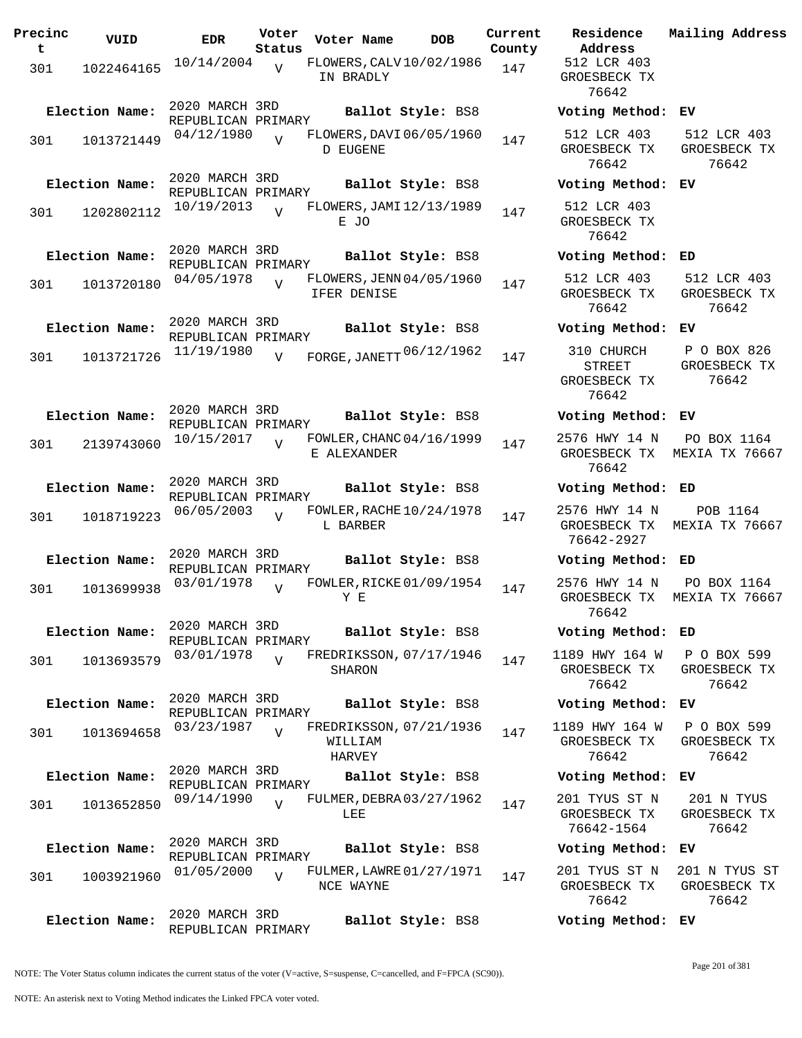| Precinc  | VUID           | <b>EDR</b>                           | Voter          | Voter Name                                   | DOB | Current       | Residence                                           |
|----------|----------------|--------------------------------------|----------------|----------------------------------------------|-----|---------------|-----------------------------------------------------|
| t<br>301 | 1022464165     | 10/14/2004                           | Status<br>V    | FLOWERS, CALV10/02/1986<br>IN BRADLY         |     | County<br>147 | Address<br>512 LCR 403<br>GROESBECK T<br>76642      |
|          | Election Name: | 2020 MARCH 3RD<br>REPUBLICAN PRIMARY |                | Ballot Style: BS8                            |     |               | Voting Meth                                         |
| 301      | 1013721449     | 04/12/1980                           | $\overline{V}$ | FLOWERS, DAVI 06/05/1960<br>D EUGENE         |     | 147           | 512 LCR 403<br>GROESBECK T<br>76642                 |
|          | Election Name: | 2020 MARCH 3RD<br>REPUBLICAN PRIMARY |                | Ballot Style: BS8                            |     |               | Voting Meth                                         |
| 301      | 1202802112     | 10/19/2013                           | $\overline{V}$ | FLOWERS, JAMI 12/13/1989<br>E JO             |     | 147           | 512 LCR 403<br>GROESBECK T<br>76642                 |
|          | Election Name: | 2020 MARCH 3RD<br>REPUBLICAN PRIMARY |                | Ballot Style: BS8                            |     |               | Voting Meth                                         |
| 301      | 1013720180     | 04/05/1978                           | $\overline{U}$ | FLOWERS, JENN 04/05/1960<br>IFER DENISE      |     | 147           | 512 LCR 403<br>GROESBECK T<br>76642                 |
|          | Election Name: | 2020 MARCH 3RD<br>REPUBLICAN PRIMARY |                | Ballot Style: BS8                            |     |               | Voting Meth                                         |
| 301      | 1013721726     | 11/19/1980                           | $\overline{V}$ | FORGE, JANETT 06/12/1962                     |     | 147           | 310 CHURCH<br><b>STREET</b><br>GROESBECK T<br>76642 |
|          | Election Name: | 2020 MARCH 3RD<br>REPUBLICAN PRIMARY |                | Ballot Style: BS8                            |     |               | Voting Meth                                         |
| 301      | 2139743060     | 10/15/2017                           | $\overline{V}$ | FOWLER, CHANC 04/16/1999<br>E ALEXANDER      |     | 147           | 2576 HWY 14<br>GROESBECK T<br>76642                 |
|          | Election Name: | 2020 MARCH 3RD<br>REPUBLICAN PRIMARY |                | Ballot Style: BS8                            |     |               | Voting Meth                                         |
| 301      | 1018719223     | 06/05/2003                           | $\overline{V}$ | FOWLER, RACHE 10/24/1978<br>L BARBER         |     | 147           | 2576 HWY 14<br>GROESBECK T<br>76642-2927            |
|          | Election Name: | 2020 MARCH 3RD<br>REPUBLICAN PRIMARY |                | Ballot Style: BS8                            |     |               | Voting Meth                                         |
| 301      | 1013699938     | 03/01/1978                           | $\overline{U}$ | FOWLER, RICKE 01/09/1954<br>Y E              |     | 147           | 2576 HWY 14<br>GROESBECK T<br>76642                 |
|          | Election Name: | 2020 MARCH 3RD<br>REPUBLICAN PRIMARY |                | Ballot Style: BS8                            |     |               | Voting Meth                                         |
| 301      | 1013693579     | 03/01/1978                           | $\overline{V}$ | FREDRIKSSON, 07/17/1946<br><b>SHARON</b>     |     | 147           | 1189 HWY 164<br>GROESBECK T<br>76642                |
|          | Election Name: | 2020 MARCH 3RD<br>REPUBLICAN PRIMARY |                | Ballot Style: BS8                            |     |               | Voting Meth                                         |
| 301      | 1013694658     | 03/23/1987                           | $\overline{U}$ | FREDRIKSSON, 07/21/1936<br>WILLIAM<br>HARVEY |     | 147           | 1189 HWY 164<br>GROESBECK T<br>76642                |
|          | Election Name: | 2020 MARCH 3RD                       |                | Ballot Style: BS8                            |     |               | Voting Meth                                         |
| 301      | 1013652850     | REPUBLICAN PRIMARY<br>09/14/1990     | $\overline{V}$ | FULMER, DEBRA 03/27/1962<br>LEE              |     | 147           | 201 TYUS ST<br>GROESBECK T<br>76642-1564            |
|          | Election Name: | 2020 MARCH 3RD<br>REPUBLICAN PRIMARY |                | Ballot Style: BS8                            |     |               | Voting Meth                                         |
| 301      | 1003921960     | 01/05/2000                           | $\overline{V}$ | FULMER, LAWRE 01/27/1971<br>NCE WAYNE        |     | 147           | 201 TYUS ST<br>GROESBECK T<br>76642                 |
|          | Election Name: | 2020 MARCH 3RD<br>REPUBLICAN PRIMARY |                | Ballot Style: BS8                            |     |               | Voting Meth                                         |

**Voter Name DOB Residence Address Current Mailing Address** 512 LCR 403 GROESBECK TX 76642 **Election Name: Ballot Style:** BS8 **Voting Method: EV** 512 LCR 403 GROESBECK TX 76642 512 LCR 403 GROESBECK TX 76642 **Election Name: Ballot Style:** BS8 **Voting Method: EV** 512 LCR 403 GROESBECK TX 76642 **Election Name: Ballot Style:** BS8 **Voting Method: ED** 512 LCR 403 GROESBECK TX 76642 512 LCR 403 GROESBECK TX 76642 **Election Name: Ballot Style:** BS8 **Voting Method: EV** STREET GROESBECK TX 76642 P O BOX 826 GROESBECK TX 76642 **Election Name: Ballot Style:** BS8 **Voting Method: EV** 2576 HWY 14 N GROESBECK TX MEXIA TX 76667 76642 PO BOX 1164 **Election Name: Ballot Style:** BS8 **Voting Method: ED** 2576 HWY 14 N GROESBECK TX MEXIA TX 76667 76642-2927 POB 1164 **Election Name: Ballot Style:** BS8 **Voting Method: ED** 2576 HWY 14 N GROESBECK TX MEXIA TX 76667 76642 PO BOX 1164 **Election Name: Ballot Style:** BS8 **Voting Method: ED** 1189 HWY 164 W GROESBECK TX 76642 P O BOX 599 GROESBECK TX 76642 **Election Name: Ballot Style:** BS8 **Voting Method: EV** 1189 HWY 164 W GROESBECK TX 76642 P O BOX 599 GROESBECK TX 76642 **Election Name: Ballot Style:** BS8 **Voting Method: EV** 201 TYUS ST N GROESBECK TX 76642-1564 201 N TYUS GROESBECK TX 76642 **Election Name: Ballot Style:** BS8 **Voting Method: EV** 201 TYUS ST N GROESBECK TX 201 N TYUS ST GROESBECK TX

NOTE: The Voter Status column indicates the current status of the voter (V=active, S=suspense, C=cancelled, and F=FPCA (SC90)).

76642

**Election Name: Ballot Style:** BS8 **Voting Method: EV**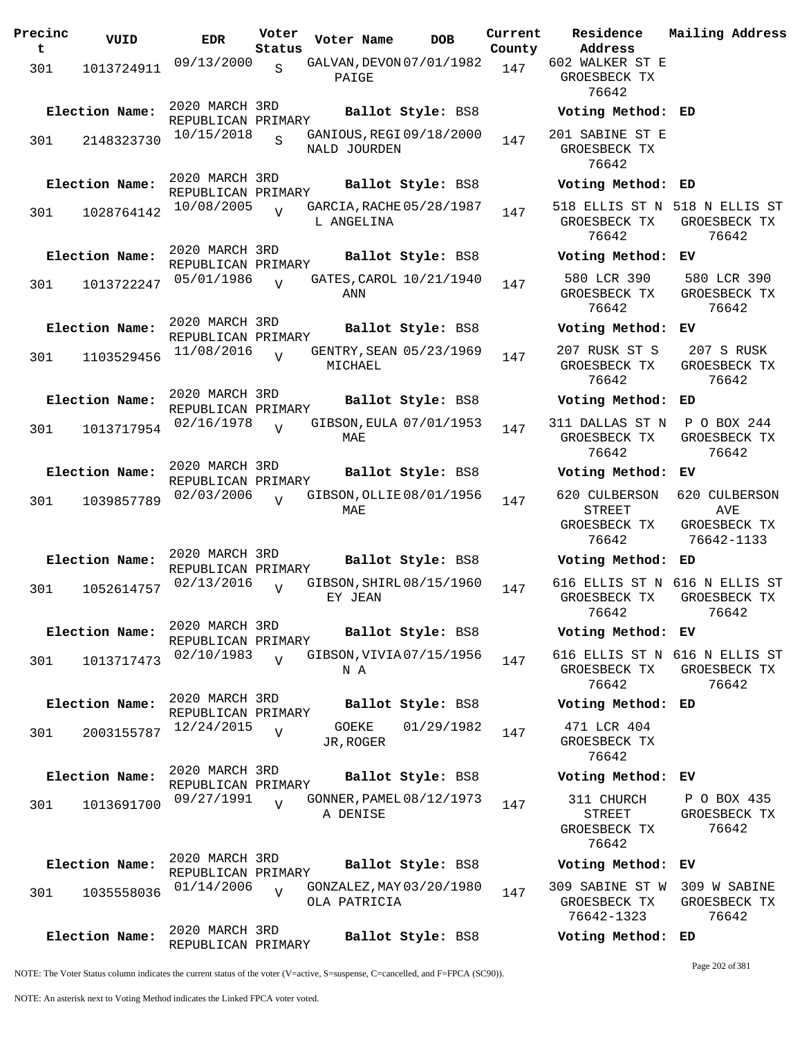| Precinc<br>t | VUID           | <b>EDR</b>                           | Voter<br>Status | Voter Name                               | <b>DOB</b>        | Current<br>County | Residence<br>Address                           | Mail                 |
|--------------|----------------|--------------------------------------|-----------------|------------------------------------------|-------------------|-------------------|------------------------------------------------|----------------------|
| 301          | 1013724911     | 09/13/2000                           | $\mathbf S$     | GALVAN, DEVON 07/01/1982<br>PAIGE        |                   | 147               | 602 WALKER ST E<br>GROESBECK TX<br>76642       |                      |
|              | Election Name: | 2020 MARCH 3RD<br>REPUBLICAN PRIMARY |                 |                                          | Ballot Style: BS8 |                   | Voting Method: ED                              |                      |
| 301          | 2148323730     | 10/15/2018                           | S               | GANIOUS, REGI 09/18/2000<br>NALD JOURDEN |                   | 147               | 201 SABINE ST E<br>GROESBECK TX<br>76642       |                      |
|              | Election Name: | 2020 MARCH 3RD<br>REPUBLICAN PRIMARY |                 |                                          | Ballot Style: BS8 |                   | Voting Method:                                 | ED                   |
| 301          | 1028764142     | 10/08/2005                           |                 | GARCIA, RACHE 05/28/1987<br>L ANGELINA   |                   | 147               | 518 ELLIS ST N 518<br>GROESBECK TX<br>76642    | GR                   |
|              | Election Name: | 2020 MARCH 3RD<br>REPUBLICAN PRIMARY |                 |                                          | Ballot Style: BS8 |                   | Voting Method:                                 | EV                   |
| 301          | 1013722247     | 05/01/1986                           | $\overline{U}$  | GATES, CAROL 10/21/1940<br>ANN           |                   | 147               | 580 LCR 390<br>GROESBECK TX<br>76642           | 58<br>GR             |
|              | Election Name: | 2020 MARCH 3RD<br>REPUBLICAN PRIMARY |                 |                                          | Ballot Style: BS8 |                   | Voting Method:                                 | EV                   |
| 301          | 1103529456     | 11/08/2016                           | $\overline{U}$  | GENTRY, SEAN 05/23/1969<br>MICHAEL       |                   | 147               | 207 RUSK ST S<br>GROESBECK TX<br>76642         | $\overline{c}$<br>GR |
|              | Election Name: | 2020 MARCH 3RD<br>REPUBLICAN PRIMARY |                 |                                          | Ballot Style: BS8 |                   | Voting Method:                                 | ED                   |
| 301          | 1013717954     | 02/16/1978                           | $\overline{V}$  | GIBSON, EULA 07/01/1953<br>MAE           |                   | 147               | 311 DALLAS ST N<br>GROESBECK TX<br>76642       | P<br>GR              |
|              | Election Name: | 2020 MARCH 3RD<br>REPUBLICAN PRIMARY |                 |                                          | Ballot Style: BS8 |                   | Voting Method:                                 | EV                   |
| 301          | 1039857789     | 02/03/2006                           | $\overline{z}$  | GIBSON, OLLIE 08/01/1956<br>MAE          |                   | 147               | 620 CULBERSON<br><b>STREET</b><br>GROESBECK TX | 620<br>GR            |
|              | Election Name: | 2020 MARCH 3RD<br>REPUBLICAN PRIMARY |                 |                                          | Ballot Style: BS8 |                   | 76642<br>Voting Method:                        | 7<br>ED              |
| 301          | 1052614757     | 02/13/2016                           | $\overline{U}$  | GIBSON, SHIRL 08/15/1960<br>EY JEAN      |                   | 147               | 616 ELLIS ST N<br>GROESBECK TX<br>76642        | 616<br>GR            |
|              | Election Name: | 2020 MARCH 3RD<br>REPUBLICAN PRIMARY |                 |                                          | Ballot Style: BS8 |                   | Voting Method: EV                              |                      |
| 301          | 1013717473     | 02/10/1983                           | $\overline{V}$  | GIBSON, VIVIA 07/15/1956<br>N A          |                   | 147               | 616 ELLIS ST N 616<br>GROESBECK TX<br>76642    | GR                   |
|              | Election Name: | 2020 MARCH 3RD<br>REPUBLICAN PRIMARY |                 |                                          | Ballot Style: BS8 |                   | Voting Method: ED                              |                      |
| 301          | 2003155787     | 12/24/2015                           | $\overline{U}$  | GOEKE<br>JR, ROGER                       | 01/29/1982        | 147               | 471 LCR 404<br>GROESBECK TX<br>76642           |                      |
|              | Election Name: | 2020 MARCH 3RD<br>REPUBLICAN PRIMARY |                 |                                          | Ballot Style: BS8 |                   | Voting Method:                                 | ЕV                   |
| 301          | 1013691700     | 09/27/1991                           | $\overline{V}$  | GONNER, PAMEL 08/12/1973<br>A DENISE     |                   | 147               | 311 CHURCH<br>STREET<br>GROESBECK TX<br>76642  | $\mathbf{P}$<br>GR   |
|              | Election Name: | 2020 MARCH 3RD<br>REPUBLICAN PRIMARY |                 |                                          | Ballot Style: BS8 |                   | Voting Method:                                 | EV                   |
| 301          | 1035558036     | 01/14/2006                           | $\overline{V}$  | GONZALEZ, MAY 03/20/1980<br>OLA PATRICIA |                   | 147               | 309 SABINE ST W<br>GROESBECK TX<br>76642-1323  | 30<br>GR             |
|              | Election Name: | 2020 MARCH 3RD                       |                 |                                          | Ballot Style: BS8 |                   | Voting Method: ED                              |                      |

**Voter Name DOB Residence Address Current Mailing Address** 602 WALKER ST E GROESBECK TX 76642 **Election Name: Ballot Style:** BS8 **Voting Method: ED** 201 SABINE ST E GROESBECK TX 76642 **Election Name: Ballot Style:** BS8 **Voting Method: ED** 518 ELLIS ST N 518 N ELLIS ST GROESBECK TX 76642 GROESBECK TX 76642 **Election Name: Ballot Style:** BS8 **Voting Method: EV** 580 LCR 390 GROESBECK TX 76642 580 LCR 390 GROESBECK TX 76642 **Election Name: Ballot Style:** BS8 **Voting Method: EV** 207 RUSK ST S GROESBECK TX 76642 207 S RUSK GROESBECK TX 76642 **Election Name: Ballot Style:** BS8 **Voting Method: ED** 311 DALLAS ST N P O BOX 244 GROESBECK TX 76642 GROESBECK TX 76642 **Election Name: Ballot Style:** BS8 **Voting Method: EV** 620 CULBERSON STREET GROESBECK TX 76642 620 CULBERSON AVE GROESBECK TX 76642-1133 **Election Name: Ballot Style:** BS8 **Voting Method: ED** 616 ELLIS ST N 616 N ELLIS ST GROESBECK TX 76642 GROESBECK TX 76642 **Election Name: Ballot Style:** BS8 **Voting Method: EV** 616 ELLIS ST N 616 N ELLIS ST GROESBECK TX 76642 GROESBECK TX 76642 **Election Name: Ballot Style:** BS8 **Voting Method: ED** 471 LCR 404 GROESBECK TX 76642 **Election Name: Ballot Style:** BS8 **Voting Method: EV** 311 CHURCH STREET GROESBECK TX 76642 P O BOX 435 GROESBECK TX 76642 **Election Name: Ballot Style:** BS8 **Voting Method: EV** 309 SABINE ST W 309 W SABINE GROESBECK TX 76642-1323 GROESBECK TX 76642

NOTE: The Voter Status column indicates the current status of the voter (V=active, S=suspense, C=cancelled, and F=FPCA (SC90)).

REPUBLICAN PRIMARY

Page 202 of 381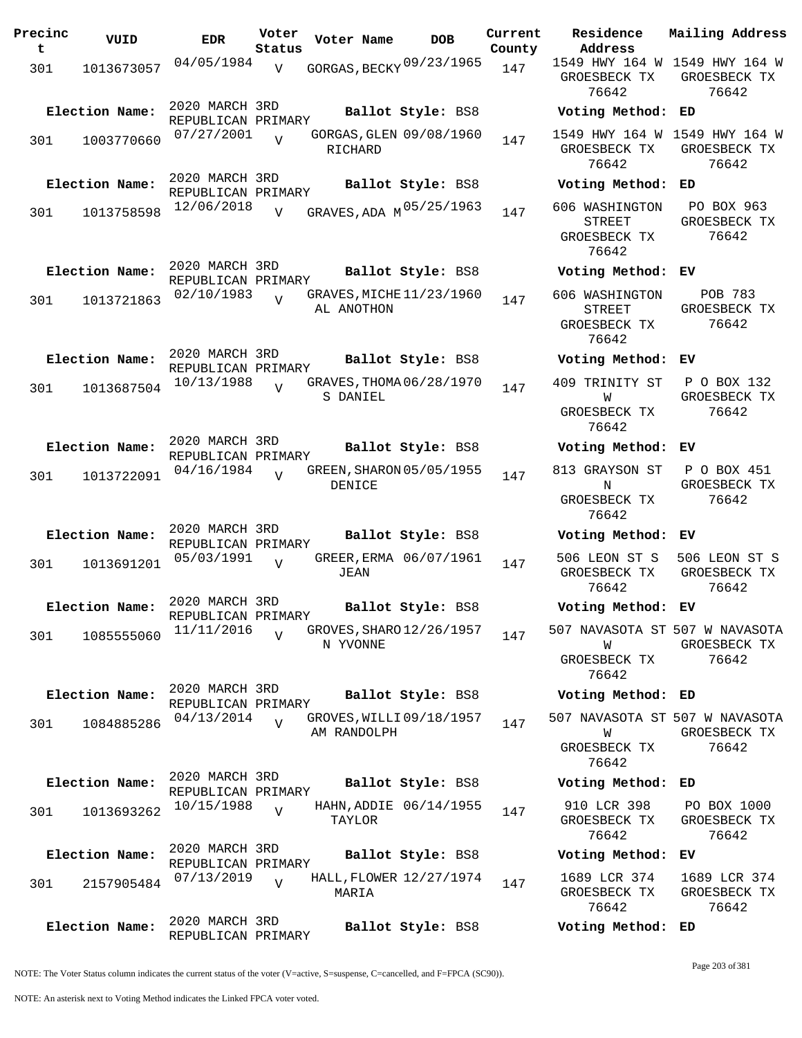| Precinc<br>t | VUID           | <b>EDR</b>                           | Voter<br>Status | Voter Name                              | <b>DOB</b>             | Current<br>County | Residence<br>Address                                     | Mail              |
|--------------|----------------|--------------------------------------|-----------------|-----------------------------------------|------------------------|-------------------|----------------------------------------------------------|-------------------|
| 301          | 1013673057     | 04/05/1984                           | $\overline{V}$  | GORGAS, BECKY 09/23/1965                |                        | 147               | 1549 HWY 164 W 154<br>GROESBECK TX<br>76642              | GR                |
|              | Election Name: | 2020 MARCH 3RD<br>REPUBLICAN PRIMARY |                 |                                         | Ballot Style: BS8      |                   | Voting Method:                                           | ED                |
| 301          | 1003770660     | 07/27/2001                           | $\overline{U}$  | GORGAS, GLEN 09/08/1960<br>RICHARD      |                        | 147               | 1549 HWY 164 W<br>GROESBECK TX<br>76642                  | 154<br>GR         |
|              | Election Name: | 2020 MARCH 3RD<br>REPUBLICAN PRIMARY |                 |                                         | Ballot Style: BS8      |                   | Voting Method:                                           | ED                |
| 301          | 1013758598     | 12/06/2018                           | $\overline{V}$  | GRAVES, ADA M 05/25/1963                |                        | 147               | 606 WASHINGTON<br><b>STREET</b><br>GROESBECK TX<br>76642 | $\mathbf P$<br>GR |
|              | Election Name: | 2020 MARCH 3RD<br>REPUBLICAN PRIMARY |                 |                                         | Ballot Style: BS8      |                   | Voting Method:                                           | ЕV                |
| 301          | 1013721863     | 02/10/1983                           | $\overline{17}$ | GRAVES, MICHE 11/23/1960<br>AL ANOTHON  |                        | 147               | 606 WASHINGTON<br><b>STREET</b><br>GROESBECK TX<br>76642 | GR                |
|              | Election Name: | 2020 MARCH 3RD<br>REPUBLICAN PRIMARY |                 |                                         | Ballot Style: BS8      |                   | Voting Method:                                           | EV                |
| 301          | 1013687504     | 10/13/1988                           | $\overline{U}$  | GRAVES, THOMA 06/28/1970<br>S DANIEL    |                        | 147               | 409 TRINITY ST<br>W<br>GROESBECK TX                      | $\mathbf P$<br>GR |
|              | Election Name: | 2020 MARCH 3RD                       |                 |                                         | Ballot Style: BS8      |                   | 76642<br>Voting Method:                                  | EV                |
| 301          | 1013722091     | REPUBLICAN PRIMARY<br>04/16/1984     | $\overline{V}$  | GREEN, SHARON 05/05/1955<br>DENICE      |                        | 147               | 813 GRAYSON ST<br>N<br>GROESBECK TX<br>76642             | $\mathbf P$<br>GR |
|              | Election Name: | 2020 MARCH 3RD<br>REPUBLICAN PRIMARY |                 |                                         | Ballot Style: BS8      |                   | Voting Method:                                           | EV                |
| 301          | 1013691201     | 05/03/1991                           | $\overline{v}$  | <b>JEAN</b>                             | GREER, ERMA 06/07/1961 | 147               | 506 LEON ST S<br>GROESBECK TX<br>76642                   | 506<br>GR         |
|              | Election Name: | 2020 MARCH 3RD<br>REPUBLICAN PRIMARY |                 |                                         | Ballot Style: BS8      |                   | Voting Method:                                           | EV                |
| 301          | 1085555060     | 11/11/2016                           | $\overline{V}$  | GROVES, SHARO 12/26/1957<br>N YVONNE    |                        | 147               | 507 NAVASOTA ST 507<br>W<br>GROESBECK TX<br>76642        | GR                |
|              | Election Name: | 2020 MARCH 3RD<br>REPUBLICAN PRIMARY |                 |                                         | Ballot Style: BS8      |                   | Voting Method:                                           | ED                |
| 301          | 1084885286     | 04/13/2014                           | $\overline{V}$  | GROVES, WILLI 09/18/1957<br>AM RANDOLPH |                        | 147               | 507 NAVASOTA ST 507<br>W<br>GROESBECK TX<br>76642        | GR                |
|              | Election Name: | 2020 MARCH 3RD<br>REPUBLICAN PRIMARY |                 |                                         | Ballot Style: BS8      |                   | Voting Method:                                           | ED                |
| 301          | 1013693262     | 10/15/1988                           | $\overline{U}$  | HAHN, ADDIE 06/14/1955<br>TAYLOR        |                        | 147               | 910 LCR 398<br>GROESBECK TX<br>76642                     | P(<br>GR          |
|              | Election Name: | 2020 MARCH 3RD<br>REPUBLICAN PRIMARY |                 |                                         | Ballot Style: BS8      |                   | Voting Method:                                           | EV                |
| 301          | 2157905484     | 07/13/2019                           | $\overline{V}$  | HALL, FLOWER 12/27/1974<br>MARIA        |                        | 147               | 1689 LCR 374<br>GROESBECK TX<br>76642                    | 16<br>GR          |
|              | Election Name: | 2020 MARCH 3RD<br>REPUBLICAN PRIMARY |                 |                                         | Ballot Style: BS8      |                   | Voting Method: ED                                        |                   |

**Voter Name DOB Residence Address Current Mailing Address** GROESBECK TX GROESBECK TX 76642 49 HWY 164 W 1549 HWY 164 W 76642 **Election Name: Ballot Style:** BS8 **Voting Method: ED** 1549 HWY 164 W 1549 HWY 164 W GROESBECK TX 76642 GROESBECK TX 76642 **Election Name: Ballot Style:** BS8 **Voting Method: ED** STREET GROESBECK TX 76642 PO BOX 963 GROESBECK TX 76642 **Election Name: Ballot Style:** BS8 **Voting Method: EV** 606 WASHINGTON STREET GROESBECK TX 76642 POB 783 GROESBECK TX 76642 **Election Name: Ballot Style:** BS8 **Voting Method: EV** 409 TRINITY ST W GROESBECK TX 76642 P O BOX 132 GROESBECK TX 76642 **Election Name: Ballot Style:** BS8 **Voting Method: EV** 3 GRAYSON ST N GROESBECK TX 76642 P O BOX 451 GROESBECK TX 76642 **Election Name: Ballot Style:** BS8 **Voting Method: EV** 506 LEON ST S ROESBECK TX 76642 506 LEON ST S GROESBECK TX 76642 **Election Name: Ballot Style:** BS8 **Voting Method: EV** 507 NAVASOTA ST 507 W NAVASOTA W ROESBECK TX 76642 GROESBECK TX 76642 **Election Name: Ballot Style:** BS8 **Voting Method: ED** 507 NAVASOTA ST 507 W NAVASOTA W ROESBECK TX 76642 GROESBECK TX 76642 **Election Name: Ballot Style:** BS8 **Voting Method: ED** 910 LCR 398 GROESBECK TX 76642 PO BOX 1000 GROESBECK TX 76642 **Election Name: Ballot Style:** BS8 **Voting Method: EV** 1689 LCR 374 ROESBECK TX 76642 1689 LCR 374 GROESBECK TX 76642

NOTE: The Voter Status column indicates the current status of the voter (V=active, S=suspense, C=cancelled, and F=FPCA (SC90)).

NOTE: An asterisk next to Voting Method indicates the Linked FPCA voter voted.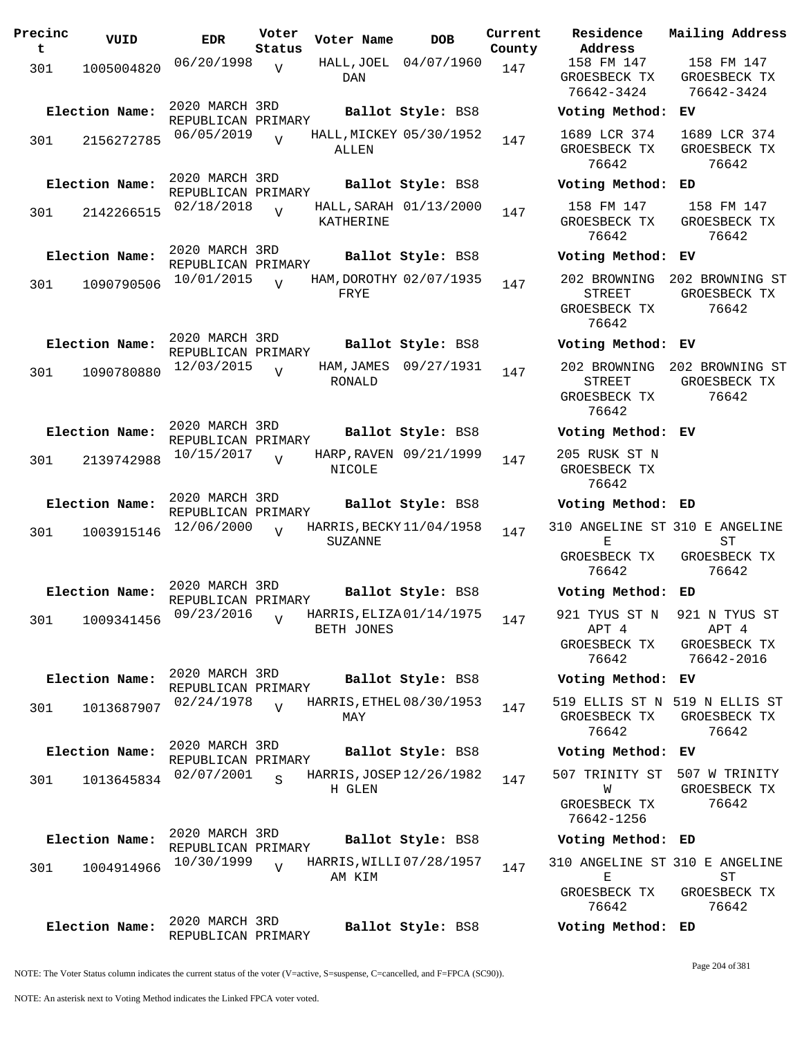| Precinc<br>t | VUID           | <b>EDR</b>                           | Voter<br>Status | Voter Name     | <b>DOB</b>               | Current<br>County | Residence<br>Address                                   | Mai.                    |
|--------------|----------------|--------------------------------------|-----------------|----------------|--------------------------|-------------------|--------------------------------------------------------|-------------------------|
| 301          | 1005004820     | 06/20/1998                           | $\overline{V}$  | <b>DAN</b>     | HALL, JOEL 04/07/1960    | 147               | 158 FM 147<br>GROESBECK TX<br>76642-3424               | $\mathbf{1}$<br>GR<br>7 |
|              | Election Name: | 2020 MARCH 3RD<br>REPUBLICAN PRIMARY |                 |                | Ballot Style: BS8        |                   | Voting Method:                                         | EV                      |
| 301          | 2156272785     | 06/05/2019                           | $\overline{V}$  | ALLEN          | HALL, MICKEY 05/30/1952  | 147               | 1689 LCR 374<br>GROESBECK TX<br>76642                  | 16<br>GR                |
|              | Election Name: | 2020 MARCH 3RD<br>REPUBLICAN PRIMARY |                 |                | Ballot Style: BS8        |                   | Voting Method:                                         | ED                      |
| 301          | 2142266515     | 02/18/2018                           | $\overline{U}$  | KATHERINE      | HALL, SARAH 01/13/2000   | 147               | 158 FM 147<br>GROESBECK TX<br>76642                    | $\mathbf{1}$<br>GR      |
|              | Election Name: | 2020 MARCH 3RD<br>REPUBLICAN PRIMARY |                 |                | Ballot Style: BS8        |                   | Voting Method:                                         | EV                      |
| 301          | 1090790506     | 10/01/2015                           | $\overline{U}$  | FRYE           | HAM, DOROTHY 02/07/1935  | 147               | 202 BROWNING<br>STREET<br>GROESBECK TX<br>76642        | 202<br>GR               |
|              | Election Name: | 2020 MARCH 3RD<br>REPUBLICAN PRIMARY |                 |                | Ballot Style: BS8        |                   | Voting Method: EV                                      |                         |
| 301          | 1090780880     | 12/03/2015                           | $\overline{V}$  | RONALD         | HAM, JAMES 09/27/1931    | 147               | 202 BROWNING<br><b>STREET</b><br>GROESBECK TX<br>76642 | 202<br>GR               |
|              | Election Name: | 2020 MARCH 3RD<br>REPUBLICAN PRIMARY |                 |                | Ballot Style: BS8        |                   | Voting Method: EV                                      |                         |
| 301          | 2139742988     | 10/15/2017                           | $\overline{U}$  | NICOLE         | HARP, RAVEN 09/21/1999   | 147               | 205 RUSK ST N<br>GROESBECK TX<br>76642                 |                         |
|              | Election Name: | 2020 MARCH 3RD<br>REPUBLICAN PRIMARY |                 |                | Ballot Style: BS8        |                   | Voting Method: ED                                      |                         |
| 301          | 1003915146     | 12/06/2000                           | $\overline{17}$ | <b>SUZANNE</b> | HARRIS, BECKY 11/04/1958 | 147               | 310 ANGELINE ST 310<br>Е                               |                         |
|              |                |                                      |                 |                |                          |                   | GROESBECK TX<br>76642                                  | GR                      |
|              | Election Name: | 2020 MARCH 3RD<br>REPUBLICAN PRIMARY |                 |                | Ballot Style: BS8        |                   | Voting Method: ED                                      |                         |
| 301          | 1009341456     | 09/23/2016                           | $\overline{V}$  | BETH JONES     | HARRIS, ELIZA 01/14/1975 | 147               | 921 TYUS ST N 92<br>APT 4<br>GROESBECK TX<br>76642     | GR<br>7                 |
|              | Election Name: | 2020 MARCH 3RD                       |                 |                | Ballot Style: BS8        |                   | Voting Method:                                         | EV                      |
| 301          | 1013687907     | REPUBLICAN PRIMARY<br>02/24/1978     | $\overline{V}$  | MAY            | HARRIS, ETHEL 08/30/1953 | 147               | 519 ELLIS ST N 519<br>GROESBECK TX<br>76642            | GR                      |
|              | Election Name: | 2020 MARCH 3RD<br>REPUBLICAN PRIMARY |                 |                | Ballot Style: BS8        |                   | Voting Method:                                         | EV                      |
| 301          | 1013645834     | 02/07/2001                           | S               |                | HARRIS, JOSEP 12/26/1982 | 147               | 507 TRINITY ST                                         | 50 <sup>°</sup>         |
|              |                |                                      |                 | H GLEN         |                          |                   | W<br>GROESBECK TX<br>76642-1256                        | GR                      |
|              | Election Name: | 2020 MARCH 3RD<br>REPUBLICAN PRIMARY |                 |                | Ballot Style: BS8        |                   | Voting Method: ED                                      |                         |
| 301          | 1004914966     | 10/30/1999                           | $\overline{V}$  | AM KIM         | HARRIS, WILLI 07/28/1957 | 147               | 310 ANGELINE ST 310<br>Е<br>GROESBECK TX               | GR                      |
|              |                | 2020 MARCH 3RD                       |                 |                |                          |                   | 76642                                                  |                         |
|              | Election Name: | REPUBLICAN PRIMARY                   |                 |                | Ballot Style: BS8        |                   | Voting Method: ED                                      |                         |

**Voter Name DOB Residence Address Current Mailing Address** 158 FM 147 GROESBECK TX 76642-3424 158 FM 147 GROESBECK TX 76642-3424 **Election Name: Ballot Style:** BS8 **Voting Method: EV** 1689 LCR 374 GROESBECK TX 76642 1689 LCR 374 GROESBECK TX 76642 **Election Name: Ballot Style:** BS8 **Voting Method: ED** 158 FM 147 GROESBECK TX 76642 158 FM 147 GROESBECK TX 76642 **Election Name: Ballot Style:** BS8 **Voting Method: EV** 202 BROWNING 202 BROWNING ST STREET GROESBECK TX 76642 GROESBECK TX 76642 **Election Name: Ballot Style:** BS8 **Voting Method: EV** 202 BROWNING 202 BROWNING ST STREET GROESBECK TX 76642 GROESBECK TX 76642 **Election Name: Ballot Style:** BS8 **Voting Method: EV** 205 RUSK ST N GROESBECK TX 76642 **Election Name: Ballot Style:** BS8 **Voting Method: ED** 310 ANGELINE ST 310 E ANGELINE  $E$ GROESBECK TX 76642  $ST$ GROESBECK TX 76642 **Election Name: Ballot Style:** BS8 **Voting Method: ED** 921 TYUS ST N APT 4 GROESBECK TX 76642 921 N TYUS ST APT 4 GROESBECK TX 76642-2016 **Election Name: Ballot Style:** BS8 **Voting Method: EV** 519 ELLIS ST N 519 N ELLIS ST GROESBECK TX 76642 GROESBECK TX 76642 **Election Name: Ballot Style:** BS8 **Voting Method: EV** 507 TRINITY ST 507 W TRINITY W GROESBECK TX 76642-1256 GROESBECK TX 76642 **Election Name: Ballot Style:** BS8 **Voting Method: ED** 310 ANGELINE ST 310 E ANGELINE E ST

GROESBECK TX 76642 GROESBECK TX 76642

NOTE: The Voter Status column indicates the current status of the voter (V=active, S=suspense, C=cancelled, and F=FPCA (SC90)).

Page 204 of 381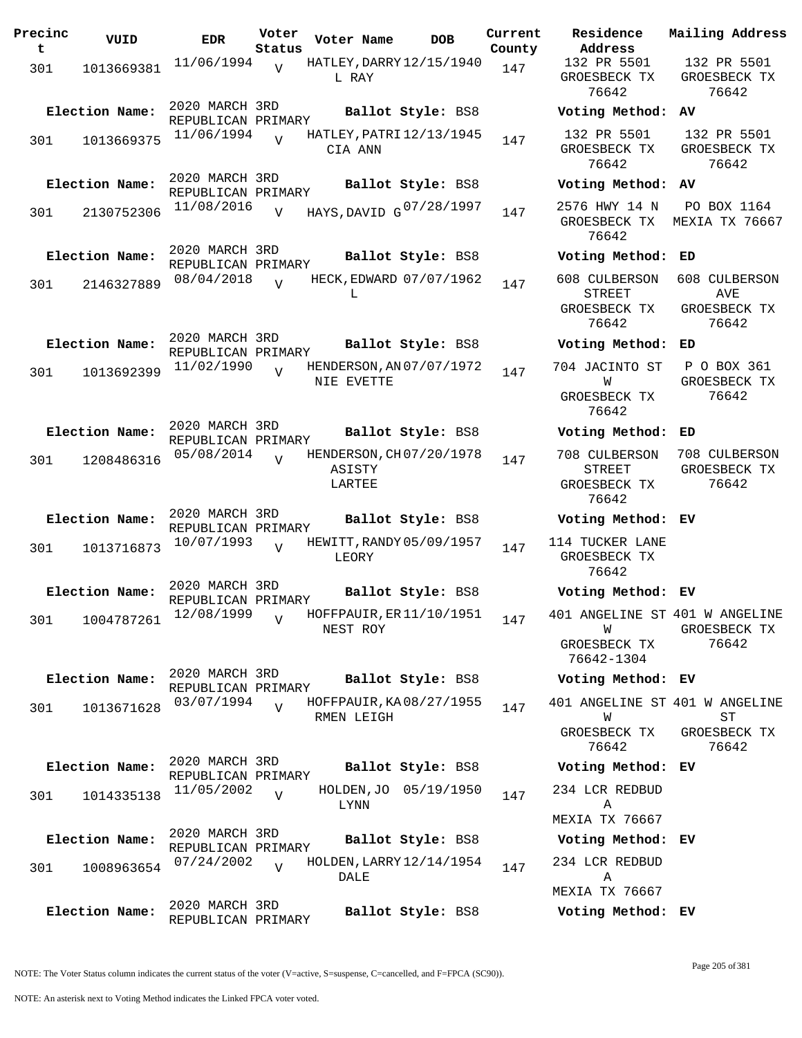| Precinc<br>t | VUID           | EDR.                                 | Voter<br>Status | Voter Name       | <b>DOB</b>                    | Current<br>County | Residence<br>Address                             |
|--------------|----------------|--------------------------------------|-----------------|------------------|-------------------------------|-------------------|--------------------------------------------------|
| 301          | 1013669381     | $11/06/1994$ V                       |                 | L RAY            | HATLEY, DARRY 12/15/1940      | 147               | 132 PR 5501<br>GROESBECK TX<br>76642             |
|              | Election Name: | 2020 MARCH 3RD<br>REPUBLICAN PRIMARY |                 |                  | Ballot Style: BS8             |                   | Voting Method                                    |
| 301          | 1013669375     | 11/06/1994                           |                 | CIA ANN          | HATLEY, PATRI 12/13/1945      | 147               | 132 PR 5501<br>GROESBECK TX<br>76642             |
|              | Election Name: | 2020 MARCH 3RD<br>REPUBLICAN PRIMARY |                 |                  | Ballot Style: BS8             |                   | Voting Method                                    |
| 301          | 2130752306     | 11/08/2016                           | $\overline{V}$  |                  | HAYS, DAVID G 07/28/1997      | 147               | 2576 HWY 14 N<br>GROESBECK TX<br>76642           |
|              | Election Name: | 2020 MARCH 3RD<br>REPUBLICAN PRIMARY |                 |                  | Ballot Style: BS8             |                   | Voting Method                                    |
| 301          | 2146327889     | 08/04/2018                           | $\overline{U}$  | L                | HECK, EDWARD 07/07/1962       | 147               | 608 CULBERSON<br>STREET<br>GROESBECK TX<br>76642 |
|              | Election Name: | 2020 MARCH 3RD                       |                 |                  | Ballot Style: BS8             |                   | Voting Method                                    |
| 301          | 1013692399     | REPUBLICAN PRIMARY<br>11/02/1990     | $\overline{V}$  | NIE EVETTE       | HENDERSON, AN 07/07/1972      | 147               | 704 JACINTO ST<br>W                              |
|              |                |                                      |                 |                  |                               |                   | GROESBECK TX<br>76642                            |
|              | Election Name: | 2020 MARCH 3RD<br>REPUBLICAN PRIMARY |                 |                  | Ballot Style: BS8             |                   | Voting Method                                    |
| 301          | 1208486316     | 05/08/2014                           | $\overline{U}$  | ASISTY<br>LARTEE | HENDERSON, CH 07/20/1978      | 147               | 708 CULBERSON<br>STREET<br>GROESBECK TX<br>76642 |
|              | Election Name: | 2020 MARCH 3RD<br>REPUBLICAN PRIMARY |                 |                  | Ballot Style: BS8             |                   | Voting Method                                    |
| 301          | 1013716873     | 10/07/1993                           | $\overline{U}$  | LEORY            | HEWITT, RANDY 05/09/1957      | 147               | 114 TUCKER LAN<br>GROESBECK TX<br>76642          |
|              | Election Name: | 2020 MARCH 3RD<br>REPUBLICAN PRIMARY |                 |                  | Ballot Style: BS8             |                   | Voting Method                                    |
| 301          | 1004787261     | 12/08/1999                           | $\overline{V}$  | NEST ROY         | HOFFPAUIR, ER $11/10/1951$ 14 | 147               | 401 ANGELINE S<br>W                              |
|              |                |                                      |                 |                  |                               |                   | GROESBECK TX<br>76642-1304                       |
|              | Election Name: | 2020 MARCH 3RD<br>REPUBLICAN PRIMARY |                 |                  | Ballot Style: BS8             |                   | Voting Method                                    |
| 301          | 1013671628     | 03/07/1994                           | $\overline{U}$  | RMEN LEIGH       | HOFFPAUIR, KA08/27/1955       | 147               | 401 ANGELINE S<br>W                              |
|              |                |                                      |                 |                  |                               |                   | GROESBECK TX<br>76642                            |
|              | Election Name: | 2020 MARCH 3RD<br>REPUBLICAN PRIMARY |                 |                  | Ballot Style: BS8             |                   | Voting Method                                    |
| 301          | 1014335138     | 11/05/2002                           | $\overline{V}$  | LYNN             | HOLDEN, JO 05/19/1950         | 147               | 234 LCR REDBUI<br>Α                              |
|              | Election Name: | 2020 MARCH 3RD                       |                 |                  | Ballot Style: BS8             |                   | MEXIA TX 7666<br>Voting Method                   |
| 301          | 1008963654     | REPUBLICAN PRIMARY<br>07/24/2002     | $\overline{V}$  | DALE             | HOLDEN, LARRY 12/14/1954      | 147               | 234 LCR REDBUI<br>Α                              |
|              | Election Name: | 2020 MARCH 3RD<br>REPUBLICAN PRIMARY |                 |                  | Ballot Style: BS8             |                   | MEXIA TX 7666<br>Voting Method                   |

**Voter Name DOB Residence Address Current Mailing Address** 132 PR 5501 GROESBECK TX 76642 132 PR 5501 GROESBECK TX 76642 **Election Name: Ballot Style:** BS8 **Voting Method: AV** 132 PR 5501 GROESBECK TX 76642 132 PR 5501 GROESBECK TX 76642 **Election Name: Ballot Style:** BS8 **Voting Method: AV** GROESBECK TX MEXIA TX 76667 76642 PO BOX 1164 **Election Name: Ballot Style:** BS8 **Voting Method: ED** 608 CULBERSON 608 CULBERSON STREET GROESBECK TX 76642 AVE GROESBECK TX 76642 **Election Name: Ballot Style:** BS8 **Voting Method: ED** 704 JACINTO ST W GROESBECK TX 76642 P O BOX 361 GROESBECK TX 76642 **Election Name: Ballot Style:** BS8 **Voting Method: ED** 708 CULBERSON 708 CULBERSON STREET GROESBECK TX 76642 GROESBECK TX 76642 **Election Name: Ballot Style:** BS8 **Voting Method: EV** 114 TUCKER LANE GROESBECK TX 76642 **Election Name: Ballot Style:** BS8 **Voting Method: EV** 401 ANGELINE ST 401 W ANGELINE W GROESBECK TX 76642-1304 GROESBECK TX 76642 **Election Name: Ballot Style:** BS8 **Voting Method: EV** 401 ANGELINE ST 401 W ANGELINE W GROESBECK TX 76642 ST GROESBECK TX 76642 **Election Name: Ballot Style:** BS8 **Voting Method: EV** 234 LCR REDBUD A MEXIA TX 76667 **Election Name: Ballot Style:** BS8 **Voting Method: EV** 234 LCR REDBUD A MEXIA TX 76667

**Election Name: Ballot Style:** BS8 **Voting Method: EV**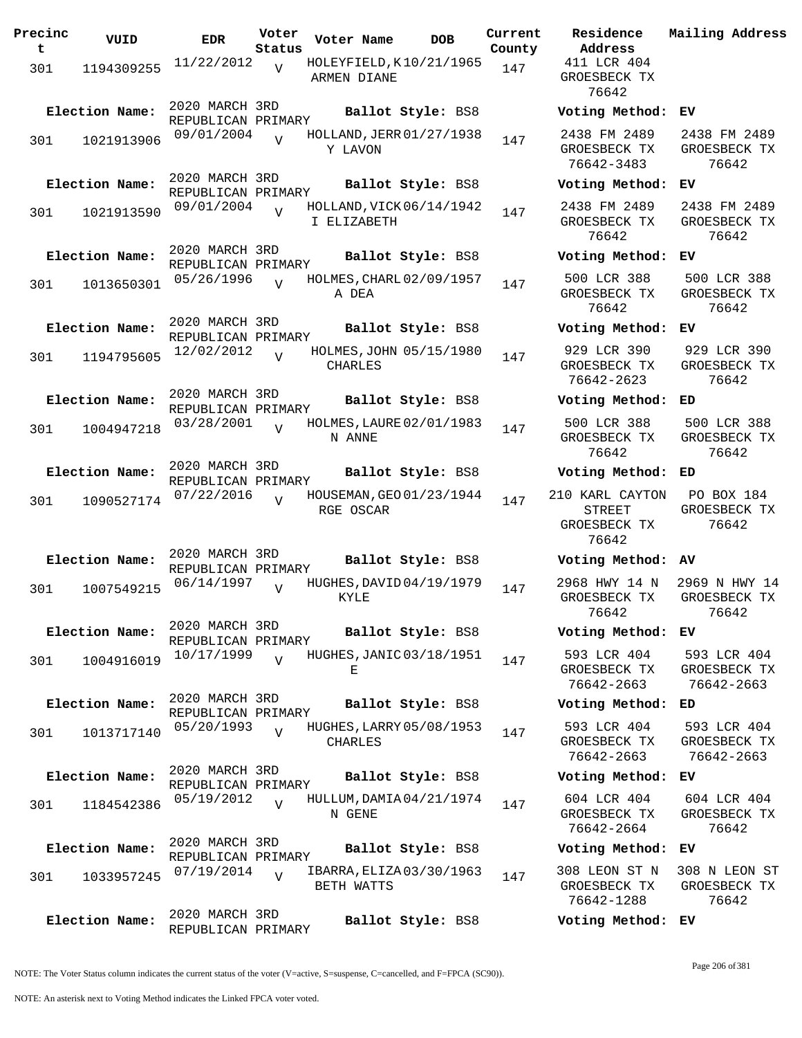| Precinc<br>t. | VUID           | <b>EDR</b>                           | Voter<br>Status | Voter Name                              | DOB                     | Current<br>County |
|---------------|----------------|--------------------------------------|-----------------|-----------------------------------------|-------------------------|-------------------|
| 301           | 1194309255     | 11/22/2012                           | $\overline{V}$  | HOLEYFIELD, K10/21/1965<br>ARMEN DIANE  |                         | 147               |
|               | Election Name: | 2020 MARCH 3RD<br>REPUBLICAN PRIMARY |                 |                                         | Ballot Style: BS8       |                   |
| 301           | 1021913906     | 09/01/2004                           | $\overline{z}$  | HOLLAND, JERR 01/27/1938<br>Y LAVON     |                         | 147               |
|               | Election Name: | 2020 MARCH 3RD                       |                 |                                         | Ballot Style: BS8       |                   |
| 301           | 1021913590     | REPUBLICAN PRIMARY<br>09/01/2004     | V               | HOLLAND, VICK 06/14/1942<br>I ELIZABETH |                         | 147               |
|               | Election Name: | 2020 MARCH 3RD<br>REPUBLICAN PRIMARY |                 |                                         | Ballot Style: BS8       |                   |
| 301           | 1013650301     | 05/26/1996                           | V               | HOLMES, CHARL 02/09/1957<br>A DEA       |                         | 147               |
|               | Election Name: | 2020 MARCH 3RD<br>REPUBLICAN PRIMARY |                 |                                         | Ballot Style: BS8       |                   |
| 301           | 1194795605     | 12/02/2012                           | $\overline{V}$  | CHARLES                                 | HOLMES, JOHN 05/15/1980 | 147               |
|               | Election Name: | 2020 MARCH 3RD<br>REPUBLICAN PRIMARY |                 |                                         | Ballot Style: BS8       |                   |
| 301           | 1004947218     | 03/28/2001                           | $\overline{V}$  | HOLMES, LAURE 02/01/1983<br>N ANNE      |                         | 147               |
|               | Election Name: | 2020 MARCH 3RD<br>REPUBLICAN PRIMARY |                 |                                         | Ballot Style: BS8       |                   |
| 301           | 1090527174     | 07/22/2016                           | $\overline{U}$  | HOUSEMAN, GEO 01/23/1944<br>RGE OSCAR   |                         | 147               |
|               | Election Name: | 2020 MARCH 3RD                       |                 |                                         | Ballot Style: BS8       |                   |
| 301           | 1007549215     | REPUBLICAN PRIMARY<br>06/14/1997     | V               | HUGHES, DAVID 04/19/1979<br>KYLE        |                         | 147               |
|               | Election Name: | 2020 MARCH 3RD<br>REPUBLICAN PRIMARY |                 |                                         | Ballot Style: BS8       |                   |
| 301           | 1004916019     | 10/17/1999                           | $\overline{V}$  | HUGHES, JANIC 03/18/1951<br>Е           |                         | 147               |
|               | Election Name: | 2020 MARCH 3RD<br>REPUBLICAN PRIMARY |                 |                                         | Ballot Style: BS8       |                   |
| 301           | 1013717140     | 05/20/1993                           | V               | HUGHES, LARRY 05/08/1953<br>CHARLES     |                         | 147               |
|               | Election Name: | 2020 MARCH 3RD<br>REPUBLICAN PRIMARY |                 |                                         | Ballot Style: BS8       |                   |
| 301           | 1184542386     | 05/19/2012                           | $\overline{V}$  | HULLUM, DAMIA04/21/1974<br>N GENE       |                         | 147               |
|               | Election Name: | 2020 MARCH 3RD<br>REPUBLICAN PRIMARY |                 |                                         | Ballot Style: BS8       |                   |
| 301           | 1033957245     | 07/19/2014                           | $\overline{V}$  | IBARRA, ELIZA 03/30/1963<br>BETH WATTS  |                         | 147               |
|               | Election Name: | 2020 MARCH 3RD<br>REPUBLICAN PRIMARY |                 |                                         | Ballot Style: BS8       |                   |

**Voter Name DOB Residence Address Current Mailing Address** 411 LCR 404 GROESBECK TX 76642 **Election Name: Ballot Style:** BS8 **Voting Method: EV** 2438 FM 2489 GROESBECK TX 76642-3483 2438 FM 2489 GROESBECK TX 76642 **Election Name: Ballot Style:** BS8 **Voting Method: EV** 2438 FM 2489 GROESBECK TX 76642 2438 FM 2489 GROESBECK TX 76642 **Election Name: Ballot Style:** BS8 **Voting Method: EV** 500 LCR 388 GROESBECK TX 76642 500 LCR 388 GROESBECK TX 76642 **Election Name: Ballot Style:** BS8 **Voting Method: EV** 929 LCR 390 GROESBECK TX 76642-2623 929 LCR 390 GROESBECK TX 76642 **Election Name: Ballot Style:** BS8 **Voting Method: ED** 500 LCR 388 GROESBECK TX 76642 500 LCR 388 GROESBECK TX 76642 **Election Name: Ballot Style:** BS8 **Voting Method: ED** 210 KARL CAYTON STREET GROESBECK TX 76642 PO BOX 184 GROESBECK TX 76642 **Election Name: Ballot Style:** BS8 **Voting Method: AV** 2968 HWY 14 N GROESBECK TX 76642 2969 N HWY 14 GROESBECK TX 76642 **Election Name: Ballot Style:** BS8 **Voting Method: EV** 593 LCR 404 GROESBECK TX 76642-2663 593 LCR 404 GROESBECK TX 76642-2663 **Election Name: Ballot Style:** BS8 **Voting Method: ED** 593 LCR 404 GROESBECK TX 76642-2663 593 LCR 404 GROESBECK TX 76642-2663 **Election Name: Ballot Style:** BS8 **Voting Method: EV** 604 LCR 404 GROESBECK TX 76642-2664 604 LCR 404 GROESBECK TX 76642 **Election Name: Ballot Style:** BS8 **Voting Method: EV**

308 LEON ST N GROESBECK TX 76642-1288 308 N LEON ST GROESBECK TX 76642 **Election Name: Ballot Style:** BS8 **Voting Method: EV**

NOTE: The Voter Status column indicates the current status of the voter (V=active, S=suspense, C=cancelled, and F=FPCA (SC90)).

Page 206 of 381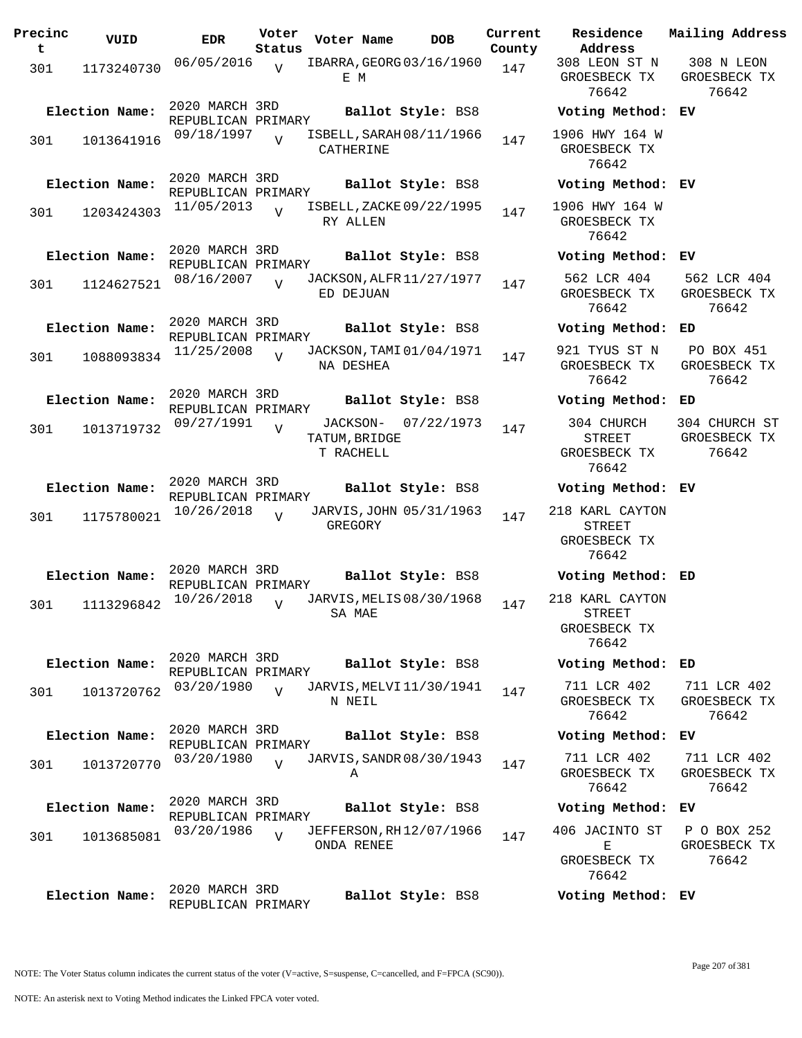| Precinc<br>t | VUID           | EDR                                  | Voter<br>Status | Voter Name                             | <b>DOB</b>               | Current<br>County | Residence<br>Address                                      | Mai.                  |
|--------------|----------------|--------------------------------------|-----------------|----------------------------------------|--------------------------|-------------------|-----------------------------------------------------------|-----------------------|
| 301          | 1173240730     | 06/05/2016                           | $\overline{V}$  | E M                                    | IBARRA, GEORG 03/16/1960 | 147               | 308 LEON ST N<br>GROESBECK TX<br>76642                    | 3<br>GR               |
|              | Election Name: | 2020 MARCH 3RD<br>REPUBLICAN PRIMARY |                 |                                        | Ballot Style: BS8        |                   | Voting Method: EV                                         |                       |
| 301          | 1013641916     | 09/18/1997                           | $\overline{U}$  | CATHERINE                              | ISBELL, SARAH 08/11/1966 | 147               | 1906 HWY 164 W<br>GROESBECK TX<br>76642                   |                       |
|              | Election Name: | 2020 MARCH 3RD<br>REPUBLICAN PRIMARY |                 |                                        | Ballot Style: BS8        |                   | Voting Method: EV                                         |                       |
| 301          | 1203424303     | 11/05/2013                           | $\overline{V}$  | RY ALLEN                               | ISBELL, ZACKE 09/22/1995 | 147               | 1906 HWY 164 W<br>GROESBECK TX<br>76642                   |                       |
|              | Election Name: | 2020 MARCH 3RD<br>REPUBLICAN PRIMARY |                 |                                        | Ballot Style: BS8        |                   | Voting Method: EV                                         |                       |
| 301          | 1124627521     | 08/16/2007                           | $\overline{V}$  | ED DEJUAN                              | JACKSON, ALFR 11/27/1977 | 147               | 562 LCR 404<br>GROESBECK TX<br>76642                      | 5 <sub>1</sub><br>GR  |
|              | Election Name: | 2020 MARCH 3RD<br>REPUBLICAN PRIMARY |                 |                                        | Ballot Style: BS8        |                   | Voting Method:                                            | ED                    |
| 301          | 1088093834     | 11/25/2008                           | $\overline{17}$ | NA DESHEA                              | JACKSON, TAMI 01/04/1971 | 147               | 921 TYUS ST N<br>GROESBECK TX<br>76642                    | F<br>GR               |
|              | Election Name: | 2020 MARCH 3RD<br>REPUBLICAN PRIMARY |                 |                                        | Ballot Style: BS8        |                   | Voting Method:                                            | ED                    |
| 301          | 1013719732     | 09/27/1991                           | $\overline{V}$  | JACKSON-<br>TATUM, BRIDGE<br>T RACHELL | 07/22/1973               | 147               | 304 CHURCH<br><b>STREET</b><br>GROESBECK TX<br>76642      | 30 <sub>1</sub><br>GR |
|              | Election Name: | 2020 MARCH 3RD<br>REPUBLICAN PRIMARY |                 |                                        | Ballot Style: BS8        |                   | Voting Method: EV                                         |                       |
| 301          | 1175780021     | 10/26/2018                           | $\overline{U}$  | GREGORY                                | JARVIS, JOHN 05/31/1963  | 147               | 218 KARL CAYTON<br><b>STREET</b><br>GROESBECK TX<br>76642 |                       |
|              | Election Name: | 2020 MARCH 3RD<br>REPUBLICAN PRIMARY |                 |                                        | Ballot Style: BS8        |                   | Voting Method: ED                                         |                       |
| 301          | 1113296842     | 10/26/2018                           | $\overline{U}$  | SA MAE                                 | JARVIS, MELIS 08/30/1968 | 147               | 218 KARL CAYTON<br>STREET<br>GROESBECK TX<br>76642        |                       |
|              | Election Name: | 2020 MARCH 3RD<br>REPUBLICAN PRIMARY |                 |                                        | Ballot Style: BS8        |                   | Voting Method:                                            | ED                    |
| 301          | 1013720762     | 03/20/1980                           | $\overline{V}$  | N NEIL                                 | JARVIS, MELVI 11/30/1941 | 147               | 711 LCR 402<br>GROESBECK TX<br>76642                      | 7 <sup>1</sup><br>GR  |
|              | Election Name: | 2020 MARCH 3RD<br>REPUBLICAN PRIMARY |                 |                                        | Ballot Style: BS8        |                   | Voting Method:                                            | ЕV                    |
| 301          | 1013720770     | 03/20/1980                           | $\overline{V}$  | Α                                      | JARVIS, SANDR 08/30/1943 | 147               | 711 LCR 402<br>GROESBECK TX<br>76642                      | 7 <sup>1</sup><br>GR  |
|              | Election Name: | 2020 MARCH 3RD<br>REPUBLICAN PRIMARY |                 |                                        | Ballot Style: BS8        |                   | Voting Method:                                            | ΕV                    |
| 301          | 1013685081     | 03/20/1986                           | $\overline{V}$  | ONDA RENEE                             | JEFFERSON, RH12/07/1966  | 147               | 406 JACINTO ST<br>Е<br>GROESBECK TX<br>76642              | Ρ<br>GR               |
|              | Election Name: | 2020 MARCH 3RD<br>REPUBLICAN PRIMARY |                 |                                        | Ballot Style: BS8        |                   | Voting Method: EV                                         |                       |

**Address** 308 LEON ST N GROESBECK TX 76642 308 N LEON GROESBECK TX 76642 **Election Name: Ballot Style:** BS8 **Voting Method: EV** 1906 HWY 164 W GROESBECK TX 76642 **Election Name: Ballot Style:** BS8 **Voting Method: EV**

#### **Election Name: Ballot Style:** BS8 **Voting Method: EV**

562 LCR 404 GROESBECK TX 76642 562 LCR 404 GROESBECK TX 76642

#### **Election Name: Ballot Style:** BS8 **Voting Method: ED**

PO BOX 451 GROESBECK TX 76642

**Current Mailing Address**

### **Election Name: Ballot Style:** BS8 **Voting Method: ED**

304 CHURCH ST GROESBECK TX 76642

#### **Election Name: Ballot Style:** BS8 **Voting Method: EV**

## **Election Name: Ballot Style:** BS8 **Voting Method: ED**

#### **Election Name: Ballot Style:** BS8 **Voting Method: ED**

711 LCR 402 GROESBECK TX 76642

76642

#### **Election Name: Ballot Style:** BS8 **Voting Method: EV**

711 LCR 402 GROESBECK TX 76642 711 LCR 402 GROESBECK TX

# **Election Name: Ballot Style:** BS8 **Voting Method: EV**

406 JACINTO ST E GROESBECK TX 76642 P O BOX 252 GROESBECK TX 76642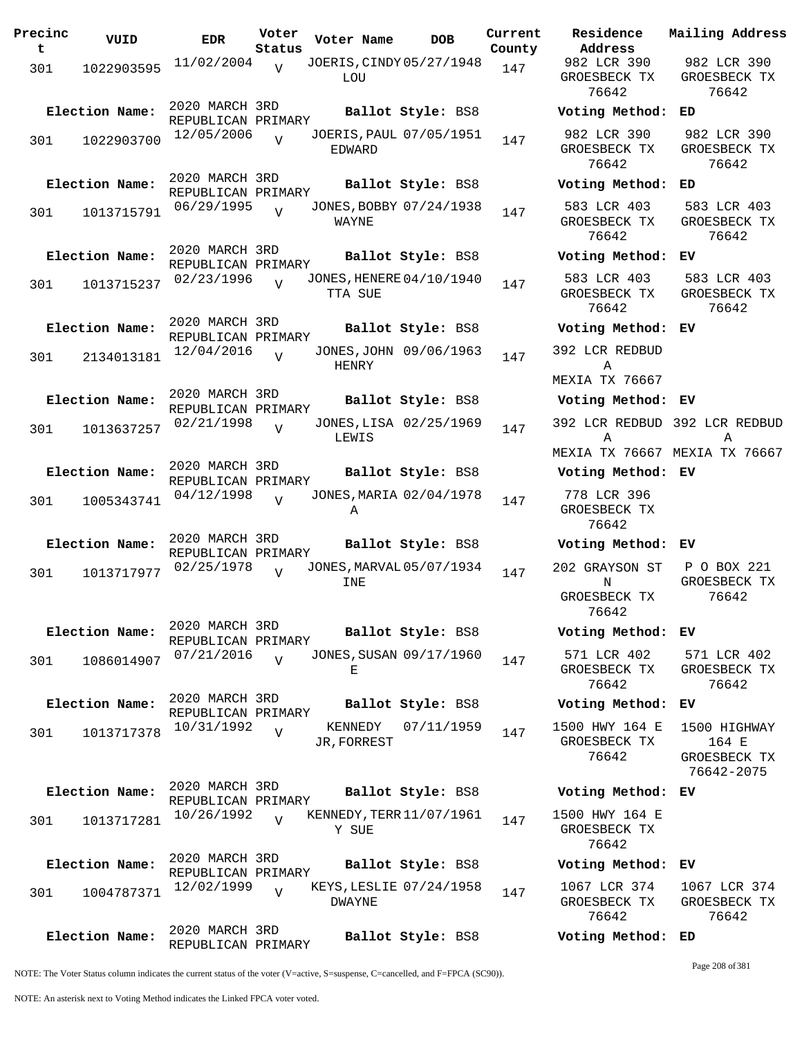| Precinc<br>t. | VUID                                       | <b>EDR</b>                                         | Voter<br>Status | Voter Name     |         | DOB                                           | Curre<br>Count |
|---------------|--------------------------------------------|----------------------------------------------------|-----------------|----------------|---------|-----------------------------------------------|----------------|
| 301           | 1022903595                                 | 11/02/2004                                         | $\overline{V}$  | LOU            |         | JOERIS, CINDY 05/27/1948                      | 147            |
| 301           | Election Name:<br>1022903700               | 2020 MARCH 3RD<br>REPUBLICAN PRIMARY<br>12/05/2006 |                 |                |         | Ballot Style: BS8<br>JOERIS, PAUL 07/05/1951  | 147            |
| 301           | Election Name:<br>1013715791               | 2020 MARCH 3RD<br>REPUBLICAN PRIMARY<br>06/29/1995 | $\overline{V}$  | EDWARD         |         | Ballot Style: BS8<br>JONES, BOBBY 07/24/1938  | 147            |
|               | Election Name:                             | 2020 MARCH 3RD<br>REPUBLICAN PRIMARY<br>02/23/1996 | $\overline{U}$  | WAYNE          |         | Ballot Style: BS8<br>JONES, HENERE 04/10/1940 |                |
| 301<br>301    | 1013715237<br>Election Name:<br>2134013181 | 2020 MARCH 3RD<br>REPUBLICAN PRIMARY<br>12/04/2016 | $\overline{U}$  | TTA SUE        |         | Ballot Style: BS8<br>JONES, JOHN 09/06/1963   | 147<br>147     |
| 301           | Election Name:<br>1013637257               | 2020 MARCH 3RD<br>REPUBLICAN PRIMARY<br>02/21/1998 | $\overline{V}$  | HENRY<br>LEWIS |         | Ballot Style: BS8<br>JONES, LISA 02/25/1969   | 147            |
| 301           | Election Name:<br>1005343741               | 2020 MARCH 3RD<br>REPUBLICAN PRIMARY<br>04/12/1998 | $\overline{V}$  | Α              |         | Ballot Style: BS8<br>JONES, MARIA 02/04/1978  | 147            |
| 301           | Election Name:<br>1013717977               | 2020 MARCH 3RD<br>REPUBLICAN PRIMARY<br>02/25/1978 | $\overline{U}$  | INE            |         | Ballot Style: BS8<br>JONES, MARVAL 05/07/1934 | 147            |
| 301           | Election Name:<br>1086014907               | 2020 MARCH 3RD<br>REPUBLICAN PRIMARY<br>07/21/2016 | $\overline{U}$  | Ε              |         | Ballot Style: BS8<br>JONES, SUSAN 09/17/1960  | 147            |
| 301           | Election Name:<br>1013717378               | 2020 MARCH 3RD<br>REPUBLICAN PRIMARY<br>10/31/1992 | $\overline{V}$  | JR, FORREST    | KENNEDY | Ballot Style: BS8<br>07/11/1959               | 147            |
| 301           | Election Name:<br>1013717281               | 2020 MARCH 3RD<br>REPUBLICAN PRIMARY<br>10/26/1992 | $\overline{V}$  | Y SUE          |         | Ballot Style: BS8<br>KENNEDY, TERR 11/07/1961 | 147            |
| 301           | Election Name:<br>1004787371               | 2020 MARCH 3RD<br>REPUBLICAN PRIMARY<br>12/02/1999 | $\overline{V}$  | <b>DWAYNE</b>  |         | Ballot Style: BS8<br>KEYS, LESLIE 07/24/1958  | 147            |
|               | Election Name:                             | 2020 MARCH 3RD<br>REPUBLICAN PRIMARY               |                 |                |         | Ballot Style: BS8                             |                |

**Voter Name DOB Residence Address Current Mailing Address**  $tx$ 982 LCR 390 GROESBECK TX 76642 982 LCR 390 GROESBECK TX 76642 **Election Name: Ballot Style:** BS8 **Voting Method: ED** 982 LCR 390 GROESBECK TX 76642 982 LCR 390 GROESBECK TX 76642 **Election Name: Ballot Style:** BS8 **Voting Method: ED** 583 LCR 403 GROESBECK TX 76642 583 LCR 403 GROESBECK TX 76642 **Election Name: Ballot Style:** BS8 **Voting Method: EV** 583 LCR 403 GROESBECK TX 76642 583 LCR 403 GROESBECK TX 76642 **Election Name: Ballot Style:** BS8 **Voting Method: EV** 392 LCR REDBUD A MEXIA TX 76667 **Election Name: Ballot Style:** BS8 **Voting Method: EV** 392 LCR REDBUD 392 LCR REDBUD A MEXIA TX 76667 MEXIA TX 76667 A **Election Name: Ballot Style:** BS8 **Voting Method: EV** 778 LCR 396 GROESBECK TX 76642 **Election Name: Ballot Style:** BS8 **Voting Method: EV** 202 GRAYSON ST N GROESBECK TX 76642 P O BOX 221 GROESBECK TX 76642 **Election Name: Ballot Style:** BS8 **Voting Method: EV** 571 LCR 402 GROESBECK TX 76642 571 LCR 402 GROESBECK TX 76642 **Election Name: Ballot Style:** BS8 **Voting Method: EV** 1500 HWY 164 E GROESBECK TX 76642 1500 HIGHWAY 164 E GROESBECK TX 76642-2075 **Election Name: Ballot Style:** BS8 **Voting Method: EV** 1500 HWY 164 E GROESBECK TX 76642 **Election Name: Ballot Style:** BS8 **Voting Method: EV** 1067 LCR 374 GROESBECK TX 1067 LCR 374 GROESBECK TX

NOTE: The Voter Status column indicates the current status of the voter (V=active, S=suspense, C=cancelled, and F=FPCA (SC90)).

Page 208 of 381

76642

76642

**Election Name: Ballot Style:** BS8 **Voting Method: ED**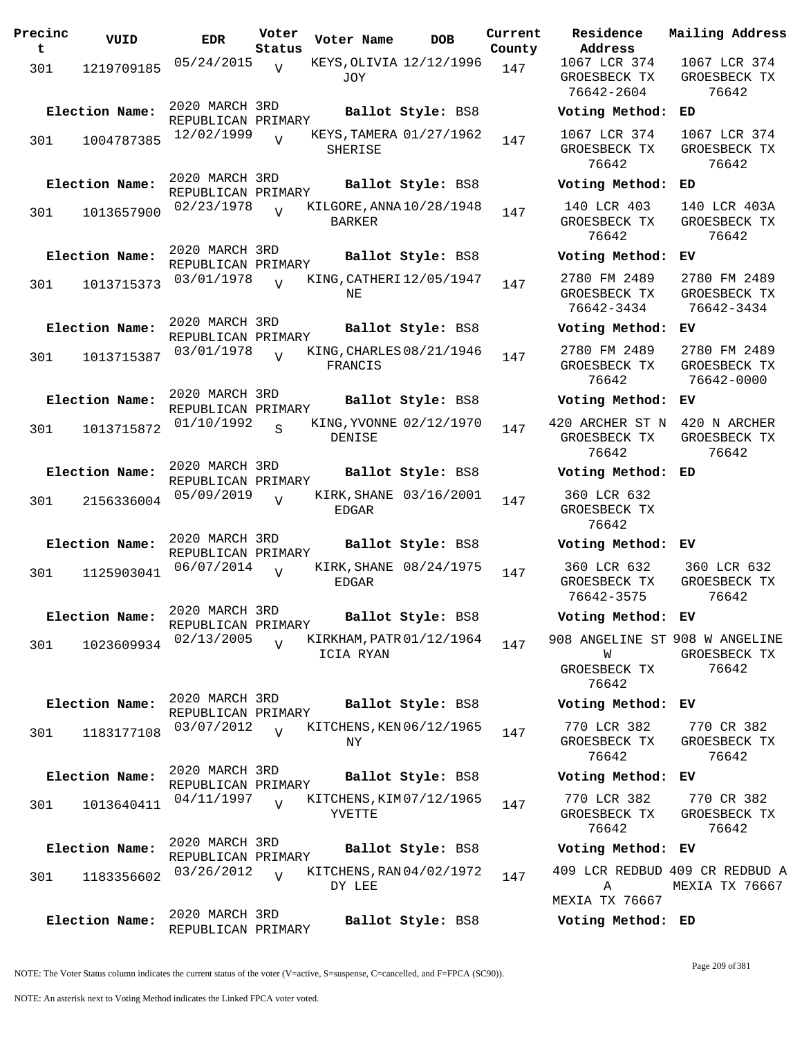| Precinc<br>t. | VUID           | <b>EDR</b>                                         | Voter<br>Status | Voter Name   | DOB                                          | Current<br>County |
|---------------|----------------|----------------------------------------------------|-----------------|--------------|----------------------------------------------|-------------------|
| 301           | 1219709185     | 05/24/2015                                         | V               | <b>JOY</b>   | KEYS, OLIVIA 12/12/1996                      | 147               |
|               | Election Name: | 2020 MARCH 3RD<br>REPUBLICAN PRIMARY<br>12/02/1999 |                 |              | Ballot Style: BS8<br>KEYS, TAMERA 01/27/1962 |                   |
| 301           | 1004787385     |                                                    |                 | SHERISE      |                                              | 147               |
|               | Election Name: | 2020 MARCH 3RD<br>REPUBLICAN PRIMARY               |                 |              | Ballot Style: BS8                            |                   |
| 301           | 1013657900     | 02/23/1978                                         | ٦T              | BARKER       | KILGORE, ANNA 10/28/1948                     | 147               |
|               | Election Name: | 2020 MARCH 3RD<br>REPUBLICAN PRIMARY               |                 |              | Ballot Style: BS8                            |                   |
| 301           | 1013715373     | 03/01/1978                                         | $\overline{U}$  | NE           | KING, CATHERI 12/05/1947                     | 147               |
|               | Election Name: | 2020 MARCH 3RD<br>REPUBLICAN PRIMARY               |                 |              | <b>Ballot Style: BS8</b>                     |                   |
| 301           | 1013715387     | 03/01/1978                                         | $\overline{U}$  | FRANCIS      | KING, CHARLES 08/21/1946                     | 147               |
|               | Election Name: | 2020 MARCH 3RD<br>REPUBLICAN PRIMARY               |                 |              | Ballot Style: BS8                            |                   |
| 301           | 1013715872     | 01/10/1992                                         | S               | DENISE       | KING, YVONNE 02/12/1970                      | 147               |
|               | Election Name: | 2020 MARCH 3RD<br>REPUBLICAN PRIMARY               |                 |              | Ballot Style: BS8                            |                   |
| 301           | 2156336004     | 05/09/2019                                         | $\overline{U}$  | EDGAR        | KIRK, SHANE 03/16/2001                       | 147               |
|               | Election Name: | 2020 MARCH 3RD<br>REPUBLICAN PRIMARY               |                 |              | Ballot Style: BS8                            |                   |
| 301           | 1125903041     | 06/07/2014                                         | V               | <b>EDGAR</b> | KIRK, SHANE 08/24/1975                       | 147               |
|               | Election Name: | 2020 MARCH 3RD<br>REPUBLICAN PRIMARY               |                 |              | Ballot Style: BS8                            |                   |
| 301           | 1023609934     | 02/13/2005                                         | $\overline{U}$  | ICIA RYAN    | KIRKHAM, PATR 01/12/1964                     | 147               |
|               | Election Name: | 2020 MARCH 3RD<br>REPUBLICAN PRIMARY               |                 |              | Ballot Style: BS8                            |                   |
| 301           | 1183177108     | 03/07/2012                                         | $\overline{U}$  | NY.          | KITCHENS, KEN 06/12/1965                     | 147               |
|               | Election Name: | 2020 MARCH 3RD<br>REPUBLICAN PRIMARY               |                 |              | <b>Ballot Style: BS8</b>                     |                   |
| 301           | 1013640411     | 04/11/1997                                         | $\overline{V}$  | YVETTE       | KITCHENS, KIM07/12/1965                      | 147               |
|               | Election Name: | 2020 MARCH 3RD<br>REPUBLICAN PRIMARY               |                 |              | Ballot Style: BS8                            |                   |
| 301           | 1183356602     | 03/26/2012                                         | V               | DY LEE       | KITCHENS, RAN 04/02/1972                     | 147               |
|               | Election Name: | 2020 MARCH 3RD<br>REPUBLICAN PRIMARY               |                 |              | Ballot Style: BS8                            |                   |

**Voter Name DOB Residence Address Current Mailing Address** 1067 LCR 374 GROESBECK TX 76642-2604 1067 LCR 374 GROESBECK TX 76642 **Election Name: Ballot Style:** BS8 **Voting Method: ED** 1067 LCR 374 GROESBECK TX 76642 1067 LCR 374 GROESBECK TX 76642 **Election Name: Ballot Style:** BS8 **Voting Method: ED** 140 LCR 403 GROESBECK TX 76642 140 LCR 403A GROESBECK TX 76642 **Election Name: Ballot Style:** BS8 **Voting Method: EV** 2780 FM 2489 GROESBECK TX 76642-3434 2780 FM 2489 GROESBECK TX 76642-3434 **Election Name: Ballot Style:** BS8 **Voting Method: EV** 2780 FM 2489 GROESBECK TX 76642 2780 FM 2489 GROESBECK TX 76642-0000 **Election Name: Ballot Style:** BS8 **Voting Method: EV** 420 ARCHER ST N 420 N ARCHER GROESBECK TX 76642 GROESBECK TX 76642 **Election Name: Ballot Style:** BS8 **Voting Method: ED** 360 LCR 632 GROESBECK TX 76642 **Election Name: Ballot Style:** BS8 **Voting Method: EV** 360 LCR 632 GROESBECK TX 76642-3575 360 LCR 632 GROESBECK TX 76642 **Election Name: Ballot Style:** BS8 **Voting Method: EV** 908 ANGELINE ST 908 W ANGELINE W GROESBECK TX 76642 GROESBECK TX 76642 **Election Name: Ballot Style:** BS8 **Voting Method: EV** 770 LCR 382 GROESBECK TX 76642 770 CR 382 GROESBECK TX 76642 **Election Name: Ballot Style:** BS8 **Voting Method: EV** 770 LCR 382 GROESBECK TX 76642 770 CR 382 GROESBECK TX 76642 **Election Name: Ballot Style:** BS8 **Voting Method: EV** 409 LCR REDBUD 409 CR REDBUD A A MEXIA TX 76667 MEXIA TX 76667

**Election Name: Ballot Style:** BS8 **Voting Method: ED**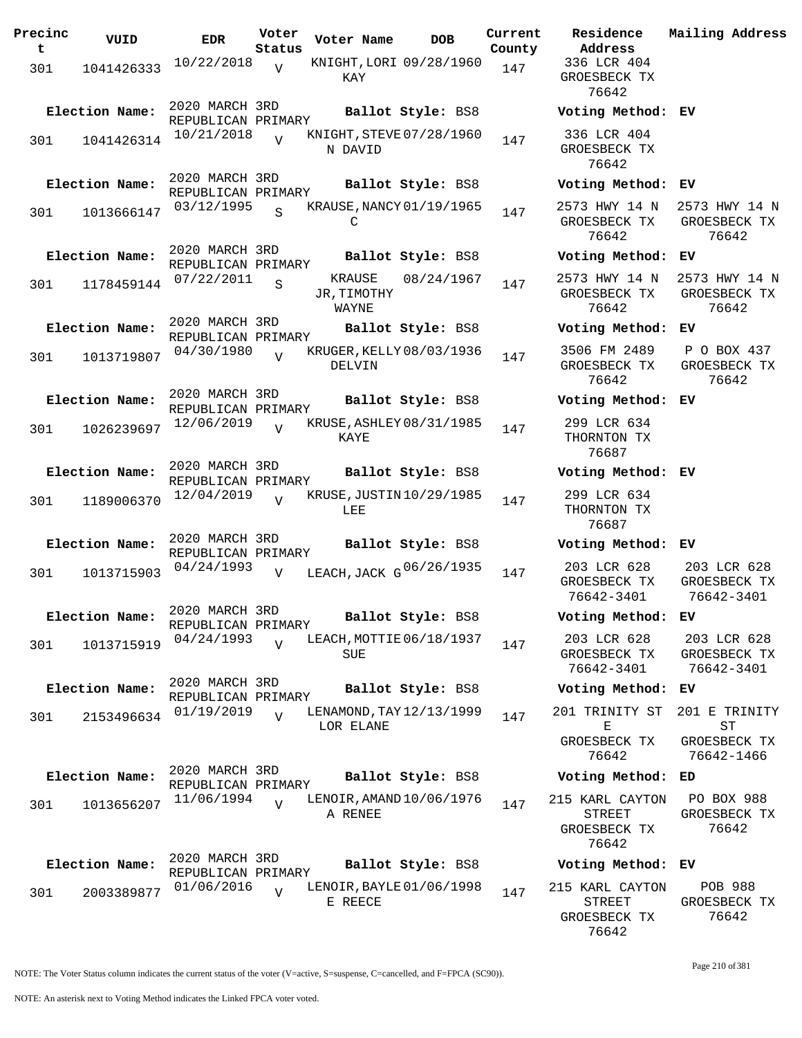**Precinc t VUID EDR Voter Status Voter Name DOB Current Residence County** 301 1041426333  $10/22/2018$  WIGHT, LORI 09/28/1960 147 KAY  $\overline{V}$ 2020 MARCH 3RD REPUBLICAN PRIMARY **Election Name: Ballot Style:** BS8 **Voting Method: EV** <sup>301</sup> KNIGHT,STEVE 10/21/2018 <sup>1041426314</sup> <sup>147</sup> 07/28/1960 N DAVID  $\overline{V}$ 2020 MARCH 3RD REPUBLICAN PRIMARY **Election Name: Ballot Style:** BS8 **Voting Method: EV** 301 1013666147 03/12/1995  $\Gamma$ S KRAUSE, NANCY 01/19/1965 147 2020 MARCH 3RD REPUBLICAN PRIMARY **Election Name: Ballot Style:** BS8 **Voting Method: EV** 301 1178459144  $07/22/2011$  S KRAUSE  $08/24/1967$  147 JR, TIMOTHY WAYNE S 2020 MARCH 3RD REPUBLICAN PRIMARY **Election Name: Ballot Style:** BS8 **Voting Method: EV** 301 1013719807 <sup>04/30/1980</sup> V KRUGER, KELLY 08/03/1936 147 DELVIN  $\overline{V}$ 2020 MARCH 3RD REPUBLICAN PRIMARY **Election Name: Ballot Style:** BS8 **Voting Method: EV** 301 1026239697 12/06/2019 KAYE  $\overline{V}$ KRUSE, ASHLEY 08/31/1985 147 2020 MARCH 3RD REPUBLICAN PRIMARY **Election Name: Ballot Style:** BS8 **Voting Method: EV** <sup>301</sup> KRUSE,JUSTIN 12/04/2019 <sup>1189006370</sup> <sup>147</sup> 10/29/1985 LEE.  $\overline{V}$ 2020 MARCH 3RD REPUBLICAN PRIMARY **Election Name: Ballot Style:** BS8 **Voting Method: EV** 301 1013715903  $04/24/1993$  V LEACH, JACK G $06/26/1935$  147 203 LCR 628  $\overline{V}$ 2020 MARCH 3RD REPUBLICAN PRIMARY **Election Name: Ballot Style:** BS8 **Voting Method: EV** 301 1013715919 04/24/1993 V LEACH, MOTTIE 06/18/1937 147 SUE  $\overline{V}$ 2020 MARCH 3RD REPUBLICAN PRIMARY **Election Name: Ballot Style:** BS8 **Voting Method: EV**  $301$  2153496634 01/19/2019 LOR ELANE  $\overline{V}$ LENAMOND, TAY 12/13/1999 147 2020 MARCH 3RD REPUBLICAN PRIMARY<br>11/06/1994 ... **Election Name: Ballot Style:** BS8 **Voting Method: ED** 301 1013656207 A RENEE  $\overline{V}$ LENOIR, AMAND 10/06/1976 147 2020 MARCH 3RD REPUBLICAN PRIMARY **Election Name: Ballot Style:** BS8 **Voting Method: EV** <sup>301</sup> LENOIR,BAYLE 01/06/2016 <sup>2003389877</sup> <sup>147</sup> 01/06/1998 E REECE  $\overline{v}$ 

**Address Current Mailing Address** 336 LCR 404 GROESBECK TX 76642 336 LCR 404 GROESBECK TX 76642 2573 HWY 14 N GROESBECK TX 76642 2573 HWY 14 N GROESBECK TX 76642 2573 HWY 14 N GROESBECK TX 76642 2573 HWY 14 N GROESBECK TX 76642 3506 FM 2489 GROESBECK TX 76642 P O BOX 437 GROESBECK TX 76642 299 LCR 634 THORNTON TX 76687 299 LCR 634 THORNTON TX 76687 GROESBECK TX 76642-3401 203 LCR 628 GROESBECK TX 76642-3401 203 LCR 628 GROESBECK TX 76642-3401 203 LCR 628 GROESBECK TX 76642-3401 201 TRINITY ST E GROESBECK TX 76642 201 E TRINITY ST GROESBECK TX 76642-1466 215 KARL CAYTON STREET GROESBECK TX 76642 PO BOX 988 GROESBECK TX 76642 215 KARL CAYTON STREET GROESBECK TX POB 988 GROESBECK TX 76642

NOTE: The Voter Status column indicates the current status of the voter (V=active, S=suspense, C=cancelled, and F=FPCA (SC90)).

Page 210 of 381

76642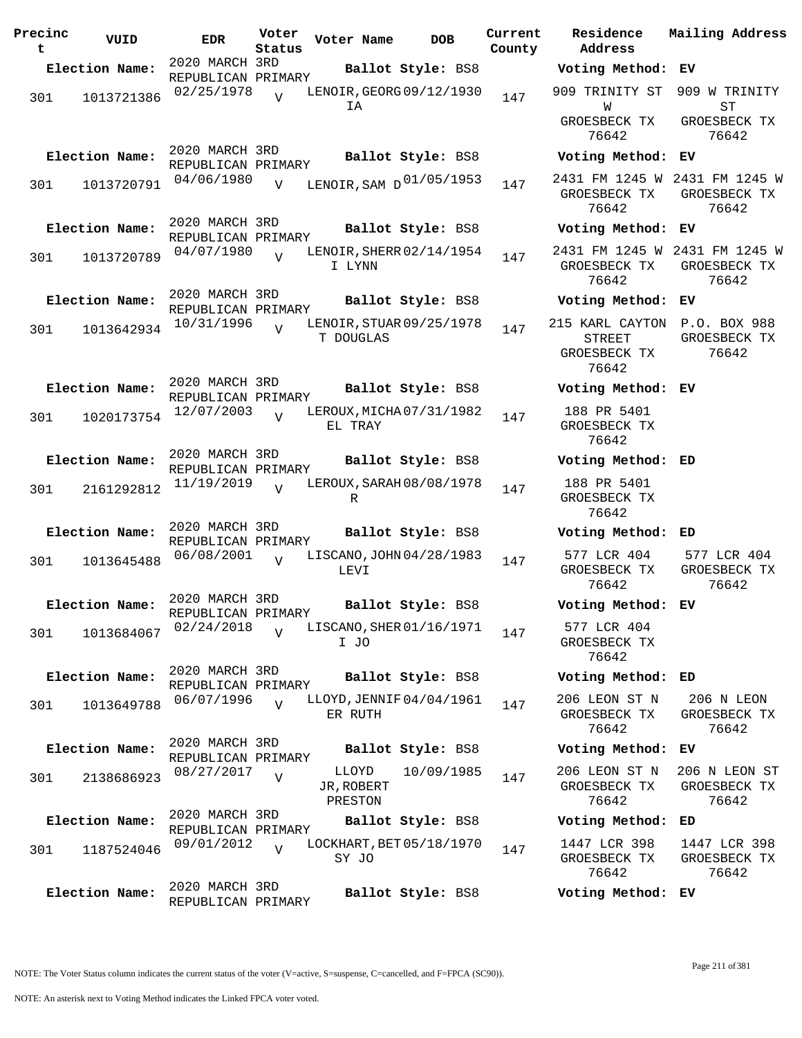| Precinc<br>t | VUID           | <b>EDR</b>                           | Voter<br>Status | Voter Name                            | <b>DOB</b>        | Current<br>County | Address | Residence                              |    | Mailing Address                                        |
|--------------|----------------|--------------------------------------|-----------------|---------------------------------------|-------------------|-------------------|---------|----------------------------------------|----|--------------------------------------------------------|
|              | Election Name: | 2020 MARCH 3RD                       |                 |                                       | Ballot Style: BS8 |                   |         | Voting Method: EV                      |    |                                                        |
| 301          | 1013721386     | REPUBLICAN PRIMARY<br>02/25/1978     | $\overline{v}$  | LENOIR, GEORG 09/12/1930<br>ΙA        |                   | 147               |         | W<br>GROESBECK TX                      |    | 909 TRINITY ST 909 W TRINITY<br>ST<br>GROESBECK TX     |
|              | Election Name: | 2020 MARCH 3RD                       |                 |                                       | Ballot Style: BS8 |                   |         | 76642<br>Voting Method: EV             |    | 76642                                                  |
| 301          | 1013720791     | REPUBLICAN PRIMARY<br>04/06/1980     | $\overline{V}$  | LENOIR, SAM $D^{01/05/1953}$          |                   | 147               |         | GROESBECK TX<br>76642                  |    | 2431 FM 1245 W 2431 FM 1245 W<br>GROESBECK TX<br>76642 |
|              | Election Name: | 2020 MARCH 3RD<br>REPUBLICAN PRIMARY |                 |                                       | Ballot Style: BS8 |                   |         | Voting Method: EV                      |    |                                                        |
| 301          | 1013720789     | 04/07/1980                           | $\overline{U}$  | LENOIR, SHERR 02/14/1954<br>I LYNN    |                   | 147               |         | GROESBECK TX<br>76642                  |    | 2431 FM 1245 W 2431 FM 1245 W<br>GROESBECK TX<br>76642 |
|              | Election Name: | 2020 MARCH 3RD<br>REPUBLICAN PRIMARY |                 |                                       | Ballot Style: BS8 |                   |         | Voting Method: EV                      |    |                                                        |
| 301          | 1013642934     | 10/31/1996                           |                 | LENOIR, STUAR 09/25/1978<br>T DOUGLAS |                   | 147               |         | STREET<br>GROESBECK TX<br>76642        |    | 215 KARL CAYTON P.O. BOX 988<br>GROESBECK TX<br>76642  |
|              | Election Name: | 2020 MARCH 3RD<br>REPUBLICAN PRIMARY |                 |                                       | Ballot Style: BS8 |                   |         | Voting Method: EV                      |    |                                                        |
| 301          | 1020173754     | 12/07/2003                           | $\overline{z}$  | LEROUX, MICHA 07/31/1982<br>EL TRAY   |                   | 147               |         | 188 PR 5401<br>GROESBECK TX<br>76642   |    |                                                        |
|              | Election Name: | 2020 MARCH 3RD<br>REPUBLICAN PRIMARY |                 |                                       | Ballot Style: BS8 |                   |         | Voting Method: ED                      |    |                                                        |
| 301          | 2161292812     | 11/19/2019                           | $\overline{v}$  | LEROUX, SARAH 08/08/1978<br>R         |                   | 147               |         | 188 PR 5401<br>GROESBECK TX<br>76642   |    |                                                        |
|              | Election Name: | 2020 MARCH 3RD<br>REPUBLICAN PRIMARY |                 |                                       | Ballot Style: BS8 |                   |         | Voting Method: ED                      |    |                                                        |
| 301          | 1013645488     | 06/08/2001                           | $\overline{V}$  | LISCANO, JOHN 04/28/1983<br>LEVI      |                   | 147               |         | 577 LCR 404<br>GROESBECK TX<br>76642   |    | 577 LCR 404<br>GROESBECK TX<br>76642                   |
|              | Election Name: | 2020 MARCH 3RD<br>REPUBLICAN PRIMARY |                 |                                       | Ballot Style: BS8 |                   |         | Voting Method: EV                      |    |                                                        |
| 301          | 1013684067     | 02/24/2018                           | $\overline{z}$  | LISCANO, SHER 01/16/1971<br>I JO      |                   | 147               |         | 577 LCR 404<br>GROESBECK TX<br>76642   |    |                                                        |
|              | Election Name: | 2020 MARCH 3RD<br>REPUBLICAN PRIMARY |                 |                                       | Ballot Style: BS8 |                   |         | Voting Method: ED                      |    |                                                        |
| 301          | 1013649788     | 06/07/1996                           | $\overline{U}$  | LLOYD, JENNIF 04/04/1961<br>ER RUTH   |                   | 147               |         | 206 LEON ST N<br>GROESBECK TX<br>76642 |    | 206 N LEON<br>GROESBECK TX<br>76642                    |
|              | Election Name: | 2020 MARCH 3RD<br>REPUBLICAN PRIMARY |                 |                                       | Ballot Style: BS8 |                   |         | Voting Method: EV                      |    |                                                        |
| 301          | 2138686923     | 08/27/2017                           | $\overline{U}$  | LLOYD<br>JR, ROBERT<br>PRESTON        | 10/09/1985        | 147               |         | 206 LEON ST N<br>GROESBECK TX<br>76642 |    | 206 N LEON ST<br>GROESBECK TX<br>76642                 |
|              | Election Name: | 2020 MARCH 3RD<br>REPUBLICAN PRIMARY |                 |                                       | Ballot Style: BS8 |                   |         | Voting Method:                         | ED |                                                        |
| 301          | 1187524046     | 09/01/2012                           | $\overline{U}$  | LOCKHART, BET 05/18/1970<br>SY JO     |                   | 147               |         | 1447 LCR 398<br>GROESBECK TX<br>76642  |    | 1447 LCR 398<br>GROESBECK TX<br>76642                  |
|              | Election Name: | 2020 MARCH 3RD<br>REPUBLICAN PRIMARY |                 |                                       | Ballot Style: BS8 |                   |         | Voting Method: EV                      |    |                                                        |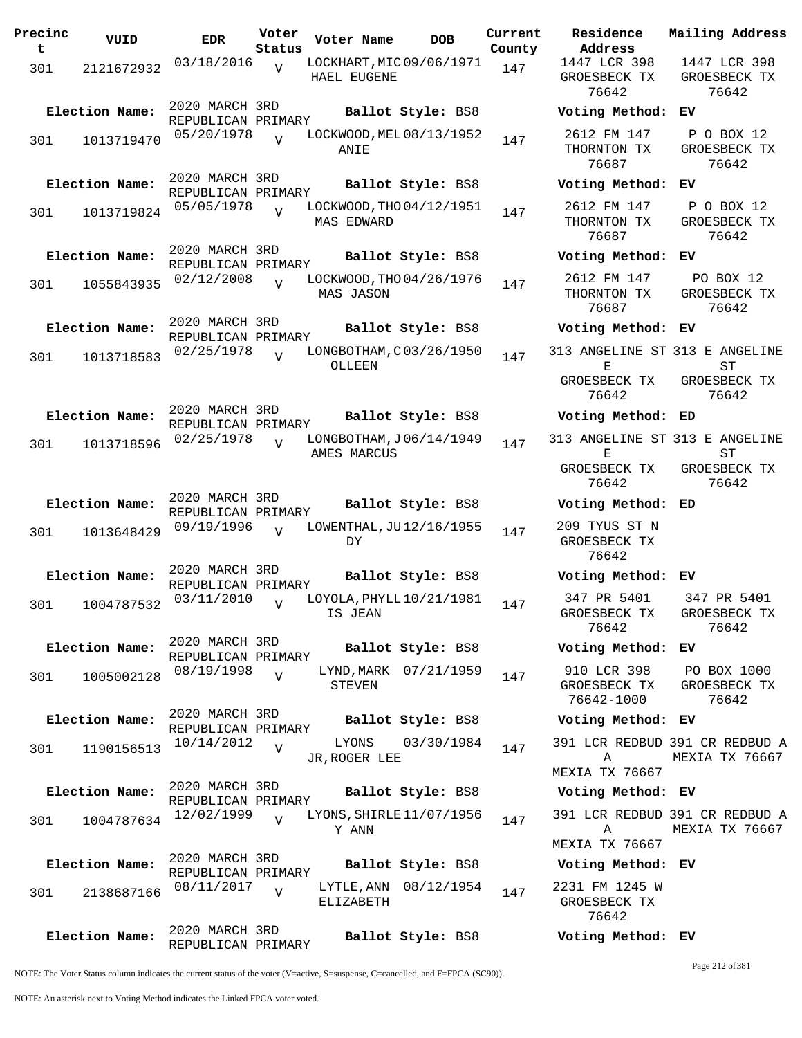| Precinc<br>t | VUID                         | <b>EDR</b>                                         | Voter<br>Status | Voter Name                                    | DOB                             | Current<br>County |
|--------------|------------------------------|----------------------------------------------------|-----------------|-----------------------------------------------|---------------------------------|-------------------|
| 301          | 2121672932                   | 03/18/2016                                         | $\overline{V}$  | LOCKHART, MIC 09/06/1971<br>HAEL EUGENE       |                                 | 147               |
| 301          | Election Name:<br>1013719470 | 2020 MARCH 3RD<br>REPUBLICAN PRIMARY<br>05/20/1978 | ٦Z              | LOCKWOOD, MEL 08/13/1952<br>ANIE              | Ballot Style: BS8               | 147               |
| 301          | Election Name:<br>1013719824 | 2020 MARCH 3RD<br>REPUBLICAN PRIMARY<br>05/05/1978 | ٦T              | LOCKWOOD, THO 04/12/1951<br><b>MAS EDWARD</b> | Ballot Style: BS8               | 147               |
| 301          | Election Name:<br>1055843935 | 2020 MARCH 3RD<br>REPUBLICAN PRIMARY<br>02/12/2008 | $\overline{V}$  | LOCKWOOD, THO 04/26/1976<br>MAS JASON         | Ballot Style: BS8               | 147               |
| 301          | Election Name:<br>1013718583 | 2020 MARCH 3RD<br>REPUBLICAN PRIMARY<br>02/25/1978 | $\overline{V}$  | LONGBOTHAM, C03/26/1950<br>OLLEEN             | Ballot Style: BS8               | 147               |
| 301          | Election Name:<br>1013718596 | 2020 MARCH 3RD<br>REPUBLICAN PRIMARY<br>02/25/1978 | V               | LONGBOTHAM, J06/14/1949<br>AMES MARCUS        | Ballot Style: BS8               | 147               |
| 301          | Election Name:<br>1013648429 | 2020 MARCH 3RD<br>REPUBLICAN PRIMARY<br>09/19/1996 | $\overline{U}$  | LOWENTHAL, JU12/16/1955<br>DY                 | Ballot Style: BS8               | 147               |
| 301          | Election Name:<br>1004787532 | 2020 MARCH 3RD<br>REPUBLICAN PRIMARY<br>03/11/2010 | $\overline{V}$  | LOYOLA, PHYLL $10/21/1981$<br>IS JEAN         | Ballot Style: BS8               | 147               |
| 301          | Election Name:<br>1005002128 | 2020 MARCH 3RD<br>REPUBLICAN PRIMARY<br>08/19/1998 | $\overline{V}$  | LYND, MARK 07/21/1959<br>STEVEN               | Ballot Style: BS8               | 147               |
| 301          | Election Name:<br>1190156513 | 2020 MARCH 3RD<br>REPUBLICAN PRIMARY<br>10/14/2012 | V               | LYONS<br>JR, ROGER LEE                        | Ballot Style: BS8<br>03/30/1984 | 147               |
| 301          | Election Name:<br>1004787634 | 2020 MARCH 3RD<br>REPUBLICAN PRIMARY<br>12/02/1999 | $\overline{V}$  | LYONS, SHIRLE 11/07/1956<br>Y ANN             | Ballot Style: BS8               | 147               |
| 301          | Election Name:<br>2138687166 | 2020 MARCH 3RD<br>REPUBLICAN PRIMARY<br>08/11/2017 | $\overline{V}$  | LYTLE, ANN 08/12/1954<br>ELIZABETH            | Ballot Style: BS8               | 147               |
|              | Election Name:               | 2020 MARCH 3RD<br>REPUBLICAN PRIMARY               |                 |                                               | Ballot Style: BS8               |                   |

**Voter Name DOB Residence Address Current Mailing Address** 1447 LCR 398 GROESBECK TX 76642 1447 LCR 398 GROESBECK TX 76642 **Election Name: Ballot Style:** BS8 **Voting Method: EV** 2612 FM 147 THORNTON TX 76687 P O BOX 12 GROESBECK TX 76642 **Election Name: Ballot Style:** BS8 **Voting Method: EV** 2612 FM 147 THORNTON TX 76687 P O BOX 12 GROESBECK TX 76642 **Election Name: Ballot Style:** BS8 **Voting Method: EV** 2612 FM 147 THORNTON TX 76687 PO BOX 12 GROESBECK TX 76642 **Election Name: Ballot Style:** BS8 **Voting Method: EV** 313 ANGELINE ST 313 E ANGELINE  $\mathbf{E}$ GROESBECK TX 76642 ST GROESBECK TX 76642 **Election Name: Ballot Style:** BS8 **Voting Method: ED** 313 ANGELINE ST 313 E ANGELINE  $E$ GROESBECK TX 76642 ST GROESBECK TX 76642 **Election Name: Ballot Style:** BS8 **Voting Method: ED** 209 TYUS ST N GROESBECK TX 76642 **Election Name: Ballot Style:** BS8 **Voting Method: EV** 347 PR 5401 GROESBECK TX 76642 347 PR 5401 GROESBECK TX 76642 **Election Name: Ballot Style:** BS8 **Voting Method: EV** 910 LCR 398 GROESBECK TX 76642-1000 PO BOX 1000 GROESBECK TX 76642 **Election Name: Ballot Style:** BS8 **Voting Method: EV** 391 LCR REDBUD 391 CR REDBUD A A MEXIA TX 76667 MEXIA TX 76667 **Election Name: Ballot Style:** BS8 **Voting Method: EV** 391 LCR REDBUD 391 CR REDBUD A A MEXIA TX 76667 MEXIA TX 76667 **Election Name: Ballot Style:** BS8 **Voting Method: EV** 2231 FM 1245 W GROESBECK TX

NOTE: The Voter Status column indicates the current status of the voter (V=active, S=suspense, C=cancelled, and F=FPCA (SC90)).

Page 212 of 381

76642

**Election Name: Ballot Style:** BS8 **Voting Method: EV**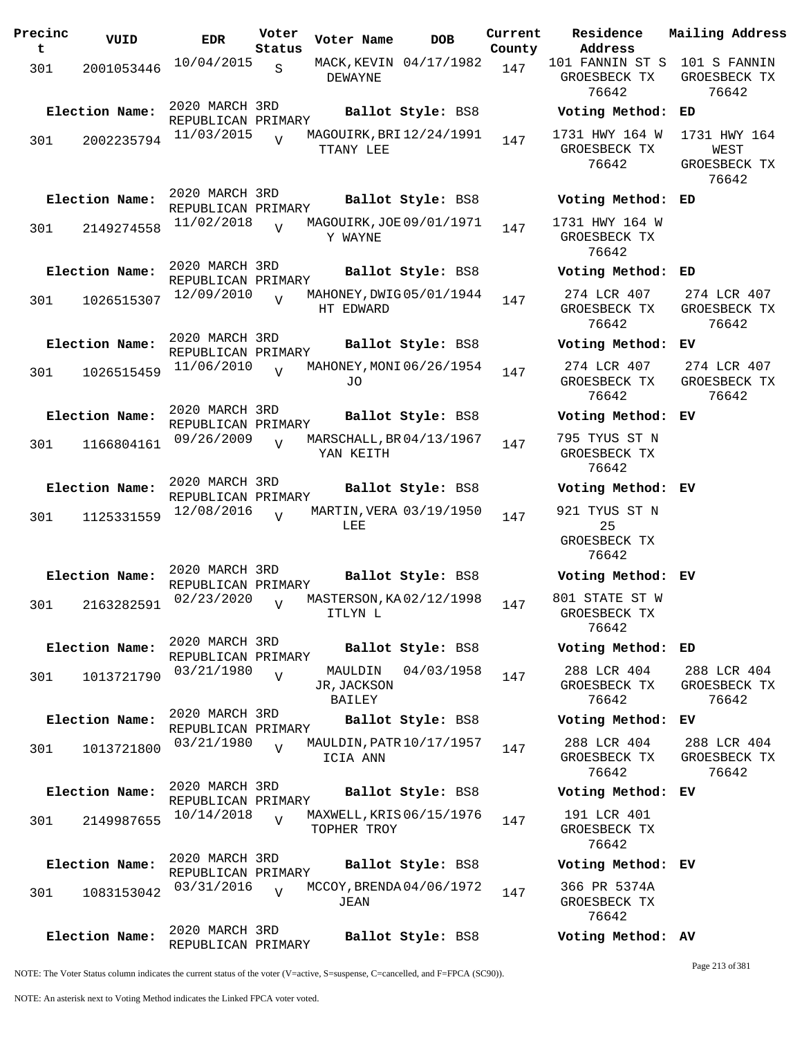| Precinc<br>t | VUID           | <b>EDR</b>                           | Voter<br>Status | Voter Name                              | <b>DOB</b>             | Current<br>County | Residence<br>Address                         | Mailing Address                               |
|--------------|----------------|--------------------------------------|-----------------|-----------------------------------------|------------------------|-------------------|----------------------------------------------|-----------------------------------------------|
| 301          | 2001053446     | 10/04/2015                           | S               | DEWAYNE                                 | MACK, KEVIN 04/17/1982 | 147               | 101 FANNIN ST S<br>GROESBECK TX<br>76642     | 101 S FANNIN<br>GROESBECK TX<br>76642         |
|              | Election Name: | 2020 MARCH 3RD<br>REPUBLICAN PRIMARY |                 |                                         | Ballot Style: BS8      |                   | Voting Method:                               | ED                                            |
| 301          | 2002235794     | 11/03/2015                           | $\overline{z}$  | MAGOUIRK, BRI 12/24/1991<br>TTANY LEE   |                        | 147               | 1731 HWY 164 W<br>GROESBECK TX<br>76642      | 1731 HWY 164<br>WEST<br>GROESBECK TX<br>76642 |
|              | Election Name: | 2020 MARCH 3RD<br>REPUBLICAN PRIMARY |                 |                                         | Ballot Style: BS8      |                   | Voting Method: ED                            |                                               |
| 301          | 2149274558     | 11/02/2018                           | $\overline{U}$  | MAGOUIRK, JOE 09/01/1971<br>Y WAYNE     |                        | 147               | 1731 HWY 164 W<br>GROESBECK TX<br>76642      |                                               |
|              | Election Name: | 2020 MARCH 3RD<br>REPUBLICAN PRIMARY |                 |                                         | Ballot Style: BS8      |                   | Voting Method: ED                            |                                               |
| 301          | 1026515307     | 12/09/2010                           | $\overline{V}$  | MAHONEY, DWIG 05/01/1944<br>HT EDWARD   |                        | 147               | 274 LCR 407<br>GROESBECK TX<br>76642         | 274 LCR 407<br>GROESBECK TX<br>76642          |
|              | Election Name: | 2020 MARCH 3RD<br>REPUBLICAN PRIMARY |                 |                                         | Ballot Style: BS8      |                   | Voting Method:                               | ЕV                                            |
| 301          | 1026515459     | 11/06/2010                           | $\overline{U}$  | MAHONEY, MONI 06/26/1954<br>JO          |                        | 147               | 274 LCR 407<br>GROESBECK TX<br>76642         | 274 LCR 407<br>GROESBECK TX<br>76642          |
|              | Election Name: | 2020 MARCH 3RD<br>REPUBLICAN PRIMARY |                 |                                         | Ballot Style: BS8      |                   | Voting Method:                               | ЕV                                            |
| 301          | 1166804161     | 09/26/2009                           | $\overline{U}$  | MARSCHALL, BR 04/13/1967<br>YAN KEITH   |                        | 147               | 795 TYUS ST N<br>GROESBECK TX<br>76642       |                                               |
|              | Election Name: | 2020 MARCH 3RD<br>REPUBLICAN PRIMARY |                 |                                         | Ballot Style: BS8      |                   | Voting Method: EV                            |                                               |
| 301          | 1125331559     | 12/08/2016                           | $\overline{V}$  | MARTIN, VERA 03/19/1950<br>LEE          |                        | 147               | 921 TYUS ST N<br>25<br>GROESBECK TX<br>76642 |                                               |
|              | Election Name: | 2020 MARCH 3RD<br>REPUBLICAN PRIMARY |                 |                                         | Ballot Style: BS8      |                   | Voting Method: EV                            |                                               |
| 301          | 2163282591     | 02/23/2020                           | $\overline{V}$  | MASTERSON, KA02/12/1998<br>ITLYN L      |                        | 147               | 801 STATE ST W<br>GROESBECK TX<br>76642      |                                               |
|              | Election Name: | 2020 MARCH 3RD<br>REPUBLICAN PRIMARY |                 |                                         | Ballot Style: BS8      |                   | Voting Method: ED                            |                                               |
| 301          | 1013721790     | 03/21/1980                           | V               | MAULDIN<br>JR, JACKSON<br>BAILEY        | 04/03/1958             | 147               | 288 LCR 404<br>GROESBECK TX<br>76642         | 288 LCR 404<br>GROESBECK TX<br>76642          |
|              | Election Name: | 2020 MARCH 3RD<br>REPUBLICAN PRIMARY |                 |                                         | Ballot Style: BS8      |                   | Voting Method: EV                            |                                               |
| 301          | 1013721800     | 03/21/1980                           | $\overline{V}$  | MAULDIN, PATR 10/17/1957<br>ICIA ANN    |                        | 147               | 288 LCR 404<br>GROESBECK TX<br>76642         | 288 LCR 404<br>GROESBECK TX<br>76642          |
|              | Election Name: | 2020 MARCH 3RD<br>REPUBLICAN PRIMARY |                 |                                         | Ballot Style: BS8      |                   | Voting Method: EV                            |                                               |
| 301          | 2149987655     | 10/14/2018                           | $\overline{z}$  | MAXWELL, KRIS 06/15/1976<br>TOPHER TROY |                        | 147               | 191 LCR 401<br>GROESBECK TX<br>76642         |                                               |
|              | Election Name: | 2020 MARCH 3RD<br>REPUBLICAN PRIMARY |                 |                                         | Ballot Style: BS8      |                   | Voting Method: EV                            |                                               |
| 301          | 1083153042     | 03/31/2016                           | $\overline{V}$  | MCCOY, BRENDA04/06/1972<br>JEAN         |                        | 147               | 366 PR 5374A<br>GROESBECK TX<br>76642        |                                               |
|              | Election Name: | 2020 MARCH 3RD<br>REPUBLICAN PRIMARY |                 |                                         | Ballot Style: BS8      |                   | Voting Method: AV                            |                                               |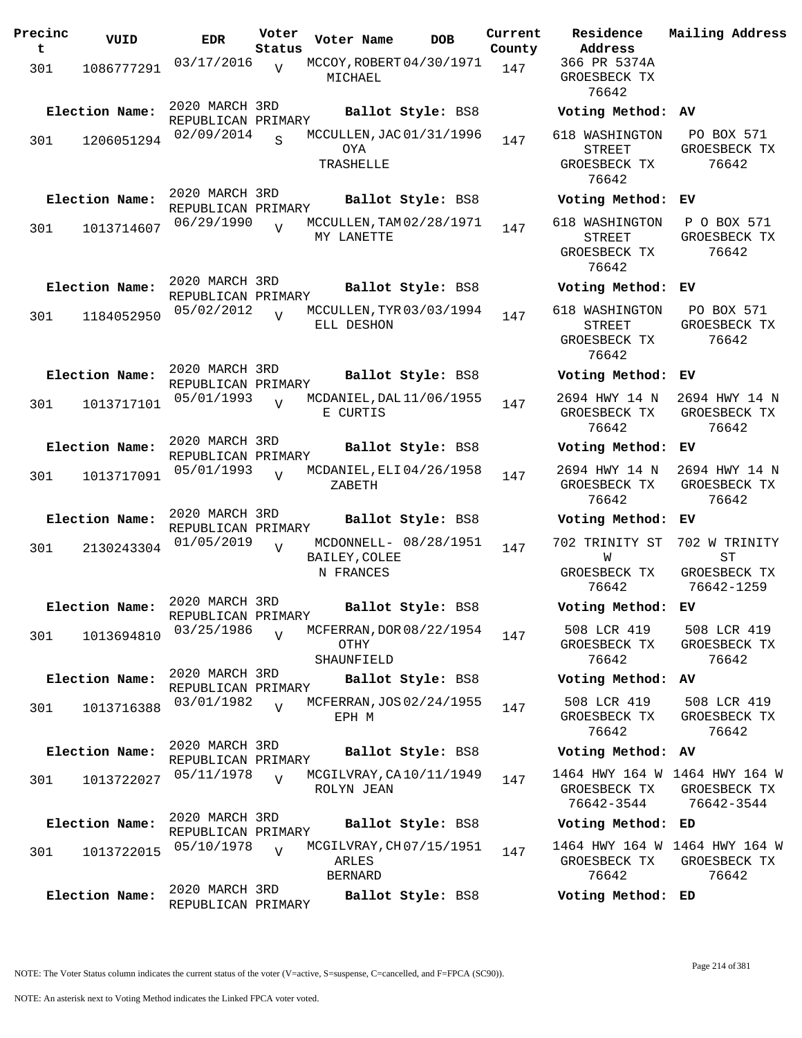| 366 PR 5374A<br>03/17/2016<br>MCCOY, ROBERT 04/30/1971<br>$\overline{V}$<br>147<br>301<br>1086777291<br>GROESBECK TX<br>MICHAEL<br>76642<br>2020 MARCH 3RD<br>Election Name:<br>Ballot Style: BS8<br>Voting Method:<br>AV<br>REPUBLICAN PRIMARY<br>F<br>02/09/2014<br>MCCULLEN, JAC 01/31/1996<br>618 WASHINGTON<br>S<br>147<br>301<br>1206051294<br><b>OYA</b><br>GR<br><b>STREET</b><br>TRASHELLE<br>GROESBECK TX<br>76642<br>2020 MARCH 3RD<br>Election Name:<br>Ballot Style: BS8<br>Voting Method:<br>ΕV<br>REPUBLICAN PRIMARY<br>06/29/1990<br>MCCULLEN, TAM 02/28/1971<br>618 WASHINGTON<br>Ρ<br>$\overline{V}$<br>147<br>1013714607<br>301<br>MY LANETTE<br>GR<br><b>STREET</b><br>GROESBECK TX<br>76642<br>2020 MARCH 3RD<br>Election Name:<br>Ballot Style: BS8<br>Voting Method:<br>EV<br>REPUBLICAN PRIMARY<br>05/02/2012<br>F<br>MCCULLEN, TYR 03/03/1994<br>618 WASHINGTON<br>$\overline{U}$<br>147<br>301<br>1184052950<br>ELL DESHON<br>GR<br><b>STREET</b><br>GROESBECK TX<br>76642<br>2020 MARCH 3RD<br>Election Name:<br>Ballot Style: BS8<br>Voting Method:<br>ΕV<br>REPUBLICAN PRIMARY<br>26<br>05/01/1993<br>2694 HWY 14 N<br>MCDANIEL, DAL 11/06/1955<br>$\overline{U}$<br>301<br>1013717101<br>147<br>GROESBECK TX<br>GR<br>E CURTIS<br>76642<br>2020 MARCH 3RD<br>Election Name:<br>Ballot Style: BS8<br>Voting Method:<br>EV<br>REPUBLICAN PRIMARY<br>26 <sub>1</sub><br>05/01/1993<br>2694 HWY 14 N<br>MCDANIEL, ELI 04/26/1958<br>$\overline{V}$<br>147<br>301<br>1013717091<br>GROESBECK TX<br>GR<br>ZABETH<br>76642<br>2020 MARCH 3RD<br>Election Name:<br>Ballot Style: BS8<br>Voting Method:<br>ΕV<br>REPUBLICAN PRIMARY<br>70.<br>01/05/2019<br>702 TRINITY ST<br>MCDONNELL- 08/28/1951<br>$\overline{V}$<br>147<br>2130243304<br>301<br>BAILEY, COLEE<br>W<br>N FRANCES<br>GROESBECK TX<br>GR<br>7<br>76642<br>2020 MARCH 3RD<br>Election Name:<br>Ballot Style: BS8<br>Voting Method:<br>ЕV<br>REPUBLICAN PRIMARY<br>03/25/1986<br>508 LCR 419<br>5 <sub>1</sub><br>MCFERRAN, DOR 08/22/1954<br>$\overline{U}$<br>147<br>301<br>1013694810<br>OTHY<br>GROESBECK TX<br>GR<br>76642<br>SHAUNFIELD<br>2020 MARCH 3RD<br>Election Name:<br>Ballot Style: BS8<br>Voting Method: AV<br>REPUBLICAN PRIMARY<br>5 <sub>1</sub><br>508 LCR 419<br>03/01/1982<br>MCFERRAN, JOS 02/24/1955<br>$\overline{z}$<br>147<br>301<br>1013716388<br>GROESBECK TX<br>GR<br>EPH M<br>76642<br>2020 MARCH 3RD<br>Election Name:<br>Ballot Style: BS8<br>Voting Method: AV<br>REPUBLICAN PRIMARY<br>1464 HWY 164 W 146<br>05/11/1978<br>MCGILVRAY, CA10/11/1949<br>$\overline{U}$<br>147<br>1013722027<br>301<br>ROLYN JEAN<br>GROESBECK TX<br>GR<br>7<br>76642-3544<br>2020 MARCH 3RD<br>Election Name:<br>Ballot Style: BS8<br>Voting Method:<br>ED<br>REPUBLICAN PRIMARY<br>1464 HWY 164 W 146<br>05/10/1978<br>MCGILVRAY, CH 07/15/1951<br>$\overline{U}$<br>147<br>301<br>1013722015<br>ARLES<br>GROESBECK TX<br>GR<br>76642<br><b>BERNARD</b><br>2020 MARCH 3RD<br>Election Name:<br>Ballot Style: BS8<br>Voting Method: ED<br>REPUBLICAN PRIMARY | Precinc<br>t | VUID | <b>EDR</b> | Voter<br>Status | Voter Name | <b>DOB</b> | Current<br>County | Residence<br>Address | Mai. |
|--------------------------------------------------------------------------------------------------------------------------------------------------------------------------------------------------------------------------------------------------------------------------------------------------------------------------------------------------------------------------------------------------------------------------------------------------------------------------------------------------------------------------------------------------------------------------------------------------------------------------------------------------------------------------------------------------------------------------------------------------------------------------------------------------------------------------------------------------------------------------------------------------------------------------------------------------------------------------------------------------------------------------------------------------------------------------------------------------------------------------------------------------------------------------------------------------------------------------------------------------------------------------------------------------------------------------------------------------------------------------------------------------------------------------------------------------------------------------------------------------------------------------------------------------------------------------------------------------------------------------------------------------------------------------------------------------------------------------------------------------------------------------------------------------------------------------------------------------------------------------------------------------------------------------------------------------------------------------------------------------------------------------------------------------------------------------------------------------------------------------------------------------------------------------------------------------------------------------------------------------------------------------------------------------------------------------------------------------------------------------------------------------------------------------------------------------------------------------------------------------------------------------------------------------------------------------------------------------------------------------------------------------------------------------------------------------------------------------------------------------------------------------------------------------------------------------------------------------------------------------------------------------------------------------------------------------------------------------------------------------------------------------------------------------------------------|--------------|------|------------|-----------------|------------|------------|-------------------|----------------------|------|
|                                                                                                                                                                                                                                                                                                                                                                                                                                                                                                                                                                                                                                                                                                                                                                                                                                                                                                                                                                                                                                                                                                                                                                                                                                                                                                                                                                                                                                                                                                                                                                                                                                                                                                                                                                                                                                                                                                                                                                                                                                                                                                                                                                                                                                                                                                                                                                                                                                                                                                                                                                                                                                                                                                                                                                                                                                                                                                                                                                                                                                                                    |              |      |            |                 |            |            |                   |                      |      |
|                                                                                                                                                                                                                                                                                                                                                                                                                                                                                                                                                                                                                                                                                                                                                                                                                                                                                                                                                                                                                                                                                                                                                                                                                                                                                                                                                                                                                                                                                                                                                                                                                                                                                                                                                                                                                                                                                                                                                                                                                                                                                                                                                                                                                                                                                                                                                                                                                                                                                                                                                                                                                                                                                                                                                                                                                                                                                                                                                                                                                                                                    |              |      |            |                 |            |            |                   |                      |      |
|                                                                                                                                                                                                                                                                                                                                                                                                                                                                                                                                                                                                                                                                                                                                                                                                                                                                                                                                                                                                                                                                                                                                                                                                                                                                                                                                                                                                                                                                                                                                                                                                                                                                                                                                                                                                                                                                                                                                                                                                                                                                                                                                                                                                                                                                                                                                                                                                                                                                                                                                                                                                                                                                                                                                                                                                                                                                                                                                                                                                                                                                    |              |      |            |                 |            |            |                   |                      |      |
|                                                                                                                                                                                                                                                                                                                                                                                                                                                                                                                                                                                                                                                                                                                                                                                                                                                                                                                                                                                                                                                                                                                                                                                                                                                                                                                                                                                                                                                                                                                                                                                                                                                                                                                                                                                                                                                                                                                                                                                                                                                                                                                                                                                                                                                                                                                                                                                                                                                                                                                                                                                                                                                                                                                                                                                                                                                                                                                                                                                                                                                                    |              |      |            |                 |            |            |                   |                      |      |
|                                                                                                                                                                                                                                                                                                                                                                                                                                                                                                                                                                                                                                                                                                                                                                                                                                                                                                                                                                                                                                                                                                                                                                                                                                                                                                                                                                                                                                                                                                                                                                                                                                                                                                                                                                                                                                                                                                                                                                                                                                                                                                                                                                                                                                                                                                                                                                                                                                                                                                                                                                                                                                                                                                                                                                                                                                                                                                                                                                                                                                                                    |              |      |            |                 |            |            |                   |                      |      |
|                                                                                                                                                                                                                                                                                                                                                                                                                                                                                                                                                                                                                                                                                                                                                                                                                                                                                                                                                                                                                                                                                                                                                                                                                                                                                                                                                                                                                                                                                                                                                                                                                                                                                                                                                                                                                                                                                                                                                                                                                                                                                                                                                                                                                                                                                                                                                                                                                                                                                                                                                                                                                                                                                                                                                                                                                                                                                                                                                                                                                                                                    |              |      |            |                 |            |            |                   |                      |      |
|                                                                                                                                                                                                                                                                                                                                                                                                                                                                                                                                                                                                                                                                                                                                                                                                                                                                                                                                                                                                                                                                                                                                                                                                                                                                                                                                                                                                                                                                                                                                                                                                                                                                                                                                                                                                                                                                                                                                                                                                                                                                                                                                                                                                                                                                                                                                                                                                                                                                                                                                                                                                                                                                                                                                                                                                                                                                                                                                                                                                                                                                    |              |      |            |                 |            |            |                   |                      |      |
|                                                                                                                                                                                                                                                                                                                                                                                                                                                                                                                                                                                                                                                                                                                                                                                                                                                                                                                                                                                                                                                                                                                                                                                                                                                                                                                                                                                                                                                                                                                                                                                                                                                                                                                                                                                                                                                                                                                                                                                                                                                                                                                                                                                                                                                                                                                                                                                                                                                                                                                                                                                                                                                                                                                                                                                                                                                                                                                                                                                                                                                                    |              |      |            |                 |            |            |                   |                      |      |
|                                                                                                                                                                                                                                                                                                                                                                                                                                                                                                                                                                                                                                                                                                                                                                                                                                                                                                                                                                                                                                                                                                                                                                                                                                                                                                                                                                                                                                                                                                                                                                                                                                                                                                                                                                                                                                                                                                                                                                                                                                                                                                                                                                                                                                                                                                                                                                                                                                                                                                                                                                                                                                                                                                                                                                                                                                                                                                                                                                                                                                                                    |              |      |            |                 |            |            |                   |                      |      |
|                                                                                                                                                                                                                                                                                                                                                                                                                                                                                                                                                                                                                                                                                                                                                                                                                                                                                                                                                                                                                                                                                                                                                                                                                                                                                                                                                                                                                                                                                                                                                                                                                                                                                                                                                                                                                                                                                                                                                                                                                                                                                                                                                                                                                                                                                                                                                                                                                                                                                                                                                                                                                                                                                                                                                                                                                                                                                                                                                                                                                                                                    |              |      |            |                 |            |            |                   |                      |      |
|                                                                                                                                                                                                                                                                                                                                                                                                                                                                                                                                                                                                                                                                                                                                                                                                                                                                                                                                                                                                                                                                                                                                                                                                                                                                                                                                                                                                                                                                                                                                                                                                                                                                                                                                                                                                                                                                                                                                                                                                                                                                                                                                                                                                                                                                                                                                                                                                                                                                                                                                                                                                                                                                                                                                                                                                                                                                                                                                                                                                                                                                    |              |      |            |                 |            |            |                   |                      |      |
|                                                                                                                                                                                                                                                                                                                                                                                                                                                                                                                                                                                                                                                                                                                                                                                                                                                                                                                                                                                                                                                                                                                                                                                                                                                                                                                                                                                                                                                                                                                                                                                                                                                                                                                                                                                                                                                                                                                                                                                                                                                                                                                                                                                                                                                                                                                                                                                                                                                                                                                                                                                                                                                                                                                                                                                                                                                                                                                                                                                                                                                                    |              |      |            |                 |            |            |                   |                      |      |
|                                                                                                                                                                                                                                                                                                                                                                                                                                                                                                                                                                                                                                                                                                                                                                                                                                                                                                                                                                                                                                                                                                                                                                                                                                                                                                                                                                                                                                                                                                                                                                                                                                                                                                                                                                                                                                                                                                                                                                                                                                                                                                                                                                                                                                                                                                                                                                                                                                                                                                                                                                                                                                                                                                                                                                                                                                                                                                                                                                                                                                                                    |              |      |            |                 |            |            |                   |                      |      |
|                                                                                                                                                                                                                                                                                                                                                                                                                                                                                                                                                                                                                                                                                                                                                                                                                                                                                                                                                                                                                                                                                                                                                                                                                                                                                                                                                                                                                                                                                                                                                                                                                                                                                                                                                                                                                                                                                                                                                                                                                                                                                                                                                                                                                                                                                                                                                                                                                                                                                                                                                                                                                                                                                                                                                                                                                                                                                                                                                                                                                                                                    |              |      |            |                 |            |            |                   |                      |      |
|                                                                                                                                                                                                                                                                                                                                                                                                                                                                                                                                                                                                                                                                                                                                                                                                                                                                                                                                                                                                                                                                                                                                                                                                                                                                                                                                                                                                                                                                                                                                                                                                                                                                                                                                                                                                                                                                                                                                                                                                                                                                                                                                                                                                                                                                                                                                                                                                                                                                                                                                                                                                                                                                                                                                                                                                                                                                                                                                                                                                                                                                    |              |      |            |                 |            |            |                   |                      |      |
|                                                                                                                                                                                                                                                                                                                                                                                                                                                                                                                                                                                                                                                                                                                                                                                                                                                                                                                                                                                                                                                                                                                                                                                                                                                                                                                                                                                                                                                                                                                                                                                                                                                                                                                                                                                                                                                                                                                                                                                                                                                                                                                                                                                                                                                                                                                                                                                                                                                                                                                                                                                                                                                                                                                                                                                                                                                                                                                                                                                                                                                                    |              |      |            |                 |            |            |                   |                      |      |
|                                                                                                                                                                                                                                                                                                                                                                                                                                                                                                                                                                                                                                                                                                                                                                                                                                                                                                                                                                                                                                                                                                                                                                                                                                                                                                                                                                                                                                                                                                                                                                                                                                                                                                                                                                                                                                                                                                                                                                                                                                                                                                                                                                                                                                                                                                                                                                                                                                                                                                                                                                                                                                                                                                                                                                                                                                                                                                                                                                                                                                                                    |              |      |            |                 |            |            |                   |                      |      |
|                                                                                                                                                                                                                                                                                                                                                                                                                                                                                                                                                                                                                                                                                                                                                                                                                                                                                                                                                                                                                                                                                                                                                                                                                                                                                                                                                                                                                                                                                                                                                                                                                                                                                                                                                                                                                                                                                                                                                                                                                                                                                                                                                                                                                                                                                                                                                                                                                                                                                                                                                                                                                                                                                                                                                                                                                                                                                                                                                                                                                                                                    |              |      |            |                 |            |            |                   |                      |      |
|                                                                                                                                                                                                                                                                                                                                                                                                                                                                                                                                                                                                                                                                                                                                                                                                                                                                                                                                                                                                                                                                                                                                                                                                                                                                                                                                                                                                                                                                                                                                                                                                                                                                                                                                                                                                                                                                                                                                                                                                                                                                                                                                                                                                                                                                                                                                                                                                                                                                                                                                                                                                                                                                                                                                                                                                                                                                                                                                                                                                                                                                    |              |      |            |                 |            |            |                   |                      |      |
|                                                                                                                                                                                                                                                                                                                                                                                                                                                                                                                                                                                                                                                                                                                                                                                                                                                                                                                                                                                                                                                                                                                                                                                                                                                                                                                                                                                                                                                                                                                                                                                                                                                                                                                                                                                                                                                                                                                                                                                                                                                                                                                                                                                                                                                                                                                                                                                                                                                                                                                                                                                                                                                                                                                                                                                                                                                                                                                                                                                                                                                                    |              |      |            |                 |            |            |                   |                      |      |
|                                                                                                                                                                                                                                                                                                                                                                                                                                                                                                                                                                                                                                                                                                                                                                                                                                                                                                                                                                                                                                                                                                                                                                                                                                                                                                                                                                                                                                                                                                                                                                                                                                                                                                                                                                                                                                                                                                                                                                                                                                                                                                                                                                                                                                                                                                                                                                                                                                                                                                                                                                                                                                                                                                                                                                                                                                                                                                                                                                                                                                                                    |              |      |            |                 |            |            |                   |                      |      |
|                                                                                                                                                                                                                                                                                                                                                                                                                                                                                                                                                                                                                                                                                                                                                                                                                                                                                                                                                                                                                                                                                                                                                                                                                                                                                                                                                                                                                                                                                                                                                                                                                                                                                                                                                                                                                                                                                                                                                                                                                                                                                                                                                                                                                                                                                                                                                                                                                                                                                                                                                                                                                                                                                                                                                                                                                                                                                                                                                                                                                                                                    |              |      |            |                 |            |            |                   |                      |      |
|                                                                                                                                                                                                                                                                                                                                                                                                                                                                                                                                                                                                                                                                                                                                                                                                                                                                                                                                                                                                                                                                                                                                                                                                                                                                                                                                                                                                                                                                                                                                                                                                                                                                                                                                                                                                                                                                                                                                                                                                                                                                                                                                                                                                                                                                                                                                                                                                                                                                                                                                                                                                                                                                                                                                                                                                                                                                                                                                                                                                                                                                    |              |      |            |                 |            |            |                   |                      |      |
|                                                                                                                                                                                                                                                                                                                                                                                                                                                                                                                                                                                                                                                                                                                                                                                                                                                                                                                                                                                                                                                                                                                                                                                                                                                                                                                                                                                                                                                                                                                                                                                                                                                                                                                                                                                                                                                                                                                                                                                                                                                                                                                                                                                                                                                                                                                                                                                                                                                                                                                                                                                                                                                                                                                                                                                                                                                                                                                                                                                                                                                                    |              |      |            |                 |            |            |                   |                      |      |

**Voter Name DOB Residence Address Current Mailing Address** 366 PR 5374A GROESBECK TX 76642 **Election Name: Ballot Style:** BS8 **Voting Method: AV** 618 WASHINGTON STREET GROESBECK TX 76642 PO BOX 571 GROESBECK TX 76642 **Election Name: Ballot Style:** BS8 **Voting Method: EV** 618 WASHINGTON STREET GROESBECK TX 76642 P O BOX 571 GROESBECK TX 76642 **Election Name: Ballot Style:** BS8 **Voting Method: EV** 618 WASHINGTON STREET GROESBECK TX 76642 PO BOX 571 GROESBECK TX 76642 **Election Name: Ballot Style:** BS8 **Voting Method: EV** 2694 HWY 14 N GROESBECK TX 76642 2694 HWY 14 N GROESBECK TX 76642 **Election Name: Ballot Style:** BS8 **Voting Method: EV** 2694 HWY 14 N 2694 HWY 14 N GROESBECK TX 76642 GROESBECK TX 76642 **Election Name: Ballot Style:** BS8 **Voting Method: EV** 702 TRINITY ST 702 W TRINITY W GROESBECK TX 76642 ST GROESBECK TX 76642-1259 **Election Name: Ballot Style:** BS8 **Voting Method: EV** 508 LCR 419 GROESBECK TX 76642 508 LCR 419 GROESBECK TX 76642 **Election Name: Ballot Style:** BS8 **Voting Method: AV** 508 LCR 419 GROESBECK TX 76642 508 LCR 419 GROESBECK TX 76642 **Election Name: Ballot Style:** BS8 **Voting Method: AV** 1464 HWY 164 W 1464 HWY 164 W GROESBECK TX GROESBECK TX 76642-3544 76642-3544 **Election Name: Ballot Style:** BS8 **Voting Method: ED** 1464 HWY 164 W 1464 HWY 164 W GROESBECK TX GROESBECK TX

76642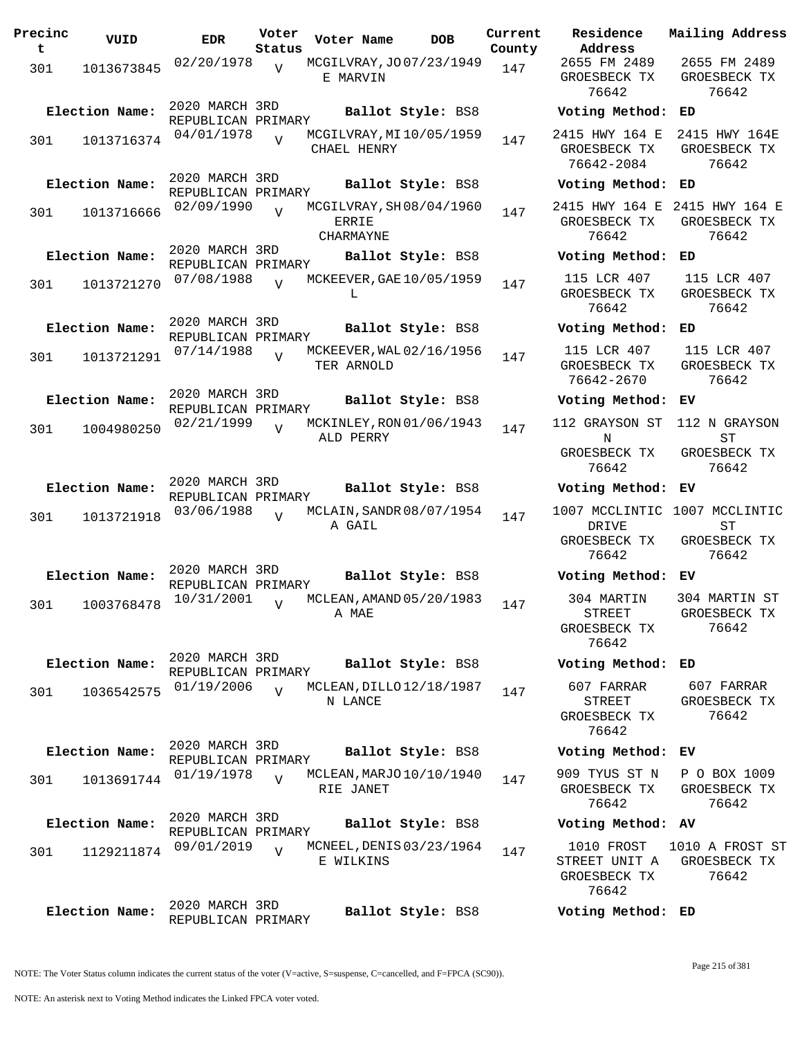| Precinc<br>t | VUID           | <b>EDR</b>                           | Voter<br>Status | Voter Name                                           | <b>DOB</b> | Current<br>County | Residence<br>Address                                 | Mai.                  |
|--------------|----------------|--------------------------------------|-----------------|------------------------------------------------------|------------|-------------------|------------------------------------------------------|-----------------------|
| 301          | 1013673845     | 02/20/1978                           | $\overline{V}$  | MCGILVRAY, JO07/23/1949<br>E MARVIN                  |            | 147               | 2655 FM 2489<br>GROESBECK TX<br>76642                | 26<br>GR              |
|              | Election Name: | 2020 MARCH 3RD<br>REPUBLICAN PRIMARY |                 | Ballot Style: BS8                                    |            |                   | Voting Method:                                       | ED                    |
| 301          | 1013716374     | 04/01/1978                           | $\overline{U}$  | MCGILVRAY, MI10/05/1959<br>CHAEL HENRY               |            | 147               | 2415 HWY 164 E<br>GROESBECK TX<br>76642-2084         | 24<br>GR              |
|              | Election Name: | 2020 MARCH 3RD<br>REPUBLICAN PRIMARY |                 | Ballot Style: BS8                                    |            |                   | Voting Method:                                       | ED                    |
| 301          | 1013716666     | 02/09/1990                           | $\overline{V}$  | MCGILVRAY, SH08/04/1960<br><b>ERRIE</b><br>CHARMAYNE |            | 147               | 2415 HWY 164 E<br>GROESBECK TX<br>76642              | 241<br>GR             |
|              | Election Name: | 2020 MARCH 3RD                       |                 | Ballot Style: BS8                                    |            |                   | Voting Method:                                       | ED                    |
| 301          | 1013721270     | REPUBLICAN PRIMARY<br>07/08/1988     | $\overline{U}$  | MCKEEVER, GAE 10/05/1959<br>L                        |            | 147               | 115 LCR 407<br>GROESBECK TX<br>76642                 | $\mathbf{1}$<br>GR    |
|              | Election Name: | 2020 MARCH 3RD<br>REPUBLICAN PRIMARY |                 | Ballot Style: BS8                                    |            |                   | Voting Method:                                       | ED                    |
| 301          | 1013721291     | 07/14/1988                           | $\overline{U}$  | MCKEEVER, WAL 02/16/1956<br>TER ARNOLD               |            | 147               | 115 LCR 407<br>GROESBECK TX<br>76642-2670            | $\mathbf{1}$<br>GR    |
|              | Election Name: | 2020 MARCH 3RD<br>REPUBLICAN PRIMARY |                 | Ballot Style: BS8                                    |            |                   | Voting Method:                                       | ΕV                    |
| 301          | 1004980250     | 02/21/1999                           | $\overline{V}$  | MCKINLEY, RON 01/06/1943<br>ALD PERRY                |            | 147               | 112 GRAYSON ST<br>N                                  | 11                    |
|              |                |                                      |                 |                                                      |            |                   | GROESBECK TX<br>76642                                | GR                    |
|              | Election Name: | 2020 MARCH 3RD<br>REPUBLICAN PRIMARY |                 | Ballot Style: BS8                                    |            |                   | Voting Method:                                       | ЕV                    |
| 301          | 1013721918     | 03/06/1988                           | $\overline{V}$  | MCLAIN, SANDR 08/07/1954<br>A GAIL                   |            | 147               | 1007 MCCLINTIC<br>DRIVE<br>GROESBECK TX<br>76642     | 100<br>GR             |
|              | Election Name: | 2020 MARCH 3RD<br>REPUBLICAN PRIMARY |                 | Ballot Style: BS8                                    |            |                   | Voting Method:                                       | ЕV                    |
| 301          | 1003768478     | 10/31/2001                           | $\overline{V}$  | MCLEAN, AMAND 05/20/1983<br>A MAE                    |            | 147               | 304 MARTIN<br>STREET<br>GROESBECK TX<br>76642        | 30 <sub>1</sub><br>GR |
|              | Election Name: | 2020 MARCH 3RD<br>REPUBLICAN PRIMARY |                 | Ballot Style: BS8                                    |            |                   | Voting Method: ED                                    |                       |
| 301          | 1036542575     | 01/19/2006                           | $\overline{V}$  | MCLEAN, DILLO 12/18/1987<br>N LANCE                  |            | 147               | 607 FARRAR<br><b>STREET</b><br>GROESBECK TX<br>76642 | 6<br>GR               |
|              | Election Name: | 2020 MARCH 3RD<br>REPUBLICAN PRIMARY |                 | Ballot Style: BS8                                    |            |                   | Voting Method: EV                                    |                       |
| 301          | 1013691744     | 01/19/1978                           | $\overline{V}$  | MCLEAN, MARJO 10/10/1940<br>RIE JANET                |            | 147               | 909 TYUS ST N<br>GROESBECK TX<br>76642               | P<br>GR               |
|              | Election Name: | 2020 MARCH 3RD<br>REPUBLICAN PRIMARY |                 | Ballot Style: BS8                                    |            |                   | Voting Method: AV                                    |                       |
| 301          | 1129211874     | 09/01/2019                           | $\overline{U}$  | MCNEEL, DENIS 03/23/1964<br>E WILKINS                |            | 147               | 1010 FROST<br>STREET UNIT A<br>GROESBECK TX<br>76642 | 101<br>GR             |
|              | Election Name: | 2020 MARCH 3RD<br>REPUBLICAN PRIMARY |                 | Ballot Style: BS8                                    |            |                   | Voting Method: ED                                    |                       |

**Voter Name DOB Residence Address Current Mailing Address County** 2655 FM 2489 GROESBECK TX 76642 2655 FM 2489 GROESBECK TX 76642 **Election Name: Ballot Style:** BS8 **Voting Method: ED** 2415 HWY 164 E 2415 HWY 164E GROESBECK TX 76642-2084 GROESBECK TX 76642 **Election Name: Ballot Style:** BS8 **Voting Method: ED** 2415 HWY 164 E 2415 HWY 164 E GROESBECK TX 76642 GROESBECK TX 76642 **Election Name: Ballot Style:** BS8 **Voting Method: ED** 115 LCR 407 GROESBECK TX 76642 115 LCR 407 GROESBECK TX 76642 **Election Name: Ballot Style:** BS8 **Voting Method: ED** 115 LCR 407 GROESBECK TX 76642-2670 115 LCR 407 GROESBECK TX 76642 **Election Name: Ballot Style:** BS8 **Voting Method: EV** 112 GRAYSON ST 112 N GRAYSON N GROESBECK TX 76642 ST GROESBECK TX 76642 **Election Name: Ballot Style:** BS8 **Voting Method: EV** 1007 MCCLINTIC 1007 MCCLINTIC DRIVE GROESBECK TX 76642 ST GROESBECK TX 76642 **Election Name: Ballot Style:** BS8 **Voting Method: EV** 304 MARTIN STREET GROESBECK TX 76642 304 MARTIN ST GROESBECK TX 76642 **Election Name: Ballot Style:** BS8 **Voting Method: ED** 607 FARRAR STREET GROESBECK TX 76642 607 FARRAR GROESBECK TX 76642 **Election Name: Ballot Style:** BS8 **Voting Method: EV** 909 TYUS ST N GROESBECK TX 76642 P O BOX 1009 GROESBECK TX 76642 **Election Name: Ballot Style:** BS8 **Voting Method: AV** 1010 FROST 1010 A FROST ST STREET UNIT A GROESBECK TX GROESBECK TX 76642 76642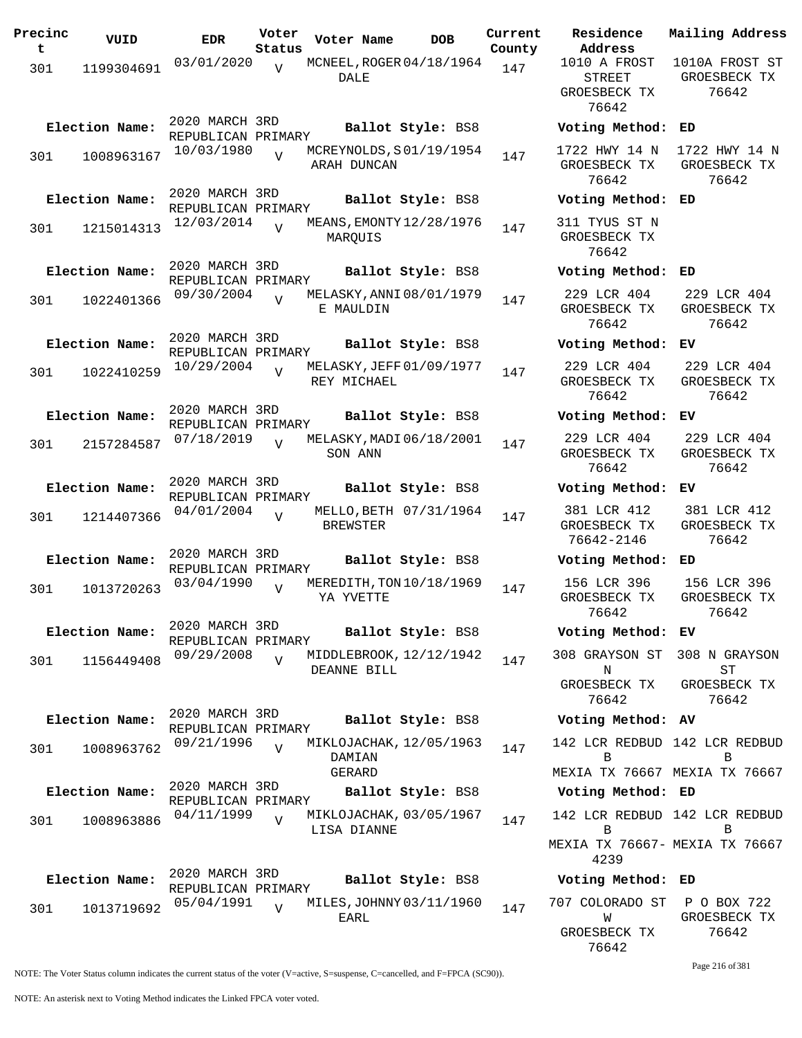| Precinc<br>t. | VUID           | <b>EDR</b>                           | Voter<br>Status | Voter Name      | DOB                      | Current<br>County |
|---------------|----------------|--------------------------------------|-----------------|-----------------|--------------------------|-------------------|
| 301           | 1199304691     | 03/01/2020                           | $\overline{V}$  | DALE            | MCNEEL, ROGER 04/18/1964 | 147               |
|               | Election Name: | 2020 MARCH 3RD<br>REPUBLICAN PRIMARY |                 |                 | Ballot Style: BS8        |                   |
| 301           | 1008963167     | 10/03/1980                           | $\overline{U}$  | ARAH DUNCAN     | MCREYNOLDS, S01/19/1954  | 147               |
|               | Election Name: | 2020 MARCH 3RD<br>REPUBLICAN PRIMARY |                 |                 | Ballot Style: BS8        |                   |
| 301           | 1215014313     | 12/03/2014                           | V               | MARQUIS         | MEANS, EMONTY 12/28/1976 | 147               |
|               | Election Name: | 2020 MARCH 3RD<br>REPUBLICAN PRIMARY |                 |                 | Ballot Style: BS8        |                   |
| 301           | 1022401366     | 09/30/2004                           | V               | E MAULDIN       | MELASKY, ANNI 08/01/1979 | 147               |
|               | Election Name: | 2020 MARCH 3RD<br>REPUBLICAN PRIMARY |                 |                 | Ballot Style: BS8        |                   |
| 301           | 1022410259     | 10/29/2004                           | $\overline{V}$  | REY MICHAEL     | MELASKY, JEFF 01/09/1977 | 147               |
|               | Election Name: | 2020 MARCH 3RD<br>REPUBLICAN PRIMARY |                 |                 | Ballot Style: BS8        |                   |
| 301           | 2157284587     | 07/18/2019                           | $\overline{V}$  | SON ANN         | MELASKY, MADI 06/18/2001 | 147               |
|               | Election Name: | 2020 MARCH 3RD<br>REPUBLICAN PRIMARY |                 |                 | Ballot Style: BS8        |                   |
| 301           | 1214407366     | 04/01/2004                           | V               | <b>BREWSTER</b> | MELLO, BETH 07/31/1964   | 147               |
|               | Election Name: | 2020 MARCH 3RD<br>REPUBLICAN PRIMARY |                 |                 | Ballot Style: BS8        |                   |
| 301           | 1013720263     | 03/04/1990                           | $\overline{U}$  | YA YVETTE       | MEREDITH, TON 10/18/1969 | 147               |
|               | Election Name: | 2020 MARCH 3RD<br>REPUBLICAN PRIMARY |                 |                 | Ballot Style: BS8        |                   |
| 301           | 1156449408     | 09/29/2008                           | $\overline{V}$  | DEANNE BILL     | MIDDLEBROOK, 12/12/1942  | 147               |
|               | Election Name: | 2020 MARCH 3RD                       |                 |                 | Ballot Style: BS8        |                   |
| 301           | 1008963762     | REPUBLICAN PRIMARY<br>09/21/1996     | $\overline{V}$  | DAMIAN          | MIKLOJACHAK, 12/05/1963  | 147               |
|               | Election Name: | 2020 MARCH 3RD                       |                 | GERARD          | Ballot Style: BS8        |                   |
| 301           | 1008963886     | REPUBLICAN PRIMARY<br>04/11/1999     | $\overline{V}$  | LISA DIANNE     | MIKLOJACHAK, 03/05/1967  | 147               |
|               |                | 2020 MARCH 3RD                       |                 |                 |                          |                   |
|               | Election Name: | REPUBLICAN PRIMARY                   |                 |                 | Ballot Style: BS8        |                   |
| 301           | 1013719692     | 05/04/1991                           | V               | EARL            | MILES, JOHNNY 03/11/1960 | 147               |

**Voter Name DOB Residence Address Current Mailing Address** 1010 A FROST STREET GROESBECK TX 76642 1010A FROST ST GROESBECK TX 76642 **Election Name: Ballot Style:** BS8 **Voting Method: ED** 1722 HWY 14 N GROESBECK TX 76642 1722 HWY 14 N GROESBECK TX 76642 **Election Name: Ballot Style:** BS8 **Voting Method: ED** 311 TYUS ST N GROESBECK TX 76642 **Election Name: Ballot Style:** BS8 **Voting Method: ED** 229 LCR 404 GROESBECK TX 76642 229 LCR 404 GROESBECK TX 76642 **Election Name: Ballot Style:** BS8 **Voting Method: EV** 229 LCR 404 GROESBECK TX 76642 229 LCR 404 GROESBECK TX 76642 **Election Name: Ballot Style:** BS8 **Voting Method: EV** 229 LCR 404 GROESBECK TX 76642 229 LCR 404 GROESBECK TX 76642 **Election Name: Ballot Style:** BS8 **Voting Method: EV** 381 LCR 412 GROESBECK TX 76642-2146 381 LCR 412 GROESBECK TX 76642 **Election Name: Ballot Style:** BS8 **Voting Method: ED** 156 LCR 396 GROESBECK TX 76642 156 LCR 396 GROESBECK TX 76642 **Election Name: Ballot Style:** BS8 **Voting Method: EV** 308 GRAYSON ST N GROESBECK TX 76642 308 N GRAYSON ST GROESBECK TX 76642 **Election Name: Ballot Style:** BS8 **Voting Method: AV** 142 LCR REDBUD 142 LCR REDBUD B MEXIA TX 76667 MEXIA TX 76667 B **Election Name: Ballot Style:** BS8 **Voting Method: ED** 142 LCR REDBUD 142 LCR REDBUD B MEXIA TX 76667- MEXIA TX 76667 4239 B **Election Name: Ballot Style:** BS8 **Voting Method: ED** 707 COLORADO ST P O BOX 722 W GROESBECK TX

> GROESBECK TX 76642

76642

Page 216 of 381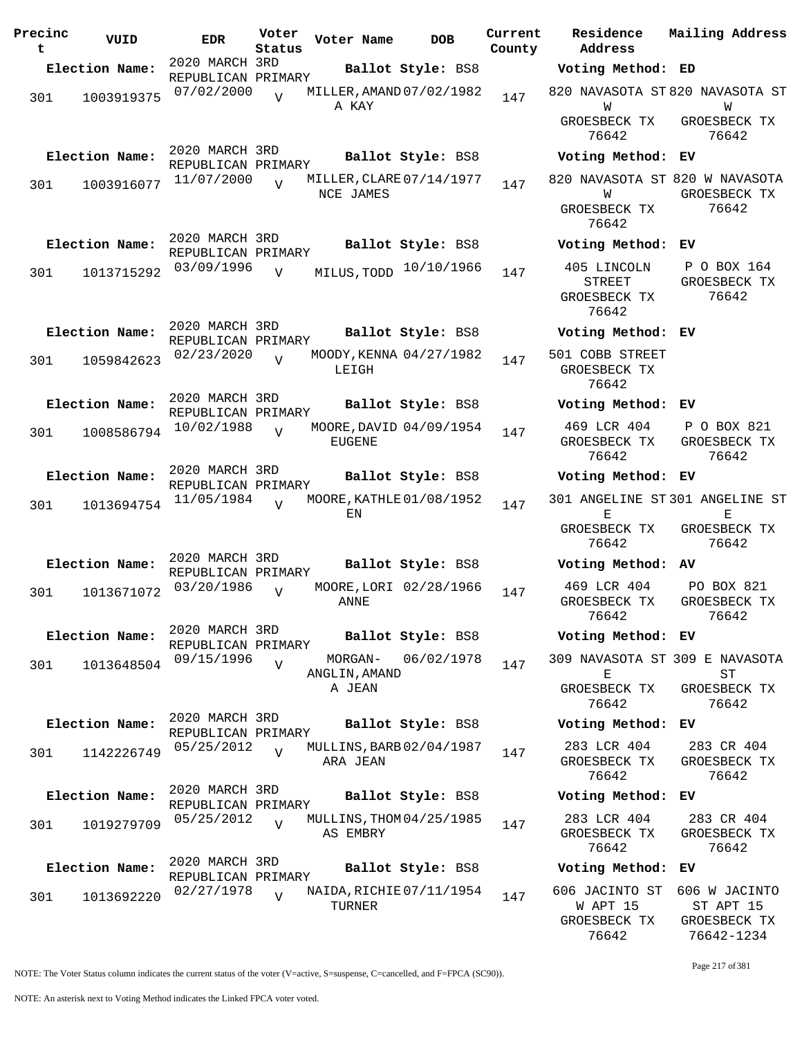| Precinc<br>t | VUID           | <b>EDR</b>                           | Voter<br>Status | Voter Name                            | <b>DOB</b>             | Current<br>County | Residence<br>Address                           |
|--------------|----------------|--------------------------------------|-----------------|---------------------------------------|------------------------|-------------------|------------------------------------------------|
|              | Election Name: | 2020 MARCH 3RD<br>REPUBLICAN PRIMARY |                 |                                       | Ballot Style: BS8      |                   | Voting Metho                                   |
| 301          | 1003919375     | 07/02/2000                           | $\overline{V}$  | MILLER, AMAND 07/02/1982<br>A KAY     |                        | 147               | 820 NAVASOTA<br>W                              |
|              |                |                                      |                 |                                       |                        |                   | GROESBECK TI<br>76642                          |
|              | Election Name: | 2020 MARCH 3RD<br>REPUBLICAN PRIMARY |                 |                                       | Ballot Style: BS8      |                   | Voting Metho                                   |
| 301          | 1003916077     | 11/07/2000                           | $\overline{V}$  | MILLER, CLARE 07/14/1977<br>NCE JAMES |                        | 147               | 820 NAVASOTA<br>W                              |
|              |                |                                      |                 |                                       |                        |                   | GROESBECK T<br>76642                           |
|              | Election Name: | 2020 MARCH 3RD<br>REPUBLICAN PRIMARY |                 |                                       | Ballot Style: BS8      |                   | Voting Metho                                   |
| 301          | 1013715292     | 03/09/1996                           | $\overline{V}$  | MILUS, TODD                           | 10/10/1966             | 147               | 405 LINCOLN<br>STREET<br>GROESBECK TI<br>76642 |
|              | Election Name: | 2020 MARCH 3RD                       |                 |                                       | Ballot Style: BS8      |                   | Voting Metho                                   |
| 301          | 1059842623     | REPUBLICAN PRIMARY<br>02/23/2020     | $\overline{V}$  | MOODY, KENNA 04/27/1982<br>LEIGH      |                        | 147               | 501 COBB STRE<br>GROESBECK T<br>76642          |
|              | Election Name: | 2020 MARCH 3RD                       |                 |                                       | Ballot Style: BS8      |                   | Voting Metho                                   |
| 301          | 1008586794     | REPUBLICAN PRIMARY<br>10/02/1988     | $\overline{U}$  | MOORE, DAVID 04/09/1954<br>EUGENE     |                        | 147               | 469 LCR 404<br>GROESBECK TI<br>76642           |
|              | Election Name: | 2020 MARCH 3RD                       |                 |                                       | Ballot Style: BS8      |                   | Voting Metho                                   |
| 301          | 1013694754     | REPUBLICAN PRIMARY<br>11/05/1984     | $\overline{z}$  | MOORE, KATHLE 01/08/1952<br>ΕN        |                        | 147               | 301 ANGELINE<br>Е                              |
|              |                |                                      |                 |                                       |                        |                   | GROESBECK T<br>76642                           |
|              | Election Name: | 2020 MARCH 3RD<br>REPUBLICAN PRIMARY |                 |                                       | Ballot Style: BS8      |                   | Voting Metho                                   |
| 301          | 1013671072     | 03/20/1986                           | $\overline{V}$  | ANNE                                  | MOORE, LORI 02/28/1966 | 147               | 469 LCR 404<br>GROESBECK TI<br>76642           |
|              | Election Name: | 2020 MARCH 3RD<br>REPUBLICAN PRIMARY |                 |                                       | Ballot Style: BS8      |                   | Voting Metho                                   |
| 301          | 1013648504     | 09/15/1996                           | $\overline{V}$  | MORGAN-<br>ANGLIN, AMAND              | 06/02/1978             | 147               | 309 NAVASOTA<br>Е                              |
|              |                |                                      |                 | A JEAN                                |                        |                   | GROESBECK T<br>76642                           |
|              | Election Name: | 2020 MARCH 3RD<br>REPUBLICAN PRIMARY |                 |                                       | Ballot Style: BS8      |                   | Voting Metho                                   |
| 301          | 1142226749     | 05/25/2012                           | $\overline{U}$  | MULLINS, BARB 02/04/1987<br>ARA JEAN  |                        | 147               | 283 LCR 404<br>GROESBECK T<br>76642            |
|              | Election Name: | 2020 MARCH 3RD                       |                 |                                       | Ballot Style: BS8      |                   | Voting Metho                                   |
| 301          | 1019279709     | REPUBLICAN PRIMARY<br>05/25/2012     | $\overline{V}$  | MULLINS, THOM 04/25/1985<br>AS EMBRY  |                        | 147               | 283 LCR 404<br>GROESBECK T<br>76642            |
|              | Election Name: | 2020 MARCH 3RD                       |                 |                                       | Ballot Style: BS8      |                   | Voting Metho                                   |
| 301          | 1013692220     | REPUBLICAN PRIMARY<br>02/27/1978     | V               | NAIDA, RICHIE 07/11/1954<br>TURNER    |                        | 147               | 606 JACINTO S<br>W APT 15<br>GROESBECK TI      |

**Address Current Mailing Address Election Name: Ballot Style:** BS8 **Voting Method: ED** 820 NAVASOTA ST 820 NAVASOTA ST W SBECK TX 76642 W GROESBECK TX 76642 **Election Name: Ballot Style:** BS8 **Voting Method: EV** 820 NAVASOTA ST 820 W NAVASOTA W SBECK TX 76642 GROESBECK TX 76642 **Election Name: Ballot Style:** BS8 **Voting Method: EV** STREET SBECK TX 76642 P O BOX 164 GROESBECK TX 76642 **Election Name: Ballot Style:** BS8 **Voting Method: EV** OBB STREET GROESBECK TX 76642 **Election Name: Ballot Style:** BS8 **Voting Method: EV** LCR 404 SBECK TX: 76642 P O BOX 821 GROESBECK TX 76642 **Election Name: Ballot Style:** BS8 **Voting Method: EV** 301 ANGELINE ST 301 ANGELINE ST  $E$ SBECK TX 76642 E GROESBECK TX 76642 **Election Name: Ballot Style:** BS8 **Voting Method: AV** LCR 404 SBECK TX 76642 PO BOX 821 GROESBECK TX 76642 **Election Name: Ballot Style:** BS8 **Voting Method: EV** 309 NAVASOTA ST 309 E NAVASOTA E SBECK TX 76642 ST GROESBECK TX 76642 **Election Name: Ballot Style:** BS8 **Voting Method: EV**  $LCR$  404 SBECK TX: 76642 283 CR 404 GROESBECK TX 76642 **Election Name: Ballot Style:** BS8 **Voting Method: EV**  $LCR$  404 GROESBECK TX 76642 283 CR 404 GROESBECK TX 76642 **Election Name: Ballot Style:** BS8 **Voting Method: EV** 606 JACINTO ST 606 W JACINTO APT 15 GROESBECK TX ST APT 15 GROESBECK TX

NOTE: The Voter Status column indicates the current status of the voter (V=active, S=suspense, C=cancelled, and F=FPCA (SC90)).

76642-1234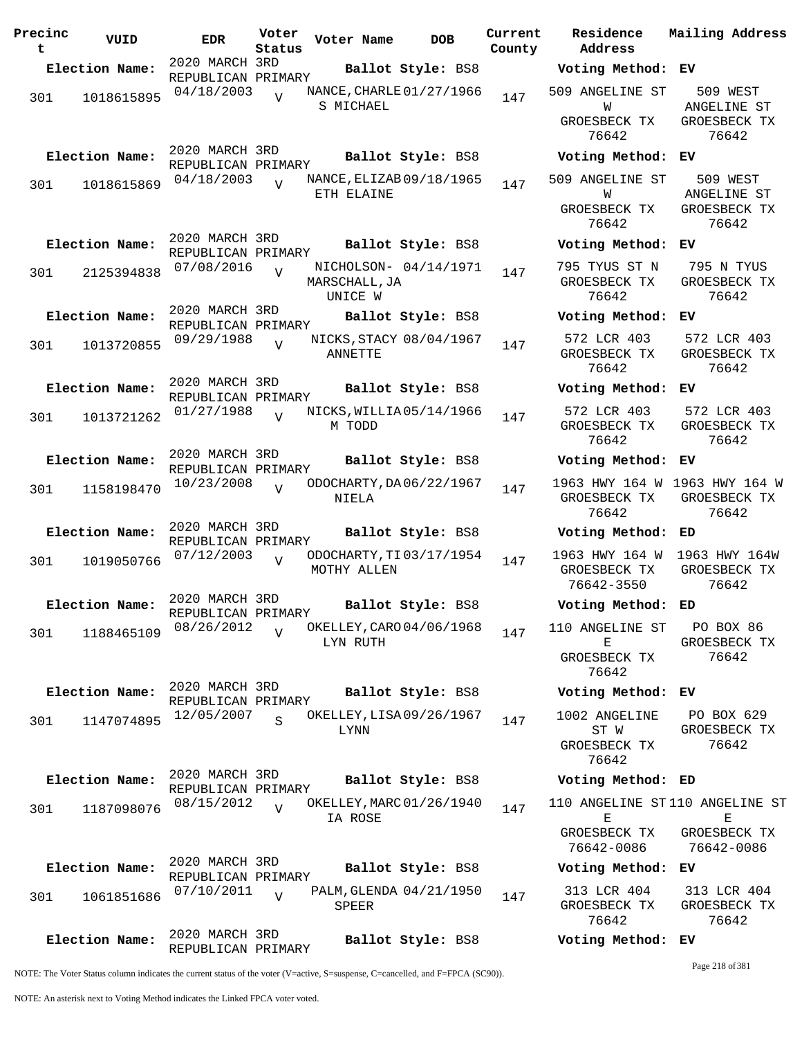| 2020 MARCH 3RD<br>Election Name:<br>Ballot Style: BS8<br>Voting Method: EV<br>REPUBLICAN PRIMARY<br>04/18/2003<br>NANCE, CHARLE 01/27/1966<br>509 ANGELINE ST<br>509 WEST<br>$\overline{V}$<br>147<br>1018615895<br>301<br>S MICHAEL<br>ANGELINE ST<br>W<br>GROESBECK TX<br>GROESBECK TX<br>76642<br>76642<br>2020 MARCH 3RD<br>Election Name:<br>Ballot Style: BS8<br>Voting Method: EV<br>REPUBLICAN PRIMARY<br>04/18/2003<br>NANCE, ELIZAB 09/18/1965<br>509 ANGELINE ST<br>509 WEST<br>147<br>1018615869<br>301<br>ETH ELAINE<br>W<br>ANGELINE ST<br>GROESBECK TX<br>GROESBECK TX<br>76642<br>76642<br>2020 MARCH 3RD<br>Election Name:<br>Ballot Style: BS8<br>Voting Method: EV<br>REPUBLICAN PRIMARY<br>07/08/2016<br>NICHOLSON- 04/14/1971<br>795 TYUS ST N<br>795 N TYUS<br>$\overline{U}$<br>147<br>301<br>2125394838<br>GROESBECK TX<br>GROESBECK TX<br>MARSCHALL, JA<br>76642<br>76642<br>UNICE W<br>2020 MARCH 3RD<br>Election Name:<br>Ballot Style: BS8<br>Voting Method: EV<br>REPUBLICAN PRIMARY<br>572 LCR 403<br>NICKS, STACY 08/04/1967<br>572 LCR 403<br>09/29/1988<br>$\overline{U}$<br>1013720855<br>147<br>301<br>GROESBECK TX<br>GROESBECK TX<br>ANNETTE<br>76642<br>76642<br>2020 MARCH 3RD<br>Election Name:<br>Ballot Style: BS8<br>Voting Method:<br>EV.<br>REPUBLICAN PRIMARY<br>572 LCR 403<br>572 LCR 403<br>01/27/1988<br>NICKS, WILLIA05/14/1966<br>$\overline{U}$<br>147<br>1013721262<br>301<br>GROESBECK TX<br>M TODD<br>GROESBECK TX<br>76642<br>76642<br>2020 MARCH 3RD<br>Election Name:<br>Ballot Style: BS8<br>Voting Method: EV<br>REPUBLICAN PRIMARY<br>1963 HWY 164 W 1963 HWY 164 W<br>10/23/2008<br>ODOCHARTY, DA 06/22/1967<br>$\overline{V}$<br>147<br>1158198470<br>301<br>GROESBECK TX<br>GROESBECK TX<br>NIELA<br>76642<br>76642<br>2020 MARCH 3RD<br>Election Name:<br>Ballot Style: BS8<br>Voting Method: ED<br>REPUBLICAN PRIMARY<br>1963 HWY 164 W 1963 HWY 164W<br>ODOCHARTY, TI 03/17/1954<br>07/12/2003<br>$\overline{U}$<br>147<br>1019050766<br>301<br>MOTHY ALLEN<br>GROESBECK TX<br>GROESBECK TX<br>76642-3550<br>76642<br>2020 MARCH 3RD<br>Election Name:<br>Ballot Style: BS8<br>Voting Method: ED<br>REPUBLICAN PRIMARY<br>08/26/2012<br>OKELLEY, CARO 04/06/1968<br>PO BOX 86<br>110 ANGELINE ST<br>$\overline{U}$<br>147<br>1188465109<br>301<br>Е<br>GROESBECK TX<br>LYN RUTH<br>76642<br>GROESBECK TX<br>76642<br>2020 MARCH 3RD<br>Election Name:<br>Ballot Style: BS8<br>Voting Method: EV<br>REPUBLICAN PRIMARY<br>1002 ANGELINE<br>12/05/2007<br>OKELLEY, LISA 09/26/1967<br>PO BOX 629<br>$\overline{S}$<br>147<br>301<br>1147074895<br>LYNN<br>ST W<br>GROESBECK TX<br>76642<br>GROESBECK TX<br>76642<br>2020 MARCH 3RD<br>Election Name:<br>Ballot Style: BS8<br>Voting Method: ED<br>REPUBLICAN PRIMARY<br>08/15/2012<br>OKELLEY, MARC 01/26/1940<br>110 ANGELINE ST110 ANGELINE ST<br>$\overline{U}$<br>147<br>1187098076<br>301<br>IA ROSE<br>Е<br>Е<br>GROESBECK TX<br>GROESBECK TX<br>76642-0086<br>76642-0086<br>2020 MARCH 3RD<br>Election Name:<br>Ballot Style: BS8<br>Voting Method:<br>ЕV<br>REPUBLICAN PRIMARY<br>313 LCR 404<br>07/10/2011<br>PALM, GLENDA 04/21/1950<br>313 LCR 404<br>$\overline{U}$<br>147<br>1061851686<br>301<br>GROESBECK TX<br>GROESBECK TX<br>SPEER<br>76642<br>76642<br>2020 MARCH 3RD<br>Election Name:<br>Ballot Style: BS8<br>Voting Method: EV<br>REPUBLICAN PRIMARY<br>Page 218 of 381 | Precinc<br>t | VUID | <b>EDR</b> | Voter<br>Status | Voter Name | <b>DOB</b> | Current<br>County | Residence<br>Address | Mailing Address |
|-----------------------------------------------------------------------------------------------------------------------------------------------------------------------------------------------------------------------------------------------------------------------------------------------------------------------------------------------------------------------------------------------------------------------------------------------------------------------------------------------------------------------------------------------------------------------------------------------------------------------------------------------------------------------------------------------------------------------------------------------------------------------------------------------------------------------------------------------------------------------------------------------------------------------------------------------------------------------------------------------------------------------------------------------------------------------------------------------------------------------------------------------------------------------------------------------------------------------------------------------------------------------------------------------------------------------------------------------------------------------------------------------------------------------------------------------------------------------------------------------------------------------------------------------------------------------------------------------------------------------------------------------------------------------------------------------------------------------------------------------------------------------------------------------------------------------------------------------------------------------------------------------------------------------------------------------------------------------------------------------------------------------------------------------------------------------------------------------------------------------------------------------------------------------------------------------------------------------------------------------------------------------------------------------------------------------------------------------------------------------------------------------------------------------------------------------------------------------------------------------------------------------------------------------------------------------------------------------------------------------------------------------------------------------------------------------------------------------------------------------------------------------------------------------------------------------------------------------------------------------------------------------------------------------------------------------------------------------------------------------------------------------------------------------------------------------------------------------------------------------------------------------------------------------------------------------------------------------------------------------------------------------------------------------------------------------------------------------------------------------------------------------------------------|--------------|------|------------|-----------------|------------|------------|-------------------|----------------------|-----------------|
|                                                                                                                                                                                                                                                                                                                                                                                                                                                                                                                                                                                                                                                                                                                                                                                                                                                                                                                                                                                                                                                                                                                                                                                                                                                                                                                                                                                                                                                                                                                                                                                                                                                                                                                                                                                                                                                                                                                                                                                                                                                                                                                                                                                                                                                                                                                                                                                                                                                                                                                                                                                                                                                                                                                                                                                                                                                                                                                                                                                                                                                                                                                                                                                                                                                                                                                                                                                                                 |              |      |            |                 |            |            |                   |                      |                 |
|                                                                                                                                                                                                                                                                                                                                                                                                                                                                                                                                                                                                                                                                                                                                                                                                                                                                                                                                                                                                                                                                                                                                                                                                                                                                                                                                                                                                                                                                                                                                                                                                                                                                                                                                                                                                                                                                                                                                                                                                                                                                                                                                                                                                                                                                                                                                                                                                                                                                                                                                                                                                                                                                                                                                                                                                                                                                                                                                                                                                                                                                                                                                                                                                                                                                                                                                                                                                                 |              |      |            |                 |            |            |                   |                      |                 |
|                                                                                                                                                                                                                                                                                                                                                                                                                                                                                                                                                                                                                                                                                                                                                                                                                                                                                                                                                                                                                                                                                                                                                                                                                                                                                                                                                                                                                                                                                                                                                                                                                                                                                                                                                                                                                                                                                                                                                                                                                                                                                                                                                                                                                                                                                                                                                                                                                                                                                                                                                                                                                                                                                                                                                                                                                                                                                                                                                                                                                                                                                                                                                                                                                                                                                                                                                                                                                 |              |      |            |                 |            |            |                   |                      |                 |
|                                                                                                                                                                                                                                                                                                                                                                                                                                                                                                                                                                                                                                                                                                                                                                                                                                                                                                                                                                                                                                                                                                                                                                                                                                                                                                                                                                                                                                                                                                                                                                                                                                                                                                                                                                                                                                                                                                                                                                                                                                                                                                                                                                                                                                                                                                                                                                                                                                                                                                                                                                                                                                                                                                                                                                                                                                                                                                                                                                                                                                                                                                                                                                                                                                                                                                                                                                                                                 |              |      |            |                 |            |            |                   |                      |                 |
|                                                                                                                                                                                                                                                                                                                                                                                                                                                                                                                                                                                                                                                                                                                                                                                                                                                                                                                                                                                                                                                                                                                                                                                                                                                                                                                                                                                                                                                                                                                                                                                                                                                                                                                                                                                                                                                                                                                                                                                                                                                                                                                                                                                                                                                                                                                                                                                                                                                                                                                                                                                                                                                                                                                                                                                                                                                                                                                                                                                                                                                                                                                                                                                                                                                                                                                                                                                                                 |              |      |            |                 |            |            |                   |                      |                 |
|                                                                                                                                                                                                                                                                                                                                                                                                                                                                                                                                                                                                                                                                                                                                                                                                                                                                                                                                                                                                                                                                                                                                                                                                                                                                                                                                                                                                                                                                                                                                                                                                                                                                                                                                                                                                                                                                                                                                                                                                                                                                                                                                                                                                                                                                                                                                                                                                                                                                                                                                                                                                                                                                                                                                                                                                                                                                                                                                                                                                                                                                                                                                                                                                                                                                                                                                                                                                                 |              |      |            |                 |            |            |                   |                      |                 |
|                                                                                                                                                                                                                                                                                                                                                                                                                                                                                                                                                                                                                                                                                                                                                                                                                                                                                                                                                                                                                                                                                                                                                                                                                                                                                                                                                                                                                                                                                                                                                                                                                                                                                                                                                                                                                                                                                                                                                                                                                                                                                                                                                                                                                                                                                                                                                                                                                                                                                                                                                                                                                                                                                                                                                                                                                                                                                                                                                                                                                                                                                                                                                                                                                                                                                                                                                                                                                 |              |      |            |                 |            |            |                   |                      |                 |
|                                                                                                                                                                                                                                                                                                                                                                                                                                                                                                                                                                                                                                                                                                                                                                                                                                                                                                                                                                                                                                                                                                                                                                                                                                                                                                                                                                                                                                                                                                                                                                                                                                                                                                                                                                                                                                                                                                                                                                                                                                                                                                                                                                                                                                                                                                                                                                                                                                                                                                                                                                                                                                                                                                                                                                                                                                                                                                                                                                                                                                                                                                                                                                                                                                                                                                                                                                                                                 |              |      |            |                 |            |            |                   |                      |                 |
|                                                                                                                                                                                                                                                                                                                                                                                                                                                                                                                                                                                                                                                                                                                                                                                                                                                                                                                                                                                                                                                                                                                                                                                                                                                                                                                                                                                                                                                                                                                                                                                                                                                                                                                                                                                                                                                                                                                                                                                                                                                                                                                                                                                                                                                                                                                                                                                                                                                                                                                                                                                                                                                                                                                                                                                                                                                                                                                                                                                                                                                                                                                                                                                                                                                                                                                                                                                                                 |              |      |            |                 |            |            |                   |                      |                 |
|                                                                                                                                                                                                                                                                                                                                                                                                                                                                                                                                                                                                                                                                                                                                                                                                                                                                                                                                                                                                                                                                                                                                                                                                                                                                                                                                                                                                                                                                                                                                                                                                                                                                                                                                                                                                                                                                                                                                                                                                                                                                                                                                                                                                                                                                                                                                                                                                                                                                                                                                                                                                                                                                                                                                                                                                                                                                                                                                                                                                                                                                                                                                                                                                                                                                                                                                                                                                                 |              |      |            |                 |            |            |                   |                      |                 |
|                                                                                                                                                                                                                                                                                                                                                                                                                                                                                                                                                                                                                                                                                                                                                                                                                                                                                                                                                                                                                                                                                                                                                                                                                                                                                                                                                                                                                                                                                                                                                                                                                                                                                                                                                                                                                                                                                                                                                                                                                                                                                                                                                                                                                                                                                                                                                                                                                                                                                                                                                                                                                                                                                                                                                                                                                                                                                                                                                                                                                                                                                                                                                                                                                                                                                                                                                                                                                 |              |      |            |                 |            |            |                   |                      |                 |
|                                                                                                                                                                                                                                                                                                                                                                                                                                                                                                                                                                                                                                                                                                                                                                                                                                                                                                                                                                                                                                                                                                                                                                                                                                                                                                                                                                                                                                                                                                                                                                                                                                                                                                                                                                                                                                                                                                                                                                                                                                                                                                                                                                                                                                                                                                                                                                                                                                                                                                                                                                                                                                                                                                                                                                                                                                                                                                                                                                                                                                                                                                                                                                                                                                                                                                                                                                                                                 |              |      |            |                 |            |            |                   |                      |                 |
|                                                                                                                                                                                                                                                                                                                                                                                                                                                                                                                                                                                                                                                                                                                                                                                                                                                                                                                                                                                                                                                                                                                                                                                                                                                                                                                                                                                                                                                                                                                                                                                                                                                                                                                                                                                                                                                                                                                                                                                                                                                                                                                                                                                                                                                                                                                                                                                                                                                                                                                                                                                                                                                                                                                                                                                                                                                                                                                                                                                                                                                                                                                                                                                                                                                                                                                                                                                                                 |              |      |            |                 |            |            |                   |                      |                 |
|                                                                                                                                                                                                                                                                                                                                                                                                                                                                                                                                                                                                                                                                                                                                                                                                                                                                                                                                                                                                                                                                                                                                                                                                                                                                                                                                                                                                                                                                                                                                                                                                                                                                                                                                                                                                                                                                                                                                                                                                                                                                                                                                                                                                                                                                                                                                                                                                                                                                                                                                                                                                                                                                                                                                                                                                                                                                                                                                                                                                                                                                                                                                                                                                                                                                                                                                                                                                                 |              |      |            |                 |            |            |                   |                      |                 |
|                                                                                                                                                                                                                                                                                                                                                                                                                                                                                                                                                                                                                                                                                                                                                                                                                                                                                                                                                                                                                                                                                                                                                                                                                                                                                                                                                                                                                                                                                                                                                                                                                                                                                                                                                                                                                                                                                                                                                                                                                                                                                                                                                                                                                                                                                                                                                                                                                                                                                                                                                                                                                                                                                                                                                                                                                                                                                                                                                                                                                                                                                                                                                                                                                                                                                                                                                                                                                 |              |      |            |                 |            |            |                   |                      |                 |
|                                                                                                                                                                                                                                                                                                                                                                                                                                                                                                                                                                                                                                                                                                                                                                                                                                                                                                                                                                                                                                                                                                                                                                                                                                                                                                                                                                                                                                                                                                                                                                                                                                                                                                                                                                                                                                                                                                                                                                                                                                                                                                                                                                                                                                                                                                                                                                                                                                                                                                                                                                                                                                                                                                                                                                                                                                                                                                                                                                                                                                                                                                                                                                                                                                                                                                                                                                                                                 |              |      |            |                 |            |            |                   |                      |                 |
|                                                                                                                                                                                                                                                                                                                                                                                                                                                                                                                                                                                                                                                                                                                                                                                                                                                                                                                                                                                                                                                                                                                                                                                                                                                                                                                                                                                                                                                                                                                                                                                                                                                                                                                                                                                                                                                                                                                                                                                                                                                                                                                                                                                                                                                                                                                                                                                                                                                                                                                                                                                                                                                                                                                                                                                                                                                                                                                                                                                                                                                                                                                                                                                                                                                                                                                                                                                                                 |              |      |            |                 |            |            |                   |                      |                 |
|                                                                                                                                                                                                                                                                                                                                                                                                                                                                                                                                                                                                                                                                                                                                                                                                                                                                                                                                                                                                                                                                                                                                                                                                                                                                                                                                                                                                                                                                                                                                                                                                                                                                                                                                                                                                                                                                                                                                                                                                                                                                                                                                                                                                                                                                                                                                                                                                                                                                                                                                                                                                                                                                                                                                                                                                                                                                                                                                                                                                                                                                                                                                                                                                                                                                                                                                                                                                                 |              |      |            |                 |            |            |                   |                      |                 |
|                                                                                                                                                                                                                                                                                                                                                                                                                                                                                                                                                                                                                                                                                                                                                                                                                                                                                                                                                                                                                                                                                                                                                                                                                                                                                                                                                                                                                                                                                                                                                                                                                                                                                                                                                                                                                                                                                                                                                                                                                                                                                                                                                                                                                                                                                                                                                                                                                                                                                                                                                                                                                                                                                                                                                                                                                                                                                                                                                                                                                                                                                                                                                                                                                                                                                                                                                                                                                 |              |      |            |                 |            |            |                   |                      |                 |
|                                                                                                                                                                                                                                                                                                                                                                                                                                                                                                                                                                                                                                                                                                                                                                                                                                                                                                                                                                                                                                                                                                                                                                                                                                                                                                                                                                                                                                                                                                                                                                                                                                                                                                                                                                                                                                                                                                                                                                                                                                                                                                                                                                                                                                                                                                                                                                                                                                                                                                                                                                                                                                                                                                                                                                                                                                                                                                                                                                                                                                                                                                                                                                                                                                                                                                                                                                                                                 |              |      |            |                 |            |            |                   |                      |                 |
|                                                                                                                                                                                                                                                                                                                                                                                                                                                                                                                                                                                                                                                                                                                                                                                                                                                                                                                                                                                                                                                                                                                                                                                                                                                                                                                                                                                                                                                                                                                                                                                                                                                                                                                                                                                                                                                                                                                                                                                                                                                                                                                                                                                                                                                                                                                                                                                                                                                                                                                                                                                                                                                                                                                                                                                                                                                                                                                                                                                                                                                                                                                                                                                                                                                                                                                                                                                                                 |              |      |            |                 |            |            |                   |                      |                 |
|                                                                                                                                                                                                                                                                                                                                                                                                                                                                                                                                                                                                                                                                                                                                                                                                                                                                                                                                                                                                                                                                                                                                                                                                                                                                                                                                                                                                                                                                                                                                                                                                                                                                                                                                                                                                                                                                                                                                                                                                                                                                                                                                                                                                                                                                                                                                                                                                                                                                                                                                                                                                                                                                                                                                                                                                                                                                                                                                                                                                                                                                                                                                                                                                                                                                                                                                                                                                                 |              |      |            |                 |            |            |                   |                      |                 |
|                                                                                                                                                                                                                                                                                                                                                                                                                                                                                                                                                                                                                                                                                                                                                                                                                                                                                                                                                                                                                                                                                                                                                                                                                                                                                                                                                                                                                                                                                                                                                                                                                                                                                                                                                                                                                                                                                                                                                                                                                                                                                                                                                                                                                                                                                                                                                                                                                                                                                                                                                                                                                                                                                                                                                                                                                                                                                                                                                                                                                                                                                                                                                                                                                                                                                                                                                                                                                 |              |      |            |                 |            |            |                   |                      |                 |
|                                                                                                                                                                                                                                                                                                                                                                                                                                                                                                                                                                                                                                                                                                                                                                                                                                                                                                                                                                                                                                                                                                                                                                                                                                                                                                                                                                                                                                                                                                                                                                                                                                                                                                                                                                                                                                                                                                                                                                                                                                                                                                                                                                                                                                                                                                                                                                                                                                                                                                                                                                                                                                                                                                                                                                                                                                                                                                                                                                                                                                                                                                                                                                                                                                                                                                                                                                                                                 |              |      |            |                 |            |            |                   |                      |                 |
|                                                                                                                                                                                                                                                                                                                                                                                                                                                                                                                                                                                                                                                                                                                                                                                                                                                                                                                                                                                                                                                                                                                                                                                                                                                                                                                                                                                                                                                                                                                                                                                                                                                                                                                                                                                                                                                                                                                                                                                                                                                                                                                                                                                                                                                                                                                                                                                                                                                                                                                                                                                                                                                                                                                                                                                                                                                                                                                                                                                                                                                                                                                                                                                                                                                                                                                                                                                                                 |              |      |            |                 |            |            |                   |                      |                 |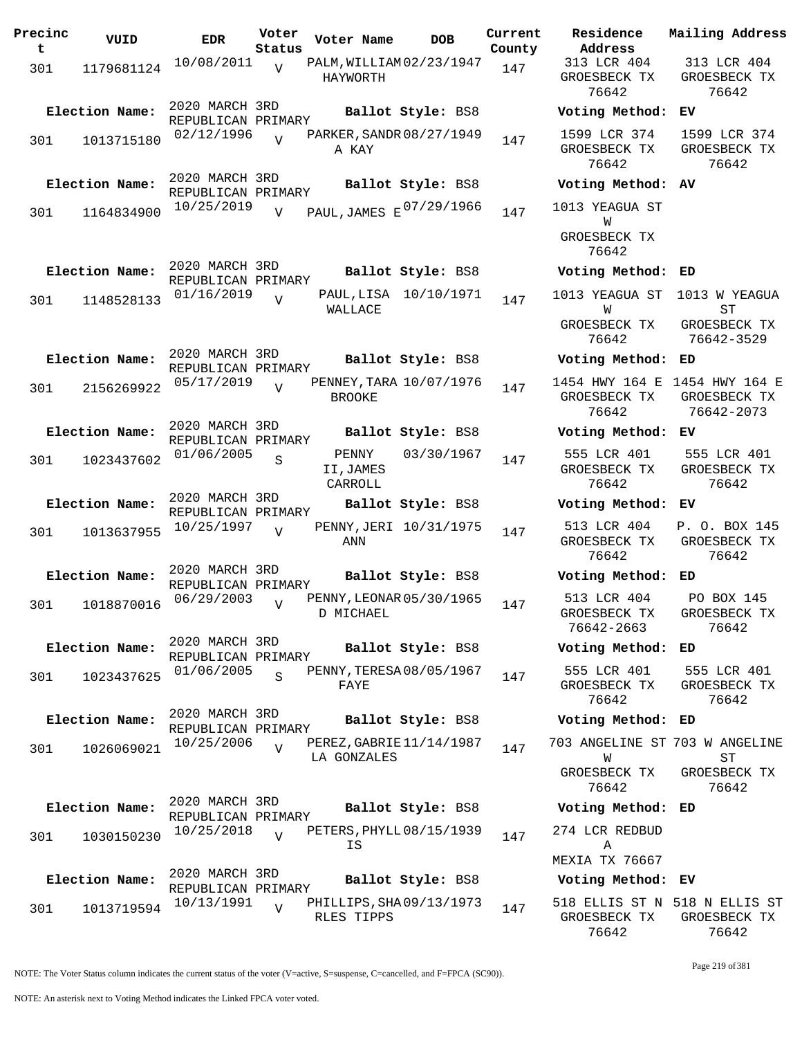| Precinc<br>t | VUID                         | <b>EDR</b>                                         | Voter<br>Status | Voter Name                    | DOB                                           | Current<br>County |
|--------------|------------------------------|----------------------------------------------------|-----------------|-------------------------------|-----------------------------------------------|-------------------|
| 301          | 1179681124                   | 10/08/2011                                         | $\overline{V}$  | HAYWORTH                      | PALM, WILLIAM 02/23/1947                      | 147               |
| 301          | Election Name:<br>1013715180 | 2020 MARCH 3RD<br>REPUBLICAN PRIMARY<br>02/12/1996 |                 |                               | Ballot Style: BS8<br>PARKER, SANDR 08/27/1949 | 147               |
|              | Election Name:               | 2020 MARCH 3RD<br>REPUBLICAN PRIMARY               |                 | A KAY                         | Ballot Style: BS8                             |                   |
| 301          | 1164834900                   | 10/25/2019                                         | V               |                               | PAUL, JAMES E 07/29/1966                      | 147               |
|              | Election Name:               | 2020 MARCH 3RD<br>REPUBLICAN PRIMARY               |                 |                               | Ballot Style: BS8                             |                   |
| 301          | 1148528133                   | 01/16/2019                                         | $\overline{V}$  | PAUL, LISA<br>WALLACE         | 10/10/1971                                    | 147               |
|              | Election Name:               | 2020 MARCH 3RD<br>REPUBLICAN PRIMARY               |                 |                               | Ballot Style: BS8                             |                   |
| 301          | 2156269922                   | 05/17/2019                                         | $\overline{U}$  | <b>BROOKE</b>                 | PENNEY, TARA 10/07/1976                       | 147               |
|              | Election Name:               | 2020 MARCH 3RD<br>REPUBLICAN PRIMARY               |                 |                               | Ballot Style: BS8                             |                   |
| 301          | 1023437602                   | 01/06/2005                                         | S               | PENNY<br>II, JAMES<br>CARROLL | 03/30/1967                                    | 147               |
|              | Election Name:               | 2020 MARCH 3RD<br>REPUBLICAN PRIMARY               |                 |                               | Ballot Style: BS8                             |                   |
| 301          | 1013637955                   | 10/25/1997                                         | ٦T              | ANN                           | PENNY, JERI 10/31/1975                        | 147               |
|              | Election Name:               | 2020 MARCH 3RD<br>REPUBLICAN PRIMARY               |                 |                               | Ballot Style: BS8                             |                   |
| 301          | 1018870016                   | 06/29/2003                                         | V               | D MICHAEL                     | PENNY, LEONAR 05/30/1965                      | 147               |
|              | Election Name:               | 2020 MARCH 3RD<br>REPUBLICAN PRIMARY               |                 |                               | Ballot Style: BS8                             |                   |
| 301          | 1023437625                   | 01/06/2005                                         | $\mathbf S$     | FAYE                          | PENNY, TERESA 08/05/1967                      | 147               |
|              | Election Name:               | 2020 MARCH 3RD<br>REPUBLICAN PRIMARY               |                 |                               | Ballot Style: BS8                             |                   |
| 301          | 1026069021                   | 10/25/2006                                         | $\overline{U}$  | LA GONZALES                   | PEREZ, GABRIE 11/14/1987                      | 147               |
|              | Election Name:               | 2020 MARCH 3RD<br>REPUBLICAN PRIMARY               |                 |                               | Ballot Style: BS8                             |                   |
| 301          | 1030150230                   | 10/25/2018                                         | $\overline{V}$  | ΙS                            | PETERS, PHYLL 08/15/1939                      | 147               |
|              | Election Name:               | 2020 MARCH 3RD<br>REPUBLICAN PRIMARY               |                 |                               | Ballot Style: BS8                             |                   |
| 301          | 1013719594                   | 10/13/1991                                         | V               | RLES TIPPS                    | PHILLIPS, SHA09/13/1973                       | 147               |

**Voter Name DOB Residence Address Current Mailing Address** 313 LCR 404 GROESBECK TX 76642 313 LCR 404 GROESBECK TX 76642 **Election Name: Ballot Style:** BS8 **Voting Method: EV** 1599 LCR 374 GROESBECK TX 76642 1599 LCR 374 GROESBECK TX 76642 **Election Name: Ballot Style:** BS8 **Voting Method: AV** 1013 YEAGUA ST W GROESBECK TX 76642 **Election Name: Ballot Style:** BS8 **Voting Method: ED** 1013 YEAGUA ST 1013 W YEAGUA W GROESBECK TX 76642 ST GROESBECK TX 76642-3529 **Election Name: Ballot Style:** BS8 **Voting Method: ED** 1454 HWY 164 E 1454 HWY 164 E GROESBECK TX 76642 GROESBECK TX 76642-2073 **Election Name: Ballot Style:** BS8 **Voting Method: EV** 555 LCR 401 GROESBECK TX 76642 555 LCR 401 GROESBECK TX 76642 **Election Name: Ballot Style:** BS8 **Voting Method: EV** 513 LCR 404 GROESBECK TX 76642 P. O. BOX 145 GROESBECK TX 76642 **Election Name: Ballot Style:** BS8 **Voting Method: ED** 513 LCR 404 GROESBECK TX 76642-2663 PO BOX 145 GROESBECK TX 76642 **Election Name: Ballot Style:** BS8 **Voting Method: ED** 555 LCR 401 GROESBECK TX 76642 555 LCR 401 GROESBECK TX 76642 **Election Name: Ballot Style:** BS8 **Voting Method: ED** 703 ANGELINE ST 703 W ANGELINE W GROESBECK TX 76642 ST GROESBECK TX 76642 **Election Name: Ballot Style:** BS8 **Voting Method: ED** 274 LCR REDBUD A MEXIA TX 76667 **Election Name: Ballot Style:** BS8 **Voting Method: EV** 518 ELLIS ST N 518 N ELLIS ST GROESBECK TX GROESBECK TX

NOTE: The Voter Status column indicates the current status of the voter (V=active, S=suspense, C=cancelled, and F=FPCA (SC90)).

76642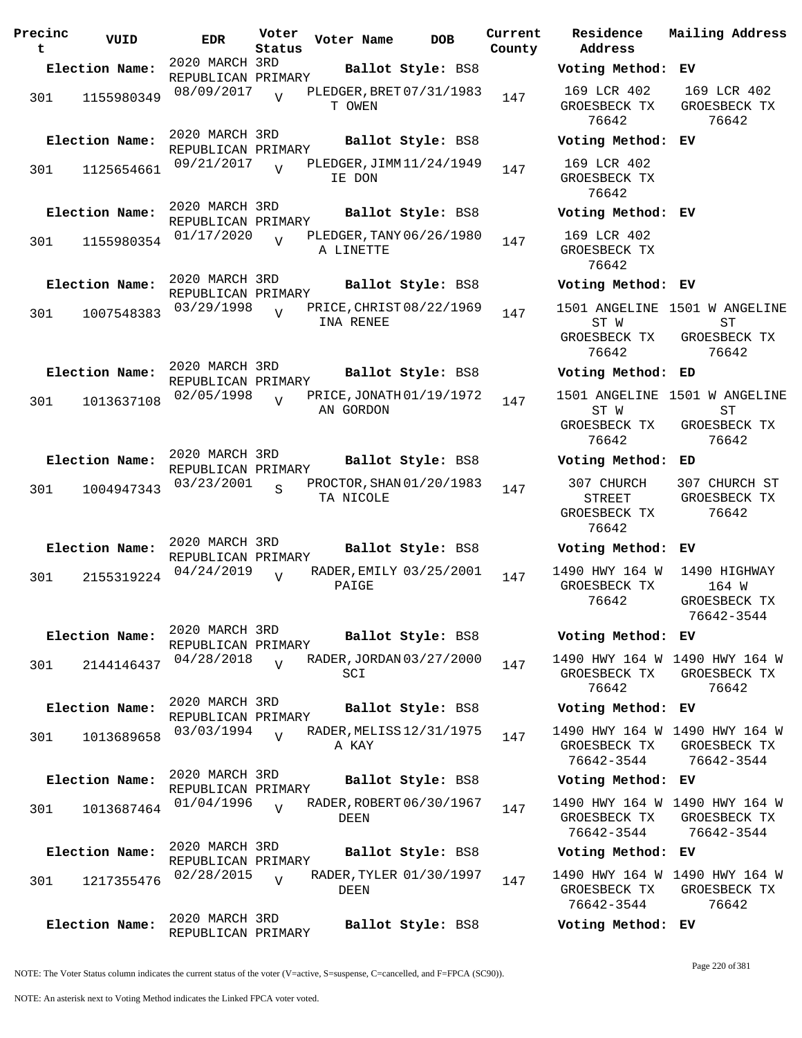| Precinc<br>t. | VUID           | <b>EDR</b>                           | Voter<br>Status | Voter Name                            | <b>DOB</b>              | Current<br>County | Residence<br>Address                                        | Mailing Address                                                     |
|---------------|----------------|--------------------------------------|-----------------|---------------------------------------|-------------------------|-------------------|-------------------------------------------------------------|---------------------------------------------------------------------|
|               | Election Name: | 2020 MARCH 3RD                       |                 |                                       | Ballot Style: BS8       |                   | Voting Method: EV                                           |                                                                     |
| 301           | 1155980349     | REPUBLICAN PRIMARY<br>08/09/2017     | $\overline{U}$  | PLEDGER, BRET 07/31/1983<br>T OWEN    |                         | 147               | 169 LCR 402<br>GROESBECK TX<br>76642                        | 169 LCR 402<br>GROESBECK TX<br>76642                                |
|               | Election Name: | 2020 MARCH 3RD                       |                 |                                       | Ballot Style: BS8       |                   | Voting Method: EV                                           |                                                                     |
| 301           | 1125654661     | REPUBLICAN PRIMARY<br>09/21/2017     | $\overline{v}$  | PLEDGER, JIMM 11/24/1949<br>IE DON    |                         | 147               | 169 LCR 402<br>GROESBECK TX<br>76642                        |                                                                     |
|               | Election Name: | 2020 MARCH 3RD<br>REPUBLICAN PRIMARY |                 |                                       | Ballot Style: BS8       |                   | Voting Method: EV                                           |                                                                     |
| 301           | 1155980354     | 01/17/2020                           | $\overline{U}$  | PLEDGER, TANY 06/26/1980<br>A LINETTE |                         | 147               | 169 LCR 402<br>GROESBECK TX<br>76642                        |                                                                     |
|               | Election Name: | 2020 MARCH 3RD<br>REPUBLICAN PRIMARY |                 |                                       | Ballot Style: BS8       |                   | Voting Method: EV                                           |                                                                     |
| 301           | 1007548383     | 03/29/1998                           | $\overline{U}$  | PRICE, CHRIST 08/22/1969<br>INA RENEE |                         | 147               | ST W<br>GROESBECK TX<br>76642                               | 1501 ANGELINE 1501 W ANGELINE<br><b>ST</b><br>GROESBECK TX<br>76642 |
|               | Election Name: | 2020 MARCH 3RD                       |                 |                                       | Ballot Style: BS8       |                   | Voting Method: ED                                           |                                                                     |
| 301           | 1013637108     | REPUBLICAN PRIMARY<br>02/05/1998     | $\overline{U}$  | PRICE, JONATH 01/19/1972<br>AN GORDON |                         | 147               | ST W<br>GROESBECK TX<br>76642                               | 1501 ANGELINE 1501 W ANGELINE<br>ST<br>GROESBECK TX<br>76642        |
|               | Election Name: | 2020 MARCH 3RD                       |                 |                                       | Ballot Style: BS8       |                   | Voting Method: ED                                           |                                                                     |
| 301           | 1004947343     | REPUBLICAN PRIMARY<br>03/23/2001     | $\overline{S}$  | PROCTOR, SHAN 01/20/1983<br>TA NICOLE |                         | 147               | 307 CHURCH<br><b>STREET</b><br>GROESBECK TX<br>76642        | 307 CHURCH ST<br>GROESBECK TX<br>76642                              |
|               | Election Name: | 2020 MARCH 3RD                       |                 |                                       | Ballot Style: BS8       |                   | Voting Method: EV                                           |                                                                     |
| 301           | 2155319224     | REPUBLICAN PRIMARY<br>04/24/2019     | $\overline{U}$  | PAIGE                                 | RADER, EMILY 03/25/2001 | 147               | 1490 HWY 164 W<br>GROESBECK TX<br>76642                     | 1490 HIGHWAY<br>164 W<br>GROESBECK TX<br>76642–3544                 |
|               | Election Name: | 2020 MARCH 3RD<br>REPUBLICAN PRIMARY |                 |                                       | Ballot Style: BS8       |                   | Voting Method: EV                                           |                                                                     |
| 301           | 2144146437     | 04/28/2018                           | $\overline{V}$  | RADER, JORDAN 03/27/2000<br>SCI       |                         | 147               | 1490 HWY 164 W 1490 HWY 164 W<br>GROESBECK TX<br>76642      | GROESBECK TX<br>76642                                               |
|               | Election Name: | 2020 MARCH 3RD<br>REPUBLICAN PRIMARY |                 |                                       | Ballot Style: BS8       |                   | Voting Method: EV                                           |                                                                     |
| 301           | 1013689658     | 03/03/1994                           | $\overline{U}$  | RADER, MELISS 12/31/1975<br>A KAY     |                         | 147               | GROESBECK TX<br>76642-3544                                  | 1490 HWY 164 W 1490 HWY 164 W<br>GROESBECK TX<br>76642-3544         |
|               | Election Name: | 2020 MARCH 3RD<br>REPUBLICAN PRIMARY |                 |                                       | Ballot Style: BS8       |                   | Voting Method: EV                                           |                                                                     |
| 301           | 1013687464     | 01/04/1996                           | $\overline{U}$  | RADER, ROBERT 06/30/1967<br>DEEN      |                         | 147               | 1490 HWY 164 W 1490 HWY 164 W<br>GROESBECK TX<br>76642-3544 | GROESBECK TX<br>76642-3544                                          |
|               | Election Name: | 2020 MARCH 3RD<br>REPUBLICAN PRIMARY |                 |                                       | Ballot Style: BS8       |                   | Voting Method: EV                                           |                                                                     |
| 301           | 1217355476     | 02/28/2015                           | $\overline{U}$  | <b>DEEN</b>                           | RADER, TYLER 01/30/1997 | 147               | GROESBECK TX<br>76642-3544                                  | 1490 HWY 164 W 1490 HWY 164 W<br>GROESBECK TX<br>76642              |
|               | Election Name: | 2020 MARCH 3RD<br>REPUBLICAN PRIMARY |                 |                                       | Ballot Style: BS8       |                   | Voting Method: EV                                           |                                                                     |

NOTE: The Voter Status column indicates the current status of the voter (V=active, S=suspense, C=cancelled, and F=FPCA (SC90)).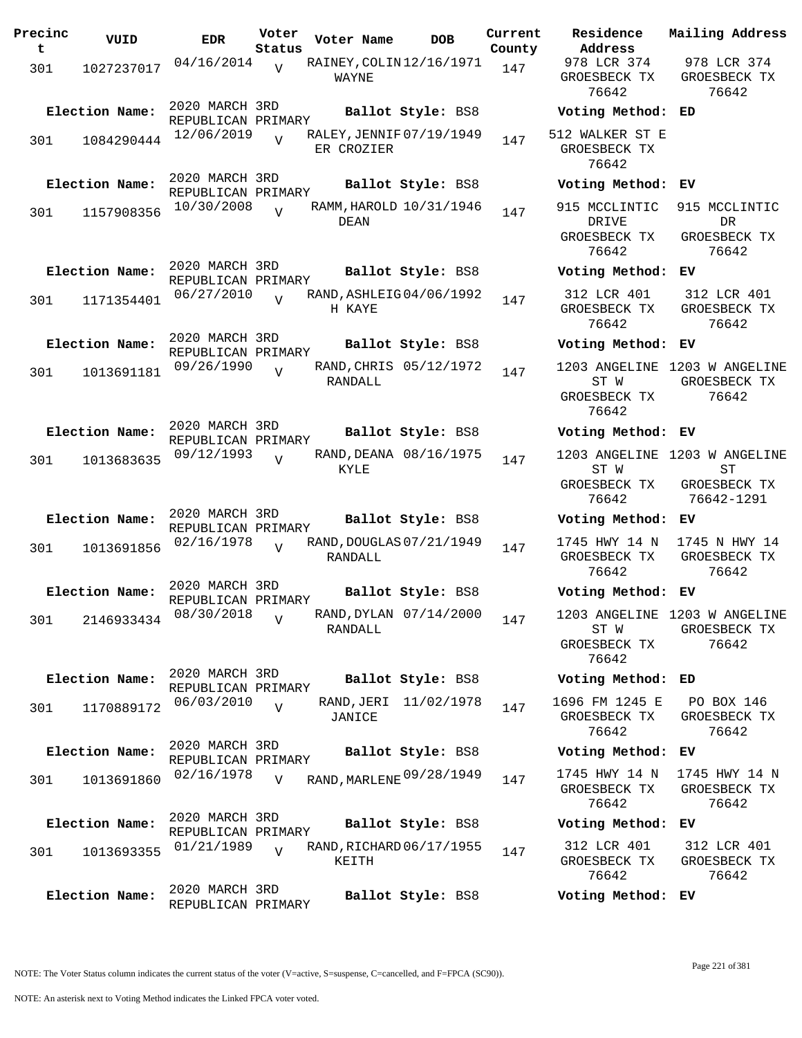| Precinc<br>t | VUID           | <b>EDR</b>                           | Voter<br>Status | Voter Name                             | <b>DOB</b>              | Current<br>County | Residence<br>Address                               | Mai.                  |
|--------------|----------------|--------------------------------------|-----------------|----------------------------------------|-------------------------|-------------------|----------------------------------------------------|-----------------------|
| 301          | 1027237017     | 04/16/2014                           | $\overline{U}$  | RAINEY, COLIN 12/16/1971<br>WAYNE      |                         | 147               | 978 LCR 374<br>GROESBECK TX<br>76642               | 9<br>GR               |
|              | Election Name: | 2020 MARCH 3RD<br>REPUBLICAN PRIMARY |                 |                                        | Ballot Style: BS8       |                   | Voting Method: ED                                  |                       |
| 301          | 1084290444     | 12/06/2019                           | $\overline{U}$  | RALEY, JENNIF 07/19/1949<br>ER CROZIER |                         | 147               | 512 WALKER ST E<br>GROESBECK TX<br>76642           |                       |
|              | Election Name: | 2020 MARCH 3RD<br>REPUBLICAN PRIMARY |                 |                                        | Ballot Style: BS8       |                   | Voting Method:                                     | EV                    |
| 301          | 1157908356     | 10/30/2008                           | $\overline{U}$  | DEAN                                   | RAMM, HAROLD 10/31/1946 | 147               | 915 MCCLINTIC<br>DRIVE                             | 91                    |
|              |                |                                      |                 |                                        |                         |                   | GROESBECK TX<br>76642                              | GR                    |
|              | Election Name: | 2020 MARCH 3RD<br>REPUBLICAN PRIMARY |                 |                                        | Ballot Style: BS8       |                   | Voting Method: EV                                  |                       |
| 301          | 1171354401     | 06/27/2010                           | $\overline{V}$  | RAND, ASHLEIG04/06/1992<br>H KAYE      |                         | 147               | 312 LCR 401<br>GROESBECK TX<br>76642               | 3<br>GR               |
|              | Election Name: | 2020 MARCH 3RD<br>REPUBLICAN PRIMARY |                 |                                        | Ballot Style: BS8       |                   | Voting Method: EV                                  |                       |
| 301          | 1013691181     | 09/26/1990                           | $\overline{U}$  | RANDALL                                | RAND, CHRIS 05/12/1972  | 147               | 1203 ANGELINE<br>ST W<br>GROESBECK TX<br>76642     | 120<br>GR             |
|              | Election Name: | 2020 MARCH 3RD<br>REPUBLICAN PRIMARY |                 |                                        | Ballot Style: BS8       |                   | Voting Method: EV                                  |                       |
| 301          | 1013683635     | 09/12/1993                           | $\overline{U}$  | <b>KYLE</b>                            | RAND, DEANA 08/16/1975  | 147               | 1203 ANGELINE 120<br>ST W                          |                       |
|              |                |                                      |                 |                                        |                         |                   | GROESBECK TX<br>76642                              | GR<br>7               |
|              | Election Name: | 2020 MARCH 3RD<br>REPUBLICAN PRIMARY |                 |                                        | Ballot Style: BS8       |                   | Voting Method: EV                                  |                       |
| 301          | 1013691856     | 02/16/1978                           | $\overline{U}$  | RAND, DOUGLAS 07/21/1949<br>RANDALL    |                         | 147               | 1745 HWY 14 N<br>GROESBECK TX<br>76642             | 17 <sub>1</sub><br>GR |
|              | Election Name: | 2020 MARCH 3RD<br>REPUBLICAN PRIMARY |                 |                                        | Ballot Style: BS8       |                   | Voting Method: EV                                  |                       |
| 301          | 2146933434     | 08/30/2018                           | $\overline{V}$  | RANDALL                                | RAND, DYLAN 07/14/2000  | 147               | 1203 ANGELINE 120<br>ST W<br>GROESBECK TX<br>76642 | GR                    |
|              | Election Name: | 2020 MARCH 3RD<br>REPUBLICAN PRIMARY |                 |                                        | Ballot Style: BS8       |                   | Voting Method:                                     | ED                    |
| 301          | 1170889172     | 06/03/2010                           | $\overline{V}$  | RAND,JERI<br>JANICE                    | 11/02/1978              | 147               | 1696 FM 1245 E<br>GROESBECK TX<br>76642            | F<br>GR               |
|              | Election Name: | 2020 MARCH 3RD<br>REPUBLICAN PRIMARY |                 |                                        | Ballot Style: BS8       |                   | Voting Method:                                     | EV                    |
| 301          | 1013691860     | 02/16/1978                           | $\overline{V}$  | RAND, MARLENE 09/28/1949               |                         | 147               | 1745 HWY 14 N<br>GROESBECK TX<br>76642             | 17<br>GR              |
|              | Election Name: | 2020 MARCH 3RD<br>REPUBLICAN PRIMARY |                 |                                        | Ballot Style: BS8       |                   | Voting Method:                                     | EV                    |
| 301          | 1013693355     | 01/21/1989                           | $\overline{U}$  | RAND, RICHARD 06/17/1955<br>KEITH      |                         | 147               | 312 LCR 401<br>GROESBECK TX<br>76642               | 3 <sup>2</sup><br>GR  |
|              | Election Name: | 2020 MARCH 3RD<br>REPUBLICAN PRIMARY |                 |                                        | Ballot Style: BS8       |                   | Voting Method: EV                                  |                       |

**Voter Name DOB Residence Address Current Mailing Address County** 978 LCR 374 GROESBECK TX 76642 978 LCR 374 GROESBECK TX 76642 **Election Name: Ballot Style:** BS8 **Voting Method: ED** 512 WALKER ST E GROESBECK TX 76642 **Election Name: Ballot Style:** BS8 **Voting Method: EV** 915 MCCLINTIC 915 MCCLINTIC DRIVE GROESBECK TX 76642 DR GROESBECK TX 76642 **Election Name: Ballot Style:** BS8 **Voting Method: EV** 312 LCR 401 GROESBECK TX 76642 312 LCR 401 GROESBECK TX 76642 **Election Name: Ballot Style:** BS8 **Voting Method: EV** 1203 ANGELINE 1203 W ANGELINE ST W GROESBECK TX 76642 GROESBECK TX 76642 **Election Name: Ballot Style:** BS8 **Voting Method: EV** 1203 ANGELINE 1203 W ANGELINE ST W GROESBECK TX 76642 ST GROESBECK TX 76642-1291 **Election Name: Ballot Style:** BS8 **Voting Method: EV** 1745 HWY 14 N GROESBECK TX 76642 1745 N HWY 14 GROESBECK TX 76642 **Election Name: Ballot Style:** BS8 **Voting Method: EV** 1203 ANGELINE 1203 W ANGELINE ST W GROESBECK TX 76642 GROESBECK TX 76642 **Election Name: Ballot Style:** BS8 **Voting Method: ED** 1696 FM 1245 E GROESBECK TX 76642 PO BOX 146 GROESBECK TX 76642 **Election Name: Ballot Style:** BS8 **Voting Method: EV** GROESBECK TX 76642 1745 HWY 14 N GROESBECK TX 76642 **Election Name: Ballot Style:** BS8 **Voting Method: EV** 312 LCR 401 GROESBECK TX 312 LCR 401 GROESBECK TX

NOTE: The Voter Status column indicates the current status of the voter (V=active, S=suspense, C=cancelled, and F=FPCA (SC90)).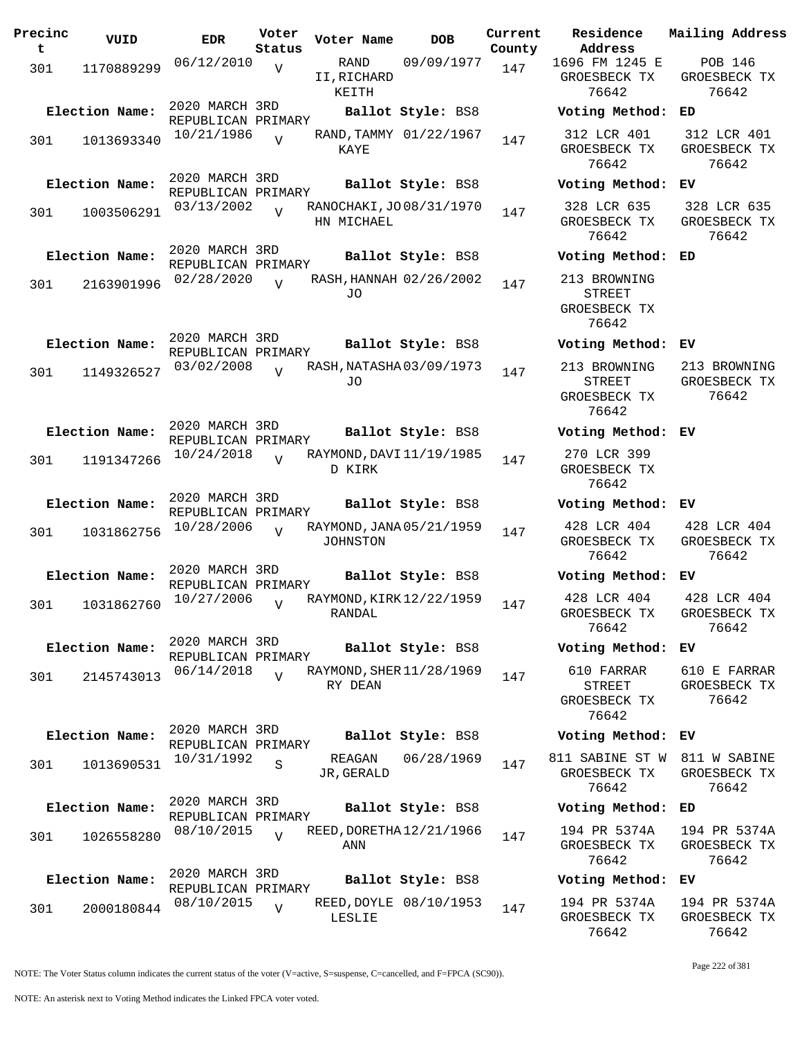| Precinc<br>t | VUID           | <b>EDR</b>                           | Voter<br>Status | Voter Name                             | DOB                    | Current<br>County | Residence<br>Address                                   | Mailing Address                         |
|--------------|----------------|--------------------------------------|-----------------|----------------------------------------|------------------------|-------------------|--------------------------------------------------------|-----------------------------------------|
| 301          | 1170889299     | 06/12/2010                           | $\overline{V}$  | RAND<br>II, RICHARD<br>KEITH           | 09/09/1977             | 147               | 1696 FM 1245 E<br>GROESBECK TX<br>76642                | <b>POB 146</b><br>GROESBECK TX<br>76642 |
|              | Election Name: | 2020 MARCH 3RD<br>REPUBLICAN PRIMARY |                 |                                        | Ballot Style: BS8      |                   | Voting Method:                                         | ED                                      |
| 301          | 1013693340     | 10/21/1986                           | $\overline{U}$  | KAYE                                   | RAND, TAMMY 01/22/1967 | 147               | 312 LCR 401<br>GROESBECK TX<br>76642                   | 312 LCR 401<br>GROESBECK TX<br>76642    |
|              | Election Name: | 2020 MARCH 3RD<br>REPUBLICAN PRIMARY |                 |                                        | Ballot Style: BS8      |                   | Voting Method: EV                                      |                                         |
| 301          | 1003506291     | 03/13/2002                           | $\overline{U}$  | RANOCHAKI, JO 08/31/1970<br>HN MICHAEL |                        | 147               | 328 LCR 635<br>GROESBECK TX<br>76642                   | 328 LCR 635<br>GROESBECK TX<br>76642    |
|              | Election Name: | 2020 MARCH 3RD<br>REPUBLICAN PRIMARY |                 |                                        | Ballot Style: BS8      |                   | Voting Method:                                         | ED                                      |
| 301          | 2163901996     | 02/28/2020                           | $\overline{U}$  | RASH, HANNAH 02/26/2002<br>JO.         |                        | 147               | 213 BROWNING<br>STREET<br>GROESBECK TX<br>76642        |                                         |
|              | Election Name: | 2020 MARCH 3RD<br>REPUBLICAN PRIMARY |                 |                                        | Ballot Style: BS8      |                   | Voting Method: EV                                      |                                         |
| 301          | 1149326527     | 03/02/2008                           | $\overline{V}$  | RASH, NATASHA 03/09/1973<br>J0         |                        | 147               | 213 BROWNING<br><b>STREET</b><br>GROESBECK TX<br>76642 | 213 BROWNING<br>GROESBECK TX<br>76642   |
|              | Election Name: | 2020 MARCH 3RD<br>REPUBLICAN PRIMARY |                 |                                        | Ballot Style: BS8      |                   | Voting Method: EV                                      |                                         |
| 301          | 1191347266     | 10/24/2018                           | $\overline{U}$  | RAYMOND, DAVI 11/19/1985<br>D KIRK     |                        | 147               | 270 LCR 399<br>GROESBECK TX<br>76642                   |                                         |
|              | Election Name: | 2020 MARCH 3RD<br>REPUBLICAN PRIMARY |                 |                                        | Ballot Style: BS8      |                   | Voting Method: EV                                      |                                         |
| 301          | 1031862756     | 10/28/2006                           | $\overline{U}$  | RAYMOND, JANA 05/21/1959<br>JOHNSTON   |                        | 147               | 428 LCR 404<br>GROESBECK TX<br>76642                   | 428 LCR 404<br>GROESBECK TX<br>76642    |
|              | Election Name: | 2020 MARCH 3RD<br>REPUBLICAN PRIMARY |                 |                                        | Ballot Style: BS8      |                   | Voting Method:                                         | ЕV                                      |
| 301          | 1031862760     | 10/27/2006                           |                 | RAYMOND, KIRK 12/22/1959<br>RANDAL     |                        | 147               | 428 LCR 404<br>GROESBECK TX<br>76642                   | 428 LCR 404<br>GROESBECK TX<br>76642    |
|              | Election Name: | 2020 MARCH 3RD<br>REPUBLICAN PRIMARY |                 |                                        | Ballot Style: BS8      |                   | Voting Method: EV                                      |                                         |
| 301          | 2145743013     | 06/14/2018                           | $\overline{U}$  | RAYMOND, SHER 11/28/1969<br>RY DEAN    |                        | 147               | 610 FARRAR<br><b>STREET</b><br>GROESBECK TX<br>76642   | 610 E FARRAR<br>GROESBECK TX<br>76642   |
|              | Election Name: | 2020 MARCH 3RD<br>REPUBLICAN PRIMARY |                 |                                        | Ballot Style: BS8      |                   | Voting Method: EV                                      |                                         |
| 301          | 1013690531     | 10/31/1992                           | S               | REAGAN<br>JR, GERALD                   | 06/28/1969             | 147               | 811 SABINE ST W<br>GROESBECK TX<br>76642               | 811 W SABINE<br>GROESBECK TX<br>76642   |
|              | Election Name: | 2020 MARCH 3RD                       |                 |                                        | Ballot Style: BS8      |                   | Voting Method:                                         | ED                                      |
| 301          | 1026558280     | REPUBLICAN PRIMARY<br>08/10/2015     | $\overline{V}$  | REED, DORETHA 12/21/1966<br>ANN        |                        | 147               | 194 PR 5374A<br>GROESBECK TX<br>76642                  | 194 PR 5374A<br>GROESBECK TX<br>76642   |
|              | Election Name: | 2020 MARCH 3RD<br>REPUBLICAN PRIMARY |                 |                                        | Ballot Style: BS8      |                   | Voting Method: EV                                      |                                         |
| 301          | 2000180844     | 08/10/2015                           | V               | LESLIE                                 | REED, DOYLE 08/10/1953 | 147               | 194 PR 5374A<br>GROESBECK TX<br>76642                  | 194 PR 5374A<br>GROESBECK TX<br>76642   |

NOTE: The Voter Status column indicates the current status of the voter (V=active, S=suspense, C=cancelled, and F=FPCA (SC90)).

Page 222 of 381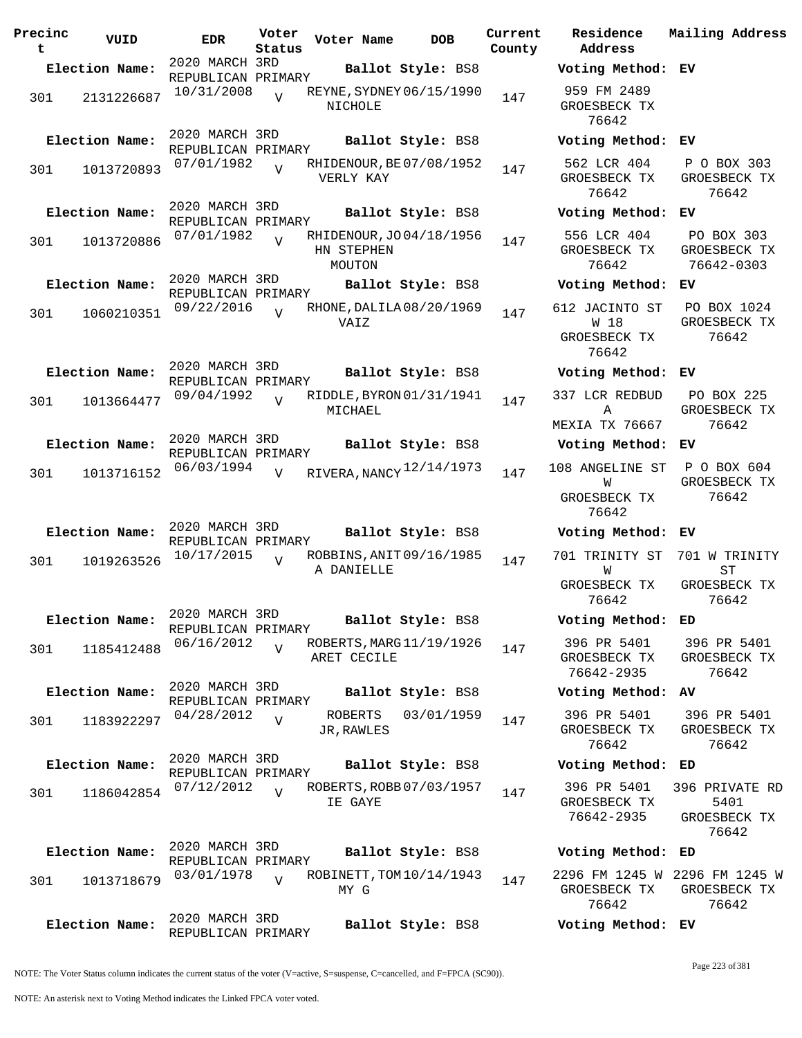| Precinc<br>t | VUID           | <b>EDR</b>                           | Voter<br>Status | Voter Name                                       | <b>DOB</b>        | Current<br>County |
|--------------|----------------|--------------------------------------|-----------------|--------------------------------------------------|-------------------|-------------------|
|              | Election Name: | 2020 MARCH 3RD                       |                 |                                                  | Ballot Style: BS8 |                   |
| 301          | 2131226687     | REPUBLICAN PRIMARY<br>10/31/2008     | $\overline{V}$  | REYNE, SYDNEY 06/15/1990<br>NICHOLE              |                   | 147               |
|              | Election Name: | 2020 MARCH 3RD<br>REPUBLICAN PRIMARY |                 |                                                  | Ballot Style: BS8 |                   |
| 301          | 1013720893     | 07/01/1982                           | $\overline{V}$  | RHIDENOUR, BE 07/08/1952<br>VERLY KAY            |                   | 147               |
|              | Election Name: | 2020 MARCH 3RD<br>REPUBLICAN PRIMARY |                 |                                                  | Ballot Style: BS8 |                   |
| 301          | 1013720886     | 07/01/1982                           | $\overline{V}$  | RHIDENOUR, JO 04/18/1956<br>HN STEPHEN<br>MOUTON |                   | 147               |
|              | Election Name: | 2020 MARCH 3RD<br>REPUBLICAN PRIMARY |                 |                                                  | Ballot Style: BS8 |                   |
| 301          | 1060210351     | 09/22/2016                           | $\overline{z}$  | RHONE, DALILA 08/20/1969<br>VAIZ                 |                   | 147               |
|              | Election Name: | 2020 MARCH 3RD<br>REPUBLICAN PRIMARY |                 |                                                  | Ballot Style: BS8 |                   |
| 301          | 1013664477     | 09/04/1992                           | ٦T              | RIDDLE, BYRON 01/31/1941<br>MICHAEL              |                   | 147               |
|              | Election Name: | 2020 MARCH 3RD<br>REPUBLICAN PRIMARY |                 |                                                  | Ballot Style: BS8 |                   |
| 301          | 1013716152     | 06/03/1994                           | $\overline{V}$  | RIVERA, NANCY 12/14/1973                         |                   | 147               |
|              | Election Name: | 2020 MARCH 3RD                       |                 |                                                  | Ballot Style: BS8 |                   |
| 301          | 1019263526     | REPUBLICAN PRIMARY<br>10/17/2015     | V               | ROBBINS, ANIT 09/16/1985<br>A DANIELLE           |                   | 147               |
|              | Election Name: | 2020 MARCH 3RD<br>REPUBLICAN PRIMARY |                 |                                                  | Ballot Style: BS8 |                   |
| 301          | 1185412488     | 06/16/2012                           | V               | ROBERTS, MARG 11/19/1926<br>ARET CECILE          |                   | 147               |
|              | Election Name: | 2020 MARCH 3RD<br>REPUBLICAN PRIMARY |                 |                                                  | Ballot Style: BS8 |                   |
| 301          | 1183922297     | 04/28/2012                           | $\overline{V}$  | ROBERTS<br>JR, RAWLES                            | 03/01/1959        | 147               |
|              | Election Name: | 2020 MARCH 3RD<br>REPUBLICAN PRIMARY |                 |                                                  | Ballot Style: BS8 |                   |
| 301          | 1186042854     | 07/12/2012                           | $\overline{U}$  | ROBERTS, ROBB 07/03/1957<br>IE GAYE              |                   | 147               |
|              | Election Name: | 2020 MARCH 3RD<br>REPUBLICAN PRIMARY |                 |                                                  | Ballot Style: BS8 |                   |
| 301          | 1013718679     | 03/01/1978                           | $\overline{V}$  | ROBINETT, TOM 10/14/1943<br>MY G                 |                   | 147               |
|              | Election Name: | 2020 MARCH 3RD<br>REPUBLICAN PRIMARY |                 |                                                  | Ballot Style: BS8 |                   |

**Voter Name DOB Residence Address Current Mailing Address Election Name: Ballot Style:** BS8 **Voting Method: EV** 959 FM 2489 GROESBECK TX 76642 **Election Name: Ballot Style:** BS8 **Voting Method: EV** 562 LCR 404 GROESBECK TX 76642 P O BOX 303 GROESBECK TX 76642 **Election Name: Ballot Style:** BS8 **Voting Method: EV** 556 LCR 404 GROESBECK TX 76642 PO BOX 303 GROESBECK TX 76642-0303 **Election Name: Ballot Style:** BS8 **Voting Method: EV** 612 JACINTO ST W 18 GROESBECK TX 76642 PO BOX 1024 GROESBECK TX 76642 **Election Name: Ballot Style:** BS8 **Voting Method: EV** 337 LCR REDBUD A MEXIA TX 76667 PO BOX 225 GROESBECK TX 76642 **Election Name: Ballot Style:** BS8 **Voting Method: EV** 108 ANGELINE ST **W** GROESBECK TX 76642 P O BOX 604 GROESBECK TX 76642 **Election Name: Ballot Style:** BS8 **Voting Method: EV** 701 TRINITY ST 701 W TRINITY W GROESBECK TX 76642 ST GROESBECK TX 76642 **Election Name: Ballot Style:** BS8 **Voting Method: ED** 396 PR 5401 GROESBECK TX 76642-2935 396 PR 5401 GROESBECK TX 76642 **Election Name: Ballot Style:** BS8 **Voting Method: AV** 396 PR 5401 GROESBECK TX 76642 396 PR 5401 GROESBECK TX 76642 **Election Name: Ballot Style:** BS8 **Voting Method: ED** 396 PR 5401 GROESBECK TX 76642-2935 396 PRIVATE RD 5401 GROESBECK TX 76642 **Election Name: Ballot Style:** BS8 **Voting Method: ED** 2296 FM 1245 W 2296 FM 1245 W GROESBECK TX 76642 GROESBECK TX 76642 **Election Name: Ballot Style:** BS8 **Voting Method: EV**

NOTE: The Voter Status column indicates the current status of the voter (V=active, S=suspense, C=cancelled, and F=FPCA (SC90)).

Page 223 of 381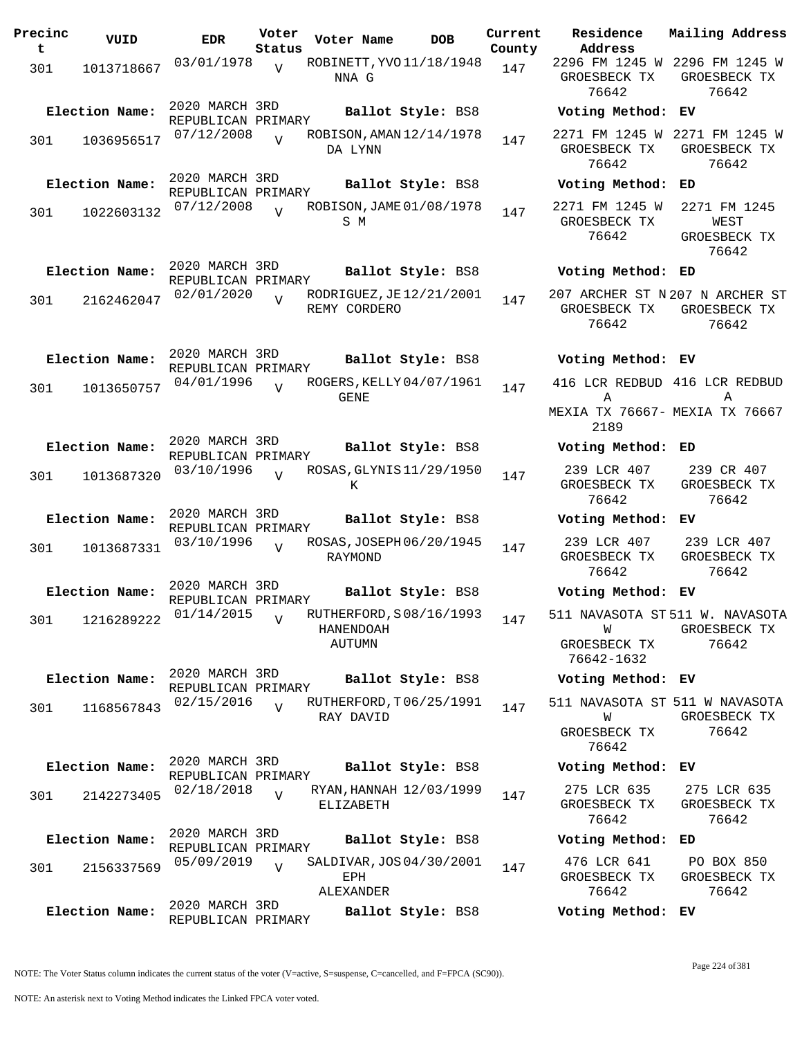| Precinc<br>t | VUID           | EDR                                  | Voter<br>Status | Voter Name                 | DOB                      | Current<br>County |
|--------------|----------------|--------------------------------------|-----------------|----------------------------|--------------------------|-------------------|
| 301          | 1013718667     | 03/01/1978                           | $\overline{U}$  | NNA G                      | ROBINETT, YVO 11/18/1948 | 147               |
|              | Election Name: | 2020 MARCH 3RD                       |                 |                            | Ballot Style: BS8        |                   |
| 301          | 1036956517     | REPUBLICAN PRIMARY<br>07/12/2008     | $\overline{z}$  | DA LYNN                    | ROBISON, AMAN 12/14/1978 | 147               |
|              | Election Name: | 2020 MARCH 3RD                       |                 |                            |                          |                   |
|              |                | REPUBLICAN PRIMARY                   |                 |                            | Ballot Style: BS8        |                   |
| 301          | 1022603132     | 07/12/2008                           | $\overline{U}$  | S M                        | ROBISON, JAME 01/08/1978 | 147               |
|              |                | 2020 MARCH 3RD                       |                 |                            |                          |                   |
|              | Election Name: | REPUBLICAN PRIMARY                   |                 |                            | Ballot Style: BS8        |                   |
| 301          | 2162462047     | 02/01/2020                           | $\overline{V}$  | REMY CORDERO               | RODRIGUEZ, JE 12/21/2001 | 147               |
|              |                | 2020 MARCH 3RD                       |                 |                            |                          |                   |
|              | Election Name: | REPUBLICAN PRIMARY                   |                 |                            | Ballot Style: BS8        |                   |
| 301          | 1013650757     | 04/01/1996                           | $\overline{U}$  | GENE                       | ROGERS, KELLY 04/07/1961 | 147               |
|              |                | 2020 MARCH 3RD                       |                 |                            |                          |                   |
|              | Election Name: | REPUBLICAN PRIMARY                   |                 |                            | Ballot Style: BS8        |                   |
| 301          | 1013687320     | 03/10/1996                           | $\overline{U}$  | K                          | ROSAS, GLYNIS 11/29/1950 | 147               |
|              | Election Name: | 2020 MARCH 3RD                       |                 |                            | Ballot Style: BS8        |                   |
| 301          | 1013687331     | REPUBLICAN PRIMARY<br>03/10/1996     | $\overline{17}$ | RAYMOND                    | ROSAS, JOSEPH 06/20/1945 | 147               |
|              | Election Name: | 2020 MARCH 3RD                       |                 |                            | Ballot Style: BS8        |                   |
|              |                | REPUBLICAN PRIMARY                   |                 |                            |                          |                   |
| 301          | 1216289222     | 01/14/2015                           | $\overline{V}$  | HANENDOAH<br><b>AUTUMN</b> | RUTHERFORD, S08/16/1993  | 147               |
|              | Election Name: | 2020 MARCH 3RD                       |                 |                            | Ballot Style: BS8        |                   |
|              |                | REPUBLICAN PRIMARY                   |                 |                            |                          |                   |
| 301          | 1168567843     | 02/15/2016                           | $\overline{U}$  | RAY DAVID                  | RUTHERFORD, T06/25/1991  | 147               |
|              | Election Name: | 2020 MARCH 3RD                       |                 |                            | Ballot Style: BS8        |                   |
|              |                | REPUBLICAN PRIMARY                   |                 |                            |                          |                   |
| 301          | 2142273405     | 02/18/2018                           | $\overline{V}$  | ELIZABETH                  | RYAN, HANNAH 12/03/1999  | 147               |
|              | Election Name: | 2020 MARCH 3RD                       |                 |                            | Ballot Style: BS8        |                   |
| 301          | 2156337569     | REPUBLICAN PRIMARY<br>05/09/2019     | $\overline{U}$  | EPH<br>ALEXANDER           | SALDIVAR, JOS 04/30/2001 | 147               |
|              | Election Name: | 2020 MARCH 3RD<br>REPUBLICAN PRIMARY |                 |                            | Ballot Style: BS8        |                   |

**Voter Name DOB Residence Address Current Mailing Address** 2296 FM 1245 W 2296 FM 1245 W GROESBECK TX GROESBECK TX 76642 76642 **Election Name: Ballot Style:** BS8 **Voting Method: EV** 2271 FM 1245 W 2271 FM 1245 W GROESBECK TX GROESBECK TX 76642 76642 **Election Name: Ballot Style:** BS8 **Voting Method: ED** 2271 FM 1245 W 2271 FM 1245 GROESBECK TX 76642 WEST GROESBECK TX 76642 **Election Name: Ballot Style:** BS8 **Voting Method: ED** 207 ARCHER ST N 207 N ARCHER ST GROESBECK TX GROESBECK TX 76642 76642 **Election Name: Ballot Style:** BS8 **Voting Method: EV** 416 LCR REDBUD 416 LCR REDBUD A MEXIA TX 76667- MEXIA TX 76667 2189 A **Election Name: Ballot Style:** BS8 **Voting Method: ED** 239 LCR 407 GROESBECK TX 76642 239 CR 407 GROESBECK TX 76642 **Election Name: Ballot Style:** BS8 **Voting Method: EV** 239 LCR 407 GROESBECK TX 76642 239 LCR 407 GROESBECK TX 76642 **Election Name: Ballot Style:** BS8 **Voting Method: EV** 511 NAVASOTA ST 511 W. NAVASOTA W GROESBECK TX 76642-1632 GROESBECK TX 76642 **Election Name: Ballot Style:** BS8 **Voting Method: EV** 511 NAVASOTA ST 511 W NAVASOTA W GROESBECK TX 76642 GROESBECK TX 76642 **Election Name: Ballot Style:** BS8 **Voting Method: EV** 275 LCR 635 GROESBECK TX 76642 275 LCR 635 GROESBECK TX 76642 **Election Name: Ballot Style:** BS8 **Voting Method: ED** 476 LCR 641 GROESBECK TX 76642 PO BOX 850 GROESBECK TX 76642 **Election Name: Ballot Style:** BS8 **Voting Method: EV**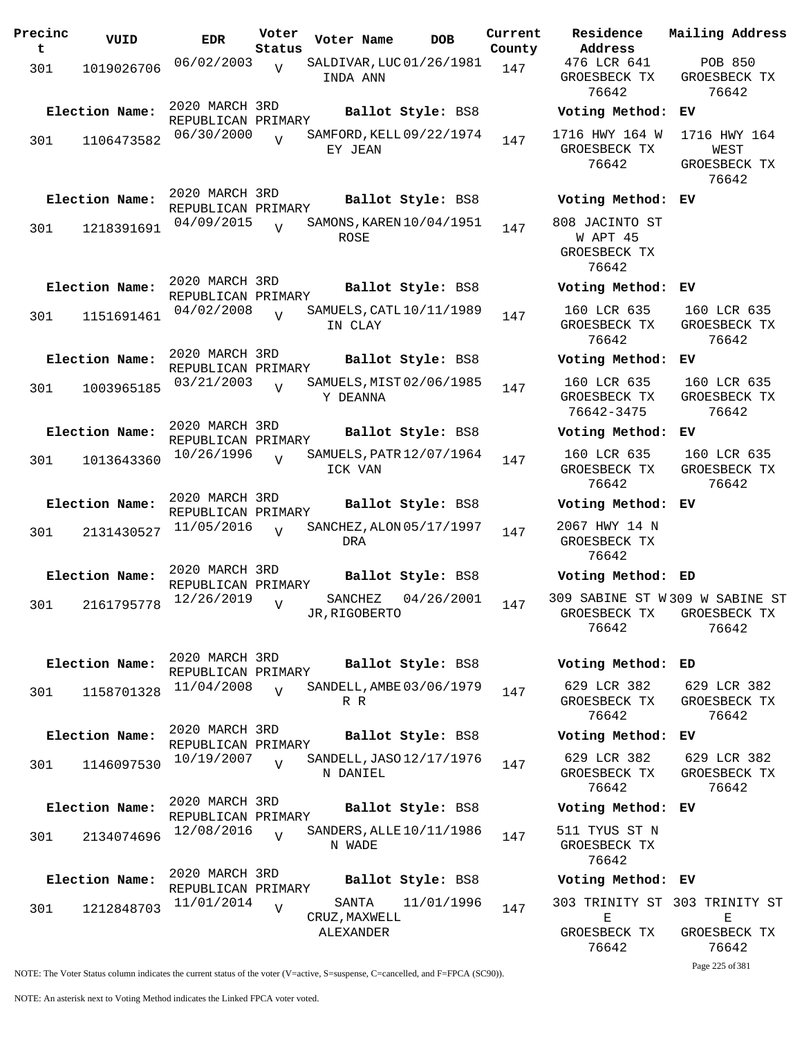| Precinc<br>t | VUID           | <b>EDR</b>                           | Voter<br>Status | Voter Name                           | <b>DOB</b>        | Current<br>County | Residence<br>Address                                        | Mailing Address                               |
|--------------|----------------|--------------------------------------|-----------------|--------------------------------------|-------------------|-------------------|-------------------------------------------------------------|-----------------------------------------------|
| 301          | 1019026706     | 06/02/2003                           | $\overline{V}$  | SALDIVAR, LUC 01/26/1981<br>INDA ANN |                   | 147               | 476 LCR 641<br>GROESBECK TX<br>76642                        | <b>POB 850</b><br>GROESBECK TX<br>76642       |
|              | Election Name: | 2020 MARCH 3RD<br>REPUBLICAN PRIMARY |                 |                                      | Ballot Style: BS8 |                   | Voting Method: EV                                           |                                               |
| 301          | 1106473582     | 06/30/2000                           | $\overline{U}$  | SAMFORD, KELL 09/22/1974<br>EY JEAN  |                   | 147               | 1716 HWY 164 W<br>GROESBECK TX<br>76642                     | 1716 HWY 164<br>WEST<br>GROESBECK TX<br>76642 |
|              | Election Name: | 2020 MARCH 3RD<br>REPUBLICAN PRIMARY |                 |                                      | Ballot Style: BS8 |                   | Voting Method: EV                                           |                                               |
| 301          | 1218391691     | 04/09/2015                           | $\overline{V}$  | SAMONS, KAREN 10/04/1951<br>ROSE     |                   | 147               | 808 JACINTO ST<br>W APT 45<br>GROESBECK TX<br>76642         |                                               |
|              | Election Name: | 2020 MARCH 3RD<br>REPUBLICAN PRIMARY |                 |                                      | Ballot Style: BS8 |                   | Voting Method: EV                                           |                                               |
| 301          | 1151691461     | 04/02/2008                           | $\overline{U}$  | SAMUELS, CATL 10/11/1989<br>IN CLAY  |                   | 147               | 160 LCR 635<br>GROESBECK TX<br>76642                        | 160 LCR 635<br>GROESBECK TX<br>76642          |
|              | Election Name: | 2020 MARCH 3RD<br>REPUBLICAN PRIMARY |                 |                                      | Ballot Style: BS8 |                   | Voting Method: EV                                           |                                               |
| 301          | 1003965185     | 03/21/2003                           | $\overline{U}$  | SAMUELS, MIST 02/06/1985<br>Y DEANNA |                   | 147               | 160 LCR 635<br>GROESBECK TX<br>76642-3475                   | 160 LCR 635<br>GROESBECK TX<br>76642          |
|              | Election Name: | 2020 MARCH 3RD<br>REPUBLICAN PRIMARY |                 |                                      | Ballot Style: BS8 |                   | Voting Method:                                              | EV                                            |
| 301          | 1013643360     | 10/26/1996                           |                 | SAMUELS, PATR 12/07/1964<br>ICK VAN  |                   | 147               | 160 LCR 635<br>GROESBECK TX<br>76642                        | 160 LCR 635<br>GROESBECK TX<br>76642          |
|              | Election Name: | 2020 MARCH 3RD<br>REPUBLICAN PRIMARY |                 |                                      | Ballot Style: BS8 |                   | Voting Method:                                              | EV                                            |
| 301          | 2131430527     | 11/05/2016                           | $\overline{U}$  | SANCHEZ, ALON 05/17/1997<br>DRA      |                   | 147               | 2067 HWY 14 N<br>GROESBECK TX<br>76642                      |                                               |
|              | Election Name: | 2020 MARCH 3RD<br>REPUBLICAN PRIMARY |                 |                                      | Ballot Style: BS8 |                   | Voting Method: ED                                           |                                               |
| 301          | 2161795778     | 12/26/2019                           | $\overline{V}$  | SANCHEZ<br>JR, RIGOBERTO             | 04/26/2001        | 147               | 309 SABINE ST W309 W SABINE ST<br>GROESBECK TX<br>76642     | GROESBECK TX<br>76642                         |
|              | Election Name: | 2020 MARCH 3RD<br>REPUBLICAN PRIMARY |                 |                                      | Ballot Style: BS8 |                   | Voting Method:                                              | ED                                            |
| 301          | 1158701328     | 11/04/2008                           | $\overline{V}$  | SANDELL, AMBE 03/06/1979<br>R R      |                   | 147               | 629 LCR 382<br>GROESBECK TX<br>76642                        | 629 LCR 382<br>GROESBECK TX<br>76642          |
|              | Election Name: | 2020 MARCH 3RD<br>REPUBLICAN PRIMARY |                 |                                      | Ballot Style: BS8 |                   | Voting Method: EV                                           |                                               |
| 301          | 1146097530     | 10/19/2007                           | $\overline{U}$  | SANDELL, JASO 12/17/1976<br>N DANIEL |                   | 147               | 629 LCR 382<br>GROESBECK TX<br>76642                        | 629 LCR 382<br>GROESBECK TX<br>76642          |
|              | Election Name: | 2020 MARCH 3RD<br>REPUBLICAN PRIMARY |                 |                                      | Ballot Style: BS8 |                   | Voting Method: EV                                           |                                               |
| 301          | 2134074696     | 12/08/2016                           | $\overline{U}$  | SANDERS, ALLE $10/11/1986$<br>N WADE |                   | 147               | 511 TYUS ST N<br>GROESBECK TX<br>76642                      |                                               |
|              | Election Name: | 2020 MARCH 3RD<br>REPUBLICAN PRIMARY |                 |                                      | Ballot Style: BS8 |                   | Voting Method: EV                                           |                                               |
| 301          | 1212848703     | 11/01/2014                           | $\overline{V}$  | SANTA<br>CRUZ, MAXWELL<br>ALEXANDER  | 11/01/1996        | 147               | 303 TRINITY ST 303 TRINITY ST<br>Е<br>GROESBECK TX<br>76642 | Е<br>GROESBECK TX<br>76642                    |

Page 225 of 381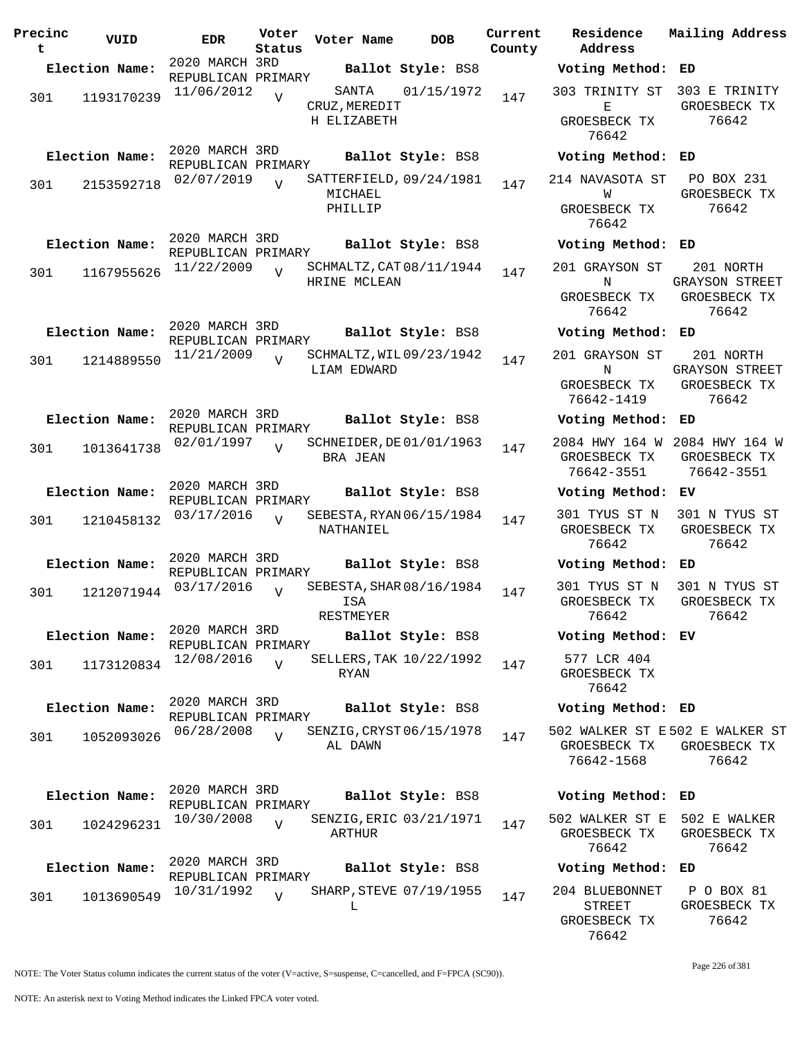| Precinc<br>t | VUID           | <b>EDR</b>                           | Voter<br>Status | Voter Name                                    | <b>DOB</b>        | Current<br>County | Residence<br>Address                                         | Mailing Address                                             |
|--------------|----------------|--------------------------------------|-----------------|-----------------------------------------------|-------------------|-------------------|--------------------------------------------------------------|-------------------------------------------------------------|
|              | Election Name: | 2020 MARCH 3RD<br>REPUBLICAN PRIMARY |                 |                                               | Ballot Style: BS8 |                   | Voting Method: ED                                            |                                                             |
| 301          | 1193170239     | 11/06/2012                           | $\overline{V}$  | SANTA<br>CRUZ, MEREDIT<br>H ELIZABETH         | 01/15/1972        | 147               | 303 TRINITY ST 303 E TRINITY<br>Е<br>GROESBECK TX<br>76642   | GROESBECK TX<br>76642                                       |
|              | Election Name: | 2020 MARCH 3RD                       |                 |                                               | Ballot Style: BS8 |                   | Voting Method: ED                                            |                                                             |
| 301          | 2153592718     | REPUBLICAN PRIMARY<br>02/07/2019     | V               | SATTERFIELD, 09/24/1981<br>MICHAEL<br>PHILLIP |                   | 147               | 214 NAVASOTA ST<br>W<br>GROESBECK TX<br>76642                | PO BOX 231<br>GROESBECK TX<br>76642                         |
|              | Election Name: | 2020 MARCH 3RD                       |                 |                                               | Ballot Style: BS8 |                   | Voting Method: ED                                            |                                                             |
| 301          | 1167955626     | REPUBLICAN PRIMARY<br>11/22/2009     | $\overline{V}$  | SCHMALTZ, CAT 08/11/1944<br>HRINE MCLEAN      |                   | 147               | 201 GRAYSON ST<br>N<br>GROESBECK TX<br>76642                 | 201 NORTH<br><b>GRAYSON STREET</b><br>GROESBECK TX<br>76642 |
|              | Election Name: | 2020 MARCH 3RD                       |                 |                                               | Ballot Style: BS8 |                   | Voting Method: ED                                            |                                                             |
| 301          | 1214889550     | REPUBLICAN PRIMARY<br>11/21/2009     | $\overline{V}$  | SCHMALTZ, WIL09/23/1942<br><b>LIAM EDWARD</b> |                   | 147               | 201 GRAYSON ST<br>N<br>GROESBECK TX<br>76642-1419            | 201 NORTH<br><b>GRAYSON STREET</b><br>GROESBECK TX<br>76642 |
|              | Election Name: | 2020 MARCH 3RD<br>REPUBLICAN PRIMARY |                 |                                               | Ballot Style: BS8 |                   | Voting Method:                                               | ED                                                          |
| 301          | 1013641738     | 02/01/1997                           | $\overline{V}$  | SCHNEIDER, DE 01/01/1963<br>BRA JEAN          |                   | 147               | 2084 HWY 164 W 2084 HWY 164 W<br>GROESBECK TX<br>76642-3551  | GROESBECK TX<br>76642-3551                                  |
|              | Election Name: | 2020 MARCH 3RD<br>REPUBLICAN PRIMARY |                 |                                               | Ballot Style: BS8 |                   | Voting Method: EV                                            |                                                             |
| 301          | 1210458132     | 03/17/2016                           | $\overline{V}$  | SEBESTA, RYAN 06/15/1984<br>NATHANIEL         |                   | 147               | 301 TYUS ST N<br>GROESBECK TX<br>76642                       | 301 N TYUS ST<br>GROESBECK TX<br>76642                      |
|              | Election Name: | 2020 MARCH 3RD<br>REPUBLICAN PRIMARY |                 |                                               | Ballot Style: BS8 |                   | Voting Method: ED                                            |                                                             |
| 301          | 1212071944     | 03/17/2016                           | $\overline{V}$  | SEBESTA, SHAR 08/16/1984<br>ISA<br>RESTMEYER  |                   | 147               | 301 TYUS ST N<br>GROESBECK TX<br>76642                       | 301 N TYUS ST<br>GROESBECK TX<br>76642                      |
|              | Election Name: | 2020 MARCH 3RD<br>REPUBLICAN PRIMARY |                 |                                               | Ballot Style: BS8 |                   | Voting Method: EV                                            |                                                             |
| 301          | 1173120834     | 12/08/2016                           | V               | SELLERS, TAK 10/22/1992<br>RYAN               |                   | 147               | 577 LCR 404<br>GROESBECK TX<br>76642                         |                                                             |
|              | Election Name: | 2020 MARCH 3RD<br>REPUBLICAN PRIMARY |                 |                                               | Ballot Style: BS8 |                   | Voting Method: ED                                            |                                                             |
| 301          | 1052093026     | 06/28/2008                           | $\overline{V}$  | SENZIG, CRYST 06/15/1978<br>AL DAWN           |                   | 147               | 502 WALKER ST E502 E WALKER ST<br>GROESBECK TX<br>76642-1568 | GROESBECK TX<br>76642                                       |
|              | Election Name: | 2020 MARCH 3RD                       |                 |                                               | Ballot Style: BS8 |                   | Voting Method:                                               | ED                                                          |
| 301          | 1024296231     | REPUBLICAN PRIMARY<br>10/30/2008     | $\overline{V}$  | SENZIG, ERIC 03/21/1971<br>ARTHUR             |                   | 147               | 502 WALKER ST E<br>GROESBECK TX<br>76642                     | 502 E WALKER<br>GROESBECK TX<br>76642                       |
|              | Election Name: | 2020 MARCH 3RD<br>REPUBLICAN PRIMARY |                 |                                               | Ballot Style: BS8 |                   | Voting Method: ED                                            |                                                             |
| 301          | 1013690549     | 10/31/1992                           | $\overline{V}$  | SHARP, STEVE 07/19/1955<br>L                  |                   | 147               | 204 BLUEBONNET<br><b>STREET</b><br>GROESBECK TX<br>76642     | P O BOX 81<br>GROESBECK TX<br>76642                         |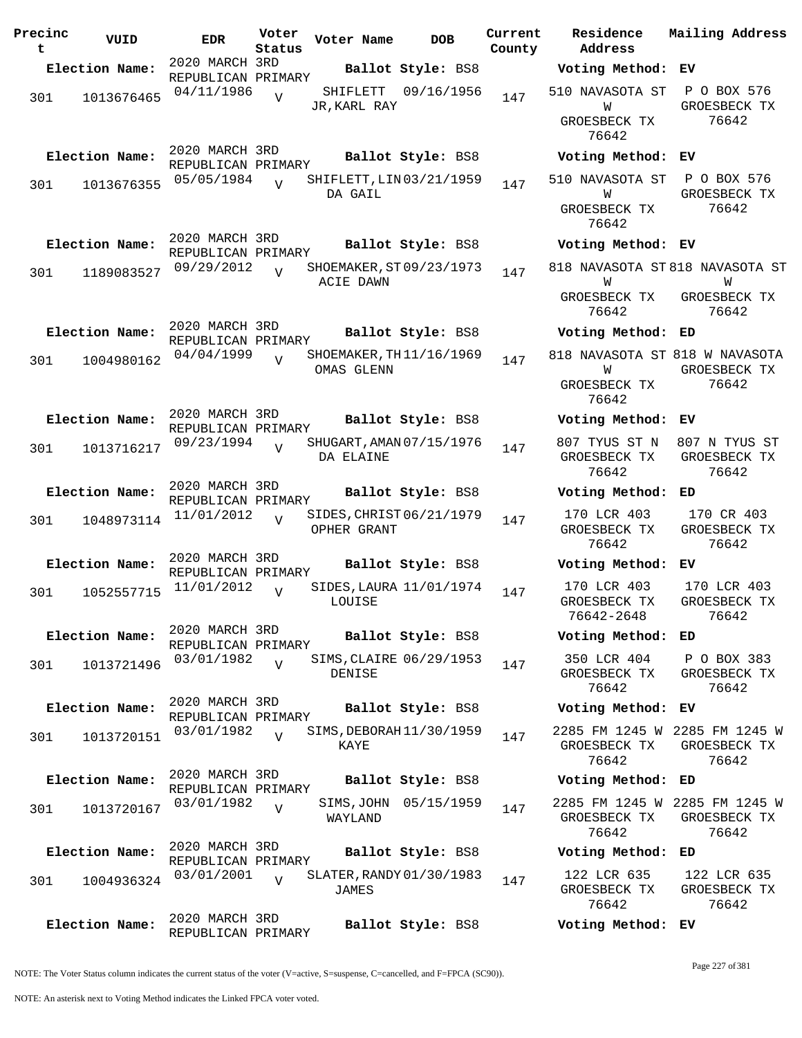| Precinc<br>t | VUID           | <b>EDR</b>                           | Voter<br>Status | Voter Name                              | <b>DOB</b>        | Current | Residence<br>County Address                                   | Mailing Address                        |
|--------------|----------------|--------------------------------------|-----------------|-----------------------------------------|-------------------|---------|---------------------------------------------------------------|----------------------------------------|
|              | Election Name: | 2020 MARCH 3RD<br>REPUBLICAN PRIMARY |                 |                                         | Ballot Style: BS8 |         | Voting Method: EV                                             |                                        |
| 301          | 1013676465     | 04/11/1986                           | $\overline{V}$  | SHIFLETT 09/16/1956<br>JR, KARL RAY     |                   | 147     | 510 NAVASOTA ST P O BOX 576<br>W<br>GROESBECK TX<br>76642     | GROESBECK TX<br>76642                  |
|              | Election Name: | 2020 MARCH 3RD                       |                 |                                         | Ballot Style: BS8 |         | Voting Method: EV                                             |                                        |
| 301          | 1013676355     | REPUBLICAN PRIMARY<br>05/05/1984     | $\overline{V}$  | SHIFLETT, LIN 03/21/1959<br>DA GAIL     |                   | 147     | 510 NAVASOTA ST P O BOX 576<br>W<br>GROESBECK TX<br>76642     | GROESBECK TX<br>76642                  |
|              | Election Name: | 2020 MARCH 3RD<br>REPUBLICAN PRIMARY |                 |                                         | Ballot Style: BS8 |         | Voting Method: EV                                             |                                        |
| 301          | 1189083527     | 09/29/2012                           | $\overline{U}$  | SHOEMAKER, ST 09/23/1973<br>ACIE DAWN   |                   | 147     | 818 NAVASOTA ST 818 NAVASOTA ST<br>W<br>GROESBECK TX<br>76642 | W<br>GROESBECK TX<br>76642             |
|              | Election Name: | 2020 MARCH 3RD<br>REPUBLICAN PRIMARY |                 |                                         | Ballot Style: BS8 |         | Voting Method: ED                                             |                                        |
| 301          | 1004980162     | 04/04/1999                           | $\overline{U}$  | SHOEMAKER, TH 11/16/1969<br>OMAS GLENN  |                   | 147     | 818 NAVASOTA ST 818 W NAVASOTA<br>W<br>GROESBECK TX<br>76642  | GROESBECK TX<br>76642                  |
|              | Election Name: | 2020 MARCH 3RD<br>REPUBLICAN PRIMARY |                 |                                         | Ballot Style: BS8 |         | Voting Method: EV                                             |                                        |
| 301          | 1013716217     | 09/23/1994                           | $\overline{U}$  | SHUGART, AMAN 07/15/1976<br>DA ELAINE   |                   | 147     | 807 TYUS ST N<br>GROESBECK TX<br>76642                        | 807 N TYUS ST<br>GROESBECK TX<br>76642 |
|              | Election Name: | 2020 MARCH 3RD<br>REPUBLICAN PRIMARY |                 |                                         | Ballot Style: BS8 |         | Voting Method: ED                                             |                                        |
| 301          | 1048973114     | 11/01/2012                           | $\overline{V}$  | SIDES, CHRIST 06/21/1979<br>OPHER GRANT |                   | 147     | 170 LCR 403<br>GROESBECK TX<br>76642                          | 170 CR 403<br>GROESBECK TX<br>76642    |
|              | Election Name: | 2020 MARCH 3RD<br>REPUBLICAN PRIMARY |                 |                                         | Ballot Style: BS8 |         | Voting Method: EV                                             |                                        |
| 301          | 1052557715     | 11/01/2012                           | $\overline{V}$  | SIDES, LAURA 11/01/1974<br>LOUISE       |                   | 147     | 170 LCR 403<br>GROESBECK TX<br>76642-2648                     | 170 LCR 403<br>GROESBECK TX<br>76642   |
|              | Election Name: | 2020 MARCH 3RD<br>REPUBLICAN PRIMARY |                 |                                         | Ballot Style: BS8 |         | Voting Method: ED                                             |                                        |
| 301          | 1013721496     | 03/01/1982                           | V               | SIMS, CLAIRE 06/29/1953<br>DENISE       |                   | 147     | 350 LCR 404<br>GROESBECK TX<br>76642                          | P O BOX 383<br>GROESBECK TX<br>76642   |
|              | Election Name: | 2020 MARCH 3RD<br>REPUBLICAN PRIMARY |                 |                                         | Ballot Style: BS8 |         | Voting Method: EV                                             |                                        |
| 301          | 1013720151     | 03/01/1982                           | $\overline{V}$  | SIMS, DEBORAH 11/30/1959<br>KAYE        |                   | 147     | 2285 FM 1245 W 2285 FM 1245 W<br>GROESBECK TX<br>76642        | GROESBECK TX<br>76642                  |
|              | Election Name: | 2020 MARCH 3RD<br>REPUBLICAN PRIMARY |                 |                                         | Ballot Style: BS8 |         | Voting Method: ED                                             |                                        |
| 301          | 1013720167     | 03/01/1982                           | $\overline{V}$  | SIMS, JOHN 05/15/1959<br>WAYLAND        |                   | 147     | 2285 FM 1245 W 2285 FM 1245 W<br>GROESBECK TX<br>76642        | GROESBECK TX<br>76642                  |
|              | Election Name: | 2020 MARCH 3RD<br>REPUBLICAN PRIMARY |                 |                                         | Ballot Style: BS8 |         | Voting Method: ED                                             |                                        |
| 301          | 1004936324     | 03/01/2001                           | $\overline{V}$  | SLATER, RANDY 01/30/1983<br>JAMES       |                   | 147     | 122 LCR 635<br>GROESBECK TX<br>76642                          | 122 LCR 635<br>GROESBECK TX<br>76642   |
|              | Election Name: | 2020 MARCH 3RD<br>REPUBLICAN PRIMARY |                 |                                         | Ballot Style: BS8 |         | Voting Method: EV                                             |                                        |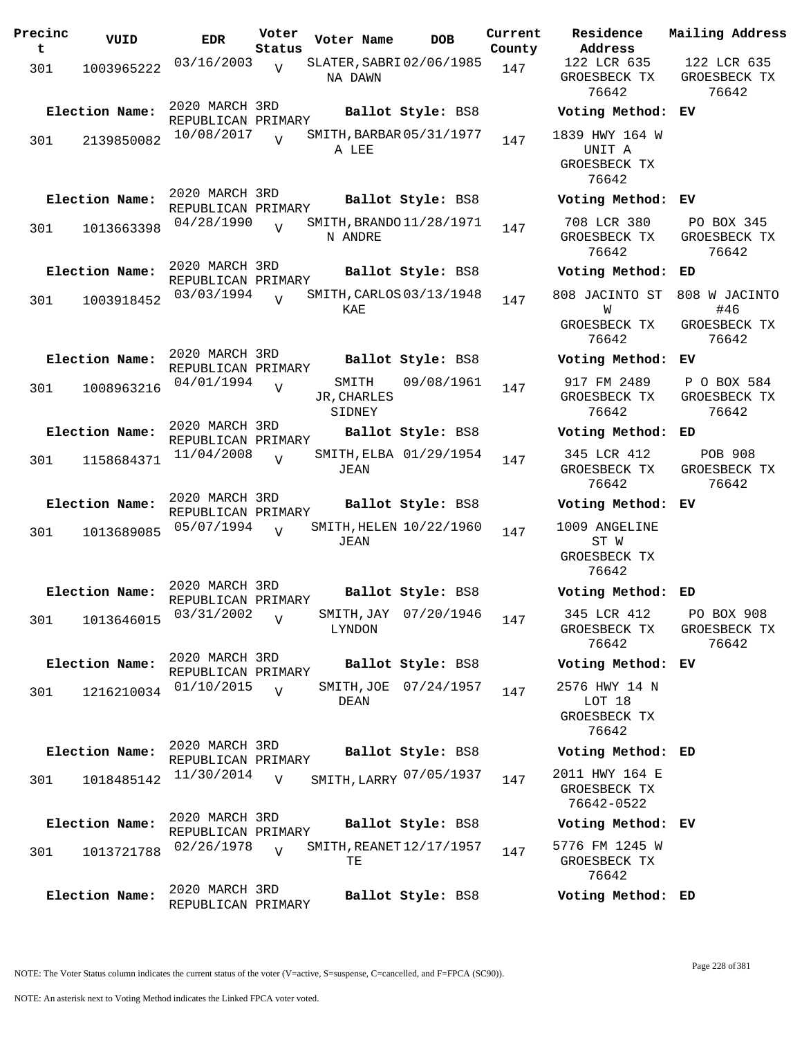| Precinc<br>t | VUID           | <b>EDR</b>                           | Voter<br>Status | Voter Name                          | <b>DOB</b>              | Current<br>County | Residence<br>Address                              | Mail               |
|--------------|----------------|--------------------------------------|-----------------|-------------------------------------|-------------------------|-------------------|---------------------------------------------------|--------------------|
| 301          | 1003965222     | 03/16/2003                           | $\overline{U}$  | SLATER, SABRI 02/06/1985<br>NA DAWN |                         | 147               | 122 LCR 635<br>GROESBECK TX<br>76642              | 12<br>GR           |
|              | Election Name: | 2020 MARCH 3RD<br>REPUBLICAN PRIMARY |                 |                                     | Ballot Style: BS8       |                   | Voting Method:                                    | ЕV                 |
| 301          | 2139850082     | 10/08/2017                           | $\overline{U}$  | SMITH, BARBAR 05/31/1977<br>A LEE   |                         | 147               | 1839 HWY 164 W<br>UNIT A<br>GROESBECK TX<br>76642 |                    |
|              | Election Name: | 2020 MARCH 3RD<br>REPUBLICAN PRIMARY |                 |                                     | Ballot Style: BS8       |                   | Voting Method:                                    | EV                 |
| 301          | 1013663398     | 04/28/1990                           | $\overline{U}$  | SMITH, BRANDO 11/28/1971<br>N ANDRE |                         | 147               | 708 LCR 380<br>GROESBECK TX<br>76642              | $\mathbf P$<br>GR  |
|              | Election Name: | 2020 MARCH 3RD<br>REPUBLICAN PRIMARY |                 |                                     | Ballot Style: BS8       |                   | Voting Method:                                    | ED                 |
| 301          | 1003918452     | 03/03/1994                           | $\overline{U}$  | SMITH, CARLOS 03/13/1948<br>KAE     |                         | 147               | 808 JACINTO ST<br>W                               | 808                |
|              |                |                                      |                 |                                     |                         |                   | GROESBECK TX<br>76642                             | GR                 |
|              | Election Name: | 2020 MARCH 3RD<br>REPUBLICAN PRIMARY |                 |                                     | Ballot Style: BS8       |                   | Voting Method:                                    | EV                 |
| 301          | 1008963216     | 04/01/1994                           | $\overline{V}$  | SMITH<br>JR, CHARLES<br>SIDNEY      | 09/08/1961              | 147               | 917 FM 2489<br>GROESBECK TX<br>76642              | $\mathbf{P}$<br>GR |
|              | Election Name: | 2020 MARCH 3RD<br>REPUBLICAN PRIMARY |                 |                                     | Ballot Style: BS8       |                   | Voting Method:                                    | ED                 |
| 301          | 1158684371     | 11/04/2008                           | $\overline{V}$  | JEAN                                | SMITH, ELBA 01/29/1954  | 147               | 345 LCR 412<br>GROESBECK TX<br>76642              | GR                 |
|              | Election Name: | 2020 MARCH 3RD                       |                 |                                     | Ballot Style: BS8       |                   | Voting Method:                                    | ЕV                 |
| 301          | 1013689085     | REPUBLICAN PRIMARY<br>05/07/1994     | $\overline{V}$  | JEAN                                | SMITH, HELEN 10/22/1960 | 147               | 1009 ANGELINE<br>ST W<br>GROESBECK TX<br>76642    |                    |
|              | Election Name: | 2020 MARCH 3RD<br>REPUBLICAN PRIMARY |                 |                                     | Ballot Style: BS8       |                   | Voting Method: ED                                 |                    |
| 301          | 1013646015     | 03/31/2002                           | V               | LYNDON                              | SMITH, JAY 07/20/1946   | 147               | 345 LCR 412<br>GROESBECK TX<br>76642              | P<br>GR            |
|              | Election Name: | 2020 MARCH 3RD<br>REPUBLICAN PRIMARY |                 |                                     | Ballot Style: BS8       |                   | Voting Method: EV                                 |                    |
| 301          | 1216210034     | 01/10/2015                           | $\overline{V}$  | DEAN                                | SMITH, JOE 07/24/1957   | 147               | 2576 HWY 14 N<br>LOT 18<br>GROESBECK TX<br>76642  |                    |
|              | Election Name: | 2020 MARCH 3RD<br>REPUBLICAN PRIMARY |                 |                                     | Ballot Style: BS8       |                   | Voting Method: ED                                 |                    |
| 301          | 1018485142     | 11/30/2014                           | $\overline{V}$  |                                     | SMITH, LARRY 07/05/1937 | 147               | 2011 HWY 164 E<br>GROESBECK TX<br>76642-0522      |                    |
|              | Election Name: | 2020 MARCH 3RD<br>REPUBLICAN PRIMARY |                 |                                     | Ballot Style: BS8       |                   | Voting Method: EV                                 |                    |
| 301          | 1013721788     | 02/26/1978                           | $\overline{U}$  | SMITH, REANET 12/17/1957<br>TЕ      |                         | 147               | 5776 FM 1245 W<br>GROESBECK TX<br>76642           |                    |
|              | Election Name: | 2020 MARCH 3RD                       |                 |                                     | Ballot Style: BS8       |                   | Voting Method: ED                                 |                    |

**Voter Name DOB Residence Address Current Mailing Address** 122 LCR 635 GROESBECK TX 76642 122 LCR 635 GROESBECK TX 76642 **Election Name: Ballot Style:** BS8 **Voting Method: EV** 1839 HWY 164 W UNIT A GROESBECK TX 76642 **Election Name: Ballot Style:** BS8 **Voting Method: EV** 708 LCR 380 GROESBECK TX 76642 PO BOX 345 GROESBECK TX 76642 **Election Name: Ballot Style:** BS8 **Voting Method: ED** 808 JACINTO ST 808 W JACINTO W GROESBECK TX 76642 #46 GROESBECK TX 76642 **Election Name: Ballot Style:** BS8 **Voting Method: EV** 917 FM 2489 GROESBECK TX 76642 P O BOX 584 GROESBECK TX 76642 **Election Name: Ballot Style:** BS8 **Voting Method: ED** 345 LCR 412 GROESBECK TX 76642 POB 908 GROESBECK TX 76642 **Election Name: Ballot Style:** BS8 **Voting Method: EV** 1009 ANGELINE ST W GROESBECK TX 76642 **Election Name: Ballot Style:** BS8 **Voting Method: ED** 345 LCR 412 GROESBECK TX 76642 PO BOX 908 GROESBECK TX 76642 **Election Name: Ballot Style:** BS8 **Voting Method: EV** 2576 HWY 14 N LOT 18 GROESBECK TX 76642 **Election Name: Ballot Style:** BS8 **Voting Method: ED** 2011 HWY 164 E GROESBECK TX 76642-0522 **Election Name: Ballot Style:** BS8 **Voting Method: EV** 5776 FM 1245 W

REPUBLICAN PRIMARY

NOTE: An asterisk next to Voting Method indicates the Linked FPCA voter voted.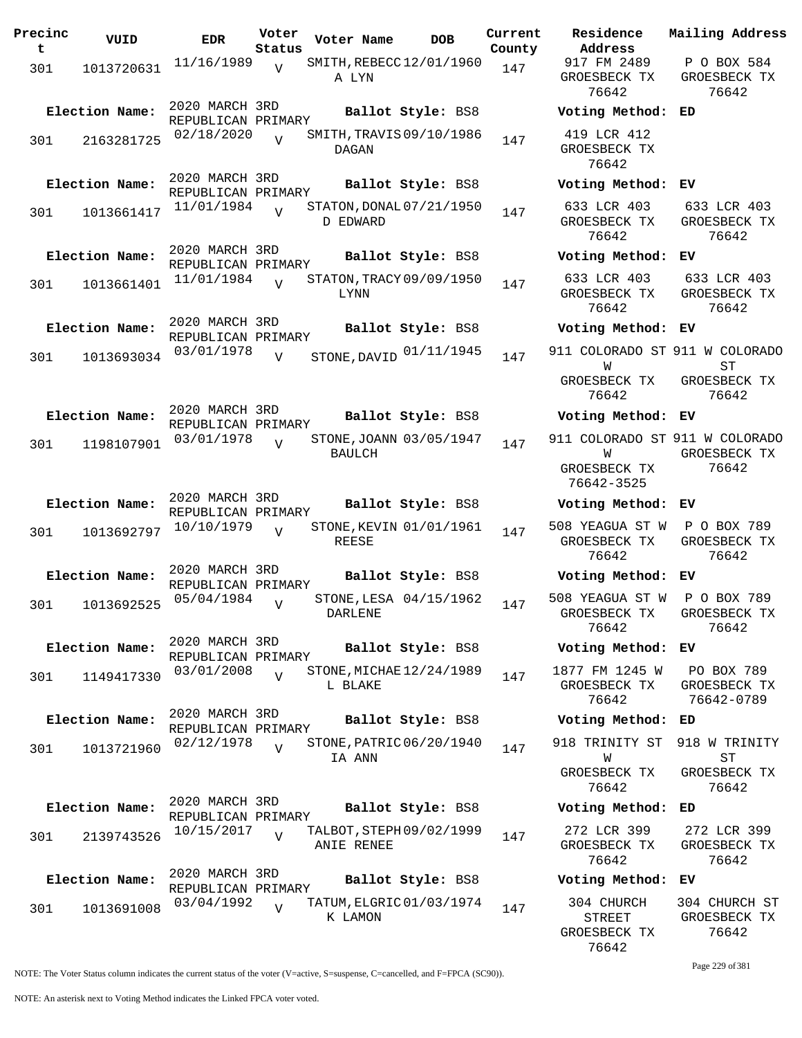| Precinc<br>t | VUID           | <b>EDR</b>                           | Voter<br>Status | Voter Name                               | <b>DOB</b>        | Current<br>County | Residence<br>Address                                 | Mailing Address                      |
|--------------|----------------|--------------------------------------|-----------------|------------------------------------------|-------------------|-------------------|------------------------------------------------------|--------------------------------------|
| 301          | 1013720631     | 11/16/1989                           | $\overline{v}$  | SMITH, REBECC12/01/1960<br>A LYN         |                   | 147               | 917 FM 2489<br>GROESBECK TX<br>76642                 | P O BOX 584<br>GROESBECK TX<br>76642 |
|              | Election Name: | 2020 MARCH 3RD<br>REPUBLICAN PRIMARY |                 |                                          | Ballot Style: BS8 |                   | Voting Method: ED                                    |                                      |
| 301          | 2163281725     | 02/18/2020                           | $\overline{V}$  | SMITH, TRAVIS 09/10/1986<br>DAGAN        |                   | 147               | 419 LCR 412<br>GROESBECK TX<br>76642                 |                                      |
|              | Election Name: | 2020 MARCH 3RD<br>REPUBLICAN PRIMARY |                 |                                          | Ballot Style: BS8 |                   | Voting Method: EV                                    |                                      |
| 301          | 1013661417     | 11/01/1984                           |                 | STATON, DONAL 07/21/1950<br>D EDWARD     |                   | 147               | 633 LCR 403<br>GROESBECK TX<br>76642                 | 633 LCR 403<br>GROESBECK TX<br>76642 |
|              | Election Name: | 2020 MARCH 3RD<br>REPUBLICAN PRIMARY |                 |                                          | Ballot Style: BS8 |                   | Voting Method: EV                                    |                                      |
| 301          | 1013661401     | 11/01/1984                           | $\overline{V}$  | STATON, TRACY 09/09/1950<br>LYNN         |                   | 147               | 633 LCR 403<br>GROESBECK TX<br>76642                 | 633 LCR 403<br>GROESBECK TX<br>76642 |
|              | Election Name: | 2020 MARCH 3RD<br>REPUBLICAN PRIMARY |                 |                                          | Ballot Style: BS8 |                   | Voting Method: EV                                    |                                      |
| 301          | 1013693034     | 03/01/1978                           | V               | STONE, DAVID $01/11/1945$                |                   | 147               | 911 COLORADO ST 911 W COLORADO                       |                                      |
|              |                |                                      |                 |                                          |                   |                   | W<br>GROESBECK TX<br>76642                           | ST<br>GROESBECK TX<br>76642          |
|              | Election Name: | 2020 MARCH 3RD<br>REPUBLICAN PRIMARY |                 |                                          | Ballot Style: BS8 |                   | Voting Method: EV                                    |                                      |
| 301          | 1198107901     | 03/01/1978                           | $\overline{V}$  | STONE, JOANN 03/05/1947<br><b>BAULCH</b> |                   | 147               | 911 COLORADO ST 911 W COLORADO<br>W<br>GROESBECK TX  | GROESBECK TX<br>76642                |
|              |                |                                      |                 |                                          |                   |                   | 76642-3525                                           |                                      |
|              | Election Name: | 2020 MARCH 3RD<br>REPUBLICAN PRIMARY |                 |                                          | Ballot Style: BS8 |                   | Voting Method: EV                                    |                                      |
| 301          | 1013692797     | 10/10/1979                           | $\overline{V}$  | STONE, KEVIN 01/01/1961<br>REESE         |                   | 147               | 508 YEAGUA ST W<br>GROESBECK TX<br>76642             | P O BOX 789<br>GROESBECK TX<br>76642 |
|              | Election Name: | 2020 MARCH 3RD<br>REPUBLICAN PRIMARY |                 |                                          | Ballot Style: BS8 |                   | Voting Method: EV                                    |                                      |
| 301          | 1013692525     | 05/04/1984                           | V               | STONE, LESA 04/15/1962<br>DARLENE        |                   | 147               | 508 YEAGUA ST W P O BOX 789<br>GROESBECK TX<br>76642 | GROESBECK TX<br>76642                |
|              | Election Name: | 2020 MARCH 3RD                       |                 |                                          | Ballot Style: BS8 |                   | Voting Method: EV                                    |                                      |
| 301          | 1149417330     | REPUBLICAN PRIMARY<br>03/01/2008     | $\overline{V}$  | STONE, MICHAE 12/24/1989<br>L BLAKE      |                   | 147               | 1877 FM 1245 W PO BOX 789<br>GROESBECK TX<br>76642   | GROESBECK TX<br>76642-0789           |
|              | Election Name: | 2020 MARCH 3RD                       |                 |                                          | Ballot Style: BS8 |                   | Voting Method: ED                                    |                                      |
| 301          | 1013721960     | REPUBLICAN PRIMARY<br>02/12/1978     | $\overline{z}$  | STONE, PATRIC 06/20/1940<br>IA ANN       |                   | 147               | 918 TRINITY ST 918 W TRINITY<br>W                    | ST                                   |
|              |                |                                      |                 |                                          |                   |                   | GROESBECK TX<br>76642                                | GROESBECK TX<br>76642                |
|              | Election Name: | 2020 MARCH 3RD<br>REPUBLICAN PRIMARY |                 |                                          | Ballot Style: BS8 |                   | Voting Method:                                       | ED                                   |
| 301          | 2139743526     | 10/15/2017                           | $\overline{v}$  | TALBOT, STEPH 09/02/1999<br>ANIE RENEE   |                   | 147               | 272 LCR 399<br>GROESBECK TX<br>76642                 | 272 LCR 399<br>GROESBECK TX<br>76642 |
|              | Election Name: | 2020 MARCH 3RD<br>REPUBLICAN PRIMARY |                 |                                          | Ballot Style: BS8 |                   | Voting Method: EV                                    |                                      |
| 301          | 1013691008     | 03/04/1992                           | V               | TATUM, ELGRIC 01/03/1974<br>K LAMON      |                   | 147               | 304 CHURCH<br><b>STREET</b>                          | 304 CHURCH ST<br>GROESBECK TX        |

**Voter Name DOB Residence Address Current Mailing Address** 917 FM 2489 GROESBECK TX 76642 P O BOX 584 GROESBECK TX 76642 **Election Name: Ballot Style:** BS8 **Voting Method: ED** 419 LCR 412 GROESBECK TX 76642 **Election Name: Ballot Style:** BS8 **Voting Method: EV** 633 LCR 403 GROESBECK TX 76642 633 LCR 403 GROESBECK TX 76642 **Election Name: Ballot Style:** BS8 **Voting Method: EV** 633 LCR 403 GROESBECK TX 76642 633 LCR 403 GROESBECK TX 76642 **Election Name: Ballot Style:** BS8 **Voting Method: EV** W GROESBECK TX 76642 ST GROESBECK TX 76642 **Election Name: Ballot Style:** BS8 **Voting Method: EV** 911 COLORADO ST 911 W COLORADO W GROESBECK TX 76642-3525 GROESBECK TX 76642 **Election Name: Ballot Style:** BS8 **Voting Method: EV** 508 YEAGUA ST W GROESBECK TX 76642 P O BOX 789 GROESBECK TX 76642 **Election Name: Ballot Style:** BS8 **Voting Method: EV** 508 YEAGUA ST W GROESBECK TX 76642 P O BOX 789 GROESBECK TX 76642 **Election Name: Ballot Style:** BS8 **Voting Method: EV** 1877 FM 1245 W GROESBECK TX 76642 PO BOX 789 GROESBECK TX 76642-0789 **Election Name: Ballot Style:** BS8 **Voting Method: ED** 918 TRINITY ST W GROESBECK TX 76642 918 W TRINITY ST GROESBECK TX 76642 **Election Name: Ballot Style:** BS8 **Voting Method: ED** 272 LCR 399 GROESBECK TX 76642 272 LCR 399 GROESBECK TX 76642 **Election Name: Ballot Style:** BS8 **Voting Method: EV** 304 CHURCH STREET GROESBECK TX 76642 304 CHURCH ST GROESBECK TX 76642

Page 229 of 381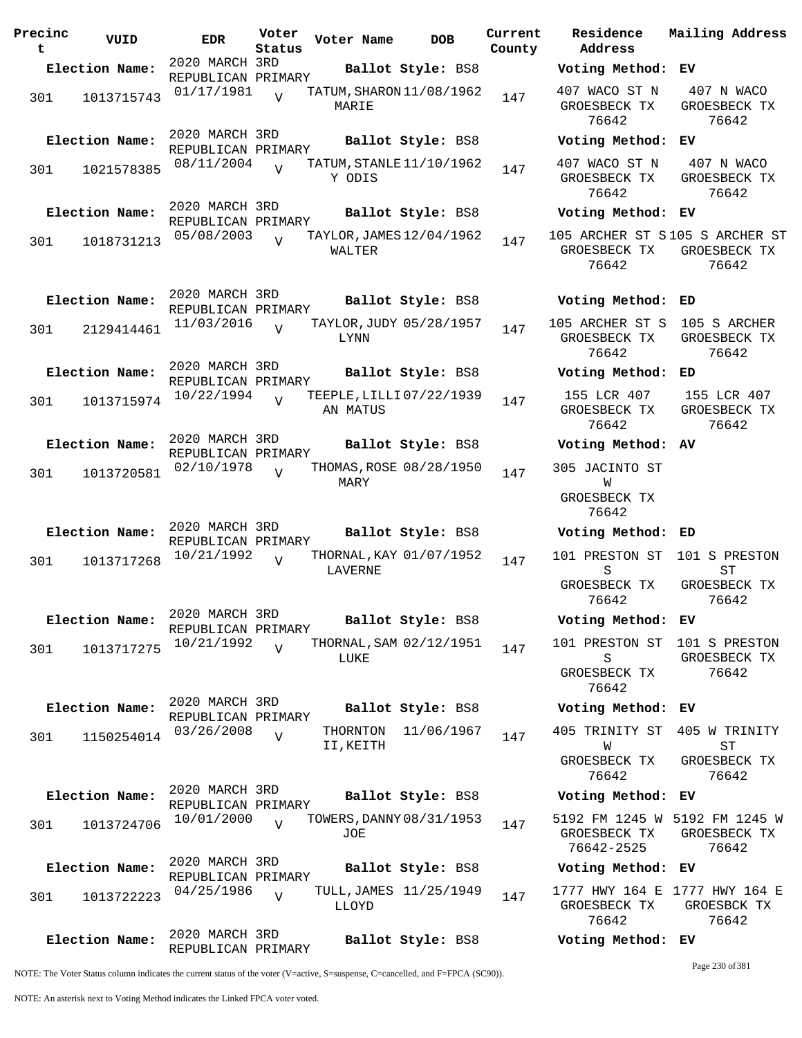| Precinc<br>t | VUID           | <b>EDR</b>                           | Voter<br>Status | Voter Name                           | <b>DOB</b>              | Current<br>County | Residence<br>Address                       |
|--------------|----------------|--------------------------------------|-----------------|--------------------------------------|-------------------------|-------------------|--------------------------------------------|
|              | Election Name: | 2020 MARCH 3RD<br>REPUBLICAN PRIMARY |                 |                                      | Ballot Style: BS8       |                   | Voting Metho                               |
| 301          | 1013715743     | 01/17/1981                           | $\overline{U}$  | TATUM, SHARON 11/08/1962<br>MARIE    |                         | 147               | 407 WACO ST<br>GROESBECK T<br>76642        |
|              | Election Name: | 2020 MARCH 3RD<br>REPUBLICAN PRIMARY |                 |                                      | Ballot Style: BS8       |                   | Voting Metho                               |
| 301          | 1021578385     | 08/11/2004                           | $\overline{V}$  | TATUM, STANLE 11/10/1962<br>Y ODIS   |                         | 147               | 407 WACO ST<br>GROESBECK T<br>76642        |
|              | Election Name: | 2020 MARCH 3RD<br>REPUBLICAN PRIMARY |                 |                                      | Ballot Style: BS8       |                   | Voting Metho                               |
| 301          | 1018731213     | 05/08/2003                           | $\overline{V}$  | TAYLOR, JAMES 12/04/1962<br>WALTER   |                         | 147               | 105 ARCHER ST<br>GROESBECK T<br>76642      |
|              | Election Name: | 2020 MARCH 3RD<br>REPUBLICAN PRIMARY |                 |                                      | Ballot Style: BS8       |                   | Voting Metho                               |
| 301          | 2129414461     | 11/03/2016                           | $\overline{U}$  | LYNN                                 | TAYLOR, JUDY 05/28/1957 | 147               | 105 ARCHER ST<br>GROESBECK T<br>76642      |
|              | Election Name: | 2020 MARCH 3RD<br>REPUBLICAN PRIMARY |                 |                                      | Ballot Style: BS8       |                   | Voting Metho                               |
| 301          | 1013715974     | 10/22/1994                           | $\overline{V}$  | TEEPLE, LILLI 07/22/1939<br>AN MATUS |                         | 147               | 155 LCR 407<br>GROESBECK T<br>76642        |
|              | Election Name: | 2020 MARCH 3RD<br>REPUBLICAN PRIMARY |                 |                                      | Ballot Style: BS8       |                   | Voting Metho                               |
| 301          | 1013720581     | 02/10/1978                           | $\overline{U}$  | MARY                                 | THOMAS, ROSE 08/28/1950 | 147               | 305 JACINTO<br>W<br>GROESBECK T<br>76642   |
|              | Election Name: | 2020 MARCH 3RD                       |                 |                                      | Ballot Style: BS8       |                   | Voting Metho                               |
| 301          | 1013717268     | REPUBLICAN PRIMARY<br>10/21/1992     | $\overline{U}$  | LAVERNE                              | THORNAL, KAY 01/07/1952 | 147               | 101 PRESTON<br>S                           |
|              |                |                                      |                 |                                      |                         |                   | GROESBECK T<br>76642                       |
|              | Election Name: | 2020 MARCH 3RD<br>REPUBLICAN PRIMARY |                 |                                      | Ballot Style: BS8       |                   | Voting Metho                               |
| 301          | 1013717275     | 10/21/1992                           | $\overline{U}$  | LUKE                                 | THORNAL, SAM 02/12/1951 | 147               | 101 PRESTON<br>S<br>GROESBECK T<br>76642   |
|              | Election Name: | 2020 MARCH 3RD<br>REPUBLICAN PRIMARY |                 |                                      | Ballot Style: BS8       |                   | Voting Metho                               |
| 301          | 1150254014     | 03/26/2008                           | $\overline{V}$  | THORNTON<br>II, KEITH                | 11/06/1967              | 147               | 405 TRINITY :<br>W<br>GROESBECK T<br>76642 |
|              | Election Name: | 2020 MARCH 3RD<br>REPUBLICAN PRIMARY |                 |                                      | Ballot Style: BS8       |                   | Voting Metho                               |
| 301          | 1013724706     | 10/01/2000                           | $\overline{17}$ | TOWERS, DANNY 08/31/1953<br>JOE      |                         | 147               | 5192 FM 1245<br>GROESBECK T<br>76642-2525  |
|              | Election Name: | 2020 MARCH 3RD<br>REPUBLICAN PRIMARY |                 |                                      | Ballot Style: BS8       |                   | Voting Metho                               |
| 301          | 1013722223     | 04/25/1986                           | $\overline{V}$  | LLOYD                                | TULL, JAMES 11/25/1949  | 147               | 1777 HWY 164<br>GROESBECK T<br>76642       |
|              | Election Name: | 2020 MARCH 3RD<br>REPUBLICAN PRIMARY |                 |                                      | Ballot Style: BS8       |                   | Voting Metho                               |

**Election Name: Ballot Style:** BS8 **Voting Method: ED** 105 ARCHER ST S 105 S ARCHER GROESBECK TX 76642 GROESBECK TX 76642 **Election Name: Ballot Style:** BS8 **Voting Method: ED** 155 LCR 407 GROESBECK TX 76642 155 LCR 407 GROESBECK TX 76642 **Election Name: Ballot Style:** BS8 **Voting Method: AV** 305 JACINTO ST **TAT** GROESBECK TX 76642 **Election Name: Ballot Style:** BS8 **Voting Method: ED** 101 PRESTON ST 101 S PRESTON S GROESBECK TX 76642 ST GROESBECK TX 76642 **Election Name: Ballot Style:** BS8 **Voting Method: EV** 101 PRESTON ST 101 S PRESTON S GROESBECK TX 76642 GROESBECK TX 76642 **Election Name: Ballot Style:** BS8 **Voting Method: EV** 405 TRINITY ST 405 W TRINITY W GROESBECK TX 76642 ST GROESBECK TX 76642 **Election Name: Ballot Style:** BS8 **Voting Method: EV** 5192 FM 1245 W 5192 FM 1245 W GROESBECK TX 76642-2525 GROESBECK TX 76642 **Election Name: Ballot Style:** BS8 **Voting Method: EV** 1777 HWY 164 E 1777 HWY 164 E GROESBECK TX 76642 GROESBCK TX 76642

407 WACO ST N GROESBECK TX 76642

407 WACO ST N GROESBECK TX 76642

**Election Name: Ballot Style:** BS8 **Voting Method: EV**

**Election Name: Ballot Style:** BS8 **Voting Method: EV**

**Election Name: Ballot Style:** BS8 **Voting Method: EV**

105 ARCHER ST S 105 S ARCHER ST GROESBECK TX GROESBECK TX

**Current Mailing Address**

407 N WACO GROESBECK TX 76642

407 N WACO GROESBECK TX 76642

76642

## **Election Name: Ballot Style:** BS8 **Voting Method: EV**

Page 230 of 381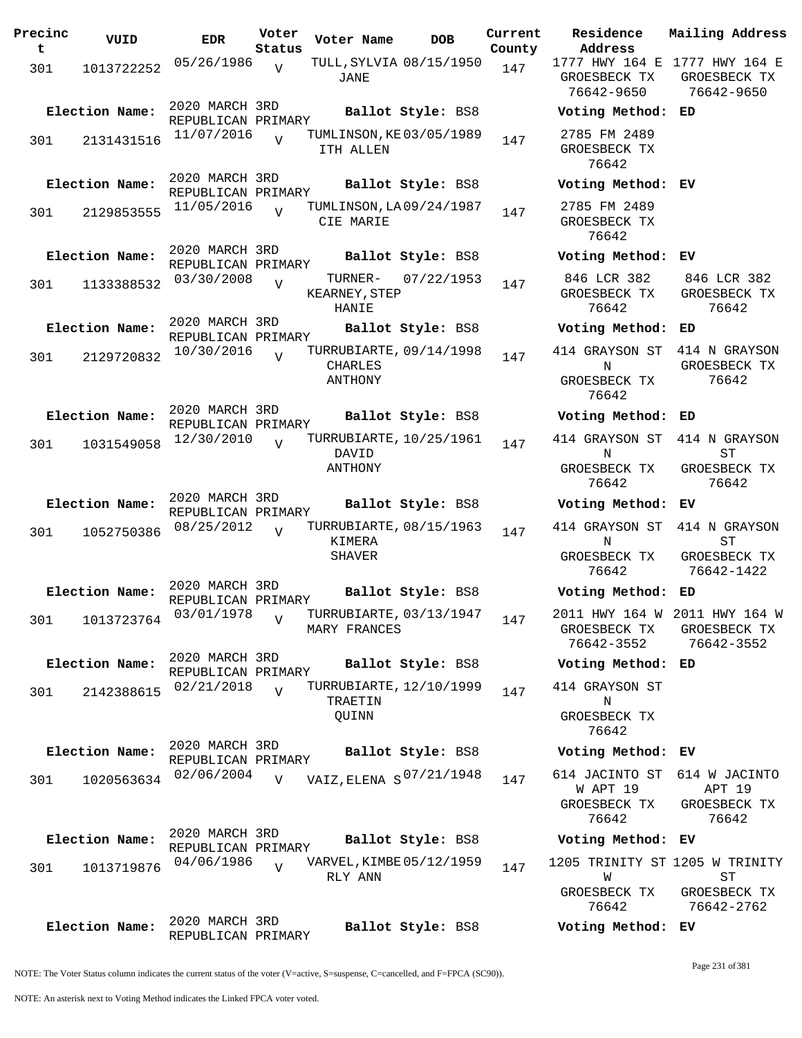**Precinc t VUID EDR Voter Status Voter Name DOB Current Residence County** 301 1013722252  $05/26/1986$  v TULL, SYLVIA  $08/15/1950$  147 JANE  $\overline{V}$ 2020 MARCH 3RD REPUBLICAN PRIMARY<br>11/07/2016 ... T **Election Name: Ballot Style:** BS8 **Voting Method: ED** 301 2131431516 <sup>11/07/2016</sup> V TUMLINSON, KE03/05/1989 147 ITH ALLEN  $\overline{V}$ 2020 MARCH 3RD REPUBLICAN PRIMARY **Election Name: Ballot Style:** BS8 **Voting Method: EV** 301 2129853555 11/05/2016 V TUMLINSON, LA 09/24/1987 147 CIE MARIE  $\overline{V}$ 2020 MARCH 3RD REPUBLICAN PRIMARY **Election Name: Ballot Style:** BS8 **Voting Method: EV** 301 1133388532 03/30/2008 KEARNEY, STEP HANIE  $\overline{V}$ TURNER- 07/22/1953 147 2020 MARCH 3RD REPUBLICAN PRIMARY **Election Name: Ballot Style:** BS8 **Voting Method: ED** 301 2129720832 10/30/2016 CHARLES ANTHONY  $\overline{V}$ TURRUBIARTE, 09/14/1998 147 2020 MARCH 3RD REPUBLICAN PRIMARY **Election Name: Ballot Style:** BS8 **Voting Method: ED** 301 1031549058 12/30/2010 V TURRUBIARTE, 10/25/1961 147 DAVID ANTHONY  $\overline{v}$ 2020 MARCH 3RD REPUBLICAN PRIMARY **Election Name: Ballot Style:** BS8 **Voting Method: EV** 301 1052750386 08/25/2012 KIMERA SHAVER  $\overline{v}$ TURRUBIARTE, 08/15/1963 147 2020 MARCH 3RD REPUBLICAN PRIMARY **Election Name: Ballot Style:** BS8 **Voting Method: ED** 301 1013723764 03/01/1978 MARY FRANCES V TURRUBIARTE, 03/13/1947 147 2020 MARCH 3RD REPUBLICAN PRIMARY<br>02/21/2018 ... TURRUBIARTE, 12/10/1999 **Election Name: Ballot Style:** BS8 **Voting Method: ED** 301 2142388615 02/21/2018 V TURRUBIARTE, 12/10/1999 147 TRAETIN QUINN  $\overline{V}$ 2020 MARCH 3RD REPUBLICAN PRIMARY<br>02/06/2004 v VAIZ, ELENA S<sup>07/21/1948</sup> **Election Name: Ballot Style:** BS8 **Voting Method: EV** 301 1020563634  $02/06/2004$  vaiz, ELENA  $S^{07/21/1948}$  147 614 JACINTO ST  $\overline{V}$ 2020 MARCH 3RD REPUBLICAN PRIMARY<br>04/06/1986 ... **Election Name: Ballot Style:** BS8 **Voting Method: EV** 301 1013719876 RLY ANN  $\overline{V}$ VARVEL, KIMBE 05/12/1959 147 2020 MARCH 3RD **Election Name: Ballot Style:** BS8 **Voting Method: EV**

**Address Current Mailing Address** 1777 HWY 164 E 1777 HWY 164 E GROESBECK TX GROESBECK TX 76642-9650 76642-9650 2785 FM 2489 GROESBECK TX 76642 2785 FM 2489 GROESBECK TX 76642 846 LCR 382 GROESBECK TX 76642 846 LCR 382 GROESBECK TX 76642 414 GRAYSON ST 414 N GRAYSON N GROESBECK TX 76642 GROESBECK TX 76642 414 GRAYSON ST 414 N GRAYSON N GROESBECK TX 76642 ST GROESBECK TX 76642 414 GRAYSON ST 414 N GRAYSON **NT** GROESBECK TX 76642  $ST$ GROESBECK TX 76642-1422 2011 HWY 164 W 2011 HWY 164 W GROESBECK TX 76642-3552 GROESBECK TX 76642-3552 414 GRAYSON ST N GROESBECK TX 76642 W APT 19 GROESBECK TX 76642 614 JACINTO ST 614 W JACINTO APT 19 GROESBECK TX 76642 1205 TRINITY ST 1205 W TRINITY W GROESBECK TX ST GROESBECK TX

NOTE: The Voter Status column indicates the current status of the voter (V=active, S=suspense, C=cancelled, and F=FPCA (SC90)).

REPUBLICAN PRIMARY

Page 231 of 381

76642-2762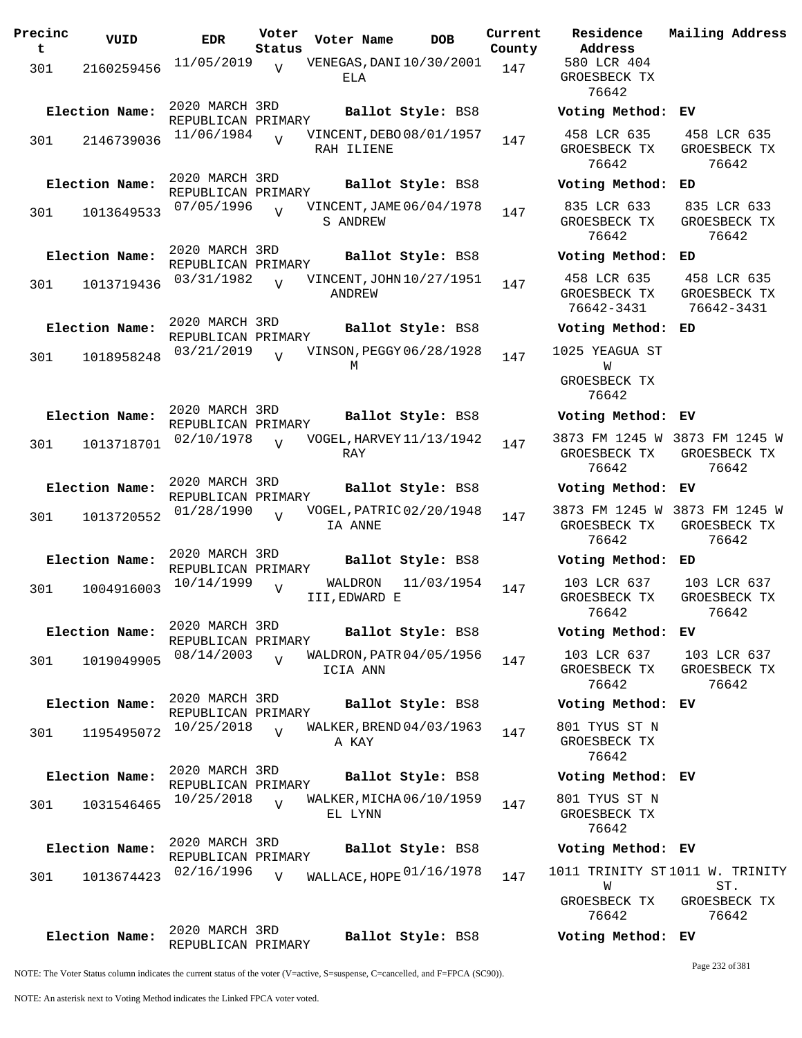| Precinc<br>t | VUID           | <b>EDR</b>                           | Voter<br>Status | Voter Name                             | <b>DOB</b>        | Current<br>County | Residence<br>Address                                | Mailing Address                                        |
|--------------|----------------|--------------------------------------|-----------------|----------------------------------------|-------------------|-------------------|-----------------------------------------------------|--------------------------------------------------------|
| 301          | 2160259456     | 11/05/2019                           | $\overline{V}$  | VENEGAS, DANI 10/30/2001<br>ELA        |                   | 147               | 580 LCR 404<br>GROESBECK TX<br>76642                |                                                        |
|              | Election Name: | 2020 MARCH 3RD<br>REPUBLICAN PRIMARY |                 |                                        | Ballot Style: BS8 |                   | Voting Method: EV                                   |                                                        |
| 301          | 2146739036     | 11/06/1984                           | $\overline{v}$  | VINCENT, DEBO 08/01/1957<br>RAH ILIENE |                   | 147               | 458 LCR 635<br>GROESBECK TX<br>76642                | 458 LCR 635<br>GROESBECK TX<br>76642                   |
|              | Election Name: | 2020 MARCH 3RD<br>REPUBLICAN PRIMARY |                 |                                        | Ballot Style: BS8 |                   | Voting Method:                                      | ED                                                     |
| 301          | 1013649533     | 07/05/1996                           |                 | VINCENT, JAME 06/04/1978<br>S ANDREW   |                   | 147               | 835 LCR 633<br>GROESBECK TX<br>76642                | 835 LCR 633<br>GROESBECK TX<br>76642                   |
|              | Election Name: | 2020 MARCH 3RD<br>REPUBLICAN PRIMARY |                 |                                        | Ballot Style: BS8 |                   | Voting Method:                                      | ED                                                     |
| 301          | 1013719436     | 03/31/1982                           | $\overline{U}$  | VINCENT, JOHN 10/27/1951<br>ANDREW     |                   | 147               | 458 LCR 635<br>GROESBECK TX<br>76642-3431           | 458 LCR 635<br>GROESBECK TX<br>76642-3431              |
|              | Election Name: | 2020 MARCH 3RD<br>REPUBLICAN PRIMARY |                 |                                        | Ballot Style: BS8 |                   | Voting Method:                                      | ED                                                     |
| 301          | 1018958248     | 03/21/2019                           | $\overline{V}$  | VINSON, PEGGY 06/28/1928               |                   | 147               | 1025 YEAGUA ST                                      |                                                        |
|              |                |                                      |                 | М                                      |                   |                   | W<br>GROESBECK TX<br>76642                          |                                                        |
|              | Election Name: | 2020 MARCH 3RD<br>REPUBLICAN PRIMARY |                 |                                        | Ballot Style: BS8 |                   | Voting Method: EV                                   |                                                        |
| 301          | 1013718701     | 02/10/1978                           | $\overline{U}$  | VOGEL, HARVEY 11/13/1942<br>RAY        |                   | 147               | GROESBECK TX<br>76642                               | 3873 FM 1245 W 3873 FM 1245 W<br>GROESBECK TX<br>76642 |
|              | Election Name: | 2020 MARCH 3RD<br>REPUBLICAN PRIMARY |                 |                                        | Ballot Style: BS8 |                   | Voting Method: EV                                   |                                                        |
| 301          | 1013720552     | 01/28/1990                           | $\overline{U}$  | VOGEL, PATRIC 02/20/1948<br>IA ANNE    |                   | 147               | GROESBECK TX<br>76642                               | 3873 FM 1245 W 3873 FM 1245 W<br>GROESBECK TX<br>76642 |
|              | Election Name: | 2020 MARCH 3RD<br>REPUBLICAN PRIMARY |                 |                                        | Ballot Style: BS8 |                   | Voting Method: ED                                   |                                                        |
| 301          | 1004916003     | 10/14/1999                           | $\overline{U}$  | WALDRON<br>III, EDWARD E               | 11/03/1954        | 147               | 103 LCR 637<br>GROESBECK TX<br>76642                | 103 LCR 637<br>GROESBECK TX<br>76642                   |
|              | Election Name: | 2020 MARCH 3RD<br>REPUBLICAN PRIMARY |                 |                                        | Ballot Style: BS8 |                   | Voting Method: EV                                   |                                                        |
| 301          | 1019049905     | 08/14/2003                           | $\overline{V}$  | WALDRON, PATR 04/05/1956<br>ICIA ANN   |                   | 147               | GROESBECK TX<br>76642                               | 103 LCR 637 103 LCR 637<br>GROESBECK TX<br>76642       |
|              | Election Name: | 2020 MARCH 3RD<br>REPUBLICAN PRIMARY |                 |                                        | Ballot Style: BS8 |                   | Voting Method: EV                                   |                                                        |
| 301          | 1195495072     | 10/25/2018                           | $\overline{Y}$  | WALKER, BREND 04/03/1963<br>A KAY      |                   | 147               | 801 TYUS ST N<br>GROESBECK TX<br>76642              |                                                        |
|              | Election Name: | 2020 MARCH 3RD<br>REPUBLICAN PRIMARY |                 |                                        | Ballot Style: BS8 |                   | Voting Method: EV                                   |                                                        |
| 301          | 1031546465     | 10/25/2018                           | $\overline{Y}$  | WALKER, MICHA 06/10/1959<br>EL LYNN    |                   | 147               | 801 TYUS ST N<br>GROESBECK TX<br>76642              |                                                        |
|              | Election Name: | 2020 MARCH 3RD<br>REPUBLICAN PRIMARY |                 |                                        | Ballot Style: BS8 |                   | Voting Method: EV                                   |                                                        |
| 301          | 1013674423     | 02/16/1996                           | V               | WALLACE, HOPE 01/16/1978               |                   | 147               | 1011 TRINITY ST1011 W. TRINITY<br>W<br>GROESBECK TX | ST.<br>GROESBECK TX                                    |
|              |                | חס? שמסגש 2000                       |                 |                                        |                   |                   | 76642                                               | 76642                                                  |

2020 MARCH 3RD REPUBLICAN PRIMARY **Election Name: Ballot Style:** BS8 **Voting Method: EV**

Page 232 of 381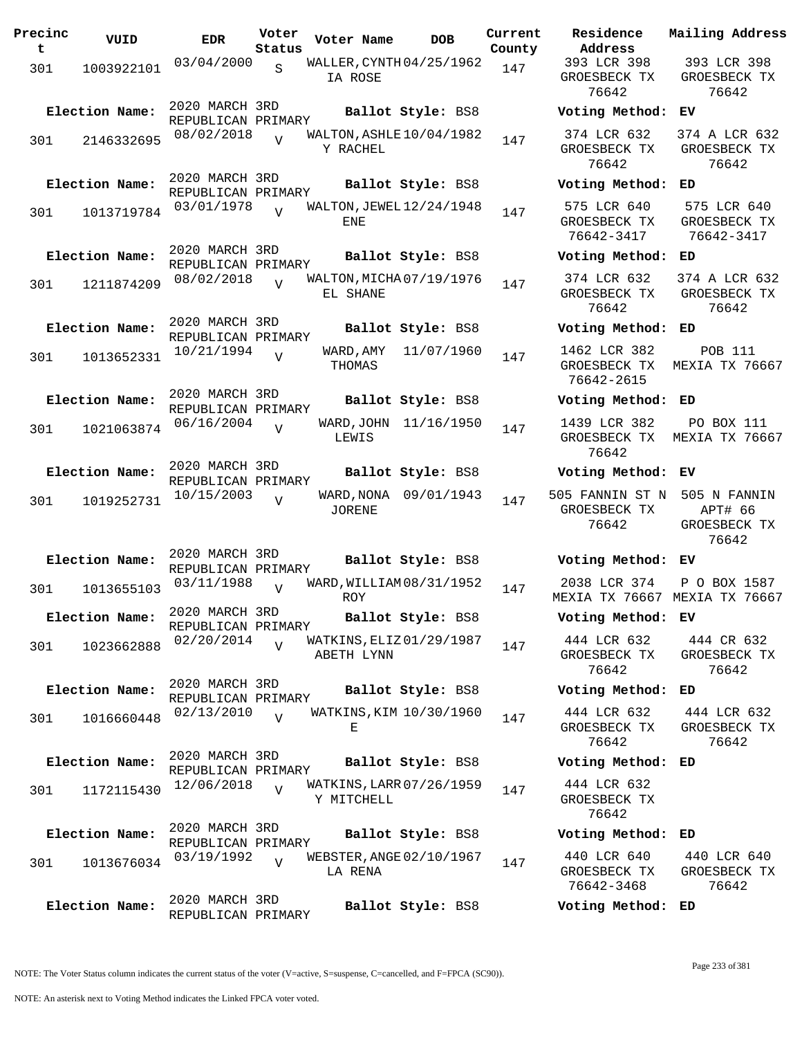| Precinc<br>t | VUID           | <b>EDR</b>                           | Voter<br>Status | Voter Name          | <b>DOB</b>                 | Current<br>County | Residence<br>Address                     |
|--------------|----------------|--------------------------------------|-----------------|---------------------|----------------------------|-------------------|------------------------------------------|
| 301          | 1003922101     | 03/04/2000                           | $\mathbf S$     | IA ROSE             | WALLER, CYNTH 04/25/1962   | 147               | 393 LCR 398<br>GROESBECK T<br>76642      |
|              | Election Name: | 2020 MARCH 3RD<br>REPUBLICAN PRIMARY |                 |                     | Ballot Style: BS8          |                   | Voting Meth                              |
| 301          | 2146332695     | 08/02/2018                           |                 | Y RACHEL            | WALTON, ASHLE $10/04/1982$ | 147               | 374 LCR 632<br>GROESBECK T<br>76642      |
|              | Election Name: | 2020 MARCH 3RD<br>REPUBLICAN PRIMARY |                 |                     | Ballot Style: BS8          |                   | Voting Meth                              |
| 301          | 1013719784     | 03/01/1978                           | $\overline{U}$  | ENE                 | WALTON, JEWEL 12/24/1948   | 147               | 575 LCR 640<br>GROESBECK T<br>76642-3417 |
|              | Election Name: | 2020 MARCH 3RD<br>REPUBLICAN PRIMARY |                 |                     | Ballot Style: BS8          |                   | Voting Meth                              |
| 301          | 1211874209     | 08/02/2018                           | $\overline{U}$  | EL SHANE            | WALTON, MICHA 07/19/1976   | 147               | 374 LCR 632<br>GROESBECK T<br>76642      |
|              | Election Name: | 2020 MARCH 3RD<br>REPUBLICAN PRIMARY |                 |                     | Ballot Style: BS8          |                   | Voting Meth                              |
| 301          | 1013652331     | 10/21/1994                           | V               | WARD, AMY<br>THOMAS | 11/07/1960                 | 147               | 1462 LCR 38<br>GROESBECK T<br>76642-2615 |
|              | Election Name: | 2020 MARCH 3RD<br>REPUBLICAN PRIMARY |                 |                     | Ballot Style: BS8          |                   | Voting Meth                              |
| 301          | 1021063874     | 06/16/2004                           | $\overline{V}$  | LEWIS               | WARD, JOHN 11/16/1950      | 147               | 1439 LCR 38<br>GROESBECK T<br>76642      |
|              | Election Name: | 2020 MARCH 3RD<br>REPUBLICAN PRIMARY |                 |                     | Ballot Style: BS8          |                   | Voting Meth                              |
| 301          | 1019252731     | 10/15/2003                           | $\overline{V}$  | JORENE              | WARD, NONA 09/01/1943      | 147               | 505 FANNIN ST<br>GROESBECK T<br>76642    |
|              | Election Name: | 2020 MARCH 3RD                       |                 |                     | Ballot Style: BS8          |                   | Voting Meth                              |
| 301          | 1013655103     | REPUBLICAN PRIMARY<br>03/11/1988     | $\overline{V}$  | ROY                 | WARD, WILLIAM 08/31/1952   | 147               | 2038 LCR 37<br>MEXIA TX 766              |
|              | Election Name: | 2020 MARCH 3RD<br>REPUBLICAN PRIMARY |                 |                     | Ballot Style: BS8          |                   | Voting Meth                              |
| 301          | 1023662888     | 02/20/2014                           | $\overline{U}$  | ABETH LYNN          | WATKINS, ELIZ 01/29/1987   | 147               | 444 LCR 632<br>GROESBECK T<br>76642      |
|              | Election Name: | 2020 MARCH 3RD<br>REPUBLICAN PRIMARY |                 |                     | Ballot Style: BS8          |                   | Voting Metho                             |
| 301          | 1016660448     | 02/13/2010                           | $\overline{V}$  | Е                   | WATKINS, KIM 10/30/1960    | 147               | 444 LCR 632<br>GROESBECK T<br>76642      |
|              | Election Name: | 2020 MARCH 3RD<br>REPUBLICAN PRIMARY |                 |                     | Ballot Style: BS8          |                   | Voting Meth                              |
| 301          | 1172115430     | 12/06/2018                           | $\overline{V}$  | Y MITCHELL          | WATKINS, LARR 07/26/1959   | 147               | 444 LCR 632<br>GROESBECK T<br>76642      |
|              | Election Name: | 2020 MARCH 3RD<br>REPUBLICAN PRIMARY |                 |                     | Ballot Style: BS8          |                   | Voting Metho                             |
| 301          | 1013676034     | 03/19/1992                           | $\overline{V}$  | LA RENA             | WEBSTER, ANGE 02/10/1967   | 147               | 440 LCR 640<br>GROESBECK T<br>76642-3468 |
|              | Election Name: | 2020 MARCH 3RD<br>REPUBLICAN PRIMARY |                 |                     | Ballot Style: BS8          |                   | Voting Meth                              |

393 LCR 398 GROESBECK TX 76642 393 LCR 398 GROESBECK TX 76642 **Election Name: Ballot Style:** BS8 **Voting Method: EV** 374 LCR 632 GROESBECK TX 76642 374 A LCR 632 GROESBECK TX 76642 **Election Name: Ballot Style:** BS8 **Voting Method: ED** 575 LCR 640 GROESBECK TX 76642-3417 575 LCR 640 GROESBECK TX 76642-3417 **Election Name: Ballot Style:** BS8 **Voting Method: ED** 374 LCR 632 GROESBECK TX 76642 374 A LCR 632 GROESBECK TX 76642 **Election Name: Ballot Style:** BS8 **Voting Method: ED** 1462 LCR 382 GROESBECK TX 76642-2615 POB 111 MEXIA TX 76667 **Election Name: Ballot Style:** BS8 **Voting Method: ED** 1439 LCR 382 GROESBECK TX MEXIA TX 76667 76642 PO BOX 111 **Election Name: Ballot Style:** BS8 **Voting Method: EV** 505 FANNIN ST N 505 N FANNIN GROESBECK TX 76642 APT# 66 GROESBECK TX 76642 **Election Name: Ballot Style:** BS8 **Voting Method: EV** 2038 LCR 374 MEXIA TX 76667 MEXIA TX 76667 P O BOX 1587 **Election Name: Ballot Style:** BS8 **Voting Method: EV** 444 LCR 632 GROESBECK TX 76642 444 CR 632 GROESBECK TX 76642 **Election Name: Ballot Style:** BS8 **Voting Method: ED** 444 LCR 632 GROESBECK TX 76642 444 LCR 632 GROESBECK TX 76642 **Election Name: Ballot Style:** BS8 **Voting Method: ED** 444 LCR 632 GROESBECK TX 76642 **Election Name: Ballot Style:** BS8 **Voting Method: ED** 440 LCR 640 GROESBECK TX 76642-3468 440 LCR 640 GROESBECK TX 76642

**Current Mailing Address**

NOTE: The Voter Status column indicates the current status of the voter (V=active, S=suspense, C=cancelled, and F=FPCA (SC90)).

**Election Name: Ballot Style:** BS8 **Voting Method: ED**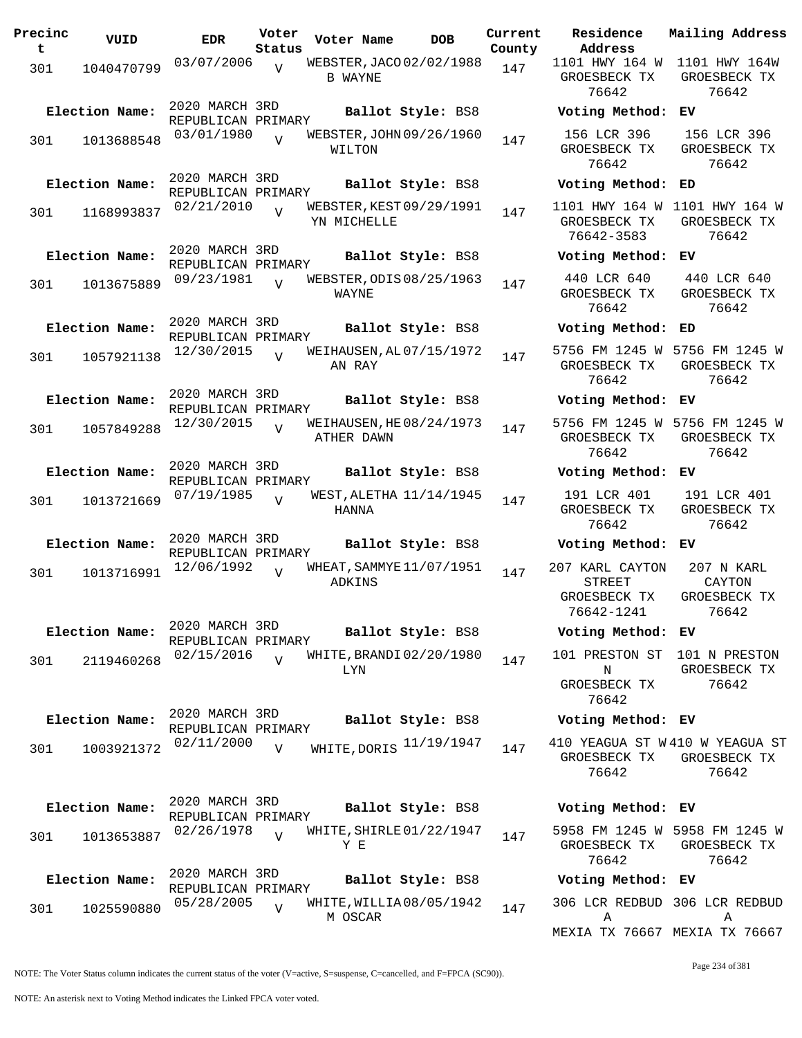| Precinc<br>t | VUID           | <b>EDR</b>                           | Voter<br>Status | Voter Name                              | <b>DOB</b>        | Current<br>County | Residence<br>Address                                           | Mailing Address                                        |
|--------------|----------------|--------------------------------------|-----------------|-----------------------------------------|-------------------|-------------------|----------------------------------------------------------------|--------------------------------------------------------|
| 301          | 1040470799     | 03/07/2006                           | $\overline{v}$  | WEBSTER, JACO 02/02/1988<br>B WAYNE     |                   | 147               | 1101 HWY 164 W<br>GROESBECK TX<br>76642                        | 1101 HWY 164W<br>GROESBECK TX<br>76642                 |
|              | Election Name: | 2020 MARCH 3RD<br>REPUBLICAN PRIMARY |                 |                                         | Ballot Style: BS8 |                   | Voting Method: EV                                              |                                                        |
| 301          | 1013688548     | 03/01/1980                           | $\overline{V}$  | WEBSTER, JOHN 09/26/1960<br>WILTON      |                   | 147               | 156 LCR 396<br>GROESBECK TX<br>76642                           | 156 LCR 396<br>GROESBECK TX<br>76642                   |
|              | Election Name: | 2020 MARCH 3RD<br>REPUBLICAN PRIMARY |                 |                                         | Ballot Style: BS8 |                   | Voting Method:                                                 | ED                                                     |
| 301          | 1168993837     | 02/21/2010                           | $\overline{U}$  | WEBSTER, KEST 09/29/1991<br>YN MICHELLE |                   | 147               | 1101 HWY 164 W 1101 HWY 164 W<br>GROESBECK TX<br>76642-3583    | GROESBECK TX<br>76642                                  |
|              | Election Name: | 2020 MARCH 3RD<br>REPUBLICAN PRIMARY |                 |                                         | Ballot Style: BS8 |                   | Voting Method:                                                 | EV.                                                    |
| 301          | 1013675889     | 09/23/1981                           | $\overline{U}$  | WEBSTER, ODIS 08/25/1963<br>WAYNE       |                   | 147               | 440 LCR 640<br>GROESBECK TX<br>76642                           | 440 LCR 640<br>GROESBECK TX<br>76642                   |
|              | Election Name: | 2020 MARCH 3RD<br>REPUBLICAN PRIMARY |                 |                                         | Ballot Style: BS8 |                   | Voting Method:                                                 | ED                                                     |
| 301          | 1057921138     | 12/30/2015                           | $\overline{U}$  | WEIHAUSEN, AL 07/15/1972<br>AN RAY      |                   | 147               | GROESBECK TX<br>76642                                          | 5756 FM 1245 W 5756 FM 1245 W<br>GROESBECK TX<br>76642 |
|              | Election Name: | 2020 MARCH 3RD<br>REPUBLICAN PRIMARY |                 |                                         | Ballot Style: BS8 |                   | Voting Method: EV                                              |                                                        |
| 301          | 1057849288     | 12/30/2015                           | $\overline{V}$  | WEIHAUSEN, HE 08/24/1973<br>ATHER DAWN  |                   | 147               | GROESBECK TX<br>76642                                          | 5756 FM 1245 W 5756 FM 1245 W<br>GROESBECK TX<br>76642 |
|              | Election Name: | 2020 MARCH 3RD<br>REPUBLICAN PRIMARY |                 |                                         | Ballot Style: BS8 |                   | Voting Method: EV                                              |                                                        |
| 301          | 1013721669     | 07/19/1985                           | $\overline{U}$  | WEST, ALETHA 11/14/1945<br>HANNA        |                   | 147               | 191 LCR 401<br>GROESBECK TX<br>76642                           | 191 LCR 401<br>GROESBECK TX<br>76642                   |
|              | Election Name: | 2020 MARCH 3RD<br>REPUBLICAN PRIMARY |                 |                                         | Ballot Style: BS8 |                   | Voting Method: EV                                              |                                                        |
| 301          | 1013716991     | 12/06/1992                           | $\overline{V}$  | WHEAT, SAMMYE 11/07/1951<br>ADKINS      |                   | 147               | 207 KARL CAYTON<br><b>STREET</b><br>GROESBECK TX<br>76642-1241 | 207 N KARL<br>CAYTON<br>GROESBECK TX<br>76642          |
|              | Election Name: | 2020 MARCH 3RD<br>REPUBLICAN PRIMARY |                 |                                         | Ballot Style: BS8 |                   | Voting Method: EV                                              |                                                        |
| 301          | 2119460268     | 02/15/2016                           | $\overline{V}$  | WHITE, BRANDI02/20/1980<br>LYN          |                   | 147               | 101 PRESTON ST 101 N PRESTON<br>N<br>GROESBECK TX<br>76642     | GROESBECK TX<br>76642                                  |
|              | Election Name: | 2020 MARCH 3RD<br>REPUBLICAN PRIMARY |                 |                                         | Ballot Style: BS8 |                   | Voting Method: EV                                              |                                                        |
| 301          | 1003921372     | 02/11/2000                           | V               | WHITE, DORIS 11/19/1947                 |                   | 147               | 410 YEAGUA ST W410 W YEAGUA ST<br>GROESBECK TX<br>76642        | GROESBECK TX<br>76642                                  |
|              | Election Name: | 2020 MARCH 3RD<br>REPUBLICAN PRIMARY |                 |                                         | Ballot Style: BS8 |                   | Voting Method: EV                                              |                                                        |
| 301          | 1013653887     | 02/26/1978                           | $\overline{v}$  | WHITE, SHIRLE 01/22/1947<br>Y E         |                   | 147               | GROESBECK TX<br>76642                                          | 5958 FM 1245 W 5958 FM 1245 W<br>GROESBECK TX<br>76642 |
|              | Election Name: | 2020 MARCH 3RD<br>REPUBLICAN PRIMARY |                 |                                         | Ballot Style: BS8 |                   | Voting Method: EV                                              |                                                        |
| 301          | 1025590880     | 05/28/2005                           | V               | WHITE, WILLIA08/05/1942<br>M OSCAR      |                   | 147               | Α                                                              | 306 LCR REDBUD 306 LCR REDBUD<br>Α                     |

NOTE: The Voter Status column indicates the current status of the voter (V=active, S=suspense, C=cancelled, and F=FPCA (SC90)).

MEXIA TX 76667 MEXIA TX 76667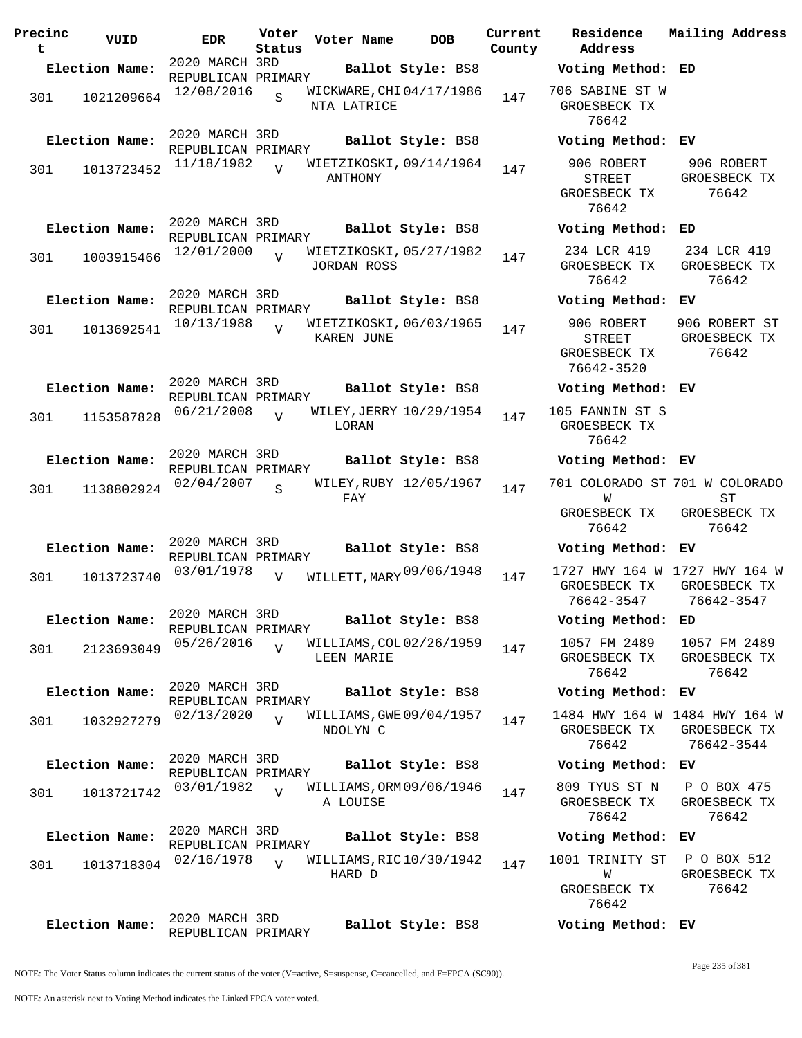| Precinc<br>t | VUID           | <b>EDR</b>                           | Voter<br>Status | Voter Name                                    |                   | <b>DOB</b> | Current<br>County | Residence<br>Address                                 | Mail                 |
|--------------|----------------|--------------------------------------|-----------------|-----------------------------------------------|-------------------|------------|-------------------|------------------------------------------------------|----------------------|
|              | Election Name: | 2020 MARCH 3RD                       |                 |                                               | Ballot Style: BS8 |            |                   | Voting Method: ED                                    |                      |
| 301          | 1021209664     | REPUBLICAN PRIMARY<br>12/08/2016     | $\overline{S}$  | WICKWARE, CHI04/17/1986<br>NTA LATRICE        |                   |            | 147               | 706 SABINE ST W<br>GROESBECK TX<br>76642             |                      |
|              | Election Name: | 2020 MARCH 3RD<br>REPUBLICAN PRIMARY |                 |                                               | Ballot Style: BS8 |            |                   | Voting Method:                                       | ЕV                   |
| 301          | 1013723452     | 11/18/1982                           | $\overline{z}$  | WIETZIKOSKI, 09/14/1964<br>ANTHONY            |                   |            | 147               | 906 ROBERT<br><b>STREET</b><br>GROESBECK TX<br>76642 | 9<br>GR              |
|              | Election Name: | 2020 MARCH 3RD<br>REPUBLICAN PRIMARY |                 |                                               | Ballot Style: BS8 |            |                   | Voting Method:                                       | ED                   |
| 301          | 1003915466     | 12/01/2000                           | $\overline{U}$  | WIETZIKOSKI, 05/27/1982<br><b>JORDAN ROSS</b> |                   |            | 147               | 234 LCR 419<br>GROESBECK TX<br>76642                 | 2 <sup>3</sup><br>GR |
|              | Election Name: | 2020 MARCH 3RD<br>REPUBLICAN PRIMARY |                 |                                               | Ballot Style: BS8 |            |                   | Voting Method:                                       | EV                   |
| 301          | 1013692541     | 10/13/1988                           | $\overline{U}$  | WIETZIKOSKI, 06/03/1965<br><b>KAREN JUNE</b>  |                   |            | 147               | 906 ROBERT<br>STREET<br>GROESBECK TX<br>76642-3520   | 906<br>GR            |
|              | Election Name: | 2020 MARCH 3RD<br>REPUBLICAN PRIMARY |                 |                                               | Ballot Style: BS8 |            |                   | Voting Method: EV                                    |                      |
| 301          | 1153587828     | 06/21/2008                           | $\overline{U}$  | WILEY, JERRY 10/29/1954<br>LORAN              |                   |            | 147               | 105 FANNIN ST S<br>GROESBECK TX<br>76642             |                      |
|              | Election Name: | 2020 MARCH 3RD<br>REPUBLICAN PRIMARY |                 |                                               | Ballot Style: BS8 |            |                   | Voting Method: EV                                    |                      |
| 301          | 1138802924     | 02/04/2007                           | S               | WILEY, RUBY 12/05/1967<br>FAY                 |                   |            | 147               | 701 COLORADO ST 701<br>W                             |                      |
|              |                |                                      |                 |                                               |                   |            |                   | GROESBECK TX<br>76642                                | GR                   |
|              | Election Name: | 2020 MARCH 3RD<br>REPUBLICAN PRIMARY |                 |                                               | Ballot Style: BS8 |            |                   | Voting Method:                                       | ЕV                   |
| 301          | 1013723740     | 03/01/1978                           | $\overline{V}$  | WILLETT, MARY 09/06/1948                      |                   |            | 147               | 1727 HWY 164 W 172<br>GROESBECK TX<br>76642-3547     | GR<br>$\overline{7}$ |
|              | Election Name: | 2020 MARCH 3RD<br>REPUBLICAN PRIMARY |                 |                                               | Ballot Style: BS8 |            |                   | Voting Method:                                       | ED                   |
| 301          | 2123693049     | 05/26/2016                           | $\overline{U}$  | WILLIAMS, COL 02/26/1959<br>LEEN MARIE        |                   |            | 147               | 1057 FM 2489<br>GROESBECK TX<br>76642                | 10<br>GR             |
|              | Election Name: | 2020 MARCH 3RD<br>REPUBLICAN PRIMARY |                 |                                               | Ballot Style: BS8 |            |                   | Voting Method:                                       | ЕV                   |
| 301          | 1032927279     | 02/13/2020                           | $\overline{U}$  | WILLIAMS, GWE 09/04/1957<br>NDOLYN C          |                   |            | 147               | 1484 HWY 164 W 148<br>GROESBECK TX<br>76642          | GR<br>7              |
|              | Election Name: | 2020 MARCH 3RD<br>REPUBLICAN PRIMARY |                 |                                               | Ballot Style: BS8 |            |                   | Voting Method:                                       | ЕV                   |
| 301          | 1013721742     | 03/01/1982                           | $\overline{U}$  | WILLIAMS, ORM 09/06/1946<br>A LOUISE          |                   |            | 147               | 809 TYUS ST N<br>GROESBECK TX<br>76642               | $\, {\bf P}$<br>GR   |
|              | Election Name: | 2020 MARCH 3RD<br>REPUBLICAN PRIMARY |                 |                                               | Ballot Style: BS8 |            |                   | Voting Method:                                       | EV                   |
| 301          | 1013718304     | 02/16/1978                           | $\overline{U}$  | WILLIAMS, RIC10/30/1942<br>HARD D             |                   |            | 147               | 1001 TRINITY ST<br>W<br>GROESBECK TX<br>76642        | $\mathbf{P}$<br>GR   |
|              | Election Name: | 2020 MARCH 3RD<br>REPUBLICAN PRIMARY |                 |                                               | Ballot Style: BS8 |            |                   | Voting Method: EV                                    |                      |

**Voter Name DOB Residence Address Current Mailing Address Election Name: Ballot Style:** BS8 **Voting Method: ED** 706 SABINE ST W GROESBECK TX 76642 **Election Name: Ballot Style:** BS8 **Voting Method: EV** 906 ROBERT STREET GROESBECK TX 76642 906 ROBERT GROESBECK TX 76642 **Election Name: Ballot Style:** BS8 **Voting Method: ED** 234 LCR 419 GROESBECK TX 76642 234 LCR 419 GROESBECK TX 76642 **Election Name: Ballot Style:** BS8 **Voting Method: EV** 906 ROBERT STREET GROESBECK TX 76642-3520 906 ROBERT ST GROESBECK TX 76642 **Election Name: Ballot Style:** BS8 **Voting Method: EV** 105 FANNIN ST S GROESBECK TX 76642 **Election Name: Ballot Style:** BS8 **Voting Method: EV** 701 COLORADO ST 701 W COLORADO W GROESBECK TX 76642 ST GROESBECK TX 76642 **Election Name: Ballot Style:** BS8 **Voting Method: EV** GROESBECK TX GROESBECK TX 76642-3547 1727 HWY 164 W 76642-3547 **Election Name: Ballot Style:** BS8 **Voting Method: ED** 1057 FM 2489 GROESBECK TX 76642 1057 FM 2489 GROESBECK TX 76642 **Election Name: Ballot Style:** BS8 **Voting Method: EV** 1484 HWY 164 W 1484 HWY 164 W GROESBECK TX GROESBECK TX 76642 76642-3544 **Election Name: Ballot Style:** BS8 **Voting Method: EV** 809 TYUS ST N GROESBECK TX 76642 P O BOX 475 GROESBECK TX 76642 **Election Name: Ballot Style:** BS8 **Voting Method: EV** 1001 TRINITY ST P O BOX 512 W GROESBECK TX GROESBECK TX 76642

NOTE: The Voter Status column indicates the current status of the voter (V=active, S=suspense, C=cancelled, and F=FPCA (SC90)).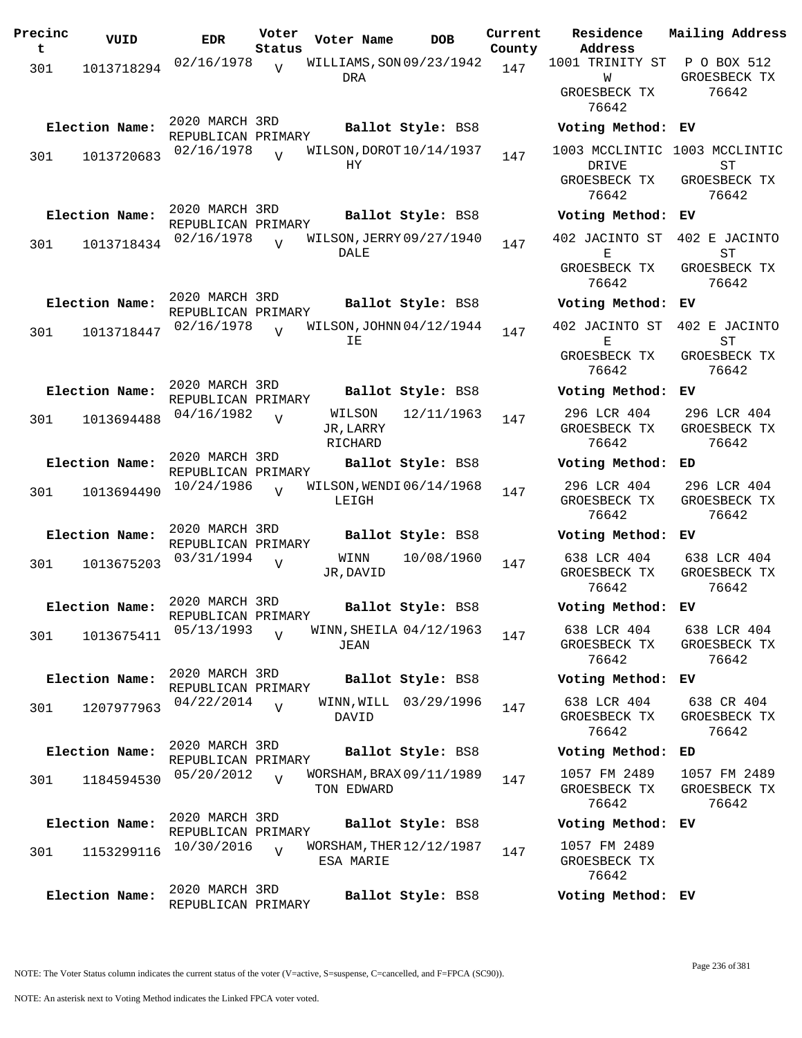| Precinc<br>t | VUID           | <b>EDR</b>                           | Voter<br>Status | Voter Name                             | <b>DOB</b>        | Current<br>County | Residence<br>Address                  | Mailing Address                                     |
|--------------|----------------|--------------------------------------|-----------------|----------------------------------------|-------------------|-------------------|---------------------------------------|-----------------------------------------------------|
| 301          | 1013718294     | 02/16/1978                           | $\overline{v}$  | WILLIAMS, SON 09/23/1942               |                   | 147               | 1001 TRINITY ST                       | P O BOX 512                                         |
|              |                |                                      |                 | DRA                                    |                   |                   | M<br>GROESBECK TX<br>76642            | GROESBECK TX<br>76642                               |
|              | Election Name: | 2020 MARCH 3RD<br>REPUBLICAN PRIMARY |                 |                                        | Ballot Style: BS8 |                   | Voting Method: EV                     |                                                     |
| 301          | 1013720683     | 02/16/1978                           | $\overline{U}$  | WILSON, DOROT 10/14/1937<br>НY         |                   | 147               | DRIVE<br>GROESBECK TX                 | 1003 MCCLINTIC 1003 MCCLINTIC<br>ST<br>GROESBECK TX |
|              | Election Name: | 2020 MARCH 3RD                       |                 |                                        | Ballot Style: BS8 |                   | 76642<br>Voting Method:               | 76642<br>ЕV                                         |
|              |                | REPUBLICAN PRIMARY<br>02/16/1978     |                 | WILSON, JERRY 09/27/1940               |                   |                   | 402 JACINTO ST                        | 402 E JACINTO                                       |
| 301          | 1013718434     |                                      |                 | DALE                                   |                   | 147               | Е<br>GROESBECK TX<br>76642            | <b>ST</b><br>GROESBECK TX<br>76642                  |
|              | Election Name: | 2020 MARCH 3RD<br>REPUBLICAN PRIMARY |                 |                                        | Ballot Style: BS8 |                   | Voting Method:                        | ЕV                                                  |
| 301          | 1013718447     | 02/16/1978                           | $\overline{V}$  | WILSON, JOHNN 04/12/1944<br>ΙE         |                   | 147               | 402 JACINTO ST<br>Е                   | 402 E JACINTO<br>ST                                 |
|              |                |                                      |                 |                                        |                   |                   | GROESBECK TX<br>76642                 | GROESBECK TX<br>76642                               |
|              | Election Name: | 2020 MARCH 3RD<br>REPUBLICAN PRIMARY |                 |                                        | Ballot Style: BS8 |                   | Voting Method:                        | ЕV                                                  |
| 301          | 1013694488     | 04/16/1982                           | $\overline{U}$  | WILSON<br>JR, LARRY<br>RICHARD         | 12/11/1963        | 147               | 296 LCR 404<br>GROESBECK TX<br>76642  | 296 LCR 404<br>GROESBECK TX<br>76642                |
|              | Election Name: | 2020 MARCH 3RD<br>REPUBLICAN PRIMARY |                 |                                        | Ballot Style: BS8 |                   | Voting Method:                        | ED                                                  |
| 301          | 1013694490     | 10/24/1986                           | V               | WILSON, WENDI 06/14/1968<br>LEIGH      |                   | 147               | 296 LCR 404<br>GROESBECK TX<br>76642  | 296 LCR 404<br>GROESBECK TX<br>76642                |
|              | Election Name: | 2020 MARCH 3RD<br>REPUBLICAN PRIMARY |                 |                                        | Ballot Style: BS8 |                   | Voting Method:                        | ЕV                                                  |
| 301          | 1013675203     | 03/31/1994                           | $\overline{V}$  | WINN<br>JR, DAVID                      | 10/08/1960        | 147               | 638 LCR 404<br>GROESBECK TX<br>76642  | 638 LCR 404<br>GROESBECK TX<br>76642                |
|              | Election Name: | 2020 MARCH 3RD<br>REPUBLICAN PRIMARY |                 |                                        | Ballot Style: BS8 |                   | Voting Method:                        | ЕV                                                  |
| 301          | 1013675411     | 05/13/1993                           | $\overline{U}$  | WINN, SHEILA 04/12/1963<br>JEAN        |                   | 147               | 638 LCR 404<br>GROESBECK TX<br>76642  | 638 LCR 404<br>GROESBECK TX<br>76642                |
|              | Election Name: | 2020 MARCH 3RD<br>REPUBLICAN PRIMARY |                 |                                        | Ballot Style: BS8 |                   | Voting Method: EV                     |                                                     |
| 301          | 1207977963     | 04/22/2014                           | $\overline{V}$  | WINN, WILL 03/29/1996<br>DAVID         |                   | 147               | 638 LCR 404<br>GROESBECK TX<br>76642  | 638 CR 404<br>GROESBECK TX<br>76642                 |
|              | Election Name: | 2020 MARCH 3RD<br>REPUBLICAN PRIMARY |                 |                                        | Ballot Style: BS8 |                   | Voting Method: ED                     |                                                     |
| 301          | 1184594530     | 05/20/2012                           | $\overline{V}$  | WORSHAM, BRAX 09/11/1989<br>TON EDWARD |                   | 147               | 1057 FM 2489<br>GROESBECK TX<br>76642 | 1057 FM 2489<br>GROESBECK TX<br>76642               |
|              | Election Name: | 2020 MARCH 3RD<br>REPUBLICAN PRIMARY |                 |                                        | Ballot Style: BS8 |                   | Voting Method:                        | ЕV                                                  |
| 301          | 1153299116     | 10/30/2016                           | $\overline{U}$  | WORSHAM, THER 12/12/1987<br>ESA MARIE  |                   | 147               | 1057 FM 2489<br>GROESBECK TX<br>76642 |                                                     |
|              | Election Name: | 2020 MARCH 3RD<br>REPUBLICAN PRIMARY |                 |                                        | Ballot Style: BS8 |                   | Voting Method: EV                     |                                                     |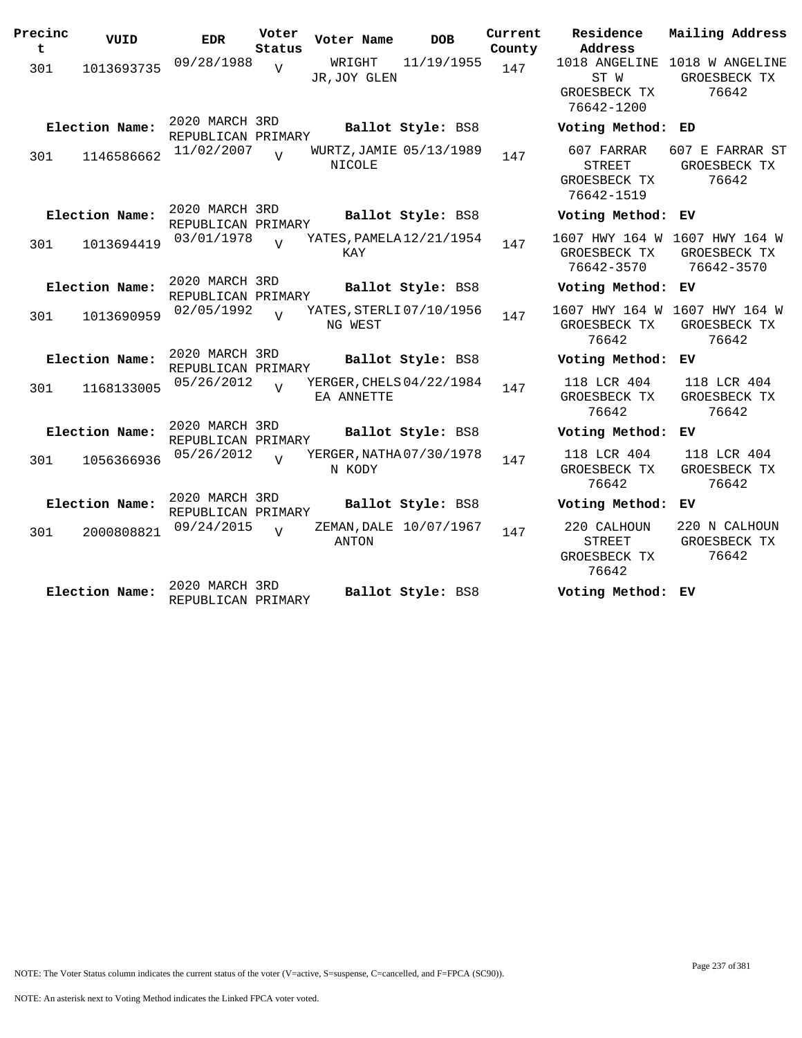| Precinc<br>t | VUID           | <b>EDR</b>                           | Voter<br>Status | Voter Name                               | <b>DOB</b>        | Current<br>County | Residence<br>Address                                        | Mailing Address                                        |
|--------------|----------------|--------------------------------------|-----------------|------------------------------------------|-------------------|-------------------|-------------------------------------------------------------|--------------------------------------------------------|
| 301          | 1013693735     | 09/28/1988                           | $\overline{V}$  | WRIGHT<br>JR, JOY GLEN                   | 11/19/1955        | 147               | ST W<br>GROESBECK TX<br>76642-1200                          | 1018 ANGELINE 1018 W ANGELINE<br>GROESBECK TX<br>76642 |
|              | Election Name: | 2020 MARCH 3RD<br>REPUBLICAN PRIMARY |                 |                                          | Ballot Style: BS8 |                   | Voting Method: ED                                           |                                                        |
| 301          | 1146586662     | 11/02/2007                           | $\overline{z}$  | WURTZ, JAMIE 05/13/1989<br><b>NICOLE</b> |                   | 147               | 607 FARRAR<br>STREET<br>GROESBECK TX<br>76642-1519          | 607 E FARRAR ST<br>GROESBECK TX<br>76642               |
|              | Election Name: | 2020 MARCH 3RD<br>REPUBLICAN PRIMARY |                 |                                          | Ballot Style: BS8 |                   | Voting Method: EV                                           |                                                        |
| 301          | 1013694419     | 03/01/1978                           | $\overline{U}$  | YATES, PAMELA 12/21/1954<br>KAY          |                   | 147               | 1607 HWY 164 W 1607 HWY 164 W<br>GROESBECK TX<br>76642-3570 | GROESBECK TX<br>76642-3570                             |
|              | Election Name: | 2020 MARCH 3RD<br>REPUBLICAN PRIMARY |                 |                                          | Ballot Style: BS8 |                   | Voting Method: EV                                           |                                                        |
| 301          | 1013690959     | 02/05/1992                           | $\overline{z}$  | YATES, STERLI 07/10/1956<br>NG WEST      |                   | 147               | 1607 HWY 164 W 1607 HWY 164 W<br>GROESBECK TX<br>76642      | GROESBECK TX<br>76642                                  |
|              | Election Name: | 2020 MARCH 3RD<br>REPUBLICAN PRIMARY |                 |                                          | Ballot Style: BS8 |                   | Voting Method: EV                                           |                                                        |
| 301          | 1168133005     | 05/26/2012                           |                 | YERGER, CHELS 04/22/1984<br>EA ANNETTE   |                   | 147               | 118 LCR 404<br>GROESBECK TX<br>76642                        | 118 LCR 404<br>GROESBECK TX<br>76642                   |
|              | Election Name: | 2020 MARCH 3RD<br>REPUBLICAN PRIMARY |                 |                                          | Ballot Style: BS8 |                   | Voting Method:                                              | EV.                                                    |
| 301          | 1056366936     | 05/26/2012                           | $\overline{U}$  | YERGER, NATHA 07/30/1978<br>N KODY       |                   | 147               | 118 LCR 404<br>GROESBECK TX<br>76642                        | 118 LCR 404<br>GROESBECK TX<br>76642                   |
|              | Election Name: | 2020 MARCH 3RD<br>REPUBLICAN PRIMARY |                 |                                          | Ballot Style: BS8 |                   | Voting Method: EV                                           |                                                        |
| 301          | 2000808821     | 09/24/2015                           | $\overline{U}$  | ZEMAN, DALE 10/07/1967<br>ANTON          |                   | 147               | 220 CALHOUN<br><b>STREET</b><br>GROESBECK TX<br>76642       | 220 N CALHOUN<br>GROESBECK TX<br>76642                 |
|              | Election Name: | 2020 MARCH 3RD<br>REPUBLICAN PRIMARY |                 |                                          | Ballot Style: BS8 |                   | Voting Method: EV                                           |                                                        |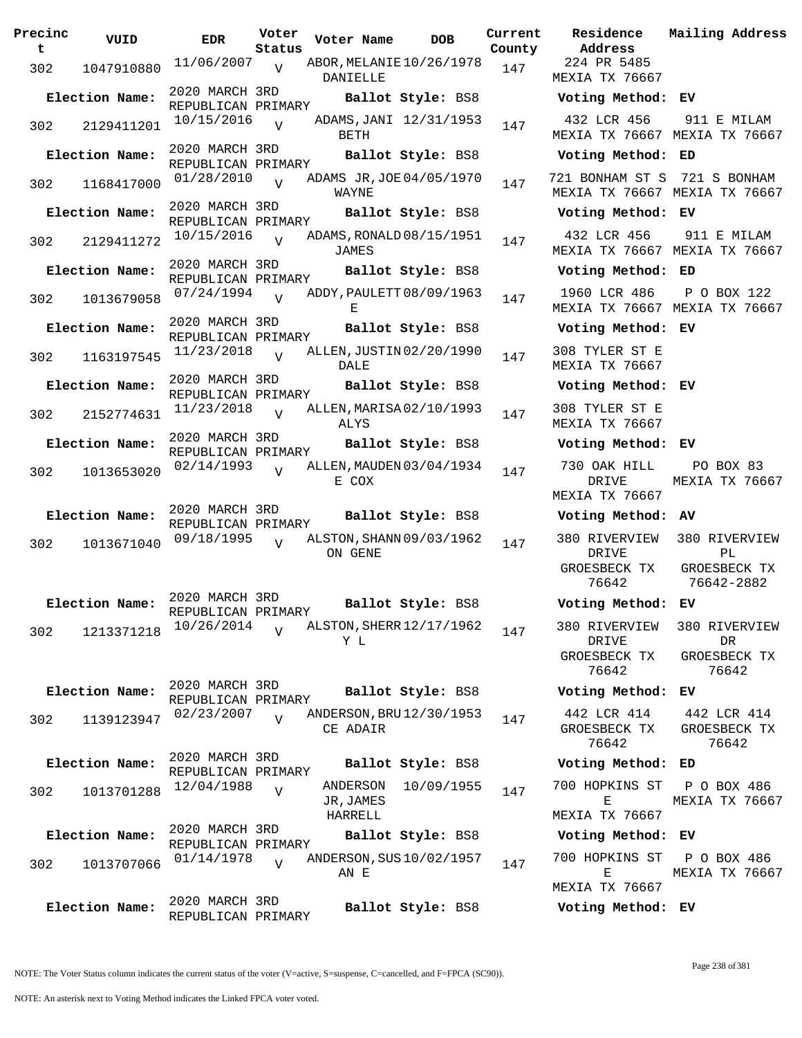| Precinc<br>t | VUID           | <b>EDR</b>                           | Voter<br>Status | Voter Name                           | <b>DOB</b>             | Current<br>County | Residence<br>Address                    | Mail               |
|--------------|----------------|--------------------------------------|-----------------|--------------------------------------|------------------------|-------------------|-----------------------------------------|--------------------|
| 302          | 1047910880     | 11/06/2007                           | $\overline{U}$  | ABOR, MELANIE 10/26/1978<br>DANIELLE |                        | 147               | 224 PR 5485<br>MEXIA TX 76667           |                    |
|              | Election Name: | 2020 MARCH 3RD<br>REPUBLICAN PRIMARY |                 |                                      | Ballot Style: BS8      |                   | Voting Method: EV                       |                    |
| 302          | 2129411201     | 10/15/2016                           | $\overline{U}$  | BETH                                 | ADAMS, JANI 12/31/1953 | 147               | 432 LCR 456<br>MEXIA TX 76667 MEX       | 9 <sub>1</sub>     |
|              | Election Name: | 2020 MARCH 3RD<br>REPUBLICAN PRIMARY |                 |                                      | Ballot Style: BS8      |                   | Voting Method:                          | ED                 |
| 302          | 1168417000     | 01/28/2010                           | $\overline{U}$  | ADAMS JR, JOE 04/05/1970<br>WAYNE    |                        | 147               | 721 BONHAM ST S<br>MEXIA TX 76667 MEX   | 72                 |
|              | Election Name: | 2020 MARCH 3RD<br>REPUBLICAN PRIMARY |                 |                                      | Ballot Style: BS8      |                   | Voting Method: EV                       |                    |
| 302          | 2129411272     | 10/15/2016                           | $\overline{V}$  | ADAMS, RONALD 08/15/1951<br>JAMES    |                        | 147               | 432 LCR 456<br>MEXIA TX 76667 MEX       | 91                 |
|              | Election Name: | 2020 MARCH 3RD<br>REPUBLICAN PRIMARY |                 |                                      | Ballot Style: BS8      |                   | Voting Method:                          | ED                 |
| 302          | 1013679058     | 07/24/1994                           | $\overline{U}$  | ADDY, PAULETT 08/09/1963<br>Е        |                        | 147               | 1960 LCR 486<br>MEXIA TX 76667 MEX      | $\, {\bf P}$       |
|              | Election Name: | 2020 MARCH 3RD<br>REPUBLICAN PRIMARY |                 |                                      | Ballot Style: BS8      |                   | Voting Method: EV                       |                    |
| 302          | 1163197545     | 11/23/2018                           | $\overline{I}$  | ALLEN, JUSTIN 02/20/1990<br>DALE     |                        | 147               | 308 TYLER ST E<br><b>MEXIA TX 76667</b> |                    |
|              | Election Name: | 2020 MARCH 3RD<br>REPUBLICAN PRIMARY |                 |                                      | Ballot Style: BS8      |                   | Voting Method:                          | ЕV                 |
| 302          | 2152774631     | 11/23/2018                           | $\overline{V}$  | ALLEN, MARISA 02/10/1993<br>ALYS     |                        | 147               | 308 TYLER ST E<br>MEXIA TX 76667        |                    |
|              | Election Name: | 2020 MARCH 3RD<br>REPUBLICAN PRIMARY |                 |                                      | Ballot Style: BS8      |                   | Voting Method: EV                       |                    |
| 302          | 1013653020     | 02/14/1993                           | $\overline{V}$  | ALLEN, MAUDEN 03/04/1934<br>E COX    |                        | 147               | 730 OAK HILL<br>DRIVE<br>MEXIA TX 76667 | Ι<br>MEX           |
|              | Election Name: | 2020 MARCH 3RD<br>REPUBLICAN PRIMARY |                 |                                      | Ballot Style: BS8      |                   | Voting Method:                          | AV                 |
| 302          | 1013671040     | 09/18/1995                           | $\overline{U}$  | ALSTON, SHANN 09/03/1962<br>ON GENE  |                        | 147               | 380 RIVERVIEW<br>DRIVE                  | 38 <sub>0</sub>    |
|              |                |                                      |                 |                                      |                        |                   | GROESBECK TX<br>76642                   | GR<br>7            |
|              | Election Name: | 2020 MARCH 3RD<br>REPUBLICAN PRIMARY |                 |                                      | Ballot Style: BS8      |                   | Voting Method:                          | EV                 |
| 302          | 1213371218     | 10/26/2014                           | $\overline{U}$  | ALSTON, SHERR 12/17/1962<br>Y L      |                        | 147               | 380 RIVERVIEW<br>DRIVE                  | 38 <sub>0</sub>    |
|              |                |                                      |                 |                                      |                        |                   | GROESBECK TX<br>76642                   | GR                 |
|              | Election Name: | 2020 MARCH 3RD<br>REPUBLICAN PRIMARY |                 |                                      | Ballot Style: BS8      |                   | Voting Method:                          | EV                 |
| 302          | 1139123947     | 02/23/2007                           | $\overline{V}$  | ANDERSON, BRU 12/30/1953<br>CE ADAIR |                        | 147               | 442 LCR 414<br>GROESBECK TX             | 44<br>GR           |
|              | Election Name: | 2020 MARCH 3RD                       |                 |                                      | Ballot Style: BS8      |                   | 76642<br>Voting Method:                 | ED                 |
| 302          |                | REPUBLICAN PRIMARY<br>12/04/1988     | $\overline{V}$  | ANDERSON                             | 10/09/1955             | 147               | 700 HOPKINS ST                          | Ρ                  |
|              | 1013701288     |                                      |                 | JR, JAMES<br>HARRELL                 |                        |                   | Ε<br>MEXIA TX 76667                     | MEX                |
|              | Election Name: | 2020 MARCH 3RD<br>REPUBLICAN PRIMARY |                 |                                      | Ballot Style: BS8      |                   | Voting Method:                          | ЕV                 |
| 302          | 1013707066     | 01/14/1978                           | $\overline{U}$  | ANDERSON, SUS 10/02/1957<br>AN E     |                        | 147               | 700 HOPKINS ST<br>Е                     | $\mathbf P$<br>MEX |
|              | Election Name: | 2020 MARCH 3RD                       |                 |                                      | Ballot Style: BS8      |                   | MEXIA TX 76667<br>Voting Method: EV     |                    |
|              |                | REPUBLICAN PRIMARY                   |                 |                                      |                        |                   |                                         |                    |

**Voter Name DOB Residence Address Current Mailing Address** 224 PR 5485 MEXIA TX 76667 **Election Name: Ballot Style:** BS8 **Voting Method: EV** 432 LCR 456 MEXIA TX 76667 MEXIA TX 76667 911 E MILAM **Election Name: Ballot Style:** BS8 **Voting Method: ED** 721 BONHAM ST S 721 S BONHAM MEXIA TX 76667 MEXIA TX 76667 **Election Name: Ballot Style:** BS8 **Voting Method: EV** 432 LCR 456 MEXIA TX 76667 MEXIA TX 76667 911 E MILAM **Election Name: Ballot Style:** BS8 **Voting Method: ED** 1960 LCR 486 MEXIA TX 76667 MEXIA TX 76667 P O BOX 122 **Election Name: Ballot Style:** BS8 **Voting Method: EV** 308 TYLER ST E MEXIA TX 76667 **Election Name: Ballot Style:** BS8 **Voting Method: EV** 308 TYLER ST E MEXIA TX 76667 **Election Name: Ballot Style:** BS8 **Voting Method: EV** 730 OAK HILL DRIVE MEXIA TX 76667 PO BOX 83 MEXIA TX 76667 **Election Name: Ballot Style:** BS8 **Voting Method: AV** 380 RIVERVIEW DRIVE GROESBECK TX 76642 380 RIVERVIEW PL GROESBECK TX 76642-2882 **Election Name: Ballot Style:** BS8 **Voting Method: EV** 380 RIVERVIEW DRIVE GROESBECK TX 76642 380 RIVERVIEW DR GROESBECK TX 76642 **Election Name: Ballot Style:** BS8 **Voting Method: EV** 442 LCR 414 GROESBECK TX 76642 442 LCR 414 GROESBECK TX 76642 **Election Name: Ballot Style:** BS8 **Voting Method: ED** 700 HOPKINS ST  $E$ MEXIA TX 76667 P O BOX 486 MEXIA TX 76667 **Election Name: Ballot Style:** BS8 **Voting Method: EV** 700 HOPKINS ST P O BOX 486

 $E$ MEXIA TX 76667 MEXIA TX 76667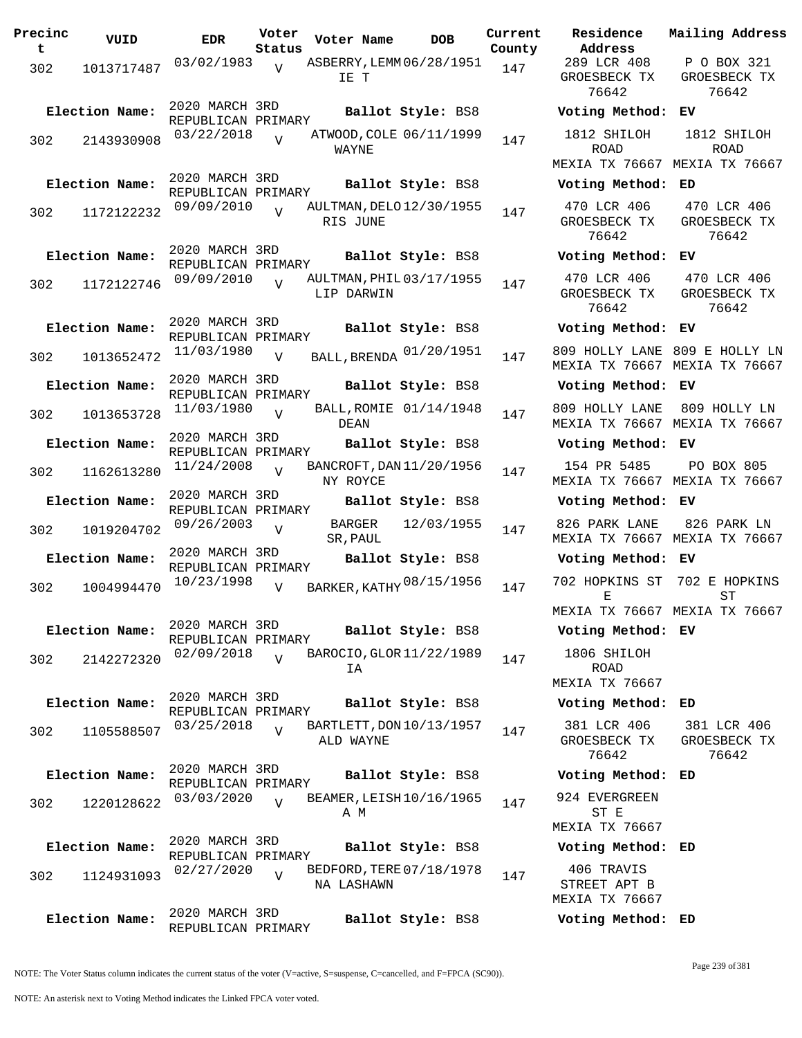| Precinc<br>t | VUID           | <b>EDR</b>                           | Voter<br>Status | Voter Name                             | <b>DOB</b>             | Current<br>County | Residence<br>Address                         |
|--------------|----------------|--------------------------------------|-----------------|----------------------------------------|------------------------|-------------------|----------------------------------------------|
| 302          | 1013717487     | 03/02/1983                           | $\overline{U}$  | ASBERRY, LEMM 06/28/1951<br>IE T       |                        | 147               | 289 LCR 408<br>GROESBECK TX<br>76642         |
|              | Election Name: | 2020 MARCH 3RD<br>REPUBLICAN PRIMARY |                 |                                        | Ballot Style: BS8      |                   | Voting Method                                |
| 302          | 2143930908     | 03/22/2018                           | $\overline{z}$  | ATWOOD, COLE 06/11/1999<br>WAYNE       |                        | 147               | 1812 SHILOH<br><b>ROAD</b><br>MEXIA TX 76667 |
|              | Election Name: | 2020 MARCH 3RD<br>REPUBLICAN PRIMARY |                 |                                        | Ballot Style: BS8      |                   | Voting Method                                |
| 302          | 1172122232     | 09/09/2010                           | $\overline{U}$  | AULTMAN, DELO 12/30/1955<br>RIS JUNE   |                        | 147               | 470 LCR 406<br>GROESBECK TX<br>76642         |
|              | Election Name: | 2020 MARCH 3RD<br>REPUBLICAN PRIMARY |                 |                                        | Ballot Style: BS8      |                   | Voting Method                                |
| 302          | 1172122746     | 09/09/2010                           | $\overline{U}$  | AULTMAN, PHIL 03/17/1955<br>LIP DARWIN |                        | 147               | 470 LCR 406<br>GROESBECK TX<br>76642         |
|              | Election Name: | 2020 MARCH 3RD<br>REPUBLICAN PRIMARY |                 |                                        | Ballot Style: BS8      |                   | Voting Method                                |
| 302          | 1013652472     | 11/03/1980                           | $\overline{V}$  | BALL, BRENDA 01/20/1951                |                        | 147               | 809 HOLLY LANE<br>MEXIA TX 76667             |
|              | Election Name: | 2020 MARCH 3RD<br>REPUBLICAN PRIMARY |                 |                                        | Ballot Style: BS8      |                   | Voting Method                                |
| 302          | 1013653728     | 11/03/1980                           | $\overline{U}$  | DEAN                                   | BALL, ROMIE 01/14/1948 | 147               | 809 HOLLY LANE<br>MEXIA TX 76667             |
|              | Election Name: | 2020 MARCH 3RD<br>REPUBLICAN PRIMARY |                 |                                        | Ballot Style: BS8      |                   | Voting Method                                |
| 302          | 1162613280     | 11/24/2008                           |                 | BANCROFT, DAN 11/20/1956<br>NY ROYCE   |                        | 147               | 154 PR 5485<br>MEXIA TX 76667                |
|              | Election Name: | 2020 MARCH 3RD                       |                 |                                        | Ballot Style: BS8      |                   | Voting Method                                |
| 302          | 1019204702     | REPUBLICAN PRIMARY<br>09/26/2003     | $\overline{U}$  | BARGER<br>SR, PAUL                     | 12/03/1955             | 147               | 826 PARK LANE<br>MEXIA TX 76667              |
|              | Election Name: | 2020 MARCH 3RD                       |                 |                                        | Ballot Style: BS8      |                   | Voting Method                                |
| 302          | 1004994470     | REPUBLICAN PRIMARY<br>10/23/1998     | $\overline{V}$  | BARKER, KATHY 08/15/1956               |                        | 147               | 702 HOPKINS ST<br>Е                          |
|              |                | 2020 MARCH 3RD                       |                 |                                        |                        |                   | MEXIA TX 76667                               |
|              | Election Name: | REPUBLICAN PRIMARY                   |                 |                                        | Ballot Style: BS8      |                   | Voting Method                                |
| 302          | 2142272320     | 02/09/2018                           | $\overline{17}$ | BAROCIO, GLOR 11/22/1989<br>ΙA         |                        | 147               | 1806 SHILOH<br>ROAD                          |
|              | Election Name: | 2020 MARCH 3RD                       |                 |                                        |                        |                   | MEXIA TX 76667<br>Voting Method              |
|              |                | REPUBLICAN PRIMARY                   |                 |                                        | Ballot Style: BS8      |                   |                                              |
| 302          | 1105588507     | 03/25/2018                           | $\overline{V}$  | BARTLETT, DON 10/13/1957<br>ALD WAYNE  |                        | 147               | 381 LCR 406<br>GROESBECK TX<br>76642         |
|              | Election Name: | 2020 MARCH 3RD<br>REPUBLICAN PRIMARY |                 |                                        | Ballot Style: BS8      |                   | Voting Method                                |
| 302          | 1220128622     | 03/03/2020                           | $\overline{U}$  | BEAMER, LEISH 10/16/1965<br>A M        |                        | 147               | 924 EVERGREEN<br>ST E<br>MEXIA TX 76667      |
|              | Election Name: | 2020 MARCH 3RD                       |                 |                                        | Ballot Style: BS8      |                   | Voting Method                                |
| 302          | 1124931093     | REPUBLICAN PRIMARY<br>02/27/2020     | $\overline{U}$  | BEDFORD, TERE 07/18/1978<br>NA LASHAWN |                        | 147               | 406 TRAVIS<br>STREET APT B<br>MEXIA TX 76667 |
|              | Election Name: | 2020 MARCH 3RD<br>REPUBLICAN PRIMARY |                 |                                        | Ballot Style: BS8      |                   | Voting Method                                |

**Voter Name DOB Residence Address Current Mailing Address** 289 LCR 408 GROESBECK TX 76642 P O BOX 321 GROESBECK TX 76642 **Election Name: Ballot Style:** BS8 **Voting Method: EV** 1812 SHILOH ROAD MEXIA TX 76667 MEXIA TX 76667 1812 SHILOH ROAD **Election Name: Ballot Style:** BS8 **Voting Method: ED** 470 LCR 406 GROESBECK TX 76642 470 LCR 406 GROESBECK TX 76642 **Election Name: Ballot Style:** BS8 **Voting Method: EV** 470 LCR 406 GROESBECK TX 76642 470 LCR 406 GROESBECK TX 76642 **Election Name: Ballot Style:** BS8 **Voting Method: EV** MEXIA TX 76667 MEXIA TX 76667 809 HOLLY LANE 809 E HOLLY LN **Election Name: Ballot Style:** BS8 **Voting Method: EV** 809 HOLLY LANE 809 HOLLY LN MEXIA TX 76667 MEXIA TX 76667 **Election Name: Ballot Style:** BS8 **Voting Method: EV** 154 PR 5485 MEXIA TX 76667 MEXIA TX 76667 PO BOX 805 **Election Name: Ballot Style:** BS8 **Voting Method: EV** 826 PARK LANE MEXIA TX 76667 MEXIA TX 76667 826 PARK LN **Election Name: Ballot Style:** BS8 **Voting Method: EV** E MEXIA TX 76667 MEXIA TX 76667 702 HOPKINS ST 702 E HOPKINS  $ST$ **Election Name: Ballot Style:** BS8 **Voting Method: EV** 1806 SHILOH ROAD MEXIA TX 76667 **Election Name: Ballot Style:** BS8 **Voting Method: ED** 381 LCR 406 GROESBECK TX 76642 381 LCR 406 GROESBECK TX 76642 **Election Name: Ballot Style:** BS8 **Voting Method: ED** 924 EVERGREEN ST E MEXIA TX 76667 **Election Name: Ballot Style:** BS8 **Voting Method: ED** 406 TRAVIS STREET APT B MEXIA TX 76667 **Election Name: Ballot Style:** BS8 **Voting Method: ED**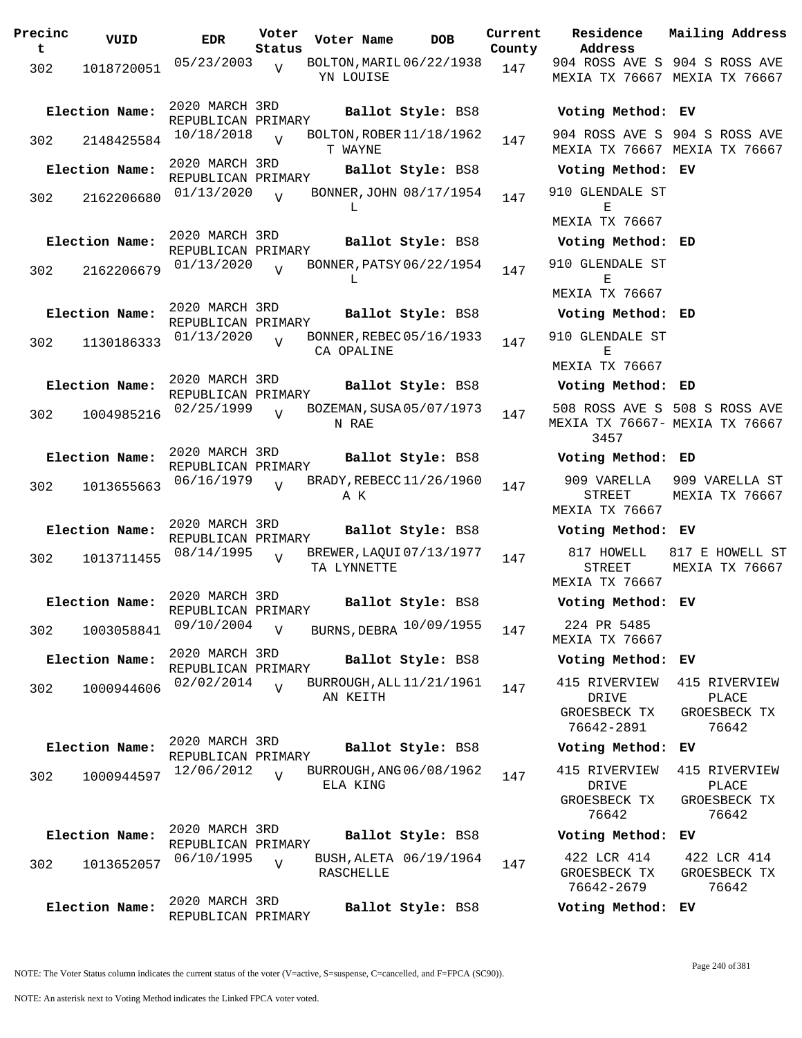| Precinc<br>t | VUID           | <b>EDR</b>                           | Voter<br>Status | Voter Name  | <b>DOB</b>               | Current<br>County | Residence<br>Address                          |
|--------------|----------------|--------------------------------------|-----------------|-------------|--------------------------|-------------------|-----------------------------------------------|
| 302          | 1018720051     | 05/23/2003                           | $\overline{V}$  | YN LOUISE   | BOLTON, MARIL 06/22/1938 | 147               | 904 ROSS AVE<br><b>MEXIA TX 7666</b>          |
|              | Election Name: | 2020 MARCH 3RD<br>REPUBLICAN PRIMARY |                 |             | Ballot Style: BS8        |                   | Voting Metho                                  |
| 302          | 2148425584     | 10/18/2018                           | $\overline{U}$  | T WAYNE     | BOLTON, ROBER 11/18/1962 | 147               | 904 ROSS AVE<br>MEXIA TX 7666                 |
|              | Election Name: | 2020 MARCH 3RD<br>REPUBLICAN PRIMARY |                 |             | Ballot Style: BS8        |                   | Voting Metho                                  |
| 302          | 2162206680     | 01/13/2020                           | $\overline{V}$  | L           | BONNER, JOHN 08/17/1954  | 147               | 910 GLENDALE<br>Е                             |
|              |                | 2020 MARCH 3RD                       |                 |             |                          |                   | MEXIA TX 7666                                 |
|              | Election Name: | REPUBLICAN PRIMARY                   |                 |             | Ballot Style: BS8        |                   | Voting Metho                                  |
| 302          | 2162206679     | 01/13/2020                           | $\overline{I}$  | L           | BONNER, PATSY 06/22/1954 | 147               | 910 GLENDALE<br>Е                             |
|              |                | 2020 MARCH 3RD                       |                 |             |                          |                   | MEXIA TX 7666                                 |
|              | Election Name: | REPUBLICAN PRIMARY                   |                 |             | Ballot Style: BS8        |                   | Voting Metho                                  |
| 302          | 1130186333     | 01/13/2020                           | $\overline{17}$ | CA OPALINE  | BONNER, REBEC 05/16/1933 | 147               | 910 GLENDALE<br>Е<br><b>MEXIA TX 7666</b>     |
|              |                | 2020 MARCH 3RD                       |                 |             |                          |                   |                                               |
|              | Election Name: | REPUBLICAN PRIMARY                   |                 |             | Ballot Style: BS8        |                   | Voting Metho                                  |
| 302          | 1004985216     | 02/25/1999                           | $\overline{U}$  | N RAE       | BOZEMAN, SUSA 05/07/1973 | 147               | 508 ROSS AVE<br>MEXIA TX 7666<br>3457         |
|              | Election Name: | 2020 MARCH 3RD                       |                 |             | Ballot Style: BS8        |                   | Voting Metho                                  |
| 302          | 1013655663     | REPUBLICAN PRIMARY<br>06/16/1979     | $\overline{U}$  | ΑK          | BRADY, REBECC 11/26/1960 | 147               | 909 VARELLA<br>STREET                         |
|              |                | 2020 MARCH 3RD                       |                 |             |                          |                   | MEXIA TX 7666                                 |
|              | Election Name: | REPUBLICAN PRIMARY                   |                 |             | Ballot Style: BS8        |                   | Voting Metho                                  |
| 302          | 1013711455     | 08/14/1995                           | $\overline{U}$  | TA LYNNETTE | BREWER, LAQUI 07/13/1977 | 147               | 817 HOWELL<br>STREET<br>MEXIA TX 7666         |
|              | Election Name: | 2020 MARCH 3RD<br>REPUBLICAN PRIMARY |                 |             | Ballot Style: BS8        |                   | Voting Metho                                  |
| 302          | 1003058841     | 09/10/2004                           | $\overline{V}$  |             | BURNS, DEBRA 10/09/1955  | 147               | 224 PR 5485<br><b>MEXIA TX 7666</b>           |
|              | Election Name: | 2020 MARCH 3RD<br>REPUBLICAN PRIMARY |                 |             | Ballot Style: BS8        |                   | Voting Metho                                  |
| 302          | 1000944606     | 02/02/2014                           | $\overline{U}$  | AN KEITH    | BURROUGH, ALL 11/21/1961 | 147               | 415 RIVERVIE<br>DRIVE                         |
|              |                |                                      |                 |             |                          |                   | GROESBECK T<br>76642-2891                     |
|              | Election Name: | 2020 MARCH 3RD<br>REPUBLICAN PRIMARY |                 |             | Ballot Style: BS8        |                   | Voting Metho                                  |
| 302          | 1000944597     | 12/06/2012                           | $\overline{U}$  | ELA KING    | BURROUGH, ANG 06/08/1962 | 147               | 415 RIVERVIE<br>DRIVE<br>GROESBECK T<br>76642 |
|              | Election Name: | 2020 MARCH 3RD                       |                 |             | Ballot Style: BS8        |                   | Voting Metho                                  |
| 302          | 1013652057     | REPUBLICAN PRIMARY<br>06/10/1995     | $\overline{V}$  | RASCHELLE   | BUSH, ALETA 06/19/1964   | 147               | 422 LCR 414<br>GROESBECK T<br>76642-2679      |
|              | Election Name: | 2020 MARCH 3RD<br>REPUBLICAN PRIMARY |                 |             | Ballot Style: BS8        |                   | Voting Metho                                  |

**Voter Name DOB Residence Address Current Mailing Address** 904 ROSS AVE S 904 S ROSS AVE MEXIA TX 76667 MEXIA TX 76667 **Election Name: Ballot Style:** BS8 **Voting Method: EV** 904 ROSS AVE S 904 S ROSS AVE MEXIA TX 76667 MEXIA TX 76667 **Election Name: Ballot Style:** BS8 **Voting Method: EV** 910 GLENDALE ST E MEXIA TX 76667 **Election Name: Ballot Style:** BS8 **Voting Method: ED** 910 GLENDALE ST E MEXIA TX 76667 **Election Name: Ballot Style:** BS8 **Voting Method: ED** 910 GLENDALE ST E MEXIA TX 76667 **Election Name: Ballot Style:** BS8 **Voting Method: ED** 508 ROSS AVE S 508 S ROSS AVE MEXIA TX 76667- MEXIA TX 76667 3457 **Election Name: Ballot Style:** BS8 **Voting Method: ED** 909 VARELLA STREET MEXIA TX 76667 909 VARELLA ST MEXIA TX 76667 **Election Name: Ballot Style:** BS8 **Voting Method: EV** 817 HOWELL STREET MEXIA TX 76667 817 E HOWELL ST MEXIA TX 76667 **Election Name: Ballot Style:** BS8 **Voting Method: EV** MEXIA TX 76667 **Election Name: Ballot Style:** BS8 **Voting Method: EV** 415 RIVERVIEW DRIVE GROESBECK TX 76642-2891 415 RIVERVIEW PLACE GROESBECK TX 76642 **Election Name: Ballot Style:** BS8 **Voting Method: EV** 415 RIVERVIEW DRIVE GROESBECK TX 76642 415 RIVERVIEW PLACE GROESBECK TX 76642 **Election Name: Ballot Style:** BS8 **Voting Method: EV** 422 LCR 414 GROESBECK TX 76642-2679 422 LCR 414 GROESBECK TX 76642 **Election Name: Ballot Style:** BS8 **Voting Method: EV**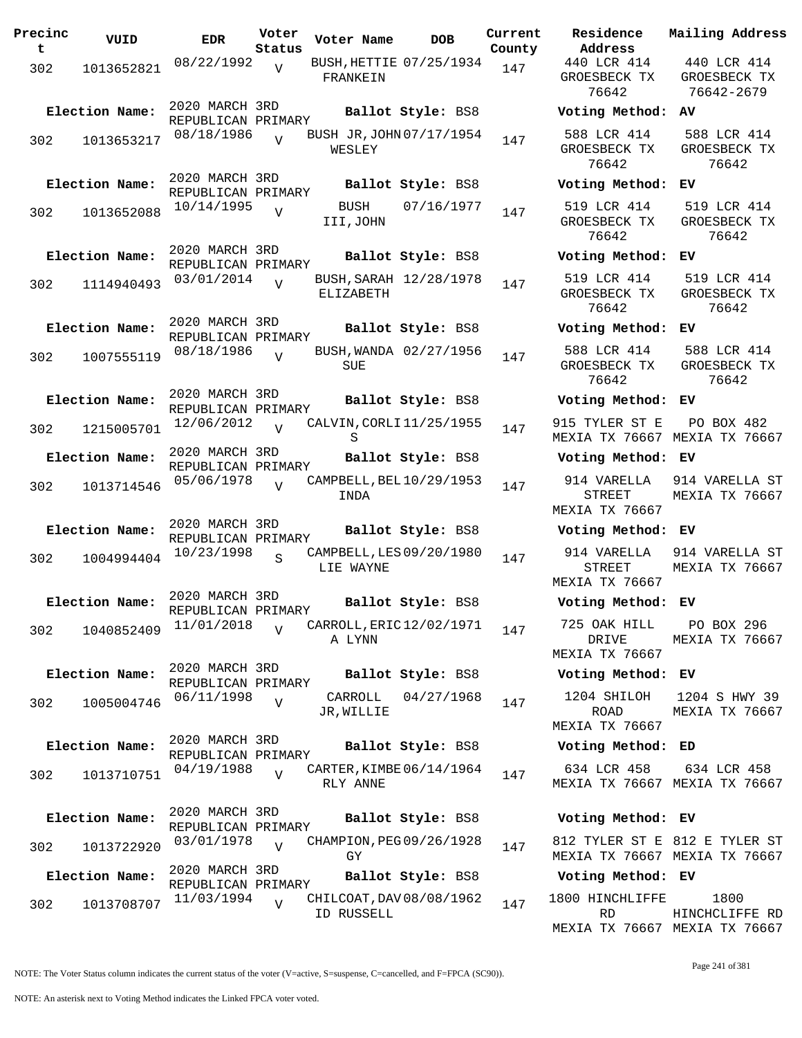| Precinc<br>t | VUID           | EDR                                  | Voter<br>Status | Voter Name                             | DOB                    | Current<br>County |
|--------------|----------------|--------------------------------------|-----------------|----------------------------------------|------------------------|-------------------|
| 302          | 1013652821     | 08/22/1992                           | $\overline{V}$  | BUSH, HETTIE 07/25/1934<br>FRANKEIN    |                        | 147               |
|              | Election Name: | 2020 MARCH 3RD<br>REPUBLICAN PRIMARY |                 |                                        | Ballot Style: BS8      |                   |
| 302          | 1013653217     | 08/18/1986                           | $\overline{U}$  | BUSH JR, JOHN 07/17/1954<br>WESLEY     |                        | 147               |
|              | Election Name: | 2020 MARCH 3RD<br>REPUBLICAN PRIMARY |                 |                                        | Ballot Style: BS8      |                   |
| 302          | 1013652088     | 10/14/1995                           | V               | <b>BUSH</b><br>III,JOHN                | 07/16/1977             | 147               |
|              | Election Name: | 2020 MARCH 3RD<br>REPUBLICAN PRIMARY |                 |                                        | Ballot Style: BS8      |                   |
| 302          | 1114940493     | 03/01/2014                           | V               | ELIZABETH                              | BUSH, SARAH 12/28/1978 | 147               |
|              | Election Name: | 2020 MARCH 3RD<br>REPUBLICAN PRIMARY |                 |                                        | Ballot Style: BS8      |                   |
| 302          | 1007555119     | 08/18/1986                           | $\overline{U}$  | SUE                                    | BUSH, WANDA 02/27/1956 | 147               |
|              | Election Name: | 2020 MARCH 3RD<br>REPUBLICAN PRIMARY |                 |                                        | Ballot Style: BS8      |                   |
| 302          | 1215005701     | 12/06/2012                           | $\overline{U}$  | CALVIN, CORLI 11/25/1955<br>S          |                        | 147               |
|              | Election Name: | 2020 MARCH 3RD<br>REPUBLICAN PRIMARY |                 |                                        | Ballot Style: BS8      |                   |
| 302          | 1013714546     | 05/06/1978                           | $\overline{U}$  | CAMPBELL, BEL 10/29/1953<br>INDA       |                        | 147               |
|              | Election Name: | 2020 MARCH 3RD<br>REPUBLICAN PRIMARY |                 |                                        | Ballot Style: BS8      |                   |
| 302          | 1004994404     | 10/23/1998                           | S               | CAMPBELL, LES 09/20/1980<br>LIE WAYNE  |                        | 147               |
|              | Election Name: | 2020 MARCH 3RD<br>REPUBLICAN PRIMARY |                 |                                        | Ballot Style: BS8      |                   |
| 302          | 1040852409     | 11/01/2018                           | $\overline{V}$  | CARROLL, ERIC 12/02/1971<br>A LYNN     |                        | 147               |
|              | Election Name: | 2020 MARCH 3RD<br>REPUBLICAN PRIMARY |                 |                                        | Ballot Style: BS8      |                   |
| 302          | 1005004746     | 06/11/1998                           | $\overline{V}$  | CARROLL<br>JR, WILLIE                  | 04/27/1968             | 147               |
|              | Election Name: | 2020 MARCH 3RD<br>REPUBLICAN PRIMARY |                 |                                        | Ballot Style: BS8      |                   |
| 302          | 1013710751     | 04/19/1988                           | $\overline{V}$  | CARTER, KIMBE 06/14/1964<br>RLY ANNE   |                        | 147               |
|              | Election Name: | 2020 MARCH 3RD<br>REPUBLICAN PRIMARY |                 |                                        | Ballot Style: BS8      |                   |
| 302          | 1013722920     | 03/01/1978                           | $\overline{V}$  | CHAMPION, PEG 09/26/1928<br>GY         |                        | 147               |
|              | Election Name: | 2020 MARCH 3RD<br>REPUBLICAN PRIMARY |                 |                                        | Ballot Style: BS8      |                   |
| 302          | 1013708707     | 11/03/1994                           | $\overline{V}$  | CHILCOAT, DAV 08/08/1962<br>ID RUSSELL |                        | 147               |

**Voter Name DOB Residence Address Current Mailing Address** 440 LCR 414 GROESBECK TX 76642 440 LCR 414 GROESBECK TX 76642-2679 **Election Name: Ballot Style:** BS8 **Voting Method: AV** 588 LCR 414 GROESBECK TX 76642 588 LCR 414 GROESBECK TX 76642 **Election Name: Ballot Style:** BS8 **Voting Method: EV** 519 LCR 414 GROESBECK TX 76642 519 LCR 414 GROESBECK TX 76642 **Election Name: Ballot Style:** BS8 **Voting Method: EV** 519 LCR 414 GROESBECK TX 76642 519 LCR 414 GROESBECK TX 76642 **Election Name: Ballot Style:** BS8 **Voting Method: EV** 588 LCR 414 GROESBECK TX 76642 588 LCR 414 GROESBECK TX 76642 **Election Name: Ballot Style:** BS8 **Voting Method: EV** 915 TYLER ST E MEXIA TX 76667 MEXIA TX 76667 PO BOX 482 **Election Name: Ballot Style:** BS8 **Voting Method: EV** 914 VARELLA STREET MEXIA TX 76667 914 VARELLA ST MEXIA TX 76667 **Election Name: Ballot Style:** BS8 **Voting Method: EV** 914 VARELLA STREET MEXIA TX 76667 914 VARELLA ST MEXIA TX 76667 **Election Name: Ballot Style:** BS8 **Voting Method: EV** 725 OAK HILL DRIVE MEXIA TX 76667 PO BOX 296 MEXIA TX 76667 **Election Name: Ballot Style:** BS8 **Voting Method: EV** 1204 SHILOH ROAD MEXIA TX 76667 1204 S HWY 39 MEXIA TX 76667 **Election Name: Ballot Style:** BS8 **Voting Method: ED** 634 LCR 458 MEXIA TX 76667 MEXIA TX 76667 634 LCR 458 **Election Name: Ballot Style:** BS8 **Voting Method: EV** 812 TYLER ST E 812 E TYLER ST MEXIA TX 76667 MEXIA TX 76667 **Election Name: Ballot Style:** BS8 **Voting Method: EV** 1800 HINCHLIFFE RD MEXIA TX 76667 MEXIA TX 76667 1800 HINCHCLIFFE RD

NOTE: The Voter Status column indicates the current status of the voter (V=active, S=suspense, C=cancelled, and F=FPCA (SC90)).

Page 241 of 381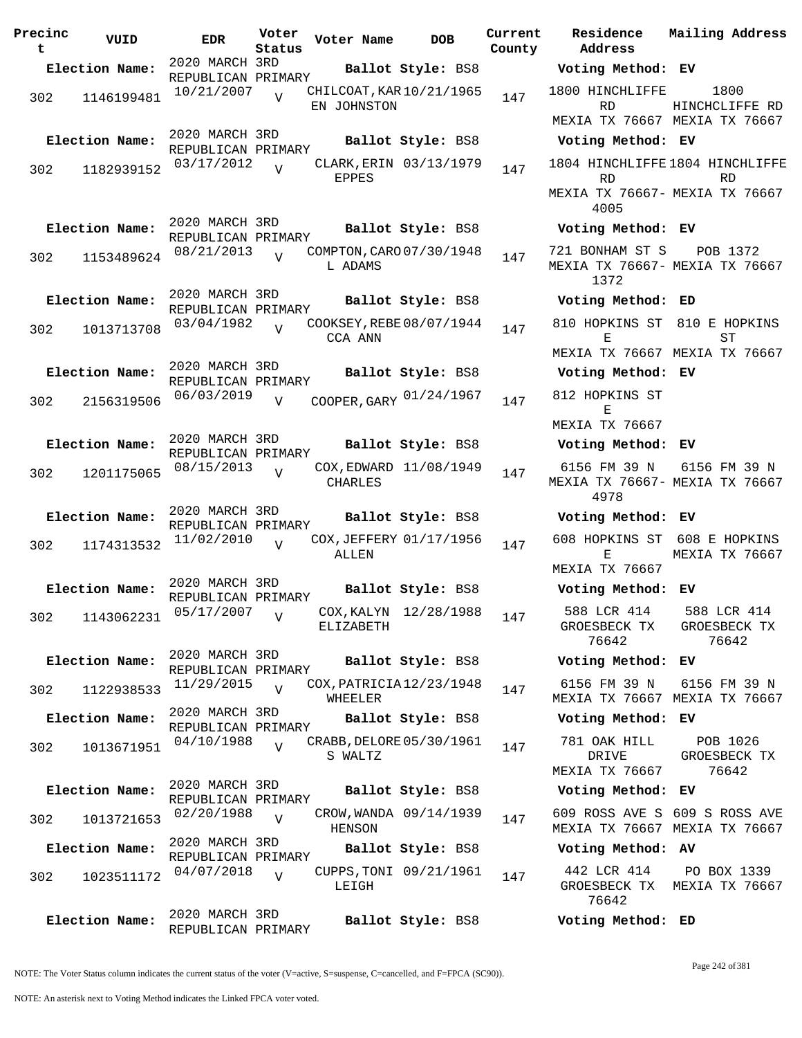**Precinc t VUID EDR Voter Voter Name DOB Residence Status County** 2020 MARCH 3RD REPUBLICAN PRIMARY **Election Name: Ballot Style:** BS8 **Voting Method: EV** 302 1146199481 <sup>10/21/2007</sup> V CHILCOAT, KAR 10/21/1965 147 EN JOHNSTON  $\overline{V}$ 2020 MARCH 3RD REPUBLICAN PRIMARY **Election Name: Ballot Style:** BS8 **Voting Method: EV** 302 1182939152 03/17/2012 EPPES  $\overline{V}$ CLARK, ERIN 03/13/1979 147 2020 MARCH 3RD REPUBLICAN PRIMARY **Election Name: Ballot Style:** BS8 **Voting Method: EV** 302 1153489624 08/21/2013 V COMPTON, CARO 07/30/1948 147 L ADAMS  $\overline{V}$ 2020 MARCH 3RD REPUBLICAN PRIMARY **Election Name: Ballot Style:** BS8 **Voting Method: ED** 302 1013713708  $03/04/1982$  COOKSEY, REBE 08/07/1944 147 CCA ANN  $\overline{V}$ 2020 MARCH 3RD REPUBLICAN PRIMARY **Election Name: Ballot Style:** BS8 **Voting Method: EV** 302 2156319506 06/03/2019 v COOPER, GARY 01/24/1967 147 812 HOPKINS ST  $\overline{V}$ 2020 MARCH 3RD REPUBLICAN PRIMARY **Election Name: Ballot Style:** BS8 **Voting Method: EV** 302 1201175065 08/15/2013 CHARLES  $\overline{U}$ COX, EDWARD 11/08/1949 147 2020 MARCH 3RD REPUBLICAN PRIMARY **Election Name: Ballot Style:** BS8 **Voting Method: EV** 302 1174313532 11/02/2010 ALLEN  $\overline{V}$ COX, JEFFERY 01/17/1956 147 2020 MARCH 3RD REPUBLICAN PRIMARY **Election Name: Ballot Style:** BS8 **Voting Method: EV** 302 1143062231 05/17/2007 ELIZABETH V COX, KALYN 12/28/1988 147 2020 MARCH 3RD REPUBLICAN PRIMARY **Election Name: Ballot Style:** BS8 **Voting Method: EV** <sup>302</sup> COX,PATRICIA 11/29/2015 <sup>1122938533</sup> <sup>147</sup> 12/23/1948 WHEELER V 2020 MARCH 3RD REPUBLICAN PRIMARY **Election Name: Ballot Style:** BS8 **Voting Method: EV** <sup>302</sup> CRABB,DELORE 04/10/1988 <sup>1013671951</sup> <sup>147</sup> 05/30/1961 S WALTZ V 2020 MARCH 3RD REPUBLICAN PRIMARY **Election Name: Ballot Style:** BS8 **Voting Method: EV** 302 1013721653 02/20/1988 HENSON  $\overline{V}$ CROW, WANDA 09/14/1939 147 2020 MARCH 3RD REPUBLICAN PRIMARY **Election Name: Ballot Style:** BS8 **Voting Method: AV** 302 1023511172 04/07/2018 LEIGH V CUPPS, TONI 09/21/1961 147 2020 MARCH 3RD REPUBLICAN PRIMARY **Election Name: Ballot Style:** BS8 **Voting Method: ED**

**Address Current Residence Mailing Address** 1800 HINCHLIFFE RD MEXIA TX 76667 MEXIA TX 76667 1800 HINCHCLIFFE RD 1804 HINCHLIFFE 1804 HINCHLIFFE RD MEXIA TX 76667- MEXIA TX 76667 4005 RD 721 BONHAM ST S MEXIA TX 76667- MEXIA TX 76667 1372 POB 1372 810 HOPKINS ST 810 E HOPKINS E MEXIA TX 76667 MEXIA TX 76667  $ST$ E MEXIA TX 76667 6156 FM 39 N MEXIA TX 76667- MEXIA TX 76667 4978 6156 FM 39 N 608 HOPKINS ST 608 E HOPKINS E MEXIA TX 76667 MEXIA TX 76667 588 LCR 414 GROESBECK TX 76642 588 LCR 414 GROESBECK TX 76642 6156 FM 39 N MEXIA TX 76667 MEXIA TX 76667 6156 FM 39 N 781 OAK HILL DRIVE MEXIA TX 76667 POB 1026 GROESBECK TX 76642 609 ROSS AVE S 609 S ROSS AVE MEXIA TX 76667 MEXIA TX 76667 442 LCR 414 GROESBECK TX MEXIA TX 76667 76642 PO BOX 1339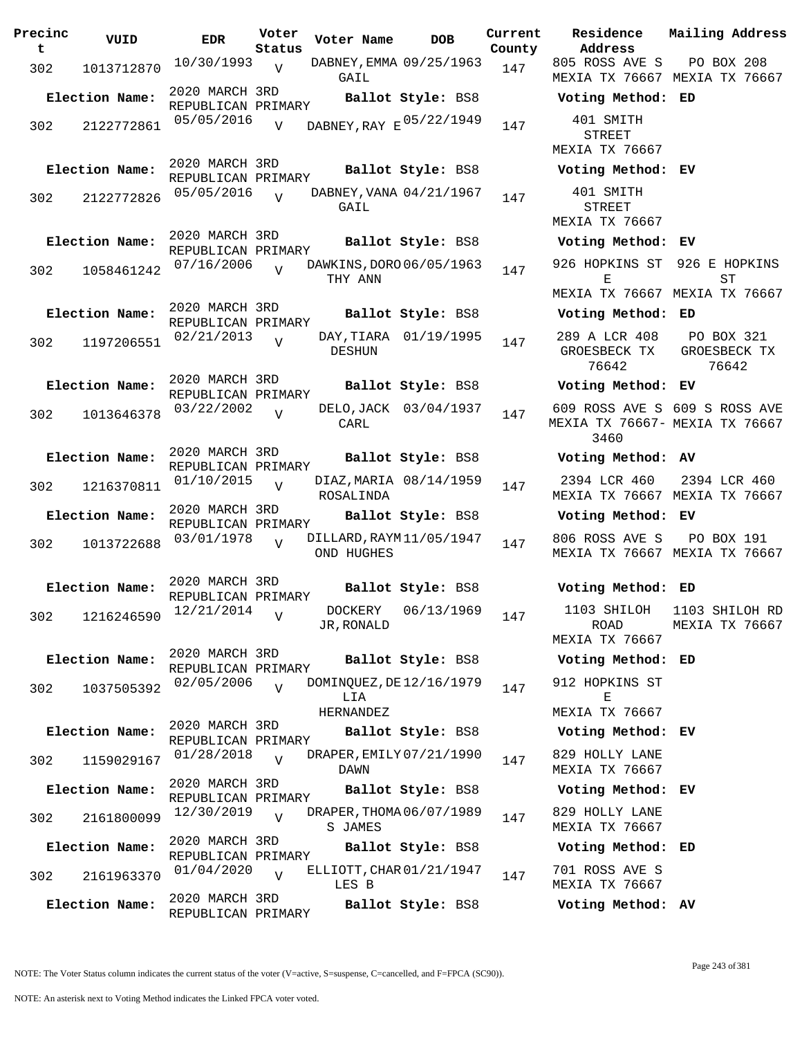| Precinc<br>t. | VUID           | <b>EDR</b>                           | Voter<br>Status | Voter Name                            | <b>DOB</b>             | Current<br>County | Residence<br>Address                 |
|---------------|----------------|--------------------------------------|-----------------|---------------------------------------|------------------------|-------------------|--------------------------------------|
| 302           | 1013712870     | 10/30/1993                           | V               | DABNEY, EMMA 09/25/1963<br>GAIL       |                        | 147               | 805 ROSS AVI<br>MEXIA TX 766         |
|               | Election Name: | 2020 MARCH 3RD<br>REPUBLICAN PRIMARY |                 |                                       | Ballot Style: BS8      |                   | Voting Meth                          |
| 302           | 2122772861     | 05/05/2016                           | $\overline{V}$  | DABNEY, RAY E 05/22/1949              |                        | 147               | 401 SMITH<br>STREET                  |
|               |                | 2020 MARCH 3RD                       |                 |                                       |                        |                   | MEXIA TX 766                         |
|               | Election Name: | REPUBLICAN PRIMARY                   |                 |                                       | Ballot Style: BS8      |                   | Voting Meth                          |
| 302           | 2122772826     | 05/05/2016                           | $\overline{V}$  | DABNEY, VANA 04/21/1967<br>GAIL       |                        | 147               | 401 SMITH<br>STREET<br>MEXIA TX 766  |
|               | Election Name: | 2020 MARCH 3RD<br>REPUBLICAN PRIMARY |                 |                                       | Ballot Style: BS8      |                   | Voting Meth                          |
| 302           | 1058461242     | 07/16/2006                           | $\overline{V}$  | DAWKINS, DORO 06/05/1963<br>THY ANN   |                        | 147               | 926 HOPKINS<br>Е                     |
|               | Election Name: | 2020 MARCH 3RD                       |                 |                                       | Ballot Style: BS8      |                   | MEXIA TX 766<br>Voting Meth          |
|               |                | REPUBLICAN PRIMARY                   |                 |                                       |                        |                   | 289 A LCR 4                          |
| 302           | 1197206551     | 02/21/2013                           | $\overline{V}$  | DESHUN                                | DAY, TIARA 01/19/1995  | 147               | GROESBECK :<br>76642                 |
|               | Election Name: | 2020 MARCH 3RD<br>REPUBLICAN PRIMARY |                 |                                       | Ballot Style: BS8      |                   | Voting Meth                          |
| 302           | 1013646378     | 03/22/2002                           | $\overline{U}$  | CARL                                  | DELO, JACK 03/04/1937  | 147               | 609 ROSS AVI<br>MEXIA TX 766<br>3460 |
|               | Election Name: | 2020 MARCH 3RD                       |                 |                                       | Ballot Style: BS8      |                   | Voting Meth                          |
| 302           | 1216370811     | REPUBLICAN PRIMARY<br>01/10/2015     | $\overline{U}$  | ROSALINDA                             | DIAZ, MARIA 08/14/1959 | 147               | 2394 LCR 46<br>MEXIA TX 766          |
|               | Election Name: | 2020 MARCH 3RD                       |                 |                                       | Ballot Style: BS8      |                   | Voting Meth                          |
| 302           | 1013722688     | REPUBLICAN PRIMARY<br>03/01/1978     | $\overline{V}$  | DILLARD, RAYM11/05/1947<br>OND HUGHES |                        | 147               | 806 ROSS AVI<br>MEXIA TX 766         |
|               | Election Name: | 2020 MARCH 3RD<br>REPUBLICAN PRIMARY |                 |                                       | Ballot Style: BS8      |                   | Voting Meth                          |
| 302           | 1216246590     | 12/21/2014                           | V               | JR,RONALD                             | DOCKERY 06/13/1969     | 147               | 1103 SHILO<br>ROAD<br>MEXIA TX 766   |
|               | Election Name: | 2020 MARCH 3RD                       |                 |                                       | Ballot Style: BS8      |                   | Voting Meth                          |
|               |                | REPUBLICAN PRIMARY<br>02/05/2006     |                 | DOMINQUEZ, DE 12/16/1979              |                        |                   | 912 HOPKINS                          |
| 302           | 1037505392     |                                      | $\overline{V}$  | LIA<br>HERNANDEZ                      |                        | 147               | Е<br>MEXIA TX 766                    |
|               | Election Name: | 2020 MARCH 3RD<br>REPUBLICAN PRIMARY |                 |                                       | Ballot Style: BS8      |                   | Voting Meth                          |
| 302           | 1159029167     | 01/28/2018                           | $\overline{V}$  | DRAPER, EMILY 07/21/1990<br>DAWN      |                        | 147               | 829 HOLLY LA<br>MEXIA TX 766         |
|               | Election Name: | 2020 MARCH 3RD                       |                 |                                       | Ballot Style: BS8      |                   | Voting Meth                          |
| 302           | 2161800099     | REPUBLICAN PRIMARY<br>12/30/2019     | $\overline{V}$  | DRAPER, THOMA 06/07/1989<br>S JAMES   |                        | 147               | 829 HOLLY LA<br>MEXIA TX 766         |
|               | Election Name: | 2020 MARCH 3RD<br>REPUBLICAN PRIMARY |                 |                                       | Ballot Style: BS8      |                   | Voting Meth                          |
| 302           | 2161963370     | 01/04/2020                           | $\overline{V}$  | ELLIOTT, CHAR 01/21/1947<br>LES B     |                        | 147               | 701 ROSS AVI<br>MEXIA TX 766         |
|               | Election Name: | 2020 MARCH 3RD<br>REPUBLICAN PRIMARY |                 |                                       | Ballot Style: BS8      |                   | Voting Meth                          |

**Voter Name DOB Residence Address Current Mailing Address** 805 ROSS AVE S MEXIA TX 76667 MEXIA TX 76667 PO BOX 208 **Election Name: Ballot Style:** BS8 **Voting Method: ED** STREET MEXIA TX 76667 **Election Name: Ballot Style:** BS8 **Voting Method: EV** 401 SMITH STREET MEXIA TX 76667 **Election Name: Ballot Style:** BS8 **Voting Method: EV** 926 HOPKINS ST 926 E HOPKINS E MEXIA TX 76667 MEXIA TX 76667 ST **Election Name: Ballot Style:** BS8 **Voting Method: ED** 289 A LCR 408 GROESBECK TX 76642 PO BOX 321 GROESBECK TX 76642 **Election Name: Ballot Style:** BS8 **Voting Method: EV** 609 ROSS AVE S 609 S ROSS AVE MEXIA TX 76667- MEXIA TX 76667 3460 **Election Name: Ballot Style:** BS8 **Voting Method: AV** 2394 LCR 460 MEXIA TX 76667 MEXIA TX 76667 2394 LCR 460 **Election Name: Ballot Style:** BS8 **Voting Method: EV** 806 ROSS AVE S MEXIA TX 76667 MEXIA TX 76667 PO BOX 191 **Election Name: Ballot Style:** BS8 **Voting Method: ED** 1103 SHILOH ROAD MEXIA TX 76667 1103 SHILOH RD MEXIA TX 76667 **Election Name: Ballot Style:** BS8 **Voting Method: ED** 912 HOPKINS ST  $\mathbf E$ MEXIA TX 76667 **Election Name: Ballot Style:** BS8 **Voting Method: EV** 829 HOLLY LANE MEXIA TX 76667 **Election Name: Ballot Style:** BS8 **Voting Method: EV** 829 HOLLY LANE MEXIA TX 76667 **Election Name: Ballot Style:** BS8 **Voting Method: ED** 701 ROSS AVE S MEXIA TX 76667 **Election Name: Ballot Style:** BS8 **Voting Method: AV**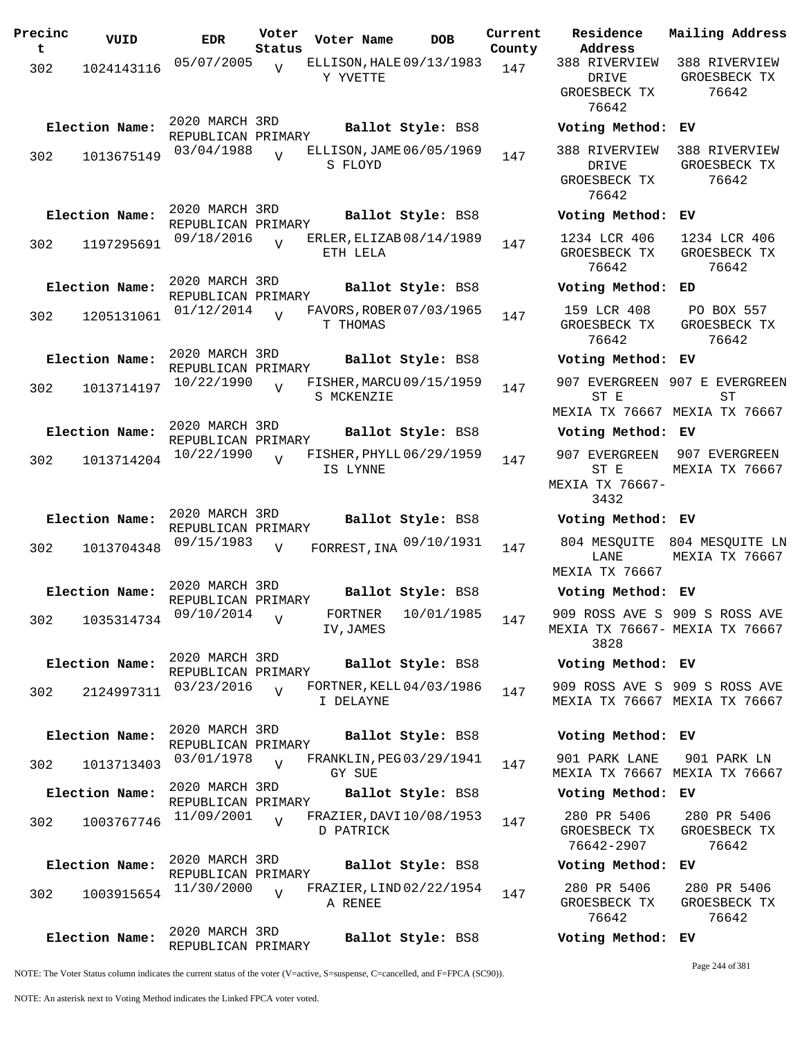| Precinc<br>t | VUID           | <b>EDR</b>                           | Voter<br>Status | Voter Name                             | <b>DOB</b>        | Current<br>County | Residence<br>Address                              | Mail                   |
|--------------|----------------|--------------------------------------|-----------------|----------------------------------------|-------------------|-------------------|---------------------------------------------------|------------------------|
| 302          | 1024143116     | 05/07/2005                           | V               | ELLISON, HALE 09/13/1983<br>Y YVETTE   |                   | 147               | 388 RIVERVIEW<br>DRIVE<br>GROESBECK TX<br>76642   | 388<br>GR              |
|              | Election Name: | 2020 MARCH 3RD<br>REPUBLICAN PRIMARY |                 |                                        | Ballot Style: BS8 |                   | Voting Method:                                    | ЕV                     |
| 302          | 1013675149     | 03/04/1988                           | $\overline{z}$  | ELLISON, JAME 06/05/1969<br>S FLOYD    |                   | 147               | 388 RIVERVIEW<br>DRIVE<br>GROESBECK TX<br>76642   | 388<br>GR              |
|              | Election Name: | 2020 MARCH 3RD<br>REPUBLICAN PRIMARY |                 |                                        | Ballot Style: BS8 |                   | Voting Method:                                    | EV                     |
| 302          | 1197295691     | 09/18/2016                           | $\overline{U}$  | ERLER, ELIZAB08/14/1989<br>ETH LELA    |                   | 147               | 1234 LCR 406<br>GROESBECK TX<br>76642             | 12<br>GR               |
|              | Election Name: | 2020 MARCH 3RD<br>REPUBLICAN PRIMARY |                 |                                        | Ballot Style: BS8 |                   | Voting Method:                                    | ED                     |
| 302          | 1205131061     | 01/12/2014                           | $\overline{U}$  | FAVORS, ROBER 07/03/1965<br>T THOMAS   |                   | 147               | 159 LCR 408<br>GROESBECK TX<br>76642              | $\mathbf P$<br>GR      |
|              | Election Name: | 2020 MARCH 3RD<br>REPUBLICAN PRIMARY |                 |                                        | Ballot Style: BS8 |                   | Voting Method: EV                                 |                        |
| 302          | 1013714197     | 10/22/1990                           | $\overline{V}$  | FISHER, MARCU 09/15/1959<br>S MCKENZIE |                   | 147               | 907 EVERGREEN 907<br>ST E<br>MEXIA TX 76667 MEX   |                        |
|              | Election Name: | 2020 MARCH 3RD<br>REPUBLICAN PRIMARY |                 |                                        | Ballot Style: BS8 |                   | Voting Method: EV                                 |                        |
| 302          | 1013714204     | 10/22/1990                           | $\overline{U}$  | FISHER, PHYLL 06/29/1959<br>IS LYNNE   |                   | 147               | 907 EVERGREEN<br>ST E<br>MEXIA TX 76667-<br>3432  | 90 <sup>7</sup><br>MEX |
|              | Election Name: | 2020 MARCH 3RD<br>REPUBLICAN PRIMARY |                 |                                        | Ballot Style: BS8 |                   | Voting Method: EV                                 |                        |
| 302          | 1013704348     | 09/15/1983                           | $\overline{V}$  | FORREST, INA 09/10/1931                |                   | 147               | 804 MESQUITE<br>LANE<br>MEXIA TX 76667            | 804<br>MEX             |
|              | Election Name: | 2020 MARCH 3RD<br>REPUBLICAN PRIMARY |                 |                                        | Ballot Style: BS8 |                   | Voting Method: EV                                 |                        |
| 302          | 1035314734     | 09/10/2014                           | $\overline{V}$  | FORTNER 10/01/1985<br>IV, JAMES        |                   | 147               | 909 ROSS AVE S 909<br>MEXIA TX 76667- MEX<br>3828 |                        |
|              | Election Name: | 2020 MARCH 3RD<br>REPUBLICAN PRIMARY |                 |                                        | Ballot Style: BS8 |                   | Voting Method: EV                                 |                        |
| 302          | 2124997311     | 03/23/2016                           | $\overline{U}$  | FORTNER, KELL 04/03/1986<br>I DELAYNE  |                   | 147               | 909 ROSS AVE S 909<br>MEXIA TX 76667 MEX          |                        |
|              | Election Name: | 2020 MARCH 3RD<br>REPUBLICAN PRIMARY |                 |                                        | Ballot Style: BS8 |                   | Voting Method:                                    | EV                     |
| 302          | 1013713403     | 03/01/1978                           | $\overline{U}$  | FRANKLIN, PEG 03/29/1941<br>GY SUE     |                   | 147               | 901 PARK LANE<br>MEXIA TX 76667 MEX               | 9(                     |
|              | Election Name: | 2020 MARCH 3RD<br>REPUBLICAN PRIMARY |                 |                                        | Ballot Style: BS8 |                   | Voting Method:                                    | EV                     |
| 302          | 1003767746     | 11/09/2001                           | $\overline{V}$  | FRAZIER, DAVI 10/08/1953<br>D PATRICK  |                   | 147               | 280 PR 5406<br>GROESBECK TX<br>76642-2907         | $2\epsilon$<br>GR      |
|              | Election Name: | 2020 MARCH 3RD<br>REPUBLICAN PRIMARY |                 |                                        | Ballot Style: BS8 |                   | Voting Method:                                    | ЕV                     |
| 302          | 1003915654     | 11/30/2000                           | $\overline{U}$  | FRAZIER, LIND 02/22/1954<br>A RENEE    |                   | 147               | 280 PR 5406<br>GROESBECK TX<br>76642              | $2\xi$<br>GR           |
|              | Election Name: | 2020 MARCH 3RD<br>REPUBLICAN PRIMARY |                 |                                        | Ballot Style: BS8 |                   | Voting Method: EV                                 |                        |

**Voter Name DOB Residence Address Current Mailing Address** 388 RIVERVIEW DRIVE GROESBECK TX 76642 388 RIVERVIEW GROESBECK TX 76642 **Election Name: Ballot Style:** BS8 **Voting Method: EV** 388 RIVERVIEW DRIVE GROESBECK TX 76642 388 RIVERVIEW GROESBECK TX 76642 **Election Name: Ballot Style:** BS8 **Voting Method: EV** 1234 LCR 406 GROESBECK TX 76642 1234 LCR 406 GROESBECK TX 76642 **Election Name: Ballot Style:** BS8 **Voting Method: ED** 159 LCR 408 GROESBECK TX 76642 PO BOX 557 GROESBECK TX 76642 **Election Name: Ballot Style:** BS8 **Voting Method: EV** 907 EVERGREEN 907 E EVERGREEN ST E MEXIA TX 76667 MEXIA TX 76667 ST **Election Name: Ballot Style:** BS8 **Voting Method: EV** 907 EVERGREEN 907 EVERGREEN ST E MEXIA TX 76667- 3432 MEXIA TX 76667 **Election Name: Ballot Style:** BS8 **Voting Method: EV** LANE MEXIA TX 76667 804 MESQUITE 804 MESQUITE LN MEXIA TX 76667 **Election Name: Ballot Style:** BS8 **Voting Method: EV** 909 ROSS AVE S 909 S ROSS AVE MEXIA TX 76667- MEXIA TX 76667 3828 **Election Name: Ballot Style:** BS8 **Voting Method: EV** 909 ROSS AVE S 909 S ROSS AVE MEXIA TX 76667 MEXIA TX 76667 **Election Name: Ballot Style:** BS8 **Voting Method: EV** 901 PARK LANE MEXIA TX 76667 MEXIA TX 76667 901 PARK LN **Election Name: Ballot Style:** BS8 **Voting Method: EV** 280 PR 5406 GROESBECK TX 76642-2907 280 PR 5406 GROESBECK TX 76642 **Election Name: Ballot Style:** BS8 **Voting Method: EV** 280 PR 5406 GROESBECK TX 280 PR 5406 GROESBECK TX

NOTE: The Voter Status column indicates the current status of the voter (V=active, S=suspense, C=cancelled, and F=FPCA (SC90)).

Page 244 of 381

76642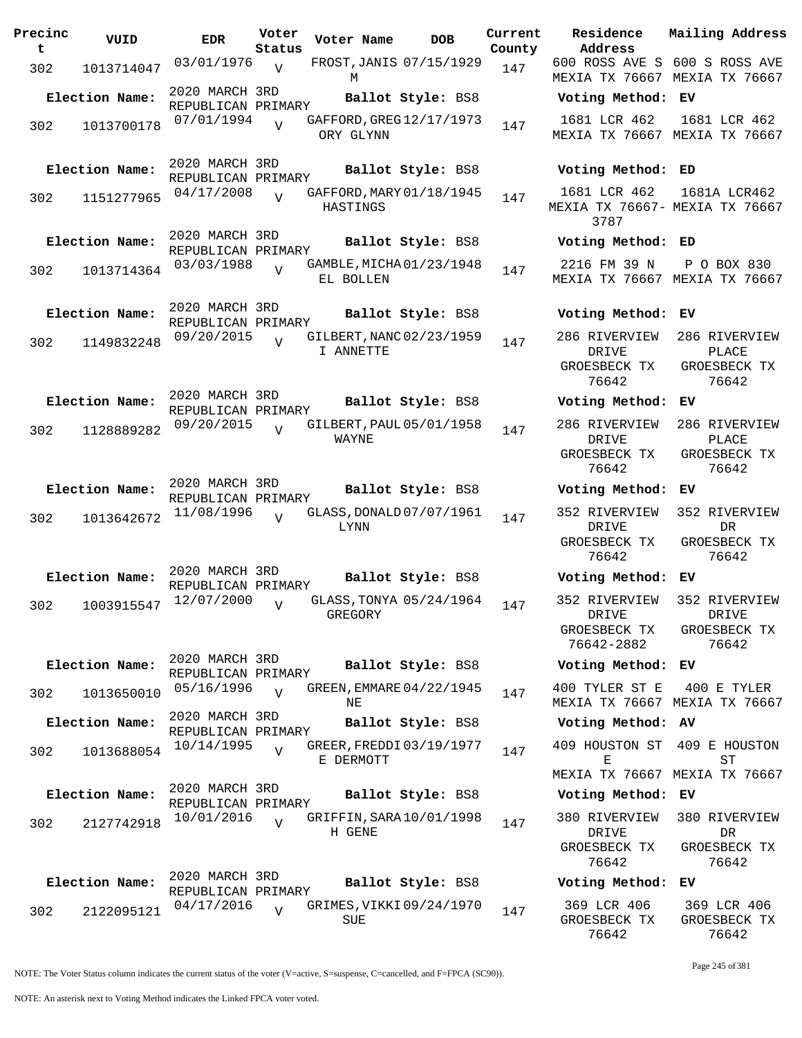| Precinc<br>t | VUID           | EDR                                  | Voter<br>Status | Voter Name | DOB                      | <b>Curre</b><br>Count |
|--------------|----------------|--------------------------------------|-----------------|------------|--------------------------|-----------------------|
| 302          | 1013714047     | 03/01/1976                           | V               |            | FROST, JANIS 07/15/1929  | 147                   |
|              | Election Name: | 2020 MARCH 3RD                       |                 | М          | Ballot Style: BS8        |                       |
|              |                | REPUBLICAN PRIMARY<br>07/01/1994     |                 |            | GAFFORD, GREG 12/17/1973 |                       |
| 302          | 1013700178     |                                      | $\overline{V}$  | ORY GLYNN  |                          | 147                   |
|              | Election Name: | 2020 MARCH 3RD<br>REPUBLICAN PRIMARY |                 |            | Ballot Style: BS8        |                       |
| 302          | 1151277965     | 04/17/2008                           | $\overline{U}$  | HASTINGS   | GAFFORD, MARY 01/18/1945 | 147                   |
|              | Election Name: | 2020 MARCH 3RD                       |                 |            | Ballot Style: BS8        |                       |
|              |                | REPUBLICAN PRIMARY<br>03/03/1988     |                 |            | GAMBLE, MICHA 01/23/1948 |                       |
| 302          | 1013714364     |                                      | V               | EL BOLLEN  |                          | 147                   |
|              | Election Name: | 2020 MARCH 3RD                       |                 |            | Ballot Style: BS8        |                       |
|              |                | REPUBLICAN PRIMARY<br>09/20/2015     |                 |            | GILBERT, NANC 02/23/1959 |                       |
| 302          | 1149832248     |                                      | ٦T              | I ANNETTE  |                          | 147                   |
|              |                | 2020 MARCH 3RD                       |                 |            |                          |                       |
|              | Election Name: | REPUBLICAN PRIMARY                   |                 |            | Ballot Style: BS8        |                       |
| 302          | 1128889282     | 09/20/2015                           | $\overline{U}$  | WAYNE      | GILBERT, PAUL 05/01/1958 | 147                   |
|              | Election Name: | 2020 MARCH 3RD                       |                 |            | Ballot Style: BS8        |                       |
|              |                | REPUBLICAN PRIMARY                   |                 |            |                          |                       |
| 302          | 1013642672     | 11/08/1996                           | $\overline{U}$  | LYNN       | GLASS, DONALD 07/07/1961 | 147                   |
|              |                |                                      |                 |            |                          |                       |
|              | Election Name: | 2020 MARCH 3RD                       |                 |            | Ballot Style: BS8        |                       |
|              |                | REPUBLICAN PRIMARY<br>12/07/2000     |                 |            | GLASS, TONYA 05/24/1964  |                       |
| 302          | 1003915547     |                                      | V               | GREGORY    |                          | 147                   |
|              |                | 2020 MARCH 3RD                       |                 |            |                          |                       |
|              | Election Name: | REPUBLICAN PRIMARY                   |                 |            | Ballot Style: BS8        |                       |
| 302          | 1013650010     | 05/16/1996                           | $\overline{U}$  | ΝE         | GREEN, EMMARE 04/22/1945 | 147                   |
|              | Election Name: | 2020 MARCH 3RD<br>REPUBLICAN PRIMARY |                 |            | Ballot Style: BS8        |                       |
| 302          | 1013688054     | 10/14/1995                           | $\overline{U}$  | E DERMOTT  | GREER, FREDDI 03/19/1977 | 147                   |
|              |                |                                      |                 |            |                          |                       |
|              | Election Name: | 2020 MARCH 3RD<br>REPUBLICAN PRIMARY |                 |            | Ballot Style: BS8        |                       |
| 302          | 2127742918     | 10/01/2016                           | $\overline{U}$  | H GENE     | GRIFFIN, SARA 10/01/1998 | 147                   |
|              |                |                                      |                 |            |                          |                       |
|              | Election Name: | 2020 MARCH 3RD                       |                 |            | Ballot Style: BS8        |                       |
|              |                | REPUBLICAN PRIMARY<br>04/17/2016     |                 |            | GRIMES, VIKKI 09/24/1970 |                       |
| 302          | 2122095121     |                                      | $\overline{V}$  | SUE        |                          | 147                   |

**Voter Name DOB Residence Address Current Mailing Address County** 600 ROSS AVE S 600 S ROSS AVE MEXIA TX 76667 MEXIA TX 76667 **Election Name: Ballot Style:** BS8 **Voting Method: EV** 1681 LCR 462 MEXIA TX 76667 MEXIA TX 76667 1681 LCR 462 **Election Name: Ballot Style:** BS8 **Voting Method: ED** 1681 LCR 462 MEXIA TX 76667- MEXIA TX 76667 3787 1681A LCR462 **Election Name: Ballot Style:** BS8 **Voting Method: ED** 2216 FM 39 N MEXIA TX 76667 MEXIA TX 76667 P O BOX 830 **Election Name: Ballot Style:** BS8 **Voting Method: EV** 286 RIVERVIEW DRIVE GROESBECK TX 76642 286 RIVERVIEW PLACE GROESBECK TX 76642 **Election Name: Ballot Style:** BS8 **Voting Method: EV** 286 RIVERVIEW DRIVE GROESBECK TX 76642 286 RIVERVIEW PLACE GROESBECK TX 76642 **Election Name: Ballot Style:** BS8 **Voting Method: EV** 352 RIVERVIEW DRIVE GROESBECK TX 76642 352 RIVERVIEW DR GROESBECK TX 76642 **Election Name: Ballot Style:** BS8 **Voting Method: EV** 352 RIVERVIEW DRIVE GROESBECK TX 76642-2882 352 RIVERVIEW DRIVE GROESBECK TX 76642 **Election Name: Ballot Style:** BS8 **Voting Method: EV** 400 TYLER ST E MEXIA TX 76667 MEXIA TX 76667 400 E TYLER **Election Name: Ballot Style:** BS8 **Voting Method: AV** 409 HOUSTON ST 409 E HOUSTON E MEXIA TX 76667 MEXIA TX 76667 ST **Election Name: Ballot Style:** BS8 **Voting Method: EV** 380 RIVERVIEW 380 RIVERVIEW DRIVE GROESBECK TX 76642 DR GROESBECK TX 76642 **Election Name: Ballot Style:** BS8 **Voting Method: EV** 369 LCR 406 GROESBECK TX 76642 369 LCR 406 GROESBECK TX 76642

NOTE: The Voter Status column indicates the current status of the voter (V=active, S=suspense, C=cancelled, and F=FPCA (SC90)).

Page 245 of 381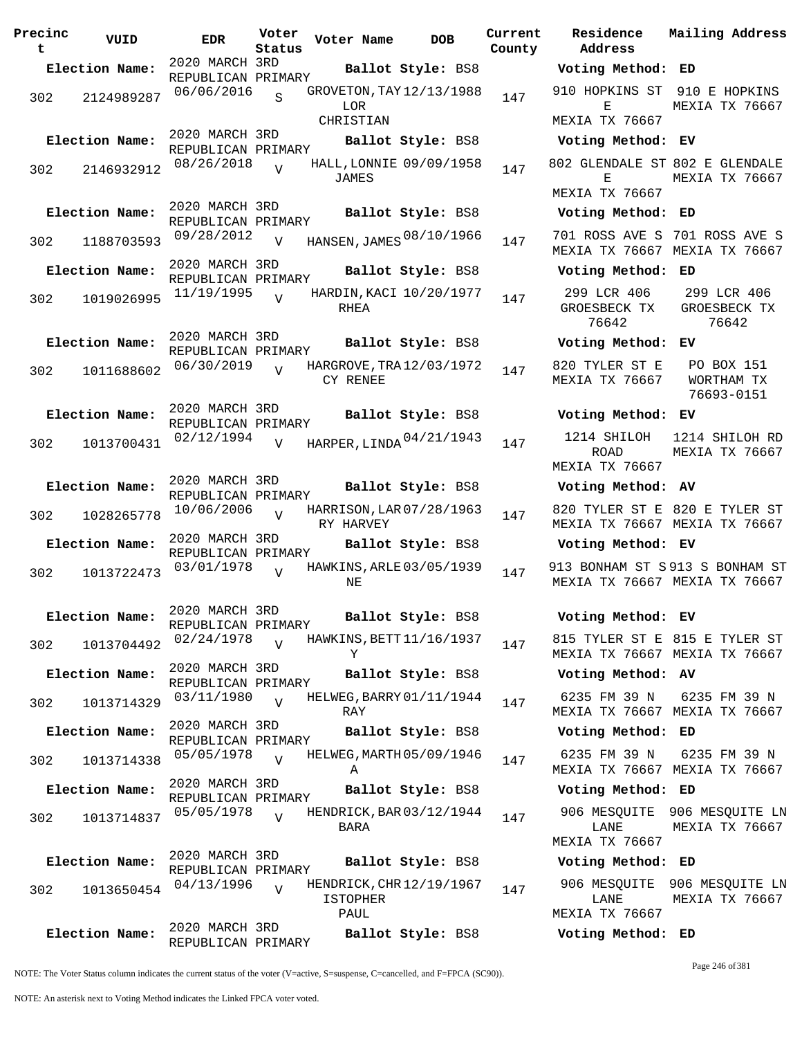| Precinc<br>t | VUID                          | <b>EDR</b>                           | Voter<br>Status | Voter Name                                          | <b>DOB</b>        | Current<br>County | <b>Residence</b><br>Address           | Mailing Address                                                |
|--------------|-------------------------------|--------------------------------------|-----------------|-----------------------------------------------------|-------------------|-------------------|---------------------------------------|----------------------------------------------------------------|
|              | Election Name:                | 2020 MARCH 3RD<br>REPUBLICAN PRIMARY |                 |                                                     | Ballot Style: BS8 |                   | Voting Method: ED                     |                                                                |
| 302          | 2124989287                    | 06/06/2016                           | $\mathbf{s}$    | GROVETON, TAY 12/13/1988<br>LOR                     |                   | 147               | Е<br>MEXIA TX 76667                   | 910 HOPKINS ST 910 E HOPKINS<br>MEXIA TX 76667                 |
|              | Election Name:                | 2020 MARCH 3RD                       |                 | CHRISTIAN                                           | Ballot Style: BS8 |                   | Voting Method: EV                     |                                                                |
| 302          | 2146932912                    | REPUBLICAN PRIMARY<br>08/26/2018     | $\overline{V}$  | HALL, LONNIE 09/09/1958<br>JAMES                    |                   | 147               | 802 GLENDALE ST 802 E GLENDALE<br>Е   | MEXIA TX 76667                                                 |
|              |                               |                                      |                 |                                                     |                   |                   | MEXIA TX 76667                        |                                                                |
|              | Election Name:                | 2020 MARCH 3RD<br>REPUBLICAN PRIMARY |                 |                                                     | Ballot Style: BS8 |                   | Voting Method: ED                     |                                                                |
| 302          |                               | 1188703593 09/28/2012                | $\overline{v}$  | HANSEN, JAMES 08/10/1966                            |                   | 147               |                                       | 701 ROSS AVE S 701 ROSS AVE S<br>MEXIA TX 76667 MEXIA TX 76667 |
|              | Election Name:                | 2020 MARCH 3RD<br>REPUBLICAN PRIMARY |                 |                                                     | Ballot Style: BS8 |                   | Voting Method: ED                     |                                                                |
| 302          | 1019026995                    | $11/19/1995$ V                       |                 | HARDIN, KACI 10/20/1977<br>RHEA                     |                   | 147               | 299 LCR 406<br>GROESBECK TX<br>76642  | 299 LCR 406<br>GROESBECK TX<br>76642                           |
|              | Election Name:                | 2020 MARCH 3RD<br>REPUBLICAN PRIMARY |                 |                                                     | Ballot Style: BS8 |                   | Voting Method: EV                     |                                                                |
| 302          | 1011688602                    | 06/30/2019                           |                 | HARGROVE, TRA 12/03/1972<br>CY RENEE                |                   | 147               | 820 TYLER ST E<br>MEXIA TX 76667      | PO BOX 151<br>WORTHAM TX<br>76693-0151                         |
|              | Election Name:                | 2020 MARCH 3RD<br>REPUBLICAN PRIMARY |                 |                                                     | Ballot Style: BS8 |                   | Voting Method: EV                     |                                                                |
| 302          | 1013700431                    | 02/12/1994                           | $\overline{V}$  | HARPER, LINDA 04/21/1943                            |                   | 147               | 1214 SHILOH<br>ROAD<br>MEXIA TX 76667 | 1214 SHILOH RD<br>MEXIA TX 76667                               |
|              | Election Name:                | 2020 MARCH 3RD                       |                 |                                                     | Ballot Style: BS8 |                   | Voting Method: AV                     |                                                                |
| 302          | 1028265778                    | REPUBLICAN PRIMARY<br>$10/06/2006$ V |                 | HARRISON, LAR 07/28/1963<br>RY HARVEY               |                   | 147               |                                       | 820 TYLER ST E 820 E TYLER ST<br>MEXIA TX 76667 MEXIA TX 76667 |
|              | Election Name:                | 2020 MARCH 3RD<br>REPUBLICAN PRIMARY |                 |                                                     | Ballot Style: BS8 |                   | Voting Method: EV                     |                                                                |
| 302          |                               | 1013722473 03/01/1978                | $\overline{U}$  | HAWKINS, ARLE 03/05/1939<br>ΝE                      |                   | 147               | 913 BONHAM ST S 913 S BONHAM ST       | MEXIA TX 76667 MEXIA TX 76667                                  |
|              | Election Name: 2020 MARCH 3RD | REPUBLICAN PRIMARY                   |                 |                                                     | Ballot Style: BS8 |                   | Voting Method: EV                     |                                                                |
| 302          | 1013704492                    | 02/24/1978                           | $\overline{V}$  | HAWKINS, BETT 11/16/1937<br>Y                       |                   | 147               |                                       | 815 TYLER ST E 815 E TYLER ST<br>MEXIA TX 76667 MEXIA TX 76667 |
|              | Election Name:                | 2020 MARCH 3RD<br>REPUBLICAN PRIMARY |                 |                                                     | Ballot Style: BS8 |                   | Voting Method: AV                     |                                                                |
| 302          | 1013714329                    | 03/11/1980                           | $\overline{V}$  | HELWEG, BARRY 01/11/1944<br>RAY                     |                   | 147               | 6235 FM 39 N                          | 6235 FM 39 N<br>MEXIA TX 76667 MEXIA TX 76667                  |
|              | Election Name:                | 2020 MARCH 3RD<br>REPUBLICAN PRIMARY |                 |                                                     | Ballot Style: BS8 |                   | Voting Method: ED                     |                                                                |
| 302          | 1013714338                    | 05/05/1978                           | $\overline{v}$  | HELWEG, MARTH 05/09/1946<br>Α                       |                   | 147               | 6235 FM 39 N                          | 6235 FM 39 N<br>MEXIA TX 76667 MEXIA TX 76667                  |
|              | Election Name:                | 2020 MARCH 3RD<br>REPUBLICAN PRIMARY |                 |                                                     | Ballot Style: BS8 |                   | Voting Method: ED                     |                                                                |
| 302          | 1013714837                    | 05/05/1978                           |                 | HENDRICK, BAR 03/12/1944<br>BARA                    |                   | 147               | LANE<br>MEXIA TX 76667                | 906 MESQUITE 906 MESQUITE LI<br>MEXIA TX 76667                 |
|              | Election Name:                | 2020 MARCH 3RD<br>REPUBLICAN PRIMARY |                 |                                                     | Ballot Style: BS8 |                   | Voting Method: ED                     |                                                                |
| 302          | 1013650454                    | 04/13/1996                           | $\overline{U}$  | HENDRICK, CHR 12/19/1967<br><b>ISTOPHER</b><br>PAUL |                   | 147               | LANE<br>MEXIA TX 76667                | 906 MESQUITE 906 MESQUITE LI<br>MEXIA TX 76667                 |
|              | Election Name:                | 2020 MARCH 3RD<br>REPUBLICAN PRIMARY |                 |                                                     | Ballot Style: BS8 |                   | Voting Method: ED                     |                                                                |

**Parame Residence Address Current Mailing Address** nty **Election Name: Ballot Style:** BS8 **Voting Method: ED** 910 HOPKINS ST 910 E HOPKINS E MEXIA TX 76667 MEXIA TX 76667 **Election Name: Ballot Style:** BS8 **Voting Method: EV** 802 GLENDALE ST 802 E GLENDALE E MEXIA TX 76667 MEXIA TX 76667 **Election Name: Ballot Style:** BS8 **Voting Method: ED** MEXIA TX 76667 MEXIA TX 76667 **Election Name: Ballot Style:** BS8 **Voting Method: ED** 299 LCR 406 GROESBECK TX 76642 299 LCR 406 GROESBECK TX 76642 **Election Name: Ballot Style:** BS8 **Voting Method: EV** 820 TYLER ST E MEXIA TX 76667 PO BOX 151 WORTHAM TX 76693-0151 **Election Name: Ballot Style:** BS8 **Voting Method: EV** ROAD MEXIA TX 76667 1214 SHILOH RD MEXIA TX 76667 **Election Name: Ballot Style:** BS8 **Voting Method: AV** 820 TYLER ST E 820 E TYLER ST MEXIA TX 76667 MEXIA TX 76667 **Election Name: Ballot Style:** BS8 **Voting Method: EV** 913 BONHAM ST S 913 S BONHAM ST MEXIA TX 76667 MEXIA TX 76667 **Election Name: Ballot Style:** BS8 **Voting Method: EV** 815 TYLER ST E 815 E TYLER ST MEXIA TX 76667 MEXIA TX 76667 **Election Name: Ballot Style:** BS8 **Voting Method: AV** 6235 FM 39 N MEXIA TX 76667 MEXIA TX 76667 6235 FM 39 N **Election Name: Ballot Style:** BS8 **Voting Method: ED** 6235 FM 39 N MEXIA TX 76667 MEXIA TX 76667 6235 FM 39 N **Election Name: Ballot Style:** BS8 **Voting Method: ED** 906 MESQUITE 906 MESQUITE LN LANE MEXIA TX 76667 MEXIA TX 76667 **Election Name: Ballot Style:** BS8 **Voting Method: ED** 906 MESQUITE 906 MESQUITE LN LANE MEXIA TX 76667 MEXIA TX 76667

NOTE: The Voter Status column indicates the current status of the voter (V=active, S=suspense, C=cancelled, and F=FPCA (SC90)).

Page 246 of 381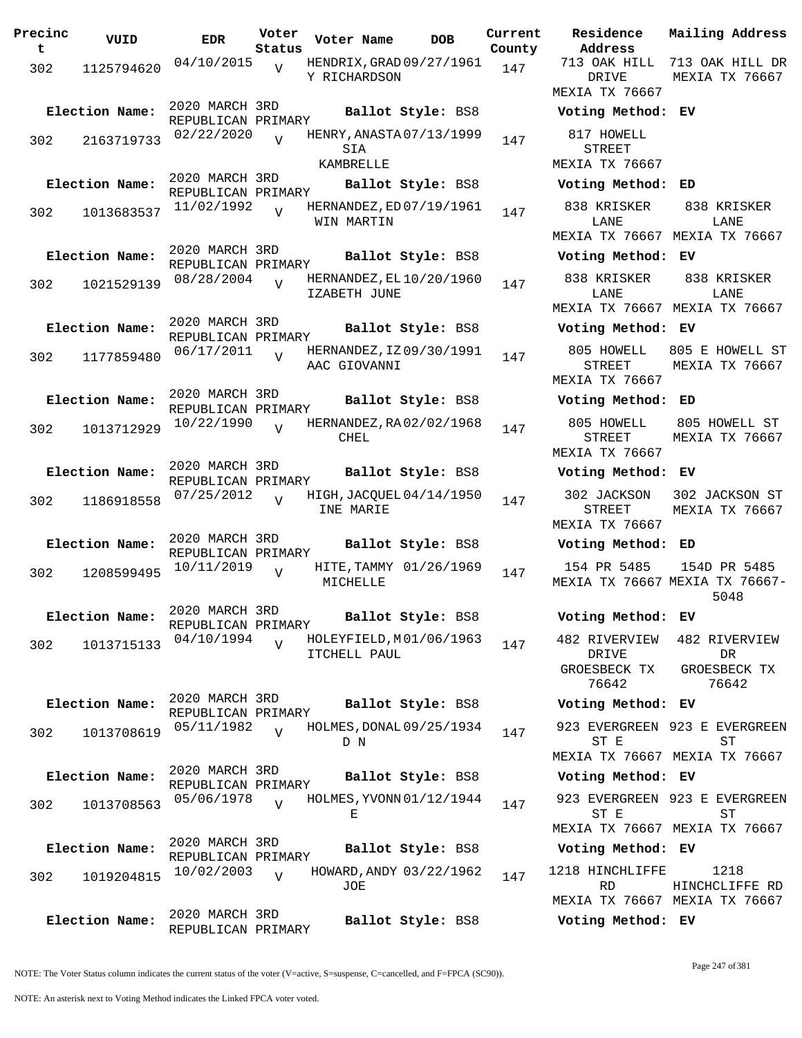| Precinc<br>t | VUID           | <b>EDR</b>                           | Voter<br>Status | Voter Name   | <b>DOB</b>               | Curre<br>Count |
|--------------|----------------|--------------------------------------|-----------------|--------------|--------------------------|----------------|
| 302          | 1125794620     | 04/10/2015                           | $\overline{V}$  | Y RICHARDSON | HENDRIX, GRAD 09/27/1961 | 147            |
|              | Election Name: | 2020 MARCH 3RD                       |                 |              | Ballot Style: BS8        |                |
| 302          | 2163719733     | REPUBLICAN PRIMARY<br>02/22/2020     | $\overline{U}$  | SIA          | HENRY, ANASTA 07/13/1999 | 147            |
|              | Election Name: | 2020 MARCH 3RD                       |                 | KAMBRELLE    | Ballot Style: BS8        |                |
|              |                | REPUBLICAN PRIMARY<br>11/02/1992     |                 |              | HERNANDEZ, ED 07/19/1961 |                |
| 302          | 1013683537     |                                      | $\overline{V}$  | WIN MARTIN   |                          | 147            |
|              | Election Name: | 2020 MARCH 3RD                       |                 |              | Ballot Style: BS8        |                |
| 302          | 1021529139     | REPUBLICAN PRIMARY<br>08/28/2004     | $\overline{V}$  | IZABETH JUNE | HERNANDEZ, EL 10/20/1960 | 147            |
|              | Election Name: | 2020 MARCH 3RD<br>REPUBLICAN PRIMARY |                 |              | Ballot Style: BS8        |                |
| 302          | 1177859480     | 06/17/2011                           | $\overline{V}$  | AAC GIOVANNI | HERNANDEZ, IZ09/30/1991  | 147            |
|              | Election Name: | 2020 MARCH 3RD<br>REPUBLICAN PRIMARY |                 |              | Ballot Style: BS8        |                |
| 302          | 1013712929     | 10/22/1990                           | $\overline{V}$  | CHEL         | HERNANDEZ, RA02/02/1968  | 147            |
|              | Election Name: | 2020 MARCH 3RD<br>REPUBLICAN PRIMARY |                 |              | Ballot Style: BS8        |                |
| 302          | 1186918558     | 07/25/2012                           | $\overline{U}$  | INE MARIE    | HIGH, JACQUEL 04/14/1950 | 147            |
|              | Election Name: | 2020 MARCH 3RD<br>REPUBLICAN PRIMARY |                 |              | Ballot Style: BS8        |                |
| 302          | 1208599495     | 10/11/2019                           | $\overline{V}$  | MICHELLE     | HITE, TAMMY 01/26/1969   | 147            |
|              | Election Name: | 2020 MARCH 3RD<br>REPUBLICAN PRIMARY |                 |              | Ballot Style: BS8        |                |
| 302          | 1013715133     | 04/10/1994                           | $\overline{V}$  | ITCHELL PAUL | HOLEYFIELD, M01/06/1963  | 147            |
|              | Election Name: | 2020 MARCH 3RD<br>REPUBLICAN PRIMARY |                 |              | Ballot Style: BS8        |                |
| 302          | 1013708619     | 05/11/1982                           | $\overline{U}$  | D N          | HOLMES, DONAL 09/25/1934 | 147            |
|              | Election Name: | 2020 MARCH 3RD<br>REPUBLICAN PRIMARY |                 |              | Ballot Style: BS8        |                |
| 302          | 1013708563     | 05/06/1978                           | $\overline{U}$  | Ε            | HOLMES, YVONN 01/12/1944 | 147            |
|              | Election Name: | 2020 MARCH 3RD<br>REPUBLICAN PRIMARY |                 |              | Ballot Style: BS8        |                |
| 302          | 1019204815     | 10/02/2003                           | $\overline{V}$  | JOE          | HOWARD, ANDY 03/22/1962  | 147            |
|              | Election Name: | 2020 MARCH 3RD<br>REPUBLICAN PRIMARY |                 |              | Ballot Style: BS8        |                |

**Voter Name DOB Residence Address Current Mailing Address**  $\frac{1}{2}$ 713 OAK HILL 713 OAK HILL DR DRIVE MEXIA TX 76667 MEXIA TX 76667 **Election Name: Ballot Style:** BS8 **Voting Method: EV** 817 HOWELL STREET MEXIA TX 76667 **Election Name: Ballot Style:** BS8 **Voting Method: ED** 838 KRISKER LANE MEXIA TX 76667 MEXIA TX 76667 838 KRISKER LANE **Election Name: Ballot Style:** BS8 **Voting Method: EV** 838 KRISKER LANE MEXIA TX 76667 MEXIA TX 76667 838 KRISKER LANE **Election Name: Ballot Style:** BS8 **Voting Method: EV** 805 HOWELL STREET MEXIA TX 76667 805 E HOWELL ST MEXIA TX 76667 **Election Name: Ballot Style:** BS8 **Voting Method: ED** 805 HOWELL STREET MEXIA TX 76667 805 HOWELL ST MEXIA TX 76667 **Election Name: Ballot Style:** BS8 **Voting Method: EV** 302 JACKSON STREET MEXIA TX 76667 302 JACKSON ST MEXIA TX 76667 **Election Name: Ballot Style:** BS8 **Voting Method: ED** 154 PR 5485 MEXIA TX 76667 MEXIA TX 76667- 154D PR 5485 5048 **Election Name: Ballot Style:** BS8 **Voting Method: EV** 482 RIVERVIEW DRIVE GROESBECK TX 76642 482 RIVERVIEW DR GROESBECK TX 76642 **Election Name: Ballot Style:** BS8 **Voting Method: EV** 923 EVERGREEN 923 E EVERGREEN ST E MEXIA TX 76667 MEXIA TX 76667 ST **Election Name: Ballot Style:** BS8 **Voting Method: EV** 923 EVERGREEN 923 E EVERGREEN ST E MEXIA TX 76667 MEXIA TX 76667 ST **Election Name: Ballot Style:** BS8 **Voting Method: EV** 1218 HINCHLIFFE RD MEXIA TX 76667 MEXIA TX 76667 1218 HINCHCLIFFE RD

**Election Name: Ballot Style:** BS8 **Voting Method: EV**

NOTE: The Voter Status column indicates the current status of the voter (V=active, S=suspense, C=cancelled, and F=FPCA (SC90)).

Page 247 of 381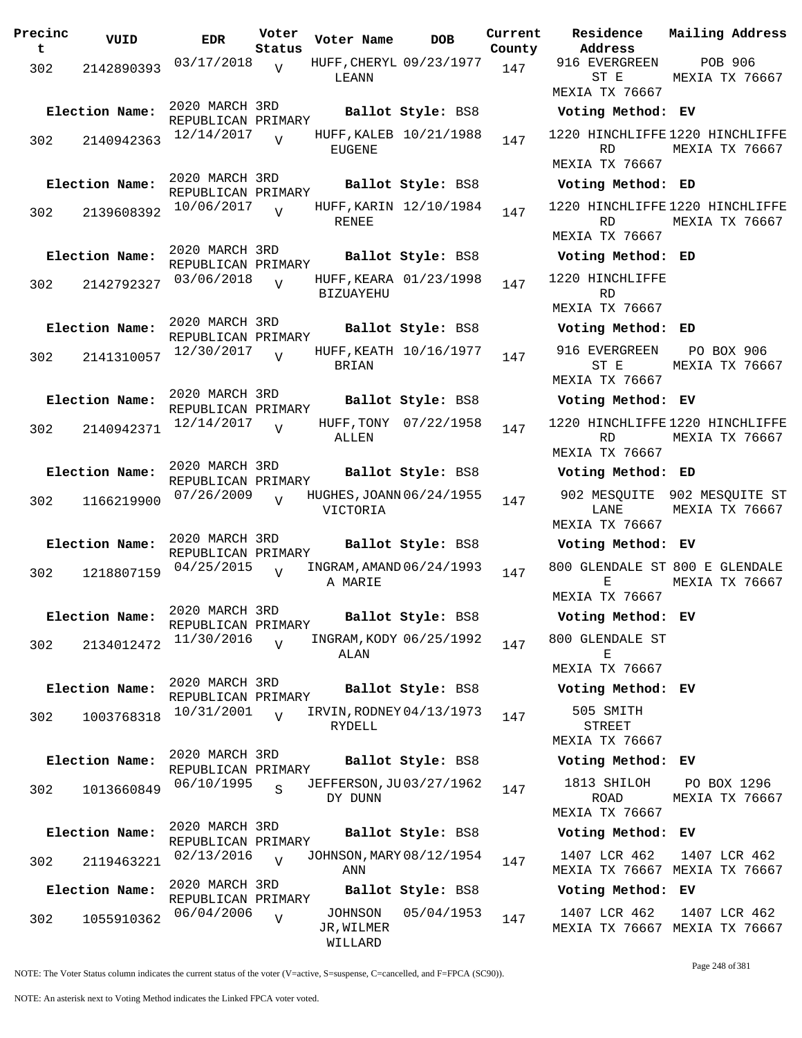**Precinc t VUID EDR Voter Status Voter Name bob Current Residence County** 302 2142890393 03/17/2018 V HUFF, CHERYL 09/23/1977 147 LEANN  $\overline{v}$ 2020 MARCH 3RD REPUBLICAN PRIMARY **Election Name: Ballot Style:** BS8 **Voting Method: EV** 302 2140942363 12/14/2017 EUGENE  $\overline{V}$ HUFF, KALEB 10/21/1988 147 2020 MARCH 3RD REPUBLICAN PRIMARY **Election Name: Ballot Style:** BS8 **Voting Method: ED** 302 2139608392 10/06/2017 RENEE V HUFF, KARIN 12/10/1984 147 2020 MARCH 3RD REPUBLICAN PRIMARY **Election Name: Ballot Style:** BS8 **Voting Method: ED**  $302$   $2142792327$   $03/06/2018$ BIZUAYEHU  $\overline{V}$ HUFF, KEARA 01/23/1998 147 2020 MARCH 3RD REPUBLICAN PRIMARY **Election Name: Ballot Style:** BS8 **Voting Method: ED**  $302$   $2141310057$   $12/30/2017$ BRIAN V HUFF, KEATH 10/16/1977 147 2020 MARCH 3RD REPUBLICAN PRIMARY **Election Name: Ballot Style:** BS8 **Voting Method: EV** 302 2140942371 12/14/2017 ALLEN  $\overline{V}$ HUFF, TONY 07/22/1958 147 2020 MARCH 3RD REPUBLICAN PRIMARY **Election Name: Ballot Style:** BS8 **Voting Method: ED** 302 1166219900 07/26/2009 V HUGHES, JOANN 06/24/1955 147 VICTORIA  $\overline{U}$ 2020 MARCH 3RD REPUBLICAN PRIMARY **Election Name: Ballot Style:** BS8 **Voting Method: EV** 302 1218807159 04/25/2015 V INGRAM, AMAND 06/24/1993 147 A MARIE  $\overline{V}$ 2020 MARCH 3RD REPUBLICAN PRIMARY **Election Name: Ballot Style:** BS8 **Voting Method: EV** 302 2134012472 11/30/2016 ALAN V INGRAM, KODY 06/25/1992 147 2020 MARCH 3RD REPUBLICAN PRIMARY **Election Name: Ballot Style:** BS8 **Voting Method: EV** 302 1003768318 <sup>10/31/2001</sup> V IRVIN, RODNEY 04/13/1973 147 RYDELL V 2020 MARCH 3RD REPUBLICAN PRIMARY **Election Name: Ballot Style:** BS8 **Voting Method: EV**  $302$  1013660849 06/10/1995 DY DUNN S JEFFERSON, JU03/27/1962 147 2020 MARCH 3RD REPUBLICAN PRIMARY **Election Name: Ballot Style:** BS8 **Voting Method: EV** 302 2119463221 02/13/2016 V JOHNSON, MARY 08/12/1954 147 ANN  $\overline{V}$ 2020 MARCH 3RD REPUBLICAN PRIMARY **Election Name: Ballot Style:** BS8 **Voting Method: EV** 302 1055910362 06/04/2006 V JOHNSON 05/04/1953 147 JR,WILMER WILLARD  $\overline{V}$ 

**Address Current Mailing Address** 916 EVERGREEN ST E MEXIA TX 76667 POB 906 MEXIA TX 76667 1220 HINCHLIFFE 1220 HINCHLIFFE RD. MEXIA TX 76667 MEXIA TX 76667 1220 HINCHLIFFE 1220 HINCHLIFFE RD MEXIA TX 76667 MEXIA TX 76667 1220 HINCHLIFFE RD MEXIA TX 76667 916 EVERGREEN ST E MEXIA TX 76667 PO BOX 906 MEXIA TX 76667 1220 HINCHLIFFE 1220 HINCHLIFFE RD MEXIA TX 76667 MEXIA TX 76667 902 MESQUITE 902 MESQUITE ST LANE MEXIA TX 76667 MEXIA TX 76667 800 GLENDALE ST 800 E GLENDALE E MEXIA TX 76667 MEXIA TX 76667 800 GLENDALE ST E MEXIA TX 76667 505 SMITH STREET MEXIA TX 76667 1813 SHILOH ROAD MEXIA TX 76667 PO BOX 1296 MEXIA TX 76667 1407 LCR 462 MEXIA TX 76667 MEXIA TX 76667 1407 LCR 462 1407 LCR 462 MEXIA TX 76667 MEXIA TX 76667 1407 LCR 462

NOTE: The Voter Status column indicates the current status of the voter (V=active, S=suspense, C=cancelled, and F=FPCA (SC90)).

Page 248 of 381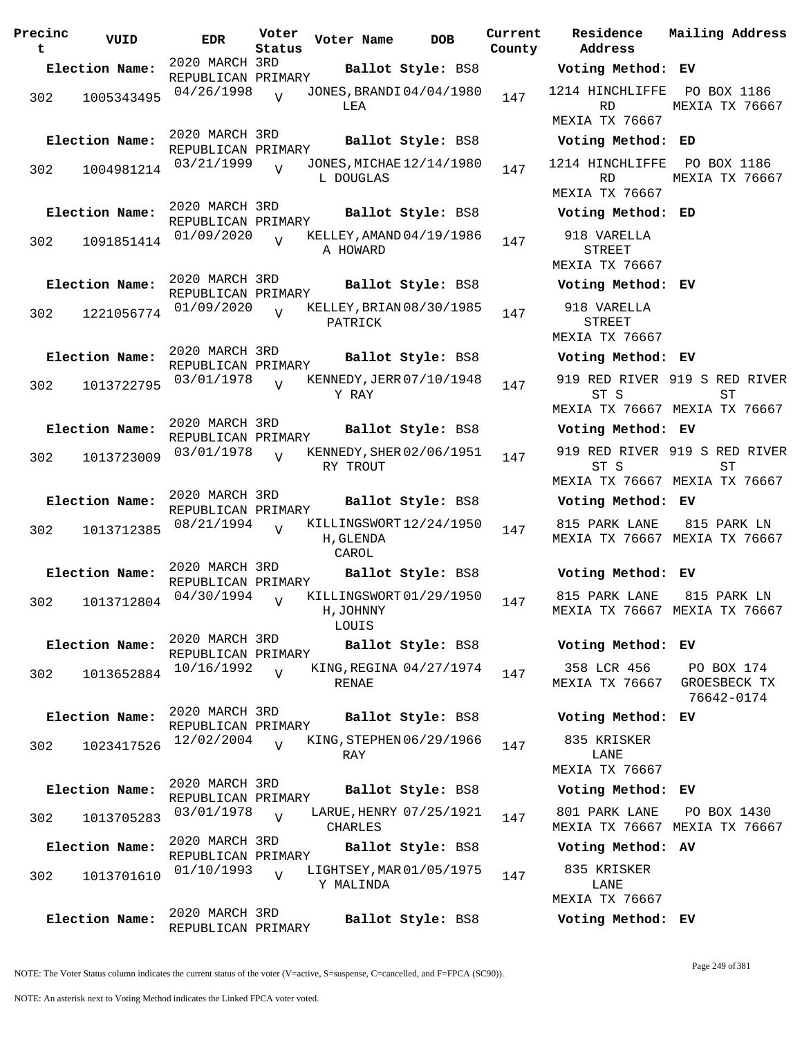| Precinc<br>t | VUID           | <b>EDR</b>                           | Voter<br>Status | Voter Name         | <b>DOB</b>               | Current<br>County |
|--------------|----------------|--------------------------------------|-----------------|--------------------|--------------------------|-------------------|
|              | Election Name: | 2020 MARCH 3RD                       |                 |                    | Ballot Style: BS8        |                   |
| 302          | 1005343495     | REPUBLICAN PRIMARY<br>04/26/1998     | $\overline{U}$  | LEA                | JONES, BRANDI 04/04/1980 | 147               |
|              | Election Name: | 2020 MARCH 3RD<br>REPUBLICAN PRIMARY |                 |                    | Ballot Style: BS8        |                   |
| 302          | 1004981214     | 03/21/1999                           | $\overline{V}$  | L DOUGLAS          | JONES, MICHAE 12/14/1980 | 147               |
|              | Election Name: | 2020 MARCH 3RD<br>REPUBLICAN PRIMARY |                 |                    | Ballot Style: BS8        |                   |
| 302          | 1091851414     | 01/09/2020                           | $\overline{V}$  | A HOWARD           | KELLEY, AMAND 04/19/1986 | 147               |
|              | Election Name: | 2020 MARCH 3RD<br>REPUBLICAN PRIMARY |                 |                    | Ballot Style: BS8        |                   |
| 302          | 1221056774     | 01/09/2020                           | ٦T              | PATRICK            | KELLEY, BRIAN 08/30/1985 | 147               |
|              | Election Name: | 2020 MARCH 3RD<br>REPUBLICAN PRIMARY |                 |                    | Ballot Style: BS8        |                   |
| 302          | 1013722795     | 03/01/1978                           | ٦T              | Y RAY              | KENNEDY, JERR 07/10/1948 | 147               |
|              | Election Name: | 2020 MARCH 3RD<br>REPUBLICAN PRIMARY |                 |                    | Ballot Style: BS8        |                   |
| 302          | 1013723009     | 03/01/1978                           | V               | RY TROUT           | KENNEDY, SHER 02/06/1951 | 147               |
|              | Election Name: | 2020 MARCH 3RD<br>REPUBLICAN PRIMARY |                 |                    | Ballot Style: BS8        |                   |
| 302          | 1013712385     | 08/21/1994                           | ٦T              | H, GLENDA<br>CAROL | KILLINGSWORT12/24/1950   | 147               |
|              | Election Name: | 2020 MARCH 3RD<br>REPUBLICAN PRIMARY |                 |                    | Ballot Style: BS8        |                   |
| 302          | 1013712804     | 04/30/1994                           | V               | H, JOHNNY<br>LOUIS | KILLINGSWORT 01/29/1950  | 147               |
|              | Election Name: | 2020 MARCH 3RD<br>REPUBLICAN PRIMARY |                 |                    | Ballot Style: BS8        |                   |
| 302          | 1013652884     | 10/16/1992                           | $\overline{U}$  | RENAE              | KING, REGINA 04/27/1974  | 147               |
|              | Election Name: | 2020 MARCH 3RD<br>REPUBLICAN PRIMARY |                 |                    | Ballot Style: BS8        |                   |
| 302          | 1023417526     | 12/02/2004                           | $\overline{z}$  | RAY                | KING, STEPHEN 06/29/1966 | 147               |
|              | Election Name: | 2020 MARCH 3RD<br>REPUBLICAN PRIMARY |                 |                    | Ballot Style: BS8        |                   |
| 302          | 1013705283     | 03/01/1978                           | $\overline{V}$  | CHARLES            | LARUE, HENRY 07/25/1921  | 147               |
|              | Election Name: | 2020 MARCH 3RD<br>REPUBLICAN PRIMARY |                 |                    | Ballot Style: BS8        |                   |
| 302          | 1013701610     | 01/10/1993                           | $\overline{V}$  | Y MALINDA          | LIGHTSEY, MAR 01/05/1975 | 147               |
|              | Election Name: | 2020 MARCH 3RD<br>REPUBLICAN PRIMARY |                 |                    | Ballot Style: BS8        |                   |

**Voter Name DOB Residence Address Current Mailing Address Election Name: Ballot Style:** BS8 **Voting Method: EV** 1214 HINCHLIFFE PO BOX 1186 RD MEXIA TX 76667 MEXIA TX 76667 **Election Name: Ballot Style:** BS8 **Voting Method: ED** 1214 HINCHLIFFE PO BOX 1186 RD MEXIA TX 76667 MEXIA TX 76667 **Election Name: Ballot Style:** BS8 **Voting Method: ED** 918 VARELLA STREET MEXIA TX 76667 **Election Name: Ballot Style:** BS8 **Voting Method: EV** 918 VARELLA STREET MEXIA TX 76667 **Election Name: Ballot Style:** BS8 **Voting Method: EV** 919 RED RIVER 919 S RED RIVER ST S MEXIA TX 76667 MEXIA TX 76667 ST **Election Name: Ballot Style:** BS8 **Voting Method: EV** 919 RED RIVER 919 S RED RIVER ST S MEXIA TX 76667 MEXIA TX 76667 **ST Election Name: Ballot Style:** BS8 **Voting Method: EV** 815 PARK LANE MEXIA TX 76667 MEXIA TX 76667 815 PARK LN **Election Name: Ballot Style:** BS8 **Voting Method: EV** 815 PARK LANE MEXIA TX 76667 MEXIA TX 76667 815 PARK LN **Election Name: Ballot Style:** BS8 **Voting Method: EV** 358 LCR 456 MEXIA TX 76667 GROESBECK TX PO BOX 174 76642-0174 **Election Name: Ballot Style:** BS8 **Voting Method: EV** 835 KRISKER LANE MEXIA TX 76667 **Election Name: Ballot Style:** BS8 **Voting Method: EV** 801 PARK LANE MEXIA TX 76667 MEXIA TX 76667 PO BOX 1430 **Election Name: Ballot Style:** BS8 **Voting Method: AV**

> 835 KRISKER LANE MEXIA TX 76667 **Election Name: Ballot Style:** BS8 **Voting Method: EV**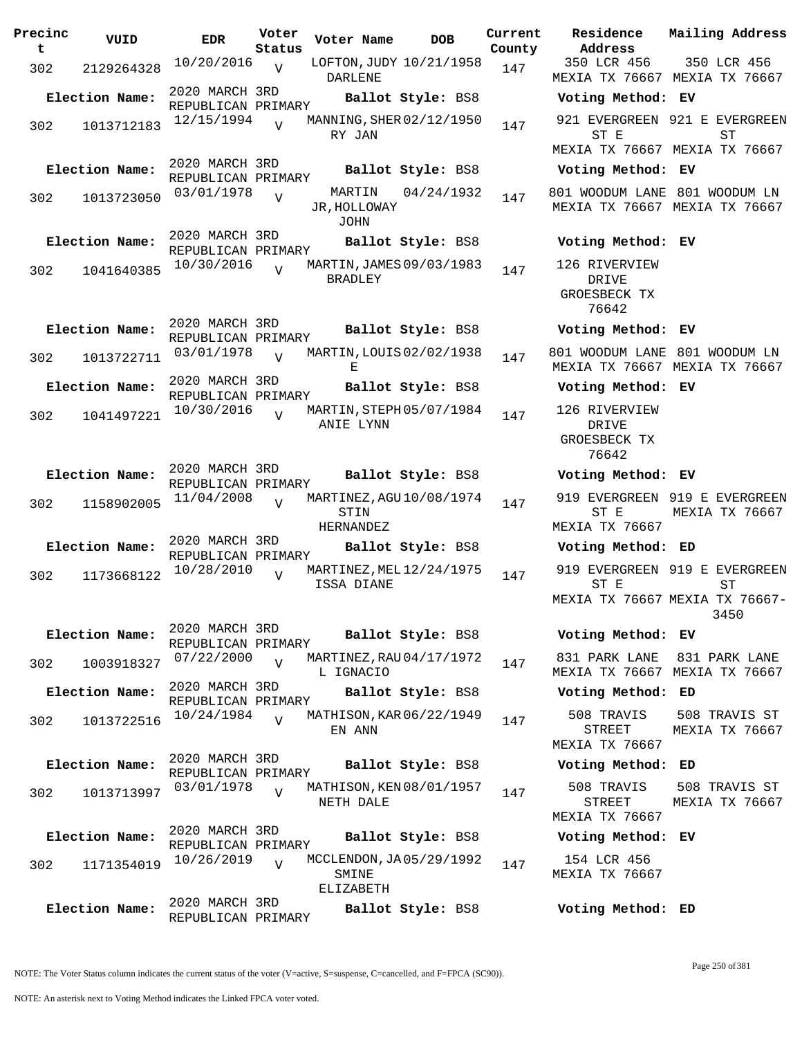| Precinc<br>t | VUID           | <b>EDR</b>                           | Voter<br>Status | Voter Name                                     | <b>DOB</b>        | Current<br>County | Residence<br>Address                             | Mail       |
|--------------|----------------|--------------------------------------|-----------------|------------------------------------------------|-------------------|-------------------|--------------------------------------------------|------------|
| 302          | 2129264328     | 10/20/2016                           | $\overline{V}$  | LOFTON, JUDY 10/21/1958<br><b>DARLENE</b>      |                   | 147               | 350 LCR 456<br>MEXIA TX 76667 MEX                | 35         |
|              | Election Name: | 2020 MARCH 3RD<br>REPUBLICAN PRIMARY |                 |                                                | Ballot Style: BS8 |                   | Voting Method:                                   | EV         |
| 302          | 1013712183     | 12/15/1994                           | $\overline{U}$  | MANNING, SHER 02/12/1950<br>RY JAN             |                   | 147               | 921 EVERGREEN 921<br>ST E                        |            |
|              |                | 2020 MARCH 3RD                       |                 |                                                |                   |                   | MEXIA TX 76667 MEX                               |            |
|              | Election Name: | REPUBLICAN PRIMARY                   |                 |                                                | Ballot Style: BS8 |                   | Voting Method: EV                                |            |
| 302          | 1013723050     | 03/01/1978                           | $\overline{V}$  | MARTIN<br>JR, HOLLOWAY<br>JOHN                 | 04/24/1932        | 147               | 801 WOODUM LANE 801<br>MEXIA TX 76667 MEX        |            |
|              | Election Name: | 2020 MARCH 3RD<br>REPUBLICAN PRIMARY |                 |                                                | Ballot Style: BS8 |                   | Voting Method: EV                                |            |
| 302          | 1041640385     | 10/30/2016                           | $\overline{U}$  | MARTIN, JAMES 09/03/1983<br><b>BRADLEY</b>     |                   | 147               | 126 RIVERVIEW<br>DRIVE<br>GROESBECK TX<br>76642  |            |
|              | Election Name: | 2020 MARCH 3RD                       |                 |                                                | Ballot Style: BS8 |                   | Voting Method: EV                                |            |
| 302          | 1013722711     | REPUBLICAN PRIMARY<br>03/01/1978     | $\overline{z}$  | MARTIN, LOUIS 02/02/1938<br>Е                  |                   | 147               | 801 WOODUM LANE 801<br>MEXIA TX 76667 MEX        |            |
|              | Election Name: | 2020 MARCH 3RD<br>REPUBLICAN PRIMARY |                 |                                                | Ballot Style: BS8 |                   | Voting Method: EV                                |            |
| 302          | 1041497221     | 10/30/2016                           | $\overline{U}$  | MARTIN, STEPH 05/07/1984<br>ANIE LYNN          |                   | 147               | 126 RIVERVIEW<br>DRIVE<br>GROESBECK TX<br>76642  |            |
|              | Election Name: | 2020 MARCH 3RD<br>REPUBLICAN PRIMARY |                 |                                                | Ballot Style: BS8 |                   | Voting Method:                                   | EV         |
| 302          | 1158902005     | 11/04/2008                           | $\overline{V}$  | MARTINEZ, AGU 10/08/1974<br>STIN<br>HERNANDEZ  |                   | 147               | 919 EVERGREEN 919<br>ST E<br>MEXIA TX 76667      | MEX        |
|              | Election Name: | 2020 MARCH 3RD<br>REPUBLICAN PRIMARY |                 |                                                | Ballot Style: BS8 |                   | Voting Method: ED                                |            |
| 302          | 1173668122     | 10/28/2010                           | $\overline{U}$  | MARTINEZ, MEL 12/24/1975<br>ISSA DIANE         |                   | 147               | 919 EVERGREEN 919<br>ST E<br>MEXIA TX 76667 MEXI |            |
|              | Election Name: | 2020 MARCH 3RD<br>REPUBLICAN PRIMARY |                 |                                                | Ballot Style: BS8 |                   | Voting Method: EV                                |            |
| 302          | 1003918327     | 07/22/2000                           | $\overline{V}$  | MARTINEZ, RAU 04/17/1972<br>L IGNACIO          |                   | 147               | 831 PARK LANE<br>MEXIA TX 76667 MEX              | 831        |
|              | Election Name: | 2020 MARCH 3RD<br>REPUBLICAN PRIMARY |                 |                                                | Ballot Style: BS8 |                   | Voting Method:                                   | ED         |
| 302          | 1013722516     | 10/24/1984                           | $\overline{U}$  | MATHISON, KAR 06/22/1949<br>EN ANN             |                   | 147               | 508 TRAVIS<br>STREET                             | 508<br>MEX |
|              | Election Name: | 2020 MARCH 3RD                       |                 |                                                | Ballot Style: BS8 |                   | <b>MEXIA TX 76667</b><br>Voting Method:          | ED         |
|              |                | REPUBLICAN PRIMARY<br>03/01/1978     |                 | MATHISON, KEN 08/01/1957                       |                   |                   | 508 TRAVIS                                       | 508        |
| 302          | 1013713997     |                                      | $\overline{U}$  | NETH DALE                                      |                   | 147               | <b>STREET</b><br>MEXIA TX 76667                  | MEX        |
|              | Election Name: | 2020 MARCH 3RD<br>REPUBLICAN PRIMARY |                 |                                                | Ballot Style: BS8 |                   | Voting Method: EV                                |            |
| 302          | 1171354019     | 10/26/2019                           | $\overline{V}$  | MCCLENDON, JA 05/29/1992<br>SMINE<br>ELIZABETH |                   | 147               | 154 LCR 456<br>MEXIA TX 76667                    |            |
|              | Election Name: | 2020 MARCH 3RD<br>REPUBLICAN PRIMARY |                 |                                                | Ballot Style: BS8 |                   | Voting Method: ED                                |            |

**Voter Name DOB Residence Address Current Mailing Address** 350 LCR 456 MEXIA TX 76667 MEXIA TX 76667 350 LCR 456 **Election Name: Ballot Style:** BS8 **Voting Method: EV** 921 EVERGREEN 921 E EVERGREEN ST E MEXIA TX 76667 MEXIA TX 76667 ST **Election Name: Ballot Style:** BS8 **Voting Method: EV** 801 WOODUM LANE 801 WOODUM LN MEXIA TX 76667 MEXIA TX 76667 **Election Name: Ballot Style:** BS8 **Voting Method: EV** 126 RIVERVIEW DRIVE GROESBECK TX 76642 **Election Name: Ballot Style:** BS8 **Voting Method: EV** 801 WOODUM LANE 801 WOODUM LN MEXIA TX 76667 MEXIA TX 76667 **Election Name: Ballot Style:** BS8 **Voting Method: EV** 126 RIVERVIEW DRIVE GROESBECK TX 76642 **Election Name: Ballot Style:** BS8 **Voting Method: EV** 919 EVERGREEN 919 E EVERGREEN ST E MEXIA TX 76667 MEXIA TX 76667 **Election Name: Ballot Style:** BS8 **Voting Method: ED** 919 EVERGREEN 919 E EVERGREEN ST E MEXIA TX 76667 MEXIA TX 76667- ST 3450 **Election Name: Ballot Style:** BS8 **Voting Method: EV** 831 PARK LANE 831 PARK LANE MEXIA TX 76667 MEXIA TX 76667 **Election Name: Ballot Style:** BS8 **Voting Method: ED** 508 TRAVIS STREET MEXIA TX 76667 508 TRAVIS ST MEXIA TX 76667 **Election Name: Ballot Style:** BS8 **Voting Method: ED** 508 TRAVIS STREET MEXIA TX 76667 508 TRAVIS ST MEXIA TX 76667 **Election Name: Ballot Style:** BS8 **Voting Method: EV** 154 LCR 456 MEXIA TX 76667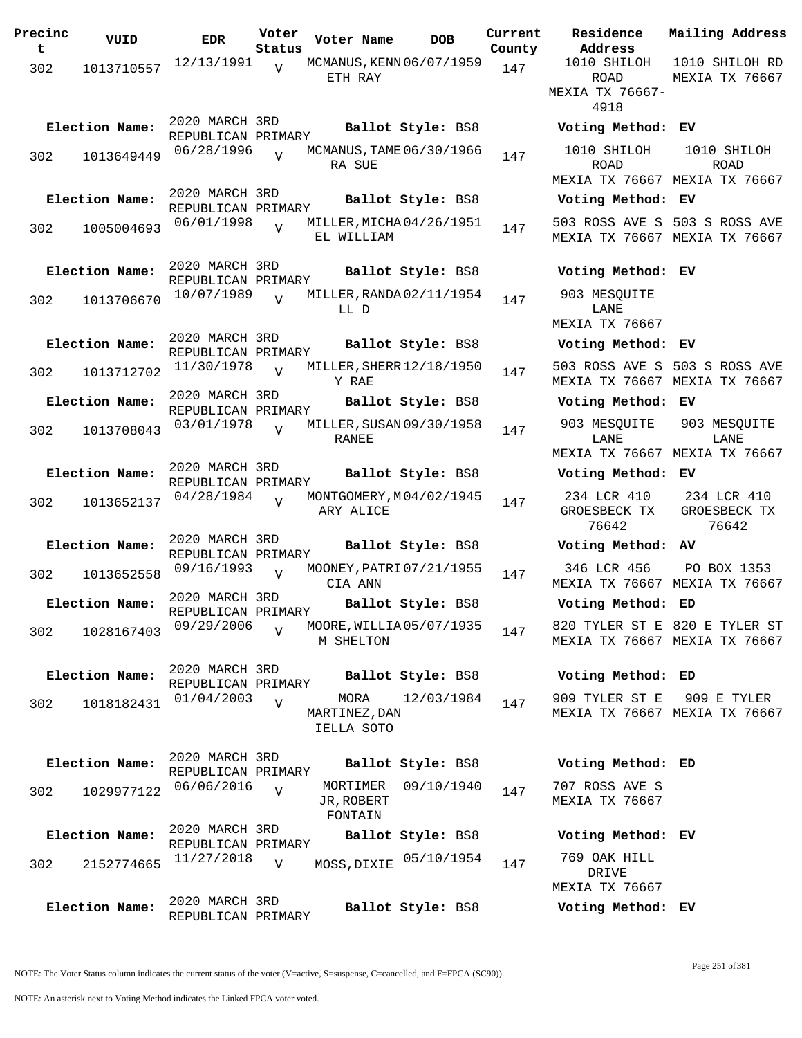| Precinc<br>t | VUID           | <b>EDR</b>                           | Voter<br>Status | Voter Name                            | <b>DOB</b>        | Current<br>County | Residence<br>Address                        |
|--------------|----------------|--------------------------------------|-----------------|---------------------------------------|-------------------|-------------------|---------------------------------------------|
| 302          | 1013710557     | 12/13/1991                           | V               | MCMANUS, KENN 06/07/1959<br>ETH RAY   |                   | 147               | 1010 SHILOH                                 |
|              |                |                                      |                 |                                       |                   |                   | ROAD<br>MEXIA TX 7666<br>4918               |
|              | Election Name: | 2020 MARCH 3RD<br>REPUBLICAN PRIMARY |                 |                                       | Ballot Style: BS8 |                   | Voting Metho                                |
| 302          | 1013649449     | 06/28/1996                           | $\overline{U}$  | MCMANUS, TAME 06/30/1966<br>RA SUE    |                   | 147               | 1010 SHILOH<br><b>ROAD</b><br>MEXIA TX 7666 |
|              | Election Name: | 2020 MARCH 3RD                       |                 |                                       | Ballot Style: BS8 |                   | Voting Metho                                |
| 302          | 1005004693     | REPUBLICAN PRIMARY<br>06/01/1998     | $\overline{V}$  | MILLER, MICHA04/26/1951<br>EL WILLIAM |                   | 147               | 503 ROSS AVE<br>MEXIA TX 7666               |
|              | Election Name: | 2020 MARCH 3RD<br>REPUBLICAN PRIMARY |                 |                                       | Ballot Style: BS8 |                   | Voting Metho                                |
| 302          | 1013706670     | 10/07/1989                           | $\overline{V}$  | MILLER, RANDA 02/11/1954<br>LL D      |                   | 147               | 903 MESQUITE<br>LANE<br>MEXIA TX 7666       |
|              | Election Name: | 2020 MARCH 3RD<br>REPUBLICAN PRIMARY |                 |                                       | Ballot Style: BS8 |                   | Voting Metho                                |
| 302          | 1013712702     | 11/30/1978                           | $\overline{U}$  | MILLER, SHERR 12/18/1950<br>Y RAE     |                   | 147               | 503 ROSS AVE<br>MEXIA TX 7666               |
|              | Election Name: | 2020 MARCH 3RD<br>REPUBLICAN PRIMARY |                 |                                       | Ballot Style: BS8 |                   | Voting Metho                                |
| 302          | 1013708043     | 03/01/1978                           | $\overline{V}$  | MILLER, SUSAN 09/30/1958<br>RANEE     |                   | 147               | 903 MESQUITE<br>LANE<br>MEXIA TX 7666       |
|              | Election Name: | 2020 MARCH 3RD<br>REPUBLICAN PRIMARY |                 |                                       | Ballot Style: BS8 |                   | Voting Metho                                |
| 302          | 1013652137     | 04/28/1984                           | $\overline{V}$  | MONTGOMERY, M04/02/1945<br>ARY ALICE  |                   | 147               | 234 LCR 410<br>GROESBECK TX<br>76642        |
|              | Election Name: | 2020 MARCH 3RD<br>REPUBLICAN PRIMARY |                 |                                       | Ballot Style: BS8 |                   | Voting Metho                                |
| 302          | 1013652558     | 09/16/1993                           | $\overline{V}$  | MOONEY, PATRI 07/21/1955<br>CIA ANN   |                   | 147               | 346 LCR 456<br>MEXIA TX 7666                |
|              | Election Name: | 2020 MARCH 3RD<br>REPUBLICAN PRIMARY |                 |                                       | Ballot Style: BS8 |                   | Voting Metho                                |
| 302          | 1028167403     | 09/29/2006                           | $\overline{V}$  | MOORE, WILLIA05/07/1935<br>M SHELTON  |                   | 147               | 820 TYLER ST<br>MEXIA TX 7666               |
|              | Election Name: | 2020 MARCH 3RD<br>REPUBLICAN PRIMARY |                 |                                       | Ballot Style: BS8 |                   | Voting Metho                                |
| 302          | 1018182431     | 01/04/2003                           | $\overline{V}$  | MORA<br>MARTINEZ, DAN<br>IELLA SOTO   | 12/03/1984        | 147               | 909 TYLER ST<br>MEXIA TX 7666               |
|              | Election Name: | 2020 MARCH 3RD                       |                 |                                       | Ballot Style: BS8 |                   | Voting Metho                                |
| 302          | 1029977122     | REPUBLICAN PRIMARY<br>06/06/2016     | $\overline{V}$  | MORTIMER<br>JR, ROBERT<br>FONTAIN     | 09/10/1940        | 147               | 707 ROSS AVE<br>MEXIA TX 7666               |
|              | Election Name: | 2020 MARCH 3RD                       |                 |                                       | Ballot Style: BS8 |                   | Voting Metho                                |
| 302          | 2152774665     | REPUBLICAN PRIMARY<br>11/27/2018     | $\overline{V}$  | MOSS, DIXIE                           | 05/10/1954        | 147               | 769 OAK HILL<br>DRIVE                       |
|              | Election Name: | 2020 MARCH 3RD<br>REPUBLICAN PRIMARY |                 |                                       | Ballot Style: BS8 |                   | MEXIA TX 7666<br>Voting Metho               |

**Address** 1010 SHILOH ROAD MEXIA TX 76667- 4918 1010 SHILOH RD MEXIA TX 76667 **Election Name: Ballot Style:** BS8 **Voting Method: EV** 1010 SHILOH ROAD MEXIA TX 76667 MEXIA TX 76667 1010 SHILOH ROAD **Election Name: Ballot Style:** BS8 **Voting Method: EV** 503 ROSS AVE S 503 S ROSS AVE MEXIA TX 76667 MEXIA TX 76667 **Election Name: Ballot Style:** BS8 **Voting Method: EV** 903 MESQUITE LANE MEXIA TX 76667 **Election Name: Ballot Style:** BS8 **Voting Method: EV** 503 ROSS AVE S 503 S ROSS AVE MEXIA TX 76667 MEXIA TX 76667 **Election Name: Ballot Style:** BS8 **Voting Method: EV** 903 MESQUITE LANE MEXIA TX 76667 MEXIA TX 76667 903 MESQUITE LANE **Election Name: Ballot Style:** BS8 **Voting Method: EV** 234 LCR 410 GROESBECK TX 76642 234 LCR 410 GROESBECK TX 76642 **Election Name: Ballot Style:** BS8 **Voting Method: AV** 346 LCR 456 MEXIA TX 76667 MEXIA TX 76667 PO BOX 1353 **Election Name: Ballot Style:** BS8 **Voting Method: ED** 820 TYLER ST E 820 E TYLER ST MEXIA TX 76667 MEXIA TX 76667 **Election Name: Ballot Style:** BS8 **Voting Method: ED** 909 TYLER ST E MEXIA TX 76667 MEXIA TX 76667 909 E TYLER **Election Name: Ballot Style:** BS8 **Voting Method: ED** 707 ROSS AVE S MEXIA TX 76667 **Election Name: Ballot Style:** BS8 **Voting Method: EV**

**Current Mailing Address**

DRIVE MEXIA TX 76667

**Election Name: Ballot Style:** BS8 **Voting Method: EV**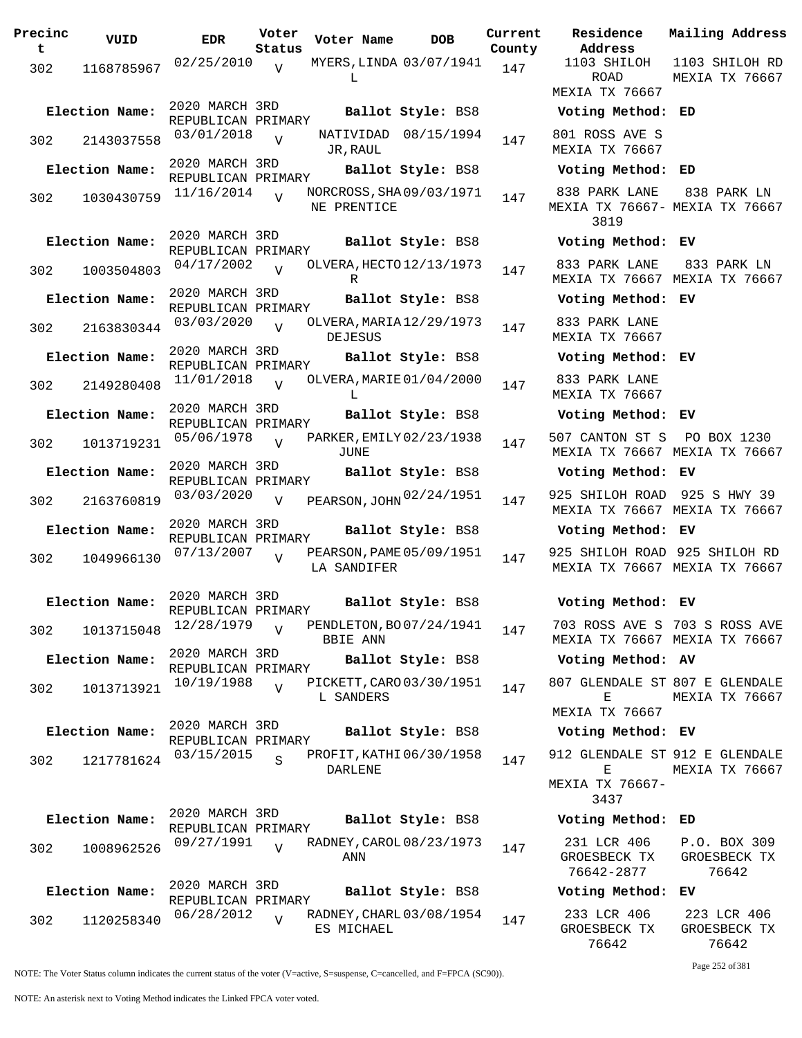| Precinc<br>t | VUID           | <b>EDR</b>                           | Voter<br>Status | Voter Name                                 | <b>DOB</b>           | Current<br>County | Residence<br>Address                         | Mai.                 |
|--------------|----------------|--------------------------------------|-----------------|--------------------------------------------|----------------------|-------------------|----------------------------------------------|----------------------|
| 302          | 1168785967     | 02/25/2010                           | $\overline{V}$  | MYERS, LINDA 03/07/1941<br>L               |                      | 147               | 1103 SHILOH<br><b>ROAD</b>                   | 110<br>MEX           |
|              |                |                                      |                 |                                            |                      |                   | MEXIA TX 76667                               |                      |
|              | Election Name: | 2020 MARCH 3RD<br>REPUBLICAN PRIMARY |                 |                                            | Ballot Style: BS8    |                   | Voting Method: ED                            |                      |
| 302          | 2143037558     | 03/01/2018                           | $\overline{U}$  | JR, RAUL                                   | NATIVIDAD 08/15/1994 | 147               | 801 ROSS AVE S<br>MEXIA TX 76667             |                      |
|              | Election Name: | 2020 MARCH 3RD<br>REPUBLICAN PRIMARY |                 |                                            | Ballot Style: BS8    |                   | Voting Method: ED                            |                      |
| 302          | 1030430759     | 11/16/2014                           | $\overline{U}$  | NORCROSS, SHA09/03/1971<br>NE PRENTICE     |                      | 147               | 838 PARK LANE<br>MEXIA TX 76667- MEX<br>3819 | 8 <sup>1</sup>       |
|              | Election Name: | 2020 MARCH 3RD<br>REPUBLICAN PRIMARY |                 |                                            | Ballot Style: BS8    |                   | Voting Method: EV                            |                      |
| 302          | 1003504803     | 04/17/2002                           | $\overline{U}$  | OLVERA, HECTO 12/13/1973<br>R              |                      | 147               | 833 PARK LANE<br>MEXIA TX 76667 MEX          | 8 <sup>1</sup>       |
|              | Election Name: | 2020 MARCH 3RD<br>REPUBLICAN PRIMARY |                 |                                            | Ballot Style: BS8    |                   | Voting Method: EV                            |                      |
| 302          | 2163830344     | 03/03/2020                           | $\overline{U}$  | OLVERA, MARIA 12/29/1973<br><b>DEJESUS</b> |                      | 147               | 833 PARK LANE<br>MEXIA TX 76667              |                      |
|              | Election Name: | 2020 MARCH 3RD<br>REPUBLICAN PRIMARY |                 |                                            | Ballot Style: BS8    |                   | Voting Method: EV                            |                      |
| 302          | 2149280408     | 11/01/2018                           |                 | OLVERA, MARIE 01/04/2000<br>L              |                      | 147               | 833 PARK LANE<br>MEXIA TX 76667              |                      |
|              | Election Name: | 2020 MARCH 3RD<br>REPUBLICAN PRIMARY |                 |                                            | Ballot Style: BS8    |                   | Voting Method: EV                            |                      |
| 302          | 1013719231     | 05/06/1978                           | $\overline{U}$  | PARKER, EMILY 02/23/1938<br>JUNE           |                      | 147               | 507 CANTON ST S<br>MEXIA TX 76667 MEX        | P(                   |
|              | Election Name: | 2020 MARCH 3RD<br>REPUBLICAN PRIMARY |                 |                                            | Ballot Style: BS8    |                   | Voting Method: EV                            |                      |
| 302          | 2163760819     | 03/03/2020                           | $\overline{V}$  | PEARSON, JOHN 02/24/1951                   |                      | 147               | 925 SHILOH ROAD<br>MEXIA TX 76667 MEX        | 92                   |
|              | Election Name: | 2020 MARCH 3RD<br>REPUBLICAN PRIMARY |                 |                                            | Ballot Style: BS8    |                   | Voting Method: EV                            |                      |
| 302          | 1049966130     | 07/13/2007                           |                 | PEARSON, PAME 05/09/1951<br>LA SANDIFER    |                      | 147               | 925 SHILOH ROAD 92<br>MEXIA TX 76667 MEX     |                      |
|              | Election Name: | 2020 MARCH 3RD                       |                 |                                            | Ballot Style: BS8    |                   | Voting Method: EV                            |                      |
| 302          | 1013715048     | REPUBLICAN PRIMARY<br>12/28/1979     | $\overline{V}$  | PENDLETON, BO07/24/1941<br><b>BBIE ANN</b> |                      | 147               | 703 ROSS AVE S 703<br>MEXIA TX 76667 MEX     |                      |
|              | Election Name: | 2020 MARCH 3RD                       |                 |                                            | Ballot Style: BS8    |                   | Voting Method: AV                            |                      |
| 302          | 1013713921     | REPUBLICAN PRIMARY<br>10/19/1988     | $\overline{V}$  | PICKETT, CARO 03/30/1951<br>L SANDERS      |                      | 147               | 807 GLENDALE ST 807<br>Е                     | MEX                  |
|              |                | 2020 MARCH 3RD                       |                 |                                            |                      |                   | MEXIA TX 76667                               |                      |
|              | Election Name: | REPUBLICAN PRIMARY                   |                 |                                            | Ballot Style: BS8    |                   | Voting Method: EV                            |                      |
| 302          | 1217781624     | 03/15/2015                           | $\mathbf{s}$    | PROFIT, KATHI 06/30/1958<br>DARLENE        |                      | 147               | 912 GLENDALE ST 912<br>Е<br>MEXIA TX 76667-  | MEX                  |
|              | Election Name: | 2020 MARCH 3RD<br>REPUBLICAN PRIMARY |                 |                                            | Ballot Style: BS8    |                   | 3437<br>Voting Method: ED                    |                      |
| 302          | 1008962526     | 09/27/1991                           | $\overline{U}$  | RADNEY, CAROL 08/23/1973<br>ANN            |                      | 147               | 231 LCR 406<br>GROESBECK TX<br>76642-2877    | $P$ .<br>GR          |
|              | Election Name: | 2020 MARCH 3RD<br>REPUBLICAN PRIMARY |                 |                                            | Ballot Style: BS8    |                   | Voting Method: EV                            |                      |
| 302          | 1120258340     | 06/28/2012                           | $\overline{U}$  | RADNEY, CHARL 03/08/1954<br>ES MICHAEL     |                      | 147               | 233 LCR 406<br>GROESBECK TX                  | $\overline{2}$<br>GR |

**rent Residence Address Current Mailing Address County** 1103 SHILOH ROAD MEXIA TX 76667 1103 SHILOH RD MEXIA TX 76667 **Election Name: Ballot Style:** BS8 **Voting Method: ED** 801 ROSS AVE S MEXIA TX 76667 **Election Name: Ballot Style:** BS8 **Voting Method: ED** 838 PARK LANE MEXIA TX 76667- MEXIA TX 76667 3819 838 PARK LN **Election Name: Ballot Style:** BS8 **Voting Method: EV** 833 PARK LANE MEXIA TX 76667 MEXIA TX 76667 833 PARK LN **Election Name: Ballot Style:** BS8 **Voting Method: EV** 833 PARK LANE MEXIA TX 76667 **Election Name: Ballot Style:** BS8 **Voting Method: EV** 833 PARK LANE MEXIA TX 76667 **Election Name: Ballot Style:** BS8 **Voting Method: EV** 507 CANTON ST S PO BOX 1230 MEXIA TX 76667 MEXIA TX 76667 **Election Name: Ballot Style:** BS8 **Voting Method: EV** MEXIA TX 76667 MEXIA TX 76667 925 SHILOH ROAD 925 S HWY 39 **Election Name: Ballot Style:** BS8 **Voting Method: EV** 925 SHILOH ROAD 925 SHILOH RD MEXIA TX 76667 MEXIA TX 76667 **Election Name: Ballot Style:** BS8 **Voting Method: EV** 703 ROSS AVE S 703 S ROSS AVE MEXIA TX 76667 MEXIA TX 76667 **Election Name: Ballot Style:** BS8 **Voting Method: AV** 807 GLENDALE ST 807 E GLENDALE  $\mathbf E$ MEXIA TX 76667 MEXIA TX 76667 **Election Name: Ballot Style:** BS8 **Voting Method: EV** 912 GLENDALE ST 912 E GLENDALE  $E$ MEXIA TX 76667- 3437 MEXIA TX 76667 **Election Name: Ballot Style:** BS8 **Voting Method: ED** 231 LCR 406 P.O. BOX 309

| GROESBECK TX      | GROESBECK TX |  |  |  |  |
|-------------------|--------------|--|--|--|--|
| 76642-2877        | 76642        |  |  |  |  |
| Voting Method: EV |              |  |  |  |  |
| 233 LCR 406       | 223 LCR 406  |  |  |  |  |
| MDARCDRAM TV      | MDARADRAV TV |  |  |  |  |

GROESBECK TX 76642 GROESBECK TX 76642 Page 252 of 381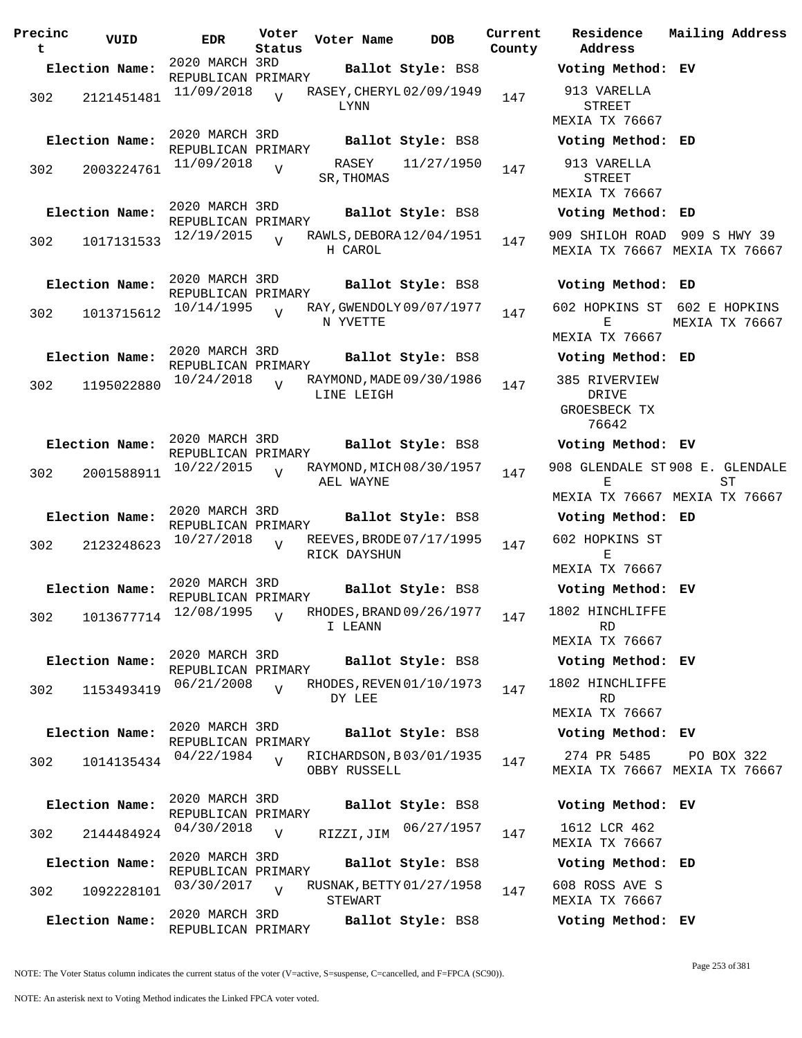**Precinc t VUID EDR Voter Status Voter Name DOB Current Residence County** 2020 MARCH 3RD REPUBLICAN PRIMARY **Election Name: Ballot Style:** BS8 **Voting Method: EV** <sup>302</sup> RASEY,CHERYL 11/09/2018 <sup>2121451481</sup> <sup>147</sup> 02/09/1949 LYNN  $\overline{V}$ 2020 MARCH 3RD REPUBLICAN PRIMARY **Election Name: Ballot Style:** BS8 **Voting Method: ED** 302 2003224761  $\frac{11}{09/2018}$  V RASEY SR, THOMAS  $\overline{V}$  $11/27/1950$  147 2020 MARCH 3RD REPUBLICAN PRIMARY **Election Name: Ballot Style:** BS8 **Voting Method: ED** 302 1017131533 12/19/2015 H CAROL  $\overline{V}$ RAWLS, DEBORA 12/04/1951 147 2020 MARCH 3RD REPUBLICAN PRIMARY<br>10/14/1995 ... **Election Name: Ballot Style:** BS8 **Voting Method: ED** <sup>302</sup> RAY,GWENDOLY 10/14/1995 <sup>1013715612</sup> <sup>147</sup> 09/07/1977 N YVETTE  $\overline{v}$ 2020 MARCH 3RD REPUBLICAN PRIMARY **Election Name: Ballot Style:** BS8 **Voting Method: ED** 302 1195022880  $10/24/2018$  RAYMOND, MADE 09/30/1986 147 LINE LEIGH  $\overline{V}$ 2020 MARCH 3RD REPUBLICAN PRIMARY **Election Name: Ballot Style:** BS8 **Voting Method: EV** 302 2001588911  $10/22/2015$  RAYMOND, MICH 08/30/1957 147 AEL WAYNE  $\overline{v}$ 2020 MARCH 3RD REPUBLICAN PRIMARY **Election Name: Ballot Style:** BS8 **Voting Method: ED** <sup>302</sup> REEVES,BRODE 10/27/2018 <sup>2123248623</sup> <sup>147</sup> 07/17/1995 RICK DAYSHUN  $\overline{v}$ 2020 MARCH 3RD REPUBLICAN PRIMARY **Election Name: Ballot Style:** BS8 **Voting Method: EV** 302 1013677714 <sup>12/08/1995</sup> V RHODES, BRAND 09/26/1977 147 I LEANN  $\overline{v}$ 2020 MARCH 3RD REPUBLICAN PRIMARY **Election Name: Ballot Style:** BS8 **Voting Method: EV** 302 1153493419 06/21/2008 DY LEE  $\overline{V}$ RHODES, REVEN 01/10/1973 147 2020 MARCH 3RD REPUBLICAN PRIMARY<br>04/22/1984 T **Election Name: Ballot Style:** BS8 **Voting Method: EV** 302 1014135434 <sup>04/22/1984</sup> V RICHARDSON, B03/01/1935 147 OBBY RUSSELL V 2020 MARCH 3RD REPUBLICAN PRIMARY **Election Name: Ballot Style:** BS8 **Voting Method: EV** 302 2144484924 <sup>04/30/2018</sup> v RIZZI,JIM <sup>06/27/1957</sup> 147 1612 LCR 462  $V$ 2020 MARCH 3RD REPUBLICAN PRIMARY **Election Name: Ballot Style:** BS8 **Voting Method: ED** 302 1092228101 03/30/2017 V RUSNAK, BETTY 01/27/1958 147 STEWART  $\overline{v}$ 2020 MARCH 3RD REPUBLICAN PRIMARY **Election Name: Ballot Style:** BS8 **Voting Method: EV**

**Address Current Mailing Address** 913 VARELLA STREET MEXIA TX 76667 913 VARELLA STREET MEXIA TX 76667 909 SHILOH ROAD 909 S HWY 39 MEXIA TX 76667 MEXIA TX 76667 602 HOPKINS ST 602 E HOPKINS  $E$ MEXIA TX 76667 MEXIA TX 76667 385 RIVERVIEW DRIVE GROESBECK TX 76642 908 GLENDALE ST 908 E. GLENDALE E MEXIA TX 76667 MEXIA TX 76667  $ST$ 602 HOPKINS ST E MEXIA TX 76667 1802 HINCHLIFFE RD MEXIA TX 76667 1802 HINCHLIFFE RD MEXIA TX 76667 274 PR 5485 MEXIA TX 76667 MEXIA TX 76667 PO BOX 322 MEXIA TX 76667 608 ROSS AVE S MEXIA TX 76667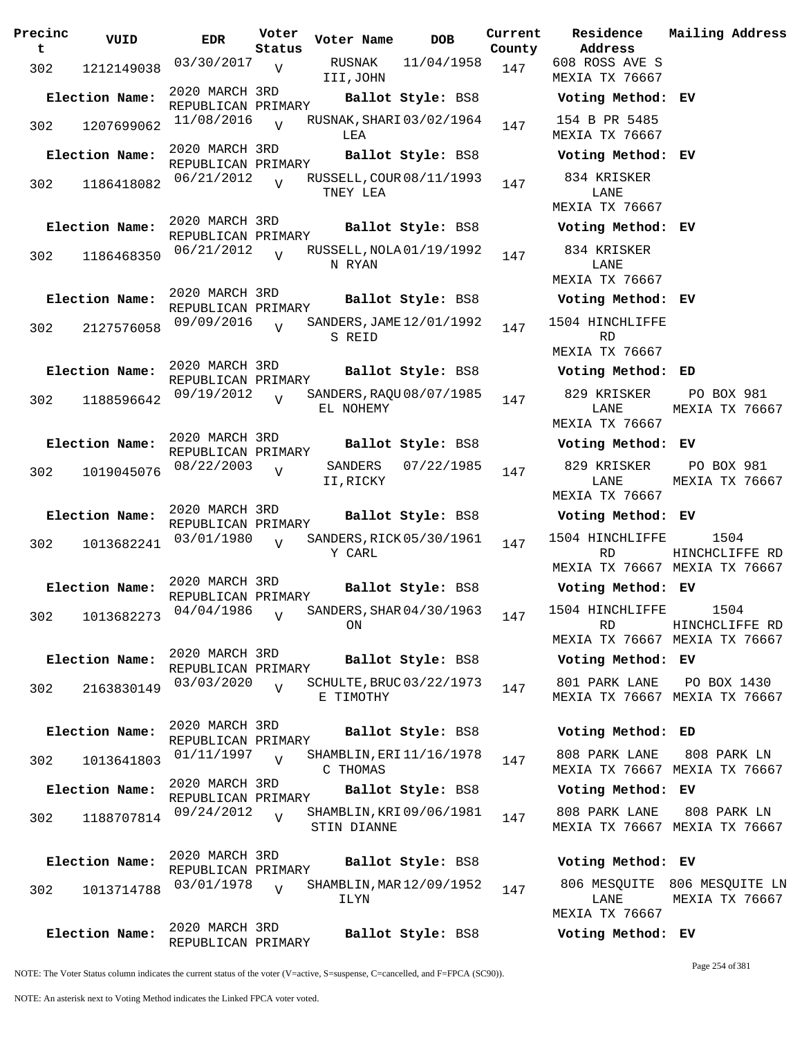| Precinc<br>t | VUID                                   | <b>EDR</b>                           | Voter<br>Status | Voter Name  |         | <b>DOB</b>               | Current<br>County |
|--------------|----------------------------------------|--------------------------------------|-----------------|-------------|---------|--------------------------|-------------------|
| 302          | 1212149038                             | 03/30/2017                           | $\overline{V}$  | III, JOHN   | RUSNAK  | 11/04/1958               | 147               |
|              | Election Name:                         | 2020 MARCH 3RD<br>REPUBLICAN PRIMARY |                 |             |         | Ballot Style: BS8        |                   |
| 302          | 1207699062                             | 11/08/2016                           | $\overline{U}$  | LEA         |         | RUSNAK, SHARI 03/02/1964 | 147               |
|              | Election Name:                         | 2020 MARCH 3RD<br>REPUBLICAN PRIMARY |                 |             |         | Ballot Style: BS8        |                   |
| 302          | 1186418082                             | 06/21/2012                           | $\overline{V}$  | TNEY LEA    |         | RUSSELL, COUR 08/11/1993 | 147               |
|              | Election Name:                         | 2020 MARCH 3RD<br>REPUBLICAN PRIMARY |                 |             |         | Ballot Style: BS8        |                   |
| 302          | 1186468350                             | 06/21/2012                           | $\overline{U}$  | N RYAN      |         | RUSSELL, NOLA 01/19/1992 | 147               |
|              | Election Name:                         | 2020 MARCH 3RD<br>REPUBLICAN PRIMARY |                 |             |         | Ballot Style: BS8        |                   |
| 302          | 2127576058                             | 09/09/2016                           | $\overline{U}$  | S REID      |         | SANDERS, JAME 12/01/1992 | 147               |
|              | Election Name:                         | 2020 MARCH 3RD<br>REPUBLICAN PRIMARY |                 |             |         | Ballot Style: BS8        |                   |
| 302          | 1188596642                             | 09/19/2012                           | $\overline{V}$  | EL NOHEMY   |         | SANDERS, RAQU 08/07/1985 | 147               |
|              | Election Name:                         | 2020 MARCH 3RD<br>REPUBLICAN PRIMARY |                 |             |         | Ballot Style: BS8        |                   |
| 302          | 1019045076                             | 08/22/2003                           | V               | II, RICKY   | SANDERS | 07/22/1985               | 147               |
|              | Election Name:                         | 2020 MARCH 3RD<br>REPUBLICAN PRIMARY |                 |             |         | Ballot Style: BS8        |                   |
| 302          | 1013682241                             | 03/01/1980                           | $\overline{V}$  | Y CARL      |         | SANDERS, RICK 05/30/1961 | 147               |
|              | Election Name:                         | 2020 MARCH 3RD<br>REPUBLICAN PRIMARY |                 |             |         | Ballot Style: BS8        |                   |
|              | 302 1013682273 04/04/1986 <sub>V</sub> |                                      |                 | ΟN          |         | SANDERS, SHAR 04/30/1963 | 147               |
|              | Election Name:                         | 2020 MARCH 3RD<br>REPUBLICAN PRIMARY |                 |             |         | Ballot Style: BS8        |                   |
| 302          | 2163830149                             | 03/03/2020                           | $\overline{U}$  | E TIMOTHY   |         | SCHULTE, BRUC 03/22/1973 | 147               |
|              | Election Name:                         | 2020 MARCH 3RD<br>REPUBLICAN PRIMARY |                 |             |         | Ballot Style: BS8        |                   |
| 302          | 1013641803                             | 01/11/1997                           | $\overline{V}$  | C THOMAS    |         | SHAMBLIN, ERI 11/16/1978 | 147               |
|              | Election Name:                         | 2020 MARCH 3RD<br>REPUBLICAN PRIMARY |                 |             |         | Ballot Style: BS8        |                   |
| 302          | 1188707814                             | 09/24/2012                           | $\overline{V}$  | STIN DIANNE |         | SHAMBLIN, KRI 09/06/1981 | 147               |
|              | Election Name:                         | 2020 MARCH 3RD<br>REPUBLICAN PRIMARY |                 |             |         | Ballot Style: BS8        |                   |
| 302          | 1013714788                             | 03/01/1978                           | $\overline{U}$  | ILYN        |         | SHAMBLIN, MAR 12/09/1952 | 147               |
|              | Election Name:                         | 2020 MARCH 3RD<br>REPUBLICAN PRIMARY |                 |             |         | Ballot Style: BS8        |                   |

**Voter Name DOB Residence Address Current Mailing Address** 608 ROSS AVE S MEXIA TX 76667 **Election Name: Ballot Style:** BS8 **Voting Method: EV** 154 B PR 5485 MEXIA TX 76667 **Election Name: Ballot Style:** BS8 **Voting Method: EV** 834 KRISKER LANE MEXIA TX 76667 **Election Name: Ballot Style:** BS8 **Voting Method: EV** 834 KRISKER LANE MEXIA TX 76667 **Election Name: Ballot Style:** BS8 **Voting Method: EV** 1504 HINCHLIFFE R<sub>D</sub> MEXIA TX 76667 **Election Name: Ballot Style:** BS8 **Voting Method: ED** 829 KRISKER LANE MEXIA TX 76667 PO BOX 981 MEXIA TX 76667 **Election Name: Ballot Style:** BS8 **Voting Method: EV** 829 KRISKER LANE MEXIA TX 76667 PO BOX 981 MEXIA TX 76667 **Election Name: Ballot Style:** BS8 **Voting Method: EV** 1504 HINCHLIFFE RD MEXIA TX 76667 MEXIA TX 76667 1504 HINCHCLIFFE RD **Election Name: Ballot Style:** BS8 **Voting Method: EV** 1504 HINCHLIFFE RD MEXIA TX 76667 MEXIA TX 76667 1504 HINCHCLIFFE RD **Election Name: Ballot Style:** BS8 **Voting Method: EV** 801 PARK LANE MEXIA TX 76667 MEXIA TX 76667 PO BOX 1430 **Election Name: Ballot Style:** BS8 **Voting Method: ED** 808 PARK LANE MEXIA TX 76667 MEXIA TX 76667 808 PARK LN **Election Name: Ballot Style:** BS8 **Voting Method: EV** 808 PARK LANE MEXIA TX 76667 MEXIA TX 76667 808 PARK LN **Election Name: Ballot Style:** BS8 **Voting Method: EV**

806 MESQUITE 806 MESQUITE LN LANE MEXIA TX 76667 MEXIA TX 76667

Page 254 of 381

**Election Name: Ballot Style:** BS8 **Voting Method: EV**

NOTE: The Voter Status column indicates the current status of the voter (V=active, S=suspense, C=cancelled, and F=FPCA (SC90)).

NOTE: An asterisk next to Voting Method indicates the Linked FPCA voter voted.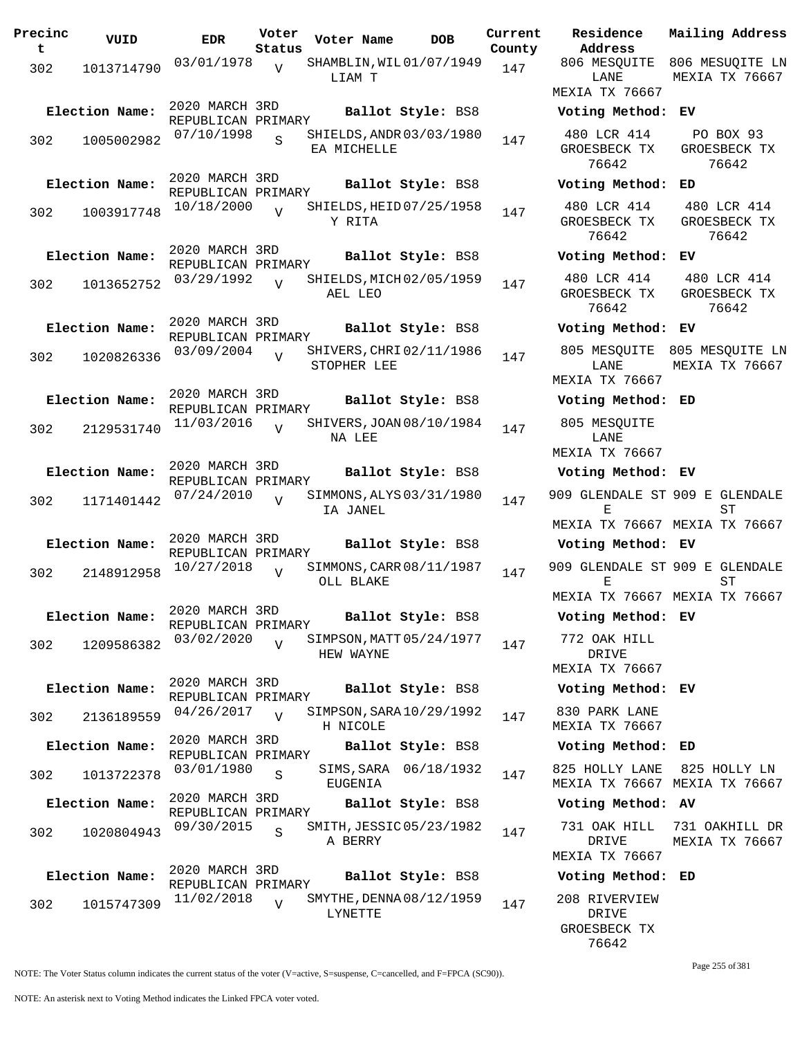| Precinc<br>VUID<br>t. | <b>EDR</b>                           | Voter<br>Status | Voter Name                                   | DOB                   | Current<br>County |
|-----------------------|--------------------------------------|-----------------|----------------------------------------------|-----------------------|-------------------|
| 302<br>1013714790     | 03/01/1978                           | V               | SHAMBLIN, WIL01/07/1949<br>LIAM T            |                       | 147               |
| Election Name:        | 2020 MARCH 3RD<br>REPUBLICAN PRIMARY |                 |                                              | Ballot Style: BS8     |                   |
| 302<br>1005002982     | 07/10/1998                           | S               | SHIELDS, ANDR 03/03/1980<br>EA MICHELLE      |                       | 147               |
| Election Name:        | 2020 MARCH 3RD                       |                 |                                              | Ballot Style: BS8     |                   |
| 302<br>1003917748     | REPUBLICAN PRIMARY<br>10/18/2000     | $\overline{V}$  | SHIELDS, HEID 07/25/1958<br>Y RITA           |                       | 147               |
| Election Name:        | 2020 MARCH 3RD<br>REPUBLICAN PRIMARY |                 |                                              | Ballot Style: BS8     |                   |
| 1013652752<br>302     | 03/29/1992                           | V               | SHIELDS, MICH 02/05/1959<br>AEL LEO          |                       | 147               |
| Election Name:        | 2020 MARCH 3RD<br>REPUBLICAN PRIMARY |                 |                                              | Ballot Style: BS8     |                   |
| 302<br>1020826336     | 03/09/2004                           | $\overline{V}$  | SHIVERS, CHRI 02/11/1986<br>STOPHER LEE      |                       | 147               |
| Election Name:        | 2020 MARCH 3RD<br>REPUBLICAN PRIMARY |                 |                                              | Ballot Style: BS8     |                   |
| 302<br>2129531740     | 11/03/2016                           | $\overline{V}$  | SHIVERS, JOAN 08/10/1984<br>NA LEE           |                       | 147               |
| Election Name:        | 2020 MARCH 3RD<br>REPUBLICAN PRIMARY |                 |                                              | Ballot Style: BS8     |                   |
| 302<br>1171401442     | 07/24/2010                           | ٦T              | SIMMONS, ALYS 03/31/1980<br>IA JANEL         |                       | 147               |
| Election Name:        | 2020 MARCH 3RD<br>REPUBLICAN PRIMARY |                 |                                              | Ballot Style: BS8     |                   |
| 302<br>2148912958     | 10/27/2018                           | $\overline{V}$  | SIMMONS, CARR 08/11/1987<br>OLL BLAKE        |                       | 147               |
| Election Name:        | 2020 MARCH 3RD<br>REPUBLICAN PRIMARY |                 |                                              | Ballot Style: BS8     |                   |
| 302<br>1209586382     | 03/02/2020                           | $\overline{V}$  | SIMPSON, MATT 05/24/1977<br><b>HEW WAYNE</b> |                       | 147               |
| Election Name:        | 2020 MARCH 3RD<br>REPUBLICAN PRIMARY |                 |                                              | Ballot Style: BS8     |                   |
| 302<br>2136189559     | 04/26/2017                           | V               | SIMPSON, SARA 10/29/1992<br>H NICOLE         |                       | 147               |
| Election Name:        | 2020 MARCH 3RD<br>REPUBLICAN PRIMARY |                 |                                              | Ballot Style: BS8     |                   |
| 302<br>1013722378     | 03/01/1980                           | S               | <b>EUGENIA</b>                               | SIMS, SARA 06/18/1932 | 147               |
| Election Name:        | 2020 MARCH 3RD<br>REPUBLICAN PRIMARY |                 |                                              | Ballot Style: BS8     |                   |
| 302<br>1020804943     | 09/30/2015                           | S               | SMITH, JESSIC 05/23/1982<br>A BERRY          |                       | 147               |
| Election Name:        | 2020 MARCH 3RD                       |                 |                                              | Ballot Style: BS8     |                   |
| 302<br>1015747309     | REPUBLICAN PRIMARY<br>11/02/2018     | $\overline{V}$  | SMYTHE, DENNA 08/12/1959<br>LYNETTE          |                       | 147               |

**Voter Name DOB Residence Address Current Mailing Address** 806 MESQUITE 806 MESUQITE LN LANE MEXIA TX 76667 MEXIA TX 76667 **Election Name: Ballot Style:** BS8 **Voting Method: EV** 480 LCR 414 GROESBECK TX 76642 PO BOX 93 GROESBECK TX 76642 **Election Name: Ballot Style:** BS8 **Voting Method: ED** 480 LCR 414 GROESBECK TX 76642 480 LCR 414 GROESBECK TX 76642 **Election Name: Ballot Style:** BS8 **Voting Method: EV** 480 LCR 414 GROESBECK TX 76642 480 LCR 414 GROESBECK TX 76642 **Election Name: Ballot Style:** BS8 **Voting Method: EV** 805 MESQUITE 805 MESQUITE LN LANE MEXIA TX 76667 MEXIA TX 76667 **Election Name: Ballot Style:** BS8 **Voting Method: ED** 805 MESQUITE LANE MEXIA TX 76667 **Election Name: Ballot Style:** BS8 **Voting Method: EV** 909 GLENDALE ST 909 E GLENDALE  $E$ MEXIA TX 76667 MEXIA TX 76667  $ST$ **Election Name: Ballot Style:** BS8 **Voting Method: EV** 909 GLENDALE ST 909 E GLENDALE E MEXIA TX 76667 MEXIA TX 76667 ST **Election Name: Ballot Style:** BS8 **Voting Method: EV** 772 OAK HILL DRIVE MEXIA TX 76667 **Election Name: Ballot Style:** BS8 **Voting Method: EV** 830 PARK LANE MEXIA TX 76667 **Election Name: Ballot Style:** BS8 **Voting Method: ED** 825 HOLLY LANE 825 HOLLY LN MEXIA TX 76667 MEXIA TX 76667 **Election Name: Ballot Style:** BS8 **Voting Method: AV** 731 OAK HILL DRIVE MEXIA TX 76667 731 OAKHILL DR MEXIA TX 76667 **Election Name: Ballot Style:** BS8 **Voting Method: ED** 208 RIVERVIEW DRIVE

NOTE: The Voter Status column indicates the current status of the voter (V=active, S=suspense, C=cancelled, and F=FPCA (SC90)).

GROESBECK TX 76642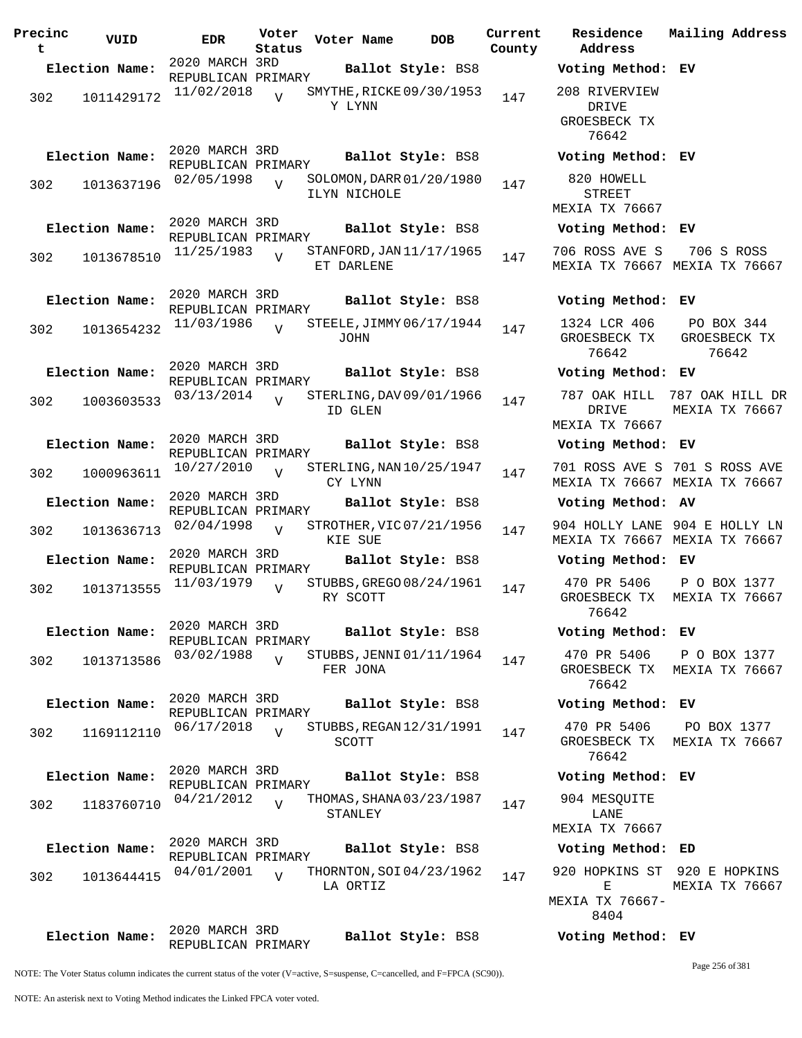| Precinc<br>t | VUID           | <b>EDR</b>                           | Voter<br>Status | Voter Name                               | <b>DOB</b>        | Current<br>County | Residence<br>Address                          |
|--------------|----------------|--------------------------------------|-----------------|------------------------------------------|-------------------|-------------------|-----------------------------------------------|
|              | Election Name: | 2020 MARCH 3RD<br>REPUBLICAN PRIMARY |                 |                                          | Ballot Style: BS8 |                   | Voting Metho                                  |
| 302          | 1011429172     | 11/02/2018                           | $\overline{V}$  | SMYTHE, RICKE 09/30/1953<br>Y LYNN       |                   | 147               | 208 RIVERVIE<br>DRIVE<br>GROESBECK T<br>76642 |
|              | Election Name: | 2020 MARCH 3RD                       |                 |                                          | Ballot Style: BS8 |                   | Voting Metho                                  |
| 302          | 1013637196     | REPUBLICAN PRIMARY<br>02/05/1998     | $\overline{V}$  | SOLOMON, DARR 01/20/1980<br>ILYN NICHOLE |                   | 147               | 820 HOWELL<br>STREET<br>MEXIA TX 766          |
|              | Election Name: | 2020 MARCH 3RD<br>REPUBLICAN PRIMARY |                 |                                          | Ballot Style: BS8 |                   | Voting Metho                                  |
| 302          | 1013678510     | 11/25/1983                           | $\overline{V}$  | STANFORD, JAN 11/17/1965<br>ET DARLENE   |                   | 147               | 706 ROSS AVE<br>MEXIA TX 766                  |
|              | Election Name: | 2020 MARCH 3RD<br>REPUBLICAN PRIMARY |                 |                                          | Ballot Style: BS8 |                   | Voting Metho                                  |
| 302          | 1013654232     | 11/03/1986                           | $\overline{U}$  | STEELE, JIMMY 06/17/1944<br>JOHN         |                   | 147               | 1324 LCR 40<br>GROESBECK T<br>76642           |
|              | Election Name: | 2020 MARCH 3RD<br>REPUBLICAN PRIMARY |                 |                                          | Ballot Style: BS8 |                   | Voting Metho                                  |
| 302          | 1003603533     | 03/13/2014                           | $\overline{U}$  | STERLING, DAV 09/01/1966<br>ID GLEN      |                   | 147               | 787 OAK HIL<br>DRIVE<br>MEXIA TX 766          |
|              | Election Name: | 2020 MARCH 3RD                       |                 |                                          | Ballot Style: BS8 |                   | Voting Metho                                  |
| 302          | 1000963611     | REPUBLICAN PRIMARY<br>10/27/2010     | $\overline{V}$  | STERLING, NAN 10/25/1947<br>CY LYNN      |                   | 147               | 701 ROSS AVE<br>MEXIA TX 766                  |
|              | Election Name: | 2020 MARCH 3RD                       |                 |                                          | Ballot Style: BS8 |                   | Voting Metho                                  |
| 302          | 1013636713     | REPUBLICAN PRIMARY<br>02/04/1998     | $\overline{U}$  | STROTHER, VIC 07/21/1956<br>KIE SUE      |                   | 147               | 904 HOLLY LA<br>MEXIA TX 766                  |
|              | Election Name: | 2020 MARCH 3RD                       |                 |                                          | Ballot Style: BS8 |                   | Voting Metho                                  |
| 302          | 1013713555     | REPUBLICAN PRIMARY<br>11/03/1979     | $\overline{V}$  | STUBBS, GREGO 08/24/1961<br>RY SCOTT     |                   | 147               | 470 PR 5406<br>GROESBECK T<br>76642           |
|              | Election Name: | 2020 MARCH 3RD<br>REPUBLICAN PRIMARY |                 |                                          | Ballot Style: BS8 |                   | Voting Metho                                  |
| 302          | 1013713586     | 03/02/1988                           | $\overline{V}$  | STUBBS, JENNI 01/11/1964<br>FER JONA     |                   | 147               | 470 PR 5406<br>GROESBECK T<br>76642           |
|              | Election Name: | 2020 MARCH 3RD<br>REPUBLICAN PRIMARY |                 |                                          | Ballot Style: BS8 |                   | Voting Metho                                  |
| 302          | 1169112110     | 06/17/2018                           | $\overline{V}$  | STUBBS, REGAN 12/31/1991<br>SCOTT        |                   | 147               | 470 PR 5406<br>GROESBECK T<br>76642           |
|              | Election Name: | 2020 MARCH 3RD                       |                 |                                          | Ballot Style: BS8 |                   | Voting Metho                                  |
| 302          | 1183760710     | REPUBLICAN PRIMARY<br>04/21/2012     | $\overline{U}$  | THOMAS, SHANA 03/23/1987<br>STANLEY      |                   | 147               | 904 MESQUIT<br>LANE                           |
|              |                | 2020 MARCH 3RD                       |                 |                                          |                   |                   | MEXIA TX 766                                  |
|              | Election Name: | REPUBLICAN PRIMARY                   |                 |                                          | Ballot Style: BS8 |                   | Voting Metho                                  |
| 302          | 1013644415     | 04/01/2001                           | $\overline{U}$  | THORNTON, SOI 04/23/1962<br>LA ORTIZ     |                   | 147               | 920 HOPKINS<br>Е<br>MEXIA TX 7666<br>8404     |
|              | Election Name: | 2020 MARCH 3RD<br>REPUBLICAN PRIMARY |                 |                                          | Ballot Style: BS8 |                   | Voting Metho                                  |

**Election Name: Ballot Style:** BS8 **Voting Method: EV** 208 RIVERVIEW DRIVE GROESBECK TX 76642 **Election Name: Ballot Style:** BS8 **Voting Method: EV** 820 HOWELL STREET MEXIA TX 76667 **Election Name: Ballot Style:** BS8 **Voting Method: EV** 706 ROSS AVE S MEXIA TX 76667 MEXIA TX 76667 706 S ROSS **Election Name: Ballot Style:** BS8 **Voting Method: EV** 1324 LCR 406 GROESBECK TX 76642 PO BOX 344 GROESBECK TX 76642 **Election Name: Ballot Style:** BS8 **Voting Method: EV** 787 OAK HILL 787 OAK HILL DR DRIVE MEXIA TX 76667 MEXIA TX 76667 **Election Name: Ballot Style:** BS8 **Voting Method: EV** 701 ROSS AVE S 701 S ROSS AVE MEXIA TX 76667 MEXIA TX 76667 **Election Name: Ballot Style:** BS8 **Voting Method: AV** 904 HOLLY LANE 904 E HOLLY LN MEXIA TX 76667 MEXIA TX 76667 **Election Name: Ballot Style:** BS8 **Voting Method: EV** 470 PR 5406 GROESBECK TX MEXIA TX 76667 76642 P O BOX 1377 **Election Name: Ballot Style:** BS8 **Voting Method: EV** 470 PR 5406 GROESBECK TX MEXIA TX 76667 76642 P O BOX 1377 **Election Name: Ballot Style:** BS8 **Voting Method: EV** 470 PR 5406 GROESBECK TX MEXIA TX 76667 76642 PO BOX 1377 **Election Name: Ballot Style:** BS8 **Voting Method: EV** 904 MESQUITE LANE MEXIA TX 76667 **Election Name: Ballot Style:** BS8 **Voting Method: ED** 920 HOPKINS ST 920 E HOPKINS E MEXIA TX 76667- 8404 MEXIA TX 76667 **Election Name: Ballot Style:** BS8 **Voting Method: EV**

**Current Mailing Address**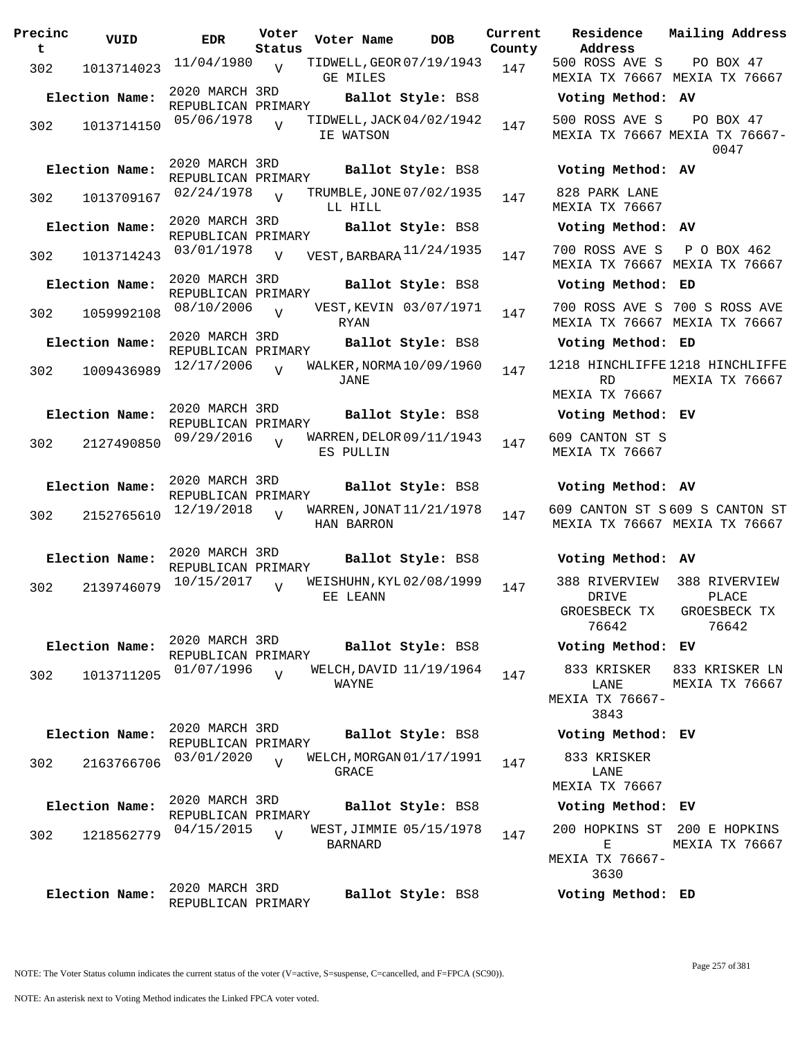| Precinc<br>t | VUID           | EDR                                  | Voter<br>Status | Voter Name      | <b>DOB</b>               | Curre<br>Count |
|--------------|----------------|--------------------------------------|-----------------|-----------------|--------------------------|----------------|
|              |                | 11/04/1980                           |                 |                 | TIDWELL, GEOR 07/19/1943 |                |
| 302          | 1013714023     |                                      | $\overline{V}$  | <b>GE MILES</b> |                          | 147            |
|              | Election Name: | 2020 MARCH 3RD<br>REPUBLICAN PRIMARY |                 |                 | Ballot Style: BS8        |                |
| 302          | 1013714150     | 05/06/1978                           | $\overline{V}$  | IE WATSON       | TIDWELL, JACK 04/02/1942 | 147            |
|              | Election Name: | 2020 MARCH 3RD<br>REPUBLICAN PRIMARY |                 |                 | Ballot Style: BS8        |                |
| 302          | 1013709167     | 02/24/1978                           | $\overline{V}$  | LL HILL         | TRUMBLE, JONE 07/02/1935 | 147            |
|              | Election Name: | 2020 MARCH 3RD<br>REPUBLICAN PRIMARY |                 |                 | Ballot Style: BS8        |                |
| 302          | 1013714243     | 03/01/1978                           | $\overline{V}$  |                 | VEST, BARBARA 11/24/1935 | 147            |
|              | Election Name: | 2020 MARCH 3RD<br>REPUBLICAN PRIMARY |                 |                 | Ballot Style: BS8        |                |
| 302          | 1059992108     | 08/10/2006                           | $\overline{V}$  | RYAN            | VEST, KEVIN 03/07/1971   | 147            |
|              | Election Name: | 2020 MARCH 3RD                       |                 |                 |                          |                |
|              |                | REPUBLICAN PRIMARY                   |                 |                 | Ballot Style: BS8        |                |
| 302          | 1009436989     | 12/17/2006                           | $\overline{V}$  | <b>JANE</b>     | WALKER, NORMA 10/09/1960 | 147            |
|              | Election Name: | 2020 MARCH 3RD<br>REPUBLICAN PRIMARY |                 |                 | Ballot Style: BS8        |                |
| 302          | 2127490850     | 09/29/2016                           | $\overline{V}$  | ES PULLIN       | WARREN, DELOR 09/11/1943 | 147            |
|              | Election Name: | 2020 MARCH 3RD<br>REPUBLICAN PRIMARY |                 |                 | Ballot Style: BS8        |                |
| 302          | 2152765610     | 12/19/2018                           | $\overline{U}$  | HAN BARRON      | WARREN, JONAT 11/21/1978 | 147            |
|              | Election Name: | 2020 MARCH 3RD<br>REPUBLICAN PRIMARY |                 |                 | Ballot Style: BS8        |                |
| 302          | 2139746079     | 10/15/2017                           | $\overline{V}$  | EE LEANN        | WEISHUHN, KYL02/08/1999  | 147            |
|              | Election Name: | 2020 MARCH 3RD<br>REPUBLICAN PRIMARY |                 |                 | Ballot Style: BS8        |                |
| 302          | 1013711205     | 01/07/1996                           | $\overline{U}$  | WAYNE           | WELCH, DAVID 11/19/1964  | 147            |
|              | Election Name: | 2020 MARCH 3RD                       |                 |                 | Ballot Style: BS8        |                |
|              |                | REPUBLICAN PRIMARY                   |                 |                 |                          |                |
| 302          | 2163766706     | 03/01/2020                           | $\overline{U}$  | GRACE           | WELCH, MORGAN 01/17/1991 | 147            |
|              | Election Name: | 2020 MARCH 3RD<br>REPUBLICAN PRIMARY |                 |                 | Ballot Style: BS8        |                |
| 302          | 1218562779     | 04/15/2015                           | $\overline{V}$  | <b>BARNARD</b>  | WEST,JIMMIE 05/15/1978   | 147            |
|              | Election Name: | 2020 MARCH 3RD<br>REPUBLICAN PRIMARY |                 |                 | Ballot Style: BS8        |                |

**Voter Name DOB Residence Address Current Mailing Address** nty 500 ROSS AVE S MEXIA TX 76667 MEXIA TX 76667 PO BOX 47 **Election Name: Ballot Style:** BS8 **Voting Method: AV** 500 ROSS AVE S MEXIA TX 76667 MEXIA TX 76667- PO BOX 47 0047 **Election Name: Ballot Style:** BS8 **Voting Method: AV** 828 PARK LANE MEXIA TX 76667 **Election Name: Ballot Style:** BS8 **Voting Method: AV**  $37$  700 ROSS AVE S MEXIA TX 76667 MEXIA TX 76667 P O BOX 462 **Election Name: Ballot Style:** BS8 **Voting Method: ED** 700 ROSS AVE S 700 S ROSS AVE MEXIA TX 76667 MEXIA TX 76667 **Election Name: Ballot Style:** BS8 **Voting Method: ED** 1218 HINCHLIFFE 1218 HINCHLIFFE RD MEXIA TX 76667 MEXIA TX 76667 **Election Name: Ballot Style:** BS8 **Voting Method: EV** 609 CANTON ST S MEXIA TX 76667 **Election Name: Ballot Style:** BS8 **Voting Method: AV** 609 CANTON ST S 609 S CANTON ST MEXIA TX 76667 MEXIA TX 76667 **Election Name: Ballot Style:** BS8 **Voting Method: AV** 388 RIVERVIEW DRIVE GROESBECK TX 76642 388 RIVERVIEW PLACE GROESBECK TX 76642 **Election Name: Ballot Style:** BS8 **Voting Method: EV** 833 KRISKER LANE MEXIA TX 76667- 3843 833 KRISKER LN MEXIA TX 76667 **Election Name: Ballot Style:** BS8 **Voting Method: EV** 833 KRISKER LANE MEXIA TX 76667 **Election Name: Ballot Style:** BS8 **Voting Method: EV** 200 HOPKINS ST 200 E HOPKINS  $E$ MEXIA TX 76667- MEXIA TX 76667

**Election Name: Ballot Style:** BS8 **Voting Method: ED**

3630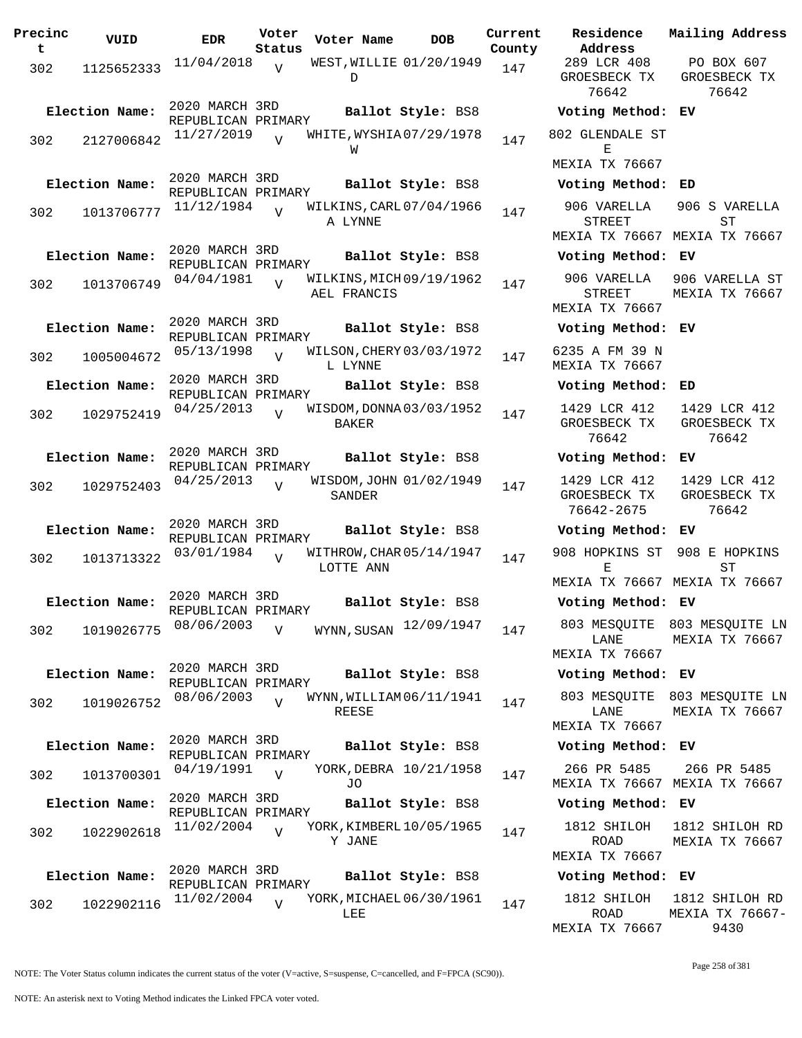| Precinc<br>t | VUID           | <b>EDR</b>                           | Voter<br>Status | Voter Name                              | <b>DOB</b>             | Current<br>County | Residence<br>Address                          |
|--------------|----------------|--------------------------------------|-----------------|-----------------------------------------|------------------------|-------------------|-----------------------------------------------|
| 302          | 1125652333     | 11/04/2018                           | $\overline{U}$  | WEST, WILLIE 01/20/1949<br>D            |                        | 147               | 289 LCR 408<br>GROESBECK TX<br>76642          |
|              | Election Name: | 2020 MARCH 3RD<br>REPUBLICAN PRIMARY |                 |                                         | Ballot Style: BS8      |                   | Voting Metho                                  |
| 302          | 2127006842     | 11/27/2019                           | $\overline{U}$  | WHITE, WYSHIA07/29/1978<br>W            |                        | 147               | 802 GLENDALE S<br>Е<br>MEXIA TX 7666          |
|              | Election Name: | 2020 MARCH 3RD                       |                 |                                         | Ballot Style: BS8      |                   | Voting Metho                                  |
| 302          | 1013706777     | REPUBLICAN PRIMARY<br>11/12/1984     | $\overline{V}$  | WILKINS, CARL 07/04/1966<br>A LYNNE     |                        | 147               | 906 VARELLA<br>STREET<br>MEXIA TX 7666        |
|              | Election Name: | 2020 MARCH 3RD                       |                 |                                         | Ballot Style: BS8      |                   | Voting Metho                                  |
| 302          | 1013706749     | REPUBLICAN PRIMARY<br>04/04/1981     | $\overline{V}$  | WILKINS, MICH 09/19/1962<br>AEL FRANCIS |                        | 147               | 906 VARELLA<br><b>STREET</b><br>MEXIA TX 7666 |
|              | Election Name: | 2020 MARCH 3RD                       |                 |                                         | Ballot Style: BS8      |                   | Voting Metho                                  |
| 302          | 1005004672     | REPUBLICAN PRIMARY<br>05/13/1998     | $\overline{U}$  | WILSON, CHERY 03/03/1972<br>L LYNNE     |                        | 147               | 6235 A FM 39<br>MEXIA TX 7666                 |
|              | Election Name: | 2020 MARCH 3RD                       |                 |                                         | Ballot Style: BS8      |                   | Voting Metho                                  |
| 302          | 1029752419     | REPUBLICAN PRIMARY<br>04/25/2013     | $\overline{V}$  | WISDOM, DONNA 03/03/1952<br>BAKER       |                        | 147               | 1429 LCR 412<br>GROESBECK TX<br>76642         |
|              | Election Name: | 2020 MARCH 3RD                       |                 |                                         | Ballot Style: BS8      |                   | Voting Metho                                  |
| 302          | 1029752403     | REPUBLICAN PRIMARY<br>04/25/2013     | $\overline{U}$  | WISDOM, JOHN 01/02/1949<br>SANDER       |                        | 147               | 1429 LCR 412<br>GROESBECK TX<br>76642-2675    |
|              | Election Name: | 2020 MARCH 3RD                       |                 |                                         | Ballot Style: BS8      |                   | Voting Metho                                  |
| 302          | 1013713322     | REPUBLICAN PRIMARY<br>03/01/1984     | $\overline{V}$  | WITHROW, CHAR 05/14/1947<br>LOTTE ANN   |                        | 147               | 908 HOPKINS S<br>Ε                            |
|              |                | 2020 MARCH 3RD                       |                 |                                         |                        |                   | MEXIA TX 7666                                 |
|              | Election Name: | REPUBLICAN PRIMARY                   |                 |                                         | Ballot Style: BS8      |                   | Voting Metho                                  |
| 302          | 1019026775     | 08/06/2003                           | V               | WYNN, SUSAN                             | 12/09/1947             | 147               | 803 MESQUITE<br>LANE<br>MEXIA TX 7666         |
|              | Election Name: | 2020 MARCH 3RD                       |                 |                                         | Ballot Style: BS8      |                   | Voting Metho                                  |
| 302          | 1019026752     | REPUBLICAN PRIMARY<br>08/06/2003     | $\overline{V}$  | WYNN, WILLIAM 06/11/1941<br>REESE       |                        | 147               | 803 MESQUITE<br>LANE<br>MEXIA TX 7666         |
|              | Election Name: | 2020 MARCH 3RD                       |                 |                                         | Ballot Style: BS8      |                   | Voting Metho                                  |
| 302          | 1013700301     | REPUBLICAN PRIMARY<br>04/19/1991     | $\overline{U}$  | JO                                      | YORK, DEBRA 10/21/1958 | 147               | 266 PR 5485<br>MEXIA TX 7666                  |
|              | Election Name: | 2020 MARCH 3RD<br>REPUBLICAN PRIMARY |                 |                                         | Ballot Style: BS8      |                   | Voting Metho                                  |
| 302          | 1022902618     | 11/02/2004                           | $\overline{U}$  | YORK, KIMBERL 10/05/1965<br>Y JANE      |                        | 147               | 1812 SHILOH<br>ROAD<br>MEXIA TX 7666          |
|              | Election Name: | 2020 MARCH 3RD<br>REPUBLICAN PRIMARY |                 |                                         | Ballot Style: BS8      |                   | Voting Metho                                  |
| 302          | 1022902116     | 11/02/2004                           | $\overline{U}$  | YORK, MICHAEL 06/30/1961<br>LEE         |                        | 147               | 1812 SHILOH<br>ROAD                           |

**Voter Name DOB Residence Address Current Mailing Address** nty 289 LCR 408 GROESBECK TX 76642 PO BOX 607 GROESBECK TX 76642 **Election Name: Ballot Style:** BS8 **Voting Method: EV** 802 GLENDALE ST E MEXIA TX 76667 **Election Name: Ballot Style:** BS8 **Voting Method: ED** 906 VARELLA STREET MEXIA TX 76667 MEXIA TX 76667 906 S VARELLA ST **Election Name: Ballot Style:** BS8 **Voting Method: EV** 906 VARELLA STREET MEXIA TX 76667 906 VARELLA ST MEXIA TX 76667 **Election Name: Ballot Style:** BS8 **Voting Method: EV** 6235 A FM 39 N MEXIA TX 76667 **Election Name: Ballot Style:** BS8 **Voting Method: ED** 1429 LCR 412 GROESBECK TX 76642 1429 LCR 412 GROESBECK TX 76642 **Election Name: Ballot Style:** BS8 **Voting Method: EV** 1429 LCR 412 GROESBECK TX 76642-2675 1429 LCR 412 GROESBECK TX 76642 **Election Name: Ballot Style:** BS8 **Voting Method: EV** 908 HOPKINS ST 908 E HOPKINS E MEXIA TX 76667 MEXIA TX 76667 ST **Election Name: Ballot Style:** BS8 **Voting Method: EV** LANE MEXIA TX 76667 803 MESQUITE 803 MESQUITE LN MEXIA TX 76667 **Election Name: Ballot Style:** BS8 **Voting Method: EV** 803 MESQUITE 803 MESQUITE LN LANE MEXIA TX 76667 MEXIA TX 76667 **Election Name: Ballot Style:** BS8 **Voting Method: EV** 266 PR 5485 MEXIA TX 76667 MEXIA TX 76667 266 PR 5485 **Election Name: Ballot Style:** BS8 **Voting Method: EV** 1812 SHILOH ROAD MEXIA TX 76667 1812 SHILOH RD MEXIA TX 76667 **Election Name: Ballot Style:** BS8 **Voting Method: EV** 1812 SHILOH 1812 SHILOH RD ROAD MEXIA TX 76667 MEXIA TX 76667- 9430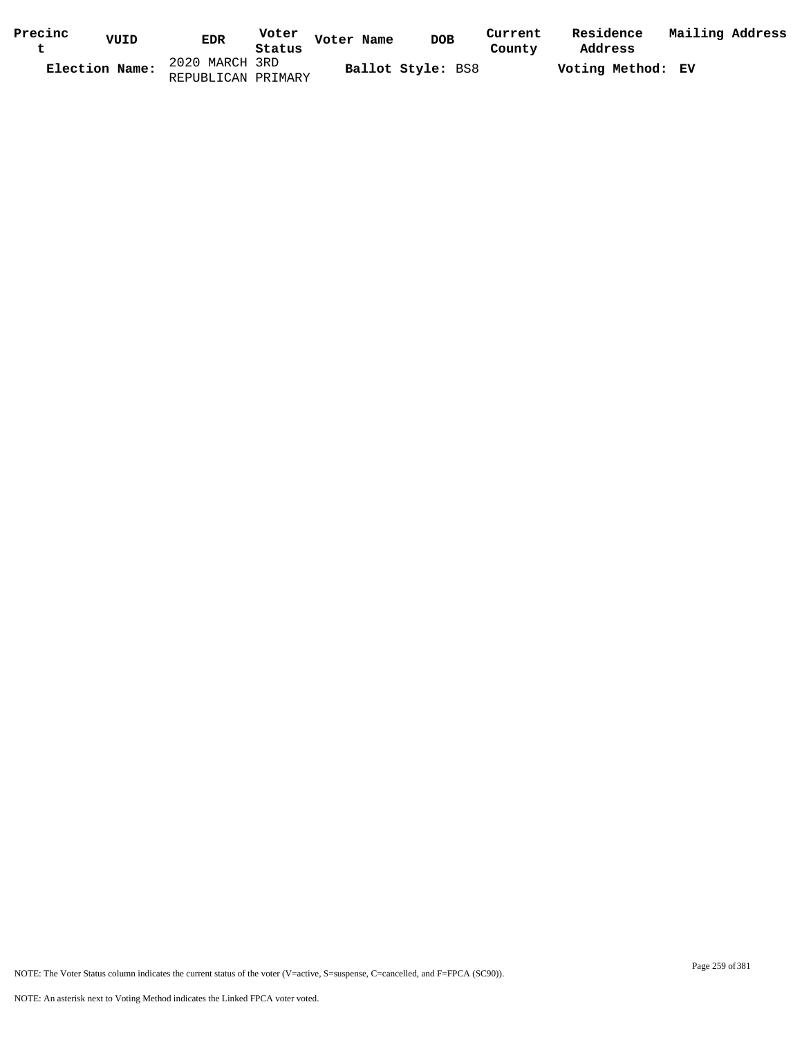| Precinc<br>ັ | VUID           | <b>EDR</b>         | Voter<br>Status | Voter Name | <b>DOB</b>        | Current<br>County | Residence<br>Address | Mailing Address |  |
|--------------|----------------|--------------------|-----------------|------------|-------------------|-------------------|----------------------|-----------------|--|
|              | Election Name: | 2020 MARCH 3RD     |                 |            | Ballot Style: BS8 |                   | Voting Method: EV    |                 |  |
|              |                | REPUBLICAN PRIMARY |                 |            |                   |                   |                      |                 |  |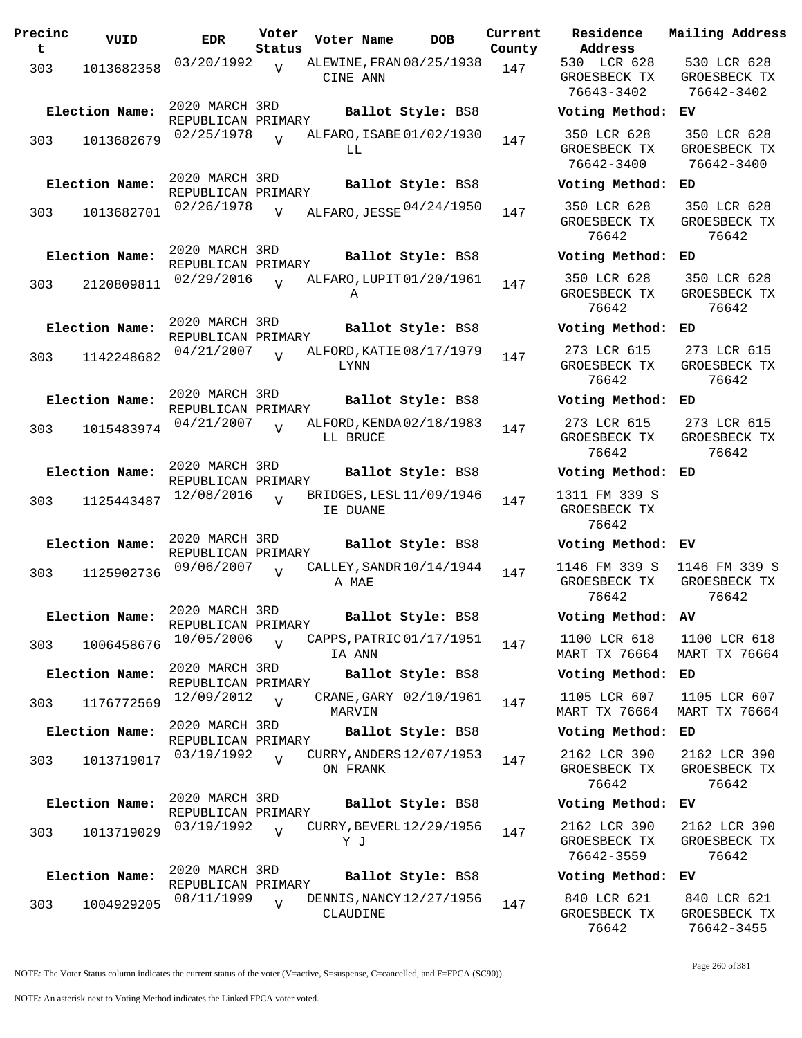| Precinc<br>t. | VUID           | <b>EDR</b>                           | Voter<br>Status | Voter Name                           | <b>DOB</b> | Current<br>County | Residence<br>Address                      |
|---------------|----------------|--------------------------------------|-----------------|--------------------------------------|------------|-------------------|-------------------------------------------|
| 303           | 1013682358     | 03/20/1992                           | V               | ALEWINE, FRAN 08/25/1938<br>CINE ANN |            | 147               | 530 LCR 628<br>GROESBECK TI<br>76643-3402 |
|               | Election Name: | 2020 MARCH 3RD<br>REPUBLICAN PRIMARY |                 | Ballot Style: BS8                    |            |                   | Voting Metho                              |
| 303           | 1013682679     | 02/25/1978                           | $\overline{v}$  | ALFARO, ISABE 01/02/1930<br>LL.      |            | 147               | 350 LCR 628<br>GROESBECK TI<br>76642-3400 |
|               | Election Name: | 2020 MARCH 3RD<br>REPUBLICAN PRIMARY |                 | Ballot Style: BS8                    |            |                   | Voting Metho                              |
| 303           | 1013682701     | 02/26/1978                           | $\overline{V}$  | ALFARO, JESSE 04/24/1950             |            | 147               | 350 LCR 628<br>GROESBECK TI<br>76642      |
|               | Election Name: | 2020 MARCH 3RD<br>REPUBLICAN PRIMARY |                 | Ballot Style: BS8                    |            |                   | Voting Metho                              |
|               | 303 2120809811 | 02/29/2016                           | $\overline{U}$  | ALFARO, LUPIT 01/20/1961<br>Α        |            | 147               | 350 LCR 628<br>GROESBECK TI<br>76642      |
|               | Election Name: | 2020 MARCH 3RD<br>REPUBLICAN PRIMARY |                 | Ballot Style: BS8                    |            |                   | Voting Metho                              |
| 303           | 1142248682     | 04/21/2007                           | $\overline{V}$  | ALFORD, KATIE 08/17/1979<br>LYNN     |            | 147               | 273 LCR 615<br>GROESBECK T<br>76642       |
|               | Election Name: | 2020 MARCH 3RD<br>REPUBLICAN PRIMARY |                 | Ballot Style: BS8                    |            |                   | Voting Metho                              |
| 303           | 1015483974     | 04/21/2007                           | $\overline{U}$  | ALFORD, KENDA 02/18/1983<br>LL BRUCE |            | 147               | 273 LCR 615<br>GROESBECK TI<br>76642      |
|               | Election Name: | 2020 MARCH 3RD<br>REPUBLICAN PRIMARY |                 | Ballot Style: BS8                    |            |                   | Voting Metho                              |
| 303           | 1125443487     | 12/08/2016                           | $\overline{17}$ | BRIDGES, LESL 11/09/1946<br>IE DUANE |            | 147               | 1311 FM 339<br>GROESBECK TI<br>76642      |
|               | Election Name: | 2020 MARCH 3RD<br>REPUBLICAN PRIMARY |                 | Ballot Style: BS8                    |            |                   | Voting Metho                              |
| 303           | 1125902736     | 09/06/2007                           | $\overline{V}$  | CALLEY, SANDR 10/14/1944<br>A MAE    |            | 147               | 1146 FM 339<br>GROESBECK TI<br>76642      |
|               | Election Name: | 2020 MARCH 3RD<br>REPUBLICAN PRIMARY |                 | Ballot Style: BS8                    |            |                   | Voting Metho                              |
| 303           | 1006458676     | 10/05/2006                           | $\overline{U}$  | CAPPS, PATRIC 01/17/1951<br>IA ANN   |            | 147               | 1100 LCR 618<br><b>MART TX 7666</b>       |
|               | Election Name: | 2020 MARCH 3RD<br>REPUBLICAN PRIMARY |                 | Ballot Style: BS8                    |            |                   | Voting Metho                              |
| 303           | 1176772569     | 12/09/2012                           | $\overline{U}$  | CRANE, GARY 02/10/1961<br>MARVIN     |            | 147               | 1105 LCR 60<br><b>MART TX 7666</b>        |
|               | Election Name: | 2020 MARCH 3RD<br>REPUBLICAN PRIMARY |                 | Ballot Style: BS8                    |            |                   | Voting Metho                              |
| 303           | 1013719017     | 03/19/1992                           | $\overline{U}$  | CURRY, ANDERS 12/07/1953<br>ON FRANK |            | 147               | 2162 LCR 390<br>GROESBECK T<br>76642      |
|               | Election Name: | 2020 MARCH 3RD<br>REPUBLICAN PRIMARY |                 | Ballot Style: BS8                    |            |                   | Voting Metho                              |
| 303           | 1013719029     | 03/19/1992                           | $\overline{U}$  | CURRY, BEVERL 12/29/1956<br>Y J      |            | 147               | 2162 LCR 390<br>GROESBECK T<br>76642-3559 |
|               | Election Name: | 2020 MARCH 3RD<br>REPUBLICAN PRIMARY |                 | Ballot Style: BS8                    |            |                   | Voting Metho                              |
| 303           | 1004929205     | 08/11/1999                           | $\overline{V}$  | DENNIS, NANCY 12/27/1956<br>CLAUDINE |            | 147               | 840 LCR 621<br>GROESBECK TI               |

**Voter Name DOB Residence Address Current Mailing Address** 530 LCR 628 GROESBECK TX 76643-3402 530 LCR 628 GROESBECK TX 76642-3402 **Election Name: Ballot Style:** BS8 **Voting Method: EV** 350 LCR 628 GROESBECK TX 76642-3400 350 LCR 628 GROESBECK TX 76642-3400 **Election Name: Ballot Style:** BS8 **Voting Method: ED** GROESBECK TX 76642 350 LCR 628 GROESBECK TX 76642 **Election Name: Ballot Style:** BS8 **Voting Method: ED** 350 LCR 628 GROESBECK TX 76642 350 LCR 628 GROESBECK TX 76642 **Election Name: Ballot Style:** BS8 **Voting Method: ED** 273 LCR 615 GROESBECK TX 76642 273 LCR 615 GROESBECK TX 76642 **Election Name: Ballot Style:** BS8 **Voting Method: ED** 273 LCR 615 GROESBECK TX 76642 273 LCR 615 GROESBECK TX 76642 **Election Name: Ballot Style:** BS8 **Voting Method: ED** 1311 FM 339 S GROESBECK TX 76642 **Election Name: Ballot Style:** BS8 **Voting Method: EV** 1146 FM 339 S GROESBECK TX 76642 1146 FM 339 S GROESBECK TX 76642 **Election Name: Ballot Style:** BS8 **Voting Method: AV** 1100 LCR 618 MART TX 76664 MART TX 76664 1100 LCR 618 **Election Name: Ballot Style:** BS8 **Voting Method: ED** 1105 LCR 607 MART TX 76664 MART TX 76664 1105 LCR 607 **Election Name: Ballot Style:** BS8 **Voting Method: ED** 2162 LCR 390 GROESBECK TX 76642 2162 LCR 390 GROESBECK TX 76642 **Election Name: Ballot Style:** BS8 **Voting Method: EV** 2162 LCR 390 GROESBECK TX 76642-3559 2162 LCR 390 GROESBECK TX 76642 **Election Name: Ballot Style:** BS8 **Voting Method: EV** 840 LCR 621 GROESBECK TX 840 LCR 621 GROESBECK TX

NOTE: The Voter Status column indicates the current status of the voter (V=active, S=suspense, C=cancelled, and F=FPCA (SC90)).

Page 260 of 381

76642-3455

76642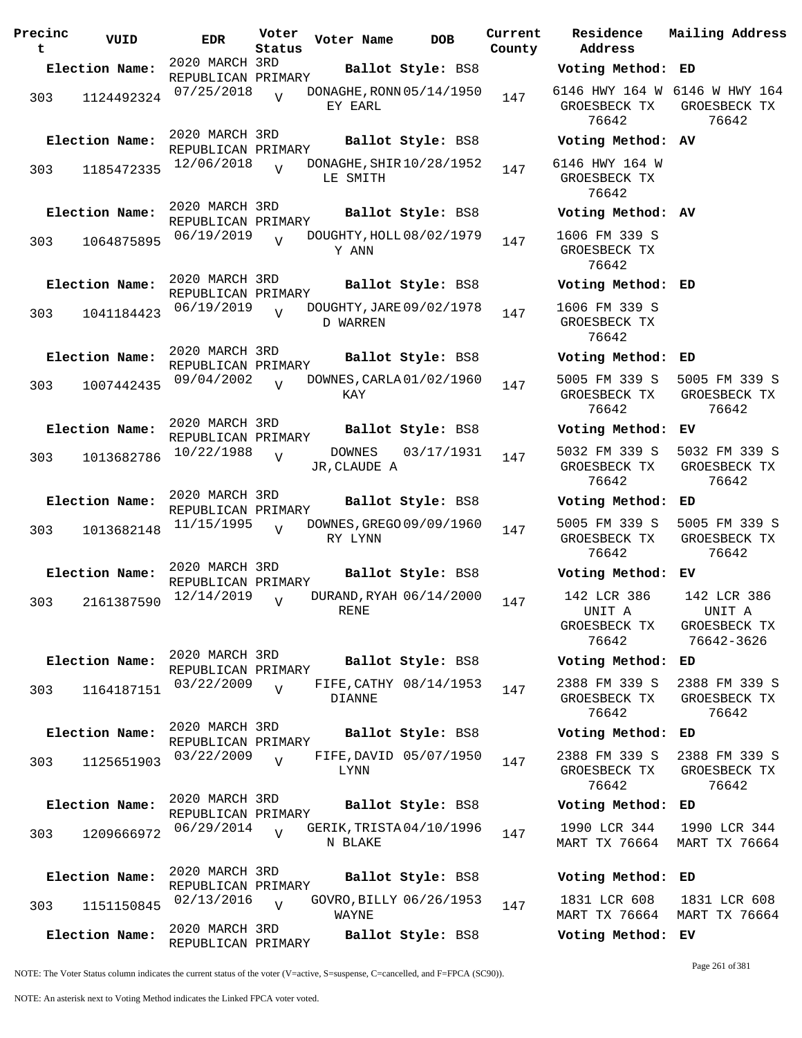| Precinc<br>t | VUID           | <b>EDR</b>                           | Voter<br>Status | Voter Name                              | <b>DOB</b>        | Current<br>County | Residence<br>Address                        | Mai:                  |
|--------------|----------------|--------------------------------------|-----------------|-----------------------------------------|-------------------|-------------------|---------------------------------------------|-----------------------|
|              | Election Name: | 2020 MARCH 3RD<br>REPUBLICAN PRIMARY |                 |                                         | Ballot Style: BS8 |                   | Voting Method: ED                           |                       |
| 303          | 1124492324     | 07/25/2018                           | $\overline{U}$  | DONAGHE, RONN 05/14/1950<br>EY EARL     |                   | 147               | 6146 HWY 164 W 614<br>GROESBECK TX<br>76642 | GR                    |
|              | Election Name: | 2020 MARCH 3RD<br>REPUBLICAN PRIMARY |                 |                                         | Ballot Style: BS8 |                   | Voting Method: AV                           |                       |
| 303          | 1185472335     | 12/06/2018                           | $\overline{V}$  | DONAGHE, SHIR 10/28/1952<br>LE SMITH    |                   | 147               | 6146 HWY 164 W<br>GROESBECK TX<br>76642     |                       |
|              | Election Name: | 2020 MARCH 3RD<br>REPUBLICAN PRIMARY |                 |                                         | Ballot Style: BS8 |                   | Voting Method: AV                           |                       |
| 303          | 1064875895     | 06/19/2019                           | $\overline{V}$  | DOUGHTY, HOLL 08/02/1979<br>Y ANN       |                   | 147               | 1606 FM 339 S<br>GROESBECK TX<br>76642      |                       |
|              | Election Name: | 2020 MARCH 3RD<br>REPUBLICAN PRIMARY |                 |                                         | Ballot Style: BS8 |                   | Voting Method: ED                           |                       |
| 303          | 1041184423     | 06/19/2019                           | $\overline{z}$  | DOUGHTY, JARE 09/02/1978<br>D WARREN    |                   | 147               | 1606 FM 339 S<br>GROESBECK TX<br>76642      |                       |
|              | Election Name: | 2020 MARCH 3RD<br>REPUBLICAN PRIMARY |                 |                                         | Ballot Style: BS8 |                   | Voting Method:                              | ED                    |
| 303          | 1007442435     | 09/04/2002                           | $\overline{z}$  | DOWNES, CARLA 01/02/1960<br>KAY         |                   | 147               | 5005 FM 339 S<br>GROESBECK TX<br>76642      | 50(<br>GR             |
|              | Election Name: | 2020 MARCH 3RD                       |                 |                                         | Ballot Style: BS8 |                   | Voting Method:                              | ЕV                    |
| 303          | 1013682786     | REPUBLICAN PRIMARY<br>10/22/1988     | $\overline{V}$  | DOWNES<br>JR, CLAUDE A                  | 03/17/1931        | 147               | 5032 FM 339 S<br>GROESBECK TX<br>76642      | 50 <sub>3</sub><br>GR |
|              | Election Name: | 2020 MARCH 3RD<br>REPUBLICAN PRIMARY |                 |                                         | Ballot Style: BS8 |                   | Voting Method:                              | ED                    |
| 303          | 1013682148     | 11/15/1995                           | $\overline{U}$  | DOWNES, GREGO 09/09/1960<br>RY LYNN     |                   | 147               | 5005 FM 339 S<br>GROESBECK TX<br>76642      | 50(<br>GR             |
|              | Election Name: | 2020 MARCH 3RD<br>REPUBLICAN PRIMARY |                 |                                         | Ballot Style: BS8 |                   | Voting Method:                              | ЕV                    |
| 303          | 2161387590     | 12/14/2019                           | $\overline{V}$  | DURAND, RYAH 06/14/2000<br>RENE         |                   | 147               | 142 LCR 386<br>UNIT A<br>GROESBECK TX       | $1\cdot$<br>GR        |
|              |                | 2020 MARCH 3RD                       |                 |                                         |                   |                   | 76642                                       | 7                     |
|              | Election Name: | REPUBLICAN PRIMARY                   |                 |                                         | Ballot Style: BS8 |                   | Voting Method:                              | ED                    |
| 303          | 1164187151     | 03/22/2009                           | $\overline{V}$  | FIFE, CATHY 08/14/1953<br><b>DIANNE</b> |                   | 147               | 2388 FM 339 S<br>GROESBECK TX<br>76642      | 238<br>GR             |
|              | Election Name: | 2020 MARCH 3RD<br>REPUBLICAN PRIMARY |                 |                                         | Ballot Style: BS8 |                   | Voting Method:                              | ED                    |
| 303          | 1125651903     | 03/22/2009                           | $\overline{V}$  | FIFE, DAVID 05/07/1950<br><b>LYNN</b>   |                   | 147               | 2388 FM 339 S<br>GROESBECK TX<br>76642      | 238<br>GR             |
|              | Election Name: | 2020 MARCH 3RD<br>REPUBLICAN PRIMARY |                 |                                         | Ballot Style: BS8 |                   | Voting Method:                              | ED                    |
| 303          | 1209666972     | 06/29/2014                           |                 | GERIK, TRISTA 04/10/1996<br>N BLAKE     |                   | 147               | 1990 LCR 344<br>MART TX 76664               | 19<br>MAI             |
|              | Election Name: | 2020 MARCH 3RD<br>REPUBLICAN PRIMARY |                 |                                         | Ballot Style: BS8 |                   | Voting Method:                              | ED                    |
| 303          | 1151150845     | 02/13/2016                           | $\overline{U}$  | GOVRO, BILLY 06/26/1953<br>WAYNE        |                   | 147               | 1831 LCR 608<br>MART TX 76664               | 18<br>MAI             |
|              | Election Name: | 2020 MARCH 3RD                       |                 |                                         | Ballot Style: BS8 |                   | Voting Method:                              | EV                    |
|              |                | REPUBLICAN PRIMARY                   |                 |                                         |                   |                   |                                             |                       |

**Voter Name DOB Residence Address Current Mailing Address Election Name: Ballot Style:** BS8 **Voting Method: ED** 6146 HWY 164 W 6146 W HWY 164 GROESBECK TX 76642 GROESBECK TX 76642 **Election Name: Ballot Style:** BS8 **Voting Method: AV** 6146 HWY 164 W GROESBECK TX 76642 **Election Name: Ballot Style:** BS8 **Voting Method: AV** 1606 FM 339 S GROESBECK TX 76642 **Election Name: Ballot Style:** BS8 **Voting Method: ED** 1606 FM 339 S GROESBECK TX 76642 **Election Name: Ballot Style:** BS8 **Voting Method: ED** 5005 FM 339 S GROESBECK TX 76642 5005 FM 339 S GROESBECK TX 76642 **Election Name: Ballot Style:** BS8 **Voting Method: EV** 5032 FM 339 S GROESBECK TX 76642 5032 FM 339 S GROESBECK TX 76642 **Election Name: Ballot Style:** BS8 **Voting Method: ED** 5005 FM 339 S GROESBECK TX 76642 5005 FM 339 S GROESBECK TX 76642 **Election Name: Ballot Style:** BS8 **Voting Method: EV** 142 LCR 386 UNIT A GROESBECK TX 76642 142 LCR 386 UNIT A GROESBECK TX 76642-3626 **Election Name: Ballot Style:** BS8 **Voting Method: ED** 2388 FM 339 S GROESBECK TX 76642 2388 FM 339 S GROESBECK TX 76642 **Election Name: Ballot Style:** BS8 **Voting Method: ED** 2388 FM 339 S GROESBECK TX 76642 2388 FM 339 S GROESBECK TX 76642 **Election Name: Ballot Style:** BS8 **Voting Method: ED** 1990 LCR 344 MART TX 76664 1990 LCR 344 MART TX 76664 **Election Name: Ballot Style:** BS8 **Voting Method: ED**

NOTE: The Voter Status column indicates the current status of the voter (V=active, S=suspense, C=cancelled, and F=FPCA (SC90)).

Page 261 of 381

1831 LCR 608

MART TX 76664 MART TX 76664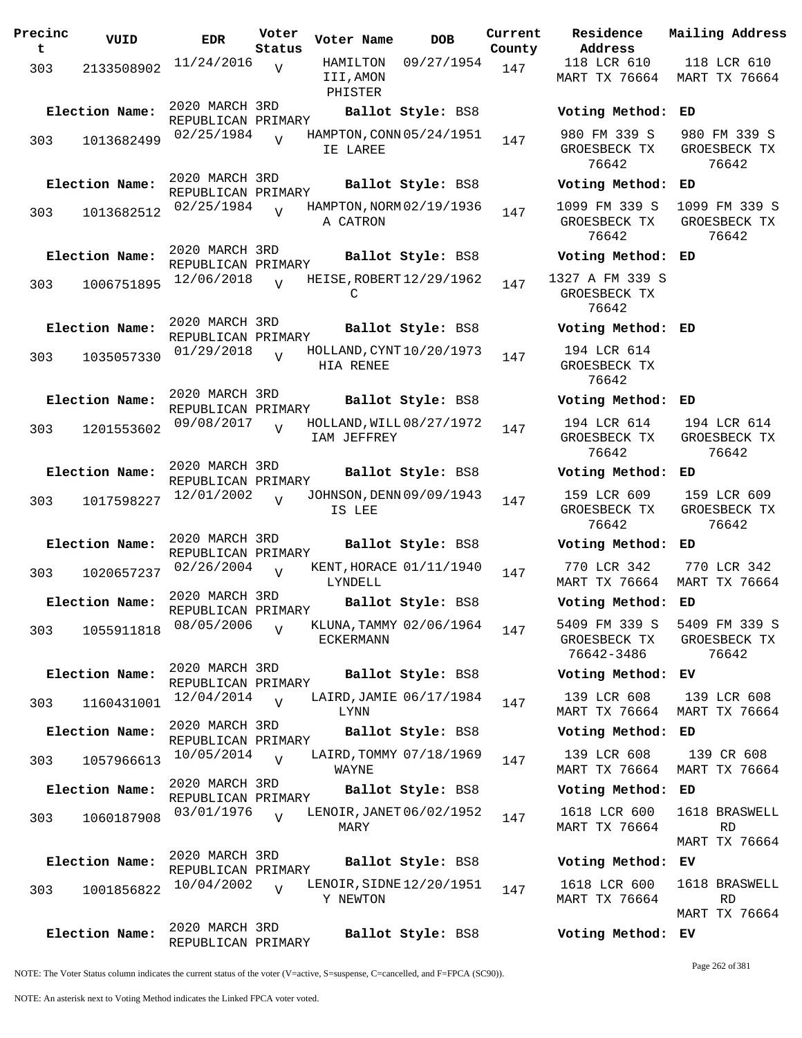| Precinc<br>t | VUID           | <b>EDR</b>                                         | Voter<br>Status | Voter Name                              | DOB               | Current<br>County |
|--------------|----------------|----------------------------------------------------|-----------------|-----------------------------------------|-------------------|-------------------|
| 303          | 2133508902     | 11/24/2016                                         | $\overline{V}$  | HAMILTON<br>III,AMON<br>PHISTER         | 09/27/1954        | 147               |
|              | Election Name: | 2020 MARCH 3RD                                     |                 |                                         | Ballot Style: BS8 |                   |
| 303          | 1013682499     | REPUBLICAN PRIMARY<br>02/25/1984                   |                 | HAMPTON, CONN 05/24/1951<br>IE LAREE    |                   | 147               |
|              | Election Name: | 2020 MARCH 3RD<br>REPUBLICAN PRIMARY               |                 |                                         | Ballot Style: BS8 |                   |
| 303          | 1013682512     | 02/25/1984                                         | ٦T              | HAMPTON, NORM 02/19/1936<br>A CATRON    |                   | 147               |
|              | Election Name: | 2020 MARCH 3RD<br>REPUBLICAN PRIMARY               |                 |                                         | Ballot Style: BS8 |                   |
| 303          | 1006751895     | 12/06/2018                                         | $\overline{U}$  | HEISE, ROBERT 12/29/1962<br>С           |                   | 147               |
|              | Election Name: | 2020 MARCH 3RD<br>REPUBLICAN PRIMARY               |                 |                                         | Ballot Style: BS8 |                   |
| 303          | 1035057330     | 01/29/2018                                         | $\overline{U}$  | HOLLAND, CYNT 10/20/1973<br>HIA RENEE   |                   | 147               |
|              | Election Name: | 2020 MARCH 3RD<br>REPUBLICAN PRIMARY               |                 |                                         | Ballot Style: BS8 |                   |
| 303          | 1201553602     | 09/08/2017                                         | V               | HOLLAND, WILL 08/27/1972<br>IAM JEFFREY |                   | 147               |
|              | Election Name: | 2020 MARCH 3RD<br>REPUBLICAN PRIMARY               |                 |                                         | Ballot Style: BS8 |                   |
| 303          | 1017598227     | 12/01/2002                                         | $\overline{U}$  | JOHNSON, DENN 09/09/1943<br>IS LEE      |                   | 147               |
|              | Election Name: | 2020 MARCH 3RD<br>REPUBLICAN PRIMARY               |                 |                                         | Ballot Style: BS8 |                   |
| 303          | 1020657237     | 02/26/2004                                         | V               | KENT, HORACE 01/11/1940<br>LYNDELL      |                   | 147               |
|              | Election Name: | 2020 MARCH 3RD<br>REPUBLICAN PRIMARY<br>08/05/2006 |                 | KLUNA, TAMMY 02/06/1964                 | Ballot Style: BS8 |                   |
| 303          | 1055911818     |                                                    | V               | ECKERMANN                               |                   | 147               |
|              | Election Name: | 2020 MARCH 3RD<br>REPUBLICAN PRIMARY               |                 |                                         | Ballot Style: BS8 |                   |
| 303          | 1160431001     | 12/04/2014<br>2020 MARCH 3RD                       | $\overline{U}$  | LAIRD, JAMIE 06/17/1984<br>LYNN         |                   | 147               |
|              | Election Name: | REPUBLICAN PRIMARY                                 |                 | LAIRD, TOMMY 07/18/1969                 | Ballot Style: BS8 |                   |
| 303          | 1057966613     | 10/05/2014<br>2020 MARCH 3RD                       | $\overline{V}$  | WAYNE                                   |                   | 147               |
|              | Election Name: | REPUBLICAN PRIMARY<br>03/01/1976                   |                 | LENOIR, JANET 06/02/1952                | Ballot Style: BS8 |                   |
| 303          | 1060187908     |                                                    | $\overline{V}$  | MARY                                    |                   | 147               |
|              | Election Name: | 2020 MARCH 3RD<br>REPUBLICAN PRIMARY               |                 |                                         | Ballot Style: BS8 |                   |
| 303          | 1001856822     | 10/04/2002                                         | $\overline{V}$  | LENOIR, SIDNE 12/20/1951<br>Y NEWTON    |                   | 147               |
|              | Election Name: | 2020 MARCH 3RD<br>REPUBLICAN PRIMARY               |                 |                                         | Ballot Style: BS8 |                   |

**Parame Residence Address Current Mailing Address** 118 LCR 610 MART TX 76664 118 LCR 610 MART TX 76664 **Election Name: Ballot Style:** BS8 **Voting Method: ED** 980 FM 339 S GROESBECK TX 76642 980 FM 339 S GROESBECK TX 76642 **Election Name: Ballot Style:** BS8 **Voting Method: ED** 1099 FM 339 S GROESBECK TX 76642 1099 FM 339 S GROESBECK TX 76642 **Election Name: Ballot Style:** BS8 **Voting Method: ED** 1327 A FM 339 S GROESBECK TX 76642 **Election Name: Ballot Style:** BS8 **Voting Method: ED** 194 LCR 614 GROESBECK TX 76642 **Election Name: Ballot Style:** BS8 **Voting Method: ED** 194 LCR 614 GROESBECK TX 76642 194 LCR 614 GROESBECK TX 76642 **Election Name: Ballot Style:** BS8 **Voting Method: ED** 159 LCR 609 GROESBECK TX 76642 159 LCR 609 GROESBECK TX 76642 **Election Name: Ballot Style:** BS8 **Voting Method: ED** 770 LCR 342 MART TX 76664 770 LCR 342 MART TX 76664 **Election Name: Ballot Style:** BS8 **Voting Method: ED** 5409 FM 339 S GROESBECK TX 76642-3486 5409 FM 339 S GROESBECK TX 76642 **Election Name: Ballot Style:** BS8 **Voting Method: EV** 139 LCR 608 MART TX 76664 MART TX 76664 139 LCR 608 **Election Name: Ballot Style:** BS8 **Voting Method: ED** 139 LCR 608 MART TX 76664 MART TX 76664 139 CR 608 **Election Name: Ballot Style:** BS8 **Voting Method: ED** 1618 LCR 600 MART TX 76664 1618 BRASWELL RD MART TX 76664 **Election Name: Ballot Style:** BS8 **Voting Method: EV** 1618 LCR 600 MART TX 76664 1618 BRASWELL RD MART TX 76664

NOTE: The Voter Status column indicates the current status of the voter (V=active, S=suspense, C=cancelled, and F=FPCA (SC90)).

Page 262 of 381

**Election Name: Ballot Style:** BS8 **Voting Method: EV**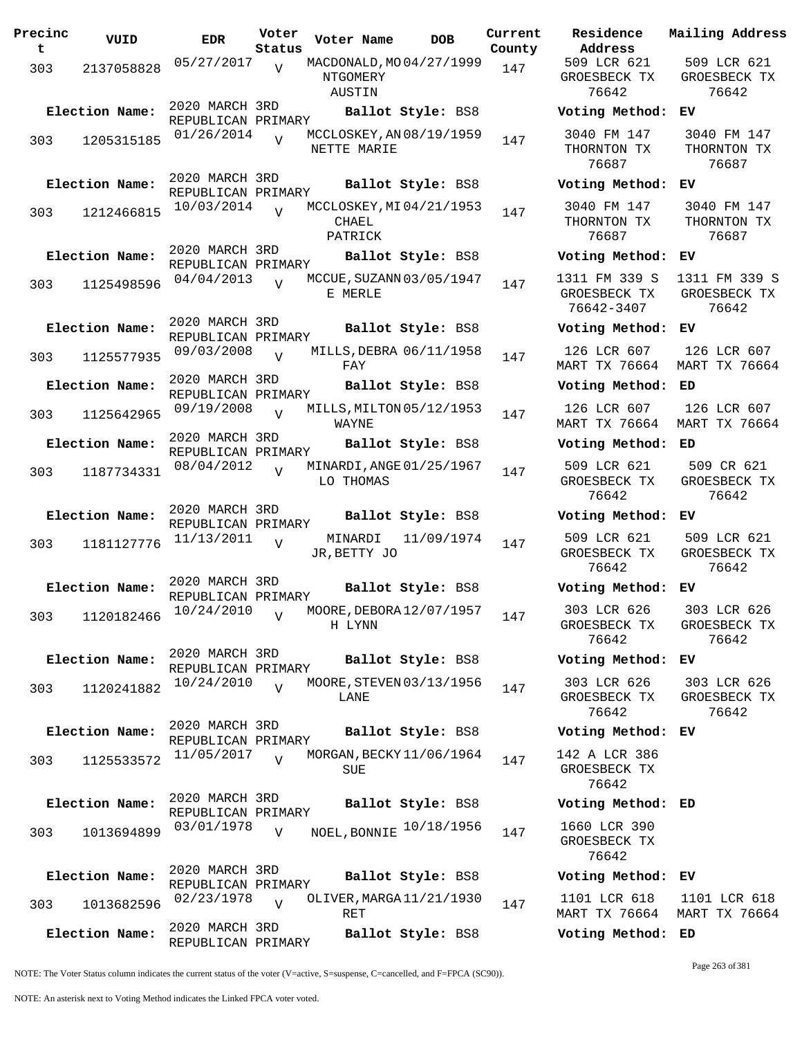| Precinc<br>t. | VUID           | <b>EDR</b>                           | Voter<br>Status | Voter Name                                     | <b>DOB</b>         | Current<br>County | Residence<br>Address                        |
|---------------|----------------|--------------------------------------|-----------------|------------------------------------------------|--------------------|-------------------|---------------------------------------------|
| 303           | 2137058828     | 05/27/2017                           | V               | MACDONALD, MO 04/27/1999<br>NTGOMERY<br>AUSTIN |                    | 147               | 509 LCR 621<br>GROESBECK TX<br>76642        |
|               | Election Name: | 2020 MARCH 3RD<br>REPUBLICAN PRIMARY |                 |                                                | Ballot Style: BS8  |                   | Voting Metho                                |
| 303           | 1205315185     | 01/26/2014                           | $\overline{V}$  | MCCLOSKEY, AN 08/19/1959<br>NETTE MARIE        |                    | 147               | 3040 FM 147<br>THORNTON TX<br>76687         |
|               | Election Name: | 2020 MARCH 3RD<br>REPUBLICAN PRIMARY |                 |                                                | Ballot Style: BS8  |                   | Voting Metho                                |
| 303           | 1212466815     | 10/03/2014                           | $\overline{V}$  | MCCLOSKEY, MI04/21/1953<br>CHAEL<br>PATRICK    |                    | 147               | 3040 FM 147<br>THORNTON TX<br>76687         |
|               | Election Name: | 2020 MARCH 3RD                       |                 |                                                | Ballot Style: BS8  |                   | Voting Metho                                |
| 303           | 1125498596     | REPUBLICAN PRIMARY<br>04/04/2013     | $\overline{V}$  | MCCUE, SUZANN 03/05/1947<br>E MERLE            |                    | 147               | 1311 FM 339 S<br>GROESBECK TX<br>76642-3407 |
|               | Election Name: | 2020 MARCH 3RD<br>REPUBLICAN PRIMARY |                 |                                                | Ballot Style: BS8  |                   | Voting Metho                                |
| 303           | 1125577935     | 09/03/2008                           | $\overline{V}$  | MILLS, DEBRA 06/11/1958<br>FAY                 |                    | 147               | 126 LCR 607<br>MART TX 76664                |
|               | Election Name: | 2020 MARCH 3RD<br>REPUBLICAN PRIMARY |                 |                                                | Ballot Style: BS8  |                   | Voting Metho                                |
| 303           | 1125642965     | 09/19/2008                           | $\overline{V}$  | MILLS, MILTON 05/12/1953<br>WAYNE              |                    | 147               | 126 LCR 607<br>MART TX 76664                |
|               | Election Name: | 2020 MARCH 3RD<br>REPUBLICAN PRIMARY |                 |                                                | Ballot Style: BS8  |                   | Voting Metho                                |
| 303           | 1187734331     | 08/04/2012                           | $\overline{V}$  | MINARDI, ANGE 01/25/1967<br>LO THOMAS          |                    | 147               | 509 LCR 621<br>GROESBECK TX<br>76642        |
|               | Election Name: | 2020 MARCH 3RD                       |                 |                                                | Ballot Style: BS8  |                   | Voting Metho                                |
| 303           | 1181127776     | REPUBLICAN PRIMARY<br>11/13/2011     | V               | JR, BETTY JO                                   | MINARDI 11/09/1974 | 147               | 509 LCR 621<br>GROESBECK TX<br>76642        |
|               | Election Name: | 2020 MARCH 3RD<br>REPUBLICAN PRIMARY |                 |                                                | Ballot Style: BS8  |                   | Voting Metho                                |
| 303           |                | 1120182466 10/24/2010 v              |                 | MOORE, DEBORA $12/07/1957$ 147<br>H LYNN       |                    |                   | 303 LCR 626<br>GROESBECK TX<br>76642        |
|               | Election Name: | 2020 MARCH 3RD                       |                 |                                                | Ballot Style: BS8  |                   | Voting Metho                                |
| 303           | 1120241882     | REPUBLICAN PRIMARY<br>10/24/2010     | $\overline{V}$  | MOORE, STEVEN 03/13/1956<br>LANE               |                    | 147               | 303 LCR 626<br>GROESBECK TX<br>76642        |
|               | Election Name: | 2020 MARCH 3RD                       |                 |                                                | Ballot Style: BS8  |                   | Voting Metho                                |
| 303           | 1125533572     | REPUBLICAN PRIMARY<br>11/05/2017     | $\overline{v}$  | MORGAN, BECKY 11/06/1964<br>SUE                |                    | 147               | 142 A LCR 386<br>GROESBECK TX<br>76642      |
|               | Election Name: | 2020 MARCH 3RD                       |                 |                                                | Ballot Style: BS8  |                   | Voting Metho                                |
| 303           | 1013694899     | REPUBLICAN PRIMARY<br>03/01/1978     | $\overline{V}$  | NOEL, BONNIE 10/18/1956                        |                    | 147               | 1660 LCR 390<br>GROESBECK TX<br>76642       |
|               | Election Name: | 2020 MARCH 3RD<br>REPUBLICAN PRIMARY |                 |                                                | Ballot Style: BS8  |                   | Voting Metho                                |
| 303           | 1013682596     | 02/23/1978                           | $\overline{V}$  | OLIVER, MARGA 11/21/1930<br>RET                |                    | 147               | 1101 LCR 618<br>MART TX 76664               |
|               | Election Name: | 2020 MARCH 3RD<br>REPUBLICAN PRIMARY |                 |                                                | Ballot Style: BS8  |                   | Voting Metho                                |

**Voter Name DOB Residence Address Current Mailing Address** 509 LCR 621 GROESBECK TX 76642 509 LCR 621 GROESBECK TX 76642 **Election Name: Ballot Style:** BS8 **Voting Method: EV** 3040 FM 147 THORNTON TX 76687 3040 FM 147 THORNTON TX 76687 **Election Name: Ballot Style:** BS8 **Voting Method: EV** 3040 FM 147 THORNTON TX 76687 3040 FM 147 THORNTON TX 76687 **Election Name: Ballot Style:** BS8 **Voting Method: EV** 1311 FM 339 S GROESBECK TX 76642-3407 1311 FM 339 S GROESBECK TX 76642 **Election Name: Ballot Style:** BS8 **Voting Method: EV** 126 LCR 607 MART TX 76664 MART TX 76664 126 LCR 607 **Election Name: Ballot Style:** BS8 **Voting Method: ED** 126 LCR 607 MART TX 76664 126 LCR 607 MART TX 76664 **Election Name: Ballot Style:** BS8 **Voting Method: ED** 509 LCR 621 GROESBECK TX 76642 509 CR 621 GROESBECK TX 76642 **Election Name: Ballot Style:** BS8 **Voting Method: EV** 509 LCR 621 GROESBECK TX 76642 509 LCR 621 GROESBECK TX 76642 **Election Name: Ballot Style:** BS8 **Voting Method: EV** 303 LCR 626 GROESBECK TX 76642 303 LCR 626 GROESBECK TX 76642 **Election Name: Ballot Style:** BS8 **Voting Method: EV** 303 LCR 626 GROESBECK TX 76642 303 LCR 626 GROESBECK TX 76642 **Election Name: Ballot Style:** BS8 **Voting Method: EV** 142 A LCR 386 GROESBECK TX 76642 **Election Name: Ballot Style:** BS8 **Voting Method: ED** GROESBECK TX 76642 **Election Name: Ballot Style:** BS8 **Voting Method: EV** 1101 LCR 618 1101 LCR 618

NOTE: The Voter Status column indicates the current status of the voter (V=active, S=suspense, C=cancelled, and F=FPCA (SC90)).

Page 263 of 381

MART TX 76664 MART TX 76664

**Election Name: Ballot Style:** BS8 **Voting Method: ED**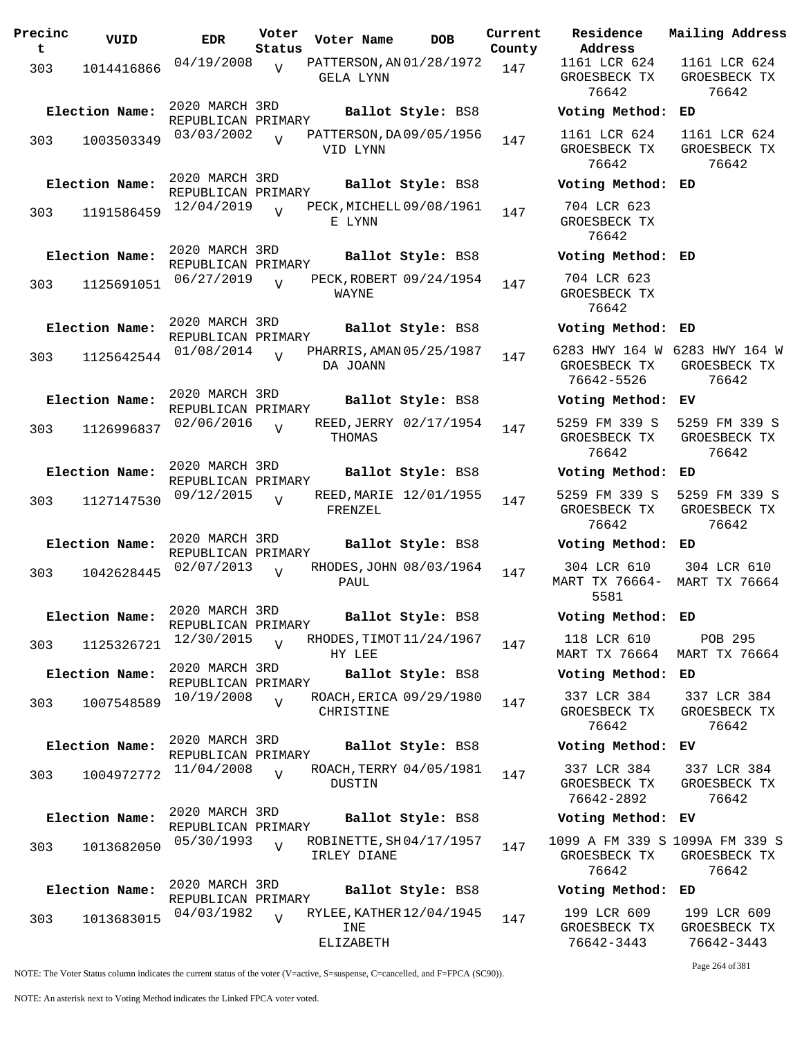| Precinc<br>t | VUID           | <b>EDR</b>                           | Voter<br>Status | Voter Name                             | <b>DOB</b>              | Current<br>County | Residence<br>Address                      |
|--------------|----------------|--------------------------------------|-----------------|----------------------------------------|-------------------------|-------------------|-------------------------------------------|
| 303          | 1014416866     | 04/19/2008                           | V               | PATTERSON, AN 01/28/1972<br>GELA LYNN  |                         | 147               | 1161 LCR 62<br>GROESBECK T<br>76642       |
|              | Election Name: | 2020 MARCH 3RD<br>REPUBLICAN PRIMARY |                 |                                        | Ballot Style: BS8       |                   | Voting Meth                               |
| 303          | 1003503349     | 03/03/2002                           | $\overline{V}$  | PATTERSON, DA 09/05/1956<br>VID LYNN   |                         | 147               | 1161 LCR 62<br>GROESBECK T<br>76642       |
|              | Election Name: | 2020 MARCH 3RD<br>REPUBLICAN PRIMARY |                 |                                        | Ballot Style: BS8       |                   | Voting Meth                               |
| 303          | 1191586459     | 12/04/2019                           | $\overline{U}$  | PECK, MICHELL 09/08/1961<br>E LYNN     |                         | 147               | 704 LCR 62<br>GROESBECK T<br>76642        |
|              | Election Name: | 2020 MARCH 3RD<br>REPUBLICAN PRIMARY |                 |                                        | Ballot Style: BS8       |                   | Voting Meth                               |
| 303          | 1125691051     | 06/27/2019                           | $\overline{U}$  | WAYNE                                  | PECK, ROBERT 09/24/1954 | 147               | 704 LCR 62<br>GROESBECK T<br>76642        |
|              | Election Name: | 2020 MARCH 3RD<br>REPUBLICAN PRIMARY |                 |                                        | Ballot Style: BS8       |                   | Voting Meth                               |
| 303          | 1125642544     | 01/08/2014                           | $\overline{V}$  | PHARRIS, AMAN 05/25/1987<br>DA JOANN   |                         | 147               | 6283 HWY 164<br>GROESBECK T<br>76642-5526 |
|              | Election Name: | 2020 MARCH 3RD<br>REPUBLICAN PRIMARY |                 |                                        | Ballot Style: BS8       |                   | Voting Meth                               |
| 303          | 1126996837     | 02/06/2016                           | $\overline{V}$  | THOMAS                                 | REED, JERRY 02/17/1954  | 147               | 5259 FM 339<br>GROESBECK T<br>76642       |
|              | Election Name: | 2020 MARCH 3RD                       |                 |                                        | Ballot Style: BS8       |                   | Voting Meth                               |
| 303          | 1127147530     | REPUBLICAN PRIMARY<br>09/12/2015     | $\overline{U}$  | FRENZEL                                | REED, MARIE 12/01/1955  | 147               | 5259 FM 339<br>GROESBECK T<br>76642       |
|              | Election Name: | 2020 MARCH 3RD                       |                 |                                        | Ballot Style: BS8       |                   | Voting Meth                               |
| 303          | 1042628445     | REPUBLICAN PRIMARY<br>02/07/2013     | $\overline{V}$  | PAUL                                   | RHODES, JOHN 08/03/1964 | 147               | 304 LCR 61<br>MART TX 7666<br>5581        |
|              | Election Name: | 2020 MARCH 3RD<br>REPUBLICAN PRIMARY |                 |                                        | Ballot Style: BS8       |                   | Voting Meth                               |
| 303          | 1125326721     | 12/30/2015                           | $\overline{V}$  | RHODES, TIMOT 11/24/1967<br>HY LEE     |                         | 147               | 118 LCR 61<br>MART TX 766                 |
|              | Election Name: | 2020 MARCH 3RD<br>REPUBLICAN PRIMARY |                 |                                        | Ballot Style: BS8       |                   | Voting Meth                               |
| 303          | 1007548589     | 10/19/2008                           | $\overline{V}$  | CHRISTINE                              | ROACH, ERICA 09/29/1980 | 147               | 337 LCR 38<br>GROESBECK T<br>76642        |
|              | Election Name: | 2020 MARCH 3RD<br>REPUBLICAN PRIMARY |                 |                                        | Ballot Style: BS8       |                   | Voting Meth                               |
| 303          | 1004972772     | 11/04/2008                           | $\overline{V}$  | DUSTIN                                 | ROACH, TERRY 04/05/1981 | 147               | 337 LCR 38<br>GROESBECK T<br>76642-2892   |
|              | Election Name: | 2020 MARCH 3RD                       |                 |                                        | Ballot Style: BS8       |                   | Voting Meth                               |
| 303          | 1013682050     | REPUBLICAN PRIMARY<br>05/30/1993     | $\overline{V}$  | ROBINETTE, SH04/17/1957<br>IRLEY DIANE |                         | 147               | 1099 A FM 33<br>GROESBECK T<br>76642      |
|              | Election Name: | 2020 MARCH 3RD                       |                 |                                        | Ballot Style: BS8       |                   | Voting Meth                               |
| 303          | 1013683015     | REPUBLICAN PRIMARY<br>04/03/1982     | $\overline{V}$  | RYLEE, KATHER 12/04/1945<br>INE        |                         | 147               | 199 LCR 60<br>GROESBECK T                 |
|              |                |                                      |                 | ELIZABETH                              |                         |                   | 76642-3443                                |

1161 LCR 624 GROESBECK TX 76642 1161 LCR 624 GROESBECK TX 76642 **Election Name: Ballot Style:** BS8 **Voting Method: ED** 1161 LCR 624 GROESBECK TX 76642 1161 LCR 624 GROESBECK TX 76642 **Election Name: Ballot Style:** BS8 **Voting Method: ED** 704 LCR 623 GROESBECK TX 76642 **Election Name: Ballot Style:** BS8 **Voting Method: ED** 704 LCR 623 GROESBECK TX 76642 **Election Name: Ballot Style:** BS8 **Voting Method: ED** 6283 HWY 164 W 6283 HWY 164 W GROESBECK TX 76642-5526 GROESBECK TX 76642 **Election Name: Ballot Style:** BS8 **Voting Method: EV** 5259 FM 339 S GROESBECK TX 76642 5259 FM 339 S GROESBECK TX 76642 **Election Name: Ballot Style:** BS8 **Voting Method: ED** 5259 FM 339 S GROESBECK TX 76642 5259 FM 339 S GROESBECK TX 76642 **Election Name: Ballot Style:** BS8 **Voting Method: ED** 304 LCR 610 MART TX 76664- MART TX 76664 5581 304 LCR 610 **Election Name: Ballot Style:** BS8 **Voting Method: ED** 118 LCR 610 MART TX 76664 POB 295 MART TX 76664 **Election Name: Ballot Style:** BS8 **Voting Method: ED** 337 LCR 384 GROESBECK TX 76642 337 LCR 384 GROESBECK TX 76642 **Election Name: Ballot Style:** BS8 **Voting Method: EV** 337 LCR 384 GROESBECK TX 76642-2892 337 LCR 384 GROESBECK TX 76642 **Election Name: Ballot Style:** BS8 **Voting Method: EV** 1099 A FM 339 S 1099A FM 339 S GROESBECK TX 76642 GROESBECK TX 76642

**Current Mailing Address**

## **Election Name: Ballot Style:** BS8 **Voting Method: ED**

| 199 LCR 609  | 199 LCR 609  |
|--------------|--------------|
| GROESBECK TX | GROESBECK TX |
| 76642-3443   | 76642-3443   |

Page 264 of 381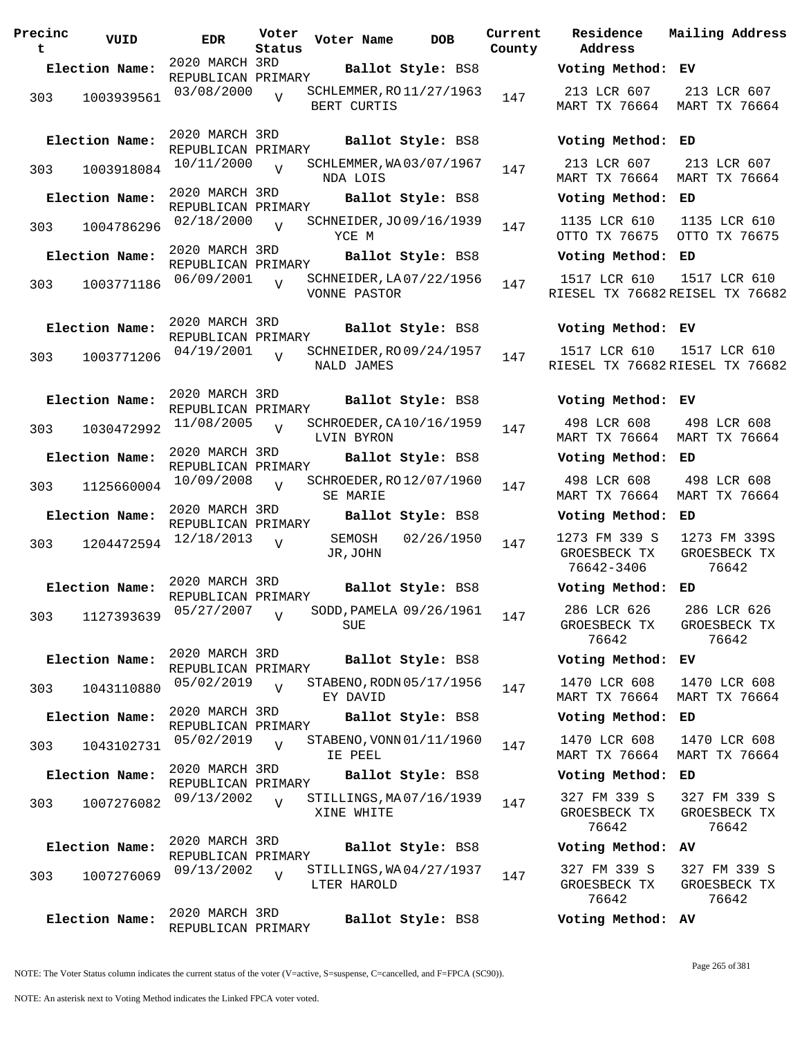| Precinc<br>t | VUID           | <b>EDR</b>                           | Voter<br>Status | Voter Name         | <b>DOB</b>               | Current<br>County |
|--------------|----------------|--------------------------------------|-----------------|--------------------|--------------------------|-------------------|
|              | Election Name: | 2020 MARCH 3RD                       |                 |                    | Ballot Style: BS8        |                   |
| 303          | 1003939561     | REPUBLICAN PRIMARY<br>03/08/2000     | V               | BERT CURTIS        | SCHLEMMER, RO 11/27/1963 | 147               |
|              | Election Name: | 2020 MARCH 3RD<br>REPUBLICAN PRIMARY |                 |                    | Ballot Style: BS8        |                   |
| 303          | 1003918084     | 10/11/2000                           | $\overline{V}$  | NDA LOIS           | SCHLEMMER, WA03/07/1967  | 147               |
|              | Election Name: | 2020 MARCH 3RD<br>REPUBLICAN PRIMARY |                 |                    | Ballot Style: BS8        |                   |
| 303          | 1004786296     | 02/18/2000                           | $\overline{V}$  | YCE M              | SCHNEIDER, JO 09/16/1939 | 147               |
|              | Election Name: | 2020 MARCH 3RD<br>REPUBLICAN PRIMARY |                 |                    | Ballot Style: BS8        |                   |
| 303          | 1003771186     | 06/09/2001                           | $\overline{V}$  | VONNE PASTOR       | SCHNEIDER, LA 07/22/1956 | 147               |
|              | Election Name: | 2020 MARCH 3RD<br>REPUBLICAN PRIMARY |                 |                    | Ballot Style: BS8        |                   |
| 303          | 1003771206     | 04/19/2001                           | $\overline{V}$  | NALD JAMES         | SCHNEIDER, RO 09/24/1957 | 147               |
|              | Election Name: | 2020 MARCH 3RD<br>REPUBLICAN PRIMARY |                 |                    | Ballot Style: BS8        |                   |
| 303          | 1030472992     | 11/08/2005                           | V               | LVIN BYRON         | SCHROEDER, CA10/16/1959  | 147               |
|              | Election Name: | 2020 MARCH 3RD<br>REPUBLICAN PRIMARY |                 |                    | Ballot Style: BS8        |                   |
| 303          | 1125660004     | 10/09/2008                           | V               | SE MARIE           | SCHROEDER, RO 12/07/1960 | 147               |
|              | Election Name: | 2020 MARCH 3RD<br>REPUBLICAN PRIMARY |                 |                    | Ballot Style: BS8        |                   |
| 303          | 1204472594     | 12/18/2013                           | V               | SEMOSH<br>JR, JOHN | 02/26/1950               | 147               |
|              | Election Name: | 2020 MARCH 3RD<br>REPUBLICAN PRIMARY |                 |                    | Ballot Style: BS8        |                   |
|              | 303 1127393639 | 05/27/2007                           | V               | SUE                | SODD, PAMELA 09/26/1961  | 147               |
|              | Election Name: | 2020 MARCH 3RD<br>REPUBLICAN PRIMARY |                 |                    | Ballot Style: BS8        |                   |
| 303          | 1043110880     | 05/02/2019                           | ٦T              | EY DAVID           | STABENO, RODN 05/17/1956 | 147               |
|              | Election Name: | 2020 MARCH 3RD<br>REPUBLICAN PRIMARY |                 |                    | Ballot Style: BS8        |                   |
| 303          | 1043102731     | 05/02/2019                           | $\overline{V}$  | IE PEEL            | STABENO, VONN 01/11/1960 | 147               |
|              | Election Name: | 2020 MARCH 3RD<br>REPUBLICAN PRIMARY |                 |                    | Ballot Style: BS8        |                   |
| 303          | 1007276082     | 09/13/2002                           | $\overline{V}$  | XINE WHITE         | STILLINGS, MA07/16/1939  | 147               |
|              | Election Name: | 2020 MARCH 3RD<br>REPUBLICAN PRIMARY |                 |                    | Ballot Style: BS8        |                   |
| 303          | 1007276069     | 09/13/2002                           | $\overline{V}$  | LTER HAROLD        | STILLINGS, WA04/27/1937  | 147               |
|              | Election Name: | 2020 MARCH 3RD<br>REPUBLICAN PRIMARY |                 |                    | Ballot Style: BS8        |                   |

**Voter Name DOB Residence Address Current Mailing Address Election Name: Ballot Style:** BS8 **Voting Method: EV** 213 LCR 607 MART TX 76664 MART TX 76664 213 LCR 607 **Election Name: Ballot Style:** BS8 **Voting Method: ED** 213 LCR 607 MART TX 76664 MART TX 76664 213 LCR 607 **Election Name: Ballot Style:** BS8 **Voting Method: ED** 1135 LCR 610 OTTO TX 76675 1135 LCR 610 OTTO TX 76675 **Election Name: Ballot Style:** BS8 **Voting Method: ED** 1517 LCR 610 RIESEL TX 76682 REISEL TX 76682 1517 LCR 610 **Election Name: Ballot Style:** BS8 **Voting Method: EV** 1517 LCR 610 RIESEL TX 76682 RIESEL TX 76682 1517 LCR 610 **Election Name: Ballot Style:** BS8 **Voting Method: EV** 498 LCR 608 MART TX 76664 MART TX 76664 498 LCR 608 **Election Name: Ballot Style:** BS8 **Voting Method: ED** 498 LCR 608 MART TX 76664 MART TX 76664 498 LCR 608 **Election Name: Ballot Style:** BS8 **Voting Method: ED** 1273 FM 339 S GROESBECK TX 76642-3406 1273 FM 339S GROESBECK TX 76642 **Election Name: Ballot Style:** BS8 **Voting Method: ED** 286 LCR 626 GROESBECK TX 76642 286 LCR 626 GROESBECK TX 76642 **Election Name: Ballot Style:** BS8 **Voting Method: EV** 1470 LCR 608 MART TX 76664 MART TX 76664 1470 LCR 608 **Election Name: Ballot Style:** BS8 **Voting Method: ED** 1470 LCR 608 MART TX 76664 MART TX 76664 1470 LCR 608 **Election Name: Ballot Style:** BS8 **Voting Method: ED** 327 FM 339 S GROESBECK TX 76642 327 FM 339 S GROESBECK TX 76642 **Election Name: Ballot Style:** BS8 **Voting Method: AV** 327 FM 339 S GROESBECK TX 76642 327 FM 339 S GROESBECK TX 76642 **Election Name: Ballot Style:** BS8 **Voting Method: AV**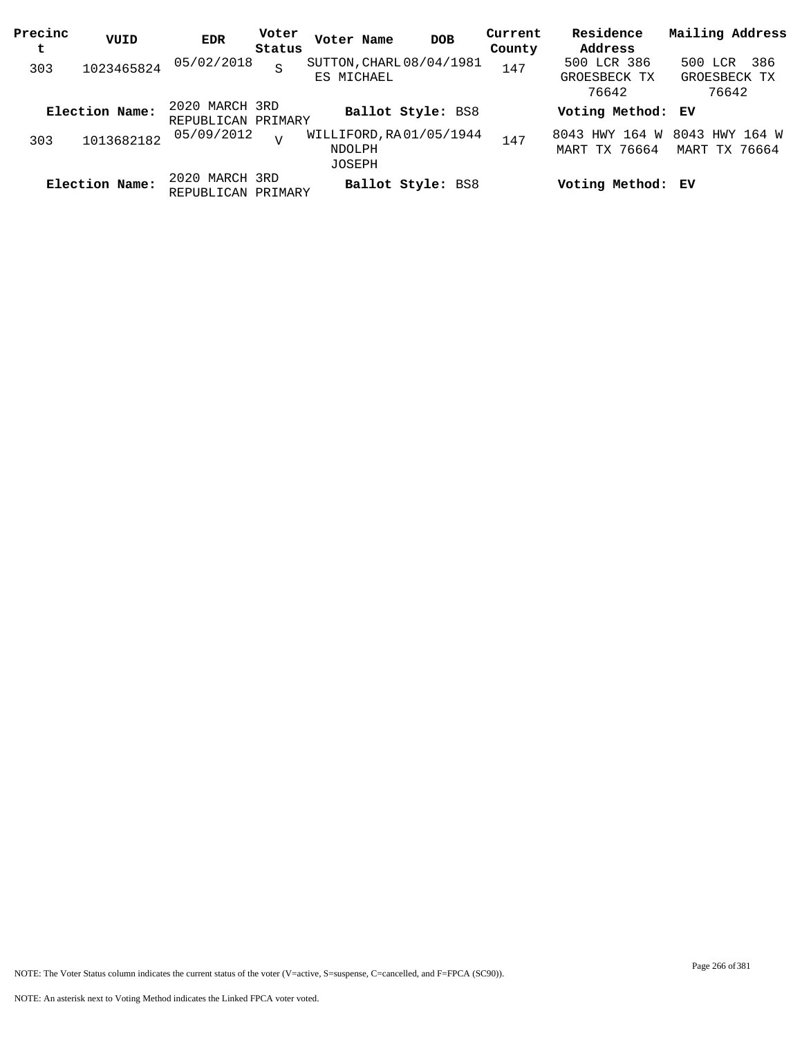| Precinc<br>t | VUID           | EDR                                  | Voter<br>Status | Voter Name                                                | <b>DOB</b>               | Current<br>County | Residence<br>Address                 | Mailing Address                          |
|--------------|----------------|--------------------------------------|-----------------|-----------------------------------------------------------|--------------------------|-------------------|--------------------------------------|------------------------------------------|
| 303          | 1023465824     | 05/02/2018                           | S               | SUTTON, CHARL 08/04/1981<br>ES MICHAEL                    |                          | 147               | 500 LCR 386<br>GROESBECK TX<br>76642 | -386<br>500 LCR<br>GROESBECK TX<br>76642 |
|              | Election Name: | 2020 MARCH 3RD<br>REPUBLICAN PRIMARY |                 |                                                           | <b>Ballot Style: BS8</b> |                   | Voting Method: EV                    |                                          |
| 303          | 1013682182     | 05/09/2012                           | $\overline{17}$ | WILLIFORD, RA01/05/1944<br><b>NDOLPH</b><br><b>JOSEPH</b> |                          | 147               | 8043 HWY 164 W<br>MART TX 76664      | 8043 HWY 164 W<br>MART TX 76664          |
|              | Election Name: | 2020 MARCH 3RD<br>REPUBLICAN PRIMARY |                 |                                                           | <b>Ballot Style: BS8</b> |                   | Voting Method: EV                    |                                          |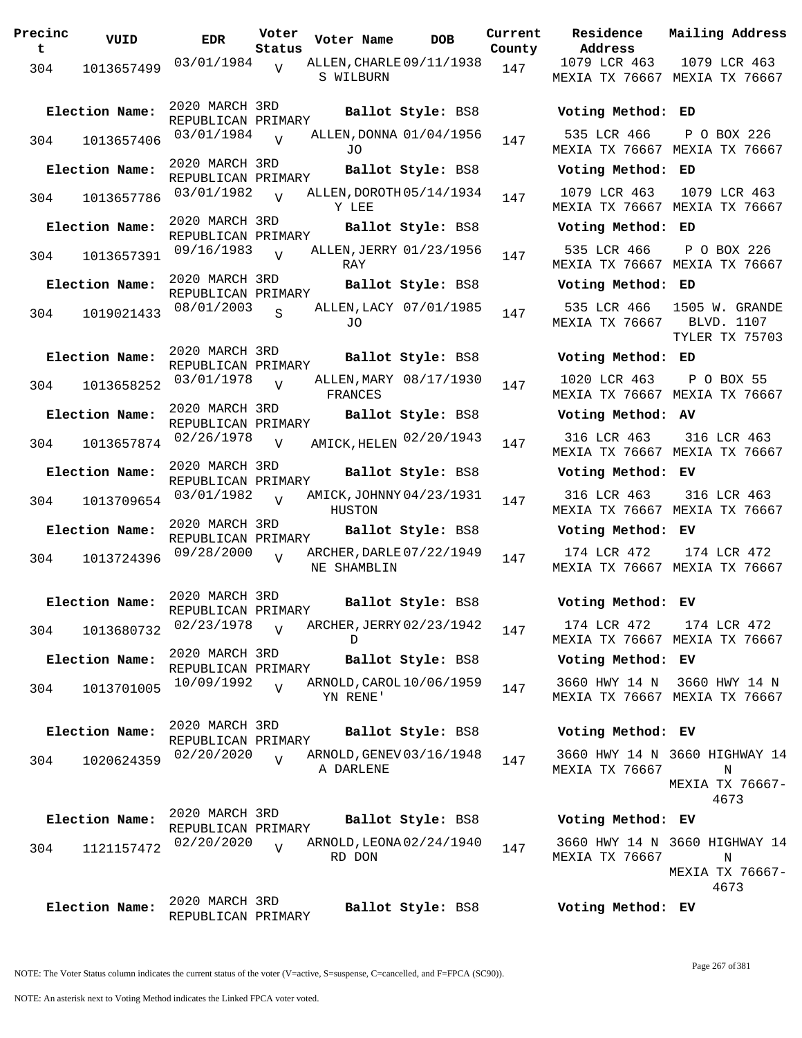| Precinc<br>$\mathbf t$ | VUID           | <b>EDR</b>                           | Voter<br>Status | Voter Name                              | <b>DOB</b>             | Current<br>County | Residence<br>Address                 |
|------------------------|----------------|--------------------------------------|-----------------|-----------------------------------------|------------------------|-------------------|--------------------------------------|
| 304                    | 1013657499     | 03/01/1984                           | V               | ALLEN, CHARLE 09/11/1938<br>S WILBURN   |                        | 147               | 1079 LCR 463<br><b>MEXIA TX 7666</b> |
|                        | Election Name: | 2020 MARCH 3RD<br>REPUBLICAN PRIMARY |                 |                                         | Ballot Style: BS8      |                   | Voting Metho                         |
| 304                    | 1013657406     | 03/01/1984                           | $\overline{U}$  | ALLEN, DONNA 01/04/1956<br>JO.          |                        | 147               | 535 LCR 466<br><b>MEXIA TX 7666</b>  |
|                        | Election Name: | 2020 MARCH 3RD<br>REPUBLICAN PRIMARY |                 |                                         | Ballot Style: BS8      |                   | Voting Metho                         |
| 304                    | 1013657786     | 03/01/1982                           | $\overline{V}$  | ALLEN, DOROTH 05/14/1934<br>Y LEE       |                        | 147               | 1079 LCR 463<br><b>MEXIA TX 7666</b> |
|                        | Election Name: | 2020 MARCH 3RD<br>REPUBLICAN PRIMARY |                 |                                         | Ballot Style: BS8      |                   | Voting Metho                         |
| 304                    | 1013657391     | 09/16/1983                           | $\overline{V}$  | ALLEN, JERRY 01/23/1956<br>RAY          |                        | 147               | 535 LCR 466<br>MEXIA TX 7666         |
|                        | Election Name: | 2020 MARCH 3RD<br>REPUBLICAN PRIMARY |                 |                                         | Ballot Style: BS8      |                   | Voting Metho                         |
| 304                    | 1019021433     | 08/01/2003                           | $\mathbf{S}$    | JO                                      | ALLEN, LACY 07/01/1985 | 147               | 535 LCR 466<br>MEXIA TX 7666         |
|                        | Election Name: | 2020 MARCH 3RD<br>REPUBLICAN PRIMARY |                 |                                         | Ballot Style: BS8      |                   | Voting Metho                         |
| 304                    | 1013658252     | 03/01/1978                           | V               | FRANCES                                 | ALLEN, MARY 08/17/1930 | 147               | 1020 LCR 463<br>MEXIA TX 7666        |
|                        | Election Name: | 2020 MARCH 3RD<br>REPUBLICAN PRIMARY |                 |                                         | Ballot Style: BS8      |                   | Voting Metho                         |
| 304                    | 1013657874     | 02/26/1978                           | $\overline{V}$  | AMICK, HELEN 02/20/1943                 |                        | 147               | 316 LCR 463<br>MEXIA TX 7666         |
|                        | Election Name: | 2020 MARCH 3RD<br>REPUBLICAN PRIMARY |                 |                                         | Ballot Style: BS8      |                   | Voting Metho                         |
| 304                    | 1013709654     | 03/01/1982                           | $\overline{V}$  | AMICK, JOHNNY 04/23/1931<br>HUSTON      |                        | 147               | 316 LCR 463<br><b>MEXIA TX 7666</b>  |
|                        | Election Name: | 2020 MARCH 3RD<br>REPUBLICAN PRIMARY |                 |                                         | Ballot Style: BS8      |                   | Voting Metho                         |
| 304                    | 1013724396     | 09/28/2000                           | $\overline{V}$  | ARCHER, DARLE 07/22/1949<br>NE SHAMBLIN |                        | 147               | 174 LCR 472<br><b>MEXIA TX 7666</b>  |
|                        | Election Name: | 2020 MARCH 3RD<br>REPUBLICAN PRIMARY |                 |                                         | Ballot Style: BS8      |                   | Voting Metho                         |
| 304                    | 1013680732     | 02/23/1978                           | $\overline{V}$  | ARCHER, JERRY 02/23/1942<br>D           |                        | 147               | 174 LCR 472<br><b>MEXIA TX 7666</b>  |
|                        | Election Name: | 2020 MARCH 3RD<br>REPUBLICAN PRIMARY |                 |                                         | Ballot Style: BS8      |                   | Voting Metho                         |
| 304                    | 1013701005     | 10/09/1992                           | $\overline{V}$  | ARNOLD, CAROL 10/06/1959<br>YN RENE'    |                        | 147               | 3660 HWY 14<br>MEXIA TX 7666         |
|                        | Election Name: | 2020 MARCH 3RD<br>REPUBLICAN PRIMARY |                 |                                         | Ballot Style: BS8      |                   | Voting Metho                         |
| 304                    | 1020624359     | 02/20/2020                           | $\overline{V}$  | ARNOLD, GENEV 03/16/1948<br>A DARLENE   |                        | 147               | 3660 HWY 14<br>MEXIA TX 7666         |
|                        | Election Name: | 2020 MARCH 3RD<br>REPUBLICAN PRIMARY |                 |                                         | Ballot Style: BS8      |                   | Voting Metho                         |
| 304                    | 1121157472     | 02/20/2020                           | $\overline{U}$  | ARNOLD, LEONA 02/24/1940<br>RD DON      |                        | 147               | 3660 HWY 14<br>MEXIA TX 7666         |
|                        | Election Name: | 2020 MARCH 3RD<br>REPUBLICAN PRIMARY |                 |                                         | Ballot Style: BS8      |                   | Voting Metho                         |

**Voter Name DOB Residence Address Current Mailing Address** nty 1079 LCR 463 MEXIA TX 76667 MEXIA TX 76667 1079 LCR 463 **Election Name: Ballot Style:** BS8 **Voting Method: ED** 535 LCR 466 MEXIA TX 76667 MEXIA TX 76667 P O BOX 226 **Election Name: Ballot Style:** BS8 **Voting Method: ED** 1079 LCR 463 MEXIA TX 76667 MEXIA TX 76667 1079 LCR 463 **Election Name: Ballot Style:** BS8 **Voting Method: ED** 535 LCR 466 MEXIA TX 76667 MEXIA TX 76667 P O BOX 226 **Election Name: Ballot Style:** BS8 **Voting Method: ED** 535 LCR 466 1505 W. GRANDE MEXIA TX 76667 BLVD. 1107 TYLER TX 75703 **Election Name: Ballot Style:** BS8 **Voting Method: ED** 1020 LCR 463 MEXIA TX 76667 MEXIA TX 76667 P O BOX 55 **Election Name: Ballot Style:** BS8 **Voting Method: AV** MEXIA TX 76667 MEXIA TX 76667 316 LCR 463 **Election Name: Ballot Style:** BS8 **Voting Method: EV** 316 LCR 463 MEXIA TX 76667 MEXIA TX 76667 316 LCR 463 **Election Name: Ballot Style:** BS8 **Voting Method: EV** 174 LCR 472 MEXIA TX 76667 MEXIA TX 76667 174 LCR 472 **Election Name: Ballot Style:** BS8 **Voting Method: EV** 174 LCR 472 MEXIA TX 76667 MEXIA TX 76667 174 LCR 472 **Election Name: Ballot Style:** BS8 **Voting Method: EV** 3660 HWY 14 N 3660 HWY 14 N MEXIA TX 76667 MEXIA TX 76667 **Election Name: Ballot Style:** BS8 **Voting Method: EV** 3660 HWY 14 N 3660 HIGHWAY 14 MEXIA TX 76667 N MEXIA TX 76667- 4673 **Election Name: Ballot Style:** BS8 **Voting Method: EV**

> 3660 HWY 14 N 3660 HIGHWAY 14 MEXIA TX 76667 N MEXIA TX 76667- 4673

**Election Name: Ballot Style:** BS8 **Voting Method: EV**

NOTE: An asterisk next to Voting Method indicates the Linked FPCA voter voted.

Page 267 of 381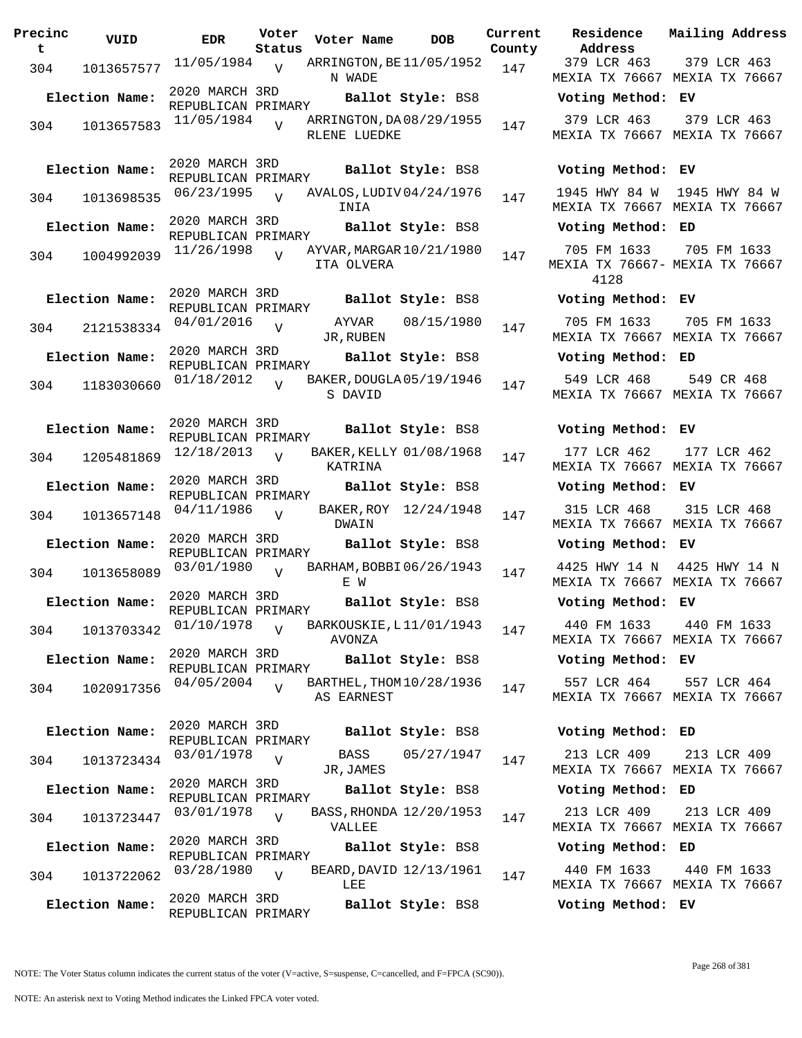| Precinc<br>t. | VUID           | EDR                                  | Voter<br>Status | Voter Name                               | DOB               | Current<br>County |
|---------------|----------------|--------------------------------------|-----------------|------------------------------------------|-------------------|-------------------|
| 304           | 1013657577     | 11/05/1984                           | $\overline{V}$  | ARRINGTON, BE11/05/1952<br>N WADE        |                   | 147               |
|               | Election Name: | 2020 MARCH 3RD<br>REPUBLICAN PRIMARY |                 |                                          | Ballot Style: BS8 |                   |
| 304           | 1013657583     | 11/05/1984                           | $\overline{V}$  | ARRINGTON, DA 08/29/1955<br>RLENE LUEDKE |                   | 147               |
|               | Election Name: | 2020 MARCH 3RD<br>REPUBLICAN PRIMARY |                 |                                          | Ballot Style: BS8 |                   |
| 304           | 1013698535     | 06/23/1995                           | $\overline{U}$  | AVALOS, LUDIV 04/24/1976<br>INIA         |                   | 147               |
|               | Election Name: | 2020 MARCH 3RD<br>REPUBLICAN PRIMARY |                 |                                          | Ballot Style: BS8 |                   |
| 304           | 1004992039     | 11/26/1998                           | ٦T              | AYVAR, MARGAR 10/21/1980<br>ITA OLVERA   |                   | 147               |
|               | Election Name: | 2020 MARCH 3RD<br>REPUBLICAN PRIMARY |                 |                                          | Ballot Style: BS8 |                   |
| 304           | 2121538334     | 04/01/2016                           | V               | AYVAR<br>JR, RUBEN                       | 08/15/1980        | 147               |
|               | Election Name: | 2020 MARCH 3RD<br>REPUBLICAN PRIMARY |                 |                                          | Ballot Style: BS8 |                   |
| 304           | 1183030660     | 01/18/2012                           | V               | BAKER, DOUGLA 05/19/1946<br>S DAVID      |                   | 147               |
|               | Election Name: | 2020 MARCH 3RD<br>REPUBLICAN PRIMARY |                 |                                          | Ballot Style: BS8 |                   |
| 304           | 1205481869     | 12/18/2013                           | V               | BAKER, KELLY 01/08/1968<br>KATRINA       |                   | 147               |
|               | Election Name: | 2020 MARCH 3RD<br>REPUBLICAN PRIMARY |                 |                                          | Ballot Style: BS8 |                   |
| 304           | 1013657148     | 04/11/1986                           | V               | BAKER, ROY<br>DWAIN                      | 12/24/1948        | 147               |
|               | Election Name: | 2020 MARCH 3RD<br>REPUBLICAN PRIMARY |                 |                                          | Ballot Style: BS8 |                   |
| 304           | 1013658089     | 03/01/1980                           | V               | BARHAM, BOBBI06/26/1943<br>F. W          |                   | 147               |
|               | Election Name: | 2020 MARCH 3RD<br>REPUBLICAN PRIMARY |                 |                                          | Ballot Style: BS8 |                   |
| 304           | 1013703342     | 01/10/1978                           | $\overline{V}$  | BARKOUSKIE, L11/01/1943<br>AVONZA        |                   | 147               |
|               | Election Name: | 2020 MARCH 3RD<br>REPUBLICAN PRIMARY |                 |                                          | Ballot Style: BS8 |                   |
| 304           | 1020917356     | 04/05/2004                           |                 | BARTHEL, THOM 10/28/1936<br>AS EARNEST   |                   | 147               |
|               | Election Name: | 2020 MARCH 3RD<br>REPUBLICAN PRIMARY |                 |                                          | Ballot Style: BS8 |                   |
| 304           | 1013723434     | 03/01/1978                           | V               | BASS<br>JR,JAMES                         | 05/27/1947        | 147               |
|               | Election Name: | 2020 MARCH 3RD<br>REPUBLICAN PRIMARY |                 |                                          | Ballot Style: BS8 |                   |
| 304           | 1013723447     | 03/01/1978                           | $\overline{V}$  | BASS, RHONDA 12/20/1953<br>VALLEE        |                   | 147               |
|               | Election Name: | 2020 MARCH 3RD<br>REPUBLICAN PRIMARY |                 |                                          | Ballot Style: BS8 |                   |
| 304           | 1013722062     | 03/28/1980                           | $\overline{V}$  | BEARD, DAVID 12/13/1961<br>LEE           |                   | 147               |
|               | Election Name: | 2020 MARCH 3RD<br>REPUBLICAN PRIMARY |                 |                                          | Ballot Style: BS8 |                   |

**Voter Name DOB Residence Address Current Mailing Address** 379 LCR 463 MEXIA TX 76667 MEXIA TX 76667 379 LCR 463 **Election Name: Ballot Style:** BS8 **Voting Method: EV** 379 LCR 463 MEXIA TX 76667 MEXIA TX 76667 379 LCR 463 **Election Name: Ballot Style:** BS8 **Voting Method: EV** 1945 HWY 84 W 1945 HWY 84 W MEXIA TX 76667 MEXIA TX 76667 **Election Name: Ballot Style:** BS8 **Voting Method: ED** 705 FM 1633 MEXIA TX 76667- MEXIA TX 76667 4128 705 FM 1633 **Election Name: Ballot Style:** BS8 **Voting Method: EV** 705 FM 1633 MEXIA TX 76667 MEXIA TX 76667 705 FM 1633 **Election Name: Ballot Style:** BS8 **Voting Method: ED** 549 LCR 468 MEXIA TX 76667 MEXIA TX 76667 549 CR 468 **Election Name: Ballot Style:** BS8 **Voting Method: EV** 177 LCR 462 MEXIA TX 76667 MEXIA TX 76667 177 LCR 462 **Election Name: Ballot Style:** BS8 **Voting Method: EV** 315 LCR 468 MEXIA TX 76667 MEXIA TX 76667 315 LCR 468 **Election Name: Ballot Style:** BS8 **Voting Method: EV** 4425 HWY 14 N 4425 HWY 14 N MEXIA TX 76667 MEXIA TX 76667 **Election Name: Ballot Style:** BS8 **Voting Method: EV** 440 FM 1633 MEXIA TX 76667 MEXIA TX 76667 440 FM 1633 **Election Name: Ballot Style:** BS8 **Voting Method: EV** 557 LCR 464 MEXIA TX 76667 MEXIA TX 76667 557 LCR 464 **Election Name: Ballot Style:** BS8 **Voting Method: ED** 213 LCR 409 MEXIA TX 76667 MEXIA TX 76667 213 LCR 409 **Election Name: Ballot Style:** BS8 **Voting Method: ED** 213 LCR 409 MEXIA TX 76667 MEXIA TX 76667 213 LCR 409 **Election Name: Ballot Style:** BS8 **Voting Method: ED** 440 FM 1633 440 FM 1633

> MEXIA TX 76667 MEXIA TX 76667 **Election Name: Ballot Style:** BS8 **Voting Method: EV**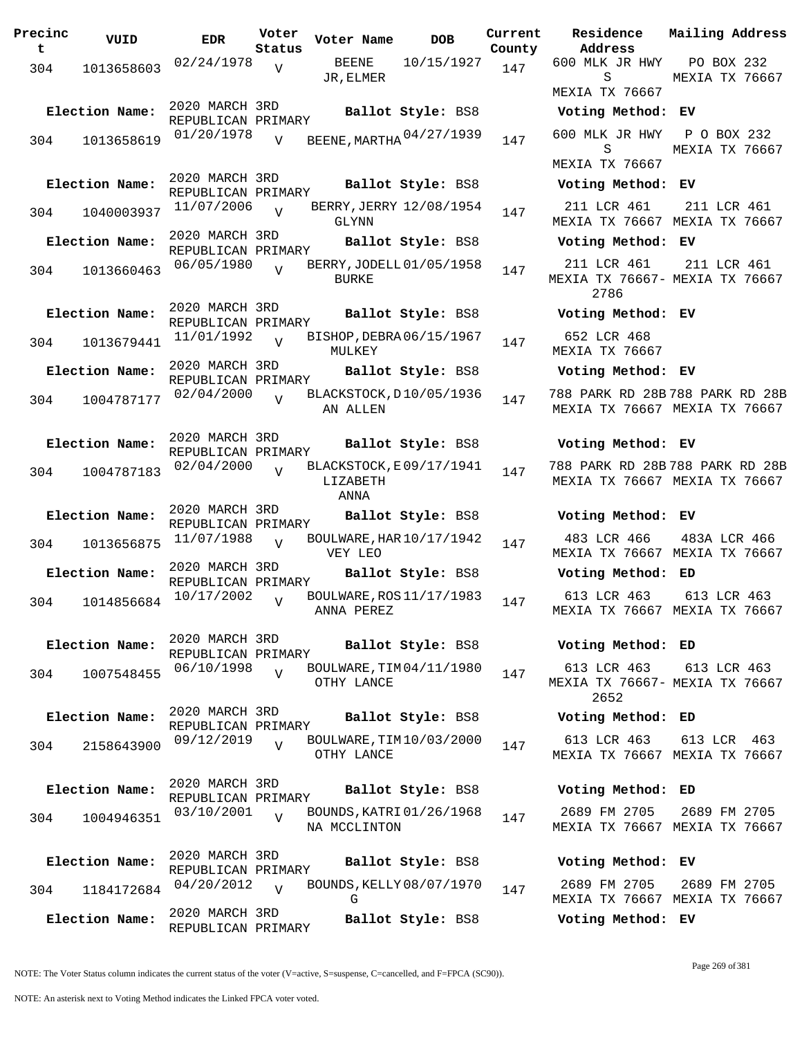**Precinc t VUID EDR Voter Status Voter Name DOB Current Residence Address Current Mailing Address County** 304 1013658603 <sup>02/24/1978</sup> V BEENE 10/15/1927 147 JR,ELMER 600 MLK JR HWY S MEXIA TX 76667 PO BOX 232 MEXIA TX 76667  $\overline{V}$ 2020 MARCH 3RD REPUBLICAN PRIMARY **Election Name: Ballot Style:** BS8 **Voting Method: EV** <sup>304</sup> BEENE,MARTHA 600 MLK JR HWY 01/20/1978 <sup>1013658619</sup> <sup>147</sup> 04/27/1939 S MEXIA TX 76667 P O BOX 232 MEXIA TX 76667  $\overline{V}$ 2020 MARCH 3RD REPUBLICAN PRIMARY **Election Name: Ballot Style:** BS8 **Voting Method: EV** 304 1040003937 11/07/2006 GLYNN 211 LCR 461 MEXIA TX 76667 MEXIA TX 76667 211 LCR 461 V BERRY, JERRY 12/08/1954 147 2020 MARCH 3RD REPUBLICAN PRIMARY **Election Name: Ballot Style:** BS8 **Voting Method: EV** <sup>304</sup> BERRY,JODELL 06/05/1980 <sup>1013660463</sup> <sup>147</sup> 01/05/1958 BURKE 211 LCR 461 MEXIA TX 76667- MEXIA TX 76667 2786 211 LCR 461  $\overline{V}$ 2020 MARCH 3RD REPUBLICAN PRIMARY **Election Name: Ballot Style:** BS8 **Voting Method: EV** 304 1013679441 <sup>11/01/1992</sup> V BISHOP, DEBRA 06/15/1967 147 MULKEY 652 LCR 468 MEXIA TX 76667 V 2020 MARCH 3RD REPUBLICAN PRIMARY **Election Name: Ballot Style:** BS8 **Voting Method: EV** 304 1004787177  $02/04/2000$  BLACKSTOCK, D10/05/1936 147 AN ALLEN 788 PARK RD 28B 788 PARK RD 28B MEXIA TX 76667 MEXIA TX 76667  $\overline{V}$ 2020 MARCH 3RD REPUBLICAN PRIMARY **Election Name: Ballot Style:** BS8 **Voting Method: EV** 304 1004787183  $02/04/2000$  BLACKSTOCK, E09/17/1941 147 LIZABETH ANNA 788 PARK RD 28B 788 PARK RD 28B MEXIA TX 76667 MEXIA TX 76667  $\overline{v}$ 2020 MARCH 3RD REPUBLICAN PRIMARY **Election Name: Ballot Style:** BS8 **Voting Method: EV** 304 1013656875  $\frac{11}{07}/1988$  W BOULWARE, HAR 10/17/1942 147 VEY LEO 483 LCR 466 MEXIA TX 76667 MEXIA TX 76667 483A LCR 466 V 2020 MARCH 3RD REPUBLICAN PRIMARY **Election Name: Ballot Style:** BS8 **Voting Method: ED**  $304$  1014856684 10/17/2002 ANNA PEREZ 613 LCR 463 MEXIA TX 76667 MEXIA TX 76667 613 LCR 463  $\overline{v}$ BOULWARE, ROS 11/17/1983 147 2020 MARCH 3RD REPUBLICAN PRIMARY **Election Name: Ballot Style:** BS8 **Voting Method: ED** 304 1007548455 06/10/1998 OTHY LANCE 613 LCR 463 MEXIA TX 76667- MEXIA TX 76667 2652 613 LCR 463  $\overline{v}$ BOULWARE, TIM 04/11/1980 147 2020 MARCH 3RD REPUBLICAN PRIMARY **Election Name: Ballot Style:** BS8 **Voting Method: ED** <sup>304</sup> BOULWARE,TIM 09/12/2019 <sup>2158643900</sup> <sup>147</sup> 10/03/2000 OTHY LANCE 613 LCR 463 MEXIA TX 76667 MEXIA TX 76667 613 LCR 463  $\overline{V}$ 2020 MARCH 3RD REPUBLICAN PRIMARY **Election Name: Ballot Style:** BS8 **Voting Method: ED** <sup>304</sup> BOUNDS,KATRI 03/10/2001 <sup>1004946351</sup> <sup>147</sup> 01/26/1968 NA MCCLINTON 2689 FM 2705 MEXIA TX 76667 MEXIA TX 76667 2689 FM 2705  $\overline{v}$ 2020 MARCH 3RD REPUBLICAN PRIMARY **Election Name: Ballot Style:** BS8 **Voting Method: EV** 304 1184172684 <sup>04/20/2012</sup> v BOUNDS, KELLY 08/07/1970 147 G 2689 FM 2705 MEXIA TX 76667 MEXIA TX 76667 2689 FM 2705  $\overline{V}$ 2020 MARCH 3RD REPUBLICAN PRIMARY **Election Name: Ballot Style:** BS8 **Voting Method: EV**

NOTE: The Voter Status column indicates the current status of the voter (V=active, S=suspense, C=cancelled, and F=FPCA (SC90)).

Page 269 of 381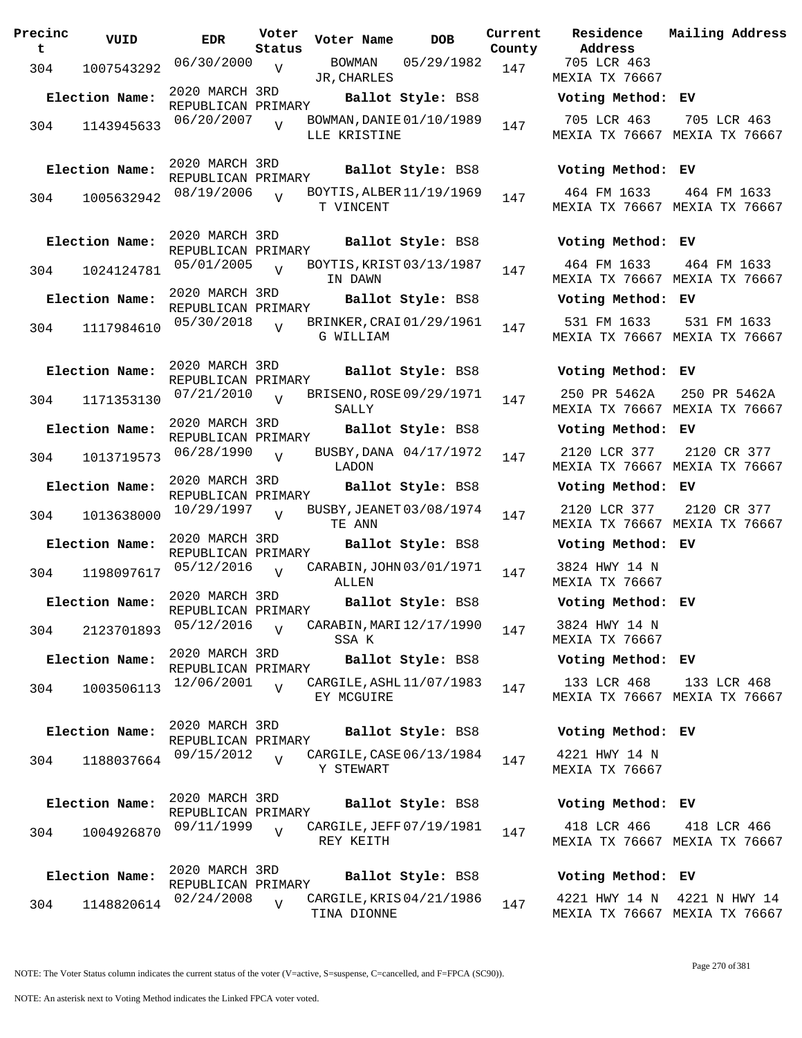| Precinc<br>t | VUID           | <b>EDR</b>                           | Voter<br>Status | Voter Name                               | <b>DOB</b>             | Current<br>County | Residence<br>Address                | Mai.                  |
|--------------|----------------|--------------------------------------|-----------------|------------------------------------------|------------------------|-------------------|-------------------------------------|-----------------------|
| 304          | 1007543292     | 06/30/2000                           | $\overline{V}$  | BOWMAN<br>JR, CHARLES                    | 05/29/1982             | 147               | 705 LCR 463<br>MEXIA TX 76667       |                       |
|              | Election Name: | 2020 MARCH 3RD<br>REPUBLICAN PRIMARY |                 |                                          | Ballot Style: BS8      |                   | Voting Method: EV                   |                       |
| 304          | 1143945633     | 06/20/2007                           | $\overline{U}$  | BOWMAN, DANIE 01/10/1989<br>LLE KRISTINE |                        | 147               | 705 LCR 463<br>MEXIA TX 76667 MEX   | 7 <sup>1</sup>        |
|              | Election Name: | 2020 MARCH 3RD<br>REPUBLICAN PRIMARY |                 |                                          | Ballot Style: BS8      |                   | Voting Method: EV                   |                       |
| 304          | 1005632942     | 08/19/2006                           | $\overline{U}$  | BOYTIS, ALBER 11/19/1969<br>T VINCENT    |                        | 147               | 464 FM 1633<br>MEXIA TX 76667 MEX   | $\overline{4}$        |
|              | Election Name: | 2020 MARCH 3RD<br>REPUBLICAN PRIMARY |                 |                                          | Ballot Style: BS8      |                   | Voting Method: EV                   |                       |
| 304          | 1024124781     | 05/01/2005                           | $\overline{V}$  | BOYTIS, KRIST 03/13/1987<br>IN DAWN      |                        | 147               | 464 FM 1633<br>MEXIA TX 76667 MEX   | $\overline{4}$        |
|              | Election Name: | 2020 MARCH 3RD<br>REPUBLICAN PRIMARY |                 |                                          | Ballot Style: BS8      |                   | Voting Method: EV                   |                       |
| 304          | 1117984610     | 05/30/2018                           | $\overline{U}$  | BRINKER, CRAI 01/29/1961<br>G WILLIAM    |                        | 147               | 531 FM 1633<br>MEXIA TX 76667 MEX   | 5 <sup>1</sup>        |
|              | Election Name: | 2020 MARCH 3RD<br>REPUBLICAN PRIMARY |                 |                                          | Ballot Style: BS8      |                   | Voting Method: EV                   |                       |
| 304          | 1171353130     | 07/21/2010                           | $\overline{U}$  | BRISENO, ROSE 09/29/1971<br>SALLY        |                        | 147               | 250 PR 5462A<br>MEXIA TX 76667 MEX  | 25                    |
|              | Election Name: | 2020 MARCH 3RD<br>REPUBLICAN PRIMARY |                 |                                          | Ballot Style: BS8      |                   | Voting Method:                      | EV                    |
| 304          | 1013719573     | 06/28/1990                           | $\overline{V}$  | LADON                                    | BUSBY, DANA 04/17/1972 | 147               | 2120 LCR 377<br>MEXIA TX 76667      | 2 <sup>1</sup><br>MEX |
|              | Election Name: | 2020 MARCH 3RD<br>REPUBLICAN PRIMARY |                 |                                          | Ballot Style: BS8      |                   | Voting Method: EV                   |                       |
| 304          | 1013638000     | 10/29/1997                           | $\overline{U}$  | BUSBY, JEANET 03/08/1974<br>TE ANN       |                        | 147               | 2120 LCR 377<br>MEXIA TX 76667      | 2 <sup>1</sup><br>MEX |
|              | Election Name: | 2020 MARCH 3RD<br>REPUBLICAN PRIMARY |                 |                                          | Ballot Style: BS8      |                   | Voting Method: EV                   |                       |
| 304          | 1198097617     | 05/12/2016                           | $\overline{V}$  | CARABIN, JOHN 03/01/1971<br>ALLEN        |                        | 147               | 3824 HWY 14 N<br>MEXIA TX 76667     |                       |
|              | Election Name: | 2020 MARCH 3RD<br>REPUBLICAN PRIMARY |                 |                                          | Ballot Style: BS8      |                   | Voting Method: EV                   |                       |
| 304          | 2123701893     | 05/12/2016                           | $\overline{U}$  | CARABIN, MARI 12/17/1990<br>SSA K        |                        | 147               | 3824 HWY 14 N<br>MEXIA TX 76667     |                       |
|              | Election Name: | 2020 MARCH 3RD<br>REPUBLICAN PRIMARY |                 |                                          | Ballot Style: BS8      |                   | Voting Method: EV                   |                       |
| 304          | 1003506113     | 12/06/2001                           | $\overline{V}$  | CARGILE, ASHL 11/07/1983<br>EY MCGUIRE   |                        | 147               | 133 LCR 468<br>MEXIA TX 76667 MEX   | $\mathbf{1}$          |
|              | Election Name: | 2020 MARCH 3RD<br>REPUBLICAN PRIMARY |                 |                                          | Ballot Style: BS8      |                   | Voting Method: EV                   |                       |
| 304          | 1188037664     | 09/15/2012                           | $\overline{U}$  | CARGILE, CASE 06/13/1984<br>Y STEWART    |                        | 147               | 4221 HWY 14 N<br>MEXIA TX 76667     |                       |
|              | Election Name: | 2020 MARCH 3RD<br>REPUBLICAN PRIMARY |                 |                                          | Ballot Style: BS8      |                   | Voting Method: EV                   |                       |
| 304          | 1004926870     | 09/11/1999                           | $\overline{V}$  | CARGILE, JEFF 07/19/1981<br>REY KEITH    |                        | 147               | 418 LCR 466<br>MEXIA TX 76667 MEX   | $\overline{4}$        |
|              | Election Name: | 2020 MARCH 3RD<br>REPUBLICAN PRIMARY |                 |                                          | Ballot Style: BS8      |                   | Voting Method: EV                   |                       |
| 304          | 1148820614     | 02/24/2008                           | $\overline{V}$  | CARGILE, KRIS 04/21/1986<br>TINA DIONNE  |                        | 147               | 4221 HWY 14 N<br>MEXIA TX 76667 MEX | 42.                   |

**Voter Name DOB Residence Address Current Mailing Address** 705 LCR 463 MEXIA TX 76667 **Election Name: Ballot Style:** BS8 **Voting Method: EV** 705 LCR 463 MEXIA TX 76667 MEXIA TX 76667 705 LCR 463 **Election Name: Ballot Style:** BS8 **Voting Method: EV** 464 FM 1633 MEXIA TX 76667 MEXIA TX 76667 464 FM 1633 **Election Name: Ballot Style:** BS8 **Voting Method: EV** 464 FM 1633 MEXIA TX 76667 MEXIA TX 76667 464 FM 1633 **Election Name: Ballot Style:** BS8 **Voting Method: EV** 531 FM 1633 MEXIA TX 76667 MEXIA TX 76667 531 FM 1633 **Election Name: Ballot Style:** BS8 **Voting Method: EV** 250 PR 5462A MEXIA TX 76667 MEXIA TX 76667 250 PR 5462A **Election Name: Ballot Style:** BS8 **Voting Method: EV** 2120 LCR 377 MEXIA TX 76667 MEXIA TX 76667 2120 CR 377 **Election Name: Ballot Style:** BS8 **Voting Method: EV** 2120 LCR 377 MEXIA TX 76667 MEXIA TX 76667 2120 CR 377 **Election Name: Ballot Style:** BS8 **Voting Method: EV** 3824 HWY 14 N MEXIA TX 76667 **Election Name: Ballot Style:** BS8 **Voting Method: EV** 3824 HWY 14 N MEXIA TX 76667 **Election Name: Ballot Style:** BS8 **Voting Method: EV** 133 LCR 468 MEXIA TX 76667 MEXIA TX 76667 133 LCR 468 **Election Name: Ballot Style:** BS8 **Voting Method: EV** 4221 HWY 14 N MEXIA TX 76667 **Election Name: Ballot Style:** BS8 **Voting Method: EV** 418 LCR 466 418 LCR 466

| Voting Method: EV |  |                               |  |  |
|-------------------|--|-------------------------------|--|--|
|                   |  | 4221 HWY 14 N 4221 N HWY 14   |  |  |
|                   |  | MEXIA TX 76667 MEXIA TX 76667 |  |  |

MEXIA TX 76667 MEXIA TX 76667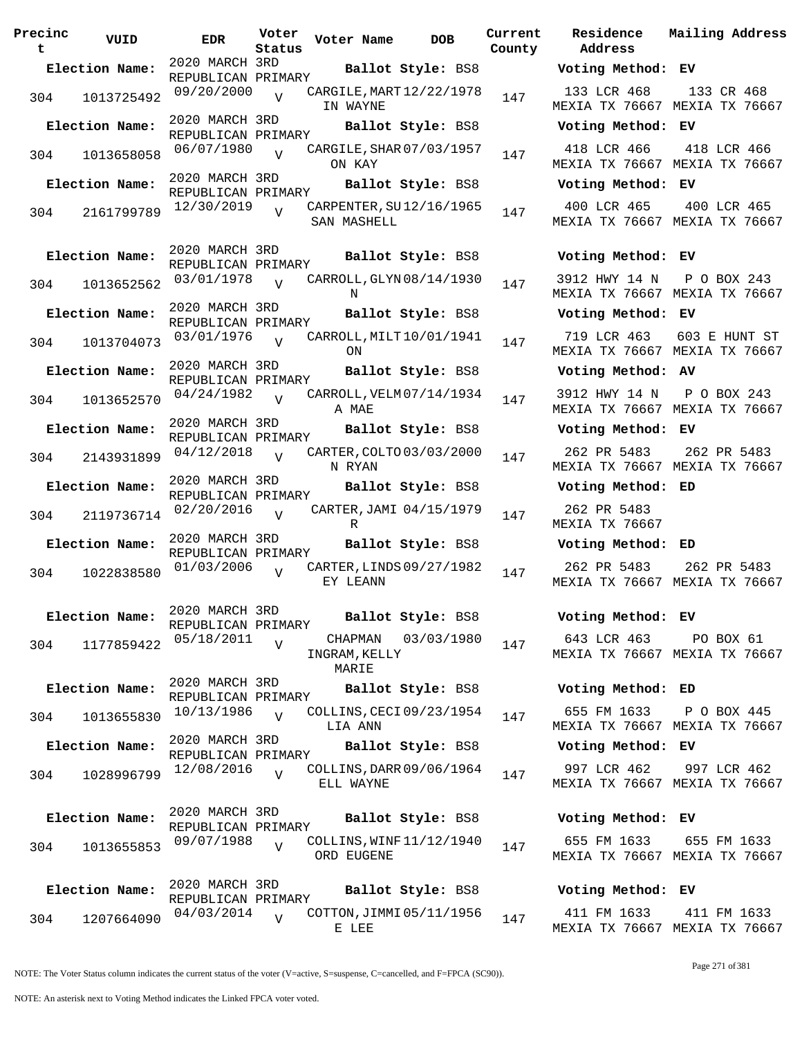| Precinc<br>t | VUID           | <b>EDR</b>                           | Voter<br>Status | Voter Name                        | DOB                      | Current<br>County |
|--------------|----------------|--------------------------------------|-----------------|-----------------------------------|--------------------------|-------------------|
|              | Election Name: | 2020 MARCH 3RD                       |                 |                                   | Ballot Style: BS8        |                   |
| 304          | 1013725492     | REPUBLICAN PRIMARY<br>09/20/2000     | $\overline{V}$  | IN WAYNE                          | CARGILE, MART 12/22/1978 | 147               |
|              | Election Name: | 2020 MARCH 3RD<br>REPUBLICAN PRIMARY |                 |                                   | Ballot Style: BS8        |                   |
| 304          | 1013658058     | 06/07/1980                           | $\overline{U}$  | ON KAY                            | CARGILE, SHAR 07/03/1957 | 147               |
|              | Election Name: | 2020 MARCH 3RD<br>REPUBLICAN PRIMARY |                 |                                   | Ballot Style: BS8        |                   |
| 304          | 2161799789     | 12/30/2019                           | ٦Z              | SAN MASHELL                       | CARPENTER, SU12/16/1965  | 147               |
|              | Election Name: | 2020 MARCH 3RD<br>REPUBLICAN PRIMARY |                 |                                   | Ballot Style: BS8        |                   |
| 304          | 1013652562     | 03/01/1978                           | $\overline{V}$  | N                                 | CARROLL, GLYN 08/14/1930 | 147               |
|              | Election Name: | 2020 MARCH 3RD<br>REPUBLICAN PRIMARY |                 |                                   | Ballot Style: BS8        |                   |
| 304          | 1013704073     | 03/01/1976                           | $\overline{V}$  | ON                                | CARROLL, MILT 10/01/1941 | 147               |
|              | Election Name: | 2020 MARCH 3RD<br>REPUBLICAN PRIMARY |                 |                                   | Ballot Style: BS8        |                   |
| 304          | 1013652570     | 04/24/1982                           | $\overline{U}$  | A MAE                             | CARROLL, VELM 07/14/1934 | 147               |
|              | Election Name: | 2020 MARCH 3RD<br>REPUBLICAN PRIMARY |                 |                                   | Ballot Style: BS8        |                   |
| 304          | 2143931899     | 04/12/2018                           | V               | N RYAN                            | CARTER, COLTO 03/03/2000 | 147               |
|              | Election Name: | 2020 MARCH 3RD                       |                 |                                   | Ballot Style: BS8        |                   |
| 304          | 2119736714     | REPUBLICAN PRIMARY<br>02/20/2016     | V               | R                                 | CARTER, JAMI 04/15/1979  | 147               |
|              | Election Name: | 2020 MARCH 3RD                       |                 |                                   | Ballot Style: BS8        |                   |
| 304          | 1022838580     | REPUBLICAN PRIMARY<br>01/03/2006     | $\overline{V}$  | EY LEANN                          | CARTER, LINDS 09/27/1982 | 147               |
|              | Election Name: | 2020 MARCH 3RD<br>REPUBLICAN PRIMARY |                 |                                   | Ballot Style: BS8        |                   |
| 304          | 1177859422     | 05/18/2011                           | V               | CHAPMAN<br>INGRAM, KELLY<br>MARIE | 03/03/1980               | 147               |
|              | Election Name: | 2020 MARCH 3RD<br>REPUBLICAN PRIMARY |                 |                                   | Ballot Style: BS8        |                   |
| 304          | 1013655830     | 10/13/1986                           | $\overline{V}$  | LIA ANN                           | COLLINS, CECI 09/23/1954 | 147               |
|              | Election Name: | 2020 MARCH 3RD<br>REPUBLICAN PRIMARY |                 |                                   | Ballot Style: BS8        |                   |
| 304          | 1028996799     | 12/08/2016                           | $\overline{V}$  | ELL WAYNE                         | COLLINS, DARR 09/06/1964 | 147               |
|              | Election Name: | 2020 MARCH 3RD<br>REPUBLICAN PRIMARY |                 |                                   | Ballot Style: BS8        |                   |
| 304          | 1013655853     | 09/07/1988                           | $\overline{V}$  | ORD EUGENE                        | COLLINS, WINF 11/12/1940 | 147               |
|              | Election Name: | 2020 MARCH 3RD<br>REPUBLICAN PRIMARY |                 |                                   | Ballot Style: BS8        |                   |
| 304          | 1207664090     | 04/03/2014                           | $\overline{V}$  |                                   | COTTON, JIMMI 05/11/1956 | 147               |
|              |                |                                      |                 | E LEE                             |                          |                   |

**Parame Residence Address Current Mailing Address Election Name: Ballot Style:** BS8 **Voting Method: EV** 133 LCR 468 MEXIA TX 76667 MEXIA TX 76667 133 CR 468 **Election Name: Ballot Style:** BS8 **Voting Method: EV** 418 LCR 466 MEXIA TX 76667 MEXIA TX 76667 418 LCR 466 **Election Name: Ballot Style:** BS8 **Voting Method: EV** 400 LCR 465 MEXIA TX 76667 MEXIA TX 76667 400 LCR 465 **Election Name: Ballot Style:** BS8 **Voting Method: EV** 3912 HWY 14 N P O BOX 243 MEXIA TX 76667 MEXIA TX 76667 **Election Name: Ballot Style:** BS8 **Voting Method: EV** 719 LCR 463 603 E HUNT ST MEXIA TX 76667 MEXIA TX 76667 **Election Name: Ballot Style:** BS8 **Voting Method: AV** 3912 HWY 14 N P O BOX 243 MEXIA TX 76667 MEXIA TX 76667 **Election Name: Ballot Style:** BS8 **Voting Method: EV** 262 PR 5483 MEXIA TX 76667 MEXIA TX 76667 262 PR 5483 **Election Name: Ballot Style:** BS8 **Voting Method: ED** 262 PR 5483 MEXIA TX 76667 **Election Name: Ballot Style:** BS8 **Voting Method: ED** 262 PR 5483 MEXIA TX 76667 MEXIA TX 76667 262 PR 5483 **Election Name: Ballot Style:** BS8 **Voting Method: EV** 643 LCR 463 MEXIA TX 76667 MEXIA TX 76667 PO BOX 61 **Election Name: Ballot Style:** BS8 **Voting Method: ED** 655 FM 1633 MEXIA TX 76667 MEXIA TX 76667 P O BOX 445 **Election Name: Ballot Style:** BS8 **Voting Method: EV** 997 LCR 462 MEXIA TX 76667 MEXIA TX 76667 997 LCR 462 **Election Name: Ballot Style:** BS8 **Voting Method: EV** 655 FM 1633 655 FM 1633

# **Election Name: Ballot Style:** BS8 **Voting Method: EV**

411 FM 1633 MEXIA TX 76667 MEXIA TX 76667 411 FM 1633

MEXIA TX 76667 MEXIA TX 76667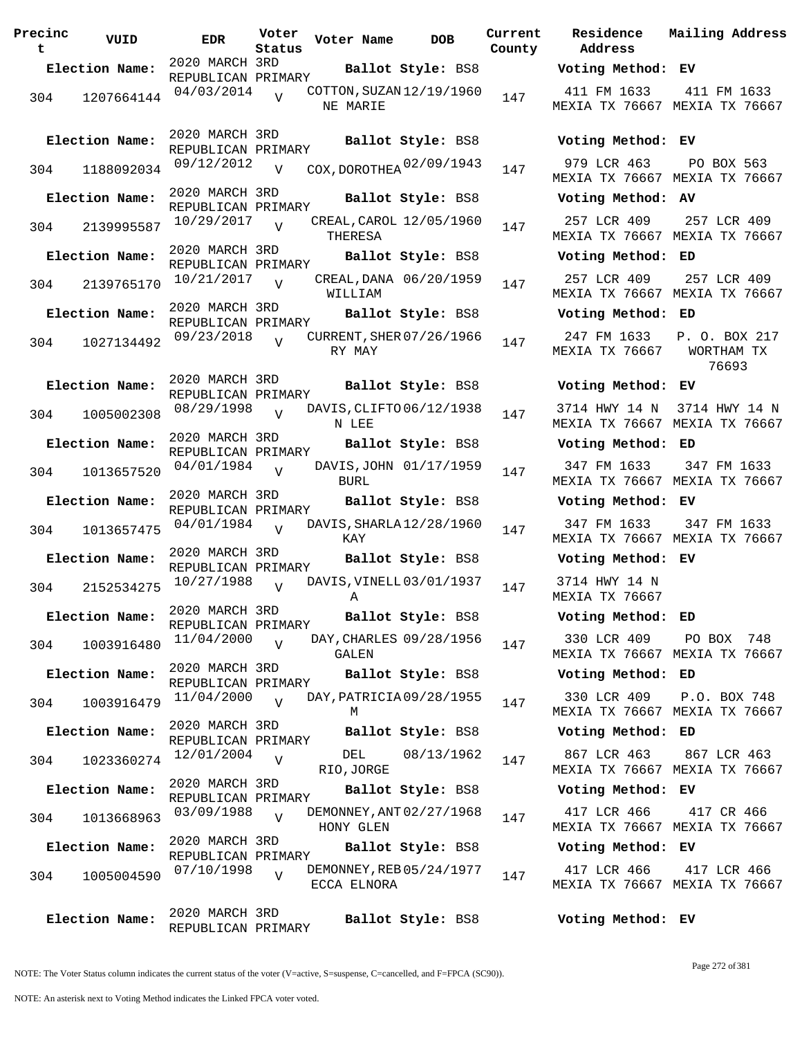| Precinc<br>t | VUID           | <b>EDR</b>                           | Voter<br>Status | Voter Name                              | <b>DOB</b>             | Current<br>County | Residence<br>Address                |
|--------------|----------------|--------------------------------------|-----------------|-----------------------------------------|------------------------|-------------------|-------------------------------------|
|              | Election Name: | 2020 MARCH 3RD<br>REPUBLICAN PRIMARY |                 |                                         | Ballot Style: BS8      |                   | Voting Metho                        |
| 304          | 1207664144     | 04/03/2014                           | $\overline{U}$  | COTTON, SUZAN 12/19/1960<br>NE MARIE    |                        | 147               | 411 FM 1633<br>MEXIA TX 7666        |
|              | Election Name: | 2020 MARCH 3RD<br>REPUBLICAN PRIMARY |                 |                                         | Ballot Style: BS8      |                   | Voting Metho                        |
| 304          | 1188092034     | 09/12/2012                           | $\overline{V}$  | COX, DOROTHEA $02/09/1943$              |                        | 147               | 979 LCR 463<br>MEXIA TX 7666        |
|              | Election Name: | 2020 MARCH 3RD<br>REPUBLICAN PRIMARY |                 |                                         | Ballot Style: BS8      |                   | Voting Metho                        |
|              | 304 2139995587 | $10/29/2017$ V                       |                 | CREAL, CAROL 12/05/1960<br>THERESA      |                        | 147               | 257 LCR 409<br>MEXIA TX 7666        |
|              | Election Name: | 2020 MARCH 3RD<br>REPUBLICAN PRIMARY |                 |                                         | Ballot Style: BS8      |                   | Voting Metho                        |
| 304          | 2139765170     | 10/21/2017                           | V               | WILLIAM                                 | CREAL, DANA 06/20/1959 | 147               | 257 LCR 409<br>MEXIA TX 7666        |
|              | Election Name: | 2020 MARCH 3RD<br>REPUBLICAN PRIMARY |                 |                                         | Ballot Style: BS8      |                   | Voting Metho                        |
| 304          | 1027134492     | 09/23/2018                           | $\overline{V}$  | CURRENT, SHER 07/26/1966<br>RY MAY      |                        | 147               | 247 FM 1633<br>MEXIA TX 7666        |
|              | Election Name: | 2020 MARCH 3RD                       |                 |                                         | Ballot Style: BS8      |                   | Voting Metho                        |
| 304          | 1005002308     | REPUBLICAN PRIMARY<br>08/29/1998     | V               | DAVIS, CLIFTO 06/12/1938<br>N LEE       |                        | 147               | 3714 HWY 14<br>MEXIA TX 7666        |
|              | Election Name: | 2020 MARCH 3RD                       |                 |                                         | Ballot Style: BS8      |                   | Voting Metho                        |
| 304          | 1013657520     | REPUBLICAN PRIMARY<br>04/01/1984     | $\overline{V}$  | BURL                                    | DAVIS, JOHN 01/17/1959 | 147               | 347 FM 1633<br>MEXIA TX 7666        |
|              | Election Name: | 2020 MARCH 3RD<br>REPUBLICAN PRIMARY |                 |                                         | Ballot Style: BS8      |                   | Voting Metho                        |
| 304          | 1013657475     | 04/01/1984                           | $\overline{U}$  | DAVIS, SHARLA 12/28/1960<br>KAY         |                        | 147               | 347 FM 1633<br>MEXIA TX 7666        |
|              | Election Name: | 2020 MARCH 3RD<br>REPUBLICAN PRIMARY |                 |                                         | Ballot Style: BS8      |                   | Voting Metho                        |
|              | 304 2152534275 | 10/27/1988                           | V               | DAVIS, VINELL 03/01/1937<br>A           |                        | 147               | 3714 HWY 14<br><b>MEXIA TX 7666</b> |
|              | Election Name: | 2020 MARCH 3RD<br>REPUBLICAN PRIMARY |                 | Ballot Style: BS8                       |                        |                   | Voting Metho                        |
| 304          | 1003916480     | 11/04/2000                           | V               | DAY, CHARLES 09/28/1956<br>GALEN        |                        | 147               | 330 LCR 409<br>MEXIA TX 7666        |
|              | Election Name: | 2020 MARCH 3RD<br>REPUBLICAN PRIMARY |                 |                                         | Ballot Style: BS8      |                   | Voting Metho                        |
| 304          | 1003916479     | 11/04/2000                           | $\overline{U}$  | DAY, PATRICIA 09/28/1955<br>М           |                        | 147               | 330 LCR 409<br>MEXIA TX 7666        |
|              | Election Name: | 2020 MARCH 3RD<br>REPUBLICAN PRIMARY |                 |                                         | Ballot Style: BS8      |                   | Voting Metho                        |
| 304          | 1023360274     | 12/01/2004                           | $\overline{V}$  | DEL<br>RIO, JORGE                       | 08/13/1962             | 147               | 867 LCR 463<br><b>MEXIA TX 7666</b> |
|              | Election Name: | 2020 MARCH 3RD<br>REPUBLICAN PRIMARY |                 |                                         | Ballot Style: BS8      |                   | Voting Metho                        |
| 304          | 1013668963     | 03/09/1988                           | $\overline{V}$  | DEMONNEY, ANT 02/27/1968<br>HONY GLEN   |                        | 147               | 417 LCR 466<br>MEXIA TX 7666        |
|              | Election Name: | 2020 MARCH 3RD<br>REPUBLICAN PRIMARY |                 |                                         | Ballot Style: BS8      |                   | Voting Metho                        |
| 304          | 1005004590     | 07/10/1998                           | $\overline{U}$  | DEMONNEY, REB 05/24/1977<br>ECCA ELNORA |                        | 147               | 417 LCR 466<br>MEXIA TX 7666        |
|              | Election Name: | 2020 MARCH 3RD<br>REPUBLICAN PRIMARY |                 |                                         | Ballot Style: BS8      |                   | Voting Metho                        |

**Voter Name DOB Residence Address Current Mailing Address Election Name: Ballot Style:** BS8 **Voting Method: EV** 411 FM 1633 MEXIA TX 76667 MEXIA TX 76667 411 FM 1633 **Election Name: Ballot Style:** BS8 **Voting Method: EV** MEXIA TX 76667 MEXIA TX 76667 PO BOX 563 **Election Name: Ballot Style:** BS8 **Voting Method: AV** 257 LCR 409 MEXIA TX 76667 MEXIA TX 76667 257 LCR 409 **Election Name: Ballot Style:** BS8 **Voting Method: ED** 257 LCR 409 MEXIA TX 76667 MEXIA TX 76667 257 LCR 409 **Election Name: Ballot Style:** BS8 **Voting Method: ED** 247 FM 1633 P. O. BOX 217 MEXIA TX 76667 WORTHAM TX 76693 **Election Name: Ballot Style:** BS8 **Voting Method: EV** 3714 HWY 14 N 3714 HWY 14 N MEXIA TX 76667 MEXIA TX 76667 **Election Name: Ballot Style:** BS8 **Voting Method: ED** 347 FM 1633 MEXIA TX 76667 MEXIA TX 76667 347 FM 1633 **Election Name: Ballot Style:** BS8 **Voting Method: EV** 347 FM 1633 MEXIA TX 76667 MEXIA TX 76667 347 FM 1633 **Election Name: Ballot Style:** BS8 **Voting Method: EV** 3714 HWY 14 N MEXIA TX 76667 **Election Name: Ballot Style:** BS8 **Voting Method: ED** 330 LCR 409 MEXIA TX 76667 MEXIA TX 76667 PO BOX 748 **Election Name: Ballot Style:** BS8 **Voting Method: ED** 330 LCR 409 P.O. BOX 748 MEXIA TX 76667 MEXIA TX 76667 **Election Name: Ballot Style:** BS8 **Voting Method: ED** 867 LCR 463 MEXIA TX 76667 MEXIA TX 76667 867 LCR 463 **Election Name: Ballot Style:** BS8 **Voting Method: EV** 417 LCR 466 MEXIA TX 76667 MEXIA TX 76667 417 CR 466 **Election Name: Ballot Style:** BS8 **Voting Method: EV** 417 LCR 466 MEXIA TX 76667 MEXIA TX 76667 417 LCR 466

**Election Name: Ballot Style:** BS8 **Voting Method: EV**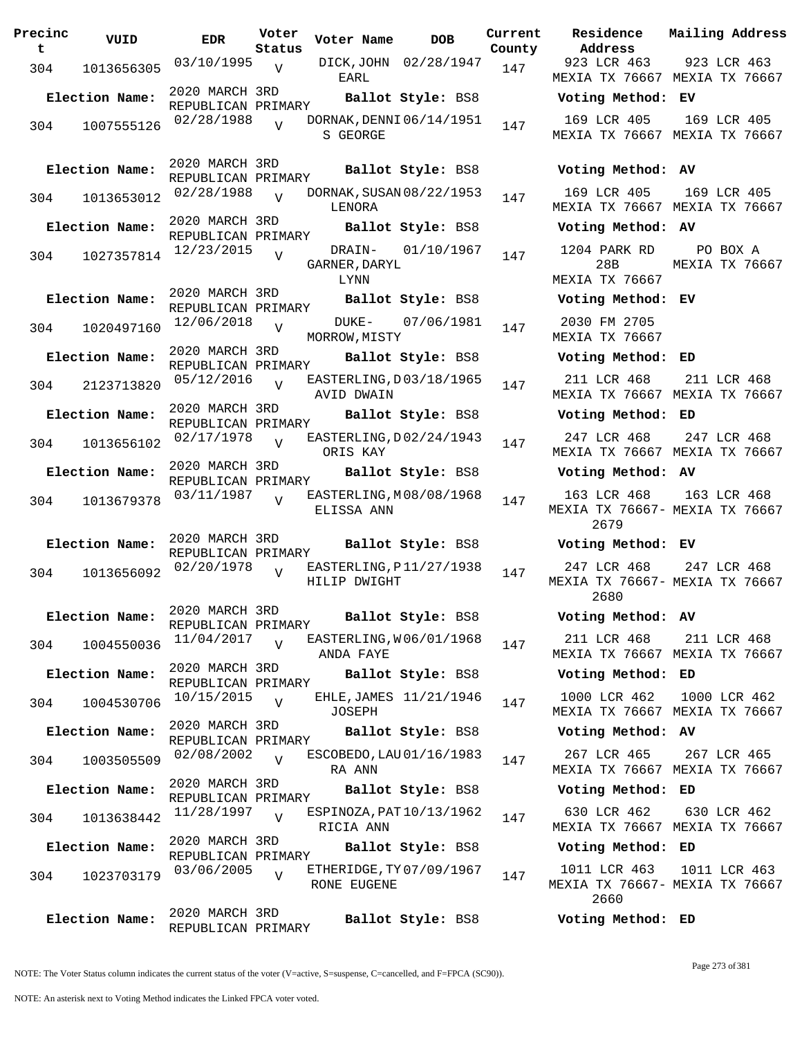| Precinc<br>t | VUID           | <b>EDR</b>                           | Voter<br>Status | Voter Name                              | DOB                    | Current<br>County | Residence<br>Address                        | Mai:           |
|--------------|----------------|--------------------------------------|-----------------|-----------------------------------------|------------------------|-------------------|---------------------------------------------|----------------|
| 304          | 1013656305     | $03/10/1995$ V                       |                 | EARL                                    | DICK, JOHN 02/28/1947  | 147               | 923 LCR 463<br>MEXIA TX 76667 MEX           | 9:             |
|              | Election Name: | 2020 MARCH 3RD<br>REPUBLICAN PRIMARY |                 |                                         | Ballot Style: BS8      |                   | Voting Method: EV                           |                |
| 304          | 1007555126     | 02/28/1988                           | $\overline{U}$  | DORNAK, DENNI 06/14/1951<br>S GEORGE    |                        | 147               | 169 LCR 405<br>MEXIA TX 76667 MEX           | 1(             |
|              | Election Name: | 2020 MARCH 3RD<br>REPUBLICAN PRIMARY |                 |                                         | Ballot Style: BS8      |                   | Voting Method: AV                           |                |
| 304          | 1013653012     | 02/28/1988                           | $\overline{U}$  | DORNAK, SUSAN 08/22/1953<br>LENORA      |                        | 147               | 169 LCR 405<br>MEXIA TX 76667 MEX           | 1(             |
|              | Election Name: | 2020 MARCH 3RD<br>REPUBLICAN PRIMARY |                 |                                         | Ballot Style: BS8      |                   | Voting Method: AV                           |                |
| 304          | 1027357814     | 12/23/2015                           | $\overline{V}$  | GARNER, DARYL<br>LYNN                   | DRAIN- 01/10/1967      | 147               | 1204 PARK RD<br>28B<br>MEXIA TX 76667       | MEX            |
|              | Election Name: | 2020 MARCH 3RD<br>REPUBLICAN PRIMARY |                 |                                         | Ballot Style: BS8      |                   | Voting Method: EV                           |                |
| 304          | 1020497160     | 12/06/2018                           | $\overline{V}$  | MORROW, MISTY                           | DUKE- 07/06/1981       | 147               | 2030 FM 2705<br>MEXIA TX 76667              |                |
|              | Election Name: | 2020 MARCH 3RD<br>REPUBLICAN PRIMARY |                 |                                         | Ballot Style: BS8      |                   | Voting Method: ED                           |                |
| 304          | 2123713820     | 05/12/2016                           |                 | EASTERLING, D03/18/1965<br>AVID DWAIN   |                        | 147               | 211 LCR 468<br>MEXIA TX 76667 MEX           | $2^{\cdot}$    |
|              | Election Name: | 2020 MARCH 3RD<br>REPUBLICAN PRIMARY |                 |                                         | Ballot Style: BS8      |                   | Voting Method: ED                           |                |
| 304          | 1013656102     | 02/17/1978                           | $\overline{V}$  | EASTERLING, D02/24/1943<br>ORIS KAY     |                        | 147               | 247 LCR 468<br>MEXIA TX 76667 MEX           | 2 <sup>1</sup> |
|              | Election Name: | 2020 MARCH 3RD<br>REPUBLICAN PRIMARY |                 |                                         | Ballot Style: BS8      |                   | Voting Method: AV                           |                |
| 304          | 1013679378     | 03/11/1987                           | $\overline{U}$  | EASTERLING, M08/08/1968<br>ELISSA ANN   |                        | 147               | 163 LCR 468<br>MEXIA TX 76667- MEX<br>2679  | 1(             |
|              | Election Name: | 2020 MARCH 3RD<br>REPUBLICAN PRIMARY |                 |                                         | Ballot Style: BS8      |                   | Voting Method: EV                           |                |
| 304          | 1013656092     | 02/20/1978                           | $\overline{U}$  | EASTERLING, P11/27/1938<br>HILIP DWIGHT |                        | 147               | 247 LCR 468<br>MEXIA TX 76667- MEX<br>2680  | 2 <sup>1</sup> |
|              | Election Name: | 2020 MARCH 3RD<br>REPUBLICAN PRIMARY |                 |                                         | Ballot Style: BS8      |                   | Voting Method: AV                           |                |
| 304          | 1004550036     | 11/04/2017                           | $\overline{U}$  | EASTERLING, W06/01/1968<br>ANDA FAYE    |                        | 147               | 211 LCR 468<br>MEXIA TX 76667 MEX           | 2:             |
|              | Election Name: | 2020 MARCH 3RD<br>REPUBLICAN PRIMARY |                 |                                         | Ballot Style: BS8      |                   | Voting Method: ED                           |                |
| 304          | 1004530706     | 10/15/2015                           | $\overline{V}$  | JOSEPH                                  | EHLE, JAMES 11/21/1946 | 147               | 1000 LCR 462<br>MEXIA TX 76667 MEX          | 10             |
|              | Election Name: | 2020 MARCH 3RD<br>REPUBLICAN PRIMARY |                 |                                         | Ballot Style: BS8      |                   | Voting Method: AV                           |                |
| 304          | 1003505509     | 02/08/2002                           | $\overline{U}$  | ESCOBEDO, LAU 01/16/1983<br>RA ANN      |                        | 147               | 267 LCR 465<br>MEXIA TX 76667 MEX           | 2 <sub>0</sub> |
|              | Election Name: | 2020 MARCH 3RD<br>REPUBLICAN PRIMARY |                 |                                         | Ballot Style: BS8      |                   | Voting Method: ED                           |                |
| 304          | 1013638442     | 11/28/1997                           | $\overline{U}$  | ESPINOZA, PAT 10/13/1962<br>RICIA ANN   |                        | 147               | 630 LCR 462<br>MEXIA TX 76667 MEX           | 6 <sup>2</sup> |
|              | Election Name: | 2020 MARCH 3RD<br>REPUBLICAN PRIMARY |                 |                                         | Ballot Style: BS8      |                   | Voting Method: ED                           |                |
| 304          | 1023703179     | 03/06/2005                           | $\overline{V}$  | ETHERIDGE, TY 07/09/1967<br>RONE EUGENE |                        | 147               | 1011 LCR 463<br>MEXIA TX 76667- MEX<br>2660 | 10             |
|              | Election Name: | 2020 MARCH 3RD<br>REPUBLICAN PRIMARY |                 |                                         | Ballot Style: BS8      |                   | Voting Method: ED                           |                |

**Voter Name DOB Residence Address Current Mailing Address** nty 923 LCR 463 MEXIA TX 76667 MEXIA TX 76667 923 LCR 463 **Election Name: Ballot Style:** BS8 **Voting Method: EV** 169 LCR 405 MEXIA TX 76667 MEXIA TX 76667 169 LCR 405 **Election Name: Ballot Style:** BS8 **Voting Method: AV** 169 LCR 405 MEXIA TX 76667 MEXIA TX 76667 169 LCR 405 **Election Name: Ballot Style:** BS8 **Voting Method: AV** 1204 PARK RD 28B MEXIA TX 76667 PO BOX A MEXIA TX 76667 **Election Name: Ballot Style:** BS8 **Voting Method: EV** 2030 FM 2705 MEXIA TX 76667 **Election Name: Ballot Style:** BS8 **Voting Method: ED** 211 LCR 468 MEXIA TX 76667 MEXIA TX 76667 211 LCR 468 **Election Name: Ballot Style:** BS8 **Voting Method: ED** 247 LCR 468 MEXIA TX 76667 MEXIA TX 76667 247 LCR 468 **Election Name: Ballot Style:** BS8 **Voting Method: AV** 163 LCR 468 MEXIA TX 76667- MEXIA TX 76667 2679 163 LCR 468 **Election Name: Ballot Style:** BS8 **Voting Method: EV** 247 LCR 468 MEXIA TX 76667- MEXIA TX 76667 2680 247 LCR 468 **Election Name: Ballot Style:** BS8 **Voting Method: AV** 211 LCR 468 MEXIA TX 76667 MEXIA TX 76667 211 LCR 468 **Election Name: Ballot Style:** BS8 **Voting Method: ED** 1000 LCR 462 MEXIA TX 76667 MEXIA TX 76667 1000 LCR 462 **Election Name: Ballot Style:** BS8 **Voting Method: AV** 267 LCR 465 MEXIA TX 76667 MEXIA TX 76667 267 LCR 465 **Election Name: Ballot Style:** BS8 **Voting Method: ED** 630 LCR 462 MEXIA TX 76667 MEXIA TX 76667 630 LCR 462 **Election Name: Ballot Style:** BS8 **Voting Method: ED** 1011 LCR 463 1011 LCR 463 MEXIA TX 76667- MEXIA TX 76667 2660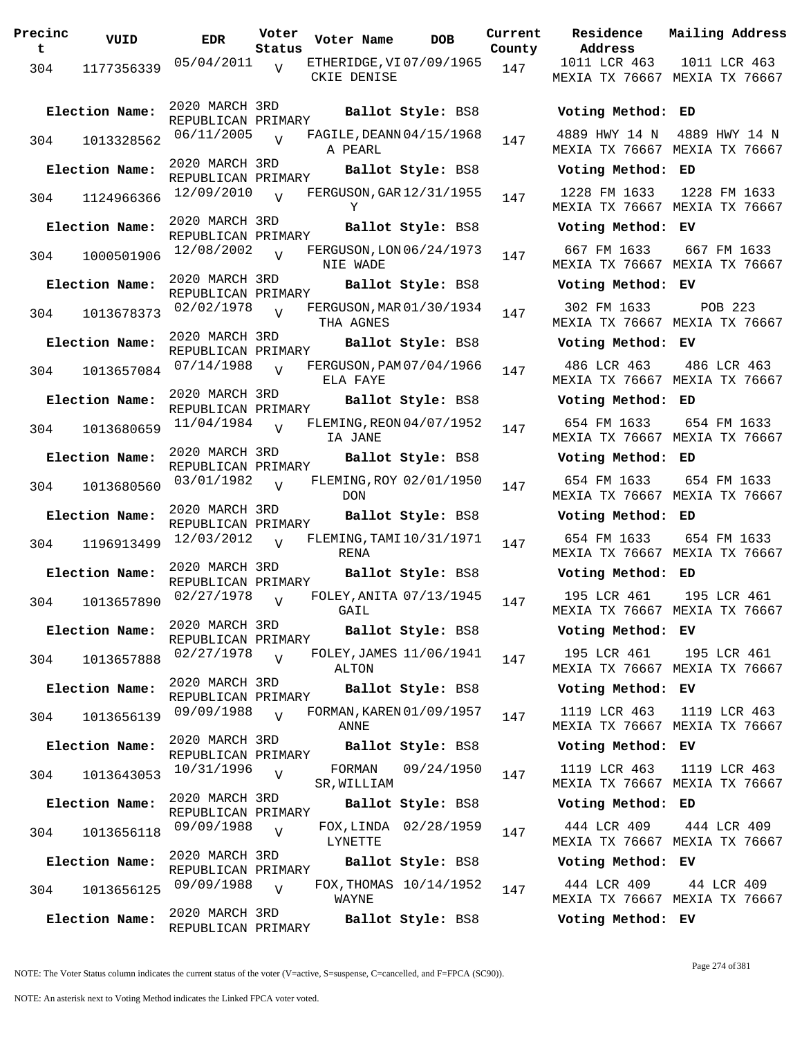| Precinc<br>t | VUID           | EDR                                  | Voter<br>Status | Voter Name                              | <b>DOB</b>             | Curre<br>Count |
|--------------|----------------|--------------------------------------|-----------------|-----------------------------------------|------------------------|----------------|
| 304          | 1177356339     | 05/04/2011                           | $\overline{V}$  | ETHERIDGE, VI 07/09/1965<br>CKIE DENISE |                        | 147            |
|              | Election Name: | 2020 MARCH 3RD<br>REPUBLICAN PRIMARY |                 |                                         | Ballot Style: BS8      |                |
| 304          | 1013328562     | 06/11/2005                           | $\overline{U}$  | FAGILE, DEANN 04/15/1968<br>A PEARL     |                        | 147            |
|              | Election Name: | 2020 MARCH 3RD<br>REPUBLICAN PRIMARY |                 |                                         | Ballot Style: BS8      |                |
| 304          | 1124966366     | 12/09/2010                           | $\overline{V}$  | FERGUSON, GAR 12/31/1955<br>Y           |                        | 147            |
|              | Election Name: | 2020 MARCH 3RD<br>REPUBLICAN PRIMARY |                 |                                         | Ballot Style: BS8      |                |
| 304          | 1000501906     | 12/08/2002                           | $\overline{V}$  | FERGUSON, LON 06/24/1973<br>NIE WADE    |                        | 147            |
|              | Election Name: | 2020 MARCH 3RD<br>REPUBLICAN PRIMARY |                 |                                         | Ballot Style: BS8      |                |
| 304          | 1013678373     | 02/02/1978                           | $\overline{V}$  | FERGUSON, MAR 01/30/1934<br>THA AGNES   |                        | 147            |
|              | Election Name: | 2020 MARCH 3RD<br>REPUBLICAN PRIMARY |                 |                                         | Ballot Style: BS8      |                |
| 304          | 1013657084     | 07/14/1988                           | $\overline{V}$  | FERGUSON, PAM 07/04/1966<br>ELA FAYE    |                        | 147            |
|              | Election Name: | 2020 MARCH 3RD<br>REPUBLICAN PRIMARY |                 |                                         | Ballot Style: BS8      |                |
| 304          | 1013680659     | 11/04/1984                           | $\overline{V}$  | FLEMING, REON 04/07/1952<br>IA JANE     |                        | 147            |
|              | Election Name: | 2020 MARCH 3RD<br>REPUBLICAN PRIMARY |                 |                                         | Ballot Style: BS8      |                |
| 304          | 1013680560     | 03/01/1982                           | $\overline{V}$  | FLEMING, ROY 02/01/1950<br><b>DON</b>   |                        | 147            |
|              | Election Name: | 2020 MARCH 3RD<br>REPUBLICAN PRIMARY |                 |                                         | Ballot Style: BS8      |                |
| 304          | 1196913499     | 12/03/2012                           | $\overline{V}$  | FLEMING, TAMI 10/31/1971<br>RENA        |                        | 147            |
|              | Election Name: | 2020 MARCH 3RD<br>REPUBLICAN PRIMARY |                 |                                         | Ballot Style: BS8      |                |
| 304          | 1013657890     | 02/27/1978                           | $\overline{V}$  | FOLEY, ANITA 07/13/1945<br>GAIL         |                        | 147            |
|              | Election Name: | 2020 MARCH 3RD<br>REPUBLICAN PRIMARY |                 |                                         | Ballot Style: BS8      |                |
| 304          | 1013657888     | 02/27/1978                           | $\overline{V}$  | FOLEY, JAMES 11/06/1941<br>ALTON        |                        | 147            |
|              | Election Name: | 2020 MARCH 3RD<br>REPUBLICAN PRIMARY |                 |                                         | Ballot Style: BS8      |                |
| 304          | 1013656139     | 09/09/1988                           | $\overline{V}$  | FORMAN, KAREN 01/09/1957<br>ANNE        |                        | 147            |
|              | Election Name: | 2020 MARCH 3RD<br>REPUBLICAN PRIMARY |                 |                                         | Ballot Style: BS8      |                |
| 304          | 1013643053     | 10/31/1996                           | V               | FORMAN<br>SR, WILLIAM                   | 09/24/1950             | 147            |
|              | Election Name: | 2020 MARCH 3RD<br>REPUBLICAN PRIMARY |                 |                                         | Ballot Style: BS8      |                |
| 304          | 1013656118     | 09/09/1988                           | $\overline{V}$  | LYNETTE                                 | FOX, LINDA 02/28/1959  | 147            |
|              | Election Name: | 2020 MARCH 3RD<br>REPUBLICAN PRIMARY |                 |                                         | Ballot Style: BS8      |                |
| 304          | 1013656125     | 09/09/1988                           | $\overline{V}$  | WAYNE                                   | FOX, THOMAS 10/14/1952 | 147            |
|              | Election Name: | 2020 MARCH 3RD<br>REPUBLICAN PRIMARY |                 |                                         | Ballot Style: BS8      |                |

**Voter Name DOB Residence Address Current Mailing Address County** 1011 LCR 463 MEXIA TX 76667 MEXIA TX 76667 1011 LCR 463 **Election Name: Ballot Style:** BS8 **Voting Method: ED** 4889 HWY 14 N 4889 HWY 14 N MEXIA TX 76667 MEXIA TX 76667 **Election Name: Ballot Style:** BS8 **Voting Method: ED** 1228 FM 1633 MEXIA TX 76667 MEXIA TX 76667 1228 FM 1633 **Election Name: Ballot Style:** BS8 **Voting Method: EV** 667 FM 1633 MEXIA TX 76667 MEXIA TX 76667 667 FM 1633 **Election Name: Ballot Style:** BS8 **Voting Method: EV** 302 FM 1633 MEXIA TX 76667 MEXIA TX 76667 POB 223 **Election Name: Ballot Style:** BS8 **Voting Method: EV** 486 LCR 463 MEXIA TX 76667 MEXIA TX 76667 486 LCR 463 **Election Name: Ballot Style:** BS8 **Voting Method: ED** 654 FM 1633 MEXIA TX 76667 MEXIA TX 76667 654 FM 1633 **Election Name: Ballot Style:** BS8 **Voting Method: ED** 654 FM 1633 MEXIA TX 76667 MEXIA TX 76667 654 FM 1633 **Election Name: Ballot Style:** BS8 **Voting Method: ED** 654 FM 1633 MEXIA TX 76667 MEXIA TX 76667 654 FM 1633 **Election Name: Ballot Style:** BS8 **Voting Method: ED** 195 LCR 461 MEXIA TX 76667 MEXIA TX 76667 195 LCR 461 **Election Name: Ballot Style:** BS8 **Voting Method: EV** 195 LCR 461 MEXIA TX 76667 MEXIA TX 76667 195 LCR 461 **Election Name: Ballot Style:** BS8 **Voting Method: EV** 1119 LCR 463 MEXIA TX 76667 MEXIA TX 76667 1119 LCR 463 **Election Name: Ballot Style:** BS8 **Voting Method: EV** 1119 LCR 463 MEXIA TX 76667 MEXIA TX 76667 1119 LCR 463 **Election Name: Ballot Style:** BS8 **Voting Method: ED** 444 LCR 409 MEXIA TX 76667 MEXIA TX 76667 444 LCR 409 **Election Name: Ballot Style:** BS8 **Voting Method: EV** 444 LCR 409 MEXIA TX 76667 MEXIA TX 76667 44 LCR 409 **Election Name: Ballot Style:** BS8 **Voting Method: EV**

NOTE: An asterisk next to Voting Method indicates the Linked FPCA voter voted.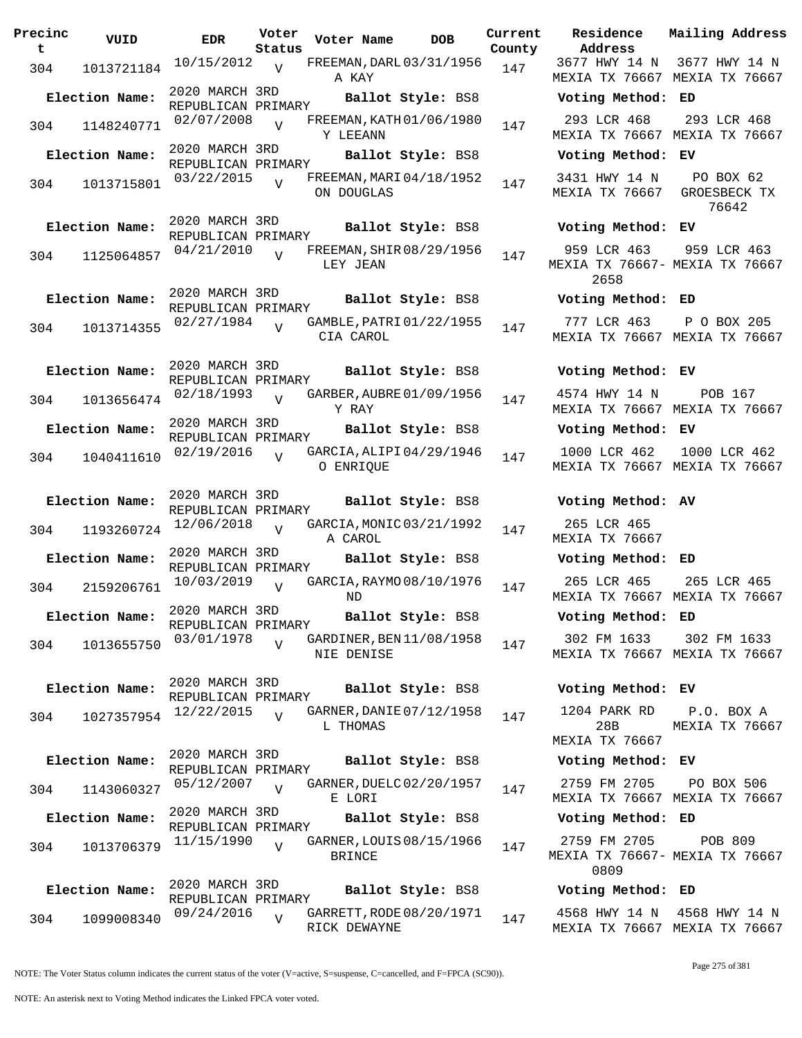| Precinc<br>t | VUID           | <b>EDR</b>                           | Voter<br>Status | Voter Name                               | <b>DOB</b>        | Current<br>County |
|--------------|----------------|--------------------------------------|-----------------|------------------------------------------|-------------------|-------------------|
| 304          | 1013721184     | 10/15/2012                           | $\overline{V}$  | FREEMAN, DARL 03/31/1956<br>A KAY        |                   | 147               |
|              | Election Name: | 2020 MARCH 3RD<br>REPUBLICAN PRIMARY |                 |                                          | Ballot Style: BS8 |                   |
| 304          | 1148240771     | 02/07/2008                           | V               | FREEMAN, KATH 01/06/1980<br>Y LEEANN     |                   | 147               |
|              | Election Name: | 2020 MARCH 3RD<br>REPUBLICAN PRIMARY |                 |                                          | Ballot Style: BS8 |                   |
| 304          | 1013715801     | 03/22/2015                           | V               | FREEMAN, MARI 04/18/1952<br>ON DOUGLAS   |                   | 147               |
|              | Election Name: | 2020 MARCH 3RD<br>REPUBLICAN PRIMARY |                 |                                          | Ballot Style: BS8 |                   |
| 304          | 1125064857     | 04/21/2010                           | V               | FREEMAN, SHIR 08/29/1956<br>LEY JEAN     |                   | 147               |
|              | Election Name: | 2020 MARCH 3RD<br>REPUBLICAN PRIMARY |                 |                                          | Ballot Style: BS8 |                   |
| 304          | 1013714355     | 02/27/1984                           | $\overline{U}$  | GAMBLE, PATRI 01/22/1955<br>CIA CAROL    |                   | 147               |
|              | Election Name: | 2020 MARCH 3RD<br>REPUBLICAN PRIMARY |                 |                                          | Ballot Style: BS8 |                   |
| 304          | 1013656474     | 02/18/1993                           | $\overline{V}$  | GARBER, AUBRE 01/09/1956<br>Y RAY        |                   | 147               |
|              | Election Name: | 2020 MARCH 3RD<br>REPUBLICAN PRIMARY |                 |                                          | Ballot Style: BS8 |                   |
| 304          | 1040411610     | 02/19/2016                           | V               | GARCIA, ALIPI04/29/1946<br>O ENRIQUE     |                   | 147               |
|              | Election Name: | 2020 MARCH 3RD<br>REPUBLICAN PRIMARY |                 |                                          | Ballot Style: BS8 |                   |
| 304          | 1193260724     | 12/06/2018                           | V               | GARCIA, MONIC 03/21/1992<br>A CAROL      |                   | 147               |
|              | Election Name: | 2020 MARCH 3RD<br>REPUBLICAN PRIMARY |                 |                                          | Ballot Style: BS8 |                   |
| 304          | 2159206761     | 10/03/2019                           | V               | GARCIA, RAYMO 08/10/1976<br>ND           |                   | 147               |
|              | Election Name: | 2020 MARCH 3RD<br>REPUBLICAN PRIMARY |                 |                                          | Ballot Style: BS8 |                   |
| 304          | 1013655750     | 03/01/1978                           | V               | GARDINER, BEN 11/08/1958<br>NIE DENISE   |                   | 147               |
|              | Election Name: | 2020 MARCH 3RD<br>REPUBLICAN PRIMARY |                 |                                          | Ballot Style: BS8 |                   |
| 304          | 1027357954     | 12/22/2015                           | $\overline{V}$  | GARNER, DANIE 07/12/1958<br>L THOMAS     |                   | 147               |
|              | Election Name: | 2020 MARCH 3RD<br>REPUBLICAN PRIMARY |                 |                                          | Ballot Style: BS8 |                   |
| 304          | 1143060327     | 05/12/2007                           | $\overline{V}$  | GARNER, DUELC 02/20/1957<br>E LORI       |                   | 147               |
|              | Election Name: | 2020 MARCH 3RD<br>REPUBLICAN PRIMARY |                 |                                          | Ballot Style: BS8 |                   |
| 304          | 1013706379     | 11/15/1990                           | $\overline{V}$  | GARNER, LOUIS 08/15/1966<br>BRINCE       |                   | 147               |
|              | Election Name: | 2020 MARCH 3RD<br>REPUBLICAN PRIMARY |                 |                                          | Ballot Style: BS8 |                   |
| 304          | 1099008340     | 09/24/2016                           | V               | GARRETT, RODE 08/20/1971<br>RICK DEWAYNE |                   | 147               |

**Voter Name DOB Residence Address Current Mailing Address** 3677 HWY 14 N 3677 HWY 14 N MEXIA TX 76667 MEXIA TX 76667 **Election Name: Ballot Style:** BS8 **Voting Method: ED** 293 LCR 468 MEXIA TX 76667 MEXIA TX 76667 293 LCR 468 **Election Name: Ballot Style:** BS8 **Voting Method: EV** 3431 HWY 14 N MEXIA TX 76667 GROESBECK TX PO BOX 62 76642 **Election Name: Ballot Style:** BS8 **Voting Method: EV** 959 LCR 463 MEXIA TX 76667- MEXIA TX 76667 2658 959 LCR 463 **Election Name: Ballot Style:** BS8 **Voting Method: ED** 777 LCR 463 MEXIA TX 76667 MEXIA TX 76667 P O BOX 205 **Election Name: Ballot Style:** BS8 **Voting Method: EV** 4574 HWY 14 N POB 167 MEXIA TX 76667 MEXIA TX 76667 **Election Name: Ballot Style:** BS8 **Voting Method: EV** 1000 LCR 462 MEXIA TX 76667 MEXIA TX 76667 1000 LCR 462 **Election Name: Ballot Style:** BS8 **Voting Method: AV** 265 LCR 465 MEXIA TX 76667 **Election Name: Ballot Style:** BS8 **Voting Method: ED** 265 LCR 465 MEXIA TX 76667 MEXIA TX 76667 265 LCR 465 **Election Name: Ballot Style:** BS8 **Voting Method: ED** 302 FM 1633 MEXIA TX 76667 MEXIA TX 76667 302 FM 1633 **Election Name: Ballot Style:** BS8 **Voting Method: EV** 1204 PARK RD 28B MEXIA TX 76667 P.O. BOX A MEXIA TX 76667 **Election Name: Ballot Style:** BS8 **Voting Method: EV** 2759 FM 2705 MEXIA TX 76667 MEXIA TX 76667 PO BOX 506 **Election Name: Ballot Style:** BS8 **Voting Method: ED**

2759 FM 2705 MEXIA TX 76667- MEXIA TX 76667 0809 POB 809

## **Election Name: Ballot Style:** BS8 **Voting Method: ED**

4568 HWY 14 N 4568 HWY 14 N MEXIA TX 76667 MEXIA TX 76667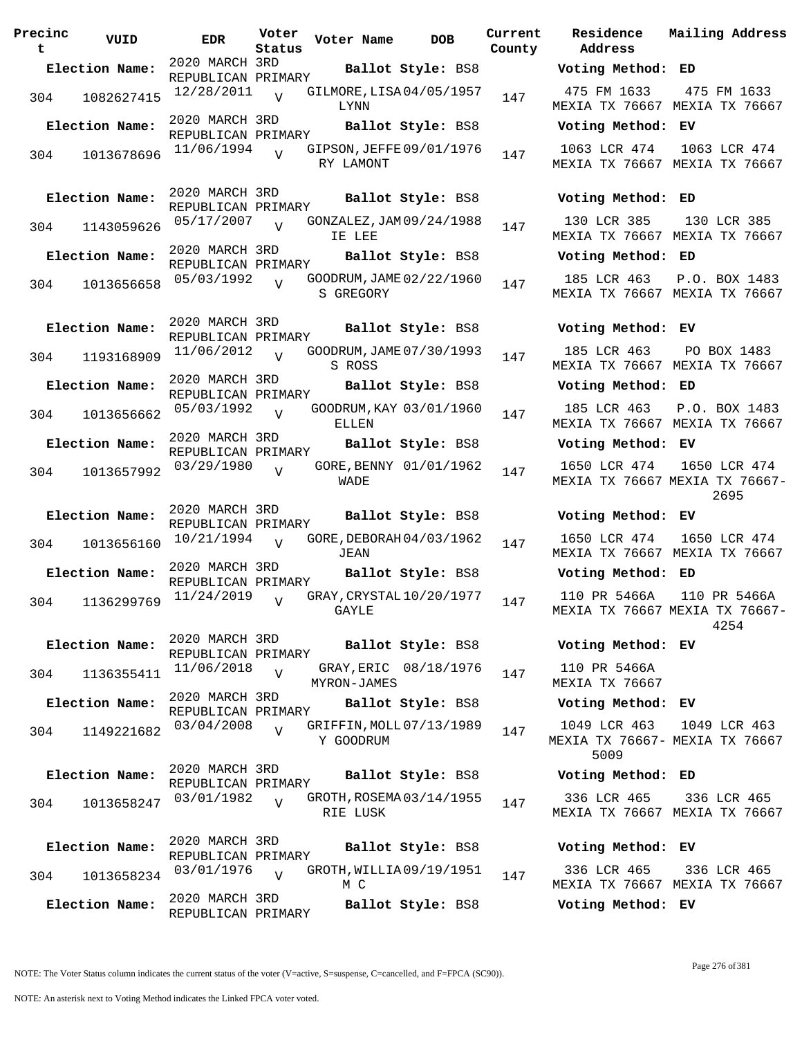| Precinc<br>t | VUID           | EDR                                  | Voter<br>Status | Voter Name                            | <b>DOB</b>              | Curre<br>Count |
|--------------|----------------|--------------------------------------|-----------------|---------------------------------------|-------------------------|----------------|
|              | Election Name: | 2020 MARCH 3RD                       |                 |                                       | Ballot Style: BS8       |                |
| 304          | 1082627415     | REPUBLICAN PRIMARY<br>12/28/2011     | $\overline{V}$  | GILMORE, LISA 04/05/1957<br>LYNN      |                         | 147            |
|              | Election Name: | 2020 MARCH 3RD<br>REPUBLICAN PRIMARY |                 |                                       | Ballot Style: BS8       |                |
| 304          | 1013678696     | 11/06/1994                           | $\overline{U}$  | GIPSON, JEFFE 09/01/1976<br>RY LAMONT |                         | 147            |
|              | Election Name: | 2020 MARCH 3RD<br>REPUBLICAN PRIMARY |                 |                                       | Ballot Style: BS8       |                |
| 304          | 1143059626     | 05/17/2007                           | $\overline{V}$  | GONZALEZ, JAM 09/24/1988<br>IE LEE    |                         | 147            |
|              | Election Name: | 2020 MARCH 3RD<br>REPUBLICAN PRIMARY |                 |                                       | Ballot Style: BS8       |                |
| 304          | 1013656658     | 05/03/1992                           | $\overline{V}$  | GOODRUM, JAME 02/22/1960<br>S GREGORY |                         | 147            |
|              | Election Name: | 2020 MARCH 3RD<br>REPUBLICAN PRIMARY |                 |                                       | Ballot Style: BS8       |                |
| 304          | 1193168909     | 11/06/2012                           | $\overline{V}$  | GOODRUM, JAME 07/30/1993<br>S ROSS    |                         | 147            |
|              | Election Name: | 2020 MARCH 3RD                       |                 |                                       | Ballot Style: BS8       |                |
| 304          | 1013656662     | REPUBLICAN PRIMARY<br>05/03/1992     | $\overline{V}$  | ELLEN                                 | GOODRUM, KAY 03/01/1960 | 147            |
|              | Election Name: | 2020 MARCH 3RD                       |                 |                                       | Ballot Style: BS8       |                |
| 304          | 1013657992     | REPUBLICAN PRIMARY<br>03/29/1980     | V               | WADE                                  | GORE, BENNY 01/01/1962  | 147            |
|              | Election Name: | 2020 MARCH 3RD<br>REPUBLICAN PRIMARY |                 |                                       | Ballot Style: BS8       |                |
| 304          | 1013656160     | 10/21/1994                           | $\overline{U}$  | GORE, DEBORAH 04/03/1962<br>JEAN      |                         | 147            |
|              | Election Name: | 2020 MARCH 3RD                       |                 |                                       | Ballot Style: BS8       |                |
| 304          | 1136299769     | REPUBLICAN PRIMARY<br>11/24/2019     | $\overline{V}$  | GRAY, CRYSTAL 10/20/1977<br>GAYLE     |                         | 147            |
|              | Election Name: | 2020 MARCH 3RD<br>REPUBLICAN PRIMARY |                 |                                       | Ballot Style: BS8       |                |
| 304          | 1136355411     | 11/06/2018                           | $\overline{V}$  | MYRON-JAMES                           | GRAY, ERIC 08/18/1976   | 147            |
|              | Election Name: | 2020 MARCH 3RD                       |                 |                                       | Ballot Style: BS8       |                |
| 304          | 1149221682     | REPUBLICAN PRIMARY<br>03/04/2008     | $\overline{V}$  | GRIFFIN, MOLL 07/13/1989<br>Y GOODRUM |                         | 147            |
|              | Election Name: | 2020 MARCH 3RD                       |                 |                                       | Ballot Style: BS8       |                |
| 304          | 1013658247     | REPUBLICAN PRIMARY<br>03/01/1982     | $\overline{U}$  | GROTH, ROSEMA 03/14/1955<br>RIE LUSK  |                         | 147            |
|              | Election Name: | 2020 MARCH 3RD<br>REPUBLICAN PRIMARY |                 |                                       | Ballot Style: BS8       |                |
| 304          | 1013658234     | 03/01/1976                           | $\overline{U}$  | GROTH, WILLIA09/19/1951<br>M C        |                         | 147            |
|              | Election Name: | 2020 MARCH 3RD<br>REPUBLICAN PRIMARY |                 |                                       | Ballot Style: BS8       |                |

**Voter Name DOB Residence Address Current Mailing Address** nty **Election Name: Ballot Style:** BS8 **Voting Method: ED** 475 FM 1633 MEXIA TX 76667 MEXIA TX 76667 475 FM 1633 **Election Name: Ballot Style:** BS8 **Voting Method: EV** 1063 LCR 474 1063 LCR 474 MEXIA TX 76667 MEXIA TX 76667 **Election Name: Ballot Style:** BS8 **Voting Method: ED** 130 LCR 385 MEXIA TX 76667 MEXIA TX 76667 130 LCR 385 **Election Name: Ballot Style:** BS8 **Voting Method: ED** 185 LCR 463 MEXIA TX 76667 MEXIA TX 76667 P.O. BOX 1483 **Election Name: Ballot Style:** BS8 **Voting Method: EV** 185 LCR 463 MEXIA TX 76667 MEXIA TX 76667 PO BOX 1483 **Election Name: Ballot Style:** BS8 **Voting Method: ED** 185 LCR 463 MEXIA TX 76667 MEXIA TX 76667 P.O. BOX 1483 **Election Name: Ballot Style:** BS8 **Voting Method: EV** 1650 LCR 474 MEXIA TX 76667 MEXIA TX 76667- 1650 LCR 474 2695 **Election Name: Ballot Style:** BS8 **Voting Method: EV** 1650 LCR 474 MEXIA TX 76667 MEXIA TX 76667 1650 LCR 474 **Election Name: Ballot Style:** BS8 **Voting Method: ED** 110 PR 5466A MEXIA TX 76667 MEXIA TX 76667- 110 PR 5466A 4254 **Election Name: Ballot Style:** BS8 **Voting Method: EV** 110 PR 5466A MEXIA TX 76667 **Election Name: Ballot Style:** BS8 **Voting Method: EV** 1049 LCR 463 MEXIA TX 76667- MEXIA TX 76667 5009 1049 LCR 463 **Election Name: Ballot Style:** BS8 **Voting Method: ED** 336 LCR 465 MEXIA TX 76667 MEXIA TX 76667 336 LCR 465 **Election Name: Ballot Style:** BS8 **Voting Method: EV**

336 LCR 465 MEXIA TX 76667 MEXIA TX 76667 336 LCR 465

**Election Name: Ballot Style:** BS8 **Voting Method: EV**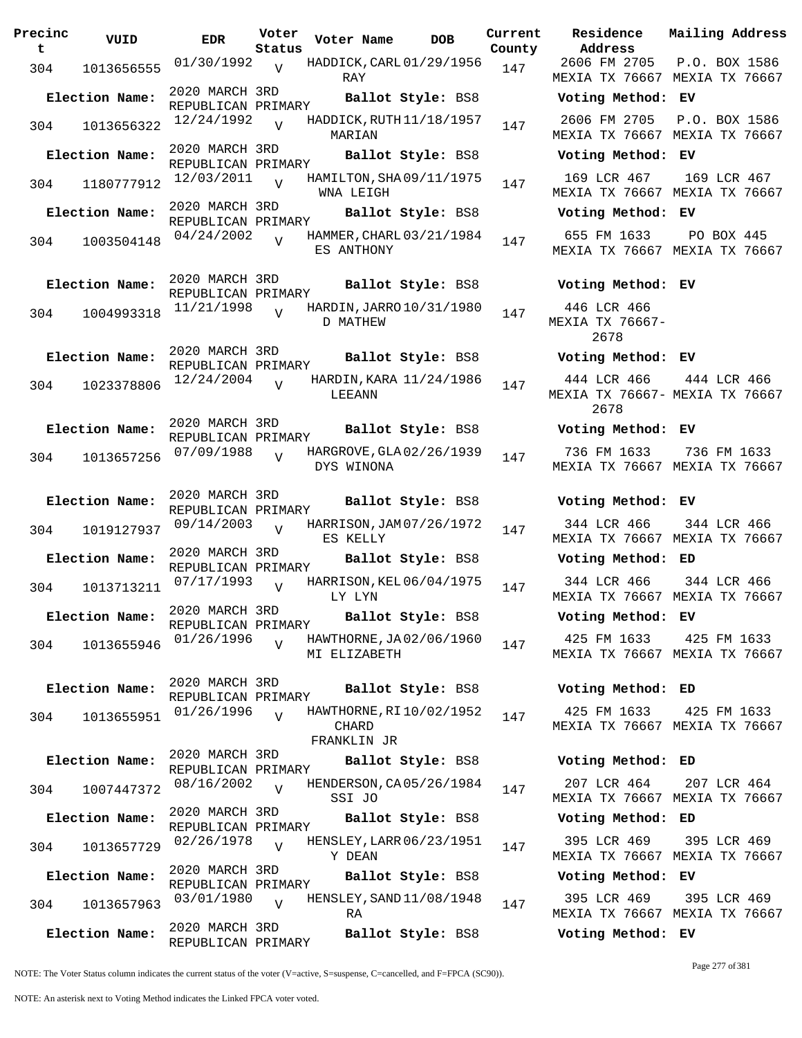| Precinc<br>t | VUID           | <b>EDR</b>                           | Voter<br>Status | Voter Name   | <b>DOB</b>                 | Curre<br>Count |
|--------------|----------------|--------------------------------------|-----------------|--------------|----------------------------|----------------|
| 304          | 1013656555     | 01/30/1992                           | $\overline{V}$  | RAY          | HADDICK, CARL 01/29/1956   | 147            |
|              | Election Name: | 2020 MARCH 3RD<br>REPUBLICAN PRIMARY |                 |              | Ballot Style: BS8          |                |
| 304          | 1013656322     | 12/24/1992                           | $\overline{V}$  | MARIAN       | HADDICK, RUTH $11/18/1957$ | 147            |
|              | Election Name: | 2020 MARCH 3RD<br>REPUBLICAN PRIMARY |                 |              | Ballot Style: BS8          |                |
| 304          | 1180777912     | 12/03/2011                           | $\overline{V}$  | WNA LEIGH    | HAMILTON, SHA09/11/1975    | 147            |
|              | Election Name: | 2020 MARCH 3RD<br>REPUBLICAN PRIMARY |                 |              | Ballot Style: BS8          |                |
| 304          | 1003504148     | 04/24/2002                           | $\overline{V}$  | ES ANTHONY   | HAMMER, CHARL 03/21/1984   | 147            |
|              | Election Name: | 2020 MARCH 3RD<br>REPUBLICAN PRIMARY |                 |              | Ballot Style: BS8          |                |
| 304          | 1004993318     | 11/21/1998                           | $\overline{U}$  | D MATHEW     | HARDIN, JARRO 10/31/1980   | 147            |
|              | Election Name: | 2020 MARCH 3RD<br>REPUBLICAN PRIMARY |                 |              | Ballot Style: BS8          |                |
| 304          | 1023378806     | 12/24/2004                           | V               | LEEANN       | HARDIN, KARA 11/24/1986    | 147            |
|              | Election Name: | 2020 MARCH 3RD<br>REPUBLICAN PRIMARY |                 |              | Ballot Style: BS8          |                |
| 304          | 1013657256     | 07/09/1988                           | $\overline{V}$  | DYS WINONA   | HARGROVE, GLA 02/26/1939   | 147            |
|              | Election Name: | 2020 MARCH 3RD<br>REPUBLICAN PRIMARY |                 |              | Ballot Style: BS8          |                |
| 304          | 1019127937     | 09/14/2003                           | V               | ES KELLY     | HARRISON, JAM 07/26/1972   | 147            |
|              | Election Name: | 2020 MARCH 3RD<br>REPUBLICAN PRIMARY |                 |              | Ballot Style: BS8          |                |
| 304          | 1013713211     | 07/17/1993                           | $\overline{V}$  | LY LYN       | HARRISON, KEL 06/04/1975   | 147            |
|              | Election Name: | 2020 MARCH 3RD<br>REPUBLICAN PRIMARY |                 |              | Ballot Style: BS8          |                |
| 304          | 1013655946     | 01/26/1996                           | V               | MI ELIZABETH | HAWTHORNE, JA02/06/1960    | 147            |
|              | Election Name: | 2020 MARCH 3RD<br>REPUBLICAN PRIMARY |                 |              | Ballot Style: BS8          |                |
| 304          | 1013655951     | 01/26/1996                           | $\overline{V}$  | CHARD        | HAWTHORNE, RI10/02/1952    | 147            |
|              | Election Name: | 2020 MARCH 3RD                       |                 | FRANKLIN JR  | Ballot Style: BS8          |                |
| 304          | 1007447372     | REPUBLICAN PRIMARY<br>08/16/2002     | $\overline{V}$  | SSI JO       | HENDERSON, CA 05/26/1984   | 147            |
|              | Election Name: | 2020 MARCH 3RD                       |                 |              | Ballot Style: BS8          |                |
| 304          | 1013657729     | REPUBLICAN PRIMARY<br>02/26/1978     | $\overline{U}$  | Y DEAN       | HENSLEY, LARR 06/23/1951   | 147            |
|              | Election Name: | 2020 MARCH 3RD                       |                 |              | Ballot Style: BS8          |                |
| 304          | 1013657963     | REPUBLICAN PRIMARY<br>03/01/1980     | $\overline{V}$  | RA           | HENSLEY, SAND $11/08/1948$ | 147            |
|              | Election Name: | 2020 MARCH 3RD<br>REPUBLICAN PRIMARY |                 |              | Ballot Style: BS8          |                |

**Voter Name DOB Residence Address Current Mailing Address Lty** 2606 FM 2705 MEXIA TX 76667 MEXIA TX 76667 P.O. BOX 1586 **Election Name: Ballot Style:** BS8 **Voting Method: EV** 2606 FM 2705 P.O. BOX 1586 MEXIA TX 76667 MEXIA TX 76667 **Election Name: Ballot Style:** BS8 **Voting Method: EV** 169 LCR 467 MEXIA TX 76667 MEXIA TX 76667 169 LCR 467 **Election Name: Ballot Style:** BS8 **Voting Method: EV** 655 FM 1633 MEXIA TX 76667 MEXIA TX 76667 PO BOX 445 **Election Name: Ballot Style:** BS8 **Voting Method: EV** 446 LCR 466 MEXIA TX 76667- 2678 **Election Name: Ballot Style:** BS8 **Voting Method: EV** 444 LCR 466 MEXIA TX 76667- MEXIA TX 76667 2678 444 LCR 466 **Election Name: Ballot Style:** BS8 **Voting Method: EV** 736 FM 1633 MEXIA TX 76667 MEXIA TX 76667 736 FM 1633 **Election Name: Ballot Style:** BS8 **Voting Method: EV** 344 LCR 466 MEXIA TX 76667 MEXIA TX 76667 344 LCR 466 **Election Name: Ballot Style:** BS8 **Voting Method: ED** 344 LCR 466 MEXIA TX 76667 MEXIA TX 76667 344 LCR 466 **Election Name: Ballot Style:** BS8 **Voting Method: EV** 425 FM 1633 MEXIA TX 76667 MEXIA TX 76667 425 FM 1633 **Election Name: Ballot Style:** BS8 **Voting Method: ED** 425 FM 1633 MEXIA TX 76667 MEXIA TX 76667 425 FM 1633 **Election Name: Ballot Style:** BS8 **Voting Method: ED** 207 LCR 464 MEXIA TX 76667 MEXIA TX 76667 207 LCR 464 **Election Name: Ballot Style:** BS8 **Voting Method: ED** 395 LCR 469 MEXIA TX 76667 MEXIA TX 76667 395 LCR 469 **Election Name: Ballot Style:** BS8 **Voting Method: EV**

395 LCR 469 MEXIA TX 76667 MEXIA TX 76667 395 LCR 469

**Election Name: Ballot Style:** BS8 **Voting Method: EV**

NOTE: The Voter Status column indicates the current status of the voter (V=active, S=suspense, C=cancelled, and F=FPCA (SC90)).

Page 277 of 381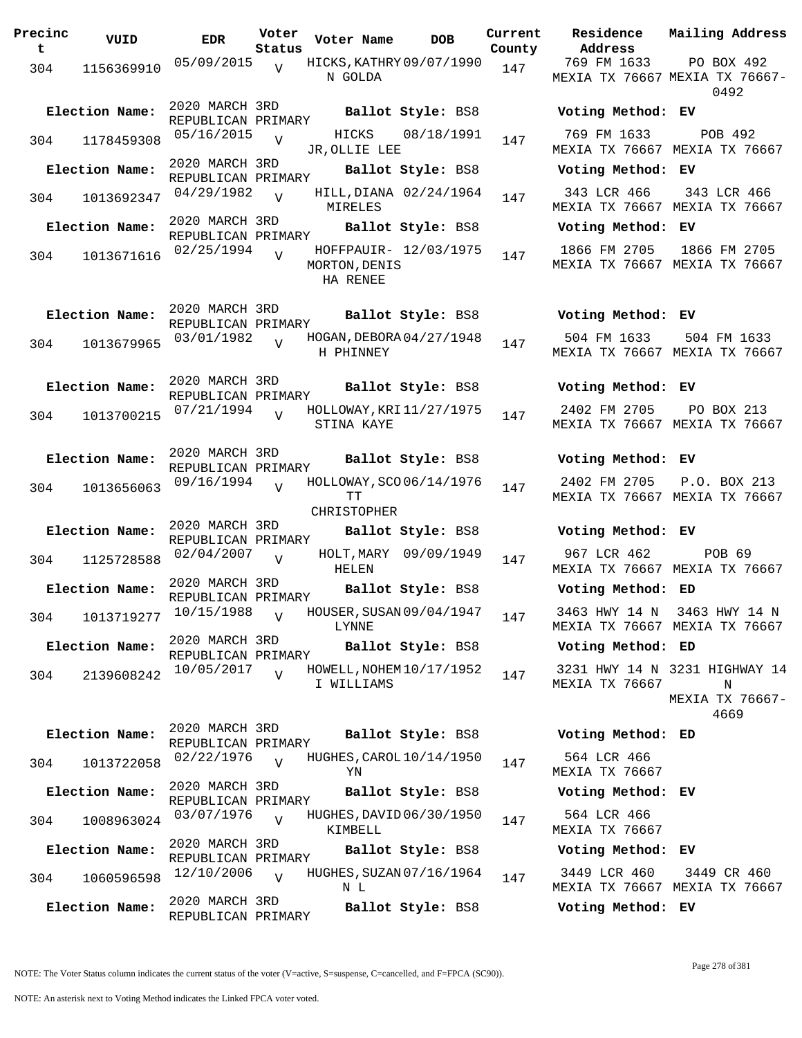| Precinc<br>$\mathbf t$ | VUID                                                     | <b>EDR</b>                           | Voter<br>Status | Voter Name                                                     | <b>DOB</b>            | Current<br>County | Address                             | Residence Mailing Address                                    |
|------------------------|----------------------------------------------------------|--------------------------------------|-----------------|----------------------------------------------------------------|-----------------------|-------------------|-------------------------------------|--------------------------------------------------------------|
|                        |                                                          | 05/09/2015 <sub>V</sub>              |                 | HICKS, KATHRY 09/07/1990 147                                   |                       |                   | 769 FM 1633                         | PO BOX 492                                                   |
| 304                    | 1156369910                                               |                                      |                 | N GOLDA                                                        |                       |                   |                                     | MEXIA TX 76667 MEXIA TX 76667-<br>0492                       |
|                        | Election Name:                                           | 2020 MARCH 3RD<br>REPUBLICAN PRIMARY |                 |                                                                | Ballot Style: BS8     |                   | Voting Method: EV                   |                                                              |
| 304                    | 1178459308                                               | $05/16/2015$ V                       |                 | HICKS<br>JR, OLLIE LEE                                         | 08/18/1991            | 147               | 769 FM 1633                         | POB 492<br>MEXIA TX 76667 MEXIA TX 76667                     |
|                        | Election Name:                                           | 2020 MARCH 3RD<br>REPUBLICAN PRIMARY |                 |                                                                | Ballot Style: BS8     |                   | Voting Method: EV                   |                                                              |
|                        | 304 1013692347                                           | 04/29/1982                           | $\overline{V}$  | HILL, DIANA 02/24/1964<br>MIRELES                              |                       | 147               |                                     | 343 LCR 466 343 LCR 466<br>MEXIA TX 76667 MEXIA TX 76667     |
|                        | Election Name:                                           |                                      |                 | REPUBLICAN PRIMARY<br>REPUBLICAN PRIMARY<br>REPUBLICAN PRIMARY |                       |                   | Voting Method: EV                   |                                                              |
| 304                    | 1013671616                                               | $02/25/1994$ V                       |                 | MORTON, DENIS<br>HA RENEE                                      | HOFFPAUIR- 12/03/1975 | 147               |                                     | 1866 FM 2705 1866 FM 2705<br>MEXIA TX 76667 MEXIA TX 76667   |
|                        | Election Name:                                           | 2020 MARCH 3RD<br>REPUBLICAN PRIMARY |                 |                                                                |                       |                   | Ballot Style: BS8 Voting Method: EV |                                                              |
| 304                    | 1013679965                                               | $03/01/1982$ $V$                     |                 | HOGAN, DEBORA 04/27/1948<br>H PHINNEY                          |                       | 147               | 504 FM 1633                         | 504 FM 1633<br>MEXIA TX 76667 MEXIA TX 76667                 |
|                        | Election Name:                                           | 2020 MARCH 3RD<br>REPUBLICAN PRIMARY |                 |                                                                | Ballot Style: BS8     |                   | Voting Method: EV                   |                                                              |
| 304                    | 1013700215                                               | $07/21/1994$ $V$                     |                 | HOLLOWAY, KRI 11/27/1975<br>STINA KAYE                         |                       | 147               | 2402 FM 2705                        | PO BOX 213<br>MEXIA TX 76667 MEXIA TX 76667                  |
|                        | Election Name:                                           | 2020 MARCH 3RD<br>REPUBLICAN PRIMARY |                 |                                                                | Ballot Style: BS8     |                   | Voting Method: EV                   |                                                              |
| 304                    | 1013656063                                               | $09/16/1994$ V                       |                 | HOLLOWAY, SCO 06/14/1976<br>ТT<br><b>CHRISTOPHER</b>           |                       | 147               |                                     | 2402 FM 2705 P.O. BOX 213<br>MEXIA TX 76667 MEXIA TX 76667   |
|                        | Election Name:                                           | 2020 MARCH 3RD<br>REPUBLICAN PRIMARY |                 |                                                                | Ballot Style: BS8     |                   | Voting Method: EV                   |                                                              |
|                        | 304 1125728588 02/04/2007 v                              |                                      |                 | HELEN                                                          | HOLT, MARY 09/09/1949 | 147               | 967 LCR 462                         | POB 69<br>MEXIA TX 76667 MEXIA TX 76667                      |
|                        | Election Name:                                           |                                      |                 | REPUBLICAN PRIMARY<br>REPUBLICAN PRIMARY<br>REPUBLICAN PRIMARY |                       |                   | Voting Method: ED                   |                                                              |
|                        | 304 1013719277 10/15/1988 v HOUSER, SUSAN 09/04/1947 147 |                                      |                 | LYNNE                                                          |                       |                   |                                     | 3463 HWY 14 N 3463 HWY 14 N<br>MEXIA TX 76667 MEXIA TX 76667 |
|                        | Election Name:                                           | 2020 MARCH 3RD<br>REPUBLICAN PRIMARY |                 |                                                                | Ballot Style: BS8     |                   | Voting Method: ED                   |                                                              |
| 304                    | 2139608242                                               | 10/05/2017                           | $\overline{V}$  | HOWELL, NOHEM 10/17/1952<br>I WILLIAMS                         |                       | 147               | MEXIA TX 76667                      | 3231 HWY 14 N 3231 HIGHWAY 14<br>N<br>MEXIA TX 76667-        |
|                        | Election Name:                                           | 2020 MARCH 3RD<br>REPUBLICAN PRIMARY |                 |                                                                | Ballot Style: BS8     |                   | Voting Method: ED                   | 4669                                                         |
| 304                    | 1013722058                                               | 02/22/1976                           |                 | HUGHES, CAROL 10/14/1950<br>YN                                 |                       | 147               | 564 LCR 466<br>MEXIA TX 76667       |                                                              |
|                        | Election Name:                                           | 2020 MARCH 3RD<br>REPUBLICAN PRIMARY |                 |                                                                | Ballot Style: BS8     |                   | Voting Method: EV                   |                                                              |
| 304                    | 1008963024                                               | 03/07/1976                           | $\overline{Y}$  | HUGHES, DAVID 06/30/1950<br>KIMBELL                            |                       | 147               | 564 LCR 466<br>MEXIA TX 76667       |                                                              |
|                        | Election Name:                                           | 2020 MARCH 3RD<br>REPUBLICAN PRIMARY |                 |                                                                | Ballot Style: BS8     |                   | Voting Method: EV                   |                                                              |
| 304                    | 1060596598                                               | 12/10/2006                           | $\overline{V}$  | HUGHES, SUZAN 07/16/1964<br>N L                                |                       | 147               | 3449 LCR 460                        | 3449 CR 460<br>MEXIA TX 76667 MEXIA TX 76667                 |
|                        | Election Name:                                           | 2020 MARCH 3RD<br>REPUBLICAN PRIMARY |                 |                                                                | Ballot Style: BS8     |                   | Voting Method: EV                   |                                                              |

NOTE: The Voter Status column indicates the current status of the voter (V=active, S=suspense, C=cancelled, and F=FPCA (SC90)).

Page 278 of 381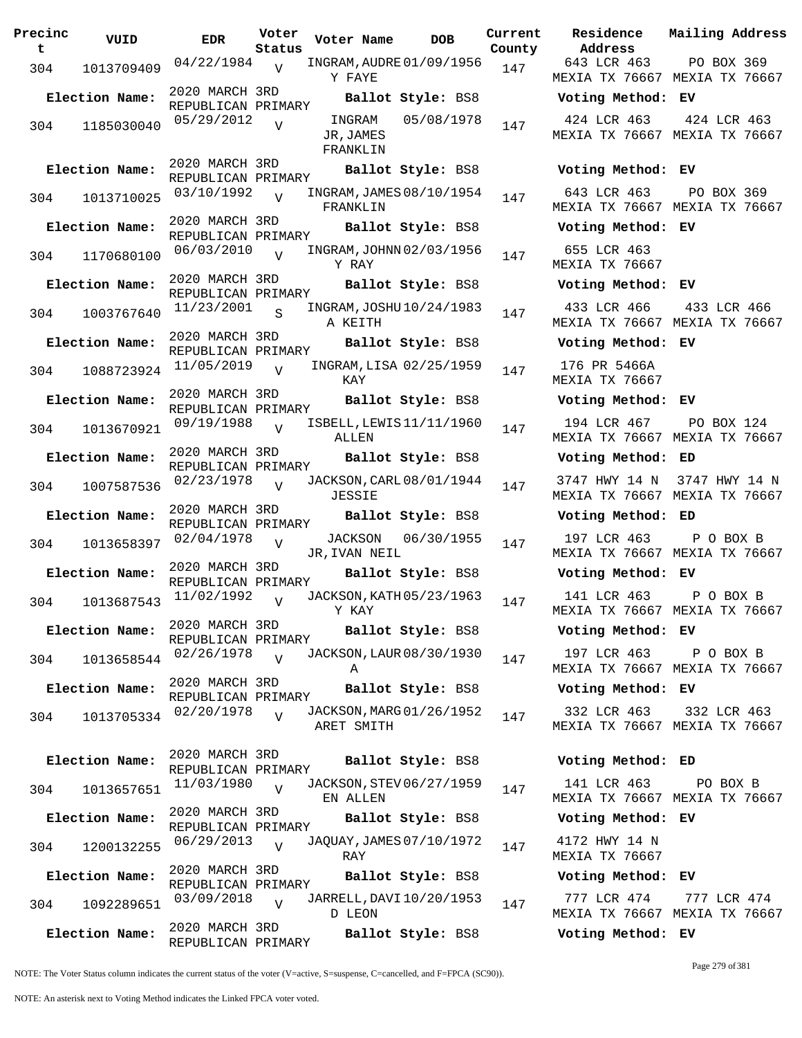| Precinc<br>t | VUID                         | EDR                                  | Voter<br>Status | Voter Name                      |         | <b>DOB</b>                                    | Curre<br>Count |
|--------------|------------------------------|--------------------------------------|-----------------|---------------------------------|---------|-----------------------------------------------|----------------|
| 304          | 1013709409                   | 04/22/1984                           | V               | Y FAYE                          |         | INGRAM, AUDRE 01/09/1956                      | 147            |
|              | Election Name:               | 2020 MARCH 3RD<br>REPUBLICAN PRIMARY |                 |                                 |         | Ballot Style: BS8                             |                |
| 304          | 1185030040                   | 05/29/2012                           | $\overline{V}$  | INGRAM<br>JR, JAMES<br>FRANKLIN |         | 05/08/1978                                    | 147            |
|              | Election Name:               | 2020 MARCH 3RD<br>REPUBLICAN PRIMARY |                 |                                 |         | Ballot Style: BS8                             |                |
| 304          | 1013710025                   | 03/10/1992                           | $\overline{V}$  | FRANKLIN                        |         | INGRAM, JAMES 08/10/1954                      | 147            |
|              | Election Name:               | 2020 MARCH 3RD                       |                 |                                 |         | Ballot Style: BS8                             |                |
| 304          | 1170680100                   | REPUBLICAN PRIMARY<br>06/03/2010     | $\overline{V}$  | Y RAY                           |         | INGRAM, JOHNN 02/03/1956                      | 147            |
|              | Election Name:               | 2020 MARCH 3RD                       |                 |                                 |         | Ballot Style: BS8                             |                |
| 304          | 1003767640                   | REPUBLICAN PRIMARY<br>11/23/2001     | S               | A KEITH                         |         | INGRAM, JOSHU 10/24/1983                      | 147            |
|              | Election Name:               | 2020 MARCH 3RD                       |                 |                                 |         | Ballot Style: BS8                             |                |
| 304          | 1088723924                   | REPUBLICAN PRIMARY<br>11/05/2019     | $\overline{V}$  | KAY                             |         | INGRAM, LISA 02/25/1959                       | 147            |
|              | Election Name:               | 2020 MARCH 3RD                       |                 |                                 |         | Ballot Style: BS8                             |                |
| 304          | 1013670921                   | REPUBLICAN PRIMARY<br>09/19/1988     | $\overline{V}$  | ALLEN                           |         | ISBELL, LEWIS 11/11/1960                      | 147            |
|              | Election Name:               | 2020 MARCH 3RD                       |                 |                                 |         | Ballot Style: BS8                             |                |
| 304          | 1007587536                   | REPUBLICAN PRIMARY<br>02/23/1978     | $\overline{U}$  | JESSIE                          |         | JACKSON, CARL 08/01/1944                      | 147            |
|              | Election Name:               | 2020 MARCH 3RD                       |                 |                                 |         | Ballot Style: BS8                             |                |
| 304          | 1013658397                   | REPUBLICAN PRIMARY<br>02/04/1978     | $\overline{V}$  |                                 | JACKSON | 06/30/1955                                    | 147            |
|              |                              | 2020 MARCH 3RD                       |                 | JR, IVAN NEIL                   |         |                                               |                |
| 304          | Election Name:<br>1013687543 | REPUBLICAN PRIMARY<br>11/02/1992     | $\overline{V}$  |                                 |         | Ballot Style: BS8<br>JACKSON, KATH 05/23/1963 | 147            |
|              |                              | 2020 MARCH 3RD                       |                 | Y KAY                           |         |                                               |                |
|              | Election Name:               | REPUBLICAN PRIMARY                   |                 |                                 |         | Ballot Style: BS8                             |                |
| 304          | 1013658544                   | 02/26/1978                           | $\overline{U}$  | Α                               |         | JACKSON, LAUR 08/30/1930                      | 147            |
|              | Election Name:               | 2020 MARCH 3RD<br>REPUBLICAN PRIMARY |                 |                                 |         | Ballot Style: BS8                             |                |
| 304          | 1013705334                   | 02/20/1978                           | $\overline{V}$  | ARET SMITH                      |         | JACKSON, MARG 01/26/1952                      | 147            |
|              | Election Name:               | 2020 MARCH 3RD                       |                 |                                 |         | Ballot Style: BS8                             |                |
| 304          | 1013657651                   | REPUBLICAN PRIMARY<br>11/03/1980     | $\overline{V}$  |                                 |         | JACKSON, STEV 06/27/1959                      | 147            |
|              |                              |                                      |                 | EN ALLEN                        |         |                                               |                |
|              | Election Name:               | 2020 MARCH 3RD<br>REPUBLICAN PRIMARY |                 |                                 |         | Ballot Style: BS8                             |                |
| 304          | 1200132255                   | 06/29/2013                           | $\overline{U}$  | RAY                             |         | JAQUAY, JAMES 07/10/1972                      | 147            |
|              | Election Name:               | 2020 MARCH 3RD<br>REPUBLICAN PRIMARY |                 |                                 |         | Ballot Style: BS8                             |                |
| 304          | 1092289651                   | 03/09/2018                           | V               | D LEON                          |         | JARRELL, DAVI 10/20/1953                      | 147            |
|              | Election Name:               | 2020 MARCH 3RD<br>REPUBLICAN PRIMARY |                 |                                 |         | Ballot Style: BS8                             |                |

**Voter Name DOB Residence Address Current Mailing Address County** 643 LCR 463 MEXIA TX 76667 MEXIA TX 76667 PO BOX 369 **Election Name: Ballot Style:** BS8 **Voting Method: EV** 424 LCR 463 MEXIA TX 76667 MEXIA TX 76667 424 LCR 463 **Election Name: Ballot Style:** BS8 **Voting Method: EV** 643 LCR 463 MEXIA TX 76667 MEXIA TX 76667 PO BOX 369 **Election Name: Ballot Style:** BS8 **Voting Method: EV** 655 LCR 463 MEXIA TX 76667 **Election Name: Ballot Style:** BS8 **Voting Method: EV** 433 LCR 466 MEXIA TX 76667 MEXIA TX 76667 433 LCR 466 **Election Name: Ballot Style:** BS8 **Voting Method: EV** 176 PR 5466A MEXIA TX 76667 **Election Name: Ballot Style:** BS8 **Voting Method: EV** 194 LCR 467 MEXIA TX 76667 MEXIA TX 76667 PO BOX 124 **Election Name: Ballot Style:** BS8 **Voting Method: ED** 3747 HWY 14 N 3747 HWY 14 N MEXIA TX 76667 MEXIA TX 76667 **Election Name: Ballot Style:** BS8 **Voting Method: ED** 197 LCR 463 MEXIA TX 76667 MEXIA TX 76667 P O BOX B **Election Name: Ballot Style:** BS8 **Voting Method: EV** 141 LCR 463 MEXIA TX 76667 MEXIA TX 76667 P O BOX B **Election Name: Ballot Style:** BS8 **Voting Method: EV** 197 LCR 463 MEXIA TX 76667 MEXIA TX 76667 P O BOX B **Election Name: Ballot Style:** BS8 **Voting Method: EV** 332 LCR 463 MEXIA TX 76667 MEXIA TX 76667 332 LCR 463 **Election Name: Ballot Style:** BS8 **Voting Method: ED** 141 LCR 463 MEXIA TX 76667 MEXIA TX 76667 PO BOX B **Election Name: Ballot Style:** BS8 **Voting Method: EV** 4172 HWY 14 N MEXIA TX 76667 **Election Name: Ballot Style:** BS8 **Voting Method: EV** 777 LCR 474 777 LCR 474

NOTE: The Voter Status column indicates the current status of the voter (V=active, S=suspense, C=cancelled, and F=FPCA (SC90)).

Page 279 of 381

MEXIA TX 76667 MEXIA TX 76667

**Election Name: Ballot Style:** BS8 **Voting Method: EV**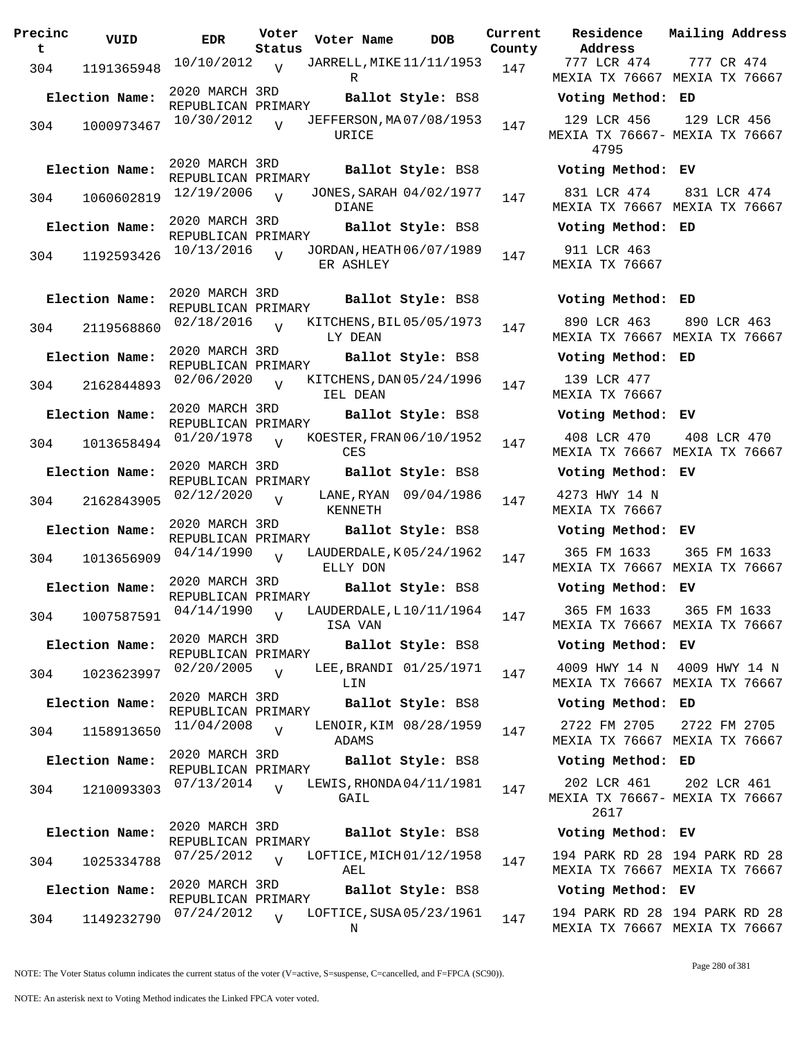| Precinc<br>t | VUID           | EDR                                  | Voter<br>Status | Voter Name                            | DOB                    | Current<br>County |
|--------------|----------------|--------------------------------------|-----------------|---------------------------------------|------------------------|-------------------|
| 304          | 1191365948     | 10/10/2012                           | V               | JARRELL, MIKE 11/11/1953<br>R         |                        | 147               |
|              | Election Name: | 2020 MARCH 3RD<br>REPUBLICAN PRIMARY |                 |                                       | Ballot Style: BS8      |                   |
| 304          | 1000973467     | 10/30/2012                           | ٦T              | JEFFERSON, MA07/08/1953<br>URICE      |                        | 147               |
|              | Election Name: | 2020 MARCH 3RD<br>REPUBLICAN PRIMARY |                 |                                       | Ballot Style: BS8      |                   |
| 304          | 1060602819     | 12/19/2006                           | $\overline{V}$  | JONES, SARAH 04/02/1977<br>DIANE      |                        | 147               |
|              | Election Name: | 2020 MARCH 3RD<br>REPUBLICAN PRIMARY |                 |                                       | Ballot Style: BS8      |                   |
| 304          | 1192593426     | 10/13/2016                           | $\overline{V}$  | JORDAN, HEATH 06/07/1989<br>ER ASHLEY |                        | 147               |
|              | Election Name: | 2020 MARCH 3RD<br>REPUBLICAN PRIMARY |                 |                                       | Ballot Style: BS8      |                   |
| 304          | 2119568860     | 02/18/2016                           |                 | KITCHENS, BIL 05/05/1973<br>LY DEAN   |                        | 147               |
|              | Election Name: | 2020 MARCH 3RD<br>REPUBLICAN PRIMARY |                 |                                       | Ballot Style: BS8      |                   |
| 304          | 2162844893     | 02/06/2020                           | $\overline{V}$  | KITCHENS, DAN 05/24/1996<br>IEL DEAN  |                        | 147               |
|              | Election Name: | 2020 MARCH 3RD<br>REPUBLICAN PRIMARY |                 |                                       | Ballot Style: BS8      |                   |
| 304          | 1013658494     | 01/20/1978                           | $\overline{U}$  | KOESTER, FRAN 06/10/1952<br>CES       |                        | 147               |
|              | Election Name: | 2020 MARCH 3RD<br>REPUBLICAN PRIMARY |                 |                                       | Ballot Style: BS8      |                   |
| 304          | 2162843905     | 02/12/2020                           | V               | KENNETH                               | LANE, RYAN 09/04/1986  | 147               |
|              | Election Name: | 2020 MARCH 3RD<br>REPUBLICAN PRIMARY |                 |                                       | Ballot Style: BS8      |                   |
| 304          | 1013656909     | 04/14/1990                           | V               | LAUDERDALE, K05/24/1962<br>ELLY DON   |                        | 147               |
|              | Election Name: | 2020 MARCH 3RD<br>REPUBLICAN PRIMARY |                 |                                       | Ballot Style: BS8      |                   |
| 304          |                | 1007587591 04/14/1990                |                 | LAUDERDALE, L10/11/1964<br>ISA VAN    |                        | 147               |
|              | Election Name: | 2020 MARCH 3RD<br>REPUBLICAN PRIMARY |                 |                                       | Ballot Style: BS8      |                   |
| 304          | 1023623997     | 02/20/2005                           | V               | LIN                                   | LEE, BRANDI 01/25/1971 | 147               |
|              | Election Name: | 2020 MARCH 3RD<br>REPUBLICAN PRIMARY |                 |                                       | Ballot Style: BS8      |                   |
| 304          | 1158913650     | 11/04/2008                           | $\overline{V}$  | ADAMS                                 | LENOIR, KIM 08/28/1959 | 147               |
|              | Election Name: | 2020 MARCH 3RD<br>REPUBLICAN PRIMARY |                 |                                       | Ballot Style: BS8      |                   |
| 304          | 1210093303     | 07/13/2014                           | $\overline{U}$  | LEWIS, RHONDA04/11/1981<br>GAIL       |                        | 147               |
|              | Election Name: | 2020 MARCH 3RD<br>REPUBLICAN PRIMARY |                 |                                       | Ballot Style: BS8      |                   |
| 304          | 1025334788     | 07/25/2012                           | $\overline{U}$  | LOFTICE, MICH 01/12/1958<br>AEL       |                        | 147               |
|              | Election Name: | 2020 MARCH 3RD<br>REPUBLICAN PRIMARY |                 |                                       | Ballot Style: BS8      |                   |
| 304          | 1149232790     | 07/24/2012                           | $\overline{U}$  | LOFTICE, SUSA 05/23/1961<br>Ν         |                        | 147               |

**Current** Residence **Address Current Mailing Address** 777 LCR 474 MEXIA TX 76667 MEXIA TX 76667 777 CR 474 **Election Name: Ballot Style:** BS8 **Voting Method: ED** 129 LCR 456 MEXIA TX 76667- MEXIA TX 76667 4795 129 LCR 456 **Election Name: Ballot Style:** BS8 **Voting Method: EV** 831 LCR 474 MEXIA TX 76667 MEXIA TX 76667 831 LCR 474 **Election Name: Ballot Style:** BS8 **Voting Method: ED** 911 LCR 463 MEXIA TX 76667 **Election Name: Ballot Style:** BS8 **Voting Method: ED** 890 LCR 463 MEXIA TX 76667 MEXIA TX 76667 890 LCR 463 **Election Name: Ballot Style:** BS8 **Voting Method: ED** 139 LCR 477 MEXIA TX 76667 **Election Name: Ballot Style:** BS8 **Voting Method: EV** 408 LCR 470 MEXIA TX 76667 MEXIA TX 76667 408 LCR 470 **Election Name: Ballot Style:** BS8 **Voting Method: EV** 4273 HWY 14 N MEXIA TX 76667 **Election Name: Ballot Style:** BS8 **Voting Method: EV** 365 FM 1633 MEXIA TX 76667 MEXIA TX 76667 365 FM 1633 **Election Name: Ballot Style:** BS8 **Voting Method: EV** 365 FM 1633 MEXIA TX 76667 MEXIA TX 76667 365 FM 1633 **Election Name: Ballot Style:** BS8 **Voting Method: EV** 4009 HWY 14 N 4009 HWY 14 N MEXIA TX 76667 MEXIA TX 76667 **Election Name: Ballot Style:** BS8 **Voting Method: ED** 2722 FM 2705 MEXIA TX 76667 MEXIA TX 76667 2722 FM 2705 **Election Name: Ballot Style:** BS8 **Voting Method: ED** 202 LCR 461 MEXIA TX 76667- MEXIA TX 76667 2617 202 LCR 461 **Election Name: Ballot Style:** BS8 **Voting Method: EV**

194 PARK RD 28 194 PARK RD 28 MEXIA TX 76667 MEXIA TX 76667

**Election Name: Ballot Style:** BS8 **Voting Method: EV**

194 PARK RD 28 194 PARK RD 28 MEXIA TX 76667 MEXIA TX 76667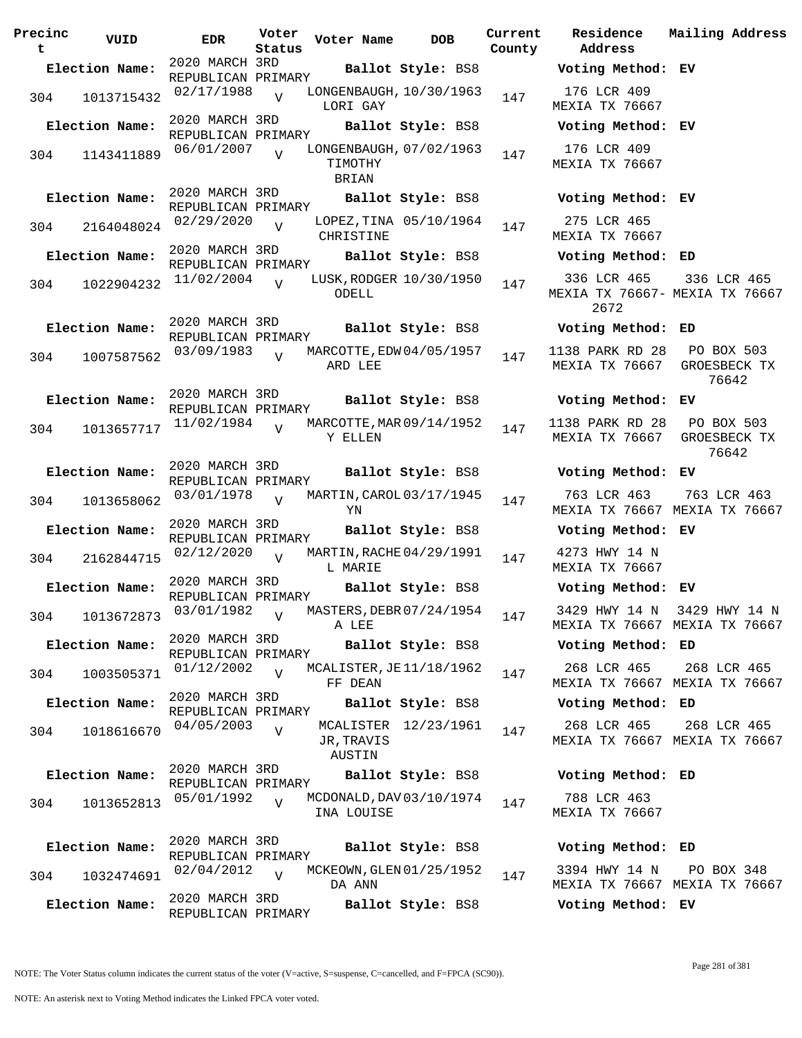**Precinc t VUID EDR Voter Status Voter Name bob Current Residence County** 2020 MARCH 3RD REPUBLICAN PRIMARY<br>02/17/1988 ... **Election Name: Ballot Style:** BS8 **Voting Method: EV** 304 1013715432  $02/17/1988$  UNGENBAUGH,  $10/30/1963$  147 LORI GAY  $\overline{V}$ 2020 MARCH 3RD REPUBLICAN PRIMARY **Election Name: Ballot Style:** BS8 **Voting Method: EV** 304 1143411889 06/01/2007 UONGENBAUGH, 07/02/1963 147 TIMOTHY BRIAN  $\overline{v}$ 2020 MARCH 3RD REPUBLICAN PRIMARY **Election Name: Ballot Style:** BS8 **Voting Method: EV** 304 2164048024 02/29/2020 CHRISTINE  $\overline{V}$ LOPEZ, TINA 05/10/1964 147 2020 MARCH 3RD REPUBLICAN PRIMARY **Election Name: Ballot Style:** BS8 **Voting Method: ED**  $304$  1022904232  $11/02/2004$ ODELL  $\overline{V}$ LUSK, RODGER 10/30/1950 147 2020 MARCH 3RD REPUBLICAN PRIMARY **Election Name: Ballot Style:** BS8 **Voting Method: ED** <sup>304</sup> MARCOTTE,EDW 03/09/1983 <sup>1007587562</sup> <sup>147</sup> 04/05/1957 ARD LEE V 2020 MARCH 3RD REPUBLICAN PRIMARY **Election Name: Ballot Style:** BS8 **Voting Method: EV** 304 1013657717 <sup>11/02/1984</sup> V MARCOTTE, MAR 09/14/1952 147 Y ELLEN  $\overline{v}$ 2020 MARCH 3RD REPUBLICAN PRIMARY **Election Name: Ballot Style:** BS8 **Voting Method: EV** <sup>304</sup> MARTIN,CAROL 03/01/1978 <sup>1013658062</sup> <sup>147</sup> 03/17/1945 YN  $\overline{v}$ 2020 MARCH 3RD REPUBLICAN PRIMARY **Election Name: Ballot Style:** BS8 **Voting Method: EV** 304 2162844715 02/12/2020 V MARTIN, RACHE 04/29/1991 147 L MARIE  $\overline{v}$ 2020 MARCH 3RD REPUBLICAN PRIMARY **Election Name: Ballot Style:** BS8 **Voting Method: EV** <sup>304</sup> MASTERS,DEBR 03/01/1982 <sup>1013672873</sup> <sup>147</sup> 07/24/1954 A LEE  $\overline{V}$ 2020 MARCH 3RD REPUBLICAN PRIMARY **Election Name: Ballot Style:** BS8 **Voting Method: ED** <sup>304</sup> MCALISTER,JE 01/12/2002 <sup>1003505371</sup> <sup>147</sup> 11/18/1962 FF DEAN  $\overline{v}$ 2020 MARCH 3RD REPUBLICAN PRIMARY **Election Name: Ballot Style:** BS8 **Voting Method: ED** 304 1018616670 04/05/2003 JR,TRAVIS AUSTIN  $\overline{v}$ MCALISTER 12/23/1961 147 2020 MARCH 3RD REPUBLICAN PRIMARY **Election Name: Ballot Style:** BS8 **Voting Method: ED** 304 1013652813 05/01/1992 V MCDONALD, DAV 03/10/1974 147 INA LOUISE V 2020 MARCH 3RD REPUBLICAN PRIMARY **Election Name: Ballot Style:** BS8 **Voting Method: ED** 304 1032474691 02/04/2012 V MCKEOWN, GLEN 01/25/1952 147 DA ANN  $V$ 2020 MARCH 3RD REPUBLICAN PRIMARY **Election Name: Ballot Style:** BS8 **Voting Method: EV**

**Address Current Mailing Address** 176 LCR 409 MEXIA TX 76667 176 LCR 409 MEXIA TX 76667 275 LCR 465 MEXIA TX 76667 336 LCR 465 MEXIA TX 76667- MEXIA TX 76667 2672 336 LCR 465 1138 PARK RD 28 MEXIA TX 76667 PO BOX 503 GROESBECK TX 76642 1138 PARK RD 28 MEXIA TX 76667 PO BOX 503 GROESBECK TX 76642 763 LCR 463 MEXIA TX 76667 MEXIA TX 76667 763 LCR 463 4273 HWY 14 N MEXIA TX 76667 3429 HWY 14 N MEXIA TX 76667 MEXIA TX 76667 3429 HWY 14 N 268 LCR 465 MEXIA TX 76667 MEXIA TX 76667 268 LCR 465 268 LCR 465 MEXIA TX 76667 MEXIA TX 76667 268 LCR 465 788 LCR 463 MEXIA TX 76667 3394 HWY 14 N MEXIA TX 76667 MEXIA TX 76667 PO BOX 348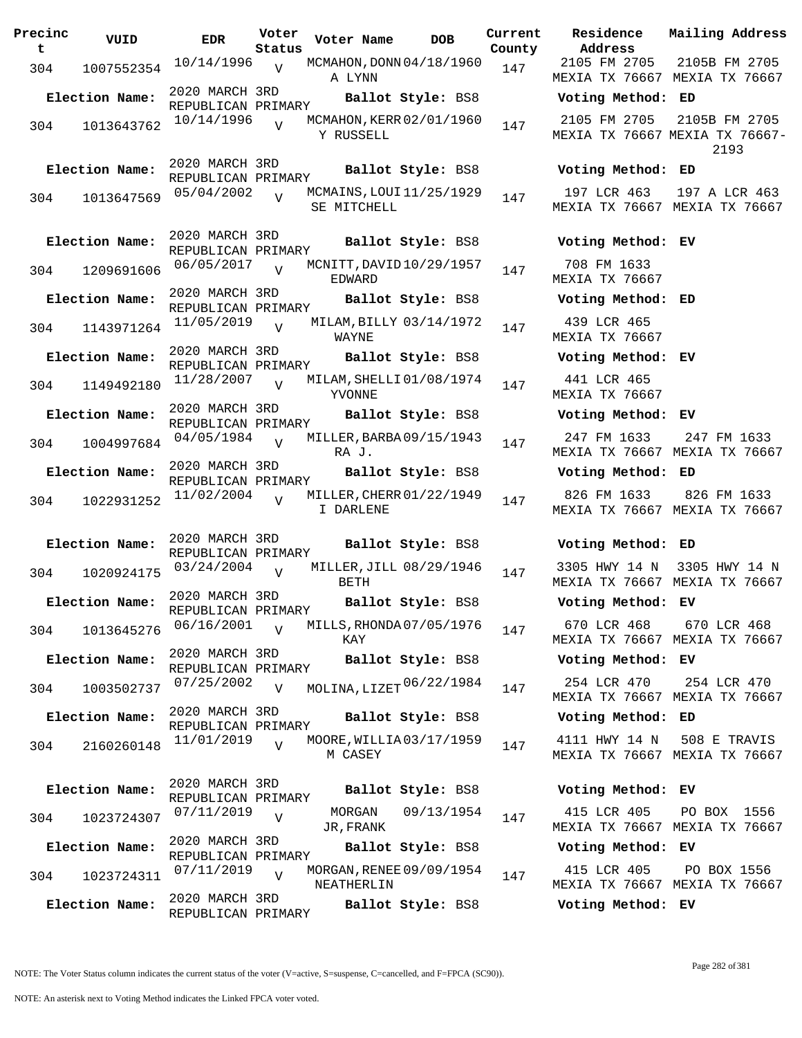| Precinc<br>t | VUID           | <b>EDR</b>                           | Voter<br>Status | Voter Name                              | <b>DOB</b>        | Current<br>County | Residence<br>Address                 |
|--------------|----------------|--------------------------------------|-----------------|-----------------------------------------|-------------------|-------------------|--------------------------------------|
| 304          | 1007552354     | 10/14/1996                           | V               | MCMAHON, DONN 04/18/1960<br>A LYNN      |                   | 147               | 2105 FM 2705<br><b>MEXIA TX 7666</b> |
|              | Election Name: | 2020 MARCH 3RD<br>REPUBLICAN PRIMARY |                 |                                         | Ballot Style: BS8 |                   | Voting Metho                         |
| 304          | 1013643762     | 10/14/1996                           | $\overline{U}$  | MCMAHON, KERR 02/01/1960<br>Y RUSSELL   |                   | 147               | 2105 FM 270!<br><b>MEXIA TX 7666</b> |
|              | Election Name: | 2020 MARCH 3RD<br>REPUBLICAN PRIMARY |                 |                                         | Ballot Style: BS8 |                   | Voting Metho                         |
| 304          | 1013647569     | 05/04/2002                           | $\overline{V}$  | MCMAINS, LOUI 11/25/1929<br>SE MITCHELL |                   | 147               | 197 LCR 463<br>MEXIA TX 7666         |
|              | Election Name: | 2020 MARCH 3RD<br>REPUBLICAN PRIMARY |                 |                                         | Ballot Style: BS8 |                   | Voting Metho                         |
| 304          | 1209691606     | 06/05/2017                           | $\overline{V}$  | MCNITT, DAVID 10/29/1957<br>EDWARD      |                   | 147               | 708 FM 1633<br>MEXIA TX 7666         |
|              | Election Name: | 2020 MARCH 3RD<br>REPUBLICAN PRIMARY |                 |                                         | Ballot Style: BS8 |                   | Voting Metho                         |
| 304          | 1143971264     | 11/05/2019                           | $\overline{U}$  | MILAM, BILLY 03/14/1972<br>WAYNE        |                   | 147               | 439 LCR 465<br>MEXIA TX 7666         |
|              | Election Name: | 2020 MARCH 3RD<br>REPUBLICAN PRIMARY |                 |                                         | Ballot Style: BS8 |                   | Voting Metho                         |
| 304          | 1149492180     | 11/28/2007                           | $\overline{V}$  | MILAM, SHELLI 01/08/1974<br>YVONNE      |                   | 147               | 441 LCR 465<br><b>MEXIA TX 7666</b>  |
|              | Election Name: | 2020 MARCH 3RD<br>REPUBLICAN PRIMARY |                 |                                         | Ballot Style: BS8 |                   | Voting Metho                         |
| 304          | 1004997684     | 04/05/1984                           | $\overline{U}$  | MILLER, BARBA 09/15/1943<br>RA J.       |                   | 147               | 247 FM 1633<br>MEXIA TX 7666         |
|              | Election Name: | 2020 MARCH 3RD<br>REPUBLICAN PRIMARY |                 |                                         | Ballot Style: BS8 |                   | Voting Metho                         |
| 304          | 1022931252     | 11/02/2004                           | $\overline{U}$  | MILLER, CHERR 01/22/1949<br>I DARLENE   |                   | 147               | 826 FM 1633<br>MEXIA TX 7666         |
|              | Election Name: | 2020 MARCH 3RD<br>REPUBLICAN PRIMARY |                 |                                         | Ballot Style: BS8 |                   | Voting Metho                         |
| 304          | 1020924175     | 03/24/2004                           | V               | MILLER, JILL 08/29/1946<br>BETH         |                   | 147               | 3305 HWY 14<br>MEXIA TX 7666         |
|              | Election Name: | 2020 MARCH 3RD<br>REPUBLICAN PRIMARY |                 |                                         | Ballot Style: BS8 |                   | Voting Metho                         |
| 304          | 1013645276     | 06/16/2001                           | $\overline{U}$  | MILLS, RHONDA07/05/1976<br>KAY          |                   | 147               | 670 LCR 468<br>MEXIA TX 7666         |
|              | Election Name: | 2020 MARCH 3RD<br>REPUBLICAN PRIMARY |                 |                                         | Ballot Style: BS8 |                   | Voting Metho                         |
| 304          | 1003502737     | 07/25/2002                           | $\overline{V}$  | MOLINA, LIZET 06/22/1984                |                   | 147               | 254 LCR 470<br>MEXIA TX 7666         |
|              | Election Name: | 2020 MARCH 3RD<br>REPUBLICAN PRIMARY |                 |                                         | Ballot Style: BS8 |                   | Voting Metho                         |
| 304          | 2160260148     | 11/01/2019                           | $\overline{U}$  | MOORE, WILLIA03/17/1959<br>M CASEY      |                   | 147               | 4111 HWY 14<br>MEXIA TX 7666         |
|              | Election Name: | 2020 MARCH 3RD<br>REPUBLICAN PRIMARY |                 |                                         | Ballot Style: BS8 |                   | Voting Metho                         |
| 304          | 1023724307     | 07/11/2019                           | $\overline{V}$  | MORGAN<br>JR, FRANK                     | 09/13/1954        | 147               | 415 LCR 405<br>MEXIA TX 7666         |
|              | Election Name: | 2020 MARCH 3RD<br>REPUBLICAN PRIMARY |                 |                                         | Ballot Style: BS8 |                   | Voting Metho                         |
| 304          | 1023724311     | 07/11/2019                           | $\overline{U}$  | MORGAN, RENEE 09/09/1954<br>NEATHERLIN  |                   | 147               | 415 LCR 405<br>MEXIA TX 7666         |
|              | Election Name: | 2020 MARCH 3RD<br>REPUBLICAN PRIMARY |                 |                                         | Ballot Style: BS8 |                   | Voting Metho                         |

**Voter Name DOB Residence Address Current Mailing Address** 2105 FM 2705 MEXIA TX 76667 MEXIA TX 76667 2105B FM 2705 **Election Name: Ballot Style:** BS8 **Voting Method: ED** 2105 FM 2705 MEXIA TX 76667 MEXIA TX 76667- 2105B FM 2705 2193 **Election Name: Ballot Style:** BS8 **Voting Method: ED** 197 LCR 463 MEXIA TX 76667 MEXIA TX 76667 197 A LCR 463 **Election Name: Ballot Style:** BS8 **Voting Method: EV** 708 FM 1633 MEXIA TX 76667 **Election Name: Ballot Style:** BS8 **Voting Method: ED** 439 LCR 465 MEXIA TX 76667 **Election Name: Ballot Style:** BS8 **Voting Method: EV** 441 LCR 465 MEXIA TX 76667 **Election Name: Ballot Style:** BS8 **Voting Method: EV** 247 FM 1633 MEXIA TX 76667 MEXIA TX 76667 247 FM 1633 **Election Name: Ballot Style:** BS8 **Voting Method: ED** 826 FM 1633 MEXIA TX 76667 MEXIA TX 76667 826 FM 1633 **Election Name: Ballot Style:** BS8 **Voting Method: ED** 3305 HWY 14 N 3305 HWY 14 N MEXIA TX 76667 MEXIA TX 76667 **Election Name: Ballot Style:** BS8 **Voting Method: EV** 670 LCR 468 670 LCR 468

MEXIA TX 76667 MEXIA TX 76667

## **Election Name: Ballot Style:** BS8 **Voting Method: EV**

MEXIA TX 76667 MEXIA TX 76667 254 LCR 470

#### **Election Name: Ballot Style:** BS8 **Voting Method: ED**

4111 HWY 14 N MEXIA TX 76667 MEXIA TX 76667 508 E TRAVIS

#### **Election Name: Ballot Style:** BS8 **Voting Method: EV**

415 LCR 405 MEXIA TX 76667 MEXIA TX 76667 PO BOX 1556

### **Election Name: Ballot Style:** BS8 **Voting Method: EV**

415 LCR 405 MEXIA TX 76667 MEXIA TX 76667 PO BOX 1556

**Election Name: Ballot Style:** BS8 **Voting Method: EV**

Page 282 of 381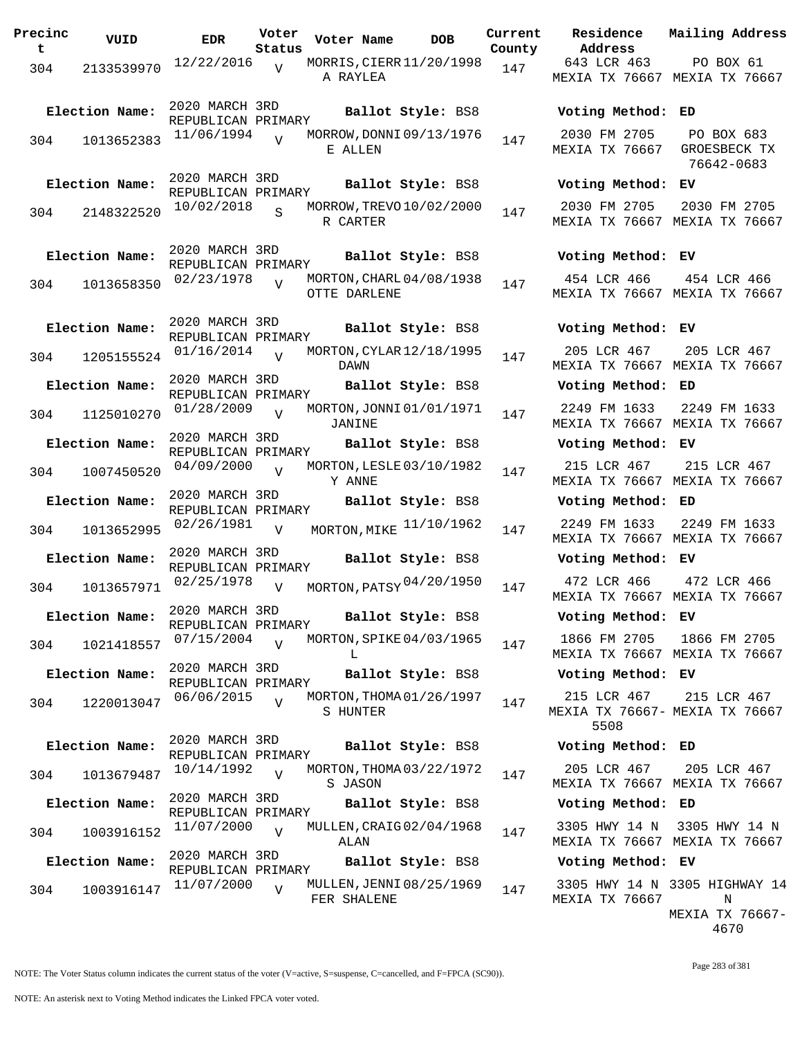| Precinc<br>$\mathbf t$ | VUID           | <b>EDR</b>                           | Voter<br>Status | Voter Name   | <b>DOB</b>               | Current<br>County | Residence<br>Address                 |
|------------------------|----------------|--------------------------------------|-----------------|--------------|--------------------------|-------------------|--------------------------------------|
| 304                    | 2133539970     | 12/22/2016                           | V               | A RAYLEA     | MORRIS, CIERR 11/20/1998 | 147               | 643 LCR 463<br>MEXIA TX 7666         |
|                        | Election Name: | 2020 MARCH 3RD<br>REPUBLICAN PRIMARY |                 |              | Ballot Style: BS8        |                   | Voting Metho                         |
| 304                    | 1013652383     | 11/06/1994                           | $\overline{V}$  | E ALLEN      | MORROW, DONNI 09/13/1976 | 147               | 2030 FM 2705<br>MEXIA TX 7666        |
|                        | Election Name: | 2020 MARCH 3RD<br>REPUBLICAN PRIMARY |                 |              | Ballot Style: BS8        |                   | Voting Metho                         |
| 304                    | 2148322520     | 10/02/2018                           |                 | R CARTER     | MORROW, TREVO 10/02/2000 | 147               | 2030 FM 2705<br>MEXIA TX 7666        |
|                        | Election Name: | 2020 MARCH 3RD<br>REPUBLICAN PRIMARY |                 |              | Ballot Style: BS8        |                   | Voting Metho                         |
| 304                    | 1013658350     | 02/23/1978                           | $\overline{V}$  | OTTE DARLENE | MORTON, CHARL 04/08/1938 | 147               | 454 LCR 466<br>MEXIA TX 7666         |
|                        | Election Name: | 2020 MARCH 3RD<br>REPUBLICAN PRIMARY |                 |              | Ballot Style: BS8        |                   | Voting Metho                         |
| 304                    | 1205155524     | 01/16/2014                           | $\overline{V}$  | DAWN         | MORTON, CYLAR 12/18/1995 | 147               | 205 LCR 467<br>MEXIA TX 7666         |
|                        | Election Name: | 2020 MARCH 3RD<br>REPUBLICAN PRIMARY |                 |              | Ballot Style: BS8        |                   | Voting Metho                         |
| 304                    | 1125010270     | 01/28/2009                           | V               | JANINE       | MORTON, JONNI 01/01/1971 | 147               | 2249 FM 1633<br>MEXIA TX 7666        |
|                        | Election Name: | 2020 MARCH 3RD<br>REPUBLICAN PRIMARY |                 |              | Ballot Style: BS8        |                   | Voting Metho                         |
| 304                    | 1007450520     | 04/09/2000                           | $\overline{V}$  | Y ANNE       | MORTON, LESLE 03/10/1982 | 147               | 215 LCR 467<br>MEXIA TX 7666         |
|                        | Election Name: | 2020 MARCH 3RD<br>REPUBLICAN PRIMARY |                 |              | Ballot Style: BS8        |                   | Voting Metho                         |
| 304                    | 1013652995     | 02/26/1981                           | $\overline{V}$  |              | MORTON, MIKE 11/10/1962  | 147               | 2249 FM 1633<br>MEXIA TX 7666        |
|                        | Election Name: | 2020 MARCH 3RD<br>REPUBLICAN PRIMARY |                 |              | Ballot Style: BS8        |                   | Voting Metho                         |
| 304                    | 1013657971     | 02/25/1978                           | V               |              | MORTON, PATSY 04/20/1950 | 147               | 472 LCR 466<br>MEXIA TX 7666         |
|                        | Election Name: | 2020 MARCH 3RD<br>REPUBLICAN PRIMARY |                 |              | Ballot Style: BS8        |                   | Voting Metho                         |
| 304                    | 1021418557     | 07/15/2004                           | $\overline{U}$  | L            | MORTON, SPIKE 04/03/1965 | 147               | 1866 FM 2705<br>MEXIA TX 7666        |
|                        | Election Name: | 2020 MARCH 3RD<br>REPUBLICAN PRIMARY |                 |              | Ballot Style: BS8        |                   | Voting Metho                         |
| 304                    | 1220013047     | 06/06/2015                           | $\overline{V}$  | S HUNTER     | MORTON, THOMA 01/26/1997 | 147               | 215 LCR 467<br>MEXIA TX 7666<br>5508 |
|                        | Election Name: | 2020 MARCH 3RD                       |                 |              | Ballot Style: BS8        |                   | Voting Metho                         |
| 304                    | 1013679487     | REPUBLICAN PRIMARY<br>10/14/1992     | $\overline{V}$  | S JASON      | MORTON, THOMA 03/22/1972 | 147               | 205 LCR 467<br>MEXIA TX 7666         |
|                        | Election Name: | 2020 MARCH 3RD                       |                 |              | Ballot Style: BS8        |                   | Voting Metho                         |
| 304                    | 1003916152     | REPUBLICAN PRIMARY<br>11/07/2000     | $\overline{V}$  | ALAN         | MULLEN, CRAIG 02/04/1968 | 147               | 3305 HWY 14 I<br>MEXIA TX 7666       |
|                        | Election Name: | 2020 MARCH 3RD<br>REPUBLICAN PRIMARY |                 |              | Ballot Style: BS8        |                   | Voting Metho                         |
| 304                    | 1003916147     | 11/07/2000                           | $\overline{V}$  | FER SHALENE  | MULLEN, JENNI 08/25/1969 | 147               | 3305 HWY 14 I<br>MEXIA TX 7666       |

**Voter Name DOB Residence Address Current Mailing Address County** 643 LCR 463 MEXIA TX 76667 MEXIA TX 76667 PO BOX 61 **Election Name: Ballot Style:** BS8 **Voting Method: ED** 2030 FM 2705 MEXIA TX 76667 GROESBECK TX PO BOX 683 76642-0683 **Election Name: Ballot Style:** BS8 **Voting Method: EV** 2030 FM 2705 MEXIA TX 76667 MEXIA TX 76667 2030 FM 2705 **Election Name: Ballot Style:** BS8 **Voting Method: EV** 454 LCR 466 MEXIA TX 76667 MEXIA TX 76667 454 LCR 466 **Election Name: Ballot Style:** BS8 **Voting Method: EV** 205 LCR 467 MEXIA TX 76667 MEXIA TX 76667 205 LCR 467 **Election Name: Ballot Style:** BS8 **Voting Method: ED** 2249 FM 1633 MEXIA TX 76667 MEXIA TX 76667 2249 FM 1633 **Election Name: Ballot Style:** BS8 **Voting Method: EV** 215 LCR 467 MEXIA TX 76667 MEXIA TX 76667 215 LCR 467 **Election Name: Ballot Style:** BS8 **Voting Method: ED** MEXIA TX 76667 MEXIA TX 76667 2249 FM 1633 **Election Name: Ballot Style:** BS8 **Voting Method: EV** MEXIA TX 76667 MEXIA TX 76667 472 LCR 466 **Election Name: Ballot Style:** BS8 **Voting Method: EV** 1866 FM 2705 MEXIA TX 76667 MEXIA TX 76667 1866 FM 2705 **Election Name: Ballot Style:** BS8 **Voting Method: EV** 215 LCR 467 MEXIA TX 76667- MEXIA TX 76667 5508 215 LCR 467 **Election Name: Ballot Style:** BS8 **Voting Method: ED** 205 LCR 467 MEXIA TX 76667 MEXIA TX 76667 205 LCR 467 **Election Name: Ballot Style:** BS8 **Voting Method: ED** 3305 HWY 14 N 3305 HWY 14 N MEXIA TX 76667 MEXIA TX 76667 **Election Name: Ballot Style:** BS8 **Voting Method: EV** 3305 HWY 14 N 3305 HIGHWAY 14 MEXIA TX 76667 N MEXIA TX 76667- 4670

NOTE: The Voter Status column indicates the current status of the voter (V=active, S=suspense, C=cancelled, and F=FPCA (SC90)).

Page 283 of 381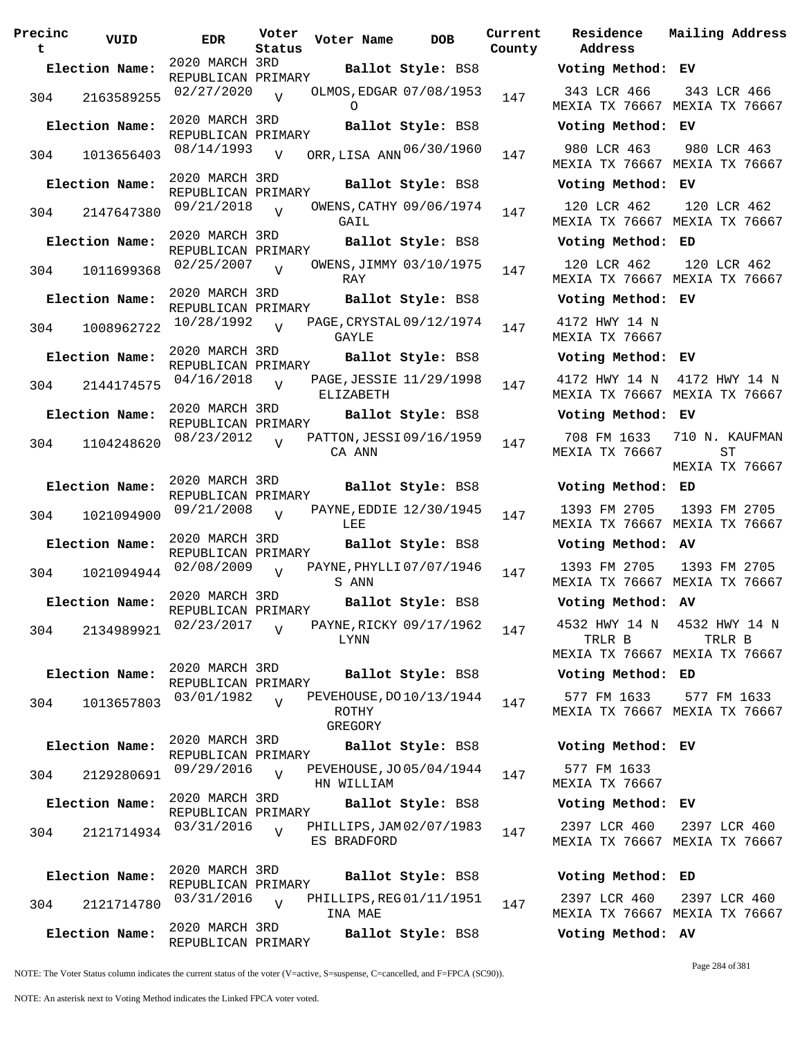| Precinc<br>t | VUID           | <b>EDR</b>                           | Voter<br>Status | Voter Name                                     | <b>DOB</b>        | Current<br>County | Residence<br>Address                |
|--------------|----------------|--------------------------------------|-----------------|------------------------------------------------|-------------------|-------------------|-------------------------------------|
|              | Election Name: | 2020 MARCH 3RD<br>REPUBLICAN PRIMARY |                 |                                                | Ballot Style: BS8 |                   | Voting Metho                        |
|              | 304 2163589255 | 02/27/2020                           | $\overline{U}$  | OLMOS, EDGAR 07/08/1953<br>$\circ$             |                   | 147               | 343 LCR 466<br><b>MEXIA TX 7666</b> |
|              | Election Name: | 2020 MARCH 3RD<br>REPUBLICAN PRIMARY |                 |                                                | Ballot Style: BS8 |                   | Voting Metho                        |
| 304          | 1013656403     | 08/14/1993                           | $\overline{V}$  | ORR, LISA ANN 06/30/1960                       |                   | 147               | 980 LCR 463<br><b>MEXIA TX 7666</b> |
|              | Election Name: | 2020 MARCH 3RD<br>REPUBLICAN PRIMARY |                 |                                                | Ballot Style: BS8 |                   | Voting Metho                        |
|              | 304 2147647380 | $09/21/2018$ V                       |                 | OWENS, CATHY 09/06/1974<br>GAIL                |                   | 147               | 120 LCR 462<br>MEXIA TX 7666        |
|              | Election Name: | 2020 MARCH 3RD                       |                 |                                                | Ballot Style: BS8 |                   | Voting Metho                        |
| 304          | 1011699368     | REPUBLICAN PRIMARY<br>02/25/2007     | $\overline{U}$  | OWENS, JIMMY 03/10/1975<br>RAY                 |                   | 147               | 120 LCR 462<br>MEXIA TX 7666        |
|              | Election Name: | 2020 MARCH 3RD                       |                 |                                                | Ballot Style: BS8 |                   | Voting Metho                        |
| 304          | 1008962722     | REPUBLICAN PRIMARY<br>$10/28/1992$ V |                 | PAGE, CRYSTAL 09/12/1974<br>GAYLE              |                   | 147               | 4172 HWY 14<br><b>MEXIA TX 7666</b> |
|              | Election Name: | 2020 MARCH 3RD                       |                 |                                                | Ballot Style: BS8 |                   | Voting Metho                        |
| 304          | 2144174575     | REPUBLICAN PRIMARY<br>$04/16/2018$ V |                 | PAGE, JESSIE 11/29/1998                        |                   | 147               | 4172 HWY 14                         |
|              | Election Name: | 2020 MARCH 3RD                       |                 | ELIZABETH                                      | Ballot Style: BS8 |                   | MEXIA TX 7666<br>Voting Metho       |
|              |                | REPUBLICAN PRIMARY                   |                 |                                                |                   |                   | 708 FM 1633                         |
| 304          | 1104248620     | 08/23/2012                           | $\overline{U}$  | PATTON, JESSI 09/16/1959<br>CA ANN             |                   | 147               | MEXIA TX 7666                       |
|              | Election Name: | 2020 MARCH 3RD<br>REPUBLICAN PRIMARY |                 |                                                | Ballot Style: BS8 |                   | Voting Metho                        |
| 304          | 1021094900     | 09/21/2008                           | $\overline{V}$  | PAYNE, EDDIE 12/30/1945<br>LEE                 |                   | 147               | 1393 FM 270!<br>MEXIA TX 7666       |
|              | Election Name: | 2020 MARCH 3RD<br>REPUBLICAN PRIMARY |                 |                                                | Ballot Style: BS8 |                   | Voting Metho                        |
|              |                | 304 1021094944 02/08/2009            | $\overline{V}$  | PAYNE, PHYLLI 07/07/1946<br>S ANN              |                   | 147               | 1393 FM 2705<br>MEXIA TX 7666       |
|              | Election Name: |                                      |                 | REPUBLICAN PRIMARY<br><b>Ballot Style:</b> BS8 |                   |                   | Voting Metho                        |
| 304          | 2134989921     | 02/23/2017                           | $\overline{V}$  | PAYNE, RICKY 09/17/1962<br>LYNN                |                   | 147               | 4532 HWY 14<br>TRLR B               |
|              |                |                                      |                 |                                                |                   |                   | MEXIA TX 7666                       |
|              | Election Name: | 2020 MARCH 3RD<br>REPUBLICAN PRIMARY |                 |                                                | Ballot Style: BS8 |                   | Voting Metho                        |
| 304          | 1013657803     | 03/01/1982                           | $\overline{V}$  | PEVEHOUSE, DO 10/13/1944<br>ROTHY<br>GREGORY   |                   | 147               | 577 FM 1633<br><b>MEXIA TX 7666</b> |
|              | Election Name: | 2020 MARCH 3RD                       |                 |                                                | Ballot Style: BS8 |                   | Voting Metho                        |
| 304          | 2129280691     | REPUBLICAN PRIMARY<br>09/29/2016     | $\overline{U}$  | PEVEHOUSE, JO 05/04/1944<br>HN WILLIAM         |                   | 147               | 577 FM 1633<br><b>MEXIA TX 7666</b> |
|              | Election Name: | 2020 MARCH 3RD                       |                 |                                                | Ballot Style: BS8 |                   | Voting Metho                        |
| 304          | 2121714934     | REPUBLICAN PRIMARY<br>03/31/2016     | $\overline{U}$  | PHILLIPS, JAM 02/07/1983<br>ES BRADFORD        |                   | 147               | 2397 LCR 460<br>MEXIA TX 7666       |
|              | Election Name: | 2020 MARCH 3RD                       |                 |                                                | Ballot Style: BS8 |                   | Voting Metho                        |
| 304          | 2121714780     | REPUBLICAN PRIMARY<br>03/31/2016     | $\overline{V}$  | PHILLIPS, REG01/11/1951                        |                   | 147               | 2397 LCR 460                        |
|              |                | 2020 MARCH 3RD                       |                 | INA MAE                                        |                   |                   | MEXIA TX 7666                       |
|              | Election Name: | REPUBLICAN PRIMARY                   |                 |                                                | Ballot Style: BS8 |                   | Voting Metho                        |

**Voter Name DOB Residence Address Current Mailing Address** nty **Election Name: Ballot Style:** BS8 **Voting Method: EV** 343 LCR 466 MEXIA TX 76667 MEXIA TX 76667 343 LCR 466 **Election Name: Ballot Style:** BS8 **Voting Method: EV** MEXIA TX 76667 MEXIA TX 76667 980 LCR 463 **Election Name: Ballot Style:** BS8 **Voting Method: EV** 120 LCR 462 MEXIA TX 76667 MEXIA TX 76667 120 LCR 462 **Election Name: Ballot Style:** BS8 **Voting Method: ED** 120 LCR 462 MEXIA TX 76667 MEXIA TX 76667 120 LCR 462 **Election Name: Ballot Style:** BS8 **Voting Method: EV** 4172 HWY 14 N MEXIA TX 76667 **Election Name: Ballot Style:** BS8 **Voting Method: EV** 4172 HWY 14 N 4172 HWY 14 N MEXIA TX 76667 MEXIA TX 76667 **Election Name: Ballot Style:** BS8 **Voting Method: EV** 708 FM 1633 MEXIA TX 76667 710 N. KAUFMAN ST MEXIA TX 76667 **Election Name: Ballot Style:** BS8 **Voting Method: ED** 1393 FM 2705 MEXIA TX 76667 MEXIA TX 76667 1393 FM 2705 **Election Name: Ballot Style:** BS8 **Voting Method: AV** 1393 FM 2705 MEXIA TX 76667 MEXIA TX 76667 1393 FM 2705 **Election Name: Ballot Style:** BS8 **Voting Method: AV** 4532 HWY 14 N 4532 HWY 14 N TRLR B MEXIA TX 76667 MEXIA TX 76667 TRLR B **Election Name: Ballot Style:** BS8 **Voting Method: ED** 577 FM 1633 MEXIA TX 76667 MEXIA TX 76667 577 FM 1633 **Election Name: Ballot Style:** BS8 **Voting Method: EV** 577 FM 1633 MEXIA TX 76667 **Election Name: Ballot Style:** BS8 **Voting Method: EV** 2397 LCR 460 MEXIA TX 76667 MEXIA TX 76667 2397 LCR 460 **Election Name: Ballot Style:** BS8 **Voting Method: ED** 2397 LCR 460 MEXIA TX 76667 MEXIA TX 76667 2397 LCR 460 **Election Name: Ballot Style:** BS8 **Voting Method: AV**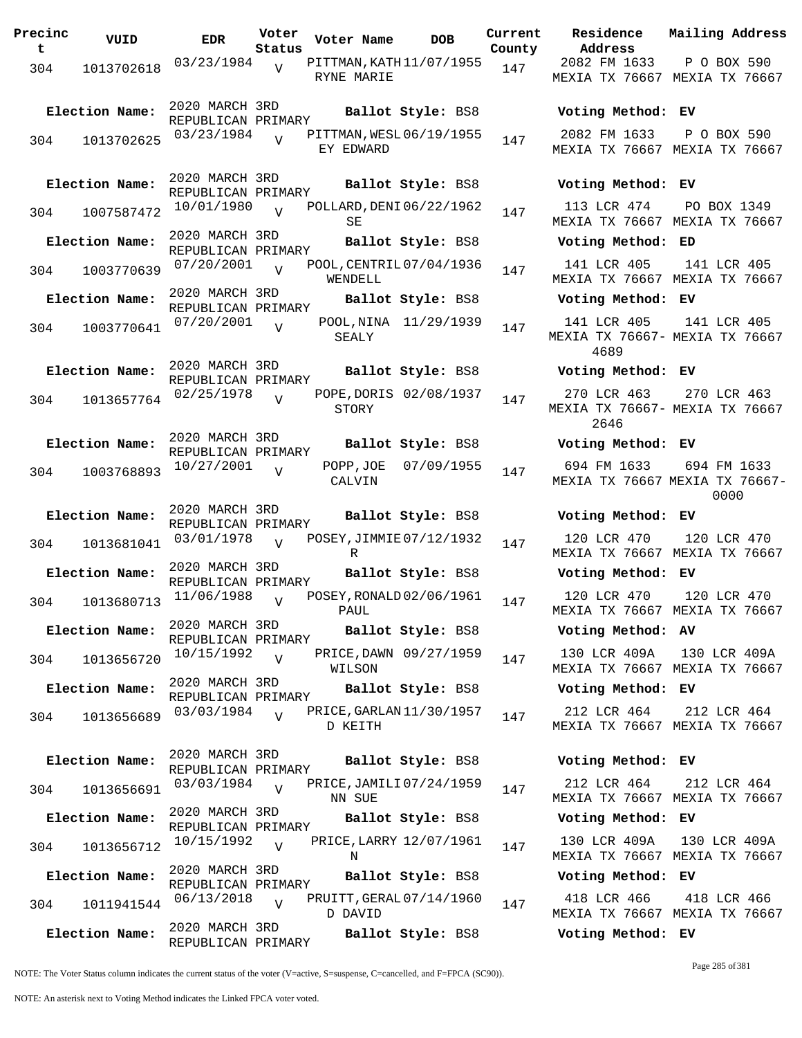**Precinc t VUID EDR Voter Status Voter Name DOB Current Residence County** 304 1013702618 03/23/1984 V PITTMAN, KATH 11/07/1955 147 RYNE MARIE  $\overline{v}$ 2020 MARCH 3RD REPUBLICAN PRIMARY **Election Name: Ballot Style:** BS8 **Voting Method: EV** 304 1013702625 03/23/1984 V PITTMAN, WESL 06/19/1955 147 EY EDWARD  $\overline{V}$ 2020 MARCH 3RD REPUBLICAN PRIMARY **Election Name: Ballot Style:** BS8 **Voting Method: EV**  $304$  1007587472  $10/01/1980$  v POLLARD, DENI06/22/1962 147 SE  $\overline{v}$ 2020 MARCH 3RD REPUBLICAN PRIMARY **Election Name: Ballot Style:** BS8 **Voting Method: ED**  $304$  1003770639 07/20/2001 WENDELL  $\overline{V}$ POOL, CENTRIL 07/04/1936 147 2020 MARCH 3RD REPUBLICAN PRIMARY **Election Name: Ballot Style:** BS8 **Voting Method: EV** 304 1003770641 07/20/2001 SEALY  $\overline{V}$ POOL, NINA 11/29/1939 147 2020 MARCH 3RD REPUBLICAN PRIMARY **Election Name: Ballot Style:** BS8 **Voting Method: EV** 304 1013657764 02/25/1978 STORY  $\overline{V}$ POPE, DORIS 02/08/1937 147 2020 MARCH 3RD REPUBLICAN PRIMARY **Election Name: Ballot Style:** BS8 **Voting Method: EV** <sup>304</sup> POPP,JOE CALVIN  $\overline{v}$  $07/09/1955$  147 2020 MARCH 3RD REPUBLICAN PRIMARY **Election Name: Ballot Style:** BS8 **Voting Method: EV** 304 1013681041 03/01/1978 v POSEY, JIMMIE 07/12/1932 147 R  $\overline{V}$ 2020 MARCH 3RD REPUBLICAN PRIMARY **Election Name: Ballot Style:** BS8 **Voting Method: EV** 304 1013680713 <sup>11/06/1988</sup> v POSEY, RONALD 02/06/1961 147 PAUL  $\overline{V}$ 2020 MARCH 3RD REPUBLICAN PRIMARY **Election Name: Ballot Style:** BS8 **Voting Method: AV** 304 1013656720 10/15/1992 WILSON  $\overline{V}$ PRICE, DAWN 09/27/1959 147 2020 MARCH 3RD REPUBLICAN PRIMARY **Election Name: Ballot Style:** BS8 **Voting Method: EV** 304 1013656689 03/03/1984 V PRICE, GARLAN 11/30/1957 147 D KEITH V 2020 MARCH 3RD REPUBLICAN PRIMARY **Election Name: Ballot Style:** BS8 **Voting Method: EV** 304 1013656691 03/03/1984 V PRICE,JAMILI07/24/1959 147 NN SUE  $\overline{V}$ 2020 MARCH 3RD REPUBLICAN PRIMARY **Election Name: Ballot Style:** BS8 **Voting Method: EV** 304 1013656712 10/15/1992 N  $\overline{U}$ PRICE, LARRY 12/07/1961 147 2020 MARCH 3RD REPUBLICAN PRIMARY **Election Name: Ballot Style:** BS8 **Voting Method: EV** 304 1011941544 06/13/2018 V PRUITT, GERAL 07/14/1960 147 D DAVID  $\overline{v}$ 2020 MARCH 3RD REPUBLICAN PRIMARY **Election Name: Ballot Style:** BS8 **Voting Method: EV**

2082 FM 1633 MEXIA TX 76667 MEXIA TX 76667 P O BOX 590 2082 FM 1633 MEXIA TX 76667 MEXIA TX 76667 P O BOX 590 113 LCR 474 MEXIA TX 76667 MEXIA TX 76667 PO BOX 1349 141 LCR 405 MEXIA TX 76667 MEXIA TX 76667 141 LCR 405 141 LCR 405 MEXIA TX 76667- MEXIA TX 76667 4689 141 LCR 405 270 LCR 463 MEXIA TX 76667- MEXIA TX 76667 2646 270 LCR 463 694 FM 1633 MEXIA TX 76667 MEXIA TX 76667- 694 FM 1633  $0000$ 120 LCR 470 MEXIA TX 76667 MEXIA TX 76667 120 LCR 470 120 LCR 470 MEXIA TX 76667 MEXIA TX 76667 120 LCR 470 130 LCR 409A MEXIA TX 76667 MEXIA TX 76667 130 LCR 409A 212 LCR 464 MEXIA TX 76667 MEXIA TX 76667 212 LCR 464 212 LCR 464 MEXIA TX 76667 MEXIA TX 76667 212 LCR 464 130 LCR 409A MEXIA TX 76667 MEXIA TX 76667 130 LCR 409A

**Address**

**Current Mailing Address**

418 LCR 466 MEXIA TX 76667 MEXIA TX 76667 418 LCR 466

NOTE: The Voter Status column indicates the current status of the voter (V=active, S=suspense, C=cancelled, and F=FPCA (SC90)).

Page 285 of 381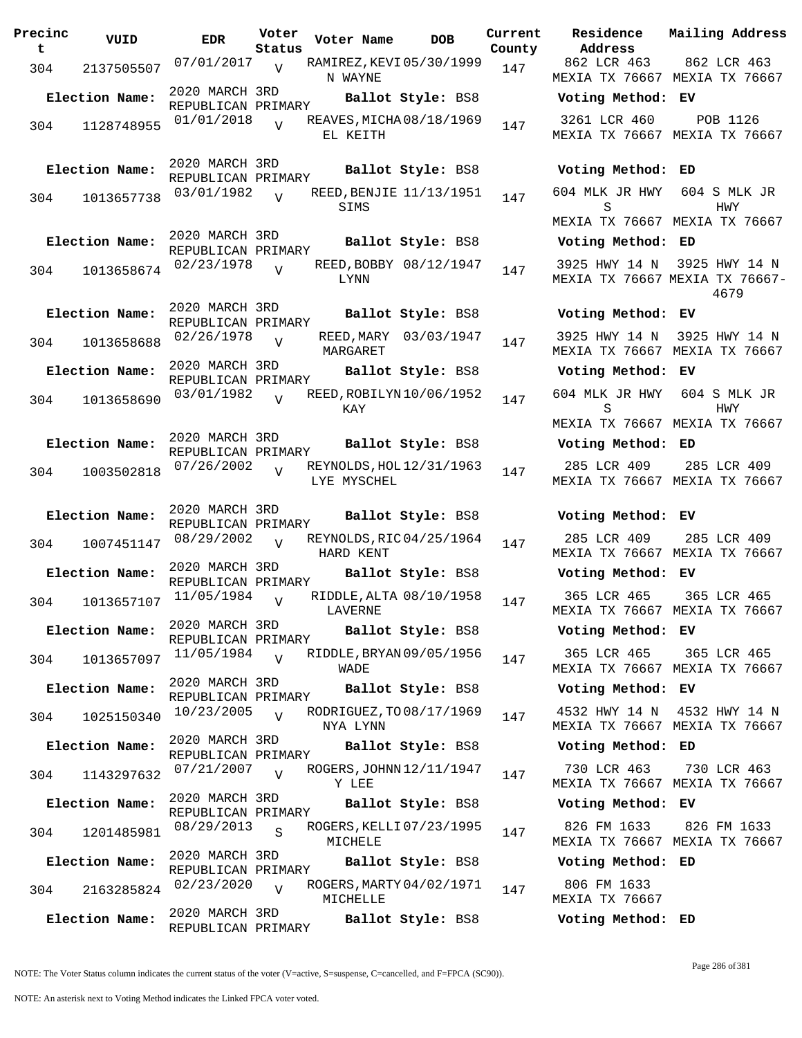| Precinc<br>t | VUID           | <b>EDR</b>                           | Voter<br>Status | Voter Name                              | DOB                    | Current<br>County | Residence<br>Address                 | Mai:            |
|--------------|----------------|--------------------------------------|-----------------|-----------------------------------------|------------------------|-------------------|--------------------------------------|-----------------|
| 304          | 2137505507     | 07/01/2017                           | V               | RAMIREZ, KEVI 05/30/1999<br>N WAYNE     |                        | 147               | 862 LCR 463<br>MEXIA TX 76667 MEX    | 8(              |
|              | Election Name: | 2020 MARCH 3RD<br>REPUBLICAN PRIMARY |                 |                                         | Ballot Style: BS8      |                   | Voting Method: EV                    |                 |
| 304          | 1128748955     | 01/01/2018                           |                 | REAVES, MICHA 08/18/1969<br>EL KEITH    |                        | 147               | 3261 LCR 460<br>MEXIA TX 76667 MEX   |                 |
|              | Election Name: | 2020 MARCH 3RD<br>REPUBLICAN PRIMARY |                 |                                         | Ballot Style: BS8      |                   | Voting Method: ED                    |                 |
| 304          | 1013657738     | 03/01/1982                           | $\overline{17}$ | REED, BENJIE 11/13/1951<br>SIMS         |                        | 147               | 604 MLK JR HWY<br>S                  | 60              |
|              |                |                                      |                 |                                         |                        |                   | MEXIA TX 76667 MEX                   |                 |
|              | Election Name: | 2020 MARCH 3RD<br>REPUBLICAN PRIMARY |                 |                                         | Ballot Style: BS8      |                   | Voting Method: ED                    |                 |
| 304          | 1013658674     | 02/23/1978                           | $\overline{V}$  | LYNN                                    | REED, BOBBY 08/12/1947 | 147               | 3925 HWY 14 N<br>MEXIA TX 76667 MEXI | 39 <sub>1</sub> |
|              | Election Name: | 2020 MARCH 3RD<br>REPUBLICAN PRIMARY |                 |                                         | Ballot Style: BS8      |                   | Voting Method: EV                    |                 |
| 304          | 1013658688     | 02/26/1978                           | $\overline{U}$  | MARGARET                                | REED, MARY 03/03/1947  | 147               | 3925 HWY 14 N<br>MEXIA TX 76667 MEX  | 39 <sub>2</sub> |
|              | Election Name: | 2020 MARCH 3RD                       |                 |                                         | Ballot Style: BS8      |                   | Voting Method: EV                    |                 |
| 304          | 1013658690     | REPUBLICAN PRIMARY<br>03/01/1982     | $\overline{z}$  | REED, ROBILYN 10/06/1952<br>KAY         |                        | 147               | 604 MLK JR HWY<br>S                  | 60              |
|              |                | 2020 MARCH 3RD                       |                 |                                         |                        |                   | MEXIA TX 76667 MEX                   |                 |
|              | Election Name: | REPUBLICAN PRIMARY                   |                 |                                         | Ballot Style: BS8      |                   | Voting Method: ED                    |                 |
| 304          | 1003502818     | 07/26/2002                           | $\overline{U}$  | REYNOLDS, HOL 12/31/1963<br>LYE MYSCHEL |                        | 147               | 285 LCR 409<br>MEXIA TX 76667 MEX    | 28              |
|              | Election Name: | 2020 MARCH 3RD<br>REPUBLICAN PRIMARY |                 |                                         | Ballot Style: BS8      |                   | Voting Method: EV                    |                 |
| 304          | 1007451147     | 08/29/2002                           | $\overline{U}$  | REYNOLDS, RIC 04/25/1964<br>HARD KENT   |                        | 147               | 285 LCR 409<br>MEXIA TX 76667 MEX    | 28              |
|              | Election Name: | 2020 MARCH 3RD<br>REPUBLICAN PRIMARY |                 |                                         | Ballot Style: BS8      |                   | Voting Method: EV                    |                 |
| 304          | 1013657107     | 11/05/1984                           | $\overline{V}$  | RIDDLE, ALTA 08/10/1958<br>LAVERNE      |                        | 147               | 365 LCR 465<br>MEXIA TX 76667 MEX    | 3(              |
|              | Election Name: | 2020 MARCH 3RD<br>REPUBLICAN PRIMARY |                 |                                         | Ballot Style: BS8      |                   | Voting Method: EV                    |                 |
| 304          | 1013657097     | 11/05/1984                           | $\overline{V}$  | RIDDLE, BRYAN 09/05/1956<br>WADE        |                        | 147               | 365 LCR 465<br>MEXIA TX 76667 MEX    | 3(              |
|              | Election Name: | 2020 MARCH 3RD<br>REPUBLICAN PRIMARY |                 |                                         | Ballot Style: BS8      |                   | Voting Method: EV                    |                 |
| 304          | 1025150340     | 10/23/2005                           | $\overline{U}$  | RODRIGUEZ, TO 08/17/1969<br>NYA LYNN    |                        | 147               | 4532 HWY 14 N<br>MEXIA TX 76667 MEX  | 45 <sup>°</sup> |
|              | Election Name: | 2020 MARCH 3RD<br>REPUBLICAN PRIMARY |                 |                                         | Ballot Style: BS8      |                   | Voting Method: ED                    |                 |
| 304          | 1143297632     | 07/21/2007                           | $\overline{z}$  | ROGERS, JOHNN 12/11/1947<br>Y LEE       |                        | 147               | 730 LCR 463<br>MEXIA TX 76667 MEX    | 7:              |
|              | Election Name: | 2020 MARCH 3RD<br>REPUBLICAN PRIMARY |                 |                                         | Ballot Style: BS8      |                   | Voting Method: EV                    |                 |
| 304          | 1201485981     | 08/29/2013                           | S               | ROGERS, KELLI 07/23/1995<br>MICHELE     |                        | 147               | 826 FM 1633<br>MEXIA TX 76667 MEX    | 8 <sup>2</sup>  |
|              | Election Name: | 2020 MARCH 3RD                       |                 |                                         | Ballot Style: BS8      |                   | Voting Method: ED                    |                 |
| 304          | 2163285824     | REPUBLICAN PRIMARY<br>02/23/2020     | $\overline{U}$  | ROGERS, MARTY 04/02/1971<br>MICHELLE    |                        | 147               | 806 FM 1633<br>MEXIA TX 76667        |                 |
|              | Election Name: | 2020 MARCH 3RD<br>REPUBLICAN PRIMARY |                 |                                         | Ballot Style: BS8      |                   | Voting Method: ED                    |                 |

**Voter Name DOB Residence Address Current Mailing Address** 862 LCR 463 MEXIA TX 76667 MEXIA TX 76667 862 LCR 463 **Election Name: Ballot Style:** BS8 **Voting Method: EV** 3261 LCR 460 MEXIA TX 76667 MEXIA TX 76667 POB 1126 **Election Name: Ballot Style:** BS8 **Voting Method: ED** 604 MLK JR HWY 604 S MLK JR S MEXIA TX 76667 MEXIA TX 76667 HWY **Election Name: Ballot Style:** BS8 **Voting Method: ED** 3925 HWY 14 N 3925 HWY 14 N MEXIA TX 76667 MEXIA TX 76667- 4679 **Election Name: Ballot Style:** BS8 **Voting Method: EV** 3925 HWY 14 N 3925 HWY 14 N MEXIA TX 76667 MEXIA TX 76667 **Election Name: Ballot Style:** BS8 **Voting Method: EV** 604 MLK JR HWY 604 S MLK JR S MEXIA TX 76667 MEXIA TX 76667 HWY **Election Name: Ballot Style:** BS8 **Voting Method: ED** 285 LCR 409 MEXIA TX 76667 MEXIA TX 76667 285 LCR 409 **Election Name: Ballot Style:** BS8 **Voting Method: EV** 285 LCR 409 MEXIA TX 76667 MEXIA TX 76667 285 LCR 409 **Election Name: Ballot Style:** BS8 **Voting Method: EV** 365 LCR 465 MEXIA TX 76667 MEXIA TX 76667 365 LCR 465 **Election Name: Ballot Style:** BS8 **Voting Method: EV** 365 LCR 465 MEXIA TX 76667 MEXIA TX 76667 365 LCR 465 **Election Name: Ballot Style:** BS8 **Voting Method: EV** 4532 HWY 14 N 4532 HWY 14 N MEXIA TX 76667 MEXIA TX 76667 **Election Name: Ballot Style:** BS8 **Voting Method: ED** 730 LCR 463 MEXIA TX 76667 MEXIA TX 76667 730 LCR 463 **Election Name: Ballot Style:** BS8 **Voting Method: EV** 826 FM 1633 MEXIA TX 76667 MEXIA TX 76667 826 FM 1633 **Election Name: Ballot Style:** BS8 **Voting Method: ED** 806 FM 1633 MEXIA TX 76667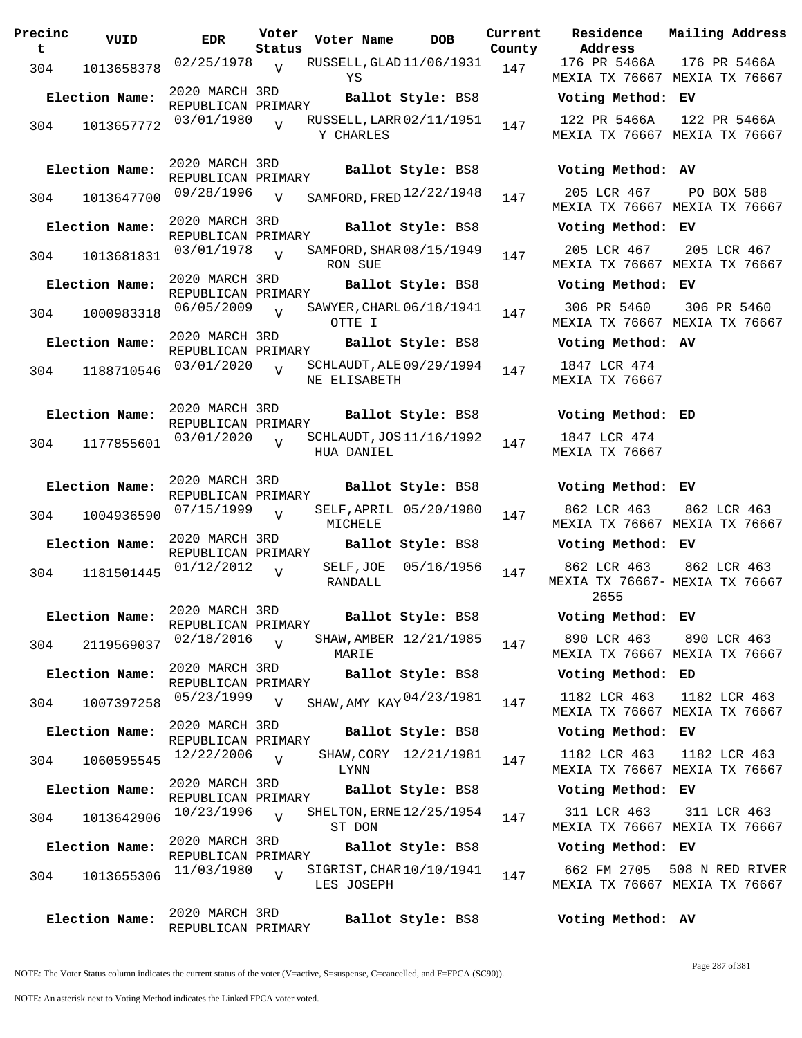| Precinc<br>t | VUID           | <b>EDR</b>                           | Voter<br>Status | Voter Name                               | <b>DOB</b>        | Current<br>County | Residence<br>Address                       | Mai.           |
|--------------|----------------|--------------------------------------|-----------------|------------------------------------------|-------------------|-------------------|--------------------------------------------|----------------|
| 304          | 1013658378     | 02/25/1978                           | $\overline{v}$  | RUSSELL, GLAD 11/06/1931<br>ΥS           |                   | 147               | 176 PR 5466A<br>MEXIA TX 76667 MEX         | 17             |
|              | Election Name: | 2020 MARCH 3RD<br>REPUBLICAN PRIMARY |                 |                                          | Ballot Style: BS8 |                   | Voting Method: EV                          |                |
| 304          | 1013657772     | 03/01/1980                           | $\overline{U}$  | RUSSELL, LARR 02/11/1951<br>Y CHARLES    |                   | 147               | 122 PR 5466A<br>MEXIA TX 76667 MEX         | 12             |
|              | Election Name: | 2020 MARCH 3RD<br>REPUBLICAN PRIMARY |                 |                                          | Ballot Style: BS8 |                   | Voting Method: AV                          |                |
| 304          | 1013647700     | 09/28/1996                           | $\overline{V}$  | SAMFORD, FRED $12/22/1948$               |                   | 147               | 205 LCR 467<br>MEXIA TX 76667 MEX          | F              |
|              | Election Name: | 2020 MARCH 3RD<br>REPUBLICAN PRIMARY |                 |                                          | Ballot Style: BS8 |                   | Voting Method: EV                          |                |
| 304          | 1013681831     | 03/01/1978                           | $\overline{U}$  | SAMFORD, SHAR 08/15/1949<br>RON SUE      |                   | 147               | 205 LCR 467<br>MEXIA TX 76667 MEX          | $\overline{2}$ |
|              | Election Name: | 2020 MARCH 3RD<br>REPUBLICAN PRIMARY |                 |                                          | Ballot Style: BS8 |                   | Voting Method: EV                          |                |
| 304          | 1000983318     | 06/05/2009                           |                 | SAWYER, CHARL 06/18/1941<br>OTTE I       |                   | 147               | 306 PR 5460<br>MEXIA TX 76667 MEX          | $\overline{3}$ |
|              | Election Name: | 2020 MARCH 3RD<br>REPUBLICAN PRIMARY |                 |                                          | Ballot Style: BS8 |                   | Voting Method: AV                          |                |
| 304          | 1188710546     | 03/01/2020                           | $\overline{17}$ | SCHLAUDT, ALE 09/29/1994<br>NE ELISABETH |                   | 147               | 1847 LCR 474<br>MEXIA TX 76667             |                |
|              | Election Name: | 2020 MARCH 3RD<br>REPUBLICAN PRIMARY |                 |                                          | Ballot Style: BS8 |                   | Voting Method: ED                          |                |
| 304          | 1177855601     | 03/01/2020                           | $\overline{V}$  | SCHLAUDT, JOS 11/16/1992<br>HUA DANIEL   |                   | 147               | 1847 LCR 474<br>MEXIA TX 76667             |                |
|              | Election Name: | 2020 MARCH 3RD<br>REPUBLICAN PRIMARY |                 |                                          | Ballot Style: BS8 |                   | Voting Method: EV                          |                |
| 304          | 1004936590     | 07/15/1999                           | $\overline{U}$  | SELF, APRIL 05/20/1980<br>MICHELE        |                   | 147               | 862 LCR 463<br>MEXIA TX 76667 MEX          | 8 <sup>1</sup> |
|              | Election Name: | 2020 MARCH 3RD<br>REPUBLICAN PRIMARY |                 |                                          | Ballot Style: BS8 |                   | Voting Method: EV                          |                |
| 304          | 1181501445     | 01/12/2012                           | $\overline{U}$  | SELF, JOE 05/16/1956<br>RANDALL          |                   | 147               | 862 LCR 463<br>MEXIA TX 76667- MEX<br>2655 | 8 <sup>1</sup> |
|              | Election Name: | 2020 MARCH 3RD<br>REPUBLICAN PRIMARY |                 |                                          | Ballot Style: BS8 |                   | Voting Method: EV                          |                |
| 304          | 2119569037     | 02/18/2016                           | $\overline{U}$  | SHAW, AMBER 12/21/1985<br>MARIE          |                   | 147               | 890 LCR 463<br>MEXIA TX 76667 MEX          | 8 <sup>°</sup> |
|              | Election Name: | 2020 MARCH 3RD<br>REPUBLICAN PRIMARY |                 |                                          | Ballot Style: BS8 |                   | Voting Method: ED                          |                |
| 304          | 1007397258     | 05/23/1999                           | V               | SHAW, AMY KAY 04/23/1981                 |                   | 147               | 1182 LCR 463<br>MEXIA TX 76667 MEX         | 11             |
|              | Election Name: | 2020 MARCH 3RD<br>REPUBLICAN PRIMARY |                 |                                          | Ballot Style: BS8 |                   | Voting Method: EV                          |                |
| 304          | 1060595545     | 12/22/2006                           | $\overline{U}$  | SHAW, CORY 12/21/1981<br>LYNN            |                   | 147               | 1182 LCR 463<br>MEXIA TX 76667 MEX         | 11             |
|              | Election Name: | 2020 MARCH 3RD<br>REPUBLICAN PRIMARY |                 |                                          | Ballot Style: BS8 |                   | Voting Method: EV                          |                |
| 304          | 1013642906     | 10/23/1996                           | $\overline{U}$  | SHELTON, ERNE 12/25/1954<br>ST DON       |                   | 147               | 311 LCR 463<br>MEXIA TX 76667 MEX          | 3 <sup>2</sup> |
|              | Election Name: | 2020 MARCH 3RD<br>REPUBLICAN PRIMARY |                 |                                          | Ballot Style: BS8 |                   | Voting Method: EV                          |                |
| 304          | 1013655306     | 11/03/1980                           | $\overline{V}$  | SIGRIST, CHAR 10/10/1941<br>LES JOSEPH   |                   | 147               | 662 FM 2705<br>MEXIA TX 76667 MEX          | 508            |
|              | Election Name: | 2020 MARCH 3RD<br>REPUBLICAN PRIMARY |                 |                                          | Ballot Style: BS8 |                   | Voting Method: AV                          |                |

**Voter Name DOB Residence Current Mailing Address Address** 176 PR 5466A MEXIA TX 76667 MEXIA TX 76667 176 PR 5466A **Election Name: Ballot Style:** BS8 **Voting Method: EV** 122 PR 5466A 122 PR 5466A MEXIA TX 76667 MEXIA TX 76667 **Election Name: Ballot Style:** BS8 **Voting Method: AV** MEXIA TX 76667 MEXIA TX 76667 PO BOX 588 **Election Name: Ballot Style:** BS8 **Voting Method: EV** 205 LCR 467 MEXIA TX 76667 MEXIA TX 76667 205 LCR 467 **Election Name: Ballot Style:** BS8 **Voting Method: EV** 306 PR 5460 MEXIA TX 76667 MEXIA TX 76667 306 PR 5460 **Election Name: Ballot Style:** BS8 **Voting Method: AV** 1847 LCR 474 MEXIA TX 76667 **Election Name: Ballot Style:** BS8 **Voting Method: ED** 1847 LCR 474 MEXIA TX 76667 **Election Name: Ballot Style:** BS8 **Voting Method: EV** 862 LCR 463 MEXIA TX 76667 MEXIA TX 76667 862 LCR 463 **Election Name: Ballot Style:** BS8 **Voting Method: EV** 862 LCR 463 MEXIA TX 76667- MEXIA TX 76667 2655 862 LCR 463 **Election Name: Ballot Style:** BS8 **Voting Method: EV** 890 LCR 463 MEXIA TX 76667 MEXIA TX 76667 890 LCR 463 **Election Name: Ballot Style:** BS8 **Voting Method: ED** MEXIA TX 76667 MEXIA TX 76667 1182 LCR 463 1182 LCR 463 **Election Name: Ballot Style:** BS8 **Voting Method: EV** 1182 LCR 463 MEXIA TX 76667 MEXIA TX 76667 1182 LCR 463 **Election Name: Ballot Style:** BS8 **Voting Method: EV** 311 LCR 463 MEXIA TX 76667 MEXIA TX 76667 311 LCR 463

662 FM 2705 508 N RED RIVER MEXIA TX 76667 MEXIA TX 76667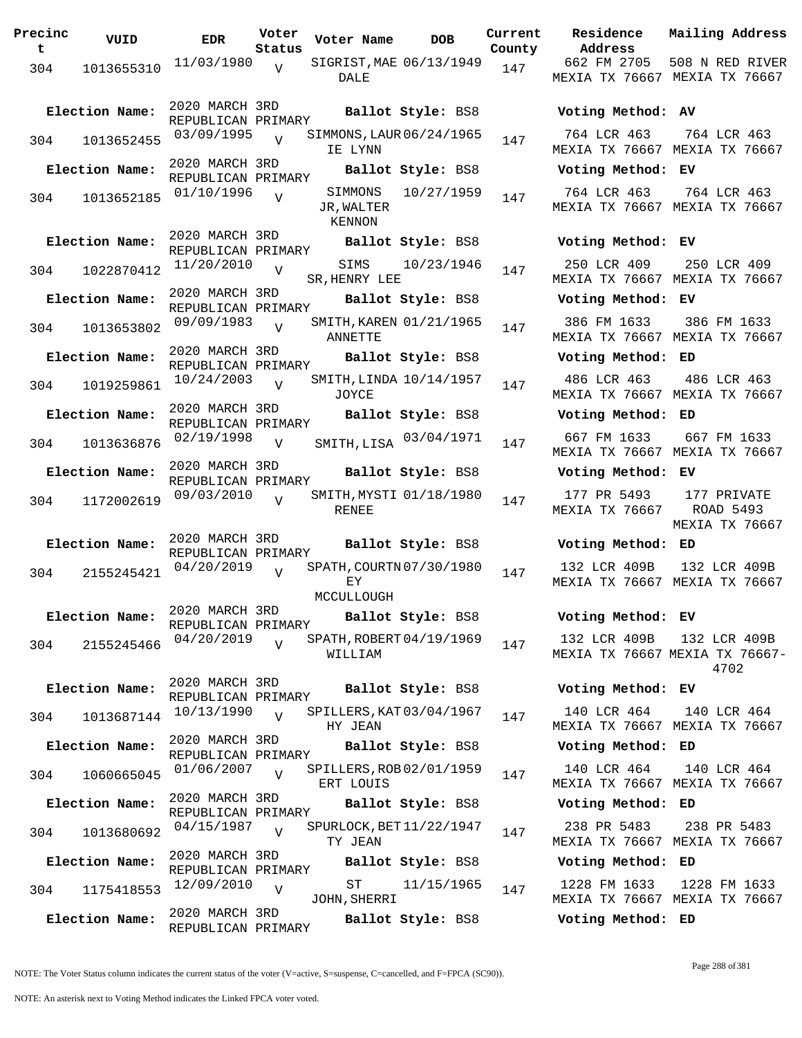| Precinc<br>t. | VUID           | <b>EDR</b>                           | Voter<br>Status | Voter Name                            | <b>DOB</b>         | Current<br>County | Residence<br>Address                |
|---------------|----------------|--------------------------------------|-----------------|---------------------------------------|--------------------|-------------------|-------------------------------------|
| 304           | 1013655310     | 11/03/1980                           | V               | SIGRIST, MAE 06/13/1949<br>DALE       |                    | 147               | 662 FM 2705<br><b>MEXIA TX 7666</b> |
|               | Election Name: | 2020 MARCH 3RD<br>REPUBLICAN PRIMARY |                 |                                       | Ballot Style: BS8  |                   | Voting Metho                        |
| 304           | 1013652455     | 03/09/1995                           | $\overline{V}$  | SIMMONS, LAUR 06/24/1965<br>IE LYNN   |                    | 147               | 764 LCR 463<br><b>MEXIA TX 7666</b> |
|               | Election Name: | 2020 MARCH 3RD<br>REPUBLICAN PRIMARY |                 |                                       | Ballot Style: BS8  |                   | Voting Metho                        |
| 304           | 1013652185     | 01/10/1996                           | V               | JR, WALTER<br>KENNON                  | SIMMONS 10/27/1959 | 147               | 764 LCR 463<br><b>MEXIA TX 7666</b> |
|               | Election Name: | 2020 MARCH 3RD<br>REPUBLICAN PRIMARY |                 |                                       | Ballot Style: BS8  |                   | Voting Metho                        |
| 304           | 1022870412     | 11/20/2010                           | V               | SR, HENRY LEE                         | SIMS 10/23/1946    | 147               | 250 LCR 409<br>MEXIA TX 7666        |
|               | Election Name: | 2020 MARCH 3RD<br>REPUBLICAN PRIMARY |                 |                                       | Ballot Style: BS8  |                   | Voting Metho                        |
| 304           | 1013653802     | 09/09/1983                           | $\overline{V}$  | SMITH, KAREN 01/21/1965<br>ANNETTE    |                    | 147               | 386 FM 1633<br><b>MEXIA TX 7666</b> |
|               | Election Name: | 2020 MARCH 3RD<br>REPUBLICAN PRIMARY |                 |                                       | Ballot Style: BS8  |                   | Voting Metho                        |
| 304           | 1019259861     | $10/24/2003$ V                       |                 | SMITH, LINDA 10/14/1957<br>JOYCE      |                    | 147               | 486 LCR 463<br>MEXIA TX 7666        |
|               | Election Name: | 2020 MARCH 3RD<br>REPUBLICAN PRIMARY |                 |                                       | Ballot Style: BS8  |                   | Voting Metho                        |
| 304           | 1013636876     | 02/19/1998                           | $\mathbf{V}$    | SMITH, LISA 03/04/1971                |                    | 147               | 667 FM 1633<br>MEXIA TX 7666        |
|               | Election Name: | 2020 MARCH 3RD<br>REPUBLICAN PRIMARY |                 |                                       | Ballot Style: BS8  |                   | Voting Metho                        |
| 304           | 1172002619     | 09/03/2010                           | $\overline{V}$  | SMITH, MYSTI 01/18/1980<br>RENEE      |                    | 147               | 177 PR 5493<br><b>MEXIA TX 7666</b> |
|               | Election Name: | 2020 MARCH 3RD                       |                 |                                       | Ballot Style: BS8  |                   | Voting Metho                        |
|               | 304 2155245421 | REPUBLICAN PRIMARY<br>04/20/2019     | $\overline{V}$  | SPATH, COURTN 07/30/1980<br>ЕY        |                    | 147               | 132 LCR 409F<br>MEXIA TX 7666       |
|               | Election Name: | 2020 MARCH 3RD                       |                 | MCCULLOUGH<br>Ballot Style: BS8       |                    |                   | Voting Metho                        |
|               |                | REPUBLICAN PRIMARY<br>04/20/2019     |                 | SPATH, ROBERT 04/19/1969              |                    |                   | 132 LCR 409F                        |
| 304           | 2155245466     |                                      | $\overline{V}$  | WILLIAM                               |                    | 147               | <b>MEXIA TX 7666</b>                |
|               | Election Name: | 2020 MARCH 3RD<br>REPUBLICAN PRIMARY |                 |                                       | Ballot Style: BS8  |                   | Voting Metho                        |
| 304           | 1013687144     | 10/13/1990                           | $\overline{V}$  | SPILLERS, KAT 03/04/1967<br>HY JEAN   |                    | 147               | 140 LCR 464<br>MEXIA TX 7666        |
|               | Election Name: | 2020 MARCH 3RD<br>REPUBLICAN PRIMARY |                 |                                       | Ballot Style: BS8  |                   | Voting Metho                        |
| 304           | 1060665045     | 01/06/2007                           | $\overline{U}$  | SPILLERS, ROB 02/01/1959<br>ERT LOUIS |                    | 147               | 140 LCR 464<br>MEXIA TX 7666        |
|               | Election Name: | 2020 MARCH 3RD<br>REPUBLICAN PRIMARY |                 |                                       | Ballot Style: BS8  |                   | Voting Metho                        |
| 304           | 1013680692     | 04/15/1987                           | $\overline{v}$  | SPURLOCK, BET 11/22/1947<br>TY JEAN   |                    | 147               | 238 PR 5483<br>MEXIA TX 7666        |
|               | Election Name: | 2020 MARCH 3RD<br>REPUBLICAN PRIMARY |                 |                                       | Ballot Style: BS8  |                   | Voting Metho                        |
| 304           | 1175418553     | 12/09/2010                           | $\overline{V}$  | ST<br>JOHN, SHERRI                    | 11/15/1965         | 147               | 1228 FM 1633<br>MEXIA TX 7666       |
|               | Election Name: | 2020 MARCH 3RD<br>REPUBLICAN PRIMARY |                 |                                       | Ballot Style: BS8  |                   | Voting Metho                        |

**Voter Name DOB Residence Address Current Mailing Address County** 662 FM 2705 508 N RED RIVER MEXIA TX 76667 MEXIA TX 76667 **Election Name: Ballot Style:** BS8 **Voting Method: AV** 764 LCR 463 MEXIA TX 76667 MEXIA TX 76667 764 LCR 463 **Election Name: Ballot Style:** BS8 **Voting Method: EV** 764 LCR 463 MEXIA TX 76667 MEXIA TX 76667 764 LCR 463 **Election Name: Ballot Style:** BS8 **Voting Method: EV** 250 LCR 409 MEXIA TX 76667 MEXIA TX 76667 250 LCR 409 **Election Name: Ballot Style:** BS8 **Voting Method: EV** 386 FM 1633 MEXIA TX 76667 MEXIA TX 76667 386 FM 1633 **Election Name: Ballot Style:** BS8 **Voting Method: ED** 486 LCR 463 MEXIA TX 76667 MEXIA TX 76667 486 LCR 463 **Election Name: Ballot Style:** BS8 **Voting Method: ED** MEXIA TX 76667 MEXIA TX 76667 667 FM 1633 **Election Name: Ballot Style:** BS8 **Voting Method: EV** 177 PR 5493 MEXIA TX 76667 177 PRIVATE ROAD 5493 MEXIA TX 76667 **Election Name: Ballot Style:** BS8 **Voting Method: ED** 132 LCR 409B MEXIA TX 76667 MEXIA TX 76667 132 LCR 409B **Election Name: Ballot Style:** BS8 **Voting Method: EV** 132 LCR 409B MEXIA TX 76667 MEXIA TX 76667- 132 LCR 409B 4702 **Election Name: Ballot Style:** BS8 **Voting Method: EV** 140 LCR 464 MEXIA TX 76667 MEXIA TX 76667 140 LCR 464 **Election Name: Ballot Style:** BS8 **Voting Method: ED** 140 LCR 464 MEXIA TX 76667 MEXIA TX 76667 140 LCR 464 **Election Name: Ballot Style:** BS8 **Voting Method: ED** 238 PR 5483 MEXIA TX 76667 MEXIA TX 76667 238 PR 5483 **Election Name: Ballot Style:** BS8 **Voting Method: ED** 1228 FM 1633 MEXIA TX 76667 MEXIA TX 76667 1228 FM 1633

**Election Name: Ballot Style:** BS8 **Voting Method: ED**

NOTE: The Voter Status column indicates the current status of the voter (V=active, S=suspense, C=cancelled, and F=FPCA (SC90)).

Page 288 of 381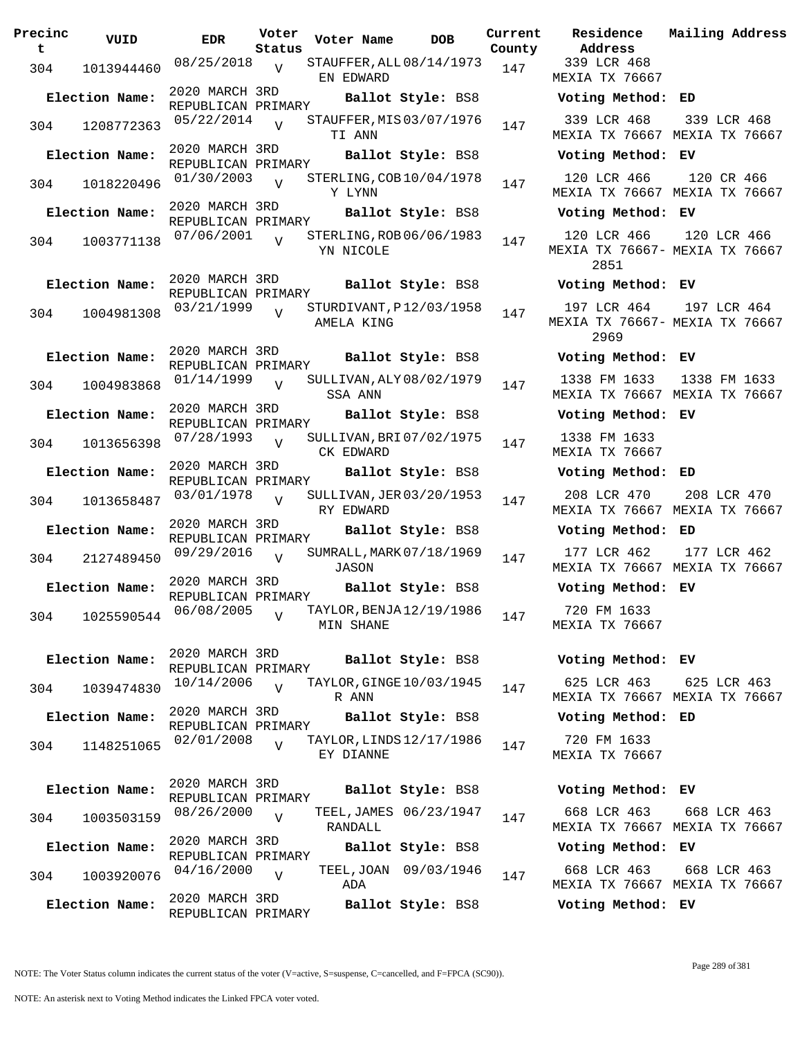| Precinc<br>t | VUID           | <b>EDR</b>                           | Voter<br>Status | Voter Name | <b>DOB</b>               | Curre<br>Count |
|--------------|----------------|--------------------------------------|-----------------|------------|--------------------------|----------------|
| 304          | 1013944460     | 08/25/2018                           | $\overline{V}$  | EN EDWARD  | STAUFFER, ALL 08/14/1973 | 147            |
|              | Election Name: | 2020 MARCH 3RD<br>REPUBLICAN PRIMARY |                 |            | Ballot Style: BS8        |                |
| 304          | 1208772363     | 05/22/2014                           | $\overline{V}$  | TI ANN     | STAUFFER, MIS 03/07/1976 | 147            |
|              | Election Name: | 2020 MARCH 3RD<br>REPUBLICAN PRIMARY |                 |            | Ballot Style: BS8        |                |
| 304          | 1018220496     | 01/30/2003                           | $\overline{V}$  | Y LYNN     | STERLING, COB 10/04/1978 | 147            |
|              | Election Name: | 2020 MARCH 3RD<br>REPUBLICAN PRIMARY |                 |            | Ballot Style: BS8        |                |
| 304          | 1003771138     | 07/06/2001                           | $\overline{V}$  | YN NICOLE  | STERLING, ROB 06/06/1983 | 147            |
|              | Election Name: | 2020 MARCH 3RD<br>REPUBLICAN PRIMARY |                 |            | Ballot Style: BS8        |                |
| 304          | 1004981308     | 03/21/1999                           | $\overline{U}$  | AMELA KING | STURDIVANT, P12/03/1958  | 147            |
|              | Election Name: | 2020 MARCH 3RD<br>REPUBLICAN PRIMARY |                 |            | Ballot Style: BS8        |                |
| 304          | 1004983868     | 01/14/1999                           | $\overline{V}$  | SSA ANN    | SULLIVAN, ALY 08/02/1979 | 147            |
|              | Election Name: | 2020 MARCH 3RD<br>REPUBLICAN PRIMARY |                 |            | Ballot Style: BS8        |                |
| 304          | 1013656398     | 07/28/1993                           | $\overline{V}$  | CK EDWARD  | SULLIVAN, BRI 07/02/1975 | 147            |
|              | Election Name: | 2020 MARCH 3RD<br>REPUBLICAN PRIMARY |                 |            | Ballot Style: BS8        |                |
| 304          | 1013658487     | 03/01/1978                           | $\overline{V}$  | RY EDWARD  | SULLIVAN, JER 03/20/1953 | 147            |
|              | Election Name: | 2020 MARCH 3RD<br>REPUBLICAN PRIMARY |                 |            | Ballot Style: BS8        |                |
| 304          | 2127489450     | 09/29/2016                           | $\overline{V}$  | JASON      | SUMRALL, MARK 07/18/1969 | 147            |
|              | Election Name: | 2020 MARCH 3RD<br>REPUBLICAN PRIMARY |                 |            | Ballot Style: BS8        |                |
|              | 304 1025590544 | 06/08/2005                           | V               | MIN SHANE  | TAYLOR, BENJA12/19/1986  | 147            |
|              | Election Name: | 2020 MARCH 3RD<br>REPUBLICAN PRIMARY |                 |            | Ballot Style: BS8        |                |
| 304          | 1039474830     | 10/14/2006                           | $\overline{V}$  | R ANN      | TAYLOR, GINGE 10/03/1945 | 147            |
|              | Election Name: | 2020 MARCH 3RD<br>REPUBLICAN PRIMARY |                 |            | Ballot Style: BS8        |                |
| 304          | 1148251065     | 02/01/2008                           | $\overline{U}$  | EY DIANNE  | TAYLOR, LINDS 12/17/1986 | 147            |
|              | Election Name: | 2020 MARCH 3RD<br>REPUBLICAN PRIMARY |                 |            | Ballot Style: BS8        |                |
| 304          | 1003503159     | 08/26/2000                           | $\overline{V}$  | RANDALL    | TEEL, JAMES 06/23/1947   | 147            |
|              | Election Name: | 2020 MARCH 3RD<br>REPUBLICAN PRIMARY |                 |            | Ballot Style: BS8        |                |
| 304          | 1003920076     | 04/16/2000                           | $\overline{V}$  | ADA        | TEEL, JOAN 09/03/1946    | 147            |
|              | Election Name: | 2020 MARCH 3RD<br>REPUBLICAN PRIMARY |                 |            | Ballot Style: BS8        |                |

**Voter Name DOB Residence Address Current Mailing Address** nty 339 LCR 468 MEXIA TX 76667 **Election Name: Ballot Style:** BS8 **Voting Method: ED** 339 LCR 468 MEXIA TX 76667 MEXIA TX 76667 339 LCR 468 **Election Name: Ballot Style:** BS8 **Voting Method: EV** 120 LCR 466 MEXIA TX 76667 MEXIA TX 76667 120 CR 466 **Election Name: Ballot Style:** BS8 **Voting Method: EV** 120 LCR 466 MEXIA TX 76667- MEXIA TX 76667 2851 120 LCR 466 **Election Name: Ballot Style:** BS8 **Voting Method: EV** 197 LCR 464 MEXIA TX 76667- MEXIA TX 76667 2969 197 LCR 464 **Election Name: Ballot Style:** BS8 **Voting Method: EV** 1338 FM 1633 MEXIA TX 76667 MEXIA TX 76667 1338 FM 1633 **Election Name: Ballot Style:** BS8 **Voting Method: EV** 1338 FM 1633 MEXIA TX 76667 **Election Name: Ballot Style:** BS8 **Voting Method: ED** 208 LCR 470 MEXIA TX 76667 MEXIA TX 76667 208 LCR 470 **Election Name: Ballot Style:** BS8 **Voting Method: ED** 177 LCR 462 MEXIA TX 76667 MEXIA TX 76667 177 LCR 462 **Election Name: Ballot Style:** BS8 **Voting Method: EV** 720 FM 1633 MEXIA TX 76667 **Election Name: Ballot Style:** BS8 **Voting Method: EV** 625 LCR 463 MEXIA TX 76667 MEXIA TX 76667 625 LCR 463 **Election Name: Ballot Style:** BS8 **Voting Method: ED** 720 FM 1633 MEXIA TX 76667 **Election Name: Ballot Style:** BS8 **Voting Method: EV** 668 LCR 463 MEXIA TX 76667 MEXIA TX 76667 668 LCR 463 **Election Name: Ballot Style:** BS8 **Voting Method: EV** 668 LCR 463 MEXIA TX 76667 MEXIA TX 76667 668 LCR 463

**Election Name: Ballot Style:** BS8 **Voting Method: EV**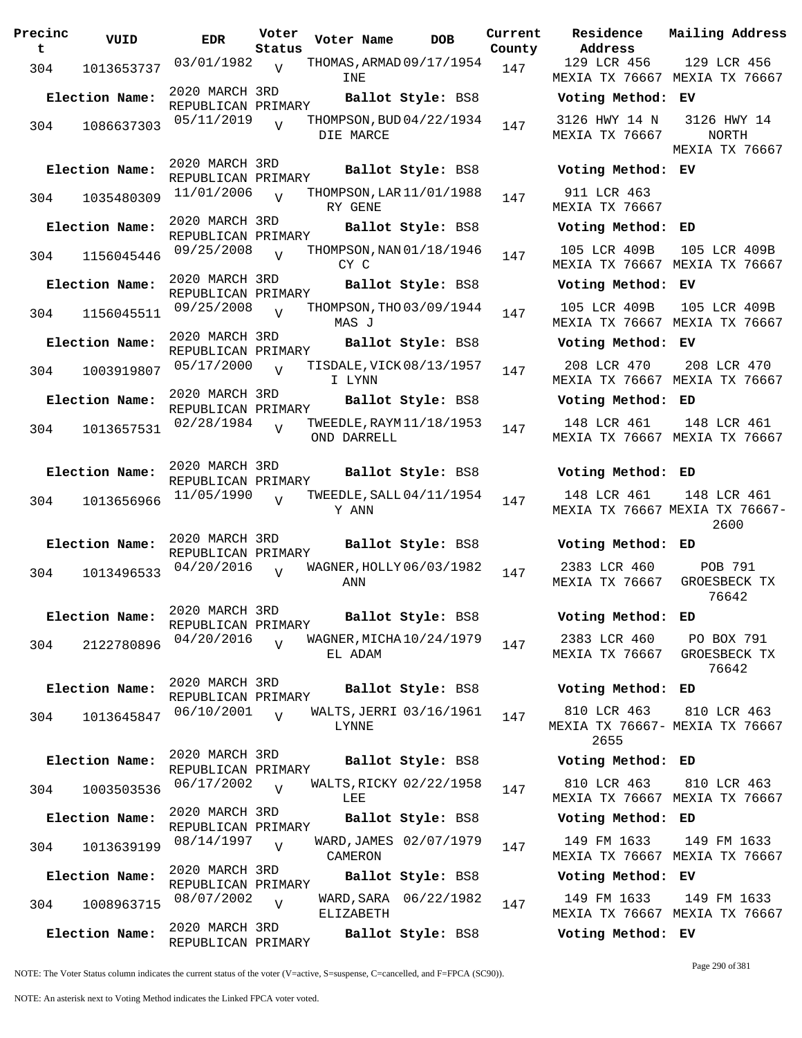| Precinc<br>t | VUID           | <b>EDR</b>                           | Voter<br>Status | Voter Name  | DOB                      | Curre<br>Count |
|--------------|----------------|--------------------------------------|-----------------|-------------|--------------------------|----------------|
| 304          | 1013653737     | 03/01/1982                           | $\overline{V}$  |             | THOMAS, ARMAD 09/17/1954 | 147            |
|              |                |                                      |                 | INE         |                          |                |
|              | Election Name: | 2020 MARCH 3RD                       |                 |             | Ballot Style: BS8        |                |
|              |                | REPUBLICAN PRIMARY<br>05/11/2019     |                 |             | THOMPSON, BUD 04/22/1934 |                |
| 304          | 1086637303     |                                      | $\overline{V}$  | DIE MARCE   |                          | 147            |
|              |                |                                      |                 |             |                          |                |
|              | Election Name: | 2020 MARCH 3RD                       |                 |             | Ballot Style: BS8        |                |
|              |                | REPUBLICAN PRIMARY<br>11/01/2006     |                 |             | THOMPSON, LAR 11/01/1988 |                |
| 304          | 1035480309     |                                      | $\overline{V}$  | RY GENE     |                          | 147            |
|              | Election Name: | 2020 MARCH 3RD                       |                 |             | Ballot Style: BS8        |                |
|              |                | REPUBLICAN PRIMARY                   |                 |             |                          |                |
| 304          | 1156045446     | 09/25/2008                           | $\overline{V}$  | CY C        | THOMPSON, NAN 01/18/1946 | 147            |
|              | Election Name: | 2020 MARCH 3RD                       |                 |             | Ballot Style: BS8        |                |
|              |                | REPUBLICAN PRIMARY<br>09/25/2008     |                 |             | THOMPSON, THO 03/09/1944 |                |
| 304          | 1156045511     |                                      | $\overline{V}$  | MAS J       |                          | 147            |
|              | Election Name: | 2020 MARCH 3RD                       |                 |             | Ballot Style: BS8        |                |
|              |                | REPUBLICAN PRIMARY                   |                 |             |                          |                |
| 304          | 1003919807     | 05/17/2000                           | $\overline{V}$  | I LYNN      | TISDALE, VICK 08/13/1957 | 147            |
|              | Election Name: | 2020 MARCH 3RD<br>REPUBLICAN PRIMARY |                 |             | Ballot Style: BS8        |                |
|              |                | 02/28/1984                           | $\overline{V}$  |             | TWEEDLE, RAYM 11/18/1953 |                |
| 304          | 1013657531     |                                      |                 | OND DARRELL |                          | 147            |
|              |                |                                      |                 |             |                          |                |
|              | Election Name: | 2020 MARCH 3RD<br>REPUBLICAN PRIMARY |                 |             | Ballot Style: BS8        |                |
|              |                | 11/05/1990                           | $\overline{U}$  |             | TWEEDLE, SALL 04/11/1954 |                |
| 304          | 1013656966     |                                      |                 | Y ANN       |                          | 147            |
|              |                |                                      |                 |             |                          |                |
|              | Election Name: | 2020 MARCH 3RD<br>REPUBLICAN PRIMARY |                 |             | Ballot Style: BS8        |                |
| 304          | 1013496533     | 04/20/2016                           | $\overline{V}$  |             | WAGNER, HOLLY 06/03/1982 | 147            |
|              |                |                                      |                 | ANN         |                          |                |
|              |                |                                      |                 |             |                          |                |
|              | Election Name: | 2020 MARCH 3RD<br>REPUBLICAN PRIMARY |                 |             | Ballot Style: BS8        |                |
| 304          | 2122780896     | 04/20/2016                           | $\overline{V}$  |             | WAGNER, MICHA 10/24/1979 | 147            |
|              |                |                                      |                 | EL ADAM     |                          |                |
|              |                | 2020 MARCH 3RD                       |                 |             |                          |                |
|              | Election Name: | REPUBLICAN PRIMARY                   |                 |             | Ballot Style: BS8        |                |
| 304          | 1013645847     | 06/10/2001                           | $\overline{U}$  | LYNNE       | WALTS, JERRI 03/16/1961  | 147            |
|              |                |                                      |                 |             |                          |                |
|              | Election Name: | 2020 MARCH 3RD                       |                 |             | Ballot Style: BS8        |                |
|              |                | REPUBLICAN PRIMARY<br>06/17/2002     |                 |             | WALTS, RICKY 02/22/1958  |                |
| 304          | 1003503536     |                                      | $\overline{V}$  | LEE         |                          | 147            |
|              | Election Name: | 2020 MARCH 3RD                       |                 |             | Ballot Style: BS8        |                |
|              |                | REPUBLICAN PRIMARY<br>08/14/1997     |                 |             | WARD, JAMES 02/07/1979   |                |
| 304          | 1013639199     |                                      | $\overline{V}$  | CAMERON     |                          | 147            |
|              | Election Name: | 2020 MARCH 3RD                       |                 |             | Ballot Style: BS8        |                |
|              |                | REPUBLICAN PRIMARY                   |                 |             |                          |                |
| 304          | 1008963715     | 08/07/2002                           | $\overline{V}$  | ELIZABETH   | WARD, SARA 06/22/1982    | 147            |
|              | Election Name: | 2020 MARCH 3RD<br>REPUBLICAN PRIMARY |                 |             | Ballot Style: BS8        |                |

**rent Residence Address Current Mailing Address County** 129 LCR 456 MEXIA TX 76667 MEXIA TX 76667 129 LCR 456 **Election Name: Ballot Style:** BS8 **Voting Method: EV** 3126 HWY 14 N MEXIA TX 76667 3126 HWY 14 NORTH MEXIA TX 76667 **Election Name: Ballot Style:** BS8 **Voting Method: EV** 911 LCR 463 MEXIA TX 76667 **Election Name: Ballot Style:** BS8 **Voting Method: ED** 105 LCR 409B MEXIA TX 76667 MEXIA TX 76667 105 LCR 409B **Election Name: Ballot Style:** BS8 **Voting Method: EV** 105 LCR 409B MEXIA TX 76667 MEXIA TX 76667 105 LCR 409B **Election Name: Ballot Style:** BS8 **Voting Method: EV** 208 LCR 470 MEXIA TX 76667 MEXIA TX 76667 208 LCR 470 **Election Name: Ballot Style:** BS8 **Voting Method: ED** 148 LCR 461 MEXIA TX 76667 MEXIA TX 76667 148 LCR 461 **Election Name: Ballot Style:** BS8 **Voting Method: ED** 148 LCR 461 MEXIA TX 76667 MEXIA TX 76667- 148 LCR 461 2600 **Election Name: Ballot Style:** BS8 **Voting Method: ED** 2383 LCR 460 MEXIA TX 76667 POB 791 GROESBECK TX 76642 **Election Name: Ballot Style:** BS8 **Voting Method: ED** 2383 LCR 460 MEXIA TX 76667 PO BOX 791 GROESBECK TX 76642 **Election Name: Ballot Style:** BS8 **Voting Method: ED** 810 LCR 463 MEXIA TX 76667- MEXIA TX 76667 2655 810 LCR 463 **Election Name: Ballot Style:** BS8 **Voting Method: ED** 810 LCR 463 MEXIA TX 76667 MEXIA TX 76667 810 LCR 463 **Election Name: Ballot Style:** BS8 **Voting Method: ED** 149 FM 1633 MEXIA TX 76667 MEXIA TX 76667 149 FM 1633 **Election Name: Ballot Style:** BS8 **Voting Method: EV** 149 FM 1633 MEXIA TX 76667 MEXIA TX 76667 149 FM 1633

NOTE: The Voter Status column indicates the current status of the voter (V=active, S=suspense, C=cancelled, and F=FPCA (SC90)).

Page 290 of 381

**Election Name: Ballot Style:** BS8 **Voting Method: EV**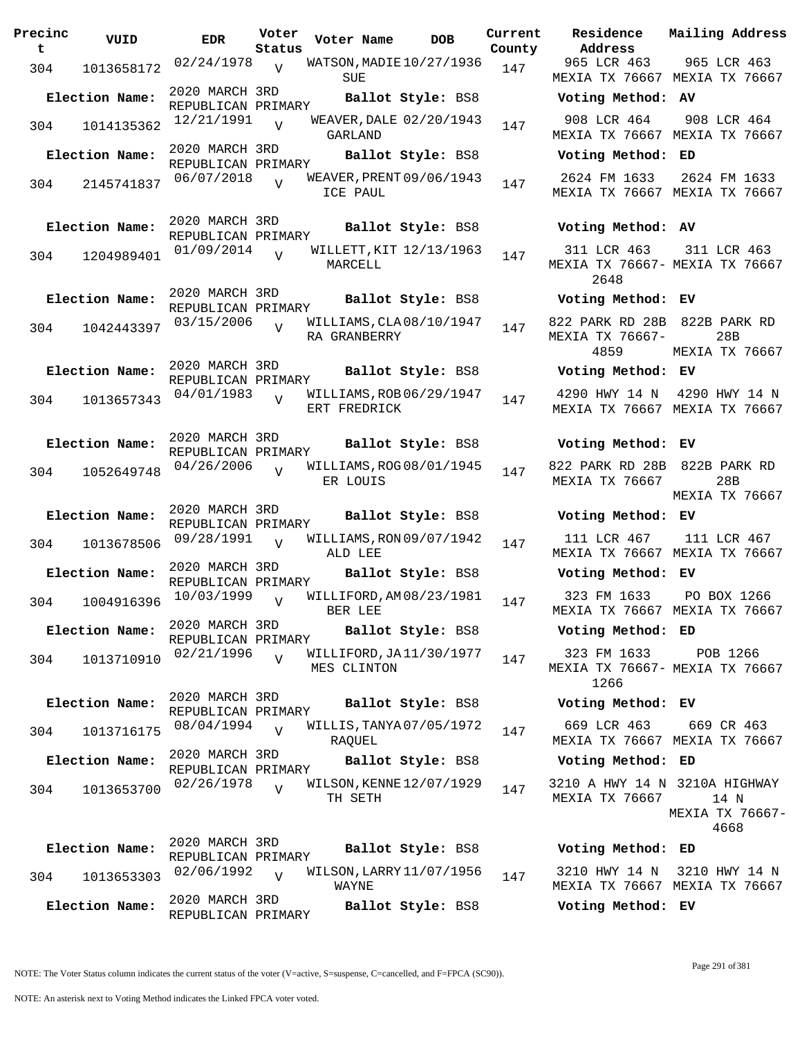| Precinc<br>t | VUID           | <b>EDR</b>                                               | Voter<br>Status | Voter Name                               | <b>DOB</b> | Current<br>County | Residence<br>Address                       | Mai:             |
|--------------|----------------|----------------------------------------------------------|-----------------|------------------------------------------|------------|-------------------|--------------------------------------------|------------------|
| 304          | 1013658172     | 02/24/1978                                               | V               | WATSON, MADIE 10/27/1936<br>SUE          |            | 147               | 965 LCR 463<br>MEXIA TX 76667 MEX          | 9(               |
|              | Election Name: | 2020 MARCH 3RD<br>REPUBLICAN PRIMARY                     |                 | Ballot Style: BS8                        |            |                   | Voting Method: AV                          |                  |
| 304          | 1014135362     | 12/21/1991                                               | $\overline{U}$  | WEAVER, DALE 02/20/1943<br>GARLAND       |            | 147               | 908 LCR 464<br>MEXIA TX 76667 MEX          | 9(               |
|              | Election Name: | 2020 MARCH 3RD<br>REPUBLICAN PRIMARY                     |                 | Ballot Style: BS8                        |            |                   | Voting Method: ED                          |                  |
| 304          | 2145741837     | 06/07/2018                                               | $\overline{V}$  | WEAVER, PRENT 09/06/1943<br>ICE PAUL     |            | 147               | 2624 FM 1633<br>MEXIA TX 76667 MEX         | 26               |
|              | Election Name: | 2020 MARCH 3RD<br>REPUBLICAN PRIMARY                     |                 | Ballot Style: BS8                        |            |                   | Voting Method: AV                          |                  |
| 304          | 1204989401     | 01/09/2014                                               | $\overline{U}$  | WILLETT, KIT 12/13/1963<br>MARCELL       |            | 147               | 311 LCR 463<br>MEXIA TX 76667- MEX<br>2648 | $\overline{3}$ : |
|              | Election Name: | 2020 MARCH 3RD<br>REPUBLICAN PRIMARY                     |                 | Ballot Style: BS8                        |            |                   | Voting Method: EV                          |                  |
| 304          | 1042443397     | 03/15/2006                                               |                 | WILLIAMS, CLA 08/10/1947<br>RA GRANBERRY |            | 147               | 822 PARK RD 28B<br>MEXIA TX 76667-<br>4859 | 82<br>MEX        |
|              | Election Name: | 2020 MARCH 3RD<br>REPUBLICAN PRIMARY                     |                 | Ballot Style: BS8                        |            |                   | Voting Method: EV                          |                  |
| 304          | 1013657343     | 04/01/1983                                               | $\overline{U}$  | WILLIAMS, ROB 06/29/1947<br>ERT FREDRICK |            | 147               | 4290 HWY 14 N<br>MEXIA TX 76667 MEX        | 42 <sub>2</sub>  |
|              | Election Name: | 2020 MARCH 3RD<br>REPUBLICAN PRIMARY                     |                 | Ballot Style: BS8                        |            |                   | Voting Method: EV                          |                  |
| 304          | 1052649748     | 04/26/2006                                               | $\overline{U}$  | WILLIAMS, ROG08/01/1945<br>ER LOUIS      |            | 147               | 822 PARK RD 28B<br>MEXIA TX 76667          | 82<br>MEX        |
|              | Election Name: | 2020 MARCH 3RD                                           |                 | <b>Ballot Style: BS8</b>                 |            |                   | Voting Method: EV                          |                  |
| 304          | 1013678506     | REPUBLICAN PRIMARY<br>09/28/1991                         | $\overline{V}$  | WILLIAMS, RON 09/07/1942<br>ALD LEE      |            | 147               | 111 LCR 467<br>MEXIA TX 76667 MEX          | $1$ :            |
|              | Election Name: | 2020 MARCH 3RD<br>REPUBLICAN PRIMARY                     |                 | Ballot Style: BS8                        |            |                   | Voting Method: EV                          |                  |
| 304          | 1004916396     | 10/03/1999                                               | $\overline{V}$  | WILLIFORD, AM 08/23/1981<br>BER LEE      |            | 147               | 323 FM 1633<br>MEXIA TX 76667 MEX          | P(               |
|              | Election Name: | 2020 MARCH 3RD<br>REPUBLICAN PRIMARY                     |                 | Ballot Style: BS8                        |            |                   | Voting Method: ED                          |                  |
| 304          | 1013710910     | 02/21/1996                                               | $\overline{U}$  | WILLIFORD, JA11/30/1977<br>MES CLINTON   |            | 147               | 323 FM 1633<br>MEXIA TX 76667- MEX<br>1266 |                  |
|              | Election Name: | 2020 MARCH 3RD<br>REPUBLICAN PRIMARY                     |                 | Ballot Style: BS8                        |            |                   | Voting Method: EV                          |                  |
| 304          | 1013716175     | 08/04/1994                                               | $\overline{U}$  | WILLIS, TANYA 07/05/1972<br>RAOUEL       |            | 147               | 669 LCR 463<br>MEXIA TX 76667 MEX          | 6                |
|              | Election Name: | 2020 MARCH 3RD<br>REPUBLICAN PRIMARY                     |                 | Ballot Style: BS8                        |            |                   | Voting Method: ED                          |                  |
| 304          | 1013653700     | 02/26/1978                                               | $\overline{z}$  | WILSON, KENNE 12/07/1929<br>TH SETH      |            | 147               | 3210 A HWY 14 N 321<br>MEXIA TX 76667      | MEX.             |
|              | Election Name: | 2020 MARCH 3RD                                           |                 | Ballot Style: BS8                        |            |                   | Voting Method: ED                          |                  |
| 304          | 1013653303     | REPUBLICAN PRIMARY<br>02/06/1992                         | $\overline{V}$  | WILSON, LARRY 11/07/1956<br>WAYNE        |            | 147               | 3210 HWY 14 N<br>MEXIA TX 76667 MEX        | 32               |
|              | Election Name: | 2020 MARCH 3RD<br><i>ערת אמד</i> תם נגמ <i>ח</i> ד זמזות |                 | Ballot Style: BS8                        |            |                   | Voting Method: EV                          |                  |

**Voter Name DOB Residence Current Mailing Address Address** 965 LCR 463 MEXIA TX 76667 MEXIA TX 76667 965 LCR 463 **Election Name: Ballot Style:** BS8 **Voting Method: AV** 908 LCR 464 MEXIA TX 76667 MEXIA TX 76667 908 LCR 464 **Election Name: Ballot Style:** BS8 **Voting Method: ED** 2624 FM 1633 2624 FM 1633 MEXIA TX 76667 MEXIA TX 76667 **Election Name: Ballot Style:** BS8 **Voting Method: AV** 311 LCR 463 MEXIA TX 76667- MEXIA TX 76667 2648 311 LCR 463 **Election Name: Ballot Style:** BS8 **Voting Method: EV** 822 PARK RD 28B 822B PARK RD MEXIA TX 76667- 4859  $28B$ MEXIA TX 76667 **Election Name: Ballot Style:** BS8 **Voting Method: EV** 4290 HWY 14 N 4290 HWY 14 N MEXIA TX 76667 MEXIA TX 76667 **Election Name: Ballot Style:** BS8 **Voting Method: EV** 822 PARK RD 28B 822B PARK RD MEXIA TX 76667 28B MEXIA TX 76667 **Election Name: Ballot Style:** BS8 **Voting Method: EV** 111 LCR 467 MEXIA TX 76667 MEXIA TX 76667 111 LCR 467 **Election Name: Ballot Style:** BS8 **Voting Method: EV** 323 FM 1633 MEXIA TX 76667 MEXIA TX 76667 PO BOX 1266 **Election Name: Ballot Style:** BS8 **Voting Method: ED** 323 FM 1633 MEXIA TX 76667- MEXIA TX 76667 1266 POB 1266 **Election Name: Ballot Style:** BS8 **Voting Method: EV** 669 LCR 463 669 CR 463 MEXIA TX 76667 MEXIA TX 76667 **Election Name: Ballot Style:** BS8 **Voting Method: ED** 3210 A HWY 14 N 3210A HIGHWAY MEXIA TX 76667 14 N MEXIA TX 76667- 4668 **Election Name: Ballot Style:** BS8 **Voting Method: ED** 3210 HWY 14 N 3210 HWY 14 N MEXIA TX 76667 MEXIA TX 76667

REPUBLICAN PRIMARY

NOTE: An asterisk next to Voting Method indicates the Linked FPCA voter voted.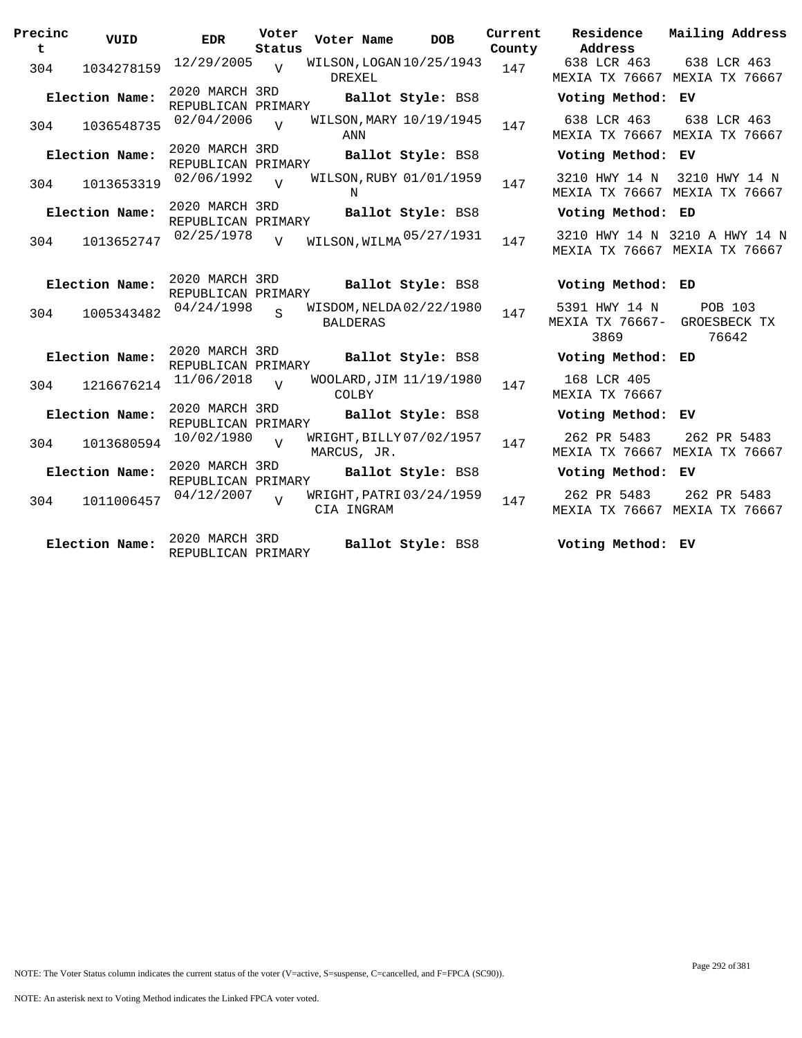| Precinc<br>t | VUID           | <b>EDR</b>                           | Voter<br>Status | Voter Name      | <b>DOB</b>                          | Current<br>County | Residence<br>Address                                  | Mailing Address                                                |
|--------------|----------------|--------------------------------------|-----------------|-----------------|-------------------------------------|-------------------|-------------------------------------------------------|----------------------------------------------------------------|
| 304          | 1034278159     | $12/29/2005$ V                       |                 | <b>DREXEL</b>   | WILSON, LOGAN 10/25/1943            | 147               | 638 LCR 463                                           | 638 LCR 463<br>MEXIA TX 76667 MEXIA TX 76667                   |
|              | Election Name: | 2020 MARCH 3RD<br>REPUBLICAN PRIMARY |                 |                 | Ballot Style: BS8                   |                   | Voting Method: EV                                     |                                                                |
| 304          | 1036548735     | 02/04/2006                           | $\overline{U}$  | ANN             | WILSON, MARY 10/19/1945             | 147               | 638 LCR 463                                           | 638 LCR 463<br>MEXIA TX 76667 MEXIA TX 76667                   |
|              | Election Name: | 2020 MARCH 3RD<br>REPUBLICAN PRIMARY |                 |                 | Ballot Style: BS8                   |                   | Voting Method: EV                                     |                                                                |
| 304          | 1013653319     | 02/06/1992                           | $\overline{v}$  | N               | WILSON, RUBY 01/01/1959             | 147               |                                                       | 3210 HWY 14 N 3210 HWY 14 N<br>MEXIA TX 76667 MEXIA TX 76667   |
|              | Election Name: | 2020 MARCH 3RD<br>REPUBLICAN PRIMARY |                 |                 | Ballot Style: BS8                   |                   | Voting Method: ED                                     |                                                                |
| 304          | 1013652747     | 02/25/1978                           | V               |                 | WILSON, WILMA <sup>05/27/1931</sup> | 147               |                                                       | 3210 HWY 14 N 3210 A HWY 14 N<br>MEXIA TX 76667 MEXIA TX 76667 |
|              | Election Name: | 2020 MARCH 3RD<br>REPUBLICAN PRIMARY |                 |                 | Ballot Style: BS8                   |                   | Voting Method: ED                                     |                                                                |
| 304          | 1005343482     | 04/24/1998                           | $\mathbf{S}$    | <b>BALDERAS</b> | WISDOM, NELDA 02/22/1980            | 147               | 5391 HWY 14 N<br>MEXIA TX 76667- GROESBECK TX<br>3869 | POB 103<br>76642                                               |
|              | Election Name: | 2020 MARCH 3RD<br>REPUBLICAN PRIMARY |                 |                 | Ballot Style: BS8                   |                   | Voting Method: ED                                     |                                                                |
| 304          | 1216676214     | 11/06/2018                           | $\overline{U}$  | COLBY           | WOOLARD, JIM 11/19/1980             | 147               | 168 LCR 405<br>MEXIA TX 76667                         |                                                                |
|              | Election Name: | 2020 MARCH 3RD<br>REPUBLICAN PRIMARY |                 |                 | Ballot Style: BS8                   |                   | Voting Method: EV                                     |                                                                |
| 304          | 1013680594     | 10/02/1980                           | $\overline{z}$  | MARCUS, JR.     | WRIGHT, BILLY 07/02/1957            | 147               | 262 PR 5483                                           | 262 PR 5483<br>MEXIA TX 76667 MEXIA TX 76667                   |
|              | Election Name: | 2020 MARCH 3RD<br>REPUBLICAN PRIMARY |                 |                 | Ballot Style: BS8                   |                   | Voting Method: EV                                     |                                                                |
| 304          | 1011006457     | 04/12/2007                           | $\overline{17}$ | CIA INGRAM      | WRIGHT, PATRI 03/24/1959            | 147               | 262 PR 5483                                           | 262 PR 5483<br>MEXIA TX 76667 MEXIA TX 76667                   |
|              | Election Name: | 2020 MARCH 3RD<br>REPUBLICAN PRIMARY |                 |                 | Ballot Style: BS8                   |                   | Voting Method: EV                                     |                                                                |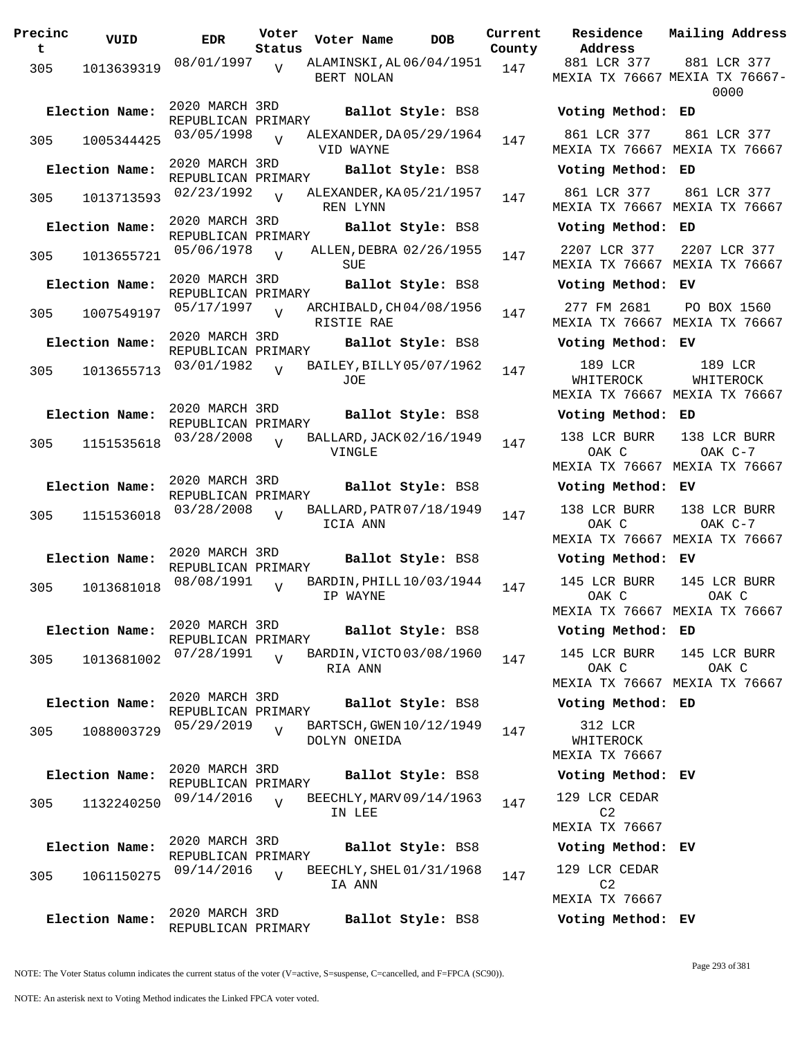| Precinc<br>t | VUID           | EDR                                  | Voter<br>Status | Voter Name                               | <b>DOB</b>              | Curre<br>Count |
|--------------|----------------|--------------------------------------|-----------------|------------------------------------------|-------------------------|----------------|
| 305          | 1013639319     | 08/01/1997                           | $\overline{V}$  | ALAMINSKI, AL 06/04/1951<br>BERT NOLAN   |                         | 147            |
|              | Election Name: | 2020 MARCH 3RD<br>REPUBLICAN PRIMARY |                 |                                          | Ballot Style: BS8       |                |
| 305          | 1005344425     | 03/05/1998                           | $\overline{U}$  | ALEXANDER, DA 05/29/1964<br>VID WAYNE    |                         | 147            |
|              | Election Name: | 2020 MARCH 3RD<br>REPUBLICAN PRIMARY |                 |                                          | Ballot Style: BS8       |                |
| 305          | 1013713593     | 02/23/1992                           | $\overline{V}$  | ALEXANDER, KA 05/21/1957<br>REN LYNN     |                         | 147            |
|              | Election Name: | 2020 MARCH 3RD<br>REPUBLICAN PRIMARY |                 |                                          | Ballot Style: BS8       |                |
| 305          | 1013655721     | 05/06/1978                           | $\overline{V}$  | SUE                                      | ALLEN, DEBRA 02/26/1955 | 147            |
|              | Election Name: | 2020 MARCH 3RD<br>REPUBLICAN PRIMARY |                 |                                          | Ballot Style: BS8       |                |
| 305          | 1007549197     | 05/17/1997                           | $\overline{U}$  | ARCHIBALD, CH04/08/1956<br>RISTIE RAE    |                         | 147            |
|              | Election Name: | 2020 MARCH 3RD<br>REPUBLICAN PRIMARY |                 |                                          | Ballot Style: BS8       |                |
| 305          | 1013655713     | 03/01/1982                           | $\overline{U}$  | BAILEY, BILLY 05/07/1962<br>JOE          |                         | 147            |
|              | Election Name: | 2020 MARCH 3RD<br>REPUBLICAN PRIMARY |                 |                                          | Ballot Style: BS8       |                |
| 305          | 1151535618     | 03/28/2008                           | $\overline{V}$  | BALLARD, JACK 02/16/1949<br>VINGLE       |                         | 147            |
|              | Election Name: | 2020 MARCH 3RD<br>REPUBLICAN PRIMARY |                 |                                          | Ballot Style: BS8       |                |
| 305          | 1151536018     | 03/28/2008                           | $\overline{V}$  | BALLARD, PATR 07/18/1949<br>ICIA ANN     |                         | 147            |
|              | Election Name: | 2020 MARCH 3RD<br>REPUBLICAN PRIMARY |                 |                                          | Ballot Style: BS8       |                |
| 305          | 1013681018     | 08/08/1991                           | $\overline{V}$  | BARDIN, PHILL 10/03/1944<br>IP WAYNE     |                         | 147            |
|              | Election Name: | 2020 MARCH 3RD<br>REPUBLICAN PRIMARY |                 |                                          | Ballot Style: BS8       |                |
| 305          | 1013681002     | 07/28/1991                           | $\overline{U}$  | BARDIN, VICTO 03/08/1960<br>RIA ANN      |                         | 147            |
|              | Election Name: | 2020 MARCH 3RD<br>REPUBLICAN PRIMARY |                 |                                          | Ballot Style: BS8       |                |
| 305          | 1088003729     | 05/29/2019                           | $\overline{V}$  | BARTSCH, GWEN 10/12/1949<br>DOLYN ONEIDA |                         | 147            |
|              | Election Name: | 2020 MARCH 3RD<br>REPUBLICAN PRIMARY |                 |                                          | Ballot Style: BS8       |                |
| 305          | 1132240250     | 09/14/2016                           | $\overline{U}$  | BEECHLY, MARV 09/14/1963<br>IN LEE       |                         | 147            |
|              | Election Name: | 2020 MARCH 3RD<br>REPUBLICAN PRIMARY |                 |                                          | Ballot Style: BS8       |                |
| 305          | 1061150275     | 09/14/2016                           | $\overline{U}$  | BEECHLY, SHEL 01/31/1968<br>IA ANN       |                         | 147            |
|              | Election Name: | 2020 MARCH 3RD<br>REPUBLICAN PRIMARY |                 |                                          | Ballot Style: BS8       |                |

**Voter Name DOB Residence Address Current Mailing Address County** 881 LCR 377 MEXIA TX 76667 MEXIA TX 76667- 881 LCR 377 0000 **Election Name: Ballot Style:** BS8 **Voting Method: ED** 861 LCR 377 MEXIA TX 76667 MEXIA TX 76667 861 LCR 377 **Election Name: Ballot Style:** BS8 **Voting Method: ED** 861 LCR 377 MEXIA TX 76667 MEXIA TX 76667 861 LCR 377 **Election Name: Ballot Style:** BS8 **Voting Method: ED** 2207 LCR 377 MEXIA TX 76667 MEXIA TX 76667 2207 LCR 377 **Election Name: Ballot Style:** BS8 **Voting Method: EV** 277 FM 2681 MEXIA TX 76667 MEXIA TX 76667 PO BOX 1560 **Election Name: Ballot Style:** BS8 **Voting Method: EV** 189 LCR WHITEROCK MEXIA TX 76667 MEXIA TX 76667 189 LCR WHITEROCK **Election Name: Ballot Style:** BS8 **Voting Method: ED** 138 LCR BURR OAK C MEXIA TX 76667 MEXIA TX 76667 138 LCR BURR OAK C-7 **Election Name: Ballot Style:** BS8 **Voting Method: EV** 138 LCR BURR OAK C MEXIA TX 76667 MEXIA TX 76667 138 LCR BURR OAK C-7 **Election Name: Ballot Style:** BS8 **Voting Method: EV** 145 LCR BURR OAK C MEXIA TX 76667 MEXIA TX 76667 145 LCR BURR OAK C **Election Name: Ballot Style:** BS8 **Voting Method: ED** 145 LCR BURR OAK C MEXIA TX 76667 MEXIA TX 76667 145 LCR BURR OAK C **Election Name: Ballot Style:** BS8 **Voting Method: ED** 312 LCR WHITEROCK MEXIA TX 76667 **Election Name: Ballot Style:** BS8 **Voting Method: EV** 129 LCR CEDAR C2 MEXIA TX 76667 **Election Name: Ballot Style:** BS8 **Voting Method: EV** 129 LCR CEDAR C2 MEXIA TX 76667 **Election Name: Ballot Style:** BS8 **Voting Method: EV**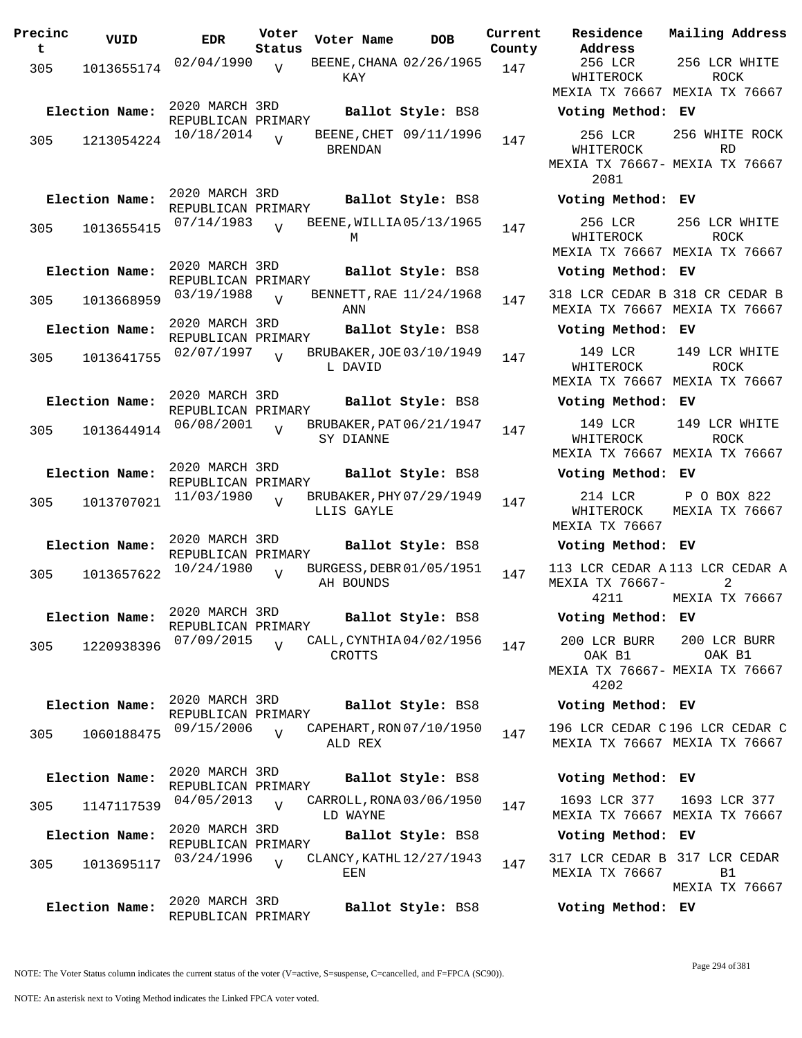| Precinc<br>t. | VUID                         | <b>EDR</b>                                         | Voter<br>Status | Voter Name     | DOB                                            | Curre<br>Count |
|---------------|------------------------------|----------------------------------------------------|-----------------|----------------|------------------------------------------------|----------------|
| 305           | 1013655174                   | 02/04/1990                                         | $\overline{V}$  | KAY            | BEENE, CHANA 02/26/1965                        | 147            |
| 305           | Election Name:<br>1213054224 | 2020 MARCH 3RD<br>REPUBLICAN PRIMARY<br>10/18/2014 |                 | <b>BRENDAN</b> | Ballot Style: BS8<br>BEENE, CHET 09/11/1996    | 147            |
| 305           | Election Name:<br>1013655415 | 2020 MARCH 3RD<br>REPUBLICAN PRIMARY<br>07/14/1983 | $\overline{U}$  | М              | Ballot Style: BS8<br>BEENE, WILLIA05/13/1965   | 147            |
|               | Election Name:               | 2020 MARCH 3RD<br>REPUBLICAN PRIMARY<br>03/19/1988 | $\overline{V}$  |                | Ballot Style: BS8<br>BENNETT, RAE $11/24/1968$ | 147            |
| 305           | 1013668959<br>Election Name: | 2020 MARCH 3RD                                     |                 | ANN            | Ballot Style: BS8                              |                |
| 305           | 1013641755                   | REPUBLICAN PRIMARY<br>02/07/1997                   | $\overline{U}$  | L DAVID        | BRUBAKER, JOE 03/10/1949                       | 147            |
| 305           | Election Name:<br>1013644914 | 2020 MARCH 3RD<br>REPUBLICAN PRIMARY<br>06/08/2001 | $\overline{U}$  | SY DIANNE      | Ballot Style: BS8<br>BRUBAKER, PAT 06/21/1947  | 147            |
| 305           | Election Name:<br>1013707021 | 2020 MARCH 3RD<br>REPUBLICAN PRIMARY<br>11/03/1980 | ٦T              | LLIS GAYLE     | Ballot Style: BS8<br>BRUBAKER, PHY 07/29/1949  | 147            |
| 305           | Election Name:<br>1013657622 | 2020 MARCH 3RD<br>REPUBLICAN PRIMARY<br>10/24/1980 | V               | AH BOUNDS      | Ballot Style: BS8<br>BURGESS, DEBR 01/05/1951  | 147            |
| 305           | Election Name:<br>1220938396 | 2020 MARCH 3RD<br>REPUBLICAN PRIMARY<br>07/09/2015 | $\overline{U}$  | CROTTS         | Ballot Style: BS8<br>CALL, CYNTHIA04/02/1956   | 147            |
| 305           | Election Name:<br>1060188475 | 2020 MARCH 3RD<br>REPUBLICAN PRIMARY<br>09/15/2006 | $\overline{V}$  | ALD REX        | Ballot Style: BS8<br>CAPEHART, RON 07/10/1950  | 147            |
|               | Election Name:               | 2020 MARCH 3RD<br>REPUBLICAN PRIMARY<br>04/05/2013 | $\overline{U}$  |                | Ballot Style: BS8<br>CARROLL, RONA 03/06/1950  |                |
| 305           | 1147117539<br>Election Name: | 2020 MARCH 3RD                                     |                 | LD WAYNE       | Ballot Style: BS8                              | 147            |
| 305           | 1013695117                   | REPUBLICAN PRIMARY<br>03/24/1996                   | $\overline{U}$  | EEN            | CLANCY, KATHL 12/27/1943                       | 147            |
|               | Election Name:               | 2020 MARCH 3RD<br>REPUBLICAN PRIMARY               |                 |                | Ballot Style: BS8                              |                |

**Voter Name DOB Residence Address Current Mailing Address County** 256 LCR WHITEROCK MEXIA TX 76667 MEXIA TX 76667 256 LCR WHITE ROCK **Election Name: Ballot Style:** BS8 **Voting Method: EV** 256 LCR WHITEROCK MEXIA TX 76667- MEXIA TX 76667 2081 256 WHITE ROCK RD **Election Name: Ballot Style:** BS8 **Voting Method: EV** 256 LCR WHITEROCK MEXIA TX 76667 MEXIA TX 76667 256 LCR WHITE ROCK **Election Name: Ballot Style:** BS8 **Voting Method: EV** 318 LCR CEDAR B 318 CR CEDAR B MEXIA TX 76667 MEXIA TX 76667 **Election Name: Ballot Style:** BS8 **Voting Method: EV** 149 LCR WHITEROCK MEXIA TX 76667 MEXIA TX 76667 149 LCR WHITE ROCK **Election Name: Ballot Style:** BS8 **Voting Method: EV** 149 LCR WHITEROCK MEXIA TX 76667 MEXIA TX 76667 149 LCR WHITE ROCK **Election Name: Ballot Style:** BS8 **Voting Method: EV** 214 LCR WHITEROCK MEXIA TX 76667 P O BOX 822 MEXIA TX 76667 **Election Name: Ballot Style:** BS8 **Voting Method: EV** 113 LCR CEDAR A 113 LCR CEDAR A MEXIA TX 76667- 4211 2 MEXIA TX 76667 **Election Name: Ballot Style:** BS8 **Voting Method: EV** 200 LCR BURR OAK B1 MEXIA TX 76667- MEXIA TX 76667 4202 200 LCR BURR OAK B1 **Election Name: Ballot Style:** BS8 **Voting Method: EV** 196 LCR CEDAR C 196 LCR CEDAR C MEXIA TX 76667 MEXIA TX 76667 **Election Name: Ballot Style:** BS8 **Voting Method: EV** 1693 LCR 377 MEXIA TX 76667 MEXIA TX 76667 1693 LCR 377 **Election Name: Ballot Style:** BS8 **Voting Method: EV** 317 LCR CEDAR B 317 LCR CEDAR MEXIA TX 76667 B1

MEXIA TX 76667

**Election Name: Ballot Style:** BS8 **Voting Method: EV**

NOTE: An asterisk next to Voting Method indicates the Linked FPCA voter voted.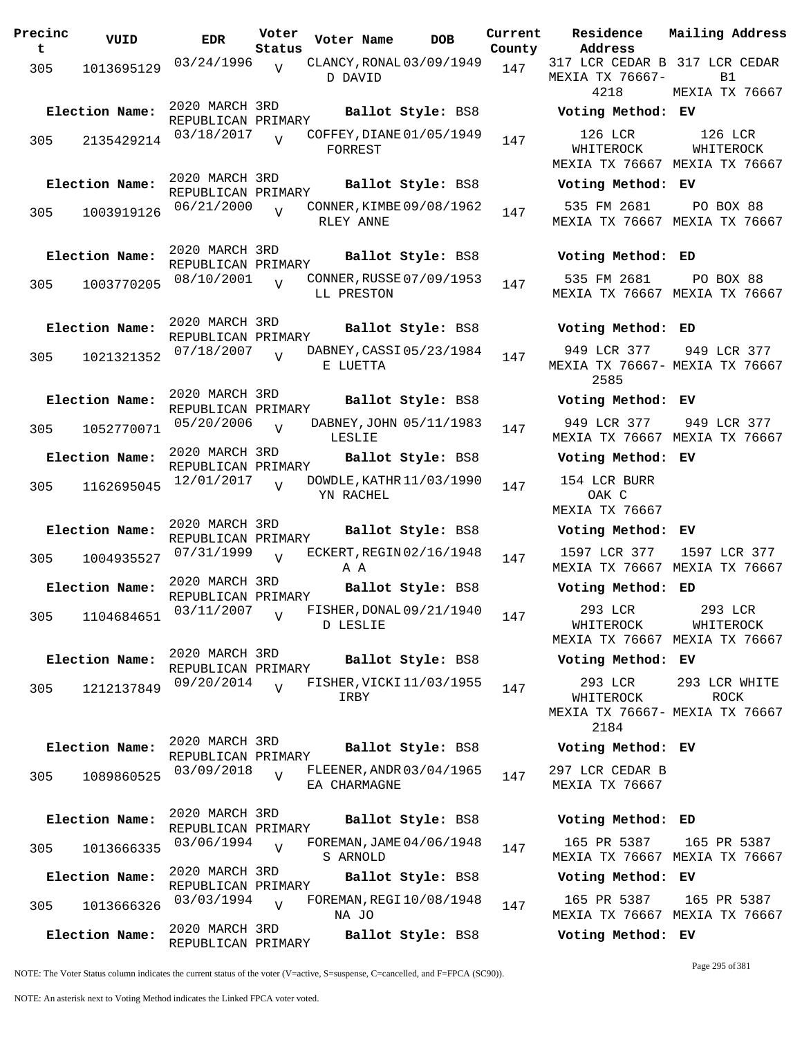| Precinc<br>t | VUID           | <b>EDR</b>                           | Voter<br>Status | Voter Name                               |                   | <b>DOB</b> | Current<br>County | Residence<br>Address                           | Mai:           |
|--------------|----------------|--------------------------------------|-----------------|------------------------------------------|-------------------|------------|-------------------|------------------------------------------------|----------------|
| 305          | 1013695129     | 03/24/1996                           | $\overline{V}$  | CLANCY, RONAL 03/09/1949<br>D DAVID      |                   |            | 147               | 317 LCR CEDAR B 31'<br>MEXIA TX 76667-<br>4218 | MEX            |
|              | Election Name: | 2020 MARCH 3RD                       |                 |                                          | Ballot Style: BS8 |            |                   | Voting Method: EV                              |                |
| 305          | 2135429214     | REPUBLICAN PRIMARY<br>03/18/2017     | $\overline{Y}$  | COFFEY, DIANE 01/05/1949<br>FORREST      |                   |            | 147               | 126 LCR<br>WHITEROCK<br>MEXIA TX 76667 MEX     | I              |
|              | Election Name: | 2020 MARCH 3RD<br>REPUBLICAN PRIMARY |                 |                                          | Ballot Style: BS8 |            |                   | Voting Method: EV                              |                |
| 305          | 1003919126     | 06/21/2000                           | $\overline{V}$  | CONNER, KIMBE 09/08/1962<br>RLEY ANNE    |                   |            | 147               | 535 FM 2681<br>MEXIA TX 76667 MEX              | J,             |
|              | Election Name: | 2020 MARCH 3RD<br>REPUBLICAN PRIMARY |                 |                                          | Ballot Style: BS8 |            |                   | Voting Method: ED                              |                |
| 305          | 1003770205     | 08/10/2001                           |                 | CONNER, RUSSE 07/09/1953<br>LL PRESTON   |                   |            | 147               | 535 FM 2681<br>MEXIA TX 76667 MEX              |                |
|              | Election Name: | 2020 MARCH 3RD<br>REPUBLICAN PRIMARY |                 |                                          | Ballot Style: BS8 |            |                   | Voting Method: ED                              |                |
| 305          | 1021321352     | 07/18/2007                           |                 | DABNEY, CASSI 05/23/1984<br>E LUETTA     |                   |            | 147               | 949 LCR 377<br>MEXIA TX 76667- MEX<br>2585     | 9 <sub>4</sub> |
|              | Election Name: | 2020 MARCH 3RD                       |                 |                                          | Ballot Style: BS8 |            |                   | Voting Method: EV                              |                |
| 305          | 1052770071     | REPUBLICAN PRIMARY<br>05/20/2006     | $\overline{U}$  | DABNEY, JOHN 05/11/1983<br>LESLIE        |                   |            | 147               | 949 LCR 377<br>MEXIA TX 76667 MEX              | 9 <sub>4</sub> |
|              | Election Name: | 2020 MARCH 3RD<br>REPUBLICAN PRIMARY |                 |                                          | Ballot Style: BS8 |            |                   | Voting Method: EV                              |                |
| 305          | 1162695045     | 12/01/2017                           | $\overline{z}$  | DOWDLE, KATHR 11/03/1990<br>YN RACHEL    |                   |            | 147               | 154 LCR BURR<br>OAK C<br>MEXIA TX 76667        |                |
|              | Election Name: | 2020 MARCH 3RD                       |                 |                                          | Ballot Style: BS8 |            |                   | Voting Method: EV                              |                |
| 305          | 1004935527     | REPUBLICAN PRIMARY<br>07/31/1999     | V               | ECKERT, REGIN 02/16/1948<br>A A          |                   |            | 147               | 1597 LCR 377<br>MEXIA TX 76667 MEX             | 15             |
|              | Election Name: | 2020 MARCH 3RD<br>REPUBLICAN PRIMARY |                 |                                          | Ballot Style: BS8 |            |                   | Voting Method: ED                              |                |
|              | 305 1104684651 | 03/11/2007                           | V               | FISHER, DONAL 09/21/1940<br>D LESLIE     |                   |            | 147               | 293 LCR<br>WHITEROCK<br>MEXIA TX 76667 MEX     | J              |
|              | Election Name: | 2020 MARCH 3RD<br>REPUBLICAN PRIMARY |                 |                                          | Ballot Style: BS8 |            |                   | Voting Method: EV                              |                |
| 305          | 1212137849     | 09/20/2014                           | $\overline{U}$  | FISHER, VICKI 11/03/1955<br>IRBY         |                   |            | 147               | 293 LCR<br>WHITEROCK                           | 29.3           |
|              |                |                                      |                 |                                          |                   |            |                   | MEXIA TX 76667- MEX<br>2184                    |                |
|              | Election Name: | 2020 MARCH 3RD<br>REPUBLICAN PRIMARY |                 |                                          | Ballot Style: BS8 |            |                   | Voting Method: EV                              |                |
| 305          | 1089860525     | 03/09/2018                           | $\overline{V}$  | FLEENER, ANDR 03/04/1965<br>EA CHARMAGNE |                   |            | 147               | 297 LCR CEDAR B<br>MEXIA TX 76667              |                |
|              | Election Name: | 2020 MARCH 3RD<br>REPUBLICAN PRIMARY |                 |                                          | Ballot Style: BS8 |            |                   | Voting Method: ED                              |                |
| 305          | 1013666335     | 03/06/1994                           | $\overline{U}$  | FOREMAN, JAME 04/06/1948<br>S ARNOLD     |                   |            | 147               | 165 PR 5387<br>MEXIA TX 76667 MEX              | 1(             |
|              | Election Name: | 2020 MARCH 3RD<br>REPUBLICAN PRIMARY |                 |                                          | Ballot Style: BS8 |            |                   | Voting Method: EV                              |                |
| 305          | 1013666326     | 03/03/1994                           | $\overline{U}$  | FOREMAN, REGI 10/08/1948                 |                   |            | 147               | 165 PR 5387                                    | 1(             |
|              | Election Name: | 2020 MARCH 3RD                       |                 | NA JO                                    | Ballot Style: BS8 |            |                   | MEXIA TX 76667 MEX<br>Voting Method: EV        |                |
|              |                | REPUBLICAN PRIMARY                   |                 |                                          |                   |            |                   |                                                |                |

MEXIA TX 76667- 4218 MEXIA TX 76667 **Election Name: Ballot Style:** BS8 **Voting Method: EV** 126 LCR WHITEROCK MEXIA TX 76667 MEXIA TX 76667 126 LCR WHITEROCK **Election Name: Ballot Style:** BS8 **Voting Method: EV** 535 FM 2681 MEXIA TX 76667 MEXIA TX 76667 PO BOX 88 **Election Name: Ballot Style:** BS8 **Voting Method: ED** 535 FM 2681 MEXIA TX 76667 MEXIA TX 76667 PO BOX 88 **Election Name: Ballot Style:** BS8 **Voting Method: ED** 949 LCR 377 MEXIA TX 76667- MEXIA TX 76667 2585 949 LCR 377 **Election Name: Ballot Style:** BS8 **Voting Method: EV** 949 LCR 377 MEXIA TX 76667 MEXIA TX 76667 949 LCR 377 **Election Name: Ballot Style:** BS8 **Voting Method: EV** 154 LCR BURR OAK C MEXIA TX 76667 **Election Name: Ballot Style:** BS8 **Voting Method: EV** 1597 LCR 377 MEXIA TX 76667 MEXIA TX 76667 1597 LCR 377 **Election Name: Ballot Style:** BS8 **Voting Method: ED** 293 LCR WHITEROCK MEXIA TX 76667 MEXIA TX 76667 293 LCR WHITEROCK **Election Name: Ballot Style:** BS8 **Voting Method: EV** 293 LCR WHITEROCK MEXIA TX 76667- MEXIA TX 76667 2184 293 LCR WHITE ROCK **Election Name: Ballot Style:** BS8 **Voting Method: EV** 297 LCR CEDAR B MEXIA TX 76667 **Election Name: Ballot Style:** BS8 **Voting Method: ED** 165 PR 5387 MEXIA TX 76667 MEXIA TX 76667 165 PR 5387 **Election Name: Ballot Style:** BS8 **Voting Method: EV** 165 PR 5387 165 PR 5387

317 LCR CEDAR B 317 LCR CEDAR

**Current Mailing Address**

 $B<sub>1</sub>$ 

NOTE: The Voter Status column indicates the current status of the voter (V=active, S=suspense, C=cancelled, and F=FPCA (SC90)).

MEXIA TX 76667 MEXIA TX 76667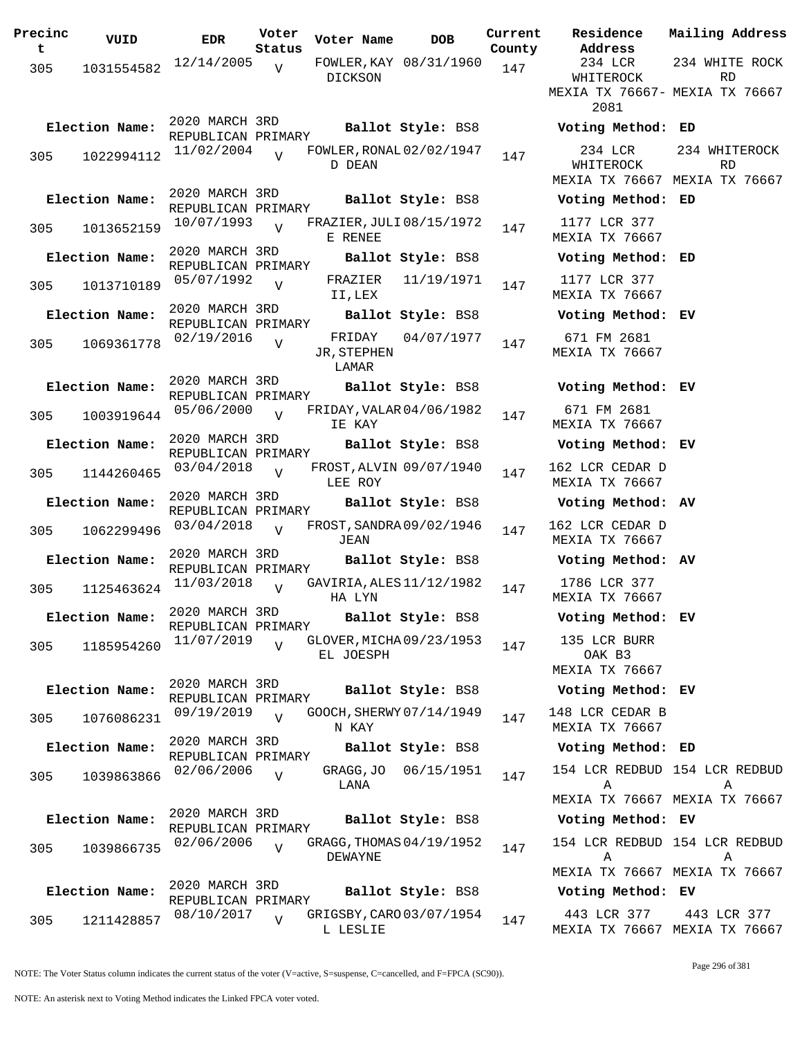| Precinc<br>t | VUID           | <b>EDR</b>                           | Voter<br>Status | Voter Name                            | <b>DOB</b>              | Current<br>County |          |
|--------------|----------------|--------------------------------------|-----------------|---------------------------------------|-------------------------|-------------------|----------|
| 305          | 1031554582     | 12/14/2005                           | V               | DICKSON                               | FOWLER, KAY 08/31/1960  | 147               |          |
|              |                |                                      |                 |                                       |                         |                   | МE       |
|              | Election Name: | 2020 MARCH 3RD<br>REPUBLICAN PRIMARY |                 |                                       | Ballot Style: BS8       |                   | ٦        |
| 305          | 1022994112     | 11/02/2004                           | $\overline{z}$  | FOWLER, RONAL 02/02/1947<br>D DEAN    |                         | 147               |          |
|              | Election Name: | 2020 MARCH 3RD<br>REPUBLICAN PRIMARY |                 |                                       | Ballot Style: BS8       |                   | M)<br>٦  |
| 305          | 1013652159     | 10/07/1993                           | $\overline{U}$  | FRAZIER, JULI 08/15/1972<br>E RENEE   |                         | 147               | M)       |
|              | Election Name: | 2020 MARCH 3RD<br>REPUBLICAN PRIMARY |                 |                                       | Ballot Style: BS8       |                   | ٦        |
| 305          | 1013710189     | 05/07/1992                           | V               | FRAZIER<br>II,LEX                     | 11/19/1971              | 147               | M)       |
|              | Election Name: | 2020 MARCH 3RD<br>REPUBLICAN PRIMARY |                 |                                       | Ballot Style: BS8       |                   | J        |
| 305          | 1069361778     | 02/19/2016                           | V               | FRIDAY<br>JR, STEPHEN<br>LAMAR        | 04/07/1977              | 147               | M)       |
|              | Election Name: | 2020 MARCH 3RD<br>REPUBLICAN PRIMARY |                 |                                       | Ballot Style: BS8       |                   | ٦        |
| 305          | 1003919644     | 05/06/2000                           | $\overline{U}$  | FRIDAY, VALAR 04/06/1982<br>IE KAY    |                         | 147               | M)       |
|              | Election Name: | 2020 MARCH 3RD<br>REPUBLICAN PRIMARY |                 |                                       | Ballot Style: BS8       |                   | N        |
| 305          | 1144260465     | 03/04/2018                           | V               | LEE ROY                               | FROST, ALVIN 09/07/1940 | 147               | 16<br>M) |
|              | Election Name: | 2020 MARCH 3RD<br>REPUBLICAN PRIMARY |                 |                                       | Ballot Style: BS8       |                   | ٦        |
| 305          | 1062299496     | 03/04/2018                           | $\overline{V}$  | FROST, SANDRA 09/02/1946<br>JEAN      |                         | 147               | 16<br>M) |
|              | Election Name: | 2020 MARCH 3RD<br>REPUBLICAN PRIMARY |                 |                                       | Ballot Style: BS8       |                   | ٦        |
| 305          | 1125463624     | 11/03/2018                           | $\overline{U}$  | GAVIRIA, ALES 11/12/1982<br>HA LYN    |                         | 147               | M        |
|              | Election Name: | 2020 MARCH 3RD<br>REPUBLICAN PRIMARY |                 |                                       | Ballot Style: BS8       |                   | N        |
| 305          | 1185954260     | 11/07/2019                           | ٦T              | GLOVER, MICHA 09/23/1953<br>EL JOESPH |                         | 147               |          |
|              | Election Name: | 2020 MARCH 3RD                       |                 |                                       | Ballot Style: BS8       |                   | M)<br>J  |
| 305          | 1076086231     | REPUBLICAN PRIMARY<br>09/19/2019     | V               | GOOCH, SHERWY 07/14/1949<br>N KAY     |                         | 147               | 14       |
|              | Election Name: | 2020 MARCH 3RD<br>REPUBLICAN PRIMARY |                 |                                       | Ballot Style: BS8       |                   | M<br>J   |
| 305          | 1039863866     | 02/06/2006                           | $\overline{V}$  | GRAGG, JO<br>LANA                     | 06/15/1951              | 147               | 1!       |
|              |                | 2020 MARCH 3RD                       |                 |                                       |                         |                   | M)       |
|              | Election Name: | REPUBLICAN PRIMARY                   |                 |                                       | Ballot Style: BS8       |                   | J        |
| 305          | 1039866735     | 02/06/2006                           | $\overline{U}$  | GRAGG, THOMAS 04/19/1952<br>DEWAYNE   |                         | 147               | 1!       |
|              | Election Name: | 2020 MARCH 3RD                       |                 |                                       | Ballot Style: BS8       |                   | M)<br>٦  |
| 305          | 1211428857     | REPUBLICAN PRIMARY<br>08/10/2017     | $\overline{V}$  | GRIGSBY, CARO 03/07/1954<br>L LESLIE  |                         | 147               | M        |

**Voter Name DOB Residence Address Current Mailing Address** 234 LCR WHITEROCK MEXIA TX 76667- MEXIA TX 76667 2081 234 WHITE ROCK RD **Election Name: Ballot Style:** BS8 **Voting Method: ED** 234 LCR WHITEROCK MEXIA TX 76667 MEXIA TX 76667 234 WHITEROCK RD **Election Name: Ballot Style:** BS8 **Voting Method: ED** 1177 LCR 377 EXIA TX 76667 **Election Name: Ballot Style:** BS8 **Voting Method: ED** 1177 LCR 377 EXIA TX 76667 **Election Name: Ballot Style:** BS8 **Voting Method: EV** 671 FM 2681 EXIA TX 76667 **Election Name: Ballot Style:** BS8 **Voting Method: EV** 671 FM 2681 EXIA TX 76667 **Election Name: Ballot Style:** BS8 **Voting Method: EV** 2 LCR CEDAR D EXIA TX 76667 **Election Name: Ballot Style:** BS8 **Voting Method: AV** 2 LCR CEDAR D EXIA TX 76667 **Election Name: Ballot Style:** BS8 **Voting Method: AV** 1786 LCR 377 EXIA TX 76667 **Election Name: Ballot Style:** BS8 **Voting Method: EV** 135 LCR BURR OAK B3 EXIA TX 76667 **Election Name: Ballot Style:** BS8 **Voting Method: EV** 8 LCR CEDAR B EXIA TX 76667 **Election Name: Ballot Style:** BS8 **Voting Method: ED** 154 LCR REDBUD 154 LCR REDBUD A MEXIA TX 76667 MEXIA TX 76667 A **Election Name: Ballot Style:** BS8 **Voting Method: EV** 154 LCR REDBUD 154 LCR REDBUD A MEXIA TX 76667 MEXIA TX 76667 A **Election Name: Ballot Style:** BS8 **Voting Method: EV** 443 LCR 377 MEXIA TX 76667 MEXIA TX 76667 443 LCR 377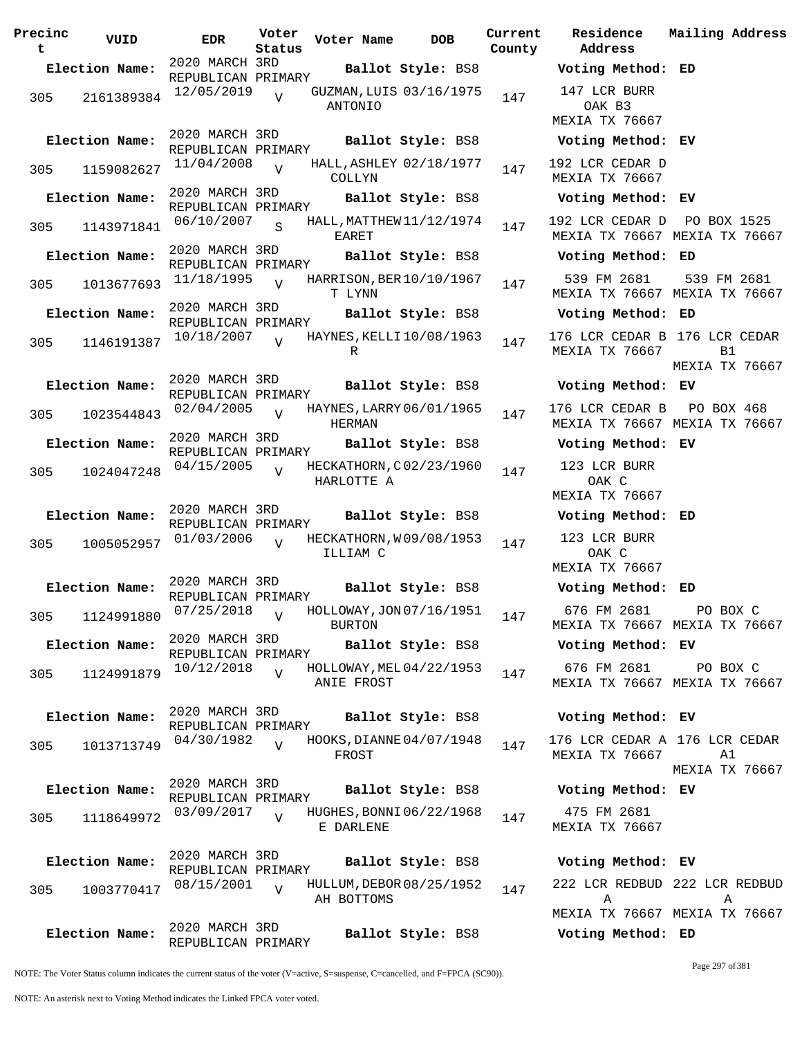| Precinc<br>t | VUID           | <b>EDR</b>                           | Voter<br>Status | Voter Name    | <b>DOB</b>               | Current<br>County | Residence<br>Address                     | Mai:           |
|--------------|----------------|--------------------------------------|-----------------|---------------|--------------------------|-------------------|------------------------------------------|----------------|
|              | Election Name: | 2020 MARCH 3RD<br>REPUBLICAN PRIMARY |                 |               | Ballot Style: BS8        |                   | Voting Method: ED                        |                |
| 305          | 2161389384     | 12/05/2019                           | $\overline{V}$  | ANTONIO       | GUZMAN, LUIS 03/16/1975  | 147               | 147 LCR BURR<br>OAK B3<br>MEXIA TX 76667 |                |
|              | Election Name: | 2020 MARCH 3RD<br>REPUBLICAN PRIMARY |                 |               | Ballot Style: BS8        |                   | Voting Method: EV                        |                |
| 305          | 1159082627     | 11/04/2008                           | $\overline{V}$  | COLLYN        | HALL, ASHLEY 02/18/1977  | 147               | 192 LCR CEDAR D<br>MEXIA TX 76667        |                |
|              | Election Name: | 2020 MARCH 3RD<br>REPUBLICAN PRIMARY |                 |               | Ballot Style: BS8        |                   | Voting Method: EV                        |                |
| 305          | 1143971841     | 06/10/2007                           | $\mathbf{s}$    | EARET         | HALL, MATTHEW 11/12/1974 | 147               | 192 LCR CEDAR D<br>MEXIA TX 76667 MEX    | P(             |
|              | Election Name: | 2020 MARCH 3RD<br>REPUBLICAN PRIMARY |                 |               | Ballot Style: BS8        |                   | Voting Method: ED                        |                |
| 305          | 1013677693     | 11/18/1995                           | $\overline{U}$  | T LYNN        | HARRISON, BER 10/10/1967 | 147               | 539 FM 2681<br>MEXIA TX 76667 MEX        | 5 <sup>2</sup> |
|              | Election Name: | 2020 MARCH 3RD<br>REPUBLICAN PRIMARY |                 |               | Ballot Style: BS8        |                   | Voting Method: ED                        |                |
| 305          | 1146191387     | 10/18/2007                           | $\overline{U}$  | R             | HAYNES, KELLI 10/08/1963 | 147               | 176 LCR CEDAR B 176<br>MEXIA TX 76667    |                |
|              | Election Name: | 2020 MARCH 3RD                       |                 |               | Ballot Style: BS8        |                   | Voting Method: EV                        | MEX            |
|              |                | REPUBLICAN PRIMARY<br>02/04/2005     | $\overline{V}$  |               | HAYNES, LARRY 06/01/1965 |                   | 176 LCR CEDAR B                          | $\mathbf P$    |
| 305          | 1023544843     | 2020 MARCH 3RD                       |                 | HERMAN        |                          | 147               | MEXIA TX 76667 MEX                       |                |
|              | Election Name: | REPUBLICAN PRIMARY                   |                 |               | Ballot Style: BS8        |                   | Voting Method: EV                        |                |
| 305          | 1024047248     | 04/15/2005                           | $\overline{U}$  | HARLOTTE A    | HECKATHORN, C02/23/1960  | 147               | 123 LCR BURR<br>OAK C<br>MEXIA TX 76667  |                |
|              | Election Name: | 2020 MARCH 3RD<br>REPUBLICAN PRIMARY |                 |               | Ballot Style: BS8        |                   | Voting Method: ED                        |                |
| 305          | 1005052957     | 01/03/2006                           |                 | ILLIAM C      | HECKATHORN, W09/08/1953  | 147               | 123 LCR BURR<br>OAK C<br>MEXIA TX 76667  |                |
|              | Election Name: | 2020 MARCH 3RD<br>REPUBLICAN PRIMARY |                 |               | Ballot Style: BS8        |                   | Voting Method: ED                        |                |
|              | 305 1124991880 | 07/25/2018                           | V               | <b>BURTON</b> | HOLLOWAY, JON 07/16/1951 | 147               | 676 FM 2681<br>MEXIA TX 76667 MEX        |                |
|              | Election Name: | 2020 MARCH 3RD                       |                 |               | Ballot Style: BS8        |                   | Voting Method: EV                        |                |
| 305          | 1124991879     | REPUBLICAN PRIMARY<br>10/12/2018     | $\overline{V}$  | ANIE FROST    | HOLLOWAY, MEL 04/22/1953 | 147               | 676 FM 2681<br>MEXIA TX 76667 MEX        |                |
|              | Election Name: | 2020 MARCH 3RD<br>REPUBLICAN PRIMARY |                 |               | Ballot Style: BS8        |                   | Voting Method: EV                        |                |
| 305          | 1013713749     | 04/30/1982                           | $\overline{17}$ | FROST         | HOOKS, DIANNE 04/07/1948 | 147               | 176 LCR CEDAR A 176<br>MEXIA TX 76667    |                |
|              | Election Name: | 2020 MARCH 3RD<br>REPUBLICAN PRIMARY |                 |               | Ballot Style: BS8        |                   | Voting Method: EV                        | MEX            |
| 305          | 1118649972     | 03/09/2017                           | $\overline{V}$  | E DARLENE     | HUGHES, BONNI 06/22/1968 | 147               | 475 FM 2681<br>MEXIA TX 76667            |                |
|              | Election Name: | 2020 MARCH 3RD<br>REPUBLICAN PRIMARY |                 |               | Ballot Style: BS8        |                   | Voting Method: EV                        |                |
| 305          | 1003770417     | 08/15/2001                           |                 | AH BOTTOMS    | HULLUM, DEBOR 08/25/1952 | 147               | 222 LCR REDBUD 222<br>Α                  |                |
|              |                |                                      |                 |               |                          |                   | MEXIA TX 76667 MEX                       |                |
|              | Election Name: | 2020 MARCH 3RD<br>REPUBLICAN PRIMARY |                 |               | Ballot Style: BS8        |                   | Voting Method: ED                        |                |

**Voter Name DOB Residence Address Current Mailing Address Election Name: Ballot Style:** BS8 **Voting Method: ED** 147 LCR BURR OAK B3 MEXIA TX 76667 **Election Name: Ballot Style:** BS8 **Voting Method: EV** 192 LCR CEDAR D MEXIA TX 76667 **Election Name: Ballot Style:** BS8 **Voting Method: EV** 192 LCR CEDAR D PO BOX 1525 MEXIA TX 76667 MEXIA TX 76667 **Election Name: Ballot Style:** BS8 **Voting Method: ED** 539 FM 2681 MEXIA TX 76667 MEXIA TX 76667 539 FM 2681 **Election Name: Ballot Style:** BS8 **Voting Method: ED** 176 LCR CEDAR B 176 LCR CEDAR MEXIA TX 76667 B1 MEXIA TX 76667 **Election Name: Ballot Style:** BS8 **Voting Method: EV** 176 LCR CEDAR B MEXIA TX 76667 MEXIA TX 76667 PO BOX 468 **Election Name: Ballot Style:** BS8 **Voting Method: EV** 123 LCR BURR OAK C MEXIA TX 76667 **Election Name: Ballot Style:** BS8 **Voting Method: ED** 123 LCR BURR OAK C MEXIA TX 76667 **Election Name: Ballot Style:** BS8 **Voting Method: ED** 676 FM 2681 MEXIA TX 76667 MEXIA TX 76667 PO BOX C **Election Name: Ballot Style:** BS8 **Voting Method: EV** 676 FM 2681 MEXIA TX 76667 MEXIA TX 76667 PO BOX C **Election Name: Ballot Style:** BS8 **Voting Method: EV** 176 LCR CEDAR A 176 LCR CEDAR MEXIA TX 76667 A1 MEXIA TX 76667 **Election Name: Ballot Style:** BS8 **Voting Method: EV** 475 FM 2681 MEXIA TX 76667 **Election Name: Ballot Style:** BS8 **Voting Method: EV**

> 222 LCR REDBUD 222 LCR REDBUD A MEXIA TX 76667 MEXIA TX 76667 A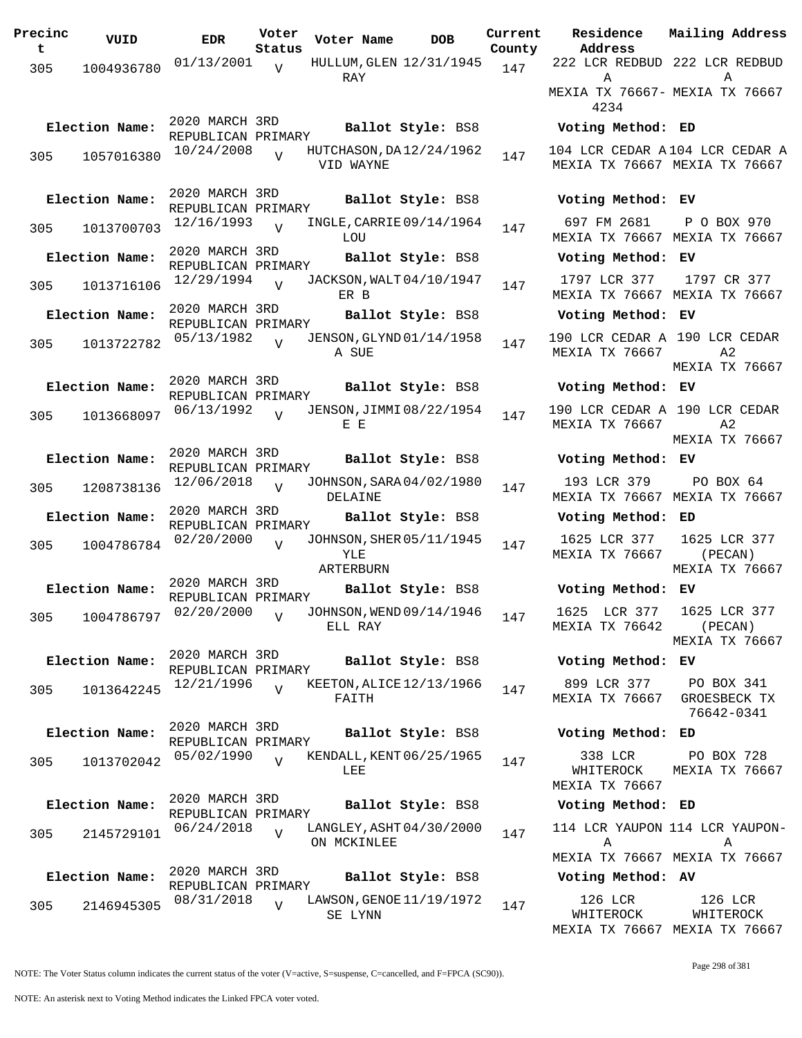| Precinc<br>t | VUID           | <b>EDR</b>                           | Voter<br>Status | Voter Name       | <b>DOB</b>               | Curre<br>Count |
|--------------|----------------|--------------------------------------|-----------------|------------------|--------------------------|----------------|
| 305          | 1004936780     | 01/13/2001                           | V               | RAY              | HULLUM, GLEN 12/31/1945  | 147            |
|              | Election Name: | 2020 MARCH 3RD<br>REPUBLICAN PRIMARY |                 |                  | Ballot Style: BS8        |                |
| 305          | 1057016380     | 10/24/2008                           | $\overline{U}$  | VID WAYNE        | HUTCHASON, DA12/24/1962  | 147            |
|              | Election Name: | 2020 MARCH 3RD<br>REPUBLICAN PRIMARY |                 |                  | Ballot Style: BS8        |                |
| 305          | 1013700703     | 12/16/1993                           | $\overline{V}$  | LOU              | INGLE, CARRIE 09/14/1964 | 147            |
|              | Election Name: | 2020 MARCH 3RD                       |                 |                  | Ballot Style: BS8        |                |
| 305          | 1013716106     | REPUBLICAN PRIMARY<br>12/29/1994     | $\overline{V}$  | ER B             | JACKSON, WALT 04/10/1947 | 147            |
|              | Election Name: | 2020 MARCH 3RD                       |                 |                  | Ballot Style: BS8        |                |
| 305          | 1013722782     | REPUBLICAN PRIMARY<br>05/13/1982     | $\overline{z}$  | A SUE            | JENSON, GLYND 01/14/1958 | 147            |
|              | Election Name: | 2020 MARCH 3RD<br>REPUBLICAN PRIMARY |                 |                  | Ballot Style: BS8        |                |
| 305          | 1013668097     | 06/13/1992                           | $\overline{U}$  | E E              | JENSON, JIMMI 08/22/1954 | 147            |
|              | Election Name: | 2020 MARCH 3RD<br>REPUBLICAN PRIMARY |                 |                  | Ballot Style: BS8        |                |
| 305          | 1208738136     | 12/06/2018                           | V               | DELAINE          | JOHNSON, SARA 04/02/1980 | 147            |
|              | Election Name: | 2020 MARCH 3RD<br>REPUBLICAN PRIMARY |                 |                  | Ballot Style: BS8        |                |
| 305          | 1004786784     | 02/20/2000                           | $\overline{U}$  | YLE<br>ARTERBURN | JOHNSON, SHER 05/11/1945 | 147            |
|              | Election Name: | 2020 MARCH 3RD                       |                 |                  | Ballot Style: BS8        |                |
|              |                | REPUBLICAN PRIMARY                   |                 |                  |                          |                |
|              |                | 305 1004786797 02/20/2000            | V               | ELL RAY          | JOHNSON, WEND 09/14/1946 | 147            |
|              | Election Name: | 2020 MARCH 3RD<br>REPUBLICAN PRIMARY |                 |                  | Ballot Style: BS8        |                |
| 305          | 1013642245     | 12/21/1996                           | $\overline{V}$  | FAITH            | KEETON, ALICE 12/13/1966 | 147            |
|              | Election Name: | 2020 MARCH 3RD<br>REPUBLICAN PRIMARY |                 |                  | Ballot Style: BS8        |                |
| 305          | 1013702042     | 05/02/1990                           | $\overline{U}$  | LEE              | KENDALL, KENT 06/25/1965 | 147            |
|              | Election Name: | 2020 MARCH 3RD<br>REPUBLICAN PRIMARY |                 |                  | Ballot Style: BS8        |                |
| 305          | 2145729101     | 06/24/2018                           | $\overline{V}$  | ON MCKINLEE      | LANGLEY, ASHT 04/30/2000 | 147            |
|              | Election Name: | 2020 MARCH 3RD<br>REPUBLICAN PRIMARY |                 |                  | Ballot Style: BS8        |                |
| 305          | 2146945305     | 08/31/2018                           | $\overline{V}$  | SE LYNN          | LAWSON, GENOE 11/19/1972 | 147            |

**Voter Name DOB Residence Current Mailing Address Address** 1ty 222 LCR REDBUD 222 LCR REDBUD A MEXIA TX 76667- MEXIA TX 76667 4234  $\Delta$ **Election Name: Ballot Style:** BS8 **Voting Method: ED** 104 LCR CEDAR A 104 LCR CEDAR A MEXIA TX 76667 MEXIA TX 76667 **Election Name: Ballot Style:** BS8 **Voting Method: EV** 697 FM 2681 MEXIA TX 76667 MEXIA TX 76667 P O BOX 970 **Election Name: Ballot Style:** BS8 **Voting Method: EV** 1797 LCR 377 MEXIA TX 76667 MEXIA TX 76667 1797 CR 377 **Election Name: Ballot Style:** BS8 **Voting Method: EV** 190 LCR CEDAR A 190 LCR CEDAR MEXIA TX 76667 A2 MEXIA TX 76667 **Election Name: Ballot Style:** BS8 **Voting Method: EV** 190 LCR CEDAR A 190 LCR CEDAR MEXIA TX 76667 A2 MEXIA TX 76667 **Election Name: Ballot Style:** BS8 **Voting Method: EV** 193 LCR 379 MEXIA TX 76667 MEXIA TX 76667 PO BOX 64 **Election Name: Ballot Style:** BS8 **Voting Method: ED** 1625 LCR 377 MEXIA TX 76667 1625 LCR 377 (PECAN) MEXIA TX 76667 **Election Name: Ballot Style:** BS8 **Voting Method: EV** 1625 LCR 377 MEXIA TX 76642 1625 LCR 377 (PECAN) MEXIA TX 76667 **Election Name: Ballot Style:** BS8 **Voting Method: EV** 899 LCR 377 MEXIA TX 76667 PO BOX 341 GROESBECK TX 76642-0341 **Election Name: Ballot Style:** BS8 **Voting Method: ED** 338 LCR WHITEROCK MEXIA TX 76667 PO BOX 728 MEXIA TX 76667 **Election Name: Ballot Style:** BS8 **Voting Method: ED** 114 LCR YAUPON 114 LCR YAUPON-A MEXIA TX 76667 MEXIA TX 76667 A **Election Name: Ballot Style:** BS8 **Voting Method: AV** 126 LCR WHITEROCK MEXIA TX 76667 MEXIA TX 76667 126 LCR WHITEROCK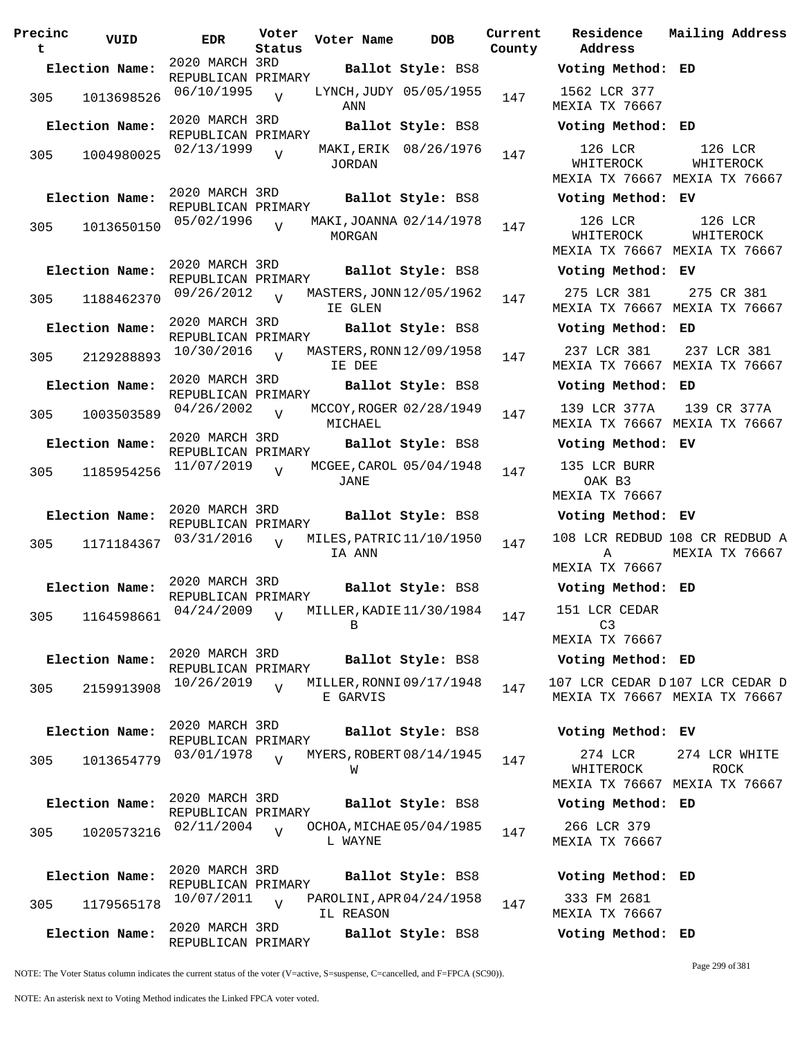**Precinc t VUID EDR Voter Status Voter Name DOB Current Residence County** 2020 MARCH 3RD REPUBLICAN PRIMARY **Election Name: Ballot Style:** BS8 **Voting Method: ED** 305 1013698526 06/10/1995 ANN  $\overline{V}$ LYNCH, JUDY 05/05/1955 147 2020 MARCH 3RD REPUBLICAN PRIMARY **Election Name: Ballot Style:** BS8 **Voting Method: ED** 305 1004980025 02/13/1999 JORDAN  $\overline{v}$ MAKI, ERIK 08/26/1976 147 2020 MARCH 3RD REPUBLICAN PRIMARY **Election Name: Ballot Style:** BS8 **Voting Method: EV** 305 1013650150 05/02/1996 V MAKI,JOANNA 02/14/1978 147 MORGAN  $\overline{V}$ 2020 MARCH 3RD REPUBLICAN PRIMARY **Election Name: Ballot Style:** BS8 **Voting Method: EV** <sup>305</sup> MASTERS,JONN 09/26/2012 <sup>1188462370</sup> <sup>147</sup> 12/05/1962 IE GLEN  $\overline{V}$ 2020 MARCH 3RD REPUBLICAN PRIMARY **Election Name: Ballot Style:** BS8 **Voting Method: ED** 305 2129288893  $10/30/2016$  MASTERS, RONN 12/09/1958 147 IE DEE V 2020 MARCH 3RD REPUBLICAN PRIMARY **Election Name: Ballot Style:** BS8 **Voting Method: ED** 305 1003503589 04/26/2002 MICHAEL  $\overline{V}$ MCCOY, ROGER 02/28/1949 147 2020 MARCH 3RD REPUBLICAN PRIMARY **Election Name: Ballot Style:** BS8 **Voting Method: EV** 305 1185954256 11/07/2019 V MCGEE, CAROL 05/04/1948 147 JANE V 2020 MARCH 3RD REPUBLICAN PRIMARY **Election Name: Ballot Style:** BS8 **Voting Method: EV** <sup>305</sup> MILES,PATRIC 03/31/2016 <sup>1171184367</sup> <sup>147</sup> 11/10/1950 IA ANN  $\overline{V}$ 2020 MARCH 3RD REPUBLICAN PRIMARY<br>04/24/2009 , M **Election Name: Ballot Style:** BS8 **Voting Method: ED** 305 1164598661 04/24/2009 V MILLER, KADIE 11/30/1984 147 B  $\overline{V}$ 2020 MARCH 3RD REPUBLICAN PRIMARY **Election Name: Ballot Style:** BS8 **Voting Method: ED** 305 2159913908 <sup>10/26/2019</sup> V MILLER, RONNI 09/17/1948 147 E GARVIS V 2020 MARCH 3RD REPUBLICAN PRIMARY **Election Name: Ballot Style:** BS8 **Voting Method: EV** 305 1013654779 03/01/1978 W  $\overline{V}$ MYERS, ROBERT 08/14/1945 147 2020 MARCH 3RD REPUBLICAN PRIMARY **Election Name: Ballot Style:** BS8 **Voting Method: ED** <sup>305</sup> OCHOA,MICHAE 02/11/2004 <sup>1020573216</sup> <sup>147</sup> 05/04/1985 L WAYNE  $\overline{V}$ 2020 MARCH 3RD REPUBLICAN PRIMARY **Election Name: Ballot Style:** BS8 **Voting Method: ED** 305 1179565178 10/07/2011 V PAROLINI,APR04/24/1958 147 IL REASON  $\overline{v}$ 2020 MARCH 3RD REPUBLICAN PRIMARY **Election Name: Ballot Style:** BS8 **Voting Method: ED**

**Address Current Mailing Address** 1562 LCR 377 MEXIA TX 76667 126 LCR WHITEROCK MEXIA TX 76667 MEXIA TX 76667 126 LCR WHITEROCK 126 LCR WHITEROCK MEXIA TX 76667 MEXIA TX 76667 126 LCR WHITEROCK 275 LCR 381 MEXIA TX 76667 MEXIA TX 76667 275 CR 381 237 LCR 381 MEXIA TX 76667 MEXIA TX 76667 237 LCR 381 139 LCR 377A MEXIA TX 76667 MEXIA TX 76667 139 CR 377A 135 LCR BURR OAK B3 MEXIA TX 76667 108 LCR REDBUD 108 CR REDBUD A A MEXIA TX 76667 MEXIA TX 76667 151 LCR CEDAR  $C3$ MEXIA TX 76667 107 LCR CEDAR D 107 LCR CEDAR D MEXIA TX 76667 MEXIA TX 76667 274 LCR WHITEROCK MEXIA TX 76667 MEXIA TX 76667 274 LCR WHITE ROCK 266 LCR 379 MEXIA TX 76667

333 FM 2681 MEXIA TX 76667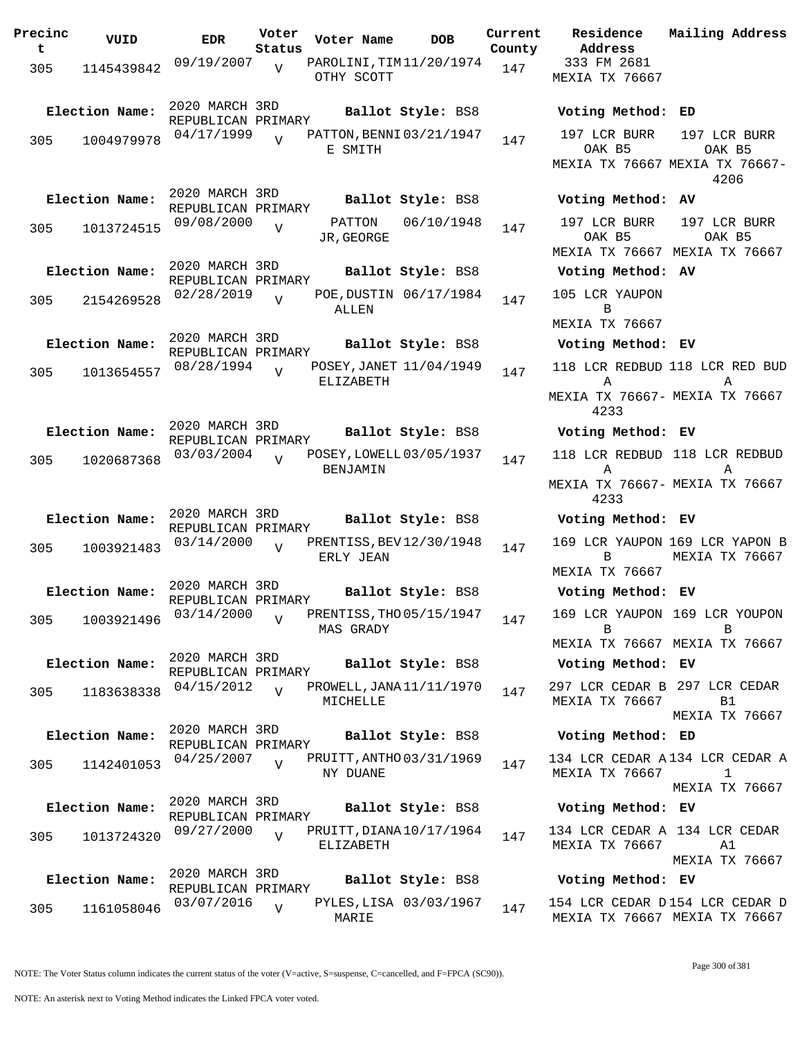| Precinc<br>t | VUID           | <b>EDR</b>                           | Voter<br>Status | Voter Name                            | <b>DOB</b>             | Current<br>County | Residence<br>Address                            | Mailing Address                                                       |
|--------------|----------------|--------------------------------------|-----------------|---------------------------------------|------------------------|-------------------|-------------------------------------------------|-----------------------------------------------------------------------|
| 305          | 1145439842     | 09/19/2007                           | $\overline{v}$  | PAROLINI, TIM11/20/1974<br>OTHY SCOTT |                        | 147               | 333 FM 2681<br>MEXIA TX 76667                   |                                                                       |
|              | Election Name: | 2020 MARCH 3RD<br>REPUBLICAN PRIMARY |                 |                                       | Ballot Style: BS8      |                   | Voting Method: ED                               |                                                                       |
| 305          | 1004979978     | 04/17/1999                           | $\overline{U}$  | PATTON, BENNI 03/21/1947<br>E SMITH   |                        | 147               | 197 LCR BURR<br>OAK B5                          | 197 LCR BURR<br>OAK B5<br>MEXIA TX 76667 MEXIA TX 76667-<br>4206      |
|              | Election Name: | 2020 MARCH 3RD<br>REPUBLICAN PRIMARY |                 |                                       | Ballot Style: BS8      |                   | Voting Method: AV                               |                                                                       |
| 305          | 1013724515     | 09/08/2000                           | $\overline{U}$  | PATTON<br>JR, GEORGE                  | 06/10/1948             | 147               | 197 LCR BURR<br>OAK B5<br>MEXIA TX 76667        | 197 LCR BURR<br>OAK B5<br>MEXIA TX 76667                              |
|              | Election Name: | 2020 MARCH 3RD<br>REPUBLICAN PRIMARY |                 |                                       | Ballot Style: BS8      |                   | Voting Method: AV                               |                                                                       |
| 305          | 2154269528     | 02/28/2019                           | $\overline{U}$  | ALLEN                                 | POE, DUSTIN 06/17/1984 | 147               | 105 LCR YAUPON<br>B                             |                                                                       |
|              |                | 2020 MARCH 3RD                       |                 |                                       |                        |                   | <b>MEXIA TX 76667</b>                           |                                                                       |
|              | Election Name: | REPUBLICAN PRIMARY                   |                 |                                       | Ballot Style: BS8      |                   | Voting Method: EV                               |                                                                       |
| 305          | 1013654557     | 08/28/1994                           | $\overline{U}$  | POSEY, JANET 11/04/1949<br>ELIZABETH  |                        | 147               | $\mathbf{A}$<br>4233                            | 118 LCR REDBUD 118 LCR RED BUD<br>A<br>MEXIA TX 76667- MEXIA TX 76667 |
|              | Election Name: | 2020 MARCH 3RD                       |                 |                                       | Ballot Style: BS8      |                   | Voting Method: EV                               |                                                                       |
| 305          | 1020687368     | REPUBLICAN PRIMARY<br>03/03/2004     | $\overline{U}$  | POSEY, LOWELL 03/05/1937              |                        | 147               |                                                 | 118 LCR REDBUD 118 LCR REDBUD                                         |
|              |                |                                      |                 | <b>BENJAMIN</b>                       |                        |                   | $\mathbb A$<br>4233                             | Α<br>MEXIA TX 76667- MEXIA TX 76667                                   |
|              | Election Name: | 2020 MARCH 3RD<br>REPUBLICAN PRIMARY |                 |                                       | Ballot Style: BS8      |                   | Voting Method: EV                               |                                                                       |
| 305          | 1003921483     | 03/14/2000                           | $\overline{U}$  | PRENTISS, BEV 12/30/1948<br>ERLY JEAN |                        | 147               | B<br>MEXIA TX 76667                             | 169 LCR YAUPON 169 LCR YAPON B<br>MEXIA TX 76667                      |
|              | Election Name: | 2020 MARCH 3RD                       |                 |                                       | Ballot Style: BS8      |                   | Voting Method: EV                               |                                                                       |
| 305          | 1003921496     | REPUBLICAN PRIMARY<br>$03/14/2000$ V |                 | PRENTISS, THO 05/15/1947<br>MAS GRADY |                        | 147               | B                                               | 169 LCR YAUPON 169 LCR YOUPON<br>B                                    |
|              |                | 2020 MARCH 3RD                       |                 |                                       |                        |                   |                                                 | MEXIA TX 76667 MEXIA TX 76667                                         |
|              | Election Name: | REPUBLICAN PRIMARY                   |                 |                                       | Ballot Style: BS8      |                   | Voting Method: EV                               |                                                                       |
| 305          | 1183638338     | 04/15/2012                           |                 | PROWELL, JANA 11/11/1970<br>MICHELLE  |                        | 147               | 297 LCR CEDAR B 297 LCR CEDAR<br>MEXIA TX 76667 | B1<br>MEXIA TX 76667                                                  |
|              | Election Name: | 2020 MARCH 3RD<br>REPUBLICAN PRIMARY |                 |                                       | Ballot Style: BS8      |                   | Voting Method: ED                               |                                                                       |
| 305          | 1142401053     | 04/25/2007                           | $\overline{U}$  | PRUITT, ANTHO 03/31/1969<br>NY DUANE  |                        | 147               | MEXIA TX 76667                                  | 134 LCR CEDAR A134 LCR CEDAR A<br>$\mathbf{1}$                        |
|              | Election Name: | 2020 MARCH 3RD<br>REPUBLICAN PRIMARY |                 |                                       | Ballot Style: BS8      |                   | Voting Method: EV                               | MEXIA TX 76667                                                        |
| 305          | 1013724320     | 09/27/2000                           | $\overline{V}$  | PRUITT, DIANA 10/17/1964<br>ELIZABETH |                        | 147               | 134 LCR CEDAR A 134 LCR CEDAR<br>MEXIA TX 76667 | A1                                                                    |
|              |                |                                      |                 |                                       |                        |                   |                                                 | MEXIA TX 76667                                                        |
|              | Election Name: | 2020 MARCH 3RD<br>REPUBLICAN PRIMARY |                 |                                       | Ballot Style: BS8      |                   | Voting Method: EV                               |                                                                       |
| 305          | 1161058046     | 03/07/2016                           | V               | MARIE                                 | PYLES, LISA 03/03/1967 | 147               |                                                 | 154 LCR CEDAR D154 LCR CEDAR D<br>MEXIA TX 76667 MEXIA TX 76667       |

MEXIA TX 76667 154 LCR CEDAR D MEXIA TX 76667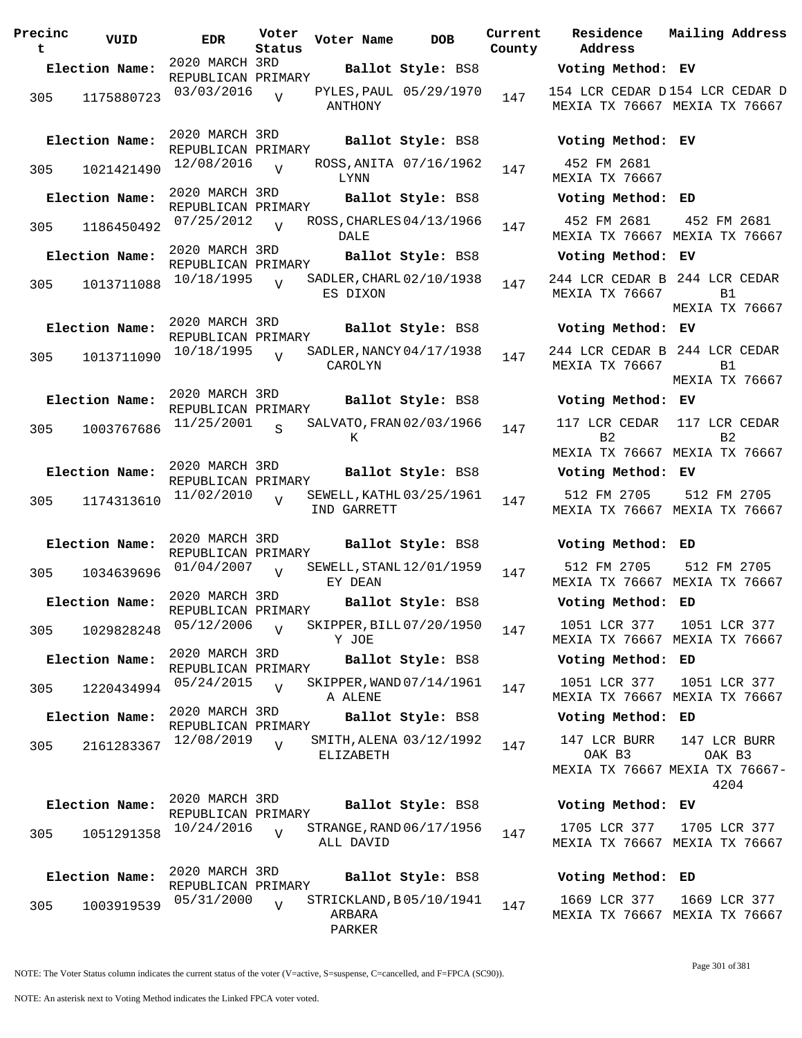| Precinc<br>t | VUID           | EDR                                  | Voter<br>Status | Voter Name       | <b>DOB</b>               | Current<br>County |
|--------------|----------------|--------------------------------------|-----------------|------------------|--------------------------|-------------------|
|              | Election Name: | 2020 MARCH 3RD                       |                 |                  | Ballot Style: BS8        |                   |
| 305          | 1175880723     | REPUBLICAN PRIMARY<br>03/03/2016     | $\overline{V}$  | ANTHONY          | PYLES, PAUL 05/29/1970   | 147               |
|              | Election Name: | 2020 MARCH 3RD<br>REPUBLICAN PRIMARY |                 |                  | Ballot Style: BS8        |                   |
| 305          | 1021421490     | 12/08/2016                           | $\overline{V}$  | LYNN             | ROSS, ANITA 07/16/1962   | 147               |
|              | Election Name: | 2020 MARCH 3RD<br>REPUBLICAN PRIMARY |                 |                  | Ballot Style: BS8        |                   |
| 305          | 1186450492     | 07/25/2012                           | $\overline{U}$  | DALE             | ROSS, CHARLES 04/13/1966 | 147               |
|              | Election Name: | 2020 MARCH 3RD<br>REPUBLICAN PRIMARY |                 |                  | Ballot Style: BS8        |                   |
| 305          | 1013711088     | 10/18/1995                           | $\overline{V}$  | ES DIXON         | SADLER, CHARL 02/10/1938 | 147               |
|              | Election Name: | 2020 MARCH 3RD<br>REPUBLICAN PRIMARY |                 |                  | Ballot Style: BS8        |                   |
| 305          | 1013711090     | 10/18/1995                           | $\overline{V}$  | CAROLYN          | SADLER, NANCY 04/17/1938 | 147               |
|              | Election Name: | 2020 MARCH 3RD<br>REPUBLICAN PRIMARY |                 |                  | Ballot Style: BS8        |                   |
| 305          | 1003767686     | 11/25/2001                           | S               | Κ                | SALVATO, FRAN 02/03/1966 | 147               |
|              | Election Name: | 2020 MARCH 3RD<br>REPUBLICAN PRIMARY |                 |                  | Ballot Style: BS8        |                   |
| 305          | 1174313610     | 11/02/2010                           | $\overline{U}$  | IND GARRETT      | SEWELL, KATHL 03/25/1961 | 147               |
|              | Election Name: | 2020 MARCH 3RD<br>REPUBLICAN PRIMARY |                 |                  | Ballot Style: BS8        |                   |
| 305          | 1034639696     | 01/04/2007                           | $\overline{V}$  | EY DEAN          | SEWELL, STANL 12/01/1959 | 147               |
|              | Election Name: | 2020 MARCH 3RD<br>REPUBLICAN PRIMARY |                 |                  | Ballot Style: BS8        |                   |
| 305          | 1029828248     | 05/12/2006                           | $\overline{V}$  | Y JOE            | SKIPPER, BILL 07/20/1950 | 147               |
|              | Election Name: | 2020 MARCH 3RD<br>REPUBLICAN PRIMARY |                 |                  | Ballot Style: BS8        |                   |
| 305          | 1220434994     | 05/24/2015                           | $\overline{V}$  | A ALENE          | SKIPPER, WAND 07/14/1961 | 147               |
|              | Election Name: | 2020 MARCH 3RD<br>REPUBLICAN PRIMARY |                 |                  | Ballot Style: BS8        |                   |
| 305          | 2161283367     | 12/08/2019                           | $\overline{V}$  | ELIZABETH        | SMITH, ALENA 03/12/1992  | 147               |
|              | Election Name: | 2020 MARCH 3RD<br>REPUBLICAN PRIMARY |                 |                  | Ballot Style: BS8        |                   |
| 305          | 1051291358     | 10/24/2016                           | $\overline{V}$  | ALL DAVID        | STRANGE, RAND 06/17/1956 | 147               |
|              | Election Name: | 2020 MARCH 3RD<br>REPUBLICAN PRIMARY |                 |                  | Ballot Style: BS8        |                   |
| 305          | 1003919539     | 05/31/2000                           | $\overline{V}$  | ARBARA<br>PARKER | STRICKLAND, B05/10/1941  | 147               |

**Voter Name DOB Residence Address Current Mailing Address Election Name: Ballot Style:** BS8 **Voting Method: EV** 154 LCR CEDAR D 154 LCR CEDAR D MEXIA TX 76667 MEXIA TX 76667 **Election Name: Ballot Style:** BS8 **Voting Method: EV** 452 FM 2681 MEXIA TX 76667 **Election Name: Ballot Style:** BS8 **Voting Method: ED** 452 FM 2681 MEXIA TX 76667 MEXIA TX 76667 452 FM 2681 **Election Name: Ballot Style:** BS8 **Voting Method: EV** 244 LCR CEDAR B 244 LCR CEDAR MEXIA TX 76667 B1 MEXIA TX 76667 **Election Name: Ballot Style:** BS8 **Voting Method: EV** 244 LCR CEDAR B 244 LCR CEDAR MEXIA TX 76667 B1 MEXIA TX 76667 **Election Name: Ballot Style:** BS8 **Voting Method: EV** 117 LCR CEDAR 117 LCR CEDAR  $B<sub>2</sub>$ MEXIA TX 76667 MEXIA TX 76667  $B<sub>2</sub>$ **Election Name: Ballot Style:** BS8 **Voting Method: EV** 512 FM 2705 MEXIA TX 76667 MEXIA TX 76667 512 FM 2705 **Election Name: Ballot Style:** BS8 **Voting Method: ED** 512 FM 2705 MEXIA TX 76667 MEXIA TX 76667 512 FM 2705 **Election Name: Ballot Style:** BS8 **Voting Method: ED** 1051 LCR 377 MEXIA TX 76667 MEXIA TX 76667 1051 LCR 377 **Election Name: Ballot Style:** BS8 **Voting Method: ED** 1051 LCR 377 MEXIA TX 76667 MEXIA TX 76667 1051 LCR 377 **Election Name: Ballot Style:** BS8 **Voting Method: ED** 147 LCR BURR OAK B3 MEXIA TX 76667 MEXIA TX 76667- 147 LCR BURR OAK B3 4204 **Election Name: Ballot Style:** BS8 **Voting Method: EV** 1705 LCR 377 MEXIA TX 76667 MEXIA TX 76667 1705 LCR 377 **Election Name: Ballot Style:** BS8 **Voting Method: ED**

1669 LCR 377 MEXIA TX 76667 MEXIA TX 76667 1669 LCR 377

NOTE: The Voter Status column indicates the current status of the voter (V=active, S=suspense, C=cancelled, and F=FPCA (SC90)).

Page 301 of 381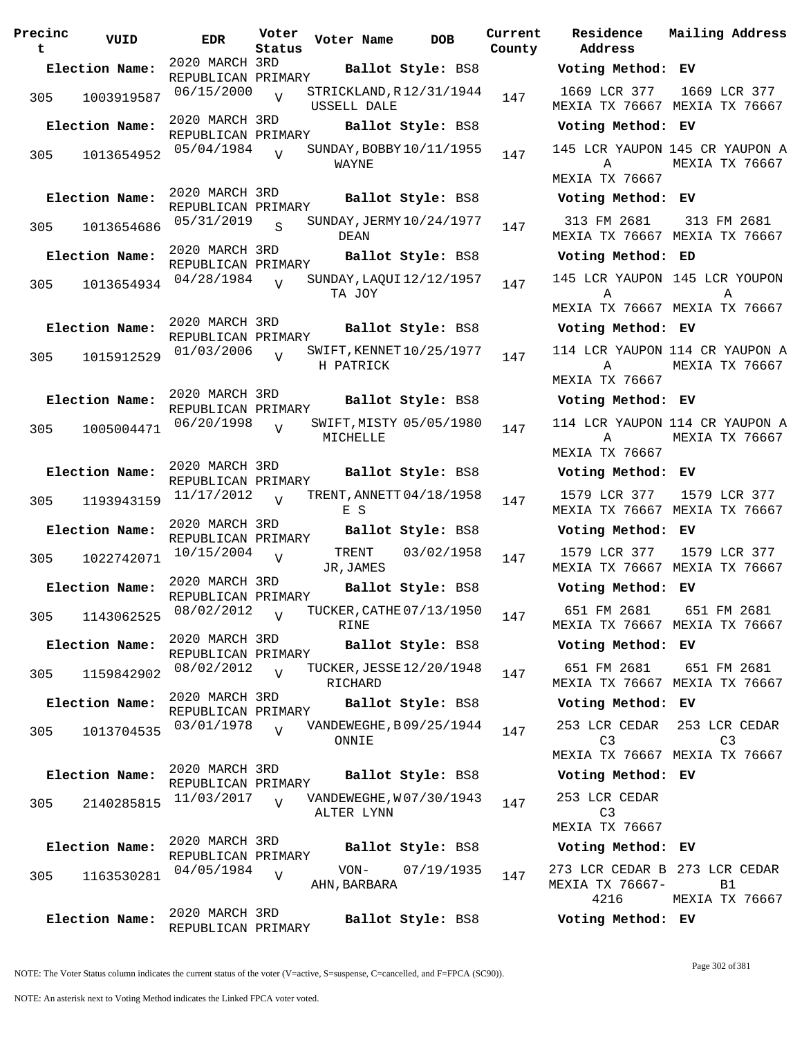| Precinc<br>t | VUID           | <b>EDR</b>                           | Voter<br>Status | Voter Name                             | <b>DOB</b>              | Current<br>County |
|--------------|----------------|--------------------------------------|-----------------|----------------------------------------|-------------------------|-------------------|
|              | Election Name: | 2020 MARCH 3RD                       |                 |                                        | Ballot Style: BS8       |                   |
| 305          | 1003919587     | REPUBLICAN PRIMARY<br>06/15/2000     | $\overline{V}$  | STRICKLAND, R12/31/1944<br>USSELL DALE |                         | 147               |
|              | Election Name: | 2020 MARCH 3RD<br>REPUBLICAN PRIMARY |                 |                                        | Ballot Style: BS8       |                   |
| 305          | 1013654952     | 05/04/1984                           | $\overline{U}$  | SUNDAY, BOBBY 10/11/1955<br>WAYNE      |                         | 147               |
|              | Election Name: | 2020 MARCH 3RD<br>REPUBLICAN PRIMARY |                 |                                        | Ballot Style: BS8       |                   |
| 305          | 1013654686     | 05/31/2019                           | $\mathbf S$     | SUNDAY, JERMY 10/24/1977<br>DEAN       |                         | 147               |
|              | Election Name: | 2020 MARCH 3RD<br>REPUBLICAN PRIMARY |                 |                                        | Ballot Style: BS8       |                   |
| 305          | 1013654934     | 04/28/1984                           | $\overline{V}$  | SUNDAY, LAQUI 12/12/1957<br>TA JOY     |                         | 147               |
|              | Election Name: | 2020 MARCH 3RD<br>REPUBLICAN PRIMARY |                 |                                        | Ballot Style: BS8       |                   |
| 305          | 1015912529     | 01/03/2006                           | $\overline{V}$  | SWIFT, KENNET 10/25/1977<br>H PATRICK  |                         | 147               |
|              | Election Name: | 2020 MARCH 3RD<br>REPUBLICAN PRIMARY |                 |                                        | Ballot Style: BS8       |                   |
| 305          | 1005004471     | 06/20/1998                           | V               | MICHELLE                               | SWIFT, MISTY 05/05/1980 | 147               |
|              | Election Name: | 2020 MARCH 3RD<br>REPUBLICAN PRIMARY |                 |                                        | Ballot Style: BS8       |                   |
| 305          | 1193943159     | 11/17/2012                           | $\overline{U}$  | TRENT, ANNETT 04/18/1958<br>E S        |                         | 147               |
|              | Election Name: | 2020 MARCH 3RD<br>REPUBLICAN PRIMARY |                 |                                        | Ballot Style: BS8       |                   |
| 305          | 1022742071     | 10/15/2004                           | V               | TRENT<br>JR,JAMES                      | 03/02/1958              | 147               |
|              | Election Name: | 2020 MARCH 3RD<br>REPUBLICAN PRIMARY |                 |                                        | Ballot Style: BS8       |                   |
|              | 305 1143062525 | 08/02/2012                           | $\nabla$        | TUCKER, CATHE 07/13/1950<br>RINE       |                         | 147               |
|              | Election Name: | 2020 MARCH 3RD<br>REPUBLICAN PRIMARY |                 |                                        | Ballot Style: BS8       |                   |
| 305          | 1159842902     | 08/02/2012                           | $\overline{U}$  | TUCKER, JESSE 12/20/1948<br>RICHARD    |                         | 147               |
|              | Election Name: | 2020 MARCH 3RD<br>REPUBLICAN PRIMARY |                 |                                        | Ballot Style: BS8       |                   |
| 305          | 1013704535     | 03/01/1978                           | $\overline{V}$  | VANDEWEGHE, B09/25/1944<br>ONNIE       |                         | 147               |
|              | Election Name: | 2020 MARCH 3RD<br>REPUBLICAN PRIMARY |                 |                                        | Ballot Style: BS8       |                   |
| 305          | 2140285815     | 11/03/2017                           | $\overline{V}$  | VANDEWEGHE, W07/30/1943<br>ALTER LYNN  |                         | 147               |
|              | Election Name: | 2020 MARCH 3RD<br>REPUBLICAN PRIMARY |                 |                                        | Ballot Style: BS8       |                   |
| 305          | 1163530281     | 04/05/1984                           | V               | VON-<br>AHN , BARBARA                  | 07/19/1935              | 147               |
|              | Election Name: | 2020 MARCH 3RD<br>REPUBLICAN PRIMARY |                 |                                        | Ballot Style: BS8       |                   |

**Voter Name DOB Residence Address Current Mailing Address Election Name: Ballot Style:** BS8 **Voting Method: EV** 1669 LCR 377 MEXIA TX 76667 MEXIA TX 76667 1669 LCR 377 **Election Name: Ballot Style:** BS8 **Voting Method: EV** 145 LCR YAUPON 145 CR YAUPON A A MEXIA TX 76667 MEXIA TX 76667 **Election Name: Ballot Style:** BS8 **Voting Method: EV** 313 FM 2681 MEXIA TX 76667 MEXIA TX 76667 313 FM 2681 **Election Name: Ballot Style:** BS8 **Voting Method: ED** 145 LCR YAUPON 145 LCR YOUPON A MEXIA TX 76667 MEXIA TX 76667 **A Election Name: Ballot Style:** BS8 **Voting Method: EV** 114 LCR YAUPON 114 CR YAUPON A A MEXIA TX 76667 MEXIA TX 76667 **Election Name: Ballot Style:** BS8 **Voting Method: EV** 114 LCR YAUPON 114 CR YAUPON A A MEXIA TX 76667 MEXIA TX 76667 **Election Name: Ballot Style:** BS8 **Voting Method: EV** 1579 LCR 377 MEXIA TX 76667 MEXIA TX 76667 1579 LCR 377 **Election Name: Ballot Style:** BS8 **Voting Method: EV** 1579 LCR 377 MEXIA TX 76667 MEXIA TX 76667 1579 LCR 377 **Election Name: Ballot Style:** BS8 **Voting Method: EV** 651 FM 2681 MEXIA TX 76667 MEXIA TX 76667 651 FM 2681 **Election Name: Ballot Style:** BS8 **Voting Method: EV** 651 FM 2681 MEXIA TX 76667 MEXIA TX 76667 651 FM 2681 **Election Name: Ballot Style:** BS8 **Voting Method: EV** 253 LCR CEDAR 253 LCR CEDAR C3 MEXIA TX 76667 MEXIA TX 76667  $C3$ **Election Name: Ballot Style:** BS8 **Voting Method: EV** 253 LCR CEDAR C3 MEXIA TX 76667 **Election Name: Ballot Style:** BS8 **Voting Method: EV** 273 LCR CEDAR B 273 LCR CEDAR MEXIA TX 76667- 4216 B1 MEXIA TX 76667 **Election Name: Ballot Style:** BS8 **Voting Method: EV**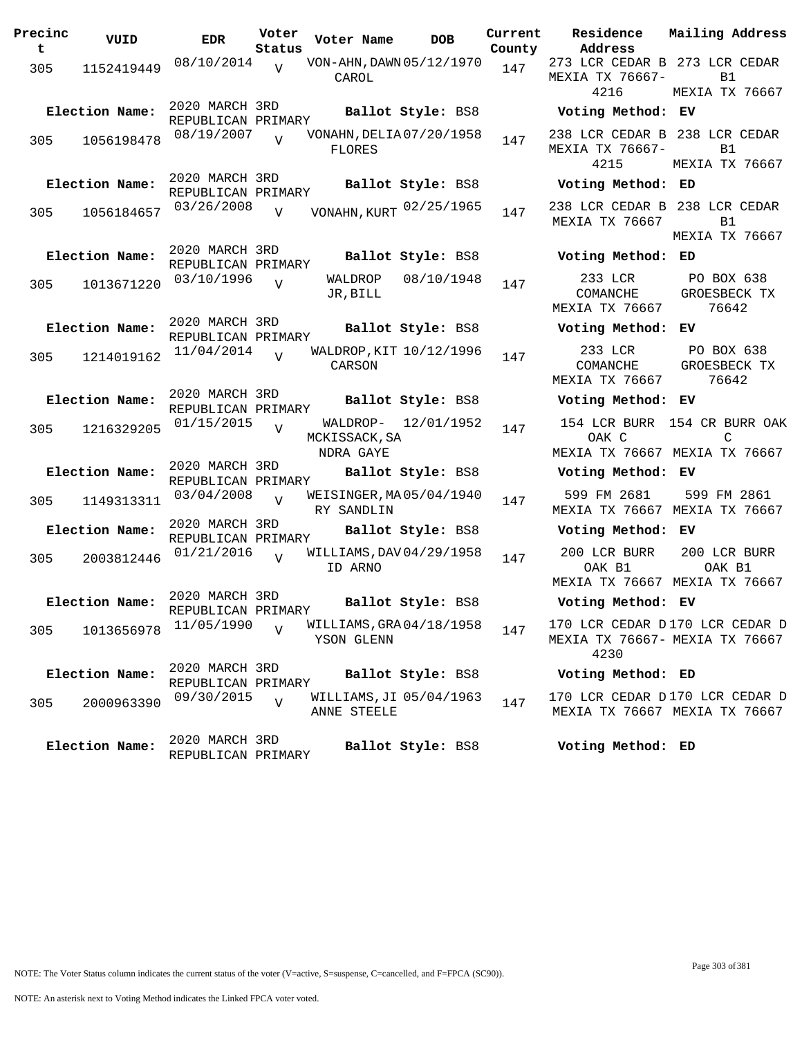| Precinc<br>t | VUID           | <b>EDR</b>                           | Voter<br>Status | Voter Name                                | <b>DOB</b>          | Current<br>County | Residence<br>Address                                                   | Mailing Addres                                                    |
|--------------|----------------|--------------------------------------|-----------------|-------------------------------------------|---------------------|-------------------|------------------------------------------------------------------------|-------------------------------------------------------------------|
| 305          | 1152419449     | 08/10/2014                           | $\overline{V}$  | VON-AHN, DAWN 05/12/1970<br>CAROL         |                     | 147               | 273 LCR CEDAR B 273 LCR CEDAR<br>MEXIA TX 76667-<br>4216               | <b>B1</b><br>MEXIA TX 7666                                        |
|              | Election Name: | 2020 MARCH 3RD<br>REPUBLICAN PRIMARY |                 |                                           | Ballot Style: BS8   |                   | Voting Method: EV                                                      |                                                                   |
| 305          | 1056198478     | 08/19/2007                           | $\overline{v}$  | VONAHN, DELIA 07/20/1958<br><b>FLORES</b> |                     | 147               | 238 LCR CEDAR B 238 LCR CEDAR<br>MEXIA TX 76667-<br>4215               | B1<br>MEXIA TX 7666                                               |
|              | Election Name: | 2020 MARCH 3RD<br>REPUBLICAN PRIMARY |                 |                                           | Ballot Style: BS8   |                   | Voting Method: ED                                                      |                                                                   |
| 305          | 1056184657     | 03/26/2008                           | $\overline{V}$  | VONAHN, KURT 02/25/1965                   |                     | 147               | 238 LCR CEDAR B 238 LCR CEDAR<br>MEXIA TX 76667                        | <b>B1</b><br>MEXIA TX 7666                                        |
|              | Election Name: | 2020 MARCH 3RD<br>REPUBLICAN PRIMARY |                 |                                           | Ballot Style: BS8   |                   | Voting Method: ED                                                      |                                                                   |
| 305          | 1013671220     | 03/10/1996                           | $\overline{V}$  | JR, BILL                                  | WALDROP 08/10/1948  | 147               | 233 LCR<br>COMANCHE<br>MEXIA TX 76667                                  | PO BOX 638<br>GROESBECK TX<br>76642                               |
|              | Election Name: | 2020 MARCH 3RD<br>REPUBLICAN PRIMARY |                 |                                           | Ballot Style: BS8   |                   | Voting Method: EV                                                      |                                                                   |
| 305          | 1214019162     | 11/04/2014                           | $\overline{U}$  | WALDROP, KIT 10/12/1996<br>CARSON         |                     | 147               | 233 LCR<br>COMANCHE<br>MEXIA TX 76667                                  | PO BOX 638<br>GROESBECK TX<br>76642                               |
|              | Election Name: | 2020 MARCH 3RD<br>REPUBLICAN PRIMARY |                 |                                           | Ballot Style: BS8   |                   | Voting Method: EV                                                      |                                                                   |
| 305          | 1216329205     | 01/15/2015                           | $\overline{V}$  | MCKISSACK, SA<br>NDRA GAYE                | WALDROP- 12/01/1952 | 147               | OAK C                                                                  | 154 LCR BURR 154 CR BURR OA<br>C<br>MEXIA TX 76667 MEXIA TX 76667 |
|              | Election Name: | 2020 MARCH 3RD<br>REPUBLICAN PRIMARY |                 |                                           | Ballot Style: BS8   |                   | Voting Method: EV                                                      |                                                                   |
| 305          | 1149313311     | 03/04/2008                           | $\overline{V}$  | WEISINGER, MA 05/04/1940<br>RY SANDLIN    |                     | 147               | 599 FM 2681                                                            | 599 FM 2861<br>MEXIA TX 76667 MEXIA TX 76667                      |
|              | Election Name: | 2020 MARCH 3RD<br>REPUBLICAN PRIMARY |                 |                                           | Ballot Style: BS8   |                   | Voting Method: EV                                                      |                                                                   |
| 305          | 2003812446     | 01/21/2016                           | V               | WILLIAMS, DAV 04/29/1958<br>ID ARNO       |                     | 147               | 200 LCR BURR<br>OAK B1                                                 | 200 LCR BURR<br>OAK B1<br>MEXIA TX 76667 MEXIA TX 76667           |
|              | Election Name: | 2020 MARCH 3RD<br>REPUBLICAN PRIMARY |                 |                                           | Ballot Style: BS8   |                   | Voting Method: EV                                                      |                                                                   |
| 305          | 1013656978     | 11/05/1990                           | $\overline{V}$  | WILLIAMS, GRA04/18/1958<br>YSON GLENN     |                     | 147               | 170 LCR CEDAR D170 LCR CEDAR<br>MEXIA TX 76667- MEXIA TX 76667<br>4230 |                                                                   |
|              | Election Name: | 2020 MARCH 3RD<br>REPUBLICAN PRIMARY |                 |                                           | Ballot Style: BS8   |                   | Voting Method: ED                                                      |                                                                   |
| 305          | 2000963390     | 09/30/2015                           | $\overline{V}$  | WILLIAMS, JI 05/04/1963<br>ANNE STEELE    |                     | 147               | 170 LCR CEDAR D170 LCR CEDAR                                           | MEXIA TX 76667 MEXIA TX 76667                                     |
|              | Election Name: | 2020 MARCH 3RD<br>REPUBLICAN PRIMARY |                 |                                           | Ballot Style: BS8   |                   | Voting Method: ED                                                      |                                                                   |

**Voter Name DOB Residence Address Current Mailing Address** 273 LCR CEDAR B 273 LCR CEDAR MEXIA TX 76667- 4216  $B<sub>1</sub>$ MEXIA TX 76667 **Election Name: Ballot Style:** BS8 **Voting Method: EV** 238 LCR CEDAR B 238 LCR CEDAR MEXIA TX 76667- B1 4215 MEXIA TX 76667 **Election Name: Ballot Style:** BS8 **Voting Method: ED** MEXIA TX 76667 B1 MEXIA TX 76667 **Election Name: Ballot Style:** BS8 **Voting Method: ED** 233 LCR COMANCHE MEXIA TX 76667 PO BOX 638 GROESBECK TX 76642 **Election Name: Ballot Style:** BS8 **Voting Method: EV** 233 LCR COMANCHE MEXIA TX 76667 PO BOX 638 GROESBECK TX 76642 **Election Name: Ballot Style:** BS8 **Voting Method: EV** 154 LCR BURR 154 CR BURR OAK OAK C MEXIA TX 76667 MEXIA TX 76667  $\mathcal{C}$ **Election Name: Ballot Style:** BS8 **Voting Method: EV** 599 FM 2681 MEXIA TX 76667 MEXIA TX 76667 599 FM 2861 **Election Name: Ballot Style:** BS8 **Voting Method: EV** 200 LCR BURR OAK B1 MEXIA TX 76667 MEXIA TX 76667 200 LCR BURR OAK B1 **Election Name: Ballot Style:** BS8 **Voting Method: EV** 170 LCR CEDAR D 170 LCR CEDAR D MEXIA TX 76667- MEXIA TX 76667

## **Election Name: Ballot Style:** BS8 **Voting Method: ED**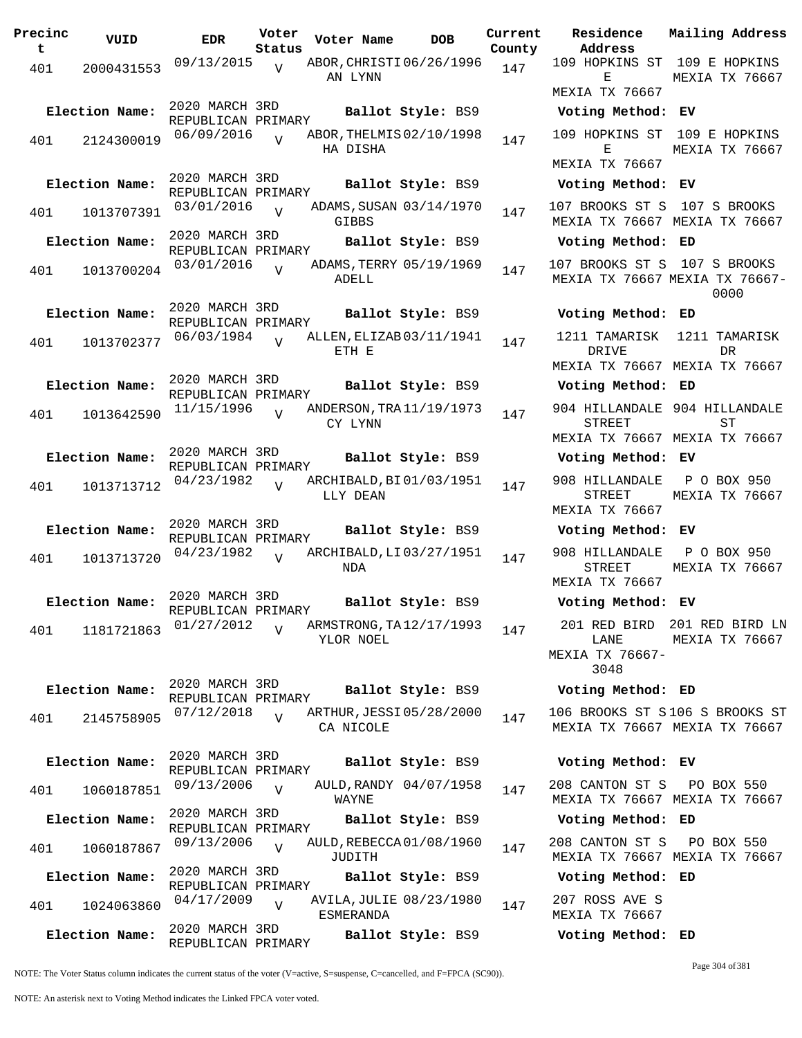**Precinc t VUID EDR Voter Status Voter Name bob Current Residence County** 401 2000431553 09/13/2015 AN LYNN  $\overline{V}$ ABOR, CHRISTI 06/26/1996 147 2020 MARCH 3RD REPUBLICAN PRIMARY **Election Name: Ballot Style:** BS9 **Voting Method: EV** 401 2124300019 06/09/2016 V ABOR, THELMIS 02/10/1998 147 HA DISHA  $\overline{V}$ 2020 MARCH 3RD REPUBLICAN PRIMARY **Election Name: Ballot Style:** BS9 **Voting Method: EV** 401 1013707391 03/01/2016 GIBBS V ADAMS, SUSAN 03/14/1970 147 2020 MARCH 3RD REPUBLICAN PRIMARY **Election Name: Ballot Style:** BS9 **Voting Method: ED** 401 1013700204 03/01/2016 ADELL  $\overline{V}$ ADAMS, TERRY 05/19/1969 147 2020 MARCH 3RD REPUBLICAN PRIMARY **Election Name: Ballot Style:** BS9 **Voting Method: ED** 401 1013702377 06/03/1984 ETH E  $\overline{V}$ ALLEN, ELIZAB 03/11/1941 147 2020 MARCH 3RD REPUBLICAN PRIMARY **Election Name: Ballot Style:** BS9 **Voting Method: ED** 401 1013642590 11/15/1996 CY LYNN  $\overline{v}$ ANDERSON, TRA 11/19/1973 147 2020 MARCH 3RD REPUBLICAN PRIMARY **Election Name: Ballot Style:** BS9 **Voting Method: EV** 401 1013713712  $04/23/1982$  RRCHIBALD, BI01/03/1951 147 LLY DEAN  $\overline{V}$ 2020 MARCH 3RD REPUBLICAN PRIMARY **Election Name: Ballot Style:** BS9 **Voting Method: EV** 401 1013713720  $04/23/1982$  RCHIBALD, LI 03/27/1951 147 NDA V 2020 MARCH 3RD REPUBLICAN PRIMARY **Election Name: Ballot Style:** BS9 **Voting Method: EV** 401 1181721863  $01/27/2012$  RRMSTRONG, TA12/17/1993 147 YLOR NOEL  $\overline{V}$ 2020 MARCH 3RD REPUBLICAN PRIMARY **Election Name: Ballot Style:** BS9 **Voting Method: ED** 401 2145758905 07/12/2018 V ARTHUR, JESSI 05/28/2000 147 CA NICOLE  $\overline{V}$ 2020 MARCH 3RD REPUBLICAN PRIMARY **Election Name: Ballot Style:** BS9 **Voting Method: EV** 401 1060187851 09/13/2006 WAYNE  $\overline{U}$ AULD, RANDY 04/07/1958 147 2020 MARCH 3RD REPUBLICAN PRIMARY **Election Name: Ballot Style:** BS9 **Voting Method: ED** 401 1060187867 09/13/2006 V AULD, REBECCA 01/08/1960 147 JUDITH  $V$ 2020 MARCH 3RD REPUBLICAN PRIMARY **Election Name: Ballot Style:** BS9 **Voting Method: ED** 401 1024063860 04/17/2009 ESMERANDA  $\overline{v}$ AVILA, JULIE 08/23/1980 147 2020 MARCH 3RD REPUBLICAN PRIMARY **Election Name: Ballot Style:** BS9 **Voting Method: ED**

**Address Current Mailing Address** 109 HOPKINS ST 109 E HOPKINS E MEXIA TX 76667 MEXIA TX 76667 109 HOPKINS ST 109 E HOPKINS  $E$ MEXIA TX 76667 MEXIA TX 76667 107 BROOKS ST S 107 S BROOKS MEXIA TX 76667 MEXIA TX 76667 107 BROOKS ST S 107 S BROOKS MEXIA TX 76667 MEXIA TX 76667- 0000 1211 TAMARISK DR TVE MEXIA TX 76667 MEXIA TX 76667 1211 TAMARISK DR 904 HILLANDALE 904 HILLANDALE STREET MEXIA TX 76667 MEXIA TX 76667  $ST$ 908 HILLANDALE STREET MEXIA TX 76667 P O BOX 950 MEXIA TX 76667 908 HILLANDALE STREET MEXIA TX 76667 P O BOX 950 MEXIA TX 76667 201 RED BIRD 201 RED BIRD LN LANE MEXIA TX 76667- 3048 MEXIA TX 76667 106 BROOKS ST S 106 S BROOKS ST MEXIA TX 76667 MEXIA TX 76667 208 CANTON ST S MEXIA TX 76667 MEXIA TX 76667 PO BOX 550 208 CANTON ST S MEXIA TX 76667 MEXIA TX 76667 PO BOX 550 207 ROSS AVE S MEXIA TX 76667

Page 304 of 381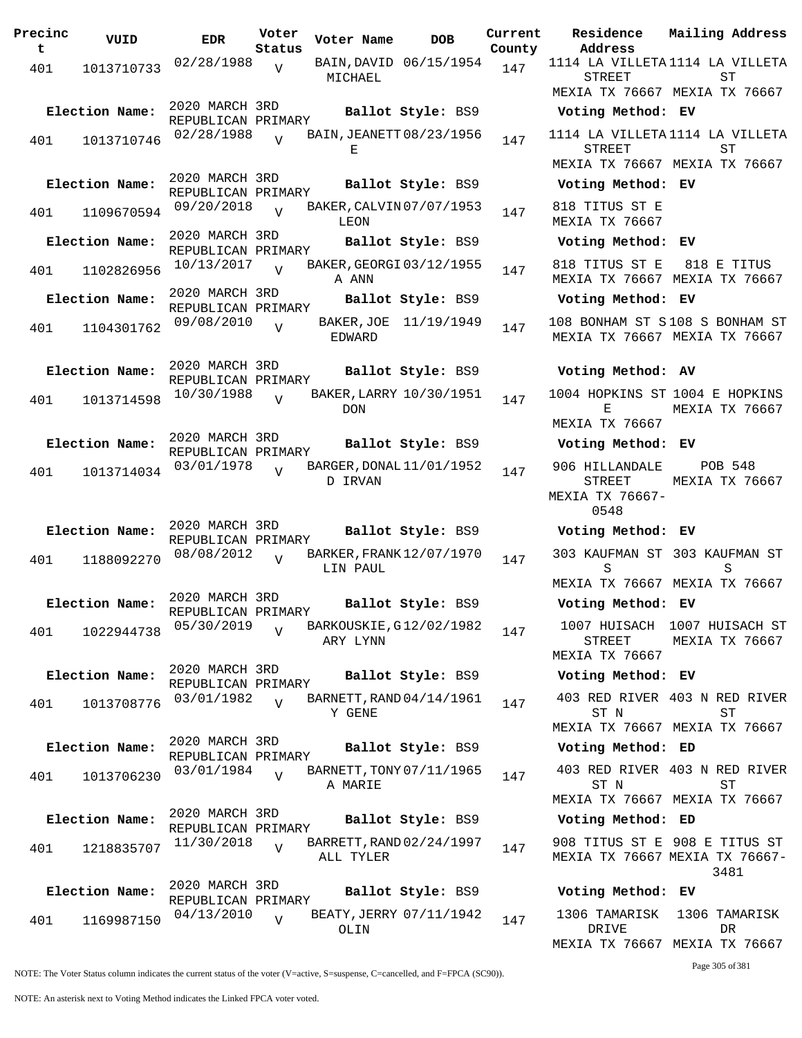| Precinc<br>t | VUID           | <b>EDR</b>                           | Voter<br>Status | Voter Name          | <b>DOB</b>               | Current<br>County |
|--------------|----------------|--------------------------------------|-----------------|---------------------|--------------------------|-------------------|
| 401          | 1013710733     | 02/28/1988                           | $\overline{V}$  | MICHAEL             | BAIN, DAVID 06/15/1954   | 147               |
|              | Election Name: | 2020 MARCH 3RD<br>REPUBLICAN PRIMARY |                 |                     | Ballot Style: BS9        |                   |
| 401          | 1013710746     | 02/28/1988                           | $\overline{U}$  | Е                   | BAIN, JEANETT 08/23/1956 | 147               |
|              | Election Name: | 2020 MARCH 3RD<br>REPUBLICAN PRIMARY |                 |                     | Ballot Style: BS9        |                   |
| 401          | 1109670594     | 09/20/2018                           | $\overline{U}$  | LEON                | BAKER, CALVIN 07/07/1953 | 147               |
|              | Election Name: | 2020 MARCH 3RD<br>REPUBLICAN PRIMARY |                 |                     | Ballot Style: BS9        |                   |
| 401          | 1102826956     | 10/13/2017                           | $\overline{U}$  | A ANN               | BAKER, GEORGI 03/12/1955 | 147               |
|              | Election Name: | 2020 MARCH 3RD<br>REPUBLICAN PRIMARY |                 |                     | Ballot Style: BS9        |                   |
| 401          | 1104301762     | 09/08/2010                           | $\overline{V}$  | BAKER,JOE<br>EDWARD | 11/19/1949               | 147               |
|              | Election Name: | 2020 MARCH 3RD<br>REPUBLICAN PRIMARY |                 |                     | Ballot Style: BS9        |                   |
| 401          | 1013714598     | 10/30/1988                           | $\overline{U}$  | <b>DON</b>          | BAKER, LARRY 10/30/1951  | 147               |
|              | Election Name: | 2020 MARCH 3RD<br>REPUBLICAN PRIMARY |                 |                     | Ballot Style: BS9        |                   |
| 401          | 1013714034     | 03/01/1978                           | ٦T              | D IRVAN             | BARGER, DONAL 11/01/1952 | 147               |
|              | Election Name: | 2020 MARCH 3RD<br>REPUBLICAN PRIMARY |                 |                     | Ballot Style: BS9        |                   |
| 401          | 1188092270     | 08/08/2012                           | $\overline{U}$  | LIN PAUL            | BARKER, FRANK 12/07/1970 | 147               |
|              | Election Name: | 2020 MARCH 3RD<br>REPUBLICAN PRIMARY |                 |                     | Ballot Style: BS9        |                   |
| 401          | 1022944738     | 05/30/2019                           | V               | ARY LYNN            | BARKOUSKIE, G12/02/1982  | 147               |
|              | Election Name: | 2020 MARCH 3RD<br>REPUBLICAN PRIMARY |                 |                     | Ballot Style: BS9        |                   |
| 401          | 1013708776     | 03/01/1982                           | $\overline{U}$  | Y GENE              | BARNETT, RAND 04/14/1961 | 147               |
|              | Election Name: | 2020 MARCH 3RD<br>REPUBLICAN PRIMARY |                 |                     | Ballot Style: BS9        |                   |
| 401          | 1013706230     | 03/01/1984                           | $\overline{V}$  | A MARIE             | BARNETT, TONY 07/11/1965 | 147               |
|              | Election Name: | 2020 MARCH 3RD<br>REPUBLICAN PRIMARY |                 |                     | Ballot Style: BS9        |                   |
| 401          | 1218835707     | 11/30/2018                           | $\overline{V}$  | ALL TYLER           | BARRETT, RAND 02/24/1997 | 147               |
|              | Election Name: | 2020 MARCH 3RD<br>REPUBLICAN PRIMARY |                 |                     | Ballot Style: BS9        |                   |
| 401          | 1169987150     | 04/13/2010                           | V               | OLIN                | BEATY, JERRY 07/11/1942  | 147               |

**Voter Name DOB Residence Address Current Mailing Address** 1114 LA VILLETA 1114 LA VILLETA STREET MEXIA TX 76667 MEXIA TX 76667 ST **Election Name: Ballot Style:** BS9 **Voting Method: EV** 1114 LA VILLETA 1114 LA VILLETA STREET MEXIA TX 76667 MEXIA TX 76667 ST **Election Name: Ballot Style:** BS9 **Voting Method: EV** 818 TITUS ST E MEXIA TX 76667 **Election Name: Ballot Style:** BS9 **Voting Method: EV** 818 TITUS ST E MEXIA TX 76667 MEXIA TX 76667 818 E TITUS **Election Name: Ballot Style:** BS9 **Voting Method: EV** 108 BONHAM ST S 108 S BONHAM ST MEXIA TX 76667 MEXIA TX 76667 **Election Name: Ballot Style:** BS9 **Voting Method: AV** 1004 HOPKINS ST 1004 E HOPKINS  $\mathbf{E}$ MEXIA TX 76667 MEXIA TX 76667 **Election Name: Ballot Style:** BS9 **Voting Method: EV** 906 HILLANDALE STREET MEXIA TX 76667- 0548 POB 548 MEXIA TX 76667 **Election Name: Ballot Style:** BS9 **Voting Method: EV** 303 KAUFMAN ST 303 KAUFMAN ST S MEXIA TX 76667 MEXIA TX 76667 S **Election Name: Ballot Style:** BS9 **Voting Method: EV** 1007 HUISACH 1007 HUISACH ST STREET MEXIA TX 76667 MEXIA TX 76667 **Election Name: Ballot Style:** BS9 **Voting Method: EV** 403 RED RIVER 403 N RED RIVER ST N MEXIA TX 76667 MEXIA TX 76667 ST **Election Name: Ballot Style:** BS9 **Voting Method: ED** 403 RED RIVER 403 N RED RIVER ST N MEXIA TX 76667 MEXIA TX 76667 ST **Election Name: Ballot Style:** BS9 **Voting Method: ED** 908 TITUS ST E 908 E TITUS ST MEXIA TX 76667 MEXIA TX 76667- 3481 **Election Name: Ballot Style:** BS9 **Voting Method: EV** 1306 TAMARISK 1306 TAMARISK DRIVE DR

MEXIA TX 76667 MEXIA TX 76667

Page 305 of 381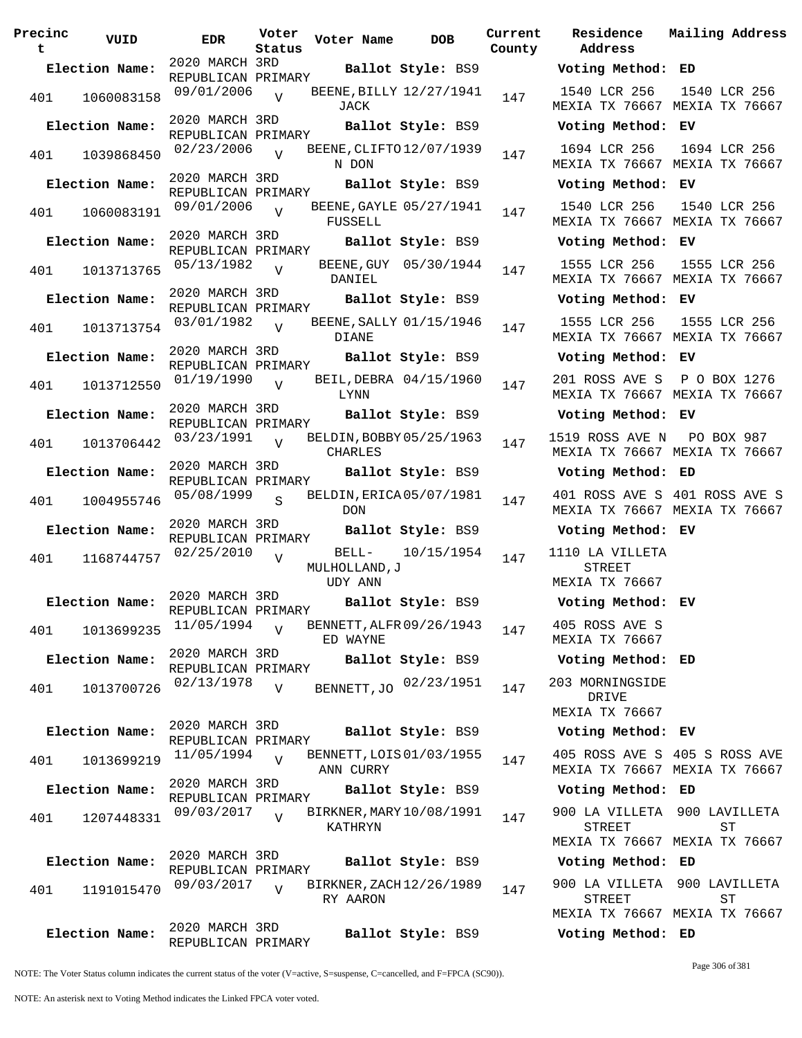| Precinc<br>t | VUID           | EDR                                  | Voter<br>Status | Voter Name                              | <b>DOB</b>            | Current<br>County | Residence<br>Address                              |
|--------------|----------------|--------------------------------------|-----------------|-----------------------------------------|-----------------------|-------------------|---------------------------------------------------|
|              | Election Name: | 2020 MARCH 3RD<br>REPUBLICAN PRIMARY |                 |                                         | Ballot Style: BS9     |                   | Voting Method:                                    |
| 401          | 1060083158     | 09/01/2006                           | $\overline{V}$  | BEENE, BILLY 12/27/1941<br>JACK         |                       | 147               | 1540 LCR 256<br>MEXIA TX 76667                    |
|              | Election Name: | 2020 MARCH 3RD                       |                 |                                         | Ballot Style: BS9     |                   | Voting Method:                                    |
| 401          | 1039868450     | REPUBLICAN PRIMARY<br>02/23/2006     | $\overline{V}$  | BEENE, CLIFTO 12/07/1939<br>N DON       |                       | 147               | 1694 LCR 256<br>MEXIA TX 76667                    |
|              | Election Name: | 2020 MARCH 3RD                       |                 |                                         | Ballot Style: BS9     |                   | Voting Method:                                    |
| 401          | 1060083191     | REPUBLICAN PRIMARY<br>09/01/2006     | $\overline{V}$  | BEENE, GAYLE 05/27/1941<br>FUSSELL      |                       | 147               | 1540 LCR 256<br>MEXIA TX 76667                    |
|              | Election Name: | 2020 MARCH 3RD                       |                 |                                         | Ballot Style: BS9     |                   | Voting Method:                                    |
|              |                | REPUBLICAN PRIMARY                   |                 |                                         |                       |                   |                                                   |
| 401          | 1013713765     | 05/13/1982<br>2020 MARCH 3RD         | $\nabla$        | DANIEL                                  | BEENE, GUY 05/30/1944 | 147               | 1555 LCR 256<br>MEXIA TX 76667                    |
|              | Election Name: | REPUBLICAN PRIMARY                   |                 |                                         | Ballot Style: BS9     |                   | Voting Method:                                    |
| 401          | 1013713754     | 03/01/1982                           | $\overline{V}$  | BEENE, SALLY 01/15/1946<br><b>DIANE</b> |                       | 147               | 1555 LCR 256<br>MEXIA TX 76667                    |
|              | Election Name: | 2020 MARCH 3RD<br>REPUBLICAN PRIMARY |                 |                                         | Ballot Style: BS9     |                   | Voting Method:                                    |
| 401          | 1013712550     | 01/19/1990                           | $\overline{V}$  | BEIL, DEBRA 04/15/1960<br>LYNN          |                       | 147               | 201 ROSS AVE S<br>MEXIA TX 76667                  |
|              | Election Name: | 2020 MARCH 3RD                       |                 |                                         | Ballot Style: BS9     |                   | Voting Method:                                    |
| 401          | 1013706442     | REPUBLICAN PRIMARY<br>03/23/1991     | $\overline{v}$  | BELDIN, BOBBY 05/25/1963<br>CHARLES     |                       | 147               | 1519 ROSS AVE N<br>MEXIA TX 76667                 |
|              | Election Name: | 2020 MARCH 3RD                       |                 |                                         | Ballot Style: BS9     |                   | Voting Method:                                    |
| 401          | 1004955746     | REPUBLICAN PRIMARY<br>05/08/1999     | $\overline{S}$  | BELDIN, ERICA 05/07/1981<br><b>DON</b>  |                       | 147               | 401 ROSS AVE S<br>MEXIA TX 76667                  |
|              | Election Name: | 2020 MARCH 3RD                       |                 |                                         | Ballot Style: BS9     |                   | Voting Method:                                    |
| 401          | 1168744757     | REPUBLICAN PRIMARY<br>02/25/2010     | $\overline{V}$  | MULHOLLAND, J                           | BELL- 10/15/1954      | 147               | 1110 LA VILLETA<br>STREET                         |
|              | Election Name: | 2020 MARCH 3RD                       |                 | <b>UDY ANN</b>                          | Ballot Style: BS9     |                   | MEXIA TX 76667<br>Voting Method:                  |
| 401          | 1013699235     | REPUBLICAN PRIMARY<br>11/05/1994     | $\overline{V}$  | BENNETT, ALFR 09/26/1943<br>ED WAYNE    |                       | 147               | 405 ROSS AVE S<br>MEXIA TX 76667                  |
|              | Election Name: | 2020 MARCH 3RD<br>REPUBLICAN PRIMARY |                 |                                         | Ballot Style: BS9     |                   | Voting Method:                                    |
| 401          | 1013700726     | 02/13/1978                           | V               | BENNETT, JO                             | 02/23/1951            | 147               | 203 MORNINGSIDE<br>DRIVE                          |
|              |                | 2020 MARCH 3RD                       |                 |                                         |                       |                   | MEXIA TX 76667                                    |
|              | Election Name: | REPUBLICAN PRIMARY                   |                 |                                         | Ballot Style: BS9     |                   | Voting Method:                                    |
| 401          | 1013699219     | 11/05/1994                           | $\overline{V}$  | BENNETT, LOIS 01/03/1955<br>ANN CURRY   |                       | 147               | 405 ROSS AVE S<br><b>MEXIA TX 76667</b>           |
|              | Election Name: | 2020 MARCH 3RD<br>REPUBLICAN PRIMARY |                 |                                         | Ballot Style: BS9     |                   | Voting Method:                                    |
| 401          | 1207448331     | 09/03/2017                           | $\overline{V}$  | BIRKNER, MARY 10/08/1991<br>KATHRYN     |                       | 147               | 900 LA VILLETA<br>STREET<br>MEXIA TX 76667        |
|              | Election Name: | 2020 MARCH 3RD                       |                 |                                         | Ballot Style: BS9     |                   | Voting Method:                                    |
|              |                | REPUBLICAN PRIMARY                   |                 |                                         |                       |                   |                                                   |
| 401          | 1191015470     | 09/03/2017                           | $\overline{V}$  | BIRKNER, ZACH 12/26/1989<br>RY AARON    |                       | 147               | 900 LA VILLETA<br><b>STREET</b><br>MEXIA TX 76667 |
|              | Election Name: | 2020 MARCH 3RD<br>REPUBLICAN PRIMARY |                 |                                         | Ballot Style: BS9     |                   | Voting Method:                                    |

**Address Election Name: Ballot Style:** BS9 **Voting Method: ED** 1540 LCR 256 MEXIA TX 76667 MEXIA TX 76667 1540 LCR 256 **Election Name: Ballot Style:** BS9 **Voting Method: EV** 1694 LCR 256 MEXIA TX 76667 MEXIA TX 76667 1694 LCR 256 **Election Name: Ballot Style:** BS9 **Voting Method: EV** 1540 LCR 256 MEXIA TX 76667 MEXIA TX 76667 1540 LCR 256 **Election Name: Ballot Style:** BS9 **Voting Method: EV** 1555 LCR 256 MEXIA TX 76667 MEXIA TX 76667 1555 LCR 256 **Election Name: Ballot Style:** BS9 **Voting Method: EV** 1555 LCR 256 MEXIA TX 76667 MEXIA TX 76667 1555 LCR 256 **Election Name: Ballot Style:** BS9 **Voting Method: EV** 201 ROSS AVE S P O BOX 1276 MEXIA TX 76667 MEXIA TX 76667 **Election Name: Ballot Style:** BS9 **Voting Method: EV** 1519 ROSS AVE N MEXIA TX 76667 MEXIA TX 76667 PO BOX 987 **Election Name: Ballot Style:** BS9 **Voting Method: ED** 401 ROSS AVE S 401 ROSS AVE S MEXIA TX 76667 MEXIA TX 76667 **Election Name: Ballot Style:** BS9 **Voting Method: EV** 1110 LA VILLETA STREET MEXIA TX 76667 **Election Name: Ballot Style:** BS9 **Voting Method: EV** 405 ROSS AVE S MEXIA TX 76667 **Election Name: Ballot Style:** BS9 **Voting Method: ED** DRIVE MEXIA TX 76667 **Election Name: Ballot Style:** BS9 **Voting Method: EV** 405 ROSS AVE S 405 S ROSS AVE MEXIA TX 76667 MEXIA TX 76667 **Election Name: Ballot Style:** BS9 **Voting Method: ED** 900 LA VILLETA 900 LAVILLETA STREET MEXIA TX 76667 MEXIA TX 76667 ST **Election Name: Ballot Style:** BS9 **Voting Method: ED** 900 LA VILLETA 900 LAVILLETA STREET MEXIA TX 76667 MEXIA TX 76667 ST **Election Name: Ballot Style:** BS9 **Voting Method: ED**

**Current Mailing Address**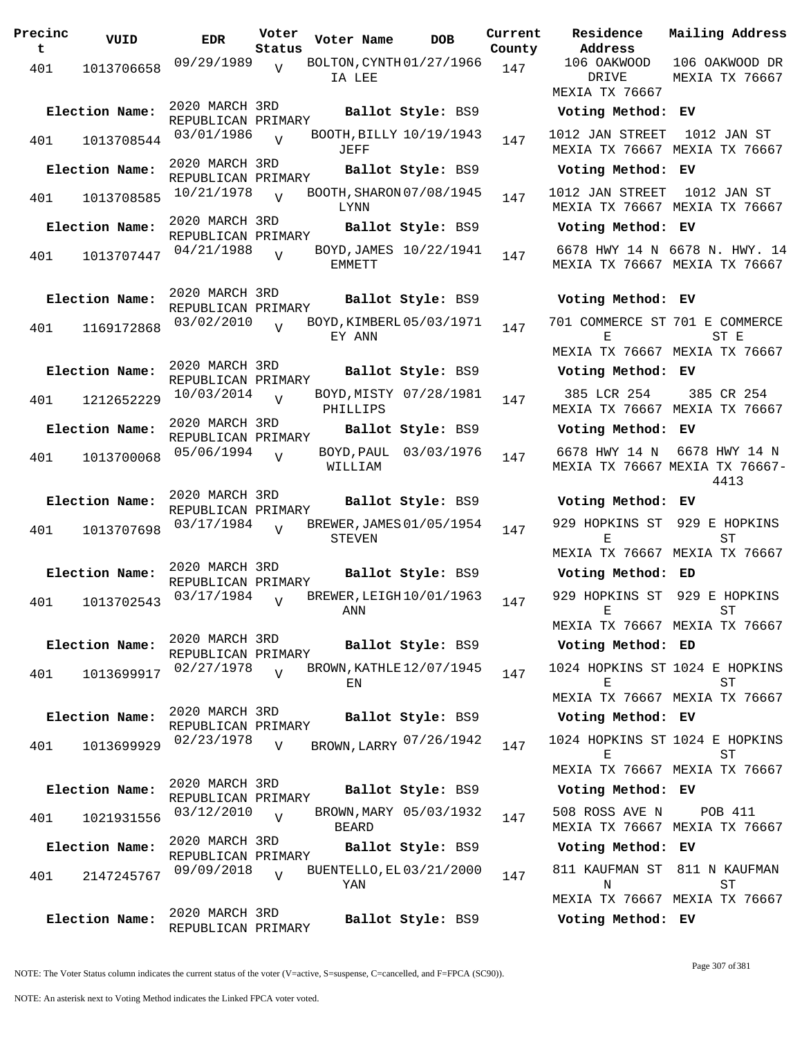| Precinc<br>t | VUID           | <b>EDR</b>                           | Voter<br>Status | Voter Name   | <b>DOB</b>               | Current<br>County | Residence<br>Address                                         | Mailing Address                                                |
|--------------|----------------|--------------------------------------|-----------------|--------------|--------------------------|-------------------|--------------------------------------------------------------|----------------------------------------------------------------|
| 401          | 1013706658     | 09/29/1989                           | $\overline{U}$  | IA LEE       | BOLTON, CYNTH 01/27/1966 | 147               | 106 OAKWOOD<br>DRIVE                                         | 106 OAKWOOD DR<br><b>MEXIA TX 76667</b>                        |
|              |                |                                      |                 |              |                          |                   | MEXIA TX 76667                                               |                                                                |
|              | Election Name: | 2020 MARCH 3RD<br>REPUBLICAN PRIMARY |                 |              | Ballot Style: BS9        |                   | Voting Method: EV                                            |                                                                |
| 401          | 1013708544     | 03/01/1986                           | $\overline{v}$  | JEFF         | BOOTH, BILLY 10/19/1943  | 147               | 1012 JAN STREET<br>MEXIA TX 76667 MEXIA TX 76667             | 1012 JAN ST                                                    |
|              | Election Name: | 2020 MARCH 3RD<br>REPUBLICAN PRIMARY |                 |              | Ballot Style: BS9        |                   | Voting Method: EV                                            |                                                                |
| 401          | 1013708585     | 10/21/1978                           | $\overline{V}$  | LYNN         | BOOTH, SHARON 07/08/1945 | 147               | 1012 JAN STREET 1012 JAN ST<br>MEXIA TX 76667 MEXIA TX 76667 |                                                                |
|              | Election Name: | 2020 MARCH 3RD<br>REPUBLICAN PRIMARY |                 |              | Ballot Style: BS9        |                   | Voting Method: EV                                            |                                                                |
| 401          | 1013707447     | 04/21/1988                           | $\overline{V}$  | EMMETT       | BOYD, JAMES 10/22/1941   | 147               |                                                              | 6678 HWY 14 N 6678 N. HWY. 14<br>MEXIA TX 76667 MEXIA TX 76667 |
|              | Election Name: | 2020 MARCH 3RD                       |                 |              | Ballot Style: BS9        |                   | Voting Method: EV                                            |                                                                |
| 401          | 1169172868     | REPUBLICAN PRIMARY<br>03/02/2010     | $\overline{V}$  | EY ANN       | BOYD, KIMBERL 05/03/1971 | 147               | 701 COMMERCE ST 701 E COMMERCE<br>Е                          | ST E                                                           |
|              | Election Name: | 2020 MARCH 3RD<br>REPUBLICAN PRIMARY |                 |              | Ballot Style: BS9        |                   | Voting Method: EV                                            | MEXIA TX 76667 MEXIA TX 76667                                  |
| 401          | 1212652229     | 10/03/2014                           | $\overline{v}$  | PHILLIPS     | BOYD, MISTY 07/28/1981   | 147               | 385 LCR 254                                                  | 385 CR 254<br>MEXIA TX 76667 MEXIA TX 76667                    |
|              | Election Name: | 2020 MARCH 3RD<br>REPUBLICAN PRIMARY |                 |              | Ballot Style: BS9        |                   | Voting Method: EV                                            |                                                                |
| 401          | 1013700068     | 05/06/1994                           | $\overline{V}$  | WILLIAM      | BOYD, PAUL 03/03/1976    | 147               | 6678 HWY 14 N                                                | 6678 HWY 14 N<br>MEXIA TX 76667 MEXIA TX 76667-<br>4413        |
|              | Election Name: | 2020 MARCH 3RD                       |                 |              | Ballot Style: BS9        |                   | Voting Method: EV                                            |                                                                |
| 401          | 1013707698     | REPUBLICAN PRIMARY<br>03/17/1984     | $\overline{z}$  | STEVEN       | BREWER, JAMES 01/05/1954 | 147               | Е                                                            | 929 HOPKINS ST 929 E HOPKINS<br>ST                             |
|              |                | 2020 MARCH 3RD                       |                 |              |                          |                   |                                                              | MEXIA TX 76667 MEXIA TX 76667                                  |
|              | Election Name: | REPUBLICAN PRIMARY                   |                 |              | Ballot Style: BS9        |                   | Voting Method: ED                                            |                                                                |
| 401          | 1013702543     | 03/17/1984                           | V               | ANN          | BREWER, LEIGH 10/01/1963 | 147               | 929 HOPKINS ST 929 E HOPKINS<br>Е                            | SТ<br>MEXIA TX 76667 MEXIA TX 76667                            |
|              | Election Name: | 2020 MARCH 3RD                       |                 |              | Ballot Style: BS9        |                   | Voting Method: ED                                            |                                                                |
|              |                | REPUBLICAN PRIMARY<br>02/27/1978     | $\overline{V}$  |              | BROWN, KATHLE 12/07/1945 |                   | 1024 HOPKINS ST 1024 E HOPKINS                               |                                                                |
| 401          | 1013699917     |                                      |                 | ΕN           |                          | 147               | Е                                                            | SТ<br>MEXIA TX 76667 MEXIA TX 76667                            |
|              | Election Name: | 2020 MARCH 3RD                       |                 |              | Ballot Style: BS9        |                   | Voting Method: EV                                            |                                                                |
| 401          | 1013699929     | REPUBLICAN PRIMARY<br>02/23/1978     | $\overline{V}$  |              | BROWN, LARRY 07/26/1942  | 147               | 1024 HOPKINS ST 1024 E HOPKINS<br>F.                         | SТ                                                             |
|              |                |                                      |                 |              |                          |                   | MEXIA TX 76667 MEXIA TX 76667                                |                                                                |
|              | Election Name: | 2020 MARCH 3RD<br>REPUBLICAN PRIMARY |                 |              | Ballot Style: BS9        |                   | Voting Method: EV                                            |                                                                |
| 401          | 1021931556     | 03/12/2010                           | V               | <b>BEARD</b> | BROWN, MARY 05/03/1932   | 147               | 508 ROSS AVE N                                               | POB 411<br>MEXIA TX 76667 MEXIA TX 76667                       |
|              | Election Name: | 2020 MARCH 3RD<br>REPUBLICAN PRIMARY |                 |              | Ballot Style: BS9        |                   | Voting Method: EV                                            |                                                                |
| 401          | 2147245767     | 09/09/2018                           | $\overline{V}$  | YAN          | BUENTELLO, EL 03/21/2000 | 147               | N                                                            | 811 KAUFMAN ST 811 N KAUFMAN<br>ST                             |
|              |                | 2020 MARCH 3RD                       |                 |              |                          |                   |                                                              | MEXIA TX 76667 MEXIA TX 76667                                  |
|              | Election Name: | REPUBLICAN PRIMARY                   |                 |              | Ballot Style: BS9        |                   | Voting Method: EV                                            |                                                                |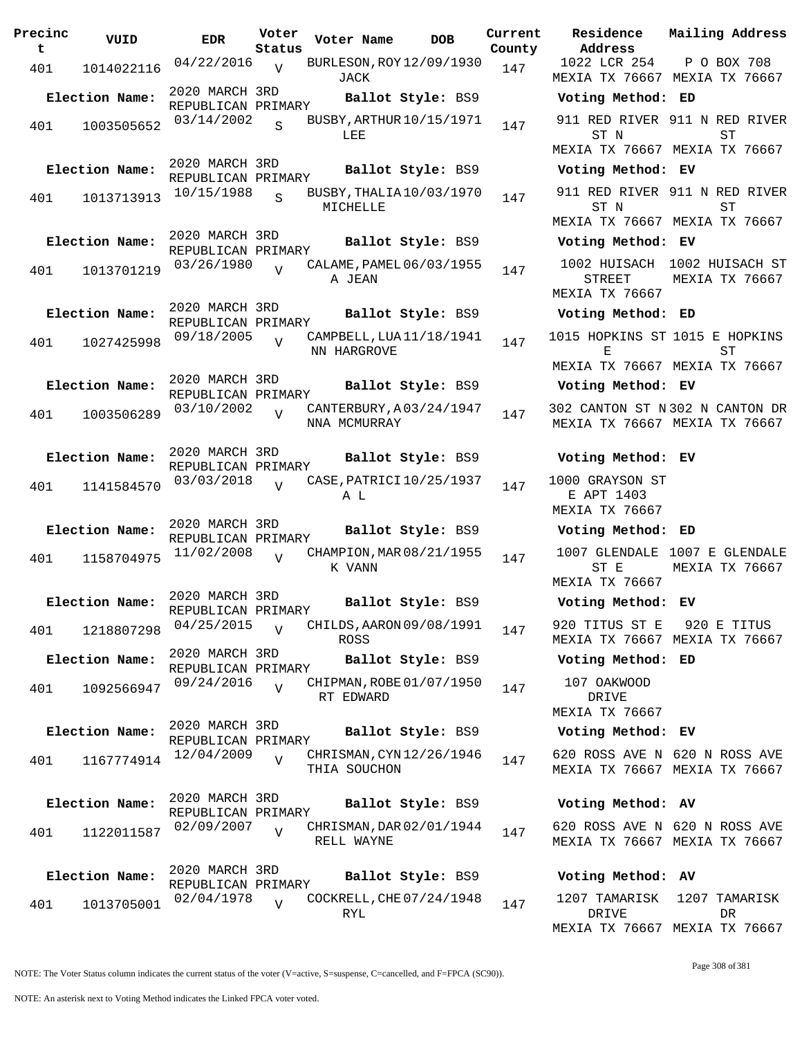| Precinc<br>t | VUID           | <b>EDR</b>                           | Voter<br>Status | Voter Name                               | <b>DOB</b>        | Current<br>County | Residence<br>Address                            | Mai.        |
|--------------|----------------|--------------------------------------|-----------------|------------------------------------------|-------------------|-------------------|-------------------------------------------------|-------------|
| 401          | 1014022116     | 04/22/2016                           | $\overline{U}$  | BURLESON, ROY 12/09/1930<br>JACK         |                   | 147               | 1022 LCR 254<br>MEXIA TX 76667 MEX              | $\mathbf P$ |
|              | Election Name: | 2020 MARCH 3RD<br>REPUBLICAN PRIMARY |                 |                                          | Ballot Style: BS9 |                   | Voting Method: ED                               |             |
| 401          | 1003505652     | 03/14/2002                           | S               | BUSBY, ARTHUR 10/15/1971<br>LEE          |                   | 147               | 911 RED RIVER 911<br>ST N                       |             |
|              |                |                                      |                 |                                          |                   |                   | MEXIA TX 76667 MEX                              |             |
|              | Election Name: | 2020 MARCH 3RD<br>REPUBLICAN PRIMARY |                 | Ballot Style: BS9                        |                   |                   | Voting Method: EV                               |             |
| 401          | 1013713913     | 10/15/1988                           | S               | BUSBY, THALIA 10/03/1970<br>MICHELLE     |                   | 147               | 911 RED RIVER 911<br>ST N                       |             |
|              |                | 2020 MARCH 3RD                       |                 |                                          |                   |                   | MEXIA TX 76667 MEX                              |             |
|              | Election Name: | REPUBLICAN PRIMARY                   |                 | Ballot Style: BS9                        |                   |                   | Voting Method: EV                               |             |
| 401          | 1013701219     | 03/26/1980                           | $\overline{U}$  | CALAME, PAMEL 06/03/1955<br>A JEAN       |                   | 147               | 1002 HUISACH<br><b>STREET</b><br>MEXIA TX 76667 | 100<br>MEX  |
|              | Election Name: | 2020 MARCH 3RD                       |                 | Ballot Style: BS9                        |                   |                   | Voting Method: ED                               |             |
| 401          | 1027425998     | REPUBLICAN PRIMARY<br>09/18/2005     | $\overline{V}$  | CAMPBELL, LUA 11/18/1941<br>NN HARGROVE  |                   | 147               | 1015 HOPKINS ST 101<br>Е                        |             |
|              |                |                                      |                 |                                          |                   |                   | MEXIA TX 76667 MEX                              |             |
|              | Election Name: | 2020 MARCH 3RD<br>REPUBLICAN PRIMARY |                 | Ballot Style: BS9                        |                   |                   | Voting Method: EV                               |             |
| 401          | 1003506289     | 03/10/2002                           | $\overline{V}$  | CANTERBURY, A03/24/1947<br>NNA MCMURRAY  |                   | 147               | 302 CANTON ST N 302<br>MEXIA TX 76667 MEX       |             |
|              | Election Name: | 2020 MARCH 3RD<br>REPUBLICAN PRIMARY |                 | Ballot Style: BS9                        |                   |                   | Voting Method: EV                               |             |
| 401          | 1141584570     | 03/03/2018                           | $\overline{U}$  | CASE, PATRICI 10/25/1937<br>A L          |                   | 147               | 1000 GRAYSON ST<br>E APT 1403<br>MEXIA TX 76667 |             |
|              | Election Name: | 2020 MARCH 3RD<br>REPUBLICAN PRIMARY |                 | Ballot Style: BS9                        |                   |                   | Voting Method: ED                               |             |
| 401          | 1158704975     | 11/02/2008                           | $\overline{U}$  | CHAMPION, MAR 08/21/1955<br>K VANN       |                   | 147               | 1007 GLENDALE 100<br>ST E<br>MEXIA TX 76667     | MEX         |
|              | Election Name: | 2020 MARCH 3RD                       |                 | Ballot Style: BS9                        |                   |                   | Voting Method: EV                               |             |
| 401          | 1218807298     | REPUBLICAN PRIMARY<br>04/25/2015     | $\overline{U}$  | CHILDS, AARON 09/08/1991<br><b>ROSS</b>  |                   | 147               | 920 TITUS ST E<br>MEXIA TX 76667 MEX            | 9.          |
|              | Election Name: | 2020 MARCH 3RD<br>REPUBLICAN PRIMARY |                 |                                          | Ballot Style: BS9 |                   | Voting Method: ED                               |             |
| 401          | 1092566947     | 09/24/2016                           | $\overline{V}$  | CHIPMAN, ROBE 01/07/1950<br>RT EDWARD    |                   | 147               | 107 OAKWOOD<br>DRIVE                            |             |
|              |                | 2020 MARCH 3RD                       |                 |                                          |                   |                   | MEXIA TX 76667                                  |             |
|              | Election Name: | REPUBLICAN PRIMARY                   |                 |                                          | Ballot Style: BS9 |                   | Voting Method: EV                               |             |
| 401          | 1167774914     | 12/04/2009                           | $\overline{V}$  | CHRISMAN, CYN 12/26/1946<br>THIA SOUCHON |                   | 147               | 620 ROSS AVE N 620<br>MEXIA TX 76667 MEX        |             |
|              | Election Name: | 2020 MARCH 3RD<br>REPUBLICAN PRIMARY |                 | Ballot Style: BS9                        |                   |                   | Voting Method: AV                               |             |
| 401          | 1122011587     | 02/09/2007                           | $\overline{V}$  | CHRISMAN, DAR 02/01/1944<br>RELL WAYNE   |                   | 147               | 620 ROSS AVE N 620<br>MEXIA TX 76667 MEX        |             |
|              | Election Name: | 2020 MARCH 3RD                       |                 |                                          | Ballot Style: BS9 |                   | Voting Method: AV                               |             |
| 401          | 1013705001     | REPUBLICAN PRIMARY<br>02/04/1978     | $\overline{V}$  | COCKRELL, CHE 07/24/1948<br>RYL          |                   | 147               | 1207 TAMARISK<br>DRIVE                          | 12          |
|              |                |                                      |                 |                                          |                   |                   |                                                 |             |

**Voter Name DOB Residence Address Current Mailing Address** 1022 LCR 254 MEXIA TX 76667 MEXIA TX 76667 P O BOX 708 **Election Name: Ballot Style:** BS9 **Voting Method: ED** 911 RED RIVER 911 N RED RIVER ST N MEXIA TX 76667 MEXIA TX 76667 ST **Election Name: Ballot Style:** BS9 **Voting Method: EV** 911 RED RIVER 911 N RED RIVER ST N MEXIA TX 76667 MEXIA TX 76667 ST **Election Name: Ballot Style:** BS9 **Voting Method: EV** 1002 HUISACH 1002 HUISACH ST STREET MEXIA TX 76667 MEXIA TX 76667 **Election Name: Ballot Style:** BS9 **Voting Method: ED** 1015 HOPKINS ST 1015 E HOPKINS E MEXIA TX 76667 MEXIA TX 76667 ST **Election Name: Ballot Style:** BS9 **Voting Method: EV** 302 CANTON ST N 302 N CANTON DR MEXIA TX 76667 MEXIA TX 76667 **Election Name: Ballot Style:** BS9 **Voting Method: EV** 1000 GRAYSON ST E APT 1403 MEXIA TX 76667 **Election Name: Ballot Style:** BS9 **Voting Method: ED** 1007 GLENDALE 1007 E GLENDALE ST E MEXIA TX 76667 MEXIA TX 76667 **Election Name: Ballot Style:** BS9 **Voting Method: EV** 920 TITUS ST E MEXIA TX 76667 MEXIA TX 76667 920 E TITUS **Election Name: Ballot Style:** BS9 **Voting Method: ED** 107 OAKWOOD DRIVE

#### **Election Name: Ballot Style:** BS9 **Voting Method: EV**

620 ROSS AVE N 620 N ROSS AVE MEXIA TX 76667 MEXIA TX 76667

### **Election Name: Ballot Style:** BS9 **Voting Method: AV**

620 ROSS AVE N 620 N ROSS AVE MEXIA TX 76667 MEXIA TX 76667

|  |        | Voting Method: AV             |     |  |
|--|--------|-------------------------------|-----|--|
|  |        | 1207 TAMARISK 1207 TAMARISK   |     |  |
|  | DR TVE |                               | DR. |  |
|  |        | MEXTA TX 76667 MEXTA TX 76667 |     |  |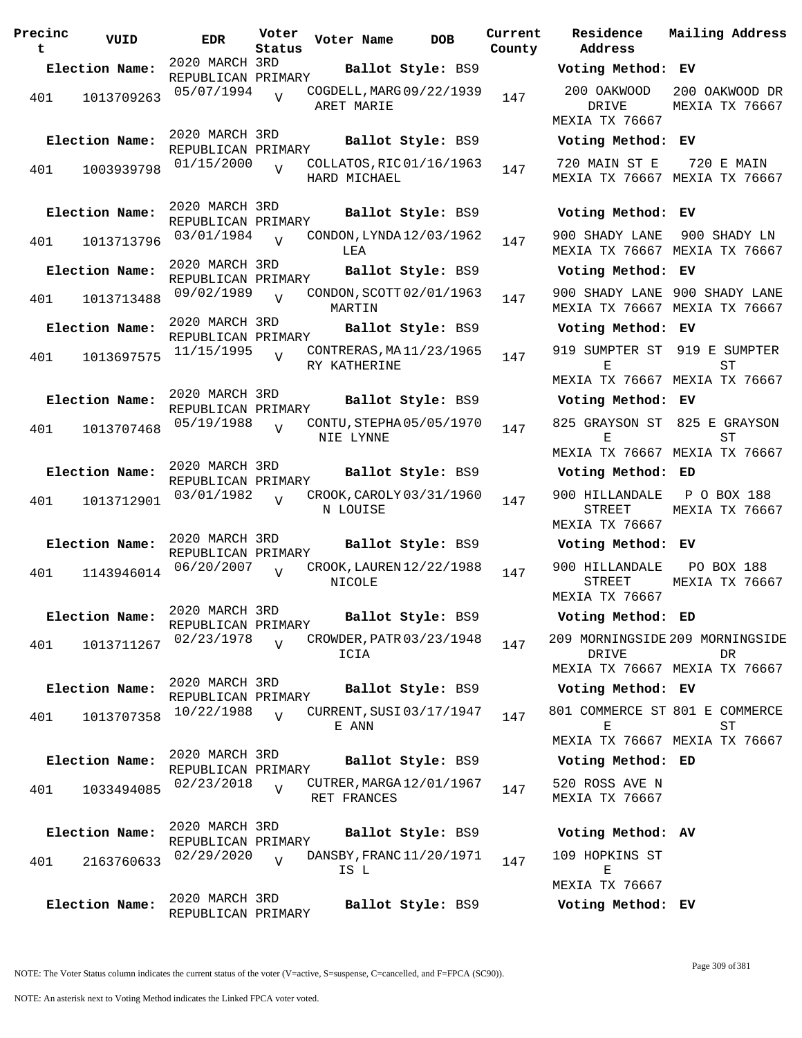| Precinc<br>t | VUID                         | <b>EDR</b>                                         | Voter<br>Status | Voter Name                               | <b>DOB</b>        | Current<br>County |
|--------------|------------------------------|----------------------------------------------------|-----------------|------------------------------------------|-------------------|-------------------|
|              | Election Name:               | 2020 MARCH 3RD                                     |                 |                                          | Ballot Style: BS9 |                   |
| 401          | 1013709263                   | REPUBLICAN PRIMARY<br>05/07/1994                   | V               | COGDELL, MARG 09/22/1939<br>ARET MARIE   |                   | 147               |
| 401          | Election Name:<br>1003939798 | 2020 MARCH 3RD<br>REPUBLICAN PRIMARY<br>01/15/2000 | $\overline{V}$  | COLLATOS, RIC 01/16/1963<br>HARD MICHAEL | Ballot Style: BS9 | 147               |
|              | Election Name:               | 2020 MARCH 3RD                                     |                 |                                          | Ballot Style: BS9 |                   |
| 401          | 1013713796                   | REPUBLICAN PRIMARY<br>03/01/1984                   | $\overline{U}$  | CONDON, LYNDA 12/03/1962<br>LEA          |                   | 147               |
|              | Election Name:               | 2020 MARCH 3RD<br>REPUBLICAN PRIMARY               |                 |                                          | Ballot Style: BS9 |                   |
| 401          | 1013713488                   | 09/02/1989                                         | V               | CONDON, SCOTT 02/01/1963<br>MARTIN       |                   | 147               |
|              | Election Name:               | 2020 MARCH 3RD<br>REPUBLICAN PRIMARY               |                 |                                          | Ballot Style: BS9 |                   |
| 401          | 1013697575                   | 11/15/1995                                         | $\overline{V}$  | CONTRERAS, MA11/23/1965<br>RY KATHERINE  |                   | 147               |
|              | Election Name:               | 2020 MARCH 3RD<br>REPUBLICAN PRIMARY               |                 |                                          | Ballot Style: BS9 |                   |
| 401          | 1013707468                   | 05/19/1988                                         | $\overline{V}$  | CONTU, STEPHA05/05/1970<br>NIE LYNNE     |                   | 147               |
|              | Election Name:               | 2020 MARCH 3RD<br>REPUBLICAN PRIMARY               |                 |                                          | Ballot Style: BS9 |                   |
| 401          | 1013712901                   | 03/01/1982                                         | $\overline{U}$  | CROOK, CAROLY 03/31/1960<br>N LOUISE     |                   | 147               |
|              | Election Name:               | 2020 MARCH 3RD<br>REPUBLICAN PRIMARY               |                 |                                          | Ballot Style: BS9 |                   |
| 401          | 1143946014                   | 06/20/2007                                         | $\overline{V}$  | CROOK, LAUREN 12/22/1988<br>NICOLE       |                   | 147               |
|              | Election Name:               | 2020 MARCH 3RD<br>REPUBLICAN PRIMARY               |                 |                                          | Ballot Style: BS9 |                   |
| 401          | 1013711267                   | 02/23/1978                                         | $\overline{I}$  | CROWDER, PATR 03/23/1948<br>ICIA         |                   | 147               |
|              | Election Name:               | 2020 MARCH 3RD<br>REPUBLICAN PRIMARY               |                 |                                          | Ballot Style: BS9 |                   |
| 401          | 1013707358                   | 10/22/1988                                         | $\overline{U}$  | CURRENT, SUSI 03/17/1947<br>E ANN        |                   | 147               |
|              | Election Name:               | 2020 MARCH 3RD<br>REPUBLICAN PRIMARY               |                 |                                          | Ballot Style: BS9 |                   |
| 401          | 1033494085                   | 02/23/2018                                         | $\overline{V}$  | CUTRER, MARGA 12/01/1967<br>RET FRANCES  |                   | 147               |
|              | Election Name:               | 2020 MARCH 3RD<br>REPUBLICAN PRIMARY               |                 |                                          | Ballot Style: BS9 |                   |
| 401          | 2163760633                   | 02/29/2020                                         | $\overline{V}$  | DANSBY, FRANC 11/20/1971<br>IS L         |                   | 147               |
|              | Election Name:               | 2020 MARCH 3RD<br>REPUBLICAN PRIMARY               |                 |                                          | Ballot Style: BS9 |                   |

**Voter Name DOB Residence Address Current Mailing Address Election Name: Ballot Style:** BS9 **Voting Method: EV** 200 OAKWOOD DRIVE MEXIA TX 76667 200 OAKWOOD DR MEXIA TX 76667 **Election Name: Ballot Style:** BS9 **Voting Method: EV** 720 MAIN ST E MEXIA TX 76667 MEXIA TX 76667 720 E MAIN **Election Name: Ballot Style:** BS9 **Voting Method: EV** 900 SHADY LANE 900 SHADY LN MEXIA TX 76667 MEXIA TX 76667 **Election Name: Ballot Style:** BS9 **Voting Method: EV** 900 SHADY LANE 900 SHADY LANE MEXIA TX 76667 MEXIA TX 76667 **Election Name: Ballot Style:** BS9 **Voting Method: EV** 919 SUMPTER ST 919 E SUMPTER  $\mathbf E$ MEXIA TX 76667 MEXIA TX 76667 ST **Election Name: Ballot Style:** BS9 **Voting Method: EV** 825 GRAYSON ST 825 E GRAYSON E MEXIA TX 76667 MEXIA TX 76667 ST **Election Name: Ballot Style:** BS9 **Voting Method: ED** 900 HILLANDALE STREET MEXIA TX 76667 P O BOX 188 MEXIA TX 76667 **Election Name: Ballot Style:** BS9 **Voting Method: EV** 900 HILLANDALE STREET MEXIA TX 76667 PO BOX 188 MEXIA TX 76667 **Election Name: Ballot Style:** BS9 **Voting Method: ED** 209 MORNINGSIDE 209 MORNINGSIDE DRIVE MEXIA TX 76667 MEXIA TX 76667 DR **Election Name: Ballot Style:** BS9 **Voting Method: EV** 801 COMMERCE ST 801 E COMMERCE E MEXIA TX 76667 MEXIA TX 76667 ST **Election Name: Ballot Style:** BS9 **Voting Method: ED** 520 ROSS AVE N MEXIA TX 76667 **Election Name: Ballot Style:** BS9 **Voting Method: AV** 109 HOPKINS ST E MEXIA TX 76667

NOTE: The Voter Status column indicates the current status of the voter (V=active, S=suspense, C=cancelled, and F=FPCA (SC90)).

**Election Name: Ballot Style:** BS9 **Voting Method: EV**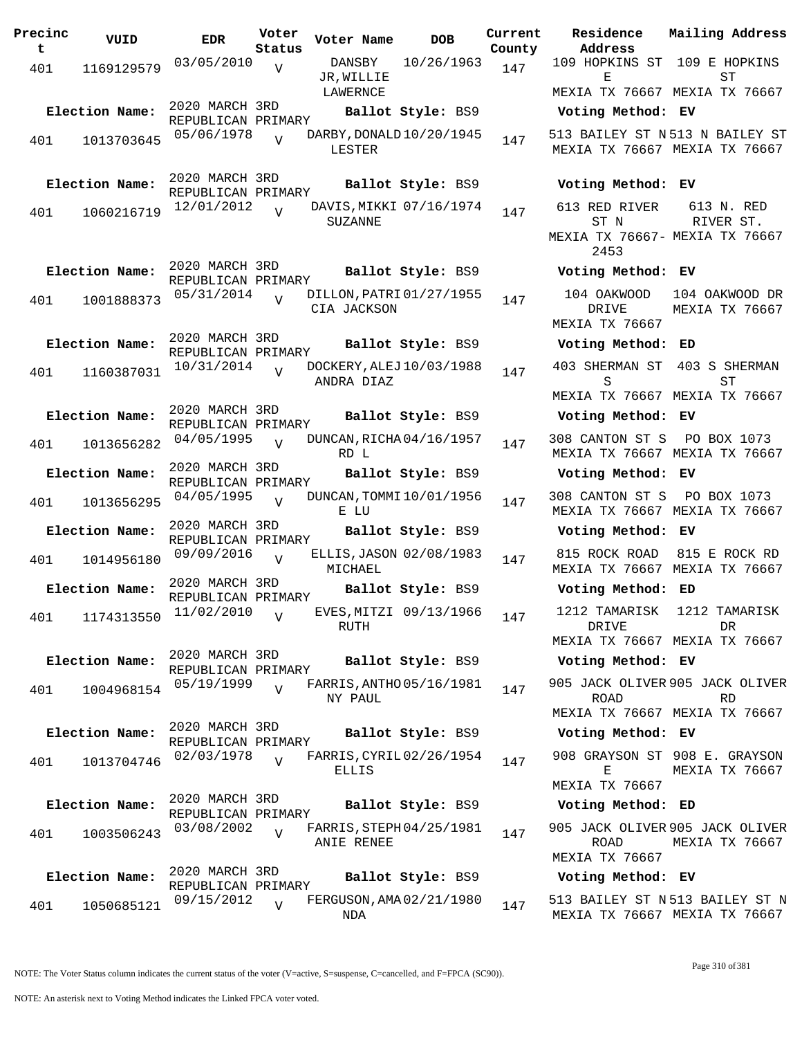| Precinc<br>t | VUID           | <b>EDR</b>                                         | Voter<br>Status | Voter Name                              | <b>DOB</b>              | Curre<br>Count |
|--------------|----------------|----------------------------------------------------|-----------------|-----------------------------------------|-------------------------|----------------|
| 401          | 1169129579     | 03/05/2010                                         | $\overline{V}$  | DANSBY<br>JR, WILLIE<br>LAWERNCE        | 10/26/1963              | 147            |
|              | Election Name: | 2020 MARCH 3RD<br>REPUBLICAN PRIMARY<br>05/06/1978 |                 | DARBY, DONALD 10/20/1945                | Ballot Style: BS9       |                |
| 401          | 1013703645     |                                                    | $\overline{U}$  | LESTER                                  |                         | 147            |
|              | Election Name: | 2020 MARCH 3RD<br>REPUBLICAN PRIMARY               |                 |                                         | Ballot Style: BS9       |                |
| 401          | 1060216719     | 12/01/2012                                         | $\overline{V}$  | SUZANNE                                 | DAVIS, MIKKI 07/16/1974 | 147            |
|              | Election Name: | 2020 MARCH 3RD<br>REPUBLICAN PRIMARY               |                 |                                         | Ballot Style: BS9       |                |
| 401          | 1001888373     | 05/31/2014                                         | $\overline{U}$  | DILLON, PATRI 01/27/1955<br>CIA JACKSON |                         | 147            |
|              | Election Name: | 2020 MARCH 3RD<br>REPUBLICAN PRIMARY               |                 |                                         | Ballot Style: BS9       |                |
| 401          | 1160387031     | 10/31/2014                                         | $\overline{U}$  | DOCKERY, ALEJ 10/03/1988<br>ANDRA DIAZ  |                         | 147            |
|              | Election Name: | 2020 MARCH 3RD<br>REPUBLICAN PRIMARY               |                 |                                         | Ballot Style: BS9       |                |
| 401          | 1013656282     | 04/05/1995                                         | $\overline{V}$  | DUNCAN, RICHA 04/16/1957<br>RD L        |                         | 147            |
|              | Election Name: | 2020 MARCH 3RD<br>REPUBLICAN PRIMARY               |                 |                                         | Ballot Style: BS9       |                |
| 401          | 1013656295     | 04/05/1995                                         | $\overline{V}$  | DUNCAN, TOMMI 10/01/1956<br>E LU        |                         | 147            |
|              | Election Name: | 2020 MARCH 3RD<br>REPUBLICAN PRIMARY               |                 |                                         | Ballot Style: BS9       |                |
| 401          | 1014956180     | 09/09/2016                                         | $\overline{V}$  | MICHAEL                                 | ELLIS, JASON 02/08/1983 | 147            |
|              | Election Name: | 2020 MARCH 3RD<br>REPUBLICAN PRIMARY               |                 |                                         | Ballot Style: BS9       |                |
|              | 401 1174313550 | 11/02/2010                                         | V               | RUTH                                    | EVES, MITZI 09/13/1966  | 147            |
|              | Election Name: | 2020 MARCH 3RD<br>REPUBLICAN PRIMARY               |                 |                                         | Ballot Style: BS9       |                |
| 401          | 1004968154     | 05/19/1999                                         | $\overline{V}$  | FARRIS, ANTHO 05/16/1981<br>NY PAUL     |                         | 147            |
|              | Election Name: | 2020 MARCH 3RD<br>REPUBLICAN PRIMARY               |                 |                                         | Ballot Style: BS9       |                |
| 401          | 1013704746     | 02/03/1978                                         | $\overline{U}$  | FARRIS, CYRIL 02/26/1954<br>ELLIS       |                         | 147            |
|              | Election Name: | 2020 MARCH 3RD<br>REPUBLICAN PRIMARY               |                 |                                         | Ballot Style: BS9       |                |
| 401          | 1003506243     | 03/08/2002                                         | $\overline{V}$  | FARRIS, STEPH 04/25/1981<br>ANIE RENEE  |                         | 147            |
|              | Election Name: | 2020 MARCH 3RD<br>REPUBLICAN PRIMARY               |                 |                                         | Ballot Style: BS9       |                |
| 401          | 1050685121     | 09/15/2012                                         | $\overline{V}$  | FERGUSON, AMA 02/21/1980<br>NDA         |                         | 147            |

**Voter Name DOB Residence Address Current Mailing Address County** 109 HOPKINS ST 109 E HOPKINS E MEXIA TX 76667 MEXIA TX 76667  $ST$ **Election Name: Ballot Style:** BS9 **Voting Method: EV** 513 BAILEY ST N 513 N BAILEY ST MEXIA TX 76667 MEXIA TX 76667 **Election Name: Ballot Style:** BS9 **Voting Method: EV** 613 RED RIVER ST N MEXIA TX 76667- MEXIA TX 76667 2453 613 N. RED RIVER ST. **Election Name: Ballot Style:** BS9 **Voting Method: EV** 104 OAKWOOD DRIVE MEXIA TX 76667 104 OAKWOOD DR MEXIA TX 76667 **Election Name: Ballot Style:** BS9 **Voting Method: ED** 403 SHERMAN ST 403 S SHERMAN S MEXIA TX 76667 MEXIA TX 76667 ST **Election Name: Ballot Style:** BS9 **Voting Method: EV** 308 CANTON ST S PO BOX 1073 MEXIA TX 76667 MEXIA TX 76667 **Election Name: Ballot Style:** BS9 **Voting Method: EV** 308 CANTON ST S PO BOX 1073 MEXIA TX 76667 MEXIA TX 76667 **Election Name: Ballot Style:** BS9 **Voting Method: EV** 815 ROCK ROAD 815 E ROCK RD MEXIA TX 76667 MEXIA TX 76667 **Election Name: Ballot Style:** BS9 **Voting Method: ED** 1212 TAMARISK DRIVE MEXIA TX 76667 MEXIA TX 76667 1212 TAMARISK DR **Election Name: Ballot Style:** BS9 **Voting Method: EV** 905 JACK OLIVER 905 JACK OLIVER ROAD MEXIA TX 76667 MEXIA TX 76667 RD **Election Name: Ballot Style:** BS9 **Voting Method: EV** 908 GRAYSON ST 908 E. GRAYSON E MEXIA TX 76667 MEXIA TX 76667 **Election Name: Ballot Style:** BS9 **Voting Method: ED** 905 JACK OLIVER 905 JACK OLIVER ROAD MEXIA TX 76667 MEXIA TX 76667 **Election Name: Ballot Style:** BS9 **Voting Method: EV**

> 513 BAILEY ST N 513 BAILEY ST N MEXIA TX 76667 MEXIA TX 76667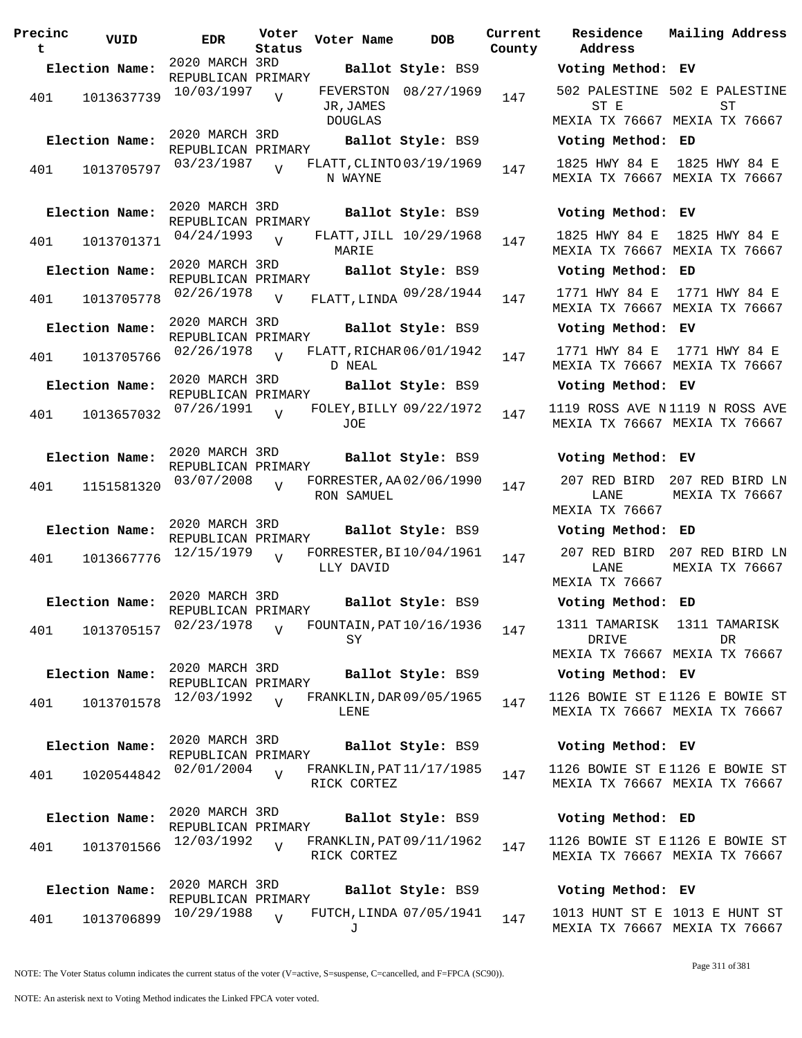| Precinc<br>t | VUID           | EDR                                  | Voter<br>Status | Voter Name                              | <b>DOB</b>             | Current<br>County | Residence<br>Address                     |
|--------------|----------------|--------------------------------------|-----------------|-----------------------------------------|------------------------|-------------------|------------------------------------------|
|              | Election Name: | 2020 MARCH 3RD<br>REPUBLICAN PRIMARY |                 |                                         | Ballot Style: BS9      |                   | Voting Method                            |
| 401          | 1013637739     | 10/03/1997                           | $\overline{V}$  | JR, JAMES<br>DOUGLAS                    | FEVERSTON 08/27/1969   | 147               | 502 PALESTINE<br>ST E<br>MEXIA TX 7666   |
|              | Election Name: | 2020 MARCH 3RD                       |                 |                                         | Ballot Style: BS9      |                   | Voting Method                            |
| 401          | 1013705797     | REPUBLICAN PRIMARY<br>03/23/1987     | $\overline{V}$  | FLATT, CLINTO 03/19/1969<br>N WAYNE     |                        | 147               | 1825 HWY 84 E<br>MEXIA TX 7666           |
|              | Election Name: | 2020 MARCH 3RD<br>REPUBLICAN PRIMARY |                 |                                         | Ballot Style: BS9      |                   | Voting Method                            |
| 401          | 1013701371     | 04/24/1993                           | $\overline{U}$  | MARIE                                   | FLATT, JILL 10/29/1968 | 147               | 1825 HWY 84 E<br>MEXIA TX 7666'          |
|              | Election Name: | 2020 MARCH 3RD<br>REPUBLICAN PRIMARY |                 |                                         | Ballot Style: BS9      |                   | Voting Method                            |
| 401          | 1013705778     | 02/26/1978                           | $\overline{V}$  | FLATT, LINDA 09/28/1944                 |                        | 147               | 1771 HWY 84 E<br>MEXIA TX 7666           |
|              | Election Name: | 2020 MARCH 3RD<br>REPUBLICAN PRIMARY |                 |                                         | Ballot Style: BS9      |                   | Voting Method                            |
| 401          | 1013705766     | 02/26/1978                           | $\overline{U}$  | FLATT, RICHAR 06/01/1942<br>D NEAL      |                        | 147               | 1771 HWY 84 E<br>MEXIA TX 7666'          |
|              | Election Name: | 2020 MARCH 3RD<br>REPUBLICAN PRIMARY |                 |                                         | Ballot Style: BS9      |                   | Voting Method                            |
| 401          | 1013657032     | 07/26/1991                           | $\overline{v}$  | FOLEY, BILLY 09/22/1972<br>JOE          |                        | 147               | 1119 ROSS AVE<br>MEXIA TX 7666           |
|              | Election Name: | 2020 MARCH 3RD<br>REPUBLICAN PRIMARY |                 |                                         | Ballot Style: BS9      |                   | Voting Method                            |
| 401          | 1151581320     | 03/07/2008                           | $\overline{v}$  | FORRESTER, AA 02/06/1990<br>RON SAMUEL  |                        | 147               | 207 RED BIRD<br>LANE<br>MEXIA TX 7666    |
|              | Election Name: | 2020 MARCH 3RD<br>REPUBLICAN PRIMARY |                 |                                         | Ballot Style: BS9      |                   | Voting Method                            |
| 401          | 1013667776     | 12/15/1979                           | $\overline{V}$  | FORRESTER, BI10/04/1961<br>LLY DAVID    |                        | 147               | 207 RED BIRD<br>LANE<br>MEXIA TX 7666    |
|              | Election Name: | 2020 MARCH 3RD<br>REPUBLICAN PRIMARY |                 |                                         | Ballot Style: BS9      |                   | Voting Method                            |
| 401          | 1013705157     | 02/23/1978                           | $\overline{V}$  | FOUNTAIN, PAT 10/16/1936<br>SY          |                        | 147               | 1311 TAMARISK<br>DRIVE<br>MEXIA TX 7666' |
|              | Election Name: | 2020 MARCH 3RD                       |                 |                                         | Ballot Style: BS9      |                   | Voting Method                            |
| 401          | 1013701578     | REPUBLICAN PRIMARY<br>12/03/1992     | $\overline{U}$  | FRANKLIN, DAR 09/05/1965<br>LENE        |                        | 147               | 1126 BOWIE ST<br>MEXIA TX 7666           |
|              | Election Name: | 2020 MARCH 3RD<br>REPUBLICAN PRIMARY |                 |                                         | Ballot Style: BS9      |                   | Voting Method                            |
| 401          | 1020544842     | 02/01/2004                           | $\overline{V}$  | FRANKLIN, PAT 11/17/1985<br>RICK CORTEZ |                        | 147               | 1126 BOWIE ST<br>MEXIA TX 7666'          |
|              | Election Name: | 2020 MARCH 3RD<br>REPUBLICAN PRIMARY |                 |                                         | Ballot Style: BS9      |                   | Voting Method                            |
| 401          | 1013701566     | 12/03/1992                           | V               | FRANKLIN, PAT 09/11/1962<br>RICK CORTEZ |                        | 147               | 1126 BOWIE ST<br>MEXIA TX 7666           |
|              | Election Name: | 2020 MARCH 3RD<br>REPUBLICAN PRIMARY |                 |                                         | Ballot Style: BS9      |                   | Voting Method                            |
| 401          | 1013706899     | 10/29/1988                           | $\overline{U}$  | FUTCH, LINDA 07/05/1941<br>.т.          |                        | 147               | 1013 HUNT ST I<br>MEXTA TX 7666          |

**Voter Name DOB Residence Address Current Mailing Address Lty Election Name: Ballot Style:** BS9 **Voting Method: EV** 502 PALESTINE 502 E PALESTINE ST E MEXIA TX 76667 MEXIA TX 76667 ST **Election Name: Ballot Style:** BS9 **Voting Method: ED** 1825 HWY 84 E 1825 HWY 84 E MEXIA TX 76667 MEXIA TX 76667 **Election Name: Ballot Style:** BS9 **Voting Method: EV** 1825 HWY 84 E 1825 HWY 84 E MEXIA TX 76667 MEXIA TX 76667 **Election Name: Ballot Style:** BS9 **Voting Method: ED** MEXIA TX 76667 MEXIA TX 76667 1771 HWY 84 E **Election Name: Ballot Style:** BS9 **Voting Method: EV** 1771 HWY 84 E 1771 HWY 84 E MEXIA TX 76667 MEXIA TX 76667 **Election Name: Ballot Style:** BS9 **Voting Method: EV** 1119 ROSS AVE N 1119 N ROSS AVE MEXIA TX 76667 MEXIA TX 76667 **Election Name: Ballot Style:** BS9 **Voting Method: EV** 207 RED BIRD 207 RED BIRD LN LANE MEXIA TX 76667 MEXIA TX 76667 **Election Name: Ballot Style:** BS9 **Voting Method: ED** 207 RED BIRD 207 RED BIRD LN LANE MEXIA TX 76667 MEXIA TX 76667 **Election Name: Ballot Style:** BS9 **Voting Method: ED** 1311 TAMARISK 1311 TAMARISK DRIVE MEXIA TX 76667 MEXIA TX 76667 DR **Election Name: Ballot Style:** BS9 **Voting Method: EV** 1126 BOWIE ST E 1126 E BOWIE ST MEXIA TX 76667 MEXIA TX 76667 **Election Name: Ballot Style:** BS9 **Voting Method: EV** 1126 BOWIE ST E 1126 E BOWIE ST MEXIA TX 76667 MEXIA TX 76667 **Election Name: Ballot Style:** BS9 **Voting Method: ED** 1126 BOWIE ST E 1126 E BOWIE ST MEXIA TX 76667 MEXIA TX 76667

# **Election Name: Ballot Style:** BS9 **Voting Method: EV**

1013 HUNT ST E 1013 E HUNT ST MEXIA TX 76667 MEXIA TX 76667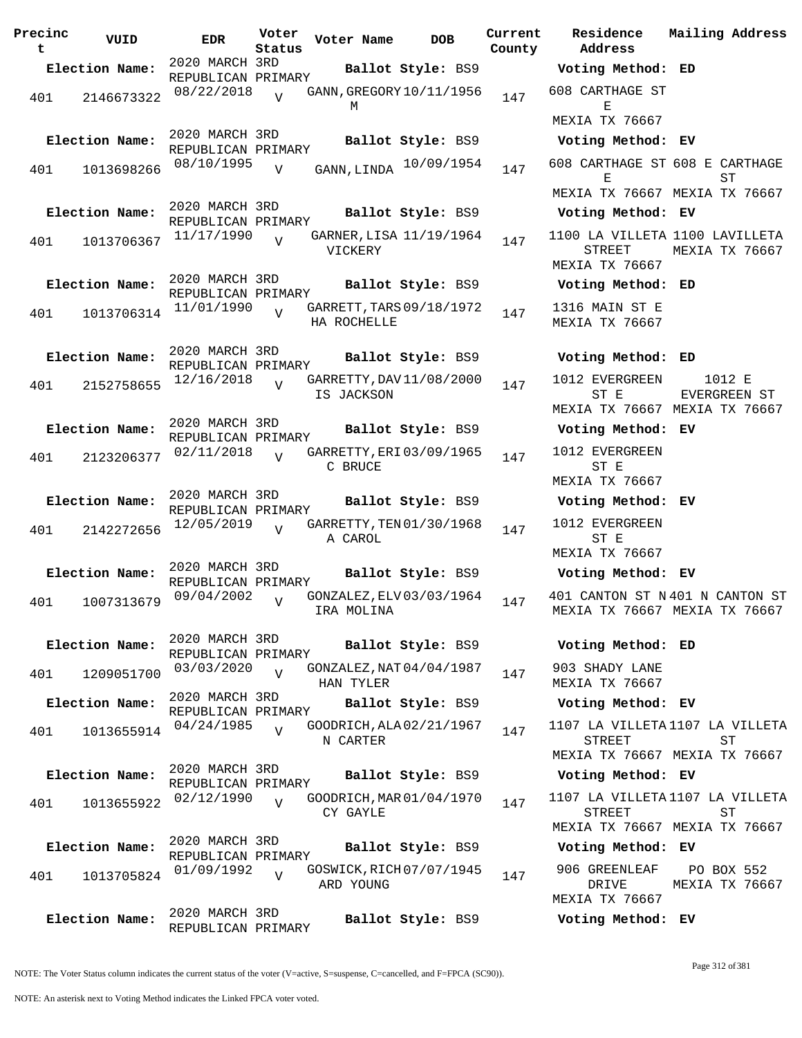| Precinc<br>t | VUID           | <b>EDR</b>                           | Voter<br>Status | Voter Name                              | <b>DOB</b>             | Current<br>County | Residence<br>Address                                                      | Mailing Address              |
|--------------|----------------|--------------------------------------|-----------------|-----------------------------------------|------------------------|-------------------|---------------------------------------------------------------------------|------------------------------|
|              | Election Name: | 2020 MARCH 3RD                       |                 |                                         | Ballot Style: BS9      |                   | Voting Method: ED                                                         |                              |
| 401          | 2146673322     | REPUBLICAN PRIMARY<br>08/22/2018     | $\overline{V}$  | GANN, GREGORY 10/11/1956<br>М           |                        | 147               | 608 CARTHAGE ST<br>Е                                                      |                              |
|              |                |                                      |                 |                                         |                        |                   | MEXIA TX 76667                                                            |                              |
|              | Election Name: | 2020 MARCH 3RD<br>REPUBLICAN PRIMARY |                 |                                         | Ballot Style: BS9      |                   | Voting Method: EV                                                         |                              |
| 401          | 1013698266     | 08/10/1995                           | V               |                                         | GANN, LINDA 10/09/1954 | 147               | 608 CARTHAGE ST 608 E CARTHAGE<br>Е                                       | SТ                           |
|              |                |                                      |                 |                                         |                        |                   | MEXIA TX 76667 MEXIA TX 76667                                             |                              |
|              | Election Name: | 2020 MARCH 3RD<br>REPUBLICAN PRIMARY |                 |                                         | Ballot Style: BS9      |                   | Voting Method: EV                                                         |                              |
| 401          | 1013706367     | 11/17/1990                           | $\overline{V}$  | GARNER, LISA 11/19/1964<br>VICKERY      |                        | 147               | 1100 LA VILLETA 1100 LAVILLETA<br>STREET<br>MEXIA TX 76667                | MEXIA TX 76667               |
|              | Election Name: | 2020 MARCH 3RD<br>REPUBLICAN PRIMARY |                 |                                         | Ballot Style: BS9      |                   | Voting Method: ED                                                         |                              |
| 401          | 1013706314     | 11/01/1990                           | $\overline{U}$  | GARRETT, TARS 09/18/1972<br>HA ROCHELLE |                        | 147               | 1316 MAIN ST E<br>MEXIA TX 76667                                          |                              |
|              | Election Name: | 2020 MARCH 3RD<br>REPUBLICAN PRIMARY |                 |                                         | Ballot Style: BS9      |                   | Voting Method: ED                                                         |                              |
| 401          | 2152758655     | 12/16/2018                           | $\overline{U}$  | GARRETTY, DAV 11/08/2000<br>IS JACKSON  |                        | 147               | 1012 EVERGREEN<br>ST E<br>MEXIA TX 76667 MEXIA TX 76667                   | 1012 E<br>EVERGREEN ST       |
|              | Election Name: | 2020 MARCH 3RD                       |                 |                                         | Ballot Style: BS9      |                   | Voting Method: EV                                                         |                              |
| 401          | 2123206377     | REPUBLICAN PRIMARY<br>02/11/2018     | $\overline{V}$  | GARRETTY, ERI 03/09/1965<br>C BRUCE     |                        | 147               | 1012 EVERGREEN<br>ST E                                                    |                              |
|              |                |                                      |                 |                                         |                        |                   | MEXIA TX 76667                                                            |                              |
|              | Election Name: | 2020 MARCH 3RD                       |                 |                                         | Ballot Style: BS9      |                   | Voting Method: EV                                                         |                              |
| 401          | 2142272656     | REPUBLICAN PRIMARY<br>12/05/2019     | $\overline{z}$  | GARRETTY, TEN 01/30/1968<br>A CAROL     |                        | 147               | 1012 EVERGREEN<br>ST E                                                    |                              |
|              |                |                                      |                 |                                         |                        |                   | MEXIA TX 76667                                                            |                              |
|              | Election Name: | 2020 MARCH 3RD<br>REPUBLICAN PRIMARY |                 |                                         | Ballot Style: BS9      |                   | Voting Method: EV                                                         |                              |
| 401          | 1007313679     | 09/04/2002                           | $\overline{V}$  | GONZALEZ, ELV 03/03/1964<br>IRA MOLINA  |                        | 147               | 401 CANTON ST N 401 N CANTON ST<br>MEXIA TX 76667 MEXIA TX 76667          |                              |
|              | Election Name: | 2020 MARCH 3RD<br>REPUBLICAN PRIMARY |                 |                                         | Ballot Style: BS9      |                   | Voting Method: ED                                                         |                              |
| 401          | 1209051700     | 03/03/2020                           | $\overline{V}$  | GONZALEZ, NAT 04/04/1987<br>HAN TYLER   |                        | 147               | 903 SHADY LANE<br>MEXIA TX 76667                                          |                              |
|              | Election Name: | 2020 MARCH 3RD<br>REPUBLICAN PRIMARY |                 |                                         | Ballot Style: BS9      |                   | Voting Method: EV                                                         |                              |
| 401          | 1013655914     | 04/24/1985                           | $\overline{U}$  | GOODRICH, ALA 02/21/1967<br>N CARTER    |                        | 147               | 1107 LA VILLETA1107 LA VILLETA<br>STREET<br>MEXIA TX 76667 MEXIA TX 76667 | ST                           |
|              | Election Name: | 2020 MARCH 3RD                       |                 |                                         | Ballot Style: BS9      |                   | Voting Method: EV                                                         |                              |
|              |                | REPUBLICAN PRIMARY<br>02/12/1990     | $\overline{U}$  | GOODRICH, MAR 01/04/1970                |                        | 147               | 1107 LA VILLETA1107 LA VILLETA                                            |                              |
| 401          | 1013655922     |                                      |                 | CY GAYLE                                |                        |                   | <b>STREET</b><br>MEXIA TX 76667 MEXIA TX 76667                            | SТ                           |
|              | Election Name: | 2020 MARCH 3RD<br>REPUBLICAN PRIMARY |                 |                                         | Ballot Style: BS9      |                   | Voting Method: EV                                                         |                              |
| 401          | 1013705824     | 01/09/1992                           | $\overline{U}$  | GOSWICK, RICH 07/07/1945<br>ARD YOUNG   |                        | 147               | 906 GREENLEAF<br>DRIVE<br>MEXIA TX 76667                                  | PO BOX 552<br>MEXIA TX 76667 |
|              | Election Name: | 2020 MARCH 3RD                       |                 |                                         | Ballot Style: BS9      |                   | Voting Method: EV                                                         |                              |
|              |                | REPUBLICAN PRIMARY                   |                 |                                         |                        |                   |                                                                           |                              |

NOTE: The Voter Status column indicates the current status of the voter (V=active, S=suspense, C=cancelled, and F=FPCA (SC90)).

Page 312 of 381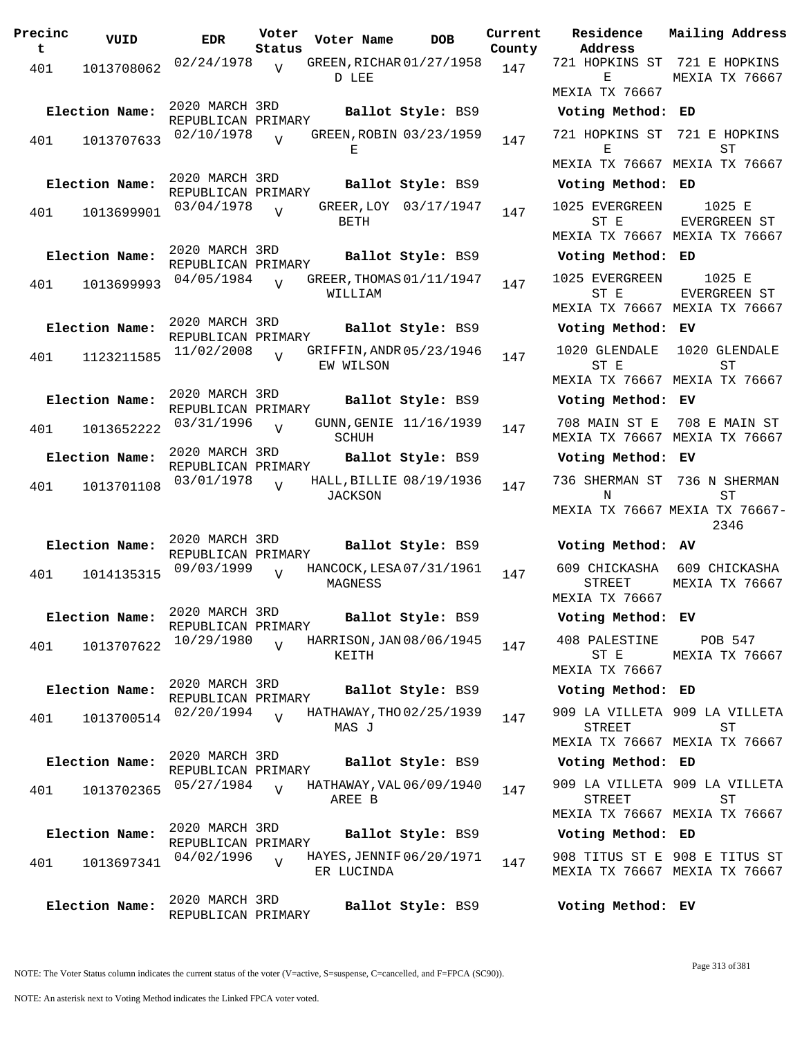| Precinc<br>t. | VUID           | <b>EDR</b>                           | Voter<br>Status | Voter Name         | DOB                      | Current<br>County |
|---------------|----------------|--------------------------------------|-----------------|--------------------|--------------------------|-------------------|
| 401           | 1013708062     | 02/24/1978                           | $\overline{V}$  | D LEE              | GREEN, RICHAR 01/27/1958 | 147               |
|               | Election Name: | 2020 MARCH 3RD<br>REPUBLICAN PRIMARY |                 |                    | Ballot Style: BS9        |                   |
| 401           | 1013707633     | 02/10/1978                           | $\overline{U}$  | Е                  | GREEN, ROBIN 03/23/1959  | 147               |
|               | Election Name: | 2020 MARCH 3RD<br>REPUBLICAN PRIMARY |                 |                    | Ballot Style: BS9        |                   |
| 401           | 1013699901     | 03/04/1978                           | $\overline{V}$  | GREER, LOY<br>BETH | 03/17/1947               | 147               |
|               | Election Name: | 2020 MARCH 3RD<br>REPUBLICAN PRIMARY |                 |                    | Ballot Style: BS9        |                   |
| 401           | 1013699993     | 04/05/1984                           | $\overline{U}$  | WILLIAM            | GREER, THOMAS 01/11/1947 | 147               |
|               | Election Name: | 2020 MARCH 3RD<br>REPUBLICAN PRIMARY |                 |                    | Ballot Style: BS9        |                   |
| 401           | 1123211585     | 11/02/2008                           | $\overline{V}$  | EW WILSON          | GRIFFIN, ANDR 05/23/1946 | 147               |
|               | Election Name: | 2020 MARCH 3RD<br>REPUBLICAN PRIMARY |                 |                    | Ballot Style: BS9        |                   |
| 401           | 1013652222     | 03/31/1996                           | V               | SCHUH              | GUNN, GENIE 11/16/1939   | 147               |
|               | Election Name: | 2020 MARCH 3RD<br>REPUBLICAN PRIMARY |                 |                    | Ballot Style: BS9        |                   |
| 401           | 1013701108     | 03/01/1978                           | ٦T              | JACKSON            | HALL, BILLIE 08/19/1936  | 147               |
|               | Election Name: | 2020 MARCH 3RD<br>REPUBLICAN PRIMARY |                 |                    | Ballot Style: BS9        |                   |
| 401           | 1014135315     | 09/03/1999                           | V               | MAGNESS            | HANCOCK, LESA 07/31/1961 | 147               |
|               | Election Name: | 2020 MARCH 3RD<br>REPUBLICAN PRIMARY |                 |                    | Ballot Style: BS9        |                   |
| 401           | 1013707622     | 10/29/1980                           | $\overline{U}$  | KEITH              | HARRISON, JAN 08/06/1945 | 147               |
|               | Election Name: | 2020 MARCH 3RD<br>REPUBLICAN PRIMARY |                 |                    | Ballot Style: BS9        |                   |
| 401           | 1013700514     | 02/20/1994                           | $\overline{U}$  | MAS J              | HATHAWAY, THO 02/25/1939 | 147               |
|               | Election Name: | 2020 MARCH 3RD<br>REPUBLICAN PRIMARY |                 |                    | Ballot Style: BS9        |                   |
| 401           | 1013702365     | 05/27/1984                           | $\overline{V}$  | AREE B             | HATHAWAY, VAL 06/09/1940 | 147               |
|               | Election Name: | 2020 MARCH 3RD                       |                 |                    | Ballot Style: BS9        |                   |
| 401           | 1013697341     | REPUBLICAN PRIMARY<br>04/02/1996     | $\overline{U}$  | ER LUCINDA         | HAYES, JENNIF 06/20/1971 | 147               |
|               | Election Name: | 2020 MARCH 3RD<br>REPUBLICAN PRIMARY |                 |                    | Ballot Style: BS9        |                   |

**Voter Name DOB Residence Address Current Mailing Address** 721 HOPKINS ST 721 E HOPKINS E MEXIA TX 76667 MEXIA TX 76667 **Election Name: Ballot Style:** BS9 **Voting Method: ED** 721 HOPKINS ST 721 E HOPKINS E MEXIA TX 76667 MEXIA TX 76667 ST **Election Name: Ballot Style:** BS9 **Voting Method: ED** 1025 EVERGREEN ST E MEXIA TX 76667 MEXIA TX 76667 1025 E EVERGREEN ST **Election Name: Ballot Style:** BS9 **Voting Method: ED** 1025 EVERGREEN ST E MEXIA TX 76667 MEXIA TX 76667 1025 E EVERGREEN ST **Election Name: Ballot Style:** BS9 **Voting Method: EV** 1020 GLENDALE ST E MEXIA TX 76667 MEXIA TX 76667 1020 GLENDALE ST **Election Name: Ballot Style:** BS9 **Voting Method: EV** 708 MAIN ST E 708 E MAIN ST MEXIA TX 76667 MEXIA TX 76667 **Election Name: Ballot Style:** BS9 **Voting Method: EV** 736 SHERMAN ST 736 N SHERMAN N MEXIA TX 76667 MEXIA TX 76667- ST 2346 **Election Name: Ballot Style:** BS9 **Voting Method: AV** 609 CHICKASHA 609 CHICKASHA STREET MEXIA TX 76667 MEXIA TX 76667 **Election Name: Ballot Style:** BS9 **Voting Method: EV** 408 PALESTINE ST E MEXIA TX 76667 POB 547 MEXIA TX 76667 **Election Name: Ballot Style:** BS9 **Voting Method: ED** 909 LA VILLETA 909 LA VILLETA STREET MEXIA TX 76667 MEXIA TX 76667 ST **Election Name: Ballot Style:** BS9 **Voting Method: ED** 909 LA VILLETA 909 LA VILLETA STREET MEXIA TX 76667 MEXIA TX 76667 ST **Election Name: Ballot Style:** BS9 **Voting Method: ED** 908 TITUS ST E 908 E TITUS ST MEXIA TX 76667 MEXIA TX 76667

**Election Name: Ballot Style:** BS9 **Voting Method: EV**

NOTE: An asterisk next to Voting Method indicates the Linked FPCA voter voted.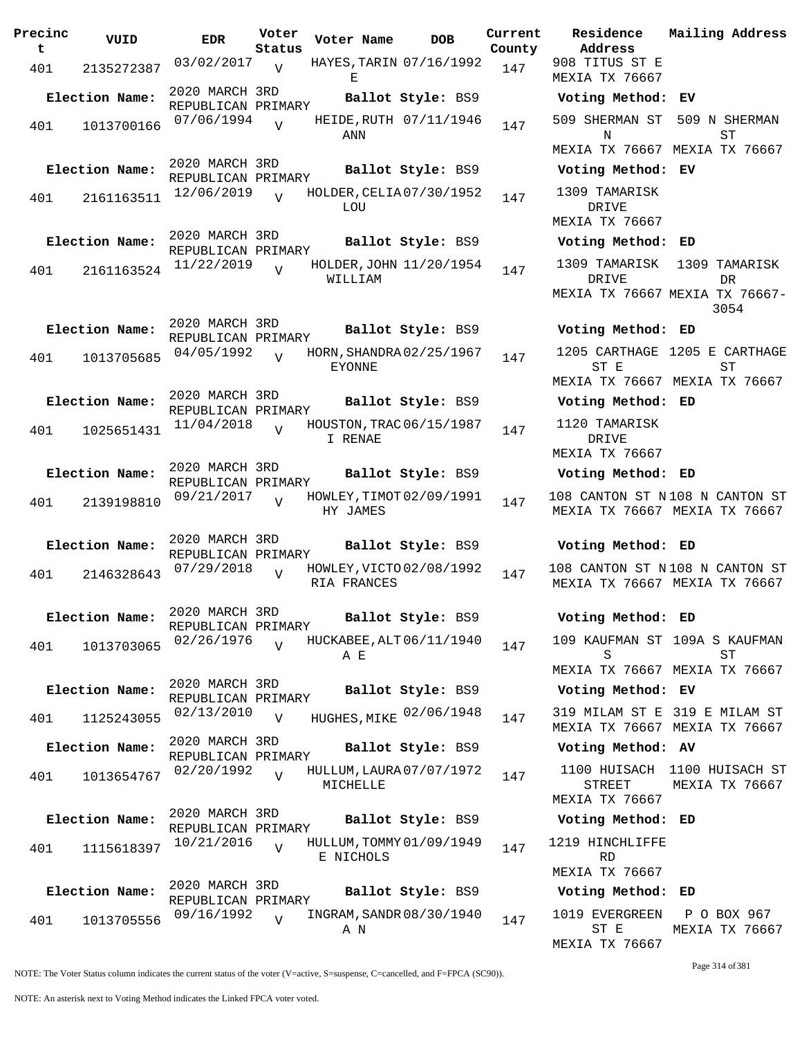| Precinc<br>t | VUID           | <b>EDR</b>                           | Voter<br>Status | Voter Name                                | <b>DOB</b>             | Current<br>County | Residence<br>Address                     |
|--------------|----------------|--------------------------------------|-----------------|-------------------------------------------|------------------------|-------------------|------------------------------------------|
| 401          | 2135272387     | 03/02/2017                           | $\overline{U}$  | HAYES, TARIN 07/16/1992<br>Ε              |                        | 147               | 908 TITUS ST E<br>MEXIA TX 76667         |
|              | Election Name: | 2020 MARCH 3RD<br>REPUBLICAN PRIMARY |                 |                                           | Ballot Style: BS9      |                   | Voting Method                            |
| 401          | 1013700166     | 07/06/1994                           | $\overline{U}$  | ANN                                       | HEIDE, RUTH 07/11/1946 | 147               | 509 SHERMAN ST<br>N                      |
|              |                |                                      |                 |                                           |                        |                   | MEXIA TX 76667                           |
|              | Election Name: | 2020 MARCH 3RD<br>REPUBLICAN PRIMARY |                 |                                           | Ballot Style: BS9      |                   | Voting Method                            |
| 401          | 2161163511     | 12/06/2019                           | $\overline{z}$  | HOLDER, CELIA 07/30/1952<br>LOU           |                        | 147               | 1309 TAMARISK<br>DRIVE<br>MEXIA TX 76667 |
|              | Election Name: | 2020 MARCH 3RD                       |                 |                                           | Ballot Style: BS9      |                   | Voting Method                            |
|              |                | REPUBLICAN PRIMARY<br>11/22/2019     |                 | HOLDER, JOHN 11/20/1954                   |                        |                   | 1309 TAMARISK                            |
| 401          | 2161163524     |                                      | $\overline{U}$  | WILLIAM                                   |                        | 147               | DRIVE<br><b>MEXIA TX 76667</b>           |
|              | Election Name: | 2020 MARCH 3RD                       |                 |                                           | Ballot Style: BS9      |                   | Voting Method                            |
| 401          | 1013705685     | REPUBLICAN PRIMARY<br>04/05/1992     | $\overline{U}$  | HORN, SHANDRA 02/25/1967<br><b>EYONNE</b> |                        | 147               | 1205 CARTHAGE<br>ST E                    |
|              |                |                                      |                 |                                           |                        |                   | MEXIA TX 76667                           |
|              | Election Name: | 2020 MARCH 3RD<br>REPUBLICAN PRIMARY |                 |                                           | Ballot Style: BS9      |                   | Voting Method                            |
| 401          | 1025651431     | 11/04/2018                           | $\overline{U}$  | HOUSTON, TRAC 06/15/1987<br>I RENAE       |                        | 147               | 1120 TAMARISK<br>DRIVE                   |
|              |                | 2020 MARCH 3RD                       |                 |                                           |                        |                   | MEXIA TX 76667                           |
|              | Election Name: | REPUBLICAN PRIMARY                   |                 |                                           | Ballot Style: BS9      |                   | Voting Method                            |
| 401          | 2139198810     | 09/21/2017                           | $\overline{U}$  | HOWLEY, TIMOT 02/09/1991<br>HY JAMES      |                        | 147               | 108 CANTON ST I<br>MEXIA TX 76667        |
|              | Election Name: | 2020 MARCH 3RD<br>REPUBLICAN PRIMARY |                 |                                           | Ballot Style: BS9      |                   | Voting Method                            |
| 401          | 2146328643     | 07/29/2018                           | $\overline{U}$  | HOWLEY, VICTO 02/08/1992<br>RIA FRANCES   |                        | 147               | 108 CANTON ST I<br>MEXIA TX 76667        |
|              | Election Name: | 2020 MARCH 3RD                       |                 |                                           | Ballot Style: BS9      |                   | Voting Method                            |
|              |                | REPUBLICAN PRIMARY<br>02/26/1976     |                 |                                           |                        |                   |                                          |
| 401          | 1013703065     |                                      | $\overline{z}$  | HUCKABEE, ALT 06/11/1940<br>ΑE            |                        | 147               | 109 KAUFMAN ST<br>S<br>MEXIA TX 76667    |
|              | Election Name: | 2020 MARCH 3RD                       |                 |                                           | Ballot Style: BS9      |                   | Voting Method                            |
| 401          | 1125243055     | REPUBLICAN PRIMARY<br>02/13/2010     | $\overline{V}$  | HUGHES, MIKE 02/06/1948                   |                        | 147               | 319 MILAM ST E<br>MEXIA TX 76667         |
|              | Election Name: | 2020 MARCH 3RD                       |                 |                                           | Ballot Style: BS9      |                   | Voting Method                            |
| 401          | 1013654767     | REPUBLICAN PRIMARY<br>02/20/1992     | $\overline{U}$  | HULLUM, LAURA 07/07/1972<br>MICHELLE      |                        | 147               | 1100 HUISACH<br><b>STREET</b>            |
|              |                | 2020 MARCH 3RD                       |                 |                                           |                        |                   | MEXIA TX 76667                           |
|              | Election Name: | REPUBLICAN PRIMARY                   |                 |                                           | Ballot Style: BS9      |                   | Voting Method                            |
| 401          | 1115618397     | 10/21/2016                           | $\overline{V}$  | HULLUM, TOMMY 01/09/1949<br>E NICHOLS     |                        | 147               | 1219 HINCHLIFFI<br><b>RD</b>             |
|              |                | 2020 MARCH 3RD                       |                 |                                           |                        |                   | MEXIA TX 76667                           |
|              | Election Name: | REPUBLICAN PRIMARY                   |                 |                                           | Ballot Style: BS9      |                   | Voting Method                            |
| 401          | 1013705556     | 09/16/1992                           | $\overline{U}$  | INGRAM, SANDR 08/30/1940<br>A N           |                        | 147               | 1019 EVERGREEN<br>ST E                   |

**Voter Name DOB Residence Address Current Mailing Address** 908 TITUS ST E MEXIA TX 76667 **Election Name: Ballot Style:** BS9 **Voting Method: EV** 509 SHERMAN ST 509 N SHERMAN N MEXIA TX 76667 MEXIA TX 76667 **ST Election Name: Ballot Style:** BS9 **Voting Method: EV** 1309 TAMARISK DRIVE MEXIA TX 76667 **Election Name: Ballot Style:** BS9 **Voting Method: ED** 1309 TAMARISK 1309 TAMARISK DR TVE MEXIA TX 76667 MEXIA TX 76667- DR 3054 **Election Name: Ballot Style:** BS9 **Voting Method: ED** 1205 CARTHAGE 1205 E CARTHAGE ST E MEXIA TX 76667 MEXIA TX 76667 ST **Election Name: Ballot Style:** BS9 **Voting Method: ED** 1120 TAMARISK DRIVE MEXIA TX 76667 **Election Name: Ballot Style:** BS9 **Voting Method: ED** 108 CANTON ST N 108 N CANTON ST MEXIA TX 76667 MEXIA TX 76667 **Election Name: Ballot Style:** BS9 **Voting Method: ED** 108 CANTON ST N 108 N CANTON ST MEXIA TX 76667 MEXIA TX 76667 **Election Name: Ballot Style:** BS9 **Voting Method: ED** 109 KAUFMAN ST 109A S KAUFMAN S MEXIA TX 76667 MEXIA TX 76667 ST **Election Name: Ballot Style:** BS9 **Voting Method: EV** MEXIA TX 76667 MEXIA TX 76667 319 MILAM ST E 319 E MILAM ST **Election Name: Ballot Style:** BS9 **Voting Method: AV** 1100 HUISACH 1100 HUISACH ST STREET MEXIA TX 76667 MEXIA TX 76667 **Election Name: Ballot Style:** BS9 **Voting Method: ED** 1219 HINCHLIFFE RD MEXIA TX 76667 **Election Name: Ballot Style:** BS9 **Voting Method: ED**

1019 EVERGREEN ST E MEXIA TX 76667 P O BOX 967 MEXIA TX 76667

Page 314 of 381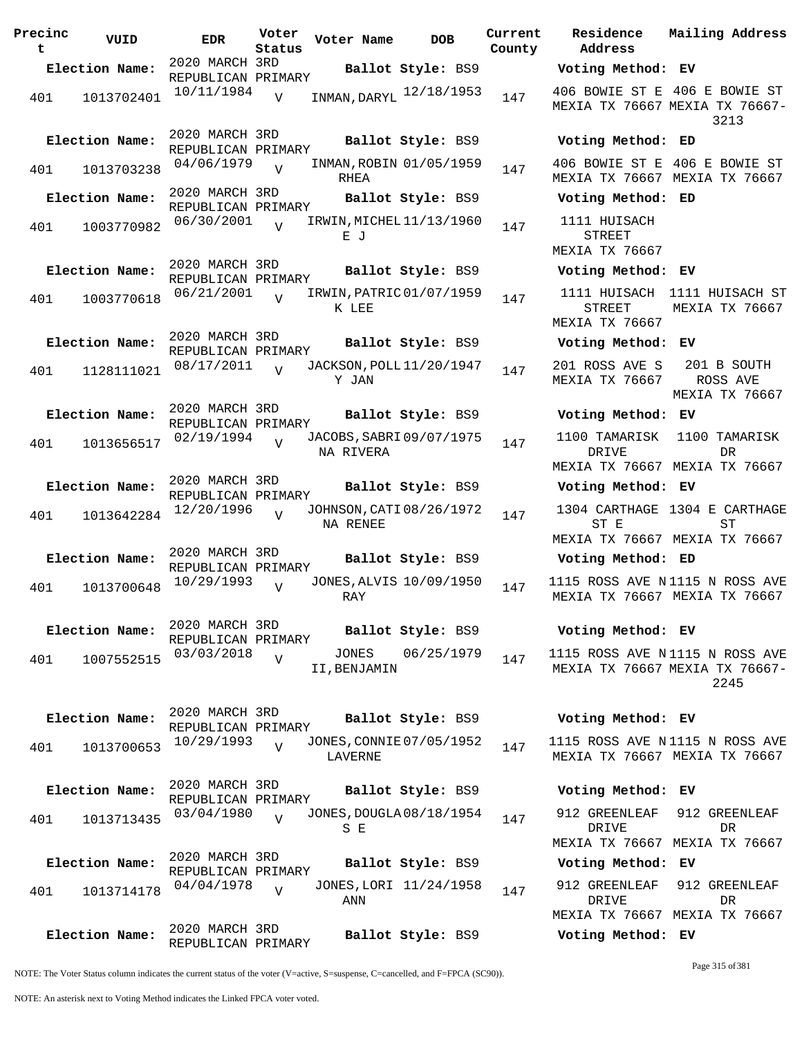| Precinc<br>t | VUID           | <b>EDR</b>                           | Voter<br>Status | Voter Name                            | <b>DOB</b>             | Current<br>County | Residence<br>Address                            |
|--------------|----------------|--------------------------------------|-----------------|---------------------------------------|------------------------|-------------------|-------------------------------------------------|
|              | Election Name: | 2020 MARCH 3RD<br>REPUBLICAN PRIMARY |                 |                                       | Ballot Style: BS9      |                   | Voting Method                                   |
| 401          | 1013702401     | 10/11/1984                           | $\overline{V}$  | INMAN, DARYL 12/18/1953               |                        | 147               | 406 BOWIE ST E<br>MEXIA TX 76667                |
|              | Election Name: | 2020 MARCH 3RD<br>REPUBLICAN PRIMARY |                 |                                       | Ballot Style: BS9      |                   | Voting Method                                   |
| 401          | 1013703238     | 04/06/1979                           | $\overline{U}$  | INMAN, ROBIN 01/05/1959<br>RHEA       |                        | 147               | 406 BOWIE ST E<br>MEXIA TX 76667                |
|              | Election Name: | 2020 MARCH 3RD<br>REPUBLICAN PRIMARY |                 |                                       | Ballot Style: BS9      |                   | Voting Method                                   |
| 401          | 1003770982     | 06/30/2001                           | $\overline{U}$  | IRWIN, MICHEL 11/13/1960<br>ЕJ        |                        | 147               | 1111 HUISACH<br><b>STREET</b><br>MEXIA TX 76667 |
|              | Election Name: | 2020 MARCH 3RD<br>REPUBLICAN PRIMARY |                 |                                       | Ballot Style: BS9      |                   | Voting Method                                   |
| 401          | 1003770618     | 06/21/2001                           | $\overline{z}$  | IRWIN, PATRIC 01/07/1959<br>K LEE     |                        | 147               | 1111 HUISACH<br><b>STREET</b><br>MEXIA TX 76667 |
|              | Election Name: | 2020 MARCH 3RD<br>REPUBLICAN PRIMARY |                 |                                       | Ballot Style: BS9      |                   | Voting Method                                   |
| 401          | 1128111021     | 08/17/2011                           |                 | JACKSON, POLL 11/20/1947<br>Y JAN     |                        | 147               | 201 ROSS AVE S<br>MEXIA TX 76667                |
|              | Election Name: | 2020 MARCH 3RD<br>REPUBLICAN PRIMARY |                 |                                       | Ballot Style: BS9      |                   | Voting Method                                   |
| 401          | 1013656517     | 02/19/1994                           | $\overline{U}$  | JACOBS, SABRI 09/07/1975<br>NA RIVERA |                        | 147               | 1100 TAMARISK<br>DRIVE                          |
|              | Election Name: | 2020 MARCH 3RD                       |                 |                                       | Ballot Style: BS9      |                   | MEXIA TX 76667<br>Voting Method                 |
| 401          | 1013642284     | REPUBLICAN PRIMARY<br>12/20/1996     | $\overline{17}$ | JOHNSON, CATI 08/26/1972              |                        | 147               | 1304 CARTHAGE                                   |
|              |                |                                      |                 | NA RENEE                              |                        |                   | ST E<br>MEXIA TX 76667                          |
|              | Election Name: | 2020 MARCH 3RD<br>REPUBLICAN PRIMARY |                 |                                       | Ballot Style: BS9      |                   | Voting Method                                   |
| 401          | 1013700648     | 10/29/1993                           | $\overline{V}$  | JONES, ALVIS 10/09/1950<br>RAY        |                        | 147               | 1115 ROSS AVE I<br>MEXIA TX 76667               |
|              | Election Name: | 2020 MARCH 3RD                       |                 |                                       | Ballot Style: BS9      |                   | Voting Method                                   |
| 401          | 1007552515     | REPUBLICAN PRIMARY<br>03/03/2018     | V               | JONES<br>II, BENJAMIN                 | 06/25/1979             | 147               | 1115 ROSS AVE I<br>MEXIA TX 76667               |
|              | Election Name: | 2020 MARCH 3RD<br>REPUBLICAN PRIMARY |                 |                                       | Ballot Style: BS9      |                   | Voting Method                                   |
| 401          | 1013700653     | 10/29/1993                           | $\overline{V}$  | JONES, CONNIE 07/05/1952<br>LAVERNE   |                        | 147               | 1115 ROSS AVE I<br>MEXIA TX 76667               |
|              | Election Name: | 2020 MARCH 3RD<br>REPUBLICAN PRIMARY |                 |                                       | Ballot Style: BS9      |                   | Voting Method                                   |
| 401          | 1013713435     | 03/04/1980                           | $\overline{V}$  | JONES, DOUGLA 08/18/1954<br>S E       |                        | 147               | 912 GREENLEAF<br>DRIVE<br>MEXIA TX 76667        |
|              | Election Name: | 2020 MARCH 3RD                       |                 |                                       | Ballot Style: BS9      |                   | Voting Method                                   |
| 401          | 1013714178     | REPUBLICAN PRIMARY<br>04/04/1978     | $\overline{U}$  | ANN                                   | JONES, LORI 11/24/1958 | 147               | 912 GREENLEAF<br>DRIVE<br>MEXIA TX 76667        |
|              | Election Name: | 2020 MARCH 3RD<br>REPUBLICAN PRIMARY |                 |                                       | Ballot Style: BS9      |                   | Voting Method                                   |

**Voter Name DOB Residence Address Current Mailing Address County Election Name: Ballot Style:** BS9 **Voting Method: EV** MEXIA TX 76667 MEXIA TX 76667- 406 BOWIE ST E 406 E BOWIE ST 3213 **Election Name: Ballot Style:** BS9 **Voting Method: ED** 406 BOWIE ST E 406 E BOWIE ST MEXIA TX 76667 MEXIA TX 76667 **Election Name: Ballot Style:** BS9 **Voting Method: ED** 1111 HUISACH STREET MEXIA TX 76667 **Election Name: Ballot Style:** BS9 **Voting Method: EV** 1111 HUISACH 1111 HUISACH ST STREET MEXIA TX 76667 MEXIA TX 76667 **Election Name: Ballot Style:** BS9 **Voting Method: EV** 201 ROSS AVE S MEXIA TX 76667 201 B SOUTH ROSS AVE MEXIA TX 76667 **Election Name: Ballot Style:** BS9 **Voting Method: EV** 1100 TAMARISK 1100 TAMARISK DRIVE MEXIA TX 76667 MEXIA TX 76667 DR **Election Name: Ballot Style:** BS9 **Voting Method: EV** 1304 CARTHAGE 1304 E CARTHAGE ST E MEXIA TX 76667 MEXIA TX 76667 ST **Election Name: Ballot Style:** BS9 **Voting Method: ED** 1115 ROSS AVE N 1115 N ROSS AVE MEXIA TX 76667 MEXIA TX 76667 **Election Name: Ballot Style:** BS9 **Voting Method: EV** 1115 ROSS AVE N 1115 N ROSS AVE MEXIA TX 76667 MEXIA TX 76667- 2245 **Election Name: Ballot Style:** BS9 **Voting Method: EV** 1115 ROSS AVE N 1115 N ROSS AVE MEXIA TX 76667 MEXIA TX 76667 **Election Name: Ballot Style:** BS9 **Voting Method: EV** 912 GREENLEAF 912 GREENLEAF DR TVE MEXIA TX 76667 MEXIA TX 76667 DR **Election Name: Ballot Style:** BS9 **Voting Method: EV** 912 GREENLEAF DRIVE MEXIA TX 76667 MEXIA TX 76667 912 GREENLEAF DR

NOTE: The Voter Status column indicates the current status of the voter (V=active, S=suspense, C=cancelled, and F=FPCA (SC90)).

Page 315 of 381

**Election Name: Ballot Style:** BS9 **Voting Method: EV**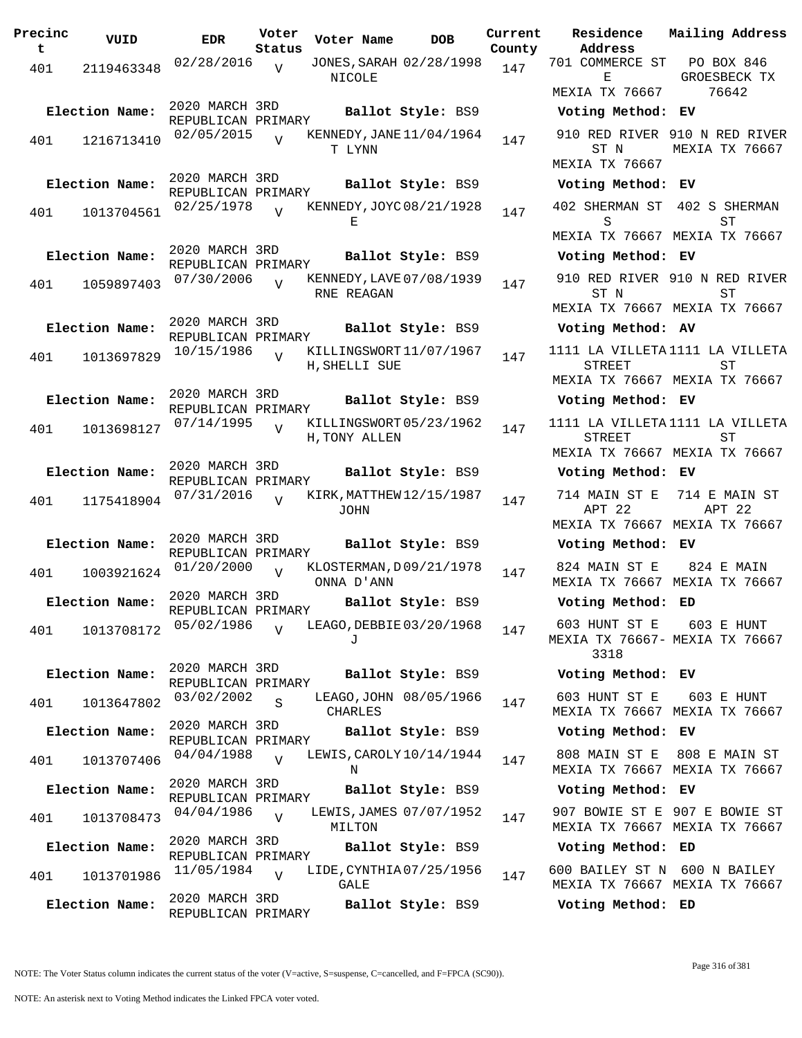| Precinc<br>t | VUID                         | <b>EDR</b>                                         | Voter<br>Status | Voter Name    | <b>DOB</b>                                    | Current<br>County |
|--------------|------------------------------|----------------------------------------------------|-----------------|---------------|-----------------------------------------------|-------------------|
| 401          | 2119463348                   | 02/28/2016                                         | $\overline{V}$  | NICOLE        | JONES, SARAH 02/28/1998                       | 147               |
| 401          | Election Name:<br>1216713410 | 2020 MARCH 3RD<br>REPUBLICAN PRIMARY<br>02/05/2015 | $\overline{U}$  |               | Ballot Style: BS9<br>KENNEDY, JANE 11/04/1964 | 147               |
|              |                              | 2020 MARCH 3RD                                     |                 | T LYNN        |                                               |                   |
|              | Election Name:               | REPUBLICAN PRIMARY                                 |                 |               | Ballot Style: BS9                             |                   |
| 401          | 1013704561                   | 02/25/1978                                         |                 | Е             | KENNEDY, JOYC 08/21/1928                      | 147               |
|              | Election Name:               | 2020 MARCH 3RD<br>REPUBLICAN PRIMARY               |                 |               | Ballot Style: BS9                             |                   |
| 401          | 1059897403                   | 07/30/2006                                         | $\overline{U}$  | RNE REAGAN    | KENNEDY, LAVE 07/08/1939                      | 147               |
|              | Election Name:               | 2020 MARCH 3RD                                     |                 |               | Ballot Style: BS9                             |                   |
|              |                              | REPUBLICAN PRIMARY<br>10/15/1986                   | $\overline{V}$  |               | KILLINGSWORT11/07/1967                        |                   |
| 401          | 1013697829                   |                                                    |                 | H, SHELLI SUE |                                               | 147               |
|              | Election Name:               | 2020 MARCH 3RD                                     |                 |               | Ballot Style: BS9                             |                   |
|              |                              | REPUBLICAN PRIMARY<br>07/14/1995                   |                 |               | KILLINGSWORT05/23/1962                        |                   |
| 401          | 1013698127                   |                                                    | $\overline{V}$  | H, TONY ALLEN |                                               | 147               |
|              | Election Name:               | 2020 MARCH 3RD                                     |                 |               | Ballot Style: BS9                             |                   |
|              |                              | REPUBLICAN PRIMARY<br>07/31/2016                   | $\overline{U}$  |               | KIRK, MATTHEW 12/15/1987                      |                   |
| 401          | 1175418904                   |                                                    |                 | JOHN          |                                               | 147               |
|              | Election Name:               | 2020 MARCH 3RD                                     |                 |               | Ballot Style: BS9                             |                   |
|              |                              | REPUBLICAN PRIMARY<br>01/20/2000                   | $\overline{V}$  |               | KLOSTERMAN, D09/21/1978                       |                   |
| 401          | 1003921624                   |                                                    |                 | ONNA D'ANN    |                                               | 147               |
|              | Election Name:               | 2020 MARCH 3RD<br>REPUBLICAN PRIMARY               |                 |               | Ballot Style: BS9                             |                   |
| 401          | 1013708172                   | 05/02/1986                                         | $\overline{V}$  | J             | LEAGO, DEBBIE 03/20/1968                      | 147               |
|              | Election Name:               | 2020 MARCH 3RD<br>REPUBLICAN PRIMARY               |                 |               | Ballot Style: BS9                             |                   |
| 401          | 1013647802                   | 03/02/2002                                         | S               | CHARLES       | LEAGO, JOHN 08/05/1966                        | 147               |
|              | Election Name:               | 2020 MARCH 3RD<br>REPUBLICAN PRIMARY               |                 |               | Ballot Style: BS9                             |                   |
| 401          | 1013707406                   | 04/04/1988                                         | $\overline{U}$  | Ν             | LEWIS, CAROLY 10/14/1944                      | 147               |
|              | Election Name:               | 2020 MARCH 3RD<br>REPUBLICAN PRIMARY               |                 |               | Ballot Style: BS9                             |                   |
| 401          | 1013708473                   | 04/04/1986                                         | $\overline{V}$  |               | LEWIS, JAMES 07/07/1952                       | 147               |
|              | Election Name:               | 2020 MARCH 3RD                                     |                 | MILTON        | Ballot Style: BS9                             |                   |
| 401          | 1013701986                   | REPUBLICAN PRIMARY<br>11/05/1984                   | $\overline{V}$  |               | LIDE, CYNTHIA07/25/1956                       | 147               |
|              |                              | 2020 MARCH 3RD                                     |                 | GALE          |                                               |                   |
|              | Election Name:               | REPUBLICAN PRIMARY                                 |                 |               | Ballot Style: BS9                             |                   |

**Voter Name DOB Residence Address Current Mailing Address** 701 COMMERCE ST E MEXIA TX 76667 PO BOX 846 GROESBECK TX 76642 **Election Name: Ballot Style:** BS9 **Voting Method: EV** 910 RED RIVER 910 N RED RIVER ST N MEXIA TX 76667 MEXIA TX 76667 **Election Name: Ballot Style:** BS9 **Voting Method: EV** 402 SHERMAN ST 402 S SHERMAN S MEXIA TX 76667 MEXIA TX 76667 ST **Election Name: Ballot Style:** BS9 **Voting Method: EV** 910 RED RIVER 910 N RED RIVER ST N MEXIA TX 76667 MEXIA TX 76667 ST **Election Name: Ballot Style:** BS9 **Voting Method: AV** 1111 LA VILLETA 1111 LA VILLETA STREET MEXIA TX 76667 MEXIA TX 76667 ST **Election Name: Ballot Style:** BS9 **Voting Method: EV** 1111 LA VILLETA 1111 LA VILLETA STREET MEXIA TX 76667 MEXIA TX 76667 ST **Election Name: Ballot Style:** BS9 **Voting Method: EV** 714 MAIN ST E 714 E MAIN ST APT 22 MEXIA TX 76667 MEXIA TX 76667 APT 22 **Election Name: Ballot Style:** BS9 **Voting Method: EV** 824 MAIN ST E MEXIA TX 76667 MEXIA TX 76667 824 E MAIN **Election Name: Ballot Style:** BS9 **Voting Method: ED** 603 HUNT ST E MEXIA TX 76667- MEXIA TX 76667 3318 603 E HUNT **Election Name: Ballot Style:** BS9 **Voting Method: EV** 603 HUNT ST E MEXIA TX 76667 MEXIA TX 76667 603 E HUNT **Election Name: Ballot Style:** BS9 **Voting Method: EV** 808 MAIN ST E 808 E MAIN ST MEXIA TX 76667 MEXIA TX 76667 **Election Name: Ballot Style:** BS9 **Voting Method: EV** 907 BOWIE ST E 907 E BOWIE ST MEXIA TX 76667 MEXIA TX 76667 **Election Name: Ballot Style:** BS9 **Voting Method: ED** 600 BAILEY ST N 600 N BAILEY MEXIA TX 76667 MEXIA TX 76667

**Election Name: Ballot Style:** BS9 **Voting Method: ED**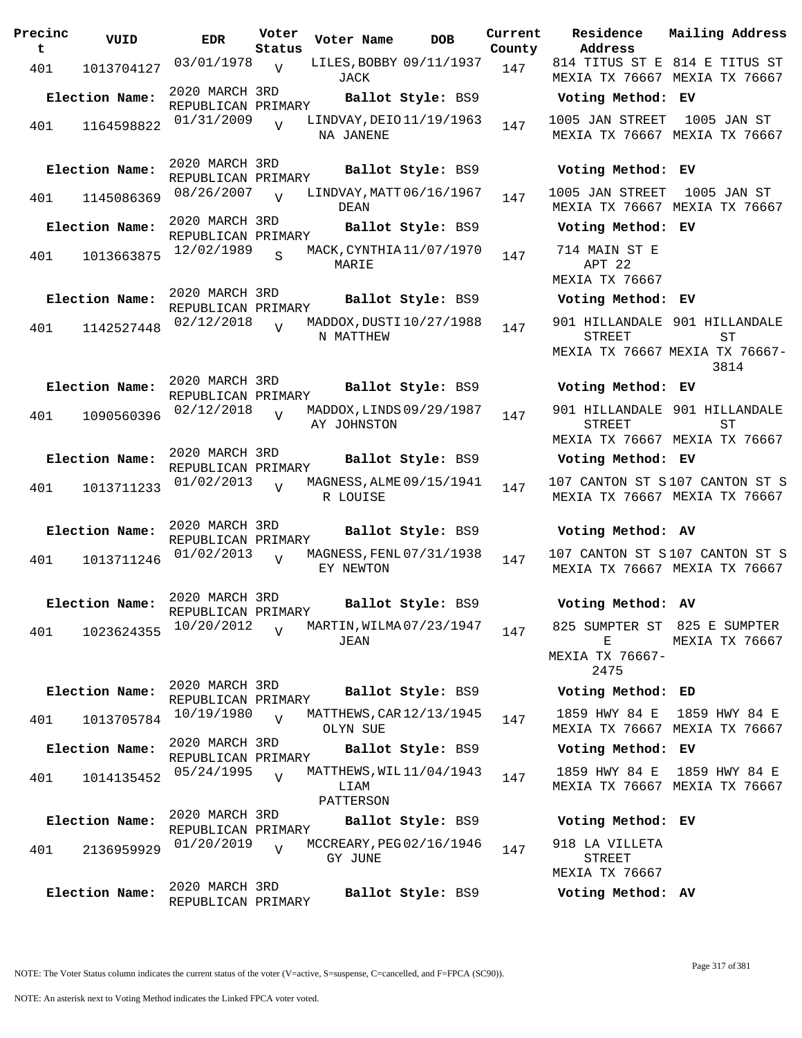| Precinc | VUID           | <b>EDR</b>                           | Voter          | Voter Name        | <b>DOB</b>               | Currei |
|---------|----------------|--------------------------------------|----------------|-------------------|--------------------------|--------|
| t       |                |                                      | Status         |                   |                          | Count  |
| 401     | 1013704127     | 03/01/1978                           | V              | JACK              | LILES, BOBBY 09/11/1937  | 147    |
|         | Election Name: | 2020 MARCH 3RD<br>REPUBLICAN PRIMARY |                |                   | Ballot Style: BS9        |        |
| 401     | 1164598822     | 01/31/2009                           | $\overline{U}$ | NA JANENE         | LINDVAY, DEIO 11/19/1963 | 147    |
|         | Election Name: | 2020 MARCH 3RD<br>REPUBLICAN PRIMARY |                |                   | Ballot Style: BS9        |        |
| 401     | 1145086369     | 08/26/2007                           | $\overline{U}$ | DEAN              | LINDVAY, MATT 06/16/1967 | 147    |
|         | Election Name: | 2020 MARCH 3RD<br>REPUBLICAN PRIMARY |                |                   | Ballot Style: BS9        |        |
| 401     | 1013663875     | 12/02/1989                           | S              | MARIE             | MACK, CYNTHIA 11/07/1970 | 147    |
|         | Election Name: | 2020 MARCH 3RD<br>REPUBLICAN PRIMARY |                |                   | Ballot Style: BS9        |        |
| 401     | 1142527448     | 02/12/2018                           | $\overline{U}$ | N MATTHEW         | MADDOX, DUSTI 10/27/1988 | 147    |
|         | Election Name: | 2020 MARCH 3RD<br>REPUBLICAN PRIMARY |                |                   | Ballot Style: BS9        |        |
| 401     | 1090560396     | 02/12/2018                           |                | AY JOHNSTON       | MADDOX, LINDS 09/29/1987 | 147    |
|         | Election Name: | 2020 MARCH 3RD<br>REPUBLICAN PRIMARY |                |                   | Ballot Style: BS9        |        |
| 401     | 1013711233     | 01/02/2013                           | ٦T             | R LOUISE          | MAGNESS, ALME 09/15/1941 | 147    |
|         | Election Name: | 2020 MARCH 3RD<br>REPUBLICAN PRIMARY |                |                   | Ballot Style: BS9        |        |
| 401     | 1013711246     | 01/02/2013                           | $\overline{U}$ | EY NEWTON         | MAGNESS, FENL 07/31/1938 | 147    |
|         | Election Name: | 2020 MARCH 3RD<br>REPUBLICAN PRIMARY |                |                   | Ballot Style: BS9        |        |
| 401     | 1023624355     | 10/20/2012                           | $\overline{V}$ | JEAN              | MARTIN, WILMA 07/23/1947 | 147    |
|         | Election Name: | 2020 MARCH 3RD<br>REPUBLICAN PRIMARY |                |                   | Ballot Style: BS9        |        |
| 401     | 1013705784     | 10/19/1980                           | $\overline{V}$ | OLYN SUE          | MATTHEWS, CAR 12/13/1945 | 147    |
|         | Election Name: | 2020 MARCH 3RD<br>REPUBLICAN PRIMARY |                |                   | Ballot Style: BS9        |        |
| 401     | 1014135452     | 05/24/1995                           | $\overline{V}$ | LIAM<br>PATTERSON | MATTHEWS, WIL 11/04/1943 | 147    |
|         | Election Name: | 2020 MARCH 3RD<br>REPUBLICAN PRIMARY |                |                   | Ballot Style: BS9        |        |
| 401     | 2136959929     | 01/20/2019                           | $\overline{V}$ | GY JUNE           | MCCREARY, PEG 02/16/1946 | 147    |
|         | Election Name: | 2020 MARCH 3RD<br>REPUBLICAN PRIMARY |                |                   | Ballot Style: BS9        |        |

**Voter Name DOB Residence Address Current Mailing Address County** 814 TITUS ST E 814 E TITUS ST MEXIA TX 76667 MEXIA TX 76667 **Election Name: Ballot Style:** BS9 **Voting Method: EV** 1005 JAN STREET 1005 JAN ST MEXIA TX 76667 MEXIA TX 76667 **Election Name: Ballot Style:** BS9 **Voting Method: EV** 1005 JAN STREET 1005 JAN ST MEXIA TX 76667 MEXIA TX 76667 **Election Name: Ballot Style:** BS9 **Voting Method: EV** 714 MAIN ST E APT 22 MEXIA TX 76667 **Election Name: Ballot Style:** BS9 **Voting Method: EV** 901 HILLANDALE 901 HILLANDALE STREET MEXIA TX 76667 MEXIA TX 76667- ST 3814 **Election Name: Ballot Style:** BS9 **Voting Method: EV** 901 HILLANDALE 901 HILLANDALE STREET MEXIA TX 76667 MEXIA TX 76667 ST **Election Name: Ballot Style:** BS9 **Voting Method: EV** 107 CANTON ST S 107 CANTON ST S MEXIA TX 76667 MEXIA TX 76667 **Election Name: Ballot Style:** BS9 **Voting Method: AV** 107 CANTON ST S 107 CANTON ST S MEXIA TX 76667 MEXIA TX 76667 **Election Name: Ballot Style:** BS9 **Voting Method: AV** 825 SUMPTER ST 825 E SUMPTER E MEXIA TX 76667- 2475 MEXIA TX 76667 **Election Name: Ballot Style:** BS9 **Voting Method: ED** 1859 HWY 84 E 1859 HWY 84 E MEXIA TX 76667 MEXIA TX 76667 **Election Name: Ballot Style:** BS9 **Voting Method: EV** 1859 HWY 84 E 1859 HWY 84 E MEXIA TX 76667 MEXIA TX 76667 **Election Name: Ballot Style:** BS9 **Voting Method: EV**

918 LA VILLETA STREET MEXIA TX 76667 **Election Name: Ballot Style:** BS9 **Voting Method: AV**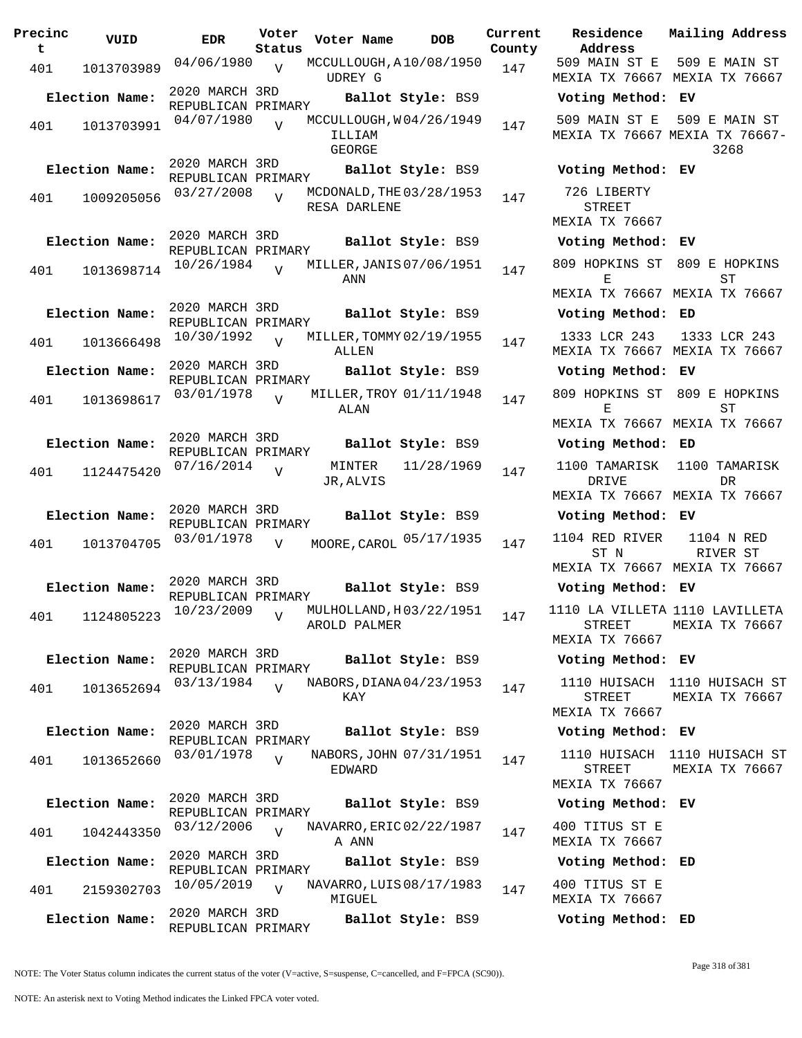| Precinc<br>t | VUID                        | <b>EDR</b>                           | Voter<br>Status | Voter Name                                  | <b>DOB</b>        | Current<br>County | Residence<br>Address                                                           | Mail            |
|--------------|-----------------------------|--------------------------------------|-----------------|---------------------------------------------|-------------------|-------------------|--------------------------------------------------------------------------------|-----------------|
| 401          | 1013703989                  | 04/06/1980                           | V               | MCCULLOUGH, A10/08/1950<br><b>UDREY G</b>   |                   | 147               | 509 MAIN ST E<br>MEXIA TX 76667 MEX                                            | 50 <sub>5</sub> |
|              | Election Name:              | 2020 MARCH 3RD<br>REPUBLICAN PRIMARY |                 |                                             | Ballot Style: BS9 |                   | Voting Method:                                                                 | EV              |
| 401          | 1013703991                  | 04/07/1980                           | $\overline{U}$  | MCCULLOUGH, W04/26/1949<br>ILLIAM<br>GEORGE |                   | 147               | 509 MAIN ST E<br>MEXIA TX 76667 MEXI                                           | 509             |
|              | Election Name:              | 2020 MARCH 3RD<br>REPUBLICAN PRIMARY |                 |                                             | Ballot Style: BS9 |                   | Voting Method: EV                                                              |                 |
| 401          | 1009205056                  | 03/27/2008                           | $\overline{V}$  | MCDONALD, THE 03/28/1953<br>RESA DARLENE    |                   | 147               | 726 LIBERTY<br>STREET<br>MEXIA TX 76667                                        |                 |
|              | Election Name:              | 2020 MARCH 3RD<br>REPUBLICAN PRIMARY |                 |                                             | Ballot Style: BS9 |                   | Voting Method: EV                                                              |                 |
| 401          | 1013698714                  | 10/26/1984                           | $\overline{v}$  | MILLER, JANIS 07/06/1951<br>ANN             |                   | 147               | 809 HOPKINS ST 809<br>Е                                                        |                 |
|              |                             | 2020 MARCH 3RD                       |                 |                                             |                   |                   | MEXIA TX 76667 MEX                                                             |                 |
|              | Election Name:              | REPUBLICAN PRIMARY                   |                 |                                             | Ballot Style: BS9 |                   | Voting Method: ED                                                              |                 |
| 401          | 1013666498                  | 10/30/1992                           | $\overline{U}$  | MILLER, TOMMY 02/19/1955<br>ALLEN           |                   | 147               | 1333 LCR 243<br>MEXIA TX 76667 MEX                                             | 13              |
|              | Election Name:              | 2020 MARCH 3RD<br>REPUBLICAN PRIMARY |                 |                                             | Ballot Style: BS9 |                   | Voting Method: EV                                                              |                 |
| 401          | 1013698617                  | 03/01/1978                           | $\overline{V}$  | MILLER, TROY 01/11/1948<br>ALAN             |                   | 147               | 809 HOPKINS ST<br>Е                                                            | 809             |
|              | Election Name:              | 2020 MARCH 3RD                       |                 |                                             | Ballot Style: BS9 |                   | MEXIA TX 76667 MEX<br>Voting Method: ED                                        |                 |
|              |                             | REPUBLICAN PRIMARY                   |                 |                                             |                   |                   |                                                                                |                 |
| 401          | 1124475420                  | 07/16/2014                           | $\overline{V}$  | MINTER<br>JR, ALVIS                         | 11/28/1969        | 147               | 1100 TAMARISK<br>DRIVE<br>MEXIA TX 76667 MEX                                   | 11(             |
|              | Election Name:              | 2020 MARCH 3RD<br>REPUBLICAN PRIMARY |                 |                                             | Ballot Style: BS9 |                   | Voting Method: EV                                                              |                 |
| 401          | 1013704705                  | 03/01/1978                           | $\overline{V}$  | MOORE, CAROL 05/17/1935                     |                   | 147               | 1104 RED RIVER<br>ST N                                                         | $\mathbf{1}$    |
|              |                             |                                      |                 |                                             |                   |                   | MEXIA TX 76667 MEX                                                             |                 |
|              | Election Name:              | 2020 MARCH 3RD<br>REPUBLICAN PRIMARY |                 | Ballot Style: BS9                           |                   |                   | Voting Method: EV                                                              |                 |
|              | 401 1124805223 10/23/2009 v |                                      |                 | AROLD PALMER                                |                   |                   | MULHOLLAND, $H 03/22/1951$ 147 1110 LA VILLETA 111<br>STREET<br>MEXIA TX 76667 | MEX             |
|              | Election Name:              | 2020 MARCH 3RD                       |                 |                                             | Ballot Style: BS9 |                   | Voting Method: EV                                                              |                 |
|              |                             | REPUBLICAN PRIMARY<br>03/13/1984     |                 | NABORS, DIANA 04/23/1953                    |                   |                   | 1110 HUISACH                                                                   | 1110            |
| 401          | 1013652694                  |                                      | $\overline{U}$  | KAY                                         |                   | 147               | STREET<br><b>MEXIA TX 76667</b>                                                | MEX             |
|              | Election Name:              | 2020 MARCH 3RD<br>REPUBLICAN PRIMARY |                 |                                             | Ballot Style: BS9 |                   | Voting Method: EV                                                              |                 |
| 401          | 1013652660                  | 03/01/1978                           | $\overline{V}$  | NABORS, JOHN 07/31/1951<br>EDWARD           |                   | 147               | 1110 HUISACH<br><b>STREET</b>                                                  | 1110<br>MEX     |
|              | Election Name:              | 2020 MARCH 3RD                       |                 |                                             |                   |                   | MEXIA TX 76667                                                                 |                 |
|              |                             | REPUBLICAN PRIMARY                   |                 |                                             | Ballot Style: BS9 |                   | Voting Method: EV                                                              |                 |
| 401          | 1042443350                  | 03/12/2006                           | $\overline{U}$  | NAVARRO, ERIC 02/22/1987<br>A ANN           |                   | 147               | 400 TITUS ST E<br>MEXIA TX 76667                                               |                 |
|              | Election Name:              | 2020 MARCH 3RD<br>REPUBLICAN PRIMARY |                 |                                             | Ballot Style: BS9 |                   | Voting Method:                                                                 | ED              |
| 401          | 2159302703                  | 10/05/2019                           | $\overline{U}$  | NAVARRO, LUIS 08/17/1983<br>MIGUEL          |                   | 147               | 400 TITUS ST E<br>MEXIA TX 76667                                               |                 |
|              | Election Name:              | 2020 MARCH 3RD<br>REPUBLICAN PRIMARY |                 |                                             | Ballot Style: BS9 |                   | Voting Method: ED                                                              |                 |

**Voter Name DOB Residence Address Current Mailing Address** 509 MAIN ST E 509 E MAIN ST MEXIA TX 76667 MEXIA TX 76667 **Election Name: Ballot Style:** BS9 **Voting Method: EV** 509 MAIN ST E 509 E MAIN ST MEXIA TX 76667 MEXIA TX 76667- 3268 **Election Name: Ballot Style:** BS9 **Voting Method: EV** 726 LIBERTY STREET MEXIA TX 76667 **Election Name: Ballot Style:** BS9 **Voting Method: EV** 809 HOPKINS ST 809 E HOPKINS E MEXIA TX 76667 MEXIA TX 76667 ST **Election Name: Ballot Style:** BS9 **Voting Method: ED** 1333 LCR 243 MEXIA TX 76667 MEXIA TX 76667 1333 LCR 243 **Election Name: Ballot Style:** BS9 **Voting Method: EV** 809 HOPKINS ST 809 E HOPKINS E MEXIA TX 76667 MEXIA TX 76667 **ST Election Name: Ballot Style:** BS9 **Voting Method: ED** 1100 TAMARISK 1100 TAMARISK DRIVE MEXIA TX 76667 MEXIA TX 76667 DR **Election Name: Ballot Style:** BS9 **Voting Method: EV**  $\frac{1104}{7}$  MOORED RIVER ST N MEXIA TX 76667 MEXIA TX 76667 1104 N RED RIVER ST **Election Name: Ballot Style:** BS9 **Voting Method: EV** 1110 LA VILLETA 1110 LAVILLETA STREET MEXIA TX 76667 MEXIA TX 76667 **Election Name: Ballot Style:** BS9 **Voting Method: EV** 1110 HUISACH 1110 HUISACH ST STREET MEXIA TX 76667 MEXIA TX 76667 **Election Name: Ballot Style:** BS9 **Voting Method: EV** 1110 HUISACH 1110 HUISACH ST STREET MEXIA TX 76667 MEXIA TX 76667 **Election Name: Ballot Style:** BS9 **Voting Method: EV** 400 TITUS ST E MEXIA TX 76667 **Election Name: Ballot Style:** BS9 **Voting Method: ED** 400 TITUS ST E MEXIA TX 76667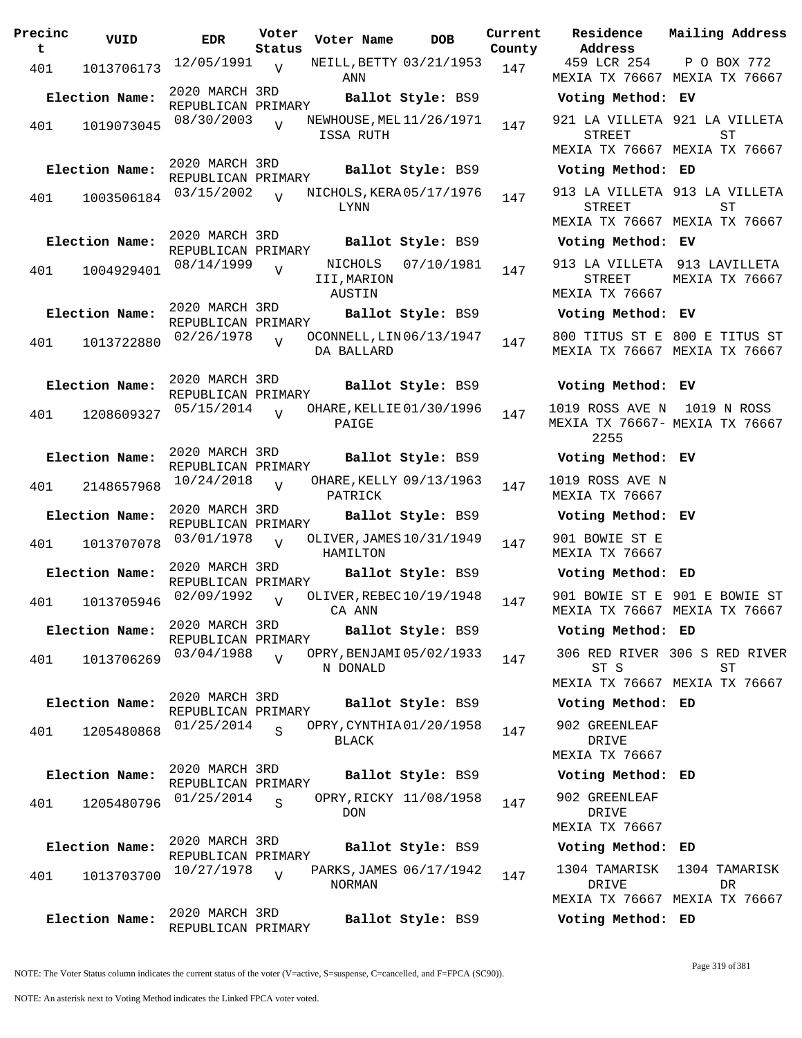| Precinc<br>t | VUID           | EDR                                  | Voter<br>Status | Voter Name                       | <b>DOB</b>               | Current<br>County |
|--------------|----------------|--------------------------------------|-----------------|----------------------------------|--------------------------|-------------------|
| 401          | 1013706173     | 12/05/1991                           | $\overline{V}$  | ANN                              | NEILL, BETTY 03/21/1953  | 147               |
|              | Election Name: | 2020 MARCH 3RD<br>REPUBLICAN PRIMARY |                 |                                  | Ballot Style: BS9        |                   |
| 401          | 1019073045     | 08/30/2003                           | ٦T              | ISSA RUTH                        | NEWHOUSE, MEL 11/26/1971 | 147               |
|              | Election Name: | 2020 MARCH 3RD<br>REPUBLICAN PRIMARY |                 |                                  | Ballot Style: BS9        |                   |
| 401          | 1003506184     | 03/15/2002                           | $\overline{V}$  | LYNN                             | NICHOLS, KERA 05/17/1976 | 147               |
|              | Election Name: | 2020 MARCH 3RD<br>REPUBLICAN PRIMARY |                 |                                  | Ballot Style: BS9        |                   |
| 401          | 1004929401     | 08/14/1999                           | V               | NICHOLS<br>III, MARION<br>AUSTIN | 07/10/1981               | 147               |
|              | Election Name: | 2020 MARCH 3RD<br>REPUBLICAN PRIMARY |                 |                                  | Ballot Style: BS9        |                   |
| 401          | 1013722880     | 02/26/1978                           | $\overline{U}$  | DA BALLARD                       | OCONNELL, LIN 06/13/1947 | 147               |
|              | Election Name: | 2020 MARCH 3RD<br>REPUBLICAN PRIMARY |                 |                                  | Ballot Style: BS9        |                   |
| 401          | 1208609327     | 05/15/2014                           | ٦T              | PAIGE                            | OHARE, KELLIE 01/30/1996 | 147               |
|              | Election Name: | 2020 MARCH 3RD<br>REPUBLICAN PRIMARY |                 |                                  | Ballot Style: BS9        |                   |
| 401          | 2148657968     | 10/24/2018                           | V               | PATRICK                          | OHARE, KELLY 09/13/1963  | 147               |
|              | Election Name: | 2020 MARCH 3RD<br>REPUBLICAN PRIMARY |                 |                                  | Ballot Style: BS9        |                   |
| 401          | 1013707078     | 03/01/1978                           | V               | HAMILTON                         | OLIVER, JAMES 10/31/1949 | 147               |
|              | Election Name: | 2020 MARCH 3RD<br>REPUBLICAN PRIMARY |                 |                                  | Ballot Style: BS9        |                   |
| 401          | 1013705946     | 02/09/1992                           | V               | CA ANN                           | OLIVER, REBEC 10/19/1948 | 147               |
|              | Election Name: | 2020 MARCH 3RD<br>REPUBLICAN PRIMARY |                 |                                  | Ballot Style: BS9        |                   |
| 401          | 1013706269     | 03/04/1988                           | $\overline{U}$  | N DONALD                         | OPRY, BENJAMI 05/02/1933 | 147               |
|              | Election Name: | 2020 MARCH 3RD<br>REPUBLICAN PRIMARY |                 |                                  | Ballot Style: BS9        |                   |
| 401          | 1205480868     | 01/25/2014                           | $\mathbf S$     | BLACK                            | OPRY, CYNTHIA01/20/1958  | 147               |
|              | Election Name: | 2020 MARCH 3RD<br>REPUBLICAN PRIMARY |                 |                                  | Ballot Style: BS9        |                   |
| 401          | 1205480796     | 01/25/2014                           | $\mathbf S$     | DON                              | OPRY, RICKY 11/08/1958   | 147               |
|              | Election Name: | 2020 MARCH 3RD<br>REPUBLICAN PRIMARY |                 |                                  | Ballot Style: BS9        |                   |
| 401          | 1013703700     | 10/27/1978                           | $\overline{V}$  | NORMAN                           | PARKS, JAMES 06/17/1942  | 147               |
|              | Election Name: | 2020 MARCH 3RD<br>REPUBLICAN PRIMARY |                 |                                  | Ballot Style: BS9        |                   |

**Voter Name DOB Residence Address Current Mailing Address** 459 LCR 254 MEXIA TX 76667 MEXIA TX 76667 P O BOX 772 **Election Name: Ballot Style:** BS9 **Voting Method: EV** 921 LA VILLETA 921 LA VILLETA STREET MEXIA TX 76667 MEXIA TX 76667 ST **Election Name: Ballot Style:** BS9 **Voting Method: ED** 913 LA VILLETA 913 LA VILLETA STREET MEXIA TX 76667 MEXIA TX 76667 ST **Election Name: Ballot Style:** BS9 **Voting Method: EV** 913 LA VILLETA 913 LAVILLETA STREET MEXIA TX 76667 MEXIA TX 76667 **Election Name: Ballot Style:** BS9 **Voting Method: EV** 800 TITUS ST E 800 E TITUS ST MEXIA TX 76667 MEXIA TX 76667 **Election Name: Ballot Style:** BS9 **Voting Method: EV** 1019 ROSS AVE N 1019 N ROSS MEXIA TX 76667- MEXIA TX 76667 2255 **Election Name: Ballot Style:** BS9 **Voting Method: EV** 1019 ROSS AVE N MEXIA TX 76667 **Election Name: Ballot Style:** BS9 **Voting Method: EV** 901 BOWIE ST E MEXIA TX 76667 **Election Name: Ballot Style:** BS9 **Voting Method: ED** 901 BOWIE ST E 901 E BOWIE ST MEXIA TX 76667 MEXIA TX 76667 **Election Name: Ballot Style:** BS9 **Voting Method: ED** 306 RED RIVER 306 S RED RIVER ST S MEXIA TX 76667 MEXIA TX 76667 ST **Election Name: Ballot Style:** BS9 **Voting Method: ED** 902 GREENLEAF DRIVE MEXIA TX 76667 **Election Name: Ballot Style:** BS9 **Voting Method: ED** 902 GREENLEAF DRIVE MEXIA TX 76667 **Election Name: Ballot Style:** BS9 **Voting Method: ED** 1304 TAMARISK 1304 TAMARISK DRIVE MEXIA TX 76667 MEXIA TX 76667 **DR** 

**Election Name: Ballot Style:** BS9 **Voting Method: ED**

NOTE: The Voter Status column indicates the current status of the voter (V=active, S=suspense, C=cancelled, and F=FPCA (SC90)).

Page 319 of 381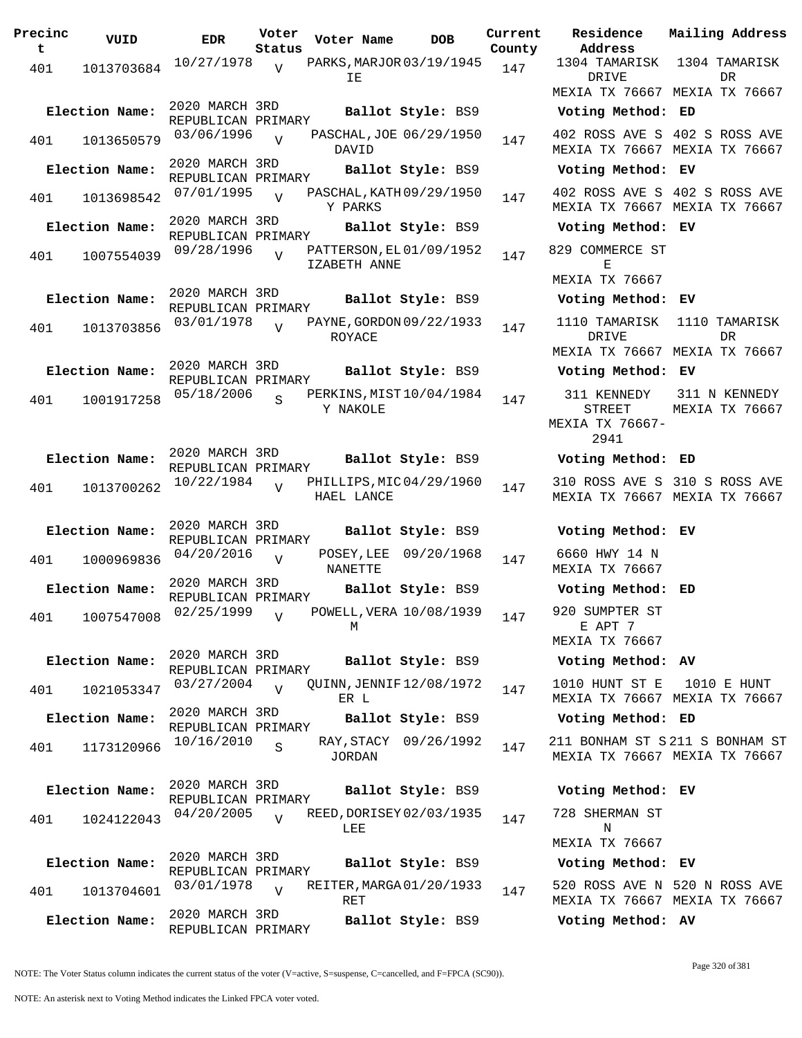| Precinc<br>t | VUID           | <b>EDR</b>                           | Voter<br>Status           | Voter Name                                      | <b>DOB</b>        | Current<br>County |
|--------------|----------------|--------------------------------------|---------------------------|-------------------------------------------------|-------------------|-------------------|
| 401          | 1013703684     | 10/27/1978                           | $\overline{V}$            | PARKS, MARJOR 03/19/1945<br>ΙE                  |                   | 147               |
|              | Election Name: | 2020 MARCH 3RD<br>REPUBLICAN PRIMARY |                           |                                                 | Ballot Style: BS9 |                   |
| 401          | 1013650579     | 03/06/1996                           | $\overline{U}$            | PASCHAL, JOE 06/29/1950<br>DAVID                |                   | 147               |
|              | Election Name: | 2020 MARCH 3RD<br>REPUBLICAN PRIMARY |                           |                                                 | Ballot Style: BS9 |                   |
| 401          | 1013698542     | 07/01/1995                           | $\overline{V}$            | PASCHAL, KATH 09/29/1950<br>Y PARKS             |                   | 147               |
|              | Election Name: | 2020 MARCH 3RD<br>REPUBLICAN PRIMARY |                           |                                                 | Ballot Style: BS9 |                   |
| 401          | 1007554039     | 09/28/1996                           | $\overline{V}$            | PATTERSON, EL 01/09/1952<br><b>IZABETH ANNE</b> |                   | 147               |
|              | Election Name: | 2020 MARCH 3RD<br>REPUBLICAN PRIMARY |                           |                                                 | Ballot Style: BS9 |                   |
| 401          | 1013703856     | 03/01/1978                           | $\overline{U}$            | PAYNE, GORDON 09/22/1933<br>ROYACE              |                   | 147               |
|              | Election Name: | 2020 MARCH 3RD<br>REPUBLICAN PRIMARY |                           |                                                 | Ballot Style: BS9 |                   |
| 401          | 1001917258     | 05/18/2006                           | S                         | PERKINS, MIST 10/04/1984<br>Y NAKOLE            |                   | 147               |
|              | Election Name: | 2020 MARCH 3RD<br>REPUBLICAN PRIMARY |                           |                                                 | Ballot Style: BS9 |                   |
| 401          | 1013700262     | 10/22/1984                           | ٦T                        | PHILLIPS, MIC 04/29/1960<br>HAEL LANCE          |                   | 147               |
|              | Election Name: | 2020 MARCH 3RD<br>REPUBLICAN PRIMARY |                           |                                                 | Ballot Style: BS9 |                   |
| 401          | 1000969836     | 04/20/2016                           | V                         | POSEY, LEE<br><b>NANETTE</b>                    | 09/20/1968        | 147               |
|              | Election Name: | 2020 MARCH 3RD<br>REPUBLICAN PRIMARY |                           |                                                 | Ballot Style: BS9 |                   |
|              |                | 401 1007547008 02/25/1999            | $\boldsymbol{\mathrm{V}}$ | POWELL, VERA 10/08/1939<br>М                    |                   | 147               |
|              | Election Name: | 2020 MARCH 3RD<br>REPUBLICAN PRIMARY |                           |                                                 | Ballot Style: BS9 |                   |
| 401          | 1021053347     | 03/27/2004                           | $\overline{U}$            | QUINN, JENNIF 12/08/1972<br>ER L                |                   | 147               |
|              | Election Name: | 2020 MARCH 3RD<br>REPUBLICAN PRIMARY |                           |                                                 | Ballot Style: BS9 |                   |
| 401          | 1173120966     | 10/16/2010                           | S                         | RAY, STACY<br>JORDAN                            | 09/26/1992        | 147               |
|              | Election Name: | 2020 MARCH 3RD<br>REPUBLICAN PRIMARY |                           |                                                 | Ballot Style: BS9 |                   |
| 401          | 1024122043     | 04/20/2005                           | $\overline{U}$            | REED, DORISEY 02/03/1935<br>LEE                 |                   | 147               |
|              | Election Name: | 2020 MARCH 3RD<br>REPUBLICAN PRIMARY |                           |                                                 | Ballot Style: BS9 |                   |
| 401          | 1013704601     | 03/01/1978                           | $\overline{U}$            | REITER, MARGA 01/20/1933<br>RET                 |                   | 147               |
|              | Election Name: | 2020 MARCH 3RD<br>REPUBLICAN PRIMARY |                           |                                                 | Ballot Style: BS9 |                   |

**Parame Residence Address Current Mailing Address** 1304 TAMARISK 1304 TAMARISK DRIVE MEXIA TX 76667 MEXIA TX 76667 DR **Election Name: Ballot Style:** BS9 **Voting Method: ED** 402 ROSS AVE S 402 S ROSS AVE MEXIA TX 76667 MEXIA TX 76667 **Election Name: Ballot Style:** BS9 **Voting Method: EV** 402 ROSS AVE S 402 S ROSS AVE MEXIA TX 76667 MEXIA TX 76667 **Election Name: Ballot Style:** BS9 **Voting Method: EV** 829 COMMERCE ST E MEXIA TX 76667 **Election Name: Ballot Style:** BS9 **Voting Method: EV** 1110 TAMARISK 1110 TAMARISK DRIVE MEXIA TX 76667 MEXIA TX 76667 DR **Election Name: Ballot Style:** BS9 **Voting Method: EV** 311 KENNEDY STREET MEXIA TX 76667- 2941 311 N KENNEDY MEXIA TX 76667 **Election Name: Ballot Style:** BS9 **Voting Method: ED** 310 ROSS AVE S 310 S ROSS AVE MEXIA TX 76667 MEXIA TX 76667 **Election Name: Ballot Style:** BS9 **Voting Method: EV** 6660 HWY 14 N MEXIA TX 76667 **Election Name: Ballot Style:** BS9 **Voting Method: ED** 920 SUMPTER ST E APT 7 MEXIA TX 76667 **Election Name: Ballot Style:** BS9 **Voting Method: AV** 1010 HUNT ST E MEXIA TX 76667 MEXIA TX 76667 1010 E HUNT **Election Name: Ballot Style:** BS9 **Voting Method: ED** 211 BONHAM ST S 211 S BONHAM ST MEXIA TX 76667 MEXIA TX 76667 **Election Name: Ballot Style:** BS9 **Voting Method: EV** 728 SHERMAN ST N MEXIA TX 76667 **Election Name: Ballot Style:** BS9 **Voting Method: EV** 520 ROSS AVE N 520 N ROSS AVE MEXIA TX 76667 MEXIA TX 76667 **Election Name: Ballot Style:** BS9 **Voting Method: AV**

NOTE: The Voter Status column indicates the current status of the voter (V=active, S=suspense, C=cancelled, and F=FPCA (SC90)).

Page 320 of 381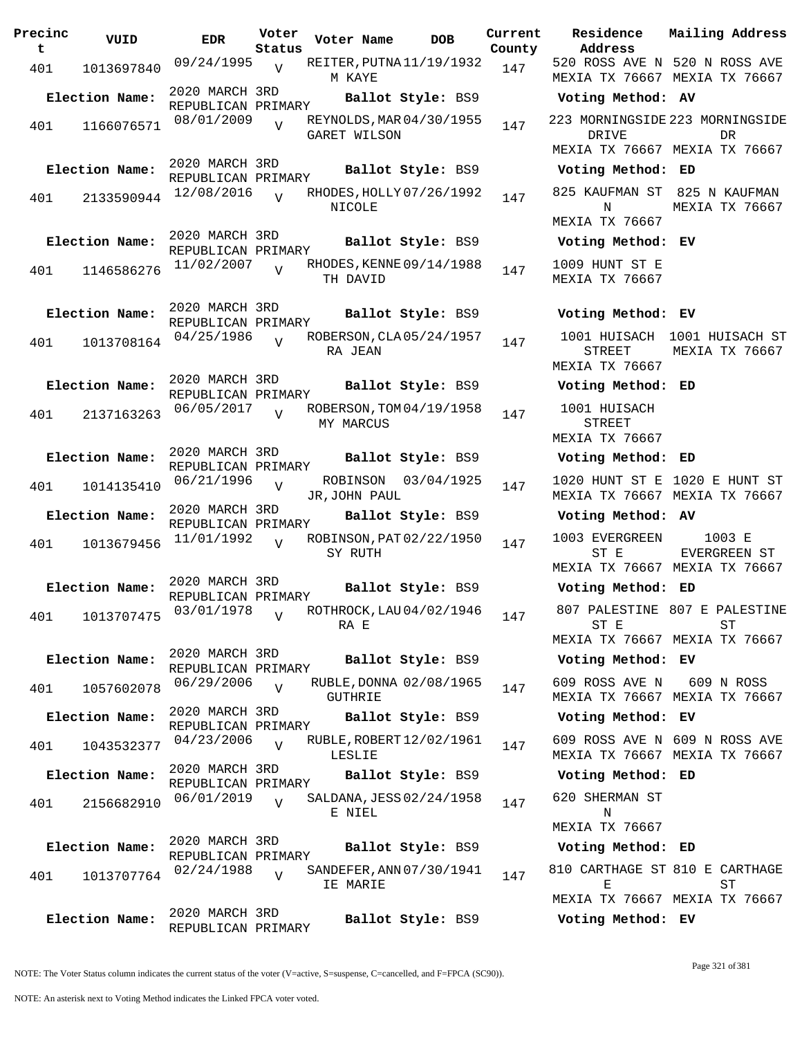| Precinc<br>t | VUID           | EDR                                  | Voter<br>Status | Voter Name                | DOB                      | Current<br>County |
|--------------|----------------|--------------------------------------|-----------------|---------------------------|--------------------------|-------------------|
| 401          | 1013697840     | 09/24/1995                           | $\overline{V}$  | M KAYE                    | REITER, PUTNA 11/19/1932 | 147               |
|              | Election Name: | 2020 MARCH 3RD<br>REPUBLICAN PRIMARY |                 |                           | Ballot Style: BS9        |                   |
| 401          | 1166076571     | 08/01/2009                           | $\overline{V}$  | GARET WILSON              | REYNOLDS, MAR 04/30/1955 | 147               |
|              | Election Name: | 2020 MARCH 3RD<br>REPUBLICAN PRIMARY |                 |                           | Ballot Style: BS9        |                   |
| 401          | 2133590944     | 12/08/2016                           | $\overline{V}$  | NICOLE                    | RHODES, HOLLY 07/26/1992 | 147               |
|              | Election Name: | 2020 MARCH 3RD<br>REPUBLICAN PRIMARY |                 |                           | Ballot Style: BS9        |                   |
| 401          | 1146586276     | 11/02/2007                           | $\overline{U}$  | TH DAVID                  | RHODES, KENNE 09/14/1988 | 147               |
|              | Election Name: | 2020 MARCH 3RD<br>REPUBLICAN PRIMARY |                 |                           | Ballot Style: BS9        |                   |
| 401          | 1013708164     | 04/25/1986                           | ٦T              | RA JEAN                   | ROBERSON, CLA 05/24/1957 | 147               |
|              | Election Name: | 2020 MARCH 3RD<br>REPUBLICAN PRIMARY |                 |                           | Ballot Style: BS9        |                   |
| 401          | 2137163263     | 06/05/2017                           | $\overline{U}$  | MY MARCUS                 | ROBERSON, TOM 04/19/1958 | 147               |
|              | Election Name: | 2020 MARCH 3RD<br>REPUBLICAN PRIMARY |                 |                           | Ballot Style: BS9        |                   |
| 401          | 1014135410     | 06/21/1996                           | V               | ROBINSON<br>JR, JOHN PAUL | 03/04/1925               | 147               |
|              | Election Name: | 2020 MARCH 3RD<br>REPUBLICAN PRIMARY |                 |                           | Ballot Style: BS9        |                   |
| 401          | 1013679456     | 11/01/1992                           | $\overline{V}$  | SY RUTH                   | ROBINSON, PAT 02/22/1950 | 147               |
|              | Election Name: | 2020 MARCH 3RD<br>REPUBLICAN PRIMARY |                 |                           | Ballot Style: BS9        |                   |
| 401          |                | 1013707475 03/01/1978 v              |                 | RA E                      | ROTHROCK, LAU 04/02/1946 | 147               |
|              | Election Name: | 2020 MARCH 3RD<br>REPUBLICAN PRIMARY |                 |                           | Ballot Style: BS9        |                   |
| 401          | 1057602078     | 06/29/2006                           | $\overline{V}$  | GUTHRIE                   | RUBLE, DONNA 02/08/1965  | 147               |
|              | Election Name: | 2020 MARCH 3RD<br>REPUBLICAN PRIMARY |                 |                           | Ballot Style: BS9        |                   |
| 401          | 1043532377     | 04/23/2006                           | $\overline{V}$  | LESLIE                    | RUBLE, ROBERT 12/02/1961 | 147               |
|              | Election Name: | 2020 MARCH 3RD<br>REPUBLICAN PRIMARY |                 |                           | Ballot Style: BS9        |                   |
| 401          | 2156682910     | 06/01/2019                           | $\overline{V}$  | E NIEL                    | SALDANA, JESS 02/24/1958 | 147               |
|              | Election Name: | 2020 MARCH 3RD<br>REPUBLICAN PRIMARY |                 |                           | Ballot Style: BS9        |                   |
| 401          | 1013707764     | 02/24/1988                           | $\overline{U}$  | IE MARIE                  | SANDEFER, ANN 07/30/1941 | 147               |
|              | Election Name: | 2020 MARCH 3RD<br>REPUBLICAN PRIMARY |                 |                           | Ballot Style: BS9        |                   |

**Voter Name DOB Residence Address Current Mailing Address** 520 ROSS AVE N 520 N ROSS AVE MEXIA TX 76667 MEXIA TX 76667 **Election Name: Ballot Style:** BS9 **Voting Method: AV** 223 MORNINGSIDE 223 MORNINGSIDE DRIVE MEXIA TX 76667 MEXIA TX 76667 DR **Election Name: Ballot Style:** BS9 **Voting Method: ED** 825 KAUFMAN ST 825 N KAUFMAN N MEXIA TX 76667 MEXIA TX 76667 **Election Name: Ballot Style:** BS9 **Voting Method: EV** 1009 HUNT ST E MEXIA TX 76667 **Election Name: Ballot Style:** BS9 **Voting Method: EV** 1001 HUISACH 1001 HUISACH ST STREET MEXIA TX 76667 MEXIA TX 76667 **Election Name: Ballot Style:** BS9 **Voting Method: ED** 1001 HUISACH STREET MEXIA TX 76667 **Election Name: Ballot Style:** BS9 **Voting Method: ED** 1020 HUNT ST E 1020 E HUNT ST MEXIA TX 76667 MEXIA TX 76667 **Election Name: Ballot Style:** BS9 **Voting Method: AV** 1003 EVERGREEN ST E MEXIA TX 76667 MEXIA TX 76667 1003 E EVERGREEN ST **Election Name: Ballot Style:** BS9 **Voting Method: ED** 807 PALESTINE 807 E PALESTINE ST E MEXIA TX 76667 MEXIA TX 76667 ST **Election Name: Ballot Style:** BS9 **Voting Method: EV** 609 ROSS AVE N MEXIA TX 76667 MEXIA TX 76667 609 N ROSS **Election Name: Ballot Style:** BS9 **Voting Method: EV** 609 ROSS AVE N 609 N ROSS AVE MEXIA TX 76667 MEXIA TX 76667 **Election Name: Ballot Style:** BS9 **Voting Method: ED** 620 SHERMAN ST N MEXIA TX 76667 **Election Name: Ballot Style:** BS9 **Voting Method: ED** 810 CARTHAGE ST 810 E CARTHAGE E MEXIA TX 76667 MEXIA TX 76667  $ST$ **Election Name: Ballot Style:** BS9 **Voting Method: EV**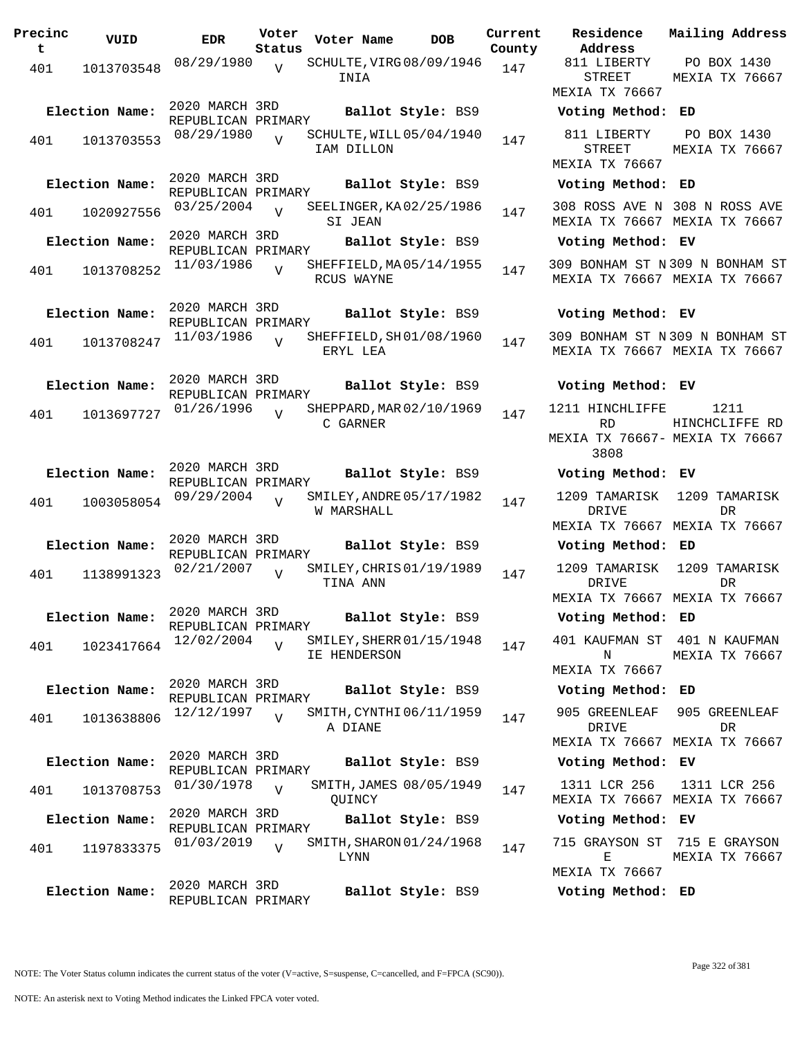**Precinc t VUID EDR Voter Status Voter Name bob Current Residence County** 401 1013703548 08/29/1980 INIA  $\overline{V}$ SCHULTE, VIRG 08/09/1946 147 2020 MARCH 3RD REPUBLICAN PRIMARY **Election Name: Ballot Style:** BS9 **Voting Method: ED** <sup>401</sup> SCHULTE,WILL 08/29/1980 <sup>1013703553</sup> <sup>147</sup> 05/04/1940 IAM DILLON  $\overline{V}$ 2020 MARCH 3RD REPUBLICAN PRIMARY **Election Name: Ballot Style:** BS9 **Voting Method: ED** <sup>401</sup> SEELINGER,KA 03/25/2004 <sup>1020927556</sup> <sup>147</sup> 02/25/1986 SI JEAN  $\overline{V}$ 2020 MARCH 3RD REPUBLICAN PRIMARY **Election Name: Ballot Style:** BS9 **Voting Method: EV** 401 1013708252 11/03/1986 RCUS WAYNE  $\overline{V}$ SHEFFIELD, MA 05/14/1955 147 2020 MARCH 3RD REPUBLICAN PRIMARY **Election Name: Ballot Style:** BS9 **Voting Method: EV** 401 1013708247  $11/03/1986$ ERYL LEA  $\overline{V}$ SHEFFIELD, SH01/08/1960 147 2020 MARCH 3RD REPUBLICAN PRIMARY **Election Name: Ballot Style:** BS9 **Voting Method: EV** 401 1013697727 01/26/1996 C GARNER  $\overline{V}$ SHEPPARD, MAR 02/10/1969 147 2020 MARCH 3RD REPUBLICAN PRIMARY **Election Name: Ballot Style:** BS9 **Voting Method: EV** 401 1003058054 09/29/2004 V SMILEY, ANDRE 05/17/1982 147 W MARSHALL V 2020 MARCH 3RD REPUBLICAN PRIMARY **Election Name: Ballot Style:** BS9 **Voting Method: ED** 401 1138991323  $02/21/2007$  SMILEY, CHRIS 01/19/1989 147 TINA ANN  $\overline{v}$ 2020 MARCH 3RD REPUBLICAN PRIMARY **Election Name: Ballot Style:** BS9 **Voting Method: ED** 401 1023417664 12/02/2004 IE HENDERSON V SMILEY, SHERR 01/15/1948 147 2020 MARCH 3RD REPUBLICAN PRIMARY **Election Name: Ballot Style:** BS9 **Voting Method: ED** 401 1013638806 <sup>12</sup>/12/1997 v SMITH, CYNTHI 06/11/1959 147 A DIANE  $\overline{V}$ 2020 MARCH 3RD REPUBLICAN PRIMARY **Election Name: Ballot Style:** BS9 **Voting Method: EV** 401 1013708753 <sup>01/30/1978</sup> V SMITH,JAMES 08/05/1949 147 **OUINCY**  $\overline{U}$ 2020 MARCH 3RD REPUBLICAN PRIMARY **Election Name: Ballot Style:** BS9 **Voting Method: EV** 401 1197833375  $01/03/2019$  J SMITH, SHARON 01/24/1968 147 LYNN  $\overline{V}$ 2020 MARCH 3RD REPUBLICAN PRIMARY **Election Name: Ballot Style:** BS9 **Voting Method: ED**

STREET MEXIA TX 76667 MEXIA TX 76667 811 LIBERTY STREET MEXIA TX 76667 PO BOX 1430 MEXIA TX 76667 308 ROSS AVE N 308 N ROSS AVE MEXIA TX 76667 MEXIA TX 76667 309 BONHAM ST N 309 N BONHAM ST MEXIA TX 76667 MEXIA TX 76667 309 BONHAM ST N 309 N BONHAM ST MEXIA TX 76667 MEXIA TX 76667 1211 HINCHLIFFE RD. MEXIA TX 76667- MEXIA TX 76667 3808 1211 HINCHCLIFFE RD 1209 TAMARISK DRIVE MEXIA TX 76667 MEXIA TX 76667 1209 TAMARISK DR 1209 TAMARISK DRIVE MEXIA TX 76667 MEXIA TX 76667 1209 TAMARISK DR 401 KAUFMAN ST 401 N KAUFMAN N MEXIA TX 76667 MEXIA TX 76667 905 GREENLEAF DRIVE MEXIA TX 76667 MEXIA TX 76667 905 GREENLEAF DR 1311 LCR 256 MEXIA TX 76667 MEXIA TX 76667 1311 LCR 256 715 GRAYSON ST 715 E GRAYSON E MEXIA TX 76667 MEXIA TX 76667

**Address**

811 LIBERTY

**Current Mailing Address**

PO BOX 1430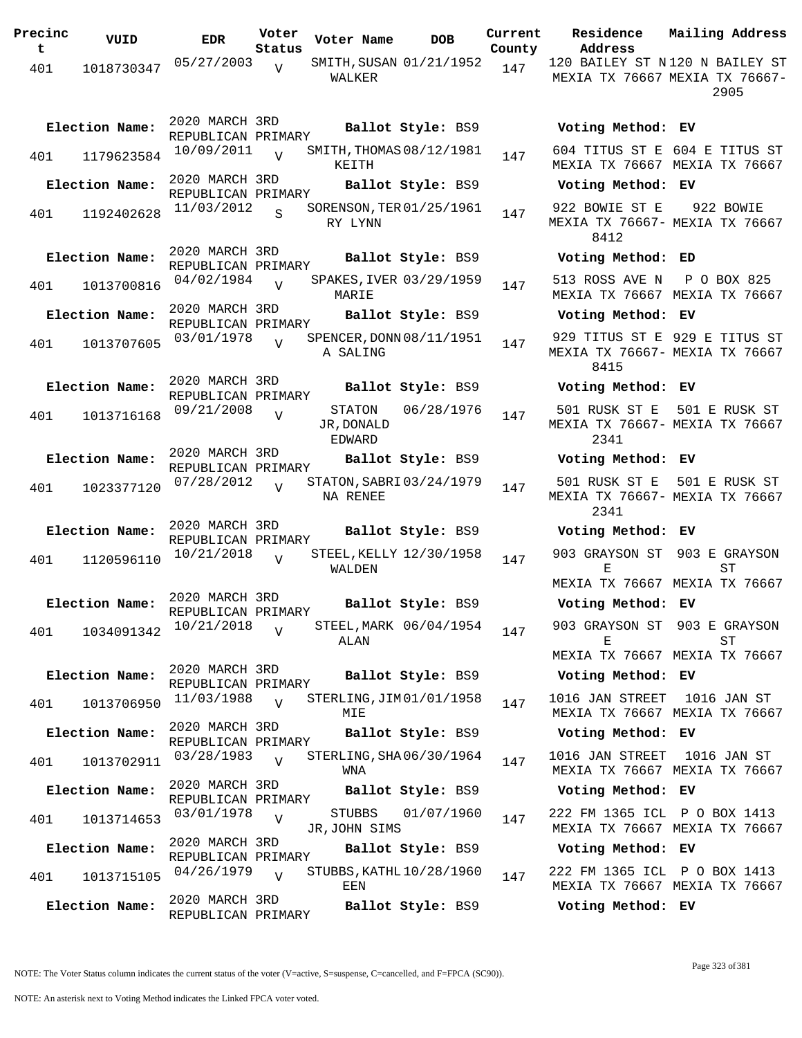| Precinc<br>t | VUID           | <b>EDR</b>                           | Voter<br>Status | Voter Name                     | <b>DOB</b>                 | Current<br>County | Residence<br>Address         | Mailing Address                                                          |
|--------------|----------------|--------------------------------------|-----------------|--------------------------------|----------------------------|-------------------|------------------------------|--------------------------------------------------------------------------|
| 401          | 1018730347     | 05/27/2003                           | $\overline{U}$  | WALKER                         | SMITH, SUSAN 01/21/1952    | 147               |                              | 120 BAILEY ST N120 N BAILEY ST<br>MEXIA TX 76667 MEXIA TX 76667-<br>2905 |
|              | Election Name: | 2020 MARCH 3RD<br>REPUBLICAN PRIMARY |                 |                                | Ballot Style: BS9          |                   | Voting Method: EV            |                                                                          |
| 401          | 1179623584     | 10/09/2011                           | $\overline{U}$  | KEITH                          | SMITH, THOMAS 08/12/1981   | 147               |                              | 604 TITUS ST E 604 E TITUS ST<br>MEXIA TX 76667 MEXIA TX 76667           |
|              | Election Name: | 2020 MARCH 3RD<br>REPUBLICAN PRIMARY |                 |                                | Ballot Style: BS9          |                   | Voting Method: EV            |                                                                          |
| 401          | 1192402628     | 11/03/2012                           | S               | RY LYNN                        | SORENSON, TER 01/25/1961   | 147               | 922 BOWIE ST E<br>8412       | 922 BOWIE<br>MEXIA TX 76667- MEXIA TX 76667                              |
|              | Election Name: | 2020 MARCH 3RD<br>REPUBLICAN PRIMARY |                 |                                | Ballot Style: BS9          |                   | Voting Method: ED            |                                                                          |
| 401          | 1013700816     | 04/02/1984                           | $\overline{v}$  | MARIE                          | SPAKES, IVER 03/29/1959    | 147               | 513 ROSS AVE N               | P O BOX 825<br>MEXIA TX 76667 MEXIA TX 76667                             |
|              | Election Name: | 2020 MARCH 3RD<br>REPUBLICAN PRIMARY |                 |                                | Ballot Style: BS9          |                   | Voting Method: EV            |                                                                          |
| 401          | 1013707605     | 03/01/1978                           | $\overline{v}$  | A SALING                       | SPENCER, DONN 08/11/1951   | 147               | 8415                         | 929 TITUS ST E 929 E TITUS ST<br>MEXIA TX 76667- MEXIA TX 76667          |
|              | Election Name: | 2020 MARCH 3RD<br>REPUBLICAN PRIMARY |                 |                                | Ballot Style: BS9          |                   | Voting Method: EV            |                                                                          |
| 401          | 1013716168     | 09/21/2008                           | $\overline{v}$  | STATON<br>JR, DONALD<br>EDWARD | 06/28/1976                 | 147               | 501 RUSK ST E<br>2341        | 501 E RUSK ST<br>MEXIA TX 76667- MEXIA TX 76667                          |
|              | Election Name: | 2020 MARCH 3RD                       |                 |                                | Ballot Style: BS9          |                   | Voting Method: EV            |                                                                          |
| 401          | 1023377120     | REPUBLICAN PRIMARY<br>07/28/2012     | $\overline{U}$  | NA RENEE                       | STATON, SABRI 03/24/1979   | 147               | 501 RUSK ST E<br>2341        | 501 E RUSK ST<br>MEXIA TX 76667- MEXIA TX 76667                          |
|              | Election Name: | 2020 MARCH 3RD<br>REPUBLICAN PRIMARY |                 |                                | Ballot Style: BS9          |                   | Voting Method: EV            |                                                                          |
| 401          | 1120596110     | 10/21/2018                           | $\overline{U}$  | WALDEN                         | STEEL, KELLY 12/30/1958    | 147               | Е                            | 903 GRAYSON ST 903 E GRAYSON<br>ST<br>MEXIA TX 76667 MEXIA TX 76667      |
|              | Election Name: | 2020 MARCH 3RD                       |                 |                                | Ballot Style: BS9          |                   | Voting Method: EV            |                                                                          |
| 401          | 1034091342     | REPUBLICAN PRIMARY<br>10/21/2018     | $\overline{v}$  | ALAN                           | STEEL, MARK 06/04/1954     | 147               | Е                            | 903 GRAYSON ST 903 E GRAYSON<br>SТ                                       |
|              |                |                                      |                 |                                |                            |                   |                              | MEXIA TX 76667 MEXIA TX 76667                                            |
|              | Election Name: | 2020 MARCH 3RD<br>REPUBLICAN PRIMARY |                 |                                | Ballot Style: BS9          |                   | Voting Method: EV            |                                                                          |
| 401          | 1013706950     | 11/03/1988                           | $\overline{U}$  | MIE                            | STERLING, JIM 01/01/1958   | 147               | 1016 JAN STREET              | 1016 JAN ST<br>MEXIA TX 76667 MEXIA TX 76667                             |
|              | Election Name: | 2020 MARCH 3RD<br>REPUBLICAN PRIMARY |                 |                                | Ballot Style: BS9          |                   | Voting Method: EV            |                                                                          |
| 401          | 1013702911     | 03/28/1983                           | $\overline{U}$  | WNA                            | STERLING, SHA06/30/1964    | 147               | 1016 JAN STREET              | 1016 JAN ST<br>MEXIA TX 76667 MEXIA TX 76667                             |
|              | Election Name: | 2020 MARCH 3RD<br>REPUBLICAN PRIMARY |                 |                                | Ballot Style: BS9          |                   | Voting Method: EV            |                                                                          |
| 401          | 1013714653     | 03/01/1978                           | $\overline{V}$  | STUBBS<br>JR, JOHN SIMS        | 01/07/1960                 | 147               | 222 FM 1365 ICL P O BOX 1413 | MEXIA TX 76667 MEXIA TX 76667                                            |
|              | Election Name: | 2020 MARCH 3RD<br>REPUBLICAN PRIMARY |                 |                                | Ballot Style: BS9          |                   | Voting Method: EV            |                                                                          |
| 401          | 1013715105     | 04/26/1979                           | $\overline{U}$  | EEN                            | STUBBS, KATHL $10/28/1960$ | 147               | 222 FM 1365 ICL P O BOX 1413 | MEXIA TX 76667 MEXIA TX 76667                                            |
|              | Election Name: | 2020 MARCH 3RD<br>REPUBLICAN PRIMARY |                 |                                | Ballot Style: BS9          |                   | Voting Method: EV            |                                                                          |

NOTE: An asterisk next to Voting Method indicates the Linked FPCA voter voted.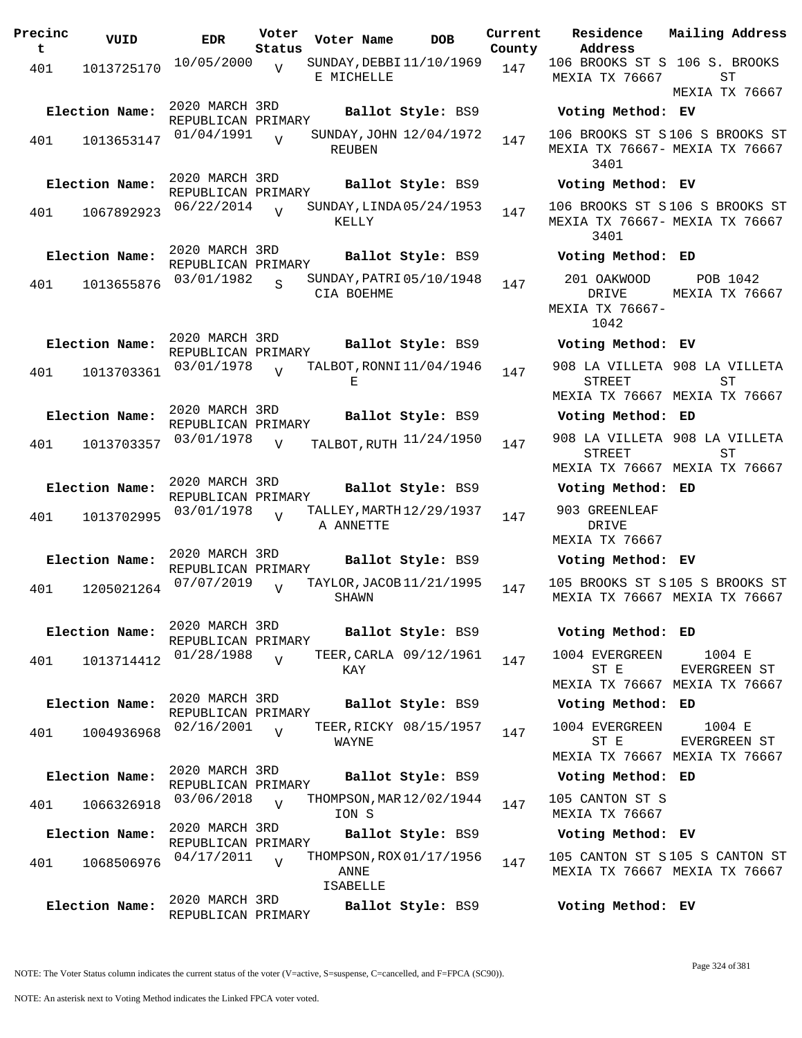| Precinc<br>t | VUID           | <b>EDR</b>                           | Voter<br>Status | Voter Name                                   | <b>DOB</b>                | Current<br>County | Residence<br>Address                              |
|--------------|----------------|--------------------------------------|-----------------|----------------------------------------------|---------------------------|-------------------|---------------------------------------------------|
| 401          | 1013725170     | 10/05/2000                           | $\overline{V}$  | SUNDAY, DEBBI 11/10/1969<br>E MICHELLE       |                           | 147               | 106 BROOKS ST S<br>MEXIA TX 76667                 |
|              | Election Name: | 2020 MARCH 3RD<br>REPUBLICAN PRIMARY |                 |                                              | Ballot Style: BS9         |                   | Voting Method                                     |
| 401          | 1013653147     | 01/04/1991                           | $\overline{V}$  | <b>REUBEN</b>                                | SUNDAY, JOHN 12/04/1972   | 147               | 106 BROOKS ST S<br>MEXIA TX 76667-<br>3401        |
|              | Election Name: | 2020 MARCH 3RD<br>REPUBLICAN PRIMARY |                 |                                              | Ballot Style: BS9         |                   | Voting Method                                     |
| 401          | 1067892923     | 06/22/2014                           | $\overline{U}$  | SUNDAY, LINDA 05/24/1953<br>KELLY            |                           | 147               | 106 BROOKS ST S<br>MEXIA TX 76667-<br>3401        |
|              | Election Name: | 2020 MARCH 3RD<br>REPUBLICAN PRIMARY |                 |                                              | Ballot Style: BS9         |                   | Voting Method                                     |
| 401          | 1013655876     | 03/01/1982                           | $\overline{S}$  | SUNDAY, PATRI 05/10/1948<br>CIA BOEHME       |                           | 147               | 201 OAKWOOD<br>DRIVE<br>MEXIA TX 76667-<br>1042   |
|              | Election Name: | 2020 MARCH 3RD<br>REPUBLICAN PRIMARY |                 |                                              | Ballot Style: BS9         |                   | Voting Method                                     |
| 401          | 1013703361     | 03/01/1978                           | $\overline{U}$  | TALBOT, RONNI 11/04/1946<br>Е                |                           | 147               | 908 LA VILLETA<br><b>STREET</b><br>MEXIA TX 76667 |
|              | Election Name: | 2020 MARCH 3RD                       |                 |                                              | Ballot Style: BS9         |                   | Voting Method                                     |
| 401          | 1013703357     | REPUBLICAN PRIMARY<br>03/01/1978     | $\overline{V}$  |                                              | TALBOT, RUTH $11/24/1950$ | 147               | 908 LA VILLETA<br>STREET                          |
|              | Election Name: | 2020 MARCH 3RD                       |                 |                                              | Ballot Style: BS9         |                   | MEXIA TX 76667<br>Voting Method                   |
|              |                | REPUBLICAN PRIMARY<br>03/01/1978     |                 | TALLEY, MARTH 12/29/1937                     |                           |                   | 903 GREENLEAF                                     |
| 401          | 1013702995     |                                      | $\overline{V}$  | A ANNETTE                                    |                           | 147               | DRIVE<br>MEXIA TX 76667                           |
|              | Election Name: | 2020 MARCH 3RD<br>REPUBLICAN PRIMARY |                 |                                              | Ballot Style: BS9         |                   | Voting Method                                     |
| 401          | 1205021264     | 07/07/2019                           | $\overline{V}$  | TAYLOR, JACOB 11/21/1995<br>SHAWN            |                           | 147               | 105 BROOKS ST S<br>MEXIA TX 76667                 |
|              | Election Name: | 2020 MARCH 3RD<br>REPUBLICAN PRIMARY |                 |                                              | Ballot Style: BS9         |                   | Voting Method                                     |
| 401          | 1013714412     | 01/28/1988                           | $\overline{V}$  | KAY                                          | TEER, CARLA 09/12/1961    | 147               | 1004 EVERGREEN<br>ST E<br>MEXIA TX 76667          |
|              | Election Name: | 2020 MARCH 3RD<br>REPUBLICAN PRIMARY |                 |                                              | Ballot Style: BS9         |                   | Voting Method                                     |
| 401          | 1004936968     | 02/16/2001                           | $\overline{17}$ | WAYNE                                        | TEER, RICKY 08/15/1957    | 147               | 1004 EVERGREEN<br>ST E<br>MEXIA TX 76667          |
|              | Election Name: | 2020 MARCH 3RD                       |                 |                                              | Ballot Style: BS9         |                   | Voting Method                                     |
| 401          | 1066326918     | REPUBLICAN PRIMARY<br>03/06/2018     | $\overline{U}$  | THOMPSON, MAR 12/02/1944<br>ION S            |                           | 147               | 105 CANTON ST S<br>MEXIA TX 76667                 |
|              | Election Name: | 2020 MARCH 3RD<br>REPUBLICAN PRIMARY |                 |                                              | Ballot Style: BS9         |                   | Voting Method                                     |
| 401          | 1068506976     | 04/17/2011                           | $\overline{V}$  | THOMPSON, ROX 01/17/1956<br>ANNE<br>ISABELLE |                           | 147               | 105 CANTON ST S<br>MEXIA TX 76667                 |
|              | Election Name: | 2020 MARCH 3RD<br>REPUBLICAN PRIMARY |                 |                                              | Ballot Style: BS9         |                   | Voting Method                                     |

**Voter Name DOB Residence Address Current Mailing Address** 106 BROOKS ST S 106 S. BROOKS MEXIA TX 76667  $ST$ MEXIA TX 76667 **Election Name: Ballot Style:** BS9 **Voting Method: EV** 106 BROOKS ST S 106 S BROOKS ST MEXIA TX 76667- MEXIA TX 76667 3401 **Election Name: Ballot Style:** BS9 **Voting Method: EV** 106 BROOKS ST S 106 S BROOKS ST MEXIA TX 76667- MEXIA TX 76667 3401 **Election Name: Ballot Style:** BS9 **Voting Method: ED** 201 OAKWOOD DRIVE MEXIA TX 76667- 1042 POB 1042 MEXIA TX 76667 **Election Name: Ballot Style:** BS9 **Voting Method: EV** 908 LA VILLETA 908 LA VILLETA STREET MEXIA TX 76667 MEXIA TX 76667 ST **Election Name: Ballot Style:** BS9 **Voting Method: ED** STREET MEXIA TX 76667 MEXIA TX 76667 908 LA VILLETA ST **Election Name: Ballot Style:** BS9 **Voting Method: ED** 903 GREENLEAF DRIVE MEXIA TX 76667 **Election Name: Ballot Style:** BS9 **Voting Method: EV** 105 BROOKS ST S 105 S BROOKS ST MEXIA TX 76667 MEXIA TX 76667 **Election Name: Ballot Style:** BS9 **Voting Method: ED** 1004 EVERGREEN ST E MEXIA TX 76667 MEXIA TX 76667 1004 E EVERGREEN ST

**Election Name: Ballot Style:** BS9 **Voting Method: ED** 1004 EVERGREEN ST E 1004 E EVERGREEN ST

MEXIA TX 76667 MEXIA TX 76667

**Election Name: Ballot Style:** BS9 **Voting Method: ED**

# **Election Name: Ballot Style:** BS9 **Voting Method: EV**

105 CANTON ST S 105 S CANTON ST MEXIA TX 76667 MEXIA TX 76667

**Election Name: Ballot Style:** BS9 **Voting Method: EV**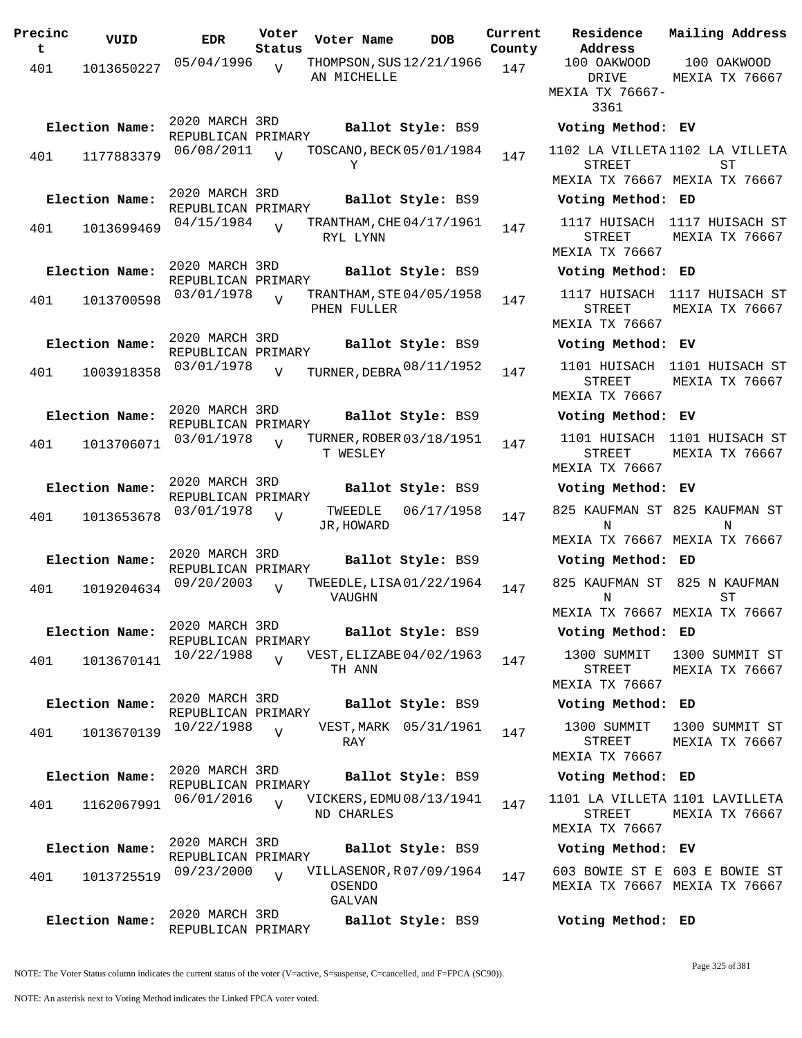| Precinc<br>t | VUID           | <b>EDR</b>                           | Voter<br>Status | Voter Name                                  | <b>DOB</b>        | Current<br>County | Residence<br>Address                                       | Mailing Address                                |
|--------------|----------------|--------------------------------------|-----------------|---------------------------------------------|-------------------|-------------------|------------------------------------------------------------|------------------------------------------------|
| 401          | 1013650227     | 05/04/1996                           | $\overline{U}$  | THOMPSON, SUS 12/21/1966                    |                   | 147               | 100 OAKWOOD                                                | 100 OAKWOOD                                    |
|              |                |                                      |                 | AN MICHELLE                                 |                   |                   | DRIVE<br>MEXIA TX 76667-<br>3361                           | MEXIA TX 76667                                 |
|              | Election Name: | 2020 MARCH 3RD<br>REPUBLICAN PRIMARY |                 |                                             | Ballot Style: BS9 |                   | Voting Method: EV                                          |                                                |
| 401          | 1177883379     | 06/08/2011                           | $\overline{v}$  | TOSCANO, BECK 05/01/1984<br>Υ               |                   | 147               | 1102 LA VILLETA 1102 LA VILLETA<br><b>STREET</b>           | ST                                             |
|              |                | 2020 MARCH 3RD                       |                 |                                             |                   |                   | MEXIA TX 76667 MEXIA TX 76667                              |                                                |
|              | Election Name: | REPUBLICAN PRIMARY                   |                 |                                             | Ballot Style: BS9 |                   | Voting Method: ED                                          |                                                |
| 401          | 1013699469     | 04/15/1984                           | $\overline{U}$  | TRANTHAM, CHE 04/17/1961<br>RYL LYNN        |                   | 147               | STREET<br>MEXIA TX 76667                                   | 1117 HUISACH 1117 HUISACH ST<br>MEXIA TX 76667 |
|              | Election Name: | 2020 MARCH 3RD                       |                 |                                             | Ballot Style: BS9 |                   | Voting Method: ED                                          |                                                |
| 401          | 1013700598     | REPUBLICAN PRIMARY<br>03/01/1978     | $\overline{V}$  | TRANTHAM, STE 04/05/1958<br>PHEN FULLER     |                   | 147               | STREET                                                     | 1117 HUISACH 1117 HUISACH ST<br>MEXIA TX 76667 |
|              | Election Name: | 2020 MARCH 3RD                       |                 |                                             | Ballot Style: BS9 |                   | MEXIA TX 76667                                             |                                                |
|              |                | REPUBLICAN PRIMARY                   |                 |                                             |                   |                   | Voting Method: EV                                          | 1101 HUISACH 1101 HUISACH ST                   |
| 401          | 1003918358     | 03/01/1978                           | $\overline{V}$  | TURNER, DEBRA 08/11/1952                    |                   | 147               | <b>STREET</b><br>MEXIA TX 76667                            | MEXIA TX 76667                                 |
|              | Election Name: | 2020 MARCH 3RD<br>REPUBLICAN PRIMARY |                 |                                             | Ballot Style: BS9 |                   | Voting Method: EV                                          |                                                |
| 401          | 1013706071     | 03/01/1978                           | $\overline{V}$  | TURNER, ROBER 03/18/1951<br>T WESLEY        |                   | 147               | 1101 HUISACH<br>STREET<br>MEXIA TX 76667                   | 1101 HUISACH ST<br>MEXIA TX 76667              |
|              | Election Name: | 2020 MARCH 3RD<br>REPUBLICAN PRIMARY |                 |                                             | Ballot Style: BS9 |                   | Voting Method: EV                                          |                                                |
| 401          | 1013653678     | 03/01/1978                           | $\overline{V}$  | TWEEDLE<br>JR, HOWARD                       | 06/17/1958        | 147               | N<br>MEXIA TX 76667 MEXIA TX 76667                         | 825 KAUFMAN ST 825 KAUFMAN ST<br>N             |
|              | Election Name: | 2020 MARCH 3RD                       |                 |                                             | Ballot Style: BS9 |                   | Voting Method: ED                                          |                                                |
| 401          | 1019204634     | REPUBLICAN PRIMARY<br>09/20/2003     | $\overline{V}$  | TWEEDLE, LISA 01/22/1964<br>VAUGHN          |                   | 147               | 825 KAUFMAN ST 825 N KAUFMAN<br>N                          | ST                                             |
|              |                |                                      |                 |                                             |                   |                   | MEXIA TX 76667 MEXIA TX 76667                              |                                                |
|              | Election Name: | 2020 MARCH 3RD<br>REPUBLICAN PRIMARY |                 |                                             | Ballot Style: BS9 |                   | Voting Method: ED                                          |                                                |
| 401          | 1013670141     | 10/22/1988                           | $\overline{V}$  | VEST, ELIZABE 04/02/1963<br>TH ANN          |                   | 147               | 1300 SUMMIT<br>STREET<br>MEXIA TX 76667                    | 1300 SUMMIT ST<br>MEXIA TX 76667               |
|              | Election Name: | 2020 MARCH 3RD                       |                 |                                             | Ballot Style: BS9 |                   | Voting Method: ED                                          |                                                |
|              |                | REPUBLICAN PRIMARY<br>10/22/1988     |                 | VEST, MARK 05/31/1961                       |                   |                   | 1300 SUMMIT                                                | 1300 SUMMIT ST                                 |
| 401          | 1013670139     |                                      | $\overline{U}$  | RAY                                         |                   | 147               | STREET<br>MEXIA TX 76667                                   | MEXIA TX 76667                                 |
|              | Election Name: | 2020 MARCH 3RD<br>REPUBLICAN PRIMARY |                 |                                             | Ballot Style: BS9 |                   | Voting Method: ED                                          |                                                |
| 401          | 1162067991     | 06/01/2016                           | $\overline{z}$  | VICKERS, EDMU 08/13/1941<br>ND CHARLES      |                   | 147               | 1101 LA VILLETA 1101 LAVILLETA<br>STREET<br>MEXIA TX 76667 | MEXIA TX 76667                                 |
|              | Election Name: | 2020 MARCH 3RD<br>REPUBLICAN PRIMARY |                 |                                             | Ballot Style: BS9 |                   | Voting Method: EV                                          |                                                |
| 401          | 1013725519     | 09/23/2000                           | $\overline{V}$  | VILLASENOR, R07/09/1964<br>OSENDO<br>GALVAN |                   | 147               | MEXIA TX 76667 MEXIA TX 76667                              | 603 BOWIE ST E 603 E BOWIE ST                  |
|              | Election Name: | 2020 MARCH 3RD<br>REPUBLICAN PRIMARY |                 |                                             | Ballot Style: BS9 |                   | Voting Method: ED                                          |                                                |

NOTE: The Voter Status column indicates the current status of the voter (V=active, S=suspense, C=cancelled, and F=FPCA (SC90)).

Page 325 of 381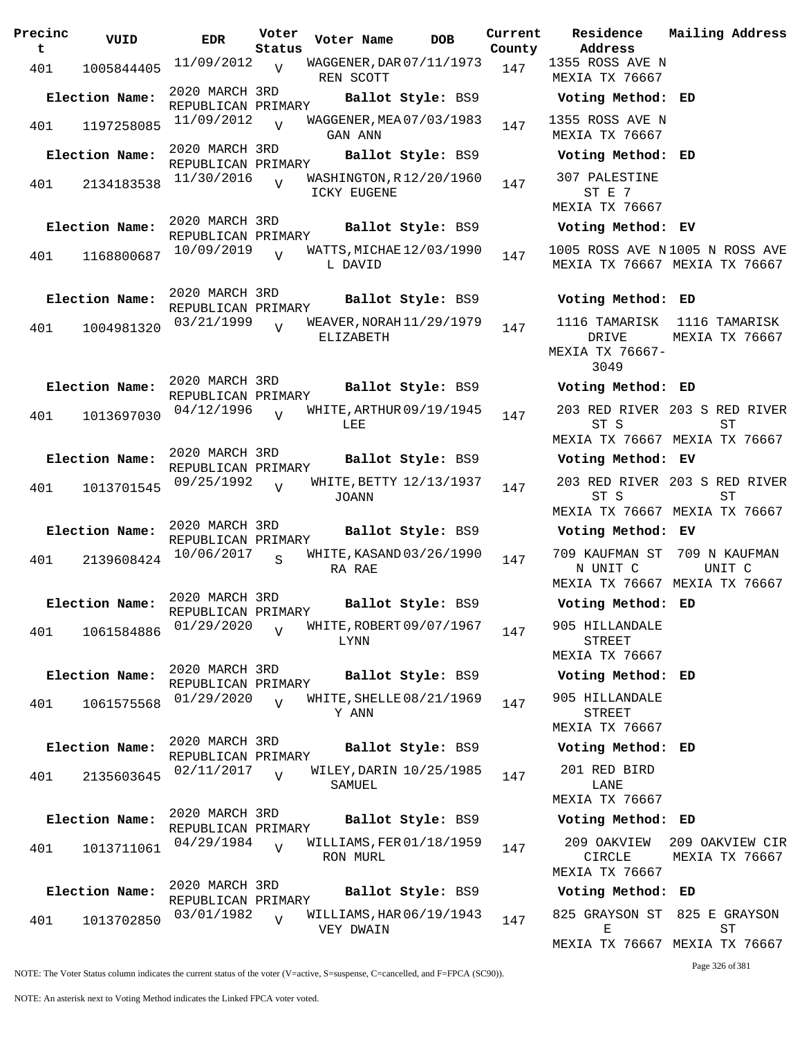| Precinc<br>t | VUID           | <b>EDR</b>                           | Voter<br>Status | Voter Name                             | <b>DOB</b>        | Current<br>County | Residence<br>Address                     |
|--------------|----------------|--------------------------------------|-----------------|----------------------------------------|-------------------|-------------------|------------------------------------------|
| 401          | 1005844405     | 11/09/2012                           | $\overline{Y}$  | WAGGENER, DAR 07/11/1973<br>REN SCOTT  |                   | 147               | 1355 ROSS AVE<br>MEXIA TX 7666           |
|              | Election Name: | 2020 MARCH 3RD<br>REPUBLICAN PRIMARY |                 |                                        | Ballot Style: BS9 |                   | Voting Metho                             |
| 401          | 1197258085     | 11/09/2012                           |                 | WAGGENER, MEA 07/03/1983<br>GAN ANN    |                   | 147               | 1355 ROSS AVE<br>MEXIA TX 7666           |
|              | Election Name: | 2020 MARCH 3RD                       |                 |                                        | Ballot Style: BS9 |                   | Voting Metho                             |
| 401          | 2134183538     | REPUBLICAN PRIMARY<br>11/30/2016     | $\overline{v}$  | WASHINGTON, R12/20/1960<br>ICKY EUGENE |                   | 147               | 307 PALESTIN<br>ST E 7                   |
|              | Election Name: | 2020 MARCH 3RD                       |                 |                                        | Ballot Style: BS9 |                   | MEXIA TX 7666<br>Voting Metho            |
|              |                | REPUBLICAN PRIMARY<br>10/09/2019     |                 | WATTS, MICHAE 12/03/1990               |                   |                   | 1005 ROSS AVE                            |
| 401          | 1168800687     |                                      | $\overline{V}$  | L DAVID                                |                   | 147               | MEXIA TX 7666                            |
|              | Election Name: | 2020 MARCH 3RD                       |                 |                                        | Ballot Style: BS9 |                   | Voting Metho                             |
|              |                | REPUBLICAN PRIMARY<br>03/21/1999     | $\overline{z}$  | WEAVER, NORAH 11/29/1979               |                   | 147               | 1116 TAMARIS                             |
| 401          | 1004981320     |                                      |                 | ELIZABETH                              |                   |                   | DRIVE<br>MEXIA TX 7666<br>3049           |
|              | Election Name: | 2020 MARCH 3RD                       |                 |                                        | Ballot Style: BS9 |                   | Voting Metho                             |
| 401          | 1013697030     | REPUBLICAN PRIMARY<br>04/12/1996     | $\overline{U}$  | WHITE, ARTHUR 09/19/1945<br>LEE        |                   | 147               | 203 RED RIVE<br>ST S                     |
|              |                |                                      |                 |                                        |                   |                   | MEXIA TX 7666                            |
|              | Election Name: | 2020 MARCH 3RD<br>REPUBLICAN PRIMARY |                 |                                        | Ballot Style: BS9 |                   | Voting Metho                             |
| 401          | 1013701545     | 09/25/1992                           | $\overline{U}$  | WHITE, BETTY 12/13/1937<br>JOANN       |                   | 147               | 203 RED RIVE<br>ST S<br>MEXIA TX 7666    |
|              | Election Name: | 2020 MARCH 3RD                       |                 |                                        | Ballot Style: BS9 |                   | Voting Metho                             |
|              |                | REPUBLICAN PRIMARY<br>10/06/2017     |                 |                                        |                   |                   | 709 KAUFMAN S                            |
| 401          | 2139608424     |                                      | $\mathbf S$     | WHITE, KASAND 03/26/1990<br>RA RAE     |                   | 147               | N UNIT C<br>MEXIA TX 7666                |
|              | Election Name: | 2020 MARCH 3RD<br>REPUBLICAN PRIMARY |                 |                                        | Ballot Style: BS9 |                   | Voting Metho                             |
| 401          | 1061584886     | 01/29/2020                           | $\overline{V}$  | WHITE, ROBERT 09/07/1967<br>LYNN       |                   | 147               | 905 HILLANDAI<br>STREET<br>MEXIA TX 7666 |
|              | Election Name: | 2020 MARCH 3RD                       |                 |                                        | Ballot Style: BS9 |                   | Voting Metho                             |
|              |                | REPUBLICAN PRIMARY<br>01/29/2020     |                 | WHITE, SHELLE 08/21/1969               |                   |                   | 905 HILLANDAI                            |
| 401          | 1061575568     |                                      | $\overline{V}$  | Y ANN                                  |                   | 147               | STREET<br>MEXIA TX 7666                  |
|              | Election Name: | 2020 MARCH 3RD<br>REPUBLICAN PRIMARY |                 |                                        | Ballot Style: BS9 |                   | Voting Metho                             |
| 401          | 2135603645     | 02/11/2017                           | $\overline{U}$  | WILEY, DARIN 10/25/1985                |                   | 147               | 201 RED BIRI                             |
|              |                |                                      |                 | SAMUEL                                 |                   |                   | LANE<br>MEXIA TX 7666                    |
|              | Election Name: | 2020 MARCH 3RD<br>REPUBLICAN PRIMARY |                 |                                        | Ballot Style: BS9 |                   | Voting Metho                             |
| 401          | 1013711061     | 04/29/1984                           | $\overline{U}$  | WILLIAMS, FER 01/18/1959<br>RON MURL   |                   | 147               | 209 OAKVIEW<br>CIRCLE<br>MEXIA TX 7666   |
|              | Election Name: | 2020 MARCH 3RD                       |                 |                                        | Ballot Style: BS9 |                   | Voting Metho                             |
| 401          | 1013702850     | REPUBLICAN PRIMARY<br>03/01/1982     | $\overline{V}$  | WILLIAMS, HAR 06/19/1943               |                   | 147               | 825 GRAYSON S                            |
|              |                |                                      |                 | VEY DWAIN                              |                   |                   | Е                                        |

**Address County** 1355 ROSS AVE N MEXIA TX 76667 **Election Name: Ballot Style:** BS9 **Voting Method: ED** 1355 ROSS AVE N MEXIA TX 76667 **Election Name: Ballot Style:** BS9 **Voting Method: ED** 307 PALESTINE ST E 7 MEXIA TX 76667 **Election Name: Ballot Style:** BS9 **Voting Method: EV** 1005 ROSS AVE N 1005 N ROSS AVE MEXIA TX 76667 MEXIA TX 76667 **Election Name: Ballot Style:** BS9 **Voting Method: ED** 1116 TAMARISK 1116 TAMARISK DRIVE MEXIA TX 76667- 3049 MEXIA TX 76667 **Election Name: Ballot Style:** BS9 **Voting Method: ED** 203 RED RIVER 203 S RED RIVER ST S MEXIA TX 76667 MEXIA TX 76667 ST **Election Name: Ballot Style:** BS9 **Voting Method: EV** 203 RED RIVER 203 S RED RIVER ST S MEXIA TX 76667 MEXIA TX 76667 ST **Election Name: Ballot Style:** BS9 **Voting Method: EV** 709 KAUFMAN ST 709 N KAUFMAN N UNIT C MEXIA TX 76667 MEXIA TX 76667 UNIT C **Election Name: Ballot Style:** BS9 **Voting Method: ED** 905 HILLANDALE STREET MEXIA TX 76667 **Election Name: Ballot Style:** BS9 **Voting Method: ED** 905 HILLANDALE STREET MEXIA TX 76667 **Election Name: Ballot Style:** BS9 **Voting Method: ED** 201 RED BIRD LANE MEXIA TX 76667 **Election Name: Ballot Style:** BS9 **Voting Method: ED** 209 OAKVIEW 209 OAKVIEW CIR CIRCLE MEXIA TX 76667 MEXIA TX 76667 **Election Name: Ballot Style:** BS9 **Voting Method: ED** 825 GRAYSON ST 825 E GRAYSON E ST

MEXIA TX 76667 MEXIA TX 76667

Page 326 of 381

**Current Mailing Address**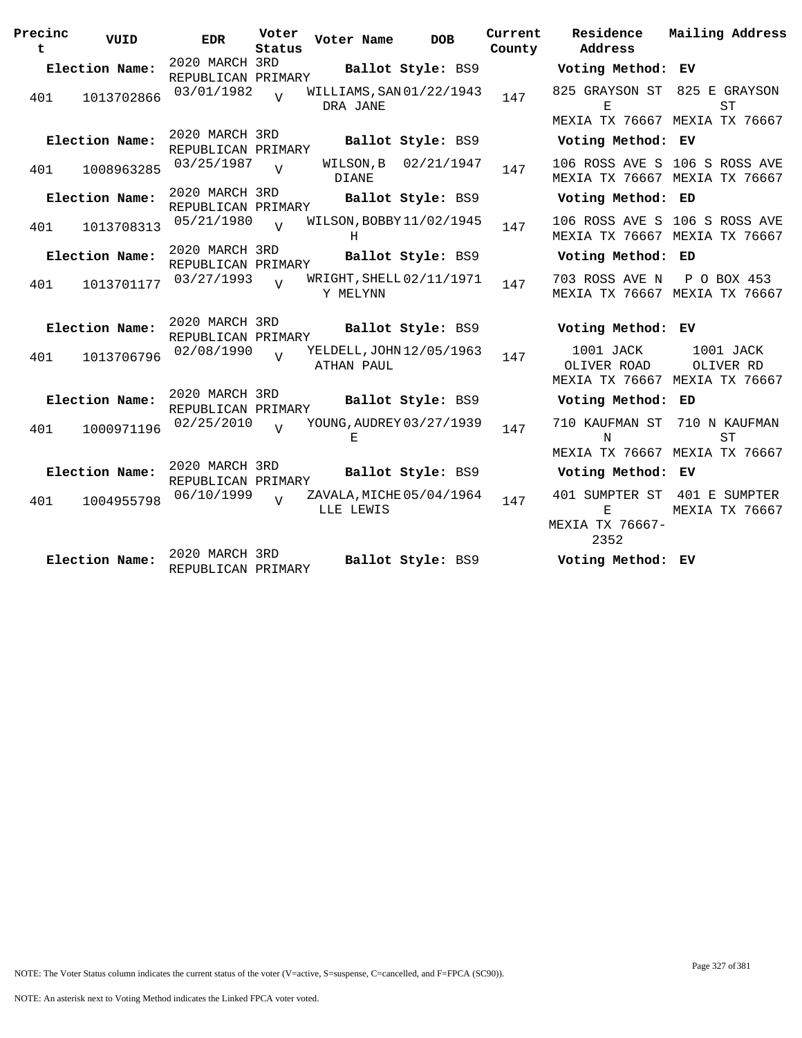| Precinc<br>t | VUID           | EDR                                  | Voter<br>Status | Voter Name                             | <b>DOB</b>        | Current<br>County | Residence<br>Address                                      | Mailing Address                                                |
|--------------|----------------|--------------------------------------|-----------------|----------------------------------------|-------------------|-------------------|-----------------------------------------------------------|----------------------------------------------------------------|
|              | Election Name: | 2020 MARCH 3RD<br>REPUBLICAN PRIMARY |                 |                                        | Ballot Style: BS9 |                   | Voting Method: EV                                         |                                                                |
| 401          | 1013702866     | 03/01/1982                           | $\overline{U}$  | WILLIAMS, SAN 01/22/1943<br>DRA JANE   |                   | 147               | 825 GRAYSON ST 825 E GRAYSON<br>E                         | <b>ST</b>                                                      |
|              | Election Name: | 2020 MARCH 3RD<br>REPUBLICAN PRIMARY |                 |                                        | Ballot Style: BS9 |                   | MEXIA TX 76667 MEXIA TX 76667<br>Voting Method: EV        |                                                                |
| 401          | 1008963285     | 03/25/1987                           | $\overline{z}$  | WILSON, B<br><b>DIANE</b>              | 02/21/1947        | 147               |                                                           | 106 ROSS AVE S 106 S ROSS AVE<br>MEXIA TX 76667 MEXIA TX 76667 |
|              | Election Name: | 2020 MARCH 3RD<br>REPUBLICAN PRIMARY |                 |                                        | Ballot Style: BS9 |                   | Voting Method: ED                                         |                                                                |
| 401          | 1013708313     | 05/21/1980                           | $\overline{V}$  | WILSON, BOBBY 11/02/1945<br>H          |                   | 147               |                                                           | 106 ROSS AVE S 106 S ROSS AVE<br>MEXIA TX 76667 MEXIA TX 76667 |
|              | Election Name: | 2020 MARCH 3RD<br>REPUBLICAN PRIMARY |                 |                                        | Ballot Style: BS9 |                   | Voting Method: ED                                         |                                                                |
| 401          | 1013701177     | 03/27/1993                           | $\overline{U}$  | WRIGHT, SHELL 02/11/1971<br>Y MELYNN   |                   | 147               | 703 ROSS AVE N                                            | P O BOX 453<br>MEXIA TX 76667 MEXIA TX 76667                   |
|              | Election Name: | 2020 MARCH 3RD<br>REPUBLICAN PRIMARY |                 |                                        | Ballot Style: BS9 |                   | Voting Method: EV                                         |                                                                |
| 401          | 1013706796     | 02/08/1990                           | $\overline{17}$ | YELDELL, JOHN 12/05/1963<br>ATHAN PAUL |                   | 147               | 1001 JACK<br>OLIVER ROAD<br>MEXIA TX 76667 MEXIA TX 76667 | 1001 JACK<br>OLIVER RD                                         |
|              | Election Name: | 2020 MARCH 3RD<br>REPUBLICAN PRIMARY |                 |                                        | Ballot Style: BS9 |                   | Voting Method: ED                                         |                                                                |
| 401          | 1000971196     | 02/25/2010                           |                 | YOUNG, AUDREY 03/27/1939<br>E.         |                   | 147               | 710 KAUFMAN ST<br>N                                       | 710 N KAUFMAN<br><b>ST</b>                                     |
|              | Election Name: | 2020 MARCH 3RD                       |                 |                                        | Ballot Style: BS9 |                   | MEXIA TX 76667 MEXIA TX 76667<br>Voting Method: EV        |                                                                |
|              |                | REPUBLICAN PRIMARY                   |                 |                                        |                   |                   |                                                           |                                                                |
| 401          | 1004955798     | 06/10/1999                           | $\overline{z}$  | ZAVALA, MICHE 05/04/1964<br>LLE LEWIS  |                   | 147               | 401 SUMPTER ST<br>F.<br>MEXIA TX 76667-<br>2352           | 401 E SUMPTER<br>MEXIA TX 76667                                |
|              | Election Name: | 2020 MARCH 3RD<br>REPUBLICAN PRIMARY |                 |                                        | Ballot Style: BS9 |                   | Voting Method: EV                                         |                                                                |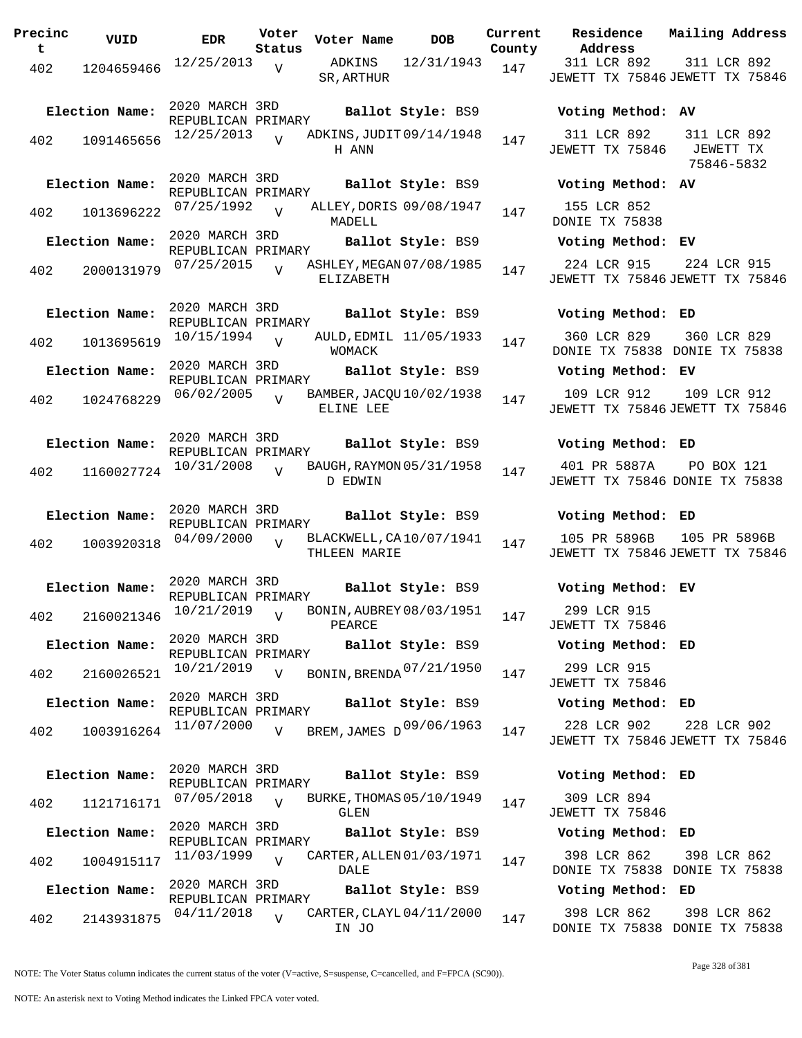**Precinc t VUID EDR Voter Status Voter Name DOB Current Residence Address Current Mailing Address County** 402 1204659466 <sup>12/25</sup>/2013 V ADKINS 12/31/1943 147 SR,ARTHUR 311 LCR 892 JEWETT TX 75846 JEWETT TX 75846 311 LCR 892  $\overline{v}$ 2020 MARCH 3RD REPUBLICAN PRIMARY<br>12/25/2013 **Election Name: Ballot Style:** BS9 **Voting Method: AV**  $402$  1091465656  $12/25/2013$  W ADKINS, JUDIT 09/14/1948 147 H ANN 311 LCR 892 JEWETT TX 75846 311 LCR 892 JEWETT TX 75846-5832  $\overline{V}$ 2020 MARCH 3RD REPUBLICAN PRIMARY **Election Name: Ballot Style:** BS9 **Voting Method: AV** 402 1013696222 <sup>07/25/1992</sup> v ALLEY, DORIS 09/08/1947 147 MADELL 155 LCR 852 DONIE TX 75838 V 2020 MARCH 3RD REPUBLICAN PRIMARY **Election Name: Ballot Style:** BS9 **Voting Method: EV** 402 2000131979 07/25/2015 V ASHLEY, MEGAN 07/08/1985 147 ELIZABETH 224 LCR 915 JEWETT TX 75846 JEWETT TX 75846 224 LCR 915  $\overline{V}$ 2020 MARCH 3RD REPUBLICAN PRIMARY **Election Name: Ballot Style:** BS9 **Voting Method: ED** 402 1013695619 10/15/1994 WOMACK 360 LCR 829 DONIE TX 75838 DONIE TX 75838 360 LCR 829 V AULD, EDMIL 11/05/1933 147 2020 MARCH 3RD REPUBLICAN PRIMARY **Election Name: Ballot Style:** BS9 **Voting Method: EV** <sup>402</sup> BAMBER,JACQU 06/02/2005 <sup>1024768229</sup> <sup>147</sup> 10/02/1938 ELINE LEE 109 LCR 912 JEWETT TX 75846 JEWETT TX 75846 109 LCR 912  $\overline{V}$ 2020 MARCH 3RD REPUBLICAN PRIMARY **Election Name: Ballot Style:** BS9 **Voting Method: ED** 402 1160027724 <sup>10/31/2008</sup> v BAUGH, RAYMON 05/31/1958 147 D EDWIN 401 PR 5887A JEWETT TX 75846 DONIE TX 75838 PO BOX 121  $\overline{v}$ 2020 MARCH 3RD REPUBLICAN PRIMARY **Election Name: Ballot Style:** BS9 **Voting Method: ED** 402 1003920318 <sup>04/09/2000</sup> v BLACKWELL, CA10/07/1941 147 THLEEN MARIE 105 PR 5896B JEWETT TX 75846 JEWETT TX 75846 105 PR 5896B  $\overline{V}$ 2020 MARCH 3RD REPUBLICAN PRIMARY **Election Name: Ballot Style:** BS9 **Voting Method: EV** <sup>402</sup> BONIN,AUBREY 10/21/2019 <sup>2160021346</sup> <sup>147</sup> 08/03/1951 PEARCE 299 LCR 915 JEWETT TX 75846  $\overline{V}$ 2020 MARCH 3RD REPUBLICAN PRIMARY **Election Name: Ballot Style:** BS9 **Voting Method: ED** 402 2160026521  $^{10/21/2019}$  V BONIN, BRENDA  $^{07/21/1950}$  147 299 LCR 915 JEWETT TX 75846  $\overline{v}$ 2020 MARCH 3RD REPUBLICAN PRIMARY **Election Name: Ballot Style:** BS9 **Voting Method: ED** 402 1003916264 <sup>11/07/2000</sup> v BREM,JAMES D<sup>09/06/1963</sup> 147 228 LCR 902 JEWETT TX 75846 JEWETT TX 75846 228 LCR 902  $\overline{V}$ 2020 MARCH 3RD REPUBLICAN PRIMARY **Election Name: Ballot Style:** BS9 **Voting Method: ED** 402 1121716171 07/05/2018 V BURKE, THOMAS 05/10/1949 147 GLEN 309 LCR 894 JEWETT TX 75846  $V$ 2020 MARCH 3RD REPUBLICAN PRIMARY **Election Name: Ballot Style:** BS9 **Voting Method: ED** 402 1004915117 <sup>11/03/1999</sup> V CARTER, ALLEN 01/03/1971 147 DALE. 398 LCR 862 DONIE TX 75838 DONIE TX 75838 398 LCR 862  $\overline{V}$ 2020 MARCH 3RD REPUBLICAN PRIMARY **Election Name: Ballot Style:** BS9 **Voting Method: ED** <sup>402</sup> CARTER,CLAYL 04/11/2018 <sup>2143931875</sup> <sup>147</sup> 04/11/2000 IN JO 398 LCR 862 DONIE TX 75838 DONIE TX 75838 398 LCR 862  $\overline{V}$ 

NOTE: The Voter Status column indicates the current status of the voter (V=active, S=suspense, C=cancelled, and F=FPCA (SC90)).

Page 328 of 381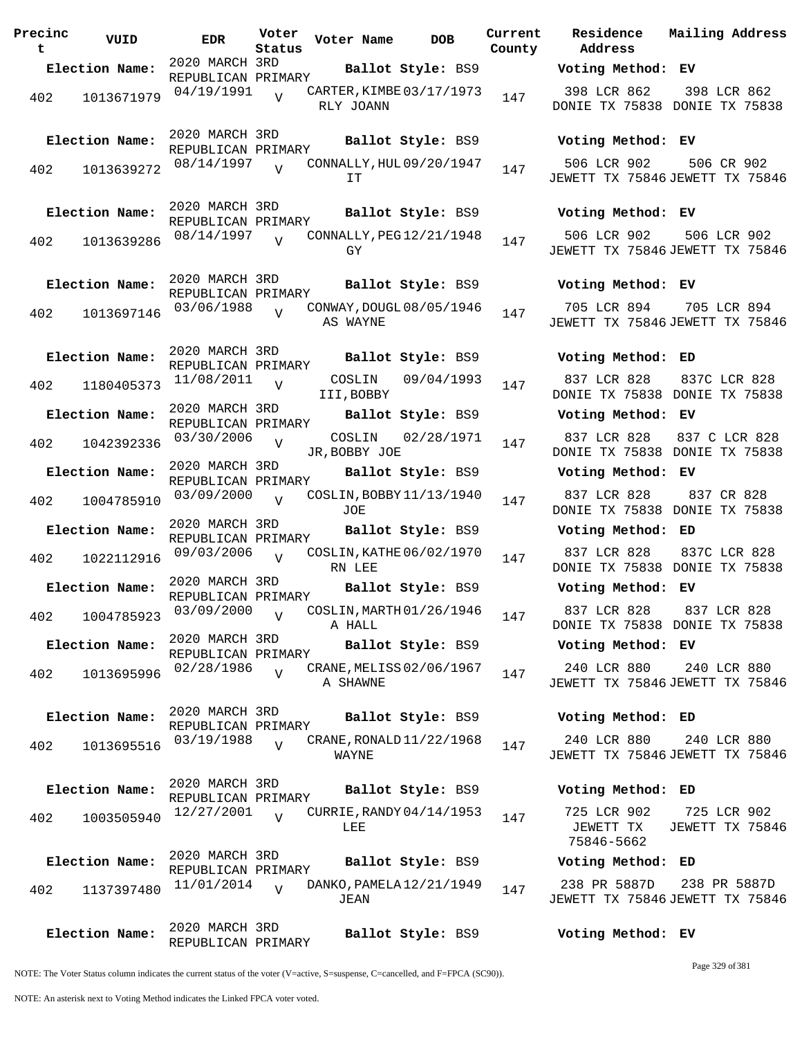**Precinc t VUID EDR Voter Status Voter Name DOB Current Residence County** 2020 MARCH 3RD REPUBLICAN PRIMARY **Election Name: Ballot Style:** BS9 **Voting Method: EV** <sup>402</sup> CARTER,KIMBE 04/19/1991 <sup>1013671979</sup> <sup>147</sup> 03/17/1973 RLY JOANN V 2020 MARCH 3RD REPUBLICAN PRIMARY **Election Name: Ballot Style:** BS9 **Voting Method: EV** <sup>402</sup> CONNALLY,HUL 08/14/1997 <sup>1013639272</sup> <sup>147</sup> 09/20/1947 IT  $\overline{V}$ 2020 MARCH 3RD REPUBLICAN PRIMARY **Election Name: Ballot Style:** BS9 **Voting Method: EV** 402 1013639286  $08/14/1997$  CONNALLY, PEG12/21/1948 147 GY  $\overline{V}$ 2020 MARCH 3RD REPUBLICAN PRIMARY **Election Name: Ballot Style:** BS9 **Voting Method: EV** <sup>402</sup> CONWAY,DOUGL 03/06/1988 <sup>1013697146</sup> <sup>147</sup> 08/05/1946 AS WAYNE  $\overline{V}$ 2020 MARCH 3RD REPUBLICAN PRIMARY **Election Name: Ballot Style:** BS9 **Voting Method: ED**  $402$  1180405373  $11/08/2011$  V COSLIN 09/04/1993 147 III,BOBBY  $\overline{V}$ 2020 MARCH 3RD REPUBLICAN PRIMARY **Election Name: Ballot Style:** BS9 **Voting Method: EV** 402 1042392336 <sup>03/30/2006</sup> v COSLIN 02/28/1971 147 JR,BOBBY JOE  $\overline{V}$ 2020 MARCH 3RD REPUBLICAN PRIMARY **Election Name: Ballot Style:** BS9 **Voting Method: EV** 402 1004785910 03/09/2000 JOE  $\overline{v}$ COSLIN, BOBBY 11/13/1940 147 2020 MARCH 3RD REPUBLICAN PRIMARY **Election Name: Ballot Style:** BS9 **Voting Method: ED** 402 1022112916 09/03/2006 RN LEE  $\overline{v}$ COSLIN, KATHE 06/02/1970 147 2020 MARCH 3RD REPUBLICAN PRIMARY **Election Name: Ballot Style:** BS9 **Voting Method: EV** 402 1004785923 <sup>03/09/2000</sup> v COSLIN, MARTH 01/26/1946 147 A HALL  $\overline{V}$ 2020 MARCH 3RD REPUBLICAN PRIMARY **Election Name: Ballot Style:** BS9 **Voting Method: EV** 402 1013695996  $02/28/1986$  CRANE, MELISS 02/06/1967 147 A SHAWNE  $\overline{V}$ 2020 MARCH 3RD REPUBLICAN PRIMARY **Election Name: Ballot Style:** BS9 **Voting Method: ED** <sup>402</sup> CRANE,RONALD 03/19/1988 <sup>1013695516</sup> <sup>147</sup> 11/22/1968 WAYNE  $\overline{V}$ 2020 MARCH 3RD REPUBLICAN PRIMARY **Election Name: Ballot Style:** BS9 **Voting Method: ED**  $402$  1003505940  $12/27/2001$  v CURRIE, RANDY 04/14/1953 147 LEE  $\overline{v}$ 2020 MARCH 3RD REPUBLICAN PRIMARY **Election Name: Ballot Style:** BS9 **Voting Method: ED** 402 1137397480 11/01/2014 V DANKO, PAMELA 12/21/1949 147 JEAN  $\overline{V}$ 2020 MARCH 3RD REPUBLICAN PRIMARY **Election Name: Ballot Style:** BS9 **Voting Method: EV**

**Address Current Mailing Address** 398 LCR 862 DONIE TX 75838 DONIE TX 75838 398 LCR 862 506 LCR 902 JEWETT TX 75846 JEWETT TX 75846 506 CR 902 506 LCR 902 JEWETT TX 75846 JEWETT TX 75846 506 LCR 902 705 LCR 894 JEWETT TX 75846 JEWETT TX 75846 705 LCR 894 837 LCR 828 DONIE TX 75838 DONIE TX 75838 837C LCR 828 837 LCR 828 DONIE TX 75838 DONIE TX 75838 837 C LCR 828 837 LCR 828 DONIE TX 75838 DONIE TX 75838 837 CR 828 837 LCR 828 DONIE TX 75838 DONIE TX 75838 837C LCR 828 837 LCR 828 DONIE TX 75838 DONIE TX 75838 837 LCR 828 240 LCR 880 JEWETT TX 75846 JEWETT TX 75846 240 LCR 880

240 LCR 880 JEWETT TX 75846 JEWETT TX 75846 240 LCR 880

725 LCR 902 JEWETT TX 75846-5662 725 LCR 902 JEWETT TX 75846

238 PR 5887D JEWETT TX 75846 JEWETT TX 75846 238 PR 5887D

NOTE: The Voter Status column indicates the current status of the voter (V=active, S=suspense, C=cancelled, and F=FPCA (SC90)).

Page 329 of 381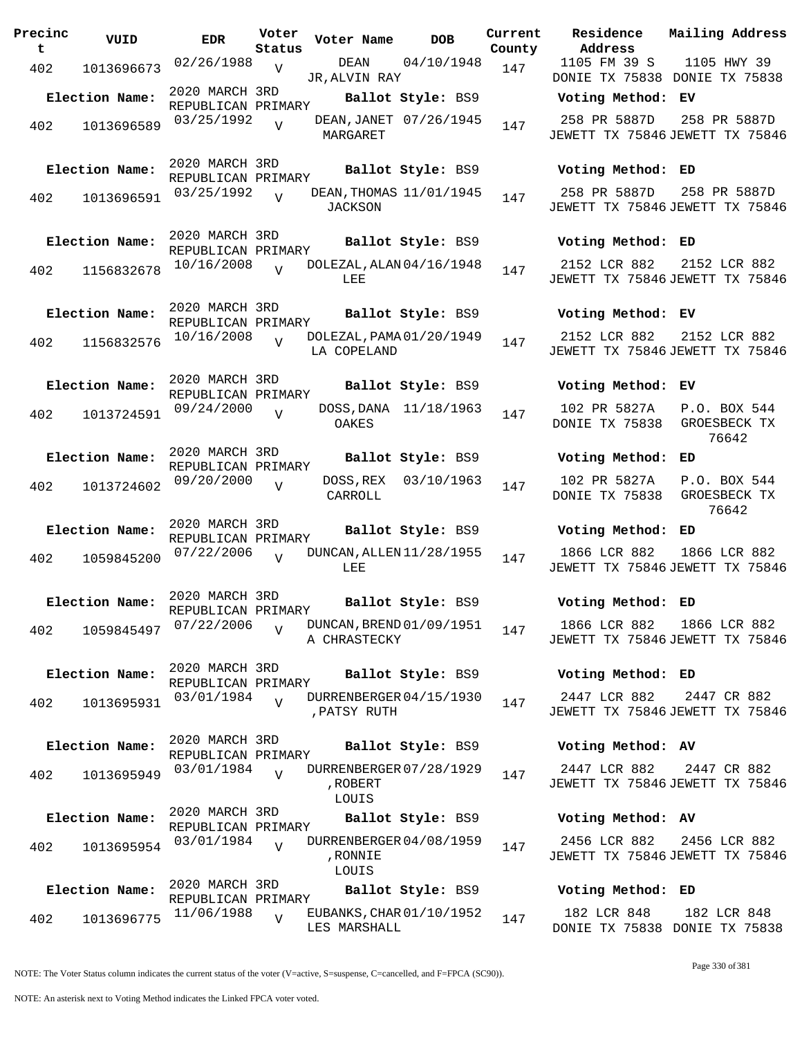| Precinc<br>t. | VUID           | EDR                                  | Voter<br>Status | Voter Name                                   | <b>DOB</b>             | Current<br>County | Residence<br>Address                            | Mailing Address                       |
|---------------|----------------|--------------------------------------|-----------------|----------------------------------------------|------------------------|-------------------|-------------------------------------------------|---------------------------------------|
| 402           | 1013696673     | 02/26/1988                           | V               | DEAN<br>JR, ALVIN RAY                        | 04/10/1948             | 147               | 1105 FM 39 S<br>DONIE TX 75838 DONIE TX 75838   | 1105 HWY 39                           |
|               | Election Name: | 2020 MARCH 3RD<br>REPUBLICAN PRIMARY |                 |                                              | Ballot Style: BS9      |                   | Voting Method: EV                               |                                       |
| 402           | 1013696589     | 03/25/1992                           | $\overline{V}$  | MARGARET                                     | DEAN, JANET 07/26/1945 | 147               | 258 PR 5887D<br>JEWETT TX 75846 JEWETT TX 75846 | 258 PR 5887D                          |
|               | Election Name: | 2020 MARCH 3RD<br>REPUBLICAN PRIMARY |                 |                                              | Ballot Style: BS9      |                   | Voting Method: ED                               |                                       |
| 402           | 1013696591     | 03/25/1992                           | $\overline{V}$  | DEAN, THOMAS 11/01/1945<br><b>JACKSON</b>    |                        | 147               | 258 PR 5887D<br>JEWETT TX 75846 JEWETT TX 75846 | 258 PR 5887D                          |
|               | Election Name: | 2020 MARCH 3RD<br>REPUBLICAN PRIMARY |                 |                                              | Ballot Style: BS9      |                   | Voting Method: ED                               |                                       |
| 402           | 1156832678     | 10/16/2008                           | $\overline{z}$  | DOLEZAL, ALAN 04/16/1948<br>LEE              |                        | 147               | 2152 LCR 882<br>JEWETT TX 75846 JEWETT TX 75846 | 2152 LCR 882                          |
|               | Election Name: | 2020 MARCH 3RD<br>REPUBLICAN PRIMARY |                 |                                              | Ballot Style: BS9      |                   | Voting Method: EV                               |                                       |
| 402           | 1156832576     | $10/16/2008$ V                       |                 | DOLEZAL, PAMA 01/20/1949<br>LA COPELAND      |                        | 147               | 2152 LCR 882<br>JEWETT TX 75846 JEWETT TX 75846 | 2152 LCR 882                          |
|               | Election Name: | 2020 MARCH 3RD<br>REPUBLICAN PRIMARY |                 |                                              | Ballot Style: BS9      |                   | Voting Method: EV                               |                                       |
| 402           | 1013724591     | 09/24/2000                           | $\overline{U}$  | OAKES                                        | DOSS, DANA 11/18/1963  | 147               | 102 PR 5827A<br>DONIE TX 75838                  | P.O. BOX 544<br>GROESBECK TX<br>76642 |
|               | Election Name: | 2020 MARCH 3RD<br>REPUBLICAN PRIMARY |                 |                                              | Ballot Style: BS9      |                   | Voting Method: ED                               |                                       |
| 402           | 1013724602     | 09/20/2000                           | $\overline{v}$  | CARROLL                                      | DOSS, REX 03/10/1963   | 147               | 102 PR 5827A<br>DONIE TX 75838                  | P.O. BOX 544<br>GROESBECK TX<br>76642 |
|               | Election Name: | 2020 MARCH 3RD<br>REPUBLICAN PRIMARY |                 |                                              | Ballot Style: BS9      |                   | Voting Method: ED                               |                                       |
| 402           | 1059845200     | 07/22/2006                           | $\overline{V}$  | DUNCAN, ALLEN 11/28/1955<br>LEE              |                        | 147               | 1866 LCR 882<br>JEWETT TX 75846 JEWETT TX 75846 | 1866 LCR 882                          |
|               | Election Name: | 2020 MARCH 3RD<br>REPUBLICAN PRIMARY |                 |                                              | Ballot Style: BS9      |                   | Voting Method: ED                               |                                       |
| 402           | 1059845497     | 07/22/2006                           | $\overline{V}$  | DUNCAN, BREND 01/09/1951<br>A CHRASTECKY     |                        | 147               | 1866 LCR 882<br>JEWETT TX 75846 JEWETT TX 75846 | 1866 LCR 882                          |
|               | Election Name: | 2020 MARCH 3RD<br>REPUBLICAN PRIMARY |                 |                                              | Ballot Style: BS9      |                   | Voting Method: ED                               |                                       |
| 402           | 1013695931     | $03/01/1984$ V                       |                 | DURRENBERGER 04/15/1930<br>, PATSY RUTH      |                        | 147               | 2447 LCR 882<br>JEWETT TX 75846 JEWETT TX 75846 | 2447 CR 882                           |
|               | Election Name: | 2020 MARCH 3RD<br>REPUBLICAN PRIMARY |                 |                                              | Ballot Style: BS9      |                   | Voting Method: AV                               |                                       |
| 402           | 1013695949     | 03/01/1984                           | $\overline{V}$  | DURRENBERGER 07/28/1929<br>, ROBERT<br>LOUIS |                        | 147               | 2447 LCR 882<br>JEWETT TX 75846 JEWETT TX 75846 | 2447 CR 882                           |
|               | Election Name: | 2020 MARCH 3RD<br>REPUBLICAN PRIMARY |                 |                                              | Ballot Style: BS9      |                   | Voting Method: AV                               |                                       |
| 402           | 1013695954     | 03/01/1984                           | $\overline{U}$  | DURRENBERGER 04/08/1959<br>, RONNIE<br>LOUIS |                        | 147               | 2456 LCR 882<br>JEWETT TX 75846 JEWETT TX 75846 | 2456 LCR 882                          |
|               | Election Name: | 2020 MARCH 3RD<br>REPUBLICAN PRIMARY |                 |                                              | Ballot Style: BS9      |                   | Voting Method: ED                               |                                       |
| 402           | 1013696775     | 11/06/1988                           | $\overline{U}$  | EUBANKS, CHAR 01/10/1952<br>LES MARSHALL     |                        | 147               | 182 LCR 848<br>DONIE TX 75838 DONIE TX 75838    | 182 LCR 848                           |

#### 1866 LCR 882 1866 LCR 882

# **Election Name: Ballot Style:** BS9 **Voting Method: ED**

# **Election Name: Ballot Style:** BS9 **Voting Method: ED**

# **Election Name: Ballot Style:** BS9 **Voting Method: AV**

# **Election Name: Ballot Style:** BS9 **Voting Method: AV**

# **Election Name: Ballot Style:** BS9 **Voting Method: ED**

182 LCR 848 DONIE TX 75838 DONIE TX 75838 182 LCR 848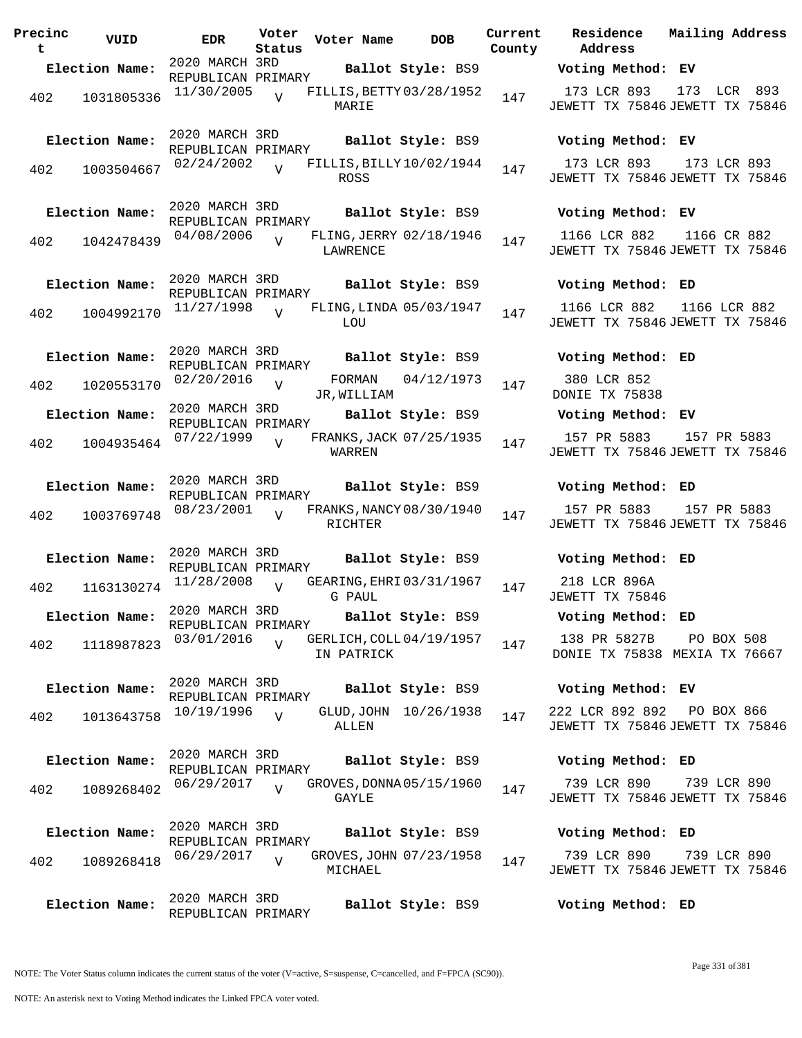**Precinc t VUID EDR Voter Status Voter Name bob Current Residence County** 2020 MARCH 3RD REPUBLICAN PRIMARY **Election Name: Ballot Style:** BS9 **Voting Method: EV** 402 1031805336 11/30/2005 V FILLIS, BETTY 03/28/1952 147 MARIE  $\overline{V}$ 2020 MARCH 3RD REPUBLICAN PRIMARY **Election Name: Ballot Style:** BS9 **Voting Method: EV** 402 1003504667  $02/24/2002$  TILLIS, BILLY 10/02/1944 147 ROSS  $\overline{V}$ 2020 MARCH 3RD REPUBLICAN PRIMARY **Election Name: Ballot Style:** BS9 **Voting Method: EV** 402 1042478439 04/08/2006 LAWRENCE  $\overline{V}$ FLING, JERRY 02/18/1946 147 2020 MARCH 3RD REPUBLICAN PRIMARY **Election Name: Ballot Style:** BS9 **Voting Method: ED**  $402$  1004992170  $11/27/1998$  V FLING, LINDA 05/03/1947 147 **LOU**  $\overline{V}$ 2020 MARCH 3RD REPUBLICAN PRIMARY **Election Name: Ballot Style:** BS9 **Voting Method: ED** 402 1020553170 02/20/2016 v FORMAN JR,WILLIAM  $\overline{V}$  $02/20/2016$   $V$  FORMAN  $04/12/1973$   $147$ 2020 MARCH 3RD REPUBLICAN PRIMARY **Election Name: Ballot Style:** BS9 **Voting Method: EV** 402 1004935464 07/22/1999 WARREN  $\overline{V}$ FRANKS, JACK 07/25/1935 147 2020 MARCH 3RD REPUBLICAN PRIMARY **Election Name: Ballot Style:** BS9 **Voting Method: ED** 402 1003769748 08/23/2001 V FRANKS, NANCY 08/30/1940 147 RICHTER  $\overline{v}$ 2020 MARCH 3RD REPUBLICAN PRIMARY **Election Name: Ballot Style:** BS9 **Voting Method: ED** 402 1163130274 <sup>11/28</sup>/2008 V GEARING, EHRI 03/31/1967 147 G PAUL  $\overline{V}$ 2020 MARCH 3RD REPUBLICAN PRIMARY **Election Name: Ballot Style:** BS9 **Voting Method: ED** 402 1118987823 03/01/2016 V GERLICH, COLL 04/19/1957 147 IN PATRICK V 2020 MARCH 3RD REPUBLICAN PRIMARY **Election Name: Ballot Style:** BS9 **Voting Method: EV** 402 1013643758  $10/19/1996$ ALLEN  $\overline{V}$ GLUD, JOHN 10/26/1938 147 2020 MARCH 3RD REPUBLICAN PRIMARY **Election Name: Ballot Style:** BS9 **Voting Method: ED** 402 1089268402 06/29/2017 GAYLE  $\overline{V}$ GROVES, DONNA 05/15/1960 147 2020 MARCH 3RD REPUBLICAN PRIMARY **Election Name: Ballot Style:** BS9 **Voting Method: ED** 402 1089268418 06/29/2017 GROVES, JOHN 07/23/1958 147 MICHAEL  $\overline{U}$ 2020 MARCH 3RD REPUBLICAN PRIMARY **Election Name: Ballot Style:** BS9 **Voting Method: ED**

**Address Current Mailing Address** 173 LCR 893 JEWETT TX 75846 JEWETT TX 75846 173 LCR 893 173 LCR 893 JEWETT TX 75846 JEWETT TX 75846 173 LCR 893 1166 LCR 882 JEWETT TX 75846 JEWETT TX 75846 1166 CR 882 1166 LCR 882 JEWETT TX 75846 JEWETT TX 75846 1166 LCR 882

380 LCR 852 DONIE TX 75838

157 PR 5883 JEWETT TX 75846 JEWETT TX 75846 157 PR 5883

157 PR 5883 JEWETT TX 75846 JEWETT TX 75846 157 PR 5883

218 LCR 896A JEWETT TX 75846

138 PR 5827B PO BOX 508

DONIE TX 75838 MEXIA TX 76667

222 LCR 892 892 JEWETT TX 75846 JEWETT TX 75846 PO BOX 866

739 LCR 890 JEWETT TX 75846 JEWETT TX 75846 739 LCR 890

739 LCR 890 JEWETT TX 75846 JEWETT TX 75846 739 LCR 890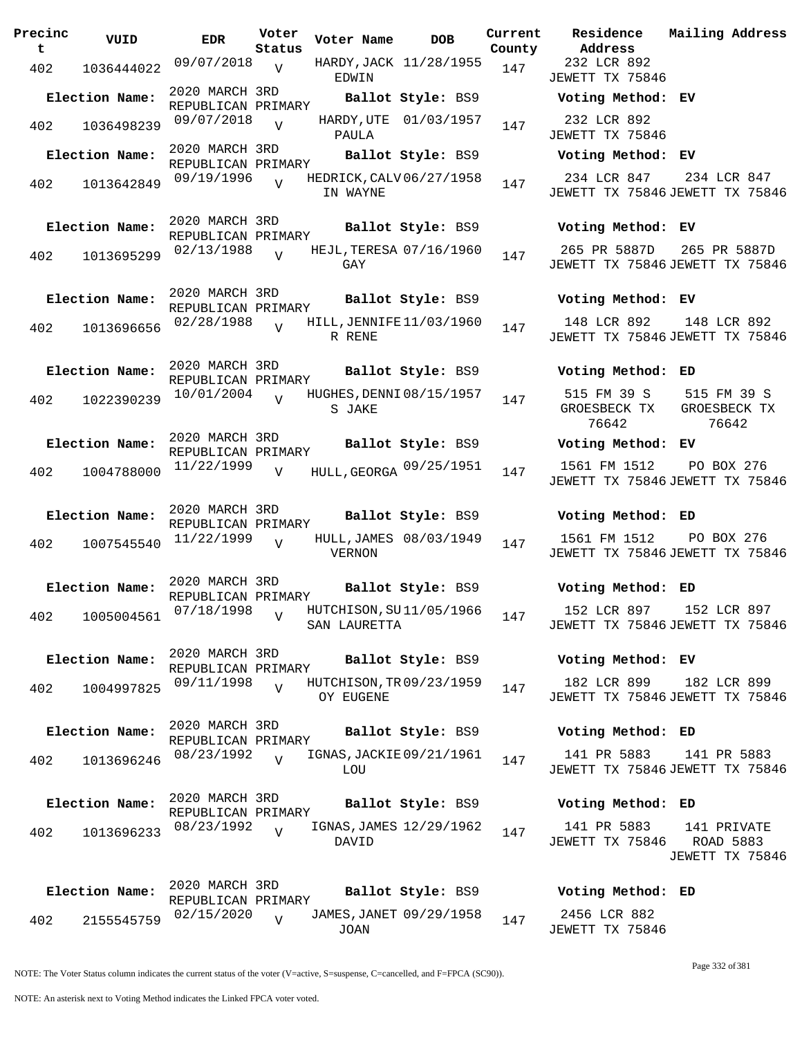| Precinc<br>t | VUID                          | <b>EDR</b>                           | Voter<br>Status | Voter Name   | <b>DOB</b>               | Current<br>County | Residence<br>Address                            | Mailing Address                                               |
|--------------|-------------------------------|--------------------------------------|-----------------|--------------|--------------------------|-------------------|-------------------------------------------------|---------------------------------------------------------------|
| 402          | 1036444022                    | $09/07/2018$ V                       |                 | EDWIN        | HARDY, JACK 11/28/1955   | 147               | 232 LCR 892<br>JEWETT TX 75846                  |                                                               |
|              | Election Name:                | 2020 MARCH 3RD<br>REPUBLICAN PRIMARY |                 |              | Ballot Style: BS9        |                   | Voting Method: EV                               |                                                               |
| 402          | 1036498239                    | 09/07/2018 <sub>V</sub>              |                 | PAULA        | HARDY, UTE 01/03/1957    | 147               | 232 LCR 892<br>JEWETT TX 75846                  |                                                               |
|              | Election Name:                | 2020 MARCH 3RD<br>REPUBLICAN PRIMARY |                 |              | Ballot Style: BS9        |                   | Voting Method: EV                               |                                                               |
| 402          | 1013642849                    | 09/19/1996                           | $\overline{v}$  | IN WAYNE     | HEDRICK, CALV 06/27/1958 | 147               | 234 LCR 847<br>JEWETT TX 75846 JEWETT TX 75846  | 234 LCR 847                                                   |
|              | Election Name:                | 2020 MARCH 3RD<br>REPUBLICAN PRIMARY |                 |              | Ballot Style: BS9        |                   | Voting Method: EV                               |                                                               |
| 402          | 1013695299                    | 02/13/1988                           | $\overline{V}$  | GAY          | HEJL, TERESA 07/16/1960  | 147               | 265 PR 5887D<br>JEWETT TX 75846 JEWETT TX 75846 | 265 PR 5887D                                                  |
|              | Election Name:                | 2020 MARCH 3RD<br>REPUBLICAN PRIMARY |                 |              | Ballot Style: BS9        |                   | Voting Method: EV                               |                                                               |
| 402          | 1013696656                    | $02/28/1988$ $V$                     |                 | R RENE       | HILL, JENNIFE 11/03/1960 | 147               | 148 LCR 892<br>JEWETT TX 75846 JEWETT TX 75846  | 148 LCR 892                                                   |
|              | Election Name:                | 2020 MARCH 3RD<br>REPUBLICAN PRIMARY |                 |              | Ballot Style: BS9        |                   | Voting Method: ED                               |                                                               |
| 402          | 1022390239                    | 10/01/2004                           | $\overline{17}$ | S JAKE       | HUGHES, DENNI 08/15/1957 | 147               | 76642                                           | 515 FM 39 S 515 FM 39 S<br>GROESBECK TX GROESBECK TX<br>76642 |
|              | Election Name:                | 2020 MARCH 3RD<br>REPUBLICAN PRIMARY |                 |              | Ballot Style: BS9        |                   | Voting Method: EV                               |                                                               |
| 402          | 1004788000                    | 11/22/1999                           | V               |              | HULL, GEORGA 09/25/1951  | 147               | 1561 FM 1512<br>JEWETT TX 75846 JEWETT TX 75846 | PO BOX 276                                                    |
|              | Election Name:                | 2020 MARCH 3RD<br>REPUBLICAN PRIMARY |                 |              | Ballot Style: BS9        |                   | Voting Method: ED                               |                                                               |
| 402          | 1007545540                    | 11/22/1999                           | $\overline{V}$  | VERNON       | HULL, JAMES 08/03/1949   | 147               | 1561 FM 1512<br>JEWETT TX 75846 JEWETT TX 75846 | PO BOX 276                                                    |
|              | Election Name: 2020 MARCH 3RD | REPUBLICAN PRIMARY                   |                 |              |                          |                   | Ballot Style: BS9 Voting Method: ED             |                                                               |
|              | 402 1005004561 07/18/1998 v   |                                      |                 | SAN LAURETTA | HUTCHISON, SU11/05/1966  | 147               | 152 LCR 897<br>JEWETT TX 75846 JEWETT TX 75846  | 152 LCR 897                                                   |
|              | Election Name:                | 2020 MARCH 3RD<br>REPUBLICAN PRIMARY |                 |              | Ballot Style: BS9        |                   | Voting Method: EV                               |                                                               |
| 402          | 1004997825                    | 09/11/1998                           | $\overline{V}$  | OY EUGENE    | HUTCHISON, TR 09/23/1959 | 147               | 182 LCR 899<br>JEWETT TX 75846 JEWETT TX 75846  | 182 LCR 899                                                   |
|              | Election Name:                | 2020 MARCH 3RD<br>REPUBLICAN PRIMARY |                 |              | Ballot Style: BS9        |                   | Voting Method: ED                               |                                                               |
| 402          | 1013696246                    | 08/23/1992                           | $\overline{U}$  | LOU          | IGNAS, JACKIE 09/21/1961 | 147               | 141 PR 5883<br>JEWETT TX 75846 JEWETT TX 75846  | 141 PR 5883                                                   |
|              | Election Name:                | 2020 MARCH 3RD<br>REPUBLICAN PRIMARY |                 |              | Ballot Style: BS9        |                   | Voting Method: ED                               |                                                               |
| 402          | 1013696233                    | 08/23/1992                           | $\overline{v}$  | DAVID        | IGNAS, JAMES 12/29/1962  | 147               | 141 PR 5883<br>JEWETT TX 75846                  | 141 PRIVATE<br>ROAD 5883<br>JEWETT TX 75846                   |
|              | Election Name:                | 2020 MARCH 3RD<br>REPUBLICAN PRIMARY |                 |              | Ballot Style: BS9        |                   | Voting Method: ED                               |                                                               |
| 402          | 2155545759                    | 02/15/2020                           | $\overline{U}$  | JOAN         | JAMES, JANET 09/29/1958  | 147               | 2456 LCR 882<br>JEWETT TX 75846                 |                                                               |

Page 332 of 381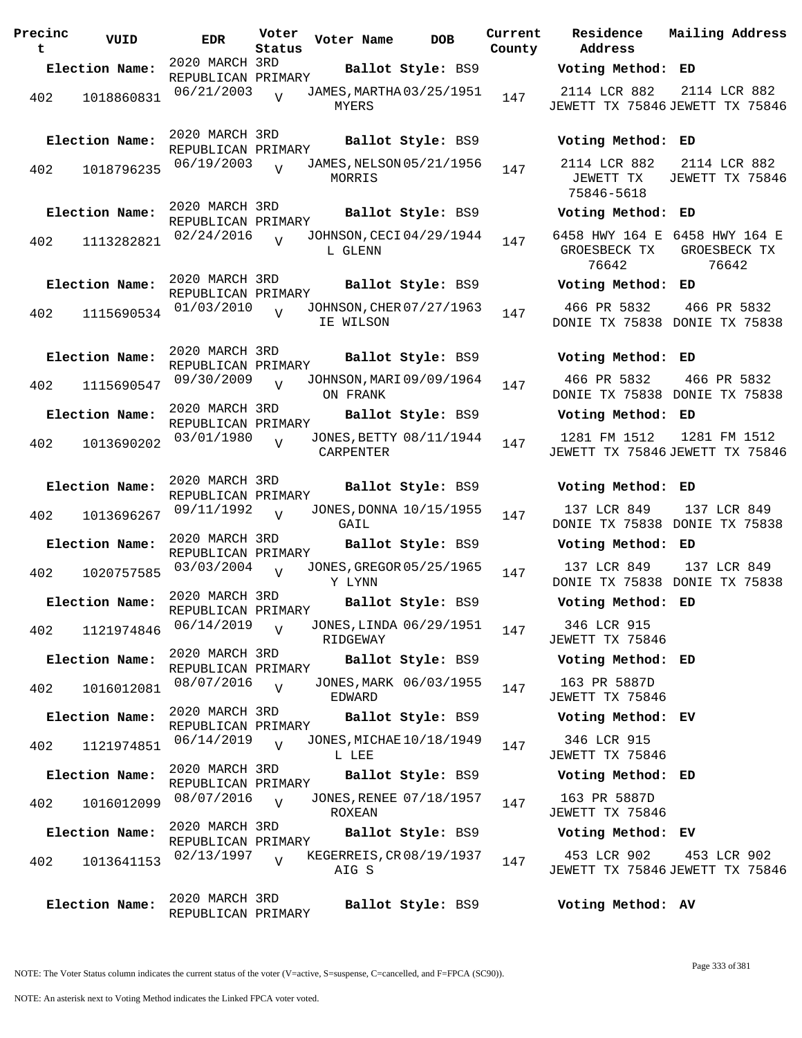**Precinc t VUID EDR Voter Status Voter Name DOB Current Residence County** 2020 MARCH 3RD REPUBLICAN PRIMARY **Election Name: Ballot Style:** BS9 **Voting Method: ED** 402 1018860831 06/21/2003 MYERS  $\overline{V}$ JAMES, MARTHA 03/25/1951 147 2020 MARCH 3RD REPUBLICAN PRIMARY **Election Name: Ballot Style:** BS9 **Voting Method: ED** 402 1018796235  $06/19/2003$  JAMES, NELSON 05/21/1956 147 MORRIS  $\overline{v}$ 2020 MARCH 3RD REPUBLICAN PRIMARY **Election Name: Ballot Style:** BS9 **Voting Method: ED** 402 1113282821 02/24/2016 L GLENN  $\overline{V}$ JOHNSON, CECI 04/29/1944 147 2020 MARCH 3RD REPUBLICAN PRIMARY **Election Name: Ballot Style:** BS9 **Voting Method: ED** <sup>402</sup> JOHNSON,CHER 01/03/2010 <sup>1115690534</sup> <sup>147</sup> 07/27/1963 IE WILSON V 2020 MARCH 3RD REPUBLICAN PRIMARY **Election Name: Ballot Style:** BS9 **Voting Method: ED** 402 1115690547 09/30/2009 V JOHNSON, MARI 09/09/1964 147 ON FRANK  $\overline{V}$ 2020 MARCH 3RD REPUBLICAN PRIMARY **Election Name: Ballot Style:** BS9 **Voting Method: ED** 402 1013690202 03/01/1980 CARPENTER V JONES, BETTY 08/11/1944 147 2020 MARCH 3RD REPUBLICAN PRIMARY **Election Name: Ballot Style:** BS9 **Voting Method: ED** 402 1013696267 09/11/1992 GATL  $\overline{V}$ JONES, DONNA 10/15/1955 147 2020 MARCH 3RD REPUBLICAN PRIMARY<br>03/03/2004 - .. **Election Name: Ballot Style:** BS9 **Voting Method: ED** 402 1020757585 03/03/2004 V JONES, GREGOR 05/25/1965 147 Y LYNN  $V$ 2020 MARCH 3RD REPUBLICAN PRIMARY **Election Name: Ballot Style:** BS9 **Voting Method: ED** 402 1121974846 06/14/2019 RIDGEWAY V JONES, LINDA 06/29/1951 147 2020 MARCH 3RD REPUBLICAN PRIMARY **Election Name: Ballot Style:** BS9 **Voting Method: ED** 402 1016012081 08/07/2016 EDWARD  $V$ JONES, MARK 06/03/1955 147 2020 MARCH 3RD REPUBLICAN PRIMARY **Election Name: Ballot Style:** BS9 **Voting Method: EV** 402 1121974851 06/14/2019 V JONES, MICHAE 10/18/1949 147 L LEE  $\overline{V}$ 2020 MARCH 3RD REPUBLICAN PRIMARY **Election Name: Ballot Style:** BS9 **Voting Method: ED** 402 1016012099 08/07/2016 ROXEAN  $V$ JONES, RENEE 07/18/1957 147 2020 MARCH 3RD REPUBLICAN PRIMARY **Election Name: Ballot Style:** BS9 **Voting Method: EV** 402 1013641153  $02/13/1997$  WEGERREIS, CR 08/19/1937 147 AIG S  $\overline{v}$ 2020 MARCH 3RD REPUBLICAN PRIMARY **Election Name: Ballot Style:** BS9 **Voting Method: AV**

**Address Current Mailing Address** 2114 LCR 882 JEWETT TX 75846 JEWETT TX 75846 2114 LCR 882 2114 LCR 882 JEWETT TX 75846-5618 2114 LCR 882 JEWETT TX 75846 6458 HWY 164 E 6458 HWY 164 E GROESBECK TX 76642 GROESBECK TX 76642 466 PR 5832 DONIE TX 75838 DONIE TX 75838 466 PR 5832 466 PR 5832 DONIE TX 75838 DONIE TX 75838 466 PR 5832 1281 FM 1512 JEWETT TX 75846 JEWETT TX 75846 1281 FM 1512 137 LCR 849 DONIE TX 75838 DONIE TX 75838 137 LCR 849 137 LCR 849 DONIE TX 75838 DONIE TX 75838 137 LCR 849 346 LCR 915 JEWETT TX 75846 163 PR 5887D JEWETT TX 75846 346 LCR 915 JEWETT TX 75846

163 PR 5887D JEWETT TX 75846

453 LCR 902 JEWETT TX 75846 JEWETT TX 75846 453 LCR 902

NOTE: An asterisk next to Voting Method indicates the Linked FPCA voter voted.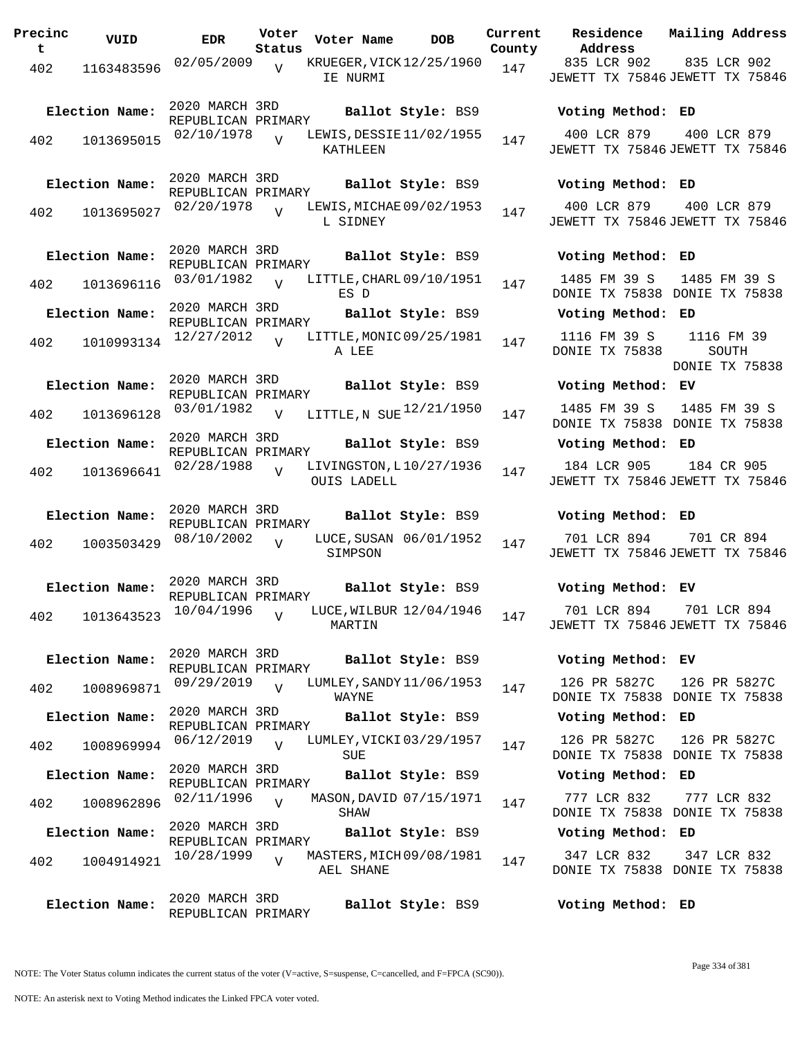**Precinc t VUID EDR Voter Status Voter Name bob Current Residence Address Current Mailing Address County** 402 1163483596 02/05/2009 IE NURMI 835 LCR 902 JEWETT TX 75846 JEWETT TX 75846 835 LCR 902  $\overline{V}$ KRUEGER, VICK 12/25/1960 147 2020 MARCH 3RD REPUBLICAN PRIMARY **Election Name: Ballot Style:** BS9 **Voting Method: ED** 402 1013695015 <sup>02/10/1978</sup> V LEWIS, DESSIE 11/02/1955 147 KATHLEEN 400 LCR 879 JEWETT TX 75846 JEWETT TX 75846 400 LCR 879  $\overline{V}$ 2020 MARCH 3RD REPUBLICAN PRIMARY **Election Name: Ballot Style:** BS9 **Voting Method: ED** 402 1013695027 <sup>02/20/1978</sup> V LEWIS, MICHAE 09/02/1953 147 L SIDNEY 400 LCR 879 JEWETT TX 75846 JEWETT TX 75846 400 LCR 879 V 2020 MARCH 3RD REPUBLICAN PRIMARY **Election Name: Ballot Style:** BS9 **Voting Method: ED** 402 1013696116 03/01/1982 V LITTLE, CHARL 09/10/1951 147 ES D 1485 FM 39 S DONIE TX 75838 DONIE TX 75838 1485 FM 39 S  $\overline{V}$ 2020 MARCH 3RD REPUBLICAN PRIMARY **Election Name: Ballot Style:** BS9 **Voting Method: ED** 402 1010993134 12/27/2012 A LEE 1116 FM 39 S DONIE TX 75838 1116 FM 39 SOUTH DONIE TX 75838  $\overline{V}$ LITTLE, MONIC 09/25/1981 147 2020 MARCH 3RD REPUBLICAN PRIMARY **Election Name: Ballot Style:** BS9 **Voting Method: EV** 402 1013696128  $03/01/1982$  V LITTLE,N SUE  $12/21/1950$  147 1485 FM 39 S DONIE TX 75838 DONIE TX 75838 1485 FM 39 S  $\overline{v}$ 2020 MARCH 3RD REPUBLICAN PRIMARY **Election Name: Ballot Style:** BS9 **Voting Method: ED** 402 1013696641 <sup>02/28/1988</sup> V LIVINGSTON, L10/27/1936 147 OUIS LADELL 184 LCR 905 JEWETT TX 75846 JEWETT TX 75846 184 CR 905 V 2020 MARCH 3RD REPUBLICAN PRIMARY **Election Name: Ballot Style:** BS9 **Voting Method: ED**  $402$  1003503429 08/10/2002 SIMPSON 701 LCR 894 JEWETT TX 75846 JEWETT TX 75846 701 CR 894  $\overline{V}$ LUCE, SUSAN 06/01/1952 147 2020 MARCH 3RD REPUBLICAN PRIMARY **Election Name: Ballot Style:** BS9 **Voting Method: EV** 402 1013643523 10/04/1996 MARTIN 701 LCR 894 JEWETT TX 75846 JEWETT TX 75846 701 LCR 894  $\overline{V}$ LUCE, WILBUR 12/04/1946 147 2020 MARCH 3RD REPUBLICAN PRIMARY **Election Name: Ballot Style:** BS9 **Voting Method: EV** 402 1008969871 <sup>09/29/2019</sup> v LUMLEY, SANDY 11/06/1953 147 WAYNE 126 PR 5827C DONIE TX 75838 DONIE TX 75838 126 PR 5827C  $\overline{V}$ 2020 MARCH 3RD REPUBLICAN PRIMARY **Election Name: Ballot Style:** BS9 **Voting Method: ED** 402 1008969994 <sup>06/12/2019</sup> v LUMLEY, VICKI 03/29/1957 147 SUE 126 PR 5827C DONIE TX 75838 DONIE TX 75838 126 PR 5827C  $\overline{V}$ 2020 MARCH 3RD REPUBLICAN PRIMARY **Election Name: Ballot Style:** BS9 **Voting Method: ED** 402 1008962896 <sup>02/11/1996</sup> v MASON, DAVID 07/15/1971 147 SHAW 777 LCR 832 DONIE TX 75838 DONIE TX 75838 777 LCR 832  $V$ 2020 MARCH 3RD REPUBLICAN PRIMARY **Election Name: Ballot Style:** BS9 **Voting Method: ED** 402 1004914921 <sup>10/28/1999</sup> v MASTERS, MICH 09/08/1981 147 AEL SHANE 347 LCR 832 DONIE TX 75838 DONIE TX 75838 347 LCR 832  $\overline{U}$ 2020 MARCH 3RD REPUBLICAN PRIMARY **Election Name: Ballot Style:** BS9 **Voting Method: ED**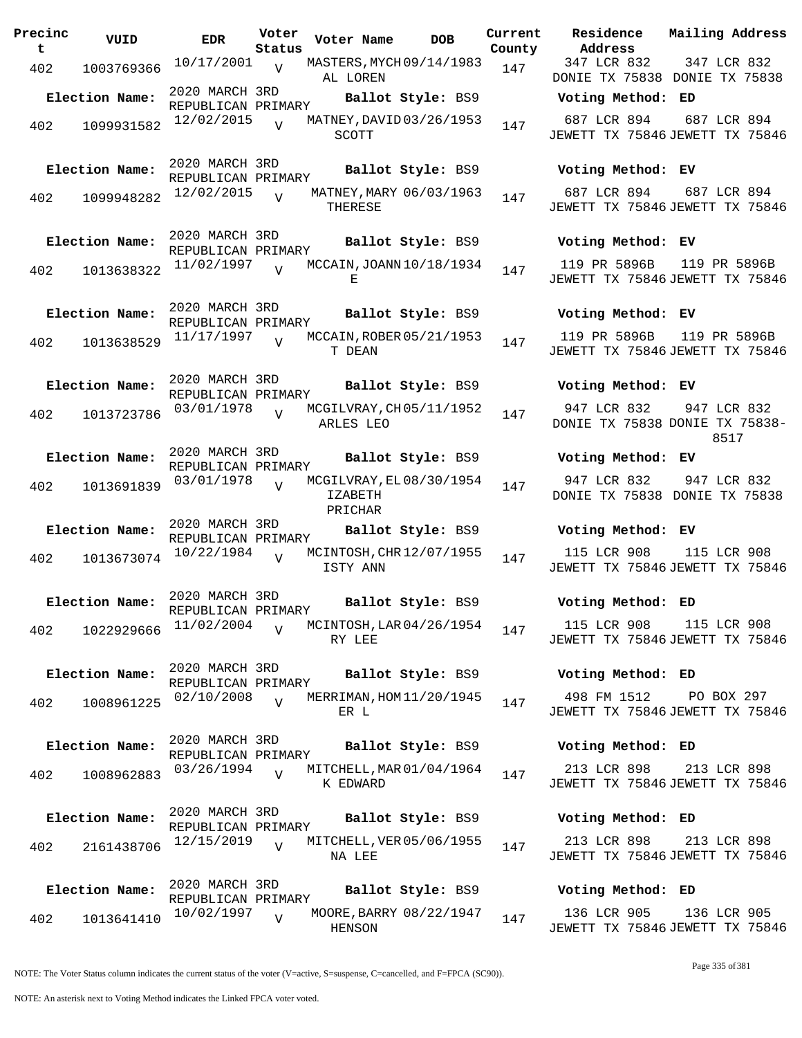| Precinc<br>t. | VUID           | EDR                                  | Voter<br>Status | Voter Name                                     | <b>DOB</b>        | Current | <b>Residence</b><br>County Address              | Mailing Address                                       |
|---------------|----------------|--------------------------------------|-----------------|------------------------------------------------|-------------------|---------|-------------------------------------------------|-------------------------------------------------------|
| 402           | 1003769366     | 10/17/2001                           | $\overline{V}$  | MASTERS, MYCH 09/14/1983<br>AL LOREN           |                   | 147     | 347 LCR 832<br>DONIE TX 75838 DONIE TX 75838    | 347 LCR 832                                           |
|               | Election Name: | 2020 MARCH 3RD<br>REPUBLICAN PRIMARY |                 |                                                | Ballot Style: BS9 |         | Voting Method: ED                               |                                                       |
| 402           | 1099931582     | 12/02/2015                           | $\overline{V}$  | MATNEY, DAVID 03/26/1953<br>SCOTT              |                   | 147     | 687 LCR 894<br>JEWETT TX 75846 JEWETT TX 75846  | 687 LCR 894                                           |
|               | Election Name: | 2020 MARCH 3RD<br>REPUBLICAN PRIMARY |                 |                                                | Ballot Style: BS9 |         | Voting Method: EV                               |                                                       |
| 402           | 1099948282     | $12/02/2015$ $V$                     |                 | MATNEY, MARY 06/03/1963<br>THERESE             |                   | 147     | 687 LCR 894<br>JEWETT TX 75846 JEWETT TX 75846  | 687 LCR 894                                           |
|               | Election Name: | 2020 MARCH 3RD<br>REPUBLICAN PRIMARY |                 |                                                | Ballot Style: BS9 |         | Voting Method: EV                               |                                                       |
| 402           | 1013638322     | 11/02/1997                           | $\overline{z}$  | MCCAIN, JOANN 10/18/1934<br>Е                  |                   | 147     | 119 PR 5896B<br>JEWETT TX 75846 JEWETT TX 75846 | 119 PR 5896B                                          |
|               | Election Name: | 2020 MARCH 3RD<br>REPUBLICAN PRIMARY |                 |                                                | Ballot Style: BS9 |         | Voting Method: EV                               |                                                       |
| 402           | 1013638529     | 11/17/1997                           |                 | MCCAIN, ROBER 05/21/1953<br>T DEAN             |                   | 147     | 119 PR 5896B<br>JEWETT TX 75846 JEWETT TX 75846 | 119 PR 5896B                                          |
|               | Election Name: | 2020 MARCH 3RD<br>REPUBLICAN PRIMARY |                 |                                                | Ballot Style: BS9 |         | Voting Method: EV                               |                                                       |
| 402           | 1013723786     | 03/01/1978                           | $\overline{V}$  | MCGILVRAY, CH 05/11/1952<br>ARLES LEO          |                   | 147     | 947 LCR 832                                     | 947 LCR 832<br>DONIE TX 75838 DONIE TX 75838-<br>8517 |
|               | Election Name: | 2020 MARCH 3RD<br>REPUBLICAN PRIMARY |                 |                                                | Ballot Style: BS9 |         | Voting Method: EV                               |                                                       |
| 402           | 1013691839     | 03/01/1978                           | $\overline{U}$  | MCGILVRAY, EL 08/30/1954<br>IZABETH<br>PRICHAR |                   | 147     | 947 LCR 832<br>DONIE TX 75838 DONIE TX 75838    | 947 LCR 832                                           |
|               | Election Name: | 2020 MARCH 3RD<br>REPUBLICAN PRIMARY |                 |                                                | Ballot Style: BS9 |         | Voting Method: EV                               |                                                       |
| 402           | 1013673074     | 10/22/1984                           | $\overline{V}$  | MCINTOSH, CHR 12/07/1955<br>ISTY ANN           |                   | 147     | 115 LCR 908<br>JEWETT TX 75846 JEWETT TX 75846  | 115 LCR 908                                           |
|               | Election Name: | 2020 MARCH 3RD<br>REPUBLICAN PRIMARY |                 |                                                | Ballot Style: BS9 |         | Voting Method: ED                               |                                                       |
| 402           | 1022929666     | 11/02/2004                           | $\overline{V}$  | MCINTOSH, LAR 04/26/1954<br>RY LEE             |                   | 147     | 115 LCR 908<br>JEWETT TX 75846 JEWETT TX 75846  | 115 LCR 908                                           |
|               | Election Name: | 2020 MARCH 3RD<br>REPUBLICAN PRIMARY |                 |                                                | Ballot Style: BS9 |         | Voting Method: ED                               |                                                       |
| 402           | 1008961225     | 02/10/2008                           | $\overline{U}$  | MERRIMAN, HOM 11/20/1945<br>ER L               |                   | 147     | 498 FM 1512<br>JEWETT TX 75846 JEWETT TX 75846  | PO BOX 297                                            |
|               | Election Name: | 2020 MARCH 3RD<br>REPUBLICAN PRIMARY |                 |                                                | Ballot Style: BS9 |         | Voting Method: ED                               |                                                       |
| 402           | 1008962883     | 03/26/1994                           | $\overline{U}$  | MITCHELL, MAR 01/04/1964<br>K EDWARD           |                   | 147     | 213 LCR 898<br>JEWETT TX 75846 JEWETT TX 75846  | 213 LCR 898                                           |
|               | Election Name: | 2020 MARCH 3RD<br>REPUBLICAN PRIMARY |                 |                                                | Ballot Style: BS9 |         | Voting Method: ED                               |                                                       |
| 402           | 2161438706     | 12/15/2019                           | $\overline{U}$  | MITCHELL, VER 05/06/1955<br>NA LEE             |                   | 147     | 213 LCR 898<br>JEWETT TX 75846 JEWETT TX 75846  | 213 LCR 898                                           |
|               | Election Name: | 2020 MARCH 3RD<br>REPUBLICAN PRIMARY |                 |                                                | Ballot Style: BS9 |         | Voting Method: ED                               |                                                       |
| 402           | 1013641410     | 10/02/1997                           | $\overline{U}$  | MOORE, BARRY 08/22/1947<br>HENSON              |                   | 147     | 136 LCR 905<br>TEMETT TX 75846JEMETT TX 75846.  | 136 LCR 905                                           |

#### **Election Name: Ballot Style:** BS9 **Voting Method: EV**

#### **Election Name: Ballot Style:** BS9 **Voting Method: EV**

#### **Election Name: Ballot Style:** BS9 **Voting Method: EV**

# **Election Name: Ballot Style:** BS9 **Voting Method: EV**

### **Election Name: Ballot Style:** BS9 **Voting Method: EV**

### **Election Name: Ballot Style:** BS9 **Voting Method: EV**

#### **Election Name: Ballot Style:** BS9 **Voting Method: ED**

#### **Election Name: Ballot Style:** BS9 **Voting Method: ED**

#### **Election Name: Ballot Style:** BS9 **Voting Method: ED**

#### **Election Name: Ballot Style:** BS9 **Voting Method: ED**

### **Election Name: Ballot Style:** BS9 **Voting Method: ED**

136 LCR 905 JEWETT TX 75846 JEWETT TX 75846 136 LCR 905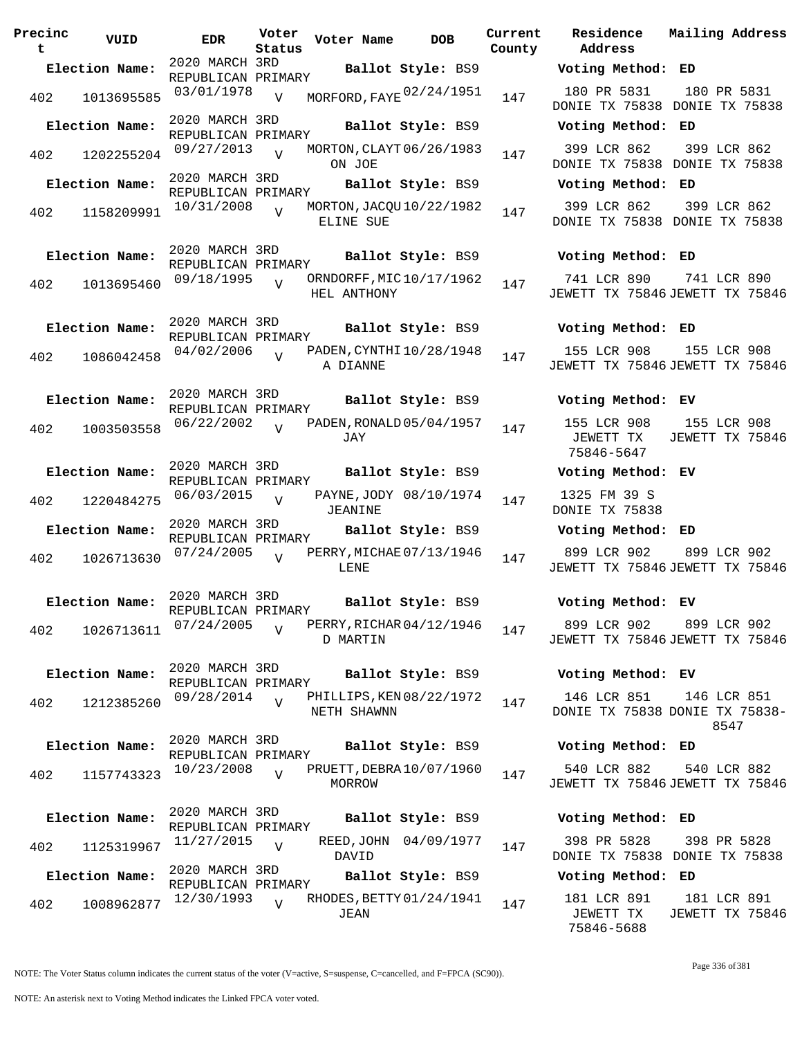| Precinc<br>t | VUID           | EDR                                  | Voter<br>Status | Voter Name                              | <b>DOB</b>             | Current<br>County | Residence<br>Address                       | Mai.                 |
|--------------|----------------|--------------------------------------|-----------------|-----------------------------------------|------------------------|-------------------|--------------------------------------------|----------------------|
|              | Election Name: | 2020 MARCH 3RD                       |                 |                                         | Ballot Style: BS9      |                   | Voting Method: ED                          |                      |
|              | 402 1013695585 | REPUBLICAN PRIMARY<br>03/01/1978     | V               | MORFORD, FAYE 02/24/1951                |                        | 147               | 180 PR 5831<br>DONIE TX 75838 DON          | $\mathbf{1}$         |
|              | Election Name: | 2020 MARCH 3RD                       |                 |                                         | Ballot Style: BS9      |                   | Voting Method: ED                          |                      |
| 402          | 1202255204     | REPUBLICAN PRIMARY<br>09/27/2013     | $\overline{v}$  | MORTON, CLAYT 06/26/1983<br>ON JOE      |                        | 147               | 399 LCR 862<br>DONIE TX 75838 DON          | $\mathbf{3}$         |
|              | Election Name: | 2020 MARCH 3RD                       |                 |                                         | Ballot Style: BS9      |                   | Voting Method: ED                          |                      |
| 402          | 1158209991     | REPUBLICAN PRIMARY<br>10/31/2008     | $\overline{17}$ | MORTON, JACQU 10/22/1982<br>ELINE SUE   |                        | 147               | 399 LCR 862<br>DONIE TX 75838 DON          | $\overline{3}$       |
|              | Election Name: | 2020 MARCH 3RD<br>REPUBLICAN PRIMARY |                 |                                         | Ballot Style: BS9      |                   | Voting Method: ED                          |                      |
| 402          | 1013695460     | 09/18/1995                           | $\overline{v}$  | ORNDORFF, MIC10/17/1962<br>HEL ANTHONY  |                        | 147               | 741 LCR 890<br>JEWETT TX 75846 JEW         | 7                    |
|              | Election Name: | 2020 MARCH 3RD<br>REPUBLICAN PRIMARY |                 |                                         | Ballot Style: BS9      |                   | Voting Method: ED                          |                      |
| 402          | 1086042458     | 04/02/2006                           | $\overline{V}$  | PADEN, CYNTHI 10/28/1948<br>A DIANNE    |                        | 147               | 155 LCR 908<br>JEWETT TX 75846 JEW         | $\mathbf{1}$         |
|              | Election Name: | 2020 MARCH 3RD<br>REPUBLICAN PRIMARY |                 |                                         | Ballot Style: BS9      |                   | Voting Method: EV                          |                      |
| 402          | 1003503558     | 06/22/2002                           | $\overline{V}$  | PADEN, RONALD 05/04/1957<br>JAY         |                        | 147               | 155 LCR 908<br>JEWETT TX<br>75846-5647     | $\mathbf{1}$<br>JEW  |
|              | Election Name: | 2020 MARCH 3RD<br>REPUBLICAN PRIMARY |                 |                                         | Ballot Style: BS9      |                   | Voting Method: EV                          |                      |
| 402          | 1220484275     | $06/03/2015$ V                       |                 | JEANINE                                 | PAYNE, JODY 08/10/1974 | 147               | 1325 FM 39 S<br>DONIE TX 75838             |                      |
|              | Election Name: | 2020 MARCH 3RD<br>REPUBLICAN PRIMARY |                 |                                         | Ballot Style: BS9      |                   | Voting Method: ED                          |                      |
| 402          | 1026713630     | 07/24/2005                           | $\overline{U}$  | PERRY, MICHAE 07/13/1946<br>LENE        |                        | 147               | 899 LCR 902 8<br>JEWETT TX 75846 JEW       |                      |
|              | Election Name: | 2020 MARCH 3RD<br>REPUBLICAN PRIMARY |                 |                                         |                        |                   | Ballot Style: BS9 <b>Woting Method: EV</b> |                      |
| 402          | 1026713611     | 07/24/2005                           | $\overline{U}$  | PERRY, RICHAR 04/12/1946<br>D MARTIN    |                        | 147               | 899 LCR 902<br>JEWETT TX 75846 JEW         | 8 <sup>8</sup>       |
|              | Election Name: | 2020 MARCH 3RD<br>REPUBLICAN PRIMARY |                 |                                         | Ballot Style: BS9      |                   | Voting Method: EV                          |                      |
| 402          | 1212385260     | 09/28/2014                           | $\overline{V}$  | PHILLIPS, KEN 08/22/1972<br>NETH SHAWNN |                        | 147               | 146 LCR 851<br>DONIE TX 75838 DON          | $1 \cdot$            |
|              | Election Name: | 2020 MARCH 3RD<br>REPUBLICAN PRIMARY |                 |                                         | Ballot Style: BS9      |                   | Voting Method: ED                          |                      |
| 402          | 1157743323     | 10/23/2008                           | $\overline{U}$  | PRUETT, DEBRA 10/07/1960<br>MORROW      |                        | 147               | 540 LCR 882<br>JEWETT TX 75846 JEW         | 5 <sub>1</sub>       |
|              | Election Name: | 2020 MARCH 3RD<br>REPUBLICAN PRIMARY |                 |                                         | Ballot Style: BS9      |                   | Voting Method: ED                          |                      |
| 402          | 1125319967     | 11/27/2015                           | $\overline{V}$  | DAVID                                   | REED, JOHN 04/09/1977  | 147               | 398 PR 5828<br>DONIE TX 75838 DON          | 3 <sup>1</sup>       |
|              | Election Name: | 2020 MARCH 3RD<br>REPUBLICAN PRIMARY |                 |                                         | Ballot Style: BS9      |                   | Voting Method: ED                          |                      |
| 402          | 1008962877     | 12/30/1993                           | $\overline{V}$  | RHODES, BETTY 01/24/1941<br>JEAN        |                        | 147               | 181 LCR 891<br>JEWETT TX                   | $\mathbf{1}$<br>JEW. |

| 7 | 180 PR 5831 180 PR 5831<br>DONIE TX 75838 DONIE TX 75838           |  |
|---|--------------------------------------------------------------------|--|
|   | Voting Method: ED                                                  |  |
| 7 | 399 LCR 862 399 LCR 862<br>DONIE TX 75838 DONIE TX 75838           |  |
|   | Voting Method: ED                                                  |  |
| 7 | 399 LCR 862 399 LCR 862<br>DONIE TX 75838 DONIE TX 75838           |  |
|   | Voting Method: ED                                                  |  |
| 7 | 741 LCR 890 741 LCR 890<br>JEWETT TX 75846 JEWETT TX 75846         |  |
|   | Voting Method: ED                                                  |  |
| 7 | 155 LCR 908 155 LCR 908<br>JEWETT TX 75846 JEWETT TX 75846         |  |
|   | Voting Method: EV                                                  |  |
| 7 | 155 LCR 908 155 LCR 908<br>JEWETT TX JEWETT TX 75846<br>75846-5647 |  |
|   | Voting Method: EV                                                  |  |
| 7 | 1325 FM 39 S<br>DONIE TX 75838                                     |  |
|   | Voting Method: ED                                                  |  |
| 7 | 899 LCR 902 899 LCR 902<br>JEWETT TX 75846 JEWETT TX 75846         |  |
|   | Voting Method: EV                                                  |  |
| 7 | 899 LCR 902 899 LCR 902<br>JEWETT TX 75846 JEWETT TX 75846         |  |
|   | Voting Method: EV                                                  |  |
| 7 | 146 LCR 851 146 LCR 851<br>DONIE TX 75838 DONIE TX 75838-<br>8547  |  |
|   | Voting Method: ED                                                  |  |
| 7 | 540 LCR 882 540 LCR 882<br>JEWETT TX 75846 JEWETT TX 75846         |  |
|   | Voting Method: ED                                                  |  |
| 7 | 398 PR 5828 398 PR 5828<br>DONIE TX 75838 DONIE TX 75838           |  |
|   | Voting Method: ED                                                  |  |
| 7 | 181 LCR 891<br>181 LCR 891<br>JEWETT TX JEWETT TX 75846            |  |

**Current Mailing Address**

NOTE: The Voter Status column indicates the current status of the voter (V=active, S=suspense, C=cancelled, and F=FPCA (SC90)).

75846-5688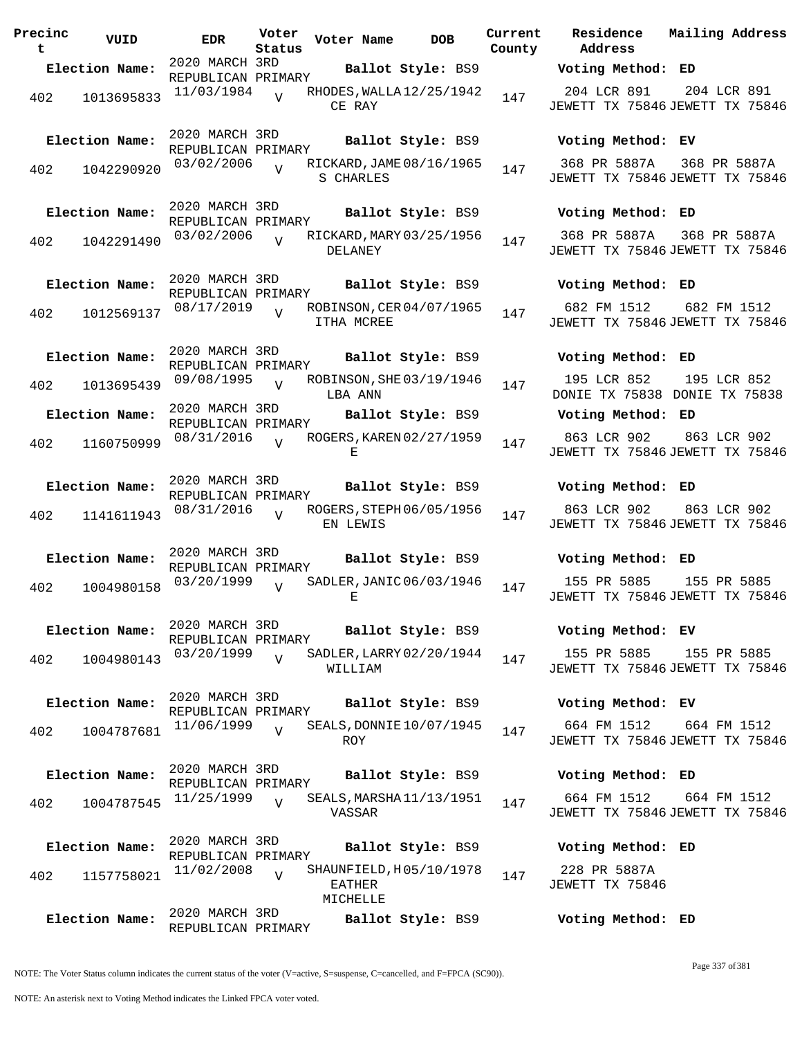**Precinc t VUID EDR Voter Voter Name DOB Residence Status County** 2020 MARCH 3RD REPUBLICAN PRIMARY **Election Name: Ballot Style:** BS9 **Voting Method: ED** 402 1013695833 11/03/1984 CE RAY  $\overline{V}$ RHODES, WALLA 12/25/1942 147 2020 MARCH 3RD REPUBLICAN PRIMARY **Election Name: Ballot Style:** BS9 **Voting Method: EV** 402 1042290920 03/02/2006 V RICKARD, JAME 08/16/1965 147 S CHARLES  $\overline{V}$ 2020 MARCH 3RD REPUBLICAN PRIMARY **Election Name: Ballot Style:** BS9 **Voting Method: ED** 402 1042291490 03/02/2006 V RICKARD, MARY 03/25/1956 147 DELANEY  $\overline{V}$ 2020 MARCH 3RD REPUBLICAN PRIMARY<br>08/17/2019 .. R **Election Name: Ballot Style:** BS9 **Voting Method: ED** 402 1012569137 ITHA MCREE  $\overline{V}$ ROBINSON, CER 04/07/1965 147 2020 MARCH 3RD REPUBLICAN PRIMARY **Election Name: Ballot Style:** BS9 **Voting Method: ED** 402 1013695439 09/08/1995 V ROBINSON, SHE 03/19/1946 147 LBA ANN  $\overline{V}$ 2020 MARCH 3RD REPUBLICAN PRIMARY **Election Name: Ballot Style:** BS9 **Voting Method: ED** 402 1160750999 08/31/2016 V ROGERS, KAREN 02/27/1959 147 E  $V$ 2020 MARCH 3RD REPUBLICAN PRIMARY **Election Name: Ballot Style:** BS9 **Voting Method: ED** 402 1141611943 08/31/2016 V ROGERS, STEPH 06/05/1956 147 EN LEWIS  $\overline{V}$ 2020 MARCH 3RD REPUBLICAN PRIMARY **Election Name: Ballot Style:** BS9 **Voting Method: ED** 402 1004980158 03/20/1999  $E$  $V$ SADLER, JANIC 06/03/1946 147 2020 MARCH 3RD REPUBLICAN PRIMARY<br>03/20/1999 .. S **Election Name: Ballot Style:** BS9 **Voting Method: EV** 402 1004980143 WILLIAM V SADLER, LARRY 02/20/1944 147 2020 MARCH 3RD REPUBLICAN PRIMARY **Election Name: Ballot Style:** BS9 **Voting Method: EV** 402 1004787681 <sup>11/06/1999</sup> v SEALS, DONNIE 10/07/1945 147 ROY  $\overline{V}$ 2020 MARCH 3RD REPUBLICAN PRIMARY **Election Name: Ballot Style:** BS9 **Voting Method: ED** <sup>402</sup> SEALS,MARSHA 11/25/1999 <sup>1004787545</sup> <sup>147</sup> 11/13/1951 VASSAR V 2020 MARCH 3RD REPUBLICAN PRIMARY **Election Name: Ballot Style:** BS9 **Voting Method: ED** 402 1157758021  $11/02/2008$ EATHER MICHELLE  $V$ SHAUNFIELD, H05/10/1978 147 2020 MARCH 3RD REPUBLICAN PRIMARY **Election Name: Ballot Style:** BS9 **Voting Method: ED**

**Address Current Residence Mailing Address** 204 LCR 891 JEWETT TX 75846 JEWETT TX 75846 204 LCR 891 368 PR 5887A JEWETT TX 75846 JEWETT TX 75846 368 PR 5887A

> 368 PR 5887A JEWETT TX 75846 JEWETT TX 75846 368 PR 5887A

682 FM 1512 JEWETT TX 75846 JEWETT TX 75846 682 FM 1512

195 LCR 852 DONIE TX 75838 DONIE TX 75838 195 LCR 852

863 LCR 902 JEWETT TX 75846 JEWETT TX 75846 863 LCR 902

863 LCR 902 JEWETT TX 75846 JEWETT TX 75846 863 LCR 902

155 PR 5885 JEWETT TX 75846 JEWETT TX 75846 155 PR 5885

155 PR 5885 155 PR 5885

JEWETT TX 75846 JEWETT TX 75846

664 FM 1512 JEWETT TX 75846 JEWETT TX 75846 664 FM 1512

664 FM 1512 664 FM 1512

JEWETT TX 75846 JEWETT TX 75846

228 PR 5887A JEWETT TX 75846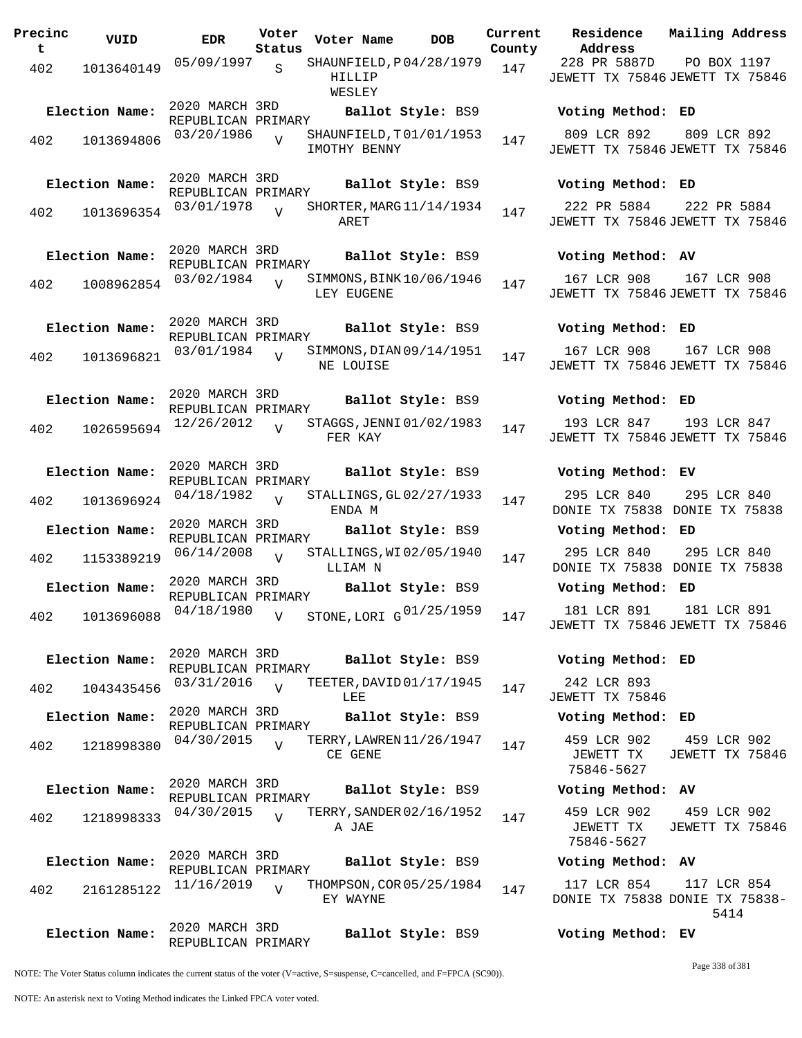**Precinc t VUID EDR Voter Status Voter Name DOB Current Residence County** 402 1013640149 05/09/1997 SHAUNFIELD, P04/28/1979 147 HTLLTP WESLEY S 2020 MARCH 3RD REPUBLICAN PRIMARY<br>03/20/1986 ... **Election Name: Ballot Style:** BS9 **Voting Method: ED** 402 1013694806 03/20/1986 y SHAUNFIELD, T01/01/1953 147 IMOTHY BENNY  $\overline{V}$ 2020 MARCH 3RD REPUBLICAN PRIMARY **Election Name: Ballot Style:** BS9 **Voting Method: ED** 402 1013696354 03/01/1978 V SHORTER, MARG 11/14/1934 147 ARET V 2020 MARCH 3RD REPUBLICAN PRIMARY **Election Name: Ballot Style:** BS9 **Voting Method: AV** 402 1008962854 <sup>03/02/1984</sup> V SIMMONS, BINK 10/06/1946 147 LEY EUGENE  $\overline{V}$ 2020 MARCH 3RD REPUBLICAN PRIMARY **Election Name: Ballot Style:** BS9 **Voting Method: ED** <sup>402</sup> SIMMONS,DIAN 03/01/1984 <sup>1013696821</sup> <sup>147</sup> 09/14/1951 NE LOUISE V 2020 MARCH 3RD REPUBLICAN PRIMARY **Election Name: Ballot Style:** BS9 **Voting Method: ED** 402 1026595694 <sup>12/26</sup>/2012 V STAGGS, JENNI 01/02/1983 147 FER KAY  $\overline{v}$ 2020 MARCH 3RD REPUBLICAN PRIMARY **Election Name: Ballot Style:** BS9 **Voting Method: EV**  $402$  1013696924 04/18/1982 ENDA M  $\overline{v}$ STALLINGS, GL02/27/1933 147 2020 MARCH 3RD REPUBLICAN PRIMARY **Election Name: Ballot Style:** BS9 **Voting Method: ED** 402 1153389219  $06/14/2008$  STALLINGS, WI02/05/1940 147 LLIAM N  $\overline{V}$ 2020 MARCH 3RD REPUBLICAN PRIMARY<br>04/18/1980 **Election Name: Ballot Style:** BS9 **Voting Method: ED** 402 1013696088 <sup>04/18/1980</sup> v STONE, LORI G<sup>01/25/1959</sup> 147 181 LCR 891 V 2020 MARCH 3RD REPUBLICAN PRIMARY **Election Name: Ballot Style:** BS9 **Voting Method: ED** 402 1043435456 03/31/2016 V TEETER, DAVID 01/17/1945 147 LEE.  $\overline{V}$ 2020 MARCH 3RD REPUBLICAN PRIMARY **Election Name: Ballot Style:** BS9 **Voting Method: ED** 402 1218998380 <sup>04/30/2015</sup> v TERRY, LAWREN 11/26/1947 147 CE GENE  $\overline{V}$ 2020 MARCH 3RD REPUBLICAN PRIMARY **Election Name: Ballot Style:** BS9 **Voting Method: AV** 402 1218998333 <sup>04/30/2015</sup> v TERRY, SANDER 02/16/1952 147 A JAE  $\overline{v}$ 2020 MARCH 3RD REPUBLICAN PRIMARY **Election Name: Ballot Style:** BS9 **Voting Method: AV**  $402$   $2161285122$   $11/16/2019$ EY WAYNE  $\overline{V}$ THOMPSON, COR 05/25/1984 147 2020 MARCH 3RD REPUBLICAN PRIMARY **Election Name: Ballot Style:** BS9 **Voting Method: EV**

809 LCR 892 JEWETT TX 75846 JEWETT TX 75846 809 LCR 892 222 PR 5884 JEWETT TX 75846 JEWETT TX 75846 222 PR 5884 167 LCR 908 JEWETT TX 75846 JEWETT TX 75846 167 LCR 908 167 LCR 908 JEWETT TX 75846 JEWETT TX 75846 167 LCR 908 193 LCR 847 JEWETT TX 75846 JEWETT TX 75846 193 LCR 847 295 LCR 840 DONIE TX 75838 DONIE TX 75838 295 LCR 840 295 LCR 840 DONIE TX 75838 DONIE TX 75838 295 LCR 840 JEWETT TX 75846 JEWETT TX 75846 181 LCR 891 242 LCR 893 JEWETT TX 75846 459 LCR 902 JEWETT TX 75846-5627 459 LCR 902 JEWETT TX 75846

**Address**

228 PR 5887D

JEWETT TX 75846 JEWETT TX 75846

**Current Mailing Address**

PO BOX 1197

459 LCR 902 JEWETT TX 75846-5627 459 LCR 902 JEWETT TX 75846

117 LCR 854 DONIE TX 75838 DONIE TX 75838- 117 LCR 854 5414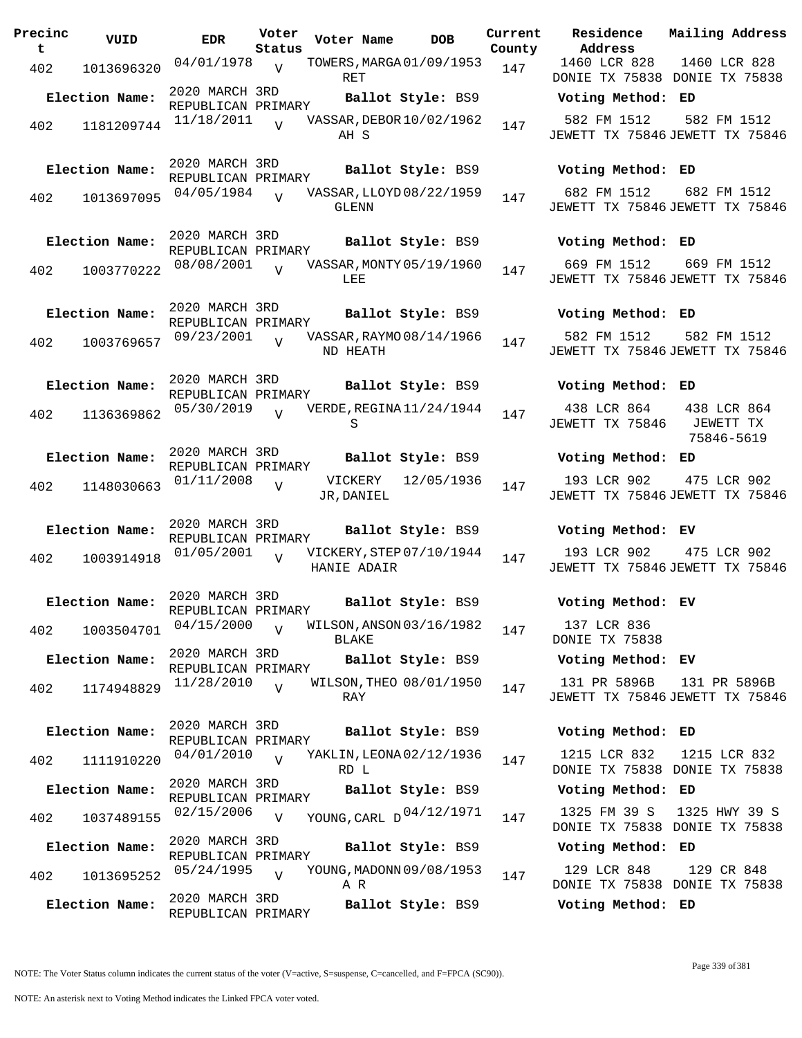| Precinc<br>t | VUID           | EDR                                  | Voter<br>Status | Voter Name                               | <b>DOB</b>        | Current<br>County | Residence<br>Address                            | Mailing Address                        |
|--------------|----------------|--------------------------------------|-----------------|------------------------------------------|-------------------|-------------------|-------------------------------------------------|----------------------------------------|
| 402          | 1013696320     | 04/01/1978                           | $\overline{V}$  | TOWERS, MARGA 01/09/1953<br>RET          |                   | 147               | 1460 LCR 828<br>DONIE TX 75838 DONIE TX 75838   | 1460 LCR 828                           |
|              | Election Name: | 2020 MARCH 3RD<br>REPUBLICAN PRIMARY |                 |                                          | Ballot Style: BS9 |                   | Voting Method: ED                               |                                        |
| 402          | 1181209744     | 11/18/2011                           | $\overline{V}$  | VASSAR, DEBOR 10/02/1962<br>AH S         |                   | 147               | 582 FM 1512<br>JEWETT TX 75846 JEWETT TX 75846  | 582 FM 1512                            |
|              | Election Name: | 2020 MARCH 3RD<br>REPUBLICAN PRIMARY |                 |                                          | Ballot Style: BS9 |                   | Voting Method: ED                               |                                        |
| 402          | 1013697095     | 04/05/1984                           | $\overline{V}$  | VASSAR, LLOYD 08/22/1959<br><b>GLENN</b> |                   | 147               | 682 FM 1512<br>JEWETT TX 75846 JEWETT TX 75846  | 682 FM 1512                            |
|              | Election Name: | 2020 MARCH 3RD<br>REPUBLICAN PRIMARY |                 |                                          | Ballot Style: BS9 |                   | Voting Method: ED                               |                                        |
| 402          | 1003770222     | 08/08/2001                           | $\overline{U}$  | VASSAR, MONTY 05/19/1960<br>LEE          |                   | 147               | 669 FM 1512<br>JEWETT TX 75846 JEWETT TX 75846  | 669 FM 1512                            |
|              | Election Name: | 2020 MARCH 3RD<br>REPUBLICAN PRIMARY |                 |                                          | Ballot Style: BS9 |                   | Voting Method: ED                               |                                        |
| 402          | 1003769657     | 09/23/2001                           |                 | VASSAR, RAYMO 08/14/1966<br>ND HEATH     |                   | 147               | 582 FM 1512<br>JEWETT TX 75846 JEWETT TX 75846  | 582 FM 1512                            |
|              | Election Name: | 2020 MARCH 3RD<br>REPUBLICAN PRIMARY |                 |                                          | Ballot Style: BS9 |                   | Voting Method: ED                               |                                        |
| 402          | 1136369862     | 05/30/2019                           | $\overline{U}$  | VERDE, REGINA 11/24/1944<br>S            |                   | 147               | 438 LCR 864<br>JEWETT TX 75846                  | 438 LCR 864<br>JEWETT TX<br>75846-5619 |
|              | Election Name: | 2020 MARCH 3RD<br>REPUBLICAN PRIMARY |                 |                                          | Ballot Style: BS9 |                   | Voting Method: ED                               |                                        |
| 402          | 1148030663     | 01/11/2008                           | $\overline{v}$  | VICKERY<br>JR, DANIEL                    | 12/05/1936        | 147               | 193 LCR 902<br>JEWETT TX 75846 JEWETT TX 75846  | 475 LCR 902                            |
|              | Election Name: | 2020 MARCH 3RD<br>REPUBLICAN PRIMARY |                 |                                          | Ballot Style: BS9 |                   | Voting Method: EV                               |                                        |
| 402          | 1003914918     | 01/05/2001                           | $\overline{V}$  | VICKERY, STEP 07/10/1944<br>HANIE ADAIR  |                   | 147               | 193 LCR 902<br>JEWETT TX 75846 JEWETT TX 75846  | 475 LCR 902                            |
|              | Election Name: | 2020 MARCH 3RD<br>REPUBLICAN PRIMARY |                 |                                          | Ballot Style: BS9 |                   | Voting Method: EV                               |                                        |
| 402          | 1003504701     | 04/15/2000                           | $\overline{V}$  | WILSON, ANSON 03/16/1982<br><b>BLAKE</b> |                   | 147               | 137 LCR 836<br>DONIE TX 75838                   |                                        |
|              | Election Name: | 2020 MARCH 3RD<br>REPUBLICAN PRIMARY |                 |                                          | Ballot Style: BS9 |                   | Voting Method: EV                               |                                        |
| 402          | 1174948829     | 11/28/2010                           | $\overline{V}$  | WILSON, THEO 08/01/1950<br>RAY           |                   | 147               | 131 PR 5896B<br>JEWETT TX 75846 JEWETT TX 75846 | 131 PR 5896B                           |
|              | Election Name: | 2020 MARCH 3RD<br>REPUBLICAN PRIMARY |                 |                                          | Ballot Style: BS9 |                   | Voting Method: ED                               |                                        |
| 402          | 1111910220     | 04/01/2010                           | $\overline{U}$  | YAKLIN, LEONA 02/12/1936<br>RD L         |                   | 147               | 1215 LCR 832<br>DONIE TX 75838 DONIE TX 75838   | 1215 LCR 832                           |
|              | Election Name: | 2020 MARCH 3RD<br>REPUBLICAN PRIMARY |                 |                                          | Ballot Style: BS9 |                   | Voting Method: ED                               |                                        |
| 402          | 1037489155     | 02/15/2006                           | $\overline{V}$  | YOUNG, CARL D 04/12/1971                 |                   | 147               | 1325 FM 39 S<br>DONIE TX 75838 DONIE TX 75838   | 1325 HWY 39 S                          |
|              | Election Name: | 2020 MARCH 3RD<br>REPUBLICAN PRIMARY |                 |                                          | Ballot Style: BS9 |                   | Voting Method: ED                               |                                        |
| 402          | 1013695252     | 05/24/1995                           | $\overline{V}$  | YOUNG, MADONN 09/08/1953<br>A R          |                   | 147               | 129 LCR 848<br>DONIE TX 75838 DONIE TX 75838    | 129 CR 848                             |
|              | Election Name: | 2020 MARCH 3RD<br>REPUBLICAN PRIMARY |                 |                                          | Ballot Style: BS9 |                   | Voting Method: ED                               |                                        |

#### **Election Name: Ballot Style:** BS9 **Voting Method: ED**

#### **Election Name: Ballot Style:** BS9 **Voting Method: ED**

#### **Election Name: Ballot Style:** BS9 **Voting Method: ED**

#### **Election Name: Ballot Style:** BS9 **Voting Method: ED**

### **Election Name: Ballot Style:** BS9 **Voting Method: ED**

### **Election Name: Ballot Style:** BS9 **Voting Method: EV**

#### **Election Name: Ballot Style:** BS9 **Voting Method: EV**

### **Election Name: Ballot Style:** BS9 **Voting Method: EV**

#### **Election Name: Ballot Style:** BS9 **Voting Method: ED**

### **Election Name: Ballot Style:** BS9 **Voting Method: ED**

#### **Election Name: Ballot Style:** BS9 **Voting Method: ED**

#### **Election Name: Ballot Style:** BS9 **Voting Method: ED**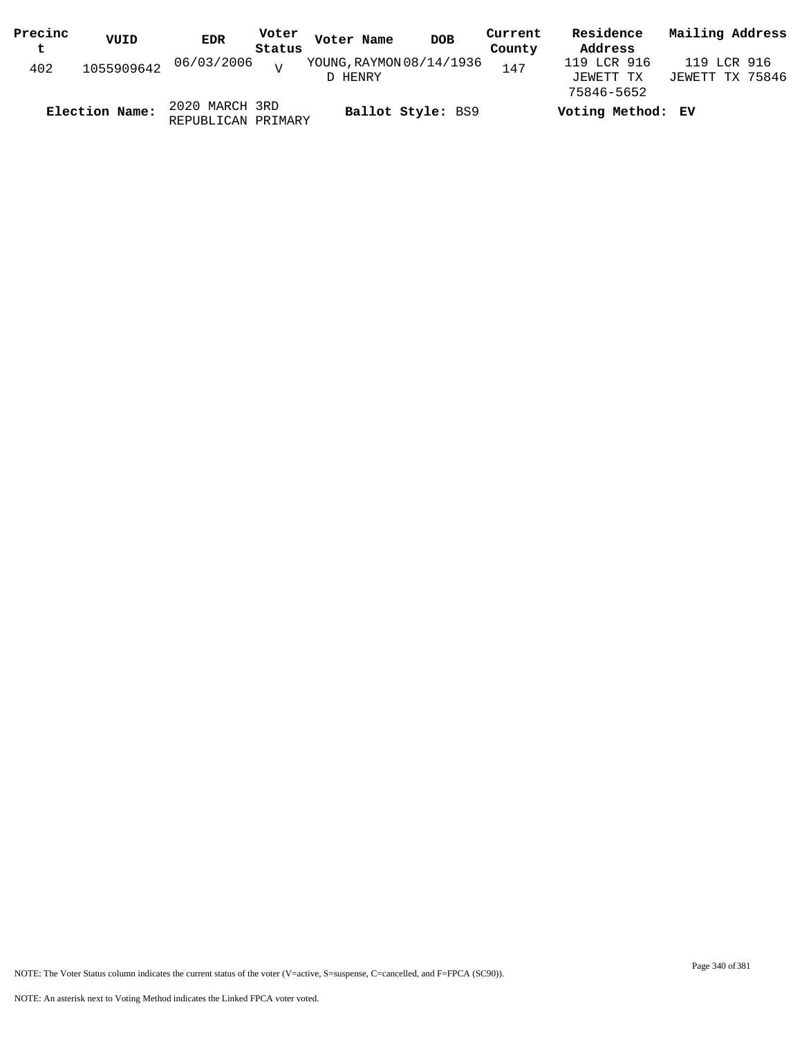| Precinc | VUID                  | <b>EDR</b>         | Voter             | Voter Name               | <b>DOB</b> | Current | Residence         | Mailing Address |
|---------|-----------------------|--------------------|-------------------|--------------------------|------------|---------|-------------------|-----------------|
| t       |                       |                    | Status            |                          |            | County  | Address           |                 |
| 402     | 1055909642 06/03/2006 |                    | $\overline{z}$    | YOUNG, RAYMON 08/14/1936 |            | 147     | 119 LCR 916       | 119 LCR 916     |
|         |                       |                    |                   | D HENRY                  |            |         | JEWETT TX         | JEWETT TX 75846 |
|         |                       |                    |                   |                          |            |         | 75846-5652        |                 |
|         | Election Name:        | 2020 MARCH 3RD     |                   |                          |            |         | Voting Method: EV |                 |
|         |                       | REPUBLICAN PRIMARY | Ballot Style: BS9 |                          |            |         |                   |                 |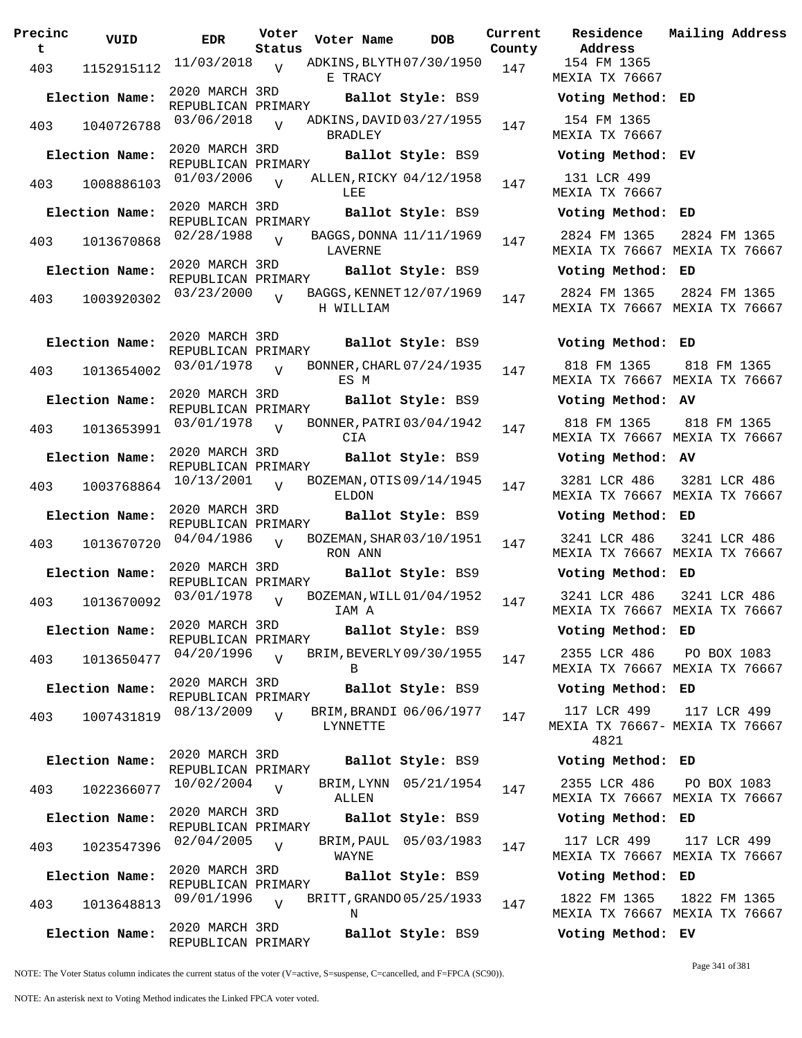| Precinc<br>t | VUID           | <b>EDR</b>                           | Voter<br>Status | Voter Name     | <b>DOB</b>               | Curre<br>Count |
|--------------|----------------|--------------------------------------|-----------------|----------------|--------------------------|----------------|
| 403          | 1152915112     | 11/03/2018                           | $\overline{V}$  | E TRACY        | ADKINS, BLYTH 07/30/1950 | 147            |
|              | Election Name: | 2020 MARCH 3RD<br>REPUBLICAN PRIMARY |                 |                | Ballot Style: BS9        |                |
| 403          | 1040726788     | 03/06/2018                           | $\overline{V}$  | <b>BRADLEY</b> | ADKINS, DAVID 03/27/1955 | 147            |
|              | Election Name: | 2020 MARCH 3RD<br>REPUBLICAN PRIMARY |                 |                | Ballot Style: BS9        |                |
| 403          | 1008886103     | 01/03/2006                           | $\overline{V}$  | LEE            | ALLEN, RICKY 04/12/1958  | 147            |
|              | Election Name: | 2020 MARCH 3RD<br>REPUBLICAN PRIMARY |                 |                | Ballot Style: BS9        |                |
| 403          | 1013670868     | 02/28/1988                           | $\overline{U}$  | LAVERNE        | BAGGS, DONNA 11/11/1969  | 147            |
|              | Election Name: | 2020 MARCH 3RD<br>REPUBLICAN PRIMARY |                 |                | Ballot Style: BS9        |                |
| 403          | 1003920302     | 03/23/2000                           | $\overline{V}$  | H WILLIAM      | BAGGS, KENNET 12/07/1969 | 147            |
|              | Election Name: | 2020 MARCH 3RD                       |                 |                | Ballot Style: BS9        |                |
| 403          | 1013654002     | REPUBLICAN PRIMARY<br>03/01/1978     | $\overline{V}$  | ES M           | BONNER, CHARL 07/24/1935 | 147            |
|              | Election Name: | 2020 MARCH 3RD                       |                 |                | Ballot Style: BS9        |                |
| 403          | 1013653991     | REPUBLICAN PRIMARY<br>03/01/1978     | $\overline{V}$  | CIA            | BONNER, PATRI 03/04/1942 | 147            |
|              | Election Name: | 2020 MARCH 3RD                       |                 |                | Ballot Style: BS9        |                |
| 403          | 1003768864     | REPUBLICAN PRIMARY<br>10/13/2001     | $\overline{U}$  | ELDON          | BOZEMAN, OTIS 09/14/1945 | 147            |
|              | Election Name: | 2020 MARCH 3RD                       |                 |                | Ballot Style: BS9        |                |
| 403          | 1013670720     | REPUBLICAN PRIMARY<br>04/04/1986     | $\overline{V}$  | RON ANN        | BOZEMAN, SHAR 03/10/1951 | 147            |
|              | Election Name: | 2020 MARCH 3RD                       |                 |                | Ballot Style: BS9        |                |
| 403          | 1013670092     | REPUBLICAN PRIMARY<br>03/01/1978     | $\overline{V}$  | IAM A          | BOZEMAN, WILL 01/04/1952 | 147            |
|              | Election Name: | 2020 MARCH 3RD<br>REPUBLICAN PRIMARY |                 |                | Ballot Style: BS9        |                |
| 403          | 1013650477     | 04/20/1996                           | $\overline{V}$  | B              | BRIM, BEVERLY 09/30/1955 | 147            |
|              | Election Name: | 2020 MARCH 3RD<br>REPUBLICAN PRIMARY |                 |                | Ballot Style: BS9        |                |
| 403          | 1007431819     | 08/13/2009                           | $\overline{V}$  | LYNNETTE       | BRIM, BRANDI 06/06/1977  | 147            |
|              | Election Name: | 2020 MARCH 3RD                       |                 |                | Ballot Style: BS9        |                |
| 403          | 1022366077     | REPUBLICAN PRIMARY<br>10/02/2004     | $\overline{V}$  |                | BRIM, LYNN 05/21/1954    | 147            |
|              | Election Name: | 2020 MARCH 3RD                       |                 | ALLEN          | Ballot Style: BS9        |                |
| 403          | 1023547396     | REPUBLICAN PRIMARY<br>02/04/2005     | $\overline{V}$  | WAYNE          | BRIM, PAUL 05/03/1983    | 147            |
|              | Election Name: | 2020 MARCH 3RD                       |                 |                | Ballot Style: BS9        |                |
| 403          | 1013648813     | REPUBLICAN PRIMARY<br>09/01/1996     | $\overline{V}$  | Ν              | BRITT, GRANDO 05/25/1933 | 147            |
|              | Election Name: | 2020 MARCH 3RD<br>REPUBLICAN PRIMARY |                 |                | Ballot Style: BS9        |                |

**Voter Name DOB Residence Address Current Mailing Address** nty 154 FM 1365 MEXIA TX 76667 **Election Name: Ballot Style:** BS9 **Voting Method: ED** 154 FM 1365 MEXIA TX 76667 **Election Name: Ballot Style:** BS9 **Voting Method: EV** 131 LCR 499 MEXIA TX 76667 **Election Name: Ballot Style:** BS9 **Voting Method: ED** 2824 FM 1365 MEXIA TX 76667 MEXIA TX 76667 2824 FM 1365 **Election Name: Ballot Style:** BS9 **Voting Method: ED** 2824 FM 1365 MEXIA TX 76667 MEXIA TX 76667 2824 FM 1365 **Election Name: Ballot Style:** BS9 **Voting Method: ED** 818 FM 1365 MEXIA TX 76667 MEXIA TX 76667 818 FM 1365 **Election Name: Ballot Style:** BS9 **Voting Method: AV** 818 FM 1365 MEXIA TX 76667 MEXIA TX 76667 818 FM 1365 **Election Name: Ballot Style:** BS9 **Voting Method: AV** 3281 LCR 486 MEXIA TX 76667 MEXIA TX 76667 3281 LCR 486 **Election Name: Ballot Style:** BS9 **Voting Method: ED** 3241 LCR 486 MEXIA TX 76667 MEXIA TX 76667 3241 LCR 486 **Election Name: Ballot Style:** BS9 **Voting Method: ED** 3241 LCR 486 MEXIA TX 76667 MEXIA TX 76667 3241 LCR 486 **Election Name: Ballot Style:** BS9 **Voting Method: ED** 2355 LCR 486 MEXIA TX 76667 MEXIA TX 76667 PO BOX 1083 **Election Name: Ballot Style:** BS9 **Voting Method: ED** 117 LCR 499 MEXIA TX 76667- MEXIA TX 76667 4821 117 LCR 499 **Election Name: Ballot Style:** BS9 **Voting Method: ED** 2355 LCR 486 MEXIA TX 76667 MEXIA TX 76667 PO BOX 1083 **Election Name: Ballot Style:** BS9 **Voting Method: ED** 117 LCR 499 MEXIA TX 76667 MEXIA TX 76667 117 LCR 499 **Election Name: Ballot Style:** BS9 **Voting Method: ED** 1822 FM 1365 MEXIA TX 76667 MEXIA TX 76667 1822 FM 1365

NOTE: The Voter Status column indicates the current status of the voter (V=active, S=suspense, C=cancelled, and F=FPCA (SC90)).

Page 341 of 381

**Election Name: Ballot Style:** BS9 **Voting Method: EV**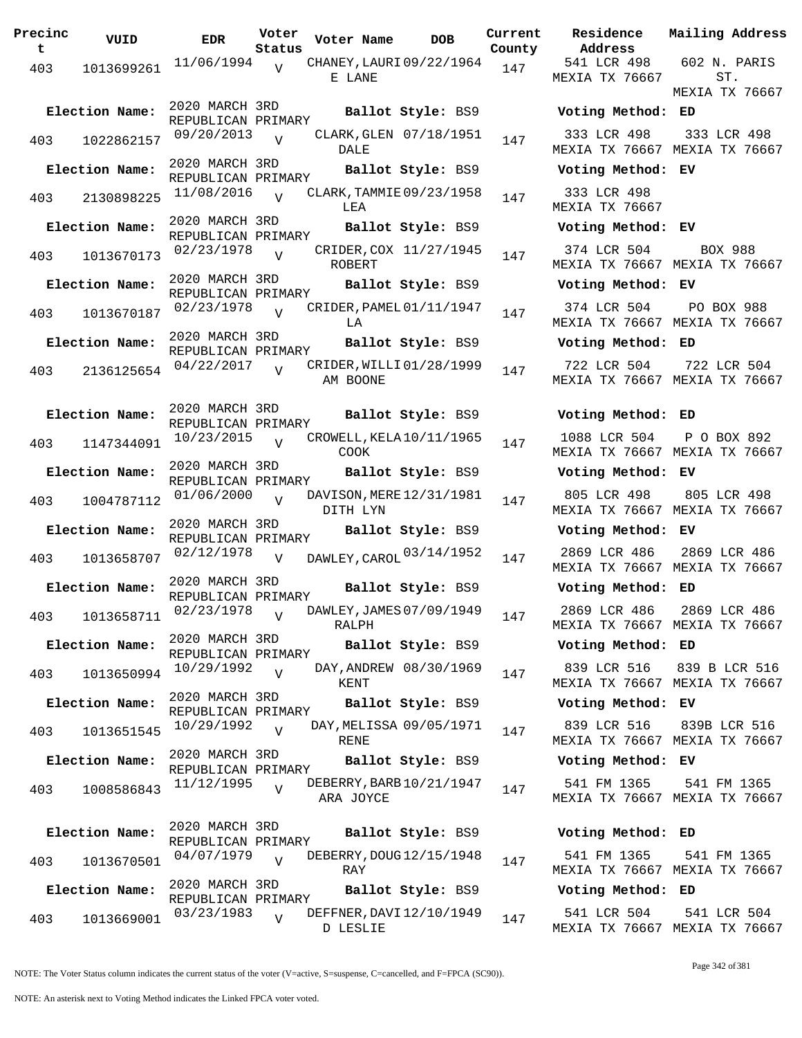| Precinc<br>t | VUID                        | EDR                                  | Voter<br>Status | Voter Name                             | <b>DOB</b>             | Current | Residence<br>County Address   |
|--------------|-----------------------------|--------------------------------------|-----------------|----------------------------------------|------------------------|---------|-------------------------------|
| 403          | 1013699261                  | 11/06/1994                           | V               | CHANEY, LAURI 09/22/1964 147<br>E LANE |                        |         | 541 LCR 498<br>MEXIA TX 7666  |
|              | Election Name:              | 2020 MARCH 3RD<br>REPUBLICAN PRIMARY |                 |                                        | Ballot Style: BS9      |         | <b>Voting Metho</b>           |
| 403          | 1022862157                  | 09/20/2013 V                         |                 | DALE                                   | CLARK, GLEN 07/18/1951 | 147     | 333 LCR 498<br>MEXIA TX 7666  |
|              | Election Name:              | 2020 MARCH 3RD<br>REPUBLICAN PRIMARY |                 |                                        | Ballot Style: BS9      |         | Voting Metho                  |
| 403          | 2130898225                  | $11/08/2016$ V                       |                 | CLARK, TAMMIE 09/23/1958<br>LEA        |                        | 147     | 333 LCR 498<br>MEXIA TX 7666  |
|              | Election Name:              | 2020 MARCH 3RD<br>REPUBLICAN PRIMARY |                 |                                        | Ballot Style: BS9      |         | Voting Metho                  |
| 403          | 1013670173                  | $02/23/1978$ V                       |                 | ROBERT                                 | CRIDER, COX 11/27/1945 | 147     | 374 LCR 504<br>MEXIA TX 7666  |
|              | Election Name:              | 2020 MARCH 3RD<br>REPUBLICAN PRIMARY |                 |                                        | Ballot Style: BS9      |         | Voting Metho                  |
| 403          | 1013670187                  | $02/23/1978$ V                       |                 | CRIDER, PAMEL 01/11/1947<br>LA         |                        | 147     | 374 LCR 504<br>MEXIA TX 7666  |
|              | Election Name:              | 2020 MARCH 3RD<br>REPUBLICAN PRIMARY |                 |                                        | Ballot Style: BS9      |         | Voting Metho                  |
| 403          | 2136125654                  | $04/22/2017$ V                       |                 | CRIDER, WILLI 01/28/1999<br>AM BOONE   |                        | 147     | 722 LCR 504<br>MEXIA TX 7666  |
|              | Election Name:              | 2020 MARCH 3RD                       |                 |                                        | Ballot Style: BS9      |         | Voting Metho                  |
| 403          | 1147344091                  | REPUBLICAN PRIMARY<br>10/23/2015     | $\overline{V}$  | CROWELL, KELA 10/11/1965<br>COOK       |                        | 147     | 1088 LCR 504<br>MEXIA TX 7666 |
|              | Election Name:              | 2020 MARCH 3RD<br>REPUBLICAN PRIMARY |                 |                                        | Ballot Style: BS9      |         | Voting Metho                  |
| 403          | 1004787112                  | 01/06/2000                           | $\overline{V}$  | DAVISON, MERE 12/31/1981<br>DITH LYN   |                        | 147     | 805 LCR 498<br>MEXIA TX 7666  |
|              | Election Name:              | 2020 MARCH 3RD<br>REPUBLICAN PRIMARY |                 |                                        | Ballot Style: BS9      |         | Voting Metho                  |
| 403          |                             | 1013658707 02/12/1978                | $\mathbf{V}$    | DAWLEY, CAROL 03/14/1952               |                        | 147     | 2869 LCR 486<br>MEXIA TX 7666 |
|              | Election Name:              | 2020 MARCH 3RD<br>REPUBLICAN PRIMARY |                 |                                        | Ballot Style: BS9      |         | Voting Metho                  |
|              | 403 1013658711 02/23/1978 v |                                      |                 | DAWLEY, JAMES 07/09/1949<br>RALPH      |                        | 147     | 2869 LCR 486<br>MEXIA TX 7666 |
|              | Election Name:              | 2020 MARCH 3RD<br>REPUBLICAN PRIMARY |                 |                                        | Ballot Style: BS9      |         | Voting Metho                  |
| 403          |                             | 1013650994 10/29/1992                | $\overline{V}$  | KENT                                   | DAY, ANDREW 08/30/1969 | 147     | 839 LCR 516<br>MEXIA TX 7666  |
|              | Election Name:              | 2020 MARCH 3RD<br>REPUBLICAN PRIMARY |                 |                                        | Ballot Style: BS9      |         | Voting Metho                  |
| 403          | 1013651545                  | 10/29/1992                           | $\overline{V}$  | DAY, MELISSA 09/05/1971<br>RENE        |                        | 147     | 839 LCR 516<br>MEXIA TX 7666  |
|              | Election Name:              | 2020 MARCH 3RD<br>REPUBLICAN PRIMARY |                 |                                        | Ballot Style: BS9      |         | Voting Metho                  |
| 403          | 1008586843                  | 11/12/1995                           | $\overline{U}$  | DEBERRY, BARB 10/21/1947<br>ARA JOYCE  |                        | 147     | 541 FM 1365<br>MEXIA TX 7666  |
|              | Election Name:              | 2020 MARCH 3RD                       |                 |                                        | Ballot Style: BS9      |         | Voting Metho                  |
| 403          | 1013670501                  | REPUBLICAN PRIMARY<br>04/07/1979     | $\overline{U}$  | DEBERRY, DOUG 12/15/1948<br>RAY        |                        | 147     | 541 FM 1365<br>MEXIA TX 7666  |
|              | Election Name:              | 2020 MARCH 3RD<br>REPUBLICAN PRIMARY |                 |                                        | Ballot Style: BS9      |         | Voting Metho                  |
| 403          | 1013669001                  | 03/23/1983                           | $\overline{U}$  | DEFFNER, DAVI 12/10/1949<br>D LESLIE   |                        | 147     | 541 LCR 504<br>MEXIA TX 7666  |

**Voter Name DOB Residence Address Current Mailing Address County** 541 LCR 498 MEXIA TX 76667 602 N. PARIS ST. MEXIA TX 76667 **Election Name: Ballot Style:** BS9 **Voting Method: ED** 333 LCR 498 MEXIA TX 76667 MEXIA TX 76667 333 LCR 498 **Election Name: Ballot Style:** BS9 **Voting Method: EV** 333 LCR 498 MEXIA TX 76667 **Election Name: Ballot Style:** BS9 **Voting Method: EV** 374 LCR 504 MEXIA TX 76667 MEXIA TX 76667 BOX 988 **Election Name: Ballot Style:** BS9 **Voting Method: EV** 374 LCR 504 MEXIA TX 76667 MEXIA TX 76667 PO BOX 988 **Election Name: Ballot Style:** BS9 **Voting Method: ED** 722 LCR 504 MEXIA TX 76667 MEXIA TX 76667 722 LCR 504 **Election Name: Ballot Style:** BS9 **Voting Method: ED** 1088 LCR 504 MEXIA TX 76667 MEXIA TX 76667 P O BOX 892 **Election Name: Ballot Style:** BS9 **Voting Method: EV** 805 LCR 498 MEXIA TX 76667 MEXIA TX 76667 805 LCR 498 **Election Name: Ballot Style:** BS9 **Voting Method: EV** MEXIA TX 76667 MEXIA TX 76667 2869 LCR 486 **Election Name: Ballot Style:** BS9 **Voting Method: ED** 2869 LCR 486 MEXIA TX 76667 MEXIA TX 76667 2869 LCR 486 **Election Name: Ballot Style:** BS9 **Voting Method: ED** 839 LCR 516 839 B LCR 516 MEXIA TX 76667 MEXIA TX 76667 **Election Name: Ballot Style:** BS9 **Voting Method: EV** 839 LCR 516 MEXIA TX 76667 MEXIA TX 76667 839B LCR 516 **Election Name: Ballot Style:** BS9 **Voting Method: EV** 541 FM 1365 MEXIA TX 76667 MEXIA TX 76667 541 FM 1365 **Election Name: Ballot Style:** BS9 **Voting Method: ED** 541 FM 1365 MEXIA TX 76667 MEXIA TX 76667 541 FM 1365 **Election Name: Ballot Style:** BS9 **Voting Method: ED**

541 LCR 504 MEXIA TX 76667 MEXIA TX 76667 541 LCR 504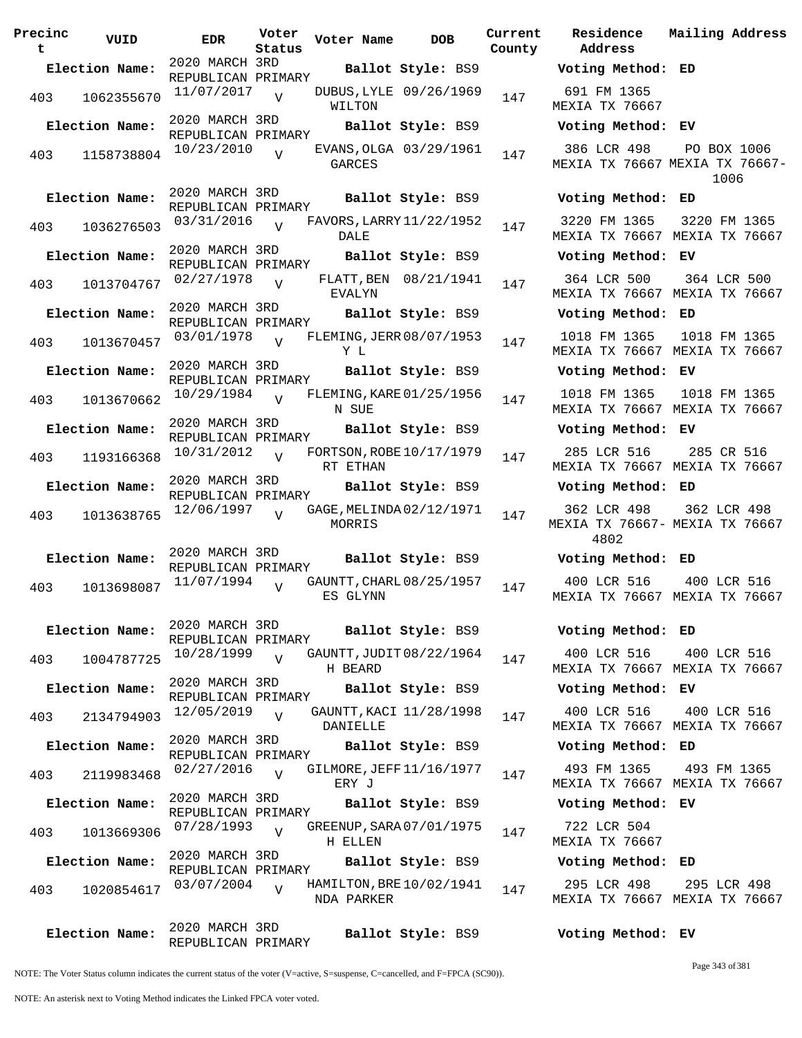**Precinc t VUID EDR Voter Status Voter Name DOB Current Residence County** 2020 MARCH 3RD REPUBLICAN PRIMARY **Election Name: Ballot Style:** BS9 **Voting Method: ED** 403 1062355670  $11/07/2017$ WILTON  $\overline{V}$ DUBUS, LYLE 09/26/1969 147 2020 MARCH 3RD REPUBLICAN PRIMARY **Election Name: Ballot Style:** BS9 **Voting Method: EV** 403 1158738804  $10/23/2010$ GARCES  $\overline{U}$ EVANS, OLGA 03/29/1961 147 2020 MARCH 3RD REPUBLICAN PRIMARY **Election Name: Ballot Style:** BS9 **Voting Method: ED** 403 1036276503 <sup>03/31/2016</sup> v FAVORS, LARRY 11/22/1952 147 DALE  $V$ 2020 MARCH 3RD REPUBLICAN PRIMARY **Election Name: Ballot Style:** BS9 **Voting Method: EV** 403 1013704767 02/27/1978 EVALYN  $\overline{V}$ FLATT, BEN 08/21/1941 147 2020 MARCH 3RD REPUBLICAN PRIMARY **Election Name: Ballot Style:** BS9 **Voting Method: ED** 403 1013670457 03/01/1978 V FLEMING, JERR 08/07/1953 147 Y L  $\overline{V}$ 2020 MARCH 3RD REPUBLICAN PRIMARY **Election Name: Ballot Style:** BS9 **Voting Method: EV** 403 1013670662 10/29/1984 V FLEMING, KARE 01/25/1956 147 N SUE  $\overline{V}$ 2020 MARCH 3RD REPUBLICAN PRIMARY **Election Name: Ballot Style:** BS9 **Voting Method: EV** 403 1193166368 <sup>10/31/2012</sup> V FORTSON, ROBE 10/17/1979 147 RT ETHAN  $\overline{V}$ 2020 MARCH 3RD REPUBLICAN PRIMARY **Election Name: Ballot Style:** BS9 **Voting Method: ED** 403 1013638765 12/06/1997 MORRIS  $\overline{V}$ GAGE, MELINDA 02/12/1971 147 2020 MARCH 3RD REPUBLICAN PRIMARY **Election Name: Ballot Style:** BS9 **Voting Method: ED** 403 1013698087 11/07/1994 ES GLYNN  $\overline{V}$ GAUNTT, CHARL 08/25/1957 147 2020 MARCH 3RD REPUBLICAN PRIMARY **Election Name: Ballot Style:** BS9 **Voting Method: ED** <sup>403</sup> GAUNTT,JUDIT 10/28/1999 <sup>1004787725</sup> <sup>147</sup> 08/22/1964 H BEARD  $\overline{V}$ 2020 MARCH 3RD REPUBLICAN PRIMARY **Election Name: Ballot Style:** BS9 **Voting Method: EV** 403 2134794903 12/05/2019 DANIELLE  $\overline{V}$ GAUNTT, KACI 11/28/1998 147 2020 MARCH 3RD REPUBLICAN PRIMARY **Election Name: Ballot Style:** BS9 **Voting Method: ED** 403 2119983468  $02/27/2016$  GILMORE, JEFF 11/16/1977 147 ERY J  $\overline{V}$ 2020 MARCH 3RD REPUBLICAN PRIMARY **Election Name: Ballot Style:** BS9 **Voting Method: EV** 403 1013669306 <sup>07/28/1993</sup> V GREENUP, SARA 07/01/1975 147 H ELLEN  $\overline{V}$ 2020 MARCH 3RD REPUBLICAN PRIMARY **Election Name: Ballot Style:** BS9 **Voting Method: ED** 403 1020854617 03/07/2004 V HAMILTON, BRE 10/02/1941 147 NDA PARKER  $\overline{V}$ 2020 MARCH 3RD **Election Name: Ballot Style:** BS9 **Voting Method: EV**

**Address Current Mailing Address** 691 FM 1365 MEXIA TX 76667 386 LCR 498 MEXIA TX 76667 MEXIA TX 76667- PO BOX 1006 1006 3220 FM 1365 MEXIA TX 76667 MEXIA TX 76667 3220 FM 1365 364 LCR 500 MEXIA TX 76667 MEXIA TX 76667 364 LCR 500 1018 FM 1365 MEXIA TX 76667 MEXIA TX 76667 1018 FM 1365 1018 FM 1365 MEXIA TX 76667 MEXIA TX 76667 1018 FM 1365 285 LCR 516 MEXIA TX 76667 MEXIA TX 76667 285 CR 516 362 LCR 498 MEXIA TX 76667- MEXIA TX 76667 4802 362 LCR 498 400 LCR 516 MEXIA TX 76667 MEXIA TX 76667 400 LCR 516 400 LCR 516 MEXIA TX 76667 MEXIA TX 76667 400 LCR 516 400 LCR 516 MEXIA TX 76667 MEXIA TX 76667 400 LCR 516 493 FM 1365 MEXIA TX 76667 MEXIA TX 76667 493 FM 1365 722 LCR 504 MEXIA TX 76667 295 LCR 498 MEXIA TX 76667 MEXIA TX 76667 295 LCR 498

NOTE: The Voter Status column indicates the current status of the voter (V=active, S=suspense, C=cancelled, and F=FPCA (SC90)).

REPUBLICAN PRIMARY

Page 343 of 381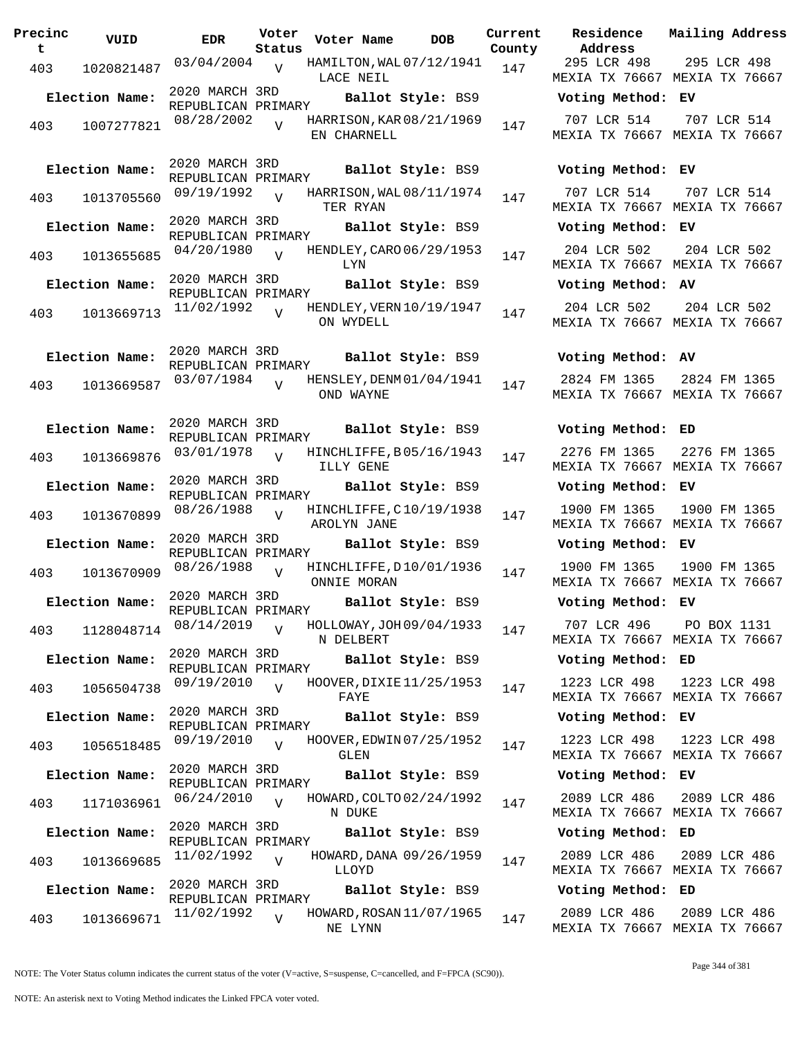| Precinc<br>t | VUID           | <b>EDR</b>                           | Voter<br>Status | Voter Name                              | <b>DOB</b>        | Curre<br>Count |
|--------------|----------------|--------------------------------------|-----------------|-----------------------------------------|-------------------|----------------|
| 403          | 1020821487     | 03/04/2004                           | $\overline{V}$  | HAMILTON, WAL 07/12/1941<br>LACE NEIL   |                   | 147            |
|              | Election Name: | 2020 MARCH 3RD<br>REPUBLICAN PRIMARY |                 |                                         | Ballot Style: BS9 |                |
| 403          | 1007277821     | 08/28/2002                           | $\overline{V}$  | HARRISON, KAR 08/21/1969<br>EN CHARNELL |                   | 147            |
|              | Election Name: | 2020 MARCH 3RD<br>REPUBLICAN PRIMARY |                 |                                         | Ballot Style: BS9 |                |
| 403          | 1013705560     | 09/19/1992                           | $\overline{V}$  | HARRISON, WAL 08/11/1974<br>TER RYAN    |                   | 147            |
|              | Election Name: | 2020 MARCH 3RD<br>REPUBLICAN PRIMARY |                 |                                         | Ballot Style: BS9 |                |
| 403          | 1013655685     | 04/20/1980                           | $\overline{V}$  | HENDLEY, CARO 06/29/1953<br>LYN         |                   | 147            |
|              | Election Name: | 2020 MARCH 3RD<br>REPUBLICAN PRIMARY |                 |                                         | Ballot Style: BS9 |                |
| 403          | 1013669713     | 11/02/1992                           |                 | HENDLEY, VERN 10/19/1947<br>ON WYDELL   |                   | 147            |
|              | Election Name: | 2020 MARCH 3RD<br>REPUBLICAN PRIMARY |                 |                                         | Ballot Style: BS9 |                |
| 403          | 1013669587     | 03/07/1984                           | $\overline{V}$  | HENSLEY, DENM 01/04/1941<br>OND WAYNE   |                   | 147            |
|              | Election Name: | 2020 MARCH 3RD                       |                 |                                         | Ballot Style: BS9 |                |
| 403          | 1013669876     | REPUBLICAN PRIMARY<br>03/01/1978     | $\overline{V}$  | HINCHLIFFE, B05/16/1943<br>ILLY GENE    |                   | 147            |
|              | Election Name: | 2020 MARCH 3RD                       |                 |                                         | Ballot Style: BS9 |                |
| 403          | 1013670899     | REPUBLICAN PRIMARY<br>08/26/1988     | V               | HINCHLIFFE, C10/19/1938<br>AROLYN JANE  |                   | 147            |
|              | Election Name: | 2020 MARCH 3RD                       |                 |                                         | Ballot Style: BS9 |                |
| 403          | 1013670909     | REPUBLICAN PRIMARY<br>08/26/1988     | $\overline{V}$  | HINCHLIFFE, D10/01/1936<br>ONNIE MORAN  |                   | 147            |
|              | Election Name: | 2020 MARCH 3RD                       |                 |                                         | Ballot Style: BS9 |                |
| 403          | 1128048714     | REPUBLICAN PRIMARY<br>08/14/2019     | $\overline{V}$  | HOLLOWAY, JOH 09/04/1933<br>N DELBERT   |                   | 147            |
|              | Election Name: | 2020 MARCH 3RD<br>REPUBLICAN PRIMARY |                 |                                         | Ballot Style: BS9 |                |
| 403          | 1056504738     | 09/19/2010                           | $\overline{V}$  | HOOVER, DIXIE 11/25/1953<br>FAYE        |                   | 147            |
|              | Election Name: | 2020 MARCH 3RD<br>REPUBLICAN PRIMARY |                 |                                         | Ballot Style: BS9 |                |
| 403          | 1056518485     | 09/19/2010                           | $\overline{V}$  | HOOVER, EDWIN 07/25/1952<br>GLEN        |                   | 147            |
|              | Election Name: | 2020 MARCH 3RD<br>REPUBLICAN PRIMARY |                 |                                         | Ballot Style: BS9 |                |
| 403          | 1171036961     | 06/24/2010                           | $\overline{V}$  | HOWARD, COLTO 02/24/1992<br>N DUKE      |                   | 147            |
|              | Election Name: | 2020 MARCH 3RD<br>REPUBLICAN PRIMARY |                 |                                         | Ballot Style: BS9 |                |
| 403          | 1013669685     | 11/02/1992                           | $\overline{V}$  | HOWARD, DANA 09/26/1959<br>LLOYD        |                   | 147            |
|              | Election Name: | 2020 MARCH 3RD<br>REPUBLICAN PRIMARY |                 |                                         | Ballot Style: BS9 |                |
| 403          | 1013669671     | 11/02/1992                           | V               | HOWARD, ROSAN 11/07/1965<br>NE LYNN     |                   | 147            |

**Voter Name DOB Residence Address Current Mailing Address** nty 295 LCR 498 MEXIA TX 76667 MEXIA TX 76667 295 LCR 498 **Election Name: Ballot Style:** BS9 **Voting Method: EV** 707 LCR 514 MEXIA TX 76667 MEXIA TX 76667 707 LCR 514 **Election Name: Ballot Style:** BS9 **Voting Method: EV** 707 LCR 514 MEXIA TX 76667 MEXIA TX 76667 707 LCR 514 **Election Name: Ballot Style:** BS9 **Voting Method: EV** 204 LCR 502 MEXIA TX 76667 MEXIA TX 76667 204 LCR 502 **Election Name: Ballot Style:** BS9 **Voting Method: AV** 204 LCR 502 MEXIA TX 76667 MEXIA TX 76667 204 LCR 502 **Election Name: Ballot Style:** BS9 **Voting Method: AV** 2824 FM 1365 MEXIA TX 76667 MEXIA TX 76667 2824 FM 1365 **Election Name: Ballot Style:** BS9 **Voting Method: ED** 2276 FM 1365 2276 FM 1365 MEXIA TX 76667 MEXIA TX 76667 **Election Name: Ballot Style:** BS9 **Voting Method: EV** 1900 FM 1365 1900 FM 1365 MEXIA TX 76667 MEXIA TX 76667 **Election Name: Ballot Style:** BS9 **Voting Method: EV** 1900 FM 1365 MEXIA TX 76667 MEXIA TX 76667 1900 FM 1365 **Election Name: Ballot Style:** BS9 **Voting Method: EV** 707 LCR 496 MEXIA TX 76667 MEXIA TX 76667 PO BOX 1131 **Election Name: Ballot Style:** BS9 **Voting Method: ED** 1223 LCR 498 MEXIA TX 76667 MEXIA TX 76667 1223 LCR 498 **Election Name: Ballot Style:** BS9 **Voting Method: EV** 1223 LCR 498 MEXIA TX 76667 MEXIA TX 76667 1223 LCR 498 **Election Name: Ballot Style:** BS9 **Voting Method: EV** 2089 LCR 486 MEXIA TX 76667 MEXIA TX 76667 2089 LCR 486 **Election Name: Ballot Style:** BS9 **Voting Method: ED** 2089 LCR 486 MEXIA TX 76667 MEXIA TX 76667 2089 LCR 486 **Election Name: Ballot Style:** BS9 **Voting Method: ED** 2089 LCR 486 2089 LCR 486

NOTE: The Voter Status column indicates the current status of the voter (V=active, S=suspense, C=cancelled, and F=FPCA (SC90)).

Page 344 of 381

MEXIA TX 76667 MEXIA TX 76667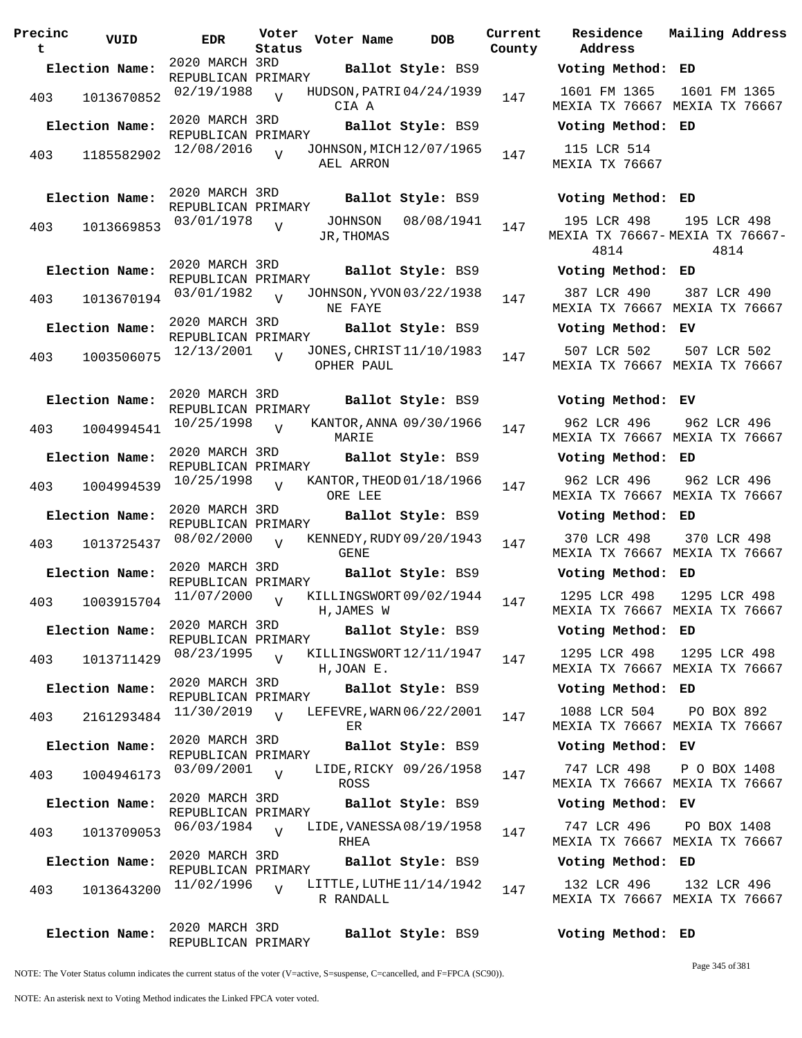| Precinc<br>t | VUID           | <b>EDR</b>                                | Voter<br>Status | Voter Name                             | <b>DOB</b>             | Current<br>County | Residence<br>Address                       | Mai:           |
|--------------|----------------|-------------------------------------------|-----------------|----------------------------------------|------------------------|-------------------|--------------------------------------------|----------------|
|              | Election Name: | 2020 MARCH 3RD<br>REPUBLICAN PRIMARY      |                 |                                        | Ballot Style: BS9      |                   | Voting Method: ED                          |                |
| 403          | 1013670852     | 02/19/1988                                | $\overline{V}$  | HUDSON, PATRI 04/24/1939<br>CIA A      |                        | 147               | 1601 FM 1365<br>MEXIA TX 76667 MEX         | 16             |
|              | Election Name: | 2020 MARCH 3RD<br>REPUBLICAN PRIMARY      |                 |                                        | Ballot Style: BS9      |                   | Voting Method: ED                          |                |
| 403          | 1185582902     | 12/08/2016                                | $\overline{V}$  | JOHNSON, MICH 12/07/1965<br>AEL ARRON  |                        | 147               | 115 LCR 514<br>MEXIA TX 76667              |                |
|              | Election Name: | 2020 MARCH 3RD<br>REPUBLICAN PRIMARY      |                 |                                        | Ballot Style: BS9      |                   | Voting Method: ED                          |                |
| 403          | 1013669853     | 03/01/1978                                | $\overline{U}$  | JOHNSON<br>JR, THOMAS                  | 08/08/1941             | 147               | 195 LCR 498<br>MEXIA TX 76667-MEXI<br>4814 | 1 <sup>′</sup> |
|              | Election Name: | 2020 MARCH 3RD<br>REPUBLICAN PRIMARY      |                 |                                        | Ballot Style: BS9      |                   | Voting Method: ED                          |                |
| 403          | 1013670194     | 03/01/1982                                | $\overline{U}$  | JOHNSON, YVON 03/22/1938<br>NE FAYE    |                        | 147               | 387 LCR 490<br>MEXIA TX 76667 MEX          | 38             |
|              | Election Name: | 2020 MARCH 3RD<br>REPUBLICAN PRIMARY      |                 |                                        | Ballot Style: BS9      |                   | Voting Method: EV                          |                |
| 403          | 1003506075     | 12/13/2001                                |                 | JONES, CHRIST 11/10/1983<br>OPHER PAUL |                        | 147               | 507 LCR 502<br>MEXIA TX 76667 MEX          | 5(             |
|              | Election Name: | 2020 MARCH 3RD<br>REPUBLICAN PRIMARY      |                 |                                        | Ballot Style: BS9      |                   | Voting Method: EV                          |                |
| 403          | 1004994541     | 10/25/1998                                | $\overline{V}$  | KANTOR, ANNA 09/30/1966<br>MARIE       |                        | 147               | 962 LCR 496<br>MEXIA TX 76667 MEX          | 9              |
|              | Election Name: | 2020 MARCH 3RD<br>REPUBLICAN PRIMARY      |                 |                                        | Ballot Style: BS9      |                   | Voting Method: ED                          |                |
| 403          | 1004994539     | 10/25/1998                                | $\overline{U}$  | KANTOR, THEOD 01/18/1966<br>ORE LEE    |                        | 147               | 962 LCR 496<br>MEXIA TX 76667 MEX          | 9(             |
|              | Election Name: | 2020 MARCH 3RD<br>REPUBLICAN PRIMARY      |                 |                                        | Ballot Style: BS9      |                   | Voting Method: ED                          |                |
| 403          | 1013725437     | 08/02/2000                                | $\overline{V}$  | KENNEDY, RUDY 09/20/1943<br>GENE       |                        | 147               | 370 LCR 498<br>MEXIA TX 76667 MEX          | 3'             |
|              | Election Name: | 2020 MARCH 3RD<br>REPUBLICAN PRIMARY      |                 |                                        | Ballot Style: BS9      |                   | Voting Method: ED                          |                |
| 403          | 1003915704     | 11/07/2000                                | $\overline{V}$  | KILLINGSWORT 09/02/1944<br>H, JAMES W  |                        | 147               | 1295 LCR 498<br>MEXIA TX 76667 MEX         | 12             |
|              | Election Name: | 2020 MARCH 3RD<br>REPUBLICAN PRIMARY      |                 |                                        | Ballot Style: BS9      |                   | Voting Method: ED                          |                |
| 403          | 1013711429     | 08/23/1995                                | $\overline{z}$  | KILLINGSWORT12/11/1947<br>H, JOAN E.   |                        | 147               | 1295 LCR 498<br>MEXIA TX 76667 MEX         | 12             |
|              | Election Name: | 2020 MARCH 3RD<br>REPUBLICAN PRIMARY      |                 |                                        | Ballot Style: BS9      |                   | Voting Method: ED                          |                |
| 403          | 2161293484     | 11/30/2019                                | $\overline{U}$  | LEFEVRE, WARN 06/22/2001<br>ER.        |                        | 147               | 1088 LCR 504<br>MEXIA TX 76667 MEX         | $\mathbf P$    |
|              | Election Name: | 2020 MARCH 3RD<br>REPUBLICAN PRIMARY      |                 |                                        | Ballot Style: BS9      |                   | Voting Method: EV                          |                |
| 403          | 1004946173     | 03/09/2001                                | $\overline{U}$  | <b>ROSS</b>                            | LIDE, RICKY 09/26/1958 | 147               | 747 LCR 498<br>MEXIA TX 76667 MEX          | $\mathbf{P}$   |
|              | Election Name: | 2020 MARCH 3RD<br>REPUBLICAN PRIMARY      |                 |                                        | Ballot Style: BS9      |                   | Voting Method: EV                          |                |
| 403          | 1013709053     | 06/03/1984                                | $\overline{U}$  | LIDE, VANESSA 08/19/1958<br>RHEA       |                        | 147               | 747 LCR 496<br>MEXIA TX 76667 MEX          | P(             |
|              | Election Name: | 2020 MARCH 3RD<br>REPUBLICAN PRIMARY      |                 |                                        | Ballot Style: BS9      |                   | Voting Method: ED                          |                |
| 403          | 1013643200     | 11/02/1996                                | $\overline{U}$  | LITTLE, LUTHE 11/14/1942<br>R RANDALL  |                        | 147               | 132 LCR 496<br>MEXIA TX 76667 MEX          | 1              |
|              | Election Name: | 2020 MARCH 3RD<br>$M$ את האדתת הואר זמזות |                 |                                        | Ballot Style: BS9      |                   | Voting Method: ED                          |                |

**Voter Name DOB Residence Address Current Mailing Address Election Name: Ballot Style:** BS9 **Voting Method: ED** 1601 FM 1365 MEXIA TX 76667 MEXIA TX 76667 1601 FM 1365 **Election Name: Ballot Style:** BS9 **Voting Method: ED** 115 LCR 514 MEXIA TX 76667 **Election Name: Ballot Style:** BS9 **Voting Method: ED** 195 LCR 498 MEXIA TX 76667- MEXIA TX 76667- 4814 195 LCR 498 4814 **Election Name: Ballot Style:** BS9 **Voting Method: ED** 387 LCR 490 MEXIA TX 76667 MEXIA TX 76667 387 LCR 490 **Election Name: Ballot Style:** BS9 **Voting Method: EV** 507 LCR 502 MEXIA TX 76667 MEXIA TX 76667 507 LCR 502 **Election Name: Ballot Style:** BS9 **Voting Method: EV** 962 LCR 496 MEXIA TX 76667 MEXIA TX 76667 962 LCR 496 **Election Name: Ballot Style:** BS9 **Voting Method: ED** 962 LCR 496 MEXIA TX 76667 MEXIA TX 76667 962 LCR 496 **Election Name: Ballot Style:** BS9 **Voting Method: ED** 370 LCR 498 MEXIA TX 76667 MEXIA TX 76667 370 LCR 498 **Election Name: Ballot Style:** BS9 **Voting Method: ED** 1295 LCR 498 MEXIA TX 76667 MEXIA TX 76667 1295 LCR 498 **Election Name: Ballot Style:** BS9 **Voting Method: ED** 1295 LCR 498 MEXIA TX 76667 MEXIA TX 76667 1295 LCR 498 **Election Name: Ballot Style:** BS9 **Voting Method: ED** 1088 LCR 504 MEXIA TX 76667 MEXIA TX 76667 PO BOX 892 **Election Name: Ballot Style:** BS9 **Voting Method: EV** 747 LCR 498 MEXIA TX 76667 MEXIA TX 76667 P O BOX 1408 **Election Name: Ballot Style:** BS9 **Voting Method: EV** 747 LCR 496 MEXIA TX 76667 MEXIA TX 76667 PO BOX 1408 **Election Name: Ballot Style:** BS9 **Voting Method: ED**

132 LCR 496 MEXIA TX 76667 MEXIA TX 76667 132 LCR 496

NOTE: The Voter Status column indicates the current status of the voter (V=active, S=suspense, C=cancelled, and F=FPCA (SC90)).

REPUBLICAN PRIMARY

Page 345 of 381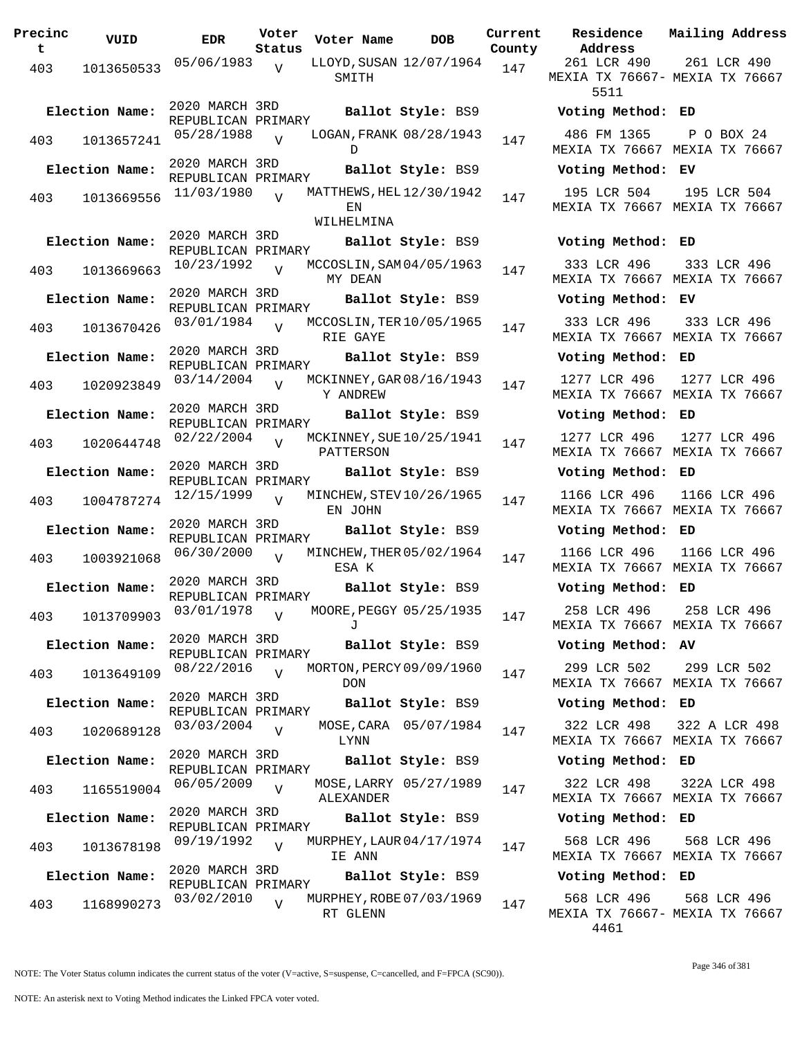| Precinc<br>t | VUID           | <b>EDR</b>                           | Voter<br>Status | Voter Name       | <b>DOB</b>               | Curre<br>Count |
|--------------|----------------|--------------------------------------|-----------------|------------------|--------------------------|----------------|
| 403          | 1013650533     | 05/06/1983                           | V               | SMITH            | LLOYD, SUSAN 12/07/1964  | 147            |
|              | Election Name: | 2020 MARCH 3RD<br>REPUBLICAN PRIMARY |                 |                  | Ballot Style: BS9        |                |
| 403          | 1013657241     | 05/28/1988                           | $\overline{V}$  | D                | LOGAN, FRANK 08/28/1943  | 147            |
|              | Election Name: | 2020 MARCH 3RD<br>REPUBLICAN PRIMARY |                 |                  | Ballot Style: BS9        |                |
| 403          | 1013669556     | 11/03/1980                           | $\overline{U}$  | ΕN<br>WILHELMINA | MATTHEWS, HEL 12/30/1942 | 147            |
|              | Election Name: | 2020 MARCH 3RD                       |                 |                  | Ballot Style: BS9        |                |
| 403          | 1013669663     | REPUBLICAN PRIMARY<br>10/23/1992     | $\overline{V}$  | MY DEAN          | MCCOSLIN, SAM 04/05/1963 | 147            |
|              | Election Name: | 2020 MARCH 3RD<br>REPUBLICAN PRIMARY |                 |                  | Ballot Style: BS9        |                |
| 403          | 1013670426     | 03/01/1984                           | $\overline{U}$  | RIE GAYE         | MCCOSLIN, TER 10/05/1965 | 147            |
|              | Election Name: | 2020 MARCH 3RD<br>REPUBLICAN PRIMARY |                 |                  | Ballot Style: BS9        |                |
| 403          | 1020923849     | 03/14/2004                           | $\overline{V}$  | Y ANDREW         | MCKINNEY, GAR 08/16/1943 | 147            |
|              | Election Name: | 2020 MARCH 3RD<br>REPUBLICAN PRIMARY |                 |                  | Ballot Style: BS9        |                |
| 403          | 1020644748     | 02/22/2004                           | $\overline{V}$  | PATTERSON        | MCKINNEY, SUE 10/25/1941 | 147            |
|              | Election Name: | 2020 MARCH 3RD<br>REPUBLICAN PRIMARY |                 |                  | Ballot Style: BS9        |                |
| 403          | 1004787274     | 12/15/1999                           | $\overline{V}$  | EN JOHN          | MINCHEW, STEV 10/26/1965 | 147            |
|              | Election Name: | 2020 MARCH 3RD<br>REPUBLICAN PRIMARY |                 |                  | Ballot Style: BS9        |                |
| 403          | 1003921068     | 06/30/2000                           | $\overline{V}$  | ESA K            | MINCHEW, THER 05/02/1964 | 147            |
|              | Election Name: | 2020 MARCH 3RD<br>REPUBLICAN PRIMARY |                 |                  | Ballot Style: BS9        |                |
|              | 403 1013709903 | 03/01/1978                           | $\overline{V}$  | J                | MOORE, PEGGY 05/25/1935  | 147            |
|              | Election Name: | 2020 MARCH 3RD<br>REPUBLICAN PRIMARY |                 |                  | Ballot Style: BS9        |                |
| 403          | 1013649109     | 08/22/2016                           | $\overline{V}$  | <b>DON</b>       | MORTON, PERCY 09/09/1960 | 147            |
|              | Election Name: | 2020 MARCH 3RD<br>REPUBLICAN PRIMARY |                 |                  | Ballot Style: BS9        |                |
| 403          | 1020689128     | 03/03/2004                           | $\overline{V}$  | LYNN             | MOSE, CARA 05/07/1984    | 147            |
|              | Election Name: | 2020 MARCH 3RD<br>REPUBLICAN PRIMARY |                 |                  | Ballot Style: BS9        |                |
| 403          | 1165519004     | 06/05/2009                           | $\overline{V}$  | ALEXANDER        | MOSE, LARRY 05/27/1989   | 147            |
|              | Election Name: | 2020 MARCH 3RD<br>REPUBLICAN PRIMARY |                 |                  | Ballot Style: BS9        |                |
| 403          | 1013678198     | 09/19/1992                           | $\overline{U}$  | IE ANN           | MURPHEY, LAUR 04/17/1974 | 147            |
|              | Election Name: | 2020 MARCH 3RD<br>REPUBLICAN PRIMARY |                 |                  | Ballot Style: BS9        |                |
| 403          | 1168990273     | 03/02/2010                           | $\overline{V}$  | RT GLENN         | MURPHEY, ROBE 07/03/1969 | 147            |

**Prent Residence Address Current Mailing Address County** 261 LCR 490 MEXIA TX 76667- MEXIA TX 76667 5511 261 LCR 490 **Election Name: Ballot Style:** BS9 **Voting Method: ED** 486 FM 1365 MEXIA TX 76667 MEXIA TX 76667 P O BOX 24 **Election Name: Ballot Style:** BS9 **Voting Method: EV** 195 LCR 504 MEXIA TX 76667 MEXIA TX 76667 195 LCR 504 **Election Name: Ballot Style:** BS9 **Voting Method: ED** 333 LCR 496 MEXIA TX 76667 MEXIA TX 76667 333 LCR 496 **Election Name: Ballot Style:** BS9 **Voting Method: EV** 333 LCR 496 MEXIA TX 76667 MEXIA TX 76667 333 LCR 496 **Election Name: Ballot Style:** BS9 **Voting Method: ED** 1277 LCR 496 MEXIA TX 76667 MEXIA TX 76667 1277 LCR 496 **Election Name: Ballot Style:** BS9 **Voting Method: ED** 1277 LCR 496 MEXIA TX 76667 MEXIA TX 76667 1277 LCR 496 **Election Name: Ballot Style:** BS9 **Voting Method: ED** 1166 LCR 496 MEXIA TX 76667 MEXIA TX 76667 1166 LCR 496 **Election Name: Ballot Style:** BS9 **Voting Method: ED** 1166 LCR 496 MEXIA TX 76667 MEXIA TX 76667 1166 LCR 496 **Election Name: Ballot Style:** BS9 **Voting Method: ED** 258 LCR 496 MEXIA TX 76667 MEXIA TX 76667 258 LCR 496 **Election Name: Ballot Style:** BS9 **Voting Method: AV** 299 LCR 502 MEXIA TX 76667 MEXIA TX 76667 299 LCR 502 **Election Name: Ballot Style:** BS9 **Voting Method: ED** 322 LCR 498 MEXIA TX 76667 MEXIA TX 76667 322 A LCR 498 **Election Name: Ballot Style:** BS9 **Voting Method: ED** 322 LCR 498 MEXIA TX 76667 MEXIA TX 76667 322A LCR 498 **Election Name: Ballot Style:** BS9 **Voting Method: ED** 568 LCR 496 MEXIA TX 76667 MEXIA TX 76667 568 LCR 496 **Election Name: Ballot Style:** BS9 **Voting Method: ED**

568 LCR 496 MEXIA TX 76667- MEXIA TX 76667 4461 568 LCR 496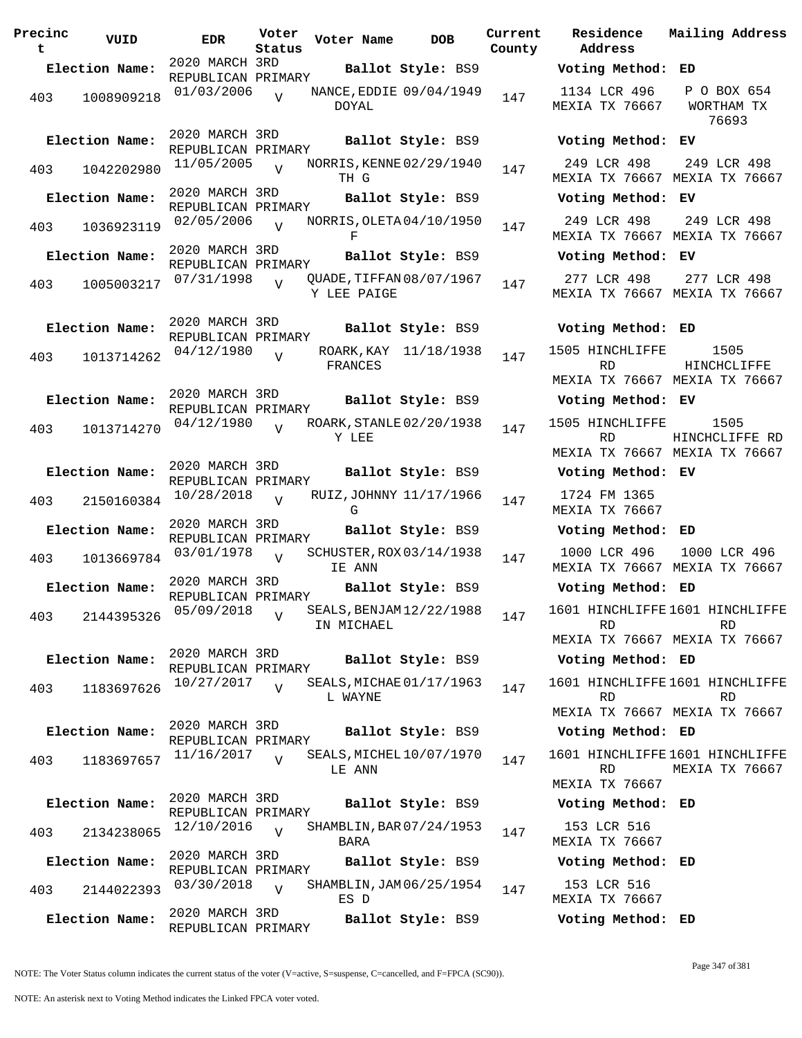| Precinc<br>t | VUID                         | EDR                                                | Voter<br>Status | Voter Name            | <b>DOB</b>                                    | Curre<br>Count |
|--------------|------------------------------|----------------------------------------------------|-----------------|-----------------------|-----------------------------------------------|----------------|
|              | Election Name:               | 2020 MARCH 3RD                                     |                 |                       | Ballot Style: BS9                             |                |
| 403          | 1008909218                   | REPUBLICAN PRIMARY<br>01/03/2006                   | $\overline{U}$  | DOYAL                 | NANCE, EDDIE 09/04/1949                       | 147            |
| 403          | Election Name:<br>1042202980 | 2020 MARCH 3RD<br>REPUBLICAN PRIMARY<br>11/05/2005 | $\overline{V}$  |                       | Ballot Style: BS9<br>NORRIS, KENNE 02/29/1940 | 147            |
|              | Election Name:               | 2020 MARCH 3RD                                     |                 | TH G                  | Ballot Style: BS9                             |                |
|              |                              | REPUBLICAN PRIMARY                                 |                 |                       |                                               |                |
| 403          | 1036923119                   | 02/05/2006                                         | $\overline{U}$  | F                     | NORRIS, OLETA 04/10/1950                      | 147            |
|              | Election Name:               | 2020 MARCH 3RD<br>REPUBLICAN PRIMARY               |                 |                       | Ballot Style: BS9                             |                |
| 403          | 1005003217                   | 07/31/1998                                         | $\overline{U}$  | Y LEE PAIGE           | QUADE, TIFFAN 08/07/1967                      | 147            |
|              | Election Name:               | 2020 MARCH 3RD<br>REPUBLICAN PRIMARY               |                 |                       | Ballot Style: BS9                             |                |
| 403          | 1013714262                   | 04/12/1980                                         | $\overline{V}$  | ROARK, KAY<br>FRANCES | 11/18/1938                                    | 147            |
|              | Election Name:               | 2020 MARCH 3RD<br>REPUBLICAN PRIMARY<br>04/12/1980 |                 |                       | Ballot Style: BS9<br>ROARK, STANLE 02/20/1938 |                |
| 403          | 1013714270                   |                                                    | $\overline{V}$  | Y LEE                 |                                               | 147            |
|              | Election Name:               | 2020 MARCH 3RD<br>REPUBLICAN PRIMARY               |                 |                       | Ballot Style: BS9                             |                |
| 403          | 2150160384                   | 10/28/2018                                         | $\overline{U}$  | G                     | RUIZ, JOHNNY 11/17/1966                       | 147            |
|              | Election Name:               | 2020 MARCH 3RD<br>REPUBLICAN PRIMARY               |                 |                       | Ballot Style: BS9                             |                |
| 403          | 1013669784                   | 03/01/1978                                         | $\overline{V}$  | IE ANN                | SCHUSTER, ROX 03/14/1938                      | 147            |
|              | Election Name:               | 2020 MARCH 3RD<br>REPUBLICAN PRIMARY               |                 |                       | Ballot Style: BS9                             |                |
|              | 403 2144395326 05/09/2018    |                                                    | $\mathbf{V}$    | IN MICHAEL            | SEALS, BENJAM12/22/1988                       | 147            |
|              | Election Name:               | 2020 MARCH 3RD<br>REPUBLICAN PRIMARY               |                 |                       | Ballot Style: BS9                             |                |
| 403          | 1183697626                   | 10/27/2017                                         | $\overline{V}$  | L WAYNE               | SEALS, MICHAE 01/17/1963                      | 147            |
|              | Election Name:               | 2020 MARCH 3RD<br>REPUBLICAN PRIMARY               |                 |                       | Ballot Style: BS9                             |                |
| 403          | 1183697657                   | 11/16/2017                                         | $\overline{U}$  | LE ANN                | SEALS, MICHEL 10/07/1970                      | 147            |
|              | Election Name:               | 2020 MARCH 3RD<br>REPUBLICAN PRIMARY               |                 |                       | Ballot Style: BS9                             |                |
| 403          | 2134238065                   | 12/10/2016                                         | $\overline{U}$  | BARA                  | SHAMBLIN, BAR 07/24/1953                      | 147            |
|              | Election Name:               | 2020 MARCH 3RD                                     |                 |                       | Ballot Style: BS9                             |                |
| 403          | 2144022393                   | REPUBLICAN PRIMARY<br>03/30/2018                   | $\overline{V}$  | ES D                  | SHAMBLIN, JAM 06/25/1954                      | 147            |
|              | Election Name:               | 2020 MARCH 3RD<br>REPUBLICAN PRIMARY               |                 |                       | Ballot Style: BS9                             |                |

**Voter Name DOB Residence Address Current Mailing Address County Election Name: Ballot Style:** BS9 **Voting Method: ED** 1134 LCR 496 MEXIA TX 76667 P O BOX 654 WORTHAM TX 76693 **Election Name: Ballot Style:** BS9 **Voting Method: EV** 249 LCR 498 MEXIA TX 76667 MEXIA TX 76667 249 LCR 498 **Election Name: Ballot Style:** BS9 **Voting Method: EV** 249 LCR 498 MEXIA TX 76667 MEXIA TX 76667 249 LCR 498 **Election Name: Ballot Style:** BS9 **Voting Method: EV** 277 LCR 498 MEXIA TX 76667 MEXIA TX 76667 277 LCR 498 **Election Name: Ballot Style:** BS9 **Voting Method: ED** 1505 HINCHLIFFE RD MEXIA TX 76667 MEXIA TX 76667 1505 HINCHCLIFFE **Election Name: Ballot Style:** BS9 **Voting Method: EV** 1505 HINCHLIFFE RD MEXIA TX 76667 MEXIA TX 76667 1505 HINCHCLIFFE RD **Election Name: Ballot Style:** BS9 **Voting Method: EV** 1724 FM 1365 MEXIA TX 76667 **Election Name: Ballot Style:** BS9 **Voting Method: ED** 1000 LCR 496 MEXIA TX 76667 MEXIA TX 76667 1000 LCR 496 **Election Name: Ballot Style:** BS9 **Voting Method: ED** 1601 HINCHLIFFE 1601 HINCHLIFFE RD MEXIA TX 76667 MEXIA TX 76667 RD **Election Name: Ballot Style:** BS9 **Voting Method: ED** 1601 HINCHLIFFE 1601 HINCHLIFFE RD MEXIA TX 76667 MEXIA TX 76667 RD **Election Name: Ballot Style:** BS9 **Voting Method: ED** 1601 HINCHLIFFE 1601 HINCHLIFFE RD. MEXIA TX 76667 MEXIA TX 76667 **Election Name: Ballot Style:** BS9 **Voting Method: ED** 153 LCR 516 MEXIA TX 76667 **Election Name: Ballot Style:** BS9 **Voting Method: ED** 153 LCR 516 MEXIA TX 76667 **Election Name: Ballot Style:** BS9 **Voting Method: ED**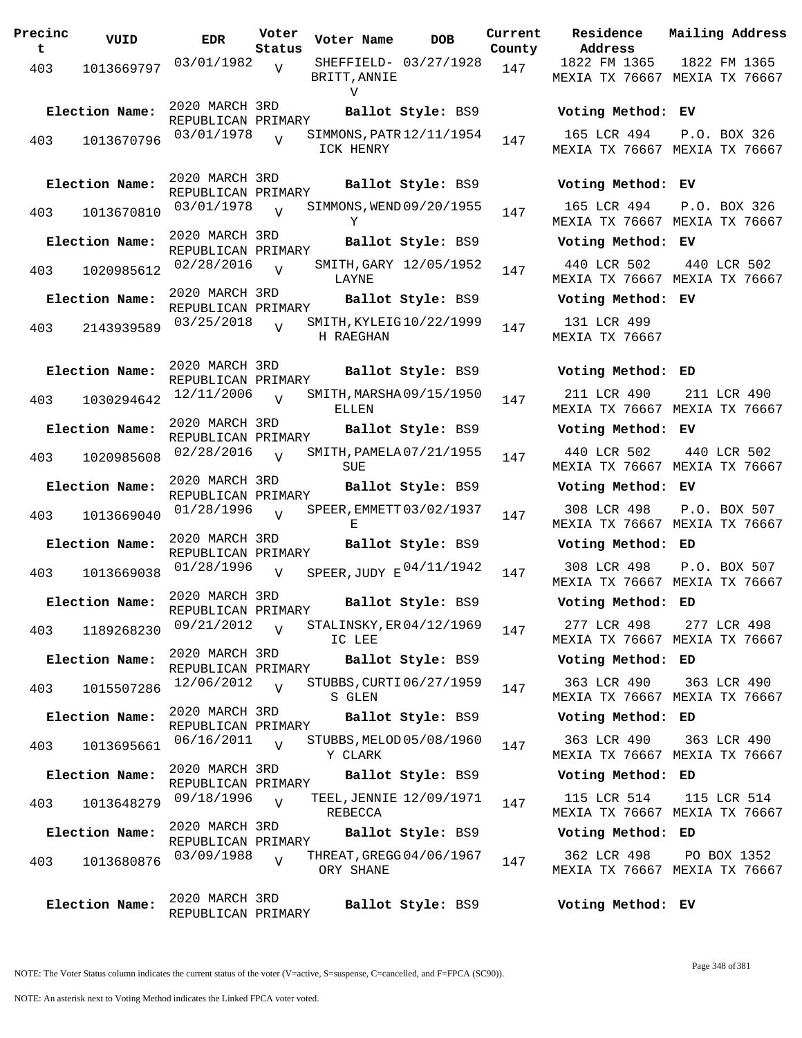**Precinc t VUID EDR Voter Status Voter Name DOB Current Residence County** 403 1013669797 03/01/1982 BRITT,ANNIE V  $\overline{v}$ SHEFFIELD- 03/27/1928 147 2020 MARCH 3RD REPUBLICAN PRIMARY **Election Name: Ballot Style:** BS9 **Voting Method: EV** <sup>403</sup> SIMMONS,PATR 03/01/1978 <sup>1013670796</sup> <sup>147</sup> 12/11/1954 ICK HENRY  $\overline{V}$ 2020 MARCH 3RD REPUBLICAN PRIMARY **Election Name: Ballot Style:** BS9 **Voting Method: EV**  $403$  1013670810  $03/01/1978$  v SIMMONS, WEND 09/20/1955 147 Y V 2020 MARCH 3RD REPUBLICAN PRIMARY **Election Name: Ballot Style:** BS9 **Voting Method: EV** 403 1020985612 02/28/2016 LAYNE  $\overline{V}$ SMITH, GARY 12/05/1952 147 2020 MARCH 3RD REPUBLICAN PRIMARY **Election Name: Ballot Style:** BS9 **Voting Method: EV** 403 2143939589 03/25/2018 V SMITH, KYLEIG10/22/1999 147 H RAEGHAN  $\overline{V}$ 2020 MARCH 3RD REPUBLICAN PRIMARY **Election Name: Ballot Style:** BS9 **Voting Method: ED**  $403$  1030294642  $12/11/2006$  W SMITH, MARSHA 09/15/1950 147 ELLEN  $\overline{V}$ 2020 MARCH 3RD REPUBLICAN PRIMARY **Election Name: Ballot Style:** BS9 **Voting Method: EV** 403 1020985608  $02/28/2016$  SMITH, PAMELA 07/21/1955 147 SUE<sup></sup>  $\overline{V}$ 2020 MARCH 3RD REPUBLICAN PRIMARY **Election Name: Ballot Style:** BS9 **Voting Method: EV** <sup>403</sup> SPEER,EMMETT 01/28/1996 <sup>1013669040</sup> <sup>147</sup> 03/02/1937 E  $\overline{V}$ 2020 MARCH 3RD REPUBLICAN PRIMARY **Election Name: Ballot Style:** BS9 **Voting Method: ED** 403 1013669038  $01/28/1996$  V SPEER, JUDY E  $04/11/1942$  147 308 LCR 498  $V$ 2020 MARCH 3RD REPUBLICAN PRIMARY **Election Name: Ballot Style:** BS9 **Voting Method: ED** 403 1189268230  $\frac{09}{21}/2012$  v STALINSKY, ER04/12/1969 147 IC LEE  $V$ 2020 MARCH 3RD REPUBLICAN PRIMARY **Election Name: Ballot Style:** BS9 **Voting Method: ED** 403 1015507286 <sup>12/06</sup>/2012 V STUBBS, CURTI 06/27/1959 147 S GLEN  $\overline{V}$ 2020 MARCH 3RD REPUBLICAN PRIMARY **Election Name: Ballot Style:** BS9 **Voting Method: ED** <sup>403</sup> STUBBS,MELOD 06/16/2011 <sup>1013695661</sup> <sup>147</sup> 05/08/1960 Y CLARK  $V$ 2020 MARCH 3RD REPUBLICAN PRIMARY **Election Name: Ballot Style:** BS9 **Voting Method: ED** 403 1013648279 09/18/1996 REBECCA  $\overline{V}$ TEEL, JENNIE 12/09/1971 147 2020 MARCH 3RD REPUBLICAN PRIMARY **Election Name: Ballot Style:** BS9 **Voting Method: ED** 403 1013680876 03/09/1988 V THREAT, GREGG 04/06/1967 147 ORY SHANE  $\overline{V}$ 2020 MARCH 3RD REPUBLICAN PRIMARY **Election Name: Ballot Style:** BS9 **Voting Method: EV**

**Address Current Mailing Address** 1822 FM 1365 MEXIA TX 76667 MEXIA TX 76667 1822 FM 1365 165 LCR 494 MEXIA TX 76667 MEXIA TX 76667 P.O. BOX 326 165 LCR 494 MEXIA TX 76667 MEXIA TX 76667 P.O. BOX 326 440 LCR 502 MEXIA TX 76667 MEXIA TX 76667 440 LCR 502 131 LCR 499 MEXIA TX 76667 211 LCR 490 MEXIA TX 76667 MEXIA TX 76667 211 LCR 490 440 LCR 502 MEXIA TX 76667 MEXIA TX 76667 440 LCR 502 308 LCR 498 MEXIA TX 76667 MEXIA TX 76667 P.O. BOX 507 MEXIA TX 76667 MEXIA TX 76667 P.O. BOX 507 277 LCR 498 MEXIA TX 76667 MEXIA TX 76667 277 LCR 498 363 LCR 490 MEXIA TX 76667 MEXIA TX 76667 363 LCR 490 363 LCR 490 MEXIA TX 76667 MEXIA TX 76667 363 LCR 490 115 LCR 514 MEXIA TX 76667 MEXIA TX 76667 115 LCR 514 362 LCR 498 MEXIA TX 76667 MEXIA TX 76667 PO BOX 1352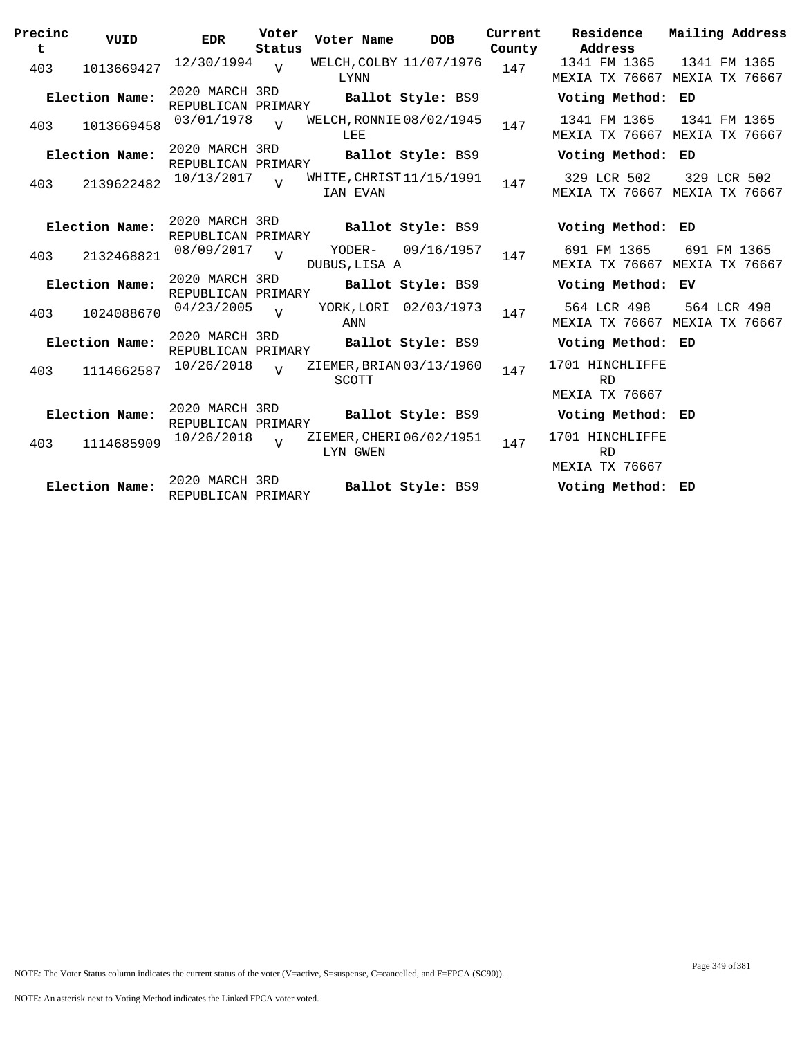| Precinc<br>t | VUID           | <b>EDR</b>                           | Voter<br>Status | Voter Name                           | <b>DOB</b>            | Current<br>County | Residence<br>Address                           | Mailing Address                               |
|--------------|----------------|--------------------------------------|-----------------|--------------------------------------|-----------------------|-------------------|------------------------------------------------|-----------------------------------------------|
| 403          | 1013669427     | 12/30/1994                           | $\overline{v}$  | WELCH, COLBY 11/07/1976<br>LYNN      |                       | 147               | 1341 FM 1365                                   | 1341 FM 1365<br>MEXIA TX 76667 MEXIA TX 76667 |
|              | Election Name: | 2020 MARCH 3RD<br>REPUBLICAN PRIMARY |                 |                                      | Ballot Style: BS9     |                   | Voting Method: ED                              |                                               |
| 403          | 1013669458     | 03/01/1978                           |                 | WELCH, RONNIE 08/02/1945<br>LEE      |                       | 147               | 1341 FM 1365                                   | 1341 FM 1365<br>MEXIA TX 76667 MEXIA TX 76667 |
|              | Election Name: | 2020 MARCH 3RD<br>REPUBLICAN PRIMARY |                 |                                      | Ballot Style: BS9     |                   | Voting Method: ED                              |                                               |
| 403          | 2139622482     | 10/13/2017                           | $\overline{v}$  | WHITE, CHRIST 11/15/1991<br>IAN EVAN |                       | 147               | 329 LCR 502                                    | 329 LCR 502<br>MEXIA TX 76667 MEXIA TX 76667  |
|              | Election Name: | 2020 MARCH 3RD<br>REPUBLICAN PRIMARY |                 |                                      | Ballot Style: BS9     |                   | Voting Method: ED                              |                                               |
| 403          | 2132468821     | 08/09/2017                           | $\overline{U}$  | YODER-<br>DUBUS, LISA A              | 09/16/1957            | 147               | 691 FM 1365                                    | 691 FM 1365<br>MEXIA TX 76667 MEXIA TX 76667  |
|              | Election Name: | 2020 MARCH 3RD<br>REPUBLICAN PRIMARY |                 |                                      | Ballot Style: BS9     |                   | Voting Method: EV                              |                                               |
| 403          | 1024088670     | 04/23/2005                           |                 | ANN                                  | YORK, LORI 02/03/1973 | 147               | 564 LCR 498                                    | 564 LCR 498<br>MEXIA TX 76667 MEXIA TX 76667  |
|              | Election Name: | 2020 MARCH 3RD<br>REPUBLICAN PRIMARY |                 |                                      | Ballot Style: BS9     |                   | Voting Method: ED                              |                                               |
| 403          | 1114662587     | 10/26/2018                           | $\overline{z}$  | ZIEMER, BRIAN 03/13/1960<br>SCOTT    |                       | 147               | 1701 HINCHLIFFE<br><b>RD</b><br>MEXIA TX 76667 |                                               |
|              | Election Name: | 2020 MARCH 3RD<br>REPUBLICAN PRIMARY |                 |                                      | Ballot Style: BS9     |                   | Voting Method: ED                              |                                               |
| 403          | 1114685909     | 10/26/2018                           |                 | ZIEMER, CHERI 06/02/1951<br>LYN GWEN |                       | 147               | 1701 HINCHLIFFE<br><b>RD</b><br>MEXIA TX 76667 |                                               |
|              | Election Name: | 2020 MARCH 3RD<br>REPUBLICAN PRIMARY |                 |                                      | Ballot Style: BS9     |                   | Voting Method: ED                              |                                               |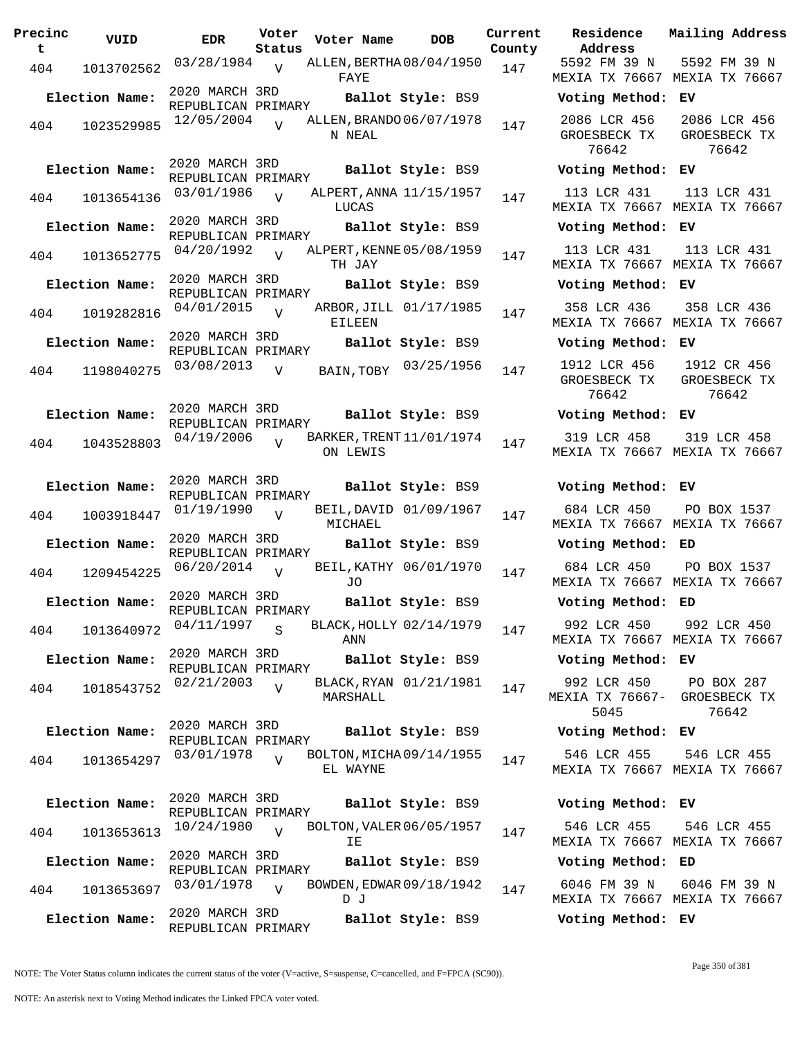| Precinc<br>t. | VUID              | <b>EDR</b>                           | Voter<br>Status | Voter Name                           | <b>DOB</b>             | Current<br>County | Residence<br>Address                  |
|---------------|-------------------|--------------------------------------|-----------------|--------------------------------------|------------------------|-------------------|---------------------------------------|
|               | 1013702562<br>404 | 03/28/1984 <sub>V</sub>              |                 | ALLEN, BERTHA08/04/1950<br>FAYE      |                        | 147               | 5592 FM 39 N<br>MEXIA TX 7666         |
|               | Election Name:    | 2020 MARCH 3RD<br>REPUBLICAN PRIMARY |                 |                                      | Ballot Style: BS9      |                   | Voting Metho                          |
|               | 1023529985<br>404 | 12/05/2004                           | $\overline{V}$  | ALLEN, BRANDO 06/07/1978<br>N NEAL   |                        | 147               | 2086 LCR 456<br>GROESBECK TX<br>76642 |
|               | Election Name:    | 2020 MARCH 3RD<br>REPUBLICAN PRIMARY |                 |                                      | Ballot Style: BS9      |                   | Voting Metho                          |
|               | 404<br>1013654136 | 03/01/1986                           | $\overline{V}$  | ALPERT, ANNA 11/15/1957<br>LUCAS     |                        | 147               | 113 LCR 431<br>MEXIA TX 7666          |
|               | Election Name:    | 2020 MARCH 3RD<br>REPUBLICAN PRIMARY |                 |                                      | Ballot Style: BS9      |                   | Voting Metho                          |
|               | 1013652775<br>404 | $04/20/1992$ V                       |                 | ALPERT, KENNE 05/08/1959<br>TH JAY   |                        | 147               | 113 LCR 431<br>MEXIA TX 7666          |
|               | Election Name:    | 2020 MARCH 3RD<br>REPUBLICAN PRIMARY |                 |                                      | Ballot Style: BS9      |                   | Voting Metho                          |
|               | 1019282816<br>404 | $04/01/2015$ V                       |                 | EILEEN                               | ARBOR, JILL 01/17/1985 | 147               | 358 LCR 436<br>MEXIA TX 7666          |
|               | Election Name:    | 2020 MARCH 3RD<br>REPUBLICAN PRIMARY |                 |                                      | Ballot Style: BS9      |                   | Voting Metho                          |
|               | 1198040275<br>404 | 03/08/2013                           | $\overline{V}$  | BAIN, TOBY                           | 03/25/1956             | 147               | 1912 LCR 456<br>GROESBECK TX<br>76642 |
|               | Election Name:    | 2020 MARCH 3RD<br>REPUBLICAN PRIMARY |                 |                                      | Ballot Style: BS9      |                   | Voting Metho                          |
|               | 1043528803<br>404 | 04/19/2006                           | $\overline{V}$  | BARKER, TRENT 11/01/1974<br>ON LEWIS |                        | 147               | 319 LCR 458<br>MEXIA TX 7666          |
|               | Election Name:    | 2020 MARCH 3RD<br>REPUBLICAN PRIMARY |                 |                                      | Ballot Style: BS9      |                   | Voting Metho                          |
|               | 1003918447<br>404 | 01/19/1990                           | V               | MICHAEL                              | BEIL, DAVID 01/09/1967 | 147               | 684 LCR 450<br>MEXIA TX 7666          |
|               | Election Name:    | 2020 MARCH 3RD<br>REPUBLICAN PRIMARY |                 |                                      | Ballot Style: BS9      |                   | Voting Metho                          |
|               | 404<br>1209454225 | 06/20/2014                           | $\overline{V}$  | JO.                                  | BEIL, KATHY 06/01/1970 | 147               | 684 LCR 450<br>MEXIA TX 7666          |
|               | Election Name:    | 2020 MARCH 3RD<br>REPUBLICAN PRIMARY |                 |                                      | Ballot Style: BS9      |                   | Voting Metho                          |
|               | 404<br>1013640972 | 04/11/1997                           | S               | BLACK, HOLLY 02/14/1979<br>ANN       |                        | 147               | 992 LCR 450<br>MEXIA TX 7666          |
|               | Election Name:    | 2020 MARCH 3RD<br>REPUBLICAN PRIMARY |                 |                                      | Ballot Style: BS9      |                   | Voting Metho                          |
| 404           | 1018543752        | 02/21/2003                           | $\overline{V}$  | MARSHALL                             | BLACK, RYAN 01/21/1981 | 147               | 992 LCR 450<br>MEXIA TX 7666<br>5045  |
|               | Election Name:    | 2020 MARCH 3RD<br>REPUBLICAN PRIMARY |                 |                                      | Ballot Style: BS9      |                   | Voting Metho                          |
|               | 1013654297<br>404 | 03/01/1978                           | $\overline{17}$ | BOLTON, MICHA 09/14/1955<br>EL WAYNE |                        | 147               | 546 LCR 455<br>MEXIA TX 7666          |
|               | Election Name:    | 2020 MARCH 3RD                       |                 |                                      | Ballot Style: BS9      |                   | Voting Metho                          |
| 404           | 1013653613        | REPUBLICAN PRIMARY<br>10/24/1980     | $\overline{U}$  | BOLTON, VALER 06/05/1957<br>ΙE       |                        | 147               | 546 LCR 455<br>MEXIA TX 7666          |
|               | Election Name:    | 2020 MARCH 3RD                       |                 |                                      | Ballot Style: BS9      |                   | Voting Metho                          |
|               |                   |                                      |                 |                                      |                        |                   |                                       |
|               | 404<br>1013653697 | REPUBLICAN PRIMARY<br>03/01/1978     | $\overline{U}$  | BOWDEN, EDWAR 09/18/1942<br>D J      |                        | 147               | 6046 FM 39 N<br>MEXIA TX 7666         |

**Voter Name DOB Residence Address Current Mailing Address** nty 5592 FM 39 N MEXIA TX 76667 MEXIA TX 76667 5592 FM 39 N **Election Name: Ballot Style:** BS9 **Voting Method: EV** 2086 LCR 456 GROESBECK TX 76642 2086 LCR 456 GROESBECK TX 76642 **Election Name: Ballot Style:** BS9 **Voting Method: EV** 113 LCR 431 MEXIA TX 76667 MEXIA TX 76667 113 LCR 431 **Election Name: Ballot Style:** BS9 **Voting Method: EV** 113 LCR 431 MEXIA TX 76667 MEXIA TX 76667 113 LCR 431 **Election Name: Ballot Style:** BS9 **Voting Method: EV** 358 LCR 436 MEXIA TX 76667 MEXIA TX 76667 358 LCR 436 **Election Name: Ballot Style:** BS9 **Voting Method: EV** GROESBECK TX 76642 1912 CR 456 GROESBECK TX 76642 **Election Name: Ballot Style:** BS9 **Voting Method: EV** 319 LCR 458 MEXIA TX 76667 MEXIA TX 76667 319 LCR 458 **Election Name: Ballot Style:** BS9 **Voting Method: EV** 684 LCR 450 MEXIA TX 76667 MEXIA TX 76667 PO BOX 1537 **Election Name: Ballot Style:** BS9 **Voting Method: ED** 684 LCR 450 MEXIA TX 76667 MEXIA TX 76667 PO BOX 1537 **Election Name: Ballot Style:** BS9 **Voting Method: ED** 992 LCR 450 MEXIA TX 76667 MEXIA TX 76667 992 LCR 450 **Election Name: Ballot Style:** BS9 **Voting Method: EV** 992 LCR 450 MEXIA TX 76667- GROESBECK TX 5045 PO BOX 287 76642 **Election Name: Ballot Style:** BS9 **Voting Method: EV** 546 LCR 455 MEXIA TX 76667 MEXIA TX 76667 546 LCR 455 **Election Name: Ballot Style:** BS9 **Voting Method: EV** 546 LCR 455 MEXIA TX 76667 MEXIA TX 76667 546 LCR 455 **Election Name: Ballot Style:** BS9 **Voting Method: ED** 6046 FM 39 N MEXIA TX 76667 MEXIA TX 76667 6046 FM 39 N

**Election Name: Ballot Style:** BS9 **Voting Method: EV**

NOTE: The Voter Status column indicates the current status of the voter (V=active, S=suspense, C=cancelled, and F=FPCA (SC90)).

Page 350 of 381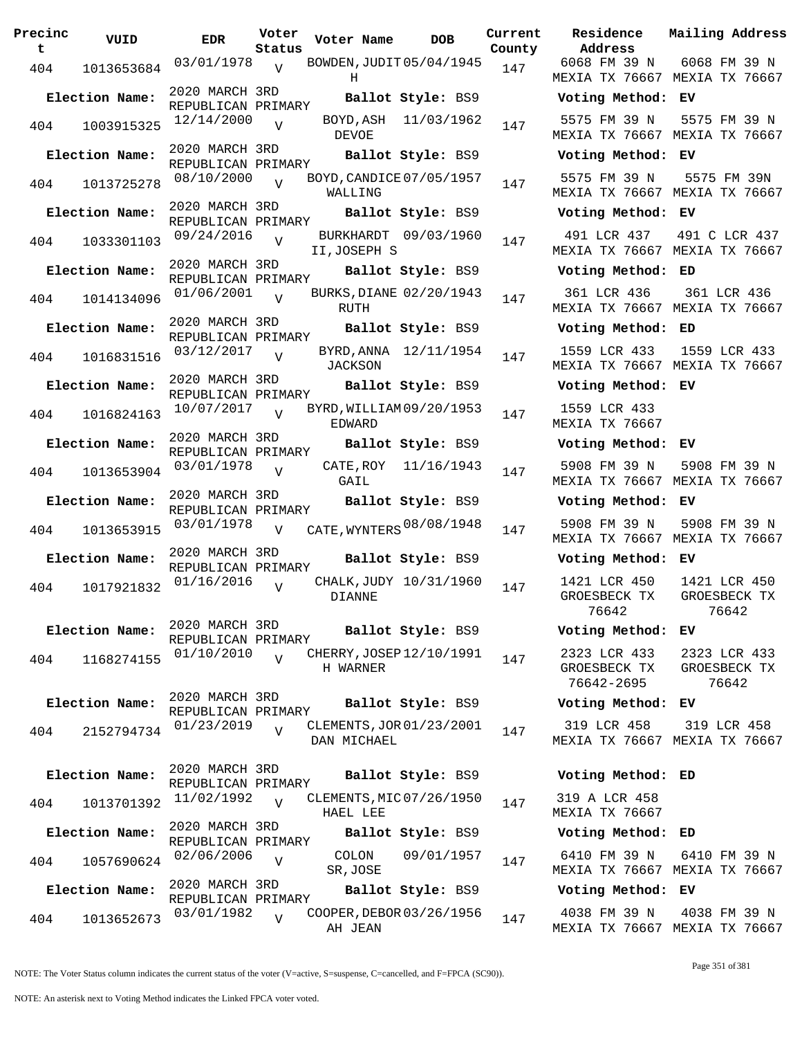| Precinc<br>t. | VUID           | EDR                                  | Voter<br>Status | Voter Name DOB                                   |                         | Current<br>County | Residence<br>Address                       |
|---------------|----------------|--------------------------------------|-----------------|--------------------------------------------------|-------------------------|-------------------|--------------------------------------------|
|               | 404 1013653684 |                                      |                 | $03/01/1978$ v BOWDEN, JUDIT 05/04/1945 147<br>Н |                         |                   | 6068 FM 39 N<br>MEXIA TX 7666              |
|               | Election Name: | 2020 MARCH 3RD<br>REPUBLICAN PRIMARY |                 |                                                  | Ballot Style: BS9       |                   | Voting Metho                               |
| 404           | 1003915325     | 12/14/2000                           | $\overline{V}$  | DEVOE                                            | BOYD, ASH 11/03/1962    | 147               | 5575 FM 39 N<br>MEXIA TX 7666              |
|               | Election Name: | 2020 MARCH 3RD<br>REPUBLICAN PRIMARY |                 |                                                  | Ballot Style: BS9       |                   | Voting Metho                               |
| 404           | 1013725278     | $08/10/2000$ V                       |                 | BOYD, CANDICE 07/05/1957<br>WALLING              |                         | 147               | 5575 FM 39 N<br>MEXIA TX 7666              |
|               | Election Name: | 2020 MARCH 3RD<br>REPUBLICAN PRIMARY |                 |                                                  | Ballot Style: BS9       |                   | Voting Metho                               |
|               | 404 1033301103 | 09/24/2016 <sub>V</sub>              |                 | II, JOSEPH S                                     | BURKHARDT 09/03/1960    | 147               | 491 LCR 437<br>MEXIA TX 7666               |
|               | Election Name: | 2020 MARCH 3RD<br>REPUBLICAN PRIMARY |                 |                                                  | Ballot Style: BS9       |                   | Voting Metho                               |
| 404           | 1014134096     | 01/06/2001                           | $\overline{V}$  | RUTH                                             | BURKS, DIANE 02/20/1943 | 147               | 361 LCR 436<br>MEXIA TX 7666               |
|               | Election Name: | 2020 MARCH 3RD<br>REPUBLICAN PRIMARY |                 |                                                  | Ballot Style: BS9       |                   | Voting Metho                               |
| 404           | 1016831516     | $03/12/2017$ V                       |                 | JACKSON                                          | BYRD, ANNA 12/11/1954   | 147               | 1559 LCR 433<br>MEXIA TX 7666              |
|               | Election Name: | 2020 MARCH 3RD<br>REPUBLICAN PRIMARY |                 |                                                  | Ballot Style: BS9       |                   | Voting Metho                               |
|               | 404 1016824163 | $10/07/2017$ V                       |                 | BYRD, WILLIAM 09/20/1953<br>EDWARD               |                         | 147               | 1559 LCR 433<br>MEXIA TX 7666              |
|               | Election Name: |                                      |                 | REPUBLICAN PRIMARY<br><b>Ballot Style:</b> BS9   |                         |                   | Voting Metho                               |
| 404           | 1013653904     | $03/01/1978$ V                       |                 | GAIL                                             | CATE, ROY 11/16/1943    | 147               | 5908 FM 39 N<br>MEXIA TX 7666              |
|               | Election Name: | 2020 MARCH 3RD<br>REPUBLICAN PRIMARY |                 |                                                  | Ballot Style: BS9       |                   | Voting Metho                               |
| 404           | 1013653915     | 03/01/1978                           | $\overline{V}$  | CATE, WYNTERS 08/08/1948                         |                         | 147               | 5908 FM 39 N<br>MEXIA TX 7666              |
|               | Election Name: | 2020 MARCH 3RD<br>REPUBLICAN PRIMARY |                 |                                                  | Ballot Style: BS9       |                   | Voting Metho                               |
| 404           | 1017921832     | 01/16/2016                           | $\overline{V}$  | DIANNE                                           | CHALK, JUDY 10/31/1960  | 147               | 1421 LCR 450<br>GROESBECK TX<br>76642      |
|               | Election Name: | 2020 MARCH 3RD<br>REPUBLICAN PRIMARY |                 |                                                  | Ballot Style: BS9       |                   | Voting Metho                               |
| 404           | 1168274155     | 01/10/2010                           | $\overline{V}$  | CHERRY, JOSEP 12/10/1991<br>H WARNER             |                         | 147               | 2323 LCR 433<br>GROESBECK TX<br>76642-2695 |
|               | Election Name: | 2020 MARCH 3RD<br>REPUBLICAN PRIMARY |                 |                                                  | Ballot Style: BS9       |                   | Voting Metho                               |
| 404           | 2152794734     | 01/23/2019                           | $\overline{U}$  | CLEMENTS, JOR 01/23/2001<br>DAN MICHAEL          |                         | 147               | 319 LCR 458<br>MEXIA TX 7666               |
|               | Election Name: | 2020 MARCH 3RD<br>REPUBLICAN PRIMARY |                 |                                                  | Ballot Style: BS9       |                   | Voting Metho                               |
| 404           | 1013701392     | 11/02/1992                           | $\overline{U}$  | CLEMENTS, MIC 07/26/1950<br>HAEL LEE             |                         | 147               | 319 A LCR 458<br>MEXIA TX 7666             |
|               | Election Name: | 2020 MARCH 3RD                       |                 |                                                  | Ballot Style: BS9       |                   | Voting Metho                               |
| 404           | 1057690624     | REPUBLICAN PRIMARY<br>02/06/2006     | $\overline{V}$  | COLON<br>SR, JOSE                                | 09/01/1957              | 147               | 6410 FM 39 N<br>MEXIA TX 7666              |
|               | Election Name: | 2020 MARCH 3RD                       |                 |                                                  | Ballot Style: BS9       |                   | Voting Metho                               |
| 404           | 1013652673     | REPUBLICAN PRIMARY<br>03/01/1982     | $\overline{V}$  | COOPER, DEBOR 03/26/1956<br>AH JEAN              |                         | 147               | 4038 FM 39 N<br>MEXIA TX 7666              |

**Voter Name DOB Residence Address Current Mailing Address** 6068 FM 39 N MEXIA TX 76667 MEXIA TX 76667 6068 FM 39 N **Election Name: Ballot Style:** BS9 **Voting Method: EV** 5575 FM 39 N MEXIA TX 76667 MEXIA TX 76667 5575 FM 39 N **Election Name: Ballot Style:** BS9 **Voting Method: EV** 5575 FM 39 N MEXIA TX 76667 MEXIA TX 76667 5575 FM 39N **Election Name: Ballot Style:** BS9 **Voting Method: EV** 491 LCR 437 491 C LCR 437 MEXIA TX 76667 MEXIA TX 76667 **Election Name: Ballot Style:** BS9 **Voting Method: ED** 361 LCR 436 MEXIA TX 76667 MEXIA TX 76667 361 LCR 436 **Election Name: Ballot Style:** BS9 **Voting Method: ED** 1559 LCR 433 MEXIA TX 76667 MEXIA TX 76667 1559 LCR 433 **Election Name: Ballot Style:** BS9 **Voting Method: EV** 1559 LCR 433 MEXIA TX 76667 **Election Name: Ballot Style:** BS9 **Voting Method: EV** 5908 FM 39 N MEXIA TX 76667 MEXIA TX 76667 5908 FM 39 N **Election Name: Ballot Style:** BS9 **Voting Method: EV** MEXIA TX 76667 MEXIA TX 76667 5908 FM 39 N **Election Name: Ballot Style:** BS9 **Voting Method: EV** 1421 LCR 450 GROESBECK TX 76642 1421 LCR 450 GROESBECK TX 76642 **Election Name: Ballot Style:** BS9 **Voting Method: EV** 2323 LCR 433 GROESBECK TX 76642-2695 2323 LCR 433 GROESBECK TX 76642 **Election Name: Ballot Style:** BS9 **Voting Method: EV** 319 LCR 458 MEXIA TX 76667 MEXIA TX 76667 319 LCR 458 **Election Name: Ballot Style:** BS9 **Voting Method: ED** 319 A LCR 458 MEXIA TX 76667 **Election Name: Ballot Style:** BS9 **Voting Method: ED** 6410 FM 39 N MEXIA TX 76667 MEXIA TX 76667 6410 FM 39 N **Election Name: Ballot Style:** BS9 **Voting Method: EV**

NOTE: The Voter Status column indicates the current status of the voter (V=active, S=suspense, C=cancelled, and F=FPCA (SC90)).

4038 FM 39 N

MEXIA TX 76667 MEXIA TX 76667

4038 FM 39 N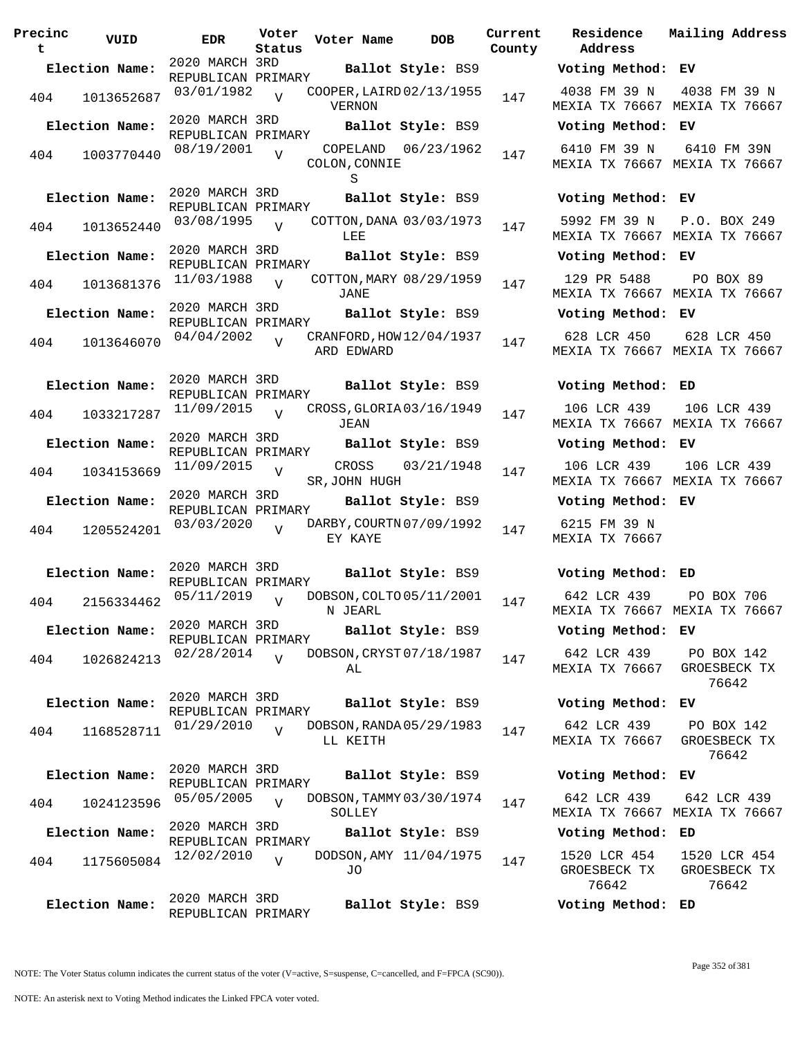**Precinc t VUID EDR Voter Status Voter Name bob Current Residence County** 2020 MARCH 3RD REPUBLICAN PRIMARY **Election Name: Ballot Style:** BS9 **Voting Method: EV** <sup>404</sup> COOPER,LAIRD 03/01/1982 <sup>1013652687</sup> <sup>147</sup> 02/13/1955 VERNON  $V$ 2020 MARCH 3RD REPUBLICAN PRIMARY **Election Name: Ballot Style:** BS9 **Voting Method: EV** 404 1003770440 08/19/2001 COLON,CONNIE S  $\overline{U}$ COPELAND 06/23/1962 147 2020 MARCH 3RD REPUBLICAN PRIMARY **Election Name: Ballot Style:** BS9 **Voting Method: EV** <sup>404</sup> COTTON,DANA 03/08/1995 <sup>1013652440</sup> <sup>147</sup> 03/03/1973 LEE  $V$ 2020 MARCH 3RD REPUBLICAN PRIMARY **Election Name: Ballot Style:** BS9 **Voting Method: EV** 404 1013681376  $11/03/1988$ JANE  $\overline{V}$ COTTON, MARY 08/29/1959 147 2020 MARCH 3RD REPUBLICAN PRIMARY **Election Name: Ballot Style:** BS9 **Voting Method: EV** 404 1013646070  $04/04/2002$  CRANFORD, HOW 12/04/1937 147 ARD EDWARD V 2020 MARCH 3RD REPUBLICAN PRIMARY **Election Name: Ballot Style:** BS9 **Voting Method: ED** 404 1033217287 <sup>11/09/2015</sup> v CROSS, GLORIA 03/16/1949 147 JEAN  $\overline{V}$ 2020 MARCH 3RD REPUBLICAN PRIMARY **Election Name: Ballot Style:** BS9 **Voting Method: EV** 404 1034153669 <sup>11/09/2015</sup> v CROSS 03/21/1948 147 SR,JOHN HUGH  $\overline{V}$ 2020 MARCH 3RD REPUBLICAN PRIMARY **Election Name: Ballot Style:** BS9 **Voting Method: EV** 404 1205524201 03/03/2020 V DARBY, COURTN 07/09/1992 147 EY KAYE  $V$ 2020 MARCH 3RD REPUBLICAN PRIMARY **Election Name: Ballot Style:** BS9 **Voting Method: ED** 404 2156334462 05/11/2019 V DOBSON, COLTO 05/11/2001 147 N JEARL  $V$ 2020 MARCH 3RD REPUBLICAN PRIMARY<br>02/28/2014 T **Election Name: Ballot Style:** BS9 **Voting Method: EV** 404 1026824213 02/28/2014 V DOBSON, CRYST 07/18/1987 147 AL V 2020 MARCH 3RD REPUBLICAN PRIMARY **Election Name: Ballot Style:** BS9 **Voting Method: EV** <sup>404</sup> DOBSON,RANDA 01/29/2010 <sup>1168528711</sup> <sup>147</sup> 05/29/1983 LL KEITH  $\overline{v}$ 2020 MARCH 3RD REPUBLICAN PRIMARY **Election Name: Ballot Style:** BS9 **Voting Method: EV** 404 1024123596 05/05/2005 V DOBSON, TAMMY 03/30/1974 147 SOLLEY V 2020 MARCH 3RD REPUBLICAN PRIMARY **Election Name: Ballot Style:** BS9 **Voting Method: ED** 404 1175605084 <sup>12/02/2010</sup> v DODSON, AMY 11/04/1975 147 JO  $\overline{v}$ 2020 MARCH 3RD REPUBLICAN PRIMARY **Election Name: Ballot Style:** BS9 **Voting Method: ED**

**Address Current Mailing Address** 4038 FM 39 N MEXIA TX 76667 MEXIA TX 76667 4038 FM 39 N 6410 FM 39 N MEXIA TX 76667 MEXIA TX 76667 6410 FM 39N 5992 FM 39 N MEXIA TX 76667 MEXIA TX 76667 P.O. BOX 249 129 PR 5488 MEXIA TX 76667 MEXIA TX 76667 PO BOX 89 628 LCR 450 MEXIA TX 76667 MEXIA TX 76667 628 LCR 450 106 LCR 439 MEXIA TX 76667 MEXIA TX 76667 106 LCR 439 106 LCR 439 MEXIA TX 76667 MEXIA TX 76667 106 LCR 439 6215 FM 39 N MEXIA TX 76667 642 LCR 439 MEXIA TX 76667 MEXIA TX 76667 PO BOX 706 642 LCR 439 MEXIA TX 76667 PO BOX 142 GROESBECK TX 76642 642 LCR 439 MEXIA TX 76667 PO BOX 142 GROESBECK TX 76642 642 LCR 439 MEXIA TX 76667 MEXIA TX 76667 642 LCR 439 1520 LCR 454 GROESBECK TX 76642 1520 LCR 454 GROESBECK TX 76642

NOTE: The Voter Status column indicates the current status of the voter (V=active, S=suspense, C=cancelled, and F=FPCA (SC90)).

Page 352 of 381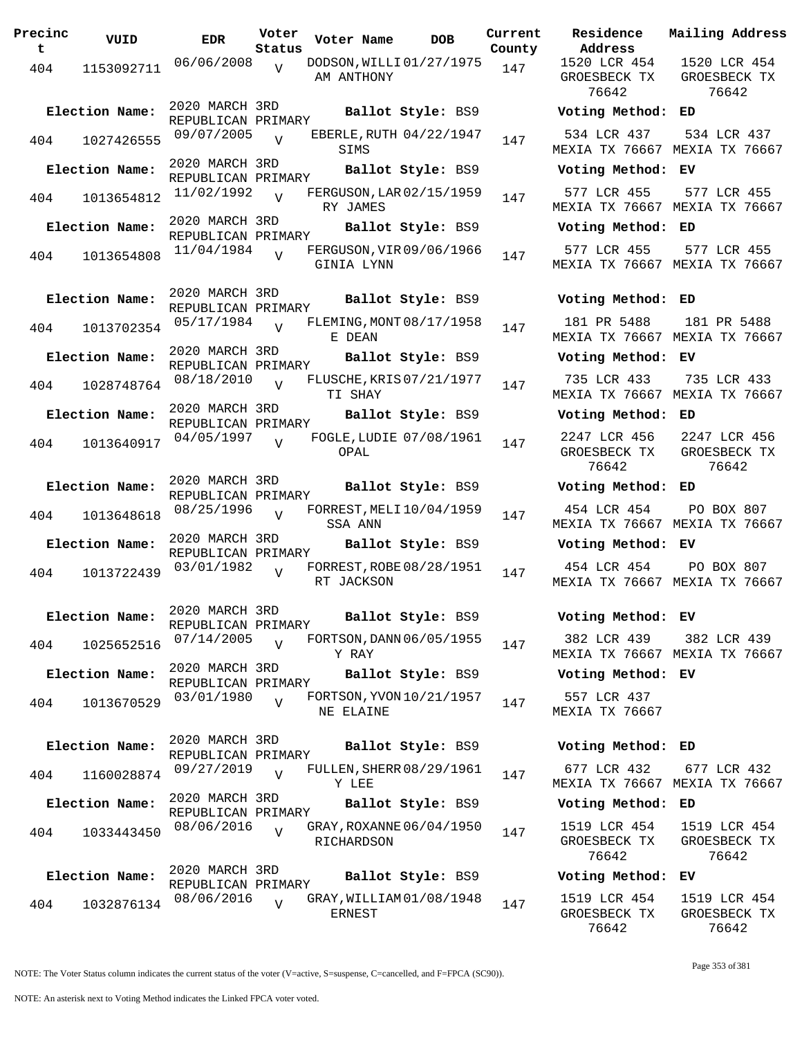| Precinc<br>t | VUID           | <b>EDR</b>                           | Voter<br>Status | Voter Name    | <b>DOB</b>               | Curre<br>Count |
|--------------|----------------|--------------------------------------|-----------------|---------------|--------------------------|----------------|
| 404          | 1153092711     | 06/06/2008                           | $\overline{V}$  | AM ANTHONY    | DODSON, WILLI 01/27/1975 | 147            |
|              | Election Name: | 2020 MARCH 3RD<br>REPUBLICAN PRIMARY |                 |               | Ballot Style: BS9        |                |
| 404          | 1027426555     | 09/07/2005                           | $\overline{V}$  | SIMS          | EBERLE, RUTH 04/22/1947  | 147            |
|              | Election Name: | 2020 MARCH 3RD<br>REPUBLICAN PRIMARY |                 |               | Ballot Style: BS9        |                |
| 404          | 1013654812     | 11/02/1992                           | $\overline{V}$  | RY JAMES      | FERGUSON, LAR 02/15/1959 | 147            |
|              | Election Name: | 2020 MARCH 3RD<br>REPUBLICAN PRIMARY |                 |               | Ballot Style: BS9        |                |
| 404          | 1013654808     | 11/04/1984                           | $\overline{V}$  | GINIA LYNN    | FERGUSON, VIR 09/06/1966 | 147            |
|              | Election Name: | 2020 MARCH 3RD<br>REPUBLICAN PRIMARY |                 |               | Ballot Style: BS9        |                |
| 404          | 1013702354     | 05/17/1984                           | $\overline{V}$  | E DEAN        | FLEMING, MONT 08/17/1958 | 147            |
|              | Election Name: | 2020 MARCH 3RD<br>REPUBLICAN PRIMARY |                 |               | Ballot Style: BS9        |                |
| 404          | 1028748764     | 08/18/2010                           | $\overline{V}$  | TI SHAY       | FLUSCHE, KRIS 07/21/1977 | 147            |
|              | Election Name: | 2020 MARCH 3RD<br>REPUBLICAN PRIMARY |                 |               | Ballot Style: BS9        |                |
| 404          | 1013640917     | 04/05/1997                           | $\overline{V}$  | OPAL          | FOGLE, LUDIE 07/08/1961  | 147            |
|              | Election Name: | 2020 MARCH 3RD<br>REPUBLICAN PRIMARY |                 |               | Ballot Style: BS9        |                |
| 404          | 1013648618     | 08/25/1996                           | $\overline{V}$  | SSA ANN       | FORREST, MELI 10/04/1959 | 147            |
|              | Election Name: | 2020 MARCH 3RD<br>REPUBLICAN PRIMARY |                 |               | Ballot Style: BS9        |                |
| 404          | 1013722439     | 03/01/1982                           | $\overline{V}$  | RT JACKSON    | FORREST, ROBE 08/28/1951 | 147            |
|              | Election Name: | 2020 MARCH 3RD<br>REPUBLICAN PRIMARY |                 |               | Ballot Style: BS9        |                |
| 404          | 1025652516     | 07/14/2005                           | $\overline{V}$  | Y RAY         | FORTSON, DANN 06/05/1955 | 147            |
|              | Election Name: | 2020 MARCH 3RD<br>REPUBLICAN PRIMARY |                 |               | Ballot Style: BS9        |                |
| 404          | 1013670529     | 03/01/1980                           | $\overline{V}$  | NE ELAINE     | FORTSON, YVON 10/21/1957 | 147            |
|              | Election Name: | 2020 MARCH 3RD<br>REPUBLICAN PRIMARY |                 |               | Ballot Style: BS9        |                |
| 404          | 1160028874     | 09/27/2019                           | $\overline{V}$  | Y LEE         | FULLEN, SHERR 08/29/1961 | 147            |
|              | Election Name: | 2020 MARCH 3RD<br>REPUBLICAN PRIMARY |                 |               | Ballot Style: BS9        |                |
| 404          | 1033443450     | 08/06/2016                           | $\overline{V}$  | RICHARDSON    | GRAY, ROXANNE 06/04/1950 | 147            |
|              | Election Name: | 2020 MARCH 3RD<br>REPUBLICAN PRIMARY |                 |               | Ballot Style: BS9        |                |
| 404          | 1032876134     | 08/06/2016                           | $\overline{V}$  | <b>ERNEST</b> | GRAY, WILLIAM 01/08/1948 | 147            |

**Voter Name DOB Residence Address Current Mailing Address** nty 1520 LCR 454 GROESBECK TX 76642 1520 LCR 454 GROESBECK TX 76642 **Election Name: Ballot Style:** BS9 **Voting Method: ED** 534 LCR 437 MEXIA TX 76667 MEXIA TX 76667 534 LCR 437 **Election Name: Ballot Style:** BS9 **Voting Method: EV** 577 LCR 455 MEXIA TX 76667 MEXIA TX 76667 577 LCR 455 **Election Name: Ballot Style:** BS9 **Voting Method: ED** 577 LCR 455 MEXIA TX 76667 MEXIA TX 76667 577 LCR 455 **Election Name: Ballot Style:** BS9 **Voting Method: ED** 181 PR 5488 MEXIA TX 76667 MEXIA TX 76667 181 PR 5488 **Election Name: Ballot Style:** BS9 **Voting Method: EV** 735 LCR 433 MEXIA TX 76667 MEXIA TX 76667 735 LCR 433 **Election Name: Ballot Style:** BS9 **Voting Method: ED** 2247 LCR 456 GROESBECK TX 76642 2247 LCR 456 GROESBECK TX 76642 **Election Name: Ballot Style:** BS9 **Voting Method: ED** 454 LCR 454 MEXIA TX 76667 MEXIA TX 76667 PO BOX 807 **Election Name: Ballot Style:** BS9 **Voting Method: EV** 454 LCR 454 MEXIA TX 76667 MEXIA TX 76667 PO BOX 807 **Election Name: Ballot Style:** BS9 **Voting Method: EV** 382 LCR 439 MEXIA TX 76667 MEXIA TX 76667 382 LCR 439 **Election Name: Ballot Style:** BS9 **Voting Method: EV** 557 LCR 437 MEXIA TX 76667 **Election Name: Ballot Style:** BS9 **Voting Method: ED** 677 LCR 432 MEXIA TX 76667 MEXIA TX 76667 677 LCR 432 **Election Name: Ballot Style:** BS9 **Voting Method: ED** 1519 LCR 454 GROESBECK TX 76642 1519 LCR 454 GROESBECK TX 76642 **Election Name: Ballot Style:** BS9 **Voting Method: EV** 1519 LCR 454 GROESBECK TX 76642 1519 LCR 454 GROESBECK TX 76642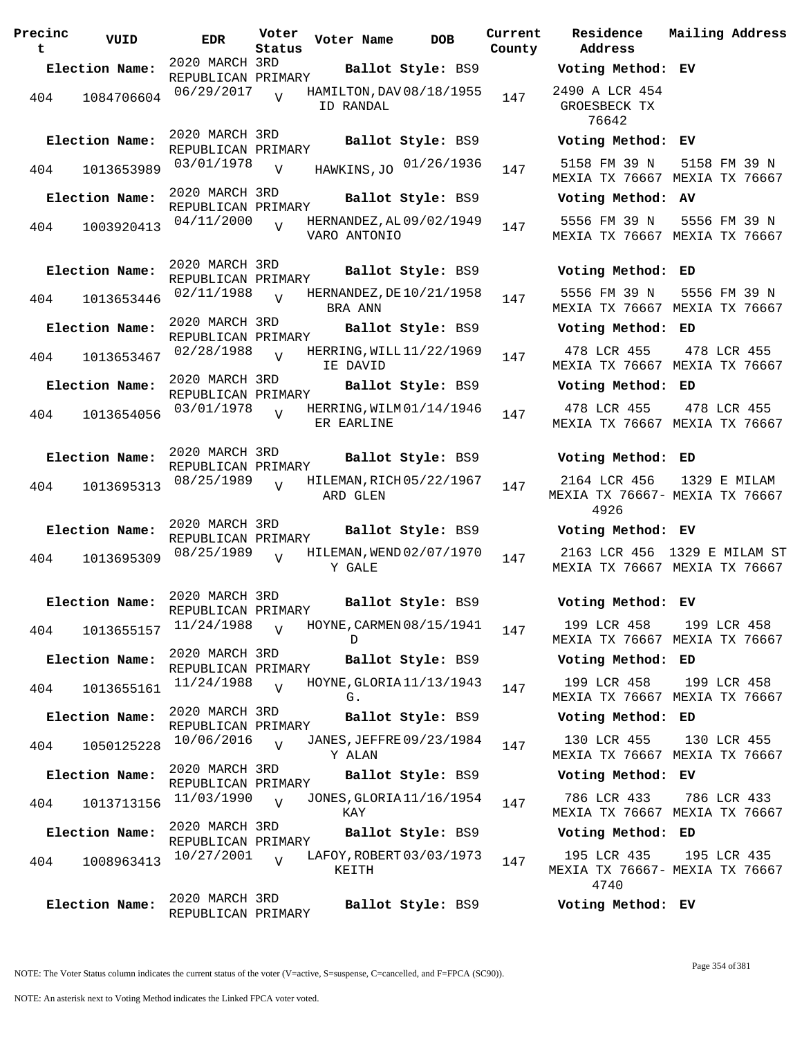| Precinc<br>t | VUID           | <b>EDR</b>                           | Voter<br>Status | Voter Name                               | <b>DOB</b>             | Current<br>County | Residence<br>Address                                                               |
|--------------|----------------|--------------------------------------|-----------------|------------------------------------------|------------------------|-------------------|------------------------------------------------------------------------------------|
|              | Election Name: |                                      |                 |                                          |                        |                   | <b>Ballot Style: BS9 Voting Method</b> REPUBLICAN PRIMARY <b>Ballot Style: BS9</b> |
|              | 404 1084706604 | 06/29/2017                           | $\overline{V}$  | HAMILTON, DAV 08/18/1955<br>ID RANDAL    |                        | 147               | 2490 A LCR 45<br>GROESBECK TX<br>76642                                             |
|              | Election Name: | 2020 MARCH 3RD<br>REPUBLICAN PRIMARY |                 |                                          | Ballot Style: BS9      |                   | Voting Metho                                                                       |
| 404          | 1013653989     | 03/01/1978                           | $\overline{V}$  |                                          | HAWKINS, JO 01/26/1936 | 147               | 5158 FM 39 N<br>MEXIA TX 7666                                                      |
|              | Election Name: | 2020 MARCH 3RD<br>REPUBLICAN PRIMARY |                 |                                          | Ballot Style: BS9      |                   | Voting Metho                                                                       |
| 404          | 1003920413     | 04/11/2000                           | V               | HERNANDEZ, AL 09/02/1949<br>VARO ANTONIO |                        | 147               | 5556 FM 39 N<br>MEXIA TX 7666                                                      |
|              | Election Name: | 2020 MARCH 3RD<br>REPUBLICAN PRIMARY |                 |                                          | Ballot Style: BS9      |                   | Voting Metho                                                                       |
| 404          | 1013653446     | 02/11/1988                           | $\overline{V}$  | HERNANDEZ, DE 10/21/1958<br>BRA ANN      |                        | 147               | 5556 FM 39 N<br>MEXIA TX 7666                                                      |
|              | Election Name: | 2020 MARCH 3RD                       |                 |                                          | Ballot Style: BS9      |                   | Voting Metho                                                                       |
| 404          | 1013653467     | REPUBLICAN PRIMARY<br>02/28/1988     | $\overline{V}$  | HERRING, WILL 11/22/1969<br>IE DAVID     |                        | 147               | 478 LCR 455<br>MEXIA TX 7666                                                       |
|              | Election Name: | 2020 MARCH 3RD<br>REPUBLICAN PRIMARY |                 |                                          | Ballot Style: BS9      |                   | Voting Metho                                                                       |
| 404          | 1013654056     | 03/01/1978                           | V               | HERRING, WILM 01/14/1946<br>ER EARLINE   |                        | 147               | 478 LCR 455<br>MEXIA TX 7666                                                       |
|              | Election Name: | 2020 MARCH 3RD<br>REPUBLICAN PRIMARY |                 |                                          | Ballot Style: BS9      |                   | Voting Metho                                                                       |
| 404          | 1013695313     | 08/25/1989                           | $\overline{V}$  | HILEMAN, RICH 05/22/1967<br>ARD GLEN     |                        | 147               | 2164 LCR 456<br>MEXIA TX 7666<br>4926                                              |
|              | Election Name: | 2020 MARCH 3RD                       |                 |                                          | Ballot Style: BS9      |                   | Voting Metho                                                                       |
| 404          | 1013695309     | REPUBLICAN PRIMARY<br>08/25/1989     | $\overline{V}$  | HILEMAN, WEND 02/07/1970<br>Y GALE       |                        | 147               | 2163 LCR 456<br>MEXIA TX 7666                                                      |
|              | Election Name: | 2020 MARCH 3RD<br>REPUBLICAN PRIMARY |                 |                                          | Ballot Style: BS9      |                   | Voting Metho                                                                       |
| 404          | 1013655157     | 11/24/1988                           | $\overline{V}$  | HOYNE, CARMEN 08/15/1941<br>D.           |                        | 147               | 199 LCR 458<br>MEXIA TX 7666                                                       |
|              | Election Name: | 2020 MARCH 3RD<br>REPUBLICAN PRIMARY |                 |                                          | Ballot Style: BS9      |                   | Voting Metho                                                                       |
| 404          | 1013655161     | 11/24/1988                           | $\overline{U}$  | HOYNE, GLORIA 11/13/1943<br>G.           |                        | 147               | 199 LCR 458<br>MEXIA TX 7666                                                       |
|              | Election Name: | 2020 MARCH 3RD<br>REPUBLICAN PRIMARY |                 |                                          | Ballot Style: BS9      |                   | Voting Metho                                                                       |
| 404          | 1050125228     | 10/06/2016                           | $\overline{V}$  | JANES, JEFFRE 09/23/1984<br>Y ALAN       |                        | 147               | 130 LCR 455<br>MEXIA TX 7666                                                       |
|              | Election Name: | 2020 MARCH 3RD<br>REPUBLICAN PRIMARY |                 |                                          | Ballot Style: BS9      |                   | Voting Metho                                                                       |
| 404          | 1013713156     | 11/03/1990                           | $\overline{U}$  | JONES, GLORIA 11/16/1954<br>KAY          |                        | 147               | 786 LCR 433<br>MEXIA TX 7666                                                       |
|              | Election Name: | 2020 MARCH 3RD<br>REPUBLICAN PRIMARY |                 |                                          | Ballot Style: BS9      |                   | Voting Metho                                                                       |
| 404          | 1008963413     | 10/27/2001                           | $\overline{U}$  | LAFOY, ROBERT 03/03/1973<br>KEITH        |                        | 147               | 195 LCR 435<br>MEXIA TX 7666<br>4740                                               |
|              | Election Name: | 2020 MARCH 3RD<br>REPUBLICAN PRIMARY |                 |                                          | Ballot Style: BS9      |                   | Voting Metho                                                                       |

**Voter Name DOB Residence Address Current Mailing Address**  $\tt{ty}$ **Election Name: Ballot Style:** BS9 **Voting Method: EV** 2490 A LCR 454 GROESBECK TX 76642 **Election Name: Ballot Style:** BS9 **Voting Method: EV** MEXIA TX 76667 MEXIA TX 76667 5158 FM 39 N **Election Name: Ballot Style:** BS9 **Voting Method: AV** 5556 FM 39 N MEXIA TX 76667 MEXIA TX 76667 5556 FM 39 N **Election Name: Ballot Style:** BS9 **Voting Method: ED** 5556 FM 39 N MEXIA TX 76667 MEXIA TX 76667 5556 FM 39 N **Election Name: Ballot Style:** BS9 **Voting Method: ED** 478 LCR 455 MEXIA TX 76667 MEXIA TX 76667 478 LCR 455 **Election Name: Ballot Style:** BS9 **Voting Method: ED** 478 LCR 455 MEXIA TX 76667 MEXIA TX 76667 478 LCR 455 **Election Name: Ballot Style:** BS9 **Voting Method: ED** 2164 LCR 456 1329 E MILAM MEXIA TX 76667- MEXIA TX 76667 4926 **Election Name: Ballot Style:** BS9 **Voting Method: EV** 2163 LCR 456 1329 E MILAM ST MEXIA TX 76667 MEXIA TX 76667 **Election Name: Ballot Style:** BS9 **Voting Method: EV** 199 LCR 458 MEXIA TX 76667 MEXIA TX 76667 199 LCR 458 **Election Name: Ballot Style:** BS9 **Voting Method: ED** 199 LCR 458 MEXIA TX 76667 MEXIA TX 76667 199 LCR 458 **Election Name: Ballot Style:** BS9 **Voting Method: ED** 130 LCR 455 MEXIA TX 76667 MEXIA TX 76667 130 LCR 455 **Election Name: Ballot Style:** BS9 **Voting Method: EV** 786 LCR 433 MEXIA TX 76667 MEXIA TX 76667 786 LCR 433 **Election Name: Ballot Style:** BS9 **Voting Method: ED** 195 LCR 435 MEXIA TX 76667- MEXIA TX 76667 4740 195 LCR 435

**Election Name: Ballot Style:** BS9 **Voting Method: EV**

NOTE: The Voter Status column indicates the current status of the voter (V=active, S=suspense, C=cancelled, and F=FPCA (SC90)).

Page 354 of 381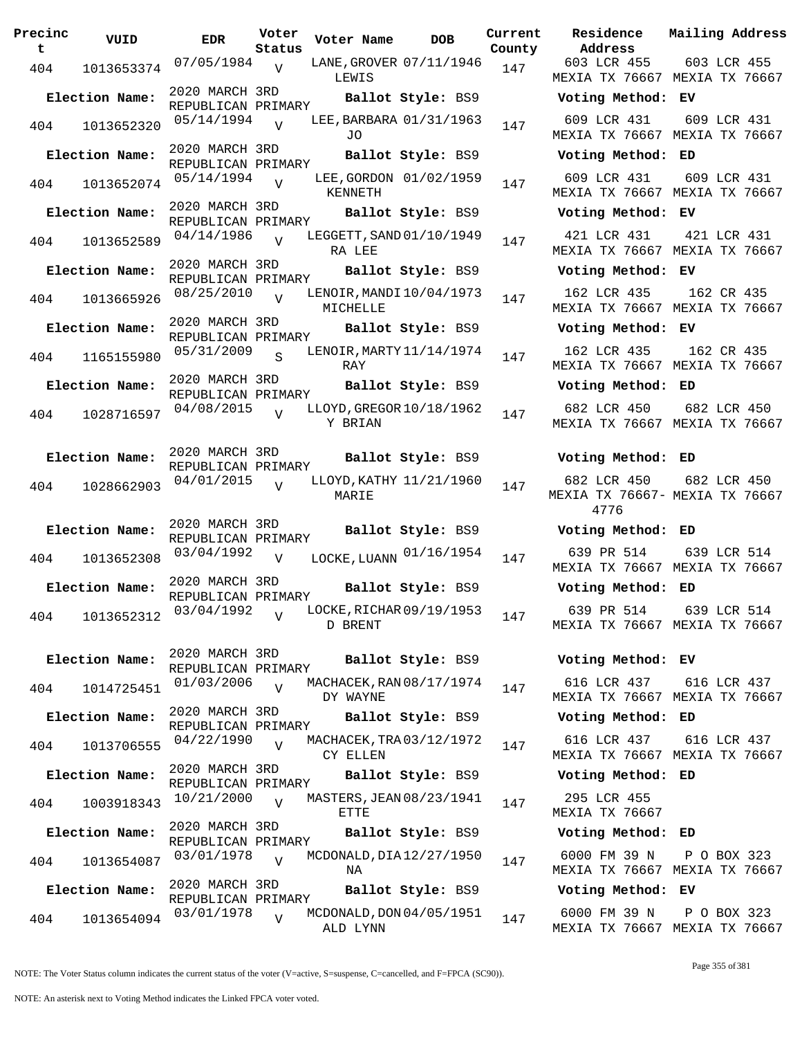| Precinc<br>t | VUID           | <b>EDR</b>                           | Voter<br>Status | Voter Name                           | <b>DOB</b>        | Current<br>County | Residence<br>Address                                      |
|--------------|----------------|--------------------------------------|-----------------|--------------------------------------|-------------------|-------------------|-----------------------------------------------------------|
| 404          | 1013653374     | $07/05/1984$ V                       |                 | LANE, GROVER 07/11/1946<br>LEWIS     |                   | 147               | 603 LCR 45!<br>MEXIA TX 766                               |
|              | Election Name: | 2020 MARCH 3RD<br>REPUBLICAN PRIMARY |                 |                                      | Ballot Style: BS9 |                   | Voting Meth                                               |
| 404          | 1013652320     | 05/14/1994                           | $\overline{U}$  | LEE, BARBARA 01/31/1963<br>JO.       |                   | 147               | 609 LCR 431<br>MEXIA TX 766                               |
|              | Election Name: | 2020 MARCH 3RD<br>REPUBLICAN PRIMARY |                 |                                      | Ballot Style: BS9 |                   | Voting Meth                                               |
| 404          | 1013652074     | 05/14/1994                           | $\overline{V}$  | LEE, GORDON 01/02/1959<br>KENNETH    |                   | 147               | 609 LCR 431<br>MEXIA TX 766                               |
|              | Election Name: | 2020 MARCH 3RD<br>REPUBLICAN PRIMARY |                 |                                      | Ballot Style: BS9 |                   | Voting Meth                                               |
| 404          | 1013652589     | 04/14/1986                           | V               | LEGGETT, SAND 01/10/1949<br>RA LEE   |                   | 147               | 421 LCR 431<br>MEXIA TX 766                               |
|              | Election Name: | 2020 MARCH 3RD<br>REPUBLICAN PRIMARY |                 |                                      | Ballot Style: BS9 |                   | Voting Meth                                               |
| 404          | 1013665926     | 08/25/2010                           | $\overline{U}$  | LENOIR, MANDI 10/04/1973<br>MICHELLE |                   | 147               | 162 LCR 43!<br>MEXIA TX 766                               |
|              | Election Name: | 2020 MARCH 3RD<br>REPUBLICAN PRIMARY |                 |                                      | Ballot Style: BS9 |                   | Voting Meth                                               |
| 404          | 1165155980     | 05/31/2009                           | $\mathbf{s}$    | LENOIR, MARTY 11/14/1974<br>RAY      |                   | 147               | 162 LCR 43!<br>MEXIA TX 766                               |
|              | Election Name: | 2020 MARCH 3RD<br>REPUBLICAN PRIMARY |                 |                                      | Ballot Style: BS9 |                   | Voting Meth                                               |
| 404          | 1028716597     | 04/08/2015                           | V               | LLOYD, GREGOR 10/18/1962<br>Y BRIAN  |                   | 147               | 682 LCR 450<br>MEXIA TX 766                               |
|              | Election Name: | 2020 MARCH 3RD<br>REPUBLICAN PRIMARY |                 |                                      | Ballot Style: BS9 |                   | Voting Meth                                               |
| 404          | 1028662903     | 04/01/2015                           | $\overline{V}$  | LLOYD, KATHY 11/21/1960<br>MARIE     |                   | 147               | 682 LCR 450<br>MEXIA TX 7666<br>4776                      |
|              | Election Name: | 2020 MARCH 3RD<br>REPUBLICAN PRIMARY |                 |                                      | Ballot Style: BS9 |                   | Voting Meth                                               |
| 404          | 1013652308     | 03/04/1992                           | V               | LOCKE, LUANN $01/16/1954$            |                   | 147               | 639 PR 514<br>MEXIA TX 766                                |
|              | Election Name: | 2020 MARCH 3RD<br>REPUBLICAN PRIMARY |                 |                                      | Ballot Style: BS9 |                   | Voting Meth                                               |
|              |                | 404 1013652312 $03/04/1992$ v        |                 | D BRENT                              |                   |                   | LOCKE, RICHAR 09/19/1953 $147$ 639 PR 514<br>MEXIA TX 766 |
|              | Election Name: | 2020 MARCH 3RD<br>REPUBLICAN PRIMARY |                 |                                      | Ballot Style: BS9 |                   | Voting Meth                                               |
| 404          | 1014725451     | 01/03/2006                           | $\overline{V}$  | MACHACEK, RAN 08/17/1974<br>DY WAYNE |                   | 147               | 616 LCR 43<br>MEXIA TX 766                                |
|              | Election Name: | 2020 MARCH 3RD<br>REPUBLICAN PRIMARY |                 |                                      | Ballot Style: BS9 |                   | Voting Meth                                               |
| 404          | 1013706555     | 04/22/1990                           | $\overline{V}$  | MACHACEK, TRA 03/12/1972<br>CY ELLEN |                   | 147               | 616 LCR 437<br>MEXIA TX 766                               |
|              | Election Name: | 2020 MARCH 3RD<br>REPUBLICAN PRIMARY |                 |                                      | Ballot Style: BS9 |                   | Voting Meth                                               |
| 404          | 1003918343     | 10/21/2000                           | $\overline{U}$  | MASTERS, JEAN 08/23/1941<br>ETTE     |                   | 147               | 295 LCR 45!<br>MEXIA TX 766                               |
|              | Election Name: | 2020 MARCH 3RD<br>REPUBLICAN PRIMARY |                 |                                      | Ballot Style: BS9 |                   | Voting Meth                                               |
| 404          | 1013654087     | 03/01/1978                           | $\overline{V}$  | MCDONALD, DIA 12/27/1950<br>ΝA       |                   | 147               | 6000 FM 39<br>MEXIA TX 766                                |
|              | Election Name: | 2020 MARCH 3RD<br>REPUBLICAN PRIMARY |                 |                                      | Ballot Style: BS9 |                   | Voting Meth                                               |
| 404          | 1013654094     | 03/01/1978                           | $\overline{V}$  | MCDONALD, DON 04/05/1951<br>ALD LYNN |                   | 147               | 6000 FM 39<br>MEXIA TX 766                                |

**Voter Name DOB Residence Current Mailing Address Address** 603 LCR 455 MEXIA TX 76667 MEXIA TX 76667 603 LCR 455 **Election Name: Ballot Style:** BS9 **Voting Method: EV** 609 LCR 431 MEXIA TX 76667 MEXIA TX 76667 609 LCR 431 **Election Name: Ballot Style:** BS9 **Voting Method: ED** 609 LCR 431 MEXIA TX 76667 MEXIA TX 76667 609 LCR 431 **Election Name: Ballot Style:** BS9 **Voting Method: EV** 421 LCR 431 MEXIA TX 76667 MEXIA TX 76667 421 LCR 431 **Election Name: Ballot Style:** BS9 **Voting Method: EV** 162 LCR 435 MEXIA TX 76667 MEXIA TX 76667 162 CR 435 **Election Name: Ballot Style:** BS9 **Voting Method: EV** 162 LCR 435 MEXIA TX 76667 MEXIA TX 76667 162 CR 435 **Election Name: Ballot Style:** BS9 **Voting Method: ED** 682 LCR 450 MEXIA TX 76667 MEXIA TX 76667 682 LCR 450 **Election Name: Ballot Style:** BS9 **Voting Method: ED** 682 LCR 450 MEXIA TX 76667- MEXIA TX 76667 4776 682 LCR 450 **Election Name: Ballot Style:** BS9 **Voting Method: ED** MEXIA TX 76667 MEXIA TX 76667 639 LCR 514 **Election Name: Ballot Style:** BS9 **Voting Method: ED** 639 PR 514 MEXIA TX 76667 MEXIA TX 76667 639 LCR 514 **Election Name: Ballot Style:** BS9 **Voting Method: EV** 616 LCR 437 MEXIA TX 76667 MEXIA TX 76667 616 LCR 437 **Election Name: Ballot Style:** BS9 **Voting Method: ED** 616 LCR 437 MEXIA TX 76667 MEXIA TX 76667 616 LCR 437 **Election Name: Ballot Style:** BS9 **Voting Method: ED** 295 LCR 455 MEXIA TX 76667 **Election Name: Ballot Style:** BS9 **Voting Method: ED** 6000 FM 39 N MEXIA TX 76667 MEXIA TX 76667 P O BOX 323 **Election Name: Ballot Style:** BS9 **Voting Method: EV**

> 6000 FM 39 N MEXIA TX 76667 MEXIA TX 76667 P O BOX 323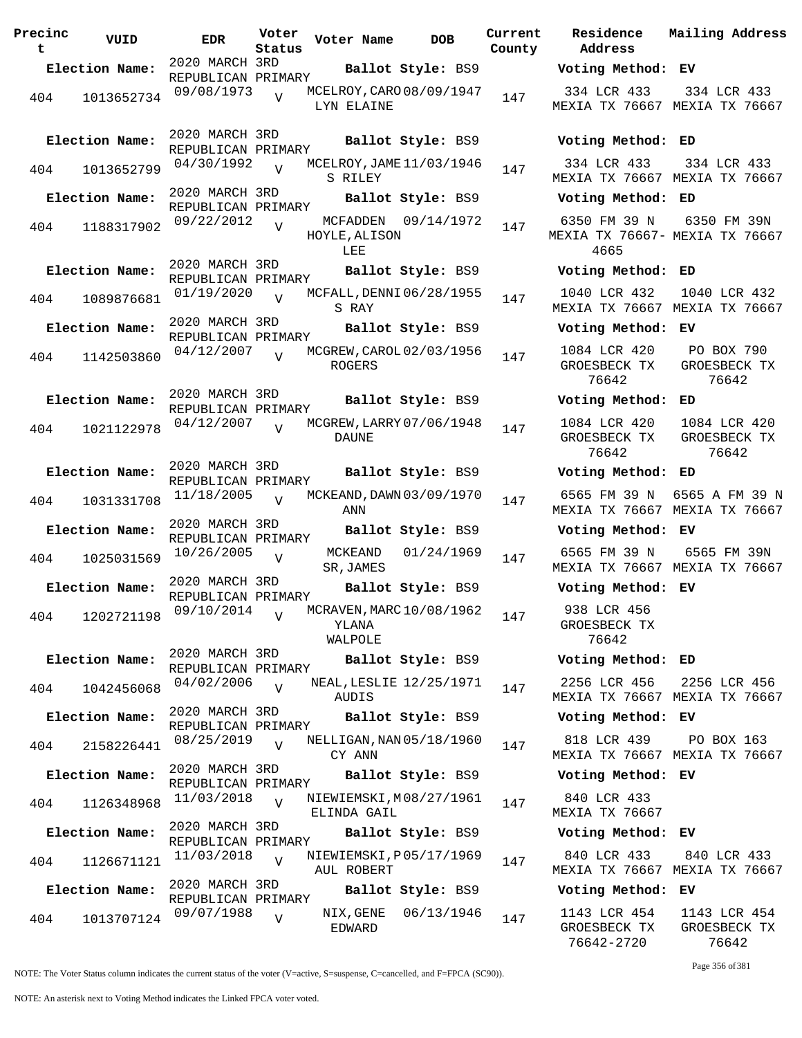| Precinc<br>t | VUID           | <b>EDR</b>                           | Voter<br>Status | Voter Name                       | <b>DOB</b>               | Current<br>County |
|--------------|----------------|--------------------------------------|-----------------|----------------------------------|--------------------------|-------------------|
|              | Election Name: | 2020 MARCH 3RD<br>REPUBLICAN PRIMARY |                 |                                  | Ballot Style: BS9        |                   |
| 404          | 1013652734     | 09/08/1973                           | $\overline{V}$  | LYN ELAINE                       | MCELROY, CARO 08/09/1947 | 147               |
|              | Election Name: | 2020 MARCH 3RD<br>REPUBLICAN PRIMARY |                 |                                  | Ballot Style: BS9        |                   |
| 404          | 1013652799     | 04/30/1992                           | $\overline{V}$  | S RILEY                          | MCELROY, JAME 11/03/1946 | 147               |
|              | Election Name: | 2020 MARCH 3RD<br>REPUBLICAN PRIMARY |                 |                                  | Ballot Style: BS9        |                   |
| 404          | 1188317902     | 09/22/2012                           | $\overline{V}$  | MCFADDEN<br>HOYLE, ALISON<br>LEE | 09/14/1972               | 147               |
|              | Election Name: | 2020 MARCH 3RD<br>REPUBLICAN PRIMARY |                 |                                  | Ballot Style: BS9        |                   |
| 404          | 1089876681     | 01/19/2020                           | $\overline{V}$  | S RAY                            | MCFALL, DENNI 06/28/1955 | 147               |
|              | Election Name: | 2020 MARCH 3RD<br>REPUBLICAN PRIMARY |                 |                                  | Ballot Style: BS9        |                   |
| 404          | 1142503860     | 04/12/2007                           | $\overline{V}$  | ROGERS                           | MCGREW, CAROL 02/03/1956 | 147               |
|              | Election Name: | 2020 MARCH 3RD<br>REPUBLICAN PRIMARY |                 |                                  | Ballot Style: BS9        |                   |
| 404          | 1021122978     | 04/12/2007                           | $\overline{V}$  | DAUNE                            | MCGREW, LARRY 07/06/1948 | 147               |
|              | Election Name: | 2020 MARCH 3RD<br>REPUBLICAN PRIMARY |                 |                                  | Ballot Style: BS9        |                   |
| 404          | 1031331708     | 11/18/2005                           | $\overline{V}$  | ANN                              | MCKEAND, DAWN 03/09/1970 | 147               |
|              | Election Name: | 2020 MARCH 3RD<br>REPUBLICAN PRIMARY |                 |                                  | Ballot Style: BS9        |                   |
| 404          | 1025031569     | 10/26/2005                           | V               | MCKEAND<br>SR,JAMES              | 01/24/1969               | 147               |
|              | Election Name: | 2020 MARCH 3RD<br>REPUBLICAN PRIMARY |                 |                                  | Ballot Style: BS9        |                   |
|              | 404 1202721198 | 09/10/2014                           | V               | YLANA                            | MCRAVEN, MARC 10/08/1962 | 147               |
|              |                | 2020 MARCH 3RD                       |                 | WALPOLE                          |                          |                   |
|              | Election Name: | REPUBLICAN PRIMARY                   |                 |                                  | Ballot Style: BS9        |                   |
| 404          | 1042456068     | 04/02/2006                           | $\overline{V}$  | AUDIS                            | NEAL, LESLIE 12/25/1971  | 147               |
|              | Election Name: | 2020 MARCH 3RD<br>REPUBLICAN PRIMARY |                 |                                  | Ballot Style: BS9        |                   |
| 404          | 2158226441     | 08/25/2019                           | $\overline{V}$  | CY ANN                           | NELLIGAN, NAN 05/18/1960 | 147               |
|              | Election Name: | 2020 MARCH 3RD<br>REPUBLICAN PRIMARY |                 |                                  | Ballot Style: BS9        |                   |
| 404          | 1126348968     | 11/03/2018                           | $\overline{V}$  | ELINDA GAIL                      | NIEWIEMSKI, M08/27/1961  | 147               |
|              | Election Name: | 2020 MARCH 3RD<br>REPUBLICAN PRIMARY |                 |                                  | Ballot Style: BS9        |                   |
| 404          | 1126671121     | 11/03/2018                           | $\overline{V}$  | AUL ROBERT                       | NIEWIEMSKI, P05/17/1969  | 147               |
|              | Election Name: | 2020 MARCH 3RD<br>REPUBLICAN PRIMARY |                 |                                  | Ballot Style: BS9        |                   |
| 404          | 1013707124     | 09/07/1988                           | $\overline{V}$  | NIX, GENE<br>EDWARD              | 06/13/1946               | 147               |

**Voter Name DOB Residence Address Current Mailing Address Election Name: Ballot Style:** BS9 **Voting Method: EV** 334 LCR 433 MEXIA TX 76667 MEXIA TX 76667 334 LCR 433 **Election Name: Ballot Style:** BS9 **Voting Method: ED** 334 LCR 433 MEXIA TX 76667 MEXIA TX 76667 334 LCR 433 **Election Name: Ballot Style:** BS9 **Voting Method: ED** 6350 FM 39 N MEXIA TX 76667- MEXIA TX 76667 4665 6350 FM 39N **Election Name: Ballot Style:** BS9 **Voting Method: ED** 1040 LCR 432 MEXIA TX 76667 MEXIA TX 76667 1040 LCR 432 **Election Name: Ballot Style:** BS9 **Voting Method: EV** 1084 LCR 420 GROESBECK TX 76642 PO BOX 790 GROESBECK TX 76642 **Election Name: Ballot Style:** BS9 **Voting Method: ED** 1084 LCR 420 GROESBECK TX 76642 1084 LCR 420 GROESBECK TX 76642 **Election Name: Ballot Style:** BS9 **Voting Method: ED** 6565 FM 39 N 6565 A FM 39 N MEXIA TX 76667 MEXIA TX 76667 **Election Name: Ballot Style:** BS9 **Voting Method: EV** 6565 FM 39 N MEXIA TX 76667 MEXIA TX 76667 6565 FM 39N **Election Name: Ballot Style:** BS9 **Voting Method: EV** 938 LCR 456 GROESBECK TX 76642 **Election Name: Ballot Style:** BS9 **Voting Method: ED** 2256 LCR 456 MEXIA TX 76667 MEXIA TX 76667 2256 LCR 456 **Election Name: Ballot Style:** BS9 **Voting Method: EV** 818 LCR 439 MEXIA TX 76667 MEXIA TX 76667 PO BOX 163 **Election Name: Ballot Style:** BS9 **Voting Method: EV** 840 LCR 433 MEXIA TX 76667 **Election Name: Ballot Style:** BS9 **Voting Method: EV** 840 LCR 433 MEXIA TX 76667 MEXIA TX 76667 840 LCR 433 **Election Name: Ballot Style:** BS9 **Voting Method: EV** 1143 LCR 454 GROESBECK TX 1143 LCR 454 GROESBECK TX

NOTE: The Voter Status column indicates the current status of the voter (V=active, S=suspense, C=cancelled, and F=FPCA (SC90)).

Page 356 of 381

76642

76642-2720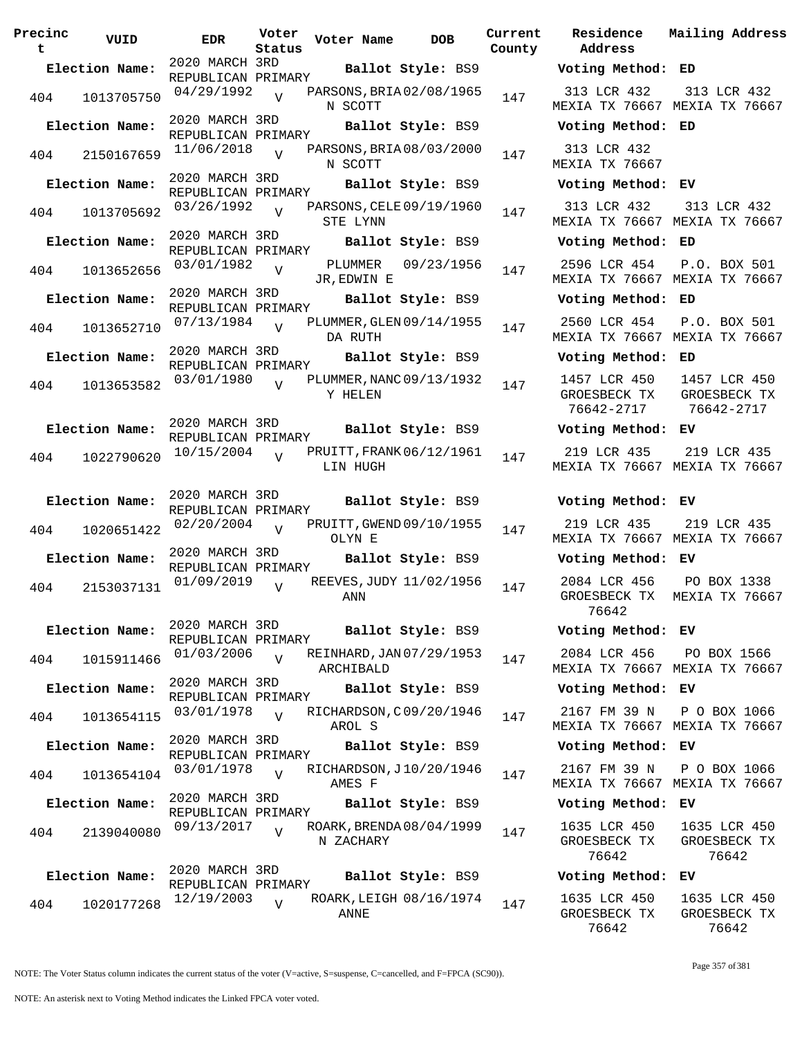| Precinc<br>t | VUID           | <b>EDR</b>                           | Voter<br>Status | Voter Name             | <b>DOB</b>               | Current<br>County |
|--------------|----------------|--------------------------------------|-----------------|------------------------|--------------------------|-------------------|
|              |                | 2020 MARCH 3RD                       |                 |                        |                          |                   |
|              | Election Name: | REPUBLICAN PRIMARY                   |                 |                        | Ballot Style: BS9        |                   |
| 404          | 1013705750     | 04/29/1992                           | V               | N SCOTT                | PARSONS, BRIA 02/08/1965 | 147               |
|              | Election Name: | 2020 MARCH 3RD                       |                 |                        | Ballot Style: BS9        |                   |
|              |                | REPUBLICAN PRIMARY                   |                 |                        |                          |                   |
| 404          | 2150167659     | 11/06/2018                           | $\overline{V}$  | N SCOTT                | PARSONS, BRIA 08/03/2000 | 147               |
|              | Election Name: | 2020 MARCH 3RD                       |                 |                        | Ballot Style: BS9        |                   |
|              |                | REPUBLICAN PRIMARY<br>03/26/1992     |                 |                        | PARSONS, CELE 09/19/1960 |                   |
| 404          | 1013705692     | 2020 MARCH 3RD                       | V               | STE LYNN               |                          | 147               |
|              | Election Name: | REPUBLICAN PRIMARY                   |                 |                        | Ballot Style: BS9        |                   |
| 404          | 1013652656     | 03/01/1982                           | V               | PLUMMER<br>JR, EDWIN E | 09/23/1956               | 147               |
|              | Election Name: | 2020 MARCH 3RD                       |                 |                        |                          |                   |
|              |                | REPUBLICAN PRIMARY                   |                 |                        | Ballot Style: BS9        |                   |
| 404          | 1013652710     | 07/13/1984                           | $\overline{V}$  | DA RUTH                | PLUMMER, GLEN 09/14/1955 | 147               |
|              | Election Name: | 2020 MARCH 3RD                       |                 |                        | Ballot Style: BS9        |                   |
|              |                | REPUBLICAN PRIMARY                   |                 |                        |                          |                   |
| 404          | 1013653582     | 03/01/1980                           | V               | Y HELEN                | PLUMMER, NANC 09/13/1932 | 147               |
|              |                | 2020 MARCH 3RD                       |                 |                        |                          |                   |
|              | Election Name: | REPUBLICAN PRIMARY                   |                 |                        | Ballot Style: BS9        |                   |
| 404          | 1022790620     | 10/15/2004                           | V               | LIN HUGH               | PRUITT, FRANK 06/12/1961 | 147               |
|              |                | 2020 MARCH 3RD                       |                 |                        |                          |                   |
|              | Election Name: | REPUBLICAN PRIMARY                   |                 |                        | Ballot Style: BS9        |                   |
| 404          | 1020651422     | 02/20/2004                           | V               | OLYN E                 | PRUITT, GWEND 09/10/1955 | 147               |
|              | Election Name: | 2020 MARCH 3RD                       |                 |                        |                          |                   |
|              |                | REPUBLICAN PRIMARY                   |                 |                        | Ballot Style: BS9        |                   |
| 404          | 2153037131     | 01/09/2019                           | $\overline{V}$  | ANN                    | REEVES, JUDY 11/02/1956  | 147               |
|              |                | 2020 MARCH 3RD                       |                 |                        |                          |                   |
|              | Election Name: | REPUBLICAN PRIMARY                   |                 |                        | Ballot Style: BS9        |                   |
| 404          | 1015911466     | 01/03/2006                           | $\overline{V}$  | ARCHIBALD              | REINHARD, JAN 07/29/1953 | 147               |
|              | Election Name: | 2020 MARCH 3RD                       |                 |                        | Ballot Style: BS9        |                   |
|              |                | REPUBLICAN PRIMARY                   |                 |                        |                          |                   |
| 404          | 1013654115     | 03/01/1978                           | $\overline{V}$  | AROL S                 | RICHARDSON, C09/20/1946  | 147               |
|              | Election Name: | 2020 MARCH 3RD                       |                 |                        | Ballot Style: BS9        |                   |
|              |                | REPUBLICAN PRIMARY                   |                 |                        |                          |                   |
| 404          | 1013654104     | 03/01/1978                           | $\overline{V}$  | AMES F                 | RICHARDSON, J10/20/1946  | 147               |
|              | Election Name: | 2020 MARCH 3RD<br>REPUBLICAN PRIMARY |                 |                        | Ballot Style: BS9        |                   |
| 404          | 2139040080     | 09/13/2017                           | $\overline{V}$  | N ZACHARY              | ROARK, BRENDA 08/04/1999 | 147               |
|              |                |                                      |                 |                        |                          |                   |
|              | Election Name: | 2020 MARCH 3RD                       |                 |                        | Ballot Style: BS9        |                   |
|              |                | REPUBLICAN PRIMARY                   |                 |                        |                          |                   |
| 404          | 1020177268     | 12/19/2003                           | V               | ANNE                   | ROARK, LEIGH 08/16/1974  | 147               |

**Voter Name DOB Residence Address Current Mailing Address Election Name: Ballot Style:** BS9 **Voting Method: ED** 313 LCR 432 MEXIA TX 76667 MEXIA TX 76667 313 LCR 432 **Election Name: Ballot Style:** BS9 **Voting Method: ED** 313 LCR 432 MEXIA TX 76667 **Election Name: Ballot Style:** BS9 **Voting Method: EV** 313 LCR 432 MEXIA TX 76667 MEXIA TX 76667 313 LCR 432 **Election Name: Ballot Style:** BS9 **Voting Method: ED** 2596 LCR 454 MEXIA TX 76667 MEXIA TX 76667 P.O. BOX 501 **Election Name: Ballot Style:** BS9 **Voting Method: ED** 2560 LCR 454 MEXIA TX 76667 MEXIA TX 76667 P.O. BOX 501 **Election Name: Ballot Style:** BS9 **Voting Method: ED** 1457 LCR 450 GROESBECK TX 76642-2717 1457 LCR 450 GROESBECK TX 76642-2717 **Election Name: Ballot Style:** BS9 **Voting Method: EV** 219 LCR 435 MEXIA TX 76667 MEXIA TX 76667 219 LCR 435 **Election Name: Ballot Style:** BS9 **Voting Method: EV** 219 LCR 435 MEXIA TX 76667 MEXIA TX 76667 219 LCR 435 **Election Name: Ballot Style:** BS9 **Voting Method: EV** 2084 LCR 456 GROESBECK TX MEXIA TX 76667 76642 PO BOX 1338 **Election Name: Ballot Style:** BS9 **Voting Method: EV** 2084 LCR 456 MEXIA TX 76667 MEXIA TX 76667 PO BOX 1566 **Election Name: Ballot Style:** BS9 **Voting Method: EV** 2167 FM 39 N MEXIA TX 76667 MEXIA TX 76667 P O BOX 1066 **Election Name: Ballot Style:** BS9 **Voting Method: EV** 2167 FM 39 N MEXIA TX 76667 MEXIA TX 76667 P O BOX 1066 **Election Name: Ballot Style:** BS9 **Voting Method: EV** 1635 LCR 450 GROESBECK TX 76642 1635 LCR 450 GROESBECK TX 76642 **Election Name: Ballot Style:** BS9 **Voting Method: EV** 1635 LCR 450 GROESBECK TX 76642 1635 LCR 450 GROESBECK TX 76642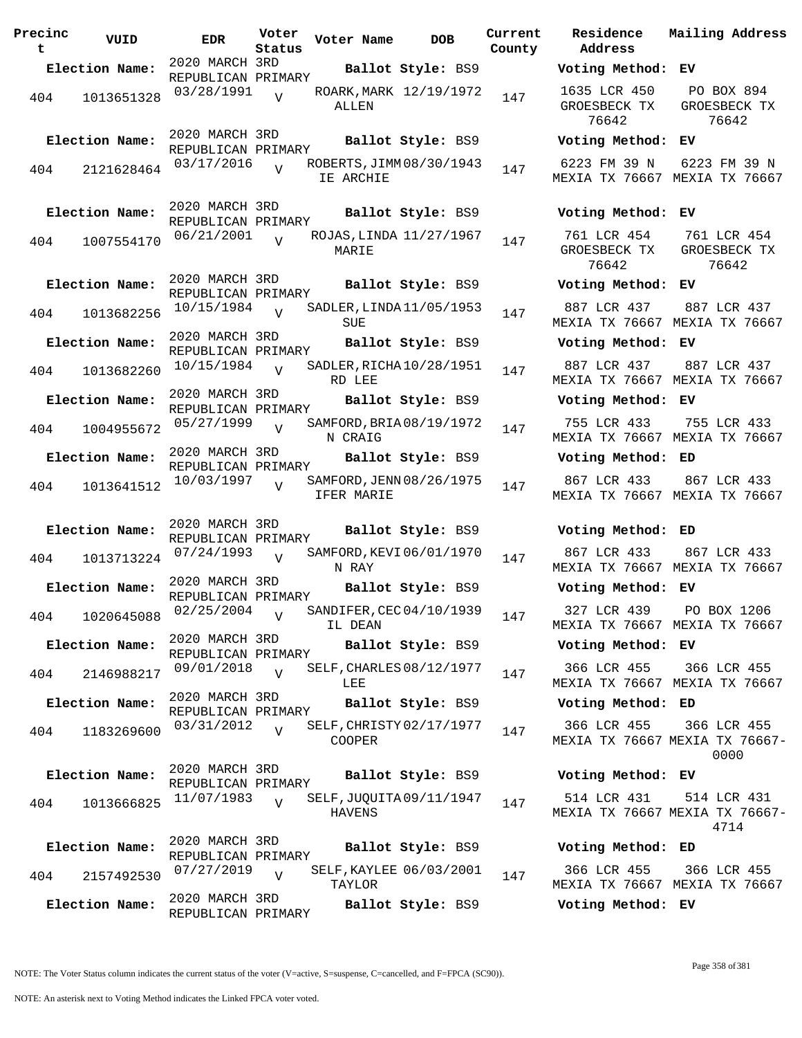| Precinc<br>t | VUID           | <b>EDR</b>                                         | Voter<br>Status | Voter Name    | <b>DOB</b>                                    | Curre<br>Count |
|--------------|----------------|----------------------------------------------------|-----------------|---------------|-----------------------------------------------|----------------|
|              | Election Name: | 2020 MARCH 3RD<br>REPUBLICAN PRIMARY               |                 |               | Ballot Style: BS9                             |                |
| 404          | 1013651328     | 03/28/1991                                         | $\overline{V}$  | ALLEN         | ROARK, MARK 12/19/1972                        | 147            |
|              | Election Name: | 2020 MARCH 3RD<br>REPUBLICAN PRIMARY<br>03/17/2016 |                 |               | Ballot Style: BS9<br>ROBERTS, JIMM 08/30/1943 |                |
| 404          | 2121628464     |                                                    | $\overline{V}$  | IE ARCHIE     |                                               | 147            |
|              | Election Name: | 2020 MARCH 3RD<br>REPUBLICAN PRIMARY               |                 |               | Ballot Style: BS9                             |                |
| 404          | 1007554170     | 06/21/2001                                         | $\overline{U}$  | MARIE         | ROJAS, LINDA 11/27/1967                       | 147            |
|              | Election Name: | 2020 MARCH 3RD<br>REPUBLICAN PRIMARY               |                 |               | Ballot Style: BS9                             |                |
| 404          | 1013682256     | 10/15/1984                                         | $\overline{U}$  | SUE           | SADLER, LINDA 11/05/1953                      | 147            |
|              | Election Name: | 2020 MARCH 3RD<br>REPUBLICAN PRIMARY               |                 |               | Ballot Style: BS9                             |                |
| 404          | 1013682260     | 10/15/1984                                         | $\overline{V}$  | RD LEE        | SADLER, RICHA 10/28/1951                      | 147            |
|              | Election Name: | 2020 MARCH 3RD<br>REPUBLICAN PRIMARY               |                 |               | Ballot Style: BS9                             |                |
| 404          | 1004955672     | 05/27/1999                                         | $\overline{V}$  | N CRAIG       | SAMFORD, BRIA 08/19/1972                      | 147            |
|              | Election Name: | 2020 MARCH 3RD<br>REPUBLICAN PRIMARY               |                 |               | Ballot Style: BS9                             |                |
| 404          | 1013641512     | 10/03/1997                                         | $\overline{U}$  | IFER MARIE    | SAMFORD, JENN 08/26/1975                      | 147            |
|              | Election Name: | 2020 MARCH 3RD<br>REPUBLICAN PRIMARY               |                 |               | Ballot Style: BS9                             |                |
| 404          | 1013713224     | 07/24/1993                                         | $\overline{V}$  | N RAY         | SAMFORD, KEVI 06/01/1970                      | 147            |
|              | Election Name: | 2020 MARCH 3RD<br>REPUBLICAN PRIMARY               |                 |               | Ballot Style: BS9                             |                |
|              | 404 1020645088 | 02/25/2004                                         | $\overline{V}$  | IL DEAN       | SANDIFER, CEC 04/10/1939                      | 147            |
|              | Election Name: | 2020 MARCH 3RD<br>REPUBLICAN PRIMARY               |                 |               | Ballot Style: BS9                             |                |
| 404          | 2146988217     | 09/01/2018                                         | $\overline{V}$  | LEE           | SELF, CHARLES 08/12/1977                      | 147            |
|              | Election Name: | 2020 MARCH 3RD<br>REPUBLICAN PRIMARY               |                 |               | Ballot Style: BS9                             |                |
| 404          | 1183269600     | 03/31/2012                                         | $\overline{U}$  | <b>COOPER</b> | SELF, CHRISTY 02/17/1977                      | 147            |
|              | Election Name: | 2020 MARCH 3RD<br>REPUBLICAN PRIMARY               |                 |               | Ballot Style: BS9                             |                |
| 404          | 1013666825     | 11/07/1983                                         | $\overline{U}$  | <b>HAVENS</b> | SELF, JUQUITA 09/11/1947                      | 147            |
|              | Election Name: | 2020 MARCH 3RD<br>REPUBLICAN PRIMARY               |                 |               | Ballot Style: BS9                             |                |
| 404          | 2157492530     | 07/27/2019                                         | $\overline{V}$  | TAYLOR        | SELF, KAYLEE 06/03/2001                       | 147            |
|              | Election Name: | 2020 MARCH 3RD<br>REPUBLICAN PRIMARY               |                 |               | Ballot Style: BS9                             |                |

**Voter Name DOB Residence Address Current Mailing Address** nty **Election Name: Ballot Style:** BS9 **Voting Method: EV** 1635 LCR 450 GROESBECK TX 76642 PO BOX 894 GROESBECK TX 76642 **Election Name: Ballot Style:** BS9 **Voting Method: EV** 6223 FM 39 N MEXIA TX 76667 MEXIA TX 76667 6223 FM 39 N **Election Name: Ballot Style:** BS9 **Voting Method: EV** 761 LCR 454 GROESBECK TX 76642 761 LCR 454 GROESBECK TX 76642 **Election Name: Ballot Style:** BS9 **Voting Method: EV** 887 LCR 437 MEXIA TX 76667 MEXIA TX 76667 887 LCR 437 **Election Name: Ballot Style:** BS9 **Voting Method: EV** 887 LCR 437 MEXIA TX 76667 MEXIA TX 76667 887 LCR 437 **Election Name: Ballot Style:** BS9 **Voting Method: EV** 755 LCR 433 MEXIA TX 76667 MEXIA TX 76667 755 LCR 433 **Election Name: Ballot Style:** BS9 **Voting Method: ED** 867 LCR 433 MEXIA TX 76667 MEXIA TX 76667 867 LCR 433 **Election Name: Ballot Style:** BS9 **Voting Method: ED** 867 LCR 433 MEXIA TX 76667 MEXIA TX 76667 867 LCR 433 **Election Name: Ballot Style:** BS9 **Voting Method: EV** 327 LCR 439 MEXIA TX 76667 MEXIA TX 76667 PO BOX 1206 **Election Name: Ballot Style:** BS9 **Voting Method: EV** 366 LCR 455 MEXIA TX 76667 MEXIA TX 76667 366 LCR 455 **Election Name: Ballot Style:** BS9 **Voting Method: ED** 366 LCR 455 MEXIA TX 76667 MEXIA TX 76667- 366 LCR 455 0000 **Election Name: Ballot Style:** BS9 **Voting Method: EV** 514 LCR 431 MEXIA TX 76667 MEXIA TX 76667- 514 LCR 431 4714 **Election Name: Ballot Style:** BS9 **Voting Method: ED** 366 LCR 455 MEXIA TX 76667 MEXIA TX 76667 366 LCR 455 **Election Name: Ballot Style:** BS9 **Voting Method: EV**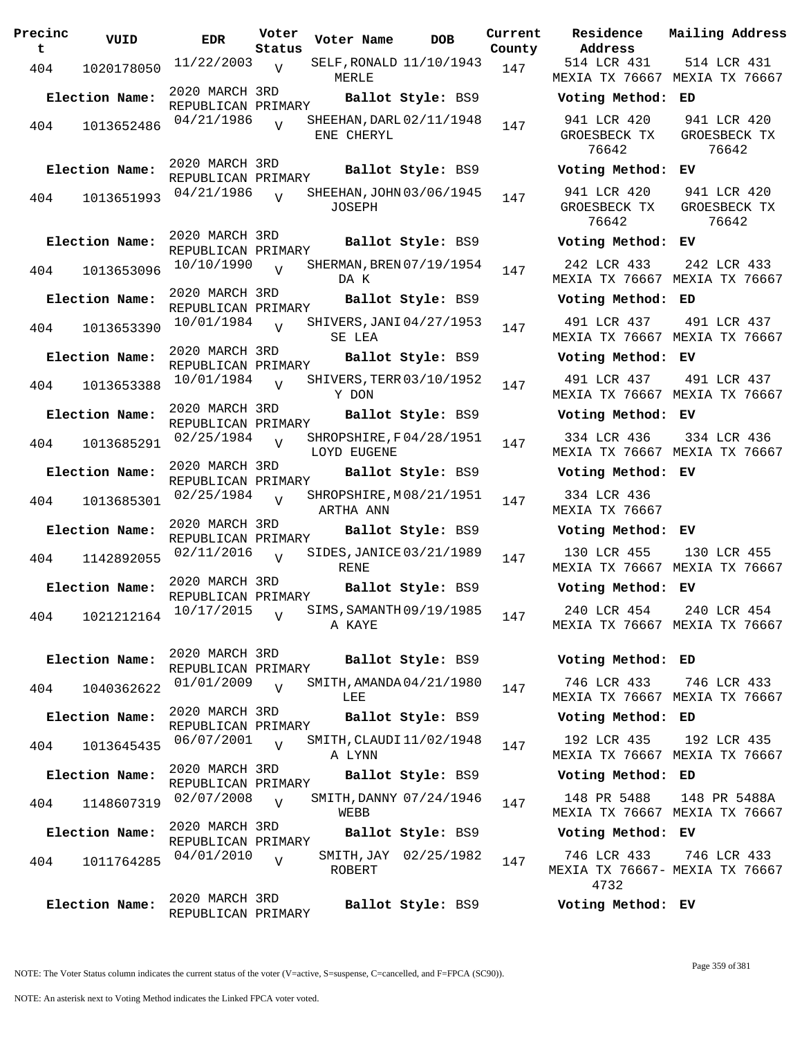| Precinc<br>t | VUID                               | <b>EDR</b>                           | Voter<br>Status | Voter Name                              | DOB               | Curre<br>Count |
|--------------|------------------------------------|--------------------------------------|-----------------|-----------------------------------------|-------------------|----------------|
| 404          | 1020178050                         | $11/22/2003$ V                       |                 | SELF, RONALD 11/10/1943<br>MERLE        |                   | 147            |
|              | Election Name:                     | 2020 MARCH 3RD<br>REPUBLICAN PRIMARY |                 |                                         | Ballot Style: BS9 |                |
| 404          | 1013652486                         | 04/21/1986                           | $\overline{V}$  | SHEEHAN, DARL 02/11/1948<br>ENE CHERYL  |                   | 147            |
|              | Election Name:                     | 2020 MARCH 3RD<br>REPUBLICAN PRIMARY |                 |                                         | Ballot Style: BS9 |                |
| 404          | 1013651993                         | 04/21/1986                           | $\overline{V}$  | SHEEHAN, JOHN 03/06/1945<br>JOSEPH      |                   | 147            |
|              | Election Name:                     | 2020 MARCH 3RD<br>REPUBLICAN PRIMARY |                 |                                         | Ballot Style: BS9 |                |
| 404          | 1013653096                         | 10/10/1990                           | $\overline{U}$  | SHERMAN, BREN 07/19/1954<br>DA K        |                   | 147            |
|              | Election Name:                     | 2020 MARCH 3RD<br>REPUBLICAN PRIMARY |                 |                                         | Ballot Style: BS9 |                |
| 404          | 1013653390                         | 10/01/1984                           | $\overline{V}$  | SHIVERS, JANI 04/27/1953<br>SE LEA      |                   | 147            |
|              | Election Name:                     | 2020 MARCH 3RD<br>REPUBLICAN PRIMARY |                 |                                         | Ballot Style: BS9 |                |
| 404          | 1013653388                         | 10/01/1984                           | $\overline{V}$  | SHIVERS, TERR 03/10/1952<br>Y DON       |                   | 147            |
|              | Election Name:                     | 2020 MARCH 3RD<br>REPUBLICAN PRIMARY |                 |                                         | Ballot Style: BS9 |                |
| 404          | 1013685291                         | 02/25/1984                           | $\overline{V}$  | SHROPSHIRE, F04/28/1951<br>LOYD EUGENE  |                   | 147            |
|              | Election Name:                     | 2020 MARCH 3RD<br>REPUBLICAN PRIMARY |                 |                                         | Ballot Style: BS9 |                |
| 404          | 1013685301                         | 02/25/1984                           | $\overline{V}$  | SHROPSHIRE, M08/21/1951<br>ARTHA ANN    |                   | 147            |
|              | Election Name:                     | 2020 MARCH 3RD<br>REPUBLICAN PRIMARY |                 |                                         | Ballot Style: BS9 |                |
| 404          | 1142892055                         | 02/11/2016                           | $\overline{V}$  | SIDES, JANICE 03/21/1989<br><b>RENE</b> |                   | 147            |
|              | Election Name:                     | 2020 MARCH 3RD<br>REPUBLICAN PRIMARY |                 |                                         | Ballot Style: BS9 |                |
| 404          | 1021212164 10/17/2015 <sub>V</sub> |                                      |                 | SIMS, SAMANTH 09/19/1985<br>A KAYE      |                   | 147            |
|              | Election Name:                     | 2020 MARCH 3RD<br>REPUBLICAN PRIMARY |                 |                                         | Ballot Style: BS9 |                |
| 404          | 1040362622                         | 01/01/2009                           | $\overline{U}$  | SMITH, AMANDA 04/21/1980<br>LEE         |                   | 147            |
|              | Election Name:                     | 2020 MARCH 3RD<br>REPUBLICAN PRIMARY |                 |                                         | Ballot Style: BS9 |                |
| 404          | 1013645435                         | 06/07/2001                           | $\overline{U}$  | SMITH, CLAUDI 11/02/1948<br>A LYNN      |                   | 147            |
|              | Election Name:                     | 2020 MARCH 3RD<br>REPUBLICAN PRIMARY |                 |                                         | Ballot Style: BS9 |                |
| 404          | 1148607319                         | 02/07/2008                           | $\overline{V}$  | SMITH,DANNY 07/24/1946<br>WEBB          |                   | 147            |
|              | Election Name:                     | 2020 MARCH 3RD<br>REPUBLICAN PRIMARY |                 |                                         | Ballot Style: BS9 |                |
| 404          | 1011764285                         | 04/01/2010                           | $\overline{V}$  | SMITH,JAY<br>ROBERT                     | 02/25/1982        | 147            |
|              | Election Name:                     | 2020 MARCH 3RD<br>REPUBLICAN PRIMARY |                 |                                         | Ballot Style: BS9 |                |

**rent Residence Address Current Mailing Address County** 514 LCR 431 MEXIA TX 76667 MEXIA TX 76667 514 LCR 431 **Election Name: Ballot Style:** BS9 **Voting Method: ED** 941 LCR 420 GROESBECK TX 76642 941 LCR 420 GROESBECK TX 76642 **Election Name: Ballot Style:** BS9 **Voting Method: EV** 941 LCR 420 GROESBECK TX 76642 941 LCR 420 GROESBECK TX 76642 **Election Name: Ballot Style:** BS9 **Voting Method: EV** 242 LCR 433 MEXIA TX 76667 MEXIA TX 76667 242 LCR 433 **Election Name: Ballot Style:** BS9 **Voting Method: ED** 491 LCR 437 MEXIA TX 76667 MEXIA TX 76667 491 LCR 437 **Election Name: Ballot Style:** BS9 **Voting Method: EV** 491 LCR 437 MEXIA TX 76667 MEXIA TX 76667 491 LCR 437 **Election Name: Ballot Style:** BS9 **Voting Method: EV** 334 LCR 436 MEXIA TX 76667 MEXIA TX 76667 334 LCR 436 **Election Name: Ballot Style:** BS9 **Voting Method: EV** 334 LCR 436 MEXIA TX 76667 **Election Name: Ballot Style:** BS9 **Voting Method: EV** 130 LCR 455 MEXIA TX 76667 MEXIA TX 76667 130 LCR 455 **Election Name: Ballot Style:** BS9 **Voting Method: EV** 240 LCR 454 MEXIA TX 76667 MEXIA TX 76667 240 LCR 454 **Election Name: Ballot Style:** BS9 **Voting Method: ED** 746 LCR 433 MEXIA TX 76667 MEXIA TX 76667 746 LCR 433 **Election Name: Ballot Style:** BS9 **Voting Method: ED** 192 LCR 435 MEXIA TX 76667 MEXIA TX 76667 192 LCR 435 **Election Name: Ballot Style:** BS9 **Voting Method: ED** 148 PR 5488 MEXIA TX 76667 MEXIA TX 76667 148 PR 5488A **Election Name: Ballot Style:** BS9 **Voting Method: EV** 746 LCR 433 MEXIA TX 76667- MEXIA TX 76667 4732 746 LCR 433

**Election Name: Ballot Style:** BS9 **Voting Method: EV**

NOTE: The Voter Status column indicates the current status of the voter (V=active, S=suspense, C=cancelled, and F=FPCA (SC90)).

Page 359 of 381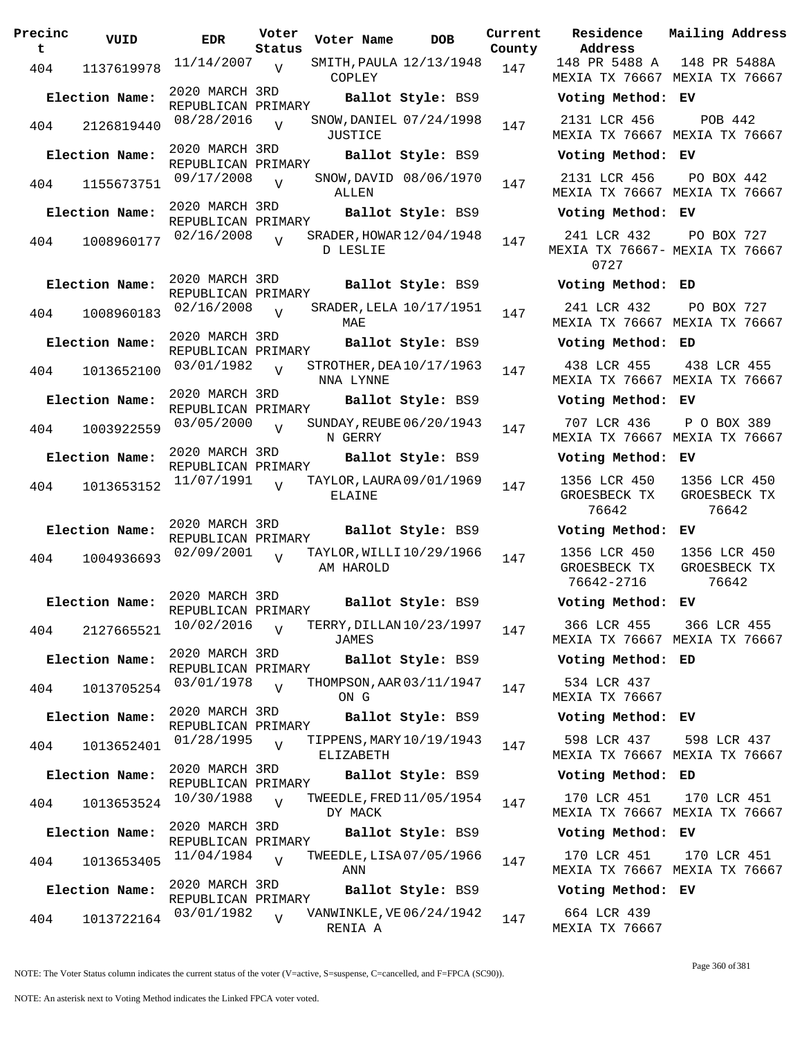| Precinc<br>t   | VUID           | <b>EDR</b>                           | Voter<br>Status | Voter Name                            | <b>DOB</b>              | Curre<br>Count |
|----------------|----------------|--------------------------------------|-----------------|---------------------------------------|-------------------------|----------------|
| 404            | 1137619978     | 11/14/2007                           | V               | COPLEY                                | SMITH, PAULA 12/13/1948 | 147            |
|                | Election Name: | 2020 MARCH 3RD<br>REPUBLICAN PRIMARY |                 |                                       | Ballot Style: BS9       |                |
| 404            | 2126819440     | 08/28/2016                           | $\overline{V}$  | <b>JUSTICE</b>                        | SNOW, DANIEL 07/24/1998 | 147            |
|                | Election Name: | 2020 MARCH 3RD<br>REPUBLICAN PRIMARY |                 |                                       | Ballot Style: BS9       |                |
| 404            | 1155673751     | 09/17/2008                           | $\overline{V}$  | ALLEN                                 | SNOW, DAVID 08/06/1970  | 147            |
|                | Election Name: | 2020 MARCH 3RD<br>REPUBLICAN PRIMARY |                 |                                       | Ballot Style: BS9       |                |
| 404            | 1008960177     | 02/16/2008                           | $\overline{V}$  | SRADER, HOWAR 12/04/1948<br>D LESLIE  |                         | 147            |
|                | Election Name: | 2020 MARCH 3RD<br>REPUBLICAN PRIMARY |                 |                                       | Ballot Style: BS9       |                |
| 404            | 1008960183     | 02/16/2008                           | $\overline{V}$  | MAE                                   | SRADER, LELA 10/17/1951 | 147            |
|                | Election Name: | 2020 MARCH 3RD<br>REPUBLICAN PRIMARY |                 |                                       | Ballot Style: BS9       |                |
| 404            | 1013652100     | 03/01/1982                           | $\overline{V}$  | STROTHER, DEA 10/17/1963<br>NNA LYNNE |                         | 147            |
|                | Election Name: | 2020 MARCH 3RD<br>REPUBLICAN PRIMARY |                 |                                       | Ballot Style: BS9       |                |
| 404            | 1003922559     | 03/05/2000                           | $\overline{V}$  | SUNDAY, REUBE 06/20/1943<br>N GERRY   |                         | 147            |
|                | Election Name: | 2020 MARCH 3RD<br>REPUBLICAN PRIMARY |                 |                                       | Ballot Style: BS9       |                |
| 404            | 1013653152     | 11/07/1991                           | $\overline{V}$  | TAYLOR, LAURA 09/01/1969<br>ELAINE    |                         | 147            |
|                | Election Name: | 2020 MARCH 3RD<br>REPUBLICAN PRIMARY |                 |                                       | Ballot Style: BS9       |                |
| 404            | 1004936693     | 02/09/2001                           | $\overline{V}$  | TAYLOR, WILLI10/29/1966<br>AM HAROLD  |                         | 147            |
|                | Election Name: | 2020 MARCH 3RD<br>REPUBLICAN PRIMARY |                 |                                       | Ballot Style: BS9       |                |
| 404            | 2127665521     | 10/02/2016                           | $\overline{V}$  | TERRY, DILLAN 10/23/1997<br>JAMES     |                         | 147            |
|                | Election Name: | 2020 MARCH 3RD<br>REPUBLICAN PRIMARY |                 |                                       | Ballot Style: BS9       |                |
| 404            | 1013705254     | 03/01/1978                           | $\overline{V}$  | THOMPSON, AAR 03/11/1947<br>ON G      |                         | 147            |
|                | Election Name: | 2020 MARCH 3RD<br>REPUBLICAN PRIMARY |                 |                                       | Ballot Style: BS9       |                |
| 404            | 1013652401     | 01/28/1995                           | $\overline{V}$  | TIPPENS, MARY 10/19/1943<br>ELIZABETH |                         | 147            |
|                | Election Name: | 2020 MARCH 3RD<br>REPUBLICAN PRIMARY |                 |                                       | Ballot Style: BS9       |                |
| 404            | 1013653524     | 10/30/1988                           | $\overline{V}$  | TWEEDLE, FRED 11/05/1954<br>DY MACK   |                         | 147            |
| Election Name: |                | 2020 MARCH 3RD<br>REPUBLICAN PRIMARY |                 |                                       | Ballot Style: BS9       |                |
| 404            | 1013653405     | 11/04/1984                           | $\overline{V}$  | TWEEDLE, LISA 07/05/1966<br>ANN       |                         | 147            |
| Election Name: |                | 2020 MARCH 3RD<br>REPUBLICAN PRIMARY |                 |                                       | Ballot Style: BS9       |                |
| 404            | 1013722164     | 03/01/1982                           | $\overline{V}$  | VANWINKLE, VE 06/24/1942<br>RENTA A   |                         | 147            |

**Voter Name DOB Residence Address Current Mailing Address County** 148 PR 5488 A MEXIA TX 76667 MEXIA TX 76667 148 PR 5488A **Election Name: Ballot Style:** BS9 **Voting Method: EV** 2131 LCR 456 MEXIA TX 76667 MEXIA TX 76667 POB 442 **Election Name: Ballot Style:** BS9 **Voting Method: EV** 2131 LCR 456 MEXIA TX 76667 MEXIA TX 76667 PO BOX 442 **Election Name: Ballot Style:** BS9 **Voting Method: EV** 241 LCR 432 MEXIA TX 76667- MEXIA TX 76667 0727 PO BOX 727 **Election Name: Ballot Style:** BS9 **Voting Method: ED** 241 LCR 432 MEXIA TX 76667 MEXIA TX 76667 PO BOX 727 **Election Name: Ballot Style:** BS9 **Voting Method: ED** 438 LCR 455 MEXIA TX 76667 MEXIA TX 76667 438 LCR 455 **Election Name: Ballot Style:** BS9 **Voting Method: EV** 707 LCR 436 MEXIA TX 76667 MEXIA TX 76667 P O BOX 389 **Election Name: Ballot Style:** BS9 **Voting Method: EV** 1356 LCR 450 GROESBECK TX 76642 1356 LCR 450 GROESBECK TX 76642 **Election Name: Ballot Style:** BS9 **Voting Method: EV** 1356 LCR 450 GROESBECK TX 76642-2716 1356 LCR 450 GROESBECK TX 76642 **Election Name: Ballot Style:** BS9 **Voting Method: EV** 366 LCR 455 MEXIA TX 76667 MEXIA TX 76667 366 LCR 455 **Election Name: Ballot Style:** BS9 **Voting Method: ED** 534 LCR 437 MEXIA TX 76667 **Election Name: Ballot Style:** BS9 **Voting Method: EV** 598 LCR 437 MEXIA TX 76667 MEXIA TX 76667 598 LCR 437 **Election Name: Ballot Style:** BS9 **Voting Method: ED** 170 LCR 451 MEXIA TX 76667 MEXIA TX 76667 170 LCR 451 **Election Name: Ballot Style:** BS9 **Voting Method: EV** 170 LCR 451 MEXIA TX 76667 MEXIA TX 76667 170 LCR 451 **Election Name: Ballot Style:** BS9 **Voting Method: EV**

664 LCR 439 MEXIA TX 76667

NOTE: The Voter Status column indicates the current status of the voter (V=active, S=suspense, C=cancelled, and F=FPCA (SC90)).

Page 360 of 381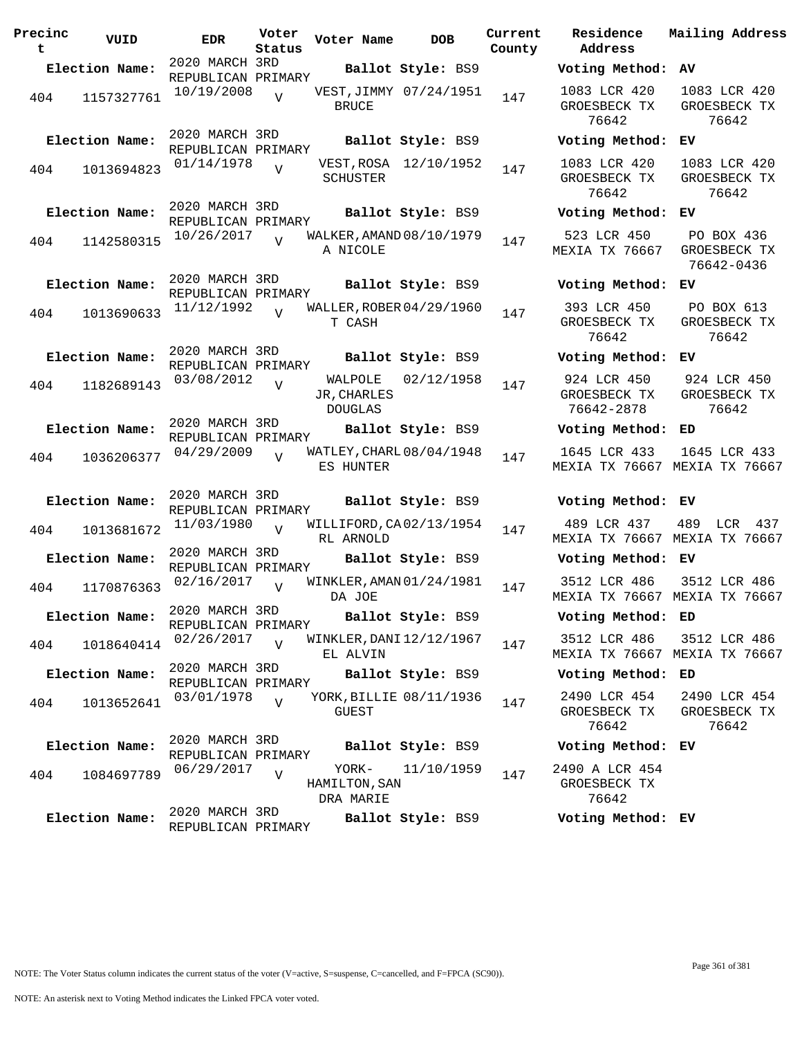| Precinc<br>t | VUID           | <b>EDR</b>                           | Voter<br>Status | Voter Name                               | <b>DOB</b>        | Current<br>County | Residence<br>Address                      | Mai.                 |
|--------------|----------------|--------------------------------------|-----------------|------------------------------------------|-------------------|-------------------|-------------------------------------------|----------------------|
|              | Election Name: | 2020 MARCH 3RD<br>REPUBLICAN PRIMARY |                 |                                          | Ballot Style: BS9 |                   | Voting Method:                            | AV                   |
| 404          | 1157327761     | 10/19/2008                           | $\overline{U}$  | VEST, JIMMY 07/24/1951<br><b>BRUCE</b>   |                   | 147               | 1083 LCR 420<br>GROESBECK TX<br>76642     | 10<br>GR             |
|              | Election Name: | 2020 MARCH 3RD<br>REPUBLICAN PRIMARY |                 |                                          | Ballot Style: BS9 |                   | Voting Method:                            | ЕV                   |
| 404          | 1013694823     | 01/14/1978                           | $\overline{V}$  | VEST, ROSA 12/10/1952<br>SCHUSTER        |                   | 147               | 1083 LCR 420<br>GROESBECK TX<br>76642     | 10<br>GR             |
|              | Election Name: | 2020 MARCH 3RD<br>REPUBLICAN PRIMARY |                 |                                          | Ballot Style: BS9 |                   | Voting Method: EV                         |                      |
| 404          | 1142580315     | 10/26/2017                           | $\overline{V}$  | WALKER, AMAND 08/10/1979<br>A NICOLE     |                   | 147               | 523 LCR 450<br>MEXIA TX 76667             | F<br>GR<br>7         |
|              | Election Name: | 2020 MARCH 3RD<br>REPUBLICAN PRIMARY |                 |                                          | Ballot Style: BS9 |                   | Voting Method:                            | ЕV                   |
| 404          | 1013690633     | 11/12/1992                           | $\overline{U}$  | WALLER, ROBER 04/29/1960<br>T CASH       |                   | 147               | 393 LCR 450<br>GROESBECK TX<br>76642      | F<br>GR              |
|              | Election Name: | 2020 MARCH 3RD<br>REPUBLICAN PRIMARY |                 |                                          | Ballot Style: BS9 |                   | Voting Method: EV                         |                      |
| 404          | 1182689143     | 03/08/2012                           | $\overline{V}$  | WALPOLE<br>JR, CHARLES<br><b>DOUGLAS</b> | 02/12/1958        | 147               | 924 LCR 450<br>GROESBECK TX<br>76642-2878 | 9 <sup>°</sup><br>GR |
|              | Election Name: | 2020 MARCH 3RD<br>REPUBLICAN PRIMARY |                 |                                          | Ballot Style: BS9 |                   | Voting Method: ED                         |                      |
| 404          | 1036206377     | 04/29/2009                           |                 | WATLEY, CHARL 08/04/1948<br>ES HUNTER    |                   | 147               | 1645 LCR 433<br>MEXIA TX 76667 MEX        | 16                   |
|              | Election Name: | 2020 MARCH 3RD<br>REPUBLICAN PRIMARY |                 |                                          | Ballot Style: BS9 |                   | Voting Method: EV                         |                      |
| 404          | 1013681672     | 11/03/1980                           | $\overline{U}$  | WILLIFORD, CA02/13/1954<br>RL ARNOLD     |                   | 147               | 489 LCR 437<br>MEXIA TX 76667 MEX         | 48                   |
|              | Election Name: | 2020 MARCH 3RD<br>REPUBLICAN PRIMARY |                 |                                          | Ballot Style: BS9 |                   | Voting Method: EV                         |                      |
| 404          | 1170876363     | 02/16/2017                           | $\overline{V}$  | WINKLER, AMAN 01/24/1981<br>DA JOE       |                   | 147               | 3512 LCR 486<br>MEXIA TX 76667 MEX        | 35                   |
|              | Election Name: | 2020 MARCH 3RD<br>REPUBLICAN PRIMARY |                 | Ballot Style: BS9                        |                   |                   | Voting Method: ED                         |                      |
| 404          | 1018640414     | 02/26/2017                           | $\overline{U}$  | WINKLER, DANI 12/12/1967<br>EL ALVIN     |                   | 147               | 3512 LCR 486<br>MEXIA TX 76667 MEX        | 35                   |
|              | Election Name: | 2020 MARCH 3RD<br>REPUBLICAN PRIMARY |                 |                                          | Ballot Style: BS9 |                   | Voting Method: ED                         |                      |
| 404          | 1013652641     | 03/01/1978                           | $\overline{U}$  | YORK, BILLIE 08/11/1936<br>GUEST         |                   | 147               | 2490 LCR 454<br>GROESBECK TX<br>76642     | 24<br>GR             |
|              | Election Name: | 2020 MARCH 3RD<br>REPUBLICAN PRIMARY |                 |                                          | Ballot Style: BS9 |                   | Voting Method: EV                         |                      |
| 404          | 1084697789     | 06/29/2017                           | $\overline{V}$  | YORK-<br>HAMILTON, SAN<br>DRA MARIE      | 11/10/1959        | 147               | 2490 A LCR 454<br>GROESBECK TX<br>76642   |                      |
|              | Election Name: | 2020 MARCH 3RD<br>REPUBLICAN PRIMARY |                 |                                          | Ballot Style: BS9 |                   | Voting Method: EV                         |                      |

| County | Current Residence Mailing Address<br>Address          |                                                               |
|--------|-------------------------------------------------------|---------------------------------------------------------------|
|        | Voting Method: AV                                     |                                                               |
| 147    | 1083 LCR 420<br>76642                                 | 1083 LCR 420<br>GROESBECK TX GROESBECK TX<br>76642            |
|        | Voting Method: EV                                     |                                                               |
| 147    | 1083 LCR 420<br>76642                                 | 1083 LCR 420<br>GROESBECK TX GROESBECK TX<br>76642            |
|        | Voting Method: EV                                     |                                                               |
| 147    | 523 LCR 450 PO BOX 436<br>MEXIA TX 76667 GROESBECK TX | 76642-0436                                                    |
|        | Voting Method: EV                                     |                                                               |
| 147    | 393 LCR 450<br>GROESBECK TX GROESBECK TX<br>76642     | PO BOX 613<br>76642                                           |
|        | Voting Method: EV                                     |                                                               |
| 147    | 76642-2878                                            | 924 LCR 450 924 LCR 450<br>GROESBECK TX GROESBECK TX<br>76642 |
|        | Voting Method: ED                                     |                                                               |
| 147    | MEXIA TX 76667 MEXIA TX 76667                         | 1645 LCR 433 1645 LCR 433                                     |
|        | Voting Method: EV                                     |                                                               |
| 147    | MEXIA TX 76667 MEXIA TX 76667                         | 489 LCR 437 489 LCR 437                                       |
|        | Voting Method: EV                                     |                                                               |
| 147    | MEXIA TX 76667 MEXIA TX 76667                         | 3512 LCR 486 3512 LCR 486                                     |
|        | Voting Method: ED                                     |                                                               |
| 147    | 3512 LCR 486<br>MEXIA TX 76667 MEXIA TX 76667         | 3512 LCR 486                                                  |
|        | Voting Method: ED                                     |                                                               |
| 147    | 2490 LCR 454<br>GROESBECK TX<br>76642                 | 2490 LCR 454<br>GROESBECK TX<br>76642                         |
|        | Voting Method: EV                                     |                                                               |
| 147    | 2490 A LCR 454<br>GROESBECK TX<br>76642               |                                                               |
|        | Voting Method: EV                                     |                                                               |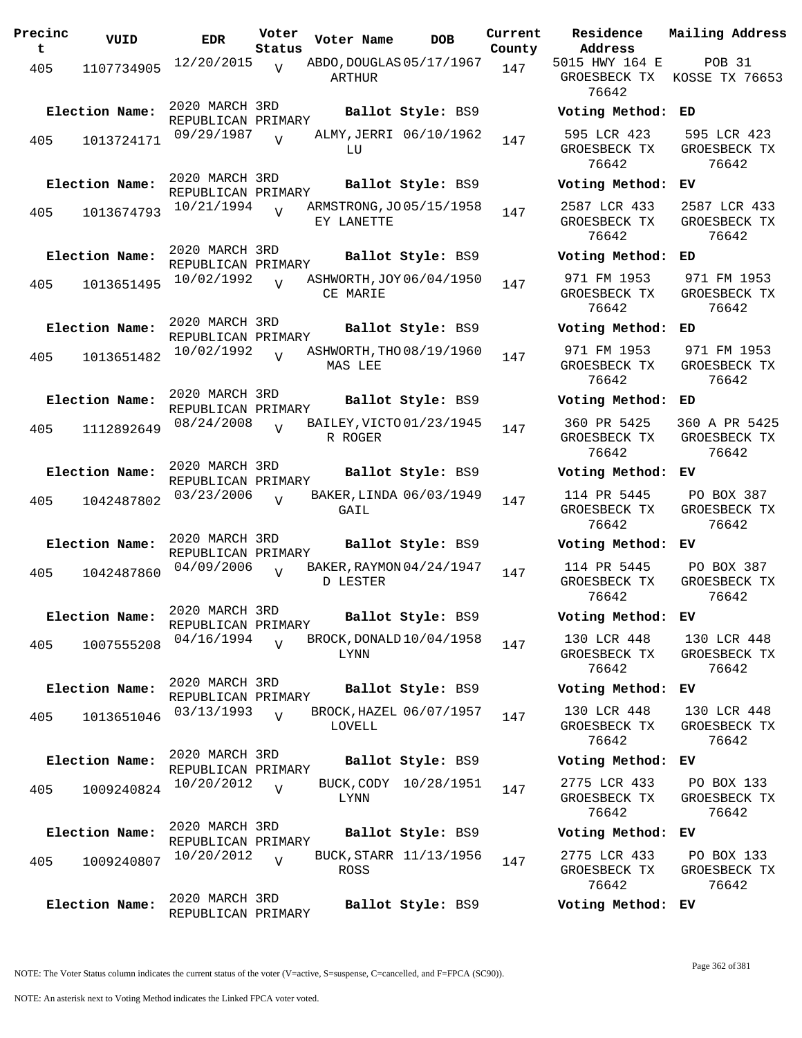| Precinc<br>t. | VUID           | <b>EDR</b>                                         | Voter<br>Status | Voter Name                             | DOB                                         | Current<br>County |
|---------------|----------------|----------------------------------------------------|-----------------|----------------------------------------|---------------------------------------------|-------------------|
| 405           | 1107734905     | 12/20/2015                                         | $\overline{U}$  | ABDO, DOUGLAS 05/17/1967<br>ARTHUR     |                                             | 147               |
|               | Election Name: | 2020 MARCH 3RD<br>REPUBLICAN PRIMARY<br>09/29/1987 |                 |                                        | Ballot Style: BS9<br>ALMY, JERRI 06/10/1962 |                   |
| 405           | 1013724171     |                                                    | $\overline{U}$  | LU                                     |                                             | 147               |
|               | Election Name: | 2020 MARCH 3RD<br>REPUBLICAN PRIMARY               |                 |                                        | Ballot Style: BS9                           |                   |
| 405           | 1013674793     | 10/21/1994                                         |                 | ARMSTRONG, JO 05/15/1958<br>EY LANETTE |                                             | 147               |
|               | Election Name: | 2020 MARCH 3RD<br>REPUBLICAN PRIMARY               |                 |                                        | Ballot Style: BS9                           |                   |
| 405           | 1013651495     | 10/02/1992                                         | $\overline{U}$  | ASHWORTH, JOY 06/04/1950<br>CE MARIE   |                                             | 147               |
|               | Election Name: | 2020 MARCH 3RD<br>REPUBLICAN PRIMARY               |                 |                                        | Ballot Style: BS9                           |                   |
| 405           | 1013651482     | 10/02/1992                                         | $\overline{U}$  | ASHWORTH, THO 08/19/1960<br>MAS LEE    |                                             | 147               |
|               | Election Name: | 2020 MARCH 3RD<br>REPUBLICAN PRIMARY               |                 |                                        | Ballot Style: BS9                           |                   |
| 405           | 1112892649     | 08/24/2008                                         | V               | BAILEY, VICTO 01/23/1945<br>R ROGER    |                                             | 147               |
|               | Election Name: | 2020 MARCH 3RD<br>REPUBLICAN PRIMARY               |                 |                                        | Ballot Style: BS9                           |                   |
| 405           | 1042487802     | 03/23/2006                                         | $\overline{I}$  | GAIL                                   | BAKER, LINDA 06/03/1949                     | 147               |
|               | Election Name: | 2020 MARCH 3RD<br>REPUBLICAN PRIMARY               |                 |                                        | Ballot Style: BS9                           |                   |
| 405           | 1042487860     | 04/09/2006                                         | V               | BAKER, RAYMON 04/24/1947<br>D LESTER   |                                             | 147               |
|               | Election Name: | 2020 MARCH 3RD<br>REPUBLICAN PRIMARY               |                 |                                        | Ballot Style: BS9                           |                   |
| 405           | 1007555208     | 04/16/1994                                         |                 | LYNN                                   | BROCK, DONALD 10/04/1958                    | 147               |
|               | Election Name: | 2020 MARCH 3RD<br>REPUBLICAN PRIMARY               |                 |                                        | Ballot Style: BS9                           |                   |
| 405           | 1013651046     | 03/13/1993                                         | $\overline{U}$  | LOVELL                                 | BROCK, HAZEL 06/07/1957                     | 147               |
|               | Election Name: | 2020 MARCH 3RD<br>REPUBLICAN PRIMARY               |                 |                                        | Ballot Style: BS9                           |                   |
| 405           | 1009240824     | 10/20/2012                                         | $\overline{V}$  | BUCK, CODY<br>LYNN                     | 10/28/1951                                  | 147               |
|               | Election Name: | 2020 MARCH 3RD                                     |                 |                                        | Ballot Style: BS9                           |                   |
| 405           | 1009240807     | REPUBLICAN PRIMARY<br>10/20/2012                   | $\overline{V}$  | ROSS                                   | BUCK, STARR 11/13/1956                      | 147               |
|               | Election Name: | 2020 MARCH 3RD<br>REPUBLICAN PRIMARY               |                 |                                        | Ballot Style: BS9                           |                   |

**Voter Name DOB Residence Address Current Mailing Address** 5015 HWY 164 E GROESBECK TX KOSSE TX 76653 76642 POB 31 **Election Name: Ballot Style:** BS9 **Voting Method: ED** 595 LCR 423 GROESBECK TX 76642 595 LCR 423 GROESBECK TX 76642 **Election Name: Ballot Style:** BS9 **Voting Method: EV** 2587 LCR 433 GROESBECK TX 76642 2587 LCR 433 GROESBECK TX 76642 **Election Name: Ballot Style:** BS9 **Voting Method: ED** 971 FM 1953 GROESBECK TX 76642 971 FM 1953 GROESBECK TX 76642 **Election Name: Ballot Style:** BS9 **Voting Method: ED** 971 FM 1953 GROESBECK TX 76642 971 FM 1953 GROESBECK TX 76642 **Election Name: Ballot Style:** BS9 **Voting Method: ED** 360 PR 5425 GROESBECK TX 76642 360 A PR 5425 GROESBECK TX 76642 **Election Name: Ballot Style:** BS9 **Voting Method: EV** 114 PR 5445 GROESBECK TX 76642 PO BOX 387 GROESBECK TX 76642 **Election Name: Ballot Style:** BS9 **Voting Method: EV** 114 PR 5445 GROESBECK TX 76642 PO BOX 387 GROESBECK TX 76642 **Election Name: Ballot Style:** BS9 **Voting Method: EV** 130 LCR 448 GROESBECK TX 76642 130 LCR 448 GROESBECK TX 76642 **Election Name: Ballot Style:** BS9 **Voting Method: EV** 130 LCR 448 GROESBECK TX 76642 130 LCR 448 GROESBECK TX 76642 **Election Name: Ballot Style:** BS9 **Voting Method: EV** 2775 LCR 433 GROESBECK TX 76642 PO BOX 133 GROESBECK TX 76642 **Election Name: Ballot Style:** BS9 **Voting Method: EV** 2775 LCR 433 PO BOX 133

GROESBECK TX 76642 GROESBECK TX

**Election Name: Ballot Style:** BS9 **Voting Method: EV**

NOTE: The Voter Status column indicates the current status of the voter (V=active, S=suspense, C=cancelled, and F=FPCA (SC90)).

76642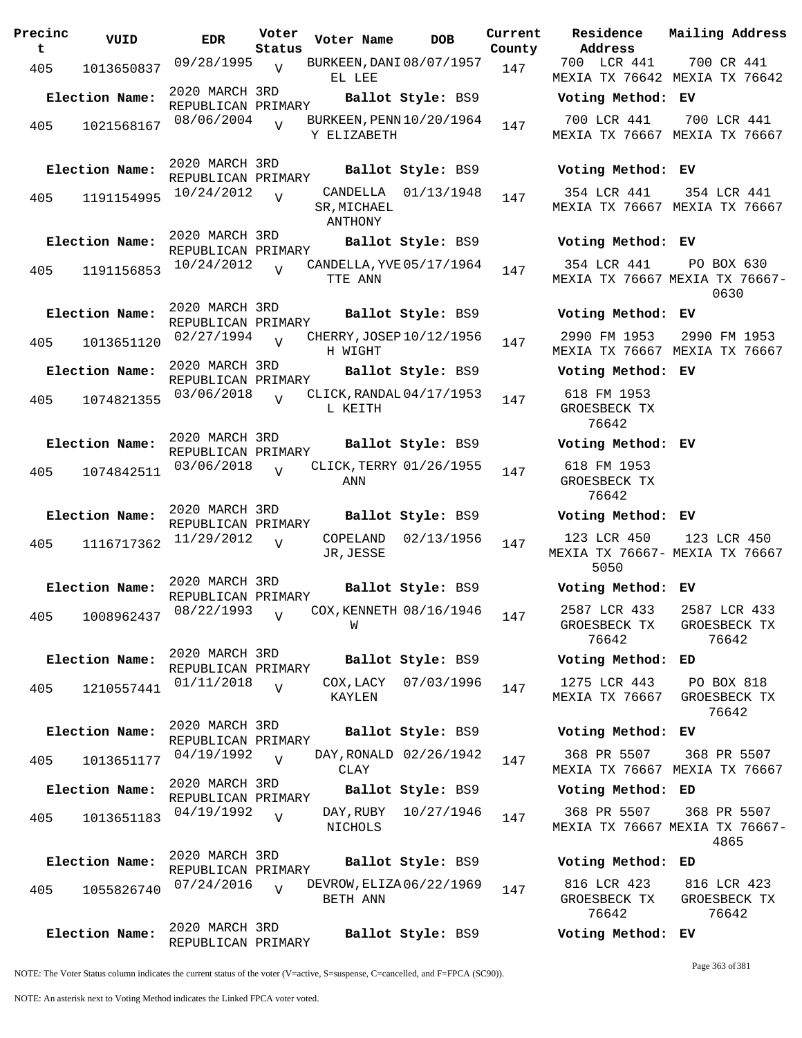| Precinc<br>t. | VUID                        | <b>EDR</b>                           | Voter<br>Status | Voter Name                              | <b>DOB</b>             | Current<br>County | Residence<br>Address                       | Mai:                 |
|---------------|-----------------------------|--------------------------------------|-----------------|-----------------------------------------|------------------------|-------------------|--------------------------------------------|----------------------|
| 405           | 1013650837                  | 09/28/1995 <sub>V</sub>              |                 | BURKEEN, DANI 08/07/1957<br>EL LEE      |                        | 147               | 700 LCR 441<br>MEXIA TX 76642 MEX          | $\overline{7}$       |
|               | Election Name:              | 2020 MARCH 3RD<br>REPUBLICAN PRIMARY |                 |                                         | Ballot Style: BS9      |                   | Voting Method: EV                          |                      |
| 405           | 1021568167                  | 08/06/2004                           |                 | BURKEEN, PENN 10/20/1964<br>Y ELIZABETH |                        | 147               | 700 LCR 441<br>MEXIA TX 76667 MEX          | 7(                   |
|               | Election Name:              | 2020 MARCH 3RD<br>REPUBLICAN PRIMARY |                 |                                         | Ballot Style: BS9      |                   | Voting Method: EV                          |                      |
| 405           | 1191154995                  | 10/24/2012                           | $\overline{U}$  | SR, MICHAEL<br>ANTHONY                  | CANDELLA 01/13/1948    | 147               | 354 LCR 441 3!<br>MEXIA TX 76667 MEX       |                      |
|               | Election Name:              | 2020 MARCH 3RD<br>REPUBLICAN PRIMARY |                 |                                         | Ballot Style: BS9      |                   | Voting Method: EV                          |                      |
| 405           | 1191156853                  | 10/24/2012                           | $\overline{17}$ | CANDELLA, YVE 05/17/1964<br>TTE ANN     |                        | 147               | 354 LCR 441<br>MEXIA TX 76667 MEX          | $\mathbb P$          |
|               | Election Name:              | 2020 MARCH 3RD<br>REPUBLICAN PRIMARY |                 |                                         | Ballot Style: BS9      |                   | Voting Method: EV                          |                      |
| 405           | 1013651120                  | 02/27/1994                           | $\overline{v}$  | CHERRY, JOSEP 10/12/1956<br>H WIGHT     |                        | 147               | 2990 FM 1953<br>MEXIA TX 76667 MEX         | 29                   |
|               | Election Name:              | 2020 MARCH 3RD<br>REPUBLICAN PRIMARY |                 |                                         | Ballot Style: BS9      |                   | Voting Method: EV                          |                      |
| 405           | 1074821355                  | 03/06/2018                           | $\overline{U}$  | CLICK, RANDAL 04/17/1953<br>L KEITH     |                        | 147               | 618 FM 1953<br>GROESBECK TX<br>76642       |                      |
|               | Election Name:              | 2020 MARCH 3RD<br>REPUBLICAN PRIMARY |                 |                                         | Ballot Style: BS9      |                   | Voting Method: EV                          |                      |
| 405           | 1074842511                  | 03/06/2018                           |                 | CLICK, TERRY 01/26/1955<br>ANN          |                        | 147               | 618 FM 1953<br>GROESBECK TX<br>76642       |                      |
|               | Election Name:              | 2020 MARCH 3RD<br>REPUBLICAN PRIMARY |                 |                                         | Ballot Style: BS9      |                   | Voting Method: EV                          |                      |
| 405           | 1116717362                  | 11/29/2012                           | $\overline{U}$  | JR, JESSE                               | COPELAND 02/13/1956    | 147               | 123 LCR 450<br>MEXIA TX 76667- MEX<br>5050 | $\overline{1}$ :     |
|               | Election Name:              | 2020 MARCH 3RD<br>REPUBLICAN PRIMARY |                 |                                         | Ballot Style: BS9      |                   | Voting Method: EV                          |                      |
|               | 405 1008962437 08/22/1993 v |                                      |                 | COX, KENNETH 08/16/1946<br>W            |                        | 147               | 2587 LCR 433<br>GROESBECK TX<br>76642      | 25<br>GR             |
|               | Election Name:              | 2020 MARCH 3RD                       |                 |                                         | Ballot Style: BS9      |                   | Voting Method: ED                          |                      |
| 405           | 1210557441                  | REPUBLICAN PRIMARY<br>01/11/2018     | $\overline{V}$  | KAYLEN                                  | COX, LACY 07/03/1996   | 147               | 1275 LCR 443<br>MEXIA TX 76667             | $\mathbf P$<br>GR    |
|               | Election Name:              | 2020 MARCH 3RD<br>REPUBLICAN PRIMARY |                 |                                         | Ballot Style: BS9      |                   | Voting Method: EV                          |                      |
| 405           | 1013651177                  | 04/19/1992                           | $\overline{V}$  | <b>CLAY</b>                             | DAY, RONALD 02/26/1942 | 147               | 368 PR 5507<br>MEXIA TX 76667 MEX          | 3(                   |
|               | Election Name:              | 2020 MARCH 3RD<br>REPUBLICAN PRIMARY |                 |                                         | Ballot Style: BS9      |                   | Voting Method: ED                          |                      |
| 405           | 1013651183                  | 04/19/1992                           | $\overline{V}$  | NICHOLS                                 | DAY, RUBY 10/27/1946   | 147               | 368 PR 5507<br>MEXIA TX 76667 MEXI         | 3(                   |
|               | Election Name:              | 2020 MARCH 3RD<br>REPUBLICAN PRIMARY |                 |                                         | Ballot Style: BS9      |                   | Voting Method: ED                          |                      |
| 405           | 1055826740                  | 07/24/2016                           | $\overline{U}$  | DEVROW, ELIZA 06/22/1969<br>BETH ANN    |                        | 147               | 816 LCR 423<br>GROESBECK TX<br>76642       | 8 <sup>2</sup><br>GR |
|               | Election Name:              | 2020 MARCH 3RD<br>REPUBLICAN PRIMARY |                 |                                         | Ballot Style: BS9      |                   | Voting Method: EV                          |                      |

**Voter Name DOB Residence Address Current Mailing Address** 700 LCR 441 MEXIA TX 76642 MEXIA TX 76642 700 CR 441 **Election Name: Ballot Style:** BS9 **Voting Method: EV** 700 LCR 441 MEXIA TX 76667 MEXIA TX 76667 700 LCR 441 **Election Name: Ballot Style:** BS9 **Voting Method: EV** 354 LCR 441 MEXIA TX 76667 MEXIA TX 76667 354 LCR 441 **Election Name: Ballot Style:** BS9 **Voting Method: EV** 354 LCR 441 MEXIA TX 76667 MEXIA TX 76667- PO BOX 630 0630 **Election Name: Ballot Style:** BS9 **Voting Method: EV** 2990 FM 1953 MEXIA TX 76667 MEXIA TX 76667 2990 FM 1953 **Election Name: Ballot Style:** BS9 **Voting Method: EV** 618 FM 1953 GROESBECK TX 76642 **Election Name: Ballot Style:** BS9 **Voting Method: EV** 618 FM 1953 GROESBECK TX 76642 **Election Name: Ballot Style:** BS9 **Voting Method: EV** 123 LCR 450 MEXIA TX 76667- MEXIA TX 76667 5050 123 LCR 450 **Election Name: Ballot Style:** BS9 **Voting Method: EV** 2587 LCR 433 GROESBECK TX 76642 2587 LCR 433 GROESBECK TX 76642 **Election Name: Ballot Style:** BS9 **Voting Method: ED** 1275 LCR 443 MEXIA TX 76667 GROESBECK TX PO BOX 818 76642 **Election Name: Ballot Style:** BS9 **Voting Method: EV** 368 PR 5507 MEXIA TX 76667 MEXIA TX 76667 368 PR 5507 **Election Name: Ballot Style:** BS9 **Voting Method: ED** 368 PR 5507 MEXIA TX 76667 MEXIA TX 76667- 368 PR 5507 4865

| 816 LCR 423  | 816 LCR 423  |
|--------------|--------------|
| GROESBECK TX | GROESBECK TX |
| 76642        | 76642        |
|              |              |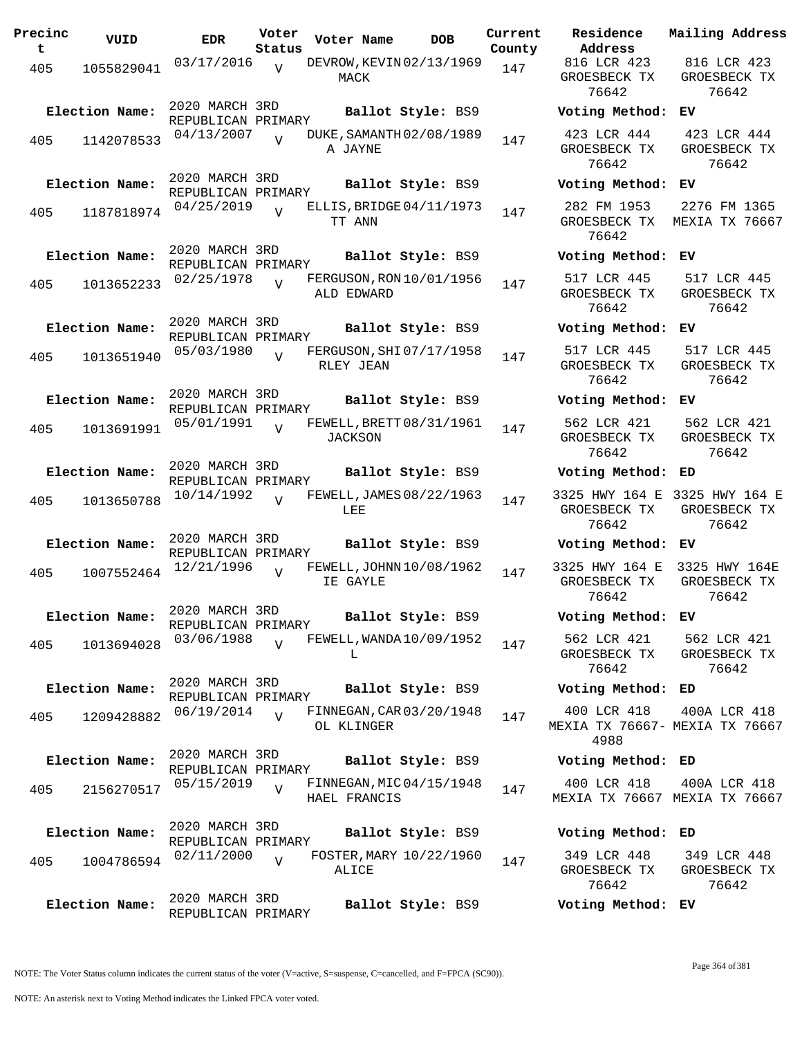| Precinc<br>t. | VUID           | <b>EDR</b>                           | Voter<br>Status | Voter Name     | <b>DOB</b>               | Current<br>County | Residence<br>Address                       |
|---------------|----------------|--------------------------------------|-----------------|----------------|--------------------------|-------------------|--------------------------------------------|
| 405           | 1055829041     | 03/17/2016                           | V               | MACK           | DEVROW, KEVIN 02/13/1969 | 147               | 816 LCR 421<br>GROESBECK T<br>76642        |
|               | Election Name: | 2020 MARCH 3RD<br>REPUBLICAN PRIMARY |                 |                | Ballot Style: BS9        |                   | Voting Meth                                |
| 405           | 1142078533     | 04/13/2007                           |                 | A JAYNE        | DUKE, SAMANTH 02/08/1989 | 147               | 423 LCR 44<br>GROESBECK T<br>76642         |
|               | Election Name: | 2020 MARCH 3RD<br>REPUBLICAN PRIMARY |                 |                | Ballot Style: BS9        |                   | Voting Meth                                |
| 405           | 1187818974     | 04/25/2019                           | $\overline{U}$  | TT ANN         | ELLIS, BRIDGE 04/11/1973 | 147               | 282 FM 1953<br>GROESBECK T<br>76642        |
|               | Election Name: | 2020 MARCH 3RD<br>REPUBLICAN PRIMARY |                 |                | Ballot Style: BS9        |                   | Voting Meth                                |
| 405           | 1013652233     | 02/25/1978                           | $\overline{V}$  | ALD EDWARD     | FERGUSON, RON 10/01/1956 | 147               | 517 LCR 44!<br>GROESBECK T<br>76642        |
|               | Election Name: | 2020 MARCH 3RD<br>REPUBLICAN PRIMARY |                 |                | Ballot Style: BS9        |                   | Voting Meth                                |
| 405           | 1013651940     | 05/03/1980                           | $\overline{V}$  | RLEY JEAN      | FERGUSON, SHI 07/17/1958 | 147               | 517 LCR 44!<br>GROESBECK T<br>76642        |
|               | Election Name: | 2020 MARCH 3RD<br>REPUBLICAN PRIMARY |                 |                | Ballot Style: BS9        |                   | Voting Meth                                |
| 405           | 1013691991     | 05/01/1991                           | $\overline{V}$  | <b>JACKSON</b> | FEWELL, BRETT 08/31/1961 | 147               | 562 LCR 421<br>GROESBECK T<br>76642        |
|               | Election Name: | 2020 MARCH 3RD<br>REPUBLICAN PRIMARY |                 |                | Ballot Style: BS9        |                   | Voting Meth                                |
| 405           | 1013650788     | 10/14/1992                           | $\overline{U}$  | LEE            | FEWELL, JAMES 08/22/1963 | 147               | 3325 HWY 164<br>GROESBECK T<br>76642       |
|               | Election Name: | 2020 MARCH 3RD<br>REPUBLICAN PRIMARY |                 |                | Ballot Style: BS9        |                   | Voting Meth                                |
| 405           | 1007552464     | 12/21/1996                           | $\overline{V}$  | IE GAYLE       | FEWELL, JOHNN 10/08/1962 | 147               | 3325 HWY 164<br>GROESBECK T<br>76642       |
|               | Election Name: | 2020 MARCH 3RD<br>REPUBLICAN PRIMARY |                 |                | Ballot Style: BS9        |                   | Voting Meth                                |
| 405           | 1013694028     | 03/06/1988                           | $\overline{U}$  | L              | FEWELL, WANDA 10/09/1952 | 147               | 562 LCR 421<br>GROESBECK T<br>76642        |
|               | Election Name: | 2020 MARCH 3RD<br>REPUBLICAN PRIMARY |                 |                | Ballot Style: BS9        |                   | Voting Meth                                |
| 405           | 1209428882     | 06/19/2014                           | $\overline{V}$  | OL KLINGER     | FINNEGAN, CAR 03/20/1948 | 147               | 400 LCR 41<br><b>MEXIA TX 7660</b><br>4988 |
|               | Election Name: | 2020 MARCH 3RD<br>REPUBLICAN PRIMARY |                 |                | Ballot Style: BS9        |                   | Voting Meth                                |
| 405           | 2156270517     | 05/15/2019                           | $\overline{V}$  | HAEL FRANCIS   | FINNEGAN, MIC 04/15/1948 | 147               | 400 LCR 418<br>MEXIA TX 766                |
|               | Election Name: | 2020 MARCH 3RD                       |                 |                | Ballot Style: BS9        |                   | Voting Meth                                |
| 405           | 1004786594     | REPUBLICAN PRIMARY<br>02/11/2000     | $\overline{V}$  | ALICE          | FOSTER, MARY 10/22/1960  | 147               | 349 LCR 448<br>GROESBECK T<br>76642        |
|               | Election Name: | 2020 MARCH 3RD<br>REPUBLICAN PRIMARY |                 |                | Ballot Style: BS9        |                   | Voting Meth                                |

816 LCR 423 GROESBECK TX 76642 816 LCR 423 GROESBECK TX 76642 **Election Name: Ballot Style:** BS9 **Voting Method: EV** 423 LCR 444 GROESBECK TX 76642 423 LCR 444 GROESBECK TX 76642 **Election Name: Ballot Style:** BS9 **Voting Method: EV** 282 FM 1953 GROESBECK TX 76642 2276 FM 1365 MEXIA TX 76667 **Election Name: Ballot Style:** BS9 **Voting Method: EV** 517 LCR 445 GROESBECK TX 76642 517 LCR 445 GROESBECK TX 76642 **Election Name: Ballot Style:** BS9 **Voting Method: EV** 517 LCR 445 GROESBECK TX 76642 517 LCR 445 GROESBECK TX 76642 **Election Name: Ballot Style:** BS9 **Voting Method: EV** 562 LCR 421 GROESBECK TX 76642 562 LCR 421 GROESBECK TX 76642 **Election Name: Ballot Style:** BS9 **Voting Method: ED** 3325 HWY 164 E 3325 HWY 164 E GROESBECK TX 76642 GROESBECK TX 76642 **Election Name: Ballot Style:** BS9 **Voting Method: EV** 3325 HWY 164 E 3325 HWY 164E GROESBECK TX 76642 GROESBECK TX 76642 **Election Name: Ballot Style:** BS9 **Voting Method: EV** 562 LCR 421 GROESBECK TX 76642 562 LCR 421 GROESBECK TX 76642 **Election Name: Ballot Style:** BS9 **Voting Method: ED** 400 LCR 418 MEXIA TX 76667- MEXIA TX 76667 4988 400A LCR 418 **Election Name: Ballot Style:** BS9 **Voting Method: ED** 400 LCR 418 MEXIA TX 76667 MEXIA TX 76667 400A LCR 418 **Election Name: Ballot Style:** BS9 **Voting Method: ED** 349 LCR 448 GROESBECK TX 349 LCR 448 GROESBECK TX

**Current Mailing Address**

NOTE: The Voter Status column indicates the current status of the voter (V=active, S=suspense, C=cancelled, and F=FPCA (SC90)).

76642

**Election Name: Ballot Style:** BS9 **Voting Method: EV**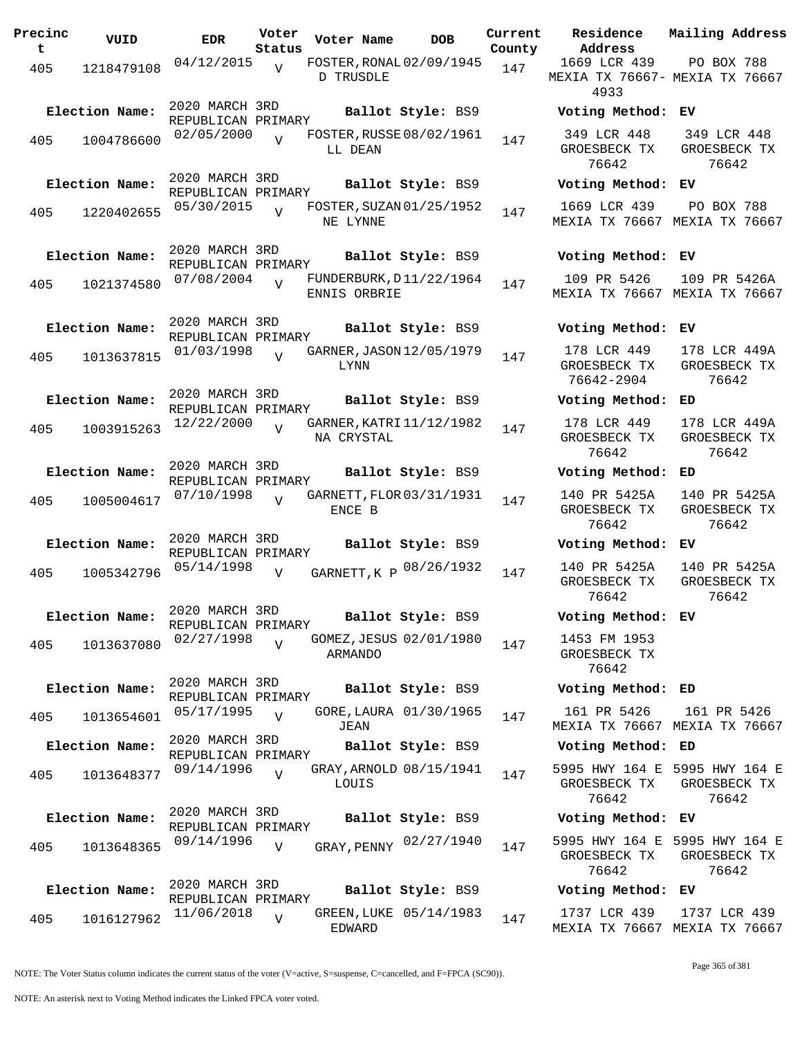| Precinc<br>t | VUID           | <b>EDR</b>                           | Voter<br>Status | Voter Name                                   | <b>DOB</b>              | Current<br>County | Residence<br>Address                      |
|--------------|----------------|--------------------------------------|-----------------|----------------------------------------------|-------------------------|-------------------|-------------------------------------------|
| 405          | 1218479108     | 04/12/2015                           | $\overline{V}$  | FOSTER, RONAL 02/09/1945<br><b>D TRUSDLE</b> |                         | 147               | 1669 LCR 439<br>MEXIA TX 76667-<br>4933   |
|              | Election Name: | 2020 MARCH 3RD<br>REPUBLICAN PRIMARY |                 |                                              | Ballot Style: BS9       |                   | Voting Method                             |
| 405          | 1004786600     | 02/05/2000                           | $\overline{v}$  | FOSTER, RUSSE 08/02/1961<br>LL DEAN          |                         | 147               | 349 LCR 448<br>GROESBECK TX<br>76642      |
|              | Election Name: | 2020 MARCH 3RD<br>REPUBLICAN PRIMARY |                 |                                              | Ballot Style: BS9       |                   | Voting Method                             |
| 405          | 1220402655     | 05/30/2015                           | $\overline{U}$  | FOSTER, SUZAN 01/25/1952<br>NE LYNNE         |                         | 147               | 1669 LCR 439<br>MEXIA TX 76667            |
|              | Election Name: | 2020 MARCH 3RD                       |                 |                                              | Ballot Style: BS9       |                   | Voting Method                             |
| 405          | 1021374580     | REPUBLICAN PRIMARY<br>07/08/2004     | $\overline{U}$  | FUNDERBURK, D11/22/1964<br>ENNIS ORBRIE      |                         | 147               | 109 PR 5426<br>MEXIA TX 76667             |
|              | Election Name: | 2020 MARCH 3RD<br>REPUBLICAN PRIMARY |                 |                                              | Ballot Style: BS9       |                   | Voting Method                             |
| 405          | 1013637815     | 01/03/1998                           | $\overline{U}$  | GARNER, JASON 12/05/1979<br>LYNN             |                         | 147               | 178 LCR 449<br>GROESBECK TX<br>76642-2904 |
|              | Election Name: | 2020 MARCH 3RD<br>REPUBLICAN PRIMARY |                 |                                              | Ballot Style: BS9       |                   | Voting Method                             |
| 405          | 1003915263     | 12/22/2000                           | $\overline{V}$  | GARNER, KATRI 11/12/1982<br>NA CRYSTAL       |                         | 147               | 178 LCR 449<br>GROESBECK TX<br>76642      |
|              | Election Name: | 2020 MARCH 3RD<br>REPUBLICAN PRIMARY |                 |                                              | Ballot Style: BS9       |                   | Voting Method                             |
| 405          | 1005004617     | 07/10/1998                           | $\overline{Y}$  | GARNETT, FLOR 03/31/1931<br>ENCE B           |                         | 147               | 140 PR 5425A<br>GROESBECK TX<br>76642     |
|              | Election Name: | 2020 MARCH 3RD<br>REPUBLICAN PRIMARY |                 |                                              | Ballot Style: BS9       |                   | Voting Method                             |
| 405          | 1005342796     | 05/14/1998                           | $\overline{V}$  |                                              | GARNETT, K P 08/26/1932 | 147               | 140 PR 5425A<br>GROESBECK TX<br>76642     |
|              | Election Name: | 2020 MARCH 3RD<br>REPUBLICAN PRIMARY |                 |                                              | Ballot Style: BS9       |                   | Voting Method                             |
| 405          | 1013637080     | 02/27/1998                           | $\overline{V}$  | ARMANDO                                      | GOMEZ, JESUS 02/01/1980 | 147               | 1453 FM 1953<br>GROESBECK TX<br>76642     |
|              | Election Name: | 2020 MARCH 3RD                       |                 |                                              | Ballot Style: BS9       |                   | Voting Method                             |
| 405          | 1013654601     | REPUBLICAN PRIMARY<br>05/17/1995     | $\overline{U}$  | JEAN                                         | GORE, LAURA 01/30/1965  | 147               | 161 PR 5426<br>MEXIA TX 76667             |
|              | Election Name: | 2020 MARCH 3RD<br>REPUBLICAN PRIMARY |                 |                                              | Ballot Style: BS9       |                   | Voting Method                             |
| 405          | 1013648377     | 09/14/1996                           | $\overline{V}$  | LOUIS                                        | GRAY, ARNOLD 08/15/1941 | 147               | 5995 HWY 164 E<br>GROESBECK TX<br>76642   |
|              | Election Name: | 2020 MARCH 3RD<br>REPUBLICAN PRIMARY |                 |                                              | Ballot Style: BS9       |                   | Voting Method                             |
| 405          | 1013648365     | 09/14/1996                           | V               |                                              | GRAY, PENNY 02/27/1940  | 147               | 5995 HWY 164 E<br>GROESBECK TX<br>76642   |
|              | Election Name: | 2020 MARCH 3RD<br>REPUBLICAN PRIMARY |                 |                                              | Ballot Style: BS9       |                   | Voting Method                             |
| 405          | 1016127962     | 11/06/2018                           | $\overline{U}$  | EDWARD                                       | GREEN, LUKE 05/14/1983  | 147               | 1737 LCR 439<br>MEXTA TX 76667            |

**Parame Residence Address Current Mailing Address** nty 1669 LCR 439 MEXIA TX 76667- MEXIA TX 76667 4933 PO BOX 788 **Election Name: Ballot Style:** BS9 **Voting Method: EV** 349 LCR 448 GROESBECK TX 76642 349 LCR 448 GROESBECK TX 76642 **Election Name: Ballot Style:** BS9 **Voting Method: EV** 1669 LCR 439 MEXIA TX 76667 MEXIA TX 76667 PO BOX 788 **Election Name: Ballot Style:** BS9 **Voting Method: EV** 109 PR 5426 MEXIA TX 76667 MEXIA TX 76667 109 PR 5426A **Election Name: Ballot Style:** BS9 **Voting Method: EV** 178 LCR 449 GROESBECK TX 76642-2904 178 LCR 449A GROESBECK TX 76642 **Election Name: Ballot Style:** BS9 **Voting Method: ED** 178 LCR 449 GROESBECK TX 76642 178 LCR 449A GROESBECK TX 76642 **Election Name: Ballot Style:** BS9 **Voting Method: ED** 140 PR 5425A GROESBECK TX 76642 140 PR 5425A GROESBECK TX 76642 **Election Name: Ballot Style:** BS9 **Voting Method: EV** GROESBECK TX 76642 140 PR 5425A GROESBECK TX 76642 **Election Name: Ballot Style:** BS9 **Voting Method: EV** 1453 FM 1953 GROESBECK TX 76642 **Election Name: Ballot Style:** BS9 **Voting Method: ED** 161 PR 5426 MEXIA TX 76667 MEXIA TX 76667 161 PR 5426 **Election Name: Ballot Style:** BS9 **Voting Method: ED** 5995 HWY 164 E 5995 HWY 164 E GROESBECK TX 76642 GROESBECK TX 76642 **Election Name: Ballot Style:** BS9 **Voting Method: EV** GROESBECK TX 76642 5995 HWY 164 E GROESBECK TX 76642 **Election Name: Ballot Style:** BS9 **Voting Method: EV**

NOTE: The Voter Status column indicates the current status of the voter (V=active, S=suspense, C=cancelled, and F=FPCA (SC90)).

Page 365 of 381

1737 LCR 439

MEXIA TX 76667 MEXIA TX 76667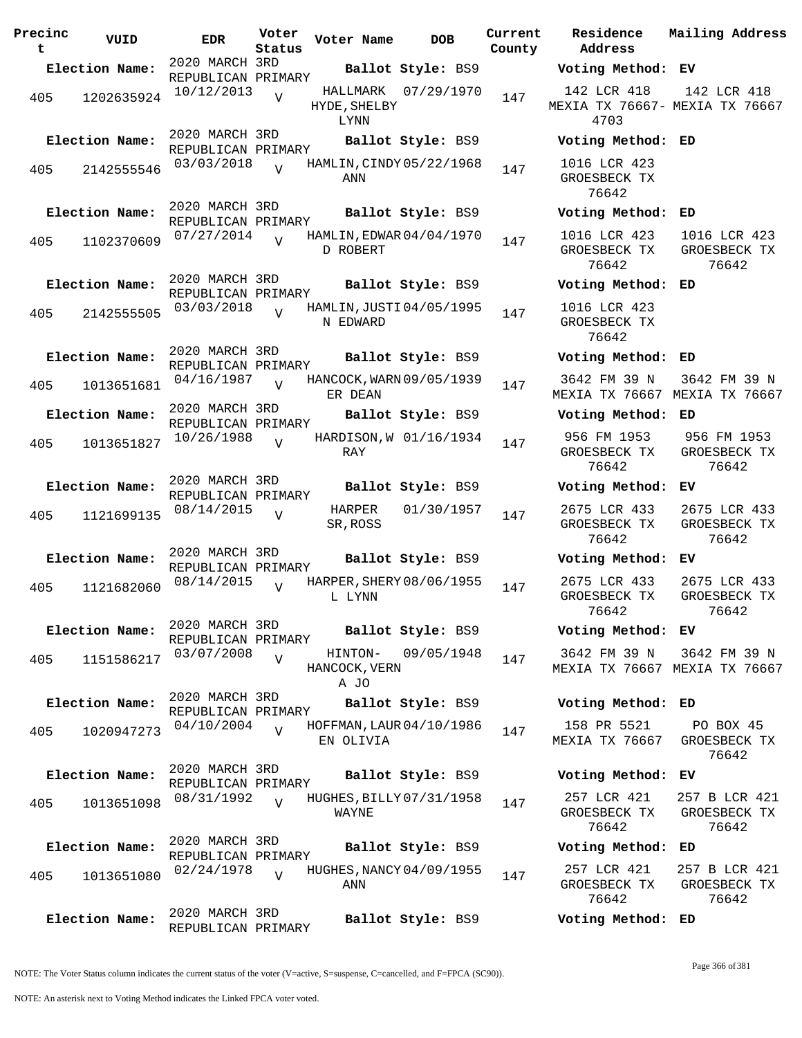**Precinc t VUID EDR Voter Status Voter Name DOB Current County** 2020 MARCH 3RD REPUBLICAN PRIMARY **Election Name: Ballot Style:** BS9 **Voting Method: EV** 405 1202635924 10/12/2013 HYDE, SHELBY LYNN  $\overline{V}$ HALLMARK 07/29/1970 147 2020 MARCH 3RD REPUBLICAN PRIMARY **Election Name: Ballot Style:** BS9 **Voting Method: ED** 405 2142555546 03/03/2018 V HAMLIN, CINDY 05/22/1968 147 ANN  $\overline{V}$ 2020 MARCH 3RD REPUBLICAN PRIMARY **Election Name: Ballot Style:** BS9 **Voting Method: ED** 405 1102370609 07/27/2014 D ROBERT  $\overline{V}$ HAMLIN, EDWAR 04/04/1970 147 2020 MARCH 3RD REPUBLICAN PRIMARY **Election Name: Ballot Style:** BS9 **Voting Method: ED** 405 2142555505 03/03/2018 N EDWARD  $\overline{V}$ HAMLIN, JUSTI 04/05/1995 147 2020 MARCH 3RD REPUBLICAN PRIMARY **Election Name: Ballot Style:** BS9 **Voting Method: ED** <sup>405</sup> HANCOCK,WARN 04/16/1987 <sup>1013651681</sup> <sup>147</sup> 09/05/1939 ER DEAN  $\overline{V}$ 2020 MARCH 3RD REPUBLICAN PRIMARY **Election Name: Ballot Style:** BS9 **Voting Method: ED**  $405$  1013651827 10/26/1988 RAY  $\overline{V}$ HARDISON, W 01/16/1934 147 2020 MARCH 3RD REPUBLICAN PRIMARY **Election Name: Ballot Style:** BS9 **Voting Method: EV** 405 1121699135  $08/14/2015$  UNARPER  $01/30/1957$  147 SR, ROSS  $\overline{V}$ 2020 MARCH 3RD REPUBLICAN PRIMARY **Election Name: Ballot Style:** BS9 **Voting Method: EV** 405 1121682060 08/14/2015 L LYNN  $\overline{V}$ HARPER, SHERY 08/06/1955 147 2020 MARCH 3RD REPUBLICAN PRIMARY **Election Name: Ballot Style:** BS9 **Voting Method: EV** 405 1151586217 03/07/2008 v HINTON-HANCOCK, VERN A JO  $\overline{V}$ 03/07/2008  $_{\rm V}$  HINTON- 09/05/1948  $_{147}$ 2020 MARCH 3RD REPUBLICAN PRIMARY **Election Name: Ballot Style:** BS9 **Voting Method: ED** 405 1020947273 04/10/2004 EN OLIVIA  $\overline{V}$ HOFFMAN, LAUR 04/10/1986 147 2020 MARCH 3RD REPUBLICAN PRIMARY **Election Name: Ballot Style:** BS9 **Voting Method: EV** 405 1013651098  $\frac{08}{31}/1992$  WHUGHES, BILLY 07/31/1958 147 WAYNE  $\overline{V}$ 2020 MARCH 3RD REPUBLICAN PRIMARY **Election Name: Ballot Style:** BS9 **Voting Method: ED** 405 1013651080  $\frac{02}{24}$ 1978 v HUGHES, NANCY 04/09/1955 147 ANN  $V$ 2020 MARCH 3RD REPUBLICAN PRIMARY **Election Name: Ballot Style:** BS9 **Voting Method: ED**

**Address Residence Mailing Address** 142 LCR 418 MEXIA TX 76667- MEXIA TX 76667 4703 142 LCR 418 1016 LCR 423 GROESBECK TX 76642 1016 LCR 423 GROESBECK TX 76642 1016 LCR 423 GROESBECK TX 76642 1016 LCR 423 GROESBECK TX 76642 3642 FM 39 N MEXIA TX 76667 MEXIA TX 76667 3642 FM 39 N 956 FM 1953 GROESBECK TX 76642 956 FM 1953 GROESBECK TX 76642 2675 LCR 433 GROESBECK TX 76642 2675 LCR 433 GROESBECK TX 76642 2675 LCR 433 GROESBECK TX 76642 2675 LCR 433 GROESBECK TX 76642 3642 FM 39 N MEXIA TX 76667 MEXIA TX 76667 3642 FM 39 N 158 PR 5521 MEXIA TX 76667 PO BOX 45 GROESBECK TX 76642 257 LCR 421 GROESBECK TX 76642 257 B LCR 421 GROESBECK TX 76642 257 LCR 421 GROESBECK TX 76642 257 B LCR 421 GROESBECK TX 76642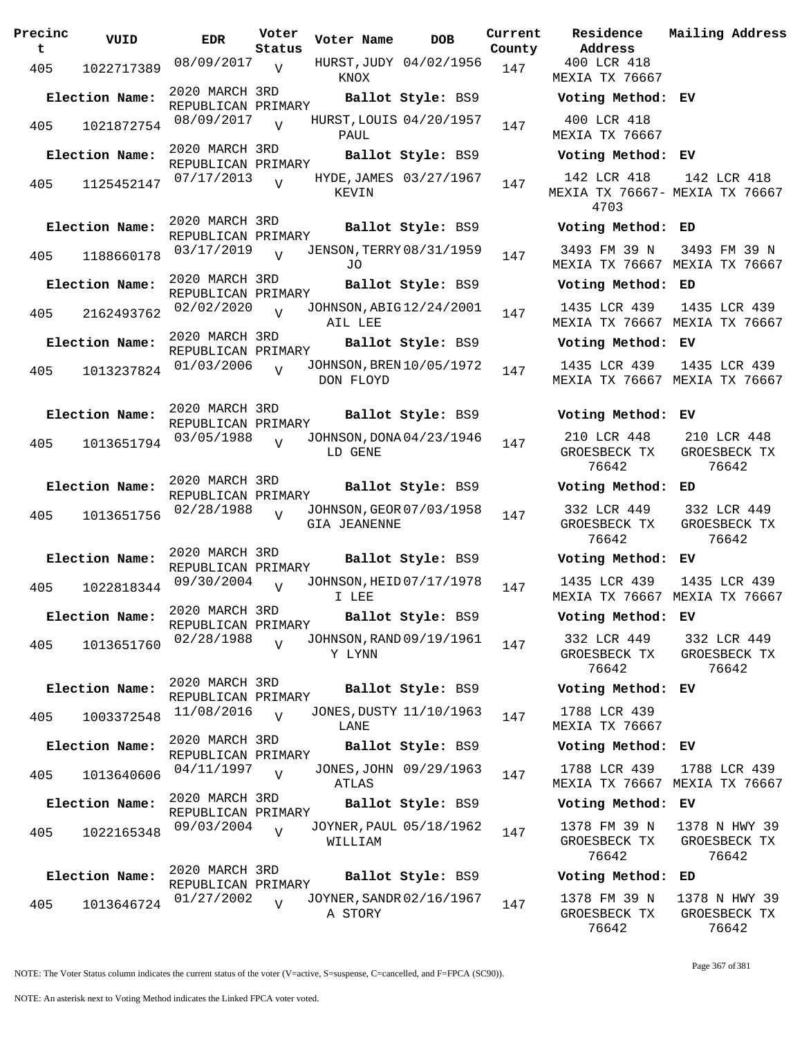| Precinc<br>t | VUID           | <b>EDR</b>                           | Voter<br>Status | Voter Name          | <b>DOB</b>                      | Curre<br>Count |
|--------------|----------------|--------------------------------------|-----------------|---------------------|---------------------------------|----------------|
| 405          | 1022717389     | 08/09/2017                           | V               | KNOX                | HURST, JUDY 04/02/1956          | 147            |
|              | Election Name: | 2020 MARCH 3RD<br>REPUBLICAN PRIMARY |                 |                     | Ballot Style: BS9               |                |
| 405          | 1021872754     | 08/09/2017                           | $\overline{V}$  | PAUL                | HURST, LOUIS 04/20/1957         | 147            |
|              | Election Name: | 2020 MARCH 3RD<br>REPUBLICAN PRIMARY |                 |                     | Ballot Style: BS9               |                |
| 405          | 1125452147     | 07/17/2013                           | $\overline{V}$  | KEVIN               | HYDE, JAMES 03/27/1967          | 147            |
|              | Election Name: | 2020 MARCH 3RD<br>REPUBLICAN PRIMARY |                 |                     | Ballot Style: BS9               |                |
| 405          | 1188660178     | 03/17/2019                           | $\overline{V}$  | J0                  | <b>JENSON, TERRY 08/31/1959</b> | 147            |
|              | Election Name: | 2020 MARCH 3RD<br>REPUBLICAN PRIMARY |                 |                     | Ballot Style: BS9               |                |
| 405          | 2162493762     | 02/02/2020                           | $\overline{V}$  | AIL LEE             | JOHNSON, ABIG12/24/2001         | 147            |
|              | Election Name: | 2020 MARCH 3RD<br>REPUBLICAN PRIMARY |                 |                     | Ballot Style: BS9               |                |
| 405          | 1013237824     | 01/03/2006                           | $\overline{U}$  | DON FLOYD           | JOHNSON, BREN 10/05/1972        | 147            |
|              | Election Name: | 2020 MARCH 3RD<br>REPUBLICAN PRIMARY |                 |                     | Ballot Style: BS9               |                |
| 405          | 1013651794     | 03/05/1988                           | $\overline{V}$  | LD GENE             | JOHNSON, DONA 04/23/1946        | 147            |
|              | Election Name: | 2020 MARCH 3RD<br>REPUBLICAN PRIMARY |                 |                     | Ballot Style: BS9               |                |
| 405          | 1013651756     | 02/28/1988                           | V               | <b>GIA JEANENNE</b> | JOHNSON, GEOR 07/03/1958        | 147            |
|              | Election Name: | 2020 MARCH 3RD<br>REPUBLICAN PRIMARY |                 |                     | Ballot Style: BS9               |                |
| 405          | 1022818344     | 09/30/2004                           | $\overline{V}$  | I LEE               | JOHNSON, HEID 07/17/1978        | 147            |
|              | Election Name: | 2020 MARCH 3RD<br>REPUBLICAN PRIMARY |                 |                     | Ballot Style: BS9               |                |
| 405          | 1013651760     | 02/28/1988                           | $\overline{V}$  | Y LYNN              | JOHNSON, RAND 09/19/1961        | 147            |
|              | Election Name: | 2020 MARCH 3RD<br>REPUBLICAN PRIMARY |                 |                     | Ballot Style: BS9               |                |
| 405          | 1003372548     | 11/08/2016                           | $\overline{U}$  | LANE                | JONES, DUSTY 11/10/1963         | 147            |
|              | Election Name: | 2020 MARCH 3RD<br>REPUBLICAN PRIMARY |                 |                     | Ballot Style: BS9               |                |
| 405          | 1013640606     | 04/11/1997                           | $\overline{V}$  | ATLAS               | JONES, JOHN 09/29/1963          | 147            |
|              | Election Name: | 2020 MARCH 3RD<br>REPUBLICAN PRIMARY |                 |                     | Ballot Style: BS9               |                |
| 405          | 1022165348     | 09/03/2004                           | $\overline{V}$  | WILLIAM             | JOYNER, PAUL 05/18/1962         | 147            |
|              | Election Name: | 2020 MARCH 3RD<br>REPUBLICAN PRIMARY |                 |                     | Ballot Style: BS9               |                |
| 405          | 1013646724     | 01/27/2002                           | $\overline{V}$  | A STORY             | JOYNER, SANDR 02/16/1967        | 147            |

**PORE Residence Address Current Mailing Address** nty 400 LCR 418 MEXIA TX 76667 **Election Name: Ballot Style:** BS9 **Voting Method: EV** 400 LCR 418 MEXIA TX 76667 **Election Name: Ballot Style:** BS9 **Voting Method: EV** 142 LCR 418 MEXIA TX 76667- MEXIA TX 76667 4703 142 LCR 418 **Election Name: Ballot Style:** BS9 **Voting Method: ED** 3493 FM 39 N MEXIA TX 76667 MEXIA TX 76667 3493 FM 39 N **Election Name: Ballot Style:** BS9 **Voting Method: ED** 1435 LCR 439 MEXIA TX 76667 MEXIA TX 76667 1435 LCR 439 **Election Name: Ballot Style:** BS9 **Voting Method: EV** 1435 LCR 439 MEXIA TX 76667 MEXIA TX 76667 1435 LCR 439 **Election Name: Ballot Style:** BS9 **Voting Method: EV** 210 LCR 448 GROESBECK TX 76642 210 LCR 448 GROESBECK TX 76642 **Election Name: Ballot Style:** BS9 **Voting Method: ED** 332 LCR 449 GROESBECK TX 76642 332 LCR 449 GROESBECK TX 76642 **Election Name: Ballot Style:** BS9 **Voting Method: EV** 1435 LCR 439 MEXIA TX 76667 MEXIA TX 76667 1435 LCR 439 **Election Name: Ballot Style:** BS9 **Voting Method: EV** 332 LCR 449 GROESBECK TX 76642 332 LCR 449 GROESBECK TX 76642 **Election Name: Ballot Style:** BS9 **Voting Method: EV** 1788 LCR 439 MEXIA TX 76667 **Election Name: Ballot Style:** BS9 **Voting Method: EV** 1788 LCR 439 MEXIA TX 76667 MEXIA TX 76667 1788 LCR 439 **Election Name: Ballot Style:** BS9 **Voting Method: EV** 1378 FM 39 N GROESBECK TX 76642 1378 N HWY 39 GROESBECK TX 76642

## **Election Name: Ballot Style:** BS9 **Voting Method: ED** 1378 FM 39 N

GROESBECK TX 76642

1378 N HWY 39 GROESBECK TX 76642

NOTE: The Voter Status column indicates the current status of the voter (V=active, S=suspense, C=cancelled, and F=FPCA (SC90)).

Page 367 of 381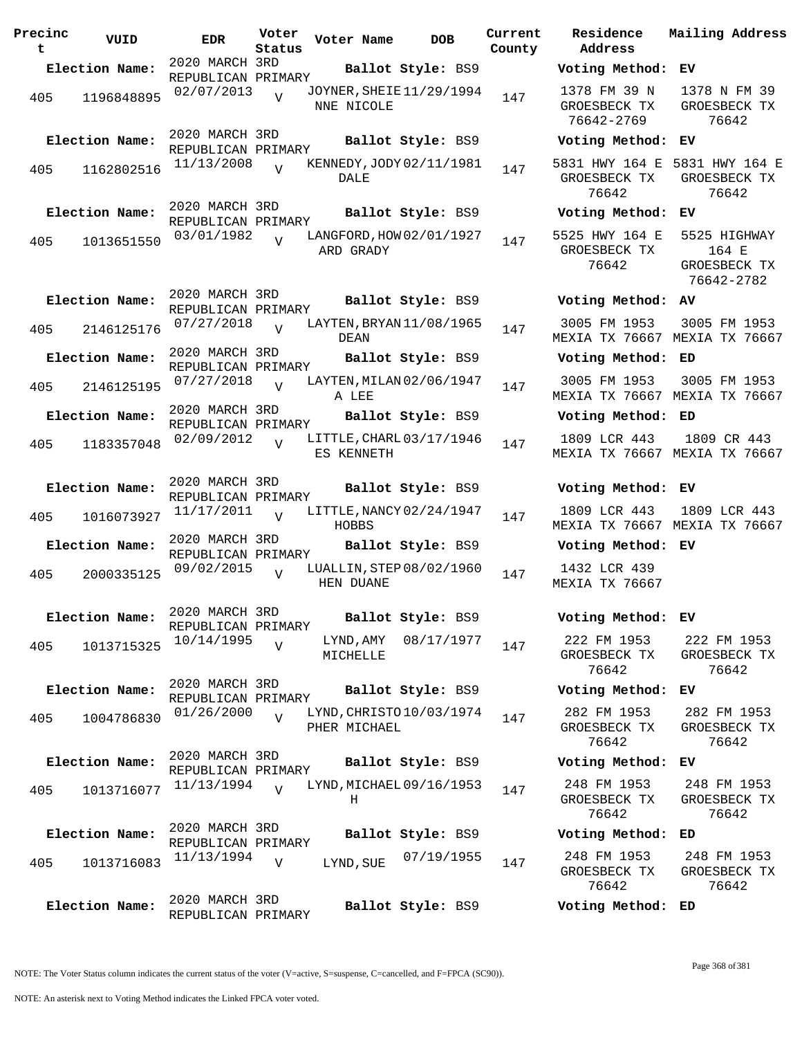| Precinc<br>t | VUID           | <b>EDR</b>                           | Voter<br>Status | Voter Name                               | <b>DOB</b>        | Current<br>County | Residence<br>Address                       | Mai.                 |
|--------------|----------------|--------------------------------------|-----------------|------------------------------------------|-------------------|-------------------|--------------------------------------------|----------------------|
|              | Election Name: | 2020 MARCH 3RD                       |                 |                                          | Ballot Style: BS9 |                   | Voting Method:                             | EV                   |
| 405          | 1196848895     | REPUBLICAN PRIMARY<br>02/07/2013     | $\overline{z}$  | JOYNER, SHEIE 11/29/1994<br>NNE NICOLE   |                   | 147               | 1378 FM 39 N<br>GROESBECK TX<br>76642-2769 | 13<br>GR             |
|              | Election Name: | 2020 MARCH 3RD<br>REPUBLICAN PRIMARY |                 |                                          | Ballot Style: BS9 |                   | Voting Method: EV                          |                      |
| 405          | 1162802516     | 11/13/2008                           | $\overline{V}$  | KENNEDY, JODY 02/11/1981<br><b>DALE</b>  |                   | 147               | 5831 HWY 164 E<br>GROESBECK TX<br>76642    | 583<br>GR            |
|              | Election Name: | 2020 MARCH 3RD<br>REPUBLICAN PRIMARY |                 |                                          | Ballot Style: BS9 |                   | Voting Method:                             | EV                   |
| 405          | 1013651550     | 03/01/1982                           | $\overline{U}$  | LANGFORD, HOW 02/01/1927<br>ARD GRADY    |                   | 147               | 5525 HWY 164 E<br>GROESBECK TX<br>76642    | 55<br>GR             |
|              | Election Name: | 2020 MARCH 3RD<br>REPUBLICAN PRIMARY |                 |                                          | Ballot Style: BS9 |                   | Voting Method: AV                          | 7                    |
| 405          | 2146125176     | 07/27/2018                           | $\overline{U}$  | LAYTEN, BRYAN 11/08/1965<br>DEAN         |                   | 147               | 3005 FM 1953<br>MEXIA TX 76667 MEX         | 30                   |
|              | Election Name: | 2020 MARCH 3RD<br>REPUBLICAN PRIMARY |                 |                                          | Ballot Style: BS9 |                   | Voting Method: ED                          |                      |
| 405          | 2146125195     | 07/27/2018                           | $\overline{U}$  | LAYTEN, MILAN 02/06/1947<br>A LEE        |                   | 147               | 3005 FM 1953<br>MEXIA TX 76667 MEX         | 30                   |
|              | Election Name: | 2020 MARCH 3RD<br>REPUBLICAN PRIMARY |                 |                                          | Ballot Style: BS9 |                   | Voting Method: ED                          |                      |
| 405          | 1183357048     | 02/09/2012                           | $\overline{V}$  | LITTLE, CHARL 03/17/1946<br>ES KENNETH   |                   | 147               | 1809 LCR 443<br>MEXIA TX 76667 MEX         | $\mathbf{1}$         |
|              | Election Name: | 2020 MARCH 3RD<br>REPUBLICAN PRIMARY |                 |                                          | Ballot Style: BS9 |                   | Voting Method: EV                          |                      |
| 405          | 1016073927     | 11/17/2011                           | $\overline{U}$  | LITTLE, NANCY 02/24/1947<br>HOBBS        |                   | 147               | 1809 LCR 443<br>MEXIA TX 76667 MEX         | 18                   |
|              | Election Name: | 2020 MARCH 3RD<br>REPUBLICAN PRIMARY |                 |                                          | Ballot Style: BS9 |                   | Voting Method: EV                          |                      |
| 405          | 2000335125     | 09/02/2015                           | $\overline{U}$  | LUALLIN, STEP 08/02/1960<br>HEN DUANE    |                   | 147               | 1432 LCR 439<br>MEXIA TX 76667             |                      |
|              | Election Name: | 2020 MARCH 3RD<br>REPUBLICAN PRIMARY |                 |                                          | Ballot Style: BS9 |                   | Voting Method: EV                          |                      |
| 405          | 1013715325     | 10/14/1995                           | $\overline{V}$  | LYND, AMY<br>MICHELLE                    | 08/17/1977        | 147               | 222 FM 1953<br>GROESBECK TX<br>76642       | $\overline{2}$<br>GR |
|              | Election Name: | 2020 MARCH 3RD<br>REPUBLICAN PRIMARY |                 |                                          | Ballot Style: BS9 |                   | Voting Method: EV                          |                      |
| 405          | 1004786830     | 01/26/2000                           | $\overline{U}$  | LYND, CHRISTO 10/03/1974<br>PHER MICHAEL |                   | 147               | 282 FM 1953<br>GROESBECK TX<br>76642       | $\overline{2}$<br>GR |
|              | Election Name: | 2020 MARCH 3RD<br>REPUBLICAN PRIMARY |                 |                                          | Ballot Style: BS9 |                   | Voting Method:                             | ΕV                   |
| 405          | 1013716077     | 11/13/1994                           | $\overline{v}$  | LYND, MICHAEL 09/16/1953<br>Н            |                   | 147               | 248 FM 1953<br>GROESBECK TX<br>76642       | 2 <sup>1</sup><br>GR |
|              | Election Name: | 2020 MARCH 3RD<br>REPUBLICAN PRIMARY |                 |                                          | Ballot Style: BS9 |                   | Voting Method: ED                          |                      |
| 405          | 1013716083     | 11/13/1994                           | $\overline{V}$  | LYND, SUE                                | 07/19/1955        | 147               | 248 FM 1953<br>GROESBECK TX<br>76642       | 2 <sup>1</sup><br>GR |
|              | Election Name: | 2020 MARCH 3RD<br>REPUBLICAN PRIMARY |                 |                                          | Ballot Style: BS9 |                   | Voting Method: ED                          |                      |

| County | Current Residence Mailing—Address<br>Address         |                                                                     |
|--------|------------------------------------------------------|---------------------------------------------------------------------|
|        | Voting Method: EV                                    |                                                                     |
| 147    | 76642-2769                                           | 1378 FM 39 N 1378 N FM 39<br>GROESBECK TX GROESBECK TX<br>76642     |
|        | Voting Method: EV                                    |                                                                     |
| 147    | 76642                                                | 5831 HWY 164 E 5831 HWY 164 E<br>GROESBECK TX GROESBECK TX<br>76642 |
|        | Voting Method: EV                                    |                                                                     |
| 147    | 5525 HWY 164 E 5525 HIGHWAY<br>GROESBECK TX<br>76642 | 164 E<br>GROESBECK TX<br>76642-2782                                 |
|        | Voting Method: AV                                    |                                                                     |
| 147    |                                                      | 3005 FM 1953 3005 FM 1953<br>MEXIA TX 76667 MEXIA TX 76667          |
|        | Voting Method: ED                                    |                                                                     |
| 147    |                                                      | 3005 FM 1953 3005 FM 1953<br>MEXIA TX 76667 MEXIA TX 76667          |
|        | Voting Method: ED                                    |                                                                     |
| 147    | 1809 LCR 443                                         | 1809 CR 443<br>MEXIA TX 76667 MEXIA TX 76667                        |
|        | Voting Method: EV                                    |                                                                     |
| 147    |                                                      | 1809 LCR 443 1809 LCR 443<br>MEXIA TX 76667 MEXIA TX 76667          |
|        | Voting Method: EV                                    |                                                                     |
| 147    | 1432 LCR 439<br>MEXIA TX 76667                       |                                                                     |
|        | Voting Method: EV                                    |                                                                     |
| 147    | 222 FM 1953<br>76642                                 | 222 FM 1953<br>GROESBECK TX GROESBECK TX<br>76642                   |
|        | Voting Method:                                       | EV.                                                                 |
| 147    | 282 FM 1953<br>76642                                 | 282 FM 1953<br>GROESBECK TX GROESBECK TX<br>76642                   |
|        | Voting Method: EV                                    |                                                                     |
| 147    | 248 FM 1953<br>76642                                 | 248 FM 1953<br>GROESBECK TX GROESBECK TX<br>76642                   |
|        | Voting Method: ED                                    |                                                                     |
| 147    | 248 FM 1953<br>76642                                 | 248 FM 1953<br>GROESBECK TX GROESBECK TX<br>76642                   |
|        | Voting Method:                                       | ED                                                                  |

NOTE: An asterisk next to Voting Method indicates the Linked FPCA voter voted.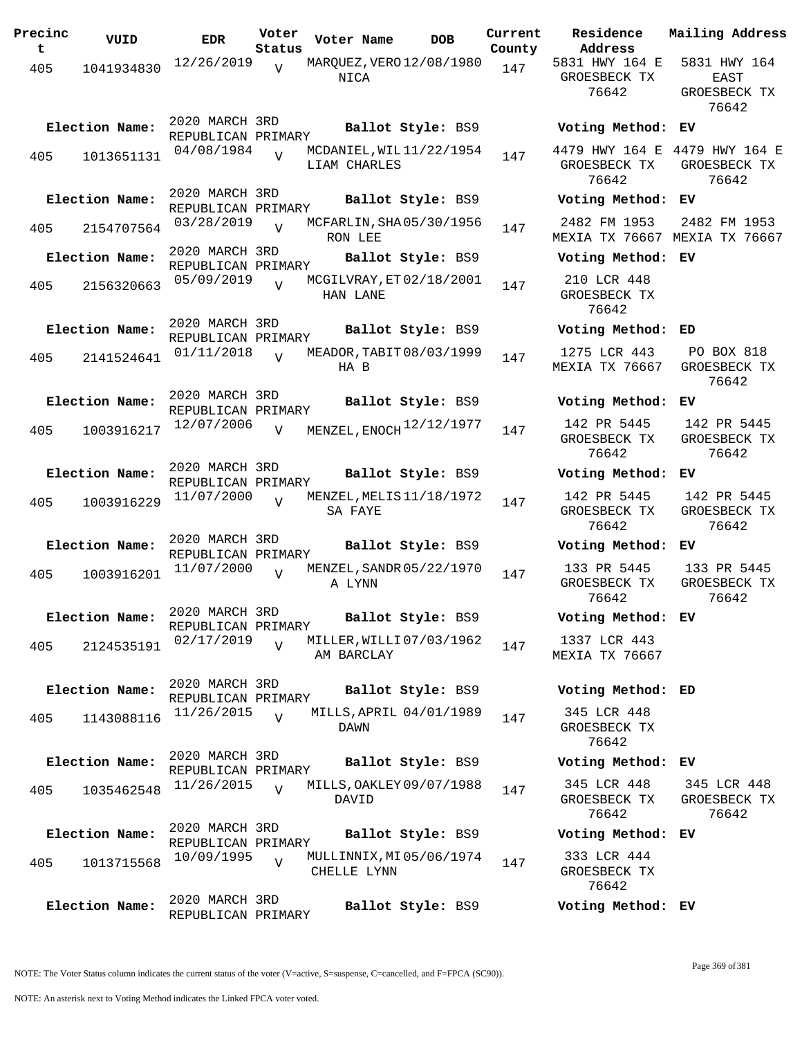| Precinc<br>t | VUID           | <b>EDR</b>                           | Voter<br>Status | Voter Name                              | <b>DOB</b>        | Current<br>County | Residence<br>Address                    | Mailing Address                                        |
|--------------|----------------|--------------------------------------|-----------------|-----------------------------------------|-------------------|-------------------|-----------------------------------------|--------------------------------------------------------|
| 405          | 1041934830     | 12/26/2019                           | $\overline{V}$  | MARQUEZ, VERO 12/08/1980<br>NICA        |                   | 147               | 5831 HWY 164 E<br>GROESBECK TX<br>76642 | 5831 HWY 164<br>EAST<br>GROESBECK TX<br>76642          |
|              | Election Name: | 2020 MARCH 3RD<br>REPUBLICAN PRIMARY |                 |                                         | Ballot Style: BS9 |                   | Voting Method: EV                       |                                                        |
| 405          | 1013651131     | 04/08/1984                           | $\overline{v}$  | MCDANIEL, WIL11/22/1954<br>LIAM CHARLES |                   | 147               | GROESBECK TX<br>76642                   | 4479 HWY 164 E 4479 HWY 164 E<br>GROESBECK TX<br>76642 |
|              | Election Name: | 2020 MARCH 3RD<br>REPUBLICAN PRIMARY |                 |                                         | Ballot Style: BS9 |                   | Voting Method: EV                       |                                                        |
| 405          | 2154707564     | 03/28/2019                           | $\overline{U}$  | MCFARLIN, SHA05/30/1956<br>RON LEE      |                   | 147               | 2482 FM 1953                            | 2482 FM 1953<br>MEXIA TX 76667 MEXIA TX 76667          |
|              | Election Name: | 2020 MARCH 3RD<br>REPUBLICAN PRIMARY |                 |                                         | Ballot Style: BS9 |                   | Voting Method: EV                       |                                                        |
| 405          | 2156320663     | 05/09/2019                           | $\overline{U}$  | MCGILVRAY, ET 02/18/2001<br>HAN LANE    |                   | 147               | 210 LCR 448<br>GROESBECK TX<br>76642    |                                                        |
|              | Election Name: | 2020 MARCH 3RD<br>REPUBLICAN PRIMARY |                 |                                         | Ballot Style: BS9 |                   | Voting Method: ED                       |                                                        |
| 405          | 2141524641     | 01/11/2018                           | $\overline{v}$  | MEADOR, TABIT 08/03/1999<br>HA B        |                   | 147               | 1275 LCR 443<br>MEXIA TX 76667          | PO BOX 818<br>GROESBECK TX<br>76642                    |
|              | Election Name: | 2020 MARCH 3RD<br>REPUBLICAN PRIMARY |                 |                                         | Ballot Style: BS9 |                   | Voting Method: EV                       |                                                        |
| 405          | 1003916217     | 12/07/2006                           | $\overline{v}$  | MENZEL, ENOCH <sup>12/12/1977</sup>     |                   | 147               | 142 PR 5445<br>GROESBECK TX<br>76642    | 142 PR 5445<br>GROESBECK TX<br>76642                   |
|              | Election Name: | 2020 MARCH 3RD<br>REPUBLICAN PRIMARY |                 |                                         | Ballot Style: BS9 |                   | Voting Method: EV                       |                                                        |
| 405          | 1003916229     | 11/07/2000                           | $\overline{U}$  | MENZEL, MELIS 11/18/1972<br>SA FAYE     |                   | 147               | 142 PR 5445<br>GROESBECK TX<br>76642    | 142 PR 5445<br>GROESBECK TX<br>76642                   |
|              | Election Name: | 2020 MARCH 3RD<br>REPUBLICAN PRIMARY |                 |                                         | Ballot Style: BS9 |                   | Voting Method:                          | EV.                                                    |
| 405          | 1003916201     | 11/07/2000                           |                 | MENZEL, SANDR 05/22/1970<br>A LYNN      |                   | 147               | 133 PR 5445<br>GROESBECK TX<br>76642    | 133 PR 5445<br>GROESBECK TX<br>76642                   |
|              | Election Name: | 2020 MARCH 3RD<br>REPUBLICAN PRIMARY |                 |                                         | Ballot Style: BS9 |                   | Voting Method: EV                       |                                                        |
| 405          | 2124535191     | 02/17/2019                           | $\overline{U}$  | MILLER, WILLI 07/03/1962<br>AM BARCLAY  |                   | 147               | 1337 LCR 443<br>MEXIA TX 76667          |                                                        |
|              | Election Name: | 2020 MARCH 3RD<br>REPUBLICAN PRIMARY |                 |                                         | Ballot Style: BS9 |                   | Voting Method: ED                       |                                                        |
| 405          | 1143088116     | 11/26/2015                           | $\overline{U}$  | MILLS, APRIL 04/01/1989<br>DAWN         |                   | 147               | 345 LCR 448<br>GROESBECK TX<br>76642    |                                                        |
|              | Election Name: | 2020 MARCH 3RD<br>REPUBLICAN PRIMARY |                 |                                         | Ballot Style: BS9 |                   | Voting Method: EV                       |                                                        |
| 405          | 1035462548     | 11/26/2015                           | $\overline{V}$  | MILLS, OAKLEY 09/07/1988<br>DAVID       |                   | 147               | 345 LCR 448<br>GROESBECK TX<br>76642    | 345 LCR 448<br>GROESBECK TX<br>76642                   |
|              | Election Name: | 2020 MARCH 3RD<br>REPUBLICAN PRIMARY |                 |                                         | Ballot Style: BS9 |                   | Voting Method: EV                       |                                                        |
| 405          | 1013715568     | 10/09/1995                           | $\overline{V}$  | MULLINNIX, MI 05/06/1974<br>CHELLE LYNN |                   | 147               | 333 LCR 444<br>GROESBECK TX<br>76642    |                                                        |
|              | Election Name: | 2020 MARCH 3RD<br>REPUBLICAN PRIMARY |                 |                                         | Ballot Style: BS9 |                   | Voting Method: EV                       |                                                        |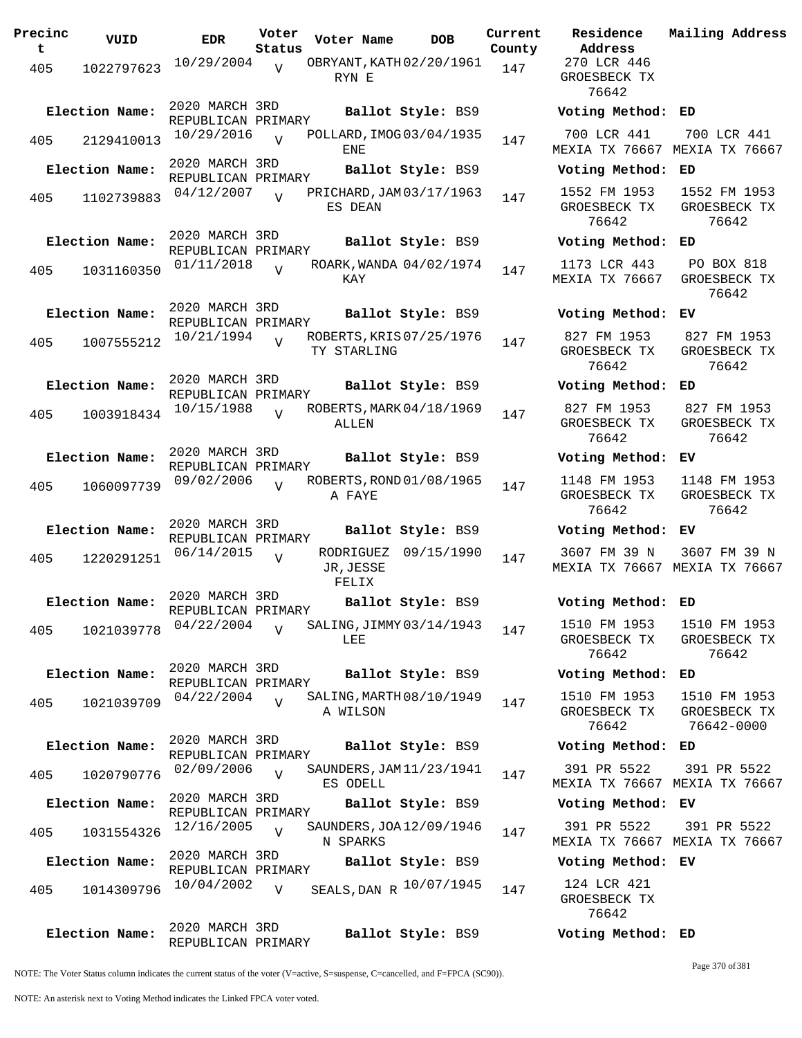| Precinc<br>t | VUID           | <b>EDR</b>                           | Voter<br>Status | Voter Name                                 | <b>DOB</b>        | Current<br>County | Residence<br>Address                  | Mai:                 |
|--------------|----------------|--------------------------------------|-----------------|--------------------------------------------|-------------------|-------------------|---------------------------------------|----------------------|
| 405          | 1022797623     | 10/29/2004                           | V               | OBRYANT, KATH 02/20/1961<br>RYN E          |                   | 147               | 270 LCR 446<br>GROESBECK TX<br>76642  |                      |
|              | Election Name: | 2020 MARCH 3RD<br>REPUBLICAN PRIMARY |                 |                                            | Ballot Style: BS9 |                   | Voting Method: ED                     |                      |
| 405          | 2129410013     | 10/29/2016                           | $\overline{U}$  | POLLARD, IMOG03/04/1935<br>ENE             |                   | 147               | 700 LCR 441<br>MEXIA TX 76667         | 7(<br>MEX            |
|              | Election Name: | 2020 MARCH 3RD<br>REPUBLICAN PRIMARY |                 |                                            | Ballot Style: BS9 |                   | Voting Method:                        | ED                   |
| 405          | 1102739883     | 04/12/2007                           | $\overline{V}$  | PRICHARD, JAM 03/17/1963<br>ES DEAN        |                   | 147               | 1552 FM 1953<br>GROESBECK TX<br>76642 | 15<br>GR             |
|              | Election Name: | 2020 MARCH 3RD<br>REPUBLICAN PRIMARY |                 |                                            | Ballot Style: BS9 |                   | Voting Method:                        | ED                   |
| 405          | 1031160350     | 01/11/2018                           | $\overline{V}$  | ROARK, WANDA 04/02/1974<br>KAY             |                   | 147               | 1173 LCR 443<br>MEXIA TX 76667        | $\mathbf P$<br>GR    |
|              | Election Name: | 2020 MARCH 3RD<br>REPUBLICAN PRIMARY |                 |                                            | Ballot Style: BS9 |                   | Voting Method:                        | ЕV                   |
| 405          | 1007555212     | 10/21/1994                           | $\overline{z}$  | ROBERTS, KRIS 07/25/1976<br>TY STARLING    |                   | 147               | 827 FM 1953<br>GROESBECK TX<br>76642  | 8:<br>GR             |
|              | Election Name: | 2020 MARCH 3RD<br>REPUBLICAN PRIMARY |                 |                                            | Ballot Style: BS9 |                   | Voting Method:                        | ED                   |
| 405          | 1003918434     | 10/15/1988                           | $\overline{17}$ | ROBERTS, MARK 04/18/1969<br>ALLEN          |                   | 147               | 827 FM 1953<br>GROESBECK TX<br>76642  | 8 <sup>2</sup><br>GR |
|              | Election Name: | 2020 MARCH 3RD<br>REPUBLICAN PRIMARY |                 |                                            | Ballot Style: BS9 |                   | Voting Method:                        | ЕV                   |
| 405          | 1060097739     | 09/02/2006                           | $\overline{U}$  | ROBERTS, ROND 01/08/1965<br>A FAYE         |                   | 147               | 1148 FM 1953<br>GROESBECK TX<br>76642 | 11<br>GR             |
|              | Election Name: | 2020 MARCH 3RD<br>REPUBLICAN PRIMARY |                 |                                            | Ballot Style: BS9 |                   | Voting Method:                        | ΕV                   |
| 405          | 1220291251     | 06/14/2015                           | $\overline{U}$  | RODRIGUEZ 09/15/1990<br>JR, JESSE<br>FELIX |                   | 147               | 3607 FM 39 N<br>MEXIA TX 76667 MEX    | 36                   |
|              | Election Name: | 2020 MARCH 3RD                       |                 |                                            | Ballot Style: BS9 |                   | Voting Method: ED                     |                      |
| 405          | 1021039778     | REPUBLICAN PRIMARY<br>04/22/2004     | $\overline{U}$  | SALING, JIMMY 03/14/1943<br>LEE            |                   | 147               | 1510 FM 1953<br>GROESBECK TX<br>76642 | 15<br>GR             |
|              | Election Name: | 2020 MARCH 3RD<br>REPUBLICAN PRIMARY |                 |                                            | Ballot Style: BS9 |                   | Voting Method:                        | ED                   |
| 405          | 1021039709     | 04/22/2004                           | $\overline{V}$  | SALING, MARTH 08/10/1949<br>A WILSON       |                   | 147               | 1510 FM 1953<br>GROESBECK TX<br>76642 | 15<br>GR<br>7        |
|              | Election Name: | 2020 MARCH 3RD<br>REPUBLICAN PRIMARY |                 |                                            | Ballot Style: BS9 |                   | Voting Method: ED                     |                      |
| 405          | 1020790776     | 02/09/2006                           | $\overline{z}$  | SAUNDERS, JAM 11/23/1941<br>ES ODELL       |                   | 147               | 391 PR 5522<br>MEXIA TX 76667 MEX     | 3 <sup>0</sup>       |
|              | Election Name: | 2020 MARCH 3RD<br>REPUBLICAN PRIMARY |                 |                                            | Ballot Style: BS9 |                   | Voting Method: EV                     |                      |
| 405          | 1031554326     | 12/16/2005                           | $\overline{U}$  | SAUNDERS, JOA 12/09/1946<br>N SPARKS       |                   | 147               | 391 PR 5522<br>MEXIA TX 76667 MEX     | 3 <sup>′</sup>       |
|              | Election Name: | 2020 MARCH 3RD<br>REPUBLICAN PRIMARY |                 |                                            | Ballot Style: BS9 |                   | Voting Method: EV                     |                      |
| 405          | 1014309796     | 10/04/2002                           | V               | SEALS, DAN R 10/07/1945                    |                   | 147               | 124 LCR 421<br>GROESBECK TX<br>76642  |                      |
|              | Election Name: | 2020 MARCH 3RD                       |                 |                                            | Ballot Style: BS9 |                   | Voting Method: ED                     |                      |

**Voter Name DOB Residence Address Current Mailing Address** nty 270 LCR 446 GROESBECK TX 76642 **Election Name: Ballot Style:** BS9 **Voting Method: ED** 700 LCR 441 MEXIA TX 76667 MEXIA TX 76667 700 LCR 441 **Election Name: Ballot Style:** BS9 **Voting Method: ED** 1552 FM 1953 GROESBECK TX 76642 1552 FM 1953 GROESBECK TX 76642 **Election Name: Ballot Style:** BS9 **Voting Method: ED** 1173 LCR 443 MEXIA TX 76667 PO BOX 818 GROESBECK TX 76642 **Election Name: Ballot Style:** BS9 **Voting Method: EV** 827 FM 1953 GROESBECK TX 76642 827 FM 1953 GROESBECK TX 76642 **Election Name: Ballot Style:** BS9 **Voting Method: ED** 827 FM 1953 GROESBECK TX 76642 827 FM 1953 GROESBECK TX 76642 **Election Name: Ballot Style:** BS9 **Voting Method: EV** 1148 FM 1953 GROESBECK TX 76642 1148 FM 1953 GROESBECK TX 76642 **Election Name: Ballot Style:** BS9 **Voting Method: EV** 3607 FM 39 N MEXIA TX 76667 MEXIA TX 76667 3607 FM 39 N **Election Name: Ballot Style:** BS9 **Voting Method: ED** 1510 FM 1953 GROESBECK TX 76642 1510 FM 1953 GROESBECK TX 76642 **Election Name: Ballot Style:** BS9 **Voting Method: ED** 1510 FM 1953 GROESBECK TX 76642 1510 FM 1953 GROESBECK TX 76642-0000 **Election Name: Ballot Style:** BS9 **Voting Method: ED** 391 PR 5522 MEXIA TX 76667 MEXIA TX 76667 391 PR 5522 **Election Name: Ballot Style:** BS9 **Voting Method: EV** 391 PR 5522 MEXIA TX 76667 MEXIA TX 76667 391 PR 5522 **Election Name: Ballot Style:** BS9 **Voting Method: EV** GROESBECK TX 76642

NOTE: The Voter Status column indicates the current status of the voter (V=active, S=suspense, C=cancelled, and F=FPCA (SC90)).

REPUBLICAN PRIMARY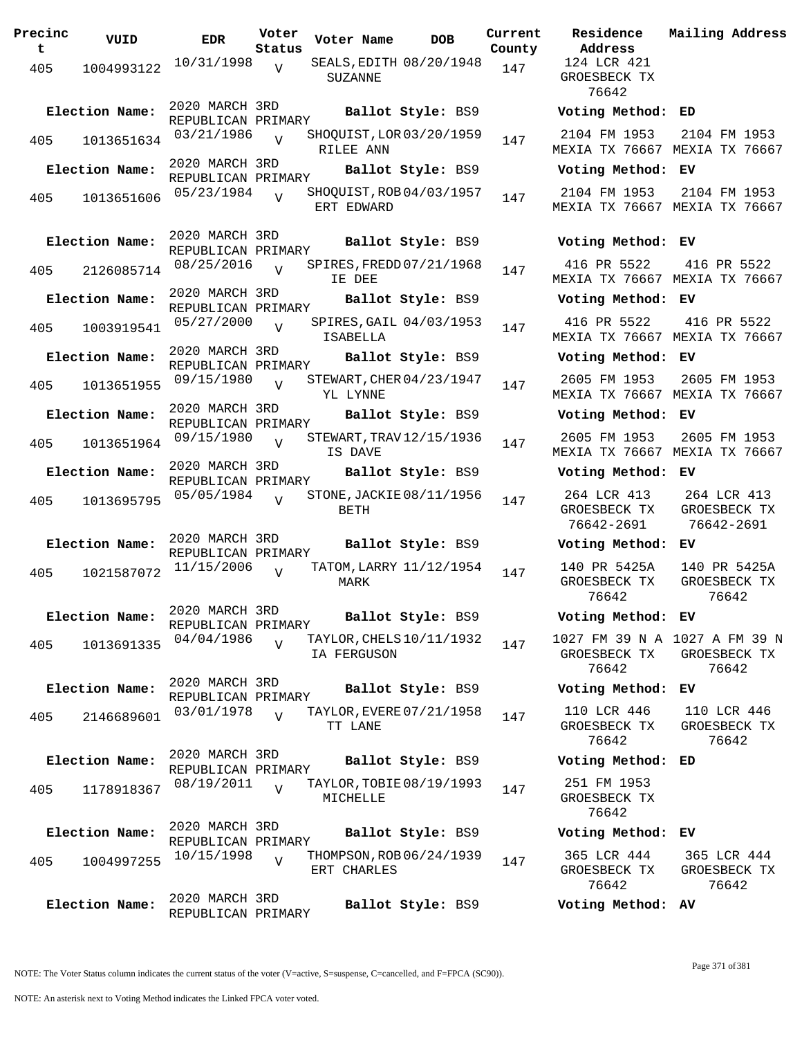| Precinc<br>t. | VUID           | <b>EDR</b>                           | Voter<br>Status | Voter Name  | <b>DOB</b>               | Curre<br>Count |
|---------------|----------------|--------------------------------------|-----------------|-------------|--------------------------|----------------|
| 405           | 1004993122     | 10/31/1998                           | V               | SUZANNE     | SEALS, EDITH 08/20/1948  | 147            |
|               | Election Name: | 2020 MARCH 3RD<br>REPUBLICAN PRIMARY |                 |             | Ballot Style: BS9        |                |
| 405           | 1013651634     | 03/21/1986                           | $\overline{V}$  | RILEE ANN   | SHOQUIST, LOR 03/20/1959 | 147            |
|               | Election Name: | 2020 MARCH 3RD<br>REPUBLICAN PRIMARY |                 |             | Ballot Style: BS9        |                |
| 405           | 1013651606     | 05/23/1984                           | $\overline{V}$  | ERT EDWARD  | SHOQUIST, ROB 04/03/1957 | 147            |
|               | Election Name: | 2020 MARCH 3RD<br>REPUBLICAN PRIMARY |                 |             | Ballot Style: BS9        |                |
|               | 405 2126085714 | 08/25/2016                           | $\overline{U}$  | IE DEE      | SPIRES, FREDD 07/21/1968 | 147            |
|               | Election Name: | 2020 MARCH 3RD<br>REPUBLICAN PRIMARY |                 |             | Ballot Style: BS9        |                |
| 405           | 1003919541     | 05/27/2000                           | $\overline{V}$  | ISABELLA    | SPIRES, GAIL 04/03/1953  | 147            |
|               | Election Name: | 2020 MARCH 3RD<br>REPUBLICAN PRIMARY |                 |             | Ballot Style: BS9        |                |
| 405           | 1013651955     | 09/15/1980                           | $\overline{V}$  | YL LYNNE    | STEWART, CHER 04/23/1947 | 147            |
|               | Election Name: | 2020 MARCH 3RD<br>REPUBLICAN PRIMARY |                 |             | Ballot Style: BS9        |                |
| 405           | 1013651964     | 09/15/1980                           | $\overline{V}$  | IS DAVE     | STEWART, TRAV 12/15/1936 | 147            |
|               | Election Name: | 2020 MARCH 3RD<br>REPUBLICAN PRIMARY |                 |             | Ballot Style: BS9        |                |
| 405           | 1013695795     | 05/05/1984                           | $\overline{U}$  | BETH        | STONE, JACKIE 08/11/1956 | 147            |
|               | Election Name: | 2020 MARCH 3RD<br>REPUBLICAN PRIMARY |                 |             | Ballot Style: BS9        |                |
| 405           | 1021587072     | 11/15/2006                           | $\overline{V}$  | MARK        | TATOM, LARRY 11/12/1954  | 147            |
|               | Election Name: | 2020 MARCH 3RD<br>REPUBLICAN PRIMARY |                 |             | Ballot Style: BS9        |                |
| 405           | 1013691335     | 04/04/1986                           | $\overline{V}$  | IA FERGUSON | TAYLOR, CHELS 10/11/1932 | 147            |
|               | Election Name: | 2020 MARCH 3RD<br>REPUBLICAN PRIMARY |                 |             | Ballot Style: BS9        |                |
| 405           | 2146689601     | 03/01/1978                           | $\overline{V}$  | TT LANE     | TAYLOR, EVERE 07/21/1958 | 147            |
|               | Election Name: | 2020 MARCH 3RD<br>REPUBLICAN PRIMARY |                 |             | Ballot Style: BS9        |                |
| 405           | 1178918367     | 08/19/2011                           | $\overline{V}$  | MICHELLE    | TAYLOR, TOBIE 08/19/1993 | 147            |
|               | Election Name: | 2020 MARCH 3RD<br>REPUBLICAN PRIMARY |                 |             | Ballot Style: BS9        |                |
| 405           | 1004997255     | 10/15/1998                           | $\overline{V}$  | ERT CHARLES | THOMPSON, ROB 06/24/1939 | 147            |
|               | Election Name: | 2020 MARCH 3RD<br>REPUBLICAN PRIMARY |                 |             | Ballot Style: BS9        |                |

**PORE Residence Address Current Mailing Address** nty 124 LCR 421 GROESBECK TX 76642 **Election Name: Ballot Style:** BS9 **Voting Method: ED** 2104 FM 1953 MEXIA TX 76667 MEXIA TX 76667 2104 FM 1953 **Election Name: Ballot Style:** BS9 **Voting Method: EV** 2104 FM 1953 MEXIA TX 76667 MEXIA TX 76667 2104 FM 1953 **Election Name: Ballot Style:** BS9 **Voting Method: EV** 416 PR 5522 MEXIA TX 76667 MEXIA TX 76667 416 PR 5522 **Election Name: Ballot Style:** BS9 **Voting Method: EV** 416 PR 5522 MEXIA TX 76667 MEXIA TX 76667 416 PR 5522 **Election Name: Ballot Style:** BS9 **Voting Method: EV** 2605 FM 1953 MEXIA TX 76667 MEXIA TX 76667 2605 FM 1953 **Election Name: Ballot Style:** BS9 **Voting Method: EV** 2605 FM 1953 MEXIA TX 76667 MEXIA TX 76667 2605 FM 1953 **Election Name: Ballot Style:** BS9 **Voting Method: EV** 264 LCR 413 GROESBECK TX 76642-2691 264 LCR 413 GROESBECK TX 76642-2691 **Election Name: Ballot Style:** BS9 **Voting Method: EV** 140 PR 5425A GROESBECK TX 76642 140 PR 5425A GROESBECK TX 76642 **Election Name: Ballot Style:** BS9 **Voting Method: EV** 1027 FM 39 N A 1027 A FM 39 N GROESBECK TX 76642 GROESBECK TX 76642 **Election Name: Ballot Style:** BS9 **Voting Method: EV** 110 LCR 446 GROESBECK TX 76642 110 LCR 446 GROESBECK TX 76642 **Election Name: Ballot Style:** BS9 **Voting Method: ED** 251 FM 1953 GROESBECK TX 76642 **Election Name: Ballot Style:** BS9 **Voting Method: EV** 365 LCR 444 GROESBECK TX 76642 365 LCR 444 GROESBECK TX 76642 **Election Name: Ballot Style:** BS9 **Voting Method: AV**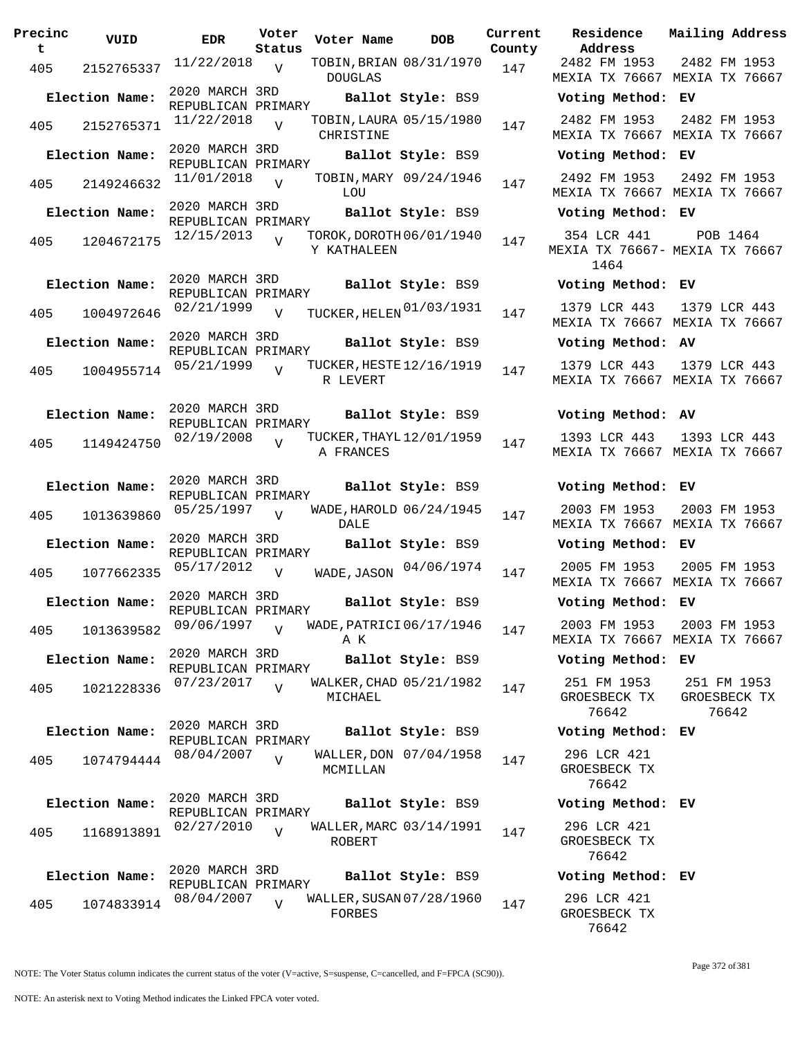| Precinc<br>t. | VUID           | <b>EDR</b>                                      | Voter<br>Status | Voter Name                            | <b>DOB</b>             | Current<br>County | Residence<br>Address                 |
|---------------|----------------|-------------------------------------------------|-----------------|---------------------------------------|------------------------|-------------------|--------------------------------------|
|               |                | $11/22/2018$ V                                  |                 | TOBIN, BRIAN 08/31/1970               |                        |                   | 2482 FM 1953                         |
|               | 405 2152765337 |                                                 |                 | <b>DOUGLAS</b>                        |                        | 147               | MEXIA TX 7666                        |
|               | Election Name: | 2020 MARCH 3RD<br>REPUBLICAN PRIMARY            |                 |                                       | Ballot Style: BS9      |                   | Voting Metho                         |
| 405           | 2152765371     | 11/22/2018                                      | $\overline{V}$  | TOBIN, LAURA 05/15/1980<br>CHRISTINE  |                        | 147               | 2482 FM 1953<br>MEXIA TX 7666        |
|               | Election Name: | 2020 MARCH 3RD<br>REPUBLICAN PRIMARY            |                 |                                       | Ballot Style: BS9      |                   | Voting Metho                         |
| 405           | 2149246632     | 11/01/2018                                      | V               | LOU                                   | TOBIN, MARY 09/24/1946 | 147               | 2492 FM 1953<br>MEXIA TX 7666        |
|               | Election Name: | 2020 MARCH 3RD                                  |                 |                                       | Ballot Style: BS9      |                   | Voting Metho                         |
|               |                | REPUBLICAN PRIMARY<br>$12/15/2013$ <sub>V</sub> |                 | TOROK, DOROTH 06/01/1940              |                        |                   | 354 LCR 441                          |
|               | 405 1204672175 |                                                 |                 | Y KATHALEEN                           |                        | 147               | MEXIA TX 7666<br>1464                |
|               | Election Name: | 2020 MARCH 3RD<br>REPUBLICAN PRIMARY            |                 |                                       | Ballot Style: BS9      |                   | Voting Metho                         |
| 405           | 1004972646     | 02/21/1999                                      | $\overline{V}$  | TUCKER, HELEN 01/03/1931              |                        | 147               | 1379 LCR 443<br>MEXIA TX 7666        |
|               | Election Name: | 2020 MARCH 3RD<br>REPUBLICAN PRIMARY            |                 |                                       | Ballot Style: BS9      |                   | Voting Metho                         |
| 405           | 1004955714     | 05/21/1999                                      | $\overline{U}$  | TUCKER, HESTE 12/16/1919<br>R LEVERT  |                        | 147               | 1379 LCR 443<br>MEXIA TX 7666        |
|               | Election Name: | 2020 MARCH 3RD<br>REPUBLICAN PRIMARY            |                 |                                       | Ballot Style: BS9      |                   | Voting Metho                         |
| 405           | 1149424750     | 02/19/2008                                      | V               | TUCKER, THAYL 12/01/1959<br>A FRANCES |                        | 147               | 1393 LCR 443<br>MEXIA TX 7666        |
|               | Election Name: | 2020 MARCH 3RD                                  |                 |                                       | Ballot Style: BS9      |                   | Voting Metho                         |
| 405           | 1013639860     | REPUBLICAN PRIMARY<br>05/25/1997                | $\overline{V}$  | WADE, HAROLD 06/24/1945               |                        | 147               | 2003 FM 1953                         |
|               | Election Name: | 2020 MARCH 3RD                                  |                 | DALE                                  | Ballot Style: BS9      |                   | MEXIA TX 7666<br>Voting Metho        |
| 405           |                | REPUBLICAN PRIMARY<br>1077662335 05/17/2012     | $\overline{V}$  | WADE, JASON 04/06/1974                |                        | 147               | 2005 FM 1953                         |
|               |                | 2020 MARCH 3RD                                  |                 |                                       |                        |                   | MEXIA TX 7666                        |
|               | Election Name: | REPUBLICAN PRIMARY                              |                 |                                       | Ballot Style: BS9      |                   | Voting Metho                         |
| 405           | 1013639582     | 09/06/1997                                      | $\overline{U}$  | WADE, PATRICI 06/17/1946<br>ΑK        |                        | 147               | 2003 FM 1953<br>MEXIA TX 7666        |
|               | Election Name: | 2020 MARCH 3RD<br>REPUBLICAN PRIMARY            |                 |                                       | Ballot Style: BS9      |                   | Voting Metho                         |
| 405           | 1021228336     | 07/23/2017                                      | $\overline{V}$  | WALKER, CHAD 05/21/1982<br>MICHAEL    |                        | 147               | 251 FM 1953<br>GROESBECK TX<br>76642 |
|               | Election Name: | 2020 MARCH 3RD<br>REPUBLICAN PRIMARY            |                 |                                       | Ballot Style: BS9      |                   | Voting Metho                         |
| 405           | 1074794444     | 08/04/2007                                      | $\overline{V}$  | MCMILLAN                              | WALLER, DON 07/04/1958 | 147               | 296 LCR 421<br>GROESBECK TX<br>76642 |
|               | Election Name: | 2020 MARCH 3RD<br>REPUBLICAN PRIMARY            |                 |                                       | Ballot Style: BS9      |                   | Voting Metho                         |
| 405           | 1168913891     | 02/27/2010                                      | $\overline{V}$  | WALLER, MARC 03/14/1991<br>ROBERT     |                        | 147               | 296 LCR 421<br>GROESBECK TX<br>76642 |
|               | Election Name: | 2020 MARCH 3RD<br>REPUBLICAN PRIMARY            |                 |                                       | Ballot Style: BS9      |                   | Voting Metho                         |
| 405           | 1074833914     | 08/04/2007                                      | $\overline{V}$  | WALLER, SUSAN 07/28/1960<br>FORBES    |                        | 147               | 296 LCR 421<br>GROESBECK TX          |

**Voter Name DOB Residence Address Current Mailing Address County** 2482 FM 1953 MEXIA TX 76667 MEXIA TX 76667 2482 FM 1953 **Election Name: Ballot Style:** BS9 **Voting Method: EV** 2482 FM 1953 MEXIA TX 76667 MEXIA TX 76667 2482 FM 1953 **Election Name: Ballot Style:** BS9 **Voting Method: EV** 2492 FM 1953 2492 FM 1953 MEXIA TX 76667 MEXIA TX 76667 **Election Name: Ballot Style:** BS9 **Voting Method: EV** 354 LCR 441 MEXIA TX 76667- MEXIA TX 76667 1464 POB 1464 **Election Name: Ballot Style:** BS9 **Voting Method: EV** MEXIA TX 76667 MEXIA TX 76667 1379 LCR 443 **Election Name: Ballot Style:** BS9 **Voting Method: AV** 1379 LCR 443 MEXIA TX 76667 MEXIA TX 76667 1379 LCR 443 **Election Name: Ballot Style:** BS9 **Voting Method: AV** 1393 LCR 443 MEXIA TX 76667 MEXIA TX 76667 1393 LCR 443 **Election Name: Ballot Style:** BS9 **Voting Method: EV** 2003 FM 1953 MEXIA TX 76667 MEXIA TX 76667 2003 FM 1953 **Election Name: Ballot Style:** BS9 **Voting Method: EV** MEXIA TX 76667 MEXIA TX 76667 2005 FM 1953 **Election Name: Ballot Style:** BS9 **Voting Method: EV** 2003 FM 1953 MEXIA TX 76667 MEXIA TX 76667 2003 FM 1953 **Election Name: Ballot Style:** BS9 **Voting Method: EV** 251 FM 1953 GROESBECK TX 76642 251 FM 1953 GROESBECK TX 76642 **Election Name: Ballot Style:** BS9 **Voting Method: EV** 296 LCR 421 GROESBECK TX 76642 **Election Name: Ballot Style:** BS9 **Voting Method: EV** 296 LCR 421 GROESBECK TX

> **Election Name: Ballot Style:** BS9 **Voting Method: EV** 296 LCR 421

GROESBECK TX 76642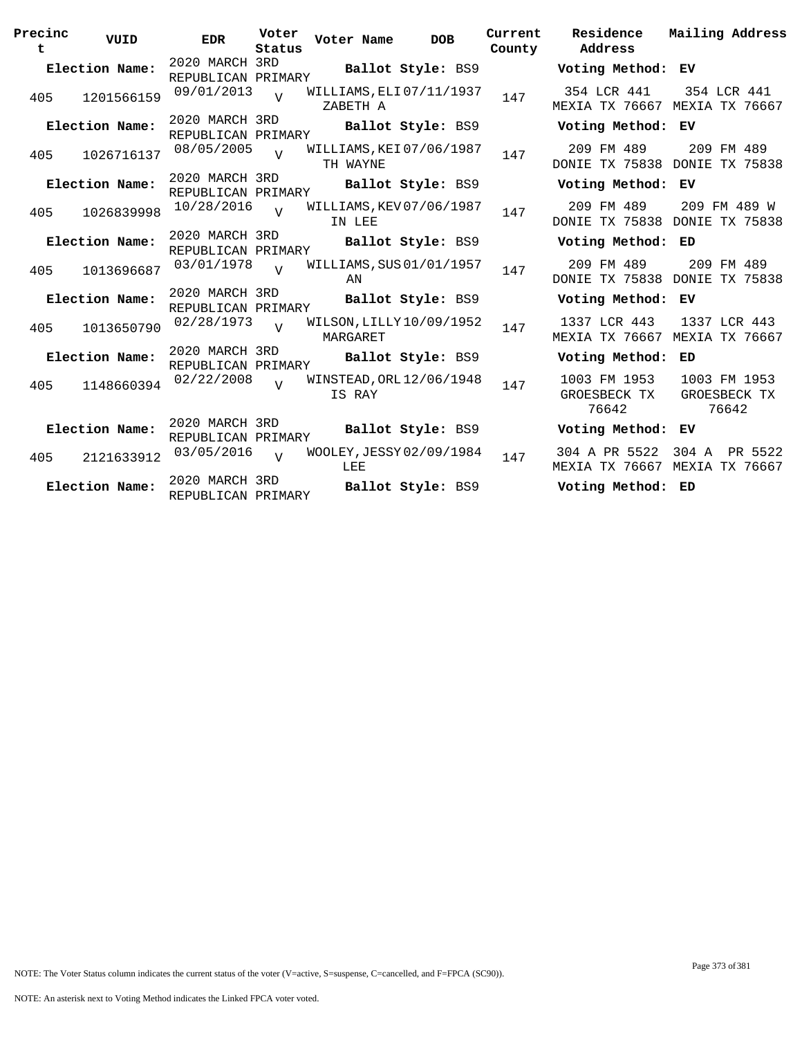| Precinc<br>t | VUID           | <b>EDR</b>                           | Voter<br>Status | Voter Name                           | <b>DOB</b>        | Current<br>County | Residence<br>Address                  | Mailing Address                               |
|--------------|----------------|--------------------------------------|-----------------|--------------------------------------|-------------------|-------------------|---------------------------------------|-----------------------------------------------|
|              | Election Name: | 2020 MARCH 3RD<br>REPUBLICAN PRIMARY |                 |                                      | Ballot Style: BS9 |                   | Voting Method: EV                     |                                               |
| 405          | 1201566159     | 09/01/2013                           | $\overline{U}$  | WILLIAMS, ELI 07/11/1937<br>ZABETH A |                   | 147               | 354 LCR 441                           | 354 LCR 441<br>MEXIA TX 76667 MEXIA TX 76667  |
|              | Election Name: | 2020 MARCH 3RD<br>REPUBLICAN PRIMARY |                 |                                      | Ballot Style: BS9 |                   | Voting Method: EV                     |                                               |
| 405          | 1026716137     | 08/05/2005                           | $\overline{U}$  | WILLIAMS, KEI 07/06/1987<br>TH WAYNE |                   | 147               | 209 FM 489                            | 209 FM 489<br>DONIE TX 75838 DONIE TX 75838   |
|              | Election Name: | 2020 MARCH 3RD<br>REPUBLICAN PRIMARY |                 |                                      | Ballot Style: BS9 |                   | Voting Method:                        | ЕV                                            |
| 405          | 1026839998     | 10/28/2016                           | $\overline{U}$  | WILLIAMS, KEV 07/06/1987<br>IN LEE   |                   | 147               | 209 FM 489                            | 209 FM 489 W<br>DONIE TX 75838 DONIE TX 75838 |
|              | Election Name: | 2020 MARCH 3RD<br>REPUBLICAN PRIMARY |                 |                                      | Ballot Style: BS9 |                   | Voting Method: ED                     |                                               |
| 405          | 1013696687     | 03/01/1978                           | $\overline{U}$  | WILLIAMS, SUS 01/01/1957<br>ΆN       |                   | 147               | 209 FM 489                            | 209 FM 489<br>DONIE TX 75838 DONIE TX 75838   |
|              | Election Name: | 2020 MARCH 3RD<br>REPUBLICAN PRIMARY |                 |                                      | Ballot Style: BS9 |                   | Voting Method: EV                     |                                               |
| 405          | 1013650790     | 02/28/1973                           | $\overline{17}$ | WILSON, LILLY 10/09/1952<br>MARGARET |                   | 147               | 1337 LCR 443                          | 1337 LCR 443<br>MEXIA TX 76667 MEXIA TX 76667 |
|              | Election Name: | 2020 MARCH 3RD<br>REPUBLICAN PRIMARY |                 |                                      | Ballot Style: BS9 |                   | Voting Method: ED                     |                                               |
| 405          | 1148660394     | 02/22/2008                           | $\overline{V}$  | WINSTEAD, ORL 12/06/1948<br>IS RAY   |                   | 147               | 1003 FM 1953<br>GROESBECK TX<br>76642 | 1003 FM 1953<br>GROESBECK TX<br>76642         |
|              | Election Name: | 2020 MARCH 3RD<br>REPUBLICAN PRIMARY |                 |                                      | Ballot Style: BS9 |                   | Voting Method:                        | ЕV                                            |
| 405          | 2121633912     | 03/05/2016                           | $\overline{U}$  | WOOLEY, JESSY 02/09/1984<br>LEE      |                   | 147               | 304 A PR 5522<br>MEXIA TX 76667       | 304 A PR 5522<br>MEXIA TX 76667               |
|              | Election Name: | 2020 MARCH 3RD<br>REPUBLICAN PRIMARY |                 |                                      | Ballot Style: BS9 |                   | Voting Method: ED                     |                                               |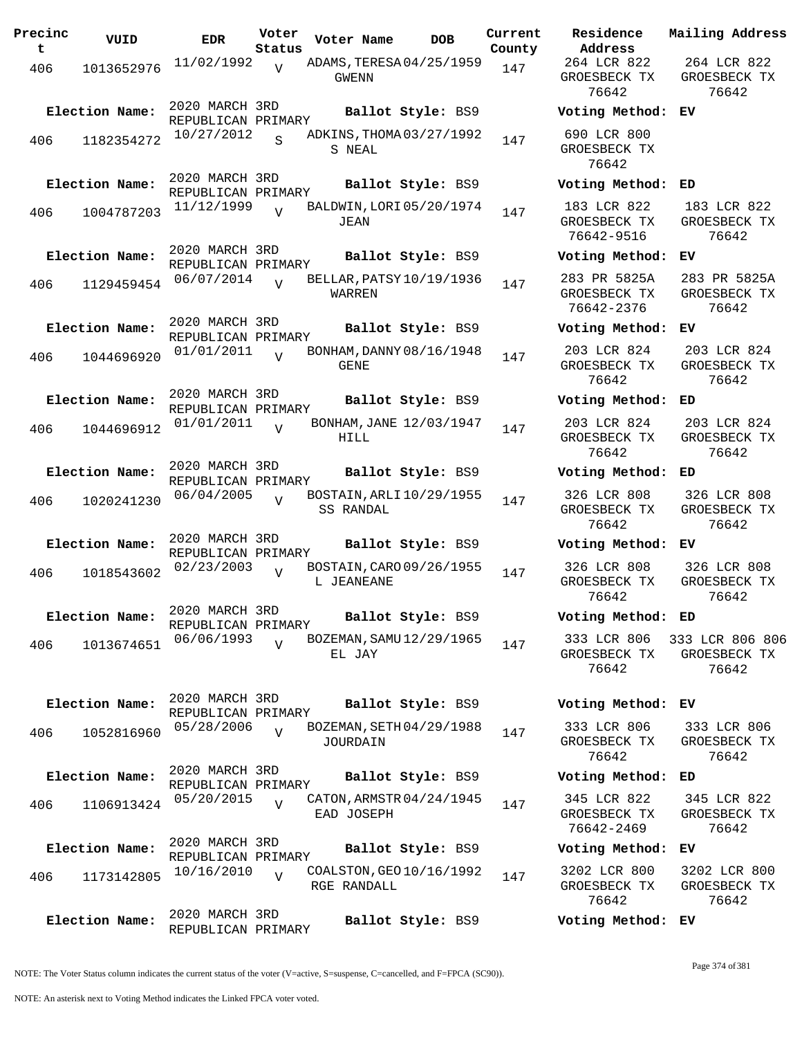| Precinc<br>t | VUID                         | EDR                                                | Voter<br>Status | Voter Name                              | DOB               | Current<br>County |
|--------------|------------------------------|----------------------------------------------------|-----------------|-----------------------------------------|-------------------|-------------------|
| 406          | 1013652976                   | 11/02/1992                                         | $\overline{V}$  | ADAMS, TERESA 04/25/1959<br>GWENN       |                   | 147               |
| 406          | Election Name:<br>1182354272 | 2020 MARCH 3RD<br>REPUBLICAN PRIMARY<br>10/27/2012 | S.              | ADKINS, THOMA 03/27/1992<br>S NEAL      | Ballot Style: BS9 | 147               |
| 406          | Election Name:<br>1004787203 | 2020 MARCH 3RD<br>REPUBLICAN PRIMARY<br>11/12/1999 | V               | BALDWIN, LORI 05/20/1974<br>JEAN        | Ballot Style: BS9 | 147               |
| 406          | Election Name:<br>1129459454 | 2020 MARCH 3RD<br>REPUBLICAN PRIMARY<br>06/07/2014 | $\overline{U}$  | BELLAR, PATSY 10/19/1936<br>WARREN      | Ballot Style: BS9 | 147               |
| 406          | Election Name:<br>1044696920 | 2020 MARCH 3RD<br>REPUBLICAN PRIMARY<br>01/01/2011 | $\overline{z}$  | BONHAM, DANNY 08/16/1948<br><b>GENE</b> | Ballot Style: BS9 | 147               |
| 406          | Election Name:<br>1044696912 | 2020 MARCH 3RD<br>REPUBLICAN PRIMARY<br>01/01/2011 | ٦T              | BONHAM, JANE 12/03/1947<br>HILL         | Ballot Style: BS9 | 147               |
| 406          | Election Name:<br>1020241230 | 2020 MARCH 3RD<br>REPUBLICAN PRIMARY<br>06/04/2005 | $\overline{U}$  | BOSTAIN, ARLI 10/29/1955<br>SS RANDAL   | Ballot Style: BS9 | 147               |
| 406          | Election Name:<br>1018543602 | 2020 MARCH 3RD<br>REPUBLICAN PRIMARY<br>02/23/2003 | ٦T              | BOSTAIN, CARO 09/26/1955<br>L JEANEANE  | Ballot Style: BS9 | 147               |
| 406          | Election Name:<br>1013674651 | 2020 MARCH 3RD<br>REPUBLICAN PRIMARY<br>06/06/1993 | V               | BOZEMAN, SAMU 12/29/1965<br>EL JAY      | Ballot Style: BS9 | 147               |
| 406          | Election Name:<br>1052816960 | 2020 MARCH 3RD<br>REPUBLICAN PRIMARY<br>05/28/2006 | $\overline{U}$  | BOZEMAN, SETH 04/29/1988<br>JOURDAIN    | Ballot Style: BS9 | 147               |
| 406          | Election Name:<br>1106913424 | 2020 MARCH 3RD<br>REPUBLICAN PRIMARY<br>05/20/2015 | $\overline{U}$  | CATON, ARMSTR 04/24/1945<br>EAD JOSEPH  | Ballot Style: BS9 | 147               |
| 406          | Election Name:<br>1173142805 | 2020 MARCH 3RD<br>REPUBLICAN PRIMARY<br>10/16/2010 | V               | COALSTON, GEO 10/16/1992<br>RGE RANDALL | Ballot Style: BS9 | 147               |
|              | Election Name:               | 2020 MARCH 3RD<br>REPUBLICAN PRIMARY               |                 |                                         | Ballot Style: BS9 |                   |

**Voter Name DOB Residence Address Current Mailing Address** 264 LCR 822 GROESBECK TX 76642 264 LCR 822 GROESBECK TX 76642 **Election Name: Ballot Style:** BS9 **Voting Method: EV** 690 LCR 800 GROESBECK TX 76642 **Election Name: Ballot Style:** BS9 **Voting Method: ED** 183 LCR 822 GROESBECK TX 76642-9516 183 LCR 822 GROESBECK TX 76642 **Election Name: Ballot Style:** BS9 **Voting Method: EV** 283 PR 5825A GROESBECK TX 76642-2376 283 PR 5825A GROESBECK TX 76642 **Election Name: Ballot Style:** BS9 **Voting Method: EV** 203 LCR 824 GROESBECK TX 76642 203 LCR 824 GROESBECK TX 76642 **Election Name: Ballot Style:** BS9 **Voting Method: ED** 203 LCR 824 GROESBECK TX 76642 203 LCR 824 GROESBECK TX 76642 **Election Name: Ballot Style:** BS9 **Voting Method: ED** 326 LCR 808 GROESBECK TX 76642 326 LCR 808 GROESBECK TX 76642 **Election Name: Ballot Style:** BS9 **Voting Method: EV** 326 LCR 808 GROESBECK TX 76642 326 LCR 808 GROESBECK TX 76642 **Election Name: Ballot Style:** BS9 **Voting Method: ED** 333 LCR 806 GROESBECK TX 76642 333 LCR 806 806 GROESBECK TX 76642 **Election Name: Ballot Style:** BS9 **Voting Method: EV** 333 LCR 806 GROESBECK TX 76642 333 LCR 806 GROESBECK TX 76642 **Election Name: Ballot Style:** BS9 **Voting Method: ED** 345 LCR 822 GROESBECK TX 76642-2469 345 LCR 822 GROESBECK TX 76642 **Election Name: Ballot Style:** BS9 **Voting Method: EV** 3202 LCR 800 GROESBECK TX 3202 LCR 800 GROESBECK TX

NOTE: The Voter Status column indicates the current status of the voter (V=active, S=suspense, C=cancelled, and F=FPCA (SC90)).

76642

76642

**Election Name: Ballot Style:** BS9 **Voting Method: EV**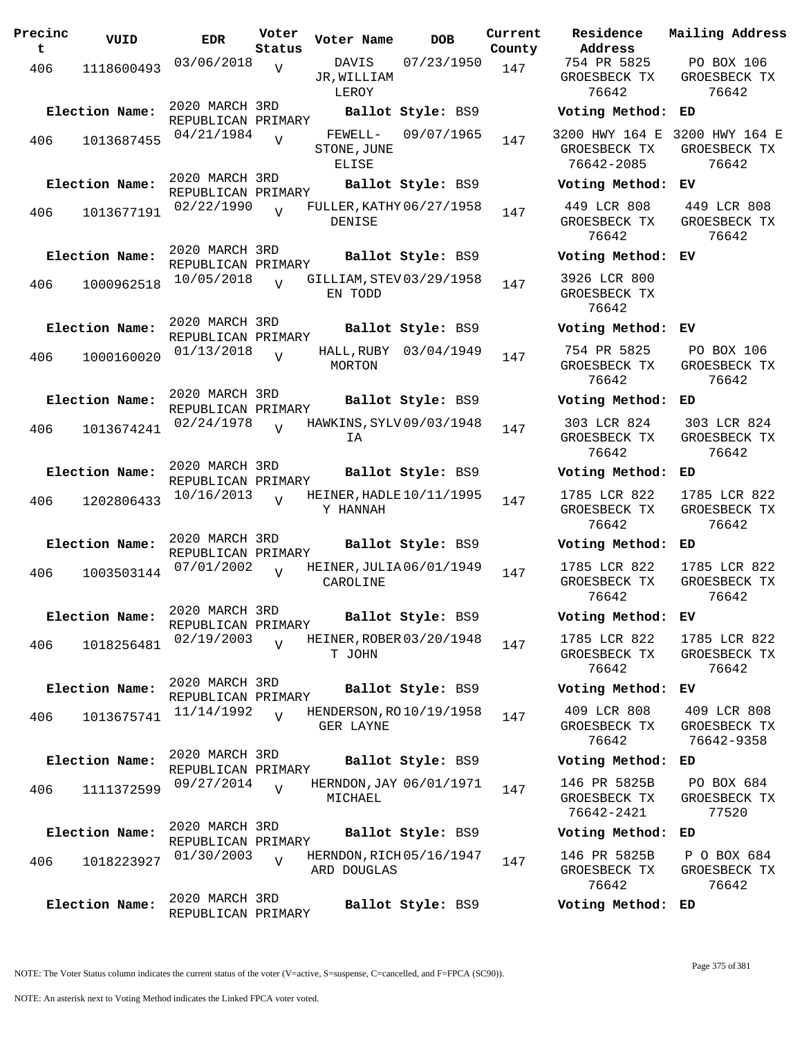| Precinc<br>t. | VUID           | <b>EDR</b>                           | Voter<br>Status | Voter Name                      | DOB                        | Current<br>County |
|---------------|----------------|--------------------------------------|-----------------|---------------------------------|----------------------------|-------------------|
| 406           | 1118600493     | 03/06/2018                           | V               | DAVIS<br>JR,WILLIAM<br>LEROY    | 07/23/1950                 | 147               |
|               | Election Name: | 2020 MARCH 3RD<br>REPUBLICAN PRIMARY |                 |                                 | Ballot Style: BS9          |                   |
| 406           | 1013687455     | 04/21/1984                           | V               | FEWELL-<br>STONE, JUNE<br>ELISE | 09/07/1965                 | 147               |
|               | Election Name: | 2020 MARCH 3RD                       |                 |                                 | Ballot Style: BS9          |                   |
| 406           | 1013677191     | REPUBLICAN PRIMARY<br>02/22/1990     | V               | DENISE                          | FULLER, KATHY 06/27/1958   | 147               |
|               | Election Name: | 2020 MARCH 3RD                       |                 |                                 | Ballot Style: BS9          |                   |
| 406           | 1000962518     | REPUBLICAN PRIMARY<br>10/05/2018     | $\overline{U}$  | EN TODD                         | GILLIAM, STEV 03/29/1958   | 147               |
|               | Election Name: | 2020 MARCH 3RD                       |                 |                                 | Ballot Style: BS9          |                   |
| 406           | 1000160020     | REPUBLICAN PRIMARY<br>01/13/2018     | V               | HALL, RUBY<br>MORTON            | 03/04/1949                 | 147               |
|               | Election Name: | 2020 MARCH 3RD<br>REPUBLICAN PRIMARY |                 |                                 | Ballot Style: BS9          |                   |
| 406           | 1013674241     | 02/24/1978                           | V               | IA                              | HAWKINS, SYLV 09/03/1948   | 147               |
|               | Election Name: | 2020 MARCH 3RD<br>REPUBLICAN PRIMARY |                 |                                 | Ballot Style: BS9          |                   |
| 406           | 1202806433     | 10/16/2013                           | $\overline{I}$  | Y HANNAH                        | HEINER, HADLE $10/11/1995$ | 147               |
|               | Election Name: | 2020 MARCH 3RD<br>REPUBLICAN PRIMARY |                 |                                 | Ballot Style: BS9          |                   |
| 406           | 1003503144     | 07/01/2002                           | ٦T              | CAROLINE                        | HEINER, JULIA 06/01/1949   | 147               |
|               | Election Name: | 2020 MARCH 3RD<br>REPUBLICAN PRIMARY |                 |                                 | Ballot Style: BS9          |                   |
| 406           | 1018256481     | 02/19/2003                           | V               | T JOHN                          | HEINER, ROBER 03/20/1948   | 147               |
|               | Election Name: | 2020 MARCH 3RD                       |                 |                                 | Ballot Style: BS9          |                   |
| 406           | 1013675741     | REPUBLICAN PRIMARY<br>11/14/1992     | $\overline{V}$  |                                 | HENDERSON, RO 10/19/1958   | 147               |
|               |                |                                      |                 | GER LAYNE                       |                            |                   |
|               | Election Name: | 2020 MARCH 3RD<br>REPUBLICAN PRIMARY |                 |                                 | Ballot Style: BS9          |                   |
| 406           | 1111372599     | 09/27/2014                           | $\overline{V}$  | MICHAEL                         | HERNDON, JAY 06/01/1971    | 147               |
|               | Election Name: | 2020 MARCH 3RD                       |                 |                                 | Ballot Style: BS9          |                   |
| 406           | 1018223927     | REPUBLICAN PRIMARY<br>01/30/2003     | V               | ARD DOUGLAS                     | HERNDON, RICH 05/16/1947   | 147               |
|               | Election Name: | 2020 MARCH 3RD<br>REPUBLICAN PRIMARY |                 |                                 | Ballot Style: BS9          |                   |

**Voter Name DOB Residence Address Current Mailing Address** 754 PR 5825 GROESBECK TX 76642 PO BOX 106 GROESBECK TX 76642 **Election Name: Ballot Style:** BS9 **Voting Method: ED** 3200 HWY 164 E 3200 HWY 164 E GROESBECK TX 76642-2085 GROESBECK TX 76642 **Election Name: Ballot Style:** BS9 **Voting Method: EV** 449 LCR 808 GROESBECK TX 76642 449 LCR 808 GROESBECK TX 76642 **Election Name: Ballot Style:** BS9 **Voting Method: EV** 3926 LCR 800 GROESBECK TX 76642 **Election Name: Ballot Style:** BS9 **Voting Method: EV** 754 PR 5825 GROESBECK TX 76642 PO BOX 106 GROESBECK TX 76642 **Election Name: Ballot Style:** BS9 **Voting Method: ED** 303 LCR 824 GROESBECK TX 76642 303 LCR 824 GROESBECK TX 76642 **Election Name: Ballot Style:** BS9 **Voting Method: ED** 1785 LCR 822 GROESBECK TX 76642 1785 LCR 822 GROESBECK TX 76642 **Election Name: Ballot Style:** BS9 **Voting Method: ED** 1785 LCR 822 GROESBECK TX 76642 1785 LCR 822 GROESBECK TX 76642 **Election Name: Ballot Style:** BS9 **Voting Method: EV** 1785 LCR 822 GROESBECK TX 76642 1785 LCR 822 GROESBECK TX 76642 **Election Name: Ballot Style:** BS9 **Voting Method: EV** 409 LCR 808 GROESBECK TX 76642 409 LCR 808 GROESBECK TX 76642-9358 **Election Name: Ballot Style:** BS9 **Voting Method: ED** 146 PR 5825B GROESBECK TX 76642-2421 PO BOX 684 GROESBECK TX 77520 **Election Name: Ballot Style:** BS9 **Voting Method: ED** 146 PR 5825B GROESBECK TX P O BOX 684 GROESBECK TX

NOTE: The Voter Status column indicates the current status of the voter (V=active, S=suspense, C=cancelled, and F=FPCA (SC90)).

76642

76642

**Election Name: Ballot Style:** BS9 **Voting Method: ED**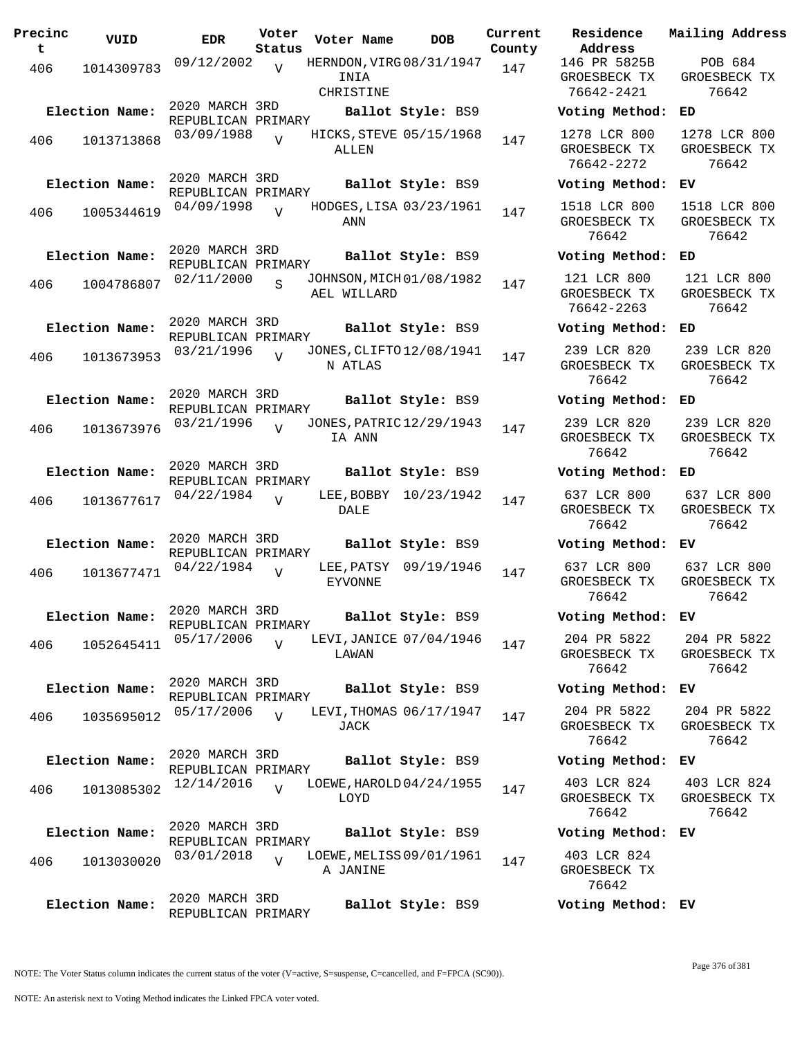| Precinc<br>t. | VUID           | EDR                                  | Voter<br>Status | Voter Name                                    | DOB                     | Current<br>County |
|---------------|----------------|--------------------------------------|-----------------|-----------------------------------------------|-------------------------|-------------------|
| 406           | 1014309783     | 09/12/2002                           | $\overline{V}$  | HERNDON, VIRG 08/31/1947<br>INIA<br>CHRISTINE |                         | 147               |
|               | Election Name: | 2020 MARCH 3RD                       |                 |                                               | Ballot Style: BS9       |                   |
| 406           | 1013713868     | REPUBLICAN PRIMARY<br>03/09/1988     | $\overline{U}$  | HICKS, STEVE 05/15/1968<br>ALLEN              |                         | 147               |
|               | Election Name: | 2020 MARCH 3RD<br>REPUBLICAN PRIMARY |                 |                                               | Ballot Style: BS9       |                   |
| 406           | 1005344619     | 04/09/1998                           | $\overline{V}$  | ANN                                           | HODGES, LISA 03/23/1961 | 147               |
|               | Election Name: | 2020 MARCH 3RD<br>REPUBLICAN PRIMARY |                 |                                               | Ballot Style: BS9       |                   |
| 406           | 1004786807     | 02/11/2000                           | S               | JOHNSON, MICH 01/08/1982<br>AEL WILLARD       |                         | 147               |
|               | Election Name: | 2020 MARCH 3RD<br>REPUBLICAN PRIMARY |                 |                                               | Ballot Style: BS9       |                   |
| 406           | 1013673953     | 03/21/1996                           | $\overline{U}$  | JONES, CLIFTO 12/08/1941<br>N ATLAS           |                         | 147               |
|               | Election Name: | 2020 MARCH 3RD<br>REPUBLICAN PRIMARY |                 |                                               | Ballot Style: BS9       |                   |
| 406           | 1013673976     | 03/21/1996                           | $\overline{U}$  | JONES, PATRIC 12/29/1943<br>IA ANN            |                         | 147               |
|               | Election Name: | 2020 MARCH 3RD<br>REPUBLICAN PRIMARY |                 |                                               | Ballot Style: BS9       |                   |
| 406           | 1013677617     | 04/22/1984                           | $\overline{U}$  | LEE,BOBBY<br>DALE                             | 10/23/1942              | 147               |
|               | Election Name: | 2020 MARCH 3RD<br>REPUBLICAN PRIMARY |                 |                                               | Ballot Style: BS9       |                   |
| 406           | 1013677471     | 04/22/1984                           | V               | LEE, PATSY<br><b>EYVONNE</b>                  | 09/19/1946              | 147               |
|               | Election Name: | 2020 MARCH 3RD<br>REPUBLICAN PRIMARY |                 |                                               | Ballot Style: BS9       |                   |
| 406           | 1052645411     | 05/17/2006                           | $\overline{V}$  | LEVI, JANICE 07/04/1946<br>LAWAN              |                         | 147               |
|               | Election Name: | 2020 MARCH 3RD<br>REPUBLICAN PRIMARY |                 |                                               | Ballot Style: BS9       |                   |
| 406           | 1035695012     | 05/17/2006                           | $\overline{U}$  | JACK                                          | LEVI, THOMAS 06/17/1947 | 147               |
|               | Election Name: | 2020 MARCH 3RD<br>REPUBLICAN PRIMARY |                 |                                               | Ballot Style: BS9       |                   |
| 406           | 1013085302     | 12/14/2016                           | $\overline{U}$  | LOEWE, HAROLD 04/24/1955<br>LOYD              |                         | 147               |
|               | Election Name: | 2020 MARCH 3RD<br>REPUBLICAN PRIMARY |                 |                                               | Ballot Style: BS9       |                   |
| 406           | 1013030020     | 03/01/2018                           | $\overline{V}$  | LOEWE, MELISS 09/01/1961<br>A JANINE          |                         | 147               |
|               | Election Name: | 2020 MARCH 3RD<br>REPUBLICAN PRIMARY |                 |                                               | Ballot Style: BS9       |                   |

**Voter Name DOB Residence Address Current Mailing Address** 146 PR 5825B GROESBECK TX 76642-2421 POB 684 GROESBECK TX 76642 **Election Name: Ballot Style:** BS9 **Voting Method: ED** 1278 LCR 800 GROESBECK TX 76642-2272 1278 LCR 800 GROESBECK TX 76642 **Election Name: Ballot Style:** BS9 **Voting Method: EV** 1518 LCR 800 GROESBECK TX 76642 1518 LCR 800 GROESBECK TX 76642 **Election Name: Ballot Style:** BS9 **Voting Method: ED** 121 LCR 800 GROESBECK TX 76642-2263 121 LCR 800 GROESBECK TX 76642 **Election Name: Ballot Style:** BS9 **Voting Method: ED** 239 LCR 820 GROESBECK TX 76642 239 LCR 820 GROESBECK TX 76642 **Election Name: Ballot Style:** BS9 **Voting Method: ED** 239 LCR 820 GROESBECK TX 76642 239 LCR 820 GROESBECK TX 76642 **Election Name: Ballot Style:** BS9 **Voting Method: ED** 637 LCR 800 GROESBECK TX 76642 637 LCR 800 GROESBECK TX 76642 **Election Name: Ballot Style:** BS9 **Voting Method: EV** 637 LCR 800 GROESBECK TX 76642 637 LCR 800 GROESBECK TX 76642 **Election Name: Ballot Style:** BS9 **Voting Method: EV** 204 PR 5822 GROESBECK TX 76642 204 PR 5822 GROESBECK TX 76642 **Election Name: Ballot Style:** BS9 **Voting Method: EV** 204 PR 5822 GROESBECK TX 76642 204 PR 5822 GROESBECK TX 76642 **Election Name: Ballot Style:** BS9 **Voting Method: EV** 403 LCR 824 GROESBECK TX 76642 403 LCR 824 GROESBECK TX 76642 **Election Name: Ballot Style:** BS9 **Voting Method: EV** 403 LCR 824

> GROESBECK TX 76642

**Election Name: Ballot Style:** BS9 **Voting Method: EV**

NOTE: An asterisk next to Voting Method indicates the Linked FPCA voter voted.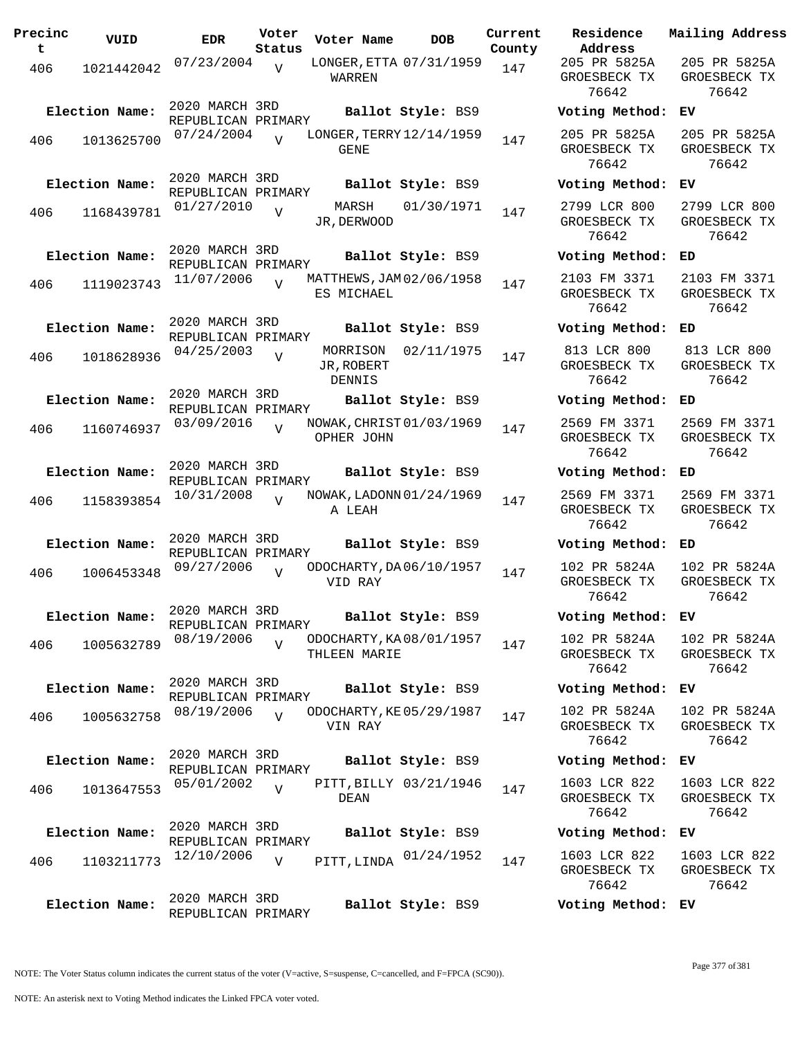| Precinc<br>t. | VUID           | <b>EDR</b>                           | Voter<br>Status | Voter Name                              | <b>DOB</b>             | Current<br>County | Residence<br>Address                  |
|---------------|----------------|--------------------------------------|-----------------|-----------------------------------------|------------------------|-------------------|---------------------------------------|
| 406           | 1021442042     | 07/23/2004                           | V               | LONGER, ETTA 07/31/1959<br>WARREN       |                        | 147               | 205 PR 5825A<br>GROESBECK TX<br>76642 |
|               | Election Name: | 2020 MARCH 3RD<br>REPUBLICAN PRIMARY |                 |                                         | Ballot Style: BS9      |                   | Voting Metho                          |
| 406           | 1013625700     | 07/24/2004                           | $\overline{v}$  | LONGER, TERRY 12/14/1959<br>GENE        |                        | 147               | 205 PR 5825A<br>GROESBECK TX<br>76642 |
|               | Election Name: | 2020 MARCH 3RD<br>REPUBLICAN PRIMARY |                 |                                         | Ballot Style: BS9      |                   | Voting Metho                          |
| 406           | 1168439781     | 01/27/2010                           | $\overline{V}$  | JR, DERWOOD                             | MARSH 01/30/1971       | 147               | 2799 LCR 800<br>GROESBECK TX<br>76642 |
|               | Election Name: | 2020 MARCH 3RD<br>REPUBLICAN PRIMARY |                 |                                         | Ballot Style: BS9      |                   | Voting Metho                          |
| 406           | 1119023743     | 11/07/2006                           | $\overline{V}$  | MATTHEWS, JAM 02/06/1958<br>ES MICHAEL  |                        | 147               | 2103 FM 3371<br>GROESBECK TX<br>76642 |
|               | Election Name: | 2020 MARCH 3RD<br>REPUBLICAN PRIMARY |                 |                                         | Ballot Style: BS9      |                   | Voting Metho                          |
| 406           | 1018628936     | 04/25/2003                           | $\overline{V}$  | JR, ROBERT<br>DENNIS                    | MORRISON 02/11/1975    | 147               | 813 LCR 800<br>GROESBECK TX<br>76642  |
|               | Election Name: | 2020 MARCH 3RD                       |                 |                                         | Ballot Style: BS9      |                   | Voting Metho                          |
| 406           | 1160746937     | REPUBLICAN PRIMARY<br>03/09/2016     | $\overline{V}$  | NOWAK, CHRIST 01/03/1969<br>OPHER JOHN  |                        | 147               | 2569 FM 3371<br>GROESBECK TX<br>76642 |
|               | Election Name: | 2020 MARCH 3RD<br>REPUBLICAN PRIMARY |                 |                                         | Ballot Style: BS9      |                   | Voting Metho                          |
| 406           | 1158393854     | 10/31/2008                           | $\overline{U}$  | NOWAK, LADONN 01/24/1969<br>A LEAH      |                        | 147               | 2569 FM 3371<br>GROESBECK TX<br>76642 |
|               | Election Name: | 2020 MARCH 3RD<br>REPUBLICAN PRIMARY |                 |                                         | Ballot Style: BS9      |                   | Voting Metho                          |
| 406           | 1006453348     | 09/27/2006                           | $\overline{V}$  | ODOCHARTY, DA 06/10/1957<br>VID RAY     |                        | 147               | 102 PR 5824A<br>GROESBECK TX<br>76642 |
|               | Election Name: | 2020 MARCH 3RD<br>REPUBLICAN PRIMARY |                 |                                         | Ballot Style: BS9      |                   | Voting Metho                          |
| 406           | 1005632789     | 08/19/2006                           | $\overline{V}$  | ODOCHARTY, KA08/01/1957<br>THLEEN MARIE |                        | 147               | 102 PR 5824A<br>GROESBECK TX<br>76642 |
|               | Election Name: | 2020 MARCH 3RD<br>REPUBLICAN PRIMARY |                 |                                         | Ballot Style: BS9      |                   | Voting Metho                          |
| 406           | 1005632758     | 08/19/2006                           | $\overline{U}$  | ODOCHARTY, KE 05/29/1987<br>VIN RAY     |                        | 147               | 102 PR 5824A<br>GROESBECK TX<br>76642 |
|               | Election Name: | 2020 MARCH 3RD<br>REPUBLICAN PRIMARY |                 |                                         | Ballot Style: BS9      |                   | Voting Metho                          |
| 406           | 1013647553     | 05/01/2002                           | $\overline{V}$  | DEAN                                    | PITT, BILLY 03/21/1946 | 147               | 1603 LCR 822<br>GROESBECK TX<br>76642 |
|               | Election Name: | 2020 MARCH 3RD<br>REPUBLICAN PRIMARY |                 |                                         | Ballot Style: BS9      |                   | Voting Metho                          |
| 406           | 1103211773     | 12/10/2006                           | V               | PITT, LINDA                             | 01/24/1952             | 147               | 1603 LCR 822<br>GROESBECK TX<br>76642 |
|               | Election Name: | 2020 MARCH 3RD<br>REPUBLICAN PRIMARY |                 |                                         | Ballot Style: BS9      |                   | Voting Metho                          |

**Voter Name DOB Residence Address Current Mailing Address** 205 PR 5825A GROESBECK TX 76642 205 PR 5825A GROESBECK TX 76642 **Election Name: Ballot Style:** BS9 **Voting Method: EV** 205 PR 5825A GROESBECK TX 76642 205 PR 5825A GROESBECK TX 76642 **Election Name: Ballot Style:** BS9 **Voting Method: EV** 2799 LCR 800 GROESBECK TX 76642 2799 LCR 800 GROESBECK TX 76642 **Election Name: Ballot Style:** BS9 **Voting Method: ED** 2103 FM 3371 GROESBECK TX 76642 2103 FM 3371 GROESBECK TX 76642 **Election Name: Ballot Style:** BS9 **Voting Method: ED** 813 LCR 800 GROESBECK TX 76642 813 LCR 800 GROESBECK TX 76642 **Election Name: Ballot Style:** BS9 **Voting Method: ED** 2569 FM 3371 GROESBECK TX 76642 2569 FM 3371 GROESBECK TX 76642 **Election Name: Ballot Style:** BS9 **Voting Method: ED** 2569 FM 3371 GROESBECK TX 76642 2569 FM 3371 GROESBECK TX 76642 **Election Name: Ballot Style:** BS9 **Voting Method: ED** 102 PR 5824A GROESBECK TX 76642 102 PR 5824A GROESBECK TX 76642 **Election Name: Ballot Style:** BS9 **Voting Method: EV** 102 PR 5824A GROESBECK TX 76642 102 PR 5824A GROESBECK TX 76642 **Election Name: Ballot Style:** BS9 **Voting Method: EV** 102 PR 5824A GROESBECK TX 76642 102 PR 5824A GROESBECK TX 76642 **Election Name: Ballot Style:** BS9 **Voting Method: EV** 1603 LCR 822 GROESBECK TX 76642 1603 LCR 822 GROESBECK TX 76642 **Election Name: Ballot Style:** BS9 **Voting Method: EV** GROESBECK TX 76642 1603 LCR 822 GROESBECK TX 76642 **Election Name: Ballot Style:** BS9 **Voting Method: EV**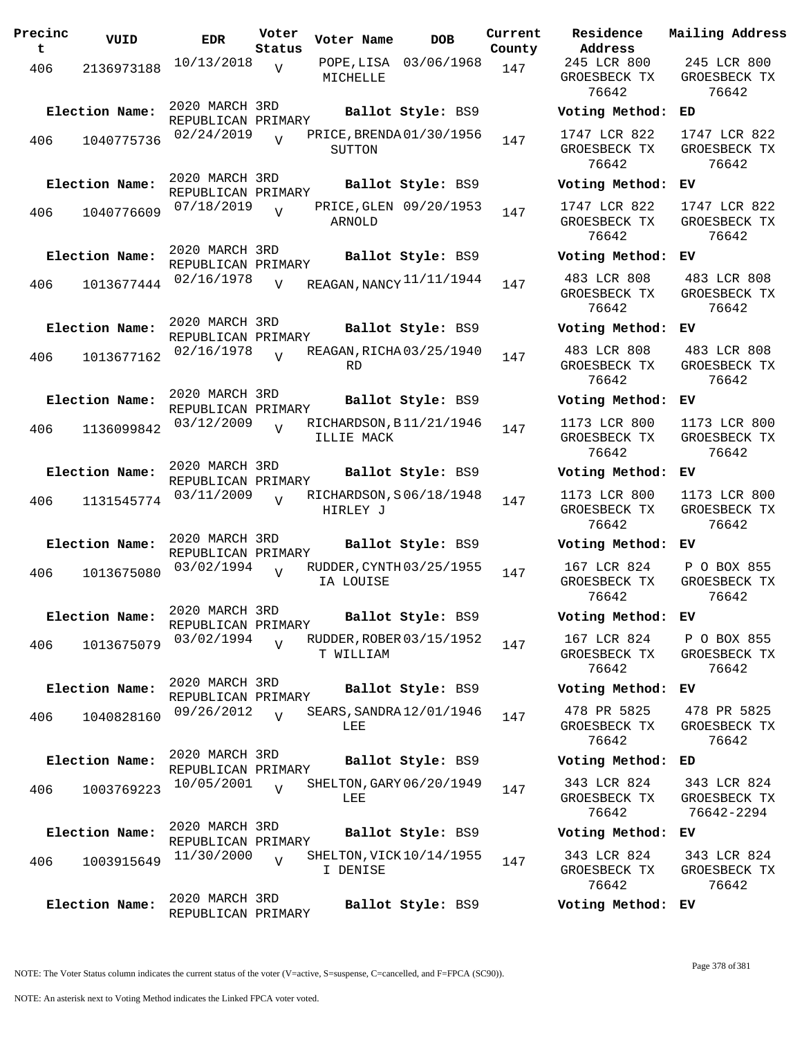| Precinc<br>$\mathbf{t}$ | VUID           | <b>EDR</b>                           | Voter<br>Status | Voter Name | <b>DOB</b>               | Current<br>County | Residence<br>Address                  |
|-------------------------|----------------|--------------------------------------|-----------------|------------|--------------------------|-------------------|---------------------------------------|
| 406                     | 2136973188     | 10/13/2018                           | V               | MICHELLE   | POPE, LISA 03/06/1968    | 147               | 245 LCR 800<br>GROESBECK T<br>76642   |
|                         | Election Name: | 2020 MARCH 3RD<br>REPUBLICAN PRIMARY |                 |            | Ballot Style: BS9        |                   | Voting Metho                          |
| 406                     | 1040775736     | 02/24/2019                           | $\overline{U}$  | SUTTON     | PRICE, BRENDA01/30/1956  | 147               | 1747 LCR 822<br>GROESBECK TI<br>76642 |
|                         | Election Name: | 2020 MARCH 3RD<br>REPUBLICAN PRIMARY |                 |            | Ballot Style: BS9        |                   | Voting Metho                          |
| 406                     | 1040776609     | 07/18/2019                           | $\overline{V}$  | ARNOLD     | PRICE, GLEN 09/20/1953   | 147               | 1747 LCR 822<br>GROESBECK T<br>76642  |
|                         | Election Name: | 2020 MARCH 3RD<br>REPUBLICAN PRIMARY |                 |            | Ballot Style: BS9        |                   | Voting Metho                          |
| 406 —                   | 1013677444     | 02/16/1978                           | V               |            | REAGAN, NANCY 11/11/1944 | 147               | 483 LCR 808<br>GROESBECK TI<br>76642  |
|                         | Election Name: | 2020 MARCH 3RD<br>REPUBLICAN PRIMARY |                 |            | Ballot Style: BS9        |                   | Voting Metho                          |
| 406                     | 1013677162     | 02/16/1978                           | $\overline{v}$  | <b>RD</b>  | REAGAN, RICHA 03/25/1940 | 147               | 483 LCR 808<br>GROESBECK T<br>76642   |
|                         | Election Name: | 2020 MARCH 3RD                       |                 |            | Ballot Style: BS9        |                   | Voting Metho                          |
| 406                     | 1136099842     | REPUBLICAN PRIMARY<br>03/12/2009     | $\overline{z}$  | ILLIE MACK | RICHARDSON, B11/21/1946  | 147               | 1173 LCR 800<br>GROESBECK TI<br>76642 |
|                         | Election Name: | 2020 MARCH 3RD<br>REPUBLICAN PRIMARY |                 |            | Ballot Style: BS9        |                   | Voting Metho                          |
| 406                     | 1131545774     | 03/11/2009                           | $\overline{V}$  | HIRLEY J   | RICHARDSON, S06/18/1948  | 147               | 1173 LCR 800<br>GROESBECK T<br>76642  |
|                         | Election Name: | 2020 MARCH 3RD<br>REPUBLICAN PRIMARY |                 |            | Ballot Style: BS9        |                   | Voting Metho                          |
| 406                     | 1013675080     | 03/02/1994                           | $\overline{U}$  | IA LOUISE  | RUDDER, CYNTH 03/25/1955 | 147               | 167 LCR 824<br>GROESBECK TI<br>76642  |
|                         | Election Name: | 2020 MARCH 3RD<br>REPUBLICAN PRIMARY |                 |            | Ballot Style: BS9        |                   | Voting Metho                          |
| 406                     | 1013675079     | 03/02/1994                           | $\overline{V}$  | T WILLIAM  | RUDDER, ROBER 03/15/1952 | 147               | 167 LCR 824<br>GROESBECK T<br>76642   |
|                         | Election Name: | 2020 MARCH 3RD<br>REPUBLICAN PRIMARY |                 |            | Ballot Style: BS9        |                   | Voting Metho                          |
| 406                     | 1040828160     | 09/26/2012                           | $\overline{V}$  | LEE        | SEARS, SANDRA 12/01/1946 | 147               | 478 PR 5825<br>GROESBECK T<br>76642   |
|                         | Election Name: | 2020 MARCH 3RD<br>REPUBLICAN PRIMARY |                 |            | Ballot Style: BS9        |                   | Voting Metho                          |
| 406                     | 1003769223     | 10/05/2001                           | $\overline{U}$  | LEE        | SHELTON, GARY 06/20/1949 | 147               | 343 LCR 824<br>GROESBECK TI<br>76642  |
|                         | Election Name: | 2020 MARCH 3RD<br>REPUBLICAN PRIMARY |                 |            | Ballot Style: BS9        |                   | Voting Metho                          |
| 406                     | 1003915649     | 11/30/2000                           | $\overline{U}$  | I DENISE   | SHELTON, VICK 10/14/1955 | 147               | 343 LCR 824<br>GROESBECK T<br>76642   |
|                         | Election Name: | 2020 MARCH 3RD<br>REPUBLICAN PRIMARY |                 |            | Ballot Style: BS9        |                   | Voting Metho                          |

**Voter Name DOB Residence Address Current Mailing Address** 245 LCR 800 GROESBECK TX 76642 245 LCR 800 GROESBECK TX 76642 **Election Name: Ballot Style:** BS9 **Voting Method: ED** 1747 LCR 822 GROESBECK TX 76642 1747 LCR 822 GROESBECK TX 76642 **Election Name: Ballot Style:** BS9 **Voting Method: EV** 1747 LCR 822 GROESBECK TX 76642 1747 LCR 822 GROESBECK TX 76642 **Election Name: Ballot Style:** BS9 **Voting Method: EV** GROESBECK TX 76642 483 LCR 808 GROESBECK TX 76642 **Election Name: Ballot Style:** BS9 **Voting Method: EV** 483 LCR 808 GROESBECK TX 76642 483 LCR 808 GROESBECK TX 76642 **Election Name: Ballot Style:** BS9 **Voting Method: EV** 1173 LCR 800 GROESBECK TX 76642 1173 LCR 800 GROESBECK TX 76642 **Election Name: Ballot Style:** BS9 **Voting Method: EV** 1173 LCR 800 GROESBECK TX 76642 1173 LCR 800 GROESBECK TX 76642 **Election Name: Ballot Style:** BS9 **Voting Method: EV** 167 LCR 824 GROESBECK TX 76642 P O BOX 855 GROESBECK TX 76642 **Election Name: Ballot Style:** BS9 **Voting Method: EV** 167 LCR 824 GROESBECK TX 76642 P O BOX 855 GROESBECK TX 76642 **Election Name: Ballot Style:** BS9 **Voting Method: EV** 478 PR 5825 GROESBECK TX 76642 478 PR 5825 GROESBECK TX 76642 **Election Name: Ballot Style:** BS9 **Voting Method: ED** 343 LCR 824 GROESBECK TX 76642 343 LCR 824 GROESBECK TX 76642-2294 **Election Name: Ballot Style:** BS9 **Voting Method: EV** 343 LCR 824

343 LCR 824 GROESBECK TX 76642

**Election Name: Ballot Style:** BS9 **Voting Method: EV**

NOTE: The Voter Status column indicates the current status of the voter (V=active, S=suspense, C=cancelled, and F=FPCA (SC90)).

GROESBECK TX 76642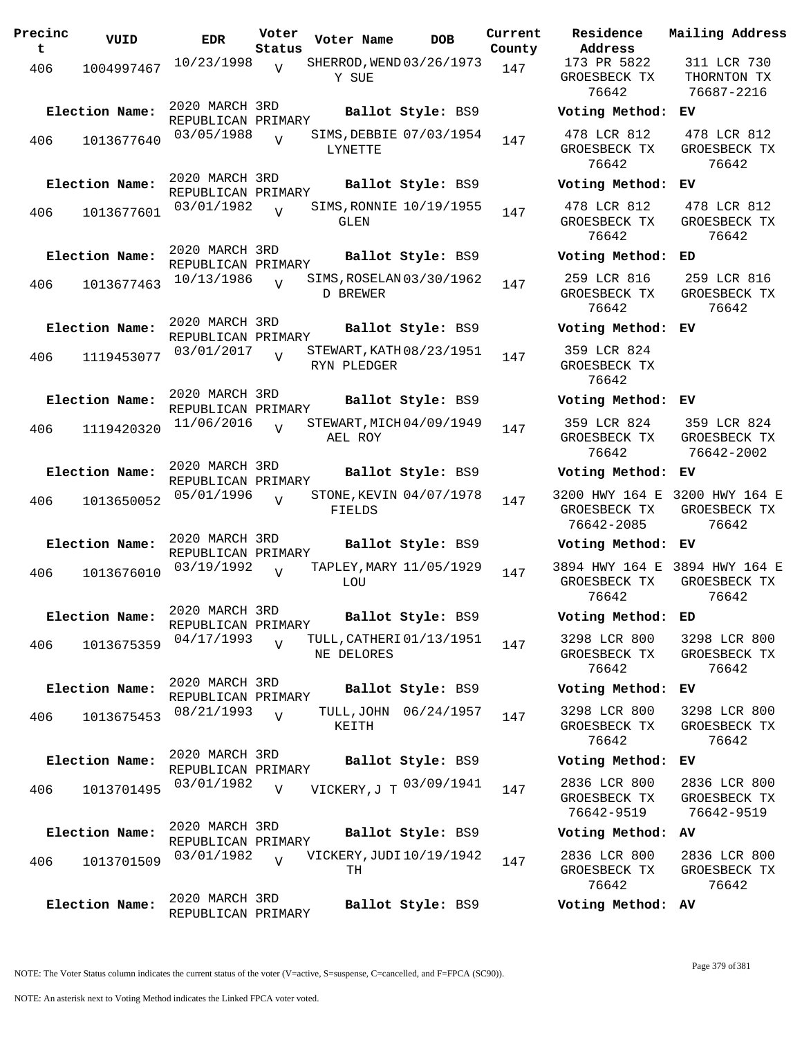| Precinc<br>t. | VUID           | <b>EDR</b>                           | Voter<br>Status | Voter Name                              | <b>DOB</b>            | Current<br>County | Residence<br>Address                       |
|---------------|----------------|--------------------------------------|-----------------|-----------------------------------------|-----------------------|-------------------|--------------------------------------------|
| 406           | 1004997467     | 10/23/1998                           | V               | SHERROD, WEND 03/26/1973<br>Y SUE       |                       | 147               | 173 PR 5822<br>GROESBECK TX<br>76642       |
|               | Election Name: | 2020 MARCH 3RD<br>REPUBLICAN PRIMARY |                 |                                         | Ballot Style: BS9     |                   | Voting Metho                               |
| 406           | 1013677640     | 03/05/1988                           | $\overline{Y}$  | SIMS, DEBBIE 07/03/1954<br>LYNETTE      |                       | 147               | 478 LCR 812<br>GROESBECK TX<br>76642       |
|               | Election Name: | 2020 MARCH 3RD<br>REPUBLICAN PRIMARY |                 |                                         | Ballot Style: BS9     |                   | Voting Metho                               |
| 406           | 1013677601     | 03/01/1982                           | $\overline{V}$  | SIMS, RONNIE 10/19/1955<br>GLEN         |                       | 147               | 478 LCR 812<br>GROESBECK TX<br>76642       |
|               | Election Name: | 2020 MARCH 3RD<br>REPUBLICAN PRIMARY |                 |                                         | Ballot Style: BS9     |                   | Voting Metho                               |
| 406           | 1013677463     | 10/13/1986                           | $\overline{U}$  | SIMS, ROSELAN 03/30/1962<br>D BREWER    |                       | 147               | 259 LCR 816<br>GROESBECK TX<br>76642       |
|               | Election Name: | 2020 MARCH 3RD<br>REPUBLICAN PRIMARY |                 |                                         | Ballot Style: BS9     |                   | Voting Metho                               |
| 406           | 1119453077     | 03/01/2017                           | $\overline{v}$  | STEWART, KATH 08/23/1951<br>RYN PLEDGER |                       | 147               | 359 LCR 824<br>GROESBECK TX<br>76642       |
|               | Election Name: | 2020 MARCH 3RD<br>REPUBLICAN PRIMARY |                 |                                         | Ballot Style: BS9     |                   | Voting Metho                               |
| 406           | 1119420320     | 11/06/2016                           | $\overline{V}$  | STEWART, MICH 04/09/1949<br>AEL ROY     |                       | 147               | 359 LCR 824<br>GROESBECK TX<br>76642       |
|               | Election Name: | 2020 MARCH 3RD<br>REPUBLICAN PRIMARY |                 |                                         | Ballot Style: BS9     |                   | Voting Metho                               |
| 406           | 1013650052     | 05/01/1996                           | $\overline{U}$  | STONE, KEVIN 04/07/1978<br>FIELDS       |                       | 147               | 3200 HWY 164<br>GROESBECK TX<br>76642-2085 |
|               | Election Name: | 2020 MARCH 3RD<br>REPUBLICAN PRIMARY |                 |                                         | Ballot Style: BS9     |                   | Voting Metho                               |
| 406           | 1013676010     | 03/19/1992                           | $\overline{V}$  | TAPLEY, MARY 11/05/1929<br>LOU          |                       | 147               | 3894 HWY 164<br>GROESBECK TX<br>76642      |
|               | Election Name: | 2020 MARCH 3RD<br>REPUBLICAN PRIMARY |                 |                                         | Ballot Style: BS9     |                   | Voting Metho                               |
| 406           | 1013675359     | 04/17/1993                           | $\overline{V}$  | TULL, CATHERI 01/13/1951<br>NE DELORES  |                       | 147               | 3298 LCR 800<br>GROESBECK TX<br>76642      |
|               | Election Name: | 2020 MARCH 3RD<br>REPUBLICAN PRIMARY |                 |                                         | Ballot Style: BS9     |                   | Voting Metho                               |
| 406           | 1013675453     | 08/21/1993                           | $\overline{V}$  | KEITH                                   | TULL, JOHN 06/24/1957 | 147               | 3298 LCR 800<br>GROESBECK TX<br>76642      |
|               | Election Name: | 2020 MARCH 3RD<br>REPUBLICAN PRIMARY |                 |                                         | Ballot Style: BS9     |                   | Voting Metho                               |
| 406           | 1013701495     | 03/01/1982                           | $\overline{V}$  | VICKERY, J T 03/09/1941                 |                       | 147               | 2836 LCR 800<br>GROESBECK TX<br>76642-9519 |
|               | Election Name: | 2020 MARCH 3RD<br>REPUBLICAN PRIMARY |                 |                                         | Ballot Style: BS9     |                   | Voting Metho                               |
| 406           | 1013701509     | 03/01/1982                           | $\overline{U}$  | VICKERY, JUDI 10/19/1942<br>TН          |                       | 147               | 2836 LCR 800<br>GROESBECK TX<br>76642      |
|               | Election Name: | 2020 MARCH 3RD<br>REPUBLICAN PRIMARY |                 |                                         | Ballot Style: BS9     |                   | Voting Metho                               |

**Voter Name DOB Residence Address Current Mailing Address** 173 PR 5822 GROESBECK TX 76642 311 LCR 730 THORNTON TX 76687-2216 **Election Name: Ballot Style:** BS9 **Voting Method: EV** 478 LCR 812 GROESBECK TX 76642 478 LCR 812 GROESBECK TX 76642 **Election Name: Ballot Style:** BS9 **Voting Method: EV** 478 LCR 812 GROESBECK TX 76642 478 LCR 812 GROESBECK TX 76642 **Election Name: Ballot Style:** BS9 **Voting Method: ED** 259 LCR 816 GROESBECK TX 76642 259 LCR 816 GROESBECK TX 76642 **Election Name: Ballot Style:** BS9 **Voting Method: EV** 359 LCR 824 GROESBECK TX 76642 **Election Name: Ballot Style:** BS9 **Voting Method: EV** 359 LCR 824 GROESBECK TX 76642 359 LCR 824 GROESBECK TX 76642-2002 **Election Name: Ballot Style:** BS9 **Voting Method: EV** 3200 HWY 164 E 3200 HWY 164 E GROESBECK TX 76642-2085 GROESBECK TX 76642 **Election Name: Ballot Style:** BS9 **Voting Method: EV** 3894 HWY 164 E 3894 HWY 164 E GROESBECK TX 76642 GROESBECK TX 76642 **Election Name: Ballot Style:** BS9 **Voting Method: ED** 3298 LCR 800 GROESBECK TX 76642 3298 LCR 800 GROESBECK TX 76642 **Election Name: Ballot Style:** BS9 **Voting Method: EV** 3298 LCR 800 GROESBECK TX 76642 3298 LCR 800 GROESBECK TX 76642 **Election Name: Ballot Style:** BS9 **Voting Method: EV** GROESBECK TX 76642-9519 2836 LCR 800 GROESBECK TX 76642-9519 **Election Name: Ballot Style:** BS9 **Voting Method: AV** 2836 LCR 800 GROESBECK TX 76642 2836 LCR 800 GROESBECK TX 76642

NOTE: The Voter Status column indicates the current status of the voter (V=active, S=suspense, C=cancelled, and F=FPCA (SC90)).

**Election Name: Ballot Style:** BS9 **Voting Method: AV**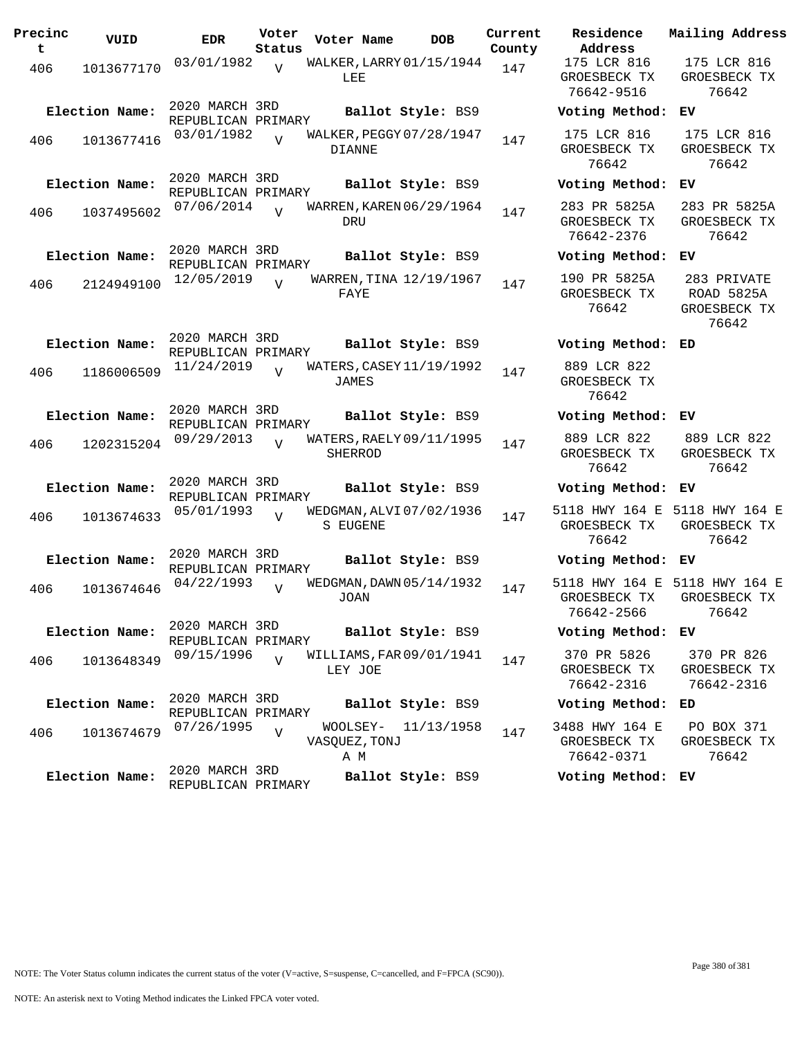| Precinc<br>t | VUID           | <b>EDR</b>                           | Voter<br>Status | Voter Name                           | <b>DOB</b> | Current<br>County | Residence<br>Address                             | Mail                 |
|--------------|----------------|--------------------------------------|-----------------|--------------------------------------|------------|-------------------|--------------------------------------------------|----------------------|
| 406          | 1013677170     | 03/01/1982                           | $\overline{V}$  | WALKER, LARRY 01/15/1944<br>LEE      |            | 147               | 175 LCR 816<br>GROESBECK TX<br>76642-9516        | 1 <sup>7</sup><br>GR |
|              | Election Name: | 2020 MARCH 3RD<br>REPUBLICAN PRIMARY |                 | Ballot Style: BS9                    |            |                   | Voting Method:                                   | EV                   |
| 406          | 1013677416     | 03/01/1982                           | $\overline{U}$  | WALKER, PEGGY 07/28/1947<br>DIANNE   |            | 147               | 175 LCR 816<br>GROESBECK TX<br>76642             | 1 <sup>1</sup><br>GR |
|              | Election Name: | 2020 MARCH 3RD<br>REPUBLICAN PRIMARY |                 | Ballot Style: BS9                    |            |                   | Voting Method:                                   | EV                   |
| 406          | 1037495602     | 07/06/2014                           | $\overline{U}$  | WARREN, KAREN 06/29/1964<br>DRU      |            | 147               | 283 PR 5825A<br>GROESBECK TX<br>76642-2376       | 28<br>GR             |
|              | Election Name: | 2020 MARCH 3RD<br>REPUBLICAN PRIMARY |                 | Ballot Style: BS9                    |            |                   | Voting Method:                                   | EV                   |
| 406          | 2124949100     | 12/05/2019                           | $\overline{U}$  | WARREN, TINA 12/19/1967<br>FAYE      |            | 147               | 190 PR 5825A<br>GROESBECK TX<br>76642            | $2\xi$<br>R<br>GR    |
|              | Election Name: | 2020 MARCH 3RD<br>REPUBLICAN PRIMARY |                 | Ballot Style: BS9                    |            |                   | Voting Method:                                   | ED                   |
| 406          | 1186006509     | 11/24/2019                           | $\overline{U}$  | WATERS, CASEY 11/19/1992<br>JAMES    |            | 147               | 889 LCR 822<br>GROESBECK TX<br>76642             |                      |
|              | Election Name: | 2020 MARCH 3RD<br>REPUBLICAN PRIMARY |                 | Ballot Style: BS9                    |            |                   | Voting Method:                                   | ЕV                   |
| 406          | 1202315204     | 09/29/2013                           | $\overline{U}$  | WATERS, RAELY 09/11/1995<br>SHERROD  |            | 147               | 889 LCR 822<br>GROESBECK TX<br>76642             | 88<br>GR             |
|              | Election Name: | 2020 MARCH 3RD<br>REPUBLICAN PRIMARY |                 | Ballot Style: BS9                    |            |                   | Voting Method:                                   | ЕV                   |
| 406          | 1013674633     | 05/01/1993                           | $\overline{V}$  | WEDGMAN, ALVI 07/02/1936<br>S EUGENE |            | 147               | 5118 HWY 164 E<br>GROESBECK TX<br>76642          | 511<br>GR            |
|              | Election Name: | 2020 MARCH 3RD<br>REPUBLICAN PRIMARY |                 | Ballot Style: BS9                    |            |                   | Voting Method:                                   | ЕV                   |
| 406          | 1013674646     | 04/22/1993                           | $\overline{U}$  | WEDGMAN, DAWN 05/14/1932<br>JOAN     |            | 147               | 5118 HWY 164 E 511<br>GROESBECK TX<br>76642-2566 | GR                   |
|              | Election Name: | 2020 MARCH 3RD<br>REPUBLICAN PRIMARY |                 | Ballot Style: BS9                    |            |                   | Voting Method:                                   | ЕV                   |
| 406          | 1013648349     | 09/15/1996                           | $\overline{V}$  | WILLIAMS, FAR 09/01/1941<br>LEY JOE  |            | 147               | 370 PR 5826<br>GROESBECK TX<br>76642-2316        | 3<br>GR<br>7         |
|              | Election Name: | 2020 MARCH 3RD<br>REPUBLICAN PRIMARY |                 | Ballot Style: BS9                    |            |                   | Voting Method:                                   | ED                   |
| 406          | 1013674679     | 07/26/1995                           | $\overline{V}$  | WOOLSEY-<br>VASQUEZ, TONJ<br>AМ      | 11/13/1958 | 147               | 3488 HWY 164 E<br>GROESBECK TX<br>76642-0371     | $\mathbf P$<br>GR    |
|              | Election Name: | 2020 MARCH 3RD<br>REPUBLICAN PRIMARY |                 | Ballot Style: BS9                    |            |                   | Voting Method: EV                                |                      |

**Address** 175 LCR 816 GROESBECK TX 76642-9516 175 LCR 816 GROESBECK TX 76642 **Election Name: Ballot Style:** BS9 **Voting Method: EV** 175 LCR 816 GROESBECK TX 76642 175 LCR 816 GROESBECK TX 76642 **Election Name: Ballot Style:** BS9 **Voting Method: EV** 283 PR 5825A GROESBECK TX 76642-2376 283 PR 5825A GROESBECK TX 76642 **Election Name: Ballot Style:** BS9 **Voting Method: EV** 190 PR 5825A GROESBECK TX 76642 283 PRIVATE ROAD 5825A GROESBECK TX 76642 **Election Name: Ballot Style:** BS9 **Voting Method: ED** 889 LCR 822 GROESBECK TX 76642 **Election Name: Ballot Style:** BS9 **Voting Method: EV** 889 LCR 822 GROESBECK TX 76642 889 LCR 822 GROESBECK TX 76642 **Election Name: Ballot Style:** BS9 **Voting Method: EV** 5118 HWY 164 E 5118 HWY 164 E GROESBECK TX 76642 GROESBECK TX 76642 **Election Name: Ballot Style:** BS9 **Voting Method: EV** 5118 HWY 164 E 5118 HWY 164 E GROESBECK TX 76642-2566 GROESBECK TX 76642 **Election Name: Ballot Style:** BS9 **Voting Method: EV** 370 PR 5826 GROESBECK TX 76642-2316 370 PR 826 GROESBECK TX 76642-2316 **Election Name: Ballot Style:** BS9 **Voting Method: ED** 3488 HWY 164 E GROESBECK TX PO BOX 371 GROESBECK TX

**Current Mailing Address**

76642